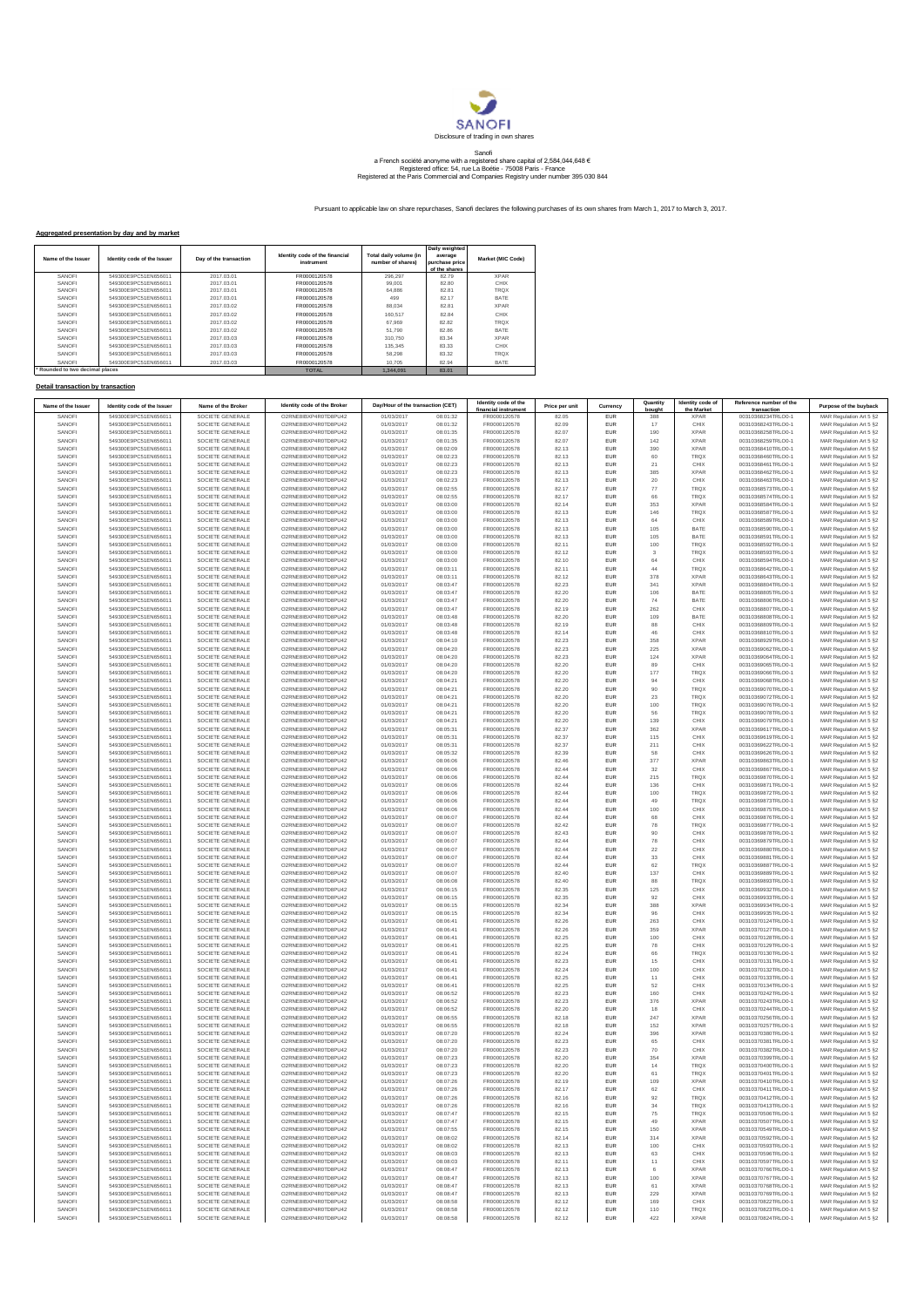

## Sanofi<br>a French société anonyme with a registered share capital of 2,584,044,648 €<br>Registered office: 54, rue La Boétie - 75008 Paris - France<br>Registered at the Paris Commercial and Companies Registry under number 395 030

Pursuant to applicable law on share repurchases, Sanofi declares the following purchases of its own shares from March 1, 2017 to March 3, 2017.

## **Aggregated presentation by day and by market**

| Name of the Issuer            | Identity code of the Issuer | Day of the transaction | Identity code of the financial<br>instrument | Total daily volume (in<br>number of shares) | Daily weighted<br>average<br>purchase price<br>of the shares | Market (MIC Code) |
|-------------------------------|-----------------------------|------------------------|----------------------------------------------|---------------------------------------------|--------------------------------------------------------------|-------------------|
| SANOFI                        | 549300E9PC51EN656011        | 2017 03 01             | FR0000120578                                 | 296.297                                     | 82.79                                                        | <b>XPAR</b>       |
| SANOFI                        | 549300E9PC51EN656011        | 2017 03 01             | FR0000120578                                 | 99.001                                      | 82.80                                                        | <b>CHIX</b>       |
| SANOFI                        | 549300E9PC51EN656011        | 2017 03 01             | FR0000120578                                 | 64.886                                      | 8281                                                         | <b>TROX</b>       |
| SANOFI                        | 549300E9PC51EN656011        | 2017 03 01             | FR0000120578                                 | 499                                         | 82 17                                                        | BATE              |
| SANOFI                        | 549300E9PC51EN656011        | 2017 03 02             | FR0000120578                                 | 88.034                                      | 82.81                                                        | <b>XPAR</b>       |
| SANOFI                        | 549300E9PC51EN656011        | 2017 03 02             | FR0000120578                                 | 160,517                                     | 82.84                                                        | <b>CHIX</b>       |
| SANOFI                        | 549300E9PC51EN656011        | 2017 03 02             | FR0000120578                                 | 67.969                                      | 8282                                                         | <b>TROX</b>       |
| SANOFI                        | 549300E9PC51EN656011        | 2017 03 02             | FR0000120578                                 | 51.790                                      | 82.86                                                        | <b>BATE</b>       |
| SANOFI                        | 549300E9PC51EN656011        | 2017 03 03             | FR0000120578                                 | 310.750                                     | 83.34                                                        | <b>XPAR</b>       |
| SANOFI                        | 549300E9PC51EN656011        | 2017 03 03             | FR0000120578                                 | 135,345                                     | 83.33                                                        | <b>CHIX</b>       |
| SANOFI                        | 549300E9PC51EN656011        | 2017 03 03             | FR0000120578                                 | 58.298                                      | 83.32                                                        | <b>TROX</b>       |
| SANOFI                        | 549300E9PC51EN656011        | 2017.03.03             | FR0000120578                                 | 10.705                                      | 82.94                                                        | BATE              |
| Rounded to two decimal places |                             |                        | <b>TOTAL</b>                                 | 1.344.091                                   | 83.01                                                        |                   |

## **Detail transaction by transaction**

| Name of the Issuer | Identity code of the Issuer                  | Name of the Broker                   | Identity code of the Broker                  | Day/Hour of the transaction (CET) |                      | Identity code of the<br>financial instrument | Price per unit | Currency                 | Quantity<br>bought      | Identity code of<br>the Market | Reference number of the<br>transaction   | Purpose of the buyback                              |
|--------------------|----------------------------------------------|--------------------------------------|----------------------------------------------|-----------------------------------|----------------------|----------------------------------------------|----------------|--------------------------|-------------------------|--------------------------------|------------------------------------------|-----------------------------------------------------|
| SANOFI             | 549300E9PC51EN656011                         | SOCIETE GENERALE                     | O2RNE8IBXP4R0TD8PU42                         | 01/03/2017                        | 08:01:32             | FR0000120578                                 | 82.05          | <b>EUR</b>               | 388                     | <b>XPAR</b>                    | 00310368234TRLO0-1                       | MAR Regulation Art 5 §2                             |
| SANOFI             | 549300E9PC51EN656011                         | SOCIETE GENERALE<br>SOCIETE GENERALE | O2RNE8IBXP4R0TD8PU42<br>O2RNE8IBXP4R0TD8PU42 | 01/03/2017                        | 08:01:32             | FR0000120578                                 | 82.09          | <b>EUR</b>               | 17                      | CHIX                           | 00310368243TRLO0-1                       | MAR Regulation Art 5 §2                             |
| SANOFI<br>SANOFI   | 549300E9PC51EN656011<br>549300E9PC51EN656011 | SOCIETE GENERALE                     | O2RNE8IBXP4R0TD8PU42                         | 01/03/2017<br>01/03/2017          | 08:01:35<br>08:01:35 | FR0000120578<br>FR0000120578                 | 82.07<br>82.07 | <b>EUR</b><br><b>EUR</b> | 190<br>142              | <b>XPAR</b><br><b>XPAR</b>     | 00310368258TRLO0-1<br>00310368259TRLO0-1 | MAR Regulation Art 5 §2<br>MAR Regulation Art 5 §2  |
| SANOFI             | 549300E9PC51EN656011                         | SOCIETE GENERALE                     | O2RNE8IBXP4R0TD8PU42                         | 01/03/2017                        | 08:02:09             | FR0000120578                                 | 82.13          | EUR                      | 390                     | <b>XPAR</b>                    | 00310368410TRLO0-1                       | MAR Regulation Art 5 §2                             |
| SANOFI             | 549300E9PC51EN656011                         | SOCIETE GENERALE                     | O2RNE8IBXP4R0TD8PU42                         | 01/03/2017                        | 08:02:23             | FR0000120578                                 | 82.13          | EUR                      | 60                      | <b>TRQX</b>                    | 00310368460TRLO0-1                       | MAR Regulation Art 5 §2                             |
| SANOFI             | 549300E9PC51EN656011                         | SOCIETE GENERALE                     | O2RNE8IBXP4R0TD8PU42                         | 01/03/2017                        | 08:02:23             | FR0000120578                                 | 82.13          | EUR                      | $21\,$                  | CHIX                           | 00310368461TRLO0-1                       | MAR Regulation Art 5 §2                             |
| SANOFI<br>SANOFI   | 549300E9PC51EN656011<br>549300E9PC51EN656011 | SOCIETE GENERALE<br>SOCIETE GENERALE | O2RNE8IBXP4R0TD8PU42<br>O2RNE8IBXP4R0TD8PU42 | 01/03/2017<br>01/03/2017          | 08:02:23<br>08:02:23 | FR0000120578<br>FR0000120578                 | 82.13<br>82.13 | <b>EUR</b><br>EUR        | 385<br>20               | <b>XPAR</b><br>CHIX            | 00310368462TRLO0-1<br>00310368463TRLO0-1 | MAR Regulation Art 5 §2                             |
| SANOFI             | 549300E9PC51EN656011                         | SOCIETE GENERALE                     | O2RNE8IBXP4R0TD8PU42                         | 01/03/2017                        | 08:02:55             | FR0000120578                                 | 82.17          | <b>EUR</b>               | 77                      | <b>TRQX</b>                    | 00310368573TRLO0-1                       | MAR Regulation Art 5 §2<br>MAR Regulation Art 5 §2  |
| SANOFI             | 549300E9PC51EN656011                         | SOCIETE GENERALE                     | O2RNE8IBXP4R0TD8PU42                         | 01/03/2017                        | 08:02:55             | FR0000120578                                 | 82.17          | EUR                      | 66                      | <b>TRQX</b>                    | 00310368574TRLO0-1                       | MAR Regulation Art 5 §2                             |
| SANOFI             | 549300E9PC51EN656011                         | SOCIETE GENERALE                     | O2RNE8IBXP4R0TD8PU42                         | 01/03/2017                        | 08:03:00             | FR0000120578                                 | 82.14          | <b>EUR</b>               | 353                     | <b>XPAR</b>                    | 00310368584TRLO0-1                       | MAR Regulation Art 5 §2                             |
| SANOFI             | 549300E9PC51EN656011                         | SOCIETE GENERALE                     | O2RNE8IBXP4R0TD8PU42                         | 01/03/2017                        | 08:03:00             | FR0000120578                                 | 82.13          | EUR                      | 146                     | <b>TRQX</b>                    | 00310368587TRLO0-1                       | MAR Regulation Art 5 §2                             |
| SANOFI<br>SANOFI   | 549300E9PC51EN656011<br>549300E9PC51EN656011 | SOCIETE GENERALE<br>SOCIETE GENERALE | O2RNE8IBXP4R0TD8PU42<br>O2RNE8IBXP4R0TD8PU42 | 01/03/2017<br>01/03/2017          | 08:03:00<br>08:03:00 | FR0000120578<br>FR0000120578                 | 82.13<br>82.13 | EUR<br><b>EUR</b>        | 64<br>105               | CHIX<br>BATE                   | 00310368589TRLO0-1<br>00310368590TRLO0-1 | MAR Regulation Art 5 §2<br>MAR Regulation Art 5 §2  |
| SANOFI             | 549300E9PC51EN656011                         | SOCIETE GENERALE                     | O2RNE8IBXP4R0TD8PU42                         | 01/03/2017                        | 08:03:00             | FR0000120578                                 | 82.13          | EUR                      | 105                     | BATE                           | 00310368591TRLO0-1                       | MAR Regulation Art 5 §2                             |
| SANOFI             | 549300E9PC51EN656011                         | SOCIETE GENERALE                     | O2RNE8IBXP4R0TD8PU42                         | 01/03/2017                        | 08:03:00             | FR0000120578                                 | 82.11          | <b>EUR</b>               | 100                     | <b>TROX</b>                    | 00310368592TRLO0-1                       | MAR Regulation Art 5 §2                             |
| SANOFI             | 549300E9PC51EN656011                         | SOCIETE GENERALE                     | O2RNE8IBXP4R0TD8PU42                         | 01/03/2017                        | 08:03:00             | FR0000120578                                 | 82.12          | EUR                      | $\overline{\mathbf{3}}$ | <b>TRQX</b>                    | 00310368593TRLO0-1                       | MAR Regulation Art 5 §2                             |
| SANOFI             | 549300E9PC51EN656011                         | SOCIETE GENERALE                     | O2RNE8IBXP4R0TD8PU42                         | 01/03/2017                        | 08:03:00             | FR0000120578                                 | 82.10          | <b>EUR</b>               | 64                      | CHIX                           | 00310368594TRLO0-1                       | MAR Regulation Art 5 §2                             |
| SANOFI<br>SANOFI   | 549300E9PC51EN656011<br>549300E9PC51EN656011 | SOCIETE GENERALE<br>SOCIETE GENERALE | O2RNE8IBXP4R0TD8PU42<br>O2RNE8IBXP4R0TD8PU42 | 01/03/2017<br>01/03/2017          | 08:03:11<br>08:03:11 | FR0000120578<br>FR0000120578                 | 82.11<br>82.12 | EUR<br>EUR               | 44<br>378               | <b>TRQX</b><br><b>XPAR</b>     | 00310368642TRLO0-1<br>00310368643TRLO0-1 | MAR Regulation Art 5 §2<br>MAR Regulation Art 5 §2  |
| SANOFI             | 549300E9PC51EN656011                         | SOCIETE GENERALE                     | O2RNE8IBXP4R0TD8PU42                         | 01/03/2017                        | 08:03:47             | FR0000120578                                 | 82.23          | <b>EUR</b>               | 341                     | <b>XPAR</b>                    | 00310368804TRLO0-1                       | MAR Regulation Art 5 §2                             |
| SANOFI             | 549300E9PC51EN656011                         | SOCIETE GENERALE                     | O2RNE8IBXP4R0TD8PU42                         | 01/03/2017                        | 08:03:47             | FR0000120578                                 | 82.20          | <b>EUR</b>               | 106                     | BATE                           | 00310368805TRLO0-1                       | MAR Regulation Art 5 §2                             |
| SANOFI             | 549300E9PC51EN656011                         | SOCIETE GENERALE                     | O2RNE8IBXP4R0TD8PU42                         | 01/03/2017                        | 08:03:47             | FR0000120578                                 | 82.20          | <b>EUR</b>               | 74                      | BATE                           | 00310368806TRLO0-1                       | MAR Regulation Art 5 §2                             |
| SANOFI             | 549300E9PC51EN656011                         | SOCIETE GENERALE                     | O2RNE8IBXP4R0TD8PU42                         | 01/03/2017                        | 08:03:47             | FR0000120578<br>FR0000120578                 | 82.19          | EUR                      | 262                     | CHIX<br><b>BATE</b>            | 00310368807TRLO0-1                       | MAR Regulation Art 5 §2<br>MAR Regulation Art 5 \$2 |
| SANOFI<br>SANOFI   | 549300E9PC51EN656011<br>549300E9PC51EN656011 | SOCIETE GENERALE<br>SOCIETE GENERALE | O2RNE8IBXP4R0TD8PU42<br>O2RNE8IBXP4R0TD8PU42 | 01/03/2017<br>01/03/2017          | 08:03:48<br>08:03:48 | FR0000120578                                 | 82.20<br>82.19 | <b>EUR</b><br>EUR        | 109<br>88               | CHIX                           | 00310368808TRLO0-1<br>00310368809TRLO0-1 | MAR Regulation Art 5 §2                             |
| SANOFI             | 549300E9PC51EN656011                         | SOCIETE GENERALE                     | O2RNE8IBXP4R0TD8PU42                         | 01/03/2017                        | 08:03:48             | FR0000120578                                 | 82.14          | <b>EUR</b>               | 46                      | CHIX                           | 00310368810TRLO0-1                       | MAR Regulation Art 5 §2                             |
| SANOFI             | 549300E9PC51EN656011                         | SOCIETE GENERALE                     | O2RNE8IBXP4R0TD8PU42                         | 01/03/2017                        | 08:04:10             | FR0000120578                                 | 82.23          | <b>EUR</b>               | 358                     | <b>XPAR</b>                    | 00310368929TRLO0-1                       | MAR Regulation Art 5 §2                             |
| SANOFI             | 549300E9PC51EN656011                         | SOCIETE GENERALE                     | O2RNE8IBXP4R0TD8PU42                         | 01/03/2017                        | 08:04:20             | FR0000120578                                 | 82.23          | <b>EUR</b>               | 225                     | <b>XPAR</b>                    | 00310369062TRLO0-1                       | MAR Regulation Art 5 §2                             |
| SANOFI             | 549300E9PC51EN656011                         | SOCIETE GENERALE                     | O2RNE8IBXP4R0TD8PU42<br>O2RNE8IBXP4R0TD8PU42 | 01/03/2017                        | 08:04:20             | FR0000120578                                 | 82.23          | EUR                      | 124                     | <b>XPAR</b>                    | 00310369064TRLO0-1                       | MAR Regulation Art 5 §2                             |
| SANOFI<br>SANOFI   | 549300E9PC51EN656011<br>549300E9PC51EN656011 | SOCIETE GENERALE<br>SOCIETE GENERALE | O2RNE8IBXP4R0TD8PU42                         | 01/03/2017<br>01/03/2017          | 08:04:20<br>08:04:20 | FR0000120578<br>FR0000120578                 | 82.20<br>82.20 | EUR<br><b>EUR</b>        | 89<br>177               | CHIX<br><b>TRQX</b>            | 00310369065TRLO0-1<br>00310369066TRLO0-1 | MAR Regulation Art 5 §2<br>MAR Regulation Art 5 §2  |
| SANOFI             | 549300E9PC51EN656011                         | SOCIETE GENERALE                     | O2RNE8IBXP4R0TD8PU42                         | 01/03/2017                        | 08:04:21             | FR0000120578                                 | 82.20          | EUR                      | 94                      | CHIX                           | 00310369068TRLO0-1                       | MAR Regulation Art 5 §2                             |
| SANOFI             | 549300E9PC51EN656011                         | SOCIETE GENERALE                     | O2RNE8IBXP4R0TD8PU42                         | 01/03/2017                        | 08:04:21             | FR0000120578                                 | 82.20          | <b>EUR</b>               | 90                      | <b>TRQX</b>                    | 00310369070TRLO0-1                       | MAR Regulation Art 5 §2                             |
| SANOFI             | 549300E9PC51EN656011                         | SOCIETE GENERALE                     | O2RNE8IBXP4R0TD8PU42                         | 01/03/2017                        | 08:04:21             | FR0000120578                                 | 82.20          | EUR                      | 23                      | <b>TRQX</b>                    | 00310369072TRLO0-1                       | MAR Regulation Art 5 §2                             |
| SANOFI<br>SANOFI   | 549300E9PC51EN656011<br>549300E9PC51EN656011 | SOCIETE GENERALE                     | O2RNE8IBXP4R0TD8PU42<br>O2RNE8IBXP4R0TD8PU42 | 01/03/2017                        | 08:04:21<br>08:04:21 | FR0000120578                                 | 82.20<br>82.20 | <b>EUR</b><br>EUR        | 100                     | <b>TROX</b><br><b>TRQX</b>     | 00310369076TRLO0-1                       | MAR Regulation Art 5 \$2                            |
| SANOFI             | 549300E9PC51EN656011                         | SOCIETE GENERALE<br>SOCIETE GENERALE | O2RNE8IBXP4R0TD8PU42                         | 01/03/2017<br>01/03/2017          | 08:04:21             | FR0000120578<br>FR0000120578                 | 82.20          | EUR                      | 56<br>139               | CHIX                           | 00310369078TRLO0-1<br>00310369079TRLO0-1 | MAR Regulation Art 5 §2<br>MAR Regulation Art 5 §2  |
| SANOFI             | 549300E9PC51EN656011                         | SOCIETE GENERALE                     | O2RNE8IBXP4R0TD8PU42                         | 01/03/2017                        | 08:05:31             | FR0000120578                                 | 82.37          | <b>EUR</b>               | 362                     | <b>XPAR</b>                    | 00310369617TRLO0-1                       | MAR Regulation Art 5 §2                             |
| SANOFI             | 549300E9PC51EN656011                         | SOCIETE GENERALE                     | O2RNE8IBXP4R0TD8PU42                         | 01/03/2017                        | 08:05:31             | FR0000120578                                 | 82.37          | EUR                      | 115                     | CHIX                           | 00310369619TRLO0-1                       | MAR Regulation Art 5 §2                             |
| SANOFI             | 549300E9PC51EN656011                         | SOCIETE GENERALE                     | O2RNE8IBXP4R0TD8PU42                         | 01/03/2017                        | 08:05:31             | FR0000120578                                 | 82.37          | <b>EUR</b>               | 211                     | CHIX                           | 00310369622TRLO0-1                       | MAR Regulation Art 5 §2                             |
| SANOFI<br>SANOFI   | 549300E9PC51EN656011<br>549300E9PC51EN656011 | SOCIETE GENERALE<br>SOCIETE GENERALE | O2RNE8IBXP4R0TD8PU42<br>O2RNE8IBXP4R0TD8PU42 | 01/03/2017<br>01/03/2017          | 08:05:32<br>08:06:06 | FR0000120578<br>FR0000120578                 | 82.39<br>82.46 | EUR<br><b>EUR</b>        | 58<br>377               | CHIX<br><b>XPAR</b>            | 00310369626TRLO0-1<br>00310369863TRLO0-1 | MAR Regulation Art 5 §2<br>MAR Regulation Art 5 §2  |
| SANOFI             | 549300E9PC51EN656011                         | SOCIETE GENERALE                     | O2RNE8IBXP4R0TD8PU42                         | 01/03/2017                        | 08:06:06             | FR0000120578                                 | 82.44          | EUR                      | 32                      | CHIX                           | 00310369867TRLO0-1                       | MAR Regulation Art 5 §2                             |
| SANOFI             | 549300E9PC51EN656011                         | SOCIETE GENERALE                     | O2RNE8IBXP4R0TD8PU42                         | 01/03/2017                        | 08:06:06             | FR0000120578                                 | 82.44          | <b>EUR</b>               | 215                     | <b>TRQX</b>                    | 00310369870TRLO0-1                       | MAR Regulation Art 5 §2                             |
| SANOFI             | 549300E9PC51EN656011                         | SOCIETE GENERALE                     | O2RNE8IBXP4R0TD8PU42                         | 01/03/2017                        | 08:06:06             | FR0000120578                                 | 82.44          | <b>EUR</b>               | 136                     | CHIX                           | 00310369871TRLO0-1                       | MAR Regulation Art 5 §2                             |
| SANOFI             | 549300E9PC51EN656011                         | SOCIETE GENERALE                     | O2RNE8IBXP4R0TD8PU42<br>O2RNE8IBXP4R0TD8PU42 | 01/03/2017                        | 08:06:06             | FR0000120578<br>FR0000120578                 | 82.44          | <b>EUR</b>               | 100                     | <b>TRQX</b>                    | 00310369872TRLO0-1                       | MAR Regulation Art 5 §2                             |
| SANOFI<br>SANOFI   | 549300E9PC51EN656011<br>549300E9PC51EN656011 | SOCIETE GENERALE<br>SOCIETE GENERALE | O2RNE8IBXP4R0TD8PU42                         | 01/03/2017<br>01/03/2017          | 08:06:06<br>08:06:06 | FR0000120578                                 | 82.44<br>82.44 | EUR<br>EUR               | 49<br>100               | <b>TRQX</b><br>CHIX            | 00310369873TRLO0-1<br>00310369875TRLO0-1 | MAR Regulation Art 5 §2<br>MAR Regulation Art 5 §2  |
| SANOFI             | 549300E9PC51EN656011                         | SOCIETE GENERALE                     | O2RNE8IBXP4R0TD8PU42                         | 01/03/2017                        | 08:06:07             | FR0000120578                                 | 82.44          | <b>EUR</b>               | 68                      | CHIX                           | 00310369876TRLO0-1                       | MAR Regulation Art 5 §2                             |
| SANOFI             | 549300E9PC51EN656011                         | SOCIETE GENERALE                     | O2RNE8IBXP4R0TD8PU42                         | 01/03/2017                        | 08:06:07             | FR0000120578                                 | 82.42          | EUR                      | 78                      | <b>TRQX</b>                    | 00310369877TRLO0-1                       | MAR Regulation Art 5 §2                             |
| SANOFI             | 549300E9PC51EN656011                         | SOCIETE GENERALE                     | O2RNE8IBXP4R0TD8PU42                         | 01/03/2017                        | 08:06:07             | FR0000120578                                 | 82.43          | <b>EUR</b>               | 90                      | CHIX                           | 00310369878TRLO0-1                       | MAR Regulation Art 5 §2                             |
| SANOFI<br>SANOFI   | 549300E9PC51EN656011                         | SOCIETE GENERALE                     | O2RNE8IBXP4R0TD8PU42<br>O2RNE8IBXP4R0TD8PU42 | 01/03/2017<br>01/03/2017          | 08:06:07<br>08:06:07 | FR0000120578<br>FR0000120578                 | 82.44<br>82.44 | EUR<br><b>EUR</b>        | 78<br>22                | CHIX<br>CHIX                   | 00310369879TRLO0-1                       | MAR Regulation Art 5 §2<br>MAR Regulation Art 5 §2  |
| SANOFI             | 549300E9PC51EN656011<br>549300E9PC51EN656011 | SOCIETE GENERALE<br>SOCIETE GENERALE | O2RNE8IBXP4R0TD8PU42                         | 01/03/2017                        | 08:06:07             | FR0000120578                                 | 82.44          | EUR                      | 33                      | CHIX                           | 00310369880TRLO0-1<br>00310369881TRLO0-1 | MAR Regulation Art 5 §2                             |
| SANOFI             | 549300E9PC51EN656011                         | SOCIETE GENERALE                     | O2RNE8IBXP4R0TD8PU42                         | 01/03/2017                        | 08:06:07             | FR0000120578                                 | 82.44          | EUR                      | 62                      | TRQX                           | 00310369887TRLO0-1                       | MAR Regulation Art 5 §2                             |
| SANOFI             | 549300E9PC51EN656011                         | SOCIETE GENERALE                     | O2RNE8IBXP4R0TD8PU42                         | 01/03/2017                        | 08:06:07             | FR0000120578                                 | 82.40          | <b>EUR</b>               | $137\,$                 | CHIX                           | 00310369889TRLO0-1                       | MAR Regulation Art 5 §2                             |
| SANOFI             | 549300E9PC51EN656011                         | SOCIETE GENERALE                     | O2RNE8IBXP4R0TD8PU42                         | 01/03/2017                        | 08:06:08             | FR0000120578                                 | 82.40          | EUR                      | 88                      | <b>TRQX</b>                    | 00310369893TRLO0-1                       | MAR Regulation Art 5 §2                             |
| SANOFI<br>SANOFI   | 549300E9PC51EN656011<br>549300E9PC51EN656011 | SOCIETE GENERALE<br>SOCIETE GENERALE | O2RNE8IBXP4R0TD8PU42<br>O2RNE8IBXP4R0TD8PU42 | 01/03/2017<br>01/03/2017          | 08:06:15<br>08:06:15 | FR0000120578<br>FR0000120578                 | 82.35<br>82.35 | <b>EUR</b><br>EUR        | 125<br>92               | CHIX<br>CHIX                   | 00310369932TRLO0-1<br>00310369933TRLO0-1 | MAR Regulation Art 5 §2<br>MAR Regulation Art 5 §2  |
| SANOFI             | 549300E9PC51EN656011                         | SOCIETE GENERALE                     | O2RNE8IBXP4R0TD8PU42                         | 01/03/2017                        | 08:06:15             | FR0000120578                                 | 82.34          | <b>EUR</b>               | 388                     | <b>XPAR</b>                    | 00310369934TRLO0-1                       | MAR Regulation Art 5 §2                             |
| SANOFI             | 549300E9PC51EN656011                         | SOCIETE GENERALE                     | O2RNE8IBXP4R0TD8PU42                         | 01/03/2017                        | 08:06:15             | FR0000120578                                 | 82.34          | EUR                      | 96                      | CHIX                           | 00310369935TRLO0-1                       | MAR Regulation Art 5 §2                             |
| SANOFI             | 549300E9PC51EN656011                         | SOCIETE GENERALE                     | O2RNE8IBXP4R0TD8PU42                         | 01/03/2017                        | 08:06:41             | FR0000120578                                 | 82.26          | EUR                      | 263                     | CHIX                           | 00310370124TRLO0-1                       | MAR Regulation Art 5 §2                             |
| SANOFI             | 549300E9PC51EN656011                         | SOCIETE GENERALE                     | O2RNE8IBXP4R0TD8PU42                         | 01/03/2017                        | 08:06:41             | FR0000120578                                 | 82.26          | <b>EUR</b>               | 359                     | <b>XPAR</b>                    | 00310370127TRLO0-1                       | MAR Regulation Art 5 §2                             |
| SANOFI<br>SANOFI   | 549300E9PC51EN656011<br>549300E9PC51EN656011 | SOCIETE GENERALE<br>SOCIETE GENERALE | O2RNE8IBXP4R0TD8PU42<br>O2RNE8IBXP4R0TD8PU42 | 01/03/2017<br>01/03/2017          | 08:06:41<br>08:06:41 | FR0000120578<br>FR0000120578                 | 82.25<br>82.25 | <b>EUR</b><br><b>EUR</b> | 100<br>${\bf 78}$       | CHIX<br>CHIX                   | 00310370128TRLO0-1<br>00310370129TRLO0-1 | MAR Regulation Art 5 §2<br>MAR Regulation Art 5 §2  |
| SANOFI             | 549300E9PC51EN656011                         | SOCIETE GENERALE                     | O2RNE8IBXP4R0TD8PU42                         | 01/03/2017                        | 08:06:41             | FR0000120578                                 | 82.24          | EUR                      | 66                      | <b>TRQX</b>                    | 00310370130TRLO0-1                       | MAR Regulation Art 5 §2                             |
| SANOFI             | 549300E9PC51EN656011                         | SOCIETE GENERALE                     | O2RNE8IBXP4R0TD8PU42                         | 01/03/2017                        | 08:06:41             | FR0000120578                                 | 82.23          | <b>EUR</b>               | 15                      | CHIX                           | 00310370131TRLO0-1                       | MAR Regulation Art 5 §2                             |
| SANOFI             | 549300E9PC51EN656011                         | SOCIETE GENERALE                     | O2RNE8IBXP4R0TD8PU42                         | 01/03/2017                        | 08:06:41             | FR0000120578                                 | 82.24          | EUR                      | 100                     | CHIX                           | 00310370132TRLO0-1                       | MAR Regulation Art 5 §2                             |
| SANOFI<br>SANOFI   | 549300E9PC51EN656011<br>549300E9PC51EN656011 | SOCIETE GENERALE<br>SOCIETE GENERALE | O2RNE8IBXP4R0TD8PU42<br>O2RNE8IBXP4R0TD8PU42 | 01/03/2017<br>01/03/2017          | 08:06:41<br>08:06:41 | FR0000120578<br>FR0000120578                 | 82.25<br>82.25 | <b>EUR</b><br><b>EUR</b> | 11<br>52                | CHIX<br>CHIX                   | 00310370133TRLO0-1<br>00310370134TRLO0-1 | MAR Regulation Art 5 §2<br>MAR Regulation Art 5 §2  |
| SANOFI             | 549300E9PC51EN656011                         | SOCIETE GENERALE                     | O2RNE8IBXP4R0TD8PU42                         | 01/03/2017                        | 08:06:52             | FR0000120578                                 | 82.23          | <b>EUR</b>               | 160                     | CHIX                           | 00310370242TRLO0-1                       | MAR Regulation Art 5 §2                             |
| SANOFI             | 549300E9PC51EN656011                         | SOCIETE GENERALE                     | O2RNE8IBXP4R0TD8PU42                         | 01/03/2017                        | 08:06:52             | FR0000120578                                 | 82.23          | EUR                      | 376                     | <b>XPAR</b>                    | 00310370243TRLO0-1                       | MAR Regulation Art 5 §2                             |
| SANOFI             | 549300E9PC51EN656011                         | SOCIETE GENERALE                     | O2RNE8IBXP4R0TD8PU42                         | 01/03/2017                        | 08:06:52             | FR0000120578                                 | 82.20          | EUR                      | 18                      | CHIX                           | 00310370244TRLO0-1                       | MAR Regulation Art 5 §2                             |
| SANOFI             | 549300E9PC51EN656011<br>549300E9PC51EN656011 | SOCIETE GENERALE                     | O2RNE8IBXP4R0TD8PU42<br>O2RNE8IBXP4R0TD8PU42 | 01/03/2017                        | 08:06:55             | FR0000120578                                 | 82.18          | <b>EUR</b>               | 247                     | <b>XPAR</b>                    | 00310370256TRLO0-1                       | MAR Regulation Art 5 §2                             |
| SANOFI<br>SANOFI   | 549300E9PC51EN656011                         | SOCIETE GENERALE<br>SOCIETE GENERALE | O2RNE8IBXP4R0TD8PU42                         | 01/03/2017<br>01/03/2017          | 08:06:55<br>08:07:20 | FR0000120578<br>FR0000120578                 | 82.18<br>82.24 | EUR<br><b>EUR</b>        | 152<br>396              | <b>XPAR</b><br><b>XPAR</b>     | 00310370257TRLO0-1<br>00310370380TRLO0-1 | MAR Regulation Art 5 §2<br>MAR Regulation Art 5 §2  |
| SANOFI             | 549300E9PC51EN656011                         | SOCIETE GENERALE                     | O2RNE8IBXP4R0TD8PU42                         | 01/03/2017                        | 08:07:20             | FR0000120578                                 | 82.23          | EUR                      | 65                      | CHIX                           | 00310370381TRLO0-1                       | MAR Regulation Art 5 §2                             |
| SANOFI             | 549300E9PC51EN656011                         | SOCIETE GENERALE                     | O2RNE8IBXP4R0TD8PU42                         | 01/03/2017                        | 08:07:20             | FR0000120578                                 | 82.23          | <b>EUR</b>               | 70                      | CHIX                           | 00310370382TRLO0-1                       | MAR Regulation Art 5 §2                             |
| SANOFI             | 549300E9PC51EN656011                         | SOCIETE GENERALE                     | O2RNE8IBXP4R0TD8PU42                         | 01/03/2017                        | 08:07:23             | FR0000120578                                 | 82.20          | EUR                      | 354                     | <b>XPAR</b>                    | 00310370399TRLO0-1                       | MAR Regulation Art 5 §2                             |
| SANOFI<br>SANOFI   | 549300E9PC51EN656011<br>549300E9PC51EN656011 | SOCIETE GENERALE<br>SOCIETE GENERALE | O2RNE8IBXP4R0TD8PU42<br>O2RNE8IBXP4R0TD8PU42 | 01/03/2017<br>01/03/2017          | 08:07:23<br>08:07:23 | FR0000120578<br>FR0000120578                 | 82.20<br>82.20 | EUR<br><b>EUR</b>        | 14<br>61                | <b>TRQX</b><br><b>TRQX</b>     | 00310370400TRLO0-1<br>00310370401TRLO0-1 | MAR Regulation Art 5 §2                             |
| SANOFI             | 549300E9PC51EN656011                         | SOCIETE GENERALE                     | O2RNE8IBXP4R0TD8PU42                         | 01/03/2017                        | 08:07:26             | FR0000120578                                 | 82.19          | <b>EUR</b>               | 109                     | <b>XPAR</b>                    | 00310370410TRLO0-1                       | MAR Regulation Art 5 §2<br>MAR Regulation Art 5 §2  |
| SANOFI             | 549300E9PC51EN656011                         | SOCIETE GENERALE                     | O2RNE8IBXP4R0TD8PLI42                        | 01/03/2017                        | 08:07:26             | FR0000120578                                 | 82.17          | <b>EUR</b>               | 62                      | CHIX                           | 00310370411TRLO0-1                       | MAR Regulation Art 5 §2                             |
|                    | JUE9PC51EN656011                             | SUGIETE GENERALE                     | IKU I D8P U42                                | J1/U3/201                         | 08:07:26             | <b>RUUUU12U578</b>                           | 82.16          |                          |                         |                                | 10310370412TRLO0-1                       | MAR Regulation Art 5 62                             |
| SANOFI             | 549300E9PC51EN656011                         | SOCIETE GENERALE                     | O2RNE8IBXP4R0TD8PU42                         | 01/03/2017                        | 08:07:26             | FR0000120578                                 | 82.16          | <b>EUR</b>               | 34                      | <b>TROX</b>                    | 00310370413TRLO0-1                       | MAR Regulation Art 5 §2                             |
| SANOFI<br>SANOFI   | 549300E9PC51EN656011<br>549300E9PC51EN656011 | SOCIETE GENERALE<br>SOCIETE GENERALE | O2RNE8IBXP4R0TD8PU42<br>O2RNE8IBXP4R0TD8PU42 | 01/03/2017<br>01/03/2017          | 08:07:47<br>08:07:47 | FR0000120578<br>FR0000120578                 | 82.15<br>82.15 | <b>EUR</b><br>EUR        | 75<br>49                | <b>TRQX</b><br><b>XPAR</b>     | 00310370506TRLO0-1<br>00310370507TRLO0-1 | MAR Regulation Art 5 §2<br>MAR Regulation Art 5 §2  |
| SANOFI             | 549300E9PC51EN656011                         | SOCIETE GENERALE                     | O2RNE8IBXP4R0TD8PU42                         | 01/03/2017                        | 08:07:55             | FR0000120578                                 | 82.15          | <b>EUR</b>               | 150                     | <b>XPAR</b>                    | 00310370549TRLO0-1                       | MAR Regulation Art 5 §2                             |
| SANOFI             | 549300E9PC51EN656011                         | SOCIETE GENERALE                     | O2RNE8IBXP4R0TD8PU42                         | 01/03/2017                        | 08:08:02             | FR0000120578                                 | 82.14          | <b>EUR</b>               | 314                     | <b>XPAR</b>                    | 00310370592TRLO0-1                       | MAR Regulation Art 5 §2                             |
| SANOFI             | 549300E9PC51EN656011                         | SOCIETE GENERALE                     | O2RNE8IBXP4R0TD8PU42                         | 01/03/2017                        | 08:08:02             | FR0000120578                                 | 82.13          | <b>EUR</b>               | 100                     | CHIX                           | 00310370593TRLO0-1                       | MAR Regulation Art 5 §2                             |
| SANOFI             | 549300E9PC51EN656011                         | SOCIETE GENERALE                     | O2RNE8IBXP4R0TD8PU42                         | 01/03/2017                        | 08:08:03             | FR0000120578                                 | 82.13          | <b>EUR</b>               | 63                      | CHIX                           | 00310370596TRLO0-1                       | MAR Regulation Art 5 §2                             |
| SANOFI<br>SANOFI   | 549300E9PC51EN656011<br>549300E9PC51EN656011 | SOCIETE GENERALE<br>SOCIETE GENERALE | O2RNE8IBXP4R0TD8PU42<br>O2RNE8IBXP4R0TD8PU42 | 01/03/2017<br>01/03/2017          | 08:08:03<br>08:08:47 | FR0000120578<br>FR0000120578                 | 82.11<br>82.13 | <b>EUR</b><br><b>EUR</b> | 11<br>$_{\rm 6}$        | CHIX<br><b>XPAR</b>            | 00310370597TRLO0-1<br>00310370766TRLO0-1 | MAR Regulation Art 5 §2<br>MAR Regulation Art 5 §2  |
| SANOFI             | 549300E9PC51EN656011                         | SOCIETE GENERALE                     | O2RNE8IBXP4R0TD8PU42                         | 01/03/2017                        | 08:08:47             | FR0000120578                                 | 82.13          | <b>EUR</b>               | 100                     | <b>XPAR</b>                    | 00310370767TRLO0-1                       | MAR Regulation Art 5 §2                             |
| SANOFI             | 549300E9PC51EN656011                         | SOCIETE GENERALE                     | O2RNE8IBXP4R0TD8PU42                         | 01/03/2017                        | 08:08:47             | FR0000120578                                 | 82.13          | <b>EUR</b>               | 61                      | <b>XPAR</b>                    | 00310370768TRLO0-1                       | MAR Regulation Art 5 §2                             |
| SANOFI             | 549300E9PC51EN656011                         | SOCIETE GENERALE                     | O2RNE8IBXP4R0TD8PU42                         | 01/03/2017                        | 08:08:47             | FR0000120578                                 | 82.13          | <b>EUR</b>               | 229                     | <b>XPAR</b>                    | 00310370769TRLO0-1                       | MAR Regulation Art 5 §2                             |
| SANOFI             | 549300E9PC51EN656011                         | SOCIETE GENERALE                     | O2RNE8IBXP4R0TD8PU42<br>O2RNE8IBXP4R0TD8PU42 | 01/03/2017                        | 08:08:58             | FR0000120578                                 | 82.12          | EUR                      | 169                     | CHIX                           | 00310370822TRLO0-1                       | MAR Regulation Art 5 §2                             |
| SANOFI<br>SANOFI   | 549300E9PC51EN656011<br>549300E9PC51EN656011 | SOCIETE GENERALE<br>SOCIETE GENERALE | O2RNE8IBXP4R0TD8PU42                         | 01/03/2017<br>01/03/2017          | 08:08:58<br>08:08:58 | FR0000120578<br>FR0000120578                 | 82.12<br>82.12 | EUR<br>EUR               | 110<br>422              | TRQX<br><b>XPAR</b>            | 00310370823TRLO0-1<br>00310370824TRLO0-1 | MAR Regulation Art 5 §2<br>MAR Regulation Art 5 §2  |
|                    |                                              |                                      |                                              |                                   |                      |                                              |                |                          |                         |                                |                                          |                                                     |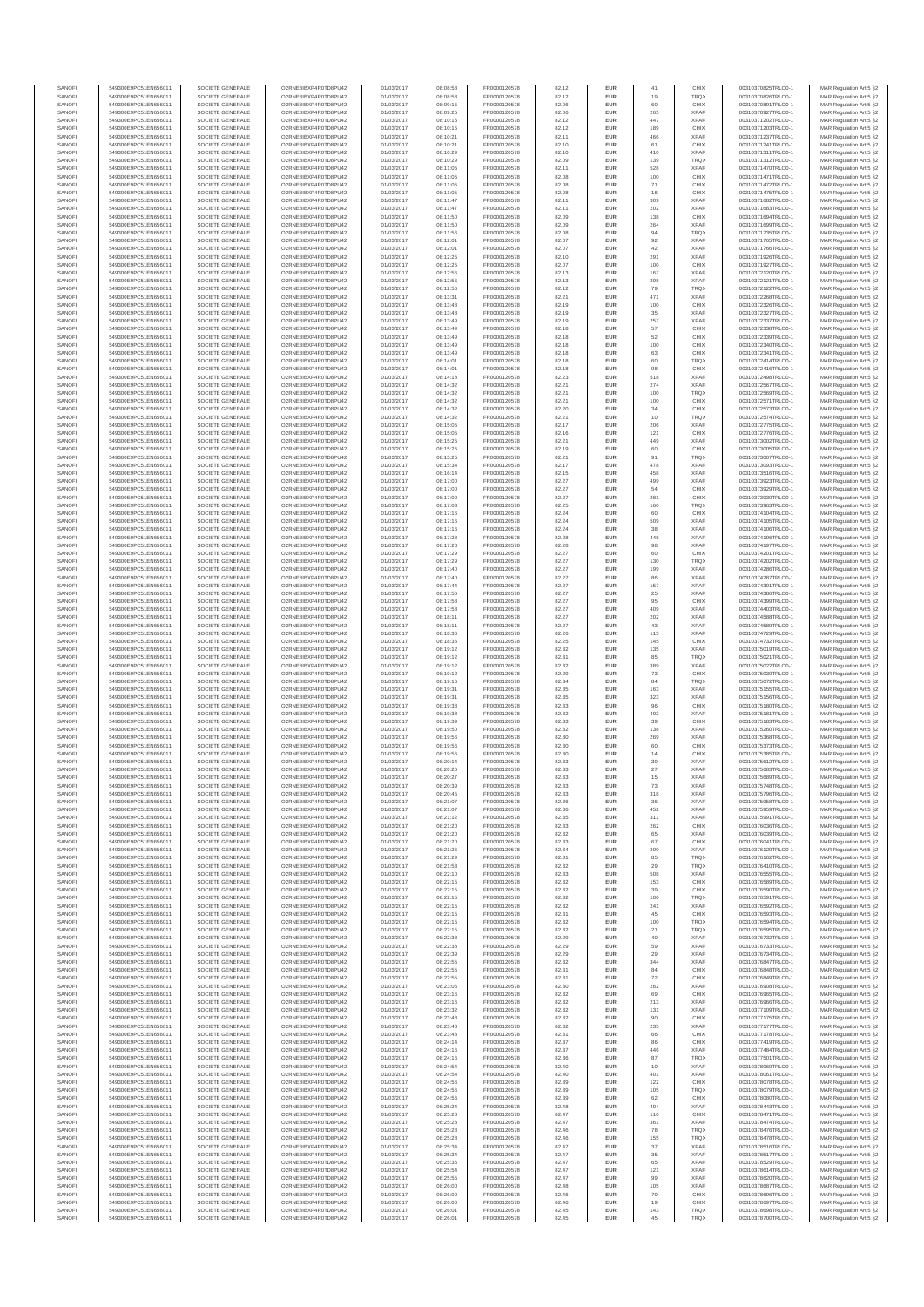| SANOFI           | 549300E9PC51EN656011                         | SOCIETE GENERALE                     | O2RNE8IBXP4R0TD8PU42                          | 01/03/2017               | 08:08:58             | FR0000120578                 | 82.12          | EUR               | 41         | CHIX                       | 00310370825TRLO0-1                       | MAR Regulation Art 5 §2                            |
|------------------|----------------------------------------------|--------------------------------------|-----------------------------------------------|--------------------------|----------------------|------------------------------|----------------|-------------------|------------|----------------------------|------------------------------------------|----------------------------------------------------|
| SANOFI<br>SANOFI | 549300E9PC51EN656011<br>549300E9PC51EN656011 | SOCIETE GENERALE<br>SOCIETE GENERALE | O2RNE8IBXP4R0TD8PU42                          | 01/03/2017<br>01/03/2017 | 08:08:58<br>08:09:15 | FR0000120578<br>FR0000120578 | 82.12          | EUR<br>EUR        | 19<br>60   | <b>TRQX</b><br>CHIX        | 00310370826TRLO0-1                       | MAR Regulation Art 5 §2                            |
| SANOFI           | 549300E9PC51EN656011                         | SOCIETE GENERALE                     | O2RNE8IBXP4R0TD8PU42<br>O2RNE8IBXP4R0TD8PU42  | 01/03/2017               | 08:09:25             | FR0000120578                 | 82.06<br>82.06 | EUR               | 265        | <b>XPAR</b>                | 00310370891TRLO0-1<br>00310370927TRLO0-1 | MAR Regulation Art 5 §2<br>MAR Regulation Art 5 §2 |
| SANOFI           | 549300E9PC51EN656011                         | SOCIETE GENERALE                     | O2RNE8IBXP4R0TD8PU42                          | 01/03/2017               | 08:10:15             | FR0000120578                 | 82.12          | EUR               | 447        | <b>XPAR</b>                | 00310371202TRLO0-1                       | MAR Regulation Art 5 §2                            |
| SANOFI           | 549300E9PC51EN656011                         | SOCIETE GENERALE                     | O2RNE8IBXP4R0TD8PU42<br>O2RNE8IBXP4R0TD8PLI42 | 01/03/2017               | 08:10:15             | FR0000120578                 | 82.12          | EUR               | 189        | CHIX                       | 00310371203TRLO0-1                       | MAR Regulation Art 5 §2                            |
| SANOFI<br>SANOFI | 549300E9PC51EN656011<br>549300E9PC51EN656011 | SOCIETE GENERALE<br>SOCIETE GENERALE | O2RNE8IBXP4R0TD8PU42                          | 01/03/2017<br>01/03/2017 | 08:10:21<br>08:10:21 | FR0000120578<br>FR0000120578 | 82.11<br>82.10 | EUR<br>EUR        | 466<br>61  | <b>XPAR</b><br>CHIX        | 00310371237TRLO0-1<br>00310371241TRLO0-1 | MAR Regulation Art 5 §2<br>MAR Regulation Art 5 §2 |
| SANOFI           | 549300E9PC51EN656011                         | SOCIETE GENERALE                     | O2RNE8IBXP4R0TD8PU42                          | 01/03/2017               | 08:10:29             | FR0000120578                 | 82.10          | EUR               | 410        | <b>XPAR</b>                | 00310371311TRLO0-1                       | MAR Regulation Art 5 §2                            |
| SANOFI           | 549300E9PC51EN656011                         | SOCIETE GENERALE                     | O2RNE8IBXP4R0TD8PU42                          | 01/03/2017               | 08:10:29             | FR0000120578                 | 82.09          | EUR               | 139        | <b>TRQX</b>                | 00310371312TRLO0-1                       | MAR Regulation Art 5 §2                            |
| SANOFI<br>SANOFI | 549300E9PC51EN656011<br>549300E9PC51EN656011 | SOCIETE GENERALE<br>SOCIETE GENERALE | O2RNE8IBXP4R0TD8PU42<br>O2RNE8IBXP4R0TD8PU42  | 01/03/2017<br>01/03/2017 | 08:11:05<br>08:11:05 | FR0000120578<br>FR0000120578 | 82.11<br>82.08 | EUR<br>EUR        | 528<br>100 | <b>XPAR</b><br>CHIX        | 00310371470TRLO0-1<br>00310371471TRLO0-1 | MAR Regulation Art 5 §2<br>MAR Regulation Art 5 §2 |
| SANOFI           | 549300E9PC51EN656011                         | SOCIETE GENERALE                     | O2RNE8IBXP4R0TD8PU42                          | 01/03/2017               | 08:11:05             | FR0000120578                 | 82.08          | EUR               | 71         | CHIX                       | 00310371472TRLO0-1                       | MAR Regulation Art 5 §2                            |
| SANOFI           | 549300E9PC51EN656011                         | SOCIETE GENERALE                     | O2RNE8IBXP4R0TD8PU42                          | 01/03/2017               | 08:11:05             | FR0000120578                 | 82.08          | EUR               | 16         | CHIX                       | 00310371475TRLO0-1                       | MAR Regulation Art 5 §2                            |
| SANOFI           | 549300E9PC51EN656011                         | SOCIETE GENERALE                     | O2RNE8IBXP4R0TD8PU42                          | 01/03/2017               | 08:11:47             | FR0000120578                 | 82.11          | EUR               | 309        | <b>XPAR</b>                | 00310371682TRLO0-1                       | MAR Regulation Art 5 §2                            |
| SANOFI<br>SANOFI | 549300E9PC51EN656011<br>549300E9PC51EN656011 | SOCIETE GENERALE<br>SOCIETE GENERALE | O2RNE8IBXP4R0TD8PU42<br>O2RNE8IBXP4R0TD8PU42  | 01/03/2017<br>01/03/2017 | 08:11:47<br>08:11:50 | FR0000120578<br>FR0000120578 | 82.11<br>82.09 | EUR<br>EUR        | 202<br>138 | <b>XPAR</b><br>CHIX        | 00310371683TRLO0-1<br>00310371694TRLO0-1 | MAR Regulation Art 5 §2<br>MAR Regulation Art 5 §2 |
| SANOFI           | 549300E9PC51EN656011                         | SOCIETE GENERALE                     | O2RNE8IBXP4R0TD8PU42                          | 01/03/2017               | 08:11:50             | FR0000120578                 | 82.09          | EUR               | 264        | <b>XPAR</b>                | 00310371699TRLO0-1                       | MAR Regulation Art 5 §2                            |
| SANOFI           | 549300E9PC51EN656011                         | SOCIETE GENERALE                     | O2RNE8IBXP4R0TD8PU42                          | 01/03/2017               | 08:11:56             | FR0000120578                 | 82.08          | EUR               | 94         | <b>TRQX</b>                | 00310371735TRLO0-1                       | MAR Regulation Art 5 §2                            |
| SANOFI           | 549300E9PC51EN656011                         | SOCIETE GENERALE                     | O2RNE8IBXP4R0TD8PU42                          | 01/03/2017               | 08:12:01             | FR0000120578                 | 82.07          | EUR               | 92         | <b>XPAR</b>                | 00310371765TRLO0-1                       | MAR Regulation Art 5 §2                            |
| SANOFI<br>SANOFI | 549300E9PC51EN656011<br>549300E9PC51EN656011 | SOCIETE GENERALE<br>SOCIETE GENERALE | O2RNE8IBXP4R0TD8PU42<br>O2RNE8IBXP4R0TD8PU42  | 01/03/2017<br>01/03/2017 | 08:12:01<br>08:12:25 | FR0000120578<br>FR0000120578 | 82.07<br>82.10 | EUR<br>EUR        | 42<br>291  | <b>XPAR</b><br><b>XPAR</b> | 00310371766TRLO0-1<br>00310371926TRLO0-1 | MAR Regulation Art 5 §2<br>MAR Regulation Art 5 §2 |
| SANOFI           | 549300E9PC51EN656011                         | SOCIETE GENERALE                     | O2RNE8IBXP4R0TD8PU42                          | 01/03/2017               | 08:12:25             | FR0000120578                 | 82.07          | <b>EUR</b>        | 100        | CHIX                       | 00310371927TRLO0-1                       | MAR Regulation Art 5 §2                            |
| SANOFI           | 549300E9PC51EN656011                         | SOCIETE GENERALE                     | O2RNE8IBXP4R0TD8PU42                          | 01/03/2017               | 08:12:56             | FR0000120578                 | 82.13          | EUR               | 167        | <b>XPAR</b>                | 00310372120TRLO0-1                       | MAR Regulation Art 5 §2                            |
| SANOFI<br>SANOFI | 549300E9PC51EN656011<br>549300E9PC51EN656011 | SOCIETE GENERALE<br>SOCIETE GENERALE | O2RNE8IBXP4R0TD8PU42<br>O2RNE8IBXP4R0TD8PU42  | 01/03/2017<br>01/03/2017 | 08:12:56<br>08:12:56 | FR0000120578<br>FR0000120578 | 82.13<br>82.12 | EUR<br>EUR        | 298<br>79  | <b>XPAR</b><br><b>TRQX</b> | 00310372121TRLO0-1<br>00310372122TRLO0-1 | MAR Regulation Art 5 §2<br>MAR Regulation Art 5 §2 |
| SANOFI           | 549300E9PC51EN656011                         | SOCIETE GENERALE                     | O2RNE8IBXP4R0TD8PU42                          | 01/03/2017               | 08:13:31             | FR0000120578                 | 82.21          | <b>EUR</b>        | 471        | <b>XPAR</b>                | 00310372268TRLO0-1                       | MAR Regulation Art 5 §2                            |
| SANOFI           | 549300E9PC51EN656011                         | SOCIETE GENERALE                     | O2RNE8IBXP4R0TD8PU42                          | 01/03/2017               | 08:13:48             | FR0000120578                 | 82.19          | EUR               | 100        | CHIX                       | 00310372326TRLO0-1                       | MAR Regulation Art 5 §2                            |
| SANOFI           | 549300E9PC51EN656011                         | SOCIETE GENERALE                     | O2RNE8IBXP4R0TD8PU42                          | 01/03/2017               | 08:13:48             | FR0000120578                 | 82.19          | EUR               | $35\,$     | <b>XPAR</b>                | 00310372327TRLO0-1                       | MAR Regulation Art 5 §2                            |
| SANOFI<br>SANOFI | 549300E9PC51EN656011<br>549300E9PC51EN656011 | SOCIETE GENERALE<br>SOCIETE GENERALE | O2RNE8IBXP4R0TD8PU42<br>O2RNE8IBXP4R0TD8PU42  | 01/03/2017<br>01/03/2017 | 08:13:49<br>08:13:49 | FR0000120578<br>FR0000120578 | 82.19<br>82.18 | EUR<br>EUR        | 257<br>57  | <b>XPAR</b><br>CHIX        | 00310372337TRLO0-1<br>00310372338TRLO0-1 | MAR Regulation Art 5 §2<br>MAR Regulation Art 5 §2 |
| SANOFI           | 549300E9PC51EN656011                         | SOCIETE GENERALE                     | O2RNE8IBXP4R0TD8PU42                          | 01/03/2017               | 08:13:49             | FR0000120578                 | 82.18          | EUR               | 52         | CHIX                       | 00310372339TRLO0-1                       | MAR Regulation Art 5 §2                            |
| SANOFI           | 549300E9PC51EN656011                         | SOCIETE GENERALE                     | O2RNE8IBXP4R0TD8PU42                          | 01/03/2017               | 08:13:49             | FR0000120578                 | 82.18          | EUR               | 100        | CHIX                       | 00310372340TRLO0-1                       | MAR Regulation Art 5 §2                            |
| SANOFI<br>SANOFI | 549300E9PC51EN656011<br>549300E9PC51EN656011 | SOCIETE GENERALE<br>SOCIETE GENERALE | O2RNE8IBXP4R0TD8PU42<br>O2RNE8IBXP4R0TD8PU42  | 01/03/2017<br>01/03/2017 | 08:13:49<br>08:14:01 | FR0000120578<br>FR0000120578 | 82.18<br>82.18 | <b>EUR</b><br>EUR | 63<br>60   | CHIX<br><b>TRQX</b>        | 00310372341TRLO0-1<br>00310372414TRLO0-1 | MAR Regulation Art 5 §2<br>MAR Regulation Art 5 §2 |
| SANOFI           | 549300E9PC51EN656011                         | SOCIETE GENERALE                     | O2RNE8IBXP4R0TD8PU42                          | 01/03/2017               | 08:14:01             | FR0000120578                 | 82.18          | EUR               | 98         | CHIX                       | 00310372416TRLO0-1                       | MAR Regulation Art 5 §2                            |
| SANOFI           | 549300E9PC51EN656011                         | SOCIETE GENERALE                     | O2RNE8IBXP4R0TD8PU42                          | 01/03/2017               | 08:14:18             | FR0000120578                 | 82.23          | EUR               | 518        | <b>XPAR</b>                | 00310372498TRLO0-1                       | MAR Regulation Art 5 §2                            |
| SANOFI<br>SANOFI | 549300E9PC51EN656011                         | SOCIETE GENERALE                     | O2RNE8IBXP4R0TD8PU42                          | 01/03/2017               | 08:14:32             | FR0000120578                 | 82.21          | EUR               | 274        | <b>XPAR</b>                | 00310372567TRLO0-1                       | MAR Regulation Art 5 §2                            |
| SANOFI           | 549300E9PC51EN656011<br>549300E9PC51EN656011 | SOCIETE GENERALE<br>SOCIETE GENERALE | O2RNE8IBXP4R0TD8PU42<br>O2RNE8IBXP4R0TD8PU42  | 01/03/2017<br>01/03/2017 | 08:14:32<br>08:14:32 | FR0000120578<br>FR0000120578 | 82.21<br>82.21 | EUR<br>EUR        | 100<br>100 | <b>TRQX</b><br>CHIX        | 00310372569TRLO0-1<br>00310372571TRLO0-1 | MAR Regulation Art 5 §2<br>MAR Regulation Art 5 §2 |
| SANOFI           | 549300E9PC51EN656011                         | SOCIETE GENERALE                     | O2RNE8IBXP4R0TD8PU42                          | 01/03/2017               | 08:14:32             | FR0000120578                 | 82.20          | <b>EUR</b>        | 34         | CHIX                       | 00310372573TRLO0-1                       | MAR Regulation Art 5 §2                            |
| SANOFI           | 549300E9PC51EN656011                         | SOCIETE GENERALE                     | O2RNE8IBXP4R0TD8PU42                          | 01/03/2017               | 08:14:32             | FR0000120578                 | 82.21          | EUR               | 10         | <b>TRQX</b>                | 00310372574TRLO0-1                       | MAR Regulation Art 5 §2                            |
| SANOFI<br>SANOFI | 549300E9PC51EN656011<br>549300E9PC51EN656011 | SOCIETE GENERALE<br>SOCIETE GENERALE | O2RNE8IBXP4R0TD8PU42<br>O2RNE8IBXP4R0TD8PU42  | 01/03/2017<br>01/03/2017 | 08:15:05<br>08:15:05 | FR0000120578<br>FR0000120578 | 82.17<br>82.16 | EUR<br>EUR        | 206<br>121 | <b>XPAR</b><br>CHIX        | 00310372775TRLO0-1<br>00310372776TRLO0-1 | MAR Regulation Art 5 §2<br>MAR Regulation Art 5 §2 |
| SANOFI           | 549300E9PC51EN656011                         | SOCIETE GENERALE                     | O2RNE8IBXP4R0TD8PU42                          | 01/03/2017               | 08:15:25             | FR0000120578                 | 82.21          | EUR               | 449        | <b>XPAR</b>                | 00310373002TRLO0-1                       | MAR Regulation Art 5 §2                            |
| SANOFI           | 549300E9PC51EN656011                         | SOCIETE GENERALE                     | O2RNE8IBXP4R0TD8PU42                          | 01/03/2017               | 08:15:25             | FR0000120578                 | 82.19          | EUR               | 60         | CHIX                       | 00310373005TRLO0-1                       | MAR Regulation Art 5 §2                            |
| SANOFI           | 549300E9PC51EN656011                         | SOCIETE GENERALE                     | O2RNE8IBXP4R0TD8PU42                          | 01/03/2017               | 08:15:25             | FR0000120578                 | 82.21          | EUR               | 91         | TRQX                       | 00310373007TRLO0-1                       | MAR Regulation Art 5 §2                            |
| SANOFI<br>SANOFI | 549300E9PC51EN656011<br>549300E9PC51EN656011 | SOCIETE GENERALE<br>SOCIETE GENERALE | O2RNE8IBXP4R0TD8PU42<br>O2RNE8IBXP4R0TD8PU42  | 01/03/2017<br>01/03/2017 | 08:15:34<br>08:16:14 | FR0000120578<br>FR0000120578 | 82.17<br>82.15 | EUR<br>EUR        | 478<br>458 | <b>XPAR</b><br><b>XPAR</b> | 00310373093TRLO0-1<br>00310373516TRLO0-1 | MAR Regulation Art 5 §2<br>MAR Regulation Art 5 §2 |
| SANOFI           | 549300E9PC51EN656011                         | SOCIETE GENERALE                     | O2RNE8IBXP4R0TD8PU42                          | 01/03/2017               | 08:17:00             | FR0000120578                 | 82.27          | EUR               | 499        | <b>XPAR</b>                | 00310373923TRLO0-1                       | MAR Regulation Art 5 §2                            |
| SANOFI           | 549300E9PC51EN656011                         | SOCIETE GENERALE                     | O2RNE8IBXP4R0TD8PU42                          | 01/03/2017               | 08:17:00             | FR0000120578                 | 82.27          | EUR               | 54         | CHIX                       | 00310373929TRLO0-1                       | MAR Regulation Art 5 §2                            |
| SANOFI           | 549300E9PC51EN656011                         | SOCIETE GENERALE                     | O2RNE8IBXP4R0TD8PU42                          | 01/03/2017               | 08:17:00             | FR0000120578                 | 82.27          | <b>EUR</b>        | 281        | CHIX                       | 00310373930TRLO0-1                       | MAR Regulation Art 5 §2                            |
| SANOFI<br>SANOFI | 549300E9PC51EN656011<br>549300E9PC51EN656011 | SOCIETE GENERALE<br>SOCIETE GENERALE | O2RNE8IBXP4R0TD8PU42<br>O2RNE8IBXP4R0TD8PU42  | 01/03/2017<br>01/03/2017 | 08:17:03<br>08:17:16 | FR0000120578<br>FR0000120578 | 82.25<br>82.24 | EUR<br>EUR        | 160<br>60  | <b>TRQX</b><br>CHIX        | 00310373963TRLO0-1<br>00310374104TRLO0-1 | MAR Regulation Art 5 §2<br>MAR Regulation Art 5 §2 |
| SANOFI           | 549300E9PC51EN656011                         | SOCIETE GENERALE                     | O2RNESIBXP4R0TD8PLI42                         | 01/03/2017               | 08:17:16             | FR0000120578                 | 82.24          | EUR               | 509        | <b>XPAR</b>                | 00310374105TRLO0-1                       | MAR Regulation Art 5 §2                            |
| SANOFI           | 549300E9PC51EN656011                         | SOCIETE GENERALE                     | O2RNE8IBXP4R0TD8PU42                          | 01/03/2017               | 08:17:16             | FR0000120578                 | 82.24          | EUR               | 38         | <b>XPAR</b>                | 00310374106TRLO0-1                       | MAR Regulation Art 5 §2                            |
| SANOFI           | 549300E9PC51EN656011                         | SOCIETE GENERALE                     | O2RNE8IBXP4R0TD8PU42                          | 01/03/2017               | 08:17:28             | FR0000120578                 | 82.28          | EUR               | 448        | <b>XPAR</b>                | 00310374196TRLO0-1                       | MAR Regulation Art 5 §2                            |
| SANOFI<br>SANOFI | 549300E9PC51EN656011<br>549300E9PC51EN656011 | SOCIETE GENERALE<br>SOCIETE GENERALE | O2RNE8IBXP4R0TD8PU42<br>O2RNE8IBXP4R0TD8PU42  | 01/03/2017<br>01/03/2017 | 08:17:28<br>08:17:29 | FR0000120578<br>FR0000120578 | 82.28<br>82.27 | EUR<br><b>EUR</b> | 98<br>60   | <b>XPAR</b><br>CHIX        | 00310374197TRLO0-1<br>00310374201TRLO0-1 | MAR Regulation Art 5 §2<br>MAR Regulation Art 5 §2 |
| SANOFI           | 549300E9PC51EN656011                         | SOCIETE GENERALE                     | O2RNE8IBXP4R0TD8PU42                          | 01/03/2017               | 08:17:29             | FR0000120578                 | 82.27          | EUR               | 130        | <b>TRQX</b>                | 00310374202TRLO0-1                       | MAR Regulation Art 5 §2                            |
| SANOFI           | 549300E9PC51EN656011                         | SOCIETE GENERALE                     | O2RNE8IBXP4R0TD8PU42                          | 01/03/2017               | 08:17:40             | FR0000120578                 | 82.27          | EUR               | 199        | <b>XPAR</b>                | 00310374286TRLO0-1                       | MAR Regulation Art 5 §2                            |
| SANOFI<br>SANOFI | 549300E9PC51EN656011<br>549300E9PC51EN656011 | SOCIETE GENERALE                     | O2RNE8IBXP4R0TD8PU42<br>O2RNE8IBXP4R0TD8PU42  | 01/03/2017<br>01/03/2017 | 08:17:40             | FR0000120578<br>FR0000120578 | 82.27          | EUR               | 86<br>157  | <b>XPAR</b><br><b>XPAR</b> | 00310374287TRLO0-1<br>00310374301TRLO0-1 | MAR Regulation Art 5 §2<br>MAR Regulation Art 5 §2 |
| SANOFI           | 549300E9PC51EN656011                         | SOCIETE GENERALE<br>SOCIETE GENERALE | O2RNE8IBXP4R0TD8PU42                          | 01/03/2017               | 08:17:44<br>08:17:56 | FR0000120578                 | 82.27<br>82.27 | EUR<br>EUR        | $25\,$     | <b>XPAR</b>                | 00310374386TRLO0-1                       | MAR Regulation Art 5 §2                            |
| SANOFI           | 549300E9PC51EN656011                         | SOCIETE GENERALE                     | O2RNE8IBXP4R0TD8PU42                          | 01/03/2017               | 08:17:58             | FR0000120578                 | 82.27          | EUR               | $95\,$     | CHIX                       | 00310374399TRLO0-1                       | MAR Regulation Art 5 §2                            |
| SANOFI           | 549300E9PC51EN656011                         | SOCIETE GENERALE                     | O2RNE8IBXP4R0TD8PU42                          | 01/03/2017               | 08:17:58             | FR0000120578                 | 82.27          | <b>EUR</b>        | 409        | <b>XPAR</b>                | 00310374403TRLO0-1                       | MAR Regulation Art 5 §2                            |
| SANOFI<br>SANOFI | 549300E9PC51EN656011<br>549300E9PC51EN656011 | SOCIETE GENERALE<br>SOCIETE GENERALE | O2RNE8IBXP4R0TD8PU42<br>O2RNE8IBXP4R0TD8PU42  | 01/03/2017<br>01/03/2017 | 08:18:11<br>08:18:11 | FR0000120578<br>FR0000120578 | 82.27<br>82.27 | EUR<br>EUR        | 202<br>43  | <b>XPAR</b><br><b>XPAR</b> | 00310374588TRLO0-1<br>00310374589TRLO0-1 | MAR Regulation Art 5 §2<br>MAR Regulation Art 5 §2 |
| SANOFI           | 549300E9PC51EN656011                         | SOCIETE GENERALE                     | O2RNE8IBXP4R0TD8PU42                          | 01/03/2017               | 08:18:36             | FR0000120578                 | 82.26          | EUR               | 115        | <b>XPAF</b>                | 00310374729TRLO0-1                       | MAR Regulation Art 5 §2                            |
| SANOFI           | 549300E9PC51EN656011                         | SOCIETE GENERALE                     | O2RNE8IBXP4R0TD8PU42                          | 01/03/2017               | 08:18:36             | FR0000120578                 | 82.25          | EUR               | 145        | CHIX                       | 00310374732TRLO0-1                       | MAR Regulation Art 5 §2                            |
| SANOFI<br>SANOFI | 549300E9PC51EN656011<br>549300E9PC51EN656011 | SOCIETE GENERALE<br>SOCIETE GENERALE | O2RNE8IBXP4R0TD8PU42<br>O2RNE8IBXP4R0TD8PU42  | 01/03/2017<br>01/03/2017 | 08:19:12<br>08:19:12 | FR0000120578<br>FR0000120578 | 82.32<br>82.31 | EUR<br>EUR        | 135<br>85  | <b>XPAR</b><br><b>TRQX</b> | 00310375019TRLO0-1<br>00310375021TRLO0-1 | MAR Regulation Art 5 §2<br>MAR Regulation Art 5 §2 |
| SANOFI           | 549300E9PC51EN656011                         | SOCIETE GENERALE                     | O2RNE8IBXP4R0TD8PU42                          | 01/03/2017               | 08:19:12             | FR0000120578                 | 82.32          | EUR               | 389        | <b>XPAR</b>                | 00310375022TRLO0-1                       | MAR Regulation Art 5 §2                            |
| SANOFI           | 549300E9PC51EN656011                         | SOCIETE GENERALE                     | O2RNE8IBXP4R0TD8PU42                          | 01/03/2017               | 08:19:12             | FR0000120578                 | 82.29          | EUR               | 73         | CHIX                       | 00310375030TRLO0-1                       | MAR Regulation Art 5 §2                            |
| SANOFI           | 549300E9PC51EN656011                         | SOCIETE GENERALE                     | O2RNE8IBXP4R0TD8PU42                          | 01/03/2017               | 08:19:16             | FR0000120578                 | 82.34          | EUR               | 84         | <b>TRQX</b>                | 00310375072TRLO0-1                       | MAR Regulation Art 5 §2                            |
| SANOFI<br>SANOFI | 549300E9PC51EN656011<br>549300E9PC51EN656011 | SOCIETE GENERALE<br>SOCIETE GENERALE | O2RNE8IBXP4R0TD8PU42<br>O2RNE8IBXP4R0TD8PU42  | 01/03/2017<br>01/03/2017 | 08:19:31<br>08:19:31 | FR0000120578<br>FR0000120578 | 82.35<br>82.35 | EUR<br><b>EUR</b> | 163<br>323 | <b>XPAR</b><br><b>XPAR</b> | 00310375155TRLO0-1<br>00310375156TRLO0-1 | MAR Regulation Art 5 §2<br>MAR Regulation Art 5 §2 |
| SANOFI           | 549300E9PC51EN656011                         | SOCIETE GENERALE                     | O2RNE8IBXP4R0TD8PU42                          | 01/03/2017               | 08:19:38             | FR0000120578                 | 82.33          | EUR               | 96         | CHIX                       | 00310375180TRLO0-1                       | MAR Regulation Art 5 §2                            |
| SANOFI           | 549300E9PC51EN656011                         | SOCIETE GENERALE                     | O2RNE8IBXP4R0TD8PU42                          | 01/03/2017               | 08:19:38             | FR0000120578                 | 82.32          | EUR               | 492        | <b>XPAR</b>                | 00310375181TRLO0-1                       | MAR Regulation Art 5 §2                            |
| SANOFI           | 549300E9PC51EN656011                         | SOCIETE GENERALE                     | O2RNE8IBXP4R0TD8PU42                          | 01/03/2017               | 08:19:39             | FR0000120578                 | 82.33          | EUR               | 39         | CHIX                       | 00310375183TRLO0-1                       | MAR Regulation Art 5 §2                            |
| SANOFI<br>SANOFI | 549300E9PC51EN656011<br>549300E9PC51EN656011 | SOCIETE GENERALE<br>SOCIETE GENERALE | O2RNE8IBXP4R0TD8PU42<br>O2RNE8IBXP4R0TD8PU42  | 01/03/2017<br>01/03/2017 | 08:19:50<br>08:19:56 | FR0000120578<br>FR0000120578 | 82.32<br>82.30 | EUR<br>EUR        | 138<br>269 | <b>XPAR</b><br><b>XPAR</b> | 00310375260TRLO0-1<br>00310375368TRLO0-1 | MAR Regulation Art 5 §2<br>MAR Regulation Art 5 §2 |
| SANOFI           | 549300E9PC51EN656011                         | SOCIETE GENERALE                     | O2RNE8IBXP4R0TD8PU42                          | 01/03/2017               | 08:19:56             | FR0000120578                 | 82.30          | EUR               | 60         | CHIX                       | 00310375373TRLO0-1                       | MAR Regulation Art 5 §2                            |
| SANOFI           | 549300E9PC51EN656011                         | SOCIETE GENERALE                     | O2RNE8IBXP4R0TD8PU42                          | 01/03/2017               | 08:19:56             | FR0000120578                 | 82.30          | <b>EUR</b>        | 14         | CHIX                       | 00310375385TRLO0-1                       | MAR Regulation Art 5 §2                            |
| SANOFI<br>SANOFI | 549300E9PC51EN656011<br>549300E9PC51EN656011 | SOCIETE GENERALE<br>SOCIETE GENERALE | O2RNE8IBXP4R0TD8PU42<br>O2RNE8IBXP4R0TD8PU42  | 01/03/2017<br>01/03/2017 | 08:20:14<br>08:20:26 | FR0000120578<br>FR0000120578 | 82.33<br>82.33 | EUR<br><b>EUR</b> | 39<br>27   | <b>XPAR</b><br><b>XPAR</b> | 00310375612TRLO0-1<br>00310375683TRLO0-1 | MAR Regulation Art 5 §2<br>MAR Regulation Art 5 §2 |
| SANOFI           | 549300E9PC51EN656011                         | SOCIETE GENERALE                     | O2RNE8IBXP4R0TD8PU42                          | 01/03/2017               | 08:20:27             | FR0000120578                 | 82.33          | EUR               | 15         | <b>XPAR</b>                | 00310375689TRLO0-1                       | MAR Regulation Art 5 §2                            |
| SANOFI           | 549300E9PC51EN656011                         | SOCIETE GENERALE                     | O2RNE8IBXP4R0TD8PU42                          | 01/03/2017               | 08:20:39             | FR0000120578                 | 82.33          | EUR               | 73         | <b>XPAR</b>                | 00310375748TRLO0-1                       | MAR Regulation Art 5 §2                            |
| SANOFI           | 549300E9PC51EN656011                         | SOCIETE GENERALE                     | O2RNE8IBXP4R0TD8PU42                          | 01/03/2017               | 08:20:45             | FR0000120578                 | 82.33          | EUR               | 318        | <b>XPAR</b>                | 00310375796TRLO0-1                       | MAR Regulation Art 5 §2                            |
| SANOFI<br>SANOFI | 549300E9PC51EN656011<br>549300E9PC51EN656011 | SOCIETE GENERALE<br>SOCIETE GENERALE | O2RNE8IBXP4R0TD8PU42<br>O2RNE8IBXP4R0TD8PU42  | 01/03/2017<br>01/03/2017 | 08:21:07<br>08:21:07 | FR0000120578<br>FR0000120578 | 82.36<br>82.36 | EUR<br><b>EUR</b> | 36<br>452  | <b>XPAR</b><br><b>XPAR</b> | 00310375958TRLO0-1<br>00310375959TRLO0-1 | MAR Regulation Art 5 §2<br>MAR Regulation Art 5 §2 |
| SANOFI           | 549300E9PC51EN656011                         | SOCIETE GENERALE                     | O2RNE8IBXP4R0TD8PU42                          | 01/03/2017               | 08:21:12             | FR0000120578                 | 82.35          | EUR               | 311        | <b>XPAR</b>                | 00310375991TRLO0-1                       | MAR Regulation Art 5 §2                            |
| SANOFI           | 549300E9PC51EN656011                         | SOCIETE GENERALE                     | O2RNE8IBXP4R0TD8PU42                          | 01/03/2017               | 08:21:20             | FR0000120578                 | 82.33          | EUR               | 262        | CHIX                       | 00310376036TRLO0-1                       | MAR Regulation Art 5 §2                            |
| SANOFI<br>SANOFI | 549300E9PC51EN656011<br>549300E9PC51EN656011 | SOCIETE GENERALE<br>SOCIETE GENERALE | O2RNE8IBXP4R0TD8PU42<br>O2RNE8IBXP4R0TD8PU42  | 01/03/2017<br>01/03/2017 | 08:21:20<br>08:21:20 | FR0000120578<br>FR0000120578 | 82.32<br>82.33 | EUR<br><b>EUR</b> | 65<br>67   | <b>XPAR</b><br>CHIX        | 00310376039TRLO0-1<br>00310376041TRLO0-1 | MAR Regulation Art 5 §2                            |
| SANOFI           | 549300E9PC51EN656011                         | SOCIETE GENERALE                     | O2RNE8IBXP4R0TD8PU42                          | 01/03/2017               | 08:21:26             | FR0000120578                 | 82.34          | EUR               | 200        | <b>XPAR</b>                | 00310376129TRLO0-1                       | MAR Regulation Art 5 §2<br>MAR Regulation Art 5 §2 |
| SANOFI           | 549300E9PC51EN656011                         | SOCIETE GENERALE                     | O2RNE8IBXP4R0TD8PU42                          | 01/03/2017               | 08:21:29             | FR0000120578                 | 82.31          | EUR               | 85         | <b>TROX</b>                | 00310376162TRLO0-1                       | MAR Regulation Art 5 §2                            |
| SANOFI<br>SANOFI | 549300E9PC51EN656011<br>549300E9PC51EN656011 | SOCIETE GENERALE<br>SOCIETE GENERALE | O2RNE8IBXP4R0TD8PU42<br>O2RNE8IBXP4R0TD8PU42  | 01/03/2017<br>01/03/2017 | 08:21:53<br>08:22:10 | FR0000120578<br>FR0000120578 | 82.32<br>82.33 | EUR               | 29<br>508  | <b>TRQX</b><br><b>XPAR</b> | 00310376410TRLO0-1<br>00310376555TRLO0-1 | MAR Regulation Art 5 §2<br>MAR Regulation Art 5 §2 |
| SANOFI           | 549300E9PC51EN656011                         | SOCIETE GENERALE                     | O2RNE8IBXP4R0TD8PU42                          | 01/03/2017               | 08:22:15             | FR0000120578                 | 82.32          | EUR<br><b>EUR</b> | 153        | CHIX                       | 00310376589TRLO0-1                       | MAR Regulation Art 5 §2                            |
| SANOFI           | 549300E9PC51EN656011                         | SOCIETE GENERALE                     | O2RNE8IBXP4R0TD8PU42                          | 01/03/2017               | 08:22:15             | FR0000120578                 | 82.32          | EUR               | 39         | CHIX                       | 00310376590TRLO0-1                       | MAR Regulation Art 5 §2                            |
| SANOFI<br>SANOFI | 549300E9PC51EN656011<br>549300E9PC51EN656011 | SOCIETE GENERALE<br>SOCIETE GENERALE | O2RNE8IBXP4R0TD8PU42<br>O2RNE8IBXP4R0TD8PU42  | 01/03/2017<br>01/03/2017 | 08:22:15<br>08:22:15 | FR0000120578<br>FR0000120578 | 82.32<br>82.32 | <b>EUR</b><br>EUR | 100<br>241 | <b>TROX</b><br><b>XPAR</b> | 00310376591TRLO0-1<br>00310376592TRLO0-1 | MAR Regulation Art 5 §2                            |
| SANOFI           | 549300E9PC51EN656011                         | SOCIETE GENERALE                     | O2RNE8IBXP4R0TD8PU42                          | 01/03/2017               | 08:22:15             | FR0000120578                 | 82.31          | EUR               | 45         | CHIX                       | 00310376593TRLO0-1                       | MAR Regulation Art 5 §2<br>MAR Regulation Art 5 §2 |
| SANOFI           | 549300E9PC51EN656011                         | SOCIETE GENERALE                     | O2RNE8IBXP4R0TD8PU42                          | 01/03/2017               | 08:22:15             | FR0000120578                 | 82.32          | EUR               | 100        | <b>TROX</b>                | 00310376594TRLO0-1                       | MAR Regulation Art 5 §2                            |
| SANOFI           | 549300E9PC51EN656011                         | SOCIETE GENERALE                     | O2RNE8IBXP4R0TD8PU42                          | 01/03/2017               | 08:22:15             | FR0000120578                 | 82.32          | EUR               | 21         | <b>TRQX</b>                | 00310376595TRLO0-1                       | MAR Regulation Art 5 §2                            |
| SANOFI<br>SANOFI | 549300E9PC51EN656011<br>549300E9PC51EN656011 | SOCIETE GENERALE<br>SOCIETE GENERALE | O2RNE8IBXP4R0TD8PU42<br>O2RNE8IBXP4R0TD8PU42  | 01/03/2017<br>01/03/2017 | 08:22:38<br>08:22:38 | FR0000120578<br>FR0000120578 | 82.29<br>82.29 | EUR<br>EUR        | 40<br>59   | <b>XPAR</b><br><b>XPAR</b> | 00310376732TRLO0-1<br>00310376733TRLO0-1 | MAR Regulation Art 5 §2<br>MAR Regulation Art 5 §2 |
| SANOFI           | 549300E9PC51EN656011                         | SOCIETE GENERALE                     | O2RNE8IBXP4R0TD8PU42                          | 01/03/2017               | 08:22:39             | FR0000120578                 | 82.29          | <b>EUR</b>        | 29         | <b>XPAR</b>                | 00310376734TRLO0-1                       | MAR Regulation Art 5 §2                            |
| SANOFI           | 549300E9PC51EN656011                         | SOCIETE GENERALE                     | O2RNE8IBXP4R0TD8PU42                          | 01/03/2017               | 08:22:55             | FR0000120578                 | 82.32          | EUR               | 344        | <b>XPAR</b>                | 00310376847TRLO0-1                       | MAR Regulation Art 5 §2                            |
| SANOFI<br>SANOFI | 549300E9PC51EN656011<br>549300E9PC51EN656011 | SOCIETE GENERALE<br>SOCIETE GENERALE | O2RNE8IBXP4R0TD8PU42<br>O2RNE8IBXP4R0TD8PU42  | 01/03/2017<br>01/03/2017 | 08:22:55<br>08:22:55 | FR0000120578<br>FR0000120578 | 82.31<br>82.31 | <b>EUR</b><br>EUR | 84<br>72   | CHIX<br>CHIX               | 00310376848TRLO0-1<br>00310376849TRLO0-1 | MAR Regulation Art 5 §2<br>MAR Regulation Art 5 §2 |
| SANOFI           | 549300E9PC51EN656011                         | SOCIETE GENERALE                     | O2RNE8IBXP4R0TD8PU42                          | 01/03/2017               | 08:23:06             | FR0000120578                 | 82.30          | EUR               | 262        | <b>XPAR</b>                | 00310376908TRLO0-1                       | MAR Regulation Art 5 §2                            |
| SANOFI           | 549300E9PC51EN656011                         | SOCIETE GENERALE                     | O2RNE8IBXP4R0TD8PU42                          | 01/03/2017               | 08:23:16             | FR0000120578                 | 82.32          | EUR               | 69         | CHIX                       | 00310376965TRLO0-1                       | MAR Regulation Art 5 §2                            |
| SANOFI           | 549300E9PC51EN656011                         | SOCIETE GENERALE                     | O2RNE8IBXP4R0TD8PU42                          | 01/03/2017               | 08:23:16             | FR0000120578                 | 82.32          | EUR               | 213        | XPAR                       | 00310376966TRLO0-1                       | MAR Regulation Art 5 §2                            |
| SANOFI<br>SANOFI | 549300E9PC51EN656011<br>549300E9PC51EN656011 | SOCIETE GENERALE<br>SOCIETE GENERALE | O2RNE8IBXP4R0TD8PU42<br>O2RNE8IBXP4R0TD8PU42  | 01/03/2017<br>01/03/2017 | 08:23:32<br>08:23:48 | FR0000120578<br>FR0000120578 | 82.32<br>82.32 | <b>EUR</b><br>EUR | 131<br>90  | <b>XPAR</b><br>CHIX        | 00310377109TRLO0-1<br>00310377175TRLO0-1 | MAR Regulation Art 5 §2<br>MAR Regulation Art 5 §2 |
| SANOFI           | 549300E9PC51EN656011                         | SOCIETE GENERALE                     | O2RNE8IBXP4R0TD8PU42                          | 01/03/2017               | 08:23:48             | FR0000120578                 | 82.32          | <b>EUR</b>        | 235        | <b>XPAR</b>                | 00310377177TRLO0-1                       | MAR Regulation Art 5 §2                            |
| SANOFI           | 549300E9PC51EN656011                         | SOCIETE GENERALE                     | O2RNE8IBXP4R0TD8PU42                          | 01/03/2017               | 08:23:48             | FR0000120578                 | 82.31          | EUR               | 66         | CHIX                       | 00310377178TRLO0-1                       | MAR Regulation Art 5 §2                            |
| SANOFI<br>SANOFI | 549300E9PC51EN656011<br>549300E9PC51EN656011 | SOCIETE GENERALE<br>SOCIETE GENERALE | O2RNE8IBXP4R0TD8PU42<br>O2RNE8IBXP4R0TD8PU42  | 01/03/2017<br>01/03/2017 | 08:24:14<br>08:24:16 | FR0000120578                 | 82.37<br>82.37 | <b>EUR</b><br>EUR | 86<br>446  | CHIX<br><b>XPAR</b>        | 00310377419TRLO0-1<br>00310377484TRLO0-1 | MAR Regulation Art 5 §2                            |
| SANOFI           | 549300E9PC51EN656011                         | SOCIETE GENERALE                     | O2RNE8IBXP4R0TD8PU42                          | 01/03/2017               | 08:24:16             | FR0000120578<br>FR0000120578 | 82.36          | EUR               | 87         | <b>TRQX</b>                | 00310377501TRLO0-1                       | MAR Regulation Art 5 §2<br>MAR Regulation Art 5 §2 |
| SANOFI           | 549300E9PC51EN656011                         | SOCIETE GENERALE                     | O2RNE8IBXP4R0TD8PU42                          | 01/03/2017               | 08:24:54             | FR0000120578                 | 82.40          | EUR               | 10         | <b>XPAR</b>                | 00310378060TRLO0-1                       | MAR Regulation Art 5 §2                            |
| SANOFI           | 549300E9PC51EN656011                         | SOCIETE GENERALE                     | O2RNE8IBXP4R0TD8PU42                          | 01/03/2017               | 08:24:54             | FR0000120578                 | 82.40          | EUR               | 401        | <b>XPAR</b>                | 00310378061TRLO0-1                       | MAR Regulation Art 5 §2                            |
| SANOFI<br>SANOFI | 549300E9PC51EN656011<br>549300E9PC51EN656011 | SOCIETE GENERALE<br>SOCIETE GENERALE | O2RNE8IBXP4R0TD8PU42<br>O2RNE8IBXP4R0TD8PU42  | 01/03/2017<br>01/03/2017 | 08:24:56<br>08:24:56 | FR0000120578<br>FR0000120578 | 82.39<br>82.39 | <b>EUR</b><br>EUR | 122<br>105 | CHIX<br><b>TRQX</b>        | 00310378078TRLO0-1<br>00310378079TRLO0-1 | MAR Regulation Art 5 §2                            |
| SANOFI           | 549300E9PC51EN656011                         | SOCIETE GENERALE                     | O2RNE8IBXP4R0TD8PU42                          | 01/03/2017               | 08:24:56             | FR0000120578                 | 82.39          | <b>EUR</b>        | 62         | CHIX                       | 00310378080TRLO0-1                       | MAR Regulation Art 5 §2<br>MAR Regulation Art 5 §2 |
| SANOFI           | 549300E9PC51EN656011                         | SOCIETE GENERALE                     | O2RNE8IBXP4R0TD8PU42                          | 01/03/2017               | 08:25:24             | FR0000120578                 | 82.48          | EUR               | 494        | <b>XPAR</b>                | 00310378443TRLO0-1                       | MAR Regulation Art 5 §2                            |
| SANOFI           | 549300E9PC51EN656011                         | SOCIETE GENERALE                     | O2RNE8IBXP4R0TD8PU42                          | 01/03/2017               | 08:25:28             | FR0000120578                 | 82.47          | <b>EUR</b>        | 110        | CHIX                       | 00310378471TRLO0-1                       | MAR Regulation Art 5 §2                            |
| SANOFI<br>SANOFI | 549300E9PC51EN656011<br>549300E9PC51EN656011 | SOCIETE GENERALE<br>SOCIETE GENERALE | O2RNE8IBXP4R0TD8PU42<br>O2RNE8IBXP4R0TD8PU42  | 01/03/2017<br>01/03/2017 | 08:25:28<br>08:25:28 | FR0000120578<br>FR0000120578 | 82.47<br>82.46 | EUR<br>EUR        | 361<br>78  | <b>XPAR</b><br><b>TROX</b> | 00310378474TRLO0-1<br>00310378476TRLO0-1 | MAR Regulation Art 5 §2<br>MAR Regulation Art 5 §2 |
| SANOFI           | 549300E9PC51EN656011                         | SOCIETE GENERALE                     | O2RNE8IBXP4R0TD8PU42                          | 01/03/2017               | 08:25:28             | FR0000120578                 | 82.46          | EUR               | 155        | <b>TRQX</b>                | 00310378478TRLO0-1                       | MAR Regulation Art 5 §2                            |
| SANOFI           | 549300E9PC51EN656011                         | SOCIETE GENERALE                     | O2RNE8IBXP4R0TD8PU42                          | 01/03/2017               | 08:25:34             | FR0000120578                 | 82.47          | EUR               | 37         | XPAR                       | 00310378516TRLO0-1                       | MAR Regulation Art 5 §2                            |
| SANOFI<br>SANOFI | 549300E9PC51EN656011<br>549300E9PC51EN656011 | SOCIETE GENERALE<br>SOCIETE GENERALE | O2RNE8IBXP4R0TD8PU42<br>O2RNE8IBXP4R0TD8PU42  | 01/03/2017<br>01/03/2017 | 08:25:34<br>08:25:36 | FR0000120578<br>FR0000120578 | 82.47<br>82.47 | <b>EUR</b><br>EUR | 35<br>65   | <b>XPAR</b><br><b>XPAR</b> | 00310378517TRLO0-1<br>00310378529TRLO0-1 | MAR Regulation Art 5 §2                            |
| SANOFI           | 549300E9PC51EN656011                         | SOCIETE GENERALE                     | O2RNE8IBXP4R0TD8PU42                          | 01/03/2017               | 08:25:54             | FR0000120578                 | 82.47          | <b>EUR</b>        | 121        | <b>XPAR</b>                | 00310378614TRLO0-1                       | MAR Regulation Art 5 §2<br>MAR Regulation Art 5 §2 |
| SANOFI           | 549300E9PC51EN656011                         | SOCIETE GENERALE                     | O2RNE8IBXP4R0TD8PU42                          | 01/03/2017               | 08:25:55             | FR0000120578                 | 82.47          | EUR               | 99         | <b>XPAR</b>                | 00310378620TRLO0-1                       | MAR Regulation Art 5 §2                            |
| SANOFI           | 549300E9PC51EN656011                         | SOCIETE GENERALE                     | O2RNE8IBXP4R0TD8PU42                          | 01/03/2017               | 08:26:00             | FR0000120578                 | 82.48          | EUR               | 105        | <b>XPAR</b>                | 00310378687TRLO0-1                       | MAR Regulation Art 5 §2                            |
| SANOFI<br>SANOFI | 549300E9PC51EN656011<br>549300E9PC51EN656011 | SOCIETE GENERALE<br>SOCIETE GENERALE | O2RNE8IBXP4R0TD8PU42<br>O2RNE8IBXP4R0TD8PU42  | 01/03/2017<br>01/03/2017 | 08:26:00<br>08:26:00 | FR0000120578<br>FR0000120578 | 82.46<br>82.46 | EUR<br>EUR        | 79<br>19   | CHIX<br>CHIX               | 00310378696TRLO0-1<br>00310378697TRLO0-1 | MAR Regulation Art 5 §2<br>MAR Regulation Art 5 §2 |
| SANOFI           | 549300E9PC51EN656011                         | SOCIETE GENERALE                     | O2RNE8IBXP4R0TD8PU42                          | 01/03/2017               | 08:26:01             | FR0000120578                 | 82.45          | EUR               | 143        | <b>TRQX</b>                | 00310378698TRLO0-1                       | MAR Regulation Art 5 §2                            |
| SANOFI           | 549300E9PC51EN656011                         | SOCIETE GENERALE                     | O2RNE8IBXP4R0TD8PU42                          | 01/03/2017               | 08:26:01             | FR0000120578                 | 82.45          | EUR               | 45         | <b>TRQX</b>                | 00310378700TRLO0-1                       | MAR Regulation Art 5 §2                            |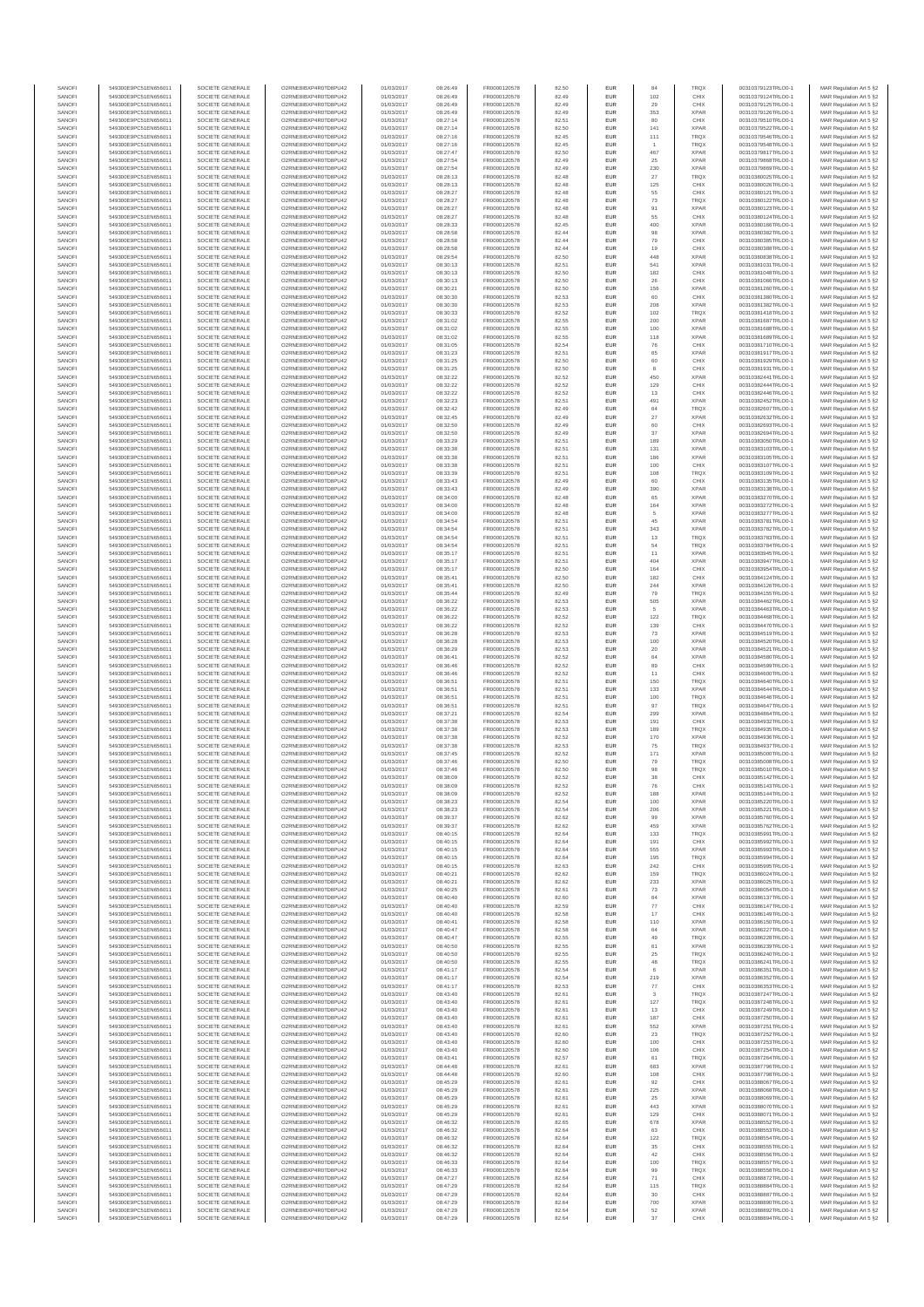| SANOFI           | 549300E9PC51EN656011                         | SOCIETE GENERALE                     | O2RNE8IBXP4R0TD8PU42                          | 01/03/2017               | 08:26:49             | FR0000120578                 | 82.50          | EUR                      | 84             | TRQX                       | 00310379123TRLO0-1                       | MAR Regulation Art 5 §2                            |
|------------------|----------------------------------------------|--------------------------------------|-----------------------------------------------|--------------------------|----------------------|------------------------------|----------------|--------------------------|----------------|----------------------------|------------------------------------------|----------------------------------------------------|
| SANOFI<br>SANOFI | 549300E9PC51EN656011<br>549300E9PC51EN656011 | SOCIETE GENERALE<br>SOCIETE GENERALE | O2RNE8IBXP4R0TD8PU42<br>O2RNE8IBXP4R0TD8PU42  | 01/03/2017<br>01/03/2017 | 08:26:49<br>08:26:49 | FR0000120578                 | 82.49          | EUR<br>EUR               | 102<br>29      | CHIX<br>CHIX               | 00310379124TRLO0-1<br>00310379125TRLO0-1 | MAR Regulation Art 5 §2                            |
| SANOFI           | 549300E9PC51EN656011                         | SOCIETE GENERALE                     | O2RNE8IBXP4R0TD8PLI42                         | 01/03/2017               | 08:26:49             | FR0000120578<br>FR0000120578 | 82.49<br>82.49 | EUR                      | 353            | <b>XPAR</b>                | 00310379126TRLO0-1                       | MAR Regulation Art 5 §2<br>MAR Regulation Art 5 §2 |
| SANOFI           | 549300E9PC51EN656011                         | SOCIETE GENERALE                     | O2RNE8IBXP4R0TD8PU42                          | 01/03/2017               | 08:27:14             | FR0000120578                 | 82.51          | EUR                      | 80             | CHIX                       | 00310379510TRLO0-1                       | MAR Regulation Art 5 §2                            |
| SANOFI           | 549300E9PC51EN656011                         | SOCIETE GENERALE                     | O2RNE8IBXP4R0TD8PU42                          | 01/03/2017               | 08:27:14             | FR0000120578<br>FR0000120578 | 82.50          | EUR                      | 141            | <b>XPAR</b>                | 00310379522TRLO0-1                       | MAR Regulation Art 5 §2                            |
| SANOFI<br>SANOFI | 549300E9PC51EN656011<br>549300E9PC51EN656011 | SOCIETE GENERALE<br>SOCIETE GENERALE | O2RNE8IBXP4R0TD8PU42<br>O2RNE8IBXP4R0TD8PU42  | 01/03/2017<br>01/03/2017 | 08:27:16<br>08:27:16 | FR0000120578                 | 82.45<br>82.45 | EUR<br>EUR               | 111            | <b>TRQX</b><br>TRQX        | 00310379546TRLO0-1<br>00310379548TRLO0-1 | MAR Regulation Art 5 §2<br>MAR Regulation Art 5 §2 |
| SANOFI           | 549300E9PC51EN656011                         | SOCIETE GENERALE                     | O2RNE8IBXP4R0TD8PU42                          | 01/03/2017               | 08:27:47             | FR0000120578                 | 82.50          | <b>EUR</b>               | 467            | <b>XPAR</b>                | 00310379817TRLO0-1                       | MAR Regulation Art 5 §2                            |
| SANOFI           | 549300E9PC51EN656011                         | SOCIETE GENERALE                     | O2RNE8IBXP4R0TD8PU42                          | 01/03/2017               | 08:27:54             | FR0000120578                 | 82.49          | EUR                      | 25             | <b>XPAR</b>                | 00310379868TRLO0-1                       | MAR Regulation Art 5 §2                            |
| SANOFI<br>SANOFI | 549300E9PC51EN656011<br>549300E9PC51EN656011 | SOCIETE GENERALE<br>SOCIETE GENERALE | O2RNE8IBXP4R0TD8PLI42<br>O2RNE8IBXP4R0TD8PU42 | 01/03/2017<br>01/03/2017 | 08:27:54<br>08:28:13 | FR0000120578<br>FR0000120578 | 82.49<br>82.48 | EUR<br>EUR               | 230<br>27      | <b>XPAR</b><br>TRQX        | 00310379869TRLO0-1<br>00310380025TRLO0-1 | MAR Regulation Art 5 §2<br>MAR Regulation Art 5 §2 |
| SANOFI           | 549300E9PC51EN656011                         | SOCIETE GENERALE                     | O2RNE8IBXP4R0TD8PU42                          | 01/03/2017               | 08:28:13             | FR0000120578                 | 82.48          | EUR                      | 125            | CHIX                       | 00310380026TRLO0-1                       | MAR Regulation Art 5 §2                            |
| SANOFI           | 549300E9PC51EN656011                         | SOCIETE GENERALE                     | O2RNE8IBXP4R0TD8PU42                          | 01/03/2017               | 08:28:27             | FR0000120578                 | 82.48          | EUR                      | 55             | CHIX                       | 00310380121TRLO0-1                       | MAR Regulation Art 5 §2                            |
| SANOFI           | 549300E9PC51EN656011                         | SOCIETE GENERALE                     | O2RNE8IBXP4R0TD8PU42                          | 01/03/2017               | 08:28:27             | FR0000120578                 | 82.48          | EUR                      | 73             | TRQX                       | 00310380122TRLO0-1                       | MAR Regulation Art 5 §2                            |
| SANOFI<br>SANOFI | 549300E9PC51EN656011<br>549300E9PC51EN656011 | SOCIETE GENERALE<br>SOCIETE GENERALE | O2RNE8IBXP4R0TD8PU42<br>O2RNE8IBXP4R0TD8PU42  | 01/03/2017<br>01/03/2017 | 08:28:27<br>08:28:27 | FR0000120578<br>FR0000120578 | 82.48<br>82.48 | <b>EUR</b><br>EUR        | 91<br>55       | <b>XPAR</b><br>CHIX        | 00310380123TRLO0-1<br>00310380124TRLO0-1 | MAR Regulation Art 5 §2<br>MAR Regulation Art 5 §2 |
| SANOFI           | 549300E9PC51EN656011                         | SOCIETE GENERALE                     | O2RNE8IBXP4R0TD8PU42                          | 01/03/2017               | 08:28:33             | FR0000120578                 | 82.45          | <b>EUR</b>               | 400            | <b>XPAR</b>                | 00310380166TRLO0-1                       | MAR Regulation Art 5 §2                            |
| SANOFI           | 549300E9PC51EN656011                         | SOCIETE GENERALE                     | O2RNE8IBXP4R0TD8PU42                          | 01/03/2017               | 08:28:58             | FR0000120578                 | 82.44          | EUR                      | 98             | <b>XPAR</b>                | 00310380382TRLO0-1                       | MAR Regulation Art 5 §2                            |
| SANOFI           | 549300E9PC51EN656011                         | SOCIETE GENERALE                     | O2RNESIBXP4R0TD8PLI42                         | 01/03/2017               | 08:28:58             | FR0000120578                 | 82.44          | EUR                      | 79             | CHIX                       | 00310380385TRLO0-1                       | MAR Regulation Art 5 §2                            |
| SANOFI<br>SANOFI | 549300E9PC51EN656011<br>549300E9PC51EN656011 | SOCIETE GENERALE<br>SOCIETE GENERALE | O2RNE8IBXP4R0TD8PU42<br>O2RNE8IBXP4R0TD8PLI42 | 01/03/2017<br>01/03/2017 | 08:28:58<br>08:29:54 | FR0000120578<br>FR0000120578 | 82.44<br>82.50 | EUR<br>EUR               | 19<br>448      | CHIX<br><b>XPAR</b>        | 00310380388TRLO0-1<br>00310380838TRLO0-1 | MAR Regulation Art 5 §2<br>MAR Regulation Art 5 §2 |
| SANOFI           | 549300E9PC51EN656011                         | SOCIETE GENERALE                     | O2RNE8IBXP4R0TD8PU42                          | 01/03/2017               | 08:30:13             | FR0000120578                 | 82.51          | <b>EUR</b>               | 541            | <b>XPAR</b>                | 00310381031TRLO0-1                       | MAR Regulation Art 5 §2                            |
| SANOFI           | 549300E9PC51EN656011                         | SOCIETE GENERALE                     | O2RNE8IBXP4R0TD8PU42                          | 01/03/2017               | 08:30:13             | FR0000120578                 | 82.50          | EUR                      | 182            | CHIX                       | 00310381048TRLO0-1                       | MAR Regulation Art 5 §2                            |
| SANOFI<br>SANOFI | 549300E9PC51EN656011<br>549300E9PC51EN656011 | SOCIETE GENERALE<br>SOCIETE GENERALE | O2RNE8IBXP4R0TD8PU42<br>O2RNE8IBXP4R0TD8PU42  | 01/03/2017<br>01/03/2017 | 08:30:13<br>08:30:21 | FR0000120578<br>FR0000120578 | 82.50<br>82.50 | <b>EUR</b><br>EUR        | 26<br>156      | CHIX<br><b>XPAR</b>        | 00310381066TRLO0-1<br>00310381260TRLO0-1 | MAR Regulation Art 5 §2<br>MAR Regulation Art 5 §2 |
| SANOFI           | 549300E9PC51EN656011                         | SOCIETE GENERALE                     | O2RNE8IBXP4R0TD8PU42                          | 01/03/2017               | 08:30:30             | FR0000120578                 | 82.53          | <b>EUR</b>               | 60             | CHIX                       | 00310381380TRLO0-1                       | MAR Regulation Art 5 §2                            |
| SANOFI           | 549300E9PC51EN656011                         | SOCIETE GENERALE                     | O2RNE8IBXP4R0TD8PU42                          | 01/03/2017               | 08:30:30             | FR0000120578                 | 82.53          | EUR                      | 208            | <b>XPAR</b>                | 00310381382TRLO0-1                       | MAR Regulation Art 5 §2                            |
| SANOFI           | 549300E9PC51EN656011                         | SOCIETE GENERALE                     | O2RNE8IBXP4R0TD8PU42                          | 01/03/2017               | 08:30:33             | FR0000120578                 | 82.52          | EUR                      | 102            | TRQX                       | 00310381418TRLO0-1                       | MAR Regulation Art 5 §2                            |
| SANOFI<br>SANOFI | 549300E9PC51EN656011<br>549300E9PC51EN656011 | SOCIETE GENERALE<br>SOCIETE GENERALE | O2RNE8IBXP4R0TD8PU42<br>O2RNE8IBXP4R0TD8PU42  | 01/03/2017<br>01/03/2017 | 08:31:02<br>08:31:02 | FR0000120578<br>FR0000120578 | 82.55<br>82.55 | EUR<br>EUR               | 200<br>100     | <b>XPAR</b><br><b>XPAR</b> | 00310381687TRLO0-1<br>00310381688TRLO0-1 | MAR Regulation Art 5 §2<br>MAR Regulation Art 5 §2 |
| SANOFI           | 549300E9PC51EN656011                         | SOCIETE GENERALE                     | O2RNE8IBXP4R0TD8PU42                          | 01/03/2017               | 08:31:02             | FR0000120578                 | 82.55          | <b>EUR</b>               | 118            | <b>XPAR</b>                | 00310381689TRLO0-1                       | MAR Regulation Art 5 §2                            |
| SANOFI           | 549300E9PC51EN656011                         | SOCIETE GENERALE                     | O2RNE8IBXP4R0TD8PU42                          | 01/03/2017               | 08:31:05             | FR0000120578                 | 82.54          | EUR                      | 76             | CHIX                       | 00310381710TRLO0-1                       | MAR Regulation Art 5 §2                            |
| SANOFI<br>SANOFI | 549300E9PC51EN656011<br>549300E9PC51EN656011 | SOCIETE GENERALE<br>SOCIETE GENERALE | O2RNE8IBXP4R0TD8PU42<br>O2RNE8IBXP4R0TD8PU42  | 01/03/2017<br>01/03/2017 | 08:31:23<br>08:31:25 | FR0000120578<br>FR0000120578 | 82.51<br>82.50 | <b>EUR</b><br>EUR        | 65<br>60       | <b>XPAR</b><br>CHIX        | 00310381917TRLO0-1<br>00310381929TRLO0-1 | MAR Regulation Art 5 §2<br>MAR Regulation Art 5 §2 |
| SANOFI           | 549300E9PC51EN656011                         | SOCIETE GENERALE                     | O2RNE8IBXP4R0TD8PU42                          | 01/03/2017               | 08:31:25             | FR0000120578                 | 82.50          | EUR                      | 8              | CHIX                       | 00310381931TRLO0-1                       | MAR Regulation Art 5 §2                            |
| SANOFI           | 549300E9PC51EN656011                         | SOCIETE GENERALE                     | O2RNE8IBXP4R0TD8PU42                          | 01/03/2017               | 08:32:22             | FR0000120578                 | 82.52          | EUR                      | 450            | <b>XPAR</b>                | 00310382441TRLO0-1                       | MAR Regulation Art 5 §2                            |
| SANOFI<br>SANOFI | 549300E9PC51EN656011<br>549300E9PC51EN656011 | SOCIETE GENERALE                     | O2RNE8IBXP4R0TD8PU42<br>O2RNESIBXP4R0TD8PLI42 | 01/03/2017               | 08:32:22             | FR0000120578                 | 82.52          | EUR                      | 129            | CHIX<br>CHIX               | 00310382444TRLO0-1<br>00310382446TRLO0-1 | MAR Regulation Art 5 §2                            |
| SANOFI           | 549300E9PC51EN656011                         | SOCIETE GENERALE<br>SOCIETE GENERALE | O2RNE8IBXP4R0TD8PU42                          | 01/03/2017<br>01/03/2017 | 08:32:22<br>08:32:23 | FR0000120578<br>FR0000120578 | 82.52<br>82.51 | EUR<br>EUR               | 13<br>491      | <b>XPAR</b>                | 00310382452TRLO0-1                       | MAR Regulation Art 5 §2<br>MAR Regulation Art 5 §2 |
| SANOFI           | 549300E9PC51EN656011                         | SOCIETE GENERALE                     | O2RNE8IBXP4R0TD8PU42                          | 01/03/2017               | 08:32:42             | FR0000120578                 | 82.49          | <b>EUR</b>               | 64             | <b>TRQX</b>                | 00310382607TRLO0-1                       | MAR Regulation Art 5 §2                            |
| SANOFI           | 549300E9PC51EN656011                         | SOCIETE GENERALE                     | O2RNE8IBXP4R0TD8PU42                          | 01/03/2017               | 08:32:45             | FR0000120578                 | 82.49          | EUR                      | 27             | <b>XPAR</b>                | 00310382632TRLO0-1                       | MAR Regulation Art 5 §2                            |
| SANOFI<br>SANOFI | 549300E9PC51EN656011<br>549300E9PC51EN656011 | SOCIETE GENERALE<br>SOCIETE GENERALE | O2RNE8IBXP4R0TD8PLI42<br>O2RNE8IBXP4R0TD8PU42 | 01/03/2017<br>01/03/2017 | 08:32:50<br>08:32:50 | FR0000120578<br>FR0000120578 | 82.49<br>82.49 | <b>EUR</b><br>EUR        | 60<br>37       | CHIX<br><b>XPAR</b>        | 00310382693TRLO0-1<br>00310382694TRLO0-1 | MAR Regulation Art 5 §2<br>MAR Regulation Art 5 §2 |
| SANOFI           | 549300E9PC51EN656011                         | SOCIETE GENERALE                     | O2RNE8IBXP4R0TD8PU42                          | 01/03/2017               | 08:33:29             | FR0000120578                 | 82.51          | EUR                      | 189            | <b>XPAR</b>                | 00310383050TRLO0-1                       | MAR Regulation Art 5 §2                            |
| SANOFI           | 549300E9PC51EN656011                         | SOCIETE GENERALE                     | O2RNE8IBXP4R0TD8PU42                          | 01/03/2017               | 08:33:38             | FR0000120578                 | 82.51          | EUR                      | 131            | <b>XPAR</b>                | 00310383103TRLO0-1                       | MAR Regulation Art 5 §2                            |
| SANOFI           | 549300E9PC51EN656011                         | SOCIETE GENERALE                     | O2RNE8IBXP4R0TD8PLI42<br>O2RNE8IBXP4R0TD8PU42 | 01/03/2017               | 08:33:38             | FR0000120578                 | 82.51          | EUR                      | 186            | <b>XPAR</b>                | 00310383105TRLO0-1                       | MAR Regulation Art 5 §2<br>MAR Regulation Art 5 §2 |
| SANOFI<br>SANOFI | 549300E9PC51EN656011<br>549300E9PC51EN656011 | SOCIETE GENERALE<br>SOCIETE GENERALE | O2RNE8IBXP4R0TD8PU42                          | 01/03/2017<br>01/03/2017 | 08:33:38<br>08:33:39 | FR0000120578<br>FR0000120578 | 82.51<br>82.51 | EUR<br>EUR               | 100<br>108     | CHIX<br>TRQX               | 00310383107TRLO0-1<br>00310383109TRLO0-1 | MAR Regulation Art 5 §2                            |
| SANOFI           | 549300E9PC51EN656011                         | SOCIETE GENERALE                     | O2RNE8IBXP4R0TD8PU42                          | 01/03/2017               | 08:33:43             | FR0000120578                 | 82.49          | EUR                      | 60             | CHIX                       | 00310383135TRLO0-1                       | MAR Regulation Art 5 §2                            |
| SANOFI           | 549300E9PC51EN656011                         | SOCIETE GENERALE                     | O2RNE8IBXP4R0TD8PU42                          | 01/03/2017               | 08:33:43             | FR0000120578                 | 82.49          | EUR                      | 390            | <b>XPAR</b>                | 00310383138TRLO0-1                       | MAR Regulation Art 5 §2                            |
| SANOFI<br>SANOFI | 549300E9PC51EN656011<br>549300E9PC51EN656011 | SOCIETE GENERALE<br>SOCIETE GENERALE | O2RNE8IBXP4R0TD8PU42<br>O2RNE8IBXP4R0TD8PU42  | 01/03/2017<br>01/03/2017 | 08:34:00<br>08:34:00 | FR0000120578<br>FR0000120578 | 82.48<br>82.48 | <b>EUR</b><br>EUR        | 65<br>164      | <b>XPAR</b><br><b>XPAR</b> | 00310383270TRLO0-1<br>00310383272TRLO0-1 | MAR Regulation Art 5 §2<br>MAR Regulation Art 5 §2 |
| SANOFI           | 549300E9PC51EN656011                         | SOCIETE GENERALE                     | O2RNE8IBXP4R0TD8PLI42                         | 01/03/2017               | 08:34:00             | FR0000120578                 | 82.48          | EUR                      | $\mathsf{s}$   | <b>XPAR</b>                | 00310383277TRLO0-1                       | MAR Regulation Art 5 §2                            |
| SANOFI           | 549300E9PC51EN656011                         | SOCIETE GENERALE                     | O2RNE8IBXP4R0TD8PU42                          | 01/03/2017               | 08:34:54             | FR0000120578                 | 82.51          | EUR                      | 45             | <b>XPAR</b>                | 00310383781TRLO0-1                       | MAR Regulation Art 5 §2                            |
| SANOFI           | 549300E9PC51EN656011                         | SOCIETE GENERALE                     | O2RNE8IBXP4R0TD8PU42                          | 01/03/2017               | 08:34:54             | FR0000120578                 | 82.51          | EUR                      | 343            | <b>XPAR</b>                | 00310383782TRLO0-1                       | MAR Regulation Art 5 §2                            |
| SANOFI<br>SANOFI | 549300E9PC51EN656011<br>549300E9PC51EN656011 | SOCIETE GENERALE<br>SOCIETE GENERALE | O2RNE8IBXP4R0TD8PU42<br>O2RNE8IBXP4R0TD8PU42  | 01/03/2017<br>01/03/2017 | 08:34:54<br>08:34:54 | FR0000120578<br>FR0000120578 | 82.51<br>82.51 | <b>EUR</b><br>EUR        | 13<br>54       | <b>TRQX</b><br>TRQX        | 00310383783TRLO0-1<br>00310383784TRLO0-1 | MAR Regulation Art 5 §2<br>MAR Regulation Art 5 §2 |
| SANOFI           | 549300E9PC51EN656011                         | SOCIETE GENERALE                     | O2RNE8IBXP4R0TD8PU42                          | 01/03/2017               | 08:35:17             | FR0000120578                 | 82.51          | <b>EUR</b>               | 11             | <b>XPAR</b>                | 00310383945TRLO0-1                       | MAR Regulation Art 5 §2                            |
| SANOFI           | 549300E9PC51EN656011                         | SOCIETE GENERALE                     | O2RNE8IBXP4R0TD8PU42                          | 01/03/2017               | 08:35:17             | FR0000120578                 | 82.51          | EUR                      | 404            | <b>XPAR</b>                | 00310383947TRLO0-1                       | MAR Regulation Art 5 §2                            |
| SANOFI<br>SANOFI | 549300E9PC51EN656011<br>549300E9PC51EN656011 | SOCIETE GENERALE<br>SOCIETE GENERALE | O2RNE8IBXP4R0TD8PU42<br>O2RNE8IBXP4R0TD8PU42  | 01/03/2017<br>01/03/2017 | 08:35:17<br>08:35:41 | FR0000120578<br>FR0000120578 | 82.50<br>82.50 | <b>EUR</b><br>EUR        | 164<br>182     | CHIX<br>CHIX               | 00310383954TRLO0-1<br>00310384124TRLO0-1 | MAR Regulation Art 5 §2<br>MAR Regulation Art 5 §2 |
| SANOFI           | 549300E9PC51EN656011                         | SOCIETE GENERALE                     | O2RNE8IBXP4R0TD8PU42                          | 01/03/2017               | 08:35:41             | FR0000120578                 | 82.50          | EUR                      | 244            | <b>XPAR</b>                | 00310384126TRLO0-1                       | MAR Regulation Art 5 §2                            |
| SANOFI           | 549300E9PC51EN656011                         | SOCIETE GENERALE                     | O2RNE8IBXP4R0TD8PU42                          | 01/03/2017               | 08:35:44             | FR0000120578                 | 82.49          | EUR                      | 79             | <b>TRQX</b>                | 00310384155TRLO0-1                       | MAR Regulation Art 5 §2                            |
| SANOFI           | 549300E9PC51EN656011                         | SOCIETE GENERALE                     | O2RNE8IBXP4R0TD8PU42                          | 01/03/2017               | 08:36:22             | FR0000120578                 | 82.53          | EUR                      | 505            | XPAR                       | 00310384462TRLO0-1                       | MAR Regulation Art 5 §2                            |
| SANOFI<br>SANOFI | 549300E9PC51EN656011<br>549300E9PC51EN656011 | SOCIETE GENERALE<br>SOCIETE GENERALE | O2RNE8IBXP4R0TD8PU42<br>O2RNE8IBXP4R0TD8PU42  | 01/03/2017<br>01/03/2017 | 08:36:22<br>08:36:22 | FR0000120578<br>FR0000120578 | 82.53<br>82.52 | <b>EUR</b><br>EUR        | 5<br>122       | <b>XPAR</b><br>TRQX        | 00310384463TRLO0-1<br>00310384468TRLO0-1 | MAR Regulation Art 5 §2<br>MAR Regulation Art 5 §2 |
| SANOFI           | 549300E9PC51EN656011                         | SOCIETE GENERALE                     | O2RNE8IBXP4R0TD8PU42                          | 01/03/2017               | 08:36:22             | FR0000120578                 | 82.52          | <b>EUR</b>               | 139            | CHIX                       | 00310384470TRLO0-1                       | MAR Regulation Art 5 §2                            |
| SANOFI           | 549300E9PC51EN656011                         | SOCIETE GENERALE                     | O2RNE8IBXP4R0TD8PU42                          | 01/03/2017               | 08:36:28             | FR0000120578                 | 82.53          | EUR                      | 73             | <b>XPAR</b>                | 00310384519TRLO0-1                       | MAR Regulation Art 5 §2                            |
| SANOFI<br>SANOFI | 549300E9PC51EN656011<br>549300E9PC51EN656011 | SOCIETE GENERALE<br>SOCIETE GENERALE | O2RNE8IBXP4R0TD8PU42<br>O2RNE8IBXP4R0TD8PU42  | 01/03/2017<br>01/03/2017 | 08:36:28<br>08:36:29 | FR0000120578<br>FR0000120578 | 82.53<br>82.53 | <b>EUR</b><br>EUR        | 100<br>20      | <b>XPAR</b><br><b>XPAR</b> | 00310384520TRLO0-1<br>00310384521TRLO0-1 | MAR Regulation Art 5 §2<br>MAR Regulation Art 5 §2 |
| SANOFI           | 549300E9PC51EN656011                         | SOCIETE GENERALE                     | O2RNE8IBXP4R0TD8PU42                          | 01/03/2017               | 08:36:41             | FR0000120578                 | 82.52          | EUR                      | $64\,$         | <b>XPAR</b>                | 00310384580TRLO0-1                       | MAR Regulation Art 5 §2                            |
| SANOFI           | 549300E9PC51EN656011                         | SOCIETE GENERALE                     | O2RNE8IBXP4R0TD8PU42                          | 01/03/2017               | 08:36:46             | FR0000120578                 | 82.52          | EUR                      | 89             | CHIX                       | 00310384599TRLO0-1                       | MAR Regulation Art 5 §2                            |
| SANOFI           | 549300E9PC51EN656011                         | SOCIETE GENERALE                     | O2RNE8IBXP4R0TD8PU42                          | 01/03/2017               | 08:36:46             | FR0000120578                 | 82.52          | EUR                      | 11             | CHIX                       | 00310384600TRLO0-1                       | MAR Regulation Art 5 §2                            |
| SANOFI<br>SANOFI | 549300E9PC51EN656011<br>549300E9PC51EN656011 | SOCIETE GENERALE<br>SOCIETE GENERALE | O2RNE8IBXP4R0TD8PU42<br>O2RNE8IBXP4R0TD8PU42  | 01/03/2017<br>01/03/2017 | 08:36:51<br>08:36:51 | FR0000120578<br>FR0000120578 | 82.51<br>82.51 | <b>EUR</b><br>EUR        | 150<br>133     | <b>TRQX</b><br><b>XPAR</b> | 00310384640TRLO0-1<br>00310384644TRLO0-1 | MAR Regulation Art 5 §2<br>MAR Regulation Art 5 §2 |
| SANOFI           | 549300E9PC51EN656011                         | SOCIETE GENERALE                     | O2RNE8IBXP4R0TD8PU42                          | 01/03/2017               | 08:36:51             | FR0000120578                 | 82.51          | <b>EUR</b>               | 100            | <b>TRQX</b>                | 00310384646TRLO0-1                       | MAR Regulation Art 5 §2                            |
| SANOFI           | 549300E9PC51EN656011                         | SOCIETE GENERALE                     | O2RNE8IBXP4R0TD8PU42                          | 01/03/2017               | 08:36:51             | FR0000120578                 | 82.51          | EUR                      | 97             | TRQX                       | 00310384647TRLO0-1                       | MAR Regulation Art 5 §2                            |
| SANOFI           | 549300E9PC51EN656011                         | SOCIETE GENERALE                     | O2RNE8IBXP4R0TD8PU42                          | 01/03/2017               | 08:37:21             | FR0000120578<br>FR0000120578 | 82.54          | EUR                      | 299            | <b>XPAR</b>                | 00310384864TRLO0-1                       | MAR Regulation Art 5 §2                            |
| SANOFI<br>SANOFI | 549300E9PC51EN656011<br>549300E9PC51EN656011 | SOCIETE GENERALE<br>SOCIETE GENERALE | O2RNE8IBXP4R0TD8PU42<br>O2RNE8IBXP4R0TD8PU42  | 01/03/2017<br>01/03/2017 | 08:37:38<br>08:37:38 | FR0000120578                 | 82.53<br>82.53 | EUR<br>EUR               | 191<br>189     | CHIX<br><b>TRQX</b>        | 00310384932TRLO0-1<br>00310384935TRLO0-1 | MAR Regulation Art 5 §2<br>MAR Regulation Art 5 §2 |
| SANOFI           | 549300E9PC51EN656011                         | SOCIETE GENERALE                     | O2RNE8IBXP4R0TD8PU42                          | 01/03/2017               | 08:37:38             | FR0000120578                 | 82.52          | EUR                      | 170            | <b>XPAR</b>                | 00310384936TRLO0-1                       | MAR Regulation Art 5 §2                            |
| SANOFI           | 549300E9PC51EN656011                         | SOCIETE GENERALE                     | O2RNE8IBXP4R0TD8PU42                          | 01/03/2017               | 08:37:38             | FR0000120578                 | 82.53          | EUR                      | 75             | TRQX                       | 00310384937TRLO0-1                       | MAR Regulation Art 5 §2                            |
| SANOFI<br>SANOFI | 549300E9PC51EN656011<br>549300E9PC51EN656011 | SOCIETE GENERALE<br>SOCIETE GENERALE | O2RNE8IBXP4R0TD8PU42<br>O2RNE8IBXP4R0TD8PU42  | 01/03/2017<br>01/03/2017 | 08:37:45<br>08:37:46 | FR0000120578<br>FR0000120578 | 82.52<br>82.50 | <b>EUR</b><br>EUR        | 171<br>79      | <b>XPAR</b><br><b>TRQX</b> | 00310385000TRLO0-1<br>00310385008TRLO0-1 | MAR Regulation Art 5 §2<br>MAR Regulation Art 5 §2 |
| SANOFI           | 549300E9PC51EN656011                         | SOCIETE GENERALE                     | O2RNE8IBXP4R0TD8PU42                          | 01/03/2017               | 08:37:46             | FR0000120578                 | 82.50          | EUR                      | 98             | <b>TRQX</b>                | 00310385010TRLO0-1                       | MAR Regulation Art 5 §2                            |
| SANOFI           | 549300E9PC51EN656011                         | SOCIETE GENERALE                     | O2RNE8IBXP4R0TD8PU42                          | 01/03/2017               | 08:38:09             | FR0000120578                 | 82.52          | EUR                      | 38             | CHIX                       | 00310385142TRLO0-1                       | MAR Regulation Art 5 §2                            |
| SANOFI           | 549300E9PC51EN656011                         | SOCIETE GENERALE                     | O2RNE8IBXP4R0TD8PLI42                         | 01/03/2017               | 08:38:09             | FR0000120578                 | 82.52          | EUR                      | 76             | CHIX                       | 00310385143TRLO0-1                       | MAR Regulation Art 5 §2                            |
| SANOFI<br>SANOFI | 549300E9PC51EN656011<br>549300E9PC51EN656011 | SOCIETE GENERALE<br>SOCIETE GENERALE | O2RNE8IBXP4R0TD8PU42<br>O2RNESIBXP4R0TD8PLI42 | 01/03/2017<br>01/03/2017 | 08:38:09<br>08:38:23 | FR0000120578<br>FR0000120578 | 82.52<br>82.54 | <b>EUR</b><br><b>EUR</b> | 188<br>100     | <b>XPAR</b><br><b>XPAR</b> | 00310385144TRLO0-1<br>00310385220TRLO0-1 | MAR Regulation Art 5 §2<br>MAR Regulation Art 5 §2 |
| SANOFI           | 549300E9PC51EN656011                         | SOCIETE GENERALE                     | O2RNE8IBXP4R0TD8PU42                          | 01/03/2017               | 08:38:23             | FR0000120578                 | 82.54          | EUR                      | 206            | <b>XPAR</b>                | 00310385221TRLO0-1                       | MAR Regulation Art 5 §2                            |
| SANOFI           | 549300E9PC51EN656011                         | SOCIETE GENERALE                     | O2RNE8IBXP4R0TD8PU42                          | 01/03/2017               | 08:39:37             | FR0000120578                 | 82.62          | EUR                      |                | <b>XPAR</b>                | 00310385760TRLO0-1                       | MAR Regulation Art 5 §2                            |
| SANOFI           | 549300E9PC51EN656011                         | SOCIETE GENERALE                     | O2RNE8IBXP4R0TD8PU42                          | 01/03/2017               | 08:39:37             | FR0000120578                 | 82.62          | <b>EUR</b>               | 459            | <b>XPAR</b>                | 00310385762TRLO0-1                       | MAR Regulation Art 5 §2                            |
| SANOFI<br>SANOFI | 549300E9PC51EN656011<br>549300E9PC51EN656011 | SOCIETE GENERALE<br>SOCIETE GENERALE | O2RNE8IBXP4R0TD8PU42<br>O2RNE8IBXP4R0TD8PU42  | 01/03/2017<br>01/03/2017 | 08:40:15<br>08:40:15 | FR0000120578<br>FR0000120578 | 82.64<br>82.64 | EUR<br><b>EUR</b>        | 133<br>191     | TRQX<br>CHIX               | 00310385991TRLO0-1<br>00310385992TRLO0-1 | MAR Regulation Art 5 §2<br>MAR Regulation Art 5 §2 |
| SANOFI           | 549300E9PC51EN656011                         | SOCIETE GENERALE                     | O2RNE8IBXP4R0TD8PU42                          | 01/03/2017               | 08:40:15             | FR0000120578                 | 82.64          | EUR                      | 555            | <b>XPAR</b>                | 00310385993TRLO0-1                       | MAR Regulation Art 5 §2                            |
| SANOFI<br>SANOFI | 549300E9PC51EN656011<br>549300E9PC51EN656011 | SOCIETE GENERALE<br>SOCIETE GENERALE | O2RNE8IBXP4R0TD8PU42<br>O2RNE8IBXP4R0TD8PU42  | 01/03/2017<br>01/03/2017 | 08:40:15<br>08:40:15 | FR0000120578                 | 82.64<br>82.63 | EUR<br>EUR               | 195<br>242     | <b>TRQX</b><br>CHIX        | 00310385994TRLO0-1<br>00310385995TRLO0-1 | MAR Regulation Art 5 §2                            |
| SANOFI           | 549300E9PC51EN656011                         | SOCIETE GENERALE                     | O2RNESIBXP4R0TD8PLI42                         | 01/03/2017               | 08:40:21             | FR0000120578<br>FR0000120578 | 82.62          | EUR                      | 159            | <b>TRQX</b>                | 00310386024TRLO0-1                       | MAR Regulation Art 5 §2<br>MAR Regulation Art 5 §2 |
| SANOFI           | 549300E9PC51EN656011                         | SOCIETE GENERALE                     | O2RNE8IBXP4R0TD8PLI42                         | 01/03/2017               | 08:40:21             | FR0000120578                 | 82.62          | <b>EUR</b>               | 233            | <b>XPAR</b>                | 00310386025TRLO0-1                       | MAR Regulation Art 5 §2                            |
| SANOFI           | 549300E9PC51EN656011                         | SOCIETE GENERALE                     | O2RNE8IBXP4R0TD8PU42                          | 01/03/2017               | 08:40:25             | FR0000120578                 | 82.61          | EUR                      | 73             | <b>XPAR</b>                | 00310386054TRLO0-1                       | MAR Regulation Art 5 §2                            |
| SANOFI<br>SANOFI | 549300E9PC51EN656011<br>549300E9PC51EN656011 | SOCIETE GENERALE<br>SOCIETE GENERALE | O2RNE8IBXP4R0TD8PU42<br>O2RNE8IBXP4R0TD8PU42  | 01/03/2017<br>01/03/2017 | 08:40:40<br>08:40:40 | FR0000120578<br>FR0000120578 | 82.60<br>82.59 | <b>EUR</b><br>EUR        | 64<br>77       | <b>XPAR</b><br>CHIX        | 00310386137TRLO0-1<br>00310386147TRLO0-1 | MAR Regulation Art 5 §2<br>MAR Regulation Art 5 §2 |
| SANOFI           | 549300E9PC51EN656011                         | SOCIETE GENERALE                     | O2RNE8IBXP4R0TD8PU42                          | 01/03/2017               | 08:40:40             | FR0000120578                 | 82.58          | EUR                      | $17\,$         | CHIX                       | 00310386149TRLO0-1                       | MAR Regulation Art 5 §2                            |
| SANOFI           | 549300E9PC51EN656011                         | SOCIETE GENERALE                     | O2RNE8IBXP4R0TD8PU42                          | 01/03/2017               | 08:40:41             | FR0000120578                 | 82.58          | EUR                      | 110            | <b>XPAR</b>                | 00310386150TRLO0-1                       | MAR Regulation Art 5 §2                            |
| SANOFI<br>SANOFI | 549300E9PC51EN656011<br>549300E9PC51EN656011 | SOCIETE GENERALE<br>SOCIETE GENERALE | O2RNE8IBXP4R0TD8PU42<br>O2RNE8IBXP4R0TD8PU42  | 01/03/2017<br>01/03/2017 | 08:40:47<br>08:40:47 | FR0000120578<br>FR0000120578 | 82.58<br>82.55 | EUR<br>EUR               | 64<br>49       | <b>XPAR</b><br><b>TRQX</b> | 00310386227TRLO0-1<br>00310386228TRLO0-1 | MAR Regulation Art 5 §2<br>MAR Regulation Art 5 §2 |
| SANOFI           | 549300E9PC51EN656011                         | SOCIETE GENERALE                     | O2RNE8IBXP4R0TD8PU42                          | 01/03/2017               | 08:40:50             | FR0000120578                 | 82.55          | EUR                      | 61             | <b>XPAR</b>                | 00310386239TRLO0-1                       | MAR Regulation Art 5 §2                            |
| SANOFI           | 549300E9PC51EN656011                         | SOCIETE GENERALE                     | O2RNE8IBXP4R0TD8PU42                          | 01/03/2017               | 08:40:50             | FR0000120578                 | 82.55          | <b>EUR</b>               | 25             | <b>TROX</b>                | 00310386240TRLO0-1                       | MAR Regulation Art 5 §2                            |
| SANOFI<br>SANOFI | 549300E9PC51EN656011<br>549300E9PC51EN656011 | SOCIETE GENERALE<br>SOCIETE GENERALE | O2RNE8IBXP4R0TD8PU42<br>O2RNE8IBXP4R0TD8PLI42 | 01/03/2017<br>01/03/2017 | 08:40:50<br>08:41:17 | FR0000120578<br>FR0000120578 | 82.55<br>82.54 | EUR<br><b>EUR</b>        | 48<br>6        | TRQX<br><b>XPAR</b>        | 00310386241TRLO0-1<br>00310386351TRLO0-1 | MAR Regulation Art 5 §2<br>MAR Regulation Art 5 §2 |
| SANOFI           | 549300E9PC51EN656011                         | SOCIETE GENERALE                     | O2RNE8IBXP4R0TD8PU42                          | 01/03/2017               | 08:41:17             | FR0000120578                 | 82.54          | EUR                      | 219            | <b>XPAR</b>                | 00310386352TRLO0-1                       | MAR Regulation Art 5 §2                            |
| SANOFI           | 549300E9PC51EN656011                         | SOCIETE GENERALE                     | O2RNE8IBXP4R0TD8PU42                          | 01/03/2017               | 08:41:17             | FR0000120578                 | 82.53          | EUR                      | 77             | CHIX                       | 00310386353TRLO0-1                       | MAR Regulation Art 5 §2                            |
| SANOFI           | 549300E9PC51EN656011                         | SOCIETE GENERALE                     | O2RNE8IBXP4R0TD8PU42                          | 01/03/2017               | 08:43:40             | FR0000120578                 | 82.61          | EUR<br>EUR               | $\overline{3}$ | <b>TRQX</b>                | 00310387247TRLO0-1                       | MAR Regulation Art 5 §2                            |
| SANOFI<br>SANOFI | 549300E9PC51EN656011<br>549300E9PC51EN656011 | SOCIETE GENERALE<br>SOCIETE GENERALE | O2RNE8IBXP4R0TD8PU42<br>O2RNE8IBXP4R0TD8PU42  | 01/03/2017<br>01/03/2017 | 08:43:40<br>08:43:40 | FR0000120578<br>FR0000120578 | 82.61<br>82.61 | EUR                      | 127<br>13      | TRQX<br>CHIX               | 00310387248TRLO0-1<br>00310387249TRLO0-1 | MAR Regulation Art 5 §2<br>MAR Regulation Art 5 §2 |
| SANOFI           | 549300E9PC51EN656011                         | SOCIETE GENERALE                     | O2RNE8IBXP4R0TD8PU42                          | 01/03/2017               | 08:43:40             | FR0000120578                 | 82.61          | EUR                      | 187            | CHIX                       | 00310387250TRLO0-1                       | MAR Regulation Art 5 §2                            |
| SANOFI           | 549300E9PC51EN656011                         | SOCIETE GENERALE                     | O2RNE8IBXP4R0TD8PU42                          | 01/03/2017               | 08:43:40             | FR0000120578                 | 82.61          | <b>EUR</b>               | 552            | <b>XPAR</b>                | 00310387251TRLO0-1                       | MAR Regulation Art 5 §2                            |
| SANOFI<br>SANOFI | 549300E9PC51EN656011<br>549300E9PC51EN656011 | SOCIETE GENERALE<br>SOCIETE GENERALE | O2RNE8IBXP4R0TD8PU42<br>O2RNE8IBXP4R0TD8PU42  | 01/03/2017<br>01/03/2017 | 08:43:40<br>08:43:40 | FR0000120578<br>FR0000120578 | 82.60<br>82.60 | EUR<br><b>EUR</b>        | 23<br>100      | TRQX<br>CHIX               | 00310387252TRLO0-1<br>00310387253TRLO0-1 | MAR Regulation Art 5 §2                            |
| SANOFI           | 549300E9PC51EN656011                         | SOCIETE GENERALE                     | O2RNE8IBXP4R0TD8PU42                          | 01/03/2017               | 08:43:40             | FR0000120578                 | 82.60          | <b>EUR</b>               | 106            | CHIX                       | 00310387254TRLO0-1                       | MAR Regulation Art 5 §2<br>MAR Regulation Art 5 §2 |
| SANOFI           | 549300E9PC51EN656011                         | SOCIETE GENERALE                     | O2RNE8IBXP4R0TD8PU42                          | 01/03/2017               | 08:43:41             | FR0000120578                 | 82.57          | EUR                      | 61             | TRQX                       | 00310387264TRLO0-1                       | MAR Regulation Art 5 §2                            |
| SANOFI           | 549300E9PC51EN656011                         | SOCIETE GENERALE                     | O2RNE8IBXP4R0TD8PU42                          | 01/03/2017               | 08:44:48             | FR0000120578                 | 82.61          | EUR                      | 683            | <b>XPAR</b>                | 00310387796TRLO0-1                       | MAR Regulation Art 5 §2                            |
| SANOFI<br>SANOFI | 549300E9PC51EN656011<br>549300E9PC51EN656011 | SOCIETE GENERALE<br>SOCIETE GENERALE | O2RNE8IBXP4R0TD8PU42<br>O2RNE8IBXP4R0TD8PU42  | 01/03/2017<br>01/03/2017 | 08:44:48<br>08:45:29 | FR0000120578                 | 82.60          | <b>EUR</b><br>EUR        | 108            | CHIX<br>CHIX               | 00310387798TRLO0-1<br>00310388067TRLO0-1 | MAR Regulation Art 5 §2                            |
| SANOFI           | 549300E9PC51EN656011                         | SOCIETE GENERALE                     | O2RNE8IBXP4R0TD8PU42                          | 01/03/2017               | 08:45:29             | FR0000120578<br>FR0000120578 | 82.61<br>82.61 | EUR                      | 92<br>225      | <b>XPAR</b>                | 00310388068TRLO0-1                       | MAR Regulation Art 5 §2<br>MAR Regulation Art 5 §2 |
| SANOFI           | 549300E9PC51EN656011                         | SOCIETE GENERALE                     | O2RNE8IBXP4R0TD8PU42                          | 01/03/2017               | 08:45:29             | FR0000120578                 | 82.61          | <b>EUR</b>               | 25             | <b>XPAR</b>                | 00310388069TRLO0-1                       | MAR Regulation Art 5 §2                            |
| SANOFI           | 549300E9PC51EN656011                         | SOCIETE GENERALE                     | O2RNE8IBXP4R0TD8PU42                          | 01/03/2017               | 08:45:29             | FR0000120578                 | 82.61          | EUR                      | 443            | <b>XPAR</b>                | 00310388070TRLO0-1                       | MAR Regulation Art 5 §2                            |
| SANOFI<br>SANOFI | 549300E9PC51EN656011<br>549300E9PC51EN656011 | SOCIETE GENERALE<br>SOCIETE GENERALE | O2RNE8IBXP4R0TD8PU42<br>O2RNE8IBXP4R0TD8PU42  | 01/03/2017<br>01/03/2017 | 08:45:29<br>08:46:32 | FR0000120578<br>FR0000120578 | 82.61<br>82.65 | <b>EUR</b><br>EUR        | 129<br>678     | CHIX<br><b>XPAR</b>        | 00310388071TRLO0-1<br>00310388552TRLO0-1 | MAR Regulation Art 5 §2<br>MAR Regulation Art 5 §2 |
| SANOFI           | 549300E9PC51EN656011                         | SOCIETE GENERALE                     | O2RNE8IBXP4R0TD8PU42                          | 01/03/2017               | 08:46:32             | FR0000120578                 | 82.64          | EUR                      | 63             | CHIX                       | 00310388553TRLO0-1                       | MAR Regulation Art 5 §2                            |
| SANOFI           | 549300E9PC51EN656011                         | SOCIETE GENERALE                     | O2RNE8IBXP4R0TD8PU42                          | 01/03/2017               | 08:46:32             | FR0000120578                 | 82.64          | EUR                      | 122            | <b>TRQX</b>                | 00310388554TRLO0-1                       | MAR Regulation Art 5 §2                            |
| SANOFI<br>SANOFI | 549300E9PC51EN656011<br>549300E9PC51EN656011 | SOCIETE GENERALE<br>SOCIETE GENERALE | O2RNE8IBXP4R0TD8PU42<br>O2RNE8IBXP4R0TD8PU42  | 01/03/2017<br>01/03/2017 | 08:46:32<br>08:46:32 | FR0000120578<br>FR0000120578 | 82.64<br>82.64 | EUR<br><b>EUR</b>        | 35<br>42       | CHIX<br>CHIX               | 00310388555TRLO0-1<br>00310388556TRLO0-1 | MAR Regulation Art 5 §2                            |
| SANOFI           | 549300E9PC51EN656011                         | SOCIETE GENERALE                     | O2RNE8IBXP4R0TD8PU42                          | 01/03/2017               | 08:46:33             | FR0000120578                 | 82.64          | EUR                      | 100            | <b>TRQX</b>                | 00310388557TRLO0-1                       | MAR Regulation Art 5 §2<br>MAR Regulation Art 5 §2 |
| SANOFI           | 549300E9PC51EN656011                         | SOCIETE GENERALE                     | O2RNE8IBXP4R0TD8PU42                          | 01/03/2017               | 08:46:33             | FR0000120578                 | 82.64          | <b>EUR</b>               | 99             | <b>TROX</b>                | 00310388558TRLO0-1                       | MAR Regulation Art 5 §2                            |
| SANOFI           | 549300E9PC51EN656011                         | SOCIETE GENERALE                     | O2RNE8IBXP4R0TD8PU42                          | 01/03/2017               | 08:47:27             | FR0000120578                 | 82.64          | EUR                      | 71             | CHIX                       | 00310388872TRLO0-1                       | MAR Regulation Art 5 §2                            |
| SANOFI<br>SANOFI | 549300E9PC51EN656011<br>549300E9PC51EN656011 | SOCIETE GENERALE<br>SOCIETE GENERALE | O2RNE8IBXP4R0TD8PU42<br>O2RNE8IBXP4R0TD8PU42  | 01/03/2017<br>01/03/2017 | 08:47:29<br>08:47:29 | FR0000120578<br>FR0000120578 | 82.64<br>82.64 | EUR<br>EUR               | 115<br>30      | <b>TRQX</b><br>CHIX        | 00310388884TRLO0-1<br>00310388887TRLO0-1 | MAR Regulation Art 5 §2<br>MAR Regulation Art 5 §2 |
| SANOFI           | 549300E9PC51EN656011                         | SOCIETE GENERALE                     | O2RNE8IBXP4R0TD8PU42                          | 01/03/2017               | 08:47:29             | FR0000120578                 | 82.64          | EUR                      | 700            | <b>XPAR</b>                | 00310388890TRLO0-1                       | MAR Regulation Art 5 §2                            |
| SANOFI           | 549300E9PC51EN656011                         | SOCIETE GENERALE                     | O2RNE8IBXP4R0TD8PU42                          | 01/03/2017               | 08:47:29             | FR0000120578                 | 82.64          | EUR                      | 52             | <b>XPAR</b>                | 00310388892TRLO0-1                       | MAR Regulation Art 5 §2                            |
| SANOFI           | 549300E9PC51EN656011                         | SOCIETE GENERALE                     | O2RNE8IBXP4R0TD8PU42                          | 01/03/2017               | 08:47:29             | FR0000120578                 | 82.64          | EUR                      | 37             | CHIX                       | 00310388894TRLO0-1                       | MAR Regulation Art 5 §2                            |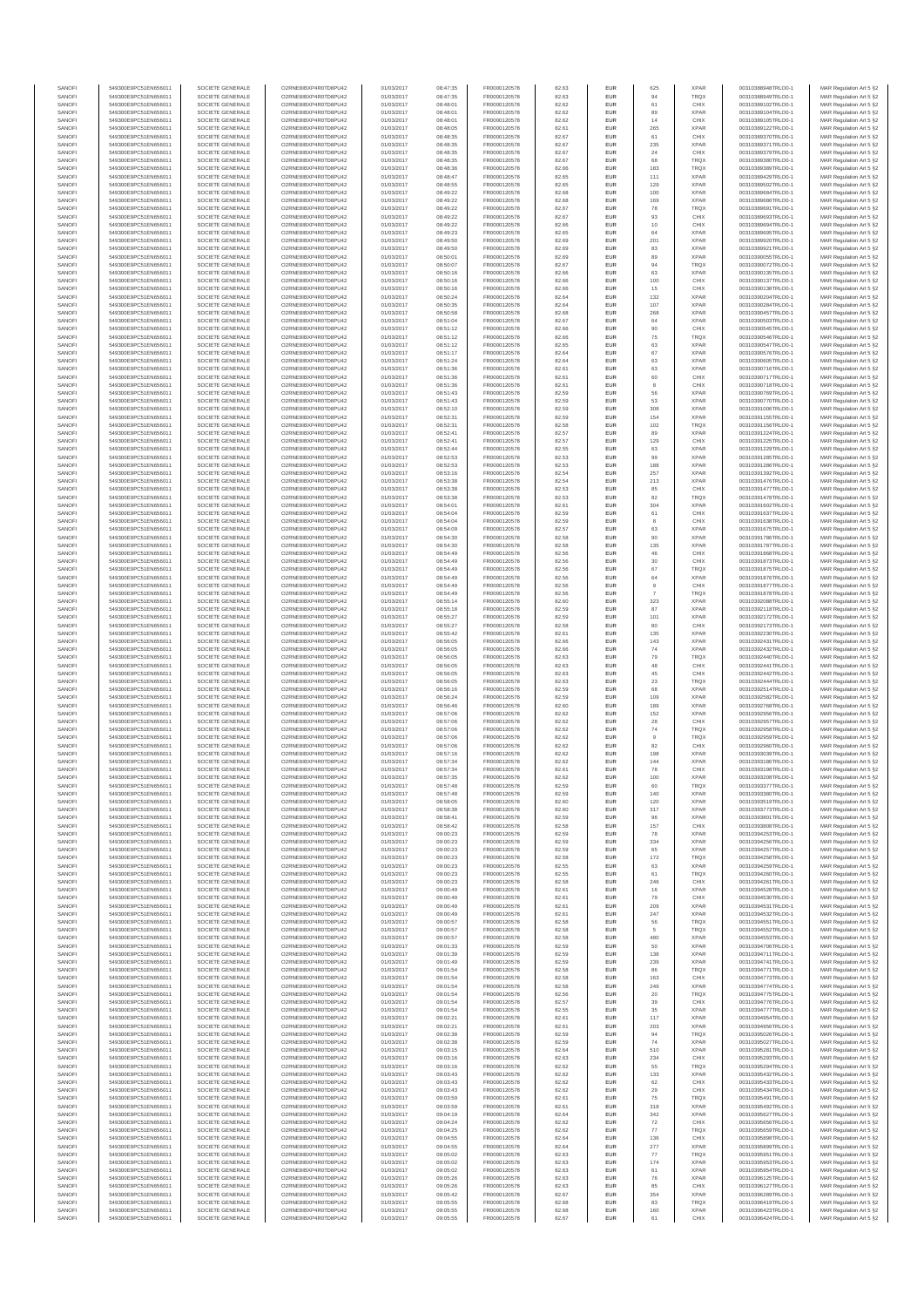| SANOFI           | 549300E9PC51EN656011                         | SOCIETE GENERALE                     | O2RNE8IBXP4R0TD8PU42                          | 01/03/2017               | 08:47:35             | FR0000120578                 | 82.63          | EUR                      | 625            | <b>XPAR</b>                | 00310388948TRLO0-1                       | MAR Regulation Art 5 §2                            |
|------------------|----------------------------------------------|--------------------------------------|-----------------------------------------------|--------------------------|----------------------|------------------------------|----------------|--------------------------|----------------|----------------------------|------------------------------------------|----------------------------------------------------|
| SANOFI<br>SANOFI | 549300E9PC51EN656011<br>549300E9PC51EN656011 | SOCIETE GENERALE<br>SOCIETE GENERALE | O2RNE8IBXP4R0TD8PU42<br>O2RNE8IBXP4R0TD8PU42  | 01/03/2017<br>01/03/2017 | 08:47:35<br>08:48:01 | FR0000120578                 | 82.63<br>82.62 | <b>EUR</b><br>EUR        | 94<br>61       | TRQX<br>CHIX               | 00310388949TRLO0-1<br>00310389102TRLO0-1 | MAR Regulation Art 5 §2                            |
| SANOFI           | 549300E9PC51EN656011                         | SOCIETE GENERALE                     | O2RNE8IBXP4R0TD8PLI42                         | 01/03/2017               | 08:48:01             | FR0000120578<br>FR0000120578 | 82.62          | EUR                      | 89             | <b>XPAR</b>                | 00310389104TRLO0-1                       | MAR Regulation Art 5 §2<br>MAR Regulation Art 5 §2 |
| SANOFI           | 549300E9PC51EN656011                         | SOCIETE GENERALE                     | O2RNE8IBXP4R0TD8PU42                          | 01/03/2017               | 08:48:01             | FR0000120578                 | 82.62          | EUR                      | 14             | CHIX                       | 00310389105TRLO0-1                       | MAR Regulation Art 5 §2                            |
| SANOFI           | 549300E9PC51EN656011                         | SOCIETE GENERALE                     | O2RNE8IBXP4R0TD8PU42                          | 01/03/2017               | 08:48:05             | FR0000120578                 | 82.61          | EUR                      | 265            | <b>XPAR</b>                | 00310389122TRLO0-1                       | MAR Regulation Art 5 §2                            |
| SANOFI<br>SANOFI | 549300E9PC51EN656011<br>549300E9PC51EN656011 | SOCIETE GENERALE<br>SOCIETE GENERALE | O2RNE8IBXP4R0TD8PU42<br>O2RNE8IBXP4R0TD8PU42  | 01/03/2017<br>01/03/2017 | 08:48:35<br>08:48:35 | FR0000120578<br>FR0000120578 | 82.67<br>82.67 | EUR<br>EUR               | 61<br>235      | CHIX<br><b>XPAR</b>        | 00310389370TRLO0-1<br>00310389371TRLO0-1 | MAR Regulation Art 5 §2<br>MAR Regulation Art 5 §2 |
| SANOFI           | 549300E9PC51EN656011                         | SOCIETE GENERALE                     | O2RNE8IBXP4R0TD8PU42                          | 01/03/2017               | 08:48:35             | FR0000120578                 | 82.67          | <b>EUR</b>               | 24             | CHIX                       | 00310389379TRLO0-1                       | MAR Regulation Art 5 §2                            |
| SANOFI           | 549300E9PC51EN656011                         | SOCIETE GENERALE                     | O2RNE8IBXP4R0TD8PU42                          | 01/03/2017               | 08:48:35             | FR0000120578                 | 82.67          | EUR                      | 68             | TRQX                       | 00310389380TRLO0-1                       | MAR Regulation Art 5 §2                            |
| SANOFI<br>SANOFI | 549300E9PC51EN656011<br>549300E9PC51EN656011 | SOCIETE GENERALE<br>SOCIETE GENERALE | O2RNE8IBXP4R0TD8PLI42<br>O2RNE8IBXP4R0TD8PU42 | 01/03/2017<br>01/03/2017 | 08:48:36<br>08:48:47 | FR0000120578<br>FR0000120578 | 82.66<br>82.65 | EUR<br>EUR               | 183<br>111     | TRQX<br><b>XPAR</b>        | 00310389389TRLO0-1<br>00310389429TRLO0-1 | MAR Regulation Art 5 §2<br>MAR Regulation Art 5 §2 |
| SANOFI           | 549300E9PC51EN656011                         | SOCIETE GENERALE                     | O2RNE8IBXP4R0TD8PU42                          | 01/03/2017               | 08:48:55             | FR0000120578                 | 82.65          | EUR                      | 129            | <b>XPAR</b>                | 00310389502TRLO0-1                       | MAR Regulation Art 5 §2                            |
| SANOFI           | 549300E9PC51EN656011                         | SOCIETE GENERALE                     | O2RNE8IBXP4R0TD8PU42                          | 01/03/2017               | 08:49:22             | FR0000120578                 | 82.68          | EUR                      | 100            | <b>XPAR</b>                | 00310389684TRLO0-1                       | MAR Regulation Art 5 §2                            |
| SANOFI           | 549300E9PC51EN656011                         | SOCIETE GENERALE                     | O2RNE8IBXP4R0TD8PU42                          | 01/03/2017               | 08:49:22             | FR0000120578                 | 82.68          | EUR                      | 169            | <b>XPAR</b>                | 00310389686TRLO0-1                       | MAR Regulation Art 5 §2                            |
| SANOFI<br>SANOFI | 549300E9PC51EN656011<br>549300E9PC51EN656011 | SOCIETE GENERALE<br>SOCIETE GENERALE | O2RNE8IBXP4R0TD8PU42<br>O2RNE8IBXP4R0TD8PU42  | 01/03/2017<br>01/03/2017 | 08:49:22<br>08:49:22 | FR0000120578<br>FR0000120578 | 82.67<br>82.67 | <b>EUR</b><br>EUR        | 78<br>93       | <b>TRQX</b><br>CHIX        | 00310389691TRLO0-1<br>00310389693TRLO0-1 | MAR Regulation Art 5 §2<br>MAR Regulation Art 5 §2 |
| SANOFI           | 549300E9PC51EN656011                         | SOCIETE GENERALE                     | O2RNE8IBXP4R0TD8PU42                          | 01/03/2017               | 08:49:22             | FR0000120578                 | 82.66          | <b>EUR</b>               | 10             | CHIX                       | 00310389694TRLO0-1                       | MAR Regulation Art 5 §2                            |
| SANOFI           | 549300E9PC51EN656011                         | SOCIETE GENERALE                     | O2RNE8IBXP4R0TD8PU42                          | 01/03/2017               | 08:49:23             | FR0000120578                 | 82.65          | EUR                      | 64             | <b>XPAR</b>                | 00310389695TRLO0-1                       | MAR Regulation Art 5 §2                            |
| SANOFI           | 549300E9PC51EN656011                         | SOCIETE GENERALE                     | O2RNESIBXP4R0TD8PLI42                         | 01/03/2017               | 08:49:50             | FR0000120578                 | 82.69          | EUR                      | 201            | <b>XPAR</b>                | 00310389920TRLO0-1<br>00310389921TRLO0-1 | MAR Regulation Art 5 §2                            |
| SANOFI<br>SANOFI | 549300E9PC51EN656011<br>549300E9PC51EN656011 | SOCIETE GENERALE<br>SOCIETE GENERALE | O2RNE8IBXP4R0TD8PU42<br>O2RNE8IBXP4R0TD8PLI42 | 01/03/2017<br>01/03/2017 | 08:49:50<br>08:50:01 | FR0000120578<br>FR0000120578 | 82.69<br>82.69 | EUR<br>EUR               | 83<br>89       | <b>XPAR</b><br><b>XPAR</b> | 00310390055TRLO0-1                       | MAR Regulation Art 5 §2<br>MAR Regulation Art 5 §2 |
| SANOFI           | 549300E9PC51EN656011                         | SOCIETE GENERALE                     | O2RNE8IBXP4R0TD8PU42                          | 01/03/2017               | 08:50:07             | FR0000120578                 | 82.67          | <b>EUR</b>               | 94             | <b>TRQX</b>                | 00310390072TRLO0-1                       | MAR Regulation Art 5 §2                            |
| SANOFI           | 549300E9PC51EN656011                         | SOCIETE GENERALE                     | O2RNE8IBXP4R0TD8PU42                          | 01/03/2017               | 08:50:16             | FR0000120578                 | 82.66          | EUR                      | 63             | <b>XPAR</b>                | 00310390135TRLO0-1                       | MAR Regulation Art 5 §2                            |
| SANOFI           | 549300E9PC51EN656011                         | SOCIETE GENERALE<br>SOCIETE GENERALE | O2RNE8IBXP4R0TD8PU42                          | 01/03/2017               | 08:50:16             | FR0000120578                 | 82.66          | <b>EUR</b>               | 100            | CHIX                       | 00310390137TRLO0-1<br>00310390138TRLO0-1 | MAR Regulation Art 5 §2<br>MAR Regulation Art 5 §2 |
| SANOFI<br>SANOFI | 549300E9PC51EN656011<br>549300E9PC51EN656011 | SOCIETE GENERALE                     | O2RNE8IBXP4R0TD8PU42<br>O2RNE8IBXP4R0TD8PU42  | 01/03/2017<br>01/03/2017 | 08:50:16<br>08:50:24 | FR0000120578<br>FR0000120578 | 82.66<br>82.64 | EUR<br><b>EUR</b>        | 15<br>132      | CHIX<br><b>XPAR</b>        | 00310390204TRLO0-1                       | MAR Regulation Art 5 §2                            |
| SANOFI           | 549300E9PC51EN656011                         | SOCIETE GENERALE                     | O2RNE8IBXP4R0TD8PU42                          | 01/03/2017               | 08:50:35             | FR0000120578                 | 82.64          | EUR                      | 107            | <b>XPAR</b>                | 00310390284TRLO0-1                       | MAR Regulation Art 5 §2                            |
| SANOFI           | 549300E9PC51EN656011                         | SOCIETE GENERALE                     | O2RNE8IBXP4R0TD8PU42                          | 01/03/2017               | 08:50:58             | FR0000120578                 | 82.68          | EUR                      | 268            | <b>XPAR</b>                | 00310390457TRLO0-1                       | MAR Regulation Art 5 §2                            |
| SANOFI<br>SANOFI | 549300E9PC51EN656011<br>549300E9PC51EN656011 | SOCIETE GENERALE<br>SOCIETE GENERALE | O2RNE8IBXP4R0TD8PU42<br>O2RNE8IBXP4R0TD8PU42  | 01/03/2017<br>01/03/2017 | 08:51:04<br>08:51:12 | FR0000120578<br>FR0000120578 | 82.67<br>82.66 | EUR<br>EUR               | 64<br>90       | <b>XPAR</b><br>CHIX        | 00310390503TRLO0-1<br>00310390545TRLO0-1 | MAR Regulation Art 5 §2<br>MAR Regulation Art 5 §2 |
| SANOFI           | 549300E9PC51EN656011                         | SOCIETE GENERALE                     | O2RNE8IBXP4R0TD8PU42                          | 01/03/2017               | 08:51:12             | FR0000120578                 | 82.66          | <b>EUR</b>               | 75             | <b>TRQX</b>                | 00310390546TRLO0-1                       | MAR Regulation Art 5 §2                            |
| SANOFI           | 549300E9PC51EN656011                         | SOCIETE GENERALE                     | O2RNE8IBXP4R0TD8PU42                          | 01/03/2017               | 08:51:12             | FR0000120578                 | 82.65          | EUR                      | 63             | <b>XPAR</b>                | 00310390547TRLO0-1                       | MAR Regulation Art 5 §2                            |
| SANOFI<br>SANOFI | 549300E9PC51EN656011<br>549300E9PC51EN656011 | SOCIETE GENERALE<br>SOCIETE GENERALE | O2RNE8IBXP4R0TD8PU42<br>O2RNE8IBXP4R0TD8PU42  | 01/03/2017<br>01/03/2017 | 08:51:17<br>08:51:24 | FR0000120578<br>FR0000120578 | 82.64<br>82.64 | <b>EUR</b><br>EUR        | 67<br>63       | <b>XPAR</b><br><b>XPAR</b> | 00310390576TRLO0-1<br>00310390605TRLO0-1 | MAR Regulation Art 5 §2<br>MAR Regulation Art 5 §2 |
| SANOFI           | 549300E9PC51EN656011                         | SOCIETE GENERALE                     | O2RNE8IBXP4R0TD8PU42                          | 01/03/2017               | 08:51:36             | FR0000120578                 | 82.61          | EUR                      | 63             | <b>XPAR</b>                | 00310390716TRLO0-1                       | MAR Regulation Art 5 §2                            |
| SANOFI           | 549300E9PC51EN656011                         | SOCIETE GENERALE                     | O2RNE8IBXP4R0TD8PU42                          | 01/03/2017               | 08:51:36             | FR0000120578                 | 82.61          | EUR                      | 60             | CHIX                       | 00310390717TRLO0-1                       | MAR Regulation Art 5 §2                            |
| SANOFI<br>SANOFI | 549300E9PC51EN656011<br>549300E9PC51EN656011 | SOCIETE GENERALE                     | O2RNE8IBXP4R0TD8PU42<br>O2RNE8IBXP4R0TD8PU42  | 01/03/2017               | 08:51:36             | FR0000120578                 | 82.61          | EUR                      |                | CHIX<br><b>XPAR</b>        | 00310390718TRLO0-1                       | MAR Regulation Art 5 §2                            |
| SANOFI           | 549300E9PC51EN656011                         | SOCIETE GENERALE<br>SOCIETE GENERALE | O2RNE8IBXP4R0TD8PU42                          | 01/03/2017<br>01/03/2017 | 08:51:43<br>08:51:43 | FR0000120578<br>FR0000120578 | 82.59<br>82.59 | EUR<br>EUR               | 56<br>53       | <b>XPAR</b>                | 00310390769TRLO0-1<br>00310390770TRLO0-1 | MAR Regulation Art 5 §2<br>MAR Regulation Art 5 §2 |
| SANOFI           | 549300E9PC51EN656011                         | SOCIETE GENERALE                     | O2RNE8IBXP4R0TD8PU42                          | 01/03/2017               | 08:52:10             | FR0000120578                 | 82.59          | <b>EUR</b>               | 308            | <b>XPAR</b>                | 00310391006TRLO0-1                       | MAR Regulation Art 5 §2                            |
| SANOFI           | 549300E9PC51EN656011                         | SOCIETE GENERALE                     | O2RNE8IBXP4R0TD8PU42                          | 01/03/2017               | 08:52:31             | FR0000120578                 | 82.59          | EUR                      | 154            | <b>XPAR</b>                | 00310391155TRLO0-1                       | MAR Regulation Art 5 §2                            |
| SANOFI<br>SANOFI | 549300E9PC51EN656011<br>549300E9PC51EN656011 | SOCIETE GENERALE<br>SOCIETE GENERALE | O2RNE8IBXP4R0TD8PLI42<br>O2RNE8IBXP4R0TD8PU42 | 01/03/2017<br>01/03/2017 | 08:52:31<br>08:52:41 | FR0000120578<br>FR0000120578 | 82.58<br>82.57 | <b>EUR</b><br>EUR        | 102<br>89      | <b>TRQX</b><br><b>XPAR</b> | 00310391156TRLO0-1<br>00310391224TRLO0-1 | MAR Regulation Art 5 §2<br>MAR Regulation Art 5 §2 |
| SANOFI           | 549300E9PC51EN656011                         | SOCIETE GENERALE                     | O2RNE8IBXP4R0TD8PU42                          | 01/03/2017               | 08:52:41             | FR0000120578                 | 82.57          | EUR                      | 129            | CHIX                       | 00310391225TRLO0-1                       | MAR Regulation Art 5 §2                            |
| SANOFI           | 549300E9PC51EN656011                         | SOCIETE GENERALE                     | O2RNE8IBXP4R0TD8PU42                          | 01/03/2017               | 08:52:44             | FR0000120578                 | 82.55          | EUR                      | 63             | <b>XPAR</b>                | 00310391229TRLO0-1                       | MAR Regulation Art 5 §2                            |
| SANOFI           | 549300E9PC51EN656011                         | SOCIETE GENERALE                     | O2RNE8IBXP4R0TD8PLI42<br>O2RNE8IBXP4R0TD8PU42 | 01/03/2017               | 08:52:53             | FR0000120578                 | 82.53          | EUR                      | 99             | <b>XPAR</b><br><b>XPAR</b> | 00310391285TRLO0-1<br>00310391286TRLO0-1 | MAR Regulation Art 5 §2                            |
| SANOFI<br>SANOFI | 549300E9PC51EN656011<br>549300E9PC51EN656011 | SOCIETE GENERALE<br>SOCIETE GENERALE | O2RNE8IBXP4R0TD8PU42                          | 01/03/2017<br>01/03/2017 | 08:52:53<br>08:53:16 | FR0000120578<br>FR0000120578 | 82.53<br>82.54 | EUR<br>EUR               | 188<br>257     | <b>XPAR</b>                | 00310391392TRLO0-1                       | MAR Regulation Art 5 §2<br>MAR Regulation Art 5 §2 |
| SANOFI           | 549300E9PC51EN656011                         | SOCIETE GENERALE                     | O2RNE8IBXP4R0TD8PU42                          | 01/03/2017               | 08:53:38             | FR0000120578                 | 82.54          | <b>EUR</b>               | 213            | <b>XPAR</b>                | 00310391476TRLO0-1                       | MAR Regulation Art 5 §2                            |
| SANOFI           | 549300E9PC51EN656011                         | SOCIETE GENERALE                     | O2RNE8IBXP4R0TD8PU42                          | 01/03/2017               | 08:53:38             | FR0000120578                 | 82.53          | EUR                      | 85             | CHIX                       | 00310391477TRLO0-1                       | MAR Regulation Art 5 §2                            |
| SANOFI<br>SANOFI | 549300E9PC51EN656011<br>549300E9PC51EN656011 | SOCIETE GENERALE<br>SOCIETE GENERALE | O2RNE8IBXP4R0TD8PU42<br>O2RNE8IBXP4R0TD8PU42  | 01/03/2017<br>01/03/2017 | 08:53:38<br>08:54:01 | FR0000120578<br>FR0000120578 | 82.53<br>82.61 | <b>EUR</b><br>EUR        | 82<br>304      | <b>TRQX</b><br><b>XPAR</b> | 00310391478TRLO0-1<br>00310391602TRLO0-1 | MAR Regulation Art 5 §2<br>MAR Regulation Art 5 §2 |
| SANOFI           | 549300E9PC51EN656011                         | SOCIETE GENERALE                     | O2RNE8IBXP4R0TD8PLI42                         | 01/03/2017               | 08:54:04             | FR0000120578                 | 82.59          | EUR                      | $61\,$         | CHIX                       | 00310391637TRLO0-1                       | MAR Regulation Art 5 §2                            |
| SANOFI           | 549300E9PC51EN656011                         | SOCIETE GENERALE                     | O2RNE8IBXP4R0TD8PU42                          | 01/03/2017               | 08:54:04             | FR0000120578                 | 82.59          | EUR                      |                | CHIX                       | 00310391638TRLO0-1                       | MAR Regulation Art 5 §2                            |
| SANOFI           | 549300E9PC51EN656011                         | SOCIETE GENERALE                     | O2RNE8IBXP4R0TD8PU42                          | 01/03/2017               | 08:54:09             | FR0000120578                 | 82.57          | EUR                      | 63             | <b>XPAR</b>                | 00310391675TRLO0-1                       | MAR Regulation Art 5 §2                            |
| SANOFI<br>SANOFI | 549300E9PC51EN656011<br>549300E9PC51EN656011 | SOCIETE GENERALE<br>SOCIETE GENERALE | O2RNE8IBXP4R0TD8PU42<br>O2RNE8IBXP4R0TD8PU42  | 01/03/2017<br>01/03/2017 | 08:54:30<br>08:54:30 | FR0000120578<br>FR0000120578 | 82.58<br>82.58 | <b>EUR</b><br>EUR        | 90<br>135      | <b>XPAR</b><br><b>XPAR</b> | 00310391786TRLO0-1<br>00310391787TRLO0-1 | MAR Regulation Art 5 §2<br>MAR Regulation Art 5 §2 |
| SANOFI           | 549300E9PC51EN656011                         | SOCIETE GENERALE                     | O2RNE8IBXP4R0TD8PU42                          | 01/03/2017               | 08:54:49             | FR0000120578                 | 82.56          | <b>EUR</b>               | 46             | CHIX                       | 00310391868TRLO0-1                       | MAR Regulation Art 5 §2                            |
| SANOFI           | 549300E9PC51EN656011                         | SOCIETE GENERALE                     | O2RNE8IBXP4R0TD8PU42                          | 01/03/2017               | 08:54:49             | FR0000120578                 | 82.56          | EUR                      | 30             | CHIX                       | 00310391873TRLO0-1                       | MAR Regulation Art 5 §2                            |
| SANOFI<br>SANOFI | 549300E9PC51EN656011<br>549300E9PC51EN656011 | SOCIETE GENERALE<br>SOCIETE GENERALE | O2RNE8IBXP4R0TD8PU42<br>O2RNE8IBXP4R0TD8PU42  | 01/03/2017<br>01/03/2017 | 08:54:49<br>08:54:49 | FR0000120578<br>FR0000120578 | 82.56<br>82.56 | <b>EUR</b><br>EUR        | 67<br>64       | <b>TRQX</b><br><b>XPAR</b> | 00310391875TRLO0-1<br>00310391876TRLO0-1 | MAR Regulation Art 5 §2<br>MAR Regulation Art 5 §2 |
| SANOFI           | 549300E9PC51EN656011                         | SOCIETE GENERALE                     | O2RNE8IBXP4R0TD8PU42                          | 01/03/2017               | 08:54:49             | FR0000120578                 | 82.56          | EUR                      | $\overline{9}$ | CHIX                       | 00310391877TRLO0-1                       | MAR Regulation Art 5 §2                            |
| SANOFI           | 549300E9PC51EN656011                         | SOCIETE GENERALE                     | O2RNE8IBXP4R0TD8PU42                          | 01/03/2017               | 08:54:49             | FR0000120578                 | 82.56          | EUR                      | $\overline{7}$ | <b>TRQX</b>                | 00310391878TRLO0-1                       | MAR Regulation Art 5 §2                            |
| SANOFI           | 549300E9PC51EN656011                         | SOCIETE GENERALE                     | O2RNE8IBXP4R0TD8PU42                          | 01/03/2017               | 08:55:14             | FR0000120578                 | 82.60          | EUR                      | 323            | XPAR                       | 00310392088TRLO0-1                       | MAR Regulation Art 5 §2                            |
| SANOFI<br>SANOFI | 549300E9PC51EN656011<br>549300E9PC51EN656011 | SOCIETE GENERALE<br>SOCIETE GENERALE | O2RNE8IBXP4R0TD8PU42<br>O2RNE8IBXP4R0TD8PU42  | 01/03/2017<br>01/03/2017 | 08:55:18<br>08:55:27 | FR0000120578<br>FR0000120578 | 82.59<br>82.59 | <b>EUR</b><br>EUR        | 87<br>101      | <b>XPAR</b><br><b>XPAR</b> | 00310392118TRLO0-1<br>00310392172TRLO0-1 | MAR Regulation Art 5 §2<br>MAR Regulation Art 5 §2 |
| SANOFI           | 549300E9PC51EN656011                         | SOCIETE GENERALE                     | O2RNE8IBXP4R0TD8PU42                          | 01/03/2017               | 08:55:27             | FR0000120578                 | 82.58          | <b>EUR</b>               | 80             | CHIX                       | 00310392173TRLO0-1                       | MAR Regulation Art 5 §2                            |
| SANOFI           | 549300E9PC51EN656011                         | SOCIETE GENERALE                     | O2RNE8IBXP4R0TD8PU42                          | 01/03/2017               | 08:55:42             | FR0000120578                 | 82.61          | EUR                      | 135            | <b>XPAR</b>                | 00310392230TRLO0-1                       | MAR Regulation Art 5 §2                            |
| SANOFI<br>SANOFI | 549300E9PC51EN656011<br>549300E9PC51EN656011 | SOCIETE GENERALE<br>SOCIETE GENERALE | O2RNE8IBXP4R0TD8PU42<br>O2RNE8IBXP4R0TD8PU42  | 01/03/2017<br>01/03/2017 | 08:56:05<br>08:56:05 | FR0000120578<br>FR0000120578 | 82.66<br>82.66 | EUR<br>EUR               | 143<br>74      | <b>XPAR</b><br><b>XPAR</b> | 00310392431TRLO0-1<br>00310392432TRLO0-1 | MAR Regulation Art 5 §2<br>MAR Regulation Art 5 §2 |
| SANOFI           | 549300E9PC51EN656011                         | SOCIETE GENERALE                     | O2RNE8IBXP4R0TD8PU42                          | 01/03/2017               | 08:56:05             | FR0000120578                 | 82.63          | EUR                      | 79             | TRQX                       | 00310392440TRLO0-1                       | MAR Regulation Art 5 §2                            |
| SANOFI           | 549300E9PC51EN656011                         | SOCIETE GENERALE                     | O2RNE8IBXP4R0TD8PU42                          | 01/03/2017               | 08:56:05             | FR0000120578                 | 82.63          | EUR                      | 48             | CHIX                       | 00310392441TRLO0-1                       | MAR Regulation Art 5 §2                            |
| SANOFI           | 549300E9PC51EN656011                         | SOCIETE GENERALE                     | O2RNE8IBXP4R0TD8PU42                          | 01/03/2017               | 08:56:05             | FR0000120578                 | 82.63          | EUR                      | 45             | CHIX                       | 00310392442TRLO0-1                       | MAR Regulation Art 5 §2                            |
| SANOFI<br>SANOFI | 549300E9PC51EN656011<br>549300E9PC51EN656011 | SOCIETE GENERALE<br>SOCIETE GENERALE | O2RNE8IBXP4R0TD8PU42<br>O2RNE8IBXP4R0TD8PU42  | 01/03/2017<br>01/03/2017 | 08:56:05<br>08:56:16 | FR0000120578<br>FR0000120578 | 82.63<br>82.59 | <b>EUR</b><br>EUR        | 23<br>68       | <b>TRQX</b><br><b>XPAR</b> | 00310392444TRLO0-1<br>00310392514TRLO0-1 | MAR Regulation Art 5 §2<br>MAR Regulation Art 5 §2 |
| SANOFI           | 549300E9PC51EN656011                         | SOCIETE GENERALE                     | O2RNE8IBXP4R0TD8PU42                          | 01/03/2017               | 08:56:24             | FR0000120578                 | 82.59          | <b>EUR</b>               | 109            | <b>XPAR</b>                | 00310392582TRLO0-1                       | MAR Regulation Art 5 §2                            |
| SANOFI           | 549300E9PC51EN656011                         | SOCIETE GENERALE                     | O2RNE8IBXP4R0TD8PU42                          | 01/03/2017               | 08:56:46             | FR0000120578                 | 82.60          | EUR                      | 189            | <b>XPAR</b>                | 00310392768TRLO0-1                       | MAR Regulation Art 5 §2                            |
| SANOFI           | 549300E9PC51EN656011                         | SOCIETE GENERALE                     | O2RNE8IBXP4R0TD8PU42                          | 01/03/2017               | 08:57:06             | FR0000120578<br>FR0000120578 | 82.62          | EUR                      | 152            | <b>XPAR</b>                | 00310392956TRLO0-1                       | MAR Regulation Art 5 §2                            |
| SANOFI<br>SANOFI | 549300E9PC51EN656011<br>549300E9PC51EN656011 | SOCIETE GENERALE<br>SOCIETE GENERALE | O2RNE8IBXP4R0TD8PU42<br>O2RNE8IBXP4R0TD8PU42  | 01/03/2017<br>01/03/2017 | 08:57:06<br>08:57:06 | FR0000120578                 | 82.62<br>82.62 | EUR<br>EUR               | 28<br>74       | CHIX<br>TRQX               | 00310392957TRLO0-1<br>00310392958TRLO0-1 | MAR Regulation Art 5 §2<br>MAR Regulation Art 5 §2 |
| SANOFI           | 549300E9PC51EN656011                         | SOCIETE GENERALE                     | O2RNE8IBXP4R0TD8PU42                          | 01/03/2017               | 08:57:06             | FR0000120578                 | 82.62          | EUR                      | 9              | TRQX                       | 00310392959TRLO0-1                       | MAR Regulation Art 5 §2                            |
| SANOFI           | 549300E9PC51EN656011                         | SOCIETE GENERALE                     | O2RNE8IBXP4R0TD8PU42                          | 01/03/2017               | 08:57:06             | FR0000120578                 | 82.62          | EUR                      | 82             | CHIX                       | 00310392960TRLO0-1                       | MAR Regulation Art 5 §2                            |
| SANOFI<br>SANOFI | 549300E9PC51EN656011<br>549300E9PC51EN656011 | SOCIETE GENERALE<br>SOCIETE GENERALE | O2RNE8IBXP4R0TD8PU42<br>O2RNE8IBXP4R0TD8PU42  | 01/03/2017<br>01/03/2017 | 08:57:16<br>08:57:34 | FR0000120578<br>FR0000120578 | 82.62<br>82.62 | <b>EUR</b><br>EUR        | 198<br>144     | <b>XPAR</b><br><b>XPAR</b> | 00310393039TRLO0-1<br>00310393186TRLO0-1 | MAR Regulation Art 5 §2<br>MAR Regulation Art 5 §2 |
| SANOFI           | 549300E9PC51EN656011                         | SOCIETE GENERALE                     | O2RNE8IBXP4R0TD8PU42                          | 01/03/2017               | 08:57:34             | FR0000120578                 | 82.61          | EUR                      | 78             | CHIX                       | 00310393198TRLO0-1                       | MAR Regulation Art 5 §2                            |
| SANOFI           | 549300E9PC51EN656011                         | SOCIETE GENERALE                     | O2RNE8IBXP4R0TD8PU42                          | 01/03/2017               | 08:57:35             | FR0000120578                 | 82.62          | EUR                      | 100            | <b>XPAR</b>                | 00310393208TRLO0-1                       | MAR Regulation Art 5 §2                            |
| SANOFI           | 549300E9PC51EN656011                         | SOCIETE GENERALE                     | O2RNE8IBXP4R0TD8PLI42                         | 01/03/2017               | 08:57:48             | FR0000120578                 | 82.59          | EUR                      | 60             | TRQX                       | 00310393377TRLO0-1                       | MAR Regulation Art 5 §2                            |
| SANOFI<br>SANOFI | 549300E9PC51EN656011<br>549300E9PC51EN656011 | SOCIETE GENERALE<br>SOCIETE GENERALE | O2RNE8IBXP4R0TD8PU42<br>O2RNESIBXP4R0TD8PLI42 | 01/03/2017<br>01/03/2017 | 08:57:48<br>08:58:05 | FR0000120578<br>FR0000120578 | 82.59<br>82.60 | <b>EUR</b><br><b>EUR</b> | 140<br>120     | <b>XPAR</b><br><b>XPAR</b> | 00310393380TRLO0-1<br>00310393519TRLO0-1 | MAR Regulation Art 5 §2<br>MAR Regulation Art 5 §2 |
| SANOFI           | 549300E9PC51EN656011                         | SOCIETE GENERALE                     | O2RNE8IBXP4R0TD8PU42                          | 01/03/2017               | 08:58:38             | FR0000120578                 | 82.60          | EUR                      | 317            | <b>XPAR</b>                | 00310393773TRLO0-1                       | MAR Regulation Art 5 §2                            |
| SANOFI           | 549300E9PC51EN656011                         | SOCIETE GENERALE                     | O2RNE8IBXP4R0TD8PU42                          | 01/03/2017               | 08:58:41             | FR0000120578                 | 82.59          | EUR                      |                | <b>XPAR</b>                | 00310393801TRLO0-1                       | MAR Regulation Art 5 §2                            |
| SANOFI<br>SANOFI | 549300E9PC51EN656011<br>549300E9PC51EN656011 | SOCIETE GENERALE<br>SOCIETE GENERALE | O2RNE8IBXP4R0TD8PU42<br>O2RNE8IBXP4R0TD8PU42  | 01/03/2017<br>01/03/2017 | 08:58:42<br>09:00:23 | FR0000120578<br>FR0000120578 | 82.58<br>82.59 | <b>EUR</b><br>EUR        | 157<br>78      | CHIX<br><b>XPAR</b>        | 00310393808TRLO0-1<br>00310394253TRLO0-1 | MAR Regulation Art 5 §2<br>MAR Regulation Art 5 §2 |
| SANOFI           | 549300E9PC51EN656011                         | SOCIETE GENERALE                     | O2RNE8IBXP4R0TD8PU42                          | 01/03/2017               | 09:00:23             | FR0000120578                 | 82.59          | <b>EUR</b>               | 334            | <b>XPAR</b>                | 00310394256TRLO0-1                       | MAR Regulation Art 5 §2                            |
| SANOFI           | 549300E9PC51EN656011                         | SOCIETE GENERALE                     | O2RNE8IBXP4R0TD8PU42                          | 01/03/2017               | 09:00:23             | FR0000120578                 | 82.59          | EUR                      | 65             | <b>XPAR</b>                | 00310394257TRLO0-1                       | MAR Regulation Art 5 §2                            |
| SANOFI           | 549300E9PC51EN656011                         | SOCIETE GENERALE                     | O2RNE8IBXP4R0TD8PU42<br>O2RNE8IBXP4R0TD8PU42  | 01/03/2017               | 09:00:23             | FR0000120578                 | 82.58          | EUR                      | 172            | <b>TRQX</b><br><b>XPAR</b> | 00310394258TRLO0-1                       | MAR Regulation Art 5 §2                            |
| SANOFI<br>SANOFI | 549300E9PC51EN656011<br>549300E9PC51EN656011 | SOCIETE GENERALE<br>SOCIETE GENERALE | O2RNESIBXP4R0TD8PLI42                         | 01/03/2017<br>01/03/2017 | 09:00:23<br>09:00:23 | FR0000120578<br>FR0000120578 | 82.55<br>82.55 | EUR<br>EUR               | 63<br>61       | <b>TRQX</b>                | 00310394259TRLO0-1<br>00310394260TRLO0-1 | MAR Regulation Art 5 §2<br>MAR Regulation Art 5 §2 |
| SANOFI           | 549300E9PC51EN656011                         | SOCIETE GENERALE                     | O2RNE8IBXP4R0TD8PLI42                         | 01/03/2017               | 09:00:23             | FR0000120578                 | 82.58          | <b>EUR</b>               | 246            | CHIX                       | 00310394261TRLO0-1                       | MAR Regulation Art 5 §2                            |
| SANOFI           | 549300E9PC51EN656011                         | SOCIETE GENERALE                     | O2RNE8IBXP4R0TD8PU42                          | 01/03/2017               | 09:00:49             | FR0000120578                 | 82.61          | EUR                      | 16             | <b>XPAR</b>                | 00310394528TRLO0-1                       | MAR Regulation Art 5 §2                            |
| SANOFI<br>SANOFI | 549300E9PC51EN656011<br>549300E9PC51EN656011 | SOCIETE GENERALE<br>SOCIETE GENERALE | O2RNE8IBXP4R0TD8PU42<br>O2RNE8IBXP4R0TD8PU42  | 01/03/2017<br>01/03/2017 | 09:00:49<br>09:00:49 | FR0000120578<br>FR0000120578 | 82.61<br>82.61 | <b>EUR</b><br>EUR        | 79<br>209      | CHIX<br><b>XPAR</b>        | 00310394530TRLO0-1<br>00310394531TRLO0-1 | MAR Regulation Art 5 §2<br>MAR Regulation Art 5 §2 |
| SANOFI           | 549300E9PC51EN656011                         | SOCIETE GENERALE                     | O2RNE8IBXP4R0TD8PU42                          | 01/03/2017               | 09:00:49             | FR0000120578                 | 82.61          | EUR                      | 247            | <b>XPAR</b>                | 00310394532TRLO0-1                       | MAR Regulation Art 5 §2                            |
| SANOFI           | 549300E9PC51EN656011                         | SOCIETE GENERALE                     | O2RNE8IBXP4R0TD8PU42                          | 01/03/2017               | 09:00:57             | FR0000120578                 | 82.58          | EUR                      | 56             | <b>TRQX</b>                | 00310394551TRLO0-1                       | MAR Regulation Art 5 §2                            |
| SANOFI<br>SANOFI | 549300E9PC51EN656011<br>549300E9PC51EN656011 | SOCIETE GENERALE<br>SOCIETE GENERALE | O2RNE8IBXP4R0TD8PU42<br>O2RNE8IBXP4R0TD8PU42  | 01/03/2017<br>01/03/2017 | 09:00:57<br>09:00:57 | FR0000120578<br>FR0000120578 | 82.58<br>82.58 | EUR<br>EUR               | 5<br>480       | <b>TRQX</b><br><b>XPAR</b> | 00310394552TRLO0-1<br>00310394553TRLO0-1 | MAR Regulation Art 5 §2<br>MAR Regulation Art 5 §2 |
| SANOFI           | 549300E9PC51EN656011                         | SOCIETE GENERALE                     | O2RNE8IBXP4R0TD8PU42                          | 01/03/2017               | 09:01:33             | FR0000120578                 | 82.59          | EUR                      | 50             | <b>XPAR</b>                | 00310394706TRLO0-1                       | MAR Regulation Art 5 §2                            |
| SANOFI           | 549300E9PC51EN656011                         | SOCIETE GENERALE                     | O2RNE8IBXP4R0TD8PU42                          | 01/03/2017               | 09:01:39             | FR0000120578                 | 82.59          | <b>EUR</b>               | 138            | <b>XPAR</b>                | 00310394711TRLO0-1                       | MAR Regulation Art 5 §2                            |
| SANOFI           | 549300E9PC51EN656011                         | SOCIETE GENERALE                     | O2RNE8IBXP4R0TD8PU42                          | 01/03/2017               | 09:01:49             | FR0000120578                 | 82.59          | EUR                      | 239            | <b>XPAR</b>                | 00310394741TRLO0-1                       | MAR Regulation Art 5 §2                            |
| SANOFI<br>SANOFI | 549300E9PC51EN656011<br>549300E9PC51EN656011 | SOCIETE GENERALE<br>SOCIETE GENERALE | O2RNE8IBXP4R0TD8PU42<br>O2RNE8IBXP4R0TD8PU42  | 01/03/2017<br>01/03/2017 | 09:01:54<br>09:01:54 | FR0000120578<br>FR0000120578 | 82.58<br>82.58 | <b>EUR</b><br>EUR        | 86<br>163      | <b>TROX</b><br>CHIX        | 00310394771TRLO0-1<br>00310394773TRLO0-1 | MAR Regulation Art 5 §2<br>MAR Regulation Art 5 §2 |
| SANOFI           | 549300E9PC51EN656011                         | SOCIETE GENERALE                     | O2RNE8IBXP4R0TD8PU42                          | 01/03/2017               | 09:01:54             | FR0000120578                 | 82.58          | EUR                      | 249            | <b>XPAR</b>                | 00310394774TRLO0-1                       | MAR Regulation Art 5 §2                            |
| SANOFI           | 549300E9PC51EN656011                         | SOCIETE GENERALE                     | O2RNE8IBXP4R0TD8PU42                          | 01/03/2017               | 09:01:54             | FR0000120578                 | 82.56          | EUR                      | 20             | <b>TRQX</b>                | 00310394775TRLO0-1                       | MAR Regulation Art 5 §2                            |
| SANOFI<br>SANOFI | 549300E9PC51EN656011<br>549300E9PC51EN656011 | SOCIETE GENERALE<br>SOCIETE GENERALE | O2RNE8IBXP4R0TD8PU42<br>O2RNE8IBXP4R0TD8PU42  | 01/03/2017<br>01/03/2017 | 09:01:54<br>09:01:54 | FR0000120578                 | 82.57<br>82.55 | EUR<br>EUR               | 39<br>35       | CHIX<br><b>XPAR</b>        | 00310394776TRLO0-1<br>00310394777TRLO0-1 | MAR Regulation Art 5 §2                            |
| SANOFI           | 549300E9PC51EN656011                         | SOCIETE GENERALE                     | O2RNE8IBXP4R0TD8PU42                          | 01/03/2017               | 09:02:21             | FR0000120578<br>FR0000120578 | 82.61          | EUR                      | 117            | <b>XPAR</b>                | 00310394954TRLO0-1                       | MAR Regulation Art 5 §2<br>MAR Regulation Art 5 §2 |
| SANOFI           | 549300E9PC51EN656011                         | SOCIETE GENERALE                     | O2RNE8IBXP4R0TD8PU42                          | 01/03/2017               | 09:02:21             | FR0000120578                 | 82.61          | <b>EUR</b>               | 203            | <b>XPAR</b>                | 00310394956TRLO0-1                       | MAR Regulation Art 5 §2                            |
| SANOFI<br>SANOFI | 549300E9PC51EN656011<br>549300E9PC51EN656011 | SOCIETE GENERALE<br>SOCIETE GENERALE | O2RNE8IBXP4R0TD8PU42<br>O2RNE8IBXP4R0TD8PU42  | 01/03/2017<br>01/03/2017 | 09:02:38<br>09:02:38 | FR0000120578<br>FR0000120578 | 82.59<br>82.59 | EUR<br><b>EUR</b>        | 94<br>74       | TRQX<br><b>XPAR</b>        | 00310395026TRLO0-1<br>00310395027TRLO0-1 | MAR Regulation Art 5 §2                            |
| SANOFI           | 549300E9PC51EN656011                         | SOCIETE GENERALE                     | O2RNE8IBXP4R0TD8PU42                          | 01/03/2017               | 09:03:15             | FR0000120578                 | 82.64          | EUR                      | 510            | <b>XPAR</b>                | 00310395281TRLO0-1                       | MAR Regulation Art 5 §2<br>MAR Regulation Art 5 §2 |
| SANOFI           | 549300E9PC51EN656011                         | SOCIETE GENERALE                     | O2RNE8IBXP4R0TD8PU42                          | 01/03/2017               | 09:03:16             | FR0000120578                 | 82.63          | EUR                      | 234            | CHIX                       | 00310395293TRLO0-1                       | MAR Regulation Art 5 §2                            |
| SANOFI           | 549300E9PC51EN656011                         | SOCIETE GENERALE                     | O2RNE8IBXP4R0TD8PU42                          | 01/03/2017               | 09:03:16             | FR0000120578                 | 82.62          | EUR                      | 55             | <b>TRQX</b>                | 00310395294TRLO0-1                       | MAR Regulation Art 5 §2                            |
| SANOFI<br>SANOFI | 549300E9PC51EN656011<br>549300E9PC51EN656011 | SOCIETE GENERALE<br>SOCIETE GENERALE | O2RNE8IBXP4R0TD8PU42<br>O2RNE8IBXP4R0TD8PU42  | 01/03/2017<br>01/03/2017 | 09:03:43<br>09:03:43 | FR0000120578<br>FR0000120578 | 82.62<br>82.62 | <b>EUR</b><br>EUR        | 133<br>62      | <b>XPAR</b><br>CHIX        | 00310395432TRLO0-1<br>00310395433TRLO0-1 | MAR Regulation Art 5 §2                            |
| SANOFI           | 549300E9PC51EN656011                         | SOCIETE GENERALE                     | O2RNE8IBXP4R0TD8PU42                          | 01/03/2017               | 09:03:43             | FR0000120578                 | 82.62          | EUR                      | 29             | CHIX                       | 00310395434TRLO0-1                       | MAR Regulation Art 5 §2<br>MAR Regulation Art 5 §2 |
| SANOFI           | 549300E9PC51EN656011                         | SOCIETE GENERALE                     | O2RNE8IBXP4R0TD8PU42                          | 01/03/2017               | 09:03:59             | FR0000120578                 | 82.61          | <b>EUR</b>               | 75             | <b>TRQX</b>                | 00310395491TRLO0-1                       | MAR Regulation Art 5 §2                            |
| SANOFI           | 549300E9PC51EN656011                         | SOCIETE GENERALE                     | O2RNE8IBXP4R0TD8PU42                          | 01/03/2017               | 09:03:59             | FR0000120578                 | 82.61          | EUR                      | 318            | <b>XPAR</b>                | 00310395492TRLO0-1                       | MAR Regulation Art 5 §2                            |
| SANOFI<br>SANOFI | 549300E9PC51EN656011<br>549300E9PC51EN656011 | SOCIETE GENERALE<br>SOCIETE GENERALE | O2RNE8IBXP4R0TD8PU42<br>O2RNE8IBXP4R0TD8PU42  | 01/03/2017<br>01/03/2017 | 09:04:19<br>09:04:24 | FR0000120578<br>FR0000120578 | 82.64<br>82.62 | <b>EUR</b><br>EUR        | 342<br>72      | <b>XPAR</b><br>CHIX        | 00310395627TRLO0-1<br>00310395656TRLO0-1 | MAR Regulation Art 5 §2<br>MAR Regulation Art 5 §2 |
| SANOFI           | 549300E9PC51EN656011                         | SOCIETE GENERALE                     | O2RNE8IBXP4R0TD8PU42                          | 01/03/2017               | 09:04:25             | FR0000120578                 | 82.62          | EUR                      | 77             | TRQX                       | 00310395659TRLO0-1                       | MAR Regulation Art 5 §2                            |
| SANOFI           | 549300E9PC51EN656011                         | SOCIETE GENERALE                     | O2RNE8IBXP4R0TD8PU42                          | 01/03/2017               | 09:04:55             | FR0000120578                 | 82.64          | EUR                      | 136            | CHIX                       | 00310395898TRLO0-1                       | MAR Regulation Art 5 §2                            |
| SANOFI<br>SANOFI | 549300E9PC51EN656011<br>549300E9PC51EN656011 | SOCIETE GENERALE<br>SOCIETE GENERALE | O2RNE8IBXP4R0TD8PU42<br>O2RNE8IBXP4R0TD8PU42  | 01/03/2017<br>01/03/2017 | 09:04:55<br>09:05:02 | FR0000120578<br>FR0000120578 | 82.64<br>82.63 | EUR<br><b>EUR</b>        | 277<br>77      | <b>XPAR</b><br><b>TROX</b> | 00310395899TRLO0-1<br>00310395951TRLO0-1 | MAR Regulation Art 5 §2                            |
| SANOFI           | 549300E9PC51EN656011                         | SOCIETE GENERALE                     | O2RNE8IBXP4R0TD8PU42                          | 01/03/2017               | 09:05:02             | FR0000120578                 | 82.63          | EUR                      | 174            | <b>XPAR</b>                | 00310395953TRLO0-1                       | MAR Regulation Art 5 §2<br>MAR Regulation Art 5 §2 |
| SANOFI           | 549300E9PC51EN656011                         | SOCIETE GENERALE                     | O2RNE8IBXP4R0TD8PU42                          | 01/03/2017               | 09:05:02             | FR0000120578                 | 82.63          | <b>EUR</b>               | 61             | <b>XPAR</b>                | 00310395954TRLO0-1                       | MAR Regulation Art 5 §2                            |
| SANOFI           | 549300E9PC51EN656011                         | SOCIETE GENERALE                     | O2RNE8IBXP4R0TD8PU42                          | 01/03/2017               | 09:05:26             | FR0000120578                 | 82.63          | EUR                      | 76             | <b>XPAR</b>                | 00310396125TRLO0-1                       | MAR Regulation Art 5 §2                            |
| SANOFI<br>SANOFI | 549300E9PC51EN656011<br>549300E9PC51EN656011 | SOCIETE GENERALE<br>SOCIETE GENERALE | O2RNE8IBXP4R0TD8PU42<br>O2RNE8IBXP4R0TD8PU42  | 01/03/2017<br>01/03/2017 | 09:05:26<br>09:05:42 | FR0000120578<br>FR0000120578 | 82.63<br>82.67 | EUR<br>EUR               | 85<br>354      | CHIX<br><b>XPAR</b>        | 00310396127TRLO0-1<br>00310396289TRLO0-1 | MAR Regulation Art 5 §2<br>MAR Regulation Art 5 §2 |
| SANOFI           | 549300E9PC51EN656011                         | SOCIETE GENERALE                     | O2RNE8IBXP4R0TD8PU42                          | 01/03/2017               | 09:05:55             | FR0000120578                 | 82.68          | EUR                      | 83             | TRQX                       | 00310396419TRLO0-1                       | MAR Regulation Art 5 §2                            |
| SANOFI           | 549300E9PC51EN656011                         | SOCIETE GENERALE                     | O2RNE8IBXP4R0TD8PU42                          | 01/03/2017               | 09:05:55             | FR0000120578                 | 82.68          | EUR                      | 160            | <b>XPAR</b>                | 00310396423TRLO0-1                       | MAR Regulation Art 5 §2                            |
| SANOFI           | 549300E9PC51EN656011                         | SOCIETE GENERALE                     | O2RNE8IBXP4R0TD8PU42                          | 01/03/2017               | 09:05:55             | FR0000120578                 | 82.67          | EUR                      | 61             | CHIX                       | 00310396424TRLO0-1                       | MAR Regulation Art 5 §2                            |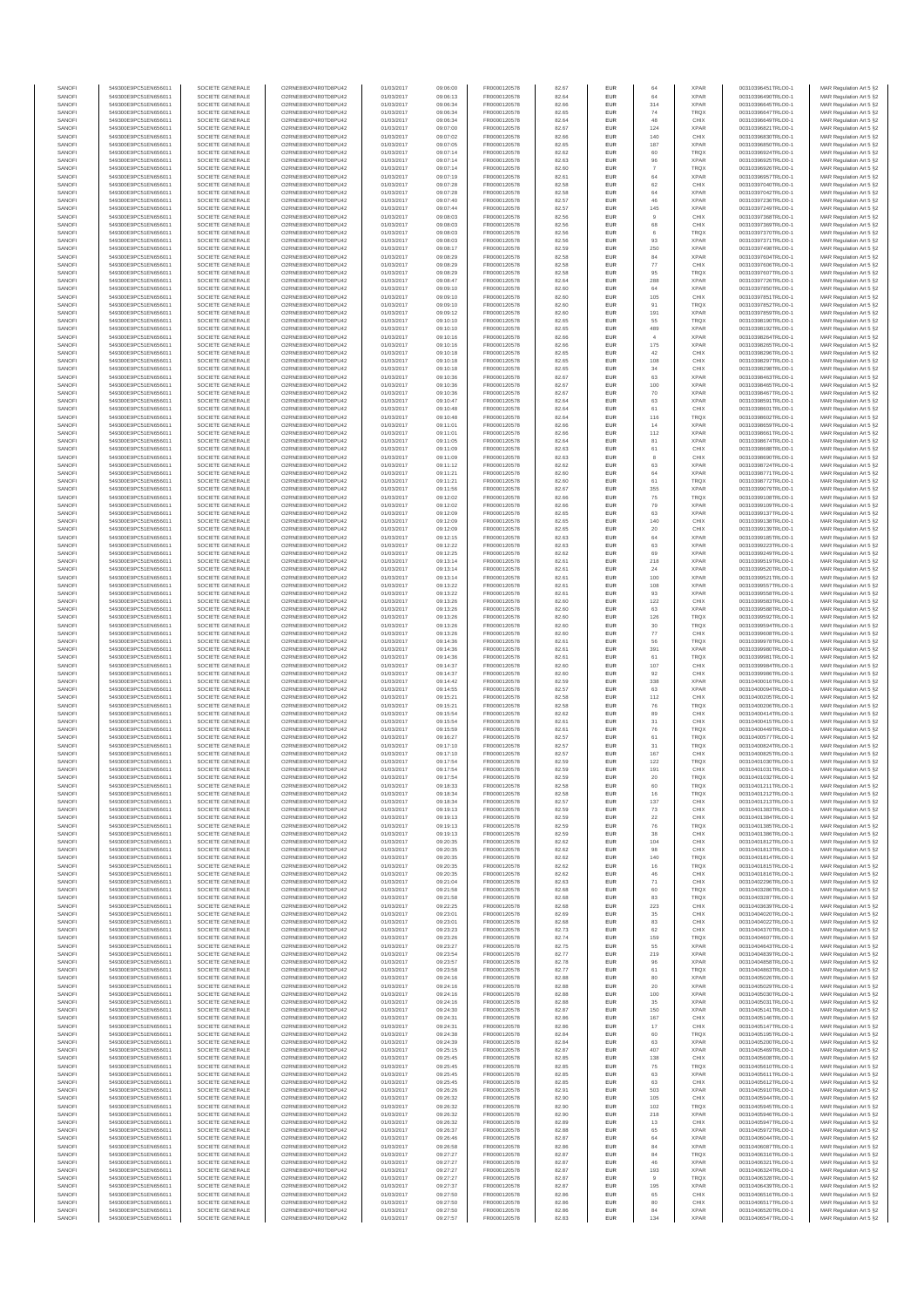| SANOFI           | 549300E9PC51EN656011                         | SOCIETE GENERALE                     | O2RNE8IBXP4R0TD8PU42                          | 01/03/2017               | 09:06:00             | FR0000120578                 | 82.67          | EUR               | 64                   | <b>XPAR</b>                | 00310396451TRLO0-1                       | MAR Regulation Art 5 §2                            |
|------------------|----------------------------------------------|--------------------------------------|-----------------------------------------------|--------------------------|----------------------|------------------------------|----------------|-------------------|----------------------|----------------------------|------------------------------------------|----------------------------------------------------|
| SANOFI<br>SANOFI | 549300E9PC51EN656011<br>549300E9PC51EN656011 | SOCIETE GENERALE<br>SOCIETE GENERALE | O2RNE8IBXP4R0TD8PU42                          | 01/03/2017<br>01/03/2017 | 09:06:13             | FR0000120578<br>FR0000120578 | 82.64          | EUR<br>EUR        | 64<br>314            | <b>XPAR</b><br><b>XPAR</b> | 00310396490TRLO0-1<br>00310396645TRLO0-1 | MAR Regulation Art 5 §2                            |
| SANOFI           | 549300E9PC51EN656011                         | SOCIETE GENERALE                     | O2RNE8IBXP4R0TD8PU42<br>O2RNE8IBXP4R0TD8PU42  | 01/03/2017               | 09:06:34<br>09:06:34 | FR0000120578                 | 82.66<br>82.65 | EUR               | 74                   | <b>TRQX</b>                | 00310396647TRLO0-1                       | MAR Regulation Art 5 §2<br>MAR Regulation Art 5 §2 |
| SANOFI           | 549300E9PC51EN656011                         | SOCIETE GENERALE                     | O2RNE8IBXP4R0TD8PU42                          | 01/03/2017               | 09:06:34             | FR0000120578                 | 82.64          | EUR               | 48                   | CHIX                       | 00310396649TRLO0-1                       | MAR Regulation Art 5 §2                            |
| SANOFI           | 549300E9PC51EN656011                         | SOCIETE GENERALE                     | O2RNE8IBXP4R0TD8PU42                          | 01/03/2017               | 09:07:00             | FR0000120578                 | 82.67          | EUR               | 124                  | <b>XPAR</b>                | 00310396821TRLO0-1                       | MAR Regulation Art 5 §2                            |
| SANOFI<br>SANOFI | 549300E9PC51EN656011<br>549300E9PC51EN656011 | SOCIETE GENERALE<br>SOCIETE GENERALE | O2RNE8IBXP4R0TD8PLI42<br>O2RNE8IBXP4R0TD8PU42 | 01/03/2017<br>01/03/2017 | 09:07:02<br>09:07:05 | FR0000120578<br>FR0000120578 | 82.66<br>82.65 | EUR<br>EUR        | 140<br>187           | CHIX<br><b>XPAR</b>        | 00310396830TRLO0-1<br>00310396850TRLO0-1 | MAR Regulation Art 5 §2<br>MAR Regulation Art 5 §2 |
| SANOFI           | 549300E9PC51EN656011                         | SOCIETE GENERALE                     | O2RNE8IBXP4R0TD8PU42                          | 01/03/2017               | 09:07:14             | FR0000120578                 | 82.62          | EUR               | 60                   | <b>TRQX</b>                | 00310396924TRLO0-1                       | MAR Regulation Art 5 §2                            |
| SANOFI           | 549300E9PC51EN656011                         | SOCIETE GENERALE                     | O2RNE8IBXP4R0TD8PU42                          | 01/03/2017               | 09:07:14             | FR0000120578                 | 82.63          | EUR               | 96                   | <b>XPAR</b>                | 00310396925TRLO0-1                       | MAR Regulation Art 5 §2                            |
| SANOFI<br>SANOFI | 549300E9PC51EN656011<br>549300E9PC51EN656011 | SOCIETE GENERALE<br>SOCIETE GENERALE | O2RNE8IBXP4R0TD8PU42<br>O2RNE8IBXP4R0TD8PU42  | 01/03/2017<br>01/03/2017 | 09:07:14<br>09:07:19 | FR0000120578<br>FR0000120578 | 82.60<br>82.61 | EUR<br>EUR        | $\overline{7}$<br>64 | <b>TRQX</b><br><b>XPAR</b> | 00310396926TRLO0-1<br>00310396957TRLO0-1 | MAR Regulation Art 5 §2<br>MAR Regulation Art 5 §2 |
| SANOFI           | 549300E9PC51EN656011                         | SOCIETE GENERALE                     | O2RNE8IBXP4R0TD8PU42                          | 01/03/2017               | 09:07:28             | FR0000120578                 | 82.58          | EUR               | 62                   | CHIX                       | 00310397040TRLO0-1                       | MAR Regulation Art 5 §2                            |
| SANOFI           | 549300E9PC51EN656011                         | SOCIETE GENERALE                     | O2RNE8IBXP4R0TD8PU42                          | 01/03/2017               | 09:07:28             | FR0000120578                 | 82.58          | EUR               | 64                   | <b>XPAR</b>                | 00310397042TRLO0-1                       | MAR Regulation Art 5 §2                            |
| SANOFI           | 549300E9PC51EN656011                         | SOCIETE GENERALE                     | O2RNE8IBXP4R0TD8PU42                          | 01/03/2017               | 09:07:40             | FR0000120578                 | 82.57          | EUR               | 46                   | <b>XPAR</b>                | 00310397236TRLO0-1                       | MAR Regulation Art 5 §2                            |
| SANOFI<br>SANOFI | 549300E9PC51EN656011<br>549300E9PC51EN656011 | SOCIETE GENERALE<br>SOCIETE GENERALE | O2RNE8IBXP4R0TD8PU42<br>O2RNE8IBXP4R0TD8PU42  | 01/03/2017<br>01/03/2017 | 09:07:44<br>09:08:03 | FR0000120578<br>FR0000120578 | 82.57<br>82.56 | <b>EUR</b><br>EUR | 145<br>9             | <b>XPAR</b><br>CHIX        | 00310397249TRLO0-1<br>00310397368TRLO0-1 | MAR Regulation Art 5 §2<br>MAR Regulation Art 5 §2 |
| SANOFI           | 549300E9PC51EN656011                         | SOCIETE GENERALE                     | O2RNE8IBXP4R0TD8PU42                          | 01/03/2017               | 09:08:03             | FR0000120578                 | 82.56          | EUR               | 68                   | CHIX                       | 00310397369TRLO0-1                       | MAR Regulation Art 5 §2                            |
| SANOFI           | 549300E9PC51EN656011                         | SOCIETE GENERALE                     | O2RNE8IBXP4R0TD8PU42                          | 01/03/2017               | 09:08:03             | FR0000120578                 | 82.56          | EUR               | 6                    | <b>TRQX</b>                | 00310397370TRLO0-1                       | MAR Regulation Art 5 §2                            |
| SANOFI           | 549300E9PC51EN656011<br>549300E9PC51EN656011 | SOCIETE GENERALE                     | O2RNE8IBXP4R0TD8PU42                          | 01/03/2017               | 09:08:03             | FR0000120578                 | 82.56          | EUR               | $93\,$               | <b>XPAR</b>                | 00310397371TRLO0-1                       | MAR Regulation Art 5 §2                            |
| SANOFI<br>SANOFI | 549300E9PC51EN656011                         | SOCIETE GENERALE<br>SOCIETE GENERALE | O2RNE8IBXP4R0TD8PU42<br>O2RNE8IBXP4R0TD8PU42  | 01/03/2017<br>01/03/2017 | 09:08:17<br>09:08:29 | FR0000120578<br>FR0000120578 | 82.59<br>82.58 | EUR<br>EUR        | 250<br>84            | <b>XPAR</b><br><b>XPAR</b> | 00310397498TRLO0-1<br>00310397604TRLO0-1 | MAR Regulation Art 5 §2<br>MAR Regulation Art 5 §2 |
| SANOFI           | 549300E9PC51EN656011                         | SOCIETE GENERALE                     | O2RNE8IBXP4R0TD8PU42                          | 01/03/2017               | 09:08:29             | FR0000120578                 | 82.58          | <b>EUR</b>        | 77                   | CHIX                       | 00310397606TRLO0-1                       | MAR Regulation Art 5 §2                            |
| SANOFI           | 549300E9PC51EN656011                         | SOCIETE GENERALE                     | O2RNE8IBXP4R0TD8PU42                          | 01/03/2017               | 09:08:29             | FR0000120578                 | 82.58          | EUR               | 95                   | <b>TRQX</b>                | 00310397607TRLO0-1                       | MAR Regulation Art 5 §2                            |
| SANOFI<br>SANOFI | 549300E9PC51EN656011<br>549300E9PC51EN656011 | SOCIETE GENERALE<br>SOCIETE GENERALE | O2RNE8IBXP4R0TD8PU42<br>O2RNE8IBXP4R0TD8PU42  | 01/03/2017<br>01/03/2017 | 09:08:47<br>09:09:10 | FR0000120578<br>FR0000120578 | 82.64<br>82.60 | EUR<br>EUR        | 288<br>64            | <b>XPAR</b><br><b>XPAR</b> | 00310397726TRLO0-1<br>00310397850TRLO0-1 | MAR Regulation Art 5 §2<br>MAR Regulation Art 5 §2 |
| SANOFI           | 549300E9PC51EN656011                         | SOCIETE GENERALE                     | O2RNE8IBXP4R0TD8PU42                          | 01/03/2017               | 09:09:10             | FR0000120578                 | 82.60          | <b>EUR</b>        | 105                  | CHIX                       | 00310397851TRLO0-1                       | MAR Regulation Art 5 §2                            |
| SANOFI           | 549300E9PC51EN656011                         | SOCIETE GENERALE                     | O2RNE8IBXP4R0TD8PU42                          | 01/03/2017               | 09:09:10             | FR0000120578                 | 82.60          | EUR               | 91                   | <b>TRQX</b>                | 00310397852TRLO0-1                       | MAR Regulation Art 5 §2                            |
| SANOFI           | 549300E9PC51EN656011                         | SOCIETE GENERALE                     | O2RNE8IBXP4R0TD8PU42                          | 01/03/2017               | 09:09:12             | FR0000120578                 | 82.60          | EUR               | 191                  | <b>XPAR</b>                | 00310397859TRLO0-1                       | MAR Regulation Art 5 §2                            |
| SANOFI<br>SANOFI | 549300E9PC51EN656011<br>549300E9PC51EN656011 | SOCIETE GENERALE<br>SOCIETE GENERALE | O2RNE8IBXP4R0TD8PU42<br>O2RNE8IBXP4R0TD8PU42  | 01/03/2017<br>01/03/2017 | 09:10:10<br>09:10:10 | FR0000120578<br>FR0000120578 | 82.65<br>82.65 | EUR<br>EUR        | 55<br>489            | <b>TRQX</b><br><b>XPAR</b> | 00310398190TRLO0-1<br>00310398192TRLO0-1 | MAR Regulation Art 5 §2<br>MAR Regulation Art 5 §2 |
| SANOFI           | 549300E9PC51EN656011                         | SOCIETE GENERALE                     | O2RNE8IBXP4R0TD8PU42                          | 01/03/2017               | 09:10:16             | FR0000120578                 | 82.66          | EUR               | $\overline{4}$       | <b>XPAR</b>                | 00310398264TRLO0-1                       | MAR Regulation Art 5 §2                            |
| SANOFI           | 549300E9PC51EN656011                         | SOCIETE GENERALE                     | O2RNE8IBXP4R0TD8PU42                          | 01/03/2017               | 09:10:16             | FR0000120578                 | 82.66          | EUR               | 175                  | <b>XPAR</b>                | 00310398265TRLO0-1                       | MAR Regulation Art 5 §2                            |
| SANOFI<br>SANOFI | 549300E9PC51EN656011<br>549300E9PC51EN656011 | SOCIETE GENERALE<br>SOCIETE GENERALE | O2RNE8IBXP4R0TD8PU42<br>O2RNE8IBXP4R0TD8PU42  | 01/03/2017<br>01/03/2017 | 09:10:18<br>09:10:18 | FR0000120578<br>FR0000120578 | 82.65<br>82.65 | <b>EUR</b><br>EUR | 42<br>108            | CHIX<br>CHIX               | 00310398296TRLO0-1<br>00310398297TRLO0-1 | MAR Regulation Art 5 §2                            |
| SANOFI           | 549300E9PC51EN656011                         | SOCIETE GENERALE                     | O2RNE8IBXP4R0TD8PU42                          | 01/03/2017               | 09:10:18             | FR0000120578                 | 82.65          | EUR               | $_{\rm 34}$          | CHIX                       | 00310398298TRLO0-1                       | MAR Regulation Art 5 §2<br>MAR Regulation Art 5 §2 |
| SANOFI           | 549300E9PC51EN656011                         | SOCIETE GENERALE                     | O2RNE8IBXP4R0TD8PU42                          | 01/03/2017               | 09:10:36             | FR0000120578                 | 82.67          | EUR               | 63                   | <b>XPAR</b>                | 00310398463TRLO0-1                       | MAR Regulation Art 5 §2                            |
| SANOFI           | 549300E9PC51EN656011                         | SOCIETE GENERALE                     | O2RNE8IBXP4R0TD8PU42                          | 01/03/2017               | 09:10:36             | FR0000120578                 | 82.67          | EUR               | 100                  | <b>XPAR</b>                | 00310398465TRLO0-1                       | MAR Regulation Art 5 §2                            |
| SANOFI<br>SANOFI | 549300E9PC51EN656011<br>549300E9PC51EN656011 | SOCIETE GENERALE<br>SOCIETE GENERALE | O2RNE8IBXP4R0TD8PU42<br>O2RNE8IBXP4R0TD8PU42  | 01/03/2017<br>01/03/2017 | 09:10:36<br>09:10:47 | FR0000120578<br>FR0000120578 | 82.67<br>82.64 | EUR<br>EUR        | 70<br>63             | <b>XPAR</b><br><b>XPAF</b> | 00310398467TRLO0-1<br>00310398591TRLO0-1 | MAR Regulation Art 5 §2<br>MAR Regulation Art 5 §2 |
| SANOFI           | 549300E9PC51EN656011                         | SOCIETE GENERALE                     | O2RNE8IBXP4R0TD8PU42                          | 01/03/2017               | 09:10:48             | FR0000120578                 | 82.64          | <b>EUR</b>        | 61                   | CHIX                       | 00310398601TRLO0-1                       | MAR Regulation Art 5 §2                            |
| SANOFI           | 549300E9PC51EN656011                         | SOCIETE GENERALE                     | O2RNE8IBXP4R0TD8PU42                          | 01/03/2017               | 09:10:48             | FR0000120578                 | 82.64          | EUR               | 116                  | <b>TRQX</b>                | 00310398602TRLO0-1                       | MAR Regulation Art 5 §2                            |
| SANOFI           | 549300E9PC51EN656011                         | SOCIETE GENERALE<br>SOCIETE GENERALE | O2RNE8IBXP4R0TD8PU42                          | 01/03/2017               | 09:11:01             | FR0000120578                 | 82.66          | EUR               | 14                   | <b>XPAR</b>                | 00310398659TRLO0-1                       | MAR Regulation Art 5 §2                            |
| SANOFI<br>SANOFI | 549300E9PC51EN656011<br>549300E9PC51EN656011 | SOCIETE GENERALE                     | O2RNE8IBXP4R0TD8PU42<br>O2RNE8IBXP4R0TD8PU42  | 01/03/2017<br>01/03/2017 | 09:11:01<br>09:11:05 | FR0000120578<br>FR0000120578 | 82.66<br>82.64 | EUR<br>EUR        | 112<br>81            | <b>XPAR</b><br><b>XPAR</b> | 00310398661TRLO0-1<br>00310398674TRLO0-1 | MAR Regulation Art 5 §2<br>MAR Regulation Art 5 §2 |
| SANOFI           | 549300E9PC51EN656011                         | SOCIETE GENERALE                     | O2RNE8IBXP4R0TD8PU42                          | 01/03/2017               | 09:11:09             | FR0000120578                 | 82.63          | EUR               | 61                   | CHIX                       | 00310398688TRLO0-1                       | MAR Regulation Art 5 §2                            |
| SANOFI           | 549300E9PC51EN656011                         | SOCIETE GENERALE                     | O2RNE8IBXP4R0TD8PU42                          | 01/03/2017               | 09:11:09             | FR0000120578                 | 82.63          | EUR               | 8                    | CHIX                       | 00310398690TRLO0-1                       | MAR Regulation Art 5 §2                            |
| SANOFI           | 549300E9PC51EN656011<br>549300E9PC51EN656011 | SOCIETE GENERALE                     | O2RNE8IBXP4R0TD8PU42<br>O2RNE8IBXP4R0TD8PU42  | 01/03/2017               | 09:11:12             | FR0000120578                 | 82.62          | EUR               | 63                   | <b>XPAR</b>                | 00310398724TRLO0-1                       | MAR Regulation Art 5 §2                            |
| SANOFI<br>SANOFI | 549300E9PC51EN656011                         | SOCIETE GENERALE<br>SOCIETE GENERALE | O2RNE8IBXP4R0TD8PU42                          | 01/03/2017<br>01/03/2017 | 09:11:21<br>09:11:21 | FR0000120578<br>FR0000120578 | 82.60<br>82.60 | EUR<br>EUR        | 64<br>61             | <b>XPAR</b><br><b>TRQX</b> | 00310398771TRLO0-1<br>00310398772TRLO0-1 | MAR Regulation Art 5 §2<br>MAR Regulation Art 5 §2 |
| SANOFI           | 549300E9PC51EN656011                         | SOCIETE GENERALE                     | O2RNE8IBXP4R0TD8PU42                          | 01/03/2017               | 09:11:56             | FR0000120578                 | 82.67          | EUR               | 355                  | <b>XPAR</b>                | 00310399079TRLO0-1                       | MAR Regulation Art 5 §2                            |
| SANOFI           | 549300E9PC51EN656011                         | SOCIETE GENERALE                     | O2RNE8IBXP4R0TD8PU42                          | 01/03/2017               | 09:12:02             | FR0000120578                 | 82.66          | <b>EUR</b>        | 75                   | <b>TRQX</b>                | 00310399108TRLO0-1                       | MAR Regulation Art 5 §2                            |
| SANOFI<br>SANOFI | 549300E9PC51EN656011                         | SOCIETE GENERALE                     | O2RNE8IBXP4R0TD8PU42                          | 01/03/2017               | 09:12:02             | FR0000120578<br>FR0000120578 | 82.66<br>82.65 | EUR<br>EUR        | 79<br>63             | <b>XPAR</b><br><b>XPAR</b> | 00310399109TRLO0-1                       | MAR Regulation Art 5 §2<br>MAR Regulation Art 5 §2 |
| SANOFI           | 549300E9PC51EN656011<br>549300E9PC51EN656011 | SOCIETE GENERALE<br>SOCIETE GENERALE | O2RNE8IBXP4R0TD8PU42<br>O2RNE8IBXP4R0TD8PU42  | 01/03/2017<br>01/03/2017 | 09:12:09<br>09:12:09 | FR0000120578                 | 82.65          | EUR               | 140                  | CHIX                       | 00310399137TRLO0-1<br>00310399138TRLO0-1 | MAR Regulation Art 5 §2                            |
| SANOFI           | 549300E9PC51EN656011                         | SOCIETE GENERALE                     | O2RNE8IBXP4R0TD8PU42                          | 01/03/2017               | 09:12:09             | FR0000120578                 | 82.65          | EUR               | 20                   | CHIX                       | 00310399139TRLO0-1                       | MAR Regulation Art 5 §2                            |
| SANOFI           | 549300E9PC51EN656011                         | SOCIETE GENERALE                     | O2RNE8IBXP4R0TD8PU42                          | 01/03/2017               | 09:12:15             | FR0000120578                 | 82.63          | EUR               | 64                   | <b>XPAR</b>                | 00310399185TRLO0-1                       | MAR Regulation Art 5 §2                            |
| SANOFI<br>SANOFI | 549300E9PC51EN656011<br>549300E9PC51EN656011 | SOCIETE GENERALE<br>SOCIETE GENERALE | O2RNE8IBXP4R0TD8PU42<br>O2RNE8IBXP4R0TD8PU42  | 01/03/2017<br>01/03/2017 | 09:12:22<br>09:12:25 | FR0000120578<br>FR0000120578 | 82.63<br>82.62 | EUR<br><b>EUR</b> | 63<br>69             | <b>XPAR</b><br><b>XPAR</b> | 00310399223TRLO0-1<br>00310399249TRLO0-1 | MAR Regulation Art 5 §2<br>MAR Regulation Art 5 §2 |
| SANOFI           | 549300E9PC51EN656011                         | SOCIETE GENERALE                     | O2RNE8IBXP4R0TD8PU42                          | 01/03/2017               | 09:13:14             | FR0000120578                 | 82.61          | EUR               | 218                  | <b>XPAR</b>                | 00310399519TRLO0-1                       | MAR Regulation Art 5 §2                            |
| SANOFI           | 549300E9PC51EN656011                         | SOCIETE GENERALE                     | O2RNE8IBXP4R0TD8PU42                          | 01/03/2017               | 09:13:14             | FR0000120578                 | 82.61          | EUR               | 24                   | <b>XPAR</b>                | 00310399520TRLO0-1                       | MAR Regulation Art 5 §2                            |
| SANOFI           | 549300E9PC51EN656011                         | SOCIETE GENERALE                     | O2RNE8IBXP4R0TD8PU42                          | 01/03/2017               | 09:13:14             | FR0000120578                 | 82.61          | EUR               | 100                  | <b>XPAR</b>                | 00310399521TRLO0-1                       | MAR Regulation Art 5 §2                            |
| SANOFI<br>SANOFI | 549300E9PC51EN656011<br>549300E9PC51EN656011 | SOCIETE GENERALE<br>SOCIETE GENERALE | O2RNE8IBXP4R0TD8PU42<br>O2RNE8IBXP4R0TD8PU42  | 01/03/2017<br>01/03/2017 | 09:13:22<br>09:13:22 | FR0000120578<br>FR0000120578 | 82.61<br>82.61 | EUR<br>EUR        | 108<br>93            | <b>XPAR</b><br><b>XPAR</b> | 00310399557TRLO0-1<br>00310399558TRLO0-1 | MAR Regulation Art 5 §2<br>MAR Regulation Art 5 §2 |
| SANOFI           | 549300E9PC51EN656011                         | SOCIETE GENERALE                     | O2RNE8IBXP4R0TD8PU42                          | 01/03/2017               | 09:13:26             | FR0000120578                 | 82.60          | EUR               | 122                  | CHIX                       | 00310399583TRLO0-1                       | MAR Regulation Art 5 §2                            |
| SANOFI           | 549300E9PC51EN656011                         | SOCIETE GENERALE                     | O2RNE8IBXP4R0TD8PU42                          | 01/03/2017               | 09:13:26             | FR0000120578                 | 82.60          | <b>EUR</b>        | 63                   | <b>XPAR</b>                | 00310399588TRLO0-1                       | MAR Regulation Art 5 §2                            |
| SANOFI           | 549300E9PC51EN656011                         | SOCIETE GENERALE                     | O2RNE8IBXP4R0TD8PU42                          | 01/03/2017               | 09:13:26             | FR0000120578                 | 82.60          | EUR               | 126                  | <b>TRQX</b>                | 00310399592TRLO0-1                       | MAR Regulation Art 5 §2                            |
| SANOFI<br>SANOFI | 549300E9PC51EN656011<br>549300E9PC51EN656011 | SOCIETE GENERALE<br>SOCIETE GENERALE | O2RNE8IBXP4R0TD8PU42<br>O2RNE8IBXP4R0TD8PU42  | 01/03/2017<br>01/03/2017 | 09:13:26<br>09:13:26 | FR0000120578<br>FR0000120578 | 82.60<br>82.60 | EUR<br>EUR        | 30<br>77             | <b>TRQX</b><br>CHIX        | 00310399594TRLO0-1<br>00310399608TRLO0-1 | MAR Regulation Art 5 §2<br>MAR Regulation Art 5 §2 |
| SANOFI           | 549300E9PC51EN656011                         | SOCIETE GENERALE                     | O2RNE8IBXP4R0TD8PU42                          | 01/03/2017               | 09:14:36             | FR0000120578                 | 82.61          | EUR               | 56                   | <b>TRQX</b>                | 00310399978TRLO0-1                       | MAR Regulation Art 5 §2                            |
| SANOFI           | 549300E9PC51EN656011                         | SOCIETE GENERALE                     | O2RNE8IBXP4R0TD8PU42                          | 01/03/2017               | 09:14:36             | FR0000120578                 | 82.61          | EUR               | 391                  | <b>XPAR</b>                | 00310399980TRLO0-1                       | MAR Regulation Art 5 §2                            |
| SANOFI<br>SANOFI | 549300E9PC51EN656011<br>549300E9PC51EN656011 | SOCIETE GENERALE<br>SOCIETE GENERALE | O2RNE8IBXP4R0TD8PU42<br>O2RNE8IBXP4R0TD8PU42  | 01/03/2017<br>01/03/2017 | 09:14:36<br>09:14:37 | FR0000120578<br>FR0000120578 | 82.61<br>82.60 | EUR<br>EUR        | 61<br>107            | <b>TRQX</b><br>CHIX        | 00310399981TRLO0-1<br>00310399984TRLO0-1 | MAR Regulation Art 5 §2<br>MAR Regulation Art 5 §2 |
| SANOFI           | 549300E9PC51EN656011                         | SOCIETE GENERALE                     | O2RNE8IBXP4R0TD8PU42                          | 01/03/2017               | 09:14:37             | FR0000120578                 | 82.60          | EUR               | 92                   | CHIX                       | 00310399986TRLO0-1                       | MAR Regulation Art 5 §2                            |
| SANOFI           | 549300E9PC51EN656011                         | SOCIETE GENERALE                     | O2RNE8IBXP4R0TD8PU42                          | 01/03/2017               | 09:14:42             | FR0000120578                 | 82.59          | EUR               | 338                  | <b>XPAR</b>                | 00310400016TRLO0-1                       | MAR Regulation Art 5 §2                            |
| SANOFI<br>SANOFI | 549300E9PC51EN656011<br>549300E9PC51EN656011 | SOCIETE GENERALE<br>SOCIETE GENERALE | O2RNE8IBXP4R0TD8PU42<br>O2RNE8IBXP4R0TD8PU42  | 01/03/2017<br>01/03/2017 | 09:14:55<br>09:15:21 | FR0000120578<br>FR0000120578 | 82.57<br>82.58 | EUR<br><b>EUR</b> | 63<br>112            | <b>XPAR</b><br>CHIX        | 00310400094TRLO0-1<br>00310400205TRLO0-1 | MAR Regulation Art 5 §2                            |
| SANOFI           | 549300E9PC51EN656011                         | SOCIETE GENERALE                     | O2RNE8IBXP4R0TD8PU42                          | 01/03/2017               | 09:15:21             | FR0000120578                 | 82.58          | EUR               | 76                   | <b>TRQX</b>                | 00310400206TRLO0-1                       | MAR Regulation Art 5 §2<br>MAR Regulation Art 5 §2 |
| SANOFI           | 549300E9PC51EN656011                         | SOCIETE GENERALE                     | O2RNE8IBXP4R0TD8PU42                          | 01/03/2017               | 09:15:54             | FR0000120578                 | 82.62          | EUR               | 89                   | CHIX                       | 00310400414TRLO0-1                       | MAR Regulation Art 5 §2                            |
| SANOFI           | 549300E9PC51EN656011                         | SOCIETE GENERALE                     | O2RNE8IBXP4R0TD8PU42                          | 01/03/2017               | 09:15:54             | FR0000120578                 | 82.61          | EUR               | 31                   | CHIX                       | 00310400415TRLO0-1                       | MAR Regulation Art 5 §2                            |
| SANOFI<br>SANOFI | 549300E9PC51EN656011<br>549300E9PC51EN656011 | SOCIETE GENERALE<br>SOCIETE GENERALE | O2RNE8IBXP4R0TD8PU42<br>O2RNE8IBXP4R0TD8PU42  | 01/03/2017<br>01/03/2017 | 09:15:59             | FR0000120578<br>FR0000120578 | 82.61<br>82.57 | EUR<br>EUR        | 76                   | <b>TRQX</b><br><b>TRQX</b> | 00310400449TRLO0-1<br>00310400577TRLO0-1 | MAR Regulation Art 5 §2<br>MAR Regulation Art 5 §2 |
| SANOFI           | 549300E9PC51EN656011                         | SOCIETE GENERALE                     | O2RNE8IBXP4R0TD8PU42                          | 01/03/2017               | 09:16:27<br>09:17:10 | FR0000120578                 | 82.57          | EUR               | 61<br>31             | <b>TRQX</b>                | 00310400824TRLO0-1                       | MAR Regulation Art 5 §2                            |
| SANOFI           | 549300E9PC51EN656011                         | SOCIETE GENERALE                     | O2RNE8IBXP4R0TD8PU42                          | 01/03/2017               | 09:17:10             | FR0000120578                 | 82.57          | <b>EUR</b>        | 167                  | CHIX                       | 00310400825TRLO0-1                       | MAR Regulation Art 5 §2                            |
| SANOFI           | 549300E9PC51EN656011                         | SOCIETE GENERALE                     | O2RNE8IBXP4R0TD8PU42                          | 01/03/2017               | 09:17:54             | FR0000120578                 | 82.59          | EUR               | 122                  | <b>TRQX</b>                | 00310401030TRLO0-1                       | MAR Regulation Art 5 §2                            |
| SANOFI<br>SANOFI | 549300E9PC51EN656011<br>549300E9PC51EN656011 | SOCIETE GENERALE<br>SOCIETE GENERALE | O2RNE8IBXP4R0TD8PU42<br>O2RNE8IBXP4R0TD8PU42  | 01/03/2017<br>01/03/2017 | 09:17:54<br>09:17:54 | FR0000120578<br>FR0000120578 | 82.59<br>82.59 | EUR<br>EUR        | 191<br>20            | CHIX<br><b>TRQX</b>        | 00310401031TRLO0-1<br>00310401032TRLO0-1 | MAR Regulation Art 5 §2<br>MAR Regulation Art 5 §2 |
| SANOFI           | 549300E9PC51EN656011                         | SOCIETE GENERALE                     | O2RNE8IBXP4R0TD8PU42                          | 01/03/2017               | 09:18:33             | FR0000120578                 | 82.58          | EUR               | 60                   | <b>TRQX</b>                | 00310401211TRLO0-1                       | MAR Regulation Art 5 §2                            |
| SANOFI           | 549300E9PC51EN656011                         | SOCIETE GENERALE                     | O2RNE8IBXP4R0TD8PU42                          | 01/03/2017               | 09:18:34             | FR0000120578                 | 82.58          | EUR               | 16                   | <b>TRQX</b>                | 00310401212TRLO0-1                       | MAR Regulation Art 5 §2                            |
| SANOFI<br>SANOFI | 549300E9PC51EN656011<br>549300E9PC51EN656011 | SOCIETE GENERALE<br>SOCIETE GENERALE | O2RNE8IBXP4R0TD8PU42<br>O2RNE8IBXP4R0TD8PU42  | 01/03/2017               | 09:18:34             | FR0000120578                 | 82.57          | EUR<br>EUR        | 137                  | CHIX<br>CHIX               | 00310401213TRLO0-1                       | MAR Regulation Art 5 §2                            |
| SANOFI           | 549300E9PC51EN656011                         | SOCIETE GENERALE                     | O2RNE8IBXP4R0TD8PU42                          | 01/03/2017<br>01/03/2017 | 09:19:13<br>09:19:13 | FR0000120578<br>FR0000120578 | 82.59<br>82.59 | EUR               | 73<br>22             | CHIX                       | 00310401383TRLO0-1<br>00310401384TRLO0-1 | MAR Regulation Art 5 §2<br>MAR Regulation Art 5 §2 |
| SANOFI           | 549300E9PC51EN656011                         | SOCIETE GENERALE                     | O2RNE8IBXP4R0TD8PU42                          | 01/03/2017               | 09:19:13             | FR0000120578                 | 82.59          | EUR               | 76                   | <b>TROX</b>                | 00310401385TRLO0-1                       | MAR Regulation Art 5 §2                            |
| SANOFI           | 549300E9PC51EN656011                         | SOCIETE GENERALE                     | O2RNE8IBXP4R0TD8PU42                          | 01/03/2017               | 09:19:13             | FR0000120578                 | 82.59          | EUR               | 38                   | CHIX                       | 00310401386TRLO0-1                       | MAR Regulation Art 5 §2                            |
| SANOFI<br>SANOFI | 549300E9PC51EN656011<br>549300E9PC51EN656011 | SOCIETE GENERALE<br>SOCIETE GENERALE | O2RNE8IBXP4R0TD8PU42<br>O2RNE8IBXP4R0TD8PU42  | 01/03/2017<br>01/03/2017 | 09:20:35<br>09:20:35 | FR0000120578<br>FR0000120578 | 82.62<br>82.62 | <b>EUR</b><br>EUR | 104<br>98            | CHIX<br>CHIX               | 00310401812TRLO0-1<br>00310401813TRLO0-1 | MAR Regulation Art 5 §2<br>MAR Regulation Art 5 §2 |
| SANOFI           | 549300E9PC51EN656011                         | SOCIETE GENERALE                     | O2RNE8IBXP4R0TD8PU42                          | 01/03/2017               | 09:20:35             | FR0000120578                 | 82.62          | EUR               | 140                  | <b>TRQX</b>                | 00310401814TRLO0-1                       | MAR Regulation Art 5 §2                            |
| SANOFI           | 549300E9PC51EN656011                         | SOCIETE GENERALE                     | O2RNE8IBXP4R0TD8PU42                          | 01/03/2017               | 09:20:35             | FR0000120578                 | 82.62          | EUR               | 16                   | <b>TRQX</b>                | 00310401815TRLO0-1                       | MAR Regulation Art 5 §2                            |
| SANOFI<br>SANOFI | 549300E9PC51EN656011<br>549300E9PC51EN656011 | SOCIETE GENERALE<br>SOCIETE GENERALE | O2RNE8IBXP4R0TD8PU42<br>O2RNE8IBXP4R0TD8PU42  | 01/03/2017<br>01/03/2017 | 09:20:35<br>09:21:04 | FR0000120578<br>FR0000120578 | 82.62<br>82.63 | EUR<br><b>EUR</b> | 46<br>71             | CHIX<br>CHIX               | 00310401816TRLO0-1<br>00310402296TRLO0-1 | MAR Regulation Art 5 §2<br>MAR Regulation Art 5 §2 |
| SANOFI           | 549300E9PC51EN656011                         | SOCIETE GENERALE                     | O2RNE8IBXP4R0TD8PU42                          | 01/03/2017               | 09:21:58             | FR0000120578                 | 82.68          | EUR               | 60                   | <b>TRQX</b>                | 00310403286TRLO0-1                       | MAR Regulation Art 5 §2                            |
| SANOFI           | 549300E9PC51EN656011                         | SOCIETE GENERALE                     | O2RNE8IBXP4R0TD8PU42                          | 01/03/2017               | 09:21:58             | FR0000120578                 | 82.68          | <b>EUR</b>        | 83                   | <b>TROX</b>                | 00310403287TRLO0-1                       | MAR Regulation Art 5 §2                            |
| SANOFI<br>SANOFI | 549300E9PC51EN656011<br>549300E9PC51EN656011 | SOCIETE GENERALE<br>SOCIETE GENERALE | O2RNE8IBXP4R0TD8PU42<br>O2RNE8IBXP4R0TD8PU42  | 01/03/2017<br>01/03/2017 | 09:22:25<br>09:23:01 | FR0000120578<br>FR0000120578 | 82.68<br>82.69 | EUR<br>EUR        | 223<br>35            | CHIX<br>CHIX               | 00310403639TRLO0-1<br>00310404020TRLO0-1 | MAR Regulation Art 5 §2<br>MAR Regulation Art 5 §2 |
| SANOFI           | 549300E9PC51EN656011                         | SOCIETE GENERALE                     | O2RNE8IBXP4R0TD8PU42                          | 01/03/2017               | 09:23:01             | FR0000120578                 | 82.68          | EUR               | 83                   | CHIX                       | 00310404022TRLO0-1                       | MAR Regulation Art 5 §2                            |
| SANOFI           | 549300E9PC51EN656011                         | SOCIETE GENERALE                     | O2RNE8IBXP4R0TD8PU42                          | 01/03/2017               | 09:23:23             | FR0000120578                 | 82.73          | EUR               | 62                   | CHIX                       | 00310404370TRLO0-1                       | MAR Regulation Art 5 §2                            |
| SANOFI<br>SANOFI | 549300E9PC51EN656011<br>549300E9PC51EN656011 | SOCIETE GENERALE<br>SOCIETE GENERALE | O2RNE8IBXP4R0TD8PU42<br>O2RNE8IBXP4R0TD8PU42  | 01/03/2017<br>01/03/2017 | 09:23:26<br>09:23:27 | FR0000120578<br>FR0000120578 | 82.74<br>82.75 | EUR<br>EUR        | 159<br>55            | <b>TRQX</b><br><b>XPAR</b> | 00310404607TRLO0-1<br>00310404643TRLO0-1 | MAR Regulation Art 5 §2                            |
| SANOFI           | 549300E9PC51EN656011                         | SOCIETE GENERALE                     | O2RNE8IBXP4R0TD8PU42                          | 01/03/2017               | 09:23:54             | FR0000120578                 | 82.77          | <b>EUR</b>        | 219                  | <b>XPAR</b>                | 00310404839TRLO0-1                       | MAR Regulation Art 5 §2<br>MAR Regulation Art 5 §2 |
| SANOFI           | 549300E9PC51EN656011                         | SOCIETE GENERALE                     | O2RNE8IBXP4R0TD8PU42                          | 01/03/2017               | 09:23:57             | FR0000120578                 | 82.78          | EUR               | 96                   | <b>XPAR</b>                | 00310404858TRLO0-1                       | MAR Regulation Art 5 §2                            |
| SANOFI           | 549300E9PC51EN656011                         | SOCIETE GENERALE                     | O2RNE8IBXP4R0TD8PU42                          | 01/03/2017               | 09:23:58             | FR0000120578                 | 82.77          | <b>EUR</b>        | 61                   | <b>TROX</b>                | 00310404863TRLO0-1                       | MAR Regulation Art 5 §2                            |
| SANOFI<br>SANOFI | 549300E9PC51EN656011<br>549300E9PC51EN656011 | SOCIETE GENERALE<br>SOCIETE GENERALE | O2RNE8IBXP4R0TD8PU42<br>O2RNE8IBXP4R0TD8PU42  | 01/03/2017<br>01/03/2017 | 09:24:16<br>09:24:16 | FR0000120578<br>FR0000120578 | 82.88<br>82.88 | EUR<br>EUR        | 80<br>20             | <b>XPAR</b><br><b>XPAR</b> | 00310405026TRLO0-1<br>00310405029TRLO0-1 | MAR Regulation Art 5 §2<br>MAR Regulation Art 5 §2 |
| SANOFI           | 549300E9PC51EN656011                         | SOCIETE GENERALE                     | O2RNE8IBXP4R0TD8PU42                          | 01/03/2017               | 09:24:16             | FR0000120578                 | 82.88          | EUR               | 100                  | <b>XPAR</b>                | 00310405030TRLO0-1                       | MAR Regulation Art 5 §2                            |
| SANOFI           | 549300E9PC51EN656011                         | SOCIETE GENERALE                     | O2RNE8IBXP4R0TD8PU42                          | 01/03/2017               | 09:24:16             | FR0000120578                 | 82.88          | EUR               | 35                   | <b>XPAR</b>                | 00310405031TRLO0-1                       | MAR Regulation Art 5 §2                            |
| SANOFI           | 549300E9PC51EN656011                         | SOCIETE GENERALE                     | O2RNE8IBXP4R0TD8PU42                          | 01/03/2017               | 09:24:30             | FR0000120578                 | 82.87          | EUR               | 150                  | <b>XPAR</b>                | 00310405141TRLO0-1                       | MAR Regulation Art 5 §2                            |
| SANOFI<br>SANOFI | 549300E9PC51EN656011<br>549300E9PC51EN656011 | SOCIETE GENERALE<br>SOCIETE GENERALE | O2RNE8IBXP4R0TD8PU42<br>O2RNE8IBXP4R0TD8PU42  | 01/03/2017<br>01/03/2017 | 09:24:31<br>09:24:31 | FR0000120578<br>FR0000120578 | 82.86<br>82.86 | EUR<br>EUR        | 167<br>17            | CHIX<br>CHIX               | 00310405146TRLO0-1<br>00310405147TRLO0-1 | MAR Regulation Art 5 §2<br>MAR Regulation Art 5 §2 |
| SANOFI           | 549300E9PC51EN656011                         | SOCIETE GENERALE                     | O2RNE8IBXP4R0TD8PU42                          | 01/03/2017               | 09:24:38             | FR0000120578                 | 82.84          | EUR               | 60                   | <b>TRQX</b>                | 00310405195TRLO0-1                       | MAR Regulation Art 5 §2                            |
| SANOFI           | 549300E9PC51EN656011                         | SOCIETE GENERALE                     | O2RNE8IBXP4R0TD8PU42                          | 01/03/2017               | 09:24:39             | FR0000120578                 | 82.84          | <b>EUR</b>        | 63                   | <b>XPAR</b>                | 00310405200TRLO0-1                       | MAR Regulation Art 5 §2                            |
| SANOFI<br>SANOFI | 549300E9PC51EN656011<br>549300E9PC51EN656011 | SOCIETE GENERALE<br>SOCIETE GENERALE | O2RNE8IBXP4R0TD8PU42<br>O2RNE8IBXP4R0TD8PU42  | 01/03/2017<br>01/03/2017 | 09:25:15<br>09:25:45 | FR0000120578<br>FR0000120578 | 82.87<br>82.85 | EUR<br>EUR        | 407<br>138           | <b>XPAR</b><br>CHIX        | 00310405469TRLO0-1<br>00310405608TRLO0-1 | MAR Regulation Art 5 §2                            |
| SANOFI           | 549300E9PC51EN656011                         | SOCIETE GENERALE                     | O2RNE8IBXP4R0TD8PU42                          | 01/03/2017               | 09:25:45             | FR0000120578                 | 82.85          | EUR               | 75                   | <b>TRQX</b>                | 00310405610TRLO0-1                       | MAR Regulation Art 5 §2<br>MAR Regulation Art 5 §2 |
| SANOFI           | 549300E9PC51EN656011                         | SOCIETE GENERALE                     | O2RNE8IBXP4R0TD8PU42                          | 01/03/2017               | 09:25:45             | FR0000120578                 | 82.85          | EUR               | 63                   | <b>XPAR</b>                | 00310405611TRLO0-1                       | MAR Regulation Art 5 §2                            |
| SANOFI           | 549300E9PC51EN656011                         | SOCIETE GENERALE                     | O2RNE8IBXP4R0TD8PU42                          | 01/03/2017               | 09:25:45             | FR0000120578                 | 82.85          | EUR               | 63                   | CHIX                       | 00310405612TRLO0-1                       | MAR Regulation Art 5 §2                            |
| SANOFI<br>SANOFI | 549300E9PC51EN656011<br>549300E9PC51EN656011 | SOCIETE GENERALE<br>SOCIETE GENERALE | O2RNE8IBXP4R0TD8PU42<br>O2RNE8IBXP4R0TD8PU42  | 01/03/2017<br>01/03/2017 | 09:26:26<br>09:26:32 | FR0000120578<br>FR0000120578 | 82.91<br>82.90 | EUR<br><b>EUR</b> | 503<br>105           | <b>XPAR</b><br>CHIX        | 00310405910TRLO0-1<br>00310405944TRLO0-1 | MAR Regulation Art 5 §2<br>MAR Regulation Art 5 §2 |
| SANOFI           | 549300E9PC51EN656011                         | SOCIETE GENERALE                     | O2RNE8IBXP4R0TD8PU42                          | 01/03/2017               | 09:26:32             | FR0000120578                 | 82.90          | EUR               | 102                  | <b>TRQX</b>                | 00310405945TRLO0-1                       | MAR Regulation Art 5 §2                            |
| SANOFI           | 549300E9PC51EN656011                         | SOCIETE GENERALE                     | O2RNE8IBXP4R0TD8PU42                          | 01/03/2017               | 09:26:32             | FR0000120578                 | 82.90          | <b>EUR</b>        | 218                  | <b>XPAR</b>                | 00310405946TRLO0-1                       | MAR Regulation Art 5 §2                            |
| SANOFI<br>SANOFI | 549300E9PC51EN656011<br>549300E9PC51EN656011 | SOCIETE GENERALE<br>SOCIETE GENERALE | O2RNE8IBXP4R0TD8PU42<br>O2RNE8IBXP4R0TD8PU42  | 01/03/2017<br>01/03/2017 | 09:26:32<br>09:26:37 | FR0000120578<br>FR0000120578 | 82.89<br>82.88 | EUR<br>EUR        | 13<br>65             | CHIX<br><b>XPAR</b>        | 00310405947TRLO0-1<br>00310405972TRLO0-1 | MAR Regulation Art 5 §2<br>MAR Regulation Art 5 §2 |
| SANOFI           | 549300E9PC51EN656011                         | SOCIETE GENERALE                     | O2RNE8IBXP4R0TD8PU42                          | 01/03/2017               | 09:26:46             | FR0000120578                 | 82.87          | EUR               | 64                   | <b>XPAR</b>                | 00310406044TRLO0-1                       | MAR Regulation Art 5 §2                            |
| SANOFI           | 549300E9PC51EN656011                         | SOCIETE GENERALE                     | O2RNE8IBXP4R0TD8PU42                          | 01/03/2017               | 09:26:58             | FR0000120578                 | 82.86          | EUR               | 84                   | <b>XPAR</b>                | 00310406087TRLO0-1                       | MAR Regulation Art 5 §2                            |
| SANOFI           | 549300E9PC51EN656011                         | SOCIETE GENERALE                     | O2RNE8IBXP4R0TD8PU42                          | 01/03/2017               | 09:27:27             | FR0000120578                 | 82.87          | <b>EUR</b>        | 84                   | <b>TROX</b>                | 00310406316TRLO0-1                       | MAR Regulation Art 5 §2                            |
| SANOFI<br>SANOFI | 549300E9PC51EN656011<br>549300E9PC51EN656011 | SOCIETE GENERALE<br>SOCIETE GENERALE | O2RNE8IBXP4R0TD8PU42<br>O2RNE8IBXP4R0TD8PU42  | 01/03/2017<br>01/03/2017 | 09:27:27<br>09:27:27 | FR0000120578<br>FR0000120578 | 82.87<br>82.87 | EUR<br><b>EUR</b> | 46<br>193            | <b>XPAR</b><br><b>XPAR</b> | 00310406321TRLO0-1<br>00310406324TRLO0-1 | MAR Regulation Art 5 §2                            |
| SANOFI           | 549300E9PC51EN656011                         | SOCIETE GENERALE                     | O2RNE8IBXP4R0TD8PU42                          | 01/03/2017               | 09:27:27             | FR0000120578                 | 82.87          | EUR               |                      | <b>TRQX</b>                | 00310406328TRLO0-1                       | MAR Regulation Art 5 §2<br>MAR Regulation Art 5 §2 |
| SANOFI           | 549300E9PC51EN656011                         | SOCIETE GENERALE                     | O2RNE8IBXP4R0TD8PU42                          | 01/03/2017               | 09:27:37             | FR0000120578                 | 82.87          | EUR               | 195                  | <b>XPAR</b>                | 00310406439TRLO0-1                       | MAR Regulation Art 5 §2                            |
| SANOFI<br>SANOFI | 549300E9PC51EN656011                         | SOCIETE GENERALE                     | O2RNE8IBXP4R0TD8PU42<br>O2RNE8IBXP4R0TD8PU42  | 01/03/2017               | 09:27:50             | FR0000120578                 | 82.86          | EUR<br>EUR        | 65                   | CHIX<br>CHIX               | 00310406516TRLO0-1                       | MAR Regulation Art 5 §2                            |
| SANOFI           | 549300E9PC51EN656011<br>549300E9PC51EN656011 | SOCIETE GENERALE<br>SOCIETE GENERALE | O2RNE8IBXP4R0TD8PU42                          | 01/03/2017<br>01/03/2017 | 09:27:50<br>09:27:50 | FR0000120578<br>FR0000120578 | 82.86<br>82.86 | EUR               | 80<br>84             | <b>XPAR</b>                | 00310406517TRLO0-1<br>00310406520TRLO0-1 | MAR Regulation Art 5 §2<br>MAR Regulation Art 5 §2 |
| SANOFI           | 549300E9PC51EN656011                         | SOCIETE GENERALE                     | O2RNE8IBXP4R0TD8PU42                          | 01/03/2017               | 09:27:57             | FR0000120578                 | 82.83          | EUR               | 134                  | <b>XPAR</b>                | 00310406547TRLO0-1                       | MAR Regulation Art 5 §2                            |
|                  |                                              |                                      |                                               |                          |                      |                              |                |                   |                      |                            |                                          |                                                    |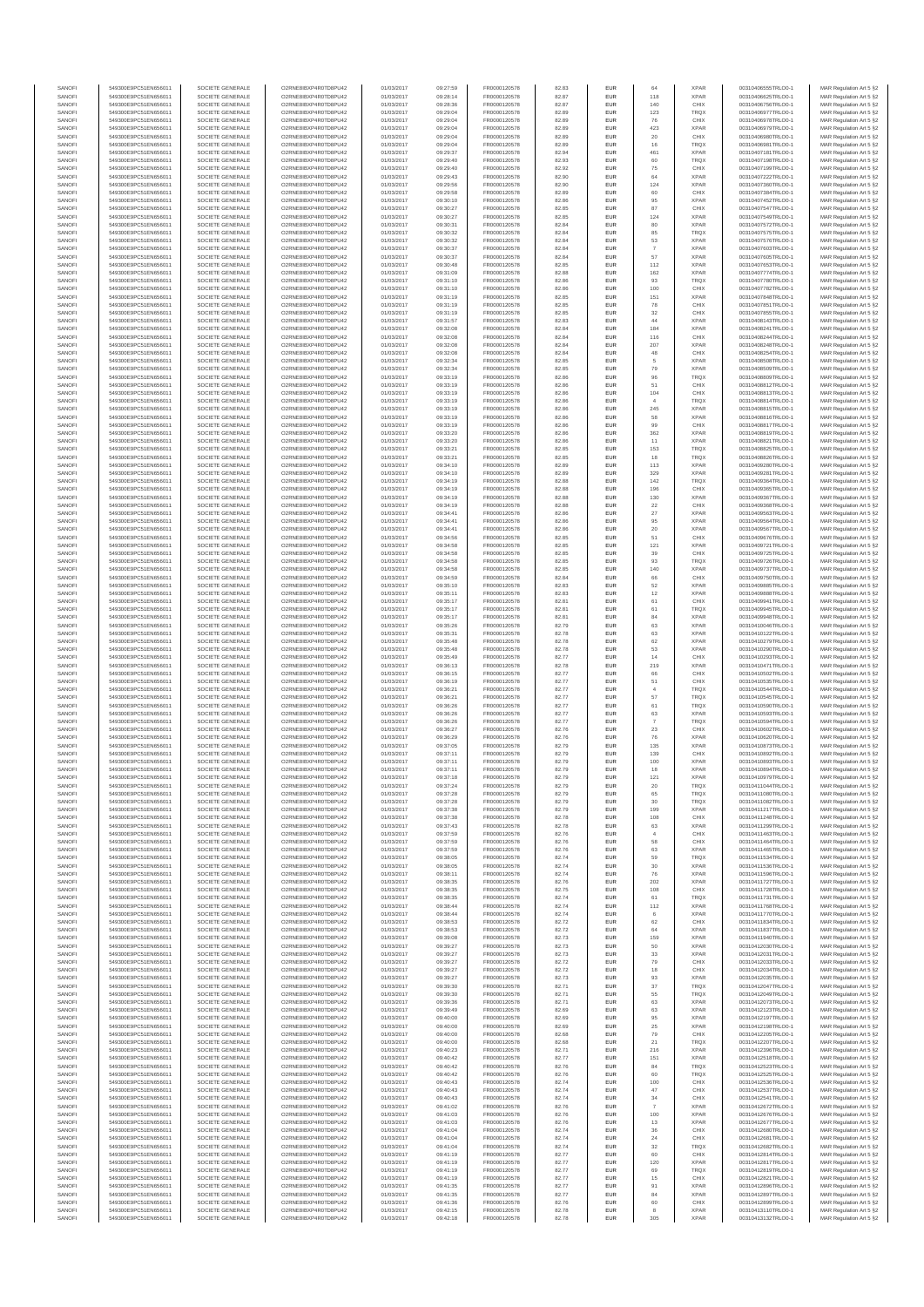| SANOFI           | 549300E9PC51EN656011                         | SOCIETE GENERALE                     | O2RNE8IBXP4R0TD8PU42                          | 01/03/2017               | 09:27:59             | FR0000120578                 | 82.83          | EUR                      | 64                   | <b>XPAR</b>                | 00310406555TRLO0-1                       | MAR Regulation Art 5 §2                            |
|------------------|----------------------------------------------|--------------------------------------|-----------------------------------------------|--------------------------|----------------------|------------------------------|----------------|--------------------------|----------------------|----------------------------|------------------------------------------|----------------------------------------------------|
| SANOFI<br>SANOFI | 549300E9PC51EN656011<br>549300E9PC51EN656011 | SOCIETE GENERALE<br>SOCIETE GENERALE | O2RNE8IBXP4R0TD8PU42<br>O2RNE8IBXP4R0TD8PU42  | 01/03/2017<br>01/03/2017 | 09:28:14<br>09:28:36 | FR0000120578                 | 82.87<br>82.87 | EUR<br>EUR               | 118<br>140           | <b>XPAR</b><br>CHIX        | 00310406625TRLO0-1<br>00310406756TRLO0-1 | MAR Regulation Art 5 §2                            |
| SANOFI           | 549300E9PC51EN656011                         | SOCIETE GENERALE                     | O2RNE8IBXP4R0TD8PLI42                         | 01/03/2017               | 09:29:04             | FR0000120578<br>FR0000120578 | 82.89          | EUR                      | 123                  | TRQX                       | 00310406977TRLO0-1                       | MAR Regulation Art 5 §2<br>MAR Regulation Art 5 §2 |
| SANOFI           | 549300E9PC51EN656011                         | SOCIETE GENERALE                     | O2RNE8IBXP4R0TD8PU42                          | 01/03/2017               | 09:29:04             | FR0000120578                 | 82.89          | EUR                      | 76                   | CHIX                       | 00310406978TRLO0-1                       | MAR Regulation Art 5 §2                            |
| SANOFI           | 549300E9PC51EN656011                         | SOCIETE GENERALE                     | O2RNE8IBXP4R0TD8PU42                          | 01/03/2017               | 09:29:04             | FR0000120578                 | 82.89          | EUR                      | 423                  | <b>XPAR</b>                | 00310406979TRLO0-1                       | MAR Regulation Art 5 §2                            |
| SANOFI<br>SANOFI | 549300E9PC51EN656011<br>549300E9PC51EN656011 | SOCIETE GENERALE<br>SOCIETE GENERALE | O2RNE8IBXP4R0TD8PU42<br>O2RNE8IBXP4R0TD8PU42  | 01/03/2017<br>01/03/2017 | 09:29:04<br>09:29:04 | FR0000120578<br>FR0000120578 | 82.89<br>82.89 | EUR<br>EUR               | 20<br>16             | CHIX<br><b>TRQX</b>        | 00310406980TRLO0-1<br>00310406981TRLO0-1 | MAR Regulation Art 5 §2<br>MAR Regulation Art 5 §2 |
| SANOFI           | 549300E9PC51EN656011                         | SOCIETE GENERALE                     | O2RNE8IBXP4R0TD8PU42                          | 01/03/2017               | 09:29:37             | FR0000120578                 | 82.94          | <b>EUR</b>               | 461                  | <b>XPAR</b>                | 00310407181TRLO0-1                       | MAR Regulation Art 5 §2                            |
| SANOFI           | 549300E9PC51EN656011                         | SOCIETE GENERALE                     | O2RNE8IBXP4R0TD8PU42                          | 01/03/2017               | 09:29:40             | FR0000120578                 | 82.93          | EUR                      | 60                   | TRQX                       | 00310407198TRLO0-1                       | MAR Regulation Art 5 §2                            |
| SANOFI<br>SANOFI | 549300E9PC51EN656011<br>549300E9PC51EN656011 | SOCIETE GENERALE<br>SOCIETE GENERALE | O2RNE8IBXP4R0TD8PLI42<br>O2RNE8IBXP4R0TD8PU42 | 01/03/2017<br>01/03/2017 | 09:29:40<br>09:29:43 | FR0000120578<br>FR0000120578 | 82.92<br>82.90 | EUR<br>EUR               | 75<br>64             | CHIX<br><b>XPAR</b>        | 00310407199TRLO0-1<br>00310407222TRLO0-1 | MAR Regulation Art 5 §2<br>MAR Regulation Art 5 §2 |
| SANOFI           | 549300E9PC51EN656011                         | SOCIETE GENERALE                     | O2RNE8IBXP4R0TD8PU42                          | 01/03/2017               | 09:29:56             | FR0000120578                 | 82.90          | EUR                      | 124                  | <b>XPAR</b>                | 00310407360TRLO0-1                       | MAR Regulation Art 5 §2                            |
| SANOFI           | 549300E9PC51EN656011                         | SOCIETE GENERALE                     | O2RNE8IBXP4R0TD8PU42                          | 01/03/2017               | 09:29:58             | FR0000120578                 | 82.89          | EUR                      | 60                   | CHIX                       | 00310407384TRLO0-1                       | MAR Regulation Art 5 §2                            |
| SANOFI           | 549300E9PC51EN656011                         | SOCIETE GENERALE                     | O2RNE8IBXP4R0TD8PU42                          | 01/03/2017               | 09:30:10             | FR0000120578                 | 82.86          | EUR                      | 95                   | <b>XPAR</b>                | 00310407452TRLO0-1                       | MAR Regulation Art 5 §2                            |
| SANOFI<br>SANOFI | 549300E9PC51EN656011<br>549300E9PC51EN656011 | SOCIETE GENERALE<br>SOCIETE GENERALE | O2RNE8IBXP4R0TD8PU42<br>O2RNE8IBXP4R0TD8PU42  | 01/03/2017<br>01/03/2017 | 09:30:27<br>09:30:27 | FR0000120578<br>FR0000120578 | 82.85<br>82.85 | <b>EUR</b><br>EUR        | 87<br>124            | CHIX<br><b>XPAR</b>        | 00310407547TRLO0-1<br>00310407549TRLO0-1 | MAR Regulation Art 5 §2<br>MAR Regulation Art 5 §2 |
| SANOFI           | 549300E9PC51EN656011                         | SOCIETE GENERALE                     | O2RNE8IBXP4R0TD8PU42                          | 01/03/2017               | 09:30:31             | FR0000120578                 | 82.84          | <b>EUR</b>               | 80                   | <b>XPAR</b>                | 00310407572TRLO0-1                       | MAR Regulation Art 5 §2                            |
| SANOFI           | 549300E9PC51EN656011                         | SOCIETE GENERALE                     | O2RNE8IBXP4R0TD8PU42                          | 01/03/2017               | 09:30:32             | FR0000120578                 | 82.84          | EUR                      | 85                   | TRQX                       | 00310407575TRLO0-1                       | MAR Regulation Art 5 §2                            |
| SANOFI           | 549300E9PC51EN656011                         | SOCIETE GENERALE                     | O2RNESIBXP4R0TD8PLI42                         | 01/03/2017               | 09:30:32             | FR0000120578                 | 82.84          | EUR                      | 53                   | <b>XPAR</b>                | 00310407576TRLO0-1                       | MAR Regulation Art 5 §2                            |
| SANOFI<br>SANOFI | 549300E9PC51EN656011<br>549300E9PC51EN656011 | SOCIETE GENERALE<br>SOCIETE GENERALE | O2RNE8IBXP4R0TD8PU42<br>O2RNE8IBXP4R0TD8PLI42 | 01/03/2017<br>01/03/2017 | 09:30:37<br>09:30:37 | FR0000120578<br>FR0000120578 | 82.84<br>82.84 | EUR<br>EUR               | $\overline{7}$<br>57 | <b>XPAR</b><br><b>XPAR</b> | 00310407603TRLO0-1<br>00310407605TRLO0-1 | MAR Regulation Art 5 §2<br>MAR Regulation Art 5 §2 |
| SANOFI           | 549300E9PC51EN656011                         | SOCIETE GENERALE                     | O2RNE8IBXP4R0TD8PU42                          | 01/03/2017               | 09:30:48             | FR0000120578                 | 82.85          | <b>EUR</b>               | 112                  | <b>XPAR</b>                | 00310407653TRLO0-1                       | MAR Regulation Art 5 §2                            |
| SANOFI           | 549300E9PC51EN656011                         | SOCIETE GENERALE                     | O2RNE8IBXP4R0TD8PU42                          | 01/03/2017               | 09:31:09             | FR0000120578                 | 82.88          | EUR                      | 162                  | <b>XPAR</b>                | 00310407774TRLO0-1                       | MAR Regulation Art 5 §2                            |
| SANOFI<br>SANOFI | 549300E9PC51EN656011<br>549300E9PC51EN656011 | SOCIETE GENERALE<br>SOCIETE GENERALE | O2RNE8IBXP4R0TD8PU42<br>O2RNE8IBXP4R0TD8PU42  | 01/03/2017<br>01/03/2017 | 09:31:10<br>09:31:10 | FR0000120578<br>FR0000120578 | 82.86<br>82.86 | <b>EUR</b><br>EUR        | 93<br>100            | <b>TRQX</b><br>CHIX        | 00310407780TRLO0-1<br>00310407782TRLO0-1 | MAR Regulation Art 5 §2<br>MAR Regulation Art 5 §2 |
| SANOFI           | 549300E9PC51EN656011                         | SOCIETE GENERALE                     | O2RNE8IBXP4R0TD8PU42                          | 01/03/2017               | 09:31:19             | FR0000120578                 | 82.85          | <b>EUR</b>               | 151                  | <b>XPAR</b>                | 00310407848TRLO0-1                       | MAR Regulation Art 5 §2                            |
| SANOFI           | 549300E9PC51EN656011                         | SOCIETE GENERALE                     | O2RNE8IBXP4R0TD8PU42                          | 01/03/2017               | 09:31:19             | FR0000120578                 | 82.85          | EUR                      | ${\bf 78}$           | CHIX                       | 00310407851TRLO0-1                       | MAR Regulation Art 5 §2                            |
| SANOFI           | 549300E9PC51EN656011                         | SOCIETE GENERALE                     | O2RNE8IBXP4R0TD8PU42                          | 01/03/2017               | 09:31:19             | FR0000120578                 | 82.85          | EUR                      | $32\,$               | CHIX                       | 00310407855TRLO0-1                       | MAR Regulation Art 5 §2                            |
| SANOFI<br>SANOFI | 549300E9PC51EN656011<br>549300E9PC51EN656011 | SOCIETE GENERALE<br>SOCIETE GENERALE | O2RNE8IBXP4R0TD8PU42<br>O2RNE8IBXP4R0TD8PU42  | 01/03/2017<br>01/03/2017 | 09:31:57<br>09:32:08 | FR0000120578<br>FR0000120578 | 82.83<br>82.84 | EUR<br>EUR               | 44<br>184            | <b>XPAR</b><br><b>XPAR</b> | 00310408143TRLO0-1<br>00310408241TRLO0-1 | MAR Regulation Art 5 §2<br>MAR Regulation Art 5 §2 |
| SANOFI           | 549300E9PC51EN656011                         | SOCIETE GENERALE                     | O2RNE8IBXP4R0TD8PU42                          | 01/03/2017               | 09:32:08             | FR0000120578                 | 82.84          | <b>EUR</b>               | 116                  | CHIX                       | 00310408244TRLO0-1                       | MAR Regulation Art 5 §2                            |
| SANOFI           | 549300E9PC51EN656011                         | SOCIETE GENERALE                     | O2RNE8IBXP4R0TD8PU42                          | 01/03/2017               | 09:32:08             | FR0000120578                 | 82.84          | EUR                      | 207                  | <b>XPAR</b>                | 00310408248TRLO0-                        | MAR Regulation Art 5 §2                            |
| SANOFI<br>SANOFI | 549300E9PC51EN656011<br>549300E9PC51EN656011 | SOCIETE GENERALE<br>SOCIETE GENERALE | O2RNE8IBXP4R0TD8PU42<br>O2RNE8IBXP4R0TD8PU42  | 01/03/2017<br>01/03/2017 | 09:32:08<br>09:32:34 | FR0000120578<br>FR0000120578 | 82.84<br>82.85 | <b>EUR</b><br>EUR        | 48                   | CHIX<br><b>XPAR</b>        | 00310408254TRLO0-1<br>00310408508TRLO0-1 | MAR Regulation Art 5 §2<br>MAR Regulation Art 5 §2 |
| SANOFI           | 549300E9PC51EN656011                         | SOCIETE GENERALE                     | O2RNE8IBXP4R0TD8PU42                          | 01/03/2017               | 09:32:34             | FR0000120578                 | 82.85          | EUR                      | 79                   | <b>XPAR</b>                | 00310408509TRLO0-1                       | MAR Regulation Art 5 §2                            |
| SANOFI           | 549300E9PC51EN656011                         | SOCIETE GENERALE                     | O2RNE8IBXP4R0TD8PU42                          | 01/03/2017               | 09:33:19             | FR0000120578                 | 82.86          | EUR                      | 96                   | TRQX                       | 00310408809TRLO0-1                       | MAR Regulation Art 5 §2                            |
| SANOFI<br>SANOFI | 549300E9PC51EN656011                         | SOCIETE GENERALE                     | O2RNE8IBXP4R0TD8PU42<br>O2RNE8IBXP4R0TD8PU42  | 01/03/2017               | 09:33:19             | FR0000120578                 | 82.86          | EUR                      | 51                   | CHIX                       | 00310408812TRLO0-1                       | MAR Regulation Art 5 §2                            |
| SANOFI           | 549300E9PC51EN656011<br>549300E9PC51EN656011 | SOCIETE GENERALE<br>SOCIETE GENERALE | O2RNE8IBXP4R0TD8PU42                          | 01/03/2017<br>01/03/2017 | 09:33:19<br>09:33:19 | FR0000120578<br>FR0000120578 | 82.86<br>82.86 | EUR<br>EUR               | 104                  | CHIX<br><b>TRQX</b>        | 00310408813TRLO0-1<br>00310408814TRLO0-1 | MAR Regulation Art 5 §2<br>MAR Regulation Art 5 §2 |
| SANOFI           | 549300E9PC51EN656011                         | SOCIETE GENERALE                     | O2RNE8IBXP4R0TD8PU42                          | 01/03/2017               | 09:33:19             | FR0000120578                 | 82.86          | <b>EUR</b>               | 245                  | <b>XPAR</b>                | 00310408815TRLO0-1                       | MAR Regulation Art 5 §2                            |
| SANOFI           | 549300E9PC51EN656011                         | SOCIETE GENERALE                     | O2RNE8IBXP4R0TD8PU42                          | 01/03/2017               | 09:33:19             | FR0000120578                 | 82.86          | EUR                      | 58                   | <b>XPAR</b>                | 00310408816TRLO0-1                       | MAR Regulation Art 5 §2                            |
| SANOFI<br>SANOFI | 549300E9PC51EN656011<br>549300E9PC51EN656011 | SOCIETE GENERALE<br>SOCIETE GENERALE | O2RNE8IBXP4R0TD8PLI42<br>O2RNE8IBXP4R0TD8PU42 | 01/03/2017<br>01/03/2017 | 09:33:19<br>09:33:20 | FR0000120578<br>FR0000120578 | 82.86<br>82.86 | <b>EUR</b><br>EUR        | 99<br>362            | CHIX<br><b>XPAR</b>        | 00310408817TRLO0-1<br>00310408819TRLO0-1 | MAR Regulation Art 5 §2<br>MAR Regulation Art 5 §2 |
| SANOFI           | 549300E9PC51EN656011                         | SOCIETE GENERALE                     | O2RNE8IBXP4R0TD8PU42                          | 01/03/2017               | 09:33:20             | FR0000120578                 | 82.86          | EUR                      | 11                   | <b>XPAR</b>                | 00310408821TRLO0-1                       | MAR Regulation Art 5 §2                            |
| SANOFI           | 549300E9PC51EN656011                         | SOCIETE GENERALE                     | O2RNE8IBXP4R0TD8PU42                          | 01/03/2017               | 09:33:21             | FR0000120578                 | 82.85          | EUR                      | 153                  | TRQX                       | 00310408825TRLO0-1                       | MAR Regulation Art 5 §2                            |
| SANOFI           | 549300E9PC51EN656011                         | SOCIETE GENERALE                     | O2RNE8IBXP4R0TD8PLI42<br>O2RNE8IBXP4R0TD8PU42 | 01/03/2017               | 09:33:21             | FR0000120578                 | 82.85          | EUR                      | 18                   | TRQX<br><b>XPAR</b>        | 00310408826TRLO0-1                       | MAR Regulation Art 5 §2                            |
| SANOFI<br>SANOFI | 549300E9PC51EN656011<br>549300E9PC51EN656011 | SOCIETE GENERALE<br>SOCIETE GENERALE | O2RNE8IBXP4R0TD8PU42                          | 01/03/2017<br>01/03/2017 | 09:34:10<br>09:34:10 | FR0000120578<br>FR0000120578 | 82.89<br>82.89 | EUR<br>EUR               | 113<br>329           | <b>XPAR</b>                | 00310409280TRLO0-1<br>00310409281TRLO0-1 | MAR Regulation Art 5 §2<br>MAR Regulation Art 5 §2 |
| SANOFI           | 549300E9PC51EN656011                         | SOCIETE GENERALE                     | O2RNE8IBXP4R0TD8PU42                          | 01/03/2017               | 09:34:19             | FR0000120578                 | 82.88          | EUR                      | 142                  | <b>TRQX</b>                | 00310409364TRLO0-1                       | MAR Regulation Art 5 §2                            |
| SANOFI           | 549300E9PC51EN656011                         | SOCIETE GENERALE                     | O2RNE8IBXP4R0TD8PU42                          | 01/03/2017               | 09:34:19             | FR0000120578                 | 82.88          | EUR                      | 196                  | CHIX                       | 00310409365TRLO0-1                       | MAR Regulation Art 5 §2                            |
| SANOFI<br>SANOFI | 549300E9PC51EN656011<br>549300E9PC51EN656011 | SOCIETE GENERALE<br>SOCIETE GENERALE | O2RNE8IBXP4R0TD8PU42<br>O2RNE8IBXP4R0TD8PU42  | 01/03/2017<br>01/03/2017 | 09:34:19<br>09:34:19 | FR0000120578<br>FR0000120578 | 82.88<br>82.88 | <b>EUR</b><br>EUR        | 130<br>$22\,$        | <b>XPAR</b><br>CHIX        | 00310409367TRLO0-1<br>00310409368TRLO0-1 | MAR Regulation Art 5 §2<br>MAR Regulation Art 5 §2 |
| SANOFI           | 549300E9PC51EN656011                         | SOCIETE GENERALE                     | O2RNE8IBXP4R0TD8PLI42                         | 01/03/2017               | 09:34:41             | FR0000120578                 | 82.86          | EUR                      | $27\,$               | <b>XPAR</b>                | 00310409563TRLO0-1                       | MAR Regulation Art 5 §2                            |
| SANOFI           | 549300E9PC51EN656011                         | SOCIETE GENERALE                     | O2RNE8IBXP4R0TD8PU42                          | 01/03/2017               | 09:34:41             | FR0000120578                 | 82.86          | EUR                      | 95                   | <b>XPAR</b>                | 00310409564TRLO0-1                       | MAR Regulation Art 5 §2                            |
| SANOFI           | 549300E9PC51EN656011                         | SOCIETE GENERALE                     | O2RNE8IBXP4R0TD8PU42                          | 01/03/2017               | 09:34:41             | FR0000120578                 | 82.86          | EUR                      | 20                   | <b>XPAR</b>                | 00310409567TRLO0-1                       | MAR Regulation Art 5 §2                            |
| SANOFI<br>SANOFI | 549300E9PC51EN656011<br>549300E9PC51EN656011 | SOCIETE GENERALE<br>SOCIETE GENERALE | O2RNE8IBXP4R0TD8PU42<br>O2RNE8IBXP4R0TD8PU42  | 01/03/2017<br>01/03/2017 | 09:34:56<br>09:34:58 | FR0000120578<br>FR0000120578 | 82.85<br>82.85 | <b>EUR</b><br>EUR        | 51<br>121            | CHIX<br><b>XPAR</b>        | 00310409676TRLO0-1<br>00310409721TRLO0-1 | MAR Regulation Art 5 §2<br>MAR Regulation Art 5 §2 |
| SANOFI           | 549300E9PC51EN656011                         | SOCIETE GENERALE                     | O2RNE8IBXP4R0TD8PU42                          | 01/03/2017               | 09:34:58             | FR0000120578                 | 82.85          | <b>EUR</b>               | 39                   | CHIX                       | 00310409725TRLO0-1                       | MAR Regulation Art 5 §2                            |
| SANOFI           | 549300E9PC51EN656011                         | SOCIETE GENERALE                     | O2RNE8IBXP4R0TD8PU42                          | 01/03/2017               | 09:34:58             | FR0000120578                 | 82.85          | EUR                      | 93                   | TRQX                       | 00310409726TRLO0-1                       | MAR Regulation Art 5 §2                            |
| SANOFI<br>SANOFI | 549300E9PC51EN656011<br>549300E9PC51EN656011 | SOCIETE GENERALE<br>SOCIETE GENERALE | O2RNE8IBXP4R0TD8PU42                          | 01/03/2017<br>01/03/2017 | 09:34:58<br>09:34:59 | FR0000120578                 | 82.85<br>82.84 | <b>EUR</b><br>EUR        | 140<br>66            | <b>XPAR</b><br>CHIX        | 00310409737TRLO0-1                       | MAR Regulation Art 5 §2                            |
| SANOFI           | 549300E9PC51EN656011                         | SOCIETE GENERALE                     | O2RNE8IBXP4R0TD8PU42<br>O2RNE8IBXP4R0TD8PU42  | 01/03/2017               | 09:35:10             | FR0000120578<br>FR0000120578 | 82.83          | EUR                      | 52                   | <b>XPAR</b>                | 00310409750TRLO0-1<br>00310409885TRLO0-1 | MAR Regulation Art 5 §2<br>MAR Regulation Art 5 §2 |
| SANOFI           | 549300E9PC51EN656011                         | SOCIETE GENERALE                     | O2RNE8IBXP4R0TD8PU42                          | 01/03/2017               | 09:35:11             | FR0000120578                 | 82.83          | EUR                      | 12                   | <b>XPAR</b>                | 00310409888TRLO0-1                       | MAR Regulation Art 5 §2                            |
| SANOFI           | 549300E9PC51EN656011                         | SOCIETE GENERALE                     | O2RNE8IBXP4R0TD8PU42                          | 01/03/2017               | 09:35:17             | FR0000120578                 | 82.81          | EUR                      | 61                   | CHIX                       | 00310409941TRLO0-1                       | MAR Regulation Art 5 §2                            |
| SANOFI<br>SANOFI | 549300E9PC51EN656011<br>549300E9PC51EN656011 | SOCIETE GENERALE<br>SOCIETE GENERALE | O2RNE8IBXP4R0TD8PU42<br>O2RNE8IBXP4R0TD8PU42  | 01/03/2017<br>01/03/2017 | 09:35:17<br>09:35:17 | FR0000120578<br>FR0000120578 | 82.81<br>82.81 | <b>EUR</b><br>EUR        | 61<br>84             | <b>TRQX</b><br><b>XPAR</b> | 00310409945TRLO0-1<br>00310409948TRLO0-1 | MAR Regulation Art 5 §2<br>MAR Regulation Art 5 §2 |
| SANOFI           | 549300E9PC51EN656011                         | SOCIETE GENERALE                     | O2RNE8IBXP4R0TD8PU42                          | 01/03/2017               | 09:35:26             | FR0000120578                 | 82.79          | <b>EUR</b>               | 63                   | <b>XPAR</b>                | 00310410046TRLO0-1                       | MAR Regulation Art 5 §2                            |
| SANOFI           | 549300E9PC51EN656011                         | SOCIETE GENERALE                     | O2RNE8IBXP4R0TD8PU42                          | 01/03/2017               | 09:35:31             | FR0000120578                 | 82.78          | EUR                      | 63                   | <b>XPAR</b>                | 00310410122TRLO0-                        | MAR Regulation Art 5 §2                            |
| SANOFI<br>SANOFI | 549300E9PC51EN656011<br>549300E9PC51EN656011 | SOCIETE GENERALE<br>SOCIETE GENERALE | O2RNE8IBXP4R0TD8PU42<br>O2RNE8IBXP4R0TD8PU42  | 01/03/2017               | 09:35:48             | FR0000120578                 | 82.78          | <b>EUR</b><br>EUR        | 62<br>53             | <b>XPAR</b><br><b>XPAR</b> | 00310410279TRLO0-1<br>00310410290TRLO0-1 | MAR Regulation Art 5 §2                            |
| SANOFI           | 549300E9PC51EN656011                         | SOCIETE GENERALE                     | O2RNE8IBXP4R0TD8PU42                          | 01/03/2017<br>01/03/2017 | 09:35:48<br>09:35:49 | FR0000120578<br>FR0000120578 | 82.78<br>82.77 | EUR                      | 14                   | CHIX                       | 00310410293TRLO0-1                       | MAR Regulation Art 5 §2<br>MAR Regulation Art 5 §2 |
| SANOFI           | 549300E9PC51EN656011                         | SOCIETE GENERALE                     | O2RNE8IBXP4R0TD8PU42                          | 01/03/2017               | 09:36:13             | FR0000120578                 | 82.78          | EUR                      | 219                  | <b>XPAR</b>                | 00310410471TRLO0-1                       | MAR Regulation Art 5 §2                            |
| SANOFI           | 549300E9PC51EN656011                         | SOCIETE GENERALE                     | O2RNE8IBXP4R0TD8PU42                          | 01/03/2017               | 09:36:15             | FR0000120578                 | 82.77          | EUR                      |                      | CHIX                       | 00310410502TRLO0-1                       | MAR Regulation Art 5 §2                            |
| SANOFI<br>SANOFI | 549300E9PC51EN656011<br>549300E9PC51EN656011 | SOCIETE GENERALE<br>SOCIETE GENERALE | O2RNE8IBXP4R0TD8PU42<br>O2RNE8IBXP4R0TD8PU42  | 01/03/2017<br>01/03/2017 | 09:36:19<br>09:36:21 | FR0000120578<br>FR0000120578 | 82.77<br>82.77 | <b>EUR</b><br>EUR        | 51                   | CHIX<br><b>TRQX</b>        | 00310410535TRLO0-1<br>00310410544TRLO0-1 | MAR Regulation Art 5 §2<br>MAR Regulation Art 5 §2 |
| SANOFI           | 549300E9PC51EN656011                         | SOCIETE GENERALE                     | O2RNE8IBXP4R0TD8PU42                          | 01/03/2017               | 09:36:21             | FR0000120578                 | 82.77          | <b>EUR</b>               | 57                   | <b>TRQX</b>                | 00310410545TRLO0-1                       | MAR Regulation Art 5 §2                            |
| SANOFI           | 549300E9PC51EN656011                         | SOCIETE GENERALE                     | O2RNE8IBXP4R0TD8PU42                          | 01/03/2017               | 09:36:26             | FR0000120578                 | 82.77          | EUR                      | 61                   | TRQX                       | 00310410590TRLO0-1                       | MAR Regulation Art 5 §2                            |
| SANOFI           | 549300E9PC51EN656011                         | SOCIETE GENERALE                     | O2RNE8IBXP4R0TD8PU42                          | 01/03/2017               | 09:36:26             | FR0000120578                 | 82.77          | EUR                      | 63                   | <b>XPAR</b>                | 00310410593TRLO0-1                       | MAR Regulation Art 5 §2                            |
| SANOFI<br>SANOFI | 549300E9PC51EN656011<br>549300E9PC51EN656011 | SOCIETE GENERALE<br>SOCIETE GENERALE | O2RNE8IBXP4R0TD8PU42<br>O2RNE8IBXP4R0TD8PU42  | 01/03/2017<br>01/03/2017 | 09:36:26<br>09:36:27 | FR0000120578<br>FR0000120578 | 82.77<br>82.76 | EUR<br>EUR               | 23                   | TRQX<br>CHIX               | 00310410594TRLO0-1<br>00310410602TRLO0-1 | MAR Regulation Art 5 §2<br>MAR Regulation Art 5 §2 |
| SANOFI           | 549300E9PC51EN656011                         | SOCIETE GENERALE                     | O2RNE8IBXP4R0TD8PU42                          | 01/03/2017               | 09:36:29             | FR0000120578                 | 82.76          | EUR                      | 76                   | <b>XPAR</b>                | 00310410620TRLO0-1                       | MAR Regulation Art 5 §2                            |
| SANOFI           | 549300E9PC51EN656011                         | SOCIETE GENERALE                     | O2RNE8IBXP4R0TD8PU42                          | 01/03/2017               | 09:37:05             | FR0000120578                 | 82.79          | EUR                      | 135                  | <b>XPAR</b>                | 00310410873TRLO0-1                       | MAR Regulation Art 5 §2                            |
| SANOFI           | 549300E9PC51EN656011                         | SOCIETE GENERALE                     | O2RNE8IBXP4R0TD8PU42                          | 01/03/2017               | 09:37:11             | FR0000120578                 | 82.79          | <b>EUR</b>               | 139                  | CHIX                       | 00310410892TRLO0-1                       | MAR Regulation Art 5 §2                            |
| SANOFI<br>SANOFI | 549300E9PC51EN656011<br>549300E9PC51EN656011 | SOCIETE GENERALE<br>SOCIETE GENERALE | O2RNE8IBXP4R0TD8PU42<br>O2RNE8IBXP4R0TD8PU42  | 01/03/2017<br>01/03/2017 | 09:37:11<br>09:37:11 | FR0000120578<br>FR0000120578 | 82.79<br>82.79 | EUR<br>EUR               | 100<br>18            | <b>XPAR</b><br><b>XPAR</b> | 00310410893TRLO0-1<br>00310410894TRLO0-1 | MAR Regulation Art 5 §2<br>MAR Regulation Art 5 §2 |
| SANOFI           | 549300E9PC51EN656011                         | SOCIETE GENERALE                     | O2RNE8IBXP4R0TD8PU42                          | 01/03/2017               | 09:37:18             | FR0000120578                 | 82.79          | EUR                      | 121                  | <b>XPAR</b>                | 00310410979TRLO0-1                       | MAR Regulation Art 5 §2                            |
| SANOFI           | 549300E9PC51EN656011                         | SOCIETE GENERALE                     | O2RNE8IBXP4R0TD8PLI42                         | 01/03/2017               | 09:37:24             | FR0000120578                 | 82.79          | EUR                      | 20                   | TRQX                       | 00310411044TRLO0-1                       | MAR Regulation Art 5 §2                            |
| SANOFI<br>SANOFI | 549300E9PC51EN656011<br>549300E9PC51EN656011 | SOCIETE GENERALE<br>SOCIETE GENERALE | O2RNE8IBXP4R0TD8PU42<br>O2RNESIBXP4R0TD8PLI42 | 01/03/2017<br>01/03/2017 | 09:37:28<br>09:37:28 | FR0000120578<br>FR0000120578 | 82.79<br>82.79 | <b>EUR</b><br><b>EUR</b> | 65<br>30             | <b>TRQX</b><br><b>TROX</b> | 00310411080TRLO0-1<br>00310411082TRLO0-1 | MAR Regulation Art 5 §2<br>MAR Regulation Art 5 §2 |
| SANOFI           | 549300E9PC51EN656011                         | SOCIETE GENERALE                     | O2RNE8IBXP4R0TD8PU42                          | 01/03/2017               | 09:37:38             | FR0000120578                 | 82.79          | EUR                      | 199                  | <b>XPAR</b>                | 00310411217TRLO0-1                       | MAR Regulation Art 5 §2                            |
| SANOFI           | 549300E9PC51EN656011                         | SOCIETE GENERALE                     | O2RNE8IBXP4R0TD8PU42                          | 01/03/2017               | 09:37:38             | FR0000120578                 | 82.78          | EUR                      | 108                  | CHIX                       | 00310411248TRLO0-1                       | MAR Regulation Art 5 §2                            |
| SANOFI           | 549300E9PC51EN656011                         | SOCIETE GENERALE                     | O2RNE8IBXP4R0TD8PU42                          | 01/03/2017               | 09:37:43             | FR0000120578                 | 82.78          | <b>EUR</b>               | 63                   | <b>XPAR</b>                | 00310411299TRLO0-1                       | MAR Regulation Art 5 §2                            |
| SANOFI<br>SANOFI | 549300E9PC51EN656011<br>549300E9PC51EN656011 | SOCIETE GENERALE<br>SOCIETE GENERALE | O2RNE8IBXP4R0TD8PU42<br>O2RNE8IBXP4R0TD8PU42  | 01/03/2017<br>01/03/2017 | 09:37:59<br>09:37:59 | FR0000120578<br>FR0000120578 | 82.76<br>82.76 | EUR<br><b>EUR</b>        | $\overline{4}$<br>58 | CHIX<br>CHIX               | 00310411463TRLO0-1<br>00310411464TRLO0-1 | MAR Regulation Art 5 §2<br>MAR Regulation Art 5 §2 |
| SANOFI           | 549300E9PC51EN656011                         | SOCIETE GENERALE                     | O2RNE8IBXP4R0TD8PU42                          | 01/03/2017               | 09:37:59             | FR0000120578                 | 82.76          | EUR                      | 63                   | <b>XPAR</b>                | 00310411465TRLO0-1                       | MAR Regulation Art 5 §2                            |
| SANOFI           | 549300E9PC51EN656011                         | SOCIETE GENERALE                     | O2RNE8IBXP4R0TD8PU42                          | 01/03/2017               | 09:38:05             | FR0000120578                 | 82.74          | EUR                      | 59                   | <b>TRQX</b>                | 00310411534TRLO0-1                       | MAR Regulation Art 5 §2                            |
| SANOFI<br>SANOFI | 549300E9PC51EN656011<br>549300E9PC51EN656011 | SOCIETE GENERALE<br>SOCIETE GENERALE | O2RNE8IBXP4R0TD8PU42<br>O2RNESIBXP4R0TD8PLI42 | 01/03/2017<br>01/03/2017 | 09:38:05<br>09:38:11 | FR0000120578<br>FR0000120578 | 82.74<br>82.74 | EUR<br>EUR               | 30<br>76             | <b>XPAR</b><br><b>XPAR</b> | 00310411536TRLO0-1<br>00310411596TRLO0-1 | MAR Regulation Art 5 §2<br>MAR Regulation Art 5 §2 |
| SANOFI           | 549300E9PC51EN656011                         | SOCIETE GENERALE                     | O2RNE8IBXP4R0TD8PLI42                         | 01/03/2017               | 09:38:35             | FR0000120578                 | 82.76          | <b>EUR</b>               | 202                  | <b>XPAR</b>                | 00310411727TRLO0-1                       | MAR Regulation Art 5 §2                            |
| SANOFI           | 549300E9PC51EN656011                         | SOCIETE GENERALE                     | O2RNE8IBXP4R0TD8PU42                          | 01/03/2017               | 09:38:35             | FR0000120578                 | 82.75          | EUR                      | 108                  | CHIX                       | 00310411728TRLO0-1                       | MAR Regulation Art 5 §2                            |
| SANOFI<br>SANOFI | 549300E9PC51EN656011<br>549300E9PC51EN656011 | SOCIETE GENERALE<br>SOCIETE GENERALE | O2RNE8IBXP4R0TD8PU42<br>O2RNE8IBXP4R0TD8PU42  | 01/03/2017<br>01/03/2017 | 09:38:35<br>09:38:44 | FR0000120578<br>FR0000120578 | 82.74<br>82.74 | <b>EUR</b><br>EUR        | 61<br>112            | <b>TROX</b><br><b>XPAR</b> | 00310411731TRLO0-1<br>00310411768TRLO0-1 | MAR Regulation Art 5 §2<br>MAR Regulation Art 5 §2 |
| SANOFI           | 549300E9PC51EN656011                         | SOCIETE GENERALE                     | O2RNE8IBXP4R0TD8PU42                          | 01/03/2017               | 09:38:44             | FR0000120578                 | 82.74          | EUR                      | 6                    | <b>XPAR</b>                | 00310411770TRLO0-1                       | MAR Regulation Art 5 §2                            |
| SANOFI           | 549300E9PC51EN656011                         | SOCIETE GENERALE                     | O2RNE8IBXP4R0TD8PU42                          | 01/03/2017               | 09:38:53             | FR0000120578                 | 82.72          | EUR                      | 62                   | CHIX                       | 00310411834TRLO0-1                       | MAR Regulation Art 5 §2                            |
| SANOFI<br>SANOFI | 549300E9PC51EN656011<br>549300E9PC51EN656011 | SOCIETE GENERALE<br>SOCIETE GENERALE | O2RNE8IBXP4R0TD8PU42<br>O2RNE8IBXP4R0TD8PU42  | 01/03/2017<br>01/03/2017 | 09:38:53<br>09:39:08 | FR0000120578<br>FR0000120578 | 82.72<br>82.73 | EUR<br>EUR               | 64<br>159            | <b>XPAR</b><br><b>XPAR</b> | 00310411837TRLO0-1<br>00310411940TRLO0-1 | MAR Regulation Art 5 §2<br>MAR Regulation Art 5 §2 |
| SANOFI           | 549300E9PC51EN656011                         | SOCIETE GENERALE                     | O2RNE8IBXP4R0TD8PU42                          | 01/03/2017               | 09:39:27             | FR0000120578                 | 82.73          | EUR                      | 50                   | <b>XPAR</b>                | 00310412030TRLO0-1                       | MAR Regulation Art 5 §2                            |
| SANOFI           | 549300E9PC51EN656011                         | SOCIETE GENERALE                     | O2RNE8IBXP4R0TD8PU42                          | 01/03/2017               | 09:39:27             | FR0000120578                 | 82.73          | <b>EUR</b>               | 33                   | <b>XPAR</b>                | 00310412031TRLO0-1                       | MAR Regulation Art 5 §2                            |
| SANOFI           | 549300E9PC51EN656011                         | SOCIETE GENERALE                     | O2RNE8IBXP4R0TD8PU42<br>O2RNE8IBXP4R0TD8PLI42 | 01/03/2017               | 09:39:27             | FR0000120578                 | 82.72          | EUR                      | 79<br>18             | CHIX                       | 00310412033TRLO0-1                       | MAR Regulation Art 5 §2                            |
| SANOFI<br>SANOFI | 549300E9PC51EN656011<br>549300E9PC51EN656011 | SOCIETE GENERALE<br>SOCIETE GENERALE | O2RNE8IBXP4R0TD8PU42                          | 01/03/2017<br>01/03/2017 | 09:39:27<br>09:39:27 | FR0000120578<br>FR0000120578 | 82.72<br>82.73 | <b>EUR</b><br>EUR        | 93                   | CHIX<br><b>XPAR</b>        | 00310412034TRLO0-1<br>00310412035TRLO0-1 | MAR Regulation Art 5 §2<br>MAR Regulation Art 5 §2 |
| SANOFI           | 549300E9PC51EN656011                         | SOCIETE GENERALE                     | O2RNE8IBXP4R0TD8PU42                          | 01/03/2017               | 09:39:30             | FR0000120578                 | 82.71          | EUR                      | 37                   | TRQX                       | 00310412047TRLO0-1                       | MAR Regulation Art 5 §2                            |
| SANOFI           | 549300E9PC51EN656011                         | SOCIETE GENERALE                     | O2RNE8IBXP4R0TD8PU42<br>O2RNE8IBXP4R0TD8PU42  | 01/03/2017               | 09:39:30             | FR0000120578                 | 82.71          | EUR<br>EUR               | 55                   | <b>TRQX</b><br><b>XPAR</b> | 00310412049TRLO0-1                       | MAR Regulation Art 5 §2                            |
| SANOFI<br>SANOFI | 549300E9PC51EN656011<br>549300E9PC51EN656011 | SOCIETE GENERALE<br>SOCIETE GENERALE | O2RNE8IBXP4R0TD8PU42                          | 01/03/2017<br>01/03/2017 | 09:39:36<br>09:39:49 | FR0000120578<br>FR0000120578 | 82.71<br>82.69 | EUR                      | 63<br>63             | <b>XPAR</b>                | 00310412073TRLO0-1<br>00310412123TRLO0-1 | MAR Regulation Art 5 §2<br>MAR Regulation Art 5 §2 |
| SANOFI           | 549300E9PC51EN656011                         | SOCIETE GENERALE                     | O2RNE8IBXP4R0TD8PU42                          | 01/03/2017               | 09:40:00             | FR0000120578                 | 82.69          | EUR                      | 95                   | <b>XPAR</b>                | 00310412197TRLO0-1                       | MAR Regulation Art 5 §2                            |
| SANOFI           | 549300E9PC51EN656011                         | SOCIETE GENERALE                     | O2RNE8IBXP4R0TD8PU42                          | 01/03/2017               | 09:40:00             | FR0000120578                 | 82.69          | <b>EUR</b>               | 25                   | <b>XPAR</b>                | 00310412198TRLO0-1                       | MAR Regulation Art 5 §2                            |
| SANOFI<br>SANOFI | 549300E9PC51EN656011<br>549300E9PC51EN656011 | SOCIETE GENERALE<br>SOCIETE GENERALE | O2RNE8IBXP4R0TD8PU42<br>O2RNE8IBXP4R0TD8PU42  | 01/03/2017<br>01/03/2017 | 09:40:00<br>09:40:00 | FR0000120578<br>FR0000120578 | 82.68<br>82.68 | EUR<br><b>EUR</b>        | 79<br>21             | CHIX<br><b>TROX</b>        | 00310412205TRLO0-1<br>00310412207TRLO0-1 | MAR Regulation Art 5 §2                            |
| SANOFI           | 549300E9PC51EN656011                         | SOCIETE GENERALE                     | O2RNE8IBXP4R0TD8PU42                          | 01/03/2017               | 09:40:23             | FR0000120578                 | 82.71          | <b>EUR</b>               | 216                  | <b>XPAR</b>                | 00310412396TRLO0-1                       | MAR Regulation Art 5 §2<br>MAR Regulation Art 5 §2 |
| SANOFI           | 549300E9PC51EN656011                         | SOCIETE GENERALE                     | O2RNE8IBXP4R0TD8PU42                          | 01/03/2017               | 09:40:42             | FR0000120578                 | 82.77          | EUR                      | 151                  | <b>XPAR</b>                | 00310412518TRLO0-1                       | MAR Regulation Art 5 §2                            |
| SANOFI           | 549300E9PC51EN656011                         | SOCIETE GENERALE                     | O2RNE8IBXP4R0TD8PU42                          | 01/03/2017               | 09:40:42             | FR0000120578                 | 82.76          | EUR                      | 84                   | <b>TRQX</b>                | 00310412523TRLO0-1                       | MAR Regulation Art 5 §2                            |
| SANOFI<br>SANOFI | 549300E9PC51EN656011<br>549300E9PC51EN656011 | SOCIETE GENERALE<br>SOCIETE GENERALE | O2RNE8IBXP4R0TD8PU42<br>O2RNE8IBXP4R0TD8PU42  | 01/03/2017<br>01/03/2017 | 09:40:42<br>09:40:43 | FR0000120578<br>FR0000120578 | 82.76<br>82.74 | EUR<br>EUR               | 60<br>100            | <b>TRQX</b><br>CHIX        | 00310412525TRLO0-1<br>00310412536TRLO0-1 | MAR Regulation Art 5 §2                            |
| SANOFI           | 549300E9PC51EN656011                         | SOCIETE GENERALE                     | O2RNE8IBXP4R0TD8PU42                          | 01/03/2017               | 09:40:43             | FR0000120578                 | 82.74          | EUR                      | 47                   | CHIX                       | 00310412537TRLO0-1                       | MAR Regulation Art 5 §2<br>MAR Regulation Art 5 §2 |
| SANOFI           | 549300E9PC51EN656011                         | SOCIETE GENERALE                     | O2RNE8IBXP4R0TD8PU42                          | 01/03/2017               | 09:40:43             | FR0000120578                 | 82.74          | <b>EUR</b>               | 34                   | CHIX                       | 00310412541TRLO0-1                       | MAR Regulation Art 5 §2                            |
| SANOFI           | 549300E9PC51EN656011                         | SOCIETE GENERALE                     | O2RNE8IBXP4R0TD8PU42                          | 01/03/2017               | 09:41:02             | FR0000120578                 | 82.76          | EUR                      |                      | <b>XPAR</b>                | 00310412672TRLO0-1                       | MAR Regulation Art 5 §2                            |
| SANOFI<br>SANOFI | 549300E9PC51EN656011<br>549300E9PC51EN656011 | SOCIETE GENERALE<br>SOCIETE GENERALE | O2RNE8IBXP4R0TD8PU42<br>O2RNE8IBXP4R0TD8PU42  | 01/03/2017<br>01/03/2017 | 09:41:03<br>09:41:03 | FR0000120578<br>FR0000120578 | 82.76<br>82.76 | EUR<br>EUR               | 100<br>13            | <b>XPAR</b><br><b>XPAR</b> | 00310412676TRLO0-1<br>00310412677TRLO0-1 | MAR Regulation Art 5 §2<br>MAR Regulation Art 5 §2 |
| SANOFI           | 549300E9PC51EN656011                         | SOCIETE GENERALE                     | O2RNE8IBXP4R0TD8PU42                          | 01/03/2017               | 09:41:04             | FR0000120578                 | 82.74          | EUR                      | 36                   | CHIX                       | 00310412680TRLO0-1                       | MAR Regulation Art 5 §2                            |
| SANOFI           | 549300E9PC51EN656011                         | SOCIETE GENERALE                     | O2RNE8IBXP4R0TD8PU42                          | 01/03/2017               | 09:41:04             | FR0000120578                 | 82.74          | EUR                      | 24                   | CHIX                       | 00310412681TRLO0-1                       | MAR Regulation Art 5 §2                            |
| SANOFI<br>SANOFI | 549300E9PC51EN656011<br>549300E9PC51EN656011 | SOCIETE GENERALE<br>SOCIETE GENERALE | O2RNE8IBXP4R0TD8PU42<br>O2RNE8IBXP4R0TD8PU42  | 01/03/2017<br>01/03/2017 | 09:41:04<br>09:41:19 | FR0000120578<br>FR0000120578 | 82.74<br>82.77 | EUR<br><b>EUR</b>        | 32<br>60             | <b>TROX</b><br>CHIX        | 00310412682TRLO0-1<br>00310412814TRLO0-1 | MAR Regulation Art 5 §2<br>MAR Regulation Art 5 §2 |
| SANOFI           | 549300E9PC51EN656011                         | SOCIETE GENERALE                     | O2RNE8IBXP4R0TD8PU42                          | 01/03/2017               | 09:41:19             | FR0000120578                 | 82.77          | EUR                      | 120                  | <b>XPAR</b>                | 00310412817TRLO0-1                       | MAR Regulation Art 5 §2                            |
| SANOFI           | 549300E9PC51EN656011                         | SOCIETE GENERALE                     | O2RNE8IBXP4R0TD8PU42                          | 01/03/2017               | 09:41:19             | FR0000120578                 | 82.77          | <b>EUR</b>               | 69                   | <b>TROX</b>                | 00310412819TRLO0-1                       | MAR Regulation Art 5 §2                            |
| SANOFI<br>SANOFI | 549300E9PC51EN656011<br>549300E9PC51EN656011 | SOCIETE GENERALE<br>SOCIETE GENERALE | O2RNE8IBXP4R0TD8PU42<br>O2RNE8IBXP4R0TD8PU42  | 01/03/2017<br>01/03/2017 | 09:41:19<br>09:41:35 | FR0000120578<br>FR0000120578 | 82.77<br>82.77 | EUR<br>EUR               | 15<br>91             | CHIX<br><b>XPAR</b>        | 00310412821TRLO0-1<br>00310412896TRLO0-1 | MAR Regulation Art 5 §2<br>MAR Regulation Art 5 §2 |
| SANOFI           | 549300E9PC51EN656011                         | SOCIETE GENERALE                     | O2RNE8IBXP4R0TD8PU42                          | 01/03/2017               | 09:41:35             | FR0000120578                 | 82.77          | EUR                      | 84                   | <b>XPAR</b>                | 00310412897TRLO0-1                       | MAR Regulation Art 5 §2                            |
| SANOFI           | 549300E9PC51EN656011                         | SOCIETE GENERALE                     | O2RNE8IBXP4R0TD8PU42                          | 01/03/2017               | 09:41:36             | FR0000120578                 | 82.76          | EUR                      | 60                   | CHIX                       | 00310412899TRLO0-1                       | MAR Regulation Art 5 §2                            |
| SANOFI<br>SANOFI | 549300E9PC51EN656011<br>549300E9PC51EN656011 | SOCIETE GENERALE<br>SOCIETE GENERALE | O2RNE8IBXP4R0TD8PU42<br>O2RNE8IBXP4R0TD8PU42  | 01/03/2017<br>01/03/2017 | 09:42:15<br>09:42:18 | FR0000120578<br>FR0000120578 | 82.78<br>82.78 | EUR<br>EUR               | 8<br>305             | <b>XPAR</b><br><b>XPAR</b> | 00310413110TRLO0-1<br>00310413132TRLO0-1 | MAR Regulation Art 5 §2                            |
|                  |                                              |                                      |                                               |                          |                      |                              |                |                          |                      |                            |                                          | MAR Regulation Art 5 §2                            |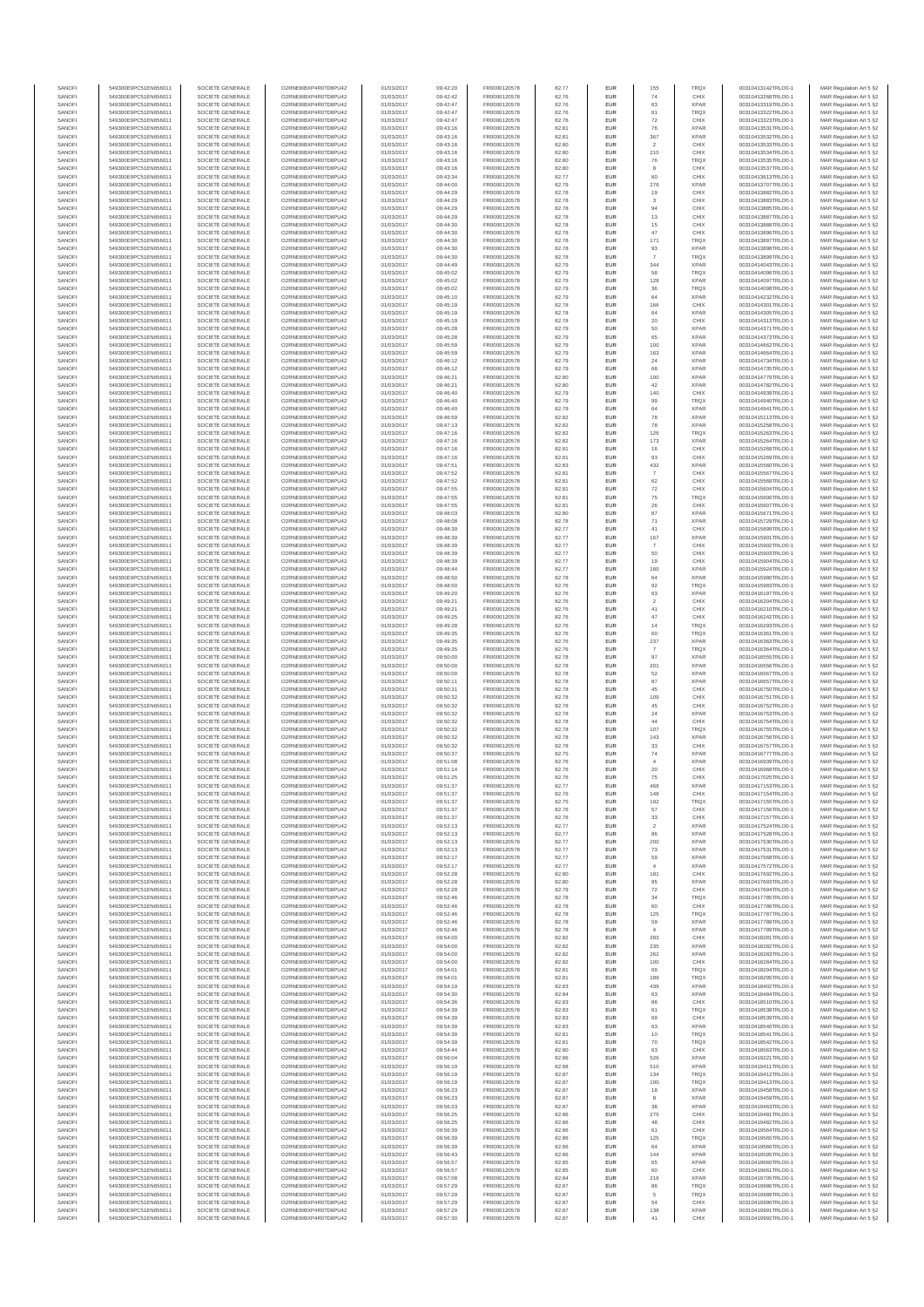| SANOFI           | 549300E9PC51EN656011                         | SOCIETE GENERALE                     | O2RNE8IBXP4R0TD8PU42                         | 01/03/2017               | 09:42:20             | FR0000120578                 | 82.77          | EUR        | 155                          | <b>TRQX</b>                | 00310413142TRLO0-1                       | MAR Regulation Art 5 §2                            |
|------------------|----------------------------------------------|--------------------------------------|----------------------------------------------|--------------------------|----------------------|------------------------------|----------------|------------|------------------------------|----------------------------|------------------------------------------|----------------------------------------------------|
| SANOFI           | 549300E9PC51EN656011                         | SOCIETE GENERALE                     | O2RNE8IBXP4R0TD8PLI42                        | 01/03/2017               | 09:42:42             | FR0000120578                 | 82.76          | <b>EUR</b> | 74                           | CHIX                       | 00310413268TRLO0-1                       | MAR Regulation Art 5 §2                            |
| SANOFI           | 549300E9PC51EN656011                         | SOCIETE GENERALE                     | O2RNE8IBXP4R0TD8PU42                         | 01/03/2017               | 09:42:47             | FR0000120578                 | 82.76          | EUR        | 63                           | <b>XPAR</b>                | 00310413319TRLO0-1                       | MAR Regulation Art 5 §2                            |
| SANOFI           | 549300E9PC51EN656011                         | SOCIETE GENERALE                     | O2RNE8IBXP4R0TD8PU42                         | 01/03/2017               | 09:42:47             | FR0000120578                 | 82.76          | EUR        | 61                           | <b>TRQX</b>                | 00310413322TRLO0-1                       | MAR Regulation Art 5 §2                            |
| SANOFI<br>SANOFI | 549300E9PC51EN656011<br>549300E9PC51EN656011 | SOCIETE GENERALE<br>SOCIETE GENERALE | O2RNE8IBXP4R0TD8PU42<br>O2RNE8IBXP4R0TD8PU42 | 01/03/2017<br>01/03/2017 | 09:42:47<br>09:43:16 | FR0000120578<br>FR0000120578 | 82.76<br>82.81 | EUR<br>EUR | 72<br>76                     | CHIX<br><b>XPAR</b>        | 00310413323TRLO0-1<br>00310413531TRLO0-1 | MAR Regulation Art 5 §2<br>MAR Regulation Art 5 §2 |
| SANOFI           | 549300E9PC51EN656011                         | SOCIETE GENERALE                     | O2RNE8IBXP4R0TD8PU42                         | 01/03/2017               | 09:43:16             | FR0000120578                 | 82.81          | EUR        | 367                          | <b>XPAR</b>                | 00310413532TRLO0-1                       | MAR Regulation Art 5 §2                            |
| SANOFI           | 549300E9PC51EN656011                         | SOCIETE GENERALE                     | O2RNE8IBXP4R0TD8PU42                         | 01/03/2017               | 09:43:16             | FR0000120578                 | 82.80          | EUR        | $\sqrt{2}$                   | CHIX                       | 00310413533TRLO0-1                       | MAR Regulation Art 5 §2                            |
| SANOFI           | 549300E9PC51EN656011                         | SOCIETE GENERALE                     | O2RNE8IBXP4R0TD8PU42                         | 01/03/2017               | 09:43:16             | FR0000120578                 | 82.80          | EUR        | 210                          | CHIX                       | 00310413534TRLO0-1                       | MAR Regulation Art 5 §2                            |
| SANOFI           | 549300E9PC51EN656011                         | SOCIETE GENERALE                     | O2RNE8IBXP4R0TD8PU42                         | 01/03/2017               | 09:43:16             | FR0000120578                 | 82.80          | EUR        | 76                           | <b>TRQX</b>                | 00310413535TRLO0-1                       | MAR Regulation Art 5 §2                            |
| SANOFI           | 549300E9PC51EN656011                         | SOCIETE GENERALE                     | O2RNE8IBXP4R0TD8PU42                         | 01/03/2017               | 09:43:16             | FR0000120578                 | 82.80          | EUR        | 8                            | CHIX                       | 00310413537TRLO0-1                       | MAR Regulation Art 5 §2                            |
| SANOFI           | 549300E9PC51EN656011                         | SOCIETE GENERALE                     | O2RNE8IBXP4R0TD8PU42                         | 01/03/2017               | 09:43:34             | FR0000120578                 | 82.77          | EUR        | 60                           | CHIX                       | 00310413613TRLO0-1                       | MAR Regulation Art 5 §2                            |
| SANOFI           | 549300E9PC51EN656011                         | SOCIETE GENERALE                     | O2RNE8IBXP4R0TD8PU42                         | 01/03/2017               | 09:44:00             | FR0000120578                 | 82.79          | <b>EUR</b> | 276                          | <b>XPAR</b>                | 00310413707TRLO0-1                       | MAR Regulation Art 5 §2                            |
| SANOFI<br>SANOFI | 549300E9PC51EN656011<br>549300E9PC51EN656011 | SOCIETE GENERALE<br>SOCIETE GENERALE | O2RNE8IBXP4R0TD8PU42<br>O2RNE8IBXP4R0TD8PU42 | 01/03/2017<br>01/03/2017 | 09:44:29<br>09:44:29 | FR0000120578<br>FR0000120578 | 82.78<br>82.78 | EUR<br>EUR | 19<br>$_{3}$                 | CHIX<br>CHIX               | 00310413882TRLO0-1<br>00310413883TRLO0-1 | MAR Regulation Art 5 §2<br>MAR Regulation Art 5 §2 |
| SANOFI           | 549300E9PC51EN656011                         | SOCIETE GENERALE                     | O2RNE8IBXP4R0TD8PU42                         | 01/03/2017               | 09:44:29             | FR0000120578                 | 82.78          | EUR        | 94                           | CHIX                       | 00310413885TRLO0-1                       | MAR Regulation Art 5 §2                            |
| SANOFI           | 549300E9PC51EN656011                         | SOCIETE GENERALE                     | O2RNE8IBXP4R0TD8PU42                         | 01/03/2017               | 09:44:29             | FR0000120578                 | 82.78          | EUR        | 13                           | CHIX                       | 00310413887TRLO0-1                       | MAR Regulation Art 5 §2                            |
| SANOFI           | 549300E9PC51EN656011                         | SOCIETE GENERALE                     | O2RNE8IBXP4R0TD8PU42                         | 01/03/2017               | 09:44:30             | FR0000120578                 | 82.78          | EUR        | $15\,$                       | CHIX                       | 00310413888TRLO0-1                       | MAR Regulation Art 5 §2                            |
| SANOFI           | 549300E9PC51EN656011                         | SOCIETE GENERALE                     | O2RNE8IBXP4R0TD8PU42                         | 01/03/2017               | 09:44:30             | FR0000120578                 | 82.78          | EUR        | 47                           | CHIX                       | 00310413896TRLO0-1                       | MAR Regulation Art 5 §2                            |
| SANOFI           | 549300E9PC51EN656011                         | SOCIETE GENERALE                     | O2RNE8IBXP4R0TD8PU42                         | 01/03/2017               | 09:44:30             | FR0000120578                 | 82.78          | <b>EUR</b> | 171                          | <b>TRQX</b>                | 00310413897TRLO0-1                       | MAR Regulation Art 5 §2                            |
| SANOFI           | 549300E9PC51EN656011                         | SOCIETE GENERALE                     | O2RNE8IBXP4R0TD8PU42                         | 01/03/2017               | 09:44:30             | FR0000120578                 | 82.78          | EUR        | 93                           | <b>XPAR</b>                | 00310413898TRLO0-1                       | MAR Regulation Art 5 §2                            |
| SANOFI           | 549300E9PC51EN656011                         | SOCIETE GENERALE                     | O2RNE8IBXP4R0TD8PU42                         | 01/03/2017               | 09:44:30             | FR0000120578                 | 82.78          | EUR        | $\overline{7}$               | <b>TRQX</b>                | 00310413899TRLO0-1                       | MAR Regulation Art 5 §2                            |
| SANOFI<br>SANOFI | 549300E9PC51EN656011<br>549300E9PC51EN656011 | SOCIETE GENERALE<br>SOCIETE GENERALE | O2RNE8IBXP4R0TD8PU42<br>O2RNE8IBXP4R0TD8PU42 | 01/03/2017<br>01/03/2017 | 09:44:49<br>09:45:02 | FR0000120578<br>FR0000120578 | 82.79<br>82.79 | EUR<br>EUR | 344<br>58                    | <b>XPAR</b><br><b>TRQX</b> | 00310414043TRLO0-1<br>00310414096TRLO0-1 | MAR Regulation Art 5 §2<br>MAR Regulation Art 5 §2 |
| SANOFI           | 549300E9PC51EN656011                         | SOCIETE GENERALE                     | O2RNE8IBXP4R0TD8PU42                         | 01/03/2017               | 09:45:02             | FR0000120578                 | 82.79          | EUR        | 128                          | <b>XPAR</b>                | 00310414097TRLO0-1                       | MAR Regulation Art 5 §2                            |
| SANOFI           | 549300E9PC51EN656011                         | SOCIETE GENERALE                     | O2RNE8IBXP4R0TD8PU42                         | 01/03/2017               | 09:45:02             | FR0000120578                 | 82.79          | EUR        | 36                           | <b>TRQX</b>                | 00310414098TRLO0-1                       | MAR Regulation Art 5 §2                            |
| SANOFI           | 549300E9PC51EN656011                         | SOCIETE GENERALE                     | O2RNE8IBXP4R0TD8PU42                         | 01/03/2017               | 09:45:10             | FR0000120578                 | 82.79          | EUR        | 64                           | <b>XPAR</b>                | 00310414232TRLO0-1                       | MAR Regulation Art 5 §2                            |
| SANOFI           | 549300E9PC51EN656011                         | SOCIETE GENERALE                     | O2RNE8IBXP4R0TD8PU42                         | 01/03/2017               | 09:45:19             | FR0000120578                 | 82.78          | EUR        | 166                          | CHIX                       | 00310414301TRLO0-1                       | MAR Regulation Art 5 §2                            |
| SANOFI           | 549300E9PC51EN656011                         | SOCIETE GENERALE                     | O2RNE8IBXP4R0TD8PU42                         | 01/03/2017               | 09:45:19             | FR0000120578                 | 82.78          | EUR        | 64                           | <b>XPAR</b>                | 00310414305TRLO0-1                       | MAR Regulation Art 5 §2                            |
| SANOFI           | 549300E9PC51EN656011                         | SOCIETE GENERALE                     | O2RNE8IBXP4R0TD8PU42                         | 01/03/2017               | 09:45:19             | FR0000120578                 | 82.78          | EUR        | 20                           | CHIX                       | 00310414313TRLO0-1                       | MAR Regulation Art 5 §2                            |
| SANOFI<br>SANOFI | 549300E9PC51EN656011                         | SOCIETE GENERALE                     | O2RNE8IBXP4R0TD8PU42                         | 01/03/2017               | 09:45:28             | FR0000120578                 | 82.79          | EUR<br>EUR | 50<br>65                     | <b>XPAR</b><br><b>XPAR</b> | 00310414371TRLO0-1                       | MAR Regulation Art 5 62                            |
| SANOFI           | 549300E9PC51EN656011<br>549300E9PC51EN656011 | SOCIETE GENERALE<br>SOCIETE GENERALE | O2RNE8IBXP4R0TD8PU42<br>O2RNE8IBXP4R0TD8PU42 | 01/03/2017<br>01/03/2017 | 09:45:28<br>09:45:59 | FR0000120578<br>FR0000120578 | 82.79<br>82.79 | EUR        | 100                          | <b>XPAR</b>                | 00310414373TRLO0-1<br>00310414662TRLO0-1 | MAR Regulation Art 5 §2<br>MAR Regulation Art 5 §2 |
| SANOFI           | 549300E9PC51EN656011                         | SOCIETE GENERALE                     | O2RNE8IBXP4R0TD8PU42                         | 01/03/2017               | 09:45:59             | FR0000120578                 | 82.79          | EUR        | 163                          | <b>XPAR</b>                | 00310414664TRLO0-1                       | MAR Regulation Art 5 §2                            |
| SANOFI           | 549300E9PC51EN656011                         | SOCIETE GENERALE                     | O2RNE8IBXP4R0TD8PU42                         | 01/03/2017               | 09:46:12             | FR0000120578                 | 82.79          | EUR        | 24                           | <b>XPAR</b>                | 00310414734TRLO0-1                       | MAR Regulation Art 5 §2                            |
| SANOFI           | 549300E9PC51EN656011                         | SOCIETE GENERALE                     | O2RNE8IBXP4R0TD8PU42                         | 01/03/2017               | 09:46:12             | FR0000120578                 | 82.79          | EUR        | 68                           | <b>XPAR</b>                | 00310414735TRLO0-1                       | MAR Regulation Art 5 §2                            |
| SANOFI           | 549300E9PC51EN656011                         | SOCIETE GENERALE                     | O2RNE8IBXP4R0TD8PU42                         | 01/03/2017               | 09:46:21             | FR0000120578                 | 82.80          | EUR        | 100                          | <b>XPAR</b>                | 00310414779TRLO0-1                       | MAR Regulation Art 5 §2                            |
| SANOFI           | 549300E9PC51EN656011                         | SOCIETE GENERALE                     | O2RNE8IBXP4R0TD8PU42                         | 01/03/2017               | 09:46:21             | FR0000120578                 | 82.80          | EUR        | 42                           | <b>XPAR</b>                | 00310414782TRLO0-1                       | MAR Regulation Art 5 §2                            |
| SANOFI           | 549300E9PC51EN656011                         | SOCIETE GENERALE                     | O2RNE8IBXP4R0TD8PU42                         | 01/03/2017               | 09:46:40             | FR0000120578                 | 82.79          | EUR        | 140                          | CHIX                       | 00310414939TRLO0-1                       | MAR Regulation Art 5 §2                            |
| SANOFI<br>SANOFI | 549300E9PC51EN656011<br>549300E9PC51EN656011 | SOCIETE GENERALE<br>SOCIETE GENERALE | O2RNE8IBXP4R0TD8PU42<br>O2RNE8IBXP4R0TD8PU42 | 01/03/2017<br>01/03/2017 | 09:46:40<br>09:46:40 | FR0000120578<br>FR0000120578 | 82.79<br>82.79 | EUR<br>EUR | 99<br>64                     | <b>TRQX</b><br><b>XPAR</b> | 00310414940TRLO0-1<br>00310414941TRLO0-1 | MAR Regulation Art 5 §2<br>MAR Regulation Art 5 §2 |
| SANOFI           | 549300E9PC51EN656011                         | SOCIETE GENERALE                     | O2RNE8IBXP4R0TD8PU42                         | 01/03/2017               | 09:46:59             | FR0000120578                 | 82.82          | EUR        | 78                           | <b>XPAR</b>                | 00310415113TRLO0-1                       | MAR Regulation Art 5 §2                            |
| SANOFI           | 549300E9PC51EN656011                         | SOCIETE GENERALE                     | O2RNE8IBXP4R0TD8PU42                         | 01/03/2017               | 09:47:13             | FR0000120578                 | 82.82          | EUR        | ${\bf 78}$                   | <b>XPAR</b>                | 00310415258TRLO0-1                       | MAR Regulation Art 5 §2                            |
| SANOFI           | 549300E9PC51EN656011                         | SOCIETE GENERALE                     | O2RNE8IBXP4R0TD8PU42                         | 01/03/2017               | 09:47:16             | FR0000120578                 | 82.82          | EUR        | 126                          | <b>TRQX</b>                | 00310415263TRLO0-1                       | MAR Regulation Art 5 §2                            |
| SANOFI           | 549300E9PC51EN656011                         | SOCIETE GENERALE                     | O2RNE8IBXP4R0TD8PU42                         | 01/03/2017               | 09:47:16             | FR0000120578                 | 82.82          | <b>EUR</b> | 173                          | <b>XPAR</b>                | 00310415264TRLO0-1                       | MAR Regulation Art 5 §2                            |
| SANOFI           | 549300E9PC51EN656011                         | SOCIETE GENERALE                     | O2RNE8IBXP4R0TD8PU42                         | 01/03/2017               | 09:47:16             | FR0000120578                 | 82.81          | EUR        | 16                           | CHIX                       | 00310415268TRLO0-1                       | MAR Regulation Art 5 §2                            |
| SANOFI           | 549300E9PC51EN656011                         | SOCIETE GENERALE                     | O2RNE8IBXP4R0TD8PU42                         | 01/03/2017               | 09:47:16             | FR0000120578                 | 82.81          | EUR        | 93                           | CHIX                       | 00310415269TRLO0-1                       | MAR Regulation Art 5 §2                            |
| SANOFI<br>SANOFI | 549300E9PC51EN656011                         | SOCIETE GENERALE                     | O2RNE8IBXP4R0TD8PU42                         | 01/03/2017               | 09:47:51             | FR0000120578                 | 82.83          | EUR        | 432                          | <b>XPAF</b><br>CHIX        | 00310415560TRLO0-1                       | MAR Regulation Art 5 §2                            |
| SANOFI           | 549300E9PC51EN656011<br>549300E9PC51EN656011 | SOCIETE GENERALE<br>SOCIETE GENERALE | O2RNE8IBXP4R0TD8PU42<br>O2RNE8IBXP4R0TD8PU42 | 01/03/2017<br>01/03/2017 | 09:47:52<br>09:47:52 | FR0000120578<br>FR0000120578 | 82.81<br>82.81 | EUR<br>EUR | -7<br>62                     | CHIX                       | 00310415567TRLO0-1<br>00310415568TRLO0-1 | MAR Regulation Art 5 §2<br>MAR Regulation Art 5 §2 |
| SANOFI           | 549300E9PC51EN656011                         | SOCIETE GENERALE                     | O2RNE8IBXP4R0TD8PU42                         | 01/03/2017               | 09:47:55             | FR0000120578                 | 82.81          | EUR        | ${\bf 72}$                   | CHIX                       | 00310415604TRLO0-1                       | MAR Regulation Art 5 §2                            |
| SANOFI           | 549300E9PC51EN656011                         | SOCIETE GENERALE                     | O2RNE8IBXP4R0TD8PU42                         | 01/03/2017               | 09:47:55             | FR0000120578                 | 82.81          | EUR        | $\rm 75$                     | <b>TRQX</b>                | 00310415606TRLO0-1                       | MAR Regulation Art 5 §2                            |
| SANOFI           | 549300E9PC51EN656011                         | SOCIETE GENERALE                     | O2RNE8IBXP4R0TD8PU42                         | 01/03/2017               | 09:47:55             | FR0000120578                 | 82.81          | EUR        | 26                           | CHIX                       | 00310415607TRLO0-1                       | MAR Regulation Art 5 §2                            |
| SANOFI           | 549300E9PC51EN656011                         | SOCIETE GENERALE                     | O2RNE8IBXP4R0TD8PU42                         | 01/03/2017               | 09:48:03             | FR0000120578                 | 82.80          | EUR        | 87                           | <b>XPAR</b>                | 00310415671TRLO0-1                       | MAR Regulation Art 5 §2                            |
| SANOFI           | 549300E9PC51EN656011                         | SOCIETE GENERALE                     | O2RNE8IBXP4R0TD8PU42                         | 01/03/2017               | 09:48:08             | FR0000120578                 | 82.78          | EUR        | 71                           | <b>XPAR</b>                | 00310415729TRLO0-1                       | MAR Regulation Art 5 §2                            |
| SANOFI           | 549300E9PC51EN656011                         | SOCIETE GENERALE                     | O2RNE8IBXP4R0TD8PU42                         | 01/03/2017               | 09:48:39             | FR0000120578                 | 82.77          | EUR        | 41                           | CHIX                       | 00310415899TRLO0-1                       | MAR Regulation Art 5 §2                            |
| SANOFI           | 549300E9PC51EN656011                         | SOCIETE GENERALE                     | O2RNE8IBXP4R0TD8PU42                         | 01/03/2017               | 09:48:39             | FR0000120578                 | 82.77          | EUR        | 167                          | <b>XPAR</b>                | 00310415901TRLO0-1                       | MAR Regulation Art 5 §2                            |
| SANOFI<br>SANOFI | 549300E9PC51EN656011<br>549300E9PC51EN656011 | SOCIETE GENERALE<br>SOCIETE GENERALE | O2RNE8IBXP4R0TD8PU42<br>O2RNE8IBXP4R0TD8PU42 | 01/03/2017<br>01/03/2017 | 09:48:39             | FR0000120578<br>FR0000120578 | 82.77<br>82.77 | EUR<br>EUR | $\overline{7}$<br>50         | CHIX<br>CHIX               | 00310415902TRLO0-1                       | MAR Regulation Art 5 §2                            |
| SANOFI           | 549300E9PC51EN656011                         | SOCIETE GENERALE                     | O2RNE8IBXP4R0TD8PU42                         | 01/03/2017               | 09:48:39<br>09:48:39 | FR0000120578                 | 82.77          | EUR        | 19                           | CHIX                       | 00310415903TRLO0-1<br>00310415904TRLO0-1 | MAR Regulation Art 5 §2<br>MAR Regulation Art 5 §2 |
| SANOFI           | 549300E9PC51EN656011                         | SOCIETE GENERALE                     | O2RNE8IBXP4R0TD8PU42                         | 01/03/2017               | 09:48:44             | FR0000120578                 | 82.77          | EUR        | 160                          | <b>XPAR</b>                | 00310415924TRLO0-1                       | MAR Regulation Art 5 §2                            |
| SANOFI           | 549300E9PC51EN656011                         | SOCIETE GENERALE                     | O2RNE8IBXP4R0TD8PU42                         | 01/03/2017               | 09:48:50             | FR0000120578                 | 82.78          | EUR        | 64                           | <b>XPAF</b>                | 00310415980TRLO0-1                       | MAR Regulation Art 5 §2                            |
| SANOFI           | 549300E9PC51EN656011                         | SOCIETE GENERALE                     | O2RNE8IBXP4R0TD8PU42                         | 01/03/2017               | 09:48:50             | FR0000120578                 | 82.76          | EUR        | 92                           | <b>TRQX</b>                | 00310415983TRLO0-1                       | MAR Regulation Art 5 §2                            |
| SANOFI           | 549300E9PC51EN656011                         | SOCIETE GENERALE                     | O2RNE8IBXP4R0TD8PU42                         | 01/03/2017               | 09:49:20             | FR0000120578                 | 82.76          | EUR        | 63                           | <b>XPAR</b>                | 00310416197TRLO0-1                       | MAR Regulation Art 5 §2                            |
| SANOFI           | 549300E9PC51EN656011                         | SOCIETE GENERALE                     | O2RNE8IBXP4R0TD8PU42                         | 01/03/2017               | 09:49:21             | FR0000120578                 | 82.76          | EUR        | $\overline{2}$               | CHIX                       | 00310416204TRLO0-1                       | MAR Regulation Art 5 §2                            |
| SANOFI           | 549300E9PC51EN656011                         | SOCIETE GENERALE                     | O2RNE8IBXP4R0TD8PU42                         | 01/03/2017               | 09:49:21             | FR0000120578                 | 82.76          | EUR        | 41                           | CHIX                       | 00310416210TRLO0-1                       | MAR Regulation Art 5 §2                            |
| SANOFI<br>SANOFI | 549300E9PC51EN656011<br>549300E9PC51EN656011 | SOCIETE GENERALE<br>SOCIETE GENERALE | O2RNE8IBXP4R0TD8PU42<br>O2RNE8IBXP4R0TD8PU42 | 01/03/2017<br>01/03/2017 | 09:49:25<br>09:49:28 | FR0000120578<br>FR0000120578 | 82.76<br>82.76 | EUR<br>EUR | 47<br>14                     | CHIX<br><b>TRQX</b>        | 00310416242TRLO0-1<br>00310416293TRLO0-1 | MAR Regulation Art 5 §2<br>MAR Regulation Art 5 §2 |
| SANOFI           | 549300E9PC51EN656011                         | SOCIETE GENERALE                     | O2RNE8IBXP4R0TD8PU42                         | 01/03/2017               | 09:49:35             | FR0000120578                 | 82.76          | EUR        | 60                           | <b>TRQX</b>                | 00310416361TRLO0-1                       | MAR Regulation Art 5 §2                            |
| SANOFI           | 549300E9PC51EN656011                         | SOCIETE GENERALE                     | O2RNE8IBXP4R0TD8PU42                         | 01/03/2017               | 09:49:35             | FR0000120578                 | 82.76          | <b>EUR</b> | 237                          | <b>XPAR</b>                | 00310416363TRLO0-1                       | MAR Regulation Art 5 §2                            |
| SANOFI           | 549300E9PC51EN656011                         | SOCIETE GENERALE                     | O2RNE8IBXP4R0TD8PU42                         | 01/03/2017               | 09:49:35             | FR0000120578                 | 82.76          | EUR        | $\overline{7}$               | <b>TRQX</b>                | 00310416364TRLO0-1                       | MAR Regulation Art 5 §2                            |
| SANOFI           | 549300E9PC51EN656011                         | SOCIETE GENERALE                     | O2RNE8IBXP4R0TD8PU42                         | 01/03/2017               | 09:50:00             | FR0000120578                 | 82.78          | EUR        | 97                           | <b>XPAR</b>                | 00310416555TRLO0-1                       | MAR Regulation Art 5 §2                            |
| SANOFI           | 549300E9PC51EN656011                         | SOCIETE GENERALE                     | O2RNE8IBXP4R0TD8PU42                         | 01/03/2017               | 09:50:00             | FR0000120578                 | 82.78          | EUR        | 201                          | <b>XPAR</b>                | 00310416556TRLO0-1                       | MAR Regulation Art 5 §2                            |
| SANOFI<br>SANOFI | 549300E9PC51EN656011                         | SOCIETE GENERALE                     | O2RNE8IBXP4R0TD8PU42                         | 01/03/2017               | 09:50:00             | FR0000120578                 | 82.78          | EUR        | 52                           | <b>XPAR</b>                | 00310416567TRLO0-1                       | MAR Regulation Art 5 §2                            |
| SANOFI           | 549300E9PC51EN656011<br>549300E9PC51EN656011 | SOCIETE GENERALE<br>SOCIETE GENERALE | O2RNE8IBXP4R0TD8PU42<br>O2RNE8IBXP4R0TD8PU42 | 01/03/2017<br>01/03/2017 | 09:50:11<br>09:50:31 | FR0000120578<br>FR0000120578 | 82.78<br>82.78 | EUR<br>EUR | 87<br>$45\,$                 | <b>XPAR</b><br>CHIX        | 00310416657TRLO0-1<br>00310416750TRLO0-1 | MAR Regulation Art 5 §2<br>MAR Regulation Art 5 §2 |
| SANOFI           | 549300E9PC51EN656011                         | SOCIETE GENERALE                     | O2RNE8IBXP4R0TD8PU42                         | 01/03/2017               | 09:50:32             | FR0000120578                 | 82.78          | EUR        | 109                          | CHIX                       | 00310416751TRLO0-1                       | MAR Regulation Art 5 §2                            |
| SANOFI           | 549300E9PC51EN656011                         | SOCIETE GENERALE                     | O2RNE8IBXP4R0TD8PU42                         | 01/03/2017               | 09:50:32             | FR0000120578                 | 82.78          | EUR        | 45                           | CHIX                       | 00310416752TRLO0-1                       | MAR Regulation Art 5 §2                            |
| SANOFI           | 549300E9PC51EN656011                         | SOCIETE GENERALE                     | O2RNE8IBXP4R0TD8PU42                         | 01/03/2017               | 09:50:32             | FR0000120578                 | 82.78          | EUR        | 24                           | <b>XPAR</b>                | 00310416753TRLO0-1                       | MAR Regulation Art 5 §2                            |
| SANOFI           | 549300E9PC51EN656011                         | SOCIETE GENERALE                     | O2RNE8IBXP4R0TD8PU42                         | 01/03/2017               | 09:50:32             | FR0000120578                 | 82.78          | EUR        | 44                           | CHIX                       | 00310416754TRLO0-1                       | MAR Regulation Art 5 §2                            |
| SANOFI           | 549300E9PC51EN656011                         | SOCIETE GENERALE                     | O2RNE8IBXP4R0TD8PU42                         | 01/03/2017               | 09:50:32             | FR0000120578                 | 82.78          | <b>EUR</b> | 107                          | <b>TRQX</b>                | 00310416755TRLO0-1                       | MAR Regulation Art 5 §2                            |
| SANOFI           | 549300E9PC51EN656011                         | SOCIETE GENERALE                     | O2RNE8IBXP4R0TD8PU42                         | 01/03/2017               | 09:50:32             | FR0000120578                 | 82.78          | EUR        | 143                          | <b>XPAR</b>                | 00310416756TRLO0-1                       | MAR Regulation Art 5 §2                            |
| SANOFI           | 549300E9PC51EN656011                         | SOCIETE GENERALE                     | O2RNE8IBXP4R0TD8PU42                         | 01/03/2017               | 09:50:32             | FR0000120578                 | 82.78          | EUR        | 33                           | CHIX                       | 00310416757TRLO0-1                       | MAR Regulation Art 5 §2                            |
| SANOFI<br>SANOFI | 549300E9PC51EN656011<br>549300E9PC51EN656011 | SOCIETE GENERALE<br>SOCIETE GENERALE | O2RNE8IBXP4R0TD8PU42<br>O2RNE8IBXP4R0TD8PU42 | 01/03/2017<br>01/03/2017 | 09:50:37<br>09:51:08 | FR0000120578<br>FR0000120578 | 82.75          | EUR<br>EUR | ${\bf 74}$<br>$\overline{4}$ | <b>XPAR</b><br><b>XPAR</b> | 00310416777TRLO0-1<br>00310416939TRLO0-1 | MAR Regulation Art 5 §2<br>MAR Regulation Art 5 §2 |
| SANOFI           | 549300E9PC51EN656011                         | SOCIETE GENERALE                     | O2RNESIBXP4R0TD8PLI42                        | 01/03/2017               | 09:51:14             | FR0000120578                 | 82.76<br>82.76 | EUR        | 20                           | CHIX                       | 00310416968TRLO0-1                       | MAR Regulation Art 5 §2                            |
| SANOFI           | 549300E9PC51EN656011                         | SOCIETE GENERALE                     | O2RNE8IBXP4R0TD8PU42                         | 01/03/2017               | 09:51:25             | FR0000120578                 | 82.76          | EUR        | 75                           | CHIX                       | 00310417025TRLO0-1                       | MAR Regulation Art 5 §2                            |
| SANOFI           | 549300E9PC51EN656011                         | SOCIETE GENERALE                     | O2RNE8IBXP4R0TD8PU42                         | 01/03/2017               | 09:51:37             | FR0000120578                 | 82.77          | EUR        | 468                          | <b>XPAR</b>                | 00310417153TRLO0-1                       | MAR Regulation Art 5 §2                            |
| SANOFI           | 549300E9PC51EN656011                         | SOCIETE GENERALE                     | O2RNE8IBXP4R0TD8PU42                         | 01/03/2017               | 09:51:37             | FR0000120578                 | 82.76          | EUR        | 148                          | CHIX                       | 00310417154TRLO0-1                       | MAR Regulation Art 5 §2                            |
| SANOFI           | 549300E9PC51EN656011                         | SOCIETE GENERALE                     | O2RNE8IBXP4R0TD8PU42                         | 01/03/2017               | 09:51:37             | FR0000120578                 | 82.75          | <b>EUR</b> | 192                          | <b>TROX</b>                | 00310417155TRLO0-1                       | MAR Regulation Art 5 §2                            |
| SANOFI           | 549300E9PC51EN656011                         | SOCIETE GENERALE                     | O2RNE8IBXP4R0TD8PU42                         | 01/03/2017               | 09:51:37             | FR0000120578                 | 82.76          | EUR        | 57                           | CHIX                       | 00310417156TRLO0-1                       | MAR Regulation Art 5 §2                            |
| SANOFI           | 549300E9PC51EN656011                         | SOCIETE GENERALE                     | O2RNE8IBXP4R0TD8PU42                         | 01/03/2017               | 09:51:37             | FR0000120578                 | 82.76          | EUR        | 33                           | CHIX                       | 00310417157TRLO0-1                       | MAR Regulation Art 5 §2                            |
| SANOFI<br>SANOFI | 549300E9PC51EN656011<br>549300E9PC51EN656011 | SOCIETE GENERALE<br>SOCIETE GENERALE | O2RNE8IBXP4R0TD8PU42<br>O2RNE8IBXP4R0TD8PU42 | 01/03/2017<br>01/03/2017 | 09:52:13<br>09:52:13 | FR0000120578<br>FR0000120578 | 82.77<br>82.77 | EUR<br>EUR | $\overline{2}$<br>86         | <b>XPAR</b><br><b>XPAR</b> | 00310417524TRLO0-1<br>00310417528TRLO0-1 | MAR Regulation Art 5 §2<br>MAR Regulation Art 5 §2 |
| SANOFI           | 549300E9PC51EN656011                         | SOCIETE GENERALE                     | O2RNE8IBXP4R0TD8PU42                         | 01/03/2017               | 09:52:13             | FR0000120578                 | 82.77          | EUR        | 200                          | <b>XPAR</b>                | 00310417530TRLO0-1                       | MAR Regulation Art 5 §2                            |
| SANOFI           | 549300E9PC51EN656011                         | SOCIETE GENERALE                     | O2RNE8IBXP4R0TD8PU42                         | 01/03/2017               | 09:52:13             | FR0000120578                 | 82.77          | EUR        | 73                           | <b>XPAR</b>                | 00310417531TRLO0-1                       | MAR Regulation Art 5 §2                            |
| SANOFI           | 549300E9PC51EN656011                         | SOCIETE GENERALE                     | O2RNE8IBXP4R0TD8PU42                         | 01/03/2017               | 09:52:17             | FR0000120578                 | 82.77          | <b>EUR</b> | 59                           | <b>XPAR</b>                | 00310417568TRLO0-1                       | MAR Regulation Art 5 §2                            |
| SANOFI           | 549300E9PC51EN656011                         | SOCIETE GENERALE                     | O2RNE8IBXP4R0TD8PU42                         | 01/03/2017               | 09:52:17             | FR0000120578                 | 82.77          | EUR        |                              | <b>XPAR</b>                | 00310417572TRLO0-1                       | MAR Regulation Art 5 §2                            |
| SANOFI<br>SANOFI | 549300E9PC51EN656011                         | SOCIETE GENERALE<br>SOCIETE GENERALE | O2RNE8IBXP4R0TD8PU42                         | 01/03/2017               | 09:52:28             | FR0000120578                 | 82.80          | <b>EUR</b> | 181                          | CHIX                       | 00310417692TRLO0-1                       | MAR Regulation Art 5 §2                            |
| SANOFI           | 549300E9PC51EN656011<br>549300E9PC51EN656011 | SOCIETE GENERALE                     | O2RNE8IBXP4R0TD8PU42<br>O2RNE8IBXP4R0TD8PU42 | 01/03/2017<br>01/03/2017 | 09:52:28<br>09:52:28 | FR0000120578<br>FR0000120578 | 82.80<br>82.79 | EUR<br>EUR | 95<br>${\bf 72}$             | <b>XPAR</b><br>CHIX        | 00310417693TRLO0-1<br>00310417694TRLO0-1 | MAR Regulation Art 5 §2<br>MAR Regulation Art 5 §2 |
| SANOFI           | 549300E9PC51EN656011                         | SOCIETE GENERALE                     | O2RNE8IBXP4R0TD8PU42                         | 01/03/2017               | 09:52:46             | FR0000120578                 | 82.78          | EUR        | 34                           | <b>TRQX</b>                | 00310417785TRLO0-1                       | MAR Regulation Art 5 §2                            |
| SANOFI           | 549300E9PC51EN656011                         | SOCIETE GENERALE                     | O2RNE8IBXP4R0TD8PU42                         | 01/03/2017               | 09:52:46             | FR0000120578                 | 82.78          | EUR        | 60                           | CHIX                       | 00310417786TRLO0-1                       | MAR Regulation Art 5 §2                            |
| SANOFI           | 549300E9PC51EN656011                         | SOCIETE GENERALE                     | O2RNE8IBXP4R0TD8PU42                         | 01/03/2017               | 09:52:46             | FR0000120578                 | 82.78          | <b>EUR</b> | 125                          | <b>TROX</b>                | 00310417787TRLO0-1                       | MAR Regulation Art 5 §2                            |
| SANOFI           | 549300E9PC51EN656011                         | SOCIETE GENERALE                     | O2RNE8IBXP4R0TD8PU42                         | 01/03/2017               | 09:52:46             | FR0000120578                 | 82.78          | EUR        | 59                           | <b>XPAR</b>                | 00310417788TRLO0-1                       | MAR Regulation Art 5 §2                            |
| SANOFI           | 549300E9PC51EN656011                         | SOCIETE GENERALE                     | O2RNE8IBXP4R0TD8PU42                         | 01/03/2017               | 09:52:46             | FR0000120578                 | 82.78          | <b>EUR</b> | $\overline{4}$               | <b>XPAR</b>                | 00310417789TRLO0-1                       | MAR Regulation Art 5 §2                            |
| SANOFI           | 549300E9PC51EN656011                         | SOCIETE GENERALE                     | O2RNE8IBXP4R0TD8PU42                         | 01/03/2017               | 09:54:00             | FR0000120578                 | 82.82          | EUR        | 283                          | CHIX                       | 00310418281TRLO0-1                       | MAR Regulation Art 5 §2                            |
| SANOFI<br>SANOFI | 549300E9PC51EN656011<br>549300E9PC51EN656011 | SOCIETE GENERALE<br>SOCIETE GENERALE | O2RNE8IBXP4R0TD8PU42<br>O2RNE8IBXP4R0TD8PU42 | 01/03/2017<br>01/03/2017 | 09:54:00<br>09:54:00 | FR0000120578<br>FR0000120578 | 82.82<br>82.82 | EUR<br>EUR | 235<br>262                   | <b>XPAR</b><br><b>XPAR</b> | 00310418282TRLO0-1<br>00310418283TRLO0-1 | MAR Regulation Art 5 §2<br>MAR Regulation Art 5 §2 |
| SANOFI           | 549300E9PC51EN656011                         | SOCIETE GENERALE                     | O2RNE8IBXP4R0TD8PU42                         | 01/03/2017               | 09:54:00             | FR0000120578                 | 82.82          | EUR        | 100                          | CHIX                       | 00310418284TRLO0-1                       | MAR Regulation Art 5 §2                            |
| SANOFI           | 549300E9PC51EN656011                         | SOCIETE GENERALE                     | O2RNE8IBXP4R0TD8PU42                         | 01/03/2017               | 09:54:01             | FR0000120578                 | 82.81          | EUR        | 69                           | <b>TRQX</b>                | 00310418294TRLO0-1                       | MAR Regulation Art 5 §2                            |
| SANOFI           | 549300E9PC51EN656011                         | SOCIETE GENERALE                     | O2RNE8IBXP4R0TD8PU42                         | 01/03/2017               | 09:54:01             | FR0000120578                 | 82.81          | EUR        | 189                          | <b>TRQX</b>                | 00310418295TRLO0-1                       | MAR Regulation Art 5 §2                            |
| SANOFI           | 549300E9PC51EN656011                         | SOCIETE GENERALE                     | O2RNE8IBXP4R0TD8PU42                         | 01/03/2017               | 09:54:19             | FR0000120578                 | 82.83          | <b>EUR</b> | 439                          | <b>XPAR</b>                | 00310418402TRLO0-1                       | MAR Regulation Art 5 §2                            |
| SANOFI           | 549300E9PC51EN656011                         | SOCIETE GENERALE                     | O2RNE8IBXP4R0TD8PU42                         | 01/03/2017               | 09:54:30             | FR0000120578                 | 82.84          | EUR        | 63                           | <b>XPAR</b>                | 00310418484TRLO0-1                       | MAR Regulation Art 5 §2                            |
| SANOFI           | 549300E9PC51EN656011                         | SOCIETE GENERALE                     | O2RNE8IBXP4R0TD8PU42                         | 01/03/2017               | 09:54:36             | FR0000120578                 | 82.83          | <b>EUR</b> | 86                           | CHIX                       | 00310418510TRLO0-1                       | MAR Regulation Art 5 §2                            |
| SANOFI           | 549300E9PC51EN656011                         | SOCIETE GENERALE                     | O2RNE8IBXP4R0TD8PU42                         | 01/03/2017               | 09:54:39             | FR0000120578                 | 82.83          | EUR        | 61                           | <b>TRQX</b>                | 00310418538TRLO0-1                       | MAR Regulation Art 5 §2                            |
| SANOFI<br>SANOFI | 549300E9PC51EN656011<br>549300E9PC51EN656011 | SOCIETE GENERALE<br>SOCIETE GENERALE | O2RNE8IBXP4R0TD8PU42<br>O2RNE8IBXP4R0TD8PU42 | 01/03/2017<br>01/03/2017 | 09:54:39<br>09:54:39 | FR0000120578<br>FR0000120578 | 82.83<br>82.83 | EUR<br>EUR | 69<br>63                     | CHIX<br><b>XPAR</b>        | 00310418539TRLO0-1<br>00310418540TRLO0-1 | MAR Regulation Art 5 §2<br>MAR Regulation Art 5 §2 |
| SANOFI           | 549300E9PC51EN656011                         | SOCIETE GENERALE                     | O2RNE8IBXP4R0TD8PU42                         | 01/03/2017               | 09:54:39             | FR0000120578                 | 82.81          | EUR        | 10                           | <b>TROX</b>                | 00310418541TRLO0-1                       | MAR Regulation Art 5 §2                            |
| SANOFI           | 549300E9PC51EN656011                         | SOCIETE GENERALE                     | O2RNE8IBXP4R0TD8PU42                         | 01/03/2017               | 09:54:39             | FR0000120578                 | 82.81          | EUR        | $70\,$                       | <b>TRQX</b>                | 00310418542TRLO0-1                       | MAR Regulation Art 5 §2                            |
| SANOFI           | 549300E9PC51EN656011                         | SOCIETE GENERALE                     | O2RNE8IBXP4R0TD8PU42                         | 01/03/2017               | 09:54:44             | FR0000120578                 | 82.80          | EUR        | 63                           | CHIX                       | 00310418563TRLO0-1                       | MAR Regulation Art 5 §2                            |
| SANOFI           | 549300E9PC51EN656011                         | SOCIETE GENERALE                     | O2RNE8IBXP4R0TD8PU42                         | 01/03/2017               | 09:56:04             | FR0000120578                 | 82.86          | <b>EUR</b> | 526                          | <b>XPAR</b>                | 00310419221TRLO0-1                       | MAR Regulation Art 5 §2                            |
| SANOFI           | 549300E9PC51EN656011                         | SOCIETE GENERALE                     | O2RNE8IBXP4R0TD8PU42                         | 01/03/2017               | 09:56:19             | FR0000120578                 | 82.88          | EUR        | 510                          | <b>XPAR</b>                | 00310419411TRLO0-1                       | MAR Regulation Art 5 §2                            |
| SANOFI           | 549300E9PC51EN656011                         | SOCIETE GENERALE                     | O2RNE8IBXP4R0TD8PU42                         | 01/03/2017               | 09:56:19             | FR0000120578                 | 82.87          | <b>EUR</b> | 134                          | <b>TRQX</b>                | 00310419412TRLO0-1                       | MAR Regulation Art 5 §2                            |
| SANOFI           | 549300E9PC51EN656011                         | SOCIETE GENERALE                     | O2RNE8IBXP4R0TD8PU42                         | 01/03/2017               | 09:56:19             | FR0000120578                 | 82.87          | EUR        | 100                          | <b>TRQX</b>                | 00310419413TRLO0-1                       | MAR Regulation Art 5 §2                            |
| SANOFI<br>SANOFI | 549300E9PC51EN656011<br>549300E9PC51EN656011 | SOCIETE GENERALE<br>SOCIETE GENERALE | O2RNE8IBXP4R0TD8PU42<br>O2RNE8IBXP4R0TD8PU42 | 01/03/2017<br>01/03/2017 | 09:56:23<br>09:56:23 | FR0000120578<br>FR0000120578 | 82.87<br>82.87 | EUR<br>EUR | 18                           | <b>XPAR</b><br><b>XPAR</b> | 00310419458TRLO0-1                       | MAR Regulation Art 5 §2                            |
| SANOFI           | 549300E9PC51EN656011                         | SOCIETE GENERALE                     | O2RNE8IBXP4R0TD8PU42                         | 01/03/2017               | 09:56:23             | FR0000120578                 | 82.87          | EUR        | 8<br>38                      | <b>XPAR</b>                | 00310419459TRLO0-1<br>00310419463TRLO0-1 | MAR Regulation Art 5 §2<br>MAR Regulation Art 5 §2 |
| SANOFI           | 549300E9PC51EN656011                         | SOCIETE GENERALE                     | O2RNE8IBXP4R0TD8PU42                         | 01/03/2017               | 09:56:25             | FR0000120578                 | 82.86          | EUR        | $275\,$                      | CHIX                       | 00310419481TRLO0-1                       | MAR Regulation Art 5 §2                            |
| SANOFI           | 549300E9PC51EN656011                         | SOCIETE GENERALE                     | O2RNE8IBXP4R0TD8PU42                         | 01/03/2017               | 09:56:25             | FR0000120578                 | 82.86          | EUR        | 48                           | CHIX                       | 00310419482TRLO0-1                       | MAR Regulation Art 5 §2                            |
| SANOFI           | 549300E9PC51EN656011                         | SOCIETE GENERALE                     | O2RNE8IBXP4R0TD8PU42                         | 01/03/2017               | 09:56:39             | FR0000120578                 | 82.86          | <b>EUR</b> | 61                           | CHIX                       | 00310419564TRLO0-1                       | MAR Regulation Art 5 §2                            |
| SANOFI           | 549300E9PC51EN656011                         | SOCIETE GENERALE                     | O2RNE8IBXP4R0TD8PU42                         | 01/03/2017               | 09:56:39             | FR0000120578                 | 82.86          | EUR        | 125                          | <b>TRQX</b>                | 00310419565TRLO0-1                       | MAR Regulation Art 5 §2                            |
| SANOFI           | 549300E9PC51EN656011                         | SOCIETE GENERALE                     | O2RNE8IBXP4R0TD8PU42                         | 01/03/2017               | 09:56:39             | FR0000120578                 | 82.86          | <b>EUR</b> | 64                           | <b>XPAR</b>                | 00310419566TRLO0-1                       | MAR Regulation Art 5 §2                            |
| SANOFI           | 549300E9PC51EN656011                         | SOCIETE GENERALE                     | O2RNE8IBXP4R0TD8PU42                         | 01/03/2017               | 09:56:43             | FR0000120578                 | 82.86          | EUR        | 144                          | <b>XPAR</b>                | 00310419595TRLO0-1                       | MAR Regulation Art 5 §2                            |
| SANOFI<br>SANOFI | 549300E9PC51EN656011<br>549300E9PC51EN656011 | SOCIETE GENERALE<br>SOCIETE GENERALE | O2RNE8IBXP4R0TD8PU42<br>O2RNE8IBXP4R0TD8PU42 | 01/03/2017<br>01/03/2017 | 09:56:57<br>09:56:57 | FR0000120578                 | 82.85<br>82.85 | EUR<br>EUR | 65<br>60                     | <b>XPAR</b><br>CHIX        | 00310419660TRLO0-1<br>00310419661TRLO0-1 | MAR Regulation Art 5 §2                            |
| SANOFI           | 549300E9PC51EN656011                         | SOCIETE GENERALE                     | O2RNE8IBXP4R0TD8PU42                         | 01/03/2017               | 09:57:08             | FR0000120578<br>FR0000120578 | 82.84          | EUR        | 216                          | XPAR                       | 00310419705TRLO0-1                       | MAR Regulation Art 5 §2<br>MAR Regulation Art 5 §2 |
| SANOFI           | 549300E9PC51EN656011                         | SOCIETE GENERALE                     | O2RNE8IBXP4R0TD8PU42                         | 01/03/2017               | 09:57:29             | FR0000120578                 | 82.87          | <b>EUR</b> | 86                           | <b>TROX</b>                | 00310419986TRLO0-1                       | MAR Regulation Art 5 §2                            |
| SANOFI           | 549300E9PC51EN656011                         | SOCIETE GENERALE                     | O2RNE8IBXP4R0TD8PU42                         | 01/03/2017               | 09:57:29             | FR0000120578                 | 82.87          | EUR        | 5                            | <b>TRQX</b>                | 00310419989TRLO0-1                       | MAR Regulation Art 5 §2                            |
| SANOFI           | 549300E9PC51EN656011                         | SOCIETE GENERALE                     | O2RNE8IBXP4R0TD8PU42                         | 01/03/2017               | 09:57:29             | FR0000120578                 | 82.87          | EUR        | 54                           | CHIX                       | 00310419990TRLO0-1                       | MAR Regulation Art 5 §2                            |
| SANOFI           | 549300E9PC51EN656011                         | SOCIETE GENERALE                     | O2RNE8IBXP4R0TD8PU42                         | 01/03/2017               | 09:57:29             | FR0000120578                 | 82.87          | EUR        | 138                          | <b>XPAR</b>                | 00310419991TRLO0-1                       | MAR Regulation Art 5 §2                            |
| SANOFI           | 549300E9PC51EN656011                         | SOCIETE GENERALE                     | O2RNE8IBXP4R0TD8PU42                         | 01/03/2017               | 09:57:30             | FR0000120578                 | 82.87          | <b>EUR</b> | 41                           | CHIX                       | 00310419992TRLO0-1                       | MAR Regulation Art 5 §2                            |
|                  |                                              |                                      |                                              |                          |                      |                              |                |            |                              |                            |                                          |                                                    |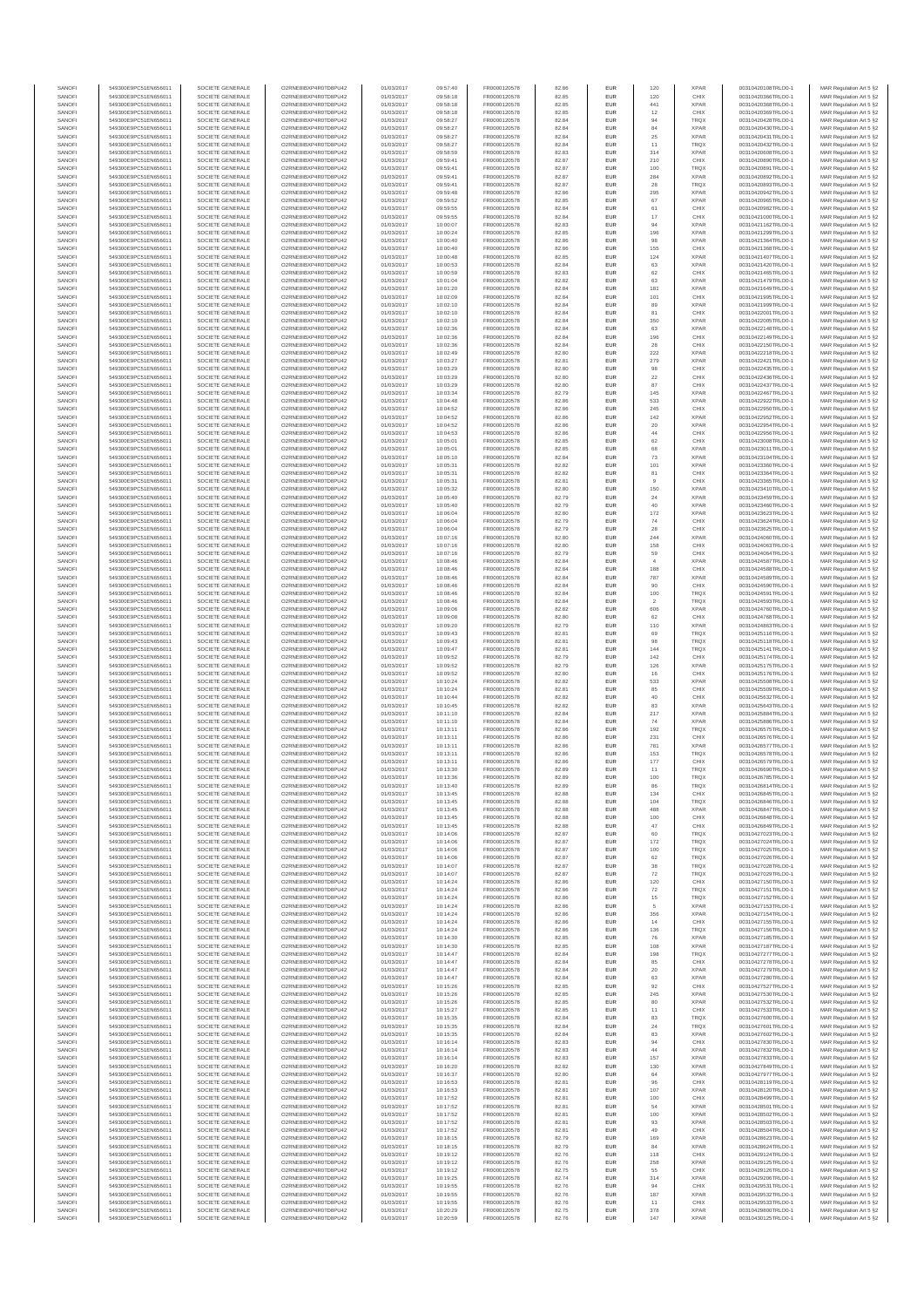| SANOFI           | 549300E9PC51EN656011                         | SOCIETE GENERALE                     | O2RNE8IBXP4R0TD8PU42                         | 01/03/2017               | 09:57:40             | FR0000120578                 | 82.86          | EUR        | 120                   | <b>XPAR</b>                | 00310420108TRLO0-1                       | MAR Regulation Art 5 §2                             |
|------------------|----------------------------------------------|--------------------------------------|----------------------------------------------|--------------------------|----------------------|------------------------------|----------------|------------|-----------------------|----------------------------|------------------------------------------|-----------------------------------------------------|
| SANOFI<br>SANOFI | 549300E9PC51EN656011<br>549300E9PC51EN656011 | SOCIETE GENERALE<br>SOCIETE GENERALE | O2RNE8IBXP4R0TD8PU42<br>O2RNE8IBXP4R0TD8PU42 | 01/03/2017<br>01/03/2017 | 09:58:18<br>09:58:18 | FR0000120578<br>FR0000120578 | 82.85<br>82.85 | EUR<br>EUR | 120<br>441            | CHIX<br><b>XPAR</b>        | 00310420366TRLO0-1<br>00310420368TRLO0-1 | MAR Regulation Art 5 §2<br>MAR Regulation Art 5 §2  |
| SANOFI           | 549300E9PC51EN656011                         | SOCIETE GENERALE                     | O2RNE8IBXP4R0TD8PLI42                        | 01/03/2017               | 09:58:18             | FR0000120578                 | 82.85          | EUR        | 12                    | CHIX                       | 00310420369TRLO0-1                       | MAR Regulation Art 5 \$2                            |
| SANOFI           | 549300E9PC51EN656011                         | SOCIETE GENERALE                     | O2RNE8IBXP4R0TD8PU42                         | 01/03/2017               | 09:58:27             | FR0000120578                 | 82.84          | EUR        | 94                    | <b>TRQX</b>                | 00310420428TRLO0-1                       | MAR Regulation Art 5 §2                             |
| SANOFI           | 549300E9PC51EN656011                         | SOCIETE GENERALE                     | O2RNE8IBXP4R0TD8PU42                         | 01/03/2017               | 09:58:27             | FR0000120578                 | 82.84          | EUR        | 84                    | <b>XPAR</b>                | 00310420430TRLO0-1                       | MAR Regulation Art 5 §2                             |
| SANOFI<br>SANOFI | 549300E9PC51EN656011<br>549300E9PC51EN656011 | SOCIETE GENERALE<br>SOCIETE GENERALE | O2RNE8IBXP4R0TD8PU42<br>O2RNE8IBXP4R0TD8PU42 | 01/03/2017<br>01/03/2017 | 09:58:27<br>09:58:27 | FR0000120578<br>FR0000120578 | 82.84<br>82.84 | EUR<br>EUR | $25\,$<br>11          | <b>XPAR</b><br>TRQX        | 00310420431TRLO0-1<br>00310420432TRLO0-1 | MAR Regulation Art 5 §2<br>MAR Regulation Art 5 §2  |
| SANOFI           | 549300E9PC51EN656011                         | SOCIETE GENERALE                     | O2RNE8IBXP4R0TD8PU42                         | 01/03/2017               | 09:58:59             | FR0000120578                 | 82.83          | EUR        | 314                   | <b>XPAR</b>                | 00310420608TRLO0-1                       | MAR Regulation Art 5 §2                             |
| SANOFI           | 549300E9PC51EN656011                         | SOCIETE GENERALE                     | O2RNE8IBXP4R0TD8PU42                         | 01/03/2017               | 09:59:41             | FR0000120578                 | 82.87          | EUR        | 210                   | CHIX                       | 00310420890TRLO0-1                       | MAR Regulation Art 5 §2                             |
| SANOFI<br>SANOFI | 549300E9PC51EN656011<br>549300E9PC51EN656011 | SOCIETE GENERALE<br>SOCIETE GENERALE | O2RNE8IBXP4R0TD8PU42<br>O2RNE8IBXP4R0TD8PU42 | 01/03/2017<br>01/03/2017 | 09:59:41<br>09:59:41 | FR0000120578<br>FR0000120578 | 82.87<br>82.87 | EUR<br>EUR | 100<br>284            | <b>TRQX</b><br><b>XPAR</b> | 00310420891TRLO0-1<br>00310420892TRLO0-1 | MAR Regulation Art 5 §2<br>MAR Regulation Art 5 §2  |
| SANOFI           | 549300E9PC51EN656011                         | SOCIETE GENERALE                     | O2RNE8IBXP4R0TD8PU42                         | 01/03/2017               | 09:59:41             | FR0000120578                 | 82.87          | EUR        | 28                    | <b>TRQX</b>                | 00310420893TRLO0-1                       | MAR Regulation Art 5 §2                             |
| SANOFI           | 549300E9PC51EN656011                         | SOCIETE GENERALE                     | O2RNE8IBXP4R0TD8PU42                         | 01/03/2017               | 09:59:48             | FR0000120578                 | 82.86          | EUR        | 295                   | <b>XPAR</b>                | 00310420942TRLO0-1                       | MAR Regulation Art 5 §2                             |
| SANOFI           | 549300E9PC51EN656011                         | SOCIETE GENERALE                     | O2RNE8IBXP4R0TD8PU42                         | 01/03/2017               | 09:59:52             | FR0000120578                 | 82.85          | EUR        | 67                    | <b>XPAR</b>                | 00310420965TRLO0-1                       | MAR Regulation Art 5 §2                             |
| SANOFI           | 549300E9PC51EN656011                         | SOCIETE GENERALE                     | O2RNE8IBXP4R0TD8PU42                         | 01/03/2017               | 09:59:55             | FR0000120578                 | 82.84          | EUR        | 61                    | CHIX                       | 00310420982TRLO0-1                       | MAR Regulation Art 5 §2                             |
| SANOFI           | 549300E9PC51EN656011                         | SOCIETE GENERALE                     | O2RNE8IBXP4R0TD8PU42                         | 01/03/2017               | 09:59:55             | FR0000120578                 | 82.84          | EUR        | 17                    | CHIX                       | 00310421000TRLO0-1                       | MAR Regulation Art 5 §2                             |
| SANOFI<br>SANOFI | 549300E9PC51EN656011<br>549300E9PC51EN656011 | SOCIETE GENERALE<br>SOCIETE GENERALE | O2RNE8IBXP4R0TD8PU42<br>O2RNE8IBXP4R0TD8PU42 | 01/03/2017<br>01/03/2017 | 10:00:07<br>10:00:24 | FR0000120578<br>FR0000120578 | 82.83<br>82.85 | EUR<br>EUR | 94<br>196             | <b>XPAR</b><br><b>XPAR</b> | 00310421162TRLO0-1<br>00310421299TRLO0-1 | MAR Regulation Art 5 §2<br>MAR Regulation Art 5 §2  |
| SANOFI           | 549300E9PC51EN656011                         | SOCIETE GENERALE                     | O2RNE8IBXP4R0TD8PU42                         | 01/03/2017               | 10:00:40             | FR0000120578                 | 82.86          | EUR        | 98                    | <b>XPAR</b>                | 00310421364TRLO0-1                       | MAR Regulation Art 5 §2                             |
| SANOFI           | 549300E9PC51EN656011                         | SOCIETE GENERALE                     | O2RNE8IBXP4R0TD8PU42                         | 01/03/2017               | 10:00:40             | FR0000120578                 | 82.86          | EUR        | 155                   | CHIX                       | 00310421368TRLO0-1                       | MAR Regulation Art 5 §2                             |
| SANOFI           | 549300E9PC51EN656011                         | SOCIETE GENERALE                     | O2RNE8IBXP4R0TD8PU42                         | 01/03/2017               | 10:00:48             | FR0000120578                 | 82.85          | EUR        | 124                   | <b>XPAR</b>                | 00310421407TRLO0-1                       | MAR Regulation Art 5 §2                             |
| SANOFI           | 549300E9PC51EN656011                         | SOCIETE GENERALE                     | O2RNE8IBXP4R0TD8PU42                         | 01/03/2017               | 10:00:53             | FR0000120578                 | 82.84          | EUR        | 63                    | <b>XPAR</b>                | 00310421420TRLO0-1                       | MAR Regulation Art 5 §2                             |
| SANOFI<br>SANOFI | 549300E9PC51EN656011<br>549300E9PC51EN656011 | SOCIETE GENERALE<br>SOCIETE GENERALE | O2RNE8IBXP4R0TD8PU42<br>O2RNE8IBXP4R0TD8PU42 | 01/03/2017<br>01/03/2017 | 10:00:59<br>10:01:04 | FR0000120578<br>FR0000120578 | 82.83<br>82.82 | EUR<br>EUR | 62<br>63              | CHIX<br><b>XPAR</b>        | 00310421465TRLO0-1<br>00310421479TRLO0-1 | MAR Regulation Art 5 §2<br>MAR Regulation Art 5 §2  |
| SANOFI           | 549300E9PC51EN656011                         | SOCIETE GENERALE                     | O2RNE8IBXP4R0TD8PU42                         | 01/03/2017               | 10:01:20             | FR0000120578                 | 82.84          | EUR        | 181                   | <b>XPAR</b>                | 00310421649TRLO0-1                       | MAR Regulation Art 5 §2                             |
| SANOFI           | 549300E9PC51EN656011                         | SOCIETE GENERALE                     | O2RNE8IBXP4R0TD8PU42                         | 01/03/2017               | 10:02:09             | FR0000120578                 | 82.84          | EUR        | 101                   | CHIX                       | 00310421995TRLO0-1                       | MAR Regulation Art 5 §2                             |
| SANOFI           | 549300E9PC51EN656011                         | SOCIETE GENERALE                     | O2RNE8IBXP4R0TD8PU42                         | 01/03/2017               | 10:02:10             | FR0000120578                 | 82.84          | EUR        | 89                    | <b>XPAR</b>                | 00310421999TRLO0-1                       | MAR Regulation Art 5 §2                             |
| SANOFI           | 549300E9PC51EN656011                         | SOCIETE GENERALE                     | O2RNE8IBXP4R0TD8PU42                         | 01/03/2017               | 10:02:10             | FR0000120578                 | 82.84          | EUR        | 81                    | CHIX                       | 00310422001TRLO0-1                       | MAR Regulation Art 5 §2                             |
| SANOFI<br>SANOFI | 549300E9PC51EN656011<br>549300E9PC51EN656011 | SOCIETE GENERALE<br>SOCIETE GENERALE | O2RNE8IBXP4R0TD8PU42<br>O2RNE8IBXP4R0TD8PU42 | 01/03/2017<br>01/03/2017 | 10:02:10<br>10:02:36 | FR0000120578<br>FR0000120578 | 82.84<br>82.84 | EUR<br>EUR | 350<br>63             | <b>XPAR</b><br><b>XPAR</b> | 00310422005TRLO0-1<br>00310422148TRLO0-1 | MAR Regulation Art 5 §2<br>MAR Regulation Art 5 \$2 |
| SANOFI           | 549300E9PC51EN656011                         | SOCIETE GENERALE                     | O2RNE8IBXP4R0TD8PU42                         | 01/03/2017               | 10:02:36             | FR0000120578                 | 82.84          | EUR        | 196                   | CHIX                       | 00310422149TRLO0-1                       | MAR Regulation Art 5 §2                             |
| SANOFI           | 549300E9PC51EN656011                         | SOCIETE GENERALE                     | O2RNE8IBXP4R0TD8PU42                         | 01/03/2017               | 10:02:36             | FR0000120578                 | 82.84          | EUR        | 28                    | CHIX                       | 00310422150TRLO0-1                       | MAR Regulation Art 5 §2                             |
| SANOFI           | 549300E9PC51EN656011                         | SOCIETE GENERALE                     | O2RNE8IBXP4R0TD8PU42                         | 01/03/2017               | 10:02:49             | FR0000120578                 | 82.80          | EUR        | 222                   | <b>XPAR</b>                | 00310422218TRLO0-1                       | MAR Regulation Art 5 §2                             |
| SANOFI<br>SANOFI | 549300E9PC51EN656011<br>549300E9PC51EN656011 | SOCIETE GENERALE<br>SOCIETE GENERALE | O2RNE8IBXP4R0TD8PU42<br>O2RNE8IBXP4R0TD8PU42 | 01/03/2017<br>01/03/2017 | 10:03:27<br>10:03:29 | FR0000120578<br>FR0000120578 | 82.81<br>82.80 | EUR<br>EUR | 279<br>98             | <b>XPAR</b><br>CHIX        | 00310422421TRLO0-1<br>00310422435TRLO0-1 | MAR Regulation Art 5 §2<br>MAR Regulation Art 5 §2  |
| SANOFI           | 549300E9PC51EN656011                         | SOCIETE GENERALE                     | O2RNE8IBXP4R0TD8PU42                         | 01/03/2017               | 10:03:29             | FR0000120578                 | 82.80          | EUR        | $22\,$                | CHIX                       | 00310422436TRLO0-1                       | MAR Regulation Art 5 §2                             |
| SANOFI           | 549300E9PC51EN656011                         | SOCIETE GENERALE                     | O2RNE8IBXP4R0TD8PU42                         | 01/03/2017               | 10:03:29             | FR0000120578                 | 82.80          | EUR        | 87                    | CHIX                       | 00310422437TRLO0-1                       | MAR Regulation Art 5 \$2                            |
| SANOFI           | 549300E9PC51EN656011                         | SOCIETE GENERALE                     | O2RNE8IBXP4R0TD8PU42                         | 01/03/2017               | 10:03:34             | FR0000120578                 | 82.79          | EUR        | 145                   | <b>XPAR</b>                | 00310422467TRLO0-1                       | MAR Regulation Art 5 §2                             |
| SANOFI<br>SANOFI | 549300E9PC51EN656011                         | SOCIETE GENERALE                     | O2RNE8IBXP4R0TD8PU42<br>O2RNE8IBXP4R0TD8PU42 | 01/03/2017<br>01/03/2017 | 10:04:48<br>10:04:52 | FR0000120578<br>FR0000120578 | 82.86<br>82.86 | EUR<br>EUR | 533<br>245            | <b>XPAR</b><br>CHIX        | 00310422922TRLO0-1                       | MAR Regulation Art 5 §2                             |
| SANOFI           | 549300E9PC51EN656011<br>549300E9PC51EN656011 | SOCIETE GENERALE<br>SOCIETE GENERALE | O2RNE8IBXP4R0TD8PU42                         | 01/03/2017               | 10:04:52             | FR0000120578                 | 82.86          | EUR        | 142                   | <b>XPAR</b>                | 00310422950TRLO0-1<br>00310422952TRLO0-1 | MAR Regulation Art 5 §2<br>MAR Regulation Art 5 §2  |
| SANOFI           | 549300E9PC51EN656011                         | SOCIETE GENERALE                     | O2RNE8IBXP4R0TD8PU42                         | 01/03/2017               | 10:04:52             | FR0000120578                 | 82.86          | EUR        | 20                    | <b>XPAR</b>                | 00310422954TRLO0-1                       | MAR Regulation Art 5 §2                             |
| SANOFI           | 549300E9PC51EN656011                         | SOCIETE GENERALE                     | O2RNE8IBXP4R0TD8PU42                         | 01/03/2017               | 10:04:53             | FR0000120578                 | 82.86          | EUR        | $44\,$                | CHIX                       | 00310422956TRLO0-1                       | MAR Regulation Art 5 §2                             |
| SANOFI           | 549300E9PC51EN656011                         | SOCIETE GENERALE                     | O2RNE8IBXP4R0TD8PU42                         | 01/03/2017               | 10:05:01             | FR0000120578                 | 82.85          | EUR        | 62                    | CHIX                       | 00310423008TRLO0-1                       | MAR Regulation Art 5 §2                             |
| SANOFI<br>SANOFI | 549300E9PC51EN656011<br>549300E9PC51EN656011 | SOCIETE GENERALE<br>SOCIETE GENERALE | O2RNE8IBXP4R0TD8PU42<br>O2RNE8IBXP4R0TD8PU42 | 01/03/2017<br>01/03/2017 | 10:05:01<br>10:05:10 | FR0000120578<br>FR0000120578 | 82.85<br>82.84 | EUR<br>EUR | 68<br>73              | <b>XPAR</b><br><b>XPAR</b> | 00310423011TRLO0-1<br>00310423104TRLO0-1 | MAR Regulation Art 5 §2<br>MAR Regulation Art 5 \$2 |
| SANOFI           | 549300E9PC51EN656011                         | SOCIETE GENERALE                     | O2RNE8IBXP4R0TD8PU42                         | 01/03/2017               | 10:05:31             | FR0000120578                 | 82.82          | EUR        | 101                   | <b>XPAR</b>                | 00310423360TRLO0-1                       | MAR Regulation Art 5 §2                             |
| SANOFI           | 549300E9PC51EN656011                         | SOCIETE GENERALE                     | O2RNE8IBXP4R0TD8PU42                         | 01/03/2017               | 10:05:31             | FR0000120578                 | 82.82          | EUR        | 81                    | CHIX                       | 00310423364TRLO0-1                       | MAR Regulation Art 5 §2                             |
| SANOFI           | 549300E9PC51EN656011                         | SOCIETE GENERALE                     | O2RNE8IBXP4R0TD8PU42                         | 01/03/2017               | 10:05:31             | FR0000120578                 | 82.81          | EUR        | $_{9}$                | CHIX                       | 00310423365TRLO0-1                       | MAR Regulation Art 5 §2                             |
| SANOFI           | 549300E9PC51EN656011                         | SOCIETE GENERALE                     | O2RNE8IBXP4R0TD8PU42                         | 01/03/2017               | 10:05:32             | FR0000120578                 | 82.80          | EUR        | 150                   | <b>XPAR</b>                | 00310423410TRLO0-1                       | MAR Regulation Art 5 §2                             |
| SANOFI<br>SANOFI | 549300E9PC51EN656011<br>549300E9PC51EN656011 | SOCIETE GENERALE<br>SOCIETE GENERALE | O2RNE8IBXP4R0TD8PU42<br>O2RNE8IBXP4R0TD8PU42 | 01/03/2017<br>01/03/2017 | 10:05:40<br>10:05:40 | FR0000120578<br>FR0000120578 | 82.79<br>82.79 | EUR<br>EUR | 24<br>40              | <b>XPAR</b><br><b>XPAR</b> | 00310423459TRLO0-1<br>00310423460TRLO0-1 | MAR Regulation Art 5 §2<br>MAR Regulation Art 5 §2  |
| SANOFI           | 549300E9PC51EN656011                         | SOCIETE GENERALE                     | O2RNE8IBXP4R0TD8PU42                         | 01/03/2017               | 10:06:04             | FR0000120578                 | 82.80          | EUR        | 172                   | <b>XPAR</b>                | 00310423623TRLO0-1                       | MAR Regulation Art 5 §2                             |
| SANOFI           | 549300E9PC51EN656011                         | SOCIETE GENERALE                     | O2RNE8IBXP4R0TD8PU42                         | 01/03/2017               | 10:06:04             | FR0000120578                 | 82.79          | EUR        | 74                    | CHIX                       | 00310423624TRLO0-1                       | MAR Regulation Art 5 §2                             |
| SANOFI           | 549300E9PC51EN656011                         | SOCIETE GENERALE                     | O2RNE8IBXP4R0TD8PU42                         | 01/03/2017               | 10:06:04             | FR0000120578                 | 82.79          | EUR        | 28                    | CHIX                       | 00310423625TRLO0-1                       | MAR Regulation Art 5 62                             |
| SANOFI           | 549300E9PC51EN656011                         | SOCIETE GENERALE                     | O2RNE8IBXP4R0TD8PU42                         | 01/03/2017               | 10:07:16             | FR0000120578                 | 82.80          | EUR        | 244                   | <b>XPAR</b>                | 00310424060TRLO0-1                       | MAR Regulation Art 5 §2                             |
| SANOFI<br>SANOFI | 549300E9PC51EN656011<br>549300E9PC51EN656011 | SOCIETE GENERALE<br>SOCIETE GENERALE | O2RNE8IBXP4R0TD8PU42<br>O2RNE8IBXP4R0TD8PU42 | 01/03/2017<br>01/03/2017 | 10:07:16<br>10:07:16 | FR0000120578<br>FR0000120578 | 82.80<br>82.79 | EUR<br>EUR | 158<br>59             | CHIX<br>CHIX               | 00310424063TRLO0-1<br>00310424064TRLO0-1 | MAR Regulation Art 5 §2<br>MAR Regulation Art 5 §2  |
| SANOFI           | 549300E9PC51EN656011                         | SOCIETE GENERALE                     | O2RNE8IBXP4R0TD8PU42                         | 01/03/2017               | 10:08:46             | FR0000120578                 | 82.84          | EUR        | $\overline{4}$        | <b>XPAR</b>                | 00310424587TRLO0-1                       | MAR Regulation Art 5 §2                             |
| SANOFI           | 549300E9PC51EN656011                         | SOCIETE GENERALE                     | O2RNE8IBXP4R0TD8PU42                         | 01/03/2017               | 10:08:46             | FR0000120578                 | 82.84          | EUR        | 188                   | CHIX                       | 00310424588TRLO0-1                       | MAR Regulation Art 5 §2                             |
| SANOFI           | 549300E9PC51EN656011                         | SOCIETE GENERALE                     | O2RNE8IBXP4R0TD8PU42                         | 01/03/2017               | 10:08:46             | FR0000120578                 | 82.84          | EUR        | 787                   | <b>XPAR</b>                | 00310424589TRLO0-1                       | MAR Regulation Art 5 §2                             |
| SANOFI           | 549300E9PC51EN656011                         | SOCIETE GENERALE                     | O2RNE8IBXP4R0TD8PU42                         | 01/03/2017               | 10:08:46             | FR0000120578                 | 82.84          | EUR        | 90                    | CHIX                       | 00310424590TRLO0-1                       | MAR Regulation Art 5 §2                             |
| SANOFI<br>SANOFI | 549300E9PC51EN656011<br>549300E9PC51EN656011 | SOCIETE GENERALE<br>SOCIETE GENERALE | O2RNE8IBXP4R0TD8PU42<br>O2RNE8IBXP4R0TD8PU42 | 01/03/2017<br>01/03/2017 | 10:08:46<br>10:08:46 | FR0000120578<br>FR0000120578 | 82.84<br>82.84 | EUR<br>EUR | 100<br>$\overline{2}$ | <b>TRQX</b><br><b>TRQX</b> | 00310424591TRLO0-1<br>00310424593TRLO0-1 | MAR Regulation Art 5 §2<br>MAR Regulation Art 5 §2  |
| SANOFI           | 549300E9PC51EN656011                         | SOCIETE GENERALE                     | O2RNE8IBXP4R0TD8PU42                         | 01/03/2017               | 10:09:06             | FR0000120578                 | 82.82          | EUR        | 606                   | <b>XPAR</b>                | 00310424760TRLO0-1                       | MAR Regulation Art 5 §2                             |
| SANOFI           | 549300E9PC51EN656011                         | SOCIETE GENERALE                     | O2RNE8IBXP4R0TD8PU42                         | 01/03/2017               | 10:09:08             | FR0000120578                 | 82.80          | EUR        | 62                    | CHIX                       | 00310424768TRLO0-1                       | MAR Regulation Art 5 §2                             |
| SANOFI           | 549300E9PC51EN656011                         | SOCIETE GENERALE                     | O2RNE8IBXP4R0TD8PU42                         | 01/03/2017               | 10:09:20             | FR0000120578                 | 82.79          | EUR        | 110                   | <b>XPAR</b>                | 00310424863TRLO0-1                       | MAR Regulation Art 5 §2                             |
| SANOFI<br>SANOFI | 549300E9PC51EN656011<br>549300E9PC51EN656011 | SOCIETE GENERALE<br>SOCIETE GENERALE | O2RNE8IBXP4R0TD8PU42<br>O2RNE8IBXP4R0TD8PU42 | 01/03/2017<br>01/03/2017 | 10:09:43<br>10:09:43 | FR0000120578<br>FR0000120578 | 82.81<br>82.81 | EUR<br>EUR | 69<br>98              | TRQX<br><b>TRQX</b>        | 00310425116TRLO0-1<br>00310425118TRLO0-1 | MAR Regulation Art 5 §2<br>MAR Regulation Art 5 §2  |
| SANOFI           | 549300E9PC51EN656011                         | SOCIETE GENERALE                     | O2RNE8IBXP4R0TD8PU42                         | 01/03/2017               | 10:09:47             | FR0000120578                 | 82.81          | EUR        | 144                   | <b>TRQX</b>                | 00310425141TRLO0-1                       | MAR Regulation Art 5 §2                             |
| SANOFI           | 549300E9PC51EN656011                         | SOCIETE GENERALE                     | O2RNE8IBXP4R0TD8PU42                         | 01/03/2017               | 10:09:52             | FR0000120578                 | 82.79          | EUR        | 142                   | CHIX                       | 00310425174TRLO0-1                       | MAR Regulation Art 5 §2                             |
| SANOFI           | 549300E9PC51EN656011                         | SOCIETE GENERALE                     | O2RNE8IBXP4R0TD8PU42                         | 01/03/2017               | 10:09:52             | FR0000120578                 | 82.79          | EUR        | 126                   | <b>XPAR</b>                | 00310425175TRLO0-1                       | MAR Regulation Art 5 §2                             |
| SANOFI<br>SANOFI | 549300E9PC51EN656011                         | SOCIETE GENERALE                     | O2RNE8IBXP4R0TD8PU42                         | 01/03/2017               | 10:09:52             | FR0000120578                 | 82.80          | EUR        | 16                    | CHIX                       | 00310425176TRLO0-1                       | MAR Regulation Art 5 §2                             |
| SANOFI           | 549300E9PC51EN656011<br>549300E9PC51EN656011 | SOCIETE GENERALE<br>SOCIETE GENERALE | O2RNE8IBXP4R0TD8PU42<br>O2RNE8IBXP4R0TD8PU42 | 01/03/2017<br>01/03/2017 | 10:10:24<br>10:10:24 | FR0000120578<br>FR0000120578 | 82.82<br>82.81 | EUR<br>EUR | 533<br>85             | <b>XPAR</b><br>CHIX        | 00310425508TRLO0-1<br>00310425509TRLO0-1 | MAR Regulation Art 5 §2<br>MAR Regulation Art 5 §2  |
| SANOFI           | 549300E9PC51EN656011                         | SOCIETE GENERALE                     | O2RNE8IBXP4R0TD8PU42                         | 01/03/2017               | 10:10:44             | FR0000120578                 | 82.82          | EUR        | 40                    | CHIX                       | 00310425632TRLO0-1                       | MAR Regulation Art 5 §2                             |
| SANOFI           | 549300E9PC51EN656011                         | SOCIETE GENERALE                     | O2RNE8IBXP4R0TD8PU42                         | 01/03/2017               | 10:10:45             | FR0000120578                 | 82.82          | EUR        | 83                    | <b>XPAR</b>                | 00310425643TRLO0-1                       | MAR Regulation Art 5 §2                             |
| SANOFI           | 549300E9PC51EN656011                         | SOCIETE GENERALE                     | O2RNE8IBXP4R0TD8PU42                         | 01/03/2017               | 10:11:10             | FR0000120578                 | 82.84          | EUR        | 217                   | <b>XPAR</b>                | 00310425884TRLO0-1                       | MAR Regulation Art 5 §2                             |
| SANOFI           | 549300E9PC51EN656011                         | SOCIETE GENERALE                     | O2RNE8IBXP4R0TD8PU42                         | 01/03/2017               | 10:11:10             | FR0000120578                 | 82.84          | EUR        | 74                    | <b>XPAR</b>                | 00310425886TRLO0-1                       | MAR Regulation Art 5 §2<br>MAR Regulation Art 5 \$2 |
| SANOFI<br>SANOFI | 549300E9PC51EN656011<br>549300E9PC51EN656011 | SOCIETE GENERALE<br>SOCIETE GENERALE | O2RNE8IBXP4R0TD8PU42<br>O2RNE8IBXP4R0TD8PU42 | 01/03/2017<br>01/03/2017 | 10:13:11<br>10:13:11 | FR0000120578<br>FR0000120578 | 82.86<br>82.86 | EUR<br>EUR | 192<br>231            | <b>TRQX</b><br>CHIX        | 00310426575TRLO0-1<br>00310426576TRLO0-1 | MAR Regulation Art 5 §2                             |
| SANOFI           | 549300E9PC51EN656011                         | SOCIETE GENERALE                     | O2RNE8IBXP4R0TD8PU42                         | 01/03/2017               | 10:13:11             | FR0000120578                 | 82.86          | EUR        | 781                   | <b>XPAR</b>                | 00310426577TRLO0-1                       | MAR Regulation Art 5 §2                             |
| SANOFI           | 549300E9PC51EN656011                         | SOCIETE GENERALE                     | O2RNE8IBXP4R0TD8PU42                         | 01/03/2017               | 10:13:11             | FR0000120578                 | 82.86          | EUR        | 153                   | <b>TRQX</b>                | 00310426578TRLO0-1                       | MAR Regulation Art 5 §2                             |
| SANOFI           | 549300E9PC51EN656011                         | SOCIETE GENERALE                     | O2RNE8IBXP4R0TD8PU42                         | 01/03/2017               | 10:13:11             | FR0000120578                 | 82.86          | EUR        | 177                   | CHIX                       | 00310426579TRLO0-1                       | MAR Regulation Art 5 §2                             |
| SANOFI<br>SANOFI | 549300E9PC51EN656011<br>549300E9PC51EN656011 | SOCIETE GENERALE<br>SOCIETE GENERALE | O2RNE8IBXP4R0TD8PU42<br>O2RNE8IBXP4R0TD8PU42 | 01/03/2017<br>01/03/2017 | 10:13:30<br>10:13:36 | FR0000120578<br>FR0000120578 | 82.89<br>82.89 | EUR<br>EUR | 11<br>100             | <b>TRQX</b><br>TRQX        | 00310426690TRLO0-1<br>00310426785TRLO0-1 | MAR Regulation Art 5 §2<br>MAR Regulation Art 5 §2  |
| SANOFI           | 549300E9PC51EN656011                         | SOCIETE GENERALE                     | O2RNE8IBXP4R0TD8PU42                         | 01/03/2017               | 10:13:40             | FR0000120578                 | 82.89          | EUR        | 86                    | <b>TRQX</b>                | 00310426814TRLO0-1                       | MAR Regulation Art 5 §2                             |
| SANOFI           | 549300E9PC51EN656011                         | SOCIETE GENERALE                     | O2RNE8IBXP4R0TD8PU42                         | 01/03/2017               | 10:13:45             | FR0000120578                 | 82.88          | EUR        | 134                   | CHIX                       | 00310426845TRLO0-1                       | MAR Regulation Art 5 §2                             |
| SANOFI           | 549300E9PC51EN656011                         | SOCIETE GENERALE                     | O2RNE8IBXP4R0TD8PU42                         | 01/03/2017               | 10:13:45             | FR0000120578                 | 82.88          | EUR        | 104                   | <b>TRQX</b>                | 00310426846TRLO0-1                       | MAR Regulation Art 5 §2                             |
| SANOFI<br>SANOFI | 549300E9PC51EN656011<br>549300E9PC51EN656011 | SOCIETE GENERALE<br>SOCIETE GENERALE | O2RNE8IBXP4R0TD8PU42<br>O2RNE8IBXP4R0TD8PU42 | 01/03/2017<br>01/03/2017 | 10:13:45<br>10:13:45 | FR0000120578<br>FR0000120578 | 82.88<br>82.88 | EUR<br>EUR | 488<br>100            | <b>XPAR</b><br>CHIX        | 00310426847TRLO0-1<br>00310426848TRLO0-1 | MAR Regulation Art 5 §2<br>MAR Regulation Art 5 §2  |
| SANOFI           | 549300E9PC51EN656011                         | SOCIETE GENERALE                     | O2RNE8IBXP4R0TD8PU42                         | 01/03/2017               | 10:13:45             | FR0000120578                 | 82.88          | EUR        | 47                    | CHIX                       | 00310426849TRLO0-1                       | MAR Regulation Art 5 §2                             |
| SANOFI           | 549300E9PC51EN656011                         | SOCIETE GENERALE                     | O2RNESIBXP4R0TD8PLI42                        | 01/03/2017               | 10:14:06             | FR0000120578                 | 82.87          | EUR        | 60                    | TRQX                       | 00310427023TRLO0-1                       | MAR Regulation Art 5 §2                             |
| SANOFI           | 549300E9PC51EN656011                         | SOCIETE GENERALE                     | O2RNE8IBXP4R0TD8PU42                         | 01/03/2017               | 10:14:06             | FR0000120578                 | 82.87          | EUR        | 172                   | TRQX                       | 00310427024TRLO0-1                       | MAR Regulation Art 5 §2                             |
| SANOFI<br>SANOFI | 549300E9PC51EN656011<br>549300E9PC51EN656011 | SOCIETE GENERALE<br>SOCIETE GENERALE | O2RNE8IBXP4R0TD8PU42<br>O2RNE8IBXP4R0TD8PU42 | 01/03/2017<br>01/03/2017 | 10:14:06<br>10:14:06 | FR0000120578<br>FR0000120578 | 82.87<br>82.87 | EUR<br>EUR | 100<br>62             | TRQX<br><b>TRQX</b>        | 00310427025TRLO0-1<br>00310427026TRLO0-1 | MAR Regulation Art 5 §2<br>MAR Regulation Art 5 §2  |
| SANOFI           | 549300E9PC51EN656011                         | SOCIETE GENERALE                     | O2RNE8IBXP4R0TD8PU42                         | 01/03/2017               | 10:14:07             | FR0000120578                 | 82.87          | EUR        | 38                    | TRQX                       | 00310427028TRLO0-1                       | MAR Regulation Art 5 §2                             |
| SANOFI           | 549300E9PC51EN656011                         | SOCIETE GENERALE                     | O2RNE8IBXP4R0TD8PU42                         | 01/03/2017               | 10:14:07             | FR0000120578                 | 82.87          | EUR        | 72                    | <b>TROX</b>                | 00310427029TRLO0-1                       | MAR Regulation Art 5 §2                             |
| SANOFI           | 549300E9PC51EN656011                         | SOCIETE GENERALE                     | O2RNE8IBXP4R0TD8PU42                         | 01/03/2017               | 10:14:24             | FR0000120578                 | 82.86          | EUR        | 120                   | CHIX                       | 00310427150TRLO0-1                       | MAR Regulation Art 5 §2                             |
| SANOFI<br>SANOFI | 549300E9PC51EN656011<br>549300E9PC51EN656011 | SOCIETE GENERALE<br>SOCIETE GENERALE | O2RNE8IBXP4R0TD8PU42<br>O2RNE8IBXP4R0TD8PU42 | 01/03/2017<br>01/03/2017 | 10:14:24             | FR0000120578<br>FR0000120578 | 82.86<br>82.86 | EUR<br>EUR | 72                    | TRQX<br>TRQX               | 00310427151TRLO0-1<br>00310427152TRLO0-1 | MAR Regulation Art 5 §2                             |
| SANOFI           | 549300E9PC51EN656011                         | SOCIETE GENERALE                     | O2RNE8IBXP4R0TD8PU42                         | 01/03/2017               | 10:14:24<br>10:14:24 | FR0000120578                 | 82.86          | EUR        | $15$<br>5             | <b>XPAR</b>                | 00310427153TRLO0-1                       | MAR Regulation Art 5 §2<br>MAR Regulation Art 5 §2  |
| SANOFI           | 549300E9PC51EN656011                         | SOCIETE GENERALE                     | O2RNE8IBXP4R0TD8PU42                         | 01/03/2017               | 10:14:24             | FR0000120578                 | 82.86          | EUR        | 356                   | <b>XPAR</b>                | 00310427154TRLO0-1                       | MAR Regulation Art 5 §2                             |
| SANOFI           | 549300E9PC51EN656011                         | SOCIETE GENERALE                     | O2RNE8IBXP4R0TD8PU42                         | 01/03/2017               | 10:14:24             | FR0000120578                 | 82.86          | EUR        | 14                    | CHIX                       | 00310427155TRLO0-1                       | MAR Regulation Art 5 §2                             |
| SANOFI           | 549300E9PC51EN656011                         | SOCIETE GENERALE                     | O2RNE8IBXP4R0TD8PU42                         | 01/03/2017               | 10:14:24             | FR0000120578                 | 82.86          | EUR        | 136                   | <b>TRQX</b>                | 00310427156TRLO0-1                       | MAR Regulation Art 5 §2                             |
| SANOFI<br>SANOFI | 549300E9PC51EN656011<br>549300E9PC51EN656011 | SOCIETE GENERALE<br>SOCIETE GENERALE | O2RNE8IBXP4R0TD8PU42<br>O2RNE8IBXP4R0TD8PU42 | 01/03/2017<br>01/03/2017 | 10:14:30<br>10:14:30 | FR0000120578<br>FR0000120578 | 82.85<br>82.85 | EUR<br>EUR | 76<br>108             | <b>XPAR</b><br><b>XPAR</b> | 00310427185TRLO0-1<br>00310427187TRLO0-1 | MAR Regulation Art 5 §2<br>MAR Regulation Art 5 §2  |
| SANOFI           | 549300E9PC51EN656011                         | SOCIETE GENERALE                     | O2RNE8IBXP4R0TD8PU42                         | 01/03/2017               | 10:14:47             | FR0000120578                 | 82.84          | EUR        | 198                   | <b>TRQX</b>                | 00310427277TRLO0-1                       | MAR Regulation Art 5 §2                             |
| SANOFI           | 549300E9PC51EN656011                         | SOCIETE GENERALE                     | O2RNE8IBXP4R0TD8PU42                         | 01/03/2017               | 10:14:47             | FR0000120578                 | 82.84          | EUR        | 85                    | CHIX                       | 00310427278TRLO0-1                       | MAR Regulation Art 5 §2                             |
| SANOFI           | 549300E9PC51EN656011                         | SOCIETE GENERALE                     | O2RNE8IBXP4R0TD8PU42                         | 01/03/2017               | 10:14:47             | FR0000120578                 | 82.84          | EUR        | $20\,$                | <b>XPAR</b>                | 00310427279TRLO0-1                       | MAR Regulation Art 5 §2                             |
| SANOFI<br>SANOFI | 549300E9PC51EN656011<br>549300E9PC51EN656011 | SOCIETE GENERALE<br>SOCIETE GENERALE | O2RNE8IBXP4R0TD8PU42<br>O2RNE8IBXP4R0TD8PU42 | 01/03/2017<br>01/03/2017 | 10:14:47<br>10:15:26 | FR0000120578<br>FR0000120578 | 82.84<br>82.85 | EUR<br>EUR | 63<br>92              | <b>XPAR</b><br>CHIX        | 00310427280TRLO0-1<br>00310427527TRLO0-1 | MAR Regulation Art 5 §2<br>MAR Regulation Art 5 §2  |
| SANOFI           | 549300E9PC51EN656011                         | SOCIETE GENERALE                     | O2RNE8IBXP4R0TD8PU42                         | 01/03/2017               | 10:15:26             | FR0000120578                 | 82.85          | EUR        | 245                   | <b>XPAR</b>                | 00310427530TRLO0-1                       | MAR Regulation Art 5 §2                             |
| SANOFI           | 549300E9PC51EN656011                         | SOCIETE GENERALE                     | O2RNE8IBXP4R0TD8PU42                         | 01/03/2017               | 10:15:26             | FR0000120578                 | 82.85          | EUR        | 80                    | <b>XPAR</b>                | 00310427532TRLO0-1                       | MAR Regulation Art 5 §2                             |
| SANOFI           | 549300E9PC51EN656011                         | SOCIETE GENERALE                     | O2RNE8IBXP4R0TD8PU42                         | 01/03/2017               | 10:15:27             | FR0000120578                 | 82.85          | EUR        | 11                    | CHIX                       | 00310427533TRLO0-1                       | MAR Regulation Art 5 §2                             |
| SANOFI<br>SANOFI | 549300E9PC51EN656011<br>549300E9PC51EN656011 | SOCIETE GENERALE<br>SOCIETE GENERALE | O2RNE8IBXP4R0TD8PU42<br>O2RNE8IBXP4R0TD8PU42 | 01/03/2017<br>01/03/2017 | 10:15:35             | FR0000120578                 | 82.84<br>82.84 | EUR<br>EUR | 83<br>24              | TRQX<br>TRQX               | 00310427600TRLO0-1                       | MAR Regulation Art 5 §2                             |
| SANOFI           | 549300E9PC51EN656011                         | SOCIETE GENERALE                     | O2RNE8IBXP4R0TD8PU42                         | 01/03/2017               | 10:15:35<br>10:15:35 | FR0000120578<br>FR0000120578 | 82.84          | EUR        | 83                    | <b>XPAR</b>                | 00310427601TRLO0-1<br>00310427602TRLO0-1 | MAR Regulation Art 5 §2<br>MAR Regulation Art 5 §2  |
| SANOFI           | 549300E9PC51EN656011                         | SOCIETE GENERALE                     | O2RNE8IBXP4R0TD8PU42                         | 01/03/2017               | 10:16:14             | FR0000120578                 | 82.83          | EUR        | 94                    | CHIX                       | 00310427830TRLO0-1                       | MAR Regulation Art 5 §2                             |
| SANOFI           | 549300E9PC51EN656011                         | SOCIETE GENERALE                     | O2RNE8IBXP4R0TD8PU42                         | 01/03/2017               | 10:16:14             | FR0000120578                 | 82.83          | EUR        | 44                    | <b>XPAR</b>                | 00310427832TRLO0-1                       | MAR Regulation Art 5 §2                             |
| SANOFI           | 549300E9PC51EN656011                         | SOCIETE GENERALE                     | O2RNE8IBXP4R0TD8PU42                         | 01/03/2017               | 10:16:14             | FR0000120578                 | 82.83          | EUR        | 157                   | <b>XPAR</b>                | 00310427833TRLO0-1                       | MAR Regulation Art 5 §2                             |
| SANOFI<br>SANOFI | 549300E9PC51EN656011<br>549300E9PC51EN656011 | SOCIETE GENERALE<br>SOCIETE GENERALE | O2RNE8IBXP4R0TD8PU42<br>O2RNE8IBXP4R0TD8PU42 | 01/03/2017<br>01/03/2017 | 10:16:20<br>10:16:37 | FR0000120578<br>FR0000120578 | 82.82<br>82.80 | EUR<br>EUR | 130<br>64             | <b>XPAR</b><br><b>XPAR</b> | 00310427849TRLO0-1<br>00310427977TRLO0-1 | MAR Regulation Art 5 §2<br>MAR Regulation Art 5 §2  |
| SANOFI           | 549300E9PC51EN656011                         | SOCIETE GENERALE                     | O2RNE8IBXP4R0TD8PU42                         | 01/03/2017               | 10:16:53             | FR0000120578                 | 82.81          | EUR        | 96                    | CHIX                       | 00310428119TRLO0-1                       | MAR Regulation Art 5 §2                             |
| SANOFI           | 549300E9PC51EN656011                         | SOCIETE GENERALE                     | O2RNE8IBXP4R0TD8PU42                         | 01/03/2017               | 10:16:53             | FR0000120578                 | 82.81          | EUR        | 107                   | <b>XPAR</b>                | 00310428120TRLO0-1                       | MAR Regulation Art 5 §2                             |
| SANOFI           | 549300E9PC51EN656011                         | SOCIETE GENERALE                     | O2RNE8IBXP4R0TD8PU42                         | 01/03/2017               | 10:17:52             | FR0000120578                 | 82.81          | EUR        | 100                   | CHIX                       | 00310428499TRLO0-1                       | MAR Regulation Art 5 §2                             |
| SANOFI           | 549300E9PC51EN656011                         | SOCIETE GENERALE                     | O2RNE8IBXP4R0TD8PU42                         | 01/03/2017               | 10:17:52             | FR0000120578                 | 82.81          | EUR        | 54                    | <b>XPAR</b>                | 00310428501TRLO0-1                       | MAR Regulation Art 5 §2                             |
| SANOFI<br>SANOFI | 549300E9PC51EN656011<br>549300E9PC51EN656011 | SOCIETE GENERALE<br>SOCIETE GENERALE | O2RNE8IBXP4R0TD8PU42<br>O2RNE8IBXP4R0TD8PU42 | 01/03/2017<br>01/03/2017 | 10:17:52<br>10:17:52 | FR0000120578<br>FR0000120578 | 82.81<br>82.81 | EUR<br>EUR | 100<br>93             | <b>XPAR</b><br><b>XPAR</b> | 00310428502TRLO0-1<br>00310428503TRLO0-1 | MAR Regulation Art 5 §2<br>MAR Regulation Art 5 §2  |
| SANOFI           | 549300E9PC51EN656011                         | SOCIETE GENERALE                     | O2RNE8IBXP4R0TD8PU42                         | 01/03/2017               | 10:17:52             | FR0000120578                 | 82.81          | EUR        | 49                    | CHIX                       | 00310428504TRLO0-1                       | MAR Regulation Art 5 §2                             |
| SANOFI           | 549300E9PC51EN656011                         | SOCIETE GENERALE                     | O2RNE8IBXP4R0TD8PU42                         | 01/03/2017               | 10:18:15             | FR0000120578                 | 82.79          | EUR        | 169                   | <b>XPAR</b>                | 00310428623TRLO0-1                       | MAR Regulation Art 5 §2                             |
| SANOFI           | 549300E9PC51EN656011                         | SOCIETE GENERALE                     | O2RNE8IBXP4R0TD8PU42                         | 01/03/2017               | 10:18:15             | FR0000120578                 | 82.79          | EUR        | 84                    | <b>XPAR</b>                | 00310428624TRLO0-1                       | MAR Regulation Art 5 §2                             |
| SANOFI<br>SANOFI | 549300E9PC51EN656011<br>549300E9PC51EN656011 | SOCIETE GENERALE<br>SOCIETE GENERALE | O2RNE8IBXP4R0TD8PU42<br>O2RNE8IBXP4R0TD8PU42 | 01/03/2017<br>01/03/2017 | 10:19:12<br>10:19:12 | FR0000120578<br>FR0000120578 | 82.76<br>82.76 | EUR<br>EUR | 118<br>258            | CHIX<br><b>XPAR</b>        | 00310429124TRLO0-1<br>00310429125TRLO0-1 | MAR Regulation Art 5 §2<br>MAR Regulation Art 5 §2  |
| SANOFI           | 549300E9PC51EN656011                         | SOCIETE GENERALE                     | O2RNE8IBXP4R0TD8PU42                         | 01/03/2017               | 10:19:12             | FR0000120578                 | 82.75          | EUR        | 55                    | CHIX                       | 00310429126TRLO0-1                       | MAR Regulation Art 5 §2                             |
| SANOFI           | 549300E9PC51EN656011                         | SOCIETE GENERALE                     | O2RNE8IBXP4R0TD8PU42                         | 01/03/2017               | 10:19:25             | FR0000120578                 | 82.74          | EUR        | 314                   | <b>XPAR</b>                | 00310429206TRLO0-1                       | MAR Regulation Art 5 §2                             |
| SANOFI           | 549300E9PC51EN656011                         | SOCIETE GENERALE                     | O2RNE8IBXP4R0TD8PU42                         | 01/03/2017               | 10:19:55             | FR0000120578                 | 82.76          | EUR        | 94                    | CHIX                       | 00310429531TRLO0-1                       | MAR Regulation Art 5 §2                             |
| SANOFI<br>SANOFI | 549300E9PC51EN656011<br>549300E9PC51EN656011 | SOCIETE GENERALE<br>SOCIETE GENERALE | O2RNE8IBXP4R0TD8PU42<br>O2RNE8IBXP4R0TD8PU42 | 01/03/2017<br>01/03/2017 | 10:19:55<br>10:19:55 | FR0000120578<br>FR0000120578 | 82.76<br>82.76 | EUR<br>EUR | 187<br>11             | <b>XPAR</b><br>CHIX        | 00310429532TRLO0-1<br>00310429533TRLO0-1 | MAR Regulation Art 5 §2<br>MAR Regulation Art 5 §2  |
| SANOFI           | 549300E9PC51EN656011                         | SOCIETE GENERALE                     | O2RNE8IBXP4R0TD8PU42                         | 01/03/2017               | 10:20:29             | FR0000120578                 | 82.75          | EUR        | 378                   | <b>XPAR</b>                | 00310429800TRLO0-1                       | MAR Regulation Art 5 §2                             |
| SANOFI           | 549300E9PC51EN656011                         | SOCIETE GENERALE                     | O2RNE8IBXP4R0TD8PU42                         | 01/03/2017               | 10:20:59             | FR0000120578                 | 82.76          | <b>EUR</b> | 147                   | <b>XPAR</b>                | 00310430125TRLO0-1                       | MAR Regulation Art 5 §2                             |
|                  |                                              |                                      |                                              |                          |                      |                              |                |            |                       |                            |                                          |                                                     |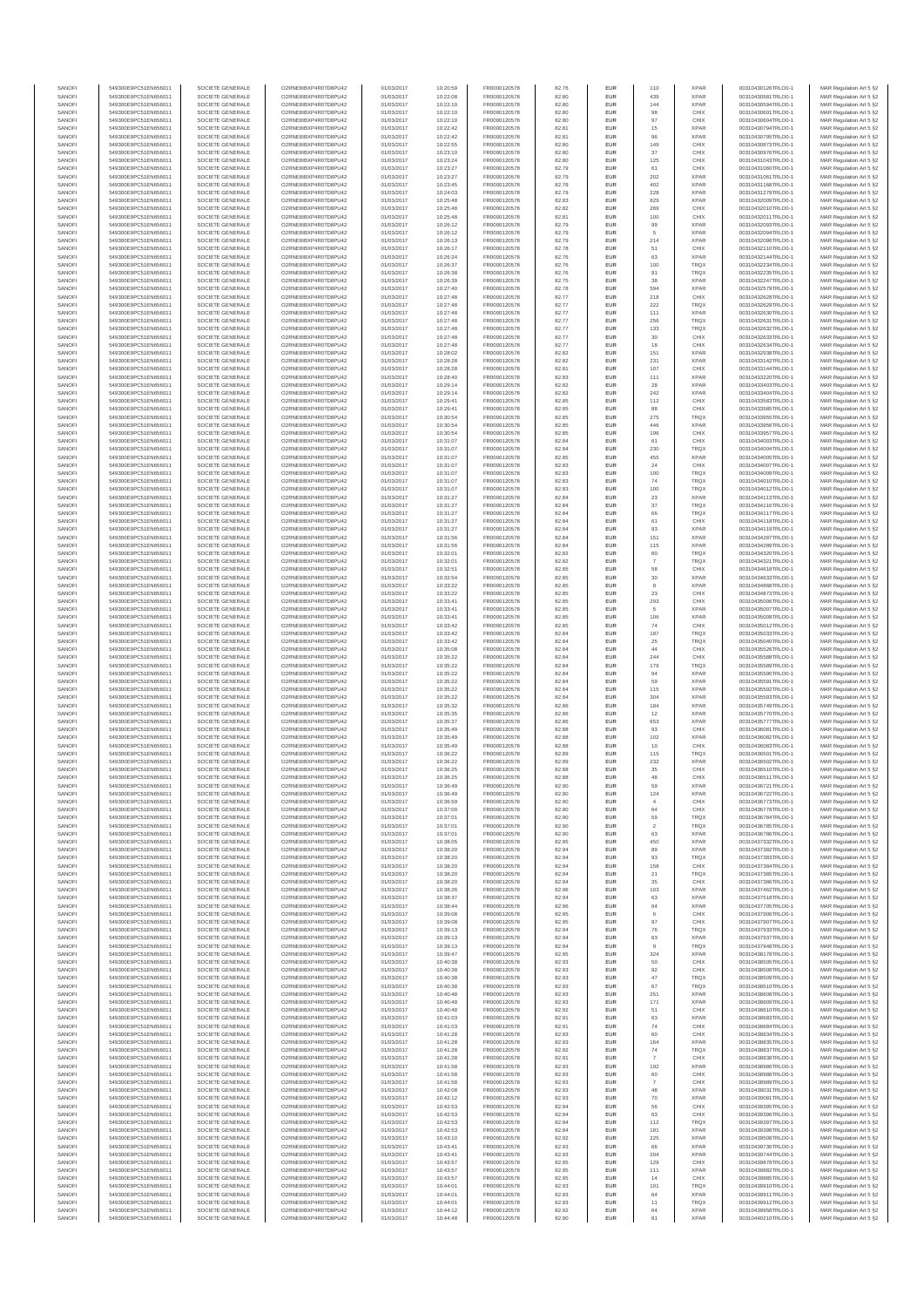| SANOFI           | 549300E9PC51EN656011                         | SOCIETE GENERALE                     | O2RNE8IBXP4R0TD8PU42                          | 01/03/2017               | 10:20:59             | FR0000120578                 | 82.76          | EUR                      | 110            | <b>XPAR</b>                | 00310430126TRLO0-1                       | MAR Regulation Art 5 §2                             |
|------------------|----------------------------------------------|--------------------------------------|-----------------------------------------------|--------------------------|----------------------|------------------------------|----------------|--------------------------|----------------|----------------------------|------------------------------------------|-----------------------------------------------------|
| SANOFI<br>SANOFI | 549300E9PC51EN656011<br>549300E9PC51EN656011 | SOCIETE GENERALE<br>SOCIETE GENERALE | O2RNE8IBXP4R0TD8PU42<br>O2RNE8IBXP4R0TD8PU42  | 01/03/2017<br>01/03/2017 | 10:22:08             | FR0000120578                 | 82.80<br>82.80 | EUR<br>EUR               | 439<br>144     | <b>XPAR</b><br><b>XPAR</b> | 00310430581TRLO0-1<br>00310430594TRLO0-1 | MAR Regulation Art 5 §2                             |
| SANOFI           | 549300E9PC51EN656011                         | SOCIETE GENERALE                     | O2RNE8IBXP4R0TD8PLI42                         | 01/03/2017               | 10:22:10<br>10:22:10 | FR0000120578<br>FR0000120578 | 82.80          | EUR                      | 98             | CHIX                       | 00310430601TRLO0-1                       | MAR Regulation Art 5 §2<br>MAR Regulation Art 5 §2  |
| SANOFI           | 549300E9PC51EN656011                         | SOCIETE GENERALE                     | O2RNE8IBXP4R0TD8PU42                          | 01/03/2017               | 10:22:10             | FR0000120578                 | 82.80          | EUR                      | 97             | CHIX                       | 00310430604TRLO0-1                       | MAR Regulation Art 5 §2                             |
| SANOFI           | 549300E9PC51EN656011                         | SOCIETE GENERALE                     | O2RNE8IBXP4R0TD8PU42                          | 01/03/2017               | 10:22:42             | FR0000120578<br>FR0000120578 | 82.81          | EUR                      | 15             | <b>XPAR</b>                | 00310430794TRLO0-1                       | MAR Regulation Art 5 §2                             |
| SANOFI<br>SANOFI | 549300E9PC51EN656011<br>549300E9PC51EN656011 | SOCIETE GENERALE<br>SOCIETE GENERALE | O2RNE8IBXP4R0TD8PU42<br>O2RNE8IBXP4R0TD8PU42  | 01/03/2017<br>01/03/2017 | 10:22:42<br>10:22:55 | FR0000120578                 | 82.81<br>82.80 | EUR<br>EUR               | 96<br>149      | <b>XPAR</b><br>CHIX        | 00310430795TRLO0-1<br>00310430873TRLO0-1 | MAR Regulation Art 5 §2<br>MAR Regulation Art 5 §2  |
| SANOFI           | 549300E9PC51EN656011                         | SOCIETE GENERALE                     | O2RNE8IBXP4R0TD8PU42                          | 01/03/2017               | 10:23:10             | FR0000120578                 | 82.80          | <b>EUR</b>               | 37             | CHIX                       | 00310430976TRLO0-1                       | MAR Regulation Art 5 §2                             |
| SANOFI           | 549300E9PC51EN656011                         | SOCIETE GENERALE                     | O2RNE8IBXP4R0TD8PU42                          | 01/03/2017               | 10:23:24             | FR0000120578                 | 82.80          | EUR                      | 125            | CHIX                       | 00310431043TRLO0-1                       | MAR Regulation Art 5 §2                             |
| SANOFI<br>SANOFI | 549300E9PC51EN656011<br>549300E9PC51EN656011 | SOCIETE GENERALE<br>SOCIETE GENERALE | O2RNE8IBXP4R0TD8PLI42<br>O2RNE8IBXP4R0TD8PU42 | 01/03/2017<br>01/03/2017 | 10:23:27<br>10:23:27 | FR0000120578<br>FR0000120578 | 82.79<br>82.79 | EUR<br>EUR               | 61<br>202      | CHIX<br><b>XPAR</b>        | 00310431060TRLO0-1<br>00310431061TRLO0-1 | MAR Regulation Art 5 §2<br>MAR Regulation Art 5 §2  |
| SANOFI           | 549300E9PC51EN656011                         | SOCIETE GENERALE                     | O2RNE8IBXP4R0TD8PU42                          | 01/03/2017               | 10:23:45             | FR0000120578                 | 82.78          | EUR                      | 402            | <b>XPAR</b>                | 00310431168TRLO0-1                       | MAR Regulation Art 5 §2                             |
| SANOFI           | 549300E9PC51EN656011                         | SOCIETE GENERALE                     | O2RNE8IBXP4R0TD8PU42                          | 01/03/2017               | 10:24:03             | FR0000120578                 | 82.79          | EUR                      | 228            | <b>XPAR</b>                | 00310431279TRLO0-1                       | MAR Regulation Art 5 §2                             |
| SANOFI           | 549300E9PC51EN656011                         | SOCIETE GENERALE                     | O2RNE8IBXP4R0TD8PU42                          | 01/03/2017               | 10:25:48             | FR0000120578                 | 82.83          | EUR                      | 829            | <b>XPAR</b>                | 00310432009TRLO0-1                       | MAR Regulation Art 5 §2                             |
| SANOFI<br>SANOFI | 549300E9PC51EN656011<br>549300E9PC51EN656011 | SOCIETE GENERALE<br>SOCIETE GENERALE | O2RNE8IBXP4R0TD8PU42<br>O2RNE8IBXP4R0TD8PU42  | 01/03/2017<br>01/03/2017 | 10:25:48<br>10:25:48 | FR0000120578<br>FR0000120578 | 82.82<br>82.81 | <b>EUR</b><br>EUR        | 269<br>100     | CHIX<br>CHIX               | 00310432010TRLO0-1<br>00310432011TRLO0-1 | MAR Regulation Art 5 §2<br>MAR Regulation Art 5 §2  |
| SANOFI           | 549300E9PC51EN656011                         | SOCIETE GENERALE                     | O2RNE8IBXP4R0TD8PU42                          | 01/03/2017               | 10:26:12             | FR0000120578                 | 82.79          | <b>EUR</b>               | 99             | <b>XPAR</b>                | 00310432093TRLO0-1                       | MAR Regulation Art 5 §2                             |
| SANOFI           | 549300E9PC51EN656011                         | SOCIETE GENERALE                     | O2RNE8IBXP4R0TD8PU42                          | 01/03/2017               | 10:26:12             | FR0000120578                 | 82.79          | EUR                      | 5              | <b>XPAR</b>                | 00310432094TRLO0-1                       | MAR Regulation Art 5 §2                             |
| SANOFI           | 549300E9PC51EN656011                         | SOCIETE GENERALE                     | O2RNESIBXP4R0TD8PLI42                         | 01/03/2017               | 10:26:13             | FR0000120578                 | 82.79          | EUR                      | 214            | <b>XPAR</b>                | 00310432096TRLO0-1                       | MAR Regulation Art 5 §2                             |
| SANOFI<br>SANOFI | 549300E9PC51EN656011<br>549300E9PC51EN656011 | SOCIETE GENERALE<br>SOCIETE GENERALE | O2RNE8IBXP4R0TD8PU42<br>O2RNE8IBXP4R0TD8PLI42 | 01/03/2017<br>01/03/2017 | 10:26:17<br>10:26:24 | FR0000120578<br>FR0000120578 | 82.78<br>82.76 | EUR<br>EUR               | 51<br>63       | CHIX<br><b>XPAR</b>        | 00310432110TRLO0-1<br>00310432144TRLO0-1 | MAR Regulation Art 5 §2<br>MAR Regulation Art 5 §2  |
| SANOFI           | 549300E9PC51EN656011                         | SOCIETE GENERALE                     | O2RNE8IBXP4R0TD8PU42                          | 01/03/2017               | 10:26:37             | FR0000120578                 | 82.76          | <b>EUR</b>               | 100            | <b>TRQX</b>                | 00310432234TRLO0-1                       | MAR Regulation Art 5 §2                             |
| SANOFI           | 549300E9PC51EN656011                         | SOCIETE GENERALE                     | O2RNE8IBXP4R0TD8PU42                          | 01/03/2017               | 10:26:38             | FR0000120578                 | 82.76          | EUR                      | 91             | TRQX                       | 00310432235TRLO0-1                       | MAR Regulation Art 5 §2                             |
| SANOFI           | 549300E9PC51EN656011                         | SOCIETE GENERALE<br>SOCIETE GENERALE | O2RNE8IBXP4R0TD8PU42<br>O2RNE8IBXP4R0TD8PU42  | 01/03/2017               | 10:26:39             | FR0000120578                 | 82.75          | <b>EUR</b>               | 38             | <b>XPAR</b>                | 00310432247TRLO0-1<br>00310432579TRLO0-1 | MAR Regulation Art 5 §2<br>MAR Regulation Art 5 §2  |
| SANOFI<br>SANOFI | 549300E9PC51EN656011<br>549300E9PC51EN656011 | SOCIETE GENERALE                     | O2RNE8IBXP4R0TD8PU42                          | 01/03/2017<br>01/03/2017 | 10:27:40<br>10:27:48 | FR0000120578<br>FR0000120578 | 82.78<br>82.77 | EUR<br><b>EUR</b>        | 594<br>218     | <b>XPAR</b><br>CHIX        | 00310432628TRLO0-1                       | MAR Regulation Art 5 §2                             |
| SANOFI           | 549300E9PC51EN656011                         | SOCIETE GENERALE                     | O2RNE8IBXP4R0TD8PU42                          | 01/03/2017               | 10:27:48             | FR0000120578                 | 82.77          | EUR                      | 222            | TRQX                       | 00310432629TRLO0-1                       | MAR Regulation Art 5 §2                             |
| SANOFI           | 549300E9PC51EN656011                         | SOCIETE GENERALE                     | O2RNE8IBXP4R0TD8PU42                          | 01/03/2017               | 10:27:48             | FR0000120578                 | 82.77          | EUR                      | 111            | <b>XPAR</b>                | 00310432630TRLO0-1                       | MAR Regulation Art 5 §2                             |
| SANOFI<br>SANOFI | 549300E9PC51EN656011<br>549300E9PC51EN656011 | SOCIETE GENERALE<br>SOCIETE GENERALE | O2RNE8IBXP4R0TD8PU42<br>O2RNE8IBXP4R0TD8PU42  | 01/03/2017<br>01/03/2017 | 10:27:48<br>10:27:48 | FR0000120578<br>FR0000120578 | 82.77<br>82.77 | EUR<br>EUR               | 256<br>133     | TRQX<br>TRQX               | 00310432631TRLO0-1<br>00310432632TRLO0-1 | MAR Regulation Art 5 §2<br>MAR Regulation Art 5 §2  |
| SANOFI           | 549300E9PC51EN656011                         | SOCIETE GENERALE                     | O2RNE8IBXP4R0TD8PU42                          | 01/03/2017               | 10:27:48             | FR0000120578                 | 82.77          | <b>EUR</b>               | 30             | CHIX                       | 00310432633TRLO0-1                       | MAR Regulation Art 5 §2                             |
| SANOFI           | 549300E9PC51EN656011                         | SOCIETE GENERALE                     | O2RNE8IBXP4R0TD8PU42                          | 01/03/2017               | 10:27:48             | FR0000120578                 | 82.77          | EUR                      | 18             | CHIX                       | 00310432634TRLO0-1                       | MAR Regulation Art 5 §2                             |
| SANOFI<br>SANOFI | 549300E9PC51EN656011<br>549300E9PC51EN656011 | SOCIETE GENERALE<br>SOCIETE GENERALE | O2RNE8IBXP4R0TD8PU42<br>O2RNE8IBXP4R0TD8PU42  | 01/03/2017<br>01/03/2017 | 10:28:02<br>10:28:28 | FR0000120578<br>FR0000120578 | 82.82<br>82.82 | <b>EUR</b><br>EUR        | 151<br>231     | <b>XPAR</b><br><b>XPAR</b> | 00310432938TRLO0-1<br>00310433142TRLO0-1 | MAR Regulation Art 5 §2<br>MAR Regulation Art 5 §2  |
| SANOFI           | 549300E9PC51EN656011                         | SOCIETE GENERALE                     | O2RNE8IBXP4R0TD8PU42                          | 01/03/2017               | 10:28:28             | FR0000120578                 | 82.81          | EUR                      | 107            | CHIX                       | 00310433144TRLO0-1                       | MAR Regulation Art 5 §2                             |
| SANOFI           | 549300E9PC51EN656011                         | SOCIETE GENERALE                     | O2RNE8IBXP4R0TD8PU42                          | 01/03/2017               | 10:28:40             | FR0000120578                 | 82.83          | EUR                      | 111            | <b>XPAR</b>                | 00310433220TRLO0-1                       | MAR Regulation Art 5 §2                             |
| SANOFI           | 549300E9PC51EN656011                         | SOCIETE GENERALE                     | O2RNE8IBXP4R0TD8PU42                          | 01/03/2017               | 10:29:14             | FR0000120578                 | 82.82          | EUR                      | 28             | <b>XPAR</b>                | 00310433403TRLO0-1                       | MAR Regulation Art 5 §2                             |
| SANOFI<br>SANOFI | 549300E9PC51EN656011<br>549300E9PC51EN656011 | SOCIETE GENERALE<br>SOCIETE GENERALE | O2RNE8IBXP4R0TD8PU42<br>O2RNE8IBXP4R0TD8PU42  | 01/03/2017<br>01/03/2017 | 10:29:14<br>10:29:41 | FR0000120578<br>FR0000120578 | 82.82<br>82.85 | EUR<br>EUR               | 242<br>112     | <b>XPAR</b><br>CHIX        | 00310433404TRLO0-1<br>00310433583TRLO0-1 | MAR Regulation Art 5 §2<br>MAR Regulation Art 5 §2  |
| SANOFI           | 549300E9PC51EN656011                         | SOCIETE GENERALE                     | O2RNE8IBXP4R0TD8PU42                          | 01/03/2017               | 10:29:41             | FR0000120578                 | 82.85          | <b>EUR</b>               | 88             | CHIX                       | 00310433585TRLO0-1                       | MAR Regulation Art 5 §2                             |
| SANOFI           | 549300E9PC51EN656011                         | SOCIETE GENERALE                     | O2RNE8IBXP4R0TD8PU42                          | 01/03/2017               | 10:30:54             | FR0000120578                 | 82.85          | EUR                      | 275            | TRQX                       | 00310433955TRLO0-1                       | MAR Regulation Art 5 §2                             |
| SANOFI           | 549300E9PC51EN656011                         | SOCIETE GENERALE                     | O2RNE8IBXP4R0TD8PLI42                         | 01/03/2017               | 10:30:54             | FR0000120578<br>FR0000120578 | 82.85          | <b>EUR</b>               | 446            | <b>XPAR</b>                | 00310433956TRLO0-1                       | MAR Regulation Art 5 §2                             |
| SANOFI<br>SANOFI | 549300E9PC51EN656011<br>549300E9PC51EN656011 | SOCIETE GENERALE<br>SOCIETE GENERALE | O2RNE8IBXP4R0TD8PU42<br>O2RNE8IBXP4R0TD8PU42  | 01/03/2017<br>01/03/2017 | 10:30:54<br>10:31:07 | FR0000120578                 | 82.85<br>82.84 | EUR<br>EUR               | 196<br>61      | CHIX<br>CHIX               | 00310433957TRLO0-1<br>00310434003TRLO0-1 | MAR Regulation Art 5 §2<br>MAR Regulation Art 5 §2  |
| SANOFI           | 549300E9PC51EN656011                         | SOCIETE GENERALE                     | O2RNE8IBXP4R0TD8PU42                          | 01/03/2017               | 10:31:07             | FR0000120578                 | 82.84          | EUR                      | 230            | TRQX                       | 00310434004TRLO0-1                       | MAR Regulation Art 5 §2                             |
| SANOFI           | 549300E9PC51EN656011                         | SOCIETE GENERALE                     | O2RNE8IBXP4R0TD8PLI42                         | 01/03/2017               | 10:31:07             | FR0000120578                 | 82.85          | EUR                      | 455            | <b>XPAR</b>                | 00310434005TRLO0-1                       | MAR Regulation Art 5 §2                             |
| SANOFI<br>SANOFI | 549300E9PC51EN656011<br>549300E9PC51EN656011 | SOCIETE GENERALE<br>SOCIETE GENERALE | O2RNE8IBXP4R0TD8PU42<br>O2RNE8IBXP4R0TD8PU42  | 01/03/2017<br>01/03/2017 | 10:31:07<br>10:31:07 | FR0000120578<br>FR0000120578 | 82.83<br>82.83 | EUR<br>EUR               | 24<br>100      | CHIX<br>TRQX               | 00310434007TRLO0-1<br>00310434009TRLO0-1 | MAR Regulation Art 5 §2<br>MAR Regulation Art 5 §2  |
| SANOFI           | 549300E9PC51EN656011                         | SOCIETE GENERALE                     | O2RNE8IBXP4R0TD8PU42                          | 01/03/2017               | 10:31:07             | FR0000120578                 | 82.83          | EUR                      | 74             | <b>TRQX</b>                | 00310434010TRLO0-1                       | MAR Regulation Art 5 §2                             |
| SANOFI           | 549300E9PC51EN656011                         | SOCIETE GENERALE                     | O2RNE8IBXP4R0TD8PU42                          | 01/03/2017               | 10:31:07             | FR0000120578                 | 82.83          | EUR                      | 100            | TRQX                       | 00310434012TRLO0-1                       | MAR Regulation Art 5 §2                             |
| SANOFI           | 549300E9PC51EN656011                         | SOCIETE GENERALE                     | O2RNE8IBXP4R0TD8PU42                          | 01/03/2017               | 10:31:27             | FR0000120578                 | 82.84          | <b>EUR</b>               | 23             | <b>XPAR</b>                | 00310434113TRLO0-1                       | MAR Regulation Art 5 §2                             |
| SANOFI<br>SANOFI | 549300E9PC51EN656011<br>549300E9PC51EN656011 | SOCIETE GENERALE<br>SOCIETE GENERALE | O2RNE8IBXP4R0TD8PU42<br>O2RNE8IBXP4R0TD8PLI42 | 01/03/2017<br>01/03/2017 | 10:31:27<br>10:31:27 | FR0000120578<br>FR0000120578 | 82.84<br>82.84 | EUR<br>EUR               | $37\,$<br>66   | TRQX<br>TRQX               | 00310434116TRLO0-1<br>00310434117TRLO0-1 | MAR Regulation Art 5 §2<br>MAR Regulation Art 5 §2  |
| SANOFI           | 549300E9PC51EN656011                         | SOCIETE GENERALE                     | O2RNE8IBXP4R0TD8PU42                          | 01/03/2017               | 10:31:27             | FR0000120578                 | 82.84          | EUR                      | 61             | CHIX                       | 00310434118TRLO0-1                       | MAR Regulation Art 5 §2                             |
| SANOFI           | 549300E9PC51EN656011                         | SOCIETE GENERALE                     | O2RNE8IBXP4R0TD8PU42                          | 01/03/2017               | 10:31:27             | FR0000120578                 | 82.84          | EUR                      | 93             | <b>XPAR</b>                | 00310434119TRLO0-1                       | MAR Regulation Art 5 §2                             |
| SANOFI           | 549300E9PC51EN656011                         | SOCIETE GENERALE                     | O2RNE8IBXP4R0TD8PU42                          | 01/03/2017               | 10:31:56             | FR0000120578                 | 82.84          | <b>EUR</b>               | 151            | <b>XPAR</b>                | 00310434287TRLO0-1                       | MAR Regulation Art 5 §2                             |
| SANOFI<br>SANOFI | 549300E9PC51EN656011<br>549300E9PC51EN656011 | SOCIETE GENERALE<br>SOCIETE GENERALE | O2RNE8IBXP4R0TD8PU42<br>O2RNE8IBXP4R0TD8PU42  | 01/03/2017<br>01/03/2017 | 10:31:56<br>10:32:01 | FR0000120578<br>FR0000120578 | 82.84<br>82.82 | EUR<br><b>EUR</b>        | 115<br>60      | <b>XPAR</b><br><b>TRQX</b> | 00310434289TRLO0-1<br>00310434320TRLO0-1 | MAR Regulation Art 5 §2<br>MAR Regulation Art 5 §2  |
| SANOFI           | 549300E9PC51EN656011                         | SOCIETE GENERALE                     | O2RNE8IBXP4R0TD8PU42                          | 01/03/2017               | 10:32:01             | FR0000120578                 | 82.82          | EUR                      |                | TRQX                       | 00310434321TRLO0-1                       | MAR Regulation Art 5 §2                             |
| SANOFI           | 549300E9PC51EN656011                         | SOCIETE GENERALE                     | O2RNE8IBXP4R0TD8PU42                          | 01/03/2017               | 10:32:51             | FR0000120578                 | 82.85          | <b>EUR</b>               | 58             | CHIX                       | 00310434618TRLO0-1                       | MAR Regulation Art 5 §2                             |
| SANOFI<br>SANOFI | 549300E9PC51EN656011<br>549300E9PC51EN656011 | SOCIETE GENERALE<br>SOCIETE GENERALE | O2RNE8IBXP4R0TD8PU42<br>O2RNE8IBXP4R0TD8PU42  | 01/03/2017<br>01/03/2017 | 10:32:54<br>10:33:22 | FR0000120578<br>FR0000120578 | 82.85<br>82.85 | EUR<br>EUR               | $30\,$<br>8    | <b>XPAR</b><br><b>XPAR</b> | 00310434633TRLO0-1<br>00310434868TRLO0-1 | MAR Regulation Art 5 §2<br>MAR Regulation Art 5 §2  |
| SANOFI           | 549300E9PC51EN656011                         | SOCIETE GENERALE                     | O2RNE8IBXP4R0TD8PU42                          | 01/03/2017               | 10:33:22             | FR0000120578                 | 82.85          | EUR                      | 23             | CHIX                       | 00310434873TRLO0-1                       | MAR Regulation Art 5 §2                             |
| SANOFI           | 549300E9PC51EN656011                         | SOCIETE GENERALE                     | O2RNE8IBXP4R0TD8PU42                          | 01/03/2017               | 10:33:41             | FR0000120578                 | 82.85          | EUR                      | 293            | CHIX                       | 00310435006TRLO0-1                       | MAR Regulation Art 5 §2                             |
| SANOFI           | 549300E9PC51EN656011                         | SOCIETE GENERALE                     | O2RNE8IBXP4R0TD8PU42                          | 01/03/2017               | 10:33:41             | FR0000120578                 | 82.85          | <b>EUR</b>               | 5              | <b>XPAR</b>                | 00310435007TRLO0-1                       | MAR Regulation Art 5 §2                             |
| SANOFI<br>SANOFI | 549300E9PC51EN656011<br>549300E9PC51EN656011 | SOCIETE GENERALE<br>SOCIETE GENERALE | O2RNE8IBXP4R0TD8PU42<br>O2RNE8IBXP4R0TD8PU42  | 01/03/2017<br>01/03/2017 | 10:33:41<br>10:33:42 | FR0000120578<br>FR0000120578 | 82.85<br>82.85 | EUR<br><b>EUR</b>        | 106<br>74      | <b>XPAR</b><br>CHIX        | 00310435008TRLO0-1<br>00310435012TRLO0-1 | MAR Regulation Art 5 §2<br>MAR Regulation Art 5 §2  |
| SANOFI           | 549300E9PC51EN656011                         | SOCIETE GENERALE                     | O2RNE8IBXP4R0TD8PU42                          | 01/03/2017               | 10:33:42             | FR0000120578                 | 82.84          | EUR                      | 187            | TRQX                       | 00310435033TRLO0-1                       | MAR Regulation Art 5 §2                             |
| SANOFI           | 549300E9PC51EN656011                         | SOCIETE GENERALE                     | O2RNE8IBXP4R0TD8PU42                          | 01/03/2017               | 10:33:42             | FR0000120578                 | 82.84          | <b>EUR</b>               | 25             | TRQX                       | 00310435040TRLO0-1                       | MAR Regulation Art 5 §2                             |
| SANOFI<br>SANOFI | 549300E9PC51EN656011                         | SOCIETE GENERALE                     | O2RNE8IBXP4R0TD8PU42<br>O2RNE8IBXP4R0TD8PU42  | 01/03/2017<br>01/03/2017 | 10:35:08             | FR0000120578<br>FR0000120578 | 82.84<br>82.84 | EUR<br>EUR               | 44<br>244      | CHIX<br>CHIX               | 00310435526TRLO0-1                       | MAR Regulation Art 5 §2<br>MAR Regulation Art 5 §2  |
| SANOFI           | 549300E9PC51EN656011<br>549300E9PC51EN656011 | SOCIETE GENERALE<br>SOCIETE GENERALE | O2RNE8IBXP4R0TD8PU42                          | 01/03/2017               | 10:35:22<br>10:35:22 | FR0000120578                 | 82.84          | EUR                      | 179            | TRQX                       | 00310435588TRLO0-1<br>00310435589TRLO0-1 | MAR Regulation Art 5 §2                             |
| SANOFI           | 549300E9PC51EN656011                         | SOCIETE GENERALE                     | O2RNE8IBXP4R0TD8PU42                          | 01/03/2017               | 10:35:22             | FR0000120578                 | 82.84          | EUR                      |                | <b>XPAR</b>                | 00310435590TRLO0-1                       | MAR Regulation Art 5 §2                             |
| SANOFI           | 549300E9PC51EN656011                         | SOCIETE GENERALE                     | O2RNE8IBXP4R0TD8PU42                          | 01/03/2017               | 10:35:22             | FR0000120578                 | 82.84          | <b>EUR</b>               | 59             | <b>XPAR</b>                | 00310435591TRLO0-1                       | MAR Regulation Art 5 §2                             |
| SANOFI<br>SANOFI | 549300E9PC51EN656011<br>549300E9PC51EN656011 | SOCIETE GENERALE<br>SOCIETE GENERALE | O2RNE8IBXP4R0TD8PU42<br>O2RNE8IBXP4R0TD8PU42  | 01/03/2017<br>01/03/2017 | 10:35:22<br>10:35:22 | FR0000120578<br>FR0000120578 | 82.84<br>82.84 | EUR<br><b>EUR</b>        | 115<br>304     | <b>XPAR</b><br><b>XPAR</b> | 00310435592TRLO0-1<br>00310435593TRLO0-1 | MAR Regulation Art 5 §2<br>MAR Regulation Art 5 §2  |
| SANOFI           | 549300E9PC51EN656011                         | SOCIETE GENERALE                     | O2RNE8IBXP4R0TD8PU42                          | 01/03/2017               | 10:35:32             | FR0000120578                 | 82.86          | EUR                      | 184            | <b>XPAR</b>                | 00310435749TRLO0-1                       | MAR Regulation Art 5 §2                             |
| SANOFI           | 549300E9PC51EN656011                         | SOCIETE GENERALE                     | O2RNE8IBXP4R0TD8PU42                          | 01/03/2017               | 10:35:35             | FR0000120578                 | 82.86          | EUR                      | $12\,$         | <b>XPAR</b>                | 00310435770TRLO0-1                       | MAR Regulation Art 5 §2                             |
| SANOFI           | 549300E9PC51EN656011                         | SOCIETE GENERALE                     | O2RNE8IBXP4R0TD8PU42                          | 01/03/2017               | 10:35:37             | FR0000120578                 | 82.86          | EUR                      | 653            | <b>XPAR</b>                | 00310435777TRLO0-1                       | MAR Regulation Art 5 §2                             |
| SANOFI<br>SANOFI | 549300E9PC51EN656011<br>549300E9PC51EN656011 | SOCIETE GENERALE<br>SOCIETE GENERALE | O2RNE8IBXP4R0TD8PU42<br>O2RNE8IBXP4R0TD8PU42  | 01/03/2017<br>01/03/2017 | 10:35:49<br>10:35:49 | FR0000120578<br>FR0000120578 | 82.88<br>82.88 | EUR<br>EUR               | 93<br>102      | CHIX<br><b>XPAR</b>        | 00310436081TRLO0-1<br>00310436082TRLO0-1 | MAR Regulation Art 5 §2<br>MAR Regulation Art 5 §2  |
| SANOFI           | 549300E9PC51EN656011                         | SOCIETE GENERALE                     | O2RNE8IBXP4R0TD8PU42                          | 01/03/2017               | 10:35:49             | FR0000120578                 | 82.88          | EUR                      | 10             | CHIX                       | 00310436083TRLO0-1                       | MAR Regulation Art 5 §2                             |
| SANOFI           | 549300E9PC51EN656011                         | SOCIETE GENERALE                     | O2RNE8IBXP4R0TD8PU42                          | 01/03/2017               | 10:36:22             | FR0000120578                 | 82.89          | <b>EUR</b>               | 115            | <b>TRQX</b>                | 00310436501TRLO0-1                       | MAR Regulation Art 5 §2                             |
| SANOFI<br>SANOFI | 549300E9PC51EN656011<br>549300E9PC51EN656011 | SOCIETE GENERALE<br>SOCIETE GENERALE | O2RNE8IBXP4R0TD8PU42<br>O2RNE8IBXP4R0TD8PU42  | 01/03/2017<br>01/03/2017 | 10:36:22<br>10:36:25 | FR0000120578<br>FR0000120578 | 82.89<br>82.88 | EUR<br>EUR               | 232<br>35      | <b>XPAR</b><br>CHIX        | 00310436502TRLO0-1<br>00310436510TRLO0-1 | MAR Regulation Art 5 §2<br>MAR Regulation Art 5 §2  |
| SANOFI           | 549300E9PC51EN656011                         | SOCIETE GENERALE                     | O2RNE8IBXP4R0TD8PU42                          | 01/03/2017               | 10:36:25             | FR0000120578                 | 82.88          | EUR                      | 48             | CHIX                       | 00310436511TRLO0-1                       | MAR Regulation Art 5 §2                             |
| SANOFI           | 549300E9PC51EN656011                         | SOCIETE GENERALE                     | O2RNE8IBXP4R0TD8PLI42                         | 01/03/2017               | 10:36:49             | FR0000120578                 | 82.90          | EUR                      | 59             | <b>XPAR</b>                | 00310436721TRLO0-1                       | MAR Regulation Art 5 §2                             |
| SANOFI           | 549300E9PC51EN656011                         | SOCIETE GENERALE                     | O2RNE8IBXP4R0TD8PU42                          | 01/03/2017               | 10:36:49             | FR0000120578                 | 82.90          | <b>EUR</b>               | 124            | <b>XPAR</b>                | 00310436722TRLO0-1                       | MAR Regulation Art 5 §2                             |
| SANOFI<br>SANOFI | 549300E9PC51EN656011<br>549300E9PC51EN656011 | SOCIETE GENERALE<br>SOCIETE GENERALE | O2RNESIBXP4R0TD8PLI42<br>O2RNE8IBXP4R0TD8PU42 | 01/03/2017<br>01/03/2017 | 10:36:59<br>10:37:00 | FR0000120578<br>FR0000120578 | 82.90<br>82.90 | <b>EUR</b><br>EUR        | 64             | CHIX<br>CHIX               | 00310436773TRLO0-1<br>00310436778TRLO0-1 | MAR Regulation Art 5 §2<br>MAR Regulation Art 5 §2  |
| SANOFI           | 549300E9PC51EN656011                         | SOCIETE GENERALE                     | O2RNE8IBXP4R0TD8PU42                          | 01/03/2017               | 10:37:01             | FR0000120578                 | 82.90          | EUR                      | 59             | <b>TRQX</b>                | 00310436784TRLO0-1                       | MAR Regulation Art 5 §2                             |
| SANOFI           | 549300E9PC51EN656011                         | SOCIETE GENERALE                     | O2RNE8IBXP4R0TD8PU42                          | 01/03/2017               | 10:37:01             | FR0000120578                 | 82.90          | <b>EUR</b>               | $\overline{2}$ | <b>TROX</b>                | 00310436785TRLO0-1                       | MAR Regulation Art 5 §2                             |
| SANOFI<br>SANOFI | 549300E9PC51EN656011<br>549300E9PC51EN656011 | SOCIETE GENERALE<br>SOCIETE GENERALE | O2RNE8IBXP4R0TD8PU42<br>O2RNE8IBXP4R0TD8PU42  | 01/03/2017<br>01/03/2017 | 10:37:01<br>10:38:05 | FR0000120578<br>FR0000120578 | 82.90<br>82.95 | EUR<br><b>EUR</b>        | 63<br>450      | <b>XPAR</b><br><b>XPAR</b> | 00310436786TRLO0-1<br>00310437332TRLO0-1 | MAR Regulation Art 5 §2<br>MAR Regulation Art 5 §2  |
| SANOFI           | 549300E9PC51EN656011                         | SOCIETE GENERALE                     | O2RNE8IBXP4R0TD8PU42                          | 01/03/2017               | 10:38:20             | FR0000120578                 | 82.94          | EUR                      | 89             | <b>XPAR</b>                | 00310437382TRLO0-1                       | MAR Regulation Art 5 §2                             |
| SANOFI           | 549300E9PC51EN656011                         | SOCIETE GENERALE                     | O2RNE8IBXP4R0TD8PU42                          | 01/03/2017               | 10:38:20             | FR0000120578                 | 82.94          | EUR                      | 93             | <b>TRQX</b>                | 00310437383TRLO0-1                       | MAR Regulation Art 5 §2                             |
| SANOFI<br>SANOFI | 549300E9PC51EN656011<br>549300E9PC51EN656011 | SOCIETE GENERALE<br>SOCIETE GENERALE | O2RNE8IBXP4R0TD8PU42<br>O2RNESIBXP4R0TD8PLI42 | 01/03/2017<br>01/03/2017 | 10:38:20<br>10:38:20 | FR0000120578<br>FR0000120578 | 82.94<br>82.94 | EUR<br>EUR               | 158<br>21      | CHIX<br><b>TRQX</b>        | 00310437384TRLO0-1<br>00310437385TRLO0-1 | MAR Regulation Art 5 §2<br>MAR Regulation Art 5 §2  |
| SANOFI           | 549300E9PC51EN656011                         | SOCIETE GENERALE                     | O2RNE8IBXP4R0TD8PLI42                         | 01/03/2017               | 10:38:20             | FR0000120578                 | 82.94          | <b>EUR</b>               | 35             | CHIX                       | 00310437386TRLO0-1                       | MAR Regulation Art 5 §2                             |
| SANOFI           | 549300E9PC51EN656011                         | SOCIETE GENERALE                     | O2RNE8IBXP4R0TD8PU42                          | 01/03/2017               | 10:38:26             | FR0000120578                 | 82.96          | EUR                      | 103            | <b>XPAR</b>                | 00310437462TRLO0-1                       | MAR Regulation Art 5 §2                             |
| SANOFI<br>SANOFI | 549300E9PC51EN656011<br>549300E9PC51EN656011 | SOCIETE GENERALE<br>SOCIETE GENERALE | O2RNE8IBXP4R0TD8PU42<br>O2RNE8IBXP4R0TD8PU42  | 01/03/2017<br>01/03/2017 | 10:38:37<br>10:38:44 | FR0000120578<br>FR0000120578 | 82.94<br>82.96 | <b>EUR</b><br>EUR        | 63<br>64       | <b>XPAR</b><br><b>XPAR</b> | 00310437518TRLO0-1<br>00310437705TRLO0-1 | MAR Regulation Art 5 §2<br>MAR Regulation Art 5 §2  |
| SANOFI           | 549300E9PC51EN656011                         | SOCIETE GENERALE                     | O2RNE8IBXP4R0TD8PU42                          | 01/03/2017               | 10:39:08             | FR0000120578                 | 82.95          | EUR                      | 6              | CHIX                       | 00310437906TRLO0-1                       | MAR Regulation Art 5 §2                             |
| SANOFI           | 549300E9PC51EN656011                         | SOCIETE GENERALE                     | O2RNE8IBXP4R0TD8PU42                          | 01/03/2017               | 10:39:08             | FR0000120578                 | 82.95          | EUR                      | 97             | CHIX                       | 00310437907TRLO0-1                       | MAR Regulation Art 5 §2                             |
| SANOFI<br>SANOFI | 549300E9PC51EN656011                         | SOCIETE GENERALE<br>SOCIETE GENERALE | O2RNE8IBXP4R0TD8PU42<br>O2RNE8IBXP4R0TD8PU42  | 01/03/2017               | 10:39:13             | FR0000120578                 | 82.94          | EUR                      | 76             | <b>TRQX</b><br><b>XPAR</b> | 00310437933TRLO0-1                       | MAR Regulation Art 5 §2                             |
| SANOFI           | 549300E9PC51EN656011<br>549300E9PC51EN656011 | SOCIETE GENERALE                     | O2RNE8IBXP4R0TD8PU42                          | 01/03/2017<br>01/03/2017 | 10:39:13<br>10:39:13 | FR0000120578<br>FR0000120578 | 82.94<br>82.94 | EUR<br>EUR               | 63<br>9        | TRQX                       | 00310437937TRLO0-1<br>00310437948TRLO0-1 | MAR Regulation Art 5 §2<br>MAR Regulation Art 5 §2  |
| SANOFI           | 549300E9PC51EN656011                         | SOCIETE GENERALE                     | O2RNE8IBXP4R0TD8PU42                          | 01/03/2017               | 10:39:47             | FR0000120578                 | 82.95          | <b>EUR</b>               | 324            | <b>XPAR</b>                | 00310438178TRLO0-1                       | MAR Regulation Art 5 §2                             |
| SANOFI           | 549300E9PC51EN656011                         | SOCIETE GENERALE                     | O2RNE8IBXP4R0TD8PU42<br>O2RNE8IBXP4R0TD8PLI42 | 01/03/2017               | 10:40:38             | FR0000120578<br>FR0000120578 | 82.93          | EUR                      | 50<br>92       | CHIX                       | 00310438505TRLO0-1                       | MAR Regulation Art 5 §2                             |
| SANOFI<br>SANOFI | 549300E9PC51EN656011<br>549300E9PC51EN656011 | SOCIETE GENERALE<br>SOCIETE GENERALE | O2RNE8IBXP4R0TD8PU42                          | 01/03/2017<br>01/03/2017 | 10:40:38<br>10:40:38 | FR0000120578                 | 82.93<br>82.93 | <b>EUR</b><br>EUR        | 47             | CHIX<br>TRQX               | 00310438508TRLO0-1<br>00310438509TRLO0-1 | MAR Regulation Art 5 §2<br>MAR Regulation Art 5 \$2 |
| SANOFI           | 549300E9PC51EN656011                         | SOCIETE GENERALE                     | O2RNE8IBXP4R0TD8PU42                          | 01/03/2017               | 10:40:38             | FR0000120578                 | 82.93          | <b>EUR</b>               | 67             | <b>TRQX</b>                | 00310438510TRLO0-1                       | MAR Regulation Art 5 §2                             |
| SANOFI           | 549300E9PC51EN656011                         | SOCIETE GENERALE                     | O2RNE8IBXP4R0TD8PU42                          | 01/03/2017               | 10:40:48             | FR0000120578                 | 82.93          | EUR                      | 251            | <b>XPAR</b>                | 00310438608TRLO0-1                       | MAR Regulation Art 5 §2                             |
| SANOFI           | 549300E9PC51EN656011                         | SOCIETE GENERALE                     | O2RNE8IBXP4R0TD8PU42                          | 01/03/2017               | 10:40:48             | FR0000120578                 | 82.93          | EUR                      | 171            | <b>XPAR</b>                | 00310438609TRLO0-1                       | MAR Regulation Art 5 §2                             |
| SANOFI<br>SANOFI | 549300E9PC51EN656011<br>549300E9PC51EN656011 | SOCIETE GENERALE<br>SOCIETE GENERALE | O2RNE8IBXP4R0TD8PU42<br>O2RNE8IBXP4R0TD8PU42  | 01/03/2017<br>01/03/2017 | 10:40:48<br>10:41:03 | FR0000120578<br>FR0000120578 | 82.92<br>82.91 | EUR<br>EUR               | 51<br>63       | CHIX<br><b>XPAR</b>        | 00310438610TRLO0-1<br>00310438683TRLO0-1 | MAR Regulation Art 5 §2<br>MAR Regulation Art 5 §2  |
| SANOFI           | 549300E9PC51EN656011                         | SOCIETE GENERALE                     | O2RNE8IBXP4R0TD8PU42                          | 01/03/2017               | 10:41:03             | FR0000120578                 | 82.91          | <b>EUR</b>               | 74             | CHIX                       | 00310438684TRLO0-1                       | MAR Regulation Art 5 §2                             |
| SANOFI           | 549300E9PC51EN656011                         | SOCIETE GENERALE                     | O2RNE8IBXP4R0TD8PU42                          | 01/03/2017               | 10:41:28             | FR0000120578                 | 82.93          | EUR                      | 60             | CHIX                       | 00310438834TRLO0-1                       | MAR Regulation Art 5 §2                             |
| SANOFI<br>SANOFI | 549300E9PC51EN656011<br>549300E9PC51EN656011 | SOCIETE GENERALE<br>SOCIETE GENERALE | O2RNE8IBXP4R0TD8PU42<br>O2RNE8IBXP4R0TD8PU42  | 01/03/2017<br>01/03/2017 | 10:41:28             | FR0000120578                 | 82.93<br>82.92 | <b>EUR</b><br><b>EUR</b> | 164<br>74      | <b>XPAR</b><br><b>TRQX</b> | 00310438835TRLO0-1<br>00310438837TRLO0-1 | MAR Regulation Art 5 §2                             |
| SANOFI           | 549300E9PC51EN656011                         | SOCIETE GENERALE                     | O2RNE8IBXP4R0TD8PU42                          | 01/03/2017               | 10:41:28<br>10:41:28 | FR0000120578<br>FR0000120578 | 82.91          | EUR                      | $\overline{7}$ | CHIX                       | 00310438838TRLO0-1                       | MAR Regulation Art 5 §2<br>MAR Regulation Art 5 §2  |
| SANOFI           | 549300E9PC51EN656011                         | SOCIETE GENERALE                     | O2RNE8IBXP4R0TD8PU42                          | 01/03/2017               | 10:41:58             | FR0000120578                 | 82.93          | EUR                      | 192            | <b>XPAR</b>                | 00310438986TRLO0-1                       | MAR Regulation Art 5 §2                             |
| SANOFI           | 549300E9PC51EN656011                         | SOCIETE GENERALE                     | O2RNE8IBXP4R0TD8PU42                          | 01/03/2017               | 10:41:58             | FR0000120578                 | 82.93          | EUR                      | 60             | CHIX                       | 00310438988TRLO0-1                       | MAR Regulation Art 5 §2                             |
| SANOFI<br>SANOFI | 549300E9PC51EN656011<br>549300E9PC51EN656011 | SOCIETE GENERALE<br>SOCIETE GENERALE | O2RNE8IBXP4R0TD8PU42<br>O2RNE8IBXP4R0TD8PU42  | 01/03/2017<br>01/03/2017 | 10:41:58<br>10:42:08 | FR0000120578<br>FR0000120578 | 82.93<br>82.93 | EUR<br>EUR               | 48             | CHIX<br><b>XPAR</b>        | 00310438989TRLO0-1<br>00310439031TRLO0-1 | MAR Regulation Art 5 §2                             |
| SANOFI           | 549300E9PC51EN656011                         | SOCIETE GENERALE                     | O2RNE8IBXP4R0TD8PU42                          | 01/03/2017               | 10:42:12             | FR0000120578                 | 82.93          | <b>EUR</b>               | 70             | <b>XPAR</b>                | 00310439081TRLO0-1                       | MAR Regulation Art 5 §2<br>MAR Regulation Art 5 §2  |
| SANOFI           | 549300E9PC51EN656011                         | SOCIETE GENERALE                     | O2RNE8IBXP4R0TD8PU42                          | 01/03/2017               | 10:42:53             | FR0000120578                 | 82.94          | EUR                      | 56             | CHIX                       | 00310439395TRLO0-1                       | MAR Regulation Art 5 §2                             |
| SANOFI           | 549300E9PC51EN656011                         | SOCIETE GENERALE                     | O2RNE8IBXP4R0TD8PU42                          | 01/03/2017               | 10:42:53             | FR0000120578                 | 82.94          | EUR                      | 63             | CHIX                       | 00310439396TRLO0-1                       | MAR Regulation Art 5 §2                             |
| SANOFI<br>SANOFI | 549300E9PC51EN656011<br>549300E9PC51EN656011 | SOCIETE GENERALE<br>SOCIETE GENERALE | O2RNE8IBXP4R0TD8PU42<br>O2RNE8IBXP4R0TD8PU42  | 01/03/2017<br>01/03/2017 | 10:42:53<br>10:42:53 | FR0000120578<br>FR0000120578 | 82.94<br>82.94 | EUR<br>EUR               | 112<br>181     | <b>TRQX</b><br><b>XPAR</b> | 00310439397TRLO0-1<br>00310439398TRLO0-1 | MAR Regulation Art 5 §2<br>MAR Regulation Art 5 §2  |
| SANOFI           | 549300E9PC51EN656011                         | SOCIETE GENERALE                     | O2RNE8IBXP4R0TD8PU42                          | 01/03/2017               | 10:43:10             | FR0000120578                 | 82.92          | EUR                      | 225            | <b>XPAR</b>                | 00310439508TRLO0-1                       | MAR Regulation Art 5 §2                             |
| SANOFI           | 549300E9PC51EN656011                         | SOCIETE GENERALE                     | O2RNE8IBXP4R0TD8PU42                          | 01/03/2017               | 10:43:41             | FR0000120578                 | 82.93          | EUR                      | 66             | <b>XPAR</b>                | 00310439736TRLO0-1                       | MAR Regulation Art 5 §2                             |
| SANOFI           | 549300E9PC51EN656011                         | SOCIETE GENERALE                     | O2RNE8IBXP4R0TD8PU42                          | 01/03/2017               | 10:43:41             | FR0000120578                 | 82.93          | <b>EUR</b>               | 204            | <b>XPAR</b>                | 00310439744TRLO0-1                       | MAR Regulation Art 5 §2                             |
| SANOFI<br>SANOFI | 549300E9PC51EN656011<br>549300E9PC51EN656011 | SOCIETE GENERALE<br>SOCIETE GENERALE | O2RNE8IBXP4R0TD8PU42<br>O2RNE8IBXP4R0TD8PU42  | 01/03/2017<br>01/03/2017 | 10:43:57<br>10:43:57 | FR0000120578<br>FR0000120578 | 82.95<br>82.95 | EUR<br><b>EUR</b>        | 129<br>111     | CHIX<br><b>XPAR</b>        | 00310439878TRLO0-1<br>00310439882TRLO0-1 | MAR Regulation Art 5 §2<br>MAR Regulation Art 5 §2  |
| SANOFI           | 549300E9PC51EN656011                         | SOCIETE GENERALE                     | O2RNE8IBXP4R0TD8PU42                          | 01/03/2017               | 10:43:57             | FR0000120578                 | 82.95          | EUR                      | 14             | CHIX                       | 00310439885TRLO0-1                       | MAR Regulation Art 5 §2                             |
| SANOFI           | 549300E9PC51EN656011                         | SOCIETE GENERALE                     | O2RNE8IBXP4R0TD8PU42                          | 01/03/2017               | 10:44:01             | FR0000120578                 | 82.93          | EUR                      | 101            | <b>TRQX</b>                | 00310439910TRLO0-1                       | MAR Regulation Art 5 §2                             |
| SANOFI<br>SANOFI | 549300E9PC51EN656011<br>549300E9PC51EN656011 | SOCIETE GENERALE<br>SOCIETE GENERALE | O2RNE8IBXP4R0TD8PU42<br>O2RNE8IBXP4R0TD8PU42  | 01/03/2017<br>01/03/2017 | 10:44:01<br>10:44:01 | FR0000120578<br>FR0000120578 | 82.93<br>82.93 | EUR<br>EUR               | 64<br>$11$     | <b>XPAR</b><br><b>TRQX</b> | 00310439911TRLO0-1<br>00310439912TRLO0-1 | MAR Regulation Art 5 §2<br>MAR Regulation Art 5 §2  |
| SANOFI           | 549300E9PC51EN656011                         | SOCIETE GENERALE                     | O2RNE8IBXP4R0TD8PU42                          | 01/03/2017               | 10:44:12             | FR0000120578                 | 82.92          | EUR                      | 64             | <b>XPAR</b>                | 00310439958TRLO0-1                       | MAR Regulation Art 5 §2                             |
| SANOFI           | 549300E9PC51EN656011                         | SOCIETE GENERALE                     | O2RNE8IBXP4R0TD8PU42                          | 01/03/2017               | 10:44:48             | FR0000120578                 | 82.90          | EUR                      | 91             | <b>XPAR</b>                | 00310440210TRLO0-1                       | MAR Regulation Art 5 §2                             |
|                  |                                              |                                      |                                               |                          |                      |                              |                |                          |                |                            |                                          |                                                     |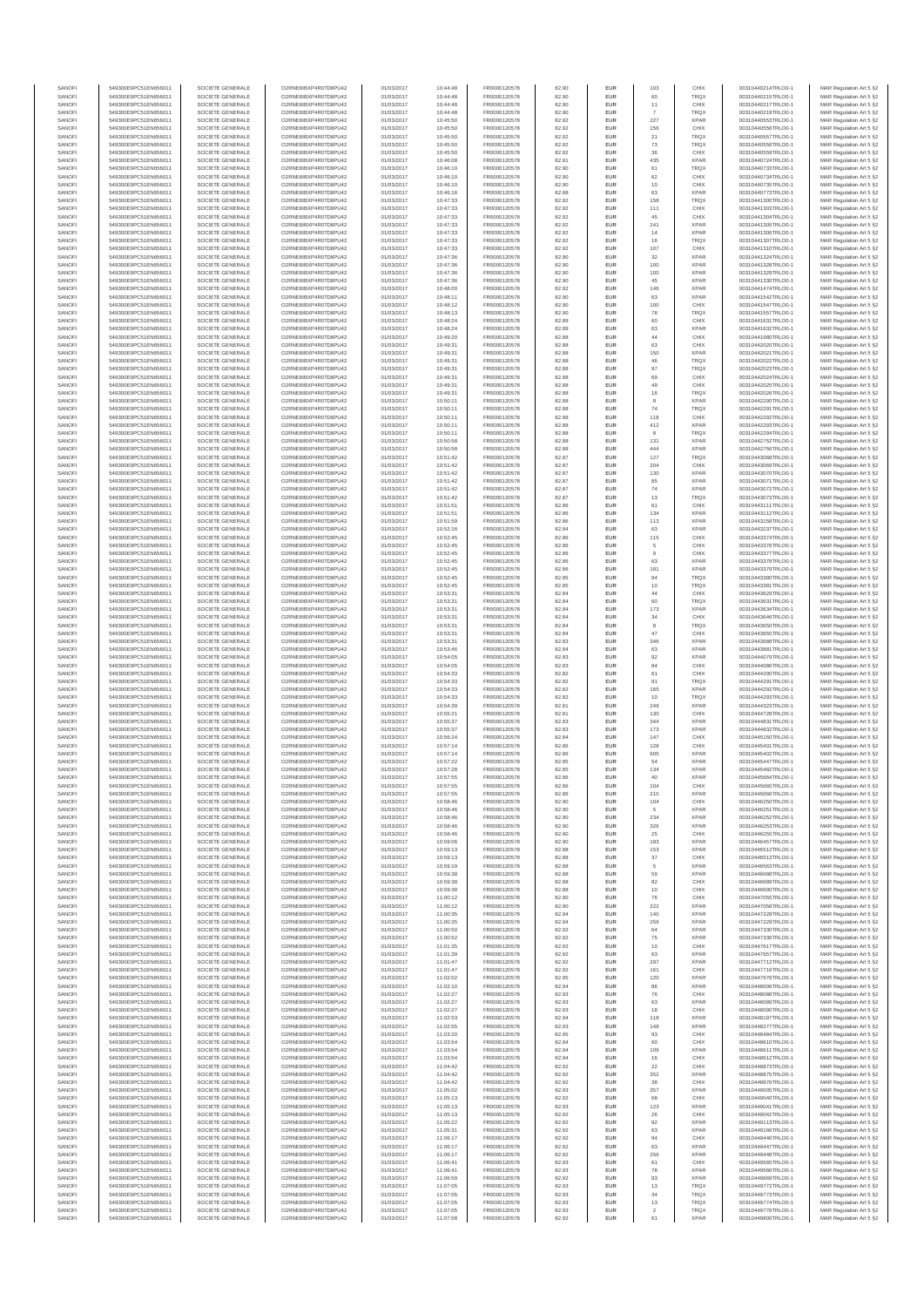| SANOFI           | 549300E9PC51EN656011                         | SOCIETE GENERALE                     | O2RNE8IBXP4R0TD8PU42                          | 01/03/2017               | 10:44:48             | FR0000120578                 | 82.90          | EUR                      | 103            | CHIX                       | 00310440214TRLO0-1                       | MAR Regulation Art 5 §2                            |
|------------------|----------------------------------------------|--------------------------------------|-----------------------------------------------|--------------------------|----------------------|------------------------------|----------------|--------------------------|----------------|----------------------------|------------------------------------------|----------------------------------------------------|
| SANOFI<br>SANOFI | 549300E9PC51EN656011<br>549300E9PC51EN656011 | SOCIETE GENERALE<br>SOCIETE GENERALE | O2RNE8IBXP4R0TD8PU42<br>O2RNE8IBXP4R0TD8PU42  | 01/03/2017<br>01/03/2017 | 10:44:48<br>10:44:48 | FR0000120578                 | 82.90          | EUR<br>EUR               | 60<br>11       | TRQX<br>CHIX               | 00310440215TRLO0-1<br>00310440217TRLO0-1 | MAR Regulation Art 5 §2                            |
| SANOFI           | 549300E9PC51EN656011                         | SOCIETE GENERALE                     | O2RNE8IBXP4R0TD8PLI42                         | 01/03/2017               | 10:44:48             | FR0000120578<br>FR0000120578 | 82.90<br>82.90 | EUR                      |                | <b>TRQX</b>                | 00310440219TRLO0-1                       | MAR Regulation Art 5 §2<br>MAR Regulation Art 5 §2 |
| SANOFI           | 549300E9PC51EN656011                         | SOCIETE GENERALE                     | O2RNE8IBXP4R0TD8PU42                          | 01/03/2017               | 10:45:50             | FR0000120578                 | 82.92          | EUR                      | 227            | <b>XPAR</b>                | 00310440553TRLO0-1                       | MAR Regulation Art 5 §2                            |
| SANOFI           | 549300E9PC51EN656011                         | SOCIETE GENERALE                     | O2RNE8IBXP4R0TD8PU42                          | 01/03/2017               | 10:45:50             | FR0000120578                 | 82.92          | EUR                      | 156            | CHIX                       | 00310440556TRLO0-1                       | MAR Regulation Art 5 §2                            |
| SANOFI<br>SANOFI | 549300E9PC51EN656011<br>549300E9PC51EN656011 | SOCIETE GENERALE<br>SOCIETE GENERALE | O2RNE8IBXP4R0TD8PU42<br>O2RNE8IBXP4R0TD8PU42  | 01/03/2017<br>01/03/2017 | 10:45:50<br>10:45:50 | FR0000120578<br>FR0000120578 | 82.92<br>82.92 | EUR<br>EUR               | 21<br>73       | <b>TRQX</b><br>TRQX        | 00310440557TRLO0-1<br>00310440558TRLO0-1 | MAR Regulation Art 5 §2<br>MAR Regulation Art 5 §2 |
| SANOFI           | 549300E9PC51EN656011                         | SOCIETE GENERALE                     | O2RNE8IBXP4R0TD8PU42                          | 01/03/2017               | 10:45:50             | FR0000120578                 | 82.92          | <b>EUR</b>               | 36             | CHIX                       | 00310440559TRLO0-1                       | MAR Regulation Art 5 §2                            |
| SANOFI           | 549300E9PC51EN656011                         | SOCIETE GENERALE                     | O2RNE8IBXP4R0TD8PU42                          | 01/03/2017               | 10:46:08             | FR0000120578                 | 82.91          | EUR                      | 435            | <b>XPAR</b>                | 00310440724TRLO0-1                       | MAR Regulation Art 5 §2                            |
| SANOFI<br>SANOFI | 549300E9PC51EN656011<br>549300E9PC51EN656011 | SOCIETE GENERALE<br>SOCIETE GENERALE | O2RNE8IBXP4R0TD8PLI42<br>O2RNE8IBXP4R0TD8PU42 | 01/03/2017<br>01/03/2017 | 10:46:10<br>10:46:10 | FR0000120578<br>FR0000120578 | 82.90<br>82.90 | EUR<br>EUR               | 61<br>62       | <b>TRQX</b><br>CHIX        | 00310440733TRLO0-1<br>00310440734TRLO0-1 | MAR Regulation Art 5 §2<br>MAR Regulation Art 5 §2 |
| SANOFI           | 549300E9PC51EN656011                         | SOCIETE GENERALE                     | O2RNE8IBXP4R0TD8PU42                          | 01/03/2017               | 10:46:10             | FR0000120578                 | 82.90          | EUR                      | 10             | CHIX                       | 00310440735TRLO0-1                       | MAR Regulation Art 5 §2                            |
| SANOFI           | 549300E9PC51EN656011                         | SOCIETE GENERALE                     | O2RNE8IBXP4R0TD8PU42                          | 01/03/2017               | 10:46:16             | FR0000120578                 | 82.88          | EUR                      | 63             | <b>XPAR</b>                | 00310440773TRLO0-1                       | MAR Regulation Art 5 §2                            |
| SANOFI           | 549300E9PC51EN656011                         | SOCIETE GENERALE                     | O2RNE8IBXP4R0TD8PU42                          | 01/03/2017               | 10:47:33             | FR0000120578                 | 82.92          | EUR                      | 158            | TRQX                       | 00310441300TRLO0-1                       | MAR Regulation Art 5 §2                            |
| SANOFI<br>SANOFI | 549300E9PC51EN656011<br>549300E9PC51EN656011 | SOCIETE GENERALE<br>SOCIETE GENERALE | O2RNE8IBXP4R0TD8PU42<br>O2RNE8IBXP4R0TD8PU42  | 01/03/2017<br>01/03/2017 | 10:47:33<br>10:47:33 | FR0000120578<br>FR0000120578 | 82.92<br>82.92 | <b>EUR</b><br>EUR        | 111<br>45      | CHIX<br>CHIX               | 00310441303TRLO0-1<br>00310441304TRLO0-1 | MAR Regulation Art 5 §2<br>MAR Regulation Art 5 §2 |
| SANOFI           | 549300E9PC51EN656011                         | SOCIETE GENERALE                     | O2RNE8IBXP4R0TD8PU42                          | 01/03/2017               | 10:47:33             | FR0000120578                 | 82.92          | <b>EUR</b>               | 241            | <b>XPAR</b>                | 00310441305TRLO0-1                       | MAR Regulation Art 5 §2                            |
| SANOFI           | 549300E9PC51EN656011                         | SOCIETE GENERALE                     | O2RNE8IBXP4R0TD8PU42                          | 01/03/2017               | 10:47:33             | FR0000120578                 | 82.92          | EUR                      | 14             | <b>XPAR</b>                | 00310441306TRLO0-1                       | MAR Regulation Art 5 §2                            |
| SANOFI           | 549300E9PC51EN656011                         | SOCIETE GENERALE                     | O2RNESIBXP4R0TD8PLI42                         | 01/03/2017               | 10:47:33             | FR0000120578                 | 82.92          | EUR                      | 16             | TRQX                       | 00310441307TRLO0-1                       | MAR Regulation Art 5 §2                            |
| SANOFI<br>SANOFI | 549300E9PC51EN656011<br>549300E9PC51EN656011 | SOCIETE GENERALE<br>SOCIETE GENERALE | O2RNE8IBXP4R0TD8PU42<br>O2RNE8IBXP4R0TD8PLI42 | 01/03/2017<br>01/03/2017 | 10:47:33<br>10:47:36 | FR0000120578<br>FR0000120578 | 82.92<br>82.90 | EUR<br>EUR               | 107<br>32      | CHIX<br><b>XPAR</b>        | 00310441310TRLO0-1<br>00310441324TRLO0-1 | MAR Regulation Art 5 §2<br>MAR Regulation Art 5 §2 |
| SANOFI           | 549300E9PC51EN656011                         | SOCIETE GENERALE                     | O2RNE8IBXP4R0TD8PU42                          | 01/03/2017               | 10:47:36             | FR0000120578                 | 82.90          | <b>EUR</b>               | 100            | <b>XPAR</b>                | 00310441328TRLO0-1                       | MAR Regulation Art 5 §2                            |
| SANOFI           | 549300E9PC51EN656011                         | SOCIETE GENERALE                     | O2RNE8IBXP4R0TD8PU42                          | 01/03/2017               | 10:47:36             | FR0000120578                 | 82.90          | EUR                      | 100            | <b>XPAR</b>                | 00310441329TRLO0-1                       | MAR Regulation Art 5 §2                            |
| SANOFI<br>SANOFI | 549300E9PC51EN656011<br>549300E9PC51EN656011 | SOCIETE GENERALE<br>SOCIETE GENERALE | O2RNE8IBXP4R0TD8PU42<br>O2RNE8IBXP4R0TD8PU42  | 01/03/2017<br>01/03/2017 | 10:47:36<br>10:48:00 | FR0000120578<br>FR0000120578 | 82.90<br>82.92 | <b>EUR</b><br>EUR        | 45<br>146      | <b>XPAR</b><br><b>XPAR</b> | 00310441330TRLO0-1<br>00310441474TRLO0-  | MAR Regulation Art 5 §2<br>MAR Regulation Art 5 §2 |
| SANOFI           | 549300E9PC51EN656011                         | SOCIETE GENERALE                     | O2RNE8IBXP4R0TD8PU42                          | 01/03/2017               | 10:48:11             | FR0000120578                 | 82.90          | <b>EUR</b>               | 63             | <b>XPAR</b>                | 00310441542TRLO0-1                       | MAR Regulation Art 5 §2                            |
| SANOFI           | 549300E9PC51EN656011                         | SOCIETE GENERALE                     | O2RNE8IBXP4R0TD8PU42                          | 01/03/2017               | 10:48:12             | FR0000120578                 | 82.90          | EUR                      | 100            | CHIX                       | 00310441547TRLO0-1                       | MAR Regulation Art 5 §2                            |
| SANOFI           | 549300E9PC51EN656011                         | SOCIETE GENERALE                     | O2RNE8IBXP4R0TD8PU42                          | 01/03/2017               | 10:48:13             | FR0000120578                 | 82.90          | EUR                      | 78             | TRQX                       | 00310441557TRLO0-1                       | MAR Regulation Art 5 §2                            |
| SANOFI<br>SANOFI | 549300E9PC51EN656011<br>549300E9PC51EN656011 | SOCIETE GENERALE<br>SOCIETE GENERALE | O2RNE8IBXP4R0TD8PU42<br>O2RNE8IBXP4R0TD8PU42  | 01/03/2017<br>01/03/2017 | 10:48:24<br>10:48:24 | FR0000120578<br>FR0000120578 | 82.89<br>82.89 | EUR<br>EUR               | 60<br>63       | CHIX<br><b>XPAR</b>        | 00310441631TRLO0-1<br>00310441632TRLO0-1 | MAR Regulation Art 5 §2<br>MAR Regulation Art 5 §2 |
| SANOFI           | 549300E9PC51EN656011                         | SOCIETE GENERALE                     | O2RNE8IBXP4R0TD8PU42                          | 01/03/2017               | 10:49:20             | FR0000120578                 | 82.88          | <b>EUR</b>               | 44             | CHIX                       | 00310441980TRLO0-1                       | MAR Regulation Art 5 §2                            |
| SANOFI           | 549300E9PC51EN656011                         | SOCIETE GENERALE                     | O2RNE8IBXP4R0TD8PU42                          | 01/03/2017               | 10:49:31             | FR0000120578                 | 82.88          | EUR                      | 63             | CHIX                       | 00310442020TRLO0-1                       | MAR Regulation Art 5 §2                            |
| SANOFI<br>SANOFI | 549300E9PC51EN656011<br>549300E9PC51EN656011 | SOCIETE GENERALE<br>SOCIETE GENERALE | O2RNE8IBXP4R0TD8PU42<br>O2RNE8IBXP4R0TD8PU42  | 01/03/2017<br>01/03/2017 | 10:49:31<br>10:49:31 | FR0000120578<br>FR0000120578 | 82.88<br>82.88 | <b>EUR</b><br>EUR        | 150<br>46      | <b>XPAR</b><br>TRQX        | 00310442021TRLO0-1<br>00310442022TRLO0-1 | MAR Regulation Art 5 §2<br>MAR Regulation Art 5 §2 |
| SANOFI           | 549300E9PC51EN656011                         | SOCIETE GENERALE                     | O2RNE8IBXP4R0TD8PU42                          | 01/03/2017               | 10:49:31             | FR0000120578                 | 82.88          | EUR                      | 97             | <b>TRQX</b>                | 00310442023TRLO0-1                       | MAR Regulation Art 5 §2                            |
| SANOFI           | 549300E9PC51EN656011                         | SOCIETE GENERALE                     | O2RNE8IBXP4R0TD8PU42                          | 01/03/2017               | 10:49:31             | FR0000120578                 | 82.88          | EUR                      | 69             | CHIX                       | 00310442024TRLO0-1                       | MAR Regulation Art 5 §2                            |
| SANOFI           | 549300E9PC51EN656011                         | SOCIETE GENERALE                     | O2RNE8IBXP4R0TD8PU42<br>O2RNESIBXP4R0TD8PLI42 | 01/03/2017               | 10:49:31             | FR0000120578                 | 82.88          | EUR                      | 49             | CHIX                       | 00310442025TRLO0-1                       | MAR Regulation Art 5 §2                            |
| SANOFI<br>SANOFI | 549300E9PC51EN656011<br>549300E9PC51EN656011 | SOCIETE GENERALE<br>SOCIETE GENERALE | O2RNE8IBXP4R0TD8PU42                          | 01/03/2017<br>01/03/2017 | 10:49:31<br>10:50:11 | FR0000120578<br>FR0000120578 | 82.88<br>82.88 | EUR<br>EUR               | 16             | <b>TRQX</b><br><b>XPAR</b> | 00310442026TRLO0-1<br>00310442290TRLO0-1 | MAR Regulation Art 5 §2<br>MAR Regulation Art 5 §2 |
| SANOFI           | 549300E9PC51EN656011                         | SOCIETE GENERALE                     | O2RNE8IBXP4R0TD8PU42                          | 01/03/2017               | 10:50:11             | FR0000120578                 | 82.88          | <b>EUR</b>               | 74             | <b>TRQX</b>                | 00310442291TRLO0-1                       | MAR Regulation Art 5 §2                            |
| SANOFI           | 549300E9PC51EN656011                         | SOCIETE GENERALE                     | O2RNE8IBXP4R0TD8PU42                          | 01/03/2017               | 10:50:11             | FR0000120578                 | 82.88          | EUR                      | 118            | CHIX                       | 00310442292TRLO0-1                       | MAR Regulation Art 5 §2                            |
| SANOFI<br>SANOFI | 549300E9PC51EN656011<br>549300E9PC51EN656011 | SOCIETE GENERALE<br>SOCIETE GENERALE | O2RNE8IBXP4R0TD8PLI42<br>O2RNE8IBXP4R0TD8PU42 | 01/03/2017<br>01/03/2017 | 10:50:11<br>10:50:11 | FR0000120578<br>FR0000120578 | 82.88<br>82.88 | <b>EUR</b><br>EUR        | 412            | <b>XPAR</b><br>TRQX        | 00310442293TRLO0-1<br>00310442294TRLO0-1 | MAR Regulation Art 5 §2<br>MAR Regulation Art 5 §2 |
| SANOFI           | 549300E9PC51EN656011                         | SOCIETE GENERALE                     | O2RNE8IBXP4R0TD8PU42                          | 01/03/2017               | 10:50:58             | FR0000120578                 | 82.88          | EUR                      | 131            | <b>XPAR</b>                | 00310442752TRLO0-1                       | MAR Regulation Art 5 §2                            |
| SANOFI           | 549300E9PC51EN656011                         | SOCIETE GENERALE                     | O2RNE8IBXP4R0TD8PU42                          | 01/03/2017               | 10:50:58             | FR0000120578                 | 82.88          | EUR                      | 444            | <b>XPAR</b>                | 00310442756TRLO0-1                       | MAR Regulation Art 5 §2                            |
| SANOFI           | 549300E9PC51EN656011                         | SOCIETE GENERALE                     | O2RNE8IBXP4R0TD8PLI42<br>O2RNE8IBXP4R0TD8PU42 | 01/03/2017               | 10:51:42             | FR0000120578                 | 82.87          | EUR                      | 127            | TRQX                       | 00310443068TRLO0-1                       | MAR Regulation Art 5 §2<br>MAR Regulation Art 5 §2 |
| SANOFI<br>SANOFI | 549300E9PC51EN656011<br>549300E9PC51EN656011 | SOCIETE GENERALE<br>SOCIETE GENERALE | O2RNE8IBXP4R0TD8PU42                          | 01/03/2017<br>01/03/2017 | 10:51:42<br>10:51:42 | FR0000120578<br>FR0000120578 | 82.87<br>82.87 | EUR<br>EUR               | 204<br>130     | CHIX<br><b>XPAR</b>        | 00310443069TRLO0-1<br>00310443070TRLO0-1 | MAR Regulation Art 5 §2                            |
| SANOFI           | 549300E9PC51EN656011                         | SOCIETE GENERALE                     | O2RNE8IBXP4R0TD8PU42                          | 01/03/2017               | 10:51:42             | FR0000120578                 | 82.87          | <b>EUR</b>               | 85             | <b>XPAR</b>                | 00310443071TRLO0-1                       | MAR Regulation Art 5 §2                            |
| SANOFI           | 549300E9PC51EN656011                         | SOCIETE GENERALE                     | O2RNE8IBXP4R0TD8PU42                          | 01/03/2017               | 10:51:42             | FR0000120578                 | 82.87          | EUR                      | 74             | <b>XPAR</b>                | 00310443072TRLO0-1                       | MAR Regulation Art 5 §2                            |
| SANOFI<br>SANOFI | 549300E9PC51EN656011<br>549300E9PC51EN656011 | SOCIETE GENERALE<br>SOCIETE GENERALE | O2RNE8IBXP4R0TD8PU42<br>O2RNE8IBXP4R0TD8PU42  | 01/03/2017<br>01/03/2017 | 10:51:42<br>10:51:51 | FR0000120578<br>FR0000120578 | 82.87<br>82.86 | <b>EUR</b><br><b>EUR</b> | 13<br>61       | <b>TRQX</b><br>CHIX        | 00310443073TRLO0-1<br>00310443111TRLO0-1 | MAR Regulation Art 5 §2<br>MAR Regulation Art 5 §2 |
| SANOFI           | 549300E9PC51EN656011                         | SOCIETE GENERALE                     | O2RNE8IBXP4R0TD8PLI42                         | 01/03/2017               | 10:51:51             | FR0000120578                 | 82.86          | EUR                      | 134            | <b>XPAR</b>                | 00310443112TRLO0-1                       | MAR Regulation Art 5 §2                            |
| SANOFI           | 549300E9PC51EN656011                         | SOCIETE GENERALE                     | O2RNE8IBXP4R0TD8PU42                          | 01/03/2017               | 10:51:59             | FR0000120578                 | 82.86          | EUR                      | 113            | <b>XPAR</b>                | 00310443158TRLO0-1                       | MAR Regulation Art 5 §2                            |
| SANOFI           | 549300E9PC51EN656011                         | SOCIETE GENERALE                     | O2RNE8IBXP4R0TD8PU42                          | 01/03/2017               | 10:52:16             | FR0000120578                 | 82.84          | EUR                      | 63             | <b>XPAR</b>                | 00310443237TRLO0-1                       | MAR Regulation Art 5 §2                            |
| SANOFI<br>SANOFI | 549300E9PC51EN656011<br>549300E9PC51EN656011 | SOCIETE GENERALE<br>SOCIETE GENERALE | O2RNE8IBXP4R0TD8PU42<br>O2RNE8IBXP4R0TD8PU42  | 01/03/2017<br>01/03/2017 | 10:52:45<br>10:52:45 | FR0000120578<br>FR0000120578 | 82.86<br>82.86 | <b>EUR</b><br>EUR        | 115<br>5       | CHIX<br>CHIX               | 00310443374TRLO0-1<br>00310443376TRLO0-1 | MAR Regulation Art 5 §2<br>MAR Regulation Art 5 §2 |
| SANOFI           | 549300E9PC51EN656011                         | SOCIETE GENERALE                     | O2RNE8IBXP4R0TD8PU42                          | 01/03/2017               | 10:52:45             | FR0000120578                 | 82.86          | <b>EUR</b>               | 9              | CHIX                       | 00310443377TRLO0-1                       | MAR Regulation Art 5 §2                            |
| SANOFI           | 549300E9PC51EN656011                         | SOCIETE GENERALE                     | O2RNE8IBXP4R0TD8PU42                          | 01/03/2017               | 10:52:45             | FR0000120578                 | 82.86          | EUR                      | 63             | <b>XPAR</b>                | 00310443378TRLO0-1                       | MAR Regulation Art 5 §2                            |
| SANOFI<br>SANOFI | 549300E9PC51EN656011<br>549300E9PC51EN656011 | SOCIETE GENERALE<br>SOCIETE GENERALE | O2RNE8IBXP4R0TD8PU42                          | 01/03/2017<br>01/03/2017 | 10:52:45<br>10:52:45 | FR0000120578                 | 82.86<br>82.85 | <b>EUR</b><br>EUR        | 181<br>94      | <b>XPAR</b><br>TRQX        | 00310443379TRLO0-1                       | MAR Regulation Art 5 §2                            |
| SANOFI           | 549300E9PC51EN656011                         | SOCIETE GENERALE                     | O2RNE8IBXP4R0TD8PU42<br>O2RNE8IBXP4R0TD8PU42  | 01/03/2017               | 10:52:45             | FR0000120578<br>FR0000120578 | 82.85          | EUR                      | 10             | TRQX                       | 00310443380TRLO0-1<br>00310443381TRLO0-1 | MAR Regulation Art 5 §2<br>MAR Regulation Art 5 §2 |
| SANOFI           | 549300E9PC51EN656011                         | SOCIETE GENERALE                     | O2RNE8IBXP4R0TD8PU42                          | 01/03/2017               | 10:53:31             | FR0000120578                 | 82.84          | EUR                      | 44             | CHIX                       | 00310443629TRLO0-1                       | MAR Regulation Art 5 §2                            |
| SANOFI           | 549300E9PC51EN656011                         | SOCIETE GENERALE                     | O2RNE8IBXP4R0TD8PU42                          | 01/03/2017               | 10:53:31             | FR0000120578                 | 82.84          | EUR                      | 60             | TRQX                       | 00310443631TRLO0-1                       | MAR Regulation Art 5 §2                            |
| SANOFI<br>SANOFI | 549300E9PC51EN656011<br>549300E9PC51EN656011 | SOCIETE GENERALE<br>SOCIETE GENERALE | O2RNE8IBXP4R0TD8PU42<br>O2RNE8IBXP4R0TD8PU42  | 01/03/2017<br>01/03/2017 | 10:53:31<br>10:53:31 | FR0000120578<br>FR0000120578 | 82.84<br>82.84 | <b>EUR</b><br>EUR        | 173<br>$34\,$  | <b>XPAR</b><br>CHIX        | 00310443634TRLO0-1<br>00310443646TRLO0-1 | MAR Regulation Art 5 §2<br>MAR Regulation Art 5 §2 |
| SANOFI           | 549300E9PC51EN656011                         | SOCIETE GENERALE                     | O2RNE8IBXP4R0TD8PU42                          | 01/03/2017               | 10:53:31             | FR0000120578                 | 82.84          | <b>EUR</b>               | 8              | <b>TRQX</b>                | 00310443650TRLO0-1                       | MAR Regulation Art 5 §2                            |
| SANOFI           | 549300E9PC51EN656011                         | SOCIETE GENERALE                     | O2RNE8IBXP4R0TD8PU42                          | 01/03/2017               | 10:53:31             | FR0000120578                 | 82.84          | EUR                      | 47             | CHIX                       | 00310443655TRLO0-                        | MAR Regulation Art 5 §2                            |
| SANOFI<br>SANOFI | 549300E9PC51EN656011<br>549300E9PC51EN656011 | SOCIETE GENERALE<br>SOCIETE GENERALE | O2RNE8IBXP4R0TD8PU42<br>O2RNE8IBXP4R0TD8PU42  | 01/03/2017               | 10:53:31             | FR0000120578                 | 82.83<br>82.84 | <b>EUR</b><br>EUR        | 346<br>63      | <b>XPAR</b><br><b>XPAR</b> | 00310443688TRLO0-1<br>00310443881TRLO0-1 | MAR Regulation Art 5 §2                            |
| SANOFI           | 549300E9PC51EN656011                         | SOCIETE GENERALE                     | O2RNE8IBXP4R0TD8PU42                          | 01/03/2017<br>01/03/2017 | 10:53:46<br>10:54:05 | FR0000120578<br>FR0000120578 | 82.83          | EUR                      | 92             | <b>XPAR</b>                | 00310444079TRLO0-1                       | MAR Regulation Art 5 §2<br>MAR Regulation Art 5 §2 |
| SANOFI           | 549300E9PC51EN656011                         | SOCIETE GENERALE                     | O2RNE8IBXP4R0TD8PU42                          | 01/03/2017               | 10:54:05             | FR0000120578                 | 82.83          | EUR                      | 84             | CHIX                       | 00310444086TRLO0-1                       | MAR Regulation Art 5 §2                            |
| SANOFI           | 549300E9PC51EN656011                         | SOCIETE GENERALE                     | O2RNE8IBXP4R0TD8PU42                          | 01/03/2017               | 10:54:33             | FR0000120578                 | 82.82          | EUR                      | 61             | CHIX                       | 00310444290TRLO0-1                       | MAR Regulation Art 5 §2                            |
| SANOFI<br>SANOFI | 549300E9PC51EN656011<br>549300E9PC51EN656011 | SOCIETE GENERALE<br>SOCIETE GENERALE | O2RNE8IBXP4R0TD8PU42<br>O2RNE8IBXP4R0TD8PU42  | 01/03/2017<br>01/03/2017 | 10:54:33<br>10:54:33 | FR0000120578<br>FR0000120578 | 82.82<br>82.82 | <b>EUR</b><br>EUR        | 91<br>165      | <b>TRQX</b><br><b>XPAR</b> | 00310444291TRLO0-1<br>00310444292TRLO0-1 | MAR Regulation Art 5 §2<br>MAR Regulation Art 5 §2 |
| SANOFI           | 549300E9PC51EN656011                         | SOCIETE GENERALE                     | O2RNE8IBXP4R0TD8PU42                          | 01/03/2017               | 10:54:33             | FR0000120578                 | 82.82          | <b>EUR</b>               | 10             | <b>TRQX</b>                | 00310444293TRLO0-1                       | MAR Regulation Art 5 §2                            |
| SANOFI           | 549300E9PC51EN656011                         | SOCIETE GENERALE                     | O2RNE8IBXP4R0TD8PU42                          | 01/03/2017               | 10:54:39             | FR0000120578                 | 82.81          | EUR                      | 249            | <b>XPAR</b>                | 00310444323TRLO0-1                       | MAR Regulation Art 5 §2                            |
| SANOFI           | 549300E9PC51EN656011                         | SOCIETE GENERALE                     | O2RNE8IBXP4R0TD8PU42                          | 01/03/2017               | 10:55:21             | FR0000120578                 | 82.81          | EUR                      | 130            | CHIX                       | 00310444728TRLO0-1                       | MAR Regulation Art 5 §2                            |
| SANOFI<br>SANOFI | 549300E9PC51EN656011<br>549300E9PC51EN656011 | SOCIETE GENERALE<br>SOCIETE GENERALE | O2RNE8IBXP4R0TD8PU42<br>O2RNE8IBXP4R0TD8PU42  | 01/03/2017<br>01/03/2017 | 10:55:37<br>10:55:37 | FR0000120578<br>FR0000120578 | 82.83<br>82.83 | EUR<br>EUR               | 344<br>173     | <b>XPAR</b><br><b>XPAR</b> | 00310444831TRLO0-1<br>00310444832TRLO0-1 | MAR Regulation Art 5 §2<br>MAR Regulation Art 5 §2 |
| SANOFI           | 549300E9PC51EN656011                         | SOCIETE GENERALE                     | O2RNE8IBXP4R0TD8PU42                          | 01/03/2017               | 10:56:24             | FR0000120578                 | 82.84          | EUR                      | 147            | CHIX                       | 00310445150TRLO0-1                       | MAR Regulation Art 5 §2                            |
| SANOFI           | 549300E9PC51EN656011                         | SOCIETE GENERALE                     | O2RNE8IBXP4R0TD8PU42                          | 01/03/2017               | 10:57:14             | FR0000120578                 | 82.86          | EUR                      | 128            | CHIX                       | 00310445401TRLO0-1                       | MAR Regulation Art 5 §2                            |
| SANOFI           | 549300E9PC51EN656011                         | SOCIETE GENERALE                     | O2RNE8IBXP4R0TD8PU42                          | 01/03/2017               | 10:57:14             | FR0000120578                 | 82.86          | <b>EUR</b>               | 605            | <b>XPAR</b>                | 00310445402TRLO0-1                       | MAR Regulation Art 5 §2                            |
| SANOFI<br>SANOFI | 549300E9PC51EN656011<br>549300E9PC51EN656011 | SOCIETE GENERALE<br>SOCIETE GENERALE | O2RNE8IBXP4R0TD8PU42<br>O2RNE8IBXP4R0TD8PU42  | 01/03/2017<br>01/03/2017 | 10:57:22<br>10:57:28 | FR0000120578<br>FR0000120578 | 82.85<br>82.85 | EUR<br>EUR               | 54<br>134      | <b>XPAR</b><br><b>XPAR</b> | 00310445447TRLO0-1<br>00310445482TRLO0-1 | MAR Regulation Art 5 §2<br>MAR Regulation Art 5 §2 |
| SANOFI           | 549300E9PC51EN656011                         | SOCIETE GENERALE                     | O2RNE8IBXP4R0TD8PU42                          | 01/03/2017               | 10:57:55             | FR0000120578                 | 82.86          | EUR                      | 40             | <b>XPAR</b>                | 00310445664TRLO0-1                       | MAR Regulation Art 5 §2                            |
| SANOFI           | 549300E9PC51EN656011                         | SOCIETE GENERALE                     | O2RNE8IBXP4R0TD8PLI42                         | 01/03/2017               | 10:57:55             | FR0000120578                 | 82.86          | EUR                      | 104            | CHIX                       | 00310445665TRLO0-1                       | MAR Regulation Art 5 §2                            |
| SANOFI<br>SANOFI | 549300E9PC51EN656011<br>549300E9PC51EN656011 | SOCIETE GENERALE<br>SOCIETE GENERALE | O2RNE8IBXP4R0TD8PU42<br>O2RNESIBXP4R0TD8PLI42 | 01/03/2017<br>01/03/2017 | 10:57:55<br>10:58:46 | FR0000120578<br>FR0000120578 | 82.86<br>82.90 | <b>EUR</b><br><b>EUR</b> | 210<br>104     | <b>XPAR</b><br>CHIX        | 00310445666TRLO0-1<br>00310446250TRLO0-1 | MAR Regulation Art 5 §2<br>MAR Regulation Art 5 §2 |
| SANOFI           | 549300E9PC51EN656011                         | SOCIETE GENERALE                     | O2RNE8IBXP4R0TD8PU42                          | 01/03/2017               | 10:58:46             | FR0000120578                 | 82.90          | EUR                      | 5              | <b>XPAR</b>                | 00310446251TRLO0-1                       | MAR Regulation Art 5 §2                            |
| SANOFI           | 549300E9PC51EN656011                         | SOCIETE GENERALE                     | O2RNE8IBXP4R0TD8PU42                          | 01/03/2017               | 10:58:46             | FR0000120578                 | 82.90          | EUR                      | 234            | <b>XPAR</b>                | 00310446252TRLO0-1                       | MAR Regulation Art 5 §2                            |
| SANOFI           | 549300E9PC51EN656011                         | SOCIETE GENERALE                     | O2RNE8IBXP4R0TD8PU42                          | 01/03/2017               | 10:58:46             | FR0000120578                 | 82.90          | <b>EUR</b>               | 326            | <b>XPAR</b>                | 00310446253TRLO0-1                       | MAR Regulation Art 5 §2                            |
| SANOFI<br>SANOFI | 549300E9PC51EN656011<br>549300E9PC51EN656011 | SOCIETE GENERALE<br>SOCIETE GENERALE | O2RNE8IBXP4R0TD8PU42<br>O2RNE8IBXP4R0TD8PU42  | 01/03/2017<br>01/03/2017 | 10:58:46<br>10:59:06 | FR0000120578<br>FR0000120578 | 82.90<br>82.90 | EUR<br><b>EUR</b>        | 25<br>183      | CHIX<br><b>XPAR</b>        | 00310446255TRLO0-1<br>00310446457TRLO0-1 | MAR Regulation Art 5 §2<br>MAR Regulation Art 5 §2 |
| SANOFI           | 549300E9PC51EN656011                         | SOCIETE GENERALE                     | O2RNE8IBXP4R0TD8PU42                          | 01/03/2017               | 10:59:13             | FR0000120578                 | 82.88          | EUR                      | 153            | <b>XPAR</b>                | 00310446512TRLO0-1                       | MAR Regulation Art 5 §2                            |
| SANOFI           | 549300E9PC51EN656011                         | SOCIETE GENERALE                     | O2RNE8IBXP4R0TD8PU42                          | 01/03/2017               | 10:59:13             | FR0000120578                 | 82.88          | EUR                      | $37\,$         | CHIX                       | 00310446513TRLO0-1                       | MAR Regulation Art 5 §2                            |
| SANOFI<br>SANOFI | 549300E9PC51EN656011<br>549300E9PC51EN656011 | SOCIETE GENERALE<br>SOCIETE GENERALE | O2RNE8IBXP4R0TD8PU42<br>O2RNESIBXP4R0TD8PLI42 | 01/03/2017<br>01/03/2017 | 10:59:19<br>10:59:38 | FR0000120578<br>FR0000120578 | 82.88<br>82.88 | EUR<br>EUR               | 5<br>59        | <b>XPAR</b><br><b>XPAR</b> | 00310446563TRLO0-1<br>00310446688TRLO0-1 | MAR Regulation Art 5 §2<br>MAR Regulation Art 5 §2 |
| SANOFI           | 549300E9PC51EN656011                         | SOCIETE GENERALE                     | O2RNE8IBXP4R0TD8PLI42                         | 01/03/2017               | 10:59:38             | FR0000120578                 | 82.88          | <b>EUR</b>               | 82             | CHIX                       | 00310446689TRLO0-1                       | MAR Regulation Art 5 §2                            |
| SANOFI           | 549300E9PC51EN656011                         | SOCIETE GENERALE                     | O2RNE8IBXP4R0TD8PU42                          | 01/03/2017               | 10:59:38             | FR0000120578                 | 82.88          | EUR                      | 10             | CHIX                       | 00310446690TRLO0-1                       | MAR Regulation Art 5 §2                            |
| SANOFI<br>SANOFI | 549300E9PC51EN656011<br>549300E9PC51EN656011 | SOCIETE GENERALE<br>SOCIETE GENERALE | O2RNE8IBXP4R0TD8PU42<br>O2RNE8IBXP4R0TD8PU42  | 01/03/2017<br>01/03/2017 | 11:00:12<br>11:00:12 | FR0000120578<br>FR0000120578 | 82.90<br>82.90 | <b>EUR</b><br>EUR        | 76<br>222      | CHIX<br><b>XPAR</b>        | 00310447055TRLO0-1<br>00310447058TRLO0-1 | MAR Regulation Art 5 §2<br>MAR Regulation Art 5 §2 |
| SANOFI           | 549300E9PC51EN656011                         | SOCIETE GENERALE                     | O2RNE8IBXP4R0TD8PU42                          | 01/03/2017               | 11:00:35             | FR0000120578                 | 82.94          | EUR                      | 140            | <b>XPAR</b>                | 00310447228TRLO0-1                       | MAR Regulation Art 5 §2                            |
| SANOFI           | 549300E9PC51EN656011                         | SOCIETE GENERALE                     | O2RNE8IBXP4R0TD8PU42                          | 01/03/2017               | 11:00:35             | FR0000120578                 | 82.94          | EUR                      | 259            | <b>XPAR</b>                | 00310447229TRLO0-1                       | MAR Regulation Art 5 §2                            |
| SANOFI<br>SANOFI | 549300E9PC51EN656011<br>549300E9PC51EN656011 | SOCIETE GENERALE<br>SOCIETE GENERALE | O2RNE8IBXP4R0TD8PU42<br>O2RNESIBXP4R0TD8PLI42 | 01/03/2017<br>01/03/2017 | 11:00:50<br>11:00:52 | FR0000120578<br>FR0000120578 | 82.92<br>82.92 | EUR<br>EUR               | 64<br>75       | <b>XPAR</b><br><b>XPAR</b> | 00310447330TRLO0-1<br>00310447336TRLO0-1 | MAR Regulation Art 5 §2<br>MAR Regulation Art 5 §2 |
| SANOFI           | 549300E9PC51EN656011                         | SOCIETE GENERALE                     | O2RNE8IBXP4R0TD8PU42                          | 01/03/2017               | 11:01:35             | FR0000120578                 | 82.92          | EUR                      | 10             | CHIX                       | 00310447617TRLO0-1                       | MAR Regulation Art 5 §2                            |
| SANOFI           | 549300E9PC51EN656011                         | SOCIETE GENERALE                     | O2RNE8IBXP4R0TD8PU42                          | 01/03/2017               | 11:01:39             | FR0000120578                 | 82.92          | <b>EUR</b>               | 63             | <b>XPAR</b>                | 00310447657TRLO0-1                       | MAR Regulation Art 5 §2                            |
| SANOFI<br>SANOFI | 549300E9PC51EN656011<br>549300E9PC51EN656011 | SOCIETE GENERALE<br>SOCIETE GENERALE | O2RNE8IBXP4R0TD8PU42<br>O2RNE8IBXP4R0TD8PLI42 | 01/03/2017<br>01/03/2017 | 11:01:47<br>11:01:47 | FR0000120578<br>FR0000120578 | 82.92<br>82.92 | EUR<br><b>EUR</b>        | 297<br>161     | <b>XPAR</b><br>CHIX        | 00310447712TRLO0-1<br>00310447716TRLO0-1 | MAR Regulation Art 5 §2<br>MAR Regulation Art 5 §2 |
| SANOFI           | 549300E9PC51EN656011                         | SOCIETE GENERALE                     | O2RNE8IBXP4R0TD8PU42                          | 01/03/2017               | 11:02:02             | FR0000120578                 | 82.95          | EUR                      | 120            | <b>XPAR</b>                | 00310447976TRLO0-1                       | MAR Regulation Art 5 §2                            |
| SANOFI           | 549300E9PC51EN656011                         | SOCIETE GENERALE                     | O2RNE8IBXP4R0TD8PU42                          | 01/03/2017               | 11:02:10             | FR0000120578                 | 82.94          | EUR                      | 86             | <b>XPAR</b>                | 00310448006TRLO0-1                       | MAR Regulation Art 5 §2                            |
| SANOFI           | 549300E9PC51EN656011                         | SOCIETE GENERALE                     | O2RNE8IBXP4R0TD8PU42                          | 01/03/2017               | 11:02:27             | FR0000120578                 | 82.93          | EUR                      | 76             | CHIX                       | 00310448088TRLO0-1                       | MAR Regulation Art 5 §2                            |
| SANOFI<br>SANOFI | 549300E9PC51EN656011<br>549300E9PC51EN656011 | SOCIETE GENERALE<br>SOCIETE GENERALE | O2RNE8IBXP4R0TD8PU42<br>O2RNE8IBXP4R0TD8PU42  | 01/03/2017<br>01/03/2017 | 11:02:27<br>11:02:27 | FR0000120578<br>FR0000120578 | 82.93<br>82.93 | EUR<br>EUR               | 63<br>18       | <b>XPAR</b><br>CHIX        | 00310448089TRLO0-1<br>00310448090TRLO0-1 | MAR Regulation Art 5 §2<br>MAR Regulation Art 5 §2 |
| SANOFI           | 549300E9PC51EN656011                         | SOCIETE GENERALE                     | O2RNE8IBXP4R0TD8PU42                          | 01/03/2017               | 11:02:53             | FR0000120578                 | 82.94          | EUR                      | 118            | <b>XPAR</b>                | 00310448197TRLO0-1                       | MAR Regulation Art 5 §2                            |
| SANOFI           | 549300E9PC51EN656011                         | SOCIETE GENERALE                     | O2RNE8IBXP4R0TD8PU42                          | 01/03/2017               | 11:02:55             | FR0000120578                 | 82.93          | <b>EUR</b>               | 148            | <b>XPAR</b>                | 00310448277TRLO0-1                       | MAR Regulation Art 5 §2                            |
| SANOFI<br>SANOFI | 549300E9PC51EN656011<br>549300E9PC51EN656011 | SOCIETE GENERALE<br>SOCIETE GENERALE | O2RNE8IBXP4R0TD8PU42<br>O2RNE8IBXP4R0TD8PU42  | 01/03/2017<br>01/03/2017 | 11:03:20<br>11:03:54 | FR0000120578<br>FR0000120578 | 82.95<br>82.94 | EUR<br><b>EUR</b>        | 93<br>60       | CHIX<br>CHIX               | 00310448484TRLO0-1<br>00310448610TRLO0-1 | MAR Regulation Art 5 §2                            |
| SANOFI           | 549300E9PC51EN656011                         | SOCIETE GENERALE                     | O2RNE8IBXP4R0TD8PU42                          | 01/03/2017               | 11:03:54             | FR0000120578                 | 82.94          | EUR                      | 109            | <b>XPAR</b>                | 00310448611TRLO0-1                       | MAR Regulation Art 5 §2<br>MAR Regulation Art 5 §2 |
| SANOFI           | 549300E9PC51EN656011                         | SOCIETE GENERALE                     | O2RNE8IBXP4R0TD8PU42                          | 01/03/2017               | 11:03:54             | FR0000120578                 | 82.94          | EUR                      | 16             | CHIX                       | 00310448612TRLO0-1                       | MAR Regulation Art 5 §2                            |
| SANOFI           | 549300E9PC51EN656011                         | SOCIETE GENERALE                     | O2RNE8IBXP4R0TD8PU42                          | 01/03/2017               | 11:04:42             | FR0000120578                 | 82.92          | EUR                      | 22             | CHIX                       | 00310448873TRLO0-1                       | MAR Regulation Art 5 §2                            |
| SANOFI<br>SANOFI | 549300E9PC51EN656011<br>549300E9PC51EN656011 | SOCIETE GENERALE<br>SOCIETE GENERALE | O2RNE8IBXP4R0TD8PU42<br>O2RNE8IBXP4R0TD8PU42  | 01/03/2017<br>01/03/2017 | 11:04:42<br>11:04:42 | FR0000120578<br>FR0000120578 | 82.92          | EUR<br>EUR               | 352<br>38      | <b>XPAR</b><br>CHIX        | 00310448875TRLO0-1<br>00310448876TRLO0-1 | MAR Regulation Art 5 §2                            |
| SANOFI           | 549300E9PC51EN656011                         | SOCIETE GENERALE                     | O2RNE8IBXP4R0TD8PU42                          | 01/03/2017               | 11:05:02             | FR0000120578                 | 82.92<br>82.93 | EUR                      | 357            | <b>XPAR</b>                | 00310449005TRLO0-1                       | MAR Regulation Art 5 §2<br>MAR Regulation Art 5 §2 |
| SANOFI           | 549300E9PC51EN656011                         | SOCIETE GENERALE                     | O2RNE8IBXP4R0TD8PU42                          | 01/03/2017               | 11:05:13             | FR0000120578                 | 82.92          | <b>EUR</b>               | 68             | CHIX                       | 00310449040TRLO0-1                       | MAR Regulation Art 5 §2                            |
| SANOFI           | 549300E9PC51EN656011                         | SOCIETE GENERALE                     | O2RNE8IBXP4R0TD8PU42                          | 01/03/2017               | 11:05:13             | FR0000120578                 | 82.93          | EUR                      | 123            | <b>XPAR</b>                | 00310449041TRLO0-1                       | MAR Regulation Art 5 §2                            |
| SANOFI<br>SANOFI | 549300E9PC51EN656011<br>549300E9PC51EN656011 | SOCIETE GENERALE<br>SOCIETE GENERALE | O2RNE8IBXP4R0TD8PU42<br>O2RNE8IBXP4R0TD8PU42  | 01/03/2017<br>01/03/2017 | 11:05:13<br>11:05:22 | FR0000120578<br>FR0000120578 | 82.92<br>82.92 | EUR<br>EUR               | 26<br>92       | CHIX<br><b>XPAR</b>        | 00310449042TRLO0-1<br>00310449113TRLO0-1 | MAR Regulation Art 5 §2<br>MAR Regulation Art 5 §2 |
| SANOFI           | 549300E9PC51EN656011                         | SOCIETE GENERALE                     | O2RNE8IBXP4R0TD8PU42                          | 01/03/2017               | 11:05:31             | FR0000120578                 | 82.92          | EUR                      | 63             | <b>XPAR</b>                | 00310449166TRLO0-1                       | MAR Regulation Art 5 §2                            |
| SANOFI           | 549300E9PC51EN656011                         | SOCIETE GENERALE                     | O2RNE8IBXP4R0TD8PU42                          | 01/03/2017               | 11:06:17             | FR0000120578                 | 82.92          | EUR                      | 94             | CHIX                       | 00310449446TRLO0-1                       | MAR Regulation Art 5 §2                            |
| SANOFI<br>SANOFI | 549300E9PC51EN656011<br>549300E9PC51EN656011 | SOCIETE GENERALE<br>SOCIETE GENERALE | O2RNE8IBXP4R0TD8PU42<br>O2RNE8IBXP4R0TD8PU42  | 01/03/2017<br>01/03/2017 | 11:06:17<br>11:06:17 | FR0000120578<br>FR0000120578 | 82.92<br>82.92 | EUR<br><b>EUR</b>        | 63<br>256      | <b>XPAR</b><br><b>XPAR</b> | 00310449447TRLO0-1<br>00310449448TRLO0-1 | MAR Regulation Art 5 §2                            |
| SANOFI           | 549300E9PC51EN656011                         | SOCIETE GENERALE                     | O2RNE8IBXP4R0TD8PU42                          | 01/03/2017               | 11:06:41             | FR0000120578                 | 82.93          | EUR                      | 61             | CHIX                       | 00310449565TRLO0-1                       | MAR Regulation Art 5 §2<br>MAR Regulation Art 5 §2 |
| SANOFI           | 549300E9PC51EN656011                         | SOCIETE GENERALE                     | O2RNE8IBXP4R0TD8PU42                          | 01/03/2017               | 11:06:41             | FR0000120578                 | 82.93          | <b>EUR</b>               | 78             | <b>XPAR</b>                | 00310449566TRLO0-1                       | MAR Regulation Art 5 §2                            |
| SANOFI           | 549300E9PC51EN656011                         | SOCIETE GENERALE                     | O2RNE8IBXP4R0TD8PU42                          | 01/03/2017               | 11:06:59             | FR0000120578                 | 82.92          | EUR                      | 93             | <b>XPAR</b>                | 00310449669TRLO0-1                       | MAR Regulation Art 5 §2                            |
| SANOFI<br>SANOFI | 549300E9PC51EN656011<br>549300E9PC51EN656011 | SOCIETE GENERALE<br>SOCIETE GENERALE | O2RNE8IBXP4R0TD8PU42<br>O2RNE8IBXP4R0TD8PU42  | 01/03/2017<br>01/03/2017 | 11:07:05<br>11:07:05 | FR0000120578<br>FR0000120578 | 82.93<br>82.93 | EUR<br>EUR               | 13<br>34       | <b>TRQX</b><br><b>TRQX</b> | 00310449772TRLO0-1<br>00310449773TRLO0-1 | MAR Regulation Art 5 §2<br>MAR Regulation Art 5 §2 |
| SANOFI           | 549300E9PC51EN656011                         | SOCIETE GENERALE                     | O2RNE8IBXP4R0TD8PU42                          | 01/03/2017               | 11:07:05             | FR0000120578                 | 82.93          | EUR                      | $13\,$         | TRQX                       | 00310449774TRLO0-1                       | MAR Regulation Art 5 §2                            |
| SANOFI           | 549300E9PC51EN656011                         | SOCIETE GENERALE                     | O2RNE8IBXP4R0TD8PU42                          | 01/03/2017               | 11:07:05             | FR0000120578                 | 82.93          | EUR                      | $\overline{2}$ | <b>TRQX</b>                | 00310449776TRLO0-1                       | MAR Regulation Art 5 §2                            |
| SANOFI           | 549300E9PC51EN656011                         | SOCIETE GENERALE                     | O2RNE8IBXP4R0TD8PU42                          | 01/03/2017               | 11:07:08             | FR0000120578                 | 82.92          | EUR                      | 61             | <b>XPAR</b>                | 00310449800TRLO0-1                       | MAR Regulation Art 5 §2                            |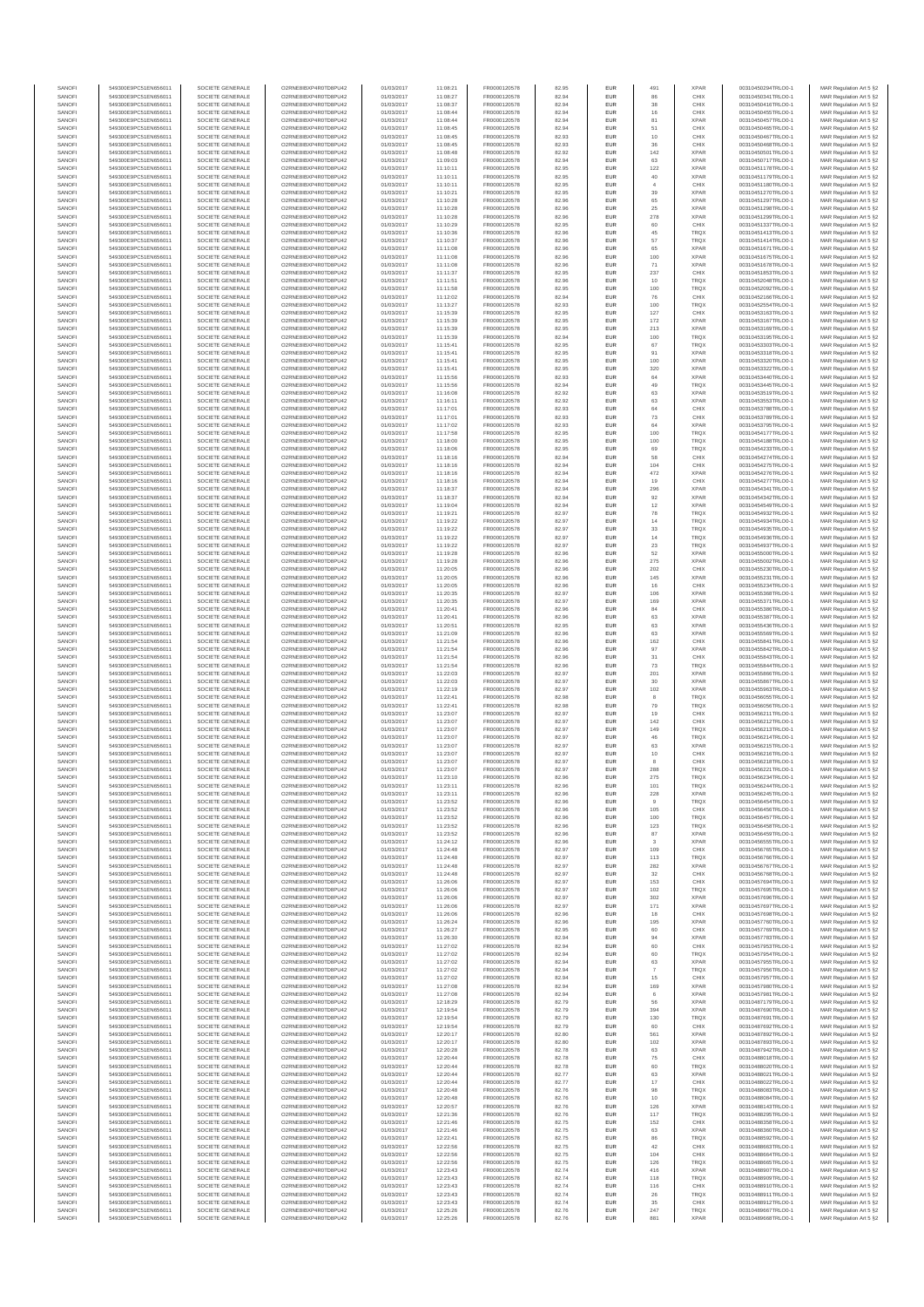| SANOFI           | 549300E9PC51EN656011                         | SOCIETE GENERALE                     | O2RNE8IBXP4R0TD8PU42                          | 01/03/2017               | 11:08:21             | FR0000120578                 | 82.95          | EUR                      | 491                  | <b>XPAR</b>                | 00310450294TRLO0-1                       | MAR Regulation Art 5 §2                            |
|------------------|----------------------------------------------|--------------------------------------|-----------------------------------------------|--------------------------|----------------------|------------------------------|----------------|--------------------------|----------------------|----------------------------|------------------------------------------|----------------------------------------------------|
| SANOFI<br>SANOFI | 549300E9PC51EN656011<br>549300E9PC51EN656011 | SOCIETE GENERALE<br>SOCIETE GENERALE | O2RNE8IBXP4R0TD8PU42<br>O2RNE8IBXP4R0TD8PU42  | 01/03/2017<br>01/03/2017 | 11:08:27<br>11:08:37 | FR0000120578                 | 82.94<br>82.94 | <b>EUR</b><br>EUR        | 86<br>38             | CHIX<br>CHIX               | 00310450341TRLO0-1<br>00310450416TRLO0-1 | MAR Regulation Art 5 §2                            |
| SANOFI           | 549300E9PC51EN656011                         | SOCIETE GENERALE                     | O2RNE8IBXP4R0TD8PLI42                         | 01/03/2017               | 11:08:44             | FR0000120578<br>FR0000120578 | 82.94          | EUR                      | 16                   | CHIX                       | 00310450455TRLO0-1                       | MAR Regulation Art 5 §2<br>MAR Regulation Art 5 §2 |
| SANOFI           | 549300E9PC51EN656011                         | SOCIETE GENERALE                     | O2RNE8IBXP4R0TD8PU42                          | 01/03/2017               | 11:08:44             | FR0000120578                 | 82.94          | EUR                      | 81                   | <b>XPAR</b>                | 00310450457TRLO0-1                       | MAR Regulation Art 5 §2                            |
| SANOFI           | 549300E9PC51EN656011                         | SOCIETE GENERALE                     | O2RNE8IBXP4R0TD8PU42                          | 01/03/2017               | 11:08:45             | FR0000120578                 | 82.94          | EUR                      | 51<br>10             | CHIX                       | 00310450465TRLO0-1                       | MAR Regulation Art 5 §2                            |
| SANOFI<br>SANOFI | 549300E9PC51EN656011<br>549300E9PC51EN656011 | SOCIETE GENERALE<br>SOCIETE GENERALE | O2RNE8IBXP4R0TD8PU42<br>O2RNE8IBXP4R0TD8PU42  | 01/03/2017<br>01/03/2017 | 11:08:45<br>11:08:45 | FR0000120578<br>FR0000120578 | 82.93<br>82.93 | EUR<br>EUR               | 36                   | CHIX<br>CHIX               | 00310450467TRLO0-1<br>00310450468TRLO0-1 | MAR Regulation Art 5 §2<br>MAR Regulation Art 5 §2 |
| SANOFI           | 549300E9PC51EN656011                         | SOCIETE GENERALE                     | O2RNE8IBXP4R0TD8PU42                          | 01/03/2017               | 11:08:48             | FR0000120578                 | 82.92          | <b>EUR</b>               | 142                  | <b>XPAR</b>                | 00310450501TRLO0-1                       | MAR Regulation Art 5 §2                            |
| SANOFI           | 549300E9PC51EN656011                         | SOCIETE GENERALE                     | O2RNE8IBXP4R0TD8PU42                          | 01/03/2017               | 11:09:03             | FR0000120578                 | 82.94          | EUR                      | 63                   | <b>XPAR</b>                | 00310450717TRLO0-1                       | MAR Regulation Art 5 §2                            |
| SANOFI<br>SANOFI | 549300E9PC51EN656011<br>549300E9PC51EN656011 | SOCIETE GENERALE<br>SOCIETE GENERALE | O2RNE8IBXP4R0TD8PLI42<br>O2RNE8IBXP4R0TD8PU42 | 01/03/2017<br>01/03/2017 | 11:10:11<br>11:10:11 | FR0000120578<br>FR0000120578 | 82.95<br>82.95 | EUR<br>EUR               | 122<br>$40\,$        | <b>XPAR</b><br><b>XPAR</b> | 00310451178TRLO0-1<br>00310451179TRLO0-1 | MAR Regulation Art 5 §2<br>MAR Regulation Art 5 §2 |
| SANOFI           | 549300E9PC51EN656011                         | SOCIETE GENERALE                     | O2RNE8IBXP4R0TD8PU42                          | 01/03/2017               | 11:10:11             | FR0000120578                 | 82.95          | EUR                      | $\overline{4}$       | CHIX                       | 00310451180TRLO0-1                       | MAR Regulation Art 5 §2                            |
| SANOFI           | 549300E9PC51EN656011                         | SOCIETE GENERALE                     | O2RNE8IBXP4R0TD8PU42                          | 01/03/2017               | 11:10:21             | FR0000120578                 | 82.95          | EUR                      | 39                   | <b>XPAR</b>                | 00310451270TRLO0-1                       | MAR Regulation Art 5 §2                            |
| SANOFI           | 549300E9PC51EN656011                         | SOCIETE GENERALE                     | O2RNE8IBXP4R0TD8PU42                          | 01/03/2017               | 11:10:28             | FR0000120578                 | 82.96          | EUR                      | 65                   | <b>XPAR</b>                | 00310451297TRLO0-1                       | MAR Regulation Art 5 §2                            |
| SANOFI<br>SANOFI | 549300E9PC51EN656011<br>549300E9PC51EN656011 | SOCIETE GENERALE<br>SOCIETE GENERALE | O2RNE8IBXP4R0TD8PU42<br>O2RNE8IBXP4R0TD8PU42  | 01/03/2017<br>01/03/2017 | 11:10:28<br>11:10:28 | FR0000120578<br>FR0000120578 | 82.96<br>82.96 | <b>EUR</b><br>EUR        | 25<br>278            | <b>XPAR</b><br><b>XPAR</b> | 00310451298TRLO0-1<br>00310451299TRLO0-1 | MAR Regulation Art 5 §2<br>MAR Regulation Art 5 §2 |
| SANOFI           | 549300E9PC51EN656011                         | SOCIETE GENERALE                     | O2RNE8IBXP4R0TD8PU42                          | 01/03/2017               | 11:10:29             | FR0000120578                 | 82.95          | <b>EUR</b>               | 60                   | CHIX                       | 00310451337TRLO0-1                       | MAR Regulation Art 5 §2                            |
| SANOFI           | 549300E9PC51EN656011                         | SOCIETE GENERALE                     | O2RNE8IBXP4R0TD8PU42                          | 01/03/2017               | 11:10:36             | FR0000120578                 | 82.96          | EUR                      | 45                   | TRQX                       | 00310451413TRLO0-1                       | MAR Regulation Art 5 §2                            |
| SANOFI           | 549300E9PC51EN656011                         | SOCIETE GENERALE                     | O2RNESIBXP4R0TD8PLI42<br>O2RNE8IBXP4R0TD8PU42 | 01/03/2017               | 11:10:37             | FR0000120578                 | 82.96          | EUR                      | 57                   | <b>TRQX</b>                | 00310451414TRLO0-1                       | MAR Regulation Art 5 §2                            |
| SANOFI<br>SANOFI | 549300E9PC51EN656011<br>549300E9PC51EN656011 | SOCIETE GENERALE<br>SOCIETE GENERALE | O2RNE8IBXP4R0TD8PLI42                         | 01/03/2017<br>01/03/2017 | 11:11:08<br>11:11:08 | FR0000120578<br>FR0000120578 | 82.96<br>82.96 | EUR<br>EUR               | 65<br>100            | <b>XPAR</b><br><b>XPAR</b> | 00310451671TRLO0-1<br>00310451675TRLO0-1 | MAR Regulation Art 5 §2<br>MAR Regulation Art 5 §2 |
| SANOFI           | 549300E9PC51EN656011                         | SOCIETE GENERALE                     | O2RNE8IBXP4R0TD8PU42                          | 01/03/2017               | 11:11:08             | FR0000120578                 | 82.96          | <b>EUR</b>               | 71                   | <b>XPAR</b>                | 00310451678TRLO0-1                       | MAR Regulation Art 5 §2                            |
| SANOFI           | 549300E9PC51EN656011                         | SOCIETE GENERALE                     | O2RNE8IBXP4R0TD8PU42                          | 01/03/2017               | 11:11:37             | FR0000120578                 | 82.95          | EUR                      | 237                  | CHIX                       | 00310451853TRLO0-1                       | MAR Regulation Art 5 §2                            |
| SANOFI<br>SANOFI | 549300E9PC51EN656011<br>549300E9PC51EN656011 | SOCIETE GENERALE<br>SOCIETE GENERALE | O2RNE8IBXP4R0TD8PU42<br>O2RNE8IBXP4R0TD8PU42  | 01/03/2017<br>01/03/2017 | 11:11:51<br>11:11:58 | FR0000120578<br>FR0000120578 | 82.96<br>82.95 | <b>EUR</b><br>EUR        | 10<br>100            | <b>TRQX</b><br><b>TRQX</b> | 00310452048TRLO0-1<br>00310452092TRLO0-1 | MAR Regulation Art 5 §2<br>MAR Regulation Art 5 §2 |
| SANOFI           | 549300E9PC51EN656011                         | SOCIETE GENERALE                     | O2RNE8IBXP4R0TD8PU42                          | 01/03/2017               | 11:12:02             | FR0000120578                 | 82.94          | <b>EUR</b>               | 76                   | CHIX                       | 00310452166TRLO0-1                       | MAR Regulation Art 5 §2                            |
| SANOFI           | 549300E9PC51EN656011                         | SOCIETE GENERALE                     | O2RNE8IBXP4R0TD8PU42                          | 01/03/2017               | 11:13:27             | FR0000120578                 | 82.93          | EUR                      | 100                  | TRQX                       | 00310452554TRLO0-1                       | MAR Regulation Art 5 §2                            |
| SANOFI           | 549300E9PC51EN656011                         | SOCIETE GENERALE                     | O2RNE8IBXP4R0TD8PU42                          | 01/03/2017               | 11:15:39             | FR0000120578                 | 82.95          | EUR                      | 127                  | CHIX                       | 00310453163TRLO0-1                       | MAR Regulation Art 5 §2                            |
| SANOFI<br>SANOFI | 549300E9PC51EN656011<br>549300E9PC51EN656011 | SOCIETE GENERALE<br>SOCIETE GENERALE | O2RNE8IBXP4R0TD8PU42<br>O2RNE8IBXP4R0TD8PU42  | 01/03/2017<br>01/03/2017 | 11:15:39<br>11:15:39 | FR0000120578<br>FR0000120578 | 82.95<br>82.95 | EUR<br>EUR               | 172<br>213           | <b>XPAR</b><br><b>XPAR</b> | 00310453167TRLO0-1<br>00310453169TRLO0-1 | MAR Regulation Art 5 §2<br>MAR Regulation Art 5 §2 |
| SANOFI           | 549300E9PC51EN656011                         | SOCIETE GENERALE                     | O2RNE8IBXP4R0TD8PU42                          | 01/03/2017               | 11:15:39             | FR0000120578                 | 82.94          | <b>EUR</b>               | 100                  | <b>TRQX</b>                | 00310453195TRLO0-1                       | MAR Regulation Art 5 §2                            |
| SANOFI           | 549300E9PC51EN656011                         | SOCIETE GENERALE                     | O2RNE8IBXP4R0TD8PU42                          | 01/03/2017               | 11:15:41             | FR0000120578                 | 82.95          | EUR                      | 67                   | <b>TRQX</b>                | 00310453303TRLO0-1                       | MAR Regulation Art 5 §2                            |
| SANOFI<br>SANOFI | 549300E9PC51EN656011<br>549300E9PC51EN656011 | SOCIETE GENERALE<br>SOCIETE GENERALE | O2RNE8IBXP4R0TD8PU42<br>O2RNE8IBXP4R0TD8PU42  | 01/03/2017<br>01/03/2017 | 11:15:41<br>11:15:41 | FR0000120578<br>FR0000120578 | 82.95<br>82.95 | <b>EUR</b><br>EUR        | 91<br>100            | <b>XPAR</b><br><b>XPAR</b> | 00310453318TRLO0-1<br>00310453320TRLO0-1 | MAR Regulation Art 5 §2<br>MAR Regulation Art 5 §2 |
| SANOFI           | 549300E9PC51EN656011                         | SOCIETE GENERALE                     | O2RNE8IBXP4R0TD8PU42                          | 01/03/2017               | 11:15:41             | FR0000120578                 | 82.95          | EUR                      | 320                  | <b>XPAR</b>                | 00310453322TRLO0-1                       | MAR Regulation Art 5 §2                            |
| SANOFI           | 549300E9PC51EN656011                         | SOCIETE GENERALE                     | O2RNE8IBXP4R0TD8PU42                          | 01/03/2017               | 11:15:56             | FR0000120578                 | 82.93          | EUR                      | 64                   | <b>XPAR</b>                | 00310453440TRLO0-1                       | MAR Regulation Art 5 §2                            |
| SANOFI<br>SANOFI | 549300E9PC51EN656011<br>549300E9PC51EN656011 | SOCIETE GENERALE<br>SOCIETE GENERALE | O2RNE8IBXP4R0TD8PU42<br>O2RNE8IBXP4R0TD8PU42  | 01/03/2017<br>01/03/2017 | 11:15:56             | FR0000120578                 | 82.94<br>82.92 | EUR<br>EUR               | 49<br>63             | TRQX<br><b>XPAR</b>        | 00310453445TRLO0-1<br>00310453519TRLO0-1 | MAR Regulation Art 5 §2                            |
| SANOFI           | 549300E9PC51EN656011                         | SOCIETE GENERALE                     | O2RNE8IBXP4R0TD8PU42                          | 01/03/2017               | 11:16:08<br>11:16:11 | FR0000120578<br>FR0000120578 | 82.92          | EUR                      | 63                   | <b>XPAR</b>                | 00310453553TRLO0-1                       | MAR Regulation Art 5 §2<br>MAR Regulation Art 5 §2 |
| SANOFI           | 549300E9PC51EN656011                         | SOCIETE GENERALE                     | O2RNE8IBXP4R0TD8PU42                          | 01/03/2017               | 11:17:01             | FR0000120578                 | 82.93          | <b>EUR</b>               | 64                   | CHIX                       | 00310453788TRLO0-1                       | MAR Regulation Art 5 §2                            |
| SANOFI           | 549300E9PC51EN656011                         | SOCIETE GENERALE                     | O2RNE8IBXP4R0TD8PU42                          | 01/03/2017               | 11:17:01             | FR0000120578                 | 82.93          | EUR                      | 73                   | CHIX                       | 00310453789TRLO0-1                       | MAR Regulation Art 5 §2                            |
| SANOFI<br>SANOFI | 549300E9PC51EN656011<br>549300E9PC51EN656011 | SOCIETE GENERALE<br>SOCIETE GENERALE | O2RNE8IBXP4R0TD8PLI42<br>O2RNE8IBXP4R0TD8PU42 | 01/03/2017<br>01/03/2017 | 11:17:02<br>11:17:58 | FR0000120578<br>FR0000120578 | 82.93<br>82.95 | <b>EUR</b><br>EUR        | 64<br>100            | <b>XPAR</b><br>TRQX        | 00310453795TRLO0-1<br>00310454177TRLO0-1 | MAR Regulation Art 5 §2<br>MAR Regulation Art 5 §2 |
| SANOFI           | 549300E9PC51EN656011                         | SOCIETE GENERALE                     | O2RNE8IBXP4R0TD8PU42                          | 01/03/2017               | 11:18:00             | FR0000120578                 | 82.95          | EUR                      | 100                  | TRQX                       | 00310454188TRLO0-1                       | MAR Regulation Art 5 §2                            |
| SANOFI           | 549300E9PC51EN656011                         | SOCIETE GENERALE                     | O2RNE8IBXP4R0TD8PU42                          | 01/03/2017               | 11:18:06             | FR0000120578                 | 82.95          | EUR                      | 69                   | TRQX                       | 00310454233TRLO0-1                       | MAR Regulation Art 5 §2                            |
| SANOFI<br>SANOFI | 549300E9PC51EN656011<br>549300E9PC51EN656011 | SOCIETE GENERALE<br>SOCIETE GENERALE | O2RNE8IBXP4R0TD8PLI42<br>O2RNE8IBXP4R0TD8PU42 | 01/03/2017<br>01/03/2017 | 11:18:16<br>11:18:16 | FR0000120578                 | 82.94<br>82.94 | EUR<br>EUR               | 58<br>104            | CHIX<br>CHIX               | 00310454274TRLO0-1<br>00310454275TRLO0-1 | MAR Regulation Art 5 §2<br>MAR Regulation Art 5 §2 |
| SANOFI           | 549300E9PC51EN656011                         | SOCIETE GENERALE                     | O2RNE8IBXP4R0TD8PU42                          | 01/03/2017               | 11:18:16             | FR0000120578<br>FR0000120578 | 82.94          | EUR                      | 472                  | <b>XPAR</b>                | 00310454276TRLO0-1                       | MAR Regulation Art 5 §2                            |
| SANOFI           | 549300E9PC51EN656011                         | SOCIETE GENERALE                     | O2RNE8IBXP4R0TD8PU42                          | 01/03/2017               | 11:18:16             | FR0000120578                 | 82.94          | EUR                      | 19                   | CHIX                       | 00310454277TRLO0-1                       | MAR Regulation Art 5 §2                            |
| SANOFI           | 549300E9PC51EN656011                         | SOCIETE GENERALE                     | O2RNE8IBXP4R0TD8PU42                          | 01/03/2017               | 11:18:37             | FR0000120578                 | 82.94          | EUR                      | 296                  | <b>XPAR</b>                | 00310454341TRLO0-1                       | MAR Regulation Art 5 §2                            |
| SANOFI<br>SANOFI | 549300E9PC51EN656011<br>549300E9PC51EN656011 | SOCIETE GENERALE<br>SOCIETE GENERALE | O2RNE8IBXP4R0TD8PU42<br>O2RNE8IBXP4R0TD8PU42  | 01/03/2017<br>01/03/2017 | 11:18:37<br>11:19:04 | FR0000120578<br>FR0000120578 | 82.94<br>82.94 | <b>EUR</b><br>EUR        | 92<br>12             | <b>XPAR</b><br><b>XPAR</b> | 00310454342TRLO0-1<br>00310454549TRLO0-1 | MAR Regulation Art 5 §2<br>MAR Regulation Art 5 §2 |
| SANOFI           | 549300E9PC51EN656011                         | SOCIETE GENERALE                     | O2RNE8IBXP4R0TD8PLI42                         | 01/03/2017               | 11:19:21             | FR0000120578                 | 82.97          | EUR                      | 78                   | <b>TRQX</b>                | 00310454932TRLO0-1                       | MAR Regulation Art 5 §2                            |
| SANOFI           | 549300E9PC51EN656011                         | SOCIETE GENERALE                     | O2RNE8IBXP4R0TD8PU42                          | 01/03/2017               | 11:19:22             | FR0000120578                 | 82.97          | EUR                      | 14                   | TRQX                       | 00310454934TRLO0-1                       | MAR Regulation Art 5 §2                            |
| SANOFI<br>SANOFI | 549300E9PC51EN656011<br>549300E9PC51EN656011 | SOCIETE GENERALE<br>SOCIETE GENERALE | O2RNE8IBXP4R0TD8PU42<br>O2RNE8IBXP4R0TD8PU42  | 01/03/2017<br>01/03/2017 | 11:19:22<br>11:19:22 | FR0000120578<br>FR0000120578 | 82.97<br>82.97 | EUR<br><b>EUR</b>        | 33<br>14             | <b>TRQX</b><br><b>TRQX</b> | 00310454935TRLO0-1<br>00310454936TRLO0-1 | MAR Regulation Art 5 §2<br>MAR Regulation Art 5 §2 |
| SANOFI           | 549300E9PC51EN656011                         | SOCIETE GENERALE                     | O2RNE8IBXP4R0TD8PU42                          | 01/03/2017               | 11:19:22             | FR0000120578                 | 82.97          | EUR                      | 23                   | TRQX                       | 00310454937TRLO0-1                       | MAR Regulation Art 5 §2                            |
| SANOFI           | 549300E9PC51EN656011                         | SOCIETE GENERALE                     | O2RNE8IBXP4R0TD8PU42                          | 01/03/2017               | 11:19:28             | FR0000120578                 | 82.96          | <b>EUR</b>               | 52                   | <b>XPAR</b>                | 00310455000TRLO0-1                       | MAR Regulation Art 5 §2                            |
| SANOFI           | 549300E9PC51EN656011                         | SOCIETE GENERALE                     | O2RNE8IBXP4R0TD8PU42                          | 01/03/2017               | 11:19:28             | FR0000120578                 | 82.96          | EUR                      | 275                  | <b>XPAR</b>                | 00310455002TRLO0-1                       | MAR Regulation Art 5 §2                            |
| SANOFI<br>SANOFI | 549300E9PC51EN656011<br>549300E9PC51EN656011 | SOCIETE GENERALE<br>SOCIETE GENERALE | O2RNE8IBXP4R0TD8PU42<br>O2RNE8IBXP4R0TD8PU42  | 01/03/2017<br>01/03/2017 | 11:20:05<br>11:20:05 | FR0000120578<br>FR0000120578 | 82.96<br>82.96 | <b>EUR</b><br>EUR        | 202<br>145           | CHIX<br><b>XPAR</b>        | 00310455230TRLO0-1<br>00310455231TRLO0-1 | MAR Regulation Art 5 §2<br>MAR Regulation Art 5 §2 |
| SANOFI           | 549300E9PC51EN656011                         | SOCIETE GENERALE                     | O2RNE8IBXP4R0TD8PU42                          | 01/03/2017               | 11:20:05             | FR0000120578                 | 82.96          | EUR                      | 16                   | CHIX                       | 00310455234TRLO0-1                       | MAR Regulation Art 5 §2                            |
| SANOFI           | 549300E9PC51EN656011                         | SOCIETE GENERALE                     | O2RNE8IBXP4R0TD8PU42                          | 01/03/2017               | 11:20:35             | FR0000120578                 | 82.97          | EUR                      | 106                  | <b>XPAR</b>                | 00310455368TRLO0-1                       | MAR Regulation Art 5 §2                            |
| SANOFI<br>SANOFI | 549300E9PC51EN656011<br>549300E9PC51EN656011 | SOCIETE GENERALE<br>SOCIETE GENERALE | O2RNE8IBXP4R0TD8PU42<br>O2RNE8IBXP4R0TD8PU42  | 01/03/2017               | 11:20:35             | FR0000120578                 | 82.97          | EUR<br><b>EUR</b>        | 169<br>84            | <b>XPAR</b><br>CHIX        | 00310455371TRLO0-1                       | MAR Regulation Art 5 §2                            |
| SANOFI           | 549300E9PC51EN656011                         | SOCIETE GENERALE                     | O2RNE8IBXP4R0TD8PU42                          | 01/03/2017<br>01/03/2017 | 11:20:41<br>11:20:41 | FR0000120578<br>FR0000120578 | 82.96<br>82.96 | EUR                      | 63                   | <b>XPAR</b>                | 00310455386TRLO0-1<br>00310455387TRLO0-1 | MAR Regulation Art 5 §2<br>MAR Regulation Art 5 §2 |
| SANOFI           | 549300E9PC51EN656011                         | SOCIETE GENERALE                     | O2RNE8IBXP4R0TD8PU42                          | 01/03/2017               | 11:20:51             | FR0000120578                 | 82.95          | <b>EUR</b>               | 63                   | <b>XPAR</b>                | 00310455436TRLO0-1                       | MAR Regulation Art 5 §2                            |
| SANOFI           | 549300E9PC51EN656011                         | SOCIETE GENERALE                     | O2RNE8IBXP4R0TD8PU42                          | 01/03/2017               | 11:21:09             | FR0000120578                 | 82.96          | EUR                      | 63                   | <b>XPAR</b>                | 00310455569TRLO0-                        | MAR Regulation Art 5 §2                            |
| SANOFI<br>SANOFI | 549300E9PC51EN656011<br>549300E9PC51EN656011 | SOCIETE GENERALE<br>SOCIETE GENERALE | O2RNE8IBXP4R0TD8PU42<br>O2RNE8IBXP4R0TD8PU42  | 01/03/2017<br>01/03/2017 | 11:21:54<br>11:21:54 | FR0000120578<br>FR0000120578 | 82.96<br>82.96 | <b>EUR</b><br>EUR        | 162<br>97            | CHIX<br><b>XPAR</b>        | 00310455841TRLO0-1<br>00310455842TRLO0-1 | MAR Regulation Art 5 §2<br>MAR Regulation Art 5 §2 |
| SANOFI           | 549300E9PC51EN656011                         | SOCIETE GENERALE                     | O2RNE8IBXP4R0TD8PU42                          | 01/03/2017               | 11:21:54             | FR0000120578                 | 82.96          | EUR                      | $31\,$               | CHIX                       | 00310455843TRLO0-1                       | MAR Regulation Art 5 §2                            |
| SANOFI           | 549300E9PC51EN656011                         | SOCIETE GENERALE                     | O2RNE8IBXP4R0TD8PU42                          | 01/03/2017               | 11:21:54             | FR0000120578                 | 82.96          | EUR                      | 73                   | TRQX                       | 00310455844TRLO0-1                       | MAR Regulation Art 5 §2                            |
| SANOFI           | 549300E9PC51EN656011                         | SOCIETE GENERALE                     | O2RNE8IBXP4R0TD8PU42                          | 01/03/2017               | 11:22:03             | FR0000120578                 | 82.97          | EUR                      | 201                  | <b>XPAR</b>                | 00310455866TRLO0-1                       | MAR Regulation Art 5 §2                            |
| SANOFI<br>SANOFI | 549300E9PC51EN656011<br>549300E9PC51EN656011 | SOCIETE GENERALE<br>SOCIETE GENERALE | O2RNE8IBXP4R0TD8PU42<br>O2RNE8IBXP4R0TD8PU42  | 01/03/2017<br>01/03/2017 | 11:22:03<br>11:22:19 | FR0000120578<br>FR0000120578 | 82.97<br>82.97 | <b>EUR</b><br>EUR        | 30<br>102            | <b>XPAR</b><br><b>XPAR</b> | 00310455867TRLO0-1<br>00310455963TRLO0-1 | MAR Regulation Art 5 §2<br>MAR Regulation Art 5 §2 |
| SANOFI           | 549300E9PC51EN656011                         | SOCIETE GENERALE                     | O2RNE8IBXP4R0TD8PU42                          | 01/03/2017               | 11:22:41             | FR0000120578                 | 82.98          | <b>EUR</b>               | 8                    | <b>TRQX</b>                | 00310456055TRLO0-1                       | MAR Regulation Art 5 §2                            |
| SANOFI           | 549300E9PC51EN656011                         | SOCIETE GENERALE                     | O2RNE8IBXP4R0TD8PU42                          | 01/03/2017               | 11:22:41             | FR0000120578                 | 82.98          | EUR                      | 79                   | TRQX                       | 00310456056TRLO0-1                       | MAR Regulation Art 5 §2                            |
| SANOFI           | 549300E9PC51EN656011                         | SOCIETE GENERALE                     | O2RNE8IBXP4R0TD8PU42                          | 01/03/2017               | 11:23:07             | FR0000120578                 | 82.97          | EUR                      | 19                   | CHIX                       | 00310456211TRLO0-1                       | MAR Regulation Art 5 §2                            |
| SANOFI<br>SANOFI | 549300E9PC51EN656011<br>549300E9PC51EN656011 | SOCIETE GENERALE<br>SOCIETE GENERALE | O2RNE8IBXP4R0TD8PU42<br>O2RNE8IBXP4R0TD8PU42  | 01/03/2017<br>01/03/2017 | 11:23:07<br>11:23:07 | FR0000120578<br>FR0000120578 | 82.97<br>82.97 | EUR<br>EUR               | 142<br>149           | CHIX<br><b>TRQX</b>        | 00310456212TRLO0-1<br>00310456213TRLO0-1 | MAR Regulation Art 5 §2<br>MAR Regulation Art 5 §2 |
| SANOFI           | 549300E9PC51EN656011                         | SOCIETE GENERALE                     | O2RNE8IBXP4R0TD8PU42                          | 01/03/2017               | 11:23:07             | FR0000120578                 | 82.97          | EUR                      | 46                   | <b>TRQX</b>                | 00310456214TRLO0-1                       | MAR Regulation Art 5 §2                            |
| SANOFI           | 549300E9PC51EN656011                         | SOCIETE GENERALE                     | O2RNE8IBXP4R0TD8PU42                          | 01/03/2017               | 11:23:07             | FR0000120578                 | 82.97          | EUR                      | 63                   | <b>XPAR</b>                | 00310456215TRLO0-1                       | MAR Regulation Art 5 §2                            |
| SANOFI<br>SANOFI | 549300E9PC51EN656011<br>549300E9PC51EN656011 | SOCIETE GENERALE<br>SOCIETE GENERALE | O2RNE8IBXP4R0TD8PU42<br>O2RNE8IBXP4R0TD8PU42  | 01/03/2017<br>01/03/2017 | 11:23:07<br>11:23:07 | FR0000120578<br>FR0000120578 | 82.97<br>82.97 | <b>EUR</b><br>EUR        | 10<br>8              | CHIX<br>CHIX               | 00310456216TRLO0-1<br>00310456218TRLO0-1 | MAR Regulation Art 5 §2<br>MAR Regulation Art 5 §2 |
| SANOFI           | 549300E9PC51EN656011                         | SOCIETE GENERALE                     | O2RNE8IBXP4R0TD8PU42                          | 01/03/2017               | 11:23:07             | FR0000120578                 | 82.97          | EUR                      | 288                  | <b>TRQX</b>                | 00310456221TRLO0-1                       | MAR Regulation Art 5 §2                            |
| SANOFI           | 549300E9PC51EN656011                         | SOCIETE GENERALE                     | O2RNE8IBXP4R0TD8PU42                          | 01/03/2017               | 11:23:10             | FR0000120578                 | 82.96          | EUR                      | 275                  | <b>TRQX</b>                | 00310456234TRLO0-1                       | MAR Regulation Art 5 §2                            |
| SANOFI           | 549300E9PC51EN656011                         | SOCIETE GENERALE<br>SOCIETE GENERALE | O2RNE8IBXP4R0TD8PU42<br>O2RNE8IBXP4R0TD8PU42  | 01/03/2017               | 11:23:11             | FR0000120578                 | 82.96          | EUR                      | 101                  | TRQX                       | 00310456244TRLO0-1                       | MAR Regulation Art 5 §2                            |
| SANOFI<br>SANOFI | 549300E9PC51EN656011<br>549300E9PC51EN656011 | SOCIETE GENERALE                     | O2RNESIBXP4R0TD8PLI42                         | 01/03/2017<br>01/03/2017 | 11:23:11<br>11:23:52 | FR0000120578<br>FR0000120578 | 82.96<br>82.96 | <b>EUR</b><br><b>EUR</b> | 228<br>9             | <b>XPAR</b><br><b>TRQX</b> | 00310456245TRLO0-1<br>00310456454TRLO0-1 | MAR Regulation Art 5 §2<br>MAR Regulation Art 5 §2 |
| SANOFI           | 549300E9PC51EN656011                         | SOCIETE GENERALE                     | O2RNESIBXP4R0TD8PLI42                         | 01/03/2017               | 11:23:52             | FR0000120578                 | 82.96          | EUR                      | 105                  | CHIX                       | 00310456456TRLO0-1                       | MAR Regulation Art 5 §2                            |
| SANOFI           | 549300E9PC51EN656011                         | SOCIETE GENERALE                     | O2RNE8IBXP4R0TD8PU42                          | 01/03/2017               | 11:23:52             | FR0000120578                 | 82.96          | EUR                      | 100                  | <b>TRQX</b>                | 00310456457TRLO0-1                       | MAR Regulation Art 5 §2                            |
| SANOFI<br>SANOFI | 549300E9PC51EN656011<br>549300E9PC51EN656011 | SOCIETE GENERALE<br>SOCIETE GENERALE | O2RNE8IBXP4R0TD8PU42<br>O2RNE8IBXP4R0TD8PU42  | 01/03/2017<br>01/03/2017 | 11:23:52<br>11:23:52 | FR0000120578<br>FR0000120578 | 82.96<br>82.96 | <b>EUR</b><br>EUR        | 123<br>87            | <b>TROX</b><br><b>XPAR</b> | 00310456458TRLO0-1<br>00310456459TRLO0-1 | MAR Regulation Art 5 §2<br>MAR Regulation Art 5 §2 |
| SANOFI           | 549300E9PC51EN656011                         | SOCIETE GENERALE                     | O2RNE8IBXP4R0TD8PU42                          | 01/03/2017               | 11:24:12             | FR0000120578                 | 82.96          | <b>EUR</b>               | -3                   | <b>XPAR</b>                | 00310456555TRLO0-1                       | MAR Regulation Art 5 §2                            |
| SANOFI           | 549300E9PC51EN656011                         | SOCIETE GENERALE                     | O2RNE8IBXP4R0TD8PU42                          | 01/03/2017               | 11:24:48             | FR0000120578                 | 82.97          | <b>EUR</b>               | 109                  | CHIX                       | 00310456765TRLO0-1                       | MAR Regulation Art 5 §2                            |
| SANOFI<br>SANOFI | 549300E9PC51EN656011<br>549300E9PC51EN656011 | SOCIETE GENERALE<br>SOCIETE GENERALE | O2RNE8IBXP4R0TD8PU42<br>O2RNE8IBXP4R0TD8PU42  | 01/03/2017<br>01/03/2017 | 11:24:48<br>11:24:48 | FR0000120578<br>FR0000120578 | 82.97<br>82.97 | EUR<br>EUR               | 113<br>282           | <b>TRQX</b><br><b>XPAR</b> | 00310456766TRLO0-1<br>00310456767TRLO0-1 | MAR Regulation Art 5 §2<br>MAR Regulation Art 5 §2 |
| SANOFI           | 549300E9PC51EN656011                         | SOCIETE GENERALE                     | O2RNESIBXP4R0TD8PLI42                         | 01/03/2017               | 11:24:48             | FR0000120578                 | 82.97          | EUR                      | 32                   | CHIX                       | 00310456768TRLO0-1                       | MAR Regulation Art 5 §2                            |
| SANOFI           | 549300E9PC51EN656011                         | SOCIETE GENERALE                     | O2RNE8IBXP4R0TD8PLI42                         | 01/03/2017               | 11:26:06             | FR0000120578                 | 82.97          | <b>EUR</b>               | 153                  | CHIX                       | 00310457694TRLO0-1                       | MAR Regulation Art 5 §2                            |
| SANOFI<br>SANOFI | 549300E9PC51EN656011<br>549300E9PC51EN656011 | SOCIETE GENERALE<br>SOCIETE GENERALE | O2RNE8IBXP4R0TD8PU42<br>O2RNE8IBXP4R0TD8PU42  | 01/03/2017<br>01/03/2017 | 11:26:06<br>11:26:06 | FR0000120578<br>FR0000120578 | 82.97<br>82.97 | EUR<br><b>EUR</b>        | 102<br>302           | TRQX<br><b>XPAR</b>        | 00310457695TRLO0-1<br>00310457696TRLO0-1 | MAR Regulation Art 5 §2                            |
| SANOFI           | 549300E9PC51EN656011                         | SOCIETE GENERALE                     | O2RNE8IBXP4R0TD8PU42                          | 01/03/2017               | 11:26:06             | FR0000120578                 | 82.97          | EUR                      | 171                  | <b>XPAR</b>                | 00310457697TRLO0-1                       | MAR Regulation Art 5 §2<br>MAR Regulation Art 5 §2 |
| SANOFI           | 549300E9PC51EN656011                         | SOCIETE GENERALE                     | O2RNE8IBXP4R0TD8PU42                          | 01/03/2017               | 11:26:06             | FR0000120578                 | 82.96          | EUR                      | 18                   | CHIX                       | 00310457698TRLO0-1                       | MAR Regulation Art 5 §2                            |
| SANOFI<br>SANOFI | 549300E9PC51EN656011<br>549300E9PC51EN656011 | SOCIETE GENERALE<br>SOCIETE GENERALE | O2RNE8IBXP4R0TD8PU42<br>O2RNE8IBXP4R0TD8PU42  | 01/03/2017<br>01/03/2017 | 11:26:24<br>11:26:27 | FR0000120578<br>FR0000120578 | 82.96<br>82.95 | EUR<br>EUR               | 195<br>60            | <b>XPAR</b><br>CHIX        | 00310457760TRLO0-1<br>00310457769TRLO0-1 | MAR Regulation Art 5 §2<br>MAR Regulation Art 5 §2 |
| SANOFI           | 549300E9PC51EN656011                         | SOCIETE GENERALE                     | O2RNE8IBXP4R0TD8PU42                          | 01/03/2017               | 11:26:30             | FR0000120578                 | 82.94          | EUR                      | 94                   | <b>XPAR</b>                | 00310457783TRLO0-1                       | MAR Regulation Art 5 §2                            |
| SANOFI           | 549300E9PC51EN656011                         | SOCIETE GENERALE                     | O2RNE8IBXP4R0TD8PU42                          | 01/03/2017               | 11:27:02             | FR0000120578                 | 82.94          | EUR                      | 60                   | CHIX                       | 00310457953TRLO0-1                       | MAR Regulation Art 5 §2                            |
| SANOFI           | 549300E9PC51EN656011                         | SOCIETE GENERALE                     | O2RNE8IBXP4R0TD8PU42                          | 01/03/2017               | 11:27:02             | FR0000120578                 | 82.94          | <b>EUR</b>               | 60                   | <b>TRQX</b>                | 00310457954TRLO0-1                       | MAR Regulation Art 5 §2                            |
| SANOFI<br>SANOFI | 549300E9PC51EN656011<br>549300E9PC51EN656011 | SOCIETE GENERALE<br>SOCIETE GENERALE | O2RNE8IBXP4R0TD8PU42<br>O2RNE8IBXP4R0TD8PLI42 | 01/03/2017<br>01/03/2017 | 11:27:02<br>11:27:02 | FR0000120578<br>FR0000120578 | 82.94<br>82.94 | EUR<br><b>EUR</b>        | 63<br>$\overline{7}$ | <b>XPAR</b><br><b>TRQX</b> | 00310457955TRLO0-1<br>00310457956TRLO0-1 | MAR Regulation Art 5 §2<br>MAR Regulation Art 5 §2 |
| SANOFI           | 549300E9PC51EN656011                         | SOCIETE GENERALE                     | O2RNE8IBXP4R0TD8PU42                          | 01/03/2017               | 11:27:02             | FR0000120578                 | 82.94          | EUR                      | 15                   | CHIX                       | 00310457957TRLO0-1                       | MAR Regulation Art 5 §2                            |
| SANOFI           | 549300E9PC51EN656011                         | SOCIETE GENERALE                     | O2RNE8IBXP4R0TD8PU42                          | 01/03/2017               | 11:27:08             | FR0000120578                 | 82.94          | <b>EUR</b>               | 169                  | <b>XPAR</b>                | 00310457980TRLO0-1                       | MAR Regulation Art 5 §2                            |
| SANOFI<br>SANOFI | 549300E9PC51EN656011<br>549300E9PC51EN656011 | SOCIETE GENERALE<br>SOCIETE GENERALE | O2RNE8IBXP4R0TD8PU42<br>O2RNE8IBXP4R0TD8PU42  | 01/03/2017<br>01/03/2017 | 11:27:08<br>12:18:29 | FR0000120578<br>FR0000120578 | 82.94<br>82.79 | EUR<br>EUR               | 6<br>56              | <b>XPAR</b><br><b>XPAR</b> | 00310457981TRLO0-1<br>00310487179TRLO0-1 | MAR Regulation Art 5 §2<br>MAR Regulation Art 5 §2 |
| SANOFI           | 549300E9PC51EN656011                         | SOCIETE GENERALE                     | O2RNE8IBXP4R0TD8PU42                          | 01/03/2017               | 12:19:54             | FR0000120578                 | 82.79          | EUR                      | 394                  | <b>XPAR</b>                | 00310487690TRLO0-1                       | MAR Regulation Art 5 §2                            |
| SANOFI           | 549300E9PC51EN656011                         | SOCIETE GENERALE                     | O2RNE8IBXP4R0TD8PU42                          | 01/03/2017               | 12:19:54             | FR0000120578                 | 82.79          | EUR                      | 130                  | TRQX                       | 00310487691TRLO0-1                       | MAR Regulation Art 5 §2                            |
| SANOFI           | 549300E9PC51EN656011                         | SOCIETE GENERALE                     | O2RNE8IBXP4R0TD8PU42                          | 01/03/2017               | 12:19:54             | FR0000120578                 | 82.79          | <b>EUR</b>               | 60                   | CHIX                       | 00310487692TRLO0-1                       | MAR Regulation Art 5 §2                            |
| SANOFI<br>SANOFI | 549300E9PC51EN656011<br>549300E9PC51EN656011 | SOCIETE GENERALE<br>SOCIETE GENERALE | O2RNE8IBXP4R0TD8PU42<br>O2RNE8IBXP4R0TD8PU42  | 01/03/2017<br>01/03/2017 | 12:20:17<br>12:20:17 | FR0000120578<br>FR0000120578 | 82.80<br>82.80 | EUR<br><b>EUR</b>        | 561<br>102           | <b>XPAR</b><br><b>XPAR</b> | 00310487892TRLO0-1<br>00310487893TRLO0-1 | MAR Regulation Art 5 §2<br>MAR Regulation Art 5 §2 |
| SANOFI           | 549300E9PC51EN656011                         | SOCIETE GENERALE                     | O2RNE8IBXP4R0TD8PU42                          | 01/03/2017               | 12:20:28             | FR0000120578                 | 82.78          | <b>EUR</b>               | 63                   | <b>XPAR</b>                | 00310487942TRLO0-1                       | MAR Regulation Art 5 §2                            |
| SANOFI           | 549300E9PC51EN656011                         | SOCIETE GENERALE                     | O2RNE8IBXP4R0TD8PU42                          | 01/03/2017               | 12:20:44             | FR0000120578                 | 82.78          | EUR                      | ${\bf 75}$           | CHIX                       | 00310488018TRLO0-1                       | MAR Regulation Art 5 §2                            |
| SANOFI<br>SANOFI | 549300E9PC51EN656011<br>549300E9PC51EN656011 | SOCIETE GENERALE<br>SOCIETE GENERALE | O2RNE8IBXP4R0TD8PU42<br>O2RNE8IBXP4R0TD8PU42  | 01/03/2017<br>01/03/2017 | 12:20:44<br>12:20:44 | FR0000120578<br>FR0000120578 | 82.78<br>82.77 | EUR<br><b>EUR</b>        | 60<br>63             | <b>TRQX</b><br><b>XPAR</b> | 00310488020TRLO0-1<br>00310488021TRLO0-1 | MAR Regulation Art 5 §2<br>MAR Regulation Art 5 §2 |
| SANOFI           | 549300E9PC51EN656011                         | SOCIETE GENERALE                     | O2RNE8IBXP4R0TD8PU42                          | 01/03/2017               | 12:20:44             | FR0000120578                 | 82.77          | EUR                      | 17                   | CHIX                       | 00310488022TRLO0-1                       | MAR Regulation Art 5 §2                            |
| SANOFI           | 549300E9PC51EN656011                         | SOCIETE GENERALE                     | O2RNE8IBXP4R0TD8PU42                          | 01/03/2017               | 12:20:48             | FR0000120578                 | 82.76          | EUR                      | 98                   | TRQX                       | 00310488083TRLO0-1                       | MAR Regulation Art 5 §2                            |
| SANOFI           | 549300E9PC51EN656011                         | SOCIETE GENERALE                     | O2RNE8IBXP4R0TD8PU42                          | 01/03/2017               | 12:20:48             | FR0000120578                 | 82.76          | <b>EUR</b>               | 10                   | <b>TRQX</b>                | 00310488084TRLO0-1                       | MAR Regulation Art 5 §2                            |
| SANOFI<br>SANOFI | 549300E9PC51EN656011<br>549300E9PC51EN656011 | SOCIETE GENERALE<br>SOCIETE GENERALE | O2RNE8IBXP4R0TD8PU42<br>O2RNE8IBXP4R0TD8PU42  | 01/03/2017<br>01/03/2017 | 12:20:57<br>12:21:36 | FR0000120578<br>FR0000120578 | 82.76<br>82.76 | EUR<br><b>EUR</b>        | 126<br>117           | <b>XPAR</b><br><b>TROX</b> | 00310488143TRLO0-1<br>00310488295TRLO0-1 | MAR Regulation Art 5 §2<br>MAR Regulation Art 5 §2 |
| SANOFI           | 549300E9PC51EN656011                         | SOCIETE GENERALE                     | O2RNE8IBXP4R0TD8PU42                          | 01/03/2017               | 12:21:46             | FR0000120578                 | 82.75          | <b>EUR</b>               | 152                  | CHIX                       | 00310488358TRLO0-1                       | MAR Regulation Art 5 §2                            |
| SANOFI           | 549300E9PC51EN656011                         | SOCIETE GENERALE                     | O2RNE8IBXP4R0TD8PU42                          | 01/03/2017               | 12:21:46             | FR0000120578                 | 82.75          | EUR                      | 63                   | <b>XPAR</b>                | 00310488360TRLO0-1                       | MAR Regulation Art 5 §2                            |
| SANOFI<br>SANOFI | 549300E9PC51EN656011<br>549300E9PC51EN656011 | SOCIETE GENERALE<br>SOCIETE GENERALE | O2RNE8IBXP4R0TD8PU42<br>O2RNE8IBXP4R0TD8PU42  | 01/03/2017<br>01/03/2017 | 12:22:41<br>12:22:56 | FR0000120578<br>FR0000120578 | 82.75<br>82.75 | EUR<br>EUR               | 86<br>42             | <b>TRQX</b><br>CHIX        | 00310488592TRLO0-1<br>00310488663TRLO0-1 | MAR Regulation Art 5 §2<br>MAR Regulation Art 5 §2 |
| SANOFI           | 549300E9PC51EN656011                         | SOCIETE GENERALE                     | O2RNE8IBXP4R0TD8PU42                          | 01/03/2017               | 12:22:56             | FR0000120578                 | 82.75          | <b>EUR</b>               | 104                  | CHIX                       | 00310488664TRLO0-1                       | MAR Regulation Art 5 §2                            |
| SANOFI           | 549300E9PC51EN656011                         | SOCIETE GENERALE                     | O2RNE8IBXP4R0TD8PU42                          | 01/03/2017               | 12:22:56             | FR0000120578                 | 82.75          | EUR                      | 126                  | <b>TRQX</b>                | 00310488665TRLO0-1                       | MAR Regulation Art 5 §2                            |
| SANOFI<br>SANOFI | 549300E9PC51EN656011<br>549300E9PC51EN656011 | SOCIETE GENERALE<br>SOCIETE GENERALE | O2RNE8IBXP4R0TD8PU42<br>O2RNE8IBXP4R0TD8PU42  | 01/03/2017<br>01/03/2017 | 12:23:43<br>12:23:43 | FR0000120578<br>FR0000120578 | 82.74<br>82.74 | <b>EUR</b><br>EUR        | 416<br>118           | <b>XPAR</b><br>TRQX        | 00310488907TRLO0-1<br>00310488909TRLO0-1 | MAR Regulation Art 5 §2<br>MAR Regulation Art 5 §2 |
| SANOFI           | 549300E9PC51EN656011                         | SOCIETE GENERALE                     | O2RNE8IBXP4R0TD8PU42                          | 01/03/2017               | 12:23:43             | FR0000120578                 | 82.74          | EUR                      | 116                  | CHIX                       | 00310488910TRLO0-1                       | MAR Regulation Art 5 §2                            |
| SANOFI           | 549300E9PC51EN656011                         | SOCIETE GENERALE                     | O2RNE8IBXP4R0TD8PU42                          | 01/03/2017               | 12:23:43             | FR0000120578                 | 82.74          | EUR                      | 26                   | <b>TRQX</b>                | 00310488911TRLO0-1                       | MAR Regulation Art 5 §2                            |
| SANOFI           | 549300E9PC51EN656011                         | SOCIETE GENERALE                     | O2RNE8IBXP4R0TD8PU42                          | 01/03/2017               | 12:23:43             | FR0000120578                 | 82.74          | EUR                      | 35                   | CHIX                       | 00310488912TRLO0-1                       | MAR Regulation Art 5 §2                            |
| SANOFI<br>SANOFI | 549300E9PC51EN656011<br>549300E9PC51EN656011 | SOCIETE GENERALE<br>SOCIETE GENERALE | O2RNE8IBXP4R0TD8PU42<br>O2RNE8IBXP4R0TD8PU42  | 01/03/2017<br>01/03/2017 | 12:25:26<br>12:25:26 | FR0000120578<br>FR0000120578 | 82.76<br>82.76 | EUR<br>EUR               | 247<br>881           | TRQX<br><b>XPAR</b>        | 00310489667TRLO0-1<br>00310489668TRLO0-1 | MAR Regulation Art 5 §2<br>MAR Regulation Art 5 §2 |
|                  |                                              |                                      |                                               |                          |                      |                              |                |                          |                      |                            |                                          |                                                    |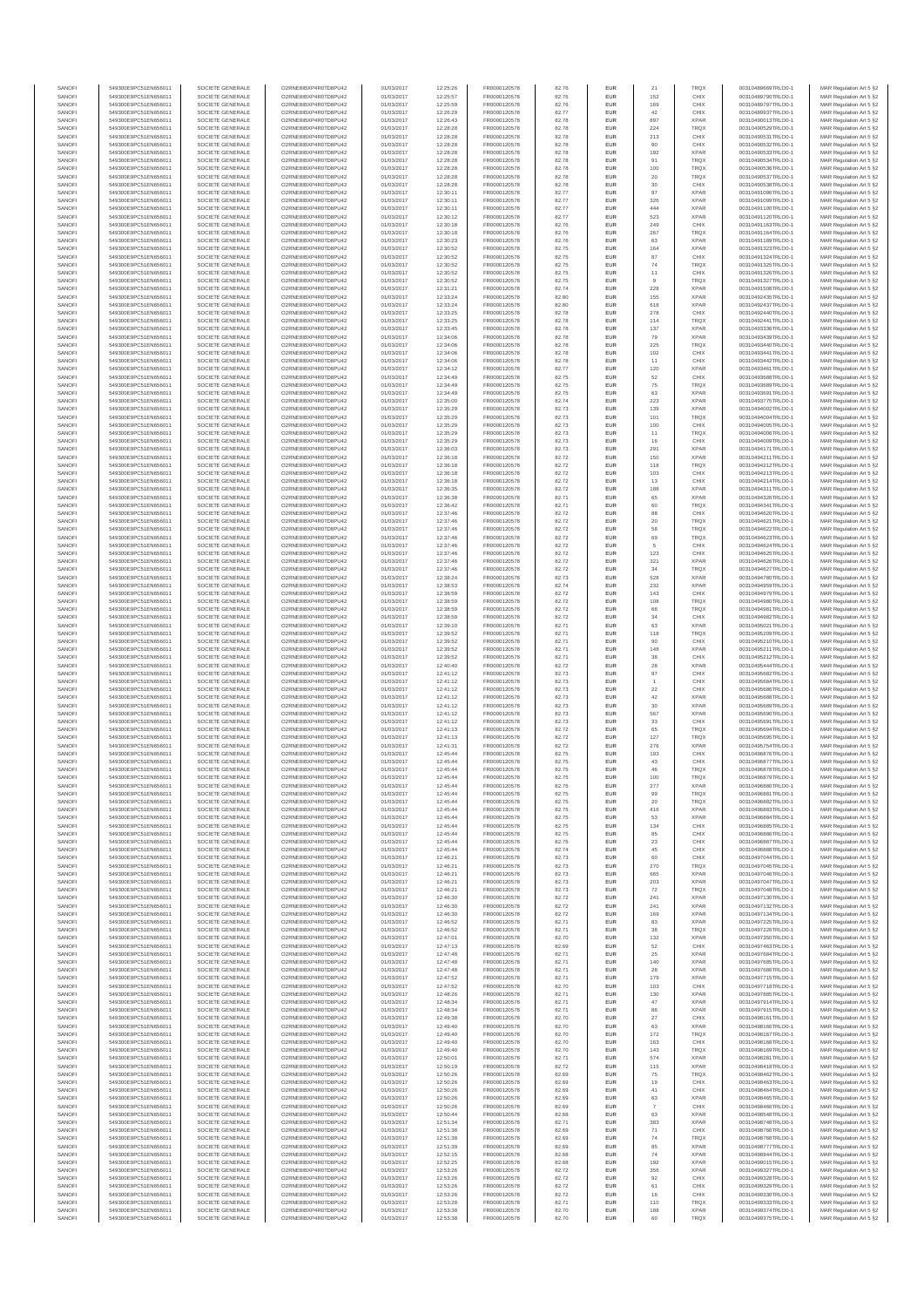| SANOFI           | 549300E9PC51EN656011                         | SOCIETE GENERALE                     | O2RNE8IBXP4R0TD8PU42                          | 01/03/2017               | 12:25:26             | FR0000120578                 | 82.76          | EUR                      | 21           | TRQX                       | 00310489669TRLO0-1                       | MAR Regulation Art 5 §2                            |
|------------------|----------------------------------------------|--------------------------------------|-----------------------------------------------|--------------------------|----------------------|------------------------------|----------------|--------------------------|--------------|----------------------------|------------------------------------------|----------------------------------------------------|
| SANOFI<br>SANOFI | 549300E9PC51EN656011<br>549300E9PC51EN656011 | SOCIETE GENERALE<br>SOCIETE GENERALE | O2RNE8IBXP4R0TD8PU42<br>O2RNE8IBXP4R0TD8PU42  | 01/03/2017<br>01/03/2017 | 12:25:57<br>12:25:59 | FR0000120578                 | 82.76          | EUR<br>EUR               | 152<br>169   | CHIX<br>CHIX               | 00310489790TRLO0-1<br>00310489797TRLO0-1 | MAR Regulation Art 5 §2                            |
| SANOFI           | 549300E9PC51EN656011                         | SOCIETE GENERALE                     | O2RNE8IBXP4R0TD8PLI42                         | 01/03/2017               | 12:26:29             | FR0000120578<br>FR0000120578 | 82.76<br>82.77 | EUR                      | $42\,$       | CHIX                       | 00310489937TRLO0-1                       | MAR Regulation Art 5 §2<br>MAR Regulation Art 5 §2 |
| SANOFI           | 549300E9PC51EN656011                         | SOCIETE GENERALE                     | O2RNE8IBXP4R0TD8PU42                          | 01/03/2017               | 12:26:43             | FR0000120578                 | 82.78          | EUR                      | 897          | <b>XPAR</b>                | 00310490013TRLO0-1                       | MAR Regulation Art 5 §2                            |
| SANOFI           | 549300E9PC51EN656011                         | SOCIETE GENERALE                     | O2RNE8IBXP4R0TD8PU42                          | 01/03/2017               | 12:28:28             | FR0000120578                 | 82.78          | EUR                      | 224          | TRQX                       | 00310490529TRLO0-1                       | MAR Regulation Art 5 §2                            |
| SANOFI<br>SANOFI | 549300E9PC51EN656011<br>549300E9PC51EN656011 | SOCIETE GENERALE<br>SOCIETE GENERALE | O2RNE8IBXP4R0TD8PU42<br>O2RNE8IBXP4R0TD8PU42  | 01/03/2017<br>01/03/2017 | 12:28:28<br>12:28:28 | FR0000120578<br>FR0000120578 | 82.78<br>82.78 | <b>EUR</b><br>EUR        | 213<br>90    | CHIX<br>CHIX               | 00310490531TRLO0-1<br>00310490532TRLO0-1 | MAR Regulation Art 5 §2<br>MAR Regulation Art 5 §2 |
| SANOFI           | 549300E9PC51EN656011                         | SOCIETE GENERALE                     | O2RNE8IBXP4R0TD8PU42                          | 01/03/2017               | 12:28:28             | FR0000120578                 | 82.78          | <b>EUR</b>               | 192          | <b>XPAR</b>                | 00310490533TRLO0-1                       | MAR Regulation Art 5 §2                            |
| SANOFI           | 549300E9PC51EN656011                         | SOCIETE GENERALE                     | O2RNE8IBXP4R0TD8PU42                          | 01/03/2017               | 12:28:28             | FR0000120578                 | 82.78          | EUR                      | 91           | TRQX                       | 00310490534TRLO0-1                       | MAR Regulation Art 5 §2                            |
| SANOFI<br>SANOFI | 549300E9PC51EN656011<br>549300E9PC51EN656011 | SOCIETE GENERALE<br>SOCIETE GENERALE | O2RNE8IBXP4R0TD8PU42<br>O2RNE8IBXP4R0TD8PU42  | 01/03/2017<br>01/03/2017 | 12:28:28<br>12:28:28 | FR0000120578<br>FR0000120578 | 82.78<br>82.78 | EUR<br>EUR               | 100<br>20    | TRQX<br>TRQX               | 00310490536TRLO0-1<br>00310490537TRLO0-1 | MAR Regulation Art 5 §2<br>MAR Regulation Art 5 §2 |
| SANOFI           | 549300E9PC51EN656011                         | SOCIETE GENERALE                     | O2RNE8IBXP4R0TD8PU42                          | 01/03/2017               | 12:28:28             | FR0000120578                 | 82.78          | EUR                      | 30           | CHIX                       | 00310490538TRLO0-1                       | MAR Regulation Art 5 §2                            |
| SANOFI           | 549300E9PC51EN656011                         | SOCIETE GENERALE                     | O2RNE8IBXP4R0TD8PU42                          | 01/03/2017               | 12:30:11             | FR0000120578                 | 82.77          | EUR                      | 97           | <b>XPAR</b>                | 00310491096TRLO0-1                       | MAR Regulation Art 5 §2                            |
| SANOFI           | 549300E9PC51EN656011                         | SOCIETE GENERALE                     | O2RNE8IBXP4R0TD8PU42                          | 01/03/2017               | 12:30:11             | FR0000120578                 | 82.77          | EUR                      | 326          | <b>XPAR</b>                | 00310491099TRLO0-1                       | MAR Regulation Art 5 §2                            |
| SANOFI<br>SANOFI | 549300E9PC51EN656011<br>549300E9PC51EN656011 | SOCIETE GENERALE<br>SOCIETE GENERALE | O2RNE8IBXP4R0TD8PU42<br>O2RNE8IBXP4R0TD8PU42  | 01/03/2017<br>01/03/2017 | 12:30:11<br>12:30:12 | FR0000120578<br>FR0000120578 | 82.77<br>82.77 | <b>EUR</b><br>EUR        | 444<br>523   | <b>XPAR</b><br><b>XPAR</b> | 00310491100TRLO0-1<br>00310491120TRLO0-1 | MAR Regulation Art 5 §2<br>MAR Regulation Art 5 §2 |
| SANOFI           | 549300E9PC51EN656011                         | SOCIETE GENERALE                     | O2RNE8IBXP4R0TD8PU42                          | 01/03/2017               | 12:30:18             | FR0000120578                 | 82.76          | <b>EUR</b>               | 249          | CHIX                       | 00310491163TRLO0-1                       | MAR Regulation Art 5 §2                            |
| SANOFI           | 549300E9PC51EN656011                         | SOCIETE GENERALE                     | O2RNE8IBXP4R0TD8PU42                          | 01/03/2017               | 12:30:18             | FR0000120578                 | 82.76          | EUR                      | 267          | TRQX                       | 00310491164TRLO0-1                       | MAR Regulation Art 5 §2                            |
| SANOFI           | 549300E9PC51EN656011                         | SOCIETE GENERALE                     | O2RNESIBXP4R0TD8PLI42                         | 01/03/2017               | 12:30:23             | FR0000120578                 | 82.76          | EUR                      | 63           | <b>XPAR</b>                | 00310491189TRLO0-1<br>00310491323TRLO0-1 | MAR Regulation Art 5 §2                            |
| SANOFI<br>SANOFI | 549300E9PC51EN656011<br>549300E9PC51EN656011 | SOCIETE GENERALE<br>SOCIETE GENERALE | O2RNE8IBXP4R0TD8PU42<br>O2RNE8IBXP4R0TD8PLI42 | 01/03/2017<br>01/03/2017 | 12:30:52<br>12:30:52 | FR0000120578<br>FR0000120578 | 82.75<br>82.75 | EUR<br>EUR               | 164<br>87    | <b>XPAR</b><br>CHIX        | 00310491324TRLO0-1                       | MAR Regulation Art 5 §2<br>MAR Regulation Art 5 §2 |
| SANOFI           | 549300E9PC51EN656011                         | SOCIETE GENERALE                     | O2RNE8IBXP4R0TD8PU42                          | 01/03/2017               | 12:30:52             | FR0000120578                 | 82.75          | <b>EUR</b>               | 74           | <b>TRQX</b>                | 00310491325TRLO0-1                       | MAR Regulation Art 5 §2                            |
| SANOFI           | 549300E9PC51EN656011                         | SOCIETE GENERALE                     | O2RNE8IBXP4R0TD8PU42                          | 01/03/2017               | 12:30:52             | FR0000120578                 | 82.75          | EUR                      | 11           | CHIX                       | 00310491326TRLO0-1                       | MAR Regulation Art 5 §2                            |
| SANOFI<br>SANOFI | 549300E9PC51EN656011<br>549300E9PC51EN656011 | SOCIETE GENERALE<br>SOCIETE GENERALE | O2RNE8IBXP4R0TD8PU42<br>O2RNE8IBXP4R0TD8PU42  | 01/03/2017<br>01/03/2017 | 12:30:52<br>12:31:21 | FR0000120578<br>FR0000120578 | 82.75<br>82.74 | <b>EUR</b><br>EUR        | 9<br>228     | <b>TRQX</b><br><b>XPAR</b> | 00310491327TRLO0-1<br>00310491508TRLO0-1 | MAR Regulation Art 5 §2<br>MAR Regulation Art 5 §2 |
| SANOFI           | 549300E9PC51EN656011                         | SOCIETE GENERALE                     | O2RNE8IBXP4R0TD8PU42                          | 01/03/2017               | 12:33:24             | FR0000120578                 | 82.80          | <b>EUR</b>               | 155          | <b>XPAR</b>                | 00310492435TRLO0-1                       | MAR Regulation Art 5 §2                            |
| SANOFI           | 549300E9PC51EN656011                         | SOCIETE GENERALE                     | O2RNE8IBXP4R0TD8PU42                          | 01/03/2017               | 12:33:24             | FR0000120578                 | 82.80          | <b>EUR</b>               | 618          | <b>XPAR</b>                | 00310492437TRLO0-1                       | MAR Regulation Art 5 §2                            |
| SANOFI           | 549300E9PC51EN656011                         | SOCIETE GENERALE                     | O2RNE8IBXP4R0TD8PU42                          | 01/03/2017               | 12:33:25             | FR0000120578                 | 82.78          | EUR                      | 278          | CHIX                       | 00310492440TRLO0-1                       | MAR Regulation Art 5 §2                            |
| SANOFI<br>SANOFI | 549300E9PC51EN656011<br>549300E9PC51EN656011 | SOCIETE GENERALE<br>SOCIETE GENERALE | O2RNE8IBXP4R0TD8PU42<br>O2RNE8IBXP4R0TD8PU42  | 01/03/2017<br>01/03/2017 | 12:33:25<br>12:33:45 | FR0000120578<br>FR0000120578 | 82.78<br>82.78 | EUR<br>EUR               | 114<br>137   | TRQX<br><b>XPAR</b>        | 00310492441TRLO0-1<br>00310493336TRLO0-1 | MAR Regulation Art 5 §2<br>MAR Regulation Art 5 §2 |
| SANOFI           | 549300E9PC51EN656011                         | SOCIETE GENERALE                     | O2RNE8IBXP4R0TD8PU42                          | 01/03/2017               | 12:34:06             | FR0000120578                 | 82.78          | <b>EUR</b>               | 79           | <b>XPAR</b>                | 00310493439TRLO0-1                       | MAR Regulation Art 5 §2                            |
| SANOFI           | 549300E9PC51EN656011                         | SOCIETE GENERALE                     | O2RNE8IBXP4R0TD8PU42                          | 01/03/2017               | 12:34:06             | FR0000120578                 | 82.78          | EUR                      | 225          | <b>TRQX</b>                | 00310493440TRLO0-                        | MAR Regulation Art 5 §2                            |
| SANOFI<br>SANOFI | 549300E9PC51EN656011<br>549300E9PC51EN656011 | SOCIETE GENERALE<br>SOCIETE GENERALE | O2RNE8IBXP4R0TD8PU42<br>O2RNE8IBXP4R0TD8PU42  | 01/03/2017<br>01/03/2017 | 12:34:06<br>12:34:06 | FR0000120578<br>FR0000120578 | 82.78<br>82.78 | <b>EUR</b><br>EUR        | 102<br>11    | CHIX<br>CHIX               | 00310493441TRLO0-1<br>00310493442TRLO0-1 | MAR Regulation Art 5 §2<br>MAR Regulation Art 5 §2 |
| SANOFI           | 549300E9PC51EN656011                         | SOCIETE GENERALE                     | O2RNE8IBXP4R0TD8PU42                          | 01/03/2017               | 12:34:12             | FR0000120578                 | 82.77          | EUR                      | 120          | <b>XPAR</b>                | 00310493461TRLO0-1                       | MAR Regulation Art 5 §2                            |
| SANOFI           | 549300E9PC51EN656011                         | SOCIETE GENERALE                     | O2RNE8IBXP4R0TD8PU42                          | 01/03/2017               | 12:34:49             | FR0000120578                 | 82.75          | EUR                      | 52           | CHIX                       | 00310493688TRLO0-1                       | MAR Regulation Art 5 §2                            |
| SANOFI<br>SANOFI | 549300E9PC51EN656011                         | SOCIETE GENERALE                     | O2RNE8IBXP4R0TD8PU42<br>O2RNE8IBXP4R0TD8PU42  | 01/03/2017               | 12:34:49             | FR0000120578                 | 82.75          | EUR                      | 75           | TRQX<br><b>XPAR</b>        | 00310493689TRLO0-1                       | MAR Regulation Art 5 §2                            |
| SANOFI           | 549300E9PC51EN656011<br>549300E9PC51EN656011 | SOCIETE GENERALE<br>SOCIETE GENERALE | O2RNE8IBXP4R0TD8PU42                          | 01/03/2017<br>01/03/2017 | 12:34:49<br>12:35:00 | FR0000120578<br>FR0000120578 | 82.75<br>82.74 | EUR<br>EUR               | 63<br>223    | <b>XPAR</b>                | 00310493691TRLO0-1<br>00310493775TRLO0-1 | MAR Regulation Art 5 §2<br>MAR Regulation Art 5 §2 |
| SANOFI           | 549300E9PC51EN656011                         | SOCIETE GENERALE                     | O2RNE8IBXP4R0TD8PU42                          | 01/03/2017               | 12:35:29             | FR0000120578                 | 82.73          | <b>EUR</b>               | 139          | <b>XPAR</b>                | 00310494002TRLO0-1                       | MAR Regulation Art 5 §2                            |
| SANOFI           | 549300E9PC51EN656011                         | SOCIETE GENERALE                     | O2RNE8IBXP4R0TD8PU42                          | 01/03/2017               | 12:35:29             | FR0000120578                 | 82.73          | EUR                      | 101          | TRQX                       | 00310494004TRLO0-1                       | MAR Regulation Art 5 §2                            |
| SANOFI<br>SANOFI | 549300E9PC51EN656011<br>549300E9PC51EN656011 | SOCIETE GENERALE<br>SOCIETE GENERALE | O2RNE8IBXP4R0TD8PLI42<br>O2RNE8IBXP4R0TD8PU42 | 01/03/2017<br>01/03/2017 | 12:35:29<br>12:35:29 | FR0000120578<br>FR0000120578 | 82.73<br>82.73 | <b>EUR</b><br>EUR        | 100<br>11    | CHIX<br>TRQX               | 00310494005TRLO0-1<br>00310494006TRLO0-1 | MAR Regulation Art 5 §2<br>MAR Regulation Art 5 §2 |
| SANOFI           | 549300E9PC51EN656011                         | SOCIETE GENERALE                     | O2RNE8IBXP4R0TD8PU42                          | 01/03/2017               | 12:35:29             | FR0000120578                 | 82.73          | EUR                      | 16           | CHIX                       | 00310494009TRLO0-1                       | MAR Regulation Art 5 §2                            |
| SANOFI           | 549300E9PC51EN656011                         | SOCIETE GENERALE                     | O2RNE8IBXP4R0TD8PU42                          | 01/03/2017               | 12:36:03             | FR0000120578                 | 82.73          | EUR                      | 291          | <b>XPAR</b>                | 00310494171TRLO0-1                       | MAR Regulation Art 5 §2                            |
| SANOFI           | 549300E9PC51EN656011                         | SOCIETE GENERALE                     | O2RNE8IBXP4R0TD8PLI42<br>O2RNE8IBXP4R0TD8PU42 | 01/03/2017               | 12:36:18             | FR0000120578                 | 82.72          | EUR                      | 150          | <b>XPAR</b>                | 00310494211TRLO0-1                       | MAR Regulation Art 5 §2<br>MAR Regulation Art 5 §2 |
| SANOFI<br>SANOFI | 549300E9PC51EN656011<br>549300E9PC51EN656011 | SOCIETE GENERALE<br>SOCIETE GENERALE | O2RNE8IBXP4R0TD8PU42                          | 01/03/2017<br>01/03/2017 | 12:36:18<br>12:36:18 | FR0000120578<br>FR0000120578 | 82.72<br>82.72 | EUR<br>EUR               | 118<br>103   | TRQX<br>CHIX               | 00310494212TRLO0-1<br>00310494213TRLO0-1 | MAR Regulation Art 5 §2                            |
| SANOFI           | 549300E9PC51EN656011                         | SOCIETE GENERALE                     | O2RNE8IBXP4R0TD8PU42                          | 01/03/2017               | 12:36:18             | FR0000120578                 | 82.72          | EUR                      | 13           | CHIX                       | 00310494214TRLO0-1                       | MAR Regulation Art 5 §2                            |
| SANOFI           | 549300E9PC51EN656011                         | SOCIETE GENERALE                     | O2RNE8IBXP4R0TD8PU42                          | 01/03/2017               | 12:36:35             | FR0000120578                 | 82.72          | EUR                      | 188          | <b>XPAR</b>                | 00310494311TRLO0-1                       | MAR Regulation Art 5 §2                            |
| SANOFI<br>SANOFI | 549300E9PC51EN656011<br>549300E9PC51EN656011 | SOCIETE GENERALE<br>SOCIETE GENERALE | O2RNE8IBXP4R0TD8PU42<br>O2RNE8IBXP4R0TD8PU42  | 01/03/2017<br>01/03/2017 | 12:36:38<br>12:36:42 | FR0000120578<br>FR0000120578 | 82.71<br>82.71 | <b>EUR</b><br>EUR        | 65<br>60     | <b>XPAR</b><br>TRQX        | 00310494326TRLO0-1<br>00310494341TRLO0-1 | MAR Regulation Art 5 §2<br>MAR Regulation Art 5 §2 |
| SANOFI           | 549300E9PC51EN656011                         | SOCIETE GENERALE                     | O2RNE8IBXP4R0TD8PLI42                         | 01/03/2017               | 12:37:46             | FR0000120578                 | 82.72          | EUR                      | 88           | CHIX                       | 00310494620TRLO0-1                       | MAR Regulation Art 5 §2                            |
| SANOFI           | 549300E9PC51EN656011                         | SOCIETE GENERALE                     | O2RNE8IBXP4R0TD8PU42                          | 01/03/2017               | 12:37:46             | FR0000120578                 | 82.72          | EUR                      | $20\,$       | TRQX                       | 00310494621TRLO0-1                       | MAR Regulation Art 5 §2                            |
| SANOFI           | 549300E9PC51EN656011                         | SOCIETE GENERALE                     | O2RNE8IBXP4R0TD8PU42                          | 01/03/2017               | 12:37:46             | FR0000120578                 | 82.72          | EUR                      | 58           | TRQX                       | 00310494622TRLO0-1                       | MAR Regulation Art 5 §2                            |
| SANOFI<br>SANOFI | 549300E9PC51EN656011<br>549300E9PC51EN656011 | SOCIETE GENERALE<br>SOCIETE GENERALE | O2RNE8IBXP4R0TD8PU42<br>O2RNE8IBXP4R0TD8PU42  | 01/03/2017<br>01/03/2017 | 12:37:46<br>12:37:46 | FR0000120578<br>FR0000120578 | 82.72<br>82.72 | <b>EUR</b><br>EUR        | 69<br>5      | <b>TRQX</b><br>CHIX        | 00310494623TRLO0-1<br>00310494624TRLO0-1 | MAR Regulation Art 5 §2<br>MAR Regulation Art 5 §2 |
| SANOFI           | 549300E9PC51EN656011                         | SOCIETE GENERALE                     | O2RNE8IBXP4R0TD8PU42                          | 01/03/2017               | 12:37:46             | FR0000120578                 | 82.72          | <b>EUR</b>               | 123          | CHIX                       | 00310494625TRLO0-1                       | MAR Regulation Art 5 §2                            |
| SANOFI           | 549300E9PC51EN656011                         | SOCIETE GENERALE                     | O2RNE8IBXP4R0TD8PU42                          | 01/03/2017               | 12:37:46             | FR0000120578                 | 82.72          | EUR                      | 321          | <b>XPAR</b>                | 00310494626TRLO0-1                       | MAR Regulation Art 5 §2                            |
| SANOFI<br>SANOFI | 549300E9PC51EN656011<br>549300E9PC51EN656011 | SOCIETE GENERALE<br>SOCIETE GENERALE | O2RNE8IBXP4R0TD8PU42                          | 01/03/2017               | 12:37:46<br>12:38:24 | FR0000120578                 | 82.72          | <b>EUR</b><br>EUR        | 34<br>528    | <b>TRQX</b><br><b>XPAR</b> | 00310494627TRLO0-1                       | MAR Regulation Art 5 §2                            |
| SANOFI           | 549300E9PC51EN656011                         | SOCIETE GENERALE                     | O2RNE8IBXP4R0TD8PU42<br>O2RNE8IBXP4R0TD8PU42  | 01/03/2017<br>01/03/2017 | 12:38:53             | FR0000120578<br>FR0000120578 | 82.73<br>82.74 | EUR                      | 232          | <b>XPAR</b>                | 00310494780TRLO0-1<br>00310494959TRLO0-1 | MAR Regulation Art 5 §2<br>MAR Regulation Art 5 §2 |
| SANOFI           | 549300E9PC51EN656011                         | SOCIETE GENERALE                     | O2RNE8IBXP4R0TD8PU42                          | 01/03/2017               | 12:38:59             | FR0000120578                 | 82.72          | EUR                      | 143          | CHIX                       | 00310494979TRLO0-1                       | MAR Regulation Art 5 §2                            |
| SANOFI           | 549300E9PC51EN656011                         | SOCIETE GENERALE                     | O2RNE8IBXP4R0TD8PU42                          | 01/03/2017               | 12:38:59             | FR0000120578                 | 82.72          | EUR                      | 108          | TRQX                       | 00310494980TRLO0-1                       | MAR Regulation Art 5 §2                            |
| SANOFI<br>SANOFI | 549300E9PC51EN656011<br>549300E9PC51EN656011 | SOCIETE GENERALE<br>SOCIETE GENERALE | O2RNE8IBXP4R0TD8PU42<br>O2RNE8IBXP4R0TD8PU42  | 01/03/2017<br>01/03/2017 | 12:38:59<br>12:38:59 | FR0000120578<br>FR0000120578 | 82.72<br>82.72 | <b>EUR</b><br>EUR        | 68<br>34     | <b>TRQX</b><br>CHIX        | 00310494981TRLO0-1<br>00310494982TRLO0-1 | MAR Regulation Art 5 §2<br>MAR Regulation Art 5 §2 |
| SANOFI           | 549300E9PC51EN656011                         | SOCIETE GENERALE                     | O2RNE8IBXP4R0TD8PU42                          | 01/03/2017               | 12:39:10             | FR0000120578                 | 82.71          | <b>EUR</b>               | 63           | <b>XPAR</b>                | 00310495021TRLO0-1                       | MAR Regulation Art 5 §2                            |
| SANOFI           | 549300E9PC51EN656011                         | SOCIETE GENERALE                     | O2RNE8IBXP4R0TD8PU42                          | 01/03/2017               | 12:39:52             | FR0000120578                 | 82.71          | EUR                      | 118          | TRQX                       | 00310495209TRLO0-1                       | MAR Regulation Art 5 §2                            |
| SANOFI<br>SANOFI | 549300E9PC51EN656011<br>549300E9PC51EN656011 | SOCIETE GENERALE<br>SOCIETE GENERALE | O2RNE8IBXP4R0TD8PU42<br>O2RNE8IBXP4R0TD8PU42  | 01/03/2017               | 12:39:52             | FR0000120578                 | 82.71          | <b>EUR</b>               | 90<br>148    | CHIX<br><b>XPAR</b>        | 00310495210TRLO0-1<br>00310495211TRLO0-1 | MAR Regulation Art 5 §2                            |
| SANOFI           | 549300E9PC51EN656011                         | SOCIETE GENERALE                     | O2RNE8IBXP4R0TD8PU42                          | 01/03/2017<br>01/03/2017 | 12:39:52<br>12:39:52 | FR0000120578<br>FR0000120578 | 82.71<br>82.71 | EUR<br>EUR               | $_{38}$      | CHIX                       | 00310495212TRLO0-1                       | MAR Regulation Art 5 §2<br>MAR Regulation Art 5 §2 |
| SANOFI           | 549300E9PC51EN656011                         | SOCIETE GENERALE                     | O2RNE8IBXP4R0TD8PU42                          | 01/03/2017               | 12:40:40             | FR0000120578                 | 82.72          | EUR                      | ${\bf 28}$   | <b>XPAR</b>                | 00310495444TRLO0-1                       | MAR Regulation Art 5 §2                            |
| SANOFI           | 549300E9PC51EN656011                         | SOCIETE GENERALE                     | O2RNE8IBXP4R0TD8PU42                          | 01/03/2017               | 12:41:12             | FR0000120578                 | 82.73          | EUR                      | 97           | CHIX                       | 00310495682TRLO0-1                       | MAR Regulation Art 5 §2                            |
| SANOFI<br>SANOFI | 549300E9PC51EN656011<br>549300E9PC51EN656011 | SOCIETE GENERALE<br>SOCIETE GENERALE | O2RNE8IBXP4R0TD8PU42<br>O2RNE8IBXP4R0TD8PU42  | 01/03/2017<br>01/03/2017 | 12:41:12<br>12:41:12 | FR0000120578<br>FR0000120578 | 82.73<br>82.73 | <b>EUR</b><br>EUR        | $22\,$       | CHIX<br>CHIX               | 00310495684TRLO0-1<br>00310495686TRLO0-1 | MAR Regulation Art 5 §2<br>MAR Regulation Art 5 §2 |
| SANOFI           | 549300E9PC51EN656011                         | SOCIETE GENERALE                     | O2RNE8IBXP4R0TD8PU42                          | 01/03/2017               | 12:41:12             | FR0000120578                 | 82.73          | <b>EUR</b>               | 42           | <b>XPAR</b>                | 00310495688TRLO0-1                       | MAR Regulation Art 5 §2                            |
| SANOFI           | 549300E9PC51EN656011                         | SOCIETE GENERALE                     | O2RNE8IBXP4R0TD8PU42                          | 01/03/2017               | 12:41:12             | FR0000120578                 | 82.73          | EUR                      | 30           | <b>XPAR</b>                | 00310495689TRLO0-1                       | MAR Regulation Art 5 §2                            |
| SANOFI           | 549300E9PC51EN656011                         | SOCIETE GENERALE                     | O2RNE8IBXP4R0TD8PU42                          | 01/03/2017               | 12:41:12             | FR0000120578                 | 82.73          | EUR                      | 567          | <b>XPAR</b>                | 00310495690TRLO0-1                       | MAR Regulation Art 5 §2                            |
| SANOFI<br>SANOFI | 549300E9PC51EN656011<br>549300E9PC51EN656011 | SOCIETE GENERALE<br>SOCIETE GENERALE | O2RNE8IBXP4R0TD8PU42<br>O2RNE8IBXP4R0TD8PU42  | 01/03/2017<br>01/03/2017 | 12:41:12<br>12:41:13 | FR0000120578<br>FR0000120578 | 82.73<br>82.72 | EUR<br>EUR               | 33<br>65     | CHIX<br><b>TRQX</b>        | 00310495691TRLO0-1<br>00310495694TRLO0-1 | MAR Regulation Art 5 §2<br>MAR Regulation Art 5 §2 |
| SANOFI           | 549300E9PC51EN656011                         | SOCIETE GENERALE                     | O2RNE8IBXP4R0TD8PU42                          | 01/03/2017               | 12:41:13             | FR0000120578                 | 82.72          | EUR                      | 127          | <b>TRQX</b>                | 00310495695TRLO0-1                       | MAR Regulation Art 5 §2                            |
| SANOFI           | 549300E9PC51EN656011                         | SOCIETE GENERALE                     | O2RNE8IBXP4R0TD8PU42                          | 01/03/2017               | 12:41:31             | FR0000120578                 | 82.72          | EUR                      | 276          | <b>XPAR</b>                | 00310495754TRLO0-1                       | MAR Regulation Art 5 §2                            |
| SANOFI           | 549300E9PC51EN656011                         | SOCIETE GENERALE                     | O2RNE8IBXP4R0TD8PU42                          | 01/03/2017               | 12:45:44             | FR0000120578                 | 82.75          | <b>EUR</b>               | 193          | CHIX                       | 00310496876TRLO0-1                       | MAR Regulation Art 5 §2                            |
| SANOFI<br>SANOFI | 549300E9PC51EN656011<br>549300E9PC51EN656011 | SOCIETE GENERALE<br>SOCIETE GENERALE | O2RNE8IBXP4R0TD8PU42<br>O2RNE8IBXP4R0TD8PU42  | 01/03/2017<br>01/03/2017 | 12:45:44<br>12:45:44 | FR0000120578<br>FR0000120578 | 82.75<br>82.75 | EUR<br>EUR               | 43<br>46     | CHIX<br><b>TRQX</b>        | 00310496877TRLO0-1<br>00310496878TRLO0-1 | MAR Regulation Art 5 §2<br>MAR Regulation Art 5 §2 |
| SANOFI           | 549300E9PC51EN656011                         | SOCIETE GENERALE                     | O2RNE8IBXP4R0TD8PU42                          | 01/03/2017               | 12:45:44             | FR0000120578                 | 82.75          | EUR                      | 100          | <b>TRQX</b>                | 00310496879TRLO0-1                       | MAR Regulation Art 5 §2                            |
| SANOFI           | 549300E9PC51EN656011                         | SOCIETE GENERALE                     | O2RNE8IBXP4R0TD8PLI42                         | 01/03/2017               | 12:45:44             | FR0000120578                 | 82.75          | EUR                      | 277          | <b>XPAR</b>                | 00310496880TRLO0-1                       | MAR Regulation Art 5 §2                            |
| SANOFI<br>SANOFI | 549300E9PC51EN656011<br>549300E9PC51EN656011 | SOCIETE GENERALE<br>SOCIETE GENERALE | O2RNE8IBXP4R0TD8PU42<br>O2RNESIBXP4R0TD8PLI42 | 01/03/2017<br>01/03/2017 | 12:45:44<br>12:45:44 | FR0000120578<br>FR0000120578 | 82.75<br>82.75 | <b>EUR</b><br><b>EUR</b> | 99<br>20     | <b>TRQX</b><br><b>TROX</b> | 00310496881TRLO0-1<br>00310496882TRLO0-1 | MAR Regulation Art 5 §2<br>MAR Regulation Art 5 §2 |
| SANOFI           | 549300E9PC51EN656011                         | SOCIETE GENERALE                     | O2RNE8IBXP4R0TD8PU42                          | 01/03/2017               | 12:45:44             | FR0000120578                 | 82.75          | EUR                      | 416          | <b>XPAR</b>                | 00310496883TRLO0-1                       | MAR Regulation Art 5 §2                            |
| SANOFI           | 549300E9PC51EN656011                         | SOCIETE GENERALE                     | O2RNE8IBXP4R0TD8PU42                          | 01/03/2017               | 12:45:44             | FR0000120578                 | 82.75          | EUR                      | 53           | <b>XPAR</b>                | 00310496884TRLO0-1                       | MAR Regulation Art 5 §2                            |
| SANOFI           | 549300E9PC51EN656011                         | SOCIETE GENERALE                     | O2RNE8IBXP4R0TD8PU42                          | 01/03/2017               | 12:45:44             | FR0000120578                 | 82.75          | <b>EUR</b>               | 134          | CHIX                       | 00310496885TRLO0-1                       | MAR Regulation Art 5 §2                            |
| SANOFI<br>SANOFI | 549300E9PC51EN656011<br>549300E9PC51EN656011 | SOCIETE GENERALE<br>SOCIETE GENERALE | O2RNE8IBXP4R0TD8PU42<br>O2RNE8IBXP4R0TD8PU42  | 01/03/2017<br>01/03/2017 | 12:45:44<br>12:45:44 | FR0000120578<br>FR0000120578 | 82.75<br>82.75 | EUR<br><b>EUR</b>        | 85<br>23     | CHIX<br>CHIX               | 00310496886TRLO0-1<br>00310496887TRLO0-1 | MAR Regulation Art 5 §2<br>MAR Regulation Art 5 §2 |
| SANOFI           | 549300E9PC51EN656011                         | SOCIETE GENERALE                     | O2RNE8IBXP4R0TD8PU42                          | 01/03/2017               | 12:45:44             | FR0000120578                 | 82.74          | EUR                      | 45           | CHIX                       | 00310496888TRLO0-1                       | MAR Regulation Art 5 §2                            |
| SANOFI           | 549300E9PC51EN656011                         | SOCIETE GENERALE                     | O2RNE8IBXP4R0TD8PU42                          | 01/03/2017               | 12:46:21             | FR0000120578                 | 82.73          | EUR                      | 60           | CHIX                       | 00310497044TRLO0-1                       | MAR Regulation Art 5 §2                            |
| SANOFI<br>SANOFI | 549300E9PC51EN656011<br>549300E9PC51EN656011 | SOCIETE GENERALE<br>SOCIETE GENERALE | O2RNE8IBXP4R0TD8PU42<br>O2RNESIBXP4R0TD8PLI42 | 01/03/2017<br>01/03/2017 | 12:46:21<br>12:46:21 | FR0000120578<br>FR0000120578 | 82.73<br>82.73 | EUR<br>EUR               | 270<br>665   | <b>TRQX</b><br><b>XPAR</b> | 00310497045TRLO0-1<br>00310497046TRLO0-1 | MAR Regulation Art 5 §2<br>MAR Regulation Art 5 §2 |
| SANOFI           | 549300E9PC51EN656011                         | SOCIETE GENERALE                     | O2RNE8IBXP4R0TD8PLI42                         | 01/03/2017               | 12:46:21             | FR0000120578                 | 82.73          | <b>EUR</b>               | 203          | <b>XPAR</b>                | 00310497047TRLO0-1                       | MAR Regulation Art 5 §2                            |
| SANOFI           | 549300E9PC51EN656011                         | SOCIETE GENERALE                     | O2RNE8IBXP4R0TD8PU42                          | 01/03/2017               | 12:46:21             | FR0000120578                 | 82.73          | EUR                      | 72           | <b>TRQX</b>                | 00310497048TRLO0-1                       | MAR Regulation Art 5 §2                            |
| SANOFI<br>SANOFI | 549300E9PC51EN656011<br>549300E9PC51EN656011 | SOCIETE GENERALE<br>SOCIETE GENERALE | O2RNE8IBXP4R0TD8PU42<br>O2RNE8IBXP4R0TD8PU42  | 01/03/2017<br>01/03/2017 | 12:46:30<br>12:46:30 | FR0000120578<br>FR0000120578 | 82.72<br>82.72 | <b>EUR</b><br>EUR        | 241<br>241   | <b>XPAR</b><br><b>XPAR</b> | 00310497130TRLO0-1<br>00310497132TRLO0-1 | MAR Regulation Art 5 §2<br>MAR Regulation Art 5 §2 |
| SANOFI           | 549300E9PC51EN656011                         | SOCIETE GENERALE                     | O2RNE8IBXP4R0TD8PU42                          | 01/03/2017               | 12:46:30             | FR0000120578                 | 82.72          | EUR                      | 169          | <b>XPAR</b>                | 00310497134TRLO0-1                       | MAR Regulation Art 5 §2                            |
| SANOFI           | 549300E9PC51EN656011                         | SOCIETE GENERALE                     | O2RNE8IBXP4R0TD8PU42                          | 01/03/2017               | 12:46:52             | FR0000120578                 | 82.71          | EUR                      | 83           | <b>XPAR</b>                | 00310497225TRLO0-1                       | MAR Regulation Art 5 §2                            |
| SANOFI<br>SANOFI | 549300E9PC51EN656011<br>549300E9PC51EN656011 | SOCIETE GENERALE<br>SOCIETE GENERALE | O2RNE8IBXP4R0TD8PU42<br>O2RNE8IBXP4R0TD8PU42  | 01/03/2017<br>01/03/2017 | 12:46:52<br>12:47:01 | FR0000120578<br>FR0000120578 | 82.71<br>82.70 | EUR<br>EUR               | 38<br>132    | <b>TRQX</b><br><b>XPAR</b> | 00310497226TRLO0-1<br>00310497350TRLO0-1 | MAR Regulation Art 5 §2<br>MAR Regulation Art 5 §2 |
| SANOFI           | 549300E9PC51EN656011                         | SOCIETE GENERALE                     | O2RNE8IBXP4R0TD8PU42                          | 01/03/2017               | 12:47:13             | FR0000120578                 | 82.69          | EUR                      | 52           | CHIX                       | 00310497463TRLO0-1                       | MAR Regulation Art 5 §2                            |
| SANOFI           | 549300E9PC51EN656011                         | SOCIETE GENERALE                     | O2RNE8IBXP4R0TD8PU42                          | 01/03/2017               | 12:47:48             | FR0000120578                 | 82.71          | <b>EUR</b>               | 25           | <b>XPAR</b>                | 00310497684TRLO0-1                       | MAR Regulation Art 5 §2                            |
| SANOFI<br>SANOFI | 549300E9PC51EN656011<br>549300E9PC51EN656011 | SOCIETE GENERALE<br>SOCIETE GENERALE | O2RNE8IBXP4R0TD8PU42<br>O2RNE8IBXP4R0TD8PLI42 | 01/03/2017<br>01/03/2017 | 12:47:48<br>12:47:48 | FR0000120578<br>FR0000120578 | 82.71<br>82.71 | EUR<br><b>EUR</b>        | 140<br>28    | <b>XPAR</b><br><b>XPAR</b> | 00310497685TRLO0-1<br>00310497686TRLO0-1 | MAR Regulation Art 5 §2<br>MAR Regulation Art 5 §2 |
| SANOFI           | 549300E9PC51EN656011                         | SOCIETE GENERALE                     | O2RNE8IBXP4R0TD8PU42                          | 01/03/2017               | 12:47:52             | FR0000120578                 | 82.71          | EUR                      | 179          | <b>XPAR</b>                | 00310497715TRLO0-1                       | MAR Regulation Art 5 §2                            |
| SANOFI           | 549300E9PC51EN656011                         | SOCIETE GENERALE                     | O2RNE8IBXP4R0TD8PU42                          | 01/03/2017               | 12:47:52             | FR0000120578                 | 82.70          | EUR                      | 103          | CHIX                       | 00310497718TRLO0-1                       | MAR Regulation Art 5 §2                            |
| SANOFI           | 549300E9PC51EN656011                         | SOCIETE GENERALE                     | O2RNE8IBXP4R0TD8PU42                          | 01/03/2017               | 12:48:26             | FR0000120578                 | 82.71          | EUR                      | 130          | <b>XPAR</b>                | 00310497885TRLO0-1                       | MAR Regulation Art 5 §2                            |
| SANOFI<br>SANOFI | 549300E9PC51EN656011<br>549300E9PC51EN656011 | SOCIETE GENERALE<br>SOCIETE GENERALE | O2RNE8IBXP4R0TD8PU42<br>O2RNE8IBXP4R0TD8PU42  | 01/03/2017<br>01/03/2017 | 12:48:34<br>12:48:34 | FR0000120578<br>FR0000120578 | 82.71<br>82.71 | EUR<br>EUR               | $47\,$<br>86 | <b>XPAR</b><br><b>XPAR</b> | 00310497914TRLO0-1<br>00310497915TRLO0-1 | MAR Regulation Art 5 §2<br>MAR Regulation Art 5 §2 |
| SANOFI           | 549300E9PC51EN656011                         | SOCIETE GENERALE                     | O2RNE8IBXP4R0TD8PU42                          | 01/03/2017               | 12:49:38             | FR0000120578                 | 82.70          | EUR                      | 27           | CHIX                       | 00310498161TRLO0-1                       | MAR Regulation Art 5 §2                            |
| SANOFI           | 549300E9PC51EN656011                         | SOCIETE GENERALE                     | O2RNE8IBXP4R0TD8PU42                          | 01/03/2017               | 12:49:40             | FR0000120578                 | 82.70          | <b>EUR</b>               | 63           | <b>XPAR</b>                | 00310498166TRLO0-1                       | MAR Regulation Art 5 §2                            |
| SANOFI<br>SANOFI | 549300E9PC51EN656011<br>549300E9PC51EN656011 | SOCIETE GENERALE<br>SOCIETE GENERALE | O2RNE8IBXP4R0TD8PU42<br>O2RNE8IBXP4R0TD8PU42  | 01/03/2017<br>01/03/2017 | 12:49:40<br>12:49:40 | FR0000120578<br>FR0000120578 | 82.70<br>82.70 | EUR<br><b>EUR</b>        | 172<br>163   | TRQX<br>CHIX               | 00310498167TRLO0-1<br>00310498168TRLO0-1 | MAR Regulation Art 5 §2                            |
| SANOFI           | 549300E9PC51EN656011                         | SOCIETE GENERALE                     | O2RNE8IBXP4R0TD8PU42                          | 01/03/2017               | 12:49:40             | FR0000120578                 | 82.70          | <b>EUR</b>               | 143          | TRQX                       | 00310498169TRLO0-1                       | MAR Regulation Art 5 §2<br>MAR Regulation Art 5 §2 |
| SANOFI           | 549300E9PC51EN656011                         | SOCIETE GENERALE                     | O2RNE8IBXP4R0TD8PU42                          | 01/03/2017               | 12:50:01             | FR0000120578                 | 82.71          | EUR                      | 574          | <b>XPAR</b>                | 00310498281TRLO0-1                       | MAR Regulation Art 5 §2                            |
| SANOFI           | 549300E9PC51EN656011                         | SOCIETE GENERALE                     | O2RNE8IBXP4R0TD8PU42                          | 01/03/2017               | 12:50:19             | FR0000120578                 | 82.72          | EUR                      | 115          | <b>XPAR</b>                | 00310498418TRLO0-1                       | MAR Regulation Art 5 §2                            |
| SANOFI<br>SANOFI | 549300E9PC51EN656011<br>549300E9PC51EN656011 | SOCIETE GENERALE<br>SOCIETE GENERALE | O2RNE8IBXP4R0TD8PU42<br>O2RNE8IBXP4R0TD8PU42  | 01/03/2017<br>01/03/2017 | 12:50:26<br>12:50:26 | FR0000120578<br>FR0000120578 | 82.69          | EUR<br>EUR               | 75           | <b>TRQX</b><br>CHIX        | 00310498462TRLO0-1<br>00310498463TRLO0-1 | MAR Regulation Art 5 §2                            |
| SANOFI           | 549300E9PC51EN656011                         | SOCIETE GENERALE                     | O2RNE8IBXP4R0TD8PU42                          | 01/03/2017               | 12:50:26             | FR0000120578                 | 82.69<br>82.69 | EUR                      | 19<br>41     | CHIX                       | 00310498464TRLO0-1                       | MAR Regulation Art 5 §2<br>MAR Regulation Art 5 §2 |
| SANOFI           | 549300E9PC51EN656011                         | SOCIETE GENERALE                     | O2RNE8IBXP4R0TD8PU42                          | 01/03/2017               | 12:50:26             | FR0000120578                 | 82.69          | <b>EUR</b>               | 63           | <b>XPAR</b>                | 00310498465TRLO0-1                       | MAR Regulation Art 5 §2                            |
| SANOFI           | 549300E9PC51EN656011                         | SOCIETE GENERALE                     | O2RNE8IBXP4R0TD8PU42                          | 01/03/2017               | 12:50:26             | FR0000120578                 | 82.69          | EUR                      |              | CHIX                       | 00310498466TRLO0-1                       | MAR Regulation Art 5 §2                            |
| SANOFI<br>SANOFI | 549300E9PC51EN656011<br>549300E9PC51EN656011 | SOCIETE GENERALE<br>SOCIETE GENERALE | O2RNE8IBXP4R0TD8PU42<br>O2RNE8IBXP4R0TD8PU42  | 01/03/2017<br>01/03/2017 | 12:50:44<br>12:51:34 | FR0000120578<br>FR0000120578 | 82.68<br>82.71 | EUR<br>EUR               | 63<br>383    | <b>XPAR</b><br><b>XPAR</b> | 00310498548TRLO0-1<br>00310498748TRLO0-1 | MAR Regulation Art 5 §2<br>MAR Regulation Art 5 §2 |
| SANOFI           | 549300E9PC51EN656011                         | SOCIETE GENERALE                     | O2RNE8IBXP4R0TD8PU42                          | 01/03/2017               | 12:51:38             | FR0000120578                 | 82.69          | EUR                      | 71           | CHIX                       | 00310498766TRLO0-1                       | MAR Regulation Art 5 §2                            |
| SANOFI           | 549300E9PC51EN656011                         | SOCIETE GENERALE                     | O2RNE8IBXP4R0TD8PU42                          | 01/03/2017               | 12:51:38             | FR0000120578                 | 82.69          | EUR                      | 74           | <b>TRQX</b>                | 00310498768TRLO0-1                       | MAR Regulation Art 5 §2                            |
| SANOFI<br>SANOFI | 549300E9PC51EN656011<br>549300E9PC51EN656011 | SOCIETE GENERALE<br>SOCIETE GENERALE | O2RNE8IBXP4R0TD8PU42<br>O2RNE8IBXP4R0TD8PU42  | 01/03/2017<br>01/03/2017 | 12:51:39<br>12:52:15 | FR0000120578<br>FR0000120578 | 82.69<br>82.68 | EUR<br><b>EUR</b>        | 85<br>74     | <b>XPAR</b><br><b>XPAR</b> | 00310498777TRLO0-1<br>00310498944TRLO0-1 | MAR Regulation Art 5 §2                            |
| SANOFI           | 549300E9PC51EN656011                         | SOCIETE GENERALE                     | O2RNE8IBXP4R0TD8PU42                          | 01/03/2017               | 12:52:25             | FR0000120578                 | 82.68          | EUR                      | 192          | <b>XPAR</b>                | 00310499015TRLO0-1                       | MAR Regulation Art 5 §2<br>MAR Regulation Art 5 §2 |
| SANOFI           | 549300E9PC51EN656011                         | SOCIETE GENERALE                     | O2RNE8IBXP4R0TD8PU42                          | 01/03/2017               | 12:53:26             | FR0000120578                 | 82.72          | <b>EUR</b>               | 356          | <b>XPAR</b>                | 00310499327TRLO0-1                       | MAR Regulation Art 5 §2                            |
| SANOFI           | 549300E9PC51EN656011                         | SOCIETE GENERALE                     | O2RNE8IBXP4R0TD8PU42                          | 01/03/2017               | 12:53:26             | FR0000120578                 | 82.72          | EUR                      | 92           | CHIX                       | 00310499328TRLO0-1                       | MAR Regulation Art 5 §2                            |
| SANOFI<br>SANOFI | 549300E9PC51EN656011<br>549300E9PC51EN656011 | SOCIETE GENERALE<br>SOCIETE GENERALE | O2RNE8IBXP4R0TD8PU42<br>O2RNE8IBXP4R0TD8PU42  | 01/03/2017<br>01/03/2017 | 12:53:26<br>12:53:26 | FR0000120578<br>FR0000120578 | 82.72<br>82.72 | EUR<br>EUR               | 61<br>16     | CHIX<br>CHIX               | 00310499329TRLO0-1<br>00310499330TRLO0-1 | MAR Regulation Art 5 §2<br>MAR Regulation Art 5 §2 |
| SANOFI           | 549300E9PC51EN656011                         | SOCIETE GENERALE                     | O2RNE8IBXP4R0TD8PU42                          | 01/03/2017               | 12:53:28             | FR0000120578                 | 82.71          | EUR                      | 110          | TRQX                       | 00310499333TRLO0-1                       | MAR Regulation Art 5 §2                            |
| SANOFI           | 549300E9PC51EN656011                         | SOCIETE GENERALE                     | O2RNE8IBXP4R0TD8PU42                          | 01/03/2017               | 12:53:38             | FR0000120578                 | 82.70          | EUR                      | 188          | <b>XPAR</b>                | 00310499374TRLO0-1                       | MAR Regulation Art 5 §2                            |
| SANOFI           | 549300E9PC51EN656011                         | SOCIETE GENERALE                     | O2RNE8IBXP4R0TD8PU42                          | 01/03/2017               | 12:53:38             | FR0000120578                 | 82.70          | EUR                      | 60           | TRQX                       | 00310499375TRLO0-1                       | MAR Regulation Art 5 §2                            |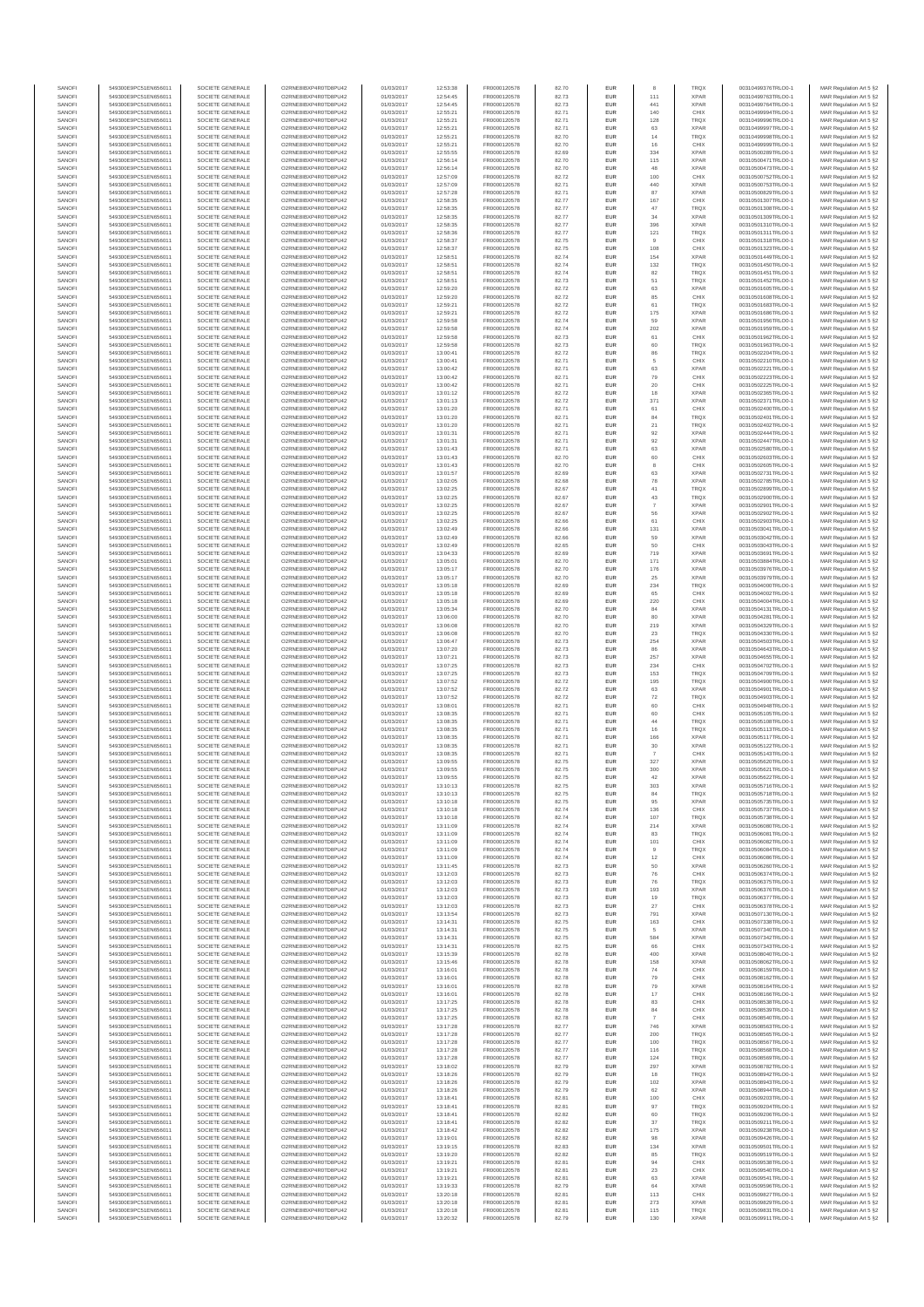| SANOFI           | 549300E9PC51EN656011                         | SOCIETE GENERALE                     | O2RNE8IBXP4R0TD8PU42                         | 01/03/2017               | 12:53:38             | FR0000120578                 | 82.70          | EUR               |                | <b>TRQX</b>                | 00310499376TRLO0-1                       | MAR Regulation Art 5 §2                             |
|------------------|----------------------------------------------|--------------------------------------|----------------------------------------------|--------------------------|----------------------|------------------------------|----------------|-------------------|----------------|----------------------------|------------------------------------------|-----------------------------------------------------|
| SANOFI<br>SANOFI | 549300E9PC51EN656011<br>549300E9PC51EN656011 | SOCIETE GENERALE<br>SOCIETE GENERALE | O2RNE8IBXP4R0TD8PU42<br>O2RNE8IBXP4R0TD8PU42 | 01/03/2017               | 12:54:45<br>12:54:45 | FR0000120578<br>FR0000120578 | 82.73          | EUR<br>EUR        | 111<br>441     | <b>XPAR</b><br><b>XPAR</b> | 00310499763TRLO0-1<br>00310499764TRLO0-1 | MAR Regulation Art 5 §2                             |
| SANOFI           | 549300E9PC51EN656011                         | SOCIETE GENERALE                     | O2RNE8IBXP4R0TD8PU42                         | 01/03/2017<br>01/03/2017 | 12:55:21             | FR0000120578                 | 82.73<br>82.71 | EUR               | 140            | CHIX                       | 00310499994TRLO0-1                       | MAR Regulation Art 5 §2<br>MAR Regulation Art 5 §2  |
| SANOFI           | 549300E9PC51EN656011                         | SOCIETE GENERALE                     | O2RNE8IBXP4R0TD8PU42                         | 01/03/2017               | 12:55:21             | FR0000120578                 | 82.71          | EUR               | 128            | TRQX                       | 00310499996TRLO0-1                       | MAR Regulation Art 5 §2                             |
| SANOFI           | 549300E9PC51EN656011                         | SOCIETE GENERALE                     | O2RNE8IBXP4R0TD8PU42                         | 01/03/2017               | 12:55:21             | FR0000120578                 | 82.71          | EUR               | 63             | <b>XPAR</b>                | 00310499997TRLO0-1                       | MAR Regulation Art 5 §2                             |
| SANOFI<br>SANOFI | 549300E9PC51EN656011<br>549300E9PC51EN656011 | SOCIETE GENERALE<br>SOCIETE GENERALE | O2RNE8IBXP4R0TD8PU42<br>O2RNE8IBXP4R0TD8PU42 | 01/03/2017<br>01/03/2017 | 12:55:21<br>12:55:21 | FR0000120578<br>FR0000120578 | 82.70<br>82.70 | EUR<br>EUR        | 14<br>16       | <b>TRQX</b><br>CHIX        | 00310499998TRLO0-1<br>00310499999TRLO0-1 | MAR Regulation Art 5 §2<br>MAR Regulation Art 5 §2  |
| SANOFI           | 549300E9PC51EN656011                         | SOCIETE GENERALE                     | O2RNE8IBXP4R0TD8PU42                         | 01/03/2017               | 12:55:55             | FR0000120578                 | 82.69          | EUR               | 334            | <b>XPAR</b>                | 00310500289TRLO0-1                       | MAR Regulation Art 5 \$2                            |
| SANOFI           | 549300E9PC51EN656011                         | SOCIETE GENERALE                     | O2RNE8IBXP4R0TD8PU42                         | 01/03/2017               | 12:56:14             | FR0000120578                 | 82.70          | EUR               | 115            | <b>XPAR</b>                | 00310500471TRLO0-1                       | MAR Regulation Art 5 §2                             |
| SANOFI<br>SANOFI | 549300E9PC51EN656011<br>549300E9PC51EN656011 | SOCIETE GENERALE<br>SOCIETE GENERALE | O2RNE8IBXP4R0TD8PU42<br>O2RNE8IBXP4R0TD8PU42 | 01/03/2017<br>01/03/2017 | 12:56:14<br>12:57:09 | FR0000120578<br>FR0000120578 | 82.70<br>82.72 | EUR<br>EUR        | 48<br>100      | <b>XPAR</b><br>CHIX        | 00310500473TRLO0-1<br>00310500752TRLO0-1 | MAR Regulation Art 5 §2<br>MAR Regulation Art 5 §2  |
| SANOFI           | 549300E9PC51EN656011                         | SOCIETE GENERALE                     | O2RNE8IBXP4R0TD8PU42                         | 01/03/2017               | 12:57:09             | FR0000120578                 | 82.71          | EUR               | 440            | <b>XPAR</b>                | 00310500753TRLO0-1                       | MAR Regulation Art 5 §2                             |
| SANOFI           | 549300E9PC51EN656011                         | SOCIETE GENERALE                     | O2RNE8IBXP4R0TD8PU42                         | 01/03/2017               | 12:57:28             | FR0000120578                 | 82.71          | EUR               | 87             | <b>XPAR</b>                | 00310500829TRLO0-1                       | MAR Regulation Art 5 §2                             |
| SANOFI           | 549300E9PC51EN656011                         | SOCIETE GENERALE                     | O2RNE8IBXP4R0TD8PU42                         | 01/03/2017               | 12:58:35             | FR0000120578                 | 82.77          | EUR               | 167            | CHIX                       | 00310501307TRLO0-1                       | MAR Regulation Art 5 §2                             |
| SANOFI<br>SANOFI | 549300E9PC51EN656011<br>549300E9PC51EN656011 | SOCIETE GENERALE<br>SOCIETE GENERALE | O2RNE8IBXP4R0TD8PU42<br>O2RNE8IBXP4R0TD8PU42 | 01/03/2017<br>01/03/2017 | 12:58:35<br>12:58:35 | FR0000120578<br>FR0000120578 | 82.77<br>82.77 | EUR<br>EUR        | 47<br>34       | <b>TRQX</b><br><b>XPAR</b> | 00310501308TRLO0-1<br>00310501309TRLO0-1 | MAR Regulation Art 5 §2<br>MAR Regulation Art 5 §2  |
| SANOFI           | 549300E9PC51EN656011                         | SOCIETE GENERALE                     | O2RNE8IBXP4R0TD8PU42                         | 01/03/2017               | 12:58:35             | FR0000120578                 | 82.77          | EUR               | 396            | <b>XPAR</b>                | 00310501310TRLO0-1                       | MAR Regulation Art 5 §2                             |
| SANOFI           | 549300E9PC51EN656011                         | SOCIETE GENERALE                     | O2RNE8IBXP4R0TD8PU42                         | 01/03/2017               | 12:58:36             | FR0000120578                 | 82.77          | EUR               | 121            | <b>TRQX</b>                | 00310501311TRLO0-1                       | MAR Regulation Art 5 §2                             |
| SANOFI           | 549300E9PC51EN656011                         | SOCIETE GENERALE                     | O2RNE8IBXP4R0TD8PU42                         | 01/03/2017               | 12:58:37             | FR0000120578                 | 82.75          | EUR               | 9              | CHIX                       | 00310501318TRLO0-1                       | MAR Regulation Art 5 §2                             |
| SANOFI<br>SANOFI | 549300E9PC51EN656011<br>549300E9PC51EN656011 | SOCIETE GENERALE<br>SOCIETE GENERALE | O2RNE8IBXP4R0TD8PU42<br>O2RNE8IBXP4R0TD8PU42 | 01/03/2017<br>01/03/2017 | 12:58:37<br>12:58:51 | FR0000120578<br>FR0000120578 | 82.75<br>82.74 | EUR<br>EUR        | 108<br>154     | CHIX<br><b>XPAR</b>        | 00310501323TRLO0-1<br>00310501449TRLO0-1 | MAR Regulation Art 5 §2<br>MAR Regulation Art 5 §2  |
| SANOFI           | 549300E9PC51EN656011                         | SOCIETE GENERALE                     | O2RNE8IBXP4R0TD8PU42                         | 01/03/2017               | 12:58:51             | FR0000120578                 | 82.74          | EUR               | 132            | <b>TRQX</b>                | 00310501450TRLO0-1                       | MAR Regulation Art 5 §2                             |
| SANOFI           | 549300E9PC51EN656011                         | SOCIETE GENERALE                     | O2RNE8IBXP4R0TD8PU42                         | 01/03/2017               | 12:58:51             | FR0000120578                 | 82.74          | EUR               | 82             | <b>TRQX</b>                | 00310501451TRLO0-1                       | MAR Regulation Art 5 §2                             |
| SANOFI<br>SANOFI | 549300E9PC51EN656011<br>549300E9PC51EN656011 | SOCIETE GENERALE<br>SOCIETE GENERALE | O2RNE8IBXP4R0TD8PU42<br>O2RNE8IBXP4R0TD8PU42 | 01/03/2017<br>01/03/2017 | 12:58:51<br>12:59:20 | FR0000120578<br>FR0000120578 | 82.73<br>82.72 | EUR<br>EUR        | 51<br>63       | <b>TRQX</b><br><b>XPAR</b> | 00310501452TRLO0-1<br>00310501605TRLO0-1 | MAR Regulation Art 5 §2<br>MAR Regulation Art 5 §2  |
| SANOFI           | 549300E9PC51EN656011                         | SOCIETE GENERALE                     | O2RNE8IBXP4R0TD8PU42                         | 01/03/2017               | 12:59:20             | FR0000120578                 | 82.72          | EUR               | 85             | CHIX                       | 00310501608TRLO0-1                       | MAR Regulation Art 5 62                             |
| SANOFI           | 549300E9PC51EN656011                         | SOCIETE GENERALE                     | O2RNE8IBXP4R0TD8PU42                         | 01/03/2017               | 12:59:21             | FR0000120578                 | 82.72          | EUR               | 61             | <b>TRQX</b>                | 00310501683TRLO0-1                       | MAR Regulation Art 5 §2                             |
| SANOFI           | 549300E9PC51EN656011                         | SOCIETE GENERALE                     | O2RNE8IBXP4R0TD8PU42                         | 01/03/2017               | 12:59:21             | FR0000120578                 | 82.72          | EUR               | 175            | <b>XPAR</b>                | 00310501686TRLO0-1                       | MAR Regulation Art 5 §2                             |
| SANOFI<br>SANOFI | 549300E9PC51EN656011<br>549300E9PC51EN656011 | SOCIETE GENERALE<br>SOCIETE GENERALE | O2RNE8IBXP4R0TD8PU42<br>O2RNE8IBXP4R0TD8PU42 | 01/03/2017<br>01/03/2017 | 12:59:58<br>12:59:58 | FR0000120578<br>FR0000120578 | 82.74<br>82.74 | EUR<br>EUR        | 59<br>202      | <b>XPAR</b><br><b>XPAR</b> | 00310501956TRLO0-1<br>00310501959TRLO0-1 | MAR Regulation Art 5 §2<br>MAR Regulation Art 5 §2  |
| SANOFI           | 549300E9PC51EN656011                         | SOCIETE GENERALE                     | O2RNE8IBXP4R0TD8PU42                         | 01/03/2017               | 12:59:58             | FR0000120578                 | 82.73          | EUR               | 61             | CHIX                       | 00310501962TRLO0-1                       | MAR Regulation Art 5 §2                             |
| SANOFI           | 549300E9PC51EN656011                         | SOCIETE GENERALE                     | O2RNE8IBXP4R0TD8PU42                         | 01/03/2017               | 12:59:58             | FR0000120578                 | 82.73          | EUR               | 60             | <b>TRQX</b>                | 00310501963TRLO0-1                       | MAR Regulation Art 5 §2                             |
| SANOFI<br>SANOFI | 549300E9PC51EN656011<br>549300E9PC51EN656011 | SOCIETE GENERALE<br>SOCIETE GENERALE | O2RNE8IBXP4R0TD8PU42<br>O2RNE8IBXP4R0TD8PU42 | 01/03/2017<br>01/03/2017 | 13:00:41<br>13:00:41 | FR0000120578<br>FR0000120578 | 82.72<br>82.71 | EUR<br>EUR        | 86<br>5        | <b>TRQX</b><br>CHIX        | 00310502204TRLO0-1<br>00310502210TRLO0-1 | MAR Regulation Art 5 \$2<br>MAR Regulation Art 5 §2 |
| SANOFI           | 549300E9PC51EN656011                         | SOCIETE GENERALE                     | O2RNE8IBXP4R0TD8PU42                         | 01/03/2017               | 13:00:42             | FR0000120578                 | 82.71          | EUR               | 63             | <b>XPAR</b>                | 00310502221TRLO0-1                       | MAR Regulation Art 5 §2                             |
| SANOFI           | 549300E9PC51EN656011                         | SOCIETE GENERALE                     | O2RNE8IBXP4R0TD8PU42                         | 01/03/2017               | 13:00:42             | FR0000120578                 | 82.71          | EUR               | 79             | CHIX                       | 00310502223TRLO0-1                       | MAR Regulation Art 5 §2                             |
| SANOFI           | 549300E9PC51EN656011<br>549300E9PC51EN656011 | SOCIETE GENERALE                     | O2RNE8IBXP4R0TD8PU42                         | 01/03/2017               | 13:00:42             | FR0000120578                 | 82.71          | EUR               | 20             | CHIX                       | 00310502225TRLO0-1<br>00310502365TRLO0-1 | MAR Regulation Art 5 §2                             |
| SANOFI<br>SANOFI | 549300E9PC51EN656011                         | SOCIETE GENERALE<br>SOCIETE GENERALE | O2RNE8IBXP4R0TD8PU42<br>O2RNE8IBXP4R0TD8PU42 | 01/03/2017<br>01/03/2017 | 13:01:12<br>13:01:13 | FR0000120578<br>FR0000120578 | 82.72<br>82.72 | EUR<br>EUR        | 18<br>371      | <b>XPAR</b><br><b>XPAR</b> | 00310502371TRLO0-1                       | MAR Regulation Art 5 §2<br>MAR Regulation Art 5 §2  |
| SANOFI           | 549300E9PC51EN656011                         | SOCIETE GENERALE                     | O2RNE8IBXP4R0TD8PU42                         | 01/03/2017               | 13:01:20             | FR0000120578                 | 82.71          | EUR               | 61             | CHIX                       | 00310502400TRLO0-1                       | MAR Regulation Art 5 §2                             |
| SANOFI           | 549300E9PC51EN656011                         | SOCIETE GENERALE                     | O2RNE8IBXP4R0TD8PU42                         | 01/03/2017               | 13:01:20             | FR0000120578                 | 82.71          | EUR               | 84             | <b>TRQX</b>                | 00310502401TRLO0-1                       | MAR Regulation Art 5 §2                             |
| SANOFI<br>SANOFI | 549300E9PC51EN656011<br>549300E9PC51EN656011 | SOCIETE GENERALE<br>SOCIETE GENERALE | O2RNE8IBXP4R0TD8PU42<br>O2RNE8IBXP4R0TD8PU42 | 01/03/2017<br>01/03/2017 | 13:01:20<br>13:01:31 | FR0000120578<br>FR0000120578 | 82.71<br>82.71 | EUR<br>EUR        | 21<br>92       | <b>TRQX</b><br><b>XPAR</b> | 00310502402TRLO0-1<br>00310502444TRLO0-1 | MAR Regulation Art 5 §2<br>MAR Regulation Art 5 §2  |
| SANOFI           | 549300E9PC51EN656011                         | SOCIETE GENERALE                     | O2RNE8IBXP4R0TD8PU42                         | 01/03/2017               | 13:01:31             | FR0000120578                 | 82.71          | EUR               | 92             | <b>XPAR</b>                | 00310502447TRLO0-1                       | MAR Regulation Art 5 §2                             |
| SANOFI           | 549300E9PC51EN656011                         | SOCIETE GENERALE                     | O2RNE8IBXP4R0TD8PU42                         | 01/03/2017               | 13:01:43             | FR0000120578                 | 82.71          | EUR               | 63             | <b>XPAR</b>                | 00310502580TRLO0-1                       | MAR Regulation Art 5 §2                             |
| SANOFI           | 549300E9PC51EN656011                         | SOCIETE GENERALE                     | O2RNE8IBXP4R0TD8PU42                         | 01/03/2017               | 13:01:43             | FR0000120578                 | 82.70          | EUR               | 60             | CHIX                       | 00310502603TRLO0-1                       | MAR Regulation Art 5 §2                             |
| SANOFI<br>SANOFI | 549300E9PC51EN656011<br>549300E9PC51EN656011 | SOCIETE GENERALE<br>SOCIETE GENERALE | O2RNE8IBXP4R0TD8PU42<br>O2RNE8IBXP4R0TD8PU42 | 01/03/2017<br>01/03/2017 | 13:01:43<br>13:01:57 | FR0000120578<br>FR0000120578 | 82.70<br>82.69 | EUR<br>EUR        | 8<br>63        | CHIX<br><b>XPAR</b>        | 00310502605TRLO0-1<br>00310502731TRLO0-1 | MAR Regulation Art 5 §2<br>MAR Regulation Art 5 §2  |
| SANOFI           | 549300E9PC51EN656011                         | SOCIETE GENERALE                     | O2RNE8IBXP4R0TD8PU42                         | 01/03/2017               | 13:02:05             | FR0000120578                 | 82.68          | EUR               | 78             | <b>XPAR</b>                | 00310502785TRLO0-1                       | MAR Regulation Art 5 §2                             |
| SANOFI           | 549300E9PC51EN656011                         | SOCIETE GENERALE                     | O2RNE8IBXP4R0TD8PU42                         | 01/03/2017               | 13:02:25             | FR0000120578                 | 82.67          | EUR               | 41             | <b>TRQX</b>                | 00310502899TRLO0-1                       | MAR Regulation Art 5 §2                             |
| SANOFI<br>SANOFI | 549300E9PC51EN656011<br>549300E9PC51EN656011 | SOCIETE GENERALE                     | O2RNE8IBXP4R0TD8PU42<br>O2RNE8IBXP4R0TD8PU42 | 01/03/2017               | 13:02:25             | FR0000120578                 | 82.67<br>82.67 | EUR<br>EUR        | 43             | <b>TRQX</b><br><b>XPAR</b> | 00310502900TRLO0-1                       | MAR Regulation Art 5 \$2<br>MAR Regulation Art 5 §2 |
| SANOFI           | 549300E9PC51EN656011                         | SOCIETE GENERALE<br>SOCIETE GENERALE | O2RNE8IBXP4R0TD8PU42                         | 01/03/2017<br>01/03/2017 | 13:02:25<br>13:02:25 | FR0000120578<br>FR0000120578 | 82.67          | EUR               | 56             | <b>XPAR</b>                | 00310502901TRLO0-1<br>00310502902TRLO0-1 | MAR Regulation Art 5 §2                             |
| SANOFI           | 549300E9PC51EN656011                         | SOCIETE GENERALE                     | O2RNE8IBXP4R0TD8PU42                         | 01/03/2017               | 13:02:25             | FR0000120578                 | 82.66          | EUR               | 61             | CHIX                       | 00310502903TRLO0-1                       | MAR Regulation Art 5 §2                             |
| SANOFI           | 549300E9PC51EN656011                         | SOCIETE GENERALE                     | O2RNE8IBXP4R0TD8PU42                         | 01/03/2017               | 13:02:49             | FR0000120578                 | 82.66          | EUR               | 131            | <b>XPAR</b>                | 00310503041TRLO0-1                       | MAR Regulation Art 5 §2                             |
| SANOFI<br>SANOFI | 549300E9PC51EN656011<br>549300E9PC51EN656011 | SOCIETE GENERALE<br>SOCIETE GENERALE | O2RNE8IBXP4R0TD8PU42<br>O2RNE8IBXP4R0TD8PU42 | 01/03/2017<br>01/03/2017 | 13:02:49<br>13:02:49 | FR0000120578<br>FR0000120578 | 82.66<br>82.65 | EUR<br>EUR        | 59<br>50       | <b>XPAR</b><br>CHIX        | 00310503042TRLO0-1<br>00310503043TRLO0-1 | MAR Regulation Art 5 §2<br>MAR Regulation Art 5 §2  |
| SANOFI           | 549300E9PC51EN656011                         | SOCIETE GENERALE                     | O2RNE8IBXP4R0TD8PU42                         | 01/03/2017               | 13:04:33             | FR0000120578                 | 82.69          | EUR               | 719            | <b>XPAR</b>                | 00310503691TRLO0-1                       | MAR Regulation Art 5 §2                             |
| SANOFI           | 549300E9PC51EN656011                         | SOCIETE GENERALE                     | O2RNE8IBXP4R0TD8PU42                         | 01/03/2017               | 13:05:01             | FR0000120578                 | 82.70          | EUR               | 171            | <b>XPAR</b>                | 00310503884TRLO0-1                       | MAR Regulation Art 5 §2                             |
| SANOFI           | 549300E9PC51EN656011                         | SOCIETE GENERALE                     | O2RNE8IBXP4R0TD8PU42                         | 01/03/2017               | 13:05:17             | FR0000120578                 | 82.70          | EUR               | 176            | <b>XPAR</b>                | 00310503976TRLO0-1                       | MAR Regulation Art 5 §2                             |
| SANOFI<br>SANOFI | 549300E9PC51EN656011<br>549300E9PC51EN656011 | SOCIETE GENERALE<br>SOCIETE GENERALE | O2RNE8IBXP4R0TD8PU42<br>O2RNE8IBXP4R0TD8PU42 | 01/03/2017<br>01/03/2017 | 13:05:17<br>13:05:18 | FR0000120578<br>FR0000120578 | 82.70<br>82.69 | EUR<br>EUR        | 25<br>234      | <b>XPAR</b><br><b>TRQX</b> | 00310503979TRLO0-1<br>00310504000TRLO0-1 | MAR Regulation Art 5 §2<br>MAR Regulation Art 5 §2  |
| SANOFI           | 549300E9PC51EN656011                         | SOCIETE GENERALE                     | O2RNE8IBXP4R0TD8PU42                         | 01/03/2017               | 13:05:18             | FR0000120578                 | 82.69          | EUR               | 65             | CHIX                       | 00310504002TRLO0-1                       | MAR Regulation Art 5 §2                             |
| SANOFI           | 549300E9PC51EN656011                         | SOCIETE GENERALE                     | O2RNE8IBXP4R0TD8PU42                         | 01/03/2017               | 13:05:18             | FR0000120578                 | 82.69          | EUR               | 220            | CHIX                       | 00310504004TRLO0-1                       | MAR Regulation Art 5 §2                             |
| SANOFI<br>SANOFI | 549300E9PC51EN656011<br>549300E9PC51EN656011 | SOCIETE GENERALE<br>SOCIETE GENERALE | O2RNE8IBXP4R0TD8PU42<br>O2RNE8IBXP4R0TD8PU42 | 01/03/2017<br>01/03/2017 | 13:05:34<br>13:06:00 | FR0000120578<br>FR0000120578 | 82.70<br>82.70 | EUR<br>EUR        | 84<br>80       | <b>XPAR</b><br><b>XPAR</b> | 00310504131TRLO0-1<br>00310504281TRLO0-1 | MAR Regulation Art 5 §2                             |
| SANOFI           | 549300E9PC51EN656011                         | SOCIETE GENERALE                     | O2RNE8IBXP4R0TD8PU42                         | 01/03/2017               | 13:06:08             | FR0000120578                 | 82.70          | EUR               | 219            | <b>XPAR</b>                | 00310504329TRLO0-1                       | MAR Regulation Art 5 §2<br>MAR Regulation Art 5 §2  |
| SANOFI           | 549300E9PC51EN656011                         | SOCIETE GENERALE                     | O2RNE8IBXP4R0TD8PU42                         | 01/03/2017               | 13:06:08             | FR0000120578                 | 82.70          | EUR               | 23             | <b>TRQX</b>                | 00310504330TRLO0-1                       | MAR Regulation Art 5 §2                             |
| SANOFI           | 549300E9PC51EN656011                         | SOCIETE GENERALE                     | O2RNE8IBXP4R0TD8PU42                         | 01/03/2017               | 13:06:47             | FR0000120578                 | 82.73          | EUR               | 254            | <b>XPAR</b>                | 00310504503TRLO0-1                       | MAR Regulation Art 5 §2                             |
| SANOFI<br>SANOFI | 549300E9PC51EN656011<br>549300E9PC51EN656011 | SOCIETE GENERALE<br>SOCIETE GENERALE | O2RNE8IBXP4R0TD8PU42<br>O2RNE8IBXP4R0TD8PU42 | 01/03/2017<br>01/03/2017 | 13:07:20<br>13:07:21 | FR0000120578<br>FR0000120578 | 82.73<br>82.73 | EUR<br>EUR        | 86<br>257      | <b>XPAR</b><br><b>XPAR</b> | 00310504643TRLO0-1<br>00310504655TRLO0-1 | MAR Regulation Art 5 §2<br>MAR Regulation Art 5 §2  |
| SANOFI           | 549300E9PC51EN656011                         | SOCIETE GENERALE                     | O2RNE8IBXP4R0TD8PU42                         | 01/03/2017               | 13:07:25             | FR0000120578                 | 82.73          | EUR               | 234            | CHIX                       | 00310504702TRLO0-1                       | MAR Regulation Art 5 §2                             |
| SANOFI           | 549300E9PC51EN656011                         | SOCIETE GENERALE                     | O2RNE8IBXP4R0TD8PU42                         | 01/03/2017               | 13:07:25             | FR0000120578                 | 82.73          | EUR               | 153            | <b>TRQX</b>                | 00310504709TRLO0-1                       | MAR Regulation Art 5 §2                             |
| SANOFI           | 549300E9PC51EN656011                         | SOCIETE GENERALE                     | O2RNE8IBXP4R0TD8PU42                         | 01/03/2017               | 13:07:52             | FR0000120578                 | 82.72          | EUR               | 195            | <b>TRQX</b>                | 00310504900TRLO0-1                       | MAR Regulation Art 5 §2                             |
| SANOFI<br>SANOFI | 549300E9PC51EN656011<br>549300E9PC51EN656011 | SOCIETE GENERALE<br>SOCIETE GENERALE | O2RNE8IBXP4R0TD8PU42<br>O2RNE8IBXP4R0TD8PU42 | 01/03/2017<br>01/03/2017 | 13:07:52<br>13:07:52 | FR0000120578<br>FR0000120578 | 82.72<br>82.72 | EUR<br>EUR        | 63<br>72       | <b>XPAR</b><br><b>TRQX</b> | 00310504901TRLO0-1<br>00310504903TRLO0-1 | MAR Regulation Art 5 §2<br>MAR Regulation Art 5 §2  |
| SANOFI           | 549300E9PC51EN656011                         | SOCIETE GENERALE                     | O2RNE8IBXP4R0TD8PU42                         | 01/03/2017               | 13:08:01             | FR0000120578                 | 82.71          | EUR               | 60             | CHIX                       | 00310504948TRLO0-1                       | MAR Regulation Art 5 §2                             |
| SANOFI           | 549300E9PC51EN656011                         | SOCIETE GENERALE                     | O2RNE8IBXP4R0TD8PU42                         | 01/03/2017               | 13:08:35             | FR0000120578                 | 82.71          | EUR               | 60             | CHIX                       | 00310505105TRLO0-1                       | MAR Regulation Art 5 §2                             |
| SANOFI           | 549300E9PC51EN656011                         | SOCIETE GENERALE                     | O2RNE8IBXP4R0TD8PU42                         | 01/03/2017               | 13:08:35             | FR0000120578                 | 82.71          | EUR               | 44             | TRQX                       | 00310505108TRLO0-1                       | MAR Regulation Art 5 §2                             |
| SANOFI<br>SANOFI | 549300E9PC51EN656011<br>549300E9PC51EN656011 | SOCIETE GENERALE<br>SOCIETE GENERALE | O2RNE8IBXP4R0TD8PU42<br>O2RNE8IBXP4R0TD8PU42 | 01/03/2017<br>01/03/2017 | 13:08:35<br>13:08:35 | FR0000120578<br>FR0000120578 | 82.71<br>82.71 | EUR<br>EUR        | 16<br>166      | TRQX<br><b>XPAR</b>        | 00310505113TRLO0-1<br>00310505117TRLO0-1 | MAR Regulation Art 5 §2<br>MAR Regulation Art 5 §2  |
| SANOFI           | 549300E9PC51EN656011                         | SOCIETE GENERALE                     | O2RNE8IBXP4R0TD8PU42                         | 01/03/2017               | 13:08:35             | FR0000120578                 | 82.71          | EUR               | 30             | <b>XPAR</b>                | 00310505122TRLO0-1                       | MAR Regulation Art 5 §2                             |
| SANOFI           | 549300E9PC51EN656011                         | SOCIETE GENERALE                     | O2RNE8IBXP4R0TD8PU42                         | 01/03/2017               | 13:08:35             | FR0000120578                 | 82.71          | EUR               | $\overline{7}$ | CHIX                       | 00310505143TRLO0-1                       | MAR Regulation Art 5 \$2                            |
| SANOFI<br>SANOFI | 549300E9PC51EN656011<br>549300E9PC51EN656011 | SOCIETE GENERALE<br>SOCIETE GENERALE | O2RNE8IBXP4R0TD8PU42<br>O2RNE8IBXP4R0TD8PU42 | 01/03/2017<br>01/03/2017 | 13:09:55<br>13:09:55 | FR0000120578<br>FR0000120578 | 82.75<br>82.75 | EUR<br><b>EUR</b> | 327<br>300     | <b>XPAR</b><br><b>XPAR</b> | 00310505620TRLO0-1<br>00310505621TRLO0-1 | MAR Regulation Art 5 §2<br>MAR Regulation Art 5 §2  |
| SANOFI           | 549300E9PC51EN656011                         | SOCIETE GENERALE                     | O2RNE8IBXP4R0TD8PU42                         | 01/03/2017               | 13:09:55             | FR0000120578                 | 82.75          | <b>EUR</b>        | 42             | <b>XPAR</b>                | 00310505622TRLO0-1                       | MAR Regulation Art 5 §2                             |
| SANOFI           | 549300E9PC51EN656011                         | SOCIETE GENERALE                     | O2RNE8IBXP4R0TD8PU42                         | 01/03/2017               | 13:10:13             | FR0000120578                 | 82.75          | EUR               | 303            | <b>XPAR</b>                | 00310505716TRLO0-1                       | MAR Regulation Art 5 §2                             |
| SANOFI           | 549300E9PC51EN656011                         | SOCIETE GENERALE                     | O2RNE8IBXP4R0TD8PU42                         | 01/03/2017               | 13:10:13             | FR0000120578                 | 82.75          | EUR               | 84             | <b>TRQX</b>                | 00310505718TRLO0-1                       | MAR Regulation Art 5 §2                             |
| SANOFI<br>SANOFI | 549300E9PC51EN656011<br>549300E9PC51EN656011 | SOCIETE GENERALE<br>SOCIETE GENERALE | O2RNE8IBXP4R0TD8PU42<br>O2RNE8IBXP4R0TD8PU42 | 01/03/2017<br>01/03/2017 | 13:10:18<br>13:10:18 | FR0000120578<br>FR0000120578 | 82.75<br>82.74 | EUR<br>EUR        | 95<br>136      | <b>XPAR</b><br>CHIX        | 00310505735TRLO0-1<br>00310505737TRLO0-1 | MAR Regulation Art 5 §2<br>MAR Regulation Art 5 §2  |
| SANOFI           | 549300E9PC51EN656011                         | SOCIETE GENERALE                     | O2RNE8IBXP4R0TD8PU42                         | 01/03/2017               | 13:10:18             | FR0000120578                 | 82.74          | EUR               | 107            | <b>TRQX</b>                | 00310505738TRLO0-1                       | MAR Regulation Art 5 §2                             |
| SANOFI           | 549300E9PC51EN656011                         | SOCIETE GENERALE                     | O2RNE8IBXP4R0TD8PU42                         | 01/03/2017               | 13:11:09             | FR0000120578                 | 82.74          | EUR               | 214            | <b>XPAR</b>                | 00310506080TRLO0-1                       | MAR Regulation Art 5 §2                             |
| SANOFI<br>SANOFI | 549300E9PC51EN656011<br>549300E9PC51EN656011 | SOCIETE GENERALE<br>SOCIETE GENERALE | O2RNE8IBXP4R0TD8PU42<br>O2RNE8IBXP4R0TD8PU42 | 01/03/2017<br>01/03/2017 | 13:11:09<br>13:11:09 | FR0000120578<br>FR0000120578 | 82.74<br>82.74 | EUR<br>EUR        | 83<br>101      | <b>TRQX</b><br>CHIX        | 00310506081TRLO0-1<br>00310506082TRLO0-1 | MAR Regulation Art 5 §2<br>MAR Regulation Art 5 \$2 |
| SANOFI           | 549300E9PC51EN656011                         | SOCIETE GENERALE                     | O2RNE8IBXP4R0TD8PU42                         | 01/03/2017               | 13:11:09             | FR0000120578                 | 82.74          | EUR               | 9              | <b>TRQX</b>                | 00310506084TRLO0-1                       | MAR Regulation Art 5 §2                             |
| SANOFI           | 549300E9PC51EN656011                         | SOCIETE GENERALE                     | O2RNE8IBXP4R0TD8PU42                         | 01/03/2017               | 13:11:09             | FR0000120578                 | 82.74          | EUR               | 12             | CHIX                       | 00310506086TRLO0-1                       | MAR Regulation Art 5 §2                             |
| SANOFI<br>SANOFI | 549300E9PC51EN656011<br>549300E9PC51EN656011 | SOCIETE GENERALE<br>SOCIETE GENERALE | O2RNE8IBXP4R0TD8PU42<br>O2RNE8IBXP4R0TD8PU42 | 01/03/2017<br>01/03/2017 | 13:11:45<br>13:12:03 | FR0000120578<br>FR0000120578 | 82.73<br>82.73 | EUR<br>EUR        | 50<br>76       | <b>XPAR</b><br>CHIX        | 00310506260TRLO0-1<br>00310506374TRLO0-1 | MAR Regulation Art 5 §2<br>MAR Regulation Art 5 §2  |
| SANOFI           | 549300E9PC51EN656011                         | SOCIETE GENERALE                     | O2RNE8IBXP4R0TD8PU42                         | 01/03/2017               | 13:12:03             | FR0000120578                 | 82.73          | EUR               | 76             | <b>TROX</b>                | 00310506375TRLO0-1                       | MAR Regulation Art 5 §2                             |
| SANOFI           | 549300E9PC51EN656011                         | SOCIETE GENERALE                     | O2RNE8IBXP4R0TD8PU42                         | 01/03/2017               | 13:12:03             | FR0000120578                 | 82.73          | EUR               | 193            | <b>XPAR</b>                | 00310506376TRLO0-1                       | MAR Regulation Art 5 §2                             |
| SANOFI<br>SANOFI | 549300E9PC51EN656011<br>549300E9PC51EN656011 | SOCIETE GENERALE<br>SOCIETE GENERALE | O2RNE8IBXP4R0TD8PU42<br>O2RNE8IBXP4R0TD8PU42 | 01/03/2017<br>01/03/2017 | 13:12:03<br>13:12:03 | FR0000120578<br>FR0000120578 | 82.73<br>82.73 | EUR<br>EUR        | 19<br>27       | <b>TRQX</b><br>CHIX        | 00310506377TRLO0-1<br>00310506378TRLO0-1 | MAR Regulation Art 5 §2<br>MAR Regulation Art 5 §2  |
| SANOFI           | 549300E9PC51EN656011                         | SOCIETE GENERALE                     | O2RNE8IBXP4R0TD8PU42                         | 01/03/2017               | 13:13:54             | FR0000120578                 | 82.73          | EUR               | 791            | <b>XPAR</b>                | 00310507130TRLO0-1                       | MAR Regulation Art 5 §2                             |
| SANOFI           | 549300E9PC51EN656011                         | SOCIETE GENERALE                     | O2RNE8IBXP4R0TD8PU42                         | 01/03/2017               | 13:14:31             | FR0000120578                 | 82.75          | EUR               | 163            | CHIX                       | 00310507338TRLO0-1                       | MAR Regulation Art 5 §2                             |
| SANOFI<br>SANOFI | 549300E9PC51EN656011<br>549300E9PC51EN656011 | SOCIETE GENERALE<br>SOCIETE GENERALE | O2RNE8IBXP4R0TD8PU42<br>O2RNE8IBXP4R0TD8PU42 | 01/03/2017<br>01/03/2017 | 13:14:31<br>13:14:31 | FR0000120578<br>FR0000120578 | 82.75<br>82.75 | EUR<br>EUR        | 5<br>584       | <b>XPAR</b><br><b>XPAR</b> | 00310507340TRLO0-1<br>00310507342TRLO0-1 | MAR Regulation Art 5 §2<br>MAR Regulation Art 5 §2  |
| SANOFI           | 549300E9PC51EN656011                         | SOCIETE GENERALE                     | O2RNE8IBXP4R0TD8PU42                         | 01/03/2017               | 13:14:31             | FR0000120578                 | 82.75          | EUR               | 66             | CHIX                       | 00310507343TRLO0-1                       | MAR Regulation Art 5 §2                             |
| SANOFI           | 549300E9PC51EN656011                         | SOCIETE GENERALE                     | O2RNE8IBXP4R0TD8PU42                         | 01/03/2017               | 13:15:39             | FR0000120578                 | 82.78          | EUR               | 400            | <b>XPAR</b>                | 00310508040TRLO0-1                       | MAR Regulation Art 5 §2                             |
| SANOFI           | 549300E9PC51EN656011                         | SOCIETE GENERALE                     | O2RNE8IBXP4R0TD8PU42                         | 01/03/2017               | 13:15:46             | FR0000120578                 | 82.78          | EUR               | 158            | <b>XPAR</b>                | 00310508062TRLO0-1                       | MAR Regulation Art 5 §2                             |
| SANOFI<br>SANOFI | 549300E9PC51EN656011<br>549300E9PC51EN656011 | SOCIETE GENERALE<br>SOCIETE GENERALE | O2RNE8IBXP4R0TD8PU42<br>O2RNE8IBXP4R0TD8PU42 | 01/03/2017<br>01/03/2017 | 13:16:01<br>13:16:01 | FR0000120578<br>FR0000120578 | 82.78<br>82.78 | EUR<br>EUR        | 74<br>79       | CHIX<br>CHIX               | 00310508159TRLO0-1<br>00310508162TRLO0-1 | MAR Regulation Art 5 §2<br>MAR Regulation Art 5 §2  |
| SANOFI           | 549300E9PC51EN656011                         | SOCIETE GENERALE                     | O2RNE8IBXP4R0TD8PU42                         | 01/03/2017               | 13:16:01             | FR0000120578                 | 82.78          | EUR               | 79             | <b>XPAR</b>                | 00310508164TRLO0-1                       | MAR Regulation Art 5 §2                             |
| SANOFI           | 549300E9PC51EN656011                         | SOCIETE GENERALE                     | O2RNE8IBXP4R0TD8PU42                         | 01/03/2017               | 13:16:01             | FR0000120578                 | 82.78          | EUR               | 17             | CHIX                       | 00310508166TRLO0-1                       | MAR Regulation Art 5 §2                             |
| SANOFI<br>SANOFI | 549300E9PC51EN656011<br>549300E9PC51EN656011 | SOCIETE GENERALE<br>SOCIETE GENERALE | O2RNE8IBXP4R0TD8PU42<br>O2RNE8IBXP4R0TD8PU42 | 01/03/2017<br>01/03/2017 | 13:17:25             | FR0000120578<br>FR0000120578 | 82.78<br>82.78 | EUR<br>EUR        | 83             | CHIX<br>CHIX               | 00310508538TRLO0-1<br>00310508539TRLO0-1 | MAR Regulation Art 5 §2                             |
| SANOFI           | 549300E9PC51EN656011                         | SOCIETE GENERALE                     | O2RNE8IBXP4R0TD8PU42                         | 01/03/2017               | 13:17:25<br>13:17:25 | FR0000120578                 | 82.78          | EUR               | 84             | CHIX                       | 00310508540TRLO0-1                       | MAR Regulation Art 5 §2<br>MAR Regulation Art 5 §2  |
| SANOFI           | 549300E9PC51EN656011                         | SOCIETE GENERALE                     | O2RNE8IBXP4R0TD8PU42                         | 01/03/2017               | 13:17:28             | FR0000120578                 | 82.77          | EUR               | 746            | <b>XPAR</b>                | 00310508563TRLO0-1                       | MAR Regulation Art 5 §2                             |
| SANOFI           | 549300E9PC51EN656011                         | SOCIETE GENERALE                     | O2RNE8IBXP4R0TD8PU42                         | 01/03/2017               | 13:17:28             | FR0000120578                 | 82.77          | EUR               | 200            | <b>TRQX</b>                | 00310508565TRLO0-1                       | MAR Regulation Art 5 §2                             |
| SANOFI<br>SANOFI | 549300E9PC51EN656011<br>549300E9PC51EN656011 | SOCIETE GENERALE<br>SOCIETE GENERALE | O2RNE8IBXP4R0TD8PU42<br>O2RNE8IBXP4R0TD8PU42 | 01/03/2017<br>01/03/2017 | 13:17:28<br>13:17:28 | FR0000120578<br>FR0000120578 | 82.77<br>82.77 | EUR<br>EUR        | 100<br>116     | <b>TROX</b><br><b>TRQX</b> | 00310508567TRLO0-1<br>00310508568TRLO0-1 | MAR Regulation Art 5 §2<br>MAR Regulation Art 5 §2  |
| SANOFI           | 549300E9PC51EN656011                         | SOCIETE GENERALE                     | O2RNE8IBXP4R0TD8PU42                         | 01/03/2017               | 13:17:28             | FR0000120578                 | 82.77          | EUR               | 124            | TRQX                       | 00310508569TRLO0-1                       | MAR Regulation Art 5 §2                             |
| SANOFI           | 549300E9PC51EN656011                         | SOCIETE GENERALE                     | O2RNE8IBXP4R0TD8PU42                         | 01/03/2017               | 13:18:02             | FR0000120578                 | 82.79          | EUR               | 297            | <b>XPAR</b>                | 00310508782TRLO0-1                       | MAR Regulation Art 5 §2                             |
| SANOFI<br>SANOFI | 549300E9PC51EN656011<br>549300E9PC51EN656011 | SOCIETE GENERALE<br>SOCIETE GENERALE | O2RNE8IBXP4R0TD8PU42<br>O2RNE8IBXP4R0TD8PU42 | 01/03/2017<br>01/03/2017 | 13:18:26<br>13:18:26 | FR0000120578<br>FR0000120578 | 82.79          | EUR<br>EUR        | 18<br>102      | <b>TRQX</b><br><b>XPAR</b> | 00310508942TRLO0-1<br>00310508943TRLO0-1 | MAR Regulation Art 5 §2                             |
| SANOFI           | 549300E9PC51EN656011                         | SOCIETE GENERALE                     | O2RNE8IBXP4R0TD8PU42                         | 01/03/2017               | 13:18:26             | FR0000120578                 | 82.79<br>82.79 | EUR               | 62             | <b>XPAR</b>                | 00310508944TRLO0-1                       | MAR Regulation Art 5 §2<br>MAR Regulation Art 5 §2  |
| SANOFI           | 549300E9PC51EN656011                         | SOCIETE GENERALE                     | O2RNE8IBXP4R0TD8PU42                         | 01/03/2017               | 13:18:41             | FR0000120578                 | 82.81          | EUR               | 100            | CHIX                       | 00310509203TRLO0-1                       | MAR Regulation Art 5 §2                             |
| SANOFI           | 549300E9PC51EN656011                         | SOCIETE GENERALE                     | O2RNE8IBXP4R0TD8PU42                         | 01/03/2017               | 13:18:41             | FR0000120578                 | 82.81          | EUR               | 97             | <b>TRQX</b>                | 00310509204TRLO0-1                       | MAR Regulation Art 5 §2                             |
| SANOFI<br>SANOFI | 549300E9PC51EN656011<br>549300E9PC51EN656011 | SOCIETE GENERALE<br>SOCIETE GENERALE | O2RNE8IBXP4R0TD8PU42<br>O2RNE8IBXP4R0TD8PU42 | 01/03/2017<br>01/03/2017 | 13:18:41<br>13:18:41 | FR0000120578<br>FR0000120578 | 82.82<br>82.82 | EUR<br>EUR        | 60<br>37       | <b>TROX</b><br><b>TRQX</b> | 00310509206TRLO0-1<br>00310509211TRLO0-1 | MAR Regulation Art 5 §2<br>MAR Regulation Art 5 §2  |
| SANOFI           | 549300E9PC51EN656011                         | SOCIETE GENERALE                     | O2RNE8IBXP4R0TD8PU42                         | 01/03/2017               | 13:18:42             | FR0000120578                 | 82.82          | EUR               | 175            | <b>XPAR</b>                | 00310509238TRLO0-1                       | MAR Regulation Art 5 §2                             |
| SANOFI           | 549300E9PC51EN656011                         | SOCIETE GENERALE                     | O2RNE8IBXP4R0TD8PU42                         | 01/03/2017               | 13:19:01             | FR0000120578                 | 82.82          | EUR               | 98             | <b>XPAR</b>                | 00310509426TRLO0-1                       | MAR Regulation Art 5 §2                             |
| SANOFI<br>SANOFI | 549300E9PC51EN656011<br>549300E9PC51EN656011 | SOCIETE GENERALE<br>SOCIETE GENERALE | O2RNE8IBXP4R0TD8PU42<br>O2RNE8IBXP4R0TD8PU42 | 01/03/2017<br>01/03/2017 | 13:19:15<br>13:19:20 | FR0000120578<br>FR0000120578 | 82.83<br>82.82 | EUR<br>EUR        | 134            | <b>XPAR</b><br><b>TROX</b> | 00310509501TRLO0-1<br>00310509519TRLO0-1 | MAR Regulation Art 5 §2                             |
| SANOFI           | 549300E9PC51EN656011                         | SOCIETE GENERALE                     | O2RNE8IBXP4R0TD8PU42                         | 01/03/2017               | 13:19:21             | FR0000120578                 | 82.81          | EUR               | 85<br>94       | CHIX                       | 00310509538TRLO0-1                       | MAR Regulation Art 5 §2<br>MAR Regulation Art 5 §2  |
| SANOFI           | 549300E9PC51EN656011                         | SOCIETE GENERALE                     | O2RNE8IBXP4R0TD8PU42                         | 01/03/2017               | 13:19:21             | FR0000120578                 | 82.81          | EUR               | 23             | CHIX                       | 00310509540TRLO0-1                       | MAR Regulation Art 5 §2                             |
| SANOFI           | 549300E9PC51EN656011                         | SOCIETE GENERALE                     | O2RNE8IBXP4R0TD8PU42                         | 01/03/2017               | 13:19:21             | FR0000120578                 | 82.81          | EUR               | 63             | <b>XPAR</b>                | 00310509541TRLO0-1                       | MAR Regulation Art 5 §2                             |
| SANOFI<br>SANOFI | 549300E9PC51EN656011<br>549300E9PC51EN656011 | SOCIETE GENERALE<br>SOCIETE GENERALE | O2RNE8IBXP4R0TD8PU42<br>O2RNE8IBXP4R0TD8PU42 | 01/03/2017<br>01/03/2017 | 13:19:33<br>13:20:18 | FR0000120578<br>FR0000120578 | 82.79<br>82.81 | EUR<br>EUR        | 64<br>113      | <b>XPAR</b><br>CHIX        | 00310509596TRLO0-1<br>00310509827TRLO0-1 | MAR Regulation Art 5 §2<br>MAR Regulation Art 5 §2  |
| SANOFI           | 549300E9PC51EN656011                         | SOCIETE GENERALE                     | O2RNE8IBXP4R0TD8PU42                         | 01/03/2017               | 13:20:18             | FR0000120578                 | 82.81          | EUR               | 273            | <b>XPAR</b>                | 00310509829TRLO0-1                       | MAR Regulation Art 5 §2                             |
| SANOFI           | 549300E9PC51EN656011                         | SOCIETE GENERALE                     | O2RNE8IBXP4R0TD8PU42                         | 01/03/2017               | 13:20:18             | FR0000120578                 | 82.81          | EUR               | 115            | <b>TRQX</b>                | 00310509831TRLO0-1                       | MAR Regulation Art 5 §2                             |
| SANOFI           | 549300E9PC51EN656011                         | SOCIETE GENERALE                     | O2RNE8IBXP4R0TD8PU42                         | 01/03/2017               | 13:20:32             | FR0000120578                 | 82.79          | EUR               | 130            | <b>XPAR</b>                | 00310509911TRLO0-1                       | MAR Regulation Art 5 §2                             |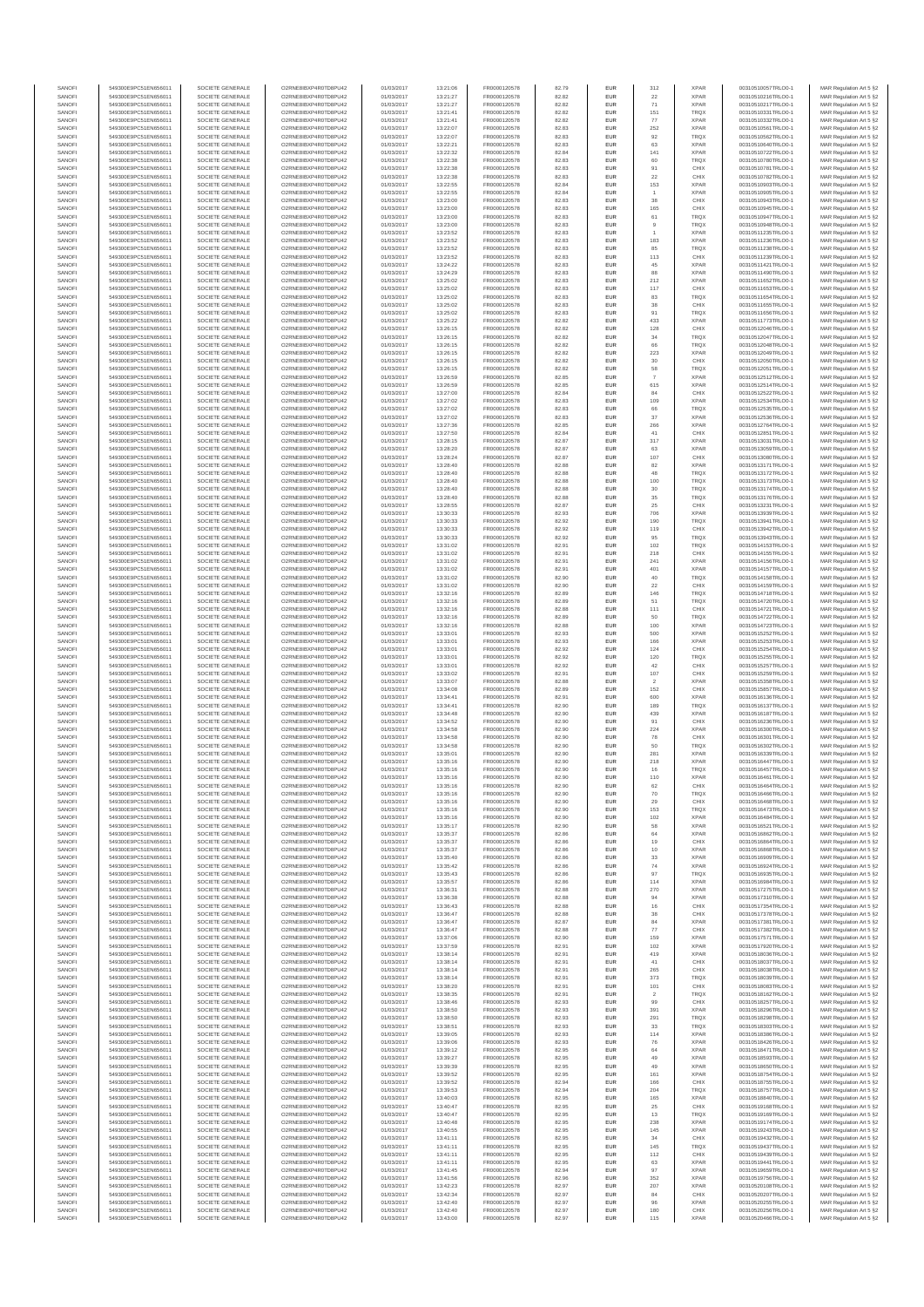| SANOF            | 549300E9PC51EN656011                         | SOCIETE GENERALE                     | O2RNE8IBXP4R0TD8PU42                          | 01/03/2017               | 13:21:06             | FR0000120578                 | 82.79          | EUR               | 312                   | <b>XPAF</b>                | 00310510057TRLO0-1                       | MAR Regulation Art 5 §2                             |
|------------------|----------------------------------------------|--------------------------------------|-----------------------------------------------|--------------------------|----------------------|------------------------------|----------------|-------------------|-----------------------|----------------------------|------------------------------------------|-----------------------------------------------------|
| SANOFI           | 549300E9PC51EN656011                         | SOCIETE GENERALE                     | O2RNE8IBXP4R0TD8PU42                          | 01/03/2017               | 13:21:27             | FR0000120578                 | 82.82          | EUR               | 22                    | <b>XPAR</b>                | 00310510216TRLO0-1                       | MAR Regulation Art 5 §2                             |
| SANOFI<br>SANOFI | 549300E9PC51EN656011<br>549300E9PC51EN656011 | SOCIETE GENERALE<br>SOCIETE GENERALE | O2RNE8IBXP4R0TD8PU42<br>O2RNE8IBXP4R0TD8PU42  | 01/03/2017<br>01/03/2017 | 13:21:27<br>13:21:41 | FR0000120578<br>FR0000120578 | 82.82<br>82.82 | EUR<br>EUR        | 71<br>151             | <b>XPAR</b><br><b>TRQX</b> | 00310510217TRLO0-1<br>00310510331TRLO0-1 | MAR Regulation Art 5 §2<br>MAR Regulation Art 5 §2  |
| SANOFI           | 549300E9PC51EN656011                         | SOCIETE GENERALE                     | O2RNE8IBXP4R0TD8PU42                          | 01/03/2017               | 13:21:41             | FR0000120578                 | 82.82          | EUR               | 77                    | <b>XPAR</b>                | 00310510332TRLO0-1                       | MAR Regulation Art 5 §2                             |
| SANOFI           | 549300E9PC51EN656011                         | SOCIETE GENERALE                     | O2RNE8IBXP4R0TD8PU42                          | 01/03/2017               | 13:22:07             | FR0000120578                 | 82.83          | EUR               | 252                   | <b>XPAF</b>                | 00310510561TRLO0-1                       | MAR Regulation Art 5 §2                             |
| SANOFI           | 549300E9PC51EN656011                         | SOCIETE GENERALE                     | O2RNE8IBXP4R0TD8PLI42                         | 01/03/2017               | 13:22:07             | FR0000120578                 | 82.83          | EUR               | 92                    | <b>TROX</b>                | 00310510562TRLO0-1                       | MAR Regulation Art 5 §2                             |
| SANOFI<br>SANOFI | 549300E9PC51EN656011<br>549300E9PC51EN656011 | SOCIETE GENERALE<br>SOCIETE GENERALE | O2RNE8IBXP4R0TD8PU42<br>O2RNE8IBXP4R0TD8PU42  | 01/03/2017<br>01/03/2017 | 13:22:21<br>13:22:32 | FR0000120578<br>FR0000120578 | 82.83<br>82.84 | EUR<br>EUR        | 63<br>141             | <b>XPAR</b><br><b>XPAR</b> | 00310510640TRLO0-1<br>00310510722TRLO0-1 | MAR Regulation Art 5 §2<br>MAR Regulation Art 5 §2  |
| SANOFI           | 549300E9PC51EN656011                         | SOCIETE GENERALE                     | O2RNE8IBXP4R0TD8PU42                          | 01/03/2017               | 13:22:38             | FR0000120578                 | 82.83          | EUR               | 60                    | <b>TRQX</b>                | 00310510780TRLO0-1                       | MAR Regulation Art 5 §2                             |
| SANOFI           | 549300E9PC51EN656011                         | SOCIETE GENERALE                     | O2RNE8IBXP4R0TD8PU42                          | 01/03/2017               | 13:22:38             | FR0000120578                 | 82.83          | EUR               | 91                    | CHIX                       | 00310510781TRLO0-1                       | MAR Regulation Art 5 §2                             |
| SANOFI<br>SANOFI | 549300E9PC51EN656011<br>549300E9PC51EN656011 | SOCIETE GENERALE<br>SOCIETE GENERALE | O2RNE8IBXP4R0TD8PU42<br>O2RNE8IBXP4R0TD8PU42  | 01/03/2017<br>01/03/2017 | 13:22:38<br>13:22:55 | FR0000120578<br>FR0000120578 | 82.83<br>82.84 | EUR<br>EUR        | 22<br>153             | CHIX<br><b>XPAR</b>        | 00310510782TRLO0-1<br>00310510903TRLO0-1 | MAR Regulation Art 5 §2<br>MAR Regulation Art 5 §2  |
| SANOFI           | 549300E9PC51EN656011                         | SOCIETE GENERALE                     | O2RNE8IBXP4R0TD8PU42                          | 01/03/2017               | 13:22:55             | FR0000120578                 | 82.84          | EUR               |                       | <b>XPAR</b>                | 00310510905TRLO0-1                       | MAR Regulation Art 5 §2                             |
| SANOFI           | 549300E9PC51EN656011                         | SOCIETE GENERALE                     | O2RNE8IBXP4R0TD8PU42                          | 01/03/2017               | 13:23:00             | FR0000120578                 | 82.83          | EUR               | 38                    | CHIX                       | 00310510943TRLO0-1                       | MAR Regulation Art 5 §2                             |
| SANOFI           | 549300E9PC51EN656011                         | SOCIETE GENERALE                     | O2RNE8IBXP4R0TD8PU42                          | 01/03/2017               | 13:23:00             | FR0000120578                 | 82.83          | EUR               | 165                   | CHIX                       | 00310510945TRLO0-1                       | MAR Regulation Art 5 §2                             |
| SANOFI<br>SANOFI | 549300E9PC51EN656011<br>549300E9PC51EN656011 | SOCIETE GENERALE<br>SOCIETE GENERALE | O2RNE8IBXP4R0TD8PU42<br>O2RNE8IBXP4R0TD8PU42  | 01/03/2017<br>01/03/2017 | 13:23:00<br>13:23:00 | FR0000120578<br>FR0000120578 | 82.83<br>82.83 | EUR<br>EUR        | 61<br>9               | TRQ)<br><b>TROX</b>        | 00310510947TRLO0-1<br>00310510948TRLO0-1 | MAR Regulation Art 5 §2<br>MAR Regulation Art 5 §2  |
| SANOFI           | 549300E9PC51EN656011                         | SOCIETE GENERALE                     | O2RNE8IBXP4R0TD8PU42                          | 01/03/2017               | 13:23:52             | FR0000120578                 | 82.83          | EUR               |                       | <b>XPAR</b>                | 00310511235TRLO0-1                       | MAR Regulation Art 5 §2                             |
| SANOFI           | 549300E9PC51EN656011                         | SOCIETE GENERALE                     | O2RNE8IBXP4R0TD8PU42                          | 01/03/2017               | 13:23:52             | FR0000120578                 | 82.83          | EUR               | 183                   | <b>XPAR</b>                | 00310511236TRLO0-1                       | MAR Regulation Art 5 §2                             |
| SANOFI           | 549300E9PC51EN656011                         | SOCIETE GENERALE                     | O2RNE8IBXP4R0TD8PU42                          | 01/03/2017               | 13:23:52             | FR0000120578                 | 82.83          | EUR               | 85                    | <b>TRQX</b>                | 00310511238TRLO0-1                       | MAR Regulation Art 5 §2                             |
| SANOFI<br>SANOFI | 549300E9PC51EN656011<br>549300E9PC51EN656011 | SOCIETE GENERALE<br>SOCIETE GENERALE | O2RNE8IBXP4R0TD8PU42<br>O2RNE8IBXP4R0TD8PU42  | 01/03/2017<br>01/03/2017 | 13:23:52<br>13:24:22 | FR0000120578<br>FR0000120578 | 82.83<br>82.83 | EUR<br>EUR        | 113<br>45             | CHIX<br><b>XPAR</b>        | 00310511239TRLO0-1<br>00310511421TRLO0-1 | MAR Regulation Art 5 §2<br>MAR Regulation Art 5 §2  |
| SANOFI           | 549300E9PC51EN656011                         | SOCIETE GENERALE                     | O2RNE8IBXP4R0TD8PU42                          | 01/03/2017               | 13:24:29             | FR0000120578                 | 82.83          | EUR               | 88                    | <b>XPAF</b>                | 00310511490TRLO0-1                       | MAR Regulation Art 5 §2                             |
| SANOFI           | 549300E9PC51EN656011                         | SOCIETE GENERALE                     | O2RNE8IBXP4R0TD8PU42                          | 01/03/2017               | 13:25:02             | FR0000120578                 | 82.83          | EUR               | 212                   | <b>XPAR</b>                | 00310511652TRLO0-1                       | MAR Regulation Art 5 §2                             |
| SANOFI           | 549300E9PC51EN656011                         | SOCIETE GENERALE                     | O2RNE8IBXP4R0TD8PU42                          | 01/03/2017               | 13:25:02             | FR0000120578                 | 82.83          | EUR               | 117                   | CHIX                       | 00310511653TRLO0-1                       | MAR Regulation Art 5 §2                             |
| SANOFI<br>SANOFI | 549300E9PC51EN656011<br>549300E9PC51EN656011 | SOCIETE GENERALE<br>SOCIETE GENERALE | O2RNE8IBXP4R0TD8PU42<br>O2RNE8IBXP4R0TD8PU42  | 01/03/2017<br>01/03/2017 | 13:25:02<br>13:25:02 | FR0000120578<br>FR0000120578 | 82.83<br>82.83 | EUR<br>EUR        | 83<br>$38\,$          | <b>TRQX</b><br>CHIX        | 00310511654TRLO0-1<br>00310511655TRLO0-1 | MAR Regulation Art 5 \$2<br>MAR Regulation Art 5 §2 |
| SANOFI           | 549300E9PC51EN656011                         | SOCIETE GENERALE                     | O2RNE8IBXP4R0TD8PU42                          | 01/03/2017               | 13:25:02             | FR0000120578                 | 82.83          | EUR               | 91                    | <b>TRQX</b>                | 00310511656TRLO0-1                       | MAR Regulation Art 5 §2                             |
| SANOFI           | 549300E9PC51EN656011                         | SOCIETE GENERALE                     | O2RNE8IBXP4R0TD8PU42                          | 01/03/2017               | 13:25:22             | FR0000120578                 | 82.82          | EUR               | 433                   | <b>XPAR</b>                | 00310511773TRLO0-1                       | MAR Regulation Art 5 §2                             |
| SANOFI<br>SANOFI | 549300E9PC51EN656011<br>549300E9PC51EN656011 | SOCIETE GENERALE<br>SOCIETE GENERALE | O2RNE8IBXP4R0TD8PU42<br>O2RNE8IBXP4R0TD8PU42  | 01/03/2017<br>01/03/2017 | 13:26:15             | FR0000120578<br>FR0000120578 | 82.82<br>82.82 | EUR<br>EUR        | 128                   | CHIX<br><b>TROX</b>        | 00310512046TRLO0-1                       | MAR Regulation Art 5 §2                             |
| SANOFI           | 549300E9PC51EN656011                         | SOCIETE GENERALE                     | O2RNE8IBXP4R0TD8PU42                          | 01/03/2017               | 13:26:15<br>13:26:15 | FR0000120578                 | 82.82          | EUR               | 34<br>66              | TRQX                       | 00310512047TRLO0-1<br>00310512048TRLO0-1 | MAR Regulation Art 5 §2<br>MAR Regulation Art 5 §2  |
| SANOFI           | 549300E9PC51EN656011                         | SOCIETE GENERALE                     | O2RNE8IBXP4R0TD8PU42                          | 01/03/2017               | 13:26:15             | FR0000120578                 | 82.82          | EUR               | 223                   | <b>XPAR</b>                | 00310512049TRLO0-1                       | MAR Regulation Art 5 §2                             |
| SANOFI           | 549300E9PC51EN656011                         | SOCIETE GENERALE                     | O2RNE8IBXP4R0TD8PU42                          | 01/03/2017               | 13:26:15             | FR0000120578                 | 82.82          | EUR               | $30\,$                | CHIX                       | 00310512050TRLO0-1                       | MAR Regulation Art 5 §2                             |
| SANOFI<br>SANOFI | 549300E9PC51EN656011<br>549300E9PC51EN656011 | SOCIETE GENERALE<br>SOCIETE GENERALE | O2RNE8IBXP4R0TD8PU42<br>O2RNE8IBXP4R0TD8PU42  | 01/03/2017<br>01/03/2017 | 13:26:15<br>13:26:59 | FR0000120578<br>FR0000120578 | 82.82<br>82.85 | EUR<br>EUR        | 58<br>$\overline{7}$  | TRQX<br><b>XPAR</b>        | 00310512051TRLO0-1<br>00310512512TRLO0-1 | MAR Regulation Art 5 §2<br>MAR Regulation Art 5 §2  |
| SANOFI           | 549300E9PC51EN656011                         | SOCIETE GENERALE                     | O2RNE8IBXP4R0TD8PU42                          | 01/03/2017               | 13:26:59             | FR0000120578                 | 82.85          | EUR               | 615                   | <b>XPAR</b>                | 00310512514TRLO0-1                       | MAR Regulation Art 5 §2                             |
| SANOFI           | 549300E9PC51EN656011                         | SOCIETE GENERALE                     | O2RNE8IBXP4R0TD8PU42                          | 01/03/2017               | 13:27:00             | FR0000120578                 | 82.84          | EUR               | 84                    | CHIX                       | 00310512522TRLO0-1                       | MAR Regulation Art 5 §2                             |
| SANOFI           | 549300E9PC51EN656011                         | SOCIETE GENERALE                     | O2RNE8IBXP4R0TD8PU42                          | 01/03/2017               | 13:27:02             | FR0000120578                 | 82.83          | EUR               | 109                   | <b>XPAF</b>                | 00310512534TRLO0-1                       | MAR Regulation Art 5 §2                             |
| SANOFI<br>SANOFI | 549300E9PC51EN656011<br>549300E9PC51EN656011 | SOCIETE GENERALE<br>SOCIETE GENERALE | O2RNE8IBXP4R0TD8PLI42<br>O2RNE8IBXP4R0TD8PU42 | 01/03/2017<br>01/03/2017 | 13:27:02<br>13:27:02 | FR0000120578<br>FR0000120578 | 82.83<br>82.83 | EUR<br>EUR        | 66<br>37              | <b>TROX</b><br><b>XPAR</b> | 00310512535TRLO0-1<br>00310512536TRLO0-1 | MAR Regulation Art 5 §2<br>MAR Regulation Art 5 §2  |
| SANOFI           | 549300E9PC51EN656011                         | SOCIETE GENERALE                     | O2RNE8IBXP4R0TD8PU42                          | 01/03/2017               | 13:27:36             | FR0000120578                 | 82.85          | EUR               | 266                   | <b>XPAR</b>                | 00310512764TRLO0-1                       | MAR Regulation Art 5 §2                             |
| SANOFI           | 549300E9PC51EN656011                         | SOCIETE GENERALE                     | O2RNE8IBXP4R0TD8PU42                          | 01/03/2017               | 13:27:50             | FR0000120578                 | 82.84          | EUR               | 41                    | CHIX                       | 00310512851TRLO0-1                       | MAR Regulation Art 5 §2                             |
| SANOFI           | 549300E9PC51EN656011                         | SOCIETE GENERALE                     | O2RNE8IBXP4R0TD8PU42                          | 01/03/2017               | 13:28:15             | FR0000120578                 | 82.87          | EUR               | 317                   | <b>XPAR</b>                | 00310513031TRLO0-1                       | MAR Regulation Art 5 §2                             |
| SANOFI<br>SANOFI | 549300E9PC51EN656011<br>549300E9PC51EN656011 | SOCIETE GENERALE<br>SOCIETE GENERALE | O2RNE8IBXP4R0TD8PU42<br>O2RNE8IBXP4R0TD8PLI42 | 01/03/2017<br>01/03/2017 | 13:28:20<br>13:28:24 | FR0000120578<br>FR0000120578 | 82.87<br>82.87 | EUR<br>EUR        | 63<br>107             | <b>XPAR</b><br>CHIX        | 00310513059TRLO0-1<br>00310513080TRLO0-1 | MAR Regulation Art 5 §2<br>MAR Regulation Art 5 §2  |
| SANOFI           | 549300E9PC51EN656011                         | SOCIETE GENERALE                     | O2RNE8IBXP4R0TD8PU42                          | 01/03/2017               | 13:28:40             | FR0000120578                 | 82.88          | EUR               | 82                    | <b>XPAR</b>                | 00310513171TRLO0-1                       | MAR Regulation Art 5 §2                             |
| SANOFI           | 549300E9PC51EN656011                         | SOCIETE GENERALE                     | O2RNE8IBXP4R0TD8PU42                          | 01/03/2017               | 13:28:40             | FR0000120578                 | 82.88          | EUR               | 48                    | TRQ)                       | 00310513172TRLO0-1                       | MAR Regulation Art 5 §2                             |
| SANOFI           | 549300E9PC51EN656011                         | SOCIETE GENERALE                     | O2RNE8IBXP4R0TD8PU42                          | 01/03/2017               | 13:28:40             | FR0000120578                 | 82.88          | EUR               | 100                   | <b>TROX</b>                | 00310513173TRLO0-1                       | MAR Regulation Art 5 §2                             |
| SANOFI<br>SANOFI | 549300E9PC51EN656011<br>549300E9PC51EN656011 | SOCIETE GENERALE<br>SOCIETE GENERALE | O2RNE8IBXP4R0TD8PU42<br>O2RNE8IBXP4R0TD8PU42  | 01/03/2017<br>01/03/2017 | 13:28:40<br>13:28:40 | FR0000120578<br>FR0000120578 | 82.88<br>82.88 | EUR<br>EUR        | 30<br>35              | TRQX<br><b>TRQX</b>        | 00310513174TRLO0-1<br>00310513176TRLO0-1 | MAR Regulation Art 5 §2<br>MAR Regulation Art 5 §2  |
| SANOFI           | 549300E9PC51EN656011                         | SOCIETE GENERALE                     | O2RNE8IBXP4R0TD8PU42                          | 01/03/2017               | 13:28:55             | FR0000120578                 | 82.87          | EUR               | 25                    | CHIX                       | 00310513231TRLO0-1                       | MAR Regulation Art 5 §2                             |
| SANOFI           | 549300E9PC51EN656011                         | SOCIETE GENERALE                     | O2RNE8IBXP4R0TD8PU42                          | 01/03/2017               | 13:30:33             | FR0000120578                 | 82.93          | EUR               | 706                   | <b>XPAR</b>                | 00310513939TRLO0-1                       | MAR Regulation Art 5 §2                             |
| SANOFI           | 549300E9PC51EN656011                         | SOCIETE GENERALE                     | O2RNE8IBXP4R0TD8PLI42                         | 01/03/2017               | 13:30:33             | FR0000120578                 | 82.92          | EUR               | 190                   | TRQX                       | 00310513941TRLO0-1                       | MAR Regulation Art 5 §2                             |
| SANOFI<br>SANOFI | 549300E9PC51EN656011<br>549300E9PC51EN656011 | SOCIETE GENERALE<br>SOCIETE GENERALE | O2RNE8IBXP4R0TD8PU42<br>O2RNE8IBXP4R0TD8PU42  | 01/03/2017<br>01/03/2017 | 13:30:33<br>13:30:33 | FR0000120578<br>FR0000120578 | 82.92<br>82.92 | EUR<br>EUR        | 119<br>95             | CHIX<br><b>TROX</b>        | 00310513942TRLO0-1<br>00310513943TRLO0-1 | MAR Regulation Art 5 §2<br>MAR Regulation Art 5 §2  |
| SANOFI           | 549300E9PC51EN656011                         | SOCIETE GENERALE                     | O2RNE8IBXP4R0TD8PU42                          | 01/03/2017               | 13:31:02             | FR0000120578                 | 82.91          | EUR               | 102                   | TRQX                       | 00310514153TRLO0-1                       | MAR Regulation Art 5 §2                             |
| SANOFI           | 549300E9PC51EN656011                         | SOCIETE GENERALE                     | O2RNE8IBXP4R0TD8PU42                          | 01/03/2017               | 13:31:02             | FR0000120578                 | 82.91          | EUR               | 218                   | CHIX                       | 00310514155TRLO0-1                       | MAR Regulation Art 5 §2                             |
| SANOFI           | 549300E9PC51EN656011                         | SOCIETE GENERALE                     | O2RNE8IBXP4R0TD8PU42                          | 01/03/2017               | 13:31:02             | FR0000120578                 | 82.91          | EUR<br>EUR        | 241                   | <b>XPAR</b>                | 00310514156TRLO0-1                       | MAR Regulation Art 5 §2                             |
| SANOFI<br>SANOFI | 549300E9PC51EN656011<br>549300E9PC51EN656011 | SOCIETE GENERALE<br>SOCIETE GENERALE | O2RNE8IBXP4R0TD8PU42<br>O2RNE8IBXP4R0TD8PU42  | 01/03/2017<br>01/03/2017 | 13:31:02<br>13:31:02 | FR0000120578<br>FR0000120578 | 82.91<br>82.90 | EUR               | 401<br>$40\,$         | <b>XPAR</b><br>TRQX        | 00310514157TRLO0-1<br>00310514158TRLO0-1 | MAR Regulation Art 5 §2<br>MAR Regulation Art 5 §2  |
| SANOFI           | 549300E9PC51EN656011                         | SOCIETE GENERALE                     | O2RNE8IBXP4R0TD8PU42                          | 01/03/2017               | 13:31:02             | FR0000120578                 | 82.90          | EUR               | 22                    | CHIX                       | 00310514159TRLO0-1                       | MAR Regulation Art 5 §2                             |
| SANOFI           | 549300E9PC51EN656011                         | SOCIETE GENERALE                     | O2RNE8IBXP4R0TD8PU42                          | 01/03/2017               | 13:32:16             | FR0000120578                 | 82.89          | EUR               | 146                   | <b>TRQX</b>                | 00310514718TRLO0-1                       | MAR Regulation Art 5 §2                             |
| SANOFI<br>SANOFI | 549300E9PC51EN656011<br>549300E9PC51EN656011 | SOCIETE GENERALE<br>SOCIETE GENERALE | O2RNE8IBXP4R0TD8PU42<br>O2RNE8IBXP4R0TD8PU42  | 01/03/2017<br>01/03/2017 | 13:32:16<br>13:32:16 | FR0000120578<br>FR0000120578 | 82.89<br>82.88 | EUR<br>EUR        | $51\,$<br>111         | TRQX<br>CHIX               | 00310514720TRLO0-1<br>00310514721TRLO0-1 | MAR Regulation Art 5 §2                             |
| SANOFI           | 549300E9PC51EN656011                         | SOCIETE GENERALE                     | O2RNE8IBXP4R0TD8PU42                          | 01/03/2017               | 13:32:16             | FR0000120578                 | 82.89          | EUR               | 50                    | TRQ)                       | 00310514722TRLO0-1                       | MAR Regulation Art 5 §2<br>MAR Regulation Art 5 §2  |
| SANOFI           | 549300E9PC51EN656011                         | SOCIETE GENERALE                     | O2RNE8IBXP4R0TD8PU42                          | 01/03/2017               | 13:32:16             | FR0000120578                 | 82.88          | EUR               | 100                   | <b>XPAR</b>                | 00310514723TRLO0-1                       | MAR Regulation Art 5 §2                             |
| SANOFI           | 549300E9PC51EN656011                         | SOCIETE GENERALE                     | O2RNE8IBXP4R0TD8PU42                          | 01/03/2017               | 13:33:01             | FR0000120578                 | 82.93          | EUR               | 500                   | <b>XPAF</b>                | 00310515252TRLO0-1                       | MAR Regulation Art 5 §2                             |
| SANOFI<br>SANOFI | 549300E9PC51EN656011<br>549300E9PC51EN656011 | SOCIETE GENERALE<br>SOCIETE GENERALE | O2RNE8IBXP4R0TD8PU42<br>O2RNE8IBXP4R0TD8PU42  | 01/03/2017<br>01/03/2017 | 13:33:01<br>13:33:01 | FR0000120578<br>FR0000120578 | 82.93<br>82.92 | EUR<br>EUR        | 166<br>124            | <b>XPAR</b><br>CHIX        | 00310515253TRLO0-1<br>00310515254TRLO0-1 | MAR Regulation Art 5 §2<br>MAR Regulation Art 5 §2  |
| SANOFI           | 549300E9PC51EN656011                         | SOCIETE GENERALE                     | O2RNE8IBXP4R0TD8PU42                          | 01/03/2017               | 13:33:01             | FR0000120578                 | 82.92          | EUR               | 120                   | TRQX                       | 00310515255TRLO0-1                       | MAR Regulation Art 5 §2                             |
| SANOFI           | 549300E9PC51EN656011                         | SOCIETE GENERALE                     | O2RNE8IBXP4R0TD8PU42                          | 01/03/2017               | 13:33:01             | FR0000120578                 | 82.92          | EUR               | 42                    | CHIX                       | 00310515257TRLO0-1                       | MAR Regulation Art 5 §2                             |
| SANOFI           | 549300E9PC51EN656011                         | SOCIETE GENERALE                     | O2RNE8IBXP4R0TD8PU42                          | 01/03/2017               | 13:33:02             | FR0000120578                 | 82.91          | EUR               | 107                   | CHIX                       | 00310515259TRLO0-1                       | MAR Regulation Art 5 §2                             |
| SANOFI           | 549300E9PC51EN656011                         | SOCIETE GENERALE<br>SOCIETE GENERALE | O2RNE8IBXP4R0TD8PU42                          | 01/03/2017               | 13:33:07             | FR0000120578                 | 82.88          | EUR               | $\overline{2}$        | <b>XPAR</b>                | 00310515358TRLO0-1                       | MAR Regulation Art 5 §2                             |
| SANOFI<br>SANOFI | 549300E9PC51EN656011<br>549300E9PC51EN656011 | SOCIETE GENERALE                     | O2RNE8IBXP4R0TD8PU42<br>O2RNE8IBXP4R0TD8PLI42 | 01/03/2017<br>01/03/2017 | 13:34:08<br>13:34:41 | FR0000120578<br>FR0000120578 | 82.89<br>82.91 | EUR<br>EUR        | 152<br>600            | CHIX<br><b>XPAR</b>        | 00310515857TRLO0-1<br>00310516136TRLO0-1 | MAR Regulation Art 5 §2<br>MAR Regulation Art 5 §2  |
| SANOFI           | 549300E9PC51EN656011                         | SOCIETE GENERALE                     | O2RNE8IBXP4R0TD8PU42                          | 01/03/2017               | 13:34:41             | FR0000120578                 | 82.90          | EUR               | 189                   | TRQ)                       | 00310516137TRLO0-1                       | MAR Regulation Art 5 §2                             |
| SANOFI           | 549300E9PC51EN656011                         | SOCIETE GENERALE                     | O2RNE8IBXP4R0TD8PU42                          | 01/03/2017               | 13:34:48             | FR0000120578                 | 82.90          | EUR               | 439                   | <b>XPAR</b>                | 00310516187TRLO0-1                       | MAR Regulation Art 5 §2                             |
| SANOFI<br>SANOFI | 549300E9PC51EN656011<br>549300E9PC51EN656011 | SOCIETE GENERALE<br>SOCIETE GENERALE | O2RNE8IBXP4R0TD8PU42<br>O2RNE8IBXP4R0TD8PU42  | 01/03/2017<br>01/03/2017 | 13:34:52<br>13:34:58 | FR0000120578<br>FR0000120578 | 82.90<br>82.90 | EUR<br>EUR        | 91<br>224             | CHIX<br><b>XPAR</b>        | 00310516236TRLO0-1<br>00310516300TRLO0-1 | MAR Regulation Art 5 §2<br>MAR Regulation Art 5 §2  |
| SANOFI           | 549300E9PC51EN656011                         | SOCIETE GENERALE                     | O2RNE8IBXP4R0TD8PU42                          | 01/03/2017               | 13:34:58             | FR0000120578                 | 82.90          | EUR               | ${\bf 78}$            | CHIX                       | 00310516301TRLO0-1                       | MAR Regulation Art 5 §2                             |
| SANOFI           | 549300E9PC51EN656011                         | SOCIETE GENERALE                     | O2RNE8IBXP4R0TD8PU42                          | 01/03/2017               | 13:34:58             | FR0000120578                 | 82.90          | EUR               | 50                    | TRQ)                       | 00310516302TRLO0-1                       | MAR Regulation Art 5 §2                             |
| SANOFI           | 549300E9PC51EN656011                         | SOCIETE GENERALE                     | O2RNE8IBXP4R0TD8PU42                          | 01/03/2017               | 13:35:01             | FR0000120578                 | 82.90          | EUR               | 281                   | <b>XPAR</b>                | 00310516339TRLO0-1                       | MAR Regulation Art 5 §2                             |
| SANOFI<br>SANOFI | 549300E9PC51EN656011<br>549300E9PC51EN656011 | SOCIETE GENERALE<br>SOCIETE GENERALE | O2RNE8IBXP4R0TD8PU42<br>O2RNE8IBXP4R0TD8PU42  | 01/03/2017<br>01/03/2017 | 13:35:16<br>13:35:16 | FR0000120578<br>FR0000120578 | 82.90<br>82.90 | EUR<br><b>EUR</b> | 218<br>16             | <b>XPAF</b><br><b>TRQX</b> | 00310516447TRLO0-1<br>00310516457TRLO0-1 | MAR Regulation Art 5 §2<br>MAR Regulation Art 5 §2  |
| SANOFI           | 549300E9PC51EN656011                         | SOCIETE GENERALE                     | O2RNE8IBXP4R0TD8PU42                          | 01/03/2017               | 13:35:16             | FR0000120578                 | 82.90          | EUR               | 110                   | <b>XPAR</b>                | 00310516461TRLO0-1                       | MAR Regulation Art 5 §2                             |
| SANOFI           | 549300E9PC51EN656011                         | SOCIETE GENERALE                     | O2RNE8IBXP4R0TD8PLI42                         | 01/03/2017               | 13:35:16             | FR0000120578                 | 82.90          | EUR               | 62                    | CHIX                       | 00310516464TRLO0-1                       | MAR Regulation Art 5 §2                             |
| SANOFI           | 549300E9PC51EN656011                         | SOCIETE GENERALE                     | O2RNE8IBXP4R0TD8PU42                          | 01/03/2017               | 13:35:16             | FR0000120578                 | 82.90          | EUR               | 70                    | <b>TROX</b>                | 00310516466TRLO0-1                       | MAR Regulation Art 5 §2                             |
| SANOFI<br>SANOFI | 549300E9PC51EN656011<br>549300E9PC51EN656011 | SOCIETE GENERALE<br>SOCIETE GENERALE | O2RNE8IBXP4R0TD8PU42<br>O2RNE8IBXP4R0TD8PU42  | 01/03/2017<br>01/03/2017 | 13:35:16<br>13:35:16 | FR0000120578<br>FR0000120578 | 82.90<br>82.90 | EUR<br><b>EUR</b> | 29<br>153             | CHIX<br><b>TROX</b>        | 00310516468TRLO0-1<br>00310516473TRLO0-1 | MAR Regulation Art 5 §2<br>MAR Regulation Art 5 §2  |
| SANOFI           | 549300E9PC51EN656011                         | SOCIETE GENERALE                     | O2RNE8IBXP4R0TD8PU42                          | 01/03/2017               | 13:35:16             | FR0000120578                 | 82.90          | EUR               | 102                   | <b>XPAR</b>                | 00310516484TRLO0-1                       | MAR Regulation Art 5 §2                             |
| SANOFI           | 549300E9PC51EN656011                         | SOCIETE GENERALE                     | O2RNE8IBXP4R0TD8PU42                          | 01/03/2017               | 13:35:17             | FR0000120578                 | 82.90          | EUR               | 58                    | <b>XPAR</b>                | 00310516521TRLO0-1                       | MAR Regulation Art 5 §2                             |
| SANOFI           | 549300E9PC51EN656011                         | SOCIETE GENERALE                     | O2RNE8IBXP4R0TD8PU42                          | 01/03/2017               | 13:35:37             | FR0000120578                 | 82.86          | EUR               | 64                    | <b>XPAR</b>                | 00310516862TRLO0-1                       | MAR Regulation Art 5 §2                             |
| SANOFI<br>SANOFI | 549300E9PC51EN656011<br>549300E9PC51EN656011 | SOCIETE GENERALE<br>SOCIETE GENERALE | O2RNE8IBXP4R0TD8PU42<br>O2RNE8IBXP4R0TD8PU42  | 01/03/2017<br>01/03/2017 | 13:35:37<br>13:35:37 | FR0000120578<br>FR0000120578 | 82.86<br>82.86 | EUR<br>EUR        | 19<br>10              | CHIX<br><b>XPAR</b>        | 00310516864TRLO0-1<br>00310516868TRLO0-1 | MAR Regulation Art 5 §2<br>MAR Regulation Art 5 §2  |
| SANOFI           | 549300E9PC51EN656011                         | SOCIETE GENERALE                     | O2RNE8IBXP4R0TD8PU42                          | 01/03/2017               | 13:35:40             | FR0000120578                 | 82.86          | EUR               | $_{33}$               | <b>XPAR</b>                | 00310516909TRLO0-1                       | MAR Regulation Art 5 §2                             |
| SANOFI           | 549300E9PC51EN656011                         | SOCIETE GENERALE                     | O2RNE8IBXP4R0TD8PU42                          | 01/03/2017               | 13:35:42             | FR0000120578                 | 82.86          | EUR               | 74                    | <b>XPAR</b>                | 00310516924TRLO0-1                       | MAR Regulation Art 5 §2                             |
| SANOFI<br>SANOFI | 549300E9PC51EN656011<br>549300E9PC51EN656011 | SOCIETE GENERALE<br>SOCIETE GENERALE | O2RNE8IBXP4R0TD8PU42<br>O2RNE8IBXP4R0TD8PU42  | 01/03/2017<br>01/03/2017 | 13:35:43<br>13:35:57 | FR0000120578<br>FR0000120578 | 82.86<br>82.86 | EUR<br><b>EUR</b> | 97<br>114             | <b>TROX</b><br><b>XPAR</b> | 00310516935TRLO0-1<br>00310516984TRLO0-1 | MAR Regulation Art 5 §2<br>MAR Regulation Art 5 §2  |
| SANOFI           | 549300E9PC51EN656011                         | SOCIETE GENERALE                     | O2RNE8IBXP4R0TD8PU42                          | 01/03/2017               | 13:36:31             | FR0000120578                 | 82.88          | EUR               | 270                   | <b>XPAR</b>                | 00310517275TRLO0-1                       | MAR Regulation Art 5 §2                             |
| SANOFI           | 549300E9PC51EN656011                         | SOCIETE GENERALE                     | O2RNE8IBXP4R0TD8PU42                          | 01/03/2017               | 13:36:38             | FR0000120578                 | 82.88          | EUR               | 94                    | <b>XPAR</b>                | 00310517310TRLO0-1                       | MAR Regulation Art 5 §2                             |
| SANOFI<br>SANOFI | 549300E9PC51EN656011<br>549300E9PC51EN656011 | SOCIETE GENERALE<br>SOCIETE GENERALE | O2RNE8IBXP4R0TD8PU42<br>O2RNE8IBXP4R0TD8PU42  | 01/03/2017<br>01/03/2017 | 13:36:43<br>13:36:47 | FR0000120578<br>FR0000120578 | 82.88<br>82.88 | EUR<br>EUR        | 16<br>$_{38}$         | CHIX<br>CHIX               | 00310517354TRLO0-1<br>00310517378TRLO0-1 | MAR Regulation Art 5 §2<br>MAR Regulation Art 5 §2  |
| SANOFI           | 549300E9PC51EN656011                         | SOCIETE GENERALE                     | O2RNE8IBXP4R0TD8PU42                          | 01/03/2017               | 13:36:47             | FR0000120578                 | 82.87          | EUR               | 84                    | <b>XPAR</b>                | 00310517381TRLO0-1                       | MAR Regulation Art 5 §2                             |
| SANOFI           | 549300E9PC51EN656011                         | SOCIETE GENERALE                     | O2RNE8IBXP4R0TD8PU42                          | 01/03/2017               | 13:36:47             | FR0000120578                 | 82.88          | EUR               | 77                    | CHIX                       | 00310517382TRLO0-1                       | MAR Regulation Art 5 §2                             |
| SANOFI           | 549300E9PC51EN656011                         | SOCIETE GENERALE                     | O2RNE8IBXP4R0TD8PU42<br>O2RNE8IBXP4R0TD8PU42  | 01/03/2017               | 13:37:06             | FR0000120578<br>FR0000120578 | 82.90          | EUR               | 159                   | <b>XPAR</b>                | 00310517571TRLO0-1                       | MAR Regulation Art 5 §2                             |
| SANOFI<br>SANOFI | 549300E9PC51EN656011<br>549300E9PC51EN656011 | SOCIETE GENERALE<br>SOCIETE GENERALE | O2RNE8IBXP4R0TD8PU42                          | 01/03/2017<br>01/03/2017 | 13:37:59<br>13:38:14 | FR0000120578                 | 82.91<br>82.91 | EUR<br>EUR        | 102<br>419            | <b>XPAR</b><br><b>XPAR</b> | 00310517920TRLO0-1<br>00310518036TRLO0-1 | MAR Regulation Art 5 §2<br>MAR Regulation Art 5 §2  |
| SANOFI           | 549300E9PC51EN656011                         | SOCIETE GENERALE                     | O2RNE8IBXP4R0TD8PU42                          | 01/03/2017               | 13:38:14             | FR0000120578                 | 82.91          | EUR               | 41                    | CHIX                       | 00310518037TRLO0-1                       | MAR Regulation Art 5 §2                             |
| SANOFI           | 549300E9PC51EN656011                         | SOCIETE GENERALE                     | O2RNE8IBXP4R0TD8PLI42                         | 01/03/2017               | 13:38:14             | FR0000120578                 | 82.91          | EUR               | 265                   | CHIX                       | 00310518038TRLO0-1                       | MAR Regulation Art 5 §2                             |
| SANOFI<br>SANOFI | 549300E9PC51EN656011                         | SOCIETE GENERALE<br>SOCIETE GENERALE | O2RNE8IBXP4R0TD8PU42<br>O2RNE8IBXP4R0TD8PU42  | 01/03/2017               | 13:38:14             | FR0000120578                 | 82.91          | EUR               | 373                   | TRQX<br>CHIX               | 00310518039TRLO0-1                       | MAR Regulation Art 5 §2<br>MAR Regulation Art 5 §2  |
| SANOFI           | 549300E9PC51EN656011<br>549300E9PC51EN656011 | SOCIETE GENERALE                     | O2RNE8IBXP4R0TD8PU42                          | 01/03/2017<br>01/03/2017 | 13:38:20<br>13:38:35 | FR0000120578<br>FR0000120578 | 82.91<br>82.91 | EUR<br>EUR        | 101<br>$\overline{2}$ | <b>TRQX</b>                | 00310518083TRLO0-1<br>00310518162TRLO0-1 | MAR Regulation Art 5 §2                             |
| SANOFI           | 549300E9PC51EN656011                         | SOCIETE GENERALE                     | O2RNE8IBXP4R0TD8PU42                          | 01/03/2017               | 13:38:46             | FR0000120578                 | 82.93          | EUR               | 99                    | CHIX                       | 00310518257TRLO0-1                       | MAR Regulation Art 5 §2                             |
| SANOFI           | 549300E9PC51EN656011                         | SOCIETE GENERALE                     | O2RNE8IBXP4R0TD8PU42                          | 01/03/2017               | 13:38:50             | FR0000120578                 | 82.93          | <b>EUR</b>        | 391                   | <b>XPAR</b>                | 00310518296TRLO0-1                       | MAR Regulation Art 5 §2                             |
| SANOFI<br>SANOFI | 549300E9PC51EN656011<br>549300E9PC51EN656011 | SOCIETE GENERALE<br>SOCIETE GENERALE | O2RNE8IBXP4R0TD8PU42<br>O2RNE8IBXP4R0TD8PU42  | 01/03/2017<br>01/03/2017 | 13:38:50<br>13:38:51 | FR0000120578<br>FR0000120578 | 82.93<br>82.93 | EUR<br>EUR        | 29 <sup>°</sup><br>33 | <b>TRQX</b><br><b>TROX</b> | 00310518298TRLO0-1<br>00310518303TRLO0-1 | MAR Regulation Art 5 §2                             |
| SANOFI           | 549300E9PC51EN656011                         | SOCIETE GENERALE                     | O2RNE8IBXP4R0TD8PU42                          | 01/03/2017               | 13:39:05             | FR0000120578                 | 82.93          | EUR               | 114                   | <b>XPAR</b>                | 00310518386TRLO0-1                       | MAR Regulation Art 5 §2<br>MAR Regulation Art 5 §2  |
| SANOFI           | 549300E9PC51EN656011                         | SOCIETE GENERALE                     | O2RNE8IBXP4R0TD8PU42                          | 01/03/2017               | 13:39:06             | FR0000120578                 | 82.93          | <b>EUR</b>        | 76                    | <b>XPAR</b>                | 00310518426TRLO0-1                       | MAR Regulation Art 5 §2                             |
| SANOFI           | 549300E9PC51EN656011                         | SOCIETE GENERALE                     | O2RNE8IBXP4R0TD8PU42                          | 01/03/2017               | 13:39:12             | FR0000120578                 | 82.95          | EUR               | 64                    | <b>XPAR</b>                | 00310518471TRLO0-1                       | MAR Regulation Art 5 §2                             |
| SANOFI<br>SANOFI | 549300E9PC51EN656011<br>549300E9PC51EN656011 | SOCIETE GENERALE<br>SOCIETE GENERALE | O2RNE8IBXP4R0TD8PU42<br>O2RNE8IBXP4R0TD8PU42  | 01/03/2017<br>01/03/2017 | 13:39:27<br>13:39:39 | FR0000120578<br>FR0000120578 | 82.95<br>82.95 | EUR<br>EUR        | 49<br>49              | <b>XPAR</b><br><b>XPAR</b> | 00310518593TRLO0-1                       | MAR Regulation Art 5 §2                             |
| SANOFI           | 549300E9PC51EN656011                         | SOCIETE GENERALE                     | O2RNE8IBXP4R0TD8PU42                          | 01/03/2017               | 13:39:52             | FR0000120578                 | 82.95          | EUR               | 161                   | <b>XPAR</b>                | 00310518650TRLO0-1<br>00310518754TRLO0-1 | MAR Regulation Art 5 §2<br>MAR Regulation Art 5 §2  |
| SANOFI           | 549300E9PC51EN656011                         | SOCIETE GENERALE                     | O2RNE8IBXP4R0TD8PU42                          | 01/03/2017               | 13:39:52             | FR0000120578                 | 82.94          | <b>EUR</b>        | 166                   | CHIX                       | 00310518755TRLO0-1                       | MAR Regulation Art 5 §2                             |
| SANOFI           | 549300E9PC51EN656011                         | SOCIETE GENERALE                     | O2RNE8IBXP4R0TD8PU42                          | 01/03/2017               | 13:39:53             | FR0000120578                 | 82.94          | EUR               | 204                   | TRQX                       | 00310518757TRLO0-1                       | MAR Regulation Art 5 §2                             |
| SANOFI<br>SANOFI | 549300E9PC51EN656011<br>549300E9PC51EN656011 | SOCIETE GENERALE<br>SOCIETE GENERALE | O2RNE8IBXP4R0TD8PU42<br>O2RNE8IBXP4R0TD8PU42  | 01/03/2017<br>01/03/2017 | 13:40:03<br>13:40:47 | FR0000120578<br>FR0000120578 | 82.95<br>82.95 | <b>EUR</b><br>EUR | 165<br>25             | <b>XPAR</b><br>CHIX        | 00310518840TRLO0-1<br>00310519168TRLO0-1 | MAR Regulation Art 5 §2<br>MAR Regulation Art 5 §2  |
| SANOFI           | 549300E9PC51EN656011                         | SOCIETE GENERALE                     | O2RNE8IBXP4R0TD8PU42                          | 01/03/2017               | 13:40:47             | FR0000120578                 | 82.95          | EUR               | 13                    | <b>TROX</b>                | 00310519169TRLO0-1                       | MAR Regulation Art 5 §2                             |
| SANOFI           | 549300E9PC51EN656011                         | SOCIETE GENERALE                     | O2RNE8IBXP4R0TD8PU42                          | 01/03/2017               | 13:40:48             | FR0000120578                 | 82.95          | EUR               | 238                   | <b>XPAR</b>                | 00310519174TRLO0-1                       | MAR Regulation Art 5 §2                             |
| SANOFI           | 549300E9PC51EN656011                         | SOCIETE GENERALE                     | O2RNE8IBXP4R0TD8PU42                          | 01/03/2017               | 13:40:55             | FR0000120578                 | 82.95          | EUR               | 145                   | <b>XPAR</b>                | 00310519243TRLO0-1                       | MAR Regulation Art 5 §2                             |
| SANOFI<br>SANOFI | 549300E9PC51EN656011<br>549300E9PC51EN656011 | SOCIETE GENERALE<br>SOCIETE GENERALE | O2RNE8IBXP4R0TD8PU42<br>O2RNE8IBXP4R0TD8PU42  | 01/03/2017<br>01/03/2017 | 13:41:11<br>13:41:11 | FR0000120578<br>FR0000120578 | 82.95<br>82.95 | EUR<br>EUR        | 34<br>145             | CHIX<br><b>TRQX</b>        | 00310519432TRLO0-1<br>00310519437TRLO0-1 | MAR Regulation Art 5 §2<br>MAR Regulation Art 5 §2  |
| SANOFI           | 549300E9PC51EN656011                         | SOCIETE GENERALE                     | O2RNE8IBXP4R0TD8PU42                          | 01/03/2017               | 13:41:11             | FR0000120578                 | 82.95          | EUR               | 112                   | CHIX                       | 00310519439TRLO0-1                       | MAR Regulation Art 5 §2                             |
| SANOFI           | 549300E9PC51EN656011                         | SOCIETE GENERALE                     | O2RNE8IBXP4R0TD8PU42                          | 01/03/2017               | 13:41:11             | FR0000120578                 | 82.95          | EUR               | 63                    | <b>XPAR</b>                | 00310519441TRLO0-1                       | MAR Regulation Art 5 §2                             |
| SANOFI           | 549300E9PC51EN656011                         | SOCIETE GENERALE                     | O2RNE8IBXP4R0TD8PU42                          | 01/03/2017               | 13:41:45             | FR0000120578                 | 82.94          | EUR               | 97                    | <b>XPAR</b>                | 00310519659TRLO0-1                       | MAR Regulation Art 5 §2                             |
| SANOFI<br>SANOFI | 549300E9PC51EN656011<br>549300E9PC51EN656011 | SOCIETE GENERALE<br>SOCIETE GENERALE | O2RNE8IBXP4R0TD8PU42<br>O2RNE8IBXP4R0TD8PU42  | 01/03/2017<br>01/03/2017 | 13:41:56<br>13:42:23 | FR0000120578<br>FR0000120578 | 82.96<br>82.97 | EUR<br>EUR        | 352<br>207            | <b>XPAR</b><br><b>XPAR</b> | 00310519756TRLO0-1<br>00310520108TRLO0-1 | MAR Regulation Art 5 §2<br>MAR Regulation Art 5 §2  |
| SANOFI           | 549300E9PC51EN656011                         | SOCIETE GENERALE                     | O2RNE8IBXP4R0TD8PU42                          | 01/03/2017               | 13:42:34             | FR0000120578                 | 82.97          | EUR               | 84                    | CHIX                       | 00310520207TRLO0-1                       | MAR Regulation Art 5 §2                             |
| SANOFI           | 549300E9PC51EN656011                         | SOCIETE GENERALE                     | O2RNE8IBXP4R0TD8PU42                          | 01/03/2017               | 13:42:40             | FR0000120578                 | 82.97          | EUR               | 96                    | <b>XPAR</b>                | 00310520255TRLO0-1                       | MAR Regulation Art 5 §2                             |
| SANOFI<br>SANOFI | 549300E9PC51EN656011<br>549300E9PC51EN656011 | SOCIETE GENERALE<br>SOCIETE GENERALE | O2RNE8IBXP4R0TD8PU42<br>O2RNE8IBXP4R0TD8PU42  | 01/03/2017<br>01/03/2017 | 13:42:40<br>13:43:00 | FR0000120578                 | 82.97<br>82.97 | EUR<br>EUR        | 180<br>115            | CHIX<br><b>XPAR</b>        | 00310520256TRLO0-1<br>00310520466TRLO0-1 | MAR Regulation Art 5 §2                             |
|                  |                                              |                                      |                                               |                          |                      | FR0000120578                 |                |                   |                       |                            |                                          | MAR Regulation Art 5 §2                             |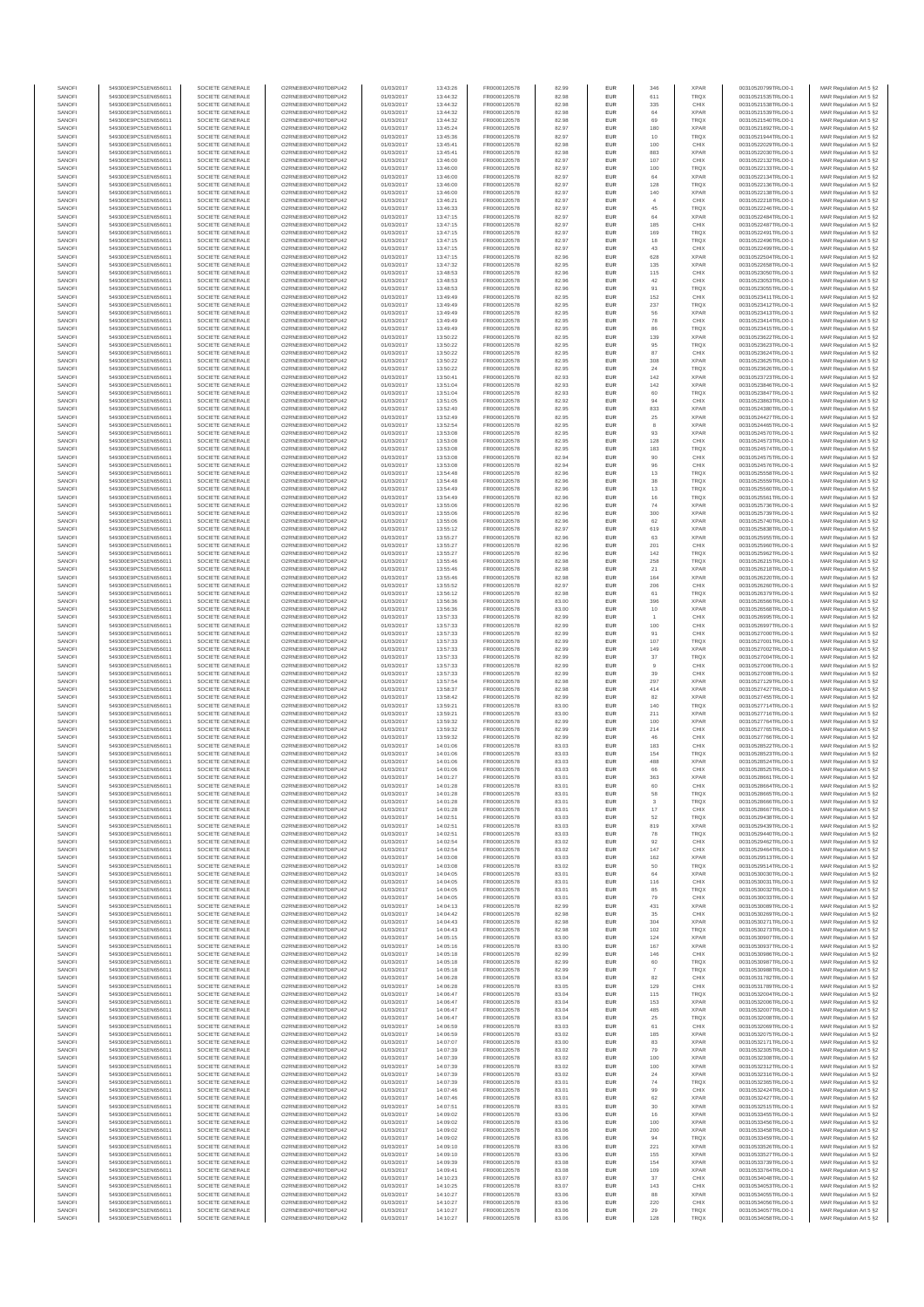| SANOFI           | 549300E9PC51EN656011                         | SOCIETE GENERALE                     | O2RNE8IBXP4R0TD8PLI42                          | 01/03/2017               | 13:43:26             | FR0000120578                 | 82.99          | <b>EUR</b>        | 346            | <b>XPAR</b>                | 00310520799TRLO0-1                       | MAR Regulation Art 5 §2                            |
|------------------|----------------------------------------------|--------------------------------------|------------------------------------------------|--------------------------|----------------------|------------------------------|----------------|-------------------|----------------|----------------------------|------------------------------------------|----------------------------------------------------|
| SANOFI           | 549300E9PC51EN656011                         | SOCIETE GENERALE                     | O2RNE8IBXP4R0TD8PU42                           | 01/03/2017               | 13:44:32             | FR0000120578                 | 82.98          | <b>EUR</b>        | 611            | <b>TRQX</b>                | 00310521535TRLO0-1                       | MAR Regulation Art 5 §2                            |
| SANOFI<br>SANOFI | 549300E9PC51EN656011<br>549300E9PC51EN656011 | SOCIETE GENERALE<br>SOCIETE GENERALE | O2RNE8IBXP4R0TD8PU42<br>O2RNE8IBXP4R0TD8PU42   | 01/03/2017<br>01/03/2017 | 13:44:32<br>13:44:32 | FR0000120578<br>FR0000120578 | 82.98<br>82.98 | EUR<br><b>EUR</b> | 335<br>64      | CHIX<br><b>XPAR</b>        | 00310521538TRLO0-1<br>00310521539TRLO0-1 | MAR Regulation Art 5 §2<br>MAR Regulation Art 5 §2 |
| SANOFI           | 549300E9PC51EN656011                         | SOCIETE GENERALE                     | O2RNE8IBXP4R0TD8PU42                           | 01/03/2017               | 13:44:32             | FR0000120578                 | 82.98          | EUR               | 69             | TRQX                       | 00310521540TRLO0-1                       | MAR Regulation Art 5 §2                            |
| SANOFI           | 549300E9PC51EN656011                         | SOCIETE GENERALE                     | O2RNE8IBXP4R0TD8PU42                           | 01/03/2017               | 13:45:24             | FR0000120578                 | 82.97          | EUR               | 180            | <b>XPAR</b>                | 00310521892TRLO0-1                       | MAR Regulation Art 5 §2                            |
| SANOFI<br>SANOFI | 549300E9PC51EN656011<br>549300E9PC51EN656011 | SOCIETE GENERALE<br>SOCIETE GENERALE | O2RNE8IBXP4R0TD8PU42<br>O2RNE8IBXP4R0TD8PU42   | 01/03/2017<br>01/03/2017 | 13:45:36<br>13:45:41 | FR0000120578<br>FR0000120578 | 82.97<br>82.98 | EUR<br>EUR        | 10<br>100      | TRQX<br>CHIX               | 00310521944TRLO0-1<br>00310522029TRLO0-1 | MAR Regulation Art 5 §2<br>MAR Regulation Art 5 §2 |
| SANOFI           | 549300E9PC51EN656011                         | SOCIETE GENERALE                     | O2RNE8IBXP4R0TD8PU42                           | 01/03/2017               | 13:45:41             | FR0000120578                 | 82.98          | EUR               | 883            | <b>XPAR</b>                | 00310522030TRLO0-1                       | MAR Regulation Art 5 §2                            |
| SANOFI           | 549300E9PC51EN656011                         | SOCIETE GENERALE                     | O2RNE8IBXP4R0TD8PU42                           | 01/03/2017               | 13:46:00             | FR0000120578                 | 82.97          | EUR               | 107            | CHIX                       | 00310522132TRLO0-1                       | MAR Regulation Art 5 §2                            |
| SANOFI<br>SANOFI | 549300E9PC51EN656011<br>549300E9PC51EN656011 | SOCIETE GENERALE<br>SOCIETE GENERALE | O2RNE8IBXP4R0TD8PLI42<br>O2RNE8IBXP4R0TD8PU42  | 01/03/2017<br>01/03/2017 | 13:46:00<br>13:46:00 | FR0000120578<br>FR0000120578 | 82.97<br>82.97 | <b>EUR</b><br>EUR | 100<br>64      | <b>TRQX</b><br><b>XPAR</b> | 00310522133TRLO0-1<br>00310522134TRLO0-1 | MAR Regulation Art 5 §2<br>MAR Regulation Art 5 §2 |
| SANOFI           | 549300E9PC51EN656011                         | SOCIETE GENERALE                     | O2RNE8IBXP4R0TD8PU42                           | 01/03/2017               | 13:46:00             | FR0000120578                 | 82.97          | <b>EUR</b>        | 128            | <b>TRQX</b>                | 00310522136TRLO0-1                       | MAR Regulation Art 5 §2                            |
| SANOFI           | 549300E9PC51EN656011                         | SOCIETE GENERALE                     | O2RNE8IBXP4R0TD8PU42                           | 01/03/2017               | 13:46:00             | FR0000120578                 | 82.97          | EUR               | 140            | <b>XPAR</b>                | 00310522138TRLO0-1                       | MAR Regulation Art 5 §2                            |
| SANOFI           | 549300E9PC51EN656011                         | SOCIETE GENERALE                     | O2RNE8IBXP4R0TD8PU42                           | 01/03/2017               | 13:46:21             | FR0000120578                 | 82.97          | EUR               | $\overline{4}$ | CHIX                       | 00310522218TRLO0-1                       | MAR Regulation Art 5 §2                            |
| SANOFI<br>SANOFI | 549300E9PC51EN656011<br>549300E9PC51EN656011 | SOCIETE GENERALE<br>SOCIETE GENERALE | O2RNE8IBXP4R0TD8PU42<br>O2RNE8IBXP4R0TD8PU42   | 01/03/2017<br>01/03/2017 | 13:46:33<br>13:47:15 | FR0000120578<br>FR0000120578 | 82.97<br>82.97 | EUR<br>EUR        | 45<br>64       | TRQX<br><b>XPAR</b>        | 00310522246TRLO0-1<br>00310522484TRLO0-1 | MAR Regulation Art 5 §2<br>MAR Regulation Art 5 §2 |
| SANOFI           | 549300E9PC51EN656011                         | SOCIETE GENERALE                     | O2RNE8IBXP4R0TD8PU42                           | 01/03/2017               | 13:47:15             | FR0000120578                 | 82.97          | EUR               | 185            | CHIX                       | 00310522487TRLO0-1                       | MAR Regulation Art 5 §2                            |
| SANOFI           | 549300E9PC51EN656011                         | SOCIETE GENERALE                     | O2RNE8IBXP4R0TD8PU42                           | 01/03/2017               | 13:47:15             | FR0000120578                 | 82.97          | EUR               | 169            | <b>TRQX</b>                | 00310522491TRLO0-1                       | MAR Regulation Art 5 §2                            |
| SANOFI           | 549300E9PC51EN656011                         | SOCIETE GENERALE                     | O2RNE8IBXP4R0TD8PLI42                          | 01/03/2017               | 13:47:15             | FR0000120578                 | 82.97          | <b>EUR</b>        | 18             | <b>TRQX</b>                | 00310522496TRLO0-1                       | MAR Regulation Art 5 §2                            |
| SANOFI<br>SANOFI | 549300E9PC51EN656011<br>549300E9PC51EN656011 | SOCIETE GENERALE<br>SOCIETE GENERALE | O2RNE8IBXP4R0TD8PU42<br>O2RNE8IBXP4R0TD8PU42   | 01/03/2017<br>01/03/2017 | 13:47:15<br>13:47:15 | FR0000120578<br>FR0000120578 | 82.97<br>82.96 | EUR<br><b>EUR</b> | 43<br>628      | CHIX<br><b>XPAR</b>        | 00310522499TRLO0-1<br>00310522504TRLO0-1 | MAR Regulation Art 5 §2<br>MAR Regulation Art 5 §2 |
| SANOFI           | 549300E9PC51EN656011                         | SOCIETE GENERALE                     | O2RNE8IBXP4R0TD8PU42                           | 01/03/2017               | 13:47:32             | FR0000120578                 | 82.95          | EUR               | 135            | <b>XPAR</b>                | 00310522658TRLO0-1                       | MAR Regulation Art 5 §2                            |
| SANOFI           | 549300E9PC51EN656011                         | SOCIETE GENERALE                     | O2RNESIBXP4R0TD8PLI42                          | 01/03/2017               | 13:48:53             | FR0000120578                 | 82.96          | EUR               | 115            | CHIX                       | 00310523050TRLO0-1                       | MAR Regulation Art 5 §2                            |
| SANOFI           | 549300E9PC51EN656011                         | SOCIETE GENERALE                     | O2RNE8IBXP4R0TD8PU42                           | 01/03/2017               | 13:48:53             | FR0000120578                 | 82.96          | EUR               | 42             | CHIX                       | 00310523053TRLO0-1                       | MAR Regulation Art 5 §2                            |
| SANOFI<br>SANOFI | 549300E9PC51EN656011<br>549300E9PC51EN656011 | SOCIETE GENERALE<br>SOCIETE GENERALE | O2RNE8IBXP4R0TD8PU42<br>O2RNE8IBXP4R0TD8PU42   | 01/03/2017<br>01/03/2017 | 13:48:53<br>13:49:49 | FR0000120578<br>FR0000120578 | 82.96<br>82.95 | EUR<br>EUR        | 91<br>152      | TRQX<br>CHIX               | 00310523055TRLO0-1<br>00310523411TRLO0-1 | MAR Regulation Art 5 §2<br>MAR Regulation Art 5 §2 |
| SANOFI           | 549300E9PC51EN656011                         | SOCIETE GENERALE                     | O2RNE8IBXP4R0TD8PU42                           | 01/03/2017               | 13:49:49             | FR0000120578                 | 82.95          | EUR               | 237            | TRQX                       | 00310523412TRLO0-1                       | MAR Regulation Art 5 §2                            |
| SANOFI           | 549300E9PC51EN656011                         | SOCIETE GENERALE                     | O2RNE8IBXP4R0TD8PU42                           | 01/03/2017               | 13:49:49             | FR0000120578                 | 82.95          | <b>EUR</b>        | 56             | <b>XPAR</b>                | 00310523413TRLO0-1                       | MAR Regulation Art 5 §2                            |
| SANOFI<br>SANOFI | 549300E9PC51EN656011<br>549300E9PC51EN656011 | SOCIETE GENERALE<br>SOCIETE GENERALE | O2RNE8IBXP4R0TD8PU42<br>O2RNE8IBXP4R0TD8PU42   | 01/03/2017<br>01/03/2017 | 13:49:49<br>13:49:49 | FR0000120578<br>FR0000120578 | 82.95<br>82.95 | EUR<br><b>EUR</b> | 78<br>86       | CHIX<br><b>TRQX</b>        | 00310523414TRLO0-1<br>00310523415TRLO0-1 | MAR Regulation Art 5 §2<br>MAR Regulation Art 5 §2 |
| SANOFI           | 549300E9PC51EN656011                         | SOCIETE GENERALE                     | O2RNE8IBXP4R0TD8PU42                           | 01/03/2017               | 13:50:22             | FR0000120578                 | 82.95          | EUR               | 139            | <b>XPAR</b>                | 00310523622TRLO0-1                       | MAR Regulation Art 5 §2                            |
| SANOFI           | 549300E9PC51EN656011                         | SOCIETE GENERALE                     | O2RNE8IBXP4R0TD8PU42                           | 01/03/2017               | 13:50:22             | FR0000120578                 | 82.95          | EUR               | 95             | TRQX                       | 00310523623TRLO0-1                       | MAR Regulation Art 5 §2                            |
| SANOFI           | 549300E9PC51EN656011                         | SOCIETE GENERALE                     | O2RNE8IBXP4R0TD8PU42<br>O2RNE8IBXP4R0TD8PU42   | 01/03/2017               | 13:50:22             | FR0000120578                 | 82.95          | EUR               | 87             | CHIX                       | 00310523624TRLO0-1                       | MAR Regulation Art 5 §2                            |
| SANOFI<br>SANOFI | 549300E9PC51EN656011<br>549300E9PC51EN656011 | SOCIETE GENERALE<br>SOCIETE GENERALE | O2RNE8IBXP4R0TD8PU42                           | 01/03/2017<br>01/03/2017 | 13:50:22<br>13:50:22 | FR0000120578<br>FR0000120578 | 82.95<br>82.95 | EUR<br><b>EUR</b> | 308<br>24      | <b>XPAR</b><br><b>TRQX</b> | 00310523625TRLO0-1<br>00310523626TRLO0-1 | MAR Regulation Art 5 §2<br>MAR Regulation Art 5 §2 |
| SANOFI           | 549300E9PC51EN656011                         | SOCIETE GENERALE                     | O2RNE8IBXP4R0TD8PU42                           | 01/03/2017               | 13:50:41             | FR0000120578                 | 82.93          | EUR               | 142            | <b>XPAR</b>                | 00310523723TRLO0-1                       | MAR Regulation Art 5 §2                            |
| SANOFI           | 549300E9PC51EN656011                         | SOCIETE GENERALE                     | O2RNE8IBXP4R0TD8PU42                           | 01/03/2017               | 13:51:04             | FR0000120578                 | 82.93          | <b>EUR</b>        | 142            | <b>XPAR</b>                | 00310523846TRLO0-1                       | MAR Regulation Art 5 §2                            |
| SANOFI<br>SANOFI | 549300E9PC51EN656011<br>549300E9PC51EN656011 | SOCIETE GENERALE<br>SOCIETE GENERALE | O2RNE8IBXP4R0TD8PU42<br>O2RNE8IBXP4R0TD8PU42   | 01/03/2017<br>01/03/2017 | 13:51:04<br>13:51:05 | FR0000120578<br>FR0000120578 | 82.93<br>82.92 | EUR<br>EUR        | 94             | TRQX<br>CHIX               | 00310523847TRLO0-1<br>00310523863TRLO0-1 | MAR Regulation Art 5 §2<br>MAR Regulation Art 5 §2 |
| SANOFI           | 549300E9PC51EN656011                         | SOCIETE GENERALE                     | O2RNE8IBXP4R0TD8PU42                           | 01/03/2017               | 13:52:40             | FR0000120578                 | 82.95          | EUR               | 833            | <b>XPAR</b>                | 00310524380TRLO0-1                       | MAR Regulation Art 5 §2                            |
| SANOFI           | 549300E9PC51EN656011                         | SOCIETE GENERALE                     | O2RNE8IBXP4R0TD8PU42                           | 01/03/2017               | 13:52:49             | FR0000120578                 | 82.95          | EUR               | 25             | <b>XPAR</b>                | 00310524427TRLO0-1                       | MAR Regulation Art 5 §2                            |
| SANOFI           | 549300E9PC51EN656011                         | SOCIETE GENERALE                     | O2RNE8IBXP4R0TD8PU42                           | 01/03/2017               | 13:52:54             | FR0000120578                 | 82.95          | EUR               | 8              | <b>XPAR</b>                | 00310524465TRLO0-1                       | MAR Regulation Art 5 §2                            |
| SANOFI<br>SANOFI | 549300E9PC51EN656011<br>549300E9PC51EN656011 | SOCIETE GENERALE<br>SOCIETE GENERALE | O2RNE8IBXP4R0TD8PLI42<br>O2RNE8IBXP4R0TD8PU42  | 01/03/2017<br>01/03/2017 | 13:53:08<br>13:53:08 | FR0000120578<br>FR0000120578 | 82.95<br>82.95 | EUR<br><b>EUR</b> | 93<br>128      | <b>XPAR</b><br>CHIX        | 00310524570TRLO0-1<br>00310524573TRLO0-1 | MAR Regulation Art 5 §2<br>MAR Regulation Art 5 §2 |
| SANOFI           | 549300E9PC51EN656011                         | SOCIETE GENERALE                     | O2RNE8IBXP4R0TD8PU42                           | 01/03/2017               | 13:53:08             | FR0000120578                 | 82.95          | EUR               | 183            | TRQX                       | 00310524574TRLO0-1                       | MAR Regulation Art 5 §2                            |
| SANOFI           | 549300E9PC51EN656011                         | SOCIETE GENERALE                     | O2RNE8IBXP4R0TD8PU42                           | 01/03/2017               | 13:53:08             | FR0000120578                 | 82.94          | <b>EUR</b>        | 90             | CHIX                       | 00310524575TRLO0-1                       | MAR Regulation Art 5 §2                            |
| SANOFI           | 549300E9PC51EN656011                         | SOCIETE GENERALE                     | O2RNE8IBXP4R0TD8PU42                           | 01/03/2017               | 13:53:08             | FR0000120578                 | 82.94          | EUR               | 96             | CHIX                       | 00310524576TRLO0-1                       | MAR Regulation Art 5 §2                            |
| SANOFI<br>SANOFI | 549300E9PC51EN656011<br>549300E9PC51EN656011 | SOCIETE GENERALE<br>SOCIETE GENERALE | O2RNE8IBXP4R0TD8PU42<br>O2RNE8IBXP4R0TD8PU42   | 01/03/2017<br>01/03/2017 | 13:54:48<br>13:54:48 | FR0000120578<br>FR0000120578 | 82.96<br>82.96 | EUR<br>EUR        | 13<br>$_{38}$  | <b>TRQX</b><br><b>TRQX</b> | 00310525558TRLO0-1<br>00310525559TRLO0-1 | MAR Regulation Art 5 §2<br>MAR Regulation Art 5 §2 |
| SANOFI           | 549300E9PC51EN656011                         | SOCIETE GENERALE                     | O2RNE8IBXP4R0TD8PU42                           | 01/03/2017               | 13:54:49             | FR0000120578                 | 82.96          | EUR               | 13             | TRQX                       | 00310525560TRLO0-1                       | MAR Regulation Art 5 §2                            |
| SANOFI           | 549300E9PC51EN656011                         | SOCIETE GENERALE                     | O2RNE8IBXP4R0TD8PU42                           | 01/03/2017               | 13:54:49             | FR0000120578                 | 82.96          | EUR               | 16             | TRQX                       | 00310525561TRLO0-1                       | MAR Regulation Art 5 §2                            |
| SANOFI           | 549300E9PC51EN656011                         | SOCIETE GENERALE                     | O2RNE8IBXP4R0TD8PU42                           | 01/03/2017               | 13:55:06             | FR0000120578                 | 82.96          | EUR               | 74             | <b>XPAR</b>                | 00310525736TRLO0-1                       | MAR Regulation Art 5 §2                            |
| SANOFI<br>SANOFI | 549300E9PC51EN656011<br>549300E9PC51EN656011 | SOCIETE GENERALE<br>SOCIETE GENERALE | O2RNE8IBXP4R0TD8PU42<br>O2RNE8IBXP4R0TD8PU42   | 01/03/2017<br>01/03/2017 | 13:55:06<br>13:55:06 | FR0000120578<br>FR0000120578 | 82.96<br>82.96 | <b>EUR</b><br>EUR | 300<br>62      | <b>XPAR</b><br><b>XPAR</b> | 00310525739TRLO0-1<br>00310525740TRLO0-  | MAR Regulation Art 5 §2<br>MAR Regulation Art 5 §2 |
| SANOFI           | 549300E9PC51EN656011                         | SOCIETE GENERALE                     | O2RNE8IBXP4R0TD8PU42                           | 01/03/2017               | 13:55:12             | FR0000120578                 | 82.97          | <b>EUR</b>        | 619            | <b>XPAR</b>                | 00310525838TRLO0-1                       | MAR Regulation Art 5 §2                            |
| SANOFI           | 549300E9PC51EN656011                         | SOCIETE GENERALE                     | O2RNE8IBXP4R0TD8PU42                           | 01/03/2017               | 13:55:27             | FR0000120578                 | 82.96          | EUR               | 63             | <b>XPAR</b>                | 00310525955TRLO0-1                       | MAR Regulation Art 5 §2                            |
| SANOFI<br>SANOFI | 549300E9PC51EN656011<br>549300E9PC51EN656011 | SOCIETE GENERALE<br>SOCIETE GENERALE | O2RNE8IBXP4R0TD8PU42<br>O2RNE8IBXP4R0TD8PU42   | 01/03/2017<br>01/03/2017 | 13:55:27<br>13:55:27 | FR0000120578<br>FR0000120578 | 82.96<br>82.96 | EUR<br>EUR        | 201<br>142     | CHIX<br>TRQX               | 00310525960TRLO0-1<br>00310525962TRLO0-1 | MAR Regulation Art 5 §2<br>MAR Regulation Art 5 §2 |
| SANOFI           | 549300E9PC51EN656011                         | SOCIETE GENERALE                     | O2RNE8IBXP4R0TD8PU42                           | 01/03/2017               | 13:55:46             | FR0000120578                 | 82.98          | EUR               | 258            | <b>TRQX</b>                | 00310526215TRLO0-1                       | MAR Regulation Art 5 §2                            |
| SANOFI           | 549300E9PC51EN656011                         | SOCIETE GENERALE                     | O2RNE8IBXP4R0TD8PU42                           | 01/03/2017               | 13:55:46             | FR0000120578                 | 82.98          | EUR               | 21             | <b>XPAR</b>                | 00310526218TRLO0-1                       | MAR Regulation Art 5 §2                            |
| SANOFI           | 549300E9PC51EN656011                         | SOCIETE GENERALE                     | O2RNE8IBXP4R0TD8PU42                           | 01/03/2017               | 13:55:46             | FR0000120578                 | 82.98          | EUR               | 164            | <b>XPAR</b>                | 00310526220TRLO0-1                       | MAR Regulation Art 5 §2                            |
| SANOFI<br>SANOFI | 549300E9PC51EN656011<br>549300E9PC51EN656011 | SOCIETE GENERALE<br>SOCIETE GENERALE | O2RNE8IBXP4R0TD8PU42<br>O2RNE8IBXP4R0TD8PU42   | 01/03/2017<br>01/03/2017 | 13:55:52<br>13:56:12 | FR0000120578<br>FR0000120578 | 82.97<br>82.98 | <b>EUR</b><br>EUR | 206<br>61      | CHIX<br>TRQX               | 00310526260TRLO0-1<br>00310526379TRLO0-1 | MAR Regulation Art 5 §2<br>MAR Regulation Art 5 §2 |
| SANOFI           | 549300E9PC51EN656011                         | SOCIETE GENERALE                     | O2RNE8IBXP4R0TD8PU42                           | 01/03/2017               | 13:56:36             | FR0000120578                 | 83.00          | <b>EUR</b>        | 396            | <b>XPAR</b>                | 00310526566TRLO0-1                       | MAR Regulation Art 5 §2                            |
| SANOFI           | 549300E9PC51EN656011                         | SOCIETE GENERALE                     | O2RNE8IBXP4R0TD8PU42                           | 01/03/2017               | 13:56:36             | FR0000120578                 | 83.00          | EUR               | 10             | <b>XPAR</b>                | 00310526568TRLO0-1                       | MAR Regulation Art 5 §2                            |
| SANOFI           | 549300E9PC51EN656011                         | SOCIETE GENERALE                     | O2RNE8IBXP4R0TD8PU42                           | 01/03/2017               | 13:57:33             | FR0000120578                 | 82.99          | EUR               |                | CHIX                       | 00310526995TRLO0-1                       | MAR Regulation Art 5 §2                            |
| SANOFI<br>SANOFI | 549300E9PC51EN656011<br>549300E9PC51EN656011 | SOCIETE GENERALE<br>SOCIETE GENERALE | O2RNE8IBXP4R0TD8PU42<br>O2RNE8IBXP4R0TD8PU42   | 01/03/2017<br>01/03/2017 | 13:57:33<br>13:57:33 | FR0000120578<br>FR0000120578 | 82.99<br>82.99 | EUR<br>EUR        | 100<br>91      | CHIX<br>CHIX               | 00310526997TRLO0-1<br>00310527000TRLO0-1 | MAR Regulation Art 5 §2<br>MAR Regulation Art 5 §2 |
| SANOFI           | 549300E9PC51EN656011                         | SOCIETE GENERALE                     | O2RNE8IBXP4R0TD8PU42                           | 01/03/2017               | 13:57:33             | FR0000120578                 | 82.99          | <b>EUR</b>        | 107            | <b>TRQX</b>                | 00310527001TRLO0-1                       | MAR Regulation Art 5 §2                            |
| SANOFI           | 549300E9PC51EN656011                         | SOCIETE GENERALE                     | O2RNE8IBXP4R0TD8PU42                           | 01/03/2017               | 13:57:33             | FR0000120578                 | 82.99          | EUR               | 149            | <b>XPAR</b>                | 00310527002TRLO0-1                       | MAR Regulation Art 5 §2                            |
| SANOFI           | 549300E9PC51EN656011                         | SOCIETE GENERALE                     | O2RNE8IBXP4R0TD8PU42                           | 01/03/2017               | 13:57:33             | FR0000120578                 | 82.99          | <b>EUR</b>        | 37             | <b>TRQX</b>                | 00310527004TRLO0-1                       | MAR Regulation Art 5 §2                            |
| SANOFI<br>SANOFI | 549300E9PC51EN656011<br>549300E9PC51EN656011 | SOCIETE GENERALE<br>SOCIETE GENERALE | O2RNE8IBXP4R0TD8PU42<br>O2RNE8IBXP4R0TD8PU42   | 01/03/2017<br>01/03/2017 | 13:57:33<br>13:57:33 | FR0000120578<br>FR0000120578 | 82.99<br>82.99 | EUR<br><b>EUR</b> | 39             | CHIX<br>CHIX               | 00310527006TRLO0-1<br>00310527008TRLO0-1 | MAR Regulation Art 5 §2<br>MAR Regulation Art 5 §2 |
| SANOFI           | 549300E9PC51EN656011                         | SOCIETE GENERALE                     | O2RNE8IBXP4R0TD8PU42                           | 01/03/2017               | 13:57:54             | FR0000120578                 | 82.98          | EUR               | 297            | <b>XPAR</b>                | 00310527129TRLO0-1                       | MAR Regulation Art 5 §2                            |
| SANOFI           | 549300E9PC51EN656011                         | SOCIETE GENERALE                     | O2RNE8IBXP4R0TD8PLI42                          | 01/03/2017               | 13:58:37             | FR0000120578                 | 82.98          | EUR               | 414            | <b>XPAR</b>                | 00310527427TRLO0-1                       | MAR Regulation Art 5 §2                            |
| SANOFI<br>SANOFI | 549300E9PC51EN656011<br>549300E9PC51EN656011 | SOCIETE GENERALE<br>SOCIETE GENERALE | O2RNE8IBXP4R0TD8PU42<br>O2RNE8IBXP4R0TD8PU42   | 01/03/2017<br>01/03/2017 | 13:58:42<br>13:59:21 | FR0000120578<br>FR0000120578 | 82.99<br>83.00 | EUR<br>EUR        | 82<br>140      | <b>XPAR</b><br><b>TRQX</b> | 00310527455TRLO0-1<br>00310527714TRLO0-1 | MAR Regulation Art 5 §2<br>MAR Regulation Art 5 §2 |
| SANOFI           | 549300E9PC51EN656011                         | SOCIETE GENERALE                     | O2RNE8IBXP4R0TD8PU42                           | 01/03/2017               | 13:59:21             | FR0000120578                 | 83.00          | <b>EUR</b>        | 211            | <b>XPAR</b>                | 00310527716TRLO0-1                       | MAR Regulation Art 5 §2                            |
| SANOFI           | 549300E9PC51EN656011                         | SOCIETE GENERALE                     | O2RNE8IBXP4R0TD8PU42                           | 01/03/2017               | 13:59:32             | FR0000120578                 | 82.99          | EUR               | 100            | <b>XPAR</b>                | 00310527764TRLO0-1                       | MAR Regulation Art 5 §2                            |
| SANOFI           | 549300E9PC51EN656011                         | SOCIETE GENERALE                     | O2RNE8IBXP4R0TD8PU42                           | 01/03/2017               | 13:59:32             | FR0000120578                 | 82.99          | <b>EUR</b>        | 214            | CHIX                       | 00310527765TRLO0-1                       | MAR Regulation Art 5 §2                            |
| SANOFI<br>SANOFI | 549300E9PC51EN656011<br>549300E9PC51EN656011 | SOCIETE GENERALE<br>SOCIETE GENERALE | O2RNE8IBXP4R0TD8PU42<br>O2RNE8IBXP4R0TD8PU42   | 01/03/2017<br>01/03/2017 | 13:59:32<br>14:01:06 | FR0000120578<br>FR0000120578 | 82.99<br>83.03 | EUR<br>EUR        | 183            | CHIX<br>CHIX               | 00310527766TRLO0-1<br>00310528522TRLO0-1 | MAR Regulation Art 5 §2<br>MAR Regulation Art 5 §2 |
| SANOFI           | 549300E9PC51EN656011                         | SOCIETE GENERALE                     | O2RNE8IBXP4R0TD8PU42                           | 01/03/2017               | 14:01:06             | FR0000120578                 | 83.03          | EUR               | 154            | <b>TRQX</b>                | 00310528523TRLO0-1                       | MAR Regulation Art 5 §2                            |
| SANOFI           | 549300E9PC51EN656011                         | SOCIETE GENERALE                     | O2RNESIBXP4R0TD8PLI42                          | 01/03/2017               | 14:01:06             | FR0000120578                 | 83.03          | EUR               | 488            | <b>XPAR</b>                | 00310528524TRLO0-1                       | MAR Regulation Art 5 §2                            |
| SANOFI<br>SANOFI | 549300E9PC51EN656011<br>549300E9PC51EN656011 | SOCIETE GENERALE<br>SOCIETE GENERALE | O2RNE8IBXP4R0TD8PU42<br>O2RNE8IBXP4R0TD8PU42   | 01/03/2017<br>01/03/2017 | 14:01:06<br>14:01:27 | FR0000120578<br>FR0000120578 | 83.03<br>83.01 | EUR<br>EUR        | 66<br>363      | CHIX<br><b>XPAR</b>        | 00310528525TRLO0-1<br>00310528661TRLO0-1 | MAR Regulation Art 5 §2<br>MAR Regulation Art 5 §2 |
| SANOFI           | 549300E9PC51EN656011                         | SOCIETE GENERALE                     | O2RNE8IBXP4R0TD8PU42                           | 01/03/2017               | 14:01:28             | FR0000120578                 | 83.01          | <b>EUR</b>        | 60             | CHIX                       | 00310528664TRLO0-1                       | MAR Regulation Art 5 §2                            |
| SANOFI           | 549300E9PC51EN656011                         | SOCIETE GENERALE                     | O2RNE8IBXP4R0TD8PU42                           | 01/03/2017               | 14:01:28             | FR0000120578                 | 83.01          | EUR               | 58             | TRQX                       | 00310528665TRLO0-1                       | MAR Regulation Art 5 §2                            |
| SANOFI           | 549300E9PC51EN656011                         | SOCIETE GENERALE                     | O2RNE8IBXP4R0TD8PU42                           | 01/03/2017               | 14:01:28             | FR0000120578                 | 83.01          | <b>EUR</b>        | 3              | <b>TROX</b>                | 00310528666TRLO0-1                       | MAR Regulation Art 5 §2                            |
| SANOFI<br>SANOFI | 549300E9PC51EN656011<br>549300E9PC51EN656011 | SOCIETE GENERALE<br>SOCIETE GENERALE | O2RNE8IBXP4R0TD8PU42<br>O2RNE8IBXP4R0TD8PU42   | 01/03/2017<br>01/03/2017 | 14:01:28<br>14:02:51 | FR0000120578<br>FR0000120578 | 83.01<br>83.03 | EUR<br><b>EUR</b> | 17<br>52       | CHIX<br><b>TRQX</b>        | 00310528667TRLO0-1<br>00310529438TRLO0-1 | MAR Regulation Art 5 §2<br>MAR Regulation Art 5 §2 |
| SANOFI           | 549300E9PC51EN656011                         | SOCIETE GENERALE                     | O2RNE8IBXP4R0TD8PU42                           | 01/03/2017               | 14:02:51             | FR0000120578                 | 83.03          | EUR               | 819            | <b>XPAR</b>                | 00310529439TRLO0-1                       | MAR Regulation Art 5 §2                            |
| SANOFI           | 549300E9PC51EN656011                         | SOCIETE GENERALE                     | O2RNESIBXP4R0TD8PLI42                          | 01/03/2017               | 14:02:51             | FR0000120578                 | 83.03          | ${\sf EUR}$       | ${\bf 78}$     | TRQX                       | 00310529440TRLO0-1                       | MAR Regulation Art 5 §2                            |
| SANOFI<br>SANOFI | 549300E9PC51EN656011<br>549300E9PC51EN656011 | SOCIETE GENERALE<br>SOCIETE GENERALE | O2RNE8IBXP4R0TD8PU42<br>O2RNE8IBXP4R0TD8PU42   | 01/03/2017<br>01/03/2017 | 14:02:54<br>14:02:54 | FR0000120578<br>FR0000120578 | 83.02<br>83.02 | EUR<br>EUR        | 92<br>147      | CHIX<br>CHIX               | 00310529462TRLO0-1<br>00310529464TRLO0-1 | MAR Regulation Art 5 §2                            |
| SANOFI           | 549300E9PC51EN656011                         | SOCIETE GENERALE                     | O2RNE8IBXP4R0TD8PLI42                          | 01/03/2017               | 14:03:08             | FR0000120578                 | 83.03          | <b>EUR</b>        | 162            | <b>XPAR</b>                | 00310529513TRLO0-1                       | MAR Regulation Art 5 §2<br>MAR Regulation Art 5 §2 |
| SANOFI           | 549300E9PC51EN656011                         | SOCIETE GENERALE                     | O2RNE8IBXP4R0TD8PU42                           | 01/03/2017               | 14:03:08             | FR0000120578                 | 83.02          | EUR               | 50             | TRQX                       | 00310529514TRLO0-1                       | MAR Regulation Art 5 §2                            |
| SANOFI<br>SANOFI | 549300E9PC51EN656011<br>549300E9PC51EN656011 | SOCIETE GENERALE<br>SOCIETE GENERALE | O2RNE8IBXP4R0TD8PU42<br>O2RNE8IBXP4R0TD8PU42   | 01/03/2017<br>01/03/2017 | 14:04:05<br>14:04:05 | FR0000120578                 | 83.01<br>83.01 | <b>EUR</b><br>EUR | 64<br>116      | <b>XPAR</b><br>CHIX        | 00310530030TRLO0-1<br>00310530031TRLO0-1 | MAR Regulation Art 5 §2                            |
| SANOFI           | 549300E9PC51EN656011                         | SOCIETE GENERALE                     | O2RNE8IBXP4R0TD8PU42                           | 01/03/2017               | 14:04:05             | FR0000120578<br>FR0000120578 | 83.01          | EUR               | 85             | TRQX                       | 00310530032TRLO0-1                       | MAR Regulation Art 5 §2<br>MAR Regulation Art 5 §2 |
| SANOFI           | 549300E9PC51EN656011                         | SOCIETE GENERALE                     | O2RNE8IBXP4R0TD8PU42                           | 01/03/2017               | 14:04:05             | FR0000120578                 | 83.01          | EUR               | 79             | CHIX                       | 00310530033TRLO0-1                       | MAR Regulation Art 5 §2                            |
| SANOFI           | 549300E9PC51EN656011                         | SOCIETE GENERALE                     | O2RNESIBXP4R0TD8PLI42<br>O2RNE8IBXP4R0TD8PLI42 | 01/03/2017               | 14:04:13             | FR0000120578<br>FR0000120578 | 82.99          | EUR               | 431            | <b>XPAR</b>                | 00310530089TRLO0-1                       | MAR Regulation Art 5 §2                            |
| SANOFI<br>SANOFI | 549300E9PC51EN656011<br>549300E9PC51EN656011 | SOCIETE GENERALE<br>SOCIETE GENERALE | O2RNE8IBXP4R0TD8PU42                           | 01/03/2017<br>01/03/2017 | 14:04:42<br>14:04:43 | FR0000120578                 | 82.98<br>82.98 | <b>EUR</b><br>EUR | 35<br>304      | CHIX<br><b>XPAR</b>        | 00310530269TRLO0-1<br>00310530271TRLO0-1 | MAR Regulation Art 5 §2<br>MAR Regulation Art 5 §2 |
| SANOFI           | 549300E9PC51EN656011                         | SOCIETE GENERALE                     | O2RNE8IBXP4R0TD8PU42                           | 01/03/2017               | 14:04:43             | FR0000120578                 | 82.98          | <b>EUR</b>        | 102            | <b>TROX</b>                | 00310530273TRLO0-1                       | MAR Regulation Art 5 §2                            |
| SANOFI           | 549300E9PC51EN656011                         | SOCIETE GENERALE                     | O2RNE8IBXP4R0TD8PU42                           | 01/03/2017               | 14:05:15             | FR0000120578                 | 83.00          | EUR               | 124            | <b>XPAR</b>                | 00310530907TRLO0-1                       | MAR Regulation Art 5 §2                            |
| SANOFI<br>SANOFI | 549300E9PC51EN656011<br>549300E9PC51EN656011 | SOCIETE GENERALE<br>SOCIETE GENERALE | O2RNE8IBXP4R0TD8PU42<br>O2RNE8IBXP4R0TD8PU42   | 01/03/2017<br>01/03/2017 | 14:05:16<br>14:05:18 | FR0000120578<br>FR0000120578 | 83.00<br>82.99 | EUR<br>EUR        | 167<br>146     | <b>XPAR</b><br>CHIX        | 00310530937TRLO0-1<br>00310530986TRLO0-1 | MAR Regulation Art 5 §2<br>MAR Regulation Art 5 §2 |
| SANOFI           | 549300E9PC51EN656011                         | SOCIETE GENERALE                     | O2RNE8IBXP4R0TD8PU42                           | 01/03/2017               | 14:05:18             | FR0000120578                 | 82.99          | EUR               | 60             | <b>TRQX</b>                | 00310530987TRLO0-1                       | MAR Regulation Art 5 §2                            |
| SANOFI           | 549300E9PC51EN656011                         | SOCIETE GENERALE                     | O2RNE8IBXP4R0TD8PU42                           | 01/03/2017               | 14:05:18             | FR0000120578                 | 82.99          | EUR               |                | <b>TRQX</b>                | 00310530988TRLO0-1                       | MAR Regulation Art 5 §2                            |
| SANOFI<br>SANOFI | 549300E9PC51EN656011<br>549300E9PC51EN656011 | SOCIETE GENERALE<br>SOCIETE GENERALE | O2RNE8IBXP4R0TD8PU42<br>O2RNE8IBXP4R0TD8PU42   | 01/03/2017<br>01/03/2017 | 14:06:28<br>14:06:28 | FR0000120578<br>FR0000120578 | 83.04<br>83.05 | EUR<br><b>EUR</b> | 82<br>129      | CHIX<br>CHIX               | 00310531782TRLO0-1<br>00310531789TRLO0-1 | MAR Regulation Art 5 §2<br>MAR Regulation Art 5 §2 |
| SANOFI           | 549300E9PC51EN656011                         | SOCIETE GENERALE                     | O2RNE8IBXP4R0TD8PU42                           | 01/03/2017               | 14:06:47             | FR0000120578                 | 83.04          | EUR               | 115            | <b>TRQX</b>                | 00310532004TRLO0-1                       | MAR Regulation Art 5 §2                            |
| SANOFI           | 549300E9PC51EN656011                         | SOCIETE GENERALE                     | O2RNE8IBXP4R0TD8PU42                           | 01/03/2017               | 14:06:47             | FR0000120578                 | 83.04          | <b>EUR</b>        | 153            | <b>XPAR</b>                | 00310532006TRLO0-1                       | MAR Regulation Art 5 §2                            |
| SANOFI           | 549300E9PC51EN656011                         | SOCIETE GENERALE                     | O2RNE8IBXP4R0TD8PU42                           | 01/03/2017               | 14:06:47             | FR0000120578                 | 83.04          | EUR               | 485            | <b>XPAR</b>                | 00310532007TRLO0-1                       | MAR Regulation Art 5 §2                            |
| SANOFI<br>SANOFI | 549300E9PC51EN656011<br>549300E9PC51EN656011 | SOCIETE GENERALE<br>SOCIETE GENERALE | O2RNE8IBXP4R0TD8PU42<br>O2RNE8IBXP4R0TD8PU42   | 01/03/2017<br>01/03/2017 | 14:06:47<br>14:06:59 | FR0000120578<br>FR0000120578 | 83.04<br>83.03 | <b>EUR</b><br>EUR | 25<br>61       | <b>TRQX</b><br>CHIX        | 00310532008TRLO0-1<br>00310532069TRLO0-1 | MAR Regulation Art 5 §2<br>MAR Regulation Art 5 §2 |
| SANOFI           | 549300E9PC51EN656011                         | SOCIETE GENERALE                     | O2RNE8IBXP4R0TD8PU42                           | 01/03/2017               | 14:06:59             | FR0000120578                 | 83.02          | EUR               | 185            | <b>XPAR</b>                | 00310532075TRLO0-1                       | MAR Regulation Art 5 §2                            |
| SANOFI           | 549300E9PC51EN656011                         | SOCIETE GENERALE                     | O2RNE8IBXP4R0TD8PU42                           | 01/03/2017               | 14:07:07             | FR0000120578                 | 83.00          | EUR               | 83             | <b>XPAR</b>                | 00310532171TRLO0-1                       | MAR Regulation Art 5 §2                            |
| SANOFI           | 549300E9PC51EN656011                         | SOCIETE GENERALE                     | O2RNE8IBXP4R0TD8PU42                           | 01/03/2017               | 14:07:39             | FR0000120578                 | 83.02          | EUR               | 79             | <b>XPAR</b>                | 00310532305TRLO0-1                       | MAR Regulation Art 5 §2                            |
| SANOFI<br>SANOFI | 549300E9PC51EN656011<br>549300E9PC51EN656011 | SOCIETE GENERALE<br>SOCIETE GENERALE | O2RNE8IBXP4R0TD8PU42<br>O2RNE8IBXP4R0TD8PU42   | 01/03/2017<br>01/03/2017 | 14:07:39<br>14:07:39 | FR0000120578<br>FR0000120578 | 83.02<br>83.02 | <b>EUR</b><br>EUR | 100<br>100     | <b>XPAR</b><br><b>XPAR</b> | 00310532308TRLO0-1<br>00310532312TRLO0-1 | MAR Regulation Art 5 §2<br>MAR Regulation Art 5 §2 |
| SANOFI           | 549300E9PC51EN656011                         | SOCIETE GENERALE                     | O2RNE8IBXP4R0TD8PU42                           | 01/03/2017               | 14:07:39             | FR0000120578                 | 83.02          | <b>EUR</b>        | 24             | <b>XPAR</b>                | 00310532316TRLO0-1                       | MAR Regulation Art 5 §2                            |
| SANOFI           | 549300E9PC51EN656011                         | SOCIETE GENERALE                     | O2RNE8IBXP4R0TD8PU42                           | 01/03/2017               | 14:07:39             | FR0000120578                 | 83.01          | EUR               | 74             | TRQX                       | 00310532365TRLO0-1                       | MAR Regulation Art 5 §2                            |
| SANOFI           | 549300E9PC51EN656011                         | SOCIETE GENERALE                     | O2RNE8IBXP4R0TD8PU42                           | 01/03/2017               | 14:07:46             | FR0000120578                 | 83.01          | EUR               | 99             | CHIX                       | 00310532424TRLO0-1                       | MAR Regulation Art 5 §2                            |
| SANOFI<br>SANOFI | 549300E9PC51EN656011<br>549300E9PC51EN656011 | SOCIETE GENERALE<br>SOCIETE GENERALE | O2RNE8IBXP4R0TD8PU42<br>O2RNE8IBXP4R0TD8PU42   | 01/03/2017<br>01/03/2017 | 14:07:46<br>14:07:51 | FR0000120578<br>FR0000120578 | 83.01<br>83.01 | EUR<br>EUR        | 62<br>30       | <b>XPAR</b><br><b>XPAR</b> | 00310532427TRLO0-1<br>00310532515TRLO0-1 | MAR Regulation Art 5 §2<br>MAR Regulation Art 5 §2 |
| SANOFI           | 549300E9PC51EN656011                         | SOCIETE GENERALE                     | O2RNE8IBXP4R0TD8PU42                           | 01/03/2017               | 14:09:02             | FR0000120578                 | 83.06          | EUR               | 16             | <b>XPAR</b>                | 00310533455TRLO0-1                       | MAR Regulation Art 5 §2                            |
| SANOFI           | 549300E9PC51EN656011                         | SOCIETE GENERALE                     | O2RNE8IBXP4R0TD8PU42                           | 01/03/2017               | 14:09:02             | FR0000120578                 | 83.06          | EUR               | 100            | <b>XPAR</b>                | 00310533456TRLO0-1                       | MAR Regulation Art 5 §2                            |
| SANOFI<br>SANOFI | 549300E9PC51EN656011<br>549300E9PC51EN656011 | SOCIETE GENERALE<br>SOCIETE GENERALE | O2RNE8IBXP4R0TD8PU42<br>O2RNE8IBXP4R0TD8PU42   | 01/03/2017<br>01/03/2017 | 14:09:02<br>14:09:02 | FR0000120578<br>FR0000120578 | 83.06<br>83.06 | <b>EUR</b><br>EUR | 200<br>94      | <b>XPAR</b><br>TRQX        | 00310533458TRLO0-1<br>00310533459TRLO0-1 | MAR Regulation Art 5 §2                            |
| SANOFI           | 549300E9PC51EN656011                         | SOCIETE GENERALE                     | O2RNE8IBXP4R0TD8PU42                           | 01/03/2017               | 14:09:10             | FR0000120578                 | 83.06          | <b>EUR</b>        | 221            | <b>XPAR</b>                | 00310533526TRLO0-1                       | MAR Regulation Art 5 §2<br>MAR Regulation Art 5 §2 |
| SANOFI           | 549300E9PC51EN656011                         | SOCIETE GENERALE                     | O2RNE8IBXP4R0TD8PU42                           | 01/03/2017               | 14:09:10             | FR0000120578                 | 83.06          | EUR               | 155            | <b>XPAR</b>                | 00310533527TRLO0-1                       | MAR Regulation Art 5 §2                            |
| SANOFI           | 549300E9PC51EN656011                         | SOCIETE GENERALE                     | O2RNE8IBXP4R0TD8PU42                           | 01/03/2017               | 14:09:39             | FR0000120578                 | 83.08          | EUR               | 154            | <b>XPAR</b>                | 00310533739TRLO0-1                       | MAR Regulation Art 5 §2                            |
| SANOFI<br>SANOFI | 549300E9PC51EN656011<br>549300E9PC51EN656011 | SOCIETE GENERALE<br>SOCIETE GENERALE | O2RNE8IBXP4R0TD8PU42<br>O2RNE8IBXP4R0TD8PU42   | 01/03/2017<br>01/03/2017 | 14:09:41<br>14:10:23 | FR0000120578<br>FR0000120578 | 83.08<br>83.07 | EUR<br>EUR        | 109<br>37      | <b>XPAR</b><br>CHIX        | 00310533764TRLO0-1<br>00310534048TRLO0-1 | MAR Regulation Art 5 §2<br>MAR Regulation Art 5 §2 |
| SANOFI           | 549300E9PC51EN656011                         | SOCIETE GENERALE                     | O2RNE8IBXP4R0TD8PU42                           | 01/03/2017               | 14:10:25             | FR0000120578                 | 83.07          | <b>EUR</b>        | 143            | CHIX                       | 00310534053TRLO0-1                       | MAR Regulation Art 5 §2                            |
| SANOFI           | 549300E9PC51EN656011                         | SOCIETE GENERALE                     | O2RNE8IBXP4R0TD8PU42                           | 01/03/2017               | 14:10:27             | FR0000120578                 | 83.06          | EUR               | 88             | <b>XPAR</b>                | 00310534055TRLO0-1                       | MAR Regulation Art 5 §2                            |
| SANOFI           | 549300E9PC51EN656011                         | SOCIETE GENERALE                     | O2RNE8IBXP4R0TD8PU42                           | 01/03/2017               | 14:10:27             | FR0000120578                 | 83.06          | <b>EUR</b>        | 220            | CHIX                       | 00310534056TRLO0-1                       | MAR Regulation Art 5 §2                            |
| SANOFI<br>SANOFI | 549300E9PC51EN656011<br>549300E9PC51EN656011 | SOCIETE GENERALE<br>SOCIETE GENERALE | O2RNE8IBXP4R0TD8PU42<br>O2RNE8IBXP4R0TD8PU42   | 01/03/2017<br>01/03/2017 | 14:10:27<br>14:10:27 | FR0000120578<br>FR0000120578 | 83.06<br>83.06 | EUR<br>EUR        | 29<br>128      | TRQX<br><b>TRQX</b>        | 00310534057TRLO0-1<br>00310534058TRLO0-1 | MAR Regulation Art 5 §2<br>MAR Regulation Art 5 §2 |
|                  |                                              |                                      |                                                |                          |                      |                              |                |                   |                |                            |                                          |                                                    |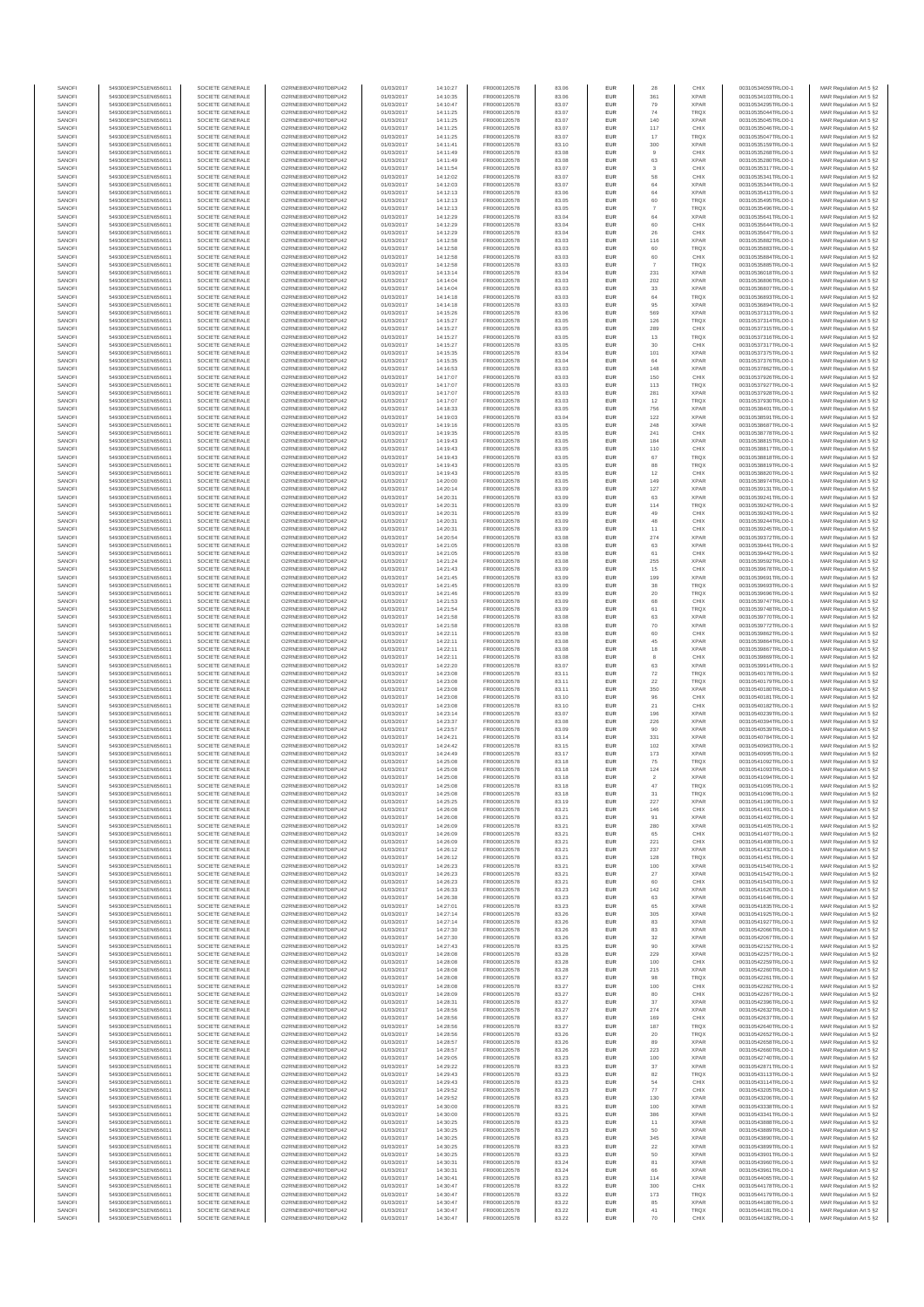| SANOFI           | 549300E9PC51EN656011                         | SOCIETE GENERALE                     | O2RNE8IBXP4R0TD8PU42                         | 01/03/2017               | 14:10:27             | FR0000120578                 | 83.06          | EUR                      | 28                    | CHIX                       | 00310534059TRLO0-1                       | MAR Regulation Art 5 §2                             |
|------------------|----------------------------------------------|--------------------------------------|----------------------------------------------|--------------------------|----------------------|------------------------------|----------------|--------------------------|-----------------------|----------------------------|------------------------------------------|-----------------------------------------------------|
| SANOFI<br>SANOFI | 549300E9PC51EN656011<br>549300E9PC51EN656011 | SOCIETE GENERALE<br>SOCIETE GENERALE | O2RNE8IBXP4R0TD8PU42<br>O2RNE8IBXP4R0TD8PU42 | 01/03/2017               | 14:10:35<br>14:10:47 | FR0000120578<br>FR0000120578 | 83.06<br>83.07 | EUR<br>EUR               | 361<br>79             | <b>XPAR</b><br><b>XPAR</b> | 00310534103TRLO0-1<br>00310534295TRLO0-1 | MAR Regulation Art 5 §2                             |
| SANOFI           | 549300E9PC51EN656011                         | SOCIETE GENERALE                     | O2RNE8IBXP4R0TD8PU42                         | 01/03/2017<br>01/03/2017 | 14:11:25             | FR0000120578                 | 83.07          | EUR                      | 74                    | <b>TRQX</b>                | 00310535044TRLO0-1                       | MAR Regulation Art 5 §2<br>MAR Regulation Art 5 §2  |
| SANOFI           | 549300E9PC51EN656011                         | SOCIETE GENERALE                     | O2RNE8IBXP4R0TD8PU42                         | 01/03/2017               | 14:11:25             | FR0000120578                 | 83.07          | EUR                      | 140                   | <b>XPAR</b>                | 00310535045TRLO0-1                       | MAR Regulation Art 5 §2                             |
| SANOFI           | 549300E9PC51EN656011                         | SOCIETE GENERALE                     | O2RNE8IBXP4R0TD8PU42                         | 01/03/2017               | 14:11:25             | FR0000120578<br>FR0000120578 | 83.07          | EUR                      | 117                   | CHIX                       | 00310535046TRLO0-1                       | MAR Regulation Art 5 §2                             |
| SANOFI<br>SANOFI | 549300E9PC51EN656011<br>549300E9PC51EN656011 | SOCIETE GENERALE<br>SOCIETE GENERALE | O2RNE8IBXP4R0TD8PU42<br>O2RNE8IBXP4R0TD8PU42 | 01/03/2017<br>01/03/2017 | 14:11:25<br>14:11:41 | FR0000120578                 | 83.07<br>83.10 | EUR<br>EUR               | 17<br>300             | <b>TRQX</b><br><b>XPAR</b> | 00310535047TRLO0-1<br>00310535159TRLO0-1 | MAR Regulation Art 5 §2<br>MAR Regulation Art 5 §2  |
| SANOFI           | 549300E9PC51EN656011                         | SOCIETE GENERALE                     | O2RNE8IBXP4R0TD8PU42                         | 01/03/2017               | 14:11:49             | FR0000120578                 | 83.08          | EUR                      | 9                     | CHIX                       | 00310535268TRLO0-1                       | MAR Regulation Art 5 \$2                            |
| SANOFI           | 549300E9PC51EN656011                         | SOCIETE GENERALE                     | O2RNE8IBXP4R0TD8PU42                         | 01/03/2017               | 14:11:49             | FR0000120578                 | 83.08          | EUR                      | 63                    | <b>XPAR</b>                | 00310535280TRLO0-1                       | MAR Regulation Art 5 §2                             |
| SANOFI<br>SANOFI | 549300E9PC51EN656011<br>549300E9PC51EN656011 | SOCIETE GENERALE<br>SOCIETE GENERALE | O2RNE8IBXP4R0TD8PU42<br>O2RNE8IBXP4R0TD8PU42 | 01/03/2017<br>01/03/2017 | 14:11:54<br>14:12:02 | FR0000120578<br>FR0000120578 | 83.07<br>83.07 | EUR<br>EUR               | $_{3}$<br>58          | CHIX<br>CHIX               | 00310535317TRLO0-1<br>00310535341TRLO0-1 | MAR Regulation Art 5 §2<br>MAR Regulation Art 5 §2  |
| SANOFI           | 549300E9PC51EN656011                         | SOCIETE GENERALE                     | O2RNE8IBXP4R0TD8PU42                         | 01/03/2017               | 14:12:03             | FR0000120578                 | 83.07          | EUR                      | 64                    | <b>XPAR</b>                | 00310535344TRLO0-1                       | MAR Regulation Art 5 §2                             |
| SANOFI           | 549300E9PC51EN656011                         | SOCIETE GENERALE                     | O2RNE8IBXP4R0TD8PU42                         | 01/03/2017               | 14:12:13             | FR0000120578                 | 83.06          | EUR                      | 64                    | <b>XPAR</b>                | 00310535413TRLO0-1                       | MAR Regulation Art 5 §2                             |
| SANOFI           | 549300E9PC51EN656011                         | SOCIETE GENERALE                     | O2RNE8IBXP4R0TD8PU42                         | 01/03/2017               | 14:12:13             | FR0000120578                 | 83.05          | EUR                      | 60                    | <b>TRQX</b>                | 00310535495TRLO0-1                       | MAR Regulation Art 5 §2                             |
| SANOFI<br>SANOFI | 549300E9PC51EN656011<br>549300E9PC51EN656011 | SOCIETE GENERALE<br>SOCIETE GENERALE | O2RNE8IBXP4R0TD8PU42<br>O2RNE8IBXP4R0TD8PU42 | 01/03/2017<br>01/03/2017 | 14:12:13<br>14:12:29 | FR0000120578<br>FR0000120578 | 83.05<br>83.04 | EUR<br>EUR               | $\overline{7}$<br>64  | <b>TRQX</b><br><b>XPAR</b> | 00310535496TRLO0-1<br>00310535641TRLO0-1 | MAR Regulation Art 5 §2<br>MAR Regulation Art 5 §2  |
| SANOFI           | 549300E9PC51EN656011                         | SOCIETE GENERALE                     | O2RNE8IBXP4R0TD8PU42                         | 01/03/2017               | 14:12:29             | FR0000120578                 | 83.04          | EUR                      | 60                    | CHIX                       | 00310535644TRLO0-1                       | MAR Regulation Art 5 §2                             |
| SANOFI           | 549300E9PC51EN656011                         | SOCIETE GENERALE                     | O2RNE8IBXP4R0TD8PU42                         | 01/03/2017               | 14:12:29             | FR0000120578                 | 83.04          | EUR                      | 26                    | CHIX                       | 00310535647TRLO0-1                       | MAR Regulation Art 5 §2                             |
| SANOFI           | 549300E9PC51EN656011                         | SOCIETE GENERALE                     | O2RNE8IBXP4R0TD8PU42                         | 01/03/2017               | 14:12:58             | FR0000120578                 | 83.03          | EUR                      | 116                   | <b>XPAR</b>                | 00310535882TRLO0-1                       | MAR Regulation Art 5 §2                             |
| SANOFI<br>SANOFI | 549300E9PC51EN656011<br>549300E9PC51EN656011 | SOCIETE GENERALE<br>SOCIETE GENERALE | O2RNE8IBXP4R0TD8PU42<br>O2RNE8IBXP4R0TD8PU42 | 01/03/2017<br>01/03/2017 | 14:12:58<br>14:12:58 | FR0000120578<br>FR0000120578 | 83.03<br>83.03 | EUR<br>EUR               | 60<br>60              | TRQX<br>CHIX               | 00310535883TRLO0-1<br>00310535884TRLO0-1 | MAR Regulation Art 5 §2<br>MAR Regulation Art 5 §2  |
| SANOFI           | 549300E9PC51EN656011                         | SOCIETE GENERALE                     | O2RNE8IBXP4R0TD8PU42                         | 01/03/2017               | 14:12:58             | FR0000120578                 | 83.03          | EUR                      | -7                    | <b>TRQX</b>                | 00310535885TRLO0-1                       | MAR Regulation Art 5 §2                             |
| SANOFI           | 549300E9PC51EN656011                         | SOCIETE GENERALE                     | O2RNE8IBXP4R0TD8PU42                         | 01/03/2017               | 14:13:14             | FR0000120578                 | 83.04          | EUR                      | 231                   | <b>XPAR</b>                | 00310536018TRLO0-1                       | MAR Regulation Art 5 §2                             |
| SANOFI<br>SANOFI | 549300E9PC51EN656011<br>549300E9PC51EN656011 | SOCIETE GENERALE<br>SOCIETE GENERALE | O2RNE8IBXP4R0TD8PU42<br>O2RNE8IBXP4R0TD8PU42 | 01/03/2017<br>01/03/2017 | 14:14:04<br>14:14:04 | FR0000120578<br>FR0000120578 | 83.03<br>83.03 | EUR<br>EUR               | 202<br>33             | <b>XPAR</b><br><b>XPAR</b> | 00310536806TRLO0-1<br>00310536807TRLO0-1 | MAR Regulation Art 5 §2<br>MAR Regulation Art 5 §2  |
| SANOFI           | 549300E9PC51EN656011                         | SOCIETE GENERALE                     | O2RNE8IBXP4R0TD8PU42                         | 01/03/2017               | 14:14:18             | FR0000120578                 | 83.03          | EUR                      | 64                    | <b>TRQX</b>                | 00310536893TRLO0-1                       | MAR Regulation Art 5 62                             |
| SANOFI           | 549300E9PC51EN656011                         | SOCIETE GENERALE                     | O2RNE8IBXP4R0TD8PU42                         | 01/03/2017               | 14:14:18             | FR0000120578                 | 83.03          | EUR                      | 95                    | <b>XPAR</b>                | 00310536894TRLO0-1                       | MAR Regulation Art 5 §2                             |
| SANOFI           | 549300E9PC51EN656011                         | SOCIETE GENERALE                     | O2RNE8IBXP4R0TD8PU42                         | 01/03/2017               | 14:15:26             | FR0000120578                 | 83.06          | EUR                      | 569                   | <b>XPAR</b>                | 00310537313TRLO0-1                       | MAR Regulation Art 5 §2                             |
| SANOFI<br>SANOFI | 549300E9PC51EN656011<br>549300E9PC51EN656011 | SOCIETE GENERALE<br>SOCIETE GENERALE | O2RNE8IBXP4R0TD8PU42<br>O2RNE8IBXP4R0TD8PU42 | 01/03/2017<br>01/03/2017 | 14:15:27<br>14:15:27 | FR0000120578<br>FR0000120578 | 83.05<br>83.05 | EUR<br>EUR               | 126<br>289            | TRQX<br>CHIX               | 00310537314TRLO0-1<br>00310537315TRLO0-1 | MAR Regulation Art 5 §2<br>MAR Regulation Art 5 §2  |
| SANOFI           | 549300E9PC51EN656011                         | SOCIETE GENERALE                     | O2RNE8IBXP4R0TD8PU42                         | 01/03/2017               | 14:15:27             | FR0000120578                 | 83.05          | EUR                      | 13                    | <b>TRQX</b>                | 00310537316TRLO0-1                       | MAR Regulation Art 5 §2                             |
| SANOFI           | 549300E9PC51EN656011                         | SOCIETE GENERALE                     | O2RNE8IBXP4R0TD8PU42                         | 01/03/2017               | 14:15:27             | FR0000120578                 | 83.05          | EUR                      | 30                    | CHIX                       | 00310537317TRLO0-1                       | MAR Regulation Art 5 §2                             |
| SANOFI<br>SANOFI | 549300E9PC51EN656011<br>549300E9PC51EN656011 | SOCIETE GENERALE<br>SOCIETE GENERALE | O2RNE8IBXP4R0TD8PU42<br>O2RNE8IBXP4R0TD8PU42 | 01/03/2017<br>01/03/2017 | 14:15:35<br>14:15:35 | FR0000120578<br>FR0000120578 | 83.04<br>83.04 | EUR<br>EUR               | 101<br>64             | <b>XPAR</b><br><b>XPAR</b> | 00310537375TRLO0-1<br>00310537376TRLO0-1 | MAR Regulation Art 5 \$2                            |
| SANOFI           | 549300E9PC51EN656011                         | SOCIETE GENERALE                     | O2RNE8IBXP4R0TD8PU42                         | 01/03/2017               | 14:16:53             | FR0000120578                 | 83.03          | EUR                      | 148                   | <b>XPAR</b>                | 00310537862TRLO0-1                       | MAR Regulation Art 5 §2<br>MAR Regulation Art 5 §2  |
| SANOFI           | 549300E9PC51EN656011                         | SOCIETE GENERALE                     | O2RNE8IBXP4R0TD8PU42                         | 01/03/2017               | 14:17:07             | FR0000120578                 | 83.03          | EUR                      | 150                   | CHIX                       | 00310537926TRLO0-1                       | MAR Regulation Art 5 §2                             |
| SANOFI           | 549300E9PC51EN656011                         | SOCIETE GENERALE                     | O2RNE8IBXP4R0TD8PU42                         | 01/03/2017               | 14:17:07             | FR0000120578                 | 83.03          | EUR                      | 113                   | TRQX                       | 00310537927TRLO0-1                       | MAR Regulation Art 5 §2                             |
| SANOFI<br>SANOFI | 549300E9PC51EN656011<br>549300E9PC51EN656011 | SOCIETE GENERALE<br>SOCIETE GENERALE | O2RNE8IBXP4R0TD8PU42<br>O2RNE8IBXP4R0TD8PU42 | 01/03/2017<br>01/03/2017 | 14:17:07<br>14:17:07 | FR0000120578<br>FR0000120578 | 83.03<br>83.03 | EUR<br>EUR               | 281<br>12             | <b>XPAR</b><br><b>TRQX</b> | 00310537928TRLO0-1<br>00310537930TRLO0-1 | MAR Regulation Art 5 §2<br>MAR Regulation Art 5 §2  |
| SANOFI           | 549300E9PC51EN656011                         | SOCIETE GENERALE                     | O2RNE8IBXP4R0TD8PU42                         | 01/03/2017               | 14:18:33             | FR0000120578                 | 83.05          | EUR                      | 756                   | <b>XPAR</b>                | 00310538401TRLO0-1                       | MAR Regulation Art 5 §2                             |
| SANOFI           | 549300E9PC51EN656011                         | SOCIETE GENERALE                     | O2RNE8IBXP4R0TD8PU42                         | 01/03/2017               | 14:19:03             | FR0000120578                 | 83.04          | EUR                      | 122                   | <b>XPAR</b>                | 00310538591TRLO0-1                       | MAR Regulation Art 5 §2                             |
| SANOFI           | 549300E9PC51EN656011                         | SOCIETE GENERALE<br>SOCIETE GENERALE | O2RNE8IBXP4R0TD8PU42                         | 01/03/2017               | 14:19:16             | FR0000120578<br>FR0000120578 | 83.05          | EUR                      | 248                   | <b>XPAR</b>                | 00310538687TRLO0-1                       | MAR Regulation Art 5 §2                             |
| SANOFI<br>SANOFI | 549300E9PC51EN656011<br>549300E9PC51EN656011 | SOCIETE GENERALE                     | O2RNE8IBXP4R0TD8PU42<br>O2RNE8IBXP4R0TD8PU42 | 01/03/2017<br>01/03/2017 | 14:19:35<br>14:19:43 | FR0000120578                 | 83.05<br>83.05 | EUR<br>EUR               | 241<br>184            | CHIX<br><b>XPAR</b>        | 00310538778TRLO0-1<br>00310538815TRLO0-1 | MAR Regulation Art 5 §2<br>MAR Regulation Art 5 §2  |
| SANOFI           | 549300E9PC51EN656011                         | SOCIETE GENERALE                     | O2RNE8IBXP4R0TD8PU42                         | 01/03/2017               | 14:19:43             | FR0000120578                 | 83.05          | EUR                      | 110                   | CHIX                       | 00310538817TRLO0-1                       | MAR Regulation Art 5 §2                             |
| SANOFI           | 549300E9PC51EN656011                         | SOCIETE GENERALE                     | O2RNE8IBXP4R0TD8PU42                         | 01/03/2017               | 14:19:43             | FR0000120578                 | 83.05          | EUR                      | 67                    | <b>TRQX</b>                | 00310538818TRLO0-1                       | MAR Regulation Art 5 §2                             |
| SANOFI           | 549300E9PC51EN656011                         | SOCIETE GENERALE                     | O2RNE8IBXP4R0TD8PU42<br>O2RNE8IBXP4R0TD8PU42 | 01/03/2017               | 14:19:43             | FR0000120578<br>FR0000120578 | 83.05          | EUR                      | 88                    | TRQX                       | 00310538819TRLO0-1                       | MAR Regulation Art 5 §2                             |
| SANOFI<br>SANOFI | 549300E9PC51EN656011<br>549300E9PC51EN656011 | SOCIETE GENERALE<br>SOCIETE GENERALE | O2RNE8IBXP4R0TD8PU42                         | 01/03/2017<br>01/03/2017 | 14:19:43<br>14:20:00 | FR0000120578                 | 83.05<br>83.05 | EUR<br>EUR               | 12<br>149             | CHIX<br><b>XPAR</b>        | 00310538820TRLO0-1<br>00310538974TRLO0-1 | MAR Regulation Art 5 §2<br>MAR Regulation Art 5 §2  |
| SANOFI           | 549300E9PC51EN656011                         | SOCIETE GENERALE                     | O2RNE8IBXP4R0TD8PU42                         | 01/03/2017               | 14:20:14             | FR0000120578                 | 83.09          | EUR                      | 127                   | <b>XPAR</b>                | 00310539131TRLO0-1                       | MAR Regulation Art 5 §2                             |
| SANOFI           | 549300E9PC51EN656011                         | SOCIETE GENERALE                     | O2RNE8IBXP4R0TD8PU42                         | 01/03/2017               | 14:20:31             | FR0000120578                 | 83.09          | EUR                      | 63                    | <b>XPAR</b>                | 00310539241TRLO0-1                       | MAR Regulation Art 5 \$2                            |
| SANOFI<br>SANOFI | 549300E9PC51EN656011<br>549300E9PC51EN656011 | SOCIETE GENERALE<br>SOCIETE GENERALE | O2RNE8IBXP4R0TD8PU42<br>O2RNE8IBXP4R0TD8PU42 | 01/03/2017               | 14:20:31             | FR0000120578<br>FR0000120578 | 83.09<br>83.09 | EUR<br>EUR               | 114<br>49             | <b>TRQX</b><br>CHIX        | 00310539242TRLO0-1<br>00310539243TRLO0-1 | MAR Regulation Art 5 §2<br>MAR Regulation Art 5 §2  |
| SANOFI           | 549300E9PC51EN656011                         | SOCIETE GENERALE                     | O2RNE8IBXP4R0TD8PU42                         | 01/03/2017<br>01/03/2017 | 14:20:31<br>14:20:31 | FR0000120578                 | 83.09          | EUR                      | 48                    | CHIX                       | 00310539244TRLO0-1                       | MAR Regulation Art 5 §2                             |
| SANOFI           | 549300E9PC51EN656011                         | SOCIETE GENERALE                     | O2RNE8IBXP4R0TD8PU42                         | 01/03/2017               | 14:20:31             | FR0000120578                 | 83.09          | EUR                      | 11                    | CHIX                       | 00310539245TRLO0-1                       | MAR Regulation Art 5 §2                             |
| SANOFI           | 549300E9PC51EN656011                         | SOCIETE GENERALE                     | O2RNE8IBXP4R0TD8PU42                         | 01/03/2017               | 14:20:54             | FR0000120578                 | 83.08          | EUR                      | 274                   | <b>XPAR</b>                | 00310539372TRLO0-1                       | MAR Regulation Art 5 §2                             |
| SANOFI<br>SANOFI | 549300E9PC51EN656011<br>549300E9PC51EN656011 | SOCIETE GENERALE<br>SOCIETE GENERALE | O2RNE8IBXP4R0TD8PU42<br>O2RNE8IBXP4R0TD8PU42 | 01/03/2017<br>01/03/2017 | 14:21:05<br>14:21:05 | FR0000120578<br>FR0000120578 | 83.08<br>83.08 | EUR<br>EUR               | 63<br>61              | <b>XPAR</b><br>CHIX        | 00310539441TRLO0-1<br>00310539442TRLO0-1 | MAR Regulation Art 5 §2<br>MAR Regulation Art 5 §2  |
| SANOFI           | 549300E9PC51EN656011                         | SOCIETE GENERALE                     | O2RNE8IBXP4R0TD8PU42                         | 01/03/2017               | 14:21:24             | FR0000120578                 | 83.08          | EUR                      | 255                   | <b>XPAR</b>                | 00310539592TRLO0-1                       | MAR Regulation Art 5 §2                             |
| SANOFI           | 549300E9PC51EN656011                         | SOCIETE GENERALE                     | O2RNE8IBXP4R0TD8PU42                         | 01/03/2017               | 14:21:43             | FR0000120578                 | 83.09          | EUR                      | 15                    | CHIX                       | 00310539678TRLO0-1                       | MAR Regulation Art 5 §2                             |
| SANOFI           | 549300E9PC51EN656011                         | SOCIETE GENERALE                     | O2RNE8IBXP4R0TD8PU42                         | 01/03/2017               | 14:21:45             | FR0000120578                 | 83.09          | EUR                      | 199                   | <b>XPAR</b>                | 00310539691TRLO0-1                       | MAR Regulation Art 5 §2                             |
| SANOFI<br>SANOFI | 549300E9PC51EN656011<br>549300E9PC51EN656011 | SOCIETE GENERALE<br>SOCIETE GENERALE | O2RNE8IBXP4R0TD8PU42<br>O2RNE8IBXP4R0TD8PU42 | 01/03/2017<br>01/03/2017 | 14:21:45<br>14:21:46 | FR0000120578<br>FR0000120578 | 83.09<br>83.09 | EUR<br>EUR               | 38<br>$20\,$          | TRQX<br><b>TRQX</b>        | 00310539693TRLO0-1<br>00310539696TRLO0-1 | MAR Regulation Art 5 §2<br>MAR Regulation Art 5 §2  |
| SANOFI           | 549300E9PC51EN656011                         | SOCIETE GENERALE                     | O2RNE8IBXP4R0TD8PU42                         | 01/03/2017               | 14:21:53             | FR0000120578                 | 83.09          | EUR                      | 68                    | CHIX                       | 00310539747TRLO0-1                       | MAR Regulation Art 5 §2                             |
| SANOFI           | 549300E9PC51EN656011                         | SOCIETE GENERALE                     | O2RNE8IBXP4R0TD8PU42                         | 01/03/2017               | 14:21:54             | FR0000120578                 | 83.09          | EUR                      | 61                    | <b>TRQX</b>                | 00310539748TRLO0-1                       | MAR Regulation Art 5 §2                             |
| SANOFI           | 549300E9PC51EN656011                         | SOCIETE GENERALE                     | O2RNE8IBXP4R0TD8PU42                         | 01/03/2017               | 14:21:58             | FR0000120578                 | 83.08          | EUR<br>EUR               | 63<br>70              | <b>XPAR</b>                | 00310539770TRLO0-1                       | MAR Regulation Art 5 §2                             |
| SANOFI<br>SANOFI | 549300E9PC51EN656011<br>549300E9PC51EN656011 | SOCIETE GENERALE<br>SOCIETE GENERALE | O2RNE8IBXP4R0TD8PU42<br>O2RNE8IBXP4R0TD8PU42 | 01/03/2017<br>01/03/2017 | 14:21:58<br>14:22:11 | FR0000120578<br>FR0000120578 | 83.08<br>83.08 | EUR                      | 60                    | <b>XPAR</b><br>CHIX        | 00310539772TRLO0-1<br>00310539862TRLO0-1 | MAR Regulation Art 5 §2<br>MAR Regulation Art 5 §2  |
| SANOFI           | 549300E9PC51EN656011                         | SOCIETE GENERALE                     | O2RNE8IBXP4R0TD8PU42                         | 01/03/2017               | 14:22:11             | FR0000120578                 | 83.08          | EUR                      | 45                    | <b>XPAR</b>                | 00310539864TRLO0-1                       | MAR Regulation Art 5 §2                             |
| SANOFI           | 549300E9PC51EN656011                         | SOCIETE GENERALE                     | O2RNE8IBXP4R0TD8PU42                         | 01/03/2017               | 14:22:11             | FR0000120578                 | 83.08          | EUR                      | 18                    | <b>XPAR</b>                | 00310539867TRLO0-1                       | MAR Regulation Art 5 §2                             |
| SANOFI<br>SANOFI | 549300E9PC51EN656011<br>549300E9PC51EN656011 | SOCIETE GENERALE<br>SOCIETE GENERALE | O2RNE8IBXP4R0TD8PU42<br>O2RNE8IBXP4R0TD8PU42 | 01/03/2017<br>01/03/2017 | 14:22:11             | FR0000120578<br>FR0000120578 | 83.08<br>83.07 | EUR<br>EUR               | $\bf8$                | CHIX<br><b>XPAR</b>        | 00310539869TRLO0-1<br>00310539914TRLO0-1 | MAR Regulation Art 5 §2<br>MAR Regulation Art 5 §2  |
| SANOFI           | 549300E9PC51EN656011                         | SOCIETE GENERALE                     | O2RNE8IBXP4R0TD8PU42                         | 01/03/2017               | 14:22:20<br>14:23:08 | FR0000120578                 | 83.11          | EUR                      | 63<br>72              | <b>TRQX</b>                | 00310540178TRLO0-1                       | MAR Regulation Art 5 §2                             |
| SANOFI           | 549300E9PC51EN656011                         | SOCIETE GENERALE                     | O2RNE8IBXP4R0TD8PU42                         | 01/03/2017               | 14:23:08             | FR0000120578                 | 83.11          | EUR                      | 22                    | <b>TRQX</b>                | 00310540179TRLO0-1                       | MAR Regulation Art 5 §2                             |
| SANOFI           | 549300E9PC51EN656011                         | SOCIETE GENERALE                     | O2RNE8IBXP4R0TD8PU42                         | 01/03/2017               | 14:23:08             | FR0000120578                 | 83.11          | EUR                      | 350                   | <b>XPAR</b>                | 00310540180TRLO0-1                       | MAR Regulation Art 5 §2                             |
| SANOFI<br>SANOFI | 549300E9PC51EN656011<br>549300E9PC51EN656011 | SOCIETE GENERALE<br>SOCIETE GENERALE | O2RNE8IBXP4R0TD8PU42<br>O2RNE8IBXP4R0TD8PU42 | 01/03/2017<br>01/03/2017 | 14:23:08<br>14:23:08 | FR0000120578<br>FR0000120578 | 83.10<br>83.10 | EUR<br>EUR               | 96<br>21              | CHIX<br>CHIX               | 00310540181TRLO0-1<br>00310540182TRLO0-1 | MAR Regulation Art 5 §2<br>MAR Regulation Art 5 §2  |
| SANOFI           | 549300E9PC51EN656011                         | SOCIETE GENERALE                     | O2RNE8IBXP4R0TD8PU42                         | 01/03/2017               | 14:23:14             | FR0000120578                 | 83.07          | EUR                      | 196                   | <b>XPAR</b>                | 00310540239TRLO0-1                       | MAR Regulation Art 5 §2                             |
| SANOFI           | 549300E9PC51EN656011                         | SOCIETE GENERALE                     | O2RNE8IBXP4R0TD8PU42                         | 01/03/2017               | 14:23:37             | FR0000120578                 | 83.08          | EUR                      | 226                   | <b>XPAR</b>                | 00310540394TRLO0-1                       | MAR Regulation Art 5 §2                             |
| SANOFI           | 549300E9PC51EN656011                         | SOCIETE GENERALE                     | O2RNE8IBXP4R0TD8PU42                         | 01/03/2017               | 14:23:57             | FR0000120578                 | 83.09          | EUR                      | 90                    | <b>XPAR</b>                | 00310540539TRLO0-1                       | MAR Regulation Art 5 §2                             |
| SANOFI<br>SANOFI | 549300E9PC51EN656011<br>549300E9PC51EN656011 | SOCIETE GENERALE<br>SOCIETE GENERALE | O2RNE8IBXP4R0TD8PU42<br>O2RNE8IBXP4R0TD8PU42 | 01/03/2017<br>01/03/2017 | 14:24:21<br>14:24:42 | FR0000120578<br>FR0000120578 | 83.14<br>83.15 | EUR<br>EUR               | 331<br>102            | <b>XPAR</b><br><b>XPAR</b> | 00310540784TRLO0-1<br>00310540963TRLO0-1 | MAR Regulation Art 5 §2<br>MAR Regulation Art 5 §2  |
| SANOFI           | 549300E9PC51EN656011                         | SOCIETE GENERALE                     | O2RNE8IBXP4R0TD8PU42                         | 01/03/2017               | 14:24:49             | FR0000120578                 | 83.17          | EUR                      | 173                   | <b>XPAR</b>                | 00310540995TRLO0-1                       | MAR Regulation Art 5 \$2                            |
| SANOFI           | 549300E9PC51EN656011                         | SOCIETE GENERALE                     | O2RNE8IBXP4R0TD8PU42                         | 01/03/2017               | 14:25:08             | FR0000120578                 | 83.18          | EUR                      | 75                    | <b>TRQX</b>                | 00310541092TRLO0-1                       | MAR Regulation Art 5 §2                             |
| SANOFI<br>SANOFI | 549300E9PC51EN656011<br>549300E9PC51EN656011 | SOCIETE GENERALE<br>SOCIETE GENERALE | O2RNE8IBXP4R0TD8PU42<br>O2RNE8IBXP4R0TD8PU42 | 01/03/2017<br>01/03/2017 | 14:25:08<br>14:25:08 | FR0000120578<br>FR0000120578 | 83.18<br>83.18 | <b>EUR</b><br><b>EUR</b> | 124<br>$\overline{2}$ | <b>XPAR</b><br><b>XPAR</b> | 00310541093TRLO0-1<br>00310541094TRLO0-1 | MAR Regulation Art 5 §2<br>MAR Regulation Art 5 §2  |
| SANOFI           | 549300E9PC51EN656011                         | SOCIETE GENERALE                     | O2RNE8IBXP4R0TD8PU42                         | 01/03/2017               | 14:25:08             | FR0000120578                 | 83.18          | EUR                      | 47                    | TRQX                       | 00310541095TRLO0-1                       | MAR Regulation Art 5 §2                             |
| SANOFI           | 549300E9PC51EN656011                         | SOCIETE GENERALE                     | O2RNE8IBXP4R0TD8PU42                         | 01/03/2017               | 14:25:08             | FR0000120578                 | 83.18          | EUR                      | 31                    | <b>TRQX</b>                | 00310541096TRLO0-1                       | MAR Regulation Art 5 §2                             |
| SANOFI           | 549300E9PC51EN656011                         | SOCIETE GENERALE                     | O2RNE8IBXP4R0TD8PU42                         | 01/03/2017               | 14:25:25             | FR0000120578                 | 83.19          | EUR                      | 227                   | <b>XPAR</b>                | 00310541190TRLO0-1                       | MAR Regulation Art 5 §2                             |
| SANOFI<br>SANOFI | 549300E9PC51EN656011<br>549300E9PC51EN656011 | SOCIETE GENERALE<br>SOCIETE GENERALE | O2RNE8IBXP4R0TD8PU42<br>O2RNE8IBXP4R0TD8PU42 | 01/03/2017<br>01/03/2017 | 14:26:08<br>14:26:08 | FR0000120578<br>FR0000120578 | 83.21<br>83.21 | EUR<br>EUR               | 146<br>91             | CHIX<br><b>XPAR</b>        | 00310541401TRLO0-1<br>00310541402TRLO0-1 | MAR Regulation Art 5 §2<br>MAR Regulation Art 5 §2  |
| SANOFI           | 549300E9PC51EN656011                         | SOCIETE GENERALE                     | O2RNE8IBXP4R0TD8PU42                         | 01/03/2017               | 14:26:09             | FR0000120578                 | 83.21          | EUR                      | 280                   | <b>XPAR</b>                | 00310541405TRLO0-1                       | MAR Regulation Art 5 §2                             |
| SANOFI           | 549300E9PC51EN656011                         | SOCIETE GENERALE                     | O2RNE8IBXP4R0TD8PU42                         | 01/03/2017               | 14:26:09             | FR0000120578                 | 83.21          | EUR                      | 65                    | CHIX                       | 00310541407TRLO0-1                       | MAR Regulation Art 5 §2                             |
| SANOFI<br>SANOFI | 549300E9PC51EN656011<br>549300E9PC51EN656011 | SOCIETE GENERALE<br>SOCIETE GENERALE | O2RNE8IBXP4R0TD8PU42<br>O2RNE8IBXP4R0TD8PU42 | 01/03/2017<br>01/03/2017 | 14:26:09<br>14:26:12 | FR0000120578<br>FR0000120578 | 83.21<br>83.21 | EUR<br>EUR               | 221<br>237            | CHIX<br><b>XPAR</b>        | 00310541408TRLO0-1<br>00310541432TRLO0-1 | MAR Regulation Art 5 \$2<br>MAR Regulation Art 5 §2 |
| SANOFI           | 549300E9PC51EN656011                         | SOCIETE GENERALE                     | O2RNE8IBXP4R0TD8PU42                         | 01/03/2017               | 14:26:12             | FR0000120578                 | 83.21          | EUR                      | 128                   | TRQX                       | 00310541451TRLO0-1                       | MAR Regulation Art 5 §2                             |
| SANOFI           | 549300E9PC51EN656011                         | SOCIETE GENERALE                     | O2RNE8IBXP4R0TD8PU42                         | 01/03/2017               | 14:26:23             | FR0000120578                 | 83.21          | EUR                      | 100                   | <b>XPAR</b>                | 00310541540TRLO0-1                       | MAR Regulation Art 5 §2                             |
| SANOFI<br>SANOFI | 549300E9PC51EN656011<br>549300E9PC51EN656011 | SOCIETE GENERALE<br>SOCIETE GENERALE | O2RNE8IBXP4R0TD8PU42<br>O2RNE8IBXP4R0TD8PU42 | 01/03/2017<br>01/03/2017 | 14:26:23<br>14:26:23 | FR0000120578<br>FR0000120578 | 83.21<br>83.21 | EUR<br>EUR               | 27<br>60              | <b>XPAR</b><br>CHIX        | 00310541542TRLO0-1<br>00310541543TRLO0-1 | MAR Regulation Art 5 §2                             |
| SANOFI           | 549300E9PC51EN656011                         | SOCIETE GENERALE                     | O2RNE8IBXP4R0TD8PU42                         | 01/03/2017               | 14:26:33             | FR0000120578                 | 83.23          | EUR                      | 142                   | <b>XPAR</b>                | 00310541626TRLO0-1                       | MAR Regulation Art 5 §2<br>MAR Regulation Art 5 §2  |
| SANOFI           | 549300E9PC51EN656011                         | SOCIETE GENERALE                     | O2RNE8IBXP4R0TD8PU42                         | 01/03/2017               | 14:26:38             | FR0000120578                 | 83.23          | EUR                      | 63                    | <b>XPAR</b>                | 00310541646TRLO0-1                       | MAR Regulation Art 5 §2                             |
| SANOFI<br>SANOFI | 549300E9PC51EN656011<br>549300E9PC51EN656011 | SOCIETE GENERALE<br>SOCIETE GENERALE | O2RNE8IBXP4R0TD8PU42<br>O2RNE8IBXP4R0TD8PU42 | 01/03/2017               | 14:27:01             | FR0000120578<br>FR0000120578 | 83.23<br>83.26 | EUR<br>EUR               | 65<br>305             | <b>XPAR</b><br><b>XPAR</b> | 00310541835TRLO0-1<br>00310541925TRLO0-1 | MAR Regulation Art 5 §2<br>MAR Regulation Art 5 §2  |
| SANOFI           | 549300E9PC51EN656011                         | SOCIETE GENERALE                     | O2RNE8IBXP4R0TD8PU42                         | 01/03/2017<br>01/03/2017 | 14:27:14<br>14:27:14 | FR0000120578                 | 83.26          | EUR                      | 83                    | <b>XPAR</b>                | 00310541927TRLO0-1                       | MAR Regulation Art 5 §2                             |
| SANOFI           | 549300E9PC51EN656011                         | SOCIETE GENERALE                     | O2RNE8IBXP4R0TD8PU42                         | 01/03/2017               | 14:27:30             | FR0000120578                 | 83.26          | EUR                      | 83                    | <b>XPAR</b>                | 00310542066TRLO0-1                       | MAR Regulation Art 5 §2                             |
| SANOFI           | 549300E9PC51EN656011                         | SOCIETE GENERALE                     | O2RNESIBXP4R0TD8PLI42                        | 01/03/2017               | 14:27:30             | FR0000120578                 | 83.26          | EUR                      | 32                    | <b>XPAR</b>                | 00310542067TRLO0-1                       | MAR Regulation Art 5 §2                             |
| SANOFI<br>SANOFI | 549300E9PC51EN656011<br>549300E9PC51EN656011 | SOCIETE GENERALE<br>SOCIETE GENERALE | O2RNE8IBXP4R0TD8PU42<br>O2RNE8IBXP4R0TD8PU42 | 01/03/2017<br>01/03/2017 | 14:27:43<br>14:28:08 | FR0000120578<br>FR0000120578 | 83.25<br>83.28 | EUR<br>EUR               | 90<br>229             | <b>XPAR</b><br><b>XPAR</b> | 00310542152TRLO0-1<br>00310542257TRLO0-1 | MAR Regulation Art 5 §2<br>MAR Regulation Art 5 §2  |
| SANOFI           | 549300E9PC51EN656011                         | SOCIETE GENERALE                     | O2RNE8IBXP4R0TD8PU42                         | 01/03/2017               | 14:28:08             | FR0000120578                 | 83.28          | EUR                      | 100                   | CHIX                       | 00310542259TRLO0-1                       | MAR Regulation Art 5 §2                             |
| SANOFI           | 549300E9PC51EN656011                         | SOCIETE GENERALE                     | O2RNE8IBXP4R0TD8PU42                         | 01/03/2017               | 14:28:08             | FR0000120578                 | 83.28          | EUR                      | 215                   | <b>XPAR</b>                | 00310542260TRLO0-1                       | MAR Regulation Art 5 §2                             |
| SANOFI<br>SANOFI | 549300E9PC51EN656011<br>549300E9PC51EN656011 | SOCIETE GENERALE                     | O2RNE8IBXP4R0TD8PU42<br>O2RNE8IBXP4R0TD8PU42 | 01/03/2017               | 14:28:08             | FR0000120578                 | 83.27<br>83.27 | EUR                      | 98                    | <b>TRQX</b>                | 00310542261TRLO0-1                       | MAR Regulation Art 5 §2<br>MAR Regulation Art 5 §2  |
| SANOFI           | 549300E9PC51EN656011                         | SOCIETE GENERALE<br>SOCIETE GENERALE | O2RNE8IBXP4R0TD8PU42                         | 01/03/2017<br>01/03/2017 | 14:28:08<br>14:28:09 | FR0000120578<br>FR0000120578 | 83.27          | EUR<br>EUR               | 100<br>80             | CHIX<br>CHIX               | 00310542262TRLO0-1<br>00310542267TRLO0-1 | MAR Regulation Art 5 §2                             |
| SANOFI           | 549300E9PC51EN656011                         | SOCIETE GENERALE                     | O2RNE8IBXP4R0TD8PU42                         | 01/03/2017               | 14:28:31             | FR0000120578                 | 83.27          | EUR                      | 37                    | <b>XPAR</b>                | 00310542396TRLO0-1                       | MAR Regulation Art 5 §2                             |
| SANOFI           | 549300E9PC51EN656011                         | SOCIETE GENERALE                     | O2RNE8IBXP4R0TD8PU42                         | 01/03/2017               | 14:28:56             | FR0000120578                 | 83.27          | EUR                      | 274                   | <b>XPAR</b>                | 00310542632TRLO0-1                       | MAR Regulation Art 5 §2                             |
| SANOFI<br>SANOFI | 549300E9PC51EN656011<br>549300E9PC51EN656011 | SOCIETE GENERALE<br>SOCIETE GENERALE | O2RNE8IBXP4R0TD8PU42<br>O2RNE8IBXP4R0TD8PU42 | 01/03/2017<br>01/03/2017 | 14:28:56<br>14:28:56 | FR0000120578<br>FR0000120578 | 83.27<br>83.27 | EUR<br>EUR               | 169<br>187            | CHIX<br><b>TRQX</b>        | 00310542637TRLO0-1<br>00310542640TRLO0-1 | MAR Regulation Art 5 §2<br>MAR Regulation Art 5 §2  |
| SANOFI           | 549300E9PC51EN656011                         | SOCIETE GENERALE                     | O2RNE8IBXP4R0TD8PU42                         | 01/03/2017               | 14:28:56             | FR0000120578                 | 83.26          | EUR                      | 20                    | <b>TRQX</b>                | 00310542652TRLO0-1                       | MAR Regulation Art 5 §2                             |
| SANOFI           | 549300E9PC51EN656011                         | SOCIETE GENERALE                     | O2RNE8IBXP4R0TD8PU42                         | 01/03/2017               | 14:28:57             | FR0000120578                 | 83.26          | EUR                      | 89                    | <b>XPAR</b>                | 00310542658TRLO0-1                       | MAR Regulation Art 5 §2                             |
| SANOFI           | 549300E9PC51EN656011                         | SOCIETE GENERALE                     | O2RNE8IBXP4R0TD8PU42                         | 01/03/2017               | 14:28:57             | FR0000120578                 | 83.26          | EUR                      | 223                   | <b>XPAR</b>                | 00310542660TRLO0-1                       | MAR Regulation Art 5 §2                             |
| SANOFI<br>SANOFI | 549300E9PC51EN656011<br>549300E9PC51EN656011 | SOCIETE GENERALE<br>SOCIETE GENERALE | O2RNE8IBXP4R0TD8PU42<br>O2RNE8IBXP4R0TD8PU42 | 01/03/2017<br>01/03/2017 | 14:29:05<br>14:29:22 | FR0000120578<br>FR0000120578 | 83.23<br>83.23 | EUR<br>EUR               | 100<br>37             | <b>XPAR</b><br><b>XPAR</b> | 00310542740TRLO0-1<br>00310542871TRLO0-1 | MAR Regulation Art 5 §2<br>MAR Regulation Art 5 §2  |
| SANOFI           | 549300E9PC51EN656011                         | SOCIETE GENERALE                     | O2RNE8IBXP4R0TD8PU42                         | 01/03/2017               | 14:29:43             | FR0000120578                 | 83.23          | EUR                      | 82                    | <b>TRQX</b>                | 00310543113TRLO0-1                       | MAR Regulation Art 5 §2                             |
| SANOFI           | 549300E9PC51EN656011                         | SOCIETE GENERALE                     | O2RNE8IBXP4R0TD8PU42                         | 01/03/2017               | 14:29:43             | FR0000120578                 | 83.23          | EUR                      | 54                    | CHIX                       | 00310543114TRLO0-1                       | MAR Regulation Art 5 §2                             |
| SANOFI           | 549300E9PC51EN656011                         | SOCIETE GENERALE                     | O2RNE8IBXP4R0TD8PU42                         | 01/03/2017               | 14:29:52             | FR0000120578                 | 83.23          | EUR                      | ${\it 77}$            | CHIX                       | 00310543205TRLO0-1                       | MAR Regulation Art 5 §2                             |
| SANOFI<br>SANOFI | 549300E9PC51EN656011<br>549300E9PC51EN656011 | SOCIETE GENERALE<br>SOCIETE GENERALE | O2RNE8IBXP4R0TD8PU42<br>O2RNE8IBXP4R0TD8PU42 | 01/03/2017<br>01/03/2017 | 14:29:52<br>14:30:00 | FR0000120578<br>FR0000120578 | 83.23<br>83.21 | EUR<br>EUR               | 130<br>100            | <b>XPAR</b><br><b>XPAR</b> | 00310543206TRLO0-1<br>00310543338TRLO0-1 | MAR Regulation Art 5 §2<br>MAR Regulation Art 5 §2  |
| SANOFI           | 549300E9PC51EN656011                         | SOCIETE GENERALE                     | O2RNE8IBXP4R0TD8PU42                         | 01/03/2017               | 14:30:00             | FR0000120578                 | 83.21          | EUR                      | 386                   | <b>XPAR</b>                | 00310543341TRLO0-1                       | MAR Regulation Art 5 §2                             |
| SANOFI           | 549300E9PC51EN656011                         | SOCIETE GENERALE                     | O2RNE8IBXP4R0TD8PU42                         | 01/03/2017               | 14:30:25             | FR0000120578                 | 83.23          | EUR                      | 11                    | <b>XPAR</b>                | 00310543888TRLO0-1                       | MAR Regulation Art 5 §2                             |
| SANOFI           | 549300E9PC51EN656011                         | SOCIETE GENERALE                     | O2RNE8IBXP4R0TD8PU42                         | 01/03/2017               | 14:30:25             | FR0000120578                 | 83.23          | EUR                      | 50                    | <b>XPAR</b>                | 00310543889TRLO0-1                       | MAR Regulation Art 5 §2                             |
| SANOFI<br>SANOFI | 549300E9PC51EN656011<br>549300E9PC51EN656011 | SOCIETE GENERALE<br>SOCIETE GENERALE | O2RNE8IBXP4R0TD8PU42<br>O2RNE8IBXP4R0TD8PU42 | 01/03/2017<br>01/03/2017 | 14:30:25<br>14:30:25 | FR0000120578<br>FR0000120578 | 83.23<br>83.23 | EUR<br>EUR               | 345<br>$22\,$         | <b>XPAR</b><br><b>XPAR</b> | 00310543890TRLO0-1<br>00310543899TRLO0-1 | MAR Regulation Art 5 §2<br>MAR Regulation Art 5 §2  |
| SANOFI           | 549300E9PC51EN656011                         | SOCIETE GENERALE                     | O2RNE8IBXP4R0TD8PU42                         | 01/03/2017               | 14:30:25             | FR0000120578                 | 83.23          | EUR                      | 50                    | <b>XPAR</b>                | 00310543901TRLO0-1                       | MAR Regulation Art 5 §2                             |
| SANOFI           | 549300E9PC51EN656011                         | SOCIETE GENERALE                     | O2RNE8IBXP4R0TD8PU42                         | 01/03/2017               | 14:30:31             | FR0000120578                 | 83.24          | EUR                      | 81                    | <b>XPAR</b>                | 00310543960TRLO0-1                       | MAR Regulation Art 5 §2                             |
| SANOFI<br>SANOFI | 549300E9PC51EN656011<br>549300E9PC51EN656011 | SOCIETE GENERALE<br>SOCIETE GENERALE | O2RNE8IBXP4R0TD8PU42<br>O2RNE8IBXP4R0TD8PU42 | 01/03/2017<br>01/03/2017 | 14:30:31<br>14:30:41 | FR0000120578<br>FR0000120578 | 83.24<br>83.23 | EUR<br>EUR               | 66<br>114             | <b>XPAR</b><br><b>XPAR</b> | 00310543961TRLO0-1<br>00310544065TRLO0-1 | MAR Regulation Art 5 §2<br>MAR Regulation Art 5 §2  |
| SANOFI           | 549300E9PC51EN656011                         | SOCIETE GENERALE                     | O2RNE8IBXP4R0TD8PU42                         | 01/03/2017               | 14:30:47             | FR0000120578                 | 83.22          | EUR                      | 300                   | CHIX                       | 00310544178TRLO0-1                       | MAR Regulation Art 5 §2                             |
| SANOFI           | 549300E9PC51EN656011                         | SOCIETE GENERALE                     | O2RNE8IBXP4R0TD8PU42                         | 01/03/2017               | 14:30:47             | FR0000120578                 | 83.22          | EUR                      | 173                   | TRQX                       | 00310544179TRLO0-1                       | MAR Regulation Art 5 §2                             |
| SANOFI           | 549300E9PC51EN656011                         | SOCIETE GENERALE                     | O2RNE8IBXP4R0TD8PU42                         | 01/03/2017               | 14:30:47             | FR0000120578                 | 83.22          | EUR                      | 85                    | <b>XPAR</b>                | 00310544180TRLO0-1                       | MAR Regulation Art 5 §2                             |
| SANOFI<br>SANOFI | 549300E9PC51EN656011<br>549300E9PC51EN656011 | SOCIETE GENERALE<br>SOCIETE GENERALE | O2RNE8IBXP4R0TD8PU42<br>O2RNE8IBXP4R0TD8PU42 | 01/03/2017<br>01/03/2017 | 14:30:47<br>14:30:47 | FR0000120578<br>FR0000120578 | 83.22<br>83.22 | EUR<br>EUR               | 41<br>70              | TRQX<br>CHIX               | 00310544181TRLO0-1<br>00310544182TRLO0-1 | MAR Regulation Art 5 §2<br>MAR Regulation Art 5 §2  |
|                  |                                              |                                      |                                              |                          |                      |                              |                |                          |                       |                            |                                          |                                                     |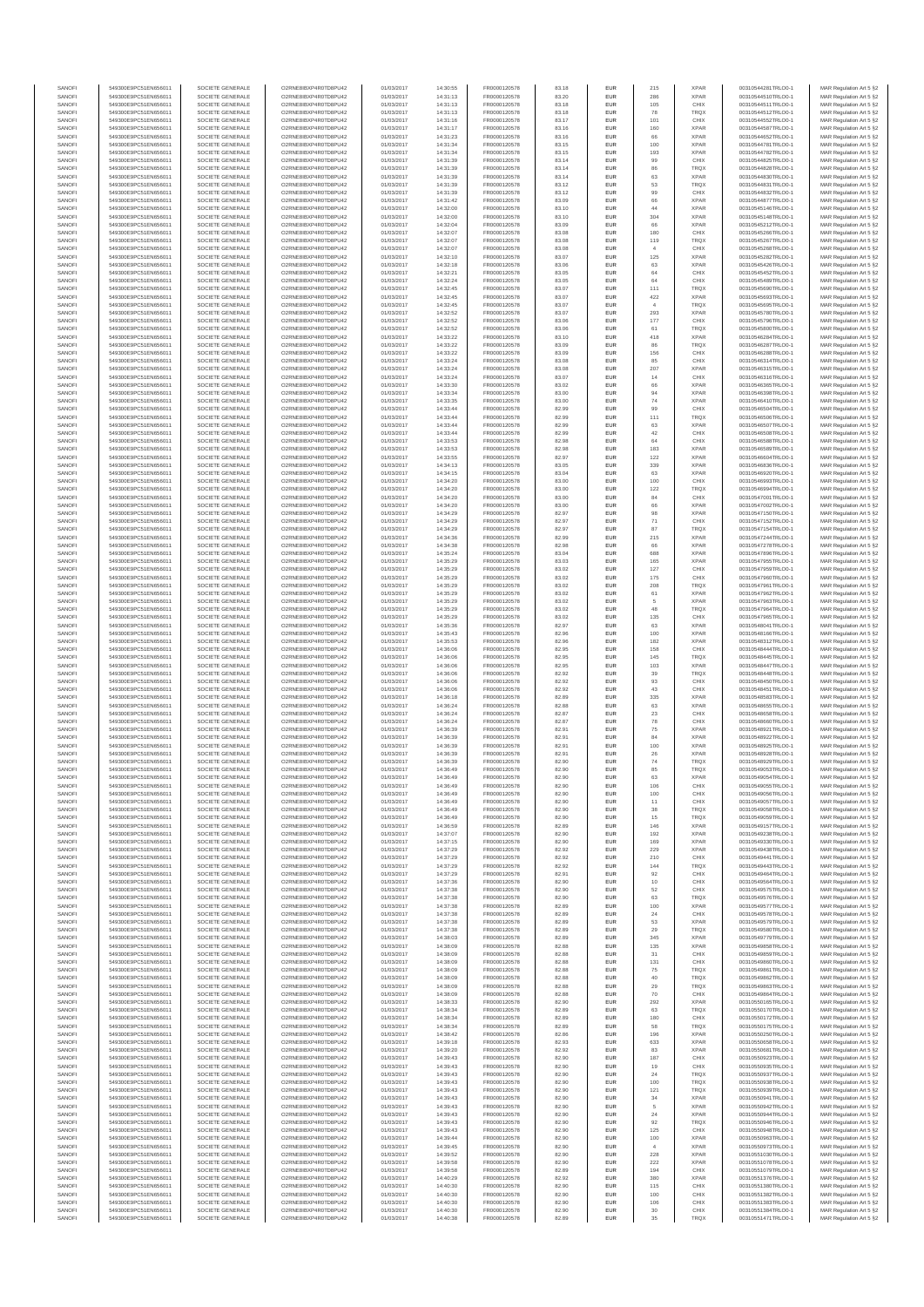| SANOFI           | 549300E9PC51EN656011                         | SOCIETE GENERALE                     | O2RNE8IBXP4R0TD8PU42                         | 01/03/2017               | 14:30:55             | FR0000120578                 | 83.18          | EUR        | 215                   | <b>XPAR</b>                | 00310544281TRLO0-1                       | MAR Regulation Art 5 §2                             |
|------------------|----------------------------------------------|--------------------------------------|----------------------------------------------|--------------------------|----------------------|------------------------------|----------------|------------|-----------------------|----------------------------|------------------------------------------|-----------------------------------------------------|
| SANOFI<br>SANOFI | 549300E9PC51EN656011<br>549300E9PC51EN656011 | SOCIETE GENERALE<br>SOCIETE GENERALE | O2RNE8IBXP4R0TD8PU42<br>O2RNE8IBXP4R0TD8PU42 | 01/03/2017               | 14:31:13<br>14:31:13 | FR0000120578<br>FR0000120578 | 83.20<br>83.18 | EUR<br>EUR | 286<br>105            | <b>XPAR</b><br>CHIX        | 00310544510TRLO0-1<br>00310544511TRLO0-1 | MAR Regulation Art 5 §2                             |
| SANOFI           | 549300E9PC51EN656011                         | SOCIETE GENERALE                     | O2RNE8IBXP4R0TD8PU42                         | 01/03/2017<br>01/03/2017 | 14:31:13             | FR0000120578                 | 83.18          | EUR        | 78                    | <b>TRQX</b>                | 00310544512TRLO0-1                       | MAR Regulation Art 5 §2<br>MAR Regulation Art 5 §2  |
| SANOFI           | 549300E9PC51EN656011                         | SOCIETE GENERALE                     | O2RNE8IBXP4R0TD8PU42                         | 01/03/2017               | 14:31:16             | FR0000120578                 | 83.17          | EUR        | 101                   | CHIX                       | 00310544552TRLO0-1                       | MAR Regulation Art 5 §2                             |
| SANOFI           | 549300E9PC51EN656011                         | SOCIETE GENERALE                     | O2RNE8IBXP4R0TD8PU42                         | 01/03/2017               | 14:31:17             | FR0000120578                 | 83.16          | EUR        | 160                   | <b>XPAR</b>                | 00310544587TRLO0-1                       | MAR Regulation Art 5 §2                             |
| SANOFI<br>SANOFI | 549300E9PC51EN656011<br>549300E9PC51EN656011 | SOCIETE GENERALE<br>SOCIETE GENERALE | O2RNE8IBXP4R0TD8PU42<br>O2RNE8IBXP4R0TD8PU42 | 01/03/2017<br>01/03/2017 | 14:31:23<br>14:31:34 | FR0000120578<br>FR0000120578 | 83.16<br>83.15 | EUR<br>EUR | 66<br>100             | <b>XPAR</b><br><b>XPAR</b> | 00310544652TRLO0-1<br>00310544781TRLO0-1 | MAR Regulation Art 5 §2<br>MAR Regulation Art 5 §2  |
| SANOFI           | 549300E9PC51EN656011                         | SOCIETE GENERALE                     | O2RNE8IBXP4R0TD8PU42                         | 01/03/2017               | 14:31:34             | FR0000120578                 | 83.15          | EUR        | 193                   | <b>XPAR</b>                | 00310544782TRLO0-1                       | MAR Regulation Art 5 \$2                            |
| SANOFI           | 549300E9PC51EN656011                         | SOCIETE GENERALE                     | O2RNE8IBXP4R0TD8PU42                         | 01/03/2017               | 14:31:39             | FR0000120578                 | 83.14          | EUR        | 99                    | CHIX                       | 00310544825TRLO0-1                       | MAR Regulation Art 5 §2                             |
| SANOFI<br>SANOFI | 549300E9PC51EN656011<br>549300E9PC51EN656011 | SOCIETE GENERALE<br>SOCIETE GENERALE | O2RNE8IBXP4R0TD8PU42<br>O2RNE8IBXP4R0TD8PU42 | 01/03/2017<br>01/03/2017 | 14:31:39<br>14:31:39 | FR0000120578<br>FR0000120578 | 83.14<br>83.14 | EUR<br>EUR | 86<br>63              | <b>TROX</b><br><b>XPAR</b> | 00310544828TRLO0-1<br>00310544830TRLO0-1 | MAR Regulation Art 5 §2<br>MAR Regulation Art 5 §2  |
| SANOFI           | 549300E9PC51EN656011                         | SOCIETE GENERALE                     | O2RNE8IBXP4R0TD8PU42                         | 01/03/2017               | 14:31:39             | FR0000120578                 | 83.12          | EUR        | 53                    | TRQX                       | 00310544831TRLO0-1                       | MAR Regulation Art 5 §2                             |
| SANOFI           | 549300E9PC51EN656011                         | SOCIETE GENERALE                     | O2RNE8IBXP4R0TD8PU42                         | 01/03/2017               | 14:31:39             | FR0000120578                 | 83.12          | EUR        | 99                    | CHIX                       | 00310544832TRLO0-1                       | MAR Regulation Art 5 §2                             |
| SANOFI           | 549300E9PC51EN656011                         | SOCIETE GENERALE                     | O2RNE8IBXP4R0TD8PU42                         | 01/03/2017               | 14:31:42             | FR0000120578                 | 83.09          | EUR        | 66                    | <b>XPAR</b>                | 00310544877TRLO0-1                       | MAR Regulation Art 5 §2                             |
| SANOFI<br>SANOFI | 549300E9PC51EN656011<br>549300E9PC51EN656011 | SOCIETE GENERALE<br>SOCIETE GENERALE | O2RNE8IBXP4R0TD8PU42<br>O2RNE8IBXP4R0TD8PU42 | 01/03/2017<br>01/03/2017 | 14:32:00<br>14:32:00 | FR0000120578<br>FR0000120578 | 83.10<br>83.10 | EUR<br>EUR | 44<br>304             | <b>XPAR</b><br><b>XPAR</b> | 00310545146TRLO0-1<br>00310545148TRLO0-1 | MAR Regulation Art 5 §2<br>MAR Regulation Art 5 §2  |
| SANOFI           | 549300E9PC51EN656011                         | SOCIETE GENERALE                     | O2RNE8IBXP4R0TD8PU42                         | 01/03/2017               | 14:32:04             | FR0000120578                 | 83.09          | EUR        | 66                    | <b>XPAR</b>                | 00310545212TRLO0-1                       | MAR Regulation Art 5 §2                             |
| SANOFI           | 549300E9PC51EN656011                         | SOCIETE GENERALE                     | O2RNE8IBXP4R0TD8PU42                         | 01/03/2017               | 14:32:07             | FR0000120578                 | 83.08          | EUR        | 180                   | CHIX                       | 00310545266TRLO0-1                       | MAR Regulation Art 5 §2                             |
| SANOFI<br>SANOFI | 549300E9PC51EN656011                         | SOCIETE GENERALE                     | O2RNE8IBXP4R0TD8PU42<br>O2RNE8IBXP4R0TD8PU42 | 01/03/2017               | 14:32:07             | FR0000120578                 | 83.08          | EUR        | 119                   | TRQX                       | 00310545267TRLO0-1                       | MAR Regulation Art 5 §2                             |
| SANOFI           | 549300E9PC51EN656011<br>549300E9PC51EN656011 | SOCIETE GENERALE<br>SOCIETE GENERALE | O2RNE8IBXP4R0TD8PU42                         | 01/03/2017<br>01/03/2017 | 14:32:07<br>14:32:10 | FR0000120578<br>FR0000120578 | 83.08<br>83.07 | EUR<br>EUR | $\overline{4}$<br>125 | CHIX<br><b>XPAR</b>        | 00310545268TRLO0-1<br>00310545282TRLO0-1 | MAR Regulation Art 5 §2<br>MAR Regulation Art 5 §2  |
| SANOFI           | 549300E9PC51EN656011                         | SOCIETE GENERALE                     | O2RNE8IBXP4R0TD8PU42                         | 01/03/2017               | 14:32:18             | FR0000120578                 | 83.06          | EUR        | 63                    | <b>XPAR</b>                | 00310545426TRLO0-1                       | MAR Regulation Art 5 §2                             |
| SANOFI           | 549300E9PC51EN656011                         | SOCIETE GENERALE                     | O2RNE8IBXP4R0TD8PU42                         | 01/03/2017               | 14:32:21             | FR0000120578                 | 83.05          | EUR        | 64                    | CHIX                       | 00310545452TRLO0-1                       | MAR Regulation Art 5 §2                             |
| SANOFI<br>SANOFI | 549300E9PC51EN656011<br>549300E9PC51EN656011 | SOCIETE GENERALE<br>SOCIETE GENERALE | O2RNE8IBXP4R0TD8PU42<br>O2RNE8IBXP4R0TD8PU42 | 01/03/2017<br>01/03/2017 | 14:32:24<br>14:32:45 | FR0000120578<br>FR0000120578 | 83.05<br>83.07 | EUR<br>EUR | 64<br>111             | CHIX<br><b>TRQX</b>        | 00310545489TRLO0-1<br>00310545690TRLO0-1 | MAR Regulation Art 5 §2<br>MAR Regulation Art 5 §2  |
| SANOFI           | 549300E9PC51EN656011                         | SOCIETE GENERALE                     | O2RNE8IBXP4R0TD8PU42                         | 01/03/2017               | 14:32:45             | FR0000120578                 | 83.07          | EUR        | 422                   | <b>XPAR</b>                | 00310545693TRLO0-1                       | MAR Regulation Art 5 62                             |
| SANOFI           | 549300E9PC51EN656011                         | SOCIETE GENERALE                     | O2RNE8IBXP4R0TD8PU42                         | 01/03/2017               | 14:32:45             | FR0000120578                 | 83.07          | EUR        | $\overline{4}$        | <b>TRQX</b>                | 00310545695TRLO0-1                       | MAR Regulation Art 5 §2                             |
| SANOFI           | 549300E9PC51EN656011                         | SOCIETE GENERALE                     | O2RNE8IBXP4R0TD8PU42                         | 01/03/2017               | 14:32:52             | FR0000120578                 | 83.07          | EUR        | 293                   | <b>XPAR</b>                | 00310545780TRLO0-1                       | MAR Regulation Art 5 §2                             |
| SANOFI<br>SANOFI | 549300E9PC51EN656011<br>549300E9PC51EN656011 | SOCIETE GENERALE<br>SOCIETE GENERALE | O2RNE8IBXP4R0TD8PU42<br>O2RNE8IBXP4R0TD8PU42 | 01/03/2017<br>01/03/2017 | 14:32:52<br>14:32:52 | FR0000120578<br>FR0000120578 | 83.06<br>83.06 | EUR<br>EUR | 177<br>61             | CHIX<br>TRQX               | 00310545796TRLO0-1<br>00310545800TRLO0-1 | MAR Regulation Art 5 §2<br>MAR Regulation Art 5 §2  |
| SANOFI           | 549300E9PC51EN656011                         | SOCIETE GENERALE                     | O2RNE8IBXP4R0TD8PU42                         | 01/03/2017               | 14:33:22             | FR0000120578                 | 83.10          | EUR        | 418                   | <b>XPAR</b>                | 00310546284TRLO0-1                       | MAR Regulation Art 5 §2                             |
| SANOFI           | 549300E9PC51EN656011                         | SOCIETE GENERALE                     | O2RNE8IBXP4R0TD8PU42                         | 01/03/2017               | 14:33:22             | FR0000120578                 | 83.09          | EUR        | 86                    | <b>TRQX</b>                | 00310546287TRLO0-1                       | MAR Regulation Art 5 §2                             |
| SANOFI<br>SANOFI | 549300E9PC51EN656011<br>549300E9PC51EN656011 | SOCIETE GENERALE<br>SOCIETE GENERALE | O2RNE8IBXP4R0TD8PU42<br>O2RNE8IBXP4R0TD8PU42 | 01/03/2017<br>01/03/2017 | 14:33:22<br>14:33:24 | FR0000120578<br>FR0000120578 | 83.09<br>83.08 | EUR<br>EUR | 156<br>85             | CHIX<br>CHIX               | 00310546288TRLO0-1<br>00310546314TRLO0-1 | MAR Regulation Art 5 \$2<br>MAR Regulation Art 5 §2 |
| SANOFI           | 549300E9PC51EN656011                         | SOCIETE GENERALE                     | O2RNE8IBXP4R0TD8PU42                         | 01/03/2017               | 14:33:24             | FR0000120578                 | 83.08          | EUR        | 207                   | <b>XPAR</b>                | 00310546315TRLO0-1                       | MAR Regulation Art 5 §2                             |
| SANOFI           | 549300E9PC51EN656011                         | SOCIETE GENERALE                     | O2RNE8IBXP4R0TD8PU42                         | 01/03/2017               | 14:33:24             | FR0000120578                 | 83.07          | EUR        | $14$                  | CHIX                       | 00310546316TRLO0-1                       | MAR Regulation Art 5 §2                             |
| SANOFI<br>SANOFI | 549300E9PC51EN656011<br>549300E9PC51EN656011 | SOCIETE GENERALE<br>SOCIETE GENERALE | O2RNE8IBXP4R0TD8PU42<br>O2RNE8IBXP4R0TD8PU42 | 01/03/2017<br>01/03/2017 | 14:33:30<br>14:33:34 | FR0000120578<br>FR0000120578 | 83.02<br>83.00 | EUR<br>EUR | 66<br>94              | <b>XPAR</b><br><b>XPAR</b> | 00310546365TRLO0-1<br>00310546398TRLO0-1 | MAR Regulation Art 5 §2                             |
| SANOFI           | 549300E9PC51EN656011                         | SOCIETE GENERALE                     | O2RNE8IBXP4R0TD8PU42                         | 01/03/2017               | 14:33:35             | FR0000120578                 | 83.00          | EUR        | ${\bf 74}$            | <b>XPAR</b>                | 00310546410TRLO0-1                       | MAR Regulation Art 5 §2<br>MAR Regulation Art 5 §2  |
| SANOFI           | 549300E9PC51EN656011                         | SOCIETE GENERALE                     | O2RNE8IBXP4R0TD8PU42                         | 01/03/2017               | 14:33:44             | FR0000120578                 | 82.99          | EUR        | 99                    | CHIX                       | 00310546504TRLO0-1                       | MAR Regulation Art 5 §2                             |
| SANOFI           | 549300E9PC51EN656011                         | SOCIETE GENERALE                     | O2RNE8IBXP4R0TD8PU42                         | 01/03/2017               | 14:33:44             | FR0000120578                 | 82.99          | EUR        | 111                   | <b>TRQX</b>                | 00310546506TRLO0-1                       | MAR Regulation Art 5 §2                             |
| SANOFI<br>SANOFI | 549300E9PC51EN656011<br>549300E9PC51EN656011 | SOCIETE GENERALE<br>SOCIETE GENERALE | O2RNE8IBXP4R0TD8PU42<br>O2RNE8IBXP4R0TD8PU42 | 01/03/2017<br>01/03/2017 | 14:33:44<br>14:33:44 | FR0000120578<br>FR0000120578 | 82.99<br>82.99 | EUR<br>EUR | 63<br>42              | <b>XPAR</b><br>CHIX        | 00310546507TRLO0-1<br>00310546508TRLO0-1 | MAR Regulation Art 5 §2<br>MAR Regulation Art 5 §2  |
| SANOFI           | 549300E9PC51EN656011                         | SOCIETE GENERALE                     | O2RNE8IBXP4R0TD8PU42                         | 01/03/2017               | 14:33:53             | FR0000120578                 | 82.98          | EUR        | 64                    | CHIX                       | 00310546588TRLO0-1                       | MAR Regulation Art 5 §2                             |
| SANOFI           | 549300E9PC51EN656011                         | SOCIETE GENERALE                     | O2RNE8IBXP4R0TD8PU42                         | 01/03/2017               | 14:33:53             | FR0000120578                 | 82.98          | EUR        | 183                   | <b>XPAR</b>                | 00310546589TRLO0-1                       | MAR Regulation Art 5 §2                             |
| SANOFI<br>SANOFI | 549300E9PC51EN656011<br>549300E9PC51EN656011 | SOCIETE GENERALE<br>SOCIETE GENERALE | O2RNE8IBXP4R0TD8PU42<br>O2RNE8IBXP4R0TD8PU42 | 01/03/2017<br>01/03/2017 | 14:33:55<br>14:34:13 | FR0000120578<br>FR0000120578 | 82.97<br>83.05 | EUR<br>EUR | 122                   | <b>XPAR</b><br><b>XPAR</b> | 00310546604TRLO0-1<br>00310546836TRLO0-1 | MAR Regulation Art 5 §2<br>MAR Regulation Art 5 §2  |
| SANOFI           | 549300E9PC51EN656011                         | SOCIETE GENERALE                     | O2RNE8IBXP4R0TD8PU42                         | 01/03/2017               | 14:34:15             | FR0000120578                 | 83.04          | EUR        | 339<br>63             | <b>XPAR</b>                | 00310546920TRLO0-1                       | MAR Regulation Art 5 §2                             |
| SANOFI           | 549300E9PC51EN656011                         | SOCIETE GENERALE                     | O2RNE8IBXP4R0TD8PU42                         | 01/03/2017               | 14:34:20             | FR0000120578                 | 83.00          | EUR        | 100                   | CHIX                       | 00310546993TRLO0-1                       | MAR Regulation Art 5 §2                             |
| SANOFI           | 549300E9PC51EN656011                         | SOCIETE GENERALE                     | O2RNE8IBXP4R0TD8PU42                         | 01/03/2017               | 14:34:20             | FR0000120578                 | 83.00          | EUR        | 122                   | <b>TRQX</b>                | 00310546994TRLO0-1                       | MAR Regulation Art 5 §2                             |
| SANOFI<br>SANOFI | 549300E9PC51EN656011<br>549300E9PC51EN656011 | SOCIETE GENERALE<br>SOCIETE GENERALE | O2RNE8IBXP4R0TD8PU42<br>O2RNE8IBXP4R0TD8PU42 | 01/03/2017<br>01/03/2017 | 14:34:20<br>14:34:20 | FR0000120578<br>FR0000120578 | 83.00<br>83.00 | EUR<br>EUR | 84<br>66              | CHIX<br><b>XPAR</b>        | 00310547001TRLO0-1<br>00310547002TRLO0-1 | MAR Regulation Art 5 \$2<br>MAR Regulation Art 5 §2 |
| SANOFI           | 549300E9PC51EN656011                         | SOCIETE GENERALE                     | O2RNE8IBXP4R0TD8PU42                         | 01/03/2017               | 14:34:29             | FR0000120578                 | 82.97          | EUR        | 98                    | <b>XPAR</b>                | 00310547150TRLO0-1                       | MAR Regulation Art 5 §2                             |
| SANOFI           | 549300E9PC51EN656011                         | SOCIETE GENERALE                     | O2RNE8IBXP4R0TD8PU42                         | 01/03/2017               | 14:34:29             | FR0000120578                 | 82.97          | EUR        | $71\,$                | CHIX                       | 00310547152TRLO0-1                       | MAR Regulation Art 5 §2                             |
| SANOFI<br>SANOFI | 549300E9PC51EN656011<br>549300E9PC51EN656011 | SOCIETE GENERALE<br>SOCIETE GENERALE | O2RNE8IBXP4R0TD8PU42<br>O2RNE8IBXP4R0TD8PU42 | 01/03/2017<br>01/03/2017 | 14:34:29<br>14:34:36 | FR0000120578                 | 82.97<br>82.99 | EUR<br>EUR | 87                    | <b>TRQX</b><br><b>XPAR</b> | 00310547154TRLO0-1<br>00310547244TRLO0-1 | MAR Regulation Art 5 §2                             |
| SANOFI           | 549300E9PC51EN656011                         | SOCIETE GENERALE                     | O2RNE8IBXP4R0TD8PU42                         | 01/03/2017               | 14:34:38             | FR0000120578<br>FR0000120578 | 82.98          | EUR        | 215<br>66             | <b>XPAR</b>                | 00310547278TRLO0-1                       | MAR Regulation Art 5 §2<br>MAR Regulation Art 5 §2  |
| SANOFI           | 549300E9PC51EN656011                         | SOCIETE GENERALE                     | O2RNE8IBXP4R0TD8PU42                         | 01/03/2017               | 14:35:24             | FR0000120578                 | 83.04          | EUR        | 688                   | <b>XPAR</b>                | 00310547896TRLO0-1                       | MAR Regulation Art 5 §2                             |
| SANOFI           | 549300E9PC51EN656011                         | SOCIETE GENERALE                     | O2RNE8IBXP4R0TD8PU42                         | 01/03/2017               | 14:35:29             | FR0000120578                 | 83.03          | EUR        | 165                   | <b>XPAR</b>                | 00310547955TRLO0-1                       | MAR Regulation Art 5 §2                             |
| SANOFI<br>SANOFI | 549300E9PC51EN656011<br>549300E9PC51EN656011 | SOCIETE GENERALE<br>SOCIETE GENERALE | O2RNE8IBXP4R0TD8PU42<br>O2RNE8IBXP4R0TD8PU42 | 01/03/2017<br>01/03/2017 | 14:35:29<br>14:35:29 | FR0000120578<br>FR0000120578 | 83.02<br>83.02 | EUR<br>EUR | 127<br>175            | CHIX<br>CHIX               | 00310547959TRLO0-1<br>00310547960TRLO0-1 | MAR Regulation Art 5 §2<br>MAR Regulation Art 5 §2  |
| SANOFI           | 549300E9PC51EN656011                         | SOCIETE GENERALE                     | O2RNE8IBXP4R0TD8PU42                         | 01/03/2017               | 14:35:29             | FR0000120578                 | 83.02          | EUR        | 208                   | <b>TRQX</b>                | 00310547961TRLO0-1                       | MAR Regulation Art 5 §2                             |
| SANOFI           | 549300E9PC51EN656011                         | SOCIETE GENERALE                     | O2RNE8IBXP4R0TD8PU42                         | 01/03/2017               | 14:35:29             | FR0000120578                 | 83.02          | EUR        | 61                    | <b>XPAR</b>                | 00310547962TRLO0-1                       | MAR Regulation Art 5 §2                             |
| SANOFI<br>SANOFI | 549300E9PC51EN656011<br>549300E9PC51EN656011 | SOCIETE GENERALE<br>SOCIETE GENERALE | O2RNE8IBXP4R0TD8PU42<br>O2RNE8IBXP4R0TD8PU42 | 01/03/2017               | 14:35:29             | FR0000120578                 | 83.02<br>83.02 | EUR<br>EUR | $\overline{5}$<br>48  | <b>XPAR</b><br><b>TRQX</b> | 00310547963TRLO0-1                       | MAR Regulation Art 5 §2                             |
| SANOFI           | 549300E9PC51EN656011                         | SOCIETE GENERALE                     | O2RNE8IBXP4R0TD8PU42                         | 01/03/2017<br>01/03/2017 | 14:35:29<br>14:35:29 | FR0000120578<br>FR0000120578 | 83.02          | EUR        | 135                   | CHIX                       | 00310547964TRLO0-1<br>00310547965TRLO0-1 | MAR Regulation Art 5 §2<br>MAR Regulation Art 5 §2  |
| SANOFI           | 549300E9PC51EN656011                         | SOCIETE GENERALE                     | O2RNE8IBXP4R0TD8PU42                         | 01/03/2017               | 14:35:36             | FR0000120578                 | 82.97          | EUR        | 63                    | <b>XPAR</b>                | 00310548041TRLO0-1                       | MAR Regulation Art 5 §2                             |
| SANOFI           | 549300E9PC51EN656011                         | SOCIETE GENERALE                     | O2RNE8IBXP4R0TD8PU42                         | 01/03/2017               | 14:35:43             | FR0000120578                 | 82.96          | EUR        | 100                   | <b>XPAR</b>                | 00310548166TRLO0-1                       | MAR Regulation Art 5 §2                             |
| SANOFI<br>SANOFI | 549300E9PC51EN656011<br>549300E9PC51EN656011 | SOCIETE GENERALE<br>SOCIETE GENERALE | O2RNE8IBXP4R0TD8PU42<br>O2RNE8IBXP4R0TD8PU42 | 01/03/2017<br>01/03/2017 | 14:35:53<br>14:36:06 | FR0000120578<br>FR0000120578 | 82.96<br>82.95 | EUR<br>EUR | 182<br>158            | <b>XPAR</b><br>CHIX        | 00310548312TRLO0-1<br>00310548444TRLO0-1 | MAR Regulation Art 5 §2<br>MAR Regulation Art 5 §2  |
| SANOFI           | 549300E9PC51EN656011                         | SOCIETE GENERALE                     | O2RNE8IBXP4R0TD8PU42                         | 01/03/2017               | 14:36:06             | FR0000120578                 | 82.95          | EUR        | 145                   | TRQX                       | 00310548445TRLO0-1                       | MAR Regulation Art 5 §2                             |
| SANOFI           | 549300E9PC51EN656011                         | SOCIETE GENERALE                     | O2RNE8IBXP4R0TD8PU42                         | 01/03/2017               | 14:36:06             | FR0000120578                 | 82.95          | EUR        | 103                   | <b>XPAR</b>                | 00310548447TRLO0-1                       | MAR Regulation Art 5 §2                             |
| SANOFI           | 549300E9PC51EN656011                         | SOCIETE GENERALE                     | O2RNE8IBXP4R0TD8PU42                         | 01/03/2017               | 14:36:06             | FR0000120578                 | 82.92          | EUR        | 39                    | <b>TRQX</b>                | 00310548448TRLO0-1                       | MAR Regulation Art 5 §2                             |
| SANOFI<br>SANOFI | 549300E9PC51EN656011<br>549300E9PC51EN656011 | SOCIETE GENERALE<br>SOCIETE GENERALE | O2RNE8IBXP4R0TD8PU42<br>O2RNE8IBXP4R0TD8PU42 | 01/03/2017<br>01/03/2017 | 14:36:06<br>14:36:06 | FR0000120578<br>FR0000120578 | 82.92<br>82.92 | EUR<br>EUR | 93<br>43              | CHIX<br>CHIX               | 00310548450TRLO0-1<br>00310548451TRLO0-1 | MAR Regulation Art 5 §2<br>MAR Regulation Art 5 §2  |
| SANOFI           | 549300E9PC51EN656011                         | SOCIETE GENERALE                     | O2RNE8IBXP4R0TD8PU42                         | 01/03/2017               | 14:36:18             | FR0000120578                 | 82.89          | EUR        | 335                   | <b>XPAR</b>                | 00310548583TRLO0-1                       | MAR Regulation Art 5 §2                             |
| SANOFI           | 549300E9PC51EN656011                         | SOCIETE GENERALE                     | O2RNE8IBXP4R0TD8PU42                         | 01/03/2017               | 14:36:24             | FR0000120578                 | 82.88          | EUR        | 63                    | <b>XPAR</b>                | 00310548655TRLO0-1                       | MAR Regulation Art 5 §2                             |
| SANOFI           | 549300E9PC51EN656011                         | SOCIETE GENERALE                     | O2RNE8IBXP4R0TD8PU42                         | 01/03/2017               | 14:36:24             | FR0000120578                 | 82.87          | EUR        | $23\,$                | CHIX                       | 00310548658TRLO0-1                       | MAR Regulation Art 5 §2                             |
| SANOFI<br>SANOFI | 549300E9PC51EN656011<br>549300E9PC51EN656011 | SOCIETE GENERALE<br>SOCIETE GENERALE | O2RNE8IBXP4R0TD8PU42<br>O2RNE8IBXP4R0TD8PU42 | 01/03/2017<br>01/03/2017 | 14:36:24<br>14:36:39 | FR0000120578<br>FR0000120578 | 82.87<br>82.91 | EUR<br>EUR | ${\bf 78}$<br>75      | CHIX<br><b>XPAR</b>        | 00310548660TRLO0-1<br>00310548921TRLO0-1 | MAR Regulation Art 5 §2<br>MAR Regulation Art 5 §2  |
| SANOFI           | 549300E9PC51EN656011                         | SOCIETE GENERALE                     | O2RNE8IBXP4R0TD8PU42                         | 01/03/2017               | 14:36:39             | FR0000120578                 | 82.91          | EUR        | 84                    | <b>XPAR</b>                | 00310548922TRLO0-1                       | MAR Regulation Art 5 §2                             |
| SANOFI           | 549300E9PC51EN656011                         | SOCIETE GENERALE                     | O2RNE8IBXP4R0TD8PU42                         | 01/03/2017               | 14:36:39             | FR0000120578                 | 82.91          | EUR        | 100                   | <b>XPAR</b>                | 00310548925TRLO0-1                       | MAR Regulation Art 5 §2                             |
| SANOFI<br>SANOFI | 549300E9PC51EN656011<br>549300E9PC51EN656011 | SOCIETE GENERALE<br>SOCIETE GENERALE | O2RNE8IBXP4R0TD8PU42<br>O2RNE8IBXP4R0TD8PU42 | 01/03/2017<br>01/03/2017 | 14:36:39<br>14:36:39 | FR0000120578<br>FR0000120578 | 82.91<br>82.90 | EUR<br>EUR | 26<br>74              | <b>XPAR</b><br><b>TRQX</b> | 00310548928TRLO0-1<br>00310548929TRLO0-1 | MAR Regulation Art 5 \$2<br>MAR Regulation Art 5 §2 |
| SANOFI           | 549300E9PC51EN656011                         | SOCIETE GENERALE                     | O2RNE8IBXP4R0TD8PU42                         | 01/03/2017               | 14:36:49             | FR0000120578                 | 82.90          | <b>EUR</b> | 85                    | <b>TRQX</b>                | 00310549053TRLO0-1                       | MAR Regulation Art 5 §2                             |
| SANOFI           | 549300E9PC51EN656011                         | SOCIETE GENERALE                     | O2RNE8IBXP4R0TD8PU42                         | 01/03/2017               | 14:36:49             | FR0000120578                 | 82.90          | <b>EUR</b> | 63                    | <b>XPAR</b>                | 00310549054TRLO0-1                       | MAR Regulation Art 5 §2                             |
| SANOFI           | 549300E9PC51EN656011                         | SOCIETE GENERALE                     | O2RNE8IBXP4R0TD8PU42                         | 01/03/2017               | 14:36:49             | FR0000120578                 | 82.90          | EUR        | 106                   | CHIX                       | 00310549055TRLO0-1                       | MAR Regulation Art 5 §2                             |
| SANOFI<br>SANOFI | 549300E9PC51EN656011<br>549300E9PC51EN656011 | SOCIETE GENERALE<br>SOCIETE GENERALE | O2RNE8IBXP4R0TD8PU42<br>O2RNE8IBXP4R0TD8PU42 | 01/03/2017<br>01/03/2017 | 14:36:49<br>14:36:49 | FR0000120578<br>FR0000120578 | 82.90<br>82.90 | EUR<br>EUR | 100<br>11             | CHIX<br>CHIX               | 00310549056TRLO0-1<br>00310549057TRLO0-1 | MAR Regulation Art 5 §2<br>MAR Regulation Art 5 §2  |
| SANOFI           | 549300E9PC51EN656011                         | SOCIETE GENERALE                     | O2RNE8IBXP4R0TD8PU42                         | 01/03/2017               | 14:36:49             | FR0000120578                 | 82.90          | EUR        | 38                    | <b>TRQX</b>                | 00310549058TRLO0-1                       | MAR Regulation Art 5 §2                             |
| SANOFI           | 549300E9PC51EN656011                         | SOCIETE GENERALE                     | O2RNE8IBXP4R0TD8PU42                         | 01/03/2017               | 14:36:49             | FR0000120578                 | 82.90          | EUR        | 15                    | TRQX                       | 00310549059TRLO0-1                       | MAR Regulation Art 5 §2                             |
| SANOFI<br>SANOFI | 549300E9PC51EN656011<br>549300E9PC51EN656011 | SOCIETE GENERALE<br>SOCIETE GENERALE | O2RNE8IBXP4R0TD8PU42<br>O2RNE8IBXP4R0TD8PU42 | 01/03/2017<br>01/03/2017 | 14:36:59<br>14:37:07 | FR0000120578<br>FR0000120578 | 82.89<br>82.90 | EUR<br>EUR | 146<br>192            | <b>XPAR</b><br><b>XPAR</b> | 00310549157TRLO0-1<br>00310549238TRLO0-1 | MAR Regulation Art 5 §2<br>MAR Regulation Art 5 §2  |
| SANOFI           | 549300E9PC51EN656011                         | SOCIETE GENERALE                     | O2RNE8IBXP4R0TD8PU42                         | 01/03/2017               | 14:37:15             | FR0000120578                 | 82.90          | EUR        | 169                   | <b>XPAR</b>                | 00310549330TRLO0-1                       | MAR Regulation Art 5 §2                             |
| SANOFI           | 549300E9PC51EN656011                         | SOCIETE GENERALE                     | O2RNE8IBXP4R0TD8PU42                         | 01/03/2017               | 14:37:29             | FR0000120578                 | 82.92          | EUR        | 229                   | <b>XPAR</b>                | 00310549438TRLO0-1                       | MAR Regulation Art 5 §2                             |
| SANOFI<br>SANOFI | 549300E9PC51EN656011<br>549300E9PC51EN656011 | SOCIETE GENERALE<br>SOCIETE GENERALE | O2RNE8IBXP4R0TD8PU42<br>O2RNE8IBXP4R0TD8PU42 | 01/03/2017<br>01/03/2017 | 14:37:29<br>14:37:29 | FR0000120578<br>FR0000120578 | 82.92<br>82.92 | EUR<br>EUR | 210<br>144            | CHIX<br>TRQX               | 00310549441TRLO0-1<br>00310549443TRLO0-1 | MAR Regulation Art 5 §2<br>MAR Regulation Art 5 §2  |
| SANOFI           | 549300E9PC51EN656011                         | SOCIETE GENERALE                     | O2RNE8IBXP4R0TD8PU42                         | 01/03/2017               | 14:37:29             | FR0000120578                 | 82.91          | EUR        | 92                    | CHIX                       | 00310549464TRLO0-1                       | MAR Regulation Art 5 §2                             |
| SANOFI           | 549300E9PC51EN656011                         | SOCIETE GENERALE                     | O2RNE8IBXP4R0TD8PU42                         | 01/03/2017               | 14:37:36             | FR0000120578                 | 82.90          | EUR        | 10                    | CHIX                       | 00310549564TRLO0-1                       | MAR Regulation Art 5 §2                             |
| SANOFI<br>SANOFI | 549300E9PC51EN656011<br>549300E9PC51EN656011 | SOCIETE GENERALE<br>SOCIETE GENERALE | O2RNE8IBXP4R0TD8PU42<br>O2RNE8IBXP4R0TD8PU42 | 01/03/2017<br>01/03/2017 | 14:37:38<br>14:37:38 | FR0000120578<br>FR0000120578 | 82.90<br>82.90 | EUR<br>EUR | 52<br>63              | CHIX<br><b>TRQX</b>        | 00310549575TRLO0-1<br>00310549576TRLO0-1 | MAR Regulation Art 5 §2                             |
| SANOFI           | 549300E9PC51EN656011                         | SOCIETE GENERALE                     | O2RNE8IBXP4R0TD8PU42                         | 01/03/2017               | 14:37:38             | FR0000120578                 | 82.89          | EUR        | 100                   | <b>XPAR</b>                | 00310549577TRLO0-1                       | MAR Regulation Art 5 §2<br>MAR Regulation Art 5 §2  |
| SANOFI           | 549300E9PC51EN656011                         | SOCIETE GENERALE                     | O2RNE8IBXP4R0TD8PU42                         | 01/03/2017               | 14:37:38             | FR0000120578                 | 82.89          | EUR        | $\sqrt{24}$           | CHIX                       | 00310549578TRLO0-1                       | MAR Regulation Art 5 §2                             |
| SANOFI<br>SANOFI | 549300E9PC51EN656011<br>549300E9PC51EN656011 | SOCIETE GENERALE<br>SOCIETE GENERALE | O2RNE8IBXP4R0TD8PU42<br>O2RNE8IBXP4R0TD8PU42 | 01/03/2017<br>01/03/2017 | 14:37:38<br>14:37:38 | FR0000120578<br>FR0000120578 | 82.89<br>82.89 | EUR        | 53<br>29              | <b>XPAR</b><br>TRQX        | 00310549579TRLO0-1<br>00310549580TRLO0-1 | MAR Regulation Art 5 §2<br>MAR Regulation Art 5 §2  |
| SANOFI           | 549300E9PC51EN656011                         | SOCIETE GENERALE                     | O2RNESIBXP4R0TD8PLI42                        | 01/03/2017               | 14:38:03             | FR0000120578                 | 82.89          | EUR<br>EUR | 345                   | <b>XPAR</b>                | 00310549779TRLO0-1                       | MAR Regulation Art 5 §2                             |
| SANOFI           | 549300E9PC51EN656011                         | SOCIETE GENERALE                     | O2RNE8IBXP4R0TD8PU42                         | 01/03/2017               | 14:38:09             | FR0000120578                 | 82.88          | EUR        | 135                   | <b>XPAR</b>                | 00310549858TRLO0-1                       | MAR Regulation Art 5 §2                             |
| SANOFI           | 549300E9PC51EN656011                         | SOCIETE GENERALE                     | O2RNE8IBXP4R0TD8PU42<br>O2RNE8IBXP4R0TD8PU42 | 01/03/2017               | 14:38:09             | FR0000120578                 | 82.88          | EUR        | 31                    | CHIX                       | 00310549859TRLO0-1                       | MAR Regulation Art 5 §2                             |
| SANOFI<br>SANOFI | 549300E9PC51EN656011<br>549300E9PC51EN656011 | SOCIETE GENERALE<br>SOCIETE GENERALE | O2RNE8IBXP4R0TD8PU42                         | 01/03/2017<br>01/03/2017 | 14:38:09<br>14:38:09 | FR0000120578<br>FR0000120578 | 82.88<br>82.88 | EUR<br>EUR | 131<br>75             | CHIX<br><b>TRQX</b>        | 00310549860TRLO0-1<br>00310549861TRLO0-1 | MAR Regulation Art 5 §2<br>MAR Regulation Art 5 §2  |
| SANOFI           | 549300E9PC51EN656011                         | SOCIETE GENERALE                     | O2RNE8IBXP4R0TD8PU42                         | 01/03/2017               | 14:38:09             | FR0000120578                 | 82.88          | EUR        | 40                    | TRQX                       | 00310549862TRLO0-1                       | MAR Regulation Art 5 §2                             |
| SANOFI           | 549300E9PC51EN656011                         | SOCIETE GENERALE                     | O2RNE8IBXP4R0TD8PU42                         | 01/03/2017               | 14:38:09             | FR0000120578                 | 82.88          | EUR        | 29                    | TRQX                       | 00310549863TRLO0-1                       | MAR Regulation Art 5 §2                             |
| SANOFI<br>SANOFI | 549300E9PC51EN656011<br>549300E9PC51EN656011 | SOCIETE GENERALE<br>SOCIETE GENERALE | O2RNE8IBXP4R0TD8PU42<br>O2RNE8IBXP4R0TD8PU42 | 01/03/2017<br>01/03/2017 | 14:38:09<br>14:38:33 | FR0000120578<br>FR0000120578 | 82.88<br>82.90 | EUR<br>EUR | 70<br>292             | CHIX<br><b>XPAR</b>        | 00310549864TRLO0-1<br>00310550165TRLO0-1 | MAR Regulation Art 5 §2<br>MAR Regulation Art 5 §2  |
| SANOFI           | 549300E9PC51EN656011                         | SOCIETE GENERALE                     | O2RNE8IBXP4R0TD8PU42                         | 01/03/2017               | 14:38:34             | FR0000120578                 | 82.89          | EUR        | 63                    | TRQX                       | 00310550170TRLO0-1                       | MAR Regulation Art 5 §2                             |
| SANOFI           | 549300E9PC51EN656011                         | SOCIETE GENERALE                     | O2RNE8IBXP4R0TD8PU42                         | 01/03/2017               | 14:38:34             | FR0000120578                 | 82.89          | EUR        | 180                   | CHIX                       | 00310550172TRLO0-1                       | MAR Regulation Art 5 §2                             |
| SANOFI           | 549300E9PC51EN656011                         | SOCIETE GENERALE                     | O2RNE8IBXP4R0TD8PU42                         | 01/03/2017               | 14:38:34             | FR0000120578                 | 82.89          | EUR        | 58                    | <b>TRQX</b>                | 00310550175TRLO0-1                       | MAR Regulation Art 5 §2                             |
| SANOFI<br>SANOFI | 549300E9PC51EN656011<br>549300E9PC51EN656011 | SOCIETE GENERALE<br>SOCIETE GENERALE | O2RNE8IBXP4R0TD8PU42<br>O2RNE8IBXP4R0TD8PU42 | 01/03/2017<br>01/03/2017 | 14:38:42<br>14:39:18 | FR0000120578<br>FR0000120578 | 82.86<br>82.93 | EUR<br>EUR | 196<br>633            | <b>XPAR</b><br><b>XPAR</b> | 00310550250TRLO0-1<br>00310550658TRLO0-1 | MAR Regulation Art 5 §2<br>MAR Regulation Art 5 §2  |
| SANOFI           | 549300E9PC51EN656011                         | SOCIETE GENERALE                     | O2RNE8IBXP4R0TD8PU42                         | 01/03/2017               | 14:39:20             | FR0000120578                 | 82.92          | EUR        | 83                    | <b>XPAR</b>                | 00310550681TRLO0-1                       | MAR Regulation Art 5 §2                             |
| SANOFI           | 549300E9PC51EN656011                         | SOCIETE GENERALE                     | O2RNE8IBXP4R0TD8PU42                         | 01/03/2017               | 14:39:43             | FR0000120578                 | 82.90          | EUR        | 187                   | CHIX                       | 00310550923TRLO0-1                       | MAR Regulation Art 5 §2                             |
| SANOFI           | 549300E9PC51EN656011                         | SOCIETE GENERALE                     | O2RNE8IBXP4R0TD8PU42                         | 01/03/2017               | 14:39:43             | FR0000120578                 | 82.90          | EUR<br>EUR | 19<br>24              | CHIX<br><b>TRQX</b>        | 00310550935TRLO0-1                       | MAR Regulation Art 5 §2                             |
| SANOFI<br>SANOFI | 549300E9PC51EN656011<br>549300E9PC51EN656011 | SOCIETE GENERALE<br>SOCIETE GENERALE | O2RNE8IBXP4R0TD8PU42<br>O2RNE8IBXP4R0TD8PU42 | 01/03/2017<br>01/03/2017 | 14:39:43<br>14:39:43 | FR0000120578<br>FR0000120578 | 82.90<br>82.90 | EUR        | 100                   | <b>TRQX</b>                | 00310550937TRLO0-1<br>00310550938TRLO0-1 | MAR Regulation Art 5 §2<br>MAR Regulation Art 5 §2  |
| SANOFI           | 549300E9PC51EN656011                         | SOCIETE GENERALE                     | O2RNE8IBXP4R0TD8PU42                         | 01/03/2017               | 14:39:43             | FR0000120578                 | 82.90          | EUR        | 121                   | <b>TRQX</b>                | 00310550939TRLO0-1                       | MAR Regulation Art 5 §2                             |
| SANOFI           | 549300E9PC51EN656011                         | SOCIETE GENERALE                     | O2RNE8IBXP4R0TD8PU42                         | 01/03/2017               | 14:39:43             | FR0000120578                 | 82.90          | EUR        | 34                    | <b>XPAR</b>                | 00310550941TRLO0-1                       | MAR Regulation Art 5 §2                             |
| SANOFI<br>SANOFI | 549300E9PC51EN656011<br>549300E9PC51EN656011 | SOCIETE GENERALE<br>SOCIETE GENERALE | O2RNE8IBXP4R0TD8PU42<br>O2RNE8IBXP4R0TD8PU42 | 01/03/2017<br>01/03/2017 | 14:39:43<br>14:39:43 | FR0000120578<br>FR0000120578 | 82.90<br>82.90 | EUR<br>EUR | 5<br>24               | <b>XPAR</b><br><b>XPAR</b> | 00310550942TRLO0-1<br>00310550944TRLO0-1 | MAR Regulation Art 5 §2<br>MAR Regulation Art 5 §2  |
| SANOFI           | 549300E9PC51EN656011                         | SOCIETE GENERALE                     | O2RNE8IBXP4R0TD8PU42                         | 01/03/2017               | 14:39:43             | FR0000120578                 | 82.90          | EUR        | 92                    | <b>TRQX</b>                | 00310550946TRLO0-1                       | MAR Regulation Art 5 §2                             |
| SANOFI           | 549300E9PC51EN656011                         | SOCIETE GENERALE                     | O2RNE8IBXP4R0TD8PU42                         | 01/03/2017               | 14:39:43             | FR0000120578                 | 82.90          | EUR        | 125                   | CHIX                       | 00310550948TRLO0-1                       | MAR Regulation Art 5 §2                             |
| SANOFI<br>SANOFI | 549300E9PC51EN656011<br>549300E9PC51EN656011 | SOCIETE GENERALE<br>SOCIETE GENERALE | O2RNE8IBXP4R0TD8PU42<br>O2RNE8IBXP4R0TD8PU42 | 01/03/2017<br>01/03/2017 | 14:39:44<br>14:39:45 | FR0000120578<br>FR0000120578 | 82.90<br>82.90 | EUR<br>EUR | 100<br>$\overline{4}$ | <b>XPAR</b><br><b>XPAR</b> | 00310550963TRLO0-1<br>00310550973TRLO0-1 | MAR Regulation Art 5 §2<br>MAR Regulation Art 5 §2  |
| SANOFI           | 549300E9PC51EN656011                         | SOCIETE GENERALE                     | O2RNE8IBXP4R0TD8PU42                         | 01/03/2017               | 14:39:52             | FR0000120578                 | 82.90          | EUR        | 228                   | <b>XPAR</b>                | 00310551030TRLO0-1                       | MAR Regulation Art 5 §2                             |
| SANOFI           | 549300E9PC51EN656011                         | SOCIETE GENERALE                     | O2RNE8IBXP4R0TD8PU42                         | 01/03/2017               | 14:39:58             | FR0000120578                 | 82.90          | EUR        | 222                   | <b>XPAR</b>                | 00310551078TRLO0-1                       | MAR Regulation Art 5 §2                             |
| SANOFI           | 549300E9PC51EN656011                         | SOCIETE GENERALE                     | O2RNE8IBXP4R0TD8PU42                         | 01/03/2017               | 14:39:58             | FR0000120578                 | 82.89          | EUR        | 194                   | CHIX                       | 00310551079TRLO0-1                       | MAR Regulation Art 5 §2                             |
| SANOFI<br>SANOFI | 549300E9PC51EN656011<br>549300E9PC51EN656011 | SOCIETE GENERALE<br>SOCIETE GENERALE | O2RNE8IBXP4R0TD8PU42<br>O2RNE8IBXP4R0TD8PU42 | 01/03/2017<br>01/03/2017 | 14:40:29<br>14:40:30 | FR0000120578<br>FR0000120578 | 82.92<br>82.90 | EUR<br>EUR | 380<br>115            | <b>XPAR</b><br>CHIX        | 00310551376TRLO0-1<br>00310551380TRLO0-1 | MAR Regulation Art 5 §2<br>MAR Regulation Art 5 §2  |
| SANOFI           | 549300E9PC51EN656011                         | SOCIETE GENERALE                     | O2RNE8IBXP4R0TD8PU42                         | 01/03/2017               | 14:40:30             | FR0000120578                 | 82.90          | EUR        | 100                   | CHIX                       | 00310551382TRLO0-1                       | MAR Regulation Art 5 §2                             |
| SANOFI           | 549300E9PC51EN656011                         | SOCIETE GENERALE                     | O2RNE8IBXP4R0TD8PU42                         | 01/03/2017               | 14:40:30             | FR0000120578                 | 82.90          | EUR        | 106                   | CHIX                       | 00310551383TRLO0-1                       | MAR Regulation Art 5 §2                             |
| SANOFI<br>SANOFI | 549300E9PC51EN656011<br>549300E9PC51EN656011 | SOCIETE GENERALE<br>SOCIETE GENERALE | O2RNE8IBXP4R0TD8PU42<br>O2RNE8IBXP4R0TD8PU42 | 01/03/2017<br>01/03/2017 | 14:40:30<br>14:40:38 | FR0000120578<br>FR0000120578 | 82.90<br>82.89 | EUR<br>EUR | $30\,$<br>35          | CHIX<br><b>TRQX</b>        | 00310551384TRLO0-1<br>00310551471TRLO0-1 | MAR Regulation Art 5 §2<br>MAR Regulation Art 5 §2  |
|                  |                                              |                                      |                                              |                          |                      |                              |                |            |                       |                            |                                          |                                                     |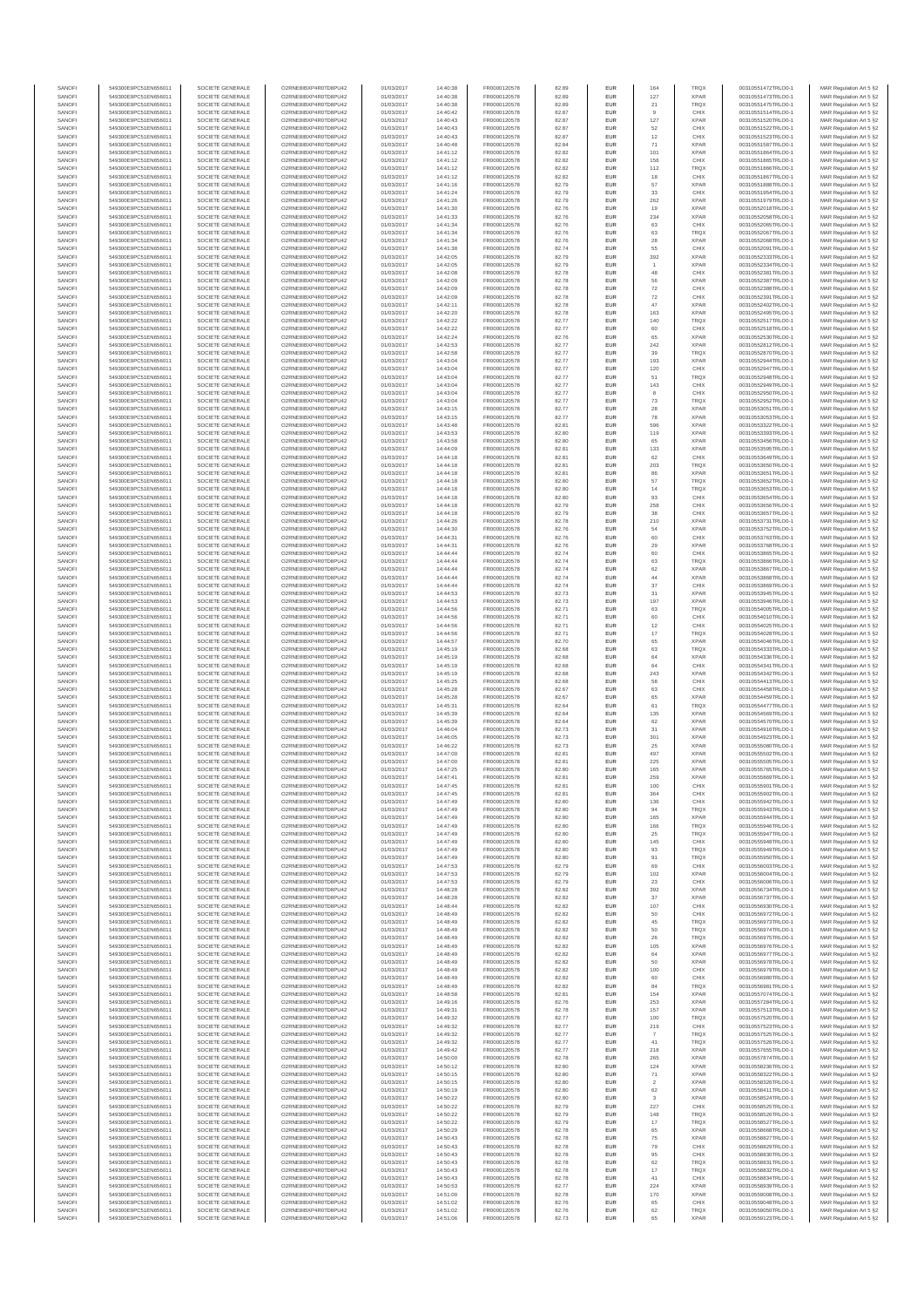| SANOFI           | 549300E9PC51EN656011                         | SOCIETE GENERALE                     | O2RNE8IBXP4R0TD8PU42                          | 01/03/2017               | 14:40:38             | FR0000120578                 | 82.89          | EUR                      | 164                      | TRQX                       | 00310551472TRLO0-1                       | MAR Regulation Art 5 §2                            |
|------------------|----------------------------------------------|--------------------------------------|-----------------------------------------------|--------------------------|----------------------|------------------------------|----------------|--------------------------|--------------------------|----------------------------|------------------------------------------|----------------------------------------------------|
| SANOFI<br>SANOFI | 549300E9PC51EN656011<br>549300E9PC51EN656011 | SOCIETE GENERALE<br>SOCIETE GENERALE | O2RNE8IBXP4R0TD8PU42<br>O2RNE8IBXP4R0TD8PU42  | 01/03/2017<br>01/03/2017 | 14:40:38<br>14:40:38 | FR0000120578                 | 82.89<br>82.89 | EUR<br>EUR               | 127<br>21                | <b>XPAR</b><br><b>TRQX</b> | 00310551473TRLO0-1<br>00310551475TRLO0-1 | MAR Regulation Art 5 §2                            |
| SANOFI           | 549300E9PC51EN656011                         | SOCIETE GENERALE                     | O2RNE8IBXP4R0TD8PLI42                         | 01/03/2017               | 14:40:42             | FR0000120578<br>FR0000120578 | 82.87          | EUR                      | 9                        | CHIX                       | 00310551514TRLO0-1                       | MAR Regulation Art 5 §2<br>MAR Regulation Art 5 §2 |
| SANOFI           | 549300E9PC51EN656011                         | SOCIETE GENERALE                     | O2RNE8IBXP4R0TD8PU42                          | 01/03/2017               | 14:40:43             | FR0000120578                 | 82.87          | EUR                      | 127                      | <b>XPAR</b>                | 00310551520TRLO0-1                       | MAR Regulation Art 5 §2                            |
| SANOFI           | 549300E9PC51EN656011                         | SOCIETE GENERALE                     | O2RNE8IBXP4R0TD8PU42                          | 01/03/2017               | 14:40:43             | FR0000120578                 | 82.87          | EUR                      | 52<br>12                 | CHIX                       | 00310551522TRLO0-1                       | MAR Regulation Art 5 §2                            |
| SANOFI<br>SANOFI | 549300E9PC51EN656011<br>549300E9PC51EN656011 | SOCIETE GENERALE<br>SOCIETE GENERALE | O2RNE8IBXP4R0TD8PU42<br>O2RNE8IBXP4R0TD8PU42  | 01/03/2017<br>01/03/2017 | 14:40:43<br>14:40:48 | FR0000120578<br>FR0000120578 | 82.87<br>82.84 | <b>EUR</b><br>EUR        | 71                       | CHIX<br><b>XPAR</b>        | 00310551523TRLO0-1<br>00310551587TRLO0-1 | MAR Regulation Art 5 §2<br>MAR Regulation Art 5 §2 |
| SANOFI           | 549300E9PC51EN656011                         | SOCIETE GENERALE                     | O2RNE8IBXP4R0TD8PU42                          | 01/03/2017               | 14:41:12             | FR0000120578                 | 82.82          | <b>EUR</b>               | 101                      | <b>XPAR</b>                | 00310551864TRLO0-1                       | MAR Regulation Art 5 §2                            |
| SANOFI           | 549300E9PC51EN656011                         | SOCIETE GENERALE                     | O2RNE8IBXP4R0TD8PU42                          | 01/03/2017               | 14:41:12             | FR0000120578                 | 82.82          | EUR                      | 156                      | CHIX                       | 00310551865TRLO0-1                       | MAR Regulation Art 5 §2                            |
| SANOFI<br>SANOFI | 549300E9PC51EN656011<br>549300E9PC51EN656011 | SOCIETE GENERALE<br>SOCIETE GENERALE | O2RNE8IBXP4R0TD8PLI42<br>O2RNE8IBXP4R0TD8PU42 | 01/03/2017<br>01/03/2017 | 14:41:12<br>14:41:12 | FR0000120578<br>FR0000120578 | 82.82<br>82.82 | EUR<br>EUR               | 112<br>18                | TRQX<br>CHIX               | 00310551866TRLO0-1<br>00310551867TRLO0-1 | MAR Regulation Art 5 §2<br>MAR Regulation Art 5 §2 |
| SANOFI           | 549300E9PC51EN656011                         | SOCIETE GENERALE                     | O2RNESIBXP4R0TD8PLI42                         | 01/03/2017               | 14:41:16             | FR0000120578                 | 82.79          | EUR                      | 57                       | <b>XPAR</b>                | 00310551888TRLO0-1                       | MAR Regulation Art 5 §2                            |
| SANOFI           | 549300E9PC51EN656011                         | SOCIETE GENERALE                     | O2RNE8IBXP4R0TD8PU42                          | 01/03/2017               | 14:41:24             | FR0000120578                 | 82.79          | EUR                      | 33                       | CHIX                       | 00310551954TRLO0-1                       | MAR Regulation Art 5 §2                            |
| SANOFI           | 549300E9PC51EN656011                         | SOCIETE GENERALE                     | O2RNE8IBXP4R0TD8PU42                          | 01/03/2017               | 14:41:26             | FR0000120578                 | 82.79          | EUR                      | 262                      | <b>XPAR</b>                | 00310551979TRLO0-1                       | MAR Regulation Art 5 §2                            |
| SANOFI<br>SANOFI | 549300E9PC51EN656011<br>549300E9PC51EN656011 | SOCIETE GENERALE<br>SOCIETE GENERALE | O2RNE8IBXP4R0TD8PU42<br>O2RNE8IBXP4R0TD8PU42  | 01/03/2017<br>01/03/2017 | 14:41:30<br>14:41:33 | FR0000120578<br>FR0000120578 | 82.76<br>82.76 | <b>EUR</b><br>EUR        | 19<br>234                | <b>XPAR</b><br><b>XPAR</b> | 00310552018TRLO0-1<br>00310552058TRLO0-1 | MAR Regulation Art 5 §2<br>MAR Regulation Art 5 §2 |
| SANOFI           | 549300E9PC51EN656011                         | SOCIETE GENERALE                     | O2RNE8IBXP4R0TD8PU42                          | 01/03/2017               | 14:41:34             | FR0000120578                 | 82.76          | <b>EUR</b>               | 63                       | CHIX                       | 00310552065TRLO0-1                       | MAR Regulation Art 5 §2                            |
| SANOFI           | 549300E9PC51EN656011                         | SOCIETE GENERALE                     | O2RNE8IBXP4R0TD8PU42                          | 01/03/2017               | 14:41:34             | FR0000120578                 | 82.76          | EUR                      | 63                       | TRQX                       | 00310552067TRLO0-1                       | MAR Regulation Art 5 §2                            |
| SANOFI           | 549300E9PC51EN656011                         | SOCIETE GENERALE                     | O2RNESIBXP4R0TD8PLI42                         | 01/03/2017               | 14:41:34             | FR0000120578                 | 82.76          | EUR                      | 28                       | <b>XPAR</b>                | 00310552068TRLO0-1                       | MAR Regulation Art 5 §2                            |
| SANOFI<br>SANOFI | 549300E9PC51EN656011<br>549300E9PC51EN656011 | SOCIETE GENERALE<br>SOCIETE GENERALE | O2RNE8IBXP4R0TD8PU42<br>O2RNE8IBXP4R0TD8PLI42 | 01/03/2017<br>01/03/2017 | 14:41:38<br>14:42:05 | FR0000120578<br>FR0000120578 | 82.74<br>82.79 | EUR<br>EUR               | 55<br>392                | CHIX<br><b>XPAR</b>        | 00310552091TRLO0-1<br>00310552333TRLO0-1 | MAR Regulation Art 5 §2<br>MAR Regulation Art 5 §2 |
| SANOFI           | 549300E9PC51EN656011                         | SOCIETE GENERALE                     | O2RNE8IBXP4R0TD8PU42                          | 01/03/2017               | 14:42:05             | FR0000120578                 | 82.79          | <b>EUR</b>               |                          | <b>XPAR</b>                | 00310552334TRLO0-1                       | MAR Regulation Art 5 §2                            |
| SANOFI           | 549300E9PC51EN656011                         | SOCIETE GENERALE                     | O2RNE8IBXP4R0TD8PU42                          | 01/03/2017               | 14:42:08             | FR0000120578                 | 82.78          | EUR                      | 48                       | CHIX                       | 00310552381TRLO0-1                       | MAR Regulation Art 5 §2                            |
| SANOFI<br>SANOFI | 549300E9PC51EN656011<br>549300E9PC51EN656011 | SOCIETE GENERALE<br>SOCIETE GENERALE | O2RNE8IBXP4R0TD8PU42<br>O2RNE8IBXP4R0TD8PU42  | 01/03/2017<br>01/03/2017 | 14:42:09<br>14:42:09 | FR0000120578<br>FR0000120578 | 82.78<br>82.78 | <b>EUR</b><br>EUR        | 56<br>$\scriptstyle{72}$ | <b>XPAR</b><br>CHIX        | 00310552387TRLO0-1<br>00310552388TRLO0-1 | MAR Regulation Art 5 §2<br>MAR Regulation Art 5 §2 |
| SANOFI           | 549300E9PC51EN656011                         | SOCIETE GENERALE                     | O2RNE8IBXP4R0TD8PU42                          | 01/03/2017               | 14:42:09             | FR0000120578                 | 82.78          | <b>EUR</b>               | 72                       | CHIX                       | 00310552391TRLO0-1                       | MAR Regulation Art 5 §2                            |
| SANOFI           | 549300E9PC51EN656011                         | SOCIETE GENERALE                     | O2RNE8IBXP4R0TD8PU42                          | 01/03/2017               | 14:42:11             | FR0000120578                 | 82.78          | EUR                      | 47                       | <b>XPAR</b>                | 00310552402TRLO0-1                       | MAR Regulation Art 5 §2                            |
| SANOFI           | 549300E9PC51EN656011                         | SOCIETE GENERALE                     | O2RNE8IBXP4R0TD8PU42                          | 01/03/2017               | 14:42:20             | FR0000120578                 | 82.78          | EUR                      | 163                      | <b>XPAR</b>                | 00310552495TRLO0-1                       | MAR Regulation Art 5 §2                            |
| SANOFI<br>SANOFI | 549300E9PC51EN656011<br>549300E9PC51EN656011 | SOCIETE GENERALE<br>SOCIETE GENERALE | O2RNE8IBXP4R0TD8PU42<br>O2RNE8IBXP4R0TD8PU42  | 01/03/2017<br>01/03/2017 | 14:42:22<br>14:42:22 | FR0000120578<br>FR0000120578 | 82.77<br>82.77 | EUR<br>EUR               | 140<br>60                | TRQX<br>CHIX               | 00310552517TRLO0-1<br>00310552518TRLO0-1 | MAR Regulation Art 5 §2<br>MAR Regulation Art 5 §2 |
| SANOFI           | 549300E9PC51EN656011                         | SOCIETE GENERALE                     | O2RNE8IBXP4R0TD8PU42                          | 01/03/2017               | 14:42:24             | FR0000120578                 | 82.76          | <b>EUR</b>               | 65                       | <b>XPAR</b>                | 00310552530TRLO0-1                       | MAR Regulation Art 5 §2                            |
| SANOFI           | 549300E9PC51EN656011                         | SOCIETE GENERALE                     | O2RNE8IBXP4R0TD8PU42                          | 01/03/2017               | 14:42:53             | FR0000120578                 | 82.77          | EUR                      | 242                      | <b>XPAR</b>                | 00310552812TRLO0-1                       | MAR Regulation Art 5 §2                            |
| SANOFI<br>SANOFI | 549300E9PC51EN656011<br>549300E9PC51EN656011 | SOCIETE GENERALE<br>SOCIETE GENERALE | O2RNE8IBXP4R0TD8PU42<br>O2RNE8IBXP4R0TD8PU42  | 01/03/2017<br>01/03/2017 | 14:42:58<br>14:43:04 | FR0000120578<br>FR0000120578 | 82.77<br>82.77 | <b>EUR</b><br>EUR        | 39<br>193                | <b>TRQX</b><br><b>XPAR</b> | 00310552870TRLO0-1<br>00310552944TRLO0-1 | MAR Regulation Art 5 §2<br>MAR Regulation Art 5 §2 |
| SANOFI           | 549300E9PC51EN656011                         | SOCIETE GENERALE                     | O2RNE8IBXP4R0TD8PU42                          | 01/03/2017               | 14:43:04             | FR0000120578                 | 82.77          | EUR                      | 120                      | CHIX                       | 00310552947TRLO0-1                       | MAR Regulation Art 5 §2                            |
| SANOFI           | 549300E9PC51EN656011                         | SOCIETE GENERALE                     | O2RNE8IBXP4R0TD8PU42                          | 01/03/2017               | 14:43:04             | FR0000120578                 | 82.77          | EUR                      | 51                       | TRQX                       | 00310552948TRLO0-1                       | MAR Regulation Art 5 §2                            |
| SANOFI<br>SANOFI | 549300E9PC51EN656011                         | SOCIETE GENERALE                     | O2RNE8IBXP4R0TD8PU42<br>O2RNE8IBXP4R0TD8PU42  | 01/03/2017               | 14:43:04             | FR0000120578                 | 82.77          | EUR                      | 143                      | CHIX                       | 00310552949TRLO0-1<br>00310552950TRLO0-1 | MAR Regulation Art 5 §2                            |
| SANOFI           | 549300E9PC51EN656011<br>549300E9PC51EN656011 | SOCIETE GENERALE<br>SOCIETE GENERALE | O2RNE8IBXP4R0TD8PU42                          | 01/03/2017<br>01/03/2017 | 14:43:04<br>14:43:04 | FR0000120578<br>FR0000120578 | 82.77<br>82.77 | EUR<br>EUR               | 8<br>73                  | CHIX<br><b>TRQX</b>        | 00310552952TRLO0-1                       | MAR Regulation Art 5 §2<br>MAR Regulation Art 5 §2 |
| SANOFI           | 549300E9PC51EN656011                         | SOCIETE GENERALE                     | O2RNE8IBXP4R0TD8PU42                          | 01/03/2017               | 14:43:15             | FR0000120578                 | 82.77          | <b>EUR</b>               | 28                       | <b>XPAR</b>                | 00310553051TRLO0-1                       | MAR Regulation Art 5 §2                            |
| SANOFI           | 549300E9PC51EN656011                         | SOCIETE GENERALE                     | O2RNE8IBXP4R0TD8PU42                          | 01/03/2017               | 14:43:15             | FR0000120578                 | 82.77          | EUR                      | 78                       | <b>XPAR</b>                | 00310553053TRLO0-1                       | MAR Regulation Art 5 §2                            |
| SANOFI<br>SANOFI | 549300E9PC51EN656011<br>549300E9PC51EN656011 | SOCIETE GENERALE<br>SOCIETE GENERALE | O2RNE8IBXP4R0TD8PLI42<br>O2RNE8IBXP4R0TD8PU42 | 01/03/2017<br>01/03/2017 | 14:43:48<br>14:43:53 | FR0000120578<br>FR0000120578 | 82.81<br>82.80 | <b>EUR</b><br>EUR        | 596<br>119               | <b>XPAR</b><br><b>XPAR</b> | 00310553322TRLO0-1<br>00310553393TRLO0-1 | MAR Regulation Art 5 §2<br>MAR Regulation Art 5 §2 |
| SANOFI           | 549300E9PC51EN656011                         | SOCIETE GENERALE                     | O2RNE8IBXP4R0TD8PU42                          | 01/03/2017               | 14:43:58             | FR0000120578                 | 82.80          | EUR                      | 65                       | <b>XPAR</b>                | 00310553456TRLO0-1                       | MAR Regulation Art 5 §2                            |
| SANOFI           | 549300E9PC51EN656011                         | SOCIETE GENERALE                     | O2RNE8IBXP4R0TD8PU42                          | 01/03/2017               | 14:44:09             | FR0000120578                 | 82.81          | EUR                      | 133                      | <b>XPAR</b>                | 00310553595TRLO0-1                       | MAR Regulation Art 5 §2                            |
| SANOFI           | 549300E9PC51EN656011                         | SOCIETE GENERALE                     | O2RNE8IBXP4R0TD8PLI42<br>O2RNE8IBXP4R0TD8PU42 | 01/03/2017               | 14:44:18             | FR0000120578                 | 82.81          | EUR                      | 62                       | CHIX                       | 00310553649TRLO0-1<br>00310553650TRLO0-1 | MAR Regulation Art 5 §2<br>MAR Regulation Art 5 §2 |
| SANOFI<br>SANOFI | 549300E9PC51EN656011<br>549300E9PC51EN656011 | SOCIETE GENERALE<br>SOCIETE GENERALE | O2RNE8IBXP4R0TD8PU42                          | 01/03/2017<br>01/03/2017 | 14:44:18<br>14:44:18 | FR0000120578<br>FR0000120578 | 82.81<br>82.81 | EUR<br>EUR               | 203                      | TRQX<br><b>XPAR</b>        | 00310553651TRLO0-1                       | MAR Regulation Art 5 §2                            |
| SANOFI           | 549300E9PC51EN656011                         | SOCIETE GENERALE                     | O2RNE8IBXP4R0TD8PU42                          | 01/03/2017               | 14:44:18             | FR0000120578                 | 82.80          | <b>EUR</b>               | 57                       | <b>TRQX</b>                | 00310553652TRLO0-1                       | MAR Regulation Art 5 §2                            |
| SANOFI           | 549300E9PC51EN656011                         | SOCIETE GENERALE                     | O2RNE8IBXP4R0TD8PU42                          | 01/03/2017               | 14:44:18             | FR0000120578                 | 82.80          | EUR                      | 14                       | TRQX                       | 00310553653TRLO0-1                       | MAR Regulation Art 5 §2                            |
| SANOFI<br>SANOFI | 549300E9PC51EN656011<br>549300E9PC51EN656011 | SOCIETE GENERALE<br>SOCIETE GENERALE | O2RNE8IBXP4R0TD8PU42<br>O2RNE8IBXP4R0TD8PU42  | 01/03/2017<br>01/03/2017 | 14:44:18<br>14:44:18 | FR0000120578<br>FR0000120578 | 82.80<br>82.79 | <b>EUR</b><br>EUR        | 93<br>258                | CHIX<br>CHIX               | 00310553654TRLO0-1<br>00310553656TRLO0-1 | MAR Regulation Art 5 §2<br>MAR Regulation Art 5 §2 |
| SANOFI           | 549300E9PC51EN656011                         | SOCIETE GENERALE                     | O2RNE8IBXP4R0TD8PLI42                         | 01/03/2017               | 14:44:18             | FR0000120578                 | 82.79          | EUR                      | 38                       | CHIX                       | 00310553657TRLO0-1                       | MAR Regulation Art 5 §2                            |
| SANOFI           | 549300E9PC51EN656011                         | SOCIETE GENERALE                     | O2RNE8IBXP4R0TD8PU42                          | 01/03/2017               | 14:44:26             | FR0000120578                 | 82.78          | EUR                      | 210                      | <b>XPAR</b>                | 00310553731TRLO0-1                       | MAR Regulation Art 5 §2                            |
| SANOFI           | 549300E9PC51EN656011                         | SOCIETE GENERALE                     | O2RNE8IBXP4R0TD8PU42                          | 01/03/2017               | 14:44:30             | FR0000120578                 | 82.76          | EUR                      | 54                       | <b>XPAR</b>                | 00310553752TRLO0-1                       | MAR Regulation Art 5 §2                            |
| SANOFI<br>SANOFI | 549300E9PC51EN656011<br>549300E9PC51EN656011 | SOCIETE GENERALE<br>SOCIETE GENERALE | O2RNE8IBXP4R0TD8PU42<br>O2RNE8IBXP4R0TD8PU42  | 01/03/2017<br>01/03/2017 | 14:44:31<br>14:44:31 | FR0000120578<br>FR0000120578 | 82.76<br>82.76 | <b>EUR</b><br>EUR        | 60<br>29                 | CHIX<br><b>XPAR</b>        | 00310553763TRLO0-1<br>00310553768TRLO0-1 | MAR Regulation Art 5 §2<br>MAR Regulation Art 5 §2 |
| SANOFI           | 549300E9PC51EN656011                         | SOCIETE GENERALE                     | O2RNE8IBXP4R0TD8PU42                          | 01/03/2017               | 14:44:44             | FR0000120578                 | 82.74          | <b>EUR</b>               | 60                       | CHIX                       | 00310553865TRLO0-1                       | MAR Regulation Art 5 §2                            |
| SANOFI           | 549300E9PC51EN656011                         | SOCIETE GENERALE                     | O2RNE8IBXP4R0TD8PU42                          | 01/03/2017               | 14:44:44             | FR0000120578                 | 82.74          | EUR                      | 63                       | TRQX                       | 00310553866TRLO0-1                       | MAR Regulation Art 5 §2                            |
| SANOFI<br>SANOFI | 549300E9PC51EN656011<br>549300E9PC51EN656011 | SOCIETE GENERALE<br>SOCIETE GENERALE | O2RNE8IBXP4R0TD8PU42<br>O2RNE8IBXP4R0TD8PU42  | 01/03/2017<br>01/03/2017 | 14:44:44<br>14:44:44 | FR0000120578<br>FR0000120578 | 82.74<br>82.74 | <b>EUR</b><br>EUR        | 62<br>44                 | <b>XPAR</b><br><b>XPAR</b> | 00310553867TRLO0-1<br>00310553868TRLO0-1 | MAR Regulation Art 5 §2<br>MAR Regulation Art 5 §2 |
| SANOFI           | 549300E9PC51EN656011                         | SOCIETE GENERALE                     | O2RNE8IBXP4R0TD8PU42                          | 01/03/2017               | 14:44:44             | FR0000120578                 | 82.74          | EUR                      | 37                       | CHIX                       | 00310553869TRLO0-1                       | MAR Regulation Art 5 §2                            |
| SANOFI           | 549300E9PC51EN656011                         | SOCIETE GENERALE                     | O2RNE8IBXP4R0TD8PU42                          | 01/03/2017               | 14:44:53             | FR0000120578                 | 82.73          | EUR                      | 31                       | <b>XPAR</b>                | 00310553945TRLO0-1                       | MAR Regulation Art 5 §2                            |
| SANOFI           | 549300E9PC51EN656011                         | SOCIETE GENERALE                     | O2RNE8IBXP4R0TD8PU42                          | 01/03/2017               | 14:44:53             | FR0000120578                 | 82.73          | EUR                      | 197                      | <b>XPAR</b>                | 00310553946TRLO0-1                       | MAR Regulation Art 5 §2                            |
| SANOFI<br>SANOFI | 549300E9PC51EN656011<br>549300E9PC51EN656011 | SOCIETE GENERALE<br>SOCIETE GENERALE | O2RNE8IBXP4R0TD8PU42<br>O2RNE8IBXP4R0TD8PU42  | 01/03/2017<br>01/03/2017 | 14:44:56<br>14:44:56 | FR0000120578<br>FR0000120578 | 82.71<br>82.71 | <b>EUR</b><br>EUR        | 63<br>60                 | <b>TRQX</b><br>CHIX        | 00310554005TRLO0-1<br>00310554010TRLO0-1 | MAR Regulation Art 5 §2<br>MAR Regulation Art 5 §2 |
| SANOFI           | 549300E9PC51EN656011                         | SOCIETE GENERALE                     | O2RNE8IBXP4R0TD8PU42                          | 01/03/2017               | 14:44:56             | FR0000120578                 | 82.71          | <b>EUR</b>               | 12                       | CHIX                       | 00310554025TRLO0-1                       | MAR Regulation Art 5 §2                            |
| SANOFI           | 549300E9PC51EN656011                         | SOCIETE GENERALE                     | O2RNE8IBXP4R0TD8PU42                          | 01/03/2017               | 14:44:56             | FR0000120578                 | 82.71          | EUR                      | 17                       | <b>TRQX</b>                | 00310554028TRLO0-                        | MAR Regulation Art 5 §2                            |
| SANOFI<br>SANOFI | 549300E9PC51EN656011<br>549300E9PC51EN656011 | SOCIETE GENERALE<br>SOCIETE GENERALE | O2RNE8IBXP4R0TD8PU42<br>O2RNE8IBXP4R0TD8PU42  | 01/03/2017<br>01/03/2017 | 14:44:57<br>14:45:19 | FR0000120578<br>FR0000120578 | 82.70<br>82.68 | <b>EUR</b><br>EUR        | 65<br>63                 | <b>XPAR</b><br><b>TRQX</b> | 00310554046TRLO0-1<br>00310554333TRLO0-1 | MAR Regulation Art 5 §2<br>MAR Regulation Art 5 §2 |
| SANOFI           | 549300E9PC51EN656011                         | SOCIETE GENERALE                     | O2RNE8IBXP4R0TD8PU42                          | 01/03/2017               | 14:45:19             | FR0000120578                 | 82.68          | EUR                      | $64\,$                   | <b>XPAR</b>                | 00310554336TRLO0-1                       | MAR Regulation Art 5 §2                            |
| SANOFI           | 549300E9PC51EN656011                         | SOCIETE GENERALE                     | O2RNE8IBXP4R0TD8PU42                          | 01/03/2017               | 14:45:19             | FR0000120578                 | 82.68          | EUR                      | 64                       | CHIX                       | 00310554341TRLO0-1                       | MAR Regulation Art 5 §2                            |
| SANOFI           | 549300E9PC51EN656011                         | SOCIETE GENERALE                     | O2RNE8IBXP4R0TD8PU42                          | 01/03/2017               | 14:45:19             | FR0000120578                 | 82.68          | EUR                      | 243                      | <b>XPAR</b>                | 00310554342TRLO0-1                       | MAR Regulation Art 5 §2                            |
| SANOFI<br>SANOFI | 549300E9PC51EN656011<br>549300E9PC51EN656011 | SOCIETE GENERALE<br>SOCIETE GENERALE | O2RNE8IBXP4R0TD8PU42<br>O2RNE8IBXP4R0TD8PU42  | 01/03/2017<br>01/03/2017 | 14:45:25<br>14:45:28 | FR0000120578<br>FR0000120578 | 82.68<br>82.67 | <b>EUR</b><br>EUR        | 58<br>63                 | CHIX<br>CHIX               | 00310554413TRLO0-1<br>00310554458TRLO0-1 | MAR Regulation Art 5 §2<br>MAR Regulation Art 5 §2 |
| SANOFI           | 549300E9PC51EN656011                         | SOCIETE GENERALE                     | O2RNE8IBXP4R0TD8PU42                          | 01/03/2017               | 14:45:28             | FR0000120578                 | 82.67          | <b>EUR</b>               | 65                       | <b>XPAR</b>                | 00310554459TRLO0-1                       | MAR Regulation Art 5 §2                            |
| SANOFI           | 549300E9PC51EN656011                         | SOCIETE GENERALE                     | O2RNE8IBXP4R0TD8PU42                          | 01/03/2017               | 14:45:31             | FR0000120578                 | 82.64          | EUR                      | 61                       | TRQX                       | 00310554477TRLO0-1                       | MAR Regulation Art 5 §2                            |
| SANOFI           | 549300E9PC51EN656011                         | SOCIETE GENERALE                     | O2RNE8IBXP4R0TD8PU42                          | 01/03/2017               | 14:45:39             | FR0000120578                 | 82.64          | EUR                      | 135                      | <b>XPAR</b>                | 00310554569TRLO0-1                       | MAR Regulation Art 5 §2                            |
| SANOFI<br>SANOFI | 549300E9PC51EN656011<br>549300E9PC51EN656011 | SOCIETE GENERALE<br>SOCIETE GENERALE | O2RNE8IBXP4R0TD8PU42<br>O2RNE8IBXP4R0TD8PU42  | 01/03/2017<br>01/03/2017 | 14:45:39<br>14:46:04 | FR0000120578<br>FR0000120578 | 82.64<br>82.73 | EUR<br>EUR               | 62<br>31                 | <b>XPAR</b><br><b>XPAR</b> | 00310554570TRLO0-1<br>00310554916TRLO0-1 | MAR Regulation Art 5 §2<br>MAR Regulation Art 5 §2 |
| SANOFI           | 549300E9PC51EN656011                         | SOCIETE GENERALE                     | O2RNE8IBXP4R0TD8PU42                          | 01/03/2017               | 14:46:05             | FR0000120578                 | 82.73          | EUR                      | 301                      | <b>XPAR</b>                | 00310554923TRLO0-1                       | MAR Regulation Art 5 §2                            |
| SANOFI           | 549300E9PC51EN656011                         | SOCIETE GENERALE                     | O2RNE8IBXP4R0TD8PU42                          | 01/03/2017               | 14:46:22             | FR0000120578                 | 82.73          | EUR                      | 25                       | <b>XPAR</b>                | 00310555080TRLO0-1                       | MAR Regulation Art 5 §2                            |
| SANOFI<br>SANOFI | 549300E9PC51EN656011<br>549300E9PC51EN656011 | SOCIETE GENERALE<br>SOCIETE GENERALE | O2RNE8IBXP4R0TD8PU42<br>O2RNE8IBXP4R0TD8PU42  | 01/03/2017<br>01/03/2017 | 14:47:00<br>14:47:00 | FR0000120578<br>FR0000120578 | 82.81<br>82.81 | <b>EUR</b><br>EUR        | 497<br>225               | <b>XPAR</b><br><b>XPAR</b> | 00310555502TRLO0-1<br>00310555505TRLO0-1 | MAR Regulation Art 5 §2<br>MAR Regulation Art 5 §2 |
| SANOFI           | 549300E9PC51EN656011                         | SOCIETE GENERALE                     | O2RNE8IBXP4R0TD8PU42                          | 01/03/2017               | 14:47:25             | FR0000120578                 | 82.80          | <b>EUR</b>               | 165                      | <b>XPAR</b>                | 00310555765TRLO0-1                       | MAR Regulation Art 5 §2                            |
| SANOFI           | 549300E9PC51EN656011                         | SOCIETE GENERALE                     | O2RNE8IBXP4R0TD8PU42                          | 01/03/2017               | 14:47:41             | FR0000120578                 | 82.81          | EUR                      | 259                      | <b>XPAR</b>                | 00310555869TRLO0-1                       | MAR Regulation Art 5 §2                            |
| SANOFI           | 549300E9PC51EN656011                         | SOCIETE GENERALE                     | O2RNE8IBXP4R0TD8PLI42                         | 01/03/2017               | 14:47:45             | FR0000120578                 | 82.81          | EUR                      | 100                      | CHIX                       | 00310555901TRLO0-1                       | MAR Regulation Art 5 §2                            |
| SANOFI<br>SANOFI | 549300E9PC51EN656011<br>549300E9PC51EN656011 | SOCIETE GENERALE<br>SOCIETE GENERALE | O2RNE8IBXP4R0TD8PU42<br>O2RNESIBXP4R0TD8PLI42 | 01/03/2017<br>01/03/2017 | 14:47:45<br>14:47:49 | FR0000120578<br>FR0000120578 | 82.81<br>82.80 | <b>EUR</b><br><b>EUR</b> | 364<br>136               | CHIX<br>CHIX               | 00310555902TRLO0-1<br>00310555942TRLO0-1 | MAR Regulation Art 5 §2<br>MAR Regulation Art 5 §2 |
| SANOFI           | 549300E9PC51EN656011                         | SOCIETE GENERALE                     | O2RNE8IBXP4R0TD8PU42                          | 01/03/2017               | 14:47:49             | FR0000120578                 | 82.80          | EUR                      | 94                       | <b>TRQX</b>                | 00310555943TRLO0-1                       | MAR Regulation Art 5 §2                            |
| SANOFI           | 549300E9PC51EN656011                         | SOCIETE GENERALE                     | O2RNE8IBXP4R0TD8PU42                          | 01/03/2017               | 14:47:49             | FR0000120578                 | 82.80          | EUR                      | 165                      | <b>XPAR</b>                | 00310555944TRLO0-1                       | MAR Regulation Art 5 §2                            |
| SANOFI           | 549300E9PC51EN656011                         | SOCIETE GENERALE                     | O2RNE8IBXP4R0TD8PU42                          | 01/03/2017               | 14:47:49             | FR0000120578                 | 82.80          | <b>EUR</b>               | 166                      | <b>TROX</b>                | 00310555946TRLO0-1                       | MAR Regulation Art 5 §2                            |
| SANOFI<br>SANOFI | 549300E9PC51EN656011<br>549300E9PC51EN656011 | SOCIETE GENERALE<br>SOCIETE GENERALE | O2RNE8IBXP4R0TD8PU42<br>O2RNE8IBXP4R0TD8PU42  | 01/03/2017<br>01/03/2017 | 14:47:49<br>14:47:49 | FR0000120578<br>FR0000120578 | 82.80<br>82.80 | EUR<br><b>EUR</b>        | 25<br>145                | TRQX<br>CHIX               | 00310555947TRLO0-1<br>00310555948TRLO0-1 | MAR Regulation Art 5 §2<br>MAR Regulation Art 5 §2 |
| SANOFI           | 549300E9PC51EN656011                         | SOCIETE GENERALE                     | O2RNE8IBXP4R0TD8PU42                          | 01/03/2017               | 14:47:49             | FR0000120578                 | 82.80          | EUR                      | 93                       | <b>TRQX</b>                | 00310555949TRLO0-1                       | MAR Regulation Art 5 §2                            |
| SANOFI           | 549300E9PC51EN656011                         | SOCIETE GENERALE                     | O2RNE8IBXP4R0TD8PU42                          | 01/03/2017               | 14:47:49             | FR0000120578                 | 82.80          | EUR                      | 91                       | TRQX                       | 00310555950TRLO0-1                       | MAR Regulation Art 5 §2                            |
| SANOFI<br>SANOFI | 549300E9PC51EN656011<br>549300E9PC51EN656011 | SOCIETE GENERALE<br>SOCIETE GENERALE | O2RNE8IBXP4R0TD8PU42<br>O2RNESIBXP4R0TD8PLI42 | 01/03/2017<br>01/03/2017 | 14:47:53<br>14:47:53 | FR0000120578<br>FR0000120578 | 82.79<br>82.79 | EUR<br>EUR               | 69<br>102                | CHIX<br><b>XPAR</b>        | 00310556003TRLO0-1<br>00310556004TRLO0-1 | MAR Regulation Art 5 §2<br>MAR Regulation Art 5 §2 |
| SANOFI           | 549300E9PC51EN656011                         | SOCIETE GENERALE                     | O2RNE8IBXP4R0TD8PLI42                         | 01/03/2017               | 14:47:53             | FR0000120578                 | 82.79          | <b>EUR</b>               | 23                       | CHIX                       | 00310556006TRLO0-1                       | MAR Regulation Art 5 §2                            |
| SANOFI           | 549300E9PC51EN656011                         | SOCIETE GENERALE                     | O2RNE8IBXP4R0TD8PU42                          | 01/03/2017               | 14:48:28             | FR0000120578                 | 82.82          | EUR                      | 392                      | <b>XPAR</b>                | 00310556734TRLO0-1                       | MAR Regulation Art 5 §2                            |
| SANOFI<br>SANOFI | 549300E9PC51EN656011<br>549300E9PC51EN656011 | SOCIETE GENERALE<br>SOCIETE GENERALE | O2RNE8IBXP4R0TD8PU42<br>O2RNE8IBXP4R0TD8PU42  | 01/03/2017<br>01/03/2017 | 14:48:28<br>14:48:44 | FR0000120578<br>FR0000120578 | 82.82<br>82.82 | <b>EUR</b><br>EUR        | 37<br>107                | <b>XPAR</b><br>CHIX        | 00310556737TRLO0-1<br>00310556930TRLO0-1 | MAR Regulation Art 5 §2<br>MAR Regulation Art 5 §2 |
| SANOFI           | 549300E9PC51EN656011                         | SOCIETE GENERALE                     | O2RNE8IBXP4R0TD8PU42                          | 01/03/2017               | 14:48:49             | FR0000120578                 | 82.82          | EUR                      | 50                       | CHIX                       | 00310556972TRLO0-1                       | MAR Regulation Art 5 §2                            |
| SANOFI           | 549300E9PC51EN656011                         | SOCIETE GENERALE                     | O2RNE8IBXP4R0TD8PU42                          | 01/03/2017               | 14:48:49             | FR0000120578                 | 82.82          | EUR                      | 45                       | <b>TRQX</b>                | 00310556973TRLO0-1                       | MAR Regulation Art 5 §2                            |
| SANOFI<br>SANOFI | 549300E9PC51EN656011<br>549300E9PC51EN656011 | SOCIETE GENERALE<br>SOCIETE GENERALE | O2RNE8IBXP4R0TD8PU42<br>O2RNE8IBXP4R0TD8PU42  | 01/03/2017<br>01/03/2017 | 14:48:49<br>14:48:49 | FR0000120578<br>FR0000120578 | 82.82<br>82.82 | EUR<br>EUR               | 50<br>26                 | <b>TRQX</b><br><b>TRQX</b> | 00310556974TRLO0-1<br>00310556975TRLO0-1 | MAR Regulation Art 5 §2<br>MAR Regulation Art 5 §2 |
| SANOFI           | 549300E9PC51EN656011                         | SOCIETE GENERALE                     | O2RNE8IBXP4R0TD8PU42                          | 01/03/2017               | 14:48:49             | FR0000120578                 | 82.82          | EUR                      | 105                      | <b>XPAR</b>                | 00310556976TRLO0-1                       | MAR Regulation Art 5 §2                            |
| SANOFI           | 549300E9PC51EN656011                         | SOCIETE GENERALE                     | O2RNE8IBXP4R0TD8PU42                          | 01/03/2017               | 14:48:49             | FR0000120578                 | 82.82          | <b>EUR</b>               | 64                       | <b>XPAR</b>                | 00310556977TRLO0-1                       | MAR Regulation Art 5 §2                            |
| SANOFI<br>SANOFI | 549300E9PC51EN656011<br>549300E9PC51EN656011 | SOCIETE GENERALE<br>SOCIETE GENERALE | O2RNE8IBXP4R0TD8PU42<br>O2RNE8IBXP4R0TD8PLI42 | 01/03/2017<br>01/03/2017 | 14:48:49<br>14:48:49 | FR0000120578<br>FR0000120578 | 82.82<br>82.82 | EUR<br><b>EUR</b>        | 50<br>100                | <b>XPAR</b><br>CHIX        | 00310556978TRLO0-1<br>00310556979TRLO0-1 | MAR Regulation Art 5 §2<br>MAR Regulation Art 5 §2 |
| SANOFI           | 549300E9PC51EN656011                         | SOCIETE GENERALE                     | O2RNE8IBXP4R0TD8PU42                          | 01/03/2017               | 14:48:49             | FR0000120578                 | 82.82          | EUR                      | 60                       | CHIX                       | 00310556980TRLO0-1                       | MAR Regulation Art 5 §2                            |
| SANOFI           | 549300E9PC51EN656011                         | SOCIETE GENERALE                     | O2RNE8IBXP4R0TD8PU42                          | 01/03/2017               | 14:48:49             | FR0000120578                 | 82.82          | <b>EUR</b>               | 84                       | <b>TRQX</b>                | 00310556981TRLO0-1                       | MAR Regulation Art 5 §2                            |
| SANOFI           | 549300E9PC51EN656011                         | SOCIETE GENERALE                     | O2RNE8IBXP4R0TD8PU42                          | 01/03/2017               | 14:48:58             | FR0000120578                 | 82.81          | EUR<br>EUR               | 154<br>253               | <b>XPAR</b><br><b>XPAR</b> | 00310557074TRLO0-1                       | MAR Regulation Art 5 §2                            |
| SANOFI<br>SANOFI | 549300E9PC51EN656011<br>549300E9PC51EN656011 | SOCIETE GENERALE<br>SOCIETE GENERALE | O2RNE8IBXP4R0TD8PU42<br>O2RNE8IBXP4R0TD8PU42  | 01/03/2017<br>01/03/2017 | 14:49:16<br>14:49:31 | FR0000120578<br>FR0000120578 | 82.76<br>82.78 | EUR                      | 157                      | <b>XPAR</b>                | 00310557284TRLO0-1<br>00310557513TRLO0-1 | MAR Regulation Art 5 §2<br>MAR Regulation Art 5 §2 |
| SANOFI           | 549300E9PC51EN656011                         | SOCIETE GENERALE                     | O2RNE8IBXP4R0TD8PU42                          | 01/03/2017               | 14:49:32             | FR0000120578                 | 82.77          | EUR                      | 100                      | TRQX                       | 00310557520TRLO0-1                       | MAR Regulation Art 5 §2                            |
| SANOFI           | 549300E9PC51EN656011                         | SOCIETE GENERALE                     | O2RNE8IBXP4R0TD8PU42                          | 01/03/2017               | 14:49:32             | FR0000120578                 | 82.77          | <b>EUR</b>               | 219                      | CHIX                       | 00310557523TRLO0-1                       | MAR Regulation Art 5 §2                            |
| SANOFI<br>SANOFI | 549300E9PC51EN656011<br>549300E9PC51EN656011 | SOCIETE GENERALE<br>SOCIETE GENERALE | O2RNE8IBXP4R0TD8PU42<br>O2RNE8IBXP4R0TD8PU42  | 01/03/2017<br>01/03/2017 | 14:49:32<br>14:49:32 | FR0000120578<br>FR0000120578 | 82.77<br>82.77 | EUR<br><b>EUR</b>        | 41                       | TRQX<br><b>TROX</b>        | 00310557525TRLO0-1<br>00310557526TRLO0-1 | MAR Regulation Art 5 §2                            |
| SANOFI           | 549300E9PC51EN656011                         | SOCIETE GENERALE                     | O2RNE8IBXP4R0TD8PU42                          | 01/03/2017               | 14:49:42             | FR0000120578                 | 82.77          | <b>EUR</b>               | 218                      | <b>XPAR</b>                | 00310557655TRLO0-1                       | MAR Regulation Art 5 §2<br>MAR Regulation Art 5 §2 |
| SANOFI           | 549300E9PC51EN656011                         | SOCIETE GENERALE                     | O2RNE8IBXP4R0TD8PU42                          | 01/03/2017               | 14:50:00             | FR0000120578                 | 82.78          | EUR                      | 265                      | <b>XPAR</b>                | 00310557874TRLO0-1                       | MAR Regulation Art 5 §2                            |
| SANOFI           | 549300E9PC51EN656011                         | SOCIETE GENERALE                     | O2RNE8IBXP4R0TD8PU42                          | 01/03/2017               | 14:50:12             | FR0000120578                 | 82.80          | EUR                      | 124                      | <b>XPAR</b>                | 00310558236TRLO0-1                       | MAR Regulation Art 5 §2                            |
| SANOFI<br>SANOFI | 549300E9PC51EN656011<br>549300E9PC51EN656011 | SOCIETE GENERALE<br>SOCIETE GENERALE | O2RNE8IBXP4R0TD8PU42<br>O2RNE8IBXP4R0TD8PU42  | 01/03/2017<br>01/03/2017 | 14:50:15<br>14:50:15 | FR0000120578<br>FR0000120578 | 82.80          | EUR<br>EUR               | 71<br>$\overline{2}$     | <b>XPAR</b><br><b>XPAR</b> | 00310558322TRLO0-1<br>00310558326TRLO0-1 | MAR Regulation Art 5 §2                            |
| SANOFI           | 549300E9PC51EN656011                         | SOCIETE GENERALE                     | O2RNE8IBXP4R0TD8PU42                          | 01/03/2017               | 14:50:19             | FR0000120578                 | 82.80<br>82.80 | EUR                      | 62                       | <b>XPAR</b>                | 00310558411TRLO0-1                       | MAR Regulation Art 5 §2<br>MAR Regulation Art 5 §2 |
| SANOFI           | 549300E9PC51EN656011                         | SOCIETE GENERALE                     | O2RNE8IBXP4R0TD8PU42                          | 01/03/2017               | 14:50:22             | FR0000120578                 | 82.80          | <b>EUR</b>               | $\mathcal{R}$            | <b>XPAR</b>                | 00310558524TRLO0-1                       | MAR Regulation Art 5 §2                            |
| SANOFI           | 549300E9PC51EN656011                         | SOCIETE GENERALE                     | O2RNE8IBXP4R0TD8PU42                          | 01/03/2017               | 14:50:22             | FR0000120578                 | 82.79          | EUR                      | 227                      | CHIX                       | 00310558525TRLO0-1                       | MAR Regulation Art 5 §2                            |
| SANOFI<br>SANOFI | 549300E9PC51EN656011<br>549300E9PC51EN656011 | SOCIETE GENERALE<br>SOCIETE GENERALE | O2RNE8IBXP4R0TD8PU42<br>O2RNE8IBXP4R0TD8PU42  | 01/03/2017<br>01/03/2017 | 14:50:22<br>14:50:22 | FR0000120578<br>FR0000120578 | 82.79<br>82.79 | EUR<br><b>EUR</b>        | 148<br>17                | <b>TROX</b><br><b>TRQX</b> | 00310558526TRLO0-1<br>00310558527TRLO0-1 | MAR Regulation Art 5 §2<br>MAR Regulation Art 5 §2 |
| SANOFI           | 549300E9PC51EN656011                         | SOCIETE GENERALE                     | O2RNE8IBXP4R0TD8PU42                          | 01/03/2017               | 14:50:29             | FR0000120578                 | 82.78          | EUR                      | 65                       | <b>XPAR</b>                | 00310558668TRLO0-1                       | MAR Regulation Art 5 §2                            |
| SANOFI           | 549300E9PC51EN656011                         | SOCIETE GENERALE                     | O2RNE8IBXP4R0TD8PU42                          | 01/03/2017               | 14:50:43             | FR0000120578                 | 82.78          | EUR                      | 75                       | <b>XPAR</b>                | 00310558827TRLO0-1                       | MAR Regulation Art 5 §2                            |
| SANOFI<br>SANOFI | 549300E9PC51EN656011<br>549300E9PC51EN656011 | SOCIETE GENERALE<br>SOCIETE GENERALE | O2RNE8IBXP4R0TD8PU42<br>O2RNE8IBXP4R0TD8PU42  | 01/03/2017<br>01/03/2017 | 14:50:43<br>14:50:43 | FR0000120578<br>FR0000120578 | 82.78<br>82.78 | EUR<br><b>EUR</b>        | 79<br>95                 | CHIX<br>CHIX               | 00310558829TRLO0-1<br>00310558830TRLO0-1 | MAR Regulation Art 5 §2                            |
| SANOFI           | 549300E9PC51EN656011                         | SOCIETE GENERALE                     | O2RNE8IBXP4R0TD8PU42                          | 01/03/2017               | 14:50:43             | FR0000120578                 | 82.78          | EUR                      | 62                       | <b>TRQX</b>                | 00310558831TRLO0-1                       | MAR Regulation Art 5 §2<br>MAR Regulation Art 5 §2 |
| SANOFI           | 549300E9PC51EN656011                         | SOCIETE GENERALE                     | O2RNE8IBXP4R0TD8PU42                          | 01/03/2017               | 14:50:43             | FR0000120578                 | 82.78          | <b>EUR</b>               | 17                       | <b>TROX</b>                | 00310558832TRLO0-1                       | MAR Regulation Art 5 §2                            |
| SANOFI           | 549300E9PC51EN656011                         | SOCIETE GENERALE                     | O2RNE8IBXP4R0TD8PU42                          | 01/03/2017               | 14:50:43             | FR0000120578                 | 82.78          | EUR                      | 41                       | CHIX                       | 00310558834TRLO0-1                       | MAR Regulation Art 5 §2                            |
| SANOFI<br>SANOFI | 549300E9PC51EN656011<br>549300E9PC51EN656011 | SOCIETE GENERALE<br>SOCIETE GENERALE | O2RNE8IBXP4R0TD8PU42<br>O2RNE8IBXP4R0TD8PU42  | 01/03/2017<br>01/03/2017 | 14:50:53<br>14:51:00 | FR0000120578<br>FR0000120578 | 82.77<br>82.78 | EUR<br>EUR               | 224<br>170               | <b>XPAR</b><br><b>XPAR</b> | 00310558939TRLO0-1<br>00310559008TRLO0-1 | MAR Regulation Art 5 §2<br>MAR Regulation Art 5 §2 |
| SANOFI           | 549300E9PC51EN656011                         | SOCIETE GENERALE                     | O2RNE8IBXP4R0TD8PU42                          | 01/03/2017               | 14:51:02             | FR0000120578                 | 82.76          | EUR                      | 65                       | CHIX                       | 00310559048TRLO0-1                       | MAR Regulation Art 5 §2                            |
| SANOFI           | 549300E9PC51EN656011                         | SOCIETE GENERALE                     | O2RNE8IBXP4R0TD8PU42                          | 01/03/2017               | 14:51:02             | FR0000120578                 | 82.76          | EUR                      | 62                       | <b>TRQX</b>                | 00310559050TRLO0-1                       | MAR Regulation Art 5 §2                            |
| SANOFI           | 549300E9PC51EN656011                         | SOCIETE GENERALE                     | O2RNE8IBXP4R0TD8PU42                          | 01/03/2017               | 14:51:06             | FR0000120578                 | 82.73          | EUR                      | 65                       | <b>XPAR</b>                | 00310559123TRLO0-1                       | MAR Regulation Art 5 §2                            |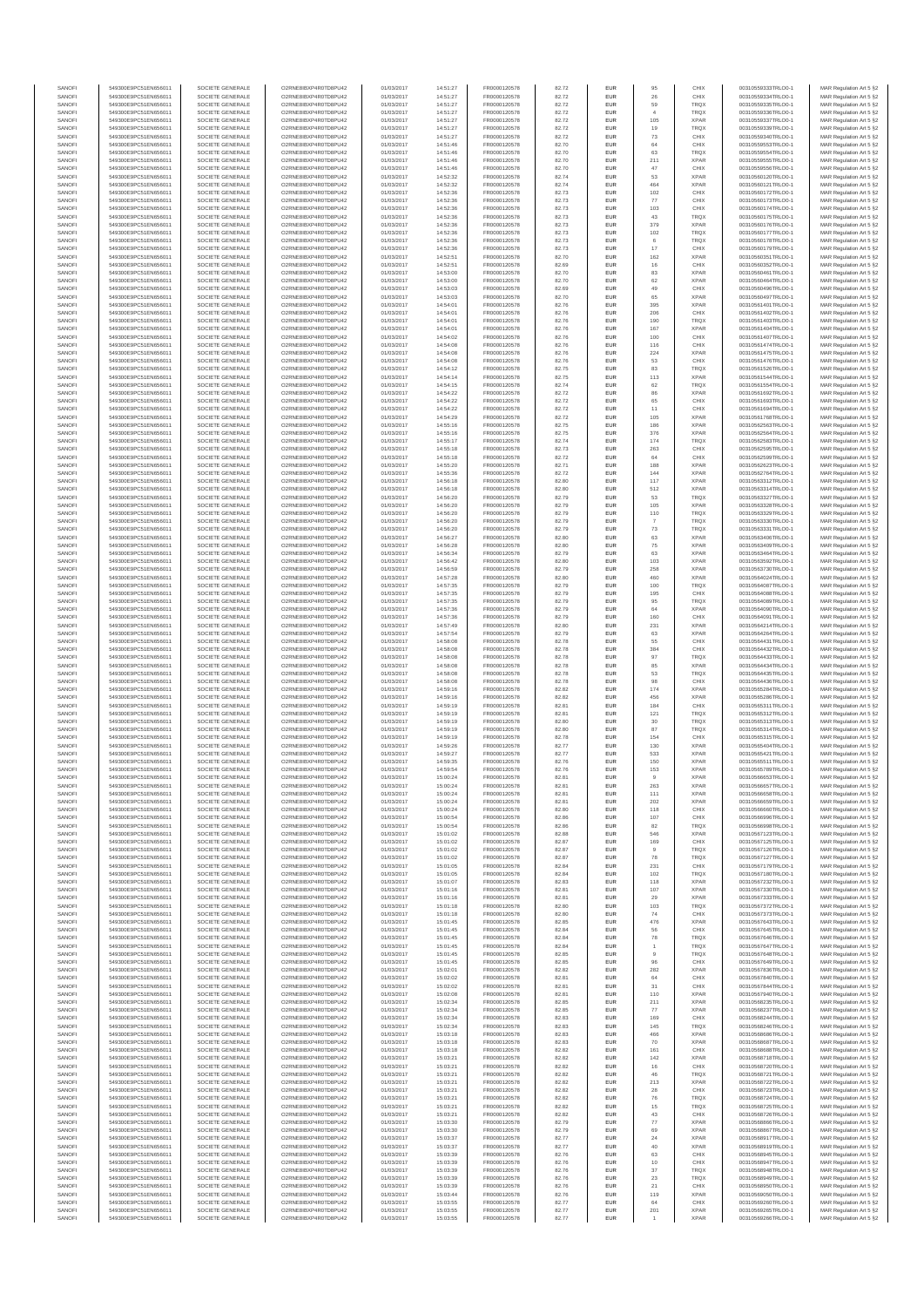| SANOFI           | 549300E9PC51EN656011                         | SOCIETE GENERALE                     | O2RNE8IBXP4R0TD8PU42                          | 01/03/2017               | 14:51:27             | FR0000120578                 | 82.72          | <b>EUR</b>        | 95                      | CHIX                       | 00310559333TRLO0-1                       | MAR Regulation Art 5 §2                            |
|------------------|----------------------------------------------|--------------------------------------|-----------------------------------------------|--------------------------|----------------------|------------------------------|----------------|-------------------|-------------------------|----------------------------|------------------------------------------|----------------------------------------------------|
| SANOFI<br>SANOFI | 549300E9PC51EN656011<br>549300E9PC51EN656011 | SOCIETE GENERALE<br>SOCIETE GENERALE | O2RNE8IBXP4R0TD8PU42<br>O2RNE8IBXP4R0TD8PU42  | 01/03/2017<br>01/03/2017 | 14:51:27<br>14:51:27 | FR0000120578<br>FR0000120578 | 82.72<br>82.72 | <b>EUR</b><br>EUR | 26<br>59                | CHIX<br>TRQX               | 00310559334TRLO0-1<br>00310559335TRLO0-1 | MAR Regulation Art 5 §2<br>MAR Regulation Art 5 §2 |
| SANOFI           | 549300E9PC51EN656011                         | SOCIETE GENERALE                     | O2RNE8IBXP4R0TD8PU42                          | 01/03/2017               | 14:51:27             | FR0000120578                 | 82.72          | <b>EUR</b>        | $\overline{4}$          | <b>TRQX</b>                | 00310559336TRLO0-1                       | MAR Regulation Art 5 §2                            |
| SANOFI           | 549300E9PC51EN656011                         | SOCIETE GENERALE                     | O2RNE8IBXP4R0TD8PU42                          | 01/03/2017               | 14:51:27             | FR0000120578                 | 82.72          | EUR               | 105                     | <b>XPAR</b>                | 00310559337TRLO0-1                       | MAR Regulation Art 5 §2                            |
| SANOFI           | 549300E9PC51EN656011                         | SOCIETE GENERALE                     | O2RNE8IBXP4R0TD8PU42                          | 01/03/2017               | 14:51:27             | FR0000120578                 | 82.72          | EUR               | 19                      | <b>TRQX</b>                | 00310559339TRLO0-1                       | MAR Regulation Art 5 §2                            |
| SANOFI<br>SANOFI | 549300E9PC51EN656011<br>549300E9PC51EN656011 | SOCIETE GENERALE<br>SOCIETE GENERALE | O2RNE8IBXP4R0TD8PU42<br>O2RNE8IBXP4R0TD8PU42  | 01/03/2017<br>01/03/2017 | 14:51:27<br>14:51:46 | FR0000120578<br>FR0000120578 | 82.72<br>82.70 | EUR<br>EUR        | $\mathbf{73}$<br>$64\,$ | CHIX<br>CHIX               | 00310559340TRLO0-1<br>00310559553TRLO0-1 | MAR Regulation Art 5 §2<br>MAR Regulation Art 5 §2 |
| SANOFI           | 549300E9PC51EN656011                         | SOCIETE GENERALE                     | O2RNE8IBXP4R0TD8PU42                          | 01/03/2017               | 14:51:46             | FR0000120578                 | 82.70          | EUR               | 63                      | TRQX                       | 00310559554TRLO0-1                       | MAR Regulation Art 5 §2                            |
| SANOFI           | 549300E9PC51EN656011                         | SOCIETE GENERALE                     | O2RNE8IBXP4R0TD8PU42                          | 01/03/2017               | 14:51:46             | FR0000120578                 | 82.70          | EUR               | 211                     | <b>XPAR</b>                | 00310559555TRLO0-1                       | MAR Regulation Art 5 §2                            |
| SANOFI<br>SANOFI | 549300E9PC51EN656011<br>549300E9PC51EN656011 | SOCIETE GENERALE<br>SOCIETE GENERALE | O2RNE8IBXP4R0TD8PLI42<br>O2RNE8IBXP4R0TD8PU42 | 01/03/2017<br>01/03/2017 | 14:51:46<br>14:52:32 | FR0000120578<br>FR0000120578 | 82.70<br>82.74 | <b>EUR</b><br>EUR | 47<br>53                | CHIX<br><b>XPAR</b>        | 00310559556TRLO0-1<br>00310560120TRLO0-1 | MAR Regulation Art 5 §2<br>MAR Regulation Art 5 §2 |
| SANOFI           | 549300E9PC51EN656011                         | SOCIETE GENERALE                     | O2RNE8IBXP4R0TD8PU42                          | 01/03/2017               | 14:52:32             | FR0000120578                 | 82.74          | <b>EUR</b>        | 464                     | <b>XPAR</b>                | 00310560121TRLO0-1                       | MAR Regulation Art 5 §2                            |
| SANOFI           | 549300E9PC51EN656011                         | SOCIETE GENERALE                     | O2RNE8IBXP4R0TD8PU42                          | 01/03/2017               | 14:52:36             | FR0000120578                 | 82.73          | EUR               | 102                     | CHIX                       | 00310560172TRLO0-1                       | MAR Regulation Art 5 §2                            |
| SANOFI           | 549300E9PC51EN656011                         | SOCIETE GENERALE                     | O2RNE8IBXP4R0TD8PU42                          | 01/03/2017               | 14:52:36             | FR0000120578                 | 82.73          | EUR               | $77\,$                  | CHIX                       | 00310560173TRLO0-1                       | MAR Regulation Art 5 §2                            |
| SANOFI<br>SANOFI | 549300E9PC51EN656011<br>549300E9PC51EN656011 | SOCIETE GENERALE<br>SOCIETE GENERALE | O2RNE8IBXP4R0TD8PU42<br>O2RNE8IBXP4R0TD8PU42  | 01/03/2017<br>01/03/2017 | 14:52:36<br>14:52:36 | FR0000120578<br>FR0000120578 | 82.73<br>82.73 | EUR<br>EUR        | 103<br>43               | CHIX<br>TRQX               | 00310560174TRLO0-1<br>00310560175TRLO0-1 | MAR Regulation Art 5 §2<br>MAR Regulation Art 5 §2 |
| SANOFI           | 549300E9PC51EN656011                         | SOCIETE GENERALE                     | O2RNE8IBXP4R0TD8PU42                          | 01/03/2017               | 14:52:36             | FR0000120578                 | 82.73          | EUR               | 379                     | <b>XPAR</b>                | 00310560176TRLO0-1                       | MAR Regulation Art 5 §2                            |
| SANOFI           | 549300E9PC51EN656011                         | SOCIETE GENERALE                     | O2RNE8IBXP4R0TD8PU42                          | 01/03/2017               | 14:52:36             | FR0000120578                 | 82.73          | EUR               | 102                     | <b>TRQX</b>                | 00310560177TRLO0-1                       | MAR Regulation Art 5 §2                            |
| SANOFI           | 549300E9PC51EN656011                         | SOCIETE GENERALE                     | O2RNE8IBXP4R0TD8PLI42                         | 01/03/2017               | 14:52:36             | FR0000120578                 | 82.73          | <b>EUR</b>        | 6                       | <b>TRQX</b>                | 00310560178TRLO0-1                       | MAR Regulation Art 5 §2                            |
| SANOFI<br>SANOFI | 549300E9PC51EN656011<br>549300E9PC51EN656011 | SOCIETE GENERALE<br>SOCIETE GENERALE | O2RNE8IBXP4R0TD8PU42<br>O2RNE8IBXP4R0TD8PU42  | 01/03/2017<br>01/03/2017 | 14:52:36<br>14:52:51 | FR0000120578<br>FR0000120578 | 82.73<br>82.70 | EUR<br><b>EUR</b> | 17<br>162               | CHIX<br><b>XPAR</b>        | 00310560179TRLO0-1<br>00310560351TRLO0-1 | MAR Regulation Art 5 §2<br>MAR Regulation Art 5 §2 |
| SANOFI           | 549300E9PC51EN656011                         | SOCIETE GENERALE                     | O2RNE8IBXP4R0TD8PU42                          | 01/03/2017               | 14:52:51             | FR0000120578                 | 82.69          | EUR               | 16                      | CHIX                       | 00310560352TRLO0-1                       | MAR Regulation Art 5 §2                            |
| SANOFI           | 549300E9PC51EN656011                         | SOCIETE GENERALE                     | O2RNESIBXP4R0TD8PLI42                         | 01/03/2017               | 14:53:00             | FR0000120578                 | 82.70          | EUR               | 83                      | <b>XPAR</b>                | 00310560461TRLO0-1                       | MAR Regulation Art 5 §2                            |
| SANOFI           | 549300E9PC51EN656011                         | SOCIETE GENERALE                     | O2RNE8IBXP4R0TD8PU42                          | 01/03/2017               | 14:53:00             | FR0000120578                 | 82.70          | EUR               | 62                      | <b>XPAR</b>                | 00310560464TRLO0-1                       | MAR Regulation Art 5 §2                            |
| SANOFI<br>SANOFI | 549300E9PC51EN656011<br>549300E9PC51EN656011 | SOCIETE GENERALE<br>SOCIETE GENERALE | O2RNE8IBXP4R0TD8PU42<br>O2RNE8IBXP4R0TD8PU42  | 01/03/2017<br>01/03/2017 | 14:53:03<br>14:53:03 | FR0000120578<br>FR0000120578 | 82.69<br>82.70 | EUR<br>EUR        | 49<br>65                | CHIX<br><b>XPAR</b>        | 00310560496TRLO0-1<br>00310560497TRLO0-1 | MAR Regulation Art 5 §2<br>MAR Regulation Art 5 §2 |
| SANOFI           | 549300E9PC51EN656011                         | SOCIETE GENERALE                     | O2RNE8IBXP4R0TD8PU42                          | 01/03/2017               | 14:54:01             | FR0000120578                 | 82.76          | EUR               | 395                     | <b>XPAR</b>                | 00310561401TRLO0-1                       | MAR Regulation Art 5 §2                            |
| SANOFI           | 549300E9PC51EN656011                         | SOCIETE GENERALE                     | O2RNE8IBXP4R0TD8PU42                          | 01/03/2017               | 14:54:01             | FR0000120578                 | 82.76          | <b>EUR</b>        | 206                     | CHIX                       | 00310561402TRLO0-1                       | MAR Regulation Art 5 §2                            |
| SANOFI<br>SANOFI | 549300E9PC51EN656011<br>549300E9PC51EN656011 | SOCIETE GENERALE<br>SOCIETE GENERALE | O2RNE8IBXP4R0TD8PU42<br>O2RNE8IBXP4R0TD8PU42  | 01/03/2017<br>01/03/2017 | 14:54:01<br>14:54:01 | FR0000120578<br>FR0000120578 | 82.76<br>82.76 | EUR<br><b>EUR</b> | 190<br>167              | TRQX<br><b>XPAR</b>        | 00310561403TRLO0-1<br>00310561404TRLO0-1 | MAR Regulation Art 5 §2<br>MAR Regulation Art 5 §2 |
| SANOFI           | 549300E9PC51EN656011                         | SOCIETE GENERALE                     | O2RNE8IBXP4R0TD8PU42                          | 01/03/2017               | 14:54:02             | FR0000120578                 | 82.76          | EUR               | 100                     | CHIX                       | 00310561407TRLO0-1                       | MAR Regulation Art 5 §2                            |
| SANOFI           | 549300E9PC51EN656011                         | SOCIETE GENERALE                     | O2RNE8IBXP4R0TD8PU42                          | 01/03/2017               | 14:54:08             | FR0000120578                 | 82.76          | EUR               | 116                     | CHIX                       | 00310561474TRLO0-1                       | MAR Regulation Art 5 §2                            |
| SANOFI           | 549300E9PC51EN656011                         | SOCIETE GENERALE                     | O2RNE8IBXP4R0TD8PU42                          | 01/03/2017               | 14:54:08             | FR0000120578                 | 82.76          | EUR               | 224                     | <b>XPAR</b>                | 00310561475TRLO0-1                       | MAR Regulation Art 5 §2                            |
| SANOFI<br>SANOFI | 549300E9PC51EN656011<br>549300E9PC51EN656011 | SOCIETE GENERALE<br>SOCIETE GENERALE | O2RNE8IBXP4R0TD8PU42<br>O2RNE8IBXP4R0TD8PU42  | 01/03/2017<br>01/03/2017 | 14:54:08<br>14:54:12 | FR0000120578<br>FR0000120578 | 82.76<br>82.75 | EUR<br><b>EUR</b> | 53<br>83                | CHIX<br><b>TRQX</b>        | 00310561476TRLO0-1<br>00310561526TRLO0-1 | MAR Regulation Art 5 §2<br>MAR Regulation Art 5 §2 |
| SANOFI           | 549300E9PC51EN656011                         | SOCIETE GENERALE                     | O2RNE8IBXP4R0TD8PU42                          | 01/03/2017               | 14:54:14             | FR0000120578                 | 82.75          | EUR               | 113                     | <b>XPAR</b>                | 00310561544TRLO0-1                       | MAR Regulation Art 5 §2                            |
| SANOFI           | 549300E9PC51EN656011                         | SOCIETE GENERALE                     | O2RNE8IBXP4R0TD8PU42                          | 01/03/2017               | 14:54:15             | FR0000120578                 | 82.74          | <b>EUR</b>        | 62                      | <b>TRQX</b>                | 00310561554TRLO0-1                       | MAR Regulation Art 5 §2                            |
| SANOFI<br>SANOFI | 549300E9PC51EN656011<br>549300E9PC51EN656011 | SOCIETE GENERALE<br>SOCIETE GENERALE | O2RNE8IBXP4R0TD8PU42<br>O2RNE8IBXP4R0TD8PU42  | 01/03/2017<br>01/03/2017 | 14:54:22<br>14:54:22 | FR0000120578<br>FR0000120578 | 82.72<br>82.72 | EUR<br>EUR        | 65                      | <b>XPAR</b><br>CHIX        | 00310561692TRLO0-1<br>00310561693TRLO0-1 | MAR Regulation Art 5 §2<br>MAR Regulation Art 5 §2 |
| SANOFI           | 549300E9PC51EN656011                         | SOCIETE GENERALE                     | O2RNE8IBXP4R0TD8PU42                          | 01/03/2017               | 14:54:22             | FR0000120578                 | 82.72          | EUR               | 11                      | CHIX                       | 00310561694TRLO0-1                       | MAR Regulation Art 5 §2                            |
| SANOFI           | 549300E9PC51EN656011                         | SOCIETE GENERALE                     | O2RNE8IBXP4R0TD8PU42                          | 01/03/2017               | 14:54:29             | FR0000120578                 | 82.72          | EUR               | 105                     | <b>XPAR</b>                | 00310561768TRLO0-1                       | MAR Regulation Art 5 §2                            |
| SANOFI           | 549300E9PC51EN656011                         | SOCIETE GENERALE                     | O2RNE8IBXP4R0TD8PU42                          | 01/03/2017               | 14:55:16             | FR0000120578                 | 82.75          | EUR               | 186                     | <b>XPAR</b>                | 00310562563TRLO0-1                       | MAR Regulation Art 5 §2                            |
| SANOFI<br>SANOFI | 549300E9PC51EN656011<br>549300E9PC51EN656011 | SOCIETE GENERALE<br>SOCIETE GENERALE | O2RNE8IBXP4R0TD8PLI42<br>O2RNE8IBXP4R0TD8PU42 | 01/03/2017<br>01/03/2017 | 14:55:16<br>14:55:17 | FR0000120578<br>FR0000120578 | 82.75<br>82.74 | EUR<br><b>EUR</b> | 376<br>174              | <b>XPAR</b><br><b>TRQX</b> | 00310562564TRLO0-1<br>00310562583TRLO0-1 | MAR Regulation Art 5 §2<br>MAR Regulation Art 5 §2 |
| SANOFI           | 549300E9PC51EN656011                         | SOCIETE GENERALE                     | O2RNE8IBXP4R0TD8PU42                          | 01/03/2017               | 14:55:18             | FR0000120578                 | 82.73          | EUR               | 263                     | CHIX                       | 00310562595TRLO0-1                       | MAR Regulation Art 5 §2                            |
| SANOFI           | 549300E9PC51EN656011                         | SOCIETE GENERALE                     | O2RNE8IBXP4R0TD8PU42                          | 01/03/2017               | 14:55:18             | FR0000120578                 | 82.72          | <b>EUR</b>        | 64                      | CHIX                       | 00310562599TRLO0-1                       | MAR Regulation Art 5 §2                            |
| SANOFI           | 549300E9PC51EN656011                         | SOCIETE GENERALE                     | O2RNE8IBXP4R0TD8PU42                          | 01/03/2017               | 14:55:20             | FR0000120578                 | 82.71          | EUR               | 188                     | <b>XPAR</b>                | 00310562623TRLO0-1                       | MAR Regulation Art 5 §2                            |
| SANOFI<br>SANOFI | 549300E9PC51EN656011<br>549300E9PC51EN656011 | SOCIETE GENERALE<br>SOCIETE GENERALE | O2RNE8IBXP4R0TD8PU42<br>O2RNE8IBXP4R0TD8PU42  | 01/03/2017<br>01/03/2017 | 14:55:36<br>14:56:18 | FR0000120578<br>FR0000120578 | 82.72<br>82.80 | EUR<br>EUR        | 144<br>117              | <b>XPAR</b><br><b>XPAR</b> | 00310562764TRLO0-1<br>00310563312TRLO0-1 | MAR Regulation Art 5 §2<br>MAR Regulation Art 5 §2 |
| SANOFI           | 549300E9PC51EN656011                         | SOCIETE GENERALE                     | O2RNE8IBXP4R0TD8PU42                          | 01/03/2017               | 14:56:18             | FR0000120578                 | 82.80          | EUR               | 512                     | <b>XPAR</b>                | 00310563314TRLO0-1                       | MAR Regulation Art 5 §2                            |
| SANOFI           | 549300E9PC51EN656011                         | SOCIETE GENERALE                     | O2RNE8IBXP4R0TD8PU42                          | 01/03/2017               | 14:56:20             | FR0000120578                 | 82.79          | EUR               | 53                      | TRQX                       | 00310563327TRLO0-1                       | MAR Regulation Art 5 §2                            |
| SANOFI           | 549300E9PC51EN656011                         | SOCIETE GENERALE                     | O2RNE8IBXP4R0TD8PU42                          | 01/03/2017               | 14:56:20             | FR0000120578                 | 82.79          | EUR               | 105                     | <b>XPAR</b>                | 00310563328TRLO0-1                       | MAR Regulation Art 5 §2                            |
| SANOFI<br>SANOFI | 549300E9PC51EN656011<br>549300E9PC51EN656011 | SOCIETE GENERALE<br>SOCIETE GENERALE | O2RNE8IBXP4R0TD8PU42<br>O2RNE8IBXP4R0TD8PU42  | 01/03/2017<br>01/03/2017 | 14:56:20<br>14:56:20 | FR0000120578<br>FR0000120578 | 82.79<br>82.79 | <b>EUR</b><br>EUR | 110                     | <b>TRQX</b><br>TRQX        | 00310563329TRLO0-1<br>00310563330TRLO0-  | MAR Regulation Art 5 §2<br>MAR Regulation Art 5 §2 |
| SANOFI           | 549300E9PC51EN656011                         | SOCIETE GENERALE                     | O2RNE8IBXP4R0TD8PU42                          | 01/03/2017               | 14:56:20             | FR0000120578                 | 82.79          | <b>EUR</b>        | 73                      | <b>TRQX</b>                | 00310563331TRLO0-1                       | MAR Regulation Art 5 §2                            |
| SANOFI           | 549300E9PC51EN656011                         | SOCIETE GENERALE                     | O2RNE8IBXP4R0TD8PU42                          | 01/03/2017               | 14:56:27             | FR0000120578                 | 82.80          | EUR               | 63                      | <b>XPAR</b>                | 00310563406TRLO0-1                       | MAR Regulation Art 5 §2                            |
| SANOFI           | 549300E9PC51EN656011                         | SOCIETE GENERALE                     | O2RNE8IBXP4R0TD8PU42                          | 01/03/2017               | 14:56:28             | FR0000120578                 | 82.80          | EUR               | ${\bf 75}$              | <b>XPAR</b>                | 00310563409TRLO0-1                       | MAR Regulation Art 5 §2                            |
| SANOFI<br>SANOFI | 549300E9PC51EN656011<br>549300E9PC51EN656011 | SOCIETE GENERALE<br>SOCIETE GENERALE | O2RNE8IBXP4R0TD8PU42<br>O2RNE8IBXP4R0TD8PU42  | 01/03/2017<br>01/03/2017 | 14:56:34<br>14:56:42 | FR0000120578<br>FR0000120578 | 82.79<br>82.80 | EUR<br>EUR        | 63<br>103               | <b>XPAR</b><br><b>XPAR</b> | 00310563464TRLO0-1<br>00310563592TRLO0-1 | MAR Regulation Art 5 §2<br>MAR Regulation Art 5 §2 |
| SANOFI           | 549300E9PC51EN656011                         | SOCIETE GENERALE                     | O2RNE8IBXP4R0TD8PU42                          | 01/03/2017               | 14:56:59             | FR0000120578                 | 82.79          | EUR               | 258                     | <b>XPAR</b>                | 00310563730TRLO0-1                       | MAR Regulation Art 5 §2                            |
| SANOFI           | 549300E9PC51EN656011                         | SOCIETE GENERALE                     | O2RNE8IBXP4R0TD8PU42                          | 01/03/2017               | 14:57:28             | FR0000120578                 | 82.80          | EUR               | 460                     | <b>XPAR</b>                | 00310564024TRLO0-1                       | MAR Regulation Art 5 §2                            |
| SANOFI<br>SANOFI | 549300E9PC51EN656011<br>549300E9PC51EN656011 | SOCIETE GENERALE<br>SOCIETE GENERALE | O2RNE8IBXP4R0TD8PU42<br>O2RNE8IBXP4R0TD8PU42  | 01/03/2017<br>01/03/2017 | 14:57:35<br>14:57:35 | FR0000120578<br>FR0000120578 | 82.79<br>82.79 | <b>EUR</b><br>EUR | 100<br>195              | <b>TRQX</b><br>CHIX        | 00310564087TRLO0-1<br>00310564088TRLO0-1 | MAR Regulation Art 5 §2                            |
| SANOFI           | 549300E9PC51EN656011                         | SOCIETE GENERALE                     | O2RNE8IBXP4R0TD8PU42                          | 01/03/2017               | 14:57:35             | FR0000120578                 | 82.79          | <b>EUR</b>        | 95                      | <b>TRQX</b>                | 00310564089TRLO0-1                       | MAR Regulation Art 5 §2<br>MAR Regulation Art 5 §2 |
| SANOFI           | 549300E9PC51EN656011                         | SOCIETE GENERALE                     | O2RNE8IBXP4R0TD8PU42                          | 01/03/2017               | 14:57:36             | FR0000120578                 | 82.79          | EUR               | 64                      | <b>XPAR</b>                | 00310564090TRLO0-1                       | MAR Regulation Art 5 §2                            |
| SANOFI           | 549300E9PC51EN656011                         | SOCIETE GENERALE                     | O2RNE8IBXP4R0TD8PU42                          | 01/03/2017               | 14:57:36             | FR0000120578                 | 82.79          | EUR               | 160                     | CHIX                       | 00310564091TRLO0-1                       | MAR Regulation Art 5 §2                            |
| SANOFI<br>SANOFI | 549300E9PC51EN656011<br>549300E9PC51EN656011 | SOCIETE GENERALE<br>SOCIETE GENERALE | O2RNE8IBXP4R0TD8PU42<br>O2RNE8IBXP4R0TD8PU42  | 01/03/2017<br>01/03/2017 | 14:57:49<br>14:57:54 | FR0000120578<br>FR0000120578 | 82.80<br>82.79 | EUR<br>EUR        | 231<br>63               | <b>XPAR</b><br><b>XPAR</b> | 00310564214TRLO0-1<br>00310564264TRLO0-1 | MAR Regulation Art 5 §2<br>MAR Regulation Art 5 §2 |
| SANOFI           | 549300E9PC51EN656011                         | SOCIETE GENERALE                     | O2RNE8IBXP4R0TD8PU42                          | 01/03/2017               | 14:58:08             | FR0000120578                 | 82.78          | <b>EUR</b>        | 55                      | CHIX                       | 00310564431TRLO0-1                       | MAR Regulation Art 5 §2                            |
| SANOFI           | 549300E9PC51EN656011                         | SOCIETE GENERALE                     | O2RNE8IBXP4R0TD8PU42                          | 01/03/2017               | 14:58:08             | FR0000120578                 | 82.78          | EUR               | 384                     | CHIX                       | 00310564432TRLO0-1                       | MAR Regulation Art 5 §2                            |
| SANOFI           | 549300E9PC51EN656011                         | SOCIETE GENERALE                     | O2RNE8IBXP4R0TD8PU42                          | 01/03/2017               | 14:58:08             | FR0000120578                 | 82.78          | <b>EUR</b>        | 97                      | <b>TRQX</b>                | 00310564433TRLO0-1                       | MAR Regulation Art 5 §2                            |
| SANOFI<br>SANOFI | 549300E9PC51EN656011<br>549300E9PC51EN656011 | SOCIETE GENERALE<br>SOCIETE GENERALE | O2RNE8IBXP4R0TD8PU42<br>O2RNE8IBXP4R0TD8PU42  | 01/03/2017<br>01/03/2017 | 14:58:08<br>14:58:08 | FR0000120578<br>FR0000120578 | 82.78<br>82.78 | EUR<br><b>EUR</b> | 85<br>53                | <b>XPAR</b><br>TRQX        | 00310564434TRLO0-1<br>00310564435TRLO0-1 | MAR Regulation Art 5 §2<br>MAR Regulation Art 5 §2 |
| SANOFI           | 549300E9PC51EN656011                         | SOCIETE GENERALE                     | O2RNE8IBXP4R0TD8PU42                          | 01/03/2017               | 14:58:08             | FR0000120578                 | 82.78          | EUR               | 98                      | CHIX                       | 00310564436TRLO0-1                       | MAR Regulation Art 5 §2                            |
| SANOFI           | 549300E9PC51EN656011                         | SOCIETE GENERALE                     | O2RNE8IBXP4R0TD8PLI42                         | 01/03/2017               | 14:59:16             | FR0000120578                 | 82.82          | EUR               | 174                     | <b>XPAR</b>                | 00310565284TRLO0-1                       | MAR Regulation Art 5 §2                            |
| SANOFI<br>SANOFI | 549300E9PC51EN656011<br>549300E9PC51EN656011 | SOCIETE GENERALE<br>SOCIETE GENERALE | O2RNE8IBXP4R0TD8PU42<br>O2RNE8IBXP4R0TD8PU42  | 01/03/2017<br>01/03/2017 | 14:59:16<br>14:59:19 | FR0000120578<br>FR0000120578 | 82.82<br>82.81 | EUR<br>EUR        | 456<br>184              | <b>XPAR</b><br>CHIX        | 00310565286TRLO0-1<br>00310565311TRLO0-1 | MAR Regulation Art 5 §2<br>MAR Regulation Art 5 §2 |
| SANOFI           | 549300E9PC51EN656011                         | SOCIETE GENERALE                     | O2RNE8IBXP4R0TD8PU42                          | 01/03/2017               | 14:59:19             | FR0000120578                 | 82.81          | <b>EUR</b>        | 121                     | <b>TRQX</b>                | 00310565312TRLO0-1                       | MAR Regulation Art 5 §2                            |
| SANOFI           | 549300E9PC51EN656011                         | SOCIETE GENERALE                     | O2RNE8IBXP4R0TD8PU42                          | 01/03/2017               | 14:59:19             | FR0000120578                 | 82.80          | EUR               | 30                      | TRQX                       | 00310565313TRLO0-1                       | MAR Regulation Art 5 §2                            |
| SANOFI           | 549300E9PC51EN656011                         | SOCIETE GENERALE                     | O2RNE8IBXP4R0TD8PU42                          | 01/03/2017               | 14:59:19             | FR0000120578                 | 82.80          | <b>EUR</b>        | 87                      | <b>TRQX</b>                | 00310565314TRLO0-1                       | MAR Regulation Art 5 §2                            |
| SANOFI<br>SANOFI | 549300E9PC51EN656011<br>549300E9PC51EN656011 | SOCIETE GENERALE<br>SOCIETE GENERALE | O2RNE8IBXP4R0TD8PU42<br>O2RNE8IBXP4R0TD8PU42  | 01/03/2017<br>01/03/2017 | 14:59:19<br>14:59:26 | FR0000120578<br>FR0000120578 | 82.78<br>82.77 | EUR<br>EUR        | 154<br>130              | CHIX<br><b>XPAR</b>        | 00310565315TRLO0-1<br>00310565404TRLO0-1 | MAR Regulation Art 5 §2<br>MAR Regulation Art 5 §2 |
| SANOFI           | 549300E9PC51EN656011                         | SOCIETE GENERALE                     | O2RNE8IBXP4R0TD8PU42                          | 01/03/2017               | 14:59:27             | FR0000120578                 | 82.77          | EUR               | 533                     | <b>XPAR</b>                | 00310565421TRLO0-1                       | MAR Regulation Art 5 §2                            |
| SANOFI           | 549300E9PC51EN656011                         | SOCIETE GENERALE                     | O2RNESIBXP4R0TD8PLI42                         | 01/03/2017               | 14:59:35             | FR0000120578                 | 82.76          | EUR               | 150                     | <b>XPAR</b>                | 00310565511TRLO0-1                       | MAR Regulation Art 5 §2                            |
| SANOFI           | 549300E9PC51EN656011                         | SOCIETE GENERALE                     | O2RNE8IBXP4R0TD8PU42                          | 01/03/2017               | 14:59:54             | FR0000120578                 | 82.76          | EUR               | 153                     | <b>XPAR</b>                | 00310565789TRLO0-1                       | MAR Regulation Art 5 §2                            |
| SANOFI<br>SANOFI | 549300E9PC51EN656011<br>549300E9PC51EN656011 | SOCIETE GENERALE<br>SOCIETE GENERALE | O2RNE8IBXP4R0TD8PU42<br>O2RNE8IBXP4R0TD8PU42  | 01/03/2017<br>01/03/2017 | 15:00:24<br>15:00:24 | FR0000120578<br>FR0000120578 | 82.81<br>82.81 | EUR<br><b>EUR</b> | $\overline{9}$<br>263   | <b>XPAR</b><br><b>XPAR</b> | 00310566653TRLO0-1<br>00310566657TRLO0-1 | MAR Regulation Art 5 §2<br>MAR Regulation Art 5 §2 |
| SANOFI           | 549300E9PC51EN656011                         | SOCIETE GENERALE                     | O2RNE8IBXP4R0TD8PU42                          | 01/03/2017               | 15:00:24             | FR0000120578                 | 82.81          | EUR               | 111                     | <b>XPAR</b>                | 00310566658TRLO0-1                       | MAR Regulation Art 5 §2                            |
| SANOFI           | 549300E9PC51EN656011                         | SOCIETE GENERALE                     | O2RNE8IBXP4R0TD8PU42                          | 01/03/2017               | 15:00:24             | FR0000120578                 | 82.81          | <b>EUR</b>        | 202                     | <b>XPAR</b>                | 00310566659TRLO0-1                       | MAR Regulation Art 5 §2                            |
| SANOFI           | 549300E9PC51EN656011                         | SOCIETE GENERALE                     | O2RNE8IBXP4R0TD8PU42                          | 01/03/2017               | 15:00:24             | FR0000120578                 | 82.80          | EUR               | 118                     | CHIX                       | 00310566660TRLO0-1                       | MAR Regulation Art 5 §2                            |
| SANOFI<br>SANOFI | 549300E9PC51EN656011<br>549300E9PC51EN656011 | SOCIETE GENERALE<br>SOCIETE GENERALE | O2RNE8IBXP4R0TD8PU42<br>O2RNE8IBXP4R0TD8PU42  | 01/03/2017<br>01/03/2017 | 15:00:54<br>15:00:54 | FR0000120578<br>FR0000120578 | 82.86<br>82.86 | <b>EUR</b><br>EUR | 107<br>82               | CHIX<br><b>TRQX</b>        | 00310566996TRLO0-1<br>00310566998TRLO0-1 | MAR Regulation Art 5 §2<br>MAR Regulation Art 5 §2 |
| SANOFI           | 549300E9PC51EN656011                         | SOCIETE GENERALE                     | O2RNESIBXP4R0TD8PLI42                         | 01/03/2017               | 15:01:02             | FR0000120578                 | 82.88          | EUR               | 546                     | <b>XPAR</b>                | 00310567123TRLO0-1                       | MAR Regulation Art 5 §2                            |
| SANOFI           | 549300E9PC51EN656011                         | SOCIETE GENERALE                     | O2RNE8IBXP4R0TD8PU42                          | 01/03/2017               | 15:01:02             | FR0000120578                 | 82.87          | EUR               | 169                     | CHIX                       | 00310567125TRLO0-1                       | MAR Regulation Art 5 §2                            |
| SANOFI<br>SANOFI | 549300E9PC51EN656011<br>549300E9PC51EN656011 | SOCIETE GENERALE<br>SOCIETE GENERALE | O2RNE8IBXP4R0TD8PU42<br>O2RNE8IBXP4R0TD8PLI42 | 01/03/2017<br>01/03/2017 | 15:01:02<br>15:01:02 | FR0000120578<br>FR0000120578 | 82.87<br>82.87 | EUR<br><b>EUR</b> | 78                      | TRQX<br><b>TRQX</b>        | 00310567126TRLO0-1<br>00310567127TRLO0-1 | MAR Regulation Art 5 §2<br>MAR Regulation Art 5 §2 |
| SANOFI           | 549300E9PC51EN656011                         | SOCIETE GENERALE                     | O2RNE8IBXP4R0TD8PU42                          | 01/03/2017               | 15:01:05             | FR0000120578                 | 82.84          | EUR               | 231                     | CHIX                       | 00310567179TRLO0-1                       | MAR Regulation Art 5 §2                            |
| SANOFI           | 549300E9PC51EN656011                         | SOCIETE GENERALE                     | O2RNE8IBXP4R0TD8PU42                          | 01/03/2017               | 15:01:05             | FR0000120578                 | 82.84          | <b>EUR</b>        | 102                     | <b>TROX</b>                | 00310567180TRLO0-1                       | MAR Regulation Art 5 §2                            |
| SANOFI<br>SANOFI | 549300E9PC51EN656011<br>549300E9PC51EN656011 | SOCIETE GENERALE<br>SOCIETE GENERALE | O2RNE8IBXP4R0TD8PU42<br>O2RNE8IBXP4R0TD8PU42  | 01/03/2017<br>01/03/2017 | 15:01:07<br>15:01:16 | FR0000120578<br>FR0000120578 | 82.83<br>82.81 | EUR<br>EUR        | 118<br>107              | <b>XPAR</b><br><b>XPAR</b> | 00310567232TRLO0-1<br>00310567330TRLO0-1 | MAR Regulation Art 5 §2<br>MAR Regulation Art 5 §2 |
| SANOFI           | 549300E9PC51EN656011                         | SOCIETE GENERALE                     | O2RNE8IBXP4R0TD8PU42                          | 01/03/2017               | 15:01:16             | FR0000120578                 | 82.81          | EUR               | 29                      | <b>XPAR</b>                | 00310567333TRLO0-1                       | MAR Regulation Art 5 §2                            |
| SANOFI           | 549300E9PC51EN656011                         | SOCIETE GENERALE                     | O2RNESIBXP4R0TD8PLI42                         | 01/03/2017               | 15:01:18             | FR0000120578                 | 82.80          | EUR               | 103                     | <b>TRQX</b>                | 00310567372TRLO0-1                       | MAR Regulation Art 5 §2                            |
| SANOFI           | 549300E9PC51EN656011                         | SOCIETE GENERALE                     | O2RNE8IBXP4R0TD8PLI42                         | 01/03/2017               | 15:01:18             | FR0000120578                 | 82.80          | <b>EUR</b>        | 74                      | CHIX                       | 00310567373TRLO0-1                       | MAR Regulation Art 5 §2                            |
| SANOFI<br>SANOFI | 549300E9PC51EN656011<br>549300E9PC51EN656011 | SOCIETE GENERALE<br>SOCIETE GENERALE | O2RNE8IBXP4R0TD8PU42<br>O2RNE8IBXP4R0TD8PU42  | 01/03/2017<br>01/03/2017 | 15:01:45<br>15:01:45 | FR0000120578<br>FR0000120578 | 82.85<br>82.84 | EUR<br><b>EUR</b> | 476<br>56               | <b>XPAR</b><br>CHIX        | 00310567643TRLO0-1<br>00310567645TRLO0-1 | MAR Regulation Art 5 §2<br>MAR Regulation Art 5 §2 |
| SANOFI           | 549300E9PC51EN656011                         | SOCIETE GENERALE                     | O2RNE8IBXP4R0TD8PU42                          | 01/03/2017               | 15:01:45             | FR0000120578                 | 82.84          | EUR               | 78                      | TRQX                       | 00310567646TRLO0-1                       | MAR Regulation Art 5 §2                            |
| SANOFI           | 549300E9PC51EN656011                         | SOCIETE GENERALE                     | O2RNE8IBXP4R0TD8PU42                          | 01/03/2017               | 15:01:45             | FR0000120578                 | 82.84          | EUR               | $\overline{1}$          | TRQX                       | 00310567647TRLO0-1                       | MAR Regulation Art 5 §2                            |
| SANOFI           | 549300E9PC51EN656011                         | SOCIETE GENERALE                     | O2RNE8IBXP4R0TD8PU42<br>O2RNE8IBXP4R0TD8PU42  | 01/03/2017               | 15:01:45             | FR0000120578                 | 82.85          | EUR               | 9<br>96                 | <b>TRQX</b>                | 00310567648TRLO0-1                       | MAR Regulation Art 5 §2                            |
| SANOFI<br>SANOFI | 549300E9PC51EN656011<br>549300E9PC51EN656011 | SOCIETE GENERALE<br>SOCIETE GENERALE | O2RNE8IBXP4R0TD8PU42                          | 01/03/2017<br>01/03/2017 | 15:01:45<br>15:02:01 | FR0000120578<br>FR0000120578 | 82.85<br>82.82 | EUR<br>EUR        | 282                     | CHIX<br><b>XPAR</b>        | 00310567649TRLO0-1<br>00310567836TRLO0-1 | MAR Regulation Art 5 §2<br>MAR Regulation Art 5 §2 |
| SANOFI           | 549300E9PC51EN656011                         | SOCIETE GENERALE                     | O2RNE8IBXP4R0TD8PU42                          | 01/03/2017               | 15:02:02             | FR0000120578                 | 82.81          | EUR               | 64                      | CHIX                       | 00310567840TRLO0-1                       | MAR Regulation Art 5 §2                            |
| SANOFI           | 549300E9PC51EN656011                         | SOCIETE GENERALE                     | O2RNE8IBXP4R0TD8PU42                          | 01/03/2017               | 15:02:02             | FR0000120578                 | 82.81          | <b>EUR</b>        | 31                      | CHIX                       | 00310567844TRLO0-1                       | MAR Regulation Art 5 §2                            |
| SANOFI           | 549300E9PC51EN656011                         | SOCIETE GENERALE                     | O2RNE8IBXP4R0TD8PU42                          | 01/03/2017               | 15:02:08             | FR0000120578                 | 82.81          | EUR               | 110                     | <b>XPAR</b>                | 00310567940TRLO0-1                       | MAR Regulation Art 5 §2                            |
| SANOFI<br>SANOFI | 549300E9PC51EN656011<br>549300E9PC51EN656011 | SOCIETE GENERALE<br>SOCIETE GENERALE | O2RNE8IBXP4R0TD8PU42<br>O2RNE8IBXP4R0TD8PU42  | 01/03/2017<br>01/03/2017 | 15:02:34<br>15:02:34 | FR0000120578<br>FR0000120578 | 82.85<br>82.85 | <b>EUR</b><br>EUR | 211<br>77               | <b>XPAR</b><br><b>XPAR</b> | 00310568235TRLO0-1<br>00310568237TRLO0-1 | MAR Regulation Art 5 §2<br>MAR Regulation Art 5 §2 |
| SANOFI           | 549300E9PC51EN656011                         | SOCIETE GENERALE                     | O2RNE8IBXP4R0TD8PU42                          | 01/03/2017               | 15:02:34             | FR0000120578                 | 82.83          | <b>EUR</b>        | 169                     | CHIX                       | 00310568244TRLO0-1                       | MAR Regulation Art 5 §2                            |
| SANOFI           | 549300E9PC51EN656011                         | SOCIETE GENERALE                     | O2RNE8IBXP4R0TD8PU42                          | 01/03/2017               | 15:02:34             | FR0000120578                 | 82.83          | EUR               | 145                     | <b>TRQX</b>                | 00310568246TRLO0-1                       | MAR Regulation Art 5 §2                            |
| SANOFI           | 549300E9PC51EN656011                         | SOCIETE GENERALE                     | O2RNE8IBXP4R0TD8PU42                          | 01/03/2017               | 15:03:18             | FR0000120578                 | 82.83          | EUR               | 466                     | <b>XPAR</b>                | 00310568686TRLO0-1                       | MAR Regulation Art 5 §2                            |
| SANOFI<br>SANOFI | 549300E9PC51EN656011<br>549300E9PC51EN656011 | SOCIETE GENERALE<br>SOCIETE GENERALE | O2RNE8IBXP4R0TD8PU42<br>O2RNE8IBXP4R0TD8PU42  | 01/03/2017<br>01/03/2017 | 15:03:18<br>15:03:18 | FR0000120578<br>FR0000120578 | 82.83<br>82.82 | EUR<br>EUR        | 70<br>161               | <b>XPAR</b><br>CHIX        | 00310568687TRLO0-1<br>00310568688TRLO0-1 | MAR Regulation Art 5 §2<br>MAR Regulation Art 5 §2 |
| SANOFI           | 549300E9PC51EN656011                         | SOCIETE GENERALE                     | O2RNE8IBXP4R0TD8PU42                          | 01/03/2017               | 15:03:21             | FR0000120578                 | 82.82          | <b>EUR</b>        | 142                     | <b>XPAR</b>                | 00310568718TRLO0-1                       | MAR Regulation Art 5 §2                            |
| SANOFI           | 549300E9PC51EN656011                         | SOCIETE GENERALE                     | O2RNE8IBXP4R0TD8PU42                          | 01/03/2017               | 15:03:21             | FR0000120578                 | 82.82          | EUR               | 16                      | CHIX                       | 00310568720TRLO0-1                       | MAR Regulation Art 5 §2                            |
| SANOFI           | 549300E9PC51EN656011                         | SOCIETE GENERALE                     | O2RNE8IBXP4R0TD8PU42                          | 01/03/2017               | 15:03:21             | FR0000120578                 | 82.82          | <b>EUR</b>        | 46                      | <b>TROX</b>                | 00310568721TRLO0-1                       | MAR Regulation Art 5 §2                            |
| SANOFI<br>SANOFI | 549300E9PC51EN656011<br>549300E9PC51EN656011 | SOCIETE GENERALE<br>SOCIETE GENERALE | O2RNE8IBXP4R0TD8PU42<br>O2RNE8IBXP4R0TD8PU42  | 01/03/2017<br>01/03/2017 | 15:03:21<br>15:03:21 | FR0000120578<br>FR0000120578 | 82.82<br>82.82 | EUR<br>EUR        | 213<br>28               | <b>XPAR</b><br>CHIX        | 00310568722TRLO0-1<br>00310568723TRLO0-1 | MAR Regulation Art 5 §2<br>MAR Regulation Art 5 §2 |
| SANOFI           | 549300E9PC51EN656011                         | SOCIETE GENERALE                     | O2RNE8IBXP4R0TD8PU42                          | 01/03/2017               | 15:03:21             | FR0000120578                 | 82.82          | EUR               | ${\bf 76}$              | <b>TRQX</b>                | 00310568724TRLO0-1                       | MAR Regulation Art 5 §2                            |
| SANOFI           | 549300E9PC51EN656011                         | SOCIETE GENERALE                     | O2RNE8IBXP4R0TD8PU42                          | 01/03/2017               | 15:03:21             | FR0000120578                 | 82.82          | EUR               | 15                      | <b>TRQX</b>                | 00310568725TRLO0-1                       | MAR Regulation Art 5 §2                            |
| SANOFI<br>SANOFI | 549300E9PC51EN656011<br>549300E9PC51EN656011 | SOCIETE GENERALE<br>SOCIETE GENERALE | O2RNE8IBXP4R0TD8PU42<br>O2RNE8IBXP4R0TD8PU42  | 01/03/2017<br>01/03/2017 | 15:03:21<br>15:03:30 | FR0000120578<br>FR0000120578 | 82.82<br>82.79 | EUR<br>EUR        | 43<br>77                | CHIX<br><b>XPAR</b>        | 00310568726TRLO0-1<br>00310568866TRLO0-1 | MAR Regulation Art 5 §2                            |
| SANOFI           | 549300E9PC51EN656011                         | SOCIETE GENERALE                     | O2RNE8IBXP4R0TD8PU42                          | 01/03/2017               | 15:03:30             | FR0000120578                 | 82.79          | <b>EUR</b>        | 69                      | <b>XPAR</b>                | 00310568867TRLO0-1                       | MAR Regulation Art 5 §2<br>MAR Regulation Art 5 §2 |
| SANOFI           | 549300E9PC51EN656011                         | SOCIETE GENERALE                     | O2RNE8IBXP4R0TD8PU42                          | 01/03/2017               | 15:03:37             | FR0000120578                 | 82.77          | EUR               | 24                      | <b>XPAR</b>                | 00310568917TRLO0-1                       | MAR Regulation Art 5 §2                            |
| SANOFI           | 549300E9PC51EN656011                         | SOCIETE GENERALE                     | O2RNE8IBXP4R0TD8PU42                          | 01/03/2017               | 15:03:37             | FR0000120578                 | 82.77          | <b>EUR</b>        | 40                      | <b>XPAR</b>                | 00310568919TRLO0-1                       | MAR Regulation Art 5 §2                            |
| SANOFI<br>SANOFI | 549300E9PC51EN656011<br>549300E9PC51EN656011 | SOCIETE GENERALE<br>SOCIETE GENERALE | O2RNE8IBXP4R0TD8PU42<br>O2RNE8IBXP4R0TD8PU42  | 01/03/2017<br>01/03/2017 | 15:03:39<br>15:03:39 | FR0000120578<br>FR0000120578 | 82.76<br>82.76 | EUR<br>EUR        | 63<br>10                | CHIX<br>CHIX               | 00310568945TRLO0-1<br>00310568947TRLO0-1 | MAR Regulation Art 5 §2<br>MAR Regulation Art 5 §2 |
| SANOFI           | 549300E9PC51EN656011                         | SOCIETE GENERALE                     | O2RNE8IBXP4R0TD8PU42                          | 01/03/2017               | 15:03:39             | FR0000120578                 | 82.76          | EUR               | 37                      | <b>TRQX</b>                | 00310568948TRLO0-1                       | MAR Regulation Art 5 §2                            |
| SANOFI           | 549300E9PC51EN656011                         | SOCIETE GENERALE                     | O2RNE8IBXP4R0TD8PU42                          | 01/03/2017               | 15:03:39             | FR0000120578                 | 82.76          | EUR               | $23\,$                  | TRQX                       | 00310568949TRLO0-1                       | MAR Regulation Art 5 §2                            |
| SANOFI           | 549300E9PC51EN656011                         | SOCIETE GENERALE                     | O2RNE8IBXP4R0TD8PU42                          | 01/03/2017               | 15:03:39             | FR0000120578                 | 82.76          | <b>EUR</b>        | 21                      | CHIX                       | 00310568950TRLO0-1                       | MAR Regulation Art 5 §2                            |
| SANOFI<br>SANOFI | 549300E9PC51EN656011<br>549300E9PC51EN656011 | SOCIETE GENERALE<br>SOCIETE GENERALE | O2RNE8IBXP4R0TD8PU42<br>O2RNE8IBXP4R0TD8PU42  | 01/03/2017<br>01/03/2017 | 15:03:44<br>15:03:55 | FR0000120578<br>FR0000120578 | 82.76<br>82.77 | EUR<br><b>EUR</b> | 119<br>64               | <b>XPAR</b><br>CHIX        | 00310569050TRLO0-1<br>00310569260TRLO0-1 | MAR Regulation Art 5 §2<br>MAR Regulation Art 5 §2 |
| SANOFI           | 549300E9PC51EN656011                         | SOCIETE GENERALE                     | O2RNE8IBXP4R0TD8PU42                          | 01/03/2017               | 15:03:55             | FR0000120578                 | 82.77          | EUR               | 201                     | <b>XPAR</b>                | 00310569265TRLO0-1                       | MAR Regulation Art 5 §2                            |
| SANOFI           | 549300E9PC51EN656011                         | SOCIETE GENERALE                     | O2RNE8IBXP4R0TD8PU42                          | 01/03/2017               | 15:03:55             | FR0000120578                 | 82.77          | EUR               | $\overline{1}$          | <b>XPAR</b>                | 00310569266TRLO0-1                       | MAR Regulation Art 5 §2                            |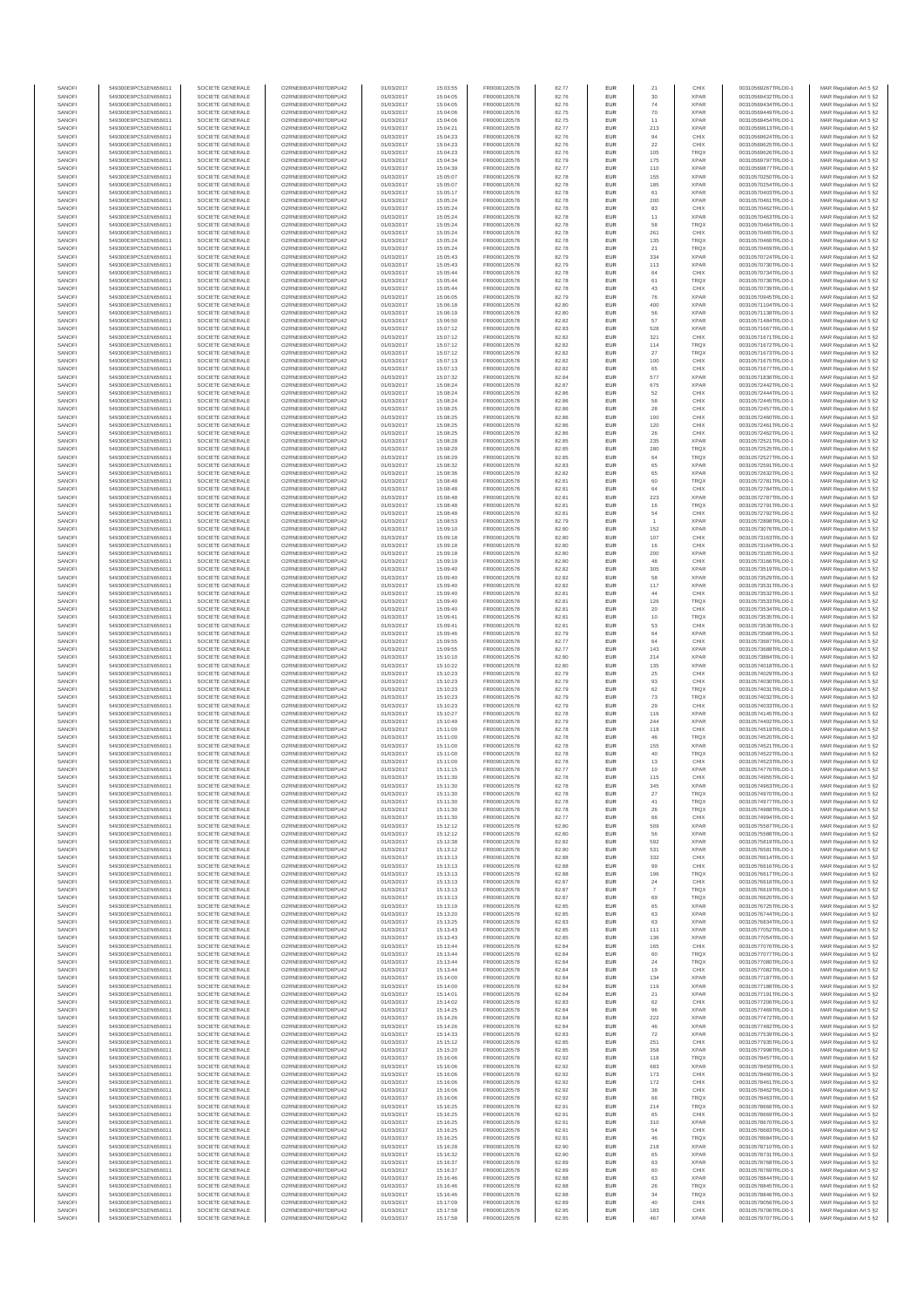| SANOFI           | 549300E9PC51EN656011                         | SOCIETE GENERALE                     | O2RNE8IBXP4R0TD8PU42                          | 01/03/2017               | 15:03:55             | FR0000120578                 | 82.77          | EUR                      | 21           | CHIX                       | 00310569267TRLO0-1                       | MAR Regulation Art 5 §2                            |
|------------------|----------------------------------------------|--------------------------------------|-----------------------------------------------|--------------------------|----------------------|------------------------------|----------------|--------------------------|--------------|----------------------------|------------------------------------------|----------------------------------------------------|
| SANOFI<br>SANOFI | 549300E9PC51EN656011<br>549300E9PC51EN656011 | SOCIETE GENERALE<br>SOCIETE GENERALE | O2RNE8IBXP4R0TD8PU42<br>O2RNE8IBXP4R0TD8PU42  | 01/03/2017<br>01/03/2017 | 15:04:05<br>15:04:05 | FR0000120578                 | 82.76<br>82.76 | EUR<br>EUR               | 30<br>74     | <b>XPAR</b><br><b>XPAR</b> | 00310569432TRLO0-1<br>00310569434TRLO0-1 | MAR Regulation Art 5 §2                            |
| SANOFI           | 549300E9PC51EN656011                         | SOCIETE GENERALE                     | O2RNE8IBXP4R0TD8PLI42                         | 01/03/2017               | 15:04:06             | FR0000120578<br>FR0000120578 | 82.75          | EUR                      | 70           | <b>XPAR</b>                | 00310569449TRLO0-1                       | MAR Regulation Art 5 §2<br>MAR Regulation Art 5 §2 |
| SANOFI           | 549300E9PC51EN656011                         | SOCIETE GENERALE                     | O2RNE8IBXP4R0TD8PU42                          | 01/03/2017               | 15:04:06             | FR0000120578                 | 82.75          | EUR                      | 11           | <b>XPAR</b>                | 00310569454TRLO0-1                       | MAR Regulation Art 5 §2                            |
| SANOFI           | 549300E9PC51EN656011                         | SOCIETE GENERALE                     | O2RNE8IBXP4R0TD8PU42                          | 01/03/2017               | 15:04:21             | FR0000120578<br>FR0000120578 | 82.77          | EUR                      | 213          | <b>XPAR</b>                | 00310569613TRLO0-1                       | MAR Regulation Art 5 §2                            |
| SANOFI<br>SANOFI | 549300E9PC51EN656011<br>549300E9PC51EN656011 | SOCIETE GENERALE<br>SOCIETE GENERALE | O2RNE8IBXP4R0TD8PU42<br>O2RNE8IBXP4R0TD8PU42  | 01/03/2017<br>01/03/2017 | 15:04:23<br>15:04:23 | FR0000120578                 | 82.76<br>82.76 | <b>EUR</b><br>EUR        | 94<br>22     | CHIX<br>CHIX               | 00310569624TRLO0-1<br>00310569625TRLO0-1 | MAR Regulation Art 5 §2<br>MAR Regulation Art 5 §2 |
| SANOFI           | 549300E9PC51EN656011                         | SOCIETE GENERALE                     | O2RNE8IBXP4R0TD8PU42                          | 01/03/2017               | 15:04:23             | FR0000120578                 | 82.76          | <b>EUR</b>               | 105          | <b>TRQX</b>                | 00310569626TRLO0-1                       | MAR Regulation Art 5 §2                            |
| SANOFI           | 549300E9PC51EN656011                         | SOCIETE GENERALE                     | O2RNE8IBXP4R0TD8PU42                          | 01/03/2017               | 15:04:34             | FR0000120578                 | 82.79          | EUR                      | 175          | <b>XPAR</b>                | 00310569797TRLO0-1                       | MAR Regulation Art 5 §2                            |
| SANOFI<br>SANOFI | 549300E9PC51EN656011<br>549300E9PC51EN656011 | SOCIETE GENERALE<br>SOCIETE GENERALE | O2RNE8IBXP4R0TD8PLI42<br>O2RNE8IBXP4R0TD8PU42 | 01/03/2017<br>01/03/2017 | 15:04:39<br>15:05:07 | FR0000120578<br>FR0000120578 | 82.77<br>82.78 | EUR<br>EUR               | 110<br>155   | <b>XPAR</b><br><b>XPAR</b> | 00310569877TRLO0-1<br>00310570250TRLO0-1 | MAR Regulation Art 5 §2<br>MAR Regulation Art 5 §2 |
| SANOFI           | 549300E9PC51EN656011                         | SOCIETE GENERALE                     | O2RNESIBXP4R0TD8PLI42                         | 01/03/2017               | 15:05:07             | FR0000120578                 | 82.78          | EUR                      | 185          | <b>XPAR</b>                | 00310570254TRLO0-1                       | MAR Regulation Art 5 §2                            |
| SANOFI           | 549300E9PC51EN656011                         | SOCIETE GENERALE                     | O2RNE8IBXP4R0TD8PU42                          | 01/03/2017               | 15:05:17             | FR0000120578                 | 82.78          | EUR                      | 61           | <b>XPAR</b>                | 00310570403TRLO0-1                       | MAR Regulation Art 5 §2                            |
| SANOFI           | 549300E9PC51EN656011                         | SOCIETE GENERALE                     | O2RNE8IBXP4R0TD8PU42                          | 01/03/2017               | 15:05:24             | FR0000120578                 | 82.78          | EUR                      | 200          | <b>XPAR</b>                | 00310570461TRLO0-1                       | MAR Regulation Art 5 §2                            |
| SANOFI<br>SANOFI | 549300E9PC51EN656011<br>549300E9PC51EN656011 | SOCIETE GENERALE<br>SOCIETE GENERALE | O2RNE8IBXP4R0TD8PU42<br>O2RNE8IBXP4R0TD8PU42  | 01/03/2017<br>01/03/2017 | 15:05:24<br>15:05:24 | FR0000120578<br>FR0000120578 | 82.78<br>82.78 | <b>EUR</b><br>EUR        | 83<br>11     | CHIX<br><b>XPAR</b>        | 00310570462TRLO0-1<br>00310570463TRLO0-1 | MAR Regulation Art 5 §2<br>MAR Regulation Art 5 §2 |
| SANOFI           | 549300E9PC51EN656011                         | SOCIETE GENERALE                     | O2RNE8IBXP4R0TD8PU42                          | 01/03/2017               | 15:05:24             | FR0000120578                 | 82.78          | <b>EUR</b>               | 58           | <b>TRQX</b>                | 00310570464TRLO0-1                       | MAR Regulation Art 5 §2                            |
| SANOFI           | 549300E9PC51EN656011                         | SOCIETE GENERALE                     | O2RNE8IBXP4R0TD8PU42                          | 01/03/2017               | 15:05:24             | FR0000120578                 | 82.78          | EUR                      | 261          | CHIX                       | 00310570465TRLO0-1                       | MAR Regulation Art 5 §2                            |
| SANOFI           | 549300E9PC51EN656011                         | SOCIETE GENERALE                     | O2RNESIBXP4R0TD8PLI42                         | 01/03/2017               | 15:05:24             | FR0000120578                 | 82.78          | EUR                      | 135          | TRQX                       | 00310570466TRLO0-1<br>00310570469TRLO0-1 | MAR Regulation Art 5 §2                            |
| SANOFI<br>SANOFI | 549300E9PC51EN656011<br>549300E9PC51EN656011 | SOCIETE GENERALE<br>SOCIETE GENERALE | O2RNE8IBXP4R0TD8PU42<br>O2RNE8IBXP4R0TD8PLI42 | 01/03/2017<br>01/03/2017 | 15:05:24<br>15:05:43 | FR0000120578<br>FR0000120578 | 82.78<br>82.79 | EUR<br>EUR               | 21<br>334    | TRQX<br>XPAR               | 00310570724TRLO0-1                       | MAR Regulation Art 5 §2<br>MAR Regulation Art 5 §2 |
| SANOFI           | 549300E9PC51EN656011                         | SOCIETE GENERALE                     | O2RNE8IBXP4R0TD8PU42                          | 01/03/2017               | 15:05:43             | FR0000120578                 | 82.79          | <b>EUR</b>               | 113          | <b>XPAR</b>                | 00310570730TRLO0-1                       | MAR Regulation Art 5 §2                            |
| SANOFI           | 549300E9PC51EN656011                         | SOCIETE GENERALE                     | O2RNE8IBXP4R0TD8PU42                          | 01/03/2017               | 15:05:44             | FR0000120578                 | 82.78          | EUR                      | 64           | CHIX                       | 00310570734TRLO0-1                       | MAR Regulation Art 5 §2                            |
| SANOFI<br>SANOFI | 549300E9PC51EN656011<br>549300E9PC51EN656011 | SOCIETE GENERALE<br>SOCIETE GENERALE | O2RNE8IBXP4R0TD8PU42<br>O2RNE8IBXP4R0TD8PU42  | 01/03/2017<br>01/03/2017 | 15:05:44<br>15:05:44 | FR0000120578<br>FR0000120578 | 82.78<br>82.78 | <b>EUR</b><br>EUR        | 61<br>43     | <b>TRQX</b><br>CHIX        | 00310570736TRLO0-1<br>00310570739TRLO0-1 | MAR Regulation Art 5 §2<br>MAR Regulation Art 5 §2 |
| SANOFI           | 549300E9PC51EN656011                         | SOCIETE GENERALE                     | O2RNE8IBXP4R0TD8PU42                          | 01/03/2017               | 15:06:05             | FR0000120578                 | 82.79          | <b>EUR</b>               | 76           | <b>XPAR</b>                | 00310570945TRLO0-1                       | MAR Regulation Art 5 §2                            |
| SANOFI           | 549300E9PC51EN656011                         | SOCIETE GENERALE                     | O2RNE8IBXP4R0TD8PU42                          | 01/03/2017               | 15:06:18             | FR0000120578                 | 82.80          | EUR                      | 400          | <b>XPAR</b>                | 00310571104TRLO0-1                       | MAR Regulation Art 5 §2                            |
| SANOFI           | 549300E9PC51EN656011                         | SOCIETE GENERALE                     | O2RNE8IBXP4R0TD8PU42                          | 01/03/2017               | 15:06:19             | FR0000120578                 | 82.80          | EUR                      | 56           | <b>XPAR</b>                | 00310571138TRLO0-1                       | MAR Regulation Art 5 §2                            |
| SANOFI<br>SANOFI | 549300E9PC51EN656011<br>549300E9PC51EN656011 | SOCIETE GENERALE<br>SOCIETE GENERALE | O2RNE8IBXP4R0TD8PU42<br>O2RNE8IBXP4R0TD8PU42  | 01/03/2017<br>01/03/2017 | 15:06:50<br>15:07:12 | FR0000120578<br>FR0000120578 | 82.82<br>82.83 | EUR<br>EUR               | 57<br>528    | <b>XPAR</b><br><b>XPAR</b> | 00310571484TRLO0-1<br>00310571667TRLO0-1 | MAR Regulation Art 5 §2<br>MAR Regulation Art 5 §2 |
| SANOFI           | 549300E9PC51EN656011                         | SOCIETE GENERALE                     | O2RNE8IBXP4R0TD8PU42                          | 01/03/2017               | 15:07:12             | FR0000120578                 | 82.82          | <b>EUR</b>               | 321          | CHIX                       | 00310571671TRLO0-1                       | MAR Regulation Art 5 §2                            |
| SANOFI           | 549300E9PC51EN656011                         | SOCIETE GENERALE                     | O2RNE8IBXP4R0TD8PU42                          | 01/03/2017               | 15:07:12             | FR0000120578                 | 82.82          | EUR                      | 114          | <b>TRQX</b>                | 00310571672TRLO0-1                       | MAR Regulation Art 5 §2                            |
| SANOFI<br>SANOFI | 549300E9PC51EN656011<br>549300E9PC51EN656011 | SOCIETE GENERALE<br>SOCIETE GENERALE | O2RNE8IBXP4R0TD8PU42<br>O2RNE8IBXP4R0TD8PU42  | 01/03/2017<br>01/03/2017 | 15:07:12<br>15:07:13 | FR0000120578<br>FR0000120578 | 82.82<br>82.82 | <b>EUR</b><br>EUR        | 27<br>100    | <b>TRQX</b><br>CHIX        | 00310571673TRLO0-1<br>00310571675TRLO0-1 | MAR Regulation Art 5 §2<br>MAR Regulation Art 5 §2 |
| SANOFI           | 549300E9PC51EN656011                         | SOCIETE GENERALE                     | O2RNE8IBXP4R0TD8PU42                          | 01/03/2017               | 15:07:13             | FR0000120578                 | 82.82          | EUR                      | 65           | CHIX                       | 00310571677TRLO0-1                       | MAR Regulation Art 5 §2                            |
| SANOFI           | 549300E9PC51EN656011                         | SOCIETE GENERALE                     | O2RNE8IBXP4R0TD8PU42                          | 01/03/2017               | 15:07:32             | FR0000120578                 | 82.84          | EUR                      | 577          | <b>XPAR</b>                | 00310571836TRLO0-1                       | MAR Regulation Art 5 §2                            |
| SANOFI<br>SANOFI | 549300E9PC51EN656011<br>549300E9PC51EN656011 | SOCIETE GENERALE<br>SOCIETE GENERALE | O2RNE8IBXP4R0TD8PU42<br>O2RNE8IBXP4R0TD8PU42  | 01/03/2017<br>01/03/2017 | 15:08:24<br>15:08:24 | FR0000120578                 | 82.87<br>82.86 | EUR<br>EUR               | 675<br>52    | <b>XPAR</b><br>CHIX        | 00310572442TRLO0-1<br>00310572444TRLO0-1 | MAR Regulation Art 5 §2                            |
| SANOFI           | 549300E9PC51EN656011                         | SOCIETE GENERALE                     | O2RNE8IBXP4R0TD8PU42                          | 01/03/2017               | 15:08:24             | FR0000120578<br>FR0000120578 | 82.86          | EUR                      | 58           | CHIX                       | 00310572445TRLO0-1                       | MAR Regulation Art 5 §2<br>MAR Regulation Art 5 §2 |
| SANOFI           | 549300E9PC51EN656011                         | SOCIETE GENERALE                     | O2RNE8IBXP4R0TD8PU42                          | 01/03/2017               | 15:08:25             | FR0000120578                 | 82.86          | <b>EUR</b>               | 28           | CHIX                       | 00310572457TRLO0-1                       | MAR Regulation Art 5 §2                            |
| SANOFI           | 549300E9PC51EN656011                         | SOCIETE GENERALE                     | O2RNE8IBXP4R0TD8PU42                          | 01/03/2017               | 15:08:25             | FR0000120578                 | 82.86          | EUR                      | 100          | CHIX                       | 00310572460TRLO0-1                       | MAR Regulation Art 5 §2                            |
| SANOFI<br>SANOFI | 549300E9PC51EN656011<br>549300E9PC51EN656011 | SOCIETE GENERALE<br>SOCIETE GENERALE | O2RNE8IBXP4R0TD8PLI42<br>O2RNE8IBXP4R0TD8PU42 | 01/03/2017<br>01/03/2017 | 15:08:25<br>15:08:25 | FR0000120578<br>FR0000120578 | 82.86<br>82.86 | <b>EUR</b><br>EUR        | 120<br>26    | CHIX<br>CHIX               | 00310572461TRLO0-1<br>00310572462TRLO0-1 | MAR Regulation Art 5 §2<br>MAR Regulation Art 5 §2 |
| SANOFI           | 549300E9PC51EN656011                         | SOCIETE GENERALE                     | O2RNE8IBXP4R0TD8PU42                          | 01/03/2017               | 15:08:28             | FR0000120578                 | 82.85          | EUR                      | 235          | <b>XPAR</b>                | 00310572521TRLO0-1                       | MAR Regulation Art 5 §2                            |
| SANOFI           | 549300E9PC51EN656011                         | SOCIETE GENERALE                     | O2RNE8IBXP4R0TD8PU42                          | 01/03/2017               | 15:08:29             | FR0000120578                 | 82.85          | EUR                      | 280          | TRQX                       | 00310572525TRLO0-1                       | MAR Regulation Art 5 §2                            |
| SANOFI<br>SANOFI | 549300E9PC51EN656011<br>549300E9PC51EN656011 | SOCIETE GENERALE<br>SOCIETE GENERALE | O2RNE8IBXP4R0TD8PLI42<br>O2RNE8IBXP4R0TD8PU42 | 01/03/2017<br>01/03/2017 | 15:08:29<br>15:08:32 | FR0000120578                 | 82.85<br>82.83 | EUR<br>EUR               | $64\,$<br>65 | TRQX<br><b>XPAR</b>        | 00310572527TRLO0-1<br>00310572591TRLO0-1 | MAR Regulation Art 5 §2<br>MAR Regulation Art 5 §2 |
| SANOFI           | 549300E9PC51EN656011                         | SOCIETE GENERALE                     | O2RNE8IBXP4R0TD8PU42                          | 01/03/2017               | 15:08:36             | FR0000120578<br>FR0000120578 | 82.82          | EUR                      |              | <b>XPAR</b>                | 00310572632TRLO0-1                       | MAR Regulation Art 5 §2                            |
| SANOFI           | 549300E9PC51EN656011                         | SOCIETE GENERALE                     | O2RNE8IBXP4R0TD8PU42                          | 01/03/2017               | 15:08:48             | FR0000120578                 | 82.81          | <b>EUR</b>               | 60           | <b>TRQX</b>                | 00310572781TRLO0-1                       | MAR Regulation Art 5 §2                            |
| SANOFI           | 549300E9PC51EN656011                         | SOCIETE GENERALE                     | O2RNE8IBXP4R0TD8PU42                          | 01/03/2017               | 15:08:48             | FR0000120578                 | 82.81          | EUR                      | 64           | CHIX                       | 00310572784TRLO0-1                       | MAR Regulation Art 5 §2                            |
| SANOFI<br>SANOFI | 549300E9PC51EN656011<br>549300E9PC51EN656011 | SOCIETE GENERALE<br>SOCIETE GENERALE | O2RNE8IBXP4R0TD8PU42<br>O2RNE8IBXP4R0TD8PU42  | 01/03/2017<br>01/03/2017 | 15:08:48<br>15:08:48 | FR0000120578<br>FR0000120578 | 82.81<br>82.81 | <b>EUR</b><br>EUR        | 223<br>16    | <b>XPAR</b><br>TRQX        | 00310572787TRLO0-1<br>00310572791TRLO0-1 | MAR Regulation Art 5 §2<br>MAR Regulation Art 5 §2 |
| SANOFI           | 549300E9PC51EN656011                         | SOCIETE GENERALE                     | O2RNE8IBXP4R0TD8PLI42                         | 01/03/2017               | 15:08:48             | FR0000120578                 | 82.81          | EUR                      | $^{\rm 54}$  | CHIX                       | 00310572792TRLO0-1                       | MAR Regulation Art 5 §2                            |
| SANOFI           | 549300E9PC51EN656011                         | SOCIETE GENERALE                     | O2RNE8IBXP4R0TD8PU42                          | 01/03/2017               | 15:08:53             | FR0000120578                 | 82.79          | EUR                      |              | <b>XPAR</b>                | 00310572898TRLO0-1                       | MAR Regulation Art 5 §2                            |
| SANOFI<br>SANOFI | 549300E9PC51EN656011<br>549300E9PC51EN656011 | SOCIETE GENERALE<br>SOCIETE GENERALE | O2RNE8IBXP4R0TD8PU42<br>O2RNE8IBXP4R0TD8PU42  | 01/03/2017               | 15:09:10             | FR0000120578                 | 82.80          | EUR<br><b>EUR</b>        | 152<br>107   | <b>XPAR</b><br>CHIX        | 00310573076TRLO0-1                       | MAR Regulation Art 5 §2                            |
| SANOFI           | 549300E9PC51EN656011                         | SOCIETE GENERALE                     | O2RNE8IBXP4R0TD8PU42                          | 01/03/2017<br>01/03/2017 | 15:09:18<br>15:09:18 | FR0000120578<br>FR0000120578 | 82.80<br>82.80 | EUR                      | 16           | CHIX                       | 00310573163TRLO0-1<br>00310573164TRLO0-1 | MAR Regulation Art 5 §2<br>MAR Regulation Art 5 §2 |
| SANOFI           | 549300E9PC51EN656011                         | SOCIETE GENERALE                     | O2RNE8IBXP4R0TD8PU42                          | 01/03/2017               | 15:09:18             | FR0000120578                 | 82.80          | <b>EUR</b>               | 200          | <b>XPAR</b>                | 00310573165TRLO0-1                       | MAR Regulation Art 5 §2                            |
| SANOFI           | 549300E9PC51EN656011                         | SOCIETE GENERALE                     | O2RNE8IBXP4R0TD8PU42                          | 01/03/2017               | 15:09:19             | FR0000120578                 | 82.80          | EUR                      |              | CHIX                       | 00310573166TRLO0-1                       | MAR Regulation Art 5 §2                            |
| SANOFI<br>SANOFI | 549300E9PC51EN656011<br>549300E9PC51EN656011 | SOCIETE GENERALE<br>SOCIETE GENERALE | O2RNE8IBXP4R0TD8PU42<br>O2RNE8IBXP4R0TD8PU42  | 01/03/2017<br>01/03/2017 | 15:09:40<br>15:09:40 | FR0000120578<br>FR0000120578 | 82.82<br>82.82 | <b>EUR</b><br>EUR        | 305<br>58    | <b>XPAR</b><br><b>XPAR</b> | 00310573519TRLO0-1<br>00310573529TRLO0-1 | MAR Regulation Art 5 §2<br>MAR Regulation Art 5 §2 |
| SANOFI           | 549300E9PC51EN656011                         | SOCIETE GENERALE                     | O2RNE8IBXP4R0TD8PU42                          | 01/03/2017               | 15:09:40             | FR0000120578                 | 82.82          | EUR                      | 117          | <b>XPAR</b>                | 00310573531TRLO0-1                       | MAR Regulation Art 5 §2                            |
| SANOFI           | 549300E9PC51EN656011                         | SOCIETE GENERALE                     | O2RNE8IBXP4R0TD8PU42                          | 01/03/2017               | 15:09:40             | FR0000120578                 | 82.81          | EUR                      | 44           | CHIX                       | 00310573532TRLO0-1                       | MAR Regulation Art 5 §2                            |
| SANOFI<br>SANOFI | 549300E9PC51EN656011<br>549300E9PC51EN656011 | SOCIETE GENERALE<br>SOCIETE GENERALE | O2RNE8IBXP4R0TD8PU42<br>O2RNE8IBXP4R0TD8PU42  | 01/03/2017               | 15:09:40             | FR0000120578                 | 82.81          | EUR<br><b>EUR</b>        | 126          | TRQX<br>CHIX               | 00310573533TRLO0-1                       | MAR Regulation Art 5 §2                            |
| SANOFI           | 549300E9PC51EN656011                         | SOCIETE GENERALE                     | O2RNE8IBXP4R0TD8PU42                          | 01/03/2017<br>01/03/2017 | 15:09:40<br>15:09:41 | FR0000120578<br>FR0000120578 | 82.81<br>82.81 | EUR                      | 20<br>10     | TRQX                       | 00310573534TRLO0-1<br>00310573535TRLO0-1 | MAR Regulation Art 5 §2<br>MAR Regulation Art 5 §2 |
| SANOFI           | 549300E9PC51EN656011                         | SOCIETE GENERALE                     | O2RNE8IBXP4R0TD8PU42                          | 01/03/2017               | 15:09:41             | FR0000120578                 | 82.81          | <b>EUR</b>               | 53           | CHIX                       | 00310573536TRLO0-1                       | MAR Regulation Art 5 §2                            |
| SANOFI           | 549300E9PC51EN656011                         | SOCIETE GENERALE                     | O2RNE8IBXP4R0TD8PU42                          | 01/03/2017               | 15:09:46             | FR0000120578                 | 82.79          | EUR                      | 64           | <b>XPAR</b>                | 00310573568TRLO0-                        | MAR Regulation Art 5 §2                            |
| SANOFI<br>SANOFI | 549300E9PC51EN656011<br>549300E9PC51EN656011 | SOCIETE GENERALE<br>SOCIETE GENERALE | O2RNE8IBXP4R0TD8PU42<br>O2RNE8IBXP4R0TD8PU42  | 01/03/2017<br>01/03/2017 | 15:09:55<br>15:09:55 | FR0000120578<br>FR0000120578 | 82.77<br>82.77 | <b>EUR</b><br>EUR        | 64<br>143    | CHIX<br><b>XPAR</b>        | 00310573687TRLO0-1<br>00310573688TRLO0-1 | MAR Regulation Art 5 §2<br>MAR Regulation Art 5 §2 |
| SANOFI           | 549300E9PC51EN656011                         | SOCIETE GENERALE                     | O2RNE8IBXP4R0TD8PU42                          | 01/03/2017               | 15:10:10             | FR0000120578                 | 82.80          | EUR                      | 214          | <b>XPAR</b>                | 00310573884TRLO0-1                       | MAR Regulation Art 5 §2                            |
| SANOFI           | 549300E9PC51EN656011                         | SOCIETE GENERALE                     | O2RNE8IBXP4R0TD8PU42                          | 01/03/2017               | 15:10:22             | FR0000120578                 | 82.80          | EUR                      | 135          | <b>XPAR</b>                | 00310574018TRLO0-1                       | MAR Regulation Art 5 §2                            |
| SANOFI           | 549300E9PC51EN656011                         | SOCIETE GENERALE                     | O2RNE8IBXP4R0TD8PU42                          | 01/03/2017               | 15:10:23             | FR0000120578                 | 82.79          | EUR                      | 25           | CHIX                       | 00310574029TRLO0-1                       | MAR Regulation Art 5 §2                            |
| SANOFI<br>SANOFI | 549300E9PC51EN656011<br>549300E9PC51EN656011 | SOCIETE GENERALE<br>SOCIETE GENERALE | O2RNE8IBXP4R0TD8PU42<br>O2RNE8IBXP4R0TD8PU42  | 01/03/2017<br>01/03/2017 | 15:10:23<br>15:10:23 | FR0000120578<br>FR0000120578 | 82.79<br>82.79 | <b>EUR</b><br>EUR        | 93<br>62     | CHIX<br>TRQX               | 00310574030TRLO0-1<br>00310574031TRLO0-1 | MAR Regulation Art 5 §2<br>MAR Regulation Art 5 §2 |
| SANOFI           | 549300E9PC51EN656011                         | SOCIETE GENERALE                     | O2RNE8IBXP4R0TD8PU42                          | 01/03/2017               | 15:10:23             | FR0000120578                 | 82.79          | <b>EUR</b>               | 73           | <b>TRQX</b>                | 00310574032TRLO0-1                       | MAR Regulation Art 5 §2                            |
| SANOFI           | 549300E9PC51EN656011                         | SOCIETE GENERALE                     | O2RNE8IBXP4R0TD8PU42                          | 01/03/2017               | 15:10:23             | FR0000120578                 | 82.79          | EUR                      | 29           | CHIX                       | 00310574033TRLO0-1                       | MAR Regulation Art 5 §2                            |
| SANOFI           | 549300E9PC51EN656011                         | SOCIETE GENERALE                     | O2RNE8IBXP4R0TD8PU42                          | 01/03/2017               | 15:10:27             | FR0000120578                 | 82.78          | EUR                      | 116          | <b>XPAR</b>                | 00310574145TRLO0-1                       | MAR Regulation Art 5 §2                            |
| SANOFI<br>SANOFI | 549300E9PC51EN656011<br>549300E9PC51EN656011 | SOCIETE GENERALE<br>SOCIETE GENERALE | O2RNE8IBXP4R0TD8PU42<br>O2RNE8IBXP4R0TD8PU42  | 01/03/2017<br>01/03/2017 | 15:10:49<br>15:11:00 | FR0000120578<br>FR0000120578 | 82.79<br>82.78 | EUR<br>EUR               | 244<br>118   | <b>XPAR</b><br>CHIX        | 00310574402TRLO0-1<br>00310574519TRLO0-1 | MAR Regulation Art 5 §2<br>MAR Regulation Art 5 §2 |
| SANOFI           | 549300E9PC51EN656011                         | SOCIETE GENERALE                     | O2RNE8IBXP4R0TD8PU42                          | 01/03/2017               | 15:11:00             | FR0000120578                 | 82.78          | EUR                      | 46           | TRQX                       | 00310574520TRLO0-1                       | MAR Regulation Art 5 §2                            |
| SANOFI           | 549300E9PC51EN656011                         | SOCIETE GENERALE                     | O2RNE8IBXP4R0TD8PU42                          | 01/03/2017               | 15:11:00             | FR0000120578                 | 82.78          | EUR                      | 155          | <b>XPAR</b>                | 00310574521TRLO0-1                       | MAR Regulation Art 5 §2                            |
| SANOFI<br>SANOFI | 549300E9PC51EN656011<br>549300E9PC51EN656011 | SOCIETE GENERALE<br>SOCIETE GENERALE | O2RNE8IBXP4R0TD8PU42<br>O2RNE8IBXP4R0TD8PU42  | 01/03/2017<br>01/03/2017 | 15:11:00<br>15:11:00 | FR0000120578<br>FR0000120578 | 82.78<br>82.78 | <b>EUR</b><br>EUR        | 40<br>13     | <b>TRQX</b><br>CHIX        | 00310574522TRLO0-1<br>00310574523TRLO0-1 | MAR Regulation Art 5 §2<br>MAR Regulation Art 5 §2 |
| SANOFI           | 549300E9PC51EN656011                         | SOCIETE GENERALE                     | O2RNE8IBXP4R0TD8PU42                          | 01/03/2017               | 15:11:15             | FR0000120578                 | 82.77          | <b>EUR</b>               | 10           | <b>XPAR</b>                | 00310574776TRLO0-1                       | MAR Regulation Art 5 §2                            |
| SANOFI           | 549300E9PC51EN656011                         | SOCIETE GENERALE                     | O2RNE8IBXP4R0TD8PU42                          | 01/03/2017               | 15:11:30             | FR0000120578                 | 82.78          | EUR                      | 115          | CHIX                       | 00310574955TRLO0-1                       | MAR Regulation Art 5 §2                            |
| SANOFI           | 549300E9PC51EN656011                         | SOCIETE GENERALE                     | O2RNE8IBXP4R0TD8PU42<br>O2RNE8IBXP4R0TD8PU42  | 01/03/2017               | 15:11:30             | FR0000120578                 | 82.78          | EUR                      | 345          | <b>XPAR</b>                | 00310574963TRLO0-1                       | MAR Regulation Art 5 §2                            |
| SANOFI<br>SANOFI | 549300E9PC51EN656011<br>549300E9PC51EN656011 | SOCIETE GENERALE<br>SOCIETE GENERALE | O2RNESIBXP4R0TD8PLI42                         | 01/03/2017<br>01/03/2017 | 15:11:30<br>15:11:30 | FR0000120578<br>FR0000120578 | 82.78<br>82.78 | <b>EUR</b><br><b>EUR</b> | 27<br>41     | <b>TRQX</b><br><b>TROX</b> | 00310574970TRLO0-1<br>00310574977TRLO0-1 | MAR Regulation Art 5 §2<br>MAR Regulation Art 5 §2 |
| SANOFI           | 549300E9PC51EN656011                         | SOCIETE GENERALE                     | O2RNESIBXP4R0TD8PLI42                         | 01/03/2017               | 15:11:30             | FR0000120578                 | 82.78          | EUR                      | 26           | <b>TRQX</b>                | 00310574988TRLO0-1                       | MAR Regulation Art 5 §2                            |
| SANOFI           | 549300E9PC51EN656011                         | SOCIETE GENERALE                     | O2RNE8IBXP4R0TD8PU42                          | 01/03/2017               | 15:11:30             | FR0000120578                 | 82.77          | EUR                      |              | CHIX                       | 00310574994TRLO0-1                       | MAR Regulation Art 5 §2                            |
| SANOFI<br>SANOFI | 549300E9PC51EN656011<br>549300E9PC51EN656011 | SOCIETE GENERALE<br>SOCIETE GENERALE | O2RNE8IBXP4R0TD8PU42<br>O2RNE8IBXP4R0TD8PU42  | 01/03/2017<br>01/03/2017 | 15:12:12<br>15:12:12 | FR0000120578<br>FR0000120578 | 82.80<br>82.80 | <b>EUR</b><br>EUR        | 509<br>56    | <b>XPAR</b><br><b>XPAR</b> | 00310575587TRLO0-1<br>00310575588TRLO0-1 | MAR Regulation Art 5 §2<br>MAR Regulation Art 5 §2 |
| SANOFI           | 549300E9PC51EN656011                         | SOCIETE GENERALE                     | O2RNE8IBXP4R0TD8PU42                          | 01/03/2017               | 15:12:38             | FR0000120578                 | 82.82          | <b>EUR</b>               | 592          | <b>XPAR</b>                | 00310575819TRLO0-1                       | MAR Regulation Art 5 §2                            |
| SANOFI           | 549300E9PC51EN656011                         | SOCIETE GENERALE                     | O2RNE8IBXP4R0TD8PU42                          | 01/03/2017               | 15:13:12             | FR0000120578                 | 82.90          | <b>EUR</b>               | 531          | <b>XPAR</b>                | 00310576581TRLO0-1                       | MAR Regulation Art 5 §2                            |
| SANOFI<br>SANOFI | 549300E9PC51EN656011<br>549300E9PC51EN656011 | SOCIETE GENERALE<br>SOCIETE GENERALE | O2RNE8IBXP4R0TD8PU42<br>O2RNE8IBXP4R0TD8PU42  | 01/03/2017<br>01/03/2017 | 15:13:13<br>15:13:13 | FR0000120578<br>FR0000120578 | 82.88<br>82.88 | EUR<br>EUR               | 332<br>99    | CHIX<br>CHIX               | 00310576614TRLO0-1<br>00310576616TRLO0-1 | MAR Regulation Art 5 §2<br>MAR Regulation Art 5 §2 |
| SANOFI           | 549300E9PC51EN656011                         | SOCIETE GENERALE                     | O2RNESIBXP4R0TD8PLI42                         | 01/03/2017               | 15:13:13             | FR0000120578                 | 82.88          | EUR                      | 196          | <b>TRQX</b>                | 00310576617TRLO0-1                       | MAR Regulation Art 5 §2                            |
| SANOFI           | 549300E9PC51EN656011                         | SOCIETE GENERALE                     | O2RNE8IBXP4R0TD8PLI42                         | 01/03/2017               | 15:13:13             | FR0000120578                 | 82.87          | <b>EUR</b>               | 24           | CHIX                       | 00310576618TRLO0-1                       | MAR Regulation Art 5 §2                            |
| SANOFI<br>SANOFI | 549300E9PC51EN656011<br>549300E9PC51EN656011 | SOCIETE GENERALE<br>SOCIETE GENERALE | O2RNE8IBXP4R0TD8PU42<br>O2RNE8IBXP4R0TD8PU42  | 01/03/2017<br>01/03/2017 | 15:13:13<br>15:13:13 | FR0000120578<br>FR0000120578 | 82.87<br>82.87 | EUR<br><b>EUR</b>        | 69           | TRQX<br><b>TROX</b>        | 00310576619TRLO0-1<br>00310576620TRLO0-1 | MAR Regulation Art 5 §2                            |
| SANOFI           | 549300E9PC51EN656011                         | SOCIETE GENERALE                     | O2RNE8IBXP4R0TD8PU42                          | 01/03/2017               | 15:13:19             | FR0000120578                 | 82.85          | EUR                      |              | <b>XPAR</b>                | 00310576725TRLO0-1                       | MAR Regulation Art 5 §2<br>MAR Regulation Art 5 §2 |
| SANOFI           | 549300E9PC51EN656011                         | SOCIETE GENERALE                     | O2RNE8IBXP4R0TD8PU42                          | 01/03/2017               | 15:13:20             | FR0000120578                 | 82.85          | EUR                      | 63           | <b>XPAR</b>                | 00310576744TRLO0-1                       | MAR Regulation Art 5 §2                            |
| SANOFI<br>SANOFI | 549300E9PC51EN656011<br>549300E9PC51EN656011 | SOCIETE GENERALE<br>SOCIETE GENERALE | O2RNE8IBXP4R0TD8PU42<br>O2RNE8IBXP4R0TD8PU42  | 01/03/2017<br>01/03/2017 | 15:13:25<br>15:13:43 | FR0000120578<br>FR0000120578 | 82.83<br>82.85 | EUR<br>EUR               | 63<br>111    | <b>XPAR</b><br><b>XPAR</b> | 00310576834TRLO0-1<br>00310577052TRLO0-1 | MAR Regulation Art 5 §2<br>MAR Regulation Art 5 §2 |
| SANOFI           | 549300E9PC51EN656011                         | SOCIETE GENERALE                     | O2RNE8IBXP4R0TD8PU42                          | 01/03/2017               | 15:13:43             | FR0000120578                 | 82.85          | EUR                      | 136          | <b>XPAR</b>                | 00310577054TRLO0-1                       | MAR Regulation Art 5 §2                            |
| SANOFI           | 549300E9PC51EN656011                         | SOCIETE GENERALE                     | O2RNE8IBXP4R0TD8PU42                          | 01/03/2017               | 15:13:44             | FR0000120578                 | 82.84          | EUR                      | 165          | CHIX                       | 00310577076TRLO0-1                       | MAR Regulation Art 5 §2                            |
| SANOFI           | 549300E9PC51EN656011                         | SOCIETE GENERALE                     | O2RNE8IBXP4R0TD8PU42<br>O2RNE8IBXP4R0TD8PU42  | 01/03/2017               | 15:13:44             | FR0000120578                 | 82.84          | <b>EUR</b>               | 60           | <b>TROX</b>                | 00310577077TRLO0-1                       | MAR Regulation Art 5 §2                            |
| SANOFI<br>SANOFI | 549300E9PC51EN656011<br>549300E9PC51EN656011 | SOCIETE GENERALE<br>SOCIETE GENERALE | O2RNE8IBXP4R0TD8PLI42                         | 01/03/2017<br>01/03/2017 | 15:13:44<br>15:13:44 | FR0000120578<br>FR0000120578 | 82.84<br>82.84 | EUR<br><b>EUR</b>        | 24<br>19     | TRQX<br>CHIX               | 00310577080TRLO0-1<br>00310577082TRLO0-1 | MAR Regulation Art 5 §2<br>MAR Regulation Art 5 §2 |
| SANOFI           | 549300E9PC51EN656011                         | SOCIETE GENERALE                     | O2RNE8IBXP4R0TD8PU42                          | 01/03/2017               | 15:14:00             | FR0000120578                 | 82.84          | EUR                      | 134          | <b>XPAR</b>                | 00310577187TRLO0-1                       | MAR Regulation Art 5 §2                            |
| SANOFI           | 549300E9PC51EN656011                         | SOCIETE GENERALE                     | O2RNE8IBXP4R0TD8PU42                          | 01/03/2017               | 15:14:00             | FR0000120578                 | 82.84          | <b>EUR</b>               | 119          | <b>XPAR</b>                | 00310577188TRLO0-1                       | MAR Regulation Art 5 §2                            |
| SANOFI<br>SANOFI | 549300E9PC51EN656011<br>549300E9PC51EN656011 | SOCIETE GENERALE<br>SOCIETE GENERALE | O2RNE8IBXP4R0TD8PU42<br>O2RNE8IBXP4R0TD8PU42  | 01/03/2017<br>01/03/2017 | 15:14:01<br>15:14:02 | FR0000120578<br>FR0000120578 | 82.84<br>82.83 | EUR<br>EUR               | 21<br>$62\,$ | <b>XPAR</b><br>CHIX        | 00310577191TRLO0-1<br>00310577206TRLO0-1 | MAR Regulation Art 5 §2<br>MAR Regulation Art 5 §2 |
| SANOFI           | 549300E9PC51EN656011                         | SOCIETE GENERALE                     | O2RNE8IBXP4R0TD8PU42                          | 01/03/2017               | 15:14:25             | FR0000120578                 | 82.84          | EUR                      | 96           | <b>XPAR</b>                | 00310577469TRLO0-1                       | MAR Regulation Art 5 §2                            |
| SANOFI           | 549300E9PC51EN656011                         | SOCIETE GENERALE                     | O2RNE8IBXP4R0TD8PU42                          | 01/03/2017               | 15:14:26             | FR0000120578                 | 82.84          | EUR                      | 222          | <b>XPAR</b>                | 00310577472TRLO0-1                       | MAR Regulation Art 5 §2                            |
| SANOFI           | 549300E9PC51EN656011                         | SOCIETE GENERALE                     | O2RNE8IBXP4R0TD8PU42                          | 01/03/2017               | 15:14:26             | FR0000120578                 | 82.84          | <b>EUR</b>               | 46           | <b>XPAR</b>                | 00310577482TRLO0-1                       | MAR Regulation Art 5 §2                            |
| SANOFI<br>SANOFI | 549300E9PC51EN656011<br>549300E9PC51EN656011 | SOCIETE GENERALE<br>SOCIETE GENERALE | O2RNE8IBXP4R0TD8PU42<br>O2RNE8IBXP4R0TD8PU42  | 01/03/2017<br>01/03/2017 | 15:14:33<br>15:15:12 | FR0000120578<br>FR0000120578 | 82.83<br>82.85 | EUR<br><b>EUR</b>        | 72<br>251    | <b>XPAR</b><br>CHIX        | 00310577539TRLO0-1<br>00310577935TRLO0-1 | MAR Regulation Art 5 §2<br>MAR Regulation Art 5 §2 |
| SANOFI           | 549300E9PC51EN656011                         | SOCIETE GENERALE                     | O2RNE8IBXP4R0TD8PU42                          | 01/03/2017               | 15:15:20             | FR0000120578                 | 82.85          | <b>EUR</b>               | 358          | <b>XPAR</b>                | 00310577998TRLO0-1                       | MAR Regulation Art 5 §2                            |
| SANOFI           | 549300E9PC51EN656011                         | SOCIETE GENERALE                     | O2RNE8IBXP4R0TD8PU42                          | 01/03/2017               | 15:16:06             | FR0000120578                 | 82.92          | EUR                      | 118          | TRQX                       | 00310578457TRLO0-1                       | MAR Regulation Art 5 §2                            |
| SANOFI<br>SANOFI | 549300E9PC51EN656011<br>549300E9PC51EN656011 | SOCIETE GENERALE<br>SOCIETE GENERALE | O2RNE8IBXP4R0TD8PU42<br>O2RNE8IBXP4R0TD8PU42  | 01/03/2017               | 15:16:06             | FR0000120578                 | 82.92<br>82.92 | EUR<br>EUR               | 683          | <b>XPAR</b>                | 00310578459TRLO0-1                       | MAR Regulation Art 5 §2                            |
| SANOFI           | 549300E9PC51EN656011                         | SOCIETE GENERALE                     | O2RNE8IBXP4R0TD8PU42                          | 01/03/2017<br>01/03/2017 | 15:16:06<br>15:16:06 | FR0000120578<br>FR0000120578 | 82.92          | EUR                      | 173<br>172   | CHIX<br>CHIX               | 00310578460TRLO0-1<br>00310578461TRLO0-1 | MAR Regulation Art 5 §2<br>MAR Regulation Art 5 §2 |
| SANOFI           | 549300E9PC51EN656011                         | SOCIETE GENERALE                     | O2RNE8IBXP4R0TD8PU42                          | 01/03/2017               | 15:16:06             | FR0000120578                 | 82.92          | EUR                      | 38           | CHIX                       | 00310578462TRLO0-1                       | MAR Regulation Art 5 §2                            |
| SANOFI           | 549300E9PC51EN656011                         | SOCIETE GENERALE                     | O2RNE8IBXP4R0TD8PU42                          | 01/03/2017               | 15:16:06             | FR0000120578                 | 82.92          | <b>EUR</b>               | 66           | <b>TRQX</b>                | 00310578463TRLO0-1                       | MAR Regulation Art 5 §2                            |
| SANOFI<br>SANOFI | 549300E9PC51EN656011<br>549300E9PC51EN656011 | SOCIETE GENERALE<br>SOCIETE GENERALE | O2RNE8IBXP4R0TD8PU42<br>O2RNE8IBXP4R0TD8PU42  | 01/03/2017<br>01/03/2017 | 15:16:25<br>15:16:25 | FR0000120578<br>FR0000120578 | 82.91<br>82.91 | EUR<br><b>EUR</b>        | 214<br>65    | TRQX<br>CHIX               | 00310578666TRLO0-1<br>00310578669TRLO0-1 | MAR Regulation Art 5 §2<br>MAR Regulation Art 5 §2 |
| SANOFI           | 549300E9PC51EN656011                         | SOCIETE GENERALE                     | O2RNE8IBXP4R0TD8PU42                          | 01/03/2017               | 15:16:25             | FR0000120578                 | 82.91          | <b>EUR</b>               | 310          | <b>XPAR</b>                | 00310578670TRLO0-1                       | MAR Regulation Art 5 §2                            |
| SANOFI           | 549300E9PC51EN656011                         | SOCIETE GENERALE                     | O2RNE8IBXP4R0TD8PU42                          | 01/03/2017               | 15:16:25             | FR0000120578                 | 82.91          | EUR                      | 54           | CHIX                       | 00310578683TRLO0-1                       | MAR Regulation Art 5 §2                            |
| SANOFI<br>SANOFI | 549300E9PC51EN656011<br>549300E9PC51EN656011 | SOCIETE GENERALE<br>SOCIETE GENERALE | O2RNE8IBXP4R0TD8PU42<br>O2RNE8IBXP4R0TD8PU42  | 01/03/2017<br>01/03/2017 | 15:16:25<br>15:16:28 | FR0000120578<br>FR0000120578 | 82.91<br>82.90 | EUR<br>EUR               | 46<br>218    | <b>TRQX</b><br><b>XPAR</b> | 00310578684TRLO0-1<br>00310578710TRLO0-1 | MAR Regulation Art 5 §2<br>MAR Regulation Art 5 §2 |
| SANOFI           | 549300E9PC51EN656011                         | SOCIETE GENERALE                     | O2RNE8IBXP4R0TD8PU42                          | 01/03/2017               | 15:16:32             | FR0000120578                 | 82.90          | <b>EUR</b>               | 65           | <b>XPAR</b>                | 00310578731TRLO0-1                       | MAR Regulation Art 5 §2                            |
| SANOFI           | 549300E9PC51EN656011                         | SOCIETE GENERALE                     | O2RNE8IBXP4R0TD8PU42                          | 01/03/2017               | 15:16:37             | FR0000120578                 | 82.89          | EUR                      | 63           | <b>XPAR</b>                | 00310578768TRLO0-1                       | MAR Regulation Art 5 §2                            |
| SANOFI<br>SANOFI | 549300E9PC51EN656011<br>549300E9PC51EN656011 | SOCIETE GENERALE<br>SOCIETE GENERALE | O2RNE8IBXP4R0TD8PU42<br>O2RNE8IBXP4R0TD8PU42  | 01/03/2017<br>01/03/2017 | 15:16:37<br>15:16:46 | FR0000120578<br>FR0000120578 | 82.89<br>82.88 | <b>EUR</b><br>EUR        | 60<br>63     | CHIX<br><b>XPAR</b>        | 00310578769TRLO0-1<br>00310578844TRLO0-1 | MAR Regulation Art 5 §2<br>MAR Regulation Art 5 §2 |
| SANOFI           | 549300E9PC51EN656011                         | SOCIETE GENERALE                     | O2RNE8IBXP4R0TD8PU42                          | 01/03/2017               | 15:16:46             | FR0000120578                 | 82.88          | EUR                      | 26           | <b>TRQX</b>                | 00310578845TRLO0-1                       | MAR Regulation Art 5 §2                            |
| SANOFI           | 549300E9PC51EN656011                         | SOCIETE GENERALE                     | O2RNE8IBXP4R0TD8PU42                          | 01/03/2017               | 15:16:46             | FR0000120578                 | 82.88          | EUR                      | 34           | TRQX                       | 00310578846TRLO0-1                       | MAR Regulation Art 5 §2                            |
| SANOFI           | 549300E9PC51EN656011                         | SOCIETE GENERALE                     | O2RNE8IBXP4R0TD8PU42                          | 01/03/2017               | 15:17:09             | FR0000120578                 | 82.89          | EUR                      | 40           | CHIX                       | 00310579056TRLO0-1                       | MAR Regulation Art 5 §2                            |
| SANOFI<br>SANOFI | 549300E9PC51EN656011<br>549300E9PC51EN656011 | SOCIETE GENERALE<br>SOCIETE GENERALE | O2RNE8IBXP4R0TD8PU42<br>O2RNE8IBXP4R0TD8PU42  | 01/03/2017<br>01/03/2017 | 15:17:58<br>15:17:58 | FR0000120578<br>FR0000120578 | 82.95<br>82.95 | EUR<br>EUR               | 183<br>467   | CHIX<br><b>XPAR</b>        | 00310579706TRLO0-1<br>00310579707TRLO0-1 | MAR Regulation Art 5 §2<br>MAR Regulation Art 5 §2 |
|                  |                                              |                                      |                                               |                          |                      |                              |                |                          |              |                            |                                          |                                                    |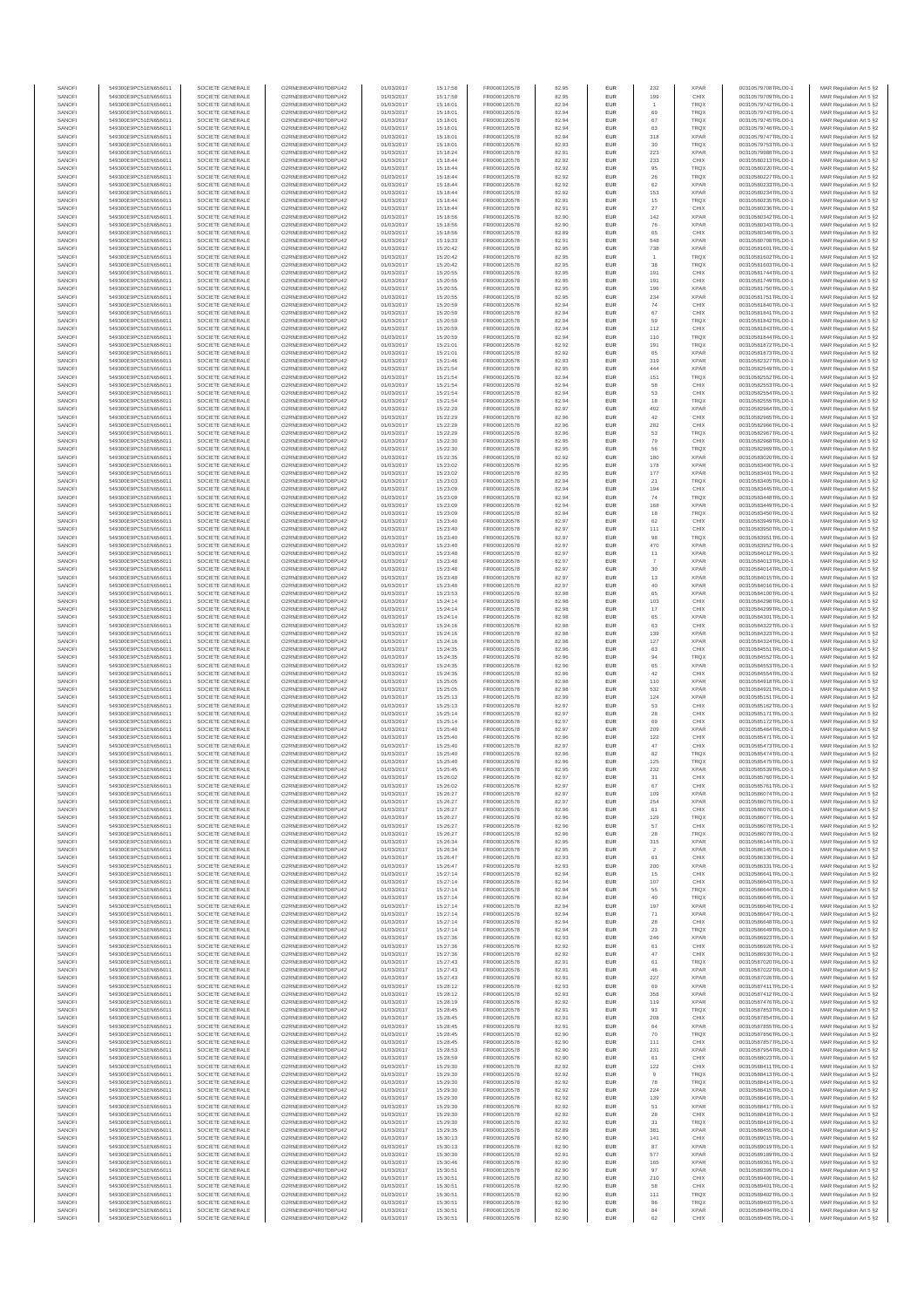| SANOFI           | 549300E9PC51EN656011                         | SOCIETE GENERALE                     | O2RNE8IBXP4R0TD8PU42                          | 01/03/2017               | 15:17:58             | FR0000120578                 | 82.95          | EUR                      | 232                   | <b>XPAR</b>                | 00310579708TRLO0-1                       | MAR Regulation Art 5 §2                            |
|------------------|----------------------------------------------|--------------------------------------|-----------------------------------------------|--------------------------|----------------------|------------------------------|----------------|--------------------------|-----------------------|----------------------------|------------------------------------------|----------------------------------------------------|
| SANOFI<br>SANOFI | 549300E9PC51EN656011<br>549300E9PC51EN656011 | SOCIETE GENERALE<br>SOCIETE GENERALE | O2RNE8IBXP4R0TD8PU42<br>O2RNE8IBXP4R0TD8PU42  | 01/03/2017<br>01/03/2017 | 15:17:58             | FR0000120578                 | 82.95          | EUR<br>EUR               | 199                   | CHIX<br>TRQX               | 00310579709TRLO0-1<br>00310579742TRLO0-1 | MAR Regulation Art 5 §2                            |
| SANOFI           | 549300E9PC51EN656011                         | SOCIETE GENERALE                     | O2RNE8IBXP4R0TD8PLI42                         | 01/03/2017               | 15:18:01<br>15:18:01 | FR0000120578<br>FR0000120578 | 82.94<br>82.94 | EUR                      | 69                    | TRQX                       | 00310579743TRLO0-1                       | MAR Regulation Art 5 §2<br>MAR Regulation Art 5 §2 |
| SANOFI           | 549300E9PC51EN656011                         | SOCIETE GENERALE                     | O2RNE8IBXP4R0TD8PU42                          | 01/03/2017               | 15:18:01             | FR0000120578                 | 82.94          | EUR                      | 67                    | TRQX                       | 00310579745TRLO0-1                       | MAR Regulation Art 5 §2                            |
| SANOFI           | 549300E9PC51EN656011                         | SOCIETE GENERALE                     | O2RNE8IBXP4R0TD8PU42                          | 01/03/2017               | 15:18:01             | FR0000120578                 | 82.94          | EUR                      | 63                    | TRQX                       | 00310579746TRLO0-1                       | MAR Regulation Art 5 §2                            |
| SANOFI<br>SANOFI | 549300E9PC51EN656011<br>549300E9PC51EN656011 | SOCIETE GENERALE<br>SOCIETE GENERALE | O2RNE8IBXP4R0TD8PU42<br>O2RNE8IBXP4R0TD8PU42  | 01/03/2017<br>01/03/2017 | 15:18:01<br>15:18:01 | FR0000120578<br>FR0000120578 | 82.94<br>82.93 | EUR<br>EUR               | 318<br>30             | <b>XPAR</b><br>TRQX        | 00310579747TRLO0-1<br>00310579753TRLO0-1 | MAR Regulation Art 5 §2<br>MAR Regulation Art 5 §2 |
| SANOFI           | 549300E9PC51EN656011                         | SOCIETE GENERALE                     | O2RNE8IBXP4R0TD8PU42                          | 01/03/2017               | 15:18:24             | FR0000120578                 | 82.91          | <b>EUR</b>               | 223                   | <b>XPAR</b>                | 00310579988TRLO0-1                       | MAR Regulation Art 5 §2                            |
| SANOFI           | 549300E9PC51EN656011                         | SOCIETE GENERALE                     | O2RNE8IBXP4R0TD8PU42                          | 01/03/2017               | 15:18:44             | FR0000120578                 | 82.92          | EUR                      | 233                   | CHIX                       | 00310580213TRLO0-1                       | MAR Regulation Art 5 §2                            |
| SANOFI<br>SANOFI | 549300E9PC51EN656011<br>549300E9PC51EN656011 | SOCIETE GENERALE<br>SOCIETE GENERALE | O2RNE8IBXP4R0TD8PLI42<br>O2RNE8IBXP4R0TD8PU42 | 01/03/2017<br>01/03/2017 | 15:18:44<br>15:18:44 | FR0000120578<br>FR0000120578 | 82.92<br>82.92 | EUR<br>EUR               | 95<br>$\sqrt{26}$     | TRQX<br>TRQX               | 00310580220TRLO0-1<br>00310580227TRLO0-1 | MAR Regulation Art 5 §2<br>MAR Regulation Art 5 §2 |
| SANOFI           | 549300E9PC51EN656011                         | SOCIETE GENERALE                     | O2RNE8IBXP4R0TD8PU42                          | 01/03/2017               | 15:18:44             | FR0000120578                 | 82.92          | EUR                      | 62                    | <b>XPAR</b>                | 00310580233TRLO0-1                       | MAR Regulation Art 5 §2                            |
| SANOFI           | 549300E9PC51EN656011                         | SOCIETE GENERALE                     | O2RNE8IBXP4R0TD8PU42                          | 01/03/2017               | 15:18:44             | FR0000120578                 | 82.92          | EUR                      | 153                   | <b>XPAR</b>                | 00310580234TRLO0-1                       | MAR Regulation Art 5 §2                            |
| SANOFI           | 549300E9PC51EN656011                         | SOCIETE GENERALE                     | O2RNE8IBXP4R0TD8PU42                          | 01/03/2017               | 15:18:44             | FR0000120578                 | 82.91          | EUR                      | 15                    | TRQX                       | 00310580235TRLO0-1                       | MAR Regulation Art 5 §2                            |
| SANOFI<br>SANOFI | 549300E9PC51EN656011<br>549300E9PC51EN656011 | SOCIETE GENERALE<br>SOCIETE GENERALE | O2RNE8IBXP4R0TD8PU42<br>O2RNE8IBXP4R0TD8PU42  | 01/03/2017<br>01/03/2017 | 15:18:44<br>15:18:56 | FR0000120578<br>FR0000120578 | 82.91<br>82.90 | <b>EUR</b><br>EUR        | 27<br>142             | CHIX<br><b>XPAR</b>        | 00310580236TRLO0-1<br>00310580342TRLO0-1 | MAR Regulation Art 5 §2<br>MAR Regulation Art 5 §2 |
| SANOFI           | 549300E9PC51EN656011                         | SOCIETE GENERALE                     | O2RNE8IBXP4R0TD8PU42                          | 01/03/2017               | 15:18:56             | FR0000120578                 | 82.90          | <b>EUR</b>               | 76                    | <b>XPAR</b>                | 00310580343TRLO0-1                       | MAR Regulation Art 5 §2                            |
| SANOFI           | 549300E9PC51EN656011                         | SOCIETE GENERALE                     | O2RNE8IBXP4R0TD8PU42                          | 01/03/2017               | 15:18:56             | FR0000120578                 | 82.89          | EUR                      | 65                    | CHIX                       | 00310580346TRLO0-1                       | MAR Regulation Art 5 §2                            |
| SANOFI           | 549300E9PC51EN656011                         | SOCIETE GENERALE                     | O2RNESIBXP4R0TD8PLI42                         | 01/03/2017               | 15:19:33             | FR0000120578                 | 82.91          | EUR                      | 548                   | <b>XPAR</b>                | 00310580708TRLO0-1                       | MAR Regulation Art 5 §2                            |
| SANOFI<br>SANOFI | 549300E9PC51EN656011<br>549300E9PC51EN656011 | SOCIETE GENERALE<br>SOCIETE GENERALE | O2RNE8IBXP4R0TD8PU42<br>O2RNE8IBXP4R0TD8PLI42 | 01/03/2017<br>01/03/2017 | 15:20:42<br>15:20:42 | FR0000120578<br>FR0000120578 | 82.95<br>82.95 | EUR<br>EUR               | 738<br>$\overline{1}$ | <b>XPAR</b><br>TRQX        | 00310581601TRLO0-1<br>00310581602TRLO0-1 | MAR Regulation Art 5 §2<br>MAR Regulation Art 5 §2 |
| SANOFI           | 549300E9PC51EN656011                         | SOCIETE GENERALE                     | O2RNE8IBXP4R0TD8PU42                          | 01/03/2017               | 15:20:42             | FR0000120578                 | 82.95          | <b>EUR</b>               | 38                    | <b>TRQX</b>                | 00310581603TRLO0-1                       | MAR Regulation Art 5 §2                            |
| SANOFI           | 549300E9PC51EN656011                         | SOCIETE GENERALE                     | O2RNE8IBXP4R0TD8PU42                          | 01/03/2017               | 15:20:55             | FR0000120578                 | 82.95          | EUR                      | 191                   | CHIX                       | 00310581744TRLO0-1                       | MAR Regulation Art 5 §2                            |
| SANOFI<br>SANOFI | 549300E9PC51EN656011<br>549300E9PC51EN656011 | SOCIETE GENERALE<br>SOCIETE GENERALE | O2RNE8IBXP4R0TD8PU42<br>O2RNE8IBXP4R0TD8PU42  | 01/03/2017<br>01/03/2017 | 15:20:55<br>15:20:55 | FR0000120578<br>FR0000120578 | 82.95<br>82.95 | <b>EUR</b><br>EUR        | 191<br>196            | CHIX<br><b>XPAR</b>        | 00310581749TRLO0-1<br>00310581750TRLO0-1 | MAR Regulation Art 5 §2<br>MAR Regulation Art 5 §2 |
| SANOFI           | 549300E9PC51EN656011                         | SOCIETE GENERALE                     | O2RNE8IBXP4R0TD8PU42                          | 01/03/2017               | 15:20:55             | FR0000120578                 | 82.95          | <b>EUR</b>               | 234                   | <b>XPAR</b>                | 00310581751TRLO0-1                       | MAR Regulation Art 5 §2                            |
| SANOFI           | 549300E9PC51EN656011                         | SOCIETE GENERALE                     | O2RNE8IBXP4R0TD8PU42                          | 01/03/2017               | 15:20:59             | FR0000120578                 | 82.94          | EUR                      | 74                    | CHIX                       | 00310581840TRLO0-1                       | MAR Regulation Art 5 §2                            |
| SANOFI           | 549300E9PC51EN656011                         | SOCIETE GENERALE                     | O2RNE8IBXP4R0TD8PU42                          | 01/03/2017               | 15:20:59             | FR0000120578                 | 82.94          | EUR                      | 67                    | CHIX                       | 00310581841TRLO0-1                       | MAR Regulation Art 5 §2                            |
| SANOFI<br>SANOFI | 549300E9PC51EN656011<br>549300E9PC51EN656011 | SOCIETE GENERALE<br>SOCIETE GENERALE | O2RNE8IBXP4R0TD8PU42<br>O2RNE8IBXP4R0TD8PU42  | 01/03/2017<br>01/03/2017 | 15:20:59<br>15:20:59 | FR0000120578<br>FR0000120578 | 82.94<br>82.94 | EUR<br>EUR               | 59<br>112             | TRQX<br>CHIX               | 00310581842TRLO0-1<br>00310581843TRLO0-1 | MAR Regulation Art 5 §2<br>MAR Regulation Art 5 §2 |
| SANOFI           | 549300E9PC51EN656011                         | SOCIETE GENERALE                     | O2RNE8IBXP4R0TD8PU42                          | 01/03/2017               | 15:20:59             | FR0000120578                 | 82.94          | <b>EUR</b>               | 110                   | <b>TRQX</b>                | 00310581844TRLO0-1                       | MAR Regulation Art 5 §2                            |
| SANOFI           | 549300E9PC51EN656011                         | SOCIETE GENERALE                     | O2RNE8IBXP4R0TD8PU42                          | 01/03/2017               | 15:21:01             | FR0000120578                 | 82.92          | EUR                      | 191                   | <b>TRQX</b>                | 00310581872TRLO0-1                       | MAR Regulation Art 5 §2                            |
| SANOFI<br>SANOFI | 549300E9PC51EN656011<br>549300E9PC51EN656011 | SOCIETE GENERALE<br>SOCIETE GENERALE | O2RNE8IBXP4R0TD8PU42<br>O2RNE8IBXP4R0TD8PU42  | 01/03/2017<br>01/03/2017 | 15:21:01<br>15:21:46 | FR0000120578<br>FR0000120578 | 82.92<br>82.93 | <b>EUR</b><br>EUR        | 65<br>319             | <b>XPAR</b><br><b>XPAR</b> | 00310581873TRLO0-1<br>00310582327TRLO0-1 | MAR Regulation Art 5 §2<br>MAR Regulation Art 5 §2 |
| SANOFI           | 549300E9PC51EN656011                         | SOCIETE GENERALE                     | O2RNE8IBXP4R0TD8PU42                          | 01/03/2017               | 15:21:54             | FR0000120578                 | 82.95          | EUR                      | 444                   | <b>XPAR</b>                | 00310582549TRLO0-1                       | MAR Regulation Art 5 §2                            |
| SANOFI           | 549300E9PC51EN656011                         | SOCIETE GENERALE                     | O2RNE8IBXP4R0TD8PU42                          | 01/03/2017               | 15:21:54             | FR0000120578                 | 82.94          | EUR                      | 151                   | TRQX                       | 00310582552TRLO0-1                       | MAR Regulation Art 5 §2                            |
| SANOFI<br>SANOFI | 549300E9PC51EN656011                         | SOCIETE GENERALE                     | O2RNE8IBXP4R0TD8PU42<br>O2RNE8IBXP4R0TD8PU42  | 01/03/2017               | 15:21:54             | FR0000120578                 | 82.94          | EUR                      | 58                    | CHIX                       | 00310582553TRLO0-1                       | MAR Regulation Art 5 §2                            |
| SANOFI           | 549300E9PC51EN656011<br>549300E9PC51EN656011 | SOCIETE GENERALE<br>SOCIETE GENERALE | O2RNE8IBXP4R0TD8PU42                          | 01/03/2017<br>01/03/2017 | 15:21:54<br>15:21:54 | FR0000120578<br>FR0000120578 | 82.94<br>82.94 | EUR<br>EUR               | 53<br>18              | CHIX<br><b>TRQX</b>        | 00310582554TRLO0-1<br>00310582555TRLO0-1 | MAR Regulation Art 5 §2<br>MAR Regulation Art 5 §2 |
| SANOFI           | 549300E9PC51EN656011                         | SOCIETE GENERALE                     | O2RNE8IBXP4R0TD8PU42                          | 01/03/2017               | 15:22:29             | FR0000120578                 | 82.97          | <b>EUR</b>               | 402                   | <b>XPAR</b>                | 00310582964TRLO0-1                       | MAR Regulation Art 5 §2                            |
| SANOFI           | 549300E9PC51EN656011                         | SOCIETE GENERALE                     | O2RNE8IBXP4R0TD8PU42                          | 01/03/2017               | 15:22:29             | FR0000120578                 | 82.96          | EUR                      | 42                    | CHIX                       | 00310582965TRLO0-1                       | MAR Regulation Art 5 §2                            |
| SANOFI<br>SANOFI | 549300E9PC51EN656011<br>549300E9PC51EN656011 | SOCIETE GENERALE<br>SOCIETE GENERALE | O2RNE8IBXP4R0TD8PLI42<br>O2RNE8IBXP4R0TD8PU42 | 01/03/2017<br>01/03/2017 | 15:22:29<br>15:22:29 | FR0000120578<br>FR0000120578 | 82.96<br>82.96 | <b>EUR</b><br>EUR        | 282<br>53             | CHIX<br>TRQX               | 00310582966TRLO0-1<br>00310582967TRLO0-1 | MAR Regulation Art 5 §2<br>MAR Regulation Art 5 §2 |
| SANOFI           | 549300E9PC51EN656011                         | SOCIETE GENERALE                     | O2RNE8IBXP4R0TD8PU42                          | 01/03/2017               | 15:22:30             | FR0000120578                 | 82.95          | EUR                      | 79                    | CHIX                       | 00310582968TRLO0-1                       | MAR Regulation Art 5 §2                            |
| SANOFI           | 549300E9PC51EN656011                         | SOCIETE GENERALE                     | O2RNE8IBXP4R0TD8PU42                          | 01/03/2017               | 15:22:30             | FR0000120578                 | 82.95          | EUR                      | 56                    | TRQX                       | 00310582969TRLO0-1                       | MAR Regulation Art 5 §2                            |
| SANOFI           | 549300E9PC51EN656011                         | SOCIETE GENERALE                     | O2RNE8IBXP4R0TD8PLI42<br>O2RNE8IBXP4R0TD8PU42 | 01/03/2017               | 15:22:35             | FR0000120578                 | 82.92          | EUR                      | 180                   | <b>XPAR</b><br><b>XPAR</b> | 00310583020TRLO0-1                       | MAR Regulation Art 5 §2<br>MAR Regulation Art 5 §2 |
| SANOFI<br>SANOFI | 549300E9PC51EN656011<br>549300E9PC51EN656011 | SOCIETE GENERALE<br>SOCIETE GENERALE | O2RNE8IBXP4R0TD8PU42                          | 01/03/2017<br>01/03/2017 | 15:23:02<br>15:23:02 | FR0000120578<br>FR0000120578 | 82.95<br>82.95 | EUR<br>EUR               | 178<br>177            | <b>XPAR</b>                | 00310583400TRLO0-1<br>00310583401TRLO0-1 | MAR Regulation Art 5 §2                            |
| SANOFI           | 549300E9PC51EN656011                         | SOCIETE GENERALE                     | O2RNE8IBXP4R0TD8PU42                          | 01/03/2017               | 15:23:03             | FR0000120578                 | 82.94          | <b>EUR</b>               | 21                    | <b>TRQX</b>                | 00310583405TRLO0-1                       | MAR Regulation Art 5 §2                            |
| SANOFI           | 549300E9PC51EN656011                         | SOCIETE GENERALE                     | O2RNE8IBXP4R0TD8PU42                          | 01/03/2017               | 15:23:09             | FR0000120578                 | 82.94          | EUR                      | 194                   | CHIX                       | 00310583445TRLO0-1                       | MAR Regulation Art 5 §2                            |
| SANOFI<br>SANOFI | 549300E9PC51EN656011<br>549300E9PC51EN656011 | SOCIETE GENERALE<br>SOCIETE GENERALE | O2RNE8IBXP4R0TD8PU42<br>O2RNE8IBXP4R0TD8PU42  | 01/03/2017<br>01/03/2017 | 15:23:09<br>15:23:09 | FR0000120578<br>FR0000120578 | 82.94<br>82.94 | <b>EUR</b><br><b>EUR</b> | 74<br>168             | <b>TRQX</b><br><b>XPAR</b> | 00310583448TRLO0-1<br>00310583449TRLO0-1 | MAR Regulation Art 5 §2<br>MAR Regulation Art 5 §2 |
| SANOFI           | 549300E9PC51EN656011                         | SOCIETE GENERALE                     | O2RNE8IBXP4R0TD8PLI42                         | 01/03/2017               | 15:23:09             | FR0000120578                 | 82.94          | EUR                      | 18                    | TRQX                       | 00310583450TRLO0-1                       | MAR Regulation Art 5 §2                            |
| SANOFI           | 549300E9PC51EN656011                         | SOCIETE GENERALE                     | O2RNE8IBXP4R0TD8PU42                          | 01/03/2017               | 15:23:40             | FR0000120578                 | 82.97          | EUR                      | 62                    | CHIX                       | 00310583949TRLO0-1                       | MAR Regulation Art 5 §2                            |
| SANOFI           | 549300E9PC51EN656011                         | SOCIETE GENERALE                     | O2RNE8IBXP4R0TD8PU42                          | 01/03/2017               | 15:23:40             | FR0000120578                 | 82.97          | EUR                      | 111                   | CHIX                       | 00310583950TRLO0-1                       | MAR Regulation Art 5 §2                            |
| SANOFI<br>SANOFI | 549300E9PC51EN656011<br>549300E9PC51EN656011 | SOCIETE GENERALE<br>SOCIETE GENERALE | O2RNE8IBXP4R0TD8PU42<br>O2RNE8IBXP4R0TD8PU42  | 01/03/2017<br>01/03/2017 | 15:23:40<br>15:23:40 | FR0000120578<br>FR0000120578 | 82.97<br>82.97 | <b>EUR</b><br>EUR        | 98<br>470             | <b>TRQX</b><br><b>XPAR</b> | 00310583951TRLO0-1<br>00310583952TRLO0-1 | MAR Regulation Art 5 §2<br>MAR Regulation Art 5 §2 |
| SANOFI           | 549300E9PC51EN656011                         | SOCIETE GENERALE                     | O2RNE8IBXP4R0TD8PU42                          | 01/03/2017               | 15:23:48             | FR0000120578                 | 82.97          | <b>EUR</b>               | 11                    | <b>XPAR</b>                | 00310584012TRLO0-1                       | MAR Regulation Art 5 §2                            |
| SANOFI           | 549300E9PC51EN656011                         | SOCIETE GENERALE                     | O2RNE8IBXP4R0TD8PU42                          | 01/03/2017               | 15:23:48             | FR0000120578                 | 82.97          | EUR                      |                       | <b>XPAR</b>                | 00310584013TRLO0-1                       | MAR Regulation Art 5 §2                            |
| SANOFI<br>SANOFI | 549300E9PC51EN656011<br>549300E9PC51EN656011 | SOCIETE GENERALE<br>SOCIETE GENERALE | O2RNE8IBXP4R0TD8PU42<br>O2RNE8IBXP4R0TD8PU42  | 01/03/2017<br>01/03/2017 | 15:23:48<br>15:23:48 | FR0000120578<br>FR0000120578 | 82.97<br>82.97 | <b>EUR</b><br>EUR        | 30<br>13              | <b>XPAR</b><br><b>XPAR</b> | 00310584014TRLO0-1<br>00310584015TRLO0-1 | MAR Regulation Art 5 §2<br>MAR Regulation Art 5 §2 |
| SANOFI           | 549300E9PC51EN656011                         | SOCIETE GENERALE                     | O2RNE8IBXP4R0TD8PU42                          | 01/03/2017               | 15:23:48             | FR0000120578                 | 82.97          | EUR                      | 40                    | <b>XPAR</b>                | 00310584016TRLO0-1                       | MAR Regulation Art 5 §2                            |
| SANOFI           | 549300E9PC51EN656011                         | SOCIETE GENERALE                     | O2RNE8IBXP4R0TD8PU42                          | 01/03/2017               | 15:23:53             | FR0000120578                 | 82.98          | EUR                      | 65                    | <b>XPAR</b>                | 00310584100TRLO0-1                       | MAR Regulation Art 5 §2                            |
| SANOFI           | 549300E9PC51EN656011                         | SOCIETE GENERALE                     | O2RNE8IBXP4R0TD8PU42                          | 01/03/2017               | 15:24:14             | FR0000120578                 | 82.98          | EUR                      | 103                   | CHIX                       | 00310584298TRLO0-1                       | MAR Regulation Art 5 §2                            |
| SANOFI<br>SANOFI | 549300E9PC51EN656011<br>549300E9PC51EN656011 | SOCIETE GENERALE<br>SOCIETE GENERALE | O2RNE8IBXP4R0TD8PU42<br>O2RNE8IBXP4R0TD8PU42  | 01/03/2017<br>01/03/2017 | 15:24:14<br>15:24:14 | FR0000120578<br>FR0000120578 | 82.98<br>82.98 | <b>EUR</b><br>EUR        | 17<br>65              | CHIX<br><b>XPAR</b>        | 00310584299TRLO0-1<br>00310584301TRLO0-1 | MAR Regulation Art 5 §2<br>MAR Regulation Art 5 §2 |
| SANOFI           | 549300E9PC51EN656011                         | SOCIETE GENERALE                     | O2RNE8IBXP4R0TD8PU42                          | 01/03/2017               | 15:24:16             | FR0000120578                 | 82.98          | <b>EUR</b>               | 63                    | CHIX                       | 00310584322TRLO0-1                       | MAR Regulation Art 5 §2                            |
| SANOFI           | 549300E9PC51EN656011                         | SOCIETE GENERALE                     | O2RNE8IBXP4R0TD8PU42                          | 01/03/2017               | 15:24:16             | FR0000120578                 | 82.98          | EUR                      | 139                   | <b>XPAR</b>                | 00310584323TRLO0-1                       | MAR Regulation Art 5 §2                            |
| SANOFI<br>SANOFI | 549300E9PC51EN656011<br>549300E9PC51EN656011 | SOCIETE GENERALE<br>SOCIETE GENERALE | O2RNE8IBXP4R0TD8PU42<br>O2RNE8IBXP4R0TD8PU42  | 01/03/2017<br>01/03/2017 | 15:24:16<br>15:24:35 | FR0000120578<br>FR0000120578 | 82.98<br>82.96 | <b>EUR</b><br>EUR        | 127<br>63             | <b>XPAR</b><br>CHIX        | 00310584324TRLO0-1<br>00310584551TRLO0-1 | MAR Regulation Art 5 §2<br>MAR Regulation Art 5 §2 |
| SANOFI           | 549300E9PC51EN656011                         | SOCIETE GENERALE                     | O2RNE8IBXP4R0TD8PU42                          | 01/03/2017               | 15:24:35             | FR0000120578                 | 82.96          | EUR                      | 94                    | TRQX                       | 00310584552TRLO0-1                       | MAR Regulation Art 5 §2                            |
| SANOFI           | 549300E9PC51EN656011                         | SOCIETE GENERALE                     | O2RNE8IBXP4R0TD8PU42                          | 01/03/2017               | 15:24:35             | FR0000120578                 | 82.96          | EUR                      | 65                    | <b>XPAR</b>                | 00310584553TRLO0-1                       | MAR Regulation Art 5 §2                            |
| SANOFI           | 549300E9PC51EN656011                         | SOCIETE GENERALE                     | O2RNE8IBXP4R0TD8PU42                          | 01/03/2017               | 15:24:35             | FR0000120578                 | 82.96          | EUR                      | 42                    | CHIX                       | 00310584554TRLO0-1                       | MAR Regulation Art 5 §2                            |
| SANOFI<br>SANOFI | 549300E9PC51EN656011<br>549300E9PC51EN656011 | SOCIETE GENERALE<br>SOCIETE GENERALE | O2RNE8IBXP4R0TD8PU42<br>O2RNE8IBXP4R0TD8PU42  | 01/03/2017<br>01/03/2017 | 15:25:05<br>15:25:05 | FR0000120578<br>FR0000120578 | 82.98<br>82.98 | <b>EUR</b><br>EUR        | 110<br>532            | <b>XPAR</b><br><b>XPAR</b> | 00310584918TRLO0-1<br>00310584921TRLO0-1 | MAR Regulation Art 5 §2<br>MAR Regulation Art 5 §2 |
| SANOFI           | 549300E9PC51EN656011                         | SOCIETE GENERALE                     | O2RNE8IBXP4R0TD8PU42                          | 01/03/2017               | 15:25:13             | FR0000120578                 | 82.99          | <b>EUR</b>               | 124                   | <b>XPAR</b>                | 00310585151TRLO0-1                       | MAR Regulation Art 5 §2                            |
| SANOFI           | 549300E9PC51EN656011                         | SOCIETE GENERALE                     | O2RNE8IBXP4R0TD8PU42                          | 01/03/2017               | 15:25:13             | FR0000120578                 | 82.97          | EUR                      | 53                    | CHIX                       | 00310585162TRLO0-1                       | MAR Regulation Art 5 §2                            |
| SANOFI           | 549300E9PC51EN656011                         | SOCIETE GENERALE                     | O2RNE8IBXP4R0TD8PU42                          | 01/03/2017               | 15:25:14             | FR0000120578<br>FR0000120578 | 82.97          | EUR                      | $\sqrt{28}$           | CHIX                       | 00310585171TRLO0-1                       | MAR Regulation Art 5 §2                            |
| SANOFI<br>SANOFI | 549300E9PC51EN656011<br>549300E9PC51EN656011 | SOCIETE GENERALE<br>SOCIETE GENERALE | O2RNE8IBXP4R0TD8PU42<br>O2RNE8IBXP4R0TD8PU42  | 01/03/2017<br>01/03/2017 | 15:25:14<br>15:25:40 | FR0000120578                 | 82.97<br>82.97 | EUR<br>EUR               | 69<br>209             | CHIX<br><b>XPAR</b>        | 00310585172TRLO0-1<br>00310585464TRLO0-1 | MAR Regulation Art 5 §2<br>MAR Regulation Art 5 §2 |
| SANOFI           | 549300E9PC51EN656011                         | SOCIETE GENERALE                     | O2RNE8IBXP4R0TD8PU42                          | 01/03/2017               | 15:25:40             | FR0000120578                 | 82.96          | EUR                      | 122                   | CHIX                       | 00310585471TRLO0-1                       | MAR Regulation Art 5 §2                            |
| SANOFI           | 549300E9PC51EN656011                         | SOCIETE GENERALE                     | O2RNE8IBXP4R0TD8PU42                          | 01/03/2017               | 15:25:40             | FR0000120578                 | 82.97          | EUR                      | 47                    | CHIX                       | 00310585473TRLO0-1                       | MAR Regulation Art 5 §2                            |
| SANOFI<br>SANOFI | 549300E9PC51EN656011<br>549300E9PC51EN656011 | SOCIETE GENERALE<br>SOCIETE GENERALE | O2RNE8IBXP4R0TD8PU42<br>O2RNE8IBXP4R0TD8PU42  | 01/03/2017<br>01/03/2017 | 15:25:40<br>15:25:40 | FR0000120578<br>FR0000120578 | 82.96<br>82.96 | <b>EUR</b><br>EUR        | 82<br>125             | <b>TRQX</b><br>TRQX        | 00310585474TRLO0-1<br>00310585475TRLO0-1 | MAR Regulation Art 5 §2<br>MAR Regulation Art 5 §2 |
| SANOFI           | 549300E9PC51EN656011                         | SOCIETE GENERALE                     | O2RNE8IBXP4R0TD8PU42                          | 01/03/2017               | 15:25:45             | FR0000120578                 | 82.95          | EUR                      | 232                   | <b>XPAR</b>                | 00310585539TRLO0-1                       | MAR Regulation Art 5 §2                            |
| SANOFI           | 549300E9PC51EN656011                         | SOCIETE GENERALE                     | O2RNE8IBXP4R0TD8PU42                          | 01/03/2017               | 15:26:02             | FR0000120578                 | 82.97          | EUR                      | 31                    | CHIX                       | 00310585760TRLO0-1                       | MAR Regulation Art 5 §2                            |
| SANOFI           | 549300E9PC51EN656011                         | SOCIETE GENERALE                     | O2RNE8IBXP4R0TD8PLI42                         | 01/03/2017               | 15:26:02             | FR0000120578                 | 82.97          | EUR                      | 67                    | CHIX                       | 00310585761TRLO0-1                       | MAR Regulation Art 5 §2                            |
| SANOFI<br>SANOFI | 549300E9PC51EN656011<br>549300E9PC51EN656011 | SOCIETE GENERALE<br>SOCIETE GENERALE | O2RNE8IBXP4R0TD8PU42<br>O2RNESIBXP4R0TD8PLI42 | 01/03/2017<br>01/03/2017 | 15:26:27<br>15:26:27 | FR0000120578<br>FR0000120578 | 82.97<br>82.97 | <b>EUR</b><br><b>EUR</b> | 109<br>254            | <b>XPAR</b><br><b>XPAR</b> | 00310586074TRLO0-1<br>00310586075TRLO0-1 | MAR Regulation Art 5 §2<br>MAR Regulation Art 5 §2 |
| SANOFI           | 549300E9PC51EN656011                         | SOCIETE GENERALE                     | O2RNE8IBXP4R0TD8PU42                          | 01/03/2017               | 15:26:27             | FR0000120578                 | 82.96          | EUR                      | 61                    | CHIX                       | 00310586076TRLO0-1                       | MAR Regulation Art 5 §2                            |
| SANOFI           | 549300E9PC51EN656011                         | SOCIETE GENERALE                     | O2RNE8IBXP4R0TD8PU42                          | 01/03/2017               | 15:26:27             | FR0000120578                 | 82.96          | EUR                      | 129                   | TRQX                       | 00310586077TRLO0-1                       | MAR Regulation Art 5 §2                            |
| SANOFI<br>SANOFI | 549300E9PC51EN656011<br>549300E9PC51EN656011 | SOCIETE GENERALE<br>SOCIETE GENERALE | O2RNE8IBXP4R0TD8PU42<br>O2RNE8IBXP4R0TD8PU42  | 01/03/2017<br>01/03/2017 | 15:26:27<br>15:26:27 | FR0000120578<br>FR0000120578 | 82.96<br>82.96 | <b>EUR</b><br>EUR        | 57<br>28              | CHIX<br>TRQX               | 00310586078TRLO0-1<br>00310586079TRLO0-1 | MAR Regulation Art 5 §2<br>MAR Regulation Art 5 §2 |
| SANOFI           | 549300E9PC51EN656011                         | SOCIETE GENERALE                     | O2RNE8IBXP4R0TD8PU42                          | 01/03/2017               | 15:26:34             | FR0000120578                 | 82.95          | <b>EUR</b>               | 315                   | <b>XPAR</b>                | 00310586144TRLO0-1                       | MAR Regulation Art 5 §2                            |
| SANOFI           | 549300E9PC51EN656011                         | SOCIETE GENERALE                     | O2RNE8IBXP4R0TD8PU42                          | 01/03/2017               | 15:26:34             | FR0000120578                 | 82.95          | EUR                      | $\overline{2}$        | <b>XPAR</b>                | 00310586145TRLO0-1                       | MAR Regulation Art 5 §2                            |
| SANOFI           | 549300E9PC51EN656011                         | SOCIETE GENERALE                     | O2RNE8IBXP4R0TD8PU42<br>O2RNE8IBXP4R0TD8PU42  | 01/03/2017               | 15:26:47             | FR0000120578                 | 82.93          | EUR                      | $61\,$                | CHIX<br><b>XPAR</b>        | 00310586330TRLO0-1                       | MAR Regulation Art 5 §2                            |
| SANOFI<br>SANOFI | 549300E9PC51EN656011<br>549300E9PC51EN656011 | SOCIETE GENERALE<br>SOCIETE GENERALE | O2RNESIBXP4R0TD8PLI42                         | 01/03/2017<br>01/03/2017 | 15:26:47<br>15:27:14 | FR0000120578<br>FR0000120578 | 82.93<br>82.94 | EUR<br>EUR               | 200<br>15             | CHIX                       | 00310586331TRLO0-1<br>00310586641TRLO0-1 | MAR Regulation Art 5 §2<br>MAR Regulation Art 5 §2 |
| SANOFI           | 549300E9PC51EN656011                         | SOCIETE GENERALE                     | O2RNE8IBXP4R0TD8PLI42                         | 01/03/2017               | 15:27:14             | FR0000120578                 | 82.94          | <b>EUR</b>               | 107                   | CHIX                       | 00310586643TRLO0-1                       | MAR Regulation Art 5 §2                            |
| SANOFI           | 549300E9PC51EN656011                         | SOCIETE GENERALE                     | O2RNE8IBXP4R0TD8PU42                          | 01/03/2017               | 15:27:14             | FR0000120578                 | 82.94          | EUR                      | 55                    | TRQX                       | 00310586644TRLO0-1                       | MAR Regulation Art 5 §2                            |
| SANOFI<br>SANOFI | 549300E9PC51EN656011<br>549300E9PC51EN656011 | SOCIETE GENERALE<br>SOCIETE GENERALE | O2RNE8IBXP4R0TD8PU42<br>O2RNE8IBXP4R0TD8PU42  | 01/03/2017<br>01/03/2017 | 15:27:14<br>15:27:14 | FR0000120578<br>FR0000120578 | 82.94<br>82.94 | <b>EUR</b><br>EUR        | 40<br>197             | <b>TROX</b><br><b>XPAR</b> | 00310586645TRLO0-1<br>00310586646TRLO0-1 | MAR Regulation Art 5 §2<br>MAR Regulation Art 5 §2 |
| SANOFI           | 549300E9PC51EN656011                         | SOCIETE GENERALE                     | O2RNE8IBXP4R0TD8PU42                          | 01/03/2017               | 15:27:14             | FR0000120578                 | 82.94          | EUR                      | 71                    | <b>XPAR</b>                | 00310586647TRLO0-1                       | MAR Regulation Art 5 §2                            |
| SANOFI           | 549300E9PC51EN656011                         | SOCIETE GENERALE                     | O2RNE8IBXP4R0TD8PU42                          | 01/03/2017               | 15:27:14             | FR0000120578                 | 82.94          | EUR                      | 28                    | CHIX                       | 00310586648TRLO0-1                       | MAR Regulation Art 5 §2                            |
| SANOFI<br>SANOFI | 549300E9PC51EN656011<br>549300E9PC51EN656011 | SOCIETE GENERALE<br>SOCIETE GENERALE | O2RNE8IBXP4R0TD8PU42<br>O2RNE8IBXP4R0TD8PU42  | 01/03/2017<br>01/03/2017 | 15:27:14<br>15:27:36 | FR0000120578<br>FR0000120578 | 82.94<br>82.93 | EUR<br>EUR               | 23<br>246             | TRQX<br><b>XPAR</b>        | 00310586649TRLO0-1<br>00310586923TRLO0-1 | MAR Regulation Art 5 §2<br>MAR Regulation Art 5 §2 |
| SANOFI           | 549300E9PC51EN656011                         | SOCIETE GENERALE                     | O2RNE8IBXP4R0TD8PU42                          | 01/03/2017               | 15:27:36             | FR0000120578                 | 82.92          | EUR                      | 61                    | CHIX                       | 00310586926TRLO0-1                       | MAR Regulation Art 5 §2                            |
| SANOFI           | 549300E9PC51EN656011                         | SOCIETE GENERALE                     | O2RNE8IBXP4R0TD8PU42                          | 01/03/2017               | 15:27:36             | FR0000120578                 | 82.92          | <b>EUR</b>               | 47                    | CHIX                       | 00310586930TRLO0-1                       | MAR Regulation Art 5 §2                            |
| SANOFI<br>SANOFI | 549300E9PC51EN656011<br>549300E9PC51EN656011 | SOCIETE GENERALE<br>SOCIETE GENERALE | O2RNE8IBXP4R0TD8PU42<br>O2RNE8IBXP4R0TD8PLI42 | 01/03/2017<br>01/03/2017 | 15:27:43<br>15:27:43 | FR0000120578<br>FR0000120578 | 82.91<br>82.91 | EUR<br><b>EUR</b>        | 61<br>46              | TRQX<br><b>XPAR</b>        | 00310587020TRLO0-1<br>00310587022TRLO0-1 | MAR Regulation Art 5 §2<br>MAR Regulation Art 5 §2 |
| SANOFI           | 549300E9PC51EN656011                         | SOCIETE GENERALE                     | O2RNE8IBXP4R0TD8PU42                          | 01/03/2017               | 15:27:43             | FR0000120578                 | 82.91          | EUR                      | 227                   | <b>XPAR</b>                | 00310587026TRLO0-1                       | MAR Regulation Art 5 \$2                           |
| SANOFI           | 549300E9PC51EN656011                         | SOCIETE GENERALE                     | O2RNE8IBXP4R0TD8PU42                          | 01/03/2017               | 15:28:12             | FR0000120578                 | 82.93          | EUR                      | 69                    | <b>XPAR</b>                | 00310587411TRLO0-1                       | MAR Regulation Art 5 §2                            |
| SANOFI           | 549300E9PC51EN656011                         | SOCIETE GENERALE                     | O2RNE8IBXP4R0TD8PU42                          | 01/03/2017               | 15:28:12             | FR0000120578                 | 82.93          | EUR                      | 358                   | <b>XPAR</b>                | 00310587412TRLO0-1                       | MAR Regulation Art 5 §2                            |
| SANOFI<br>SANOFI | 549300E9PC51EN656011<br>549300E9PC51EN656011 | SOCIETE GENERALE<br>SOCIETE GENERALE | O2RNE8IBXP4R0TD8PU42<br>O2RNE8IBXP4R0TD8PU42  | 01/03/2017<br>01/03/2017 | 15:28:19<br>15:28:45 | FR0000120578<br>FR0000120578 | 82.92<br>82.91 | EUR<br>EUR               | 119<br>93             | <b>XPAR</b><br>TRQX        | 00310587476TRLO0-1<br>00310587853TRLO0-1 | MAR Regulation Art 5 §2<br>MAR Regulation Art 5 §2 |
| SANOFI           | 549300E9PC51EN656011                         | SOCIETE GENERALE                     | O2RNE8IBXP4R0TD8PU42                          | 01/03/2017               | 15:28:45             | FR0000120578                 | 82.91          | EUR                      | 208                   | CHIX                       | 00310587854TRLO0-1                       | MAR Regulation Art 5 §2                            |
| SANOFI           | 549300E9PC51EN656011                         | SOCIETE GENERALE                     | O2RNE8IBXP4R0TD8PU42                          | 01/03/2017               | 15:28:45             | FR0000120578                 | 82.91          | <b>EUR</b>               | 64                    | <b>XPAR</b>                | 00310587855TRLO0-1                       | MAR Regulation Art 5 §2                            |
| SANOFI           | 549300E9PC51EN656011                         | SOCIETE GENERALE                     | O2RNE8IBXP4R0TD8PU42                          | 01/03/2017               | 15:28:45             | FR0000120578                 | 82.90          | EUR                      | 70                    | TRQX                       | 00310587856TRLO0-1                       | MAR Regulation Art 5 §2                            |
| SANOFI<br>SANOFI | 549300E9PC51EN656011<br>549300E9PC51EN656011 | SOCIETE GENERALE<br>SOCIETE GENERALE | O2RNE8IBXP4R0TD8PU42<br>O2RNE8IBXP4R0TD8PU42  | 01/03/2017<br>01/03/2017 | 15:28:45<br>15:28:53 | FR0000120578<br>FR0000120578 | 82.90<br>82.90 | <b>EUR</b><br><b>EUR</b> | 111<br>231            | CHIX<br><b>XPAR</b>        | 00310587857TRLO0-1<br>00310587954TRLO0-1 | MAR Regulation Art 5 §2<br>MAR Regulation Art 5 §2 |
| SANOFI           | 549300E9PC51EN656011                         | SOCIETE GENERALE                     | O2RNE8IBXP4R0TD8PU42                          | 01/03/2017               | 15:28:59             | FR0000120578                 | 82.90          | EUR                      | 61                    | CHIX                       | 00310588023TRLO0-1                       | MAR Regulation Art 5 §2                            |
| SANOFI           | 549300E9PC51EN656011                         | SOCIETE GENERALE                     | O2RNE8IBXP4R0TD8PU42                          | 01/03/2017               | 15:29:30             | FR0000120578                 | 82.92          | EUR                      | 122                   | CHIX                       | 00310588411TRLO0-1                       | MAR Regulation Art 5 §2                            |
| SANOFI<br>SANOFI | 549300E9PC51EN656011<br>549300E9PC51EN656011 | SOCIETE GENERALE<br>SOCIETE GENERALE | O2RNE8IBXP4R0TD8PU42<br>O2RNE8IBXP4R0TD8PU42  | 01/03/2017<br>01/03/2017 | 15:29:30             | FR0000120578<br>FR0000120578 | 82.92          | EUR<br>EUR               | $\overline{9}$        | <b>TRQX</b><br><b>TRQX</b> | 00310588413TRLO0-1<br>00310588414TRLO0-1 | MAR Regulation Art 5 §2                            |
| SANOFI           | 549300E9PC51EN656011                         | SOCIETE GENERALE                     | O2RNE8IBXP4R0TD8PU42                          | 01/03/2017               | 15:29:30<br>15:29:30 | FR0000120578                 | 82.92<br>82.92 | EUR                      | 78<br>224             | <b>XPAR</b>                | 00310588415TRLO0-1                       | MAR Regulation Art 5 §2<br>MAR Regulation Art 5 §2 |
| SANOFI           | 549300E9PC51EN656011                         | SOCIETE GENERALE                     | O2RNE8IBXP4R0TD8PU42                          | 01/03/2017               | 15:29:30             | FR0000120578                 | 82.92          | <b>EUR</b>               | 139                   | <b>XPAR</b>                | 00310588416TRLO0-1                       | MAR Regulation Art 5 §2                            |
| SANOFI           | 549300E9PC51EN656011                         | SOCIETE GENERALE                     | O2RNE8IBXP4R0TD8PU42                          | 01/03/2017               | 15:29:30             | FR0000120578                 | 82.92          | EUR                      | 51                    | <b>XPAR</b>                | 00310588417TRLO0-1                       | MAR Regulation Art 5 §2                            |
| SANOFI<br>SANOFI | 549300E9PC51EN656011<br>549300E9PC51EN656011 | SOCIETE GENERALE<br>SOCIETE GENERALE | O2RNE8IBXP4R0TD8PU42<br>O2RNE8IBXP4R0TD8PU42  | 01/03/2017<br>01/03/2017 | 15:29:30<br>15:29:30 | FR0000120578<br>FR0000120578 | 82.92<br>82.92 | EUR<br>EUR               | 28<br>31              | CHIX<br>TRQX               | 00310588418TRLO0-1<br>00310588419TRLO0-1 | MAR Regulation Art 5 §2<br>MAR Regulation Art 5 §2 |
| SANOFI           | 549300E9PC51EN656011                         | SOCIETE GENERALE                     | O2RNE8IBXP4R0TD8PU42                          | 01/03/2017               | 15:29:35             | FR0000120578                 | 82.89          | EUR                      | 381                   | <b>XPAR</b>                | 00310588455TRLO0-1                       | MAR Regulation Art 5 §2                            |
| SANOFI           | 549300E9PC51EN656011                         | SOCIETE GENERALE                     | O2RNE8IBXP4R0TD8PU42                          | 01/03/2017               | 15:30:13             | FR0000120578                 | 82.90          | EUR                      | 141                   | CHIX                       | 00310589015TRLO0-1                       | MAR Regulation Art 5 §2                            |
| SANOFI<br>SANOFI | 549300E9PC51EN656011<br>549300E9PC51EN656011 | SOCIETE GENERALE<br>SOCIETE GENERALE | O2RNE8IBXP4R0TD8PU42<br>O2RNE8IBXP4R0TD8PU42  | 01/03/2017<br>01/03/2017 | 15:30:13<br>15:30:30 | FR0000120578<br>FR0000120578 | 82.90<br>82.91 | EUR<br><b>EUR</b>        | 87<br>577             | <b>XPAR</b><br><b>XPAR</b> | 00310589019TRLO0-1<br>00310589189TRLO0-1 | MAR Regulation Art 5 §2                            |
| SANOFI           | 549300E9PC51EN656011                         | SOCIETE GENERALE                     | O2RNE8IBXP4R0TD8PU42                          | 01/03/2017               | 15:30:46             | FR0000120578                 | 82.90          | EUR                      | 165                   | <b>XPAR</b>                | 00310589361TRLO0-1                       | MAR Regulation Art 5 §2<br>MAR Regulation Art 5 §2 |
| SANOFI           | 549300E9PC51EN656011                         | SOCIETE GENERALE                     | O2RNE8IBXP4R0TD8PU42                          | 01/03/2017               | 15:30:51             | FR0000120578                 | 82.90          | <b>EUR</b>               | 97                    | <b>XPAR</b>                | 00310589399TRLO0-1                       | MAR Regulation Art 5 §2                            |
| SANOFI           | 549300E9PC51EN656011                         | SOCIETE GENERALE                     | O2RNE8IBXP4R0TD8PU42                          | 01/03/2017               | 15:30:51             | FR0000120578                 | 82.90          | EUR                      | 210                   | CHIX                       | 00310589400TRLO0-1                       | MAR Regulation Art 5 §2                            |
| SANOFI<br>SANOFI | 549300E9PC51EN656011<br>549300E9PC51EN656011 | SOCIETE GENERALE<br>SOCIETE GENERALE | O2RNE8IBXP4R0TD8PU42<br>O2RNE8IBXP4R0TD8PU42  | 01/03/2017<br>01/03/2017 | 15:30:51<br>15:30:51 | FR0000120578<br>FR0000120578 | 82.90<br>82.90 | EUR<br>EUR               | 58<br>111             | CHIX<br>TRQX               | 00310589401TRLO0-1<br>00310589402TRLO0-1 | MAR Regulation Art 5 §2<br>MAR Regulation Art 5 §2 |
| SANOFI           | 549300E9PC51EN656011                         | SOCIETE GENERALE                     | O2RNE8IBXP4R0TD8PU42                          | 01/03/2017               | 15:30:51             | FR0000120578                 | 82.90          | EUR                      | 86                    | TRQX                       | 00310589403TRLO0-1                       | MAR Regulation Art 5 §2                            |
| SANOFI           | 549300E9PC51EN656011                         | SOCIETE GENERALE                     | O2RNE8IBXP4R0TD8PU42                          | 01/03/2017               | 15:30:51             | FR0000120578                 | 82.90          | EUR                      | $^{\rm 84}$           | <b>XPAR</b>                | 00310589404TRLO0-1                       | MAR Regulation Art 5 §2                            |
| SANOFI           | 549300E9PC51EN656011                         | SOCIETE GENERALE                     | O2RNE8IBXP4R0TD8PU42                          | 01/03/2017               | 15:30:51             | FR0000120578                 | 82.90          | EUR                      | 62                    | CHIX                       | 00310589405TRLO0-1                       | MAR Regulation Art 5 §2                            |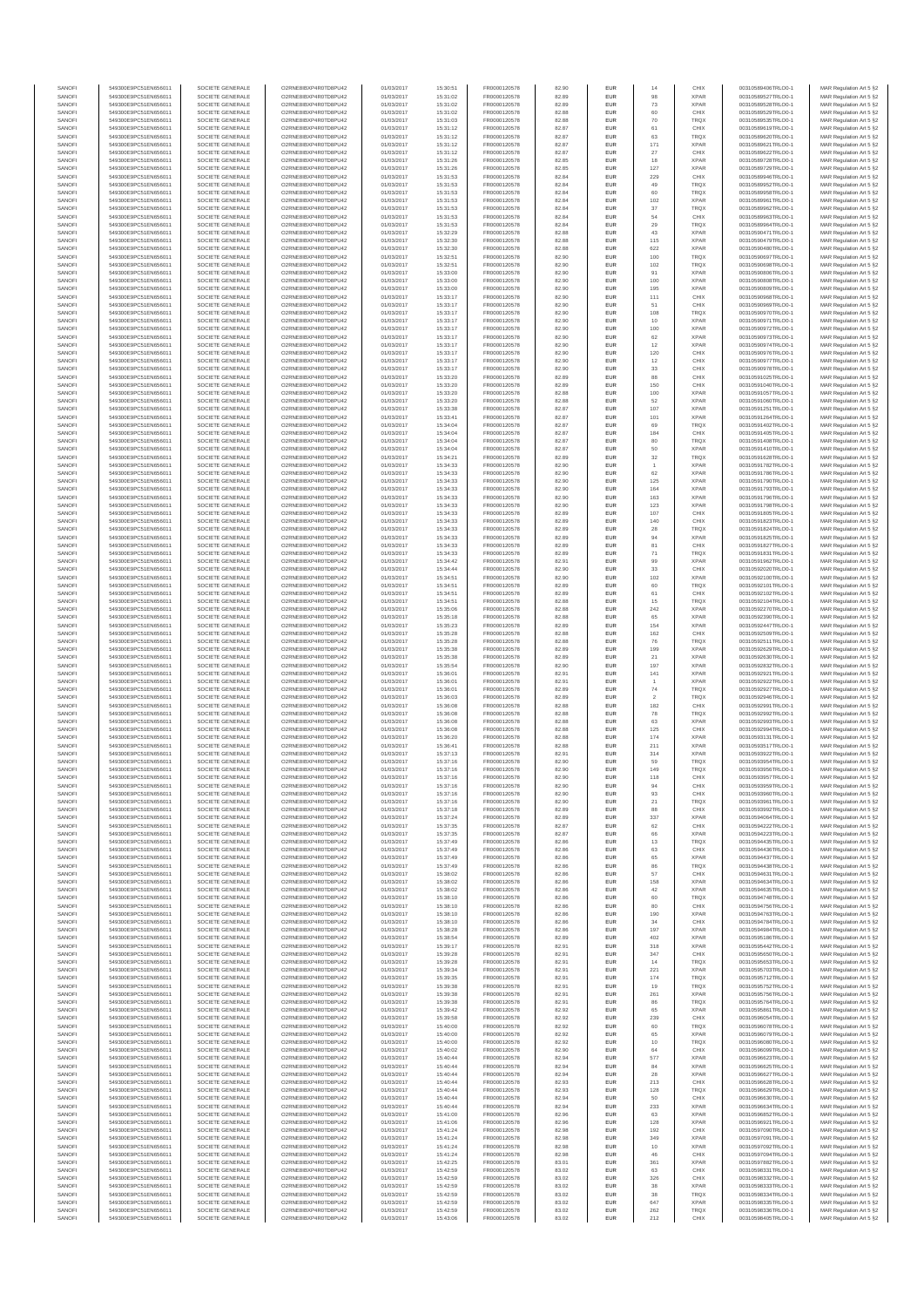| SANOFI           | 549300E9PC51EN656011                         | SOCIETE GENERALE                     | O2RNE8IBXP4R0TD8PU42                          | 01/03/2017               | 15:30:51             | FR0000120578                 | 82.90          | EUR                      | 14                    | CHIX                       | 00310589406TRLO0-1                       | MAR Regulation Art 5 §2                             |
|------------------|----------------------------------------------|--------------------------------------|-----------------------------------------------|--------------------------|----------------------|------------------------------|----------------|--------------------------|-----------------------|----------------------------|------------------------------------------|-----------------------------------------------------|
| SANOFI<br>SANOFI | 549300E9PC51EN656011<br>549300E9PC51EN656011 | SOCIETE GENERALE<br>SOCIETE GENERALE | O2RNE8IBXP4R0TD8PU42<br>O2RNE8IBXP4R0TD8PU42  | 01/03/2017<br>01/03/2017 | 15:31:02<br>15:31:02 | FR0000120578<br>FR0000120578 | 82.89<br>82.89 | EUR<br>EUR               | 98<br>73              | <b>XPAR</b><br><b>XPAR</b> | 00310589527TRLO0-1<br>00310589528TRLO0-1 | MAR Regulation Art 5 §2                             |
| SANOFI           | 549300E9PC51EN656011                         | SOCIETE GENERALE                     | O2RNE8IBXP4R0TD8PU42                          | 01/03/2017               | 15:31:02             | FR0000120578                 | 82.88          | EUR                      | 60                    | CHIX                       | 00310589529TRLO0-1                       | MAR Regulation Art 5 §2<br>MAR Regulation Art 5 §2  |
| SANOFI           | 549300E9PC51EN656011                         | SOCIETE GENERALE                     | O2RNE8IBXP4R0TD8PU42                          | 01/03/2017               | 15:31:03             | FR0000120578                 | 82.88          | EUR                      | 70                    | TRQX                       | 00310589535TRLO0-1                       | MAR Regulation Art 5 §2                             |
| SANOFI           | 549300E9PC51EN656011                         | SOCIETE GENERALE                     | O2RNE8IBXP4R0TD8PU42                          | 01/03/2017               | 15:31:12             | FR0000120578                 | 82.87          | EUR                      | 61                    | CHIX                       | 00310589619TRLO0-1                       | MAR Regulation Art 5 §2                             |
| SANOFI<br>SANOFI | 549300E9PC51EN656011<br>549300E9PC51EN656011 | SOCIETE GENERALE<br>SOCIETE GENERALE | O2RNE8IBXP4R0TD8PU42<br>O2RNE8IBXP4R0TD8PU42  | 01/03/2017<br>01/03/2017 | 15:31:12<br>15:31:12 | FR0000120578<br>FR0000120578 | 82.87<br>82.87 | EUR<br>EUR               | 63<br>171             | <b>TRQX</b><br><b>XPAR</b> | 00310589620TRLO0-1<br>00310589621TRLO0-1 | MAR Regulation Art 5 §2<br>MAR Regulation Art 5 §2  |
| SANOFI           | 549300E9PC51EN656011                         | SOCIETE GENERALE                     | O2RNE8IBXP4R0TD8PU42                          | 01/03/2017               | 15:31:12             | FR0000120578                 | 82.87          | EUR                      | 27                    | CHIX                       | 00310589622TRLO0-1                       | MAR Regulation Art 5 \$2                            |
| SANOFI           | 549300E9PC51EN656011                         | SOCIETE GENERALE                     | O2RNE8IBXP4R0TD8PU42                          | 01/03/2017               | 15:31:26             | FR0000120578                 | 82.85          | EUR                      | 18                    | <b>XPAR</b>                | 00310589728TRLO0-1                       | MAR Regulation Art 5 §2                             |
| SANOFI<br>SANOFI | 549300E9PC51EN656011<br>549300E9PC51EN656011 | SOCIETE GENERALE<br>SOCIETE GENERALE | O2RNE8IBXP4R0TD8PU42<br>O2RNE8IBXP4R0TD8PU42  | 01/03/2017<br>01/03/2017 | 15:31:26<br>15:31:53 | FR0000120578<br>FR0000120578 | 82.85<br>82.84 | EUR<br>EUR               | 127<br>229            | <b>XPAR</b><br>CHIX        | 00310589729TRLO0-1<br>00310589946TRLO0-1 | MAR Regulation Art 5 §2<br>MAR Regulation Art 5 §2  |
| SANOFI           | 549300E9PC51EN656011                         | SOCIETE GENERALE                     | O2RNE8IBXP4R0TD8PU42                          | 01/03/2017               | 15:31:53             | FR0000120578                 | 82.84          | EUR                      | 49                    | TRQX                       | 00310589952TRLO0-1                       | MAR Regulation Art 5 §2                             |
| SANOFI           | 549300E9PC51EN656011                         | SOCIETE GENERALE                     | O2RNE8IBXP4R0TD8PU42                          | 01/03/2017               | 15:31:53             | FR0000120578                 | 82.84          | EUR                      | 60                    | TRQX                       | 00310589958TRLO0-1                       | MAR Regulation Art 5 §2                             |
| SANOFI           | 549300E9PC51EN656011                         | SOCIETE GENERALE                     | O2RNE8IBXP4R0TD8PU42                          | 01/03/2017               | 15:31:53             | FR0000120578                 | 82.84          | EUR                      | 102                   | <b>XPAR</b>                | 00310589961TRLO0-1                       | MAR Regulation Art 5 §2                             |
| SANOFI<br>SANOFI | 549300E9PC51EN656011<br>549300E9PC51EN656011 | SOCIETE GENERALE<br>SOCIETE GENERALE | O2RNE8IBXP4R0TD8PU42<br>O2RNE8IBXP4R0TD8PU42  | 01/03/2017<br>01/03/2017 | 15:31:53<br>15:31:53 | FR0000120578<br>FR0000120578 | 82.84<br>82.84 | EUR<br>EUR               | 37<br>54              | <b>TRQX</b><br>CHIX        | 00310589962TRLO0-1<br>00310589963TRLO0-1 | MAR Regulation Art 5 §2<br>MAR Regulation Art 5 §2  |
| SANOFI           | 549300E9PC51EN656011                         | SOCIETE GENERALE                     | O2RNE8IBXP4R0TD8PU42                          | 01/03/2017               | 15:31:53             | FR0000120578                 | 82.84          | EUR                      | 29                    | <b>TRQX</b>                | 00310589964TRLO0-1                       | MAR Regulation Art 5 §2                             |
| SANOFI           | 549300E9PC51EN656011                         | SOCIETE GENERALE                     | O2RNE8IBXP4R0TD8PU42                          | 01/03/2017               | 15:32:29             | FR0000120578                 | 82.88          | EUR                      | 43                    | <b>XPAR</b>                | 00310590471TRLO0-1                       | MAR Regulation Art 5 §2                             |
| SANOFI<br>SANOFI | 549300E9PC51EN656011                         | SOCIETE GENERALE                     | O2RNE8IBXP4R0TD8PU42<br>O2RNE8IBXP4R0TD8PU42  | 01/03/2017               | 15:32:30             | FR0000120578                 | 82.88          | EUR                      | 115                   | <b>XPAR</b>                | 00310590479TRLO0-1<br>00310590480TRLO0-1 | MAR Regulation Art 5 §2                             |
| SANOFI           | 549300E9PC51EN656011<br>549300E9PC51EN656011 | SOCIETE GENERALE<br>SOCIETE GENERALE | O2RNE8IBXP4R0TD8PU42                          | 01/03/2017<br>01/03/2017 | 15:32:30<br>15:32:51 | FR0000120578<br>FR0000120578 | 82.88<br>82.90 | EUR<br>EUR               | 622<br>100            | <b>XPAR</b><br>TRQX        | 00310590697TRLO0-1                       | MAR Regulation Art 5 §2<br>MAR Regulation Art 5 §2  |
| SANOFI           | 549300E9PC51EN656011                         | SOCIETE GENERALE                     | O2RNE8IBXP4R0TD8PU42                          | 01/03/2017               | 15:32:51             | FR0000120578                 | 82.90          | EUR                      | 102                   | <b>TRQX</b>                | 00310590698TRLO0-1                       | MAR Regulation Art 5 §2                             |
| SANOFI           | 549300E9PC51EN656011                         | SOCIETE GENERALE                     | O2RNE8IBXP4R0TD8PU42                          | 01/03/2017               | 15:33:00             | FR0000120578                 | 82.90          | EUR                      | 91                    | <b>XPAR</b>                | 00310590806TRLO0-1                       | MAR Regulation Art 5 §2                             |
| SANOFI           | 549300E9PC51EN656011                         | SOCIETE GENERALE                     | O2RNE8IBXP4R0TD8PU42<br>O2RNE8IBXP4R0TD8PU42  | 01/03/2017               | 15:33:00             | FR0000120578<br>FR0000120578 | 82.90          | EUR                      | 100                   | <b>XPAR</b>                | 00310590808TRLO0-1                       | MAR Regulation Art 5 §2                             |
| SANOFI<br>SANOFI | 549300E9PC51EN656011<br>549300E9PC51EN656011 | SOCIETE GENERALE<br>SOCIETE GENERALE | O2RNE8IBXP4R0TD8PU42                          | 01/03/2017<br>01/03/2017 | 15:33:00<br>15:33:17 | FR0000120578                 | 82.90<br>82.90 | EUR<br>EUR               | 195<br>111            | <b>XPAR</b><br>CHIX        | 00310590809TRLO0-1<br>00310590968TRLO0-1 | MAR Regulation Art 5 §2<br>MAR Regulation Art 5 62  |
| SANOFI           | 549300E9PC51EN656011                         | SOCIETE GENERALE                     | O2RNE8IBXP4R0TD8PU42                          | 01/03/2017               | 15:33:17             | FR0000120578                 | 82.90          | EUR                      | 51                    | CHIX                       | 00310590969TRLO0-1                       | MAR Regulation Art 5 §2                             |
| SANOFI           | 549300E9PC51EN656011                         | SOCIETE GENERALE                     | O2RNE8IBXP4R0TD8PU42                          | 01/03/2017               | 15:33:17             | FR0000120578                 | 82.90          | EUR                      | 108                   | TRQX                       | 00310590970TRLO0-1                       | MAR Regulation Art 5 §2                             |
| SANOFI<br>SANOFI | 549300E9PC51EN656011<br>549300E9PC51EN656011 | SOCIETE GENERALE<br>SOCIETE GENERALE | O2RNE8IBXP4R0TD8PU42<br>O2RNE8IBXP4R0TD8PU42  | 01/03/2017<br>01/03/2017 | 15:33:17<br>15:33:17 | FR0000120578<br>FR0000120578 | 82.90<br>82.90 | EUR<br>EUR               | 10<br>100             | <b>XPAR</b><br><b>XPAR</b> | 00310590971TRLO0-1<br>00310590972TRLO0-1 | MAR Regulation Art 5 §2<br>MAR Regulation Art 5 §2  |
| SANOFI           | 549300E9PC51EN656011                         | SOCIETE GENERALE                     | O2RNE8IBXP4R0TD8PU42                          | 01/03/2017               | 15:33:17             | FR0000120578                 | 82.90          | EUR                      | 62                    | <b>XPAR</b>                | 00310590973TRLO0-1                       | MAR Regulation Art 5 §2                             |
| SANOFI           | 549300E9PC51EN656011                         | SOCIETE GENERALE                     | O2RNE8IBXP4R0TD8PU42                          | 01/03/2017               | 15:33:17             | FR0000120578                 | 82.90          | EUR                      | 12                    | <b>XPAR</b>                | 00310590974TRLO0-1                       | MAR Regulation Art 5 §2                             |
| SANOFI           | 549300E9PC51EN656011                         | SOCIETE GENERALE                     | O2RNE8IBXP4R0TD8PU42                          | 01/03/2017               | 15:33:17             | FR0000120578                 | 82.90          | EUR                      | 120                   | CHIX                       | 00310590976TRLO0-1                       | MAR Regulation Art 5 \$2                            |
| SANOFI<br>SANOFI | 549300E9PC51EN656011<br>549300E9PC51EN656011 | SOCIETE GENERALE<br>SOCIETE GENERALE | O2RNE8IBXP4R0TD8PU42<br>O2RNE8IBXP4R0TD8PU42  | 01/03/2017<br>01/03/2017 | 15:33:17<br>15:33:17 | FR0000120578<br>FR0000120578 | 82.90<br>82.90 | EUR<br>EUR               | 12<br>33              | CHIX<br>CHIX               | 00310590977TRLO0-1<br>00310590978TRLO0-1 | MAR Regulation Art 5 §2<br>MAR Regulation Art 5 §2  |
| SANOFI           | 549300E9PC51EN656011                         | SOCIETE GENERALE                     | O2RNE8IBXP4R0TD8PU42                          | 01/03/2017               | 15:33:20             | FR0000120578                 | 82.89          | EUR                      | 88                    | CHIX                       | 00310591025TRLO0-1                       | MAR Regulation Art 5 §2                             |
| SANOFI           | 549300E9PC51EN656011                         | SOCIETE GENERALE                     | O2RNE8IBXP4R0TD8PU42                          | 01/03/2017               | 15:33:20             | FR0000120578                 | 82.89          | EUR                      | 150                   | CHIX                       | 00310591040TRLO0-1                       | MAR Regulation Art 5 §2                             |
| SANOFI<br>SANOFI | 549300E9PC51EN656011<br>549300E9PC51EN656011 | SOCIETE GENERALE<br>SOCIETE GENERALE | O2RNE8IBXP4R0TD8PU42<br>O2RNE8IBXP4R0TD8PU42  | 01/03/2017<br>01/03/2017 | 15:33:20<br>15:33:20 | FR0000120578<br>FR0000120578 | 82.88<br>82.88 | EUR<br>EUR               | 100<br>52             | <b>XPAR</b><br><b>XPAR</b> | 00310591057TRLO0-1<br>00310591060TRLO0-1 | MAR Regulation Art 5 §2<br>MAR Regulation Art 5 §2  |
| SANOFI           | 549300E9PC51EN656011                         | SOCIETE GENERALE                     | O2RNE8IBXP4R0TD8PU42                          | 01/03/2017               | 15:33:38             | FR0000120578                 | 82.87          | EUR                      | 107                   | <b>XPAR</b>                | 00310591251TRLO0-1                       | MAR Regulation Art 5 §2                             |
| SANOFI           | 549300E9PC51EN656011                         | SOCIETE GENERALE                     | O2RNE8IBXP4R0TD8PU42                          | 01/03/2017               | 15:33:41             | FR0000120578                 | 82.87          | EUR                      | 101                   | <b>XPAR</b>                | 00310591264TRLO0-1                       | MAR Regulation Art 5 §2                             |
| SANOFI           | 549300E9PC51EN656011                         | SOCIETE GENERALE<br>SOCIETE GENERALE | O2RNE8IBXP4R0TD8PU42                          | 01/03/2017               | 15:34:04             | FR0000120578<br>FR0000120578 | 82.87          | EUR                      | 69                    | <b>TRQX</b>                | 00310591402TRLO0-1                       | MAR Regulation Art 5 §2                             |
| SANOFI<br>SANOFI | 549300E9PC51EN656011<br>549300E9PC51EN656011 | SOCIETE GENERALE                     | O2RNE8IBXP4R0TD8PU42<br>O2RNE8IBXP4R0TD8PU42  | 01/03/2017<br>01/03/2017 | 15:34:04<br>15:34:04 | FR0000120578                 | 82.87<br>82.87 | EUR<br>EUR               | 184<br>80             | CHIX<br><b>TRQX</b>        | 00310591405TRLO0-1<br>00310591408TRLO0-1 | MAR Regulation Art 5 §2<br>MAR Regulation Art 5 §2  |
| SANOFI           | 549300E9PC51EN656011                         | SOCIETE GENERALE                     | O2RNE8IBXP4R0TD8PU42                          | 01/03/2017               | 15:34:04             | FR0000120578                 | 82.87          | EUR                      | 50                    | <b>XPAR</b>                | 00310591410TRLO0-1                       | MAR Regulation Art 5 §2                             |
| SANOFI           | 549300E9PC51EN656011                         | SOCIETE GENERALE                     | O2RNE8IBXP4R0TD8PU42                          | 01/03/2017               | 15:34:21             | FR0000120578                 | 82.89          | EUR                      | 32                    | <b>TRQX</b>                | 00310591628TRLO0-1                       | MAR Regulation Art 5 §2                             |
| SANOFI<br>SANOFI | 549300E9PC51EN656011<br>549300E9PC51EN656011 | SOCIETE GENERALE<br>SOCIETE GENERALE | O2RNE8IBXP4R0TD8PU42<br>O2RNE8IBXP4R0TD8PU42  | 01/03/2017<br>01/03/2017 | 15:34:33<br>15:34:33 | FR0000120578<br>FR0000120578 | 82.90<br>82.90 | EUR<br>EUR               | 62                    | <b>XPAR</b><br><b>XPAR</b> | 00310591782TRLO0-1<br>00310591786TRLO0-1 | MAR Regulation Art 5 §2                             |
| SANOFI           | 549300E9PC51EN656011                         | SOCIETE GENERALE                     | O2RNE8IBXP4R0TD8PU42                          | 01/03/2017               | 15:34:33             | FR0000120578                 | 82.90          | EUR                      | 125                   | <b>XPAR</b>                | 00310591790TRLO0-1                       | MAR Regulation Art 5 §2<br>MAR Regulation Art 5 §2  |
| SANOFI           | 549300E9PC51EN656011                         | SOCIETE GENERALE                     | O2RNE8IBXP4R0TD8PU42                          | 01/03/2017               | 15:34:33             | FR0000120578                 | 82.90          | EUR                      | 164                   | <b>XPAR</b>                | 00310591793TRLO0-1                       | MAR Regulation Art 5 §2                             |
| SANOFI           | 549300E9PC51EN656011                         | SOCIETE GENERALE                     | O2RNE8IBXP4R0TD8PU42                          | 01/03/2017               | 15:34:33             | FR0000120578                 | 82.90          | EUR                      | 163                   | <b>XPAR</b>                | 00310591796TRLO0-1                       | MAR Regulation Art 5 \$2                            |
| SANOFI<br>SANOFI | 549300E9PC51EN656011<br>549300E9PC51EN656011 | SOCIETE GENERALE<br>SOCIETE GENERALE | O2RNE8IBXP4R0TD8PU42<br>O2RNE8IBXP4R0TD8PU42  | 01/03/2017<br>01/03/2017 | 15:34:33<br>15:34:33 | FR0000120578<br>FR0000120578 | 82.90<br>82.89 | EUR<br>EUR               | 123<br>107            | <b>XPAR</b><br>CHIX        | 00310591798TRLO0-1<br>00310591805TRLO0-1 | MAR Regulation Art 5 §2<br>MAR Regulation Art 5 §2  |
| SANOFI           | 549300E9PC51EN656011                         | SOCIETE GENERALE                     | O2RNE8IBXP4R0TD8PU42                          | 01/03/2017               | 15:34:33             | FR0000120578                 | 82.89          | EUR                      | 140                   | CHIX                       | 00310591823TRLO0-1                       | MAR Regulation Art 5 §2                             |
| SANOFI           | 549300E9PC51EN656011                         | SOCIETE GENERALE                     | O2RNE8IBXP4R0TD8PU42                          | 01/03/2017               | 15:34:33             | FR0000120578                 | 82.89          | EUR                      | 28                    | <b>TRQX</b>                | 00310591824TRLO0-1                       | MAR Regulation Art 5 §2                             |
| SANOFI           | 549300E9PC51EN656011                         | SOCIETE GENERALE                     | O2RNE8IBXP4R0TD8PU42                          | 01/03/2017               | 15:34:33             | FR0000120578                 | 82.89          | EUR                      | 94                    | <b>XPAR</b>                | 00310591825TRLO0-1                       | MAR Regulation Art 5 §2                             |
| SANOFI<br>SANOFI | 549300E9PC51EN656011<br>549300E9PC51EN656011 | SOCIETE GENERALE<br>SOCIETE GENERALE | O2RNE8IBXP4R0TD8PU42<br>O2RNE8IBXP4R0TD8PU42  | 01/03/2017<br>01/03/2017 | 15:34:33<br>15:34:33 | FR0000120578<br>FR0000120578 | 82.89<br>82.89 | EUR<br>EUR               | 81<br>71              | CHIX<br><b>TRQX</b>        | 00310591827TRLO0-1<br>00310591831TRLO0-1 | MAR Regulation Art 5 §2<br>MAR Regulation Art 5 §2  |
| SANOFI           | 549300E9PC51EN656011                         | SOCIETE GENERALE                     | O2RNE8IBXP4R0TD8PU42                          | 01/03/2017               | 15:34:42             | FR0000120578                 | 82.91          | EUR                      | 99                    | <b>XPAR</b>                | 00310591962TRLO0-1                       | MAR Regulation Art 5 §2                             |
| SANOFI           | 549300E9PC51EN656011                         | SOCIETE GENERALE                     | O2RNE8IBXP4R0TD8PU42                          | 01/03/2017               | 15:34:44             | FR0000120578                 | 82.90          | EUR                      | 33                    | CHIX                       | 00310592020TRLO0-1                       | MAR Regulation Art 5 §2                             |
| SANOFI           | 549300E9PC51EN656011                         | SOCIETE GENERALE                     | O2RNE8IBXP4R0TD8PU42<br>O2RNE8IBXP4R0TD8PU42  | 01/03/2017               | 15:34:51             | FR0000120578                 | 82.90          | EUR                      | 102                   | <b>XPAR</b>                | 00310592100TRLO0-1                       | MAR Regulation Art 5 §2                             |
| SANOFI<br>SANOFI | 549300E9PC51EN656011<br>549300E9PC51EN656011 | SOCIETE GENERALE<br>SOCIETE GENERALE | O2RNE8IBXP4R0TD8PU42                          | 01/03/2017<br>01/03/2017 | 15:34:51<br>15:34:51 | FR0000120578<br>FR0000120578 | 82.89<br>82.89 | EUR<br>EUR               | 60<br>61              | <b>TRQX</b><br>CHIX        | 00310592101TRLO0-1<br>00310592102TRLO0-1 | MAR Regulation Art 5 §2<br>MAR Regulation Art 5 §2  |
| SANOFI           | 549300E9PC51EN656011                         | SOCIETE GENERALE                     | O2RNE8IBXP4R0TD8PU42                          | 01/03/2017               | 15:34:51             | FR0000120578                 | 82.88          | EUR                      | 15                    | TRQX                       | 00310592104TRLO0-1                       | MAR Regulation Art 5 §2                             |
| SANOFI           | 549300E9PC51EN656011                         | SOCIETE GENERALE                     | O2RNE8IBXP4R0TD8PU42                          | 01/03/2017               | 15:35:06             | FR0000120578                 | 82.88          | EUR                      | 242                   | <b>XPAR</b>                | 00310592270TRLO0-1                       | MAR Regulation Art 5 §2                             |
| SANOFI<br>SANOFI | 549300E9PC51EN656011<br>549300E9PC51EN656011 | SOCIETE GENERALE<br>SOCIETE GENERALE | O2RNE8IBXP4R0TD8PU42<br>O2RNE8IBXP4R0TD8PU42  | 01/03/2017<br>01/03/2017 | 15:35:18<br>15:35:23 | FR0000120578<br>FR0000120578 | 82.88<br>82.89 | EUR<br>EUR               | 65<br>154             | <b>XPAR</b><br><b>XPAR</b> | 00310592390TRLO0-1<br>00310592447TRLO0-1 | MAR Regulation Art 5 §2<br>MAR Regulation Art 5 §2  |
| SANOFI           | 549300E9PC51EN656011                         | SOCIETE GENERALE                     | O2RNE8IBXP4R0TD8PU42                          | 01/03/2017               | 15:35:28             | FR0000120578                 | 82.88          | EUR                      | 162                   | CHIX                       | 00310592509TRLO0-1                       | MAR Regulation Art 5 §2                             |
| SANOFI           | 549300E9PC51EN656011                         | SOCIETE GENERALE                     | O2RNE8IBXP4R0TD8PU42                          | 01/03/2017               | 15:35:28             | FR0000120578                 | 82.88          | EUR                      | 76                    | TRQX                       | 00310592511TRLO0-1                       | MAR Regulation Art 5 §2                             |
| SANOFI           | 549300E9PC51EN656011                         | SOCIETE GENERALE                     | O2RNE8IBXP4R0TD8PU42                          | 01/03/2017               | 15:35:38             | FR0000120578                 | 82.89          | EUR                      | 199                   | <b>XPAR</b>                | 00310592629TRLO0-1                       | MAR Regulation Art 5 §2                             |
| SANOFI<br>SANOFI | 549300E9PC51EN656011<br>549300E9PC51EN656011 | SOCIETE GENERALE<br>SOCIETE GENERALE | O2RNE8IBXP4R0TD8PU42<br>O2RNE8IBXP4R0TD8PU42  | 01/03/2017<br>01/03/2017 | 15:35:38<br>15:35:54 | FR0000120578<br>FR0000120578 | 82.89<br>82.90 | EUR<br>EUR               | 21<br>197             | <b>XPAR</b><br><b>XPAR</b> | 00310592630TRLO0-1<br>00310592832TRLO0-1 | MAR Regulation Art 5 §2<br>MAR Regulation Art 5 §2  |
| SANOFI           | 549300E9PC51EN656011                         | SOCIETE GENERALE                     | O2RNE8IBXP4R0TD8PU42                          | 01/03/2017               | 15:36:01             | FR0000120578                 | 82.91          | EUR                      | 141                   | <b>XPAR</b>                | 00310592921TRLO0-1                       | MAR Regulation Art 5 §2                             |
| SANOFI           | 549300E9PC51EN656011                         | SOCIETE GENERALE                     | O2RNE8IBXP4R0TD8PU42                          | 01/03/2017               | 15:36:01             | FR0000120578                 | 82.91          | EUR                      | $\overline{1}$        | <b>XPAR</b>                | 00310592922TRLO0-1                       | MAR Regulation Art 5 §2                             |
| SANOFI           | 549300E9PC51EN656011                         | SOCIETE GENERALE                     | O2RNE8IBXP4R0TD8PU42                          | 01/03/2017               | 15:36:01             | FR0000120578                 | 82.89          | EUR                      | $\mathbf{74}$         | <b>TRQX</b>                | 00310592927TRLO0-1                       | MAR Regulation Art 5 §2                             |
| SANOFI<br>SANOFI | 549300E9PC51EN656011<br>549300E9PC51EN656011 | SOCIETE GENERALE<br>SOCIETE GENERALE | O2RNE8IBXP4R0TD8PU42<br>O2RNE8IBXP4R0TD8PU42  | 01/03/2017<br>01/03/2017 | 15:36:03<br>15:36:08 | FR0000120578<br>FR0000120578 | 82.89<br>82.88 | EUR<br>EUR               | $\overline{2}$<br>182 | <b>TRQX</b><br>CHIX        | 00310592946TRLO0-1<br>00310592991TRLO0-1 | MAR Regulation Art 5 \$2<br>MAR Regulation Art 5 §2 |
| SANOFI           | 549300E9PC51EN656011                         | SOCIETE GENERALE                     | O2RNE8IBXP4R0TD8PU42                          | 01/03/2017               | 15:36:08             | FR0000120578                 | 82.88          | EUR                      | 78                    | TRQX                       | 00310592992TRLO0-1                       | MAR Regulation Art 5 §2                             |
| SANOFI           | 549300E9PC51EN656011                         | SOCIETE GENERALE                     | O2RNE8IBXP4R0TD8PU42                          | 01/03/2017               | 15:36:08             | FR0000120578                 | 82.88          | EUR                      | 63                    | <b>XPAR</b>                | 00310592993TRLO0-1                       | MAR Regulation Art 5 §2                             |
| SANOFI<br>SANOFI | 549300E9PC51EN656011<br>549300E9PC51EN656011 | SOCIETE GENERALE<br>SOCIETE GENERALE | O2RNE8IBXP4R0TD8PU42<br>O2RNE8IBXP4R0TD8PU42  | 01/03/2017<br>01/03/2017 | 15:36:08<br>15:36:20 | FR0000120578<br>FR0000120578 | 82.88<br>82.88 | EUR<br>EUR               | 125<br>174            | CHIX<br><b>XPAR</b>        | 00310592994TRLO0-1<br>00310593131TRLO0-1 | MAR Regulation Art 5 §2<br>MAR Regulation Art 5 §2  |
| SANOFI           | 549300E9PC51EN656011                         | SOCIETE GENERALE                     | O2RNE8IBXP4R0TD8PU42                          | 01/03/2017               | 15:36:41             | FR0000120578                 | 82.88          | EUR                      | 211                   | <b>XPAR</b>                | 00310593517TRLO0-1                       | MAR Regulation Art 5 §2                             |
| SANOFI           | 549300E9PC51EN656011                         | SOCIETE GENERALE                     | O2RNE8IBXP4R0TD8PU42                          | 01/03/2017               | 15:37:13             | FR0000120578                 | 82.91          | EUR                      | 314                   | <b>XPAR</b>                | 00310593922TRLO0-1                       | MAR Regulation Art 5 \$2                            |
| SANOFI           | 549300E9PC51EN656011                         | SOCIETE GENERALE                     | O2RNE8IBXP4R0TD8PU42                          | 01/03/2017               | 15:37:16             | FR0000120578                 | 82.90          | EUR                      | 59                    | <b>TRQX</b>                | 00310593954TRLO0-1                       | MAR Regulation Art 5 §2                             |
| SANOFI<br>SANOFI | 549300E9PC51EN656011<br>549300E9PC51EN656011 | SOCIETE GENERALE<br>SOCIETE GENERALE | O2RNE8IBXP4R0TD8PU42<br>O2RNE8IBXP4R0TD8PU42  | 01/03/2017<br>01/03/2017 | 15:37:16<br>15:37:16 | FR0000120578<br>FR0000120578 | 82.90<br>82.90 | <b>EUR</b><br><b>EUR</b> | 149<br>118            | <b>TRQX</b><br>CHIX        | 00310593956TRLO0-1<br>00310593957TRLO0-1 | MAR Regulation Art 5 §2<br>MAR Regulation Art 5 §2  |
| SANOFI           | 549300E9PC51EN656011                         | SOCIETE GENERALE                     | O2RNE8IBXP4R0TD8PU42                          | 01/03/2017               | 15:37:16             | FR0000120578                 | 82.90          | EUR                      | 94                    | CHIX                       | 00310593959TRLO0-1                       | MAR Regulation Art 5 §2                             |
| SANOFI           | 549300E9PC51EN656011                         | SOCIETE GENERALE                     | O2RNE8IBXP4R0TD8PU42                          | 01/03/2017               | 15:37:16             | FR0000120578                 | 82.90          | EUR                      | 93                    | CHIX                       | 00310593960TRLO0-1                       | MAR Regulation Art 5 §2                             |
| SANOFI<br>SANOFI | 549300E9PC51EN656011<br>549300E9PC51EN656011 | SOCIETE GENERALE<br>SOCIETE GENERALE | O2RNE8IBXP4R0TD8PU42<br>O2RNE8IBXP4R0TD8PU42  | 01/03/2017<br>01/03/2017 | 15:37:16<br>15:37:18 | FR0000120578<br>FR0000120578 | 82.90<br>82.89 | EUR<br>EUR               | 21<br>88              | <b>TRQX</b><br>CHIX        | 00310593961TRLO0-1<br>00310593992TRLO0-1 | MAR Regulation Art 5 §2                             |
| SANOFI           | 549300E9PC51EN656011                         | SOCIETE GENERALE                     | O2RNE8IBXP4R0TD8PU42                          | 01/03/2017               | 15:37:24             | FR0000120578                 | 82.89          | EUR                      | 337                   | <b>XPAR</b>                | 00310594064TRLO0-1                       | MAR Regulation Art 5 §2<br>MAR Regulation Art 5 §2  |
| SANOFI           | 549300E9PC51EN656011                         | SOCIETE GENERALE                     | O2RNE8IBXP4R0TD8PU42                          | 01/03/2017               | 15:37:35             | FR0000120578                 | 82.87          | EUR                      | 62                    | CHIX                       | 00310594222TRLO0-1                       | MAR Regulation Art 5 §2                             |
| SANOFI           | 549300E9PC51EN656011                         | SOCIETE GENERALE                     | O2RNE8IBXP4R0TD8PU42                          | 01/03/2017               | 15:37:35             | FR0000120578                 | 82.87          | EUR                      | 66                    | <b>XPAR</b>                | 00310594223TRLO0-1                       | MAR Regulation Art 5 §2                             |
| SANOFI<br>SANOFI | 549300E9PC51EN656011<br>549300E9PC51EN656011 | SOCIETE GENERALE<br>SOCIETE GENERALE | O2RNE8IBXP4R0TD8PU42<br>O2RNE8IBXP4R0TD8PU42  | 01/03/2017<br>01/03/2017 | 15:37:49<br>15:37:49 | FR0000120578<br>FR0000120578 | 82.86<br>82.86 | EUR<br>EUR               | 13<br>63              | <b>TRQX</b><br>CHIX        | 00310594435TRLO0-1<br>00310594436TRLO0-1 | MAR Regulation Art 5 \$2<br>MAR Regulation Art 5 §2 |
| SANOFI           | 549300E9PC51EN656011                         | SOCIETE GENERALE                     | O2RNE8IBXP4R0TD8PU42                          | 01/03/2017               | 15:37:49             | FR0000120578                 | 82.86          | EUR                      | 65                    | <b>XPAR</b>                | 00310594437TRLO0-1                       | MAR Regulation Art 5 §2                             |
| SANOFI           | 549300E9PC51EN656011                         | SOCIETE GENERALE                     | O2RNE8IBXP4R0TD8PU42                          | 01/03/2017               | 15:37:49             | FR0000120578                 | 82.86          | EUR                      | 86                    | TRQX                       | 00310594438TRLO0-1                       | MAR Regulation Art 5 §2                             |
| SANOFI<br>SANOFI | 549300E9PC51EN656011<br>549300E9PC51EN656011 | SOCIETE GENERALE<br>SOCIETE GENERALE | O2RNE8IBXP4R0TD8PU42<br>O2RNE8IBXP4R0TD8PU42  | 01/03/2017<br>01/03/2017 | 15:38:02<br>15:38:02 | FR0000120578<br>FR0000120578 | 82.86<br>82.86 | EUR<br>EUR               | 57<br>158             | CHIX<br><b>XPAR</b>        | 00310594631TRLO0-1<br>00310594634TRLO0-1 | MAR Regulation Art 5 §2<br>MAR Regulation Art 5 §2  |
| SANOFI           | 549300E9PC51EN656011                         | SOCIETE GENERALE                     | O2RNE8IBXP4R0TD8PU42                          | 01/03/2017               | 15:38:02             | FR0000120578                 | 82.86          | EUR                      | 42                    | <b>XPAR</b>                | 00310594635TRLO0-1                       | MAR Regulation Art 5 §2                             |
| SANOFI           | 549300E9PC51EN656011                         | SOCIETE GENERALE                     | O2RNE8IBXP4R0TD8PU42                          | 01/03/2017               | 15:38:10             | FR0000120578                 | 82.86          | EUR                      | 60                    | <b>TRQX</b>                | 00310594748TRLO0-1                       | MAR Regulation Art 5 §2                             |
| SANOFI<br>SANOFI | 549300E9PC51EN656011<br>549300E9PC51EN656011 | SOCIETE GENERALE<br>SOCIETE GENERALE | O2RNE8IBXP4R0TD8PU42<br>O2RNE8IBXP4R0TD8PU42  | 01/03/2017<br>01/03/2017 | 15:38:10<br>15:38:10 | FR0000120578<br>FR0000120578 | 82.86<br>82.86 | EUR<br>EUR               | 80<br>190             | CHIX<br><b>XPAR</b>        | 00310594756TRLO0-1<br>00310594763TRLO0-1 | MAR Regulation Art 5 §2<br>MAR Regulation Art 5 §2  |
| SANOFI           | 549300E9PC51EN656011                         | SOCIETE GENERALE                     | O2RNE8IBXP4R0TD8PU42                          | 01/03/2017               | 15:38:10             | FR0000120578                 | 82.86          | EUR                      | 34                    | CHIX                       | 00310594784TRLO0-1                       | MAR Regulation Art 5 §2                             |
| SANOFI           | 549300E9PC51EN656011                         | SOCIETE GENERALE                     | O2RNE8IBXP4R0TD8PU42                          | 01/03/2017               | 15:38:28             | FR0000120578                 | 82.86          | EUR                      | 197                   | <b>XPAR</b>                | 00310594984TRLO0-1                       | MAR Regulation Art 5 §2                             |
| SANOFI<br>SANOFI | 549300E9PC51EN656011<br>549300E9PC51EN656011 | SOCIETE GENERALE<br>SOCIETE GENERALE | O2RNESIBXP4R0TD8PLI42<br>O2RNE8IBXP4R0TD8PU42 | 01/03/2017<br>01/03/2017 | 15:38:54<br>15:39:17 | FR0000120578<br>FR0000120578 | 82.89<br>82.91 | EUR<br>EUR               | 402<br>318            | <b>XPAR</b><br><b>XPAR</b> | 00310595186TRLO0-1<br>00310595442TRLO0-1 | MAR Regulation Art 5 §2                             |
| SANOFI           | 549300E9PC51EN656011                         | SOCIETE GENERALE                     | O2RNE8IBXP4R0TD8PU42                          | 01/03/2017               | 15:39:28             | FR0000120578                 | 82.91          | EUR                      | 347                   | CHIX                       | 00310595650TRLO0-1                       | MAR Regulation Art 5 §2<br>MAR Regulation Art 5 §2  |
| SANOFI           | 549300E9PC51EN656011                         | SOCIETE GENERALE                     | O2RNE8IBXP4R0TD8PU42                          | 01/03/2017               | 15:39:28             | FR0000120578                 | 82.91          | EUR                      | 14                    | TRQX                       | 00310595653TRLO0-1                       | MAR Regulation Art 5 §2                             |
| SANOFI           | 549300E9PC51EN656011                         | SOCIETE GENERALE                     | O2RNE8IBXP4R0TD8PU42                          | 01/03/2017               | 15:39:34             | FR0000120578                 | 82.91          | EUR                      | 221                   | <b>XPAR</b>                | 00310595703TRLO0-1                       | MAR Regulation Art 5 §2                             |
| SANOFI<br>SANOFI | 549300E9PC51EN656011<br>549300E9PC51EN656011 | SOCIETE GENERALE<br>SOCIETE GENERALE | O2RNE8IBXP4R0TD8PU42<br>O2RNE8IBXP4R0TD8PU42  | 01/03/2017<br>01/03/2017 | 15:39:35<br>15:39:38 | FR0000120578<br>FR0000120578 | 82.91<br>82.91 | EUR<br>EUR               | 174<br>19             | TRQX<br>TRQX               | 00310595712TRLO0-1<br>00310595752TRLO0-1 | MAR Regulation Art 5 §2<br>MAR Regulation Art 5 §2  |
| SANOFI           | 549300E9PC51EN656011                         | SOCIETE GENERALE                     | O2RNE8IBXP4R0TD8PU42                          | 01/03/2017               | 15:39:38             | FR0000120578                 | 82.91          | EUR                      | 261                   | <b>XPAR</b>                | 00310595756TRLO0-1                       | MAR Regulation Art 5 §2                             |
| SANOFI           | 549300E9PC51EN656011                         | SOCIETE GENERALE                     | O2RNE8IBXP4R0TD8PU42                          | 01/03/2017               | 15:39:38             | FR0000120578                 | 82.91          | EUR                      | 86                    | TRQX                       | 00310595764TRLO0-1                       | MAR Regulation Art 5 §2                             |
| SANOFI<br>SANOFI | 549300E9PC51EN656011<br>549300E9PC51EN656011 | SOCIETE GENERALE<br>SOCIETE GENERALE | O2RNE8IBXP4R0TD8PU42<br>O2RNE8IBXP4R0TD8PU42  | 01/03/2017<br>01/03/2017 | 15:39:42<br>15:39:58 | FR0000120578<br>FR0000120578 | 82.92<br>82.92 | EUR<br>EUR               | 65<br>239             | <b>XPAR</b><br>CHIX        | 00310595861TRLO0-1<br>00310596054TRLO0-1 | MAR Regulation Art 5 §2                             |
| SANOFI           | 549300E9PC51EN656011                         | SOCIETE GENERALE                     | O2RNE8IBXP4R0TD8PU42                          | 01/03/2017               | 15:40:00             | FR0000120578                 | 82.92          | EUR                      | 60                    | <b>TRQX</b>                | 00310596078TRLO0-1                       | MAR Regulation Art 5 §2<br>MAR Regulation Art 5 §2  |
| SANOFI           | 549300E9PC51EN656011                         | SOCIETE GENERALE                     | O2RNE8IBXP4R0TD8PU42                          | 01/03/2017               | 15:40:00             | FR0000120578                 | 82.92          | EUR                      | 65                    | <b>XPAR</b>                | 00310596079TRLO0-1                       | MAR Regulation Art 5 §2                             |
| SANOFI           | 549300E9PC51EN656011                         | SOCIETE GENERALE                     | O2RNE8IBXP4R0TD8PU42                          | 01/03/2017               | 15:40:00             | FR0000120578                 | 82.92          | EUR                      | 10                    | <b>TROX</b>                | 00310596080TRLO0-1                       | MAR Regulation Art 5 §2                             |
| SANOFI<br>SANOFI | 549300E9PC51EN656011<br>549300E9PC51EN656011 | SOCIETE GENERALE<br>SOCIETE GENERALE | O2RNE8IBXP4R0TD8PU42<br>O2RNE8IBXP4R0TD8PU42  | 01/03/2017<br>01/03/2017 | 15:40:02<br>15:40:44 | FR0000120578<br>FR0000120578 | 82.90<br>82.94 | EUR<br>EUR               | 64<br>577             | CHIX<br><b>XPAR</b>        | 00310596099TRLO0-1<br>00310596623TRLO0-1 | MAR Regulation Art 5 §2<br>MAR Regulation Art 5 §2  |
| SANOFI           | 549300E9PC51EN656011                         | SOCIETE GENERALE                     | O2RNE8IBXP4R0TD8PU42                          | 01/03/2017               | 15:40:44             | FR0000120578                 | 82.94          | EUR                      | 84                    | <b>XPAR</b>                | 00310596625TRLO0-1                       | MAR Regulation Art 5 §2                             |
| SANOFI           | 549300E9PC51EN656011                         | SOCIETE GENERALE                     | O2RNE8IBXP4R0TD8PU42                          | 01/03/2017               | 15:40:44             | FR0000120578                 | 82.94          | EUR                      | 28                    | <b>XPAR</b>                | 00310596627TRLO0-1                       | MAR Regulation Art 5 §2                             |
| SANOFI           | 549300E9PC51EN656011                         | SOCIETE GENERALE                     | O2RNE8IBXP4R0TD8PU42                          | 01/03/2017               | 15:40:44             | FR0000120578                 | 82.93          | EUR                      | 213                   | CHIX                       | 00310596628TRLO0-1                       | MAR Regulation Art 5 §2                             |
| SANOFI<br>SANOFI | 549300E9PC51EN656011<br>549300E9PC51EN656011 | SOCIETE GENERALE<br>SOCIETE GENERALE | O2RNE8IBXP4R0TD8PU42<br>O2RNE8IBXP4R0TD8PU42  | 01/03/2017<br>01/03/2017 | 15:40:44<br>15:40:44 | FR0000120578<br>FR0000120578 | 82.93<br>82.94 | EUR<br>EUR               | 128<br>50             | <b>TRQX</b><br>CHIX        | 00310596629TRLO0-1<br>00310596630TRLO0-1 | MAR Regulation Art 5 §2<br>MAR Regulation Art 5 §2  |
| SANOFI           | 549300E9PC51EN656011                         | SOCIETE GENERALE                     | O2RNE8IBXP4R0TD8PU42                          | 01/03/2017               | 15:40:44             | FR0000120578                 | 82.94          | EUR                      | 233                   | <b>XPAR</b>                | 00310596634TRLO0-1                       | MAR Regulation Art 5 §2                             |
| SANOFI           | 549300E9PC51EN656011                         | SOCIETE GENERALE                     | O2RNE8IBXP4R0TD8PU42                          | 01/03/2017               | 15:41:00             | FR0000120578                 | 82.96          | EUR                      | 63                    | <b>XPAR</b>                | 00310596852TRLO0-1                       | MAR Regulation Art 5 §2                             |
| SANOFI           | 549300E9PC51EN656011                         | SOCIETE GENERALE                     | O2RNE8IBXP4R0TD8PU42                          | 01/03/2017               | 15:41:06             | FR0000120578                 | 82.96          | EUR                      | 128                   | <b>XPAR</b>                | 00310596921TRLO0-1                       | MAR Regulation Art 5 §2                             |
| SANOFI<br>SANOFI | 549300E9PC51EN656011<br>549300E9PC51EN656011 | SOCIETE GENERALE<br>SOCIETE GENERALE | O2RNE8IBXP4R0TD8PU42<br>O2RNE8IBXP4R0TD8PU42  | 01/03/2017<br>01/03/2017 | 15:41:24<br>15:41:24 | FR0000120578<br>FR0000120578 | 82.98<br>82.98 | EUR<br>EUR               | 192<br>349            | CHIX<br><b>XPAR</b>        | 00310597090TRLO0-1<br>00310597091TRLO0-1 | MAR Regulation Art 5 §2<br>MAR Regulation Art 5 §2  |
| SANOFI           | 549300E9PC51EN656011                         | SOCIETE GENERALE                     | O2RNE8IBXP4R0TD8PU42                          | 01/03/2017               | 15:41:24             | FR0000120578                 | 82.98          | EUR                      | $10$                  | <b>XPAR</b>                | 00310597092TRLO0-1                       | MAR Regulation Art 5 §2                             |
| SANOFI           | 549300E9PC51EN656011                         | SOCIETE GENERALE                     | O2RNE8IBXP4R0TD8PU42                          | 01/03/2017               | 15:41:24             | FR0000120578                 | 82.98          | EUR                      | 46                    | CHIX                       | 00310597094TRLO0-1                       | MAR Regulation Art 5 §2                             |
| SANOFI<br>SANOFI | 549300E9PC51EN656011<br>549300E9PC51EN656011 | SOCIETE GENERALE<br>SOCIETE GENERALE | O2RNE8IBXP4R0TD8PU42<br>O2RNE8IBXP4R0TD8PU42  | 01/03/2017<br>01/03/2017 | 15:42:25<br>15:42:59 | FR0000120578<br>FR0000120578 | 83.01<br>83.02 | EUR<br>EUR               | 361<br>63             | <b>XPAR</b><br>CHIX        | 00310597882TRLO0-1<br>00310598331TRLO0-1 | MAR Regulation Art 5 §2                             |
| SANOFI           | 549300E9PC51EN656011                         | SOCIETE GENERALE                     | O2RNE8IBXP4R0TD8PU42                          | 01/03/2017               | 15:42:59             | FR0000120578                 | 83.02          | EUR                      | 326                   | CHIX                       | 00310598332TRLO0-1                       | MAR Regulation Art 5 §2<br>MAR Regulation Art 5 §2  |
| SANOFI           | 549300E9PC51EN656011                         | SOCIETE GENERALE                     | O2RNE8IBXP4R0TD8PU42                          | 01/03/2017               | 15:42:59             | FR0000120578                 | 83.02          | EUR                      | 38                    | <b>XPAR</b>                | 00310598333TRLO0-1                       | MAR Regulation Art 5 §2                             |
| SANOFI           | 549300E9PC51EN656011                         | SOCIETE GENERALE                     | O2RNE8IBXP4R0TD8PU42                          | 01/03/2017               | 15:42:59             | FR0000120578                 | 83.02          | EUR                      | 38                    | <b>TRQX</b>                | 00310598334TRLO0-1                       | MAR Regulation Art 5 §2                             |
| SANOFI<br>SANOFI | 549300E9PC51EN656011<br>549300E9PC51EN656011 | SOCIETE GENERALE<br>SOCIETE GENERALE | O2RNE8IBXP4R0TD8PU42<br>O2RNE8IBXP4R0TD8PU42  | 01/03/2017<br>01/03/2017 | 15:42:59<br>15:42:59 | FR0000120578<br>FR0000120578 | 83.02<br>83.02 | EUR<br>EUR               | 647<br>262            | <b>XPAR</b><br><b>TRQX</b> | 00310598335TRLO0-1<br>00310598336TRLO0-1 | MAR Regulation Art 5 §2<br>MAR Regulation Art 5 §2  |
| SANOFI           | 549300E9PC51EN656011                         | SOCIETE GENERALE                     | O2RNE8IBXP4R0TD8PU42                          | 01/03/2017               | 15:43:06             | FR0000120578                 | 83.02          | EUR                      | 212                   | CHIX                       | 00310598405TRLO0-1                       | MAR Regulation Art 5 §2                             |
|                  |                                              |                                      |                                               |                          |                      |                              |                |                          |                       |                            |                                          |                                                     |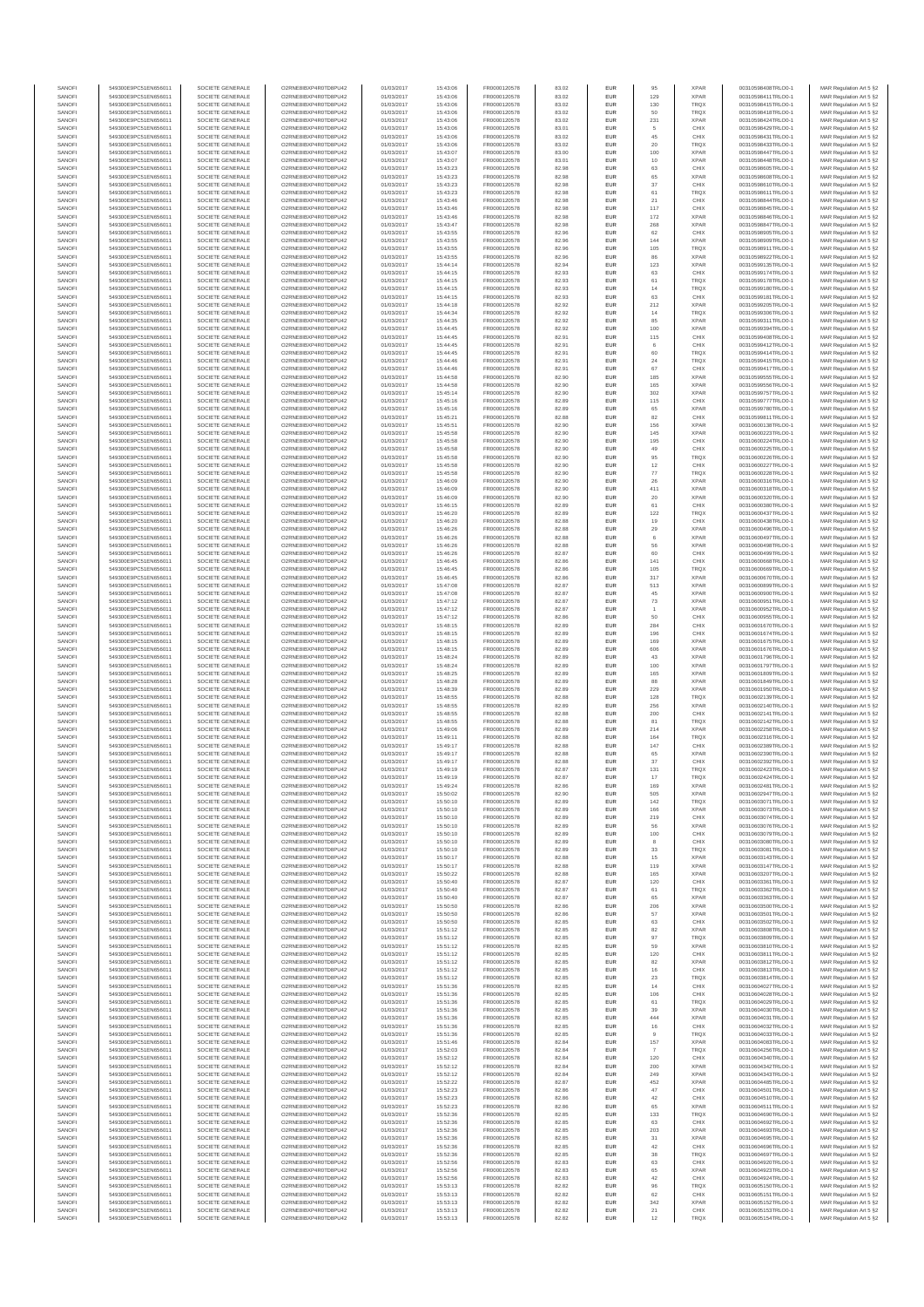| SANOFI           | 549300E9PC51EN656011                         | SOCIETE GENERALE                     | O2RNE8IBXP4R0TD8PU42                          | 01/03/2017               | 15:43:06             | FR0000120578                 | 83.02          | EUR                      | 95             | <b>XPAR</b>                | 00310598408TRLO0-1                       | MAR Regulation Art 5 §2                            |
|------------------|----------------------------------------------|--------------------------------------|-----------------------------------------------|--------------------------|----------------------|------------------------------|----------------|--------------------------|----------------|----------------------------|------------------------------------------|----------------------------------------------------|
| SANOFI<br>SANOFI | 549300E9PC51EN656011<br>549300E9PC51EN656011 | SOCIETE GENERALE<br>SOCIETE GENERALE | O2RNE8IBXP4R0TD8PU42<br>O2RNE8IBXP4R0TD8PU42  | 01/03/2017<br>01/03/2017 | 15:43:06<br>15:43:06 | FR0000120578                 | 83.02<br>83.02 | EUR<br>EUR               | 129<br>130     | <b>XPAR</b><br><b>TRQX</b> | 00310598411TRLO0-1<br>00310598415TRLO0-1 | MAR Regulation Art 5 §2                            |
| SANOFI           | 549300E9PC51EN656011                         | SOCIETE GENERALE                     | O2RNE8IBXP4R0TD8PLI42                         | 01/03/2017               | 15:43:06             | FR0000120578<br>FR0000120578 | 83.02          | EUR                      | 50             | TRQX                       | 00310598418TRLO0-1                       | MAR Regulation Art 5 §2<br>MAR Regulation Art 5 §2 |
| SANOFI           | 549300E9PC51EN656011                         | SOCIETE GENERALE                     | O2RNE8IBXP4R0TD8PU42                          | 01/03/2017               | 15:43:06             | FR0000120578                 | 83.02          | EUR                      | 231            | <b>XPAR</b>                | 00310598424TRLO0-1                       | MAR Regulation Art 5 §2                            |
| SANOFI           | 549300E9PC51EN656011                         | SOCIETE GENERALE                     | O2RNE8IBXP4R0TD8PU42                          | 01/03/2017               | 15:43:06             | FR0000120578                 | 83.01          | EUR                      | 5<br>45        | CHIX                       | 00310598429TRLO0-1                       | MAR Regulation Art 5 §2                            |
| SANOFI<br>SANOFI | 549300E9PC51EN656011<br>549300E9PC51EN656011 | SOCIETE GENERALE<br>SOCIETE GENERALE | O2RNE8IBXP4R0TD8PU42<br>O2RNE8IBXP4R0TD8PU42  | 01/03/2017<br>01/03/2017 | 15:43:06<br>15:43:06 | FR0000120578<br>FR0000120578 | 83.02<br>83.02 | EUR<br>EUR               | 20             | CHIX<br>TRQX               | 00310598431TRLO0-1<br>00310598433TRLO0-1 | MAR Regulation Art 5 §2<br>MAR Regulation Art 5 §2 |
| SANOFI           | 549300E9PC51EN656011                         | SOCIETE GENERALE                     | O2RNE8IBXP4R0TD8PU42                          | 01/03/2017               | 15:43:07             | FR0000120578                 | 83.00          | <b>EUR</b>               | 100            | <b>XPAR</b>                | 00310598447TRLO0-1                       | MAR Regulation Art 5 §2                            |
| SANOFI           | 549300E9PC51EN656011                         | SOCIETE GENERALE                     | O2RNE8IBXP4R0TD8PU42                          | 01/03/2017               | 15:43:07             | FR0000120578                 | 83.01          | EUR                      | 10             | <b>XPAR</b>                | 00310598448TRLO0-1                       | MAR Regulation Art 5 §2                            |
| SANOFI<br>SANOFI | 549300E9PC51EN656011<br>549300E9PC51EN656011 | SOCIETE GENERALE<br>SOCIETE GENERALE | O2RNE8IBXP4R0TD8PLI42<br>O2RNE8IBXP4R0TD8PU42 | 01/03/2017<br>01/03/2017 | 15:43:23<br>15:43:23 | FR0000120578<br>FR0000120578 | 82.98<br>82.98 | EUR<br>EUR               | 63<br>65       | CHIX<br><b>XPAR</b>        | 00310598605TRLO0-1<br>00310598608TRLO0-1 | MAR Regulation Art 5 §2<br>MAR Regulation Art 5 §2 |
| SANOFI           | 549300E9PC51EN656011                         | SOCIETE GENERALE                     | O2RNESIBXP4R0TD8PLI42                         | 01/03/2017               | 15:43:23             | FR0000120578                 | 82.98          | EUR                      | 37             | CHIX                       | 00310598610TRLO0-1                       | MAR Regulation Art 5 §2                            |
| SANOFI           | 549300E9PC51EN656011                         | SOCIETE GENERALE                     | O2RNE8IBXP4R0TD8PU42                          | 01/03/2017               | 15:43:23             | FR0000120578                 | 82.98          | EUR                      | 61             | TRQX                       | 00310598611TRLO0-1                       | MAR Regulation Art 5 §2                            |
| SANOFI           | 549300E9PC51EN656011                         | SOCIETE GENERALE                     | O2RNE8IBXP4R0TD8PU42                          | 01/03/2017               | 15:43:46             | FR0000120578                 | 82.98          | EUR                      | 21             | CHIX                       | 00310598844TRLO0-1                       | MAR Regulation Art 5 §2                            |
| SANOFI<br>SANOFI | 549300E9PC51EN656011<br>549300E9PC51EN656011 | SOCIETE GENERALE<br>SOCIETE GENERALE | O2RNE8IBXP4R0TD8PU42<br>O2RNE8IBXP4R0TD8PU42  | 01/03/2017<br>01/03/2017 | 15:43:46<br>15:43:46 | FR0000120578<br>FR0000120578 | 82.98<br>82.98 | <b>EUR</b><br>EUR        | 117<br>172     | CHIX<br><b>XPAR</b>        | 00310598845TRLO0-1<br>00310598846TRLO0-1 | MAR Regulation Art 5 §2<br>MAR Regulation Art 5 §2 |
| SANOFI           | 549300E9PC51EN656011                         | SOCIETE GENERALE                     | O2RNE8IBXP4R0TD8PU42                          | 01/03/2017               | 15:43:47             | FR0000120578                 | 82.98          | <b>EUR</b>               | 268            | <b>XPAR</b>                | 00310598847TRLO0-1                       | MAR Regulation Art 5 §2                            |
| SANOFI           | 549300E9PC51EN656011                         | SOCIETE GENERALE                     | O2RNE8IBXP4R0TD8PU42                          | 01/03/2017               | 15:43:55             | FR0000120578                 | 82.96          | EUR                      | 62             | CHIX                       | 00310598905TRLO0-1                       | MAR Regulation Art 5 §2                            |
| SANOFI           | 549300E9PC51EN656011                         | SOCIETE GENERALE                     | O2RNESIBXP4R0TD8PLI42                         | 01/03/2017               | 15:43:55             | FR0000120578                 | 82.96          | EUR                      | 144            | <b>XPAR</b>                | 00310598909TRLO0-1<br>00310598911TRLO0-1 | MAR Regulation Art 5 §2                            |
| SANOFI<br>SANOFI | 549300E9PC51EN656011<br>549300E9PC51EN656011 | SOCIETE GENERALE<br>SOCIETE GENERALE | O2RNE8IBXP4R0TD8PU42<br>O2RNE8IBXP4R0TD8PLI42 | 01/03/2017<br>01/03/2017 | 15:43:55<br>15:43:55 | FR0000120578<br>FR0000120578 | 82.96<br>82.96 | EUR<br>EUR               | 105<br>86      | TRQX<br>XPAR               | 00310598922TRLO0-1                       | MAR Regulation Art 5 §2<br>MAR Regulation Art 5 §2 |
| SANOFI           | 549300E9PC51EN656011                         | SOCIETE GENERALE                     | O2RNE8IBXP4R0TD8PU42                          | 01/03/2017               | 15:44:14             | FR0000120578                 | 82.94          | <b>EUR</b>               | 123            | <b>XPAR</b>                | 00310599135TRLO0-1                       | MAR Regulation Art 5 §2                            |
| SANOFI           | 549300E9PC51EN656011                         | SOCIETE GENERALE                     | O2RNE8IBXP4R0TD8PU42                          | 01/03/2017               | 15:44:15             | FR0000120578                 | 82.93          | EUR                      | 63             | CHIX                       | 00310599174TRLO0-1                       | MAR Regulation Art 5 §2                            |
| SANOFI<br>SANOFI | 549300E9PC51EN656011<br>549300E9PC51EN656011 | SOCIETE GENERALE<br>SOCIETE GENERALE | O2RNE8IBXP4R0TD8PU42<br>O2RNE8IBXP4R0TD8PU42  | 01/03/2017<br>01/03/2017 | 15:44:15<br>15:44:15 | FR0000120578<br>FR0000120578 | 82.93<br>82.93 | <b>EUR</b><br>EUR        | 61<br>14       | <b>TRQX</b><br><b>TRQX</b> | 00310599178TRLO0-1<br>00310599180TRLO0-1 | MAR Regulation Art 5 §2<br>MAR Regulation Art 5 §2 |
| SANOFI           | 549300E9PC51EN656011                         | SOCIETE GENERALE                     | O2RNE8IBXP4R0TD8PU42                          | 01/03/2017               | 15:44:15             | FR0000120578                 | 82.93          | <b>EUR</b>               | 63             | CHIX                       | 00310599181TRLO0-1                       | MAR Regulation Art 5 §2                            |
| SANOFI           | 549300E9PC51EN656011                         | SOCIETE GENERALE                     | O2RNE8IBXP4R0TD8PU42                          | 01/03/2017               | 15:44:18             | FR0000120578                 | 82.92          | EUR                      | 212            | <b>XPAR</b>                | 00310599205TRLO0-1                       | MAR Regulation Art 5 §2                            |
| SANOFI           | 549300E9PC51EN656011                         | SOCIETE GENERALE                     | O2RNE8IBXP4R0TD8PU42                          | 01/03/2017               | 15:44:34             | FR0000120578                 | 82.92          | EUR                      | 14             | TRQX                       | 00310599306TRLO0-1                       | MAR Regulation Art 5 §2                            |
| SANOFI<br>SANOFI | 549300E9PC51EN656011<br>549300E9PC51EN656011 | SOCIETE GENERALE<br>SOCIETE GENERALE | O2RNE8IBXP4R0TD8PU42<br>O2RNE8IBXP4R0TD8PU42  | 01/03/2017<br>01/03/2017 | 15:44:35<br>15:44:45 | FR0000120578<br>FR0000120578 | 82.92<br>82.92 | EUR<br>EUR               | 85<br>100      | <b>XPAR</b><br><b>XPAR</b> | 00310599311TRLO0-1<br>00310599394TRLO0-1 | MAR Regulation Art 5 §2<br>MAR Regulation Art 5 §2 |
| SANOFI           | 549300E9PC51EN656011                         | SOCIETE GENERALE                     | O2RNE8IBXP4R0TD8PU42                          | 01/03/2017               | 15:44:45             | FR0000120578                 | 82.91          | <b>EUR</b>               | 115            | CHIX                       | 00310599408TRLO0-1                       | MAR Regulation Art 5 §2                            |
| SANOFI           | 549300E9PC51EN656011                         | SOCIETE GENERALE                     | O2RNE8IBXP4R0TD8PU42                          | 01/03/2017               | 15:44:45             | FR0000120578                 | 82.91          | EUR                      | 6              | CHIX                       | 00310599412TRLO0-1                       | MAR Regulation Art 5 §2                            |
| SANOFI<br>SANOFI | 549300E9PC51EN656011<br>549300E9PC51EN656011 | SOCIETE GENERALE<br>SOCIETE GENERALE | O2RNE8IBXP4R0TD8PU42<br>O2RNE8IBXP4R0TD8PU42  | 01/03/2017<br>01/03/2017 | 15:44:45<br>15:44:46 | FR0000120578<br>FR0000120578 | 82.91<br>82.91 | <b>EUR</b><br>EUR        | 60<br>24       | <b>TRQX</b><br>TRQX        | 00310599414TRLO0-1<br>00310599415TRLO0-1 | MAR Regulation Art 5 §2<br>MAR Regulation Art 5 §2 |
| SANOFI           | 549300E9PC51EN656011                         | SOCIETE GENERALE                     | O2RNE8IBXP4R0TD8PU42                          | 01/03/2017               | 15:44:46             | FR0000120578                 | 82.91          | EUR                      | 67             | CHIX                       | 00310599417TRLO0-1                       | MAR Regulation Art 5 §2                            |
| SANOFI           | 549300E9PC51EN656011                         | SOCIETE GENERALE                     | O2RNE8IBXP4R0TD8PU42                          | 01/03/2017               | 15:44:58             | FR0000120578                 | 82.90          | EUR                      | 185            | <b>XPAR</b>                | 00310599555TRLO0-1                       | MAR Regulation Art 5 §2                            |
| SANOFI<br>SANOFI | 549300E9PC51EN656011                         | SOCIETE GENERALE                     | O2RNE8IBXP4R0TD8PU42<br>O2RNE8IBXP4R0TD8PU42  | 01/03/2017               | 15:44:58             | FR0000120578                 | 82.90          | EUR                      | 165            | <b>XPAR</b>                | 00310599556TRLO0-1                       | MAR Regulation Art 5 §2                            |
| SANOFI           | 549300E9PC51EN656011<br>549300E9PC51EN656011 | SOCIETE GENERALE<br>SOCIETE GENERALE | O2RNE8IBXP4R0TD8PU42                          | 01/03/2017<br>01/03/2017 | 15:45:14<br>15:45:16 | FR0000120578<br>FR0000120578 | 82.90<br>82.89 | EUR<br>EUR               | 302<br>115     | <b>XPAR</b><br>CHIX        | 00310599757TRLO0-1<br>00310599777TRLO0-1 | MAR Regulation Art 5 §2<br>MAR Regulation Art 5 §2 |
| SANOFI           | 549300E9PC51EN656011                         | SOCIETE GENERALE                     | O2RNE8IBXP4R0TD8PU42                          | 01/03/2017               | 15:45:16             | FR0000120578                 | 82.89          | <b>EUR</b>               | 65             | <b>XPAR</b>                | 00310599780TRLO0-1                       | MAR Regulation Art 5 §2                            |
| SANOFI           | 549300E9PC51EN656011                         | SOCIETE GENERALE                     | O2RNE8IBXP4R0TD8PU42                          | 01/03/2017               | 15:45:21             | FR0000120578                 | 82.88          | EUR                      | 82             | CHIX                       | 00310599811TRLO0-1                       | MAR Regulation Art 5 §2                            |
| SANOFI<br>SANOFI | 549300E9PC51EN656011<br>549300E9PC51EN656011 | SOCIETE GENERALE<br>SOCIETE GENERALE | O2RNE8IBXP4R0TD8PLI42<br>O2RNE8IBXP4R0TD8PU42 | 01/03/2017<br>01/03/2017 | 15:45:51<br>15:45:58 | FR0000120578<br>FR0000120578 | 82.90<br>82.90 | <b>EUR</b><br>EUR        | 156<br>145     | <b>XPAR</b><br><b>XPAR</b> | 00310600138TRLO0-1<br>00310600223TRLO0-1 | MAR Regulation Art 5 §2<br>MAR Regulation Art 5 §2 |
| SANOFI           | 549300E9PC51EN656011                         | SOCIETE GENERALE                     | O2RNE8IBXP4R0TD8PU42                          | 01/03/2017               | 15:45:58             | FR0000120578                 | 82.90          | EUR                      | 195            | CHIX                       | 00310600224TRLO0-1                       | MAR Regulation Art 5 §2                            |
| SANOFI           | 549300E9PC51EN656011                         | SOCIETE GENERALE                     | O2RNE8IBXP4R0TD8PU42                          | 01/03/2017               | 15:45:58             | FR0000120578                 | 82.90          | EUR                      | 49             | CHIX                       | 00310600225TRLO0-1                       | MAR Regulation Art 5 §2                            |
| SANOFI           | 549300E9PC51EN656011                         | SOCIETE GENERALE                     | O2RNE8IBXP4R0TD8PLI42<br>O2RNE8IBXP4R0TD8PU42 | 01/03/2017               | 15:45:58             | FR0000120578                 | 82.90          | EUR                      | 95             | TRQX                       | 00310600226TRLO0-1                       | MAR Regulation Art 5 §2<br>MAR Regulation Art 5 §2 |
| SANOFI<br>SANOFI | 549300E9PC51EN656011<br>549300E9PC51EN656011 | SOCIETE GENERALE<br>SOCIETE GENERALE | O2RNE8IBXP4R0TD8PU42                          | 01/03/2017<br>01/03/2017 | 15:45:58<br>15:45:58 | FR0000120578<br>FR0000120578 | 82.90<br>82.90 | EUR<br>EUR               | 12<br>77       | CHIX<br>TRQX               | 00310600227TRLO0-1<br>00310600228TRLO0-1 | MAR Regulation Art 5 §2                            |
| SANOFI           | 549300E9PC51EN656011                         | SOCIETE GENERALE                     | O2RNE8IBXP4R0TD8PU42                          | 01/03/2017               | 15:46:09             | FR0000120578                 | 82.90          | EUR                      | 26             | <b>XPAR</b>                | 00310600316TRLO0-1                       | MAR Regulation Art 5 §2                            |
| SANOFI           | 549300E9PC51EN656011                         | SOCIETE GENERALE                     | O2RNE8IBXP4R0TD8PU42                          | 01/03/2017               | 15:46:09             | FR0000120578                 | 82.90          | EUR                      | 411            | <b>XPAR</b>                | 00310600318TRLO0-1                       | MAR Regulation Art 5 §2                            |
| SANOFI<br>SANOFI | 549300E9PC51EN656011<br>549300E9PC51EN656011 | SOCIETE GENERALE<br>SOCIETE GENERALE | O2RNE8IBXP4R0TD8PU42<br>O2RNE8IBXP4R0TD8PU42  | 01/03/2017<br>01/03/2017 | 15:46:09<br>15:46:15 | FR0000120578<br>FR0000120578 | 82.90<br>82.89 | <b>EUR</b><br>EUR        | 20<br>61       | <b>XPAR</b><br>CHIX        | 00310600320TRLO0-1<br>00310600380TRLO0-1 | MAR Regulation Art 5 §2<br>MAR Regulation Art 5 §2 |
| SANOFI           | 549300E9PC51EN656011                         | SOCIETE GENERALE                     | O2RNE8IBXP4R0TD8PLI42                         | 01/03/2017               | 15:46:20             | FR0000120578                 | 82.89          | EUR                      | 122            | TRQX                       | 00310600437TRLO0-1                       | MAR Regulation Art 5 §2                            |
| SANOFI           | 549300E9PC51EN656011                         | SOCIETE GENERALE                     | O2RNE8IBXP4R0TD8PU42                          | 01/03/2017               | 15:46:20             | FR0000120578                 | 82.88          | EUR                      | 19             | CHIX                       | 00310600438TRLO0-1                       | MAR Regulation Art 5 §2                            |
| SANOFI           | 549300E9PC51EN656011                         | SOCIETE GENERALE                     | O2RNE8IBXP4R0TD8PU42                          | 01/03/2017               | 15:46:26             | FR0000120578                 | 82.88          | EUR                      | 29             | <b>XPAR</b>                | 00310600496TRLO0-1                       | MAR Regulation Art 5 §2                            |
| SANOFI<br>SANOFI | 549300E9PC51EN656011<br>549300E9PC51EN656011 | SOCIETE GENERALE<br>SOCIETE GENERALE | O2RNE8IBXP4R0TD8PU42<br>O2RNE8IBXP4R0TD8PU42  | 01/03/2017<br>01/03/2017 | 15:46:26<br>15:46:26 | FR0000120578<br>FR0000120578 | 82.88<br>82.88 | <b>EUR</b><br>EUR        | 6<br>56        | <b>XPAR</b><br><b>XPAR</b> | 00310600497TRLO0-1<br>00310600498TRLO0-1 | MAR Regulation Art 5 §2<br>MAR Regulation Art 5 §2 |
| SANOFI           | 549300E9PC51EN656011                         | SOCIETE GENERALE                     | O2RNE8IBXP4R0TD8PU42                          | 01/03/2017               | 15:46:26             | FR0000120578                 | 82.87          | <b>EUR</b>               | 60             | CHIX                       | 00310600499TRLO0-1                       | MAR Regulation Art 5 §2                            |
| SANOFI           | 549300E9PC51EN656011                         | SOCIETE GENERALE                     | O2RNE8IBXP4R0TD8PU42                          | 01/03/2017               | 15:46:45             | FR0000120578                 | 82.86          | EUR                      | 141            | CHIX                       | 00310600668TRLO0-1                       | MAR Regulation Art 5 §2                            |
| SANOFI<br>SANOFI | 549300E9PC51EN656011<br>549300E9PC51EN656011 | SOCIETE GENERALE<br>SOCIETE GENERALE | O2RNE8IBXP4R0TD8PU42<br>O2RNE8IBXP4R0TD8PU42  | 01/03/2017<br>01/03/2017 | 15:46:45<br>15:46:45 | FR0000120578<br>FR0000120578 | 82.86<br>82.86 | <b>EUR</b><br>EUR        | 105<br>317     | <b>TRQX</b><br><b>XPAR</b> | 00310600669TRLO0-1<br>00310600670TRLO0-1 | MAR Regulation Art 5 §2<br>MAR Regulation Art 5 §2 |
| SANOFI           | 549300E9PC51EN656011                         | SOCIETE GENERALE                     | O2RNE8IBXP4R0TD8PU42                          | 01/03/2017               | 15:47:08             | FR0000120578                 | 82.87          | EUR                      | 513            | <b>XPAR</b>                | 00310600899TRLO0-1                       | MAR Regulation Art 5 §2                            |
| SANOFI           | 549300E9PC51EN656011                         | SOCIETE GENERALE                     | O2RNE8IBXP4R0TD8PU42                          | 01/03/2017               | 15:47:08             | FR0000120578                 | 82.87          | EUR                      | 45             | <b>XPAR</b>                | 00310600900TRLO0-1                       | MAR Regulation Art 5 §2                            |
| SANOFI           | 549300E9PC51EN656011                         | SOCIETE GENERALE                     | O2RNE8IBXP4R0TD8PU42                          | 01/03/2017               | 15:47:12             | FR0000120578                 | 82.87          | EUR                      | $\mathbf{73}$  | <b>XPAR</b>                | 00310600951TRLO0-1                       | MAR Regulation Art 5 §2                            |
| SANOFI<br>SANOFI | 549300E9PC51EN656011<br>549300E9PC51EN656011 | SOCIETE GENERALE<br>SOCIETE GENERALE | O2RNE8IBXP4R0TD8PU42<br>O2RNE8IBXP4R0TD8PU42  | 01/03/2017<br>01/03/2017 | 15:47:12<br>15:47:12 | FR0000120578<br>FR0000120578 | 82.87<br>82.86 | <b>EUR</b><br>EUR        | 50             | <b>XPAR</b><br>CHIX        | 00310600952TRLO0-1<br>00310600955TRLO0-1 | MAR Regulation Art 5 §2<br>MAR Regulation Art 5 §2 |
| SANOFI           | 549300E9PC51EN656011                         | SOCIETE GENERALE                     | O2RNE8IBXP4R0TD8PU42                          | 01/03/2017               | 15:48:15             | FR0000120578                 | 82.89          | <b>EUR</b>               | 284            | CHIX                       | 00310601670TRLO0-1                       | MAR Regulation Art 5 §2                            |
| SANOFI           | 549300E9PC51EN656011                         | SOCIETE GENERALE                     | O2RNE8IBXP4R0TD8PU42                          | 01/03/2017               | 15:48:15             | FR0000120578                 | 82.89          | EUR                      | 196            | CHIX                       | 00310601674TRLO0-1                       | MAR Regulation Art 5 §2                            |
| SANOFI<br>SANOFI | 549300E9PC51EN656011<br>549300E9PC51EN656011 | SOCIETE GENERALE<br>SOCIETE GENERALE | O2RNE8IBXP4R0TD8PU42<br>O2RNE8IBXP4R0TD8PU42  | 01/03/2017<br>01/03/2017 | 15:48:15<br>15:48:15 | FR0000120578<br>FR0000120578 | 82.89<br>82.89 | <b>EUR</b><br>EUR        | 169<br>606     | <b>XPAR</b><br><b>XPAR</b> | 00310601675TRLO0-1<br>00310601676TRLO0-1 | MAR Regulation Art 5 §2<br>MAR Regulation Art 5 §2 |
| SANOFI           | 549300E9PC51EN656011                         | SOCIETE GENERALE                     | O2RNE8IBXP4R0TD8PU42                          | 01/03/2017               | 15:48:24             | FR0000120578                 | 82.89          | EUR                      | 43             | <b>XPAR</b>                | 00310601796TRLO0-1                       | MAR Regulation Art 5 §2                            |
| SANOFI           | 549300E9PC51EN656011                         | SOCIETE GENERALE                     | O2RNE8IBXP4R0TD8PU42                          | 01/03/2017               | 15:48:24             | FR0000120578                 | 82.89          | EUR                      | 100            | <b>XPAR</b>                | 00310601797TRLO0-1                       | MAR Regulation Art 5 §2                            |
| SANOFI           | 549300E9PC51EN656011                         | SOCIETE GENERALE                     | O2RNE8IBXP4R0TD8PU42                          | 01/03/2017               | 15:48:25             | FR0000120578                 | 82.89          | EUR                      | 165            | <b>XPAR</b>                | 00310601809TRLO0-1                       | MAR Regulation Art 5 §2                            |
| SANOFI<br>SANOFI | 549300E9PC51EN656011<br>549300E9PC51EN656011 | SOCIETE GENERALE<br>SOCIETE GENERALE | O2RNE8IBXP4R0TD8PU42<br>O2RNE8IBXP4R0TD8PU42  | 01/03/2017<br>01/03/2017 | 15:48:28<br>15:48:39 | FR0000120578<br>FR0000120578 | 82.89<br>82.89 | <b>EUR</b><br>EUR        | 88<br>229      | <b>XPAR</b><br><b>XPAR</b> | 00310601849TRLO0-1<br>00310601950TRLO0-1 | MAR Regulation Art 5 §2<br>MAR Regulation Art 5 §2 |
| SANOFI           | 549300E9PC51EN656011                         | SOCIETE GENERALE                     | O2RNE8IBXP4R0TD8PU42                          | 01/03/2017               | 15:48:55             | FR0000120578                 | 82.88          | <b>EUR</b>               | 128            | <b>TRQX</b>                | 00310602139TRLO0-1                       | MAR Regulation Art 5 §2                            |
| SANOFI           | 549300E9PC51EN656011                         | SOCIETE GENERALE                     | O2RNE8IBXP4R0TD8PU42                          | 01/03/2017               | 15:48:55             | FR0000120578                 | 82.89          | EUR                      | 256            | <b>XPAR</b>                | 00310602140TRLO0-1                       | MAR Regulation Art 5 §2                            |
| SANOFI           | 549300E9PC51EN656011                         | SOCIETE GENERALE                     | O2RNE8IBXP4R0TD8PU42                          | 01/03/2017               | 15:48:55             | FR0000120578<br>FR0000120578 | 82.88          | EUR                      | 200            | CHIX                       | 00310602141TRLO0-1                       | MAR Regulation Art 5 §2                            |
| SANOFI<br>SANOFI | 549300E9PC51EN656011<br>549300E9PC51EN656011 | SOCIETE GENERALE<br>SOCIETE GENERALE | O2RNE8IBXP4R0TD8PU42<br>O2RNE8IBXP4R0TD8PU42  | 01/03/2017<br>01/03/2017 | 15:48:55<br>15:49:06 | FR0000120578                 | 82.88<br>82.89 | EUR<br>EUR               | 81<br>214      | TRQX<br><b>XPAR</b>        | 00310602142TRLO0-1<br>00310602258TRLO0-1 | MAR Regulation Art 5 §2<br>MAR Regulation Art 5 §2 |
| SANOFI           | 549300E9PC51EN656011                         | SOCIETE GENERALE                     | O2RNE8IBXP4R0TD8PU42                          | 01/03/2017               | 15:49:11             | FR0000120578                 | 82.88          | EUR                      | 164            | <b>TRQX</b>                | 00310602316TRLO0-1                       | MAR Regulation Art 5 §2                            |
| SANOFI           | 549300E9PC51EN656011                         | SOCIETE GENERALE                     | O2RNE8IBXP4R0TD8PU42                          | 01/03/2017               | 15:49:17             | FR0000120578                 | 82.88          | EUR                      | 147            | CHIX                       | 00310602389TRLO0-1                       | MAR Regulation Art 5 §2                            |
| SANOFI<br>SANOFI | 549300E9PC51EN656011<br>549300E9PC51EN656011 | SOCIETE GENERALE<br>SOCIETE GENERALE | O2RNE8IBXP4R0TD8PU42<br>O2RNE8IBXP4R0TD8PU42  | 01/03/2017<br>01/03/2017 | 15:49:17<br>15:49:17 | FR0000120578<br>FR0000120578 | 82.88<br>82.88 | <b>EUR</b><br>EUR        | 65<br>37       | <b>XPAR</b><br>CHIX        | 00310602390TRLO0-1<br>00310602392TRLO0-1 | MAR Regulation Art 5 §2<br>MAR Regulation Art 5 §2 |
| SANOFI           | 549300E9PC51EN656011                         | SOCIETE GENERALE                     | O2RNE8IBXP4R0TD8PU42                          | 01/03/2017               | 15:49:19             | FR0000120578                 | 82.87          | EUR                      | 131            | <b>TRQX</b>                | 00310602423TRLO0-1                       | MAR Regulation Art 5 §2                            |
| SANOFI           | 549300E9PC51EN656011                         | SOCIETE GENERALE                     | O2RNE8IBXP4R0TD8PU42                          | 01/03/2017               | 15:49:19             | FR0000120578                 | 82.87          | EUR                      | 17             | <b>TRQX</b>                | 00310602424TRLO0-1                       | MAR Regulation Art 5 §2                            |
| SANOFI           | 549300E9PC51EN656011                         | SOCIETE GENERALE                     | O2RNE8IBXP4R0TD8PLI42                         | 01/03/2017               | 15:49:24             | FR0000120578                 | 82.86          | EUR                      | 169            | <b>XPAR</b>                | 00310602481TRLO0-1                       | MAR Regulation Art 5 §2                            |
| SANOFI<br>SANOFI | 549300E9PC51EN656011<br>549300E9PC51EN656011 | SOCIETE GENERALE<br>SOCIETE GENERALE | O2RNE8IBXP4R0TD8PU42<br>O2RNESIBXP4R0TD8PLI42 | 01/03/2017<br>01/03/2017 | 15:50:02<br>15:50:10 | FR0000120578<br>FR0000120578 | 82.90<br>82.89 | <b>EUR</b><br><b>EUR</b> | 505<br>142     | <b>XPAR</b><br><b>TRQX</b> | 00310602947TRLO0-1<br>00310603071TRLO0-1 | MAR Regulation Art 5 §2<br>MAR Regulation Art 5 §2 |
| SANOFI           | 549300E9PC51EN656011                         | SOCIETE GENERALE                     | O2RNE8IBXP4R0TD8PU42                          | 01/03/2017               | 15:50:10             | FR0000120578                 | 82.89          | EUR                      | 166            | <b>XPAR</b>                | 00310603073TRLO0-1                       | MAR Regulation Art 5 §2                            |
| SANOFI           | 549300E9PC51EN656011                         | SOCIETE GENERALE                     | O2RNE8IBXP4R0TD8PU42                          | 01/03/2017               | 15:50:10             | FR0000120578                 | 82.89          | EUR                      | 219            | CHIX                       | 00310603074TRLO0-1                       | MAR Regulation Art 5 §2                            |
| SANOFI           | 549300E9PC51EN656011                         | SOCIETE GENERALE                     | O2RNE8IBXP4R0TD8PU42                          | 01/03/2017               | 15:50:10             | FR0000120578                 | 82.89          | <b>EUR</b>               | 56             | <b>XPAR</b>                | 00310603076TRLO0-1                       | MAR Regulation Art 5 §2                            |
| SANOFI<br>SANOFI | 549300E9PC51EN656011<br>549300E9PC51EN656011 | SOCIETE GENERALE<br>SOCIETE GENERALE | O2RNE8IBXP4R0TD8PU42<br>O2RNE8IBXP4R0TD8PU42  | 01/03/2017<br>01/03/2017 | 15:50:10<br>15:50:10 | FR0000120578<br>FR0000120578 | 82.89<br>82.89 | EUR<br><b>EUR</b>        | 100<br>8       | CHIX<br>CHIX               | 00310603079TRLO0-1<br>00310603080TRLO0-1 | MAR Regulation Art 5 §2<br>MAR Regulation Art 5 §2 |
| SANOFI           | 549300E9PC51EN656011                         | SOCIETE GENERALE                     | O2RNE8IBXP4R0TD8PU42                          | 01/03/2017               | 15:50:10             | FR0000120578                 | 82.89          | EUR                      | 33             | <b>TRQX</b>                | 00310603081TRLO0-1                       | MAR Regulation Art 5 §2                            |
| SANOFI           | 549300E9PC51EN656011                         | SOCIETE GENERALE                     | O2RNE8IBXP4R0TD8PU42<br>O2RNE8IBXP4R0TD8PU42  | 01/03/2017               | 15:50:17             | FR0000120578                 | 82.88          | EUR                      | $15\,$         | <b>XPAR</b><br><b>XPAR</b> | 00310603143TRLO0-1                       | MAR Regulation Art 5 §2                            |
| SANOFI<br>SANOFI | 549300E9PC51EN656011<br>549300E9PC51EN656011 | SOCIETE GENERALE<br>SOCIETE GENERALE | O2RNESIBXP4R0TD8PLI42                         | 01/03/2017<br>01/03/2017 | 15:50:17<br>15:50:22 | FR0000120578<br>FR0000120578 | 82.88<br>82.88 | EUR<br>EUR               | 119<br>165     | <b>XPAR</b>                | 00310603147TRLO0-1<br>00310603207TRLO0-1 | MAR Regulation Art 5 §2<br>MAR Regulation Art 5 §2 |
| SANOFI           | 549300E9PC51EN656011                         | SOCIETE GENERALE                     | O2RNE8IBXP4R0TD8PLI42                         | 01/03/2017               | 15:50:40             | FR0000120578                 | 82.87          | <b>EUR</b>               | 120            | CHIX                       | 00310603361TRLO0-1                       | MAR Regulation Art 5 §2                            |
| SANOFI           | 549300E9PC51EN656011                         | SOCIETE GENERALE                     | O2RNE8IBXP4R0TD8PU42                          | 01/03/2017               | 15:50:40             | FR0000120578                 | 82.87          | EUR                      | 61             | TRQX                       | 00310603362TRLO0-1                       | MAR Regulation Art 5 §2                            |
| SANOFI<br>SANOFI | 549300E9PC51EN656011<br>549300E9PC51EN656011 | SOCIETE GENERALE<br>SOCIETE GENERALE | O2RNE8IBXP4R0TD8PU42<br>O2RNE8IBXP4R0TD8PU42  | 01/03/2017<br>01/03/2017 | 15:50:40<br>15:50:50 | FR0000120578<br>FR0000120578 | 82.87<br>82.86 | <b>EUR</b><br>EUR        | 65<br>206      | <b>XPAR</b><br><b>XPAR</b> | 00310603363TRLO0-1<br>00310603500TRLO0-1 | MAR Regulation Art 5 §2<br>MAR Regulation Art 5 §2 |
| SANOFI           | 549300E9PC51EN656011                         | SOCIETE GENERALE                     | O2RNE8IBXP4R0TD8PU42                          | 01/03/2017               | 15:50:50             | FR0000120578                 | 82.86          | EUR                      | 57             | <b>XPAR</b>                | 00310603501TRLO0-1                       | MAR Regulation Art 5 §2                            |
| SANOFI           | 549300E9PC51EN656011                         | SOCIETE GENERALE                     | O2RNE8IBXP4R0TD8PU42                          | 01/03/2017               | 15:50:50             | FR0000120578                 | 82.85          | EUR                      | 63             | CHIX                       | 00310603502TRLO0-1                       | MAR Regulation Art 5 §2                            |
| SANOFI<br>SANOFI | 549300E9PC51EN656011<br>549300E9PC51EN656011 | SOCIETE GENERALE<br>SOCIETE GENERALE | O2RNE8IBXP4R0TD8PU42<br>O2RNE8IBXP4R0TD8PU42  | 01/03/2017<br>01/03/2017 | 15:51:12<br>15:51:12 | FR0000120578<br>FR0000120578 | 82.85<br>82.85 | EUR<br>EUR               | 82<br>97       | <b>XPAR</b><br><b>TRQX</b> | 00310603808TRLO0-1<br>00310603809TRLO0-1 | MAR Regulation Art 5 §2<br>MAR Regulation Art 5 §2 |
| SANOFI           | 549300E9PC51EN656011                         | SOCIETE GENERALE                     | O2RNE8IBXP4R0TD8PU42                          | 01/03/2017               | 15:51:12             | FR0000120578                 | 82.85          | EUR                      | 59             | <b>XPAR</b>                | 00310603810TRLO0-1                       | MAR Regulation Art 5 §2                            |
| SANOFI           | 549300E9PC51EN656011                         | SOCIETE GENERALE                     | O2RNE8IBXP4R0TD8PU42                          | 01/03/2017               | 15:51:12             | FR0000120578                 | 82.85          | <b>EUR</b>               | 120            | CHIX                       | 00310603811TRLO0-1                       | MAR Regulation Art 5 §2                            |
| SANOFI<br>SANOFI | 549300E9PC51EN656011<br>549300E9PC51EN656011 | SOCIETE GENERALE<br>SOCIETE GENERALE | O2RNE8IBXP4R0TD8PU42<br>O2RNE8IBXP4R0TD8PLI42 | 01/03/2017<br>01/03/2017 | 15:51:12<br>15:51:12 | FR0000120578<br>FR0000120578 | 82.85<br>82.85 | EUR<br><b>EUR</b>        | 82<br>16       | <b>XPAR</b><br>CHIX        | 00310603812TRLO0-1<br>00310603813TRLO0-1 | MAR Regulation Art 5 §2<br>MAR Regulation Art 5 §2 |
| SANOFI           | 549300E9PC51EN656011                         | SOCIETE GENERALE                     | O2RNE8IBXP4R0TD8PU42                          | 01/03/2017               | 15:51:12             | FR0000120578                 | 82.85          | EUR                      | 23             | TRQX                       | 00310603814TRLO0-1                       | MAR Regulation Art 5 \$2                           |
| SANOFI           | 549300E9PC51EN656011                         | SOCIETE GENERALE                     | O2RNE8IBXP4R0TD8PU42                          | 01/03/2017               | 15:51:36             | FR0000120578                 | 82.85          | EUR                      | 14             | CHIX                       | 00310604027TRLO0-1                       | MAR Regulation Art 5 §2                            |
| SANOFI           | 549300E9PC51EN656011                         | SOCIETE GENERALE                     | O2RNE8IBXP4R0TD8PU42                          | 01/03/2017               | 15:51:36             | FR0000120578                 | 82.85          | EUR                      | 106            | CHIX                       | 00310604028TRLO0-1                       | MAR Regulation Art 5 §2                            |
| SANOFI<br>SANOFI | 549300E9PC51EN656011<br>549300E9PC51EN656011 | SOCIETE GENERALE<br>SOCIETE GENERALE | O2RNE8IBXP4R0TD8PU42<br>O2RNE8IBXP4R0TD8PU42  | 01/03/2017<br>01/03/2017 | 15:51:36<br>15:51:36 | FR0000120578<br>FR0000120578 | 82.85<br>82.85 | EUR<br>EUR               | 61<br>39       | TRQX<br><b>XPAR</b>        | 00310604029TRLO0-1<br>00310604030TRLO0-1 | MAR Regulation Art 5 §2<br>MAR Regulation Art 5 §2 |
| SANOFI           | 549300E9PC51EN656011                         | SOCIETE GENERALE                     | O2RNE8IBXP4R0TD8PU42                          | 01/03/2017               | 15:51:36             | FR0000120578                 | 82.85          | EUR                      | 444            | <b>XPAR</b>                | 00310604031TRLO0-1                       | MAR Regulation Art 5 §2                            |
| SANOFI           | 549300E9PC51EN656011                         | SOCIETE GENERALE                     | O2RNE8IBXP4R0TD8PU42                          | 01/03/2017               | 15:51:36             | FR0000120578                 | 82.85          | <b>EUR</b>               | 16             | CHIX                       | 00310604032TRLO0-1                       | MAR Regulation Art 5 §2                            |
| SANOFI<br>SANOFI | 549300E9PC51EN656011<br>549300E9PC51EN656011 | SOCIETE GENERALE<br>SOCIETE GENERALE | O2RNE8IBXP4R0TD8PU42<br>O2RNE8IBXP4R0TD8PU42  | 01/03/2017<br>01/03/2017 | 15:51:36<br>15:51:46 | FR0000120578<br>FR0000120578 | 82.85<br>82.84 | EUR<br><b>EUR</b>        | $\overline{9}$ | TRQX<br><b>XPAR</b>        | 00310604033TRLO0-1<br>00310604083TRLO0-1 | MAR Regulation Art 5 §2                            |
| SANOFI           | 549300E9PC51EN656011                         | SOCIETE GENERALE                     | O2RNE8IBXP4R0TD8PU42                          | 01/03/2017               | 15:52:03             | FR0000120578                 | 82.84          | <b>EUR</b>               | 157            | TRQX                       | 00310604256TRLO0-1                       | MAR Regulation Art 5 §2<br>MAR Regulation Art 5 §2 |
| SANOFI           | 549300E9PC51EN656011                         | SOCIETE GENERALE                     | O2RNE8IBXP4R0TD8PU42                          | 01/03/2017               | 15:52:12             | FR0000120578                 | 82.84          | EUR                      | 120            | CHIX                       | 00310604340TRLO0-1                       | MAR Regulation Art 5 §2                            |
| SANOFI           | 549300E9PC51EN656011                         | SOCIETE GENERALE                     | O2RNE8IBXP4R0TD8PU42                          | 01/03/2017               | 15:52:12             | FR0000120578                 | 82.84          | EUR                      | 200            | <b>XPAR</b>                | 00310604342TRLO0-1                       | MAR Regulation Art 5 §2                            |
| SANOFI<br>SANOFI | 549300E9PC51EN656011<br>549300E9PC51EN656011 | SOCIETE GENERALE<br>SOCIETE GENERALE | O2RNE8IBXP4R0TD8PU42<br>O2RNE8IBXP4R0TD8PU42  | 01/03/2017<br>01/03/2017 | 15:52:12<br>15:52:22 | FR0000120578<br>FR0000120578 | 82.84<br>82.87 | <b>EUR</b><br>EUR        | 249<br>452     | <b>XPAR</b><br><b>XPAR</b> | 00310604343TRLO0-1<br>00310604485TRLO0-1 | MAR Regulation Art 5 §2                            |
| SANOFI           | 549300E9PC51EN656011                         | SOCIETE GENERALE                     | O2RNE8IBXP4R0TD8PU42                          | 01/03/2017               | 15:52:23             | FR0000120578                 | 82.86          | EUR                      | 47             | CHIX                       | 00310604501TRLO0-1                       | MAR Regulation Art 5 §2<br>MAR Regulation Art 5 §2 |
| SANOFI           | 549300E9PC51EN656011                         | SOCIETE GENERALE                     | O2RNE8IBXP4R0TD8PU42                          | 01/03/2017               | 15:52:23             | FR0000120578                 | 82.86          | <b>EUR</b>               | 42             | CHIX                       | 00310604510TRLO0-1                       | MAR Regulation Art 5 §2                            |
| SANOFI           | 549300E9PC51EN656011                         | SOCIETE GENERALE                     | O2RNE8IBXP4R0TD8PU42                          | 01/03/2017               | 15:52:23             | FR0000120578                 | 82.86          | EUR                      | 65             | <b>XPAR</b>                | 00310604511TRLO0-1                       | MAR Regulation Art 5 §2                            |
| SANOFI<br>SANOFI | 549300E9PC51EN656011<br>549300E9PC51EN656011 | SOCIETE GENERALE<br>SOCIETE GENERALE | O2RNE8IBXP4R0TD8PU42<br>O2RNE8IBXP4R0TD8PU42  | 01/03/2017<br>01/03/2017 | 15:52:36<br>15:52:36 | FR0000120578<br>FR0000120578 | 82.85<br>82.85 | <b>EUR</b><br><b>EUR</b> | 133<br>63      | <b>TROX</b><br>CHIX        | 00310604690TRLO0-1<br>00310604692TRLO0-1 | MAR Regulation Art 5 §2<br>MAR Regulation Art 5 §2 |
| SANOFI           | 549300E9PC51EN656011                         | SOCIETE GENERALE                     | O2RNE8IBXP4R0TD8PU42                          | 01/03/2017               | 15:52:36             | FR0000120578                 | 82.85          | EUR                      | 203            | <b>XPAR</b>                | 00310604693TRLO0-1                       | MAR Regulation Art 5 §2                            |
| SANOFI           | 549300E9PC51EN656011                         | SOCIETE GENERALE                     | O2RNE8IBXP4R0TD8PU42                          | 01/03/2017               | 15:52:36             | FR0000120578                 | 82.85          | EUR                      | 31             | <b>XPAR</b>                | 00310604695TRLO0-1                       | MAR Regulation Art 5 §2                            |
| SANOFI<br>SANOFI | 549300E9PC51EN656011<br>549300E9PC51EN656011 | SOCIETE GENERALE<br>SOCIETE GENERALE | O2RNE8IBXP4R0TD8PU42<br>O2RNE8IBXP4R0TD8PU42  | 01/03/2017<br>01/03/2017 | 15:52:36<br>15:52:36 | FR0000120578<br>FR0000120578 | 82.85<br>82.85 | EUR<br><b>EUR</b>        | $42\,$<br>38   | CHIX<br><b>TROX</b>        | 00310604696TRLO0-1<br>00310604697TRLO0-1 | MAR Regulation Art 5 §2                            |
| SANOFI           | 549300E9PC51EN656011                         | SOCIETE GENERALE                     | O2RNE8IBXP4R0TD8PU42                          | 01/03/2017               | 15:52:56             | FR0000120578                 | 82.83          | EUR                      | 63             | CHIX                       | 00310604920TRLO0-1                       | MAR Regulation Art 5 §2<br>MAR Regulation Art 5 §2 |
| SANOFI           | 549300E9PC51EN656011                         | SOCIETE GENERALE                     | O2RNE8IBXP4R0TD8PU42                          | 01/03/2017               | 15:52:56             | FR0000120578                 | 82.83          | <b>EUR</b>               | 65             | <b>XPAR</b>                | 00310604923TRLO0-1                       | MAR Regulation Art 5 §2                            |
| SANOFI           | 549300E9PC51EN656011                         | SOCIETE GENERALE                     | O2RNE8IBXP4R0TD8PU42                          | 01/03/2017               | 15:52:56             | FR0000120578                 | 82.83          | EUR                      | 42             | CHIX                       | 00310604924TRLO0-1                       | MAR Regulation Art 5 §2                            |
| SANOFI<br>SANOFI | 549300E9PC51EN656011<br>549300E9PC51EN656011 | SOCIETE GENERALE<br>SOCIETE GENERALE | O2RNE8IBXP4R0TD8PU42<br>O2RNE8IBXP4R0TD8PU42  | 01/03/2017<br>01/03/2017 | 15:53:13<br>15:53:13 | FR0000120578<br>FR0000120578 | 82.82<br>82.82 | EUR<br>EUR               | 96<br>62       | <b>TRQX</b><br>CHIX        | 00310605150TRLO0-1<br>00310605151TRLO0-1 | MAR Regulation Art 5 §2<br>MAR Regulation Art 5 §2 |
| SANOFI           | 549300E9PC51EN656011                         | SOCIETE GENERALE                     | O2RNE8IBXP4R0TD8PU42                          | 01/03/2017               | 15:53:13             | FR0000120578                 | 82.82          | EUR                      | 342            | <b>XPAR</b>                | 00310605152TRLO0-1                       | MAR Regulation Art 5 §2                            |
| SANOFI           | 549300E9PC51EN656011                         | SOCIETE GENERALE                     | O2RNE8IBXP4R0TD8PU42                          | 01/03/2017               | 15:53:13             | FR0000120578                 | 82.82          | EUR                      | $21\,$         | CHIX                       | 00310605153TRLO0-1                       | MAR Regulation Art 5 §2                            |
| SANOFI           | 549300E9PC51EN656011                         | SOCIETE GENERALE                     | O2RNE8IBXP4R0TD8PU42                          | 01/03/2017               | 15:53:13             | FR0000120578                 | 82.82          | EUR                      | 12             | TRQX                       | 00310605154TRLO0-1                       | MAR Regulation Art 5 §2                            |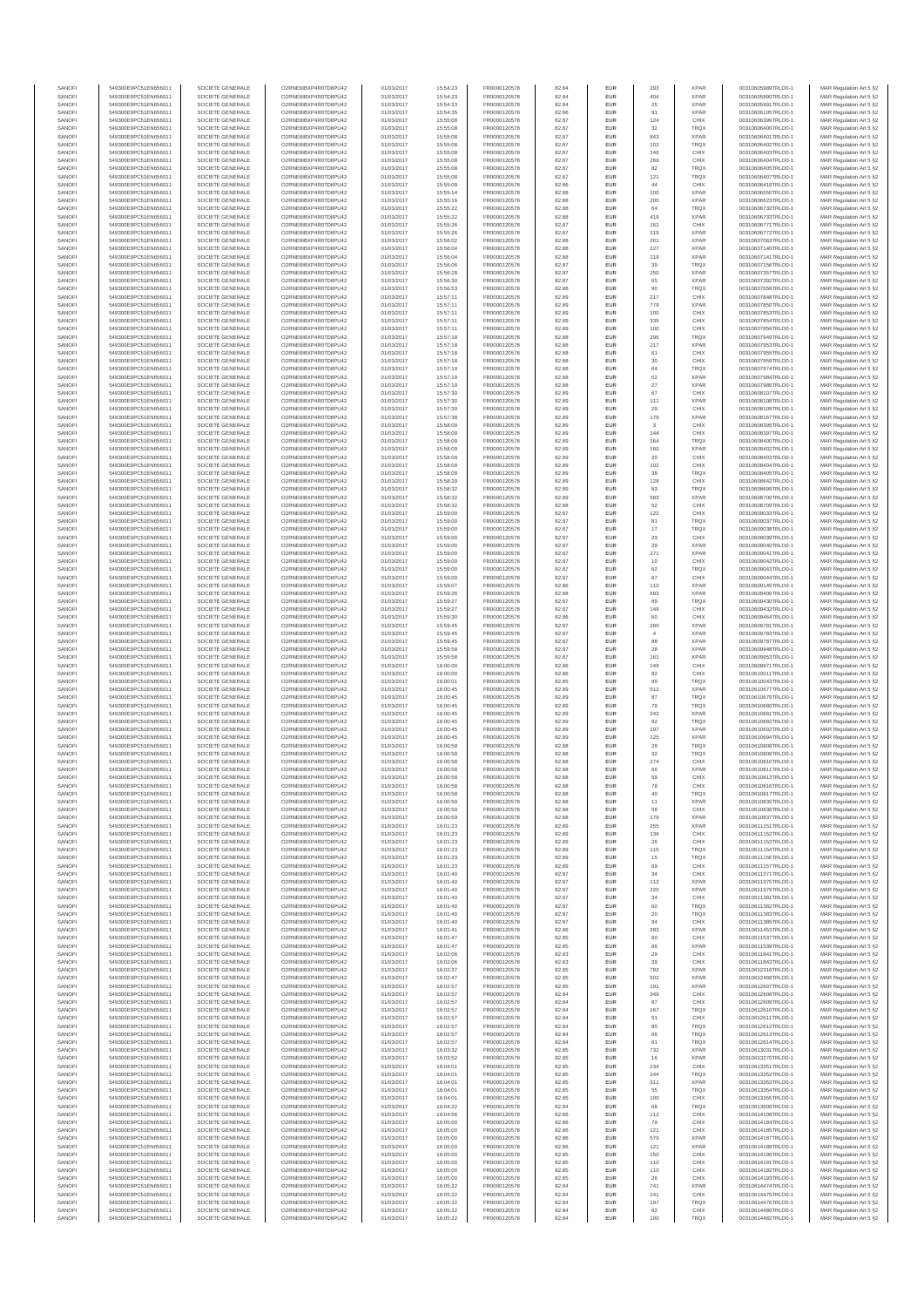| SANOFI           | 549300E9PC51EN656011                         | SOCIETE GENERALE                     | O2RNE8IBXP4R0TD8PU42                          | 01/03/2017               | 15:54:23             | FR0000120578                 | 82.84          | EUR                         | 293        | <b>XPAR</b>                | 00310605989TRLO0-1                       | MAR Regulation Art 5 §2                            |
|------------------|----------------------------------------------|--------------------------------------|-----------------------------------------------|--------------------------|----------------------|------------------------------|----------------|-----------------------------|------------|----------------------------|------------------------------------------|----------------------------------------------------|
| SANOFI<br>SANOFI | 549300E9PC51EN656011<br>549300E9PC51EN656011 | SOCIETE GENERALE<br>SOCIETE GENERALE | O2RNE8IBXP4R0TD8PU42<br>O2RNE8IBXP4R0TD8PU42  | 01/03/2017<br>01/03/2017 | 15:54:23<br>15:54:23 | FR0000120578                 | 82.84<br>82.84 | EUR<br>EUR                  | 404<br>25  | <b>XPAR</b><br><b>XPAR</b> | 00310605990TRLO0-1<br>00310605991TRLO0-1 | MAR Regulation Art 5 §2                            |
| SANOFI           | 549300E9PC51EN656011                         | SOCIETE GENERALE                     | O2RNE8IBXP4R0TD8PLI42                         | 01/03/2017               | 15:54:35             | FR0000120578<br>FR0000120578 | 82.86          | EUR                         | 91         | <b>XPAR</b>                | 00310606105TRLO0-1                       | MAR Regulation Art 5 §2<br>MAR Regulation Art 5 §2 |
| SANOFI           | 549300E9PC51EN656011                         | SOCIETE GENERALE                     | O2RNE8IBXP4R0TD8PU42                          | 01/03/2017               | 15:55:08             | FR0000120578                 | 82.87          | EUR                         | 124        | CHIX                       | 00310606399TRLO0-1                       | MAR Regulation Art 5 §2                            |
| SANOFI           | 549300E9PC51EN656011                         | SOCIETE GENERALE                     | O2RNE8IBXP4R0TD8PU42                          | 01/03/2017               | 15:55:08             | FR0000120578                 | 82.87          | EUR                         | 32         | TRQX                       | 00310606400TRLO0-1                       | MAR Regulation Art 5 §2                            |
| SANOFI<br>SANOFI | 549300E9PC51EN656011<br>549300E9PC51EN656011 | SOCIETE GENERALE<br>SOCIETE GENERALE | O2RNE8IBXP4R0TD8PU42<br>O2RNE8IBXP4R0TD8PU42  | 01/03/2017<br>01/03/2017 | 15:55:08<br>15:55:08 | FR0000120578<br>FR0000120578 | 82.87<br>82.87 | <b>EUR</b><br>EUR           | 843<br>102 | <b>XPAR</b><br>TRQX        | 00310606401TRLO0-1<br>00310606402TRLO0-1 | MAR Regulation Art 5 §2<br>MAR Regulation Art 5 §2 |
| SANOFI           | 549300E9PC51EN656011                         | SOCIETE GENERALE                     | O2RNE8IBXP4R0TD8PU42                          | 01/03/2017               | 15:55:08             | FR0000120578                 | 82.87          | <b>EUR</b>                  | 146        | CHIX                       | 00310606403TRLO0-1                       | MAR Regulation Art 5 §2                            |
| SANOFI           | 549300E9PC51EN656011                         | SOCIETE GENERALE                     | O2RNE8IBXP4R0TD8PU42                          | 01/03/2017               | 15:55:08             | FR0000120578                 | 82.87          | EUR                         | 269        | CHIX                       | 00310606404TRLO0-1                       | MAR Regulation Art 5 §2                            |
| SANOFI<br>SANOFI | 549300E9PC51EN656011<br>549300E9PC51EN656011 | SOCIETE GENERALE<br>SOCIETE GENERALE | O2RNE8IBXP4R0TD8PLI42<br>O2RNE8IBXP4R0TD8PU42 | 01/03/2017<br>01/03/2017 | 15:55:08<br>15:55:08 | FR0000120578<br>FR0000120578 | 82.87<br>82.87 | EUR<br>EUR                  | 82<br>121  | TRQX<br>TRQX               | 00310606405TRLO0-1<br>00310606407TRLO0-1 | MAR Regulation Art 5 §2<br>MAR Regulation Art 5 §2 |
| SANOFI           | 549300E9PC51EN656011                         | SOCIETE GENERALE                     | O2RNE8IBXP4R0TD8PU42                          | 01/03/2017               | 15:55:09             | FR0000120578                 | 82.86          | EUR                         | 44         | CHIX                       | 00310606419TRLO0-1                       | MAR Regulation Art 5 §2                            |
| SANOFI           | 549300E9PC51EN656011                         | SOCIETE GENERALE                     | O2RNE8IBXP4R0TD8PU42                          | 01/03/2017               | 15:55:14             | FR0000120578                 | 82.88          | EUR                         | 100        | <b>XPAR</b>                | 00310606550TRLO0-1                       | MAR Regulation Art 5 §2                            |
| SANOFI           | 549300E9PC51EN656011                         | SOCIETE GENERALE                     | O2RNE8IBXP4R0TD8PU42                          | 01/03/2017               | 15:55:16             | FR0000120578                 | 82.88          | EUR                         | 200        | <b>XPAR</b>                | 00310606623TRLO0-1                       | MAR Regulation Art 5 §2                            |
| SANOFI<br>SANOFI | 549300E9PC51EN656011<br>549300E9PC51EN656011 | SOCIETE GENERALE<br>SOCIETE GENERALE | O2RNE8IBXP4R0TD8PU42<br>O2RNE8IBXP4R0TD8PU42  | 01/03/2017<br>01/03/2017 | 15:55:22<br>15:55:22 | FR0000120578<br>FR0000120578 | 82.88<br>82.88 | <b>EUR</b><br>EUR           | 64<br>419  | <b>TRQX</b><br><b>XPAR</b> | 00310606732TRLO0-1<br>00310606733TRLO0-1 | MAR Regulation Art 5 §2<br>MAR Regulation Art 5 §2 |
| SANOFI           | 549300E9PC51EN656011                         | SOCIETE GENERALE                     | O2RNE8IBXP4R0TD8PU42                          | 01/03/2017               | 15:55:26             | FR0000120578                 | 82.87          | <b>EUR</b>                  | 161        | CHIX                       | 00310606771TRLO0-1                       | MAR Regulation Art 5 §2                            |
| SANOFI           | 549300E9PC51EN656011                         | SOCIETE GENERALE                     | O2RNE8IBXP4R0TD8PU42                          | 01/03/2017               | 15:55:26             | FR0000120578                 | 82.87          | EUR                         | 215        | <b>XPAR</b>                | 00310606772TRLO0-1                       | MAR Regulation Art 5 §2                            |
| SANOFI           | 549300E9PC51EN656011                         | SOCIETE GENERALE<br>SOCIETE GENERALE | O2RNESIBXP4R0TD8PLI42                         | 01/03/2017               | 15:56:02             | FR0000120578                 | 82.88          | EUR                         | 261        | <b>XPAR</b>                | 00310607063TRLO0-1                       | MAR Regulation Art 5 §2                            |
| SANOFI<br>SANOFI | 549300E9PC51EN656011<br>549300E9PC51EN656011 | SOCIETE GENERALE                     | O2RNE8IBXP4R0TD8PU42<br>O2RNE8IBXP4R0TD8PLI42 | 01/03/2017<br>01/03/2017 | 15:56:04<br>15:56:04 | FR0000120578<br>FR0000120578 | 82.88<br>82.88 | EUR<br>EUR                  | 227<br>119 | <b>XPAR</b><br><b>XPAR</b> | 00310607140TRLO0-1<br>00310607141TRLO0-1 | MAR Regulation Art 5 §2<br>MAR Regulation Art 5 §2 |
| SANOFI           | 549300E9PC51EN656011                         | SOCIETE GENERALE                     | O2RNE8IBXP4R0TD8PU42                          | 01/03/2017               | 15:56:06             | FR0000120578                 | 82.87          | <b>EUR</b>                  | 39         | <b>TRQX</b>                | 00310607156TRLO0-1                       | MAR Regulation Art 5 §2                            |
| SANOFI           | 549300E9PC51EN656011                         | SOCIETE GENERALE                     | O2RNE8IBXP4R0TD8PU42                          | 01/03/2017               | 15:56:28             | FR0000120578                 | 82.87          | EUR                         | 250        | <b>XPAR</b>                | 00310607357TRLO0-1                       | MAR Regulation Art 5 §2                            |
| SANOFI<br>SANOFI | 549300E9PC51EN656011<br>549300E9PC51EN656011 | SOCIETE GENERALE<br>SOCIETE GENERALE | O2RNE8IBXP4R0TD8PU42<br>O2RNE8IBXP4R0TD8PU42  | 01/03/2017<br>01/03/2017 | 15:56:30<br>15:56:53 | FR0000120578<br>FR0000120578 | 82.87<br>82.88 | <b>EUR</b><br>EUR           | 65<br>90   | <b>XPAR</b><br>TRQX        | 00310607392TRLO0-1<br>00310607656TRLO0-1 | MAR Regulation Art 5 §2<br>MAR Regulation Art 5 §2 |
| SANOFI           | 549300E9PC51EN656011                         | SOCIETE GENERALE                     | O2RNE8IBXP4R0TD8PU42                          | 01/03/2017               | 15:57:11             | FR0000120578                 | 82.89          | <b>EUR</b>                  | 217        | CHIX                       | 00310607848TRLO0-1                       | MAR Regulation Art 5 §2                            |
| SANOFI           | 549300E9PC51EN656011                         | SOCIETE GENERALE                     | O2RNE8IBXP4R0TD8PU42                          | 01/03/2017               | 15:57:11             | FR0000120578                 | 82.89          | <b>EUR</b>                  | 779        | <b>XPAR</b>                | 00310607850TRLO0-1                       | MAR Regulation Art 5 §2                            |
| SANOFI           | 549300E9PC51EN656011                         | SOCIETE GENERALE                     | O2RNE8IBXP4R0TD8PU42                          | 01/03/2017               | 15:57:11             | FR0000120578                 | 82.89          | EUR                         | 100        | CHIX                       | 00310607853TRLO0-1                       | MAR Regulation Art 5 §2                            |
| SANOFI<br>SANOFI | 549300E9PC51EN656011<br>549300E9PC51EN656011 | SOCIETE GENERALE<br>SOCIETE GENERALE | O2RNE8IBXP4R0TD8PU42<br>O2RNE8IBXP4R0TD8PU42  | 01/03/2017<br>01/03/2017 | 15:57:11<br>15:57:11 | FR0000120578<br>FR0000120578 | 82.89<br>82.89 | EUR<br>EUR                  | 335<br>100 | CHIX<br>CHIX               | 00310607854TRLO0-1<br>00310607856TRLO0-1 | MAR Regulation Art 5 §2<br>MAR Regulation Art 5 §2 |
| SANOFI           | 549300E9PC51EN656011                         | SOCIETE GENERALE                     | O2RNE8IBXP4R0TD8PU42                          | 01/03/2017               | 15:57:18             | FR0000120578                 | 82.88          | <b>EUR</b>                  | 296        | <b>TRQX</b>                | 00310607949TRLO0-1                       | MAR Regulation Art 5 §2                            |
| SANOFI           | 549300E9PC51EN656011                         | SOCIETE GENERALE                     | O2RNE8IBXP4R0TD8PU42                          | 01/03/2017               | 15:57:18             | FR0000120578                 | 82.88          | EUR                         | 217        | <b>XPAR</b>                | 00310607953TRLO0-1                       | MAR Regulation Art 5 §2                            |
| SANOFI<br>SANOFI | 549300E9PC51EN656011<br>549300E9PC51EN656011 | SOCIETE GENERALE<br>SOCIETE GENERALE | O2RNE8IBXP4R0TD8PU42<br>O2RNE8IBXP4R0TD8PU42  | 01/03/2017<br>01/03/2017 | 15:57:18<br>15:57:18 | FR0000120578<br>FR0000120578 | 82.88<br>82.88 | <b>EUR</b><br>EUR           | 61<br>30   | CHIX<br>CHIX               | 00310607955TRLO0-1<br>00310607959TRLO0-1 | MAR Regulation Art 5 §2<br>MAR Regulation Art 5 §2 |
| SANOFI           | 549300E9PC51EN656011                         | SOCIETE GENERALE                     | O2RNE8IBXP4R0TD8PU42                          | 01/03/2017               | 15:57:19             | FR0000120578                 | 82.88          | EUR                         | $64\,$     | <b>TRQX</b>                | 00310607974TRLO0-1                       | MAR Regulation Art 5 §2                            |
| SANOFI           | 549300E9PC51EN656011                         | SOCIETE GENERALE                     | O2RNE8IBXP4R0TD8PU42                          | 01/03/2017               | 15:57:19             | FR0000120578                 | 82.88          | EUR                         | 52         | <b>XPAR</b>                | 00310607984TRLO0-1                       | MAR Regulation Art 5 §2                            |
| SANOFI<br>SANOFI | 549300E9PC51EN656011<br>549300E9PC51EN656011 | SOCIETE GENERALE<br>SOCIETE GENERALE | O2RNE8IBXP4R0TD8PU42<br>O2RNE8IBXP4R0TD8PU42  | 01/03/2017<br>01/03/2017 | 15:57:19<br>15:57:30 | FR0000120578<br>FR0000120578 | 82.88<br>82.89 | EUR<br>EUR                  | 27<br>67   | <b>XPAR</b><br>CHIX        | 00310607986TRLO0-1<br>00310608107TRLO0-1 | MAR Regulation Art 5 §2                            |
| SANOFI           | 549300E9PC51EN656011                         | SOCIETE GENERALE                     | O2RNE8IBXP4R0TD8PU42                          | 01/03/2017               | 15:57:30             | FR0000120578                 | 82.89          | EUR                         | 111        | <b>XPAR</b>                | 00310608108TRLO0-1                       | MAR Regulation Art 5 §2<br>MAR Regulation Art 5 §2 |
| SANOFI           | 549300E9PC51EN656011                         | SOCIETE GENERALE                     | O2RNE8IBXP4R0TD8PU42                          | 01/03/2017               | 15:57:30             | FR0000120578                 | 82.89          | <b>EUR</b>                  | 29         | CHIX                       | 00310608109TRLO0-1                       | MAR Regulation Art 5 §2                            |
| SANOFI           | 549300E9PC51EN656011                         | SOCIETE GENERALE                     | O2RNE8IBXP4R0TD8PU42                          | 01/03/2017               | 15:57:38             | FR0000120578                 | 82.89          | EUR                         | 179        | <b>XPAR</b>                | 00310608167TRLO0-1                       | MAR Regulation Art 5 §2                            |
| SANOFI<br>SANOFI | 549300E9PC51EN656011<br>549300E9PC51EN656011 | SOCIETE GENERALE<br>SOCIETE GENERALE | O2RNE8IBXP4R0TD8PLI42<br>O2RNE8IBXP4R0TD8PU42 | 01/03/2017<br>01/03/2017 | 15:58:09<br>15:58:09 | FR0000120578<br>FR0000120578 | 82.89<br>82.89 | <b>EUR</b><br>EUR           | 3<br>144   | CHIX<br>CHIX               | 00310608395TRLO0-1<br>00310608397TRLO0-1 | MAR Regulation Art 5 §2<br>MAR Regulation Art 5 §2 |
| SANOFI           | 549300E9PC51EN656011                         | SOCIETE GENERALE                     | O2RNE8IBXP4R0TD8PU42                          | 01/03/2017               | 15:58:09             | FR0000120578                 | 82.89          | EUR                         | 164        | <b>TRQX</b>                | 00310608400TRLO0-1                       | MAR Regulation Art 5 §2                            |
| SANOFI           | 549300E9PC51EN656011                         | SOCIETE GENERALE                     | O2RNE8IBXP4R0TD8PU42                          | 01/03/2017               | 15:58:09             | FR0000120578                 | 82.89          | EUR                         | 160        | <b>XPAR</b>                | 00310608402TRLO0-1                       | MAR Regulation Art 5 §2                            |
| SANOFI<br>SANOFI | 549300E9PC51EN656011<br>549300E9PC51EN656011 | SOCIETE GENERALE<br>SOCIETE GENERALE | O2RNE8IBXP4R0TD8PLI42<br>O2RNE8IBXP4R0TD8PU42 | 01/03/2017<br>01/03/2017 | 15:58:09<br>15:58:09 | FR0000120578                 | 82.89<br>82.89 | EUR<br>EUR                  | $20\,$     | CHIX<br>CHIX               | 00310608403TRLO0-1<br>00310608404TRLO0-1 | MAR Regulation Art 5 §2<br>MAR Regulation Art 5 §2 |
| SANOFI           | 549300E9PC51EN656011                         | SOCIETE GENERALE                     | O2RNE8IBXP4R0TD8PU42                          | 01/03/2017               | 15:58:09             | FR0000120578<br>FR0000120578 | 82.89          | EUR                         | 102<br>38  | TRQX                       | 00310608405TRLO0-1                       | MAR Regulation Art 5 §2                            |
| SANOFI           | 549300E9PC51EN656011                         | SOCIETE GENERALE                     | O2RNE8IBXP4R0TD8PU42                          | 01/03/2017               | 15:58:29             | FR0000120578                 | 82.89          | <b>EUR</b>                  | 128        | CHIX                       | 00310608642TRLO0-1                       | MAR Regulation Art 5 §2                            |
| SANOFI           | 549300E9PC51EN656011                         | SOCIETE GENERALE                     | O2RNE8IBXP4R0TD8PU42                          | 01/03/2017               | 15:58:32             | FR0000120578                 | 82.89          | EUR                         | 63         | TRQX                       | 00310608699TRLO0-1                       | MAR Regulation Art 5 §2                            |
| SANOFI<br>SANOFI | 549300E9PC51EN656011<br>549300E9PC51EN656011 | SOCIETE GENERALE<br>SOCIETE GENERALE | O2RNE8IBXP4R0TD8PU42<br>O2RNE8IBXP4R0TD8PU42  | 01/03/2017<br>01/03/2017 | 15:58:32<br>15:58:32 | FR0000120578<br>FR0000120578 | 82.89<br>82.88 | <b>EUR</b><br>EUR           | 583<br>52  | <b>XPAR</b><br>CHIX        | 00310608700TRLO0-1<br>00310608709TRLO0-1 | MAR Regulation Art 5 §2<br>MAR Regulation Art 5 §2 |
| SANOFI           | 549300E9PC51EN656011                         | SOCIETE GENERALE                     | O2RNE8IBXP4R0TD8PLI42                         | 01/03/2017               | 15:59:00             | FR0000120578                 | 82.87          | EUR                         | 122        | CHIX                       | 00310609033TRLO0-1                       | MAR Regulation Art 5 §2                            |
| SANOFI           | 549300E9PC51EN656011                         | SOCIETE GENERALE                     | O2RNE8IBXP4R0TD8PU42                          | 01/03/2017               | 15:59:00             | FR0000120578                 | 82.87          | EUR                         | 81         | TRQX                       | 00310609037TRLO0-1                       | MAR Regulation Art 5 §2                            |
| SANOFI<br>SANOFI | 549300E9PC51EN656011<br>549300E9PC51EN656011 | SOCIETE GENERALE<br>SOCIETE GENERALE | O2RNE8IBXP4R0TD8PU42<br>O2RNE8IBXP4R0TD8PU42  | 01/03/2017               | 15:59:00<br>15:59:00 | FR0000120578                 | 82.87<br>82.87 | EUR<br><b>EUR</b>           | 17<br>23   | <b>TRQX</b><br>CHIX        | 00310609038TRLO0-1<br>00310609039TRLO0-1 | MAR Regulation Art 5 §2                            |
| SANOFI           | 549300E9PC51EN656011                         | SOCIETE GENERALE                     | O2RNE8IBXP4R0TD8PU42                          | 01/03/2017<br>01/03/2017 | 15:59:00             | FR0000120578<br>FR0000120578 | 82.87          | EUR                         | 29         | <b>XPAR</b>                | 00310609040TRLO0-1                       | MAR Regulation Art 5 §2<br>MAR Regulation Art 5 §2 |
| SANOFI           | 549300E9PC51EN656011                         | SOCIETE GENERALE                     | O2RNE8IBXP4R0TD8PU42                          | 01/03/2017               | 15:59:00             | FR0000120578                 | 82.87          | <b>EUR</b>                  | 271        | <b>XPAR</b>                | 00310609041TRLO0-1                       | MAR Regulation Art 5 §2                            |
| SANOFI           | 549300E9PC51EN656011                         | SOCIETE GENERALE                     | O2RNE8IBXP4R0TD8PU42                          | 01/03/2017               | 15:59:00             | FR0000120578                 | 82.87          | EUR                         | 10         | CHIX                       | 00310609042TRLO0-1                       | MAR Regulation Art 5 §2                            |
| SANOFI<br>SANOFI | 549300E9PC51EN656011<br>549300E9PC51EN656011 | SOCIETE GENERALE<br>SOCIETE GENERALE | O2RNE8IBXP4R0TD8PU42<br>O2RNE8IBXP4R0TD8PU42  | 01/03/2017<br>01/03/2017 | 15:59:00<br>15:59:00 | FR0000120578<br>FR0000120578 | 82.87<br>82.87 | <b>EUR</b><br>EUR           | 62<br>67   | <b>TRQX</b><br>CHIX        | 00310609043TRLO0-1<br>00310609044TRLO0-1 | MAR Regulation Art 5 §2<br>MAR Regulation Art 5 §2 |
| SANOFI           | 549300E9PC51EN656011                         | SOCIETE GENERALE                     | O2RNE8IBXP4R0TD8PU42                          | 01/03/2017               | 15:59:07             | FR0000120578                 | 82.86          | EUR                         | 110        | <b>XPAR</b>                | 00310609145TRLO0-1                       | MAR Regulation Art 5 §2                            |
| SANOFI           | 549300E9PC51EN656011                         | SOCIETE GENERALE                     | O2RNE8IBXP4R0TD8PU42                          | 01/03/2017               | 15:59:26             | FR0000120578                 | 82.88          | EUR                         | 683        | <b>XPAR</b>                | 00310609406TRLO0-1                       | MAR Regulation Art 5 §2                            |
| SANOFI<br>SANOFI | 549300E9PC51EN656011<br>549300E9PC51EN656011 | SOCIETE GENERALE<br>SOCIETE GENERALE | O2RNE8IBXP4R0TD8PU42<br>O2RNE8IBXP4R0TD8PU42  | 01/03/2017               | 15:59:27             | FR0000120578                 | 82.87          | EUR<br><b>EUR</b>           | 89<br>149  | TRQX<br>CHIX               | 00310609430TRLO0-1                       | MAR Regulation Art 5 §2                            |
| SANOFI           | 549300E9PC51EN656011                         | SOCIETE GENERALE                     | O2RNE8IBXP4R0TD8PU42                          | 01/03/2017<br>01/03/2017 | 15:59:27<br>15:59:30 | FR0000120578<br>FR0000120578 | 82.87<br>82.86 | EUR                         |            | CHIX                       | 00310609432TRLO0-1<br>00310609464TRLO0-1 | MAR Regulation Art 5 §2<br>MAR Regulation Art 5 §2 |
| SANOFI           | 549300E9PC51EN656011                         | SOCIETE GENERALE                     | O2RNE8IBXP4R0TD8PU42                          | 01/03/2017               | 15:59:45             | FR0000120578                 | 82.87          | <b>EUR</b>                  | 280        | <b>XPAR</b>                | 00310609781TRLO0-1                       | MAR Regulation Art 5 §2                            |
| SANOFI           | 549300E9PC51EN656011                         | SOCIETE GENERALE                     | O2RNE8IBXP4R0TD8PU42                          | 01/03/2017               | 15:59:45             | FR0000120578                 | 82.87          | EUR                         |            | <b>XPAR</b>                | 00310609783TRLO0-1                       | MAR Regulation Art 5 §2                            |
| SANOFI<br>SANOFI | 549300E9PC51EN656011<br>549300E9PC51EN656011 | SOCIETE GENERALE<br>SOCIETE GENERALE | O2RNE8IBXP4R0TD8PU42<br>O2RNE8IBXP4R0TD8PU42  | 01/03/2017<br>01/03/2017 | 15:59:45<br>15:59:58 | FR0000120578<br>FR0000120578 | 82.87<br>82.87 | <b>EUR</b><br>EUR           | 88<br>28   | <b>XPAR</b><br><b>XPAR</b> | 00310609787TRLO0-1<br>00310609948TRLO0-1 | MAR Regulation Art 5 §2<br>MAR Regulation Art 5 §2 |
| SANOFI           | 549300E9PC51EN656011                         | SOCIETE GENERALE                     | O2RNE8IBXP4R0TD8PU42                          | 01/03/2017               | 15:59:58             | FR0000120578                 | 82.87          | $\ensuremath{\mathsf{EUR}}$ | 161        | <b>XPAR</b>                | 00310609953TRLO0-1                       | MAR Regulation Art 5 §2                            |
| SANOFI           | 549300E9PC51EN656011                         | SOCIETE GENERALE                     | O2RNE8IBXP4R0TD8PU42                          | 01/03/2017               | 16:00:00             | FR0000120578                 | 82.86          | EUR                         | 149        | CHIX                       | 00310609971TRLO0-1                       | MAR Regulation Art 5 §2                            |
| SANOFI           | 549300E9PC51EN656011                         | SOCIETE GENERALE                     | O2RNE8IBXP4R0TD8PU42                          | 01/03/2017               | 16:00:00             | FR0000120578                 | 82.86          | EUR                         | 82         | CHIX                       | 00310610011TRLO0-1                       | MAR Regulation Art 5 §2                            |
| SANOFI<br>SANOFI | 549300E9PC51EN656011<br>549300E9PC51EN656011 | SOCIETE GENERALE<br>SOCIETE GENERALE | O2RNE8IBXP4R0TD8PU42<br>O2RNE8IBXP4R0TD8PU42  | 01/03/2017<br>01/03/2017 | 16:00:01<br>16:00:45 | FR0000120578<br>FR0000120578 | 82.85<br>82.89 | <b>EUR</b><br>EUR           | 99<br>512  | <b>TRQX</b><br><b>XPAR</b> | 00310610043TRLO0-1<br>00310610677TRLO0-1 | MAR Regulation Art 5 §2<br>MAR Regulation Art 5 §2 |
| SANOFI           | 549300E9PC51EN656011                         | SOCIETE GENERALE                     | O2RNE8IBXP4R0TD8PU42                          | 01/03/2017               | 16:00:45             | FR0000120578                 | 82.89          | <b>EUR</b>                  | 87         | <b>TRQX</b>                | 00310610679TRLO0-1                       | MAR Regulation Art 5 §2                            |
| SANOFI           | 549300E9PC51EN656011                         | SOCIETE GENERALE                     | O2RNE8IBXP4R0TD8PU42                          | 01/03/2017               | 16:00:45             | FR0000120578                 | 82.89          | EUR                         | 79         | TRQX                       | 00310610680TRLO0-1                       | MAR Regulation Art 5 §2                            |
| SANOFI           | 549300E9PC51EN656011                         | SOCIETE GENERALE                     | O2RNE8IBXP4R0TD8PU42                          | 01/03/2017               | 16:00:45             | FR0000120578<br>FR0000120578 | 82.89          | EUR                         | 242        | <b>XPAR</b>                | 00310610681TRLO0-1                       | MAR Regulation Art 5 §2                            |
| SANOFI<br>SANOFI | 549300E9PC51EN656011<br>549300E9PC51EN656011 | SOCIETE GENERALE<br>SOCIETE GENERALE | O2RNE8IBXP4R0TD8PU42<br>O2RNE8IBXP4R0TD8PU42  | 01/03/2017<br>01/03/2017 | 16:00:45<br>16:00:45 | FR0000120578                 | 82.89<br>82.89 | EUR<br>EUR                  | 92<br>197  | TRQX<br><b>XPAR</b>        | 00310610682TRLO0-1<br>00310610692TRLO0-1 | MAR Regulation Art 5 §2<br>MAR Regulation Art 5 §2 |
| SANOFI           | 549300E9PC51EN656011                         | SOCIETE GENERALE                     | O2RNE8IBXP4R0TD8PU42                          | 01/03/2017               | 16:00:45             | FR0000120578                 | 82.89          | EUR                         | 125        | <b>XPAR</b>                | 00310610694TRLO0-1                       | MAR Regulation Art 5 §2                            |
| SANOFI           | 549300E9PC51EN656011                         | SOCIETE GENERALE                     | O2RNE8IBXP4R0TD8PU42                          | 01/03/2017               | 16:00:58             | FR0000120578                 | 82.88          | EUR                         | 28         | TRQX                       | 00310610808TRLO0-1                       | MAR Regulation Art 5 §2                            |
| SANOFI<br>SANOFI | 549300E9PC51EN656011<br>549300E9PC51EN656011 | SOCIETE GENERALE<br>SOCIETE GENERALE | O2RNE8IBXP4R0TD8PU42<br>O2RNE8IBXP4R0TD8PU42  | 01/03/2017<br>01/03/2017 | 16:00:58<br>16:00:58 | FR0000120578<br>FR0000120578 | 82.88<br>82.88 | <b>EUR</b><br>EUR           | 32<br>274  | <b>TRQX</b><br>CHIX        | 00310610809TRLO0-1<br>00310610810TRLO0-1 | MAR Regulation Art 5 §2<br>MAR Regulation Art 5 §2 |
| SANOFI           | 549300E9PC51EN656011                         | SOCIETE GENERALE                     | O2RNE8IBXP4R0TD8PU42                          | 01/03/2017               | 16:00:58             | FR0000120578                 | 82.88          | EUR                         | 66         | <b>XPAR</b>                | 00310610811TRLO0-1                       | MAR Regulation Art 5 §2                            |
| SANOFI           | 549300E9PC51EN656011                         | SOCIETE GENERALE                     | O2RNE8IBXP4R0TD8PU42                          | 01/03/2017               | 16:00:58             | FR0000120578                 | 82.88          | EUR                         | 59         | CHIX                       | 00310610813TRLO0-1                       | MAR Regulation Art 5 §2                            |
| SANOFI           | 549300E9PC51EN656011                         | SOCIETE GENERALE<br>SOCIETE GENERALE | O2RNE8IBXP4R0TD8PU42<br>O2RNE8IBXP4R0TD8PU42  | 01/03/2017               | 16:00:58             | FR0000120578                 | 82.88          | EUR                         | 78         | CHIX                       | 00310610816TRLO0-1                       | MAR Regulation Art 5 §2                            |
| SANOFI<br>SANOFI | 549300E9PC51EN656011<br>549300E9PC51EN656011 | SOCIETE GENERALE                     | O2RNESIBXP4R0TD8PLI42                         | 01/03/2017<br>01/03/2017 | 16:00:58<br>16:00:59 | FR0000120578<br>FR0000120578 | 82.88<br>82.88 | <b>EUR</b><br><b>EUR</b>    | 40<br>11   | <b>TRQX</b><br><b>XPAR</b> | 00310610817TRLO0-1<br>00310610835TRLO0-1 | MAR Regulation Art 5 §2<br>MAR Regulation Art 5 §2 |
| SANOFI           | 549300E9PC51EN656011                         | SOCIETE GENERALE                     | O2RNE8IBXP4R0TD8PU42                          | 01/03/2017               | 16:00:59             | FR0000120578                 | 82.88          | EUR                         | 58         | CHIX                       | 00310610836TRLO0-1                       | MAR Regulation Art 5 §2                            |
| SANOFI           | 549300E9PC51EN656011                         | SOCIETE GENERALE                     | O2RNE8IBXP4R0TD8PU42                          | 01/03/2017               | 16:00:59             | FR0000120578                 | 82.88          | EUR                         | 179        | <b>XPAR</b>                | 00310610837TRLO0-1                       | MAR Regulation Art 5 §2                            |
| SANOFI<br>SANOFI | 549300E9PC51EN656011<br>549300E9PC51EN656011 | SOCIETE GENERALE<br>SOCIETE GENERALE | O2RNE8IBXP4R0TD8PU42<br>O2RNE8IBXP4R0TD8PU42  | 01/03/2017<br>01/03/2017 | 16:01:23<br>16:01:23 | FR0000120578<br>FR0000120578 | 82.89<br>82.89 | <b>EUR</b><br>EUR           | 255<br>136 | <b>XPAR</b><br>CHIX        | 00310611151TRLO0-1<br>00310611152TRLO0-1 | MAR Regulation Art 5 §2<br>MAR Regulation Art 5 §2 |
| SANOFI           | 549300E9PC51EN656011                         | SOCIETE GENERALE                     | O2RNE8IBXP4R0TD8PU42                          | 01/03/2017               | 16:01:23             | FR0000120578                 | 82.89          | <b>EUR</b>                  | 26         | CHIX                       | 00310611153TRLO0-1                       | MAR Regulation Art 5 §2                            |
| SANOFI           | 549300E9PC51EN656011                         | SOCIETE GENERALE                     | O2RNE8IBXP4R0TD8PU42                          | 01/03/2017               | 16:01:23             | FR0000120578                 | 82.89          | <b>EUR</b>                  | 115        | <b>TRQX</b>                | 00310611154TRLO0-1                       | MAR Regulation Art 5 §2                            |
| SANOFI<br>SANOFI | 549300E9PC51EN656011<br>549300E9PC51EN656011 | SOCIETE GENERALE<br>SOCIETE GENERALE | O2RNE8IBXP4R0TD8PU42<br>O2RNE8IBXP4R0TD8PU42  | 01/03/2017<br>01/03/2017 | 16:01:23<br>16:01:23 | FR0000120578<br>FR0000120578 | 82.89<br>82.89 | EUR<br>EUR                  | 15<br>69   | <b>TROX</b><br>CHIX        | 00310611156TRLO0-1<br>00310611157TRLO0-1 | MAR Regulation Art 5 §2<br>MAR Regulation Art 5 §2 |
| SANOFI           | 549300E9PC51EN656011                         | SOCIETE GENERALE                     | O2RNESIBXP4R0TD8PLI42                         | 01/03/2017               | 16:01:40             | FR0000120578                 | 82.87          | EUR                         | 34         | CHIX                       | 00310611371TRLO0-1                       | MAR Regulation Art 5 §2                            |
| SANOFI           | 549300E9PC51EN656011                         | SOCIETE GENERALE                     | O2RNE8IBXP4R0TD8PLI42                         | 01/03/2017               | 16:01:40             | FR0000120578                 | 82.87          | <b>EUR</b>                  | 112        | <b>XPAR</b>                | 00310611375TRLO0-1                       | MAR Regulation Art 5 §2                            |
| SANOFI<br>SANOFI | 549300E9PC51EN656011<br>549300E9PC51EN656011 | SOCIETE GENERALE<br>SOCIETE GENERALE | O2RNE8IBXP4R0TD8PU42<br>O2RNE8IBXP4R0TD8PU42  | 01/03/2017<br>01/03/2017 | 16:01:40<br>16:01:40 | FR0000120578<br>FR0000120578 | 82.87<br>82.87 | EUR<br><b>EUR</b>           | 220<br>34  | <b>XPAR</b><br>CHIX        | 00310611379TRLO0-1<br>00310611381TRLO0-1 | MAR Regulation Art 5 §2                            |
| SANOFI           | 549300E9PC51EN656011                         | SOCIETE GENERALE                     | O2RNE8IBXP4R0TD8PU42                          | 01/03/2017               | 16:01:40             | FR0000120578                 | 82.87          | EUR                         | 60         | TRQX                       | 00310611382TRLO0-1                       | MAR Regulation Art 5 §2<br>MAR Regulation Art 5 §2 |
| SANOFI           | 549300E9PC51EN656011                         | SOCIETE GENERALE                     | O2RNE8IBXP4R0TD8PU42                          | 01/03/2017               | 16:01:40             | FR0000120578                 | 82.87          | EUR                         | $20\,$     | <b>TRQX</b>                | 00310611383TRLO0-1                       | MAR Regulation Art 5 §2                            |
| SANOFI<br>SANOFI | 549300E9PC51EN656011<br>549300E9PC51EN656011 | SOCIETE GENERALE<br>SOCIETE GENERALE | O2RNE8IBXP4R0TD8PU42<br>O2RNE8IBXP4R0TD8PU42  | 01/03/2017<br>01/03/2017 | 16:01:40<br>16:01:41 | FR0000120578<br>FR0000120578 | 82.87<br>82.86 | EUR<br>EUR                  | 94<br>283  | CHIX<br><b>XPAR</b>        | 00310611385TRLO0-1<br>00310611453TRLO0-1 | MAR Regulation Art 5 §2<br>MAR Regulation Art 5 §2 |
| SANOFI           | 549300E9PC51EN656011                         | SOCIETE GENERALE                     | O2RNE8IBXP4R0TD8PU42                          | 01/03/2017               | 16:01:47             | FR0000120578                 | 82.85          | EUR                         | 60         | CHIX                       | 00310611537TRLO0-1                       | MAR Regulation Art 5 §2                            |
| SANOFI           | 549300E9PC51EN656011                         | SOCIETE GENERALE                     | O2RNE8IBXP4R0TD8PU42                          | 01/03/2017               | 16:01:47             | FR0000120578                 | 82.85          | EUR                         | 66         | <b>XPAR</b>                | 00310611539TRLO0-1                       | MAR Regulation Art 5 §2                            |
| SANOFI           | 549300E9PC51EN656011                         | SOCIETE GENERALE                     | O2RNE8IBXP4R0TD8PU42                          | 01/03/2017               | 16:02:06             | FR0000120578                 | 82.83          | <b>EUR</b>                  | 29         | CHIX                       | 00310611841TRLO0-1                       | MAR Regulation Art 5 §2                            |
| SANOFI<br>SANOFI | 549300E9PC51EN656011<br>549300E9PC51EN656011 | SOCIETE GENERALE<br>SOCIETE GENERALE | O2RNE8IBXP4R0TD8PU42<br>O2RNE8IBXP4R0TD8PLI42 | 01/03/2017<br>01/03/2017 | 16:02:06<br>16:02:37 | FR0000120578<br>FR0000120578 | 82.83<br>82.85 | EUR<br><b>EUR</b>           | 39<br>782  | CHIX<br><b>XPAR</b>        | 00310611843TRLO0-1<br>00310612316TRLO0-1 | MAR Regulation Art 5 §2<br>MAR Regulation Art 5 §2 |
| SANOFI           | 549300E9PC51EN656011                         | SOCIETE GENERALE                     | O2RNE8IBXP4R0TD8PU42                          | 01/03/2017               | 16:02:47             | FR0000120578                 | 82.85          | EUR                         | 502        | <b>XPAR</b>                | 00310612468TRLO0-1                       | MAR Regulation Art 5 §2                            |
| SANOFI           | 549300E9PC51EN656011                         | SOCIETE GENERALE                     | O2RNE8IBXP4R0TD8PU42                          | 01/03/2017               | 16:02:57             | FR0000120578                 | 82.85          | <b>EUR</b>                  | 191        | <b>XPAR</b>                | 00310612607TRLO0-1                       | MAR Regulation Art 5 §2                            |
| SANOFI<br>SANOFI | 549300E9PC51EN656011<br>549300E9PC51EN656011 | SOCIETE GENERALE<br>SOCIETE GENERALE | O2RNE8IBXP4R0TD8PU42<br>O2RNE8IBXP4R0TD8PU42  | 01/03/2017<br>01/03/2017 | 16:02:57<br>16:02:57 | FR0000120578<br>FR0000120578 | 82.84<br>82.84 | EUR<br>EUR                  | 349<br>87  | CHIX<br>CHIX               | 00310612608TRLO0-1<br>00310612609TRLO0-1 | MAR Regulation Art 5 §2<br>MAR Regulation Art 5 §2 |
| SANOFI           | 549300E9PC51EN656011                         | SOCIETE GENERALE                     | O2RNE8IBXP4R0TD8PU42                          | 01/03/2017               | 16:02:57             | FR0000120578                 | 82.84          | EUR                         | 167        | TRQX                       | 00310612610TRLO0-1                       | MAR Regulation Art 5 §2                            |
| SANOFI           | 549300E9PC51EN656011                         | SOCIETE GENERALE                     | O2RNE8IBXP4R0TD8PU42                          | 01/03/2017               | 16:02:57             | FR0000120578                 | 82.84          | EUR                         | 51         | CHIX                       | 00310612611TRLO0-1                       | MAR Regulation Art 5 §2                            |
| SANOFI<br>SANOFI | 549300E9PC51EN656011<br>549300E9PC51EN656011 | SOCIETE GENERALE<br>SOCIETE GENERALE | O2RNE8IBXP4R0TD8PU42<br>O2RNE8IBXP4R0TD8PU42  | 01/03/2017<br>01/03/2017 | 16:02:57<br>16:02:57 | FR0000120578<br>FR0000120578 | 82.84<br>82.84 | <b>EUR</b><br>EUR           | 90<br>66   | <b>TRQX</b><br>TRQX        | 00310612612TRLO0-1<br>00310612613TRLO0-1 | MAR Regulation Art 5 §2<br>MAR Regulation Art 5 §2 |
| SANOFI           | 549300E9PC51EN656011                         | SOCIETE GENERALE                     | O2RNE8IBXP4R0TD8PU42                          | 01/03/2017               | 16:02:57             | FR0000120578                 | 82.84          | <b>EUR</b>                  | 61         | <b>TROX</b>                | 00310612614TRLO0-1                       | MAR Regulation Art 5 §2                            |
| SANOFI           | 549300E9PC51EN656011                         | SOCIETE GENERALE                     | O2RNE8IBXP4R0TD8PU42                          | 01/03/2017               | 16:03:32             | FR0000120578                 | 82.85          | <b>EUR</b>                  | 732        | <b>XPAR</b>                | 00310613031TRLO0-1                       | MAR Regulation Art 5 §2                            |
| SANOFI           | 549300E9PC51EN656011                         | SOCIETE GENERALE                     | O2RNE8IBXP4R0TD8PU42                          | 01/03/2017               | 16:03:52             | FR0000120578                 | 82.85          | EUR                         | 16         | <b>XPAR</b>                | 00310613270TRLO0-1                       | MAR Regulation Art 5 §2                            |
| SANOFI<br>SANOFI | 549300E9PC51EN656011<br>549300E9PC51EN656011 | SOCIETE GENERALE<br>SOCIETE GENERALE | O2RNE8IBXP4R0TD8PU42<br>O2RNE8IBXP4R0TD8PU42  | 01/03/2017<br>01/03/2017 | 16:04:01<br>16:04:01 | FR0000120578<br>FR0000120578 | 82.85<br>82.85 | EUR<br>EUR                  | 234<br>244 | CHIX<br><b>TRQX</b>        | 00310613351TRLO0-1<br>00310613352TRLO0-1 | MAR Regulation Art 5 §2<br>MAR Regulation Art 5 §2 |
| SANOFI           | 549300E9PC51EN656011                         | SOCIETE GENERALE                     | O2RNE8IBXP4R0TD8PU42                          | 01/03/2017               | 16:04:01             | FR0000120578                 | 82.85          | EUR                         | 311        | <b>XPAR</b>                | 00310613353TRLO0-1                       | MAR Regulation Art 5 §2                            |
| SANOFI           | 549300E9PC51EN656011                         | SOCIETE GENERALE                     | O2RNE8IBXP4R0TD8PU42                          | 01/03/2017               | 16:04:01             | FR0000120578                 | 82.85          | EUR                         | 55         | TRQX                       | 00310613354TRLO0-1                       | MAR Regulation Art 5 §2                            |
| SANOFI<br>SANOFI | 549300E9PC51EN656011<br>549300E9PC51EN656011 | SOCIETE GENERALE<br>SOCIETE GENERALE | O2RNE8IBXP4R0TD8PU42<br>O2RNE8IBXP4R0TD8PU42  | 01/03/2017<br>01/03/2017 | 16:04:01<br>16:04:22 | FR0000120578<br>FR0000120578 | 82.85<br>82.84 | <b>EUR</b><br>EUR           | 100<br>68  | CHIX<br>TRQX               | 00310613355TRLO0-1<br>00310613606TRLO0-1 | MAR Regulation Art 5 §2                            |
| SANOFI           | 549300E9PC51EN656011                         | SOCIETE GENERALE                     | O2RNE8IBXP4R0TD8PU42                          | 01/03/2017               | 16:04:56             | FR0000120578                 | 82.86          | EUR                         | 112        | CHIX                       | 00310614108TRLO0-1                       | MAR Regulation Art 5 §2<br>MAR Regulation Art 5 §2 |
| SANOFI           | 549300E9PC51EN656011                         | SOCIETE GENERALE                     | O2RNE8IBXP4R0TD8PU42                          | 01/03/2017               | 16:05:00             | FR0000120578                 | 82.86          | <b>EUR</b>                  | 79         | CHIX                       | 00310614184TRLO0-1                       | MAR Regulation Art 5 §2                            |
| SANOFI<br>SANOFI | 549300E9PC51EN656011                         | SOCIETE GENERALE                     | O2RNE8IBXP4R0TD8PU42                          | 01/03/2017               | 16:05:00             | FR0000120578                 | 82.86          | EUR                         | 121        | CHIX<br><b>XPAR</b>        | 00310614185TRLO0-1                       | MAR Regulation Art 5 §2                            |
| SANOFI           | 549300E9PC51EN656011<br>549300E9PC51EN656011 | SOCIETE GENERALE<br>SOCIETE GENERALE | O2RNE8IBXP4R0TD8PU42<br>O2RNE8IBXP4R0TD8PU42  | 01/03/2017<br>01/03/2017 | 16:05:00<br>16:05:00 | FR0000120578<br>FR0000120578 | 82.86<br>82.86 | EUR<br>EUR                  | 579<br>121 | <b>XPAR</b>                | 00310614187TRLO0-1<br>00310614189TRLO0-1 | MAR Regulation Art 5 §2<br>MAR Regulation Art 5 §2 |
| SANOFI           | 549300E9PC51EN656011                         | SOCIETE GENERALE                     | O2RNE8IBXP4R0TD8PU42                          | 01/03/2017               | 16:05:00             | FR0000120578                 | 82.85          | <b>EUR</b>                  | 150        | CHIX                       | 00310614190TRLO0-1                       | MAR Regulation Art 5 §2                            |
| SANOFI           | 549300E9PC51EN656011                         | SOCIETE GENERALE                     | O2RNE8IBXP4R0TD8PU42                          | 01/03/2017               | 16:05:00             | FR0000120578                 | 82.85          | EUR                         | 110        | CHIX                       | 00310614191TRLO0-1                       | MAR Regulation Art 5 §2                            |
| SANOFI<br>SANOFI | 549300E9PC51EN656011<br>549300E9PC51EN656011 | SOCIETE GENERALE<br>SOCIETE GENERALE | O2RNE8IBXP4R0TD8PU42<br>O2RNE8IBXP4R0TD8PU42  | 01/03/2017<br>01/03/2017 | 16:05:00<br>16:05:00 | FR0000120578<br>FR0000120578 | 82.85<br>82.85 | <b>EUR</b><br>EUR           | 110<br>26  | CHIX<br>CHIX               | 00310614192TRLO0-1<br>00310614193TRLO0-1 | MAR Regulation Art 5 §2<br>MAR Regulation Art 5 §2 |
| SANOFI           | 549300E9PC51EN656011                         | SOCIETE GENERALE                     | O2RNE8IBXP4R0TD8PU42                          | 01/03/2017               | 16:05:22             | FR0000120578                 | 82.84          | <b>EUR</b>                  | 741        | <b>XPAR</b>                | 00310614474TRLO0-1                       | MAR Regulation Art 5 §2                            |
| SANOFI           | 549300E9PC51EN656011                         | SOCIETE GENERALE                     | O2RNE8IBXP4R0TD8PU42                          | 01/03/2017               | 16:05:22             | FR0000120578                 | 82.84          | EUR                         | 141        | CHIX                       | 00310614475TRLO0-1                       | MAR Regulation Art 5 §2                            |
| SANOFI<br>SANOFI | 549300E9PC51EN656011<br>549300E9PC51EN656011 | SOCIETE GENERALE<br>SOCIETE GENERALE | O2RNE8IBXP4R0TD8PU42<br>O2RNE8IBXP4R0TD8PU42  | 01/03/2017<br>01/03/2017 | 16:05:22<br>16:05:22 | FR0000120578                 | 82.84<br>82.84 | EUR<br>EUR                  | 197<br>62  | TRQX<br>CHIX               | 00310614476TRLO0-1<br>00310614480TRLO0-1 | MAR Regulation Art 5 §2                            |
| SANOFI           | 549300E9PC51EN656011                         | SOCIETE GENERALE                     | O2RNE8IBXP4R0TD8PU42                          | 01/03/2017               | 16:05:22             | FR0000120578<br>FR0000120578 | 82.84          | EUR                         | 100        | TRQX                       | 00310614482TRLO0-1                       | MAR Regulation Art 5 §2<br>MAR Regulation Art 5 §2 |
|                  |                                              |                                      |                                               |                          |                      |                              |                |                             |            |                            |                                          |                                                    |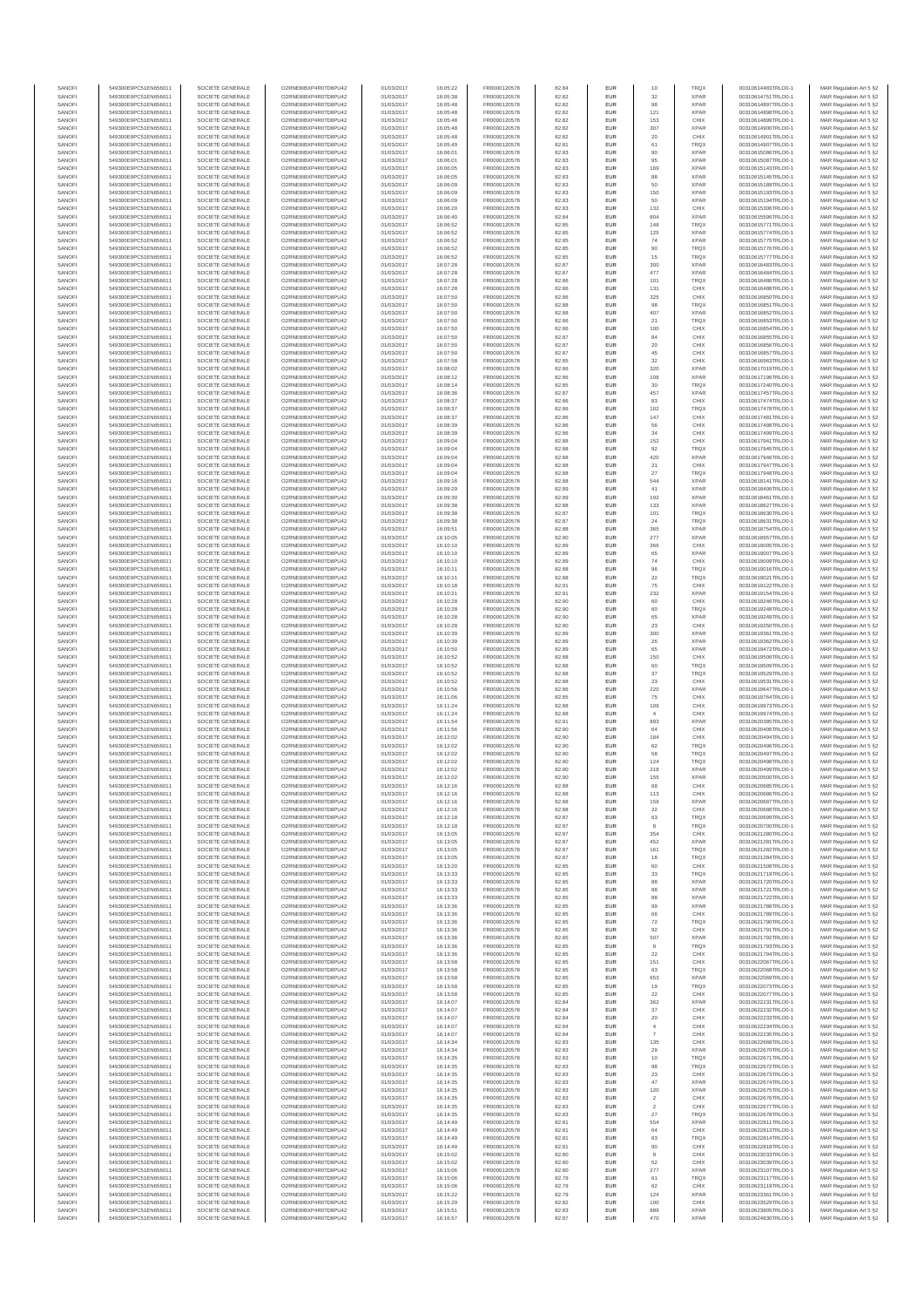| SANOFI<br>SANOFI | 549300E9PC51EN656011<br>549300E9PC51EN656011 | SOCIETE GENERALE<br>SOCIETE GENERALE | O2RNE8IBXP4R0TD8PU42<br>O2RNE8IBXP4R0TD8PU42  | 01/03/2017<br>01/03/2017 | 16:05:22<br>16:05:38 | FR0000120578<br>FR0000120578 | 82.84<br>82.82 | EUR<br>EUR        | 10<br>32              | <b>TRQX</b><br><b>XPAR</b> | 00310614483TRLO0-1<br>00310614751TRLO0-1 | MAR Regulation Art 5 §2                            |
|------------------|----------------------------------------------|--------------------------------------|-----------------------------------------------|--------------------------|----------------------|------------------------------|----------------|-------------------|-----------------------|----------------------------|------------------------------------------|----------------------------------------------------|
| SANOFI           | 549300E9PC51EN656011                         | SOCIETE GENERALE                     | O2RNE8IBXP4R0TD8PU42                          | 01/03/2017               | 16:05:48             | FR0000120578                 | 82.82          | <b>EUR</b>        | 98                    | <b>XPAR</b>                | 00310614897TRLO0-1                       | MAR Regulation Art 5 §2<br>MAR Regulation Art 5 §2 |
| SANOFI           | 549300E9PC51EN656011                         | SOCIETE GENERALE                     | O2RNE8IBXP4R0TD8PU42                          | 01/03/2017               | 16:05:48             | FR0000120578                 | 82.82          | EUR               | 121                   | <b>XPAR</b>                | 00310614898TRLO0-1                       | MAR Regulation Art 5 §2                            |
| SANOFI<br>SANOFI | 549300E9PC51EN656011<br>549300E9PC51EN656011 | SOCIETE GENERALE<br>SOCIETE GENERALE | O2RNE8IBXP4R0TD8PU42<br>O2RNE8IBXP4R0TD8PU42  | 01/03/2017<br>01/03/2017 | 16:05:48<br>16:05:48 | FR0000120578<br>FR0000120578 | 82.82<br>82.82 | <b>EUR</b><br>EUR | 153<br>307            | CHIX<br><b>XPAR</b>        | 00310614899TRLO0-1<br>00310614900TRLO0-1 | MAR Regulation Art 5 §2<br>MAR Regulation Art 5 §2 |
| SANOFI           | 549300E9PC51EN656011                         | SOCIETE GENERALE                     | O2RNE8IBXP4R0TD8PU42                          | 01/03/2017               | 16:05:48             | FR0000120578                 | 82.82          | EUR               | $20\,$                | CHIX                       | 00310614901TRLO0-1                       | MAR Regulation Art 5 §2                            |
| SANOFI<br>SANOFI | 549300E9PC51EN656011<br>549300E9PC51EN656011 | SOCIETE GENERALE<br>SOCIETE GENERALE | O2RNE8IBXP4R0TD8PU42<br>O2RNE8IBXP4R0TD8PU42  | 01/03/2017<br>01/03/2017 | 16:05:49<br>16:06:01 | FR0000120578<br>FR0000120578 | 82.81<br>82.83 | EUR<br>EUR        | 61<br>90              | <b>TRQX</b><br><b>XPAR</b> | 00310614907TRLO0-1<br>00310615086TRLO0-1 | MAR Regulation Art 5 §2<br>MAR Regulation Art 5 §2 |
| SANOFI           | 549300E9PC51EN656011                         | SOCIETE GENERALE                     | O2RNE8IBXP4R0TD8PU42                          | 01/03/2017               | 16:06:01             | FR0000120578                 | 82.83          | EUR               | 95                    | <b>XPAR</b>                | 00310615087TRLO0-1                       | MAR Regulation Art 5 §2                            |
| SANOFI           | 549300E9PC51EN656011                         | SOCIETE GENERALE                     | O2RNE8IBXP4R0TD8PU42                          | 01/03/2017               | 16:06:05             | FR0000120578                 | 82.83          | EUR               | 169                   | <b>XPAR</b>                | 00310615143TRLO0-1                       | MAR Regulation Art 5 §2                            |
| SANOFI<br>SANOFI | 549300E9PC51EN656011<br>549300E9PC51EN656011 | SOCIETE GENERALE<br>SOCIETE GENERALE | O2RNE8IBXP4R0TD8PU42<br>O2RNE8IBXP4R0TD8PU42  | 01/03/2017<br>01/03/2017 | 16:06:05<br>16:06:09 | FR0000120578<br>FR0000120578 | 82.83<br>82.83 | <b>EUR</b><br>EUR | 88<br>50              | <b>XPAR</b><br><b>XPAR</b> | 00310615145TRLO0-1<br>00310615189TRLO0-1 | MAR Regulation Art 5 §2<br>MAR Regulation Art 5 §2 |
| SANOFI           | 549300E9PC51EN656011                         | SOCIETE GENERALE                     | O2RNE8IBXP4R0TD8PU42                          | 01/03/2017               | 16:06:09             | FR0000120578                 | 82.83          | EUR               | 150                   | <b>XPAR</b>                | 00310615193TRLO0-1                       | MAR Regulation Art 5 §2                            |
| SANOFI<br>SANOFI | 549300E9PC51EN656011<br>549300E9PC51EN656011 | SOCIETE GENERALE<br>SOCIETE GENERALE | O2RNE8IBXP4R0TD8PU42<br>O2RNE8IBXP4R0TD8PU42  | 01/03/2017<br>01/03/2017 | 16:06:09<br>16:06:20 | FR0000120578<br>FR0000120578 | 82.83<br>82.83 | EUR<br>EUR        | 50<br>132             | <b>XPAR</b><br>CHIX        | 00310615194TRLO0-1<br>00310615306TRLO0-1 | MAR Regulation Art 5 §2<br>MAR Regulation Art 5 §2 |
| SANOFI           | 549300E9PC51EN656011                         | SOCIETE GENERALE                     | O2RNE8IBXP4R0TD8PU42                          | 01/03/2017               | 16:06:40             | FR0000120578                 | 82.84          | EUR               | 804                   | <b>XPAR</b>                | 00310615596TRLO0-1                       | MAR Regulation Art 5 §2                            |
| SANOFI           | 549300E9PC51EN656011                         | SOCIETE GENERALE                     | O2RNE8IBXP4R0TD8PU42                          | 01/03/2017               | 16:06:52             | FR0000120578                 | 82.85          | EUR               | 148                   | <b>TRQX</b>                | 00310615771TRLO0-1                       | MAR Regulation Art 5 §2                            |
| SANOFI<br>SANOFI | 549300E9PC51EN656011<br>549300E9PC51EN656011 | SOCIETE GENERALE<br>SOCIETE GENERALE | O2RNE8IBXP4R0TD8PU42<br>O2RNE8IBXP4R0TD8PU42  | 01/03/2017<br>01/03/2017 | 16:06:52<br>16:06:52 | FR0000120578<br>FR0000120578 | 82.85<br>82.85 | <b>EUR</b><br>EUR | 125<br>74             | <b>XPAR</b><br><b>XPAR</b> | 00310615774TRLO0-1<br>00310615775TRLO0-1 | MAR Regulation Art 5 §2<br>MAR Regulation Art 5 §2 |
| SANOFI           | 549300E9PC51EN656011                         | SOCIETE GENERALE                     | O2RNE8IBXP4R0TD8PU42                          | 01/03/2017               | 16:06:52             | FR0000120578                 | 82.85          | EUR               | 90                    | <b>TRQX</b>                | 00310615776TRLO0-1                       | MAR Regulation Art 5 §2                            |
| SANOFI<br>SANOFI | 549300E9PC51EN656011<br>549300E9PC51EN656011 | SOCIETE GENERALE<br>SOCIETE GENERALE | O2RNE8IBXP4R0TD8PU42<br>O2RNE8IBXP4R0TD8PU42  | 01/03/2017<br>01/03/2017 | 16:06:52<br>16:07:28 | FR0000120578<br>FR0000120578 | 82.85<br>82.87 | EUR<br>EUR        | 15<br>300             | <b>TRQX</b><br><b>XPAR</b> | 00310615777TRLO0-1<br>00310616483TRLO0-1 | MAR Regulation Art 5 §2<br>MAR Regulation Art 5 §2 |
| SANOFI           | 549300E9PC51EN656011                         | SOCIETE GENERALE                     | O2RNE8IBXP4R0TD8PU42                          | 01/03/2017               | 16:07:28             | FR0000120578                 | 82.87          | EUR               | 477                   | <b>XPAR</b>                | 00310616484TRLO0-1                       | MAR Regulation Art 5 §2                            |
| SANOFI<br>SANOFI | 549300E9PC51EN656011<br>549300E9PC51EN656011 | SOCIETE GENERALE<br>SOCIETE GENERALE | O2RNE8IBXP4R0TD8PU42<br>O2RNE8IBXP4R0TD8PU42  | 01/03/2017               | 16:07:28             | FR0000120578                 | 82.86          | EUR               | 101                   | <b>TRQX</b>                | 00310616486TRLO0-1                       | MAR Regulation Art 5 §2                            |
| SANOFI           | 549300E9PC51EN656011                         | SOCIETE GENERALE                     | O2RNE8IBXP4R0TD8PU42                          | 01/03/2017<br>01/03/2017 | 16:07:28<br>16:07:50 | FR0000120578<br>FR0000120578 | 82.86<br>82.86 | EUR<br>EUR        | 131<br>325            | CHIX<br>CHIX               | 00310616488TRLO0-1<br>00310616850TRLO0-1 | MAR Regulation Art 5 §2<br>MAR Regulation Art 5 §2 |
| SANOFI           | 549300E9PC51EN656011                         | SOCIETE GENERALE                     | O2RNE8IBXP4R0TD8PU42                          | 01/03/2017               | 16:07:50             | FR0000120578                 | 82.88          | EUR               | 98                    | <b>TRQX</b>                | 00310616851TRLO0-1                       | MAR Regulation Art 5 §2                            |
| SANOFI<br>SANOFI | 549300E9PC51EN656011<br>549300E9PC51EN656011 | SOCIETE GENERALE<br>SOCIETE GENERALE | O2RNE8IBXP4R0TD8PU42<br>O2RNE8IBXP4R0TD8PU42  | 01/03/2017<br>01/03/2017 | 16:07:50<br>16:07:50 | FR0000120578<br>FR0000120578 | 82.88<br>82.86 | EUR<br>EUR        | 407<br>21             | <b>XPAR</b><br><b>TRQX</b> | 00310616852TRLO0-1<br>00310616853TRLO0-1 | MAR Regulation Art 5 §2<br>MAR Regulation Art 5 §2 |
| SANOFI           | 549300E9PC51EN656011                         | SOCIETE GENERALE                     | O2RNE8IBXP4R0TD8PU42                          | 01/03/2017               | 16:07:50             | FR0000120578                 | 82.86          | EUR               | 100                   | CHIX                       | 00310616854TRLO0-1                       | MAR Regulation Art 5 §2                            |
| SANOFI<br>SANOFI | 549300E9PC51EN656011                         | SOCIETE GENERALE                     | O2RNE8IBXP4R0TD8PU42                          | 01/03/2017               | 16:07:50             | FR0000120578                 | 82.87          | EUR               | 84                    | CHIX                       | 00310616855TRLO0-1                       | MAR Regulation Art 5 §2                            |
| SANOFI           | 549300E9PC51EN656011<br>549300E9PC51EN656011 | SOCIETE GENERALE<br>SOCIETE GENERALE | O2RNE8IBXP4R0TD8PU42<br>O2RNE8IBXP4R0TD8PU42  | 01/03/2017<br>01/03/2017 | 16:07:50<br>16:07:50 | FR0000120578<br>FR0000120578 | 82.87<br>82.87 | EUR<br>EUR        | $20\,$<br>45          | CHIX<br>CHIX               | 00310616856TRLO0-1<br>00310616857TRLO0-1 | MAR Regulation Art 5 §2<br>MAR Regulation Art 5 §2 |
| SANOFI           | 549300E9PC51EN656011                         | SOCIETE GENERALE                     | O2RNE8IBXP4R0TD8PU42                          | 01/03/2017               | 16:07:58             | FR0000120578                 | 82.85          | EUR               | 32                    | CHIX                       | 00310616963TRLO0-1                       | MAR Regulation Art 5 §2                            |
| SANOFI<br>SANOFI | 549300E9PC51EN656011<br>549300E9PC51EN656011 | SOCIETE GENERALE<br>SOCIETE GENERALE | O2RNE8IBXP4R0TD8PU42<br>O2RNE8IBXP4R0TD8PU42  | 01/03/2017<br>01/03/2017 | 16:08:02<br>16:08:12 | FR0000120578<br>FR0000120578 | 82.86<br>82.86 | EUR<br><b>EUR</b> | 320<br>108            | <b>XPAR</b><br><b>XPAR</b> | 00310617019TRLO0-1<br>00310617196TRLO0-1 | MAR Regulation Art 5 §2<br>MAR Regulation Art 5 §2 |
| SANOFI           | 549300E9PC51EN656011                         | SOCIETE GENERALE                     | O2RNE8IBXP4R0TD8PU42                          | 01/03/2017               | 16:08:14             | FR0000120578                 | 82.85          | EUR               | 30                    | <b>TRQX</b>                | 00310617240TRLO0-1                       | MAR Regulation Art 5 §2                            |
| SANOFI           | 549300E9PC51EN656011                         | SOCIETE GENERALE                     | O2RNE8IBXP4R0TD8PLI42<br>O2RNE8IBXP4R0TD8PU42 | 01/03/2017               | 16:08:36             | FR0000120578                 | 82.87          | <b>EUR</b>        | 457                   | <b>XPAR</b>                | 00310617457TRLO0-1                       | MAR Regulation Art 5 §2                            |
| SANOFI<br>SANOFI | 549300E9PC51EN656011<br>549300E9PC51EN656011 | SOCIETE GENERALE<br>SOCIETE GENERALE | O2RNE8IBXP4R0TD8PU42                          | 01/03/2017<br>01/03/2017 | 16:08:37<br>16:08:37 | FR0000120578<br>FR0000120578 | 82.86<br>82.86 | EUR<br>EUR        | 83<br>102             | CHIX<br><b>TRQX</b>        | 00310617474TRLO0-1<br>00310617478TRLO0-1 | MAR Regulation Art 5 §2<br>MAR Regulation Art 5 §2 |
| SANOFI           | 549300E9PC51EN656011                         | SOCIETE GENERALE                     | O2RNE8IBXP4R0TD8PU42                          | 01/03/2017               | 16:08:37             | FR0000120578                 | 82.86          | EUR               | 147                   | CHIX                       | 00310617481TRLO0-1                       | MAR Regulation Art 5 §2                            |
| SANOFI<br>SANOFI | 549300E9PC51EN656011<br>549300E9PC51EN656011 | SOCIETE GENERALE<br>SOCIETE GENERALE | O2RNE8IBXP4R0TD8PU42<br>O2RNE8IBXP4R0TD8PU42  | 01/03/2017<br>01/03/2017 | 16:08:39<br>16:08:39 | FR0000120578<br>FR0000120578 | 82.86<br>82.86 | EUR<br>EUR        | 56<br>34              | CHIX<br>CHIX               | 00310617498TRLO0-1<br>00310617499TRLO0-1 | MAR Regulation Art 5 §2<br>MAR Regulation Art 5 §2 |
| SANOFI           | 549300E9PC51EN656011                         | SOCIETE GENERALE                     | O2RNE8IBXP4R0TD8PU42                          | 01/03/2017               | 16:09:04             | FR0000120578                 | 82.88          | EUR               | 152                   | CHIX                       | 00310617941TRLO0-1                       | MAR Regulation Art 5 §2                            |
| SANOFI           | 549300E9PC51EN656011                         | SOCIETE GENERALE                     | O2RNE8IBXP4R0TD8PU42                          | 01/03/2017               | 16:09:04             | FR0000120578                 | 82.88          | EUR               | 92                    | <b>TRQX</b>                | 00310617945TRLO0-1                       | MAR Regulation Art 5 §2                            |
| SANOFI<br>SANOFI | 549300E9PC51EN656011<br>549300E9PC51EN656011 | SOCIETE GENERALE<br>SOCIETE GENERALE | O2RNE8IBXP4R0TD8PU42<br>O2RNE8IBXP4R0TD8PU42  | 01/03/2017<br>01/03/2017 | 16:09:04<br>16:09:04 | FR0000120578<br>FR0000120578 | 82.88<br>82.88 | EUR<br><b>EUR</b> | 420<br>21             | <b>XPAR</b><br>CHIX        | 00310617946TRLO0-1<br>00310617947TRLO0-1 | MAR Regulation Art 5 §2<br>MAR Regulation Art 5 §2 |
| SANOFI           | 549300E9PC51EN656011                         | SOCIETE GENERALE                     | O2RNE8IBXP4R0TD8PU42                          | 01/03/2017               | 16:09:04             | FR0000120578                 | 82.88          | EUR               | 27                    | <b>TRQX</b>                | 00310617948TRLO0-1                       | MAR Regulation Art 5 §2                            |
| SANOFI<br>SANOFI | 549300E9PC51EN656011<br>549300E9PC51EN656011 | SOCIETE GENERALE<br>SOCIETE GENERALE | O2RNE8IBXP4R0TD8PU42<br>O2RNE8IBXP4R0TD8PU42  | 01/03/2017<br>01/03/2017 | 16:09:16<br>16:09:29 | FR0000120578<br>FR0000120578 | 82.88<br>82.89 | EUR<br>EUR        | 544<br>41             | <b>XPAR</b><br><b>XPAR</b> | 00310618141TRLO0-1<br>00310618406TRLO0-1 | MAR Regulation Art 5 §2<br>MAR Regulation Art 5 §2 |
| SANOFI           | 549300E9PC51EN656011                         | SOCIETE GENERALE                     | O2RNE8IBXP4R0TD8PU42                          | 01/03/2017               | 16:09:30             | FR0000120578                 | 82.89          | EUR               | 192                   | <b>XPAR</b>                | 00310618461TRLO0-1                       | MAR Regulation Art 5 §2                            |
| SANOFI           | 549300E9PC51EN656011                         | SOCIETE GENERALE                     | O2RNE8IBXP4R0TD8PU42                          | 01/03/2017               | 16:09:38             | FR0000120578                 | 82.88          | EUR               | 133                   | <b>XPAR</b>                | 00310618627TRLO0-1                       | MAR Regulation Art 5 §2                            |
| SANOFI<br>SANOFI | 549300E9PC51EN656011<br>549300E9PC51EN656011 | SOCIETE GENERALE<br>SOCIETE GENERALE | O2RNE8IBXP4R0TD8PU42<br>O2RNE8IBXP4R0TD8PU42  | 01/03/2017<br>01/03/2017 | 16:09:38<br>16:09:38 | FR0000120578<br>FR0000120578 | 82.87<br>82.87 | EUR<br>EUR        | 101<br>24             | <b>TRQX</b><br><b>TRQX</b> | 00310618630TRLO0-1<br>00310618631TRLO0-1 | MAR Regulation Art 5 §2<br>MAR Regulation Art 5 §2 |
| SANOFI           | 549300E9PC51EN656011                         | SOCIETE GENERALE                     | O2RNE8IBXP4R0TD8PU42                          | 01/03/2017               | 16:09:51             | FR0000120578                 | 82.88          | EUR               | 365                   | <b>XPAR</b>                | 00310618754TRLO0-1                       | MAR Regulation Art 5 §2                            |
| SANOFI<br>SANOFI | 549300E9PC51EN656011<br>549300E9PC51EN656011 | SOCIETE GENERALE<br>SOCIETE GENERALE | O2RNE8IBXP4R0TD8PU42<br>O2RNE8IBXP4R0TD8PU42  | 01/03/2017<br>01/03/2017 | 16:10:05<br>16:10:10 | FR0000120578<br>FR0000120578 | 82.90<br>82.89 | EUR<br>EUR        | 277<br>366            | <b>XPAR</b><br>CHIX        | 00310618957TRLO0-1<br>00310619005TRLO0-1 | MAR Regulation Art 5 §2<br>MAR Regulation Art 5 §2 |
| SANOFI           | 549300E9PC51EN656011                         | SOCIETE GENERALE                     | O2RNE8IBXP4R0TD8PU42                          | 01/03/2017               | 16:10:10             | FR0000120578                 | 82.89          | EUR               | 65                    | <b>XPAR</b>                | 00310619007TRLO0-1                       | MAR Regulation Art 5 §2                            |
| SANOFI           | 549300E9PC51EN656011                         | SOCIETE GENERALE                     | O2RNE8IBXP4R0TD8PU42                          | 01/03/2017               | 16:10:10             | FR0000120578                 | 82.89          | EUR               | 74                    | CHIX                       | 00310619009TRLO0-1                       | MAR Regulation Art 5 §2                            |
| SANOFI<br>SANOFI | 549300E9PC51EN656011<br>549300E9PC51EN656011 | SOCIETE GENERALE<br>SOCIETE GENERALE | O2RNE8IBXP4R0TD8PU42<br>O2RNE8IBXP4R0TD8PU42  | 01/03/2017<br>01/03/2017 | 16:10:11<br>16:10:11 | FR0000120578<br>FR0000120578 | 82.88<br>82.88 | EUR<br><b>EUR</b> | 96<br>22              | TRQX<br><b>TRQX</b>        | 00310619016TRLO0-1<br>00310619021TRLO0-1 | MAR Regulation Art 5 §2<br>MAR Regulation Art 5 §2 |
| SANOFI           | 549300E9PC51EN656011                         | SOCIETE GENERALE                     | O2RNE8IBXP4R0TD8PU42                          | 01/03/2017               | 16:10:18             | FR0000120578                 | 82.91          | EUR               | 75                    | CHIX                       | 00310619122TRLO0-1                       | MAR Regulation Art 5 §2                            |
| SANOFI<br>SANOFI | 549300E9PC51EN656011<br>549300E9PC51EN656011 | SOCIETE GENERALE<br>SOCIETE GENERALE | O2RNE8IBXP4R0TD8PU42<br>O2RNE8IBXP4R0TD8PU42  | 01/03/2017<br>01/03/2017 | 16:10:21<br>16:10:28 | FR0000120578<br>FR0000120578 | 82.91<br>82.90 | EUR<br>EUR        | 232<br>60             | <b>XPAR</b><br>CHIX        | 00310619154TRLO0-1<br>00310619246TRLO0-1 | MAR Regulation Art 5 §2<br>MAR Regulation Art 5 §2 |
| SANOFI           | 549300E9PC51EN656011                         | SOCIETE GENERALE                     | O2RNE8IBXP4R0TD8PU42                          | 01/03/2017               | 16:10:28             | FR0000120578                 | 82.90          | EUR               | 60                    | <b>TRQX</b>                | 00310619248TRLO0-1                       | MAR Regulation Art 5 §2                            |
| SANOFI           | 549300E9PC51EN656011                         | SOCIETE GENERALE                     | O2RNE8IBXP4R0TD8PU42                          | 01/03/2017               | 16:10:28             | FR0000120578                 | 82.90          | EUR               | 65                    | <b>XPAR</b>                | 00310619249TRLO0-1                       | MAR Regulation Art 5 §2                            |
| SANOFI<br>SANOFI | 549300E9PC51EN656011<br>549300E9PC51EN656011 | SOCIETE GENERALE<br>SOCIETE GENERALE | O2RNE8IBXP4R0TD8PU42<br>O2RNE8IBXP4R0TD8PU42  | 01/03/2017<br>01/03/2017 | 16:10:28<br>16:10:39 | FR0000120578<br>FR0000120578 | 82.90<br>82.89 | EUR<br>EUR        | $23\,$<br>300         | CHIX<br><b>XPAR</b>        | 00310619250TRLO0-1<br>00310619361TRLO0-1 | MAR Regulation Art 5 §2<br>MAR Regulation Art 5 §2 |
| SANOFI           | 549300E9PC51EN656011                         | SOCIETE GENERALE                     | O2RNE8IBXP4R0TD8PU42                          | 01/03/2017               | 16:10:39             | FR0000120578                 | 82.89          | EUR               | 26                    | <b>XPAR</b>                | 00310619362TRLO0-1                       | MAR Regulation Art 5 §2                            |
| SANOFI<br>SANOFI | 549300E9PC51EN656011<br>549300E9PC51EN656011 | SOCIETE GENERALE<br>SOCIETE GENERALE | O2RNE8IBXP4R0TD8PU42<br>O2RNE8IBXP4R0TD8PU42  | 01/03/2017<br>01/03/2017 | 16:10:50<br>16:10:52 | FR0000120578<br>FR0000120578 | 82.89<br>82.88 | EUR<br>EUR        | 65<br>150             | <b>XPAR</b><br>CHIX        | 00310619472TRLO0-1<br>00310619506TRLO0-1 | MAR Regulation Art 5 §2<br>MAR Regulation Art 5 §2 |
| SANOFI           | 549300E9PC51EN656011                         | SOCIETE GENERALE                     | O2RNE8IBXP4R0TD8PU42                          | 01/03/2017               | 16:10:52             | FR0000120578                 | 82.88          | <b>EUR</b>        | 60                    | <b>TRQX</b>                | 00310619509TRLO0-1                       | MAR Regulation Art 5 §2                            |
| SANOFI           | 549300E9PC51EN656011                         | SOCIETE GENERALE                     | O2RNE8IBXP4R0TD8PU42                          | 01/03/2017               | 16:10:52             | FR0000120578                 | 82.88          | EUR               | 37                    | <b>TRQX</b>                | 00310619529TRLO0-1                       | MAR Regulation Art 5 §2                            |
| SANOFI<br>SANOFI | 549300E9PC51EN656011<br>549300E9PC51EN656011 | SOCIETE GENERALE<br>SOCIETE GENERALE | O2RNE8IBXP4R0TD8PU42<br>O2RNE8IBXP4R0TD8PU42  | 01/03/2017<br>01/03/2017 | 16:10:52<br>16:10:56 | FR0000120578<br>FR0000120578 | 82.88<br>82.86 | EUR<br>EUR        | $23\,$<br>220         | CHIX<br><b>XPAR</b>        | 00310619531TRLO0-1<br>00310619647TRLO0-1 | MAR Regulation Art 5 §2<br>MAR Regulation Art 5 §2 |
| SANOFI           | 549300E9PC51EN656011                         | SOCIETE GENERALE                     | O2RNE8IBXP4R0TD8PU42                          | 01/03/2017               | 16:11:06             | FR0000120578                 | 82.85          | EUR               | 75                    | CHIX                       | 00310619764TRLO0-1                       | MAR Regulation Art 5 §2                            |
| SANOFI<br>SANOFI | 549300E9PC51EN656011<br>549300E9PC51EN656011 | SOCIETE GENERALE<br>SOCIETE GENERALE | O2RNE8IBXP4R0TD8PU42<br>O2RNE8IBXP4R0TD8PU42  | 01/03/2017<br>01/03/2017 | 16:11:24<br>16:11:24 | FR0000120578<br>FR0000120578 | 82.88<br>82.88 | EUR<br>EUR        | 109                   | CHIX<br>CHIX               | 00310619973TRLO0-1<br>00310619974TRLO0-1 | MAR Regulation Art 5 §2<br>MAR Regulation Art 5 §2 |
| SANOFI           | 549300E9PC51EN656011                         | SOCIETE GENERALE                     | O2RNE8IBXP4R0TD8PU42                          | 01/03/2017               | 16:11:54             | FR0000120578                 | 82.91          | <b>EUR</b>        | 893                   | <b>XPAR</b>                | 00310620385TRLO0-1                       | MAR Regulation Art 5 §2                            |
| SANOFI           | 549300E9PC51EN656011                         | SOCIETE GENERALE                     | O2RNE8IBXP4R0TD8PU42                          | 01/03/2017               | 16:11:56             | FR0000120578                 | 82.90          | EUR               | 64                    | CHIX                       | 00310620406TRLO0-1                       | MAR Regulation Art 5 §2                            |
| SANOFI<br>SANOFI | 549300E9PC51EN656011<br>549300E9PC51EN656011 | SOCIETE GENERALE<br>SOCIETE GENERALE | O2RNE8IBXP4R0TD8PU42<br>O2RNE8IBXP4R0TD8PU42  | 01/03/2017<br>01/03/2017 | 16:12:02<br>16:12:02 | FR0000120578<br>FR0000120578 | 82.90<br>82.90 | <b>EUR</b><br>EUR | 184<br>62             | CHIX<br><b>TRQX</b>        | 00310620494TRLO0-1<br>00310620496TRLO0-1 | MAR Regulation Art 5 §2<br>MAR Regulation Art 5 §2 |
| SANOFI           | 549300E9PC51EN656011                         | SOCIETE GENERALE                     | O2RNE8IBXP4R0TD8PU42                          | 01/03/2017               | 16:12:02             | FR0000120578                 | 82.90          | EUR               | 58                    | <b>TRQX</b>                | 00310620497TRLO0-1                       | MAR Regulation Art 5 §2                            |
| SANOFI<br>SANOFI | 549300E9PC51EN656011<br>549300E9PC51EN656011 | SOCIETE GENERALE<br>SOCIETE GENERALE | O2RNE8IBXP4R0TD8PU42<br>O2RNE8IBXP4R0TD8PU42  | 01/03/2017<br>01/03/2017 | 16:12:02<br>16:12:02 | FR0000120578<br>FR0000120578 | 82.90<br>82.90 | EUR<br>EUR        | 124<br>218            | <b>TRQX</b><br><b>XPAR</b> | 00310620498TRLO0-1<br>00310620499TRLO0-1 | MAR Regulation Art 5 §2<br>MAR Regulation Art 5 §2 |
| SANOFI           | 549300E9PC51EN656011                         | SOCIETE GENERALE                     | O2RNE8IBXP4R0TD8PU42                          | 01/03/2017               | 16:12:02             | FR0000120578                 | 82.90          | <b>EUR</b>        | 155                   | <b>XPAR</b>                | 00310620500TRLO0-1                       | MAR Regulation Art 5 §2                            |
| SANOF<br>SANOFI  | 549300E9PC51EN656011<br>549300E9PC51EN656011 | SOCIETE GENERALE<br>SOCIETE GENERALE | O2RNE8IBXP4R0TD8PU42<br>O2RNE8IBXP4R0TD8PU42  | 01/03/2017<br>01/03/2017 | 16:12:16<br>16:12:16 | FR0000120578                 | 82.88<br>82.88 | EUR               | 113                   | CHIX<br>CHIX               | 00310620685TRLO0-1<br>00310620686TRLO0-1 | MAR Regulation Art 5 §2                            |
| SANOFI           | 549300E9PC51EN656011                         | SOCIETE GENERALE                     | O2RNE8IBXP4R0TD8PU42                          | 01/03/2017               | 16:12:16             | FR0000120578<br>FR0000120578 | 82.88          | EUR               | 159                   | <b>XPAR</b>                | 00310620687TRLO0-1                       | MAR Regulation Art 5 §2<br>MAR Regulation Art 5 §2 |
| SANOFI           | 549300E9PC51EN656011                         | SOCIETE GENERALE                     | O2RNE8IBXP4R0TD8PU42                          | 01/03/2017               | 16:12:16             | FR0000120578                 | 82.88          | <b>EUR</b>        | 22                    | CHIX                       | 00310620688TRLO0-1                       | MAR Regulation Art 5 §2                            |
| SANOFI<br>SANOFI | 549300E9PC51EN656011<br>549300E9PC51EN656011 | SOCIETE GENERALE<br>SOCIETE GENERALE | O2RNE8IBXP4R0TD8PU42<br>O2RNE8IBXP4R0TD8PU42  | 01/03/2017<br>01/03/2017 | 16:12:18<br>16:12:18 | FR0000120578<br>FR0000120578 | 82.87<br>82.87 | EUR<br>EUR        | 63<br>8               | <b>TRQX</b><br><b>TRQX</b> | 00310620699TRLO0-1<br>00310620700TRLO0-1 | MAR Regulation Art 5 §2<br>MAR Regulation Art 5 §2 |
| SANOFI           | 549300E9PC51EN656011                         | SOCIETE GENERALE                     | O2RNE8IBXP4R0TD8PU42                          | 01/03/2017               | 16:13:05             | FR0000120578                 | 82.87          | EUR               | 354                   | CHIX                       | 00310621280TRLO0-1                       | MAR Regulation Art 5 §2                            |
| SANOFI<br>SANOFI | 549300E9PC51EN656011<br>549300E9PC51EN656011 | SOCIETE GENERALE<br>SOCIETE GENERALE | O2RNE8IBXP4R0TD8PU42<br>O2RNE8IBXP4R0TD8PU42  | 01/03/2017<br>01/03/2017 | 16:13:05<br>16:13:05 | FR0000120578<br>FR0000120578 | 82.87<br>82.87 | EUR<br><b>EUR</b> | 452<br>161            | <b>XPAR</b><br><b>TROX</b> | 00310621281TRLO0-1<br>00310621282TRLO0-1 | MAR Regulation Art 5 §2                            |
| SANOFI           | 549300E9PC51EN656011                         | SOCIETE GENERALE                     | O2RNE8IBXP4R0TD8PU42                          | 01/03/2017               | 16:13:05             | FR0000120578                 | 82.87          | EUR               | 18                    | <b>TRQX</b>                | 00310621284TRLO0-1                       | MAR Regulation Art 5 §2<br>MAR Regulation Art 5 §2 |
| SANOFI           | 549300E9PC51EN656011                         | SOCIETE GENERALE                     | O2RNE8IBXP4R0TD8PU42                          | 01/03/2017               | 16:13:20             | FR0000120578                 | 82.85          | <b>EUR</b>        | 60                    | CHIX                       | 00310621508TRLO0-1                       | MAR Regulation Art 5 §2                            |
| SANOFI<br>SANOFI | 549300E9PC51EN656011<br>549300E9PC51EN656011 | SOCIETE GENERALE<br>SOCIETE GENERALE | O2RNE8IBXP4R0TD8PU42<br>O2RNE8IBXP4R0TD8PU42  | 01/03/2017<br>01/03/2017 | 16:13:33<br>16:13:33 | FR0000120578<br>FR0000120578 | 82.85<br>82.85 | EUR<br>EUR        | 33<br>88              | <b>TRQX</b><br><b>XPAR</b> | 00310621719TRLO0-1<br>00310621720TRLO0-1 | MAR Regulation Art 5 §2<br>MAR Regulation Art 5 §2 |
| SANOFI           | 549300E9PC51EN656011                         | SOCIETE GENERALE                     | O2RNE8IBXP4R0TD8PU42                          | 01/03/2017               | 16:13:33             | FR0000120578                 | 82.85          | EUR               | 88                    | <b>XPAR</b>                | 00310621721TRLO0-1                       | MAR Regulation Art 5 §2                            |
| SANOFI<br>SANOFI | 549300E9PC51EN656011<br>549300E9PC51EN656011 | SOCIETE GENERALE<br>SOCIETE GENERALE | O2RNE8IBXP4R0TD8PU42<br>O2RNE8IBXP4R0TD8PU42  | 01/03/2017<br>01/03/2017 | 16:13:33<br>16:13:36 | FR0000120578<br>FR0000120578 | 82.85<br>82.85 | EUR<br>EUR        | 88<br>99              | <b>XPAR</b><br><b>XPAR</b> | 00310621722TRLO0-1<br>00310621788TRLO0-1 | MAR Regulation Art 5 §2<br>MAR Regulation Art 5 §2 |
| SANOFI           | 549300E9PC51EN656011                         | SOCIETE GENERALE                     | O2RNE8IBXP4R0TD8PU42                          | 01/03/2017               | 16:13:36             | FR0000120578                 | 82.85          | EUR               | 66                    | CHIX                       | 00310621789TRLO0-1                       | MAR Regulation Art 5 §2                            |
| SANOFI<br>SANOFI | 549300E9PC51EN656011<br>549300E9PC51EN656011 | SOCIETE GENERALE<br>SOCIETE GENERALE | O2RNE8IBXP4R0TD8PU42<br>O2RNE8IBXP4R0TD8PU42  | 01/03/2017<br>01/03/2017 | 16:13:36<br>16:13:36 | FR0000120578<br>FR0000120578 | 82.85<br>82.85 | <b>EUR</b><br>EUR | 72<br>92              | <b>TROX</b><br>CHIX        | 00310621790TRLO0-1<br>00310621791TRLO0-1 | MAR Regulation Art 5 §2<br>MAR Regulation Art 5 §2 |
| SANOFI           | 549300E9PC51EN656011                         | SOCIETE GENERALE                     | O2RNE8IBXP4R0TD8PU42                          | 01/03/2017               | 16:13:36             | FR0000120578                 | 82.85          | <b>EUR</b>        | 507                   | <b>XPAR</b>                | 00310621792TRLO0-1                       | MAR Regulation Art 5 §2                            |
| SANOFI<br>SANOFI | 549300E9PC51EN656011<br>549300E9PC51EN656011 | SOCIETE GENERALE<br>SOCIETE GENERALE | O2RNE8IBXP4R0TD8PU42<br>O2RNE8IBXP4R0TD8PU42  | 01/03/2017<br>01/03/2017 | 16:13:36<br>16:13:36 | FR0000120578<br>FR0000120578 | 82.85<br>82.85 | EUR<br>EUR        | 8<br>22               | <b>TRQX</b><br>CHIX        | 00310621793TRLO0-1<br>00310621794TRLO0-1 | MAR Regulation Art 5 §2<br>MAR Regulation Art 5 §2 |
| SANOFI           | 549300E9PC51EN656011                         | SOCIETE GENERALE                     | O2RNE8IBXP4R0TD8PU42                          | 01/03/2017               | 16:13:58             | FR0000120578                 | 82.85          | EUR               | 151                   | CHIX                       | 00310622067TRLO0-1                       | MAR Regulation Art 5 §2                            |
| SANOFI           | 549300E9PC51EN656011                         | SOCIETE GENERALE                     | O2RNE8IBXP4R0TD8PU42                          | 01/03/2017               | 16:13:58             | FR0000120578                 | 82.85          | EUR               | 63                    | <b>TRQX</b>                | 00310622068TRLO0-1                       | MAR Regulation Art 5 §2                            |
| SANOFI<br>SANOFI | 549300E9PC51EN656011<br>549300E9PC51EN656011 | SOCIETE GENERALE<br>SOCIETE GENERALE | O2RNE8IBXP4R0TD8PU42<br>O2RNE8IBXP4R0TD8PU42  | 01/03/2017<br>01/03/2017 | 16:13:58<br>16:13:58 | FR0000120578<br>FR0000120578 | 82.85<br>82.85 | EUR<br>EUR        | 653<br>19             | <b>XPAR</b><br><b>TRQX</b> | 00310622069TRLO0-1<br>00310622073TRLO0-1 | MAR Regulation Art 5 §2<br>MAR Regulation Art 5 §2 |
| SANOFI           | 549300E9PC51EN656011                         | SOCIETE GENERALE                     | O2RNE8IBXP4R0TD8PU42                          | 01/03/2017               | 16:13:58             | FR0000120578                 | 82.85          | EUR               | 22                    | CHIX                       | 00310622077TRLO0-1                       | MAR Regulation Art 5 §2                            |
| SANOFI           | 549300E9PC51EN656011                         | SOCIETE GENERALE                     | O2RNE8IBXP4R0TD8PU42                          | 01/03/2017               | 16:14:07             | FR0000120578                 | 82.84          | EUR               | 362                   | <b>XPAR</b>                | 00310622231TRLO0-1                       | MAR Regulation Art 5 §2                            |
| SANOFI<br>SANOFI | 549300E9PC51EN656011<br>549300E9PC51EN656011 | SOCIETE GENERALE<br>SOCIETE GENERALE | O2RNE8IBXP4R0TD8PU42<br>O2RNE8IBXP4R0TD8PU42  | 01/03/2017<br>01/03/2017 | 16:14:07<br>16:14:07 | FR0000120578<br>FR0000120578 | 82.84<br>82.84 | <b>EUR</b><br>EUR | 37<br>20              | CHIX<br>CHIX               | 00310622232TRLO0-1<br>00310622233TRLO0-1 | MAR Regulation Art 5 §2<br>MAR Regulation Art 5 §2 |
| SANOFI           | 549300E9PC51EN656011                         | SOCIETE GENERALE                     | O2RNE8IBXP4R0TD8PU42                          | 01/03/2017               | 16:14:07             | FR0000120578                 | 82.84          | EUR               | $\sqrt{4}$            | CHIX                       | 00310622234TRLO0-1                       | MAR Regulation Art 5 §2                            |
| SANOFI<br>SANOFI | 549300E9PC51EN656011<br>549300E9PC51EN656011 | SOCIETE GENERALE<br>SOCIETE GENERALE | O2RNE8IBXP4R0TD8PU42<br>O2RNE8IBXP4R0TD8PU42  | 01/03/2017<br>01/03/2017 | 16:14:07<br>16:14:34 | FR0000120578<br>FR0000120578 | 82.84<br>82.83 | EUR<br>EUR        | $\overline{7}$<br>135 | CHIX<br>CHIX               | 00310622235TRLO0-1<br>00310622668TRLO0-1 | MAR Regulation Art 5 §2<br>MAR Regulation Art 5 §2 |
| SANOFI           | 549300E9PC51EN656011                         | SOCIETE GENERALE                     | O2RNE8IBXP4R0TD8PU42                          | 01/03/2017               | 16:14:34             | FR0000120578                 | 82.83          | <b>EUR</b>        | 29                    | <b>XPAR</b>                | 00310622670TRLO0-1                       | MAR Regulation Art 5 §2                            |
| SANOFI<br>SANOFI | 549300E9PC51EN656011<br>549300E9PC51EN656011 | SOCIETE GENERALE<br>SOCIETE GENERALE | O2RNE8IBXP4R0TD8PU42<br>O2RNE8IBXP4R0TD8PU42  | 01/03/2017<br>01/03/2017 | 16:14:35<br>16:14:35 | FR0000120578                 | 82.83<br>82.83 | EUR<br><b>EUR</b> | 10<br>98              | <b>TRQX</b><br><b>TRQX</b> | 00310622671TRLO0-1                       | MAR Regulation Art 5 §2                            |
| SANOFI           | 549300E9PC51EN656011                         | SOCIETE GENERALE                     | O2RNE8IBXP4R0TD8PU42                          | 01/03/2017               | 16:14:35             | FR0000120578<br>FR0000120578 | 82.83          | EUR               | 23                    | CHIX                       | 00310622672TRLO0-1<br>00310622673TRLO0-1 | MAR Regulation Art 5 §2<br>MAR Regulation Art 5 §2 |
| SANOFI           | 549300E9PC51EN656011                         | SOCIETE GENERALE                     | O2RNE8IBXP4R0TD8PU42                          | 01/03/2017               | 16:14:35             | FR0000120578                 | 82.83          | <b>EUR</b>        | 47                    | <b>XPAR</b>                | 00310622674TRLO0-1                       | MAR Regulation Art 5 §2                            |
| SANOFI<br>SANOFI | 549300E9PC51EN656011<br>549300E9PC51EN656011 | SOCIETE GENERALE<br>SOCIETE GENERALE | O2RNE8IBXP4R0TD8PU42<br>O2RNE8IBXP4R0TD8PU42  | 01/03/2017<br>01/03/2017 | 16:14:35<br>16:14:35 | FR0000120578<br>FR0000120578 | 82.83<br>82.83 | EUR<br>EUR        | 120<br>$\overline{2}$ | <b>XPAR</b><br>CHIX        | 00310622675TRLO0-1<br>00310622676TRLO0-1 | MAR Regulation Art 5 §2<br>MAR Regulation Art 5 §2 |
| SANOFI           | 549300E9PC51EN656011                         | SOCIETE GENERALE                     | O2RNE8IBXP4R0TD8PU42                          | 01/03/2017               | 16:14:35             | FR0000120578                 | 82.83          | EUR               | $\sqrt{2}$            | CHIX                       | 00310622677TRLO0-1                       | MAR Regulation Art 5 §2                            |
| SANOFI<br>SANOFI | 549300E9PC51EN656011<br>549300E9PC51EN656011 | SOCIETE GENERALE<br>SOCIETE GENERALE | O2RNE8IBXP4R0TD8PU42<br>O2RNE8IBXP4R0TD8PU42  | 01/03/2017<br>01/03/2017 | 16:14:35<br>16:14:49 | FR0000120578<br>FR0000120578 | 82.83<br>82.81 | EUR<br><b>EUR</b> | 27<br>554             | <b>TRQX</b><br><b>XPAR</b> | 00310622678TRLO0-1<br>00310622811TRLO0-1 | MAR Regulation Art 5 §2                            |
| SANOFI           | 549300E9PC51EN656011                         | SOCIETE GENERALE                     | O2RNE8IBXP4R0TD8PU42                          | 01/03/2017               | 16:14:49             | FR0000120578                 | 82.81          | EUR               | 64                    | CHIX                       | 00310622813TRLO0-1                       | MAR Regulation Art 5 §2<br>MAR Regulation Art 5 §2 |
| SANOFI           | 549300E9PC51EN656011                         | SOCIETE GENERALE                     | O2RNE8IBXP4R0TD8PU42                          | 01/03/2017               | 16:14:49             | FR0000120578                 | 82.81          | <b>EUR</b>        | 63                    | <b>TROX</b>                | 00310622814TRLO0-1                       | MAR Regulation Art 5 §2                            |
| SANOFI<br>SANOFI | 549300E9PC51EN656011<br>549300E9PC51EN656011 | SOCIETE GENERALE<br>SOCIETE GENERALE | O2RNE8IBXP4R0TD8PU42<br>O2RNE8IBXP4R0TD8PU42  | 01/03/2017<br>01/03/2017 | 16:14:49<br>16:15:02 | FR0000120578<br>FR0000120578 | 82.81<br>82.80 | EUR<br>EUR        | 90<br>8               | CHIX<br>CHIX               | 00310622818TRLO0-1<br>00310623033TRLO0-1 | MAR Regulation Art 5 §2<br>MAR Regulation Art 5 §2 |
| SANOFI           | 549300E9PC51EN656011                         | SOCIETE GENERALE                     | O2RNE8IBXP4R0TD8PU42                          | 01/03/2017               | 16:15:02             | FR0000120578                 | 82.80          | EUR               | 52                    | CHIX                       | 00310623039TRLO0-1                       | MAR Regulation Art 5 §2                            |
| SANOFI           | 549300E9PC51EN656011                         | SOCIETE GENERALE                     | O2RNE8IBXP4R0TD8PU42                          | 01/03/2017               | 16:15:06             | FR0000120578                 | 82.80          | EUR               | 277                   | XPAR                       | 00310623107TRLO0-1                       | MAR Regulation Art 5 §2                            |
| SANOFI<br>SANOFI | 549300E9PC51EN656011<br>549300E9PC51EN656011 | SOCIETE GENERALE<br>SOCIETE GENERALE | O2RNE8IBXP4R0TD8PU42<br>O2RNE8IBXP4R0TD8PU42  | 01/03/2017<br>01/03/2017 | 16:15:06<br>16:15:06 | FR0000120578<br>FR0000120578 | 82.79<br>82.79 | EUR<br>EUR        | 61<br>62              | <b>TRQX</b><br>CHIX        | 00310623117TRLO0-1<br>00310623119TRLO0-1 | MAR Regulation Art 5 §2<br>MAR Regulation Art 5 §2 |
| SANOFI           | 549300E9PC51EN656011                         | SOCIETE GENERALE                     | O2RNE8IBXP4R0TD8PU42                          | 01/03/2017               | 16:15:22             | FR0000120578                 | 82.79          | EUR               | 124                   | <b>XPAR</b>                | 00310623361TRLO0-1                       | MAR Regulation Art 5 §2                            |
| SANOFI<br>SANOFI | 549300E9PC51EN656011<br>549300E9PC51EN656011 | SOCIETE GENERALE<br>SOCIETE GENERALE | O2RNE8IBXP4R0TD8PU42<br>O2RNE8IBXP4R0TD8PU42  | 01/03/2017<br>01/03/2017 | 16:15:29<br>16:15:51 | FR0000120578<br>FR0000120578 | 82.82<br>82.83 | EUR<br><b>EUR</b> | 100<br>889            | CHIX<br><b>XPAR</b>        | 00310623529TRLO0-1<br>00310623805TRLO0-1 | MAR Regulation Art 5 §2<br>MAR Regulation Art 5 §2 |
| SANOFI           | 549300E9PC51EN656011                         | SOCIETE GENERALE                     | O2RNE8IBXP4R0TD8PU42                          | 01/03/2017               | 16:16:57             | FR0000120578                 | 82.87          | EUR               | 470                   | <b>XPAR</b>                | 00310624830TRLO0-1                       | MAR Regulation Art 5 §2                            |
|                  |                                              |                                      |                                               |                          |                      |                              |                |                   |                       |                            |                                          |                                                    |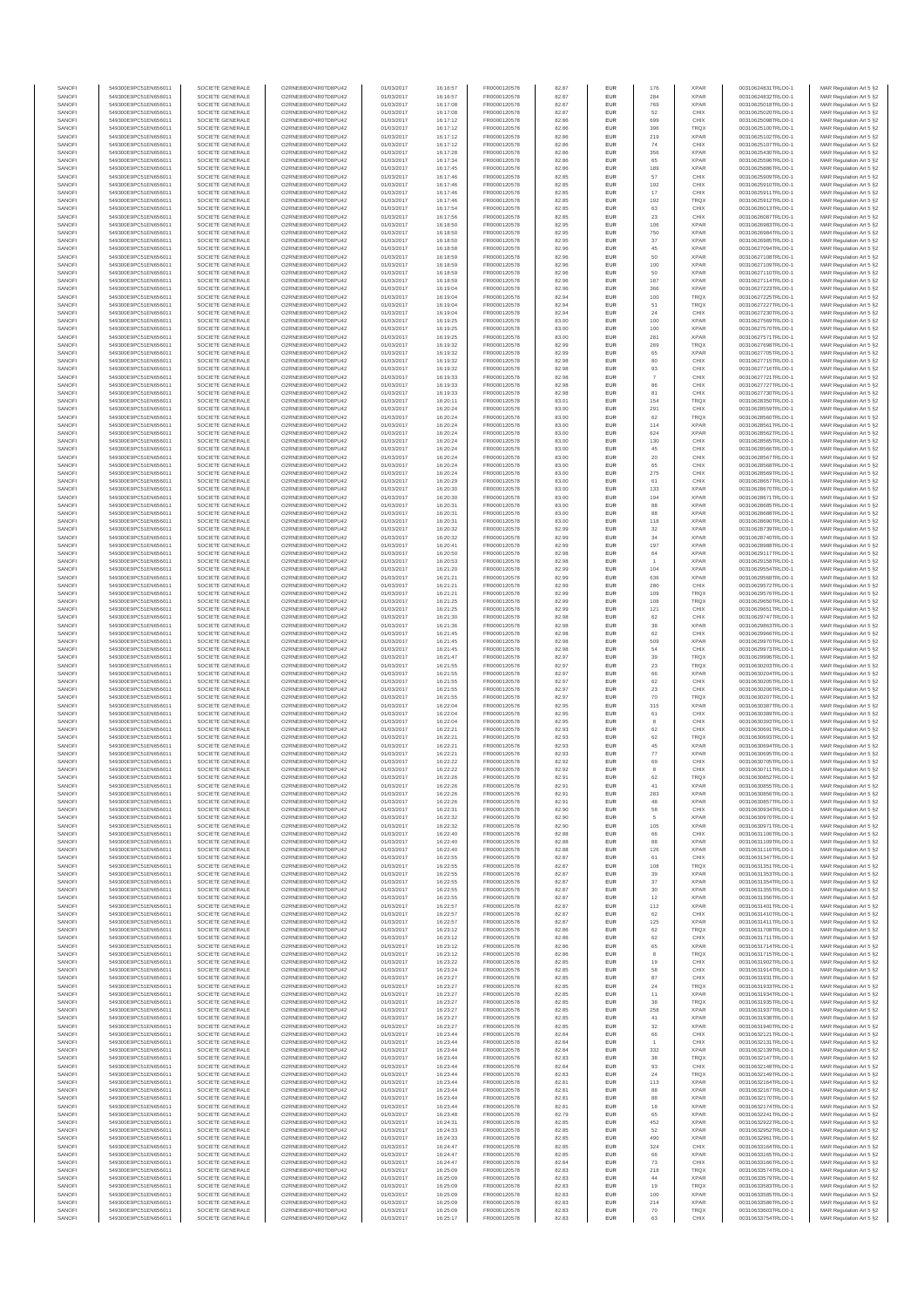| SANOFI           | 549300E9PC51EN656011                         | SOCIETE GENERALE                     | O2RNE8IBXP4R0TD8PU42                          | 01/03/2017               | 16:16:57             | FR0000120578                 | 82.87          | EUR                      | 176                | <b>XPAR</b>                | 00310624831TRLO0-1                       | MAR Regulation Art 5 §2                            |
|------------------|----------------------------------------------|--------------------------------------|-----------------------------------------------|--------------------------|----------------------|------------------------------|----------------|--------------------------|--------------------|----------------------------|------------------------------------------|----------------------------------------------------|
| SANOFI<br>SANOFI | 549300E9PC51EN656011<br>549300E9PC51EN656011 | SOCIETE GENERALE<br>SOCIETE GENERALE | O2RNE8IBXP4R0TD8PU42<br>O2RNE8IBXP4R0TD8PU42  | 01/03/2017<br>01/03/2017 | 16:16:57<br>16:17:08 | FR0000120578                 | 82.87<br>82.87 | EUR<br>EUR               | 284<br>769         | <b>XPAR</b><br><b>XPAR</b> | 00310624832TRLO0-1<br>00310625018TRLO0-1 | MAR Regulation Art 5 §2                            |
| SANOFI           | 549300E9PC51EN656011                         | SOCIETE GENERALE                     | O2RNE8IBXP4R0TD8PLI42                         | 01/03/2017               | 16:17:08             | FR0000120578<br>FR0000120578 | 82.87          | EUR                      | 52                 | CHIX                       | 00310625020TRLO0-1                       | MAR Regulation Art 5 §2<br>MAR Regulation Art 5 §2 |
| SANOFI           | 549300E9PC51EN656011                         | SOCIETE GENERALE                     | O2RNE8IBXP4R0TD8PU42                          | 01/03/2017               | 16:17:12             | FR0000120578                 | 82.86          | EUR                      | 699                | CHIX                       | 00310625098TRLO0-1                       | MAR Regulation Art 5 §2                            |
| SANOFI           | 549300E9PC51EN656011                         | SOCIETE GENERALE                     | O2RNE8IBXP4R0TD8PU42                          | 01/03/2017               | 16:17:12             | FR0000120578                 | 82.86          | EUR                      | 396                | TRQX                       | 00310625100TRLO0-1                       | MAR Regulation Art 5 §2                            |
| SANOFI<br>SANOFI | 549300E9PC51EN656011<br>549300E9PC51EN656011 | SOCIETE GENERALE<br>SOCIETE GENERALE | O2RNE8IBXP4R0TD8PU42<br>O2RNE8IBXP4R0TD8PU42  | 01/03/2017<br>01/03/2017 | 16:17:12<br>16:17:12 | FR0000120578<br>FR0000120578 | 82.86<br>82.86 | EUR<br>EUR               | 219<br>74          | <b>XPAR</b><br>CHIX        | 00310625102TRLO0-1<br>00310625107TRLO0-1 | MAR Regulation Art 5 §2<br>MAR Regulation Art 5 §2 |
| SANOFI           | 549300E9PC51EN656011                         | SOCIETE GENERALE                     | O2RNE8IBXP4R0TD8PU42                          | 01/03/2017               | 16:17:28             | FR0000120578                 | 82.86          | <b>EUR</b>               | 356                | <b>XPAR</b>                | 00310625430TRLO0-1                       | MAR Regulation Art 5 §2                            |
| SANOFI           | 549300E9PC51EN656011                         | SOCIETE GENERALE                     | O2RNE8IBXP4R0TD8PU42                          | 01/03/2017               | 16:17:34             | FR0000120578                 | 82.86          | EUR                      | 65                 | <b>XPAR</b>                | 00310625596TRLO0-1                       | MAR Regulation Art 5 §2                            |
| SANOFI<br>SANOFI | 549300E9PC51EN656011<br>549300E9PC51EN656011 | SOCIETE GENERALE<br>SOCIETE GENERALE | O2RNE8IBXP4R0TD8PLI42<br>O2RNE8IBXP4R0TD8PU42 | 01/03/2017<br>01/03/2017 | 16:17:45<br>16:17:46 | FR0000120578<br>FR0000120578 | 82.86<br>82.85 | EUR<br>EUR               | 189<br>57          | <b>XPAR</b><br>CHIX        | 00310625886TRLO0-1<br>00310625909TRLO0-1 | MAR Regulation Art 5 §2<br>MAR Regulation Art 5 §2 |
| SANOFI           | 549300E9PC51EN656011                         | SOCIETE GENERALE                     | O2RNE8IBXP4R0TD8PU42                          | 01/03/2017               | 16:17:46             | FR0000120578                 | 82.85          | EUR                      | 192                | CHIX                       | 00310625910TRLO0-1                       | MAR Regulation Art 5 §2                            |
| SANOFI           | 549300E9PC51EN656011                         | SOCIETE GENERALE                     | O2RNE8IBXP4R0TD8PU42                          | 01/03/2017               | 16:17:46             | FR0000120578                 | 82.85          | EUR                      | 17                 | CHIX                       | 00310625911TRLO0-1                       | MAR Regulation Art 5 §2                            |
| SANOFI           | 549300E9PC51EN656011                         | SOCIETE GENERALE                     | O2RNE8IBXP4R0TD8PU42                          | 01/03/2017               | 16:17:46             | FR0000120578                 | 82.85          | EUR                      | 192                | TRQX                       | 00310625912TRLO0-1                       | MAR Regulation Art 5 §2                            |
| SANOFI<br>SANOFI | 549300E9PC51EN656011<br>549300E9PC51EN656011 | SOCIETE GENERALE<br>SOCIETE GENERALE | O2RNE8IBXP4R0TD8PU42<br>O2RNE8IBXP4R0TD8PU42  | 01/03/2017<br>01/03/2017 | 16:17:54<br>16:17:56 | FR0000120578<br>FR0000120578 | 82.85<br>82.85 | <b>EUR</b><br>EUR        | 63<br>23           | CHIX<br>CHIX               | 00310626013TRLO0-1<br>00310626087TRLO0-1 | MAR Regulation Art 5 §2<br>MAR Regulation Art 5 §2 |
| SANOFI           | 549300E9PC51EN656011                         | SOCIETE GENERALE                     | O2RNE8IBXP4R0TD8PU42                          | 01/03/2017               | 16:18:50             | FR0000120578                 | 82.95          | <b>EUR</b>               | 106                | <b>XPAR</b>                | 00310626983TRLO0-1                       | MAR Regulation Art 5 §2                            |
| SANOFI           | 549300E9PC51EN656011                         | SOCIETE GENERALE                     | O2RNE8IBXP4R0TD8PU42                          | 01/03/2017               | 16:18:50             | FR0000120578                 | 82.95          | EUR                      | 750                | <b>XPAR</b>                | 00310626984TRLO0-1                       | MAR Regulation Art 5 §2                            |
| SANOFI           | 549300E9PC51EN656011                         | SOCIETE GENERALE                     | O2RNESIBXP4R0TD8PLI42                         | 01/03/2017               | 16:18:50             | FR0000120578                 | 82.95          | EUR                      | 37                 | <b>XPAR</b>                | 00310626985TRLO0-1                       | MAR Regulation Art 5 §2                            |
| SANOFI<br>SANOFI | 549300E9PC51EN656011<br>549300E9PC51EN656011 | SOCIETE GENERALE<br>SOCIETE GENERALE | O2RNE8IBXP4R0TD8PU42<br>O2RNE8IBXP4R0TD8PLI42 | 01/03/2017<br>01/03/2017 | 16:18:58<br>16:18:59 | FR0000120578<br>FR0000120578 | 82.96<br>82.96 | EUR<br>EUR               | 45<br>50           | <b>XPAR</b><br><b>XPAR</b> | 00310627094TRLO0-1<br>00310627108TRLO0-1 | MAR Regulation Art 5 §2<br>MAR Regulation Art 5 §2 |
| SANOFI           | 549300E9PC51EN656011                         | SOCIETE GENERALE                     | O2RNE8IBXP4R0TD8PU42                          | 01/03/2017               | 16:18:59             | FR0000120578                 | 82.96          | <b>EUR</b>               | 100                | <b>XPAR</b>                | 00310627109TRLO0-1                       | MAR Regulation Art 5 §2                            |
| SANOFI           | 549300E9PC51EN656011                         | SOCIETE GENERALE                     | O2RNE8IBXP4R0TD8PU42                          | 01/03/2017               | 16:18:59             | FR0000120578                 | 82.96          | EUR                      |                    | <b>XPAR</b>                | 00310627110TRLO0-1                       | MAR Regulation Art 5 §2                            |
| SANOFI           | 549300E9PC51EN656011                         | SOCIETE GENERALE<br>SOCIETE GENERALE | O2RNE8IBXP4R0TD8PU42<br>O2RNE8IBXP4R0TD8PU42  | 01/03/2017               | 16:18:59             | FR0000120578                 | 82.96          | <b>EUR</b>               | 187                | <b>XPAR</b>                | 00310627114TRLO0-1                       | MAR Regulation Art 5 §2                            |
| SANOFI<br>SANOFI | 549300E9PC51EN656011<br>549300E9PC51EN656011 | SOCIETE GENERALE                     | O2RNE8IBXP4R0TD8PU42                          | 01/03/2017<br>01/03/2017 | 16:19:04<br>16:19:04 | FR0000120578<br>FR0000120578 | 82.96<br>82.94 | EUR<br><b>EUR</b>        | 366<br>100         | <b>XPAR</b><br><b>TRQX</b> | 00310627223TRLO0-1<br>00310627225TRLO0-1 | MAR Regulation Art 5 §2<br>MAR Regulation Art 5 §2 |
| SANOFI           | 549300E9PC51EN656011                         | SOCIETE GENERALE                     | O2RNE8IBXP4R0TD8PU42                          | 01/03/2017               | 16:19:04             | FR0000120578                 | 82.94          | <b>EUR</b>               | 51                 | <b>TRQX</b>                | 00310627227TRLO0-1                       | MAR Regulation Art 5 §2                            |
| SANOFI           | 549300E9PC51EN656011                         | SOCIETE GENERALE                     | O2RNE8IBXP4R0TD8PU42                          | 01/03/2017               | 16:19:04             | FR0000120578                 | 82.94          | EUR                      | $\mathbf{^{24}}$   | CHIX                       | 00310627230TRLO0-1                       | MAR Regulation Art 5 §2                            |
| SANOFI<br>SANOFI | 549300E9PC51EN656011<br>549300E9PC51EN656011 | SOCIETE GENERALE<br>SOCIETE GENERALE | O2RNE8IBXP4R0TD8PU42<br>O2RNE8IBXP4R0TD8PU42  | 01/03/2017<br>01/03/2017 | 16:19:25<br>16:19:25 | FR0000120578<br>FR0000120578 | 83.00<br>83.00 | EUR<br>EUR               | 100<br>100         | <b>XPAR</b><br><b>XPAR</b> | 00310627569TRLO0-1<br>00310627570TRLO0-1 | MAR Regulation Art 5 §2<br>MAR Regulation Art 5 §2 |
| SANOFI           | 549300E9PC51EN656011                         | SOCIETE GENERALE                     | O2RNE8IBXP4R0TD8PU42                          | 01/03/2017               | 16:19:25             | FR0000120578                 | 83.00          | <b>EUR</b>               | 281                | <b>XPAR</b>                | 00310627571TRLO0-1                       | MAR Regulation Art 5 §2                            |
| SANOFI           | 549300E9PC51EN656011                         | SOCIETE GENERALE                     | O2RNE8IBXP4R0TD8PU42                          | 01/03/2017               | 16:19:32             | FR0000120578                 | 82.99          | EUR                      | 269                | TRQX                       | 00310627698TRLO0-1                       | MAR Regulation Art 5 §2                            |
| SANOFI<br>SANOFI | 549300E9PC51EN656011<br>549300E9PC51EN656011 | SOCIETE GENERALE<br>SOCIETE GENERALE | O2RNE8IBXP4R0TD8PU42<br>O2RNE8IBXP4R0TD8PU42  | 01/03/2017<br>01/03/2017 | 16:19:32<br>16:19:32 | FR0000120578<br>FR0000120578 | 82.99<br>82.98 | <b>EUR</b><br>EUR        | 65<br>80           | <b>XPAR</b><br>CHIX        | 00310627705TRLO0-1<br>00310627715TRLO0-1 | MAR Regulation Art 5 §2<br>MAR Regulation Art 5 §2 |
| SANOFI           | 549300E9PC51EN656011                         | SOCIETE GENERALE                     | O2RNE8IBXP4R0TD8PU42                          | 01/03/2017               | 16:19:32             | FR0000120578                 | 82.98          | EUR                      | $93\,$             | CHIX                       | 00310627716TRLO0-1                       | MAR Regulation Art 5 §2                            |
| SANOFI           | 549300E9PC51EN656011                         | SOCIETE GENERALE                     | O2RNE8IBXP4R0TD8PU42                          | 01/03/2017               | 16:19:33             | FR0000120578                 | 82.98          | EUR                      |                    | CHIX                       | 00310627721TRLO0-1                       | MAR Regulation Art 5 §2                            |
| SANOFI           | 549300E9PC51EN656011                         | SOCIETE GENERALE                     | O2RNE8IBXP4R0TD8PU42<br>O2RNE8IBXP4R0TD8PU42  | 01/03/2017               | 16:19:33             | FR0000120578                 | 82.98          | EUR                      | 86                 | CHIX                       | 00310627727TRLO0-1<br>00310627730TRLO0-1 | MAR Regulation Art 5 §2                            |
| SANOFI<br>SANOFI | 549300E9PC51EN656011<br>549300E9PC51EN656011 | SOCIETE GENERALE<br>SOCIETE GENERALE | O2RNE8IBXP4R0TD8PU42                          | 01/03/2017<br>01/03/2017 | 16:19:33<br>16:20:11 | FR0000120578<br>FR0000120578 | 82.98<br>83.01 | EUR<br>EUR               | 81<br>154          | CHIX<br><b>TRQX</b>        | 00310628350TRLO0-1                       | MAR Regulation Art 5 §2<br>MAR Regulation Art 5 §2 |
| SANOFI           | 549300E9PC51EN656011                         | SOCIETE GENERALE                     | O2RNE8IBXP4R0TD8PU42                          | 01/03/2017               | 16:20:24             | FR0000120578                 | 83.00          | <b>EUR</b>               | 291                | CHIX                       | 00310628559TRLO0-1                       | MAR Regulation Art 5 §2                            |
| SANOFI           | 549300E9PC51EN656011                         | SOCIETE GENERALE                     | O2RNE8IBXP4R0TD8PU42                          | 01/03/2017               | 16:20:24             | FR0000120578                 | 83.00          | EUR                      | 62                 | TRQX                       | 00310628560TRLO0-1                       | MAR Regulation Art 5 §2                            |
| SANOFI<br>SANOFI | 549300E9PC51EN656011<br>549300E9PC51EN656011 | SOCIETE GENERALE<br>SOCIETE GENERALE | O2RNE8IBXP4R0TD8PLI42<br>O2RNE8IBXP4R0TD8PU42 | 01/03/2017<br>01/03/2017 | 16:20:24<br>16:20:24 | FR0000120578<br>FR0000120578 | 83.00<br>83.00 | <b>EUR</b><br>EUR        | 114<br>624         | <b>XPAR</b><br><b>XPAR</b> | 00310628561TRLO0-1<br>00310628562TRLO0-1 | MAR Regulation Art 5 §2<br>MAR Regulation Art 5 §2 |
| SANOFI           | 549300E9PC51EN656011                         | SOCIETE GENERALE                     | O2RNE8IBXP4R0TD8PU42                          | 01/03/2017               | 16:20:24             | FR0000120578                 | 83.00          | EUR                      | 130                | CHIX                       | 00310628565TRLO0-1                       | MAR Regulation Art 5 §2                            |
| SANOFI           | 549300E9PC51EN656011                         | SOCIETE GENERALE                     | O2RNE8IBXP4R0TD8PU42                          | 01/03/2017               | 16:20:24             | FR0000120578                 | 83.00          | EUR                      | 45                 | CHIX                       | 00310628566TRLO0-1                       | MAR Regulation Art 5 §2                            |
| SANOFI           | 549300E9PC51EN656011                         | SOCIETE GENERALE                     | O2RNE8IBXP4R0TD8PLI42<br>O2RNE8IBXP4R0TD8PU42 | 01/03/2017               | 16:20:24             | FR0000120578                 | 83.00          | EUR                      | $20\,$             | CHIX                       | 00310628567TRLO0-1                       | MAR Regulation Art 5 §2                            |
| SANOFI<br>SANOFI | 549300E9PC51EN656011<br>549300E9PC51EN656011 | SOCIETE GENERALE<br>SOCIETE GENERALE | O2RNE8IBXP4R0TD8PU42                          | 01/03/2017<br>01/03/2017 | 16:20:24<br>16:20:24 | FR0000120578<br>FR0000120578 | 83.00<br>83.00 | EUR<br>EUR               | 65<br>275          | CHIX<br>CHIX               | 00310628568TRLO0-1<br>00310628569TRLO0-1 | MAR Regulation Art 5 §2<br>MAR Regulation Art 5 §2 |
| SANOFI           | 549300E9PC51EN656011                         | SOCIETE GENERALE                     | O2RNE8IBXP4R0TD8PU42                          | 01/03/2017               | 16:20:29             | FR0000120578                 | 83.00          | EUR                      | 61                 | CHIX                       | 00310628657TRLO0-1                       | MAR Regulation Art 5 §2                            |
| SANOFI           | 549300E9PC51EN656011                         | SOCIETE GENERALE                     | O2RNE8IBXP4R0TD8PU42                          | 01/03/2017               | 16:20:30             | FR0000120578                 | 83.00          | EUR                      | 133                | <b>XPAR</b>                | 00310628670TRLO0-1                       | MAR Regulation Art 5 §2                            |
| SANOFI<br>SANOFI | 549300E9PC51EN656011<br>549300E9PC51EN656011 | SOCIETE GENERALE<br>SOCIETE GENERALE | O2RNE8IBXP4R0TD8PU42<br>O2RNE8IBXP4R0TD8PU42  | 01/03/2017<br>01/03/2017 | 16:20:30<br>16:20:31 | FR0000120578<br>FR0000120578 | 83.00<br>83.00 | <b>EUR</b><br>EUR        | 194<br>88          | <b>XPAR</b><br><b>XPAR</b> | 00310628671TRLO0-1<br>00310628685TRLO0-1 | MAR Regulation Art 5 §2<br>MAR Regulation Art 5 §2 |
| SANOFI           | 549300E9PC51EN656011                         | SOCIETE GENERALE                     | O2RNE8IBXP4R0TD8PLI42                         | 01/03/2017               | 16:20:31             | FR0000120578                 | 83.00          | EUR                      | 88                 | <b>XPAR</b>                | 00310628688TRLO0-1                       | MAR Regulation Art 5 §2                            |
| SANOFI           | 549300E9PC51EN656011                         | SOCIETE GENERALE                     | O2RNE8IBXP4R0TD8PU42                          | 01/03/2017               | 16:20:31             | FR0000120578                 | 83.00          | EUR                      | 118                | <b>XPAR</b>                | 00310628690TRLO0-1                       | MAR Regulation Art 5 §2                            |
| SANOFI           | 549300E9PC51EN656011                         | SOCIETE GENERALE                     | O2RNE8IBXP4R0TD8PU42                          | 01/03/2017               | 16:20:32             | FR0000120578                 | 82.99          | EUR                      | 32                 | <b>XPAR</b>                | 00310628739TRLO0-1                       | MAR Regulation Art 5 §2                            |
| SANOFI<br>SANOFI | 549300E9PC51EN656011<br>549300E9PC51EN656011 | SOCIETE GENERALE<br>SOCIETE GENERALE | O2RNE8IBXP4R0TD8PU42<br>O2RNE8IBXP4R0TD8PU42  | 01/03/2017<br>01/03/2017 | 16:20:32<br>16:20:41 | FR0000120578<br>FR0000120578 | 82.99<br>82.99 | <b>EUR</b><br>EUR        | 34<br>197          | <b>XPAR</b><br><b>XPAR</b> | 00310628740TRLO0-1<br>00310628988TRLO0-1 | MAR Regulation Art 5 §2<br>MAR Regulation Art 5 §2 |
| SANOFI           | 549300E9PC51EN656011                         | SOCIETE GENERALE                     | O2RNE8IBXP4R0TD8PU42                          | 01/03/2017               | 16:20:50             | FR0000120578                 | 82.98          | <b>EUR</b>               | 64                 | <b>XPAR</b>                | 00310629117TRLO0-1                       | MAR Regulation Art 5 §2                            |
| SANOFI           | 549300E9PC51EN656011                         | SOCIETE GENERALE                     | O2RNE8IBXP4R0TD8PU42                          | 01/03/2017               | 16:20:53             | FR0000120578                 | 82.98          | EUR                      |                    | <b>XPAR</b>                | 00310629158TRLO0-1                       | MAR Regulation Art 5 §2                            |
| SANOFI<br>SANOFI | 549300E9PC51EN656011<br>549300E9PC51EN656011 | SOCIETE GENERALE<br>SOCIETE GENERALE | O2RNE8IBXP4R0TD8PU42                          | 01/03/2017               | 16:21:20             | FR0000120578                 | 82.99<br>82.99 | <b>EUR</b><br>EUR        | 104<br>636         | <b>XPAR</b><br><b>XPAR</b> | 00310629554TRLO0-1                       | MAR Regulation Art 5 §2                            |
| SANOFI           | 549300E9PC51EN656011                         | SOCIETE GENERALE                     | O2RNE8IBXP4R0TD8PU42<br>O2RNE8IBXP4R0TD8PU42  | 01/03/2017<br>01/03/2017 | 16:21:21<br>16:21:21 | FR0000120578<br>FR0000120578 | 82.99          | EUR                      | 280                | CHIX                       | 00310629568TRLO0-1<br>00310629572TRLO0-1 | MAR Regulation Art 5 §2<br>MAR Regulation Art 5 §2 |
| SANOFI           | 549300E9PC51EN656011                         | SOCIETE GENERALE                     | O2RNE8IBXP4R0TD8PU42                          | 01/03/2017               | 16:21:21             | FR0000120578                 | 82.99          | EUR                      | 109                | TRQX                       | 00310629576TRLO0-1                       | MAR Regulation Art 5 §2                            |
| SANOFI           | 549300E9PC51EN656011                         | SOCIETE GENERALE                     | O2RNE8IBXP4R0TD8PU42                          | 01/03/2017               | 16:21:25             | FR0000120578                 | 82.99          | EUR                      | 108                | TRQX                       | 00310629650TRLO0-1                       | MAR Regulation Art 5 §2                            |
| SANOFI<br>SANOFI | 549300E9PC51EN656011<br>549300E9PC51EN656011 | SOCIETE GENERALE<br>SOCIETE GENERALE | O2RNE8IBXP4R0TD8PU42<br>O2RNE8IBXP4R0TD8PU42  | 01/03/2017<br>01/03/2017 | 16:21:25<br>16:21:30 | FR0000120578<br>FR0000120578 | 82.99<br>82.98 | <b>EUR</b><br>EUR        | 121<br>62          | CHIX<br>CHIX               | 00310629651TRLO0-1<br>00310629747TRLO0-1 | MAR Regulation Art 5 §2<br>MAR Regulation Art 5 §2 |
| SANOFI           | 549300E9PC51EN656011                         | SOCIETE GENERALE                     | O2RNE8IBXP4R0TD8PU42                          | 01/03/2017               | 16:21:36             | FR0000120578                 | 82.98          | <b>EUR</b>               | 38                 | <b>XPAR</b>                | 00310629863TRLO0-1                       | MAR Regulation Art 5 §2                            |
| SANOFI           | 549300E9PC51EN656011                         | SOCIETE GENERALE                     | O2RNE8IBXP4R0TD8PU42                          | 01/03/2017               | 16:21:45             | FR0000120578                 | 82.98          | EUR                      | 62                 | CHIX                       | 00310629966TRLO0-1                       | MAR Regulation Art 5 §2                            |
| SANOFI<br>SANOFI | 549300E9PC51EN656011<br>549300E9PC51EN656011 | SOCIETE GENERALE<br>SOCIETE GENERALE | O2RNE8IBXP4R0TD8PU42<br>O2RNE8IBXP4R0TD8PU42  | 01/03/2017               | 16:21:45             | FR0000120578                 | 82.98<br>82.98 | <b>EUR</b><br>EUR        | 509<br>54          | <b>XPAR</b><br>CHIX        | 00310629970TRLO0-1<br>00310629973TRLO0-1 | MAR Regulation Art 5 §2                            |
| SANOFI           | 549300E9PC51EN656011                         | SOCIETE GENERALE                     | O2RNE8IBXP4R0TD8PU42                          | 01/03/2017<br>01/03/2017 | 16:21:45<br>16:21:47 | FR0000120578<br>FR0000120578 | 82.97          | EUR                      | 39                 | TRQX                       | 00310629996TRLO0-1                       | MAR Regulation Art 5 §2<br>MAR Regulation Art 5 §2 |
| SANOFI           | 549300E9PC51EN656011                         | SOCIETE GENERALE                     | O2RNE8IBXP4R0TD8PU42                          | 01/03/2017               | 16:21:55             | FR0000120578                 | 82.97          | EUR                      | $23\,$             | TRQX                       | 00310630203TRLO0-1                       | MAR Regulation Art 5 §2                            |
| SANOFI           | 549300E9PC51EN656011                         | SOCIETE GENERALE                     | O2RNE8IBXP4R0TD8PU42                          | 01/03/2017               | 16:21:55             | FR0000120578                 | 82.97          | EUR                      |                    | <b>XPAR</b>                | 00310630204TRLO0-1                       | MAR Regulation Art 5 §2                            |
| SANOFI<br>SANOFI | 549300E9PC51EN656011<br>549300E9PC51EN656011 | SOCIETE GENERALE<br>SOCIETE GENERALE | O2RNE8IBXP4R0TD8PU42<br>O2RNE8IBXP4R0TD8PU42  | 01/03/2017<br>01/03/2017 | 16:21:55<br>16:21:55 | FR0000120578<br>FR0000120578 | 82.97<br>82.97 | <b>EUR</b><br>EUR        | 62<br>$23\,$       | CHIX<br>CHIX               | 00310630205TRLO0-1<br>00310630206TRLO0-1 | MAR Regulation Art 5 §2<br>MAR Regulation Art 5 §2 |
| SANOFI           | 549300E9PC51EN656011                         | SOCIETE GENERALE                     | O2RNE8IBXP4R0TD8PU42                          | 01/03/2017               | 16:21:55             | FR0000120578                 | 82.97          | <b>EUR</b>               | 70                 | <b>TRQX</b>                | 00310630207TRLO0-1                       | MAR Regulation Art 5 §2                            |
| SANOFI           | 549300E9PC51EN656011                         | SOCIETE GENERALE                     | O2RNE8IBXP4R0TD8PU42                          | 01/03/2017               | 16:22:04             | FR0000120578                 | 82.95          | EUR                      | 315                | <b>XPAR</b>                | 00310630387TRLO0-1                       | MAR Regulation Art 5 §2                            |
| SANOFI           | 549300E9PC51EN656011                         | SOCIETE GENERALE                     | O2RNE8IBXP4R0TD8PU42                          | 01/03/2017               | 16:22:04             | FR0000120578                 | 82.95          | EUR                      | 61                 | CHIX                       | 00310630389TRLO0-1                       | MAR Regulation Art 5 §2                            |
| SANOFI<br>SANOFI | 549300E9PC51EN656011<br>549300E9PC51EN656011 | SOCIETE GENERALE<br>SOCIETE GENERALE | O2RNE8IBXP4R0TD8PU42<br>O2RNE8IBXP4R0TD8PU42  | 01/03/2017<br>01/03/2017 | 16:22:04<br>16:22:21 | FR0000120578<br>FR0000120578 | 82.95<br>82.93 | EUR<br>EUR               | 8<br>62            | CHIX<br>CHIX               | 00310630393TRLO0-1<br>00310630691TRLO0-1 | MAR Regulation Art 5 §2<br>MAR Regulation Art 5 §2 |
| SANOFI           | 549300E9PC51EN656011                         | SOCIETE GENERALE                     | O2RNE8IBXP4R0TD8PU42                          | 01/03/2017               | 16:22:21             | FR0000120578                 | 82.93          | EUR                      | 62                 | TRQX                       | 00310630693TRLO0-1                       | MAR Regulation Art 5 §2                            |
| SANOFI           | 549300E9PC51EN656011                         | SOCIETE GENERALE                     | O2RNE8IBXP4R0TD8PU42                          | 01/03/2017               | 16:22:21             | FR0000120578                 | 82.93          | EUR                      | 45                 | <b>XPAR</b>                | 00310630694TRLO0-1                       | MAR Regulation Art 5 §2                            |
| SANOFI           | 549300E9PC51EN656011                         | SOCIETE GENERALE                     | O2RNE8IBXP4R0TD8PU42                          | 01/03/2017               | 16:22:21             | FR0000120578                 | 82.93          | <b>EUR</b>               | $77\,$             | <b>XPAR</b>                | 00310630695TRLO0-1                       | MAR Regulation Art 5 §2                            |
| SANOFI<br>SANOFI | 549300E9PC51EN656011<br>549300E9PC51EN656011 | SOCIETE GENERALE<br>SOCIETE GENERALE | O2RNE8IBXP4R0TD8PU42<br>O2RNE8IBXP4R0TD8PU42  | 01/03/2017<br>01/03/2017 | 16:22:22<br>16:22:22 | FR0000120578<br>FR0000120578 | 82.92<br>82.92 | EUR<br>EUR               | 69<br>$\mathbf{8}$ | CHIX<br>CHIX               | 00310630705TRLO0-1<br>00310630711TRLO0-1 | MAR Regulation Art 5 §2<br>MAR Regulation Art 5 §2 |
| SANOFI           | 549300E9PC51EN656011                         | SOCIETE GENERALE                     | O2RNE8IBXP4R0TD8PU42                          | 01/03/2017               | 16:22:26             | FR0000120578                 | 82.91          | EUR                      | 62                 | TRQX                       | 00310630852TRLO0-1                       | MAR Regulation Art 5 §2                            |
| SANOFI           | 549300E9PC51EN656011                         | SOCIETE GENERALE                     | O2RNE8IBXP4R0TD8PLI42                         | 01/03/2017               | 16:22:26             | FR0000120578                 | 82.91          | EUR                      | 41                 | <b>XPAR</b>                | 00310630855TRLO0-1                       | MAR Regulation Art 5 §2                            |
| SANOFI<br>SANOFI | 549300E9PC51EN656011<br>549300E9PC51EN656011 | SOCIETE GENERALE<br>SOCIETE GENERALE | O2RNE8IBXP4R0TD8PU42<br>O2RNESIBXP4R0TD8PLI42 | 01/03/2017<br>01/03/2017 | 16:22:26<br>16:22:26 | FR0000120578<br>FR0000120578 | 82.91<br>82.91 | <b>EUR</b><br><b>EUR</b> | 283<br>48          | <b>XPAR</b><br><b>XPAR</b> | 00310630856TRLO0-1<br>00310630857TRLO0-1 | MAR Regulation Art 5 §2<br>MAR Regulation Art 5 §2 |
| SANOFI           | 549300E9PC51EN656011                         | SOCIETE GENERALE                     | O2RNE8IBXP4R0TD8PU42                          | 01/03/2017               | 16:22:31             | FR0000120578                 | 82.90          | EUR                      | 58                 | CHIX                       | 00310630934TRLO0-1                       | MAR Regulation Art 5 §2                            |
| SANOFI           | 549300E9PC51EN656011                         | SOCIETE GENERALE                     | O2RNE8IBXP4R0TD8PU42                          | 01/03/2017               | 16:22:32             | FR0000120578                 | 82.90          | EUR                      |                    | <b>XPAR</b>                | 00310630970TRLO0-1                       | MAR Regulation Art 5 §2                            |
| SANOFI           | 549300E9PC51EN656011                         | SOCIETE GENERALE                     | O2RNE8IBXP4R0TD8PU42                          | 01/03/2017               | 16:22:32             | FR0000120578                 | 82.90          | <b>EUR</b>               | 105                | <b>XPAR</b>                | 00310630971TRLO0-1                       | MAR Regulation Art 5 §2                            |
| SANOFI<br>SANOFI | 549300E9PC51EN656011<br>549300E9PC51EN656011 | SOCIETE GENERALE<br>SOCIETE GENERALE | O2RNE8IBXP4R0TD8PU42<br>O2RNE8IBXP4R0TD8PU42  | 01/03/2017<br>01/03/2017 | 16:22:40<br>16:22:40 | FR0000120578<br>FR0000120578 | 82.88<br>82.88 | EUR<br><b>EUR</b>        | 66<br>88           | CHIX<br><b>XPAR</b>        | 00310631106TRLO0-1<br>00310631109TRLO0-1 | MAR Regulation Art 5 §2<br>MAR Regulation Art 5 §2 |
| SANOFI           | 549300E9PC51EN656011                         | SOCIETE GENERALE                     | O2RNE8IBXP4R0TD8PU42                          | 01/03/2017               | 16:22:40             | FR0000120578                 | 82.88          | EUR                      | 126                | <b>XPAR</b>                | 00310631116TRLO0-1                       | MAR Regulation Art 5 §2                            |
| SANOFI           | 549300E9PC51EN656011                         | SOCIETE GENERALE                     | O2RNE8IBXP4R0TD8PU42                          | 01/03/2017               | 16:22:55             | FR0000120578                 | 82.87          | EUR                      | 61                 | CHIX                       | 00310631347TRLO0-1                       | MAR Regulation Art 5 §2                            |
| SANOFI<br>SANOFI | 549300E9PC51EN656011<br>549300E9PC51EN656011 | SOCIETE GENERALE<br>SOCIETE GENERALE | O2RNE8IBXP4R0TD8PU42<br>O2RNESIBXP4R0TD8PLI42 | 01/03/2017<br>01/03/2017 | 16:22:55<br>16:22:55 | FR0000120578<br>FR0000120578 | 82.87<br>82.87 | EUR<br>EUR               | 108<br>39          | <b>TRQX</b><br><b>XPAR</b> | 00310631351TRLO0-1<br>00310631353TRLO0-1 | MAR Regulation Art 5 §2<br>MAR Regulation Art 5 §2 |
| SANOFI           | 549300E9PC51EN656011                         | SOCIETE GENERALE                     | O2RNE8IBXP4R0TD8PLI42                         | 01/03/2017               | 16:22:55             | FR0000120578                 | 82.87          | <b>EUR</b>               | 37                 | <b>XPAR</b>                | 00310631354TRLO0-1                       | MAR Regulation Art 5 §2                            |
| SANOFI           | 549300E9PC51EN656011                         | SOCIETE GENERALE                     | O2RNE8IBXP4R0TD8PU42                          | 01/03/2017               | 16:22:55             | FR0000120578                 | 82.87          | EUR                      | 30                 | <b>XPAR</b>                | 00310631355TRLO0-1                       | MAR Regulation Art 5 §2                            |
| SANOFI<br>SANOFI | 549300E9PC51EN656011<br>549300E9PC51EN656011 | SOCIETE GENERALE<br>SOCIETE GENERALE | O2RNE8IBXP4R0TD8PU42<br>O2RNE8IBXP4R0TD8PU42  | 01/03/2017<br>01/03/2017 | 16:22:55<br>16:22:57 | FR0000120578<br>FR0000120578 | 82.87<br>82.87 | <b>EUR</b><br>EUR        | 12<br>112          | <b>XPAR</b><br><b>XPAR</b> | 00310631356TRLO0-1<br>00310631401TRLO0-1 | MAR Regulation Art 5 §2<br>MAR Regulation Art 5 §2 |
| SANOFI           | 549300E9PC51EN656011                         | SOCIETE GENERALE                     | O2RNE8IBXP4R0TD8PU42                          | 01/03/2017               | 16:22:57             | FR0000120578                 | 82.87          | EUR                      | 62                 | CHIX                       | 00310631410TRLO0-1                       | MAR Regulation Art 5 §2                            |
| SANOFI           | 549300E9PC51EN656011                         | SOCIETE GENERALE                     | O2RNE8IBXP4R0TD8PU42                          | 01/03/2017               | 16:22:57             | FR0000120578                 | 82.87          | EUR                      | 125                | <b>XPAR</b>                | 00310631411TRLO0-1                       | MAR Regulation Art 5 §2                            |
| SANOFI<br>SANOFI | 549300E9PC51EN656011<br>549300E9PC51EN656011 | SOCIETE GENERALE<br>SOCIETE GENERALE | O2RNE8IBXP4R0TD8PU42<br>O2RNE8IBXP4R0TD8PU42  | 01/03/2017<br>01/03/2017 | 16:23:12<br>16:23:12 | FR0000120578<br>FR0000120578 | 82.86<br>82.86 | EUR<br>EUR               | 62<br>62           | TRQX<br>CHIX               | 00310631708TRLO0-1<br>00310631711TRLO0-1 | MAR Regulation Art 5 §2<br>MAR Regulation Art 5 §2 |
| SANOFI           | 549300E9PC51EN656011                         | SOCIETE GENERALE                     | O2RNE8IBXP4R0TD8PU42                          | 01/03/2017               | 16:23:12             | FR0000120578                 | 82.86          | EUR                      | 65                 | <b>XPAR</b>                | 00310631714TRLO0-1                       | MAR Regulation Art 5 §2                            |
| SANOFI           | 549300E9PC51EN656011                         | SOCIETE GENERALE                     | O2RNE8IBXP4R0TD8PU42                          | 01/03/2017               | 16:23:12             | FR0000120578                 | 82.86          | <b>EUR</b>               | 8                  | <b>TROX</b>                | 00310631715TRLO0-1                       | MAR Regulation Art 5 §2                            |
| SANOFI<br>SANOFI | 549300E9PC51EN656011<br>549300E9PC51EN656011 | SOCIETE GENERALE<br>SOCIETE GENERALE | O2RNE8IBXP4R0TD8PU42<br>O2RNE8IBXP4R0TD8PLI42 | 01/03/2017<br>01/03/2017 | 16:23:22<br>16:23:24 | FR0000120578<br>FR0000120578 | 82.85<br>82.85 | EUR<br><b>EUR</b>        | 19<br>58           | CHIX<br>CHIX               | 00310631902TRLO0-1<br>00310631914TRLO0-1 | MAR Regulation Art 5 §2<br>MAR Regulation Art 5 §2 |
| SANOFI           | 549300E9PC51EN656011                         | SOCIETE GENERALE                     | O2RNE8IBXP4R0TD8PU42                          | 01/03/2017               | 16:23:27             | FR0000120578                 | 82.85          | EUR                      | 87                 | CHIX                       | 00310631931TRLO0-1                       | MAR Regulation Art 5 §2                            |
| SANOFI           | 549300E9PC51EN656011                         | SOCIETE GENERALE                     | O2RNE8IBXP4R0TD8PU42                          | 01/03/2017               | 16:23:27             | FR0000120578                 | 82.85          | <b>EUR</b>               | 24                 | TRQX                       | 00310631933TRLO0-1                       | MAR Regulation Art 5 §2                            |
| SANOFI           | 549300E9PC51EN656011                         | SOCIETE GENERALE                     | O2RNE8IBXP4R0TD8PU42                          | 01/03/2017               | 16:23:27             | FR0000120578                 | 82.85          | EUR                      | 11                 | <b>XPAR</b>                | 00310631934TRLO0-1                       | MAR Regulation Art 5 §2                            |
| SANOFI<br>SANOFI | 549300E9PC51EN656011<br>549300E9PC51EN656011 | SOCIETE GENERALE<br>SOCIETE GENERALE | O2RNE8IBXP4R0TD8PU42<br>O2RNE8IBXP4R0TD8PU42  | 01/03/2017<br>01/03/2017 | 16:23:27<br>16:23:27 | FR0000120578<br>FR0000120578 | 82.85<br>82.85 | EUR<br>EUR               | 38<br>258          | TRQX<br><b>XPAR</b>        | 00310631935TRLO0-1<br>00310631937TRLO0-1 | MAR Regulation Art 5 §2<br>MAR Regulation Art 5 §2 |
| SANOFI           | 549300E9PC51EN656011                         | SOCIETE GENERALE                     | O2RNE8IBXP4R0TD8PU42                          | 01/03/2017               | 16:23:27             | FR0000120578                 | 82.85          | EUR                      | 41                 | <b>XPAR</b>                | 00310631938TRLO0-1                       | MAR Regulation Art 5 §2                            |
| SANOFI           | 549300E9PC51EN656011                         | SOCIETE GENERALE                     | O2RNE8IBXP4R0TD8PU42                          | 01/03/2017               | 16:23:27             | FR0000120578                 | 82.85          | <b>EUR</b>               | 32                 | <b>XPAR</b>                | 00310631940TRLO0-1                       | MAR Regulation Art 5 §2                            |
| SANOFI<br>SANOFI | 549300E9PC51EN656011<br>549300E9PC51EN656011 | SOCIETE GENERALE<br>SOCIETE GENERALE | O2RNE8IBXP4R0TD8PU42<br>O2RNE8IBXP4R0TD8PU42  | 01/03/2017<br>01/03/2017 | 16:23:44<br>16:23:44 | FR0000120578<br>FR0000120578 | 82.84<br>82.84 | EUR<br><b>EUR</b>        | 66                 | CHIX<br>CHIX               | 00310632121TRLO0-1<br>00310632131TRLO0-1 | MAR Regulation Art 5 §2                            |
| SANOFI           | 549300E9PC51EN656011                         | SOCIETE GENERALE                     | O2RNE8IBXP4R0TD8PU42                          | 01/03/2017               | 16:23:44             | FR0000120578                 | 82.84          | <b>EUR</b>               | 332                | <b>XPAR</b>                | 00310632139TRLO0-1                       | MAR Regulation Art 5 §2<br>MAR Regulation Art 5 §2 |
| SANOFI           | 549300E9PC51EN656011                         | SOCIETE GENERALE                     | O2RNE8IBXP4R0TD8PU42                          | 01/03/2017               | 16:23:44             | FR0000120578                 | 82.83          | EUR                      | 38                 | TRQX                       | 00310632147TRLO0-1                       | MAR Regulation Art 5 §2                            |
| SANOFI           | 549300E9PC51EN656011                         | SOCIETE GENERALE                     | O2RNE8IBXP4R0TD8PU42                          | 01/03/2017               | 16:23:44             | FR0000120578                 | 82.84          | EUR                      | 93                 | CHIX                       | 00310632148TRLO0-1                       | MAR Regulation Art 5 §2                            |
| SANOFI<br>SANOFI | 549300E9PC51EN656011<br>549300E9PC51EN656011 | SOCIETE GENERALE<br>SOCIETE GENERALE | O2RNE8IBXP4R0TD8PU42<br>O2RNE8IBXP4R0TD8PU42  | 01/03/2017<br>01/03/2017 | 16:23:44<br>16:23:44 | FR0000120578<br>FR0000120578 | 82.83          | EUR<br>EUR               | 24<br>113          | <b>TRQX</b><br><b>XPAR</b> | 00310632149TRLO0-1<br>00310632164TRLO0-1 | MAR Regulation Art 5 §2                            |
| SANOFI           | 549300E9PC51EN656011                         | SOCIETE GENERALE                     | O2RNE8IBXP4R0TD8PU42                          | 01/03/2017               | 16:23:44             | FR0000120578                 | 82.81<br>82.81 | EUR                      | 88                 | <b>XPAR</b>                | 00310632167TRLO0-1                       | MAR Regulation Art 5 §2<br>MAR Regulation Art 5 §2 |
| SANOFI           | 549300E9PC51EN656011                         | SOCIETE GENERALE                     | O2RNE8IBXP4R0TD8PU42                          | 01/03/2017               | 16:23:44             | FR0000120578                 | 82.81          | <b>EUR</b>               | 88                 | <b>XPAR</b>                | 00310632170TRLO0-1                       | MAR Regulation Art 5 §2                            |
| SANOFI           | 549300E9PC51EN656011                         | SOCIETE GENERALE                     | O2RNE8IBXP4R0TD8PU42                          | 01/03/2017               | 16:23:44             | FR0000120578                 | 82.81          | EUR                      | 18                 | <b>XPAR</b>                | 00310632174TRLO0-1                       | MAR Regulation Art 5 §2                            |
| SANOFI<br>SANOFI | 549300E9PC51EN656011<br>549300E9PC51EN656011 | SOCIETE GENERALE<br>SOCIETE GENERALE | O2RNE8IBXP4R0TD8PU42<br>O2RNE8IBXP4R0TD8PU42  | 01/03/2017<br>01/03/2017 | 16:23:48<br>16:24:31 | FR0000120578<br>FR0000120578 | 82.79<br>82.85 | EUR<br>EUR               | 65<br>452          | <b>XPAR</b><br><b>XPAR</b> | 00310632241TRLO0-1<br>00310632922TRLO0-1 | MAR Regulation Art 5 §2<br>MAR Regulation Art 5 §2 |
| SANOFI           | 549300E9PC51EN656011                         | SOCIETE GENERALE                     | O2RNE8IBXP4R0TD8PU42                          | 01/03/2017               | 16:24:33             | FR0000120578                 | 82.85          | EUR                      | 52                 | <b>XPAR</b>                | 00310632952TRLO0-1                       | MAR Regulation Art 5 §2                            |
| SANOFI           | 549300E9PC51EN656011                         | SOCIETE GENERALE                     | O2RNE8IBXP4R0TD8PU42                          | 01/03/2017               | 16:24:33             | FR0000120578                 | 82.85          | EUR                      | 490                | <b>XPAR</b>                | 00310632961TRLO0-1                       | MAR Regulation Art 5 §2                            |
| SANOFI<br>SANOFI | 549300E9PC51EN656011<br>549300E9PC51EN656011 | SOCIETE GENERALE<br>SOCIETE GENERALE | O2RNE8IBXP4R0TD8PU42<br>O2RNE8IBXP4R0TD8PU42  | 01/03/2017<br>01/03/2017 | 16:24:47<br>16:24:47 | FR0000120578<br>FR0000120578 | 82.85<br>82.85 | EUR<br><b>EUR</b>        | 324<br>66          | CHIX<br><b>XPAR</b>        | 00310633164TRLO0-1<br>00310633165TRLO0-1 | MAR Regulation Art 5 §2                            |
| SANOFI           | 549300E9PC51EN656011                         | SOCIETE GENERALE                     | O2RNE8IBXP4R0TD8PU42                          | 01/03/2017               | 16:24:47             | FR0000120578                 | 82.84          | EUR                      | 73                 | CHIX                       | 00310633166TRLO0-1                       | MAR Regulation Art 5 §2<br>MAR Regulation Art 5 §2 |
| SANOFI           | 549300E9PC51EN656011                         | SOCIETE GENERALE                     | O2RNE8IBXP4R0TD8PU42                          | 01/03/2017               | 16:25:09             | FR0000120578                 | 82.83          | <b>EUR</b>               | 218                | <b>TROX</b>                | 00310633574TRLO0-1                       | MAR Regulation Art 5 §2                            |
| SANOFI           | 549300E9PC51EN656011                         | SOCIETE GENERALE                     | O2RNE8IBXP4R0TD8PU42                          | 01/03/2017               | 16:25:09             | FR0000120578                 | 82.83          | EUR                      | 44                 | <b>XPAR</b>                | 00310633579TRLO0-1                       | MAR Regulation Art 5 §2                            |
| SANOFI<br>SANOFI | 549300E9PC51EN656011<br>549300E9PC51EN656011 | SOCIETE GENERALE<br>SOCIETE GENERALE | O2RNE8IBXP4R0TD8PU42<br>O2RNE8IBXP4R0TD8PU42  | 01/03/2017<br>01/03/2017 | 16:25:09<br>16:25:09 | FR0000120578<br>FR0000120578 | 82.83<br>82.83 | EUR<br>EUR               | 19<br>100          | <b>TRQX</b><br><b>XPAR</b> | 00310633583TRLO0-1<br>00310633585TRLO0-1 | MAR Regulation Art 5 §2<br>MAR Regulation Art 5 §2 |
| SANOFI           | 549300E9PC51EN656011                         | SOCIETE GENERALE                     | O2RNE8IBXP4R0TD8PU42                          | 01/03/2017               | 16:25:09             | FR0000120578                 | 82.83          | EUR                      | 214                | <b>XPAR</b>                | 00310633586TRLO0-1                       | MAR Regulation Art 5 §2                            |
| SANOFI           | 549300E9PC51EN656011                         | SOCIETE GENERALE                     | O2RNE8IBXP4R0TD8PU42                          | 01/03/2017               | 16:25:09             | FR0000120578                 | 82.83          | EUR                      | $70$               | <b>TRQX</b>                | 00310633603TRLO0-1                       | MAR Regulation Art 5 §2                            |
| SANOFI           | 549300E9PC51EN656011                         | SOCIETE GENERALE                     | O2RNE8IBXP4R0TD8PU42                          | 01/03/2017               | 16:25:17             | FR0000120578                 | 82.83          | EUR                      | 63                 | CHIX                       | 00310633754TRLO0-1                       | MAR Regulation Art 5 §2                            |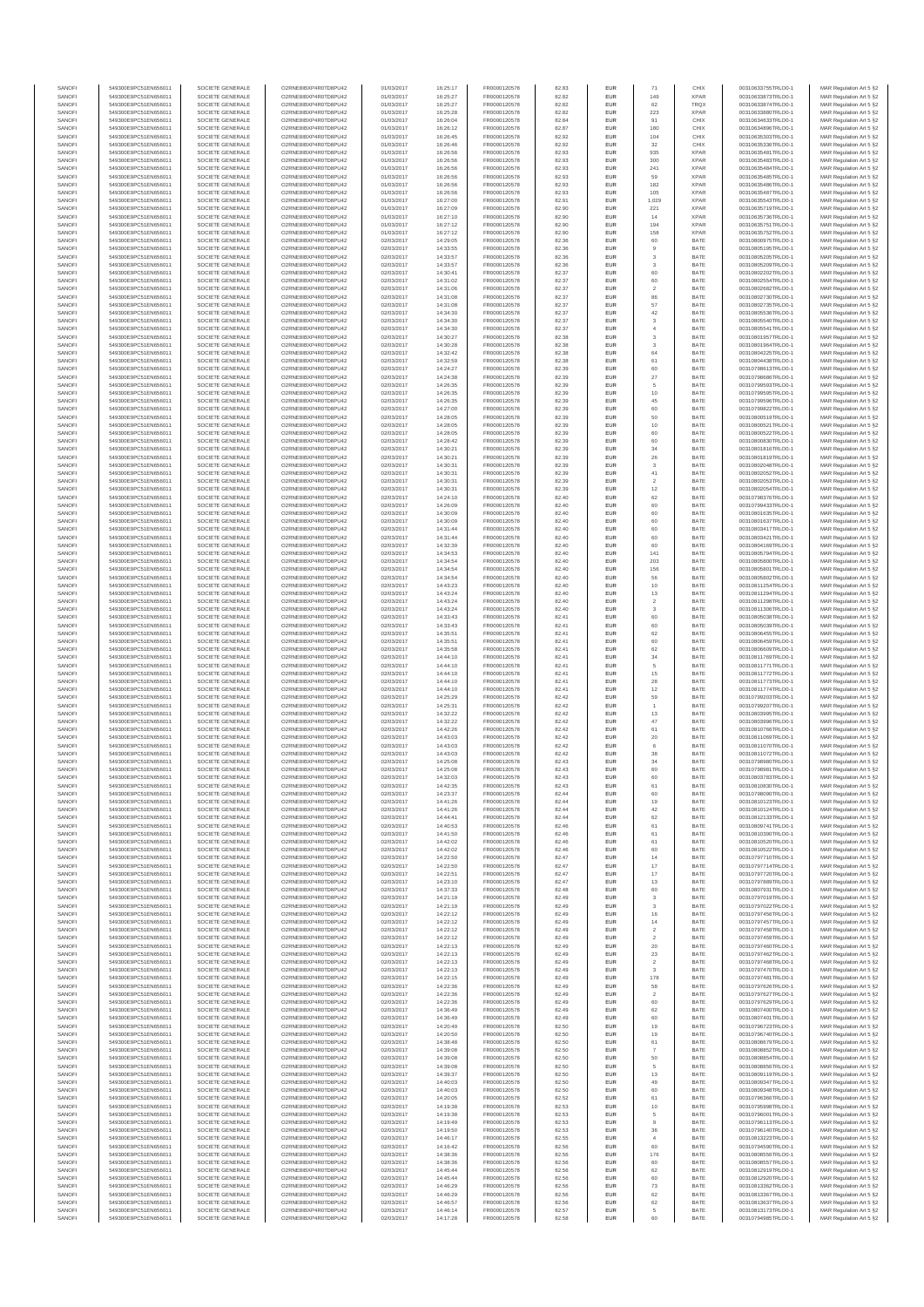| SANOFI           | 549300E9PC51EN656011                         | SOCIETE GENERALE                     | O2RNE8IBXP4R0TD8PU42                          | 01/03/2017               | 16:25:17             | FR0000120578                 | 82.83          | <b>EUR</b>               | 71                             | CHIX                       | 00310633755TRLO0-1                       | MAR Regulation Art 5 §2                             |
|------------------|----------------------------------------------|--------------------------------------|-----------------------------------------------|--------------------------|----------------------|------------------------------|----------------|--------------------------|--------------------------------|----------------------------|------------------------------------------|-----------------------------------------------------|
| SANOFI<br>SANOFI | 549300E9PC51EN656011<br>549300E9PC51EN656011 | SOCIETE GENERALE<br>SOCIETE GENERALE | O2RNE8IBXP4R0TD8PU42<br>O2RNE8IBXP4R0TD8PU42  | 01/03/2017<br>01/03/2017 | 16:25:27<br>16:25:27 | FR0000120578<br>FR0000120578 | 82.82<br>82.82 | <b>EUR</b><br>EUR        | 149<br>62                      | <b>XPAR</b><br><b>TRQX</b> | 00310633873TRLO0-1<br>00310633874TRLO0-1 | MAR Regulation Art 5 §2<br>MAR Regulation Art 5 §2  |
| SANOFI           | 549300E9PC51EN656011                         | SOCIETE GENERALE                     | O2RNE8IBXP4R0TD8PU42                          | 01/03/2017               | 16:25:28             | FR0000120578                 | 82.82          | <b>EUR</b>               | 223                            | <b>XPAR</b>                | 00310633880TRLO0-1                       | MAR Regulation Art 5 §2                             |
| SANOFI           | 549300E9PC51EN656011                         | SOCIETE GENERALE                     | O2RNE8IBXP4R0TD8PU42                          | 01/03/2017               | 16:26:04             | FR0000120578                 | 82.84          | EUR                      | 91                             | CHIX                       | 00310634633TRLO0-1                       | MAR Regulation Art 5 §2                             |
| SANOFI           | 549300E9PC51EN656011                         | SOCIETE GENERALE                     | O2RNE8IBXP4R0TD8PU42                          | 01/03/2017               | 16:26:12             | FR0000120578                 | 82.87          | <b>EUR</b>               | 180                            | CHIX                       | 00310634896TRLO0-1                       | MAR Regulation Art 5 §2                             |
| SANOFI<br>SANOFI | 549300E9PC51EN656011<br>549300E9PC51EN656011 | SOCIETE GENERALE<br>SOCIETE GENERALE | O2RNE8IBXP4R0TD8PU42<br>O2RNE8IBXP4R0TD8PU42  | 01/03/2017<br>01/03/2017 | 16:26:45<br>16:26:46 | FR0000120578<br>FR0000120578 | 82.92<br>82.92 | EUR<br>EUR               | 104<br>$32\,$                  | CHIX<br>CHIX               | 00310635303TRLO0-1<br>00310635336TRLO0-1 | MAR Regulation Art 5 §2<br>MAR Regulation Art 5 §2  |
| SANOFI           | 549300E9PC51EN656011                         | SOCIETE GENERALE                     | O2RNE8IBXP4R0TD8PU42                          | 01/03/2017               | 16:26:56             | FR0000120578                 | 82.93          | EUR                      | 935                            | <b>XPAR</b>                | 00310635481TRLO0-1                       | MAR Regulation Art 5 §2                             |
| SANOFI           | 549300E9PC51EN656011                         | SOCIETE GENERALE                     | O2RNE8IBXP4R0TD8PU42                          | 01/03/2017               | 16:26:56             | FR0000120578                 | 82.93          | EUR                      | 300                            | <b>XPAR</b>                | 00310635483TRLO0-1                       | MAR Regulation Art 5 §2                             |
| SANOFI           | 549300E9PC51EN656011                         | SOCIETE GENERALE<br>SOCIETE GENERALE | O2RNE8IBXP4R0TD8PU42                          | 01/03/2017               | 16:26:56             | FR0000120578                 | 82.93          | <b>EUR</b>               | 241                            | <b>XPAR</b>                | 00310635484TRLO0-1                       | MAR Regulation Art 5 §2                             |
| SANOFI<br>SANOFI | 549300E9PC51EN656011<br>549300E9PC51EN656011 | SOCIETE GENERALE                     | O2RNE8IBXP4R0TD8PU42<br>O2RNE8IBXP4R0TD8PU42  | 01/03/2017<br>01/03/2017 | 16:26:56<br>16:26:56 | FR0000120578<br>FR0000120578 | 82.93<br>82.93 | EUR<br><b>EUR</b>        | 59<br>182                      | <b>XPAR</b><br><b>XPAR</b> | 00310635485TRLO0-1<br>00310635486TRLO0-1 | MAR Regulation Art 5 §2<br>MAR Regulation Art 5 §2  |
| SANOFI           | 549300E9PC51EN656011                         | SOCIETE GENERALE                     | O2RNE8IBXP4R0TD8PU42                          | 01/03/2017               | 16:26:56             | FR0000120578                 | 82.93          | EUR                      | 105                            | <b>XPAR</b>                | 00310635487TRLO0-1                       | MAR Regulation Art 5 §2                             |
| SANOFI           | 549300E9PC51EN656011                         | SOCIETE GENERALE                     | O2RNE8IBXP4R0TD8PU42                          | 01/03/2017               | 16:27:00             | FR0000120578                 | 82.91          | EUR                      | 1,029                          | <b>XPAR</b>                | 00310635543TRLO0-1                       | MAR Regulation Art 5 §2                             |
| SANOFI<br>SANOFI | 549300E9PC51EN656011<br>549300E9PC51EN656011 | SOCIETE GENERALE<br>SOCIETE GENERALE | O2RNE8IBXP4R0TD8PU42<br>O2RNE8IBXP4R0TD8PU42  | 01/03/2017<br>01/03/2017 | 16:27:09<br>16:27:10 | FR0000120578<br>FR0000120578 | 82.90<br>82.90 | EUR<br>EUR               | 221<br>14                      | <b>XPAR</b><br><b>XPAR</b> | 00310635719TRLO0-1<br>00310635736TRLO0-1 | MAR Regulation Art 5 §2<br>MAR Regulation Art 5 §2  |
| SANOFI           | 549300E9PC51EN656011                         | SOCIETE GENERALE                     | O2RNE8IBXP4R0TD8PU42                          | 01/03/2017               | 16:27:12             | FR0000120578                 | 82.90          | EUR                      | 194                            | <b>XPAR</b>                | 00310635751TRLO0-1                       | MAR Regulation Art 5 §2                             |
| SANOFI           | 549300E9PC51EN656011                         | SOCIETE GENERALE                     | O2RNE8IBXP4R0TD8PU42                          | 01/03/2017               | 16:27:12             | FR0000120578                 | 82.90          | EUR                      | 158                            | <b>XPAR</b>                | 00310635752TRLO0-1                       | MAR Regulation Art 5 §2                             |
| SANOFI           | 549300E9PC51EN656011                         | SOCIETE GENERALE                     | O2RNE8IBXP4R0TD8PLI42                         | 02/03/2017               | 14:29:05             | FR0000120578                 | 82.36          | <b>EUR</b>               | 60                             | BATE                       | 00310800975TRLO0-1                       | MAR Regulation Art 5 §2                             |
| SANOFI<br>SANOFI | 549300E9PC51EN656011<br>549300E9PC51EN656011 | SOCIETE GENERALE<br>SOCIETE GENERALE | O2RNE8IBXP4R0TD8PU42<br>O2RNE8IBXP4R0TD8PU42  | 02/03/2017<br>02/03/2017 | 14:33:55<br>14:33:57 | FR0000120578<br>FR0000120578 | 82.36<br>82.36 | EUR<br><b>EUR</b>        | $\overline{9}$<br>$\mathbf{3}$ | BATE<br>BATE               | 00310805195TRLO0-1<br>00310805205TRLO0-1 | MAR Regulation Art 5 §2<br>MAR Regulation Art 5 §2  |
| SANOFI           | 549300E9PC51EN656011                         | SOCIETE GENERALE                     | O2RNE8IBXP4R0TD8PU42                          | 02/03/2017               | 14:33:57             | FR0000120578                 | 82.36          | EUR                      | 3                              | BATE                       | 00310805209TRLO0-1                       | MAR Regulation Art 5 §2                             |
| SANOFI           | 549300E9PC51EN656011                         | SOCIETE GENERALE                     | O2RNE8IBXP4R0TD8PU42                          | 02/03/2017               | 14:30:41             | FR0000120578                 | 82.37          | EUR                      | 60                             | BATE                       | 00310802202TRLO0-1                       | MAR Regulation Art 5 §2                             |
| SANOFI           | 549300E9PC51EN656011                         | SOCIETE GENERALE                     | O2RNE8IBXP4R0TD8PU42                          | 02/03/2017               | 14:31:02             | FR0000120578                 | 82.37          | EUR                      | 60                             | BATE                       | 00310802554TRLO0-1                       | MAR Regulation Art 5 §2                             |
| SANOFI<br>SANOFI | 549300E9PC51EN656011<br>549300E9PC51EN656011 | SOCIETE GENERALE<br>SOCIETE GENERALE | O2RNE8IBXP4R0TD8PU42<br>O2RNE8IBXP4R0TD8PU42  | 02/03/2017<br>02/03/2017 | 14:31:06<br>14:31:08 | FR0000120578<br>FR0000120578 | 82.37<br>82.37 | EUR<br>EUR               | $\,$ 2 $\,$<br>86              | BATE<br>BATE               | 00310802682TRLO0-1<br>00310802730TRLO0-1 | MAR Regulation Art 5 §2<br>MAR Regulation Art 5 §2  |
| SANOFI           | 549300E9PC51EN656011                         | SOCIETE GENERALE                     | O2RNE8IBXP4R0TD8PU42                          | 02/03/2017               | 14:31:08             | FR0000120578                 | 82.37          | EUR                      | 57                             | BATE                       | 00310802735TRLO0-1                       | MAR Regulation Art 5 §2                             |
| SANOFI           | 549300E9PC51EN656011                         | SOCIETE GENERALE                     | O2RNE8IBXP4R0TD8PU42                          | 02/03/2017               | 14:34:30             | FR0000120578                 | 82.37          | <b>EUR</b>               | 42                             | BATE                       | 00310805536TRLO0-1                       | MAR Regulation Art 5 §2                             |
| SANOFI           | 549300E9PC51EN656011                         | SOCIETE GENERALE                     | O2RNE8IBXP4R0TD8PU42                          | 02/03/2017               | 14:34:30             | FR0000120578                 | 82.37          | EUR                      | 3                              | BATE                       | 00310805540TRLO0-1                       | MAR Regulation Art 5 §2                             |
| SANOFI<br>SANOFI | 549300E9PC51EN656011<br>549300E9PC51EN656011 | SOCIETE GENERALE<br>SOCIETE GENERALE | O2RNE8IBXP4R0TD8PU42<br>O2RNE8IBXP4R0TD8PU42  | 02/03/2017<br>02/03/2017 | 14:34:30<br>14:30:27 | FR0000120578<br>FR0000120578 | 82.37<br>82.38 | <b>EUR</b><br>EUR        | $\overline{4}$<br>$^{\rm 3}$   | BATE<br>BATE               | 00310805541TRLO0-1<br>00310801957TRLO0-1 | MAR Regulation Art 5 §2<br>MAR Regulation Art 5 §2  |
| SANOFI           | 549300E9PC51EN656011                         | SOCIETE GENERALE                     | O2RNE8IBXP4R0TD8PU42                          | 02/03/2017               | 14:30:28             | FR0000120578                 | 82.38          | EUR                      | 3                              | BATE                       | 00310801964TRLO0-1                       | MAR Regulation Art 5 §2                             |
| SANOFI           | 549300E9PC51EN656011                         | SOCIETE GENERALE                     | O2RNE8IBXP4R0TD8PU42                          | 02/03/2017               | 14:32:42             | FR0000120578                 | 82.38          | EUR                      | 64                             | BATE                       | 00310804225TRLO0-1                       | MAR Regulation Art 5 §2                             |
| SANOFI<br>SANOFI | 549300E9PC51EN656011<br>549300E9PC51EN656011 | SOCIETE GENERALE<br>SOCIETE GENERALE | O2RNE8IBXP4R0TD8PU42<br>O2RNE8IBXP4R0TD8PU42  | 02/03/2017<br>02/03/2017 | 14:32:59<br>14:24:27 | FR0000120578                 | 82.38<br>82.39 | EUR<br><b>EUR</b>        | 61<br>60                       | BATE<br>BATE               | 00310804438TRLO0-1<br>00310798613TRLO0-1 | MAR Regulation Art 5 §2                             |
| SANOFI           | 549300E9PC51EN656011                         | SOCIETE GENERALE                     | O2RNE8IBXP4R0TD8PU42                          | 02/03/2017               | 14:24:38             | FR0000120578<br>FR0000120578 | 82.39          | EUR                      | $27\,$                         | BATE                       | 00310798686TRLO0-1                       | MAR Regulation Art 5 §2<br>MAR Regulation Art 5 §2  |
| SANOFI           | 549300E9PC51EN656011                         | SOCIETE GENERALE                     | O2RNE8IBXP4R0TD8PU42                          | 02/03/2017               | 14:26:35             | FR0000120578                 | 82.39          | <b>EUR</b>               | 5                              | BATE                       | 00310799593TRLO0-1                       | MAR Regulation Art 5 \$2                            |
| SANOFI           | 549300E9PC51EN656011                         | SOCIETE GENERALE                     | O2RNE8IBXP4R0TD8PU42                          | 02/03/2017               | 14:26:35             | FR0000120578                 | 82.39          | EUR                      | 10                             | BATE                       | 00310799595TRLO0-1                       | MAR Regulation Art 5 §2                             |
| SANOFI<br>SANOFI | 549300E9PC51EN656011<br>549300E9PC51EN656011 | SOCIETE GENERALE<br>SOCIETE GENERALE | O2RNE8IBXP4R0TD8PU42<br>O2RNE8IBXP4R0TD8PU42  | 02/03/2017<br>02/03/2017 | 14:26:35<br>14:27:00 | FR0000120578<br>FR0000120578 | 82.39<br>82.39 | EUR<br>EUR               | 45                             | BATE<br>BATE               | 00310799596TRLO0-1<br>00310799822TRLO0-1 | MAR Regulation Art 5 §2<br>MAR Regulation Art 5 §2  |
| SANOFI           | 549300E9PC51EN656011                         | SOCIETE GENERALE                     | O2RNE8IBXP4R0TD8PU42                          | 02/03/2017               | 14:28:05             | FR0000120578                 | 82.39          | EUR                      | 60<br>50                       | BATE                       | 00310800519TRLO0-1                       | MAR Regulation Art 5 §2                             |
| SANOFI           | 549300E9PC51EN656011                         | SOCIETE GENERALE                     | O2RNE8IBXP4R0TD8PU42                          | 02/03/2017               | 14:28:05             | FR0000120578                 | 82.39          | EUR                      | 10                             | BATE                       | 00310800521TRLO0-1                       | MAR Regulation Art 5 §2                             |
| SANOFI           | 549300E9PC51EN656011                         | SOCIETE GENERALE                     | O2RNE8IBXP4R0TD8PLI42                         | 02/03/2017               | 14:28:05             | FR0000120578                 | 82.39          | EUR                      | 60                             | BATE                       | 00310800522TRLO0-1                       | MAR Regulation Art 5 §2                             |
| SANOFI<br>SANOFI | 549300E9PC51EN656011<br>549300E9PC51EN656011 | SOCIETE GENERALE<br>SOCIETE GENERALE | O2RNE8IBXP4R0TD8PU42<br>O2RNE8IBXP4R0TD8PU42  | 02/03/2017<br>02/03/2017 | 14:28:42<br>14:30:21 | FR0000120578<br>FR0000120578 | 82.39<br>82.39 | <b>EUR</b><br>EUR        | 60<br>34                       | BATE<br>BATE               | 00310800830TRLO0-1<br>00310801816TRLO0-1 | MAR Regulation Art 5 §2                             |
| SANOFI           | 549300E9PC51EN656011                         | SOCIETE GENERALE                     | O2RNE8IBXP4R0TD8PU42                          | 02/03/2017               | 14:30:21             | FR0000120578                 | 82.39          | <b>EUR</b>               | 26                             | BATE                       | 00310801819TRLO0-1                       | MAR Regulation Art 5 §2<br>MAR Regulation Art 5 §2  |
| SANOFI           | 549300E9PC51EN656011                         | SOCIETE GENERALE                     | O2RNE8IBXP4R0TD8PU42                          | 02/03/2017               | 14:30:3              | FR0000120578                 | 82.39          | EUR                      | 3                              | BATE                       | 00310802048TRLO0-1                       | MAR Regulation Art 5 §2                             |
| SANOFI           | 549300E9PC51EN656011                         | SOCIETE GENERALE                     | O2RNE8IBXP4R0TD8PU42                          | 02/03/2017               | 14:30:31             | FR0000120578                 | 82.39          | <b>EUR</b>               | $41\,$                         | BATE                       | 00310802052TRLO0-1                       | MAR Regulation Art 5 §2                             |
| SANOFI<br>SANOFI | 549300E9PC51EN656011<br>549300E9PC51EN656011 | SOCIETE GENERALE<br>SOCIETE GENERALE | O2RNE8IBXP4R0TD8PU42<br>O2RNE8IBXP4R0TD8PU42  | 02/03/2017<br>02/03/2017 | 14:30:31<br>14:30:31 | FR0000120578<br>FR0000120578 | 82.39<br>82.39 | EUR<br>EUR               | $\overline{2}$<br>12           | BATE<br>BATE               | 00310802053TRLO0-1<br>00310802054TRLO0-1 | MAR Regulation Art 5 §2<br>MAR Regulation Art 5 §2  |
| SANOFI           | 549300E9PC51EN656011                         | SOCIETE GENERALE                     | O2RNE8IBXP4R0TD8PU42                          | 02/03/2017               | 14:24:10             | FR0000120578                 | 82.40          | EUR                      | 62                             | BATE                       | 00310798376TRLO0-1                       | MAR Regulation Art 5 §2                             |
| SANOFI           | 549300E9PC51EN656011                         | SOCIETE GENERALE                     | O2RNE8IBXP4R0TD8PU42                          | 02/03/2017               | 14:26:09             | FR0000120578                 | 82.40          | EUR                      | 60                             | BATE                       | 00310799433TRLO0-1                       | MAR Regulation Art 5 §2                             |
| SANOFI           | 549300E9PC51EN656011                         | SOCIETE GENERALE                     | O2RNE8IBXP4R0TD8PU42                          | 02/03/2017               | 14:30:09             | FR0000120578                 | 82.40          | <b>EUR</b>               | 60                             | BATE                       | 00310801635TRLO0-1                       | MAR Regulation Art 5 §2                             |
| SANOFI<br>SANOFI | 549300E9PC51EN656011<br>549300E9PC51EN656011 | SOCIETE GENERALE<br>SOCIETE GENERALE | O2RNE8IBXP4R0TD8PU42<br>O2RNE8IBXP4R0TD8PU42  | 02/03/2017<br>02/03/2017 | 14:30:09<br>14:31:44 | FR0000120578<br>FR0000120578 | 82.40<br>82.40 | EUR<br><b>EUR</b>        | 60<br>60                       | BATE<br>BATE               | 00310801637TRLO0-1<br>00310803417TRLO0-1 | MAR Regulation Art 5 §2<br>MAR Regulation Art 5 \$2 |
| SANOFI           | 549300E9PC51EN656011                         | SOCIETE GENERALE                     | O2RNE8IBXP4R0TD8PU42                          | 02/03/2017               | 14:31:44             | FR0000120578                 | 82.40          | <b>EUR</b>               | 60                             | BATE                       | 00310803421TRLO0-1                       | MAR Regulation Art 5 §2                             |
| SANOFI           | 549300E9PC51EN656011                         | SOCIETE GENERALE                     | O2RNE8IBXP4R0TD8PU42                          | 02/03/2017               | 14:32:39             | FR0000120578                 | 82.40          | EUR                      | 60                             | BATE                       | 00310804169TRLO0-1                       | MAR Regulation Art 5 §2                             |
| SANOFI           | 549300E9PC51EN656011                         | SOCIETE GENERALE                     | O2RNE8IBXP4R0TD8PU42                          | 02/03/2017               | 14:34:53             | FR0000120578                 | 82.40          | EUR                      | 141                            | BATE                       | 00310805794TRLO0-1                       | MAR Regulation Art 5 §2                             |
| SANOFI<br>SANOFI | 549300E9PC51EN656011<br>549300E9PC51EN656011 | SOCIETE GENERALE<br>SOCIETE GENERALE | O2RNE8IBXP4R0TD8PU42<br>O2RNE8IBXP4R0TD8PU42  | 02/03/2017<br>02/03/2017 | 14:34:54<br>14:34:54 | FR0000120578<br>FR0000120578 | 82.40<br>82.40 | EUR<br>EUR               | 203<br>156                     | BATE<br>BATE               | 00310805800TRLO0-1<br>00310805801TRLO0-1 | MAR Regulation Art 5 §2<br>MAR Regulation Art 5 §2  |
| SANOFI           | 549300E9PC51EN656011                         | SOCIETE GENERALE                     | O2RNE8IBXP4R0TD8PU42                          | 02/03/2017               | 14:34:54             | FR0000120578                 | 82.40          | EUR                      | 56                             | BATE                       | 00310805802TRLO0-1                       | MAR Regulation Art 5 §2                             |
| SANOFI           | 549300E9PC51EN656011                         | SOCIETE GENERALE                     | O2RNE8IBXP4R0TD8PU42                          | 02/03/2017               | 14:43:23             | FR0000120578                 | 82.40          | <b>EUR</b>               | 10                             | BATE                       | 00310811254TRLO0-1                       | MAR Regulation Art 5 §2                             |
| SANOFI           | 549300E9PC51EN656011                         | SOCIETE GENERALE                     | O2RNE8IBXP4R0TD8PU42                          | 02/03/2017               | 14:43:24             | FR0000120578                 | 82.40          | EUR                      | 13                             | BATE                       | 00310811294TRLO0-1                       | MAR Regulation Art 5 §2                             |
| SANOFI<br>SANOFI | 549300E9PC51EN656011<br>549300E9PC51EN656011 | SOCIETE GENERALE<br>SOCIETE GENERALE | O2RNE8IBXP4R0TD8PU42<br>O2RNE8IBXP4R0TD8PU42  | 02/03/2017<br>02/03/2017 | 14:43:24<br>14:43:24 | FR0000120578<br>FR0000120578 | 82.40<br>82.40 | <b>EUR</b><br>EUR        | $\overline{2}$<br>3            | BATE<br>BATE               | 00310811298TRLO0-1<br>00310811306TRLO0-1 | MAR Regulation Art 5 §2<br>MAR Regulation Art 5 §2  |
| SANOFI           | 549300E9PC51EN656011                         | SOCIETE GENERALE                     | O2RNE8IBXP4R0TD8PU42                          | 02/03/2017               | 14:33:43             | FR0000120578                 | 82.41          | EUR                      | 60                             | BATE                       | 00310805038TRLO0-1                       | MAR Regulation Art 5 §2                             |
| SANOFI           | 549300E9PC51EN656011                         | SOCIETE GENERALE                     | O2RNE8IBXP4R0TD8PU42                          | 02/03/2017               | 14:33:43             | FR0000120578                 | 82.41          | EUR                      | 60                             | BATE                       | 00310805039TRLO0-1                       | MAR Regulation Art 5 §2                             |
| SANOFI           | 549300E9PC51EN656011                         | SOCIETE GENERALE                     | O2RNE8IBXP4R0TD8PU42                          | 02/03/2017               | 14:35:51             | FR0000120578                 | 82.41          | EUR                      | 62                             | BATE                       | 00310806455TRLO0-1                       | MAR Regulation Art 5 §2                             |
| SANOFI<br>SANOFI | 549300E9PC51EN656011<br>549300E9PC51EN656011 | SOCIETE GENERALE<br>SOCIETE GENERALE | O2RNE8IBXP4R0TD8PU42<br>O2RNE8IBXP4R0TD8PU42  | 02/03/2017<br>02/03/2017 | 14:35:51<br>14:35:58 | FR0000120578<br>FR0000120578 | 82.41<br>82.41 | <b>EUR</b><br>EUR        | 60<br>62                       | BATE<br>BATE               | 00310806459TRLO0-1<br>00310806609TRLO0-1 | MAR Regulation Art 5 §2<br>MAR Regulation Art 5 §2  |
| SANOFI           | 549300E9PC51EN656011                         | SOCIETE GENERALE                     | O2RNE8IBXP4R0TD8PU42                          | 02/03/2017               | 14:44:10             | FR0000120578                 | 82.41          | <b>EUR</b>               | 34                             | BATE                       | 00310811769TRLO0-1                       | MAR Regulation Art 5 §2                             |
| SANOFI           | 549300E9PC51EN656011                         | SOCIETE GENERALE                     | O2RNE8IBXP4R0TD8PU42                          | 02/03/2017               | 14:44:10             | FR0000120578                 | 82.41          | EUR                      | 5                              | BATE                       | 00310811771TRLO0-1                       | MAR Regulation Art 5 §2                             |
| SANOFI           | 549300E9PC51EN656011                         | SOCIETE GENERALE                     | O2RNE8IBXP4R0TD8PU42                          | 02/03/2017               | 14:44:10             | FR0000120578                 | 82.41          | <b>EUR</b>               | 15                             | BATE                       | 00310811772TRLO0-1                       | MAR Regulation Art 5 §2                             |
| SANOFI<br>SANOFI | 549300E9PC51EN656011<br>549300E9PC51EN656011 | SOCIETE GENERALE<br>SOCIETE GENERALE | O2RNE8IBXP4R0TD8PU42<br>O2RNE8IBXP4R0TD8PU42  | 02/03/2017<br>02/03/2017 | 14:44:10<br>14:44:10 | FR0000120578<br>FR0000120578 | 82.41<br>82.41 | EUR<br>EUR               | 28<br>12                       | BATE<br>BATE               | 00310811773TRLO0-1<br>00310811774TRLO0-1 | MAR Regulation Art 5 §2<br>MAR Regulation Art 5 §2  |
| SANOFI           | 549300E9PC51EN656011                         | SOCIETE GENERALE                     | O2RNE8IBXP4R0TD8PU42                          | 02/03/2017               | 14:25:29             | FR0000120578                 | 82.42          | EUR                      | 59                             | BATE                       | 00310799203TRLO0-1                       | MAR Regulation Art 5 §2                             |
| SANOFI           | 549300E9PC51EN656011                         | SOCIETE GENERALE                     | O2RNESIBXP4R0TD8PLI42                         | 02/03/2017               | 14:25:31             | FR0000120578                 | 82.42          | <b>EUR</b>               |                                | BATE                       | 00310799207TRLO0-1                       | MAR Regulation Art 5 §2                             |
| SANOFI           | 549300E9PC51EN656011                         | SOCIETE GENERALE                     | O2RNE8IBXP4R0TD8PU42                          | 02/03/2017               | 14:32:22             | FR0000120578                 | 82.42          | <b>EUR</b>               | 13                             | BATE                       | 00310803995TRLO0-1                       | MAR Regulation Art 5 §2                             |
| SANOFI<br>SANOFI | 549300E9PC51EN656011<br>549300E9PC51EN656011 | SOCIETE GENERALE<br>SOCIETE GENERALE | O2RNE8IBXP4R0TD8PU42<br>O2RNE8IBXP4R0TD8PU42  | 02/03/2017<br>02/03/2017 | 14:32:22<br>14:42:26 | FR0000120578<br>FR0000120578 | 82.42<br>82.42 | EUR<br><b>EUR</b>        | 47<br>61                       | BATE<br>BATE               | 00310803996TRLO0-1<br>00310810766TRLO0-1 | MAR Regulation Art 5 §2<br>MAR Regulation Art 5 §2  |
| SANOFI           | 549300E9PC51EN656011                         | SOCIETE GENERALE                     | O2RNE8IBXP4R0TD8PU42                          | 02/03/2017               | 14:43:03             | FR0000120578                 | 82.42          | EUR                      | $20\,$                         | BATE                       | 00310811069TRLO0-1                       | MAR Regulation Art 5 §2                             |
| SANOFI           | 549300E9PC51EN656011                         | SOCIETE GENERALE                     | O2RNE8IBXP4R0TD8PU42                          | 02/03/2017               | 14:43:03             | FR0000120578                 | 82.42          | EUR                      | $_{\rm 6}$                     | BATE                       | 00310811070TRLO0-1                       | MAR Regulation Art 5 §2                             |
| SANOFI           | 549300E9PC51EN656011<br>549300E9PC51EN656011 | SOCIETE GENERALE                     | O2RNE8IBXP4R0TD8PLI42<br>O2RNE8IBXP4R0TD8PU42 | 02/03/2017               | 14:43:03             | FR0000120578                 | 82.42          | EUR                      | $_{38}$                        | BATE                       | 00310811072TRLO0-1<br>00310798980TRLO0-1 | MAR Regulation Art 5 §2                             |
| SANOFI<br>SANOFI | 549300E9PC51EN656011                         | SOCIETE GENERALE<br>SOCIETE GENERALE | O2RNE8IBXP4R0TD8PU42                          | 02/03/2017<br>02/03/2017 | 14:25:08<br>14:25:08 | FR0000120578<br>FR0000120578 | 82.43<br>82.43 | EUR<br>EUR               | 34<br>60                       | BATE<br>BATE               | 00310798981TRLO0-1                       | MAR Regulation Art 5 §2<br>MAR Regulation Art 5 §2  |
| SANOFI           | 549300E9PC51EN656011                         | SOCIETE GENERALE                     | O2RNE8IBXP4R0TD8PU42                          | 02/03/2017               | 14:32:03             | FR0000120578                 | 82.43          | EUR                      | 60                             | BATE                       | 00310803783TRLO0-1                       | MAR Regulation Art 5 §2                             |
| SANOFI           | 549300E9PC51EN656011                         | SOCIETE GENERALE                     | O2RNE8IBXP4R0TD8PU42                          | 02/03/2017               | 14:42:35             | FR0000120578                 | 82.43          | <b>EUR</b>               | 61                             | BATE                       | 00310810830TRLO0-1                       | MAR Regulation Art 5 §2                             |
| SANOFI           | 549300E9PC51EN656011                         | SOCIETE GENERALE                     | O2RNE8IBXP4R0TD8PU42                          | 02/03/2017               | 14:23:37             | FR0000120578                 | 82.44          | EUR                      | 60                             | BATE                       | 00310798090TRLO0-1                       | MAR Regulation Art 5 §2                             |
| SANOFI<br>SANOFI | 549300E9PC51EN656011<br>549300E9PC51EN656011 | SOCIETE GENERALE<br>SOCIETE GENERALE | O2RNE8IBXP4R0TD8PU42<br>O2RNE8IBXP4R0TD8PU42  | 02/03/2017<br>02/03/2017 | 14:41:26<br>14:41:26 | FR0000120578<br>FR0000120578 | 82.44<br>82.44 | <b>EUR</b><br>EUR        | 19<br>42                       | BATE<br>BATE               | 00310810123TRLO0-1<br>00310810124TRLO0-1 | MAR Regulation Art 5 §2<br>MAR Regulation Art 5 §2  |
| SANOFI           | 549300E9PC51EN656011                         | SOCIETE GENERALE                     | O2RNE8IBXP4R0TD8PU42                          | 02/03/2017               | 14:44:41             | FR0000120578                 | 82.44          | <b>EUR</b>               | 62                             | BATE                       | 00310812133TRLO0-1                       | MAR Regulation Art 5 §2                             |
| SANOFI           | 549300E9PC51EN656011                         | SOCIETE GENERALE                     | O2RNE8IBXP4R0TD8PU42                          | 02/03/2017               | 14:40:53             | FR0000120578                 | 82.46          | EUR                      | 61                             | BATE                       | 00310809741TRLO0-1                       | MAR Regulation Art 5 §2                             |
| SANOFI<br>SANOFI | 549300E9PC51EN656011<br>549300E9PC51EN656011 | SOCIETE GENERALE<br>SOCIETE GENERALE | O2RNE8IBXP4R0TD8PU42<br>O2RNE8IBXP4R0TD8PU42  | 02/03/2017<br>02/03/2017 | 14:41:50<br>14:42:02 | FR0000120578<br>FR0000120578 | 82.46<br>82.46 | EUR<br>EUR               | $61\,$<br>61                   | BATE<br>BATE               | 00310810390TRLO0-1<br>00310810520TRLO0-1 | MAR Regulation Art 5 §2<br>MAR Regulation Art 5 §2  |
| SANOFI           | 549300E9PC51EN656011                         | SOCIETE GENERALE                     | O2RNE8IBXP4R0TD8PU42                          | 02/03/2017               | 14:42:02             | FR0000120578                 | 82.46          | EUR                      | 60                             | BATE                       | 00310810522TRLO0-1                       | MAR Regulation Art 5 §2                             |
| SANOFI           | 549300E9PC51EN656011                         | SOCIETE GENERALE                     | O2RNE8IBXP4R0TD8PU42                          | 02/03/2017               | 14:22:50             | FR0000120578                 | 82.47          | <b>EUR</b>               | 14                             | BATE                       | 00310797710TRLO0-1                       | MAR Regulation Art 5 §2                             |
| SANOFI           | 549300E9PC51EN656011                         | SOCIETE GENERALE                     | O2RNE8IBXP4R0TD8PU42                          | 02/03/2017               | 14:22:50             | FR0000120578                 | 82.47          | EUR                      | 17<br>17                       | BATE                       | 00310797714TRLO0-1                       | MAR Regulation Art 5 §2                             |
| SANOFI<br>SANOFI | 549300E9PC51EN656011<br>549300E9PC51EN656011 | SOCIETE GENERALE<br>SOCIETE GENERALE | O2RNE8IBXP4R0TD8PU42<br>O2RNE8IBXP4R0TD8PU42  | 02/03/2017<br>02/03/2017 | 14:22:51<br>14:23:10 | FR0000120578<br>FR0000120578 | 82.47<br>82.47 | <b>EUR</b><br>EUR        | 13                             | BATE<br>BATE               | 00310797720TRLO0-1<br>00310797889TRLO0-1 | MAR Regulation Art 5 §2<br>MAR Regulation Art 5 §2  |
| SANOFI           | 549300E9PC51EN656011                         | SOCIETE GENERALE                     | O2RNE8IBXP4R0TD8PU42                          | 02/03/2017               | 14:37:33             | FR0000120578                 | 82.48          | EUR                      | 60                             | BATE                       | 00310807931TRLO0-1                       | MAR Regulation Art 5 §2                             |
| SANOFI           | 549300E9PC51EN656011                         | SOCIETE GENERALE                     | O2RNE8IBXP4R0TD8PU42                          | 02/03/2017               | 14:21:19             | FR0000120578                 | 82.49          | <b>EUR</b>               | 3                              | BATE                       | 00310797019TRLO0-1                       | MAR Regulation Art 5 §2                             |
| SANOFI<br>SANOFI | 549300E9PC51EN656011<br>549300E9PC51EN656011 | SOCIETE GENERALE<br>SOCIETE GENERALE | O2RNE8IBXP4R0TD8PU42<br>O2RNE8IBXP4R0TD8PU42  | 02/03/2017<br>02/03/2017 | 14:21:19<br>14:22:12 | FR0000120578<br>FR0000120578 | 82.49<br>82.49 | <b>EUR</b><br><b>EUR</b> | 3<br>16                        | BATE<br>BATE               | 00310797022TRLO0-1<br>00310797456TRLO0-1 | MAR Regulation Art 5 §2<br>MAR Regulation Art 5 §2  |
| SANOFI           | 549300E9PC51EN656011                         | SOCIETE GENERALE                     | O2RNE8IBXP4R0TD8PU42                          | 02/03/2017               | 14:22:12             | FR0000120578                 | 82.49          | EUR                      | 14                             | BATE                       | 00310797457TRLO0-1                       | MAR Regulation Art 5 §2                             |
| SANOFI           | 549300E9PC51EN656011                         | SOCIETE GENERALE                     | O2RNE8IBXP4R0TD8PU42                          | 02/03/2017               | 14:22:12             | FR0000120578                 | 82.49          | <b>EUR</b>               | $\overline{2}$                 | BATE                       | 00310797458TRLO0-1                       | MAR Regulation Art 5 §2                             |
| SANOFI           | 549300E9PC51EN656011                         | SOCIETE GENERALE                     | O2RNE8IBXP4R0TD8PU42                          | 02/03/2017               | 14:22:12             | FR0000120578                 | 82.49          | EUR                      | $\overline{2}$                 | BATE                       | 00310797459TRLO0-1                       | MAR Regulation Art 5 §2                             |
| SANOFI<br>SANOFI | 549300E9PC51EN656011<br>549300E9PC51EN656011 | SOCIETE GENERALE<br>SOCIETE GENERALE | O2RNE8IBXP4R0TD8PU42<br>O2RNE8IBXP4R0TD8PU42  | 02/03/2017<br>02/03/2017 | 14:22:13<br>14:22:13 | FR0000120578<br>FR0000120578 | 82.49<br>82.49 | EUR<br>EUR               | $20\,$<br>$23\,$               | BATE<br>BATE               | 00310797460TRLO0-1<br>00310797462TRLO0-1 | MAR Regulation Art 5 §2<br>MAR Regulation Art 5 §2  |
| SANOFI           | 549300E9PC51EN656011                         | SOCIETE GENERALE                     | O2RNE8IBXP4R0TD8PU42                          | 02/03/2017               | 14:22:13             | FR0000120578                 | 82.49          | EUR                      | $\overline{2}$                 | BATE                       | 00310797468TRLO0-1                       | MAR Regulation Art 5 §2                             |
| SANOFI           | 549300E9PC51EN656011                         | SOCIETE GENERALE                     | O2RNE8IBXP4R0TD8PU42                          | 02/03/2017               | 14:22:13             | FR0000120578                 | 82.49          | EUR                      | 3                              | BATE                       | 00310797470TRLO0-1                       | MAR Regulation Art 5 §2                             |
| SANOFI<br>SANOFI | 549300E9PC51EN656011<br>549300E9PC51EN656011 | SOCIETE GENERALE<br>SOCIETE GENERALE | O2RNE8IBXP4R0TD8PU42<br>O2RNE8IBXP4R0TD8PU42  | 02/03/2017<br>02/03/2017 | 14:22:15<br>14:22:36 | FR0000120578<br>FR0000120578 | 82.49<br>82.49 | EUR<br><b>EUR</b>        | 178<br>58                      | BATE<br>BATE               | 00310797481TRLO0-1<br>00310797626TRLO0-1 | MAR Regulation Art 5 §2                             |
| SANOFI           | 549300E9PC51EN656011                         | SOCIETE GENERALE                     | O2RNE8IBXP4R0TD8PU42                          | 02/03/2017               | 14:22:36             | FR0000120578                 | 82.49          | EUR                      | $\overline{2}$                 | BATE                       | 00310797627TRLO0-1                       | MAR Regulation Art 5 §2<br>MAR Regulation Art 5 §2  |
| SANOFI           | 549300E9PC51EN656011                         | SOCIETE GENERALE                     | O2RNE8IBXP4R0TD8PU42                          | 02/03/2017               | 14:22:36             | FR0000120578                 | 82.49          | <b>EUR</b>               | 60                             | BATE                       | 00310797629TRLO0-1                       | MAR Regulation Art 5 §2                             |
| SANOFI           | 549300E9PC51EN656011                         | SOCIETE GENERALE                     | O2RNE8IBXP4R0TD8PU42                          | 02/03/2017               | 14:36:49             | FR0000120578                 | 82.49          | EUR                      | 62                             | BATE                       | 00310807400TRLO0-1                       | MAR Regulation Art 5 §2                             |
| SANOFI<br>SANOFI | 549300E9PC51EN656011<br>549300E9PC51EN656011 | SOCIETE GENERALE<br>SOCIETE GENERALE | O2RNE8IBXP4R0TD8PU42<br>O2RNE8IBXP4R0TD8PU42  | 02/03/2017<br>02/03/2017 | 14:36:49<br>14:20:49 | FR0000120578<br>FR0000120578 | 82.49<br>82.50 | <b>EUR</b><br><b>EUR</b> | 60<br>19                       | BATE<br>BATE               | 00310807401TRLO0-1<br>00310796723TRLO0-1 | MAR Regulation Art 5 §2<br>MAR Regulation Art 5 §2  |
| SANOFI           | 549300E9PC51EN656011                         | SOCIETE GENERALE                     | O2RNE8IBXP4R0TD8PU42                          | 02/03/2017               | 14:20:50             | FR0000120578                 | 82.50          | EUR                      | 19                             | BATE                       | 00310796740TRLO0-1                       | MAR Regulation Art 5 §2                             |
| SANOFI           | 549300E9PC51EN656011                         | SOCIETE GENERALE                     | O2RNE8IBXP4R0TD8PU42                          | 02/03/2017               | 14:38:48             | FR0000120578                 | 82.50          | EUR                      | 61                             | BATE                       | 00310808679TRLO0-1                       | MAR Regulation Art 5 §2                             |
| SANOFI           | 549300E9PC51EN656011                         | SOCIETE GENERALE                     | O2RNE8IBXP4R0TD8PU42                          | 02/03/2017               | 14:39:08             | FR0000120578                 | 82.50          | EUR                      |                                | BATE                       | 00310808852TRLO0-1                       | MAR Regulation Art 5 §2                             |
| SANOFI<br>SANOFI | 549300E9PC51EN656011<br>549300E9PC51EN656011 | SOCIETE GENERALE<br>SOCIETE GENERALE | O2RNE8IBXP4R0TD8PU42<br>O2RNE8IBXP4R0TD8PU42  | 02/03/2017<br>02/03/2017 | 14:39:08<br>14:39:08 | FR0000120578<br>FR0000120578 | 82.50<br>82.50 | <b>EUR</b><br>EUR        | 50<br>5                        | BATE<br>BATE               | 00310808854TRLO0-1<br>00310808856TRLO0-1 | MAR Regulation Art 5 §2<br>MAR Regulation Art 5 §2  |
| SANOFI           | 549300E9PC51EN656011                         | SOCIETE GENERALE                     | O2RNE8IBXP4R0TD8PU42                          | 02/03/2017               | 14:39:37             | FR0000120578                 | 82.50          | <b>EUR</b>               | 13                             | BATE                       | 00310809119TRLO0-1                       | MAR Regulation Art 5 §2                             |
| SANOFI           | 549300E9PC51EN656011                         | SOCIETE GENERALE                     | O2RNE8IBXP4R0TD8PU42                          | 02/03/2017               | 14:40:03             | FR0000120578                 | 82.50          | EUR                      | 49                             | BATE                       | 00310809347TRLO0-1                       | MAR Regulation Art 5 §2                             |
| SANOFI           | 549300E9PC51EN656011                         | SOCIETE GENERALE                     | O2RNE8IBXP4R0TD8PU42                          | 02/03/2017               | 14:40:03             | FR0000120578                 | 82.50          | EUR                      | 60                             | BATE                       | 00310809348TRLO0-1                       | MAR Regulation Art 5 §2                             |
| SANOFI<br>SANOFI | 549300E9PC51EN656011<br>549300E9PC51EN656011 | SOCIETE GENERALE<br>SOCIETE GENERALE | O2RNE8IBXP4R0TD8PU42<br>O2RNE8IBXP4R0TD8PU42  | 02/03/2017<br>02/03/2017 | 14:20:05<br>14:19:38 | FR0000120578<br>FR0000120578 | 82.52<br>82.53 | EUR<br><b>EUR</b>        | 61<br>10                       | BATE<br>BATE               | 00310796366TRLO0-1<br>00310795998TRLO0-1 | MAR Regulation Art 5 §2<br>MAR Regulation Art 5 §2  |
| SANOFI           | 549300E9PC51EN656011                         | SOCIETE GENERALE                     | O2RNE8IBXP4R0TD8PU42                          | 02/03/2017               | 14:19:38             | FR0000120578                 | 82.53          | EUR                      | $\overline{5}$                 | BATE                       | 00310796001TRLO0-1                       | MAR Regulation Art 5 §2                             |
| SANOFI           | 549300E9PC51EN656011                         | SOCIETE GENERALE                     | O2RNE8IBXP4R0TD8PU42                          | 02/03/2017               | 14:19:49             | FR0000120578                 | 82.53          | EUR                      | $^{\rm 9}$                     | BATE                       | 00310796113TRLO0-1                       | MAR Regulation Art 5 §2                             |
| SANOFI<br>SANOFI | 549300E9PC51EN656011<br>549300E9PC51EN656011 | SOCIETE GENERALE<br>SOCIETE GENERALE | O2RNE8IBXP4R0TD8PU42<br>O2RNE8IBXP4R0TD8PU42  | 02/03/2017<br>02/03/2017 | 14:19:50<br>14:46:17 | FR0000120578<br>FR0000120578 | 82.53<br>82.55 | <b>EUR</b><br>EUR        | 36                             | BATE<br>BATE               | 00310796140TRLO0-1<br>00310813223TRLO0-1 | MAR Regulation Art 5 §2                             |
| SANOFI           | 549300E9PC51EN656011                         | SOCIETE GENERALE                     | O2RNE8IBXP4R0TD8PU42                          | 02/03/2017               | 14:16:42             | FR0000120578                 | 82.56          | <b>EUR</b>               | 60                             | BATE                       | 00310794590TRLO0-1                       | MAR Regulation Art 5 §2<br>MAR Regulation Art 5 §2  |
| SANOFI           | 549300E9PC51EN656011                         | SOCIETE GENERALE                     | O2RNE8IBXP4R0TD8PU42                          | 02/03/2017               | 14:38:36             | FR0000120578                 | 82.56          | EUR                      | 176                            | BATE                       | 00310808556TRLO0-1                       | MAR Regulation Art 5 §2                             |
| SANOFI           | 549300E9PC51EN656011                         | SOCIETE GENERALE                     | O2RNE8IBXP4R0TD8PU42                          | 02/03/2017               | 14:38:36             | FR0000120578                 | 82.56          | EUR                      | 60                             | BATE                       | 00310808557TRLO0-1                       | MAR Regulation Art 5 §2                             |
| SANOFI<br>SANOFI | 549300E9PC51EN656011<br>549300E9PC51EN656011 | SOCIETE GENERALE<br>SOCIETE GENERALE | O2RNE8IBXP4R0TD8PU42<br>O2RNE8IBXP4R0TD8PU42  | 02/03/2017<br>02/03/2017 | 14:45:44<br>14:45:44 | FR0000120578<br>FR0000120578 | 82.56<br>82.56 | EUR<br>EUR               | 62<br>60                       | BATE<br>BATE               | 00310812919TRLO0-1<br>00310812920TRLO0-1 | MAR Regulation Art 5 §2<br>MAR Regulation Art 5 §2  |
| SANOFI           | 549300E9PC51EN656011                         | SOCIETE GENERALE                     | O2RNE8IBXP4R0TD8PU42                          | 02/03/2017               | 14:46:29             | FR0000120578                 | 82.56          | <b>EUR</b>               | 73                             | BATE                       | 00310813362TRLO0-1                       | MAR Regulation Art 5 §2                             |
| SANOFI           | 549300E9PC51EN656011                         | SOCIETE GENERALE                     | O2RNE8IBXP4R0TD8PU42                          | 02/03/2017               | 14:46:29             | FR0000120578                 | 82.56          | EUR                      | 62                             | BATE                       | 00310813367TRLO0-1                       | MAR Regulation Art 5 §2                             |
| SANOFI           | 549300E9PC51EN656011                         | SOCIETE GENERALE                     | O2RNE8IBXP4R0TD8PU42                          | 02/03/2017               | 14:46:57             | FR0000120578                 | 82.56          | <b>EUR</b>               | 62                             | BATE                       | 00310813637TRLO0-1                       | MAR Regulation Art 5 §2                             |
| SANOFI<br>SANOFI | 549300E9PC51EN656011<br>549300E9PC51EN656011 | SOCIETE GENERALE<br>SOCIETE GENERALE | O2RNE8IBXP4R0TD8PU42<br>O2RNE8IBXP4R0TD8PU42  | 02/03/2017<br>02/03/2017 | 14:46:14<br>14:17:28 | FR0000120578<br>FR0000120578 | 82.57<br>82.58 | EUR<br><b>EUR</b>        | 5<br>60                        | BATE<br>BATE               | 00310813173TRLO0-1<br>00310794985TRLO0-1 | MAR Regulation Art 5 §2<br>MAR Regulation Art 5 §2  |
|                  |                                              |                                      |                                               |                          |                      |                              |                |                          |                                |                            |                                          |                                                     |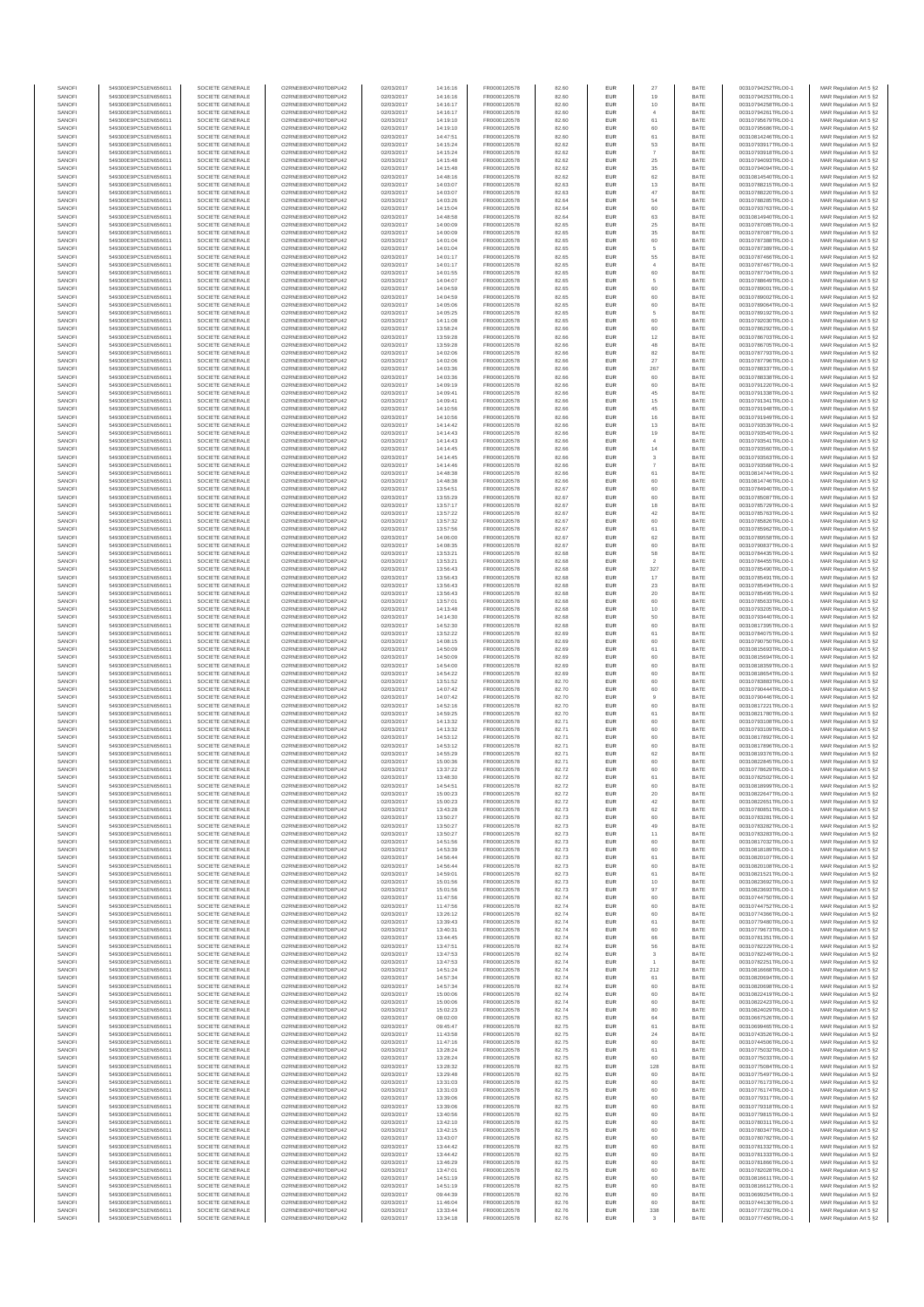| SANOF            | 549300E9PC51EN656011                         | SOCIETE GENERALE                     | O2RNE8IBXP4R0TD8PU42                          | 02/03/2017               | 14:16:16             | FR0000120578                 | 82.60          | EUR               | 27                      | BATE         | 00310794252TRLO0-1                       | MAR Regulation Art 5 §2                            |
|------------------|----------------------------------------------|--------------------------------------|-----------------------------------------------|--------------------------|----------------------|------------------------------|----------------|-------------------|-------------------------|--------------|------------------------------------------|----------------------------------------------------|
| SANOFI           | 549300E9PC51EN656011                         | SOCIETE GENERALE                     | O2RNE8IBXP4R0TD8PU42                          | 02/03/2017               | 14:16:16             | FR0000120578                 | 82.60          | EUR               | 19                      | BATE         | 00310794253TRLO0-1                       | MAR Regulation Art 5 §2                            |
| SANOFI<br>SANOFI | 549300E9PC51EN656011<br>549300E9PC51EN656011 | SOCIETE GENERALE<br>SOCIETE GENERALE | O2RNE8IBXP4R0TD8PU42<br>O2RNE8IBXP4R0TD8PU42  | 02/03/2017<br>02/03/2017 | 14:16:17<br>14:16:17 | FR0000120578<br>FR0000120578 | 82.60<br>82.60 | EUR<br>EUR        | 10<br>$\overline{4}$    | BATE<br>BATE | 00310794258TRLO0-1<br>00310794261TRLO0-1 | MAR Regulation Art 5 §2<br>MAR Regulation Art 5 §2 |
| SANOFI           | 549300E9PC51EN656011                         | SOCIETE GENERALE                     | O2RNE8IBXP4R0TD8PU42                          | 02/03/2017               | 14:19:10             | FR0000120578                 | 82.60          | EUR               | 61                      | BATE         | 00310795679TRLO0-1                       | MAR Regulation Art 5 §2                            |
| SANOFI           | 549300E9PC51EN656011                         | SOCIETE GENERALE                     | O2RNE8IBXP4R0TD8PU42                          | 02/03/2017               | 14:19:10             | FR0000120578                 | 82.60          | EUR               | 60                      | BATE         | 00310795686TRLO0-1                       | MAR Regulation Art 5 §2                            |
| SANOFI           | 549300E9PC51EN656011                         | SOCIETE GENERALE                     | O2RNE8IBXP4R0TD8PLI42                         | 02/03/2017               | 14:47:51             | FR0000120578                 | 82.60          | EUR               | 61                      | BATE         | 00310814246TRLO0-1                       | MAR Regulation Art 5 §2                            |
| SANOFI<br>SANOFI | 549300E9PC51EN656011<br>549300E9PC51EN656011 | SOCIETE GENERALE<br>SOCIETE GENERALE | O2RNE8IBXP4R0TD8PU42<br>O2RNE8IBXP4R0TD8PU42  | 02/03/2017<br>02/03/2017 | 14:15:24<br>14:15:24 | FR0000120578<br>FR0000120578 | 82.62<br>82.62 | EUR<br>EUR        | 53<br>$\overline{7}$    | BATE<br>BATE | 00310793917TRLO0-1<br>00310793918TRLO0-1 | MAR Regulation Art 5 §2<br>MAR Regulation Art 5 §2 |
| SANOFI           | 549300E9PC51EN656011                         | SOCIETE GENERALE                     | O2RNE8IBXP4R0TD8PU42                          | 02/03/2017               | 14:15:48             | FR0000120578                 | 82.62          | EUR               | $\rm 25$                | BATE         | 00310794093TRLO0-1                       | MAR Regulation Art 5 §2                            |
| SANOFI           | 549300E9PC51EN656011                         | SOCIETE GENERALE                     | O2RNE8IBXP4R0TD8PU42                          | 02/03/2017               | 14:15:48             | FR0000120578                 | 82.62          | EUR               | $35\,$                  | BATE         | 00310794094TRLO0-1                       | MAR Regulation Art 5 §2                            |
| SANOFI<br>SANOFI | 549300E9PC51EN656011<br>549300E9PC51EN656011 | SOCIETE GENERALE<br>SOCIETE GENERALE | O2RNE8IBXP4R0TD8PU42<br>O2RNE8IBXP4R0TD8PU42  | 02/03/2017<br>02/03/2017 | 14:48:16<br>14:03:07 | FR0000120578<br>FR0000120578 | 82.62<br>82.63 | EUR<br>EUR        | 62<br>13                | BATE<br>BATE | 00310814540TRLO0-1<br>00310788215TRLO0-1 | MAR Regulation Art 5 §2<br>MAR Regulation Art 5 §2 |
| SANOFI           | 549300E9PC51EN656011                         | SOCIETE GENERALE                     | O2RNE8IBXP4R0TD8PU42                          | 02/03/2017               | 14:03:07             | FR0000120578                 | 82.63          | EUR               | 47                      | BATE         | 00310788220TRLO0-1                       | MAR Regulation Art 5 §2                            |
| SANOFI           | 549300E9PC51EN656011                         | SOCIETE GENERALE                     | O2RNE8IBXP4R0TD8PU42                          | 02/03/2017               | 14:03:26             | FR0000120578                 | 82.64          | EUR               | 54                      | BATE         | 00310788285TRLO0-1                       | MAR Regulation Art 5 §2                            |
| SANOFI           | 549300E9PC51EN656011                         | SOCIETE GENERALE                     | O2RNE8IBXP4R0TD8PU42                          | 02/03/2017               | 14:15:04             | FR0000120578                 | 82.64          | EUR               | 60                      | BATE         | 00310793763TRLO0-1                       | MAR Regulation Art 5 §2                            |
| SANOFI<br>SANOFI | 549300E9PC51EN656011<br>549300E9PC51EN656011 | SOCIETE GENERALE<br>SOCIETE GENERALE | O2RNE8IBXP4R0TD8PU42<br>O2RNE8IBXP4R0TD8PU42  | 02/03/2017<br>02/03/2017 | 14:48:58<br>14:00:09 | FR0000120578<br>FR0000120578 | 82.64<br>82.65 | EUR<br>EUR        | 63<br>25                | BATE<br>BATE | 00310814940TRLO0-1<br>00310787085TRLO0-1 | MAR Regulation Art 5 §2<br>MAR Regulation Art 5 §2 |
| SANOFI           | 549300E9PC51EN656011                         | SOCIETE GENERALE                     | O2RNE8IBXP4R0TD8PU42                          | 02/03/2017               | 14:00:09             | FR0000120578                 | 82.65          | EUR               | $35\,$                  | BATE         | 00310787087TRLO0-1                       | MAR Regulation Art 5 §2                            |
| SANOFI           | 549300E9PC51EN656011                         | SOCIETE GENERALE                     | O2RNE8IBXP4R0TD8PU42                          | 02/03/2017               | 14:01:04             | FR0000120578                 | 82.65          | EUR               | 60                      | BATE         | 00310787388TRLO0-1                       | MAR Regulation Art 5 §2                            |
| SANOFI           | 549300E9PC51EN656011                         | SOCIETE GENERALE                     | O2RNE8IBXP4R0TD8PU42                          | 02/03/2017               | 14:01:04             | FR0000120578                 | 82.65          | EUR               | 5                       | BATE         | 00310787389TRLO0-1                       | MAR Regulation Art 5 §2                            |
| SANOFI<br>SANOFI | 549300E9PC51EN656011<br>549300E9PC51EN656011 | SOCIETE GENERALE<br>SOCIETE GENERALE | O2RNE8IBXP4R0TD8PU42<br>O2RNE8IBXP4R0TD8PU42  | 02/03/2017<br>02/03/2017 | 14:01:17<br>14:01:17 | FR0000120578<br>FR0000120578 | 82.65<br>82.65 | EUR<br>EUR        | 55<br>$\overline{4}$    | BATE<br>BATE | 00310787466TRLO0-1<br>00310787467TRLO0-1 | MAR Regulation Art 5 §2<br>MAR Regulation Art 5 §2 |
| SANOFI           | 549300E9PC51EN656011                         | SOCIETE GENERALE                     | O2RNE8IBXP4R0TD8PU42                          | 02/03/2017               | 14:01:55             | FR0000120578                 | 82.65          | EUR               | 60                      | BATE         | 00310787704TRLO0-1                       | MAR Regulation Art 5 §2                            |
| SANOFI           | 549300E9PC51EN656011                         | SOCIETE GENERALE                     | O2RNE8IBXP4R0TD8PU42                          | 02/03/2017               | 14:04:07             | FR0000120578                 | 82.65          | EUR               | 5                       | BATE         | 00310788649TRLO0-1                       | MAR Regulation Art 5 §2                            |
| SANOFI           | 549300E9PC51EN656011                         | SOCIETE GENERALE                     | O2RNE8IBXP4R0TD8PU42                          | 02/03/2017               | 14:04:59             | FR0000120578                 | 82.65          | EUR               | 60                      | BATE         | 00310789001TRLO0-1                       | MAR Regulation Art 5 §2                            |
| SANOFI<br>SANOFI | 549300E9PC51EN656011<br>549300E9PC51EN656011 | SOCIETE GENERALE<br>SOCIETE GENERALE | O2RNE8IBXP4R0TD8PU42<br>O2RNE8IBXP4R0TD8PU42  | 02/03/2017<br>02/03/2017 | 14:04:59<br>14:05:06 | FR0000120578<br>FR0000120578 | 82.65<br>82.65 | EUR<br>EUR        | 60<br>60                | BATE<br>BATE | 00310789002TRLO0-1<br>00310789064TRLO0-1 | MAR Regulation Art 5 §2<br>MAR Regulation Art 5 §2 |
| SANOFI           | 549300E9PC51EN656011                         | SOCIETE GENERALE                     | O2RNE8IBXP4R0TD8PU42                          | 02/03/2017               | 14:05:25             | FR0000120578                 | 82.65          | EUR               | 5                       | BATE         | 00310789192TRLO0-1                       | MAR Regulation Art 5 §2                            |
| SANOFI           | 549300E9PC51EN656011                         | SOCIETE GENERALE                     | O2RNE8IBXP4R0TD8PU42                          | 02/03/2017               | 14:11:08             | FR0000120578                 | 82.65          | EUR               | 60                      | BATE         | 00310792030TRLO0-1                       | MAR Regulation Art 5 §2                            |
| SANOFI           | 549300E9PC51EN656011                         | SOCIETE GENERALE                     | O2RNE8IBXP4R0TD8PU42                          | 02/03/2017               | 13:58:24             | FR0000120578                 | 82.66          | EUR<br>EUR        | 60                      | BATE         | 00310786292TRLO0-1                       | MAR Regulation Art 5 §2                            |
| SANOFI<br>SANOFI | 549300E9PC51EN656011<br>549300E9PC51EN656011 | SOCIETE GENERALE<br>SOCIETE GENERALE | O2RNE8IBXP4R0TD8PU42<br>O2RNE8IBXP4R0TD8PU42  | 02/03/2017<br>02/03/2017 | 13:59:28<br>13:59:28 | FR0000120578<br>FR0000120578 | 82.66<br>82.66 | EUR               | 12<br>48                | BATE<br>BATE | 00310786703TRLO0-1<br>00310786705TRLO0-1 | MAR Regulation Art 5 §2<br>MAR Regulation Art 5 §2 |
| SANOFI           | 549300E9PC51EN656011                         | SOCIETE GENERALE                     | O2RNE8IBXP4R0TD8PU42                          | 02/03/2017               | 14:02:06             | FR0000120578                 | 82.66          | EUR               | 82                      | BATE         | 00310787793TRLO0-1                       | MAR Regulation Art 5 §2                            |
| SANOFI           | 549300E9PC51EN656011                         | SOCIETE GENERALE                     | O2RNE8IBXP4R0TD8PU42                          | 02/03/2017               | 14:02:06             | FR0000120578                 | 82.66          | EUR               | 27                      | BATE         | 00310787796TRLO0-1                       | MAR Regulation Art 5 §2                            |
| SANOFI<br>SANOFI | 549300E9PC51EN656011<br>549300E9PC51EN656011 | SOCIETE GENERALE<br>SOCIETE GENERALE | O2RNE8IBXP4R0TD8PU42<br>O2RNE8IBXP4R0TD8PU42  | 02/03/2017<br>02/03/2017 | 14:03:36<br>14:03:36 | FR0000120578<br>FR0000120578 | 82.66<br>82.66 | EUR<br>EUR        | 267<br>60               | BATE<br>BATE | 00310788337TRLO0-1<br>00310788338TRLO0-1 | MAR Regulation Art 5 §2<br>MAR Regulation Art 5 §2 |
| SANOFI           | 549300E9PC51EN656011                         | SOCIETE GENERALE                     | O2RNE8IBXP4R0TD8PU42                          | 02/03/2017               | 14:09:19             | FR0000120578                 | 82.66          | EUR               | 60                      | BATE         | 00310791220TRLO0-1                       | MAR Regulation Art 5 §2                            |
| SANOFI           | 549300E9PC51EN656011                         | SOCIETE GENERALE                     | O2RNE8IBXP4R0TD8PU42                          | 02/03/2017               | 14:09:41             | FR0000120578                 | 82.66          | EUR               | $45\,$                  | BATE         | 00310791338TRLO0-1                       | MAR Regulation Art 5 §2                            |
| SANOFI           | 549300E9PC51EN656011                         | SOCIETE GENERALE                     | O2RNE8IBXP4R0TD8PU42                          | 02/03/2017               | 14:09:41             | FR0000120578                 | 82.66          | EUR               | 15                      | BATE         | 00310791341TRLO0-1                       | MAR Regulation Art 5 §2                            |
| SANOFI<br>SANOFI | 549300E9PC51EN656011<br>549300E9PC51EN656011 | SOCIETE GENERALE<br>SOCIETE GENERALE | O2RNE8IBXP4R0TD8PLI42<br>O2RNE8IBXP4R0TD8PU42 | 02/03/2017<br>02/03/2017 | 14:10:56<br>14:10:56 | FR0000120578<br>FR0000120578 | 82.66<br>82.66 | EUR<br>EUR        | 45<br>16                | BATE<br>BATE | 00310791948TRLO0-1<br>00310791949TRLO0-1 | MAR Regulation Art 5 §2<br>MAR Regulation Art 5 §2 |
| SANOFI           | 549300E9PC51EN656011                         | SOCIETE GENERALE                     | O2RNE8IBXP4R0TD8PU42                          | 02/03/2017               | 14:14:42             | FR0000120578                 | 82.66          | EUR               | 13                      | BATE         | 00310793539TRLO0-1                       | MAR Regulation Art 5 §2                            |
| SANOFI           | 549300E9PC51EN656011                         | SOCIETE GENERALE                     | O2RNE8IBXP4R0TD8PU42                          | 02/03/2017               | 14:14:43             | FR0000120578                 | 82.66          | EUR               | 19                      | BATE         | 00310793540TRLO0-1                       | MAR Regulation Art 5 §2                            |
| SANOFI           | 549300E9PC51EN656011                         | SOCIETE GENERALE                     | O2RNE8IBXP4R0TD8PU42                          | 02/03/2017               | 14:14:43             | FR0000120578                 | 82.66          | EUR               | $\overline{4}$          | BATE         | 00310793541TRLO0-1                       | MAR Regulation Art 5 §2                            |
| SANOFI<br>SANOFI | 549300E9PC51EN656011<br>549300E9PC51EN656011 | SOCIETE GENERALE<br>SOCIETE GENERALE | O2RNE8IBXP4R0TD8PU42<br>O2RNE8IBXP4R0TD8PLI42 | 02/03/2017<br>02/03/2017 | 14:14:45<br>14:14:45 | FR0000120578<br>FR0000120578 | 82.66<br>82.66 | EUR<br>EUR        | 14<br>$\,$ 3            | BATE<br>BATE | 00310793560TRLO0-1<br>00310793563TRLO0-1 | MAR Regulation Art 5 §2<br>MAR Regulation Art 5 §2 |
| SANOFI           | 549300E9PC51EN656011                         | SOCIETE GENERALE                     | O2RNE8IBXP4R0TD8PU42                          | 02/03/2017               | 14:14:46             | FR0000120578                 | 82.66          | EUR               |                         | BATE         | 00310793568TRLO0-1                       | MAR Regulation Art 5 §2                            |
| SANOFI           | 549300E9PC51EN656011                         | SOCIETE GENERALE                     | O2RNE8IBXP4R0TD8PU42                          | 02/03/2017               | 14:48:38             | FR0000120578                 | 82.66          | EUR               | 61                      | BATE         | 00310814744TRLO0-1                       | MAR Regulation Art 5 §2                            |
| SANOFI           | 549300E9PC51EN656011                         | SOCIETE GENERALE                     | O2RNE8IBXP4R0TD8PU42                          | 02/03/2017               | 14:48:38             | FR0000120578                 | 82.66          | EUR               | 60                      | BATE         | 00310814746TRLO0-1                       | MAR Regulation Art 5 §2                            |
| SANOFI<br>SANOFI | 549300E9PC51EN656011<br>549300E9PC51EN656011 | SOCIETE GENERALE<br>SOCIETE GENERALE | O2RNE8IBXP4R0TD8PU42<br>O2RNE8IBXP4R0TD8PU42  | 02/03/2017<br>02/03/2017 | 13:54:51<br>13:55:29 | FR0000120578<br>FR0000120578 | 82.67<br>82.67 | EUR<br>EUR        | 60<br>60                | BATE<br>BATE | 00310784940TRLO0-1<br>00310785087TRLO0-1 | MAR Regulation Art 5 §2<br>MAR Regulation Art 5 §2 |
| SANOFI           | 549300E9PC51EN656011                         | SOCIETE GENERALE                     | O2RNE8IBXP4R0TD8PU42                          | 02/03/2017               | 13:57:17             | FR0000120578                 | 82.67          | EUR               | 18                      | BATE         | 00310785729TRLO0-1                       | MAR Regulation Art 5 §2                            |
| SANOFI           | 549300E9PC51EN656011                         | SOCIETE GENERALE                     | O2RNE8IBXP4R0TD8PU42                          | 02/03/2017               | 13:57:22             | FR0000120578                 | 82.67          | EUR               | 42                      | BATE         | 00310785763TRLO0-1                       | MAR Regulation Art 5 §2                            |
| SANOFI           | 549300E9PC51EN656011                         | SOCIETE GENERALE                     | O2RNE8IBXP4R0TD8PLI42                         | 02/03/2017               | 13:57:32             | FR0000120578                 | 82.67          | EUR               | 60                      | BATE         | 00310785826TRLO0-1                       | MAR Regulation Art 5 §2                            |
| SANOFI<br>SANOFI | 549300E9PC51EN656011<br>549300E9PC51EN656011 | SOCIETE GENERALE<br>SOCIETE GENERALE | O2RNE8IBXP4R0TD8PU42<br>O2RNE8IBXP4R0TD8PU42  | 02/03/2017<br>02/03/2017 | 13:57:56<br>14:06:00 | FR0000120578<br>FR0000120578 | 82.67<br>82.67 | EUR<br>EUR        | 61<br>62                | BATE<br>BATE | 00310785962TRLO0-1<br>00310789558TRLO0-1 | MAR Regulation Art 5 §2<br>MAR Regulation Art 5 §2 |
| SANOFI           | 549300E9PC51EN656011                         | SOCIETE GENERALE                     | O2RNE8IBXP4R0TD8PU42                          | 02/03/2017               | 14:08:35             | FR0000120578                 | 82.67          | EUR               | 60                      | BATE         | 00310790837TRLO0-1                       | MAR Regulation Art 5 §2                            |
| SANOFI           | 549300E9PC51EN656011                         | SOCIETE GENERALE                     | O2RNE8IBXP4R0TD8PU42                          | 02/03/2017               | 13:53:21             | FR0000120578                 | 82.68          | EUR               | 58                      | BATE         | 00310784435TRLO0-1                       | MAR Regulation Art 5 §2                            |
| SANOFI           | 549300E9PC51EN656011                         | SOCIETE GENERALE                     | O2RNE8IBXP4R0TD8PU42                          | 02/03/2017               | 13:53:21             | FR0000120578                 | 82.68          | EUR               | $\,$                    | BATE         | 00310784455TRLO0-1                       | MAR Regulation Art 5 §2                            |
| SANOFI<br>SANOFI | 549300E9PC51EN656011<br>549300E9PC51EN656011 | SOCIETE GENERALE<br>SOCIETE GENERALE | O2RNE8IBXP4R0TD8PU42<br>O2RNE8IBXP4R0TD8PU42  | 02/03/2017<br>02/03/2017 | 13:56:43<br>13:56:43 | FR0000120578<br>FR0000120578 | 82.68<br>82.68 | EUR<br>EUR        | 327<br>$17\,$           | BATE<br>BATE | 00310785490TRLO0-1<br>00310785491TRLO0-1 | MAR Regulation Art 5 §2<br>MAR Regulation Art 5 §2 |
| SANOFI           | 549300E9PC51EN656011                         | SOCIETE GENERALE                     | O2RNE8IBXP4R0TD8PU42                          | 02/03/2017               | 13:56:43             | FR0000120578                 | 82.68          | EUR               | 23                      | BATE         | 00310785494TRLO0-1                       | MAR Regulation Art 5 §2                            |
| SANOFI           | 549300E9PC51EN656011                         | SOCIETE GENERALE                     | O2RNE8IBXP4R0TD8PU42                          | 02/03/2017               | 13:56:43             | FR0000120578                 | 82.68          | EUR               | $20\,$                  | BATE         | 00310785495TRLO0-1                       | MAR Regulation Art 5 §2                            |
| SANOFI           | 549300E9PC51EN656011                         | SOCIETE GENERALE                     | O2RNE8IBXP4R0TD8PU42                          | 02/03/2017               | 13:57:01             | FR0000120578                 | 82.68          | EUR               | 60                      | BATE         | 00310785633TRLO0-1                       | MAR Regulation Art 5 §2                            |
| SANOFI<br>SANOFI | 549300E9PC51EN656011<br>549300E9PC51EN656011 | SOCIETE GENERALE<br>SOCIETE GENERALE | O2RNE8IBXP4R0TD8PU42<br>O2RNE8IBXP4R0TD8PU42  | 02/03/2017<br>02/03/2017 | 14:13:48<br>14:14:30 | FR0000120578<br>FR0000120578 | 82.68<br>82.68 | EUR<br>EUR        | 10<br>50                | BATE<br>BATE | 00310793205TRLO0-1<br>00310793440TRLO0-1 | MAR Regulation Art 5 §2<br>MAR Regulation Art 5 §2 |
| SANOFI           | 549300E9PC51EN656011                         | SOCIETE GENERALE                     | O2RNE8IBXP4R0TD8PU42                          | 02/03/2017               | 14:52:30             | FR0000120578                 | 82.68          | EUR               | 60                      | BATE         | 00310817395TRLO0-1                       | MAR Regulation Art 5 §2                            |
| SANOFI           | 549300E9PC51EN656011                         | SOCIETE GENERALE                     | O2RNE8IBXP4R0TD8PU42                          | 02/03/2017               | 13:52:22             | FR0000120578                 | 82.69          | EUR               | 61                      | BATE         | 00310784075TRLO0-1                       | MAR Regulation Art 5 §2                            |
| SANOFI           | 549300E9PC51EN656011                         | SOCIETE GENERALE                     | O2RNE8IBXP4R0TD8PU42                          | 02/03/2017               | 14:08:15             | FR0000120578                 | 82.69          | EUR               | 60                      | BATE         | 00310790750TRLO0-1                       | MAR Regulation Art 5 §2                            |
| SANOFI<br>SANOFI | 549300E9PC51EN656011<br>549300E9PC51EN656011 | SOCIETE GENERALE<br>SOCIETE GENERALE | O2RNE8IBXP4R0TD8PU42<br>O2RNE8IBXP4R0TD8PU42  | 02/03/2017<br>02/03/2017 | 14:50:09<br>14:50:09 | FR0000120578<br>FR0000120578 | 82.69<br>82.69 | EUR<br>EUR        | 61<br>60                | BATE<br>BATE | 00310815693TRLO0-1<br>00310815694TRLO0-1 | MAR Regulation Art 5 §2<br>MAR Regulation Art 5 §2 |
| SANOFI           | 549300E9PC51EN656011                         | SOCIETE GENERALE                     | O2RNE8IBXP4R0TD8PU42                          | 02/03/2017               | 14:54:00             | FR0000120578                 | 82.69          | EUR               | 60                      | BATE         | 00310818359TRLO0-1                       | MAR Regulation Art 5 §2                            |
| SANOFI           | 549300E9PC51EN656011                         | SOCIETE GENERALE                     | O2RNE8IBXP4R0TD8PU42                          | 02/03/2017               | 14:54:22             | FR0000120578                 | 82.69          | EUR               | 60                      | BATE         | 00310818654TRLO0-1                       | MAR Regulation Art 5 §2                            |
| SANOFI           | 549300E9PC51EN656011                         | SOCIETE GENERALE                     | O2RNE8IBXP4R0TD8PU42                          | 02/03/2017               | 13:51:52             | FR0000120578                 | 82.70          | EUR               | 60                      | BATE         | 00310783883TRLO0-1                       | MAR Regulation Art 5 §2                            |
| SANOFI<br>SANOFI | 549300E9PC51EN656011<br>549300E9PC51EN656011 | SOCIETE GENERALE<br>SOCIETE GENERALE | O2RNE8IBXP4R0TD8PU42<br>O2RNE8IBXP4R0TD8PLI42 | 02/03/2017<br>02/03/2017 | 14:07:42<br>14:07:42 | FR0000120578<br>FR0000120578 | 82.70<br>82.70 | EUR<br>EUR        | 60<br>$\overline{9}$    | BATE<br>BATE | 00310790444TRLO0-1<br>00310790446TRLO0-1 | MAR Regulation Art 5 §2<br>MAR Regulation Art 5 §2 |
| SANOFI           | 549300E9PC51EN656011                         | SOCIETE GENERALE                     | O2RNE8IBXP4R0TD8PU42                          | 02/03/2017               | 14:52:16             | FR0000120578                 | 82.70          | EUR               | 60                      | BATE         | 00310817221TRLO0-1                       | MAR Regulation Art 5 §2                            |
| SANOFI           | 549300E9PC51EN656011                         | SOCIETE GENERALE                     | O2RNE8IBXP4R0TD8PU42                          | 02/03/2017               | 14:59:25             | FR0000120578                 | 82.70          | EUR               | $61\,$                  | BATE         | 00310821780TRLO0-1                       | MAR Regulation Art 5 §2                            |
| SANOFI           | 549300E9PC51EN656011<br>549300E9PC51EN656011 | SOCIETE GENERALE<br>SOCIETE GENERALE | O2RNE8IBXP4R0TD8PU42<br>O2RNE8IBXP4R0TD8PU42  | 02/03/2017               | 14:13:32             | FR0000120578                 | 82.71          | EUR               | 60                      | BATE         | 00310793108TRLO0-1                       | MAR Regulation Art 5 §2                            |
| SANOFI<br>SANOFI | 549300E9PC51EN656011                         | SOCIETE GENERALE                     | O2RNE8IBXP4R0TD8PU42                          | 02/03/2017<br>02/03/2017 | 14:13:32<br>14:53:12 | FR0000120578<br>FR0000120578 | 82.71<br>82.71 | EUR<br>EUR        | 60<br>60                | BATE<br>BATE | 00310793109TRLO0-1<br>00310817892TRLO0-1 | MAR Regulation Art 5 §2<br>MAR Regulation Art 5 §2 |
| SANOFI           | 549300E9PC51EN656011                         | SOCIETE GENERALE                     | O2RNE8IBXP4R0TD8PU42                          | 02/03/2017               | 14:53:12             | FR0000120578                 | 82.71          | EUR               | 60                      | BATE         | 00310817896TRLO0-1                       | MAR Regulation Art 5 §2                            |
| SANOFI           | 549300E9PC51EN656011                         | SOCIETE GENERALE                     | O2RNE8IBXP4R0TD8PU42                          | 02/03/2017               | 14:55:29             | FR0000120578                 | 82.71          | EUR               | 62                      | BATE         | 00310819376TRLO0-1                       | MAR Regulation Art 5 §2                            |
| SANOFI           | 549300E9PC51EN656011<br>549300E9PC51EN656011 | SOCIETE GENERALE                     | O2RNE8IBXP4R0TD8PU42<br>O2RNE8IBXP4R0TD8PU42  | 02/03/2017               | 15:00:36             | FR0000120578                 | 82.71          | EUR<br>EUR        | 60<br>60                | BATE<br>BATE | 00310822845TRLO0-1                       | MAR Regulation Art 5 §2                            |
| SANOFI<br>SANOFI | 549300E9PC51EN656011                         | SOCIETE GENERALE<br>SOCIETE GENERALE | O2RNE8IBXP4R0TD8PU42                          | 02/03/2017<br>02/03/2017 | 13:37:22<br>13:48:30 | FR0000120578<br>FR0000120578 | 82.72<br>82.72 | EUR               | 61                      | BATE         | 00310778629TRLO0-1<br>00310782502TRLO0-1 | MAR Regulation Art 5 §2<br>MAR Regulation Art 5 §2 |
| SANOFI           | 549300E9PC51EN656011                         | SOCIETE GENERALE                     | O2RNE8IBXP4R0TD8PLI42                         | 02/03/2017               | 14:54:51             | FR0000120578                 | 82.72          | EUR               | 60                      | BATE         | 00310818999TRLO0-1                       | MAR Regulation Art 5 §2                            |
| SANOFI           | 549300E9PC51EN656011                         | SOCIETE GENERALE                     | O2RNE8IBXP4R0TD8PU42                          | 02/03/2017               | 15:00:23             | FR0000120578                 | 82.72          | EUR               | 20                      | BATE         | 00310822647TRLO0-1                       | MAR Regulation Art 5 §2                            |
| SANOFI<br>SANOFI | 549300E9PC51EN656011<br>549300E9PC51EN656011 | SOCIETE GENERALE<br>SOCIETE GENERALE | O2RNE8IBXP4R0TD8PU42<br>O2RNE8IBXP4R0TD8PU42  | 02/03/2017<br>02/03/2017 | 15:00:23<br>13:43:28 | FR0000120578<br>FR0000120578 | 82.72<br>82.73 | EUR<br>EUR        | $42\,$<br>62            | BATE<br>BATE | 00310822651TRLO0-1<br>00310780851TRLO0-1 | MAR Regulation Art 5 §2<br>MAR Regulation Art 5 §2 |
| SANOFI           | 549300E9PC51EN656011                         | SOCIETE GENERALE                     | O2RNE8IBXP4R0TD8PU42                          | 02/03/2017               | 13:50:27             | FR0000120578                 | 82.73          | EUR               | 60                      | BATE         | 00310783281TRLO0-1                       | MAR Regulation Art 5 §2                            |
| SANOFI           | 549300E9PC51EN656011                         | SOCIETE GENERALE                     | O2RNE8IBXP4R0TD8PU42                          | 02/03/2017               | 13:50:27             | FR0000120578                 | 82.73          | EUR               | 49                      | BATE         | 00310783282TRLO0-1                       | MAR Regulation Art 5 §2                            |
| SANOFI           | 549300E9PC51EN656011                         | SOCIETE GENERALE                     | O2RNE8IBXP4R0TD8PU42                          | 02/03/2017               | 13:50:27             | FR0000120578                 | 82.73          | EUR               | 11                      | BATE         | 00310783283TRLO0-1                       | MAR Regulation Art 5 §2                            |
| SANOFI<br>SANOFI | 549300E9PC51EN656011<br>549300E9PC51EN656011 | SOCIETE GENERALE<br>SOCIETE GENERALE | O2RNE8IBXP4R0TD8PU42<br>O2RNE8IBXP4R0TD8PU42  | 02/03/2017<br>02/03/2017 | 14:51:56<br>14:53:39 | FR0000120578<br>FR0000120578 | 82.73<br>82.73 | EUR<br>EUR        | 60<br>60                | BATE<br>BATE | 00310817032TRLO0-1<br>00310818189TRLO0-1 | MAR Regulation Art 5 §2<br>MAR Regulation Art 5 §2 |
| SANOFI           | 549300E9PC51EN656011                         | SOCIETE GENERALE                     | O2RNE8IBXP4R0TD8PU42                          | 02/03/2017               | 14:56:44             | FR0000120578                 | 82.73          | EUR               | 61                      | BATE         | 00310820107TRLO0-1                       | MAR Regulation Art 5 §2                            |
| SANOFI           | 549300E9PC51EN656011                         | SOCIETE GENERALE                     | O2RNE8IBXP4R0TD8PU42                          | 02/03/2017               | 14:56:44             | FR0000120578                 | 82.73          | EUR               | 60                      | BATE         | 00310820108TRLO0-1                       | MAR Regulation Art 5 §2                            |
| SANOFI<br>SANOFI | 549300E9PC51EN656011<br>549300E9PC51EN656011 | SOCIETE GENERALE<br>SOCIETE GENERALE | O2RNE8IBXP4R0TD8PU42<br>O2RNE8IBXP4R0TD8PU42  | 02/03/2017<br>02/03/2017 | 14:59:01<br>15:01:56 | FR0000120578                 | 82.73<br>82.73 | EUR<br><b>EUR</b> | 61<br>10                | BATE<br>BATE | 00310821521TRLO0-1<br>00310823692TRLO0-1 | MAR Regulation Art 5 §2                            |
| SANOFI           | 549300E9PC51EN656011                         | SOCIETE GENERALE                     | O2RNE8IBXP4R0TD8PU42                          | 02/03/2017               | 15:01:56             | FR0000120578<br>FR0000120578 | 82.73          | EUR               | 97                      | BATE         | 00310823693TRLO0-1                       | MAR Regulation Art 5 §2<br>MAR Regulation Art 5 §2 |
| SANOFI           | 549300E9PC51EN656011                         | SOCIETE GENERALE                     | O2RNE8IBXP4R0TD8PU42                          | 02/03/2017               | 11:47:56             | FR0000120578                 | 82.74          | EUR               | 60                      | BATE         | 00310744750TRLO0-1                       | MAR Regulation Art 5 §2                            |
| SANOFI<br>SANOFI | 549300E9PC51EN656011<br>549300E9PC51EN656011 | SOCIETE GENERALE<br>SOCIETE GENERALE | O2RNE8IBXP4R0TD8PU42<br>O2RNE8IBXP4R0TD8PU42  | 02/03/2017               | 11:47:56             | FR0000120578<br>FR0000120578 | 82.74<br>82.74 | EUR<br>EUR        | 60<br>60                | BATE<br>BATE | 00310744752TRLO0-1<br>00310774366TRLO0-1 | MAR Regulation Art 5 §2                            |
| SANOFI           | 549300E9PC51EN656011                         | SOCIETE GENERALE                     | O2RNE8IBXP4R0TD8PU42                          | 02/03/2017<br>02/03/2017 | 13:26:12<br>13:39:43 | FR0000120578                 | 82.74          | EUR               | 61                      | BATE         | 00310779480TRLO0-1                       | MAR Regulation Art 5 §2<br>MAR Regulation Art 5 §2 |
| SANOFI           | 549300E9PC51EN656011                         | SOCIETE GENERALE                     | O2RNE8IBXP4R0TD8PU42                          | 02/03/2017               | 13:40:31             | FR0000120578                 | 82.74          | EUR               | 60                      | BATE         | 00310779673TRLO0-1                       | MAR Regulation Art 5 §2                            |
| SANOFI           | 549300E9PC51EN656011                         | SOCIETE GENERALE                     | O2RNE8IBXP4R0TD8PU42                          | 02/03/2017               | 13:44:45             | FR0000120578                 | 82.74          | EUR               | 66                      | BATE         | 00310781351TRLO0-1                       | MAR Regulation Art 5 §2                            |
| SANOFI<br>SANOFI | 549300E9PC51EN656011<br>549300E9PC51EN656011 | SOCIETE GENERALE<br>SOCIETE GENERALE | O2RNE8IBXP4R0TD8PU42<br>O2RNE8IBXP4R0TD8PU42  | 02/03/2017<br>02/03/2017 | 13:47:51<br>13:47:53 | FR0000120578<br>FR0000120578 | 82.74<br>82.74 | EUR<br>EUR        | 56<br>3                 | BATE<br>BATE | 00310782229TRLO0-1<br>00310782249TRLO0-1 | MAR Regulation Art 5 §2                            |
| SANOFI           | 549300E9PC51EN656011                         | SOCIETE GENERALE                     | O2RNE8IBXP4R0TD8PU42                          | 02/03/2017               | 13:47:53             | FR0000120578                 | 82.74          | EUR               |                         | BATE         | 00310782251TRLO0-1                       | MAR Regulation Art 5 §2<br>MAR Regulation Art 5 §2 |
| SANOFI           | 549300E9PC51EN656011                         | SOCIETE GENERALE                     | O2RNE8IBXP4R0TD8PLI42                         | 02/03/2017               | 14:51:24             | FR0000120578                 | 82.74          | EUR               | 212                     | BATE         | 00310816668TRLO0-1                       | MAR Regulation Art 5 §2                            |
| SANOFI           | 549300E9PC51EN656011                         | SOCIETE GENERALE                     | O2RNE8IBXP4R0TD8PU42                          | 02/03/2017               | 14:57:34             | FR0000120578                 | 82.74          | EUR               | 61                      | BATE         | 00310820694TRLO0-1                       | MAR Regulation Art 5 §2                            |
| SANOFI<br>SANOFI | 549300E9PC51EN656011<br>549300E9PC51EN656011 | SOCIETE GENERALE<br>SOCIETE GENERALE | O2RNE8IBXP4R0TD8PU42<br>O2RNE8IBXP4R0TD8PU42  | 02/03/2017<br>02/03/2017 | 14:57:34<br>15:00:06 | FR0000120578                 | 82.74<br>82.74 | EUR<br>EUR        | 60<br>60                | BATE<br>BATE | 00310820698TRLO0-1<br>00310822419TRLO0-1 | MAR Regulation Art 5 §2                            |
| SANOFI           | 549300E9PC51EN656011                         | SOCIETE GENERALE                     | O2RNE8IBXP4R0TD8PU42                          | 02/03/2017               | 15:00:06             | FR0000120578<br>FR0000120578 | 82.74          | EUR               | 60                      | BATE         | 00310822423TRLO0-1                       | MAR Regulation Art 5 §2<br>MAR Regulation Art 5 §2 |
| SANOFI           | 549300E9PC51EN656011                         | SOCIETE GENERALE                     | O2RNE8IBXP4R0TD8PU42                          | 02/03/2017               | 15:02:23             | FR0000120578                 | 82.74          | EUR               | 80                      | BATE         | 00310824029TRLO0-1                       | MAR Regulation Art 5 §2                            |
| SANOFI           | 549300E9PC51EN656011                         | SOCIETE GENERALE                     | O2RNE8IBXP4R0TD8PU42                          | 02/03/2017               | 08:02:00             | FR0000120578                 | 82.75          | EUR               | 64                      | BATE         | 00310667526TRLO0-1                       | MAR Regulation Art 5 §2                            |
| SANOFI<br>SANOFI | 549300E9PC51EN656011<br>549300E9PC51EN656011 | SOCIETE GENERALE<br>SOCIETE GENERALE | O2RNE8IBXP4R0TD8PU42<br>O2RNE8IBXP4R0TD8PU42  | 02/03/2017<br>02/03/2017 | 09:45:47<br>11:43:58 | FR0000120578<br>FR0000120578 | 82.75<br>82.75 | EUR<br>EUR        | 61<br>24                | BATE<br>BATE | 00310699465TRLO0-1<br>00310743526TRLO0-1 | MAR Regulation Art 5 §2<br>MAR Regulation Art 5 §2 |
| SANOFI           | 549300E9PC51EN656011                         | SOCIETE GENERALE                     | O2RNE8IBXP4R0TD8PU42                          | 02/03/2017               | 11:47:16             | FR0000120578                 | 82.75          | <b>EUR</b>        | 60                      | BATE         | 00310744506TRLO0-1                       | MAR Regulation Art 5 §2                            |
| SANOFI           | 549300E9PC51EN656011                         | SOCIETE GENERALE                     | O2RNE8IBXP4R0TD8PU42                          | 02/03/2017               | 13:28:24             | FR0000120578                 | 82.75          | EUR               | 61                      | BATE         | 00310775032TRLO0-1                       | MAR Regulation Art 5 §2                            |
| SANOFI           | 549300E9PC51EN656011                         | SOCIETE GENERALE                     | O2RNE8IBXP4R0TD8PU42                          | 02/03/2017               | 13:28:24             | FR0000120578                 | 82.75          | EUR               | 60                      | BATE         | 00310775033TRLO0-1                       | MAR Regulation Art 5 §2                            |
| SANOFI<br>SANOFI | 549300E9PC51EN656011<br>549300E9PC51EN656011 | SOCIETE GENERALE<br>SOCIETE GENERALE | O2RNE8IBXP4R0TD8PU42<br>O2RNE8IBXP4R0TD8PU42  | 02/03/2017<br>02/03/2017 | 13:28:32<br>13:29:48 | FR0000120578<br>FR0000120578 | 82.75<br>82.75 | EUR<br>EUR        | 128<br>60               | BATE<br>BATE | 00310775084TRLO0-1<br>00310775497TRLO0-1 | MAR Regulation Art 5 §2<br>MAR Regulation Art 5 §2 |
| SANOFI           | 549300E9PC51EN656011                         | SOCIETE GENERALE                     | O2RNE8IBXP4R0TD8PU42                          | 02/03/2017               | 13:31:03             | FR0000120578                 | 82.75          | EUR               | 60                      | BATE         | 00310776173TRLO0-1                       | MAR Regulation Art 5 §2                            |
| SANOFI           | 549300E9PC51EN656011                         | SOCIETE GENERALE                     | O2RNE8IBXP4R0TD8PU42                          | 02/03/2017               | 13:31:03             | FR0000120578                 | 82.75          | EUR               | 60                      | BATE         | 00310776174TRLO0-1                       | MAR Regulation Art 5 §2                            |
| SANOFI           | 549300E9PC51EN656011                         | SOCIETE GENERALE                     | O2RNE8IBXP4R0TD8PU42                          | 02/03/2017               | 13:39:06             | FR0000120578                 | 82.75          | <b>EUR</b>        | 60                      | BATE         | 00310779317TRLO0-1                       | MAR Regulation Art 5 §2                            |
| SANOFI<br>SANOFI | 549300E9PC51EN656011<br>549300E9PC51EN656011 | SOCIETE GENERALE<br>SOCIETE GENERALE | O2RNE8IBXP4R0TD8PU42<br>O2RNE8IBXP4R0TD8PU42  | 02/03/2017<br>02/03/2017 | 13:39:06<br>13:40:56 | FR0000120578<br>FR0000120578 | 82.75<br>82.75 | EUR<br>EUR        | 60<br>60                | BATE<br>BATE | 00310779318TRLO0-1<br>00310779815TRLO0-1 | MAR Regulation Art 5 §2<br>MAR Regulation Art 5 §2 |
| SANOFI           | 549300E9PC51EN656011                         | SOCIETE GENERALE                     | O2RNE8IBXP4R0TD8PU42                          | 02/03/2017               | 13:42:10             | FR0000120578                 | 82.75          | EUR               | 60                      | BATE         | 00310780311TRLO0-1                       | MAR Regulation Art 5 §2                            |
| SANOFI           | 549300E9PC51EN656011                         | SOCIETE GENERALE                     | O2RNE8IBXP4R0TD8PU42                          | 02/03/2017               | 13:42:15             | FR0000120578                 | 82.75          | EUR               | 60                      | BATE         | 00310780347TRLO0-1                       | MAR Regulation Art 5 §2                            |
| SANOFI           | 549300E9PC51EN656011                         | SOCIETE GENERALE                     | O2RNE8IBXP4R0TD8PU42                          | 02/03/2017               | 13:43:07             | FR0000120578                 | 82.75          | EUR               | 60                      | BATE         | 00310780782TRLO0-1                       | MAR Regulation Art 5 §2                            |
| SANOFI<br>SANOFI | 549300E9PC51EN656011<br>549300E9PC51EN656011 | SOCIETE GENERALE<br>SOCIETE GENERALE | O2RNE8IBXP4R0TD8PU42<br>O2RNE8IBXP4R0TD8PU42  | 02/03/2017<br>02/03/2017 | 13:44:42<br>13:44:42 | FR0000120578<br>FR0000120578 | 82.75<br>82.75 | EUR<br><b>EUR</b> | 60<br>60                | BATE<br>BATE | 00310781332TRLO0-1<br>00310781333TRLO0-1 | MAR Regulation Art 5 §2<br>MAR Regulation Art 5 §2 |
| SANOFI           | 549300E9PC51EN656011                         | SOCIETE GENERALE                     | O2RNE8IBXP4R0TD8PU42                          | 02/03/2017               | 13:46:29             | FR0000120578                 | 82.75          | EUR               | 60                      | BATE         | 00310781866TRLO0-1                       | MAR Regulation Art 5 §2                            |
| SANOFI           | 549300E9PC51EN656011                         | SOCIETE GENERALE                     | O2RNE8IBXP4R0TD8PU42                          | 02/03/2017               | 13:47:01             | FR0000120578                 | 82.75          | EUR               | 60                      | BATE         | 00310782028TRLO0-1                       | MAR Regulation Art 5 §2                            |
| SANOFI<br>SANOFI | 549300E9PC51EN656011<br>549300E9PC51EN656011 | SOCIETE GENERALE<br>SOCIETE GENERALE | O2RNE8IBXP4R0TD8PU42<br>O2RNE8IBXP4R0TD8PU42  | 02/03/2017<br>02/03/2017 | 14:51:19<br>14:51:19 | FR0000120578<br>FR0000120578 | 82.75<br>82.75 | EUR<br>EUR        | 60<br>60                | BATE<br>BATE | 00310816611TRLO0-1<br>00310816612TRLO0-1 | MAR Regulation Art 5 §2<br>MAR Regulation Art 5 §2 |
| SANOFI           | 549300E9PC51EN656011                         | SOCIETE GENERALE                     | O2RNE8IBXP4R0TD8PU42                          | 02/03/2017               | 09:44:39             | FR0000120578                 | 82.76          | EUR               | 60                      | BATE         | 00310699254TRLO0-1                       | MAR Regulation Art 5 §2                            |
| SANOFI           | 549300E9PC51EN656011                         | SOCIETE GENERALE                     | O2RNE8IBXP4R0TD8PU42                          | 02/03/2017               | 11:46:04             | FR0000120578                 | 82.76          | EUR               | 60                      | BATE         | 00310744130TRLO0-1                       | MAR Regulation Art 5 §2                            |
| SANOFI           | 549300E9PC51EN656011<br>549300E9PC51EN656011 | SOCIETE GENERALE                     | O2RNE8IBXP4R0TD8PU42                          | 02/03/2017               | 13:33:44             | FR0000120578                 | 82.76          | EUR               | 338                     | BATE         | 00310777292TRLO0-1                       | MAR Regulation Art 5 §2                            |
| SANOFI           |                                              | SOCIETE GENERALE                     | O2RNE8IBXP4R0TD8PU42                          | 02/03/2017               | 13:34:18             | FR0000120578                 | 82.76          | EUR               | $\overline{\mathbf{3}}$ | BATE         | 00310777450TRLO0-1                       | MAR Regulation Art 5 §2                            |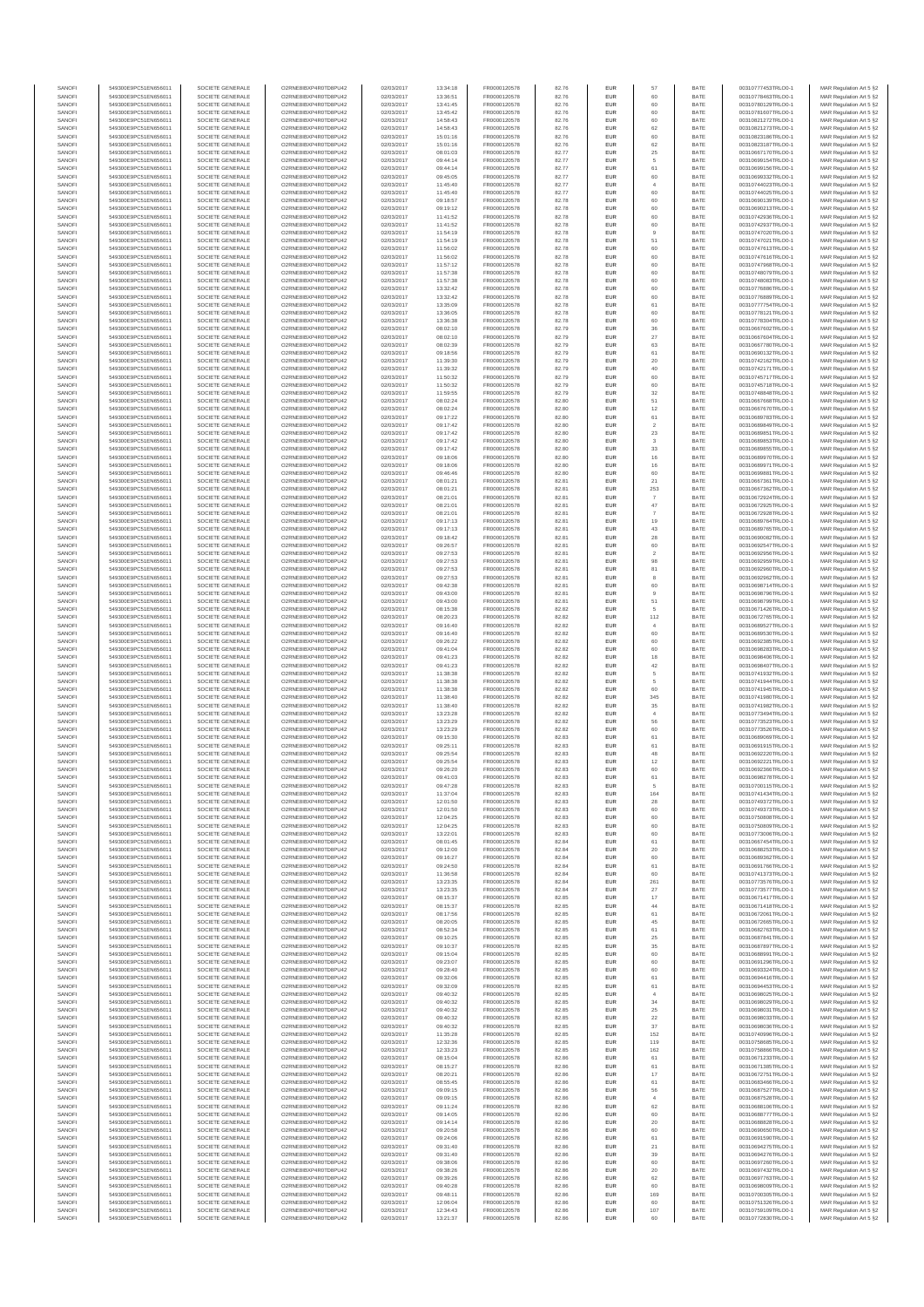| SANOF            | 549300E9PC51EN656011                         | SOCIETE GENERALE                     | O2RNE8IBXP4R0TD8PU42                          | 02/03/2017               | 13:34:18             | FR0000120578                 | 82.76          | EUR               | 57                       | BATE         | 00310777453TRLO0-1                       | MAR Regulation Art 5 §2                            |
|------------------|----------------------------------------------|--------------------------------------|-----------------------------------------------|--------------------------|----------------------|------------------------------|----------------|-------------------|--------------------------|--------------|------------------------------------------|----------------------------------------------------|
| SANOFI           | 549300E9PC51EN656011                         | SOCIETE GENERALE                     | O2RNE8IBXP4R0TD8PU42                          | 02/03/2017               | 13:36:51             | FR0000120578                 | 82.76          | EUR               | 60                       | BATE         | 00310778463TRLO0-1                       | MAR Regulation Art 5 §2                            |
| SANOFI           | 549300E9PC51EN656011<br>549300E9PC51EN656011 | SOCIETE GENERALE<br>SOCIETE GENERALE | O2RNE8IBXP4R0TD8PU42<br>O2RNE8IBXP4R0TD8PU42  | 02/03/2017<br>02/03/2017 | 13:41:45             | FR0000120578<br>FR0000120578 | 82.76          | EUR<br>EUR        | 60<br>60                 | BATE<br>BATE | 00310780129TRLO0-1                       | MAR Regulation Art 5 §2<br>MAR Regulation Art 5 §2 |
| SANOFI<br>SANOFI | 549300E9PC51EN656011                         | SOCIETE GENERALE                     | O2RNE8IBXP4R0TD8PU42                          | 02/03/2017               | 13:45:42<br>14:58:43 | FR0000120578                 | 82.76<br>82.76 | EUR               | 60                       | BATE         | 00310781607TRLO0-1<br>00310821272TRLO0-1 | MAR Regulation Art 5 §2                            |
| SANOFI           | 549300E9PC51EN656011                         | SOCIETE GENERALE                     | O2RNE8IBXP4R0TD8PU42                          | 02/03/2017               | 14:58:43             | FR0000120578                 | 82.76          | EUR               | 62                       | BATE         | 00310821273TRLO0-1                       | MAR Regulation Art 5 §2                            |
| SANOFI           | 549300E9PC51EN656011                         | SOCIETE GENERALE                     | O2RNE8IBXP4R0TD8PLI42                         | 02/03/2017               | 15:01:16             | FR0000120578                 | 82.76          | EUR               | 60                       | BATE         | 00310823186TRLO0-1                       | MAR Regulation Art 5 §2                            |
| SANOFI<br>SANOFI | 549300E9PC51EN656011<br>549300E9PC51EN656011 | SOCIETE GENERALE<br>SOCIETE GENERALE | O2RNE8IBXP4R0TD8PU42<br>O2RNE8IBXP4R0TD8PU42  | 02/03/2017<br>02/03/2017 | 15:01:16<br>08:01:03 | FR0000120578<br>FR0000120578 | 82.76<br>82.77 | EUR<br>EUR        | 62                       | BATE<br>BATE | 00310823187TRLO0-1<br>00310667170TRLO0-1 | MAR Regulation Art 5 §2<br>MAR Regulation Art 5 §2 |
| SANOFI           | 549300E9PC51EN656011                         | SOCIETE GENERALE                     | O2RNE8IBXP4R0TD8PU42                          | 02/03/2017               | 09:44:14             | FR0000120578                 | 82.77          | EUR               | 25<br>5                  | BATE         | 00310699154TRLO0-1                       | MAR Regulation Art 5 §2                            |
| SANOFI           | 549300E9PC51EN656011                         | SOCIETE GENERALE                     | O2RNE8IBXP4R0TD8PU42                          | 02/03/2017               | 09:44:14             | FR0000120578                 | 82.77          | EUR               | $61\,$                   | BATE         | 00310699156TRLO0-1                       | MAR Regulation Art 5 §2                            |
| SANOFI           | 549300E9PC51EN656011                         | SOCIETE GENERALE                     | O2RNE8IBXP4R0TD8PU42                          | 02/03/2017               | 09:45:05             | FR0000120578                 | 82.77          | EUR               | 60                       | BATE         | 00310699332TRLO0-1                       | MAR Regulation Art 5 §2                            |
| SANOFI           | 549300E9PC51EN656011                         | SOCIETE GENERALE                     | O2RNE8IBXP4R0TD8PU42                          | 02/03/2017               | 11:45:40             | FR0000120578<br>FR0000120578 | 82.77          | EUR               | $\overline{4}$           | BATE         | 00310744023TRLO0-1                       | MAR Regulation Art 5 §2                            |
| SANOFI<br>SANOFI | 549300E9PC51EN656011<br>549300E9PC51EN656011 | SOCIETE GENERALE<br>SOCIETE GENERALE | O2RNE8IBXP4R0TD8PU42<br>O2RNE8IBXP4R0TD8PU42  | 02/03/2017<br>02/03/2017 | 11:45:40<br>09:18:57 | FR0000120578                 | 82.77<br>82.78 | EUR<br>EUR        | 60<br>60                 | BATE<br>BATE | 00310744025TRLO0-1<br>00310690139TRLO0-1 | MAR Regulation Art 5 §2<br>MAR Regulation Art 5 §2 |
| SANOFI           | 549300E9PC51EN656011                         | SOCIETE GENERALE                     | O2RNE8IBXP4R0TD8PU42                          | 02/03/2017               | 09:19:12             | FR0000120578                 | 82.78          | EUR               | 60                       | BATE         | 00310690213TRLO0-1                       | MAR Regulation Art 5 §2                            |
| SANOFI           | 549300E9PC51EN656011                         | SOCIETE GENERALE                     | O2RNE8IBXP4R0TD8PU42                          | 02/03/2017               | 11:41:52             | FR0000120578                 | 82.78          | EUR               | 60                       | BATE         | 00310742936TRLO0-1                       | MAR Regulation Art 5 §2                            |
| SANOFI           | 549300E9PC51EN656011                         | SOCIETE GENERALE                     | O2RNE8IBXP4R0TD8PU42                          | 02/03/2017               | 11:41:52             | FR0000120578                 | 82.78          | EUR               | 60                       | BATE         | 00310742937TRLO0-1                       | MAR Regulation Art 5 §2                            |
| SANOFI           | 549300E9PC51EN656011                         | SOCIETE GENERALE                     | O2RNE8IBXP4R0TD8PU42                          | 02/03/2017               | 11:54:19             | FR0000120578                 | 82.78          | EUR               | 9                        | BATE         | 00310747020TRLO0-1                       | MAR Regulation Art 5 §2                            |
| SANOFI<br>SANOFI | 549300E9PC51EN656011<br>549300E9PC51EN656011 | SOCIETE GENERALE<br>SOCIETE GENERALE | O2RNE8IBXP4R0TD8PU42<br>O2RNE8IBXP4R0TD8PU42  | 02/03/2017<br>02/03/2017 | 11:54:19<br>11:56:02 | FR0000120578<br>FR0000120578 | 82.78<br>82.78 | EUR<br>EUR        | $51\,$<br>60             | BATE<br>BATE | 00310747021TRLO0-1<br>00310747613TRLO0-1 | MAR Regulation Art 5 §2<br>MAR Regulation Art 5 §2 |
| SANOFI           | 549300E9PC51EN656011                         | SOCIETE GENERALE                     | O2RNE8IBXP4R0TD8PU42                          | 02/03/2017               | 11:56:02             | FR0000120578                 | 82.78          | EUR               | 60                       | BATE         | 00310747616TRLO0-1                       | MAR Regulation Art 5 §2                            |
| SANOFI           | 549300E9PC51EN656011                         | SOCIETE GENERALE                     | O2RNE8IBXP4R0TD8PU42                          | 02/03/2017               | 11:57:12             | FR0000120578                 | 82.78          | EUR               | 60                       | BATE         | 00310747968TRLO0-1                       | MAR Regulation Art 5 §2                            |
| SANOFI           | 549300E9PC51EN656011                         | SOCIETE GENERALE                     | O2RNE8IBXP4R0TD8PU42                          | 02/03/2017               | 11:57:38             | FR0000120578                 | 82.78          | EUR               | 60                       | BATE         | 00310748079TRLO0-1                       | MAR Regulation Art 5 §2                            |
| SANOFI<br>SANOFI | 549300E9PC51EN656011<br>549300E9PC51EN656011 | SOCIETE GENERALE<br>SOCIETE GENERALE | O2RNE8IBXP4R0TD8PU42<br>O2RNE8IBXP4R0TD8PU42  | 02/03/2017<br>02/03/2017 | 11:57:38<br>13:32:42 | FR0000120578<br>FR0000120578 | 82.78<br>82.78 | EUR<br>EUR        | 60<br>60                 | BATE<br>BATE | 00310748083TRLO0-1<br>00310776886TRLO0-1 | MAR Regulation Art 5 §2<br>MAR Regulation Art 5 §2 |
| SANOFI           | 549300E9PC51EN656011                         | SOCIETE GENERALE                     | O2RNE8IBXP4R0TD8PU42                          | 02/03/2017               | 13:32:42             | FR0000120578                 | 82.78          | EUR               | 60                       | BATE         | 00310776889TRLO0-1                       | MAR Regulation Art 5 §2                            |
| SANOFI           | 549300E9PC51EN656011                         | SOCIETE GENERALE                     | O2RNE8IBXP4R0TD8PU42                          | 02/03/2017               | 13:35:09             | FR0000120578                 | 82.78          | EUR               | 61                       | BATE         | 00310777754TRLO0-1                       | MAR Regulation Art 5 §2                            |
| SANOFI           | 549300E9PC51EN656011                         | SOCIETE GENERALE                     | O2RNE8IBXP4R0TD8PU42                          | 02/03/2017               | 13:36:05             | FR0000120578                 | 82.78          | EUR               | 60                       | BATE         | 00310778121TRLO0-1                       | MAR Regulation Art 5 §2                            |
| SANOFI<br>SANOFI | 549300E9PC51EN656011<br>549300E9PC51EN656011 | SOCIETE GENERALE<br>SOCIETE GENERALE | O2RNE8IBXP4R0TD8PU42<br>O2RNE8IBXP4R0TD8PU42  | 02/03/2017<br>02/03/2017 | 13:36:38<br>08:02:10 | FR0000120578<br>FR0000120578 | 82.78          | EUR<br>EUR        | 60                       | BATE<br>BATE | 00310778304TRLO0-1<br>00310667602TRLO0-1 | MAR Regulation Art 5 §2<br>MAR Regulation Art 5 §2 |
| SANOFI           | 549300E9PC51EN656011                         | SOCIETE GENERALE                     | O2RNE8IBXP4R0TD8PU42                          | 02/03/2017               | 08:02:10             | FR0000120578                 | 82.79<br>82.79 | EUR               | 36<br>27                 | BATE         | 00310667604TRLO0-1                       | MAR Regulation Art 5 §2                            |
| SANOFI           | 549300E9PC51EN656011                         | SOCIETE GENERALE                     | O2RNE8IBXP4R0TD8PU42                          | 02/03/2017               | 08:02:39             | FR0000120578                 | 82.79          | EUR               | 63                       | BATE         | 00310667780TRLO0-1                       | MAR Regulation Art 5 §2                            |
| SANOFI           | 549300E9PC51EN656011                         | SOCIETE GENERALE                     | O2RNE8IBXP4R0TD8PU42                          | 02/03/2017               | 09:18:56             | FR0000120578                 | 82.79          | EUR               | 61                       | BATE         | 00310690132TRLO0-1                       | MAR Regulation Art 5 §2                            |
| SANOFI           | 549300E9PC51EN656011                         | SOCIETE GENERALE                     | O2RNE8IBXP4R0TD8PU42                          | 02/03/2017               | 11:39:30             | FR0000120578                 | 82.79          | EUR<br>EUR        | 20<br>40                 | BATE<br>BATE | 00310742162TRLO0-1                       | MAR Regulation Art 5 §2<br>MAR Regulation Art 5 §2 |
| SANOFI<br>SANOFI | 549300E9PC51EN656011<br>549300E9PC51EN656011 | SOCIETE GENERALE<br>SOCIETE GENERALE | O2RNE8IBXP4R0TD8PU42<br>O2RNE8IBXP4R0TD8PU42  | 02/03/2017<br>02/03/2017 | 11:39:32<br>11:50:32 | FR0000120578<br>FR0000120578 | 82.79<br>82.79 | EUR               | 60                       | BATE         | 00310742171TRLO0-1<br>00310745717TRLO0-1 | MAR Regulation Art 5 §2                            |
| SANOFI           | 549300E9PC51EN656011                         | SOCIETE GENERALE                     | O2RNE8IBXP4R0TD8PU42                          | 02/03/2017               | 11:50:32             | FR0000120578                 | 82.79          | EUR               | 60                       | BATE         | 00310745718TRLO0-1                       | MAR Regulation Art 5 §2                            |
| SANOFI           | 549300E9PC51EN656011                         | SOCIETE GENERALE                     | O2RNE8IBXP4R0TD8PU42                          | 02/03/2017               | 11:59:55             | FR0000120578                 | 82.79          | EUR               | $32\,$                   | BATE         | 00310748848TRLO0-1                       | MAR Regulation Art 5 §2                            |
| SANOFI           | 549300E9PC51EN656011                         | SOCIETE GENERALE                     | O2RNE8IBXP4R0TD8PU42<br>O2RNE8IBXP4R0TD8PLI42 | 02/03/2017               | 08:02:24             | FR0000120578<br>FR0000120578 | 82.80          | EUR               | 51                       | BATE         | 00310667668TRLO0-1                       | MAR Regulation Art 5 §2                            |
| SANOFI<br>SANOFI | 549300E9PC51EN656011<br>549300E9PC51EN656011 | SOCIETE GENERALE<br>SOCIETE GENERALE | O2RNE8IBXP4R0TD8PU42                          | 02/03/2017<br>02/03/2017 | 08:02:24<br>09:17:22 | FR0000120578                 | 82.80<br>82.80 | EUR<br>EUR        | 12<br>61                 | BATE<br>BATE | 00310667670TRLO0-1<br>00310689783TRLO0-1 | MAR Regulation Art 5 §2<br>MAR Regulation Art 5 §2 |
| SANOFI           | 549300E9PC51EN656011                         | SOCIETE GENERALE                     | O2RNE8IBXP4R0TD8PU42                          | 02/03/2017               | 09:17:42             | FR0000120578                 | 82.80          | EUR               | $\overline{2}$           | BATE         | 00310689849TRLO0-1                       | MAR Regulation Art 5 §2                            |
| SANOFI           | 549300E9PC51EN656011                         | SOCIETE GENERALE                     | O2RNE8IBXP4R0TD8PU42                          | 02/03/2017               | 09:17:42             | FR0000120578                 | 82.80          | EUR               | $23\,$                   | BATE         | 00310689851TRLO0-1                       | MAR Regulation Art 5 §2                            |
| SANOFI           | 549300E9PC51EN656011                         | SOCIETE GENERALE                     | O2RNE8IBXP4R0TD8PU42                          | 02/03/2017               | 09:17:42             | FR0000120578                 | 82.80          | EUR               | 3                        | BATE         | 00310689853TRLO0-1                       | MAR Regulation Art 5 §2                            |
| SANOFI           | 549300E9PC51EN656011                         | SOCIETE GENERALE                     | O2RNE8IBXP4R0TD8PU42<br>O2RNE8IBXP4R0TD8PLI42 | 02/03/2017               | 09:17:42             | FR0000120578                 | 82.80          | EUR               | $33\,$                   | BATE         | 00310689855TRLO0-1                       | MAR Regulation Art 5 §2                            |
| SANOFI<br>SANOFI | 549300E9PC51EN656011<br>549300E9PC51EN656011 | SOCIETE GENERALE<br>SOCIETE GENERALE | O2RNE8IBXP4R0TD8PU42                          | 02/03/2017<br>02/03/2017 | 09:18:06<br>09:18:06 | FR0000120578<br>FR0000120578 | 82.80<br>82.80 | EUR<br>EUR        | $16\,$                   | BATE<br>BATE | 00310689970TRLO0-1<br>00310689971TRLO0-1 | MAR Regulation Art 5 §2<br>MAR Regulation Art 5 §2 |
| SANOFI           | 549300E9PC51EN656011                         | SOCIETE GENERALE                     | O2RNE8IBXP4R0TD8PU42                          | 02/03/2017               | 09:46:46             | FR0000120578                 | 82.80          | EUR               | $16\,$<br>60             | BATE         | 00310699881TRLO0-1                       | MAR Regulation Art 5 §2                            |
| SANOFI           | 549300E9PC51EN656011                         | SOCIETE GENERALE                     | O2RNE8IBXP4R0TD8PU42                          | 02/03/2017               | 08:01:21             | FR0000120578                 | 82.81          | EUR               | 21                       | BATE         | 00310667361TRLO0-1                       | MAR Regulation Art 5 §2                            |
| SANOFI           | 549300E9PC51EN656011                         | SOCIETE GENERALE                     | O2RNE8IBXP4R0TD8PU42                          | 02/03/2017               | 08:01:21             | FR0000120578                 | 82.81          | EUR               | 253                      | BATE         | 00310667362TRLO0-1                       | MAR Regulation Art 5 §2                            |
| SANOFI<br>SANOFI | 549300E9PC51EN656011                         | SOCIETE GENERALE                     | O2RNE8IBXP4R0TD8PU42<br>O2RNE8IBXP4R0TD8PU42  | 02/03/2017               | 08:21:01             | FR0000120578                 | 82.81<br>82.81 | EUR<br>EUR        | $\overline{7}$           | BATE<br>BATE | 00310672924TRLO0-1<br>00310672925TRLO0-1 | MAR Regulation Art 5 §2                            |
| SANOFI           | 549300E9PC51EN656011<br>549300E9PC51EN656011 | SOCIETE GENERALE<br>SOCIETE GENERALE | O2RNE8IBXP4R0TD8PU42                          | 02/03/2017<br>02/03/2017 | 08:21:01<br>08:21:01 | FR0000120578<br>FR0000120578 | 82.81          | EUR               | $47\,$<br>7              | BATE         | 00310672928TRLO0-1                       | MAR Regulation Art 5 §2<br>MAR Regulation Art 5 §2 |
| SANOFI           | 549300E9PC51EN656011                         | SOCIETE GENERALE                     | O2RNE8IBXP4R0TD8PLI42                         | 02/03/2017               | 09:17:13             | FR0000120578                 | 82.81          | EUR               | 19                       | BATE         | 00310689764TRLO0-1                       | MAR Regulation Art 5 §2                            |
| SANOFI           | 549300E9PC51EN656011                         | SOCIETE GENERALE                     | O2RNE8IBXP4R0TD8PU42                          | 02/03/2017               | 09:17:13             | FR0000120578                 | 82.81          | EUR               | 43                       | BATE         | 00310689765TRLO0-1                       | MAR Regulation Art 5 §2                            |
| SANOFI<br>SANOFI | 549300E9PC51EN656011<br>549300E9PC51EN656011 | SOCIETE GENERALE<br>SOCIETE GENERALE | O2RNE8IBXP4R0TD8PU42<br>O2RNE8IBXP4R0TD8PU42  | 02/03/2017<br>02/03/2017 | 09:18:42<br>09:26:57 | FR0000120578<br>FR0000120578 | 82.81<br>82.81 | EUR<br>EUR        | 28<br>60                 | BATE<br>BATE | 00310690082TRLO0-1<br>00310692547TRLO0-1 | MAR Regulation Art 5 §2                            |
| SANOFI           | 549300E9PC51EN656011                         | SOCIETE GENERALE                     | O2RNE8IBXP4R0TD8PU42                          | 02/03/2017               | 09:27:53             | FR0000120578                 | 82.81          | EUR               | $\overline{\mathbf{2}}$  | BATE         | 00310692956TRLO0-1                       | MAR Regulation Art 5 §2<br>MAR Regulation Art 5 §2 |
| SANOFI           | 549300E9PC51EN656011                         | SOCIETE GENERALE                     | O2RNE8IBXP4R0TD8PU42                          | 02/03/2017               | 09:27:53             | FR0000120578                 | 82.81          | EUR               | 98                       | BATE         | 00310692959TRLO0-1                       | MAR Regulation Art 5 §2                            |
| SANOFI           | 549300E9PC51EN656011                         | SOCIETE GENERALE                     | O2RNE8IBXP4R0TD8PU42                          | 02/03/2017               | 09:27:53             | FR0000120578                 | 82.81          | EUR               | 81                       | BATE         | 00310692960TRLO0-1                       | MAR Regulation Art 5 §2                            |
| SANOFI           | 549300E9PC51EN656011                         | SOCIETE GENERALE                     | O2RNE8IBXP4R0TD8PU42                          | 02/03/2017               | 09:27:53             | FR0000120578                 | 82.81          | EUR               | 8                        | BATE         | 00310692962TRLO0-1                       | MAR Regulation Art 5 §2                            |
| SANOFI<br>SANOFI | 549300E9PC51EN656011<br>549300E9PC51EN656011 | SOCIETE GENERALE<br>SOCIETE GENERALE | O2RNE8IBXP4R0TD8PU42<br>O2RNE8IBXP4R0TD8PU42  | 02/03/2017<br>02/03/2017 | 09:42:38<br>09:43:00 | FR0000120578<br>FR0000120578 | 82.81<br>82.81 | EUR<br>EUR        | 60<br>9                  | BATE<br>BATE | 00310698714TRLO0-1<br>00310698796TRLO0-1 | MAR Regulation Art 5 §2<br>MAR Regulation Art 5 §2 |
| SANOFI           | 549300E9PC51EN656011                         | SOCIETE GENERALE                     | O2RNE8IBXP4R0TD8PU42                          | 02/03/2017               | 09:43:00             | FR0000120578                 | 82.81          | EUR               | 51                       | BATE         | 00310698799TRLO0-1                       | MAR Regulation Art 5 §2                            |
| SANOFI           | 549300E9PC51EN656011                         | SOCIETE GENERALE                     | O2RNE8IBXP4R0TD8PU42                          | 02/03/2017               | 08:15:38             | FR0000120578                 | 82.82          | EUR               | 5                        | BATE         | 00310671426TRLO0-1                       | MAR Regulation Art 5 §2                            |
| SANOFI<br>SANOFI | 549300E9PC51EN656011<br>549300E9PC51EN656011 | SOCIETE GENERALE<br>SOCIETE GENERALE | O2RNE8IBXP4R0TD8PU42<br>O2RNE8IBXP4R0TD8PU42  | 02/03/2017<br>02/03/2017 | 08:20:23<br>09:16:40 | FR0000120578<br>FR0000120578 | 82.82<br>82.82 | EUR<br>EUR        | 112<br>$\overline{4}$    | BATE<br>BATE | 00310672765TRLO0-1<br>00310689527TRLO0-1 | MAR Regulation Art 5 §2<br>MAR Regulation Art 5 §2 |
| SANOFI           | 549300E9PC51EN656011                         | SOCIETE GENERALE                     | O2RNE8IBXP4R0TD8PU42                          | 02/03/2017               | 09:16:40             | FR0000120578                 | 82.82          | EUR               | 60                       | BATE         | 00310689530TRLO0-1                       | MAR Regulation Art 5 §2                            |
| SANOFI           | 549300E9PC51EN656011                         | SOCIETE GENERALE                     | O2RNE8IBXP4R0TD8PU42                          | 02/03/2017               | 09:26:22             | FR0000120578                 | 82.82          | EUR               | 60                       | BATE         | 00310692385TRLO0-1                       | MAR Regulation Art 5 §2                            |
| SANOFI           | 549300E9PC51EN656011                         | SOCIETE GENERALE                     | O2RNE8IBXP4R0TD8PU42                          | 02/03/2017               | 09:41:04             | FR0000120578                 | 82.82          | EUR               | 60                       | BATE         | 00310698283TRLO0-1                       | MAR Regulation Art 5 §2                            |
| SANOFI<br>SANOFI | 549300E9PC51EN656011<br>549300E9PC51EN656011 | SOCIETE GENERALE<br>SOCIETE GENERALE | O2RNE8IBXP4R0TD8PU42<br>O2RNE8IBXP4R0TD8PU42  | 02/03/2017<br>02/03/2017 | 09:41:23<br>09:41:23 | FR0000120578<br>FR0000120578 | 82.82<br>82.82 | EUR<br>EUR        | 18<br>$42\,$             | BATE<br>BATE | 00310698406TRLO0-1<br>00310698407TRLO0-1 | MAR Regulation Art 5 §2<br>MAR Regulation Art 5 §2 |
| SANOFI           | 549300E9PC51EN656011                         | SOCIETE GENERALE                     | O2RNE8IBXP4R0TD8PU42                          | 02/03/2017               | 11:38:38             | FR0000120578                 | 82.82          | EUR               | 5                        | BATE         | 00310741932TRLO0-1                       | MAR Regulation Art 5 §2                            |
| SANOFI           | 549300E9PC51EN656011                         | SOCIETE GENERALE                     | O2RNE8IBXP4R0TD8PU42                          | 02/03/2017               | 11:38:38             | FR0000120578                 | 82.82          | EUR               | 5                        | BATE         | 00310741944TRLO0-1                       | MAR Regulation Art 5 §2                            |
| SANOFI           | 549300E9PC51EN656011                         | SOCIETE GENERALE                     | O2RNE8IBXP4R0TD8PU42                          | 02/03/2017               | 11:38:38             | FR0000120578                 | 82.82          | EUR               | 60                       | BATE         | 00310741945TRLO0-1                       | MAR Regulation Art 5 §2                            |
| SANOFI<br>SANOFI | 549300E9PC51EN656011<br>549300E9PC51EN656011 | SOCIETE GENERALE<br>SOCIETE GENERALE | O2RNE8IBXP4R0TD8PLI42<br>O2RNE8IBXP4R0TD8PU42 | 02/03/2017<br>02/03/2017 | 11:38:40<br>11:38:40 | FR0000120578<br>FR0000120578 | 82.82<br>82.82 | EUR<br>EUR        | 345<br>$35\,$            | BATE<br>BATE | 00310741980TRLO0-1<br>00310741982TRLO0-1 | MAR Regulation Art 5 §2<br>MAR Regulation Art 5 §2 |
| SANOFI           | 549300E9PC51EN656011                         | SOCIETE GENERALE                     | O2RNE8IBXP4R0TD8PU42                          | 02/03/2017               | 13:23:28             | FR0000120578                 | 82.82          | EUR               | $\overline{4}$           | BATE         | 00310773494TRLO0-1                       | MAR Regulation Art 5 §2                            |
| SANOFI           | 549300E9PC51EN656011                         | SOCIETE GENERALE                     | O2RNE8IBXP4R0TD8PU42                          | 02/03/2017               | 13:23:29             | FR0000120578                 | 82.82          | EUR               | 56                       | BATE         | 00310773523TRLO0-1                       | MAR Regulation Art 5 §2                            |
| SANOFI<br>SANOFI | 549300E9PC51EN656011<br>549300E9PC51EN656011 | SOCIETE GENERALE<br>SOCIETE GENERALE | O2RNE8IBXP4R0TD8PU42<br>O2RNE8IBXP4R0TD8PU42  | 02/03/2017               | 13:23:29             | FR0000120578<br>FR0000120578 | 82.82<br>82.83 | EUR<br>EUR        | 60                       | BATE<br>BATE | 00310773526TRLO0-1<br>00310689069TRLO0-1 | MAR Regulation Art 5 §2                            |
| SANOFI           | 549300E9PC51EN656011                         | SOCIETE GENERALE                     | O2RNE8IBXP4R0TD8PU42                          | 02/03/2017<br>02/03/2017 | 09:15:30<br>09:25:11 | FR0000120578                 | 82.83          | EUR               | 61<br>61                 | BATE         | 00310691915TRLO0-1                       | MAR Regulation Art 5 §2<br>MAR Regulation Art 5 §2 |
| SANOFI           | 549300E9PC51EN656011                         | SOCIETE GENERALE                     | O2RNE8IBXP4R0TD8PU42                          | 02/03/2017               | 09:25:54             | FR0000120578                 | 82.83          | EUR               | 48                       | BATE         | 00310692220TRLO0-1                       | MAR Regulation Art 5 §2                            |
| SANOFI<br>SANOFI | 549300E9PC51EN656011<br>549300E9PC51EN656011 | SOCIETE GENERALE<br>SOCIETE GENERALE | O2RNE8IBXP4R0TD8PU42<br>O2RNE8IBXP4R0TD8PU42  | 02/03/2017<br>02/03/2017 | 09:25:54<br>09:26:20 | FR0000120578<br>FR0000120578 | 82.83<br>82.83 | EUR<br>EUR        | 12<br>60                 | BATE<br>BATE | 00310692221TRLO0-1<br>00310692366TRLO0-1 | MAR Regulation Art 5 §2                            |
| SANOFI           | 549300E9PC51EN656011                         | SOCIETE GENERALE                     | O2RNE8IBXP4R0TD8PU42                          | 02/03/2017               | 09:41:03             | FR0000120578                 | 82.83          | EUR               | 61                       | BATE         | 00310698278TRLO0-1                       | MAR Regulation Art 5 §2<br>MAR Regulation Art 5 §2 |
| SANOFI           | 549300E9PC51EN656011                         | SOCIETE GENERALE                     | O2RNE8IBXP4R0TD8PLI42                         | 02/03/2017               | 09:47:28             | FR0000120578                 | 82.83          | EUR               |                          | BATE         | 00310700115TRLO0-1                       | MAR Regulation Art 5 §2                            |
| SANOFI           | 549300E9PC51EN656011                         | SOCIETE GENERALE                     | O2RNE8IBXP4R0TD8PU42                          | 02/03/2017               | 11:37:04             | FR0000120578                 | 82.83          | EUR               | 164                      | BATE         | 00310741434TRLO0-1                       | MAR Regulation Art 5 §2                            |
| SANOFI<br>SANOFI | 549300E9PC51EN656011<br>549300E9PC51EN656011 | SOCIETE GENERALE<br>SOCIETE GENERALE | O2RNE8IBXP4R0TD8PU42<br>O2RNE8IBXP4R0TD8PU42  | 02/03/2017<br>02/03/2017 | 12:01:50<br>12:01:50 | FR0000120578<br>FR0000120578 | 82.83<br>82.83 | EUR<br>EUR        | 28<br>60                 | BATE<br>BATE | 00310749372TRLO0-1<br>00310749373TRLO0-1 | MAR Regulation Art 5 §2<br>MAR Regulation Art 5 §2 |
| SANOFI           | 549300E9PC51EN656011                         | SOCIETE GENERALE                     | O2RNE8IBXP4R0TD8PU42                          | 02/03/2017               | 12:04:25             | FR0000120578                 | 82.83          | EUR               | 60                       | BATE         | 00310750808TRLO0-1                       | MAR Regulation Art 5 §2                            |
| SANOFI           | 549300E9PC51EN656011                         | SOCIETE GENERALE                     | O2RNE8IBXP4R0TD8PU42                          | 02/03/2017               | 12:04:25             | FR0000120578                 | 82.83          | EUR               | 60                       | BATE         | 00310750809TRLO0-1                       | MAR Regulation Art 5 §2                            |
| SANOFI           | 549300E9PC51EN656011                         | SOCIETE GENERALE                     | O2RNE8IBXP4R0TD8PU42                          | 02/03/2017               | 13:22:01             | FR0000120578                 | 82.83          | EUR               | 60                       | BATE         | 00310773006TRLO0-1                       | MAR Regulation Art 5 §2                            |
| SANOFI<br>SANOFI | 549300E9PC51EN656011<br>549300E9PC51EN656011 | SOCIETE GENERALE<br>SOCIETE GENERALE | O2RNE8IBXP4R0TD8PU42<br>O2RNE8IBXP4R0TD8PU42  | 02/03/2017<br>02/03/2017 | 08:01:45<br>09:12:00 | FR0000120578<br>FR0000120578 | 82.84<br>82.84 | EUR<br>EUR        | 61<br>20                 | BATE<br>BATE | 00310667454TRLO0-1<br>00310688253TRLO0-1 | MAR Regulation Art 5 §2<br>MAR Regulation Art 5 §2 |
| SANOFI           | 549300E9PC51EN656011                         | SOCIETE GENERALE                     | O2RNE8IBXP4R0TD8PU42                          | 02/03/2017               | 09:16:27             | FR0000120578                 | 82.84          | EUR               | 60                       | BATE         | 00310689362TRLO0-1                       | MAR Regulation Art 5 §2                            |
| SANOFI           | 549300E9PC51EN656011                         | SOCIETE GENERALE                     | O2RNE8IBXP4R0TD8PU42                          | 02/03/2017               | 09:24:50             | FR0000120578                 | 82.84          | EUR               | 61                       | BATE         | 00310691766TRLO0-1                       | MAR Regulation Art 5 §2                            |
| SANOFI           | 549300E9PC51EN656011                         | SOCIETE GENERALE                     | O2RNE8IBXP4R0TD8PU42                          | 02/03/2017               | 11:36:58             | FR0000120578                 | 82.84          | EUR               | 60                       | BATE         | 00310741373TRLO0-1                       | MAR Regulation Art 5 §2                            |
| SANOFI<br>SANOFI | 549300E9PC51EN656011<br>549300E9PC51EN656011 | SOCIETE GENERALE<br>SOCIETE GENERALE | O2RNE8IBXP4R0TD8PU42<br>O2RNE8IBXP4R0TD8PU42  | 02/03/2017<br>02/03/2017 | 13:23:35<br>13:23:35 | FR0000120578<br>FR0000120578 | 82.84<br>82.84 | <b>EUR</b><br>EUR | 261<br>27                | BATE<br>BATE | 00310773576TRLO0-1<br>00310773577TRLO0-1 | MAR Regulation Art 5 §2<br>MAR Regulation Art 5 §2 |
| SANOFI           | 549300E9PC51EN656011                         | SOCIETE GENERALE                     | O2RNE8IBXP4R0TD8PU42                          | 02/03/2017               | 08:15:37             | FR0000120578                 | 82.85          | EUR               | 17                       | BATE         | 00310671417TRLO0-1                       | MAR Regulation Art 5 §2                            |
| SANOFI           | 549300E9PC51EN656011                         | SOCIETE GENERALE                     | O2RNE8IBXP4R0TD8PU42                          | 02/03/2017               | 08:15:37             | FR0000120578                 | 82.85          | EUR               | 44                       | BATE         | 00310671418TRLO0-1                       | MAR Regulation Art 5 §2                            |
| SANOFI           | 549300E9PC51EN656011                         | SOCIETE GENERALE                     | O2RNE8IBXP4R0TD8PU42<br>O2RNE8IBXP4R0TD8PU42  | 02/03/2017               | 08:17:56             | FR0000120578                 | 82.85          | EUR               | 61                       | BATE         | 00310672061TRLO0-1<br>00310672665TRLO0-1 | MAR Regulation Art 5 §2                            |
| SANOFI<br>SANOFI | 549300E9PC51EN656011<br>549300E9PC51EN656011 | SOCIETE GENERALE<br>SOCIETE GENERALE | O2RNE8IBXP4R0TD8PU42                          | 02/03/2017<br>02/03/2017 | 08:20:05<br>08:52:34 | FR0000120578<br>FR0000120578 | 82.85<br>82.85 | EUR<br>EUR        | 45<br>61                 | BATE<br>BATE | 00310682763TRLO0-1                       | MAR Regulation Art 5 §2<br>MAR Regulation Art 5 §2 |
| SANOFI           | 549300E9PC51EN656011                         | SOCIETE GENERALE                     | O2RNE8IBXP4R0TD8PU42                          | 02/03/2017               | 09:10:25             | FR0000120578                 | 82.85          | EUR               | 25                       | BATE         | 00310687841TRLO0-1                       | MAR Regulation Art 5 §2                            |
| SANOFI           | 549300E9PC51EN656011                         | SOCIETE GENERALE                     | O2RNE8IBXP4R0TD8PU42                          | 02/03/2017               | 09:10:37             | FR0000120578                 | 82.85          | EUR               | 35                       | BATE         | 00310687897TRLO0-1                       | MAR Regulation Art 5 §2                            |
| SANOFI           | 549300E9PC51EN656011                         | SOCIETE GENERALE                     | O2RNE8IBXP4R0TD8PU42<br>O2RNE8IBXP4R0TD8PU42  | 02/03/2017               | 09:15:04             | FR0000120578                 | 82.85          | EUR               | 60                       | BATE         | 00310688991TRLO0-1                       | MAR Regulation Art 5 §2                            |
| SANOFI<br>SANOFI | 549300E9PC51EN656011<br>549300E9PC51EN656011 | SOCIETE GENERALE<br>SOCIETE GENERALE | O2RNE8IBXP4R0TD8PLI42                         | 02/03/2017<br>02/03/2017 | 09:23:07<br>09:28:40 | FR0000120578<br>FR0000120578 | 82.85<br>82.85 | EUR<br>EUR        | 60<br>60                 | BATE<br>BATE | 00310691296TRLO0-1<br>00310693324TRLO0-1 | MAR Regulation Art 5 §2<br>MAR Regulation Art 5 §2 |
| SANOFI           | 549300E9PC51EN656011                         | SOCIETE GENERALE                     | O2RNE8IBXP4R0TD8PU42                          | 02/03/2017               | 09:32:06             | FR0000120578                 | 82.85          | EUR               | 61                       | BATE         | 00310694416TRLO0-1                       | MAR Regulation Art 5 §2                            |
| SANOFI           | 549300E9PC51EN656011                         | SOCIETE GENERALE                     | O2RNE8IBXP4R0TD8PU42                          | 02/03/2017               | 09:32:09             | FR0000120578                 | 82.85          | EUR               | 61                       | BATE         | 00310694453TRLO0-1                       | MAR Regulation Art 5 §2                            |
| SANOFI<br>SANOFI | 549300E9PC51EN656011<br>549300E9PC51EN656011 | SOCIETE GENERALE<br>SOCIETE GENERALE | O2RNE8IBXP4R0TD8PU42<br>O2RNE8IBXP4R0TD8PU42  | 02/03/2017<br>02/03/2017 | 09:40:32             | FR0000120578<br>FR0000120578 | 82.85<br>82.85 | EUR<br>EUR        | $\overline{4}$<br>$34\,$ | BATE<br>BATE | 00310698025TRLO0-1<br>00310698029TRLO0-1 | MAR Regulation Art 5 §2<br>MAR Regulation Art 5 §2 |
| SANOFI           | 549300E9PC51EN656011                         | SOCIETE GENERALE                     | O2RNE8IBXP4R0TD8PU42                          | 02/03/2017               | 09:40:32<br>09:40:32 | FR0000120578                 | 82.85          | EUR               | 25                       | BATE         | 00310698031TRLO0-1                       | MAR Regulation Art 5 §2                            |
| SANOFI           | 549300E9PC51EN656011                         | SOCIETE GENERALE                     | O2RNE8IBXP4R0TD8PU42                          | 02/03/2017               | 09:40:32             | FR0000120578                 | 82.85          | EUR               | 22                       | BATE         | 00310698033TRLO0-1                       | MAR Regulation Art 5 §2                            |
| SANOFI           | 549300E9PC51EN656011                         | SOCIETE GENERALE                     | O2RNE8IBXP4R0TD8PU42                          | 02/03/2017               | 09:40:32             | FR0000120578                 | 82.85          | EUR               | 37                       | BATE         | 00310698036TRLO0-1                       | MAR Regulation Art 5 §2                            |
| SANOFI<br>SANOFI | 549300E9PC51EN656011<br>549300E9PC51EN656011 | SOCIETE GENERALE<br>SOCIETE GENERALE | O2RNE8IBXP4R0TD8PU42<br>O2RNE8IBXP4R0TD8PU42  | 02/03/2017<br>02/03/2017 | 11:35:28<br>12:32:36 | FR0000120578<br>FR0000120578 | 82.85<br>82.85 | EUR<br><b>EUR</b> | 152<br>119               | BATE<br>BATE | 00310740996TRLO0-1<br>00310758685TRLO0-1 | MAR Regulation Art 5 §2<br>MAR Regulation Art 5 §2 |
| SANOFI           | 549300E9PC51EN656011                         | SOCIETE GENERALE                     | O2RNE8IBXP4R0TD8PU42                          | 02/03/2017               | 12:33:23             | FR0000120578                 | 82.85          | EUR               | 162                      | BATE         | 00310758866TRLO0-1                       | MAR Regulation Art 5 §2                            |
| SANOFI           | 549300E9PC51EN656011                         | SOCIETE GENERALE                     | O2RNE8IBXP4R0TD8PU42                          | 02/03/2017               | 08:15:04             | FR0000120578                 | 82.86          | EUR               | 61                       | BATE         | 00310671233TRLO0-1                       | MAR Regulation Art 5 §2                            |
| SANOFI           | 549300E9PC51EN656011                         | SOCIETE GENERALE                     | O2RNE8IBXP4R0TD8PU42                          | 02/03/2017               | 08:15:27             | FR0000120578                 | 82.86          | EUR               | 61                       | BATE         | 00310671385TRLO0-1                       | MAR Regulation Art 5 §2                            |
| SANOFI<br>SANOFI | 549300E9PC51EN656011<br>549300E9PC51EN656011 | SOCIETE GENERALE<br>SOCIETE GENERALE | O2RNE8IBXP4R0TD8PU42<br>O2RNE8IBXP4R0TD8PU42  | 02/03/2017<br>02/03/2017 | 08:20:21<br>08:55:45 | FR0000120578<br>FR0000120578 | 82.86<br>82.86 | EUR<br>EUR        | 17<br>61                 | BATE<br>BATE | 00310672751TRLO0-1<br>00310683466TRLO0-1 | MAR Regulation Art 5 §2<br>MAR Regulation Art 5 §2 |
| SANOFI           | 549300E9PC51EN656011                         | SOCIETE GENERALE                     | O2RNE8IBXP4R0TD8PU42                          | 02/03/2017               | 09:09:15             | FR0000120578                 | 82.86          | EUR               | 56                       | BATE         | 00310687527TRLO0-1                       | MAR Regulation Art 5 §2                            |
| SANOFI           | 549300E9PC51EN656011                         | SOCIETE GENERALE                     | O2RNE8IBXP4R0TD8PU42                          | 02/03/2017               | 09:09:15             | FR0000120578                 | 82.86          | <b>EUR</b>        | $\overline{4}$           | BATE         | 00310687528TRLO0-1                       | MAR Regulation Art 5 §2                            |
| SANOFI           | 549300E9PC51EN656011                         | SOCIETE GENERALE                     | O2RNE8IBXP4R0TD8PU42                          | 02/03/2017               | 09:11:24             | FR0000120578                 | 82.86          | EUR               | 62                       | BATE         | 00310688106TRLO0-1                       | MAR Regulation Art 5 §2                            |
| SANOFI<br>SANOFI | 549300E9PC51EN656011<br>549300E9PC51EN656011 | SOCIETE GENERALE<br>SOCIETE GENERALE | O2RNE8IBXP4R0TD8PU42<br>O2RNE8IBXP4R0TD8PU42  | 02/03/2017<br>02/03/2017 | 09:14:05<br>09:14:14 | FR0000120578<br>FR0000120578 | 82.86<br>82.86 | EUR<br>EUR        | 60<br>20                 | BATE<br>BATE | 00310688777TRLO0-1<br>00310688828TRLO0-1 | MAR Regulation Art 5 §2<br>MAR Regulation Art 5 §2 |
| SANOFI           | 549300E9PC51EN656011                         | SOCIETE GENERALE                     | O2RNE8IBXP4R0TD8PU42                          | 02/03/2017               | 09:20:58             | FR0000120578                 | 82.86          | EUR               | 60                       | BATE         | 00310690650TRLO0-1                       | MAR Regulation Art 5 §2                            |
| SANOFI           | 549300E9PC51EN656011                         | SOCIETE GENERALE                     | O2RNE8IBXP4R0TD8PU42                          | 02/03/2017               | 09:24:06             | FR0000120578                 | 82.86          | EUR               | 61                       | BATE         | 00310691590TRLO0-1                       | MAR Regulation Art 5 §2                            |
| SANOFI           | 549300E9PC51EN656011                         | SOCIETE GENERALE                     | O2RNE8IBXP4R0TD8PU42                          | 02/03/2017               | 09:31:40             | FR0000120578                 | 82.86          | EUR               | $21\,$                   | BATE         | 00310694275TRLO0-1                       | MAR Regulation Art 5 §2                            |
| SANOFI<br>SANOFI | 549300E9PC51EN656011<br>549300E9PC51EN656011 | SOCIETE GENERALE<br>SOCIETE GENERALE | O2RNE8IBXP4R0TD8PU42<br>O2RNE8IBXP4R0TD8PU42  | 02/03/2017<br>02/03/2017 | 09:31:40<br>09:38:06 | FR0000120578<br>FR0000120578 | 82.86<br>82.86 | <b>EUR</b><br>EUR | 39<br>60                 | BATE<br>BATE | 00310694276TRLO0-1<br>00310697260TRLO0-1 | MAR Regulation Art 5 §2                            |
| SANOFI           | 549300E9PC51EN656011                         | SOCIETE GENERALE                     | O2RNE8IBXP4R0TD8PU42                          | 02/03/2017               | 09:38:26             | FR0000120578                 | 82.86          | EUR               | 20                       | BATE         | 00310697432TRLO0-1                       | MAR Regulation Art 5 §2<br>MAR Regulation Art 5 §2 |
| SANOFI           |                                              |                                      | O2RNE8IBXP4R0TD8PU42                          | 02/03/2017               | 09:39:26             | FR0000120578                 | 82.86          | EUR               | 62                       | BATE         | 00310697763TRLO0-1                       | MAR Regulation Art 5 §2                            |
|                  | 549300E9PC51EN656011                         | SOCIETE GENERALE                     |                                               |                          |                      |                              |                |                   |                          |              |                                          |                                                    |
| SANOFI           | 549300E9PC51EN656011                         | SOCIETE GENERALE                     | O2RNE8IBXP4R0TD8PU42                          | 02/03/2017               | 09:40:28             | FR0000120578                 | 82.86          | EUR               | 60                       | BATE         | 00310698009TRLO0-1                       | MAR Regulation Art 5 §2                            |
| SANOFI<br>SANOFI | 549300E9PC51EN656011<br>549300E9PC51EN656011 | SOCIETE GENERALE<br>SOCIETE GENERALE | O2RNE8IBXP4R0TD8PU42<br>O2RNE8IBXP4R0TD8PU42  | 02/03/2017<br>02/03/2017 | 09:48:11<br>12:06:04 | FR0000120578<br>FR0000120578 | 82.86<br>82.86 | EUR               | 169                      | BATE<br>BATE | 00310700305TRLO0-1<br>00310751326TRLO0-1 | MAR Regulation Art 5 §2<br>MAR Regulation Art 5 §2 |
| SANOFI<br>SANOFI | 549300E9PC51EN656011<br>549300E9PC51EN656011 | SOCIETE GENERALE<br>SOCIETE GENERALE | O2RNE8IBXP4R0TD8PU42<br>O2RNE8IBXP4R0TD8PU42  | 02/03/2017<br>02/03/2017 | 12:34:43<br>13:21:37 | FR0000120578<br>FR0000120578 | 82.86<br>82.86 | EUR<br>EUR<br>EUR | 60<br>107<br>60          | BATE<br>BATE | 00310759109TRLO0-1<br>00310772830TRLO0-1 | MAR Regulation Art 5 §2<br>MAR Regulation Art 5 §2 |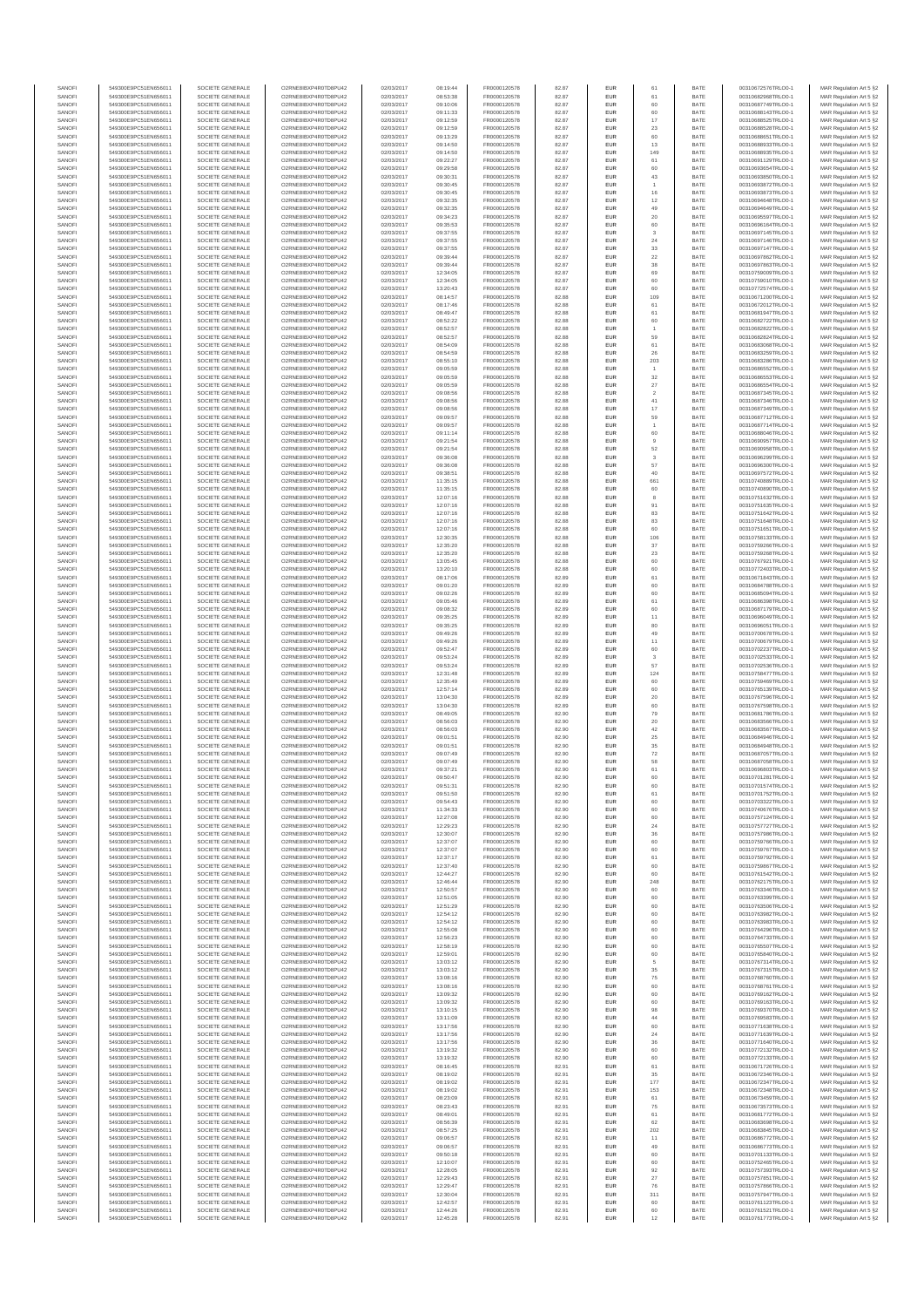| SANOFI           | 549300E9PC51EN656011                         | SOCIETE GENERALE                     | O2RNE8IBXP4R0TD8PU42                          | 02/03/2017               | 08:19:44             | FR0000120578                 | 82.87          | EUR               | 61                            | BATE         | 00310672576TRLO0-1                       | MAR Regulation Art 5 §2                             |
|------------------|----------------------------------------------|--------------------------------------|-----------------------------------------------|--------------------------|----------------------|------------------------------|----------------|-------------------|-------------------------------|--------------|------------------------------------------|-----------------------------------------------------|
| SANOFI<br>SANOFI | 549300E9PC51EN656011<br>549300E9PC51EN656011 | SOCIETE GENERALE<br>SOCIETE GENERALE | O2RNE8IBXP4R0TD8PU42<br>O2RNE8IBXP4R0TD8PU42  | 02/03/2017<br>02/03/2017 | 08:53:38<br>09:10:06 | FR0000120578                 | 82.87          | EUR<br>EUR        | 61<br>60                      | BATE<br>BATE | 00310682968TRLO0-1<br>00310687749TRLO0-1 | MAR Regulation Art 5 §2                             |
| SANOFI           | 549300E9PC51EN656011                         | SOCIETE GENERALE                     | O2RNE8IBXP4R0TD8PLI42                         | 02/03/2017               | 09:11:33             | FR0000120578<br>FR0000120578 | 82.87<br>82.87 | EUR               | 60                            | BATE         | 00310688143TRLO0-1                       | MAR Regulation Art 5 §2<br>MAR Regulation Art 5 §2  |
| SANOFI           | 549300E9PC51EN656011                         | SOCIETE GENERALE                     | O2RNE8IBXP4R0TD8PU42                          | 02/03/2017               | 09:12:59             | FR0000120578                 | 82.87          | EUR               | 17                            | BATE         | 00310688525TRLO0-1                       | MAR Regulation Art 5 §2                             |
| SANOFI           | 549300E9PC51EN656011                         | SOCIETE GENERALE                     | O2RNE8IBXP4R0TD8PU42                          | 02/03/2017               | 09:12:59             | FR0000120578                 | 82.87          | EUR               | 23                            | BATE         | 00310688528TRLO0-1                       | MAR Regulation Art 5 §2                             |
| SANOFI<br>SANOFI | 549300E9PC51EN656011<br>549300E9PC51EN656011 | SOCIETE GENERALE<br>SOCIETE GENERALE | O2RNE8IBXP4R0TD8PU42<br>O2RNE8IBXP4R0TD8PU42  | 02/03/2017<br>02/03/2017 | 09:13:29<br>09:14:50 | FR0000120578<br>FR0000120578 | 82.87<br>82.87 | <b>EUR</b><br>EUR | 60<br>13                      | BATE<br>BATE | 00310688651TRLO0-1<br>00310688933TRLO0-1 | MAR Regulation Art 5 §2<br>MAR Regulation Art 5 §2  |
| SANOFI           | 549300E9PC51EN656011                         | SOCIETE GENERALE                     | O2RNE8IBXP4R0TD8PU42                          | 02/03/2017               | 09:14:50             | FR0000120578                 | 82.87          | <b>EUR</b>        | 149                           | BATE         | 00310688935TRLO0-1                       | MAR Regulation Art 5 §2                             |
| SANOFI           | 549300E9PC51EN656011                         | SOCIETE GENERALE                     | O2RNE8IBXP4R0TD8PU42                          | 02/03/2017               | 09:22:27             | FR0000120578                 | 82.87          | EUR               | 61                            | BATE         | 00310691129TRLO0-1                       | MAR Regulation Art 5 §2                             |
| SANOFI<br>SANOFI | 549300E9PC51EN656011<br>549300E9PC51EN656011 | SOCIETE GENERALE<br>SOCIETE GENERALE | O2RNE8IBXP4R0TD8PU42<br>O2RNE8IBXP4R0TD8PU42  | 02/03/2017<br>02/03/2017 | 09:29:58<br>09:30:3  | FR0000120578<br>FR0000120578 | 82.87<br>82.87 | EUR<br>EUR        | 60<br>$43\,$                  | BATE<br>BATE | 00310693654TRLO0-1<br>00310693850TRLO0-1 | MAR Regulation Art 5 §2<br>MAR Regulation Art 5 §2  |
| SANOFI           | 549300E9PC51EN656011                         | SOCIETE GENERALE                     | O2RNE8IBXP4R0TD8PLI42                         | 02/03/2017               | 09:30:45             | FR0000120578                 | 82.87          | EUR               | $\overline{1}$                | BATE         | 00310693872TRLO0-1                       | MAR Regulation Art 5 §2                             |
| SANOFI           | 549300E9PC51EN656011                         | SOCIETE GENERALE                     | O2RNE8IBXP4R0TD8PU42                          | 02/03/2017               | 09:30:45             | FR0000120578                 | 82.87          | <b>EUR</b>        | 16                            | BATE         | 00310693873TRLO0-1                       | MAR Regulation Art 5 §2                             |
| SANOFI           | 549300E9PC51EN656011                         | SOCIETE GENERALE                     | O2RNE8IBXP4R0TD8PU42                          | 02/03/2017               | 09:32:35             | FR0000120578                 | 82.87          | EUR               | 12                            | BATE         | 00310694648TRLO0-1                       | MAR Regulation Art 5 §2                             |
| SANOFI<br>SANOFI | 549300E9PC51EN656011<br>549300E9PC51EN656011 | SOCIETE GENERALE<br>SOCIETE GENERALE | O2RNE8IBXP4R0TD8PU42<br>O2RNE8IBXP4R0TD8PU42  | 02/03/2017<br>02/03/2017 | 09:32:35<br>09:34:23 | FR0000120578<br>FR0000120578 | 82.87<br>82.87 | <b>EUR</b><br>EUR | 49<br>20                      | BATE<br>BATE | 00310694649TRLO0-1<br>00310695597TRLO0-1 | MAR Regulation Art 5 §2<br>MAR Regulation Art 5 §2  |
| SANOFI           | 549300E9PC51EN656011                         | SOCIETE GENERALE                     | O2RNE8IBXP4R0TD8PU42                          | 02/03/2017               | 09:35:53             | FR0000120578                 | 82.87          | <b>EUR</b>        | 60                            | BATE         | 00310696164TRLO0-1                       | MAR Regulation Art 5 §2                             |
| SANOFI           | 549300E9PC51EN656011                         | SOCIETE GENERALE                     | O2RNE8IBXP4R0TD8PU42                          | 02/03/2017               | 09:37:55             | FR0000120578                 | 82.87          | EUR               | 3                             | BATE         | 00310697145TRLO0-1                       | MAR Regulation Art 5 §2                             |
| SANOFI           | 549300E9PC51EN656011                         | SOCIETE GENERALE                     | O2RNE8IBXP4R0TD8PLI42                         | 02/03/2017               | 09:37:55             | FR0000120578                 | 82.87          | <b>EUR</b>        | $\sqrt{24}$                   | BATE         | 00310697146TRLO0-1                       | MAR Regulation Art 5 §2                             |
| SANOFI<br>SANOFI | 549300E9PC51EN656011<br>549300E9PC51EN656011 | SOCIETE GENERALE<br>SOCIETE GENERALE | O2RNE8IBXP4R0TD8PU42<br>O2RNE8IBXP4R0TD8PLI42 | 02/03/2017<br>02/03/2017 | 09:37:55<br>09:39:44 | FR0000120578<br>FR0000120578 | 82.87<br>82.87 | EUR<br>EUR        | $33\,$<br>$22\,$              | BATE<br>BATE | 00310697147TRLO0-1<br>00310697862TRLO0-1 | MAR Regulation Art 5 §2<br>MAR Regulation Art 5 §2  |
| SANOFI           | 549300E9PC51EN656011                         | SOCIETE GENERALE                     | O2RNE8IBXP4R0TD8PU42                          | 02/03/2017               | 09:39:44             | FR0000120578                 | 82.87          | <b>EUR</b>        | 38                            | BATE         | 00310697863TRLO0-1                       | MAR Regulation Art 5 §2                             |
| SANOFI           | 549300E9PC51EN656011                         | SOCIETE GENERALE                     | O2RNE8IBXP4R0TD8PU42                          | 02/03/2017               | 12:34:05             | FR0000120578                 | 82.87          | EUR               | 69                            | BATE         | 00310759009TRLO0-1                       | MAR Regulation Art 5 §2                             |
| SANOFI<br>SANOFI | 549300E9PC51EN656011<br>549300E9PC51EN656011 | SOCIETE GENERALE<br>SOCIETE GENERALE | O2RNE8IBXP4R0TD8PU42<br>O2RNE8IBXP4R0TD8PU42  | 02/03/2017<br>02/03/2017 | 12:34:05<br>13:20:43 | FR0000120578<br>FR0000120578 | 82.87<br>82.87 | <b>EUR</b><br>EUR | 60<br>60                      | BATE<br>BATE | 00310759010TRLO0-1<br>00310772574TRLO0-1 | MAR Regulation Art 5 §2<br>MAR Regulation Art 5 §2  |
| SANOFI           | 549300E9PC51EN656011                         | SOCIETE GENERALE                     | O2RNE8IBXP4R0TD8PU42                          | 02/03/2017               | 08:14:57             | FR0000120578                 | 82.88          | <b>EUR</b>        | 109                           | BATE         | 00310671200TRLO0-1                       | MAR Regulation Art 5 \$2                            |
| SANOFI           | 549300E9PC51EN656011                         | SOCIETE GENERALE                     | O2RNE8IBXP4R0TD8PU42                          | 02/03/2017               | 08:17:46             | FR0000120578                 | 82.88          | <b>EUR</b>        | 61                            | BATE         | 00310672012TRLO0-1                       | MAR Regulation Art 5 §2                             |
| SANOFI           | 549300E9PC51EN656011                         | SOCIETE GENERALE                     | O2RNE8IBXP4R0TD8PU42                          | 02/03/2017               | 08:49:47             | FR0000120578                 | 82.88          | EUR               | $61\,$                        | BATE         | 00310681947TRLO0-1                       | MAR Regulation Art 5 §2                             |
| SANOFI<br>SANOFI | 549300E9PC51EN656011<br>549300E9PC51EN656011 | SOCIETE GENERALE<br>SOCIETE GENERALE | O2RNE8IBXP4R0TD8PU42<br>O2RNE8IBXP4R0TD8PU42  | 02/03/2017<br>02/03/2017 | 08:52:22<br>08:52:57 | FR0000120578<br>FR0000120578 | 82.88<br>82.88 | EUR<br>EUR        | 60                            | BATE<br>BATE | 00310682722TRLO0-1<br>00310682822TRLO0-1 | MAR Regulation Art 5 §2<br>MAR Regulation Art 5 §2  |
| SANOFI           | 549300E9PC51EN656011                         | SOCIETE GENERALE                     | O2RNE8IBXP4R0TD8PU42                          | 02/03/2017               | 08:52:57             | FR0000120578                 | 82.88          | <b>EUR</b>        | 59                            | BATE         | 00310682824TRLO0-1                       | MAR Regulation Art 5 §2                             |
| SANOFI           | 549300E9PC51EN656011                         | SOCIETE GENERALE                     | O2RNE8IBXP4R0TD8PU42                          | 02/03/2017               | 08:54:09             | FR0000120578                 | 82.88          | EUR               | 61                            | BATE         | 00310683068TRLO0-1                       | MAR Regulation Art 5 §2                             |
| SANOFI<br>SANOFI | 549300E9PC51EN656011<br>549300E9PC51EN656011 | SOCIETE GENERALE<br>SOCIETE GENERALE | O2RNE8IBXP4R0TD8PU42<br>O2RNE8IBXP4R0TD8PU42  | 02/03/2017<br>02/03/2017 | 08:54:59<br>08:55:10 | FR0000120578<br>FR0000120578 | 82.88<br>82.88 | <b>EUR</b><br>EUR | 26<br>203                     | BATE<br>BATE | 00310683259TRLO0-1<br>00310683286TRLO0-1 | MAR Regulation Art 5 §2<br>MAR Regulation Art 5 §2  |
| SANOFI           | 549300E9PC51EN656011                         | SOCIETE GENERALE                     | O2RNE8IBXP4R0TD8PU42                          | 02/03/2017               | 09:05:59             | FR0000120578                 | 82.88          | EUR               | $\overline{1}$                | BATE         | 00310686552TRLO0-1                       | MAR Regulation Art 5 §2                             |
| SANOFI           | 549300E9PC51EN656011                         | SOCIETE GENERALE                     | O2RNE8IBXP4R0TD8PU42                          | 02/03/2017               | 09:05:59             | FR0000120578                 | 82.88          | EUR               | 32                            | BATE         | 00310686553TRLO0-1                       | MAR Regulation Art 5 §2                             |
| SANOFI           | 549300E9PC51EN656011<br>549300E9PC51EN656011 | SOCIETE GENERALE                     | O2RNE8IBXP4R0TD8PU42                          | 02/03/2017               | 09:05:59             | FR0000120578                 | 82.88          | EUR               | 27                            | BATE         | 00310686554TRLO0-1                       | MAR Regulation Art 5 §2                             |
| SANOFI<br>SANOFI | 549300E9PC51EN656011                         | SOCIETE GENERALE<br>SOCIETE GENERALE | O2RNE8IBXP4R0TD8PU42<br>O2RNE8IBXP4R0TD8PU42  | 02/03/2017<br>02/03/2017 | 09:08:56<br>09:08:56 | FR0000120578<br>FR0000120578 | 82.88<br>82.88 | EUR<br>EUR        | $\overline{\mathbf{c}}$<br>41 | BATE<br>BATE | 00310687345TRLO0-1<br>00310687346TRLO0-1 | MAR Regulation Art 5 §2<br>MAR Regulation Art 5 §2  |
| SANOFI           | 549300E9PC51EN656011                         | SOCIETE GENERALE                     | O2RNE8IBXP4R0TD8PLI42                         | 02/03/2017               | 09:08:56             | FR0000120578                 | 82.88          | <b>EUR</b>        | 17                            | BATE         | 00310687349TRLO0-1                       | MAR Regulation Art 5 §2                             |
| SANOFI           | 549300E9PC51EN656011                         | SOCIETE GENERALE                     | O2RNE8IBXP4R0TD8PU42                          | 02/03/2017               | 09:09:57             | FR0000120578                 | 82.88          | EUR               | 59                            | BATE         | 00310687712TRLO0-1                       | MAR Regulation Art 5 §2                             |
| SANOFI<br>SANOFI | 549300E9PC51EN656011<br>549300E9PC51EN656011 | SOCIETE GENERALE<br>SOCIETE GENERALE | O2RNE8IBXP4R0TD8PU42<br>O2RNE8IBXP4R0TD8PU42  | 02/03/2017<br>02/03/2017 | 09:09:57<br>09:11:14 | FR0000120578<br>FR0000120578 | 82.88<br>82.88 | <b>EUR</b><br>EUR | $\overline{1}$<br>60          | BATE<br>BATE | 00310687714TRLO0-1<br>00310688046TRLO0-1 | MAR Regulation Art 5 §2<br>MAR Regulation Art 5 §2  |
| SANOFI           | 549300E9PC51EN656011                         | SOCIETE GENERALE                     | O2RNE8IBXP4R0TD8PU42                          | 02/03/2017               | 09:21:54             | FR0000120578                 | 82.88          | <b>EUR</b>        | 9                             | BATE         | 00310690957TRLO0-1                       | MAR Regulation Art 5 §2                             |
| SANOFI           | 549300E9PC51EN656011                         | SOCIETE GENERALE                     | O2RNE8IBXP4R0TD8PU42                          | 02/03/2017               | 09:21:54             | FR0000120578                 | 82.88          | EUR               | 52                            | BATE         | 00310690958TRLO0-1                       | MAR Regulation Art 5 §2                             |
| SANOFI           | 549300E9PC51EN656011                         | SOCIETE GENERALE                     | O2RNE8IBXP4R0TD8PLI42                         | 02/03/2017               | 09:36:08             | FR0000120578                 | 82.88          | EUR               | 3                             | BATE         | 00310696299TRLO0-1                       | MAR Regulation Art 5 §2                             |
| SANOFI<br>SANOFI | 549300E9PC51EN656011<br>549300E9PC51EN656011 | SOCIETE GENERALE<br>SOCIETE GENERALE | O2RNE8IBXP4R0TD8PU42<br>O2RNE8IBXP4R0TD8PU42  | 02/03/2017<br>02/03/2017 | 09:36:08<br>09:38:51 | FR0000120578<br>FR0000120578 | 82.88<br>82.88 | EUR<br>EUR        | 57<br>40                      | BATE<br>BATE | 00310696300TRLO0-1<br>00310697572TRLO0-1 | MAR Regulation Art 5 §2<br>MAR Regulation Art 5 §2  |
| SANOFI           | 549300E9PC51EN656011                         | SOCIETE GENERALE                     | O2RNE8IBXP4R0TD8PU42                          | 02/03/2017               | 11:35:15             | FR0000120578                 | 82.88          | <b>EUR</b>        | 661                           | BATE         | 00310740889TRLO0-1                       | MAR Regulation Art 5 §2                             |
| SANOFI           | 549300E9PC51EN656011                         | SOCIETE GENERALE                     | O2RNE8IBXP4R0TD8PU42                          | 02/03/2017               | 11:35:15             | FR0000120578                 | 82.88          | EUR               | 60                            | BATE         | 00310740890TRLO0-1                       | MAR Regulation Art 5 §2                             |
| SANOFI<br>SANOFI | 549300E9PC51EN656011                         | SOCIETE GENERALE                     | O2RNE8IBXP4R0TD8PU42                          | 02/03/2017               | 12:07:16             | FR0000120578                 | 82.88          | <b>EUR</b>        | 8                             | BATE<br>BATE | 00310751632TRLO0-1                       | MAR Regulation Art 5 §2                             |
| SANOFI           | 549300E9PC51EN656011<br>549300E9PC51EN656011 | SOCIETE GENERALE<br>SOCIETE GENERALE | O2RNE8IBXP4R0TD8PU42<br>O2RNE8IBXP4R0TD8PU42  | 02/03/2017<br>02/03/2017 | 12:07:16<br>12:07:16 | FR0000120578<br>FR0000120578 | 82.88<br>82.88 | <b>EUR</b><br>EUR | 91<br>83                      | BATE         | 00310751635TRLO0-1<br>00310751642TRLO0-1 | MAR Regulation Art 5 §2<br>MAR Regulation Art 5 §2  |
| SANOFI           | 549300E9PC51EN656011                         | SOCIETE GENERALE                     | O2RNE8IBXP4R0TD8PLI42                         | 02/03/2017               | 12:07:16             | FR0000120578                 | 82.88          | EUR               | 83                            | BATE         | 00310751648TRLO0-1                       | MAR Regulation Art 5 §2                             |
| SANOFI           | 549300E9PC51EN656011                         | SOCIETE GENERALE                     | O2RNE8IBXP4R0TD8PU42                          | 02/03/2017               | 12:07:16             | FR0000120578                 | 82.88          | EUR               | 60                            | BATE         | 00310751651TRLO0-1                       | MAR Regulation Art 5 §2                             |
| SANOFI<br>SANOFI | 549300E9PC51EN656011<br>549300E9PC51EN656011 | SOCIETE GENERALE<br>SOCIETE GENERALE | O2RNE8IBXP4R0TD8PU42<br>O2RNE8IBXP4R0TD8PU42  | 02/03/2017<br>02/03/2017 | 12:30:35<br>12:35:20 | FR0000120578<br>FR0000120578 | 82.88<br>82.88 | <b>EUR</b><br>EUR | 106<br>37                     | BATE<br>BATE | 00310758133TRLO0-1<br>00310759266TRLO0-1 | MAR Regulation Art 5 §2<br>MAR Regulation Art 5 §2  |
| SANOFI           | 549300E9PC51EN656011                         | SOCIETE GENERALE                     | O2RNE8IBXP4R0TD8PU42                          | 02/03/2017               | 12:35:20             | FR0000120578                 | 82.88          | <b>EUR</b>        | 23                            | BATE         | 00310759268TRLO0-1                       | MAR Regulation Art 5 §2                             |
| SANOFI           | 549300E9PC51EN656011                         | SOCIETE GENERALE                     | O2RNE8IBXP4R0TD8PU42                          | 02/03/2017               | 13:05:45             | FR0000120578                 | 82.88          | EUR               | 60                            | BATE         | 00310767921TRLO0-1                       | MAR Regulation Art 5 §2                             |
| SANOFI           | 549300E9PC51EN656011                         | SOCIETE GENERALE                     | O2RNE8IBXP4R0TD8PU42                          | 02/03/2017               | 13:20:10             | FR0000120578                 | 82.88          | <b>EUR</b>        | 60                            | BATE         | 00310772403TRLO0-1                       | MAR Regulation Art 5 §2                             |
| SANOFI<br>SANOFI | 549300E9PC51EN656011<br>549300E9PC51EN656011 | SOCIETE GENERALE<br>SOCIETE GENERALE | O2RNE8IBXP4R0TD8PU42<br>O2RNE8IBXP4R0TD8PU42  | 02/03/2017<br>02/03/2017 | 08:17:06<br>09:01:20 | FR0000120578<br>FR0000120578 | 82.89<br>82.89 | EUR<br><b>EUR</b> | 61<br>60                      | BATE<br>BATE | 00310671843TRLO0-1<br>00310684788TRLO0-1 | MAR Regulation Art 5 §2<br>MAR Regulation Art 5 §2  |
| SANOFI           | 549300E9PC51EN656011                         | SOCIETE GENERALE                     | O2RNE8IBXP4R0TD8PU42                          | 02/03/2017               | 09:02:26             | FR0000120578                 | 82.89          | <b>EUR</b>        | 60                            | BATE         | 00310685094TRLO0-1                       | MAR Regulation Art 5 §2                             |
| SANOFI           | 549300E9PC51EN656011                         | SOCIETE GENERALE                     | O2RNE8IBXP4R0TD8PU42                          | 02/03/2017               | 09:05:46             | FR0000120578                 | 82.89          | EUR               | $61\,$                        | BATE         | 00310686398TRLO0-1                       | MAR Regulation Art 5 §2                             |
| SANOFI           | 549300E9PC51EN656011                         | SOCIETE GENERALE                     | O2RNE8IBXP4R0TD8PU42                          | 02/03/2017               | 09:08:32             | FR0000120578                 | 82.89          | <b>EUR</b>        | 60                            | BATE         | 00310687179TRLO0-1                       | MAR Regulation Art 5 §2                             |
| SANOFI<br>SANOFI | 549300E9PC51EN656011<br>549300E9PC51EN656011 | SOCIETE GENERALE<br>SOCIETE GENERALE | O2RNE8IBXP4R0TD8PU42<br>O2RNE8IBXP4R0TD8PU42  | 02/03/2017<br>02/03/2017 | 09:35:25<br>09:35:25 | FR0000120578<br>FR0000120578 | 82.89<br>82.89 | EUR<br><b>EUR</b> | 11<br>80                      | BATE<br>BATE | 00310696049TRLO0-1<br>00310696051TRLO0-1 | MAR Regulation Art 5 §2<br>MAR Regulation Art 5 §2  |
| SANOFI           | 549300E9PC51EN656011                         | SOCIETE GENERALE                     | O2RNE8IBXP4R0TD8PU42                          | 02/03/2017               | 09:49:26             | FR0000120578                 | 82.89          | EUR               | 49                            | BATE         | 00310700678TRLO0-1                       | MAR Regulation Art 5 §2                             |
| SANOFI           | 549300E9PC51EN656011                         | SOCIETE GENERALE                     | O2RNE8IBXP4R0TD8PU42                          | 02/03/2017               | 09:49:26             | FR0000120578                 | 82.89          | <b>EUR</b>        | 11                            | BATE         | 00310700679TRLO0-1                       | MAR Regulation Art 5 §2                             |
| SANOFI<br>SANOFI | 549300E9PC51EN656011<br>549300E9PC51EN656011 | SOCIETE GENERALE<br>SOCIETE GENERALE | O2RNE8IBXP4R0TD8PU42<br>O2RNE8IBXP4R0TD8PU42  | 02/03/2017<br>02/03/2017 | 09:52:47<br>09:53:24 | FR0000120578<br>FR0000120578 | 82.89<br>82.89 | EUR<br>EUR        | 60<br>$\overline{3}$          | BATE<br>BATE | 00310702237TRLO0-1<br>00310702533TRLO0-1 | MAR Regulation Art 5 §2<br>MAR Regulation Art 5 §2  |
| SANOFI           | 549300E9PC51EN656011                         | SOCIETE GENERALE                     | O2RNE8IBXP4R0TD8PU42                          | 02/03/2017               | 09:53:24             | FR0000120578                 | 82.89          | EUR               | 57                            | BATE         | 00310702536TRLO0-1                       | MAR Regulation Art 5 §2                             |
| SANOFI           | 549300E9PC51EN656011                         | SOCIETE GENERALE                     | O2RNE8IBXP4R0TD8PU42                          | 02/03/2017               | 12:31:48             | FR0000120578                 | 82.89          | EUR               | 124                           | BATE         | 00310758477TRLO0-1                       | MAR Regulation Art 5 §2                             |
| SANOFI           | 549300E9PC51EN656011                         | SOCIETE GENERALE                     | O2RNE8IBXP4R0TD8PU42                          | 02/03/2017               | 12:35:49             | FR0000120578                 | 82.89          | <b>EUR</b>        | 60                            | BATE         | 00310759469TRLO0-1                       | MAR Regulation Art 5 §2                             |
| SANOFI<br>SANOFI | 549300E9PC51EN656011<br>549300E9PC51EN656011 | SOCIETE GENERALE<br>SOCIETE GENERALE | O2RNE8IBXP4R0TD8PU42<br>O2RNE8IBXP4R0TD8PU42  | 02/03/2017<br>02/03/2017 | 12:57:14<br>13:04:30 | FR0000120578<br>FR0000120578 | 82.89<br>82.89 | EUR<br><b>EUR</b> | 60<br>20                      | BATE<br>BATE | 00310765139TRLO0-1<br>00310767596TRLO0-1 | MAR Regulation Art 5 §2<br>MAR Regulation Art 5 §2  |
| SANOFI           | 549300E9PC51EN656011                         | SOCIETE GENERALE                     | O2RNE8IBXP4R0TD8PU42                          | 02/03/2017               | 13:04:30             | FR0000120578                 | 82.89          | EUR               | 60                            | BATE         | 00310767598TRLO0-1                       | MAR Regulation Art 5 §2                             |
| SANOFI           | 549300E9PC51EN656011                         | SOCIETE GENERALE                     | O2RNE8IBXP4R0TD8PU42                          | 02/03/2017               | 08:49:05             | FR0000120578                 | 82.90          | EUR               | 79                            | BATE         | 00310681786TRLO0-1                       | MAR Regulation Art 5 §2                             |
| SANOFI           | 549300E9PC51EN656011                         | SOCIETE GENERALE                     | O2RNE8IBXP4R0TD8PU42                          | 02/03/2017               | 08:56:03             | FR0000120578                 | 82.90          | EUR               | 20                            | BATE         | 00310683566TRLO0-1                       | MAR Regulation Art 5 §2                             |
| SANOFI<br>SANOFI | 549300E9PC51EN656011<br>549300E9PC51EN656011 | SOCIETE GENERALE<br>SOCIETE GENERALE | O2RNESIBXP4R0TD8PLI42<br>O2RNE8IBXP4R0TD8PU42 | 02/03/2017<br>02/03/2017 | 08:56:03<br>09:01:51 | FR0000120578<br>FR0000120578 | 82.90<br>82.90 | EUR<br>EUR        | 42<br>$\rm 25$                | BATE<br>BATE | 00310683567TRLO0-1<br>00310684946TRLO0-1 | MAR Regulation Art 5 §2<br>MAR Regulation Art 5 §2  |
| SANOFI           | 549300E9PC51EN656011                         | SOCIETE GENERALE                     | O2RNE8IBXP4R0TD8PU42                          | 02/03/2017               | 09:01:51             | FR0000120578                 | 82.90          | EUR               | 35                            | BATE         | 00310684948TRLO0-1                       | MAR Regulation Art 5 §2                             |
| SANOFI           | 549300E9PC51EN656011                         | SOCIETE GENERALE                     | O2RNE8IBXP4R0TD8PU42                          | 02/03/2017               | 09:07:49             | FR0000120578                 | 82.90          | <b>EUR</b>        | $\scriptstyle{72}$            | BATE         | 00310687057TRLO0-1                       | MAR Regulation Art 5 \$2                            |
| SANOFI           | 549300E9PC51EN656011                         | SOCIETE GENERALE<br>SOCIETE GENERALE | O2RNE8IBXP4R0TD8PU42<br>O2RNE8IBXP4R0TD8PU42  | 02/03/2017               | 09:07:49             | FR0000120578                 | 82.90          | EUR<br><b>EUR</b> | 58<br>61                      | BATE<br>BATE | 00310687058TRLO0-1                       | MAR Regulation Art 5 §2                             |
| SANOFI<br>SANOFI | 549300E9PC51EN656011<br>549300E9PC51EN656011 | SOCIETE GENERALE                     | O2RNE8IBXP4R0TD8PU42                          | 02/03/2017<br>02/03/2017 | 09:37:21<br>09:50:47 | FR0000120578<br>FR0000120578 | 82.90<br>82.90 | EUR               | 60                            | BATE         | 00310696803TRLO0-1<br>00310701281TRLO0-1 | MAR Regulation Art 5 §2<br>MAR Regulation Art 5 §2  |
| SANOFI           | 549300E9PC51EN656011                         | SOCIETE GENERALE                     | O2RNE8IBXP4R0TD8PLI42                         | 02/03/2017               | 09:51:31             | FR0000120578                 | 82.90          | EUR               | 60                            | BATE         | 00310701574TRLO0-1                       | MAR Regulation Art 5 §2                             |
| SANOFI           | 549300E9PC51EN656011                         | SOCIETE GENERALE                     | O2RNE8IBXP4R0TD8PU42                          | 02/03/2017               | 09:51:50             | FR0000120578                 | 82.90          | <b>EUR</b>        | 61                            | BATE         | 00310701752TRLO0-1                       | MAR Regulation Art 5 §2                             |
| SANOFI<br>SANOFI | 549300E9PC51EN656011<br>549300E9PC51EN656011 | SOCIETE GENERALE<br>SOCIETE GENERALE | O2RNE8IBXP4R0TD8PU42<br>O2RNE8IBXP4R0TD8PU42  | 02/03/2017<br>02/03/2017 | 09:54:43<br>11:34:33 | FR0000120578<br>FR0000120578 | 82.90<br>82.90 | EUR<br>EUR        | 60<br>60                      | BATE<br>BATE | 00310703322TRLO0-1<br>00310740676TRLO0-1 | MAR Regulation Art 5 §2<br>MAR Regulation Art 5 §2  |
| SANOFI           | 549300E9PC51EN656011                         | SOCIETE GENERALE                     | O2RNE8IBXP4R0TD8PU42                          | 02/03/2017               | 12:27:08             | FR0000120578                 | 82.90          | EUR               | 60                            | BATE         | 00310757124TRLO0-1                       | MAR Regulation Art 5 §2                             |
| SANOFI           | 549300E9PC51EN656011                         | SOCIETE GENERALE                     | O2RNE8IBXP4R0TD8PU42                          | 02/03/2017               | 12:29:23             | FR0000120578                 | 82.90          | <b>EUR</b>        | 24                            | BATE         | 00310757727TRLO0-1                       | MAR Regulation Art 5 §2                             |
| SANOFI           | 549300E9PC51EN656011<br>549300E9PC51EN656011 | SOCIETE GENERALE                     | O2RNE8IBXP4R0TD8PU42                          | 02/03/2017               | 12:30:07             | FR0000120578                 | 82.90          | EUR               | 36                            | BATE         | 00310757986TRLO0-1                       | MAR Regulation Art 5 §2<br>MAR Regulation Art 5 \$2 |
| SANOFI<br>SANOFI | 549300E9PC51EN656011                         | SOCIETE GENERALE<br>SOCIETE GENERALE | O2RNE8IBXP4R0TD8PU42<br>O2RNE8IBXP4R0TD8PU42  | 02/03/2017<br>02/03/2017 | 12:37:07<br>12:37:07 | FR0000120578<br>FR0000120578 | 82.90<br>82.90 | <b>EUR</b><br>EUR | 60<br>60                      | BATE<br>BATE | 00310759766TRLO0-1<br>00310759767TRLO0-1 | MAR Regulation Art 5 §2                             |
| SANOFI           | 549300E9PC51EN656011                         | SOCIETE GENERALE                     | O2RNE8IBXP4R0TD8PU42                          | 02/03/2017               | 12:37:17             | FR0000120578                 | 82.90          | EUR               | $61\,$                        | BATE         | 00310759792TRLO0-1                       | MAR Regulation Art 5 §2                             |
| SANOFI<br>SANOFI | 549300E9PC51EN656011<br>549300E9PC51EN656011 | SOCIETE GENERALE<br>SOCIETE GENERALE | O2RNE8IBXP4R0TD8PU42<br>O2RNE8IBXP4R0TD8PU42  | 02/03/2017<br>02/03/2017 | 12:37:40<br>12:44:27 | FR0000120578<br>FR0000120578 | 82.90<br>82.90 | EUR<br>EUR        | 60<br>60                      | BATE<br>BATE | 00310759867TRLO0-1<br>00310761542TRLO0-1 | MAR Regulation Art 5 §2<br>MAR Regulation Art 5 §2  |
| SANOFI           | 549300E9PC51EN656011                         | SOCIETE GENERALE                     | O2RNE8IBXP4R0TD8PU42                          | 02/03/2017               | 12:46:44             | FR0000120578                 | 82.90          | <b>EUR</b>        | 248                           | BATE         | 00310762175TRLO0-1                       | MAR Regulation Art 5 §2                             |
| SANOFI           | 549300E9PC51EN656011                         | SOCIETE GENERALE                     | O2RNE8IBXP4R0TD8PU42                          | 02/03/2017               | 12:50:57             | FR0000120578                 | 82.90          | EUR               | 60                            | BATE         | 00310763346TRLO0-1                       | MAR Regulation Art 5 §2                             |
| SANOFI<br>SANOFI | 549300E9PC51EN656011<br>549300E9PC51EN656011 | SOCIETE GENERALE<br>SOCIETE GENERALE | O2RNE8IBXP4R0TD8PU42<br>O2RNE8IBXP4R0TD8PU42  | 02/03/2017<br>02/03/2017 | 12:51:05<br>12:51:29 | FR0000120578<br>FR0000120578 | 82.90<br>82.90 | <b>EUR</b><br>EUR | 60<br>60                      | BATE<br>BATE | 00310763399TRLO0-1<br>00310763506TRLO0-1 | MAR Regulation Art 5 §2                             |
| SANOFI           | 549300E9PC51EN656011                         | SOCIETE GENERALE                     | O2RNE8IBXP4R0TD8PU42                          | 02/03/2017               | 12:54:12             | FR0000120578                 | 82.90          | EUR               | 60                            | BATE         | 00310763982TRLO0-1                       | MAR Regulation Art 5 §2<br>MAR Regulation Art 5 §2  |
| SANOFI           | 549300E9PC51EN656011                         | SOCIETE GENERALE                     | O2RNE8IBXP4R0TD8PU42                          | 02/03/2017               | 12:54:12             | FR0000120578                 | 82.90          | EUR               | 60                            | BATE         | 00310763983TRLO0-1                       | MAR Regulation Art 5 §2                             |
| SANOFI           | 549300E9PC51EN656011                         | SOCIETE GENERALE                     | O2RNE8IBXP4R0TD8PU42                          | 02/03/2017               | 12:55:08             | FR0000120578                 | 82.90          | EUR               | 60                            | BATE         | 00310764296TRLO0-1                       | MAR Regulation Art 5 §2                             |
| SANOFI<br>SANOFI | 549300E9PC51EN656011<br>549300E9PC51EN656011 | SOCIETE GENERALE<br>SOCIETE GENERALE | O2RNE8IBXP4R0TD8PU42<br>O2RNE8IBXP4R0TD8PU42  | 02/03/2017<br>02/03/2017 | 12:56:23<br>12:58:19 | FR0000120578<br>FR0000120578 | 82.90<br>82.90 | EUR<br>EUR        | 60<br>60                      | BATE<br>BATE | 00310764733TRLO0-1<br>00310765507TRLO0-1 | MAR Regulation Art 5 §2<br>MAR Regulation Art 5 §2  |
| SANOFI           | 549300E9PC51EN656011                         | SOCIETE GENERALE                     | O2RNE8IBXP4R0TD8PU42                          | 02/03/2017               | 12:59:01             | FR0000120578                 | 82.90          | <b>EUR</b>        | 60                            | BATE         | 00310765840TRLO0-1                       | MAR Regulation Art 5 §2                             |
| SANOFI           | 549300E9PC51EN656011                         | SOCIETE GENERALE                     | O2RNE8IBXP4R0TD8PU42                          | 02/03/2017               | 13:03:12             | FR0000120578                 | 82.90          | EUR               | 5                             | BATE         | 00310767314TRLO0-1                       | MAR Regulation Art 5 §2                             |
| SANOFI           | 549300E9PC51EN656011                         | SOCIETE GENERALE                     | O2RNE8IBXP4R0TD8PU42                          | 02/03/2017               | 13:03:12             | FR0000120578                 | 82.90          | <b>EUR</b>        | 35                            | BATE         | 00310767315TRLO0-1                       | MAR Regulation Art 5 §2                             |
| SANOFI<br>SANOFI | 549300E9PC51EN656011<br>549300E9PC51EN656011 | SOCIETE GENERALE<br>SOCIETE GENERALE | O2RNE8IBXP4R0TD8PU42<br>O2RNE8IBXP4R0TD8PU42  | 02/03/2017<br>02/03/2017 | 13:08:16<br>13:08:16 | FR0000120578<br>FR0000120578 | 82.90<br>82.90 | EUR<br><b>EUR</b> | 75<br>60                      | BATE<br>BATE | 00310768760TRLO0-1<br>00310768761TRLO0-1 | MAR Regulation Art 5 §2<br>MAR Regulation Art 5 §2  |
| SANOFI           | 549300E9PC51EN656011                         | SOCIETE GENERALE                     | O2RNE8IBXP4R0TD8PU42                          | 02/03/2017               | 13:09:32             | FR0000120578                 | 82.90          | <b>EUR</b>        | 60                            | BATE         | 00310769162TRLO0-1                       | MAR Regulation Art 5 §2                             |
| SANOFI           | 549300E9PC51EN656011                         | SOCIETE GENERALE                     | O2RNE8IBXP4R0TD8PU42                          | 02/03/2017               | 13:09:32             | FR0000120578                 | 82.90          | EUR               | 60                            | BATE         | 00310769163TRLO0-1                       | MAR Regulation Art 5 §2                             |
| SANOFI<br>SANOFI | 549300E9PC51EN656011<br>549300E9PC51EN656011 | SOCIETE GENERALE<br>SOCIETE GENERALE | O2RNE8IBXP4R0TD8PU42<br>O2RNE8IBXP4R0TD8PU42  | 02/03/2017<br>02/03/2017 | 13:10:15<br>13:11:09 | FR0000120578<br>FR0000120578 | 82.90<br>82.90 | EUR<br>EUR        | 98<br>44                      | BATE<br>BATE | 00310769370TRLO0-1<br>00310769583TRLO0-1 | MAR Regulation Art 5 §2<br>MAR Regulation Art 5 §2  |
| SANOFI           | 549300E9PC51EN656011                         | SOCIETE GENERALE                     | O2RNE8IBXP4R0TD8PU42                          | 02/03/2017               | 13:17:56             | FR0000120578                 | 82.90          | <b>EUR</b>        | 60                            | BATE         | 00310771638TRLO0-1                       | MAR Regulation Art 5 §2                             |
| SANOFI           | 549300E9PC51EN656011                         | SOCIETE GENERALE                     | O2RNE8IBXP4R0TD8PU42                          | 02/03/2017               | 13:17:56             | FR0000120578                 | 82.90          | EUR               | 24                            | BATE         | 00310771639TRLO0-1                       | MAR Regulation Art 5 §2                             |
| SANOFI<br>SANOFI | 549300E9PC51EN656011<br>549300E9PC51EN656011 | SOCIETE GENERALE<br>SOCIETE GENERALE | O2RNE8IBXP4R0TD8PU42<br>O2RNE8IBXP4R0TD8PU42  | 02/03/2017<br>02/03/2017 | 13:17:56<br>13:19:32 | FR0000120578                 | 82.90<br>82.90 | <b>EUR</b><br>EUR | 36<br>60                      | BATE<br>BATE | 00310771640TRLO0-1<br>00310772132TRLO0-1 | MAR Regulation Art 5 §2                             |
| SANOFI           | 549300E9PC51EN656011                         | SOCIETE GENERALE                     | O2RNE8IBXP4R0TD8PU42                          | 02/03/2017               | 13:19:32             | FR0000120578<br>FR0000120578 | 82.90          | EUR               | 60                            | BATE         | 00310772133TRLO0-1                       | MAR Regulation Art 5 §2<br>MAR Regulation Art 5 §2  |
| SANOFI           | 549300E9PC51EN656011                         | SOCIETE GENERALE                     | O2RNE8IBXP4R0TD8PU42                          | 02/03/2017               | 08:16:45             | FR0000120578                 | 82.91          | EUR               | 61                            | BATE         | 00310671726TRLO0-1                       | MAR Regulation Art 5 §2                             |
| SANOFI           | 549300E9PC51EN656011                         | SOCIETE GENERALE                     | O2RNE8IBXP4R0TD8PU42                          | 02/03/2017               | 08:19:02             | FR0000120578                 | 82.91          | <b>EUR</b>        | 35                            | BATE         | 00310672346TRLO0-1                       | MAR Regulation Art 5 §2                             |
| SANOFI<br>SANOFI | 549300E9PC51EN656011<br>549300E9PC51EN656011 | SOCIETE GENERALE<br>SOCIETE GENERALE | O2RNE8IBXP4R0TD8PU42<br>O2RNE8IBXP4R0TD8PU42  | 02/03/2017<br>02/03/2017 | 08:19:02<br>08:19:02 | FR0000120578<br>FR0000120578 | 82.91<br>82.91 | EUR<br>EUR        | 177<br>153                    | BATE<br>BATE | 00310672347TRLO0-1<br>00310672348TRLO0-1 | MAR Regulation Art 5 §2<br>MAR Regulation Art 5 §2  |
| SANOFI           | 549300E9PC51EN656011                         | SOCIETE GENERALE                     | O2RNE8IBXP4R0TD8PU42                          | 02/03/2017               | 08:23:09             | FR0000120578                 | 82.91          | <b>EUR</b>        | 61                            | BATE         | 00310673459TRLO0-1                       | MAR Regulation Art 5 §2                             |
| SANOFI           | 549300E9PC51EN656011                         | SOCIETE GENERALE                     | O2RNE8IBXP4R0TD8PU42                          | 02/03/2017               | 08:23:43             | FR0000120578                 | 82.91          | EUR               | 75                            | BATE         | 00310673573TRLO0-1                       | MAR Regulation Art 5 §2                             |
| SANOFI<br>SANOFI | 549300E9PC51EN656011                         | SOCIETE GENERALE<br>SOCIETE GENERALE | O2RNE8IBXP4R0TD8PU42<br>O2RNE8IBXP4R0TD8PU42  | 02/03/2017               | 08:49:01<br>08:56:39 | FR0000120578                 | 82.91<br>82.91 | <b>EUR</b><br>EUR | 61<br>62                      | BATE<br>BATE | 00310681772TRLO0-1                       | MAR Regulation Art 5 §2                             |
| SANOFI           | 549300E9PC51EN656011<br>549300E9PC51EN656011 | SOCIETE GENERALE                     | O2RNE8IBXP4R0TD8PU42                          | 02/03/2017<br>02/03/2017 | 08:57:25             | FR0000120578<br>FR0000120578 | 82.91          | EUR               | 202                           | BATE         | 00310683698TRLO0-1<br>00310683845TRLO0-1 | MAR Regulation Art 5 §2<br>MAR Regulation Art 5 §2  |
| SANOFI           | 549300E9PC51EN656011                         | SOCIETE GENERALE                     | O2RNE8IBXP4R0TD8PU42                          | 02/03/2017               | 09:06:57             | FR0000120578                 | 82.91          | EUR               | 11                            | BATE         | 00310686772TRLO0-1                       | MAR Regulation Art 5 §2                             |
| SANOFI           | 549300E9PC51EN656011                         | SOCIETE GENERALE                     | O2RNE8IBXP4R0TD8PU42                          | 02/03/2017               | 09:06:57             | FR0000120578                 | 82.91          | EUR               | 49                            | BATE         | 00310686773TRLO0-1                       | MAR Regulation Art 5 §2                             |
| SANOFI<br>SANOFI | 549300E9PC51EN656011<br>549300E9PC51EN656011 | SOCIETE GENERALE<br>SOCIETE GENERALE | O2RNE8IBXP4R0TD8PU42<br>O2RNE8IBXP4R0TD8PU42  | 02/03/2017<br>02/03/2017 | 09:50:18<br>12:10:07 | FR0000120578<br>FR0000120578 | 82.91<br>82.91 | <b>EUR</b><br>EUR | 60<br>60                      | BATE<br>BATE | 00310701133TRLO0-1<br>00310752465TRLO0-1 | MAR Regulation Art 5 §2<br>MAR Regulation Art 5 §2  |
| SANOFI           | 549300E9PC51EN656011                         | SOCIETE GENERALE                     | O2RNE8IBXP4R0TD8PU42                          | 02/03/2017               | 12:28:05             | FR0000120578                 | 82.91          | <b>EUR</b>        | 92                            | BATE         | 00310757393TRLO0-1                       | MAR Regulation Art 5 §2                             |
| SANOFI           | 549300E9PC51EN656011                         | SOCIETE GENERALE                     | O2RNE8IBXP4R0TD8PU42                          | 02/03/2017               | 12:29:43             | FR0000120578                 | 82.91          | EUR               | 27                            | BATE         | 00310757851TRLO0-1                       | MAR Regulation Art 5 §2                             |
| SANOFI<br>SANOFI | 549300E9PC51EN656011<br>549300E9PC51EN656011 | SOCIETE GENERALE<br>SOCIETE GENERALE | O2RNE8IBXP4R0TD8PU42<br>O2RNE8IBXP4R0TD8PU42  | 02/03/2017               | 12:29:47             | FR0000120578                 | 82.91          | <b>EUR</b>        | 76                            | BATE<br>BATE | 00310757866TRLO0-1                       | MAR Regulation Art 5 §2                             |
| SANOFI           | 549300E9PC51EN656011                         | SOCIETE GENERALE                     | O2RNE8IBXP4R0TD8PU42                          | 02/03/2017<br>02/03/2017 | 12:30:04<br>12:42:57 | FR0000120578<br>FR0000120578 | 82.91<br>82.91 | <b>EUR</b><br>EUR | 311<br>60                     | BATE         | 00310757947TRLO0-1<br>00310761123TRLO0-1 | MAR Regulation Art 5 §2<br>MAR Regulation Art 5 §2  |
| SANOFI           | 549300E9PC51EN656011                         | SOCIETE GENERALE                     | O2RNE8IBXP4R0TD8PU42                          | 02/03/2017               | 12:44:26             | FR0000120578                 | 82.91          | EUR               | 60                            | BATE         | 00310761521TRLO0-1                       | MAR Regulation Art 5 §2                             |
| SANOFI           | 549300E9PC51EN656011                         | SOCIETE GENERALE                     | O2RNE8IBXP4R0TD8PU42                          | 02/03/2017               | 12:45:28             | FR0000120578                 | 82.91          | EUR               | 12                            | BATE         | 00310761773TRLO0-1                       | MAR Regulation Art 5 §2                             |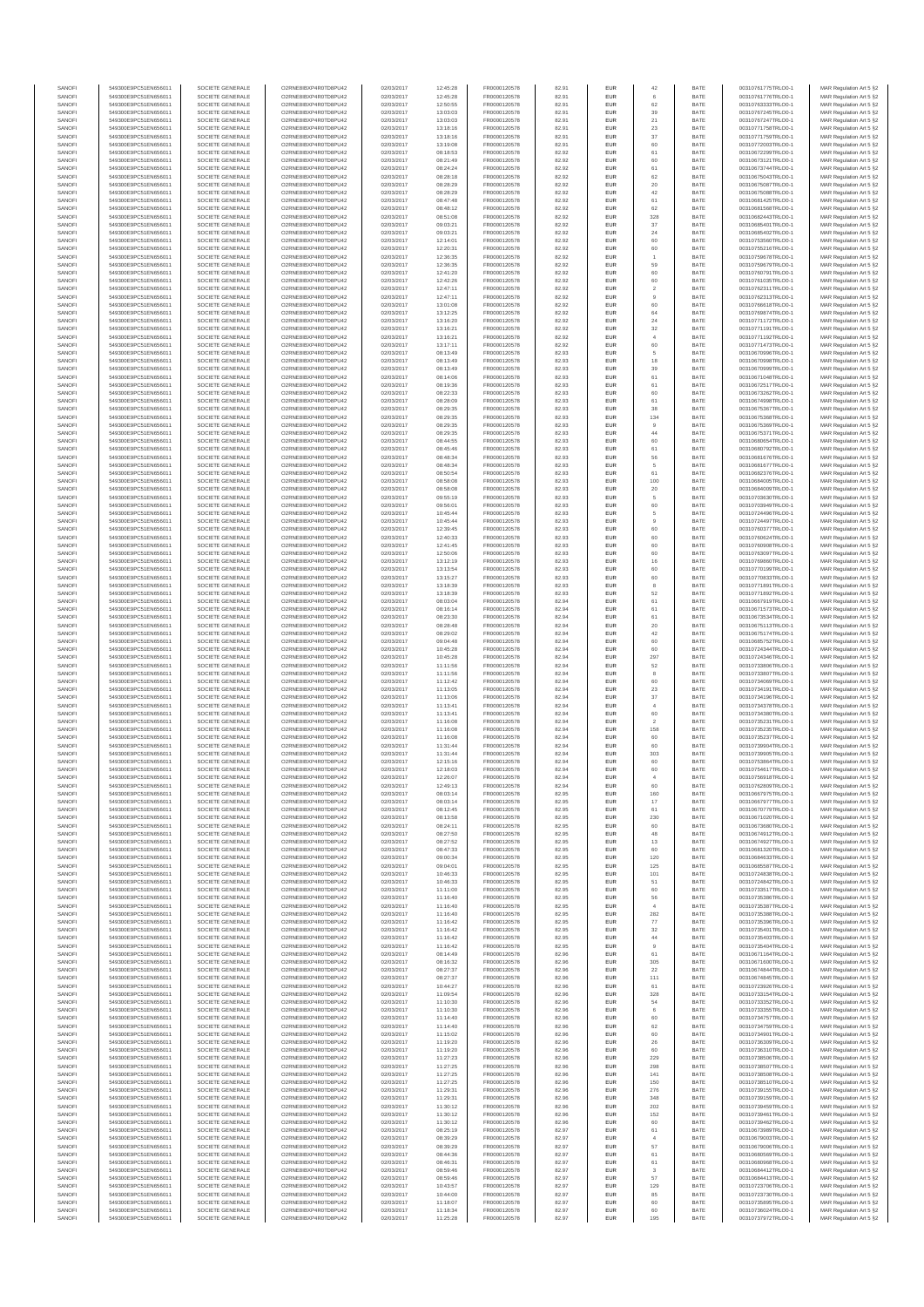| SANOFI           | 549300E9PC51EN656011                         | SOCIETE GENERALE                     | O2RNE8IBXP4R0TD8PU42                          | 02/03/2017               | 12:45:28             | FR0000120578                 | 82.91          | EUR               | $42\,$                                    | BATE         | 00310761775TRLO0-1                       | MAR Regulation Art 5 §2                             |
|------------------|----------------------------------------------|--------------------------------------|-----------------------------------------------|--------------------------|----------------------|------------------------------|----------------|-------------------|-------------------------------------------|--------------|------------------------------------------|-----------------------------------------------------|
| SANOFI<br>SANOFI | 549300E9PC51EN656011<br>549300E9PC51EN656011 | SOCIETE GENERALE<br>SOCIETE GENERALE | O2RNE8IBXP4R0TD8PU42<br>O2RNE8IBXP4R0TD8PU42  | 02/03/2017<br>02/03/2017 | 12:45:28<br>12:50:55 | FR0000120578<br>FR0000120578 | 82.91<br>82.91 | EUR<br>EUR        | 62                                        | BATE<br>BATE | 00310761776TRLO0-1<br>00310763333TRLO0-1 | MAR Regulation Art 5 §2<br>MAR Regulation Art 5 §2  |
| SANOFI           | 549300E9PC51EN656011                         | SOCIETE GENERALE                     |                                               | 02/03/2017               | 13:03:03             | FR0000120578                 | 82.91          | EUR               | 39                                        | BATE         | 00310767245TRLO0-1                       | MAR Regulation Art 5 §2                             |
| SANOFI           | 549300E9PC51EN656011                         | SOCIETE GENERALE                     | O2RNE8IBXP4R0TD8PU42                          | 02/03/2017               | 13:03:03             | FR0000120578                 | 82.91          | EUR               | 21                                        | BATE         | 00310767247TRLO0-1                       | MAR Regulation Art 5 §2                             |
| SANOFI           | 549300E9PC51EN656011                         | SOCIETE GENERALE                     | O2RNE8IBXP4R0TD8PU42                          | 02/03/2017               | 13:18:16             | FR0000120578                 | 82.91          | EUR               | $23\,$                                    | BATE         | 00310771758TRLO0-1                       | MAR Regulation Art 5 §2                             |
| SANOFI<br>SANOFI | 549300E9PC51EN656011<br>549300E9PC51EN656011 | SOCIETE GENERALE<br>SOCIETE GENERALE | O2RNE8IBXP4R0TD8PU42<br>O2RNE8IBXP4R0TD8PU42  | 02/03/2017<br>02/03/2017 | 13:18:16<br>13:19:08 | FR0000120578<br>FR0000120578 | 82.91<br>82.91 | EUR<br>EUR        | $37\,$<br>60                              | BATE<br>BATE | 00310771759TRLO0-1<br>00310772003TRLO0-1 | MAR Regulation Art 5 §2<br>MAR Regulation Art 5 §2  |
| SANOFI           | 549300E9PC51EN656011                         | SOCIETE GENERALE                     | O2RNE8IBXP4R0TD8PU42                          | 02/03/2017               | 08:18:53             | FR0000120578                 | 82.92          | EUR               | 61                                        | BATE         | 00310672299TRLO0-1                       | MAR Regulation Art 5 §2                             |
| SANOFI           | 549300E9PC51EN656011                         | SOCIETE GENERALE                     | O2RNE8IBXP4R0TD8PU42                          | 02/03/2017               | 08:21:49             | FR0000120578                 | 82.92          | EUR               | 60                                        | BATE         | 00310673121TRLO0-1                       | MAR Regulation Art 5 §2                             |
| SANOFI<br>SANOFI | 549300E9PC51EN656011<br>549300E9PC51EN656011 | SOCIETE GENERALE<br>SOCIETE GENERALE | O2RNE8IBXP4R0TD8PU42<br>O2RNE8IBXP4R0TD8PU42  | 02/03/2017<br>02/03/2017 | 08:24:24<br>08:28:18 | FR0000120578<br>FR0000120578 | 82.92<br>82.92 | EUR<br>EUR        | 61<br>62                                  | BATE<br>BATE | 00310673744TRLO0-1<br>00310675043TRLO0-1 | MAR Regulation Art 5 §2<br>MAR Regulation Art 5 \$2 |
| SANOFI           | 549300E9PC51EN656011                         | SOCIETE GENERALE                     | O2RNE8IBXP4R0TD8PU42                          | 02/03/2017               | 08:28:29             | FR0000120578                 | 82.92          | EUR               | 20                                        | BATE         | 00310675087TRLO0-1                       | MAR Regulation Art 5 §2                             |
| SANOFI           | 549300E9PC51EN656011                         | SOCIETE GENERALE                     | O2RNE8IBXP4R0TD8PU42                          | 02/03/2017               | 08:28:29             | FR0000120578                 | 82.92          | EUR               | 42                                        | BATE         | 00310675088TRLO0-1                       | MAR Regulation Art 5 §2                             |
| SANOFI           | 549300E9PC51EN656011                         | SOCIETE GENERALE                     | O2RNE8IBXP4R0TD8PU42                          | 02/03/2017               | 08:47:48             | FR0000120578                 | 82.92          | EUR               | 61                                        | BATE         | 00310681425TRLO0-1                       | MAR Regulation Art 5 §2                             |
| SANOFI<br>SANOFI | 549300E9PC51EN656011<br>549300E9PC51EN656011 | SOCIETE GENERALE<br>SOCIETE GENERALE | O2RNE8IBXP4R0TD8PU42<br>O2RNE8IBXP4R0TD8PU42  | 02/03/2017<br>02/03/2017 | 08:48:12<br>08:51:08 | FR0000120578<br>FR0000120578 | 82.92<br>82.92 | EUR<br>EUR        | 62<br>328                                 | BATE<br>BATE | 00310681568TRLO0-1<br>00310682443TRLO0-1 | MAR Regulation Art 5 §2<br>MAR Regulation Art 5 §2  |
| SANOFI           | 549300E9PC51EN656011                         | SOCIETE GENERALE                     | O2RNE8IBXP4R0TD8PU42                          | 02/03/2017               | 09:03:21             | FR0000120578                 | 82.92          | EUR               | $37\,$                                    | BATE         | 00310685401TRLO0-1                       | MAR Regulation Art 5 §2                             |
| SANOFI           | 549300E9PC51EN656011                         | SOCIETE GENERALE                     | O2RNE8IBXP4R0TD8PU42                          | 02/03/2017               | 09:03:21             | FR0000120578                 | 82.92          | EUR               | 24                                        | BATE         | 00310685402TRLO0-1                       | MAR Regulation Art 5 §2                             |
| SANOFI           | 549300E9PC51EN656011                         | SOCIETE GENERALE                     | O2RNE8IBXP4R0TD8PU42                          | 02/03/2017               | 12:14:01             | FR0000120578                 | 82.92          | EUR               | 60                                        | BATE         | 00310753560TRLO0-1                       | MAR Regulation Art 5 §2                             |
| SANOFI<br>SANOFI | 549300E9PC51EN656011<br>549300E9PC51EN656011 | SOCIETE GENERALE<br>SOCIETE GENERALE | O2RNE8IBXP4R0TD8PU42<br>O2RNE8IBXP4R0TD8PU42  | 02/03/2017<br>02/03/2017 | 12:20:31<br>12:36:35 | FR0000120578<br>FR0000120578 | 82.92<br>82.92 | EUR<br>EUR        | 60                                        | BATE<br>BATE | 00310755216TRLO0-1<br>00310759678TRLO0-1 | MAR Regulation Art 5 §2<br>MAR Regulation Art 5 §2  |
| SANOFI           | 549300E9PC51EN656011                         | SOCIETE GENERALE                     | O2RNE8IBXP4R0TD8PU42                          | 02/03/2017               | 12:36:35             | FR0000120578                 | 82.92          | EUR               | 59                                        | BATE         | 00310759679TRLO0-1                       | MAR Regulation Art 5 §2                             |
| SANOFI           | 549300E9PC51EN656011                         | SOCIETE GENERALE                     | O2RNE8IBXP4R0TD8PU42                          | 02/03/2017               | 12:41:20             | FR0000120578                 | 82.92          | EUR               | 60                                        | BATE         | 00310760791TRLO0-1                       | MAR Regulation Art 5 §2                             |
| SANOFI<br>SANOFI | 549300E9PC51EN656011<br>549300E9PC51EN656011 | SOCIETE GENERALE<br>SOCIETE GENERALE | O2RNE8IBXP4R0TD8PU42<br>O2RNE8IBXP4R0TD8PU42  | 02/03/2017<br>02/03/2017 | 12:42:26<br>12:47:11 | FR0000120578<br>FR0000120578 | 82.92<br>82.92 | EUR<br>EUR        | 60                                        | BATE<br>BATE | 00310761035TRLO0-1<br>00310762311TRLO0-1 | MAR Regulation Art 5 §2                             |
| SANOFI           | 549300E9PC51EN656011                         | SOCIETE GENERALE                     | O2RNE8IBXP4R0TD8PU42                          | 02/03/2017               | 12:47:11             | FR0000120578                 | 82.92          | EUR               | $\overline{\mathbf{2}}$<br>$\overline{9}$ | BATE         | 00310762313TRLO0-1                       | MAR Regulation Art 5 §2<br>MAR Regulation Art 5 §2  |
| SANOFI           | 549300E9PC51EN656011                         | SOCIETE GENERALE                     | O2RNE8IBXP4R0TD8PU42                          | 02/03/2017               | 13:01:08             | FR0000120578                 | 82.92          | EUR               | 60                                        | BATE         | 00310766618TRLO0-1                       | MAR Regulation Art 5 §2                             |
| SANOFI           | 549300E9PC51EN656011                         | SOCIETE GENERALE                     | O2RNE8IBXP4R0TD8PU42                          | 02/03/2017               | 13:12:25             | FR0000120578                 | 82.92          | EUR               | 64                                        | BATE         | 00310769874TRLO0-1                       | MAR Regulation Art 5 §2                             |
| SANOFI<br>SANOFI | 549300E9PC51EN656011<br>549300E9PC51EN656011 | SOCIETE GENERALE<br>SOCIETE GENERALE | O2RNE8IBXP4R0TD8PU42<br>O2RNE8IBXP4R0TD8PU42  | 02/03/2017<br>02/03/2017 | 13:16:20<br>13:16:21 | FR0000120578<br>FR0000120578 | 82.92<br>82.92 | EUR<br>EUR        | 24<br>$_{\rm 32}$                         | BATE<br>BATE | 00310771172TRLO0-1<br>00310771191TRLO0-1 | MAR Regulation Art 5 §2<br>MAR Regulation Art 5 §2  |
| SANOFI           | 549300E9PC51EN656011                         | SOCIETE GENERALE                     | O2RNE8IBXP4R0TD8PU42                          | 02/03/2017               | 13:16:21             | FR0000120578                 | 82.92          | EUR               | $\ddot{4}$                                | BATE         | 00310771192TRLO0-1                       | MAR Regulation Art 5 §2                             |
| SANOFI           | 549300E9PC51EN656011                         | SOCIETE GENERALE                     | O2RNE8IBXP4R0TD8PU42                          | 02/03/2017               | 13:17:11             | FR0000120578                 | 82.92          | EUR               | 60                                        | BATE         | 00310771473TRLO0-1                       | MAR Regulation Art 5 §2                             |
| SANOFI<br>SANOFI | 549300E9PC51EN656011<br>549300E9PC51EN656011 | SOCIETE GENERALE<br>SOCIETE GENERALE | O2RNE8IBXP4R0TD8PU42<br>O2RNE8IBXP4R0TD8PU42  | 02/03/2017<br>02/03/2017 | 08:13:49<br>08:13:49 | FR0000120578<br>FR0000120578 | 82.93<br>82.93 | EUR<br>EUR        | 5<br>18                                   | BATE<br>BATE | 00310670996TRLO0-1<br>00310670998TRLO0-1 | MAR Regulation Art 5 §2<br>MAR Regulation Art 5 §2  |
| SANOFI           | 549300E9PC51EN656011                         | SOCIETE GENERALE                     | O2RNE8IBXP4R0TD8PU42                          | 02/03/2017               | 08:13:49             | FR0000120578                 | 82.93          | EUR               | 39                                        | BATE         | 00310670999TRLO0-1                       | MAR Regulation Art 5 §2                             |
| SANOFI           | 549300E9PC51EN656011                         | SOCIETE GENERALE                     | O2RNE8IBXP4R0TD8PU42                          | 02/03/2017               | 08:14:06             | FR0000120578                 | 82.93          | EUR               | 61                                        | BATE         | 00310671048TRLO0-1                       | MAR Regulation Art 5 §2                             |
| SANOFI           | 549300E9PC51EN656011                         | SOCIETE GENERALE                     | O2RNE8IBXP4R0TD8PU42                          | 02/03/2017               | 08:19:36             | FR0000120578<br>FR0000120578 | 82.93          | EUR               | 61                                        | BATE         | 00310672517TRLO0-1                       | MAR Regulation Art 5 §2                             |
| SANOFI<br>SANOFI | 549300E9PC51EN656011<br>549300E9PC51EN656011 | SOCIETE GENERALE<br>SOCIETE GENERALE | O2RNE8IBXP4R0TD8PU42<br>O2RNE8IBXP4R0TD8PU42  | 02/03/2017<br>02/03/2017 | 08:22:33<br>08:28:09 | FR0000120578                 | 82.93<br>82.93 | EUR<br>EUR        | 60<br>61                                  | BATE<br>BATE | 00310673262TRLO0-1<br>00310674998TRLO0-1 | MAR Regulation Art 5 §2<br>MAR Regulation Art 5 §2  |
| SANOFI           | 549300E9PC51EN656011                         | SOCIETE GENERALE                     | O2RNE8IBXP4R0TD8PU42                          | 02/03/2017               | 08:29:35             | FR0000120578                 | 82.93          | EUR               | 38                                        | BATE         | 00310675367TRLO0-1                       | MAR Regulation Art 5 §2                             |
| SANOFI           | 549300E9PC51EN656011                         | SOCIETE GENERALE                     | O2RNE8IBXP4R0TD8PU42                          | 02/03/2017               | 08:29:35             | FR0000120578                 | 82.93          | EUR               | 134                                       | BATE         | 00310675368TRLO0-1                       | MAR Regulation Art 5 §2                             |
| SANOFI<br>SANOFI | 549300E9PC51EN656011<br>549300E9PC51EN656011 | SOCIETE GENERALE<br>SOCIETE GENERALE | O2RNE8IBXP4R0TD8PU42<br>O2RNE8IBXP4R0TD8PU42  | 02/03/2017<br>02/03/2017 | 08:29:35<br>08:29:35 | FR0000120578<br>FR0000120578 | 82.93<br>82.93 | EUR<br>EUR        | $\overline{9}$<br>44                      | BATE<br>BATE | 00310675369TRLO0-1<br>00310675371TRLO0-1 | MAR Regulation Art 5 §2                             |
| SANOFI           | 549300E9PC51EN656011                         | SOCIETE GENERALE                     | O2RNE8IBXP4R0TD8PU42                          | 02/03/2017               | 08:44:55             | FR0000120578                 | 82.93          | EUR               | 60                                        | BATE         | 00310680654TRLO0-1                       | MAR Regulation Art 5 §2<br>MAR Regulation Art 5 §2  |
| SANOFI           | 549300E9PC51EN656011                         | SOCIETE GENERALE                     | O2RNE8IBXP4R0TD8PU42                          | 02/03/2017               | 08:45:46             | FR0000120578                 | 82.93          | EUR               | 61                                        | BATE         | 00310680792TRLO0-1                       | MAR Regulation Art 5 §2                             |
| SANOFI           | 549300E9PC51EN656011                         | SOCIETE GENERALE                     | O2RNE8IBXP4R0TD8PU42                          | 02/03/2017               | 08:48:34             | FR0000120578                 | 82.93          | EUR               | 56                                        | BATE         | 00310681676TRLO0-1                       | MAR Regulation Art 5 §2                             |
| SANOFI<br>SANOFI | 549300E9PC51EN656011<br>549300E9PC51EN656011 | SOCIETE GENERALE<br>SOCIETE GENERALE | O2RNE8IBXP4R0TD8PU42<br>O2RNE8IBXP4R0TD8PU42  | 02/03/2017<br>02/03/2017 | 08:48:34<br>08:50:54 | FR0000120578<br>FR0000120578 | 82.93<br>82.93 | EUR<br>EUR        | 5<br>61                                   | BATE<br>BATE | 00310681677TRLO0-1<br>00310682376TRLO0-1 | MAR Regulation Art 5 §2<br>MAR Regulation Art 5 §2  |
| SANOFI           | 549300E9PC51EN656011                         | SOCIETE GENERALE                     | O2RNE8IBXP4R0TD8PU42                          | 02/03/2017               | 08:58:08             | FR0000120578                 | 82.93          | EUR               | 100                                       | BATE         | 00310684005TRLO0-1                       | MAR Regulation Art 5 §2                             |
| SANOFI           | 549300E9PC51EN656011                         | SOCIETE GENERALE                     | O2RNE8IBXP4R0TD8PU42                          | 02/03/2017               | 08:58:08             | FR0000120578                 | 82.93          | EUR               | $20\,$                                    | BATE         | 00310684009TRLO0-1                       | MAR Regulation Art 5 §2                             |
| SANOFI           | 549300E9PC51EN656011                         | SOCIETE GENERALE                     | O2RNE8IBXP4R0TD8PU42                          | 02/03/2017               | 09:55:19             | FR0000120578                 | 82.93          | EUR               | 5                                         | BATE         | 00310703630TRLO0-1                       | MAR Regulation Art 5 §2                             |
| SANOFI<br>SANOFI | 549300E9PC51EN656011<br>549300E9PC51EN656011 | SOCIETE GENERALE<br>SOCIETE GENERALE | O2RNE8IBXP4R0TD8PU42<br>O2RNE8IBXP4R0TD8PU42  | 02/03/2017<br>02/03/2017 | 09:56:01<br>10:45:44 | FR0000120578<br>FR0000120578 | 82.93<br>82.93 | EUR<br>EUR        | 60<br>5                                   | BATE<br>BATE | 00310703949TRLO0-1<br>00310724496TRLO0-1 | MAR Regulation Art 5 §2<br>MAR Regulation Art 5 §2  |
| SANOFI           | 549300E9PC51EN656011                         | SOCIETE GENERALE                     | O2RNE8IBXP4R0TD8PU42                          | 02/03/2017               | 10:45:44             | FR0000120578                 | 82.93          | EUR               | $\overline{9}$                            | BATE         | 00310724497TRLO0-1                       | MAR Regulation Art 5 §2                             |
| SANOFI           | 549300E9PC51EN656011                         | SOCIETE GENERALE                     | O2RNE8IBXP4R0TD8PU42                          | 02/03/2017               | 12:39:45             | FR0000120578                 | 82.93          | EUR               | 60                                        | BATE         | 00310760377TRLO0-1                       | MAR Regulation Art 5 §2                             |
| SANOFI           | 549300E9PC51EN656011                         | SOCIETE GENERALE                     | O2RNE8IBXP4R0TD8PU42                          | 02/03/2017               | 12:40:33             | FR0000120578                 | 82.93          | EUR               | 60                                        | BATE         | 00310760624TRLO0-1                       | MAR Regulation Art 5 §2                             |
| SANOFI<br>SANOFI | 549300E9PC51EN656011<br>549300E9PC51EN656011 | SOCIETE GENERALE<br>SOCIETE GENERALE | O2RNE8IBXP4R0TD8PU42<br>O2RNE8IBXP4R0TD8PU42  | 02/03/2017<br>02/03/2017 | 12:41:45<br>12:50:06 | FR0000120578<br>FR0000120578 | 82.93<br>82.93 | EUR<br>EUR        | 60<br>60                                  | BATE<br>BATE | 00310760908TRLO0-1<br>00310763097TRLO0-1 | MAR Regulation Art 5 §2<br>MAR Regulation Art 5 §2  |
| SANOFI           | 549300E9PC51EN656011                         | SOCIETE GENERALE                     | O2RNE8IBXP4R0TD8PU42                          | 02/03/2017               | 13:12:19             | FR0000120578                 | 82.93          | EUR               | 16                                        | BATE         | 00310769860TRLO0-1                       | MAR Regulation Art 5 §2                             |
| SANOFI           | 549300E9PC51EN656011                         | SOCIETE GENERALE                     | O2RNE8IBXP4R0TD8PU42                          | 02/03/2017               | 13:13:54             | FR0000120578                 | 82.93          | EUR               | 60                                        | BATE         | 00310770199TRLO0-1                       | MAR Regulation Art 5 §2                             |
| SANOFI           | 549300E9PC51EN656011                         | SOCIETE GENERALE                     | O2RNE8IBXP4R0TD8PU42                          | 02/03/2017               | 13:15:27             | FR0000120578                 | 82.93          | EUR               | 60                                        | BATE         | 00310770833TRLO0-1                       | MAR Regulation Art 5 §2                             |
| SANOFI<br>SANOFI | 549300E9PC51EN656011<br>549300E9PC51EN656011 | SOCIETE GENERALE<br>SOCIETE GENERALE | O2RNE8IBXP4R0TD8PU42<br>O2RNE8IBXP4R0TD8PU42  | 02/03/2017<br>02/03/2017 | 13:18:39<br>13:18:39 | FR0000120578<br>FR0000120578 | 82.93<br>82.93 | EUR<br>EUR        | 8<br>52                                   | BATE<br>BATE | 00310771891TRLO0-1<br>00310771892TRLO0-1 | MAR Regulation Art 5 §2<br>MAR Regulation Art 5 §2  |
| SANOFI           | 549300E9PC51EN656011                         | SOCIETE GENERALE                     | O2RNE8IBXP4R0TD8PU42                          | 02/03/2017               | 08:03:04             | FR0000120578                 | 82.94          | EUR               | 61                                        | BATE         | 00310667919TRLO0-1                       | MAR Regulation Art 5 §2                             |
| SANOFI           | 549300E9PC51EN656011                         | SOCIETE GENERALE                     | O2RNE8IBXP4R0TD8PU42                          | 02/03/2017               | 08:16:14             | FR0000120578                 | 82.94          | EUR               | 61                                        | BATE         | 00310671573TRLO0-1                       | MAR Regulation Art 5 §2                             |
| SANOFI           | 549300E9PC51EN656011                         | SOCIETE GENERALE                     | O2RNE8IBXP4R0TD8PU42                          | 02/03/2017               | 08:23:30             | FR0000120578                 | 82.94          | EUR               | 61                                        | BATE         | 00310673534TRLO0-1                       | MAR Regulation Art 5 §2                             |
| SANOFI<br>SANOFI | 549300E9PC51EN656011<br>549300E9PC51EN656011 | SOCIETE GENERALE<br>SOCIETE GENERALE | O2RNE8IBXP4R0TD8PU42<br>O2RNE8IBXP4R0TD8PU42  | 02/03/2017<br>02/03/2017 | 08:28:48<br>08:29:02 | FR0000120578<br>FR0000120578 | 82.94<br>82.94 | EUR<br>EUR        | $20\,$<br>$42\,$                          | BATE<br>BATE | 00310675113TRLO0-1<br>00310675174TRLO0-1 | MAR Regulation Art 5 §2<br>MAR Regulation Art 5 §2  |
| SANOFI           | 549300E9PC51EN656011                         | SOCIETE GENERALE                     | O2RNE8IBXP4R0TD8PU42                          | 02/03/2017               | 09:04:48             | FR0000120578                 | 82.94          | EUR               | 60                                        | BATE         | 00310685752TRLO0-1                       | MAR Regulation Art 5 §2                             |
| SANOFI           | 549300E9PC51EN656011                         | SOCIETE GENERALE                     | O2RNE8IBXP4R0TD8PU42                          | 02/03/2017               | 10:45:28             | FR0000120578                 | 82.94          | EUR               | 60                                        | BATE         | 00310724344TRLO0-1                       | MAR Regulation Art 5 §2                             |
| SANOFI<br>SANOFI | 549300E9PC51EN656011<br>549300E9PC51EN656011 | SOCIETE GENERALE<br>SOCIETE GENERALE | O2RNE8IBXP4R0TD8PU42<br>O2RNE8IBXP4R0TD8PU42  | 02/03/2017<br>02/03/2017 | 10:45:28<br>11:11:56 | FR0000120578<br>FR0000120578 | 82.94<br>82.94 | EUR<br>EUR        | 297<br>52                                 | BATE<br>BATE | 00310724346TRLO0-1<br>00310733806TRLO0-1 | MAR Regulation Art 5 §2<br>MAR Regulation Art 5 §2  |
| SANOFI           | 549300E9PC51EN656011                         | SOCIETE GENERALE                     | O2RNE8IBXP4R0TD8PU42                          | 02/03/2017               | 11:11:56             | FR0000120578                 | 82.94          | EUR               | 8                                         | BATE         | 00310733807TRLO0-1                       | MAR Regulation Art 5 §2                             |
| SANOFI           | 549300E9PC51EN656011                         | SOCIETE GENERALE                     | O2RNE8IBXP4R0TD8PU42                          | 02/03/2017               | 11:12:42             | FR0000120578                 | 82.94          | EUR               | 60                                        | BATE         | 00310734069TRLO0-1                       | MAR Regulation Art 5 §2                             |
| SANOFI<br>SANOFI | 549300E9PC51EN656011<br>549300E9PC51EN656011 | SOCIETE GENERALE<br>SOCIETE GENERALE | O2RNE8IBXP4R0TD8PU42<br>O2RNE8IBXP4R0TD8PLI42 | 02/03/2017<br>02/03/2017 | 11:13:05             | FR0000120578<br>FR0000120578 | 82.94<br>82.94 | EUR<br>EUR        | $23\,$<br>37                              | BATE<br>BATE | 00310734191TRLO0-1<br>00310734196TRLO0-1 | MAR Regulation Art 5 §2<br>MAR Regulation Art 5 §2  |
| SANOFI           | 549300E9PC51EN656011                         | SOCIETE GENERALE                     | O2RNE8IBXP4R0TD8PU42                          | 02/03/2017               | 11:13:06<br>11:13:41 | FR0000120578                 | 82.94          | EUR               | $\ddot{4}$                                | BATE         | 00310734378TRLO0-1                       | MAR Regulation Art 5 §2                             |
| SANOFI           | 549300E9PC51EN656011                         | SOCIETE GENERALE                     | O2RNE8IBXP4R0TD8PU42                          | 02/03/2017               | 11:13:41             | FR0000120578                 | 82.94          | EUR               | 60                                        | BATE         | 00310734380TRLO0-1                       | MAR Regulation Art 5 §2                             |
| SANOFI           | 549300E9PC51EN656011                         | SOCIETE GENERALE                     | O2RNE8IBXP4R0TD8PU42                          | 02/03/2017               | 11:16:08             | FR0000120578                 | 82.94          | EUR               | $\overline{2}$                            | BATE         | 00310735231TRLO0-1                       | MAR Regulation Art 5 §2                             |
| SANOFI<br>SANOFI | 549300E9PC51EN656011<br>549300E9PC51EN656011 | SOCIETE GENERALE<br>SOCIETE GENERALE | O2RNE8IBXP4R0TD8PU42<br>O2RNE8IBXP4R0TD8PU42  | 02/03/2017<br>02/03/2017 | 11:16:08<br>11:16:08 | FR0000120578<br>FR0000120578 | 82.94<br>82.94 | EUR<br>EUR        | 158<br>60                                 | BATE<br>BATE | 00310735235TRLO0-1<br>00310735237TRLO0-1 | MAR Regulation Art 5 §2                             |
| SANOFI           | 549300E9PC51EN656011                         | SOCIETE GENERALE                     | O2RNE8IBXP4R0TD8PU42                          | 02/03/2017               | 11:31:44             | FR0000120578                 | 82.94          | EUR               | 60                                        | BATE         | 00310739904TRLO0-1                       | MAR Regulation Art 5 §2<br>MAR Regulation Art 5 §2  |
| SANOFI           | 549300E9PC51EN656011                         | SOCIETE GENERALE                     | O2RNE8IBXP4R0TD8PU42                          | 02/03/2017               | 11:31:44             | FR0000120578                 | 82.94          | EUR               | 303                                       | BATE         | 00310739905TRLO0-1                       | MAR Regulation Art 5 §2                             |
| SANOFI           | 549300E9PC51EN656011                         | SOCIETE GENERALE                     | O2RNE8IBXP4R0TD8PU42                          | 02/03/2017               | 12:15:16             | FR0000120578                 | 82.94          | EUR               | 60                                        | BATE         | 00310753864TRLO0-1                       | MAR Regulation Art 5 §2                             |
| SANOFI<br>SANOFI | 549300E9PC51EN656011<br>549300E9PC51EN656011 | SOCIETE GENERALE<br>SOCIETE GENERALE | O2RNE8IBXP4R0TD8PU42<br>O2RNE8IBXP4R0TD8PU42  | 02/03/2017<br>02/03/2017 | 12:18:03<br>12:26:07 | FR0000120578<br>FR0000120578 | 82.94<br>82.94 | EUR<br><b>EUR</b> | 60<br>$\mathbf{A}$                        | BATE<br>BATE | 00310754617TRLO0-1<br>00310756918TRLO0-1 | MAR Regulation Art 5 §2<br>MAR Regulation Art 5 §2  |
| SANOF            | 549300E9PC51EN656011                         | SOCIETE GENERALE                     | O2RNE8IBXP4R0TD8PU42                          | 02/03/2017               | 12:49:13             | FR0000120578                 | 82.94          |                   |                                           | BATE         | 00310762809TRLO0-1                       | MAR Regulation Art 5 §2                             |
| SANOFI           | 549300E9PC51EN656011                         | SOCIETE GENERALE                     | O2RNE8IBXP4R0TD8PU42                          | 02/03/2017               | 08:03:14             | FR0000120578                 | 82.95          | EUR               | 160                                       | BATE         | 00310667975TRLO0-1                       | MAR Regulation Art 5 §2                             |
| SANOFI           | 549300E9PC51EN656011                         | SOCIETE GENERALE<br>SOCIETE GENERALE | O2RNE8IBXP4R0TD8PU42                          | 02/03/2017               | 08:03:14             | FR0000120578                 | 82.95          | EUR               | 17                                        | BATE         | 00310667977TRLO0-1                       | MAR Regulation Art 5 §2                             |
| SANOFI<br>SANOFI | 549300E9PC51EN656011<br>549300E9PC51EN656011 | SOCIETE GENERALE                     | O2RNE8IBXP4R0TD8PU42<br>O2RNE8IBXP4R0TD8PU42  | 02/03/2017<br>02/03/2017 | 08:12:45<br>08:13:58 | FR0000120578<br>FR0000120578 | 82.95<br>82.95 | EUR<br>EUR        | 61<br>230                                 | BATE<br>BATE | 00310670779TRLO0-1<br>00310671020TRLO0-1 | MAR Regulation Art 5 §2<br>MAR Regulation Art 5 §2  |
| SANOFI           | 549300E9PC51EN656011                         | SOCIETE GENERALE                     | O2RNE8IBXP4R0TD8PU42                          | 02/03/2017               | 08:24:11             | FR0000120578                 | 82.95          | EUR               | 60                                        | BATE         | 00310673680TRLO0-1                       | MAR Regulation Art 5 §2                             |
| SANOFI           | 549300E9PC51EN656011                         | SOCIETE GENERALE                     | O2RNE8IBXP4R0TD8PU42                          | 02/03/2017               | 08:27:50             | FR0000120578                 | 82.95          | EUR               | 48                                        | BATE         | 00310674912TRLO0-1                       | MAR Regulation Art 5 §2                             |
| SANOFI<br>SANOFI | 549300E9PC51EN656011<br>549300E9PC51EN656011 | SOCIETE GENERALE<br>SOCIETE GENERALE | O2RNE8IBXP4R0TD8PU42<br>O2RNE8IBXP4R0TD8PU42  | 02/03/2017<br>02/03/2017 | 08:27:52<br>08:47:33 | FR0000120578<br>FR0000120578 | 82.95<br>82.95 | EUR<br><b>EUR</b> | 13<br>60                                  | BATE<br>BATE | 00310674927TRLO0-1<br>00310681320TRLO0-1 | MAR Regulation Art 5 §2<br>MAR Regulation Art 5 §2  |
| SANOFI           | 549300E9PC51EN656011                         | SOCIETE GENERALE                     | O2RNE8IBXP4R0TD8PU42                          | 02/03/2017               | 09:00:34             | FR0000120578                 | 82.95          | EUR               | 120                                       | BATE         | 00310684633TRLO0-1                       | MAR Regulation Art 5 §2                             |
| SANOFI           | 549300E9PC51EN656011                         | SOCIETE GENERALE                     | O2RNE8IBXP4R0TD8PU42                          | 02/03/2017               | 09:04:01             | FR0000120578                 | 82.95          | <b>EUR</b>        | 125                                       | BATE         | 00310685587TRLO0-1                       | MAR Regulation Art 5 §2                             |
| SANOFI<br>SANOFI | 549300E9PC51EN656011<br>549300E9PC51EN656011 | SOCIETE GENERALE<br>SOCIETE GENERALE | O2RNE8IBXP4R0TD8PU42<br>O2RNE8IBXP4R0TD8PU42  | 02/03/2017<br>02/03/2017 | 10:46:33<br>10:46:33 | FR0000120578<br>FR0000120578 | 82.95<br>82.95 | EUR<br>EUR        | 101<br>51                                 | BATE<br>BATE | 00310724838TRLO0-1<br>00310724842TRLO0-1 | MAR Regulation Art 5 §2<br>MAR Regulation Art 5 §2  |
| SANOFI           | 549300E9PC51EN656011                         | SOCIETE GENERALE                     | O2RNE8IBXP4R0TD8PU42                          | 02/03/2017               | 11:11:00             | FR0000120578                 | 82.95          | EUR               | 60                                        | BATE         | 00310733517TRLO0-1                       | MAR Regulation Art 5 §2                             |
| SANOFI           | 549300E9PC51EN656011                         | SOCIETE GENERALE                     | O2RNE8IBXP4R0TD8PU42                          | 02/03/2017               | 11:16:40             | FR0000120578                 | 82.95          | EUR               | 56                                        | BATE         | 00310735386TRLO0-1                       | MAR Regulation Art 5 §2                             |
| SANOFI<br>SANOFI | 549300E9PC51EN656011<br>549300E9PC51EN656011 | SOCIETE GENERALE<br>SOCIETE GENERALE | O2RNE8IBXP4R0TD8PU42<br>O2RNE8IBXP4R0TD8PU42  | 02/03/2017<br>02/03/2017 | 11:16:40<br>11:16:40 | FR0000120578<br>FR0000120578 | 82.95<br>82.95 | EUR<br>EUR        | $\mathbf{A}$<br>282                       | BATE<br>BATE | 00310735387TRLO0-1<br>00310735388TRLO0-1 | MAR Regulation Art 5 §2<br>MAR Regulation Art 5 §2  |
| SANOFI           | 549300E9PC51EN656011                         | SOCIETE GENERALE                     | O2RNE8IBXP4R0TD8PU42                          | 02/03/2017               | 11:16:42             | FR0000120578                 | 82.95          | <b>EUR</b>        | 77                                        | BATE         | 00310735396TRLO0-1                       | MAR Regulation Art 5 §2                             |
| SANOFI           | 549300E9PC51EN656011                         | SOCIETE GENERALE                     | O2RNE8IBXP4R0TD8PU42                          | 02/03/2017               | 11:16:42             | FR0000120578                 | 82.95          | EUR               | 32                                        | BATE         | 00310735401TRLO0-1                       | MAR Regulation Art 5 §2                             |
| SANOFI<br>SANOFI | 549300E9PC51EN656011                         | SOCIETE GENERALE<br>SOCIETE GENERALE | O2RNE8IBXP4R0TD8PU42                          | 02/03/2017               | 11:16:42             | FR0000120578                 | 82.95<br>82.95 | <b>EUR</b><br>EUR | 44<br>$\overline{9}$                      | BATE<br>BATE | 00310735403TRLO0-1                       | MAR Regulation Art 5 §2                             |
| SANOFI           | 549300E9PC51EN656011<br>549300E9PC51EN656011 | SOCIETE GENERALE                     | O2RNE8IBXP4R0TD8PU42<br>O2RNE8IBXP4R0TD8PU42  | 02/03/2017<br>02/03/2017 | 11:16:42<br>08:14:49 | FR0000120578<br>FR0000120578 | 82.96          | EUR               | 61                                        | BATE         | 00310735404TRLO0-1<br>00310671164TRLO0-1 | MAR Regulation Art 5 §2<br>MAR Regulation Art 5 §2  |
| SANOFI           | 549300E9PC51EN656011                         | SOCIETE GENERALE                     | O2RNE8IBXP4R0TD8PU42                          | 02/03/2017               | 08:16:32             | FR0000120578                 | 82.96          | EUR               | 305                                       | BATE         | 00310671600TRLO0-1                       | MAR Regulation Art 5 §2                             |
| SANOFI           | 549300E9PC51EN656011                         | SOCIETE GENERALE                     | O2RNE8IBXP4R0TD8PU42                          | 02/03/2017               | 08:27:37             | FR0000120578                 | 82.96          | EUR               | $22\,$                                    | BATE         | 00310674844TRLO0-1                       | MAR Regulation Art 5 §2                             |
| SANOFI<br>SANOFI | 549300E9PC51EN656011<br>549300E9PC51EN656011 | SOCIETE GENERALE<br>SOCIETE GENERALE | O2RNE8IBXP4R0TD8PU42<br>O2RNE8IBXP4R0TD8PU42  | 02/03/2017<br>02/03/2017 | 08:27:37<br>10:44:27 | FR0000120578<br>FR0000120578 | 82.96<br>82.96 | EUR<br>EUR        | 111<br>61                                 | BATE<br>BATE | 00310674845TRLO0-1<br>00310723926TRLO0-1 | MAR Regulation Art 5 §2                             |
| SANOFI           | 549300E9PC51EN656011                         | SOCIETE GENERALE                     | O2RNE8IBXP4R0TD8PU42                          | 02/03/2017               | 11:09:54             | FR0000120578                 | 82.96          | EUR               | 328                                       | BATE         | 00310733154TRLO0-1                       | MAR Regulation Art 5 §2<br>MAR Regulation Art 5 §2  |
| SANOFI           | 549300E9PC51EN656011                         | SOCIETE GENERALE                     | O2RNE8IBXP4R0TD8PU42                          | 02/03/2017               | 11:10:30             | FR0000120578                 | 82.96          | EUR               | 54                                        | BATE         | 00310733352TRLO0-1                       | MAR Regulation Art 5 §2                             |
| SANOFI           | 549300E9PC51EN656011                         | SOCIETE GENERALE                     | O2RNE8IBXP4R0TD8PU42                          | 02/03/2017               | 11:10:30             | FR0000120578                 | 82.96          | EUR               | 6                                         | BATE         | 00310733355TRLO0-1                       | MAR Regulation Art 5 §2                             |
| SANOFI<br>SANOFI | 549300E9PC51EN656011<br>549300E9PC51EN656011 | SOCIETE GENERALE<br>SOCIETE GENERALE | O2RNE8IBXP4R0TD8PU42<br>O2RNE8IBXP4R0TD8PU42  | 02/03/2017<br>02/03/2017 | 11:14:40<br>11:14:40 | FR0000120578<br>FR0000120578 | 82.96<br>82.96 | EUR<br>EUR        | 60<br>62                                  | BATE<br>BATE | 00310734757TRLO0-1<br>00310734759TRLO0-1 | MAR Regulation Art 5 §2                             |
| SANOFI           | 549300E9PC51EN656011                         | SOCIETE GENERALE                     | O2RNE8IBXP4R0TD8PU42                          | 02/03/2017               | 11:15:02             | FR0000120578                 | 82.96          | EUR               | 60                                        | BATE         | 00310734901TRLO0-1                       | MAR Regulation Art 5 §2<br>MAR Regulation Art 5 §2  |
| SANOFI           | 549300E9PC51EN656011                         | SOCIETE GENERALE                     | O2RNE8IBXP4R0TD8PU42                          | 02/03/2017               | 11:19:20             | FR0000120578                 | 82.96          | EUR               | 26                                        | BATE         | 00310736309TRLO0-1                       | MAR Regulation Art 5 §2                             |
| SANOFI           | 549300E9PC51EN656011                         | SOCIETE GENERALE                     | O2RNE8IBXP4R0TD8PU42                          | 02/03/2017               | 11:19:20             | FR0000120578                 | 82.96          | <b>EUR</b>        | 60                                        | BATE         | 00310736310TRLO0-1                       | MAR Regulation Art 5 §2                             |
| SANOFI<br>SANOFI | 549300E9PC51EN656011<br>549300E9PC51EN656011 | SOCIETE GENERALE<br>SOCIETE GENERALE | O2RNE8IBXP4R0TD8PU42<br>O2RNE8IBXP4R0TD8PU42  | 02/03/2017<br>02/03/2017 | 11:27:23<br>11:27:25 | FR0000120578<br>FR0000120578 | 82.96<br>82.96 | EUR<br><b>EUR</b> | 229<br>298                                | BATE<br>BATE | 00310738506TRLO0-1<br>00310738507TRLO0-1 | MAR Regulation Art 5 §2                             |
| SANOFI           | 549300E9PC51EN656011                         | SOCIETE GENERALE                     | O2RNE8IBXP4R0TD8PU42                          | 02/03/2017               | 11:27:25             | FR0000120578                 | 82.96          | EUR               | 141                                       | BATE         | 00310738508TRLO0-1                       | MAR Regulation Art 5 §2<br>MAR Regulation Art 5 §2  |
| SANOFI           | 549300E9PC51EN656011                         | SOCIETE GENERALE                     | O2RNE8IBXP4R0TD8PU42                          | 02/03/2017               | 11:27:25             | FR0000120578                 | 82.96          | <b>EUR</b>        | 150                                       | BATE         | 00310738510TRLO0-1                       | MAR Regulation Art 5 §2                             |
| SANOFI           | 549300E9PC51EN656011                         | SOCIETE GENERALE                     | O2RNE8IBXP4R0TD8PU42                          | 02/03/2017               | 11:29:31             | FR0000120578                 | 82.96          | EUR               | 276                                       | BATE         | 00310739155TRLO0-1                       | MAR Regulation Art 5 §2                             |
| SANOFI<br>SANOFI | 549300E9PC51EN656011<br>549300E9PC51EN656011 | SOCIETE GENERALE<br>SOCIETE GENERALE | O2RNE8IBXP4R0TD8PU42<br>O2RNE8IBXP4R0TD8PU42  | 02/03/2017<br>02/03/2017 | 11:29:31<br>11:30:12 | FR0000120578<br>FR0000120578 | 82.96<br>82.96 | EUR<br>EUR        | 348<br>$202\,$                            | BATE<br>BATE | 00310739159TRLO0-1<br>00310739459TRLO0-1 | MAR Regulation Art 5 §2<br>MAR Regulation Art 5 §2  |
| SANOFI           | 549300E9PC51EN656011                         | SOCIETE GENERALE                     | O2RNE8IBXP4R0TD8PU42                          | 02/03/2017               | 11:30:12             | FR0000120578                 | 82.96          | EUR               | 152                                       | BATE         | 00310739461TRLO0-1                       | MAR Regulation Art 5 §2                             |
| SANOFI           | 549300E9PC51EN656011                         | SOCIETE GENERALE                     | O2RNE8IBXP4R0TD8PU42                          | 02/03/2017               | 11:30:12             | FR0000120578                 | 82.96          | <b>EUR</b>        | 60                                        | BATE         | 00310739462TRLO0-1                       | MAR Regulation Art 5 §2                             |
| SANOFI           | 549300E9PC51EN656011                         | SOCIETE GENERALE                     | O2RNE8IBXP4R0TD8PU42                          | 02/03/2017               | 08:25:19             | FR0000120578                 | 82.97          | EUR<br>EUR        | 61                                        | BATE         | 00310673989TRLO0-1                       | MAR Regulation Art 5 §2                             |
| SANOFI<br>SANOFI | 549300E9PC51EN656011<br>549300E9PC51EN656011 | SOCIETE GENERALE<br>SOCIETE GENERALE | O2RNE8IBXP4R0TD8PU42<br>O2RNE8IBXP4R0TD8PU42  | 02/03/2017<br>02/03/2017 | 08:39:29<br>08:39:29 | FR0000120578<br>FR0000120578 | 82.97<br>82.97 | EUR               | $\overline{4}$<br>57                      | BATE<br>BATE | 00310679003TRLO0-1<br>00310679006TRLO0-1 | MAR Regulation Art 5 §2<br>MAR Regulation Art 5 §2  |
| SANOFI           | 549300E9PC51EN656011                         | SOCIETE GENERALE                     | O2RNE8IBXP4R0TD8PU42                          | 02/03/2017               | 08:44:36             | FR0000120578                 | 82.97          | EUR               | 61                                        | BATE         | 00310680569TRLO0-1                       | MAR Regulation Art 5 §2                             |
| SANOFI           | 549300E9PC51EN656011                         | SOCIETE GENERALE                     | O2RNE8IBXP4R0TD8PU42                          | 02/03/2017               | 08:46:31             | FR0000120578                 | 82.97          | EUR               | 61                                        | BATE         | 00310680968TRLO0-1                       | MAR Regulation Art 5 §2                             |
| SANOFI<br>SANOFI | 549300E9PC51EN656011<br>549300E9PC51EN656011 | SOCIETE GENERALE<br>SOCIETE GENERALE | O2RNE8IBXP4R0TD8PU42<br>O2RNE8IBXP4R0TD8PU42  | 02/03/2017<br>02/03/2017 | 08:59:46<br>08:59:46 | FR0000120578<br>FR0000120578 | 82.97<br>82.97 | EUR<br>EUR        | 3<br>57                                   | BATE<br>BATE | 00310684412TRLO0-1<br>00310684413TRLO0-1 | MAR Regulation Art 5 §2<br>MAR Regulation Art 5 §2  |
| SANOFI           | 549300E9PC51EN656011                         | SOCIETE GENERALE                     | O2RNE8IBXP4R0TD8PU42                          | 02/03/2017               | 10:43:57             | FR0000120578                 | 82.97          | EUR               | 129                                       | BATE         | 00310723706TRLO0-1                       | MAR Regulation Art 5 §2                             |
| SANOFI           | 549300E9PC51EN656011                         | SOCIETE GENERALE                     | O2RNE8IBXP4R0TD8PU42                          | 02/03/2017               | 10:44:00             | FR0000120578                 | 82.97          | EUR               | 85                                        | BATE         | 00310723730TRLO0-1                       | MAR Regulation Art 5 §2                             |
| SANOFI           | 549300E9PC51EN656011                         | SOCIETE GENERALE                     | O2RNE8IBXP4R0TD8PU42                          | 02/03/2017               | 11:18:07             | FR0000120578                 | 82.97          | EUR               | 60                                        | BATE         | 00310735895TRLO0-1                       | MAR Regulation Art 5 §2                             |
| SANOFI<br>SANOFI | 549300E9PC51EN656011<br>549300E9PC51EN656011 | SOCIETE GENERALE<br>SOCIETE GENERALE | O2RNE8IBXP4R0TD8PU42<br>O2RNE8IBXP4R0TD8PU42  | 02/03/2017<br>02/03/2017 | 11:18:34<br>11:25:28 | FR0000120578<br>FR0000120578 | 82.97<br>82.97 | <b>EUR</b><br>EUR | 60<br>195                                 | BATE<br>BATE | 00310736024TRLO0-1<br>00310737972TRLO0-1 | MAR Regulation Art 5 §2<br>MAR Regulation Art 5 §2  |
|                  |                                              |                                      |                                               |                          |                      |                              |                |                   |                                           |              |                                          |                                                     |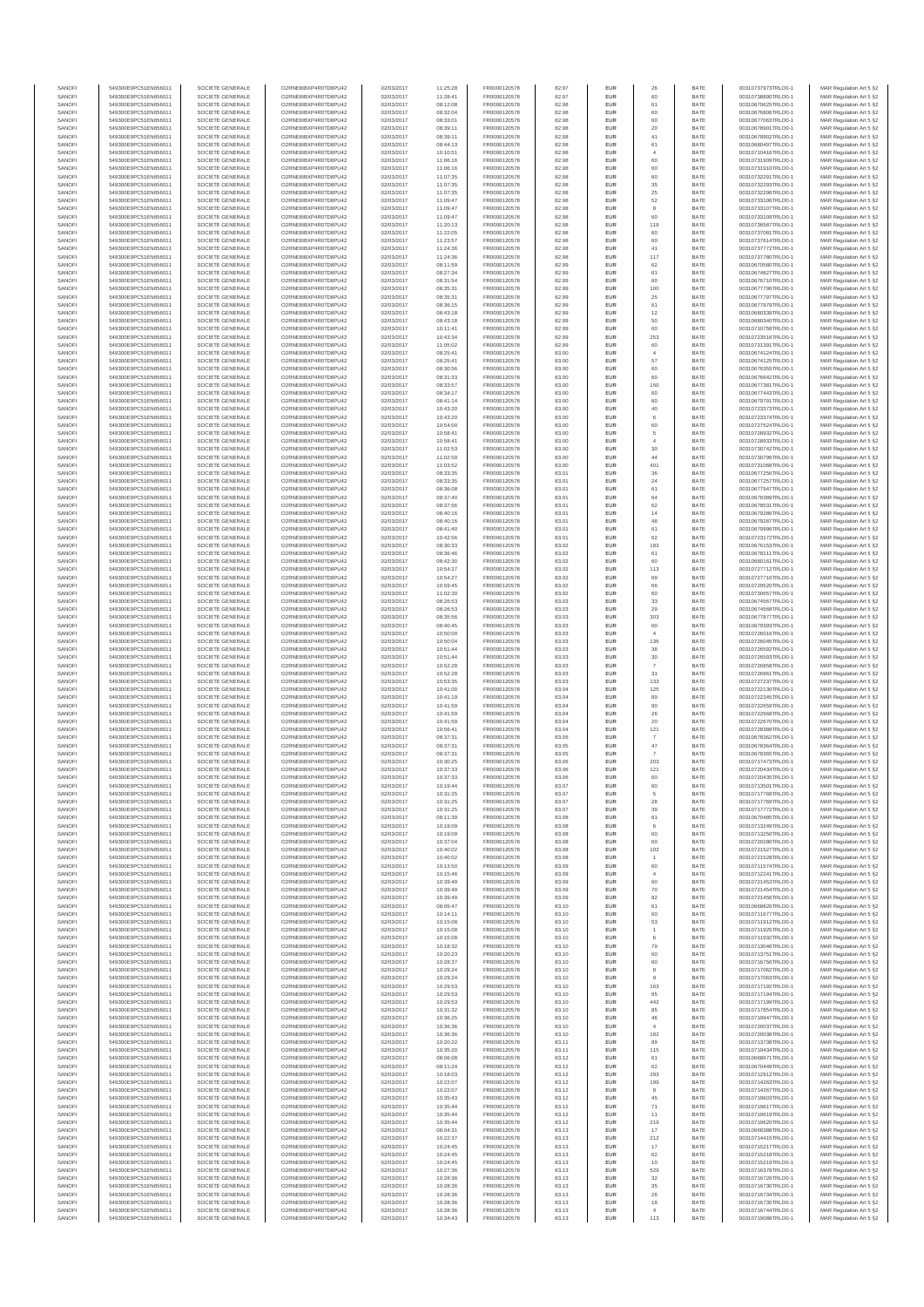| SANOFI           | 549300E9PC51EN656011                         | SOCIETE GENERALE                     | O2RNE8IBXP4R0TD8PU42                         | 02/03/2017               | 11:25:28             | FR0000120578                 | 82.97          | EUR               | 26                               | BATE         | 00310737973TRLO0-1                       | MAR Regulation Art 5 §2                            |
|------------------|----------------------------------------------|--------------------------------------|----------------------------------------------|--------------------------|----------------------|------------------------------|----------------|-------------------|----------------------------------|--------------|------------------------------------------|----------------------------------------------------|
| SANOFI<br>SANOFI | 549300E9PC51EN656011<br>549300E9PC51EN656011 | SOCIETE GENERALE<br>SOCIETE GENERALE | O2RNE8IBXP4R0TD8PU42<br>O2RNE8IBXP4R0TD8PU42 | 02/03/2017<br>02/03/2017 | 11:28:41<br>08:12:08 | FR0000120578<br>FR0000120578 | 82.97<br>82.98 | <b>EUR</b><br>EUR | 60<br>61                         | BATE<br>BATE | 00310738890TRLO0-1<br>00310670625TRLO0-1 | MAR Regulation Art 5 §2<br>MAR Regulation Art 5 §2 |
| SANOFI           | 549300E9PC51EN656011                         | SOCIETE GENERALE                     | O2RNE8IBXP4R0TD8PU42                         | 02/03/2017               | 08:32:04             | FR0000120578                 | 82.98          | EUR               | 60                               | BATE         | 00310676806TRLO0-1                       | MAR Regulation Art 5 §2                            |
| SANOFI           | 549300E9PC51EN656011                         | SOCIETE GENERALE                     | O2RNE8IBXP4R0TD8PU42                         | 02/03/2017               | 08:33:01             | FR0000120578                 | 82.98          | EUR               | 60                               | BATE         | 00310677063TRLO0-1                       | MAR Regulation Art 5 §2                            |
| SANOFI           | 549300E9PC51EN656011                         | SOCIETE GENERALE                     | O2RNE8IBXP4R0TD8PU42                         | 02/03/2017               | 08:39:11             | FR0000120578                 | 82.98          | EUR               | 20                               | BATE         | 00310678901TRLO0-1                       | MAR Regulation Art 5 §2                            |
| SANOFI<br>SANOFI | 549300E9PC51EN656011<br>549300E9PC51EN656011 | SOCIETE GENERALE<br>SOCIETE GENERALE | O2RNE8IBXP4R0TD8PU42<br>O2RNE8IBXP4R0TD8PU42 | 02/03/2017<br>02/03/2017 | 08:39:11<br>08:44:13 | FR0000120578<br>FR0000120578 | 82.98<br>82.98 | EUR<br>EUR        | 41<br>61                         | BATE<br>BATE | 00310678902TRLO0-1<br>00310680497TRLO0-1 | MAR Regulation Art 5 §2<br>MAR Regulation Art 5 §2 |
| SANOFI           | 549300E9PC51EN656011                         | SOCIETE GENERALE                     | O2RNE8IBXP4R0TD8PU42                         | 02/03/2017               | 10:10:51             | FR0000120578                 | 82.98          | EUR               | $\overline{4}$                   | BATE         | 00310710416TRLO0-1                       | MAR Regulation Art 5 §2                            |
| SANOFI           | 549300E9PC51EN656011                         | SOCIETE GENERALE                     | O2RNE8IBXP4R0TD8PU42                         | 02/03/2017               | 11:06:16             | FR0000120578                 | 82.98          | EUR               | 60                               | BATE         | 00310731909TRLO0-1                       | MAR Regulation Art 5 §2                            |
| SANOFI<br>SANOFI | 549300E9PC51EN656011<br>549300E9PC51EN656011 | SOCIETE GENERALE<br>SOCIETE GENERALE | O2RNE8IBXP4R0TD8PU42<br>O2RNE8IBXP4R0TD8PU42 | 02/03/2017<br>02/03/2017 | 11:06:16<br>11:07:35 | FR0000120578<br>FR0000120578 | 82.98<br>82.98 | EUR<br>EUR        | 60<br>60                         | BATE<br>BATE | 00310731910TRLO0-1<br>00310732291TRLO0-1 | MAR Regulation Art 5 §2                            |
| SANOFI           | 549300E9PC51EN656011                         | SOCIETE GENERALE                     | O2RNE8IBXP4R0TD8PU42                         | 02/03/2017               | 11:07:35             | FR0000120578                 | 82.98          | <b>EUR</b>        | 35                               | BATE         | 00310732293TRLO0-1                       | MAR Regulation Art 5 §2<br>MAR Regulation Art 5 §2 |
| SANOFI           | 549300E9PC51EN656011                         | SOCIETE GENERALE                     | O2RNE8IBXP4R0TD8PU42                         | 02/03/2017               | 11:07:35             | FR0000120578                 | 82.98          | EUR               | 25                               | BATE         | 00310732296TRLO0-1                       | MAR Regulation Art 5 §2                            |
| SANOFI           | 549300E9PC51EN656011                         | SOCIETE GENERALE                     | O2RNE8IBXP4R0TD8PU42                         | 02/03/2017               | 11:09:47             | FR0000120578                 | 82.98          | EUR               | $52\,$                           | BATE         | 00310733106TRLO0-1                       | MAR Regulation Art 5 §2                            |
| SANOFI<br>SANOFI | 549300E9PC51EN656011<br>549300E9PC51EN656011 | SOCIETE GENERALE<br>SOCIETE GENERALE | O2RNE8IBXP4R0TD8PU42<br>O2RNE8IBXP4R0TD8PU42 | 02/03/2017<br>02/03/2017 | 11:09:47<br>11:09:47 | FR0000120578<br>FR0000120578 | 82.98<br>82.98 | EUR<br>EUR        | 8<br>60                          | BATE<br>BATE | 00310733107TRLO0-1<br>00310733109TRLO0-1 | MAR Regulation Art 5 §2<br>MAR Regulation Art 5 §2 |
| SANOFI           | 549300E9PC51EN656011                         | SOCIETE GENERALE                     | O2RNE8IBXP4R0TD8PU42                         | 02/03/2017               | 11:20:13             | FR0000120578                 | 82.98          | EUR               | 118                              | BATE         | 00310736587TRLO0-1                       | MAR Regulation Art 5 §2                            |
| SANOFI           | 549300E9PC51EN656011                         | SOCIETE GENERALE                     | O2RNE8IBXP4R0TD8PU42                         | 02/03/2017               | 11:22:05             | FR0000120578                 | 82.98          | EUR               | 60                               | BATE         | 00310737081TRLO0-1                       | MAR Regulation Art 5 §2                            |
| SANOFI           | 549300E9PC51EN656011                         | SOCIETE GENERALE                     | O2RNE8IBXP4R0TD8PU42                         | 02/03/2017               | 11:23:57             | FR0000120578                 | 82.98          | <b>EUR</b>        | 60                               | BATE         | 00310737614TRLO0-1                       | MAR Regulation Art 5 §2                            |
| SANOFI<br>SANOFI | 549300E9PC51EN656011<br>549300E9PC51EN656011 | SOCIETE GENERALE<br>SOCIETE GENERALE | O2RNE8IBXP4R0TD8PU42<br>O2RNE8IBXP4R0TD8PU42 | 02/03/2017<br>02/03/2017 | 11:24:36<br>11:24:36 | FR0000120578<br>FR0000120578 | 82.98<br>82.98 | EUR<br>EUR        | 41<br>117                        | BATE<br>BATE | 00310737772TRLO0-1<br>00310737780TRLO0-1 | MAR Regulation Art 5 §2<br>MAR Regulation Art 5 §2 |
| SANOFI           | 549300E9PC51EN656011                         | SOCIETE GENERALE                     | O2RNE8IBXP4R0TD8PU42                         | 02/03/2017               | 08:11:59             | FR0000120578                 | 82.99          | EUR               | 62                               | BATE         | 00310670580TRLO0-1                       | MAR Regulation Art 5 §2                            |
| SANOFI           | 549300E9PC51EN656011                         | SOCIETE GENERALE                     | O2RNE8IBXP4R0TD8PU42                         | 02/03/2017               | 08:27:34             | FR0000120578                 | 82.99          | EUR               | 61                               | BATE         | 00310674827TRLO0-1                       | MAR Regulation Art 5 §2                            |
| SANOFI           | 549300E9PC51EN656011                         | SOCIETE GENERALE                     | O2RNE8IBXP4R0TD8PU42                         | 02/03/2017               | 08:31:54             | FR0000120578                 | 82.99          | EUR               | 60                               | BATE         | 00310676710TRLO0-1                       | MAR Regulation Art 5 §2                            |
| SANOFI<br>SANOFI | 549300E9PC51EN656011<br>549300E9PC51EN656011 | SOCIETE GENERALE<br>SOCIETE GENERALE | O2RNE8IBXP4R0TD8PU42<br>O2RNE8IBXP4R0TD8PU42 | 02/03/2017<br>02/03/2017 | 08:35:31<br>08:35:31 | FR0000120578<br>FR0000120578 | 82.99<br>82.99 | EUR<br>EUR        | 100<br>$25\,$                    | BATE<br>BATE | 00310677796TRLO0-1<br>00310677797TRLO0-1 | MAR Regulation Art 5 §2<br>MAR Regulation Art 5 §2 |
| SANOFI           | 549300E9PC51EN656011                         | SOCIETE GENERALE                     | O2RNE8IBXP4R0TD8PU42                         | 02/03/2017               | 08:36:15             | FR0000120578                 | 82.99          | EUR               | 61                               | BATE         | 00310677979TRLO0-1                       | MAR Regulation Art 5 §2                            |
| SANOFI           | 549300E9PC51EN656011                         | SOCIETE GENERALE                     | O2RNE8IBXP4R0TD8PU42                         | 02/03/2017               | 08:43:18             | FR0000120578                 | 82.99          | EUR               | 12                               | BATE         | 00310680339TRLO0-1                       | MAR Regulation Art 5 §2                            |
| SANOFI<br>SANOFI | 549300E9PC51EN656011<br>549300E9PC51EN656011 | SOCIETE GENERALE<br>SOCIETE GENERALE | O2RNE8IBXP4R0TD8PU42<br>O2RNE8IBXP4R0TD8PU42 | 02/03/2017<br>02/03/2017 | 08:43:18<br>10:11:41 | FR0000120578<br>FR0000120578 | 82.99<br>82.99 | EUR<br><b>EUR</b> | 50<br>60                         | BATE<br>BATE | 00310680340TRLO0-1<br>00310710758TRLO0-1 | MAR Regulation Art 5 §2<br>MAR Regulation Art 5 62 |
| SANOFI           | 549300E9PC51EN656011                         | SOCIETE GENERALE                     | O2RNE8IBXP4R0TD8PU42                         | 02/03/2017               | 10:43:34             | FR0000120578                 | 82.99          | EUR               | 253                              | BATE         | 00310723516TRLO0-1                       | MAR Regulation Art 5 §2                            |
| SANOFI           | 549300E9PC51EN656011                         | SOCIETE GENERALE                     | O2RNE8IBXP4R0TD8PU42                         | 02/03/2017               | 11:05:02             | FR0000120578                 | 82.99          | EUR               | 60                               | BATE         | 00310731391TRLO0-1                       | MAR Regulation Art 5 §2                            |
| SANOFI           | 549300E9PC51EN656011                         | SOCIETE GENERALE                     | O2RNE8IBXP4R0TD8PU42                         | 02/03/2017               | 08:25:41             | FR0000120578                 | 83.00          | EUR               | $\overline{4}$                   | BATE         | 00310674124TRLO0-1                       | MAR Regulation Art 5 §2                            |
| SANOFI<br>SANOFI | 549300E9PC51EN656011<br>549300E9PC51EN656011 | SOCIETE GENERALE<br>SOCIETE GENERALE | O2RNE8IBXP4R0TD8PU42<br>O2RNE8IBXP4R0TD8PU42 | 02/03/2017<br>02/03/2017 | 08:25:41<br>08:30:56 | FR0000120578<br>FR0000120578 | 83.00<br>83.00 | EUR<br>EUR        | 57<br>60                         | BATE<br>BATE | 00310674125TRLO0-1<br>00310676355TRLO0-1 | MAR Regulation Art 5 §2<br>MAR Regulation Art 5 §2 |
| SANOFI           | 549300E9PC51EN656011                         | SOCIETE GENERALE                     | O2RNE8IBXP4R0TD8PU42                         | 02/03/2017               | 08:31:33             | FR0000120578                 | 83.00          | EUR               | 60                               | BATE         | 00310676642TRLO0-1                       | MAR Regulation Art 5 §2                            |
| SANOFI           | 549300E9PC51EN656011                         | SOCIETE GENERALE                     | O2RNE8IBXP4R0TD8PU42                         | 02/03/2017               | 08:33:57             | FR0000120578                 | 83.00          | <b>EUR</b>        | 150                              | BATE         | 00310677381TRLO0-1                       | MAR Regulation Art 5 §2                            |
| SANOFI<br>SANOFI | 549300E9PC51EN656011                         | SOCIETE GENERALE                     | O2RNE8IBXP4R0TD8PU42                         | 02/03/2017               | 08:34:17             | FR0000120578                 | 83.00          | EUR<br>EUR        | 60<br>60                         | BATE<br>BATE | 00310677443TRLO0-1                       | MAR Regulation Art 5 §2                            |
| SANOFI           | 549300E9PC51EN656011<br>549300E9PC51EN656011 | SOCIETE GENERALE<br>SOCIETE GENERALE | O2RNE8IBXP4R0TD8PU42<br>O2RNE8IBXP4R0TD8PU42 | 02/03/2017<br>02/03/2017 | 08:41:14<br>10:43:20 | FR0000120578<br>FR0000120578 | 83.00<br>83.00 | EUR               | $40\,$                           | BATE         | 00310679791TRLO0-1<br>00310723373TRLO0-1 | MAR Regulation Art 5 §2<br>MAR Regulation Art 5 §2 |
| SANOFI           | 549300E9PC51EN656011                         | SOCIETE GENERALE                     | O2RNE8IBXP4R0TD8PU42                         | 02/03/2017               | 10:43:20             | FR0000120578                 | 83.00          | EUR               | 6                                | BATE         | 00310723374TRLO0-1                       | MAR Regulation Art 5 §2                            |
| SANOFI           | 549300E9PC51EN656011                         | SOCIETE GENERALE                     | O2RNE8IBXP4R0TD8PU42                         | 02/03/2017               | 10:54:00             | FR0000120578                 | 83.00          | EUR               | 60                               | BATE         | 00310727524TRLO0-1                       | MAR Regulation Art 5 §2                            |
| SANOFI<br>SANOFI | 549300E9PC51EN656011<br>549300E9PC51EN656011 | SOCIETE GENERALE<br>SOCIETE GENERALE | O2RNE8IBXP4R0TD8PU42<br>O2RNE8IBXP4R0TD8PU42 | 02/03/2017<br>02/03/2017 | 10:58:41<br>10:58:41 | FR0000120578<br>FR0000120578 | 83.00<br>83.00 | EUR<br><b>EUR</b> | $\overline{5}$<br>$\overline{4}$ | BATE<br>BATE | 00310728932TRLO0-1<br>00310728933TRLO0-1 | MAR Regulation Art 5 §2<br>MAR Regulation Art 5 §2 |
| SANOFI           | 549300E9PC51EN656011                         | SOCIETE GENERALE                     | O2RNE8IBXP4R0TD8PU42                         | 02/03/2017               | 11:02:53             | FR0000120578                 | 83.00          | EUR               | 30                               | BATE         | 00310730742TRLO0-1                       | MAR Regulation Art 5 §2                            |
| SANOFI           | 549300E9PC51EN656011                         | SOCIETE GENERALE                     | O2RNE8IBXP4R0TD8PU42                         | 02/03/2017               | 11:02:59             | FR0000120578                 | 83.00          | EUR               | 44                               | BATE         | 00310730796TRLO0-1                       | MAR Regulation Art 5 §2                            |
| SANOFI           | 549300E9PC51EN656011                         | SOCIETE GENERALE                     | O2RNE8IBXP4R0TD8PU42                         | 02/03/2017               | 11:03:52             | FR0000120578                 | 83.00          | EUR               | 401                              | BATE         | 00310731068TRLO0-1                       | MAR Regulation Art 5 §2                            |
| SANOFI<br>SANOFI | 549300E9PC51EN656011<br>549300E9PC51EN656011 | SOCIETE GENERALE<br>SOCIETE GENERALE | O2RNE8IBXP4R0TD8PU42<br>O2RNE8IBXP4R0TD8PU42 | 02/03/2017<br>02/03/2017 | 08:33:35<br>08:33:35 | FR0000120578<br>FR0000120578 | 83.01<br>83.01 | EUR<br>EUR        | 36<br>24                         | BATE<br>BATE | 00310677256TRLO0-1<br>00310677257TRLO0-1 | MAR Regulation Art 5 §2<br>MAR Regulation Art 5 §2 |
| SANOFI           | 549300E9PC51EN656011                         | SOCIETE GENERALE                     | O2RNE8IBXP4R0TD8PU42                         | 02/03/2017               | 08:36:08             | FR0000120578                 | 83.01          | EUR               | 61                               | BATE         | 00310677947TRLO0-1                       | MAR Regulation Art 5 §2                            |
| SANOFI           | 549300E9PC51EN656011                         | SOCIETE GENERALE                     | O2RNE8IBXP4R0TD8PU42                         | 02/03/2017               | 08:37:40             | FR0000120578                 | 83.01          | EUR               | 64                               | BATE         | 00310678389TRLO0-1                       | MAR Regulation Art 5 §2                            |
| SANOFI           | 549300E9PC51EN656011                         | SOCIETE GENERALE                     | O2RNE8IBXP4R0TD8PU42                         | 02/03/2017               | 08:37:56             | FR0000120578                 | 83.01          | EUR               | 62                               | BATE         | 00310678531TRLO0-1                       | MAR Regulation Art 5 §2                            |
| SANOFI<br>SANOFI | 549300E9PC51EN656011<br>549300E9PC51EN656011 | SOCIETE GENERALE<br>SOCIETE GENERALE | O2RNE8IBXP4R0TD8PU42<br>O2RNE8IBXP4R0TD8PU42 | 02/03/2017<br>02/03/2017 | 08:40:16<br>08:40:16 | FR0000120578<br>FR0000120578 | 83.01<br>83.01 | EUR<br>EUR        | 14<br>48                         | BATE<br>BATE | 00310679286TRLO0-1<br>00310679287TRLO0-1 | MAR Regulation Art 5 §2<br>MAR Regulation Art 5 §2 |
| SANOFI           | 549300E9PC51EN656011                         | SOCIETE GENERALE                     | O2RNE8IBXP4R0TD8PU42                         | 02/03/2017               | 08:41:40             | FR0000120578                 | 83.01          | <b>EUR</b>        | 61                               | BATE         | 00310679996TRLO0-1                       | MAR Regulation Art 5 §2                            |
| SANOFI           | 549300E9PC51EN656011                         | SOCIETE GENERALE                     | O2RNE8IBXP4R0TD8PU42                         | 02/03/2017               | 10:42:56             | FR0000120578                 | 83.01          | EUR               | 62                               | BATE         | 00310723172TRLO0-1                       | MAR Regulation Art 5 §2                            |
| SANOFI           | 549300E9PC51EN656011                         | SOCIETE GENERALE                     | O2RNE8IBXP4R0TD8PU42                         | 02/03/2017               | 08:30:33             | FR0000120578                 | 83.02          | EUR               | 183                              | BATE         | 00310676153TRLO0-1                       | MAR Regulation Art 5 §2                            |
| SANOFI<br>SANOFI | 549300E9PC51EN656011<br>549300E9PC51EN656011 | SOCIETE GENERALE<br>SOCIETE GENERALE | O2RNE8IBXP4R0TD8PU42<br>O2RNE8IBXP4R0TD8PU42 | 02/03/2017<br>02/03/2017 | 08:36:46<br>08:42:30 | FR0000120578<br>FR0000120578 | 83.02<br>83.02 | EUR<br>EUR        | 61<br>60                         | BATE<br>BATE | 00310678111TRLO0-1<br>00310680161TRLO0-1 | MAR Regulation Art 5 §2<br>MAR Regulation Art 5 §2 |
| SANOFI           | 549300E9PC51EN656011                         | SOCIETE GENERALE                     | O2RNE8IBXP4R0TD8PU42                         | 02/03/2017               | 10:54:27             | FR0000120578                 | 83.02          | EUR               | 113                              | BATE         | 00310727712TRLO0-1                       | MAR Regulation Art 5 §2                            |
| SANOFI           | 549300E9PC51EN656011                         | SOCIETE GENERALE                     | O2RNE8IBXP4R0TD8PU42                         | 02/03/2017               | 10:54:27             | FR0000120578                 | 83.02          | EUR               | 69                               | BATE         | 00310727716TRLO0-1                       | MAR Regulation Art 5 §2                            |
| SANOFI           | 549300E9PC51EN656011                         | SOCIETE GENERALE                     | O2RNE8IBXP4R0TD8PU42                         | 02/03/2017               | 10:59:45             | FR0000120578                 | 83.02          | EUR               | 66                               | BATE         | 00310729520TRLO0-1                       | MAR Regulation Art 5 §2                            |
| SANOFI<br>SANOFI | 549300E9PC51EN656011<br>549300E9PC51EN656011 | SOCIETE GENERALE<br>SOCIETE GENERALE | O2RNE8IBXP4R0TD8PU42<br>O2RNE8IBXP4R0TD8PU42 | 02/03/2017<br>02/03/2017 | 11:02:30<br>08:26:53 | FR0000120578<br>FR0000120578 | 83.02<br>83.03 | EUR<br><b>EUR</b> | 60<br>33                         | BATE<br>BATE | 00310730657TRLO0-1<br>00310674567TRLO0-1 | MAR Regulation Art 5 §2<br>MAR Regulation Art 5 §2 |
| SANOFI           | 549300E9PC51EN656011                         | SOCIETE GENERALE                     | O2RNE8IBXP4R0TD8PU42                         | 02/03/2017               | 08:26:53             | FR0000120578                 | 83.03          | EUR               | 29                               | BATE         | 00310674568TRLO0-1                       | MAR Regulation Art 5 §2                            |
| SANOFI           | 549300E9PC51EN656011                         | SOCIETE GENERALE                     | O2RNE8IBXP4R0TD8PU42                         | 02/03/2017               | 08:35:56             | FR0000120578                 | 83.03          | EUR               | 303                              | BATE         | 00310677877TRLO0-1                       | MAR Regulation Art 5 §2                            |
| SANOFI           | 549300E9PC51EN656011                         | SOCIETE GENERALE                     | O2RNE8IBXP4R0TD8PU42<br>O2RNE8IBXP4R0TD8PU42 | 02/03/2017<br>02/03/2017 | 08:40:45             | FR0000120578                 | 83.03          | EUR               | 60                               | BATE         | 00310679393TRLO0-1                       | MAR Regulation Art 5 §2                            |
| SANOFI<br>SANOFI | 549300E9PC51EN656011<br>549300E9PC51EN656011 | SOCIETE GENERALE<br>SOCIETE GENERALE | O2RNE8IBXP4R0TD8PU42                         | 02/03/2017               | 10:50:00<br>10:50:04 | FR0000120578<br>FR0000120578 | 83.03<br>83.03 | EUR<br><b>EUR</b> | $\overline{4}$<br>136            | BATE<br>BATE | 00310726016TRLO0-1<br>00310726045TRLO0-1 | MAR Regulation Art 5 §2<br>MAR Regulation Art 5 §2 |
| SANOFI           | 549300E9PC51EN656011                         | SOCIETE GENERALE                     | O2RNE8IBXP4R0TD8PU42                         | 02/03/2017               | 10:51:44             | FR0000120578                 | 83.03          | EUR               | 38                               | BATE         | 00310726592TRLO0-1                       | MAR Regulation Art 5 §2                            |
| SANOFI           | 549300E9PC51EN656011                         | SOCIETE GENERALE                     | O2RNE8IBXP4R0TD8PU42                         | 02/03/2017               | 10:51:44             | FR0000120578                 | 83.03          | EUR               | 30                               | BATE         | 00310726593TRLO0-1                       | MAR Regulation Art 5 §2                            |
| SANOFI<br>SANOFI | 549300E9PC51EN656011<br>549300E9PC51EN656011 | SOCIETE GENERALE<br>SOCIETE GENERALE | O2RNE8IBXP4R0TD8PU42<br>O2RNE8IBXP4R0TD8PU42 | 02/03/2017<br>02/03/2017 | 10:52:28<br>10:52:28 | FR0000120578<br>FR0000120578 | 83.03<br>83.03 | EUR<br>EUR        | 31                               | BATE<br>BATE | 00310726858TRLO0-1<br>00310726861TRLO0-1 | MAR Regulation Art 5 §2<br>MAR Regulation Art 5 §2 |
| SANOFI           | 549300E9PC51EN656011                         | SOCIETE GENERALE                     | O2RNE8IBXP4R0TD8PU42                         | 02/03/2017               | 10:53:35             | FR0000120578                 | 83.03          | EUR               | 133                              | BATE         | 00310727237TRLO0-1                       | MAR Regulation Art 5 §2                            |
| SANOFI           | 549300E9PC51EN656011                         | SOCIETE GENERALE                     | O2RNE8IBXP4R0TD8PU42                         | 02/03/2017               | 10:41:00             | FR0000120578                 | 83.04          | EUR               | 125                              | BATE         | 00310722130TRLO0-1                       | MAR Regulation Art 5 §2                            |
| SANOFI           | 549300E9PC51EN656011                         | SOCIETE GENERALE                     | O2RNE8IBXP4R0TD8PU42                         | 02/03/2017               | 10:41:19             | FR0000120578                 | 83.04          | EUR               | 89                               | BATE         | 00310722345TRLO0-1                       | MAR Regulation Art 5 §2                            |
| SANOFI<br>SANOFI | 549300E9PC51EN656011<br>549300E9PC51EN656011 | SOCIETE GENERALE<br>SOCIETE GENERALE | O2RNE8IBXP4R0TD8PU42<br>O2RNE8IBXP4R0TD8PU42 | 02/03/2017<br>02/03/2017 | 10:41:59<br>10:41:59 | FR0000120578<br>FR0000120578 | 83.04<br>83.04 | EUR<br>EUR        | 90<br>26                         | BATE<br>BATE | 00310722659TRLO0-1<br>00310722668TRLO0-1 | MAR Regulation Art 5 §2<br>MAR Regulation Art 5 §2 |
| SANOFI           | 549300E9PC51EN656011                         | SOCIETE GENERALE                     | O2RNE8IBXP4R0TD8PU42                         | 02/03/2017               | 10:41:59             | FR0000120578                 | 83.04          | EUR               | 20                               | BATE         | 00310722670TRLO0-1                       | MAR Regulation Art 5 §2                            |
| SANOFI           | 549300E9PC51EN656011                         | SOCIETE GENERALE                     | O2RNE8IBXP4R0TD8PU42                         | 02/03/2017               | 10:56:41             | FR0000120578                 | 83.04          | <b>EUR</b>        | 121                              | BATE         | 00310728388TRLO0-1                       | MAR Regulation Art 5 §2                            |
| SANOFI           | 549300E9PC51EN656011                         | SOCIETE GENERALE                     | O2RNE8IBXP4R0TD8PU42                         | 02/03/2017               | 08:37:31             | FR0000120578                 | 83.05          | EUR               |                                  | BATE         | 00310678362TRLO0-1                       | MAR Regulation Art 5 §2                            |
| SANOFI<br>SANOFI | 549300E9PC51EN656011<br>549300E9PC51EN656011 | SOCIETE GENERALE<br>SOCIETE GENERALE | O2RNE8IBXP4R0TD8PU42<br>O2RNE8IBXP4R0TD8PU42 | 02/03/2017<br>02/03/2017 | 08:37:31<br>08:37:31 | FR0000120578<br>FR0000120578 | 83.05<br>83.05 | EUR<br>EUR        | $47\,$<br>$\overline{7}$         | BATE<br>BATE | 00310678364TRLO0-1<br>00310678365TRLO0-1 | MAR Regulation Art 5 §2<br>MAR Regulation Art 5 §2 |
| SANOFI           | 549300E9PC51EN656011                         | SOCIETE GENERALE                     | O2RNE8IBXP4R0TD8PU42                         | 02/03/2017               | 10:30:25             | FR0000120578                 | 83.06          | EUR               | 203                              | BATE         | 00310717473TRLO0-1                       | MAR Regulation Art 5 §2                            |
| SANOFI           | 549300E9PC51EN656011                         | SOCIETE GENERALE                     | O2RNESIBXP4R0TD8PLI42                        | 02/03/2017               | 10:37:33             | FR0000120578                 | 83.06          | EUR               | 121                              | BATE         | 00310720434TRLO0-1                       | MAR Regulation Art 5 §2                            |
| SANOFI           | 549300E9PC51EN656011                         | SOCIETE GENERALE                     | O2RNE8IBXP4R0TD8PU42                         | 02/03/2017               | 10:37:33             | FR0000120578                 | 83.06          | EUR               | 60                               | BATE         | 00310720435TRLO0-1                       | MAR Regulation Art 5 §2                            |
| SANOFI<br>SANOFI | 549300E9PC51EN656011<br>549300E9PC51EN656011 | SOCIETE GENERALE<br>SOCIETE GENERALE | O2RNE8IBXP4R0TD8PU42<br>O2RNE8IBXP4R0TD8PU42 | 02/03/2017<br>02/03/2017 | 10:19:44<br>10:31:25 | FR0000120578<br>FR0000120578 | 83.07<br>83.07 | EUR<br>EUR        | 60                               | BATE<br>BATE | 00310713501TRLO0-1<br>00310717768TRLO0-1 | MAR Regulation Art 5 §2<br>MAR Regulation Art 5 §2 |
| SANOFI           | 549300E9PC51EN656011                         | SOCIETE GENERALE                     | O2RNE8IBXP4R0TD8PU42                         | 02/03/2017               | 10:31:25             | FR0000120578                 | 83.07          | <b>EUR</b>        | 28                               | BATE         | 00310717769TRLO0-1                       | MAR Regulation Art 5 §2                            |
| SANOFI           | 549300E9PC51EN656011                         | SOCIETE GENERALE                     | O2RNE8IBXP4R0TD8PU42                         | 02/03/2017               | 10:31:25             | FR0000120578                 | 83.07          | EUR               | 39                               | BATE         | 00310717772TRLO0-1                       | MAR Regulation Art 5 §2                            |
| SANOFI<br>SANOFI | 549300E9PC51EN656011<br>549300E9PC51EN656011 | SOCIETE GENERALE<br>SOCIETE GENERALE | O2RNE8IBXP4R0TD8PU42<br>O2RNE8IBXP4R0TD8PU42 | 02/03/2017               | 08:11:39             | FR0000120578                 | 83.08          | EUR<br>EUR        | 61<br>6                          | BATE<br>BATE | 00310670485TRLO0-1<br>00310713249TRLO0-1 | MAR Regulation Art 5 §2                            |
| SANOFI           | 549300E9PC51EN656011                         | SOCIETE GENERALE                     | O2RNE8IBXP4R0TD8PU42                         | 02/03/2017<br>02/03/2017 | 10:19:09<br>10:19:09 | FR0000120578<br>FR0000120578 | 83.08<br>83.08 | EUR               | 60                               | BATE         | 00310713250TRLO0-1                       | MAR Regulation Art 5 §2<br>MAR Regulation Art 5 §2 |
| SANOFI           | 549300E9PC51EN656011                         | SOCIETE GENERALE                     | O2RNE8IBXP4R0TD8PU42                         | 02/03/2017               | 10:37:04             | FR0000120578                 | 83.08          | EUR               | 60                               | BATE         | 00310720280TRLO0-1                       | MAR Regulation Art 5 §2                            |
| SANOFI           | 549300E9PC51EN656011                         | SOCIETE GENERALE                     | O2RNE8IBXP4R0TD8PU42                         | 02/03/2017               | 10:40:02             | FR0000120578                 | 83.08          | EUR               | 102                              | BATE         | 00310721527TRLO0-1                       | MAR Regulation Art 5 §2                            |
| SANOFI<br>SANOFI | 549300E9PC51EN656011<br>549300E9PC51EN656011 | SOCIETE GENERALE<br>SOCIETE GENERALE | O2RNE8IBXP4R0TD8PU42<br>O2RNE8IBXP4R0TD8PU42 | 02/03/2017<br>02/03/2017 | 10:40:02<br>10:13:50 | FR0000120578<br>FR0000120578 | 83.08<br>83.09 | <b>EUR</b><br>EUR | $\overline{1}$<br>60             | BATE<br>BATE | 00310721528TRLO0-1<br>00310711574TRLO0-1 | MAR Regulation Art 5 §2<br>MAR Regulation Art 5 §2 |
| SANOFI           | 549300E9PC51EN656011                         | SOCIETE GENERALE                     | O2RNE8IBXP4R0TD8PU42                         | 02/03/2017               | 10:15:46             | FR0000120578                 | 83.09          | <b>EUR</b>        | $\mathbf{4}$                     | BATE         | 00310712241TRLO0-1                       | MAR Regulation Art 5 §2                            |
| SANOFI           | 549300E9PC51EN656011                         | SOCIETE GENERALE                     | O2RNE8IBXP4R0TD8PU42                         | 02/03/2017               | 10:39:49             | FR0000120578                 | 83.09          | EUR               | 60                               | BATE         | 00310721453TRLO0-1                       | MAR Regulation Art 5 §2                            |
| SANOFI<br>SANOFI | 549300E9PC51EN656011<br>549300E9PC51EN656011 | SOCIETE GENERALE<br>SOCIETE GENERALE | O2RNE8IBXP4R0TD8PU42<br>O2RNE8IBXP4R0TD8PU42 | 02/03/2017<br>02/03/2017 | 10:39:49<br>10:39:49 | FR0000120578<br>FR0000120578 | 83.09<br>83.09 | EUR<br>EUR        | 70<br>82                         | BATE<br>BATE | 00310721454TRLO0-1<br>00310721456TRLO0-1 | MAR Regulation Art 5 §2<br>MAR Regulation Art 5 §2 |
| SANOFI           | 549300E9PC51EN656011                         | SOCIETE GENERALE                     | O2RNE8IBXP4R0TD8PU42                         | 02/03/2017               | 08:05:47             | FR0000120578                 | 83.10          | EUR               | 61                               | BATE         | 00310668826TRLO0-1                       | MAR Regulation Art 5 §2                            |
| SANOFI           | 549300E9PC51EN656011                         | SOCIETE GENERALE                     | O2RNE8IBXP4R0TD8PU42                         | 02/03/2017               | 10:14:11             | FR0000120578                 | 83.10          | <b>EUR</b>        | 60                               | BATE         | 00310711677TRLO0-1                       | MAR Regulation Art 5 §2                            |
| SANOFI<br>SANOFI | 549300E9PC51EN656011<br>549300E9PC51EN656011 | SOCIETE GENERALE<br>SOCIETE GENERALE | O2RNE8IBXP4R0TD8PU42<br>O2RNE8IBXP4R0TD8PU42 | 02/03/2017<br>02/03/2017 | 10:15:08<br>10:15:08 | FR0000120578<br>FR0000120578 | 83.10<br>83.10 | EUR<br><b>EUR</b> | 53                               | BATE<br>BATE | 00310711912TRLO0-1<br>00310711925TRLO0-1 | MAR Regulation Art 5 §2                            |
| SANOFI           | 549300E9PC51EN656011                         | SOCIETE GENERALE                     | O2RNE8IBXP4R0TD8PU42                         | 02/03/2017               | 10:15:08             | FR0000120578                 | 83.10          | EUR               | $\overline{1}$                   | BATE         | 00310711932TRLO0-1                       | MAR Regulation Art 5 §2<br>MAR Regulation Art 5 §2 |
| SANOFI           | 549300E9PC51EN656011                         | SOCIETE GENERALE                     | O2RNE8IBXP4R0TD8PU42                         | 02/03/2017               | 10:18:32             | FR0000120578                 | 83.10          | EUR               | 79                               | BATE         | 00310713046TRLO0-1                       | MAR Regulation Art 5 §2                            |
| SANOFI           | 549300E9PC51EN656011                         | SOCIETE GENERALE                     | O2RNE8IBXP4R0TD8PU42                         | 02/03/2017               | 10:20:23             | FR0000120578                 | 83.10          | EUR               | 60                               | BATE         | 00310713751TRLO0-1                       | MAR Regulation Art 5 §2                            |
| SANOFI<br>SANOFI | 549300E9PC51EN656011<br>549300E9PC51EN656011 | SOCIETE GENERALE<br>SOCIETE GENERALE | O2RNE8IBXP4R0TD8PU42<br>O2RNE8IBXP4R0TD8PU42 | 02/03/2017<br>02/03/2017 | 10:28:37<br>10:29:24 | FR0000120578<br>FR0000120578 | 83.10<br>83.10 | EUR<br>EUR        | 60<br>8                          | BATE<br>BATE | 00310716756TRLO0-1<br>00310717062TRLO0-1 | MAR Regulation Art 5 §2<br>MAR Regulation Art 5 §2 |
| SANOFI           | 549300E9PC51EN656011                         | SOCIETE GENERALE                     | O2RNE8IBXP4R0TD8PU42                         | 02/03/2017               | 10:29:24             | FR0000120578                 | 83.10          | EUR               | $\overline{9}$                   | BATE         | 00310717063TRLO0-1                       | MAR Regulation Art 5 §2                            |
| SANOFI           | 549300E9PC51EN656011                         | SOCIETE GENERALE                     | O2RNE8IBXP4R0TD8PU42                         | 02/03/2017               | 10:29:53             | FR0000120578                 | 83.10          | <b>EUR</b>        | 163                              | BATE         | 00310717192TRLO0-1                       | MAR Regulation Art 5 §2                            |
| SANOFI           | 549300E9PC51EN656011                         | SOCIETE GENERALE                     | O2RNE8IBXP4R0TD8PU42                         | 02/03/2017               | 10:29:53             | FR0000120578                 | 83.10          | EUR               | 95                               | BATE         | 00310717194TRLO0-1                       | MAR Regulation Art 5 §2                            |
| SANOFI<br>SANOFI | 549300E9PC51EN656011<br>549300E9PC51EN656011 | SOCIETE GENERALE<br>SOCIETE GENERALE | O2RNE8IBXP4R0TD8PU42<br>O2RNE8IBXP4R0TD8PU42 | 02/03/2017<br>02/03/2017 | 10:29:53<br>10:31:32 | FR0000120578<br>FR0000120578 | 83.10<br>83.10 | <b>EUR</b><br>EUR | 442<br>85                        | BATE<br>BATE | 00310717199TRLO0-1<br>00310717854TRLO0-1 | MAR Regulation Art 5 §2<br>MAR Regulation Art 5 §2 |
| SANOFI           | 549300E9PC51EN656011                         | SOCIETE GENERALE                     | O2RNE8IBXP4R0TD8PU42                         | 02/03/2017               | 10:36:25             | FR0000120578                 | 83.10          | EUR               | 46                               | BATE         | 00310719947TRLO0-1                       | MAR Regulation Art 5 §2                            |
| SANOFI           | 549300E9PC51EN656011                         | SOCIETE GENERALE                     | O2RNE8IBXP4R0TD8PU42                         | 02/03/2017               | 10:36:36             | FR0000120578                 | 83.10          | EUR               | $\mathbf{A}$                     | BATE         | 00310720037TRLO0-1                       | MAR Regulation Art 5 §2                            |
| SANOFI           | 549300E9PC51EN656011                         | SOCIETE GENERALE                     | O2RNE8IBXP4R0TD8PU42                         | 02/03/2017               | 10:36:36             | FR0000120578                 | 83.10          | EUR               | 182                              | BATE         | 00310720038TRLO0-1                       | MAR Regulation Art 5 §2                            |
| SANOFI<br>SANOFI | 549300E9PC51EN656011<br>549300E9PC51EN656011 | SOCIETE GENERALE<br>SOCIETE GENERALE | O2RNE8IBXP4R0TD8PU42<br>O2RNE8IBXP4R0TD8PU42 | 02/03/2017<br>02/03/2017 | 10:20:22<br>10:35:20 | FR0000120578<br>FR0000120578 | 83.11<br>83.11 | EUR<br>EUR        | 89<br>115                        | BATE<br>BATE | 00310713738TRLO0-1<br>00310719434TRLO0-1 | MAR Regulation Art 5 §2<br>MAR Regulation Art 5 §2 |
| SANOFI           | 549300E9PC51EN656011                         | SOCIETE GENERALE                     | O2RNE8IBXP4R0TD8PU42                         | 02/03/2017               | 08:06:08             | FR0000120578                 | 83.12          | EUR               | 61                               | BATE         | 00310668971TRLO0-1                       | MAR Regulation Art 5 §2                            |
| SANOFI           | 549300E9PC51EN656011                         | SOCIETE GENERALE                     | O2RNE8IBXP4R0TD8PU42                         | 02/03/2017               | 08:11:24             | FR0000120578                 | 83.12          | EUR               | 62                               | BATE         | 00310670449TRLO0-1                       | MAR Regulation Art 5 §2                            |
| SANOFI<br>SANOFI | 549300E9PC51EN656011<br>549300E9PC51EN656011 | SOCIETE GENERALE<br>SOCIETE GENERALE | O2RNE8IBXP4R0TD8PU42<br>O2RNE8IBXP4R0TD8PU42 | 02/03/2017<br>02/03/2017 | 10:18:03<br>10:22:07 | FR0000120578<br>FR0000120578 | 83.12<br>83.12 | <b>EUR</b><br>EUR | 293<br>199                       | BATE<br>BATE | 00310712912TRLO0-1<br>00310714263TRLO0-1 | MAR Regulation Art 5 §2                            |
| SANOFI           | 549300E9PC51EN656011                         | SOCIETE GENERALE                     | O2RNE8IBXP4R0TD8PU42                         | 02/03/2017               | 10:22:07             | FR0000120578                 | 83.12          | EUR               | 8                                | BATE         | 00310714267TRLO0-1                       | MAR Regulation Art 5 §2<br>MAR Regulation Art 5 §2 |
| SANOFI           | 549300E9PC51EN656011                         | SOCIETE GENERALE                     | O2RNE8IBXP4R0TD8PU42                         | 02/03/2017               | 10:35:43             | FR0000120578                 | 83.12          | EUR               | $45\,$                           | BATE         | 00310719603TRLO0-1                       | MAR Regulation Art 5 §2                            |
| SANOFI           | 549300E9PC51EN656011                         | SOCIETE GENERALE                     | O2RNE8IBXP4R0TD8PU42                         | 02/03/2017               | 10:35:44             | FR0000120578                 | 83.12          | EUR               | 71                               | BATE         | 00310719617TRLO0-1                       | MAR Regulation Art 5 §2                            |
| SANOFI<br>SANOFI | 549300E9PC51EN656011<br>549300E9PC51EN656011 | SOCIETE GENERALE<br>SOCIETE GENERALE | O2RNE8IBXP4R0TD8PU42<br>O2RNE8IBXP4R0TD8PU42 | 02/03/2017<br>02/03/2017 | 10:35:44<br>10:35:44 | FR0000120578<br>FR0000120578 | 83.12<br>83.12 | EUR<br>EUR        | 11<br>219                        | BATE<br>BATE | 00310719619TRLO0-1<br>00310719620TRLO0-1 | MAR Regulation Art 5 §2<br>MAR Regulation Art 5 §2 |
| SANOFI           | 549300E9PC51EN656011                         | SOCIETE GENERALE                     | O2RNE8IBXP4R0TD8PU42                         | 02/03/2017               | 08:04:31             | FR0000120578                 | 83.13          | <b>EUR</b>        | 17                               | BATE         | 00310668388TRLO0-1                       | MAR Regulation Art 5 §2                            |
| SANOFI           | 549300E9PC51EN656011                         | SOCIETE GENERALE                     | O2RNE8IBXP4R0TD8PU42                         | 02/03/2017               | 10:22:37             | FR0000120578                 | 83.13          | EUR               | 212                              | BATE         | 00310714415TRLO0-1                       | MAR Regulation Art 5 §2                            |
| SANOFI<br>SANOFI | 549300E9PC51EN656011<br>549300E9PC51EN656011 | SOCIETE GENERALE<br>SOCIETE GENERALE | O2RNE8IBXP4R0TD8PU42<br>O2RNE8IBXP4R0TD8PU42 | 02/03/2017<br>02/03/2017 | 10:24:45<br>10:24:45 | FR0000120578                 | 83.13<br>83.13 | <b>EUR</b><br>EUR | 17<br>62                         | BATE<br>BATE | 00310715217TRLO0-1                       | MAR Regulation Art 5 §2                            |
| SANOFI           | 549300E9PC51EN656011                         | SOCIETE GENERALE                     | O2RNE8IBXP4R0TD8PU42                         | 02/03/2017               | 10:24:45             | FR0000120578<br>FR0000120578 | 83.13          | EUR               | 10                               | BATE         | 00310715218TRLO0-1<br>00310715219TRLO0-1 | MAR Regulation Art 5 §2<br>MAR Regulation Art 5 §2 |
| SANOFI           | 549300E9PC51EN656011                         | SOCIETE GENERALE                     | O2RNE8IBXP4R0TD8PU42                         | 02/03/2017               | 10:27:36             | FR0000120578                 | 83.13          | EUR               | 529                              | BATE         | 00310716378TRLO0-1                       | MAR Regulation Art 5 §2                            |
| SANOFI           | 549300E9PC51EN656011                         | SOCIETE GENERALE                     | O2RNE8IBXP4R0TD8PU42                         | 02/03/2017               | 10:28:36             | FR0000120578                 | 83.13          | EUR               | $32\,$                           | BATE         | 00310716726TRLO0-1                       | MAR Regulation Art 5 §2                            |
| SANOFI<br>SANOFI | 549300E9PC51EN656011<br>549300E9PC51EN656011 | SOCIETE GENERALE<br>SOCIETE GENERALE | O2RNE8IBXP4R0TD8PU42<br>O2RNE8IBXP4R0TD8PU42 | 02/03/2017<br>02/03/2017 | 10:28:36<br>10:28:36 | FR0000120578<br>FR0000120578 | 83.13<br>83.13 | <b>EUR</b><br>EUR | 35<br>26                         | BATE<br>BATE | 00310716730TRLO0-1<br>00310716734TRLO0-1 | MAR Regulation Art 5 §2                            |
| SANOFI           | 549300E9PC51EN656011                         | SOCIETE GENERALE                     | O2RNE8IBXP4R0TD8PU42                         | 02/03/2017               | 10:28:36             | FR0000120578                 | 83.13          | EUR               | 18                               | BATE         | 00310716735TRLO0-1                       | MAR Regulation Art 5 §2<br>MAR Regulation Art 5 §2 |
| SANOFI           | 549300E9PC51EN656011                         | SOCIETE GENERALE                     | O2RNE8IBXP4R0TD8PU42                         | 02/03/2017               | 10:28:36             | FR0000120578                 | 83.13          | EUR               |                                  | BATE         | 00310716744TRLO0-1                       | MAR Regulation Art 5 §2                            |
| SANOFI           | 549300E9PC51EN656011                         | SOCIETE GENERALE                     | O2RNE8IBXP4R0TD8PU42                         | 02/03/2017               | 10:34:43             | FR0000120578                 | 83.13          | EUR               | 113                              | BATE         | 00310719088TRLO0-1                       | MAR Regulation Art 5 §2                            |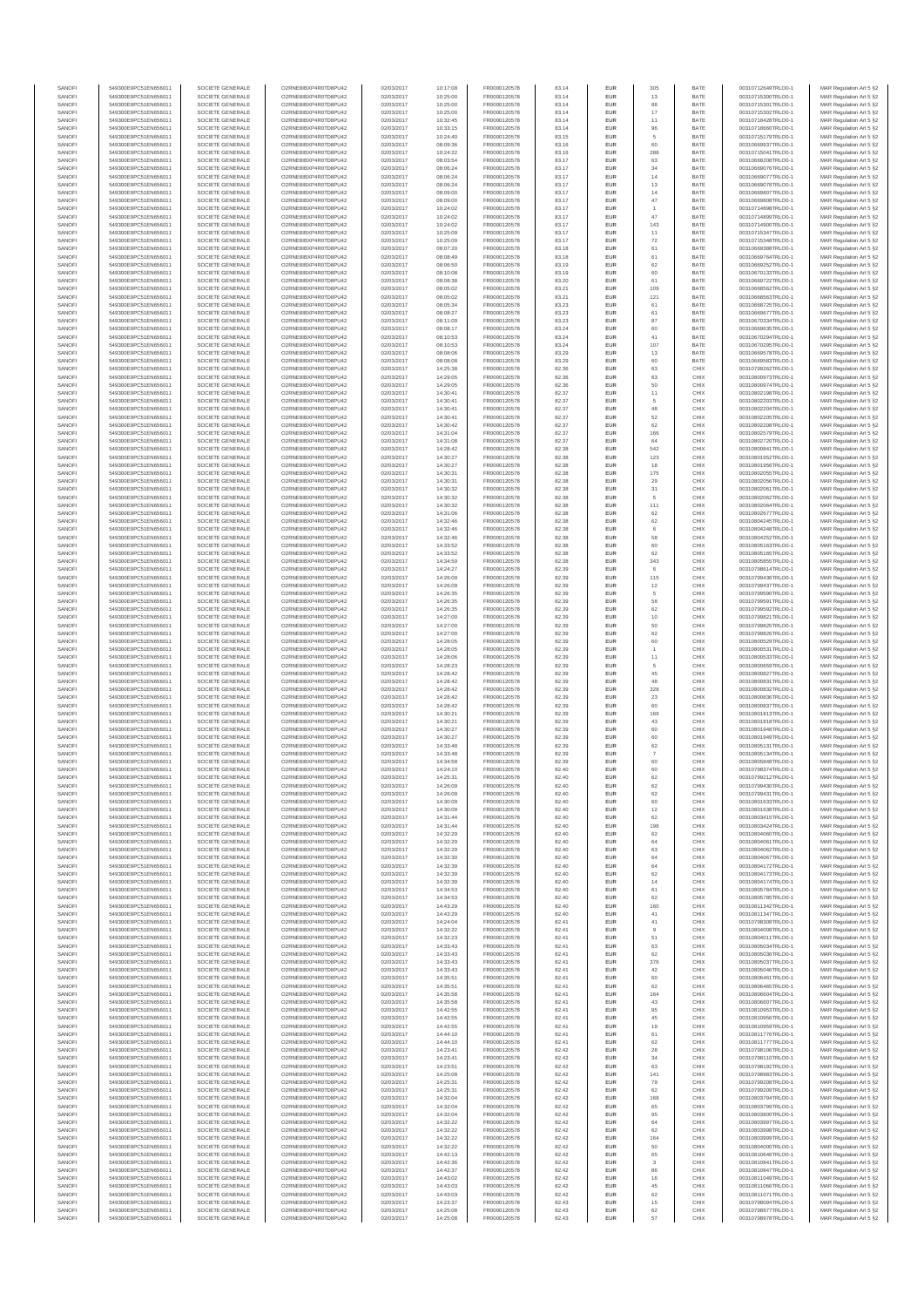| SANOFI           | 549300E9PC51EN656011                         | SOCIETE GENERALE                     | O2RNE8IBXP4R0TD8PU42                          | 02/03/2017               | 10:17:08             | FR0000120578                 | 83.14          | EUR                      | 305            | BATE         | 00310712649TRLO0-1                       | MAR Regulation Art 5 §2                             |
|------------------|----------------------------------------------|--------------------------------------|-----------------------------------------------|--------------------------|----------------------|------------------------------|----------------|--------------------------|----------------|--------------|------------------------------------------|-----------------------------------------------------|
| SANOFI<br>SANOFI | 549300E9PC51EN656011<br>549300E9PC51EN656011 | SOCIETE GENERALE<br>SOCIETE GENERALE | O2RNE8IBXP4R0TD8PU42<br>O2RNE8IBXP4R0TD8PU42  | 02/03/2017<br>02/03/2017 | 10:25:00<br>10:25:00 | FR0000120578                 | 83.14<br>83.14 | EUR<br>EUR               | 13<br>88       | BATE<br>BATE | 00310715300TRLO0-1<br>00310715301TRLO0-1 | MAR Regulation Art 5 §2                             |
| SANOFI           | 549300E9PC51EN656011                         | SOCIETE GENERALE                     | O2RNE8IBXP4R0TD8PLI42                         | 02/03/2017               | 10:25:00             | FR0000120578<br>FR0000120578 | 83.14          | EUR                      | $17\,$         | BATE         | 00310715302TRLO0-1                       | MAR Regulation Art 5 §2<br>MAR Regulation Art 5 §2  |
| SANOFI           | 549300E9PC51EN656011                         | SOCIETE GENERALE                     | O2RNE8IBXP4R0TD8PU42                          | 02/03/2017               | 10:32:45             | FR0000120578                 | 83.14          | EUR                      | 11             | BATE         | 00310718428TRLO0-1                       | MAR Regulation Art 5 §2                             |
| SANOFI           | 549300E9PC51EN656011                         | SOCIETE GENERALE                     | O2RNE8IBXP4R0TD8PU42                          | 02/03/2017               | 10:33:15             | FR0000120578                 | 83.14          | EUR                      | 96             | BATE         | 00310718660TRLO0-1                       | MAR Regulation Art 5 §2                             |
| SANOFI<br>SANOFI | 549300E9PC51EN656011<br>549300E9PC51EN656011 | SOCIETE GENERALE<br>SOCIETE GENERALE | O2RNE8IBXP4R0TD8PU42<br>O2RNE8IBXP4R0TD8PU42  | 02/03/2017<br>02/03/2017 | 10:24:40<br>08:09:36 | FR0000120578<br>FR0000120578 | 83.15<br>83.16 | <b>EUR</b><br>EUR        | 5<br>60        | BATE<br>BATE | 00310715179TRLO0-1<br>00310669937TRLO0-1 | MAR Regulation Art 5 §2<br>MAR Regulation Art 5 §2  |
| SANOFI           | 549300E9PC51EN656011                         | SOCIETE GENERALE                     | O2RNE8IBXP4R0TD8PU42                          | 02/03/2017               | 10:24:22             | FR0000120578                 | 83.16          | <b>EUR</b>               | 288            | BATE         | 00310715041TRLO0-1                       | MAR Regulation Art 5 \$2                            |
| SANOFI           | 549300E9PC51EN656011                         | SOCIETE GENERALE                     | O2RNE8IBXP4R0TD8PU42                          | 02/03/2017               | 08:03:54             | FR0000120578                 | 83.17          | EUR                      | 63             | BATE         | 00310668208TRLO0-1                       | MAR Regulation Art 5 §2                             |
| SANOFI<br>SANOFI | 549300E9PC51EN656011<br>549300E9PC51EN656011 | SOCIETE GENERALE<br>SOCIETE GENERALE | O2RNE8IBXP4R0TD8PU42<br>O2RNE8IBXP4R0TD8PU42  | 02/03/2017<br>02/03/2017 | 08:06:24<br>08:06:24 | FR0000120578<br>FR0000120578 | 83.17<br>83.17 | EUR<br>EUR               | $34\,$<br>14   | BATE<br>BATE | 00310669076TRLO0-1<br>00310669077TRLO0-1 | MAR Regulation Art 5 §2<br>MAR Regulation Art 5 §2  |
| SANOFI           | 549300E9PC51EN656011                         | SOCIETE GENERALE                     | O2RNE8IBXP4R0TD8PLI42                         | 02/03/2017               | 08:06:24             | FR0000120578                 | 83.17          | <b>EUR</b>               | 13             | BATE         | 00310669078TRLO0-1                       | MAR Regulation Art 5 §2                             |
| SANOFI           | 549300E9PC51EN656011                         | SOCIETE GENERALE                     | O2RNE8IBXP4R0TD8PU42                          | 02/03/2017               | 08:09:00             | FR0000120578                 | 83.17          | <b>EUR</b>               | 14             | BATE         | 00310669807TRLO0-1                       | MAR Regulation Art 5 §2                             |
| SANOFI           | 549300E9PC51EN656011                         | SOCIETE GENERALE                     | O2RNE8IBXP4R0TD8PU42                          | 02/03/2017               | 08:09:00             | FR0000120578                 | 83.17          | EUR                      | $47\,$         | BATE         | 00310669808TRLO0-1                       | MAR Regulation Art 5 §2                             |
| SANOFI<br>SANOFI | 549300E9PC51EN656011<br>549300E9PC51EN656011 | SOCIETE GENERALE<br>SOCIETE GENERALE | O2RNE8IBXP4R0TD8PU42<br>O2RNE8IBXP4R0TD8PU42  | 02/03/2017<br>02/03/2017 | 10:24:02<br>10:24:02 | FR0000120578<br>FR0000120578 | 83.17<br>83.17 | <b>EUR</b><br>EUR        | 47             | BATE<br>BATE | 00310714898TRLO0-1<br>00310714899TRLO0-1 | MAR Regulation Art 5 §2<br>MAR Regulation Art 5 §2  |
| SANOFI           | 549300E9PC51EN656011                         | SOCIETE GENERALE                     | O2RNE8IBXP4R0TD8PU42                          | 02/03/2017               | 10:24:02             | FR0000120578                 | 83.17          | <b>EUR</b>               | 143            | BATE         | 00310714900TRLO0-1                       | MAR Regulation Art 5 §2                             |
| SANOFI           | 549300E9PC51EN656011                         | SOCIETE GENERALE                     | O2RNE8IBXP4R0TD8PU42                          | 02/03/2017               | 10:25:09             | FR0000120578                 | 83.17          | EUR                      | 11             | BATE         | 00310715347TRLO0-1                       | MAR Regulation Art 5 §2                             |
| SANOFI           | 549300E9PC51EN656011                         | SOCIETE GENERALE                     | O2RNE8IBXP4R0TD8PLI42                         | 02/03/2017               | 10:25:09             | FR0000120578                 | 83.17          | <b>EUR</b>               | 72             | BATE         | 00310715348TRLO0-1                       | MAR Regulation Art 5 §2                             |
| SANOFI<br>SANOFI | 549300E9PC51EN656011<br>549300E9PC51EN656011 | SOCIETE GENERALE<br>SOCIETE GENERALE | O2RNE8IBXP4R0TD8PU42<br>O2RNE8IBXP4R0TD8PLI42 | 02/03/2017<br>02/03/2017 | 08:07:20<br>08:08:49 | FR0000120578<br>FR0000120578 | 83.18<br>83.18 | EUR<br>EUR               | 61<br>$61\,$   | BATE<br>BATE | 00310669388TRLO0-1<br>00310669764TRLO0-1 | MAR Regulation Art 5 §2<br>MAR Regulation Art 5 §2  |
| SANOFI           | 549300E9PC51EN656011                         | SOCIETE GENERALE                     | O2RNE8IBXP4R0TD8PU42                          | 02/03/2017               | 08:06:50             | FR0000120578                 | 83.19          | <b>EUR</b>               | 62             | BATE         | 00310669252TRLO0-1                       | MAR Regulation Art 5 §2                             |
| SANOFI           | 549300E9PC51EN656011                         | SOCIETE GENERALE                     | O2RNE8IBXP4R0TD8PU42                          | 02/03/2017               | 08:10:08             | FR0000120578                 | 83.19          | EUR                      | 60             | BATE         | 00310670133TRLO0-1                       | MAR Regulation Art 5 §2                             |
| SANOFI           | 549300E9PC51EN656011                         | SOCIETE GENERALE                     | O2RNE8IBXP4R0TD8PU42                          | 02/03/2017               | 08:08:38             | FR0000120578<br>FR0000120578 | 83.20          | <b>EUR</b>               | 61             | BATE         | 00310669722TRLO0-1                       | MAR Regulation Art 5 §2                             |
| SANOFI<br>SANOFI | 549300E9PC51EN656011<br>549300E9PC51EN656011 | SOCIETE GENERALE<br>SOCIETE GENERALE | O2RNE8IBXP4R0TD8PU42<br>O2RNE8IBXP4R0TD8PU42  | 02/03/2017<br>02/03/2017 | 08:05:02<br>08:05:02 | FR0000120578                 | 83.21<br>83.21 | EUR<br><b>EUR</b>        | 109<br>121     | BATE<br>BATE | 00310668562TRLO0-1<br>00310668563TRLO0-1 | MAR Regulation Art 5 §2<br>MAR Regulation Art 5 \$2 |
| SANOFI           | 549300E9PC51EN656011                         | SOCIETE GENERALE                     | O2RNE8IBXP4R0TD8PU42                          | 02/03/2017               | 08:05:34             | FR0000120578                 | 83.23          | <b>EUR</b>               | 61             | BATE         | 00310668725TRLO0-1                       | MAR Regulation Art 5 §2                             |
| SANOFI           | 549300E9PC51EN656011                         | SOCIETE GENERALE                     | O2RNE8IBXP4R0TD8PU42                          | 02/03/2017               | 08:08:27             | FR0000120578                 | 83.23          | EUR                      | $61\,$         | BATE         | 00310669677TRLO0-1                       | MAR Regulation Art 5 §2                             |
| SANOFI<br>SANOFI | 549300E9PC51EN656011<br>549300E9PC51EN656011 | SOCIETE GENERALE<br>SOCIETE GENERALE | O2RNE8IBXP4R0TD8PU42<br>O2RNE8IBXP4R0TD8PU42  | 02/03/2017<br>02/03/2017 | 08:11:09<br>08:08:17 | FR0000120578<br>FR0000120578 | 83.23<br>83.24 | EUR<br>EUR               | 87<br>60       | BATE<br>BATE | 00310670334TRLO0-1<br>00310669635TRLO0-1 | MAR Regulation Art 5 §2<br>MAR Regulation Art 5 §2  |
| SANOFI           | 549300E9PC51EN656011                         | SOCIETE GENERALE                     | O2RNE8IBXP4R0TD8PU42                          | 02/03/2017               | 08:10:53             | FR0000120578                 | 83.24          | <b>EUR</b>               | 41             | BATE         | 00310670294TRLO0-1                       | MAR Regulation Art 5 §2                             |
| SANOFI           | 549300E9PC51EN656011                         | SOCIETE GENERALE                     | O2RNE8IBXP4R0TD8PU42                          | 02/03/2017               | 08:10:53             | FR0000120578                 | 83.24          | EUR                      | 107            | BATE         | 00310670295TRLO0-1                       | MAR Regulation Art 5 §2                             |
| SANOFI<br>SANOFI | 549300E9PC51EN656011<br>549300E9PC51EN656011 | SOCIETE GENERALE<br>SOCIETE GENERALE | O2RNE8IBXP4R0TD8PU42<br>O2RNE8IBXP4R0TD8PU42  | 02/03/2017<br>02/03/2017 | 08:08:06<br>08:08:08 | FR0000120578<br>FR0000120578 | 83.29<br>83.29 | <b>EUR</b><br>EUR        | 13<br>60       | BATE<br>BATE | 00310669578TRLO0-1<br>00310669583TRLO0-1 | MAR Regulation Art 5 §2                             |
| SANOFI           | 549300E9PC51EN656011                         | SOCIETE GENERALE                     | O2RNE8IBXP4R0TD8PU42                          | 02/03/2017               | 14:25:38             | FR0000120578                 | 82.36          | EUR                      | 63             | CHIX         | 00310799262TRLO0-1                       | MAR Regulation Art 5 §2<br>MAR Regulation Art 5 §2  |
| SANOFI           | 549300E9PC51EN656011                         | SOCIETE GENERALE                     | O2RNE8IBXP4R0TD8PU42                          | 02/03/2017               | 14:29:05             | FR0000120578                 | 82.36          | EUR                      | 63             | CHIX         | 00310800973TRLO0-1                       | MAR Regulation Art 5 §2                             |
| SANOFI           | 549300E9PC51EN656011                         | SOCIETE GENERALE                     | O2RNE8IBXP4R0TD8PU42                          | 02/03/2017               | 14:29:05             | FR0000120578                 | 82.36          | EUR                      | 50             | CHIX         | 00310800974TRLO0-1                       | MAR Regulation Art 5 §2                             |
| SANOFI<br>SANOFI | 549300E9PC51EN656011<br>549300E9PC51EN656011 | SOCIETE GENERALE<br>SOCIETE GENERALE | O2RNE8IBXP4R0TD8PU42<br>O2RNE8IBXP4R0TD8PU42  | 02/03/2017<br>02/03/2017 | 14:30:41<br>14:30:4  | FR0000120578<br>FR0000120578 | 82.37<br>82.37 | EUR<br>EUR               | 11<br>5        | CHIX<br>CHIX | 00310802198TRLO0-1<br>00310802203TRLO0-1 | MAR Regulation Art 5 §2<br>MAR Regulation Art 5 §2  |
| SANOFI           | 549300E9PC51EN656011                         | SOCIETE GENERALE                     | O2RNE8IBXP4R0TD8PU42                          | 02/03/2017               | 14:30:41             | FR0000120578                 | 82.37          | <b>EUR</b>               | 48             | CHIX         | 00310802204TRLO0-1                       | MAR Regulation Art 5 §2                             |
| SANOFI           | 549300E9PC51EN656011                         | SOCIETE GENERALE                     | O2RNE8IBXP4R0TD8PU42                          | 02/03/2017               | 14:30:41             | FR0000120578                 | 82.37          | EUR                      | 52             | CHIX         | 00310802205TRLO0-1                       | MAR Regulation Art 5 §2                             |
| SANOFI           | 549300E9PC51EN656011                         | SOCIETE GENERALE<br>SOCIETE GENERALE | O2RNE8IBXP4R0TD8PU42                          | 02/03/2017               | 14:30:42             | FR0000120578                 | 82.37          | <b>EUR</b>               | 62             | CHIX         | 00310802208TRLO0-1                       | MAR Regulation Art 5 §2                             |
| SANOFI<br>SANOFI | 549300E9PC51EN656011<br>549300E9PC51EN656011 | SOCIETE GENERALE                     | O2RNE8IBXP4R0TD8PU42<br>O2RNE8IBXP4R0TD8PU42  | 02/03/2017<br>02/03/2017 | 14:31:04<br>14:31:08 | FR0000120578<br>FR0000120578 | 82.37<br>82.37 | EUR<br><b>EUR</b>        | 166<br>64      | CHIX<br>CHIX | 00310802579TRLO0-1<br>00310802720TRLO0-1 | MAR Regulation Art 5 §2<br>MAR Regulation Art 5 §2  |
| SANOFI           | 549300E9PC51EN656011                         | SOCIETE GENERALE                     | O2RNE8IBXP4R0TD8PU42                          | 02/03/2017               | 14:28:42             | FR0000120578                 | 82.38          | EUR                      | 542            | CHIX         | 00310800841TRLO0-1                       | MAR Regulation Art 5 §2                             |
| SANOFI           | 549300E9PC51EN656011                         | SOCIETE GENERALE                     | O2RNE8IBXP4R0TD8PLI42                         | 02/03/2017               | 14:30:27             | FR0000120578                 | 82.38          | EUR                      | 123            | CHIX         | 00310801952TRLO0-1                       | MAR Regulation Art 5 §2                             |
| SANOFI           | 549300E9PC51EN656011<br>549300E9PC51EN656011 | SOCIETE GENERALE                     | O2RNE8IBXP4R0TD8PU42                          | 02/03/2017               | 14:30:27             | FR0000120578<br>FR0000120578 | 82.38          | EUR                      | 18             | CHIX         | 00310801956TRLO0-1                       | MAR Regulation Art 5 §2                             |
| SANOFI<br>SANOFI | 549300E9PC51EN656011                         | SOCIETE GENERALE<br>SOCIETE GENERALE | O2RNE8IBXP4R0TD8PU42<br>O2RNE8IBXP4R0TD8PU42  | 02/03/2017<br>02/03/2017 | 14:30:31<br>14:30:31 | FR0000120578                 | 82.38<br>82.38 | EUR<br><b>EUR</b>        | 175<br>29      | CHIX<br>CHIX | 00310802055TRLO0-1<br>00310802056TRLO0-1 | MAR Regulation Art 5 §2<br>MAR Regulation Art 5 §2  |
| SANOFI           | 549300E9PC51EN656011                         | SOCIETE GENERALE                     | O2RNE8IBXP4R0TD8PU42                          | 02/03/2017               | 14:30:32             | FR0000120578                 | 82.38          | EUR                      | 31             | CHIX         | 00310802061TRLO0-1                       | MAR Regulation Art 5 §2                             |
| SANOFI           | 549300E9PC51EN656011                         | SOCIETE GENERALE                     | O2RNE8IBXP4R0TD8PU42                          | 02/03/2017               | 14:30:32             | FR0000120578                 | 82.38          | <b>EUR</b>               | 5              | CHIX         | 00310802062TRLO0-1                       | MAR Regulation Art 5 §2                             |
| SANOFI<br>SANOFI | 549300E9PC51EN656011                         | SOCIETE GENERALE<br>SOCIETE GENERALE | O2RNE8IBXP4R0TD8PU42                          | 02/03/2017               | 14:30:32             | FR0000120578<br>FR0000120578 | 82.38<br>82.38 | <b>EUR</b><br>EUR        | 111<br>62      | CHIX<br>CHIX | 00310802064TRLO0-1                       | MAR Regulation Art 5 §2<br>MAR Regulation Art 5 §2  |
| SANOFI           | 549300E9PC51EN656011<br>549300E9PC51EN656011 | SOCIETE GENERALE                     | O2RNE8IBXP4R0TD8PU42<br>O2RNE8IBXP4R0TD8PLI42 | 02/03/2017<br>02/03/2017 | 14:31:06<br>14:32:46 | FR0000120578                 | 82.38          | EUR                      | 62             | CHIX         | 00310802677TRLO0-1<br>00310804245TRLO0-1 | MAR Regulation Art 5 §2                             |
| SANOFI           | 549300E9PC51EN656011                         | SOCIETE GENERALE                     | O2RNE8IBXP4R0TD8PU42                          | 02/03/2017               | 14:32:46             | FR0000120578                 | 82.38          | EUR                      | 6              | CHIX         | 00310804248TRLO0-1                       | MAR Regulation Art 5 §2                             |
| SANOFI           | 549300E9PC51EN656011                         | SOCIETE GENERALE                     | O2RNE8IBXP4R0TD8PU42                          | 02/03/2017               | 14:32:46             | FR0000120578                 | 82.38          | <b>EUR</b>               | 58             | CHIX         | 00310804252TRLO0-1                       | MAR Regulation Art 5 §2                             |
| SANOFI<br>SANOFI | 549300E9PC51EN656011<br>549300E9PC51EN656011 | SOCIETE GENERALE<br>SOCIETE GENERALE | O2RNE8IBXP4R0TD8PU42<br>O2RNE8IBXP4R0TD8PU42  | 02/03/2017<br>02/03/2017 | 14:33:52<br>14:33:52 | FR0000120578<br>FR0000120578 | 82.38<br>82.38 | EUR<br><b>EUR</b>        | 60<br>62       | CHIX<br>CHIX | 00310805163TRLO0-1<br>00310805165TRLO0-1 | MAR Regulation Art 5 §2<br>MAR Regulation Art 5 §2  |
| SANOFI           | 549300E9PC51EN656011                         | SOCIETE GENERALE                     | O2RNE8IBXP4R0TD8PU42                          | 02/03/2017               | 14:34:59             | FR0000120578                 | 82.38          | EUR                      | 343            | CHIX         | 00310805855TRLO0-1                       | MAR Regulation Art 5 §2                             |
| SANOFI           | 549300E9PC51EN656011                         | SOCIETE GENERALE                     | O2RNE8IBXP4R0TD8PU42                          | 02/03/2017               | 14:24:27             | FR0000120578                 | 82.39          | <b>EUR</b>               | 6              | CHIX         | 00310798614TRLO0-1                       | MAR Regulation Art 5 §2                             |
| SANOFI           | 549300E9PC51EN656011                         | SOCIETE GENERALE                     | O2RNE8IBXP4R0TD8PU42                          | 02/03/2017               | 14:26:09             | FR0000120578                 | 82.39          | EUR                      | 115            | CHIX         | 00310799436TRLO0-1                       | MAR Regulation Art 5 §2                             |
| SANOFI<br>SANOFI | 549300E9PC51EN656011<br>549300E9PC51EN656011 | SOCIETE GENERALE<br>SOCIETE GENERALE | O2RNE8IBXP4R0TD8PU42<br>O2RNE8IBXP4R0TD8PU42  | 02/03/2017<br>02/03/2017 | 14:26:09<br>14:26:35 | FR0000120578<br>FR0000120578 | 82.39<br>82.39 | <b>EUR</b><br><b>EUR</b> | 12<br>5        | CHIX<br>CHIX | 00310799437TRLO0-1<br>00310799590TRLO0-1 | MAR Regulation Art 5 §2<br>MAR Regulation Art 5 §2  |
| SANOFI           | 549300E9PC51EN656011                         | SOCIETE GENERALE                     | O2RNE8IBXP4R0TD8PU42                          | 02/03/2017               | 14:26:35             | FR0000120578                 | 82.39          | EUR                      | 58             | CHIX         | 00310799591TRLO0-1                       | MAR Regulation Art 5 §2                             |
| SANOFI           | 549300E9PC51EN656011                         | SOCIETE GENERALE                     | O2RNE8IBXP4R0TD8PU42                          | 02/03/2017               | 14:26:35             | FR0000120578                 | 82.39          | <b>EUR</b>               | 62             | CHIX         | 00310799592TRLO0-1                       | MAR Regulation Art 5 §2                             |
| SANOFI<br>SANOFI | 549300E9PC51EN656011<br>549300E9PC51EN656011 | SOCIETE GENERALE<br>SOCIETE GENERALE | O2RNE8IBXP4R0TD8PU42<br>O2RNE8IBXP4R0TD8PU42  | 02/03/2017<br>02/03/2017 | 14:27:00<br>14:27:00 | FR0000120578                 | 82.39<br>82.39 | EUR<br><b>EUR</b>        | 10<br>50       | CHIX<br>CHIX | 00310799821TRLO0-1<br>00310799825TRLO0-1 | MAR Regulation Art 5 §2                             |
| SANOFI           | 549300E9PC51EN656011                         | SOCIETE GENERALE                     | O2RNE8IBXP4R0TD8PU42                          | 02/03/2017               | 14:27:00             | FR0000120578<br>FR0000120578 | 82.39          | EUR                      | 62             | CHIX         | 00310799826TRLO0-1                       | MAR Regulation Art 5 §2<br>MAR Regulation Art 5 §2  |
| SANOFI           | 549300E9PC51EN656011                         | SOCIETE GENERALE                     | O2RNE8IBXP4R0TD8PU42                          | 02/03/2017               | 14:28:05             | FR0000120578                 | 82.39          | <b>EUR</b>               | 60             | CHIX         | 00310800529TRLO0-1                       | MAR Regulation Art 5 §2                             |
| SANOFI           | 549300E9PC51EN656011                         | SOCIETE GENERALE                     | O2RNE8IBXP4R0TD8PU42                          | 02/03/2017               | 14:28:05             | FR0000120578                 | 82.39          | EUR                      | $\overline{1}$ | CHIX         | 00310800531TRLO0-1                       | MAR Regulation Art 5 §2                             |
| SANOFI<br>SANOFI | 549300E9PC51EN656011<br>549300E9PC51EN656011 | SOCIETE GENERALE<br>SOCIETE GENERALE | O2RNE8IBXP4R0TD8PU42<br>O2RNE8IBXP4R0TD8PU42  | 02/03/2017<br>02/03/2017 | 14:28:06<br>14:28:23 | FR0000120578<br>FR0000120578 | 82.39<br>82.39 | EUR<br>EUR               | 11<br>5        | CHIX<br>CHIX | 00310800533TRLO0-1<br>00310800659TRLO0-1 | MAR Regulation Art 5 §2<br>MAR Regulation Art 5 §2  |
| SANOFI           | 549300E9PC51EN656011                         | SOCIETE GENERALE                     | O2RNE8IBXP4R0TD8PU42                          | 02/03/2017               | 14:28:42             | FR0000120578                 | 82.39          | EUR                      | 45             | CHIX         | 00310800827TRLO0-1                       | MAR Regulation Art 5 §2                             |
| SANOFI           | 549300E9PC51EN656011                         | SOCIETE GENERALE                     | O2RNE8IBXP4R0TD8PU42                          | 02/03/2017               | 14:28:42             | FR0000120578                 | 82.39          | <b>EUR</b>               | 48             | CHIX         | 00310800831TRLO0-1                       | MAR Regulation Art 5 §2                             |
| SANOFI<br>SANOFI | 549300E9PC51EN656011<br>549300E9PC51EN656011 | SOCIETE GENERALE<br>SOCIETE GENERALE | O2RNE8IBXP4R0TD8PU42<br>O2RNE8IBXP4R0TD8PU42  | 02/03/2017<br>02/03/2017 | 14:28:42<br>14:28:42 | FR0000120578<br>FR0000120578 | 82.39<br>82.39 | EUR<br><b>EUR</b>        | 328            | CHIX<br>CHIX | 00310800832TRLO0-1<br>00310800836TRLO0-1 | MAR Regulation Art 5 §2                             |
| SANOFI           | 549300E9PC51EN656011                         | SOCIETE GENERALE                     | O2RNE8IBXP4R0TD8PU42                          | 02/03/2017               | 14:28:42             | FR0000120578                 | 82.39          | EUR                      | 23<br>60       | CHIX         | 00310800837TRLO0-1                       | MAR Regulation Art 5 §2<br>MAR Regulation Art 5 §2  |
| SANOFI           | 549300E9PC51EN656011                         | SOCIETE GENERALE                     | O2RNE8IBXP4R0TD8PU42                          | 02/03/2017               | 14:30:21             | FR0000120578                 | 82.39          | EUR                      | 169            | CHIX         | 00310801813TRLO0-1                       | MAR Regulation Art 5 §2                             |
| SANOFI           | 549300E9PC51EN656011                         | SOCIETE GENERALE                     | O2RNE8IBXP4R0TD8PU42                          | 02/03/2017               | 14:30:2              | FR0000120578                 | 82.39          | EUR                      | 43             | CHIX         | 00310801818TRLO0-1                       | MAR Regulation Art 5 §2                             |
| SANOFI<br>SANOFI | 549300E9PC51EN656011<br>549300E9PC51EN656011 | SOCIETE GENERALE<br>SOCIETE GENERALE | O2RNESIBXP4R0TD8PLI42<br>O2RNE8IBXP4R0TD8PU42 | 02/03/2017<br>02/03/2017 | 14:30:27<br>14:30:27 | FR0000120578<br>FR0000120578 | 82.39<br>82.39 | EUR<br>EUR               | 60<br>60       | CHIX<br>CHIX | 00310801948TRLO0-1<br>00310801949TRLO0-1 | MAR Regulation Art 5 §2<br>MAR Regulation Art 5 §2  |
| SANOFI           | 549300E9PC51EN656011                         | SOCIETE GENERALE                     | O2RNE8IBXP4R0TD8PU42                          | 02/03/2017               | 14:33:48             | FR0000120578                 | 82.39          | EUR                      | 62             | CHIX         | 00310805131TRLO0-1                       | MAR Regulation Art 5 §2                             |
| SANOFI           | 549300E9PC51EN656011                         | SOCIETE GENERALE                     | O2RNE8IBXP4R0TD8PU42                          | 02/03/2017               | 14:33:48             | FR0000120578                 | 82.39          | <b>EUR</b>               | $\overline{7}$ | CHIX         | 00310805134TRLO0-1                       | MAR Regulation Art 5 §2                             |
| SANOFI           | 549300E9PC51EN656011                         | SOCIETE GENERALE                     | O2RNE8IBXP4R0TD8PU42                          | 02/03/2017               | 14:34:58             | FR0000120578                 | 82.39          | EUR                      | 60             | CHIX         | 00310805848TRLO0-1                       | MAR Regulation Art 5 §2                             |
| SANOFI<br>SANOFI | 549300E9PC51EN656011<br>549300E9PC51EN656011 | SOCIETE GENERALE<br>SOCIETE GENERALE | O2RNE8IBXP4R0TD8PU42<br>O2RNE8IBXP4R0TD8PU42  | 02/03/2017<br>02/03/2017 | 14:24:10<br>14:25:31 | FR0000120578<br>FR0000120578 | 82.40<br>82.40 | EUR<br>EUR               | 60<br>62       | CHIX<br>CHIX | 00310798374TRLO0-1<br>00310799212TRLO0-1 | MAR Regulation Art 5 §2<br>MAR Regulation Art 5 §2  |
| SANOFI           | 549300E9PC51EN656011                         | SOCIETE GENERALE                     | O2RNE8IBXP4R0TD8PLI42                         | 02/03/2017               | 14:26:09             | FR0000120578                 | 82.40          | EUR                      | 62             | CHIX         | 00310799430TRLO0-1                       | MAR Regulation Art 5 §2                             |
| SANOFI           | 549300E9PC51EN656011                         | SOCIETE GENERALE                     | O2RNE8IBXP4R0TD8PU42                          | 02/03/2017               | 14:26:09             | FR0000120578                 | 82.40          | <b>EUR</b>               | 62             | CHIX         | 00310799431TRLO0-1                       | MAR Regulation Art 5 §2                             |
| SANOFI           | 549300E9PC51EN656011                         | SOCIETE GENERALE<br>SOCIETE GENERALE | O2RNE8IBXP4R0TD8PU42<br>O2RNE8IBXP4R0TD8PU42  | 02/03/2017               | 14:30:09             | FR0000120578                 | 82.40<br>82.40 | EUR                      | 60             | CHIX<br>CHIX | 00310801633TRLO0-1                       | MAR Regulation Art 5 §2                             |
| SANOFI<br>SANOFI | 549300E9PC51EN656011<br>549300E9PC51EN656011 | SOCIETE GENERALE                     | O2RNE8IBXP4R0TD8PU42                          | 02/03/2017<br>02/03/2017 | 14:30:09<br>14:31:44 | FR0000120578<br>FR0000120578 | 82.40          | EUR<br>EUR               | 12<br>62       | CHIX         | 00310801638TRLO0-1<br>00310803415TRLO0-1 | MAR Regulation Art 5 §2<br>MAR Regulation Art 5 §2  |
| SANOFI           | 549300E9PC51EN656011                         | SOCIETE GENERALE                     | O2RNE8IBXP4R0TD8PU42                          | 02/03/2017               | 14:31:44             | FR0000120578                 | 82.40          | <b>EUR</b>               | 198            | CHIX         | 00310803424TRLO0-1                       | MAR Regulation Art 5 §2                             |
| SANOFI           | 549300E9PC51EN656011                         | SOCIETE GENERALE                     | O2RNE8IBXP4R0TD8PU42                          | 02/03/2017               | 14:32:29             | FR0000120578                 | 82.40          | EUR                      | 62             | CHIX         | 00310804060TRLO0-1                       | MAR Regulation Art 5 §2                             |
| SANOFI<br>SANOFI | 549300E9PC51EN656011<br>549300E9PC51EN656011 | SOCIETE GENERALE<br>SOCIETE GENERALE | O2RNE8IBXP4R0TD8PU42<br>O2RNE8IBXP4R0TD8PU42  | 02/03/2017<br>02/03/2017 | 14:32:29<br>14:32:29 | FR0000120578<br>FR0000120578 | 82.40<br>82.40 | <b>EUR</b><br><b>EUR</b> | 64<br>63       | CHIX<br>CHIX | 00310804061TRLO0-1<br>00310804062TRLO0-1 | MAR Regulation Art 5 §2<br>MAR Regulation Art 5 §2  |
| SANOFI           | 549300E9PC51EN656011                         | SOCIETE GENERALE                     | O2RNE8IBXP4R0TD8PU42                          | 02/03/2017               | 14:32:30             | FR0000120578                 | 82.40          | EUR                      | $64\,$         | CHIX         | 00310804067TRLO0-1                       | MAR Regulation Art 5 §2                             |
| SANOFI           | 549300E9PC51EN656011                         | SOCIETE GENERALE                     | O2RNE8IBXP4R0TD8PU42                          | 02/03/2017               | 14:32:39             | FR0000120578                 | 82.40          | EUR                      | 64             | CHIX         | 00310804172TRLO0-1                       | MAR Regulation Art 5 §2                             |
| SANOFI<br>SANOFI | 549300E9PC51EN656011<br>549300E9PC51EN656011 | SOCIETE GENERALE<br>SOCIETE GENERALE | O2RNE8IBXP4R0TD8PU42<br>O2RNE8IBXP4R0TD8PU42  | 02/03/2017<br>02/03/2017 | 14:32:39<br>14:32:39 | FR0000120578<br>FR0000120578 | 82.40<br>82.40 | <b>EUR</b><br><b>EUR</b> | 62<br>14       | CHIX<br>CHIX | 00310804173TRLO0-1<br>00310804174TRLO0-1 | MAR Regulation Art 5 §2<br>MAR Regulation Art 5 §2  |
| SANOFI           | 549300E9PC51EN656011                         | SOCIETE GENERALE                     | O2RNE8IBXP4R0TD8PU42                          | 02/03/2017               | 14:34:53             | FR0000120578                 | 82.40          | EUR                      | 61             | CHIX         | 00310805784TRLO0-1                       | MAR Regulation Art 5 §2                             |
| SANOFI           | 549300E9PC51EN656011                         | SOCIETE GENERALE                     | O2RNE8IBXP4R0TD8PU42                          | 02/03/2017               | 14:34:53             | FR0000120578                 | 82.40          | <b>EUR</b>               | 62             | CHIX         | 00310805785TRLO0-1                       | MAR Regulation Art 5 §2                             |
| SANOFI<br>SANOFI | 549300E9PC51EN656011<br>549300E9PC51EN656011 | SOCIETE GENERALE<br>SOCIETE GENERALE | O2RNE8IBXP4R0TD8PU42<br>O2RNE8IBXP4R0TD8PU42  | 02/03/2017<br>02/03/2017 | 14:43:29<br>14:43:29 | FR0000120578<br>FR0000120578 | 82.40<br>82.40 | EUR<br>EUR               | 160<br>41      | CHIX<br>CHIX | 00310811342TRLO0-1<br>00310811347TRLO0-1 | MAR Regulation Art 5 §2<br>MAR Regulation Art 5 §2  |
| SANOFI           | 549300E9PC51EN656011                         | SOCIETE GENERALE                     | O2RNE8IBXP4R0TD8PU42                          | 02/03/2017               | 14:24:04             | FR0000120578                 | 82.41          | EUR                      | $41\,$         | CHIX         | 00310798308TRLO0-1                       | MAR Regulation Art 5 §2                             |
| SANOFI           | 549300E9PC51EN656011                         | SOCIETE GENERALE                     | O2RNE8IBXP4R0TD8PU42                          | 02/03/2017               | 14:32:22             | FR0000120578                 | 82.41          | EUR                      | $\overline{9}$ | CHIX         | 00310804008TRLO0-1                       | MAR Regulation Art 5 §2                             |
| SANOFI<br>SANOFI | 549300E9PC51EN656011<br>549300E9PC51EN656011 | SOCIETE GENERALE<br>SOCIETE GENERALE | O2RNE8IBXP4R0TD8PU42<br>O2RNE8IBXP4R0TD8PU42  | 02/03/2017<br>02/03/2017 | 14:32:23<br>14:33:43 | FR0000120578<br>FR0000120578 | 82.41<br>82.41 | <b>EUR</b><br>EUR        | 51<br>63       | CHIX<br>CHIX | 00310804011TRLO0-1<br>00310805034TRLO0-1 | MAR Regulation Art 5 §2<br>MAR Regulation Art 5 §2  |
| SANOFI           | 549300E9PC51EN656011                         | SOCIETE GENERALE                     | O2RNE8IBXP4R0TD8PU42                          | 02/03/2017               | 14:33:43             | FR0000120578                 | 82.41          | <b>EUR</b>               | 62             | CHIX         | 00310805036TRLO0-1                       | MAR Regulation Art 5 §2                             |
| SANOFI           | 549300E9PC51EN656011                         | SOCIETE GENERALE                     | O2RNE8IBXP4R0TD8PU42                          | 02/03/2017               | 14:33:43             | FR0000120578                 | 82.41          | EUR                      | 376            | CHIX         | 00310805037TRLO0-1                       | MAR Regulation Art 5 §2                             |
| SANOFI           | 549300E9PC51EN656011                         | SOCIETE GENERALE                     | O2RNE8IBXP4R0TD8PU42                          | 02/03/2017               | 14:33:43             | FR0000120578                 | 82.41          | <b>EUR</b>               | 42             | CHIX         | 00310805046TRLO0-1                       | MAR Regulation Art 5 §2                             |
| SANOFI<br>SANOFI | 549300E9PC51EN656011<br>549300E9PC51EN656011 | SOCIETE GENERALE<br>SOCIETE GENERALE | O2RNE8IBXP4R0TD8PU42<br>O2RNE8IBXP4R0TD8PU42  | 02/03/2017<br>02/03/2017 | 14:35:5<br>14:35:51  | FR0000120578<br>FR0000120578 | 82.41<br>82.41 | EUR<br><b>EUR</b>        | 60<br>62       | CHIX<br>CHIX | 00310806461TRLO0-1<br>00310806465TRLO0-1 | MAR Regulation Art 5 §2<br>MAR Regulation Art 5 §2  |
| SANOFI           | 549300E9PC51EN656011                         | SOCIETE GENERALE                     | O2RNE8IBXP4R0TD8PU42                          | 02/03/2017               | 14:35:58             | FR0000120578                 | 82.41          | <b>EUR</b>               | 164            | CHIX         | 00310806604TRLO0-1                       | MAR Regulation Art 5 §2                             |
| SANOFI           | 549300E9PC51EN656011                         | SOCIETE GENERALE                     | O2RNE8IBXP4R0TD8PU42                          | 02/03/2017               | 14:35:58             | FR0000120578                 | 82.41          | EUR                      | 43             | CHIX         | 00310806607TRLO0-1                       | MAR Regulation Art 5 §2                             |
| SANOFI           | 549300E9PC51EN656011                         | SOCIETE GENERALE                     | O2RNE8IBXP4R0TD8PU42                          | 02/03/2017               | 14:42:55             | FR0000120578                 | 82.41          | EUR                      | 95             | CHIX         | 00310810953TRLO0-1                       | MAR Regulation Art 5 §2                             |
| SANOFI<br>SANOFI | 549300E9PC51EN656011<br>549300E9PC51EN656011 | SOCIETE GENERALE<br>SOCIETE GENERALE | O2RNE8IBXP4R0TD8PU42<br>O2RNE8IBXP4R0TD8PU42  | 02/03/2017<br>02/03/2017 | 14:42:55<br>14:42:55 | FR0000120578<br>FR0000120578 | 82.41<br>82.41 | EUR<br><b>EUR</b>        | 45<br>19       | CHIX<br>CHIX | 00310810956TRLO0-1<br>00310810959TRLO0-1 | MAR Regulation Art 5 §2<br>MAR Regulation Art 5 §2  |
| SANOFI           | 549300E9PC51EN656011                         | SOCIETE GENERALE                     | O2RNE8IBXP4R0TD8PU42                          | 02/03/2017               | 14:44:10             | FR0000120578                 | 82.41          | EUR                      | 61             | CHIX         | 00310811776TRLO0-1                       | MAR Regulation Art 5 §2                             |
| SANOFI           | 549300E9PC51EN656011                         | SOCIETE GENERALE                     | O2RNE8IBXP4R0TD8PU42                          | 02/03/2017               | 14:44:10             | FR0000120578                 | 82.41          | <b>EUR</b>               | 62             | CHIX         | 00310811777TRLO0-1                       | MAR Regulation Art 5 §2                             |
| SANOFI<br>SANOFI | 549300E9PC51EN656011<br>549300E9PC51EN656011 | SOCIETE GENERALE<br>SOCIETE GENERALE | O2RNE8IBXP4R0TD8PU42<br>O2RNE8IBXP4R0TD8PU42  | 02/03/2017<br>02/03/2017 | 14:23:41             | FR0000120578<br>FR0000120578 | 82.42<br>82.42 | <b>EUR</b><br>EUR        | 28<br>$34\,$   | CHIX<br>CHIX | 00310798106TRLO0-1<br>00310798110TRLO0-1 | MAR Regulation Art 5 §2<br>MAR Regulation Art 5 §2  |
| SANOFI           | 549300E9PC51EN656011                         | SOCIETE GENERALE                     | O2RNE8IBXP4R0TD8PU42                          | 02/03/2017               | 14:23:41<br>14:23:51 | FR0000120578                 | 82.42          | <b>EUR</b>               | 63             | CHIX         | 00310798192TRLO0-1                       | MAR Regulation Art 5 §2                             |
| SANOFI           | 549300E9PC51EN656011                         | SOCIETE GENERALE                     | O2RNE8IBXP4R0TD8PU42                          | 02/03/2017               | 14:25:08             | FR0000120578                 | 82.42          | <b>EUR</b>               | 141            | CHIX         | 00310798983TRLO0-1                       | MAR Regulation Art 5 §2                             |
| SANOFI           | 549300E9PC51EN656011                         | SOCIETE GENERALE                     | O2RNE8IBXP4R0TD8PU42                          | 02/03/2017               | 14:25:31             | FR0000120578                 | 82.42          | EUR                      | 79             | CHIX         | 00310799208TRLO0-1                       | MAR Regulation Art 5 §2                             |
| SANOFI<br>SANOFI | 549300E9PC51EN656011<br>549300E9PC51EN656011 | SOCIETE GENERALE<br>SOCIETE GENERALE | O2RNE8IBXP4R0TD8PU42<br>O2RNE8IBXP4R0TD8PU42  | 02/03/2017<br>02/03/2017 | 14:25:3<br>14:32:04  | FR0000120578                 | 82.42<br>82.42 | EUR<br><b>EUR</b>        | 62<br>168      | CHIX<br>CHIX | 00310799209TRLO0-1<br>00310803794TRLO0-1 | MAR Regulation Art 5 §2                             |
| SANOFI           | 549300E9PC51EN656011                         | SOCIETE GENERALE                     | O2RNE8IBXP4R0TD8PU42                          | 02/03/2017               | 14:32:04             | FR0000120578<br>FR0000120578 | 82.42          | EUR                      | 65             | CHIX         | 00310803799TRLO0-1                       | MAR Regulation Art 5 §2<br>MAR Regulation Art 5 §2  |
| SANOFI           | 549300E9PC51EN656011                         | SOCIETE GENERALE                     | O2RNE8IBXP4R0TD8PU42                          | 02/03/2017               | 14:32:04             | FR0000120578                 | 82.42          | <b>EUR</b>               | 95             | CHIX         | 00310803800TRLO0-1                       | MAR Regulation Art 5 §2                             |
| SANOFI           | 549300E9PC51EN656011                         | SOCIETE GENERALE                     | O2RNE8IBXP4R0TD8PU42                          | 02/03/2017               | 14:32:22             | FR0000120578                 | 82.42          | EUR                      | 64             | CHIX         | 00310803997TRLO0-1                       | MAR Regulation Art 5 §2                             |
| SANOFI<br>SANOFI | 549300E9PC51EN656011<br>549300E9PC51EN656011 | SOCIETE GENERALE<br>SOCIETE GENERALE | O2RNE8IBXP4R0TD8PU42<br>O2RNE8IBXP4R0TD8PU42  | 02/03/2017<br>02/03/2017 | 14:32:22<br>14:32:22 | FR0000120578<br>FR0000120578 | 82.42<br>82.42 | EUR<br>EUR               | 62<br>164      | CHIX<br>CHIX | 00310803998TRLO0-1<br>00310803999TRLO0-1 | MAR Regulation Art 5 §2<br>MAR Regulation Art 5 §2  |
| SANOFI           | 549300E9PC51EN656011                         | SOCIETE GENERALE                     | O2RNE8IBXP4R0TD8PU42                          | 02/03/2017               | 14:32:22             | FR0000120578                 | 82.42          | EUR                      | 50             | CHIX         | 00310804000TRLO0-1                       | MAR Regulation Art 5 §2                             |
| SANOFI           | 549300E9PC51EN656011                         | SOCIETE GENERALE                     | O2RNE8IBXP4R0TD8PU42                          | 02/03/2017               | 14:42:13             | FR0000120578                 | 82.42          | <b>EUR</b>               | 65             | CHIX         | 00310810646TRLO0-1                       | MAR Regulation Art 5 §2                             |
| SANOFI<br>SANOFI | 549300E9PC51EN656011<br>549300E9PC51EN656011 | SOCIETE GENERALE<br>SOCIETE GENERALE | O2RNE8IBXP4R0TD8PU42<br>O2RNE8IBXP4R0TD8PU42  | 02/03/2017<br>02/03/2017 | 14:42:36<br>14:42:37 | FR0000120578<br>FR0000120578 | 82.42<br>82.42 | EUR<br><b>EUR</b>        | 3<br>86        | CHIX<br>CHIX | 00310810841TRLO0-1<br>00310810847TRLO0-1 | MAR Regulation Art 5 §2                             |
| SANOFI           | 549300E9PC51EN656011                         | SOCIETE GENERALE                     | O2RNE8IBXP4R0TD8PU42                          | 02/03/2017               | 14:43:02             | FR0000120578                 | 82.42          | EUR                      | 16             | CHIX         | 00310811049TRLO0-1                       | MAR Regulation Art 5 §2<br>MAR Regulation Art 5 §2  |
| SANOFI           | 549300E9PC51EN656011                         | SOCIETE GENERALE                     | O2RNE8IBXP4R0TD8PU42                          | 02/03/2017               | 14:43:03             | FR0000120578                 | 82.42          | <b>EUR</b>               | 45             | CHIX         | 00310811066TRLO0-1                       | MAR Regulation Art 5 §2                             |
| SANOFI           | 549300E9PC51EN656011                         | SOCIETE GENERALE                     | O2RNE8IBXP4R0TD8PU42                          | 02/03/2017               | 14:43:03             | FR0000120578                 | 82.42          | <b>EUR</b>               | 62             | CHIX         | 00310811071TRLO0-1                       | MAR Regulation Art 5 §2                             |
| SANOFI<br>SANOFI | 549300E9PC51EN656011<br>549300E9PC51EN656011 | SOCIETE GENERALE<br>SOCIETE GENERALE | O2RNE8IBXP4R0TD8PU42<br>O2RNE8IBXP4R0TD8PU42  | 02/03/2017<br>02/03/2017 | 14:23:37<br>14:25:08 | FR0000120578<br>FR0000120578 | 82.43<br>82.43 | EUR<br>EUR               | 15<br>62       | CHIX<br>CHIX | 00310798094TRLO0-1<br>00310798977TRLO0-1 | MAR Regulation Art 5 §2<br>MAR Regulation Art 5 §2  |
| SANOFI           | 549300E9PC51EN656011                         | SOCIETE GENERALE                     | O2RNE8IBXP4R0TD8PU42                          | 02/03/2017               | 14:25:08             | FR0000120578                 | 82.43          | EUR                      | 57             | CHIX         | 00310798978TRLO0-1                       | MAR Regulation Art 5 §2                             |
|                  |                                              |                                      |                                               |                          |                      |                              |                |                          |                |              |                                          |                                                     |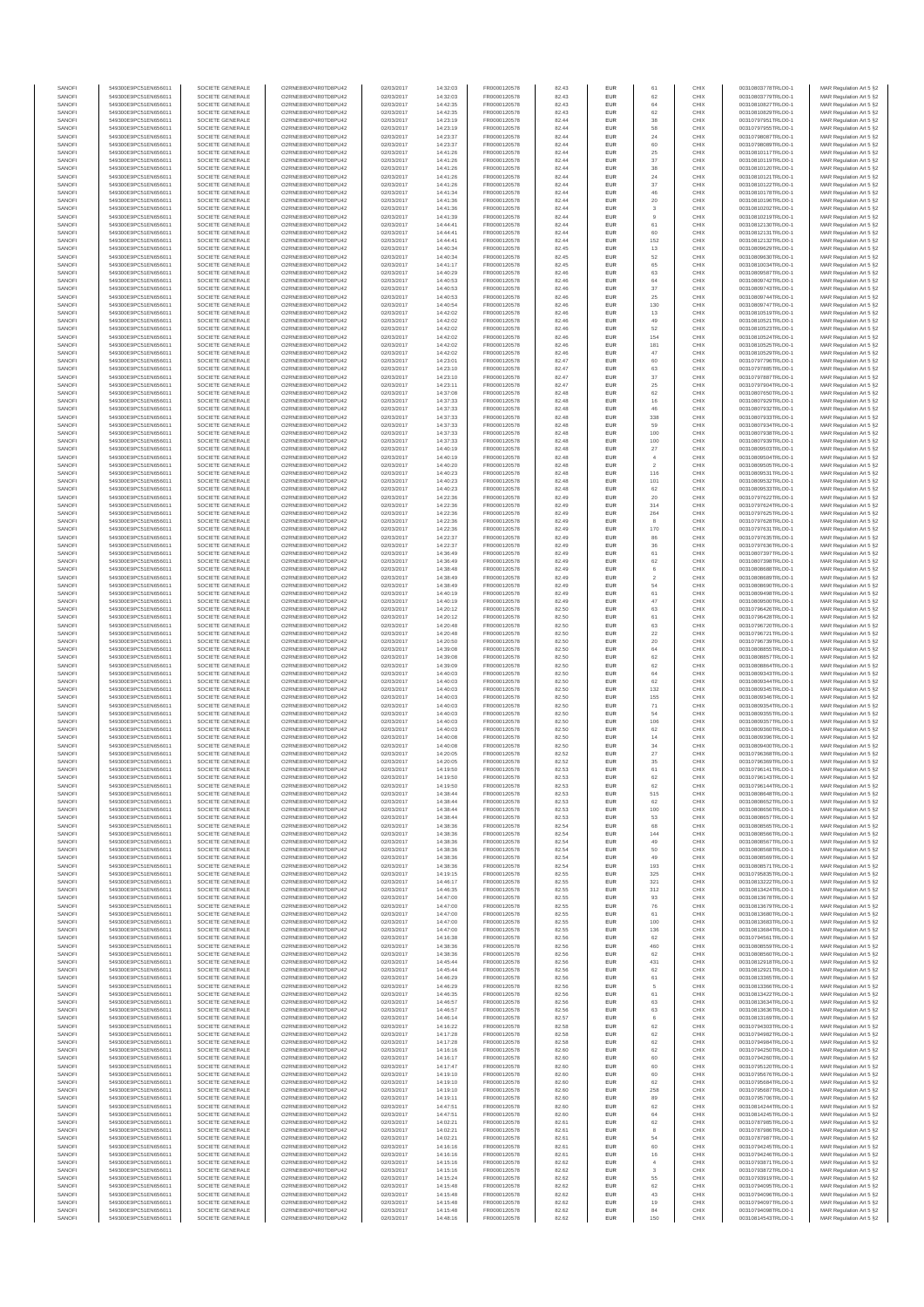| SANOFI           | 549300E9PC51EN656011                         | SOCIETE GENERALE                     | O2RNE8IBXP4R0TD8PU42                          | 02/03/2017               | 14:32:03             | FR0000120578                 | 82.43          | <b>EUR</b>               | 61                 | CHIX         | 00310803778TRLO0-1                       | MAR Regulation Art 5 §2                             |
|------------------|----------------------------------------------|--------------------------------------|-----------------------------------------------|--------------------------|----------------------|------------------------------|----------------|--------------------------|--------------------|--------------|------------------------------------------|-----------------------------------------------------|
| SANOFI<br>SANOFI | 549300E9PC51EN656011<br>549300E9PC51EN656011 | SOCIETE GENERALE<br>SOCIETE GENERALE | O2RNE8IBXP4R0TD8PU42<br>O2RNE8IBXP4R0TD8PU42  | 02/03/2017<br>02/03/2017 | 14:32:03<br>14:42:35 | FR0000120578<br>FR0000120578 | 82.43<br>82.43 | <b>EUR</b><br>EUR        | 62<br>64           | CHIX<br>CHIX | 00310803779TRLO0-1<br>00310810827TRLO0-1 | MAR Regulation Art 5 §2<br>MAR Regulation Art 5 §2  |
| SANOFI           | 549300E9PC51EN656011                         | SOCIETE GENERALE                     | O2RNE8IBXP4R0TD8PU42                          | 02/03/2017               | 14:42:35             | FR0000120578                 | 82.43          | <b>EUR</b>               | 62                 | CHIX         | 00310810829TRLO0-1                       | MAR Regulation Art 5 §2                             |
| SANOFI           | 549300E9PC51EN656011                         | SOCIETE GENERALE                     | O2RNE8IBXP4R0TD8PU42                          | 02/03/2017               | 14:23:19             | FR0000120578                 | 82.44          | EUR                      | 38                 | CHIX         | 00310797951TRLO0-1                       | MAR Regulation Art 5 §2                             |
| SANOFI           | 549300E9PC51EN656011                         | SOCIETE GENERALE                     | O2RNE8IBXP4R0TD8PU42                          | 02/03/2017               | 14:23:19             | FR0000120578                 | 82.44          | <b>EUR</b>               | 58                 | CHIX         | 00310797955TRLO0-1                       | MAR Regulation Art 5 §2                             |
| SANOFI<br>SANOFI | 549300E9PC51EN656011<br>549300E9PC51EN656011 | SOCIETE GENERALE<br>SOCIETE GENERALE | O2RNE8IBXP4R0TD8PU42<br>O2RNE8IBXP4R0TD8PU42  | 02/03/2017<br>02/03/2017 | 14:23:37<br>14:23:37 | FR0000120578<br>FR0000120578 | 82.44<br>82.44 | EUR<br>EUR               | 24<br>60           | CHIX<br>CHIX | 00310798087TRLO0-1<br>00310798089TRLO0-1 | MAR Regulation Art 5 §2<br>MAR Regulation Art 5 §2  |
| SANOFI           | 549300E9PC51EN656011                         | SOCIETE GENERALE                     | O2RNE8IBXP4R0TD8PU42                          | 02/03/2017               | 14:41:26             | FR0000120578                 | 82.44          | EUR                      | $\rm 25$           | CHIX         | 00310810117TRLO0-1                       | MAR Regulation Art 5 §2                             |
| SANOFI           | 549300E9PC51EN656011                         | SOCIETE GENERALE                     | O2RNE8IBXP4R0TD8PU42                          | 02/03/2017               | 14:41:26             | FR0000120578                 | 82.44          | EUR                      | 37                 | CHIX         | 00310810119TRLO0-1                       | MAR Regulation Art 5 §2                             |
| SANOFI<br>SANOFI | 549300E9PC51EN656011<br>549300E9PC51EN656011 | SOCIETE GENERALE<br>SOCIETE GENERALE | O2RNE8IBXP4R0TD8PU42<br>O2RNE8IBXP4R0TD8PU42  | 02/03/2017<br>02/03/2017 | 14:41:26<br>14:41:26 | FR0000120578<br>FR0000120578 | 82.44<br>82.44 | <b>EUR</b><br>EUR        | 38<br>24           | CHIX<br>CHIX | 00310810120TRLO0-1<br>00310810121TRLO0-1 | MAR Regulation Art 5 §2<br>MAR Regulation Art 5 §2  |
| SANOFI           | 549300E9PC51EN656011                         | SOCIETE GENERALE                     | O2RNE8IBXP4R0TD8PU42                          | 02/03/2017               | 14:41:26             | FR0000120578                 | 82.44          | <b>EUR</b>               | 37                 | CHIX         | 00310810122TRLO0-1                       | MAR Regulation Art 5 §2                             |
| SANOFI           | 549300E9PC51EN656011                         | SOCIETE GENERALE                     | O2RNE8IBXP4R0TD8PU42                          | 02/03/2017               | 14:41:34             | FR0000120578                 | 82.44          | EUR                      | 46                 | CHIX         | 00310810178TRLO0-1                       | MAR Regulation Art 5 §2                             |
| SANOFI           | 549300E9PC51EN656011                         | SOCIETE GENERALE                     | O2RNE8IBXP4R0TD8PU42                          | 02/03/2017               | 14:41:36             | FR0000120578                 | 82.44          | EUR                      | $20\,$             | CHIX         | 00310810196TRLO0-1                       | MAR Regulation Art 5 §2                             |
| SANOFI<br>SANOFI | 549300E9PC51EN656011<br>549300E9PC51EN656011 | SOCIETE GENERALE<br>SOCIETE GENERALE | O2RNE8IBXP4R0TD8PU42<br>O2RNE8IBXP4R0TD8PU42  | 02/03/2017<br>02/03/2017 | 14:41:36<br>14:41:39 | FR0000120578<br>FR0000120578 | 82.44<br>82.44 | EUR<br>EUR               | 3<br>9             | CHIX<br>CHIX | 00310810202TRLO0-1<br>00310810219TRLO0-1 | MAR Regulation Art 5 §2<br>MAR Regulation Art 5 §2  |
| SANOFI           | 549300E9PC51EN656011                         | SOCIETE GENERALE                     | O2RNE8IBXP4R0TD8PU42                          | 02/03/2017               | 14:44:41             | FR0000120578                 | 82.44          | <b>EUR</b>               | 61                 | CHIX         | 00310812130TRLO0-1                       | MAR Regulation Art 5 §2                             |
| SANOFI           | 549300E9PC51EN656011                         | SOCIETE GENERALE                     | O2RNE8IBXP4R0TD8PU42                          | 02/03/2017               | 14:44:4              | FR0000120578                 | 82.44          | EUR                      | 60                 | CHIX         | 00310812131TRLO0-1                       | MAR Regulation Art 5 §2                             |
| SANOFI           | 549300E9PC51EN656011                         | SOCIETE GENERALE                     | O2RNE8IBXP4R0TD8PLI42                         | 02/03/2017               | 14:44:41             | FR0000120578                 | 82.44          | <b>EUR</b>               | 152                | CHIX         | 00310812132TRLO0-1                       | MAR Regulation Art 5 §2                             |
| SANOFI<br>SANOFI | 549300E9PC51EN656011<br>549300E9PC51EN656011 | SOCIETE GENERALE<br>SOCIETE GENERALE | O2RNE8IBXP4R0TD8PU42<br>O2RNE8IBXP4R0TD8PU42  | 02/03/2017<br>02/03/2017 | 14:40:34<br>14:40:34 | FR0000120578<br>FR0000120578 | 82.45<br>82.45 | EUR<br><b>EUR</b>        | 13<br>52           | CHIX<br>CHIX | 00310809629TRLO0-1<br>00310809630TRLO0-1 | MAR Regulation Art 5 §2<br>MAR Regulation Art 5 §2  |
| SANOFI           | 549300E9PC51EN656011                         | SOCIETE GENERALE                     | O2RNE8IBXP4R0TD8PU42                          | 02/03/2017               | 14:41:17             | FR0000120578                 | 82.45          | EUR                      | 65                 | CHIX         | 00310810034TRLO0-1                       | MAR Regulation Art 5 §2                             |
| SANOFI           | 549300E9PC51EN656011                         | SOCIETE GENERALE                     | O2RNE8IBXP4R0TD8PU42                          | 02/03/2017               | 14:40:29             | FR0000120578                 | 82.46          | EUR                      | 63                 | CHIX         | 00310809587TRLO0-1                       | MAR Regulation Art 5 §2                             |
| SANOFI           | 549300E9PC51EN656011                         | SOCIETE GENERALE                     | O2RNE8IBXP4R0TD8PU42                          | 02/03/2017               | 14:40:53             | FR0000120578                 | 82.46          | EUR                      | 64                 | CHIX         | 00310809742TRLO0-1                       | MAR Regulation Art 5 §2                             |
| SANOFI<br>SANOFI | 549300E9PC51EN656011<br>549300E9PC51EN656011 | SOCIETE GENERALE<br>SOCIETE GENERALE | O2RNE8IBXP4R0TD8PU42<br>O2RNE8IBXP4R0TD8PU42  | 02/03/2017<br>02/03/2017 | 14:40:53<br>14:40:53 | FR0000120578<br>FR0000120578 | 82.46<br>82.46 | EUR<br>EUR               | $37\,$<br>$\rm 25$ | CHIX<br>CHIX | 00310809743TRLO0-1<br>00310809744TRLO0-1 | MAR Regulation Art 5 §2<br>MAR Regulation Art 5 §2  |
| SANOFI           | 549300E9PC51EN656011                         | SOCIETE GENERALE                     | O2RNE8IBXP4R0TD8PU42                          | 02/03/2017               | 14:40:54             | FR0000120578                 | 82.46          | EUR                      | 130                | CHIX         | 00310809747TRLO0-1                       | MAR Regulation Art 5 §2                             |
| SANOFI           | 549300E9PC51EN656011                         | SOCIETE GENERALE                     | O2RNE8IBXP4R0TD8PU42                          | 02/03/2017               | 14:42:02             | FR0000120578                 | 82.46          | <b>EUR</b>               | 13                 | CHIX         | 00310810519TRLO0-1                       | MAR Regulation Art 5 §2                             |
| SANOFI           | 549300E9PC51EN656011                         | SOCIETE GENERALE                     | O2RNE8IBXP4R0TD8PU42                          | 02/03/2017               | 14:42:02             | FR0000120578                 | 82.46          | EUR                      | 49                 | CHIX         | 00310810521TRLO0-1                       | MAR Regulation Art 5 §2                             |
| SANOFI<br>SANOFI | 549300E9PC51EN656011<br>549300E9PC51EN656011 | SOCIETE GENERALE<br>SOCIETE GENERALE | O2RNE8IBXP4R0TD8PU42<br>O2RNE8IBXP4R0TD8PU42  | 02/03/2017<br>02/03/2017 | 14:42:02<br>14:42:02 | FR0000120578<br>FR0000120578 | 82.46<br>82.46 | <b>EUR</b><br>EUR        | 52<br>154          | CHIX<br>CHIX | 00310810523TRLO0-1<br>00310810524TRLO0-1 | MAR Regulation Art 5 §2<br>MAR Regulation Art 5 §2  |
| SANOFI           | 549300E9PC51EN656011                         | SOCIETE GENERALE                     | O2RNE8IBXP4R0TD8PU42                          | 02/03/2017               | 14:42:02             | FR0000120578                 | 82.46          | EUR                      | 181                | CHIX         | 00310810525TRLO0-1                       | MAR Regulation Art 5 §2                             |
| SANOFI           | 549300E9PC51EN656011                         | SOCIETE GENERALE                     | O2RNE8IBXP4R0TD8PU42                          | 02/03/2017               | 14:42:02             | FR0000120578                 | 82.46          | EUR                      | 47                 | CHIX         | 00310810529TRLO0-1                       | MAR Regulation Art 5 §2                             |
| SANOFI<br>SANOFI | 549300E9PC51EN656011<br>549300E9PC51EN656011 | SOCIETE GENERALE<br>SOCIETE GENERALE | O2RNE8IBXP4R0TD8PU42<br>O2RNE8IBXP4R0TD8PU42  | 02/03/2017<br>02/03/2017 | 14:23:01<br>14:23:10 | FR0000120578<br>FR0000120578 | 82.47<br>82.47 | EUR<br><b>EUR</b>        | 60<br>63           | CHIX<br>CHIX | 00310797796TRLO0-1<br>00310797885TRLO0-1 | MAR Regulation Art 5 §2<br>MAR Regulation Art 5 §2  |
| SANOFI           | 549300E9PC51EN656011                         | SOCIETE GENERALE                     | O2RNE8IBXP4R0TD8PU42                          | 02/03/2017               | 14:23:10             | FR0000120578                 | 82.47          | EUR                      | 37                 | CHIX         | 00310797887TRLO0-1                       | MAR Regulation Art 5 §2                             |
| SANOFI           | 549300E9PC51EN656011                         | SOCIETE GENERALE                     | O2RNE8IBXP4R0TD8PU42                          | 02/03/2017               | 14:23:11             | FR0000120578                 | 82.47          | <b>EUR</b>               | 25                 | CHIX         | 00310797904TRLO0-1                       | MAR Regulation Art 5 \$2                            |
| SANOFI           | 549300E9PC51EN656011                         | SOCIETE GENERALE                     | O2RNE8IBXP4R0TD8PU42                          | 02/03/2017               | 14:37:08             | FR0000120578                 | 82.48          | EUR                      | 62                 | CHIX         | 00310807650TRLO0-1                       | MAR Regulation Art 5 §2                             |
| SANOFI<br>SANOFI | 549300E9PC51EN656011<br>549300E9PC51EN656011 | SOCIETE GENERALE<br>SOCIETE GENERALE | O2RNE8IBXP4R0TD8PU42<br>O2RNE8IBXP4R0TD8PU42  | 02/03/2017<br>02/03/2017 | 14:37:33<br>14:37:33 | FR0000120578<br>FR0000120578 | 82.48<br>82.48 | EUR<br>EUR               | 16<br>46           | CHIX<br>CHIX | 00310807929TRLO0-1<br>00310807932TRLO0-1 | MAR Regulation Art 5 §2<br>MAR Regulation Art 5 §2  |
| SANOFI           | 549300E9PC51EN656011                         | SOCIETE GENERALE                     | O2RNE8IBXP4R0TD8PU42                          | 02/03/2017               | 14:37:33             | FR0000120578                 | 82.48          | EUR                      | 338                | CHIX         | 00310807933TRLO0-1                       | MAR Regulation Art 5 §2                             |
| SANOFI           | 549300E9PC51EN656011                         | SOCIETE GENERALE                     | O2RNE8IBXP4R0TD8PU42                          | 02/03/2017               | 14:37:33             | FR0000120578                 | 82.48          | EUR                      | 59                 | CHIX         | 00310807934TRLO0-1                       | MAR Regulation Art 5 §2                             |
| SANOFI           | 549300E9PC51EN656011                         | SOCIETE GENERALE                     | O2RNE8IBXP4R0TD8PLI42                         | 02/03/2017               | 14:37:33             | FR0000120578                 | 82.48          | EUR                      | 100                | CHIX         | 00310807938TRLO0-1                       | MAR Regulation Art 5 §2                             |
| SANOFI<br>SANOFI | 549300E9PC51EN656011<br>549300E9PC51EN656011 | SOCIETE GENERALE<br>SOCIETE GENERALE | O2RNE8IBXP4R0TD8PU42<br>O2RNE8IBXP4R0TD8PU42  | 02/03/2017<br>02/03/2017 | 14:37:33<br>14:40:19 | FR0000120578<br>FR0000120578 | 82.48<br>82.48 | <b>EUR</b><br>EUR        | 100<br>27          | CHIX<br>CHIX | 00310807939TRLO0-1<br>00310809503TRLO0-1 | MAR Regulation Art 5 §2                             |
| SANOFI           | 549300E9PC51EN656011                         | SOCIETE GENERALE                     | O2RNE8IBXP4R0TD8PU42                          | 02/03/2017               | 14:40:19             | FR0000120578                 | 82.48          | <b>EUR</b>               | $\sqrt{4}$         | CHIX         | 00310809504TRLO0-1                       | MAR Regulation Art 5 §2<br>MAR Regulation Art 5 §2  |
| SANOFI           | 549300E9PC51EN656011                         | SOCIETE GENERALE                     | O2RNE8IBXP4R0TD8PU42                          | 02/03/2017               | 14:40:20             | FR0000120578                 | 82.48          | EUR                      | $\overline{2}$     | CHIX         | 00310809505TRLO0-1                       | MAR Regulation Art 5 §2                             |
| SANOFI           | 549300E9PC51EN656011                         | SOCIETE GENERALE                     | O2RNE8IBXP4R0TD8PU42                          | 02/03/2017               | 14:40:23             | FR0000120578                 | 82.48          | <b>EUR</b>               | 116                | CHIX         | 00310809531TRLO0-1                       | MAR Regulation Art 5 §2                             |
| SANOFI<br>SANOFI | 549300E9PC51EN656011<br>549300E9PC51EN656011 | SOCIETE GENERALE<br>SOCIETE GENERALE | O2RNE8IBXP4R0TD8PU42<br>O2RNE8IBXP4R0TD8PU42  | 02/03/2017<br>02/03/2017 | 14:40:23<br>14:40:23 | FR0000120578<br>FR0000120578 | 82.48<br>82.48 | EUR<br>EUR               | 101<br>62          | CHIX<br>CHIX | 00310809532TRLO0-1<br>00310809533TRLO0-1 | MAR Regulation Art 5 §2<br>MAR Regulation Art 5 §2  |
| SANOFI           | 549300E9PC51EN656011                         | SOCIETE GENERALE                     | O2RNE8IBXP4R0TD8PU42                          | 02/03/2017               | 14:22:36             | FR0000120578                 | 82.49          | EUR                      | 20                 | CHIX         | 00310797622TRLO0-1                       | MAR Regulation Art 5 §2                             |
| SANOFI           | 549300E9PC51EN656011                         | SOCIETE GENERALE                     | O2RNE8IBXP4R0TD8PU42                          | 02/03/2017               | 14:22:36             | FR0000120578                 | 82.49          | EUR                      | 314                | CHIX         | 00310797624TRLO0-1                       | MAR Regulation Art 5 §2                             |
| SANOFI           | 549300E9PC51EN656011                         | SOCIETE GENERALE                     | O2RNE8IBXP4R0TD8PU42                          | 02/03/2017               | 14:22:36             | FR0000120578                 | 82.49          | <b>EUR</b>               | 264                | CHIX         | 00310797625TRLO0-1                       | MAR Regulation Art 5 §2                             |
| SANOFI<br>SANOFI | 549300E9PC51EN656011<br>549300E9PC51EN656011 | SOCIETE GENERALE<br>SOCIETE GENERALE | O2RNE8IBXP4R0TD8PU42<br>O2RNE8IBXP4R0TD8PU42  | 02/03/2017<br>02/03/2017 | 14:22:36<br>14:22:36 | FR0000120578<br>FR0000120578 | 82.49<br>82.49 | EUR<br><b>EUR</b>        | $^{\rm 8}$<br>170  | CHIX<br>CHIX | 00310797628TRLO0-1<br>00310797631TRLO0-1 | MAR Regulation Art 5 §2<br>MAR Regulation Art 5 \$2 |
| SANOFI           | 549300E9PC51EN656011                         | SOCIETE GENERALE                     | O2RNE8IBXP4R0TD8PU42                          | 02/03/2017               | 14:22:37             | FR0000120578                 | 82.49          | EUR                      | 86                 | CHIX         | 00310797635TRLO0-1                       | MAR Regulation Art 5 §2                             |
| SANOFI           | 549300E9PC51EN656011                         | SOCIETE GENERALE                     | O2RNE8IBXP4R0TD8PU42                          | 02/03/2017               | 14:22:37             | FR0000120578                 | 82.49          | EUR                      | $36\,$             | CHIX         | 00310797636TRLO0-1                       | MAR Regulation Art 5 §2                             |
| SANOFI           | 549300E9PC51EN656011                         | SOCIETE GENERALE                     | O2RNE8IBXP4R0TD8PU42                          | 02/03/2017               | 14:36:49             | FR0000120578                 | 82.49          | EUR                      | 61                 | CHIX         | 00310807397TRLO0-1                       | MAR Regulation Art 5 §2                             |
| SANOFI<br>SANOFI | 549300E9PC51EN656011<br>549300E9PC51EN656011 | SOCIETE GENERALE<br>SOCIETE GENERALE | O2RNE8IBXP4R0TD8PU42<br>O2RNE8IBXP4R0TD8PU42  | 02/03/2017<br>02/03/2017 | 14:36:49<br>14:38:48 | FR0000120578<br>FR0000120578 | 82.49<br>82.49 | EUR<br>EUR               | 62<br>6            | CHIX<br>CHIX | 00310807398TRLO0-1<br>00310808688TRLO0-1 | MAR Regulation Art 5 §2<br>MAR Regulation Art 5 §2  |
| SANOFI           | 549300E9PC51EN656011                         | SOCIETE GENERALE                     | O2RNE8IBXP4R0TD8PU42                          | 02/03/2017               | 14:38:49             | FR0000120578                 | 82.49          | EUR                      | $\overline{2}$     | CHIX         | 00310808689TRLO0-1                       | MAR Regulation Art 5 §2                             |
| SANOFI           | 549300E9PC51EN656011                         | SOCIETE GENERALE                     | O2RNE8IBXP4R0TD8PU42                          | 02/03/2017               | 14:38:49             | FR0000120578                 | 82.49          | <b>EUR</b>               | 54                 | CHIX         | 00310808690TRLO0-1                       | MAR Regulation Art 5 §2                             |
| SANOFI           | 549300E9PC51EN656011                         | SOCIETE GENERALE                     | O2RNE8IBXP4R0TD8PU42                          | 02/03/2017               | 14:40:19             | FR0000120578                 | 82.49          | EUR                      | 61                 | CHIX         | 00310809498TRLO0-1                       | MAR Regulation Art 5 §2                             |
| SANOFI<br>SANOFI | 549300E9PC51EN656011<br>549300E9PC51EN656011 | SOCIETE GENERALE<br>SOCIETE GENERALE | O2RNE8IBXP4R0TD8PU42<br>O2RNE8IBXP4R0TD8PU42  | 02/03/2017<br>02/03/2017 | 14:40:19<br>14:20:12 | FR0000120578<br>FR0000120578 | 82.49<br>82.50 | <b>EUR</b><br>EUR        | 47<br>63           | CHIX<br>CHIX | 00310809500TRLO0-1<br>00310796426TRLO0-1 | MAR Regulation Art 5 §2<br>MAR Regulation Art 5 §2  |
| SANOFI           | 549300E9PC51EN656011                         | SOCIETE GENERALE                     | O2RNE8IBXP4R0TD8PU42                          | 02/03/2017               | 14:20:12             | FR0000120578                 | 82.50          | EUR                      | 61                 | CHIX         | 00310796428TRLO0-1                       | MAR Regulation Art 5 §2                             |
| SANOFI           | 549300E9PC51EN656011                         | SOCIETE GENERALE                     | O2RNE8IBXP4R0TD8PU42                          | 02/03/2017               | 14:20:48             | FR0000120578                 | 82.50          | EUR                      | 63                 | CHIX         | 00310796720TRLO0-1                       | MAR Regulation Art 5 §2                             |
| SANOFI<br>SANOFI | 549300E9PC51EN656011<br>549300E9PC51EN656011 | SOCIETE GENERALE<br>SOCIETE GENERALE | O2RNE8IBXP4R0TD8PU42<br>O2RNE8IBXP4R0TD8PU42  | 02/03/2017               | 14:20:48<br>14:20:50 | FR0000120578                 | 82.50<br>82.50 | EUR<br><b>EUR</b>        | $22\,$             | CHIX<br>CHIX | 00310796721TRLO0-1<br>00310796739TRLO0-1 | MAR Regulation Art 5 §2                             |
| SANOFI           | 549300E9PC51EN656011                         | SOCIETE GENERALE                     | O2RNE8IBXP4R0TD8PU42                          | 02/03/2017<br>02/03/2017 | 14:39:08             | FR0000120578<br>FR0000120578 | 82.50          | EUR                      | 20<br>64           | CHIX         | 00310808855TRLO0-1                       | MAR Regulation Art 5 §2<br>MAR Regulation Art 5 §2  |
| SANOFI           | 549300E9PC51EN656011                         | SOCIETE GENERALE                     | O2RNE8IBXP4R0TD8PU42                          | 02/03/2017               | 14:39:08             | FR0000120578                 | 82.50          | <b>EUR</b>               | 62                 | CHIX         | 00310808857TRLO0-1                       | MAR Regulation Art 5 §2                             |
| SANOFI           | 549300E9PC51EN656011                         | SOCIETE GENERALE                     | O2RNE8IBXP4R0TD8PU42                          | 02/03/2017               | 14:39:09             | FR0000120578                 | 82.50          | EUR                      | 62                 | CHIX         | 00310808864TRLO0-1                       | MAR Regulation Art 5 §2                             |
| SANOFI<br>SANOFI | 549300E9PC51EN656011                         | SOCIETE GENERALE                     | O2RNE8IBXP4R0TD8PU42                          | 02/03/2017               | 14:40:03             | FR0000120578                 | 82.50          | <b>EUR</b>               | 64                 | CHIX         | 00310809343TRLO0-1                       | MAR Regulation Art 5 §2                             |
| SANOFI           | 549300E9PC51EN656011<br>549300E9PC51EN656011 | SOCIETE GENERALE<br>SOCIETE GENERALE | O2RNE8IBXP4R0TD8PU42<br>O2RNE8IBXP4R0TD8PU42  | 02/03/2017<br>02/03/2017 | 14:40:03<br>14:40:03 | FR0000120578<br>FR0000120578 | 82.50<br>82.50 | EUR<br>EUR               | 62<br>132          | CHIX<br>CHIX | 00310809344TRLO0-1<br>00310809345TRLO0-1 | MAR Regulation Art 5 §2<br>MAR Regulation Art 5 §2  |
| SANOFI           | 549300E9PC51EN656011                         | SOCIETE GENERALE                     | O2RNE8IBXP4R0TD8PU42                          | 02/03/2017               | 14:40:03             | FR0000120578                 | 82.50          | EUR                      | 155                | CHIX         | 00310809346TRLO0-1                       | MAR Regulation Art 5 §2                             |
| SANOFI           | 549300E9PC51EN656011                         | SOCIETE GENERALE                     | O2RNESIBXP4R0TD8PLI42                         | 02/03/2017               | 14:40:03             | FR0000120578                 | 82.50          | <b>EUR</b>               | 71                 | CHIX         | 00310809354TRLO0-1                       | MAR Regulation Art 5 §2                             |
| SANOFI           | 549300E9PC51EN656011                         | SOCIETE GENERALE                     | O2RNE8IBXP4R0TD8PU42                          | 02/03/2017               | 14:40:03             | FR0000120578                 | 82.50          | <b>EUR</b>               | 54                 | CHIX         | 00310809355TRLO0-1                       | MAR Regulation Art 5 §2                             |
| SANOFI<br>SANOFI | 549300E9PC51EN656011<br>549300E9PC51EN656011 | SOCIETE GENERALE<br>SOCIETE GENERALE | O2RNE8IBXP4R0TD8PU42<br>O2RNE8IBXP4R0TD8PU42  | 02/03/2017<br>02/03/2017 | 14:40:03<br>14:40:03 | FR0000120578<br>FR0000120578 | 82.50<br>82.50 | EUR<br><b>EUR</b>        | 106<br>62          | CHIX<br>CHIX | 00310809357TRLO0-1<br>00310809360TRLO0-1 | MAR Regulation Art 5 §2<br>MAR Regulation Art 5 §2  |
| SANOFI           | 549300E9PC51EN656011                         | SOCIETE GENERALE                     | O2RNE8IBXP4R0TD8PU42                          | 02/03/2017               | 14:40:08             | FR0000120578                 | 82.50          | EUR                      | 14                 | CHIX         | 00310809396TRLO0-1                       | MAR Regulation Art 5 §2                             |
| SANOFI           | 549300E9PC51EN656011                         | SOCIETE GENERALE                     | O2RNE8IBXP4R0TD8PU42                          | 02/03/2017               | 14:40:08             | FR0000120578                 | 82.50          | EUR                      | $34\,$             | CHIX         | 00310809400TRLO0-1                       | MAR Regulation Art 5 §2                             |
| SANOFI<br>SANOFI | 549300E9PC51EN656011<br>549300E9PC51EN656011 | SOCIETE GENERALE<br>SOCIETE GENERALE | O2RNE8IBXP4R0TD8PLI42<br>O2RNE8IBXP4R0TD8PU42 | 02/03/2017<br>02/03/2017 | 14:20:05<br>14:20:05 | FR0000120578<br>FR0000120578 | 82.52<br>82.52 | EUR<br>EUR               | $27\,$<br>35       | CHIX<br>CHIX | 00310796368TRLO0-1<br>00310796369TRLO0-1 | MAR Regulation Art 5 §2                             |
| SANOFI           | 549300E9PC51EN656011                         | SOCIETE GENERALE                     | O2RNE8IBXP4R0TD8PU42                          | 02/03/2017               | 14:19:50             | FR0000120578                 | 82.53          | EUR                      | 61                 | CHIX         | 00310796141TRLO0-1                       | MAR Regulation Art 5 §2<br>MAR Regulation Art 5 §2  |
| SANOFI           | 549300E9PC51EN656011                         | SOCIETE GENERALE                     | O2RNE8IBXP4R0TD8PU42                          | 02/03/2017               | 14:19:50             | FR0000120578                 | 82.53          | EUR                      | 62                 | CHIX         | 00310796143TRLO0-1                       | MAR Regulation Art 5 §2                             |
| SANOFI           | 549300E9PC51EN656011                         | SOCIETE GENERALE                     | O2RNE8IBXP4R0TD8PU42                          | 02/03/2017               | 14:19:50             | FR0000120578                 | 82.53          | <b>EUR</b>               | 62                 | CHIX         | 00310796144TRLO0-1                       | MAR Regulation Art 5 §2                             |
| SANOFI<br>SANOFI | 549300E9PC51EN656011<br>549300E9PC51EN656011 | SOCIETE GENERALE<br>SOCIETE GENERALE | O2RNE8IBXP4R0TD8PU42<br>O2RNE8IBXP4R0TD8PU42  | 02/03/2017<br>02/03/2017 | 14:38:44<br>14:38:44 | FR0000120578<br>FR0000120578 | 82.53<br>82.53 | EUR<br><b>EUR</b>        | 515<br>62          | CHIX<br>CHIX | 00310808648TRLO0-1<br>00310808652TRLO0-1 | MAR Regulation Art 5 §2                             |
| SANOFI           | 549300E9PC51EN656011                         | SOCIETE GENERALE                     | O2RNE8IBXP4R0TD8PU42                          | 02/03/2017               | 14:38:44             | FR0000120578                 | 82.53          | EUR                      | 100                | CHIX         | 00310808656TRLO0-1                       | MAR Regulation Art 5 §2<br>MAR Regulation Art 5 §2  |
| SANOFI           | 549300E9PC51EN656011                         | SOCIETE GENERALE                     | O2RNE8IBXP4R0TD8PU42                          | 02/03/2017               | 14:38:44             | FR0000120578                 | 82.53          | <b>EUR</b>               | 53                 | CHIX         | 00310808657TRLO0-1                       | MAR Regulation Art 5 §2                             |
| SANOFI           | 549300E9PC51EN656011                         | SOCIETE GENERALE                     | O2RNE8IBXP4R0TD8PU42                          | 02/03/2017               | 14:38:36             | FR0000120578                 | 82.54          | <b>EUR</b>               | 68                 | CHIX         | 00310808565TRLO0-1                       | MAR Regulation Art 5 §2                             |
| SANOFI<br>SANOFI | 549300E9PC51EN656011<br>549300E9PC51EN656011 | SOCIETE GENERALE<br>SOCIETE GENERALE | O2RNE8IBXP4R0TD8PU42<br>O2RNE8IBXP4R0TD8PU42  | 02/03/2017<br>02/03/2017 | 14:38:36<br>14:38:36 | FR0000120578<br>FR0000120578 | 82.54<br>82.54 | EUR<br>EUR               | 144<br>49          | CHIX<br>CHIX | 00310808566TRLO0-1<br>00310808567TRLO0-1 | MAR Regulation Art 5 §2<br>MAR Regulation Art 5 §2  |
| SANOFI           | 549300E9PC51EN656011                         | SOCIETE GENERALE                     | O2RNE8IBXP4R0TD8PU42                          | 02/03/2017               | 14:38:36             | FR0000120578                 | 82.54          | EUR                      | 50                 | CHIX         | 00310808568TRLO0-1                       | MAR Regulation Art 5 §2                             |
| SANOFI           | 549300E9PC51EN656011                         | SOCIETE GENERALE                     | O2RNE8IBXP4R0TD8PU42                          | 02/03/2017               | 14:38:36             | FR0000120578                 | 82.54          | <b>EUR</b>               | 49                 | CHIX         | 00310808569TRLO0-1                       | MAR Regulation Art 5 §2                             |
| SANOFI<br>SANOFI | 549300E9PC51EN656011<br>549300E9PC51EN656011 | SOCIETE GENERALE<br>SOCIETE GENERALE | O2RNE8IBXP4R0TD8PU42<br>O2RNE8IBXP4R0TD8PU42  | 02/03/2017<br>02/03/2017 | 14:38:36<br>14:19:15 | FR0000120578<br>FR0000120578 | 82.54<br>82.55 | EUR<br><b>EUR</b>        | 193<br>325         | CHIX<br>CHIX | 00310808571TRLO0-1<br>00310795835TRLO0-1 | MAR Regulation Art 5 §2<br>MAR Regulation Art 5 §2  |
| SANOFI           | 549300E9PC51EN656011                         | SOCIETE GENERALE                     | O2RNE8IBXP4R0TD8PU42                          | 02/03/2017               | 14:46:17             | FR0000120578                 | 82.55          | <b>EUR</b>               | 321                | CHIX         | 00310813222TRLO0-1                       | MAR Regulation Art 5 §2                             |
| SANOFI           | 549300E9PC51EN656011                         | SOCIETE GENERALE                     | O2RNE8IBXP4R0TD8PU42                          | 02/03/2017               | 14:46:35             | FR0000120578                 | 82.55          | EUR                      | 312                | CHIX         | 00310813424TRLO0-1                       | MAR Regulation Art 5 §2                             |
| SANOFI           | 549300E9PC51EN656011<br>549300E9PC51EN656011 | SOCIETE GENERALE<br>SOCIETE GENERALE | O2RNE8IBXP4R0TD8PU42                          | 02/03/2017               | 14:47:00             | FR0000120578                 | 82.55          | <b>EUR</b>               | 93                 | CHIX         | 00310813678TRLO0-1                       | MAR Regulation Art 5 §2                             |
| SANOFI<br>SANOFI | 549300E9PC51EN656011                         | SOCIETE GENERALE                     | O2RNE8IBXP4R0TD8PU42<br>O2RNE8IBXP4R0TD8PU42  | 02/03/2017<br>02/03/2017 | 14:47:00<br>14:47:00 | FR0000120578<br>FR0000120578 | 82.55<br>82.55 | <b>EUR</b><br><b>EUR</b> | 76<br>61           | CHIX<br>CHIX | 00310813679TRLO0-1<br>00310813680TRLO0-1 | MAR Regulation Art 5 §2<br>MAR Regulation Art 5 §2  |
| SANOFI           | 549300E9PC51EN656011                         | SOCIETE GENERALE                     | O2RNE8IBXP4R0TD8PU42                          | 02/03/2017               | 14:47:00             | FR0000120578                 | 82.55          | EUR                      | 100                | CHIX         | 00310813683TRLO0-1                       | MAR Regulation Art 5 §2                             |
| SANOFI           | 549300E9PC51EN656011                         | SOCIETE GENERALE                     | O2RNE8IBXP4R0TD8PU42                          | 02/03/2017               | 14:47:00             | FR0000120578                 | 82.55          | <b>EUR</b>               | 136                | CHIX         | 00310813684TRLO0-1                       | MAR Regulation Art 5 §2                             |
| SANOFI<br>SANOFI | 549300E9PC51EN656011<br>549300E9PC51EN656011 | SOCIETE GENERALE<br>SOCIETE GENERALE | O2RNE8IBXP4R0TD8PU42<br>O2RNE8IBXP4R0TD8PU42  | 02/03/2017<br>02/03/2017 | 14:16:38<br>14:38:36 | FR0000120578<br>FR0000120578 | 82.56<br>82.56 | EUR<br>EUR               | 62<br>460          | CHIX<br>CHIX | 00310794561TRLO0-1<br>00310808559TRLO0-1 | MAR Regulation Art 5 §2<br>MAR Regulation Art 5 §2  |
| SANOFI           | 549300E9PC51EN656011                         | SOCIETE GENERALE                     | O2RNE8IBXP4R0TD8PU42                          | 02/03/2017               | 14:38:36             | FR0000120578                 | 82.56          | EUR                      | 62                 | CHIX         | 00310808560TRLO0-1                       | MAR Regulation Art 5 §2                             |
| SANOFI           | 549300E9PC51EN656011                         | SOCIETE GENERALE                     | O2RNE8IBXP4R0TD8PU42                          | 02/03/2017               | 14:45:44             | FR0000120578                 | 82.56          | EUR                      | 431                | CHIX         | 00310812918TRLO0-1                       | MAR Regulation Art 5 §2                             |
| SANOFI           | 549300E9PC51EN656011                         | SOCIETE GENERALE                     | O2RNE8IBXP4R0TD8PU42                          | 02/03/2017               | 14:45:44             | FR0000120578                 | 82.56          | EUR                      | 62                 | CHIX         | 00310812921TRLO0-1                       | MAR Regulation Art 5 §2                             |
| SANOFI<br>SANOFI | 549300E9PC51EN656011<br>549300E9PC51EN656011 | SOCIETE GENERALE<br>SOCIETE GENERALE | O2RNE8IBXP4R0TD8PU42<br>O2RNE8IBXP4R0TD8PU42  | 02/03/2017<br>02/03/2017 | 14:46:29<br>14:46:29 | FR0000120578<br>FR0000120578 | 82.56<br>82.56 | EUR<br><b>EUR</b>        | 61<br>-5           | CHIX<br>CHIX | 00310813365TRLO0-1<br>00310813366TRLO0-1 | MAR Regulation Art 5 §2<br>MAR Regulation Art 5 §2  |
| SANOFI           | 549300E9PC51EN656011                         | SOCIETE GENERALE                     | O2RNE8IBXP4R0TD8PU42                          | 02/03/2017               | 14:46:35             | FR0000120578                 | 82.56          | EUR                      | 61                 | CHIX         | 00310813422TRLO0-1                       | MAR Regulation Art 5 §2                             |
| SANOFI           | 549300E9PC51EN656011                         | SOCIETE GENERALE                     | O2RNE8IBXP4R0TD8PU42                          | 02/03/2017               | 14:46:57             | FR0000120578                 | 82.56          | <b>EUR</b>               | 63                 | CHIX         | 00310813634TRLO0-1                       | MAR Regulation Art 5 §2                             |
| SANOFI           | 549300E9PC51EN656011                         | SOCIETE GENERALE                     | O2RNE8IBXP4R0TD8PU42                          | 02/03/2017               | 14:46:57             | FR0000120578                 | 82.56          | EUR                      | 63                 | CHIX         | 00310813636TRLO0-1                       | MAR Regulation Art 5 §2                             |
| SANOFI<br>SANOFI | 549300E9PC51EN656011<br>549300E9PC51EN656011 | SOCIETE GENERALE<br>SOCIETE GENERALE | O2RNE8IBXP4R0TD8PU42<br>O2RNE8IBXP4R0TD8PU42  | 02/03/2017<br>02/03/2017 | 14:46:14<br>14:16:22 | FR0000120578<br>FR0000120578 | 82.57<br>82.58 | <b>EUR</b><br><b>EUR</b> | 6<br>62            | CHIX<br>CHIX | 00310813169TRLO0-1<br>00310794303TRLO0-1 | MAR Regulation Art 5 §2<br>MAR Regulation Art 5 §2  |
| SANOFI           | 549300E9PC51EN656011                         | SOCIETE GENERALE                     | O2RNE8IBXP4R0TD8PU42                          | 02/03/2017               | 14:17:28             | FR0000120578                 | 82.58          | EUR                      | 62                 | CHIX         | 00310794982TRLO0-1                       | MAR Regulation Art 5 §2                             |
| SANOFI           | 549300E9PC51EN656011                         | SOCIETE GENERALE                     | O2RNE8IBXP4R0TD8PU42                          | 02/03/2017               | 14:17:28             | FR0000120578                 | 82.58          | EUR                      | 62                 | CHIX         | 00310794984TRLO0-1                       | MAR Regulation Art 5 §2                             |
| SANOFI           | 549300E9PC51EN656011                         | SOCIETE GENERALE                     | O2RNE8IBXP4R0TD8PU42                          | 02/03/2017               | 14:16:16             | FR0000120578                 | 82.60          | EUR                      | 62                 | CHIX         | 00310794250TRLO0-1                       | MAR Regulation Art 5 §2                             |
| SANOFI<br>SANOFI | 549300E9PC51EN656011<br>549300E9PC51EN656011 | SOCIETE GENERALE<br>SOCIETE GENERALE | O2RNE8IBXP4R0TD8PU42<br>O2RNE8IBXP4R0TD8PU42  | 02/03/2017<br>02/03/2017 | 14:16:17<br>14:17:47 | FR0000120578<br>FR0000120578 | 82.60<br>82.60 | <b>EUR</b><br>EUR        | 60<br>60           | CHIX<br>CHIX | 00310794260TRLO0-1<br>00310795120TRLO0-1 | MAR Regulation Art 5 §2<br>MAR Regulation Art 5 §2  |
| SANOFI           | 549300E9PC51EN656011                         | SOCIETE GENERALE                     | O2RNE8IBXP4R0TD8PU42                          | 02/03/2017               | 14:19:10             | FR0000120578                 | 82.60          | <b>EUR</b>               | 60                 | CHIX         | 00310795676TRLO0-1                       | MAR Regulation Art 5 §2                             |
| SANOFI           | 549300E9PC51EN656011                         | SOCIETE GENERALE                     | O2RNE8IBXP4R0TD8PU42                          | 02/03/2017               | 14:19:10             | FR0000120578                 | 82.60          | EUR                      | 62                 | CHIX         | 00310795684TRLO0-1                       | MAR Regulation Art 5 §2                             |
| SANOFI           | 549300E9PC51EN656011                         | SOCIETE GENERALE                     | O2RNE8IBXP4R0TD8PU42                          | 02/03/2017               | 14:19:10             | FR0000120578                 | 82.60          | EUR                      | 258                | CHIX         | 00310795687TRLO0-1                       | MAR Regulation Art 5 §2                             |
| SANOFI<br>SANOFI | 549300E9PC51EN656011<br>549300E9PC51EN656011 | SOCIETE GENERALE<br>SOCIETE GENERALE | O2RNE8IBXP4R0TD8PU42<br>O2RNE8IBXP4R0TD8PU42  | 02/03/2017<br>02/03/2017 | 14:19:11<br>14:47:51 | FR0000120578<br>FR0000120578 | 82.60<br>82.60 | EUR<br><b>EUR</b>        | 89<br>62           | CHIX<br>CHIX | 00310795706TRLO0-1<br>00310814244TRLO0-1 | MAR Regulation Art 5 §2<br>MAR Regulation Art 5 §2  |
| SANOFI           | 549300E9PC51EN656011                         | SOCIETE GENERALE                     | O2RNE8IBXP4R0TD8PU42                          | 02/03/2017               | 14:47:51             | FR0000120578                 | 82.60          | EUR                      | 64                 | CHIX         | 00310814245TRLO0-1                       | MAR Regulation Art 5 §2                             |
| SANOFI           | 549300E9PC51EN656011                         | SOCIETE GENERALE                     | O2RNE8IBXP4R0TD8PU42                          | 02/03/2017               | 14:02:21             | FR0000120578                 | 82.61          | EUR                      | 62                 | CHIX         | 00310787985TRLO0-1                       | MAR Regulation Art 5 §2                             |
| SANOFI           | 549300E9PC51EN656011                         | SOCIETE GENERALE                     | O2RNE8IBXP4R0TD8PU42                          | 02/03/2017               | 14:02:21             | FR0000120578                 | 82.61          | <b>EUR</b>               | 8                  | CHIX         | 00310787986TRLO0-1                       | MAR Regulation Art 5 §2                             |
| SANOFI<br>SANOFI | 549300E9PC51EN656011<br>549300E9PC51EN656011 | SOCIETE GENERALE<br>SOCIETE GENERALE | O2RNE8IBXP4R0TD8PU42<br>O2RNE8IBXP4R0TD8PU42  | 02/03/2017<br>02/03/2017 | 14:02:21<br>14:16:16 | FR0000120578<br>FR0000120578 | 82.61<br>82.61 | EUR<br><b>EUR</b>        | 54<br>60           | CHIX<br>CHIX | 00310787987TRLO0-1<br>00310794245TRLO0-1 | MAR Regulation Art 5 §2<br>MAR Regulation Art 5 §2  |
| SANOFI           | 549300E9PC51EN656011                         | SOCIETE GENERALE                     | O2RNE8IBXP4R0TD8PU42                          | 02/03/2017               | 14:16:16             | FR0000120578                 | 82.61          | EUR                      | $16\,$             | CHIX         | 00310794246TRLO0-1                       | MAR Regulation Art 5 §2                             |
| SANOFI           | 549300E9PC51EN656011                         | SOCIETE GENERALE                     | O2RNE8IBXP4R0TD8PU42                          | 02/03/2017               | 14:15:16             | FR0000120578                 | 82.62          | EUR                      | $\overline{4}$     | CHIX         | 00310793871TRLO0-1                       | MAR Regulation Art 5 §2                             |
| SANOFI           | 549300E9PC51EN656011                         | SOCIETE GENERALE                     | O2RNE8IBXP4R0TD8PU42                          | 02/03/2017               | 14:15:16             | FR0000120578                 | 82.62          | <b>EUR</b>               | 3                  | CHIX         | 00310793872TRLO0-1                       | MAR Regulation Art 5 §2                             |
| SANOFI<br>SANOFI | 549300E9PC51EN656011<br>549300E9PC51EN656011 | SOCIETE GENERALE<br>SOCIETE GENERALE | O2RNE8IBXP4R0TD8PU42<br>O2RNE8IBXP4R0TD8PU42  | 02/03/2017<br>02/03/2017 | 14:15:24<br>14:15:48 | FR0000120578<br>FR0000120578 | 82.62<br>82.62 | EUR<br><b>EUR</b>        | 55<br>62           | CHIX<br>CHIX | 00310793919TRLO0-1<br>00310794095TRLO0-1 | MAR Regulation Art 5 §2<br>MAR Regulation Art 5 §2  |
| SANOFI           | 549300E9PC51EN656011                         | SOCIETE GENERALE                     | O2RNE8IBXP4R0TD8PU42                          | 02/03/2017               | 14:15:48             | FR0000120578                 | 82.62          | EUR                      | 43                 | CHIX         | 00310794096TRLO0-1                       | MAR Regulation Art 5 §2                             |
| SANOFI           | 549300E9PC51EN656011                         | SOCIETE GENERALE                     | O2RNE8IBXP4R0TD8PU42                          | 02/03/2017               | 14:15:48             | FR0000120578                 | 82.62          | <b>EUR</b>               | 19                 | CHIX         | 00310794097TRLO0-1                       | MAR Regulation Art 5 §2                             |
| SANOFI<br>SANOFI | 549300E9PC51EN656011<br>549300E9PC51EN656011 | SOCIETE GENERALE<br>SOCIETE GENERALE | O2RNE8IBXP4R0TD8PU42<br>O2RNE8IBXP4R0TD8PU42  | 02/03/2017<br>02/03/2017 | 14:15:48             | FR0000120578<br>FR0000120578 | 82.62<br>82.62 | EUR                      | 84<br>150          | CHIX<br>CHIX | 00310794098TRLO0-1<br>00310814543TRLO0-1 | MAR Regulation Art 5 §2<br>MAR Regulation Art 5 §2  |
|                  |                                              |                                      |                                               |                          | 14:48:16             |                              |                | <b>EUR</b>               |                    |              |                                          |                                                     |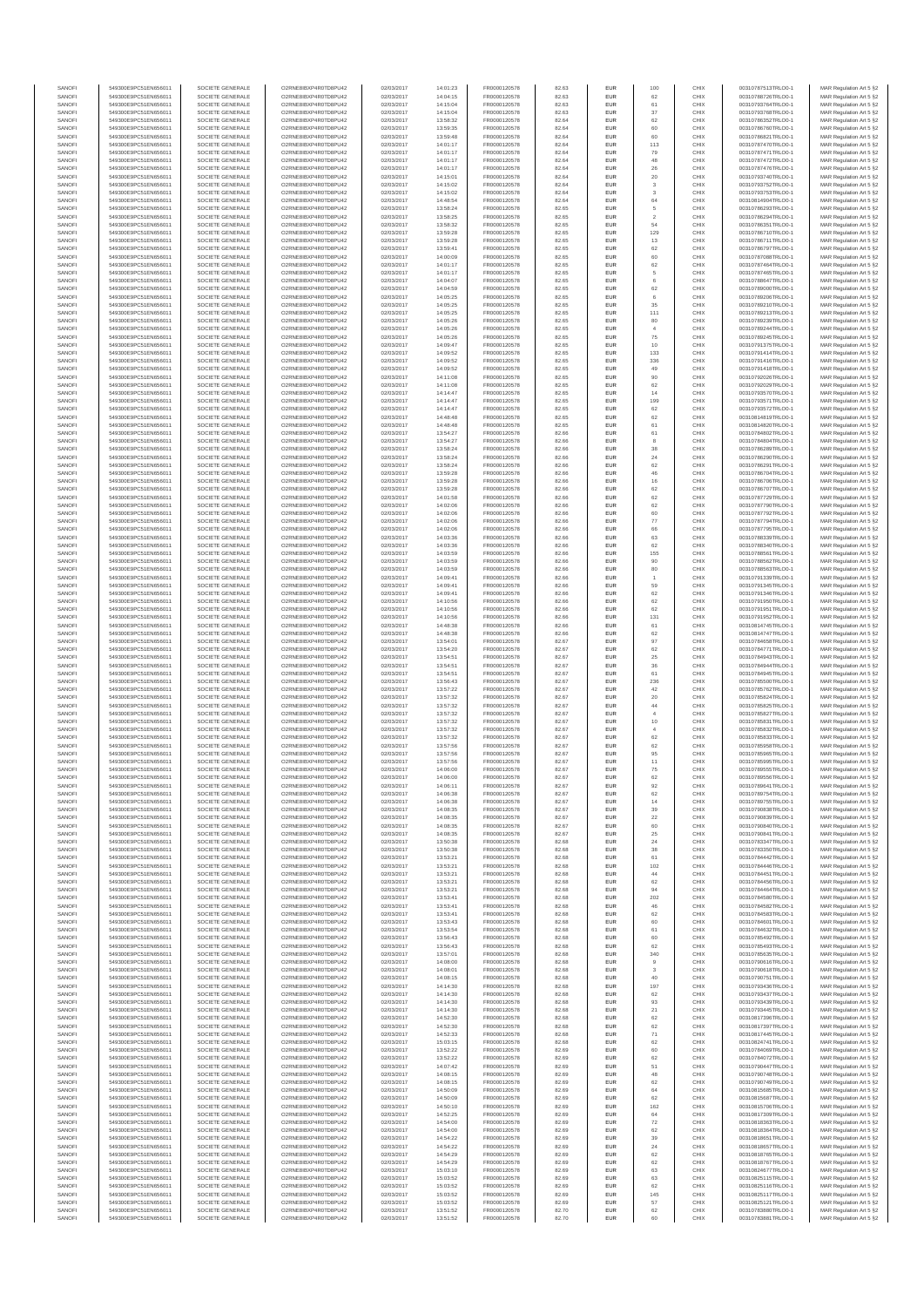| SANOFI           | 549300E9PC51EN656011                         | SOCIETE GENERALE                     | O2RNE8IBXP4R0TD8PU42                          | 02/03/2017               | 14:01:23             | FR0000120578                 | 82.63          | <b>EUR</b>               | 100                     | CHIX         | 00310787513TRLO0-1                       | MAR Regulation Art 5 §2                            |
|------------------|----------------------------------------------|--------------------------------------|-----------------------------------------------|--------------------------|----------------------|------------------------------|----------------|--------------------------|-------------------------|--------------|------------------------------------------|----------------------------------------------------|
| SANOFI           | 549300E9PC51EN656011                         | SOCIETE GENERALE                     | O2RNE8IBXP4R0TD8PU42                          | 02/03/2017               | 14:04:15             | FR0000120578                 | 82.63          | <b>EUR</b>               | 62                      | CHIX         | 00310788726TRLO0-1                       | MAR Regulation Art 5 §2                            |
| SANOFI<br>SANOFI | 549300E9PC51EN656011<br>549300E9PC51EN656011 | SOCIETE GENERALE<br>SOCIETE GENERALE | O2RNE8IBXP4R0TD8PU42<br>O2RNE8IBXP4R0TD8PU42  | 02/03/2017<br>02/03/2017 | 14:15:04<br>14:15:04 | FR0000120578<br>FR0000120578 | 82.63<br>82.63 | EUR<br><b>EUR</b>        | 61<br>37                | CHIX<br>CHIX | 00310793764TRLO0-1<br>00310793768TRLO0-1 | MAR Regulation Art 5 §2<br>MAR Regulation Art 5 §2 |
| SANOFI           | 549300E9PC51EN656011                         | SOCIETE GENERALE                     | O2RNE8IBXP4R0TD8PU42                          | 02/03/2017               | 13:58:32             | FR0000120578                 | 82.64          | EUR                      | 62                      | CHIX         | 00310786352TRLO0-1                       | MAR Regulation Art 5 §2                            |
| SANOFI           | 549300E9PC51EN656011                         | SOCIETE GENERALE                     | O2RNE8IBXP4R0TD8PU42                          | 02/03/2017               | 13:59:35             | FR0000120578                 | 82.64          | <b>EUR</b>               | 60                      | CHIX         | 00310786760TRLO0-1                       | MAR Regulation Art 5 §2                            |
| SANOFI<br>SANOFI | 549300E9PC51EN656011<br>549300E9PC51EN656011 | SOCIETE GENERALE<br>SOCIETE GENERALE | O2RNE8IBXP4R0TD8PU42<br>O2RNE8IBXP4R0TD8PU42  | 02/03/2017<br>02/03/2017 | 13:59:48<br>14:01:17 | FR0000120578<br>FR0000120578 | 82.64<br>82.64 | EUR<br>EUR               | 60<br>113               | CHIX<br>CHIX | 00310786821TRLO0-1<br>00310787470TRLO0-1 | MAR Regulation Art 5 §2<br>MAR Regulation Art 5 §2 |
| SANOFI           | 549300E9PC51EN656011                         | SOCIETE GENERALE                     | O2RNE8IBXP4R0TD8PU42                          | 02/03/2017               | 14:01:17             | FR0000120578                 | 82.64          | EUR                      | 79                      | CHIX         | 00310787471TRLO0-1                       | MAR Regulation Art 5 §2                            |
| SANOFI           | 549300E9PC51EN656011                         | SOCIETE GENERALE                     | O2RNE8IBXP4R0TD8PU42                          | 02/03/2017               | 14:01:17             | FR0000120578                 | 82.64          | EUR                      | 48                      | CHIX         | 00310787472TRLO0-1                       | MAR Regulation Art 5 §2                            |
| SANOFI<br>SANOFI | 549300E9PC51EN656011<br>549300E9PC51EN656011 | SOCIETE GENERALE<br>SOCIETE GENERALE | O2RNE8IBXP4R0TD8PU42<br>O2RNE8IBXP4R0TD8PU42  | 02/03/2017<br>02/03/2017 | 14:01:17<br>14:15:01 | FR0000120578<br>FR0000120578 | 82.64<br>82.64 | <b>EUR</b><br>EUR        | 26<br>20                | CHIX<br>CHIX | 00310787476TRLO0-1<br>00310793740TRLO0-1 | MAR Regulation Art 5 §2<br>MAR Regulation Art 5 §2 |
| SANOFI           | 549300E9PC51EN656011                         | SOCIETE GENERALE                     | O2RNE8IBXP4R0TD8PU42                          | 02/03/2017               | 14:15:02             | FR0000120578                 | 82.64          | <b>EUR</b>               | $\overline{\mathbf{3}}$ | CHIX         | 00310793752TRLO0-1                       | MAR Regulation Art 5 §2                            |
| SANOFI           | 549300E9PC51EN656011                         | SOCIETE GENERALE                     | O2RNE8IBXP4R0TD8PU42                          | 02/03/2017               | 14:15:02             | FR0000120578                 | 82.64          | EUR                      | 3                       | CHIX         | 00310793753TRLO0-1                       | MAR Regulation Art 5 §2                            |
| SANOFI           | 549300E9PC51EN656011                         | SOCIETE GENERALE                     | O2RNE8IBXP4R0TD8PU42                          | 02/03/2017               | 14:48:54             | FR0000120578                 | 82.64          | EUR                      | $64\,$                  | CHIX         | 00310814904TRLO0-1                       | MAR Regulation Art 5 §2                            |
| SANOFI<br>SANOFI | 549300E9PC51EN656011<br>549300E9PC51EN656011 | SOCIETE GENERALE<br>SOCIETE GENERALE | O2RNE8IBXP4R0TD8PU42<br>O2RNE8IBXP4R0TD8PU42  | 02/03/2017<br>02/03/2017 | 13:58:24<br>13:58:25 | FR0000120578<br>FR0000120578 | 82.65<br>82.65 | EUR<br>EUR               | 5<br>$\overline{2}$     | CHIX<br>CHIX | 00310786293TRLO0-1<br>00310786294TRLO0-1 | MAR Regulation Art 5 §2<br>MAR Regulation Art 5 §2 |
| SANOFI           | 549300E9PC51EN656011                         | SOCIETE GENERALE                     | O2RNE8IBXP4R0TD8PU42                          | 02/03/2017               | 13:58:32             | FR0000120578                 | 82.65          | EUR                      | 54                      | CHIX         | 00310786351TRLO0-1                       | MAR Regulation Art 5 §2                            |
| SANOFI           | 549300E9PC51EN656011                         | SOCIETE GENERALE                     | O2RNE8IBXP4R0TD8PU42                          | 02/03/2017               | 13:59:28             | FR0000120578                 | 82.65          | EUR                      | 129                     | CHIX         | 00310786710TRLO0-1                       | MAR Regulation Art 5 §2                            |
| SANOFI           | 549300E9PC51EN656011                         | SOCIETE GENERALE                     | O2RNE8IBXP4R0TD8PLI42                         | 02/03/2017               | 13:59:28             | FR0000120578                 | 82.65          | <b>EUR</b>               | 13                      | CHIX         | 00310786711TRLO0-1                       | MAR Regulation Art 5 §2                            |
| SANOFI<br>SANOFI | 549300E9PC51EN656011<br>549300E9PC51EN656011 | SOCIETE GENERALE<br>SOCIETE GENERALE | O2RNE8IBXP4R0TD8PU42<br>O2RNE8IBXP4R0TD8PU42  | 02/03/2017<br>02/03/2017 | 13:59:41<br>14:00:09 | FR0000120578<br>FR0000120578 | 82.65<br>82.65 | EUR<br><b>EUR</b>        | 62<br>60                | CHIX<br>CHIX | 00310786797TRLO0-1<br>00310787088TRLO0-1 | MAR Regulation Art 5 §2<br>MAR Regulation Art 5 §2 |
| SANOFI           | 549300E9PC51EN656011                         | SOCIETE GENERALE                     | O2RNE8IBXP4R0TD8PU42                          | 02/03/2017               | 14:01:17             | FR0000120578                 | 82.65          | EUR                      | 62                      | CHIX         | 00310787464TRLO0-1                       | MAR Regulation Art 5 §2                            |
| SANOFI           | 549300E9PC51EN656011                         | SOCIETE GENERALE                     | O2RNE8IBXP4R0TD8PU42                          | 02/03/2017               | 14:01:17             | FR0000120578                 | 82.65          | EUR                      | 5                       | CHIX         | 00310787465TRLO0-1                       | MAR Regulation Art 5 §2                            |
| SANOFI<br>SANOFI | 549300E9PC51EN656011<br>549300E9PC51EN656011 | SOCIETE GENERALE<br>SOCIETE GENERALE | O2RNE8IBXP4R0TD8PU42<br>O2RNE8IBXP4R0TD8PU42  | 02/03/2017<br>02/03/2017 | 14:04:07             | FR0000120578<br>FR0000120578 | 82.65<br>82.65 | EUR<br>EUR               | $_{\rm 6}$<br>62        | CHIX<br>CHIX | 00310788647TRLO0-1<br>00310789000TRLO0-1 | MAR Regulation Art 5 §2<br>MAR Regulation Art 5 §2 |
| SANOFI           | 549300E9PC51EN656011                         | SOCIETE GENERALE                     | O2RNE8IBXP4R0TD8PU42                          | 02/03/2017               | 14:04:59<br>14:05:25 | FR0000120578                 | 82.65          | EUR                      | 6                       | CHIX         | 00310789206TRLO0-1                       | MAR Regulation Art 5 §2                            |
| SANOFI           | 549300E9PC51EN656011                         | SOCIETE GENERALE                     | O2RNE8IBXP4R0TD8PU42                          | 02/03/2017               | 14:05:25             | FR0000120578                 | 82.65          | EUR                      | 35                      | CHIX         | 00310789210TRLO0-1                       | MAR Regulation Art 5 §2                            |
| SANOFI           | 549300E9PC51EN656011                         | SOCIETE GENERALE                     | O2RNE8IBXP4R0TD8PU42                          | 02/03/2017               | 14:05:25             | FR0000120578                 | 82.65          | <b>EUR</b>               | 111                     | CHIX         | 00310789213TRLO0-1                       | MAR Regulation Art 5 §2                            |
| SANOFI<br>SANOFI | 549300E9PC51EN656011<br>549300E9PC51EN656011 | SOCIETE GENERALE<br>SOCIETE GENERALE | O2RNE8IBXP4R0TD8PU42<br>O2RNE8IBXP4R0TD8PU42  | 02/03/2017<br>02/03/2017 | 14:05:26<br>14:05:26 | FR0000120578<br>FR0000120578 | 82.65<br>82.65 | EUR<br><b>EUR</b>        | 80<br>$\overline{4}$    | CHIX<br>CHIX | 00310789239TRLO0-1<br>00310789244TRLO0-1 | MAR Regulation Art 5 §2<br>MAR Regulation Art 5 §2 |
| SANOFI           | 549300E9PC51EN656011                         | SOCIETE GENERALE                     | O2RNE8IBXP4R0TD8PU42                          | 02/03/2017               | 14:05:26             | FR0000120578                 | 82.65          | EUR                      | $\rm 75$                | CHIX         | 00310789245TRLO0-1                       | MAR Regulation Art 5 §2                            |
| SANOFI           | 549300E9PC51EN656011                         | SOCIETE GENERALE                     | O2RNE8IBXP4R0TD8PU42                          | 02/03/2017               | 14:09:47             | FR0000120578                 | 82.65          | EUR                      | 10                      | CHIX         | 00310791375TRLO0-1                       | MAR Regulation Art 5 §2                            |
| SANOFI           | 549300E9PC51EN656011                         | SOCIETE GENERALE                     | O2RNE8IBXP4R0TD8PU42                          | 02/03/2017               | 14:09:52             | FR0000120578                 | 82.65          | EUR                      | 133                     | CHIX         | 00310791414TRLO0-1                       | MAR Regulation Art 5 §2                            |
| SANOFI<br>SANOFI | 549300E9PC51EN656011<br>549300E9PC51EN656011 | SOCIETE GENERALE<br>SOCIETE GENERALE | O2RNE8IBXP4R0TD8PU42<br>O2RNE8IBXP4R0TD8PU42  | 02/03/2017<br>02/03/2017 | 14:09:52<br>14:09:52 | FR0000120578<br>FR0000120578 | 82.65<br>82.65 | EUR<br><b>EUR</b>        | 336<br>49               | CHIX<br>CHIX | 00310791416TRLO0-1<br>00310791418TRLO0-1 | MAR Regulation Art 5 §2<br>MAR Regulation Art 5 §2 |
| SANOFI           | 549300E9PC51EN656011                         | SOCIETE GENERALE                     | O2RNE8IBXP4R0TD8PU42                          | 02/03/2017               | 14:11:08             | FR0000120578                 | 82.65          | EUR                      | 90                      | CHIX         | 00310792026TRLO0-1                       | MAR Regulation Art 5 §2                            |
| SANOFI           | 549300E9PC51EN656011                         | SOCIETE GENERALE                     | O2RNE8IBXP4R0TD8PU42                          | 02/03/2017               | 14:11:08             | FR0000120578                 | 82.65          | <b>EUR</b>               | 62                      | CHIX         | 00310792029TRLO0-1                       | MAR Regulation Art 5 \$2                           |
| SANOFI<br>SANOFI | 549300E9PC51EN656011<br>549300E9PC51EN656011 | SOCIETE GENERALE<br>SOCIETE GENERALE | O2RNE8IBXP4R0TD8PU42<br>O2RNE8IBXP4R0TD8PU42  | 02/03/2017<br>02/03/2017 | 14:14:47<br>14:14:47 | FR0000120578<br>FR0000120578 | 82.65<br>82.65 | EUR<br>EUR               | 14<br>199               | CHIX<br>CHIX | 00310793570TRLO0-1<br>00310793571TRLO0-1 | MAR Regulation Art 5 §2<br>MAR Regulation Art 5 §2 |
| SANOFI           | 549300E9PC51EN656011                         | SOCIETE GENERALE                     | O2RNE8IBXP4R0TD8PU42                          | 02/03/2017               | 14:14:47             | FR0000120578                 | 82.65          | EUR                      | 62                      | CHIX         | 00310793572TRLO0-1                       | MAR Regulation Art 5 §2                            |
| SANOFI           | 549300E9PC51EN656011                         | SOCIETE GENERALE                     | O2RNE8IBXP4R0TD8PU42                          | 02/03/2017               | 14:48:48             | FR0000120578                 | 82.65          | EUR                      | 62                      | CHIX         | 00310814819TRLO0-1                       | MAR Regulation Art 5 §2                            |
| SANOFI           | 549300E9PC51EN656011                         | SOCIETE GENERALE                     | O2RNE8IBXP4R0TD8PU42                          | 02/03/2017               | 14:48:48             | FR0000120578                 | 82.65          | EUR                      | 61                      | CHIX         | 00310814820TRLO0-1                       | MAR Regulation Art 5 §2                            |
| SANOFI<br>SANOFI | 549300E9PC51EN656011<br>549300E9PC51EN656011 | SOCIETE GENERALE<br>SOCIETE GENERALE | O2RNE8IBXP4R0TD8PLI42<br>O2RNE8IBXP4R0TD8PU42 | 02/03/2017<br>02/03/2017 | 13:54:27<br>13:54:27 | FR0000120578<br>FR0000120578 | 82.66<br>82.66 | EUR<br><b>EUR</b>        | $61\,$<br>8             | CHIX<br>CHIX | 00310784802TRLO0-1<br>00310784804TRLO0-1 | MAR Regulation Art 5 §2<br>MAR Regulation Art 5 §2 |
| SANOFI           | 549300E9PC51EN656011                         | SOCIETE GENERALE                     | O2RNE8IBXP4R0TD8PU42                          | 02/03/2017               | 13:58:24             | FR0000120578                 | 82.66          | EUR                      | 38                      | CHIX         | 00310786289TRLO0-1                       | MAR Regulation Art 5 §2                            |
| SANOFI           | 549300E9PC51EN656011                         | SOCIETE GENERALE                     | O2RNE8IBXP4R0TD8PU42                          | 02/03/2017               | 13:58:24             | FR0000120578                 | 82.66          | <b>EUR</b>               | 24                      | CHIX         | 00310786290TRLO0-1                       | MAR Regulation Art 5 §2                            |
| SANOFI           | 549300E9PC51EN656011                         | SOCIETE GENERALE                     | O2RNE8IBXP4R0TD8PU42                          | 02/03/2017               | 13:58:24             | FR0000120578                 | 82.66          | EUR                      | 62                      | CHIX         | 00310786291TRLO0-1                       | MAR Regulation Art 5 §2                            |
| SANOFI<br>SANOFI | 549300E9PC51EN656011<br>549300E9PC51EN656011 | SOCIETE GENERALE<br>SOCIETE GENERALE | O2RNE8IBXP4R0TD8PU42<br>O2RNE8IBXP4R0TD8PU42  | 02/03/2017<br>02/03/2017 | 13:59:28<br>13:59:28 | FR0000120578<br>FR0000120578 | 82.66<br>82.66 | <b>EUR</b><br>EUR        | 46<br>16                | CHIX<br>CHIX | 00310786704TRLO0-1<br>00310786706TRLO0-1 | MAR Regulation Art 5 §2<br>MAR Regulation Art 5 §2 |
| SANOFI           | 549300E9PC51EN656011                         | SOCIETE GENERALE                     | O2RNE8IBXP4R0TD8PU42                          | 02/03/2017               | 13:59:28             | FR0000120578                 | 82.66          | EUR                      | 62                      | CHIX         | 00310786707TRLO0-1                       | MAR Regulation Art 5 §2                            |
| SANOFI           | 549300E9PC51EN656011                         | SOCIETE GENERALE                     | O2RNE8IBXP4R0TD8PU42                          | 02/03/2017               | 14:01:58             | FR0000120578                 | 82.66          | EUR                      | 62                      | CHIX         | 00310787729TRLO0-1                       | MAR Regulation Art 5 §2                            |
| SANOFI           | 549300E9PC51EN656011                         | SOCIETE GENERALE                     | O2RNE8IBXP4R0TD8PU42                          | 02/03/2017               | 14:02:06             | FR0000120578                 | 82.66          | EUR                      | 62                      | CHIX         | 00310787790TRLO0-1                       | MAR Regulation Art 5 §2                            |
| SANOFI<br>SANOFI | 549300E9PC51EN656011<br>549300E9PC51EN656011 | SOCIETE GENERALE<br>SOCIETE GENERALE | O2RNE8IBXP4R0TD8PU42<br>O2RNE8IBXP4R0TD8PU42  | 02/03/2017<br>02/03/2017 | 14:02:06<br>14:02:06 | FR0000120578<br>FR0000120578 | 82.66<br>82.66 | <b>EUR</b><br>EUR        | 60<br>77                | CHIX<br>CHIX | 00310787792TRLO0-1<br>00310787794TRLO0-1 | MAR Regulation Art 5 §2<br>MAR Regulation Art 5 §2 |
| SANOFI           | 549300E9PC51EN656011                         | SOCIETE GENERALE                     | O2RNE8IBXP4R0TD8PU42                          | 02/03/2017               | 14:02:06             | FR0000120578                 | 82.66          | <b>EUR</b>               | 66                      | CHIX         | 00310787795TRLO0-1                       | MAR Regulation Art 5 \$2                           |
| SANOFI           | 549300E9PC51EN656011                         | SOCIETE GENERALE                     | O2RNE8IBXP4R0TD8PU42                          | 02/03/2017               | 14:03:36             | FR0000120578                 | 82.66          | <b>EUR</b>               | 63                      | CHIX         | 00310788339TRLO0-1                       | MAR Regulation Art 5 §2                            |
| SANOFI           | 549300E9PC51EN656011                         | SOCIETE GENERALE                     | O2RNE8IBXP4R0TD8PU42                          | 02/03/2017               | 14:03:36             | FR0000120578                 | 82.66          | EUR                      | 62                      | CHIX         | 00310788340TRLO0-1                       | MAR Regulation Art 5 §2                            |
| SANOFI<br>SANOFI | 549300E9PC51EN656011<br>549300E9PC51EN656011 | SOCIETE GENERALE<br>SOCIETE GENERALE | O2RNE8IBXP4R0TD8PU42<br>O2RNE8IBXP4R0TD8PU42  | 02/03/2017<br>02/03/2017 | 14:03:59<br>14:03:59 | FR0000120578<br>FR0000120578 | 82.66<br>82.66 | EUR<br>EUR               | 155<br>90               | CHIX<br>CHIX | 00310788561TRLO0-1<br>00310788562TRLO0-1 | MAR Regulation Art 5 §2<br>MAR Regulation Art 5 §2 |
| SANOFI           | 549300E9PC51EN656011                         | SOCIETE GENERALE                     | O2RNE8IBXP4R0TD8PU42                          | 02/03/2017               | 14:03:59             | FR0000120578                 | 82.66          | EUR                      | 80                      | CHIX         | 00310788563TRLO0-1                       | MAR Regulation Art 5 §2                            |
| SANOFI           | 549300E9PC51EN656011                         | SOCIETE GENERALE                     | O2RNE8IBXP4R0TD8PU42                          | 02/03/2017               | 14:09:41             | FR0000120578                 | 82.66          | EUR                      |                         | CHIX         | 00310791339TRLO0-1                       | MAR Regulation Art 5 §2                            |
| SANOFI<br>SANOFI | 549300E9PC51EN656011<br>549300E9PC51EN656011 | SOCIETE GENERALE<br>SOCIETE GENERALE | O2RNE8IBXP4R0TD8PU42<br>O2RNE8IBXP4R0TD8PU42  | 02/03/2017<br>02/03/2017 | 14:09:41<br>14:09:41 | FR0000120578<br>FR0000120578 | 82.66<br>82.66 | <b>EUR</b><br>EUR        | 59<br>62                | CHIX<br>CHIX | 00310791345TRLO0-1<br>00310791346TRLO0-1 | MAR Regulation Art 5 §2                            |
| SANOFI           | 549300E9PC51EN656011                         | SOCIETE GENERALE                     | O2RNE8IBXP4R0TD8PU42                          | 02/03/2017               | 14:10:56             | FR0000120578                 | 82.66          | <b>EUR</b>               | 62                      | CHIX         | 00310791950TRLO0-1                       | MAR Regulation Art 5 §2<br>MAR Regulation Art 5 §2 |
| SANOFI           | 549300E9PC51EN656011                         | SOCIETE GENERALE                     | O2RNE8IBXP4R0TD8PU42                          | 02/03/2017               | 14:10:56             | FR0000120578                 | 82.66          | EUR                      | 62                      | CHIX         | 00310791951TRLO0-1                       | MAR Regulation Art 5 §2                            |
| SANOFI           | 549300E9PC51EN656011                         | SOCIETE GENERALE                     | O2RNE8IBXP4R0TD8PU42                          | 02/03/2017               | 14:10:56             | FR0000120578                 | 82.66          | EUR                      | 131                     | CHIX         | 00310791952TRLO0-1                       | MAR Regulation Art 5 §2                            |
| SANOFI<br>SANOFI | 549300E9PC51EN656011<br>549300E9PC51EN656011 | SOCIETE GENERALE<br>SOCIETE GENERALE | O2RNE8IBXP4R0TD8PU42<br>O2RNE8IBXP4R0TD8PU42  | 02/03/2017<br>02/03/2017 | 14:48:38<br>14:48:38 | FR0000120578<br>FR0000120578 | 82.66<br>82.66 | EUR<br>EUR               | 61<br>62                | CHIX<br>CHIX | 00310814745TRLO0-1<br>00310814747TRLO0-1 | MAR Regulation Art 5 §2<br>MAR Regulation Art 5 §2 |
| SANOFI           | 549300E9PC51EN656011                         | SOCIETE GENERALE                     | O2RNE8IBXP4R0TD8PU42                          | 02/03/2017               | 13:54:01             | FR0000120578                 | 82.67          | <b>EUR</b>               | 97                      | CHIX         | 00310784658TRLO0-1                       | MAR Regulation Art 5 §2                            |
| SANOFI           | 549300E9PC51EN656011                         | SOCIETE GENERALE                     | O2RNE8IBXP4R0TD8PU42                          | 02/03/2017               | 13:54:20             | FR0000120578                 | 82.67          | EUR                      | 62                      | CHIX         | 00310784771TRLO0-1                       | MAR Regulation Art 5 §2                            |
| SANOFI           | 549300E9PC51EN656011                         | SOCIETE GENERALE                     | O2RNE8IBXP4R0TD8PU42                          | 02/03/2017               | 13:54:51             | FR0000120578                 | 82.67          | <b>EUR</b>               | 25                      | CHIX         | 00310784943TRLO0-1                       | MAR Regulation Art 5 §2                            |
| SANOFI<br>SANOFI | 549300E9PC51EN656011<br>549300E9PC51EN656011 | SOCIETE GENERALE<br>SOCIETE GENERALE | O2RNE8IBXP4R0TD8PU42<br>O2RNE8IBXP4R0TD8PU42  | 02/03/2017<br>02/03/2017 | 13:54:51<br>13:54:51 | FR0000120578<br>FR0000120578 | 82.67<br>82.67 | EUR<br><b>EUR</b>        | 36<br>61                | CHIX<br>CHIX | 00310784944TRLO0-1<br>00310784945TRLO0-1 | MAR Regulation Art 5 §2<br>MAR Regulation Art 5 §2 |
| SANOFI           | 549300E9PC51EN656011                         | SOCIETE GENERALE                     | O2RNE8IBXP4R0TD8PU42                          | 02/03/2017               | 13:56:43             | FR0000120578                 | 82.67          | EUR                      | 236                     | CHIX         | 00310785500TRLO0-1                       | MAR Regulation Art 5 §2                            |
| SANOFI           | 549300E9PC51EN656011                         | SOCIETE GENERALE                     | O2RNE8IBXP4R0TD8PU42                          | 02/03/2017               | 13:57:22             | FR0000120578                 | 82.67          | EUR                      | 42                      | CHIX         | 00310785762TRLO0-1                       | MAR Regulation Art 5 §2                            |
| SANOFI<br>SANOFI | 549300E9PC51EN656011<br>549300E9PC51EN656011 | SOCIETE GENERALE<br>SOCIETE GENERALE | O2RNE8IBXP4R0TD8PU42<br>O2RNESIBXP4R0TD8PLI42 | 02/03/2017<br>02/03/2017 | 13:57:32<br>13:57:32 | FR0000120578<br>FR0000120578 | 82.67<br>82.67 | EUR                      | $20\,$<br>44            | CHIX<br>CHIX | 00310785824TRLO0-1<br>00310785825TRLO0-1 | MAR Regulation Art 5 §2<br>MAR Regulation Art 5 §2 |
| SANOFI           | 549300E9PC51EN656011                         | SOCIETE GENERALE                     | O2RNE8IBXP4R0TD8PU42                          | 02/03/2017               | 13:57:32             | FR0000120578                 | 82.67          | <b>EUR</b><br><b>EUR</b> | $\overline{4}$          | CHIX         | 00310785827TRLO0-1                       | MAR Regulation Art 5 §2                            |
| SANOFI           | 549300E9PC51EN656011                         | SOCIETE GENERALE                     | O2RNE8IBXP4R0TD8PU42                          | 02/03/2017               | 13:57:32             | FR0000120578                 | 82.67          | EUR                      | 10                      | CHIX         | 00310785831TRLO0-1                       | MAR Regulation Art 5 §2                            |
| SANOFI           | 549300E9PC51EN656011                         | SOCIETE GENERALE                     | O2RNE8IBXP4R0TD8PU42                          | 02/03/2017               | 13:57:32             | FR0000120578                 | 82.67          | <b>EUR</b>               | $\overline{4}$          | CHIX         | 00310785832TRLO0-1                       | MAR Regulation Art 5 §2                            |
| SANOFI<br>SANOFI | 549300E9PC51EN656011<br>549300E9PC51EN656011 | SOCIETE GENERALE<br>SOCIETE GENERALE | O2RNE8IBXP4R0TD8PU42<br>O2RNE8IBXP4R0TD8PU42  | 02/03/2017<br>02/03/2017 | 13:57:32<br>13:57:56 | FR0000120578<br>FR0000120578 | 82.67<br>82.67 | EUR<br>EUR               | 62<br>62                | CHIX<br>CHIX | 00310785833TRLO0-1<br>00310785958TRLO0-1 | MAR Regulation Art 5 §2<br>MAR Regulation Art 5 §2 |
| SANOFI           | 549300E9PC51EN656011                         | SOCIETE GENERALE                     | O2RNE8IBXP4R0TD8PLI42                         | 02/03/2017               | 13:57:56             | FR0000120578                 | 82.67          | EUR                      | 95                      | CHIX         | 00310785965TRLO0-1                       | MAR Regulation Art 5 §2                            |
| SANOFI           | 549300E9PC51EN656011                         | SOCIETE GENERALE                     | O2RNE8IBXP4R0TD8PU42                          | 02/03/2017               | 13:57:56             | FR0000120578                 | 82.67          | EUR                      | 11                      | CHIX         | 00310785995TRLO0-1                       | MAR Regulation Art 5 §2                            |
| SANOFI           | 549300E9PC51EN656011                         | SOCIETE GENERALE                     | O2RNE8IBXP4R0TD8PU42                          | 02/03/2017               | 14:06:00             | FR0000120578                 | 82.67          | EUR                      | $\rm 75$                | CHIX         | 00310789555TRLO0-1                       | MAR Regulation Art 5 §2                            |
| SANOFI<br>SANOFI | 549300E9PC51EN656011<br>549300E9PC51EN656011 | SOCIETE GENERALE<br>SOCIETE GENERALE | O2RNE8IBXP4R0TD8PU42<br>O2RNE8IBXP4R0TD8PU42  | 02/03/2017<br>02/03/2017 | 14:06:00<br>14:06:11 | FR0000120578<br>FR0000120578 | 82.67<br>82.67 | EUR<br><b>EUR</b>        | 62<br>92                | CHIX<br>CHIX | 00310789556TRLO0-1<br>00310789641TRLO0-1 | MAR Regulation Art 5 §2<br>MAR Regulation Art 5 §2 |
| SANOFI           | 549300E9PC51EN656011                         | SOCIETE GENERALE                     | O2RNE8IBXP4R0TD8PU42                          | 02/03/2017               | 14:06:38             | FR0000120578                 | 82.67          | EUR                      | 62                      | CHIX         | 00310789754TRLO0-1                       | MAR Regulation Art 5 §2                            |
| SANOFI           | 549300E9PC51EN656011                         | SOCIETE GENERALE                     | O2RNE8IBXP4R0TD8PU42                          | 02/03/2017               | 14:06:38             | FR0000120578                 | 82.67          | <b>EUR</b>               | 14                      | CHIX         | 00310789755TRLO0-1                       | MAR Regulation Art 5 §2                            |
| SANOFI<br>SANOFI | 549300E9PC51EN656011<br>549300E9PC51EN656011 | SOCIETE GENERALE<br>SOCIETE GENERALE | O2RNE8IBXP4R0TD8PU42<br>O2RNE8IBXP4R0TD8PU42  | 02/03/2017<br>02/03/2017 | 14:08:35<br>14:08:35 | FR0000120578<br>FR0000120578 | 82.67<br>82.67 | EUR<br><b>EUR</b>        | 39<br>22                | CHIX<br>CHIX | 00310790838TRLO0-1<br>00310790839TRLO0-1 | MAR Regulation Art 5 §2<br>MAR Regulation Art 5 §2 |
| SANOFI           | 549300E9PC51EN656011                         | SOCIETE GENERALE                     | O2RNE8IBXP4R0TD8PU42                          | 02/03/2017               | 14:08:35             | FR0000120578                 | 82.67          | <b>EUR</b>               | 60                      | CHIX         | 00310790840TRLO0-1                       | MAR Regulation Art 5 §2                            |
| SANOFI           | 549300E9PC51EN656011                         | SOCIETE GENERALE                     | O2RNE8IBXP4R0TD8PU42                          | 02/03/2017               | 14:08:35             | FR0000120578                 | 82.67          | EUR                      | $25\,$                  | CHIX         | 00310790841TRLO0-1                       | MAR Regulation Art 5 §2                            |
| SANOFI           | 549300E9PC51EN656011                         | SOCIETE GENERALE                     | O2RNE8IBXP4R0TD8PU42                          | 02/03/2017               | 13:50:38             | FR0000120578                 | 82.68          | EUR                      | 24                      | CHIX         | 00310783347TRLO0-1                       | MAR Regulation Art 5 §2                            |
| SANOFI<br>SANOFI | 549300E9PC51EN656011<br>549300E9PC51EN656011 | SOCIETE GENERALE<br>SOCIETE GENERALE | O2RNE8IBXP4R0TD8PU42<br>O2RNE8IBXP4R0TD8PU42  | 02/03/2017<br>02/03/2017 | 13:50:38<br>13:53:21 | FR0000120578<br>FR0000120578 | 82.68<br>82.68 | EUR<br><b>EUR</b>        | 38<br>61                | CHIX<br>CHIX | 00310783350TRLO0-1<br>00310784442TRLO0-1 | MAR Regulation Art 5 §2<br>MAR Regulation Art 5 §2 |
| SANOFI           | 549300E9PC51EN656011                         | SOCIETE GENERALE                     | O2RNE8IBXP4R0TD8PU42                          | 02/03/2017               | 13:53:2              | FR0000120578                 | 82.68          | EUR                      | 102                     | CHIX         | 00310784446TRLO0-1                       | MAR Regulation Art 5 §2                            |
| SANOFI           | 549300E9PC51EN656011                         | SOCIETE GENERALE                     | O2RNE8IBXP4R0TD8PU42                          | 02/03/2017               | 13:53:21             | FR0000120578                 | 82.68          | <b>EUR</b>               | 44                      | CHIX         | 00310784451TRLO0-1                       | MAR Regulation Art 5 §2                            |
| SANOFI<br>SANOFI | 549300E9PC51EN656011<br>549300E9PC51EN656011 | SOCIETE GENERALE<br>SOCIETE GENERALE | O2RNE8IBXP4R0TD8PU42<br>O2RNE8IBXP4R0TD8PU42  | 02/03/2017<br>02/03/2017 | 13:53:21<br>13:53:21 | FR0000120578<br>FR0000120578 | 82.68<br>82.68 | <b>EUR</b><br>EUR        | 62<br>94                | CHIX<br>CHIX | 00310784456TRLO0-1<br>00310784464TRLO0-1 | MAR Regulation Art 5 §2<br>MAR Regulation Art 5 §2 |
| SANOFI           | 549300E9PC51EN656011                         | SOCIETE GENERALE                     | O2RNE8IBXP4R0TD8PU42                          | 02/03/2017               | 13:53:41             | FR0000120578                 | 82.68          | EUR                      | 202                     | CHIX         | 00310784580TRLO0-1                       | MAR Regulation Art 5 §2                            |
| SANOFI           | 549300E9PC51EN656011                         | SOCIETE GENERALE                     | O2RNE8IBXP4R0TD8PU42                          | 02/03/2017               | 13:53:41             | FR0000120578                 | 82.68          | <b>EUR</b>               | 46                      | CHIX         | 00310784582TRLO0-1                       | MAR Regulation Art 5 §2                            |
| SANOFI<br>SANOFI | 549300E9PC51EN656011<br>549300E9PC51EN656011 | SOCIETE GENERALE<br>SOCIETE GENERALE | O2RNE8IBXP4R0TD8PU42<br>O2RNE8IBXP4R0TD8PU42  | 02/03/2017<br>02/03/2017 | 13:53:41<br>13:53:43 | FR0000120578<br>FR0000120578 | 82.68<br>82.68 | <b>EUR</b><br>EUR        | 62<br>60                | CHIX<br>CHIX | 00310784583TRLO0-1<br>00310784601TRLO0-1 | MAR Regulation Art 5 §2<br>MAR Regulation Art 5 §2 |
| SANOFI           | 549300E9PC51EN656011                         | SOCIETE GENERALE                     | O2RNE8IBXP4R0TD8PU42                          | 02/03/2017               | 13:53:54             | FR0000120578                 | 82.68          | <b>EUR</b>               | 61                      | CHIX         | 00310784632TRLO0-1                       | MAR Regulation Art 5 §2                            |
| SANOFI           | 549300E9PC51EN656011                         | SOCIETE GENERALE                     | O2RNE8IBXP4R0TD8PU42                          | 02/03/2017               | 13:56:43             | FR0000120578                 | 82.68          | EUR                      | 60                      | CHIX         | 00310785492TRLO0-1                       | MAR Regulation Art 5 §2                            |
| SANOFI           | 549300E9PC51EN656011                         | SOCIETE GENERALE                     | O2RNE8IBXP4R0TD8PU42                          | 02/03/2017               | 13:56:43             | FR0000120578                 | 82.68          | EUR                      | 62                      | CHIX         | 00310785493TRLO0-1                       | MAR Regulation Art 5 §2                            |
| SANOFI<br>SANOFI | 549300E9PC51EN656011<br>549300E9PC51EN656011 | SOCIETE GENERALE<br>SOCIETE GENERALE | O2RNE8IBXP4R0TD8PU42<br>O2RNE8IBXP4R0TD8PU42  | 02/03/2017<br>02/03/2017 | 13:57:01<br>14:08:00 | FR0000120578<br>FR0000120578 | 82.68<br>82.68 | EUR<br>EUR               | 340<br>$\overline{9}$   | CHIX<br>CHIX | 00310785635TRLO0-1<br>00310790616TRLO0-1 | MAR Regulation Art 5 §2<br>MAR Regulation Art 5 §2 |
| SANOFI           | 549300E9PC51EN656011                         | SOCIETE GENERALE                     | O2RNE8IBXP4R0TD8PU42                          | 02/03/2017               | 14:08:01             | FR0000120578                 | 82.68          | EUR                      | 3                       | CHIX         | 00310790618TRLO0-1                       | MAR Regulation Art 5 §2                            |
| SANOFI           | 549300E9PC51EN656011                         | SOCIETE GENERALE                     | O2RNE8IBXP4R0TD8PU42                          | 02/03/2017               | 14:08:15             | FR0000120578                 | 82.68          | EUR                      | 40                      | CHIX         | 00310790751TRLO0-1                       | MAR Regulation Art 5 §2                            |
| SANOFI           | 549300E9PC51EN656011                         | SOCIETE GENERALE                     | O2RNE8IBXP4R0TD8PU42                          | 02/03/2017               | 14:14:30             | FR0000120578                 | 82.68          | <b>EUR</b>               | 197                     | CHIX         | 00310793436TRLO0-1                       | MAR Regulation Art 5 §2                            |
| SANOFI<br>SANOFI | 549300E9PC51EN656011<br>549300E9PC51EN656011 | SOCIETE GENERALE<br>SOCIETE GENERALE | O2RNE8IBXP4R0TD8PU42<br>O2RNE8IBXP4R0TD8PU42  | 02/03/2017<br>02/03/2017 | 14:14:30<br>14:14:30 | FR0000120578<br>FR0000120578 | 82.68<br>82.68 | EUR<br><b>EUR</b>        | 62<br>93                | CHIX<br>CHIX | 00310793437TRLO0-1<br>00310793439TRLO0-1 | MAR Regulation Art 5 §2<br>MAR Regulation Art 5 §2 |
| SANOFI           | 549300E9PC51EN656011                         | SOCIETE GENERALE                     | O2RNE8IBXP4R0TD8PU42                          | 02/03/2017               | 14:14:30             | FR0000120578                 | 82.68          | EUR                      | 21                      | CHIX         | 00310793445TRLO0-1                       | MAR Regulation Art 5 §2                            |
| SANOFI           | 549300E9PC51EN656011                         | SOCIETE GENERALE                     | O2RNE8IBXP4R0TD8PU42                          | 02/03/2017               | 14:52:30             | FR0000120578                 | 82.68          | <b>EUR</b>               | 62                      | CHIX         | 00310817396TRLO0-1                       | MAR Regulation Art 5 §2                            |
| SANOFI<br>SANOFI | 549300E9PC51EN656011<br>549300E9PC51EN656011 | SOCIETE GENERALE<br>SOCIETE GENERALE | O2RNE8IBXP4R0TD8PU42<br>O2RNE8IBXP4R0TD8PU42  | 02/03/2017<br>02/03/2017 | 14:52:30<br>14:52:33 | FR0000120578<br>FR0000120578 | 82.68<br>82.68 | <b>EUR</b><br>EUR        | 62<br>71                | CHIX<br>CHIX | 00310817397TRLO0-1<br>00310817445TRLO0-1 | MAR Regulation Art 5 §2<br>MAR Regulation Art 5 §2 |
| SANOFI           | 549300E9PC51EN656011                         | SOCIETE GENERALE                     | O2RNE8IBXP4R0TD8PU42                          | 02/03/2017               | 15:03:15             | FR0000120578                 | 82.68          | EUR                      | 62                      | CHIX         | 00310824741TRLO0-1                       | MAR Regulation Art 5 §2                            |
| SANOFI           | 549300E9PC51EN656011                         | SOCIETE GENERALE                     | O2RNE8IBXP4R0TD8PU42                          | 02/03/2017               | 13:52:22             | FR0000120578                 | 82.69          | EUR                      | 60                      | CHIX         | 00310784069TRLO0-1                       | MAR Regulation Art 5 §2                            |
| SANOFI           | 549300E9PC51EN656011                         | SOCIETE GENERALE                     | O2RNE8IBXP4R0TD8PU42                          | 02/03/2017               | 13:52:22             | FR0000120578                 | 82.69          | <b>EUR</b>               | 62                      | CHIX         | 00310784072TRLO0-1                       | MAR Regulation Art 5 §2                            |
| SANOFI<br>SANOFI | 549300E9PC51EN656011<br>549300E9PC51EN656011 | SOCIETE GENERALE<br>SOCIETE GENERALE | O2RNE8IBXP4R0TD8PU42<br>O2RNE8IBXP4R0TD8PU42  | 02/03/2017<br>02/03/2017 | 14:07:42<br>14:08:15 | FR0000120578<br>FR0000120578 | 82.69<br>82.69 | EUR<br><b>EUR</b>        | 51<br>48                | CHIX<br>CHIX | 00310790447TRLO0-1<br>00310790748TRLO0-1 | MAR Regulation Art 5 §2<br>MAR Regulation Art 5 §2 |
| SANOFI           | 549300E9PC51EN656011                         | SOCIETE GENERALE                     | O2RNE8IBXP4R0TD8PU42                          | 02/03/2017               | 14:08:15             | FR0000120578                 | 82.69          | EUR                      | 62                      | CHIX         | 00310790749TRLO0-1                       | MAR Regulation Art 5 §2                            |
| SANOFI           | 549300E9PC51EN656011                         | SOCIETE GENERALE                     | O2RNE8IBXP4R0TD8PU42                          | 02/03/2017               | 14:50:09             | FR0000120578                 | 82.69          | EUR                      | 64                      | CHIX         | 00310815685TRLO0-1                       | MAR Regulation Art 5 §2                            |
| SANOFI           | 549300E9PC51EN656011                         | SOCIETE GENERALE                     | O2RNE8IBXP4R0TD8PU42                          | 02/03/2017               | 14:50:09             | FR0000120578                 | 82.69          | EUR                      | 62                      | CHIX         | 00310815687TRLO0-1                       | MAR Regulation Art 5 §2                            |
| SANOFI<br>SANOFI | 549300E9PC51EN656011<br>549300E9PC51EN656011 | SOCIETE GENERALE<br>SOCIETE GENERALE | O2RNE8IBXP4R0TD8PU42<br>O2RNE8IBXP4R0TD8PU42  | 02/03/2017<br>02/03/2017 | 14:50:10<br>14:52:25 | FR0000120578<br>FR0000120578 | 82.69<br>82.69 | <b>EUR</b><br>EUR        | 162<br>64               | CHIX<br>CHIX | 00310815706TRLO0-1<br>00310817309TRLO0-1 | MAR Regulation Art 5 §2<br>MAR Regulation Art 5 §2 |
| SANOFI           | 549300E9PC51EN656011                         | SOCIETE GENERALE                     | O2RNE8IBXP4R0TD8PU42                          | 02/03/2017               | 14:54:00             | FR0000120578                 | 82.69          | EUR                      | 72                      | CHIX         | 00310818363TRLO0-1                       | MAR Regulation Art 5 §2                            |
| SANOFI           | 549300E9PC51EN656011                         | SOCIETE GENERALE                     | O2RNE8IBXP4R0TD8PU42                          | 02/03/2017               | 14:54:00             | FR0000120578                 | 82.69          | <b>EUR</b>               | 62                      | CHIX         | 00310818364TRLO0-1                       | MAR Regulation Art 5 §2                            |
| SANOFI<br>SANOFI | 549300E9PC51EN656011<br>549300E9PC51EN656011 | SOCIETE GENERALE<br>SOCIETE GENERALE | O2RNE8IBXP4R0TD8PU42<br>O2RNE8IBXP4R0TD8PU42  | 02/03/2017<br>02/03/2017 | 14:54:22<br>14:54:22 | FR0000120578<br>FR0000120578 | 82.69<br>82.69 | EUR<br><b>EUR</b>        | 39<br>24                | CHIX<br>CHIX | 00310818651TRLO0-1<br>00310818657TRLO0-1 | MAR Regulation Art 5 §2<br>MAR Regulation Art 5 §2 |
| SANOFI           | 549300E9PC51EN656011                         | SOCIETE GENERALE                     | O2RNE8IBXP4R0TD8PU42                          | 02/03/2017               | 14:54:29             | FR0000120578                 | 82.69          | EUR                      | 62                      | CHIX         | 00310818765TRLO0-1                       | MAR Regulation Art 5 §2                            |
| SANOFI           | 549300E9PC51EN656011                         | SOCIETE GENERALE                     | O2RNE8IBXP4R0TD8PU42                          | 02/03/2017               | 14:54:29             | FR0000120578                 | 82.69          | EUR                      | 62                      | CHIX         | 00310818767TRLO0-1                       | MAR Regulation Art 5 §2                            |
| SANOFI<br>SANOFI | 549300E9PC51EN656011<br>549300E9PC51EN656011 | SOCIETE GENERALE<br>SOCIETE GENERALE | O2RNE8IBXP4R0TD8PU42<br>O2RNE8IBXP4R0TD8PU42  | 02/03/2017<br>02/03/2017 | 15:03:10<br>15:03:52 | FR0000120578<br>FR0000120578 | 82.69<br>82.69 | EUR<br>EUR               | 63<br>63                | CHIX<br>CHIX | 00310824677TRLO0-1<br>00310825115TRLO0-1 | MAR Regulation Art 5 §2<br>MAR Regulation Art 5 §2 |
| SANOFI           | 549300E9PC51EN656011                         | SOCIETE GENERALE                     | O2RNE8IBXP4R0TD8PU42                          | 02/03/2017               | 15:03:52             | FR0000120578                 | 82.69          | <b>EUR</b>               | 62                      | CHIX         | 00310825116TRLO0-1                       | MAR Regulation Art 5 §2                            |
| SANOFI           | 549300E9PC51EN656011                         | SOCIETE GENERALE                     | O2RNE8IBXP4R0TD8PU42                          | 02/03/2017               | 15:03:52             | FR0000120578                 | 82.69          | EUR                      | 145                     | CHIX         | 00310825117TRLO0-1                       | MAR Regulation Art 5 §2                            |
| SANOFI           | 549300E9PC51EN656011                         | SOCIETE GENERALE                     | O2RNE8IBXP4R0TD8PU42                          | 02/03/2017               | 15:03:52             | FR0000120578                 | 82.69          | <b>EUR</b>               | 57                      | CHIX         | 00310825121TRLO0-1                       | MAR Regulation Art 5 §2                            |
| SANOFI<br>SANOFI | 549300E9PC51EN656011<br>549300E9PC51EN656011 | SOCIETE GENERALE<br>SOCIETE GENERALE | O2RNE8IBXP4R0TD8PU42<br>O2RNE8IBXP4R0TD8PU42  | 02/03/2017<br>02/03/2017 | 13:51:52<br>13:51:52 | FR0000120578<br>FR0000120578 | 82.70<br>82.70 | EUR<br><b>EUR</b>        | 62<br>60                | CHIX<br>CHIX | 00310783880TRLO0-1<br>00310783881TRLO0-1 | MAR Regulation Art 5 §2<br>MAR Regulation Art 5 §2 |
|                  |                                              |                                      |                                               |                          |                      |                              |                |                          |                         |              |                                          |                                                    |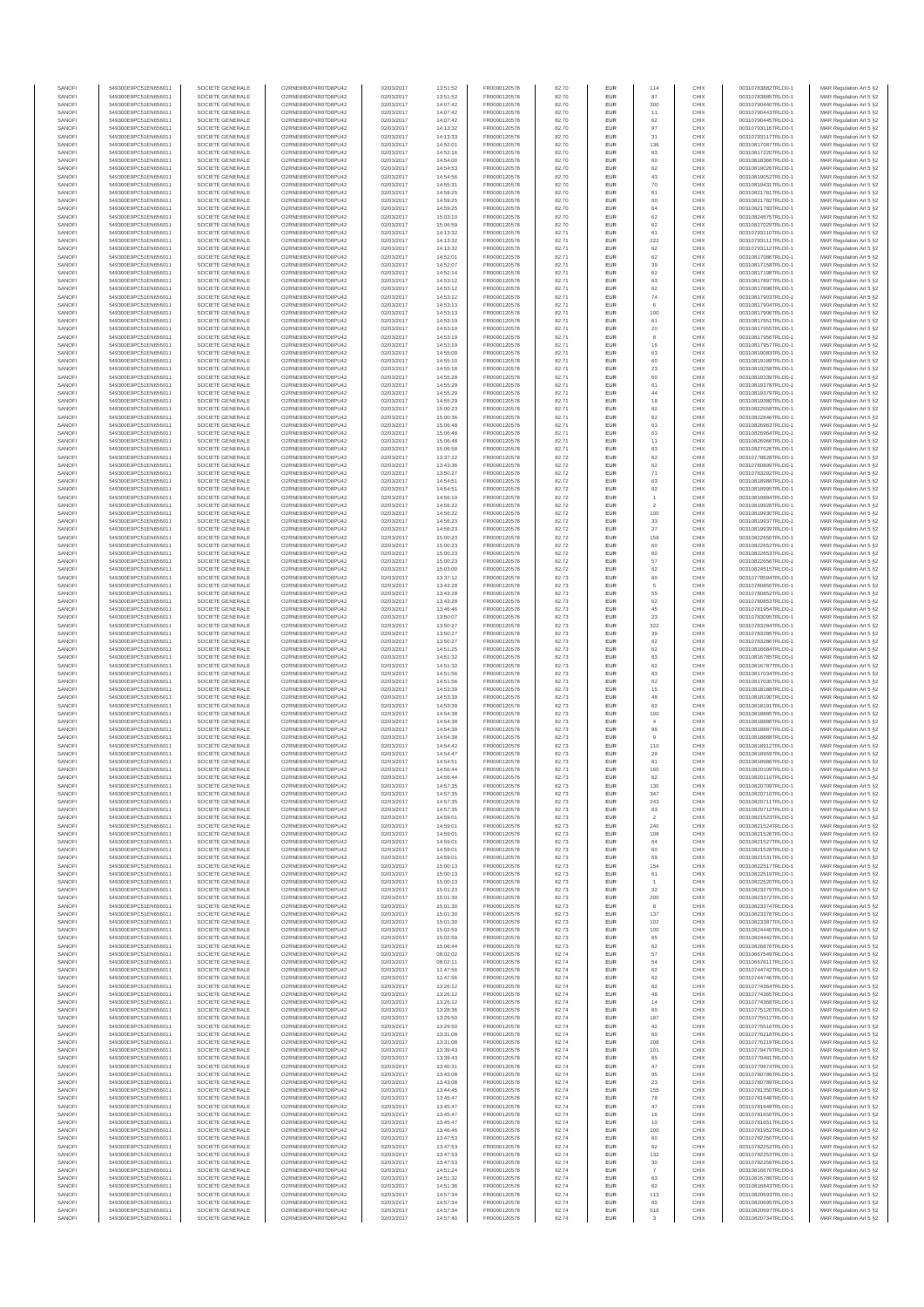| SANOFI           | 549300E9PC51EN656011                         | SOCIETE GENERALE                     | O2RNE8IBXP4R0TD8PLI42                         | 02/03/2017               | 13:51:52             | FR0000120578                 | 82.70          | <b>EUR</b>        | 114               | CHIX         | 00310783882TRLO0-1                       | MAR Regulation Art 5 §2                             |
|------------------|----------------------------------------------|--------------------------------------|-----------------------------------------------|--------------------------|----------------------|------------------------------|----------------|-------------------|-------------------|--------------|------------------------------------------|-----------------------------------------------------|
| SANOFI<br>SANOFI | 549300E9PC51EN656011<br>549300E9PC51EN656011 | SOCIETE GENERALE<br>SOCIETE GENERALE | O2RNE8IBXP4R0TD8PU42<br>O2RNE8IBXP4R0TD8PU42  | 02/03/2017<br>02/03/2017 | 13:51:52<br>14:07:42 | FR0000120578<br>FR0000120578 | 82.70<br>82.70 | <b>EUR</b><br>EUR | 87<br>300         | CHIX<br>CHIX | 00310783885TRLO0-1<br>00310790440TRLO0-1 | MAR Regulation Art 5 §2<br>MAR Regulation Art 5 §2  |
| SANOFI           | 549300E9PC51EN656011                         | SOCIETE GENERALE                     | O2RNE8IBXP4R0TD8PU42                          | 02/03/2017               | 14:07:42             | FR0000120578                 | 82.70          | <b>EUR</b>        | 11                | CHIX         | 00310790443TRLO0-1                       | MAR Regulation Art 5 §2                             |
| SANOFI           | 549300E9PC51EN656011                         | SOCIETE GENERALE                     | O2RNE8IBXP4R0TD8PU42                          | 02/03/2017               | 14:07:42             | FR0000120578                 | 82.70          | EUR               | 62                | CHIX         | 00310790445TRLO0-1                       | MAR Regulation Art 5 §2                             |
| SANOFI           | 549300E9PC51EN656011                         | SOCIETE GENERALE                     | O2RNE8IBXP4R0TD8PU42                          | 02/03/2017               | 14:13:32             | FR0000120578                 | 82.70          | EUR               | 97                | CHIX         | 00310793116TRLO0-1                       | MAR Regulation Art 5 §2                             |
| SANOFI<br>SANOFI | 549300E9PC51EN656011<br>549300E9PC51EN656011 | SOCIETE GENERALE<br>SOCIETE GENERALE | O2RNE8IBXP4R0TD8PU42<br>O2RNE8IBXP4R0TD8PU42  | 02/03/2017<br>02/03/2017 | 14:13:33<br>14:52:01 | FR0000120578<br>FR0000120578 | 82.70<br>82.70 | EUR<br>EUR        | 31<br>136         | CHIX<br>CHIX | 00310793117TRLO0-1<br>00310817087TRLO0-1 | MAR Regulation Art 5 §2<br>MAR Regulation Art 5 §2  |
| SANOFI           | 549300E9PC51EN656011                         | SOCIETE GENERALE                     | O2RNE8IBXP4R0TD8PU42                          | 02/03/2017               | 14:52:16             | FR0000120578                 | 82.70          | EUR               | 63                | CHIX         | 00310817220TRLO0-1                       | MAR Regulation Art 5 §2                             |
| SANOFI           | 549300E9PC51EN656011                         | SOCIETE GENERALE                     | O2RNE8IBXP4R0TD8PU42                          | 02/03/2017               | 14:54:00             | FR0000120578                 | 82.70          | EUR               | 60                | CHIX         | 00310818366TRLO0-1                       | MAR Regulation Art 5 §2                             |
| SANOFI<br>SANOFI | 549300E9PC51EN656011<br>549300E9PC51EN656011 | SOCIETE GENERALE<br>SOCIETE GENERALE | O2RNE8IBXP4R0TD8PLI42<br>O2RNE8IBXP4R0TD8PU42 | 02/03/2017<br>02/03/2017 | 14:54:53<br>14:54:56 | FR0000120578<br>FR0000120578 | 82.70<br>82.70 | <b>EUR</b><br>EUR | 62<br>43          | CHIX<br>CHIX | 00310819026TRLO0-1<br>00310819052TRLO0-1 | MAR Regulation Art 5 §2<br>MAR Regulation Art 5 §2  |
| SANOFI           | 549300E9PC51EN656011                         | SOCIETE GENERALE                     | O2RNE8IBXP4R0TD8PU42                          | 02/03/2017               | 14:55:31             | FR0000120578                 | 82.70          | <b>EUR</b>        | 70                | CHIX         | 00310819431TRLO0-1                       | MAR Regulation Art 5 §2                             |
| SANOFI           | 549300E9PC51EN656011                         | SOCIETE GENERALE                     | O2RNE8IBXP4R0TD8PU42                          | 02/03/2017               | 14:59:25             | FR0000120578                 | 82.70          | EUR               | 61                | CHIX         | 00310821781TRLO0-1                       | MAR Regulation Art 5 §2                             |
| SANOFI           | 549300E9PC51EN656011                         | SOCIETE GENERALE                     | O2RNE8IBXP4R0TD8PU42                          | 02/03/2017               | 14:59:25             | FR0000120578                 | 82.70          | EUR               | 60                | CHIX         | 00310821782TRLO0-1                       | MAR Regulation Art 5 §2                             |
| SANOFI<br>SANOFI | 549300E9PC51EN656011<br>549300E9PC51EN656011 | SOCIETE GENERALE<br>SOCIETE GENERALE | O2RNE8IBXP4R0TD8PU42<br>O2RNE8IBXP4R0TD8PU42  | 02/03/2017<br>02/03/2017 | 14:59:25<br>15:03:10 | FR0000120578<br>FR0000120578 | 82.70<br>82.70 | EUR<br>EUR        | 64<br>62          | CHIX<br>CHIX | 00310821783TRLO0-1<br>00310824675TRLO0-1 | MAR Regulation Art 5 §2<br>MAR Regulation Art 5 §2  |
| SANOFI           | 549300E9PC51EN656011                         | SOCIETE GENERALE                     | O2RNE8IBXP4R0TD8PU42                          | 02/03/2017               | 15:06:59             | FR0000120578                 | 82.70          | EUR               | 62                | CHIX         | 00310827029TRLO0-1                       | MAR Regulation Art 5 §2                             |
| SANOFI           | 549300E9PC51EN656011                         | SOCIETE GENERALE                     | O2RNE8IBXP4R0TD8PU42                          | 02/03/2017               | 14:13:32             | FR0000120578                 | 82.71          | EUR               | 61                | CHIX         | 00310793110TRLO0-1                       | MAR Regulation Art 5 §2                             |
| SANOFI           | 549300E9PC51EN656011                         | SOCIETE GENERALE                     | O2RNE8IBXP4R0TD8PLI42                         | 02/03/2017               | 14:13:32             | FR0000120578                 | 82.71          | <b>EUR</b>        | 222               | CHIX         | 00310793111TRLO0-1                       | MAR Regulation Art 5 §2                             |
| SANOFI<br>SANOFI | 549300E9PC51EN656011<br>549300E9PC51EN656011 | SOCIETE GENERALE<br>SOCIETE GENERALE | O2RNE8IBXP4R0TD8PU42<br>O2RNE8IBXP4R0TD8PU42  | 02/03/2017<br>02/03/2017 | 14:13:32<br>14:52:01 | FR0000120578<br>FR0000120578 | 82.71<br>82.71 | EUR<br><b>EUR</b> | 62<br>62          | CHIX<br>CHIX | 00310793112TRLO0-1<br>00310817086TRLO0-1 | MAR Regulation Art 5 §2<br>MAR Regulation Art 5 §2  |
| SANOFI           | 549300E9PC51EN656011                         | SOCIETE GENERALE                     | O2RNE8IBXP4R0TD8PU42                          | 02/03/2017               | 14:52:07             | FR0000120578                 | 82.71          | EUR               | 39                | CHIX         | 00310817158TRLO0-1                       | MAR Regulation Art 5 §2                             |
| SANOFI           | 549300E9PC51EN656011                         | SOCIETE GENERALE                     | O2RNESIBXP4R0TD8PLI42                         | 02/03/2017               | 14:52:14             | FR0000120578                 | 82.71          | EUR               | 62                | CHIX         | 00310817198TRLO0-1                       | MAR Regulation Art 5 §2                             |
| SANOFI           | 549300E9PC51EN656011                         | SOCIETE GENERALE                     | O2RNE8IBXP4R0TD8PU42                          | 02/03/2017               | 14:53:12             | FR0000120578                 | 82.71          | EUR               | 63                | CHIX         | 00310817897TRLO0-1                       | MAR Regulation Art 5 §2                             |
| SANOFI<br>SANOFI | 549300E9PC51EN656011<br>549300E9PC51EN656011 | SOCIETE GENERALE<br>SOCIETE GENERALE | O2RNE8IBXP4R0TD8PU42<br>O2RNE8IBXP4R0TD8PU42  | 02/03/2017<br>02/03/2017 | 14:53:12<br>14:53:12 | FR0000120578<br>FR0000120578 | 82.71<br>82.71 | EUR<br>EUR        | 62<br>${\bf 74}$  | CHIX<br>CHIX | 00310817898TRLO0-1<br>00310817903TRLO0-1 | MAR Regulation Art 5 §2<br>MAR Regulation Art 5 §2  |
| SANOFI           | 549300E9PC51EN656011                         | SOCIETE GENERALE                     | O2RNE8IBXP4R0TD8PU42                          | 02/03/2017               | 14:53:13             | FR0000120578                 | 82.71          | EUR               |                   | CHIX         | 00310817904TRLO0-1                       | MAR Regulation Art 5 §2                             |
| SANOFI           | 549300E9PC51EN656011                         | SOCIETE GENERALE                     | O2RNE8IBXP4R0TD8PU42                          | 02/03/2017               | 14:53:13             | FR0000120578                 | 82.71          | <b>EUR</b>        | 100               | CHIX         | 00310817906TRLO0-1                       | MAR Regulation Art 5 §2                             |
| SANOFI<br>SANOFI | 549300E9PC51EN656011<br>549300E9PC51EN656011 | SOCIETE GENERALE<br>SOCIETE GENERALE | O2RNE8IBXP4R0TD8PU42<br>O2RNE8IBXP4R0TD8PU42  | 02/03/2017<br>02/03/2017 | 14:53:19<br>14:53:19 | FR0000120578<br>FR0000120578 | 82.71<br>82.71 | EUR<br><b>EUR</b> | 61<br>20          | CHIX<br>CHIX | 00310817951TRLO0-1<br>00310817955TRLO0-1 | MAR Regulation Art 5 §2<br>MAR Regulation Art 5 §2  |
| SANOFI           | 549300E9PC51EN656011                         | SOCIETE GENERALE                     | O2RNE8IBXP4R0TD8PU42                          | 02/03/2017               | 14:53:19             | FR0000120578                 | 82.71          | EUR               |                   | CHIX         | 00310817956TRLO0-1                       | MAR Regulation Art 5 §2                             |
| SANOFI           | 549300E9PC51EN656011                         | SOCIETE GENERALE                     | O2RNE8IBXP4R0TD8PU42                          | 02/03/2017               | 14:53:19             | FR0000120578                 | 82.71          | EUR               | 16                | CHIX         | 00310817957TRLO0-1                       | MAR Regulation Art 5 §2                             |
| SANOFI           | 549300E9PC51EN656011                         | SOCIETE GENERALE                     | O2RNE8IBXP4R0TD8PU42                          | 02/03/2017               | 14:55:00             | FR0000120578                 | 82.71          | EUR               | 63                | CHIX         | 00310819083TRLO0-1                       | MAR Regulation Art 5 §2                             |
| SANOFI<br>SANOFI | 549300E9PC51EN656011<br>549300E9PC51EN656011 | SOCIETE GENERALE<br>SOCIETE GENERALE | O2RNE8IBXP4R0TD8PU42<br>O2RNE8IBXP4R0TD8PU42  | 02/03/2017<br>02/03/2017 | 14:55:10<br>14:55:18 | FR0000120578<br>FR0000120578 | 82.71<br>82.71 | EUR<br><b>EUR</b> | 60<br>23          | CHIX<br>CHIX | 00310819189TRLO0-1<br>00310819258TRLO0-1 | MAR Regulation Art 5 §2<br>MAR Regulation Art 5 §2  |
| SANOFI           | 549300E9PC51EN656011                         | SOCIETE GENERALE                     | O2RNE8IBXP4R0TD8PU42                          | 02/03/2017               | 14:55:28             | FR0000120578                 | 82.71          | EUR               | 60                | CHIX         | 00310819339TRLO0-1                       | MAR Regulation Art 5 §2                             |
| SANOFI           | 549300E9PC51EN656011                         | SOCIETE GENERALE                     | O2RNE8IBXP4R0TD8PU42                          | 02/03/2017               | 14:55:29             | FR0000120578                 | 82.71          | <b>EUR</b>        | 61                | CHIX         | 00310819378TRLO0-1                       | MAR Regulation Art 5 §2                             |
| SANOFI<br>SANOFI | 549300E9PC51EN656011<br>549300E9PC51EN656011 | SOCIETE GENERALE<br>SOCIETE GENERALE | O2RNE8IBXP4R0TD8PU42<br>O2RNE8IBXP4R0TD8PU42  | 02/03/2017<br>02/03/2017 | 14:55:29<br>14:55:29 | FR0000120578<br>FR0000120578 | 82.71<br>82.71 | EUR<br>EUR        | 44<br>18          | CHIX<br>CHIX | 00310819379TRLO0-1<br>00310819380TRLO0-1 | MAR Regulation Art 5 §2<br>MAR Regulation Art 5 §2  |
| SANOFI           | 549300E9PC51EN656011                         | SOCIETE GENERALE                     | O2RNE8IBXP4R0TD8PU42                          | 02/03/2017               | 15:00:23             | FR0000120578                 | 82.71          | EUR               | 62                | CHIX         | 00310822658TRLO0-1                       | MAR Regulation Art 5 §2                             |
| SANOFI           | 549300E9PC51EN656011                         | SOCIETE GENERALE                     | O2RNE8IBXP4R0TD8PU42                          | 02/03/2017               | 15:00:36             | FR0000120578                 | 82.71          | EUR               | 62                | CHIX         | 00310822846TRLO0-1                       | MAR Regulation Art 5 §2                             |
| SANOFI           | 549300E9PC51EN656011                         | SOCIETE GENERALE                     | O2RNE8IBXP4R0TD8PU42                          | 02/03/2017               | 15:06:48             | FR0000120578                 | 82.71          | EUR               | 63                | CHIX         | 00310826963TRLO0-1                       | MAR Regulation Art 5 §2                             |
| SANOFI<br>SANOFI | 549300E9PC51EN656011<br>549300E9PC51EN656011 | SOCIETE GENERALE<br>SOCIETE GENERALE | O2RNE8IBXP4R0TD8PLI42<br>O2RNE8IBXP4R0TD8PU42 | 02/03/2017<br>02/03/2017 | 15:06:48<br>15:06:48 | FR0000120578<br>FR0000120578 | 82.71<br>82.71 | EUR<br><b>EUR</b> | 63<br>11          | CHIX<br>CHIX | 00310826964TRLO0-1<br>00310826966TRLO0-1 | MAR Regulation Art 5 §2<br>MAR Regulation Art 5 §2  |
| SANOFI           | 549300E9PC51EN656011                         | SOCIETE GENERALE                     | O2RNE8IBXP4R0TD8PU42                          | 02/03/2017               | 15:06:58             | FR0000120578                 | 82.71          | EUR               | 63                | CHIX         | 00310827026TRLO0-1                       | MAR Regulation Art 5 §2                             |
| SANOFI           | 549300E9PC51EN656011                         | SOCIETE GENERALE                     | O2RNE8IBXP4R0TD8PU42                          | 02/03/2017               | 13:37:22             | FR0000120578                 | 82.72          | <b>EUR</b>        | 62                | CHIX         | 00310778628TRLO0-1                       | MAR Regulation Art 5 §2                             |
| SANOFI           | 549300E9PC51EN656011                         | SOCIETE GENERALE                     | O2RNE8IBXP4R0TD8PU42                          | 02/03/2017               | 13:43:36             | FR0000120578                 | 82.72          | EUR               | 62                | CHIX         | 00310780899TRLO0-1                       | MAR Regulation Art 5 §2                             |
| SANOFI<br>SANOFI | 549300E9PC51EN656011<br>549300E9PC51EN656011 | SOCIETE GENERALE<br>SOCIETE GENERALE | O2RNE8IBXP4R0TD8PU42<br>O2RNE8IBXP4R0TD8PU42  | 02/03/2017<br>02/03/2017 | 13:50:27<br>14:54:51 | FR0000120578<br>FR0000120578 | 82.72<br>82.72 | EUR<br>EUR        | 71<br>63          | CHIX<br>CHIX | 00310783292TRLO0-1<br>00310818988TRLO0-1 | MAR Regulation Art 5 §2<br>MAR Regulation Art 5 §2  |
| SANOFI           | 549300E9PC51EN656011                         | SOCIETE GENERALE                     | O2RNE8IBXP4R0TD8PU42                          | 02/03/2017               | 14:54:51             | FR0000120578                 | 82.72          | EUR               | 62                | CHIX         | 00310818995TRLO0-1                       | MAR Regulation Art 5 §2                             |
| SANOFI           | 549300E9PC51EN656011                         | SOCIETE GENERALE                     | O2RNE8IBXP4R0TD8PU42                          | 02/03/2017               | 14:56:19             | FR0000120578                 | 82.72          | EUR               |                   | CHIX         | 00310819884TRLO0-1                       | MAR Regulation Art 5 §2                             |
| SANOFI           | 549300E9PC51EN656011                         | SOCIETE GENERALE                     | O2RNE8IBXP4R0TD8PU42                          | 02/03/2017               | 14:56:22             | FR0000120578                 | 82.72          | EUR               | $\overline{a}$    | CHIX         | 00310819928TRLO0-1                       | MAR Regulation Art 5 §2                             |
| SANOFI<br>SANOFI | 549300E9PC51EN656011<br>549300E9PC51EN656011 | SOCIETE GENERALE<br>SOCIETE GENERALE | O2RNE8IBXP4R0TD8PU42<br>O2RNE8IBXP4R0TD8PU42  | 02/03/2017<br>02/03/2017 | 14:56:22<br>14:56:23 | FR0000120578<br>FR0000120578 | 82.72<br>82.72 | <b>EUR</b><br>EUR | 100<br>33         | CHIX<br>CHIX | 00310819930TRLO0-1<br>00310819937TRLO0-1 | MAR Regulation Art 5 §2<br>MAR Regulation Art 5 §2  |
| SANOFI           | 549300E9PC51EN656011                         | SOCIETE GENERALE                     | O2RNE8IBXP4R0TD8PU42                          | 02/03/2017               | 14:56:23             | FR0000120578                 | 82.72          | <b>EUR</b>        | 27                | CHIX         | 00310819939TRLO0-1                       | MAR Regulation Art 5 §2                             |
| SANOFI           | 549300E9PC51EN656011                         | SOCIETE GENERALE                     | O2RNE8IBXP4R0TD8PU42                          | 02/03/2017               | 15:00:23             | FR0000120578                 | 82.72          | EUR               | 159               | CHIX         | 00310822650TRLO0-1                       | MAR Regulation Art 5 §2                             |
| SANOFI           | 549300E9PC51EN656011                         | SOCIETE GENERALE                     | O2RNE8IBXP4R0TD8PU42                          | 02/03/2017               | 15:00:23             | FR0000120578                 | 82.72          | EUR               | 60                | CHIX         | 00310822652TRLO0-1                       | MAR Regulation Art 5 §2                             |
| SANOFI<br>SANOFI | 549300E9PC51EN656011<br>549300E9PC51EN656011 | SOCIETE GENERALE<br>SOCIETE GENERALE | O2RNE8IBXP4R0TD8PU42<br>O2RNE8IBXP4R0TD8PU42  | 02/03/2017<br>02/03/2017 | 15:00:23<br>15:00:23 | FR0000120578<br>FR0000120578 | 82.72<br>82.72 | EUR<br>EUR        | 60<br>57          | CHIX<br>CHIX | 00310822653TRLO0-1<br>00310822656TRLO0-1 | MAR Regulation Art 5 §2<br>MAR Regulation Art 5 §2  |
| SANOFI           | 549300E9PC51EN656011                         | SOCIETE GENERALE                     | O2RNE8IBXP4R0TD8PU42                          | 02/03/2017               | 15:03:00             | FR0000120578                 | 82.72          | EUR               | 62                | CHIX         | 00310824515TRLO0-1                       | MAR Regulation Art 5 §2                             |
| SANOFI           | 549300E9PC51EN656011                         | SOCIETE GENERALE                     | O2RNE8IBXP4R0TD8PU42                          | 02/03/2017               | 13:37:12             | FR0000120578                 | 82.73          | EUR               | 60                | CHIX         | 00310778594TRLO0-1                       | MAR Regulation Art 5 §2                             |
| SANOFI<br>SANOFI | 549300E9PC51EN656011<br>549300E9PC51EN656011 | SOCIETE GENERALE<br>SOCIETE GENERALE | O2RNE8IBXP4R0TD8PU42<br>O2RNE8IBXP4R0TD8PU42  | 02/03/2017<br>02/03/2017 | 13:43:28<br>13:43:28 | FR0000120578<br>FR0000120578 | 82.73<br>82.73 | <b>EUR</b><br>EUR | 5<br>55           | CHIX<br>CHIX | 00310780850TRLO0-1<br>00310780852TRLO0-1 | MAR Regulation Art 5 §2                             |
| SANOFI           | 549300E9PC51EN656011                         | SOCIETE GENERALE                     | O2RNE8IBXP4R0TD8PU42                          | 02/03/2017               | 13:43:28             | FR0000120578                 | 82.73          | <b>EUR</b>        | 62                | CHIX         | 00310780853TRLO0-1                       | MAR Regulation Art 5 §2<br>MAR Regulation Art 5 §2  |
| SANOFI           | 549300E9PC51EN656011                         | SOCIETE GENERALE                     | O2RNE8IBXP4R0TD8PU42                          | 02/03/2017               | 13:46:46             | FR0000120578                 | 82.73          | EUR               | 45                | CHIX         | 00310781954TRLO0-1                       | MAR Regulation Art 5 §2                             |
| SANOFI           | 549300E9PC51EN656011                         | SOCIETE GENERALE                     | O2RNE8IBXP4R0TD8PU42                          | 02/03/2017               | 13:50:07             | FR0000120578                 | 82.73          | EUR               | 23                | CHIX         | 00310783095TRLO0-1                       | MAR Regulation Art 5 §2                             |
| SANOFI<br>SANOFI | 549300E9PC51EN656011<br>549300E9PC51EN656011 | SOCIETE GENERALE<br>SOCIETE GENERALE | O2RNE8IBXP4R0TD8PU42<br>O2RNE8IBXP4R0TD8PU42  | 02/03/2017<br>02/03/2017 | 13:50:27<br>13:50:27 | FR0000120578<br>FR0000120578 | 82.73<br>82.73 | EUR<br>EUR        | 322<br>39         | CHIX<br>CHIX | 00310783284TRLO0-1<br>00310783285TRLO0-1 | MAR Regulation Art 5 §2<br>MAR Regulation Art 5 §2  |
| SANOFI           | 549300E9PC51EN656011                         | SOCIETE GENERALE                     | O2RNE8IBXP4R0TD8PU42                          | 02/03/2017               | 13:50:27             | FR0000120578                 | 82.73          | <b>EUR</b>        | 62                | CHIX         | 00310783286TRLO0-1                       | MAR Regulation Art 5 §2                             |
| SANOFI           | 549300E9PC51EN656011                         | SOCIETE GENERALE                     | O2RNE8IBXP4R0TD8PU42                          | 02/03/2017               | 14:51:25             | FR0000120578                 | 82.73          | EUR               | 62                | CHIX         | 00310816684TRLO0-1                       | MAR Regulation Art 5 §2                             |
| SANOFI           | 549300E9PC51EN656011                         | SOCIETE GENERALE                     | O2RNE8IBXP4R0TD8PU42                          | 02/03/2017               | 14:51:32             | FR0000120578                 | 82.73          | <b>EUR</b>        | 63                | CHIX         | 00310816785TRLO0-1                       | MAR Regulation Art 5 §2                             |
| SANOFI<br>SANOFI | 549300E9PC51EN656011<br>549300E9PC51EN656011 | SOCIETE GENERALE<br>SOCIETE GENERALE | O2RNE8IBXP4R0TD8PU42<br>O2RNE8IBXP4R0TD8PU42  | 02/03/2017<br>02/03/2017 | 14:51:32<br>14:51:56 | FR0000120578<br>FR0000120578 | 82.73<br>82.73 | EUR<br><b>EUR</b> | 62<br>63          | CHIX<br>CHIX | 00310816787TRLO0-1<br>00310817034TRLO0-1 | MAR Regulation Art 5 §2<br>MAR Regulation Art 5 §2  |
| SANOFI           | 549300E9PC51EN656011                         | SOCIETE GENERALE                     | O2RNE8IBXP4R0TD8PU42                          | 02/03/2017               | 14:51:56             | FR0000120578                 | 82.73          | EUR               | 62                | CHIX         | 00310817035TRLO0-1                       | MAR Regulation Art 5 §2                             |
| SANOFI           | 549300E9PC51EN656011                         | SOCIETE GENERALE                     | O2RNE8IBXP4R0TD8PLI42                         | 02/03/2017               | 14:53:39             | FR0000120578                 | 82.73          | EUR               | 15                | CHIX         | 00310818188TRLO0-1                       | MAR Regulation Art 5 §2                             |
| SANOFI<br>SANOFI | 549300E9PC51EN656011<br>549300E9PC51EN656011 | SOCIETE GENERALE<br>SOCIETE GENERALE | O2RNE8IBXP4R0TD8PU42<br>O2RNE8IBXP4R0TD8PU42  | 02/03/2017<br>02/03/2017 | 14:53:39<br>14:53:39 | FR0000120578<br>FR0000120578 | 82.73<br>82.73 | EUR<br>EUR        | 48<br>62          | CHIX<br>CHIX | 00310818190TRLO0-1<br>00310818191TRLO0-1 | MAR Regulation Art 5 §2<br>MAR Regulation Art 5 §2  |
| SANOFI           | 549300E9PC51EN656011                         | SOCIETE GENERALE                     | O2RNE8IBXP4R0TD8PU42                          | 02/03/2017               | 14:54:38             | FR0000120578                 | 82.73          | <b>EUR</b>        | 100               | CHIX         | 00310818885TRLO0-1                       | MAR Regulation Art 5 §2                             |
| SANOFI           | 549300E9PC51EN656011                         | SOCIETE GENERALE                     | O2RNE8IBXP4R0TD8PU42                          | 02/03/2017               | 14:54:38             | FR0000120578                 | 82.73          | EUR               | $\ddot{a}$        | CHIX         | 00310818886TRLO0-1                       | MAR Regulation Art 5 §2                             |
| SANOFI           | 549300E9PC51EN656011                         | SOCIETE GENERALE                     | O2RNE8IBXP4R0TD8PU42                          | 02/03/2017               | 14:54:38             | FR0000120578                 | 82.73          | <b>EUR</b>        | 96                | CHIX         | 00310818887TRLO0-1                       | MAR Regulation Art 5 §2                             |
| SANOFI<br>SANOFI | 549300E9PC51EN656011<br>549300E9PC51EN656011 | SOCIETE GENERALE<br>SOCIETE GENERALE | O2RNE8IBXP4R0TD8PU42<br>O2RNE8IBXP4R0TD8PU42  | 02/03/2017<br>02/03/2017 | 14:54:38<br>14:54:42 | FR0000120578<br>FR0000120578 | 82.73<br>82.73 | EUR<br>EUR        | 110               | CHIX<br>CHIX | 00310818888TRLO0-1<br>00310818912TRLO0-1 | MAR Regulation Art 5 §2<br>MAR Regulation Art 5 §2  |
| SANOFI           | 549300E9PC51EN656011                         | SOCIETE GENERALE                     | O2RNE8IBXP4R0TD8PU42                          | 02/03/2017               | 14:54:47             | FR0000120578                 | 82.73          | EUR               | $\boldsymbol{29}$ | CHIX         | 00310818959TRLO0-1                       | MAR Regulation Art 5 §2                             |
| SANOFI           | 549300E9PC51EN656011                         | SOCIETE GENERALE                     | O2RNESIBXP4R0TD8PLI42                         | 02/03/2017               | 14:54:51             | FR0000120578                 | 82.73          | EUR               | 61                | CHIX         | 00310818986TRLO0-1                       | MAR Regulation Art 5 §2                             |
| SANOFI           | 549300E9PC51EN656011                         | SOCIETE GENERALE                     | O2RNE8IBXP4R0TD8PU42                          | 02/03/2017               | 14:56:44             | FR0000120578                 | 82.73          | EUR               | 160               | CHIX         | 00310820109TRLO0-1                       | MAR Regulation Art 5 §2                             |
| SANOFI<br>SANOFI | 549300E9PC51EN656011<br>549300E9PC51EN656011 | SOCIETE GENERALE<br>SOCIETE GENERALE | O2RNE8IBXP4R0TD8PU42<br>O2RNE8IBXP4R0TD8PU42  | 02/03/2017<br>02/03/2017 | 14:56:44<br>14:57:35 | FR0000120578<br>FR0000120578 | 82.73<br>82.73 | EUR<br><b>EUR</b> | 62<br>130         | CHIX<br>CHIX | 00310820110TRLO0-1<br>00310820709TRLO0-1 | MAR Regulation Art 5 §2<br>MAR Regulation Art 5 §2  |
| SANOFI           | 549300E9PC51EN656011                         | SOCIETE GENERALE                     | O2RNE8IBXP4R0TD8PU42                          | 02/03/2017               | 14:57:35             | FR0000120578                 | 82.73          | EUR               | 347               | CHIX         | 00310820710TRLO0-1                       | MAR Regulation Art 5 §2                             |
| SANOFI           | 549300E9PC51EN656011                         | SOCIETE GENERALE                     | O2RNE8IBXP4R0TD8PU42                          | 02/03/2017               | 14:57:35             | FR0000120578                 | 82.73          | <b>EUR</b>        | 243               | CHIX         | 00310820711TRLO0-1                       | MAR Regulation Art 5 §2                             |
| SANOFI           | 549300E9PC51EN656011                         | SOCIETE GENERALE                     | O2RNE8IBXP4R0TD8PU42                          | 02/03/2017               | 14:57:35             | FR0000120578                 | 82.73          | EUR               | 63                | CHIX         | 00310820712TRLO0-1                       | MAR Regulation Art 5 §2                             |
| SANOFI<br>SANOFI | 549300E9PC51EN656011<br>549300E9PC51EN656011 | SOCIETE GENERALE<br>SOCIETE GENERALE | O2RNE8IBXP4R0TD8PU42<br>O2RNE8IBXP4R0TD8PU42  | 02/03/2017<br>02/03/2017 | 14:59:01<br>14:59:01 | FR0000120578<br>FR0000120578 | 82.73<br>82.73 | <b>EUR</b><br>EUR | 240               | CHIX<br>CHIX | 00310821523TRLO0-1<br>00310821524TRLO0-1 | MAR Regulation Art 5 §2<br>MAR Regulation Art 5 §2  |
| SANOFI           | 549300E9PC51EN656011                         | SOCIETE GENERALE                     | O2RNESIBXP4R0TD8PLI42                         | 02/03/2017               | 14:59:01             | FR0000120578                 | 82.73          | ${\sf EUR}$       | 108               | CHIX         | 00310821526TRLO0-1                       | MAR Regulation Art 5 §2                             |
| SANOFI           | 549300E9PC51EN656011                         | SOCIETE GENERALE                     | O2RNE8IBXP4R0TD8PU42                          | 02/03/2017               | 14:59:01             | FR0000120578                 | 82.73          | EUR               | 64                | CHIX         | 00310821527TRLO0-1                       | MAR Regulation Art 5 §2                             |
| SANOFI<br>SANOFI | 549300E9PC51EN656011<br>549300E9PC51EN656011 | SOCIETE GENERALE<br>SOCIETE GENERALE | O2RNE8IBXP4R0TD8PU42<br>O2RNE8IBXP4R0TD8PLI42 | 02/03/2017<br>02/03/2017 | 14:59:01<br>14:59:01 | FR0000120578<br>FR0000120578 | 82.73<br>82.73 | EUR<br><b>EUR</b> | 69                | CHIX<br>CHIX | 00310821528TRLO0-1<br>00310821531TRLO0-1 | MAR Regulation Art 5 §2<br>MAR Regulation Art 5 §2  |
| SANOFI           | 549300E9PC51EN656011                         | SOCIETE GENERALE                     | O2RNE8IBXP4R0TD8PU42                          | 02/03/2017               | 15:00:13             | FR0000120578                 | 82.73          | EUR               | 154               | CHIX         | 00310822517TRLO0-1                       | MAR Regulation Art 5 §2                             |
| SANOFI           | 549300E9PC51EN656011                         | SOCIETE GENERALE                     | O2RNE8IBXP4R0TD8PU42                          | 02/03/2017               | 15:00:13             | FR0000120578                 | 82.73          | <b>EUR</b>        | 61                | CHIX         | 00310822519TRLO0-1                       | MAR Regulation Art 5 §2                             |
| SANOFI<br>SANOFI | 549300E9PC51EN656011<br>549300E9PC51EN656011 | SOCIETE GENERALE<br>SOCIETE GENERALE | O2RNE8IBXP4R0TD8PU42<br>O2RNE8IBXP4R0TD8PU42  | 02/03/2017<br>02/03/2017 | 15:00:13<br>15:01:23 | FR0000120578<br>FR0000120578 | 82.73<br>82.73 | EUR<br>EUR        | $32\,$            | CHIX<br>CHIX | 00310822520TRLO0-1<br>00310823279TRLO0-1 | MAR Regulation Art 5 §2<br>MAR Regulation Art 5 §2  |
| SANOFI           | 549300E9PC51EN656011                         | SOCIETE GENERALE                     | O2RNE8IBXP4R0TD8PU42                          | 02/03/2017               | 15:01:30             | FR0000120578                 | 82.73          | EUR               | 200               | CHIX         | 00310823372TRLO0-1                       | MAR Regulation Art 5 §2                             |
| SANOFI           | 549300E9PC51EN656011                         | SOCIETE GENERALE                     | O2RNE8IBXP4R0TD8PU42                          | 02/03/2017               | 15:01:30             | FR0000120578                 | 82.73          | EUR               |                   | CHIX         | 00310823374TRLO0-1                       | MAR Regulation Art 5 §2                             |
| SANOFI           | 549300E9PC51EN656011                         | SOCIETE GENERALE                     | O2RNE8IBXP4R0TD8PLI42<br>O2RNE8IBXP4R0TD8PU42 | 02/03/2017               | 15:01:30             | FR0000120578<br>FR0000120578 | 82.73          | <b>EUR</b>        | 137               | CHIX         | 00310823378TRLO0-1                       | MAR Regulation Art 5 §2                             |
| SANOFI<br>SANOFI | 549300E9PC51EN656011<br>549300E9PC51EN656011 | SOCIETE GENERALE<br>SOCIETE GENERALE | O2RNE8IBXP4R0TD8PU42                          | 02/03/2017<br>02/03/2017 | 15:01:30<br>15:02:59 | FR0000120578                 | 82.73<br>82.73 | EUR<br><b>EUR</b> | 102<br>100        | CHIX<br>CHIX | 00310823387TRLO0-1<br>00310824440TRLO0-1 | MAR Regulation Art 5 §2<br>MAR Regulation Art 5 \$2 |
| SANOFI           | 549300E9PC51EN656011                         | SOCIETE GENERALE                     | O2RNE8IBXP4R0TD8PU42                          | 02/03/2017               | 15:02:59             | FR0000120578                 | 82.73          | EUR               | 65                | CHIX         | 00310824442TRLO0-1                       | MAR Regulation Art 5 §2                             |
| SANOFI           | 549300E9PC51EN656011                         | SOCIETE GENERALE                     | O2RNE8IBXP4R0TD8PU42                          | 02/03/2017               | 15:06:44             | FR0000120578                 | 82.73          | EUR               | $62\,$            | CHIX         | 00310826876TRLO0-1                       | MAR Regulation Art 5 §2                             |
| SANOFI           | 549300E9PC51EN656011                         | SOCIETE GENERALE                     | O2RNE8IBXP4R0TD8PU42<br>O2RNE8IBXP4R0TD8PU42  | 02/03/2017               | 08:02:02             | FR0000120578                 | 82.74          | EUR               | 57                | CHIX         | 00310667549TRLO0-1<br>00310667611TRLO0-1 | MAR Regulation Art 5 §2                             |
| SANOFI<br>SANOFI | 549300E9PC51EN656011<br>549300E9PC51EN656011 | SOCIETE GENERALE<br>SOCIETE GENERALE | O2RNE8IBXP4R0TD8PU42                          | 02/03/2017<br>02/03/2017 | 08:02:11<br>11:47:56 | FR0000120578<br>FR0000120578 | 82.74<br>82.74 | EUR<br>EUR        | 54<br>62          | CHIX<br>CHIX | 00310744742TRLO0-1                       | MAR Regulation Art 5 §2<br>MAR Regulation Art 5 §2  |
| SANOFI           | 549300E9PC51EN656011                         | SOCIETE GENERALE                     | O2RNE8IBXP4R0TD8PU42                          | 02/03/2017               | 11:47:56             | FR0000120578                 | 82.74          | EUR               | 62                | CHIX         | 00310744746TRLO0-1                       | MAR Regulation Art 5 §2                             |
| SANOFI           | 549300E9PC51EN656011                         | SOCIETE GENERALE                     | O2RNE8IBXP4R0TD8PU42                          | 02/03/2017               | 13:26:12             | FR0000120578                 | 82.74          | <b>EUR</b>        | 62                | CHIX         | 00310774364TRLO0-1                       | MAR Regulation Art 5 §2                             |
| SANOFI<br>SANOFI | 549300E9PC51EN656011<br>549300E9PC51EN656011 | SOCIETE GENERALE<br>SOCIETE GENERALE | O2RNE8IBXP4R0TD8PU42<br>O2RNE8IBXP4R0TD8PU42  | 02/03/2017<br>02/03/2017 | 13:26:12<br>13:26:12 | FR0000120578<br>FR0000120578 | 82.74<br>82.74 | EUR<br><b>EUR</b> | 48<br>14          | CHIX<br>CHIX | 00310774365TRLO0-1<br>00310774368TRLO0-1 | MAR Regulation Art 5 §2<br>MAR Regulation Art 5 §2  |
| SANOFI           | 549300E9PC51EN656011                         | SOCIETE GENERALE                     | O2RNE8IBXP4R0TD8PU42                          | 02/03/2017               | 13:28:36             | FR0000120578                 | 82.74          | EUR               | 60                | CHIX         | 00310775120TRLO0-1                       | MAR Regulation Art 5 §2                             |
| SANOFI           | 549300E9PC51EN656011                         | SOCIETE GENERALE                     | O2RNE8IBXP4R0TD8PU42                          | 02/03/2017               | 13:29:50             | FR0000120578                 | 82.74          | <b>EUR</b>        | 187               | CHIX         | 00310775512TRLO0-1                       | MAR Regulation Art 5 §2                             |
| SANOFI           | 549300E9PC51EN656011                         | SOCIETE GENERALE                     | O2RNE8IBXP4R0TD8PU42                          | 02/03/2017               | 13:29:50             | FR0000120578                 | 82.74          | EUR               | 42                | CHIX         | 00310775516TRLO0-1                       | MAR Regulation Art 5 §2                             |
| SANOFI<br>SANOFI | 549300E9PC51EN656011<br>549300E9PC51EN656011 | SOCIETE GENERALE<br>SOCIETE GENERALE | O2RNE8IBXP4R0TD8PU42<br>O2RNE8IBXP4R0TD8PU42  | 02/03/2017<br>02/03/2017 | 13:31:08<br>13:31:08 | FR0000120578<br>FR0000120578 | 82.74<br>82.74 | EUR<br>EUR        | 60<br>208         | CHIX<br>CHIX | 00310776218TRLO0-1<br>00310776219TRLO0-1 | MAR Regulation Art 5 §2<br>MAR Regulation Art 5 §2  |
| SANOFI           | 549300E9PC51EN656011                         | SOCIETE GENERALE                     | O2RNE8IBXP4R0TD8PU42                          | 02/03/2017               | 13:39:43             | FR0000120578                 | 82.74          | EUR               | 101               | CHIX         | 00310779479TRLO0-1                       | MAR Regulation Art 5 §2                             |
| SANOFI           | 549300E9PC51EN656011                         | SOCIETE GENERALE                     | O2RNE8IBXP4R0TD8PU42                          | 02/03/2017               | 13:39:43             | FR0000120578                 | 82.74          | <b>EUR</b>        | 85                | CHIX         | 00310779481TRLO0-1                       | MAR Regulation Art 5 §2                             |
| SANOFI           | 549300E9PC51EN656011                         | SOCIETE GENERALE                     | O2RNE8IBXP4R0TD8PU42                          | 02/03/2017               | 13:40:31             | FR0000120578                 | 82.74          | EUR               | 47                | CHIX         | 00310779674TRLO0-1                       | MAR Regulation Art 5 §2                             |
| SANOFI<br>SANOFI | 549300E9PC51EN656011<br>549300E9PC51EN656011 | SOCIETE GENERALE<br>SOCIETE GENERALE | O2RNE8IBXP4R0TD8PU42<br>O2RNE8IBXP4R0TD8PU42  | 02/03/2017<br>02/03/2017 | 13:43:08<br>13:43:08 | FR0000120578<br>FR0000120578 | 82.74<br>82.74 | <b>EUR</b><br>EUR | 95<br>23          | CHIX<br>CHIX | 00310780786TRLO0-1<br>00310780789TRLO0-1 | MAR Regulation Art 5 §2<br>MAR Regulation Art 5 §2  |
| SANOFI           | 549300E9PC51EN656011                         | SOCIETE GENERALE                     | O2RNE8IBXP4R0TD8PU42                          | 02/03/2017               | 13:44:45             | FR0000120578                 | 82.74          | EUR               | 155               | CHIX         | 00310781350TRLO0-1                       | MAR Regulation Art 5 §2                             |
| SANOFI           | 549300E9PC51EN656011                         | SOCIETE GENERALE                     | O2RNE8IBXP4R0TD8PU42                          | 02/03/2017               | 13:45:47             | FR0000120578                 | 82.74          | EUR               | 78                | CHIX         | 00310781648TRLO0-1                       | MAR Regulation Art 5 §2                             |
| SANOFI           | 549300E9PC51EN656011                         | SOCIETE GENERALE                     | O2RNE8IBXP4R0TD8PU42                          | 02/03/2017               | 13:45:47             | FR0000120578                 | 82.74          | EUR               | 47                | CHIX         | 00310781649TRLO0-1                       | MAR Regulation Art 5 §2                             |
| SANOFI<br>SANOFI | 549300E9PC51EN656011<br>549300E9PC51EN656011 | SOCIETE GENERALE<br>SOCIETE GENERALE | O2RNE8IBXP4R0TD8PU42<br>O2RNE8IBXP4R0TD8PU42  | 02/03/2017<br>02/03/2017 | 13:45:47<br>13:45:47 | FR0000120578<br>FR0000120578 | 82.74<br>82.74 | EUR<br>EUR        | 16<br>10          | CHIX<br>CHIX | 00310781650TRLO0-1<br>00310781651TRLO0-1 | MAR Regulation Art 5 §2<br>MAR Regulation Art 5 §2  |
| SANOFI           | 549300E9PC51EN656011                         | SOCIETE GENERALE                     | O2RNE8IBXP4R0TD8PU42                          | 02/03/2017               | 13:46:46             | FR0000120578                 | 82.74          | <b>EUR</b>        | 100               | CHIX         | 00310781952TRLO0-1                       | MAR Regulation Art 5 §2                             |
| SANOFI           | 549300E9PC51EN656011                         | SOCIETE GENERALE                     | O2RNE8IBXP4R0TD8PU42                          | 02/03/2017               | 13:47:53             | FR0000120578                 | 82.74          | EUR               |                   | CHIX         | 00310782250TRLO0-1                       | MAR Regulation Art 5 §2                             |
| SANOFI<br>SANOFI | 549300E9PC51EN656011<br>549300E9PC51EN656011 | SOCIETE GENERALE<br>SOCIETE GENERALE | O2RNE8IBXP4R0TD8PU42<br>O2RNE8IBXP4R0TD8PU42  | 02/03/2017<br>02/03/2017 | 13:47:53<br>13:47:53 | FR0000120578<br>FR0000120578 | 82.74<br>82.74 | <b>EUR</b><br>EUR | 62<br>132         | CHIX<br>CHIX | 00310782252TRLO0-1<br>00310782253TRLO0-1 | MAR Regulation Art 5 §2<br>MAR Regulation Art 5 §2  |
| SANOFI           | 549300E9PC51EN656011                         | SOCIETE GENERALE                     | O2RNE8IBXP4R0TD8PU42                          | 02/03/2017               | 13:47:53             | FR0000120578                 | 82.74          | EUR               | 30                | CHIX         | 00310782256TRLO0-1                       | MAR Regulation Art 5 §2                             |
| SANOFI           | 549300E9PC51EN656011                         | SOCIETE GENERALE                     | O2RNE8IBXP4R0TD8PU42                          | 02/03/2017               | 14:51:24             | FR0000120578                 | 82.74          | EUR               | $\overline{7}$    | CHIX         | 00310816670TRLO0-1                       | MAR Regulation Art 5 §2                             |
| SANOFI           | 549300E9PC51EN656011                         | SOCIETE GENERALE                     | O2RNE8IBXP4R0TD8PU42                          | 02/03/2017               | 14:51:32             | FR0000120578                 | 82.74          | EUR               | 63                | CHIX         | 00310816788TRLO0-1                       | MAR Regulation Art 5 §2                             |
| SANOFI<br>SANOFI | 549300E9PC51EN656011<br>549300E9PC51EN656011 | SOCIETE GENERALE<br>SOCIETE GENERALE | O2RNE8IBXP4R0TD8PU42<br>O2RNE8IBXP4R0TD8PU42  | 02/03/2017<br>02/03/2017 | 14:51:36<br>14:57:34 | FR0000120578<br>FR0000120578 | 82.74<br>82.74 | <b>EUR</b><br>EUR | 62<br>113         | CHIX<br>CHIX | 00310816843TRLO0-1<br>00310820693TRLO0-1 | MAR Regulation Art 5 §2<br>MAR Regulation Art 5 §2  |
| SANOFI           | 549300E9PC51EN656011                         | SOCIETE GENERALE                     | O2RNE8IBXP4R0TD8PU42                          | 02/03/2017               | 14:57:34             | FR0000120578                 | 82.74          | <b>EUR</b>        | 60                | CHIX         | 00310820695TRLO0-1                       | MAR Regulation Art 5 §2                             |
| SANOFI           | 549300E9PC51EN656011                         | SOCIETE GENERALE                     | O2RNE8IBXP4R0TD8PU42                          | 02/03/2017               | 14:57:34             | FR0000120578                 | 82.74          | EUR               | 516               | CHIX         | 00310820697TRLO0-1                       | MAR Regulation Art 5 §2                             |
| SANOFI           | 549300E9PC51EN656011                         | SOCIETE GENERALE                     | O2RNE8IBXP4R0TD8PU42                          | 02/03/2017               | 14:57:40             | FR0000120578                 | 82.74          | EUR               | 3                 | CHIX         | 00310820734TRLO0-1                       | MAR Regulation Art 5 §2                             |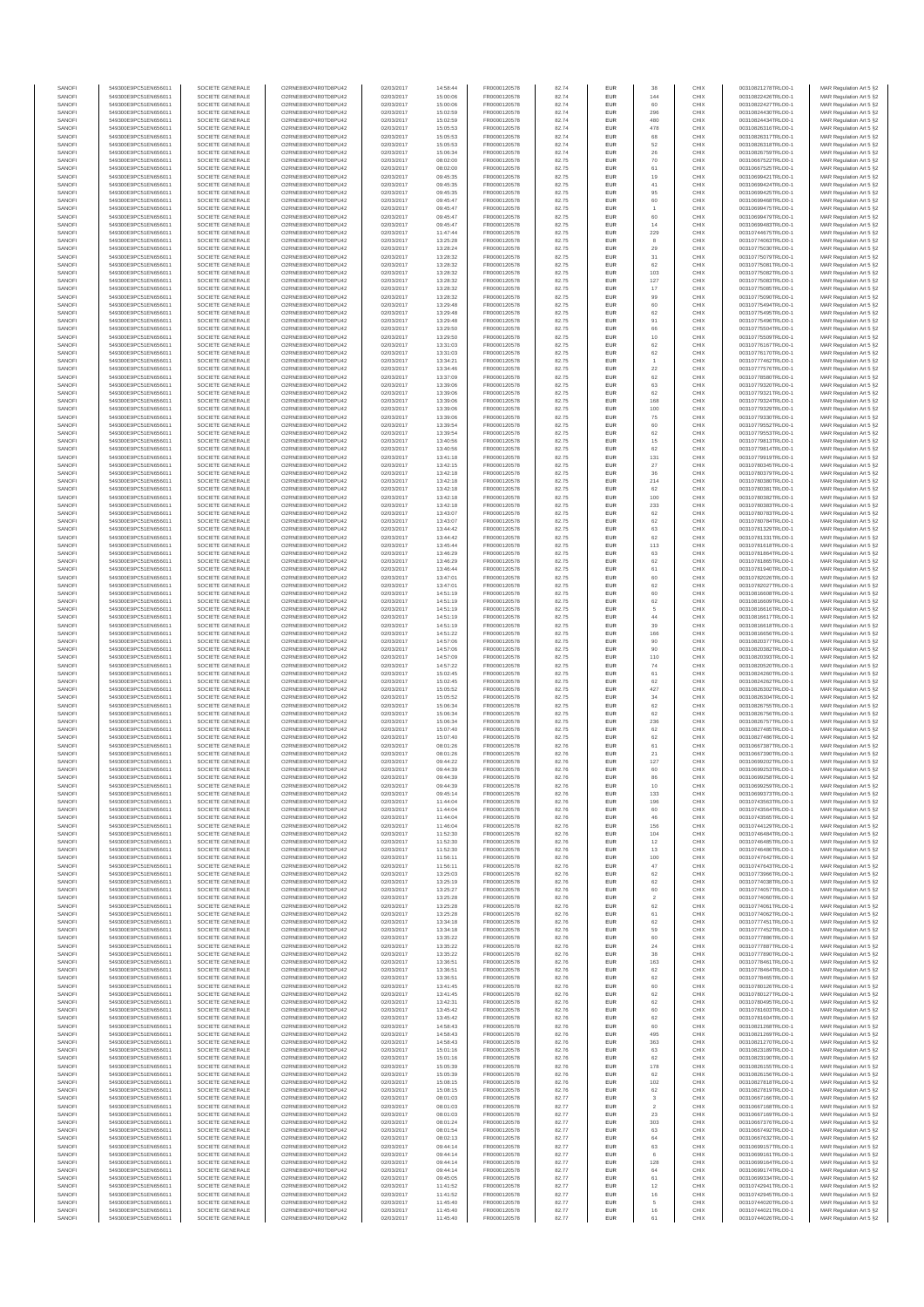| SANOFI           | 549300E9PC51EN656011                         | SOCIETE GENERALE                     | O2RNE8IBXP4R0TD8PU42                          | 02/03/2017               | 14:58:44             | FR0000120578                 | 82.74          | EUR                      | 38                      | CHIX         | 00310821278TRLO0-1                       | MAR Regulation Art 5 §2                            |
|------------------|----------------------------------------------|--------------------------------------|-----------------------------------------------|--------------------------|----------------------|------------------------------|----------------|--------------------------|-------------------------|--------------|------------------------------------------|----------------------------------------------------|
| SANOFI<br>SANOFI | 549300E9PC51EN656011<br>549300E9PC51EN656011 | SOCIETE GENERALE<br>SOCIETE GENERALE | O2RNE8IBXP4R0TD8PU42<br>O2RNE8IBXP4R0TD8PU42  | 02/03/2017<br>02/03/2017 | 15:00:06<br>15:00:06 | FR0000120578                 | 82.74<br>82.74 | EUR<br>EUR               | 144<br>60               | CHIX<br>CHIX | 00310822426TRLO0-1<br>00310822427TRLO0-1 | MAR Regulation Art 5 §2                            |
| SANOFI           | 549300E9PC51EN656011                         | SOCIETE GENERALE                     | O2RNE8IBXP4R0TD8PLI42                         | 02/03/2017               | 15:02:59             | FR0000120578<br>FR0000120578 | 82.74          | EUR                      | 296                     | CHIX         | 00310824430TRLO0-1                       | MAR Regulation Art 5 §2<br>MAR Regulation Art 5 §2 |
| SANOFI           | 549300E9PC51EN656011                         | SOCIETE GENERALE                     | O2RNE8IBXP4R0TD8PU42                          | 02/03/2017               | 15:02:59             | FR0000120578                 | 82.74          | EUR                      | 480                     | CHIX         | 00310824434TRLO0-1                       | MAR Regulation Art 5 §2                            |
| SANOFI           | 549300E9PC51EN656011                         | SOCIETE GENERALE                     | O2RNE8IBXP4R0TD8PU42                          | 02/03/2017               | 15:05:53             | FR0000120578                 | 82.74          | EUR                      | 478                     | CHIX         | 00310826316TRLO0-1                       | MAR Regulation Art 5 §2                            |
| SANOFI<br>SANOFI | 549300E9PC51EN656011<br>549300E9PC51EN656011 | SOCIETE GENERALE<br>SOCIETE GENERALE | O2RNE8IBXP4R0TD8PU42<br>O2RNE8IBXP4R0TD8PU42  | 02/03/2017<br>02/03/2017 | 15:05:53<br>15:05:53 | FR0000120578<br>FR0000120578 | 82.74<br>82.74 | <b>EUR</b><br>EUR        | 68<br>52                | CHIX<br>CHIX | 00310826317TRLO0-1<br>00310826318TRLO0-1 | MAR Regulation Art 5 §2<br>MAR Regulation Art 5 §2 |
| SANOFI           | 549300E9PC51EN656011                         | SOCIETE GENERALE                     | O2RNE8IBXP4R0TD8PU42                          | 02/03/2017               | 15:06:34             | FR0000120578                 | 82.74          | <b>EUR</b>               | 26                      | CHIX         | 00310826759TRLO0-1                       | MAR Regulation Art 5 §2                            |
| SANOFI           | 549300E9PC51EN656011                         | SOCIETE GENERALE                     | O2RNE8IBXP4R0TD8PU42                          | 02/03/2017               | 08:02:00             | FR0000120578                 | 82.75          | EUR                      | 70                      | CHIX         | 00310667522TRLO0-1                       | MAR Regulation Art 5 §2                            |
| SANOFI<br>SANOFI | 549300E9PC51EN656011<br>549300E9PC51EN656011 | SOCIETE GENERALE<br>SOCIETE GENERALE | O2RNE8IBXP4R0TD8PLI42<br>O2RNE8IBXP4R0TD8PU42 | 02/03/2017<br>02/03/2017 | 08:02:00<br>09:45:35 | FR0000120578<br>FR0000120578 | 82.75<br>82.75 | EUR<br>EUR               | 61<br>19                | CHIX<br>CHIX | 00310667525TRLO0-1<br>00310699421TRLO0-1 | MAR Regulation Art 5 §2<br>MAR Regulation Art 5 §2 |
| SANOFI           | 549300E9PC51EN656011                         | SOCIETE GENERALE                     | O2RNESIBXP4R0TD8PLI42                         | 02/03/2017               | 09:45:35             | FR0000120578                 | 82.75          | EUR                      | 41                      | CHIX         | 00310699424TRLO0-1                       | MAR Regulation Art 5 §2                            |
| SANOFI           | 549300E9PC51EN656011                         | SOCIETE GENERALE                     | O2RNE8IBXP4R0TD8PU42                          | 02/03/2017               | 09:45:35             | FR0000120578                 | 82.75          | EUR                      | 95                      | CHIX         | 00310699425TRLO0-1                       | MAR Regulation Art 5 §2                            |
| SANOFI           | 549300E9PC51EN656011                         | SOCIETE GENERALE                     | O2RNE8IBXP4R0TD8PU42                          | 02/03/2017               | 09:45:47             | FR0000120578                 | 82.75          | EUR                      | 60                      | CHIX         | 00310699468TRLO0-1                       | MAR Regulation Art 5 §2                            |
| SANOFI<br>SANOFI | 549300E9PC51EN656011<br>549300E9PC51EN656011 | SOCIETE GENERALE<br>SOCIETE GENERALE | O2RNE8IBXP4R0TD8PU42<br>O2RNE8IBXP4R0TD8PU42  | 02/03/2017<br>02/03/2017 | 09:45:47<br>09:45:47 | FR0000120578<br>FR0000120578 | 82.75<br>82.75 | <b>EUR</b><br>EUR        | 60                      | CHIX<br>CHIX | 00310699475TRLO0-1<br>00310699479TRLO0-1 | MAR Regulation Art 5 §2<br>MAR Regulation Art 5 §2 |
| SANOFI           | 549300E9PC51EN656011                         | SOCIETE GENERALE                     | O2RNE8IBXP4R0TD8PU42                          | 02/03/2017               | 09:45:47             | FR0000120578                 | 82.75          | <b>EUR</b>               | 14                      | CHIX         | 00310699483TRLO0-1                       | MAR Regulation Art 5 §2                            |
| SANOFI           | 549300E9PC51EN656011                         | SOCIETE GENERALE                     | O2RNE8IBXP4R0TD8PU42                          | 02/03/2017               | 11:47:44             | FR0000120578                 | 82.75          | EUR                      | 229                     | CHIX         | 00310744675TRLO0-1                       | MAR Regulation Art 5 §2                            |
| SANOFI           | 549300E9PC51EN656011                         | SOCIETE GENERALE                     | O2RNESIBXP4R0TD8PLI42                         | 02/03/2017               | 13:25:28             | FR0000120578                 | 82.75          | EUR                      | 8                       | CHIX         | 00310774063TRLO0-1                       | MAR Regulation Art 5 §2                            |
| SANOFI<br>SANOFI | 549300E9PC51EN656011<br>549300E9PC51EN656011 | SOCIETE GENERALE<br>SOCIETE GENERALE | O2RNE8IBXP4R0TD8PU42<br>O2RNE8IBXP4R0TD8PLI42 | 02/03/2017<br>02/03/2017 | 13:28:24<br>13:28:32 | FR0000120578<br>FR0000120578 | 82.75<br>82.75 | EUR<br>EUR               | 29<br>31                | CHIX<br>CHIX | 00310775030TRLO0-1<br>00310775079TRLO0-1 | MAR Regulation Art 5 §2<br>MAR Regulation Art 5 §2 |
| SANOFI           | 549300E9PC51EN656011                         | SOCIETE GENERALE                     | O2RNE8IBXP4R0TD8PU42                          | 02/03/2017               | 13:28:32             | FR0000120578                 | 82.75          | <b>EUR</b>               | 62                      | CHIX         | 00310775081TRLO0-1                       | MAR Regulation Art 5 §2                            |
| SANOFI           | 549300E9PC51EN656011                         | SOCIETE GENERALE                     | O2RNE8IBXP4R0TD8PU42                          | 02/03/2017               | 13:28:32             | FR0000120578                 | 82.75          | EUR                      | 103                     | CHIX         | 00310775082TRLO0-1                       | MAR Regulation Art 5 §2                            |
| SANOFI<br>SANOFI | 549300E9PC51EN656011<br>549300E9PC51EN656011 | SOCIETE GENERALE<br>SOCIETE GENERALE | O2RNE8IBXP4R0TD8PU42<br>O2RNE8IBXP4R0TD8PU42  | 02/03/2017<br>02/03/2017 | 13:28:32<br>13:28:32 | FR0000120578<br>FR0000120578 | 82.75<br>82.75 | <b>EUR</b><br>EUR        | 127<br>17               | CHIX<br>CHIX | 00310775083TRLO0-1<br>00310775085TRLO0-  | MAR Regulation Art 5 §2<br>MAR Regulation Art 5 §2 |
| SANOFI           | 549300E9PC51EN656011                         | SOCIETE GENERALE                     | O2RNE8IBXP4R0TD8PU42                          | 02/03/2017               | 13:28:32             | FR0000120578                 | 82.75          | <b>EUR</b>               | 99                      | CHIX         | 00310775090TRLO0-1                       | MAR Regulation Art 5 §2                            |
| SANOFI           | 549300E9PC51EN656011                         | SOCIETE GENERALE                     | O2RNE8IBXP4R0TD8PU42                          | 02/03/2017               | 13:29:48             | FR0000120578                 | 82.75          | EUR                      | 60                      | CHIX         | 00310775494TRLO0-1                       | MAR Regulation Art 5 §2                            |
| SANOFI           | 549300E9PC51EN656011                         | SOCIETE GENERALE                     | O2RNE8IBXP4R0TD8PU42                          | 02/03/2017               | 13:29:48             | FR0000120578                 | 82.75          | EUR                      | 62                      | CHIX         | 00310775495TRLO0-1                       | MAR Regulation Art 5 §2                            |
| SANOFI<br>SANOFI | 549300E9PC51EN656011<br>549300E9PC51EN656011 | SOCIETE GENERALE<br>SOCIETE GENERALE | O2RNE8IBXP4R0TD8PU42<br>O2RNE8IBXP4R0TD8PU42  | 02/03/2017<br>02/03/2017 | 13:29:48<br>13:29:50 | FR0000120578<br>FR0000120578 | 82.75<br>82.75 | EUR<br>EUR               | 91<br>66                | CHIX<br>CHIX | 00310775496TRLO0-1<br>00310775504TRLO0-1 | MAR Regulation Art 5 §2<br>MAR Regulation Art 5 §2 |
| SANOFI           | 549300E9PC51EN656011                         | SOCIETE GENERALE                     | O2RNE8IBXP4R0TD8PU42                          | 02/03/2017               | 13:29:50             | FR0000120578                 | 82.75          | <b>EUR</b>               | 10                      | CHIX         | 00310775509TRLO0-1                       | MAR Regulation Art 5 §2                            |
| SANOFI           | 549300E9PC51EN656011                         | SOCIETE GENERALE                     | O2RNE8IBXP4R0TD8PU42                          | 02/03/2017               | 13:31:03             | FR0000120578                 | 82.75          | EUR                      | 62                      | CHIX         | 00310776167TRLO0-1                       | MAR Regulation Art 5 §2                            |
| SANOFI<br>SANOFI | 549300E9PC51EN656011<br>549300E9PC51EN656011 | SOCIETE GENERALE<br>SOCIETE GENERALE | O2RNE8IBXP4R0TD8PU42<br>O2RNE8IBXP4R0TD8PU42  | 02/03/2017<br>02/03/2017 | 13:31:03<br>13:34:21 | FR0000120578<br>FR0000120578 | 82.75<br>82.75 | <b>EUR</b><br>EUR        | 62                      | CHIX<br>CHIX | 00310776170TRLO0-1<br>00310777462TRLO0-1 | MAR Regulation Art 5 §2<br>MAR Regulation Art 5 §2 |
| SANOFI           | 549300E9PC51EN656011                         | SOCIETE GENERALE                     | O2RNE8IBXP4R0TD8PU42                          | 02/03/2017               | 13:34:46             | FR0000120578                 | 82.75          | EUR                      | $22\,$                  | CHIX         | 00310777576TRLO0-1                       | MAR Regulation Art 5 §2                            |
| SANOFI           | 549300E9PC51EN656011                         | SOCIETE GENERALE                     | O2RNE8IBXP4R0TD8PU42                          | 02/03/2017               | 13:37:09             | FR0000120578                 | 82.75          | EUR                      | 62                      | CHIX         | 00310778580TRLO0-1                       | MAR Regulation Art 5 §2                            |
| SANOFI<br>SANOFI | 549300E9PC51EN656011                         | SOCIETE GENERALE                     | O2RNE8IBXP4R0TD8PU42<br>O2RNE8IBXP4R0TD8PU42  | 02/03/2017               | 13:39:06             | FR0000120578                 | 82.75          | EUR                      | 63                      | CHIX<br>CHIX | 00310779320TRLO0-1                       | MAR Regulation Art 5 §2                            |
| SANOFI           | 549300E9PC51EN656011<br>549300E9PC51EN656011 | SOCIETE GENERALE<br>SOCIETE GENERALE | O2RNE8IBXP4R0TD8PU42                          | 02/03/2017<br>02/03/2017 | 13:39:06<br>13:39:06 | FR0000120578<br>FR0000120578 | 82.75<br>82.75 | EUR<br>EUR               | 62<br>168               | CHIX         | 00310779321TRLO0-1<br>00310779324TRLO0-1 | MAR Regulation Art 5 §2<br>MAR Regulation Art 5 §2 |
| SANOFI           | 549300E9PC51EN656011                         | SOCIETE GENERALE                     | O2RNE8IBXP4R0TD8PU42                          | 02/03/2017               | 13:39:06             | FR0000120578                 | 82.75          | <b>EUR</b>               | 100                     | CHIX         | 00310779329TRLO0-1                       | MAR Regulation Art 5 §2                            |
| SANOFI           | 549300E9PC51EN656011                         | SOCIETE GENERALE                     | O2RNE8IBXP4R0TD8PU42                          | 02/03/2017               | 13:39:06             | FR0000120578                 | 82.75          | EUR                      | 75                      | CHIX         | 00310779330TRLO0-1                       | MAR Regulation Art 5 §2                            |
| SANOFI<br>SANOFI | 549300E9PC51EN656011<br>549300E9PC51EN656011 | SOCIETE GENERALE<br>SOCIETE GENERALE | O2RNE8IBXP4R0TD8PLI42<br>O2RNE8IBXP4R0TD8PU42 | 02/03/2017<br>02/03/2017 | 13:39:54<br>13:39:54 | FR0000120578<br>FR0000120578 | 82.75<br>82.75 | <b>EUR</b><br>EUR        | 60<br>62                | CHIX<br>CHIX | 00310779552TRLO0-1<br>00310779553TRLO0-1 | MAR Regulation Art 5 §2<br>MAR Regulation Art 5 §2 |
| SANOFI           | 549300E9PC51EN656011                         | SOCIETE GENERALE                     | O2RNE8IBXP4R0TD8PU42                          | 02/03/2017               | 13:40:56             | FR0000120578                 | 82.75          | EUR                      | 15                      | CHIX         | 00310779813TRLO0-1                       | MAR Regulation Art 5 §2                            |
| SANOFI           | 549300E9PC51EN656011                         | SOCIETE GENERALE                     | O2RNE8IBXP4R0TD8PU42                          | 02/03/2017               | 13:40:56             | FR0000120578                 | 82.75          | EUR                      | 62                      | CHIX         | 00310779814TRLO0-1                       | MAR Regulation Art 5 §2                            |
| SANOFI           | 549300E9PC51EN656011                         | SOCIETE GENERALE                     | O2RNE8IBXP4R0TD8PLI42<br>O2RNE8IBXP4R0TD8PU42 | 02/03/2017               | 13:41:18             | FR0000120578                 | 82.75          | EUR                      | 131                     | CHIX         | 00310779919TRLO0-1                       | MAR Regulation Art 5 §2<br>MAR Regulation Art 5 §2 |
| SANOFI<br>SANOFI | 549300E9PC51EN656011<br>549300E9PC51EN656011 | SOCIETE GENERALE<br>SOCIETE GENERALE | O2RNE8IBXP4R0TD8PU42                          | 02/03/2017<br>02/03/2017 | 13:42:15<br>13:42:18 | FR0000120578<br>FR0000120578 | 82.75<br>82.75 | EUR<br>EUR               | 27<br>36                | CHIX<br>CHIX | 00310780345TRLO0-1<br>00310780379TRLO0-1 | MAR Regulation Art 5 §2                            |
| SANOFI           | 549300E9PC51EN656011                         | SOCIETE GENERALE                     | O2RNE8IBXP4R0TD8PU42                          | 02/03/2017               | 13:42:18             | FR0000120578                 | 82.75          | <b>EUR</b>               | 214                     | CHIX         | 00310780380TRLO0-1                       | MAR Regulation Art 5 §2                            |
| SANOFI           | 549300E9PC51EN656011                         | SOCIETE GENERALE                     | O2RNE8IBXP4R0TD8PU42                          | 02/03/2017               | 13:42:18             | FR0000120578                 | 82.75          | EUR                      | 62                      | CHIX         | 00310780381TRLO0-1                       | MAR Regulation Art 5 §2                            |
| SANOFI<br>SANOFI | 549300E9PC51EN656011<br>549300E9PC51EN656011 | SOCIETE GENERALE<br>SOCIETE GENERALE | O2RNE8IBXP4R0TD8PU42<br>O2RNE8IBXP4R0TD8PU42  | 02/03/2017<br>02/03/2017 | 13:42:18<br>13:42:18 | FR0000120578<br>FR0000120578 | 82.75<br>82.75 | <b>EUR</b><br>EUR        | 100<br>233              | CHIX<br>CHIX | 00310780382TRLO0-1<br>00310780383TRLO0-1 | MAR Regulation Art 5 §2<br>MAR Regulation Art 5 §2 |
| SANOFI           | 549300E9PC51EN656011                         | SOCIETE GENERALE                     | O2RNE8IBXP4R0TD8PLI42                         | 02/03/2017               | 13:43:07             | FR0000120578                 | 82.75          | EUR                      | 62                      | CHIX         | 00310780783TRLO0-1                       | MAR Regulation Art 5 §2                            |
| SANOFI           | 549300E9PC51EN656011                         | SOCIETE GENERALE                     | O2RNE8IBXP4R0TD8PU42                          | 02/03/2017               | 13:43:07             | FR0000120578                 | 82.75          | EUR                      | 62                      | CHIX         | 00310780784TRLO0-1                       | MAR Regulation Art 5 §2                            |
| SANOFI           | 549300E9PC51EN656011                         | SOCIETE GENERALE                     | O2RNE8IBXP4R0TD8PU42                          | 02/03/2017               | 13:44:42             | FR0000120578                 | 82.75          | EUR                      | 63                      | CHIX         | 00310781329TRLO0-1                       | MAR Regulation Art 5 §2                            |
| SANOFI<br>SANOFI | 549300E9PC51EN656011<br>549300E9PC51EN656011 | SOCIETE GENERALE<br>SOCIETE GENERALE | O2RNE8IBXP4R0TD8PU42<br>O2RNE8IBXP4R0TD8PU42  | 02/03/2017<br>02/03/2017 | 13:44:42<br>13:45:44 | FR0000120578<br>FR0000120578 | 82.75<br>82.75 | <b>EUR</b><br>EUR        | 62<br>113               | CHIX<br>CHIX | 00310781331TRLO0-1<br>00310781618TRLO0-1 | MAR Regulation Art 5 §2<br>MAR Regulation Art 5 §2 |
| SANOFI           | 549300E9PC51EN656011                         | SOCIETE GENERALE                     | O2RNE8IBXP4R0TD8PU42                          | 02/03/2017               | 13:46:29             | FR0000120578                 | 82.75          | <b>EUR</b>               | 63                      | CHIX         | 00310781864TRLO0-1                       | MAR Regulation Art 5 §2                            |
| SANOFI           | 549300E9PC51EN656011                         | SOCIETE GENERALE                     | O2RNE8IBXP4R0TD8PU42                          | 02/03/2017               | 13:46:29             | FR0000120578                 | 82.75          | EUR                      | 62                      | CHIX         | 00310781865TRLO0-1                       | MAR Regulation Art 5 §2                            |
| SANOFI<br>SANOFI | 549300E9PC51EN656011<br>549300E9PC51EN656011 | SOCIETE GENERALE<br>SOCIETE GENERALE | O2RNE8IBXP4R0TD8PU42                          | 02/03/2017<br>02/03/2017 | 13:46:44<br>13:47:01 | FR0000120578                 | 82.75          | <b>EUR</b><br>EUR        | 61<br>60                | CHIX<br>CHIX | 00310781940TRLO0-1                       | MAR Regulation Art 5 §2                            |
| SANOFI           | 549300E9PC51EN656011                         | SOCIETE GENERALE                     | O2RNE8IBXP4R0TD8PU42<br>O2RNE8IBXP4R0TD8PU42  | 02/03/2017               | 13:47:01             | FR0000120578<br>FR0000120578 | 82.75<br>82.75 | EUR                      | 62                      | CHIX         | 00310782026TRLO0-1<br>00310782027TRLO0-1 | MAR Regulation Art 5 §2<br>MAR Regulation Art 5 §2 |
| SANOFI           | 549300E9PC51EN656011                         | SOCIETE GENERALE                     | O2RNE8IBXP4R0TD8PU42                          | 02/03/2017               | 14:51:19             | FR0000120578                 | 82.75          | EUR                      | 60                      | CHIX         | 00310816608TRLO0-1                       | MAR Regulation Art 5 §2                            |
| SANOFI           | 549300E9PC51EN656011                         | SOCIETE GENERALE                     | O2RNE8IBXP4R0TD8PU42                          | 02/03/2017               | 14:51:19             | FR0000120578                 | 82.75          | EUR                      | 62                      | CHIX         | 00310816609TRLO0-1                       | MAR Regulation Art 5 §2                            |
| SANOFI<br>SANOFI | 549300E9PC51EN656011<br>549300E9PC51EN656011 | SOCIETE GENERALE<br>SOCIETE GENERALE | O2RNE8IBXP4R0TD8PU42<br>O2RNE8IBXP4R0TD8PU42  | 02/03/2017<br>02/03/2017 | 14:51:19<br>14:51:19 | FR0000120578<br>FR0000120578 | 82.75<br>82.75 | <b>EUR</b><br>EUR        | 5<br>44                 | CHIX<br>CHIX | 00310816616TRLO0-1<br>00310816617TRLO0-1 | MAR Regulation Art 5 §2<br>MAR Regulation Art 5 §2 |
| SANOFI           | 549300E9PC51EN656011                         | SOCIETE GENERALE                     | O2RNE8IBXP4R0TD8PU42                          | 02/03/2017               | 14:51:19             | FR0000120578                 | 82.75          | <b>EUR</b>               | 39                      | CHIX         | 00310816618TRLO0-1                       | MAR Regulation Art 5 §2                            |
| SANOFI           | 549300E9PC51EN656011                         | SOCIETE GENERALE                     | O2RNE8IBXP4R0TD8PU42                          | 02/03/2017               | 14:51:22             | FR0000120578                 | 82.75          | EUR                      | 166                     | CHIX         | 00310816656TRLO0-                        | MAR Regulation Art 5 §2                            |
| SANOFI<br>SANOFI | 549300E9PC51EN656011<br>549300E9PC51EN656011 | SOCIETE GENERALE<br>SOCIETE GENERALE | O2RNE8IBXP4R0TD8PU42<br>O2RNE8IBXP4R0TD8PU42  | 02/03/2017               | 14:57:06             | FR0000120578                 | 82.75          | <b>EUR</b><br>EUR        | 90<br>90                | CHIX<br>CHIX | 00310820377TRLO0-1<br>00310820382TRLO0-1 | MAR Regulation Art 5 §2                            |
| SANOFI           | 549300E9PC51EN656011                         | SOCIETE GENERALE                     | O2RNE8IBXP4R0TD8PU42                          | 02/03/2017<br>02/03/2017 | 14:57:06<br>14:57:09 | FR0000120578<br>FR0000120578 | 82.75<br>82.75 | EUR                      | 110                     | CHIX         | 00310820393TRLO0-1                       | MAR Regulation Art 5 §2<br>MAR Regulation Art 5 §2 |
| SANOFI           | 549300E9PC51EN656011                         | SOCIETE GENERALE                     | O2RNE8IBXP4R0TD8PU42                          | 02/03/2017               | 14:57:22             | FR0000120578                 | 82.75          | EUR                      | 74                      | CHIX         | 00310820520TRLO0-1                       | MAR Regulation Art 5 §2                            |
| SANOFI           | 549300E9PC51EN656011                         | SOCIETE GENERALE                     | O2RNE8IBXP4R0TD8PU42                          | 02/03/2017               | 15:02:45             | FR0000120578                 | 82.75          | EUR                      | 61                      | CHIX         | 00310824260TRLO0-1                       | MAR Regulation Art 5 §2                            |
| SANOFI<br>SANOFI | 549300E9PC51EN656011<br>549300E9PC51EN656011 | SOCIETE GENERALE<br>SOCIETE GENERALE | O2RNE8IBXP4R0TD8PU42<br>O2RNE8IBXP4R0TD8PU42  | 02/03/2017<br>02/03/2017 | 15:02:45<br>15:05:52 | FR0000120578<br>FR0000120578 | 82.75<br>82.75 | <b>EUR</b><br>EUR        | 62<br>427               | CHIX<br>CHIX | 00310824262TRLO0-1<br>00310826302TRLO0-1 | MAR Regulation Art 5 §2<br>MAR Regulation Art 5 §2 |
| SANOFI           | 549300E9PC51EN656011                         | SOCIETE GENERALE                     | O2RNE8IBXP4R0TD8PU42                          | 02/03/2017               | 15:05:52             | FR0000120578                 | 82.75          | <b>EUR</b>               | 34                      | CHIX         | 00310826304TRLO0-1                       | MAR Regulation Art 5 §2                            |
| SANOFI           | 549300E9PC51EN656011                         | SOCIETE GENERALE                     | O2RNE8IBXP4R0TD8PU42                          | 02/03/2017               | 15:06:34             | FR0000120578                 | 82.75          | EUR                      | 62                      | CHIX         | 00310826755TRLO0-1                       | MAR Regulation Art 5 §2                            |
| SANOFI           | 549300E9PC51EN656011                         | SOCIETE GENERALE                     | O2RNE8IBXP4R0TD8PU42                          | 02/03/2017               | 15:06:34             | FR0000120578                 | 82.75          | EUR                      | 62                      | CHIX         | 00310826756TRLO0-1                       | MAR Regulation Art 5 §2                            |
| SANOFI<br>SANOFI | 549300E9PC51EN656011<br>549300E9PC51EN656011 | SOCIETE GENERALE<br>SOCIETE GENERALE | O2RNE8IBXP4R0TD8PU42<br>O2RNE8IBXP4R0TD8PU42  | 02/03/2017<br>02/03/2017 | 15:06:34<br>15:07:40 | FR0000120578<br>FR0000120578 | 82.75<br>82.75 | EUR<br>EUR               | 236<br>62               | CHIX<br>CHIX | 00310826757TRLO0-1<br>00310827485TRLO0-1 | MAR Regulation Art 5 §2<br>MAR Regulation Art 5 §2 |
| SANOFI           | 549300E9PC51EN656011                         | SOCIETE GENERALE                     | O2RNE8IBXP4R0TD8PU42                          | 02/03/2017               | 15:07:40             | FR0000120578                 | 82.75          | EUR                      | 62                      | CHIX         | 00310827486TRLO0-1                       | MAR Regulation Art 5 §2                            |
| SANOFI           | 549300E9PC51EN656011                         | SOCIETE GENERALE                     | O2RNE8IBXP4R0TD8PU42                          | 02/03/2017               | 08:01:26             | FR0000120578                 | 82.76          | EUR                      | 61                      | CHIX         | 00310667387TRLO0-1                       | MAR Regulation Art 5 §2                            |
| SANOFI           | 549300E9PC51EN656011                         | SOCIETE GENERALE                     | O2RNE8IBXP4R0TD8PU42                          | 02/03/2017               | 08:01:26             | FR0000120578                 | 82.76          | <b>EUR</b>               | 21                      | CHIX         | 00310667390TRLO0-1                       | MAR Regulation Art 5 §2                            |
| SANOFI<br>SANOFI | 549300E9PC51EN656011<br>549300E9PC51EN656011 | SOCIETE GENERALE<br>SOCIETE GENERALE | O2RNE8IBXP4R0TD8PU42<br>O2RNE8IBXP4R0TD8PU42  | 02/03/2017<br>02/03/2017 | 09:44:22<br>09:44:39 | FR0000120578<br>FR0000120578 | 82.76<br>82.76 | EUR<br>EUR               | 127<br>60               | CHIX<br>CHIX | 00310699202TRLO0-1<br>00310699253TRLO0-1 | MAR Regulation Art 5 §2<br>MAR Regulation Art 5 §2 |
| SANOFI           | 549300E9PC51EN656011                         | SOCIETE GENERALE                     | O2RNE8IBXP4R0TD8PU42                          | 02/03/2017               | 09:44:39             | FR0000120578                 | 82.76          | EUR                      | 86                      | CHIX         | 00310699258TRLO0-1                       | MAR Regulation Art 5 §2                            |
| SANOFI           | 549300E9PC51EN656011                         | SOCIETE GENERALE                     | O2RNE8IBXP4R0TD8PLI42                         | 02/03/2017               | 09:44:39             | FR0000120578                 | 82.76          | EUR                      | 10                      | CHIX         | 00310699259TRLO0-1                       | MAR Regulation Art 5 §2                            |
| SANOFI<br>SANOFI | 549300E9PC51EN656011<br>549300E9PC51EN656011 | SOCIETE GENERALE<br>SOCIETE GENERALE | O2RNE8IBXP4R0TD8PU42<br>O2RNESIBXP4R0TD8PLI42 | 02/03/2017<br>02/03/2017 | 09:45:14<br>11:44:04 | FR0000120578<br>FR0000120578 | 82.76<br>82.76 | <b>EUR</b><br><b>EUR</b> | 133<br>196              | CHIX<br>CHIX | 00310699373TRLO0-1<br>00310743563TRLO0-1 | MAR Regulation Art 5 §2<br>MAR Regulation Art 5 §2 |
| SANOFI           | 549300E9PC51EN656011                         | SOCIETE GENERALE                     | O2RNE8IBXP4R0TD8PU42                          | 02/03/2017               | 11:44:04             | FR0000120578                 | 82.76          | EUR                      | 60                      | CHIX         | 00310743564TRLO0-1                       | MAR Regulation Art 5 §2                            |
| SANOFI           | 549300E9PC51EN656011                         | SOCIETE GENERALE                     | O2RNE8IBXP4R0TD8PU42                          | 02/03/2017               | 11:44:04             | FR0000120578                 | 82.76          | EUR                      | 46                      | CHIX         | 00310743565TRLO0-1                       | MAR Regulation Art 5 §2                            |
| SANOFI           | 549300E9PC51EN656011                         | SOCIETE GENERALE                     | O2RNE8IBXP4R0TD8PU42                          | 02/03/2017               | 11:46:04             | FR0000120578                 | 82.76          | <b>EUR</b>               | 156                     | CHIX         | 00310744129TRLO0-1                       | MAR Regulation Art 5 §2                            |
| SANOFI<br>SANOFI | 549300E9PC51EN656011<br>549300E9PC51EN656011 | SOCIETE GENERALE<br>SOCIETE GENERALE | O2RNE8IBXP4R0TD8PU42<br>O2RNE8IBXP4R0TD8PU42  | 02/03/2017<br>02/03/2017 | 11:52:30<br>11:52:30 | FR0000120578<br>FR0000120578 | 82.76<br>82.76 | EUR<br><b>EUR</b>        | 104<br>12               | CHIX<br>CHIX | 00310746484TRLO0-1<br>00310746485TRLO0-1 | MAR Regulation Art 5 §2<br>MAR Regulation Art 5 §2 |
| SANOFI           | 549300E9PC51EN656011                         | SOCIETE GENERALE                     | O2RNE8IBXP4R0TD8PU42                          | 02/03/2017               | 11:52:30             | FR0000120578                 | 82.76          | EUR                      | 13                      | CHIX         | 00310746486TRLO0-1                       | MAR Regulation Art 5 §2                            |
| SANOFI           | 549300E9PC51EN656011                         | SOCIETE GENERALE                     | O2RNE8IBXP4R0TD8PU42                          | 02/03/2017               | 11:56:11             | FR0000120578                 | 82.76          | EUR                      | 100                     | CHIX         | 00310747642TRLO0-1                       | MAR Regulation Art 5 §2                            |
| SANOFI<br>SANOFI | 549300E9PC51EN656011<br>549300E9PC51EN656011 | SOCIETE GENERALE<br>SOCIETE GENERALE | O2RNE8IBXP4R0TD8PU42<br>O2RNESIBXP4R0TD8PLI42 | 02/03/2017<br>02/03/2017 | 11:56:11<br>13:25:03 | FR0000120578<br>FR0000120578 | 82.76<br>82.76 | EUR<br>EUR               | 47<br>62                | CHIX<br>CHIX | 00310747643TRLO0-1<br>00310773966TRLO0-1 | MAR Regulation Art 5 §2<br>MAR Regulation Art 5 §2 |
| SANOFI           | 549300E9PC51EN656011                         | SOCIETE GENERALE                     | O2RNE8IBXP4R0TD8PLI42                         | 02/03/2017               | 13:25:19             | FR0000120578                 | 82.76          | <b>EUR</b>               | 62                      | CHIX         | 00310774038TRLO0-1                       | MAR Regulation Art 5 §2                            |
| SANOFI           | 549300E9PC51EN656011                         | SOCIETE GENERALE                     | O2RNE8IBXP4R0TD8PU42                          | 02/03/2017               | 13:25:27             | FR0000120578                 | 82.76          | EUR                      | 60                      | CHIX         | 00310774057TRLO0-1                       | MAR Regulation Art 5 §2                            |
| SANOFI<br>SANOFI | 549300E9PC51EN656011<br>549300E9PC51EN656011 | SOCIETE GENERALE<br>SOCIETE GENERALE | O2RNE8IBXP4R0TD8PU42<br>O2RNE8IBXP4R0TD8PU42  | 02/03/2017<br>02/03/2017 | 13:25:28<br>13:25:28 | FR0000120578<br>FR0000120578 | 82.76<br>82.76 | <b>EUR</b><br>EUR        | $\overline{2}$<br>62    | CHIX<br>CHIX | 00310774060TRLO0-1<br>00310774061TRLO0-1 | MAR Regulation Art 5 §2<br>MAR Regulation Art 5 §2 |
| SANOFI           | 549300E9PC51EN656011                         | SOCIETE GENERALE                     | O2RNE8IBXP4R0TD8PU42                          | 02/03/2017               | 13:25:28             | FR0000120578                 | 82.76          | EUR                      | 61                      | CHIX         | 00310774062TRLO0-1                       | MAR Regulation Art 5 §2                            |
| SANOFI           | 549300E9PC51EN656011                         | SOCIETE GENERALE                     | O2RNE8IBXP4R0TD8PU42                          | 02/03/2017               | 13:34:18             | FR0000120578                 | 82.76          | EUR                      | 62                      | CHIX         | 00310777451TRLO0-1                       | MAR Regulation Art 5 §2                            |
| SANOFI<br>SANOFI | 549300E9PC51EN656011<br>549300E9PC51EN656011 | SOCIETE GENERALE<br>SOCIETE GENERALE | O2RNE8IBXP4R0TD8PU42<br>O2RNE8IBXP4R0TD8PU42  | 02/03/2017<br>02/03/2017 | 13:34:18<br>13:35:22 | FR0000120578<br>FR0000120578 | 82.76<br>82.76 | EUR<br>EUR               | 59<br>60                | CHIX<br>CHIX | 00310777452TRLO0-1<br>00310777886TRLO0-1 | MAR Regulation Art 5 §2<br>MAR Regulation Art 5 §2 |
| SANOFI           | 549300E9PC51EN656011                         | SOCIETE GENERALE                     | O2RNE8IBXP4R0TD8PU42                          | 02/03/2017               | 13:35:22             | FR0000120578                 | 82.76          | EUR                      | 24                      | CHIX         | 00310777887TRLO0-1                       | MAR Regulation Art 5 §2                            |
| SANOFI           | 549300E9PC51EN656011                         | SOCIETE GENERALE                     | O2RNE8IBXP4R0TD8PU42                          | 02/03/2017               | 13:35:22             | FR0000120578                 | 82.76          | <b>EUR</b>               | 38                      | CHIX         | 00310777890TRLO0-1                       | MAR Regulation Art 5 §2                            |
| SANOFI<br>SANOFI | 549300E9PC51EN656011<br>549300E9PC51EN656011 | SOCIETE GENERALE<br>SOCIETE GENERALE | O2RNE8IBXP4R0TD8PU42<br>O2RNE8IBXP4R0TD8PLI42 | 02/03/2017<br>02/03/2017 | 13:36:51<br>13:36:51 | FR0000120578<br>FR0000120578 | 82.76<br>82.76 | EUR<br><b>EUR</b>        | 163<br>62               | CHIX<br>CHIX | 00310778461TRLO0-1<br>00310778464TRLO0-1 | MAR Regulation Art 5 §2<br>MAR Regulation Art 5 §2 |
| SANOFI           | 549300E9PC51EN656011                         | SOCIETE GENERALE                     | O2RNE8IBXP4R0TD8PU42                          | 02/03/2017               | 13:36:51             | FR0000120578                 | 82.76          | EUR                      | 62                      | CHIX         | 00310778465TRLO0-1                       | MAR Regulation Art 5 \$2                           |
| SANOFI           | 549300E9PC51EN656011                         | SOCIETE GENERALE                     | O2RNE8IBXP4R0TD8PU42                          | 02/03/2017               | 13:41:45             | FR0000120578                 | 82.76          | EUR                      | 60                      | CHIX         | 00310780126TRLO0-1                       | MAR Regulation Art 5 §2                            |
| SANOFI           | 549300E9PC51EN656011                         | SOCIETE GENERALE                     | O2RNE8IBXP4R0TD8PU42                          | 02/03/2017               | 13:41:45             | FR0000120578                 | 82.76          | EUR                      | 62                      | CHIX         | 00310780127TRLO0-1                       | MAR Regulation Art 5 §2                            |
| SANOFI<br>SANOFI | 549300E9PC51EN656011<br>549300E9PC51EN656011 | SOCIETE GENERALE<br>SOCIETE GENERALE | O2RNE8IBXP4R0TD8PU42<br>O2RNE8IBXP4R0TD8PU42  | 02/03/2017<br>02/03/2017 | 13:42:31<br>13:45:42 | FR0000120578<br>FR0000120578 | 82.76<br>82.76 | EUR<br>EUR               | $62\,$<br>60            | CHIX<br>CHIX | 00310780495TRLO0-1<br>00310781603TRLO0-1 | MAR Regulation Art 5 §2<br>MAR Regulation Art 5 §2 |
| SANOFI           | 549300E9PC51EN656011                         | SOCIETE GENERALE                     | O2RNE8IBXP4R0TD8PU42                          | 02/03/2017               | 13:45:42             | FR0000120578                 | 82.76          | EUR                      | 62                      | CHIX         | 00310781604TRLO0-1                       | MAR Regulation Art 5 §2                            |
| SANOFI           | 549300E9PC51EN656011                         | SOCIETE GENERALE                     | O2RNE8IBXP4R0TD8PU42                          | 02/03/2017               | 14:58:43             | FR0000120578                 | 82.76          | <b>EUR</b>               | 60                      | CHIX         | 00310821268TRLO0-1                       | MAR Regulation Art 5 §2                            |
| SANOFI<br>SANOFI | 549300E9PC51EN656011<br>549300E9PC51EN656011 | SOCIETE GENERALE<br>SOCIETE GENERALE | O2RNE8IBXP4R0TD8PU42<br>O2RNE8IBXP4R0TD8PU42  | 02/03/2017<br>02/03/2017 | 14:58:43<br>14:58:43 | FR0000120578<br>FR0000120578 | 82.76<br>82.76 | EUR<br><b>EUR</b>        | 495<br>363              | CHIX<br>CHIX | 00310821269TRLO0-1<br>00310821270TRLO0-1 | MAR Regulation Art 5 §2                            |
| SANOFI           | 549300E9PC51EN656011                         | SOCIETE GENERALE                     | O2RNE8IBXP4R0TD8PU42                          | 02/03/2017               | 15:01:16             | FR0000120578                 | 82.76          | <b>EUR</b>               | 63                      | CHIX         | 00310823189TRLO0-1                       | MAR Regulation Art 5 §2<br>MAR Regulation Art 5 §2 |
| SANOFI           | 549300E9PC51EN656011                         | SOCIETE GENERALE                     | O2RNE8IBXP4R0TD8PU42                          | 02/03/2017               | 15:01:16             | FR0000120578                 | 82.76          | EUR                      | $62\,$                  | CHIX         | 00310823190TRLO0-1                       | MAR Regulation Art 5 §2                            |
| SANOFI           | 549300E9PC51EN656011                         | SOCIETE GENERALE                     | O2RNE8IBXP4R0TD8PU42                          | 02/03/2017               | 15:05:39             | FR0000120578                 | 82.76          | EUR                      | 178                     | CHIX         | 00310826155TRLO0-1                       | MAR Regulation Art 5 §2                            |
| SANOFI<br>SANOFI | 549300E9PC51EN656011<br>549300E9PC51EN656011 | SOCIETE GENERALE<br>SOCIETE GENERALE | O2RNE8IBXP4R0TD8PU42<br>O2RNE8IBXP4R0TD8PU42  | 02/03/2017<br>02/03/2017 | 15:05:39             | FR0000120578<br>FR0000120578 | 82.76          | EUR<br>EUR               | 62<br>102               | CHIX<br>CHIX | 00310826156TRLO0-1<br>00310827818TRLO0-1 | MAR Regulation Art 5 §2                            |
| SANOFI           | 549300E9PC51EN656011                         | SOCIETE GENERALE                     | O2RNE8IBXP4R0TD8PU42                          | 02/03/2017               | 15:08:15<br>15:08:15 | FR0000120578                 | 82.76<br>82.76 | EUR                      | 62                      | CHIX         | 00310827819TRLO0-1                       | MAR Regulation Art 5 §2<br>MAR Regulation Art 5 §2 |
| SANOFI           | 549300E9PC51EN656011                         | SOCIETE GENERALE                     | O2RNE8IBXP4R0TD8PU42                          | 02/03/2017               | 08:01:03             | FR0000120578                 | 82.77          | <b>EUR</b>               | $\overline{\mathbf{3}}$ | CHIX         | 00310667166TRLO0-1                       | MAR Regulation Art 5 §2                            |
| SANOFI           | 549300E9PC51EN656011                         | SOCIETE GENERALE                     | O2RNE8IBXP4R0TD8PU42                          | 02/03/2017               | 08:01:03             | FR0000120578                 | 82.77          | EUR                      | $\overline{2}$          | CHIX         | 00310667168TRLO0-1                       | MAR Regulation Art 5 §2                            |
| SANOFI<br>SANOFI | 549300E9PC51EN656011<br>549300E9PC51EN656011 | SOCIETE GENERALE<br>SOCIETE GENERALE | O2RNE8IBXP4R0TD8PU42<br>O2RNE8IBXP4R0TD8PU42  | 02/03/2017<br>02/03/2017 | 08:01:03<br>08:01:24 | FR0000120578<br>FR0000120578 | 82.77<br>82.77 | <b>EUR</b><br><b>EUR</b> | 23<br>303               | CHIX<br>CHIX | 00310667169TRLO0-1<br>00310667376TRLO0-1 | MAR Regulation Art 5 §2<br>MAR Regulation Art 5 §2 |
| SANOFI           | 549300E9PC51EN656011                         | SOCIETE GENERALE                     | O2RNE8IBXP4R0TD8PU42                          | 02/03/2017               | 08:01:54             | FR0000120578                 | 82.77          | EUR                      | 63                      | CHIX         | 00310667492TRLO0-1                       | MAR Regulation Art 5 §2                            |
| SANOFI           | 549300E9PC51EN656011                         | SOCIETE GENERALE                     | O2RNE8IBXP4R0TD8PU42                          | 02/03/2017               | 08:02:13             | FR0000120578                 | 82.77          | EUR                      | 64                      | CHIX         | 00310667632TRLO0-1                       | MAR Regulation Art 5 §2                            |
| SANOFI<br>SANOFI | 549300E9PC51EN656011<br>549300E9PC51EN656011 | SOCIETE GENERALE<br>SOCIETE GENERALE | O2RNE8IBXP4R0TD8PU42<br>O2RNE8IBXP4R0TD8PU42  | 02/03/2017<br>02/03/2017 | 09:44:14<br>09:44:14 | FR0000120578<br>FR0000120578 | 82.77<br>82.77 | EUR<br><b>EUR</b>        | 63                      | CHIX<br>CHIX | 00310699157TRLO0-1<br>00310699161TRLO0-1 | MAR Regulation Art 5 §2                            |
| SANOFI           | 549300E9PC51EN656011                         | SOCIETE GENERALE                     | O2RNE8IBXP4R0TD8PU42                          | 02/03/2017               | 09:44:14             | FR0000120578                 | 82.77          | EUR                      | 6<br>128                | CHIX         | 00310699164TRLO0-1                       | MAR Regulation Art 5 §2<br>MAR Regulation Art 5 §2 |
| SANOFI           | 549300E9PC51EN656011                         | SOCIETE GENERALE                     | O2RNE8IBXP4R0TD8PU42                          | 02/03/2017               | 09:44:14             | FR0000120578                 | 82.77          | <b>EUR</b>               | 64                      | CHIX         | 00310699174TRLO0-1                       | MAR Regulation Art 5 §2                            |
| SANOFI           | 549300E9PC51EN656011                         | SOCIETE GENERALE                     | O2RNE8IBXP4R0TD8PU42                          | 02/03/2017               | 09:45:05             | FR0000120578                 | 82.77          | EUR                      | 61                      | CHIX         | 00310699334TRLO0-1                       | MAR Regulation Art 5 §2                            |
| SANOFI<br>SANOFI | 549300E9PC51EN656011<br>549300E9PC51EN656011 | SOCIETE GENERALE<br>SOCIETE GENERALE | O2RNE8IBXP4R0TD8PU42<br>O2RNE8IBXP4R0TD8PU42  | 02/03/2017<br>02/03/2017 | 11:41:52<br>11:41:52 | FR0000120578<br>FR0000120578 | 82.77<br>82.77 | EUR<br>EUR               | 12<br>16                | CHIX<br>CHIX | 00310742941TRLO0-1<br>00310742945TRLO0-1 | MAR Regulation Art 5 §2<br>MAR Regulation Art 5 §2 |
| SANOFI           | 549300E9PC51EN656011                         | SOCIETE GENERALE                     | O2RNE8IBXP4R0TD8PU42                          | 02/03/2017               | 11:45:40             | FR0000120578                 | 82.77          | EUR                      | 5                       | CHIX         | 00310744020TRLO0-1                       | MAR Regulation Art 5 §2                            |
| SANOFI           | 549300E9PC51EN656011                         | SOCIETE GENERALE                     | O2RNE8IBXP4R0TD8PU42                          | 02/03/2017               | 11:45:40             | FR0000120578                 | 82.77          | EUR                      | 16                      | CHIX         | 00310744021TRLO0-1                       | MAR Regulation Art 5 §2                            |
| SANOFI           | 549300E9PC51EN656011                         | SOCIETE GENERALE                     | O2RNE8IBXP4R0TD8PU42                          | 02/03/2017               | 11:45:40             | FR0000120578                 | 82.77          | EUR                      | 61                      | CHIX         | 00310744026TRLO0-1                       | MAR Regulation Art 5 §2                            |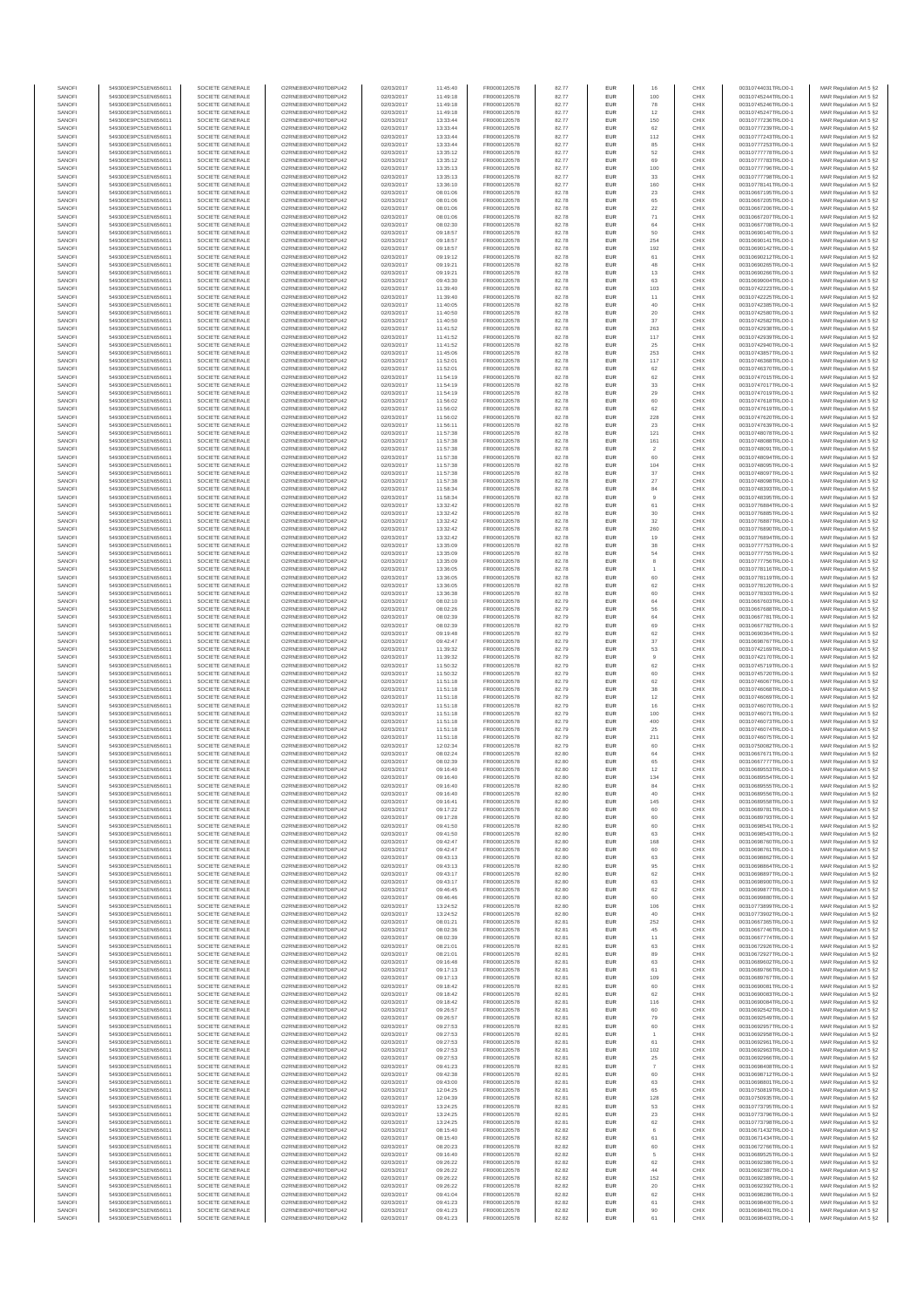| SANOFI           | 549300E9PC51EN656011                         | SOCIETE GENERALE                     | O2RNE8IBXP4R0TD8PU42                          | 02/03/2017               | 11:45:40             | FR0000120578                 | 82.77          | EUR                      | 16             | CHIX         | 00310744031TRLO0-1                       | MAR Regulation Art 5 §2                            |
|------------------|----------------------------------------------|--------------------------------------|-----------------------------------------------|--------------------------|----------------------|------------------------------|----------------|--------------------------|----------------|--------------|------------------------------------------|----------------------------------------------------|
| SANOFI<br>SANOFI | 549300E9PC51EN656011<br>549300E9PC51EN656011 | SOCIETE GENERALE<br>SOCIETE GENERALE | O2RNE8IBXP4R0TD8PU42<br>O2RNE8IBXP4R0TD8PU42  | 02/03/2017<br>02/03/2017 | 11:49:18<br>11:49:18 | FR0000120578                 | 82.77          | EUR<br>EUR               | 100            | CHIX<br>CHIX | 00310745244TRLO0-1<br>00310745246TRLO0-1 | MAR Regulation Art 5 §2                            |
| SANOFI           | 549300E9PC51EN656011                         | SOCIETE GENERALE                     | O2RNE8IBXP4R0TD8PLI42                         | 02/03/2017               | 11:49:18             | FR0000120578<br>FR0000120578 | 82.77<br>82.77 | EUR                      | 78<br>12       | CHIX         | 00310745247TRLO0-1                       | MAR Regulation Art 5 §2<br>MAR Regulation Art 5 §2 |
| SANOFI           | 549300E9PC51EN656011                         | SOCIETE GENERALE                     | O2RNE8IBXP4R0TD8PU42                          | 02/03/2017               | 13:33:44             | FR0000120578                 | 82.77          | EUR                      | 150            | CHIX         | 00310777236TRLO0-1                       | MAR Regulation Art 5 §2                            |
| SANOFI           | 549300E9PC51EN656011                         | SOCIETE GENERALE                     | O2RNE8IBXP4R0TD8PU42                          | 02/03/2017               | 13:33:44             | FR0000120578                 | 82.77          | EUR                      | 62             | CHIX         | 00310777239TRLO0-1                       | MAR Regulation Art 5 §2                            |
| SANOFI<br>SANOFI | 549300E9PC51EN656011<br>549300E9PC51EN656011 | SOCIETE GENERALE<br>SOCIETE GENERALE | O2RNE8IBXP4R0TD8PU42<br>O2RNE8IBXP4R0TD8PU42  | 02/03/2017<br>02/03/2017 | 13:33:44<br>13:33:44 | FR0000120578<br>FR0000120578 | 82.77<br>82.77 | <b>EUR</b><br>EUR        | 112<br>85      | CHIX<br>CHIX | 00310777243TRLO0-1<br>00310777253TRLO0-1 | MAR Regulation Art 5 §2<br>MAR Regulation Art 5 §2 |
| SANOFI           | 549300E9PC51EN656011                         | SOCIETE GENERALE                     | O2RNE8IBXP4R0TD8PU42                          | 02/03/2017               | 13:35:12             | FR0000120578                 | 82.77          | <b>EUR</b>               | 52             | CHIX         | 00310777778TRLO0-1                       | MAR Regulation Art 5 §2                            |
| SANOFI           | 549300E9PC51EN656011                         | SOCIETE GENERALE                     | O2RNE8IBXP4R0TD8PU42                          | 02/03/2017               | 13:35:12             | FR0000120578                 | 82.77          | EUR                      | 69             | CHIX         | 00310777783TRLO0-1                       | MAR Regulation Art 5 §2                            |
| SANOFI<br>SANOFI | 549300E9PC51EN656011<br>549300E9PC51EN656011 | SOCIETE GENERALE<br>SOCIETE GENERALE | O2RNE8IBXP4R0TD8PLI42<br>O2RNE8IBXP4R0TD8PU42 | 02/03/2017<br>02/03/2017 | 13:35:13<br>13:35:13 | FR0000120578<br>FR0000120578 | 82.77<br>82.77 | EUR<br>EUR               | 100<br>33      | CHIX<br>CHIX | 00310777796TRLO0-1<br>00310777798TRLO0-1 | MAR Regulation Art 5 §2<br>MAR Regulation Art 5 §2 |
| SANOFI           | 549300E9PC51EN656011                         | SOCIETE GENERALE                     | O2RNESIBXP4R0TD8PLI42                         | 02/03/2017               | 13:36:10             | FR0000120578                 | 82.77          | EUR                      | 160            | CHIX         | 00310778141TRLO0-1                       | MAR Regulation Art 5 §2                            |
| SANOFI           | 549300E9PC51EN656011                         | SOCIETE GENERALE                     | O2RNE8IBXP4R0TD8PU42                          | 02/03/2017               | 08:01:06             | FR0000120578                 | 82.78          | EUR                      | $23\,$         | CHIX         | 00310667195TRLO0-1                       | MAR Regulation Art 5 §2                            |
| SANOFI           | 549300E9PC51EN656011                         | SOCIETE GENERALE                     | O2RNE8IBXP4R0TD8PU42                          | 02/03/2017               | 08:01:06             | FR0000120578                 | 82.78          | EUR                      | 65             | CHIX         | 00310667205TRLO0-1                       | MAR Regulation Art 5 §2                            |
| SANOFI<br>SANOFI | 549300E9PC51EN656011<br>549300E9PC51EN656011 | SOCIETE GENERALE<br>SOCIETE GENERALE | O2RNE8IBXP4R0TD8PU42<br>O2RNE8IBXP4R0TD8PU42  | 02/03/2017<br>02/03/2017 | 08:01:06<br>08:01:06 | FR0000120578<br>FR0000120578 | 82.78<br>82.78 | <b>EUR</b><br>EUR        | 22<br>71       | CHIX<br>CHIX | 00310667206TRLO0-1<br>00310667207TRLO0-1 | MAR Regulation Art 5 §2<br>MAR Regulation Art 5 §2 |
| SANOFI           | 549300E9PC51EN656011                         | SOCIETE GENERALE                     | O2RNE8IBXP4R0TD8PU42                          | 02/03/2017               | 08:02:30             | FR0000120578                 | 82.78          | <b>EUR</b>               | 64             | CHIX         | 00310667708TRLO0-1                       | MAR Regulation Art 5 §2                            |
| SANOFI           | 549300E9PC51EN656011                         | SOCIETE GENERALE                     | O2RNE8IBXP4R0TD8PU42                          | 02/03/2017               | 09:18:57             | FR0000120578                 | 82.78          | EUR                      | 50             | CHIX         | 00310690140TRLO0-1                       | MAR Regulation Art 5 §2                            |
| SANOFI           | 549300E9PC51EN656011                         | SOCIETE GENERALE                     | O2RNESIBXP4R0TD8PLI42                         | 02/03/2017               | 09:18:57             | FR0000120578                 | 82.78          | EUR                      | 254            | CHIX         | 00310690141TRLO0-1                       | MAR Regulation Art 5 §2                            |
| SANOFI<br>SANOFI | 549300E9PC51EN656011<br>549300E9PC51EN656011 | SOCIETE GENERALE<br>SOCIETE GENERALE | O2RNE8IBXP4R0TD8PU42<br>O2RNE8IBXP4R0TD8PLI42 | 02/03/2017<br>02/03/2017 | 09:18:57<br>09:19:12 | FR0000120578<br>FR0000120578 | 82.78<br>82.78 | EUR<br>EUR               | 192<br>61      | CHIX<br>CHIX | 00310690142TRLO0-1<br>00310690212TRLO0-1 | MAR Regulation Art 5 §2<br>MAR Regulation Art 5 §2 |
| SANOFI           | 549300E9PC51EN656011                         | SOCIETE GENERALE                     | O2RNE8IBXP4R0TD8PU42                          | 02/03/2017               | 09:19:21             | FR0000120578                 | 82.78          | <b>EUR</b>               | 48             | CHIX         | 00310690265TRLO0-1                       | MAR Regulation Art 5 §2                            |
| SANOFI           | 549300E9PC51EN656011                         | SOCIETE GENERALE                     | O2RNE8IBXP4R0TD8PU42                          | 02/03/2017               | 09:19:21             | FR0000120578                 | 82.78          | EUR                      | 13             | CHIX         | 00310690266TRLO0-1                       | MAR Regulation Art 5 §2                            |
| SANOFI<br>SANOFI | 549300E9PC51EN656011<br>549300E9PC51EN656011 | SOCIETE GENERALE<br>SOCIETE GENERALE | O2RNE8IBXP4R0TD8PU42<br>O2RNE8IBXP4R0TD8PU42  | 02/03/2017<br>02/03/2017 | 09:43:30<br>11:39:40 | FR0000120578<br>FR0000120578 | 82.78<br>82.78 | <b>EUR</b><br>EUR        | 63<br>103      | CHIX<br>CHIX | 00310699004TRLO0-1<br>00310742223TRLO0-1 | MAR Regulation Art 5 §2<br>MAR Regulation Art 5 §2 |
| SANOFI           | 549300E9PC51EN656011                         | SOCIETE GENERALE                     | O2RNE8IBXP4R0TD8PU42                          | 02/03/2017               | 11:39:40             | FR0000120578                 | 82.78          | <b>EUR</b>               | 11             | CHIX         | 00310742225TRLO0-1                       | MAR Regulation Art 5 §2                            |
| SANOFI           | 549300E9PC51EN656011                         | SOCIETE GENERALE                     | O2RNE8IBXP4R0TD8PU42                          | 02/03/2017               | 11:40:05             | FR0000120578                 | 82.78          | EUR                      | 40             | CHIX         | 00310742385TRLO0-1                       | MAR Regulation Art 5 §2                            |
| SANOFI           | 549300E9PC51EN656011                         | SOCIETE GENERALE                     | O2RNE8IBXP4R0TD8PU42                          | 02/03/2017               | 11:40:50             | FR0000120578                 | 82.78          | EUR                      | $20\,$         | CHIX         | 00310742580TRLO0-1                       | MAR Regulation Art 5 §2                            |
| SANOFI<br>SANOFI | 549300E9PC51EN656011<br>549300E9PC51EN656011 | SOCIETE GENERALE<br>SOCIETE GENERALE | O2RNE8IBXP4R0TD8PU42<br>O2RNE8IBXP4R0TD8PU42  | 02/03/2017<br>02/03/2017 | 11:40:50<br>11:41:52 | FR0000120578<br>FR0000120578 | 82.78<br>82.78 | EUR<br>EUR               | 37<br>263      | CHIX<br>CHIX | 00310742582TRLO0-1<br>00310742938TRLO0-1 | MAR Regulation Art 5 §2<br>MAR Regulation Art 5 §2 |
| SANOFI           | 549300E9PC51EN656011                         | SOCIETE GENERALE                     | O2RNE8IBXP4R0TD8PU42                          | 02/03/2017               | 11:41:52             | FR0000120578                 | 82.78          | <b>EUR</b>               | 117            | CHIX         | 00310742939TRLO0-1                       | MAR Regulation Art 5 §2                            |
| SANOFI           | 549300E9PC51EN656011                         | SOCIETE GENERALE                     | O2RNE8IBXP4R0TD8PU42                          | 02/03/2017               | 11:41:52             | FR0000120578                 | 82.78          | EUR                      | 25             | CHIX         | 00310742940TRLO0-1                       | MAR Regulation Art 5 §2                            |
| SANOFI<br>SANOFI | 549300E9PC51EN656011<br>549300E9PC51EN656011 | SOCIETE GENERALE<br>SOCIETE GENERALE | O2RNE8IBXP4R0TD8PU42<br>O2RNE8IBXP4R0TD8PU42  | 02/03/2017<br>02/03/2017 | 11:45:06<br>11:52:01 | FR0000120578<br>FR0000120578 | 82.78<br>82.78 | <b>EUR</b><br>EUR        | 253<br>117     | CHIX<br>CHIX | 00310743857TRLO0-1<br>00310746368TRLO0-1 | MAR Regulation Art 5 §2<br>MAR Regulation Art 5 §2 |
| SANOFI           | 549300E9PC51EN656011                         | SOCIETE GENERALE                     | O2RNE8IBXP4R0TD8PU42                          | 02/03/2017               | 11:52:01             | FR0000120578                 | 82.78          | EUR                      | 62             | CHIX         | 00310746370TRLO0-1                       | MAR Regulation Art 5 §2                            |
| SANOFI           | 549300E9PC51EN656011                         | SOCIETE GENERALE                     | O2RNE8IBXP4R0TD8PU42                          | 02/03/2017               | 11:54:19             | FR0000120578                 | 82.78          | EUR                      | 62             | CHIX         | 00310747015TRLO0-1                       | MAR Regulation Art 5 §2                            |
| SANOFI<br>SANOFI | 549300E9PC51EN656011                         | SOCIETE GENERALE                     | O2RNE8IBXP4R0TD8PU42<br>O2RNE8IBXP4R0TD8PU42  | 02/03/2017               | 11:54:19             | FR0000120578                 | 82.78          | EUR                      | 33             | CHIX<br>CHIX | 00310747017TRLO0-1<br>00310747019TRLO0-1 | MAR Regulation Art 5 §2                            |
| SANOFI           | 549300E9PC51EN656011<br>549300E9PC51EN656011 | SOCIETE GENERALE<br>SOCIETE GENERALE | O2RNE8IBXP4R0TD8PU42                          | 02/03/2017<br>02/03/2017 | 11:54:19<br>11:56:02 | FR0000120578<br>FR0000120578 | 82.78<br>82.78 | EUR<br>EUR               | 29<br>60       | CHIX         | 00310747618TRLO0-1                       | MAR Regulation Art 5 §2<br>MAR Regulation Art 5 §2 |
| SANOFI           | 549300E9PC51EN656011                         | SOCIETE GENERALE                     | O2RNE8IBXP4R0TD8PU42                          | 02/03/2017               | 11:56:02             | FR0000120578                 | 82.78          | <b>EUR</b>               | 62             | CHIX         | 00310747619TRLO0-1                       | MAR Regulation Art 5 §2                            |
| SANOFI           | 549300E9PC51EN656011                         | SOCIETE GENERALE                     | O2RNE8IBXP4R0TD8PU42                          | 02/03/2017               | 11:56:02             | FR0000120578                 | 82.78          | EUR                      | 228            | CHIX         | 00310747620TRLO0-1                       | MAR Regulation Art 5 §2                            |
| SANOFI<br>SANOFI | 549300E9PC51EN656011<br>549300E9PC51EN656011 | SOCIETE GENERALE<br>SOCIETE GENERALE | O2RNE8IBXP4R0TD8PLI42<br>O2RNE8IBXP4R0TD8PU42 | 02/03/2017<br>02/03/2017 | 11:56:11<br>11:57:38 | FR0000120578<br>FR0000120578 | 82.78<br>82.78 | <b>EUR</b><br>EUR        | 23<br>121      | CHIX<br>CHIX | 00310747639TRLO0-1<br>00310748078TRLO0-1 | MAR Regulation Art 5 §2<br>MAR Regulation Art 5 §2 |
| SANOFI           | 549300E9PC51EN656011                         | SOCIETE GENERALE                     | O2RNE8IBXP4R0TD8PU42                          | 02/03/2017               | 11:57:38             | FR0000120578                 | 82.78          | EUR                      | 161            | CHIX         | 00310748088TRLO0-1                       | MAR Regulation Art 5 §2                            |
| SANOFI           | 549300E9PC51EN656011                         | SOCIETE GENERALE                     | O2RNE8IBXP4R0TD8PU42                          | 02/03/2017               | 11:57:38             | FR0000120578                 | 82.78          | EUR                      | $\overline{2}$ | CHIX         | 00310748091TRLO0-1                       | MAR Regulation Art 5 §2                            |
| SANOFI           | 549300E9PC51EN656011                         | SOCIETE GENERALE                     | O2RNE8IBXP4R0TD8PLI42<br>O2RNE8IBXP4R0TD8PU42 | 02/03/2017               | 11:57:38             | FR0000120578                 | 82.78          | EUR                      | 60             | CHIX         | 00310748094TRLO0-1                       | MAR Regulation Art 5 §2<br>MAR Regulation Art 5 §2 |
| SANOFI<br>SANOFI | 549300E9PC51EN656011<br>549300E9PC51EN656011 | SOCIETE GENERALE<br>SOCIETE GENERALE | O2RNE8IBXP4R0TD8PU42                          | 02/03/2017<br>02/03/2017 | 11:57:38<br>11:57:38 | FR0000120578<br>FR0000120578 | 82.78<br>82.78 | EUR<br>EUR               | 104<br>37      | CHIX<br>CHIX | 00310748095TRLO0-1<br>00310748097TRLO0-1 | MAR Regulation Art 5 §2                            |
| SANOFI           | 549300E9PC51EN656011                         | SOCIETE GENERALE                     | O2RNE8IBXP4R0TD8PU42                          | 02/03/2017               | 11:57:38             | FR0000120578                 | 82.78          | <b>EUR</b>               | $27\,$         | CHIX         | 00310748098TRLO0-1                       | MAR Regulation Art 5 §2                            |
| SANOFI           | 549300E9PC51EN656011                         | SOCIETE GENERALE                     | O2RNE8IBXP4R0TD8PU42                          | 02/03/2017               | 11:58:34             | FR0000120578                 | 82.78          | EUR                      | 84             | CHIX         | 00310748393TRLO0-1                       | MAR Regulation Art 5 §2                            |
| SANOFI<br>SANOFI | 549300E9PC51EN656011<br>549300E9PC51EN656011 | SOCIETE GENERALE<br>SOCIETE GENERALE | O2RNE8IBXP4R0TD8PU42<br>O2RNE8IBXP4R0TD8PU42  | 02/03/2017<br>02/03/2017 | 11:58:34<br>13:32:42 | FR0000120578<br>FR0000120578 | 82.78<br>82.78 | <b>EUR</b><br>EUR        | 9<br>61        | CHIX<br>CHIX | 00310748395TRLO0-1<br>00310776884TRLO0-1 | MAR Regulation Art 5 §2<br>MAR Regulation Art 5 §2 |
| SANOFI           | 549300E9PC51EN656011                         | SOCIETE GENERALE                     | O2RNE8IBXP4R0TD8PLI42                         | 02/03/2017               | 13:32:42             | FR0000120578                 | 82.78          | EUR                      | $30\,$         | CHIX         | 00310776885TRLO0-1                       | MAR Regulation Art 5 §2                            |
| SANOFI           | 549300E9PC51EN656011                         | SOCIETE GENERALE                     | O2RNE8IBXP4R0TD8PU42                          | 02/03/2017               | 13:32:42             | FR0000120578                 | 82.78          | EUR                      | $32\,$         | CHIX         | 00310776887TRLO0-1                       | MAR Regulation Art 5 §2                            |
| SANOFI           | 549300E9PC51EN656011                         | SOCIETE GENERALE                     | O2RNE8IBXP4R0TD8PU42                          | 02/03/2017               | 13:32:42             | FR0000120578                 | 82.78          | EUR                      | 260            | CHIX         | 00310776890TRLO0-1                       | MAR Regulation Art 5 §2                            |
| SANOFI<br>SANOFI | 549300E9PC51EN656011<br>549300E9PC51EN656011 | SOCIETE GENERALE<br>SOCIETE GENERALE | O2RNE8IBXP4R0TD8PU42<br>O2RNE8IBXP4R0TD8PU42  | 02/03/2017<br>02/03/2017 | 13:32:42<br>13:35:09 | FR0000120578<br>FR0000120578 | 82.78<br>82.78 | <b>EUR</b><br>EUR        | 19<br>38       | CHIX<br>CHIX | 00310776894TRLO0-1<br>00310777753TRLO0-1 | MAR Regulation Art 5 §2<br>MAR Regulation Art 5 §2 |
| SANOFI           | 549300E9PC51EN656011                         | SOCIETE GENERALE                     | O2RNE8IBXP4R0TD8PU42                          | 02/03/2017               | 13:35:09             | FR0000120578                 | 82.78          | <b>EUR</b>               | 54             | CHIX         | 00310777755TRLO0-1                       | MAR Regulation Art 5 §2                            |
| SANOFI           | 549300E9PC51EN656011                         | SOCIETE GENERALE                     | O2RNE8IBXP4R0TD8PU42                          | 02/03/2017               | 13:35:09             | FR0000120578                 | 82.78          | EUR                      |                | CHIX         | 00310777756TRLO0-1                       | MAR Regulation Art 5 §2                            |
| SANOFI<br>SANOFI | 549300E9PC51EN656011<br>549300E9PC51EN656011 | SOCIETE GENERALE<br>SOCIETE GENERALE | O2RNE8IBXP4R0TD8PU42<br>O2RNE8IBXP4R0TD8PU42  | 02/03/2017<br>02/03/2017 | 13:36:05<br>13:36:05 | FR0000120578<br>FR0000120578 | 82.78<br>82.78 | <b>EUR</b><br>EUR        | 60             | CHIX<br>CHIX | 00310778116TRLO0-1<br>00310778119TRLO0-1 | MAR Regulation Art 5 §2<br>MAR Regulation Art 5 §2 |
| SANOFI           | 549300E9PC51EN656011                         | SOCIETE GENERALE                     | O2RNE8IBXP4R0TD8PU42                          | 02/03/2017               | 13:36:05             | FR0000120578                 | 82.78          | EUR                      | 62             | CHIX         | 00310778120TRLO0-1                       | MAR Regulation Art 5 §2                            |
| SANOFI           | 549300E9PC51EN656011                         | SOCIETE GENERALE                     | O2RNE8IBXP4R0TD8PU42                          | 02/03/2017               | 13:36:38             | FR0000120578                 | 82.78          | EUR                      | 60             | CHIX         | 00310778303TRLO0-1                       | MAR Regulation Art 5 §2                            |
| SANOFI           | 549300E9PC51EN656011                         | SOCIETE GENERALE                     | O2RNE8IBXP4R0TD8PU42                          | 02/03/2017               | 08:02:10             | FR0000120578                 | 82.79          | EUR                      | $64\,$         | CHIX         | 00310667603TRLO0-1                       | MAR Regulation Art 5 §2                            |
| SANOFI<br>SANOFI | 549300E9PC51EN656011<br>549300E9PC51EN656011 | SOCIETE GENERALE<br>SOCIETE GENERALE | O2RNE8IBXP4R0TD8PU42<br>O2RNE8IBXP4R0TD8PU42  | 02/03/2017<br>02/03/2017 | 08:02:26<br>08:02:39 | FR0000120578<br>FR0000120578 | 82.79<br>82.79 | <b>EUR</b><br>EUR        | 56<br>64       | CHIX<br>CHIX | 00310667688TRLO0-1<br>00310667781TRLO0-1 | MAR Regulation Art 5 §2<br>MAR Regulation Art 5 §2 |
| SANOFI           | 549300E9PC51EN656011                         | SOCIETE GENERALE                     | O2RNE8IBXP4R0TD8PU42                          | 02/03/2017               | 08:02:39             | FR0000120578                 | 82.79          | <b>EUR</b>               | 69             | CHIX         | 00310667782TRLO0-1                       | MAR Regulation Art 5 §2                            |
| SANOFI           | 549300E9PC51EN656011                         | SOCIETE GENERALE                     | O2RNE8IBXP4R0TD8PU42                          | 02/03/2017               | 09:19:48             | FR0000120578                 | 82.79          | EUR                      | 62             | CHIX         | 00310690364TRLO0-1                       | MAR Regulation Art 5 §2                            |
| SANOFI<br>SANOFI | 549300E9PC51EN656011<br>549300E9PC51EN656011 | SOCIETE GENERALE<br>SOCIETE GENERALE | O2RNE8IBXP4R0TD8PU42<br>O2RNE8IBXP4R0TD8PU42  | 02/03/2017<br>02/03/2017 | 09:42:47<br>11:39:32 | FR0000120578<br>FR0000120578 | 82.79<br>82.79 | <b>EUR</b><br>EUR        | 37<br>53       | CHIX<br>CHIX | 00310698767TRLO0-1<br>00310742169TRLO0-1 | MAR Regulation Art 5 §2<br>MAR Regulation Art 5 §2 |
| SANOFI           | 549300E9PC51EN656011                         | SOCIETE GENERALE                     | O2RNE8IBXP4R0TD8PU42                          | 02/03/2017               | 11:39:32             | FR0000120578                 | 82.79          | EUR                      | $\overline{9}$ | CHIX         | 00310742170TRLO0-1                       | MAR Regulation Art 5 §2                            |
| SANOFI           | 549300E9PC51EN656011                         | SOCIETE GENERALE                     | O2RNE8IBXP4R0TD8PU42                          | 02/03/2017               | 11:50:32             | FR0000120578                 | 82.79          | EUR                      | 62             | CHIX         | 00310745719TRLO0-1                       | MAR Regulation Art 5 §2                            |
| SANOFI           | 549300E9PC51EN656011                         | SOCIETE GENERALE                     | O2RNE8IBXP4R0TD8PU42                          | 02/03/2017               | 11:50:32             | FR0000120578                 | 82.79          | EUR                      | 60             | CHIX         | 00310745720TRLO0-1                       | MAR Regulation Art 5 §2                            |
| SANOFI<br>SANOFI | 549300E9PC51EN656011<br>549300E9PC51EN656011 | SOCIETE GENERALE<br>SOCIETE GENERALE | O2RNE8IBXP4R0TD8PU42<br>O2RNE8IBXP4R0TD8PU42  | 02/03/2017<br>02/03/2017 | 11:51:18<br>11:51:18 | FR0000120578<br>FR0000120578 | 82.79<br>82.79 | <b>EUR</b><br>EUR        | 62<br>38       | CHIX<br>CHIX | 00310746067TRLO0-1<br>00310746068TRLO0-1 | MAR Regulation Art 5 §2<br>MAR Regulation Art 5 §2 |
| SANOFI           | 549300E9PC51EN656011                         | SOCIETE GENERALE                     | O2RNE8IBXP4R0TD8PU42                          | 02/03/2017               | 11:51:18             | FR0000120578                 | 82.79          | <b>EUR</b>               | 12             | CHIX         | 00310746069TRLO0-1                       | MAR Regulation Art 5 §2                            |
| SANOFI           | 549300E9PC51EN656011                         | SOCIETE GENERALE                     | O2RNE8IBXP4R0TD8PU42                          | 02/03/2017               | 11:51:18             | FR0000120578                 | 82.79          | EUR                      | 16             | CHIX         | 00310746070TRLO0-1                       | MAR Regulation Art 5 §2                            |
| SANOFI           | 549300E9PC51EN656011                         | SOCIETE GENERALE                     | O2RNE8IBXP4R0TD8PU42                          | 02/03/2017               | 11:51:18             | FR0000120578                 | 82.79          | EUR                      | 100<br>400     | CHIX         | 00310746071TRLO0-1                       | MAR Regulation Art 5 §2                            |
| SANOFI<br>SANOFI | 549300E9PC51EN656011<br>549300E9PC51EN656011 | SOCIETE GENERALE<br>SOCIETE GENERALE | O2RNE8IBXP4R0TD8PU42<br>O2RNE8IBXP4R0TD8PU42  | 02/03/2017<br>02/03/2017 | 11:51:18<br>11:51:18 | FR0000120578<br>FR0000120578 | 82.79<br>82.79 | EUR<br>EUR               | 25             | CHIX<br>CHIX | 00310746073TRLO0-1<br>00310746074TRLO0-1 | MAR Regulation Art 5 §2<br>MAR Regulation Art 5 §2 |
| SANOFI           | 549300E9PC51EN656011                         | SOCIETE GENERALE                     | O2RNE8IBXP4R0TD8PU42                          | 02/03/2017               | 11:51:18             | FR0000120578                 | 82.79          | EUR                      | 211            | CHIX         | 00310746075TRLO0-1                       | MAR Regulation Art 5 §2                            |
| SANOFI           | 549300E9PC51EN656011                         | SOCIETE GENERALE                     | O2RNE8IBXP4R0TD8PU42                          | 02/03/2017               | 12:02:34             | FR0000120578                 | 82.79          | EUR                      | 60             | CHIX         | 00310750082TRLO0-1                       | MAR Regulation Art 5 §2                            |
| SANOFI<br>SANOFI | 549300E9PC51EN656011<br>549300E9PC51EN656011 | SOCIETE GENERALE<br>SOCIETE GENERALE | O2RNE8IBXP4R0TD8PU42<br>O2RNE8IBXP4R0TD8PU42  | 02/03/2017<br>02/03/2017 | 08:02:24<br>08:02:39 | FR0000120578<br>FR0000120578 | 82.80<br>82.80 | <b>EUR</b><br>EUR        | 64<br>65       | CHIX<br>CHIX | 00310667671TRLO0-1<br>00310667777TRLO0-1 | MAR Regulation Art 5 §2<br>MAR Regulation Art 5 §2 |
| SANOFI           | 549300E9PC51EN656011                         | SOCIETE GENERALE                     | O2RNE8IBXP4R0TD8PU42                          | 02/03/2017               | 09:16:40             | FR0000120578                 | 82.80          | EUR                      | 12             | CHIX         | 00310689553TRLO0-1                       | MAR Regulation Art 5 §2                            |
| SANOFI           | 549300E9PC51EN656011                         | SOCIETE GENERALE                     | O2RNE8IBXP4R0TD8PU42                          | 02/03/2017               | 09:16:40             | FR0000120578                 | 82.80          | EUR                      | 134            | CHIX         | 00310689554TRLO0-1                       | MAR Regulation Art 5 §2                            |
| SANOFI           | 549300E9PC51EN656011                         | SOCIETE GENERALE                     | O2RNE8IBXP4R0TD8PLI42                         | 02/03/2017               | 09:16:40             | FR0000120578                 | 82.80          | EUR                      | 84             | CHIX         | 00310689555TRLO0-1                       | MAR Regulation Art 5 §2                            |
| SANOFI<br>SANOFI | 549300E9PC51EN656011<br>549300E9PC51EN656011 | SOCIETE GENERALE<br>SOCIETE GENERALE | O2RNE8IBXP4R0TD8PU42<br>O2RNESIBXP4R0TD8PLI42 | 02/03/2017<br>02/03/2017 | 09:16:40<br>09:16:41 | FR0000120578<br>FR0000120578 | 82.80<br>82.80 | <b>EUR</b><br><b>EUR</b> | 40<br>145      | CHIX<br>CHIX | 00310689556TRLO0-1<br>00310689558TRLO0-1 | MAR Regulation Art 5 §2<br>MAR Regulation Art 5 §2 |
| SANOFI           | 549300E9PC51EN656011                         | SOCIETE GENERALE                     | O2RNE8IBXP4R0TD8PU42                          | 02/03/2017               | 09:17:22             | FR0000120578                 | 82.80          | EUR                      | 60             | CHIX         | 00310689781TRLO0-1                       | MAR Regulation Art 5 §2                            |
| SANOFI           | 549300E9PC51EN656011                         | SOCIETE GENERALE                     | O2RNE8IBXP4R0TD8PU42                          | 02/03/2017               | 09:17:28             | FR0000120578                 | 82.80          | EUR                      |                | CHIX         | 00310689793TRLO0-1                       | MAR Regulation Art 5 §2                            |
| SANOFI           | 549300E9PC51EN656011                         | SOCIETE GENERALE                     | O2RNE8IBXP4R0TD8PU42                          | 02/03/2017               | 09:41:50             | FR0000120578                 | 82.80          | <b>EUR</b>               | 60             | CHIX         | 00310698541TRLO0-1                       | MAR Regulation Art 5 §2                            |
| SANOFI<br>SANOFI | 549300E9PC51EN656011<br>549300E9PC51EN656011 | SOCIETE GENERALE<br>SOCIETE GENERALE | O2RNE8IBXP4R0TD8PU42<br>O2RNE8IBXP4R0TD8PU42  | 02/03/2017<br>02/03/2017 | 09:41:50<br>09:42:47 | FR0000120578<br>FR0000120578 | 82.80<br>82.80 | EUR<br><b>EUR</b>        | 63<br>168      | CHIX<br>CHIX | 00310698543TRLO0-1<br>00310698760TRLO0-1 | MAR Regulation Art 5 §2<br>MAR Regulation Art 5 §2 |
| SANOFI           | 549300E9PC51EN656011                         | SOCIETE GENERALE                     | O2RNE8IBXP4R0TD8PU42                          | 02/03/2017               | 09:42:47             | FR0000120578                 | 82.80          | EUR                      | 60             | CHIX         | 00310698761TRLO0-1                       | MAR Regulation Art 5 §2                            |
| SANOFI           | 549300E9PC51EN656011                         | SOCIETE GENERALE                     | O2RNE8IBXP4R0TD8PU42                          | 02/03/2017               | 09:43:13             | FR0000120578                 | 82.80          | EUR                      | 63             | CHIX<br>CHIX | 00310698862TRLO0-1                       | MAR Regulation Art 5 §2                            |
| SANOFI<br>SANOFI | 549300E9PC51EN656011<br>549300E9PC51EN656011 | SOCIETE GENERALE<br>SOCIETE GENERALE | O2RNE8IBXP4R0TD8PU42<br>O2RNESIBXP4R0TD8PLI42 | 02/03/2017<br>02/03/2017 | 09:43:13<br>09:43:17 | FR0000120578<br>FR0000120578 | 82.80<br>82.80 | EUR<br>EUR               | 95<br>62       | CHIX         | 00310698864TRLO0-1<br>00310698897TRLO0-1 | MAR Regulation Art 5 §2<br>MAR Regulation Art 5 §2 |
| SANOFI           | 549300E9PC51EN656011                         | SOCIETE GENERALE                     | O2RNE8IBXP4R0TD8PLI42                         | 02/03/2017               | 09:43:17             | FR0000120578                 | 82.80          | <b>EUR</b>               | 63             | CHIX         | 00310698900TRLO0-1                       | MAR Regulation Art 5 §2                            |
| SANOFI           | 549300E9PC51EN656011                         | SOCIETE GENERALE                     | O2RNE8IBXP4R0TD8PU42                          | 02/03/2017               | 09:46:45             | FR0000120578                 | 82.80          | EUR                      | 62             | CHIX         | 00310699877TRLO0-1                       | MAR Regulation Art 5 §2                            |
| SANOFI<br>SANOFI | 549300E9PC51EN656011<br>549300E9PC51EN656011 | SOCIETE GENERALE<br>SOCIETE GENERALE | O2RNE8IBXP4R0TD8PU42<br>O2RNE8IBXP4R0TD8PU42  | 02/03/2017<br>02/03/2017 | 09:46:46<br>13:24:52 | FR0000120578<br>FR0000120578 | 82.80<br>82.80 | <b>EUR</b><br>EUR        | 60<br>106      | CHIX<br>CHIX | 00310699880TRLO0-1<br>00310773899TRLO0-1 | MAR Regulation Art 5 §2<br>MAR Regulation Art 5 §2 |
| SANOFI           | 549300E9PC51EN656011                         | SOCIETE GENERALE                     | O2RNE8IBXP4R0TD8PU42                          | 02/03/2017               | 13:24:52             | FR0000120578                 | 82.80          | EUR                      | 40             | CHIX         | 00310773902TRLO0-1                       | MAR Regulation Art 5 §2                            |
| SANOFI           | 549300E9PC51EN656011                         | SOCIETE GENERALE                     | O2RNE8IBXP4R0TD8PU42                          | 02/03/2017               | 08:01:21             | FR0000120578                 | 82.81          | EUR                      | 252            | CHIX         | 00310667365TRLO0-1                       | MAR Regulation Art 5 §2                            |
| SANOFI<br>SANOFI | 549300E9PC51EN656011<br>549300E9PC51EN656011 | SOCIETE GENERALE<br>SOCIETE GENERALE | O2RNE8IBXP4R0TD8PU42<br>O2RNE8IBXP4R0TD8PU42  | 02/03/2017<br>02/03/2017 | 08:02:36<br>08:02:39 | FR0000120578<br>FR0000120578 | 82.81<br>82.81 | EUR<br>EUR               | 45<br>11       | CHIX<br>CHIX | 00310667746TRLO0-1<br>00310667774TRLO0-1 | MAR Regulation Art 5 §2<br>MAR Regulation Art 5 §2 |
| SANOFI           | 549300E9PC51EN656011                         | SOCIETE GENERALE                     | O2RNE8IBXP4R0TD8PU42                          | 02/03/2017               | 08:21:01             | FR0000120578                 | 82.81          | EUR                      | 63             | CHIX         | 00310672926TRLO0-1                       | MAR Regulation Art 5 §2                            |
| SANOFI           | 549300E9PC51EN656011                         | SOCIETE GENERALE                     | O2RNE8IBXP4R0TD8PU42                          | 02/03/2017               | 08:21:01             | FR0000120578                 | 82.81          | <b>EUR</b>               | 89             | CHIX         | 00310672927TRLO0-1                       | MAR Regulation Art 5 §2                            |
| SANOFI<br>SANOFI | 549300E9PC51EN656011<br>549300E9PC51EN656011 | SOCIETE GENERALE<br>SOCIETE GENERALE | O2RNE8IBXP4R0TD8PU42<br>O2RNE8IBXP4R0TD8PLI42 | 02/03/2017<br>02/03/2017 | 09:16:48<br>09:17:13 | FR0000120578<br>FR0000120578 | 82.81<br>82.81 | EUR<br><b>EUR</b>        | 63<br>61       | CHIX<br>CHIX | 00310689602TRLO0-1<br>00310689766TRLO0-1 | MAR Regulation Art 5 §2<br>MAR Regulation Art 5 §2 |
| SANOFI           | 549300E9PC51EN656011                         | SOCIETE GENERALE                     | O2RNE8IBXP4R0TD8PU42                          | 02/03/2017               | 09:17:13             | FR0000120578                 | 82.81          | EUR                      | 109            | CHIX         | 00310689767TRLO0-1                       | MAR Regulation Art 5 \$2                           |
| SANOFI           | 549300E9PC51EN656011                         | SOCIETE GENERALE                     | O2RNE8IBXP4R0TD8PU42                          | 02/03/2017               | 09:18:42             | FR0000120578                 | 82.81          | <b>EUR</b>               | 60             | CHIX         | 00310690081TRLO0-1                       | MAR Regulation Art 5 §2                            |
| SANOFI           | 549300E9PC51EN656011                         | SOCIETE GENERALE                     | O2RNE8IBXP4R0TD8PU42                          | 02/03/2017               | 09:18:42             | FR0000120578                 | 82.81          | EUR<br>EUR               | 62             | CHIX         | 00310690083TRLO0-1                       | MAR Regulation Art 5 §2                            |
| SANOFI<br>SANOFI | 549300E9PC51EN656011<br>549300E9PC51EN656011 | SOCIETE GENERALE<br>SOCIETE GENERALE | O2RNE8IBXP4R0TD8PU42<br>O2RNE8IBXP4R0TD8PU42  | 02/03/2017<br>02/03/2017 | 09:18:42<br>09:26:57 | FR0000120578                 | 82.81<br>82.81 | EUR                      | 116<br>60      | CHIX<br>CHIX | 00310690084TRLO0-1<br>00310692542TRLO0-1 | MAR Regulation Art 5 §2                            |
| SANOFI           | 549300E9PC51EN656011                         | SOCIETE GENERALE                     | O2RNE8IBXP4R0TD8PU42                          | 02/03/2017               | 09:26:57             | FR0000120578<br>FR0000120578 | 82.81          | EUR                      | 79             | CHIX         | 00310692549TRLO0-1                       | MAR Regulation Art 5 §2<br>MAR Regulation Art 5 §2 |
| SANOFI           | 549300E9PC51EN656011                         | SOCIETE GENERALE                     | O2RNE8IBXP4R0TD8PU42                          | 02/03/2017               | 09:27:53             | FR0000120578                 | 82.81          | <b>EUR</b>               | 60             | CHIX         | 00310692957TRLO0-1                       | MAR Regulation Art 5 §2                            |
| SANOFI<br>SANOFI | 549300E9PC51EN656011<br>549300E9PC51EN656011 | SOCIETE GENERALE<br>SOCIETE GENERALE | O2RNE8IBXP4R0TD8PU42<br>O2RNE8IBXP4R0TD8PU42  | 02/03/2017<br>02/03/2017 | 09:27:53<br>09:27:53 | FR0000120578<br>FR0000120578 | 82.81<br>82.81 | EUR<br><b>EUR</b>        | 61             | CHIX<br>CHIX | 00310692958TRLO0-1<br>00310692961TRLO0-1 | MAR Regulation Art 5 §2                            |
| SANOFI           | 549300E9PC51EN656011                         | SOCIETE GENERALE                     | O2RNE8IBXP4R0TD8PU42                          | 02/03/2017               | 09:27:53             | FR0000120578                 | 82.81          | <b>EUR</b>               | 102            | CHIX         | 00310692963TRLO0-1                       | MAR Regulation Art 5 §2<br>MAR Regulation Art 5 §2 |
| SANOFI           | 549300E9PC51EN656011                         | SOCIETE GENERALE                     | O2RNE8IBXP4R0TD8PU42                          | 02/03/2017               | 09:27:53             | FR0000120578                 | 82.81          | EUR                      | $25\,$         | CHIX         | 00310692966TRLO0-1                       | MAR Regulation Art 5 §2                            |
| SANOFI           | 549300E9PC51EN656011                         | SOCIETE GENERALE                     | O2RNE8IBXP4R0TD8PU42                          | 02/03/2017               | 09:41:23             | FR0000120578                 | 82.81          | EUR                      |                | CHIX         | 00310698408TRLO0-1                       | MAR Regulation Art 5 §2                            |
| SANOFI<br>SANOFI | 549300E9PC51EN656011<br>549300E9PC51EN656011 | SOCIETE GENERALE<br>SOCIETE GENERALE | O2RNE8IBXP4R0TD8PU42<br>O2RNE8IBXP4R0TD8PU42  | 02/03/2017<br>02/03/2017 | 09:42:38<br>09:43:00 | FR0000120578                 | 82.81<br>82.81 | EUR<br>EUR               | 60<br>63       | CHIX<br>CHIX | 00310698712TRLO0-1<br>00310698801TRLO0-1 | MAR Regulation Art 5 §2                            |
| SANOFI           | 549300E9PC51EN656011                         | SOCIETE GENERALE                     | O2RNE8IBXP4R0TD8PU42                          | 02/03/2017               | 12:04:25             | FR0000120578<br>FR0000120578 | 82.81          | EUR                      | 65             | CHIX         | 00310750819TRLO0-1                       | MAR Regulation Art 5 §2<br>MAR Regulation Art 5 §2 |
| SANOFI           | 549300E9PC51EN656011                         | SOCIETE GENERALE                     | O2RNE8IBXP4R0TD8PU42                          | 02/03/2017               | 12:04:39             | FR0000120578                 | 82.81          | <b>EUR</b>               | 128            | CHIX         | 00310750935TRLO0-1                       | MAR Regulation Art 5 §2                            |
| SANOFI           | 549300E9PC51EN656011                         | SOCIETE GENERALE                     | O2RNE8IBXP4R0TD8PU42                          | 02/03/2017               | 13:24:25             | FR0000120578                 | 82.81          | EUR                      | 53             | CHIX         | 00310773795TRLO0-1                       | MAR Regulation Art 5 §2                            |
| SANOFI<br>SANOFI | 549300E9PC51EN656011<br>549300E9PC51EN656011 | SOCIETE GENERALE<br>SOCIETE GENERALE | O2RNE8IBXP4R0TD8PU42<br>O2RNE8IBXP4R0TD8PU42  | 02/03/2017<br>02/03/2017 | 13:24:25<br>13:24:25 | FR0000120578<br>FR0000120578 | 82.81<br>82.81 | EUR<br>EUR               | 23<br>62       | CHIX<br>CHIX | 00310773796TRLO0-1<br>00310773798TRLO0-1 | MAR Regulation Art 5 §2<br>MAR Regulation Art 5 §2 |
| SANOFI           | 549300E9PC51EN656011                         | SOCIETE GENERALE                     | O2RNE8IBXP4R0TD8PU42                          | 02/03/2017               | 08:15:40             | FR0000120578                 | 82.82          | EUR                      | 6              | CHIX         | 00310671432TRLO0-1                       | MAR Regulation Art 5 §2                            |
| SANOFI           | 549300E9PC51EN656011                         | SOCIETE GENERALE                     | O2RNE8IBXP4R0TD8PU42                          | 02/03/2017               | 08:15:40             | FR0000120578                 | 82.82          | EUR                      | 61             | CHIX         | 00310671434TRLO0-1                       | MAR Regulation Art 5 §2                            |
| SANOFI<br>SANOFI | 549300E9PC51EN656011<br>549300E9PC51EN656011 | SOCIETE GENERALE<br>SOCIETE GENERALE | O2RNE8IBXP4R0TD8PU42<br>O2RNE8IBXP4R0TD8PU42  | 02/03/2017<br>02/03/2017 | 08:20:23<br>09:16:40 | FR0000120578<br>FR0000120578 | 82.82<br>82.82 | EUR<br><b>EUR</b>        | 60<br>5        | CHIX<br>CHIX | 00310672766TRLO0-1<br>00310689525TRLO0-1 | MAR Regulation Art 5 §2<br>MAR Regulation Art 5 §2 |
| SANOFI           | 549300E9PC51EN656011                         | SOCIETE GENERALE                     | O2RNE8IBXP4R0TD8PU42                          | 02/03/2017               | 09:26:22             | FR0000120578                 | 82.82          | EUR                      | 62             | CHIX         | 00310692386TRLO0-1                       | MAR Regulation Art 5 §2                            |
| SANOFI           | 549300E9PC51EN656011                         | SOCIETE GENERALE                     | O2RNE8IBXP4R0TD8PU42                          | 02/03/2017               | 09:26:22             | FR0000120578                 | 82.82          | <b>EUR</b>               | 44             | CHIX         | 00310692387TRLO0-1                       | MAR Regulation Art 5 §2                            |
| SANOFI<br>SANOFI | 549300E9PC51EN656011<br>549300E9PC51EN656011 | SOCIETE GENERALE<br>SOCIETE GENERALE | O2RNE8IBXP4R0TD8PU42<br>O2RNE8IBXP4R0TD8PU42  | 02/03/2017<br>02/03/2017 | 09:26:22<br>09:26:22 | FR0000120578<br>FR0000120578 | 82.82<br>82.82 | EUR<br>EUR               | 152<br>20      | CHIX<br>CHIX | 00310692389TRLO0-1<br>00310692392TRLO0-1 | MAR Regulation Art 5 §2<br>MAR Regulation Art 5 §2 |
| SANOFI           | 549300E9PC51EN656011                         | SOCIETE GENERALE                     | O2RNE8IBXP4R0TD8PU42                          | 02/03/2017               | 09:41:04             | FR0000120578                 | 82.82          | EUR                      | 62             | CHIX         | 00310698286TRLO0-1                       | MAR Regulation Art 5 §2                            |
| SANOFI           | 549300E9PC51EN656011                         | SOCIETE GENERALE                     | O2RNE8IBXP4R0TD8PU42                          | 02/03/2017               | 09:41:23             | FR0000120578                 | 82.82          | EUR                      | $61\,$         | CHIX         | 00310698400TRLO0-1                       | MAR Regulation Art 5 §2                            |
| SANOFI<br>SANOFI | 549300E9PC51EN656011<br>549300E9PC51EN656011 | SOCIETE GENERALE<br>SOCIETE GENERALE | O2RNE8IBXP4R0TD8PU42<br>O2RNE8IBXP4R0TD8PU42  | 02/03/2017<br>02/03/2017 | 09:41:23<br>09:41:23 | FR0000120578<br>FR0000120578 | 82.82<br>82.82 | EUR<br>EUR               | $90\,$<br>61   | CHIX<br>CHIX | 00310698401TRLO0-1<br>00310698403TRLO0-1 | MAR Regulation Art 5 §2                            |
|                  |                                              |                                      |                                               |                          |                      |                              |                |                          |                |              |                                          | MAR Regulation Art 5 §2                            |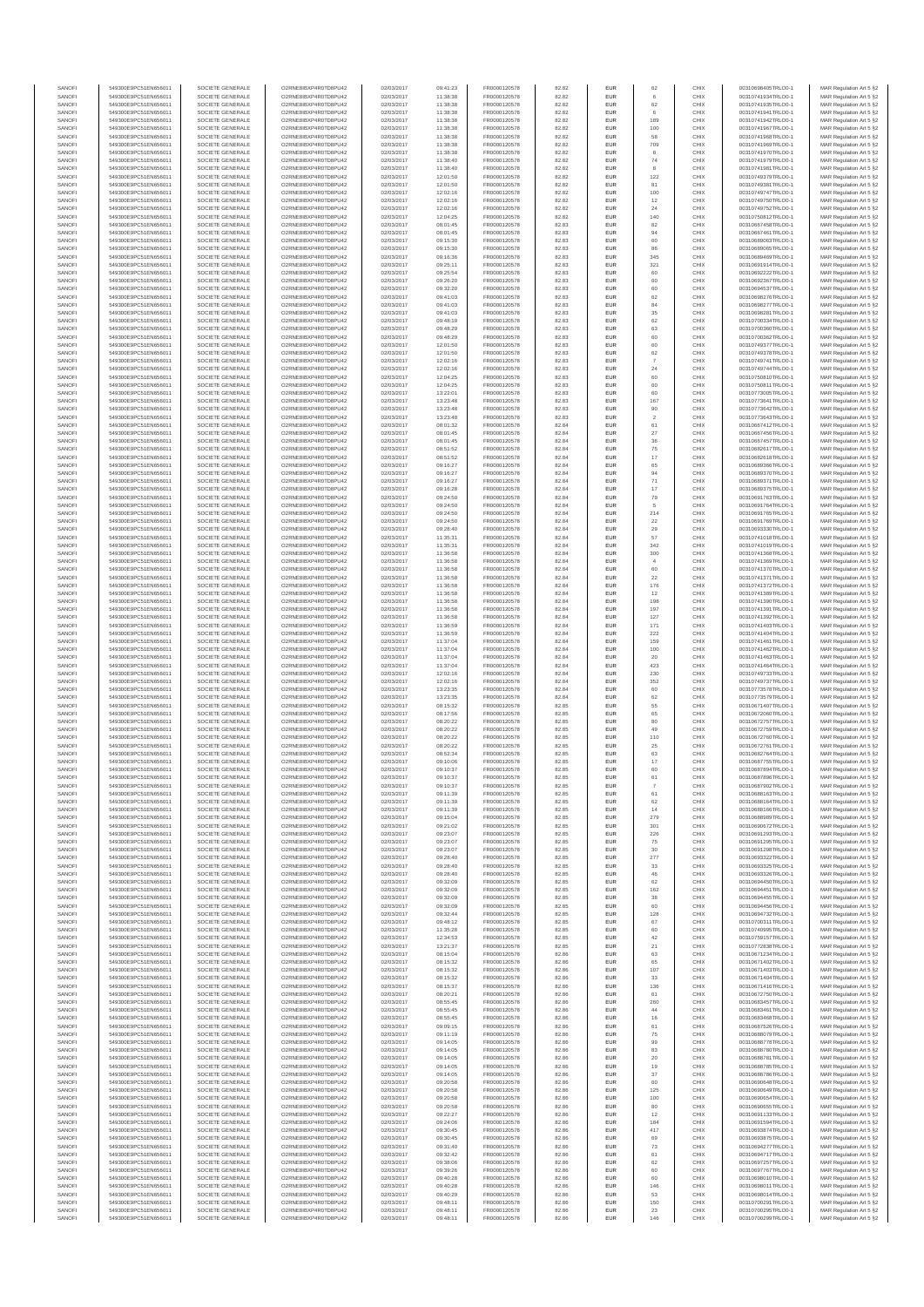| SANOFI           | 549300E9PC51EN656011                         | SOCIETE GENERALE                     | O2RNE8IBXP4R0TD8PU42                          | 02/03/2017               | 09:41:23             | FR0000120578                 | 82.82          | EUR                      | 62             | CHIX         | 00310698405TRLO0-1                       | MAR Regulation Art 5 §2                            |
|------------------|----------------------------------------------|--------------------------------------|-----------------------------------------------|--------------------------|----------------------|------------------------------|----------------|--------------------------|----------------|--------------|------------------------------------------|----------------------------------------------------|
| SANOFI<br>SANOFI | 549300E9PC51EN656011<br>549300E9PC51EN656011 | SOCIETE GENERALE<br>SOCIETE GENERALE | O2RNE8IBXP4R0TD8PU42<br>O2RNE8IBXP4R0TD8PU42  | 02/03/2017<br>02/03/2017 | 11:38:38<br>11:38:38 | FR0000120578                 | 82.82<br>82.82 | EUR<br>EUR               | 62             | CHIX<br>CHIX | 00310741934TRLO0-1<br>00310741935TRLO0-1 | MAR Regulation Art 5 §2                            |
| SANOFI           | 549300E9PC51EN656011                         | SOCIETE GENERALE                     | O2RNE8IBXP4R0TD8PLI42                         | 02/03/2017               | 11:38:38             | FR0000120578<br>FR0000120578 | 82.82          | EUR                      | 6              | CHIX         | 00310741941TRLO0-1                       | MAR Regulation Art 5 §2<br>MAR Regulation Art 5 §2 |
| SANOFI           | 549300E9PC51EN656011                         | SOCIETE GENERALE                     | O2RNE8IBXP4R0TD8PU42                          | 02/03/2017               | 11:38:38             | FR0000120578                 | 82.82          | EUR                      | 189            | CHIX         | 00310741942TRLO0-1                       | MAR Regulation Art 5 §2                            |
| SANOFI           | 549300E9PC51EN656011                         | SOCIETE GENERALE                     | O2RNE8IBXP4R0TD8PU42                          | 02/03/2017               | 11:38:38             | FR0000120578                 | 82.82          | EUR                      | 100            | CHIX         | 00310741967TRLO0-1                       | MAR Regulation Art 5 §2                            |
| SANOFI<br>SANOFI | 549300E9PC51EN656011<br>549300E9PC51EN656011 | SOCIETE GENERALE<br>SOCIETE GENERALE | O2RNE8IBXP4R0TD8PU42<br>O2RNE8IBXP4R0TD8PU42  | 02/03/2017<br>02/03/2017 | 11:38:38<br>11:38:38 | FR0000120578<br>FR0000120578 | 82.82<br>82.82 | <b>EUR</b><br>EUR        | 58<br>709      | CHIX<br>CHIX | 00310741968TRLO0-1<br>00310741969TRLO0-1 | MAR Regulation Art 5 §2<br>MAR Regulation Art 5 §2 |
| SANOFI           | 549300E9PC51EN656011                         | SOCIETE GENERALE                     | O2RNE8IBXP4R0TD8PU42                          | 02/03/2017               | 11:38:38             | FR0000120578                 | 82.82          | <b>EUR</b>               | 8              | CHIX         | 00310741970TRLO0-1                       | MAR Regulation Art 5 \$2                           |
| SANOFI           | 549300E9PC51EN656011                         | SOCIETE GENERALE                     | O2RNE8IBXP4R0TD8PU42                          | 02/03/2017               | 11:38:40             | FR0000120578                 | 82.82          | EUR                      | 74             | CHIX         | 00310741979TRLO0-1                       | MAR Regulation Art 5 §2                            |
| SANOFI<br>SANOFI | 549300E9PC51EN656011<br>549300E9PC51EN656011 | SOCIETE GENERALE<br>SOCIETE GENERALE | O2RNE8IBXP4R0TD8PU42<br>O2RNE8IBXP4R0TD8PU42  | 02/03/2017<br>02/03/2017 | 11:38:40<br>12:01:50 | FR0000120578<br>FR0000120578 | 82.82<br>82.82 | EUR<br>EUR               | 8<br>122       | CHIX<br>CHIX | 00310741981TRLO0-1<br>00310749379TRLO0-1 | MAR Regulation Art 5 §2<br>MAR Regulation Art 5 §2 |
| SANOFI           | 549300E9PC51EN656011                         | SOCIETE GENERALE                     | O2RNE8IBXP4R0TD8PLI42                         | 02/03/2017               | 12:01:50             | FR0000120578                 | 82.82          | EUR                      | 81             | CHIX         | 00310749381TRLO0-1                       | MAR Regulation Art 5 §2                            |
| SANOFI           | 549300E9PC51EN656011                         | SOCIETE GENERALE                     | O2RNE8IBXP4R0TD8PU42                          | 02/03/2017               | 12:02:16             | FR0000120578                 | 82.82          | <b>EUR</b>               | 100            | CHIX         | 00310749747TRLO0-1                       | MAR Regulation Art 5 §2                            |
| SANOFI           | 549300E9PC51EN656011                         | SOCIETE GENERALE                     | O2RNE8IBXP4R0TD8PU42                          | 02/03/2017               | 12:02:16             | FR0000120578                 | 82.82          | EUR                      | 12             | CHIX         | 00310749750TRLO0-1                       | MAR Regulation Art 5 §2                            |
| SANOFI<br>SANOFI | 549300E9PC51EN656011<br>549300E9PC51EN656011 | SOCIETE GENERALE<br>SOCIETE GENERALE | O2RNE8IBXP4R0TD8PU42<br>O2RNE8IBXP4R0TD8PU42  | 02/03/2017<br>02/03/2017 | 12:02:16<br>12:04:25 | FR0000120578<br>FR0000120578 | 82.82<br>82.82 | <b>EUR</b><br>EUR        | 24<br>140      | CHIX<br>CHIX | 00310749752TRLO0-1<br>00310750812TRLO0-1 | MAR Regulation Art 5 §2<br>MAR Regulation Art 5 §2 |
| SANOFI           | 549300E9PC51EN656011                         | SOCIETE GENERALE                     | O2RNE8IBXP4R0TD8PU42                          | 02/03/2017               | 08:01:45             | FR0000120578                 | 82.83          | <b>EUR</b>               | 82             | CHIX         | 00310667458TRLO0-1                       | MAR Regulation Art 5 §2                            |
| SANOFI           | 549300E9PC51EN656011                         | SOCIETE GENERALE                     | O2RNE8IBXP4R0TD8PU42                          | 02/03/2017               | 08:01:45             | FR0000120578                 | 82.83          | EUR                      | 94             | CHIX         | 00310667461TRLO0-1                       | MAR Regulation Art 5 §2                            |
| SANOFI           | 549300E9PC51EN656011                         | SOCIETE GENERALE                     | O2RNE8IBXP4R0TD8PLI42<br>O2RNE8IBXP4R0TD8PU42 | 02/03/2017               | 09:15:30             | FR0000120578<br>FR0000120578 | 82.83          | <b>EUR</b>               | 60             | CHIX         | 00310689063TRLO0-1                       | MAR Regulation Art 5 §2                            |
| SANOFI<br>SANOFI | 549300E9PC51EN656011<br>549300E9PC51EN656011 | SOCIETE GENERALE<br>SOCIETE GENERALE | O2RNE8IBXP4R0TD8PLI42                         | 02/03/2017<br>02/03/2017 | 09:15:30<br>09:16:36 | FR0000120578                 | 82.83<br>82.83 | EUR<br>EUR               | 86<br>345      | CHIX<br>CHIX | 00310689065TRLO0-1<br>00310689469TRLO0-1 | MAR Regulation Art 5 §2<br>MAR Regulation Art 5 §2 |
| SANOFI           | 549300E9PC51EN656011                         | SOCIETE GENERALE                     | O2RNE8IBXP4R0TD8PU42                          | 02/03/2017               | 09:25:11             | FR0000120578                 | 82.83          | <b>EUR</b>               | 321            | CHIX         | 00310691914TRLO0-1                       | MAR Regulation Art 5 §2                            |
| SANOFI           | 549300E9PC51EN656011                         | SOCIETE GENERALE                     | O2RNE8IBXP4R0TD8PU42                          | 02/03/2017               | 09:25:54             | FR0000120578                 | 82.83          | EUR                      | 60             | CHIX         | 00310692222TRLO0-1                       | MAR Regulation Art 5 §2                            |
| SANOFI<br>SANOFI | 549300E9PC51EN656011<br>549300E9PC51EN656011 | SOCIETE GENERALE<br>SOCIETE GENERALE | O2RNE8IBXP4R0TD8PU42<br>O2RNE8IBXP4R0TD8PU42  | 02/03/2017<br>02/03/2017 | 09:26:20<br>09:32:20 | FR0000120578<br>FR0000120578 | 82.83<br>82.83 | <b>EUR</b><br>EUR        | 60<br>60       | CHIX<br>CHIX | 00310692367TRLO0-1<br>00310694537TRLO0-1 | MAR Regulation Art 5 §2<br>MAR Regulation Art 5 §2 |
| SANOFI           | 549300E9PC51EN656011                         | SOCIETE GENERALE                     | O2RNE8IBXP4R0TD8PU42                          | 02/03/2017               | 09:41:03             | FR0000120578                 | 82.83          | <b>EUR</b>               | 62             | CHIX         | 00310698276TRLO0-1                       | MAR Regulation Art 5 \$2                           |
| SANOFI           | 549300E9PC51EN656011                         | SOCIETE GENERALE                     | O2RNE8IBXP4R0TD8PU42                          | 02/03/2017               | 09:41:03             | FR0000120578                 | 82.83          | <b>EUR</b>               | $^{\rm 84}$    | CHIX         | 00310698277TRLO0-1                       | MAR Regulation Art 5 §2                            |
| SANOFI           | 549300E9PC51EN656011                         | SOCIETE GENERALE                     | O2RNE8IBXP4R0TD8PU42                          | 02/03/2017               | 09:41:03             | FR0000120578                 | 82.83          | EUR                      | 35             | CHIX         | 00310698281TRLO0-1                       | MAR Regulation Art 5 §2                            |
| SANOFI<br>SANOFI | 549300E9PC51EN656011<br>549300E9PC51EN656011 | SOCIETE GENERALE<br>SOCIETE GENERALE | O2RNE8IBXP4R0TD8PU42<br>O2RNE8IBXP4R0TD8PU42  | 02/03/2017<br>02/03/2017 | 09:48:19<br>09:48:29 | FR0000120578<br>FR0000120578 | 82.83<br>82.83 | EUR<br>EUR               | 62<br>63       | CHIX<br>CHIX | 00310700334TRLO0-1<br>00310700360TRLO0-1 | MAR Regulation Art 5 §2<br>MAR Regulation Art 5 §2 |
| SANOFI           | 549300E9PC51EN656011                         | SOCIETE GENERALE                     | O2RNE8IBXP4R0TD8PU42                          | 02/03/2017               | 09:48:29             | FR0000120578                 | 82.83          | <b>EUR</b>               | 60             | CHIX         | 00310700362TRLO0-1                       | MAR Regulation Art 5 §2                            |
| SANOFI           | 549300E9PC51EN656011                         | SOCIETE GENERALE                     | O2RNE8IBXP4R0TD8PU42                          | 02/03/2017               | 12:01:50             | FR0000120578                 | 82.83          | EUR                      | 60             | CHIX         | 00310749377TRLO0-1                       | MAR Regulation Art 5 §2                            |
| SANOFI<br>SANOFI | 549300E9PC51EN656011<br>549300E9PC51EN656011 | SOCIETE GENERALE<br>SOCIETE GENERALE | O2RNE8IBXP4R0TD8PU42<br>O2RNE8IBXP4R0TD8PU42  | 02/03/2017<br>02/03/2017 | 12:01:50<br>12:02:16 | FR0000120578<br>FR0000120578 | 82.83<br>82.83 | <b>EUR</b><br>EUR        | 62             | CHIX<br>CHIX | 00310749378TRLO0-1<br>00310749741TRLO0-1 | MAR Regulation Art 5 §2<br>MAR Regulation Art 5 §2 |
| SANOFI           | 549300E9PC51EN656011                         | SOCIETE GENERALE                     | O2RNE8IBXP4R0TD8PU42                          | 02/03/2017               | 12:02:16             | FR0000120578                 | 82.83          | EUR                      | $\sqrt{24}$    | CHIX         | 00310749744TRLO0-1                       | MAR Regulation Art 5 §2                            |
| SANOFI           | 549300E9PC51EN656011                         | SOCIETE GENERALE                     | O2RNE8IBXP4R0TD8PU42                          | 02/03/2017               | 12:04:25             | FR0000120578                 | 82.83          | EUR                      | 60             | CHIX         | 00310750810TRLO0-1                       | MAR Regulation Art 5 §2                            |
| SANOFI<br>SANOFI | 549300E9PC51EN656011<br>549300E9PC51EN656011 | SOCIETE GENERALE<br>SOCIETE GENERALE | O2RNE8IBXP4R0TD8PU42<br>O2RNE8IBXP4R0TD8PU42  | 02/03/2017<br>02/03/2017 | 12:04:25             | FR0000120578                 | 82.83          | EUR                      | 60<br>60       | CHIX<br>CHIX | 00310750811TRLO0-1<br>00310773005TRLO0-1 | MAR Regulation Art 5 §2                            |
| SANOFI           | 549300E9PC51EN656011                         | SOCIETE GENERALE                     | O2RNE8IBXP4R0TD8PU42                          | 02/03/2017               | 13:22:0<br>13:23:48  | FR0000120578<br>FR0000120578 | 82.83<br>82.83 | EUR<br>EUR               | 167            | CHIX         | 00310773641TRLO0-1                       | MAR Regulation Art 5 §2<br>MAR Regulation Art 5 §2 |
| SANOFI           | 549300E9PC51EN656011                         | SOCIETE GENERALE                     | O2RNE8IBXP4R0TD8PU42                          | 02/03/2017               | 13:23:48             | FR0000120578                 | 82.83          | <b>EUR</b>               | 90             | CHIX         | 00310773642TRLO0-1                       | MAR Regulation Art 5 §2                            |
| SANOFI           | 549300E9PC51EN656011                         | SOCIETE GENERALE                     | O2RNE8IBXP4R0TD8PU42                          | 02/03/2017               | 13:23:48             | FR0000120578                 | 82.83          | EUR                      | $\overline{2}$ | CHIX         | 00310773643TRLO0-1                       | MAR Regulation Art 5 §2                            |
| SANOFI<br>SANOFI | 549300E9PC51EN656011<br>549300E9PC51EN656011 | SOCIETE GENERALE<br>SOCIETE GENERALE | O2RNE8IBXP4R0TD8PU42<br>O2RNE8IBXP4R0TD8PU42  | 02/03/2017<br>02/03/2017 | 08:01:32<br>08:01:45 | FR0000120578<br>FR0000120578 | 82.84<br>82.84 | <b>EUR</b><br>EUR        | 61<br>27       | CHIX<br>CHIX | 00310667412TRLO0-1<br>00310667456TRLO0-1 | MAR Regulation Art 5 §2<br>MAR Regulation Art 5 §2 |
| SANOFI           | 549300E9PC51EN656011                         | SOCIETE GENERALE                     | O2RNE8IBXP4R0TD8PU42                          | 02/03/2017               | 08:01:45             | FR0000120578                 | 82.84          | <b>EUR</b>               | 36             | CHIX         | 00310667457TRLO0-1                       | MAR Regulation Art 5 §2                            |
| SANOFI           | 549300E9PC51EN656011                         | SOCIETE GENERALE                     | O2RNE8IBXP4R0TD8PU42                          | 02/03/2017               | 08:51:52             | FR0000120578                 | 82.84          | EUR                      | $\rm 75$       | CHIX         | 00310682617TRLO0-1                       | MAR Regulation Art 5 §2                            |
| SANOFI<br>SANOFI | 549300E9PC51EN656011<br>549300E9PC51EN656011 | SOCIETE GENERALE<br>SOCIETE GENERALE | O2RNE8IBXP4R0TD8PLI42<br>O2RNE8IBXP4R0TD8PU42 | 02/03/2017<br>02/03/2017 | 08:51:52<br>09:16:27 | FR0000120578<br>FR0000120578 | 82.84<br>82.84 | EUR<br>EUR               | $17\,$         | CHIX<br>CHIX | 00310682618TRLO0-1<br>00310689366TRLO0-1 | MAR Regulation Art 5 §2<br>MAR Regulation Art 5 §2 |
| SANOFI           | 549300E9PC51EN656011                         | SOCIETE GENERALE                     | O2RNE8IBXP4R0TD8PU42                          | 02/03/2017               | 09:16:27             | FR0000120578                 | 82.84          | EUR                      | 65<br>94       | CHIX         | 00310689370TRLO0-1                       | MAR Regulation Art 5 §2                            |
| SANOFI           | 549300E9PC51EN656011                         | SOCIETE GENERALE                     | O2RNE8IBXP4R0TD8PU42                          | 02/03/2017               | 09:16:27             | FR0000120578                 | 82.84          | <b>EUR</b>               | 71             | CHIX         | 00310689371TRLO0-1                       | MAR Regulation Art 5 §2                            |
| SANOFI           | 549300E9PC51EN656011                         | SOCIETE GENERALE                     | O2RNE8IBXP4R0TD8PU42                          | 02/03/2017               | 09:16:28             | FR0000120578                 | 82.84          | EUR                      | 17             | CHIX         | 00310689375TRLO0-1                       | MAR Regulation Art 5 §2                            |
| SANOFI<br>SANOFI | 549300E9PC51EN656011<br>549300E9PC51EN656011 | SOCIETE GENERALE<br>SOCIETE GENERALE | O2RNE8IBXP4R0TD8PU42<br>O2RNE8IBXP4R0TD8PU42  | 02/03/2017<br>02/03/2017 | 09:24:50<br>09:24:50 | FR0000120578<br>FR0000120578 | 82.84<br>82.84 | <b>EUR</b><br><b>EUR</b> | 79<br>5        | CHIX<br>CHIX | 00310691763TRLO0-1<br>00310691764TRLO0-1 | MAR Regulation Art 5 §2<br>MAR Regulation Art 5 §2 |
| SANOFI           | 549300E9PC51EN656011                         | SOCIETE GENERALE                     | O2RNE8IBXP4R0TD8PU42                          | 02/03/2017               | 09:24:50             | FR0000120578                 | 82.84          | EUR                      | 214            | CHIX         | 00310691765TRLO0-1                       | MAR Regulation Art 5 §2                            |
| SANOFI           | 549300E9PC51EN656011                         | SOCIETE GENERALE                     | O2RNE8IBXP4R0TD8PLI42                         | 02/03/2017               | 09:24:50             | FR0000120578                 | 82.84          | EUR                      | $22\,$         | CHIX         | 00310691769TRLO0-1                       | MAR Regulation Art 5 §2                            |
| SANOFI<br>SANOFI | 549300E9PC51EN656011<br>549300E9PC51EN656011 | SOCIETE GENERALE<br>SOCIETE GENERALE | O2RNESIBXP4R0TD8PLI42<br>O2RNE8IBXP4R0TD8PU42 | 02/03/2017<br>02/03/2017 | 09:28:40<br>11:35:31 | FR0000120578<br>FR0000120578 | 82.84<br>82.84 | EUR<br><b>EUR</b>        | 29<br>57       | CHIX<br>CHIX | 00310693330TRLO0-1<br>00310741018TRLO0-1 | MAR Regulation Art 5 §2                            |
| SANOFI           | 549300E9PC51EN656011                         | SOCIETE GENERALE                     | O2RNE8IBXP4R0TD8PU42                          | 02/03/2017               | 11:35:31             | FR0000120578                 | 82.84          | EUR                      | 342            | CHIX         | 00310741019TRLO0-1                       | MAR Regulation Art 5 §2<br>MAR Regulation Art 5 §2 |
| SANOFI           | 549300E9PC51EN656011                         | SOCIETE GENERALE                     | O2RNE8IBXP4R0TD8PU42                          | 02/03/2017               | 11:36:58             | FR0000120578                 | 82.84          | <b>EUR</b>               | 300            | CHIX         | 00310741368TRLO0-1                       | MAR Regulation Art 5 §2                            |
| SANOFI           | 549300E9PC51EN656011                         | SOCIETE GENERALE                     | O2RNE8IBXP4R0TD8PU42                          | 02/03/2017               | 11:36:58             | FR0000120578                 | 82.84          | EUR                      |                | CHIX         | 00310741369TRLO0-1                       | MAR Regulation Art 5 §2                            |
| SANOFI<br>SANOFI | 549300E9PC51EN656011<br>549300E9PC51EN656011 | SOCIETE GENERALE<br>SOCIETE GENERALE | O2RNE8IBXP4R0TD8PU42<br>O2RNE8IBXP4R0TD8PU42  | 02/03/2017<br>02/03/2017 | 11:36:58<br>11:36:58 | FR0000120578<br>FR0000120578 | 82.84<br>82.84 | <b>EUR</b><br>EUR        | 60<br>22       | CHIX<br>CHIX | 00310741370TRLO0-1<br>00310741371TRLO0-1 | MAR Regulation Art 5 §2<br>MAR Regulation Art 5 §2 |
| SANOFI           | 549300E9PC51EN656011                         | SOCIETE GENERALE                     | O2RNE8IBXP4R0TD8PU42                          | 02/03/2017               | 11:36:58             | FR0000120578                 | 82.84          | EUR                      | 176            | CHIX         | 00310741372TRLO0-1                       | MAR Regulation Art 5 §2                            |
| SANOFI           | 549300E9PC51EN656011                         | SOCIETE GENERALE                     | O2RNE8IBXP4R0TD8PU42                          | 02/03/2017               | 11:36:58             | FR0000120578                 | 82.84          | EUR                      | 12             | CHIX         | 00310741389TRLO0-1                       | MAR Regulation Art 5 §2                            |
| SANOFI<br>SANOFI | 549300E9PC51EN656011<br>549300E9PC51EN656011 | SOCIETE GENERALE<br>SOCIETE GENERALE | O2RNE8IBXP4R0TD8PU42<br>O2RNE8IBXP4R0TD8PU42  | 02/03/2017               | 11:36:58<br>11:36:58 | FR0000120578                 | 82.84<br>82.84 | EUR<br><b>EUR</b>        | 198<br>197     | CHIX<br>CHIX | 00310741390TRLO0-1<br>00310741391TRLO0-1 | MAR Regulation Art 5 §2                            |
| SANOFI           | 549300E9PC51EN656011                         | SOCIETE GENERALE                     | O2RNE8IBXP4R0TD8PU42                          | 02/03/2017<br>02/03/2017 | 11:36:58             | FR0000120578<br>FR0000120578 | 82.84          | EUR                      | 127            | CHIX         | 00310741392TRLO0-1                       | MAR Regulation Art 5 §2<br>MAR Regulation Art 5 §2 |
| SANOFI           | 549300E9PC51EN656011                         | SOCIETE GENERALE                     | O2RNE8IBXP4R0TD8PU42                          | 02/03/2017               | 11:36:59             | FR0000120578                 | 82.84          | <b>EUR</b>               | 171            | CHIX         | 00310741403TRLO0-1                       | MAR Regulation Art 5 §2                            |
| SANOFI           | 549300E9PC51EN656011                         | SOCIETE GENERALE                     | O2RNE8IBXP4R0TD8PU42                          | 02/03/2017               | 11:36:59             | FR0000120578                 | 82.84          | EUR                      | 222            | CHIX         | 00310741404TRLO0-1                       | MAR Regulation Art 5 §2                            |
| SANOFI<br>SANOFI | 549300E9PC51EN656011<br>549300E9PC51EN656011 | SOCIETE GENERALE<br>SOCIETE GENERALE | O2RNE8IBXP4R0TD8PU42<br>O2RNE8IBXP4R0TD8PU42  | 02/03/2017<br>02/03/2017 | 11:37:04<br>11:37:04 | FR0000120578<br>FR0000120578 | 82.84<br>82.84 | <b>EUR</b><br>EUR        | 159<br>100     | CHIX<br>CHIX | 00310741461TRLO0-1<br>00310741462TRLO0-1 | MAR Regulation Art 5 §2<br>MAR Regulation Art 5 §2 |
| SANOFI           | 549300E9PC51EN656011                         | SOCIETE GENERALE                     | O2RNE8IBXP4R0TD8PU42                          | 02/03/2017               | 11:37:04             | FR0000120578                 | 82.84          | EUR                      | $20\,$         | CHIX         | 00310741463TRLO0-1                       | MAR Regulation Art 5 §2                            |
| SANOFI           | 549300E9PC51EN656011                         | SOCIETE GENERALE                     | O2RNE8IBXP4R0TD8PU42                          | 02/03/2017               | 11:37:04             | FR0000120578                 | 82.84          | EUR                      | 423            | CHIX         | 00310741464TRLO0-1                       | MAR Regulation Art 5 §2                            |
| SANOFI           | 549300E9PC51EN656011                         | SOCIETE GENERALE                     | O2RNE8IBXP4R0TD8PU42                          | 02/03/2017               | 12:02:16             | FR0000120578                 | 82.84          | EUR                      | 230            | CHIX         | 00310749733TRLO0-1                       | MAR Regulation Art 5 §2                            |
| SANOFI<br>SANOFI | 549300E9PC51EN656011<br>549300E9PC51EN656011 | SOCIETE GENERALE<br>SOCIETE GENERALE | O2RNE8IBXP4R0TD8PU42<br>O2RNE8IBXP4R0TD8PU42  | 02/03/2017<br>02/03/2017 | 12:02:16<br>13:23:35 | FR0000120578<br>FR0000120578 | 82.84<br>82.84 | <b>EUR</b><br>EUR        | 352<br>60      | CHIX<br>CHIX | 00310749737TRLO0-1<br>00310773578TRLO0-1 | MAR Regulation Art 5 §2<br>MAR Regulation Art 5 §2 |
| SANOFI           | 549300E9PC51EN656011                         | SOCIETE GENERALE                     | O2RNE8IBXP4R0TD8PU42                          | 02/03/2017               | 13:23:35             | FR0000120578                 | 82.84          | <b>EUR</b>               | 62             | CHIX         | 00310773579TRLO0-1                       | MAR Regulation Art 5 §2                            |
| SANOFI           | 549300E9PC51EN656011                         | SOCIETE GENERALE                     | O2RNE8IBXP4R0TD8PU42                          | 02/03/2017               | 08:15:32             | FR0000120578                 | 82.85          | EUR                      | 55             | CHIX         | 00310671407TRLO0-1                       | MAR Regulation Art 5 §2                            |
| SANOFI           | 549300E9PC51EN656011                         | SOCIETE GENERALE                     | O2RNE8IBXP4R0TD8PU42                          | 02/03/2017               | 08:17:56             | FR0000120578                 | 82.85          | EUR                      | 65             | CHIX         | 00310672060TRLO0-1                       | MAR Regulation Art 5 §2                            |
| SANOFI<br>SANOFI | 549300E9PC51EN656011<br>549300E9PC51EN656011 | SOCIETE GENERALE<br>SOCIETE GENERALE | O2RNE8IBXP4R0TD8PU42<br>O2RNESIBXP4R0TD8PLI42 | 02/03/2017<br>02/03/2017 | 08:20:22<br>08:20:22 | FR0000120578<br>FR0000120578 | 82.85<br>82.85 | EUR<br>EUR               | 80<br>49       | CHIX<br>CHIX | 00310672757TRLO0-1<br>00310672759TRLO0-1 | MAR Regulation Art 5 §2<br>MAR Regulation Art 5 §2 |
| SANOFI           | 549300E9PC51EN656011                         | SOCIETE GENERALE                     | O2RNE8IBXP4R0TD8PU42                          | 02/03/2017               | 08:20:22             | FR0000120578                 | 82.85          | EUR                      | 110            | CHIX         | 00310672760TRLO0-1                       | MAR Regulation Art 5 §2                            |
| SANOFI           | 549300E9PC51EN656011                         | SOCIETE GENERALE                     | O2RNE8IBXP4R0TD8PU42                          | 02/03/2017               | 08:20:22             | FR0000120578                 | 82.85          | EUR                      | 25             | CHIX         | 00310672761TRLO0-1                       | MAR Regulation Art 5 §2                            |
| SANOFI<br>SANOFI | 549300E9PC51EN656011<br>549300E9PC51EN656011 | SOCIETE GENERALE<br>SOCIETE GENERALE | O2RNE8IBXP4R0TD8PLI42<br>O2RNE8IBXP4R0TD8PU42 | 02/03/2017<br>02/03/2017 | 08:52:34<br>09:10:06 | FR0000120578<br>FR0000120578 | 82.85<br>82.85 | <b>EUR</b><br>EUR        | 63<br>17       | CHIX<br>CHIX | 00310682764TRLO0-1<br>00310687755TRLO0-1 | MAR Regulation Art 5 §2<br>MAR Regulation Art 5 §2 |
| SANOFI           | 549300E9PC51EN656011                         | SOCIETE GENERALE                     | O2RNE8IBXP4R0TD8PU42                          | 02/03/2017               | 09:10:37             | FR0000120578                 | 82.85          | EUR                      | 60             | CHIX         | 00310687894TRLO0-1                       | MAR Regulation Art 5 §2                            |
| SANOFI           | 549300E9PC51EN656011                         | SOCIETE GENERALE                     | O2RNE8IBXP4R0TD8PU42                          | 02/03/2017               | 09:10:37             | FR0000120578                 | 82.85          | EUR                      | 61             | CHIX         | 00310687896TRLO0-1                       | MAR Regulation Art 5 §2                            |
| SANOFI           | 549300E9PC51EN656011                         | SOCIETE GENERALE                     | O2RNE8IBXP4R0TD8PLI42                         | 02/03/2017               | 09:10:37             | FR0000120578                 | 82.85          | EUR                      |                | CHIX         | 00310687902TRLO0-1                       | MAR Regulation Art 5 §2                            |
| SANOFI<br>SANOFI | 549300E9PC51EN656011<br>549300E9PC51EN656011 | SOCIETE GENERALE<br>SOCIETE GENERALE | O2RNE8IBXP4R0TD8PU42<br>O2RNE8IBXP4R0TD8PU42  | 02/03/2017<br>02/03/2017 | 09:11:39<br>09:11:39 | FR0000120578<br>FR0000120578 | 82.85<br>82.85 | <b>EUR</b><br>EUR        | 61<br>62       | CHIX<br>CHIX | 00310688163TRLO0-1<br>00310688164TRLO0-1 | MAR Regulation Art 5 §2<br>MAR Regulation Art 5 §2 |
| SANOFI           | 549300E9PC51EN656011                         | SOCIETE GENERALE                     | O2RNE8IBXP4R0TD8PU42                          | 02/03/2017               | 09:11:39             | FR0000120578                 | 82.85          | EUR                      | 14             | CHIX         | 00310688166TRLO0-1                       | MAR Regulation Art 5 §2                            |
| SANOFI           | 549300E9PC51EN656011                         | SOCIETE GENERALE                     | O2RNE8IBXP4R0TD8PU42                          | 02/03/2017               | 09:15:04             | FR0000120578                 | 82.85          | EUR                      | 279            | CHIX         | 00310688989TRLO0-1                       | MAR Regulation Art 5 §2                            |
| SANOFI<br>SANOFI | 549300E9PC51EN656011<br>549300E9PC51EN656011 | SOCIETE GENERALE<br>SOCIETE GENERALE | O2RNE8IBXP4R0TD8PU42<br>O2RNE8IBXP4R0TD8PU42  | 02/03/2017<br>02/03/2017 | 09:21:02<br>09:23:07 | FR0000120578<br>FR0000120578 | 82.85<br>82.85 | <b>EUR</b><br>EUR        | 301<br>226     | CHIX<br>CHIX | 00310690672TRLO0-1<br>00310691293TRLO0-1 | MAR Regulation Art 5 §2<br>MAR Regulation Art 5 §2 |
| SANOFI           | 549300E9PC51EN656011                         | SOCIETE GENERALE                     | O2RNE8IBXP4R0TD8PU42                          | 02/03/2017               | 09:23:07             | FR0000120578                 | 82.85          | <b>EUR</b>               | 75             | CHIX         | 00310691295TRLO0-1                       | MAR Regulation Art 5 §2                            |
| SANOFI           | 549300E9PC51EN656011                         | SOCIETE GENERALE                     | O2RNE8IBXP4R0TD8PU42                          | 02/03/2017               | 09:23:07             | FR0000120578                 | 82.85          | <b>EUR</b>               | 30             | CHIX         | 00310691298TRLO0-1                       | MAR Regulation Art 5 §2                            |
| SANOFI<br>SANOFI | 549300E9PC51EN656011<br>549300E9PC51EN656011 | SOCIETE GENERALE<br>SOCIETE GENERALE | O2RNE8IBXP4R0TD8PU42<br>O2RNE8IBXP4R0TD8PU42  | 02/03/2017<br>02/03/2017 | 09:28:40<br>09:28:40 | FR0000120578<br>FR0000120578 | 82.85<br>82.85 | EUR<br>EUR               | 277<br>$33\,$  | CHIX<br>CHIX | 00310693322TRLO0-1<br>00310693325TRLO0-1 | MAR Regulation Art 5 §2<br>MAR Regulation Art 5 §2 |
| SANOFI           | 549300E9PC51EN656011                         | SOCIETE GENERALE                     | O2RNE8IBXP4R0TD8PU42                          | 02/03/2017               | 09:28:40             | FR0000120578                 | 82.85          | <b>EUR</b>               | 46             | CHIX         | 00310693326TRLO0-1                       | MAR Regulation Art 5 §2                            |
| SANOFI           | 549300E9PC51EN656011                         | SOCIETE GENERALE                     | O2RNE8IBXP4R0TD8PU42                          | 02/03/2017               | 09:32:09             | FR0000120578                 | 82.85          | <b>EUR</b>               | 62             | CHIX         | 00310694450TRLO0-1                       | MAR Regulation Art 5 §2                            |
| SANOFI<br>SANOFI | 549300E9PC51EN656011<br>549300E9PC51EN656011 | SOCIETE GENERALE<br>SOCIETE GENERALE | O2RNE8IBXP4R0TD8PU42<br>O2RNE8IBXP4R0TD8PU42  | 02/03/2017<br>02/03/2017 | 09:32:09<br>09:32:09 | FR0000120578<br>FR0000120578 | 82.85<br>82.85 | EUR<br><b>EUR</b>        | 162<br>38      | CHIX<br>CHIX | 00310694451TRLO0-1<br>00310694455TRLO0-1 | MAR Regulation Art 5 §2                            |
| SANOFI           | 549300E9PC51EN656011                         | SOCIETE GENERALE                     | O2RNE8IBXP4R0TD8PU42                          | 02/03/2017               | 09:32:09             | FR0000120578                 | 82.85          | EUR                      | 60             | CHIX         | 00310694456TRLO0-1                       | MAR Regulation Art 5 §2<br>MAR Regulation Art 5 §2 |
| SANOFI           | 549300E9PC51EN656011                         | SOCIETE GENERALE                     | O2RNE8IBXP4R0TD8PU42                          | 02/03/2017               | 09:32:44             | FR0000120578                 | 82.85          | EUR                      | 128            | CHIX         | 00310694732TRLO0-1                       | MAR Regulation Art 5 §2                            |
| SANOFI<br>SANOFI | 549300E9PC51EN656011<br>549300E9PC51EN656011 | SOCIETE GENERALE<br>SOCIETE GENERALE | O2RNE8IBXP4R0TD8PU42<br>O2RNE8IBXP4R0TD8PU42  | 02/03/2017<br>02/03/2017 | 09:48:12<br>11:35:28 | FR0000120578<br>FR0000120578 | 82.85<br>82.85 | EUR<br>EUR               | 67<br>60       | CHIX<br>CHIX | 00310700311TRLO0-1<br>00310740995TRLO0-1 | MAR Regulation Art 5 §2<br>MAR Regulation Art 5 §2 |
| SANOFI           | 549300E9PC51EN656011                         | SOCIETE GENERALE                     | O2RNE8IBXP4R0TD8PLI42                         | 02/03/2017               | 12:34:53             | FR0000120578                 | 82.85          | <b>EUR</b>               | 42             | CHIX         | 00310759157TRLO0-1                       | MAR Regulation Art 5 §2                            |
| SANOFI           | 549300E9PC51EN656011                         | SOCIETE GENERALE                     | O2RNE8IBXP4R0TD8PU42                          | 02/03/2017               | 13:21:37             | FR0000120578                 | 82.85          | EUR                      | 21             | CHIX         | 00310772838TRLO0-1                       | MAR Regulation Art 5 §2                            |
| SANOFI           | 549300E9PC51EN656011                         | SOCIETE GENERALE                     | O2RNE8IBXP4R0TD8PU42                          | 02/03/2017               | 08:15:04             | FR0000120578                 | 82.86          | <b>EUR</b>               | 63             | CHIX         | 00310671234TRLO0-1                       | MAR Regulation Art 5 §2                            |
| SANOFI<br>SANOFI | 549300E9PC51EN656011<br>549300E9PC51EN656011 | SOCIETE GENERALE<br>SOCIETE GENERALE | O2RNE8IBXP4R0TD8PU42<br>O2RNE8IBXP4R0TD8PU42  | 02/03/2017<br>02/03/2017 | 08:15:32<br>08:15:32 | FR0000120578<br>FR0000120578 | 82.86<br>82.86 | EUR<br><b>EUR</b>        | 65<br>107      | CHIX<br>CHIX | 00310671402TRLO0-1<br>00310671403TRLO0-1 | MAR Regulation Art 5 §2<br>MAR Regulation Art 5 §2 |
| SANOFI           | 549300E9PC51EN656011                         | SOCIETE GENERALE                     | O2RNE8IBXP4R0TD8PU42                          | 02/03/2017               | 08:15:32             | FR0000120578                 | 82.86          | EUR                      | 33             | CHIX         | 00310671404TRLO0-1                       | MAR Regulation Art 5 §2                            |
| SANOFI           | 549300E9PC51EN656011                         | SOCIETE GENERALE                     | O2RNE8IBXP4R0TD8PU42                          | 02/03/2017               | 08:15:37             | FR0000120578                 | 82.86          | <b>EUR</b>               | 136            | CHIX         | 00310671416TRLO0-1                       | MAR Regulation Art 5 §2                            |
| SANOFI<br>SANOFI | 549300E9PC51EN656011<br>549300E9PC51EN656011 | SOCIETE GENERALE<br>SOCIETE GENERALE | O2RNE8IBXP4R0TD8PU42<br>O2RNE8IBXP4R0TD8PU42  | 02/03/2017<br>02/03/2017 | 08:20:21<br>08:55:45 | FR0000120578<br>FR0000120578 | 82.86<br>82.86 | <b>EUR</b><br>EUR        | 61<br>260      | CHIX<br>CHIX | 00310672750TRLO0-1<br>00310683457TRLO0-1 | MAR Regulation Art 5 §2<br>MAR Regulation Art 5 §2 |
| SANOFI           | 549300E9PC51EN656011                         | SOCIETE GENERALE                     | O2RNE8IBXP4R0TD8PU42                          | 02/03/2017               | 08:55:45             | FR0000120578                 | 82.86          | EUR                      | 44             | CHIX         | 00310683461TRLO0-1                       | MAR Regulation Art 5 §2                            |
| SANOFI           | 549300E9PC51EN656011                         | SOCIETE GENERALE                     | O2RNE8IBXP4R0TD8PU42                          | 02/03/2017               | 08:55:45             | FR0000120578                 | 82.86          | EUR                      | 16             | CHIX         | 00310683468TRLO0-1                       | MAR Regulation Art 5 §2                            |
| SANOFI           | 549300E9PC51EN656011                         | SOCIETE GENERALE                     | O2RNE8IBXP4R0TD8PU42                          | 02/03/2017               | 09:09:15             | FR0000120578                 | 82.86          | <b>EUR</b>               | 61             | CHIX         | 00310687526TRLO0-1                       | MAR Regulation Art 5 §2                            |
| SANOFI<br>SANOFI | 549300E9PC51EN656011<br>549300E9PC51EN656011 | SOCIETE GENERALE<br>SOCIETE GENERALE | O2RNE8IBXP4R0TD8PU42<br>O2RNE8IBXP4R0TD8PU42  | 02/03/2017<br>02/03/2017 | 09:11:19<br>09:14:05 | FR0000120578<br>FR0000120578 | 82.86<br>82.86 | EUR<br><b>EUR</b>        | 75<br>99       | CHIX<br>CHIX | 00310688079TRLO0-1<br>00310688778TRLO0-1 | MAR Regulation Art 5 §2<br>MAR Regulation Art 5 §2 |
| SANOFI           | 549300E9PC51EN656011                         | SOCIETE GENERALE                     | O2RNE8IBXP4R0TD8PU42                          | 02/03/2017               | 09:14:05             | FR0000120578                 | 82.86          | <b>EUR</b>               | 83             | CHIX         | 00310688780TRLO0-1                       | MAR Regulation Art 5 §2                            |
| SANOFI           | 549300E9PC51EN656011                         | SOCIETE GENERALE                     | O2RNE8IBXP4R0TD8PU42                          | 02/03/2017               | 09:14:05             | FR0000120578                 | 82.86          | EUR                      | $20\,$         | CHIX         | 00310688781TRLO0-1                       | MAR Regulation Art 5 §2                            |
| SANOFI<br>SANOFI | 549300E9PC51EN656011<br>549300E9PC51EN656011 | SOCIETE GENERALE<br>SOCIETE GENERALE | O2RNE8IBXP4R0TD8PU42<br>O2RNE8IBXP4R0TD8PU42  | 02/03/2017<br>02/03/2017 | 09:14:05<br>09:14:05 | FR0000120578<br>FR0000120578 | 82.86          | <b>EUR</b>               | 19<br>37       | CHIX<br>CHIX | 00310688785TRLO0-1<br>00310688786TRLO0-1 | MAR Regulation Art 5 §2<br>MAR Regulation Art 5 §2 |
| SANOFI           | 549300E9PC51EN656011                         | SOCIETE GENERALE                     | O2RNE8IBXP4R0TD8PU42                          | 02/03/2017               | 09:20:58             | FR0000120578                 | 82.86<br>82.86 | <b>EUR</b><br><b>EUR</b> | 60             | CHIX         | 00310690648TRLO0-1                       | MAR Regulation Art 5 §2                            |
| SANOFI           | 549300E9PC51EN656011                         | SOCIETE GENERALE                     | O2RNE8IBXP4R0TD8PU42                          | 02/03/2017               | 09:20:58             | FR0000120578                 | 82.86          | EUR                      | 125            | CHIX         | 00310690649TRLO0-1                       | MAR Regulation Art 5 §2                            |
| SANOFI           | 549300E9PC51EN656011                         | SOCIETE GENERALE                     | O2RNE8IBXP4R0TD8PU42                          | 02/03/2017               | 09:20:58             | FR0000120578                 | 82.86          | <b>EUR</b>               | 100            | CHIX         | 00310690654TRLO0-1                       | MAR Regulation Art 5 §2                            |
| SANOFI<br>SANOFI | 549300E9PC51EN656011<br>549300E9PC51EN656011 | SOCIETE GENERALE<br>SOCIETE GENERALE | O2RNE8IBXP4R0TD8PU42<br>O2RNE8IBXP4R0TD8PU42  | 02/03/2017<br>02/03/2017 | 09:20:58<br>09:22:27 | FR0000120578<br>FR0000120578 | 82.86<br>82.86 | EUR<br><b>EUR</b>        | 80<br>12       | CHIX<br>CHIX | 00310690655TRLO0-1<br>00310691133TRLO0-1 | MAR Regulation Art 5 §2<br>MAR Regulation Art 5 §2 |
| SANOFI           | 549300E9PC51EN656011                         | SOCIETE GENERALE                     | O2RNE8IBXP4R0TD8PU42                          | 02/03/2017               | 09:24:06             | FR0000120578                 | 82.86          | <b>EUR</b>               | 184            | CHIX         | 00310691594TRLO0-1                       | MAR Regulation Art 5 §2                            |
| SANOFI           | 549300E9PC51EN656011                         | SOCIETE GENERALE                     | O2RNE8IBXP4R0TD8PU42                          | 02/03/2017               | 09:30:45             | FR0000120578                 | 82.86          | <b>EUR</b>               | 417            | CHIX         | 00310693874TRLO0-1                       | MAR Regulation Art 5 §2                            |
| SANOFI<br>SANOFI | 549300E9PC51EN656011<br>549300E9PC51EN656011 | SOCIETE GENERALE<br>SOCIETE GENERALE | O2RNE8IBXP4R0TD8PU42<br>O2RNE8IBXP4R0TD8PU42  | 02/03/2017<br>02/03/2017 | 09:30:45<br>09:31:40 | FR0000120578<br>FR0000120578 | 82.86<br>82.86 | <b>EUR</b><br>EUR        | 69<br>73       | CHIX<br>CHIX | 00310693875TRLO0-1<br>00310694277TRLO0-1 | MAR Regulation Art 5 §2<br>MAR Regulation Art 5 §2 |
| SANOFI           | 549300E9PC51EN656011                         | SOCIETE GENERALE                     | O2RNE8IBXP4R0TD8PU42                          | 02/03/2017               | 09:32:42             | FR0000120578                 | 82.86          | <b>EUR</b>               | 61             | CHIX         | 00310694717TRLO0-1                       | MAR Regulation Art 5 §2                            |
| SANOFI           | 549300E9PC51EN656011                         | SOCIETE GENERALE                     | O2RNE8IBXP4R0TD8PU42                          | 02/03/2017               | 09:38:06             | FR0000120578                 | 82.86          | EUR                      | 62             | CHIX         | 00310697257TRLO0-1                       | MAR Regulation Art 5 §2                            |
| SANOFI<br>SANOFI | 549300E9PC51EN656011<br>549300E9PC51EN656011 | SOCIETE GENERALE<br>SOCIETE GENERALE | O2RNE8IBXP4R0TD8PU42<br>O2RNE8IBXP4R0TD8PU42  | 02/03/2017<br>02/03/2017 | 09:39:26<br>09:40:28 | FR0000120578<br>FR0000120578 | 82.86<br>82.86 | <b>EUR</b><br>EUR        | 60<br>60       | CHIX<br>CHIX | 00310697767TRLO0-1<br>00310698010TRLO0-1 | MAR Regulation Art 5 §2                            |
| SANOFI           | 549300E9PC51EN656011                         | SOCIETE GENERALE                     | O2RNE8IBXP4R0TD8PU42                          | 02/03/2017               | 09:40:28             | FR0000120578                 | 82.86          | <b>EUR</b>               | 146            | CHIX         | 00310698011TRLO0-1                       | MAR Regulation Art 5 §2<br>MAR Regulation Art 5 §2 |
| SANOFI           | 549300E9PC51EN656011                         | SOCIETE GENERALE                     | O2RNE8IBXP4R0TD8PU42                          | 02/03/2017               | 09:40:29             | FR0000120578                 | 82.86          | <b>EUR</b>               | 53             | CHIX         | 00310698014TRLO0-1                       | MAR Regulation Art 5 §2                            |
| SANOFI           | 549300E9PC51EN656011                         | SOCIETE GENERALE                     | O2RNE8IBXP4R0TD8PU42                          | 02/03/2017               | 09:48:11             | FR0000120578                 | 82.86          | EUR                      | 150            | CHIX         | 00310700291TRLO0-1                       | MAR Regulation Art 5 §2                            |
| SANOFI           | 549300E9PC51EN656011<br>549300E9PC51EN656011 | SOCIETE GENERALE<br>SOCIETE GENERALE | O2RNE8IBXP4R0TD8PU42<br>O2RNE8IBXP4R0TD8PU42  | 02/03/2017<br>02/03/2017 | 09:48:11<br>09:48:11 | FR0000120578<br>FR0000120578 | 82.86<br>82.86 | EUR<br>EUR               | 23<br>146      | CHIX<br>CHIX | 00310700295TRLO0-1<br>00310700299TRLO0-1 | MAR Regulation Art 5 §2<br>MAR Regulation Art 5 §2 |
| SANOFI           |                                              |                                      |                                               |                          |                      |                              |                |                          |                |              |                                          |                                                    |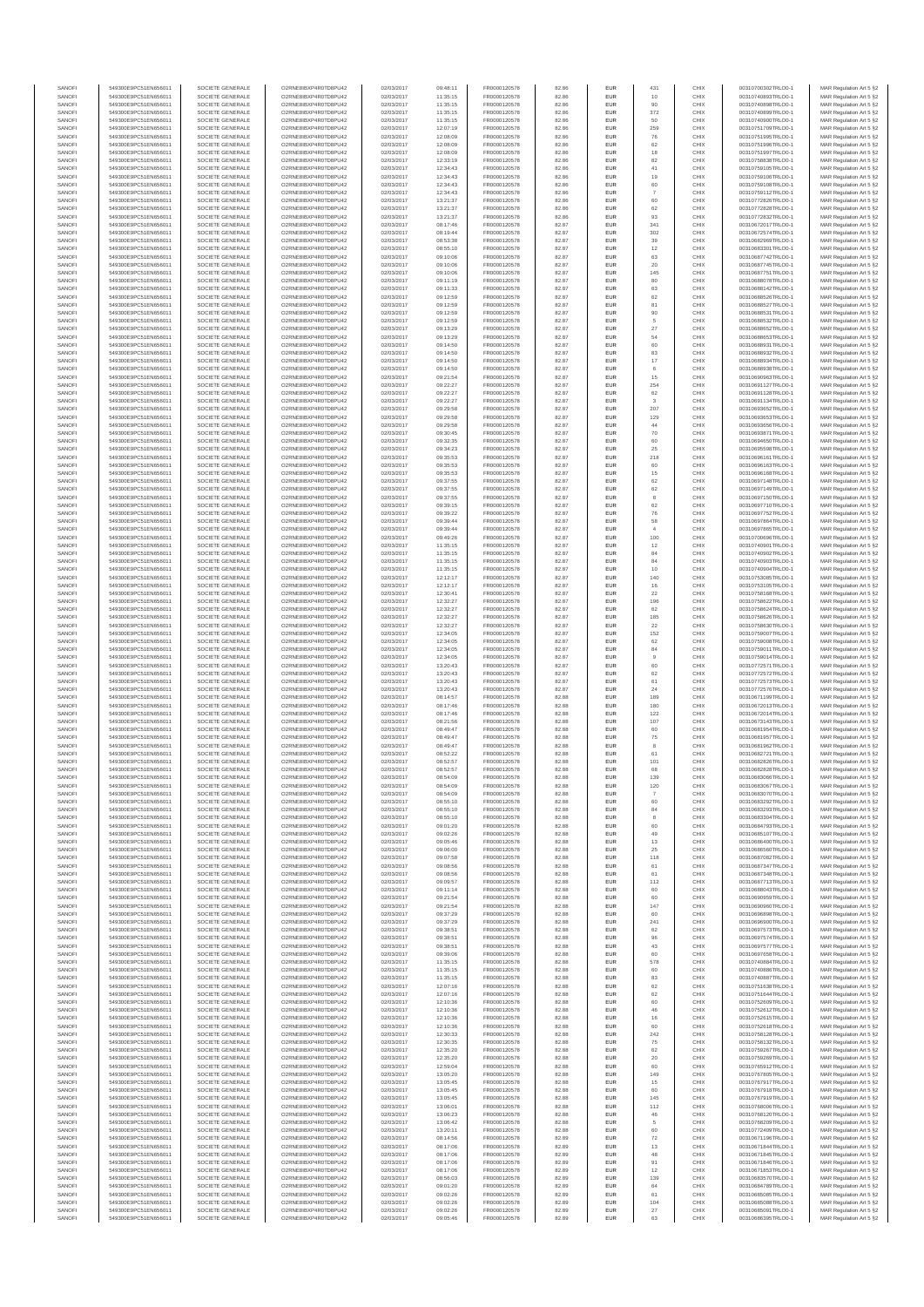| SANOFI           | 549300E9PC51EN656011                         | SOCIETE GENERALE                     | O2RNE8IBXP4R0TD8PU42                          | 02/03/2017               | 09:48:11             | FR0000120578                 | 82.86          | EUR               | 431                           | CHIX         | 00310700302TRLO0-1                       | MAR Regulation Art 5 §2                             |
|------------------|----------------------------------------------|--------------------------------------|-----------------------------------------------|--------------------------|----------------------|------------------------------|----------------|-------------------|-------------------------------|--------------|------------------------------------------|-----------------------------------------------------|
| SANOFI<br>SANOFI | 549300E9PC51EN656011<br>549300E9PC51EN656011 | SOCIETE GENERALE<br>SOCIETE GENERALE | O2RNE8IBXP4R0TD8PU42<br>O2RNE8IBXP4R0TD8PU42  | 02/03/2017<br>02/03/2017 | 11:35:15<br>11:35:15 | FR0000120578                 | 82.86<br>82.86 | EUR<br>EUR        | 10<br>90                      | CHIX<br>CHIX | 00310740893TRLO0-1<br>00310740898TRLO0-1 | MAR Regulation Art 5 §2                             |
| SANOFI           | 549300E9PC51EN656011                         | SOCIETE GENERALE                     | O2RNE8IBXP4R0TD8PLI42                         | 02/03/2017               | 11:35:15             | FR0000120578<br>FR0000120578 | 82.86          | EUR               | 372                           | CHIX         | 00310740899TRLO0-1                       | MAR Regulation Art 5 §2<br>MAR Regulation Art 5 §2  |
| SANOFI           | 549300E9PC51EN656011                         | SOCIETE GENERALE                     | O2RNE8IBXP4R0TD8PU42                          | 02/03/2017               | 11:35:15             | FR0000120578                 | 82.86          | EUR               | 50                            | CHIX         | 00310740900TRLO0-1                       | MAR Regulation Art 5 §2                             |
| SANOFI           | 549300E9PC51EN656011                         | SOCIETE GENERALE                     | O2RNE8IBXP4R0TD8PU42                          | 02/03/2017               | 12:07:19             | FR0000120578                 | 82.86          | EUR               | 259                           | CHIX         | 00310751709TRLO0-1                       | MAR Regulation Art 5 §2                             |
| SANOFI<br>SANOFI | 549300E9PC51EN656011<br>549300E9PC51EN656011 | SOCIETE GENERALE<br>SOCIETE GENERALE | O2RNE8IBXP4R0TD8PU42<br>O2RNE8IBXP4R0TD8PU42  | 02/03/2017<br>02/03/2017 | 12:08:09<br>12:08:09 | FR0000120578<br>FR0000120578 | 82.86<br>82.86 | EUR<br>EUR        | 76<br>62                      | CHIX<br>CHIX | 00310751995TRLO0-1<br>00310751996TRLO0-1 | MAR Regulation Art 5 §2<br>MAR Regulation Art 5 §2  |
| SANOFI           | 549300E9PC51EN656011                         | SOCIETE GENERALE                     | O2RNE8IBXP4R0TD8PU42                          | 02/03/2017               | 12:08:09             | FR0000120578                 | 82.86          | <b>EUR</b>        | 18                            | CHIX         | 00310751997TRLO0-1                       | MAR Regulation Art 5 §2                             |
| SANOFI           | 549300E9PC51EN656011                         | SOCIETE GENERALE                     | O2RNE8IBXP4R0TD8PU42                          | 02/03/2017               | 12:33:19             | FR0000120578                 | 82.86          | EUR               | 82                            | CHIX         | 00310758838TRLO0-1                       | MAR Regulation Art 5 §2                             |
| SANOFI<br>SANOFI | 549300E9PC51EN656011<br>549300E9PC51EN656011 | SOCIETE GENERALE<br>SOCIETE GENERALE | O2RNE8IBXP4R0TD8PLI42<br>O2RNE8IBXP4R0TD8PU42 | 02/03/2017<br>02/03/2017 | 12:34:43<br>12:34:43 | FR0000120578<br>FR0000120578 | 82.86<br>82.86 | EUR<br>EUR        | $41\,$<br>19                  | CHIX<br>CHIX | 00310759105TRLO0-1<br>00310759106TRLO0-1 | MAR Regulation Art 5 §2<br>MAR Regulation Art 5 §2  |
| SANOFI           | 549300E9PC51EN656011                         | SOCIETE GENERALE                     | O2RNE8IBXP4R0TD8PU42                          | 02/03/2017               | 12:34:43             | FR0000120578                 | 82.86          | EUR               | 60                            | CHIX         | 00310759108TRLO0-1                       | MAR Regulation Art 5 §2                             |
| SANOFI           | 549300E9PC51EN656011                         | SOCIETE GENERALE                     | O2RNE8IBXP4R0TD8PU42                          | 02/03/2017               | 12:34:43             | FR0000120578                 | 82.86          | EUR               | $\overline{7}$                | CHIX         | 00310759112TRLO0-1                       | MAR Regulation Art 5 §2                             |
| SANOFI           | 549300E9PC51EN656011                         | SOCIETE GENERALE                     | O2RNE8IBXP4R0TD8PU42                          | 02/03/2017               | 13:21:37             | FR0000120578                 | 82.86          | EUR               | 60                            | CHIX         | 00310772826TRLO0-1                       | MAR Regulation Art 5 §2                             |
| SANOFI<br>SANOFI | 549300E9PC51EN656011<br>549300E9PC51EN656011 | SOCIETE GENERALE<br>SOCIETE GENERALE | O2RNE8IBXP4R0TD8PU42<br>O2RNE8IBXP4R0TD8PU42  | 02/03/2017<br>02/03/2017 | 13:21:37<br>13:21:37 | FR0000120578<br>FR0000120578 | 82.86<br>82.86 | <b>EUR</b><br>EUR | 62<br>93                      | CHIX<br>CHIX | 00310772828TRLO0-1<br>00310772832TRLO0-1 | MAR Regulation Art 5 §2<br>MAR Regulation Art 5 §2  |
| SANOFI           | 549300E9PC51EN656011                         | SOCIETE GENERALE                     | O2RNE8IBXP4R0TD8PU42                          | 02/03/2017               | 08:17:46             | FR0000120578                 | 82.87          | <b>EUR</b>        | 341                           | CHIX         | 00310672017TRLO0-1                       | MAR Regulation Art 5 §2                             |
| SANOFI           | 549300E9PC51EN656011                         | SOCIETE GENERALE                     | O2RNE8IBXP4R0TD8PU42                          | 02/03/2017               | 08:19:44             | FR0000120578                 | 82.87          | EUR               | 302                           | CHIX         | 00310672574TRLO0-1                       | MAR Regulation Art 5 §2                             |
| SANOFI           | 549300E9PC51EN656011                         | SOCIETE GENERALE                     | O2RNESIBXP4R0TD8PLI42                         | 02/03/2017               | 08:53:38             | FR0000120578                 | 82.87          | EUR               | 39                            | CHIX         | 00310682969TRLO0-1<br>00310683301TRLO0-1 | MAR Regulation Art 5 §2                             |
| SANOFI<br>SANOFI | 549300E9PC51EN656011<br>549300E9PC51EN656011 | SOCIETE GENERALE<br>SOCIETE GENERALE | O2RNE8IBXP4R0TD8PU42<br>O2RNE8IBXP4R0TD8PLI42 | 02/03/2017<br>02/03/2017 | 08:55:10<br>09:10:06 | FR0000120578<br>FR0000120578 | 82.87<br>82.87 | EUR<br>EUR        | 12<br>63                      | CHIX<br>CHIX | 00310687742TRLO0-1                       | MAR Regulation Art 5 §2<br>MAR Regulation Art 5 §2  |
| SANOFI           | 549300E9PC51EN656011                         | SOCIETE GENERALE                     | O2RNE8IBXP4R0TD8PU42                          | 02/03/2017               | 09:10:06             | FR0000120578                 | 82.87          | <b>EUR</b>        | 20                            | CHIX         | 00310687745TRLO0-1                       | MAR Regulation Art 5 §2                             |
| SANOFI           | 549300E9PC51EN656011                         | SOCIETE GENERALE                     | O2RNE8IBXP4R0TD8PU42                          | 02/03/2017               | 09:10:06             | FR0000120578                 | 82.87          | EUR               | 145                           | CHIX         | 00310687751TRLO0-1                       | MAR Regulation Art 5 §2                             |
| SANOFI<br>SANOFI | 549300E9PC51EN656011<br>549300E9PC51EN656011 | SOCIETE GENERALE<br>SOCIETE GENERALE | O2RNE8IBXP4R0TD8PU42<br>O2RNE8IBXP4R0TD8PU42  | 02/03/2017<br>02/03/2017 | 09:11:19<br>09:11:33 | FR0000120578<br>FR0000120578 | 82.87<br>82.87 | <b>EUR</b><br>EUR | 80<br>63                      | CHIX<br>CHIX | 00310688078TRLO0-1<br>00310688142TRLO0-1 | MAR Regulation Art 5 §2<br>MAR Regulation Art 5 §2  |
| SANOFI           | 549300E9PC51EN656011                         | SOCIETE GENERALE                     | O2RNE8IBXP4R0TD8PU42                          | 02/03/2017               | 09:12:59             | FR0000120578                 | 82.87          | <b>EUR</b>        | 62                            | CHIX         | 00310688526TRLO0-1                       | MAR Regulation Art 5 §2                             |
| SANOFI           | 549300E9PC51EN656011                         | SOCIETE GENERALE                     | O2RNE8IBXP4R0TD8PU42                          | 02/03/2017               | 09:12:59             | FR0000120578                 | 82.87          | EUR               | 81                            | CHIX         | 00310688527TRLO0-1                       | MAR Regulation Art 5 §2                             |
| SANOFI           | 549300E9PC51EN656011                         | SOCIETE GENERALE                     | O2RNE8IBXP4R0TD8PU42                          | 02/03/2017               | 09:12:59             | FR0000120578                 | 82.87          | EUR               | 90                            | CHIX         | 00310688531TRLO0-1                       | MAR Regulation Art 5 §2                             |
| SANOFI<br>SANOFI | 549300E9PC51EN656011<br>549300E9PC51EN656011 | SOCIETE GENERALE<br>SOCIETE GENERALE | O2RNE8IBXP4R0TD8PU42<br>O2RNE8IBXP4R0TD8PU42  | 02/03/2017<br>02/03/2017 | 09:12:59<br>09:13:29 | FR0000120578<br>FR0000120578 | 82.87<br>82.87 | EUR<br>EUR        | 5<br>27                       | CHIX<br>CHIX | 00310688532TRLO0-1<br>00310688652TRLO0-1 | MAR Regulation Art 5 §2<br>MAR Regulation Art 5 §2  |
| SANOFI           | 549300E9PC51EN656011                         | SOCIETE GENERALE                     | O2RNE8IBXP4R0TD8PU42                          | 02/03/2017               | 09:13:29             | FR0000120578                 | 82.87          | <b>EUR</b>        | 54                            | CHIX         | 00310688653TRLO0-1                       | MAR Regulation Art 5 §2                             |
| SANOFI           | 549300E9PC51EN656011                         | SOCIETE GENERALE                     | O2RNE8IBXP4R0TD8PU42                          | 02/03/2017               | 09:14:50             | FR0000120578                 | 82.87          | EUR               | 60                            | CHIX         | 00310688931TRLO0-1                       | MAR Regulation Art 5 §2                             |
| SANOFI<br>SANOFI | 549300E9PC51EN656011<br>549300E9PC51EN656011 | SOCIETE GENERALE<br>SOCIETE GENERALE | O2RNE8IBXP4R0TD8PU42<br>O2RNE8IBXP4R0TD8PU42  | 02/03/2017<br>02/03/2017 | 09:14:50<br>09:14:50 | FR0000120578<br>FR0000120578 | 82.87<br>82.87 | <b>EUR</b><br>EUR | 83<br>17                      | CHIX<br>CHIX | 00310688932TRLO0-1<br>00310688934TRLO0-1 | MAR Regulation Art 5 §2<br>MAR Regulation Art 5 §2  |
| SANOFI           | 549300E9PC51EN656011                         | SOCIETE GENERALE                     | O2RNE8IBXP4R0TD8PU42                          | 02/03/2017               | 09:14:50             | FR0000120578                 | 82.87          | EUR               | 6                             | CHIX         | 00310688938TRLO0-1                       | MAR Regulation Art 5 §2                             |
| SANOFI           | 549300E9PC51EN656011                         | SOCIETE GENERALE                     | O2RNE8IBXP4R0TD8PU42                          | 02/03/2017               | 09:21:54             | FR0000120578                 | 82.87          | EUR               | 15                            | CHIX         | 00310690963TRLO0-1                       | MAR Regulation Art 5 §2                             |
| SANOFI<br>SANOFI | 549300E9PC51EN656011                         | SOCIETE GENERALE                     | O2RNE8IBXP4R0TD8PU42<br>O2RNE8IBXP4R0TD8PU42  | 02/03/2017               | 09:22:27             | FR0000120578                 | 82.87          | EUR               | 254                           | CHIX         | 00310691127TRLO0-1<br>00310691128TRLO0-1 | MAR Regulation Art 5 §2                             |
| SANOFI           | 549300E9PC51EN656011<br>549300E9PC51EN656011 | SOCIETE GENERALE<br>SOCIETE GENERALE | O2RNE8IBXP4R0TD8PU42                          | 02/03/2017<br>02/03/2017 | 09:22:27<br>09:22:27 | FR0000120578<br>FR0000120578 | 82.87<br>82.87 | EUR<br>EUR        | 62                            | CHIX<br>CHIX | 00310691134TRLO0-1                       | MAR Regulation Art 5 §2<br>MAR Regulation Art 5 §2  |
| SANOFI           | 549300E9PC51EN656011                         | SOCIETE GENERALE                     | O2RNE8IBXP4R0TD8PU42                          | 02/03/2017               | 09:29:58             | FR0000120578                 | 82.87          | <b>EUR</b>        | 207                           | CHIX         | 00310693652TRLO0-1                       | MAR Regulation Art 5 §2                             |
| SANOFI           | 549300E9PC51EN656011                         | SOCIETE GENERALE                     | O2RNE8IBXP4R0TD8PU42                          | 02/03/2017               | 09:29:58             | FR0000120578                 | 82.87          | EUR               | 129                           | CHIX         | 00310693653TRLO0-1                       | MAR Regulation Art 5 §2                             |
| SANOFI<br>SANOFI | 549300E9PC51EN656011<br>549300E9PC51EN656011 | SOCIETE GENERALE<br>SOCIETE GENERALE | O2RNE8IBXP4R0TD8PLI42<br>O2RNE8IBXP4R0TD8PU42 | 02/03/2017<br>02/03/2017 | 09:29:58<br>09:30:45 | FR0000120578<br>FR0000120578 | 82.87<br>82.87 | <b>EUR</b><br>EUR | 44<br>70                      | CHIX<br>CHIX | 00310693656TRLO0-1<br>00310693871TRLO0-1 | MAR Regulation Art 5 §2<br>MAR Regulation Art 5 §2  |
| SANOFI           | 549300E9PC51EN656011                         | SOCIETE GENERALE                     | O2RNE8IBXP4R0TD8PU42                          | 02/03/2017               | 09:32:35             | FR0000120578                 | 82.87          | EUR               | 60                            | CHIX         | 00310694650TRLO0-1                       | MAR Regulation Art 5 §2                             |
| SANOFI           | 549300E9PC51EN656011                         | SOCIETE GENERALE                     | O2RNE8IBXP4R0TD8PU42                          | 02/03/2017               | 09:34:23             | FR0000120578                 | 82.87          | EUR               | 25                            | CHIX         | 00310695598TRLO0-1                       | MAR Regulation Art 5 §2                             |
| SANOFI           | 549300E9PC51EN656011                         | SOCIETE GENERALE                     | O2RNE8IBXP4R0TD8PLI42                         | 02/03/2017               | 09:35:53             | FR0000120578                 | 82.87          | EUR               | 218                           | CHIX         | 00310696161TRLO0-1                       | MAR Regulation Art 5 §2                             |
| SANOFI<br>SANOFI | 549300E9PC51EN656011<br>549300E9PC51EN656011 | SOCIETE GENERALE<br>SOCIETE GENERALE | O2RNE8IBXP4R0TD8PU42<br>O2RNE8IBXP4R0TD8PU42  | 02/03/2017<br>02/03/2017 | 09:35:53<br>09:35:53 | FR0000120578<br>FR0000120578 | 82.87<br>82.87 | EUR<br>EUR        | 60<br>15                      | CHIX<br>CHIX | 00310696163TRLO0-1<br>00310696168TRLO0-1 | MAR Regulation Art 5 §2<br>MAR Regulation Art 5 §2  |
| SANOFI           | 549300E9PC51EN656011                         | SOCIETE GENERALE                     | O2RNE8IBXP4R0TD8PU42                          | 02/03/2017               | 09:37:55             | FR0000120578                 | 82.87          | <b>EUR</b>        | 62                            | CHIX         | 00310697148TRLO0-1                       | MAR Regulation Art 5 §2                             |
| SANOFI           | 549300E9PC51EN656011                         | SOCIETE GENERALE                     | O2RNE8IBXP4R0TD8PU42                          | 02/03/2017               | 09:37:55             | FR0000120578                 | 82.87          | EUR               | 62                            | CHIX         | 00310697149TRLO0-1                       | MAR Regulation Art 5 §2                             |
| SANOFI           | 549300E9PC51EN656011                         | SOCIETE GENERALE                     | O2RNE8IBXP4R0TD8PU42                          | 02/03/2017               | 09:37:55             | FR0000120578                 | 82.87          | <b>EUR</b>        | 8                             | CHIX         | 00310697150TRLO0-1                       | MAR Regulation Art 5 §2                             |
| SANOFI<br>SANOFI | 549300E9PC51EN656011<br>549300E9PC51EN656011 | SOCIETE GENERALE<br>SOCIETE GENERALE | O2RNE8IBXP4R0TD8PU42<br>O2RNE8IBXP4R0TD8PLI42 | 02/03/2017<br>02/03/2017 | 09:39:15<br>09:39:22 | FR0000120578<br>FR0000120578 | 82.87<br>82.87 | EUR<br>EUR        | 62<br>76                      | CHIX<br>CHIX | 00310697710TRLO0-1<br>00310697752TRLO0-1 | MAR Regulation Art 5 §2<br>MAR Regulation Art 5 §2  |
| SANOFI           | 549300E9PC51EN656011                         | SOCIETE GENERALE                     | O2RNE8IBXP4R0TD8PU42                          | 02/03/2017               | 09:39:44             | FR0000120578                 | 82.87          | EUR               | 58                            | CHIX         | 00310697864TRLO0-1                       | MAR Regulation Art 5 §2                             |
| SANOFI           | 549300E9PC51EN656011                         | SOCIETE GENERALE                     | O2RNE8IBXP4R0TD8PU42                          | 02/03/2017               | 09:39:44             | FR0000120578                 | 82.87          | EUR               |                               | CHIX         | 00310697865TRLO0-1                       | MAR Regulation Art 5 §2                             |
| SANOFI           | 549300E9PC51EN656011                         | SOCIETE GENERALE                     | O2RNE8IBXP4R0TD8PU42                          | 02/03/2017               | 09:49:26             | FR0000120578                 | 82.87          | <b>EUR</b>        | 100                           | CHIX         | 00310700696TRLO0-1                       | MAR Regulation Art 5 §2                             |
| SANOFI<br>SANOFI | 549300E9PC51EN656011<br>549300E9PC51EN656011 | SOCIETE GENERALE<br>SOCIETE GENERALE | O2RNE8IBXP4R0TD8PU42<br>O2RNE8IBXP4R0TD8PU42  | 02/03/2017<br>02/03/2017 | 11:35:15<br>11:35:15 | FR0000120578<br>FR0000120578 | 82.87<br>82.87 | EUR<br><b>EUR</b> | 12<br>84                      | CHIX<br>CHIX | 00310740901TRLO0-1<br>00310740902TRLO0-1 | MAR Regulation Art 5 §2<br>MAR Regulation Art 5 §2  |
| SANOFI           | 549300E9PC51EN656011                         | SOCIETE GENERALE                     | O2RNE8IBXP4R0TD8PU42                          | 02/03/2017               | 11:35:15             | FR0000120578                 | 82.87          | EUR               | 84                            | CHIX         | 00310740903TRLO0-1                       | MAR Regulation Art 5 §2                             |
| SANOFI           | 549300E9PC51EN656011                         | SOCIETE GENERALE                     | O2RNE8IBXP4R0TD8PU42                          | 02/03/2017               | 11:35:15             | FR0000120578                 | 82.87          | <b>EUR</b>        | 10                            | CHIX         | 00310740904TRLO0-1                       | MAR Regulation Art 5 §2                             |
| SANOFI<br>SANOFI | 549300E9PC51EN656011<br>549300E9PC51EN656011 | SOCIETE GENERALE<br>SOCIETE GENERALE | O2RNE8IBXP4R0TD8PU42<br>O2RNE8IBXP4R0TD8PU42  | 02/03/2017<br>02/03/2017 | 12:12:17<br>12:12:17 | FR0000120578<br>FR0000120578 | 82.87<br>82.87 | EUR<br>EUR        | 140<br>16                     | CHIX<br>CHIX | 00310753085TRLO0-1<br>00310753105TRLO0-1 | MAR Regulation Art 5 §2<br>MAR Regulation Art 5 §2  |
| SANOFI           | 549300E9PC51EN656011                         | SOCIETE GENERALE                     | O2RNE8IBXP4R0TD8PU42                          | 02/03/2017               | 12:30:41             | FR0000120578                 | 82.87          | EUR               | 22                            | CHIX         | 00310758168TRLO0-1                       | MAR Regulation Art 5 §2                             |
| SANOFI           | 549300E9PC51EN656011                         | SOCIETE GENERALE                     | O2RNE8IBXP4R0TD8PU42                          | 02/03/2017               | 12:32:27             | FR0000120578                 | 82.87          | EUR               | 196                           | CHIX         | 00310758622TRLO0-1                       | MAR Regulation Art 5 §2                             |
| SANOFI           | 549300E9PC51EN656011                         | SOCIETE GENERALE                     | O2RNE8IBXP4R0TD8PU42                          | 02/03/2017               | 12:32:27             | FR0000120578                 | 82.87          | <b>EUR</b>        | 62                            | CHIX         | 00310758624TRLO0-1                       | MAR Regulation Art 5 §2                             |
| SANOFI<br>SANOFI | 549300E9PC51EN656011<br>549300E9PC51EN656011 | SOCIETE GENERALE<br>SOCIETE GENERALE | O2RNE8IBXP4R0TD8PU42<br>O2RNE8IBXP4R0TD8PU42  | 02/03/2017<br>02/03/2017 | 12:32:27<br>12:32:27 | FR0000120578<br>FR0000120578 | 82.87<br>82.87 | EUR<br><b>EUR</b> | 185<br>22                     | CHIX<br>CHIX | 00310758626TRLO0-1<br>00310758630TRLO0-1 | MAR Regulation Art 5 §2<br>MAR Regulation Art 5 §2  |
| SANOFI           | 549300E9PC51EN656011                         | SOCIETE GENERALE                     | O2RNE8IBXP4R0TD8PU42                          | 02/03/2017               | 12:34:05             | FR0000120578                 | 82.87          | EUR               | 152                           | CHIX         | 00310759007TRLO0-1                       | MAR Regulation Art 5 §2                             |
| SANOFI           | 549300E9PC51EN656011                         | SOCIETE GENERALE                     | O2RNE8IBXP4R0TD8PU42                          | 02/03/2017               | 12:34:05             | FR0000120578                 | 82.87          | <b>EUR</b>        | 62                            | CHIX         | 00310759008TRLO0-1                       | MAR Regulation Art 5 §2                             |
| SANOFI<br>SANOFI | 549300E9PC51EN656011<br>549300E9PC51EN656011 | SOCIETE GENERALE<br>SOCIETE GENERALE | O2RNE8IBXP4R0TD8PU42<br>O2RNE8IBXP4R0TD8PU42  | 02/03/2017<br>02/03/2017 | 12:34:05<br>12:34:05 | FR0000120578<br>FR0000120578 | 82.87<br>82.87 | EUR<br>EUR        | $^{\rm 84}$<br>$\overline{9}$ | CHIX<br>CHIX | 00310759011TRLO0-1<br>00310759014TRLO0-1 | MAR Regulation Art 5 §2<br>MAR Regulation Art 5 §2  |
| SANOFI           | 549300E9PC51EN656011                         | SOCIETE GENERALE                     | O2RNE8IBXP4R0TD8PU42                          | 02/03/2017               | 13:20:43             | FR0000120578                 | 82.87          | EUR               | 60                            | CHIX         | 00310772571TRLO0-1                       | MAR Regulation Art 5 §2                             |
| SANOFI           | 549300E9PC51EN656011                         | SOCIETE GENERALE                     | O2RNE8IBXP4R0TD8PU42                          | 02/03/2017               | 13:20:43             | FR0000120578                 | 82.87          | EUR               | 62                            | CHIX         | 00310772572TRLO0-1                       | MAR Regulation Art 5 §2                             |
| SANOFI           | 549300E9PC51EN656011                         | SOCIETE GENERALE                     | O2RNE8IBXP4R0TD8PU42                          | 02/03/2017               | 13:20:43             | FR0000120578                 | 82.87          | <b>EUR</b>        | 61                            | CHIX         | 00310772573TRLO0-1                       | MAR Regulation Art 5 §2                             |
| SANOFI<br>SANOFI | 549300E9PC51EN656011<br>549300E9PC51EN656011 | SOCIETE GENERALE<br>SOCIETE GENERALE | O2RNE8IBXP4R0TD8PU42<br>O2RNE8IBXP4R0TD8PU42  | 02/03/2017<br>02/03/2017 | 13:20:43<br>08:14:57 | FR0000120578<br>FR0000120578 | 82.87<br>82.88 | EUR<br><b>EUR</b> | 24<br>189                     | CHIX<br>CHIX | 00310772576TRLO0-1<br>00310671199TRLO0-1 | MAR Regulation Art 5 §2<br>MAR Regulation Art 5 §2  |
| SANOFI           | 549300E9PC51EN656011                         | SOCIETE GENERALE                     | O2RNE8IBXP4R0TD8PU42                          | 02/03/2017               | 08:17:46             | FR0000120578                 | 82.88          | EUR               | 180                           | CHIX         | 00310672013TRLO0-1                       | MAR Regulation Art 5 §2                             |
| SANOFI           | 549300E9PC51EN656011                         | SOCIETE GENERALE                     | O2RNE8IBXP4R0TD8PU42                          | 02/03/2017               | 08:17:46             | FR0000120578                 | 82.88          | EUR               | 122                           | CHIX         | 00310672014TRLO0-1                       | MAR Regulation Art 5 §2                             |
| SANOFI           | 549300E9PC51EN656011                         | SOCIETE GENERALE                     | O2RNE8IBXP4R0TD8PU42                          | 02/03/2017               | 08:21:56             | FR0000120578                 | 82.88          | EUR               | 107                           | CHIX         | 00310673143TRLO0-1<br>00310681954TRLO0-1 | MAR Regulation Art 5 §2                             |
| SANOFI<br>SANOFI | 549300E9PC51EN656011<br>549300E9PC51EN656011 | SOCIETE GENERALE<br>SOCIETE GENERALE | O2RNE8IBXP4R0TD8PU42<br>O2RNE8IBXP4R0TD8PU42  | 02/03/2017<br>02/03/2017 | 08:49:47<br>08:49:47 | FR0000120578<br>FR0000120578 | 82.88<br>82.88 | EUR<br>EUR        | 60<br>$\rm 75$                | CHIX<br>CHIX | 00310681957TRLO0-1                       | MAR Regulation Art 5 §2<br>MAR Regulation Art 5 §2  |
| SANOFI           | 549300E9PC51EN656011                         | SOCIETE GENERALE                     | O2RNE8IBXP4R0TD8PU42                          | 02/03/2017               | 08:49:47             | FR0000120578                 | 82.88          | EUR               | 8                             | CHIX         | 00310681962TRLO0-1                       | MAR Regulation Art 5 §2                             |
| SANOFI           | 549300E9PC51EN656011                         | SOCIETE GENERALE                     | O2RNE8IBXP4R0TD8PU42                          | 02/03/2017               | 08:52:22             | FR0000120578                 | 82.88          | <b>EUR</b>        | 61                            | CHIX         | 00310682721TRLO0-1                       | MAR Regulation Art 5 §2                             |
| SANOFI<br>SANOFI | 549300E9PC51EN656011<br>549300E9PC51EN656011 | SOCIETE GENERALE<br>SOCIETE GENERALE | O2RNE8IBXP4R0TD8PU42<br>O2RNE8IBXP4R0TD8PU42  | 02/03/2017<br>02/03/2017 | 08:52:57<br>08:52:57 | FR0000120578<br>FR0000120578 | 82.88<br>82.88 | EUR<br>EUR        | 101<br>68                     | CHIX<br>CHIX | 00310682826TRLO0-1<br>00310682828TRLO0-1 | MAR Regulation Art 5 §2<br>MAR Regulation Art 5 §2  |
| SANOFI           | 549300E9PC51EN656011                         | SOCIETE GENERALE                     | O2RNE8IBXP4R0TD8PU42                          | 02/03/2017               | 08:54:09             | FR0000120578                 | 82.88          | EUR               | 139                           | CHIX         | 00310683066TRLO0-1                       | MAR Regulation Art 5 §2                             |
| SANOFI           | 549300E9PC51EN656011                         | SOCIETE GENERALE                     | O2RNE8IBXP4R0TD8PLI42                         | 02/03/2017               | 08:54:09             | FR0000120578                 | 82.88          | EUR               | 120                           | CHIX         | 00310683067TRLO0-1                       | MAR Regulation Art 5 §2                             |
| SANOFI           | 549300E9PC51EN656011                         | SOCIETE GENERALE                     | O2RNE8IBXP4R0TD8PU42                          | 02/03/2017               | 08:54:09             | FR0000120578                 | 82.88          | <b>EUR</b>        |                               | CHIX         | 00310683070TRLO0-1                       | MAR Regulation Art 5 §2                             |
| SANOFI<br>SANOFI | 549300E9PC51EN656011<br>549300E9PC51EN656011 | SOCIETE GENERALE<br>SOCIETE GENERALE | O2RNESIBXP4R0TD8PLI42<br>O2RNE8IBXP4R0TD8PU42 | 02/03/2017<br>02/03/2017 | 08:55:10<br>08:55:10 | FR0000120578<br>FR0000120578 | 82.88<br>82.88 | <b>EUR</b><br>EUR | 60<br>84                      | CHIX<br>CHIX | 00310683292TRLO0-1<br>00310683293TRLO0-1 | MAR Regulation Art 5 §2<br>MAR Regulation Art 5 §2  |
| SANOFI           | 549300E9PC51EN656011                         | SOCIETE GENERALE                     | O2RNE8IBXP4R0TD8PU42                          | 02/03/2017               | 08:55:10             | FR0000120578                 | 82.88          | EUR               |                               | CHIX         | 00310683304TRLO0-1                       | MAR Regulation Art 5 §2                             |
| SANOFI           | 549300E9PC51EN656011                         | SOCIETE GENERALE                     | O2RNE8IBXP4R0TD8PU42                          | 02/03/2017               | 09:01:20             | FR0000120578                 | 82.88          | <b>EUR</b>        | 60                            | CHIX         | 00310684793TRLO0-1                       | MAR Regulation Art 5 §2                             |
| SANOFI<br>SANOFI | 549300E9PC51EN656011<br>549300E9PC51EN656011 | SOCIETE GENERALE<br>SOCIETE GENERALE | O2RNE8IBXP4R0TD8PU42<br>O2RNE8IBXP4R0TD8PU42  | 02/03/2017<br>02/03/2017 | 09:02:26<br>09:05:46 | FR0000120578<br>FR0000120578 | 82.88<br>82.88 | EUR<br><b>EUR</b> | 49<br>13                      | CHIX<br>CHIX | 00310685107TRLO0-1<br>00310686400TRLO0-1 | MAR Regulation Art 5 §2<br>MAR Regulation Art 5 §2  |
| SANOFI           | 549300E9PC51EN656011                         | SOCIETE GENERALE                     | O2RNE8IBXP4R0TD8PU42                          | 02/03/2017               | 09:06:00             | FR0000120578                 | 82.88          | EUR               | 25                            | CHIX         | 00310686560TRLO0-1                       | MAR Regulation Art 5 §2                             |
| SANOFI           | 549300E9PC51EN656011                         | SOCIETE GENERALE                     | O2RNE8IBXP4R0TD8PU42                          | 02/03/2017               | 09:07:58             | FR0000120578                 | 82.88          | EUR               | 118                           | CHIX         | 00310687082TRLO0-1                       | MAR Regulation Art 5 §2                             |
| SANOFI<br>SANOFI | 549300E9PC51EN656011<br>549300E9PC51EN656011 | SOCIETE GENERALE<br>SOCIETE GENERALE | O2RNE8IBXP4R0TD8PU42<br>O2RNESIBXP4R0TD8PLI42 | 02/03/2017<br>02/03/2017 | 09:08:56<br>09:08:56 | FR0000120578<br>FR0000120578 | 82.88<br>82.88 | EUR<br>EUR        | 61<br>61                      | CHIX<br>CHIX | 00310687347TRLO0-1<br>00310687348TRLO0-1 | MAR Regulation Art 5 §2<br>MAR Regulation Art 5 §2  |
| SANOFI           | 549300E9PC51EN656011                         | SOCIETE GENERALE                     | O2RNE8IBXP4R0TD8PLI42                         | 02/03/2017               | 09:09:57             | FR0000120578                 | 82.88          | <b>EUR</b>        | 112                           | CHIX         | 00310687713TRLO0-1                       | MAR Regulation Art 5 §2                             |
| SANOFI           | 549300E9PC51EN656011                         | SOCIETE GENERALE                     | O2RNE8IBXP4R0TD8PU42                          | 02/03/2017               | 09:11:14             | FR0000120578                 | 82.88          | EUR               | 60                            | CHIX         | 00310688043TRLO0-1                       | MAR Regulation Art 5 §2                             |
| SANOFI<br>SANOFI | 549300E9PC51EN656011<br>549300E9PC51EN656011 | SOCIETE GENERALE<br>SOCIETE GENERALE | O2RNE8IBXP4R0TD8PU42<br>O2RNE8IBXP4R0TD8PU42  | 02/03/2017<br>02/03/2017 | 09:21:54<br>09:21:54 | FR0000120578<br>FR0000120578 | 82.88<br>82.88 | <b>EUR</b><br>EUR | 60<br>147                     | CHIX<br>CHIX | 00310690959TRLO0-1<br>00310690960TRLO0-1 | MAR Regulation Art 5 §2<br>MAR Regulation Art 5 §2  |
| SANOFI           | 549300E9PC51EN656011                         | SOCIETE GENERALE                     | O2RNE8IBXP4R0TD8PU42                          | 02/03/2017               | 09:37:29             | FR0000120578                 | 82.88          | EUR               | 60                            | CHIX         | 00310696898TRLO0-1                       | MAR Regulation Art 5 §2                             |
| SANOFI           | 549300E9PC51EN656011                         | SOCIETE GENERALE                     | O2RNE8IBXP4R0TD8PU42                          | 02/03/2017               | 09:37:29             | FR0000120578                 | 82.88          | EUR               | 241                           | CHIX         | 00310696900TRLO0-1                       | MAR Regulation Art 5 §2                             |
| SANOFI<br>SANOFI | 549300E9PC51EN656011<br>549300E9PC51EN656011 | SOCIETE GENERALE<br>SOCIETE GENERALE | O2RNE8IBXP4R0TD8PU42<br>O2RNE8IBXP4R0TD8PU42  | 02/03/2017<br>02/03/2017 | 09:38:51<br>09:38:51 | FR0000120578<br>FR0000120578 | 82.88<br>82.88 | EUR<br>EUR        | 62                            | CHIX<br>CHIX | 00310697573TRLO0-1<br>00310697574TRLO0-1 | MAR Regulation Art 5 §2                             |
| SANOFI           | 549300E9PC51EN656011                         | SOCIETE GENERALE                     | O2RNE8IBXP4R0TD8PU42                          | 02/03/2017               | 09:38:51             | FR0000120578                 | 82.88          | EUR               | 96<br>43                      | CHIX         | 00310697577TRLO0-1                       | MAR Regulation Art 5 §2<br>MAR Regulation Art 5 §2  |
| SANOFI           | 549300E9PC51EN656011                         | SOCIETE GENERALE                     | O2RNE8IBXP4R0TD8PU42                          | 02/03/2017               | 09:39:06             | FR0000120578                 | 82.88          | <b>EUR</b>        | 60                            | CHIX         | 00310697658TRLO0-1                       | MAR Regulation Art 5 §2                             |
| SANOFI           | 549300E9PC51EN656011                         | SOCIETE GENERALE                     | O2RNE8IBXP4R0TD8PU42<br>O2RNE8IBXP4R0TD8PLI42 | 02/03/2017               | 11:35:15             | FR0000120578<br>FR0000120578 | 82.88          | EUR               | 578                           | CHIX         | 00310740884TRLO0-1                       | MAR Regulation Art 5 §2                             |
| SANOFI<br>SANOFI | 549300E9PC51EN656011<br>549300E9PC51EN656011 | SOCIETE GENERALE<br>SOCIETE GENERALE | O2RNE8IBXP4R0TD8PU42                          | 02/03/2017<br>02/03/2017 | 11:35:15<br>11:35:15 | FR0000120578                 | 82.88<br>82.88 | <b>EUR</b><br>EUR | 60<br>83                      | CHIX<br>CHIX | 00310740886TRLO0-1<br>00310740887TRLO0-1 | MAR Regulation Art 5 §2<br>MAR Regulation Art 5 \$2 |
| SANOFI           | 549300E9PC51EN656011                         | SOCIETE GENERALE                     | O2RNE8IBXP4R0TD8PU42                          | 02/03/2017               | 12:07:16             | FR0000120578                 | 82.88          | <b>EUR</b>        | 62                            | CHIX         | 00310751638TRLO0-1                       | MAR Regulation Art 5 §2                             |
| SANOFI           | 549300E9PC51EN656011                         | SOCIETE GENERALE                     | O2RNE8IBXP4R0TD8PU42                          | 02/03/2017               | 12:07:16             | FR0000120578                 | 82.88          | EUR               | 62                            | CHIX         | 00310751644TRLO0-1                       | MAR Regulation Art 5 §2                             |
| SANOFI           | 549300E9PC51EN656011                         | SOCIETE GENERALE                     | O2RNE8IBXP4R0TD8PU42                          | 02/03/2017               | 12:10:36             | FR0000120578                 | 82.88          | EUR               | 60                            | CHIX         | 00310752609TRLO0-1                       | MAR Regulation Art 5 §2                             |
| SANOFI<br>SANOFI | 549300E9PC51EN656011<br>549300E9PC51EN656011 | SOCIETE GENERALE<br>SOCIETE GENERALE | O2RNE8IBXP4R0TD8PU42<br>O2RNE8IBXP4R0TD8PU42  | 02/03/2017<br>02/03/2017 | 12:10:36<br>12:10:36 | FR0000120578<br>FR0000120578 | 82.88<br>82.88 | EUR<br>EUR        | 46<br>16                      | CHIX<br>CHIX | 00310752612TRLO0-1<br>00310752615TRLO0-1 | MAR Regulation Art 5 §2<br>MAR Regulation Art 5 §2  |
| SANOFI           | 549300E9PC51EN656011                         | SOCIETE GENERALE                     | O2RNE8IBXP4R0TD8PU42                          | 02/03/2017               | 12:10:36             | FR0000120578                 | 82.88          | <b>EUR</b>        | 60                            | CHIX         | 00310752618TRLO0-1                       | MAR Regulation Art 5 §2                             |
| SANOFI           | 549300E9PC51EN656011                         | SOCIETE GENERALE                     | O2RNE8IBXP4R0TD8PU42                          | 02/03/2017               | 12:30:33             | FR0000120578                 | 82.88          | EUR               | 242                           | CHIX         | 00310758128TRLO0-1                       | MAR Regulation Art 5 §2                             |
| SANOFI<br>SANOFI | 549300E9PC51EN656011<br>549300E9PC51EN656011 | SOCIETE GENERALE<br>SOCIETE GENERALE | O2RNE8IBXP4R0TD8PU42<br>O2RNE8IBXP4R0TD8PU42  | 02/03/2017<br>02/03/2017 | 12:30:35<br>12:35:20 | FR0000120578<br>FR0000120578 | 82.88<br>82.88 | <b>EUR</b><br>EUR | 75<br>62                      | CHIX<br>CHIX | 00310758132TRLO0-1<br>00310759267TRLO0-1 | MAR Regulation Art 5 §2<br>MAR Regulation Art 5 §2  |
| SANOFI           | 549300E9PC51EN656011                         | SOCIETE GENERALE                     | O2RNE8IBXP4R0TD8PU42                          | 02/03/2017               | 12:35:20             | FR0000120578                 | 82.88          | EUR               | $20\,$                        | CHIX         | 00310759269TRLO0-1                       | MAR Regulation Art 5 §2                             |
| SANOFI           | 549300E9PC51EN656011                         | SOCIETE GENERALE                     | O2RNE8IBXP4R0TD8PU42                          | 02/03/2017               | 12:59:04             | FR0000120578                 | 82.88          | EUR               | 60                            | CHIX         | 00310765912TRLO0-1                       | MAR Regulation Art 5 §2                             |
| SANOFI           | 549300E9PC51EN656011                         | SOCIETE GENERALE                     | O2RNE8IBXP4R0TD8PU42                          | 02/03/2017               | 13:05:20             | FR0000120578                 | 82.88          | EUR               | 149                           | CHIX         | 00310767805TRLO0-1                       | MAR Regulation Art 5 §2                             |
| SANOFI<br>SANOFI | 549300E9PC51EN656011<br>549300E9PC51EN656011 | SOCIETE GENERALE<br>SOCIETE GENERALE | O2RNE8IBXP4R0TD8PU42<br>O2RNE8IBXP4R0TD8PU42  | 02/03/2017<br>02/03/2017 | 13:05:45<br>13:05:45 | FR0000120578<br>FR0000120578 | 82.88<br>82.88 | EUR<br>EUR        | 15<br>60                      | CHIX<br>CHIX | 00310767917TRLO0-1<br>00310767918TRLO0-1 | MAR Regulation Art 5 §2<br>MAR Regulation Art 5 §2  |
| SANOFI           | 549300E9PC51EN656011                         | SOCIETE GENERALE                     | O2RNE8IBXP4R0TD8PU42                          | 02/03/2017               | 13:05:45             | FR0000120578                 | 82.88          | <b>EUR</b>        | 145                           | CHIX         | 00310767919TRLO0-1                       | MAR Regulation Art 5 §2                             |
| SANOFI           | 549300E9PC51EN656011                         | SOCIETE GENERALE                     | O2RNE8IBXP4R0TD8PU42                          | 02/03/2017               | 13:06:01             | FR0000120578                 | 82.88          | EUR               | 112                           | CHIX         | 00310768006TRLO0-1                       | MAR Regulation Art 5 §2                             |
| SANOFI<br>SANOFI | 549300E9PC51EN656011<br>549300E9PC51EN656011 | SOCIETE GENERALE<br>SOCIETE GENERALE | O2RNE8IBXP4R0TD8PU42<br>O2RNE8IBXP4R0TD8PU42  | 02/03/2017<br>02/03/2017 | 13:06:23<br>13:06:42 | FR0000120578<br>FR0000120578 | 82.88<br>82.88 | EUR<br>EUR        | 46<br>5                       | CHIX<br>CHIX | 00310768120TRLO0-1<br>00310768209TRLO0-1 | MAR Regulation Art 5 §2<br>MAR Regulation Art 5 §2  |
| SANOFI           | 549300E9PC51EN656011                         | SOCIETE GENERALE                     | O2RNE8IBXP4R0TD8PU42                          | 02/03/2017               | 13:20:11             | FR0000120578                 | 82.88          | EUR               | 60                            | CHIX         | 00310772409TRLO0-1                       | MAR Regulation Art 5 §2                             |
| SANOFI           | 549300E9PC51EN656011                         | SOCIETE GENERALE                     | O2RNE8IBXP4R0TD8PU42                          | 02/03/2017               | 08:14:56             | FR0000120578                 | 82.89          | EUR               | 72                            | CHIX         | 00310671196TRLO0-1                       | MAR Regulation Art 5 §2                             |
| SANOFI           | 549300E9PC51EN656011                         | SOCIETE GENERALE                     | O2RNE8IBXP4R0TD8PU42                          | 02/03/2017               | 08:17:06             | FR0000120578                 | 82.89          | EUR               | 13                            | CHIX         | 00310671844TRLO0-1                       | MAR Regulation Art 5 §2                             |
| SANOFI<br>SANOFI | 549300E9PC51EN656011<br>549300E9PC51EN656011 | SOCIETE GENERALE<br>SOCIETE GENERALE | O2RNE8IBXP4R0TD8PU42<br>O2RNE8IBXP4R0TD8PU42  | 02/03/2017<br>02/03/2017 | 08:17:06<br>08:17:06 | FR0000120578<br>FR0000120578 | 82.89<br>82.89 | <b>EUR</b><br>EUR | 48<br>91                      | CHIX<br>CHIX | 00310671845TRLO0-1<br>00310671846TRLO0-1 | MAR Regulation Art 5 §2<br>MAR Regulation Art 5 §2  |
| SANOFI           | 549300E9PC51EN656011                         | SOCIETE GENERALE                     | O2RNE8IBXP4R0TD8PU42                          | 02/03/2017               | 08:17:06             | FR0000120578                 | 82.89          | <b>EUR</b>        | 12                            | CHIX         | 00310671853TRLO0-1                       | MAR Regulation Art 5 §2                             |
| SANOFI           | 549300E9PC51EN656011                         | SOCIETE GENERALE                     | O2RNE8IBXP4R0TD8PU42                          | 02/03/2017               | 08:56:03             | FR0000120578                 | 82.89          | EUR               | 139                           | CHIX         | 00310683570TRLO0-1                       | MAR Regulation Art 5 §2                             |
| SANOFI<br>SANOFI | 549300E9PC51EN656011<br>549300E9PC51EN656011 | SOCIETE GENERALE<br>SOCIETE GENERALE | O2RNE8IBXP4R0TD8PU42<br>O2RNE8IBXP4R0TD8PU42  | 02/03/2017<br>02/03/2017 | 09:01:20             | FR0000120578                 | 82.89          | EUR<br>EUR        | 64<br>61                      | CHIX<br>CHIX | 00310684789TRLO0-1<br>00310685085TRLO0-1 | MAR Regulation Art 5 §2                             |
| SANOFI           | 549300E9PC51EN656011                         | SOCIETE GENERALE                     | O2RNE8IBXP4R0TD8PU42                          | 02/03/2017               | 09:02:26<br>09:02:26 | FR0000120578<br>FR0000120578 | 82.89<br>82.89 | EUR               | 104                           | CHIX         | 00310685088TRLO0-1                       | MAR Regulation Art 5 §2<br>MAR Regulation Art 5 §2  |
| SANOFI           | 549300E9PC51EN656011                         | SOCIETE GENERALE                     | O2RNE8IBXP4R0TD8PU42                          | 02/03/2017               | 09:02:26             | FR0000120578                 | 82.89          | EUR               | $27\,$                        | CHIX         | 00310685091TRLO0-1                       | MAR Regulation Art 5 §2                             |
| SANOFI           | 549300E9PC51EN656011                         | SOCIETE GENERALE                     | O2RNE8IBXP4R0TD8PU42                          | 02/03/2017               | 09:05:46             | FR0000120578                 | 82.89          | EUR               | 63                            | CHIX         | 00310686395TRLO0-1                       | MAR Regulation Art 5 §2                             |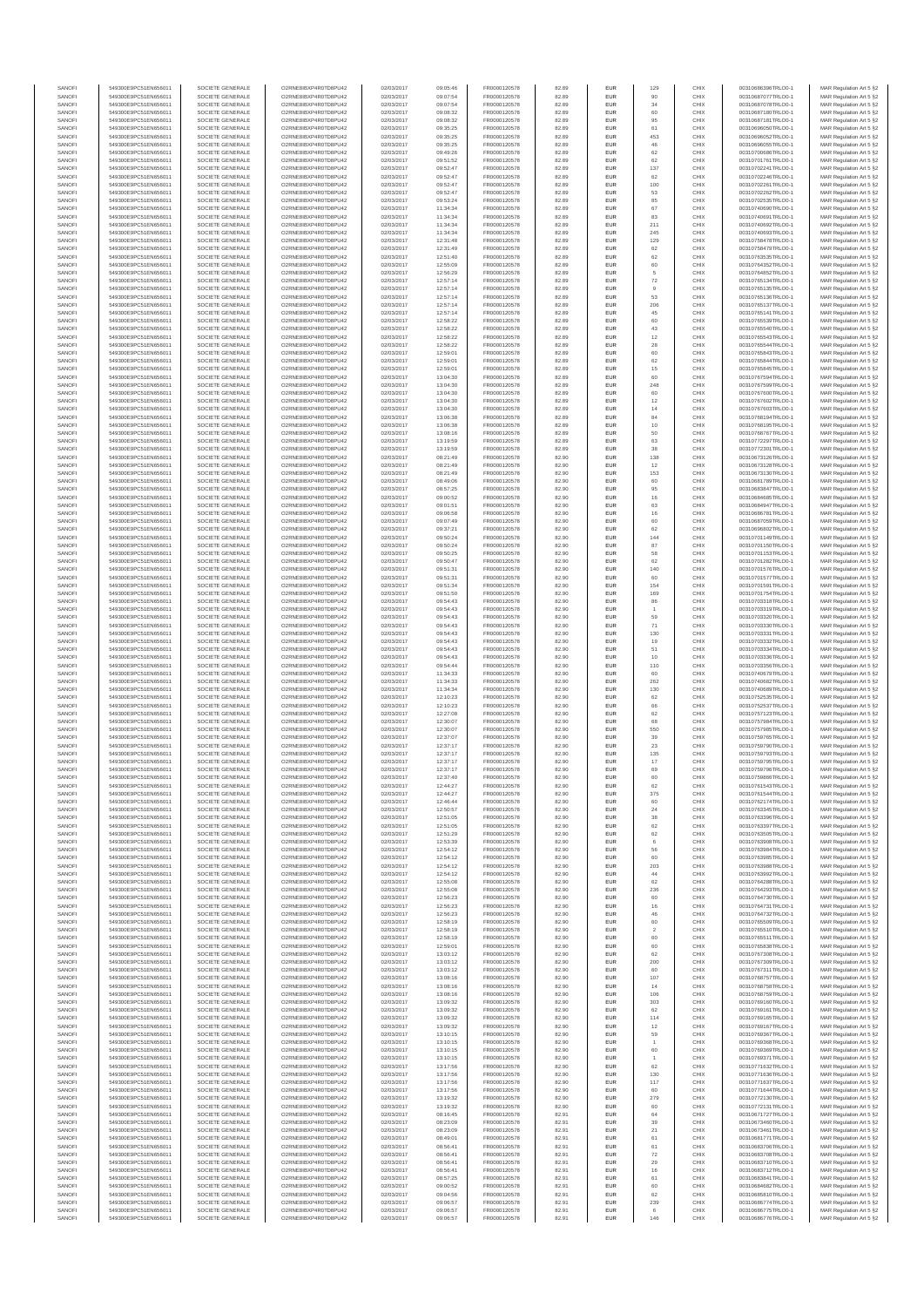| SANOFI           | 549300E9PC51EN656011                         | SOCIETE GENERALE                     | O2RNE8IBXP4R0TD8PU42                          | 02/03/2017               | 09:05:46             | FR0000120578                 | 82.89          | EUR                      | 129                  | CHIX         | 00310686396TRLO0-1                       | MAR Regulation Art 5 §2                            |
|------------------|----------------------------------------------|--------------------------------------|-----------------------------------------------|--------------------------|----------------------|------------------------------|----------------|--------------------------|----------------------|--------------|------------------------------------------|----------------------------------------------------|
| SANOFI<br>SANOFI | 549300E9PC51EN656011<br>549300E9PC51EN656011 | SOCIETE GENERALE<br>SOCIETE GENERALE | O2RNE8IBXP4R0TD8PU42<br>O2RNE8IBXP4R0TD8PU42  | 02/03/2017<br>02/03/2017 | 09:07:54<br>09:07:54 | FR0000120578                 | 82.89<br>82.89 | <b>EUR</b><br>EUR        | 90<br>34             | CHIX<br>CHIX | 00310687077TRLO0-1<br>00310687078TRLO0-1 | MAR Regulation Art 5 §2                            |
| SANOFI           | 549300E9PC51EN656011                         | SOCIETE GENERALE                     | O2RNE8IBXP4R0TD8PLI42                         | 02/03/2017               | 09:08:32             | FR0000120578<br>FR0000120578 | 82.89          | EUR                      | 60                   | CHIX         | 00310687180TRLO0-1                       | MAR Regulation Art 5 §2<br>MAR Regulation Art 5 §2 |
| SANOFI           | 549300E9PC51EN656011                         | SOCIETE GENERALE                     | O2RNE8IBXP4R0TD8PU42                          | 02/03/2017               | 09:08:32             | FR0000120578                 | 82.89          | EUR                      | 95                   | CHIX         | 00310687181TRLO0-1                       | MAR Regulation Art 5 §2                            |
| SANOFI           | 549300E9PC51EN656011                         | SOCIETE GENERALE                     | O2RNE8IBXP4R0TD8PU42                          | 02/03/2017               | 09:35:25             | FR0000120578<br>FR0000120578 | 82.89          | EUR                      | 61<br>453            | CHIX         | 00310696050TRLO0-1                       | MAR Regulation Art 5 §2                            |
| SANOFI<br>SANOFI | 549300E9PC51EN656011<br>549300E9PC51EN656011 | SOCIETE GENERALE<br>SOCIETE GENERALE | O2RNE8IBXP4R0TD8PU42<br>O2RNE8IBXP4R0TD8PU42  | 02/03/2017<br>02/03/2017 | 09:35:25<br>09:35:25 | FR0000120578                 | 82.89<br>82.89 | EUR<br>EUR               | 46                   | CHIX<br>CHIX | 00310696052TRLO0-1<br>00310696055TRLO0-1 | MAR Regulation Art 5 §2<br>MAR Regulation Art 5 §2 |
| SANOFI           | 549300E9PC51EN656011                         | SOCIETE GENERALE                     | O2RNE8IBXP4R0TD8PU42                          | 02/03/2017               | 09:49:26             | FR0000120578                 | 82.89          | <b>EUR</b>               | 62                   | CHIX         | 00310700686TRLO0-1                       | MAR Regulation Art 5 §2                            |
| SANOFI           | 549300E9PC51EN656011                         | SOCIETE GENERALE                     | O2RNE8IBXP4R0TD8PU42                          | 02/03/2017               | 09:51:52             | FR0000120578                 | 82.89          | EUR                      | 62                   | CHIX         | 00310701761TRLO0-1                       | MAR Regulation Art 5 §2                            |
| SANOFI<br>SANOFI | 549300E9PC51EN656011<br>549300E9PC51EN656011 | SOCIETE GENERALE<br>SOCIETE GENERALE | O2RNE8IBXP4R0TD8PLI42<br>O2RNE8IBXP4R0TD8PU42 | 02/03/2017<br>02/03/2017 | 09:52:47<br>09:52:47 | FR0000120578<br>FR0000120578 | 82.89<br>82.89 | EUR<br>EUR               | 137<br>62            | CHIX<br>CHIX | 00310702241TRLO0-1<br>00310702246TRLO0-1 | MAR Regulation Art 5 §2<br>MAR Regulation Art 5 §2 |
| SANOFI           | 549300E9PC51EN656011                         | SOCIETE GENERALE                     | O2RNE8IBXP4R0TD8PU42                          | 02/03/2017               | 09:52:47             | FR0000120578                 | 82.89          | EUR                      | 100                  | CHIX         | 00310702261TRLO0-1                       | MAR Regulation Art 5 §2                            |
| SANOFI           | 549300E9PC51EN656011                         | SOCIETE GENERALE                     | O2RNE8IBXP4R0TD8PU42                          | 02/03/2017               | 09:52:47             | FR0000120578                 | 82.89          | EUR                      | 53                   | CHIX         | 00310702262TRLO0-1                       | MAR Regulation Art 5 §2                            |
| SANOFI           | 549300E9PC51EN656011                         | SOCIETE GENERALE                     | O2RNE8IBXP4R0TD8PU42                          | 02/03/2017               | 09:53:24             | FR0000120578                 | 82.89          | EUR                      | 85                   | CHIX         | 00310702535TRLO0-1                       | MAR Regulation Art 5 §2                            |
| SANOFI<br>SANOFI | 549300E9PC51EN656011<br>549300E9PC51EN656011 | SOCIETE GENERALE<br>SOCIETE GENERALE | O2RNE8IBXP4R0TD8PU42<br>O2RNE8IBXP4R0TD8PU42  | 02/03/2017<br>02/03/2017 | 11:34:34<br>11:34:34 | FR0000120578<br>FR0000120578 | 82.89<br>82.89 | <b>EUR</b><br>EUR        | 67<br>83             | CHIX<br>CHIX | 00310740690TRLO0-1<br>00310740691TRLO0-1 | MAR Regulation Art 5 §2<br>MAR Regulation Art 5 §2 |
| SANOFI           | 549300E9PC51EN656011                         | SOCIETE GENERALE                     | O2RNE8IBXP4R0TD8PU42                          | 02/03/2017               | 11:34:34             | FR0000120578                 | 82.89          | <b>EUR</b>               | 211                  | CHIX         | 00310740692TRLO0-1                       | MAR Regulation Art 5 §2                            |
| SANOFI           | 549300E9PC51EN656011                         | SOCIETE GENERALE                     | O2RNE8IBXP4R0TD8PU42                          | 02/03/2017               | 11:34:34             | FR0000120578                 | 82.89          | EUR                      | 245                  | CHIX         | 00310740693TRLO0-1                       | MAR Regulation Art 5 §2                            |
| SANOFI           | 549300E9PC51EN656011                         | SOCIETE GENERALE                     | O2RNESIBXP4R0TD8PLI42                         | 02/03/2017               | 12:31:48             | FR0000120578                 | 82.89          | EUR                      | 129                  | CHIX         | 00310758478TRLO0-1                       | MAR Regulation Art 5 §2                            |
| SANOFI<br>SANOFI | 549300E9PC51EN656011<br>549300E9PC51EN656011 | SOCIETE GENERALE<br>SOCIETE GENERALE | O2RNE8IBXP4R0TD8PU42<br>O2RNE8IBXP4R0TD8PLI42 | 02/03/2017<br>02/03/2017 | 12:31:49<br>12:51:40 | FR0000120578<br>FR0000120578 | 82.89<br>82.89 | EUR<br>EUR               | 62<br>62             | CHIX<br>CHIX | 00310758479TRLO0-1<br>00310763535TRLO0-1 | MAR Regulation Art 5 §2<br>MAR Regulation Art 5 §2 |
| SANOFI           | 549300E9PC51EN656011                         | SOCIETE GENERALE                     | O2RNE8IBXP4R0TD8PU42                          | 02/03/2017               | 12:55:09             | FR0000120578                 | 82.89          | <b>EUR</b>               | 60                   | CHIX         | 00310764352TRLO0-1                       | MAR Regulation Art 5 §2                            |
| SANOFI           | 549300E9PC51EN656011                         | SOCIETE GENERALE                     | O2RNE8IBXP4R0TD8PU42                          | 02/03/2017               | 12:56:29             | FR0000120578                 | 82.89          | EUR                      |                      | CHIX         | 00310764852TRLO0-1                       | MAR Regulation Art 5 §2                            |
| SANOFI<br>SANOFI | 549300E9PC51EN656011<br>549300E9PC51EN656011 | SOCIETE GENERALE<br>SOCIETE GENERALE | O2RNE8IBXP4R0TD8PU42<br>O2RNE8IBXP4R0TD8PU42  | 02/03/2017<br>02/03/2017 | 12:57:14<br>12:57:14 | FR0000120578<br>FR0000120578 | 82.89<br>82.89 | <b>EUR</b><br>EUR        | 72                   | CHIX<br>CHIX | 00310765134TRLO0-1<br>00310765135TRLO0-1 | MAR Regulation Art 5 §2<br>MAR Regulation Art 5 §2 |
| SANOFI           | 549300E9PC51EN656011                         | SOCIETE GENERALE                     | O2RNE8IBXP4R0TD8PU42                          | 02/03/2017               | 12:57:14             | FR0000120578                 | 82.89          | <b>EUR</b>               | 53                   | CHIX         | 00310765136TRLO0-1                       | MAR Regulation Art 5 §2                            |
| SANOFI           | 549300E9PC51EN656011                         | SOCIETE GENERALE                     | O2RNE8IBXP4R0TD8PU42                          | 02/03/2017               | 12:57:14             | FR0000120578                 | 82.89          | EUR                      | 206                  | CHIX         | 00310765137TRLO0-1                       | MAR Regulation Art 5 §2                            |
| SANOFI           | 549300E9PC51EN656011                         | SOCIETE GENERALE                     | O2RNE8IBXP4R0TD8PU42                          | 02/03/2017               | 12:57:14             | FR0000120578                 | 82.89          | EUR                      | 45                   | CHIX         | 00310765141TRLO0-1                       | MAR Regulation Art 5 §2                            |
| SANOFI<br>SANOFI | 549300E9PC51EN656011<br>549300E9PC51EN656011 | SOCIETE GENERALE<br>SOCIETE GENERALE | O2RNE8IBXP4R0TD8PU42<br>O2RNE8IBXP4R0TD8PU42  | 02/03/2017<br>02/03/2017 | 12:58:22<br>12:58:22 | FR0000120578<br>FR0000120578 | 82.89<br>82.89 | EUR<br>EUR               | 60<br>43             | CHIX<br>CHIX | 00310765539TRLO0-1<br>00310765540TRLO0-1 | MAR Regulation Art 5 §2<br>MAR Regulation Art 5 §2 |
| SANOFI           | 549300E9PC51EN656011                         | SOCIETE GENERALE                     | O2RNE8IBXP4R0TD8PU42                          | 02/03/2017               | 12:58:22             | FR0000120578                 | 82.89          | <b>EUR</b>               | 12                   | CHIX         | 00310765543TRLO0-1                       | MAR Regulation Art 5 §2                            |
| SANOFI           | 549300E9PC51EN656011                         | SOCIETE GENERALE                     | O2RNE8IBXP4R0TD8PU42                          | 02/03/2017               | 12:58:22             | FR0000120578                 | 82.89          | EUR                      | 28                   | CHIX         | 00310765544TRLO0-                        | MAR Regulation Art 5 §2                            |
| SANOFI<br>SANOFI | 549300E9PC51EN656011<br>549300E9PC51EN656011 | SOCIETE GENERALE<br>SOCIETE GENERALE | O2RNE8IBXP4R0TD8PU42<br>O2RNE8IBXP4R0TD8PU42  | 02/03/2017<br>02/03/2017 | 12:59:01<br>12:59:01 | FR0000120578<br>FR0000120578 | 82.89<br>82.89 | <b>EUR</b><br>EUR        | 60<br>62             | CHIX<br>CHIX | 00310765843TRLO0-1<br>00310765844TRLO0-1 | MAR Regulation Art 5 §2<br>MAR Regulation Art 5 §2 |
| SANOFI           | 549300E9PC51EN656011                         | SOCIETE GENERALE                     | O2RNE8IBXP4R0TD8PU42                          | 02/03/2017               | 12:59:01             | FR0000120578                 | 82.89          | EUR                      | 15                   | CHIX         | 00310765845TRLO0-1                       | MAR Regulation Art 5 §2                            |
| SANOFI           | 549300E9PC51EN656011                         | SOCIETE GENERALE                     | O2RNE8IBXP4R0TD8PU42                          | 02/03/2017               | 13:04:30             | FR0000120578                 | 82.89          | EUR                      | 60                   | CHIX         | 00310767594TRLO0-1                       | MAR Regulation Art 5 §2                            |
| SANOFI<br>SANOFI | 549300E9PC51EN656011                         | SOCIETE GENERALE                     | O2RNE8IBXP4R0TD8PU42<br>O2RNE8IBXP4R0TD8PU42  | 02/03/2017               | 13:04:30             | FR0000120578                 | 82.89          | EUR                      | 248                  | CHIX<br>CHIX | 00310767599TRLO0-1<br>00310767600TRLO0-1 | MAR Regulation Art 5 §2                            |
| SANOFI           | 549300E9PC51EN656011<br>549300E9PC51EN656011 | SOCIETE GENERALE<br>SOCIETE GENERALE | O2RNE8IBXP4R0TD8PU42                          | 02/03/2017<br>02/03/2017 | 13:04:30<br>13:04:30 | FR0000120578<br>FR0000120578 | 82.89<br>82.89 | EUR<br>EUR               | 60<br>12             | CHIX         | 00310767602TRLO0-1                       | MAR Regulation Art 5 §2<br>MAR Regulation Art 5 §2 |
| SANOFI           | 549300E9PC51EN656011                         | SOCIETE GENERALE                     | O2RNE8IBXP4R0TD8PU42                          | 02/03/2017               | 13:04:30             | FR0000120578                 | 82.89          | <b>EUR</b>               | 14                   | CHIX         | 00310767603TRLO0-1                       | MAR Regulation Art 5 §2                            |
| SANOFI           | 549300E9PC51EN656011                         | SOCIETE GENERALE                     | O2RNE8IBXP4R0TD8PU42                          | 02/03/2017               | 13:06:38             | FR0000120578                 | 82.89          | EUR                      | 84                   | CHIX         | 00310768194TRLO0-1                       | MAR Regulation Art 5 §2                            |
| SANOFI<br>SANOFI | 549300E9PC51EN656011<br>549300E9PC51EN656011 | SOCIETE GENERALE<br>SOCIETE GENERALE | O2RNE8IBXP4R0TD8PLI42<br>O2RNE8IBXP4R0TD8PU42 | 02/03/2017<br>02/03/2017 | 13:06:38<br>13:08:16 | FR0000120578<br>FR0000120578 | 82.89<br>82.89 | <b>EUR</b><br>EUR        | 10<br>50             | CHIX<br>CHIX | 00310768195TRLO0-1<br>00310768767TRLO0-1 | MAR Regulation Art 5 §2<br>MAR Regulation Art 5 §2 |
| SANOFI           | 549300E9PC51EN656011                         | SOCIETE GENERALE                     | O2RNE8IBXP4R0TD8PU42                          | 02/03/2017               | 13:19:59             | FR0000120578                 | 82.89          | EUR                      | 63                   | CHIX         | 00310772297TRLO0-1                       | MAR Regulation Art 5 §2                            |
| SANOFI           | 549300E9PC51EN656011                         | SOCIETE GENERALE                     | O2RNE8IBXP4R0TD8PU42                          | 02/03/2017               | 13:19:59             | FR0000120578                 | 82.89          | EUR                      | 38                   | CHIX         | 00310772301TRLO0-1                       | MAR Regulation Art 5 §2                            |
| SANOFI           | 549300E9PC51EN656011                         | SOCIETE GENERALE                     | O2RNE8IBXP4R0TD8PLI42<br>O2RNE8IBXP4R0TD8PU42 | 02/03/2017               | 08:21:49             | FR0000120578                 | 82.90          | EUR                      | 138                  | CHIX         | 00310673126TRLO0-1                       | MAR Regulation Art 5 §2                            |
| SANOFI<br>SANOFI | 549300E9PC51EN656011<br>549300E9PC51EN656011 | SOCIETE GENERALE<br>SOCIETE GENERALE | O2RNE8IBXP4R0TD8PU42                          | 02/03/2017<br>02/03/2017 | 08:21:49<br>08:21:49 | FR0000120578<br>FR0000120578 | 82.90<br>82.90 | EUR<br>EUR               | 12<br>153            | CHIX<br>CHIX | 00310673128TRLO0-1<br>00310673130TRLO0-1 | MAR Regulation Art 5 §2<br>MAR Regulation Art 5 §2 |
| SANOFI           | 549300E9PC51EN656011                         | SOCIETE GENERALE                     | O2RNE8IBXP4R0TD8PU42                          | 02/03/2017               | 08:49:06             | FR0000120578                 | 82.90          | EUR                      | 60                   | CHIX         | 00310681789TRLO0-1                       | MAR Regulation Art 5 §2                            |
| SANOFI           | 549300E9PC51EN656011                         | SOCIETE GENERALE                     | O2RNE8IBXP4R0TD8PU42                          | 02/03/2017               | 08:57:25             | FR0000120578                 | 82.90          | EUR                      | 95                   | CHIX         | 00310683847TRLO0-1                       | MAR Regulation Art 5 §2                            |
| SANOFI<br>SANOFI | 549300E9PC51EN656011<br>549300E9PC51EN656011 | SOCIETE GENERALE<br>SOCIETE GENERALE | O2RNE8IBXP4R0TD8PU42<br>O2RNE8IBXP4R0TD8PU42  | 02/03/2017<br>02/03/2017 | 09:00:52<br>09:01:51 | FR0000120578<br>FR0000120578 | 82.90<br>82.90 | <b>EUR</b><br>EUR        | 16<br>63             | CHIX<br>CHIX | 00310684685TRLO0-1<br>00310684947TRLO0-1 | MAR Regulation Art 5 §2<br>MAR Regulation Art 5 §2 |
| SANOFI           | 549300E9PC51EN656011                         | SOCIETE GENERALE                     | O2RNE8IBXP4R0TD8PLI42                         | 02/03/2017               | 09:06:58             | FR0000120578                 | 82.90          | EUR                      | 16                   | CHIX         | 00310686781TRLO0-1                       | MAR Regulation Art 5 §2                            |
| SANOFI           | 549300E9PC51EN656011                         | SOCIETE GENERALE                     | O2RNE8IBXP4R0TD8PU42                          | 02/03/2017               | 09:07:49             | FR0000120578                 | 82.90          | EUR                      | 60                   | CHIX         | 00310687059TRLO0-1                       | MAR Regulation Art 5 §2                            |
| SANOFI           | 549300E9PC51EN656011                         | SOCIETE GENERALE                     | O2RNE8IBXP4R0TD8PU42                          | 02/03/2017               | 09:37:21             | FR0000120578                 | 82.90          | EUR                      | 62                   | CHIX         | 00310696802TRLO0-1                       | MAR Regulation Art 5 §2                            |
| SANOFI<br>SANOFI | 549300E9PC51EN656011<br>549300E9PC51EN656011 | SOCIETE GENERALE<br>SOCIETE GENERALE | O2RNE8IBXP4R0TD8PU42<br>O2RNE8IBXP4R0TD8PU42  | 02/03/2017<br>02/03/2017 | 09:50:24<br>09:50:24 | FR0000120578<br>FR0000120578 | 82.90<br>82.90 | <b>EUR</b><br>EUR        | 144<br>87            | CHIX<br>CHIX | 00310701149TRLO0-1<br>00310701150TRLO0-1 | MAR Regulation Art 5 §2<br>MAR Regulation Art 5 §2 |
| SANOFI           | 549300E9PC51EN656011                         | SOCIETE GENERALE                     | O2RNE8IBXP4R0TD8PU42                          | 02/03/2017               | 09:50:25             | FR0000120578                 | 82.90          | <b>EUR</b>               | 58                   | CHIX         | 00310701153TRLO0-1                       | MAR Regulation Art 5 §2                            |
| SANOFI           | 549300E9PC51EN656011                         | SOCIETE GENERALE                     | O2RNE8IBXP4R0TD8PU42                          | 02/03/2017               | 09:50:47             | FR0000120578                 | 82.90          | EUR                      | 62                   | CHIX         | 00310701282TRLO0-1                       | MAR Regulation Art 5 §2                            |
| SANOFI<br>SANOFI | 549300E9PC51EN656011<br>549300E9PC51EN656011 | SOCIETE GENERALE<br>SOCIETE GENERALE | O2RNE8IBXP4R0TD8PU42                          | 02/03/2017<br>02/03/2017 | 09:51:31<br>09:51:31 | FR0000120578                 | 82.90<br>82.90 | <b>EUR</b><br>EUR        | 140<br>60            | CHIX<br>CHIX | 00310701576TRLO0-1                       | MAR Regulation Art 5 §2                            |
| SANOFI           | 549300E9PC51EN656011                         | SOCIETE GENERALE                     | O2RNE8IBXP4R0TD8PU42<br>O2RNE8IBXP4R0TD8PU42  | 02/03/2017               | 09:51:34             | FR0000120578<br>FR0000120578 | 82.90          | EUR                      | 154                  | CHIX         | 00310701577TRLO0-1<br>00310701591TRLO0-1 | MAR Regulation Art 5 §2<br>MAR Regulation Art 5 §2 |
| SANOFI           | 549300E9PC51EN656011                         | SOCIETE GENERALE                     | O2RNE8IBXP4R0TD8PU42                          | 02/03/2017               | 09:51:50             | FR0000120578                 | 82.90          | EUR                      | 169                  | CHIX         | 00310701754TRLO0-1                       | MAR Regulation Art 5 §2                            |
| SANOFI           | 549300E9PC51EN656011                         | SOCIETE GENERALE                     | O2RNE8IBXP4R0TD8PU42                          | 02/03/2017               | 09:54:43             | FR0000120578                 | 82.90          | EUR                      | 86                   | CHIX         | 00310703318TRLO0-1                       | MAR Regulation Art 5 §2                            |
| SANOFI<br>SANOFI | 549300E9PC51EN656011<br>549300E9PC51EN656011 | SOCIETE GENERALE<br>SOCIETE GENERALE | O2RNE8IBXP4R0TD8PU42<br>O2RNE8IBXP4R0TD8PU42  | 02/03/2017<br>02/03/2017 | 09:54:43<br>09:54:43 | FR0000120578<br>FR0000120578 | 82.90<br>82.90 | <b>EUR</b><br>EUR        | 59                   | CHIX<br>CHIX | 00310703319TRLO0-1<br>00310703320TRLO0-1 | MAR Regulation Art 5 §2<br>MAR Regulation Art 5 §2 |
| SANOFI           | 549300E9PC51EN656011                         | SOCIETE GENERALE                     | O2RNE8IBXP4R0TD8PU42                          | 02/03/2017               | 09:54:43             | FR0000120578                 | 82.90          | <b>EUR</b>               | 71                   | CHIX         | 00310703330TRLO0-1                       | MAR Regulation Art 5 §2                            |
| SANOFI           | 549300E9PC51EN656011                         | SOCIETE GENERALE                     | O2RNE8IBXP4R0TD8PU42                          | 02/03/2017               | 09:54:43             | FR0000120578                 | 82.90          | EUR                      | 130                  | CHIX         | 00310703331TRLO0-                        | MAR Regulation Art 5 §2                            |
| SANOFI<br>SANOFI | 549300E9PC51EN656011<br>549300E9PC51EN656011 | SOCIETE GENERALE<br>SOCIETE GENERALE | O2RNE8IBXP4R0TD8PU42<br>O2RNE8IBXP4R0TD8PU42  | 02/03/2017               | 09:54:43<br>09:54:43 | FR0000120578                 | 82.90          | <b>EUR</b><br>EUR        | 19<br>51             | CHIX<br>CHIX | 00310703332TRLO0-1                       | MAR Regulation Art 5 §2                            |
| SANOFI           | 549300E9PC51EN656011                         | SOCIETE GENERALE                     | O2RNE8IBXP4R0TD8PU42                          | 02/03/2017<br>02/03/2017 | 09:54:43             | FR0000120578<br>FR0000120578 | 82.90<br>82.90 | EUR                      | 10                   | CHIX         | 00310703334TRLO0-1<br>00310703336TRLO0-1 | MAR Regulation Art 5 §2<br>MAR Regulation Art 5 §2 |
| SANOFI           | 549300E9PC51EN656011                         | SOCIETE GENERALE                     | O2RNE8IBXP4R0TD8PU42                          | 02/03/2017               | 09:54:44             | FR0000120578                 | 82.90          | EUR                      | 110                  | CHIX         | 00310703356TRLO0-1                       | MAR Regulation Art 5 §2                            |
| SANOFI           | 549300E9PC51EN656011                         | SOCIETE GENERALE                     | O2RNE8IBXP4R0TD8PU42                          | 02/03/2017               | 11:34:33             | FR0000120578                 | 82.90          | EUR                      |                      | CHIX         | 00310740679TRLO0-1                       | MAR Regulation Art 5 §2                            |
| SANOFI<br>SANOFI | 549300E9PC51EN656011<br>549300E9PC51EN656011 | SOCIETE GENERALE<br>SOCIETE GENERALE | O2RNE8IBXP4R0TD8PU42<br>O2RNE8IBXP4R0TD8PU42  | 02/03/2017<br>02/03/2017 | 11:34:33<br>11:34:34 | FR0000120578<br>FR0000120578 | 82.90<br>82.90 | <b>EUR</b><br>EUR        | 262<br>130           | CHIX<br>CHIX | 00310740682TRLO0-1<br>00310740689TRLO0-1 | MAR Regulation Art 5 §2<br>MAR Regulation Art 5 §2 |
| SANOFI           | 549300E9PC51EN656011                         | SOCIETE GENERALE                     | O2RNE8IBXP4R0TD8PU42                          | 02/03/2017               | 12:10:23             | FR0000120578                 | 82.90          | <b>EUR</b>               | 62                   | CHIX         | 00310752535TRLO0-1                       | MAR Regulation Art 5 §2                            |
| SANOFI           | 549300E9PC51EN656011                         | SOCIETE GENERALE                     | O2RNE8IBXP4R0TD8PU42                          | 02/03/2017               | 12:10:23             | FR0000120578                 | 82.90          | EUR                      | 66                   | CHIX         | 00310752537TRLO0-1                       | MAR Regulation Art 5 §2                            |
| SANOFI           | 549300E9PC51EN656011                         | SOCIETE GENERALE                     | O2RNE8IBXP4R0TD8PU42                          | 02/03/2017               | 12:27:08             | FR0000120578                 | 82.90          | EUR                      | 62                   | CHIX         | 00310757123TRLO0-1                       | MAR Regulation Art 5 §2                            |
| SANOFI<br>SANOFI | 549300E9PC51EN656011<br>549300E9PC51EN656011 | SOCIETE GENERALE<br>SOCIETE GENERALE | O2RNE8IBXP4R0TD8PU42<br>O2RNE8IBXP4R0TD8PU42  | 02/03/2017<br>02/03/2017 | 12:30:07<br>12:30:07 | FR0000120578<br>FR0000120578 | 82.90<br>82.90 | EUR<br>EUR               | 68<br>550            | CHIX<br>CHIX | 00310757984TRLO0-1<br>00310757985TRLO0-1 | MAR Regulation Art 5 §2<br>MAR Regulation Art 5 §2 |
| SANOFI           | 549300E9PC51EN656011                         | SOCIETE GENERALE                     | O2RNE8IBXP4R0TD8PU42                          | 02/03/2017               | 12:37:07             | FR0000120578                 | 82.90          | EUR                      | 39                   | CHIX         | 00310759765TRLO0-1                       | MAR Regulation Art 5 §2                            |
| SANOFI           | 549300E9PC51EN656011                         | SOCIETE GENERALE                     | O2RNE8IBXP4R0TD8PU42                          | 02/03/2017               | 12:37:17             | FR0000120578                 | 82.90          | EUR                      | $23\,$               | CHIX         | 00310759790TRLO0-1                       | MAR Regulation Art 5 §2                            |
| SANOFI           | 549300E9PC51EN656011                         | SOCIETE GENERALE                     | O2RNE8IBXP4R0TD8PU42                          | 02/03/2017               | 12:37:17             | FR0000120578                 | 82.90          | <b>EUR</b>               | 135                  | CHIX         | 00310759793TRLO0-1                       | MAR Regulation Art 5 §2                            |
| SANOFI<br>SANOFI | 549300E9PC51EN656011<br>549300E9PC51EN656011 | SOCIETE GENERALE<br>SOCIETE GENERALE | O2RNE8IBXP4R0TD8PU42<br>O2RNE8IBXP4R0TD8PU42  | 02/03/2017<br>02/03/2017 | 12:37:17<br>12:37:17 | FR0000120578<br>FR0000120578 | 82.90<br>82.90 | EUR<br>EUR               | 17<br>69             | CHIX<br>CHIX | 00310759795TRLO0-1<br>00310759796TRLO0-1 | MAR Regulation Art 5 §2<br>MAR Regulation Art 5 §2 |
| SANOFI           | 549300E9PC51EN656011                         | SOCIETE GENERALE                     | O2RNE8IBXP4R0TD8PU42                          | 02/03/2017               | 12:37:40             | FR0000120578                 | 82.90          | EUR                      | 60                   | CHIX         | 00310759866TRLO0-1                       | MAR Regulation Art 5 §2                            |
| SANOFI           | 549300E9PC51EN656011                         | SOCIETE GENERALE                     | O2RNE8IBXP4R0TD8PLI42                         | 02/03/2017               | 12:44:27             | FR0000120578                 | 82.90          | EUR                      | 62                   | CHIX         | 00310761543TRLO0-1                       | MAR Regulation Art 5 §2                            |
| SANOFI<br>SANOFI | 549300E9PC51EN656011<br>549300E9PC51EN656011 | SOCIETE GENERALE<br>SOCIETE GENERALE | O2RNE8IBXP4R0TD8PU42<br>O2RNESIBXP4R0TD8PLI42 | 02/03/2017               | 12:44:27<br>12:46:44 | FR0000120578                 | 82.90          | <b>EUR</b><br><b>EUR</b> | 375<br>60            | CHIX<br>CHIX | 00310761544TRLO0-1                       | MAR Regulation Art 5 §2                            |
| SANOFI           | 549300E9PC51EN656011                         | SOCIETE GENERALE                     | O2RNE8IBXP4R0TD8PU42                          | 02/03/2017<br>02/03/2017 | 12:50:57             | FR0000120578<br>FR0000120578 | 82.90<br>82.90 | EUR                      | 24                   | CHIX         | 00310762174TRLO0-1<br>00310763345TRLO0-1 | MAR Regulation Art 5 §2<br>MAR Regulation Art 5 §2 |
| SANOFI           | 549300E9PC51EN656011                         | SOCIETE GENERALE                     | O2RNE8IBXP4R0TD8PU42                          | 02/03/2017               | 12:51:05             | FR0000120578                 | 82.90          | EUR                      | 38                   | CHIX         | 00310763396TRLO0-1                       | MAR Regulation Art 5 §2                            |
| SANOFI           | 549300E9PC51EN656011                         | SOCIETE GENERALE                     | O2RNE8IBXP4R0TD8PU42                          | 02/03/2017               | 12:51:05             | FR0000120578                 | 82.90          | <b>EUR</b>               | 62                   | CHIX         | 00310763397TRLO0-1                       | MAR Regulation Art 5 §2                            |
| SANOFI<br>SANOFI | 549300E9PC51EN656011<br>549300E9PC51EN656011 | SOCIETE GENERALE<br>SOCIETE GENERALE | O2RNE8IBXP4R0TD8PU42<br>O2RNE8IBXP4R0TD8PU42  | 02/03/2017<br>02/03/2017 | 12:51:29<br>12:53:39 | FR0000120578<br>FR0000120578 | 82.90<br>82.90 | EUR<br><b>EUR</b>        | 62<br>6              | CHIX<br>CHIX | 00310763505TRLO0-1<br>00310763908TRLO0-1 | MAR Regulation Art 5 §2<br>MAR Regulation Art 5 §2 |
| SANOFI           | 549300E9PC51EN656011                         | SOCIETE GENERALE                     | O2RNE8IBXP4R0TD8PU42                          | 02/03/2017               | 12:54:12             | FR0000120578                 | 82.90          | EUR                      | 56                   | CHIX         | 00310763984TRLO0-1                       | MAR Regulation Art 5 §2                            |
| SANOFI           | 549300E9PC51EN656011                         | SOCIETE GENERALE                     | O2RNE8IBXP4R0TD8PU42                          | 02/03/2017               | 12:54:12             | FR0000120578                 | 82.90          | EUR                      | 60                   | CHIX         | 00310763985TRLO0-1                       | MAR Regulation Art 5 §2                            |
| SANOFI<br>SANOFI | 549300E9PC51EN656011<br>549300E9PC51EN656011 | SOCIETE GENERALE<br>SOCIETE GENERALE | O2RNE8IBXP4R0TD8PU42<br>O2RNESIBXP4R0TD8PLI42 | 02/03/2017<br>02/03/2017 | 12:54:12<br>12:54:12 | FR0000120578<br>FR0000120578 | 82.90<br>82.90 | EUR<br>EUR               | 203<br>44            | CHIX<br>CHIX | 00310763988TRLO0-1<br>00310763992TRLO0-1 | MAR Regulation Art 5 §2<br>MAR Regulation Art 5 §2 |
| SANOFI           | 549300E9PC51EN656011                         | SOCIETE GENERALE                     | O2RNE8IBXP4R0TD8PLI42                         | 02/03/2017               | 12:55:08             | FR0000120578                 | 82.90          | <b>EUR</b>               | 62                   | CHIX         | 00310764288TRLO0-1                       | MAR Regulation Art 5 §2                            |
| SANOFI           | 549300E9PC51EN656011                         | SOCIETE GENERALE                     | O2RNE8IBXP4R0TD8PU42                          | 02/03/2017               | 12:55:08             | FR0000120578                 | 82.90          | EUR                      | 236                  | CHIX         | 00310764293TRLO0-1                       | MAR Regulation Art 5 §2                            |
| SANOFI<br>SANOFI | 549300E9PC51EN656011<br>549300E9PC51EN656011 | SOCIETE GENERALE<br>SOCIETE GENERALE | O2RNE8IBXP4R0TD8PU42<br>O2RNE8IBXP4R0TD8PU42  | 02/03/2017<br>02/03/2017 | 12:56:23<br>12:56:23 | FR0000120578<br>FR0000120578 | 82.90<br>82.90 | <b>EUR</b><br>EUR        | 60<br>16             | CHIX<br>CHIX | 00310764730TRLO0-1<br>00310764731TRLO0-1 | MAR Regulation Art 5 §2<br>MAR Regulation Art 5 §2 |
| SANOFI           | 549300E9PC51EN656011                         | SOCIETE GENERALE                     | O2RNE8IBXP4R0TD8PU42                          | 02/03/2017               | 12:56:23             | FR0000120578                 | 82.90          | EUR                      | 46                   | CHIX         | 00310764732TRLO0-1                       | MAR Regulation Art 5 §2                            |
| SANOFI           | 549300E9PC51EN656011                         | SOCIETE GENERALE                     | O2RNE8IBXP4R0TD8PU42                          | 02/03/2017               | 12:58:19             | FR0000120578                 | 82.90          | EUR                      | 60                   | CHIX         | 00310765509TRLO0-1                       | MAR Regulation Art 5 §2                            |
| SANOFI<br>SANOFI | 549300E9PC51EN656011                         | SOCIETE GENERALE<br>SOCIETE GENERALE | O2RNE8IBXP4R0TD8PU42<br>O2RNE8IBXP4R0TD8PU42  | 02/03/2017               | 12:58:19             | FR0000120578                 | 82.90          | EUR                      | $\overline{2}$<br>60 | CHIX<br>CHIX | 00310765510TRLO0-1                       | MAR Regulation Art 5 §2                            |
| SANOFI           | 549300E9PC51EN656011<br>549300E9PC51EN656011 | SOCIETE GENERALE                     | O2RNE8IBXP4R0TD8PU42                          | 02/03/2017<br>02/03/2017 | 12:58:19<br>12:59:01 | FR0000120578<br>FR0000120578 | 82.90<br>82.90 | EUR<br>EUR               | 60                   | CHIX         | 00310765511TRLO0-1<br>00310765838TRLO0-1 | MAR Regulation Art 5 §2<br>MAR Regulation Art 5 §2 |
| SANOFI           | 549300E9PC51EN656011                         | SOCIETE GENERALE                     | O2RNE8IBXP4R0TD8PU42                          | 02/03/2017               | 13:03:12             | FR0000120578                 | 82.90          | <b>EUR</b>               | 62                   | CHIX         | 00310767308TRLO0-1                       | MAR Regulation Art 5 §2                            |
| SANOFI<br>SANOFI | 549300E9PC51EN656011<br>549300E9PC51EN656011 | SOCIETE GENERALE<br>SOCIETE GENERALE | O2RNE8IBXP4R0TD8PU42<br>O2RNE8IBXP4R0TD8PLI42 | 02/03/2017<br>02/03/2017 | 13:03:12<br>13:03:12 | FR0000120578<br>FR0000120578 | 82.90<br>82.90 | EUR<br><b>EUR</b>        | 200<br>60            | CHIX<br>CHIX | 00310767309TRLO0-1<br>00310767311TRLO0-1 | MAR Regulation Art 5 §2<br>MAR Regulation Art 5 §2 |
| SANOFI           | 549300E9PC51EN656011                         | SOCIETE GENERALE                     | O2RNE8IBXP4R0TD8PU42                          | 02/03/2017               | 13:08:16             | FR0000120578                 | 82.90          | EUR                      | 107                  | CHIX         | 00310768757TRLO0-1                       | MAR Regulation Art 5 \$2                           |
| SANOFI           | 549300E9PC51EN656011                         | SOCIETE GENERALE                     | O2RNE8IBXP4R0TD8PU42                          | 02/03/2017               | 13:08:16             | FR0000120578                 | 82.90          | <b>EUR</b>               | 14                   | CHIX         | 00310768758TRLO0-1                       | MAR Regulation Art 5 §2                            |
| SANOFI           | 549300E9PC51EN656011                         | SOCIETE GENERALE                     | O2RNE8IBXP4R0TD8PU42                          | 02/03/2017               | 13:08:16             | FR0000120578                 | 82.90          | EUR<br>EUR               | 106                  | CHIX         | 00310768759TRLO0-1                       | MAR Regulation Art 5 §2                            |
| SANOFI<br>SANOFI | 549300E9PC51EN656011<br>549300E9PC51EN656011 | SOCIETE GENERALE<br>SOCIETE GENERALE | O2RNE8IBXP4R0TD8PU42<br>O2RNE8IBXP4R0TD8PU42  | 02/03/2017<br>02/03/2017 | 13:09:32<br>13:09:32 | FR0000120578                 | 82.90<br>82.90 | EUR                      | 303<br>62            | CHIX<br>CHIX | 00310769160TRLO0-1<br>00310769161TRLO0-1 | MAR Regulation Art 5 §2                            |
| SANOFI           | 549300E9PC51EN656011                         | SOCIETE GENERALE                     | O2RNE8IBXP4R0TD8PU42                          | 02/03/2017               | 13:09:32             | FR0000120578<br>FR0000120578 | 82.90          | EUR                      | 114                  | CHIX         | 00310769165TRLO0-1                       | MAR Regulation Art 5 §2<br>MAR Regulation Art 5 §2 |
| SANOFI           | 549300E9PC51EN656011                         | SOCIETE GENERALE                     | O2RNE8IBXP4R0TD8PU42                          | 02/03/2017               | 13:09:32             | FR0000120578                 | 82.90          | <b>EUR</b>               | 12                   | CHIX         | 00310769167TRLO0-1                       | MAR Regulation Art 5 §2                            |
| SANOFI<br>SANOFI | 549300E9PC51EN656011<br>549300E9PC51EN656011 | SOCIETE GENERALE<br>SOCIETE GENERALE | O2RNE8IBXP4R0TD8PU42<br>O2RNE8IBXP4R0TD8PU42  | 02/03/2017<br>02/03/2017 | 13:10:15<br>13:10:15 | FR0000120578<br>FR0000120578 | 82.90<br>82.90 | EUR<br><b>EUR</b>        | 59                   | CHIX<br>CHIX | 00310769367TRLO0-1<br>00310769368TRLO0-1 | MAR Regulation Art 5 §2                            |
| SANOFI           | 549300E9PC51EN656011                         | SOCIETE GENERALE                     | O2RNE8IBXP4R0TD8PU42                          | 02/03/2017               | 13:10:15             | FR0000120578                 | 82.90          | EUR                      | 60                   | CHIX         | 00310769369TRLO0-1                       | MAR Regulation Art 5 §2<br>MAR Regulation Art 5 §2 |
| SANOFI           | 549300E9PC51EN656011                         | SOCIETE GENERALE                     | O2RNE8IBXP4R0TD8PU42                          | 02/03/2017               | 13:10:15             | FR0000120578                 | 82.90          | EUR                      | $\overline{1}$       | CHIX         | 00310769371TRLO0-1                       | MAR Regulation Art 5 §2                            |
| SANOFI           | 549300E9PC51EN656011                         | SOCIETE GENERALE                     | O2RNE8IBXP4R0TD8PU42                          | 02/03/2017               | 13:17:56             | FR0000120578                 | 82.90          | EUR                      | 62                   | CHIX         | 00310771632TRLO0-1                       | MAR Regulation Art 5 §2                            |
| SANOFI<br>SANOFI | 549300E9PC51EN656011<br>549300E9PC51EN656011 | SOCIETE GENERALE<br>SOCIETE GENERALE | O2RNE8IBXP4R0TD8PU42<br>O2RNE8IBXP4R0TD8PU42  | 02/03/2017<br>02/03/2017 | 13:17:56<br>13:17:56 | FR0000120578<br>FR0000120578 | 82.90          | EUR<br>EUR               | 130<br>117           | CHIX<br>CHIX | 00310771636TRLO0-1<br>00310771637TRLO0-1 | MAR Regulation Art 5 §2                            |
| SANOFI           | 549300E9PC51EN656011                         | SOCIETE GENERALE                     | O2RNE8IBXP4R0TD8PU42                          | 02/03/2017               | 13:17:56             | FR0000120578                 | 82.90<br>82.90 | EUR                      | 60                   | CHIX         | 00310771644TRLO0-1                       | MAR Regulation Art 5 §2<br>MAR Regulation Art 5 §2 |
| SANOFI           | 549300E9PC51EN656011                         | SOCIETE GENERALE                     | O2RNE8IBXP4R0TD8PU42                          | 02/03/2017               | 13:19:32             | FR0000120578                 | 82.90          | <b>EUR</b>               | 279                  | CHIX         | 00310772130TRLO0-1                       | MAR Regulation Art 5 §2                            |
| SANOFI           | 549300E9PC51EN656011                         | SOCIETE GENERALE                     | O2RNE8IBXP4R0TD8PU42                          | 02/03/2017               | 13:19:32             | FR0000120578                 | 82.90          | EUR                      | 60                   | CHIX         | 00310772131TRLO0-1                       | MAR Regulation Art 5 §2                            |
| SANOFI<br>SANOFI | 549300E9PC51EN656011<br>549300E9PC51EN656011 | SOCIETE GENERALE<br>SOCIETE GENERALE | O2RNE8IBXP4R0TD8PU42<br>O2RNE8IBXP4R0TD8PU42  | 02/03/2017<br>02/03/2017 | 08:16:45<br>08:23:09 | FR0000120578<br>FR0000120578 | 82.91<br>82.91 | EUR<br>EUR               | 64<br>39             | CHIX<br>CHIX | 00310671727TRLO0-1<br>00310673460TRLO0-1 | MAR Regulation Art 5 §2<br>MAR Regulation Art 5 §2 |
| SANOFI           | 549300E9PC51EN656011                         | SOCIETE GENERALE                     | O2RNE8IBXP4R0TD8PU42                          | 02/03/2017               | 08:23:09             | FR0000120578                 | 82.91          | EUR                      | 21                   | CHIX         | 00310673461TRLO0-1                       | MAR Regulation Art 5 §2                            |
| SANOFI           | 549300E9PC51EN656011                         | SOCIETE GENERALE                     | O2RNE8IBXP4R0TD8PU42                          | 02/03/2017               | 08:49:01             | FR0000120578                 | 82.91          | EUR                      | 61                   | CHIX         | 00310681771TRLO0-1                       | MAR Regulation Art 5 §2                            |
| SANOFI<br>SANOFI | 549300E9PC51EN656011<br>549300E9PC51EN656011 | SOCIETE GENERALE<br>SOCIETE GENERALE | O2RNE8IBXP4R0TD8PU42<br>O2RNE8IBXP4R0TD8PU42  | 02/03/2017<br>02/03/2017 | 08:56:41<br>08:56:41 | FR0000120578<br>FR0000120578 | 82.91<br>82.91 | EUR<br><b>EUR</b>        | $61\,$               | CHIX<br>CHIX | 00310683706TRLO0-1<br>00310683708TRLO0-1 | MAR Regulation Art 5 §2                            |
| SANOFI           | 549300E9PC51EN656011                         | SOCIETE GENERALE                     | O2RNE8IBXP4R0TD8PU42                          | 02/03/2017               | 08:56:41             | FR0000120578                 | 82.91          | EUR                      | 72<br>29             | CHIX         | 00310683710TRLO0-1                       | MAR Regulation Art 5 §2<br>MAR Regulation Art 5 §2 |
| SANOFI           | 549300E9PC51EN656011                         | SOCIETE GENERALE                     | O2RNE8IBXP4R0TD8PU42                          | 02/03/2017               | 08:56:41             | FR0000120578                 | 82.91          | <b>EUR</b>               | 16                   | CHIX         | 00310683712TRLO0-1                       | MAR Regulation Art 5 §2                            |
| SANOFI           | 549300E9PC51EN656011                         | SOCIETE GENERALE                     | O2RNE8IBXP4R0TD8PU42                          | 02/03/2017               | 08:57:25             | FR0000120578                 | 82.91          | EUR                      | 61                   | CHIX         | 00310683841TRLO0-1                       | MAR Regulation Art 5 §2                            |
| SANOFI<br>SANOFI | 549300E9PC51EN656011<br>549300E9PC51EN656011 | SOCIETE GENERALE<br>SOCIETE GENERALE | O2RNE8IBXP4R0TD8PU42<br>O2RNE8IBXP4R0TD8PU42  | 02/03/2017<br>02/03/2017 | 09:00:52<br>09:04:56 | FR0000120578<br>FR0000120578 | 82.91<br>82.91 | EUR<br>EUR               | 60<br>62             | CHIX<br>CHIX | 00310684682TRLO0-1<br>00310685810TRLO0-1 | MAR Regulation Art 5 §2<br>MAR Regulation Art 5 §2 |
| SANOFI           | 549300E9PC51EN656011                         | SOCIETE GENERALE                     | O2RNE8IBXP4R0TD8PU42                          | 02/03/2017               | 09:06:57             | FR0000120578                 | 82.91          | EUR                      | 239                  | CHIX         | 00310686774TRLO0-1                       | MAR Regulation Art 5 §2                            |
| SANOFI           | 549300E9PC51EN656011                         | SOCIETE GENERALE                     | O2RNE8IBXP4R0TD8PU42                          | 02/03/2017               | 09:06:57             | FR0000120578                 | 82.91          | EUR                      | 6                    | CHIX         | 00310686775TRLO0-1                       | MAR Regulation Art 5 §2                            |
| SANOFI           | 549300E9PC51EN656011                         | SOCIETE GENERALE                     | O2RNE8IBXP4R0TD8PU42                          | 02/03/2017               | 09:06:57             | FR0000120578                 | 82.91          | EUR                      | 146                  | CHIX         | 00310686776TRLO0-1                       | MAR Regulation Art 5 §2                            |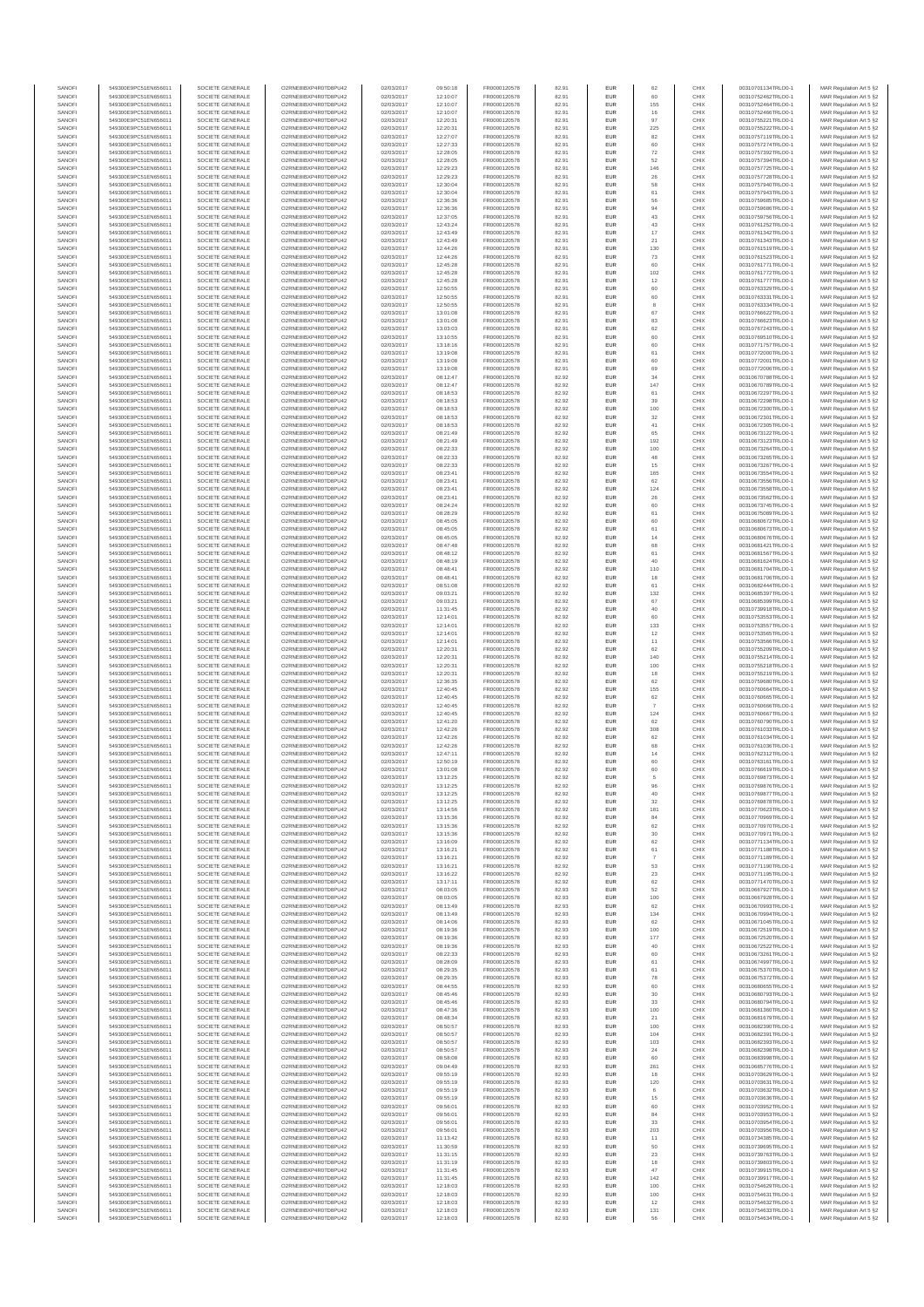| SANOF            | 549300E9PC51EN656011                         | SOCIETE GENERALE                     | O2RNE8IBXP4R0TD8PU42                          | 02/03/2017               | 09:50:18             | FR0000120578                 | 82.91          | EUR               | 62                   | CHIX         | 00310701134TRLO0-1                       | MAR Regulation Art 5 §2                            |
|------------------|----------------------------------------------|--------------------------------------|-----------------------------------------------|--------------------------|----------------------|------------------------------|----------------|-------------------|----------------------|--------------|------------------------------------------|----------------------------------------------------|
| SANOFI<br>SANOFI | 549300E9PC51EN656011<br>549300E9PC51EN656011 | SOCIETE GENERALE<br>SOCIETE GENERALE | O2RNE8IBXP4R0TD8PU42                          | 02/03/2017<br>02/03/2017 | 12:10:07             | FR0000120578<br>FR0000120578 | 82.91          | EUR<br>EUR        | 60<br>155            | CHIX<br>CHIX | 00310752462TRLO0-1                       | MAR Regulation Art 5 §2                            |
| SANOFI           | 549300E9PC51EN656011                         | SOCIETE GENERALE                     | O2RNE8IBXP4R0TD8PU42<br>O2RNE8IBXP4R0TD8PU42  | 02/03/2017               | 12:10:07<br>12:10:07 | FR0000120578                 | 82.91<br>82.91 | EUR               | 16                   | CHIX         | 00310752464TRLO0-1<br>00310752466TRLO0-1 | MAR Regulation Art 5 §2<br>MAR Regulation Art 5 §2 |
| SANOFI           | 549300E9PC51EN656011                         | SOCIETE GENERALE                     | O2RNE8IBXP4R0TD8PU42                          | 02/03/2017               | 12:20:31             | FR0000120578                 | 82.91          | EUR               | 97                   | CHIX         | 00310755221TRLO0-1                       | MAR Regulation Art 5 §2                            |
| SANOFI           | 549300E9PC51EN656011                         | SOCIETE GENERALE                     | O2RNE8IBXP4R0TD8PU42                          | 02/03/2017               | 12:20:31             | FR0000120578                 | 82.91          | EUR               | 225                  | CHIX         | 00310755222TRLO0-1                       | MAR Regulation Art 5 §2                            |
| SANOFI<br>SANOFI | 549300E9PC51EN656011<br>549300E9PC51EN656011 | SOCIETE GENERALE<br>SOCIETE GENERALE | O2RNE8IBXP4R0TD8PLI42<br>O2RNE8IBXP4R0TD8PU42 | 02/03/2017<br>02/03/2017 | 12:27:07<br>12:27:33 | FR0000120578<br>FR0000120578 | 82.91<br>82.91 | EUR<br>EUR        | 82<br>60             | CHIX<br>CHIX | 00310757119TRLO0-1<br>00310757274TRLO0-1 | MAR Regulation Art 5 §2<br>MAR Regulation Art 5 §2 |
| SANOFI           | 549300E9PC51EN656011                         | SOCIETE GENERALE                     | O2RNE8IBXP4R0TD8PU42                          | 02/03/2017               | 12:28:05             | FR0000120578                 | 82.91          | EUR               | 72                   | CHIX         | 00310757392TRLO0-1                       | MAR Regulation Art 5 §2                            |
| SANOFI           | 549300E9PC51EN656011                         | SOCIETE GENERALE                     | O2RNE8IBXP4R0TD8PU42                          | 02/03/2017               | 12:28:05             | FR0000120578                 | 82.91          | EUR               | 52                   | CHIX         | 00310757394TRLO0-1                       | MAR Regulation Art 5 §2                            |
| SANOFI<br>SANOFI | 549300E9PC51EN656011<br>549300E9PC51EN656011 | SOCIETE GENERALE<br>SOCIETE GENERALE | O2RNE8IBXP4R0TD8PU42<br>O2RNE8IBXP4R0TD8PU42  | 02/03/2017<br>02/03/2017 | 12:29:23<br>12:29:23 | FR0000120578<br>FR0000120578 | 82.91<br>82.91 | EUR<br>EUR        | 146<br>26            | CHIX<br>CHIX | 00310757725TRLO0-1<br>00310757728TRLO0-1 | MAR Regulation Art 5 §2<br>MAR Regulation Art 5 §2 |
| SANOFI           | 549300E9PC51EN656011                         | SOCIETE GENERALE                     | O2RNE8IBXP4R0TD8PU42                          | 02/03/2017               | 12:30:04             | FR0000120578                 | 82.91          | EUR               | 58                   | CHIX         | 00310757940TRLO0-1                       | MAR Regulation Art 5 §2                            |
| SANOFI           | 549300E9PC51EN656011                         | SOCIETE GENERALE                     | O2RNE8IBXP4R0TD8PU42                          | 02/03/2017               | 12:30:04             | FR0000120578                 | 82.91          | EUR               | 61                   | CHIX         | 00310757943TRLO0-1                       | MAR Regulation Art 5 §2                            |
| SANOFI           | 549300E9PC51EN656011                         | SOCIETE GENERALE                     | O2RNE8IBXP4R0TD8PU42                          | 02/03/2017               | 12:36:36             | FR0000120578                 | 82.91          | EUR               | 56                   | CHIX         | 00310759685TRLO0-1                       | MAR Regulation Art 5 §2                            |
| SANOFI<br>SANOFI | 549300E9PC51EN656011<br>549300E9PC51EN656011 | SOCIETE GENERALE<br>SOCIETE GENERALE | O2RNE8IBXP4R0TD8PU42<br>O2RNE8IBXP4R0TD8PU42  | 02/03/2017<br>02/03/2017 | 12:36:36<br>12:37:05 | FR0000120578<br>FR0000120578 | 82.91<br>82.91 | EUR<br>EUR        | 94<br>43             | CHIX<br>CHIX | 00310759686TRLO0-1<br>00310759756TRLO0-1 | MAR Regulation Art 5 §2<br>MAR Regulation Art 5 §2 |
| SANOFI           | 549300E9PC51EN656011                         | SOCIETE GENERALE                     | O2RNE8IBXP4R0TD8PU42                          | 02/03/2017               | 12:43:24             | FR0000120578                 | 82.91          | EUR               | 43                   | CHIX         | 00310761252TRLO0-1                       | MAR Regulation Art 5 §2                            |
| SANOFI           | 549300E9PC51EN656011                         | SOCIETE GENERALE                     | O2RNE8IBXP4R0TD8PU42                          | 02/03/2017               | 12:43:49             | FR0000120578                 | 82.91          | EUR               | $17$                 | CHIX         | 00310761342TRLO0-1                       | MAR Regulation Art 5 §2                            |
| SANOFI           | 549300E9PC51EN656011                         | SOCIETE GENERALE                     | O2RNE8IBXP4R0TD8PU42                          | 02/03/2017               | 12:43:49             | FR0000120578                 | 82.91          | EUR               | 21                   | CHIX         | 00310761343TRLO0-1                       | MAR Regulation Art 5 §2                            |
| SANOFI<br>SANOFI | 549300E9PC51EN656011<br>549300E9PC51EN656011 | SOCIETE GENERALE<br>SOCIETE GENERALE | O2RNE8IBXP4R0TD8PU42<br>O2RNE8IBXP4R0TD8PU42  | 02/03/2017<br>02/03/2017 | 12:44:26<br>12:44:26 | FR0000120578<br>FR0000120578 | 82.91<br>82.91 | EUR<br>EUR        | 130<br>$\mathbf{73}$ | CHIX<br>CHIX | 00310761519TRLO0-1<br>00310761523TRLO0-1 | MAR Regulation Art 5 §2<br>MAR Regulation Art 5 §2 |
| SANOFI           | 549300E9PC51EN656011                         | SOCIETE GENERALE                     | O2RNE8IBXP4R0TD8PU42                          | 02/03/2017               | 12:45:28             | FR0000120578                 | 82.91          | EUR               | 60                   | CHIX         | 00310761771TRLO0-1                       | MAR Regulation Art 5 §2                            |
| SANOFI           | 549300E9PC51EN656011                         | SOCIETE GENERALE                     | O2RNE8IBXP4R0TD8PU42                          | 02/03/2017               | 12:45:28             | FR0000120578                 | 82.91          | EUR               | 102                  | CHIX         | 00310761772TRLO0-1                       | MAR Regulation Art 5 §2                            |
| SANOFI<br>SANOFI | 549300E9PC51EN656011<br>549300E9PC51EN656011 | SOCIETE GENERALE<br>SOCIETE GENERALE | O2RNE8IBXP4R0TD8PU42<br>O2RNE8IBXP4R0TD8PU42  | 02/03/2017<br>02/03/2017 | 12:45:28<br>12:50:55 | FR0000120578<br>FR0000120578 | 82.91<br>82.91 | EUR<br>EUR        | 12<br>60             | CHIX<br>CHIX | 00310761777TRLO0-1<br>00310763329TRLO0-1 | MAR Regulation Art 5 §2<br>MAR Regulation Art 5 §2 |
| SANOFI           | 549300E9PC51EN656011                         | SOCIETE GENERALE                     | O2RNE8IBXP4R0TD8PU42                          | 02/03/2017               | 12:50:55             | FR0000120578                 | 82.91          | EUR               | 60                   | CHIX         | 00310763331TRLO0-1                       | MAR Regulation Art 5 §2                            |
| SANOFI           | 549300E9PC51EN656011                         | SOCIETE GENERALE                     | O2RNE8IBXP4R0TD8PU42                          | 02/03/2017               | 12:50:55             | FR0000120578                 | 82.91          | EUR               | 8                    | CHIX         | 00310763334TRLO0-1                       | MAR Regulation Art 5 §2                            |
| SANOFI           | 549300E9PC51EN656011                         | SOCIETE GENERALE                     | O2RNE8IBXP4R0TD8PU42                          | 02/03/2017               | 13:01:08             | FR0000120578                 | 82.91          | EUR               | 67                   | CHIX         | 00310766622TRLO0-1                       | MAR Regulation Art 5 §2                            |
| SANOFI<br>SANOFI | 549300E9PC51EN656011<br>549300E9PC51EN656011 | SOCIETE GENERALE<br>SOCIETE GENERALE | O2RNE8IBXP4R0TD8PU42<br>O2RNE8IBXP4R0TD8PU42  | 02/03/2017<br>02/03/2017 | 13:01:08<br>13:03:03 | FR0000120578<br>FR0000120578 | 82.91<br>82.91 | EUR<br>EUR        | 83<br>62             | CHIX<br>CHIX | 00310766623TRLO0-1<br>00310767243TRLO0-1 | MAR Regulation Art 5 §2<br>MAR Regulation Art 5 §2 |
| SANOFI           | 549300E9PC51EN656011                         | SOCIETE GENERALE                     | O2RNE8IBXP4R0TD8PU42                          | 02/03/2017               | 13:10:55             | FR0000120578                 | 82.91          | EUR               | 60                   | CHIX         | 00310769510TRLO0-1                       | MAR Regulation Art 5 §2                            |
| SANOFI           | 549300E9PC51EN656011                         | SOCIETE GENERALE                     | O2RNE8IBXP4R0TD8PU42                          | 02/03/2017               | 13:18:16             | FR0000120578                 | 82.91          | EUR               | 60                   | CHIX         | 00310771757TRLO0-1                       | MAR Regulation Art 5 §2                            |
| SANOFI<br>SANOFI | 549300E9PC51EN656011<br>549300E9PC51EN656011 | SOCIETE GENERALE<br>SOCIETE GENERALE | O2RNE8IBXP4R0TD8PU42<br>O2RNE8IBXP4R0TD8PU42  | 02/03/2017<br>02/03/2017 | 13:19:08<br>13:19:08 | FR0000120578<br>FR0000120578 | 82.91<br>82.91 | <b>EUR</b><br>EUR | 61<br>60             | CHIX<br>CHIX | 00310772000TRLO0-1<br>00310772001TRLO0-1 | MAR Regulation Art 5 §2<br>MAR Regulation Art 5 §2 |
| SANOFI           | 549300E9PC51EN656011                         | SOCIETE GENERALE                     | O2RNE8IBXP4R0TD8PU42                          | 02/03/2017               | 13:19:08             | FR0000120578                 | 82.91          | EUR               | 69                   | CHIX         | 00310772006TRLO0-1                       | MAR Regulation Art 5 §2                            |
| SANOFI           | 549300E9PC51EN656011                         | SOCIETE GENERALE                     | O2RNE8IBXP4R0TD8PU42                          | 02/03/2017               | 08:12:47             | FR0000120578                 | 82.92          | EUR               | 34                   | CHIX         | 00310670788TRLO0-1                       | MAR Regulation Art 5 §2                            |
| SANOFI           | 549300E9PC51EN656011                         | SOCIETE GENERALE                     | O2RNE8IBXP4R0TD8PU42                          | 02/03/2017               | 08:12:47             | FR0000120578                 | 82.92          | EUR               | 147                  | CHIX         | 00310670789TRLO0-1                       | MAR Regulation Art 5 §2                            |
| SANOFI<br>SANOFI | 549300E9PC51EN656011<br>549300E9PC51EN656011 | SOCIETE GENERALE<br>SOCIETE GENERALE | O2RNE8IBXP4R0TD8PU42<br>O2RNE8IBXP4R0TD8PU42  | 02/03/2017<br>02/03/2017 | 08:18:53<br>08:18:53 | FR0000120578<br>FR0000120578 | 82.92<br>82.92 | EUR<br>EUR        | 61<br>39             | CHIX<br>CHIX | 00310672297TRLO0-1<br>00310672298TRLO0-1 | MAR Regulation Art 5 §2<br>MAR Regulation Art 5 §2 |
| SANOFI           | 549300E9PC51EN656011                         | SOCIETE GENERALE                     | O2RNE8IBXP4R0TD8PU42                          | 02/03/2017               | 08:18:53             | FR0000120578                 | 82.92          | <b>EUR</b>        | 100                  | CHIX         | 00310672300TRLO0-1                       | MAR Regulation Art 5 §2                            |
| SANOFI           | 549300E9PC51EN656011                         | SOCIETE GENERALE                     | O2RNE8IBXP4R0TD8PU42                          | 02/03/2017               | 08:18:53             | FR0000120578                 | 82.92          | EUR               | 32                   | CHIX         | 00310672301TRLO0-1                       | MAR Regulation Art 5 §2                            |
| SANOFI<br>SANOFI | 549300E9PC51EN656011<br>549300E9PC51EN656011 | SOCIETE GENERALE<br>SOCIETE GENERALE | O2RNE8IBXP4R0TD8PU42<br>O2RNE8IBXP4R0TD8PU42  | 02/03/2017<br>02/03/2017 | 08:18:53<br>08:21:49 | FR0000120578<br>FR0000120578 | 82.92<br>82.92 | EUR<br>EUR        | 41<br>65             | CHIX<br>CHIX | 00310672305TRLO0-1<br>00310673122TRLO0-1 | MAR Regulation Art 5 §2<br>MAR Regulation Art 5 §2 |
| SANOFI           | 549300E9PC51EN656011                         | SOCIETE GENERALE                     | O2RNE8IBXP4R0TD8PU42                          | 02/03/2017               | 08:21:49             | FR0000120578                 | 82.92          | EUR               | 192                  | CHIX         | 00310673123TRLO0-1                       | MAR Regulation Art 5 §2                            |
| SANOFI           | 549300E9PC51EN656011                         | SOCIETE GENERALE                     | O2RNE8IBXP4R0TD8PU42                          | 02/03/2017               | 08:22:33             | FR0000120578                 | 82.92          | EUR               | 100                  | CHIX         | 00310673264TRLO0-1                       | MAR Regulation Art 5 §2                            |
| SANOFI           | 549300E9PC51EN656011                         | SOCIETE GENERALE                     | O2RNE8IBXP4R0TD8PU42                          | 02/03/2017               | 08:22:33             | FR0000120578                 | 82.92          | EUR               | $48\,$               | CHIX         | 00310673265TRLO0-1                       | MAR Regulation Art 5 §2                            |
| SANOFI<br>SANOFI | 549300E9PC51EN656011<br>549300E9PC51EN656011 | SOCIETE GENERALE<br>SOCIETE GENERALE | O2RNE8IBXP4R0TD8PU42<br>O2RNE8IBXP4R0TD8PU42  | 02/03/2017<br>02/03/2017 | 08:22:33<br>08:23:41 | FR0000120578<br>FR0000120578 | 82.92<br>82.92 | EUR<br>EUR        | 15<br>165            | CHIX<br>CHIX | 00310673267TRLO0-1<br>00310673554TRLO0-1 | MAR Regulation Art 5 §2<br>MAR Regulation Art 5 §2 |
| SANOFI           | 549300E9PC51EN656011                         | SOCIETE GENERALE                     | O2RNE8IBXP4R0TD8PU42                          | 02/03/2017               | 08:23:41             | FR0000120578                 | 82.92          | EUR               | 62                   | CHIX         | 00310673556TRLO0-1                       | MAR Regulation Art 5 §2                            |
| SANOFI           | 549300E9PC51EN656011                         | SOCIETE GENERALE                     | O2RNE8IBXP4R0TD8PU42                          | 02/03/2017               | 08:23:41             | FR0000120578                 | 82.92          | EUR               | 124                  | CHIX         | 00310673558TRLO0-1                       | MAR Regulation Art 5 §2                            |
| SANOFI           | 549300E9PC51EN656011                         | SOCIETE GENERALE                     | O2RNE8IBXP4R0TD8PU42                          | 02/03/2017               | 08:23:41             | FR0000120578                 | 82.92          | EUR               | 26                   | CHIX         | 00310673562TRLO0-1                       | MAR Regulation Art 5 §2                            |
| SANOFI<br>SANOFI | 549300E9PC51EN656011<br>549300E9PC51EN656011 | SOCIETE GENERALE<br>SOCIETE GENERALE | O2RNE8IBXP4R0TD8PU42<br>O2RNE8IBXP4R0TD8PU42  | 02/03/2017<br>02/03/2017 | 08:24:24<br>08:28:29 | FR0000120578<br>FR0000120578 | 82.92<br>82.92 | EUR<br>EUR        | 60<br>61             | CHIX<br>CHIX | 00310673745TRLO0-1<br>00310675089TRLO0-1 | MAR Regulation Art 5 §2<br>MAR Regulation Art 5 §2 |
| SANOFI           | 549300E9PC51EN656011                         | SOCIETE GENERALE                     | O2RNESIBXP4R0TD8PLI42                         | 02/03/2017               | 08:45:05             | FR0000120578                 | 82.92          | EUR               | 60                   | CHIX         | 00310680672TRLO0-1                       | MAR Regulation Art 5 §2                            |
| SANOFI           | 549300E9PC51EN656011                         | SOCIETE GENERALE                     | O2RNE8IBXP4R0TD8PU42                          | 02/03/2017               | 08:45:05             | FR0000120578                 | 82.92          | EUR               | 61                   | CHIX         | 00310680673TRLO0-1                       | MAR Regulation Art 5 §2                            |
| SANOFI           | 549300E9PC51EN656011                         | SOCIETE GENERALE                     | O2RNE8IBXP4R0TD8PU42                          | 02/03/2017               | 08:45:05             | FR0000120578                 | 82.92          | EUR               | 14                   | CHIX         | 00310680676TRLO0-1                       | MAR Regulation Art 5 §2                            |
| SANOFI<br>SANOFI | 549300E9PC51EN656011<br>549300E9PC51EN656011 | SOCIETE GENERALE<br>SOCIETE GENERALE | O2RNE8IBXP4R0TD8PU42<br>O2RNE8IBXP4R0TD8PU42  | 02/03/2017<br>02/03/2017 | 08:47:48<br>08:48:12 | FR0000120578<br>FR0000120578 | 82.92<br>82.92 | EUR<br>EUR        | 68<br>61             | CHIX<br>CHIX | 00310681421TRLO0-1<br>00310681567TRLO0-1 | MAR Regulation Art 5 §2<br>MAR Regulation Art 5 §2 |
| SANOFI           | 549300E9PC51EN656011                         | SOCIETE GENERALE                     | O2RNE8IBXP4R0TD8PU42                          | 02/03/2017               | 08:48:19             | FR0000120578                 | 82.92          | EUR               | 40                   | CHIX         | 00310681624TRLO0-1                       | MAR Regulation Art 5 §2                            |
| SANOFI           | 549300E9PC51EN656011                         | SOCIETE GENERALE                     | O2RNE8IBXP4R0TD8PU42                          | 02/03/2017               | 08:48:41             | FR0000120578                 | 82.92          | EUR               | 110                  | CHIX         | 00310681704TRLO0-1                       | MAR Regulation Art 5 §2                            |
| SANOFI<br>SANOFI | 549300E9PC51EN656011<br>549300E9PC51EN656011 | SOCIETE GENERALE                     | O2RNE8IBXP4R0TD8PU42<br>O2RNE8IBXP4R0TD8PU42  | 02/03/2017               | 08:48:41             | FR0000120578<br>FR0000120578 | 82.92<br>82.92 | EUR               | 18<br>61             | CHIX<br>CHIX | 00310681706TRLO0-1                       | MAR Regulation Art 5 §2<br>MAR Regulation Art 5 §2 |
| SANOFI           | 549300E9PC51EN656011                         | SOCIETE GENERALE<br>SOCIETE GENERALE | O2RNE8IBXP4R0TD8PU42                          | 02/03/2017<br>02/03/2017 | 08:51:08<br>09:03:21 | FR0000120578                 | 82.92          | EUR<br>EUR        | 132                  | CHIX         | 00310682444TRLO0-1<br>00310685397TRLO0-1 | MAR Regulation Art 5 §2                            |
| SANOFI           | 549300E9PC51EN656011                         | SOCIETE GENERALE                     | O2RNE8IBXP4R0TD8PU42                          | 02/03/2017               | 09:03:21             | FR0000120578                 | 82.92          | EUR               | 67                   | CHIX         | 00310685399TRLO0-1                       | MAR Regulation Art 5 §2                            |
| SANOFI           | 549300E9PC51EN656011                         | SOCIETE GENERALE                     | O2RNE8IBXP4R0TD8PU42                          | 02/03/2017               | 11:31:45             | FR0000120578                 | 82.92          | <b>EUR</b>        | 40                   | CHIX         | 00310739918TRLO0-1                       | MAR Regulation Art 5 §2                            |
| SANOFI<br>SANOFI | 549300E9PC51EN656011<br>549300E9PC51EN656011 | SOCIETE GENERALE<br>SOCIETE GENERALE | O2RNE8IBXP4R0TD8PU42<br>O2RNE8IBXP4R0TD8PU42  | 02/03/2017<br>02/03/2017 | 12:14:01<br>12:14:01 | FR0000120578<br>FR0000120578 | 82.92<br>82.92 | EUR<br>EUR        | 60<br>133            | CHIX<br>CHIX | 00310753553TRLO0-1<br>00310753557TRLO0-1 | MAR Regulation Art 5 §2<br>MAR Regulation Art 5 §2 |
| SANOFI           | 549300E9PC51EN656011                         | SOCIETE GENERALE                     | O2RNE8IBXP4R0TD8PU42                          | 02/03/2017               | 12:14:01             | FR0000120578                 | 82.92          | EUR               | 12                   | CHIX         | 00310753565TRLO0-1                       | MAR Regulation Art 5 §2                            |
| SANOFI           | 549300E9PC51EN656011                         | SOCIETE GENERALE                     | O2RNE8IBXP4R0TD8PU42                          | 02/03/2017               | 12:14:01             | FR0000120578                 | 82.92          | EUR               | 11                   | CHIX         | 00310753566TRLO0-1                       | MAR Regulation Art 5 §2                            |
| SANOFI<br>SANOFI | 549300E9PC51EN656011                         | SOCIETE GENERALE                     | O2RNE8IBXP4R0TD8PU42                          | 02/03/2017               | 12:20:31             | FR0000120578                 | 82.92<br>82.92 | EUR<br>EUR        | 62<br>140            | CHIX<br>CHIX | 00310755209TRLO0-1                       | MAR Regulation Art 5 §2<br>MAR Regulation Art 5 §2 |
| SANOFI           | 549300E9PC51EN656011<br>549300E9PC51EN656011 | SOCIETE GENERALE<br>SOCIETE GENERALE | O2RNE8IBXP4R0TD8PU42<br>O2RNE8IBXP4R0TD8PU42  | 02/03/2017<br>02/03/2017 | 12:20:31<br>12:20:31 | FR0000120578<br>FR0000120578 | 82.92          | EUR               | 100                  | CHIX         | 00310755214TRLO0-1<br>00310755218TRLO0-1 | MAR Regulation Art 5 §2                            |
| SANOFI           | 549300E9PC51EN656011                         | SOCIETE GENERALE                     | O2RNE8IBXP4R0TD8PU42                          | 02/03/2017               | 12:20:31             | FR0000120578                 | 82.92          | EUR               | 18                   | CHIX         | 00310755219TRLO0-1                       | MAR Regulation Art 5 §2                            |
| SANOFI           | 549300E9PC51EN656011                         | SOCIETE GENERALE                     | O2RNE8IBXP4R0TD8PU42                          | 02/03/2017               | 12:36:35             | FR0000120578                 | 82.92          | EUR               | 62                   | CHIX         | 00310759680TRLO0-1                       | MAR Regulation Art 5 §2                            |
| SANOFI<br>SANOFI | 549300E9PC51EN656011<br>549300E9PC51EN656011 | SOCIETE GENERALE<br>SOCIETE GENERALE | O2RNE8IBXP4R0TD8PU42<br>O2RNE8IBXP4R0TD8PU42  | 02/03/2017<br>02/03/2017 | 12:40:45<br>12:40:45 | FR0000120578<br>FR0000120578 | 82.92<br>82.92 | EUR<br><b>EUR</b> | 155<br>62            | CHIX<br>CHIX | 00310760664TRLO0-1<br>00310760665TRLO0-1 | MAR Regulation Art 5 §2<br>MAR Regulation Art 5 §2 |
| SANOFI           | 549300E9PC51EN656011                         | SOCIETE GENERALE                     | O2RNE8IBXP4R0TD8PU42                          | 02/03/2017               | 12:40:45             | FR0000120578                 | 82.92          | EUR               |                      | CHIX         | 00310760666TRLO0-1                       | MAR Regulation Art 5 §2                            |
| SANOFI           | 549300E9PC51EN656011                         | SOCIETE GENERALE                     | O2RNE8IBXP4R0TD8PU42                          | 02/03/2017               | 12:40:45             | FR0000120578                 | 82.92          | EUR               | 124                  | CHIX         | 00310760667TRLO0-1                       | MAR Regulation Art 5 §2                            |
| SANOFI           | 549300E9PC51EN656011                         | SOCIETE GENERALE                     | O2RNE8IBXP4R0TD8PU42                          | 02/03/2017               | 12:41:20             | FR0000120578                 | 82.92          | EUR               | 62                   | CHIX         | 00310760790TRLO0-1<br>00310761033TRLO0-1 | MAR Regulation Art 5 §2                            |
| SANOFI<br>SANOFI | 549300E9PC51EN656011<br>549300E9PC51EN656011 | SOCIETE GENERALE<br>SOCIETE GENERALE | O2RNE8IBXP4R0TD8PU42<br>O2RNE8IBXP4R0TD8PU42  | 02/03/2017<br>02/03/2017 | 12:42:26<br>12:42:26 | FR0000120578<br>FR0000120578 | 82.92<br>82.92 | EUR<br>EUR        | 308<br>62            | CHIX<br>CHIX | 00310761034TRLO0-1                       | MAR Regulation Art 5 §2<br>MAR Regulation Art 5 §2 |
| SANOFI           | 549300E9PC51EN656011                         | SOCIETE GENERALE                     | O2RNE8IBXP4R0TD8PU42                          | 02/03/2017               | 12:42:26             | FR0000120578                 | 82.92          | EUR               | 68                   | CHIX         | 00310761036TRLO0-1                       | MAR Regulation Art 5 §2                            |
| SANOFI           | 549300E9PC51EN656011                         | SOCIETE GENERALE                     | O2RNE8IBXP4R0TD8PU42                          | 02/03/2017               | 12:47:11             | FR0000120578                 | 82.92          | <b>EUR</b>        | 14                   | CHIX         | 00310762312TRLO0-1                       | MAR Regulation Art 5 §2                            |
| SANOFI<br>SANOFI | 549300E9PC51EN656011<br>549300E9PC51EN656011 | SOCIETE GENERALE<br>SOCIETE GENERALE | O2RNE8IBXP4R0TD8PU42<br>O2RNE8IBXP4R0TD8PU42  | 02/03/2017<br>02/03/2017 | 12:50:19<br>13:01:08 | FR0000120578<br>FR0000120578 | 82.92<br>82.92 | EUR<br>EUR        | 60<br>60             | CHIX<br>CHIX | 00310763161TRLO0-1<br>00310766619TRLO0-1 | MAR Regulation Art 5 §2<br>MAR Regulation Art 5 §2 |
| SANOFI           | 549300E9PC51EN656011                         | SOCIETE GENERALE                     | O2RNE8IBXP4R0TD8PU42                          | 02/03/2017               | 13:12:25             | FR0000120578                 | 82.92          | EUR               | 5                    | CHIX         | 00310769873TRLO0-1                       | MAR Regulation Art 5 §2                            |
| SANOFI           | 549300E9PC51EN656011                         | SOCIETE GENERALE                     | O2RNE8IBXP4R0TD8PU42                          | 02/03/2017               | 13:12:25             | FR0000120578                 | 82.92          | EUR               | 96                   | CHIX         | 00310769876TRLO0-1                       | MAR Regulation Art 5 §2                            |
| SANOFI           | 549300E9PC51EN656011                         | SOCIETE GENERALE                     | O2RNE8IBXP4R0TD8PU42                          | 02/03/2017               | 13:12:25             | FR0000120578                 | 82.92          | EUR               | 40                   | CHIX         | 00310769877TRLO0-1                       | MAR Regulation Art 5 §2                            |
| SANOFI<br>SANOFI | 549300E9PC51EN656011<br>549300E9PC51EN656011 | SOCIETE GENERALE<br>SOCIETE GENERALE | O2RNE8IBXP4R0TD8PU42<br>O2RNE8IBXP4R0TD8PU42  | 02/03/2017<br>02/03/2017 | 13:12:25<br>13:14:56 | FR0000120578<br>FR0000120578 | 82.92<br>82.92 | EUR<br>EUR        | 32<br>181            | CHIX<br>CHIX | 00310769878TRLO0-1<br>00310770623TRLO0-1 | MAR Regulation Art 5 §2<br>MAR Regulation Art 5 §2 |
| SANOFI           | 549300E9PC51EN656011                         | SOCIETE GENERALE                     | O2RNE8IBXP4R0TD8PU42                          | 02/03/2017               | 13:15:36             | FR0000120578                 | 82.92          | EUR               | 84                   | CHIX         | 00310770969TRLO0-1                       | MAR Regulation Art 5 §2                            |
| SANOFI           | 549300E9PC51EN656011                         | SOCIETE GENERALE                     | O2RNE8IBXP4R0TD8PU42                          | 02/03/2017               | 13:15:36             | FR0000120578                 | 82.92          | EUR               | 62                   | CHIX         | 00310770970TRLO0-1                       | MAR Regulation Art 5 §2                            |
| SANOFI<br>SANOFI | 549300E9PC51EN656011<br>549300E9PC51EN656011 | SOCIETE GENERALE<br>SOCIETE GENERALE | O2RNE8IBXP4R0TD8PU42<br>O2RNE8IBXP4R0TD8PU42  | 02/03/2017<br>02/03/2017 | 13:15:36<br>13:16:09 | FR0000120578<br>FR0000120578 | 82.92<br>82.92 | EUR<br><b>EUR</b> | 30<br>62             | CHIX<br>CHIX | 00310770971TRLO0-1<br>00310771134TRLO0-1 | MAR Regulation Art 5 §2                            |
| SANOFI           | 549300E9PC51EN656011                         | SOCIETE GENERALE                     | O2RNE8IBXP4R0TD8PU42                          | 02/03/2017               | 13:16:21             | FR0000120578                 | 82.92          | EUR               | 61                   | CHIX         | 00310771188TRLO0-1                       | MAR Regulation Art 5 §2<br>MAR Regulation Art 5 §2 |
| SANOFI           | 549300E9PC51EN656011                         | SOCIETE GENERALE                     | O2RNE8IBXP4R0TD8PU42                          | 02/03/2017               | 13:16:21             | FR0000120578                 | 82.92          | EUR               | $\overline{7}$       | CHIX         | 00310771189TRLO0-1                       | MAR Regulation Art 5 §2                            |
| SANOFI<br>SANOFI | 549300E9PC51EN656011<br>549300E9PC51EN656011 | SOCIETE GENERALE<br>SOCIETE GENERALE | O2RNE8IBXP4R0TD8PU42<br>O2RNE8IBXP4R0TD8PU42  | 02/03/2017<br>02/03/2017 | 13:16:21<br>13:16:22 | FR0000120578<br>FR0000120578 | 82.92<br>82.92 | EUR               | 53<br>23             | CHIX<br>CHIX | 00310771190TRLO0-1<br>00310771195TRLO0-1 | MAR Regulation Art 5 §2<br>MAR Regulation Art 5 §2 |
| SANOFI           | 549300E9PC51EN656011                         | SOCIETE GENERALE                     | O2RNE8IBXP4R0TD8PU42                          | 02/03/2017               | 13:17:11             | FR0000120578                 | 82.92          | EUR<br><b>EUR</b> | 62                   | CHIX         | 00310771470TRLO0-1                       | MAR Regulation Art 5 §2                            |
| SANOFI           | 549300E9PC51EN656011                         | SOCIETE GENERALE                     | O2RNE8IBXP4R0TD8PU42                          | 02/03/2017               | 08:03:05             | FR0000120578                 | 82.93          | EUR               | 52                   | CHIX         | 00310667927TRLO0-1                       | MAR Regulation Art 5 §2                            |
| SANOFI<br>SANOFI | 549300E9PC51EN656011<br>549300E9PC51EN656011 | SOCIETE GENERALE<br>SOCIETE GENERALE | O2RNE8IBXP4R0TD8PU42<br>O2RNE8IBXP4R0TD8PU42  | 02/03/2017<br>02/03/2017 | 08:03:05<br>08:13:49 | FR0000120578<br>FR0000120578 | 82.93<br>82.93 | <b>EUR</b><br>EUR | 100<br>62            | CHIX<br>CHIX | 00310667928TRLO0-1<br>00310670993TRLO0-1 | MAR Regulation Art 5 §2                            |
| SANOFI           | 549300E9PC51EN656011                         | SOCIETE GENERALE                     | O2RNE8IBXP4R0TD8PU42                          | 02/03/2017               | 08:13:49             | FR0000120578                 | 82.93          | EUR               | 134                  | CHIX         | 00310670994TRLO0-1                       | MAR Regulation Art 5 §2<br>MAR Regulation Art 5 §2 |
| SANOFI           | 549300E9PC51EN656011                         | SOCIETE GENERALE                     | O2RNE8IBXP4R0TD8PU42                          | 02/03/2017               | 08:14:06             | FR0000120578                 | 82.93          | EUR               | 62                   | CHIX         | 00310671045TRLO0-1                       | MAR Regulation Art 5 §2                            |
| SANOFI           | 549300E9PC51EN656011                         | SOCIETE GENERALE                     | O2RNE8IBXP4R0TD8PU42                          | 02/03/2017               | 08:19:36             | FR0000120578                 | 82.93          | EUR               | 100                  | CHIX         | 00310672519TRLO0-1                       | MAR Regulation Art 5 §2                            |
| SANOFI<br>SANOFI | 549300E9PC51EN656011<br>549300E9PC51EN656011 | SOCIETE GENERALE<br>SOCIETE GENERALE | O2RNE8IBXP4R0TD8PU42<br>O2RNE8IBXP4R0TD8PU42  | 02/03/2017<br>02/03/2017 | 08:19:36<br>08:19:36 | FR0000120578<br>FR0000120578 | 82.93<br>82.93 | EUR<br>EUR        | 177<br>40            | CHIX<br>CHIX | 00310672520TRLO0-1<br>00310672522TRLO0-1 | MAR Regulation Art 5 §2<br>MAR Regulation Art 5 §2 |
| SANOFI           | 549300E9PC51EN656011                         | SOCIETE GENERALE                     | O2RNE8IBXP4R0TD8PU42                          | 02/03/2017               | 08:22:33             | FR0000120578                 | 82.93          | <b>EUR</b>        | 60                   | CHIX         | 00310673261TRLO0-1                       | MAR Regulation Art 5 §2                            |
| SANOFI           | 549300E9PC51EN656011                         | SOCIETE GENERALE                     | O2RNE8IBXP4R0TD8PU42                          | 02/03/2017               | 08:28:09             | FR0000120578                 | 82.93          | EUR               | 61                   | CHIX         | 00310674997TRLO0-1                       | MAR Regulation Art 5 §2                            |
| SANOFI<br>SANOFI | 549300E9PC51EN656011<br>549300E9PC51EN656011 | SOCIETE GENERALE<br>SOCIETE GENERALE | O2RNE8IBXP4R0TD8PU42<br>O2RNE8IBXP4R0TD8PU42  | 02/03/2017<br>02/03/2017 | 08:29:35<br>08:29:35 | FR0000120578<br>FR0000120578 | 82.93<br>82.93 | <b>EUR</b><br>EUR | 61<br>78             | CHIX<br>CHIX | 00310675370TRLO0-1<br>00310675372TRLO0-1 | MAR Regulation Art 5 §2                            |
| SANOFI           | 549300E9PC51EN656011                         | SOCIETE GENERALE                     | O2RNE8IBXP4R0TD8PU42                          | 02/03/2017               | 08:44:55             | FR0000120578                 | 82.93          | EUR               | 60                   | CHIX         | 00310680655TRLO0-1                       | MAR Regulation Art 5 §2<br>MAR Regulation Art 5 §2 |
| SANOFI           | 549300E9PC51EN656011                         | SOCIETE GENERALE                     | O2RNE8IBXP4R0TD8PU42                          | 02/03/2017               | 08:45:46             | FR0000120578                 | 82.93          | EUR               | 30                   | CHIX         | 00310680793TRLO0-1                       | MAR Regulation Art 5 §2                            |
| SANOFI           | 549300E9PC51EN656011                         | SOCIETE GENERALE                     | O2RNE8IBXP4R0TD8PU42                          | 02/03/2017               | 08:45:46             | FR0000120578                 | 82.93          | EUR               | $_{33}$              | CHIX         | 00310680794TRLO0-1                       | MAR Regulation Art 5 §2                            |
| SANOFI<br>SANOFI | 549300E9PC51EN656011<br>549300E9PC51EN656011 | SOCIETE GENERALE<br>SOCIETE GENERALE | O2RNE8IBXP4R0TD8PU42<br>O2RNE8IBXP4R0TD8PU42  | 02/03/2017<br>02/03/2017 | 08:47:36<br>08:48:34 | FR0000120578<br>FR0000120578 | 82.93<br>82.93 | EUR<br>EUR        | 100<br>21            | CHIX<br>CHIX | 00310681360TRLO0-1<br>00310681679TRLO0-1 | MAR Regulation Art 5 §2<br>MAR Regulation Art 5 §2 |
| SANOFI           | 549300E9PC51EN656011                         | SOCIETE GENERALE                     | O2RNE8IBXP4R0TD8PU42                          | 02/03/2017               | 08:50:57             | FR0000120578                 | 82.93          | <b>EUR</b>        | 100                  | CHIX         | 00310682390TRLO0-1                       | MAR Regulation Art 5 §2                            |
| SANOFI           | 549300E9PC51EN656011                         | SOCIETE GENERALE                     | O2RNE8IBXP4R0TD8PU42                          | 02/03/2017               | 08:50:57             | FR0000120578                 | 82.93          | EUR               | 104                  | CHIX         | 00310682391TRLO0-1                       | MAR Regulation Art 5 §2                            |
| SANOFI<br>SANOFI | 549300E9PC51EN656011<br>549300E9PC51EN656011 | SOCIETE GENERALE<br>SOCIETE GENERALE | O2RNE8IBXP4R0TD8PU42<br>O2RNE8IBXP4R0TD8PU42  | 02/03/2017<br>02/03/2017 | 08:50:57<br>08:50:57 | FR0000120578                 | 82.93<br>82.93 | <b>EUR</b><br>EUR | 103<br>24            | CHIX<br>CHIX | 00310682393TRLO0-1<br>00310682398TRLO0-1 | MAR Regulation Art 5 §2                            |
| SANOFI           | 549300E9PC51EN656011                         | SOCIETE GENERALE                     | O2RNE8IBXP4R0TD8PU42                          | 02/03/2017               | 08:58:08             | FR0000120578<br>FR0000120578 | 82.93          | EUR               | 60                   | CHIX         | 00310683998TRLO0-1                       | MAR Regulation Art 5 §2<br>MAR Regulation Art 5 §2 |
| SANOFI           | 549300E9PC51EN656011                         | SOCIETE GENERALE                     | O2RNE8IBXP4R0TD8PU42                          | 02/03/2017               | 09:04:49             | FR0000120578                 | 82.93          | EUR               | 261                  | CHIX         | 00310685776TRLO0-1                       | MAR Regulation Art 5 §2                            |
| SANOFI           | 549300E9PC51EN656011                         | SOCIETE GENERALE                     | O2RNE8IBXP4R0TD8PU42                          | 02/03/2017               | 09:55:19             | FR0000120578                 | 82.93          | EUR               | 18                   | CHIX         | 00310703629TRLO0-1                       | MAR Regulation Art 5 §2                            |
| SANOFI<br>SANOFI | 549300E9PC51EN656011<br>549300E9PC51EN656011 | SOCIETE GENERALE<br>SOCIETE GENERALE | O2RNE8IBXP4R0TD8PU42<br>O2RNE8IBXP4R0TD8PU42  | 02/03/2017<br>02/03/2017 | 09:55:19<br>09:55:19 | FR0000120578<br>FR0000120578 | 82.93<br>82.93 | EUR<br>EUR        | 120<br>6             | CHIX<br>CHIX | 00310703631TRLO0-1<br>00310703632TRLO0-1 | MAR Regulation Art 5 §2                            |
| SANOFI           | 549300E9PC51EN656011                         | SOCIETE GENERALE                     | O2RNE8IBXP4R0TD8PU42                          | 02/03/2017               | 09:55:19             | FR0000120578                 | 82.93          | <b>EUR</b>        | 15                   | CHIX         | 00310703636TRLO0-1                       | MAR Regulation Art 5 §2<br>MAR Regulation Art 5 §2 |
| SANOFI           | 549300E9PC51EN656011                         | SOCIETE GENERALE                     | O2RNE8IBXP4R0TD8PU42                          | 02/03/2017               | 09:56:01             | FR0000120578                 | 82.93          | EUR               | 60                   | CHIX         | 00310703952TRLO0-1                       | MAR Regulation Art 5 §2                            |
| SANOFI           | 549300E9PC51EN656011                         | SOCIETE GENERALE                     | O2RNE8IBXP4R0TD8PU42                          | 02/03/2017               | 09:56:01             | FR0000120578                 | 82.93          | <b>EUR</b>        | 84                   | CHIX         | 00310703953TRLO0-1                       | MAR Regulation Art 5 §2                            |
| SANOFI<br>SANOFI | 549300E9PC51EN656011<br>549300E9PC51EN656011 | SOCIETE GENERALE<br>SOCIETE GENERALE | O2RNE8IBXP4R0TD8PU42<br>O2RNE8IBXP4R0TD8PU42  | 02/03/2017<br>02/03/2017 | 09:56:01<br>09:56:01 | FR0000120578<br>FR0000120578 | 82.93<br>82.93 | EUR<br>EUR        | 33<br>203            | CHIX<br>CHIX | 00310703954TRLO0-1<br>00310703956TRLO0-1 | MAR Regulation Art 5 §2<br>MAR Regulation Art 5 §2 |
| SANOFI           | 549300E9PC51EN656011                         | SOCIETE GENERALE                     | O2RNE8IBXP4R0TD8PU42                          | 02/03/2017               | 11:13:42             | FR0000120578                 | 82.93          | EUR               | 11                   | CHIX         | 00310734385TRLO0-1                       | MAR Regulation Art 5 §2                            |
| SANOFI           | 549300E9PC51EN656011                         | SOCIETE GENERALE                     | O2RNE8IBXP4R0TD8PU42                          | 02/03/2017               | 11:30:59             | FR0000120578                 | 82.93          | EUR               | 50                   | CHIX         | 00310739695TRLO0-1                       | MAR Regulation Art 5 §2                            |
| SANOFI<br>SANOFI | 549300E9PC51EN656011<br>549300E9PC51EN656011 | SOCIETE GENERALE<br>SOCIETE GENERALE | O2RNE8IBXP4R0TD8PU42<br>O2RNE8IBXP4R0TD8PU42  | 02/03/2017<br>02/03/2017 | 11:31:15<br>11:31:19 | FR0000120578<br>FR0000120578 | 82.93<br>82.93 | <b>EUR</b><br>EUR | 23<br>18             | CHIX<br>CHIX | 00310739763TRLO0-1<br>00310739803TRLO0-1 | MAR Regulation Art 5 §2                            |
| SANOFI           | 549300E9PC51EN656011                         | SOCIETE GENERALE                     | O2RNE8IBXP4R0TD8PU42                          | 02/03/2017               | 11:31:45             | FR0000120578                 | 82.93          | <b>EUR</b>        | 47                   | CHIX         | 00310739915TRLO0-1                       | MAR Regulation Art 5 §2<br>MAR Regulation Art 5 §2 |
| SANOFI           | 549300E9PC51EN656011                         | SOCIETE GENERALE                     | O2RNE8IBXP4R0TD8PU42                          | 02/03/2017               | 11:31:45             | FR0000120578                 | 82.93          | EUR               | 142                  | CHIX         | 00310739917TRLO0-1                       | MAR Regulation Art 5 §2                            |
| SANOFI           | 549300E9PC51EN656011                         | SOCIETE GENERALE                     | O2RNE8IBXP4R0TD8PU42                          | 02/03/2017               | 12:18:03             | FR0000120578                 | 82.93          | EUR               | 100                  | CHIX         | 00310754629TRLO0-1                       | MAR Regulation Art 5 §2                            |
| SANOFI<br>SANOFI | 549300E9PC51EN656011<br>549300E9PC51EN656011 | SOCIETE GENERALE<br>SOCIETE GENERALE | O2RNE8IBXP4R0TD8PU42<br>O2RNE8IBXP4R0TD8PU42  | 02/03/2017<br>02/03/2017 | 12:18:03<br>12:18:03 | FR0000120578<br>FR0000120578 | 82.93<br>82.93 | EUR<br>EUR        | 100<br>$12\,$        | CHIX<br>CHIX | 00310754631TRLO0-1<br>00310754632TRLO0-1 | MAR Regulation Art 5 §2<br>MAR Regulation Art 5 §2 |
| SANOFI           | 549300E9PC51EN656011                         | SOCIETE GENERALE                     | O2RNE8IBXP4R0TD8PU42                          | 02/03/2017               | 12:18:03             | FR0000120578                 | 82.93          | EUR               | 131                  | CHIX         | 00310754633TRLO0-1                       | MAR Regulation Art 5 §2                            |
| SANOFI           | 549300E9PC51EN656011                         | SOCIETE GENERALE                     | O2RNE8IBXP4R0TD8PU42                          | 02/03/2017               | 12:18:03             | FR0000120578                 | 82.93          | EUR               | 56                   | CHIX         | 00310754634TRLO0-1                       | MAR Regulation Art 5 §2                            |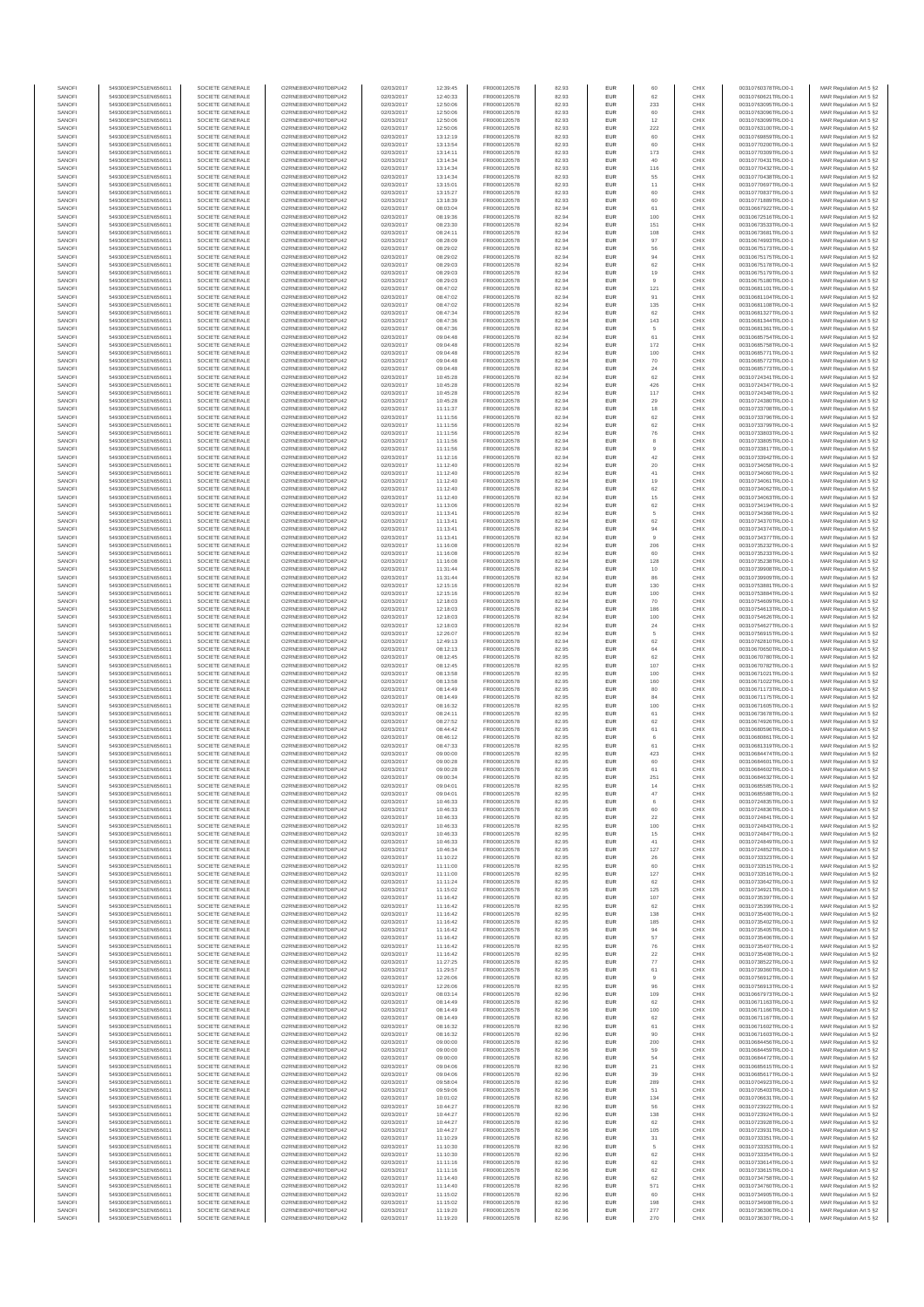| SANOFI           | 549300E9PC51EN656011                         | SOCIETE GENERALE                     | O2RNE8IBXP4R0TD8PLI42                          | 02/03/2017               | 12:39:45             | FR0000120578                 | 82.93          | <b>EUR</b>        | 60                    | CHIX         | 00310760378TRLO0-1                       | MAR Regulation Art 5 §2                            |
|------------------|----------------------------------------------|--------------------------------------|------------------------------------------------|--------------------------|----------------------|------------------------------|----------------|-------------------|-----------------------|--------------|------------------------------------------|----------------------------------------------------|
| SANOFI           | 549300E9PC51EN656011                         | SOCIETE GENERALE                     | O2RNE8IBXP4R0TD8PU42                           | 02/03/2017               | 12:40:33             | FR0000120578                 | 82.93          | <b>EUR</b>        | 62                    | CHIX         | 00310760621TRLO0-1                       | MAR Regulation Art 5 §2                            |
| SANOFI<br>SANOFI | 549300E9PC51EN656011<br>549300E9PC51EN656011 | SOCIETE GENERALE<br>SOCIETE GENERALE | O2RNE8IBXP4R0TD8PU42<br>O2RNE8IBXP4R0TD8PU42   | 02/03/2017<br>02/03/2017 | 12:50:06<br>12:50:06 | FR0000120578<br>FR0000120578 | 82.93<br>82.93 | EUR<br><b>EUR</b> | 233<br>60             | CHIX<br>CHIX | 00310763095TRLO0-1<br>00310763096TRLO0-1 | MAR Regulation Art 5 §2<br>MAR Regulation Art 5 §2 |
| SANOFI           | 549300E9PC51EN656011                         | SOCIETE GENERALE                     | O2RNE8IBXP4R0TD8PU42                           | 02/03/2017               | 12:50:06             | FR0000120578                 | 82.93          | EUR               | 12                    | CHIX         | 00310763099TRLO0-1                       | MAR Regulation Art 5 §2                            |
| SANOFI           | 549300E9PC51EN656011                         | SOCIETE GENERALE                     | O2RNE8IBXP4R0TD8PU42                           | 02/03/2017               | 12:50:06             | FR0000120578                 | 82.93          | EUR               | 222                   | CHIX         | 00310763100TRLO0-1                       | MAR Regulation Art 5 §2                            |
| SANOFI<br>SANOFI | 549300E9PC51EN656011<br>549300E9PC51EN656011 | SOCIETE GENERALE<br>SOCIETE GENERALE | O2RNE8IBXP4R0TD8PU42<br>O2RNE8IBXP4R0TD8PU42   | 02/03/2017<br>02/03/2017 | 13:12:19<br>13:13:54 | FR0000120578<br>FR0000120578 | 82.93<br>82.93 | EUR<br>EUR        | 60<br>60              | CHIX<br>CHIX | 00310769859TRLO0-1<br>00310770200TRLO0-1 | MAR Regulation Art 5 §2<br>MAR Regulation Art 5 §2 |
| SANOFI           | 549300E9PC51EN656011                         | SOCIETE GENERALE                     | O2RNE8IBXP4R0TD8PU42                           | 02/03/2017               | 13:14:11             | FR0000120578                 | 82.93          | EUR               | 173                   | CHIX         | 00310770309TRLO0-1                       | MAR Regulation Art 5 §2                            |
| SANOFI           | 549300E9PC51EN656011                         | SOCIETE GENERALE                     | O2RNE8IBXP4R0TD8PU42                           | 02/03/2017               | 13:14:34             | FR0000120578                 | 82.93          | EUR               |                       | CHIX         | 00310770431TRLO0-1                       | MAR Regulation Art 5 §2                            |
| SANOFI<br>SANOFI | 549300E9PC51EN656011<br>549300E9PC51EN656011 | SOCIETE GENERALE<br>SOCIETE GENERALE | O2RNE8IBXP4R0TD8PLI42<br>O2RNE8IBXP4R0TD8PU42  | 02/03/2017<br>02/03/2017 | 13:14:34<br>13:14:34 | FR0000120578<br>FR0000120578 | 82.93<br>82.93 | <b>EUR</b><br>EUR | 116<br>55             | CHIX<br>CHIX | 00310770432TRLO0-1<br>00310770438TRLO0-1 | MAR Regulation Art 5 §2<br>MAR Regulation Art 5 §2 |
| SANOFI           | 549300E9PC51EN656011                         | SOCIETE GENERALE                     | O2RNE8IBXP4R0TD8PU42                           | 02/03/2017               | 13:15:01             | FR0000120578                 | 82.93          | <b>EUR</b>        | 11                    | CHIX         | 00310770697TRLO0-1                       | MAR Regulation Art 5 §2                            |
| SANOFI           | 549300E9PC51EN656011                         | SOCIETE GENERALE                     | O2RNE8IBXP4R0TD8PU42                           | 02/03/2017               | 13:15:27             | FR0000120578                 | 82.93          | EUR               | 60                    | CHIX         | 00310770837TRLO0-1                       | MAR Regulation Art 5 §2                            |
| SANOFI           | 549300E9PC51EN656011                         | SOCIETE GENERALE                     | O2RNE8IBXP4R0TD8PU42                           | 02/03/2017               | 13:18:39             | FR0000120578                 | 82.93          | EUR               | 60                    | CHIX         | 00310771889TRLO0-1                       | MAR Regulation Art 5 §2                            |
| SANOFI<br>SANOFI | 549300E9PC51EN656011<br>549300E9PC51EN656011 | SOCIETE GENERALE<br>SOCIETE GENERALE | O2RNE8IBXP4R0TD8PU42<br>O2RNE8IBXP4R0TD8PU42   | 02/03/2017<br>02/03/2017 | 08:03:04<br>08:19:36 | FR0000120578<br>FR0000120578 | 82.94<br>82.94 | EUR<br>EUR        | 61<br>100             | CHIX<br>CHIX | 00310667922TRLO0-1<br>00310672516TRLO0-1 | MAR Regulation Art 5 §2<br>MAR Regulation Art 5 §2 |
| SANOFI           | 549300E9PC51EN656011                         | SOCIETE GENERALE                     | O2RNE8IBXP4R0TD8PU42                           | 02/03/2017               | 08:23:30             | FR0000120578                 | 82.94          | EUR               | 151                   | CHIX         | 00310673533TRLO0-1                       | MAR Regulation Art 5 §2                            |
| SANOFI           | 549300E9PC51EN656011                         | SOCIETE GENERALE                     | O2RNE8IBXP4R0TD8PU42                           | 02/03/2017               | 08:24:11             | FR0000120578                 | 82.94          | EUR               | 108                   | CHIX         | 00310673681TRLO0-1                       | MAR Regulation Art 5 §2                            |
| SANOFI           | 549300E9PC51EN656011                         | SOCIETE GENERALE                     | O2RNE8IBXP4R0TD8PLI42                          | 02/03/2017               | 08:28:09             | FR0000120578                 | 82.94          | <b>EUR</b>        | 97                    | CHIX         | 00310674993TRLO0-1                       | MAR Regulation Art 5 §2                            |
| SANOFI<br>SANOFI | 549300E9PC51EN656011<br>549300E9PC51EN656011 | SOCIETE GENERALE<br>SOCIETE GENERALE | O2RNE8IBXP4R0TD8PU42<br>O2RNE8IBXP4R0TD8PU42   | 02/03/2017<br>02/03/2017 | 08:29:02<br>08:29:02 | FR0000120578<br>FR0000120578 | 82.94<br>82.94 | EUR<br><b>EUR</b> | 56<br>94              | CHIX<br>CHIX | 00310675173TRLO0-1<br>00310675175TRLO0-1 | MAR Regulation Art 5 §2<br>MAR Regulation Art 5 §2 |
| SANOFI           | 549300E9PC51EN656011                         | SOCIETE GENERALE                     | O2RNE8IBXP4R0TD8PU42                           | 02/03/2017               | 08:29:03             | FR0000120578                 | 82.94          | EUR               | 62                    | CHIX         | 00310675178TRLO0-1                       | MAR Regulation Art 5 §2                            |
| SANOFI           | 549300E9PC51EN656011                         | SOCIETE GENERALE                     | O2RNESIBXP4R0TD8PLI42                          | 02/03/2017               | 08:29:03             | FR0000120578                 | 82.94          | EUR               | 19                    | CHIX         | 00310675179TRLO0-1                       | MAR Regulation Art 5 §2                            |
| SANOFI<br>SANOFI | 549300E9PC51EN656011<br>549300E9PC51EN656011 | SOCIETE GENERALE<br>SOCIETE GENERALE | O2RNE8IBXP4R0TD8PU42<br>O2RNE8IBXP4R0TD8PU42   | 02/03/2017<br>02/03/2017 | 08:29:03<br>08:47:02 | FR0000120578<br>FR0000120578 | 82.94<br>82.94 | EUR<br>EUR        | 121                   | CHIX<br>CHIX | 00310675180TRLO0-1<br>00310681101TRLO0-1 | MAR Regulation Art 5 §2<br>MAR Regulation Art 5 §2 |
| SANOFI           | 549300E9PC51EN656011                         | SOCIETE GENERALE                     | O2RNE8IBXP4R0TD8PU42                           | 02/03/2017               | 08:47:02             | FR0000120578                 | 82.94          | EUR               | 91                    | CHIX         | 00310681104TRLO0-1                       | MAR Regulation Art 5 §2                            |
| SANOFI           | 549300E9PC51EN656011                         | SOCIETE GENERALE                     | O2RNE8IBXP4R0TD8PU42                           | 02/03/2017               | 08:47:02             | FR0000120578                 | 82.94          | EUR               | 135                   | CHIX         | 00310681108TRLO0-1                       | MAR Regulation Art 5 §2                            |
| SANOFI           | 549300E9PC51EN656011                         | SOCIETE GENERALE                     | O2RNE8IBXP4R0TD8PU42                           | 02/03/2017               | 08:47:34             | FR0000120578                 | 82.94          | <b>EUR</b>        | 62                    | CHIX         | 00310681327TRLO0-1                       | MAR Regulation Art 5 §2                            |
| SANOFI<br>SANOFI | 549300E9PC51EN656011<br>549300E9PC51EN656011 | SOCIETE GENERALE<br>SOCIETE GENERALE | O2RNE8IBXP4R0TD8PU42<br>O2RNE8IBXP4R0TD8PU42   | 02/03/2017<br>02/03/2017 | 08:47:36<br>08:47:36 | FR0000120578<br>FR0000120578 | 82.94<br>82.94 | EUR<br><b>EUR</b> | 143<br>5              | CHIX<br>CHIX | 00310681344TRLO0-1<br>00310681361TRLO0-1 | MAR Regulation Art 5 §2<br>MAR Regulation Art 5 §2 |
| SANOFI           | 549300E9PC51EN656011                         | SOCIETE GENERALE                     | O2RNE8IBXP4R0TD8PU42                           | 02/03/2017               | 09:04:48             | FR0000120578                 | 82.94          | EUR               | 61                    | CHIX         | 00310685754TRLO0-1                       | MAR Regulation Art 5 §2                            |
| SANOFI           | 549300E9PC51EN656011                         | SOCIETE GENERALE                     | O2RNE8IBXP4R0TD8PU42                           | 02/03/2017               | 09:04:48             | FR0000120578                 | 82.94          | EUR               | 172                   | CHIX         | 00310685758TRLO0-1                       | MAR Regulation Art 5 §2                            |
| SANOFI           | 549300E9PC51EN656011                         | SOCIETE GENERALE                     | O2RNE8IBXP4R0TD8PU42<br>O2RNE8IBXP4R0TD8PU42   | 02/03/2017               | 09:04:48             | FR0000120578                 | 82.94          | EUR               | 100                   | CHIX         | 00310685771TRLO0-1                       | MAR Regulation Art 5 §2                            |
| SANOFI<br>SANOFI | 549300E9PC51EN656011<br>549300E9PC51EN656011 | SOCIETE GENERALE<br>SOCIETE GENERALE | O2RNE8IBXP4R0TD8PU42                           | 02/03/2017<br>02/03/2017 | 09:04:48<br>09:04:48 | FR0000120578<br>FR0000120578 | 82.94<br>82.94 | EUR<br><b>EUR</b> | 70<br>24              | CHIX<br>CHIX | 00310685772TRLO0-1<br>00310685773TRLO0-1 | MAR Regulation Art 5 §2<br>MAR Regulation Art 5 §2 |
| SANOFI           | 549300E9PC51EN656011                         | SOCIETE GENERALE                     | O2RNE8IBXP4R0TD8PU42                           | 02/03/2017               | 10:45:28             | FR0000120578                 | 82.94          | EUR               | 62                    | CHIX         | 00310724341TRLO0-1                       | MAR Regulation Art 5 §2                            |
| SANOFI           | 549300E9PC51EN656011                         | SOCIETE GENERALE                     | O2RNE8IBXP4R0TD8PU42                           | 02/03/2017               | 10:45:28             | FR0000120578                 | 82.94          | <b>EUR</b>        | 426                   | CHIX         | 00310724347TRLO0-1                       | MAR Regulation Art 5 §2                            |
| SANOFI<br>SANOFI | 549300E9PC51EN656011<br>549300E9PC51EN656011 | SOCIETE GENERALE<br>SOCIETE GENERALE | O2RNE8IBXP4R0TD8PU42<br>O2RNE8IBXP4R0TD8PU42   | 02/03/2017<br>02/03/2017 | 10:45:28<br>10:45:28 | FR0000120578<br>FR0000120578 | 82.94<br>82.94 | EUR<br>EUR        | 117<br>29             | CHIX<br>CHIX | 00310724348TRLO0-1<br>00310724380TRLO0-1 | MAR Regulation Art 5 §2<br>MAR Regulation Art 5 §2 |
| SANOFI           | 549300E9PC51EN656011                         | SOCIETE GENERALE                     | O2RNE8IBXP4R0TD8PU42                           | 02/03/2017               | 11:11:37             | FR0000120578                 | 82.94          | EUR               | 18                    | CHIX         | 00310733708TRLO0-1                       | MAR Regulation Art 5 §2                            |
| SANOFI           | 549300E9PC51EN656011                         | SOCIETE GENERALE                     | O2RNE8IBXP4R0TD8PU42                           | 02/03/2017               | 11:11:56             | FR0000120578                 | 82.94          | EUR               | 62                    | CHIX         | 00310733796TRLO0-1                       | MAR Regulation Art 5 §2                            |
| SANOFI           | 549300E9PC51EN656011                         | SOCIETE GENERALE                     | O2RNE8IBXP4R0TD8PU42                           | 02/03/2017               | 11:11:56             | FR0000120578                 | 82.94          | EUR               | 62                    | CHIX         | 00310733799TRLO0-1                       | MAR Regulation Art 5 §2                            |
| SANOFI<br>SANOFI | 549300E9PC51EN656011<br>549300E9PC51EN656011 | SOCIETE GENERALE<br>SOCIETE GENERALE | O2RNE8IBXP4R0TD8PLI42<br>O2RNE8IBXP4R0TD8PU42  | 02/03/2017<br>02/03/2017 | 11:11:56<br>11:11:56 | FR0000120578<br>FR0000120578 | 82.94<br>82.94 | EUR<br><b>EUR</b> | 76<br>8               | CHIX<br>CHIX | 00310733803TRLO0-1<br>00310733805TRLO0-1 | MAR Regulation Art 5 §2<br>MAR Regulation Art 5 §2 |
| SANOFI           | 549300E9PC51EN656011                         | SOCIETE GENERALE                     | O2RNE8IBXP4R0TD8PU42                           | 02/03/2017               | 11:11:56             | FR0000120578                 | 82.94          | EUR               |                       | CHIX         | 00310733817TRLO0-1                       | MAR Regulation Art 5 §2                            |
| SANOFI           | 549300E9PC51EN656011                         | SOCIETE GENERALE                     | O2RNE8IBXP4R0TD8PU42                           | 02/03/2017               | 11:12:16             | FR0000120578                 | 82.94          | <b>EUR</b>        | 42                    | CHIX         | 00310733942TRLO0-1                       | MAR Regulation Art 5 §2                            |
| SANOFI           | 549300E9PC51EN656011<br>549300E9PC51EN656011 | SOCIETE GENERALE<br>SOCIETE GENERALE | O2RNE8IBXP4R0TD8PU42                           | 02/03/2017               | 11:12:40             | FR0000120578                 | 82.94          | EUR               | 20                    | CHIX         | 00310734058TRLO0-1                       | MAR Regulation Art 5 §2                            |
| SANOFI<br>SANOFI | 549300E9PC51EN656011                         | SOCIETE GENERALE                     | O2RNE8IBXP4R0TD8PU42<br>O2RNE8IBXP4R0TD8PU42   | 02/03/2017<br>02/03/2017 | 11:12:40<br>11:12:40 | FR0000120578<br>FR0000120578 | 82.94<br>82.94 | EUR<br>EUR        | 41<br>19              | CHIX<br>CHIX | 00310734060TRLO0-1<br>00310734061TRLO0-1 | MAR Regulation Art 5 §2<br>MAR Regulation Art 5 §2 |
| SANOFI           | 549300E9PC51EN656011                         | SOCIETE GENERALE                     | O2RNE8IBXP4R0TD8PLI42                          | 02/03/2017               | 11:12:40             | FR0000120578                 | 82.94          | EUR               | 62                    | CHIX         | 00310734062TRLO0-1                       | MAR Regulation Art 5 §2                            |
| SANOFI           | 549300E9PC51EN656011                         | SOCIETE GENERALE                     | O2RNE8IBXP4R0TD8PU42                           | 02/03/2017               | 11:12:40             | FR0000120578                 | 82.94          | EUR               | 15                    | CHIX         | 00310734063TRLO0-1                       | MAR Regulation Art 5 §2                            |
| SANOFI           | 549300E9PC51EN656011                         | SOCIETE GENERALE                     | O2RNE8IBXP4R0TD8PU42                           | 02/03/2017               | 11:13:06             | FR0000120578                 | 82.94          | EUR               | 62<br>5               | CHIX         | 00310734194TRLO0-1<br>00310734368TRLO0-1 | MAR Regulation Art 5 §2                            |
| SANOFI<br>SANOFI | 549300E9PC51EN656011<br>549300E9PC51EN656011 | SOCIETE GENERALE<br>SOCIETE GENERALE | O2RNE8IBXP4R0TD8PU42<br>O2RNE8IBXP4R0TD8PU42   | 02/03/2017<br>02/03/2017 | 11:13:41<br>11:13:41 | FR0000120578<br>FR0000120578 | 82.94<br>82.94 | <b>EUR</b><br>EUR | 62                    | CHIX<br>CHIX | 00310734370TRLO0-                        | MAR Regulation Art 5 §2<br>MAR Regulation Art 5 §2 |
| SANOFI           | 549300E9PC51EN656011                         | SOCIETE GENERALE                     | O2RNE8IBXP4R0TD8PU42                           | 02/03/2017               | 11:13:41             | FR0000120578                 | 82.94          | <b>EUR</b>        | 94                    | CHIX         | 00310734374TRLO0-1                       | MAR Regulation Art 5 §2                            |
| SANOFI           | 549300E9PC51EN656011                         | SOCIETE GENERALE                     | O2RNE8IBXP4R0TD8PU42                           | 02/03/2017               | 11:13:41             | FR0000120578                 | 82.94          | EUR               | $\overline{9}$        | CHIX         | 00310734377TRLO0-1                       | MAR Regulation Art 5 §2                            |
| SANOFI<br>SANOFI | 549300E9PC51EN656011<br>549300E9PC51EN656011 | SOCIETE GENERALE<br>SOCIETE GENERALE | O2RNE8IBXP4R0TD8PU42<br>O2RNE8IBXP4R0TD8PU42   | 02/03/2017<br>02/03/2017 | 11:16:08<br>11:16:08 | FR0000120578<br>FR0000120578 | 82.94<br>82.94 | EUR<br>EUR        | 206<br>60             | CHIX<br>CHIX | 00310735232TRLO0-1<br>00310735233TRLO0-1 | MAR Regulation Art 5 §2<br>MAR Regulation Art 5 §2 |
| SANOFI           | 549300E9PC51EN656011                         | SOCIETE GENERALE                     | O2RNE8IBXP4R0TD8PU42                           | 02/03/2017               | 11:16:08             | FR0000120578                 | 82.94          | EUR               | 128                   | CHIX         | 00310735238TRLO0-1                       | MAR Regulation Art 5 §2                            |
| SANOFI           | 549300E9PC51EN656011                         | SOCIETE GENERALE                     | O2RNE8IBXP4R0TD8PU42                           | 02/03/2017               | 11:31:44             | FR0000120578                 | 82.94          | EUR               | 10                    | CHIX         | 00310739908TRLO0-1                       | MAR Regulation Art 5 §2                            |
| SANOFI           | 549300E9PC51EN656011                         | SOCIETE GENERALE                     | O2RNE8IBXP4R0TD8PU42                           | 02/03/2017               | 11:31:44             | FR0000120578                 | 82.94          | EUR               | 86                    | CHIX         | 00310739909TRLO0-1                       | MAR Regulation Art 5 §2                            |
| SANOFI<br>SANOFI | 549300E9PC51EN656011<br>549300E9PC51EN656011 | SOCIETE GENERALE<br>SOCIETE GENERALE | O2RNE8IBXP4R0TD8PU42<br>O2RNE8IBXP4R0TD8PU42   | 02/03/2017<br>02/03/2017 | 12:15:16<br>12:15:16 | FR0000120578<br>FR0000120578 | 82.94<br>82.94 | <b>EUR</b><br>EUR | 130<br>100            | CHIX<br>CHIX | 00310753881TRLO0-1<br>00310753884TRLO0-1 | MAR Regulation Art 5 §2<br>MAR Regulation Art 5 §2 |
| SANOFI           | 549300E9PC51EN656011                         | SOCIETE GENERALE                     | O2RNE8IBXP4R0TD8PU42                           | 02/03/2017               | 12:18:03             | FR0000120578                 | 82.94          | <b>EUR</b>        | 70                    | CHIX         | 00310754609TRLO0-1                       | MAR Regulation Art 5 §2                            |
| SANOFI           | 549300E9PC51EN656011                         | SOCIETE GENERALE                     | O2RNE8IBXP4R0TD8PU42                           | 02/03/2017               | 12:18:03             | FR0000120578                 | 82.94          | EUR               | 186                   | CHIX         | 00310754613TRLO0-1                       | MAR Regulation Art 5 §2                            |
| SANOFI           | 549300E9PC51EN656011                         | SOCIETE GENERALE                     | O2RNE8IBXP4R0TD8PU42                           | 02/03/2017               | 12:18:03             | FR0000120578                 | 82.94          | EUR               | 100                   | CHIX         | 00310754626TRLO0-1                       | MAR Regulation Art 5 §2                            |
| SANOFI<br>SANOFI | 549300E9PC51EN656011<br>549300E9PC51EN656011 | SOCIETE GENERALE<br>SOCIETE GENERALE | O2RNE8IBXP4R0TD8PU42<br>O2RNE8IBXP4R0TD8PU42   | 02/03/2017<br>02/03/2017 | 12:18:03<br>12:26:07 | FR0000120578<br>FR0000120578 | 82.94<br>82.94 | EUR<br>EUR        | $\mathbf{^{24}}$<br>5 | CHIX<br>CHIX | 00310754627TRLO0-1<br>00310756915TRLO0-1 | MAR Regulation Art 5 §2<br>MAR Regulation Art 5 §2 |
| SANOFI           | 549300E9PC51EN656011                         | SOCIETE GENERALE                     | O2RNE8IBXP4R0TD8PU42                           | 02/03/2017               | 12:49:13             | FR0000120578                 | 82.94          | <b>EUR</b>        | 62                    | CHIX         | 00310762810TRLO0-1                       | MAR Regulation Art 5 §2                            |
| SANOFI           | 549300E9PC51EN656011                         | SOCIETE GENERALE                     | O2RNE8IBXP4R0TD8PU42                           | 02/03/2017               | 08:12:13             | FR0000120578                 | 82.95          | EUR               | 64                    | CHIX         | 00310670650TRLO0-1                       | MAR Regulation Art 5 §2                            |
| SANOFI<br>SANOFI | 549300E9PC51EN656011<br>549300E9PC51EN656011 | SOCIETE GENERALE<br>SOCIETE GENERALE | O2RNE8IBXP4R0TD8PU42<br>O2RNE8IBXP4R0TD8PU42   | 02/03/2017<br>02/03/2017 | 08:12:45<br>08:12:45 | FR0000120578<br>FR0000120578 | 82.95<br>82.95 | <b>EUR</b><br>EUR | 62<br>107             | CHIX<br>CHIX | 00310670780TRLO0-1<br>00310670782TRLO0-1 | MAR Regulation Art 5 §2<br>MAR Regulation Art 5 §2 |
| SANOFI           | 549300E9PC51EN656011                         | SOCIETE GENERALE                     | O2RNE8IBXP4R0TD8PU42                           | 02/03/2017               | 08:13:58             | FR0000120578                 | 82.95          | <b>EUR</b>        | 100                   | CHIX         | 00310671021TRLO0-1                       | MAR Regulation Art 5 §2                            |
| SANOFI           | 549300E9PC51EN656011                         | SOCIETE GENERALE                     | O2RNE8IBXP4R0TD8PU42                           | 02/03/2017               | 08:13:58             | FR0000120578                 | 82.95          | EUR               | 160                   | CHIX         | 00310671022TRLO0-1                       | MAR Regulation Art 5 §2                            |
| SANOFI           | 549300E9PC51EN656011                         | SOCIETE GENERALE                     | O2RNE8IBXP4R0TD8PLI42<br>O2RNE8IBXP4R0TD8PU42  | 02/03/2017               | 08:14:49             | FR0000120578                 | 82.95          | EUR               | 80                    | CHIX         | 00310671173TRLO0-1                       | MAR Regulation Art 5 §2                            |
| SANOFI<br>SANOFI | 549300E9PC51EN656011<br>549300E9PC51EN656011 | SOCIETE GENERALE<br>SOCIETE GENERALE | O2RNE8IBXP4R0TD8PU42                           | 02/03/2017<br>02/03/2017 | 08:14:49<br>08:16:32 | FR0000120578<br>FR0000120578 | 82.95<br>82.95 | EUR<br>EUR        | 84<br>100             | CHIX<br>CHIX | 00310671175TRLO0-1<br>00310671605TRLO0-1 | MAR Regulation Art 5 §2<br>MAR Regulation Art 5 §2 |
| SANOFI           | 549300E9PC51EN656011                         | SOCIETE GENERALE                     | O2RNE8IBXP4R0TD8PU42                           | 02/03/2017               | 08:24:11             | FR0000120578                 | 82.95          | <b>EUR</b>        | 61                    | CHIX         | 00310673678TRLO0-1                       | MAR Regulation Art 5 §2                            |
| SANOFI           | 549300E9PC51EN656011                         | SOCIETE GENERALE                     | O2RNE8IBXP4R0TD8PU42                           | 02/03/2017               | 08:27:52             | FR0000120578                 | 82.95          | EUR               | 62                    | CHIX         | 00310674926TRLO0-1                       | MAR Regulation Art 5 §2                            |
| SANOFI<br>SANOFI | 549300E9PC51EN656011<br>549300E9PC51EN656011 | SOCIETE GENERALE<br>SOCIETE GENERALE | O2RNE8IBXP4R0TD8PU42<br>O2RNE8IBXP4R0TD8PU42   | 02/03/2017<br>02/03/2017 | 08:44:42<br>08:46:12 | FR0000120578<br>FR0000120578 | 82.95<br>82.95 | <b>EUR</b><br>EUR | 61                    | CHIX<br>CHIX | 00310680596TRLO0-1<br>00310680861TRLO0-1 | MAR Regulation Art 5 §2                            |
| SANOFI           | 549300E9PC51EN656011                         | SOCIETE GENERALE                     | O2RNE8IBXP4R0TD8PU42                           | 02/03/2017               | 08:47:33             | FR0000120578                 | 82.95          | EUR               | $61\,$                | CHIX         | 00310681319TRLO0-1                       | MAR Regulation Art 5 §2<br>MAR Regulation Art 5 §2 |
| SANOFI           | 549300E9PC51EN656011                         | SOCIETE GENERALE                     | O2RNE8IBXP4R0TD8PU42                           | 02/03/2017               | 09:00:00             | FR0000120578                 | 82.95          | EUR               | 423                   | CHIX         | 00310684474TRLO0-1                       | MAR Regulation Art 5 §2                            |
| SANOFI           | 549300E9PC51EN656011                         | SOCIETE GENERALE                     | O2RNESIBXP4R0TD8PLI42                          | 02/03/2017               | 09:00:28             | FR0000120578                 | 82.95          | EUR               | 60                    | CHIX         | 00310684601TRLO0-1                       | MAR Regulation Art 5 §2                            |
| SANOFI<br>SANOFI | 549300E9PC51EN656011<br>549300E9PC51EN656011 | SOCIETE GENERALE<br>SOCIETE GENERALE | O2RNE8IBXP4R0TD8PU42<br>O2RNE8IBXP4R0TD8PU42   | 02/03/2017<br>02/03/2017 | 09:00:28<br>09:00:34 | FR0000120578<br>FR0000120578 | 82.95<br>82.95 | EUR<br>EUR        | 61<br>251             | CHIX<br>CHIX | 00310684602TRLO0-1<br>00310684632TRLO0-1 | MAR Regulation Art 5 §2<br>MAR Regulation Art 5 §2 |
| SANOFI           | 549300E9PC51EN656011                         | SOCIETE GENERALE                     | O2RNE8IBXP4R0TD8PU42                           | 02/03/2017               | 09:04:01             | FR0000120578                 | 82.95          | <b>EUR</b>        | 14                    | CHIX         | 00310685585TRLO0-1                       | MAR Regulation Art 5 §2                            |
| SANOFI           | 549300E9PC51EN656011                         | SOCIETE GENERALE                     | O2RNE8IBXP4R0TD8PU42                           | 02/03/2017               | 09:04:01             | FR0000120578                 | 82.95          | EUR               | 47                    | CHIX         | 00310685588TRLO0-1                       | MAR Regulation Art 5 §2                            |
| SANOFI<br>SANOFI | 549300E9PC51EN656011<br>549300E9PC51EN656011 | SOCIETE GENERALE<br>SOCIETE GENERALE | O2RNE8IBXP4R0TD8PU42<br>O2RNE8IBXP4R0TD8PU42   | 02/03/2017<br>02/03/2017 | 10:46:33<br>10:46:33 | FR0000120578<br>FR0000120578 | 82.95<br>82.95 | <b>EUR</b><br>EUR | 6<br>60               | CHIX<br>CHIX | 00310724835TRLO0-1<br>00310724836TRLO0-1 | MAR Regulation Art 5 §2<br>MAR Regulation Art 5 §2 |
| SANOFI           | 549300E9PC51EN656011                         | SOCIETE GENERALE                     | O2RNE8IBXP4R0TD8PU42                           | 02/03/2017               | 10:46:33             | FR0000120578                 | 82.95          | <b>EUR</b>        | 22                    | CHIX         | 00310724841TRLO0-1                       | MAR Regulation Art 5 §2                            |
| SANOFI           | 549300E9PC51EN656011                         | SOCIETE GENERALE                     | O2RNE8IBXP4R0TD8PU42                           | 02/03/2017               | 10:46:33             | FR0000120578                 | 82.95          | EUR               | 100                   | CHIX         | 00310724843TRLO0-1                       | MAR Regulation Art 5 §2                            |
| SANOFI           | 549300E9PC51EN656011                         | SOCIETE GENERALE                     | O2RNESIBXP4R0TD8PLI42                          | 02/03/2017               | 10:46:33             | FR0000120578                 | 82.95          | EUR               | $15\,$                | CHIX         | 00310724847TRLO0-1                       | MAR Regulation Art 5 §2                            |
| SANOFI<br>SANOFI | 549300E9PC51EN656011<br>549300E9PC51EN656011 | SOCIETE GENERALE<br>SOCIETE GENERALE | O2RNE8IBXP4R0TD8PU42<br>O2RNE8IBXP4R0TD8PU42   | 02/03/2017<br>02/03/2017 | 10:46:33<br>10:46:34 | FR0000120578<br>FR0000120578 | 82.95<br>82.95 | EUR<br>EUR        | 41<br>127             | CHIX<br>CHIX | 00310724849TRLO0-1<br>00310724852TRLO0-1 | MAR Regulation Art 5 §2<br>MAR Regulation Art 5 §2 |
| SANOFI           | 549300E9PC51EN656011                         | SOCIETE GENERALE                     | O2RNE8IBXP4R0TD8PLI42                          | 02/03/2017               | 11:10:22             | FR0000120578                 | 82.95          | <b>EUR</b>        | 26                    | CHIX         | 00310733323TRLO0-1                       | MAR Regulation Art 5 §2                            |
| SANOFI           | 549300E9PC51EN656011                         | SOCIETE GENERALE                     | O2RNE8IBXP4R0TD8PU42                           | 02/03/2017               | 11:11:00             | FR0000120578                 | 82.95          | EUR               | 60                    | CHIX         | 00310733515TRLO0-1                       | MAR Regulation Art 5 §2                            |
| SANOFI<br>SANOFI | 549300E9PC51EN656011<br>549300E9PC51EN656011 | SOCIETE GENERALE<br>SOCIETE GENERALE | O2RNE8IBXP4R0TD8PU42<br>O2RNE8IBXP4R0TD8PU42   | 02/03/2017<br>02/03/2017 | 11:11:00<br>11:11:24 | FR0000120578<br>FR0000120578 | 82.95<br>82.95 | <b>EUR</b><br>EUR | 127<br>62             | CHIX<br>CHIX | 00310733516TRLO0-1<br>00310733642TRLO0-1 | MAR Regulation Art 5 §2<br>MAR Regulation Art 5 §2 |
| SANOFI           | 549300E9PC51EN656011                         | SOCIETE GENERALE                     | O2RNE8IBXP4R0TD8PU42                           | 02/03/2017               | 11:15:02             | FR0000120578                 | 82.95          | EUR               | 125                   | CHIX         | 00310734921TRLO0-1                       | MAR Regulation Art 5 §2                            |
| SANOFI           | 549300E9PC51EN656011                         | SOCIETE GENERALE                     | O2RNE8IBXP4R0TD8PU42                           | 02/03/2017               | 11:16:42             | FR0000120578                 | 82.95          | EUR               | 107                   | CHIX         | 00310735397TRLO0-1                       | MAR Regulation Art 5 §2                            |
| SANOFI<br>SANOFI | 549300E9PC51EN656011<br>549300E9PC51EN656011 | SOCIETE GENERALE<br>SOCIETE GENERALE | O2RNESIBXP4R0TD8PLI42<br>O2RNE8IBXP4R0TD8PLI42 | 02/03/2017<br>02/03/2017 | 11:16:42<br>11:16:42 | FR0000120578<br>FR0000120578 | 82.95<br>82.95 | EUR<br><b>EUR</b> | 62<br>138             | CHIX<br>CHIX | 00310735399TRLO0-1<br>00310735400TRLO0-1 | MAR Regulation Art 5 §2<br>MAR Regulation Art 5 §2 |
| SANOFI           | 549300E9PC51EN656011                         | SOCIETE GENERALE                     | O2RNE8IBXP4R0TD8PU42                           | 02/03/2017               | 11:16:42             | FR0000120578                 | 82.95          | EUR               | 185                   | CHIX         | 00310735402TRLO0-1                       | MAR Regulation Art 5 §2                            |
| SANOFI           | 549300E9PC51EN656011                         | SOCIETE GENERALE                     | O2RNE8IBXP4R0TD8PU42                           | 02/03/2017               | 11:16:42             | FR0000120578                 | 82.95          | <b>EUR</b>        | 94                    | CHIX         | 00310735405TRLO0-1                       | MAR Regulation Art 5 §2                            |
| SANOFI<br>SANOFI | 549300E9PC51EN656011<br>549300E9PC51EN656011 | SOCIETE GENERALE<br>SOCIETE GENERALE | O2RNE8IBXP4R0TD8PU42<br>O2RNE8IBXP4R0TD8PU42   | 02/03/2017<br>02/03/2017 | 11:16:42<br>11:16:42 | FR0000120578<br>FR0000120578 | 82.95<br>82.95 | EUR<br>EUR        | 57<br>76              | CHIX<br>CHIX | 00310735406TRLO0-1<br>00310735407TRLO0-1 | MAR Regulation Art 5 §2<br>MAR Regulation Art 5 §2 |
| SANOFI           | 549300E9PC51EN656011                         | SOCIETE GENERALE                     | O2RNE8IBXP4R0TD8PU42                           | 02/03/2017               | 11:16:42             | FR0000120578                 | 82.95          | EUR               | 22                    | CHIX         | 00310735408TRLO0-1                       | MAR Regulation Art 5 §2                            |
| SANOFI           | 549300E9PC51EN656011                         | SOCIETE GENERALE                     | O2RNE8IBXP4R0TD8PU42                           | 02/03/2017               | 11:27:25             | FR0000120578                 | 82.95          | EUR               | 77                    | CHIX         | 00310738522TRLO0-1                       | MAR Regulation Art 5 §2                            |
| SANOFI           | 549300E9PC51EN656011                         | SOCIETE GENERALE                     | O2RNE8IBXP4R0TD8PU42                           | 02/03/2017               | 11:29:57             | FR0000120578                 | 82.95          | EUR               | 61                    | CHIX         | 00310739360TRLO0-1                       | MAR Regulation Art 5 §2                            |
| SANOFI<br>SANOFI | 549300E9PC51EN656011<br>549300E9PC51EN656011 | SOCIETE GENERALE<br>SOCIETE GENERALE | O2RNE8IBXP4R0TD8PU42<br>O2RNE8IBXP4R0TD8PU42   | 02/03/2017<br>02/03/2017 | 12:26:06<br>12:26:06 | FR0000120578<br>FR0000120578 | 82.95<br>82.95 | EUR<br><b>EUR</b> | 9<br>96               | CHIX<br>CHIX | 00310756912TRLO0-1<br>00310756913TRLO0-1 | MAR Regulation Art 5 §2<br>MAR Regulation Art 5 §2 |
| SANOFI           | 549300E9PC51EN656011                         | SOCIETE GENERALE                     | O2RNE8IBXP4R0TD8PU42                           | 02/03/2017               | 08:03:14             | FR0000120578                 | 82.96          | EUR               | 109                   | CHIX         | 00310667973TRLO0-1                       | MAR Regulation Art 5 §2                            |
| SANOFI           | 549300E9PC51EN656011                         | SOCIETE GENERALE                     | O2RNE8IBXP4R0TD8PU42                           | 02/03/2017               | 08:14:49             | FR0000120578                 | 82.96          | <b>EUR</b>        | 62                    | CHIX         | 00310671163TRLO0-1                       | MAR Regulation Art 5 §2                            |
| SANOFI           | 549300E9PC51EN656011                         | SOCIETE GENERALE                     | O2RNE8IBXP4R0TD8PU42                           | 02/03/2017               | 08:14:49             | FR0000120578                 | 82.96          | EUR               | 100                   | CHIX         | 00310671166TRLO0-1                       | MAR Regulation Art 5 §2                            |
| SANOFI<br>SANOFI | 549300E9PC51EN656011<br>549300E9PC51EN656011 | SOCIETE GENERALE<br>SOCIETE GENERALE | O2RNE8IBXP4R0TD8PU42<br>O2RNE8IBXP4R0TD8PU42   | 02/03/2017<br>02/03/2017 | 08:14:49<br>08:16:32 | FR0000120578<br>FR0000120578 | 82.96<br>82.96 | <b>EUR</b><br>EUR | 62<br>61              | CHIX<br>CHIX | 00310671167TRLO0-1<br>00310671602TRLO0-1 | MAR Regulation Art 5 §2<br>MAR Regulation Art 5 §2 |
| SANOFI           | 549300E9PC51EN656011                         | SOCIETE GENERALE                     | O2RNE8IBXP4R0TD8PU42                           | 02/03/2017               | 08:16:32             | FR0000120578                 | 82.96          | EUR               | 90                    | CHIX         | 00310671603TRLO0-1                       | MAR Regulation Art 5 §2                            |
| SANOFI           | 549300E9PC51EN656011                         | SOCIETE GENERALE                     | O2RNE8IBXP4R0TD8PU42                           | 02/03/2017               | 09:00:00             | FR0000120578                 | 82.96          | EUR               | 200                   | CHIX         | 00310684456TRLO0-1                       | MAR Regulation Art 5 §2                            |
| SANOFI           | 549300E9PC51EN656011                         | SOCIETE GENERALE                     | O2RNE8IBXP4R0TD8PU42                           | 02/03/2017               | 09:00:00             | FR0000120578                 | 82.96          | EUR               | 59<br>54              | CHIX         | 00310684459TRLO0-1                       | MAR Regulation Art 5 §2                            |
| SANOFI<br>SANOFI | 549300E9PC51EN656011<br>549300E9PC51EN656011 | SOCIETE GENERALE<br>SOCIETE GENERALE | O2RNE8IBXP4R0TD8PU42<br>O2RNE8IBXP4R0TD8PU42   | 02/03/2017<br>02/03/2017 | 09:00:00<br>09:04:06 | FR0000120578<br>FR0000120578 | 82.96<br>82.96 | <b>EUR</b><br>EUR | 21                    | CHIX<br>CHIX | 00310684472TRLO0-1<br>00310685615TRLO0-1 | MAR Regulation Art 5 §2<br>MAR Regulation Art 5 §2 |
| SANOFI           | 549300E9PC51EN656011                         | SOCIETE GENERALE                     | O2RNE8IBXP4R0TD8PU42                           | 02/03/2017               | 09:04:06             | FR0000120578                 | 82.96          | <b>EUR</b>        | 39                    | CHIX         | 00310685617TRLO0-1                       | MAR Regulation Art 5 §2                            |
| SANOFI           | 549300E9PC51EN656011                         | SOCIETE GENERALE                     | O2RNE8IBXP4R0TD8PU42                           | 02/03/2017               | 09:58:04             | FR0000120578                 | 82.96          | EUR               | 289                   | CHIX         | 00310704923TRLO0-1                       | MAR Regulation Art 5 §2                            |
| SANOFI<br>SANOFI | 549300E9PC51EN656011<br>549300E9PC51EN656011 | SOCIETE GENERALE<br>SOCIETE GENERALE | O2RNE8IBXP4R0TD8PU42<br>O2RNE8IBXP4R0TD8PU42   | 02/03/2017<br>02/03/2017 | 09:59:06<br>10:01:02 | FR0000120578                 | 82.96<br>82.96 | EUR<br>EUR        | 51<br>134             | CHIX<br>CHIX | 00310705403TRLO0-1                       | MAR Regulation Art 5 §2                            |
| SANOFI           | 549300E9PC51EN656011                         | SOCIETE GENERALE                     | O2RNE8IBXP4R0TD8PU42                           | 02/03/2017               | 10:44:27             | FR0000120578<br>FR0000120578 | 82.96          | EUR               | 56                    | CHIX         | 00310706631TRLO0-1<br>00310723922TRLO0-1 | MAR Regulation Art 5 §2<br>MAR Regulation Art 5 §2 |
| SANOFI           | 549300E9PC51EN656011                         | SOCIETE GENERALE                     | O2RNE8IBXP4R0TD8PU42                           | 02/03/2017               | 10:44:27             | FR0000120578                 | 82.96          | EUR               | 138                   | CHIX         | 00310723924TRLO0-1                       | MAR Regulation Art 5 §2                            |
| SANOFI           | 549300E9PC51EN656011                         | SOCIETE GENERALE                     | O2RNE8IBXP4R0TD8PU42                           | 02/03/2017               | 10:44:27             | FR0000120578                 | 82.96          | EUR               | 62                    | CHIX         | 00310723928TRLO0-1                       | MAR Regulation Art 5 §2                            |
| SANOFI<br>SANOFI | 549300E9PC51EN656011<br>549300E9PC51EN656011 | SOCIETE GENERALE<br>SOCIETE GENERALE | O2RNE8IBXP4R0TD8PU42<br>O2RNE8IBXP4R0TD8PU42   | 02/03/2017<br>02/03/2017 | 10:44:27<br>11:10:29 | FR0000120578<br>FR0000120578 | 82.96<br>82.96 | <b>EUR</b><br>EUR | 105<br>31             | CHIX<br>CHIX | 00310723931TRLO0-1<br>00310733351TRLO0-1 | MAR Regulation Art 5 §2<br>MAR Regulation Art 5 §2 |
| SANOFI           | 549300E9PC51EN656011                         | SOCIETE GENERALE                     | O2RNE8IBXP4R0TD8PU42                           | 02/03/2017               | 11:10:30             | FR0000120578                 | 82.96          | <b>EUR</b>        | 5                     | CHIX         | 00310733353TRLO0-1                       | MAR Regulation Art 5 §2                            |
| SANOFI           | 549300E9PC51EN656011                         | SOCIETE GENERALE                     | O2RNE8IBXP4R0TD8PU42                           | 02/03/2017               | 11:10:30             | FR0000120578                 | 82.96          | EUR               | 62                    | CHIX         | 00310733354TRLO0-1                       | MAR Regulation Art 5 §2                            |
| SANOFI<br>SANOFI | 549300E9PC51EN656011<br>549300E9PC51EN656011 | SOCIETE GENERALE<br>SOCIETE GENERALE | O2RNE8IBXP4R0TD8PU42<br>O2RNE8IBXP4R0TD8PU42   | 02/03/2017<br>02/03/2017 | 11:11:16             | FR0000120578                 | 82.96<br>82.96 | EUR<br>EUR        | 62<br>62              | CHIX<br>CHIX | 00310733614TRLO0-1<br>00310733615TRLO0-1 | MAR Regulation Art 5 §2                            |
| SANOFI           | 549300E9PC51EN656011                         | SOCIETE GENERALE                     | O2RNE8IBXP4R0TD8PU42                           | 02/03/2017               | 11:11:16<br>11:14:40 | FR0000120578<br>FR0000120578 | 82.96          | EUR               | 62                    | CHIX         | 00310734758TRLO0-1                       | MAR Regulation Art 5 §2<br>MAR Regulation Art 5 §2 |
| SANOFI           | 549300E9PC51EN656011                         | SOCIETE GENERALE                     | O2RNE8IBXP4R0TD8PU42                           | 02/03/2017               | 11:14:40             | FR0000120578                 | 82.96          | <b>EUR</b>        | 571                   | CHIX         | 00310734760TRLO0-1                       | MAR Regulation Art 5 §2                            |
| SANOFI           | 549300E9PC51EN656011                         | SOCIETE GENERALE                     | O2RNE8IBXP4R0TD8PU42                           | 02/03/2017               | 11:15:02             | FR0000120578                 | 82.96          | EUR               | 60                    | CHIX         | 00310734905TRLO0-1                       | MAR Regulation Art 5 §2                            |
| SANOFI<br>SANOFI | 549300E9PC51EN656011<br>549300E9PC51EN656011 | SOCIETE GENERALE<br>SOCIETE GENERALE | O2RNE8IBXP4R0TD8PU42<br>O2RNE8IBXP4R0TD8PU42   | 02/03/2017<br>02/03/2017 | 11:15:02<br>11:19:20 | FR0000120578<br>FR0000120578 | 82.96<br>82.96 | <b>EUR</b><br>EUR | 198<br>277            | CHIX<br>CHIX | 00310734908TRLO0-1<br>00310736306TRLO0-1 | MAR Regulation Art 5 §2<br>MAR Regulation Art 5 §2 |
| SANOFI           | 549300E9PC51EN656011                         | SOCIETE GENERALE                     | O2RNE8IBXP4R0TD8PU42                           | 02/03/2017               | 11:19:20             | FR0000120578                 | 82.96          | EUR               | 270                   | CHIX         | 00310736307TRLO0-1                       | MAR Regulation Art 5 §2                            |
|                  |                                              |                                      |                                                |                          |                      |                              |                |                   |                       |              |                                          |                                                    |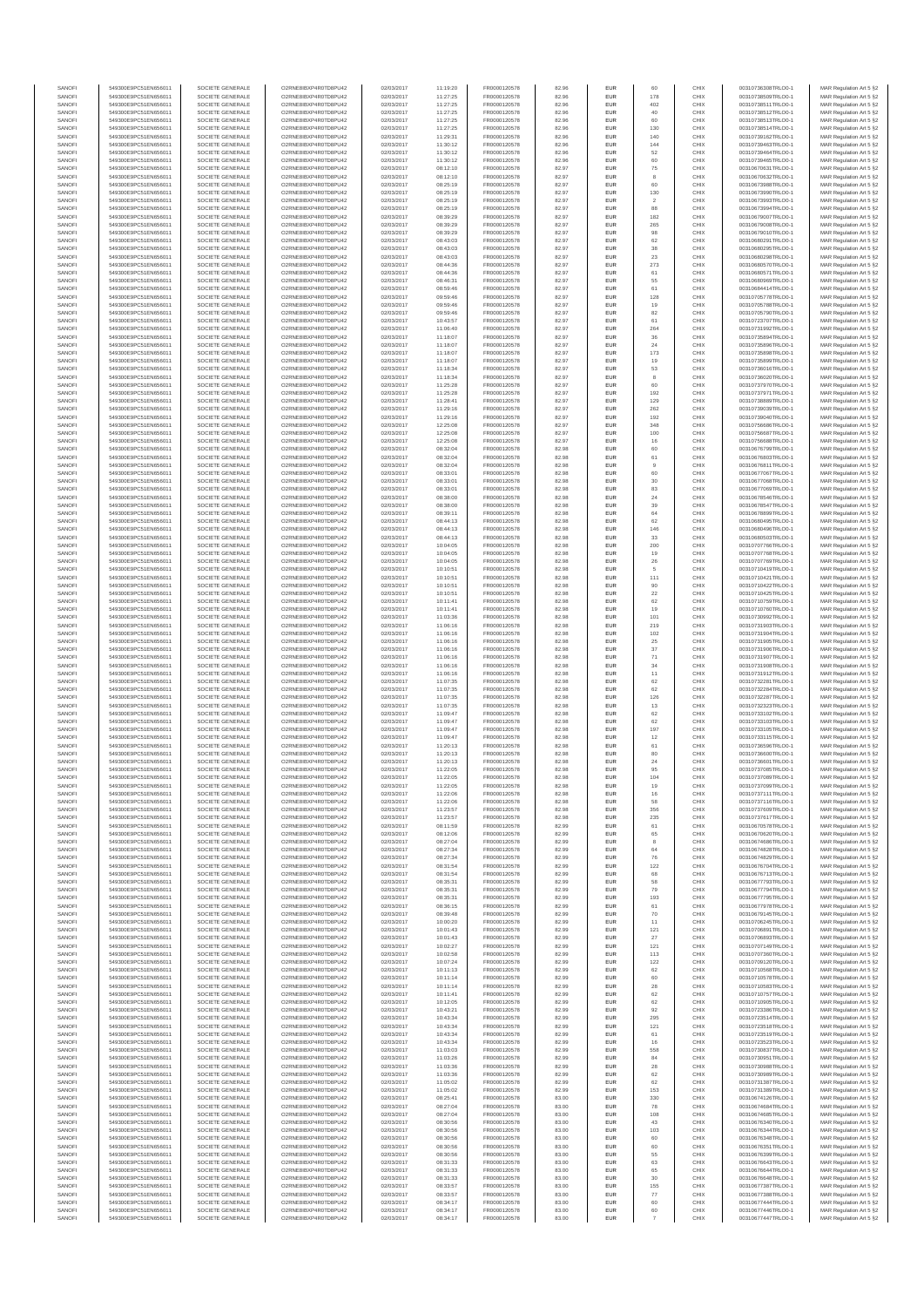| SANOFI           | 549300E9PC51EN656011                         | SOCIETE GENERALE                     | O2RNE8IBXP4R0TD8PLI42                         | 02/03/2017               | 11:19:20             | FR0000120578                 | 82.96          | <b>EUR</b>        | 60                   | CHIX         | 00310736308TRLO0-1                       | MAR Regulation Art 5 §2                            |
|------------------|----------------------------------------------|--------------------------------------|-----------------------------------------------|--------------------------|----------------------|------------------------------|----------------|-------------------|----------------------|--------------|------------------------------------------|----------------------------------------------------|
| SANOFI           | 549300E9PC51EN656011                         | SOCIETE GENERALE                     | O2RNE8IBXP4R0TD8PU42                          | 02/03/2017               | 11:27:25             | FR0000120578                 | 82.96          | <b>EUR</b>        | 178                  | CHIX         | 00310738509TRLO0-1                       | MAR Regulation Art 5 §2                            |
| SANOFI<br>SANOFI | 549300E9PC51EN656011<br>549300E9PC51EN656011 | SOCIETE GENERALE<br>SOCIETE GENERALE | O2RNE8IBXP4R0TD8PU42<br>O2RNE8IBXP4R0TD8PU42  | 02/03/2017<br>02/03/2017 | 11:27:25<br>11:27:25 | FR0000120578<br>FR0000120578 | 82.96<br>82.96 | EUR<br><b>EUR</b> | 402<br>40            | CHIX<br>CHIX | 00310738511TRLO0-1<br>00310738512TRLO0-1 | MAR Regulation Art 5 §2<br>MAR Regulation Art 5 §2 |
| SANOFI           | 549300E9PC51EN656011                         | SOCIETE GENERALE                     | O2RNE8IBXP4R0TD8PU42                          | 02/03/2017               | 11:27:25             | FR0000120578                 | 82.96          | EUR               | 60                   | CHIX         | 00310738513TRLO0-1                       | MAR Regulation Art 5 §2                            |
| SANOFI           | 549300E9PC51EN656011                         | SOCIETE GENERALE                     | O2RNE8IBXP4R0TD8PU42                          | 02/03/2017               | 11:27:25             | FR0000120578                 | 82.96          | EUR               | 130                  | CHIX         | 00310738514TRLO0-1                       | MAR Regulation Art 5 §2                            |
| SANOFI<br>SANOFI | 549300E9PC51EN656011<br>549300E9PC51EN656011 | SOCIETE GENERALE<br>SOCIETE GENERALE | O2RNE8IBXP4R0TD8PU42<br>O2RNE8IBXP4R0TD8PU42  | 02/03/2017<br>02/03/2017 | 11:29:31<br>11:30:12 | FR0000120578<br>FR0000120578 | 82.96<br>82.96 | EUR<br>EUR        | 140<br>144           | CHIX<br>CHIX | 00310739162TRLO0-1<br>00310739463TRLO0-1 | MAR Regulation Art 5 §2<br>MAR Regulation Art 5 §2 |
| SANOFI           | 549300E9PC51EN656011                         | SOCIETE GENERALE                     | O2RNE8IBXP4R0TD8PU42                          | 02/03/2017               | 11:30:12             | FR0000120578                 | 82.96          | EUR               | 52                   | CHIX         | 00310739464TRLO0-1                       | MAR Regulation Art 5 §2                            |
| SANOFI           | 549300E9PC51EN656011                         | SOCIETE GENERALE                     | O2RNE8IBXP4R0TD8PU42                          | 02/03/2017               | 11:30:12             | FR0000120578                 | 82.96          | EUR               |                      | CHIX         | 00310739465TRLO0-1                       | MAR Regulation Art 5 §2                            |
| SANOFI<br>SANOFI | 549300E9PC51EN656011<br>549300E9PC51EN656011 | SOCIETE GENERALE<br>SOCIETE GENERALE | O2RNE8IBXP4R0TD8PLI42<br>O2RNE8IBXP4R0TD8PU42 | 02/03/2017<br>02/03/2017 | 08:12:10<br>08:12:10 | FR0000120578<br>FR0000120578 | 82.97<br>82.97 | <b>EUR</b><br>EUR | 75                   | CHIX<br>CHIX | 00310670631TRLO0-1<br>00310670632TRLO0-1 | MAR Regulation Art 5 §2<br>MAR Regulation Art 5 §2 |
| SANOFI           | 549300E9PC51EN656011                         | SOCIETE GENERALE                     | O2RNE8IBXP4R0TD8PU42                          | 02/03/2017               | 08:25:19             | FR0000120578                 | 82.97          | <b>EUR</b>        | 60                   | CHIX         | 00310673988TRLO0-1                       | MAR Regulation Art 5 §2                            |
| SANOFI           | 549300E9PC51EN656011                         | SOCIETE GENERALE                     | O2RNE8IBXP4R0TD8PU42                          | 02/03/2017               | 08:25:19             | FR0000120578                 | 82.97          | EUR               | 130                  | CHIX         | 00310673990TRLO0-1                       | MAR Regulation Art 5 §2                            |
| SANOFI           | 549300E9PC51EN656011                         | SOCIETE GENERALE                     | O2RNE8IBXP4R0TD8PU42                          | 02/03/2017               | 08:25:19             | FR0000120578                 | 82.97          | EUR               | $\overline{2}$       | CHIX         | 00310673993TRLO0-1                       | MAR Regulation Art 5 §2                            |
| SANOFI<br>SANOFI | 549300E9PC51EN656011<br>549300E9PC51EN656011 | SOCIETE GENERALE<br>SOCIETE GENERALE | O2RNE8IBXP4R0TD8PU42<br>O2RNE8IBXP4R0TD8PU42  | 02/03/2017<br>02/03/2017 | 08:25:19<br>08:39:29 | FR0000120578<br>FR0000120578 | 82.97<br>82.97 | EUR<br>EUR        | 88<br>182            | CHIX<br>CHIX | 00310673994TRLO0-1<br>00310679007TRLO0-1 | MAR Regulation Art 5 §2<br>MAR Regulation Art 5 §2 |
| SANOFI           | 549300E9PC51EN656011                         | SOCIETE GENERALE                     | O2RNE8IBXP4R0TD8PU42                          | 02/03/2017               | 08:39:29             | FR0000120578                 | 82.97          | EUR               | 265                  | CHIX         | 00310679008TRLO0-1                       | MAR Regulation Art 5 §2                            |
| SANOFI           | 549300E9PC51EN656011                         | SOCIETE GENERALE                     | O2RNE8IBXP4R0TD8PU42                          | 02/03/2017               | 08:39:29             | FR0000120578                 | 82.97          | EUR               | 98                   | CHIX         | 00310679010TRLO0-1                       | MAR Regulation Art 5 §2                            |
| SANOFI           | 549300E9PC51EN656011                         | SOCIETE GENERALE                     | O2RNE8IBXP4R0TD8PLI42                         | 02/03/2017               | 08:43:03             | FR0000120578                 | 82.97          | <b>EUR</b>        | 62                   | CHIX         | 00310680291TRLO0-1                       | MAR Regulation Art 5 §2                            |
| SANOFI<br>SANOFI | 549300E9PC51EN656011<br>549300E9PC51EN656011 | SOCIETE GENERALE<br>SOCIETE GENERALE | O2RNE8IBXP4R0TD8PU42<br>O2RNE8IBXP4R0TD8PU42  | 02/03/2017<br>02/03/2017 | 08:43:03<br>08:43:03 | FR0000120578<br>FR0000120578 | 82.97<br>82.97 | EUR<br><b>EUR</b> | 38<br>23             | CHIX<br>CHIX | 00310680295TRLO0-1<br>00310680298TRLO0-1 | MAR Regulation Art 5 §2<br>MAR Regulation Art 5 §2 |
| SANOFI           | 549300E9PC51EN656011                         | SOCIETE GENERALE                     | O2RNE8IBXP4R0TD8PU42                          | 02/03/2017               | 08:44:36             | FR0000120578                 | 82.97          | EUR               | 273                  | CHIX         | 00310680570TRLO0-1                       | MAR Regulation Art 5 §2                            |
| SANOFI           | 549300E9PC51EN656011                         | SOCIETE GENERALE                     | O2RNESIBXP4R0TD8PLI42                         | 02/03/2017               | 08:44:36             | FR0000120578                 | 82.97          | EUR               | 61                   | CHIX         | 00310680571TRLO0-1                       | MAR Regulation Art 5 §2                            |
| SANOFI<br>SANOFI | 549300E9PC51EN656011                         | SOCIETE GENERALE<br>SOCIETE GENERALE | O2RNE8IBXP4R0TD8PU42<br>O2RNE8IBXP4R0TD8PU42  | 02/03/2017<br>02/03/2017 | 08:46:31             | FR0000120578<br>FR0000120578 | 82.97<br>82.97 | EUR<br>EUR        | 55<br>61             | CHIX<br>CHIX | 00310680969TRLO0-1                       | MAR Regulation Art 5 §2<br>MAR Regulation Art 5 §2 |
| SANOFI           | 549300E9PC51EN656011<br>549300E9PC51EN656011 | SOCIETE GENERALE                     | O2RNE8IBXP4R0TD8PU42                          | 02/03/2017               | 08:59:46<br>09:59:46 | FR0000120578                 | 82.97          | EUR               | 128                  | CHIX         | 00310684414TRLO0-1<br>00310705778TRLO0-1 | MAR Regulation Art 5 §2                            |
| SANOFI           | 549300E9PC51EN656011                         | SOCIETE GENERALE                     | O2RNE8IBXP4R0TD8PU42                          | 02/03/2017               | 09:59:46             | FR0000120578                 | 82.97          | EUR               |                      | CHIX         | 00310705788TRLO0-1                       | MAR Regulation Art 5 §2                            |
| SANOFI           | 549300E9PC51EN656011                         | SOCIETE GENERALE                     | O2RNE8IBXP4R0TD8PU42                          | 02/03/2017               | 09:59:46             | FR0000120578                 | 82.97          | <b>EUR</b>        | 82                   | CHIX         | 00310705790TRLO0-1                       | MAR Regulation Art 5 §2                            |
| SANOFI<br>SANOFI | 549300E9PC51EN656011<br>549300E9PC51EN656011 | SOCIETE GENERALE<br>SOCIETE GENERALE | O2RNE8IBXP4R0TD8PU42<br>O2RNE8IBXP4R0TD8PU42  | 02/03/2017<br>02/03/2017 | 10:43:57<br>11:06:40 | FR0000120578<br>FR0000120578 | 82.97<br>82.97 | EUR<br><b>EUR</b> | 61<br>264            | CHIX<br>CHIX | 00310723707TRLO0-1<br>00310731992TRLO0-1 | MAR Regulation Art 5 §2<br>MAR Regulation Art 5 §2 |
| SANOFI           | 549300E9PC51EN656011                         | SOCIETE GENERALE                     | O2RNE8IBXP4R0TD8PU42                          | 02/03/2017               | 11:18:07             | FR0000120578                 | 82.97          | EUR               | 36                   | CHIX         | 00310735894TRLO0-1                       | MAR Regulation Art 5 §2                            |
| SANOFI           | 549300E9PC51EN656011                         | SOCIETE GENERALE                     | O2RNE8IBXP4R0TD8PU42                          | 02/03/2017               | 11:18:07             | FR0000120578                 | 82.97          | EUR               | $\sqrt{24}$          | CHIX         | 00310735896TRLO0-1                       | MAR Regulation Art 5 §2                            |
| SANOFI<br>SANOFI | 549300E9PC51EN656011<br>549300E9PC51EN656011 | SOCIETE GENERALE<br>SOCIETE GENERALE | O2RNE8IBXP4R0TD8PU42<br>O2RNE8IBXP4R0TD8PU42  | 02/03/2017<br>02/03/2017 | 11:18:07<br>11:18:07 | FR0000120578<br>FR0000120578 | 82.97<br>82.97 | EUR<br>EUR        | 173<br>19            | CHIX<br>CHIX | 00310735898TRLO0-1<br>00310735899TRLO0-1 | MAR Regulation Art 5 §2<br>MAR Regulation Art 5 §2 |
| SANOFI           | 549300E9PC51EN656011                         | SOCIETE GENERALE                     | O2RNE8IBXP4R0TD8PU42                          | 02/03/2017               | 11:18:34             | FR0000120578                 | 82.97          | <b>EUR</b>        | 53                   | CHIX         | 00310736016TRLO0-1                       | MAR Regulation Art 5 §2                            |
| SANOFI           | 549300E9PC51EN656011                         | SOCIETE GENERALE                     | O2RNE8IBXP4R0TD8PU42                          | 02/03/2017               | 11:18:34             | FR0000120578                 | 82.97          | EUR               | 8                    | CHIX         | 00310736020TRLO0-1                       | MAR Regulation Art 5 §2                            |
| SANOFI           | 549300E9PC51EN656011<br>549300E9PC51EN656011 | SOCIETE GENERALE                     | O2RNE8IBXP4R0TD8PU42<br>O2RNE8IBXP4R0TD8PU42  | 02/03/2017               | 11:25:28             | FR0000120578<br>FR0000120578 | 82.97          | <b>EUR</b>        | 60                   | CHIX         | 00310737970TRLO0-1                       | MAR Regulation Art 5 §2                            |
| SANOFI<br>SANOFI | 549300E9PC51EN656011                         | SOCIETE GENERALE<br>SOCIETE GENERALE | O2RNE8IBXP4R0TD8PU42                          | 02/03/2017<br>02/03/2017 | 11:25:28<br>11:28:41 | FR0000120578                 | 82.97<br>82.97 | EUR<br>EUR        | 192<br>129           | CHIX<br>CHIX | 00310737971TRLO0-1<br>00310738889TRLO0-1 | MAR Regulation Art 5 §2<br>MAR Regulation Art 5 §2 |
| SANOFI           | 549300E9PC51EN656011                         | SOCIETE GENERALE                     | O2RNE8IBXP4R0TD8PU42                          | 02/03/2017               | 11:29:16             | FR0000120578                 | 82.97          | EUR               | 262                  | CHIX         | 00310739039TRLO0-1                       | MAR Regulation Art 5 §2                            |
| SANOFI           | 549300E9PC51EN656011                         | SOCIETE GENERALE                     | O2RNE8IBXP4R0TD8PU42                          | 02/03/2017               | 11:29:16             | FR0000120578                 | 82.97          | EUR               | 192                  | CHIX         | 00310739040TRLO0-1                       | MAR Regulation Art 5 §2                            |
| SANOFI<br>SANOFI | 549300E9PC51EN656011<br>549300E9PC51EN656011 | SOCIETE GENERALE<br>SOCIETE GENERALE | O2RNE8IBXP4R0TD8PU42<br>O2RNE8IBXP4R0TD8PLI42 | 02/03/2017<br>02/03/2017 | 12:25:08<br>12:25:08 | FR0000120578<br>FR0000120578 | 82.97<br>82.97 | EUR<br>EUR        | 348<br>100           | CHIX<br>CHIX | 00310756686TRLO0-1<br>00310756687TRLO0-1 | MAR Regulation Art 5 §2<br>MAR Regulation Art 5 §2 |
| SANOFI           | 549300E9PC51EN656011                         | SOCIETE GENERALE                     | O2RNE8IBXP4R0TD8PU42                          | 02/03/2017               | 12:25:08             | FR0000120578                 | 82.97          | <b>EUR</b>        | 16                   | CHIX         | 00310756688TRLO0-1                       | MAR Regulation Art 5 §2                            |
| SANOFI           | 549300E9PC51EN656011                         | SOCIETE GENERALE                     | O2RNE8IBXP4R0TD8PU42                          | 02/03/2017               | 08:32:04             | FR0000120578                 | 82.98          | EUR               |                      | CHIX         | 00310676799TRLO0-1                       | MAR Regulation Art 5 §2                            |
| SANOFI           | 549300E9PC51EN656011                         | SOCIETE GENERALE                     | O2RNE8IBXP4R0TD8PU42                          | 02/03/2017               | 08:32:04             | FR0000120578                 | 82.98          | <b>EUR</b>        | 61                   | CHIX         | 00310676803TRLO0-1                       | MAR Regulation Art 5 §2                            |
| SANOFI<br>SANOFI | 549300E9PC51EN656011<br>549300E9PC51EN656011 | SOCIETE GENERALE<br>SOCIETE GENERALE | O2RNE8IBXP4R0TD8PU42<br>O2RNE8IBXP4R0TD8PU42  | 02/03/2017<br>02/03/2017 | 08:32:04<br>08:33:01 | FR0000120578<br>FR0000120578 | 82.98<br>82.98 | EUR<br>EUR        | 60                   | CHIX<br>CHIX | 00310676811TRLO0-1<br>00310677067TRLO0-1 | MAR Regulation Art 5 §2<br>MAR Regulation Art 5 §2 |
| SANOFI           | 549300E9PC51EN656011                         | SOCIETE GENERALE                     | O2RNE8IBXP4R0TD8PU42                          | 02/03/2017               | 08:33:01             | FR0000120578                 | 82.98          | EUR               | 30                   | CHIX         | 00310677068TRLO0-1                       | MAR Regulation Art 5 §2                            |
| SANOFI           | 549300E9PC51EN656011                         | SOCIETE GENERALE                     | O2RNE8IBXP4R0TD8PLI42                         | 02/03/2017               | 08:33:01             | FR0000120578                 | 82.98          | EUR               | 83                   | CHIX         | 00310677069TRLO0-1                       | MAR Regulation Art 5 §2                            |
| SANOFI<br>SANOFI | 549300E9PC51EN656011<br>549300E9PC51EN656011 | SOCIETE GENERALE<br>SOCIETE GENERALE | O2RNE8IBXP4R0TD8PU42<br>O2RNE8IBXP4R0TD8PU42  | 02/03/2017<br>02/03/2017 | 08:38:00<br>08:38:00 | FR0000120578<br>FR0000120578 | 82.98<br>82.98 | EUR<br>EUR        | 24<br>39             | CHIX<br>CHIX | 00310678546TRLO0-1<br>00310678547TRLO0-1 | MAR Regulation Art 5 §2                            |
| SANOFI           | 549300E9PC51EN656011                         | SOCIETE GENERALE                     | O2RNE8IBXP4R0TD8PU42                          | 02/03/2017               | 08:39:11             | FR0000120578                 | 82.98          | <b>EUR</b>        | 64                   | CHIX         | 00310678899TRLO0-1                       | MAR Regulation Art 5 §2<br>MAR Regulation Art 5 §2 |
| SANOFI           | 549300E9PC51EN656011                         | SOCIETE GENERALE                     | O2RNE8IBXP4R0TD8PU42                          | 02/03/2017               | 08:44:13             | FR0000120578                 | 82.98          | EUR               | 62                   | CHIX         | 00310680495TRLO0-                        | MAR Regulation Art 5 §2                            |
| SANOFI           | 549300E9PC51EN656011                         | SOCIETE GENERALE                     | O2RNE8IBXP4R0TD8PU42                          | 02/03/2017               | 08:44:13             | FR0000120578                 | 82.98          | <b>EUR</b>        | 146                  | CHIX         | 00310680496TRLO0-1                       | MAR Regulation Art 5 §2                            |
| SANOFI<br>SANOFI | 549300E9PC51EN656011<br>549300E9PC51EN656011 | SOCIETE GENERALE<br>SOCIETE GENERALE | O2RNE8IBXP4R0TD8PU42<br>O2RNE8IBXP4R0TD8PU42  | 02/03/2017<br>02/03/2017 | 08:44:13<br>10:04:05 | FR0000120578<br>FR0000120578 | 82.98<br>82.98 | EUR<br>EUR        | 33<br>200            | CHIX<br>CHIX | 00310680503TRLO0-1<br>00310707766TRLO0-1 | MAR Regulation Art 5 §2<br>MAR Regulation Art 5 §2 |
| SANOFI           | 549300E9PC51EN656011                         | SOCIETE GENERALE                     | O2RNE8IBXP4R0TD8PU42                          | 02/03/2017               | 10:04:05             | FR0000120578                 | 82.98          | EUR               | 19                   | CHIX         | 00310707768TRLO0-1                       | MAR Regulation Art 5 §2                            |
| SANOFI           | 549300E9PC51EN656011                         | SOCIETE GENERALE                     | O2RNE8IBXP4R0TD8PU42                          | 02/03/2017               | 10:04:05             | FR0000120578                 | 82.98          | EUR               | 26                   | CHIX         | 00310707769TRLO0-1                       | MAR Regulation Art 5 §2                            |
| SANOFI<br>SANOFI | 549300E9PC51EN656011<br>549300E9PC51EN656011 | SOCIETE GENERALE<br>SOCIETE GENERALE | O2RNE8IBXP4R0TD8PU42<br>O2RNE8IBXP4R0TD8PU42  | 02/03/2017<br>02/03/2017 | 10:10:51<br>10:10:51 | FR0000120578<br>FR0000120578 | 82.98<br>82.98 | EUR<br>EUR        | 111                  | CHIX<br>CHIX | 00310710419TRLO0-1<br>00310710421TRLO0-1 | MAR Regulation Art 5 §2<br>MAR Regulation Art 5 §2 |
| SANOFI           | 549300E9PC51EN656011                         | SOCIETE GENERALE                     | O2RNE8IBXP4R0TD8PU42                          | 02/03/2017               | 10:10:51             | FR0000120578                 | 82.98          | <b>EUR</b>        | 90                   | CHIX         | 00310710422TRLO0-1                       | MAR Regulation Art 5 §2                            |
| SANOFI           | 549300E9PC51EN656011                         | SOCIETE GENERALE                     | O2RNE8IBXP4R0TD8PU42                          | 02/03/2017               | 10:10:51             | FR0000120578                 | 82.98          | EUR               | $22\,$               | CHIX         | 00310710425TRLO0-1                       | MAR Regulation Art 5 §2                            |
| SANOFI           | 549300E9PC51EN656011                         | SOCIETE GENERALE                     | O2RNE8IBXP4R0TD8PU42                          | 02/03/2017               | 10:11:41             | FR0000120578                 | 82.98          | <b>EUR</b>        | 62                   | CHIX         | 00310710759TRLO0-1                       | MAR Regulation Art 5 §2                            |
| SANOFI<br>SANOFI | 549300E9PC51EN656011<br>549300E9PC51EN656011 | SOCIETE GENERALE<br>SOCIETE GENERALE | O2RNE8IBXP4R0TD8PU42<br>O2RNE8IBXP4R0TD8PU42  | 02/03/2017<br>02/03/2017 | 10:11:41<br>11:03:36 | FR0000120578<br>FR0000120578 | 82.98<br>82.98 | EUR<br>EUR        | 19<br>101            | CHIX<br>CHIX | 00310710760TRLO0-1<br>00310730992TRLO0-1 | MAR Regulation Art 5 §2<br>MAR Regulation Art 5 §2 |
| SANOFI           | 549300E9PC51EN656011                         | SOCIETE GENERALE                     | O2RNE8IBXP4R0TD8PU42                          | 02/03/2017               | 11:06:16             | FR0000120578                 | 82.98          | EUR               | 219                  | CHIX         | 00310731903TRLO0-1                       | MAR Regulation Art 5 §2                            |
| SANOFI           | 549300E9PC51EN656011                         | SOCIETE GENERALE                     | O2RNE8IBXP4R0TD8PU42                          | 02/03/2017               | 11:06:16             | FR0000120578                 | 82.98          | EUR               | 102                  | CHIX         | 00310731904TRLO0-1                       | MAR Regulation Art 5 §2                            |
| SANOFI<br>SANOFI | 549300E9PC51EN656011<br>549300E9PC51EN656011 | SOCIETE GENERALE<br>SOCIETE GENERALE | O2RNE8IBXP4R0TD8PU42<br>O2RNE8IBXP4R0TD8PU42  | 02/03/2017<br>02/03/2017 | 11:06:16<br>11:06:16 | FR0000120578<br>FR0000120578 | 82.98<br>82.98 | <b>EUR</b><br>EUR | 25<br>37             | CHIX<br>CHIX | 00310731905TRLO0-1<br>00310731906TRLO0-1 | MAR Regulation Art 5 §2                            |
| SANOFI           | 549300E9PC51EN656011                         | SOCIETE GENERALE                     | O2RNE8IBXP4R0TD8PU42                          | 02/03/2017               | 11:06:16             | FR0000120578                 | 82.98          | <b>EUR</b>        | 71                   | CHIX         | 00310731907TRLO0-1                       | MAR Regulation Art 5 §2<br>MAR Regulation Art 5 §2 |
| SANOFI           | 549300E9PC51EN656011                         | SOCIETE GENERALE                     | O2RNE8IBXP4R0TD8PU42                          | 02/03/2017               | 11:06:16             | FR0000120578                 | 82.98          | EUR               | 34                   | CHIX         | 00310731908TRLO0-1                       | MAR Regulation Art 5 §2                            |
| SANOFI           | 549300E9PC51EN656011                         | SOCIETE GENERALE                     | O2RNE8IBXP4R0TD8PU42                          | 02/03/2017               | 11:06:16             | FR0000120578                 | 82.98          | <b>EUR</b>        | 11                   | CHIX         | 00310731912TRLO0-1                       | MAR Regulation Art 5 §2                            |
| SANOFI<br>SANOFI | 549300E9PC51EN656011                         | SOCIETE GENERALE<br>SOCIETE GENERALE | O2RNE8IBXP4R0TD8PU42<br>O2RNE8IBXP4R0TD8PLI42 | 02/03/2017<br>02/03/2017 | 11:07:35             | FR0000120578<br>FR0000120578 | 82.98<br>82.98 | EUR<br>EUR        | 62<br>62             | CHIX<br>CHIX | 00310732281TRLO0-1                       | MAR Regulation Art 5 §2<br>MAR Regulation Art 5 §2 |
| SANOFI           | 549300E9PC51EN656011<br>549300E9PC51EN656011 | SOCIETE GENERALE                     | O2RNE8IBXP4R0TD8PU42                          | 02/03/2017               | 11:07:35<br>11:07:35 | FR0000120578                 | 82.98          | EUR               | 126                  | CHIX         | 00310732284TRLO0-1<br>00310732287TRLO0-1 | MAR Regulation Art 5 §2                            |
| SANOFI           | 549300E9PC51EN656011                         | SOCIETE GENERALE                     | O2RNE8IBXP4R0TD8PU42                          | 02/03/2017               | 11:07:35             | FR0000120578                 | 82.98          | EUR               | 13                   | CHIX         | 00310732323TRLO0-1                       | MAR Regulation Art 5 §2                            |
| SANOFI           | 549300E9PC51EN656011                         | SOCIETE GENERALE                     | O2RNE8IBXP4R0TD8PU42                          | 02/03/2017               | 11:09:47             | FR0000120578                 | 82.98          | <b>EUR</b>        | 62                   | CHIX         | 00310733102TRLO0-1                       | MAR Regulation Art 5 §2                            |
| SANOFI<br>SANOFI | 549300E9PC51EN656011<br>549300E9PC51EN656011 | SOCIETE GENERALE<br>SOCIETE GENERALE | O2RNE8IBXP4R0TD8PU42<br>O2RNE8IBXP4R0TD8PU42  | 02/03/2017<br>02/03/2017 | 11:09:47<br>11:09:47 | FR0000120578<br>FR0000120578 | 82.98<br>82.98 | EUR<br><b>EUR</b> | 62<br>197            | CHIX<br>CHIX | 00310733103TRLO0-1<br>00310733105TRLO0-1 | MAR Regulation Art 5 §2<br>MAR Regulation Art 5 §2 |
| SANOFI           | 549300E9PC51EN656011                         | SOCIETE GENERALE                     | O2RNE8IBXP4R0TD8PU42                          | 02/03/2017               | 11:09:47             | FR0000120578                 | 82.98          | EUR               | 12                   | CHIX         | 00310733115TRLO0-1                       | MAR Regulation Art 5 §2                            |
| SANOFI           | 549300E9PC51EN656011                         | SOCIETE GENERALE                     | O2RNE8IBXP4R0TD8PU42                          | 02/03/2017               | 11:20:13             | FR0000120578                 | 82.98          | EUR               | 61                   | CHIX         | 00310736596TRLO0-1                       | MAR Regulation Art 5 §2                            |
| SANOFI           | 549300E9PC51EN656011                         | SOCIETE GENERALE                     | O2RNE8IBXP4R0TD8PU42<br>O2RNESIBXP4R0TD8PLI42 | 02/03/2017               | 11:20:13             | FR0000120578                 | 82.98          | EUR               | 80                   | CHIX         | 00310736600TRLO0-1                       | MAR Regulation Art 5 §2                            |
| SANOFI<br>SANOFI | 549300E9PC51EN656011<br>549300E9PC51EN656011 | SOCIETE GENERALE<br>SOCIETE GENERALE | O2RNE8IBXP4R0TD8PU42                          | 02/03/2017<br>02/03/2017 | 11:20:13<br>11:22:05 | FR0000120578<br>FR0000120578 | 82.98<br>82.98 | EUR<br>EUR        | 24<br>95             | CHIX<br>CHIX | 00310736601TRLO0-1<br>00310737085TRLO0-1 | MAR Regulation Art 5 §2<br>MAR Regulation Art 5 §2 |
| SANOFI           | 549300E9PC51EN656011                         | SOCIETE GENERALE                     | O2RNE8IBXP4R0TD8PU42                          | 02/03/2017               | 11:22:05             | FR0000120578                 | 82.98          | EUR               | 104                  | CHIX         | 00310737089TRLO0-1                       | MAR Regulation Art 5 §2                            |
| SANOFI           | 549300E9PC51EN656011                         | SOCIETE GENERALE                     | O2RNE8IBXP4R0TD8PU42                          | 02/03/2017               | 11:22:05             | FR0000120578                 | 82.98          | <b>EUR</b>        | 19                   | CHIX         | 00310737099TRLO0-1                       | MAR Regulation Art 5 §2                            |
| SANOFI<br>SANOFI | 549300E9PC51EN656011<br>549300E9PC51EN656011 | SOCIETE GENERALE<br>SOCIETE GENERALE | O2RNE8IBXP4R0TD8PU42<br>O2RNE8IBXP4R0TD8PU42  | 02/03/2017<br>02/03/2017 | 11:22:06<br>11:22:06 | FR0000120578<br>FR0000120578 | 82.98<br>82.98 | EUR<br><b>EUR</b> | 16<br>58             | CHIX<br>CHIX | 00310737111TRLO0-1<br>00310737116TRLO0-1 | MAR Regulation Art 5 §2<br>MAR Regulation Art 5 §2 |
| SANOFI           | 549300E9PC51EN656011                         | SOCIETE GENERALE                     | O2RNE8IBXP4R0TD8PU42                          | 02/03/2017               | 11:23:57             | FR0000120578                 | 82.98          | EUR               | 356                  | CHIX         | 00310737609TRLO0-1                       | MAR Regulation Art 5 §2                            |
| SANOFI           | 549300E9PC51EN656011                         | SOCIETE GENERALE                     | O2RNE8IBXP4R0TD8PU42                          | 02/03/2017               | 11:23:57             | FR0000120578                 | 82.98          | <b>EUR</b>        | 235                  | CHIX         | 00310737617TRLO0-1                       | MAR Regulation Art 5 §2                            |
| SANOFI           | 549300E9PC51EN656011                         | SOCIETE GENERALE                     | O2RNE8IBXP4R0TD8PU42<br>O2RNESIBXP4R0TD8PLI42 | 02/03/2017               | 08:11:59             | FR0000120578                 | 82.99          | EUR               | 61                   | CHIX         | 00310670578TRLO0-1                       | MAR Regulation Art 5 §2                            |
| SANOFI<br>SANOFI | 549300E9PC51EN656011<br>549300E9PC51EN656011 | SOCIETE GENERALE<br>SOCIETE GENERALE | O2RNE8IBXP4R0TD8PU42                          | 02/03/2017<br>02/03/2017 | 08:12:06<br>08:27:04 | FR0000120578<br>FR0000120578 | 82.99<br>82.99 | EUR<br>EUR        | 65<br>8              | CHIX<br>CHIX | 00310670620TRLO0-1<br>00310674686TRLO0-1 | MAR Regulation Art 5 §2<br>MAR Regulation Art 5 §2 |
| SANOFI           | 549300E9PC51EN656011                         | SOCIETE GENERALE                     | O2RNE8IBXP4R0TD8PU42                          | 02/03/2017               | 08:27:34             | FR0000120578                 | 82.99          | EUR               | 64                   | CHIX         | 00310674828TRLO0-1                       | MAR Regulation Art 5 §2                            |
| SANOFI<br>SANOFI | 549300E9PC51EN656011<br>549300E9PC51EN656011 | SOCIETE GENERALE<br>SOCIETE GENERALE | O2RNE8IBXP4R0TD8PLI42<br>O2RNE8IBXP4R0TD8PU42 | 02/03/2017<br>02/03/2017 | 08:27:34<br>08:31:54 | FR0000120578<br>FR0000120578 | 82.99<br>82.99 | <b>EUR</b><br>EUR | 76<br>122            | CHIX<br>CHIX | 00310674829TRLO0-1<br>00310676704TRLO0-1 | MAR Regulation Art 5 §2<br>MAR Regulation Art 5 §2 |
| SANOFI           | 549300E9PC51EN656011                         | SOCIETE GENERALE                     | O2RNE8IBXP4R0TD8PU42                          | 02/03/2017               | 08:31:54             | FR0000120578                 | 82.99          | <b>EUR</b>        | 68                   | CHIX         | 00310676713TRLO0-1                       | MAR Regulation Art 5 §2                            |
| SANOFI           | 549300E9PC51EN656011                         | SOCIETE GENERALE                     | O2RNE8IBXP4R0TD8PU42                          | 02/03/2017               | 08:35:31             | FR0000120578                 | 82.99          | EUR               | 58                   | CHIX         | 00310677793TRLO0-1                       | MAR Regulation Art 5 §2                            |
| SANOFI           | 549300E9PC51EN656011                         | SOCIETE GENERALE                     | O2RNE8IBXP4R0TD8PU42                          | 02/03/2017               | 08:35:31             | FR0000120578                 | 82.99          | EUR               | 79                   | CHIX         | 00310677794TRLO0-1                       | MAR Regulation Art 5 §2                            |
| SANOFI<br>SANOFI | 549300E9PC51EN656011<br>549300E9PC51EN656011 | SOCIETE GENERALE<br>SOCIETE GENERALE | O2RNE8IBXP4R0TD8PU42<br>O2RNESIBXP4R0TD8PLI42 | 02/03/2017<br>02/03/2017 | 08:35:31<br>08:36:15 | FR0000120578<br>FR0000120578 | 82.99<br>82.99 | EUR<br>EUR        | 193<br>61            | CHIX<br>CHIX | 00310677795TRLO0-1<br>00310677978TRLO0-1 | MAR Regulation Art 5 §2<br>MAR Regulation Art 5 §2 |
| SANOFI           | 549300E9PC51EN656011                         | SOCIETE GENERALE                     | O2RNE8IBXP4R0TD8PLI42                         | 02/03/2017               | 08:39:48             | FR0000120578                 | 82.99          | <b>EUR</b>        | 70                   | CHIX         | 00310679145TRLO0-1                       | MAR Regulation Art 5 §2                            |
| SANOFI           | 549300E9PC51EN656011                         | SOCIETE GENERALE                     | O2RNE8IBXP4R0TD8PU42                          | 02/03/2017               | 10:00:20             | FR0000120578                 | 82.99          | EUR               | 11                   | CHIX         | 00310706245TRLO0-1                       | MAR Regulation Art 5 §2                            |
| SANOFI<br>SANOFI | 549300E9PC51EN656011<br>549300E9PC51EN656011 | SOCIETE GENERALE<br>SOCIETE GENERALE | O2RNE8IBXP4R0TD8PU42<br>O2RNE8IBXP4R0TD8PU42  | 02/03/2017<br>02/03/2017 | 10:01:43<br>10:01:43 | FR0000120578<br>FR0000120578 | 82.99<br>82.99 | <b>EUR</b><br>EUR | 121<br>27            | CHIX<br>CHIX | 00310706891TRLO0-1<br>00310706893TRLO0-1 | MAR Regulation Art 5 §2<br>MAR Regulation Art 5 §2 |
| SANOFI           | 549300E9PC51EN656011                         | SOCIETE GENERALE                     | O2RNE8IBXP4R0TD8PU42                          | 02/03/2017               | 10:02:27             | FR0000120578                 | 82.99          | EUR               | 121                  | CHIX         | 00310707149TRLO0-1                       | MAR Regulation Art 5 §2                            |
| SANOFI           | 549300E9PC51EN656011                         | SOCIETE GENERALE                     | O2RNE8IBXP4R0TD8PU42                          | 02/03/2017               | 10:02:58             | FR0000120578                 | 82.99          | EUR               | 113                  | CHIX         | 00310707360TRLO0-1                       | MAR Regulation Art 5 §2                            |
| SANOFI<br>SANOFI | 549300E9PC51EN656011<br>549300E9PC51EN656011 | SOCIETE GENERALE<br>SOCIETE GENERALE | O2RNE8IBXP4R0TD8PU42<br>O2RNE8IBXP4R0TD8PU42  | 02/03/2017<br>02/03/2017 | 10:07:24<br>10:11:13 | FR0000120578<br>FR0000120578 | 82.99<br>82.99 | EUR<br>EUR        | 122<br>62            | CHIX<br>CHIX | 00310709120TRLO0-1<br>00310710568TRLO0-1 | MAR Regulation Art 5 §2<br>MAR Regulation Art 5 §2 |
| SANOFI           | 549300E9PC51EN656011                         | SOCIETE GENERALE                     | O2RNE8IBXP4R0TD8PU42                          | 02/03/2017               | 10:11:14             | FR0000120578                 | 82.99          | EUR               | 60                   | CHIX         | 00310710578TRLO0-1                       | MAR Regulation Art 5 §2                            |
| SANOFI           | 549300E9PC51EN656011                         | SOCIETE GENERALE                     | O2RNE8IBXP4R0TD8PU42                          | 02/03/2017               | 10:11:14             | FR0000120578                 | 82.99          | <b>EUR</b>        | 28                   | CHIX         | 00310710583TRLO0-1                       | MAR Regulation Art 5 §2                            |
| SANOFI<br>SANOFI | 549300E9PC51EN656011<br>549300E9PC51EN656011 | SOCIETE GENERALE<br>SOCIETE GENERALE | O2RNE8IBXP4R0TD8PU42<br>O2RNE8IBXP4R0TD8PU42  | 02/03/2017<br>02/03/2017 | 10:11:41<br>10:12:05 | FR0000120578<br>FR0000120578 | 82.99<br>82.99 | EUR<br><b>EUR</b> | 62<br>62             | CHIX<br>CHIX | 00310710757TRLO0-1<br>00310710905TRLO0-1 | MAR Regulation Art 5 §2                            |
| SANOFI           | 549300E9PC51EN656011                         | SOCIETE GENERALE                     | O2RNE8IBXP4R0TD8PU42                          | 02/03/2017               | 10:43:21             | FR0000120578                 | 82.99          | EUR               | 92                   | CHIX         | 00310723386TRLO0-1                       | MAR Regulation Art 5 §2<br>MAR Regulation Art 5 §2 |
| SANOFI           | 549300E9PC51EN656011                         | SOCIETE GENERALE                     | O2RNE8IBXP4R0TD8PU42                          | 02/03/2017               | 10:43:34             | FR0000120578                 | 82.99          | <b>EUR</b>        | 295                  | CHIX         | 00310723514TRLO0-1                       | MAR Regulation Art 5 §2                            |
| SANOFI           | 549300E9PC51EN656011                         | SOCIETE GENERALE                     | O2RNE8IBXP4R0TD8PU42                          | 02/03/2017               | 10:43:34             | FR0000120578                 | 82.99          | EUR               | 121                  | CHIX         | 00310723518TRLO0-1                       | MAR Regulation Art 5 §2                            |
| SANOFI<br>SANOFI | 549300E9PC51EN656011<br>549300E9PC51EN656011 | SOCIETE GENERALE<br>SOCIETE GENERALE | O2RNE8IBXP4R0TD8PU42<br>O2RNE8IBXP4R0TD8PU42  | 02/03/2017<br>02/03/2017 | 10:43:34<br>10:43:34 | FR0000120578<br>FR0000120578 | 82.99<br>82.99 | EUR<br>EUR        | 61<br>16             | CHIX<br>CHIX | 00310723519TRLO0-1<br>00310723523TRLO0-1 | MAR Regulation Art 5 §2<br>MAR Regulation Art 5 §2 |
| SANOFI           | 549300E9PC51EN656011                         | SOCIETE GENERALE                     | O2RNE8IBXP4R0TD8PU42                          | 02/03/2017               | 11:03:03             | FR0000120578                 | 82.99          | EUR               | 558                  | CHIX         | 00310730837TRLO0-1                       | MAR Regulation Art 5 §2                            |
| SANOFI           | 549300E9PC51EN656011                         | SOCIETE GENERALE                     | O2RNE8IBXP4R0TD8PU42                          | 02/03/2017               | 11:03:26             | FR0000120578                 | 82.99          | <b>EUR</b>        | 84                   | CHIX         | 00310730951TRLO0-1                       | MAR Regulation Art 5 §2                            |
| SANOFI           | 549300E9PC51EN656011                         | SOCIETE GENERALE                     | O2RNE8IBXP4R0TD8PU42                          | 02/03/2017               | 11:03:36             | FR0000120578                 | 82.99          | EUR               | 28                   | CHIX         | 00310730988TRLO0-1                       | MAR Regulation Art 5 §2                            |
| SANOFI<br>SANOFI | 549300E9PC51EN656011<br>549300E9PC51EN656011 | SOCIETE GENERALE<br>SOCIETE GENERALE | O2RNE8IBXP4R0TD8PU42<br>O2RNE8IBXP4R0TD8PU42  | 02/03/2017<br>02/03/2017 | 11:03:36<br>11:05:02 | FR0000120578<br>FR0000120578 | 82.99<br>82.99 | <b>EUR</b><br>EUR | 62<br>62             | CHIX<br>CHIX | 00310730989TRLO0-1<br>00310731387TRLO0-1 | MAR Regulation Art 5 §2<br>MAR Regulation Art 5 §2 |
| SANOFI           | 549300E9PC51EN656011                         | SOCIETE GENERALE                     | O2RNE8IBXP4R0TD8PU42                          | 02/03/2017               | 11:05:02             | FR0000120578                 | 82.99          | EUR               | 153                  | CHIX         | 00310731389TRLO0-1                       | MAR Regulation Art 5 §2                            |
| SANOFI           | 549300E9PC51EN656011                         | SOCIETE GENERALE                     | O2RNE8IBXP4R0TD8PU42                          | 02/03/2017               | 08:25:41             | FR0000120578                 | 83.00          | EUR               | 330                  | CHIX         | 00310674126TRLO0-1                       | MAR Regulation Art 5 §2                            |
| SANOFI<br>SANOFI | 549300E9PC51EN656011<br>549300E9PC51EN656011 | SOCIETE GENERALE<br>SOCIETE GENERALE | O2RNE8IBXP4R0TD8PU42<br>O2RNE8IBXP4R0TD8PU42  | 02/03/2017<br>02/03/2017 | 08:27:04<br>08:27:04 | FR0000120578<br>FR0000120578 | 83.00<br>83.00 | EUR<br>EUR        | 78<br>108            | CHIX<br>CHIX | 00310674684TRLO0-1<br>00310674685TRLO0-1 | MAR Regulation Art 5 §2<br>MAR Regulation Art 5 §2 |
| SANOFI           | 549300E9PC51EN656011                         | SOCIETE GENERALE                     | O2RNE8IBXP4R0TD8PU42                          | 02/03/2017               | 08:30:56             | FR0000120578                 | 83.00          | EUR               | 43                   | CHIX         | 00310676340TRLO0-1                       | MAR Regulation Art 5 §2                            |
| SANOFI           | 549300E9PC51EN656011                         | SOCIETE GENERALE                     | O2RNE8IBXP4R0TD8PU42                          | 02/03/2017               | 08:30:56             | FR0000120578                 | 83.00          | <b>EUR</b>        | 103                  | CHIX         | 00310676344TRLO0-1                       | MAR Regulation Art 5 §2                            |
| SANOFI           | 549300E9PC51EN656011                         | SOCIETE GENERALE                     | O2RNE8IBXP4R0TD8PU42                          | 02/03/2017               | 08:30:56             | FR0000120578                 | 83.00          | EUR               | 60                   | CHIX         | 00310676348TRLO0-1                       | MAR Regulation Art 5 §2                            |
| SANOFI<br>SANOFI | 549300E9PC51EN656011<br>549300E9PC51EN656011 | SOCIETE GENERALE<br>SOCIETE GENERALE | O2RNE8IBXP4R0TD8PU42<br>O2RNE8IBXP4R0TD8PU42  | 02/03/2017<br>02/03/2017 | 08:30:56<br>08:30:56 | FR0000120578<br>FR0000120578 | 83.00<br>83.00 | <b>EUR</b><br>EUR | 60<br>55             | CHIX<br>CHIX | 00310676351TRLO0-1<br>00310676399TRLO0-1 | MAR Regulation Art 5 §2<br>MAR Regulation Art 5 §2 |
| SANOFI           | 549300E9PC51EN656011                         | SOCIETE GENERALE                     | O2RNE8IBXP4R0TD8PU42                          | 02/03/2017               | 08:31:33             | FR0000120578                 | 83.00          | EUR               | 63                   | CHIX         | 00310676643TRLO0-1                       | MAR Regulation Art 5 §2                            |
| SANOFI           | 549300E9PC51EN656011                         | SOCIETE GENERALE                     | O2RNE8IBXP4R0TD8PU42                          | 02/03/2017               | 08:31:33             | FR0000120578                 | 83.00          | EUR               | 65                   | CHIX         | 00310676644TRLO0-1                       | MAR Regulation Art 5 §2                            |
| SANOFI<br>SANOFI | 549300E9PC51EN656011<br>549300E9PC51EN656011 | SOCIETE GENERALE<br>SOCIETE GENERALE | O2RNE8IBXP4R0TD8PU42<br>O2RNE8IBXP4R0TD8PU42  | 02/03/2017<br>02/03/2017 | 08:31:33<br>08:33:57 | FR0000120578<br>FR0000120578 | 83.00<br>83.00 | EUR<br><b>EUR</b> | 30<br>155            | CHIX<br>CHIX | 00310676648TRLO0-1<br>00310677387TRLO0-1 | MAR Regulation Art 5 §2<br>MAR Regulation Art 5 §2 |
| SANOFI           | 549300E9PC51EN656011                         | SOCIETE GENERALE                     | O2RNE8IBXP4R0TD8PU42                          | 02/03/2017               | 08:33:57             | FR0000120578                 | 83.00          | EUR               | 77                   | CHIX         | 00310677388TRLO0-1                       | MAR Regulation Art 5 §2                            |
| SANOFI           | 549300E9PC51EN656011                         | SOCIETE GENERALE                     | O2RNE8IBXP4R0TD8PU42                          | 02/03/2017               | 08:34:17             | FR0000120578                 | 83.00          | <b>EUR</b>        | 60                   | CHIX         | 00310677444TRLO0-1                       | MAR Regulation Art 5 §2                            |
| SANOFI<br>SANOFI | 549300E9PC51EN656011<br>549300E9PC51EN656011 | SOCIETE GENERALE<br>SOCIETE GENERALE | O2RNE8IBXP4R0TD8PU42<br>O2RNE8IBXP4R0TD8PU42  | 02/03/2017<br>02/03/2017 | 08:34:17<br>08:34:17 | FR0000120578<br>FR0000120578 | 83.00<br>83.00 | EUR<br>EUR        | 60<br>$\overline{7}$ | CHIX<br>CHIX | 00310677446TRLO0-1<br>00310677447TRLO0-1 | MAR Regulation Art 5 §2<br>MAR Regulation Art 5 §2 |
|                  |                                              |                                      |                                               |                          |                      |                              |                |                   |                      |              |                                          |                                                    |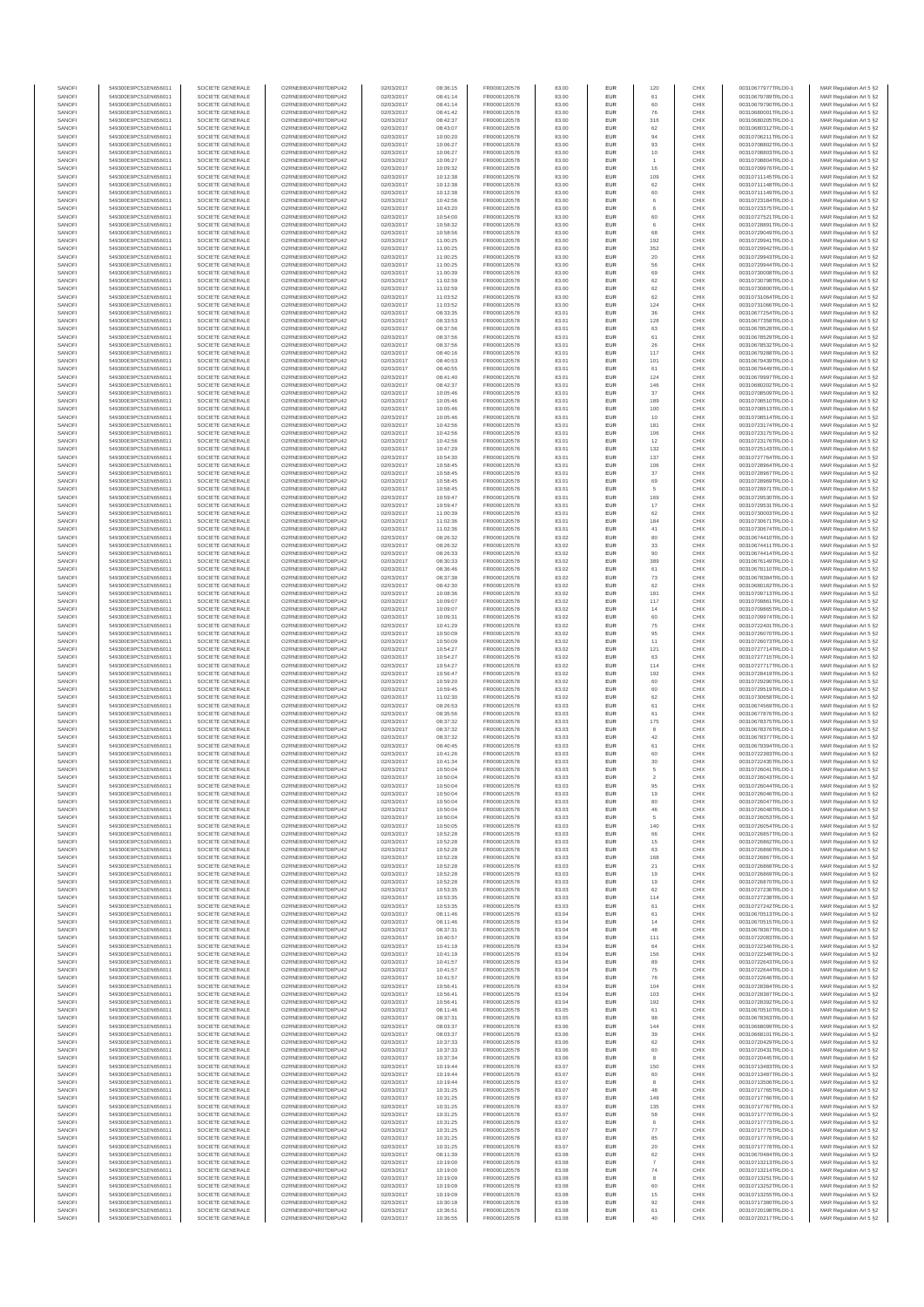| SANOFI           | 549300E9PC51EN656011                         | SOCIETE GENERALE                     | O2RNE8IBXP4R0TD8PU42                          | 02/03/2017               | 08:36:15             | FR0000120578                 | 83.00          | EUR                      | 120                 | CHIX         | 00310677977TRLO0-1                       | MAR Regulation Art 5 §2                            |
|------------------|----------------------------------------------|--------------------------------------|-----------------------------------------------|--------------------------|----------------------|------------------------------|----------------|--------------------------|---------------------|--------------|------------------------------------------|----------------------------------------------------|
| SANOFI<br>SANOFI | 549300E9PC51EN656011<br>549300E9PC51EN656011 | SOCIETE GENERALE<br>SOCIETE GENERALE | O2RNE8IBXP4R0TD8PU42<br>O2RNE8IBXP4R0TD8PU42  | 02/03/2017<br>02/03/2017 | 08:41:14<br>08:41:14 | FR0000120578                 | 83.00<br>83.00 | EUR<br>EUR               | 61<br>60            | CHIX<br>CHIX | 00310679789TRLO0-1<br>00310679790TRLO0-1 | MAR Regulation Art 5 §2                            |
| SANOFI           | 549300E9PC51EN656011                         | SOCIETE GENERALE                     | O2RNE8IBXP4R0TD8PLI42                         | 02/03/2017               | 08:41:42             | FR0000120578<br>FR0000120578 | 83.00          | EUR                      | 76                  | CHIX         | 00310680001TRLO0-1                       | MAR Regulation Art 5 §2<br>MAR Regulation Art 5 §2 |
| SANOFI           | 549300E9PC51EN656011                         | SOCIETE GENERALE                     | O2RNE8IBXP4R0TD8PU42                          | 02/03/2017               | 08:42:37             | FR0000120578                 | 83.00          | EUR                      | 316                 | CHIX         | 00310680205TRLO0-1                       | MAR Regulation Art 5 §2                            |
| SANOFI           | 549300E9PC51EN656011                         | SOCIETE GENERALE                     | O2RNE8IBXP4R0TD8PU42                          | 02/03/2017               | 08:43:07             | FR0000120578                 | 83.00          | EUR                      | 62                  | CHIX         | 00310680312TRLO0-1                       | MAR Regulation Art 5 §2                            |
| SANOFI<br>SANOFI | 549300E9PC51EN656011<br>549300E9PC51EN656011 | SOCIETE GENERALE<br>SOCIETE GENERALE | O2RNE8IBXP4R0TD8PU42<br>O2RNE8IBXP4R0TD8PU42  | 02/03/2017<br>02/03/2017 | 10:00:20<br>10:06:27 | FR0000120578<br>FR0000120578 | 83.00<br>83.00 | EUR<br>EUR               | 94<br>93            | CHIX<br>CHIX | 00310706211TRLO0-1<br>00310708802TRLO0-1 | MAR Regulation Art 5 §2<br>MAR Regulation Art 5 §2 |
| SANOFI           | 549300E9PC51EN656011                         | SOCIETE GENERALE                     | O2RNE8IBXP4R0TD8PU42                          | 02/03/2017               | 10:06:27             | FR0000120578                 | 83.00          | <b>EUR</b>               | 10                  | CHIX         | 00310708803TRLO0-1                       | MAR Regulation Art 5 §2                            |
| SANOFI           | 549300E9PC51EN656011                         | SOCIETE GENERALE                     | O2RNE8IBXP4R0TD8PU42                          | 02/03/2017               | 10:06:27             | FR0000120578                 | 83.00          | EUR                      |                     | CHIX         | 00310708804TRLO0-1                       | MAR Regulation Art 5 §2                            |
| SANOFI<br>SANOFI | 549300E9PC51EN656011<br>549300E9PC51EN656011 | SOCIETE GENERALE<br>SOCIETE GENERALE | O2RNE8IBXP4R0TD8PLI42<br>O2RNE8IBXP4R0TD8PU42 | 02/03/2017<br>02/03/2017 | 10:09:32<br>10:12:38 | FR0000120578<br>FR0000120578 | 83.00<br>83.00 | EUR<br>EUR               | 16<br>109           | CHIX<br>CHIX | 00310709976TRLO0-1<br>00310711145TRLO0-1 | MAR Regulation Art 5 §2<br>MAR Regulation Art 5 §2 |
| SANOFI           | 549300E9PC51EN656011                         | SOCIETE GENERALE                     | O2RNE8IBXP4R0TD8PU42                          | 02/03/2017               | 10:12:38             | FR0000120578                 | 83.00          | EUR                      | 62                  | CHIX         | 00310711148TRLO0-1                       | MAR Regulation Art 5 §2                            |
| SANOFI           | 549300E9PC51EN656011                         | SOCIETE GENERALE                     | O2RNE8IBXP4R0TD8PU42                          | 02/03/2017               | 10:12:38             | FR0000120578                 | 83.00          | EUR                      | 60                  | CHIX         | 00310711149TRLO0-1                       | MAR Regulation Art 5 §2                            |
| SANOFI           | 549300E9PC51EN656011                         | SOCIETE GENERALE                     | O2RNE8IBXP4R0TD8PU42                          | 02/03/2017               | 10:42:56             | FR0000120578                 | 83.00          | EUR                      | 6                   | CHIX         | 00310723184TRLO0-1                       | MAR Regulation Art 5 §2                            |
| SANOFI<br>SANOFI | 549300E9PC51EN656011<br>549300E9PC51EN656011 | SOCIETE GENERALE<br>SOCIETE GENERALE | O2RNE8IBXP4R0TD8PU42<br>O2RNE8IBXP4R0TD8PU42  | 02/03/2017<br>02/03/2017 | 10:43:20<br>10:54:00 | FR0000120578<br>FR0000120578 | 83.00<br>83.00 | <b>EUR</b><br>EUR        | 6<br>60             | CHIX<br>CHIX | 00310723375TRLO0-1<br>00310727521TRLO0-1 | MAR Regulation Art 5 §2<br>MAR Regulation Art 5 §2 |
| SANOFI           | 549300E9PC51EN656011                         | SOCIETE GENERALE                     | O2RNE8IBXP4R0TD8PU42                          | 02/03/2017               | 10:58:32             | FR0000120578                 | 83.00          | <b>EUR</b>               | 6                   | CHIX         | 00310728891TRLO0-1                       | MAR Regulation Art 5 §2                            |
| SANOFI           | 549300E9PC51EN656011                         | SOCIETE GENERALE                     | O2RNE8IBXP4R0TD8PU42                          | 02/03/2017               | 10:58:56             | FR0000120578                 | 83.00          | EUR                      | 68                  | CHIX         | 00310729049TRLO0-1                       | MAR Regulation Art 5 §2                            |
| SANOFI           | 549300E9PC51EN656011                         | SOCIETE GENERALE                     | O2RNESIBXP4R0TD8PLI42                         | 02/03/2017               | 11:00:25             | FR0000120578                 | 83.00          | EUR                      | 192                 | CHIX         | 00310729941TRLO0-1                       | MAR Regulation Art 5 §2                            |
| SANOFI<br>SANOFI | 549300E9PC51EN656011<br>549300E9PC51EN656011 | SOCIETE GENERALE<br>SOCIETE GENERALE | O2RNE8IBXP4R0TD8PU42<br>O2RNE8IBXP4R0TD8PLI42 | 02/03/2017<br>02/03/2017 | 11:00:25<br>11:00:25 | FR0000120578<br>FR0000120578 | 83.00<br>83.00 | EUR<br>EUR               | 352<br>20           | CHIX<br>CHIX | 00310729942TRLO0-1<br>00310729943TRLO0-1 | MAR Regulation Art 5 §2<br>MAR Regulation Art 5 §2 |
| SANOFI           | 549300E9PC51EN656011                         | SOCIETE GENERALE                     | O2RNE8IBXP4R0TD8PU42                          | 02/03/2017               | 11:00:25             | FR0000120578                 | 83.00          | <b>EUR</b>               | 56                  | CHIX         | 00310729944TRLO0-1                       | MAR Regulation Art 5 §2                            |
| SANOFI           | 549300E9PC51EN656011                         | SOCIETE GENERALE                     | O2RNE8IBXP4R0TD8PU42                          | 02/03/2017               | 11:00:39             | FR0000120578                 | 83.00          | EUR                      | 69                  | CHIX         | 00310730008TRLO0-1                       | MAR Regulation Art 5 §2                            |
| SANOFI           | 549300E9PC51EN656011                         | SOCIETE GENERALE<br>SOCIETE GENERALE | O2RNE8IBXP4R0TD8PU42                          | 02/03/2017               | 11:02:59             | FR0000120578                 | 83.00          | <b>EUR</b>               | 62                  | CHIX         | 00310730798TRLO0-1                       | MAR Regulation Art 5 §2                            |
| SANOFI<br>SANOFI | 549300E9PC51EN656011<br>549300E9PC51EN656011 | SOCIETE GENERALE                     | O2RNE8IBXP4R0TD8PU42<br>O2RNE8IBXP4R0TD8PU42  | 02/03/2017<br>02/03/2017 | 11:02:59<br>11:03:52 | FR0000120578<br>FR0000120578 | 83.00<br>83.00 | EUR<br><b>EUR</b>        | 62<br>62            | CHIX<br>CHIX | 00310730800TRLO0-<br>00310731064TRLO0-1  | MAR Regulation Art 5 §2<br>MAR Regulation Art 5 §2 |
| SANOFI           | 549300E9PC51EN656011                         | SOCIETE GENERALE                     | O2RNE8IBXP4R0TD8PU42                          | 02/03/2017               | 11:03:52             | FR0000120578                 | 83.00          | <b>EUR</b>               | 124                 | CHIX         | 00310731066TRLO0-1                       | MAR Regulation Art 5 §2                            |
| SANOFI           | 549300E9PC51EN656011                         | SOCIETE GENERALE                     | O2RNE8IBXP4R0TD8PU42                          | 02/03/2017               | 08:33:35             | FR0000120578                 | 83.01          | EUR                      | $36\,$              | CHIX         | 00310677254TRLO0-1                       | MAR Regulation Art 5 §2                            |
| SANOFI<br>SANOFI | 549300E9PC51EN656011<br>549300E9PC51EN656011 | SOCIETE GENERALE<br>SOCIETE GENERALE | O2RNE8IBXP4R0TD8PU42<br>O2RNE8IBXP4R0TD8PU42  | 02/03/2017<br>02/03/2017 | 08:33:53<br>08:37:56 | FR0000120578<br>FR0000120578 | 83.01<br>83.01 | EUR<br>EUR               | 128<br>63           | CHIX<br>CHIX | 00310677358TRLO0-1<br>00310678528TRLO0-1 | MAR Regulation Art 5 §2<br>MAR Regulation Art 5 §2 |
| SANOFI           | 549300E9PC51EN656011                         | SOCIETE GENERALE                     | O2RNE8IBXP4R0TD8PU42                          | 02/03/2017               | 08:37:56             | FR0000120578                 | 83.01          | <b>EUR</b>               | 61                  | CHIX         | 00310678529TRLO0-1                       | MAR Regulation Art 5 §2                            |
| SANOFI           | 549300E9PC51EN656011                         | SOCIETE GENERALE                     | O2RNE8IBXP4R0TD8PU42                          | 02/03/2017               | 08:37:56             | FR0000120578                 | 83.01          | EUR                      | 26                  | CHIX         | 00310678532TRLO0-1                       | MAR Regulation Art 5 §2                            |
| SANOFI<br>SANOFI | 549300E9PC51EN656011<br>549300E9PC51EN656011 | SOCIETE GENERALE<br>SOCIETE GENERALE | O2RNE8IBXP4R0TD8PU42<br>O2RNE8IBXP4R0TD8PU42  | 02/03/2017<br>02/03/2017 | 08:40:16<br>08:40:53 | FR0000120578<br>FR0000120578 | 83.01<br>83.01 | <b>EUR</b><br>EUR        | 117<br>101          | CHIX<br>CHIX | 00310679288TRLO0-1<br>00310679439TRLO0-1 | MAR Regulation Art 5 §2<br>MAR Regulation Art 5 §2 |
| SANOFI           | 549300E9PC51EN656011                         | SOCIETE GENERALE                     | O2RNE8IBXP4R0TD8PU42                          | 02/03/2017               | 08:40:55             | FR0000120578                 | 83.01          | EUR                      | 61                  | CHIX         | 00310679449TRLO0-1                       | MAR Regulation Art 5 §2                            |
| SANOFI           | 549300E9PC51EN656011                         | SOCIETE GENERALE                     | O2RNE8IBXP4R0TD8PU42                          | 02/03/2017               | 08:41:40             | FR0000120578                 | 83.01          | EUR                      | 124                 | CHIX         | 00310679997TRLO0-1                       | MAR Regulation Art 5 §2                            |
| SANOFI<br>SANOFI | 549300E9PC51EN656011                         | SOCIETE GENERALE                     | O2RNE8IBXP4R0TD8PU42<br>O2RNE8IBXP4R0TD8PU42  | 02/03/2017               | 08:42:37             | FR0000120578                 | 83.01          | EUR                      | 146                 | CHIX<br>CHIX | 00310680202TRLO0-1                       | MAR Regulation Art 5 §2                            |
| SANOFI           | 549300E9PC51EN656011<br>549300E9PC51EN656011 | SOCIETE GENERALE<br>SOCIETE GENERALE | O2RNE8IBXP4R0TD8PU42                          | 02/03/2017<br>02/03/2017 | 10:05:46<br>10:05:46 | FR0000120578<br>FR0000120578 | 83.01<br>83.01 | EUR<br>EUR               | 37<br>189           | CHIX         | 00310708509TRLO0-1<br>00310708510TRLO0-1 | MAR Regulation Art 5 §2<br>MAR Regulation Art 5 §2 |
| SANOFI           | 549300E9PC51EN656011                         | SOCIETE GENERALE                     | O2RNE8IBXP4R0TD8PU42                          | 02/03/2017               | 10:05:46             | FR0000120578                 | 83.01          | <b>EUR</b>               | 100                 | CHIX         | 00310708513TRLO0-1                       | MAR Regulation Art 5 §2                            |
| SANOFI           | 549300E9PC51EN656011                         | SOCIETE GENERALE                     | O2RNE8IBXP4R0TD8PU42                          | 02/03/2017               | 10:05:46             | FR0000120578                 | 83.01          | EUR                      | 10                  | CHIX         | 00310708514TRLO0-1                       | MAR Regulation Art 5 §2                            |
| SANOFI<br>SANOFI | 549300E9PC51EN656011<br>549300E9PC51EN656011 | SOCIETE GENERALE<br>SOCIETE GENERALE | O2RNE8IBXP4R0TD8PLI42<br>O2RNE8IBXP4R0TD8PU42 | 02/03/2017<br>02/03/2017 | 10:42:56<br>10:42:56 | FR0000120578<br>FR0000120578 | 83.01<br>83.01 | EUR<br>EUR               | 181<br>106          | CHIX<br>CHIX | 00310723174TRLO0-1<br>00310723175TRLO0-1 | MAR Regulation Art 5 §2<br>MAR Regulation Art 5 §2 |
| SANOFI           | 549300E9PC51EN656011                         | SOCIETE GENERALE                     | O2RNE8IBXP4R0TD8PU42                          | 02/03/2017               | 10:42:56             | FR0000120578                 | 83.01          | EUR                      | 12                  | CHIX         | 00310723176TRLO0-1                       | MAR Regulation Art 5 §2                            |
| SANOFI           | 549300E9PC51EN656011                         | SOCIETE GENERALE                     | O2RNE8IBXP4R0TD8PU42                          | 02/03/2017               | 10:47:29             | FR0000120578                 | 83.01          | EUR                      | 132                 | CHIX         | 00310725143TRLO0-1                       | MAR Regulation Art 5 §2                            |
| SANOFI           | 549300E9PC51EN656011                         | SOCIETE GENERALE                     | O2RNE8IBXP4R0TD8PLI42<br>O2RNE8IBXP4R0TD8PU42 | 02/03/2017               | 10:54:30             | FR0000120578                 | 83.01          | EUR                      | 137                 | CHIX         | 00310727764TRLO0-1<br>00310728964TRLO0-1 | MAR Regulation Art 5 §2<br>MAR Regulation Art 5 §2 |
| SANOFI<br>SANOFI | 549300E9PC51EN656011<br>549300E9PC51EN656011 | SOCIETE GENERALE<br>SOCIETE GENERALE | O2RNE8IBXP4R0TD8PU42                          | 02/03/2017<br>02/03/2017 | 10:58:45<br>10:58:45 | FR0000120578<br>FR0000120578 | 83.01<br>83.01 | EUR<br>EUR               | 106<br>37           | CHIX<br>CHIX | 00310728967TRLO0-1                       | MAR Regulation Art 5 §2                            |
| SANOFI           | 549300E9PC51EN656011                         | SOCIETE GENERALE                     | O2RNE8IBXP4R0TD8PU42                          | 02/03/2017               | 10:58:45             | FR0000120578                 | 83.01          | EUR                      | 69                  | CHIX         | 00310728969TRLO0-1                       | MAR Regulation Art 5 §2                            |
| SANOFI           | 549300E9PC51EN656011                         | SOCIETE GENERALE                     | O2RNE8IBXP4R0TD8PU42                          | 02/03/2017               | 10:58:45             | FR0000120578                 | 83.01          | EUR                      |                     | CHIX         | 00310728971TRLO0-1                       | MAR Regulation Art 5 §2                            |
| SANOFI<br>SANOFI | 549300E9PC51EN656011<br>549300E9PC51EN656011 | SOCIETE GENERALE<br>SOCIETE GENERALE | O2RNE8IBXP4R0TD8PU42<br>O2RNE8IBXP4R0TD8PU42  | 02/03/2017<br>02/03/2017 | 10:59:47<br>10:59:47 | FR0000120578<br>FR0000120578 | 83.01<br>83.01 | <b>EUR</b><br>EUR        | 169<br>17           | CHIX<br>CHIX | 00310729530TRLO0-1<br>00310729531TRLO0-1 | MAR Regulation Art 5 §2<br>MAR Regulation Art 5 §2 |
| SANOFI           | 549300E9PC51EN656011                         | SOCIETE GENERALE                     | O2RNE8IBXP4R0TD8PLI42                         | 02/03/2017               | 11:00:39             | FR0000120578                 | 83.01          | EUR                      | 62                  | CHIX         | 00310730003TRLO0-1                       | MAR Regulation Art 5 §2                            |
| SANOFI           | 549300E9PC51EN656011                         | SOCIETE GENERALE                     | O2RNE8IBXP4R0TD8PU42                          | 02/03/2017               | 11:02:36             | FR0000120578                 | 83.01          | EUR                      | 184                 | CHIX         | 00310730671TRLO0-1                       | MAR Regulation Art 5 §2                            |
| SANOFI           | 549300E9PC51EN656011                         | SOCIETE GENERALE                     | O2RNE8IBXP4R0TD8PU42                          | 02/03/2017               | 11:02:36             | FR0000120578                 | 83.01          | EUR                      | 41                  | CHIX         | 00310730674TRLO0-1                       | MAR Regulation Art 5 §2                            |
| SANOFI<br>SANOFI | 549300E9PC51EN656011<br>549300E9PC51EN656011 | SOCIETE GENERALE<br>SOCIETE GENERALE | O2RNE8IBXP4R0TD8PU42<br>O2RNE8IBXP4R0TD8PU42  | 02/03/2017<br>02/03/2017 | 08:26:32<br>08:26:32 | FR0000120578<br>FR0000120578 | 83.02<br>83.02 | <b>EUR</b><br>EUR        | 80<br>33            | CHIX<br>CHIX | 00310674410TRLO0-1<br>00310674411TRLO0-1 | MAR Regulation Art 5 §2<br>MAR Regulation Art 5 §2 |
| SANOFI           | 549300E9PC51EN656011                         | SOCIETE GENERALE                     | O2RNE8IBXP4R0TD8PU42                          | 02/03/2017               | 08:26:33             | FR0000120578                 | 83.02          | <b>EUR</b>               | 90                  | CHIX         | 00310674414TRLO0-1                       | MAR Regulation Art 5 §2                            |
| SANOFI           | 549300E9PC51EN656011                         | SOCIETE GENERALE                     | O2RNE8IBXP4R0TD8PU42                          | 02/03/2017               | 08:30:33             | FR0000120578                 | 83.02          | EUR                      | 389                 | CHIX         | 00310676149TRLO0-1                       | MAR Regulation Art 5 §2                            |
| SANOFI<br>SANOFI | 549300E9PC51EN656011<br>549300E9PC51EN656011 | SOCIETE GENERALE<br>SOCIETE GENERALE | O2RNE8IBXP4R0TD8PU42<br>O2RNE8IBXP4R0TD8PU42  | 02/03/2017<br>02/03/2017 | 08:36:46<br>08:37:38 | FR0000120578<br>FR0000120578 | 83.02<br>83.02 | <b>EUR</b><br>EUR        | 61<br>$\mathbf{73}$ | CHIX<br>CHIX | 00310678110TRLO0-1<br>00310678384TRLO0-1 | MAR Regulation Art 5 §2<br>MAR Regulation Art 5 §2 |
| SANOFI           | 549300E9PC51EN656011                         | SOCIETE GENERALE                     | O2RNE8IBXP4R0TD8PU42                          | 02/03/2017               | 08:42:30             | FR0000120578                 | 83.02          | EUR                      | 62                  | CHIX         | 00310680162TRLO0-1                       | MAR Regulation Art 5 §2                            |
| SANOFI           | 549300E9PC51EN656011                         | SOCIETE GENERALE                     | O2RNE8IBXP4R0TD8PU42                          | 02/03/2017               | 10:08:36             | FR0000120578                 | 83.02          | EUR                      | 181                 | CHIX         | 00310709713TRLO0-1                       | MAR Regulation Art 5 §2                            |
| SANOFI           | 549300E9PC51EN656011                         | SOCIETE GENERALE                     | O2RNE8IBXP4R0TD8PU42                          | 02/03/2017               | 10:09:07             | FR0000120578                 | 83.02          | EUR                      | 117                 | CHIX         | 00310709861TRLO0-1                       | MAR Regulation Art 5 §2                            |
| SANOFI<br>SANOFI | 549300E9PC51EN656011<br>549300E9PC51EN656011 | SOCIETE GENERALE<br>SOCIETE GENERALE | O2RNE8IBXP4R0TD8PU42<br>O2RNE8IBXP4R0TD8PU42  | 02/03/2017<br>02/03/2017 | 10:09:07<br>10:09:31 | FR0000120578<br>FR0000120578 | 83.02<br>83.02 | <b>EUR</b><br>EUR        | 14<br>60            | CHIX<br>CHIX | 00310709865TRLO0-1<br>00310709974TRLO0-1 | MAR Regulation Art 5 §2<br>MAR Regulation Art 5 §2 |
| SANOFI           | 549300E9PC51EN656011                         | SOCIETE GENERALE                     | O2RNE8IBXP4R0TD8PU42                          | 02/03/2017               | 10:41:29             | FR0000120578                 | 83.02          | <b>EUR</b>               | 75                  | CHIX         | 00310722401TRLO0-1                       | MAR Regulation Art 5 §2                            |
| SANOFI           | 549300E9PC51EN656011                         | SOCIETE GENERALE                     | O2RNE8IBXP4R0TD8PU42                          | 02/03/2017               | 10:50:09             | FR0000120578                 | 83.02          | EUR                      | 95                  | CHIX         | 00310726070TRLO0-1                       | MAR Regulation Art 5 §2                            |
| SANOFI<br>SANOFI | 549300E9PC51EN656011<br>549300E9PC51EN656011 | SOCIETE GENERALE<br>SOCIETE GENERALE | O2RNE8IBXP4R0TD8PU42<br>O2RNE8IBXP4R0TD8PU42  | 02/03/2017<br>02/03/2017 | 10:50:09<br>10:54:27 | FR0000120578<br>FR0000120578 | 83.02<br>83.02 | <b>EUR</b><br>EUR        | 11<br>121           | CHIX<br>CHIX | 00310726073TRLO0-1<br>00310727714TRLO0-1 | MAR Regulation Art 5 §2<br>MAR Regulation Art 5 §2 |
| SANOFI           | 549300E9PC51EN656011                         | SOCIETE GENERALE                     | O2RNE8IBXP4R0TD8PU42                          | 02/03/2017               | 10:54:27             | FR0000120578                 | 83.02          | EUR                      | 63                  | CHIX         | 00310727715TRLO0-1                       | MAR Regulation Art 5 §2                            |
| SANOFI           | 549300E9PC51EN656011                         | SOCIETE GENERALE                     | O2RNE8IBXP4R0TD8PU42                          | 02/03/2017               | 10:54:27             | FR0000120578                 | 83.02          | EUR                      | 114                 | CHIX         | 00310727717TRLO0-1                       | MAR Regulation Art 5 §2                            |
| SANOFI           | 549300E9PC51EN656011                         | SOCIETE GENERALE                     | O2RNE8IBXP4R0TD8PU42                          | 02/03/2017               | 10:56:47             | FR0000120578                 | 83.02          | EUR                      | 192                 | CHIX         | 00310728419TRLO0-1                       | MAR Regulation Art 5 §2                            |
| SANOFI<br>SANOFI | 549300E9PC51EN656011<br>549300E9PC51EN656011 | SOCIETE GENERALE<br>SOCIETE GENERALE | O2RNE8IBXP4R0TD8PU42<br>O2RNE8IBXP4R0TD8PU42  | 02/03/2017<br>02/03/2017 | 10:59:20<br>10:59:45 | FR0000120578<br>FR0000120578 | 83.02<br>83.02 | <b>EUR</b><br>EUR        | 60<br>60            | CHIX<br>CHIX | 00310729290TRLO0-1<br>00310729519TRLO0-1 | MAR Regulation Art 5 §2<br>MAR Regulation Art 5 §2 |
| SANOFI           | 549300E9PC51EN656011                         | SOCIETE GENERALE                     | O2RNE8IBXP4R0TD8PU42                          | 02/03/2017               | 11:02:30             | FR0000120578                 | 83.02          | <b>EUR</b>               | 62                  | CHIX         | 00310730658TRLO0-1                       | MAR Regulation Art 5 §2                            |
| SANOFI           | 549300E9PC51EN656011                         | SOCIETE GENERALE                     | O2RNE8IBXP4R0TD8PU42                          | 02/03/2017               | 08:26:53             | FR0000120578                 | 83.03          | EUR                      | 61                  | CHIX         | 00310674569TRLO0-1                       | MAR Regulation Art 5 §2                            |
| SANOFI           | 549300E9PC51EN656011                         | SOCIETE GENERALE                     | O2RNE8IBXP4R0TD8PU42                          | 02/03/2017               | 08:35:56             | FR0000120578<br>FR0000120578 | 83.03          | EUR                      | 61                  | CHIX         | 00310677876TRLO0-1                       | MAR Regulation Art 5 §2                            |
| SANOFI<br>SANOFI | 549300E9PC51EN656011<br>549300E9PC51EN656011 | SOCIETE GENERALE<br>SOCIETE GENERALE | O2RNE8IBXP4R0TD8PU42<br>O2RNE8IBXP4R0TD8PU42  | 02/03/2017<br>02/03/2017 | 08:37:32<br>08:37:32 | FR0000120578                 | 83.03<br>83.03 | EUR<br>EUR               | 175<br>8            | CHIX<br>CHIX | 00310678375TRLO0-1<br>00310678376TRLO0-1 | MAR Regulation Art 5 §2<br>MAR Regulation Art 5 §2 |
| SANOFI           | 549300E9PC51EN656011                         | SOCIETE GENERALE                     | O2RNE8IBXP4R0TD8PU42                          | 02/03/2017               | 08:37:32             | FR0000120578                 | 83.03          | EUR                      | 42                  | CHIX         | 00310678377TRLO0-1                       | MAR Regulation Art 5 §2                            |
| SANOFI           | 549300E9PC51EN656011                         | SOCIETE GENERALE                     | O2RNE8IBXP4R0TD8PU42                          | 02/03/2017               | 08:40:45             | FR0000120578                 | 83.03          | EUR                      | 61                  | CHIX         | 00310679394TRLO0-1                       | MAR Regulation Art 5 §2                            |
| SANOFI<br>SANOFI | 549300E9PC51EN656011<br>549300E9PC51EN656011 | SOCIETE GENERALE<br>SOCIETE GENERALE | O2RNE8IBXP4R0TD8PU42<br>O2RNE8IBXP4R0TD8PU42  | 02/03/2017<br>02/03/2017 | 10:41:26<br>10:41:34 | FR0000120578<br>FR0000120578 | 83.03<br>83.03 | <b>EUR</b><br>EUR        | 60<br>30            | CHIX<br>CHIX | 00310722383TRLO0-1<br>00310722435TRLO0-1 | MAR Regulation Art 5 §2<br>MAR Regulation Art 5 §2 |
| SANOFI           | 549300E9PC51EN656011                         | SOCIETE GENERALE                     | O2RNE8IBXP4R0TD8PU42                          | 02/03/2017               | 10:50:04             | FR0000120578                 | 83.03          | EUR                      | $\overline{5}$      | CHIX         | 00310726041TRLO0-1                       | MAR Regulation Art 5 §2                            |
| SANOFI           | 549300E9PC51EN656011                         | SOCIETE GENERALE                     | O2RNE8IBXP4R0TD8PU42                          | 02/03/2017               | 10:50:04             | FR0000120578                 | 83.03          | EUR                      | $\overline{2}$      | CHIX         | 00310726043TRLO0-1                       | MAR Regulation Art 5 §2                            |
| SANOFI           | 549300E9PC51EN656011                         | SOCIETE GENERALE                     | O2RNE8IBXP4R0TD8PLI42                         | 02/03/2017               | 10:50:04             | FR0000120578                 | 83.03          | EUR                      | 95                  | CHIX         | 00310726044TRLO0-1                       | MAR Regulation Art 5 §2                            |
| SANOFI<br>SANOFI | 549300E9PC51EN656011<br>549300E9PC51EN656011 | SOCIETE GENERALE<br>SOCIETE GENERALE | O2RNE8IBXP4R0TD8PU42<br>O2RNESIBXP4R0TD8PLI42 | 02/03/2017<br>02/03/2017 | 10:50:04<br>10:50:04 | FR0000120578<br>FR0000120578 | 83.03<br>83.03 | <b>EUR</b><br><b>EUR</b> | 19<br>80            | CHIX<br>CHIX | 00310726046TRLO0-1<br>00310726047TRLO0-1 | MAR Regulation Art 5 §2<br>MAR Regulation Art 5 §2 |
| SANOFI           | 549300E9PC51EN656011                         | SOCIETE GENERALE                     | O2RNE8IBXP4R0TD8PU42                          | 02/03/2017               | 10:50:04             | FR0000120578                 | 83.03          | EUR                      | 46                  | CHIX         | 00310726048TRLO0-1                       | MAR Regulation Art 5 §2                            |
| SANOFI           | 549300E9PC51EN656011                         | SOCIETE GENERALE                     | O2RNE8IBXP4R0TD8PU42                          | 02/03/2017               | 10:50:04             | FR0000120578                 | 83.03          | EUR                      |                     | CHIX         | 00310726053TRLO0-1                       | MAR Regulation Art 5 §2                            |
| SANOFI           | 549300E9PC51EN656011                         | SOCIETE GENERALE                     | O2RNE8IBXP4R0TD8PU42                          | 02/03/2017               | 10:50:05             | FR0000120578                 | 83.03          | <b>EUR</b>               | 140<br>66           | CHIX         | 00310726054TRLO0-1                       | MAR Regulation Art 5 §2                            |
| SANOFI<br>SANOFI | 549300E9PC51EN656011<br>549300E9PC51EN656011 | SOCIETE GENERALE<br>SOCIETE GENERALE | O2RNE8IBXP4R0TD8PU42<br>O2RNE8IBXP4R0TD8PU42  | 02/03/2017<br>02/03/2017 | 10:52:28<br>10:52:28 | FR0000120578<br>FR0000120578 | 83.03<br>83.03 | EUR<br><b>EUR</b>        | 15                  | CHIX<br>CHIX | 00310726857TRLO0-1<br>00310726862TRLO0-1 | MAR Regulation Art 5 §2<br>MAR Regulation Art 5 §2 |
| SANOFI           | 549300E9PC51EN656011                         | SOCIETE GENERALE                     | O2RNE8IBXP4R0TD8PU42                          | 02/03/2017               | 10:52:28             | FR0000120578                 | 83.03          | EUR                      | 63                  | CHIX         | 00310726866TRLO0-1                       | MAR Regulation Art 5 §2                            |
| SANOFI           | 549300E9PC51EN656011                         | SOCIETE GENERALE                     | O2RNE8IBXP4R0TD8PU42<br>O2RNE8IBXP4R0TD8PU42  | 02/03/2017               | 10:52:28             | FR0000120578                 | 83.03          | EUR                      | 168                 | CHIX<br>CHIX | 00310726867TRLO0-1                       | MAR Regulation Art 5 §2                            |
| SANOFI<br>SANOFI | 549300E9PC51EN656011<br>549300E9PC51EN656011 | SOCIETE GENERALE<br>SOCIETE GENERALE | O2RNESIBXP4R0TD8PLI42                         | 02/03/2017<br>02/03/2017 | 10:52:28<br>10:52:28 | FR0000120578<br>FR0000120578 | 83.03<br>83.03 | EUR<br>EUR               | $21\,$<br>19        | CHIX         | 00310726868TRLO0-1<br>00310726869TRLO0-1 | MAR Regulation Art 5 §2<br>MAR Regulation Art 5 §2 |
| SANOFI           | 549300E9PC51EN656011                         | SOCIETE GENERALE                     | O2RNE8IBXP4R0TD8PLI42                         | 02/03/2017               | 10:52:28             | FR0000120578                 | 83.03          | <b>EUR</b>               | 19                  | CHIX         | 00310726870TRLO0-1                       | MAR Regulation Art 5 §2                            |
| SANOFI           | 549300E9PC51EN656011                         | SOCIETE GENERALE                     | O2RNE8IBXP4R0TD8PU42                          | 02/03/2017               | 10:53:35             | FR0000120578                 | 83.03          | EUR                      | 62                  | CHIX         | 00310727236TRLO0-1                       | MAR Regulation Art 5 §2                            |
| SANOFI<br>SANOFI | 549300E9PC51EN656011<br>549300E9PC51EN656011 | SOCIETE GENERALE<br>SOCIETE GENERALE | O2RNE8IBXP4R0TD8PU42<br>O2RNE8IBXP4R0TD8PU42  | 02/03/2017<br>02/03/2017 | 10:53:35<br>10:53:35 | FR0000120578<br>FR0000120578 | 83.03<br>83.03 | <b>EUR</b><br>EUR        | 114<br>61           | CHIX<br>CHIX | 00310727238TRLO0-1<br>00310727242TRLO0-1 | MAR Regulation Art 5 §2<br>MAR Regulation Art 5 §2 |
| SANOFI           | 549300E9PC51EN656011                         | SOCIETE GENERALE                     | O2RNE8IBXP4R0TD8PU42                          | 02/03/2017               | 08:11:46             | FR0000120578                 | 83.04          | EUR                      | 61                  | CHIX         | 00310670513TRLO0-1                       | MAR Regulation Art 5 §2                            |
| SANOFI           | 549300E9PC51EN656011                         | SOCIETE GENERALE                     | O2RNE8IBXP4R0TD8PU42                          | 02/03/2017               | 08:11:46             | FR0000120578                 | 83.04          | EUR                      | 14                  | CHIX         | 00310670515TRLO0-1                       | MAR Regulation Art 5 §2                            |
| SANOFI<br>SANOFI | 549300E9PC51EN656011<br>549300E9PC51EN656011 | SOCIETE GENERALE<br>SOCIETE GENERALE | O2RNE8IBXP4R0TD8PU42<br>O2RNE8IBXP4R0TD8PU42  | 02/03/2017<br>02/03/2017 | 08:37:31<br>10:40:57 | FR0000120578<br>FR0000120578 | 83.04<br>83.04 | EUR<br>EUR               | 48<br>111           | CHIX<br>CHIX | 00310678367TRLO0-1<br>00310722083TRLO0-1 | MAR Regulation Art 5 §2<br>MAR Regulation Art 5 §2 |
| SANOFI           | 549300E9PC51EN656011                         | SOCIETE GENERALE                     | O2RNE8IBXP4R0TD8PU42                          | 02/03/2017               | 10:41:19             | FR0000120578                 | 83.04          | EUR                      | 64                  | CHIX         | 00310722346TRLO0-1                       | MAR Regulation Art 5 §2                            |
| SANOFI           | 549300E9PC51EN656011                         | SOCIETE GENERALE                     | O2RNE8IBXP4R0TD8PU42                          | 02/03/2017               | 10:41:19             | FR0000120578                 | 83.04          | <b>EUR</b>               | 156                 | CHIX         | 00310722348TRLO0-1                       | MAR Regulation Art 5 §2                            |
| SANOFI<br>SANOFI | 549300E9PC51EN656011<br>549300E9PC51EN656011 | SOCIETE GENERALE<br>SOCIETE GENERALE | O2RNE8IBXP4R0TD8PU42<br>O2RNE8IBXP4R0TD8PLI42 | 02/03/2017<br>02/03/2017 | 10:41:57<br>10:41:57 | FR0000120578<br>FR0000120578 | 83.04<br>83.04 | EUR<br><b>EUR</b>        | 89<br>75            | CHIX<br>CHIX | 00310722643TRLO0-1<br>00310722644TRLO0-1 | MAR Regulation Art 5 §2<br>MAR Regulation Art 5 §2 |
| SANOFI           | 549300E9PC51EN656011                         | SOCIETE GENERALE                     | O2RNE8IBXP4R0TD8PU42                          | 02/03/2017               | 10:41:57             | FR0000120578                 | 83.04          | EUR                      | 76                  | CHIX         | 00310722646TRLO0-1                       | MAR Regulation Art 5 \$2                           |
| SANOFI           | 549300E9PC51EN656011                         | SOCIETE GENERALE                     | O2RNE8IBXP4R0TD8PU42                          | 02/03/2017               | 10:56:41             | FR0000120578                 | 83.04          | <b>EUR</b>               | 104                 | CHIX         | 00310728384TRLO0-1                       | MAR Regulation Art 5 §2                            |
| SANOFI           | 549300E9PC51EN656011                         | SOCIETE GENERALE                     | O2RNE8IBXP4R0TD8PU42<br>O2RNE8IBXP4R0TD8PU42  | 02/03/2017               | 10:56:41             | FR0000120578                 | 83.04          | EUR<br>EUR               | 103                 | CHIX         | 00310728387TRLO0-1                       | MAR Regulation Art 5 §2                            |
| SANOFI<br>SANOFI | 549300E9PC51EN656011<br>549300E9PC51EN656011 | SOCIETE GENERALE<br>SOCIETE GENERALE | O2RNE8IBXP4R0TD8PU42                          | 02/03/2017<br>02/03/2017 | 10:56:41<br>08:11:46 | FR0000120578<br>FR0000120578 | 83.04<br>83.05 | EUR                      | 192<br>61           | CHIX<br>CHIX | 00310728392TRLO0-1<br>00310670510TRLO0-1 | MAR Regulation Art 5 §2<br>MAR Regulation Art 5 §2 |
| SANOFI           | 549300E9PC51EN656011                         | SOCIETE GENERALE                     | O2RNE8IBXP4R0TD8PU42                          | 02/03/2017               | 08:37:31             | FR0000120578                 | 83.05          | EUR                      |                     | CHIX         | 00310678363TRLO0-1                       | MAR Regulation Art 5 §2                            |
| SANOFI           | 549300E9PC51EN656011                         | SOCIETE GENERALE                     | O2RNE8IBXP4R0TD8PU42                          | 02/03/2017               | 08:03:37             | FR0000120578                 | 83.06          | <b>EUR</b>               | 144                 | CHIX         | 00310668099TRLO0-1                       | MAR Regulation Art 5 §2                            |
| SANOFI<br>SANOFI | 549300E9PC51EN656011<br>549300E9PC51EN656011 | SOCIETE GENERALE<br>SOCIETE GENERALE | O2RNE8IBXP4R0TD8PU42<br>O2RNE8IBXP4R0TD8PU42  | 02/03/2017<br>02/03/2017 | 08:03:37<br>10:37:33 | FR0000120578<br>FR0000120578 | 83.06<br>83.06 | EUR<br><b>EUR</b>        | 39<br>62            | CHIX<br>CHIX | 00310668101TRLO0-1<br>00310720429TRLO0-1 | MAR Regulation Art 5 §2                            |
| SANOFI           | 549300E9PC51EN656011                         | SOCIETE GENERALE                     | O2RNE8IBXP4R0TD8PU42                          | 02/03/2017               | 10:37:33             | FR0000120578                 | 83.06          | EUR                      | 60                  | CHIX         | 00310720431TRLO0-1                       | MAR Regulation Art 5 §2<br>MAR Regulation Art 5 §2 |
| SANOFI           | 549300E9PC51EN656011                         | SOCIETE GENERALE                     | O2RNE8IBXP4R0TD8PU42                          | 02/03/2017               | 10:37:34             | FR0000120578                 | 83.06          | EUR                      | 8                   | CHIX         | 00310720445TRLO0-1                       | MAR Regulation Art 5 §2                            |
| SANOFI           | 549300E9PC51EN656011                         | SOCIETE GENERALE                     | O2RNE8IBXP4R0TD8PU42                          | 02/03/2017               | 10:19:44             | FR0000120578                 | 83.07          | EUR                      | 150                 | CHIX         | 00310713483TRLO0-1                       | MAR Regulation Art 5 §2                            |
| SANOFI<br>SANOFI | 549300E9PC51EN656011<br>549300E9PC51EN656011 | SOCIETE GENERALE<br>SOCIETE GENERALE | O2RNE8IBXP4R0TD8PU42<br>O2RNE8IBXP4R0TD8PU42  | 02/03/2017<br>02/03/2017 | 10:19:44<br>10:19:44 | FR0000120578<br>FR0000120578 | 83.07          | EUR<br>EUR               | 60<br>8             | CHIX<br>CHIX | 00310713487TRLO0-1<br>00310713506TRLO0-1 | MAR Regulation Art 5 §2                            |
| SANOFI           | 549300E9PC51EN656011                         | SOCIETE GENERALE                     | O2RNE8IBXP4R0TD8PU42                          | 02/03/2017               | 10:31:25             | FR0000120578                 | 83.07<br>83.07 | EUR                      | 48                  | CHIX         | 00310717765TRLO0-1                       | MAR Regulation Art 5 §2<br>MAR Regulation Art 5 §2 |
| SANOFI           | 549300E9PC51EN656011                         | SOCIETE GENERALE                     | O2RNE8IBXP4R0TD8PU42                          | 02/03/2017               | 10:31:25             | FR0000120578                 | 83.07          | <b>EUR</b>               | 149                 | CHIX         | 00310717766TRLO0-1                       | MAR Regulation Art 5 §2                            |
| SANOFI           | 549300E9PC51EN656011                         | SOCIETE GENERALE                     | O2RNE8IBXP4R0TD8PU42                          | 02/03/2017               | 10:31:25             | FR0000120578                 | 83.07          | EUR                      | 135                 | CHIX         | 00310717767TRLO0-1                       | MAR Regulation Art 5 §2                            |
| SANOFI<br>SANOFI | 549300E9PC51EN656011<br>549300E9PC51EN656011 | SOCIETE GENERALE<br>SOCIETE GENERALE | O2RNE8IBXP4R0TD8PU42<br>O2RNE8IBXP4R0TD8PU42  | 02/03/2017<br>02/03/2017 | 10:31:25<br>10:31:25 | FR0000120578<br>FR0000120578 | 83.07<br>83.07 | EUR<br>EUR               | 58<br>6             | CHIX<br>CHIX | 00310717770TRLO0-1<br>00310717773TRLO0-1 | MAR Regulation Art 5 §2<br>MAR Regulation Art 5 §2 |
| SANOFI           | 549300E9PC51EN656011                         | SOCIETE GENERALE                     | O2RNE8IBXP4R0TD8PU42                          | 02/03/2017               | 10:31:25             | FR0000120578                 | 83.07          | EUR                      | 77                  | CHIX         | 00310717775TRLO0-1                       | MAR Regulation Art 5 §2                            |
| SANOFI           | 549300E9PC51EN656011                         | SOCIETE GENERALE                     | O2RNE8IBXP4R0TD8PU42                          | 02/03/2017               | 10:31:25             | FR0000120578                 | 83.07          | EUR                      | 85                  | CHIX         | 00310717776TRLO0-1                       | MAR Regulation Art 5 §2                            |
| SANOFI<br>SANOFI | 549300E9PC51EN656011<br>549300E9PC51EN656011 | SOCIETE GENERALE<br>SOCIETE GENERALE | O2RNE8IBXP4R0TD8PU42<br>O2RNE8IBXP4R0TD8PU42  | 02/03/2017<br>02/03/2017 | 10:31:25<br>08:11:39 | FR0000120578<br>FR0000120578 | 83.07<br>83.08 | EUR<br><b>EUR</b>        | 20                  | CHIX<br>CHIX | 00310717778TRLO0-1<br>00310670484TRLO0-1 | MAR Regulation Art 5 §2                            |
| SANOFI           | 549300E9PC51EN656011                         | SOCIETE GENERALE                     | O2RNE8IBXP4R0TD8PU42                          | 02/03/2017               | 10:19:00             | FR0000120578                 | 83.08          | EUR                      | 62                  | CHIX         | 00310713213TRLO0-1                       | MAR Regulation Art 5 §2<br>MAR Regulation Art 5 §2 |
| SANOFI           | 549300E9PC51EN656011                         | SOCIETE GENERALE                     | O2RNE8IBXP4R0TD8PU42                          | 02/03/2017               | 10:19:00             | FR0000120578                 | 83.08          | <b>EUR</b>               | 74                  | CHIX         | 00310713214TRLO0-1                       | MAR Regulation Art 5 §2                            |
| SANOFI           | 549300E9PC51EN656011                         | SOCIETE GENERALE                     | O2RNE8IBXP4R0TD8PU42                          | 02/03/2017               | 10:19:09             | FR0000120578                 | 83.08          | EUR                      |                     | CHIX         | 00310713251TRLO0-1                       | MAR Regulation Art 5 §2                            |
| SANOFI<br>SANOFI | 549300E9PC51EN656011<br>549300E9PC51EN656011 | SOCIETE GENERALE<br>SOCIETE GENERALE | O2RNE8IBXP4R0TD8PU42<br>O2RNE8IBXP4R0TD8PU42  | 02/03/2017<br>02/03/2017 | 10:19:09<br>10:19:09 | FR0000120578<br>FR0000120578 | 83.08<br>83.08 | EUR<br>EUR               | 60<br>15            | CHIX<br>CHIX | 00310713252TRLO0-1<br>00310713255TRLO0-1 | MAR Regulation Art 5 §2<br>MAR Regulation Art 5 §2 |
| SANOFI           | 549300E9PC51EN656011                         | SOCIETE GENERALE                     | O2RNE8IBXP4R0TD8PU42                          | 02/03/2017               | 10:30:18             | FR0000120578                 | 83.08          | EUR                      | $92\,$              | CHIX         | 00310717380TRLO0-1                       | MAR Regulation Art 5 §2                            |
| SANOFI           | 549300E9PC51EN656011                         | SOCIETE GENERALE                     | O2RNE8IBXP4R0TD8PU42                          | 02/03/2017               | 10:36:51             | FR0000120578                 | 83.08          | EUR                      | 61                  | CHIX         | 00310720198TRLO0-1                       | MAR Regulation Art 5 §2                            |
| SANOFI           | 549300E9PC51EN656011                         | SOCIETE GENERALE                     | O2RNE8IBXP4R0TD8PU42                          | 02/03/2017               | 10:36:55             | FR0000120578                 | 83.08          | EUR                      | 40                  | CHIX         | 00310720217TRLO0-1                       | MAR Regulation Art 5 §2                            |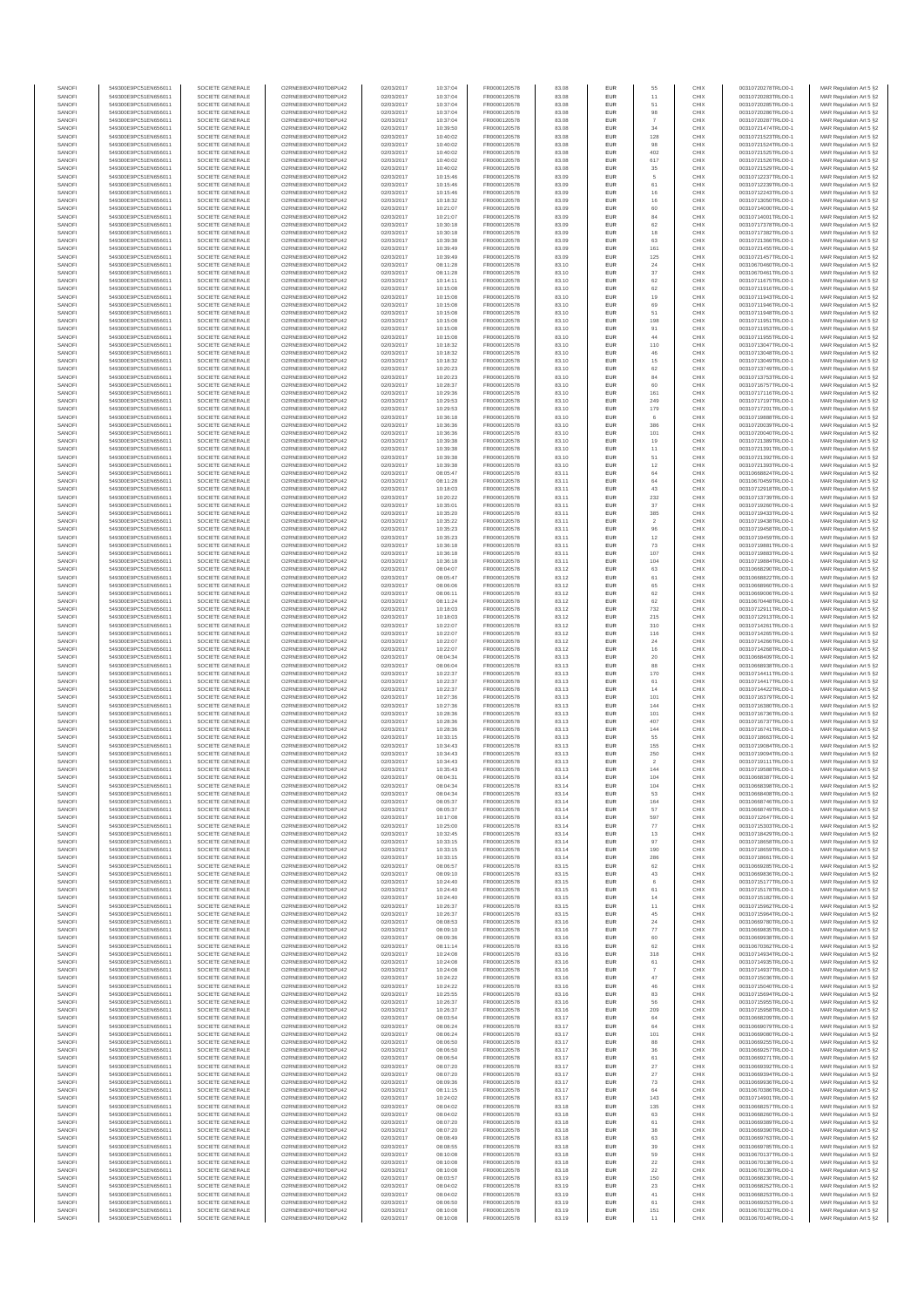| SANOFI           | 549300E9PC51EN656011                         | SOCIETE GENERALE                     | O2RNE8IBXP4R0TD8PU42                          | 02/03/2017               | 10:37:04             | FR0000120578                 | 83.08          | EUR                      | 55                    | CHIX         | 00310720278TRLO0-1                       | MAR Regulation Art 5 §2                            |
|------------------|----------------------------------------------|--------------------------------------|-----------------------------------------------|--------------------------|----------------------|------------------------------|----------------|--------------------------|-----------------------|--------------|------------------------------------------|----------------------------------------------------|
| SANOFI<br>SANOFI | 549300E9PC51EN656011<br>549300E9PC51EN656011 | SOCIETE GENERALE<br>SOCIETE GENERALE | O2RNE8IBXP4R0TD8PU42<br>O2RNE8IBXP4R0TD8PU42  | 02/03/2017<br>02/03/2017 | 10:37:04<br>10:37:04 | FR0000120578                 | 83.08<br>83.08 | EUR<br>EUR               | 11<br>51              | CHIX<br>CHIX | 00310720283TRLO0-1<br>00310720285TRLO0-1 | MAR Regulation Art 5 §2                            |
| SANOFI           | 549300E9PC51EN656011                         | SOCIETE GENERALE                     | O2RNE8IBXP4R0TD8PLI42                         | 02/03/2017               | 10:37:04             | FR0000120578<br>FR0000120578 | 83.08          | EUR                      | 98                    | CHIX         | 00310720286TRLO0-1                       | MAR Regulation Art 5 §2<br>MAR Regulation Art 5 §2 |
| SANOFI           | 549300E9PC51EN656011                         | SOCIETE GENERALE                     | O2RNE8IBXP4R0TD8PU42                          | 02/03/2017               | 10:37:04             | FR0000120578                 | 83.08          | EUR                      |                       | CHIX         | 00310720287TRLO0-1                       | MAR Regulation Art 5 §2                            |
| SANOFI           | 549300E9PC51EN656011                         | SOCIETE GENERALE                     | O2RNE8IBXP4R0TD8PU42                          | 02/03/2017               | 10:39:50             | FR0000120578                 | 83.08          | EUR                      | 34                    | CHIX         | 00310721474TRLO0-1                       | MAR Regulation Art 5 §2                            |
| SANOFI<br>SANOFI | 549300E9PC51EN656011<br>549300E9PC51EN656011 | SOCIETE GENERALE<br>SOCIETE GENERALE | O2RNE8IBXP4R0TD8PU42<br>O2RNE8IBXP4R0TD8PU42  | 02/03/2017<br>02/03/2017 | 10:40:02<br>10:40:02 | FR0000120578<br>FR0000120578 | 83.08<br>83.08 | EUR<br>EUR               | 128<br>98             | CHIX<br>CHIX | 00310721523TRLO0-1<br>00310721524TRLO0-1 | MAR Regulation Art 5 §2<br>MAR Regulation Art 5 §2 |
| SANOFI           | 549300E9PC51EN656011                         | SOCIETE GENERALE                     | O2RNE8IBXP4R0TD8PU42                          | 02/03/2017               | 10:40:02             | FR0000120578                 | 83.08          | <b>EUR</b>               | 402                   | CHIX         | 00310721525TRLO0-1                       | MAR Regulation Art 5 §2                            |
| SANOFI           | 549300E9PC51EN656011                         | SOCIETE GENERALE                     | O2RNE8IBXP4R0TD8PU42                          | 02/03/2017               | 10:40:02             | FR0000120578                 | 83.08          | EUR                      | 617                   | CHIX         | 00310721526TRLO0-1                       | MAR Regulation Art 5 §2                            |
| SANOFI<br>SANOFI | 549300E9PC51EN656011<br>549300E9PC51EN656011 | SOCIETE GENERALE<br>SOCIETE GENERALE | O2RNE8IBXP4R0TD8PLI42<br>O2RNE8IBXP4R0TD8PU42 | 02/03/2017<br>02/03/2017 | 10:40:02<br>10:15:46 | FR0000120578<br>FR0000120578 | 83.08<br>83.09 | EUR<br>EUR               | 35<br>5               | CHIX<br>CHIX | 00310721529TRLO0-1<br>00310712237TRLO0-1 | MAR Regulation Art 5 §2<br>MAR Regulation Art 5 §2 |
| SANOFI           | 549300E9PC51EN656011                         | SOCIETE GENERALE                     | O2RNESIBXP4R0TD8PLI42                         | 02/03/2017               | 10:15:46             | FR0000120578                 | 83.09          | EUR                      | 61                    | CHIX         | 00310712239TRLO0-1                       | MAR Regulation Art 5 §2                            |
| SANOFI           | 549300E9PC51EN656011                         | SOCIETE GENERALE                     | O2RNE8IBXP4R0TD8PU42                          | 02/03/2017               | 10:15:46             | FR0000120578                 | 83.09          | EUR                      | 16                    | CHIX         | 00310712243TRLO0-1                       | MAR Regulation Art 5 §2                            |
| SANOFI           | 549300E9PC51EN656011                         | SOCIETE GENERALE                     | O2RNE8IBXP4R0TD8PU42                          | 02/03/2017               | 10:18:32             | FR0000120578                 | 83.09          | EUR                      | 16                    | CHIX         | 00310713050TRLO0-1                       | MAR Regulation Art 5 §2                            |
| SANOFI<br>SANOFI | 549300E9PC51EN656011<br>549300E9PC51EN656011 | SOCIETE GENERALE<br>SOCIETE GENERALE | O2RNE8IBXP4R0TD8PU42<br>O2RNE8IBXP4R0TD8PU42  | 02/03/2017<br>02/03/2017 | 10:21:07<br>10:21:07 | FR0000120578<br>FR0000120578 | 83.09<br>83.09 | <b>EUR</b><br>EUR        | 60<br>84              | CHIX<br>CHIX | 00310714000TRLO0-1<br>00310714001TRLO0-1 | MAR Regulation Art 5 §2<br>MAR Regulation Art 5 §2 |
| SANOFI           | 549300E9PC51EN656011                         | SOCIETE GENERALE                     | O2RNE8IBXP4R0TD8PU42                          | 02/03/2017               | 10:30:18             | FR0000120578                 | 83.09          | <b>EUR</b>               | 62                    | CHIX         | 00310717378TRLO0-1                       | MAR Regulation Art 5 §2                            |
| SANOFI           | 549300E9PC51EN656011                         | SOCIETE GENERALE                     | O2RNE8IBXP4R0TD8PU42                          | 02/03/2017               | 10:30:18             | FR0000120578                 | 83.09          | EUR                      | 18                    | CHIX         | 00310717382TRLO0-1                       | MAR Regulation Art 5 §2                            |
| SANOFI           | 549300E9PC51EN656011                         | SOCIETE GENERALE                     | O2RNESIBXP4R0TD8PLI42                         | 02/03/2017               | 10:39:38             | FR0000120578                 | 83.09          | EUR                      | 63                    | CHIX         | 00310721366TRLO0-1                       | MAR Regulation Art 5 §2                            |
| SANOFI<br>SANOFI | 549300E9PC51EN656011<br>549300E9PC51EN656011 | SOCIETE GENERALE<br>SOCIETE GENERALE | O2RNE8IBXP4R0TD8PU42<br>O2RNE8IBXP4R0TD8PLI42 | 02/03/2017<br>02/03/2017 | 10:39:49<br>10:39:49 | FR0000120578<br>FR0000120578 | 83.09<br>83.09 | EUR<br>EUR               | 161<br>125            | CHIX<br>CHIX | 00310721455TRLO0-1<br>00310721457TRLO0-1 | MAR Regulation Art 5 §2<br>MAR Regulation Art 5 §2 |
| SANOFI           | 549300E9PC51EN656011                         | SOCIETE GENERALE                     | O2RNE8IBXP4R0TD8PU42                          | 02/03/2017               | 08:11:28             | FR0000120578                 | 83.10          | <b>EUR</b>               | 24                    | CHIX         | 00310670460TRLO0-1                       | MAR Regulation Art 5 §2                            |
| SANOFI           | 549300E9PC51EN656011                         | SOCIETE GENERALE                     | O2RNE8IBXP4R0TD8PU42                          | 02/03/2017               | 08:11:28             | FR0000120578                 | 83.10          | EUR                      | $37\,$                | CHIX         | 00310670461TRLO0-1                       | MAR Regulation Art 5 §2                            |
| SANOFI<br>SANOFI | 549300E9PC51EN656011<br>549300E9PC51EN656011 | SOCIETE GENERALE<br>SOCIETE GENERALE | O2RNE8IBXP4R0TD8PU42<br>O2RNE8IBXP4R0TD8PU42  | 02/03/2017<br>02/03/2017 | 10:14:11<br>10:15:08 | FR0000120578<br>FR0000120578 | 83.10<br>83.10 | <b>EUR</b><br>EUR        | 62<br>62              | CHIX<br>CHIX | 00310711675TRLO0-1<br>00310711916TRLO0-1 | MAR Regulation Art 5 §2<br>MAR Regulation Art 5 §2 |
| SANOFI           | 549300E9PC51EN656011                         | SOCIETE GENERALE                     | O2RNE8IBXP4R0TD8PU42                          | 02/03/2017               | 10:15:08             | FR0000120578                 | 83.10          | <b>EUR</b>               | 19                    | CHIX         | 00310711943TRLO0-1                       | MAR Regulation Art 5 §2                            |
| SANOFI           | 549300E9PC51EN656011                         | SOCIETE GENERALE                     | O2RNE8IBXP4R0TD8PU42                          | 02/03/2017               | 10:15:08             | FR0000120578                 | 83.10          | EUR                      | 69                    | CHIX         | 00310711946TRLO0-1                       | MAR Regulation Art 5 §2                            |
| SANOFI           | 549300E9PC51EN656011                         | SOCIETE GENERALE                     | O2RNE8IBXP4R0TD8PU42                          | 02/03/2017               | 10:15:08             | FR0000120578                 | 83.10          | EUR                      | 51                    | CHIX         | 00310711948TRLO0-1                       | MAR Regulation Art 5 §2                            |
| SANOFI<br>SANOFI | 549300E9PC51EN656011<br>549300E9PC51EN656011 | SOCIETE GENERALE<br>SOCIETE GENERALE | O2RNE8IBXP4R0TD8PU42<br>O2RNE8IBXP4R0TD8PU42  | 02/03/2017<br>02/03/2017 | 10:15:08<br>10:15:08 | FR0000120578<br>FR0000120578 | 83.10<br>83.10 | EUR<br>EUR               | 198<br>91             | CHIX<br>CHIX | 00310711951TRLO0-1<br>00310711953TRLO0-1 | MAR Regulation Art 5 §2<br>MAR Regulation Art 5 §2 |
| SANOFI           | 549300E9PC51EN656011                         | SOCIETE GENERALE                     | O2RNE8IBXP4R0TD8PU42                          | 02/03/2017               | 10:15:08             | FR0000120578                 | 83.10          | <b>EUR</b>               | 44                    | CHIX         | 00310711955TRLO0-1                       | MAR Regulation Art 5 §2                            |
| SANOFI           | 549300E9PC51EN656011                         | SOCIETE GENERALE                     | O2RNE8IBXP4R0TD8PU42                          | 02/03/2017               | 10:18:32             | FR0000120578                 | 83.10          | EUR                      | 110                   | CHIX         | 00310713047TRLO0-1                       | MAR Regulation Art 5 §2                            |
| SANOFI<br>SANOFI | 549300E9PC51EN656011<br>549300E9PC51EN656011 | SOCIETE GENERALE<br>SOCIETE GENERALE | O2RNE8IBXP4R0TD8PU42<br>O2RNE8IBXP4R0TD8PU42  | 02/03/2017<br>02/03/2017 | 10:18:32<br>10:18:32 | FR0000120578<br>FR0000120578 | 83.10<br>83.10 | <b>EUR</b><br>EUR        | 46<br>15              | CHIX<br>CHIX | 00310713048TRLO0-1<br>00310713049TRLO0-1 | MAR Regulation Art 5 §2<br>MAR Regulation Art 5 §2 |
| SANOFI           | 549300E9PC51EN656011                         | SOCIETE GENERALE                     | O2RNE8IBXP4R0TD8PU42                          | 02/03/2017               | 10:20:23             | FR0000120578                 | 83.10          | EUR                      | 62                    | CHIX         | 00310713749TRLO0-1                       | MAR Regulation Art 5 §2                            |
| SANOFI           | 549300E9PC51EN656011                         | SOCIETE GENERALE                     | O2RNE8IBXP4R0TD8PU42                          | 02/03/2017               | 10:20:23             | FR0000120578                 | 83.10          | EUR                      | 84                    | CHIX         | 00310713753TRLO0-1                       | MAR Regulation Art 5 §2                            |
| SANOFI<br>SANOFI | 549300E9PC51EN656011                         | SOCIETE GENERALE                     | O2RNE8IBXP4R0TD8PU42<br>O2RNE8IBXP4R0TD8PU42  | 02/03/2017               | 10:28:37             | FR0000120578                 | 83.10          | EUR                      | 60                    | CHIX<br>CHIX | 00310716757TRLO0-1                       | MAR Regulation Art 5 §2                            |
| SANOFI           | 549300E9PC51EN656011<br>549300E9PC51EN656011 | SOCIETE GENERALE<br>SOCIETE GENERALE | O2RNE8IBXP4R0TD8PU42                          | 02/03/2017<br>02/03/2017 | 10:29:36<br>10:29:53 | FR0000120578<br>FR0000120578 | 83.10<br>83.10 | EUR<br>EUR               | 161<br>249            | CHIX         | 00310717116TRLO0-1<br>00310717197TRLO0-1 | MAR Regulation Art 5 §2<br>MAR Regulation Art 5 §2 |
| SANOFI           | 549300E9PC51EN656011                         | SOCIETE GENERALE                     | O2RNE8IBXP4R0TD8PU42                          | 02/03/2017               | 10:29:53             | FR0000120578                 | 83.10          | <b>EUR</b>               | 179                   | CHIX         | 00310717201TRLO0-1                       | MAR Regulation Art 5 §2                            |
| SANOFI           | 549300E9PC51EN656011                         | SOCIETE GENERALE                     | O2RNE8IBXP4R0TD8PU42                          | 02/03/2017               | 10:36:18             | FR0000120578                 | 83.10          | EUR                      |                       | CHIX         | 00310719888TRLO0-1                       | MAR Regulation Art 5 §2                            |
| SANOFI<br>SANOFI | 549300E9PC51EN656011<br>549300E9PC51EN656011 | SOCIETE GENERALE<br>SOCIETE GENERALE | O2RNE8IBXP4R0TD8PLI42<br>O2RNE8IBXP4R0TD8PU42 | 02/03/2017<br>02/03/2017 | 10:36:36<br>10:36:36 | FR0000120578<br>FR0000120578 | 83.10<br>83.10 | <b>EUR</b><br>EUR        | 386<br>101            | CHIX<br>CHIX | 00310720039TRLO0-1<br>00310720040TRLO0-1 | MAR Regulation Art 5 §2<br>MAR Regulation Art 5 §2 |
| SANOFI           | 549300E9PC51EN656011                         | SOCIETE GENERALE                     | O2RNE8IBXP4R0TD8PU42                          | 02/03/2017               | 10:39:38             | FR0000120578                 | 83.10          | EUR                      | 19                    | CHIX         | 00310721389TRLO0-1                       | MAR Regulation Art 5 §2                            |
| SANOFI           | 549300E9PC51EN656011                         | SOCIETE GENERALE                     | O2RNE8IBXP4R0TD8PU42                          | 02/03/2017               | 10:39:38             | FR0000120578                 | 83.10          | EUR                      | 11                    | CHIX         | 00310721391TRLO0-1                       | MAR Regulation Art 5 §2                            |
| SANOFI           | 549300E9PC51EN656011                         | SOCIETE GENERALE                     | O2RNE8IBXP4R0TD8PLI42<br>O2RNE8IBXP4R0TD8PU42 | 02/03/2017               | 10:39:38             | FR0000120578                 | 83.10          | EUR                      | 51                    | CHIX         | 00310721392TRLO0-1                       | MAR Regulation Art 5 §2<br>MAR Regulation Art 5 §2 |
| SANOFI<br>SANOFI | 549300E9PC51EN656011<br>549300E9PC51EN656011 | SOCIETE GENERALE<br>SOCIETE GENERALE | O2RNE8IBXP4R0TD8PU42                          | 02/03/2017<br>02/03/2017 | 10:39:38<br>08:05:47 | FR0000120578<br>FR0000120578 | 83.10<br>83.11 | EUR<br>EUR               | 12<br>64              | CHIX<br>CHIX | 00310721393TRLO0-1<br>00310668824TRLO0-1 | MAR Regulation Art 5 §2                            |
| SANOFI           | 549300E9PC51EN656011                         | SOCIETE GENERALE                     | O2RNE8IBXP4R0TD8PU42                          | 02/03/2017               | 08:11:28             | FR0000120578                 | 83.11          | EUR                      | 64                    | CHIX         | 00310670459TRLO0-1                       | MAR Regulation Art 5 §2                            |
| SANOFI           | 549300E9PC51EN656011                         | SOCIETE GENERALE                     | O2RNE8IBXP4R0TD8PU42                          | 02/03/2017               | 10:18:03             | FR0000120578                 | 83.11          | EUR                      | 43                    | CHIX         | 00310712918TRLO0-1                       | MAR Regulation Art 5 §2                            |
| SANOFI<br>SANOFI | 549300E9PC51EN656011<br>549300E9PC51EN656011 | SOCIETE GENERALE<br>SOCIETE GENERALE | O2RNE8IBXP4R0TD8PU42<br>O2RNE8IBXP4R0TD8PU42  | 02/03/2017<br>02/03/2017 | 10:20:22<br>10:35:01 | FR0000120578<br>FR0000120578 | 83.11<br>83.11 | <b>EUR</b><br>EUR        | 232<br>37             | CHIX<br>CHIX | 00310713739TRLO0-1<br>00310719260TRLO0-1 | MAR Regulation Art 5 §2<br>MAR Regulation Art 5 §2 |
| SANOFI           | 549300E9PC51EN656011                         | SOCIETE GENERALE                     | O2RNE8IBXP4R0TD8PLI42                         | 02/03/2017               | 10:35:20             | FR0000120578                 | 83.11          | EUR                      | 385                   | CHIX         | 00310719433TRLO0-1                       | MAR Regulation Art 5 §2                            |
| SANOFI           | 549300E9PC51EN656011                         | SOCIETE GENERALE                     | O2RNE8IBXP4R0TD8PU42                          | 02/03/2017               | 10:35:22             | FR0000120578                 | 83.11          | EUR                      | $\overline{2}$        | CHIX         | 00310719438TRLO0-1                       | MAR Regulation Art 5 §2                            |
| SANOFI           | 549300E9PC51EN656011                         | SOCIETE GENERALE                     | O2RNE8IBXP4R0TD8PU42                          | 02/03/2017               | 10:35:23             | FR0000120578                 | 83.11          | EUR                      | 96                    | CHIX         | 00310719458TRLO0-1                       | MAR Regulation Art 5 §2                            |
| SANOFI<br>SANOFI | 549300E9PC51EN656011<br>549300E9PC51EN656011 | SOCIETE GENERALE<br>SOCIETE GENERALE | O2RNE8IBXP4R0TD8PU42<br>O2RNE8IBXP4R0TD8PU42  | 02/03/2017<br>02/03/2017 | 10:35:23<br>10:36:18 | FR0000120578<br>FR0000120578 | 83.11<br>83.11 | <b>EUR</b><br>EUR        | 12<br>73              | CHIX<br>CHIX | 00310719459TRLO0-1<br>00310719881TRLO0-1 | MAR Regulation Art 5 §2<br>MAR Regulation Art 5 §2 |
| SANOFI           | 549300E9PC51EN656011                         | SOCIETE GENERALE                     | O2RNE8IBXP4R0TD8PU42                          | 02/03/2017               | 10:36:18             | FR0000120578                 | 83.11          | <b>EUR</b>               | 107                   | CHIX         | 00310719883TRLO0-1                       | MAR Regulation Art 5 §2                            |
| SANOFI           | 549300E9PC51EN656011                         | SOCIETE GENERALE                     | O2RNE8IBXP4R0TD8PU42                          | 02/03/2017               | 10:36:18             | FR0000120578                 | 83.11          | EUR                      | 104                   | CHIX         | 00310719884TRLO0-1                       | MAR Regulation Art 5 §2                            |
| SANOFI<br>SANOFI | 549300E9PC51EN656011<br>549300E9PC51EN656011 | SOCIETE GENERALE<br>SOCIETE GENERALE | O2RNE8IBXP4R0TD8PU42<br>O2RNE8IBXP4R0TD8PU42  | 02/03/2017<br>02/03/2017 | 08:04:07<br>08:05:47 | FR0000120578<br>FR0000120578 | 83.12<br>83.12 | <b>EUR</b><br>EUR        | 63<br>61              | CHIX<br>CHIX | 00310668290TRLO0-1<br>00310668822TRLO0-1 | MAR Regulation Art 5 §2<br>MAR Regulation Art 5 §2 |
| SANOFI           | 549300E9PC51EN656011                         | SOCIETE GENERALE                     | O2RNE8IBXP4R0TD8PU42                          | 02/03/2017               | 08:06:06             | FR0000120578                 | 83.12          | EUR                      | 65                    | CHIX         | 00310668960TRLO0-1                       | MAR Regulation Art 5 §2                            |
| SANOFI           | 549300E9PC51EN656011                         | SOCIETE GENERALE                     | O2RNE8IBXP4R0TD8PU42                          | 02/03/2017               | 08:06:11             | FR0000120578                 | 83.12          | EUR                      | 62                    | CHIX         | 00310669006TRLO0-1                       | MAR Regulation Art 5 §2                            |
| SANOFI           | 549300E9PC51EN656011                         | SOCIETE GENERALE                     | O2RNE8IBXP4R0TD8PU42                          | 02/03/2017               | 08:11:24             | FR0000120578                 | 83.12          | EUR                      | 62                    | CHIX         | 00310670448TRLO0-1                       | MAR Regulation Art 5 §2                            |
| SANOFI<br>SANOFI | 549300E9PC51EN656011<br>549300E9PC51EN656011 | SOCIETE GENERALE<br>SOCIETE GENERALE | O2RNE8IBXP4R0TD8PU42<br>O2RNE8IBXP4R0TD8PU42  | 02/03/2017<br>02/03/2017 | 10:18:03<br>10:18:03 | FR0000120578<br>FR0000120578 | 83.12<br>83.12 | <b>EUR</b><br>EUR        | 732<br>215            | CHIX<br>CHIX | 00310712911TRLO0-1<br>00310712913TRLO0-1 | MAR Regulation Art 5 §2<br>MAR Regulation Art 5 §2 |
| SANOFI           | 549300E9PC51EN656011                         | SOCIETE GENERALE                     | O2RNE8IBXP4R0TD8PU42                          | 02/03/2017               | 10:22:07             | FR0000120578                 | 83.12          | <b>EUR</b>               | 310                   | CHIX         | 00310714261TRLO0-1                       | MAR Regulation Art 5 §2                            |
| SANOFI           | 549300E9PC51EN656011                         | SOCIETE GENERALE                     | O2RNE8IBXP4R0TD8PU42                          | 02/03/2017               | 10:22:07             | FR0000120578                 | 83.12          | EUR                      | 116                   | CHIX         | 00310714265TRLO0-1                       | MAR Regulation Art 5 §2                            |
| SANOFI<br>SANOFI | 549300E9PC51EN656011<br>549300E9PC51EN656011 | SOCIETE GENERALE<br>SOCIETE GENERALE | O2RNE8IBXP4R0TD8PU42<br>O2RNE8IBXP4R0TD8PU42  | 02/03/2017<br>02/03/2017 | 10:22:07<br>10:22:07 | FR0000120578<br>FR0000120578 | 83.12<br>83.12 | <b>EUR</b><br>EUR        | 24<br>16              | CHIX<br>CHIX | 00310714266TRLO0-1<br>00310714268TRLO0-1 | MAR Regulation Art 5 §2<br>MAR Regulation Art 5 §2 |
| SANOFI           | 549300E9PC51EN656011                         | SOCIETE GENERALE                     | O2RNE8IBXP4R0TD8PU42                          | 02/03/2017               | 08:04:34             | FR0000120578                 | 83.13          | EUR                      | $20\,$                | CHIX         | 00310668409TRLO0-1                       | MAR Regulation Art 5 §2                            |
| SANOFI           | 549300E9PC51EN656011                         | SOCIETE GENERALE                     | O2RNE8IBXP4R0TD8PU42                          | 02/03/2017               | 08:06:04             | FR0000120578                 | 83.13          | EUR                      | 88                    | CHIX         | 00310668938TRLO0-1                       | MAR Regulation Art 5 §2                            |
| SANOFI           | 549300E9PC51EN656011                         | SOCIETE GENERALE                     | O2RNE8IBXP4R0TD8PU42                          | 02/03/2017               | 10:22:37             | FR0000120578                 | 83.13          | EUR                      | 170                   | CHIX         | 00310714411TRLO0-1                       | MAR Regulation Art 5 §2                            |
| SANOFI<br>SANOFI | 549300E9PC51EN656011<br>549300E9PC51EN656011 | SOCIETE GENERALE<br>SOCIETE GENERALE | O2RNE8IBXP4R0TD8PU42<br>O2RNE8IBXP4R0TD8PU42  | 02/03/2017<br>02/03/2017 | 10:22:37<br>10:22:37 | FR0000120578<br>FR0000120578 | 83.13<br>83.13 | <b>EUR</b><br>EUR        | 61<br>14              | CHIX<br>CHIX | 00310714417TRLO0-1<br>00310714422TRLO0-1 | MAR Regulation Art 5 §2<br>MAR Regulation Art 5 §2 |
| SANOFI           | 549300E9PC51EN656011                         | SOCIETE GENERALE                     | O2RNE8IBXP4R0TD8PU42                          | 02/03/2017               | 10:27:36             | FR0000120578                 | 83.13          | <b>EUR</b>               | 101                   | CHIX         | 00310716379TRLO0-1                       | MAR Regulation Art 5 §2                            |
| SANOFI           | 549300E9PC51EN656011                         | SOCIETE GENERALE                     | O2RNE8IBXP4R0TD8PU42                          | 02/03/2017               | 10:27:36             | FR0000120578                 | 83.13          | EUR                      | 144                   | CHIX         | 00310716380TRLO0-1                       | MAR Regulation Art 5 §2                            |
| SANOFI           | 549300E9PC51EN656011                         | SOCIETE GENERALE                     | O2RNE8IBXP4R0TD8PU42                          | 02/03/2017               | 10:28:36             | FR0000120578<br>FR0000120578 | 83.13          | EUR                      | 101<br>407            | CHIX         | 00310716736TRLO0-1                       | MAR Regulation Art 5 §2                            |
| SANOFI<br>SANOFI | 549300E9PC51EN656011<br>549300E9PC51EN656011 | SOCIETE GENERALE<br>SOCIETE GENERALE | O2RNE8IBXP4R0TD8PU42<br>O2RNE8IBXP4R0TD8PU42  | 02/03/2017<br>02/03/2017 | 10:28:36<br>10:28:36 | FR0000120578                 | 83.13<br>83.13 | EUR<br>EUR               | 144                   | CHIX<br>CHIX | 00310716737TRLO0-1<br>00310716741TRLO0-1 | MAR Regulation Art 5 §2<br>MAR Regulation Art 5 §2 |
| SANOFI           | 549300E9PC51EN656011                         | SOCIETE GENERALE                     | O2RNE8IBXP4R0TD8PU42                          | 02/03/2017               | 10:33:15             | FR0000120578                 | 83.13          | EUR                      | 55                    | CHIX         | 00310718663TRLO0-1                       | MAR Regulation Art 5 §2                            |
| SANOFI           | 549300E9PC51EN656011                         | SOCIETE GENERALE                     | O2RNE8IBXP4R0TD8PU42                          | 02/03/2017               | 10:34:43             | FR0000120578                 | 83.13          | EUR                      | 155                   | CHIX         | 00310719084TRLO0-1                       | MAR Regulation Art 5 §2                            |
| SANOFI<br>SANOFI | 549300E9PC51EN656011<br>549300E9PC51EN656011 | SOCIETE GENERALE<br>SOCIETE GENERALE | O2RNE8IBXP4R0TD8PU42<br>O2RNE8IBXP4R0TD8PU42  | 02/03/2017<br>02/03/2017 | 10:34:43<br>10:34:43 | FR0000120578<br>FR0000120578 | 83.13<br>83.13 | <b>EUR</b><br>EUR        | 250<br>$\overline{2}$ | CHIX<br>CHIX | 00310719094TRLO0-1<br>00310719111TRLO0-1 | MAR Regulation Art 5 §2<br>MAR Regulation Art 5 §2 |
| SANOFI           | 549300E9PC51EN656011                         | SOCIETE GENERALE                     | O2RNE8IBXP4R0TD8PU42                          | 02/03/2017               | 10:35:43             | FR0000120578                 | 83.13          | EUR                      | 144                   | CHIX         | 00310719588TRLO0-1                       | MAR Regulation Art 5 §2                            |
| SANOFI           | 549300E9PC51EN656011                         | SOCIETE GENERALE                     | O2RNE8IBXP4R0TD8PU42                          | 02/03/2017               | 08:04:31             | FR0000120578                 | 83.14          | EUR                      | 104                   | CHIX         | 00310668387TRLO0-1                       | MAR Regulation Art 5 §2                            |
| SANOFI           | 549300E9PC51EN656011                         | SOCIETE GENERALE                     | O2RNE8IBXP4R0TD8PLI42                         | 02/03/2017               | 08:04:34             | FR0000120578                 | 83.14          | EUR                      | 104                   | CHIX         | 00310668398TRLO0-1                       | MAR Regulation Art 5 §2                            |
| SANOFI<br>SANOFI | 549300E9PC51EN656011<br>549300E9PC51EN656011 | SOCIETE GENERALE<br>SOCIETE GENERALE | O2RNE8IBXP4R0TD8PU42<br>O2RNESIBXP4R0TD8PLI42 | 02/03/2017<br>02/03/2017 | 08:04:34<br>08:05:37 | FR0000120578<br>FR0000120578 | 83.14<br>83.14 | <b>EUR</b><br><b>EUR</b> | 53<br>164             | CHIX<br>CHIX | 00310668408TRLO0-1<br>00310668746TRLO0-1 | MAR Regulation Art 5 §2<br>MAR Regulation Art 5 §2 |
| SANOFI           | 549300E9PC51EN656011                         | SOCIETE GENERALE                     | O2RNE8IBXP4R0TD8PU42                          | 02/03/2017               | 08:05:37             | FR0000120578                 | 83.14          | EUR                      | 57                    | CHIX         | 00310668749TRLO0-1                       | MAR Regulation Art 5 §2                            |
| SANOFI           | 549300E9PC51EN656011                         | SOCIETE GENERALE                     | O2RNE8IBXP4R0TD8PU42                          | 02/03/2017               | 10:17:08             | FR0000120578                 | 83.14          | EUR                      | 597                   | CHIX         | 00310712647TRLO0-1                       | MAR Regulation Art 5 §2                            |
| SANOFI           | 549300E9PC51EN656011                         | SOCIETE GENERALE                     | O2RNE8IBXP4R0TD8PU42                          | 02/03/2017               | 10:25:00             | FR0000120578                 | 83.14          | <b>EUR</b>               | 77                    | CHIX         | 00310715303TRLO0-1                       | MAR Regulation Art 5 §2                            |
| SANOFI<br>SANOFI | 549300E9PC51EN656011<br>549300E9PC51EN656011 | SOCIETE GENERALE<br>SOCIETE GENERALE | O2RNE8IBXP4R0TD8PU42<br>O2RNE8IBXP4R0TD8PU42  | 02/03/2017<br>02/03/2017 | 10:32:45<br>10:33:15 | FR0000120578<br>FR0000120578 | 83.14<br>83.14 | EUR<br><b>EUR</b>        | 13<br>97              | CHIX<br>CHIX | 00310718429TRLO0-1<br>00310718658TRLO0-1 | MAR Regulation Art 5 §2<br>MAR Regulation Art 5 §2 |
| SANOFI           | 549300E9PC51EN656011                         | SOCIETE GENERALE                     | O2RNE8IBXP4R0TD8PU42                          | 02/03/2017               | 10:33:15             | FR0000120578                 | 83.14          | EUR                      | 190                   | CHIX         | 00310718659TRLO0-1                       | MAR Regulation Art 5 §2                            |
| SANOFI           | 549300E9PC51EN656011                         | SOCIETE GENERALE                     | O2RNE8IBXP4R0TD8PU42                          | 02/03/2017               | 10:33:15             | FR0000120578                 | 83.14          | EUR                      | 286                   | CHIX         | 00310718661TRLO0-1<br>00310669285TRLO0-1 | MAR Regulation Art 5 §2                            |
| SANOFI<br>SANOFI | 549300E9PC51EN656011<br>549300E9PC51EN656011 | SOCIETE GENERALE<br>SOCIETE GENERALE | O2RNE8IBXP4R0TD8PU42<br>O2RNESIBXP4R0TD8PLI42 | 02/03/2017<br>02/03/2017 | 08:06:57<br>08:09:10 | FR0000120578<br>FR0000120578 | 83.15<br>83.15 | EUR<br>EUR               | 62<br>43              | CHIX<br>CHIX | 00310669836TRLO0-1                       | MAR Regulation Art 5 §2<br>MAR Regulation Art 5 §2 |
| SANOFI           | 549300E9PC51EN656011                         | SOCIETE GENERALE                     | O2RNE8IBXP4R0TD8PLI42                         | 02/03/2017               | 10:24:40             | FR0000120578                 | 83.15          | <b>EUR</b>               | 6                     | CHIX         | 00310715177TRLO0-1                       | MAR Regulation Art 5 §2                            |
| SANOFI           | 549300E9PC51EN656011                         | SOCIETE GENERALE                     | O2RNE8IBXP4R0TD8PU42                          | 02/03/2017               | 10:24:40             | FR0000120578                 | 83.15          | EUR                      | 61                    | CHIX         | 00310715178TRLO0-1                       | MAR Regulation Art 5 §2                            |
| SANOFI<br>SANOFI | 549300E9PC51EN656011<br>549300E9PC51EN656011 | SOCIETE GENERALE<br>SOCIETE GENERALE | O2RNE8IBXP4R0TD8PU42<br>O2RNE8IBXP4R0TD8PU42  | 02/03/2017<br>02/03/2017 | 10:24:40<br>10:26:37 | FR0000120578<br>FR0000120578 | 83.15<br>83.15 | <b>EUR</b><br>EUR        | 14<br>11              | CHIX<br>CHIX | 00310715182TRLO0-1<br>00310715962TRLO0-1 | MAR Regulation Art 5 §2<br>MAR Regulation Art 5 §2 |
| SANOFI           | 549300E9PC51EN656011                         | SOCIETE GENERALE                     | O2RNE8IBXP4R0TD8PU42                          | 02/03/2017               | 10:26:37             | FR0000120578                 | 83.15          | EUR                      | 45                    | CHIX         | 00310715964TRLO0-1                       | MAR Regulation Art 5 §2                            |
| SANOFI           | 549300E9PC51EN656011                         | SOCIETE GENERALE                     | O2RNE8IBXP4R0TD8PU42                          | 02/03/2017               | 08:08:53             | FR0000120578                 | 83.16          | EUR                      | 24                    | CHIX         | 00310669780TRLO0-1                       | MAR Regulation Art 5 §2                            |
| SANOFI<br>SANOFI | 549300E9PC51EN656011<br>549300E9PC51EN656011 | SOCIETE GENERALE<br>SOCIETE GENERALE | O2RNE8IBXP4R0TD8PU42<br>O2RNE8IBXP4R0TD8PU42  | 02/03/2017<br>02/03/2017 | 08:09:10<br>08:09:36 | FR0000120578<br>FR0000120578 | 83.16<br>83.16 | EUR<br>EUR               | 77<br>60              | CHIX<br>CHIX | 00310669835TRLO0-1<br>00310669938TRLO0-1 | MAR Regulation Art 5 §2<br>MAR Regulation Art 5 §2 |
| SANOFI           | 549300E9PC51EN656011                         | SOCIETE GENERALE                     | O2RNE8IBXP4R0TD8PU42                          | 02/03/2017               | 08:11:14             | FR0000120578                 | 83.16          | EUR                      | 62                    | CHIX         | 00310670362TRLO0-1                       | MAR Regulation Art 5 §2                            |
| SANOFI           | 549300E9PC51EN656011                         | SOCIETE GENERALE                     | O2RNE8IBXP4R0TD8PU42                          | 02/03/2017               | 10:24:08             | FR0000120578                 | 83.16          | <b>EUR</b>               | 318                   | CHIX         | 00310714934TRLO0-1                       | MAR Regulation Art 5 §2                            |
| SANOFI<br>SANOFI | 549300E9PC51EN656011<br>549300E9PC51EN656011 | SOCIETE GENERALE<br>SOCIETE GENERALE | O2RNE8IBXP4R0TD8PU42<br>O2RNE8IBXP4R0TD8PLI42 | 02/03/2017<br>02/03/2017 | 10:24:08<br>10:24:08 | FR0000120578<br>FR0000120578 | 83.16<br>83.16 | EUR<br><b>EUR</b>        | 61<br>$\overline{7}$  | CHIX<br>CHIX | 00310714935TRLO0-1<br>00310714937TRLO0-1 | MAR Regulation Art 5 §2<br>MAR Regulation Art 5 §2 |
| SANOFI           | 549300E9PC51EN656011                         | SOCIETE GENERALE                     | O2RNE8IBXP4R0TD8PU42                          | 02/03/2017               | 10:24:22             | FR0000120578                 | 83.16          | EUR                      | 47                    | CHIX         | 00310715036TRLO0-1                       | MAR Regulation Art 5 \$2                           |
| SANOFI           | 549300E9PC51EN656011                         | SOCIETE GENERALE                     | O2RNE8IBXP4R0TD8PU42                          | 02/03/2017               | 10:24:22             | FR0000120578                 | 83.16          | EUR                      | 46                    | CHIX         | 00310715040TRLO0-1                       | MAR Regulation Art 5 §2                            |
| SANOFI           | 549300E9PC51EN656011                         | SOCIETE GENERALE                     | O2RNE8IBXP4R0TD8PU42                          | 02/03/2017               | 10:25:55             | FR0000120578                 | 83.16          | EUR                      | 83                    | CHIX         | 00310715694TRLO0-1                       | MAR Regulation Art 5 §2                            |
| SANOFI<br>SANOFI | 549300E9PC51EN656011<br>549300E9PC51EN656011 | SOCIETE GENERALE<br>SOCIETE GENERALE | O2RNE8IBXP4R0TD8PU42<br>O2RNE8IBXP4R0TD8PU42  | 02/03/2017<br>02/03/2017 | 10:26:37<br>10:26:37 | FR0000120578<br>FR0000120578 | 83.16<br>83.16 | EUR<br>EUR               | 56<br>209             | CHIX<br>CHIX | 00310715955TRLO0-1<br>00310715958TRLO0-1 | MAR Regulation Art 5 §2<br>MAR Regulation Art 5 §2 |
| SANOFI           | 549300E9PC51EN656011                         | SOCIETE GENERALE                     | O2RNE8IBXP4R0TD8PU42                          | 02/03/2017               | 08:03:54             | FR0000120578                 | 83.17          | EUR                      | 64                    | CHIX         | 00310668209TRLO0-1                       | MAR Regulation Art 5 §2                            |
| SANOFI           | 549300E9PC51EN656011                         | SOCIETE GENERALE                     | O2RNE8IBXP4R0TD8PU42                          | 02/03/2017               | 08:06:24             | FR0000120578                 | 83.17          | <b>EUR</b>               | 64                    | CHIX         | 00310669079TRLO0-1                       | MAR Regulation Art 5 §2                            |
| SANOFI<br>SANOFI | 549300E9PC51EN656011<br>549300E9PC51EN656011 | SOCIETE GENERALE<br>SOCIETE GENERALE | O2RNE8IBXP4R0TD8PU42<br>O2RNE8IBXP4R0TD8PU42  | 02/03/2017<br>02/03/2017 | 08:06:24<br>08:06:50 | FR0000120578<br>FR0000120578 | 83.17<br>83.17 | EUR<br><b>EUR</b>        | 101<br>88             | CHIX<br>CHIX | 00310669080TRLO0-1<br>00310669255TRLO0-1 | MAR Regulation Art 5 §2                            |
| SANOFI           | 549300E9PC51EN656011                         | SOCIETE GENERALE                     | O2RNE8IBXP4R0TD8PU42                          | 02/03/2017               | 08:06:50             | FR0000120578                 | 83.17          | <b>EUR</b>               | 36                    | CHIX         | 00310669257TRLO0-1                       | MAR Regulation Art 5 §2<br>MAR Regulation Art 5 §2 |
| SANOFI           | 549300E9PC51EN656011                         | SOCIETE GENERALE                     | O2RNE8IBXP4R0TD8PU42                          | 02/03/2017               | 08:06:54             | FR0000120578                 | 83.17          | EUR                      | $61\,$                | CHIX         | 00310669271TRLO0-1                       | MAR Regulation Art 5 §2                            |
| SANOFI           | 549300E9PC51EN656011                         | SOCIETE GENERALE                     | O2RNE8IBXP4R0TD8PU42                          | 02/03/2017               | 08:07:20             | FR0000120578                 | 83.17          | EUR                      | 27                    | CHIX         | 00310669392TRLO0-1                       | MAR Regulation Art 5 §2                            |
| SANOFI<br>SANOFI | 549300E9PC51EN656011<br>549300E9PC51EN656011 | SOCIETE GENERALE<br>SOCIETE GENERALE | O2RNE8IBXP4R0TD8PU42<br>O2RNE8IBXP4R0TD8PU42  | 02/03/2017<br>02/03/2017 | 08:07:20<br>08:09:36 | FR0000120578                 | 83.17          | <b>EUR</b><br>EUR        | 27<br>73              | CHIX<br>CHIX | 00310669394TRLO0-1<br>00310669936TRLO0-1 | MAR Regulation Art 5 §2                            |
| SANOFI           | 549300E9PC51EN656011                         | SOCIETE GENERALE                     | O2RNE8IBXP4R0TD8PU42                          | 02/03/2017               | 08:11:15             | FR0000120578<br>FR0000120578 | 83.17<br>83.17 | EUR                      | 64                    | CHIX         | 00310670386TRLO0-1                       | MAR Regulation Art 5 §2<br>MAR Regulation Art 5 §2 |
| SANOFI           | 549300E9PC51EN656011                         | SOCIETE GENERALE                     | O2RNE8IBXP4R0TD8PU42                          | 02/03/2017               | 10:24:02             | FR0000120578                 | 83.17          | <b>EUR</b>               | 143                   | CHIX         | 00310714901TRLO0-1                       | MAR Regulation Art 5 §2                            |
| SANOFI           | 549300E9PC51EN656011                         | SOCIETE GENERALE                     | O2RNE8IBXP4R0TD8PU42                          | 02/03/2017               | 08:04:02             | FR0000120578                 | 83.18          | EUR                      | 135                   | CHIX         | 00310668257TRLO0-1                       | MAR Regulation Art 5 §2                            |
| SANOFI<br>SANOFI | 549300E9PC51EN656011<br>549300E9PC51EN656011 | SOCIETE GENERALE<br>SOCIETE GENERALE | O2RNE8IBXP4R0TD8PU42<br>O2RNE8IBXP4R0TD8PU42  | 02/03/2017<br>02/03/2017 | 08:04:02<br>08:07:20 | FR0000120578<br>FR0000120578 | 83.18<br>83.18 | <b>EUR</b><br>EUR        | 63<br>61              | CHIX<br>CHIX | 00310668260TRLO0-1<br>00310669389TRLO0-1 | MAR Regulation Art 5 §2<br>MAR Regulation Art 5 §2 |
| SANOFI           | 549300E9PC51EN656011                         | SOCIETE GENERALE                     | O2RNE8IBXP4R0TD8PU42                          | 02/03/2017               | 08:07:20             | FR0000120578                 | 83.18          | EUR                      | 38                    | CHIX         | 00310669390TRLO0-1                       | MAR Regulation Art 5 §2                            |
| SANOFI           | 549300E9PC51EN656011                         | SOCIETE GENERALE                     | O2RNE8IBXP4R0TD8PU42                          | 02/03/2017               | 08:08:49             | FR0000120578                 | 83.18          | EUR                      | 63                    | CHIX         | 00310669763TRLO0-1                       | MAR Regulation Art 5 §2                            |
| SANOFI<br>SANOFI | 549300E9PC51EN656011<br>549300E9PC51EN656011 | SOCIETE GENERALE<br>SOCIETE GENERALE | O2RNE8IBXP4R0TD8PU42<br>O2RNE8IBXP4R0TD8PU42  | 02/03/2017<br>02/03/2017 | 08:08:55<br>08:10:08 | FR0000120578<br>FR0000120578 | 83.18<br>83.18 | EUR<br><b>EUR</b>        | 39<br>59              | CHIX<br>CHIX | 00310669785TRLO0-1<br>00310670137TRLO0-1 | MAR Regulation Art 5 §2                            |
| SANOFI           | 549300E9PC51EN656011                         | SOCIETE GENERALE                     | O2RNE8IBXP4R0TD8PU42                          | 02/03/2017               | 08:10:08             | FR0000120578                 | 83.18          | EUR                      | 22                    | CHIX         | 00310670138TRLO0-1                       | MAR Regulation Art 5 §2<br>MAR Regulation Art 5 §2 |
| SANOFI           | 549300E9PC51EN656011                         | SOCIETE GENERALE                     | O2RNE8IBXP4R0TD8PU42                          | 02/03/2017               | 08:10:08             | FR0000120578                 | 83.18          | <b>EUR</b>               | 22                    | CHIX         | 00310670139TRLO0-1                       | MAR Regulation Art 5 §2                            |
| SANOFI           | 549300E9PC51EN656011                         | SOCIETE GENERALE                     | O2RNE8IBXP4R0TD8PU42                          | 02/03/2017               | 08:03:57             | FR0000120578                 | 83.19          | EUR                      | 150                   | CHIX         | 00310668230TRLO0-1                       | MAR Regulation Art 5 §2                            |
| SANOFI<br>SANOFI | 549300E9PC51EN656011<br>549300E9PC51EN656011 | SOCIETE GENERALE<br>SOCIETE GENERALE | O2RNE8IBXP4R0TD8PU42<br>O2RNE8IBXP4R0TD8PU42  | 02/03/2017<br>02/03/2017 | 08:04:02<br>08:04:02 | FR0000120578<br>FR0000120578 | 83.19<br>83.19 | EUR<br>EUR               | 23<br>41              | CHIX<br>CHIX | 00310668252TRLO0-1<br>00310668253TRLO0-1 | MAR Regulation Art 5 §2<br>MAR Regulation Art 5 §2 |
| SANOFI           | 549300E9PC51EN656011                         | SOCIETE GENERALE                     | O2RNE8IBXP4R0TD8PU42                          | 02/03/2017               | 08:06:50             | FR0000120578                 | 83.19          | EUR                      | $61\,$                | CHIX         | 00310669253TRLO0-1                       | MAR Regulation Art 5 §2                            |
| SANOFI           | 549300E9PC51EN656011                         | SOCIETE GENERALE                     | O2RNE8IBXP4R0TD8PU42                          | 02/03/2017               | 08:10:08             | FR0000120578                 | 83.19          | EUR                      | 151                   | CHIX         | 00310670132TRLO0-1                       | MAR Regulation Art 5 §2                            |
| SANOFI           | 549300E9PC51EN656011                         | SOCIETE GENERALE                     | O2RNE8IBXP4R0TD8PU42                          | 02/03/2017               | 08:10:08             | FR0000120578                 | 83.19          | EUR                      | 11                    | CHIX         | 00310670140TRLO0-1                       | MAR Regulation Art 5 §2                            |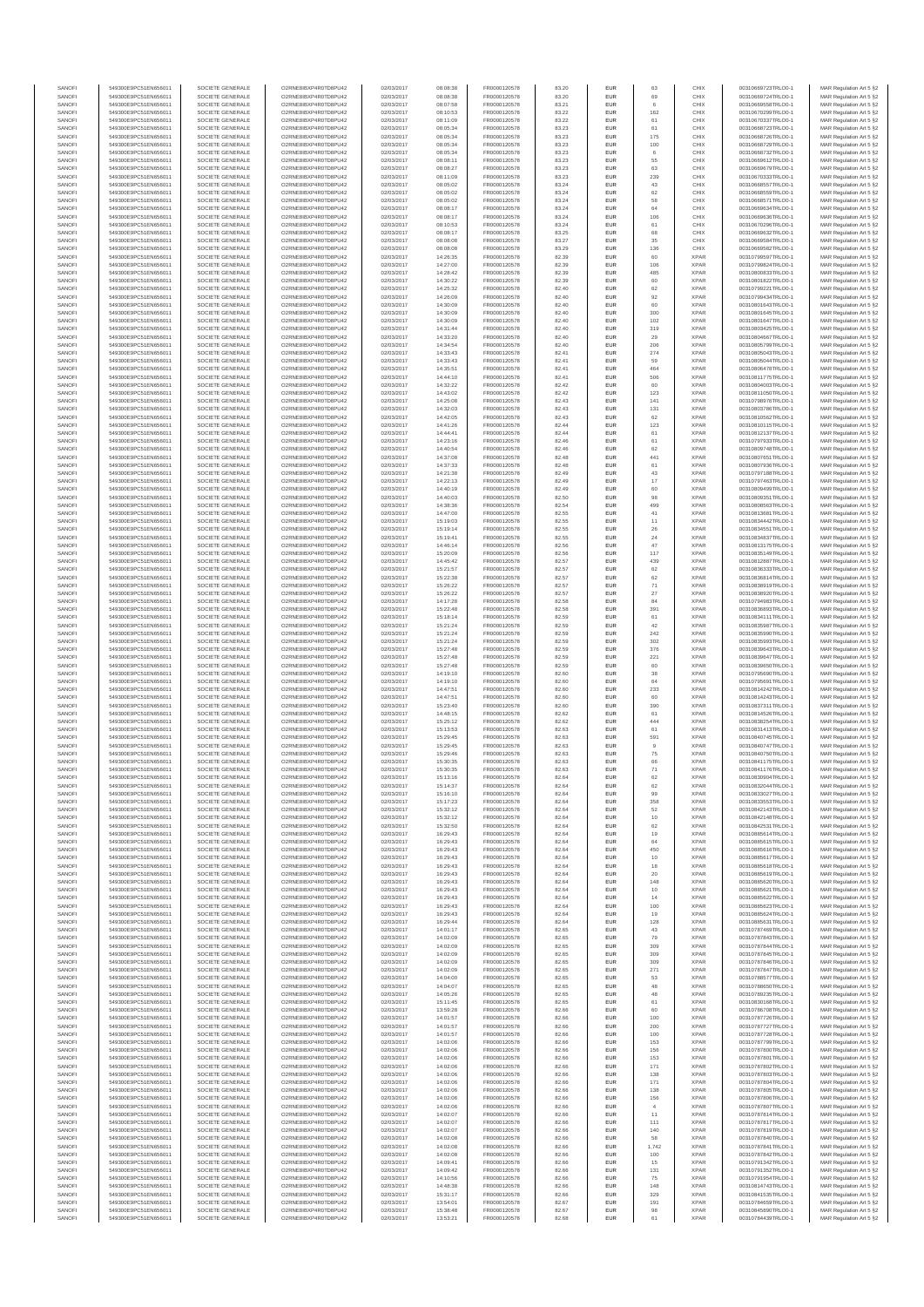| SANOFI           | 549300E9PC51EN656011                         | SOCIETE GENERALE                     | O2RNE8IBXP4R0TD8PU42                         | 02/03/2017               | 08:08:38             | FR0000120578                 | 83.20          | EUR               | 63             | CHIX                       | 00310669723TRLO0-1                       | MAR Regulation Art 5 §2                             |
|------------------|----------------------------------------------|--------------------------------------|----------------------------------------------|--------------------------|----------------------|------------------------------|----------------|-------------------|----------------|----------------------------|------------------------------------------|-----------------------------------------------------|
| SANOFI<br>SANOFI | 549300E9PC51EN656011<br>549300E9PC51EN656011 | SOCIETE GENERALE<br>SOCIETE GENERALE | O2RNE8IBXP4R0TD8PU42<br>O2RNE8IBXP4R0TD8PU42 | 02/03/2017<br>02/03/2017 | 08:08:38<br>08:07:58 | FR0000120578<br>FR0000120578 | 83.20<br>83.21 | EUR<br>EUR        | 69<br>6        | CHIX<br>CHIX               | 00310669724TRLO0-1<br>00310669558TRLO0-1 | MAR Regulation Art 5 §2                             |
| SANOFI           | 549300E9PC51EN656011                         | SOCIETE GENERALE                     | O2RNE8IBXP4R0TD8PU42                         | 02/03/2017               | 08:10:53             | FR0000120578                 | 83.22          | EUR               | 162            | CHIX                       | 00310670299TRLO0-1                       | MAR Regulation Art 5 §2<br>MAR Regulation Art 5 §2  |
| SANOFI           | 549300E9PC51EN656011                         | SOCIETE GENERALE                     | O2RNE8IBXP4R0TD8PU42                         | 02/03/2017               | 08:11:09             | FR0000120578                 | 83.22          | EUR               | 61             | CHIX                       | 00310670337TRLO0-1                       | MAR Regulation Art 5 §2                             |
| SANOFI           | 549300E9PC51EN656011                         | SOCIETE GENERALE                     | O2RNE8IBXP4R0TD8PU42                         | 02/03/2017               | 08:05:34             | FR0000120578                 | 83.23          | EUR               | 61             | CHIX                       | 00310668723TRLO0-1                       | MAR Regulation Art 5 §2                             |
| SANOFI<br>SANOFI | 549300E9PC51EN656011<br>549300E9PC51EN656011 | SOCIETE GENERALE<br>SOCIETE GENERALE | O2RNE8IBXP4R0TD8PU42<br>O2RNE8IBXP4R0TD8PU42 | 02/03/2017<br>02/03/2017 | 08:05:34<br>08:05:34 | FR0000120578<br>FR0000120578 | 83.23<br>83.23 | EUR<br>EUR        | 175<br>100     | CHIX<br>CHIX               | 00310668726TRLO0-1<br>00310668729TRLO0-1 | MAR Regulation Art 5 §2<br>MAR Regulation Art 5 §2  |
| SANOFI           | 549300E9PC51EN656011                         | SOCIETE GENERALE                     | O2RNE8IBXP4R0TD8PU42                         | 02/03/2017               | 08:05:34             | FR0000120578                 | 83.23          | EUR               | 6              | CHIX                       | 00310668732TRLO0-1                       | MAR Regulation Art 5 \$2                            |
| SANOFI           | 549300E9PC51EN656011                         | SOCIETE GENERALE                     | O2RNE8IBXP4R0TD8PU42                         | 02/03/2017               | 08:08:11             | FR0000120578                 | 83.23          | EUR               | 55             | CHIX                       | 00310669612TRLO0-1                       | MAR Regulation Art 5 §2                             |
| SANOFI<br>SANOFI | 549300E9PC51EN656011<br>549300E9PC51EN656011 | SOCIETE GENERALE<br>SOCIETE GENERALE | O2RNE8IBXP4R0TD8PU42<br>O2RNE8IBXP4R0TD8PU42 | 02/03/2017<br>02/03/2017 | 08:08:27<br>08:11:09 | FR0000120578<br>FR0000120578 | 83.23<br>83.23 | EUR<br>EUR        | 63             | CHIX<br>CHIX               | 00310669679TRLO0-1<br>00310670333TRLO0-1 | MAR Regulation Art 5 §2<br>MAR Regulation Art 5 §2  |
| SANOFI           | 549300E9PC51EN656011                         | SOCIETE GENERALE                     | O2RNE8IBXP4R0TD8PU42                         | 02/03/2017               | 08:05:02             | FR0000120578                 | 83.24          | EUR               | 239<br>43      | CHIX                       | 00310668557TRLO0-1                       | MAR Regulation Art 5 §2                             |
| SANOFI           | 549300E9PC51EN656011                         | SOCIETE GENERALE                     | O2RNE8IBXP4R0TD8PU42                         | 02/03/2017               | 08:05:02             | FR0000120578                 | 83.24          | EUR               | 62             | CHIX                       | 00310668559TRLO0-1                       | MAR Regulation Art 5 §2                             |
| SANOFI           | 549300E9PC51EN656011                         | SOCIETE GENERALE                     | O2RNE8IBXP4R0TD8PU42                         | 02/03/2017               | 08:05:02             | FR0000120578                 | 83.24          | EUR               | 58             | CHIX                       | 00310668571TRLO0-1                       | MAR Regulation Art 5 §2                             |
| SANOFI<br>SANOFI | 549300E9PC51EN656011<br>549300E9PC51EN656011 | SOCIETE GENERALE<br>SOCIETE GENERALE | O2RNE8IBXP4R0TD8PU42<br>O2RNE8IBXP4R0TD8PU42 | 02/03/2017<br>02/03/2017 | 08:08:17<br>08:08:17 | FR0000120578<br>FR0000120578 | 83.24<br>83.24 | EUR<br>EUR        | 64<br>106      | CHIX<br>CHIX               | 00310669634TRLO0-1<br>00310669636TRLO0-1 | MAR Regulation Art 5 §2<br>MAR Regulation Art 5 §2  |
| SANOFI           | 549300E9PC51EN656011                         | SOCIETE GENERALE                     | O2RNE8IBXP4R0TD8PU42                         | 02/03/2017               | 08:10:53             | FR0000120578                 | 83.24          | EUR               | 61             | CHIX                       | 00310670296TRLO0-1                       | MAR Regulation Art 5 §2                             |
| SANOFI           | 549300E9PC51EN656011                         | SOCIETE GENERALE                     | O2RNE8IBXP4R0TD8PU42                         | 02/03/2017               | 08:08:17             | FR0000120578                 | 83.25          | EUR               | 68             | CHIX                       | 00310669632TRLO0-1                       | MAR Regulation Art 5 §2                             |
| SANOFI           | 549300E9PC51EN656011                         | SOCIETE GENERALE                     | O2RNE8IBXP4R0TD8PU42                         | 02/03/2017               | 08:08:08             | FR0000120578                 | 83.27          | EUR               | 35             | CHIX                       | 00310669584TRLO0-1                       | MAR Regulation Art 5 §2                             |
| SANOFI<br>SANOFI | 549300E9PC51EN656011<br>549300E9PC51EN656011 | SOCIETE GENERALE<br>SOCIETE GENERALE | O2RNE8IBXP4R0TD8PU42<br>O2RNE8IBXP4R0TD8PU42 | 02/03/2017<br>02/03/2017 | 08:08:08<br>14:26:35 | FR0000120578<br>FR0000120578 | 83.29<br>82.39 | EUR<br>EUR        | 136<br>60      | CHIX<br><b>XPAR</b>        | 00310669582TRLO0-1<br>00310799597TRLO0-1 | MAR Regulation Art 5 §2<br>MAR Regulation Art 5 §2  |
| SANOFI           | 549300E9PC51EN656011                         | SOCIETE GENERALE                     | O2RNE8IBXP4R0TD8PU42                         | 02/03/2017               | 14:27:00             | FR0000120578                 | 82.39          | EUR               | 106            | <b>XPAR</b>                | 00310799824TRLO0-1                       | MAR Regulation Art 5 §2                             |
| SANOFI           | 549300E9PC51EN656011                         | SOCIETE GENERALE                     | O2RNE8IBXP4R0TD8PU42                         | 02/03/2017               | 14:28:42             | FR0000120578                 | 82.39          | EUR               | 485            | <b>XPAR</b>                | 00310800833TRLO0-1                       | MAR Regulation Art 5 §2                             |
| SANOFI<br>SANOFI | 549300E9PC51EN656011<br>549300E9PC51EN656011 | SOCIETE GENERALE<br>SOCIETE GENERALE | O2RNE8IBXP4R0TD8PU42<br>O2RNE8IBXP4R0TD8PU42 | 02/03/2017<br>02/03/2017 | 14:30:22<br>14:25:32 | FR0000120578<br>FR0000120578 | 82.39<br>82.40 | EUR<br>EUR        | 60<br>62       | <b>XPAR</b><br><b>XPAR</b> | 00310801822TRLO0-1<br>00310799221TRLO0-1 | MAR Regulation Art 5 §2<br>MAR Regulation Art 5 §2  |
| SANOFI           | 549300E9PC51EN656011                         | SOCIETE GENERALE                     | O2RNE8IBXP4R0TD8PU42                         | 02/03/2017               | 14:26:09             | FR0000120578                 | 82.40          | EUR               | 92             | <b>XPAR</b>                | 00310799434TRLO0-1                       | MAR Regulation Art 5 62                             |
| SANOFI           | 549300E9PC51EN656011                         | SOCIETE GENERALE                     | O2RNE8IBXP4R0TD8PU42                         | 02/03/2017               | 14:30:09             | FR0000120578                 | 82.40          | EUR               | 60             | <b>XPAR</b>                | 00310801643TRLO0-1                       | MAR Regulation Art 5 §2                             |
| SANOFI           | 549300E9PC51EN656011                         | SOCIETE GENERALE                     | O2RNE8IBXP4R0TD8PU42                         | 02/03/2017               | 14:30:09             | FR0000120578                 | 82.40          | EUR               | 300            | <b>XPAR</b>                | 00310801645TRLO0-1                       | MAR Regulation Art 5 §2                             |
| SANOFI<br>SANOFI | 549300E9PC51EN656011<br>549300E9PC51EN656011 | SOCIETE GENERALE<br>SOCIETE GENERALE | O2RNE8IBXP4R0TD8PU42<br>O2RNE8IBXP4R0TD8PU42 | 02/03/2017<br>02/03/2017 | 14:30:09<br>14:31:44 | FR0000120578<br>FR0000120578 | 82.40<br>82.40 | EUR<br>EUR        | 102<br>319     | <b>XPAR</b><br><b>XPAR</b> | 00310801647TRLO0-1<br>00310803425TRLO0-1 | MAR Regulation Art 5 §2<br>MAR Regulation Art 5 §2  |
| SANOFI           | 549300E9PC51EN656011                         | SOCIETE GENERALE                     | O2RNE8IBXP4R0TD8PU42                         | 02/03/2017               | 14:33:20             | FR0000120578                 | 82.40          | EUR               | 29             | <b>XPAR</b>                | 00310804667TRLO0-1                       | MAR Regulation Art 5 §2                             |
| SANOFI           | 549300E9PC51EN656011                         | SOCIETE GENERALE                     | O2RNE8IBXP4R0TD8PU42                         | 02/03/2017               | 14:34:54             | FR0000120578                 | 82.40          | EUR               | 206            | <b>XPAR</b>                | 00310805799TRLO0-1                       | MAR Regulation Art 5 §2                             |
| SANOFI<br>SANOFI | 549300E9PC51EN656011<br>549300E9PC51EN656011 | SOCIETE GENERALE<br>SOCIETE GENERALE | O2RNE8IBXP4R0TD8PU42<br>O2RNE8IBXP4R0TD8PU42 | 02/03/2017<br>02/03/2017 | 14:33:43<br>14:33:43 | FR0000120578<br>FR0000120578 | 82.41<br>82.41 | EUR<br>EUR        | 274<br>59      | <b>XPAR</b><br><b>XPAR</b> | 00310805043TRLO0-1<br>00310805044TRLO0-1 | MAR Regulation Art 5 \$2<br>MAR Regulation Art 5 §2 |
| SANOFI           | 549300E9PC51EN656011                         | SOCIETE GENERALE                     | O2RNE8IBXP4R0TD8PU42                         | 02/03/2017               | 14:35:51             | FR0000120578                 | 82.41          | EUR               | 464            | <b>XPAR</b>                | 00310806478TRLO0-1                       | MAR Regulation Art 5 §2                             |
| SANOFI           | 549300E9PC51EN656011                         | SOCIETE GENERALE                     | O2RNE8IBXP4R0TD8PU42                         | 02/03/2017               | 14:44:10             | FR0000120578                 | 82.41          | EUR               | 506            | <b>XPAR</b>                | 00310811775TRLO0-1                       | MAR Regulation Art 5 §2                             |
| SANOFI           | 549300E9PC51EN656011                         | SOCIETE GENERALE                     | O2RNE8IBXP4R0TD8PU42                         | 02/03/2017               | 14:32:22             | FR0000120578                 | 82.42          | EUR               | 60             | <b>XPAR</b>                | 00310804003TRLO0-1                       | MAR Regulation Art 5 §2                             |
| SANOFI<br>SANOFI | 549300E9PC51EN656011<br>549300E9PC51EN656011 | SOCIETE GENERALE<br>SOCIETE GENERALE | O2RNE8IBXP4R0TD8PU42<br>O2RNE8IBXP4R0TD8PU42 | 02/03/2017<br>02/03/2017 | 14:43:02<br>14:25:08 | FR0000120578<br>FR0000120578 | 82.42<br>82.43 | EUR<br>EUR        | 123<br>141     | <b>XPAR</b><br><b>XPAR</b> | 00310811050TRLO0-1<br>00310798976TRLO0-1 | MAR Regulation Art 5 §2<br>MAR Regulation Art 5 §2  |
| SANOFI           | 549300E9PC51EN656011                         | SOCIETE GENERALE                     | O2RNE8IBXP4R0TD8PU42                         | 02/03/2017               | 14:32:03             | FR0000120578                 | 82.43          | EUR               | 131            | <b>XPAR</b>                | 00310803786TRLO0-1                       | MAR Regulation Art 5 §2                             |
| SANOFI           | 549300E9PC51EN656011                         | SOCIETE GENERALE                     | O2RNE8IBXP4R0TD8PU42                         | 02/03/2017               | 14:42:05             | FR0000120578                 | 82.43          | EUR               | 62             | <b>XPAR</b>                | 00310810562TRLO0-1                       | MAR Regulation Art 5 §2                             |
| SANOFI           | 549300E9PC51EN656011                         | SOCIETE GENERALE<br>SOCIETE GENERALE | O2RNE8IBXP4R0TD8PU42                         | 02/03/2017               | 14:41:26             | FR0000120578<br>FR0000120578 | 82.44          | EUR               | 123            | <b>XPAR</b>                | 00310810115TRLO0-1                       | MAR Regulation Art 5 §2                             |
| SANOFI<br>SANOFI | 549300E9PC51EN656011<br>549300E9PC51EN656011 | SOCIETE GENERALE                     | O2RNE8IBXP4R0TD8PU42<br>O2RNE8IBXP4R0TD8PU42 | 02/03/2017<br>02/03/2017 | 14:44:41<br>14:23:16 | FR0000120578                 | 82.44<br>82.46 | EUR<br>EUR        | 61<br>61       | <b>XPAR</b><br><b>XPAR</b> | 00310812137TRLO0-1<br>00310797933TRLO0-1 | MAR Regulation Art 5 §2<br>MAR Regulation Art 5 §2  |
| SANOFI           | 549300E9PC51EN656011                         | SOCIETE GENERALE                     | O2RNE8IBXP4R0TD8PU42                         | 02/03/2017               | 14:40:54             | FR0000120578                 | 82.46          | EUR               | 62             | <b>XPAR</b>                | 00310809748TRLO0-1                       | MAR Regulation Art 5 §2                             |
| SANOFI           | 549300E9PC51EN656011                         | SOCIETE GENERALE                     | O2RNE8IBXP4R0TD8PU42                         | 02/03/2017               | 14:37:08             | FR0000120578                 | 82.48          | EUR               | 441            | <b>XPAR</b>                | 00310807651TRLO0-1                       | MAR Regulation Art 5 §2                             |
| SANOFI           | 549300E9PC51EN656011                         | SOCIETE GENERALE                     | O2RNE8IBXP4R0TD8PU42<br>O2RNE8IBXP4R0TD8PU42 | 02/03/2017               | 14:37:33             | FR0000120578<br>FR0000120578 | 82.48          | EUR               | 61             | <b>XPAR</b>                | 00310807936TRLO0-1                       | MAR Regulation Art 5 §2                             |
| SANOFI<br>SANOFI | 549300E9PC51EN656011<br>549300E9PC51EN656011 | SOCIETE GENERALE<br>SOCIETE GENERALE | O2RNE8IBXP4R0TD8PU42                         | 02/03/2017<br>02/03/2017 | 14:21:38<br>14:22:13 | FR0000120578                 | 82.49<br>82.49 | EUR<br>EUR        | 43<br>17       | <b>XPAR</b><br><b>XPAR</b> | 00310797188TRLO0-1<br>00310797463TRLO0-1 | MAR Regulation Art 5 §2<br>MAR Regulation Art 5 §2  |
| SANOFI           | 549300E9PC51EN656011                         | SOCIETE GENERALE                     | O2RNE8IBXP4R0TD8PU42                         | 02/03/2017               | 14:40:19             | FR0000120578                 | 82.49          | EUR               | 60             | <b>XPAR</b>                | 00310809499TRLO0-1                       | MAR Regulation Art 5 §2                             |
| SANOFI           | 549300E9PC51EN656011                         | SOCIETE GENERALE                     | O2RNE8IBXP4R0TD8PU42                         | 02/03/2017               | 14:40:03             | FR0000120578                 | 82.50          | EUR               | 98             | <b>XPAR</b>                | 00310809351TRLO0-1                       | MAR Regulation Art 5 \$2                            |
| SANOFI<br>SANOFI | 549300E9PC51EN656011                         | SOCIETE GENERALE<br>SOCIETE GENERALE | O2RNE8IBXP4R0TD8PU42<br>O2RNE8IBXP4R0TD8PU42 | 02/03/2017               | 14:38:36             | FR0000120578<br>FR0000120578 | 82.54<br>82.55 | EUR<br>EUR        | 499<br>$41\,$  | <b>XPAR</b><br><b>XPAR</b> | 00310808563TRLO0-1                       | MAR Regulation Art 5 §2<br>MAR Regulation Art 5 §2  |
| SANOFI           | 549300E9PC51EN656011<br>549300E9PC51EN656011 | SOCIETE GENERALE                     | O2RNE8IBXP4R0TD8PU42                         | 02/03/2017<br>02/03/2017 | 14:47:00<br>15:19:03 | FR0000120578                 | 82.55          | EUR               | 11             | <b>XPAR</b>                | 00310813681TRLO0-1<br>00310834442TRLO0-1 | MAR Regulation Art 5 §2                             |
| SANOFI           | 549300E9PC51EN656011                         | SOCIETE GENERALE                     | O2RNE8IBXP4R0TD8PU42                         | 02/03/2017               | 15:19:14             | FR0000120578                 | 82.55          | EUR               | 26             | <b>XPAR</b>                | 00310834551TRLO0-1                       | MAR Regulation Art 5 §2                             |
| SANOFI           | 549300E9PC51EN656011                         | SOCIETE GENERALE                     | O2RNE8IBXP4R0TD8PU42                         | 02/03/2017               | 15:19:41             | FR0000120578                 | 82.55          | EUR               | 24             | <b>XPAR</b>                | 00310834837TRLO0-1                       | MAR Regulation Art 5 §2                             |
| SANOFI<br>SANOFI | 549300E9PC51EN656011<br>549300E9PC51EN656011 | SOCIETE GENERALE<br>SOCIETE GENERALE | O2RNE8IBXP4R0TD8PU42<br>O2RNE8IBXP4R0TD8PU42 | 02/03/2017<br>02/03/2017 | 14:46:14<br>15:20:09 | FR0000120578<br>FR0000120578 | 82.56<br>82.56 | EUR<br>EUR        | 47<br>117      | <b>XPAR</b><br><b>XPAR</b> | 00310813175TRLO0-1<br>00310835149TRLO0-1 | MAR Regulation Art 5 §2<br>MAR Regulation Art 5 §2  |
| SANOFI           | 549300E9PC51EN656011                         | SOCIETE GENERALE                     | O2RNE8IBXP4R0TD8PU42                         | 02/03/2017               | 14:45:42             | FR0000120578                 | 82.57          | EUR               | 439            | <b>XPAR</b>                | 00310812887TRLO0-1                       | MAR Regulation Art 5 §2                             |
| SANOFI           | 549300E9PC51EN656011                         | SOCIETE GENERALE                     | O2RNE8IBXP4R0TD8PU42                         | 02/03/2017               | 15:21:57             | FR0000120578                 | 82.57          | EUR               | 62             | <b>XPAR</b>                | 00310836333TRLO0-1                       | MAR Regulation Art 5 §2                             |
| SANOFI           | 549300E9PC51EN656011                         | SOCIETE GENERALE                     | O2RNE8IBXP4R0TD8PU42                         | 02/03/2017               | 15:22:38             | FR0000120578                 | 82.57          | EUR               | 62             | <b>XPAR</b>                | 00310836814TRLO0-1                       | MAR Regulation Art 5 §2                             |
| SANOFI<br>SANOFI | 549300E9PC51EN656011<br>549300E9PC51EN656011 | SOCIETE GENERALE<br>SOCIETE GENERALE | O2RNE8IBXP4R0TD8PU42<br>O2RNE8IBXP4R0TD8PU42 | 02/03/2017<br>02/03/2017 | 15:26:22             | FR0000120578<br>FR0000120578 | 82.57<br>82.57 | EUR<br>EUR        | 71             | <b>XPAR</b><br><b>XPAR</b> | 00310838919TRLO0-1<br>00310838920TRLO0-1 | MAR Regulation Art 5 §2                             |
| SANOFI           | 549300E9PC51EN656011                         | SOCIETE GENERALE                     | O2RNE8IBXP4R0TD8PU42                         | 02/03/2017               | 15:26:22<br>14:17:28 | FR0000120578                 | 82.58          | EUR               | $27\,$<br>84   | <b>XPAR</b>                | 00310794983TRLO0-1                       | MAR Regulation Art 5 §2<br>MAR Regulation Art 5 §2  |
| SANOFI           | 549300E9PC51EN656011                         | SOCIETE GENERALE                     | O2RNE8IBXP4R0TD8PU42                         | 02/03/2017               | 15:22:48             | FR0000120578                 | 82.58          | EUR               | 391            | <b>XPAR</b>                | 00310836893TRLO0-1                       | MAR Regulation Art 5 §2                             |
| SANOFI           | 549300E9PC51EN656011                         | SOCIETE GENERALE                     | O2RNE8IBXP4R0TD8PU42                         | 02/03/2017               | 15:18:14             | FR0000120578                 | 82.59          | EUR               | 61             | <b>XPAR</b>                | 00310834111TRLO0-1                       | MAR Regulation Art 5 §2                             |
| SANOFI<br>SANOFI | 549300E9PC51EN656011<br>549300E9PC51EN656011 | SOCIETE GENERALE<br>SOCIETE GENERALE | O2RNE8IBXP4R0TD8PU42<br>O2RNE8IBXP4R0TD8PU42 | 02/03/2017<br>02/03/2017 | 15:21:24<br>15:21:24 | FR0000120578<br>FR0000120578 | 82.59<br>82.59 | EUR<br>EUR        | 42<br>242      | <b>XPAR</b><br><b>XPAR</b> | 00310835987TRLO0-1<br>00310835990TRLO0-1 | MAR Regulation Art 5 §2<br>MAR Regulation Art 5 §2  |
| SANOFI           | 549300E9PC51EN656011                         | SOCIETE GENERALE                     | O2RNE8IBXP4R0TD8PU42                         | 02/03/2017               | 15:21:24             | FR0000120578                 | 82.59          | EUR               | 302            | <b>XPAR</b>                | 00310835993TRLO0-1                       | MAR Regulation Art 5 §2                             |
| SANOFI           | 549300E9PC51EN656011                         | SOCIETE GENERALE                     | O2RNE8IBXP4R0TD8PU42                         | 02/03/2017               | 15:27:48             | FR0000120578                 | 82.59          | EUR               | 376            | <b>XPAR</b>                | 00310839643TRLO0-1                       | MAR Regulation Art 5 §2                             |
| SANOFI           | 549300E9PC51EN656011                         | SOCIETE GENERALE                     | O2RNE8IBXP4R0TD8PU42                         | 02/03/2017               | 15:27:48             | FR0000120578                 | 82.59          | EUR               | 221            | <b>XPAR</b>                | 00310839647TRLO0-1                       | MAR Regulation Art 5 §2                             |
| SANOFI<br>SANOFI | 549300E9PC51EN656011<br>549300E9PC51EN656011 | SOCIETE GENERALE<br>SOCIETE GENERALE | O2RNE8IBXP4R0TD8PU42<br>O2RNE8IBXP4R0TD8PU42 | 02/03/2017<br>02/03/2017 | 15:27:48<br>14:19:10 | FR0000120578<br>FR0000120578 | 82.59<br>82.60 | EUR<br>EUR        | 60<br>38       | <b>XPAR</b><br><b>XPAR</b> | 00310839650TRLO0-1<br>00310795690TRLO0-1 | MAR Regulation Art 5 §2<br>MAR Regulation Art 5 §2  |
| SANOFI           | 549300E9PC51EN656011                         | SOCIETE GENERALE                     | O2RNE8IBXP4R0TD8PU42                         | 02/03/2017               | 14:19:10             | FR0000120578                 | 82.60          | EUR               | 64             | <b>XPAR</b>                | 00310795691TRLO0-1                       | MAR Regulation Art 5 §2                             |
| SANOFI           | 549300E9PC51EN656011                         | SOCIETE GENERALE                     | O2RNE8IBXP4R0TD8PU42                         | 02/03/2017               | 14:47:51             | FR0000120578                 | 82.60          | EUR               | 233            | <b>XPAR</b>                | 00310814242TRLO0-1                       | MAR Regulation Art 5 §2                             |
| SANOFI           | 549300E9PC51EN656011<br>549300E9PC51EN656011 | SOCIETE GENERALE                     | O2RNE8IBXP4R0TD8PU42                         | 02/03/2017               | 14:47:51             | FR0000120578                 | 82.60          | EUR               | 60             | <b>XPAR</b>                | 00310814243TRLO0-1                       | MAR Regulation Art 5 §2                             |
| SANOFI<br>SANOFI | 549300E9PC51EN656011                         | SOCIETE GENERALE<br>SOCIETE GENERALE | O2RNE8IBXP4R0TD8PU42<br>O2RNE8IBXP4R0TD8PU42 | 02/03/2017<br>02/03/2017 | 15:23:40<br>14:48:15 | FR0000120578<br>FR0000120578 | 82.60<br>82.62 | EUR<br>EUR        | 390<br>61      | <b>XPAR</b><br><b>XPAR</b> | 00310837311TRLO0-1<br>00310814526TRLO0-1 | MAR Regulation Art 5 §2<br>MAR Regulation Art 5 §2  |
| SANOFI           | 549300E9PC51EN656011                         | SOCIETE GENERALE                     | O2RNE8IBXP4R0TD8PU42                         | 02/03/2017               | 15:25:12             | FR0000120578                 | 82.62          | EUR               | 444            | <b>XPAR</b>                | 00310838254TRLO0-1                       | MAR Regulation Art 5 §2                             |
| SANOFI           | 549300E9PC51EN656011                         | SOCIETE GENERALE                     | O2RNE8IBXP4R0TD8PU42                         | 02/03/2017               | 15:13:53             | FR0000120578                 | 82.63          | EUR               | 61             | <b>XPAR</b>                | 00310831413TRLO0-1                       | MAR Regulation Art 5 §2                             |
| SANOFI<br>SANOFI | 549300E9PC51EN656011<br>549300E9PC51EN656011 | SOCIETE GENERALE<br>SOCIETE GENERALE | O2RNE8IBXP4R0TD8PU42<br>O2RNE8IBXP4R0TD8PU42 | 02/03/2017<br>02/03/2017 | 15:29:45<br>15:29:45 | FR0000120578<br>FR0000120578 | 82.63<br>82.63 | EUR<br>EUR        | 591<br>$_{9}$  | <b>XPAR</b><br><b>XPAR</b> | 00310840745TRLO0-1<br>00310840747TRLO0-1 | MAR Regulation Art 5 §2<br>MAR Regulation Art 5 §2  |
| SANOFI           | 549300E9PC51EN656011                         | SOCIETE GENERALE                     | O2RNE8IBXP4R0TD8PU42                         | 02/03/2017               | 15:29:46             | FR0000120578                 | 82.63          | EUR               | 75             | <b>XPAR</b>                | 00310840750TRLO0-1                       | MAR Regulation Art 5 \$2                            |
| SANOFI           | 549300E9PC51EN656011                         | SOCIETE GENERALE                     | O2RNE8IBXP4R0TD8PU42                         | 02/03/2017               | 15:30:35             | FR0000120578                 | 82.63          | EUR               | 66             | <b>XPAR</b>                | 00310841175TRLO0-1                       | MAR Regulation Art 5 §2                             |
| SANOFI           | 549300E9PC51EN656011<br>549300E9PC51EN656011 | SOCIETE GENERALE                     | O2RNE8IBXP4R0TD8PU42                         | 02/03/2017               | 15:30:35             | FR0000120578                 | 82.63          | <b>EUR</b>        | 71<br>62       | <b>XPAR</b><br><b>XPAR</b> | 00310841176TRLO0-1                       | MAR Regulation Art 5 §2                             |
| SANOFI<br>SANOFI | 549300E9PC51EN656011                         | SOCIETE GENERALE<br>SOCIETE GENERALE | O2RNE8IBXP4R0TD8PU42<br>O2RNE8IBXP4R0TD8PU42 | 02/03/2017<br>02/03/2017 | 15:13:16<br>15:14:37 | FR0000120578<br>FR0000120578 | 82.64<br>82.64 | <b>EUR</b><br>EUR | 62             | <b>XPAR</b>                | 00310830904TRLO0-1<br>00310832044TRLO0-1 | MAR Regulation Art 5 §2<br>MAR Regulation Art 5 §2  |
| SANOFI           | 549300E9PC51EN656011                         | SOCIETE GENERALE                     | O2RNE8IBXP4R0TD8PU42                         | 02/03/2017               | 15:16:10             | FR0000120578                 | 82.64          | EUR               | 99             | <b>XPAR</b>                | 00310833027TRLO0-1                       | MAR Regulation Art 5 §2                             |
| SANOFI           | 549300E9PC51EN656011                         | SOCIETE GENERALE                     | O2RNE8IBXP4R0TD8PU42                         | 02/03/2017               | 15:17:23             | FR0000120578                 | 82.64          | EUR               | 358            | <b>XPAR</b>                | 00310833553TRLO0-1                       | MAR Regulation Art 5 §2                             |
| SANOFI<br>SANOFI | 549300E9PC51EN656011<br>549300E9PC51EN656011 | SOCIETE GENERALE<br>SOCIETE GENERALE | O2RNE8IBXP4R0TD8PU42<br>O2RNE8IBXP4R0TD8PU42 | 02/03/2017<br>02/03/2017 | 15:32:12<br>15:32:12 | FR0000120578<br>FR0000120578 | 82.64<br>82.64 | EUR<br>EUR        | 52<br>10       | <b>XPAR</b><br><b>XPAR</b> | 00310842143TRLO0-1<br>00310842148TRLO0-1 | MAR Regulation Art 5 §2                             |
| SANOFI           | 549300E9PC51EN656011                         | SOCIETE GENERALE                     | O2RNE8IBXP4R0TD8PU42                         | 02/03/2017               | 15:32:50             | FR0000120578                 | 82.64          | EUR               | 62             | <b>XPAR</b>                | 00310842531TRLO0-1                       | MAR Regulation Art 5 §2<br>MAR Regulation Art 5 §2  |
| SANOFI           | 549300E9PC51EN656011                         | SOCIETE GENERALE                     | O2RNE8IBXP4R0TD8PU42                         | 02/03/2017               | 16:29:43             | FR0000120578                 | 82.64          | EUR               | 19             | <b>XPAR</b>                | 00310885614TRLO0-1                       | MAR Regulation Art 5 §2                             |
| SANOFI<br>SANOFI | 549300E9PC51EN656011<br>549300E9PC51EN656011 | SOCIETE GENERALE                     | O2RNE8IBXP4R0TD8PU42                         | 02/03/2017               | 16:29:43             | FR0000120578                 | 82.64          | EUR               | 64<br>450      | <b>XPAR</b><br><b>XPAR</b> | 00310885615TRLO0-1                       | MAR Regulation Art 5 \$2                            |
| SANOFI           | 549300E9PC51EN656011                         | SOCIETE GENERALE<br>SOCIETE GENERALE | O2RNE8IBXP4R0TD8PU42<br>O2RNE8IBXP4R0TD8PU42 | 02/03/2017<br>02/03/2017 | 16:29:43<br>16:29:43 | FR0000120578<br>FR0000120578 | 82.64<br>82.64 | EUR<br>EUR        | $10$           | <b>XPAR</b>                | 00310885616TRLO0-1<br>00310885617TRLO0-1 | MAR Regulation Art 5 §2<br>MAR Regulation Art 5 §2  |
| SANOFI           | 549300E9PC51EN656011                         | SOCIETE GENERALE                     | O2RNE8IBXP4R0TD8PU42                         | 02/03/2017               | 16:29:43             | FR0000120578                 | 82.64          | EUR               | 18             | <b>XPAR</b>                | 00310885618TRLO0-1                       | MAR Regulation Art 5 §2                             |
| SANOFI           | 549300E9PC51EN656011                         | SOCIETE GENERALE                     | O2RNE8IBXP4R0TD8PU42                         | 02/03/2017               | 16:29:43             | FR0000120578                 | 82.64          | EUR               | 20             | <b>XPAR</b>                | 00310885619TRLO0-1                       | MAR Regulation Art 5 §2                             |
| SANOFI<br>SANOFI | 549300E9PC51EN656011<br>549300E9PC51EN656011 | SOCIETE GENERALE<br>SOCIETE GENERALE | O2RNE8IBXP4R0TD8PU42<br>O2RNE8IBXP4R0TD8PU42 | 02/03/2017<br>02/03/2017 | 16:29:43<br>16:29:43 | FR0000120578<br>FR0000120578 | 82.64<br>82.64 | EUR<br>EUR        | 148<br>10      | <b>XPAR</b><br><b>XPAR</b> | 00310885620TRLO0-1<br>00310885621TRLO0-1 | MAR Regulation Art 5 §2<br>MAR Regulation Art 5 §2  |
| SANOFI           | 549300E9PC51EN656011                         | SOCIETE GENERALE                     | O2RNE8IBXP4R0TD8PU42                         | 02/03/2017               | 16:29:43             | FR0000120578                 | 82.64          | EUR               | 14             | <b>XPAR</b>                | 00310885622TRLO0-1                       | MAR Regulation Art 5 §2                             |
| SANOFI           | 549300E9PC51EN656011                         | SOCIETE GENERALE                     | O2RNE8IBXP4R0TD8PU42                         | 02/03/2017               | 16:29:43             | FR0000120578                 | 82.64          | EUR               | 100            | <b>XPAR</b>                | 00310885623TRLO0-1                       | MAR Regulation Art 5 §2                             |
| SANOFI<br>SANOFI | 549300E9PC51EN656011                         | SOCIETE GENERALE<br>SOCIETE GENERALE | O2RNE8IBXP4R0TD8PU42                         | 02/03/2017               | 16:29:43             | FR0000120578                 | 82.64<br>82.64 | EUR               | 19             | <b>XPAR</b><br><b>XPAR</b> | 00310885624TRLO0-1                       | MAR Regulation Art 5 §2                             |
| SANOFI           | 549300E9PC51EN656011<br>549300E9PC51EN656011 | SOCIETE GENERALE                     | O2RNE8IBXP4R0TD8PU42<br>O2RNE8IBXP4R0TD8PU42 | 02/03/2017<br>02/03/2017 | 16:29:44<br>14:01:17 | FR0000120578<br>FR0000120578 | 82.65          | EUR<br>EUR        | 128<br>43      | <b>XPAR</b>                | 00310885631TRLO0-1<br>00310787469TRLO0-1 | MAR Regulation Art 5 §2<br>MAR Regulation Art 5 §2  |
| SANOFI           | 549300E9PC51EN656011                         | SOCIETE GENERALE                     | O2RNESIBXP4R0TD8PLI42                        | 02/03/2017               | 14:02:09             | FR0000120578                 | 82.65          | EUR               | 79             | <b>XPAR</b>                | 00310787843TRLO0-1                       | MAR Regulation Art 5 §2                             |
| SANOFI           | 549300E9PC51EN656011                         | SOCIETE GENERALE                     | O2RNE8IBXP4R0TD8PU42                         | 02/03/2017               | 14:02:09             | FR0000120578                 | 82.65          | EUR               | 309            | <b>XPAR</b>                | 00310787844TRLO0-1                       | MAR Regulation Art 5 §2                             |
| SANOFI           | 549300E9PC51EN656011                         | SOCIETE GENERALE                     | O2RNE8IBXP4R0TD8PU42                         | 02/03/2017               | 14:02:09             | FR0000120578                 | 82.65          | EUR               | 309            | <b>XPAR</b>                | 00310787845TRLO0-1                       | MAR Regulation Art 5 §2                             |
| SANOFI<br>SANOFI | 549300E9PC51EN656011<br>549300E9PC51EN656011 | SOCIETE GENERALE<br>SOCIETE GENERALE | O2RNE8IBXP4R0TD8PU42<br>O2RNE8IBXP4R0TD8PU42 | 02/03/2017<br>02/03/2017 | 14:02:09<br>14:02:09 | FR0000120578<br>FR0000120578 | 82.65<br>82.65 | EUR<br>EUR        | 309<br>271     | <b>XPAR</b><br><b>XPAR</b> | 00310787846TRLO0-1<br>00310787847TRLO0-1 | MAR Regulation Art 5 §2<br>MAR Regulation Art 5 §2  |
| SANOFI           | 549300E9PC51EN656011                         | SOCIETE GENERALE                     | O2RNE8IBXP4R0TD8PU42                         | 02/03/2017               | 14:04:00             | FR0000120578                 | 82.65          | EUR               | 53             | <b>XPAR</b>                | 00310788577TRLO0-1                       | MAR Regulation Art 5 §2                             |
| SANOFI           | 549300E9PC51EN656011                         | SOCIETE GENERALE                     | O2RNE8IBXP4R0TD8PU42                         | 02/03/2017               | 14:04:07             | FR0000120578                 | 82.65          | EUR               | 48             | <b>XPAR</b>                | 00310788650TRLO0-1                       | MAR Regulation Art 5 §2                             |
| SANOFI<br>SANOFI | 549300E9PC51EN656011<br>549300E9PC51EN656011 | SOCIETE GENERALE<br>SOCIETE GENERALE | O2RNE8IBXP4R0TD8PU42<br>O2RNE8IBXP4R0TD8PU42 | 02/03/2017<br>02/03/2017 | 14:05:26<br>15:11:45 | FR0000120578<br>FR0000120578 | 82.65<br>82.65 | EUR<br>EUR        | 48<br>61       | <b>XPAR</b><br><b>XPAR</b> | 00310789235TRLO0-1<br>00310830168TRLO0-1 | MAR Regulation Art 5 §2<br>MAR Regulation Art 5 §2  |
| SANOFI           | 549300E9PC51EN656011                         | SOCIETE GENERALE                     | O2RNE8IBXP4R0TD8PU42                         | 02/03/2017               | 13:59:28             | FR0000120578                 | 82.66          | EUR               | 60             | <b>XPAR</b>                | 00310786708TRLO0-1                       | MAR Regulation Art 5 §2                             |
| SANOFI           | 549300E9PC51EN656011                         | SOCIETE GENERALE                     | O2RNE8IBXP4R0TD8PU42                         | 02/03/2017               | 14:01:57             | FR0000120578                 | 82.66          | EUR               | 100            | <b>XPAR</b>                | 00310787726TRLO0-1                       | MAR Regulation Art 5 §2                             |
| SANOFI           | 549300E9PC51EN656011                         | SOCIETE GENERALE                     | O2RNE8IBXP4R0TD8PU42                         | 02/03/2017               | 14:01:57             | FR0000120578                 | 82.66          | EUR               | 200            | <b>XPAR</b>                | 00310787727TRLO0-1                       | MAR Regulation Art 5 §2                             |
| SANOFI<br>SANOFI | 549300E9PC51EN656011<br>549300E9PC51EN656011 | SOCIETE GENERALE<br>SOCIETE GENERALE | O2RNE8IBXP4R0TD8PU42<br>O2RNE8IBXP4R0TD8PU42 | 02/03/2017<br>02/03/2017 | 14:01:57<br>14:02:06 | FR0000120578<br>FR0000120578 | 82.66<br>82.66 | EUR<br>EUR        | 100<br>153     | <b>XPAR</b><br><b>XPAR</b> | 00310787728TRLO0-1<br>00310787799TRLO0-1 | MAR Regulation Art 5 §2<br>MAR Regulation Art 5 §2  |
| SANOFI           | 549300E9PC51EN656011                         | SOCIETE GENERALE                     | O2RNE8IBXP4R0TD8PU42                         | 02/03/2017               | 14:02:06             | FR0000120578                 | 82.66          | EUR               | 156            | <b>XPAR</b>                | 00310787800TRLO0-1                       | MAR Regulation Art 5 §2                             |
| SANOFI           | 549300E9PC51EN656011                         | SOCIETE GENERALE                     | O2RNE8IBXP4R0TD8PU42                         | 02/03/2017               | 14:02:06             | FR0000120578                 | 82.66          | EUR               | 153            | <b>XPAR</b>                | 00310787801TRLO0-1                       | MAR Regulation Art 5 §2                             |
| SANOFI           | 549300E9PC51EN656011                         | SOCIETE GENERALE                     | O2RNE8IBXP4R0TD8PU42                         | 02/03/2017               | 14:02:06             | FR0000120578                 | 82.66          | EUR               | 171            | <b>XPAR</b>                | 00310787802TRLO0-1                       | MAR Regulation Art 5 §2                             |
| SANOFI<br>SANOFI | 549300E9PC51EN656011<br>549300E9PC51EN656011 | SOCIETE GENERALE<br>SOCIETE GENERALE | O2RNE8IBXP4R0TD8PU42<br>O2RNE8IBXP4R0TD8PU42 | 02/03/2017<br>02/03/2017 | 14:02:06<br>14:02:06 | FR0000120578<br>FR0000120578 | 82.66<br>82.66 | EUR<br>EUR        | 138<br>171     | <b>XPAR</b><br><b>XPAR</b> | 00310787803TRLO0-1<br>00310787804TRLO0-1 | MAR Regulation Art 5 §2<br>MAR Regulation Art 5 §2  |
| SANOFI           | 549300E9PC51EN656011                         | SOCIETE GENERALE                     | O2RNE8IBXP4R0TD8PU42                         | 02/03/2017               | 14:02:06             | FR0000120578                 | 82.66          | EUR               | 138            | <b>XPAR</b>                | 00310787805TRLO0-1                       | MAR Regulation Art 5 §2                             |
| SANOFI           | 549300E9PC51EN656011                         | SOCIETE GENERALE                     | O2RNE8IBXP4R0TD8PU42                         | 02/03/2017               | 14:02:06             | FR0000120578                 | 82.66          | EUR               | 156            | <b>XPAR</b>                | 00310787806TRLO0-1                       | MAR Regulation Art 5 §2                             |
| SANOFI           | 549300E9PC51EN656011                         | SOCIETE GENERALE                     | O2RNE8IBXP4R0TD8PU42                         | 02/03/2017               | 14:02:06             | FR0000120578                 | 82.66          | EUR               | $\overline{4}$ | <b>XPAR</b>                | 00310787807TRLO0-1                       | MAR Regulation Art 5 §2                             |
| SANOFI<br>SANOFI | 549300E9PC51EN656011<br>549300E9PC51EN656011 | SOCIETE GENERALE<br>SOCIETE GENERALE | O2RNE8IBXP4R0TD8PU42<br>O2RNE8IBXP4R0TD8PU42 | 02/03/2017<br>02/03/2017 | 14:02:07<br>14:02:07 | FR0000120578<br>FR0000120578 | 82.66<br>82.66 | EUR<br>EUR        | 11<br>111      | <b>XPAR</b><br><b>XPAR</b> | 00310787814TRLO0-1<br>00310787817TRLO0-1 | MAR Regulation Art 5 §2<br>MAR Regulation Art 5 §2  |
| SANOFI           | 549300E9PC51EN656011                         | SOCIETE GENERALE                     | O2RNE8IBXP4R0TD8PU42                         | 02/03/2017               | 14:02:07             | FR0000120578                 | 82.66          | EUR               | 140            | <b>XPAR</b>                | 00310787819TRLO0-1                       | MAR Regulation Art 5 §2                             |
| SANOFI           | 549300E9PC51EN656011                         | SOCIETE GENERALE                     | O2RNE8IBXP4R0TD8PU42                         | 02/03/2017               | 14:02:08             | FR0000120578                 | 82.66          | EUR               | 58             | <b>XPAR</b>                | 00310787840TRLO0-1                       | MAR Regulation Art 5 §2                             |
| SANOFI<br>SANOFI | 549300E9PC51EN656011<br>549300E9PC51EN656011 | SOCIETE GENERALE<br>SOCIETE GENERALE | O2RNE8IBXP4R0TD8PU42<br>O2RNE8IBXP4R0TD8PU42 | 02/03/2017<br>02/03/2017 | 14:02:08<br>14:02:08 | FR0000120578<br>FR0000120578 | 82.66<br>82.66 | EUR<br>EUR        | 1,742<br>100   | <b>XPAR</b><br><b>XPAR</b> | 00310787841TRLO0-1<br>00310787842TRLO0-1 | MAR Regulation Art 5 §2<br>MAR Regulation Art 5 §2  |
| SANOFI           | 549300E9PC51EN656011                         | SOCIETE GENERALE                     | O2RNE8IBXP4R0TD8PU42                         | 02/03/2017               | 14:09:41             | FR0000120578                 | 82.66          | EUR               | 15             | <b>XPAR</b>                | 00310791342TRLO0-1                       | MAR Regulation Art 5 §2                             |
| SANOFI           | 549300E9PC51EN656011                         | SOCIETE GENERALE                     | O2RNE8IBXP4R0TD8PU42                         | 02/03/2017               | 14:09:42             | FR0000120578                 | 82.66          | EUR               | 131            | <b>XPAR</b>                | 00310791352TRLO0-1                       | MAR Regulation Art 5 §2                             |
| SANOFI           | 549300E9PC51EN656011                         | SOCIETE GENERALE                     | O2RNE8IBXP4R0TD8PU42                         | 02/03/2017               | 14:10:56             | FR0000120578                 | 82.66          | EUR               | 75             | <b>XPAR</b>                | 00310791954TRLO0-1                       | MAR Regulation Art 5 §2                             |
| SANOFI<br>SANOFI | 549300E9PC51EN656011<br>549300E9PC51EN656011 | SOCIETE GENERALE<br>SOCIETE GENERALE | O2RNE8IBXP4R0TD8PU42<br>O2RNE8IBXP4R0TD8PU42 | 02/03/2017<br>02/03/2017 | 14:48:38<br>15:31:17 | FR0000120578<br>FR0000120578 | 82.66<br>82.66 | EUR<br>EUR        | 148<br>329     | <b>XPAR</b><br><b>XPAR</b> | 00310814743TRLO0-1<br>00310841535TRLO0-1 | MAR Regulation Art 5 §2<br>MAR Regulation Art 5 §2  |
| SANOFI           | 549300E9PC51EN656011                         | SOCIETE GENERALE                     | O2RNE8IBXP4R0TD8PU42                         | 02/03/2017               | 13:54:01             | FR0000120578                 | 82.67          | EUR               | 191            | <b>XPAR</b>                | 00310784659TRLO0-1                       | MAR Regulation Art 5 §2                             |
| SANOFI           | 549300E9PC51EN656011                         | SOCIETE GENERALE                     | O2RNE8IBXP4R0TD8PU42                         | 02/03/2017               | 15:38:48             | FR0000120578                 | 82.67          | EUR               | 98             | <b>XPAR</b>                | 00310845890TRLO0-1                       | MAR Regulation Art 5 §2                             |
| SANOFI           | 549300E9PC51EN656011                         | SOCIETE GENERALE                     | O2RNE8IBXP4R0TD8PU42                         | 02/03/2017               | 13:53:21             | FR0000120578                 | 82.68          | EUR               | 61             | <b>XPAR</b>                | 00310784439TRLO0-1                       | MAR Regulation Art 5 §2                             |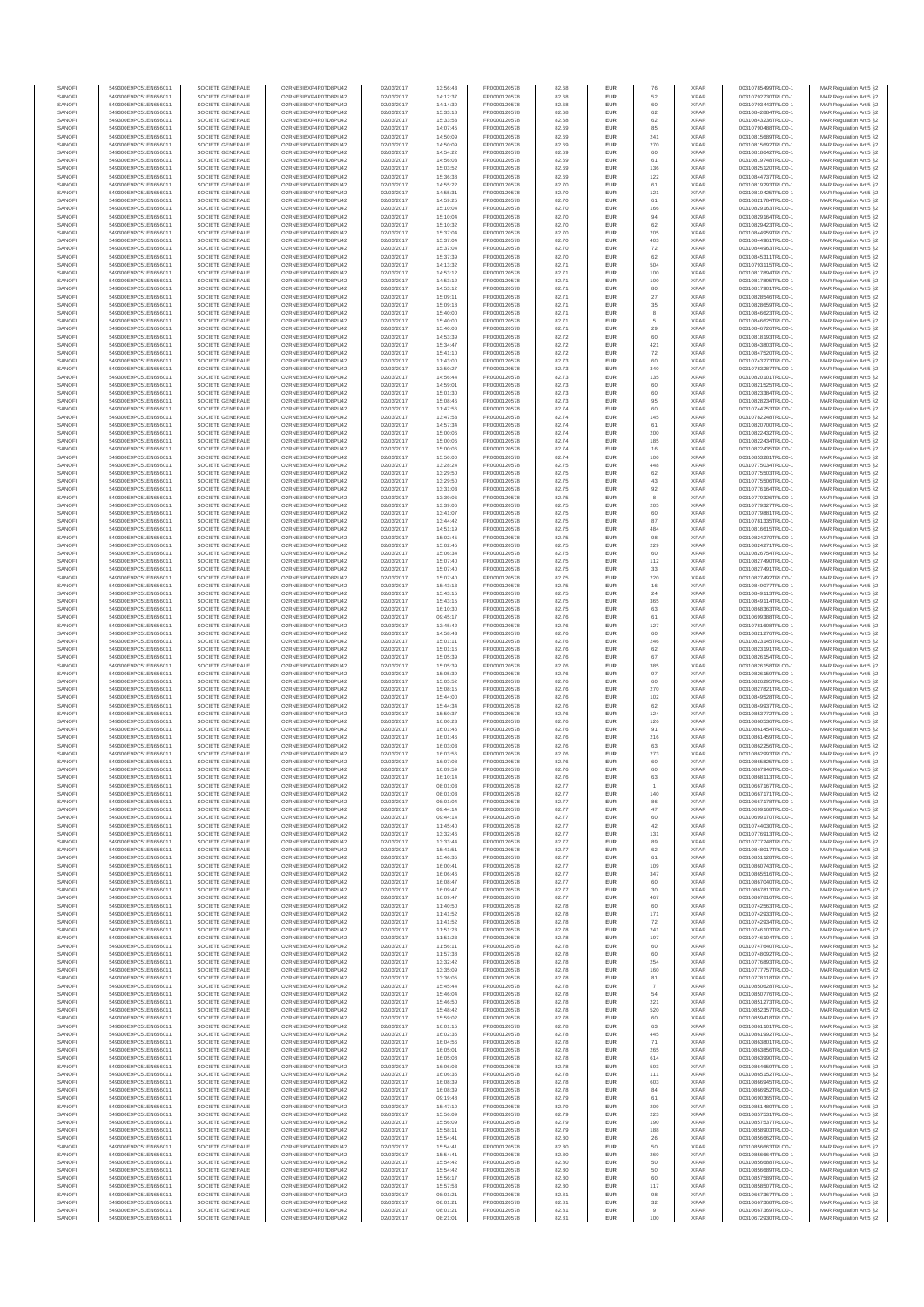| SANOFI           | 549300E9PC51EN656011                         | SOCIETE GENERALE                     | O2RNE8IBXP4R0TD8PU42                         | 02/03/2017               | 13:56:43             | FR0000120578                 | 82.68          | EUR               | 76         | <b>XPAR</b>                | 00310785499TRLO0-1                       | MAR Regulation Art 5 §2                            |
|------------------|----------------------------------------------|--------------------------------------|----------------------------------------------|--------------------------|----------------------|------------------------------|----------------|-------------------|------------|----------------------------|------------------------------------------|----------------------------------------------------|
| SANOFI<br>SANOFI | 549300E9PC51EN656011<br>549300E9PC51EN656011 | SOCIETE GENERALE<br>SOCIETE GENERALE | O2RNE8IBXP4R0TD8PU42<br>O2RNE8IBXP4R0TD8PU42 | 02/03/2017<br>02/03/2017 | 14:12:37<br>14:14:30 | FR0000120578<br>FR0000120578 | 82.68<br>82.68 | EUR<br>EUR        | 52<br>60   | <b>XPAR</b><br><b>XPAR</b> | 00310792730TRLO0-1<br>00310793443TRLO0-1 | MAR Regulation Art 5 §2                            |
| SANOFI           | 549300E9PC51EN656011                         | SOCIETE GENERALE                     | O2RNE8IBXP4R0TD8PU42                         | 02/03/2017               | 15:33:18             | FR0000120578                 | 82.68          | EUR               | 62         | <b>XPAR</b>                | 00310842884TRLO0-1                       | MAR Regulation Art 5 §2<br>MAR Regulation Art 5 §2 |
| SANOFI           | 549300E9PC51EN656011                         | SOCIETE GENERALE                     | O2RNE8IBXP4R0TD8PU42                         | 02/03/2017               | 15:33:53             | FR0000120578                 | 82.68          | EUR               | 62         | <b>XPAR</b>                | 00310843236TRLO0-1                       | MAR Regulation Art 5 §2                            |
| SANOFI           | 549300E9PC51EN656011                         | SOCIETE GENERALE                     | O2RNE8IBXP4R0TD8PU42                         | 02/03/2017               | 14:07:45             | FR0000120578                 | 82.69          | EUR               | 85         | <b>XPAR</b>                | 00310790488TRLO0-1                       | MAR Regulation Art 5 §2                            |
| SANOFI<br>SANOFI | 549300E9PC51EN656011<br>549300E9PC51EN656011 | SOCIETE GENERALE<br>SOCIETE GENERALE | O2RNE8IBXP4R0TD8PU42<br>O2RNE8IBXP4R0TD8PU42 | 02/03/2017<br>02/03/2017 | 14:50:09<br>14:50:09 | FR0000120578<br>FR0000120578 | 82.69<br>82.69 | EUR<br>EUR        | 241<br>270 | <b>XPAR</b><br><b>XPAR</b> | 00310815689TRLO0-1<br>00310815692TRLO0-1 | MAR Regulation Art 5 §2<br>MAR Regulation Art 5 §2 |
| SANOFI           | 549300E9PC51EN656011                         | SOCIETE GENERALE                     | O2RNE8IBXP4R0TD8PU42                         | 02/03/2017               | 14:54:22             | FR0000120578                 | 82.69          | EUR               | 60         | <b>XPAR</b>                | 00310818642TRLO0-1                       | MAR Regulation Art 5 \$2                           |
| SANOFI           | 549300E9PC51EN656011                         | SOCIETE GENERALE                     | O2RNE8IBXP4R0TD8PU42                         | 02/03/2017               | 14:56:03             | FR0000120578                 | 82.69          | EUR               | 61         | <b>XPAR</b>                | 00310819748TRLO0-1                       | MAR Regulation Art 5 §2                            |
| SANOFI<br>SANOFI | 549300E9PC51EN656011<br>549300E9PC51EN656011 | SOCIETE GENERALE<br>SOCIETE GENERALE | O2RNE8IBXP4R0TD8PU42<br>O2RNE8IBXP4R0TD8PU42 | 02/03/2017<br>02/03/2017 | 15:03:52<br>15:36:38 | FR0000120578<br>FR0000120578 | 82.69<br>82.69 | EUR<br>EUR        | 136<br>122 | <b>XPAR</b><br><b>XPAR</b> | 00310825120TRLO0-1<br>00310844737TRLO0-1 | MAR Regulation Art 5 §2<br>MAR Regulation Art 5 §2 |
| SANOFI           | 549300E9PC51EN656011                         | SOCIETE GENERALE                     | O2RNE8IBXP4R0TD8PU42                         | 02/03/2017               | 14:55:22             | FR0000120578                 | 82.70          | EUR               | 61         | <b>XPAR</b>                | 00310819293TRLO0-1                       | MAR Regulation Art 5 §2                            |
| SANOFI           | 549300E9PC51EN656011                         | SOCIETE GENERALE                     | O2RNE8IBXP4R0TD8PU42                         | 02/03/2017               | 14:55:31             | FR0000120578                 | 82.70          | EUR               | 121        | <b>XPAR</b>                | 00310819425TRLO0-1                       | MAR Regulation Art 5 §2                            |
| SANOFI           | 549300E9PC51EN656011                         | SOCIETE GENERALE                     | O2RNE8IBXP4R0TD8PU42                         | 02/03/2017               | 14:59:25             | FR0000120578                 | 82.70          | EUR               | 61         | <b>XPAR</b>                | 00310821784TRLO0-1                       | MAR Regulation Art 5 §2                            |
| SANOFI<br>SANOFI | 549300E9PC51EN656011<br>549300E9PC51EN656011 | SOCIETE GENERALE<br>SOCIETE GENERALE | O2RNE8IBXP4R0TD8PU42<br>O2RNE8IBXP4R0TD8PU42 | 02/03/2017<br>02/03/2017 | 15:10:04<br>15:10:04 | FR0000120578<br>FR0000120578 | 82.70<br>82.70 | EUR<br>EUR        | 166<br>94  | <b>XPAR</b><br><b>XPAR</b> | 00310829163TRLO0-1<br>00310829164TRLO0-1 | MAR Regulation Art 5 §2<br>MAR Regulation Art 5 §2 |
| SANOFI           | 549300E9PC51EN656011                         | SOCIETE GENERALE                     | O2RNE8IBXP4R0TD8PU42                         | 02/03/2017               | 15:10:32             | FR0000120578                 | 82.70          | EUR               | 62         | <b>XPAR</b>                | 00310829423TRLO0-1                       | MAR Regulation Art 5 §2                            |
| SANOFI           | 549300E9PC51EN656011                         | SOCIETE GENERALE                     | O2RNE8IBXP4R0TD8PU42                         | 02/03/2017               | 15:37:04             | FR0000120578                 | 82.70          | EUR               | 205        | <b>XPAR</b>                | 00310844959TRLO0-1                       | MAR Regulation Art 5 §2                            |
| SANOFI           | 549300E9PC51EN656011                         | SOCIETE GENERALE                     | O2RNE8IBXP4R0TD8PU42                         | 02/03/2017               | 15:37:04             | FR0000120578                 | 82.70          | EUR               | 403        | <b>XPAR</b>                | 00310844961TRLO0-1                       | MAR Regulation Art 5 §2                            |
| SANOFI<br>SANOFI | 549300E9PC51EN656011<br>549300E9PC51EN656011 | SOCIETE GENERALE<br>SOCIETE GENERALE | O2RNE8IBXP4R0TD8PU42<br>O2RNE8IBXP4R0TD8PU42 | 02/03/2017<br>02/03/2017 | 15:37:04<br>15:37:39 | FR0000120578<br>FR0000120578 | 82.70<br>82.70 | EUR<br>EUR        | 72<br>62   | <b>XPAR</b><br><b>XPAR</b> | 00310844963TRLO0-1<br>00310845311TRLO0-1 | MAR Regulation Art 5 §2<br>MAR Regulation Art 5 §2 |
| SANOFI           | 549300E9PC51EN656011                         | SOCIETE GENERALE                     | O2RNE8IBXP4R0TD8PU42                         | 02/03/2017               | 14:13:32             | FR0000120578                 | 82.71          | EUR               | 504        | <b>XPAR</b>                | 00310793115TRLO0-1                       | MAR Regulation Art 5 §2                            |
| SANOFI           | 549300E9PC51EN656011                         | SOCIETE GENERALE                     | O2RNE8IBXP4R0TD8PU42                         | 02/03/2017               | 14:53:12             | FR0000120578                 | 82.71          | EUR               | 100        | <b>XPAR</b>                | 00310817894TRLO0-1                       | MAR Regulation Art 5 §2                            |
| SANOFI<br>SANOFI | 549300E9PC51EN656011<br>549300E9PC51EN656011 | SOCIETE GENERALE<br>SOCIETE GENERALE | O2RNE8IBXP4R0TD8PU42<br>O2RNE8IBXP4R0TD8PU42 | 02/03/2017<br>02/03/2017 | 14:53:12<br>14:53:12 | FR0000120578<br>FR0000120578 | 82.71<br>82.71 | EUR<br>EUR        | 100<br>80  | <b>XPAR</b><br><b>XPAR</b> | 00310817895TRLO0-1<br>00310817901TRLO0-1 | MAR Regulation Art 5 §2<br>MAR Regulation Art 5 §2 |
| SANOFI           | 549300E9PC51EN656011                         | SOCIETE GENERALE                     | O2RNE8IBXP4R0TD8PU42                         | 02/03/2017               | 15:09:11             | FR0000120578                 | 82.71          | EUR               | 27         | <b>XPAR</b>                | 00310828546TRLO0-1                       | MAR Regulation Art 5 62                            |
| SANOFI           | 549300E9PC51EN656011                         | SOCIETE GENERALE                     | O2RNE8IBXP4R0TD8PU42                         | 02/03/2017               | 15:09:18             | FR0000120578                 | 82.71          | EUR               | $35\,$     | <b>XPAR</b>                | 00310828659TRLO0-1                       | MAR Regulation Art 5 §2                            |
| SANOFI           | 549300E9PC51EN656011                         | SOCIETE GENERALE                     | O2RNE8IBXP4R0TD8PU42                         | 02/03/2017               | 15:40:00             | FR0000120578                 | 82.71          | EUR               | $_{\rm 8}$ | <b>XPAR</b>                | 00310846623TRLO0-1                       | MAR Regulation Art 5 §2                            |
| SANOFI<br>SANOFI | 549300E9PC51EN656011<br>549300E9PC51EN656011 | SOCIETE GENERALE<br>SOCIETE GENERALE | O2RNE8IBXP4R0TD8PU42<br>O2RNE8IBXP4R0TD8PU42 | 02/03/2017<br>02/03/2017 | 15:40:00<br>15:40:08 | FR0000120578<br>FR0000120578 | 82.71<br>82.71 | EUR<br>EUR        | 5<br>29    | <b>XPAR</b><br><b>XPAR</b> | 00310846625TRLO0-1<br>00310846726TRLO0-1 | MAR Regulation Art 5 §2<br>MAR Regulation Art 5 §2 |
| SANOFI           | 549300E9PC51EN656011                         | SOCIETE GENERALE                     | O2RNE8IBXP4R0TD8PU42                         | 02/03/2017               | 14:53:39             | FR0000120578                 | 82.72          | EUR               | 60         | <b>XPAR</b>                | 00310818193TRLO0-1                       | MAR Regulation Art 5 §2                            |
| SANOFI           | 549300E9PC51EN656011                         | SOCIETE GENERALE                     | O2RNE8IBXP4R0TD8PU42                         | 02/03/2017               | 15:34:47             | FR0000120578                 | 82.72          | EUR               | 421        | <b>XPAR</b>                | 00310843803TRLO0-1                       | MAR Regulation Art 5 §2                            |
| SANOFI<br>SANOFI | 549300E9PC51EN656011<br>549300E9PC51EN656011 | SOCIETE GENERALE<br>SOCIETE GENERALE | O2RNE8IBXP4R0TD8PU42<br>O2RNE8IBXP4R0TD8PU42 | 02/03/2017<br>02/03/2017 | 15:41:10<br>11:43:00 | FR0000120578<br>FR0000120578 | 82.72<br>82.73 | EUR<br>EUR        | 72<br>60   | <b>XPAR</b><br><b>XPAR</b> | 00310847520TRLO0-1<br>00310743273TRLO0-1 | MAR Regulation Art 5 \$2                           |
| SANOFI           | 549300E9PC51EN656011                         | SOCIETE GENERALE                     | O2RNE8IBXP4R0TD8PU42                         | 02/03/2017               | 13:50:27             | FR0000120578                 | 82.73          | EUR               | 340        | <b>XPAR</b>                | 00310783287TRLO0-1                       | MAR Regulation Art 5 §2<br>MAR Regulation Art 5 §2 |
| SANOFI           | 549300E9PC51EN656011                         | SOCIETE GENERALE                     | O2RNE8IBXP4R0TD8PU42                         | 02/03/2017               | 14:56:44             | FR0000120578                 | 82.73          | EUR               | 135        | <b>XPAR</b>                | 00310820101TRLO0-1                       | MAR Regulation Art 5 §2                            |
| SANOFI           | 549300E9PC51EN656011                         | SOCIETE GENERALE                     | O2RNE8IBXP4R0TD8PU42                         | 02/03/2017               | 14:59:01             | FR0000120578                 | 82.73          | EUR               | 60         | <b>XPAR</b>                | 00310821525TRLO0-1                       | MAR Regulation Art 5 §2                            |
| SANOFI<br>SANOFI | 549300E9PC51EN656011<br>549300E9PC51EN656011 | SOCIETE GENERALE<br>SOCIETE GENERALE | O2RNE8IBXP4R0TD8PU42<br>O2RNE8IBXP4R0TD8PU42 | 02/03/2017<br>02/03/2017 | 15:01:30<br>15:08:46 | FR0000120578<br>FR0000120578 | 82.73<br>82.73 | EUR<br>EUR        | 60<br>95   | <b>XPAR</b><br><b>XPAR</b> | 00310823384TRLO0-1<br>00310828234TRLO0-1 | MAR Regulation Art 5 §2<br>MAR Regulation Art 5 §2 |
| SANOFI           | 549300E9PC51EN656011                         | SOCIETE GENERALE                     | O2RNE8IBXP4R0TD8PU42                         | 02/03/2017               | 11:47:56             | FR0000120578                 | 82.74          | EUR               | 60         | <b>XPAR</b>                | 00310744753TRLO0-1                       | MAR Regulation Art 5 §2                            |
| SANOFI           | 549300E9PC51EN656011                         | SOCIETE GENERALE                     | O2RNE8IBXP4R0TD8PU42                         | 02/03/2017               | 13:47:53             | FR0000120578                 | 82.74          | EUR               | 145        | <b>XPAR</b>                | 00310782248TRLO0-1                       | MAR Regulation Art 5 §2                            |
| SANOFI           | 549300E9PC51EN656011                         | SOCIETE GENERALE<br>SOCIETE GENERALE | O2RNE8IBXP4R0TD8PU42                         | 02/03/2017               | 14:57:34             | FR0000120578<br>FR0000120578 | 82.74          | EUR               | 61         | <b>XPAR</b>                | 00310820700TRLO0-1                       | MAR Regulation Art 5 §2                            |
| SANOFI<br>SANOFI | 549300E9PC51EN656011<br>549300E9PC51EN656011 | SOCIETE GENERALE                     | O2RNE8IBXP4R0TD8PU42<br>O2RNE8IBXP4R0TD8PU42 | 02/03/2017<br>02/03/2017 | 15:00:06<br>15:00:06 | FR0000120578                 | 82.74<br>82.74 | EUR<br>EUR        | 200<br>185 | <b>XPAR</b><br><b>XPAR</b> | 00310822432TRLO0-1<br>00310822434TRLO0-1 | MAR Regulation Art 5 §2<br>MAR Regulation Art 5 §2 |
| SANOFI           | 549300E9PC51EN656011                         | SOCIETE GENERALE                     | O2RNE8IBXP4R0TD8PU42                         | 02/03/2017               | 15:00:06             | FR0000120578                 | 82.74          | EUR               | 16         | <b>XPAR</b>                | 00310822435TRLO0-1                       | MAR Regulation Art 5 §2                            |
| SANOFI           | 549300E9PC51EN656011                         | SOCIETE GENERALE                     | O2RNE8IBXP4R0TD8PU42                         | 02/03/2017               | 15:50:00             | FR0000120578                 | 82.74          | EUR               | 100        | <b>XPAR</b>                | 00310853281TRLO0-1                       | MAR Regulation Art 5 §2                            |
| SANOFI           | 549300E9PC51EN656011                         | SOCIETE GENERALE                     | O2RNE8IBXP4R0TD8PU42<br>O2RNE8IBXP4R0TD8PU42 | 02/03/2017               | 13:28:24             | FR0000120578<br>FR0000120578 | 82.75          | EUR               | 448        | <b>XPAR</b>                | 00310775034TRLO0-1<br>00310775503TRLO0-1 | MAR Regulation Art 5 §2                            |
| SANOFI<br>SANOFI | 549300E9PC51EN656011<br>549300E9PC51EN656011 | SOCIETE GENERALE<br>SOCIETE GENERALE | O2RNE8IBXP4R0TD8PU42                         | 02/03/2017<br>02/03/2017 | 13:29:50<br>13:29:50 | FR0000120578                 | 82.75<br>82.75 | EUR<br>EUR        | 62<br>43   | <b>XPAR</b><br><b>XPAR</b> | 00310775506TRLO0-1                       | MAR Regulation Art 5 §2<br>MAR Regulation Art 5 §2 |
| SANOFI           | 549300E9PC51EN656011                         | SOCIETE GENERALE                     | O2RNE8IBXP4R0TD8PU42                         | 02/03/2017               | 13:31:03             | FR0000120578                 | 82.75          | EUR               | 92         | <b>XPAR</b>                | 00310776164TRLO0-1                       | MAR Regulation Art 5 §2                            |
| SANOFI           | 549300E9PC51EN656011                         | SOCIETE GENERALE                     | O2RNE8IBXP4R0TD8PU42                         | 02/03/2017               | 13:39:06             | FR0000120578                 | 82.75          | EUR               | 8          | <b>XPAR</b>                | 00310779326TRLO0-1                       | MAR Regulation Art 5 \$2                           |
| SANOFI<br>SANOFI | 549300E9PC51EN656011                         | SOCIETE GENERALE<br>SOCIETE GENERALE | O2RNE8IBXP4R0TD8PU42<br>O2RNE8IBXP4R0TD8PU42 | 02/03/2017               | 13:39:06             | FR0000120578<br>FR0000120578 | 82.75<br>82.75 | EUR<br>EUR        | 205<br>60  | <b>XPAR</b><br><b>XPAR</b> | 00310779327TRLO0-1                       | MAR Regulation Art 5 §2<br>MAR Regulation Art 5 §2 |
| SANOFI           | 549300E9PC51EN656011<br>549300E9PC51EN656011 | SOCIETE GENERALE                     | O2RNE8IBXP4R0TD8PU42                         | 02/03/2017<br>02/03/2017 | 13:41:07<br>13:44:42 | FR0000120578                 | 82.75          | EUR               | 87         | <b>XPAR</b>                | 00310779881TRLO0-1<br>00310781335TRLO0-1 | MAR Regulation Art 5 §2                            |
| SANOFI           | 549300E9PC51EN656011                         | SOCIETE GENERALE                     | O2RNE8IBXP4R0TD8PU42                         | 02/03/2017               | 14:51:19             | FR0000120578                 | 82.75          | EUR               | 484        | <b>XPAR</b>                | 00310816615TRLO0-1                       | MAR Regulation Art 5 §2                            |
| SANOFI           | 549300E9PC51EN656011                         | SOCIETE GENERALE                     | O2RNE8IBXP4R0TD8PU42                         | 02/03/2017               | 15:02:45             | FR0000120578                 | 82.75          | EUR               | 98         | <b>XPAR</b>                | 00310824270TRLO0-1                       | MAR Regulation Art 5 §2                            |
| SANOFI<br>SANOFI | 549300E9PC51EN656011<br>549300E9PC51EN656011 | SOCIETE GENERALE<br>SOCIETE GENERALE | O2RNE8IBXP4R0TD8PU42<br>O2RNE8IBXP4R0TD8PU42 | 02/03/2017<br>02/03/2017 | 15:02:45<br>15:06:34 | FR0000120578<br>FR0000120578 | 82.75<br>82.75 | EUR<br>EUR        | 229<br>60  | <b>XPAR</b><br><b>XPAR</b> | 00310824271TRLO0-1<br>00310826754TRLO0-1 | MAR Regulation Art 5 §2<br>MAR Regulation Art 5 §2 |
| SANOFI           | 549300E9PC51EN656011                         | SOCIETE GENERALE                     | O2RNE8IBXP4R0TD8PU42                         | 02/03/2017               | 15:07:40             | FR0000120578                 | 82.75          | EUR               | 112        | <b>XPAR</b>                | 00310827490TRLO0-1                       | MAR Regulation Art 5 §2                            |
| SANOFI           | 549300E9PC51EN656011                         | SOCIETE GENERALE                     | O2RNE8IBXP4R0TD8PU42                         | 02/03/2017               | 15:07:40             | FR0000120578                 | 82.75          | EUR               | 33         | <b>XPAR</b>                | 00310827491TRLO0-1                       | MAR Regulation Art 5 §2                            |
| SANOFI           | 549300E9PC51EN656011                         | SOCIETE GENERALE                     | O2RNE8IBXP4R0TD8PU42                         | 02/03/2017               | 15:07:40             | FR0000120578                 | 82.75          | EUR               | 220        | <b>XPAR</b>                | 00310827492TRLO0-1                       | MAR Regulation Art 5 §2                            |
| SANOFI<br>SANOFI | 549300E9PC51EN656011<br>549300E9PC51EN656011 | SOCIETE GENERALE<br>SOCIETE GENERALE | O2RNE8IBXP4R0TD8PU42<br>O2RNE8IBXP4R0TD8PU42 | 02/03/2017<br>02/03/2017 | 15:43:13<br>15:43:15 | FR0000120578<br>FR0000120578 | 82.75<br>82.75 | EUR<br>EUR        | 16<br>24   | <b>XPAR</b><br><b>XPAR</b> | 00310849077TRLO0-1<br>00310849113TRLO0-1 | MAR Regulation Art 5 §2<br>MAR Regulation Art 5 §2 |
| SANOFI           | 549300E9PC51EN656011                         | SOCIETE GENERALE                     | O2RNE8IBXP4R0TD8PU42                         | 02/03/2017               | 15:43:15             | FR0000120578                 | 82.75          | EUR               | 365        | <b>XPAR</b>                | 00310849114TRLO0-1                       | MAR Regulation Art 5 §2                            |
| SANOFI           | 549300E9PC51EN656011                         | SOCIETE GENERALE                     | O2RNE8IBXP4R0TD8PU42                         | 02/03/2017               | 16:10:30             | FR0000120578                 | 82.75          | EUR               | 63         | <b>XPAR</b>                | 00310868363TRLO0-1                       | MAR Regulation Art 5 §2                            |
| SANOFI           | 549300E9PC51EN656011                         | SOCIETE GENERALE                     | O2RNE8IBXP4R0TD8PU42                         | 02/03/2017               | 09:45:17             | FR0000120578                 | 82.76          | EUR<br>EUR        | 61<br>127  | <b>XPAR</b>                | 00310699388TRLO0-1                       | MAR Regulation Art 5 §2                            |
| SANOFI<br>SANOFI | 549300E9PC51EN656011<br>549300E9PC51EN656011 | SOCIETE GENERALE<br>SOCIETE GENERALE | O2RNE8IBXP4R0TD8PU42<br>O2RNE8IBXP4R0TD8PU42 | 02/03/2017<br>02/03/2017 | 13:45:42<br>14:58:43 | FR0000120578<br>FR0000120578 | 82.76<br>82.76 | EUR               | 60         | <b>XPAR</b><br><b>XPAR</b> | 00310781608TRLO0-1<br>00310821276TRLO0-1 | MAR Regulation Art 5 §2<br>MAR Regulation Art 5 §2 |
| SANOFI           | 549300E9PC51EN656011                         | SOCIETE GENERALE                     | O2RNE8IBXP4R0TD8PU42                         | 02/03/2017               | 15:01:11             | FR0000120578                 | 82.76          | EUR               | 246        | <b>XPAR</b>                | 00310823145TRLO0-1                       | MAR Regulation Art 5 §2                            |
| SANOFI           | 549300E9PC51EN656011                         | SOCIETE GENERALE                     | O2RNE8IBXP4R0TD8PU42                         | 02/03/2017               | 15:01:16             | FR0000120578                 | 82.76          | EUR               | 62         | <b>XPAR</b>                | 00310823191TRLO0-1                       | MAR Regulation Art 5 §2                            |
| SANOFI<br>SANOFI | 549300E9PC51EN656011<br>549300E9PC51EN656011 | SOCIETE GENERALE<br>SOCIETE GENERALE | O2RNE8IBXP4R0TD8PU42<br>O2RNE8IBXP4R0TD8PU42 | 02/03/2017<br>02/03/2017 | 15:05:39<br>15:05:39 | FR0000120578<br>FR0000120578 | 82.76<br>82.76 | EUR<br>EUR        | 67<br>385  | <b>XPAR</b><br><b>XPAR</b> | 00310826154TRLO0-1<br>00310826158TRLO0-1 | MAR Regulation Art 5 §2<br>MAR Regulation Art 5 §2 |
| SANOFI           | 549300E9PC51EN656011                         | SOCIETE GENERALE                     | O2RNE8IBXP4R0TD8PU42                         | 02/03/2017               | 15:05:39             | FR0000120578                 | 82.76          | EUR               | 97         | <b>XPAR</b>                | 00310826159TRLO0-1                       | MAR Regulation Art 5 §2                            |
| SANOFI           | 549300E9PC51EN656011                         | SOCIETE GENERALE                     | O2RNE8IBXP4R0TD8PU42                         | 02/03/2017               | 15:05:52             | FR0000120578                 | 82.76          | EUR               | 60         | <b>XPAR</b>                | 00310826295TRLO0-1                       | MAR Regulation Art 5 §2                            |
| SANOFI           | 549300E9PC51EN656011                         | SOCIETE GENERALE                     | O2RNE8IBXP4R0TD8PU42                         | 02/03/2017               | 15:08:15             | FR0000120578                 | 82.76          | EUR               | 270        | <b>XPAR</b>                | 00310827821TRLO0-1                       | MAR Regulation Art 5 §2                            |
| SANOFI<br>SANOFI | 549300E9PC51EN656011<br>549300E9PC51EN656011 | SOCIETE GENERALE<br>SOCIETE GENERALE | O2RNE8IBXP4R0TD8PU42<br>O2RNE8IBXP4R0TD8PU42 | 02/03/2017<br>02/03/2017 | 15:44:00<br>15:44:34 | FR0000120578<br>FR0000120578 | 82.76<br>82.76 | EUR<br>EUR        | 102<br>62  | <b>XPAR</b><br><b>XPAR</b> | 00310849528TRLO0-1<br>00310849937TRLO0-1 | MAR Regulation Art 5 §2<br>MAR Regulation Art 5 §2 |
| SANOFI           | 549300E9PC51EN656011                         | SOCIETE GENERALE                     | O2RNE8IBXP4R0TD8PU42                         | 02/03/2017               | 15:50:37             | FR0000120578                 | 82.76          | EUR               | 124        | <b>XPAR</b>                | 00310853772TRLO0-1                       | MAR Regulation Art 5 §2                            |
| SANOFI           | 549300E9PC51EN656011                         | SOCIETE GENERALE                     | O2RNE8IBXP4R0TD8PU42                         | 02/03/2017               | 16:00:23             | FR0000120578                 | 82.76          | EUR               | 126        | <b>XPAR</b>                | 00310860536TRLO0-1                       | MAR Regulation Art 5 §2                            |
| SANOFI           | 549300E9PC51EN656011                         | SOCIETE GENERALE                     | O2RNE8IBXP4R0TD8PU42                         | 02/03/2017               | 16:01:46             | FR0000120578                 | 82.76          | EUR               | 91         | <b>XPAR</b>                | 00310861454TRLO0-1                       | MAR Regulation Art 5 §2                            |
| SANOFI<br>SANOFI | 549300E9PC51EN656011<br>549300E9PC51EN656011 | SOCIETE GENERALE<br>SOCIETE GENERALE | O2RNE8IBXP4R0TD8PU42<br>O2RNE8IBXP4R0TD8PU42 | 02/03/2017<br>02/03/2017 | 16:01:46<br>16:03:03 | FR0000120578<br>FR0000120578 | 82.76<br>82.76 | EUR<br>EUR        | 216<br>63  | <b>XPAR</b><br><b>XPAR</b> | 00310861459TRLO0-1<br>00310862256TRLO0-1 | MAR Regulation Art 5 §2<br>MAR Regulation Art 5 §2 |
| SANOFI           | 549300E9PC51EN656011                         | SOCIETE GENERALE                     | O2RNE8IBXP4R0TD8PU42                         | 02/03/2017               | 16:03:56             | FR0000120578                 | 82.76          | EUR               | 273        | <b>XPAR</b>                | 00310862993TRLO0-1                       | MAR Regulation Art 5 \$2                           |
| SANOFI           | 549300E9PC51EN656011                         | SOCIETE GENERALE                     | O2RNE8IBXP4R0TD8PU42                         | 02/03/2017               | 16:07:08             | FR0000120578                 | 82.76          | EUR               | 60         | <b>XPAR</b>                | 00310865825TRLO0-1                       | MAR Regulation Art 5 §2                            |
| SANOFI           | 549300E9PC51EN656011<br>549300E9PC51EN656011 | SOCIETE GENERALE                     | O2RNE8IBXP4R0TD8PU42                         | 02/03/2017               | 16:09:59             | FR0000120578                 | 82.76          | <b>EUR</b>        | 60         | <b>XPAR</b><br><b>XPAR</b> | 00310867946TRLO0-1<br>00310868113TRLO0-1 | MAR Regulation Art 5 §2                            |
| SANOFI<br>SANOFI | 549300E9PC51EN656011                         | SOCIETE GENERALE<br>SOCIETE GENERALE | O2RNE8IBXP4R0TD8PU42<br>O2RNE8IBXP4R0TD8PU42 | 02/03/2017<br>02/03/2017 | 16:10:14<br>08:01:03 | FR0000120578<br>FR0000120578 | 82.76<br>82.77 | <b>EUR</b><br>EUR | 63         | <b>XPAR</b>                | 00310667167TRLO0-1                       | MAR Regulation Art 5 §2<br>MAR Regulation Art 5 §2 |
| SANOFI           | 549300E9PC51EN656011                         | SOCIETE GENERALE                     | O2RNE8IBXP4R0TD8PU42                         | 02/03/2017               | 08:01:03             | FR0000120578                 | 82.77          | EUR               | 140        | <b>XPAR</b>                | 00310667171TRLO0-1                       | MAR Regulation Art 5 §2                            |
| SANOFI           | 549300E9PC51EN656011                         | SOCIETE GENERALE                     | O2RNE8IBXP4R0TD8PU42                         | 02/03/2017               | 08:01:04             | FR0000120578                 | 82.77          | EUR               | 86         | <b>XPAR</b>                | 00310667178TRLO0-1                       | MAR Regulation Art 5 §2                            |
| SANOFI<br>SANOFI | 549300E9PC51EN656011<br>549300E9PC51EN656011 | SOCIETE GENERALE<br>SOCIETE GENERALE | O2RNE8IBXP4R0TD8PU42<br>O2RNE8IBXP4R0TD8PU42 | 02/03/2017<br>02/03/2017 | 09:44:14<br>09:44:14 | FR0000120578<br>FR0000120578 | 82.77<br>82.77 | EUR<br>EUR        | 47<br>60   | <b>XPAR</b><br><b>XPAR</b> | 00310699168TRLO0-1<br>00310699170TRLO0-1 | MAR Regulation Art 5 §2                            |
| SANOFI           | 549300E9PC51EN656011                         | SOCIETE GENERALE                     | O2RNE8IBXP4R0TD8PU42                         | 02/03/2017               | 11:45:40             | FR0000120578                 | 82.77          | EUR               | 42         | <b>XPAR</b>                | 00310744030TRLO0-1                       | MAR Regulation Art 5 §2<br>MAR Regulation Art 5 §2 |
| SANOFI           | 549300E9PC51EN656011                         | SOCIETE GENERALE                     | O2RNE8IBXP4R0TD8PU42                         | 02/03/2017               | 13:32:46             | FR0000120578                 | 82.77          | EUR               | 131        | <b>XPAR</b>                | 00310776913TRLO0-1                       | MAR Regulation Art 5 §2                            |
| SANOFI<br>SANOFI | 549300E9PC51EN656011<br>549300E9PC51EN656011 | SOCIETE GENERALE                     | O2RNE8IBXP4R0TD8PU42                         | 02/03/2017               | 13:33:44             | FR0000120578                 | 82.77          | EUR<br>EUR        | 89         | <b>XPAR</b><br><b>XPAR</b> | 00310777248TRLO0-1                       | MAR Regulation Art 5 \$2                           |
| SANOFI           | 549300E9PC51EN656011                         | SOCIETE GENERALE<br>SOCIETE GENERALE | O2RNE8IBXP4R0TD8PU42<br>O2RNE8IBXP4R0TD8PU42 | 02/03/2017<br>02/03/2017 | 15:41:51<br>15:46:35 | FR0000120578<br>FR0000120578 | 82.77<br>82.77 | EUR               | 62<br>61   | <b>XPAR</b>                | 00310848017TRLO0-1<br>00310851128TRLO0-1 | MAR Regulation Art 5 §2<br>MAR Regulation Art 5 §2 |
| SANOFI           | 549300E9PC51EN656011                         | SOCIETE GENERALE                     | O2RNE8IBXP4R0TD8PU42                         | 02/03/2017               | 16:00:41             | FR0000120578                 | 82.77          | EUR               | 109        | <b>XPAR</b>                | 00310860743TRLO0-1                       | MAR Regulation Art 5 §2                            |
| SANOFI           | 549300E9PC51EN656011                         | SOCIETE GENERALE                     | O2RNE8IBXP4R0TD8PU42                         | 02/03/2017               | 16:06:46             | FR0000120578                 | 82.77          | EUR               | 347        | <b>XPAR</b>                | 00310865516TRLO0-1                       | MAR Regulation Art 5 §2                            |
| SANOFI<br>SANOFI | 549300E9PC51EN656011<br>549300E9PC51EN656011 | SOCIETE GENERALE<br>SOCIETE GENERALE | O2RNE8IBXP4R0TD8PU42<br>O2RNE8IBXP4R0TD8PU42 | 02/03/2017<br>02/03/2017 | 16:08:47<br>16:09:47 | FR0000120578<br>FR0000120578 | 82.77<br>82.77 | EUR<br>EUR        | 60<br>30   | <b>XPAR</b><br><b>XPAR</b> | 00310867040TRLO0-1<br>00310867813TRLO0-1 | MAR Regulation Art 5 §2<br>MAR Regulation Art 5 §2 |
| SANOFI           | 549300E9PC51EN656011                         | SOCIETE GENERALE                     | O2RNE8IBXP4R0TD8PU42                         | 02/03/2017               | 16:09:47             | FR0000120578                 | 82.77          | EUR               | 467        | <b>XPAR</b>                | 00310867816TRLO0-1                       | MAR Regulation Art 5 §2                            |
| SANOFI           | 549300E9PC51EN656011                         | SOCIETE GENERALE                     | O2RNE8IBXP4R0TD8PU42                         | 02/03/2017               | 11:40:50             | FR0000120578                 | 82.78          | EUR               | 60         | <b>XPAR</b>                | 00310742563TRLO0-1                       | MAR Regulation Art 5 §2                            |
| SANOFI<br>SANOFI | 549300E9PC51EN656011<br>549300E9PC51EN656011 | SOCIETE GENERALE<br>SOCIETE GENERALE | O2RNE8IBXP4R0TD8PU42<br>O2RNE8IBXP4R0TD8PU42 | 02/03/2017<br>02/03/2017 | 11:41:52<br>11:41:52 | FR0000120578<br>FR0000120578 | 82.78<br>82.78 | EUR<br>EUR        | 171<br>72  | <b>XPAR</b><br><b>XPAR</b> | 00310742933TRLO0-1<br>00310742934TRLO0-1 | MAR Regulation Art 5 §2<br>MAR Regulation Art 5 §2 |
| SANOFI           | 549300E9PC51EN656011                         | SOCIETE GENERALE                     | O2RNE8IBXP4R0TD8PU42                         | 02/03/2017               | 11:51:23             | FR0000120578                 | 82.78          | EUR               | 241        | <b>XPAR</b>                | 00310746103TRLO0-1                       | MAR Regulation Art 5 §2                            |
| SANOFI           | 549300E9PC51EN656011                         | SOCIETE GENERALE                     | O2RNESIBXP4R0TD8PLI42                        | 02/03/2017               | 11:51:23             | FR0000120578                 | 82.78          | EUR               | 197        | <b>XPAR</b>                | 00310746104TRLO0-1                       | MAR Regulation Art 5 §2                            |
| SANOFI           | 549300E9PC51EN656011                         | SOCIETE GENERALE                     | O2RNE8IBXP4R0TD8PU42                         | 02/03/2017               | 11:56:11             | FR0000120578                 | 82.78          | EUR               | 60         | <b>XPAR</b>                | 00310747640TRLO0-1                       | MAR Regulation Art 5 §2                            |
| SANOFI<br>SANOFI | 549300E9PC51EN656011<br>549300E9PC51EN656011 | SOCIETE GENERALE<br>SOCIETE GENERALE | O2RNE8IBXP4R0TD8PU42<br>O2RNE8IBXP4R0TD8PU42 | 02/03/2017<br>02/03/2017 | 11:57:38<br>13:32:42 | FR0000120578<br>FR0000120578 | 82.78<br>82.78 | EUR<br>EUR        | 60<br>254  | <b>XPAR</b><br><b>XPAR</b> | 00310748092TRLO0-1<br>00310776893TRLO0-1 | MAR Regulation Art 5 §2<br>MAR Regulation Art 5 §2 |
| SANOFI           | 549300E9PC51EN656011                         | SOCIETE GENERALE                     | O2RNE8IBXP4R0TD8PU42                         | 02/03/2017               | 13:35:09             | FR0000120578                 | 82.78          | EUR               | 160        | <b>XPAR</b>                | 00310777757TRLO0-1                       | MAR Regulation Art 5 §2                            |
| SANOFI           | 549300E9PC51EN656011                         | SOCIETE GENERALE                     | O2RNE8IBXP4R0TD8PU42                         | 02/03/2017               | 13:36:05             | FR0000120578                 | 82.78          | EUR               | 81         | <b>XPAR</b>                | 00310778118TRLO0-1                       | MAR Regulation Art 5 §2                            |
| SANOFI<br>SANOFI | 549300E9PC51EN656011<br>549300E9PC51EN656011 | SOCIETE GENERALE<br>SOCIETE GENERALE | O2RNE8IBXP4R0TD8PU42<br>O2RNE8IBXP4R0TD8PU42 | 02/03/2017<br>02/03/2017 | 15:45:44<br>15:46:04 | FR0000120578<br>FR0000120578 | 82.78<br>82.78 | EUR<br>EUR        | -7<br>54   | <b>XPAR</b><br><b>XPAR</b> | 00310850628TRLO0-1<br>00310850776TRLO0-1 | MAR Regulation Art 5 §2                            |
| SANOFI           | 549300E9PC51EN656011                         | SOCIETE GENERALE                     | O2RNE8IBXP4R0TD8PU42                         | 02/03/2017               | 15:46:50             | FR0000120578                 | 82.78          | EUR               | 221        | <b>XPAR</b>                | 00310851273TRLO0-1                       | MAR Regulation Art 5 §2<br>MAR Regulation Art 5 §2 |
| SANOFI           | 549300E9PC51EN656011                         | SOCIETE GENERALE                     | O2RNE8IBXP4R0TD8PU42                         | 02/03/2017               | 15:48:42             | FR0000120578                 | 82.78          | EUR               | 520        | <b>XPAR</b>                | 00310852357TRLO0-1                       | MAR Regulation Art 5 §2                            |
| SANOFI           | 549300E9PC51EN656011                         | SOCIETE GENERALE                     | O2RNE8IBXP4R0TD8PU42                         | 02/03/2017               | 15:59:02             | FR0000120578                 | 82.78          | EUR               | 60         | <b>XPAR</b>                | 00310859418TRLO0-1                       | MAR Regulation Art 5 §2                            |
| SANOFI<br>SANOFI | 549300E9PC51EN656011<br>549300E9PC51EN656011 | SOCIETE GENERALE<br>SOCIETE GENERALE | O2RNE8IBXP4R0TD8PU42<br>O2RNE8IBXP4R0TD8PU42 | 02/03/2017<br>02/03/2017 | 16:01:15<br>16:02:35 | FR0000120578<br>FR0000120578 | 82.78<br>82.78 | EUR<br>EUR        | 63<br>445  | <b>XPAR</b><br><b>XPAR</b> | 00310861101TRLO0-1<br>00310861992TRLO0-1 | MAR Regulation Art 5 §2<br>MAR Regulation Art 5 §2 |
| SANOFI           | 549300E9PC51EN656011                         | SOCIETE GENERALE                     | O2RNE8IBXP4R0TD8PU42                         | 02/03/2017               | 16:04:56             | FR0000120578                 | 82.78          | EUR               | 71         | <b>XPAR</b>                | 00310863801TRLO0-1                       | MAR Regulation Art 5 §2                            |
| SANOFI           | 549300E9PC51EN656011                         | SOCIETE GENERALE                     | O2RNE8IBXP4R0TD8PU42                         | 02/03/2017               | 16:05:01             | FR0000120578                 | 82.78          | EUR               | 265        | <b>XPAR</b>                | 00310863856TRLO0-1                       | MAR Regulation Art 5 §2                            |
| SANOFI           | 549300E9PC51EN656011                         | SOCIETE GENERALE                     | O2RNE8IBXP4R0TD8PU42                         | 02/03/2017               | 16:05:08             | FR0000120578                 | 82.78          | EUR               | 614        | <b>XPAR</b>                | 00310863990TRLO0-1                       | MAR Regulation Art 5 §2                            |
| SANOFI<br>SANOFI | 549300E9PC51EN656011<br>549300E9PC51EN656011 | SOCIETE GENERALE<br>SOCIETE GENERALE | O2RNE8IBXP4R0TD8PU42<br>O2RNE8IBXP4R0TD8PU42 | 02/03/2017<br>02/03/2017 | 16:06:03<br>16:06:35 | FR0000120578<br>FR0000120578 | 82.78<br>82.78 | EUR<br>EUR        | 593<br>111 | <b>XPAR</b><br><b>XPAR</b> | 00310864659TRLO0-1<br>00310865152TRLO0-1 | MAR Regulation Art 5 §2<br>MAR Regulation Art 5 §2 |
| SANOFI           | 549300E9PC51EN656011                         | SOCIETE GENERALE                     | O2RNE8IBXP4R0TD8PU42                         | 02/03/2017               | 16:08:39             | FR0000120578                 | 82.78          | EUR               | 603        | <b>XPAR</b>                | 00310866945TRLO0-1                       | MAR Regulation Art 5 §2                            |
| SANOFI           | 549300E9PC51EN656011                         | SOCIETE GENERALE                     | O2RNE8IBXP4R0TD8PU42                         | 02/03/2017               | 16:08:39             | FR0000120578                 | 82.78          | EUR               | 84         | <b>XPAR</b>                | 00310866952TRLO0-1                       | MAR Regulation Art 5 §2                            |
| SANOFI           | 549300E9PC51EN656011                         | SOCIETE GENERALE                     | O2RNE8IBXP4R0TD8PU42                         | 02/03/2017               | 09:19:48             | FR0000120578                 | 82.79          | EUR               | 61         | <b>XPAR</b>                | 00310690365TRLO0-1                       | MAR Regulation Art 5 §2                            |
| SANOFI<br>SANOFI | 549300E9PC51EN656011<br>549300E9PC51EN656011 | SOCIETE GENERALE<br>SOCIETE GENERALE | O2RNE8IBXP4R0TD8PU42<br>O2RNE8IBXP4R0TD8PU42 | 02/03/2017<br>02/03/2017 | 15:47:10<br>15:56:09 | FR0000120578<br>FR0000120578 | 82.79<br>82.79 | EUR<br>EUR        | 209<br>223 | <b>XPAR</b><br><b>XPAR</b> | 00310851480TRLO0-1<br>00310857531TRLO0-1 | MAR Regulation Art 5 §2<br>MAR Regulation Art 5 §2 |
| SANOFI           | 549300E9PC51EN656011                         | SOCIETE GENERALE                     | O2RNE8IBXP4R0TD8PU42                         | 02/03/2017               | 15:56:09             | FR0000120578                 | 82.79          | EUR               | 190        | <b>XPAR</b>                | 00310857537TRLO0-1                       | MAR Regulation Art 5 §2                            |
| SANOFI           | 549300E9PC51EN656011                         | SOCIETE GENERALE                     | O2RNE8IBXP4R0TD8PU42                         | 02/03/2017               | 15:58:11             | FR0000120578                 | 82.79          | EUR               | 188        | <b>XPAR</b>                | 00310858903TRLO0-1                       | MAR Regulation Art 5 §2                            |
| SANOFI           | 549300E9PC51EN656011                         | SOCIETE GENERALE                     | O2RNE8IBXP4R0TD8PU42                         | 02/03/2017               | 15:54:41             | FR0000120578                 | 82.80          | EUR               | 26         | <b>XPAR</b>                | 00310856662TRLO0-1                       | MAR Regulation Art 5 §2                            |
| SANOFI<br>SANOFI | 549300E9PC51EN656011<br>549300E9PC51EN656011 | SOCIETE GENERALE<br>SOCIETE GENERALE | O2RNE8IBXP4R0TD8PU42<br>O2RNE8IBXP4R0TD8PU42 | 02/03/2017<br>02/03/2017 | 15:54:41<br>15:54:41 | FR0000120578<br>FR0000120578 | 82.80<br>82.80 | EUR<br>EUR        | 50<br>260  | <b>XPAR</b><br><b>XPAR</b> | 00310856663TRLO0-1<br>00310856664TRLO0-1 | MAR Regulation Art 5 §2<br>MAR Regulation Art 5 §2 |
| SANOFI           | 549300E9PC51EN656011                         | SOCIETE GENERALE                     | O2RNE8IBXP4R0TD8PU42                         | 02/03/2017               | 15:54:42             | FR0000120578                 | 82.80          | EUR               | 50         | <b>XPAR</b>                | 00310856688TRLO0-1                       | MAR Regulation Art 5 §2                            |
| SANOFI           | 549300E9PC51EN656011                         | SOCIETE GENERALE                     | O2RNE8IBXP4R0TD8PU42                         | 02/03/2017               | 15:54:42             | FR0000120578                 | 82.80          | EUR               | 50         | <b>XPAR</b>                | 00310856689TRLO0-1                       | MAR Regulation Art 5 §2                            |
| SANOFI           | 549300E9PC51EN656011                         | SOCIETE GENERALE                     | O2RNE8IBXP4R0TD8PU42                         | 02/03/2017               | 15:56:17             | FR0000120578                 | 82.80          | EUR               | 60         | <b>XPAR</b>                | 00310857589TRLO0-1                       | MAR Regulation Art 5 §2                            |
| SANOFI<br>SANOFI | 549300E9PC51EN656011<br>549300E9PC51EN656011 | SOCIETE GENERALE<br>SOCIETE GENERALE | O2RNE8IBXP4R0TD8PU42<br>O2RNE8IBXP4R0TD8PU42 | 02/03/2017<br>02/03/2017 | 15:57:53<br>08:01:21 | FR0000120578<br>FR0000120578 | 82.80<br>82.81 | EUR<br>EUR        | 117<br>98  | <b>XPAR</b><br><b>XPAR</b> | 00310858507TRLO0-1<br>00310667367TRLO0-1 | MAR Regulation Art 5 §2<br>MAR Regulation Art 5 §2 |
| SANOFI           | 549300E9PC51EN656011                         | SOCIETE GENERALE                     | O2RNE8IBXP4R0TD8PU42                         | 02/03/2017               | 08:01:21             | FR0000120578                 | 82.81          | EUR               | 32         | <b>XPAR</b>                | 00310667368TRLO0-1                       | MAR Regulation Art 5 §2                            |
| SANOFI           | 549300E9PC51EN656011                         | SOCIETE GENERALE                     | O2RNE8IBXP4R0TD8PU42                         | 02/03/2017               | 08:01:21             | FR0000120578                 | 82.81          | EUR               | 9          | <b>XPAR</b>                | 00310667369TRLO0-1                       | MAR Regulation Art 5 §2                            |
| SANOFI           | 549300E9PC51EN656011                         | SOCIETE GENERALE                     | O2RNE8IBXP4R0TD8PU42                         | 02/03/2017               | 08:21:01             | FR0000120578                 | 82.81          | EUR               | 100        | <b>XPAR</b>                | 00310672930TRLO0-1                       | MAR Regulation Art 5 §2                            |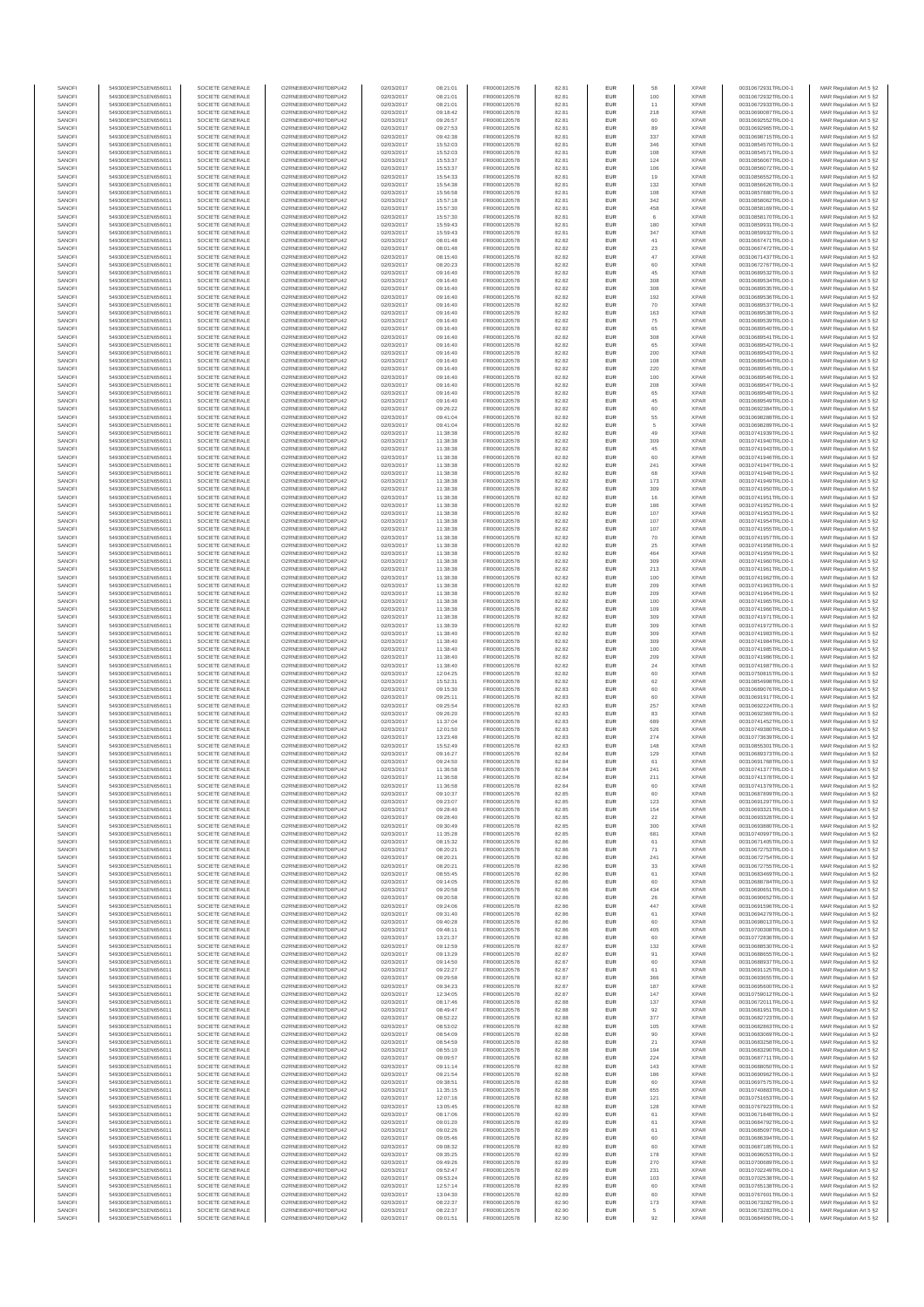| SANOFI           | 549300E9PC51EN656011                         | SOCIETE GENERALE                     | O2RNE8IBXP4R0TD8PU42                         | 02/03/2017               | 08:21:01             | FR0000120578                 | 82.81          | EUR                      | 58                | <b>XPAR</b>                | 00310672931TRLO0-1                       | MAR Regulation Art 5 §2                             |
|------------------|----------------------------------------------|--------------------------------------|----------------------------------------------|--------------------------|----------------------|------------------------------|----------------|--------------------------|-------------------|----------------------------|------------------------------------------|-----------------------------------------------------|
| SANOFI<br>SANOFI | 549300E9PC51EN656011<br>549300E9PC51EN656011 | SOCIETE GENERALE<br>SOCIETE GENERALE | O2RNE8IBXP4R0TD8PU42<br>O2RNE8IBXP4R0TD8PU42 | 02/03/2017<br>02/03/2017 | 08:21:01<br>08:21:01 | FR0000120578<br>FR0000120578 | 82.81          | EUR<br>EUR               | 100               | <b>XPAR</b><br><b>XPAR</b> | 00310672932TRLO0-1<br>00310672933TRLO0-1 | MAR Regulation Art 5 §2                             |
| SANOFI           | 549300E9PC51EN656011                         | SOCIETE GENERALE                     | O2RNE8IBXP4R0TD8PU42                         | 02/03/2017               | 09:18:42             | FR0000120578                 | 82.81<br>82.81 | EUR                      | 11<br>218         | <b>XPAR</b>                | 00310690087TRLO0-1                       | MAR Regulation Art 5 §2<br>MAR Regulation Art 5 §2  |
| SANOFI           | 549300E9PC51EN656011                         | SOCIETE GENERALE                     | O2RNE8IBXP4R0TD8PU42                         | 02/03/2017               | 09:26:57             | FR0000120578                 | 82.81          | EUR                      | 60                | <b>XPAR</b>                | 00310692552TRLO0-1                       | MAR Regulation Art 5 §2                             |
| SANOFI           | 549300E9PC51EN656011                         | SOCIETE GENERALE                     | O2RNE8IBXP4R0TD8PU42                         | 02/03/2017               | 09:27:53             | FR0000120578                 | 82.81          | EUR                      | 89                | <b>XPAR</b>                | 00310692965TRLO0-1                       | MAR Regulation Art 5 §2                             |
| SANOFI<br>SANOFI | 549300E9PC51EN656011<br>549300E9PC51EN656011 | SOCIETE GENERALE<br>SOCIETE GENERALE | O2RNE8IBXP4R0TD8PU42<br>O2RNE8IBXP4R0TD8PU42 | 02/03/2017<br>02/03/2017 | 09:42:38<br>15:52:03 | FR0000120578<br>FR0000120578 | 82.81<br>82.81 | EUR<br>EUR               | 337<br>346        | <b>XPAR</b><br><b>XPAR</b> | 00310698715TRLO0-1<br>00310854570TRLO0-1 | MAR Regulation Art 5 §2<br>MAR Regulation Art 5 §2  |
| SANOFI           | 549300E9PC51EN656011                         | SOCIETE GENERALE                     | O2RNE8IBXP4R0TD8PU42                         | 02/03/2017               | 15:52:03             | FR0000120578                 | 82.81          | EUR                      | 108               | <b>XPAR</b>                | 00310854571TRLO0-1                       | MAR Regulation Art 5 \$2                            |
| SANOFI           | 549300E9PC51EN656011                         | SOCIETE GENERALE                     | O2RNE8IBXP4R0TD8PU42                         | 02/03/2017               | 15:53:37             | FR0000120578                 | 82.81          | EUR                      | 124               | <b>XPAR</b>                | 00310856067TRLO0-1                       | MAR Regulation Art 5 §2                             |
| SANOFI<br>SANOFI | 549300E9PC51EN656011<br>549300E9PC51EN656011 | SOCIETE GENERALE<br>SOCIETE GENERALE | O2RNE8IBXP4R0TD8PU42<br>O2RNE8IBXP4R0TD8PU42 | 02/03/2017<br>02/03/2017 | 15:53:37<br>15:54:33 | FR0000120578<br>FR0000120578 | 82.81<br>82.81 | EUR<br>EUR               | 106<br>19         | <b>XPAR</b><br><b>XPAR</b> | 00310856072TRLO0-1<br>00310856552TRLO0-1 | MAR Regulation Art 5 §2<br>MAR Regulation Art 5 §2  |
| SANOFI           | 549300E9PC51EN656011                         | SOCIETE GENERALE                     | O2RNE8IBXP4R0TD8PU42                         | 02/03/2017               | 15:54:38             | FR0000120578                 | 82.81          | EUR                      | 132               | <b>XPAR</b>                | 00310856626TRLO0-1                       | MAR Regulation Art 5 §2                             |
| SANOFI           | 549300E9PC51EN656011                         | SOCIETE GENERALE                     | O2RNE8IBXP4R0TD8PU42                         | 02/03/2017               | 15:56:58             | FR0000120578                 | 82.81          | EUR                      | 108               | <b>XPAR</b>                | 00310857880TRLO0-1                       | MAR Regulation Art 5 §2                             |
| SANOFI           | 549300E9PC51EN656011                         | SOCIETE GENERALE                     | O2RNE8IBXP4R0TD8PU42                         | 02/03/2017               | 15:57:18             | FR0000120578                 | 82.81          | EUR                      | 342               | <b>XPAR</b>                | 00310858062TRLO0-1                       | MAR Regulation Art 5 §2                             |
| SANOFI<br>SANOFI | 549300E9PC51EN656011<br>549300E9PC51EN656011 | SOCIETE GENERALE<br>SOCIETE GENERALE | O2RNE8IBXP4R0TD8PU42<br>O2RNE8IBXP4R0TD8PU42 | 02/03/2017<br>02/03/2017 | 15:57:30<br>15:57:30 | FR0000120578<br>FR0000120578 | 82.81<br>82.81 | EUR<br>EUR               | 458<br>$_{\rm 6}$ | <b>XPAR</b><br><b>XPAR</b> | 00310858169TRLO0-1<br>00310858170TRLO0-1 | MAR Regulation Art 5 §2<br>MAR Regulation Art 5 §2  |
| SANOFI           | 549300E9PC51EN656011                         | SOCIETE GENERALE                     | O2RNE8IBXP4R0TD8PU42                         | 02/03/2017               | 15:59:43             | FR0000120578                 | 82.81          | EUR                      | 180               | <b>XPAR</b>                | 00310859931TRLO0-1                       | MAR Regulation Art 5 §2                             |
| SANOFI           | 549300E9PC51EN656011                         | SOCIETE GENERALE                     | O2RNE8IBXP4R0TD8PU42                         | 02/03/2017               | 15:59:43             | FR0000120578                 | 82.81          | EUR                      | 347               | <b>XPAR</b>                | 00310859932TRLO0-1                       | MAR Regulation Art 5 §2                             |
| SANOFI           | 549300E9PC51EN656011                         | SOCIETE GENERALE                     | O2RNE8IBXP4R0TD8PU42                         | 02/03/2017               | 08:01:48             | FR0000120578                 | 82.82          | EUR                      | $41\,$            | <b>XPAR</b>                | 00310667471TRLO0-1<br>00310667472TRLO0-1 | MAR Regulation Art 5 §2                             |
| SANOFI<br>SANOFI | 549300E9PC51EN656011<br>549300E9PC51EN656011 | SOCIETE GENERALE<br>SOCIETE GENERALE | O2RNE8IBXP4R0TD8PU42<br>O2RNE8IBXP4R0TD8PU42 | 02/03/2017<br>02/03/2017 | 08:01:48<br>08:15:40 | FR0000120578<br>FR0000120578 | 82.82<br>82.82 | EUR<br>EUR               | 23<br>$47\,$      | <b>XPAR</b><br><b>XPAR</b> | 00310671437TRLO0-1                       | MAR Regulation Art 5 §2<br>MAR Regulation Art 5 §2  |
| SANOFI           | 549300E9PC51EN656011                         | SOCIETE GENERALE                     | O2RNE8IBXP4R0TD8PU42                         | 02/03/2017               | 08:20:23             | FR0000120578                 | 82.82          | EUR                      | 60                | <b>XPAR</b>                | 00310672767TRLO0-1                       | MAR Regulation Art 5 §2                             |
| SANOFI           | 549300E9PC51EN656011                         | SOCIETE GENERALE                     | O2RNE8IBXP4R0TD8PU42                         | 02/03/2017               | 09:16:40             | FR0000120578                 | 82.82          | EUR                      | 45                | <b>XPAR</b>                | 00310689532TRLO0-1                       | MAR Regulation Art 5 §2                             |
| SANOFI<br>SANOFI | 549300E9PC51EN656011<br>549300E9PC51EN656011 | SOCIETE GENERALE<br>SOCIETE GENERALE | O2RNE8IBXP4R0TD8PU42<br>O2RNE8IBXP4R0TD8PU42 | 02/03/2017<br>02/03/2017 | 09:16:40<br>09:16:40 | FR0000120578<br>FR0000120578 | 82.82<br>82.82 | EUR<br>EUR               | 308<br>308        | <b>XPAR</b><br><b>XPAR</b> | 00310689534TRLO0-1<br>00310689535TRLO0-1 | MAR Regulation Art 5 §2<br>MAR Regulation Art 5 §2  |
| SANOFI           | 549300E9PC51EN656011                         | SOCIETE GENERALE                     | O2RNE8IBXP4R0TD8PU42                         | 02/03/2017               | 09:16:40             | FR0000120578                 | 82.82          | EUR                      | 192               | <b>XPAR</b>                | 00310689536TRLO0-1                       | MAR Regulation Art 5 62                             |
| SANOFI           | 549300E9PC51EN656011                         | SOCIETE GENERALE                     | O2RNE8IBXP4R0TD8PU42                         | 02/03/2017               | 09:16:40             | FR0000120578                 | 82.82          | EUR                      | 70                | <b>XPAR</b>                | 00310689537TRLO0-1                       | MAR Regulation Art 5 §2                             |
| SANOFI           | 549300E9PC51EN656011                         | SOCIETE GENERALE                     | O2RNE8IBXP4R0TD8PU42                         | 02/03/2017               | 09:16:40             | FR0000120578                 | 82.82          | EUR                      | 163               | <b>XPAR</b>                | 00310689538TRLO0-1                       | MAR Regulation Art 5 §2                             |
| SANOFI<br>SANOFI | 549300E9PC51EN656011<br>549300E9PC51EN656011 | SOCIETE GENERALE<br>SOCIETE GENERALE | O2RNE8IBXP4R0TD8PU42<br>O2RNE8IBXP4R0TD8PU42 | 02/03/2017<br>02/03/2017 | 09:16:40<br>09:16:40 | FR0000120578<br>FR0000120578 | 82.82<br>82.82 | EUR<br>EUR               | 75<br>65          | <b>XPAR</b><br><b>XPAR</b> | 00310689539TRLO0-1<br>00310689540TRLO0-1 | MAR Regulation Art 5 §2<br>MAR Regulation Art 5 §2  |
| SANOFI           | 549300E9PC51EN656011                         | SOCIETE GENERALE                     | O2RNE8IBXP4R0TD8PU42                         | 02/03/2017               | 09:16:40             | FR0000120578                 | 82.82          | EUR                      | 308               | <b>XPAR</b>                | 00310689541TRLO0-1                       | MAR Regulation Art 5 §2                             |
| SANOFI           | 549300E9PC51EN656011                         | SOCIETE GENERALE                     | O2RNE8IBXP4R0TD8PU42                         | 02/03/2017               | 09:16:40             | FR0000120578                 | 82.82          | EUR                      | 65                | <b>XPAR</b>                | 00310689542TRLO0-1                       | MAR Regulation Art 5 §2                             |
| SANOFI<br>SANOFI | 549300E9PC51EN656011<br>549300E9PC51EN656011 | SOCIETE GENERALE<br>SOCIETE GENERALE | O2RNE8IBXP4R0TD8PU42<br>O2RNE8IBXP4R0TD8PU42 | 02/03/2017<br>02/03/2017 | 09:16:40<br>09:16:40 | FR0000120578<br>FR0000120578 | 82.82<br>82.82 | EUR<br>EUR               | 200<br>108        | <b>XPAR</b><br><b>XPAR</b> | 00310689543TRLO0-1<br>00310689544TRLO0-1 | MAR Regulation Art 5 \$2                            |
| SANOFI           | 549300E9PC51EN656011                         | SOCIETE GENERALE                     | O2RNE8IBXP4R0TD8PU42                         | 02/03/2017               | 09:16:40             | FR0000120578                 | 82.82          | EUR                      | 220               | <b>XPAR</b>                | 00310689545TRLO0-1                       | MAR Regulation Art 5 §2<br>MAR Regulation Art 5 §2  |
| SANOFI           | 549300E9PC51EN656011                         | SOCIETE GENERALE                     | O2RNE8IBXP4R0TD8PU42                         | 02/03/2017               | 09:16:40             | FR0000120578                 | 82.82          | EUR                      | 100               | <b>XPAR</b>                | 00310689546TRLO0-1                       | MAR Regulation Art 5 §2                             |
| SANOFI           | 549300E9PC51EN656011                         | SOCIETE GENERALE                     | O2RNE8IBXP4R0TD8PU42                         | 02/03/2017               | 09:16:40             | FR0000120578                 | 82.82          | EUR                      | 208               | <b>XPAR</b>                | 00310689547TRLO0-1                       | MAR Regulation Art 5 §2                             |
| SANOFI<br>SANOFI | 549300E9PC51EN656011<br>549300E9PC51EN656011 | SOCIETE GENERALE<br>SOCIETE GENERALE | O2RNE8IBXP4R0TD8PU42<br>O2RNE8IBXP4R0TD8PU42 | 02/03/2017<br>02/03/2017 | 09:16:40<br>09:16:40 | FR0000120578<br>FR0000120578 | 82.82<br>82.82 | EUR<br>EUR               | 65<br>45          | <b>XPAR</b><br><b>XPAR</b> | 00310689548TRLO0-1<br>00310689549TRLO0-1 | MAR Regulation Art 5 §2<br>MAR Regulation Art 5 §2  |
| SANOFI           | 549300E9PC51EN656011                         | SOCIETE GENERALE                     | O2RNE8IBXP4R0TD8PU42                         | 02/03/2017               | 09:26:22             | FR0000120578                 | 82.82          | EUR                      | 60                | <b>XPAR</b>                | 00310692384TRLO0-1                       | MAR Regulation Art 5 §2                             |
| SANOFI           | 549300E9PC51EN656011                         | SOCIETE GENERALE                     | O2RNE8IBXP4R0TD8PU42                         | 02/03/2017               | 09:41:04             | FR0000120578                 | 82.82          | EUR                      | 55                | <b>XPAR</b>                | 00310698288TRLO0-1                       | MAR Regulation Art 5 §2                             |
| SANOFI           | 549300E9PC51EN656011                         | SOCIETE GENERALE<br>SOCIETE GENERALE | O2RNE8IBXP4R0TD8PU42                         | 02/03/2017               | 09:41:04             | FR0000120578<br>FR0000120578 | 82.82          | EUR                      | 5                 | <b>XPAR</b>                | 00310698289TRLO0-1                       | MAR Regulation Art 5 §2                             |
| SANOFI<br>SANOFI | 549300E9PC51EN656011<br>549300E9PC51EN656011 | SOCIETE GENERALE                     | O2RNE8IBXP4R0TD8PU42<br>O2RNE8IBXP4R0TD8PU42 | 02/03/2017<br>02/03/2017 | 11:38:38<br>11:38:38 | FR0000120578                 | 82.82<br>82.82 | EUR<br>EUR               | 49<br>309         | <b>XPAR</b><br><b>XPAR</b> | 00310741939TRLO0-1<br>00310741940TRLO0-1 | MAR Regulation Art 5 §2<br>MAR Regulation Art 5 §2  |
| SANOFI           | 549300E9PC51EN656011                         | SOCIETE GENERALE                     | O2RNE8IBXP4R0TD8PU42                         | 02/03/2017               | 11:38:38             | FR0000120578                 | 82.82          | EUR                      | 45                | <b>XPAR</b>                | 00310741943TRLO0-1                       | MAR Regulation Art 5 §2                             |
| SANOFI           | 549300E9PC51EN656011                         | SOCIETE GENERALE                     | O2RNE8IBXP4R0TD8PU42                         | 02/03/2017               | 11:38:38             | FR0000120578                 | 82.82          | EUR                      | 60                | <b>XPAR</b>                | 00310741946TRLO0-1                       | MAR Regulation Art 5 §2                             |
| SANOFI<br>SANOFI | 549300E9PC51EN656011<br>549300E9PC51EN656011 | SOCIETE GENERALE<br>SOCIETE GENERALE | O2RNE8IBXP4R0TD8PU42<br>O2RNE8IBXP4R0TD8PU42 | 02/03/2017<br>02/03/2017 | 11:38:38<br>11:38:38 | FR0000120578<br>FR0000120578 | 82.82<br>82.82 | EUR<br>EUR               | 241<br>68         | <b>XPAR</b><br><b>XPAR</b> | 00310741947TRLO0-1<br>00310741948TRLO0-1 | MAR Regulation Art 5 §2                             |
| SANOFI           | 549300E9PC51EN656011                         | SOCIETE GENERALE                     | O2RNE8IBXP4R0TD8PU42                         | 02/03/2017               | 11:38:38             | FR0000120578                 | 82.82          | EUR                      | 173               | <b>XPAR</b>                | 00310741949TRLO0-1                       | MAR Regulation Art 5 §2<br>MAR Regulation Art 5 §2  |
| SANOFI           | 549300E9PC51EN656011                         | SOCIETE GENERALE                     | O2RNE8IBXP4R0TD8PU42                         | 02/03/2017               | 11:38:38             | FR0000120578                 | 82.82          | EUR                      | 309               | <b>XPAR</b>                | 00310741950TRLO0-1                       | MAR Regulation Art 5 §2                             |
| SANOFI           | 549300E9PC51EN656011                         | SOCIETE GENERALE                     | O2RNE8IBXP4R0TD8PU42                         | 02/03/2017               | 11:38:38             | FR0000120578                 | 82.82          | EUR                      | 16                | <b>XPAR</b>                | 00310741951TRLO0-1                       | MAR Regulation Art 5 \$2                            |
| SANOFI<br>SANOFI | 549300E9PC51EN656011                         | SOCIETE GENERALE<br>SOCIETE GENERALE | O2RNE8IBXP4R0TD8PU42<br>O2RNE8IBXP4R0TD8PU42 | 02/03/2017               | 11:38:38             | FR0000120578<br>FR0000120578 | 82.82<br>82.82 | EUR<br>EUR               | 186<br>107        | <b>XPAR</b><br><b>XPAR</b> | 00310741952TRLO0-1                       | MAR Regulation Art 5 §2<br>MAR Regulation Art 5 §2  |
| SANOFI           | 549300E9PC51EN656011<br>549300E9PC51EN656011 | SOCIETE GENERALE                     | O2RNE8IBXP4R0TD8PU42                         | 02/03/2017<br>02/03/2017 | 11:38:38<br>11:38:38 | FR0000120578                 | 82.82          | EUR                      | 107               | <b>XPAR</b>                | 00310741953TRLO0-1<br>00310741954TRLO0-1 | MAR Regulation Art 5 §2                             |
| SANOFI           | 549300E9PC51EN656011                         | SOCIETE GENERALE                     | O2RNE8IBXP4R0TD8PU42                         | 02/03/2017               | 11:38:38             | FR0000120578                 | 82.82          | EUR                      | 107               | <b>XPAR</b>                | 00310741955TRLO0-1                       | MAR Regulation Art 5 §2                             |
| SANOFI           | 549300E9PC51EN656011                         | SOCIETE GENERALE                     | O2RNE8IBXP4R0TD8PU42                         | 02/03/2017               | 11:38:38             | FR0000120578                 | 82.82          | EUR                      | 70                | <b>XPAR</b>                | 00310741957TRLO0-1                       | MAR Regulation Art 5 §2                             |
| SANOFI<br>SANOFI | 549300E9PC51EN656011<br>549300E9PC51EN656011 | SOCIETE GENERALE<br>SOCIETE GENERALE | O2RNE8IBXP4R0TD8PU42<br>O2RNE8IBXP4R0TD8PU42 | 02/03/2017<br>02/03/2017 | 11:38:38<br>11:38:38 | FR0000120578<br>FR0000120578 | 82.82<br>82.82 | EUR<br>EUR               | 25<br>464         | <b>XPAR</b><br><b>XPAR</b> | 00310741958TRLO0-1<br>00310741959TRLO0-1 | MAR Regulation Art 5 §2<br>MAR Regulation Art 5 §2  |
| SANOFI           | 549300E9PC51EN656011                         | SOCIETE GENERALE                     | O2RNE8IBXP4R0TD8PU42                         | 02/03/2017               | 11:38:38             | FR0000120578                 | 82.82          | EUR                      | 309               | <b>XPAR</b>                | 00310741960TRLO0-1                       | MAR Regulation Art 5 §2                             |
| SANOFI           | 549300E9PC51EN656011                         | SOCIETE GENERALE                     | O2RNE8IBXP4R0TD8PU42                         | 02/03/2017               | 11:38:38             | FR0000120578                 | 82.82          | EUR                      | 213               | <b>XPAR</b>                | 00310741961TRLO0-1                       | MAR Regulation Art 5 §2                             |
| SANOFI           | 549300E9PC51EN656011                         | SOCIETE GENERALE                     | O2RNE8IBXP4R0TD8PU42                         | 02/03/2017               | 11:38:38             | FR0000120578                 | 82.82          | EUR                      | 100               | <b>XPAR</b>                | 00310741962TRLO0-1                       | MAR Regulation Art 5 §2                             |
| SANOFI<br>SANOFI | 549300E9PC51EN656011<br>549300E9PC51EN656011 | SOCIETE GENERALE<br>SOCIETE GENERALE | O2RNE8IBXP4R0TD8PU42<br>O2RNE8IBXP4R0TD8PU42 | 02/03/2017<br>02/03/2017 | 11:38:38<br>11:38:38 | FR0000120578<br>FR0000120578 | 82.82<br>82.82 | EUR<br>EUR               | 209<br>209        | <b>XPAR</b><br><b>XPAR</b> | 00310741963TRLO0-1<br>00310741964TRLO0-1 | MAR Regulation Art 5 §2<br>MAR Regulation Art 5 §2  |
| SANOFI           | 549300E9PC51EN656011                         | SOCIETE GENERALE                     | O2RNE8IBXP4R0TD8PU42                         | 02/03/2017               | 11:38:38             | FR0000120578                 | 82.82          | EUR                      | 100               | <b>XPAR</b>                | 00310741965TRLO0-1                       | MAR Regulation Art 5 §2                             |
| SANOFI           | 549300E9PC51EN656011                         | SOCIETE GENERALE                     | O2RNE8IBXP4R0TD8PU42                         | 02/03/2017               | 11:38:38             | FR0000120578                 | 82.82          | EUR                      | 109               | <b>XPAR</b>                | 00310741966TRLO0-1                       | MAR Regulation Art 5 §2                             |
| SANOFI           | 549300E9PC51EN656011                         | SOCIETE GENERALE                     | O2RNE8IBXP4R0TD8PU42                         | 02/03/2017               | 11:38:38             | FR0000120578                 | 82.82          | EUR<br>EUR               | 309               | <b>XPAR</b>                | 00310741971TRLO0-1                       | MAR Regulation Art 5 §2                             |
| SANOFI<br>SANOFI | 549300E9PC51EN656011<br>549300E9PC51EN656011 | SOCIETE GENERALE<br>SOCIETE GENERALE | O2RNE8IBXP4R0TD8PU42<br>O2RNE8IBXP4R0TD8PU42 | 02/03/2017<br>02/03/2017 | 11:38:39<br>11:38:40 | FR0000120578<br>FR0000120578 | 82.82<br>82.82 | EUR                      | 309<br>309        | <b>XPAR</b><br><b>XPAR</b> | 00310741972TRLO0-1<br>00310741983TRLO0-1 | MAR Regulation Art 5 §2<br>MAR Regulation Art 5 §2  |
| SANOFI           | 549300E9PC51EN656011                         | SOCIETE GENERALE                     | O2RNE8IBXP4R0TD8PU42                         | 02/03/2017               | 11:38:40             | FR0000120578                 | 82.82          | EUR                      | 309               | <b>XPAR</b>                | 00310741984TRLO0-1                       | MAR Regulation Art 5 §2                             |
| SANOFI           | 549300E9PC51EN656011                         | SOCIETE GENERALE                     | O2RNE8IBXP4R0TD8PU42                         | 02/03/2017               | 11:38:40             | FR0000120578                 | 82.82          | EUR                      | 100               | <b>XPAR</b>                | 00310741985TRLO0-1                       | MAR Regulation Art 5 §2                             |
| SANOFI<br>SANOFI | 549300E9PC51EN656011<br>549300E9PC51EN656011 | SOCIETE GENERALE<br>SOCIETE GENERALE | O2RNE8IBXP4R0TD8PU42<br>O2RNE8IBXP4R0TD8PU42 | 02/03/2017<br>02/03/2017 | 11:38:40<br>11:38:40 | FR0000120578<br>FR0000120578 | 82.82<br>82.82 | EUR<br>EUR               | 209<br>24         | <b>XPAR</b><br><b>XPAR</b> | 00310741986TRLO0-1<br>00310741987TRLO0-1 | MAR Regulation Art 5 §2<br>MAR Regulation Art 5 §2  |
| SANOFI           | 549300E9PC51EN656011                         | SOCIETE GENERALE                     | O2RNE8IBXP4R0TD8PU42                         | 02/03/2017               | 12:04:25             | FR0000120578                 | 82.82          | EUR                      | 60                | <b>XPAR</b>                | 00310750815TRLO0-1                       | MAR Regulation Art 5 §2                             |
| SANOFI           | 549300E9PC51EN656011                         | SOCIETE GENERALE                     | O2RNE8IBXP4R0TD8PU42                         | 02/03/2017               | 15:52:31             | FR0000120578                 | 82.82          | EUR                      | 62                | <b>XPAR</b>                | 00310854998TRLO0-1                       | MAR Regulation Art 5 §2                             |
| SANOFI           | 549300E9PC51EN656011                         | SOCIETE GENERALE                     | O2RNE8IBXP4R0TD8PU42                         | 02/03/2017               | 09:15:30             | FR0000120578                 | 82.83          | EUR                      | 60                | <b>XPAR</b>                | 00310689076TRLO0-1                       | MAR Regulation Art 5 §2                             |
| SANOFI<br>SANOFI | 549300E9PC51EN656011<br>549300E9PC51EN656011 | SOCIETE GENERALE<br>SOCIETE GENERALE | O2RNE8IBXP4R0TD8PU42<br>O2RNE8IBXP4R0TD8PU42 | 02/03/2017<br>02/03/2017 | 09:25:11<br>09:25:54 | FR0000120578<br>FR0000120578 | 82.83<br>82.83 | EUR<br>EUR               | 60<br>257         | <b>XPAR</b><br><b>XPAR</b> | 00310691917TRLO0-1<br>00310692224TRLO0-1 | MAR Regulation Art 5 \$2<br>MAR Regulation Art 5 §2 |
| SANOFI           | 549300E9PC51EN656011                         | SOCIETE GENERALE                     | O2RNE8IBXP4R0TD8PU42                         | 02/03/2017               | 09:26:20             | FR0000120578                 | 82.83          | EUR                      | 83                | <b>XPAR</b>                | 00310692369TRLO0-1                       | MAR Regulation Art 5 §2                             |
| SANOFI           | 549300E9PC51EN656011                         | SOCIETE GENERALE                     | O2RNE8IBXP4R0TD8PU42                         | 02/03/2017               | 11:37:04             | FR0000120578                 | 82.83          | EUR                      | 689               | <b>XPAR</b>                | 00310741452TRLO0-1                       | MAR Regulation Art 5 §2                             |
| SANOFI           | 549300E9PC51EN656011                         | SOCIETE GENERALE                     | O2RNE8IBXP4R0TD8PU42                         | 02/03/2017               | 12:01:50             | FR0000120578                 | 82.83          | EUR                      | 526               | <b>XPAR</b>                | 00310749380TRLO0-1                       | MAR Regulation Art 5 §2                             |
| SANOFI<br>SANOFI | 549300E9PC51EN656011<br>549300E9PC51EN656011 | SOCIETE GENERALE<br>SOCIETE GENERALE | O2RNE8IBXP4R0TD8PU42<br>O2RNE8IBXP4R0TD8PU42 | 02/03/2017<br>02/03/2017 | 13:23:48<br>15:52:49 | FR0000120578<br>FR0000120578 | 82.83<br>82.83 | EUR<br>EUR               | 274<br>148        | <b>XPAR</b><br><b>XPAR</b> | 00310773639TRLO0-1<br>00310855301TRLO0-1 | MAR Regulation Art 5 §2<br>MAR Regulation Art 5 §2  |
| SANOFI           | 549300E9PC51EN656011                         | SOCIETE GENERALE                     | O2RNE8IBXP4R0TD8PU42                         | 02/03/2017               | 09:16:27             | FR0000120578                 | 82.84          | EUR                      | 129               | <b>XPAR</b>                | 00310689373TRLO0-1                       | MAR Regulation Art 5 \$2                            |
| SANOFI           | 549300E9PC51EN656011                         | SOCIETE GENERALE                     | O2RNE8IBXP4R0TD8PU42                         | 02/03/2017               | 09:24:50             | FR0000120578                 | 82.84          | EUR                      | 61                | <b>XPAR</b>                | 00310691768TRLO0-1                       | MAR Regulation Art 5 §2                             |
| SANOFI<br>SANOFI | 549300E9PC51EN656011<br>549300E9PC51EN656011 | SOCIETE GENERALE<br>SOCIETE GENERALE | O2RNE8IBXP4R0TD8PU42<br>O2RNE8IBXP4R0TD8PU42 | 02/03/2017<br>02/03/2017 | 11:36:58<br>11:36:58 | FR0000120578<br>FR0000120578 | 82.84<br>82.84 | <b>EUR</b><br><b>EUR</b> | 241<br>211        | <b>XPAR</b><br><b>XPAR</b> | 00310741377TRLO0-1<br>00310741378TRLO0-1 | MAR Regulation Art 5 §2<br>MAR Regulation Art 5 §2  |
| SANOFI           | 549300E9PC51EN656011                         | SOCIETE GENERALE                     | O2RNE8IBXP4R0TD8PU42                         | 02/03/2017               | 11:36:58             | FR0000120578                 | 82.84          | EUR                      | 60                | <b>XPAR</b>                | 00310741379TRLO0-1                       | MAR Regulation Art 5 §2                             |
| SANOFI           | 549300E9PC51EN656011                         | SOCIETE GENERALE                     | O2RNE8IBXP4R0TD8PU42                         | 02/03/2017               | 09:10:37             | FR0000120578                 | 82.85          | EUR                      | 60                | <b>XPAR</b>                | 00310687899TRLO0-1                       | MAR Regulation Art 5 §2                             |
| SANOFI           | 549300E9PC51EN656011                         | SOCIETE GENERALE                     | O2RNE8IBXP4R0TD8PU42                         | 02/03/2017               | 09:23:07             | FR0000120578                 | 82.85          | EUR                      | 123               | <b>XPAR</b>                | 00310691297TRLO0-1                       | MAR Regulation Art 5 §2                             |
| SANOFI<br>SANOFI | 549300E9PC51EN656011<br>549300E9PC51EN656011 | SOCIETE GENERALE<br>SOCIETE GENERALE | O2RNE8IBXP4R0TD8PU42<br>O2RNE8IBXP4R0TD8PU42 | 02/03/2017<br>02/03/2017 | 09:28:40<br>09:28:40 | FR0000120578<br>FR0000120578 | 82.85<br>82.85 | EUR<br>EUR               | 154<br>22         | <b>XPAR</b><br><b>XPAR</b> | 00310693321TRLO0-1<br>00310693328TRLO0-1 | MAR Regulation Art 5 §2<br>MAR Regulation Art 5 §2  |
| SANOFI           | 549300E9PC51EN656011                         | SOCIETE GENERALE                     | O2RNE8IBXP4R0TD8PU42                         | 02/03/2017               | 09:30:49             | FR0000120578                 | 82.85          | EUR                      | 300               | <b>XPAR</b>                | 00310693880TRLO0-1                       | MAR Regulation Art 5 §2                             |
| SANOFI           | 549300E9PC51EN656011                         | SOCIETE GENERALE                     | O2RNE8IBXP4R0TD8PU42                         | 02/03/2017               | 11:35:28             | FR0000120578                 | 82.85          | EUR                      | 681               | <b>XPAR</b>                | 00310740997TRLO0-1                       | MAR Regulation Art 5 §2                             |
| SANOFI<br>SANOFI | 549300E9PC51EN656011<br>549300E9PC51EN656011 | SOCIETE GENERALE<br>SOCIETE GENERALE | O2RNE8IBXP4R0TD8PU42<br>O2RNE8IBXP4R0TD8PU42 | 02/03/2017<br>02/03/2017 | 08:15:32<br>08:20:21 | FR0000120578                 | 82.86          | EUR<br>EUR               | 61<br>71          | <b>XPAR</b><br><b>XPAR</b> | 00310671405TRLO0-1                       | MAR Regulation Art 5 \$2<br>MAR Regulation Art 5 §2 |
| SANOFI           | 549300E9PC51EN656011                         | SOCIETE GENERALE                     | O2RNE8IBXP4R0TD8PU42                         | 02/03/2017               | 08:20:21             | FR0000120578<br>FR0000120578 | 82.86<br>82.86 | EUR                      | 241               | <b>XPAR</b>                | 00310672753TRLO0-1<br>00310672754TRLO0-1 | MAR Regulation Art 5 §2                             |
| SANOFI           | 549300E9PC51EN656011                         | SOCIETE GENERALE                     | O2RNE8IBXP4R0TD8PU42                         | 02/03/2017               | 08:20:21             | FR0000120578                 | 82.86          | EUR                      | 33                | <b>XPAR</b>                | 00310672755TRLO0-1                       | MAR Regulation Art 5 §2                             |
| SANOFI<br>SANOFI | 549300E9PC51EN656011<br>549300E9PC51EN656011 | SOCIETE GENERALE<br>SOCIETE GENERALE | O2RNE8IBXP4R0TD8PU42<br>O2RNE8IBXP4R0TD8PU42 | 02/03/2017<br>02/03/2017 | 08:55:45<br>09:14:05 | FR0000120578<br>FR0000120578 | 82.86<br>82.86 | EUR<br>EUR               | 61<br>60          | <b>XPAR</b><br><b>XPAR</b> | 00310683469TRLO0-1<br>00310688784TRLO0-1 | MAR Regulation Art 5 §2                             |
| SANOFI           | 549300E9PC51EN656011                         | SOCIETE GENERALE                     | O2RNE8IBXP4R0TD8PU42                         | 02/03/2017               | 09:20:58             | FR0000120578                 | 82.86          | EUR                      | 434               | <b>XPAR</b>                | 00310690651TRLO0-1                       | MAR Regulation Art 5 §2<br>MAR Regulation Art 5 §2  |
| SANOFI           | 549300E9PC51EN656011                         | SOCIETE GENERALE                     | O2RNE8IBXP4R0TD8PU42                         | 02/03/2017               | 09:20:58             | FR0000120578                 | 82.86          | EUR                      | 26                | <b>XPAR</b>                | 00310690652TRLO0-1                       | MAR Regulation Art 5 §2                             |
| SANOFI<br>SANOFI | 549300E9PC51EN656011<br>549300E9PC51EN656011 | SOCIETE GENERALE<br>SOCIETE GENERALE | O2RNE8IBXP4R0TD8PU42<br>O2RNE8IBXP4R0TD8PU42 | 02/03/2017               | 09:24:06             | FR0000120578<br>FR0000120578 | 82.86<br>82.86 | EUR<br>EUR               | 447<br>61         | <b>XPAR</b><br><b>XPAR</b> | 00310691596TRLO0-1                       | MAR Regulation Art 5 §2<br>MAR Regulation Art 5 §2  |
| SANOFI           | 549300E9PC51EN656011                         | SOCIETE GENERALE                     | O2RNE8IBXP4R0TD8PU42                         | 02/03/2017<br>02/03/2017 | 09:31:40<br>09:40:28 | FR0000120578                 | 82.86          | EUR                      | 60                | <b>XPAR</b>                | 00310694279TRLO0-1<br>00310698013TRLO0-1 | MAR Regulation Art 5 §2                             |
| SANOFI           | 549300E9PC51EN656011                         | SOCIETE GENERALE                     | O2RNE8IBXP4R0TD8PU42                         | 02/03/2017               | 09:48:11             | FR0000120578                 | 82.86          | EUR                      | 405               | <b>XPAR</b>                | 00310700308TRLO0-1                       | MAR Regulation Art 5 §2                             |
| SANOFI           | 549300E9PC51EN656011                         | SOCIETE GENERALE                     | O2RNESIBXP4R0TD8PLI42                        | 02/03/2017               | 13:21:37             | FR0000120578                 | 82.86          | EUR                      | 60                | <b>XPAR</b>                | 00310772836TRLO0-1                       | MAR Regulation Art 5 §2                             |
| SANOFI<br>SANOFI | 549300E9PC51EN656011<br>549300E9PC51EN656011 | SOCIETE GENERALE<br>SOCIETE GENERALE | O2RNE8IBXP4R0TD8PU42<br>O2RNE8IBXP4R0TD8PU42 | 02/03/2017<br>02/03/2017 | 09:12:59<br>09:13:29 | FR0000120578<br>FR0000120578 | 82.87<br>82.87 | EUR<br>EUR               | 132<br>91         | <b>XPAR</b><br><b>XPAR</b> | 00310688530TRLO0-1<br>00310688655TRLO0-1 | MAR Regulation Art 5 §2<br>MAR Regulation Art 5 §2  |
| SANOFI           | 549300E9PC51EN656011                         | SOCIETE GENERALE                     | O2RNE8IBXP4R0TD8PU42                         | 02/03/2017               | 09:14:50             | FR0000120578                 | 82.87          | EUR                      | 60                | <b>XPAR</b>                | 00310688937TRLO0-1                       | MAR Regulation Art 5 §2                             |
| SANOFI           | 549300E9PC51EN656011                         | SOCIETE GENERALE                     | O2RNE8IBXP4R0TD8PU42                         | 02/03/2017               | 09:22:27             | FR0000120578                 | 82.87          | EUR                      | 61                | <b>XPAR</b>                | 00310691125TRLO0-1                       | MAR Regulation Art 5 §2                             |
| SANOFI           | 549300E9PC51EN656011                         | SOCIETE GENERALE                     | O2RNE8IBXP4R0TD8PU42                         | 02/03/2017               | 09:29:58             | FR0000120578                 | 82.87          | EUR                      | 366               | <b>XPAR</b>                | 00310693655TRLO0-1                       | MAR Regulation Art 5 §2                             |
| SANOFI<br>SANOFI | 549300E9PC51EN656011<br>549300E9PC51EN656011 | SOCIETE GENERALE<br>SOCIETE GENERALE | O2RNE8IBXP4R0TD8PU42<br>O2RNE8IBXP4R0TD8PU42 | 02/03/2017<br>02/03/2017 | 09:34:23<br>12:34:05 | FR0000120578<br>FR0000120578 | 82.87<br>82.87 | EUR<br>EUR               | 187<br>147        | <b>XPAR</b><br><b>XPAR</b> | 00310695600TRLO0-1<br>00310759012TRLO0-1 | MAR Regulation Art 5 §2<br>MAR Regulation Art 5 §2  |
| SANOFI           | 549300E9PC51EN656011                         | SOCIETE GENERALE                     | O2RNE8IBXP4R0TD8PU42                         | 02/03/2017               | 08:17:46             | FR0000120578                 | 82.88          | EUR                      | 137               | <b>XPAR</b>                | 00310672011TRLO0-1                       | MAR Regulation Art 5 §2                             |
| SANOFI           | 549300E9PC51EN656011                         | SOCIETE GENERALE                     | O2RNE8IBXP4R0TD8PU42                         | 02/03/2017               | 08:49:47             | FR0000120578                 | 82.88          | EUR                      | 92                | <b>XPAR</b>                | 00310681951TRLO0-1                       | MAR Regulation Art 5 §2                             |
| SANOFI<br>SANOFI | 549300E9PC51EN656011<br>549300E9PC51EN656011 | SOCIETE GENERALE<br>SOCIETE GENERALE | O2RNE8IBXP4R0TD8PU42<br>O2RNE8IBXP4R0TD8PU42 | 02/03/2017<br>02/03/2017 | 08:52:22<br>08:53:02 | FR0000120578<br>FR0000120578 | 82.88<br>82.88 | EUR<br>EUR               | 377<br>105        | <b>XPAR</b><br><b>XPAR</b> | 00310682723TRLO0-1<br>00310682863TRLO0-1 | MAR Regulation Art 5 §2<br>MAR Regulation Art 5 §2  |
| SANOFI           | 549300E9PC51EN656011                         | SOCIETE GENERALE                     | O2RNE8IBXP4R0TD8PU42                         | 02/03/2017               | 08:54:09             | FR0000120578                 | 82.88          | EUR                      | 90                | <b>XPAR</b>                | 00310683069TRLO0-1                       | MAR Regulation Art 5 §2                             |
| SANOFI           | 549300E9PC51EN656011                         | SOCIETE GENERALE                     | O2RNE8IBXP4R0TD8PU42                         | 02/03/2017               | 08:54:59             | FR0000120578                 | 82.88          | EUR                      | 21                | <b>XPAR</b>                | 00310683258TRLO0-1                       | MAR Regulation Art 5 §2                             |
| SANOFI           | 549300E9PC51EN656011                         | SOCIETE GENERALE                     | O2RNE8IBXP4R0TD8PU42                         | 02/03/2017               | 08:55:10             | FR0000120578                 | 82.88          | EUR                      | 194               | <b>XPAR</b>                | 00310683290TRLO0-1                       | MAR Regulation Art 5 §2                             |
| SANOFI<br>SANOFI | 549300E9PC51EN656011<br>549300E9PC51EN656011 | SOCIETE GENERALE<br>SOCIETE GENERALE | O2RNE8IBXP4R0TD8PU42<br>O2RNE8IBXP4R0TD8PU42 | 02/03/2017<br>02/03/2017 | 09:09:57<br>09:11:14 | FR0000120578<br>FR0000120578 | 82.88<br>82.88 | EUR<br>EUR               | 224<br>143        | <b>XPAR</b><br><b>XPAR</b> | 00310687711TRLO0-1<br>00310688050TRLO0-1 | MAR Regulation Art 5 §2<br>MAR Regulation Art 5 §2  |
| SANOFI           | 549300E9PC51EN656011                         | SOCIETE GENERALE                     | O2RNE8IBXP4R0TD8PU42                         | 02/03/2017               | 09:21:54             | FR0000120578                 | 82.88          | EUR                      | 186               | <b>XPAR</b>                | 00310690962TRLO0-1                       | MAR Regulation Art 5 §2                             |
| SANOFI           | 549300E9PC51EN656011                         | SOCIETE GENERALE                     | O2RNE8IBXP4R0TD8PU42                         | 02/03/2017               | 09:38:51             | FR0000120578                 | 82.88          | EUR                      | 60                | <b>XPAR</b>                | 00310697575TRLO0-1                       | MAR Regulation Art 5 §2                             |
| SANOFI           | 549300E9PC51EN656011                         | SOCIETE GENERALE                     | O2RNE8IBXP4R0TD8PU42                         | 02/03/2017               | 11:35:15             | FR0000120578                 | 82.88          | EUR                      | 655               | <b>XPAR</b>                | 00310740883TRLO0-1                       | MAR Regulation Art 5 §2                             |
| SANOFI<br>SANOFI | 549300E9PC51EN656011<br>549300E9PC51EN656011 | SOCIETE GENERALE<br>SOCIETE GENERALE | O2RNE8IBXP4R0TD8PU42<br>O2RNE8IBXP4R0TD8PU42 | 02/03/2017<br>02/03/2017 | 12:07:16<br>13:05:45 | FR0000120578<br>FR0000120578 | 82.88<br>82.88 | EUR<br>EUR               | 121<br>128        | <b>XPAR</b><br><b>XPAR</b> | 00310751653TRLO0-1<br>00310767923TRLO0-1 | MAR Regulation Art 5 §2<br>MAR Regulation Art 5 §2  |
| SANOFI           | 549300E9PC51EN656011                         | SOCIETE GENERALE                     | O2RNE8IBXP4R0TD8PU42                         | 02/03/2017               | 08:17:06             | FR0000120578                 | 82.89          | EUR                      | 61                | <b>XPAR</b>                | 00310671848TRLO0-1                       | MAR Regulation Art 5 §2                             |
| SANOFI           | 549300E9PC51EN656011                         | SOCIETE GENERALE                     | O2RNE8IBXP4R0TD8PU42                         | 02/03/2017               | 09:01:20             | FR0000120578                 | 82.89          | EUR                      | 61                | <b>XPAR</b>                | 00310684792TRLO0-1                       | MAR Regulation Art 5 §2                             |
| SANOFI           | 549300E9PC51EN656011                         | SOCIETE GENERALE                     | O2RNE8IBXP4R0TD8PU42                         | 02/03/2017               | 09:02:26             | FR0000120578                 | 82.89          | EUR                      | 61                | <b>XPAR</b>                | 00310685097TRLO0-1                       | MAR Regulation Art 5 §2                             |
| SANOFI<br>SANOFI | 549300E9PC51EN656011<br>549300E9PC51EN656011 | SOCIETE GENERALE<br>SOCIETE GENERALE | O2RNE8IBXP4R0TD8PU42<br>O2RNE8IBXP4R0TD8PU42 | 02/03/2017<br>02/03/2017 | 09:05:46<br>09:08:32 | FR0000120578<br>FR0000120578 | 82.89<br>82.89 | EUR<br>EUR               | 60<br>60          | <b>XPAR</b><br><b>XPAR</b> | 00310686394TRLO0-1<br>00310687185TRLO0-1 | MAR Regulation Art 5 §2<br>MAR Regulation Art 5 §2  |
| SANOFI           | 549300E9PC51EN656011                         | SOCIETE GENERALE                     | O2RNE8IBXP4R0TD8PU42                         | 02/03/2017               | 09:35:25             | FR0000120578                 | 82.89          | EUR                      | 178               | <b>XPAR</b>                | 00310696053TRLO0-1                       | MAR Regulation Art 5 §2                             |
| SANOFI           | 549300E9PC51EN656011                         | SOCIETE GENERALE                     | O2RNE8IBXP4R0TD8PU42                         | 02/03/2017               | 09:49:26             | FR0000120578                 | 82.89          | EUR                      | 270               | <b>XPAR</b>                | 00310700689TRLO0-1                       | MAR Regulation Art 5 §2                             |
| SANOFI<br>SANOFI | 549300E9PC51EN656011<br>549300E9PC51EN656011 | SOCIETE GENERALE<br>SOCIETE GENERALE | O2RNE8IBXP4R0TD8PU42<br>O2RNE8IBXP4R0TD8PU42 | 02/03/2017<br>02/03/2017 | 09:52:47<br>09:53:24 | FR0000120578<br>FR0000120578 | 82.89<br>82.89 | EUR<br>EUR               | 231<br>103        | <b>XPAR</b><br><b>XPAR</b> | 00310702249TRLO0-1<br>00310702538TRLO0-1 | MAR Regulation Art 5 §2<br>MAR Regulation Art 5 §2  |
| SANOFI           | 549300E9PC51EN656011                         | SOCIETE GENERALE                     | O2RNE8IBXP4R0TD8PU42                         | 02/03/2017               | 12:57:14             | FR0000120578                 | 82.89          | EUR                      | 60                | <b>XPAR</b>                | 00310765138TRLO0-1                       | MAR Regulation Art 5 §2                             |
| SANOFI           | 549300E9PC51EN656011                         | SOCIETE GENERALE                     | O2RNE8IBXP4R0TD8PU42                         | 02/03/2017               | 13:04:30             | FR0000120578                 | 82.89          | EUR                      | 60                | <b>XPAR</b>                | 00310767601TRLO0-1                       | MAR Regulation Art 5 §2                             |
| SANOFI           | 549300E9PC51EN656011                         | SOCIETE GENERALE                     | O2RNE8IBXP4R0TD8PU42                         | 02/03/2017               | 08:22:37             | FR0000120578                 | 82.90          | EUR                      | 173               | <b>XPAR</b>                | 00310673282TRLO0-1                       | MAR Regulation Art 5 §2                             |
| SANOFI<br>SANOFI | 549300E9PC51EN656011<br>549300E9PC51EN656011 | SOCIETE GENERALE<br>SOCIETE GENERALE | O2RNE8IBXP4R0TD8PU42<br>O2RNE8IBXP4R0TD8PU42 | 02/03/2017<br>02/03/2017 | 08:22:37<br>09:01:51 | FR0000120578<br>FR0000120578 | 82.90<br>82.90 | EUR<br>EUR               | 5<br>92           | <b>XPAR</b><br><b>XPAR</b> | 00310673283TRLO0-1<br>00310684950TRLO0-1 | MAR Regulation Art 5 §2<br>MAR Regulation Art 5 §2  |
|                  |                                              |                                      |                                              |                          |                      |                              |                |                          |                   |                            |                                          |                                                     |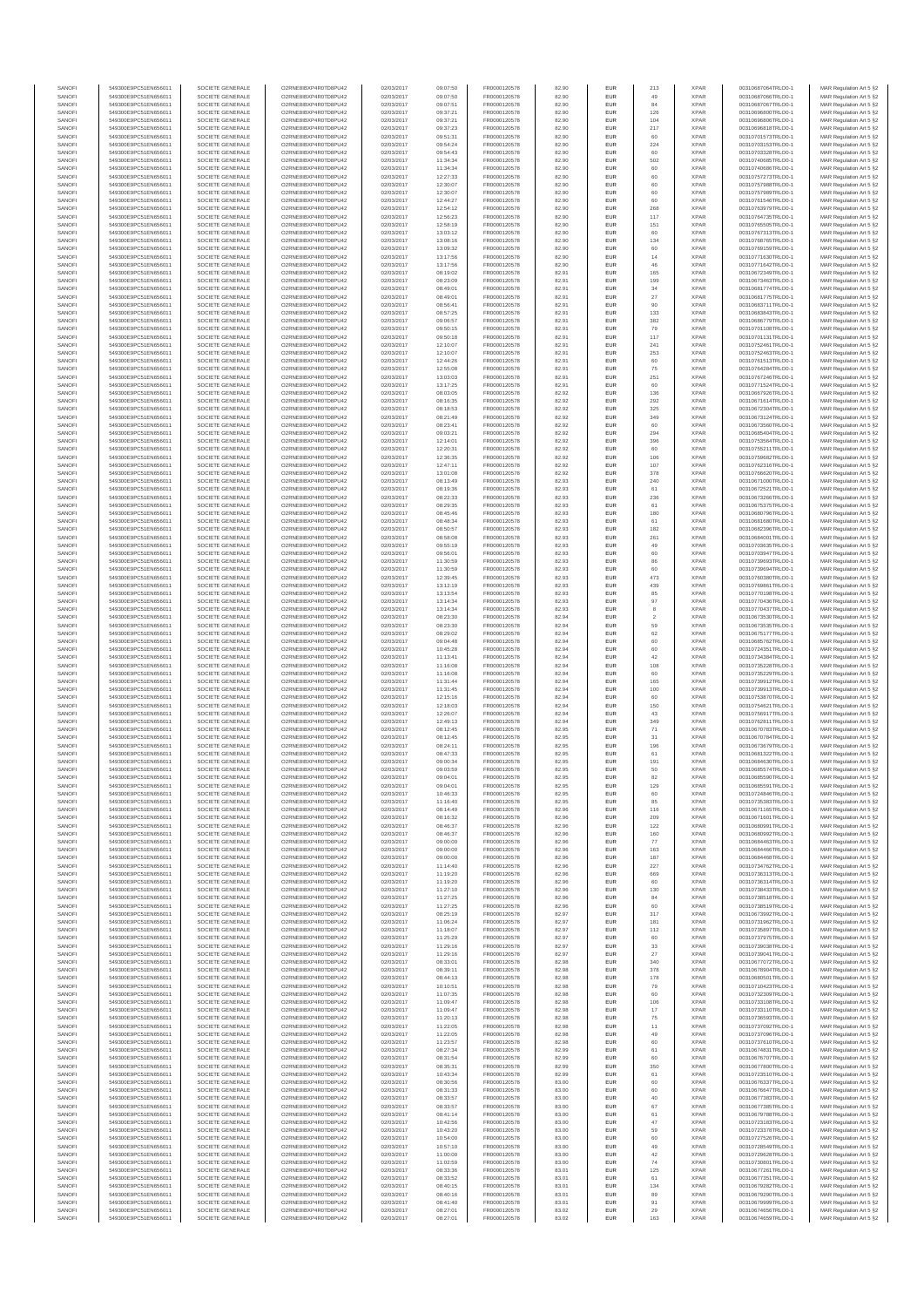| SANOFI           | 549300E9PC51EN656011                         | SOCIETE GENERALE                     | O2RNE8IBXP4R0TD8PU42                          | 02/03/2017               | 09:07:50             | FR0000120578                 | 82.90          | EUR                      | 213                  | <b>XPAR</b>                | 00310687064TRLO0-1                       | MAR Regulation Art 5 §2                             |
|------------------|----------------------------------------------|--------------------------------------|-----------------------------------------------|--------------------------|----------------------|------------------------------|----------------|--------------------------|----------------------|----------------------------|------------------------------------------|-----------------------------------------------------|
| SANOFI<br>SANOFI | 549300E9PC51EN656011<br>549300E9PC51EN656011 | SOCIETE GENERALE<br>SOCIETE GENERALE | O2RNE8IBXP4R0TD8PU42<br>O2RNE8IBXP4R0TD8PU42  | 02/03/2017<br>02/03/2017 | 09:07:50<br>09:07:51 | FR0000120578<br>FR0000120578 | 82.90<br>82.90 | EUR<br>EUR               | 49<br>84             | <b>XPAR</b><br><b>XPAR</b> | 00310687066TRLO0-1<br>00310687067TRLO0-1 | MAR Regulation Art 5 §2                             |
| SANOFI           | 549300E9PC51EN656011                         | SOCIETE GENERALE                     | O2RNE8IBXP4R0TD8PU42                          | 02/03/2017               | 09:37:21             | FR0000120578                 | 82.90          | EUR                      | 126                  | <b>XPAR</b>                | 00310696800TRLO0-1                       | MAR Regulation Art 5 §2<br>MAR Regulation Art 5 §2  |
| SANOFI           | 549300E9PC51EN656011                         | SOCIETE GENERALE                     | O2RNE8IBXP4R0TD8PU42                          | 02/03/2017               | 09:37:21             | FR0000120578                 | 82.90          | EUR                      | 104                  | <b>XPAR</b>                | 00310696806TRLO0-1                       | MAR Regulation Art 5 §2                             |
| SANOFI           | 549300E9PC51EN656011                         | SOCIETE GENERALE                     | O2RNE8IBXP4R0TD8PU42                          | 02/03/2017               | 09:37:23             | FR0000120578                 | 82.90          | EUR                      | 217                  | <b>XPAR</b>                | 00310696818TRLO0-1                       | MAR Regulation Art 5 §2                             |
| SANOFI<br>SANOFI | 549300E9PC51EN656011<br>549300E9PC51EN656011 | SOCIETE GENERALE<br>SOCIETE GENERALE | O2RNE8IBXP4R0TD8PU42<br>O2RNE8IBXP4R0TD8PU42  | 02/03/2017<br>02/03/2017 | 09:51:31<br>09:54:24 | FR0000120578<br>FR0000120578 | 82.90<br>82.90 | EUR<br>EUR               | 60<br>224            | <b>XPAR</b><br><b>XPAR</b> | 00310701573TRLO0-1<br>00310703153TRLO0-1 | MAR Regulation Art 5 §2<br>MAR Regulation Art 5 §2  |
| SANOFI           | 549300E9PC51EN656011                         | SOCIETE GENERALE                     | O2RNE8IBXP4R0TD8PU42                          | 02/03/2017               | 09:54:43             | FR0000120578                 | 82.90          | EUR                      | 60                   | <b>XPAR</b>                | 00310703328TRLO0-1                       | MAR Regulation Art 5 \$2                            |
| SANOFI           | 549300E9PC51EN656011                         | SOCIETE GENERALE                     | O2RNE8IBXP4R0TD8PU42                          | 02/03/2017               | 11:34:34             | FR0000120578                 | 82.90          | EUR                      | 502                  | <b>XPAR</b>                | 00310740685TRLO0-1                       | MAR Regulation Art 5 §2                             |
| SANOFI<br>SANOFI | 549300E9PC51EN656011<br>549300E9PC51EN656011 | SOCIETE GENERALE<br>SOCIETE GENERALE | O2RNE8IBXP4R0TD8PU42<br>O2RNE8IBXP4R0TD8PU42  | 02/03/2017<br>02/03/2017 | 11:34:34<br>12:27:33 | FR0000120578<br>FR0000120578 | 82.90<br>82.90 | EUR<br>EUR               | 60<br>60             | <b>XPAR</b><br><b>XPAR</b> | 00310740686TRLO0-1<br>00310757273TRLO0-1 | MAR Regulation Art 5 §2<br>MAR Regulation Art 5 §2  |
| SANOFI           | 549300E9PC51EN656011                         | SOCIETE GENERALE                     | O2RNE8IBXP4R0TD8PU42                          | 02/03/2017               | 12:30:07             | FR0000120578                 | 82.90          | EUR                      | 60                   | <b>XPAR</b>                | 00310757988TRLO0-1                       | MAR Regulation Art 5 §2                             |
| SANOFI           | 549300E9PC51EN656011                         | SOCIETE GENERALE                     | O2RNE8IBXP4R0TD8PU42                          | 02/03/2017               | 12:30:07             | FR0000120578                 | 82.90          | EUR                      | 60                   | <b>XPAR</b>                | 00310757989TRLO0-1                       | MAR Regulation Art 5 §2                             |
| SANOFI           | 549300E9PC51EN656011                         | SOCIETE GENERALE                     | O2RNE8IBXP4R0TD8PU42                          | 02/03/2017               | 12:44:27             | FR0000120578                 | 82.90          | EUR                      | 60                   | <b>XPAR</b>                | 00310761546TRLO0-1                       | MAR Regulation Art 5 §2                             |
| SANOFI<br>SANOFI | 549300E9PC51EN656011<br>549300E9PC51EN656011 | SOCIETE GENERALE<br>SOCIETE GENERALE | O2RNE8IBXP4R0TD8PU42<br>O2RNE8IBXP4R0TD8PU42  | 02/03/2017<br>02/03/2017 | 12:54:12<br>12:56:23 | FR0000120578<br>FR0000120578 | 82.90<br>82.90 | EUR<br>EUR               | 268<br>117           | <b>XPAR</b><br><b>XPAR</b> | 00310763979TRLO0-1<br>00310764735TRLO0-1 | MAR Regulation Art 5 §2<br>MAR Regulation Art 5 §2  |
| SANOFI           | 549300E9PC51EN656011                         | SOCIETE GENERALE                     | O2RNE8IBXP4R0TD8PU42                          | 02/03/2017               | 12:58:19             | FR0000120578                 | 82.90          | EUR                      | 151                  | <b>XPAR</b>                | 00310765505TRLO0-1                       | MAR Regulation Art 5 §2                             |
| SANOFI           | 549300E9PC51EN656011                         | SOCIETE GENERALE                     | O2RNE8IBXP4R0TD8PU42                          | 02/03/2017               | 13:03:12             | FR0000120578                 | 82.90          | EUR                      | 60                   | <b>XPAR</b>                | 00310767313TRLO0-1                       | MAR Regulation Art 5 §2                             |
| SANOFI           | 549300E9PC51EN656011                         | SOCIETE GENERALE                     | O2RNE8IBXP4R0TD8PU42                          | 02/03/2017               | 13:08:16             | FR0000120578                 | 82.90          | EUR                      | 134                  | <b>XPAR</b>                | 00310768765TRLO0-1                       | MAR Regulation Art 5 §2                             |
| SANOFI<br>SANOFI | 549300E9PC51EN656011<br>549300E9PC51EN656011 | SOCIETE GENERALE<br>SOCIETE GENERALE | O2RNE8IBXP4R0TD8PU42<br>O2RNE8IBXP4R0TD8PU42  | 02/03/2017<br>02/03/2017 | 13:09:32<br>13:17:56 | FR0000120578<br>FR0000120578 | 82.90<br>82.90 | EUR<br>EUR               | 60<br>$14$           | <b>XPAR</b><br><b>XPAR</b> | 00310769159TRLO0-1<br>00310771630TRLO0-1 | MAR Regulation Art 5 §2<br>MAR Regulation Art 5 §2  |
| SANOFI           | 549300E9PC51EN656011                         | SOCIETE GENERALE                     | O2RNE8IBXP4R0TD8PU42                          | 02/03/2017               | 13:17:56             | FR0000120578                 | 82.90          | EUR                      | 46                   | <b>XPAR</b>                | 00310771642TRLO0-1                       | MAR Regulation Art 5 §2                             |
| SANOFI           | 549300E9PC51EN656011                         | SOCIETE GENERALE                     | O2RNE8IBXP4R0TD8PU42                          | 02/03/2017               | 08:19:02             | FR0000120578                 | 82.91          | EUR                      | 165                  | <b>XPAR</b>                | 00310672349TRLO0-1                       | MAR Regulation Art 5 §2                             |
| SANOFI<br>SANOFI | 549300E9PC51EN656011<br>549300E9PC51EN656011 | SOCIETE GENERALE<br>SOCIETE GENERALE | O2RNE8IBXP4R0TD8PU42<br>O2RNE8IBXP4R0TD8PU42  | 02/03/2017<br>02/03/2017 | 08:23:09<br>08:49:01 | FR0000120578<br>FR0000120578 | 82.91<br>82.91 | EUR<br>EUR               | 199<br>34            | <b>XPAR</b><br><b>XPAR</b> | 00310673463TRLO0-1<br>00310681774TRLO0-1 | MAR Regulation Art 5 §2<br>MAR Regulation Art 5 §2  |
| SANOFI           | 549300E9PC51EN656011                         | SOCIETE GENERALE                     | O2RNE8IBXP4R0TD8PU42                          | 02/03/2017               | 08:49:01             | FR0000120578                 | 82.91          | EUR                      | 27                   | <b>XPAR</b>                | 00310681775TRLO0-1                       | MAR Regulation Art 5 62                             |
| SANOFI           | 549300E9PC51EN656011                         | SOCIETE GENERALE                     | O2RNE8IBXP4R0TD8PU42                          | 02/03/2017               | 08:56:41             | FR0000120578                 | 82.91          | EUR                      | 90                   | <b>XPAR</b>                | 00310683711TRLO0-1                       | MAR Regulation Art 5 §2                             |
| SANOFI           | 549300E9PC51EN656011                         | SOCIETE GENERALE                     | O2RNE8IBXP4R0TD8PU42                          | 02/03/2017               | 08:57:25             | FR0000120578                 | 82.91          | EUR                      | 133                  | <b>XPAR</b>                | 00310683843TRLO0-1                       | MAR Regulation Art 5 §2                             |
| SANOFI<br>SANOFI | 549300E9PC51EN656011<br>549300E9PC51EN656011 | SOCIETE GENERALE<br>SOCIETE GENERALE | O2RNE8IBXP4R0TD8PU42<br>O2RNE8IBXP4R0TD8PU42  | 02/03/2017<br>02/03/2017 | 09:06:57<br>09:50:15 | FR0000120578<br>FR0000120578 | 82.91<br>82.91 | EUR<br>EUR               | 382<br>79            | <b>XPAR</b><br><b>XPAR</b> | 00310686779TRLO0-1<br>00310701108TRLO0-1 | MAR Regulation Art 5 §2<br>MAR Regulation Art 5 §2  |
| SANOFI           | 549300E9PC51EN656011                         | SOCIETE GENERALE                     | O2RNE8IBXP4R0TD8PU42                          | 02/03/2017               | 09:50:18             | FR0000120578                 | 82.91          | EUR                      | 117                  | <b>XPAR</b>                | 00310701131TRLO0-1                       | MAR Regulation Art 5 §2                             |
| SANOFI           | 549300E9PC51EN656011                         | SOCIETE GENERALE                     | O2RNE8IBXP4R0TD8PU42                          | 02/03/2017               | 12:10:07             | FR0000120578                 | 82.91          | EUR                      | 241                  | <b>XPAR</b>                | 00310752461TRLO0-1                       | MAR Regulation Art 5 §2                             |
| SANOFI<br>SANOFI | 549300E9PC51EN656011<br>549300E9PC51EN656011 | SOCIETE GENERALE<br>SOCIETE GENERALE | O2RNE8IBXP4R0TD8PU42<br>O2RNE8IBXP4R0TD8PU42  | 02/03/2017<br>02/03/2017 | 12:10:07<br>12:44:26 | FR0000120578<br>FR0000120578 | 82.91<br>82.91 | EUR<br>EUR               | 253<br>60            | <b>XPAR</b><br><b>XPAR</b> | 00310752463TRLO0-1<br>00310761513TRLO0-1 | MAR Regulation Art 5 \$2                            |
| SANOFI           | 549300E9PC51EN656011                         | SOCIETE GENERALE                     | O2RNE8IBXP4R0TD8PU42                          | 02/03/2017               | 12:55:08             | FR0000120578                 | 82.91          | EUR                      | 75                   | <b>XPAR</b>                | 00310764284TRLO0-1                       | MAR Regulation Art 5 §2<br>MAR Regulation Art 5 §2  |
| SANOFI           | 549300E9PC51EN656011                         | SOCIETE GENERALE                     | O2RNE8IBXP4R0TD8PU42                          | 02/03/2017               | 13:03:03             | FR0000120578                 | 82.91          | EUR                      | 251                  | <b>XPAR</b>                | 00310767246TRLO0-1                       | MAR Regulation Art 5 §2                             |
| SANOFI           | 549300E9PC51EN656011                         | SOCIETE GENERALE                     | O2RNE8IBXP4R0TD8PU42                          | 02/03/2017               | 13:17:25             | FR0000120578                 | 82.91          | EUR                      | 60                   | <b>XPAR</b>                | 00310771524TRLO0-1                       | MAR Regulation Art 5 §2                             |
| SANOFI<br>SANOFI | 549300E9PC51EN656011<br>549300E9PC51EN656011 | SOCIETE GENERALE<br>SOCIETE GENERALE | O2RNE8IBXP4R0TD8PU42<br>O2RNE8IBXP4R0TD8PU42  | 02/03/2017<br>02/03/2017 | 08:03:05<br>08:16:35 | FR0000120578<br>FR0000120578 | 82.92<br>82.92 | EUR<br>EUR               | 136<br>292           | <b>XPAR</b><br><b>XPAR</b> | 00310667926TRLO0-1<br>00310671614TRLO0-1 | MAR Regulation Art 5 §2<br>MAR Regulation Art 5 §2  |
| SANOFI           | 549300E9PC51EN656011                         | SOCIETE GENERALE                     | O2RNE8IBXP4R0TD8PU42                          | 02/03/2017               | 08:18:53             | FR0000120578                 | 82.92          | EUR                      | 325                  | <b>XPAR</b>                | 00310672304TRLO0-1                       | MAR Regulation Art 5 §2                             |
| SANOFI           | 549300E9PC51EN656011                         | SOCIETE GENERALE                     | O2RNE8IBXP4R0TD8PU42                          | 02/03/2017               | 08:21:49             | FR0000120578                 | 82.92          | EUR                      | 349                  | <b>XPAR</b>                | 00310673124TRLO0-1                       | MAR Regulation Art 5 §2                             |
| SANOFI           | 549300E9PC51EN656011                         | SOCIETE GENERALE<br>SOCIETE GENERALE | O2RNE8IBXP4R0TD8PU42                          | 02/03/2017               | 08:23:41             | FR0000120578<br>FR0000120578 | 82.92          | EUR                      | 60                   | <b>XPAR</b>                | 00310673560TRLO0-1                       | MAR Regulation Art 5 §2                             |
| SANOFI<br>SANOFI | 549300E9PC51EN656011<br>549300E9PC51EN656011 | SOCIETE GENERALE                     | O2RNE8IBXP4R0TD8PU42<br>O2RNE8IBXP4R0TD8PU42  | 02/03/2017<br>02/03/2017 | 09:03:21<br>12:14:01 | FR0000120578                 | 82.92<br>82.92 | EUR<br>EUR               | 294<br>396           | <b>XPAR</b><br><b>XPAR</b> | 00310685404TRLO0-1<br>00310753564TRLO0-1 | MAR Regulation Art 5 §2<br>MAR Regulation Art 5 §2  |
| SANOFI           | 549300E9PC51EN656011                         | SOCIETE GENERALE                     | O2RNE8IBXP4R0TD8PU42                          | 02/03/2017               | 12:20:31             | FR0000120578                 | 82.92          | EUR                      | 60                   | <b>XPAR</b>                | 00310755211TRLO0-1                       | MAR Regulation Art 5 §2                             |
| SANOFI           | 549300E9PC51EN656011                         | SOCIETE GENERALE                     | O2RNE8IBXP4R0TD8PU42                          | 02/03/2017               | 12:36:35             | FR0000120578                 | 82.92          | EUR                      | 106                  | <b>XPAR</b>                | 00310759682TRLO0-1                       | MAR Regulation Art 5 §2                             |
| SANOFI           | 549300E9PC51EN656011                         | SOCIETE GENERALE                     | O2RNE8IBXP4R0TD8PU42<br>O2RNE8IBXP4R0TD8PU42  | 02/03/2017               | 12:47:11             | FR0000120578<br>FR0000120578 | 82.92          | EUR                      | 107                  | <b>XPAR</b>                | 00310762316TRLO0-1<br>00310766620TRLO0-1 | MAR Regulation Art 5 §2                             |
| SANOFI<br>SANOFI | 549300E9PC51EN656011<br>549300E9PC51EN656011 | SOCIETE GENERALE<br>SOCIETE GENERALE | O2RNE8IBXP4R0TD8PU42                          | 02/03/2017<br>02/03/2017 | 13:01:08<br>08:13:49 | FR0000120578                 | 82.92<br>82.93 | EUR<br>EUR               | 378<br>240           | <b>XPAR</b><br><b>XPAR</b> | 00310671000TRLO0-1                       | MAR Regulation Art 5 §2<br>MAR Regulation Art 5 §2  |
| SANOFI           | 549300E9PC51EN656011                         | SOCIETE GENERALE                     | O2RNE8IBXP4R0TD8PU42                          | 02/03/2017               | 08:19:36             | FR0000120578                 | 82.93          | EUR                      | 61                   | <b>XPAR</b>                | 00310672521TRLO0-1                       | MAR Regulation Art 5 §2                             |
| SANOFI           | 549300E9PC51EN656011                         | SOCIETE GENERALE                     | O2RNE8IBXP4R0TD8PU42                          | 02/03/2017               | 08:22:33             | FR0000120578                 | 82.93          | EUR                      | 236                  | <b>XPAR</b>                | 00310673266TRLO0-1                       | MAR Regulation Art 5 \$2                            |
| SANOFI<br>SANOFI | 549300E9PC51EN656011                         | SOCIETE GENERALE<br>SOCIETE GENERALE | O2RNE8IBXP4R0TD8PU42<br>O2RNE8IBXP4R0TD8PU42  | 02/03/2017               | 08:29:35             | FR0000120578<br>FR0000120578 | 82.93<br>82.93 | EUR<br>EUR               | 61<br>180            | <b>XPAR</b><br><b>XPAR</b> | 00310675375TRLO0-1                       | MAR Regulation Art 5 §2<br>MAR Regulation Art 5 §2  |
| SANOFI           | 549300E9PC51EN656011<br>549300E9PC51EN656011 | SOCIETE GENERALE                     | O2RNE8IBXP4R0TD8PU42                          | 02/03/2017<br>02/03/2017 | 08:45:46<br>08:48:34 | FR0000120578                 | 82.93          | EUR                      | 61                   | <b>XPAR</b>                | 00310680796TRLO0-1<br>00310681680TRLO0-1 | MAR Regulation Art 5 §2                             |
| SANOFI           | 549300E9PC51EN656011                         | SOCIETE GENERALE                     | O2RNE8IBXP4R0TD8PU42                          | 02/03/2017               | 08:50:57             | FR0000120578                 | 82.93          | EUR                      | 182                  | <b>XPAR</b>                | 00310682396TRLO0-1                       | MAR Regulation Art 5 §2                             |
| SANOFI           | 549300E9PC51EN656011                         | SOCIETE GENERALE                     | O2RNE8IBXP4R0TD8PU42                          | 02/03/2017               | 08:58:08             | FR0000120578                 | 82.93          | EUR                      | 261                  | <b>XPAR</b>                | 00310684001TRLO0-1                       | MAR Regulation Art 5 §2                             |
| SANOFI<br>SANOFI | 549300E9PC51EN656011<br>549300E9PC51EN656011 | SOCIETE GENERALE<br>SOCIETE GENERALE | O2RNE8IBXP4R0TD8PU42<br>O2RNE8IBXP4R0TD8PU42  | 02/03/2017<br>02/03/2017 | 09:55:19<br>09:56:01 | FR0000120578<br>FR0000120578 | 82.93<br>82.93 | EUR<br>EUR               | 49<br>60             | <b>XPAR</b><br><b>XPAR</b> | 00310703635TRLO0-1<br>00310703947TRLO0-1 | MAR Regulation Art 5 §2<br>MAR Regulation Art 5 §2  |
| SANOFI           | 549300E9PC51EN656011                         | SOCIETE GENERALE                     | O2RNE8IBXP4R0TD8PU42                          | 02/03/2017               | 11:30:59             | FR0000120578                 | 82.93          | EUR                      | 86                   | <b>XPAR</b>                | 00310739693TRLO0-1                       | MAR Regulation Art 5 §2                             |
| SANOFI           | 549300E9PC51EN656011                         | SOCIETE GENERALE                     | O2RNE8IBXP4R0TD8PU42                          | 02/03/2017               | 11:30:59             | FR0000120578                 | 82.93          | EUR                      | 60                   | <b>XPAR</b>                | 00310739694TRLO0-1                       | MAR Regulation Art 5 §2                             |
| SANOFI           | 549300E9PC51EN656011                         | SOCIETE GENERALE                     | O2RNE8IBXP4R0TD8PU42                          | 02/03/2017               | 12:39:45             | FR0000120578                 | 82.93          | EUR                      | 473                  | <b>XPAR</b>                | 00310760380TRLO0-1                       | MAR Regulation Art 5 §2                             |
| SANOFI<br>SANOFI | 549300E9PC51EN656011<br>549300E9PC51EN656011 | SOCIETE GENERALE<br>SOCIETE GENERALE | O2RNE8IBXP4R0TD8PU42<br>O2RNE8IBXP4R0TD8PU42  | 02/03/2017<br>02/03/2017 | 13:12:19<br>13:13:54 | FR0000120578<br>FR0000120578 | 82.93<br>82.93 | EUR<br>EUR               | 439<br>85            | <b>XPAR</b><br><b>XPAR</b> | 00310769861TRLO0-1<br>00310770198TRLO0-1 | MAR Regulation Art 5 §2<br>MAR Regulation Art 5 §2  |
| SANOFI           | 549300E9PC51EN656011                         | SOCIETE GENERALE                     | O2RNE8IBXP4R0TD8PU42                          | 02/03/2017               | 13:14:34             | FR0000120578                 | 82.93          | EUR                      | 97                   | <b>XPAR</b>                | 00310770436TRLO0-1                       | MAR Regulation Art 5 §2                             |
| SANOFI           | 549300E9PC51EN656011                         | SOCIETE GENERALE                     | O2RNE8IBXP4R0TD8PU42                          | 02/03/2017               | 13:14:34             | FR0000120578                 | 82.93          | EUR                      | 8                    | <b>XPAR</b>                | 00310770437TRLO0-1                       | MAR Regulation Art 5 §2                             |
| SANOFI           | 549300E9PC51EN656011                         | SOCIETE GENERALE                     | O2RNE8IBXP4R0TD8PU42                          | 02/03/2017               | 08:23:30             | FR0000120578                 | 82.94          | EUR<br>EUR               | $\overline{2}$<br>59 | <b>XPAR</b>                | 00310673530TRLO0-1                       | MAR Regulation Art 5 §2                             |
| SANOFI<br>SANOFI | 549300E9PC51EN656011<br>549300E9PC51EN656011 | SOCIETE GENERALE<br>SOCIETE GENERALE | O2RNE8IBXP4R0TD8PU42<br>O2RNE8IBXP4R0TD8PU42  | 02/03/2017<br>02/03/2017 | 08:23:30<br>08:29:02 | FR0000120578<br>FR0000120578 | 82.94<br>82.94 | EUR                      | 62                   | <b>XPAR</b><br><b>XPAR</b> | 00310673535TRLO0-1<br>00310675177TRLO0-1 | MAR Regulation Art 5 §2<br>MAR Regulation Art 5 §2  |
| SANOFI           | 549300E9PC51EN656011                         | SOCIETE GENERALE                     | O2RNE8IBXP4R0TD8PU42                          | 02/03/2017               | 09:04:48             | FR0000120578                 | 82.94          | EUR                      | 60                   | <b>XPAR</b>                | 00310685762TRLO0-1                       | MAR Regulation Art 5 §2                             |
| SANOFI           | 549300E9PC51EN656011                         | SOCIETE GENERALE                     | O2RNE8IBXP4R0TD8PU42                          | 02/03/2017               | 10:45:28             | FR0000120578                 | 82.94          | EUR                      | 60                   | <b>XPAR</b>                | 00310724351TRLO0-1                       | MAR Regulation Art 5 §2                             |
| SANOFI<br>SANOFI | 549300E9PC51EN656011<br>549300E9PC51EN656011 | SOCIETE GENERALE<br>SOCIETE GENERALE | O2RNE8IBXP4R0TD8PU42<br>O2RNE8IBXP4R0TD8PU42  | 02/03/2017<br>02/03/2017 | 11:13:41<br>11:16:08 | FR0000120578<br>FR0000120578 | 82.94<br>82.94 | EUR<br>EUR               | 42<br>108            | <b>XPAR</b><br><b>XPAR</b> | 00310734384TRLO0-1<br>00310735228TRLO0-1 | MAR Regulation Art 5 §2<br>MAR Regulation Art 5 §2  |
| SANOFI           | 549300E9PC51EN656011                         | SOCIETE GENERALE                     | O2RNE8IBXP4R0TD8PU42                          | 02/03/2017               | 11:16:08             | FR0000120578                 | 82.94          | EUR                      | 60                   | <b>XPAR</b>                | 00310735229TRLO0-1                       | MAR Regulation Art 5 §2                             |
| SANOFI           | 549300E9PC51EN656011                         | SOCIETE GENERALE                     | O2RNE8IBXP4R0TD8PU42                          | 02/03/2017               | 11:31:44             | FR0000120578                 | 82.94          | EUR                      | 165                  | <b>XPAR</b>                | 00310739912TRLO0-1                       | MAR Regulation Art 5 §2                             |
| SANOFI<br>SANOFI | 549300E9PC51EN656011<br>549300E9PC51EN656011 | SOCIETE GENERALE<br>SOCIETE GENERALE | O2RNE8IBXP4R0TD8PU42<br>O2RNE8IBXP4R0TD8PU42  | 02/03/2017<br>02/03/2017 | 11:31:45<br>12:15:16 | FR0000120578<br>FR0000120578 | 82.94<br>82.94 | EUR<br>EUR               | 100<br>60            | <b>XPAR</b><br><b>XPAR</b> | 00310739913TRLO0-1<br>00310753870TRLO0-1 | MAR Regulation Art 5 §2                             |
| SANOFI           | 549300E9PC51EN656011                         | SOCIETE GENERALE                     | O2RNE8IBXP4R0TD8PU42                          | 02/03/2017               | 12:18:03             | FR0000120578                 | 82.94          | EUR                      | 150                  | <b>XPAR</b>                | 00310754621TRLO0-1                       | MAR Regulation Art 5 §2<br>MAR Regulation Art 5 §2  |
| SANOFI           | 549300E9PC51EN656011                         | SOCIETE GENERALE                     | O2RNE8IBXP4R0TD8PU42                          | 02/03/2017               | 12:26:07             | FR0000120578                 | 82.94          | EUR                      | 43                   | <b>XPAR</b>                | 00310756917TRLO0-1                       | MAR Regulation Art 5 §2                             |
| SANOFI           | 549300E9PC51EN656011                         | SOCIETE GENERALE                     | O2RNE8IBXP4R0TD8PU42                          | 02/03/2017               | 12:49:13             | FR0000120578                 | 82.94          | EUR                      | 349                  | <b>XPAR</b>                | 00310762811TRLO0-1                       | MAR Regulation Art 5 §2                             |
| SANOFI<br>SANOFI | 549300E9PC51EN656011<br>549300E9PC51EN656011 | SOCIETE GENERALE<br>SOCIETE GENERALE | O2RNE8IBXP4R0TD8PU42<br>O2RNE8IBXP4R0TD8PU42  | 02/03/2017<br>02/03/2017 | 08:12:45<br>08:12:45 | FR0000120578<br>FR0000120578 | 82.95<br>82.95 | EUR<br>EUR               | 71                   | <b>XPAR</b><br><b>XPAR</b> | 00310670783TRLO0-1<br>00310670784TRLO0-1 | MAR Regulation Art 5 §2<br>MAR Regulation Art 5 §2  |
| SANOFI           | 549300E9PC51EN656011                         | SOCIETE GENERALE                     | O2RNE8IBXP4R0TD8PU42                          | 02/03/2017               | 08:24:11             | FR0000120578                 | 82.95          | EUR                      | 31<br>196            | <b>XPAR</b>                | 00310673679TRLO0-1                       | MAR Regulation Art 5 §2                             |
| SANOFI           | 549300E9PC51EN656011                         | SOCIETE GENERALE                     | O2RNE8IBXP4R0TD8PU42                          | 02/03/2017               | 08:47:33             | FR0000120578                 | 82.95          | EUR                      | 61                   | <b>XPAR</b>                | 00310681322TRLO0-1                       | MAR Regulation Art 5 \$2                            |
| SANOFI           | 549300E9PC51EN656011                         | SOCIETE GENERALE                     | O2RNE8IBXP4R0TD8PU42                          | 02/03/2017               | 09:00:34             | FR0000120578                 | 82.95          | EUR                      | 191                  | <b>XPAR</b>                | 00310684630TRLO0-1                       | MAR Regulation Art 5 §2                             |
| SANOFI<br>SANOFI | 549300E9PC51EN656011<br>549300E9PC51EN656011 | SOCIETE GENERALE<br>SOCIETE GENERALE | O2RNE8IBXP4R0TD8PU42<br>O2RNE8IBXP4R0TD8PU42  | 02/03/2017<br>02/03/2017 | 09:03:59<br>09:04:01 | FR0000120578<br>FR0000120578 | 82.95<br>82.95 | <b>EUR</b><br><b>EUR</b> | 50<br>82             | <b>XPAR</b><br><b>XPAR</b> | 00310685574TRLO0-1<br>00310685590TRLO0-1 | MAR Regulation Art 5 §2<br>MAR Regulation Art 5 §2  |
| SANOFI           | 549300E9PC51EN656011                         | SOCIETE GENERALE                     | O2RNE8IBXP4R0TD8PU42                          | 02/03/2017               | 09:04:01             | FR0000120578                 | 82.95          | EUR                      | 129                  | <b>XPAR</b>                | 00310685591TRLO0-1                       | MAR Regulation Art 5 §2                             |
| SANOFI           | 549300E9PC51EN656011                         | SOCIETE GENERALE                     | O2RNE8IBXP4R0TD8PU42                          | 02/03/2017               | 10:46:33             | FR0000120578                 | 82.95          | EUR                      | 60                   | <b>XPAR</b>                | 00310724846TRLO0-1                       | MAR Regulation Art 5 §2                             |
| SANOFI<br>SANOFI | 549300E9PC51EN656011<br>549300E9PC51EN656011 | SOCIETE GENERALE<br>SOCIETE GENERALE | O2RNE8IBXP4R0TD8PU42<br>O2RNE8IBXP4R0TD8PU42  | 02/03/2017               | 11:16:40<br>08:14:49 | FR0000120578                 | 82.95<br>82.96 | EUR                      | 85                   | <b>XPAR</b><br><b>XPAR</b> | 00310735383TRLO0-1                       | MAR Regulation Art 5 §2                             |
| SANOFI           | 549300E9PC51EN656011                         | SOCIETE GENERALE                     | O2RNE8IBXP4R0TD8PU42                          | 02/03/2017<br>02/03/2017 | 08:16:32             | FR0000120578<br>FR0000120578 | 82.96          | EUR<br>EUR               | 116<br>209           | <b>XPAR</b>                | 00310671165TRLO0-1<br>00310671601TRLO0-1 | MAR Regulation Art 5 §2<br>MAR Regulation Art 5 §2  |
| SANOFI           | 549300E9PC51EN656011                         | SOCIETE GENERALE                     | O2RNE8IBXP4R0TD8PU42                          | 02/03/2017               | 08:46:37             | FR0000120578                 | 82.96          | EUR                      | 122                  | <b>XPAR</b>                | 00310680991TRLO0-1                       | MAR Regulation Art 5 §2                             |
| SANOFI           | 549300E9PC51EN656011                         | SOCIETE GENERALE                     | O2RNE8IBXP4R0TD8PU42                          | 02/03/2017               | 08:46:37             | FR0000120578                 | 82.96          | EUR                      | 160                  | <b>XPAR</b>                | 00310680992TRLO0-1                       | MAR Regulation Art 5 §2                             |
| SANOFI<br>SANOFI | 549300E9PC51EN656011<br>549300E9PC51EN656011 | SOCIETE GENERALE<br>SOCIETE GENERALE | O2RNE8IBXP4R0TD8PU42<br>O2RNE8IBXP4R0TD8PU42  | 02/03/2017<br>02/03/2017 | 09:00:00<br>09:00:00 | FR0000120578<br>FR0000120578 | 82.96<br>82.96 | EUR<br>EUR               | 77<br>163            | <b>XPAR</b><br><b>XPAR</b> | 00310684463TRLO0-1<br>00310684466TRLO0-1 | MAR Regulation Art 5 \$2<br>MAR Regulation Art 5 §2 |
| SANOFI           | 549300E9PC51EN656011                         | SOCIETE GENERALE                     | O2RNE8IBXP4R0TD8PU42                          | 02/03/2017               | 09:00:00             | FR0000120578                 | 82.96          | EUR                      | 187                  | <b>XPAR</b>                | 00310684468TRLO0-1                       | MAR Regulation Art 5 §2                             |
| SANOFI           | 549300E9PC51EN656011                         | SOCIETE GENERALE                     | O2RNE8IBXP4R0TD8PU42                          | 02/03/2017               | 11:14:40             | FR0000120578                 | 82.96          | EUR                      | 227                  | <b>XPAR</b>                | 00310734762TRLO0-1                       | MAR Regulation Art 5 §2                             |
| SANOFI<br>SANOFI | 549300E9PC51EN656011<br>549300E9PC51EN656011 | SOCIETE GENERALE<br>SOCIETE GENERALE | O2RNE8IBXP4R0TD8PU42<br>O2RNE8IBXP4R0TD8PU42  | 02/03/2017<br>02/03/2017 | 11:19:20<br>11:19:20 | FR0000120578<br>FR0000120578 | 82.96<br>82.96 | EUR<br>EUR               | 669<br>60            | <b>XPAR</b><br><b>XPAR</b> | 00310736313TRLO0-1<br>00310736314TRLO0-1 | MAR Regulation Art 5 §2<br>MAR Regulation Art 5 §2  |
| SANOFI           | 549300E9PC51EN656011                         | SOCIETE GENERALE                     | O2RNE8IBXP4R0TD8PU42                          | 02/03/2017               | 11:27:10             | FR0000120578                 | 82.96          | EUR                      | 130                  | <b>XPAR</b>                | 00310738433TRLO0-1                       | MAR Regulation Art 5 §2                             |
| SANOFI           | 549300E9PC51EN656011                         | SOCIETE GENERALE                     | O2RNE8IBXP4R0TD8PU42                          | 02/03/2017               | 11:27:25             | FR0000120578                 | 82.96          | EUR                      | 84                   | <b>XPAR</b>                | 00310738518TRLO0-1                       | MAR Regulation Art 5 §2                             |
| SANOFI<br>SANOFI | 549300E9PC51EN656011<br>549300E9PC51EN656011 | SOCIETE GENERALE<br>SOCIETE GENERALE | O2RNE8IBXP4R0TD8PU42<br>O2RNE8IBXP4R0TD8PU42  | 02/03/2017<br>02/03/2017 | 11:27:25<br>08:25:19 | FR0000120578<br>FR0000120578 | 82.96<br>82.97 | EUR<br>EUR               | 60<br>317            | <b>XPAR</b><br><b>XPAR</b> | 00310738519TRLO0-1<br>00310673992TRLO0-1 | MAR Regulation Art 5 §2<br>MAR Regulation Art 5 §2  |
| SANOFI           | 549300E9PC51EN656011                         | SOCIETE GENERALE                     | O2RNE8IBXP4R0TD8PU42                          | 02/03/2017               | 11:06:24             | FR0000120578                 | 82.97          | EUR                      | 181                  | <b>XPAR</b>                | 00310731962TRLO0-1                       | MAR Regulation Art 5 §2                             |
| SANOFI           | 549300E9PC51EN656011                         | SOCIETE GENERALE                     | O2RNE8IBXP4R0TD8PU42                          | 02/03/2017               | 11:18:07             | FR0000120578                 | 82.97          | EUR                      | 112                  | <b>XPAR</b>                | 00310735897TRLO0-1                       | MAR Regulation Art 5 §2                             |
| SANOFI<br>SANOFI | 549300E9PC51EN656011<br>549300E9PC51EN656011 | SOCIETE GENERALE<br>SOCIETE GENERALE | O2RNESIBXP4R0TD8PLI42<br>O2RNE8IBXP4R0TD8PU42 | 02/03/2017<br>02/03/2017 | 11:25:29<br>11:29:16 | FR0000120578<br>FR0000120578 | 82.97<br>82.97 | EUR<br>EUR               | 60<br>33             | <b>XPAR</b><br><b>XPAR</b> | 00310737975TRLO0-1<br>00310739038TRLO0-1 | MAR Regulation Art 5 §2<br>MAR Regulation Art 5 §2  |
| SANOFI           | 549300E9PC51EN656011                         | SOCIETE GENERALE                     | O2RNE8IBXP4R0TD8PU42                          | 02/03/2017               | 11:29:16             | FR0000120578                 | 82.97          | EUR                      | 27                   | <b>XPAR</b>                | 00310739041TRLO0-1                       | MAR Regulation Art 5 §2                             |
| SANOFI           | 549300E9PC51EN656011                         | SOCIETE GENERALE                     | O2RNE8IBXP4R0TD8PU42                          | 02/03/2017               | 08:33:01             | FR0000120578                 | 82.98          | EUR                      | 340                  | <b>XPAR</b>                | 00310677072TRLO0-1                       | MAR Regulation Art 5 §2                             |
| SANOFI           | 549300E9PC51EN656011                         | SOCIETE GENERALE                     | O2RNE8IBXP4R0TD8PU42                          | 02/03/2017               | 08:39:11             | FR0000120578                 | 82.98          | EUR                      | 378                  | <b>XPAR</b>                | 00310678904TRLO0-1                       | MAR Regulation Art 5 §2                             |
| SANOFI<br>SANOFI | 549300E9PC51EN656011<br>549300E9PC51EN656011 | SOCIETE GENERALE<br>SOCIETE GENERALE | O2RNE8IBXP4R0TD8PU42<br>O2RNE8IBXP4R0TD8PU42  | 02/03/2017<br>02/03/2017 | 08:44:13<br>10:10:51 | FR0000120578<br>FR0000120578 | 82.98<br>82.98 | EUR<br>EUR               | 178<br>79            | <b>XPAR</b><br><b>XPAR</b> | 00310680501TRLO0-1<br>00310710423TRLO0-1 | MAR Regulation Art 5 §2<br>MAR Regulation Art 5 §2  |
| SANOFI           | 549300E9PC51EN656011                         | SOCIETE GENERALE                     | O2RNE8IBXP4R0TD8PU42                          | 02/03/2017               | 11:07:35             | FR0000120578                 | 82.98          | EUR                      | 60                   | <b>XPAR</b>                | 00310732309TRLO0-1                       | MAR Regulation Art 5 §2                             |
| SANOFI           | 549300E9PC51EN656011                         | SOCIETE GENERALE                     | O2RNE8IBXP4R0TD8PU42                          | 02/03/2017               | 11:09:47             | FR0000120578                 | 82.98          | EUR                      | 106                  | <b>XPAR</b>                | 00310733108TRLO0-1                       | MAR Regulation Art 5 §2                             |
| SANOFI<br>SANOFI | 549300E9PC51EN656011<br>549300E9PC51EN656011 | SOCIETE GENERALE<br>SOCIETE GENERALE | O2RNE8IBXP4R0TD8PU42<br>O2RNE8IBXP4R0TD8PU42  | 02/03/2017<br>02/03/2017 | 11:09:47<br>11:20:13 | FR0000120578<br>FR0000120578 | 82.98<br>82.98 | EUR<br>EUR               | 17<br>75             | <b>XPAR</b><br><b>XPAR</b> | 00310733110TRLO0-1<br>00310736593TRLO0-1 | MAR Regulation Art 5 §2                             |
| SANOFI           | 549300E9PC51EN656011                         | SOCIETE GENERALE                     | O2RNE8IBXP4R0TD8PU42                          | 02/03/2017               | 11:22:05             | FR0000120578                 | 82.98          | EUR                      | 11                   | <b>XPAR</b>                | 00310737092TRLO0-1                       | MAR Regulation Art 5 §2<br>MAR Regulation Art 5 §2  |
| SANOFI           | 549300E9PC51EN656011                         | SOCIETE GENERALE                     | O2RNE8IBXP4R0TD8PU42                          | 02/03/2017               | 11:22:05             | FR0000120578                 | 82.98          | EUR                      | 49                   | <b>XPAR</b>                | 00310737096TRLO0-1                       | MAR Regulation Art 5 §2                             |
| SANOFI           | 549300E9PC51EN656011                         | SOCIETE GENERALE                     | O2RNE8IBXP4R0TD8PU42                          | 02/03/2017               | 11:23:57             | FR0000120578                 | 82.98          | EUR                      | 60                   | <b>XPAR</b>                | 00310737610TRLO0-1                       | MAR Regulation Art 5 §2                             |
| SANOFI<br>SANOFI | 549300E9PC51EN656011<br>549300E9PC51EN656011 | SOCIETE GENERALE<br>SOCIETE GENERALE | O2RNE8IBXP4R0TD8PU42<br>O2RNE8IBXP4R0TD8PU42  | 02/03/2017<br>02/03/2017 | 08:27:34<br>08:31:54 | FR0000120578<br>FR0000120578 | 82.99<br>82.99 | EUR<br>EUR               | 61<br>60             | <b>XPAR</b><br><b>XPAR</b> | 00310674831TRLO0-1<br>00310676707TRLO0-1 | MAR Regulation Art 5 §2<br>MAR Regulation Art 5 §2  |
| SANOFI           | 549300E9PC51EN656011                         | SOCIETE GENERALE                     | O2RNE8IBXP4R0TD8PU42                          | 02/03/2017               | 08:35:31             | FR0000120578                 | 82.99          | EUR                      | 350                  | <b>XPAR</b>                | 00310677800TRLO0-1                       | MAR Regulation Art 5 §2                             |
| SANOFI           | 549300E9PC51EN656011                         | SOCIETE GENERALE                     | O2RNE8IBXP4R0TD8PU42                          | 02/03/2017               | 10:43:34             | FR0000120578                 | 82.99          | EUR                      | 61                   | <b>XPAR</b>                | 00310723510TRLO0-1                       | MAR Regulation Art 5 §2                             |
| SANOFI           | 549300E9PC51EN656011                         | SOCIETE GENERALE                     | O2RNE8IBXP4R0TD8PU42                          | 02/03/2017               | 08:30:56             | FR0000120578                 | 83.00          | EUR                      | 60                   | <b>XPAR</b>                | 00310676337TRLO0-1                       | MAR Regulation Art 5 §2                             |
| SANOFI<br>SANOFI | 549300E9PC51EN656011<br>549300E9PC51EN656011 | SOCIETE GENERALE<br>SOCIETE GENERALE | O2RNE8IBXP4R0TD8PU42<br>O2RNE8IBXP4R0TD8PU42  | 02/03/2017<br>02/03/2017 | 08:31:33<br>08:33:57 | FR0000120578<br>FR0000120578 | 83.00<br>83.00 | EUR<br>EUR               | 60<br>40             | <b>XPAR</b><br><b>XPAR</b> | 00310676647TRLO0-1<br>00310677383TRLO0-1 | MAR Regulation Art 5 §2<br>MAR Regulation Art 5 §2  |
| SANOFI           | 549300E9PC51EN656011                         | SOCIETE GENERALE                     | O2RNE8IBXP4R0TD8PU42                          | 02/03/2017               | 08:33:57             | FR0000120578                 | 83.00          | EUR                      | 67                   | <b>XPAR</b>                | 00310677385TRLO0-1                       | MAR Regulation Art 5 §2                             |
| SANOFI           | 549300E9PC51EN656011                         | SOCIETE GENERALE                     | O2RNE8IBXP4R0TD8PU42                          | 02/03/2017               | 08:41:14             | FR0000120578                 | 83.00          | EUR                      | 61                   | <b>XPAR</b>                | 00310679788TRLO0-1                       | MAR Regulation Art 5 §2                             |
| SANOFI<br>SANOFI | 549300E9PC51EN656011<br>549300E9PC51EN656011 | SOCIETE GENERALE<br>SOCIETE GENERALE | O2RNE8IBXP4R0TD8PU42<br>O2RNE8IBXP4R0TD8PU42  | 02/03/2017<br>02/03/2017 | 10:42:56<br>10:43:20 | FR0000120578<br>FR0000120578 | 83.00<br>83.00 | EUR<br>EUR               | 47<br>59             | <b>XPAR</b><br><b>XPAR</b> | 00310723183TRLO0-1<br>00310723378TRLO0-1 | MAR Regulation Art 5 §2<br>MAR Regulation Art 5 §2  |
| SANOFI           | 549300E9PC51EN656011                         | SOCIETE GENERALE                     | O2RNE8IBXP4R0TD8PU42                          | 02/03/2017               | 10:54:00             | FR0000120578                 | 83.00          | EUR                      | 60                   | <b>XPAR</b>                | 00310727526TRLO0-1                       | MAR Regulation Art 5 §2                             |
| SANOFI           | 549300E9PC51EN656011                         | SOCIETE GENERALE                     | O2RNE8IBXP4R0TD8PU42                          | 02/03/2017               | 10:57:10             | FR0000120578                 | 83.00          | EUR                      | 49                   | <b>XPAR</b>                | 00310728549TRLO0-1                       | MAR Regulation Art 5 §2                             |
| SANOFI           | 549300E9PC51EN656011                         | SOCIETE GENERALE                     | O2RNE8IBXP4R0TD8PU42                          | 02/03/2017               | 11:00:00             | FR0000120578                 | 83.00          | EUR                      | 42                   | <b>XPAR</b>                | 00310729628TRLO0-1                       | MAR Regulation Art 5 §2                             |
| SANOFI<br>SANOFI | 549300E9PC51EN656011<br>549300E9PC51EN656011 | SOCIETE GENERALE<br>SOCIETE GENERALE | O2RNE8IBXP4R0TD8PU42<br>O2RNE8IBXP4R0TD8PU42  | 02/03/2017<br>02/03/2017 | 11:02:59<br>08:33:36 | FR0000120578<br>FR0000120578 | 83.00<br>83.01 | EUR<br>EUR               | 74<br>125            | <b>XPAR</b><br><b>XPAR</b> | 00310730801TRLO0-1<br>00310677261TRLO0-1 | MAR Regulation Art 5 §2<br>MAR Regulation Art 5 §2  |
| SANOFI           | 549300E9PC51EN656011                         | SOCIETE GENERALE                     | O2RNE8IBXP4R0TD8PU42                          | 02/03/2017               | 08:33:52             | FR0000120578                 | 83.01          | EUR                      | 61                   | <b>XPAR</b>                | 00310677351TRLO0-1                       | MAR Regulation Art 5 §2                             |
| SANOFI           | 549300E9PC51EN656011                         | SOCIETE GENERALE                     | O2RNE8IBXP4R0TD8PU42                          | 02/03/2017               | 08:40:15             | FR0000120578                 | 83.01          | EUR                      | 134                  | <b>XPAR</b>                | 00310679282TRLO0-1                       | MAR Regulation Art 5 §2                             |
| SANOFI<br>SANOFI | 549300E9PC51EN656011<br>549300E9PC51EN656011 | SOCIETE GENERALE<br>SOCIETE GENERALE | O2RNE8IBXP4R0TD8PU42<br>O2RNE8IBXP4R0TD8PU42  | 02/03/2017<br>02/03/2017 | 08:40:16<br>08:41:40 | FR0000120578<br>FR0000120578 | 83.01<br>83.01 | EUR<br>EUR               | 89<br>91             | <b>XPAR</b><br><b>XPAR</b> | 00310679290TRLO0-1<br>00310679999TRLO0-1 | MAR Regulation Art 5 §2<br>MAR Regulation Art 5 §2  |
| SANOFI           | 549300E9PC51EN656011                         | SOCIETE GENERALE                     | O2RNE8IBXP4R0TD8PU42                          | 02/03/2017               | 08:27:01             | FR0000120578                 | 83.02          | EUR                      | 29                   | <b>XPAR</b>                | 00310674656TRLO0-1                       | MAR Regulation Art 5 §2                             |
| SANOFI           | 549300E9PC51EN656011                         | SOCIETE GENERALE                     | O2RNE8IBXP4R0TD8PU42                          | 02/03/2017               | 08:27:01             | FR0000120578                 | 83.02          | EUR                      | 163                  | <b>XPAR</b>                | 00310674659TRLO0-1                       | MAR Regulation Art 5 §2                             |
|                  |                                              |                                      |                                               |                          |                      |                              |                |                          |                      |                            |                                          |                                                     |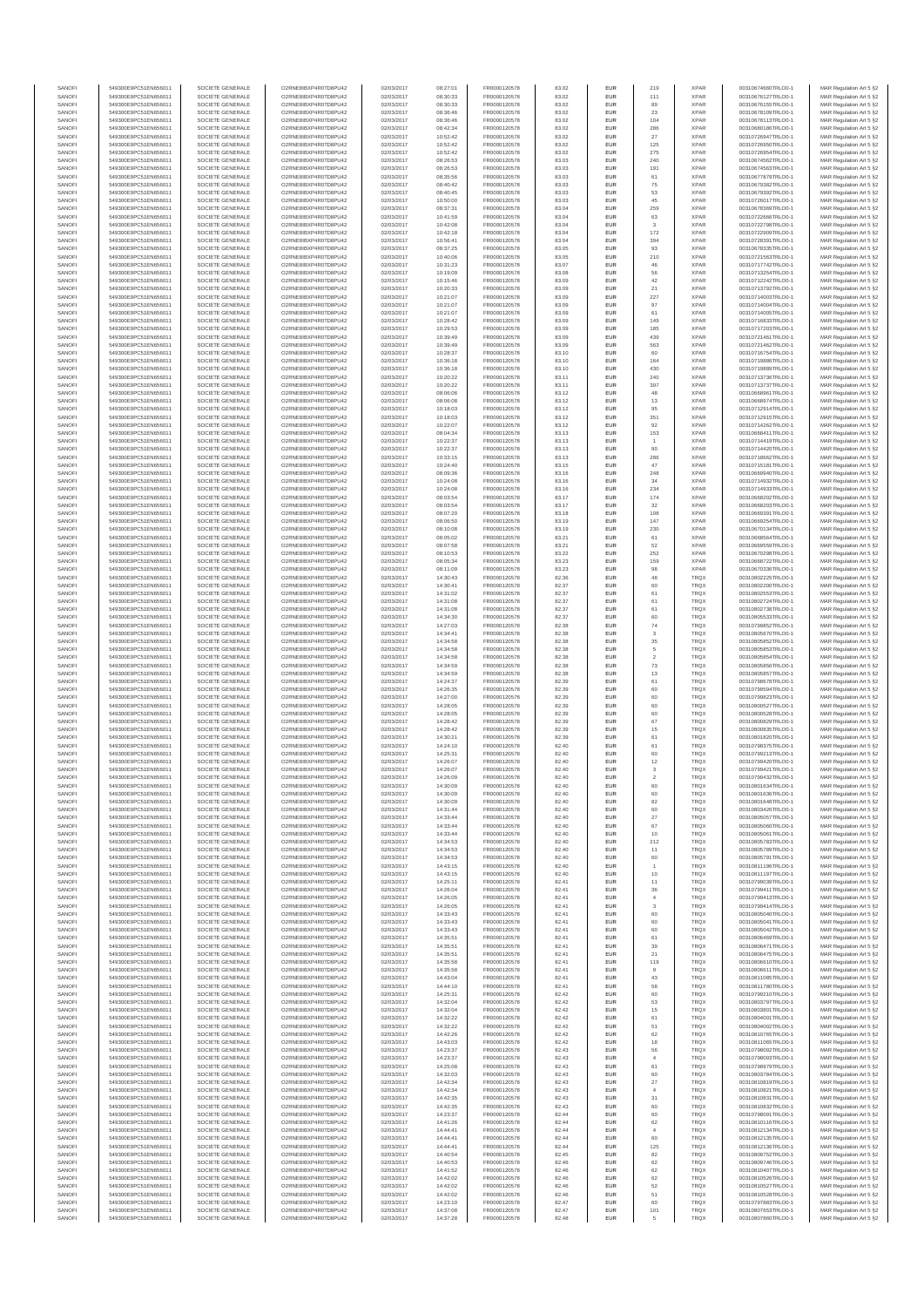| SANOFI           | 549300E9PC51EN656011                         | SOCIETE GENERALE                     | O2RNE8IBXP4R0TD8PU42                          | 02/03/2017               | 08:27:01             | FR0000120578                 | 83.02          | <b>EUR</b>        | 219                  | <b>XPAR</b>                | 00310674660TRLO0-1                       | MAR Regulation Art 5 §2                            |
|------------------|----------------------------------------------|--------------------------------------|-----------------------------------------------|--------------------------|----------------------|------------------------------|----------------|-------------------|----------------------|----------------------------|------------------------------------------|----------------------------------------------------|
| SANOFI<br>SANOFI | 549300E9PC51EN656011<br>549300E9PC51EN656011 | SOCIETE GENERALE<br>SOCIETE GENERALE | O2RNE8IBXP4R0TD8PU42<br>O2RNE8IBXP4R0TD8PU42  | 02/03/2017<br>02/03/2017 | 08:30:33<br>08:30:33 | FR0000120578<br>FR0000120578 | 83.02<br>83.02 | <b>EUR</b><br>EUR | 111<br>89            | <b>XPAR</b><br><b>XPAR</b> | 00310676127TRLO0-1<br>00310676155TRLO0-1 | MAR Regulation Art 5 §2<br>MAR Regulation Art 5 §2 |
| SANOFI           | 549300E9PC51EN656011                         | SOCIETE GENERALE                     | O2RNE8IBXP4R0TD8PLI42                         | 02/03/2017               | 08:36:46             | FR0000120578                 | 83.02          | <b>EUR</b>        | 23                   | <b>XPAR</b>                | 00310678109TRLO0-1                       | MAR Regulation Art 5 §2                            |
| SANOFI           | 549300E9PC51EN656011                         | SOCIETE GENERALE                     | O2RNE8IBXP4R0TD8PU42                          | 02/03/2017               | 08:36:46             | FR0000120578                 | 83.02          | EUR               | 104                  | <b>XPAR</b>                | 00310678113TRLO0-1                       | MAR Regulation Art 5 §2                            |
| SANOFI           | 549300E9PC51EN656011                         | SOCIETE GENERALE                     | O2RNE8IBXP4R0TD8PU42                          | 02/03/2017               | 08:42:34             | FR0000120578                 | 83.02          | EUR               | 286                  | <b>XPAR</b>                | 00310680186TRLO0-1                       | MAR Regulation Art 5 §2                            |
| SANOFI<br>SANOFI | 549300E9PC51EN656011<br>549300E9PC51EN656011 | SOCIETE GENERALE<br>SOCIETE GENERALE | O2RNE8IBXP4R0TD8PU42<br>O2RNE8IBXP4R0TD8PU42  | 02/03/2017<br>02/03/2017 | 10:52:42<br>10:52:42 | FR0000120578<br>FR0000120578 | 83.02<br>83.02 | EUR<br>EUR        | 27<br>125            | <b>XPAR</b><br><b>XPAR</b> | 00310726947TRLO0-1<br>00310726950TRLO0-1 | MAR Regulation Art 5 §2<br>MAR Regulation Art 5 §2 |
| SANOFI           | 549300E9PC51EN656011                         | SOCIETE GENERALE                     | O2RNE8IBXP4R0TD8PU42                          | 02/03/2017               | 10:52:42             | FR0000120578                 | 83.02          | EUR               | 275                  | <b>XPAR</b>                | 00310726954TRLO0-1                       | MAR Regulation Art 5 §2                            |
| SANOFI           | 549300E9PC51EN656011                         | SOCIETE GENERALE                     | O2RNE8IBXP4R0TD8PU42                          | 02/03/2017               | 08:26:53             | FR0000120578                 | 83.03          | EUR               | 240                  | <b>XPAR</b>                | 00310674562TRLO0-1                       | MAR Regulation Art 5 §2                            |
| SANOFI<br>SANOFI | 549300E9PC51EN656011<br>549300E9PC51EN656011 | SOCIETE GENERALE<br>SOCIETE GENERALE | O2RNE8IBXP4R0TD8PLI42<br>O2RNE8IBXP4R0TD8PU42 | 02/03/2017<br>02/03/2017 | 08:26:53<br>08:35:56 | FR0000120578<br>FR0000120578 | 83.03<br>83.03 | <b>EUR</b><br>EUR | 191<br>61            | <b>XPAR</b><br><b>XPAR</b> | 00310674563TRLO0-1<br>00310677879TRLO0-1 | MAR Regulation Art 5 §2<br>MAR Regulation Art 5 §2 |
| SANOFI           | 549300E9PC51EN656011                         | SOCIETE GENERALE                     | O2RNE8IBXP4R0TD8PU42                          | 02/03/2017               | 08:40:42             | FR0000120578                 | 83.03          | <b>EUR</b>        | 75                   | <b>XPAR</b>                | 00310679382TRLO0-1                       | MAR Regulation Art 5 §2                            |
| SANOFI           | 549300E9PC51EN656011                         | SOCIETE GENERALE                     | O2RNE8IBXP4R0TD8PU42                          | 02/03/2017               | 08:40:45             | FR0000120578                 | 83.03          | EUR               | 53                   | <b>XPAR</b>                | 00310679392TRLO0-1                       | MAR Regulation Art 5 §2                            |
| SANOFI           | 549300E9PC51EN656011                         | SOCIETE GENERALE                     | O2RNE8IBXP4R0TD8PU42                          | 02/03/2017               | 10:50:00             | FR0000120578                 | 83.03          | EUR               | 45                   | <b>XPAR</b>                | 00310726017TRLO0-1                       | MAR Regulation Art 5 §2                            |
| SANOFI<br>SANOFI | 549300E9PC51EN656011<br>549300E9PC51EN656011 | SOCIETE GENERALE<br>SOCIETE GENERALE | O2RNE8IBXP4R0TD8PU42<br>O2RNE8IBXP4R0TD8PU42  | 02/03/2017<br>02/03/2017 | 08:37:31<br>10:41:59 | FR0000120578<br>FR0000120578 | 83.04<br>83.04 | EUR<br>EUR        | 259<br>63            | <b>XPAR</b><br><b>XPAR</b> | 00310678369TRLO0-1<br>00310722666TRLO0-1 | MAR Regulation Art 5 §2<br>MAR Regulation Art 5 §2 |
| SANOFI           | 549300E9PC51EN656011                         | SOCIETE GENERALE                     | O2RNE8IBXP4R0TD8PU42                          | 02/03/2017               | 10:42:08             | FR0000120578                 | 83.04          | EUR               |                      | <b>XPAR</b>                | 00310722798TRLO0-1                       | MAR Regulation Art 5 §2                            |
| SANOFI           | 549300E9PC51EN656011                         | SOCIETE GENERALE                     | O2RNE8IBXP4R0TD8PU42                          | 02/03/2017               | 10:42:18             | FR0000120578                 | 83.04          | EUR               | 172                  | <b>XPAR</b>                | 00310722909TRLO0-1                       | MAR Regulation Art 5 §2                            |
| SANOFI           | 549300E9PC51EN656011                         | SOCIETE GENERALE                     | O2RNE8IBXP4R0TD8PLI42                         | 02/03/2017               | 10:56:41             | FR0000120578                 | 83.04          | <b>EUR</b>        | 394                  | <b>XPAR</b>                | 00310728391TRLO0-1                       | MAR Regulation Art 5 §2                            |
| SANOFI<br>SANOFI | 549300E9PC51EN656011<br>549300E9PC51EN656011 | SOCIETE GENERALE<br>SOCIETE GENERALE | O2RNE8IBXP4R0TD8PU42<br>O2RNE8IBXP4R0TD8PU42  | 02/03/2017<br>02/03/2017 | 08:37:25<br>10:40:06 | FR0000120578<br>FR0000120578 | 83.05<br>83.05 | EUR<br><b>EUR</b> | 93<br>210            | <b>XPAR</b><br><b>XPAR</b> | 00310678335TRLO0-1<br>00310721563TRLO0-1 | MAR Regulation Art 5 §2<br>MAR Regulation Art 5 §2 |
| SANOFI           | 549300E9PC51EN656011                         | SOCIETE GENERALE                     | O2RNE8IBXP4R0TD8PU42                          | 02/03/2017               | 10:31:23             | FR0000120578                 | 83.07          | EUR               | 46                   | <b>XPAR</b>                | 00310717742TRLO0-1                       | MAR Regulation Art 5 §2                            |
| SANOFI           | 549300E9PC51EN656011                         | SOCIETE GENERALE                     | O2RNESIBXP4R0TD8PLI42                         | 02/03/2017               | 10:19:09             | FR0000120578                 | 83.08          | EUR               | 56                   | <b>XPAR</b>                | 00310713254TRLO0-1                       | MAR Regulation Art 5 §2                            |
| SANOFI           | 549300E9PC51EN656011                         | SOCIETE GENERALE                     | O2RNE8IBXP4R0TD8PU42                          | 02/03/2017               | 10:15:46             | FR0000120578                 | 83.09          | EUR               | 42                   | <b>XPAR</b>                | 00310712242TRLO0-1                       | MAR Regulation Art 5 §2                            |
| SANOFI<br>SANOFI | 549300E9PC51EN656011<br>549300E9PC51EN656011 | SOCIETE GENERALE<br>SOCIETE GENERALE | O2RNE8IBXP4R0TD8PU42<br>O2RNE8IBXP4R0TD8PU42  | 02/03/2017<br>02/03/2017 | 10:20:33<br>10:21:07 | FR0000120578<br>FR0000120578 | 83.09<br>83.09 | EUR<br>EUR        | $21\,$<br>227        | <b>XPAR</b><br><b>XPAR</b> | 00310713792TRLO0-1<br>00310714003TRLO0-1 | MAR Regulation Art 5 §2<br>MAR Regulation Art 5 §2 |
| SANOFI           | 549300E9PC51EN656011                         | SOCIETE GENERALE                     | O2RNE8IBXP4R0TD8PU42                          | 02/03/2017               | 10:21:07             | FR0000120578                 | 83.09          | EUR               | 97                   | <b>XPAR</b>                | 00310714004TRLO0-1                       | MAR Regulation Art 5 §2                            |
| SANOFI           | 549300E9PC51EN656011                         | SOCIETE GENERALE                     | O2RNE8IBXP4R0TD8PU42                          | 02/03/2017               | 10:21:07             | FR0000120578                 | 83.09          | <b>EUR</b>        | 61                   | <b>XPAR</b>                | 00310714005TRLO0-1                       | MAR Regulation Art 5 §2                            |
| SANOFI<br>SANOFI | 549300E9PC51EN656011<br>549300E9PC51EN656011 | SOCIETE GENERALE<br>SOCIETE GENERALE | O2RNE8IBXP4R0TD8PU42<br>O2RNE8IBXP4R0TD8PU42  | 02/03/2017<br>02/03/2017 | 10:28:42<br>10:29:53 | FR0000120578<br>FR0000120578 | 83.09          | EUR<br><b>EUR</b> | 149<br>185           | <b>XPAR</b><br><b>XPAR</b> | 00310716833TRLO0-1<br>00310717203TRLO0-1 | MAR Regulation Art 5 §2<br>MAR Regulation Art 5 §2 |
| SANOFI           | 549300E9PC51EN656011                         | SOCIETE GENERALE                     | O2RNE8IBXP4R0TD8PU42                          | 02/03/2017               | 10:39:49             | FR0000120578                 | 83.09<br>83.09 | EUR               | 439                  | <b>XPAR</b>                | 00310721461TRLO0-1                       | MAR Regulation Art 5 §2                            |
| SANOFI           | 549300E9PC51EN656011                         | SOCIETE GENERALE                     | O2RNE8IBXP4R0TD8PU42                          | 02/03/2017               | 10:39:49             | FR0000120578                 | 83.09          | EUR               | 563                  | <b>XPAR</b>                | 00310721462TRLO0-1                       | MAR Regulation Art 5 §2                            |
| SANOFI           | 549300E9PC51EN656011                         | SOCIETE GENERALE                     | O2RNE8IBXP4R0TD8PU42                          | 02/03/2017               | 10:28:37             | FR0000120578                 | 83.10          | EUR               | 60                   | <b>XPAR</b>                | 00310716754TRLO0-1                       | MAR Regulation Art 5 §2                            |
| SANOFI<br>SANOFI | 549300E9PC51EN656011<br>549300E9PC51EN656011 | SOCIETE GENERALE<br>SOCIETE GENERALE | O2RNE8IBXP4R0TD8PU42<br>O2RNE8IBXP4R0TD8PU42  | 02/03/2017<br>02/03/2017 | 10:36:18<br>10:36:18 | FR0000120578<br>FR0000120578 | 83.10<br>83.10 | EUR<br><b>EUR</b> | 164<br>430           | <b>XPAR</b><br><b>XPAR</b> | 00310719886TRLO0-1<br>00310719889TRLO0-1 | MAR Regulation Art 5 §2<br>MAR Regulation Art 5 §2 |
| SANOFI           | 549300E9PC51EN656011                         | SOCIETE GENERALE                     | O2RNE8IBXP4R0TD8PU42                          | 02/03/2017               | 10:20:22             | FR0000120578                 | 83.11          | EUR               | 240                  | <b>XPAR</b>                | 00310713736TRLO0-1                       | MAR Regulation Art 5 §2                            |
| SANOFI           | 549300E9PC51EN656011                         | SOCIETE GENERALE                     | O2RNE8IBXP4R0TD8PU42                          | 02/03/2017               | 10:20:22             | FR0000120578                 | 83.11          | <b>EUR</b>        | 397                  | <b>XPAR</b>                | 00310713737TRLO0-1                       | MAR Regulation Art 5 §2                            |
| SANOFI<br>SANOFI | 549300E9PC51EN656011<br>549300E9PC51EN656011 | SOCIETE GENERALE                     | O2RNE8IBXP4R0TD8PU42                          | 02/03/2017               | 08:06:06             | FR0000120578                 | 83.12          | EUR<br>EUR        | 48<br>$13\,$         | <b>XPAR</b><br><b>XPAR</b> | 00310668961TRLO0-1                       | MAR Regulation Art 5 §2<br>MAR Regulation Art 5 §2 |
| SANOFI           | 549300E9PC51EN656011                         | SOCIETE GENERALE<br>SOCIETE GENERALE | O2RNE8IBXP4R0TD8PU42<br>O2RNE8IBXP4R0TD8PU42  | 02/03/2017<br>02/03/2017 | 08:06:08<br>10:18:03 | FR0000120578<br>FR0000120578 | 83.12<br>83.12 | EUR               | 95                   | <b>XPAR</b>                | 00310668974TRLO0-1<br>00310712914TRLO0-1 | MAR Regulation Art 5 §2                            |
| SANOFI           | 549300E9PC51EN656011                         | SOCIETE GENERALE                     | O2RNE8IBXP4R0TD8PU42                          | 02/03/2017               | 10:18:03             | FR0000120578                 | 83.12          | EUR               | 351                  | <b>XPAR</b>                | 00310712915TRLO0-1                       | MAR Regulation Art 5 §2                            |
| SANOFI           | 549300E9PC51EN656011                         | SOCIETE GENERALE                     | O2RNE8IBXP4R0TD8PU42                          | 02/03/2017               | 10:22:07             | FR0000120578                 | 83.12          | EUR               | 92                   | <b>XPAR</b>                | 00310714262TRLO0-1                       | MAR Regulation Art 5 §2                            |
| SANOFI<br>SANOFI | 549300E9PC51EN656011<br>549300E9PC51EN656011 | SOCIETE GENERALE<br>SOCIETE GENERALE | O2RNE8IBXP4R0TD8PLI42<br>O2RNE8IBXP4R0TD8PU42 | 02/03/2017<br>02/03/2017 | 08:04:34<br>10:22:37 | FR0000120578<br>FR0000120578 | 83.13<br>83.13 | EUR<br><b>EUR</b> | 153                  | <b>XPAR</b><br><b>XPAR</b> | 00310668411TRLO0-1<br>00310714419TRLO0-1 | MAR Regulation Art 5 §2<br>MAR Regulation Art 5 §2 |
| SANOFI           | 549300E9PC51EN656011                         | SOCIETE GENERALE                     | O2RNE8IBXP4R0TD8PU42                          | 02/03/2017               | 10:22:37             | FR0000120578                 | 83.13          | EUR               | 90                   | <b>XPAR</b>                | 00310714420TRLO0-1                       | MAR Regulation Art 5 §2                            |
| SANOFI           | 549300E9PC51EN656011                         | SOCIETE GENERALE                     | O2RNE8IBXP4R0TD8PU42                          | 02/03/2017               | 10:33:15             | FR0000120578                 | 83.13          | <b>EUR</b>        | 286                  | <b>XPAR</b>                | 00310718662TRLO0-1                       | MAR Regulation Art 5 §2                            |
| SANOFI           | 549300E9PC51EN656011                         | SOCIETE GENERALE                     | O2RNE8IBXP4R0TD8PU42                          | 02/03/2017               | 10:24:40             | FR0000120578                 | 83.15          | EUR               | 47                   | <b>XPAR</b>                | 00310715181TRLO0-1                       | MAR Regulation Art 5 §2                            |
| SANOFI<br>SANOFI | 549300E9PC51EN656011<br>549300E9PC51EN656011 | SOCIETE GENERALE<br>SOCIETE GENERALE | O2RNE8IBXP4R0TD8PU42<br>O2RNE8IBXP4R0TD8PU42  | 02/03/2017<br>02/03/2017 | 08:09:36<br>10:24:08 | FR0000120578<br>FR0000120578 | 83.16<br>83.16 | EUR<br>EUR        | 248<br>34            | <b>XPAR</b><br><b>XPAR</b> | 00310669940TRLO0-1<br>00310714932TRLO0-1 | MAR Regulation Art 5 §2<br>MAR Regulation Art 5 §2 |
| SANOFI           | 549300E9PC51EN656011                         | SOCIETE GENERALE                     | O2RNE8IBXP4R0TD8PLI42                         | 02/03/2017               | 10:24:08             | FR0000120578                 | 83.16          | EUR               | 234                  | <b>XPAR</b>                | 00310714933TRLO0-1                       | MAR Regulation Art 5 §2                            |
| SANOFI           | 549300E9PC51EN656011                         | SOCIETE GENERALE                     | O2RNE8IBXP4R0TD8PU42                          | 02/03/2017               | 08:03:54             | FR0000120578                 | 83.17          | EUR               | 174                  | <b>XPAR</b>                | 00310668202TRLO0-1                       | MAR Regulation Art 5 §2                            |
| SANOFI           | 549300E9PC51EN656011                         | SOCIETE GENERALE                     | O2RNE8IBXP4R0TD8PU42                          | 02/03/2017               | 08:03:54             | FR0000120578                 | 83.17          | EUR               | 32                   | <b>XPAR</b>                | 00310668203TRLO0-1                       | MAR Regulation Art 5 §2                            |
| SANOFI<br>SANOFI | 549300E9PC51EN656011<br>549300E9PC51EN656011 | SOCIETE GENERALE<br>SOCIETE GENERALE | O2RNE8IBXP4R0TD8PU42<br>O2RNE8IBXP4R0TD8PU42  | 02/03/2017<br>02/03/2017 | 08:07:20<br>08:06:50 | FR0000120578<br>FR0000120578 | 83.18<br>83.19 | <b>EUR</b><br>EUR | 108<br>147           | <b>XPAR</b><br><b>XPAR</b> | 00310669391TRLO0-1<br>00310669254TRLO0-1 | MAR Regulation Art 5 §2<br>MAR Regulation Art 5 §2 |
| SANOFI           | 549300E9PC51EN656011                         | SOCIETE GENERALE                     | O2RNE8IBXP4R0TD8PU42                          | 02/03/2017               | 08:10:08             | FR0000120578                 | 83.19          | <b>EUR</b>        | 230                  | <b>XPAR</b>                | 00310670134TRLO0-1                       | MAR Regulation Art 5 §2                            |
| SANOFI           | 549300E9PC51EN656011                         | SOCIETE GENERALE                     | O2RNE8IBXP4R0TD8PU42                          | 02/03/2017               | 08:05:02             | FR0000120578                 | 83.21          | EUR               | 61                   | <b>XPAR</b>                | 00310668564TRLO0-1                       | MAR Regulation Art 5 §2                            |
| SANOFI           | 549300E9PC51EN656011                         | SOCIETE GENERALE                     | O2RNE8IBXP4R0TD8PU42                          | 02/03/2017               | 08:07:58             | FR0000120578                 | 83.21          | EUR               | 52                   | <b>XPAR</b>                | 00310669559TRLO0-1                       | MAR Regulation Art 5 §2                            |
| SANOFI<br>SANOFI | 549300E9PC51EN656011<br>549300E9PC51EN656011 | SOCIETE GENERALE<br>SOCIETE GENERALE | O2RNE8IBXP4R0TD8PU42<br>O2RNE8IBXP4R0TD8PU42  | 02/03/2017<br>02/03/2017 | 08:10:53<br>08:05:34 | FR0000120578<br>FR0000120578 | 83.22<br>83.23 | EUR<br>EUR        | 252<br>159           | <b>XPAR</b><br><b>XPAR</b> | 00310670298TRLO0-1<br>00310668722TRLO0-1 | MAR Regulation Art 5 §2<br>MAR Regulation Art 5 §2 |
| SANOFI           | 549300E9PC51EN656011                         | SOCIETE GENERALE                     | O2RNE8IBXP4R0TD8PU42                          | 02/03/2017               | 08:11:09             | FR0000120578                 | 83.23          | EUR               | 98                   | <b>XPAR</b>                | 00310670336TRLO0-1                       | MAR Regulation Art 5 §2                            |
| SANOFI           | 549300E9PC51EN656011                         | SOCIETE GENERALE                     | O2RNE8IBXP4R0TD8PU42                          | 02/03/2017               | 14:30:43             | FR0000120578                 | 82.36          | EUR               | 48                   | TRQX                       | 00310802225TRLO0-1                       | MAR Regulation Art 5 §2                            |
| SANOFI<br>SANOFI | 549300E9PC51EN656011<br>549300E9PC51EN656011 | SOCIETE GENERALE<br>SOCIETE GENERALE | O2RNE8IBXP4R0TD8PU42<br>O2RNE8IBXP4R0TD8PU42  | 02/03/2017<br>02/03/2017 | 14:30:41<br>14:31:02 | FR0000120578<br>FR0000120578 | 82.37<br>82.37 | <b>EUR</b><br>EUR | 60<br>61             | <b>TRQX</b><br>TRQX        | 00310802200TRLO0-1<br>00310802553TRLO0-1 | MAR Regulation Art 5 §2                            |
| SANOFI           | 549300E9PC51EN656011                         | SOCIETE GENERALE                     | O2RNE8IBXP4R0TD8PU42                          | 02/03/2017               | 14:31:08             | FR0000120578                 | 82.37          | <b>EUR</b>        | 61                   | <b>TRQX</b>                | 00310802724TRLO0-1                       | MAR Regulation Art 5 §2<br>MAR Regulation Art 5 §2 |
| SANOFI           | 549300E9PC51EN656011                         | SOCIETE GENERALE                     | O2RNE8IBXP4R0TD8PU42                          | 02/03/2017               | 14:31:08             | FR0000120578                 | 82.37          | EUR               | 61                   | TRQX                       | 00310802738TRLO0-1                       | MAR Regulation Art 5 §2                            |
| SANOFI           | 549300E9PC51EN656011                         | SOCIETE GENERALE                     | O2RNE8IBXP4R0TD8PU42                          | 02/03/2017               | 14:34:30             | FR0000120578                 | 82.37          | EUR               | 60                   | TRQX                       | 00310805533TRLO0-1                       | MAR Regulation Art 5 §2                            |
| SANOFI<br>SANOFI | 549300E9PC51EN656011<br>549300E9PC51EN656011 | SOCIETE GENERALE<br>SOCIETE GENERALE | O2RNE8IBXP4R0TD8PU42<br>O2RNE8IBXP4R0TD8PU42  | 02/03/2017<br>02/03/2017 | 14:27:03<br>14:34:41 | FR0000120578<br>FR0000120578 | 82.38<br>82.38 | EUR<br>EUR        | 74<br>3              | TRQX<br>TRQX               | 00310799852TRLO0-1<br>00310805670TRLO0-1 | MAR Regulation Art 5 §2<br>MAR Regulation Art 5 §2 |
| SANOFI           | 549300E9PC51EN656011                         | SOCIETE GENERALE                     | O2RNE8IBXP4R0TD8PU42                          | 02/03/2017               | 14:34:58             | FR0000120578                 | 82.38          | <b>EUR</b>        | 35                   | <b>TRQX</b>                | 00310805852TRLO0-1                       | MAR Regulation Art 5 §2                            |
| SANOFI           | 549300E9PC51EN656011                         | SOCIETE GENERALE                     | O2RNE8IBXP4R0TD8PU42                          | 02/03/2017               | 14:34:58             | FR0000120578                 | 82.38          | EUR               | 5                    | TRQX                       | 00310805853TRLO0-1                       | MAR Regulation Art 5 §2                            |
| SANOFI           | 549300E9PC51EN656011                         | SOCIETE GENERALE                     | O2RNE8IBXP4R0TD8PU42                          | 02/03/2017               | 14:34:58             | FR0000120578                 | 82.38          | <b>EUR</b>        | $\overline{2}$       | <b>TRQX</b>                | 00310805854TRLO0-1                       | MAR Regulation Art 5 §2                            |
| SANOFI<br>SANOFI | 549300E9PC51EN656011<br>549300E9PC51EN656011 | SOCIETE GENERALE<br>SOCIETE GENERALE | O2RNE8IBXP4R0TD8PU42<br>O2RNE8IBXP4R0TD8PU42  | 02/03/2017<br>02/03/2017 | 14:34:59<br>14:34:59 | FR0000120578<br>FR0000120578 | 82.38<br>82.38 | EUR<br><b>EUR</b> | 73<br>13             | TRQX<br>TRQX               | 00310805856TRLO0-1<br>00310805857TRLO0-1 | MAR Regulation Art 5 §2<br>MAR Regulation Art 5 §2 |
| SANOFI           | 549300E9PC51EN656011                         | SOCIETE GENERALE                     | O2RNE8IBXP4R0TD8PU42                          | 02/03/2017               | 14:24:37             | FR0000120578                 | 82.39          | EUR               | 61                   | TRQX                       | 00310798678TRLO0-1                       | MAR Regulation Art 5 §2                            |
| SANOFI           | 549300E9PC51EN656011                         | SOCIETE GENERALE                     | O2RNE8IBXP4R0TD8PLI42                         | 02/03/2017               | 14:26:35             | FR0000120578                 | 82.39          | EUR               | 60                   | TRQX                       | 00310799594TRLO0-1                       | MAR Regulation Art 5 §2                            |
| SANOFI<br>SANOFI | 549300E9PC51EN656011<br>549300E9PC51EN656011 | SOCIETE GENERALE<br>SOCIETE GENERALE | O2RNE8IBXP4R0TD8PU42<br>O2RNE8IBXP4R0TD8PU42  | 02/03/2017<br>02/03/2017 | 14:27:00<br>14:28:05 | FR0000120578<br>FR0000120578 | 82.39<br>82.39 | EUR<br>EUR        | 60<br>60             | TRQX<br>TRQX               | 00310799823TRLO0-1<br>00310800527TRLO0-1 | MAR Regulation Art 5 §2<br>MAR Regulation Art 5 §2 |
| SANOFI           | 549300E9PC51EN656011                         | SOCIETE GENERALE                     | O2RNE8IBXP4R0TD8PU42                          | 02/03/2017               | 14:28:05             | FR0000120578                 | 82.39          | <b>EUR</b>        | 60                   | <b>TRQX</b>                | 00310800528TRLO0-1                       | MAR Regulation Art 5 §2                            |
| SANOFI           | 549300E9PC51EN656011                         | SOCIETE GENERALE                     | O2RNE8IBXP4R0TD8PU42                          | 02/03/2017               | 14:28:42             | FR0000120578                 | 82.39          | EUR               | 67                   | TRQX                       | 00310800829TRLO0-1                       | MAR Regulation Art 5 §2                            |
| SANOFI           | 549300E9PC51EN656011                         | SOCIETE GENERALE                     | O2RNE8IBXP4R0TD8PU42                          | 02/03/2017               | 14:28:42             | FR0000120578                 | 82.39          | <b>EUR</b>        | 15                   | <b>TRQX</b>                | 00310800835TRLO0-1                       | MAR Regulation Art 5 §2                            |
| SANOFI<br>SANOFI | 549300E9PC51EN656011<br>549300E9PC51EN656011 | SOCIETE GENERALE<br>SOCIETE GENERALE | O2RNE8IBXP4R0TD8PU42<br>O2RNE8IBXP4R0TD8PU42  | 02/03/2017<br>02/03/2017 | 14:30:21<br>14:24:10 | FR0000120578<br>FR0000120578 | 82.39<br>82.40 | EUR<br>EUR        | 61<br>61             | TRQX<br>TRQX               | 00310801820TRLO0-1<br>00310798375TRLO0-1 | MAR Regulation Art 5 §2<br>MAR Regulation Art 5 §2 |
| SANOFI           | 549300E9PC51EN656011                         | SOCIETE GENERALE                     | O2RNE8IBXP4R0TD8PU42                          | 02/03/2017               | 14:25:31             | FR0000120578                 | 82.40          | EUR               | 60                   | TRQX                       | 00310799213TRLO0-1                       | MAR Regulation Art 5 §2                            |
| SANOFI           | 549300E9PC51EN656011                         | SOCIETE GENERALE                     | O2RNESIBXP4R0TD8PLI42                         | 02/03/2017               | 14:26:07             | FR0000120578                 | 82.40          | EUR               | 12                   | TRQX                       | 00310799420TRLO0-1                       | MAR Regulation Art 5 §2                            |
| SANOFI           | 549300E9PC51EN656011                         | SOCIETE GENERALE                     | O2RNE8IBXP4R0TD8PU42                          | 02/03/2017               | 14:26:07             | FR0000120578                 | 82.40          | EUR               | $^{\rm 3}$           | TRQX                       | 00310799421TRLO0-1                       | MAR Regulation Art 5 §2                            |
| SANOFI<br>SANOFI | 549300E9PC51EN656011<br>549300E9PC51EN656011 | SOCIETE GENERALE<br>SOCIETE GENERALE | O2RNE8IBXP4R0TD8PU42<br>O2RNE8IBXP4R0TD8PU42  | 02/03/2017<br>02/03/2017 | 14:26:09<br>14:30:09 | FR0000120578<br>FR0000120578 | 82.40<br>82.40 | EUR<br><b>EUR</b> | $\overline{2}$<br>60 | TRQX<br><b>TROX</b>        | 00310799432TRLO0-1<br>00310801634TRLO0-1 | MAR Regulation Art 5 §2<br>MAR Regulation Art 5 §2 |
| SANOFI           | 549300E9PC51EN656011                         | SOCIETE GENERALE                     | O2RNE8IBXP4R0TD8PU42                          | 02/03/2017               | 14:30:09             | FR0000120578                 | 82.40          | EUR               | 60                   | TRQX                       | 00310801636TRLO0-1                       | MAR Regulation Art 5 §2                            |
| SANOFI           | 549300E9PC51EN656011                         | SOCIETE GENERALE                     | O2RNE8IBXP4R0TD8PU42                          | 02/03/2017               | 14:30:09             | FR0000120578                 | 82.40          | <b>EUR</b>        | 82                   | <b>TROX</b>                | 00310801648TRLO0-1                       | MAR Regulation Art 5 §2                            |
| SANOFI<br>SANOFI | 549300E9PC51EN656011<br>549300E9PC51EN656011 | SOCIETE GENERALE<br>SOCIETE GENERALE | O2RNE8IBXP4R0TD8PU42<br>O2RNE8IBXP4R0TD8PU42  | 02/03/2017<br>02/03/2017 | 14:31:44<br>14:33:44 | FR0000120578<br>FR0000120578 | 82.40<br>82.40 | EUR<br><b>EUR</b> | 60<br>27             | TRQX<br><b>TRQX</b>        | 00310803426TRLO0-1<br>00310805057TRLO0-1 | MAR Regulation Art 5 §2<br>MAR Regulation Art 5 §2 |
| SANOFI           | 549300E9PC51EN656011                         | SOCIETE GENERALE                     | O2RNE8IBXP4R0TD8PU42                          | 02/03/2017               | 14:33:44             | FR0000120578                 | 82.40          | EUR               | 67                   | TRQX                       | 00310805060TRLO0-1                       | MAR Regulation Art 5 §2                            |
| SANOFI           | 549300E9PC51EN656011                         | SOCIETE GENERALE                     | O2RNESIBXP4R0TD8PLI42                         | 02/03/2017               | 14:33:44             | FR0000120578                 | 82.40          | EUR               | 10                   | TRQX                       | 00310805061TRLO0-1                       | MAR Regulation Art 5 §2                            |
| SANOFI           | 549300E9PC51EN656011                         | SOCIETE GENERALE                     | O2RNE8IBXP4R0TD8PU42                          | 02/03/2017               | 14:34:53             | FR0000120578                 | 82.40          | EUR               | 212                  | <b>TRQX</b>                | 00310805783TRLO0-1                       | MAR Regulation Art 5 §2                            |
| SANOFI<br>SANOFI | 549300E9PC51EN656011<br>549300E9PC51EN656011 | SOCIETE GENERALE<br>SOCIETE GENERALE | O2RNE8IBXP4R0TD8PU42<br>O2RNE8IBXP4R0TD8PLI42 | 02/03/2017<br>02/03/2017 | 14:34:53<br>14:34:53 | FR0000120578<br>FR0000120578 | 82.40<br>82.40 | EUR<br><b>EUR</b> | 11<br>60             | TRQX<br><b>TROX</b>        | 00310805789TRLO0-1<br>00310805791TRLO0-1 | MAR Regulation Art 5 §2<br>MAR Regulation Art 5 §2 |
| SANOFI           | 549300E9PC51EN656011                         | SOCIETE GENERALE                     | O2RNE8IBXP4R0TD8PU42                          | 02/03/2017               | 14:43:15             | FR0000120578                 | 82.40          | EUR               |                      | TRQX                       | 00310811196TRLO0-1                       | MAR Regulation Art 5 §2                            |
| SANOFI           | 549300E9PC51EN656011                         | SOCIETE GENERALE                     | O2RNE8IBXP4R0TD8PU42                          | 02/03/2017               | 14:43:15             | FR0000120578                 | 82.40          | <b>EUR</b>        | 10                   | <b>TROX</b>                | 00310811197TRLO0-1                       | MAR Regulation Art 5 §2                            |
| SANOFI<br>SANOFI | 549300E9PC51EN656011<br>549300E9PC51EN656011 | SOCIETE GENERALE<br>SOCIETE GENERALE | O2RNE8IBXP4R0TD8PU42<br>O2RNE8IBXP4R0TD8PU42  | 02/03/2017<br>02/03/2017 | 14:25:11<br>14:26:04 | FR0000120578<br>FR0000120578 | 82.41<br>82.41 | EUR<br>EUR        | 11<br>$36\,$         | <b>TRQX</b><br>TRQX        | 00310799039TRLO0-1<br>00310799411TRLO0-1 | MAR Regulation Art 5 §2<br>MAR Regulation Art 5 §2 |
| SANOFI           | 549300E9PC51EN656011                         | SOCIETE GENERALE                     | O2RNE8IBXP4R0TD8PU42                          | 02/03/2017               | 14:26:05             | FR0000120578                 | 82.41          | EUR               | $\overline{4}$       | TRQX                       | 00310799413TRLO0-1                       | MAR Regulation Art 5 §2                            |
| SANOFI           | 549300E9PC51EN656011                         | SOCIETE GENERALE                     | O2RNESIBXP4R0TD8PLI42                         | 02/03/2017               | 14:26:05             | FR0000120578                 | 82.41          | EUR               | 3                    | <b>TRQX</b>                | 00310799414TRLO0-1                       | MAR Regulation Art 5 §2                            |
| SANOFI<br>SANOFI | 549300E9PC51EN656011<br>549300E9PC51EN656011 | SOCIETE GENERALE<br>SOCIETE GENERALE | O2RNE8IBXP4R0TD8PLI42<br>O2RNE8IBXP4R0TD8PU42 | 02/03/2017<br>02/03/2017 | 14:33:43<br>14:33:43 | FR0000120578<br>FR0000120578 | 82.41<br>82.41 | <b>EUR</b><br>EUR | 60<br>60             | <b>TROX</b><br>TRQX        | 00310805040TRLO0-1<br>00310805041TRLO0-1 | MAR Regulation Art 5 §2                            |
| SANOFI           | 549300E9PC51EN656011                         | SOCIETE GENERALE                     | O2RNE8IBXP4R0TD8PU42                          | 02/03/2017               | 14:33:43             | FR0000120578                 | 82.41          | <b>EUR</b>        | 60                   | <b>TROX</b>                | 00310805042TRLO0-1                       | MAR Regulation Art 5 §2<br>MAR Regulation Art 5 §2 |
| SANOFI           | 549300E9PC51EN656011                         | SOCIETE GENERALE                     | O2RNE8IBXP4R0TD8PU42                          | 02/03/2017               | 14:35:51             | FR0000120578                 | 82.41          | EUR               | 61                   | TRQX                       | 00310806469TRLO0-1                       | MAR Regulation Art 5 §2                            |
| SANOFI           | 549300E9PC51EN656011                         | SOCIETE GENERALE                     | O2RNE8IBXP4R0TD8PU42                          | 02/03/2017               | 14:35:51             | FR0000120578                 | 82.41          | EUR               | 39                   | TRQX                       | 00310806471TRLO0-1                       | MAR Regulation Art 5 §2                            |
| SANOFI<br>SANOFI | 549300E9PC51EN656011<br>549300E9PC51EN656011 | SOCIETE GENERALE<br>SOCIETE GENERALE | O2RNE8IBXP4R0TD8PU42<br>O2RNE8IBXP4R0TD8PU42  | 02/03/2017<br>02/03/2017 | 14:35:51<br>14:35:58 | FR0000120578<br>FR0000120578 | 82.41<br>82.41 | EUR<br>EUR        | 21<br>119            | <b>TRQX</b><br><b>TRQX</b> | 00310806475TRLO0-1<br>00310806610TRLO0-1 | MAR Regulation Art 5 §2<br>MAR Regulation Art 5 §2 |
| SANOFI           | 549300E9PC51EN656011                         | SOCIETE GENERALE                     | O2RNE8IBXP4R0TD8PU42                          | 02/03/2017               | 14:35:58             | FR0000120578                 | 82.41          | EUR               | 9                    | TRQX                       | 00310806611TRLO0-1                       | MAR Regulation Art 5 §2                            |
| SANOFI           | 549300E9PC51EN656011                         | SOCIETE GENERALE                     | O2RNE8IBXP4R0TD8PU42                          | 02/03/2017               | 14:43:04             | FR0000120578                 | 82.41          | EUR               | $43\,$               | <b>TROX</b>                | 00310811085TRLO0-1                       | MAR Regulation Art 5 §2                            |
| SANOFI           | 549300E9PC51EN656011                         | SOCIETE GENERALE                     | O2RNE8IBXP4R0TD8PU42                          | 02/03/2017               | 14:44:10             | FR0000120578                 | 82.41          | <b>EUR</b>        | 58                   | <b>TROX</b>                | 00310811780TRLO0-1                       | MAR Regulation Art 5 §2                            |
| SANOFI<br>SANOFI | 549300E9PC51EN656011<br>549300E9PC51EN656011 | SOCIETE GENERALE<br>SOCIETE GENERALE | O2RNE8IBXP4R0TD8PU42<br>O2RNE8IBXP4R0TD8PU42  | 02/03/2017<br>02/03/2017 | 14:25:31<br>14:32:04 | FR0000120578<br>FR0000120578 | 82.42<br>82.42 | EUR<br><b>EUR</b> | 60<br>53             | TRQX<br><b>TROX</b>        | 00310799210TRLO0-1<br>00310803797TRLO0-1 | MAR Regulation Art 5 §2                            |
| SANOFI           | 549300E9PC51EN656011                         | SOCIETE GENERALE                     | O2RNE8IBXP4R0TD8PU42                          | 02/03/2017               | 14:32:04             | FR0000120578                 | 82.42          | EUR               | 15                   | TRQX                       | 00310803801TRLO0-1                       | MAR Regulation Art 5 §2<br>MAR Regulation Art 5 §2 |
| SANOFI           | 549300E9PC51EN656011                         | SOCIETE GENERALE                     | O2RNE8IBXP4R0TD8PU42                          | 02/03/2017               | 14:32:22             | FR0000120578                 | 82.42          | <b>EUR</b>        | 61                   | <b>TRQX</b>                | 00310804001TRLO0-1                       | MAR Regulation Art 5 §2                            |
| SANOFI           | 549300E9PC51EN656011                         | SOCIETE GENERALE                     | O2RNE8IBXP4R0TD8PU42                          | 02/03/2017               | 14:32:22             | FR0000120578                 | 82.42          | EUR               | 51                   | <b>TRQX</b>                | 00310804002TRLO0-1                       | MAR Regulation Art 5 §2                            |
| SANOFI<br>SANOFI | 549300E9PC51EN656011<br>549300E9PC51EN656011 | SOCIETE GENERALE<br>SOCIETE GENERALE | O2RNE8IBXP4R0TD8PU42<br>O2RNE8IBXP4R0TD8PU42  | 02/03/2017<br>02/03/2017 | 14:42:26<br>14:43:03 | FR0000120578<br>FR0000120578 | 82.42<br>82.42 | EUR<br>EUR        | $62\,$<br>18         | <b>TROX</b><br>TRQX        | 00310810765TRLO0-1<br>00310811065TRLO0-1 | MAR Regulation Art 5 §2<br>MAR Regulation Art 5 §2 |
| SANOFI           | 549300E9PC51EN656011                         | SOCIETE GENERALE                     | O2RNE8IBXP4R0TD8PU42                          | 02/03/2017               | 14:23:37             | FR0000120578                 | 82.43          | EUR               | 56                   | TRQX                       | 00310798092TRLO0-1                       | MAR Regulation Art 5 §2                            |
| SANOFI           | 549300E9PC51EN656011                         | SOCIETE GENERALE                     | O2RNE8IBXP4R0TD8PU42                          | 02/03/2017               | 14:23:37             | FR0000120578                 | 82.43          | <b>EUR</b>        | $\overline{4}$       | <b>TROX</b>                | 00310798093TRLO0-1                       | MAR Regulation Art 5 §2                            |
| SANOFI           | 549300E9PC51EN656011                         | SOCIETE GENERALE                     | O2RNE8IBXP4R0TD8PU42                          | 02/03/2017               | 14:25:08             | FR0000120578                 | 82.43          | EUR               | 61                   | TRQX                       | 00310798979TRLO0-1                       | MAR Regulation Art 5 §2                            |
| SANOFI<br>SANOFI | 549300E9PC51EN656011<br>549300E9PC51EN656011 | SOCIETE GENERALE<br>SOCIETE GENERALE | O2RNE8IBXP4R0TD8PU42<br>O2RNE8IBXP4R0TD8PU42  | 02/03/2017<br>02/03/2017 | 14:32:03<br>14:42:34 | FR0000120578<br>FR0000120578 | 82.43<br>82.43 | <b>EUR</b><br>EUR | 60<br>27             | <b>TROX</b><br>TRQX        | 00310803784TRLO0-1<br>00310810819TRLO0-1 | MAR Regulation Art 5 §2<br>MAR Regulation Art 5 §2 |
| SANOFI           | 549300E9PC51EN656011                         | SOCIETE GENERALE                     | O2RNE8IBXP4R0TD8PU42                          | 02/03/2017               | 14:42:34             | FR0000120578                 | 82.43          | EUR               | $\overline{4}$       | TRQX                       | 00310810821TRLO0-1                       | MAR Regulation Art 5 §2                            |
| SANOFI           | 549300E9PC51EN656011                         | SOCIETE GENERALE                     | O2RNE8IBXP4R0TD8PU42                          | 02/03/2017               | 14:42:35             | FR0000120578                 | 82.43          | EUR               | 31                   | <b>TRQX</b>                | 00310810831TRLO0-1                       | MAR Regulation Art 5 §2                            |
| SANOFI           | 549300E9PC51EN656011                         | SOCIETE GENERALE                     | O2RNE8IBXP4R0TD8PU42<br>O2RNE8IBXP4R0TD8PU42  | 02/03/2017               | 14:42:35             | FR0000120578                 | 82.43          | EUR               | 60                   | <b>TRQX</b>                | 00310810832TRLO0-1                       | MAR Regulation Art 5 §2                            |
| SANOFI<br>SANOFI | 549300E9PC51EN656011<br>549300E9PC51EN656011 | SOCIETE GENERALE<br>SOCIETE GENERALE | O2RNE8IBXP4R0TD8PU42                          | 02/03/2017<br>02/03/2017 | 14:23:37<br>14:41:26 | FR0000120578<br>FR0000120578 | 82.44<br>82.44 | EUR<br>EUR        | 60<br>62             | TRQX<br>TRQX               | 00310798091TRLO0-1<br>00310810116TRLO0-1 | MAR Regulation Art 5 §2<br>MAR Regulation Art 5 §2 |
| SANOFI           | 549300E9PC51EN656011                         | SOCIETE GENERALE                     | O2RNE8IBXP4R0TD8PU42                          | 02/03/2017               | 14:44:41             | FR0000120578                 | 82.44          | <b>EUR</b>        | $\mathcal{A}$        | <b>TROX</b>                | 00310812134TRLO0-1                       | MAR Regulation Art 5 §2                            |
| SANOFI           | 549300E9PC51EN656011                         | SOCIETE GENERALE                     | O2RNE8IBXP4R0TD8PU42                          | 02/03/2017               | 14:44:41             | FR0000120578                 | 82.44          | EUR               | 60                   | TRQX                       | 00310812135TRLO0-1                       | MAR Regulation Art 5 §2                            |
| SANOFI<br>SANOFI | 549300E9PC51EN656011<br>549300E9PC51EN656011 | SOCIETE GENERALE<br>SOCIETE GENERALE | O2RNE8IBXP4R0TD8PU42<br>O2RNE8IBXP4R0TD8PU42  | 02/03/2017<br>02/03/2017 | 14:44:41<br>14:40:54 | FR0000120578<br>FR0000120578 | 82.44<br>82.45 | <b>EUR</b><br>EUR | 125<br>82            | <b>TROX</b><br>TRQX        | 00310812136TRLO0-1<br>00310809752TRLO0-1 | MAR Regulation Art 5 §2<br>MAR Regulation Art 5 §2 |
| SANOFI           | 549300E9PC51EN656011                         | SOCIETE GENERALE                     | O2RNE8IBXP4R0TD8PU42                          | 02/03/2017               | 14:40:53             | FR0000120578                 | 82.46          | EUR               | 62                   | TRQX                       | 00310809746TRLO0-1                       | MAR Regulation Art 5 §2                            |
| SANOFI           | 549300E9PC51EN656011                         | SOCIETE GENERALE                     | O2RNE8IBXP4R0TD8PU42                          | 02/03/2017               | 14:41:52             | FR0000120578                 | 82.46          | EUR               | 62                   | TRQX                       | 00310810407TRLO0-1                       | MAR Regulation Art 5 §2                            |
| SANOFI           | 549300E9PC51EN656011                         | SOCIETE GENERALE                     | O2RNE8IBXP4R0TD8PU42                          | 02/03/2017               | 14:42:02             | FR0000120578                 | 82.46          | EUR               | 62                   | TRQX                       | 00310810526TRLO0-1                       | MAR Regulation Art 5 §2                            |
| SANOFI<br>SANOFI | 549300E9PC51EN656011<br>549300E9PC51EN656011 | SOCIETE GENERALE<br>SOCIETE GENERALE | O2RNE8IBXP4R0TD8PU42<br>O2RNE8IBXP4R0TD8PU42  | 02/03/2017<br>02/03/2017 | 14:42:02<br>14:42:02 | FR0000120578<br>FR0000120578 | 82.46<br>82.46 | <b>EUR</b><br>EUR | 52<br>51             | <b>TROX</b><br>TRQX        | 00310810527TRLO0-1<br>00310810528TRLO0-1 | MAR Regulation Art 5 §2<br>MAR Regulation Art 5 §2 |
| SANOFI           | 549300E9PC51EN656011                         | SOCIETE GENERALE                     | O2RNE8IBXP4R0TD8PU42                          | 02/03/2017               | 14:23:10             | FR0000120578                 | 82.47          | <b>EUR</b>        | 60                   | <b>TRQX</b>                | 00310797883TRLO0-1                       | MAR Regulation Art 5 §2                            |
| SANOFI<br>SANOFI | 549300E9PC51EN656011                         | SOCIETE GENERALE                     | O2RNE8IBXP4R0TD8PU42                          | 02/03/2017               | 14:37:08             | FR0000120578                 | 82.47          | EUR               | 101                  | TRQX                       | 00310807653TRLO0-1                       | MAR Regulation Art 5 §2                            |
|                  | 549300E9PC51EN656011                         | SOCIETE GENERALE                     | O2RNE8IBXP4R0TD8PU42                          | 02/03/2017               | 14:37:28             | FR0000120578                 | 82.48          | EUR               | 5                    | <b>TRQX</b>                | 00310807860TRLO0-1                       | MAR Regulation Art 5 §2                            |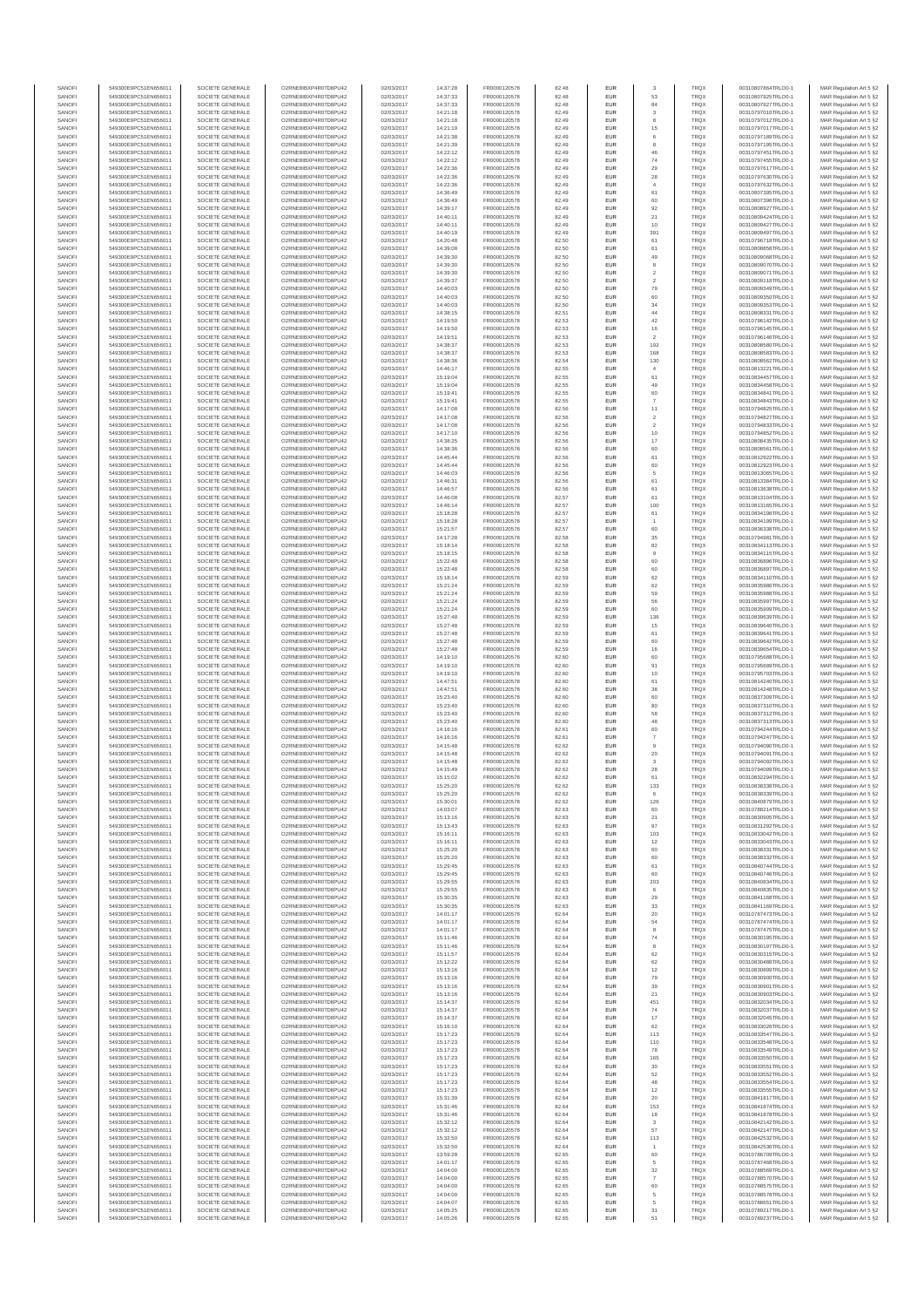| SANOFI           | 549300E9PC51EN656011                         | SOCIETE GENERALE                     | O2RNE8IBXP4R0TD8PU42                          | 02/03/2017               | 14:37:28             | FR0000120578                 | 82.48          | <b>EUR</b>         |                               | <b>TRQX</b>                | 00310807864TRLO0-1                       | MAR Regulation Art 5 §2                             |
|------------------|----------------------------------------------|--------------------------------------|-----------------------------------------------|--------------------------|----------------------|------------------------------|----------------|--------------------|-------------------------------|----------------------------|------------------------------------------|-----------------------------------------------------|
| SANOFI           | 549300E9PC51EN656011                         | SOCIETE GENERALE                     | O2RNE8IBXP4R0TD8PU42                          | 02/03/2017               | 14:37:33             | FR0000120578                 | 82.48          | <b>EUR</b>         | 53                            | <b>TRQX</b>                | 00310807925TRLO0-1                       | MAR Regulation Art 5 §2                             |
| SANOFI<br>SANOFI | 549300E9PC51EN656011<br>549300E9PC51EN656011 | SOCIETE GENERALE<br>SOCIETE GENERALE | O2RNE8IBXP4R0TD8PU42<br>O2RNE8IBXP4R0TD8PU42  | 02/03/2017<br>02/03/2017 | 14:37:33<br>14:21:18 | FR0000120578<br>FR0000120578 | 82.48<br>82.49 | EUR<br><b>EUR</b>  | 84<br>$\overline{\mathbf{3}}$ | TRQX<br><b>TRQX</b>        | 00310807927TRLO0-1<br>00310797010TRLO0-1 | MAR Regulation Art 5 §2<br>MAR Regulation Art 5 §2  |
| SANOFI           | 549300E9PC51EN656011                         | SOCIETE GENERALE                     | O2RNE8IBXP4R0TD8PU42                          | 02/03/2017               | 14:21:18             | FR0000120578                 | 82.49          | EUR                | 8                             | TRQX                       | 00310797012TRLO0-1                       | MAR Regulation Art 5 §2                             |
| SANOFI           | 549300E9PC51EN656011                         | SOCIETE GENERALE                     | O2RNE8IBXP4R0TD8PU42                          | 02/03/2017               | 14:21:19             | FR0000120578                 | 82.49          | EUR                | 15                            | <b>TRQX</b>                | 00310797017TRLO0-1                       | MAR Regulation Art 5 §2                             |
| SANOFI<br>SANOFI | 549300E9PC51EN656011<br>549300E9PC51EN656011 | SOCIETE GENERALE<br>SOCIETE GENERALE | O2RNE8IBXP4R0TD8PU42<br>O2RNE8IBXP4R0TD8PU42  | 02/03/2017<br>02/03/2017 | 14:21:38<br>14:21:39 | FR0000120578<br>FR0000120578 | 82.49<br>82.49 | EUR<br>EUR         | 6<br>8                        | <b>TRQX</b><br>TRQX        | 00310797189TRLO0-1<br>00310797195TRLO0-1 | MAR Regulation Art 5 §2<br>MAR Regulation Art 5 §2  |
| SANOFI           | 549300E9PC51EN656011                         | SOCIETE GENERALE                     | O2RNE8IBXP4R0TD8PU42                          | 02/03/2017               | 14:22:12             | FR0000120578                 | 82.49          | EUR                | 46                            | TRQX                       | 00310797451TRLO0-1                       | MAR Regulation Art 5 §2                             |
| SANOFI           | 549300E9PC51EN656011                         | SOCIETE GENERALE                     | O2RNE8IBXP4R0TD8PU42                          | 02/03/2017               | 14:22:12             | FR0000120578                 | 82.49          | EUR                | 74                            | TRQX                       | 00310797455TRLO0-1                       | MAR Regulation Art 5 §2                             |
| SANOFI<br>SANOFI | 549300E9PC51EN656011<br>549300E9PC51EN656011 | SOCIETE GENERALE<br>SOCIETE GENERALE | O2RNE8IBXP4R0TD8PLI42<br>O2RNE8IBXP4R0TD8PU42 | 02/03/2017<br>02/03/2017 | 14:22:36<br>14:22:36 | FR0000120578<br>FR0000120578 | 82.49<br>82.49 | <b>EUR</b><br>EUR  | 29                            | <b>TRQX</b><br>TRQX        | 00310797617TRLO0-1<br>00310797630TRLO0-1 | MAR Regulation Art 5 §2<br>MAR Regulation Art 5 §2  |
| SANOFI           | 549300E9PC51EN656011                         | SOCIETE GENERALE                     | O2RNE8IBXP4R0TD8PU42                          | 02/03/2017               | 14:22:36             | FR0000120578                 | 82.49          | <b>EUR</b>         | $\sqrt{28}$<br>$\overline{4}$ | <b>TRQX</b>                | 00310797632TRLO0-1                       | MAR Regulation Art 5 §2                             |
| SANOFI           | 549300E9PC51EN656011                         | SOCIETE GENERALE                     | O2RNE8IBXP4R0TD8PU42                          | 02/03/2017               | 14:36:49             | FR0000120578                 | 82.49          | EUR                | 61                            | TRQX                       | 00310807395TRLO0-1                       | MAR Regulation Art 5 §2                             |
| SANOFI           | 549300E9PC51EN656011                         | SOCIETE GENERALE                     | O2RNE8IBXP4R0TD8PU42                          | 02/03/2017               | 14:36:49             | FR0000120578                 | 82.49          | EUR                | 60                            | <b>TRQX</b>                | 00310807396TRLO0-1                       | MAR Regulation Art 5 §2                             |
| SANOFI<br>SANOFI | 549300E9PC51EN656011<br>549300E9PC51EN656011 | SOCIETE GENERALE<br>SOCIETE GENERALE | O2RNE8IBXP4R0TD8PU42<br>O2RNE8IBXP4R0TD8PU42  | 02/03/2017<br>02/03/2017 | 14:39:17<br>14:40:11 | FR0000120578<br>FR0000120578 | 82.49<br>82.49 | EUR<br>EUR         | 92<br>21                      | TRQX<br><b>TRQX</b>        | 00310808927TRLO0-1<br>00310809424TRLO0-1 | MAR Regulation Art 5 §2<br>MAR Regulation Art 5 §2  |
| SANOFI           | 549300E9PC51EN656011                         | SOCIETE GENERALE                     | O2RNE8IBXP4R0TD8PU42                          | 02/03/2017               | 14:40:11             | FR0000120578                 | 82.49          | EUR                | 10                            | TRQX                       | 00310809427TRLO0-1                       | MAR Regulation Art 5 §2                             |
| SANOFI           | 549300E9PC51EN656011                         | SOCIETE GENERALE                     | O2RNE8IBXP4R0TD8PU42                          | 02/03/2017               | 14:40:19             | FR0000120578                 | 82.49          | EUR                | 391                           | TRQX                       | 00310809497TRLO0-1                       | MAR Regulation Art 5 §2                             |
| SANOFI           | 549300E9PC51EN656011                         | SOCIETE GENERALE                     | O2RNE8IBXP4R0TD8PLI42                         | 02/03/2017               | 14:20:48             | FR0000120578                 | 82.50          | <b>EUR</b>         | 61                            | <b>TRQX</b>                | 00310796718TRLO0-1                       | MAR Regulation Art 5 §2                             |
| SANOFI<br>SANOFI | 549300E9PC51EN656011<br>549300E9PC51EN656011 | SOCIETE GENERALE<br>SOCIETE GENERALE | O2RNE8IBXP4R0TD8PU42<br>O2RNE8IBXP4R0TD8PU42  | 02/03/2017<br>02/03/2017 | 14:39:08<br>14:39:30 | FR0000120578<br>FR0000120578 | 82.50<br>82.50 | EUR<br><b>EUR</b>  | 61<br>49                      | TRQX<br><b>TRQX</b>        | 00310808858TRLO0-1<br>00310809068TRLO0-1 | MAR Regulation Art 5 §2<br>MAR Regulation Art 5 §2  |
| SANOFI           | 549300E9PC51EN656011                         | SOCIETE GENERALE                     | O2RNE8IBXP4R0TD8PU42                          | 02/03/2017               | 14:39:30             | FR0000120578                 | 82.50          | EUR                | 8                             | TRQX                       | 00310809070TRLO0-1                       | MAR Regulation Art 5 §2                             |
| SANOFI           | 549300E9PC51EN656011                         | SOCIETE GENERALE                     | O2RNESIBXP4R0TD8PLI42                         | 02/03/2017               | 14:39:30             | FR0000120578                 | 82.50          | EUR                | $\overline{2}$                | <b>TRQX</b>                | 00310809071TRLO0-1                       | MAR Regulation Art 5 §2                             |
| SANOFI           | 549300E9PC51EN656011                         | SOCIETE GENERALE                     | O2RNE8IBXP4R0TD8PU42                          | 02/03/2017               | 14:39:37             | FR0000120578                 | 82.50          | EUR                | $\overline{2}$                | <b>TRQX</b>                | 00310809118TRLO0-1                       | MAR Regulation Art 5 §2                             |
| SANOFI<br>SANOFI | 549300E9PC51EN656011<br>549300E9PC51EN656011 | SOCIETE GENERALE<br>SOCIETE GENERALE | O2RNE8IBXP4R0TD8PU42<br>O2RNE8IBXP4R0TD8PU42  | 02/03/2017<br>02/03/2017 | 14:40:03<br>14:40:03 | FR0000120578<br>FR0000120578 | 82.50<br>82.50 | EUR<br>EUR         | 79<br>60                      | TRQX<br>TRQX               | 00310809349TRLO0-1<br>00310809350TRLO0-1 | MAR Regulation Art 5 §2<br>MAR Regulation Art 5 §2  |
| SANOFI           | 549300E9PC51EN656011                         | SOCIETE GENERALE                     | O2RNE8IBXP4R0TD8PU42                          | 02/03/2017               | 14:40:03             | FR0000120578                 | 82.50          | EUR                | 34                            | TRQX                       | 00310809353TRLO0-1                       | MAR Regulation Art 5 §2                             |
| SANOFI           | 549300E9PC51EN656011                         | SOCIETE GENERALE                     | O2RNE8IBXP4R0TD8PU42                          | 02/03/2017               | 14:38:15             | FR0000120578                 | 82.51          | <b>EUR</b>         | 44                            | <b>TRQX</b>                | 00310808331TRLO0-1                       | MAR Regulation Art 5 §2                             |
| SANOFI<br>SANOFI | 549300E9PC51EN656011<br>549300E9PC51EN656011 | SOCIETE GENERALE<br>SOCIETE GENERALE | O2RNE8IBXP4R0TD8PU42<br>O2RNE8IBXP4R0TD8PU42  | 02/03/2017<br>02/03/2017 | 14:19:50<br>14:19:50 | FR0000120578<br>FR0000120578 | 82.53<br>82.53 | EUR<br><b>EUR</b>  | 42<br>16                      | TRQX<br><b>TRQX</b>        | 00310796142TRLO0-1<br>00310796145TRLO0-1 | MAR Regulation Art 5 §2<br>MAR Regulation Art 5 §2  |
| SANOFI           | 549300E9PC51EN656011                         | SOCIETE GENERALE                     | O2RNE8IBXP4R0TD8PU42                          | 02/03/2017               | 14:19:51             | FR0000120578                 | 82.53          | EUR                |                               | TRQX                       | 00310796146TRLO0-1                       | MAR Regulation Art 5 §2                             |
| SANOFI           | 549300E9PC51EN656011                         | SOCIETE GENERALE                     | O2RNE8IBXP4R0TD8PU42                          | 02/03/2017               | 14:38:37             | FR0000120578                 | 82.53          | EUR                | 192                           | TRQX                       | 00310808580TRLO0-1                       | MAR Regulation Art 5 §2                             |
| SANOFI<br>SANOFI | 549300E9PC51EN656011<br>549300E9PC51EN656011 | SOCIETE GENERALE<br>SOCIETE GENERALE | O2RNE8IBXP4R0TD8PU42<br>O2RNE8IBXP4R0TD8PU42  | 02/03/2017<br>02/03/2017 | 14:38:37<br>14:38:36 | FR0000120578<br>FR0000120578 | 82.53<br>82.54 | EUR<br>EUR         | 168<br>130                    | TRQX<br><b>TRQX</b>        | 00310808583TRLO0-1<br>00310808562TRLO0-1 | MAR Regulation Art 5 §2<br>MAR Regulation Art 5 §2  |
| SANOFI           | 549300E9PC51EN656011                         | SOCIETE GENERALE                     | O2RNE8IBXP4R0TD8PU42                          | 02/03/2017               | 14:46:17             | FR0000120578                 | 82.55          | <b>EUR</b>         | $\overline{4}$                | <b>TRQX</b>                | 00310813221TRLO0-1                       | MAR Regulation Art 5 §2                             |
| SANOFI           | 549300E9PC51EN656011                         | SOCIETE GENERALE                     | O2RNE8IBXP4R0TD8PU42                          | 02/03/2017               | 15:19:04             | FR0000120578                 | 82.55          | EUR                | 61                            | TRQX                       | 00310834457TRLO0-1                       | MAR Regulation Art 5 §2                             |
| SANOFI           | 549300E9PC51EN656011                         | SOCIETE GENERALE                     | O2RNE8IBXP4R0TD8PU42                          | 02/03/2017               | 15:19:04             | FR0000120578                 | 82.55          | <b>EUR</b>         | 49                            | <b>TRQX</b>                | 00310834458TRLO0-1                       | MAR Regulation Art 5 §2                             |
| SANOFI<br>SANOFI | 549300E9PC51EN656011<br>549300E9PC51EN656011 | SOCIETE GENERALE<br>SOCIETE GENERALE | O2RNE8IBXP4R0TD8PU42<br>O2RNE8IBXP4R0TD8PU42  | 02/03/2017<br>02/03/2017 | 15:19:41<br>15:19:41 | FR0000120578<br>FR0000120578 | 82.55<br>82.55 | EUR<br>EUR         | 60<br>$\overline{7}$          | TRQX<br>TRQX               | 00310834841TRLO0-1<br>00310834843TRLO0-1 | MAR Regulation Art 5 §2<br>MAR Regulation Art 5 §2  |
| SANOFI           | 549300E9PC51EN656011                         | SOCIETE GENERALE                     | O2RNE8IBXP4R0TD8PU42                          | 02/03/2017               | 14:17:08             | FR0000120578                 | 82.56          | EUR                | 11                            | TRQX                       | 00310794825TRLO0-1                       | MAR Regulation Art 5 §2                             |
| SANOFI           | 549300E9PC51EN656011                         | SOCIETE GENERALE                     | O2RNE8IBXP4R0TD8PU42                          | 02/03/2017               | 14:17:08             | FR0000120578                 | 82.56          | EUR                | $\overline{2}$                | TRQX                       | 00310794827TRLO0-1                       | MAR Regulation Art 5 §2                             |
| SANOFI<br>SANOFI | 549300E9PC51EN656011<br>549300E9PC51EN656011 | SOCIETE GENERALE<br>SOCIETE GENERALE | O2RNE8IBXP4R0TD8PU42<br>O2RNE8IBXP4R0TD8PLI42 | 02/03/2017<br>02/03/2017 | 14:17:08<br>14:17:10 | FR0000120578<br>FR0000120578 | 82.56<br>82.56 | EUR<br>EUR         | $\overline{2}$<br>10          | TRQX<br>TRQX               | 00310794833TRLO0-1<br>00310794852TRLO0-1 | MAR Regulation Art 5 §2<br>MAR Regulation Art 5 §2  |
| SANOFI           | 549300E9PC51EN656011                         | SOCIETE GENERALE                     | O2RNE8IBXP4R0TD8PU42                          | 02/03/2017               | 14:38:25             | FR0000120578                 | 82.56          | <b>EUR</b>         | 17                            | <b>TRQX</b>                | 00310808435TRLO0-1                       | MAR Regulation Art 5 §2                             |
| SANOFI           | 549300E9PC51EN656011                         | SOCIETE GENERALE                     | O2RNE8IBXP4R0TD8PU42                          | 02/03/2017               | 14:38:36             | FR0000120578                 | 82.56          | EUR                | 60                            | TRQX                       | 00310808561TRLO0-1                       | MAR Regulation Art 5 §2                             |
| SANOFI           | 549300E9PC51EN656011                         | SOCIETE GENERALE                     | O2RNE8IBXP4R0TD8PU42                          | 02/03/2017               | 14:45:44             | FR0000120578                 | 82.56          | <b>EUR</b>         | 61                            | <b>TRQX</b>                | 00310812922TRLO0-1                       | MAR Regulation Art 5 §2                             |
| SANOFI<br>SANOFI | 549300E9PC51EN656011<br>549300E9PC51EN656011 | SOCIETE GENERALE<br>SOCIETE GENERALE | O2RNE8IBXP4R0TD8PU42<br>O2RNE8IBXP4R0TD8PU42  | 02/03/2017<br>02/03/2017 | 14:45:44<br>14:46:03 | FR0000120578<br>FR0000120578 | 82.56<br>82.56 | EUR<br>EUR         | 60<br>5                       | TRQX<br>TRQX               | 00310812923TRLO0-1<br>00310813065TRLO0-1 | MAR Regulation Art 5 §2<br>MAR Regulation Art 5 §2  |
| SANOFI           | 549300E9PC51EN656011                         | SOCIETE GENERALE                     | O2RNE8IBXP4R0TD8PU42                          | 02/03/2017               | 14:46:31             | FR0000120578                 | 82.56          | EUR                | 61                            | TRQX                       | 00310813384TRLO0-1                       | MAR Regulation Art 5 §2                             |
| SANOFI           | 549300E9PC51EN656011                         | SOCIETE GENERALE                     | O2RNE8IBXP4R0TD8PU42                          | 02/03/2017               | 14:46:57             | FR0000120578                 | 82.56          | EUR                | 61                            | TRQX                       | 00310813638TRLO0-1                       | MAR Regulation Art 5 §2                             |
| SANOFI<br>SANOFI | 549300E9PC51EN656011<br>549300E9PC51EN656011 | SOCIETE GENERALE<br>SOCIETE GENERALE | O2RNE8IBXP4R0TD8PU42<br>O2RNE8IBXP4R0TD8PU42  | 02/03/2017<br>02/03/2017 | 14:46:08<br>14:46:14 | FR0000120578<br>FR0000120578 | 82.57<br>82.57 | EUR<br>EUR         | 61<br>100                     | TRQX<br>TRQX               | 00310813104TRLO0-1<br>00310813165TRLO0-1 | MAR Regulation Art 5 §2                             |
| SANOFI           | 549300E9PC51EN656011                         | SOCIETE GENERALE                     | O2RNE8IBXP4R0TD8PU42                          | 02/03/2017               | 15:18:28             | FR0000120578                 | 82.57          | <b>EUR</b>         | 61                            | <b>TRQX</b>                | 00310834198TRLO0-1                       | MAR Regulation Art 5 §2<br>MAR Regulation Art 5 §2  |
| SANOFI           | 549300E9PC51EN656011                         | SOCIETE GENERALE                     | O2RNE8IBXP4R0TD8PU42                          | 02/03/2017               | 15:18:28             | FR0000120578                 | 82.57          | EUR                |                               | TRQX                       | 00310834199TRLO0-1                       | MAR Regulation Art 5 §2                             |
| SANOFI           | 549300E9PC51EN656011                         | SOCIETE GENERALE                     | O2RNE8IBXP4R0TD8PU42                          | 02/03/2017               | 15:21:57             | FR0000120578                 | 82.57          | <b>EUR</b>         | 60                            | <b>TRQX</b>                | 00310836338TRLO0-1                       | MAR Regulation Art 5 §2                             |
| SANOFI<br>SANOFI | 549300E9PC51EN656011<br>549300E9PC51EN656011 | SOCIETE GENERALE<br>SOCIETE GENERALE | O2RNE8IBXP4R0TD8PU42<br>O2RNE8IBXP4R0TD8PU42  | 02/03/2017<br>02/03/2017 | 14:17:28<br>15:18:14 | FR0000120578<br>FR0000120578 | 82.58<br>82.58 | EUR<br>EUR         | 35<br>82                      | <b>TRQX</b><br>TRQX        | 00310794981TRLO0-1<br>00310834113TRLO0-1 | MAR Regulation Art 5 §2<br>MAR Regulation Art 5 §2  |
| SANOFI           | 549300E9PC51EN656011                         | SOCIETE GENERALE                     | O2RNE8IBXP4R0TD8PU42                          | 02/03/2017               | 15:18:15             | FR0000120578                 | 82.58          | EUR                |                               | TRQX                       | 00310834115TRLO0-1                       | MAR Regulation Art 5 §2                             |
| SANOFI           | 549300E9PC51EN656011                         | SOCIETE GENERALE                     | O2RNE8IBXP4R0TD8PU42                          | 02/03/2017               | 15:22:48             | FR0000120578                 | 82.58          | EUR                | 60                            | <b>TRQX</b>                | 00310836896TRLO0-1                       | MAR Regulation Art 5 §2                             |
| SANOFI<br>SANOFI | 549300E9PC51EN656011<br>549300E9PC51EN656011 | SOCIETE GENERALE<br>SOCIETE GENERALE | O2RNE8IBXP4R0TD8PU42<br>O2RNE8IBXP4R0TD8PU42  | 02/03/2017<br>02/03/2017 | 15:22:48<br>15:18:14 | FR0000120578<br>FR0000120578 | 82.58<br>82.59 | EUR<br>EUR         | 60<br>62                      | TRQX<br>TRQX               | 00310836897TRLO0-1<br>00310834110TRLO0-1 | MAR Regulation Art 5 §2<br>MAR Regulation Art 5 §2  |
| SANOFI           | 549300E9PC51EN656011                         | SOCIETE GENERALE                     | O2RNE8IBXP4R0TD8PU42                          | 02/03/2017               | 15:21:24             | FR0000120578                 | 82.59          | <b>EUR</b>         | 62                            | <b>TRQX</b>                | 00310835986TRLO0-1                       | MAR Regulation Art 5 §2                             |
| SANOFI           | 549300E9PC51EN656011                         | SOCIETE GENERALE                     | O2RNE8IBXP4R0TD8PU42                          | 02/03/2017               | 15:21:24             | FR0000120578                 | 82.59          | EUR                | 59                            | TRQX                       | 00310835988TRLO0-1                       | MAR Regulation Art 5 §2                             |
| SANOFI           | 549300E9PC51EN656011                         | SOCIETE GENERALE                     | O2RNE8IBXP4R0TD8PU42                          | 02/03/2017               | 15:21:24             | FR0000120578                 | 82.59          | <b>EUR</b>         | 56                            | <b>TRQX</b>                | 00310835997TRLO0-1                       | MAR Regulation Art 5 §2                             |
| SANOFI<br>SANOFI | 549300E9PC51EN656011<br>549300E9PC51EN656011 | SOCIETE GENERALE<br>SOCIETE GENERALE | O2RNE8IBXP4R0TD8PU42<br>O2RNE8IBXP4R0TD8PU42  | 02/03/2017<br>02/03/2017 | 15:21:24<br>15:27:48 | FR0000120578<br>FR0000120578 | 82.59<br>82.59 | EUR<br>EUR         | 60<br>136                     | TRQX<br><b>TRQX</b>        | 00310835999TRLO0-1<br>00310839639TRLO0-1 | MAR Regulation Art 5 §2<br>MAR Regulation Art 5 §2  |
| SANOFI           | 549300E9PC51EN656011                         | SOCIETE GENERALE                     | O2RNE8IBXP4R0TD8PU42                          | 02/03/2017               | 15:27:48             | FR0000120578                 | 82.59          | EUR                | 15                            | <b>TRQX</b>                | 00310839640TRLO0-1                       | MAR Regulation Art 5 §2                             |
| SANOFI           | 549300E9PC51EN656011                         | SOCIETE GENERALE                     | O2RNE8IBXP4R0TD8PU42                          | 02/03/2017               | 15:27:48             | FR0000120578                 | 82.59          | EUR                | 61                            | TRQX                       | 00310839641TRLO0-1                       | MAR Regulation Art 5 §2                             |
| SANOFI<br>SANOFI | 549300E9PC51EN656011<br>549300E9PC51EN656011 | SOCIETE GENERALE<br>SOCIETE GENERALE | O2RNE8IBXP4R0TD8PU42<br>O2RNE8IBXP4R0TD8PU42  | 02/03/2017<br>02/03/2017 | 15:27:48<br>15:27:48 | FR0000120578<br>FR0000120578 | 82.59<br>82.59 | <b>EUR</b><br>EUR  | 60<br>16                      | <b>TRQX</b><br>TRQX        | 00310839642TRLO0-1<br>00310839654TRLO0-1 | MAR Regulation Art 5 §2                             |
| SANOFI           | 549300E9PC51EN656011                         | SOCIETE GENERALE                     | O2RNE8IBXP4R0TD8PU42                          | 02/03/2017               | 14:19:10             | FR0000120578                 | 82.60          | <b>EUR</b>         | 60                            | <b>TRQX</b>                | 00310795688TRLO0-1                       | MAR Regulation Art 5 §2<br>MAR Regulation Art 5 §2  |
| SANOFI           | 549300E9PC51EN656011                         | SOCIETE GENERALE                     | O2RNE8IBXP4R0TD8PU42                          | 02/03/2017               | 14:19:10             | FR0000120578                 | 82.60          | EUR                | 91                            | TRQX                       | 00310795689TRLO0-1                       | MAR Regulation Art 5 §2                             |
| SANOFI           | 549300E9PC51EN656011                         | SOCIETE GENERALE                     | O2RNE8IBXP4R0TD8PU42                          | 02/03/2017               | 14:19:10             | FR0000120578                 | 82.60          | <b>EUR</b>         | 10                            | <b>TRQX</b>                | 00310795703TRLO0-1                       | MAR Regulation Art 5 §2                             |
| SANOFI<br>SANOFI | 549300E9PC51EN656011                         | SOCIETE GENERALE<br>SOCIETE GENERALE | O2RNE8IBXP4R0TD8PU42<br>O2RNE8IBXP4R0TD8PLI42 | 02/03/2017<br>02/03/2017 | 14:47:51             | FR0000120578<br>FR0000120578 | 82.60<br>82.60 | EUR<br>EUR         | 61<br>38                      | TRQX<br>TRQX               | 00310814240TRLO0-1                       | MAR Regulation Art 5 §2<br>MAR Regulation Art 5 §2  |
| SANOFI           | 549300E9PC51EN656011<br>549300E9PC51EN656011 | SOCIETE GENERALE                     | O2RNE8IBXP4R0TD8PU42                          | 02/03/2017               | 14:47:51<br>15:23:40 | FR0000120578                 | 82.60          | EUR                | 60                            | TRQX                       | 00310814248TRLO0-1<br>00310837309TRLO0-1 | MAR Regulation Art 5 §2                             |
| SANOFI           | 549300E9PC51EN656011                         | SOCIETE GENERALE                     | O2RNE8IBXP4R0TD8PU42                          | 02/03/2017               | 15:23:40             | FR0000120578                 | 82.60          | EUR                | 80                            | TRQX                       | 00310837310TRLO0-1                       | MAR Regulation Art 5 §2                             |
| SANOFI           | 549300E9PC51EN656011                         | SOCIETE GENERALE                     | O2RNE8IBXP4R0TD8PU42                          | 02/03/2017               | 15:23:40             | FR0000120578                 | 82.60          | <b>EUR</b>         | 58                            | <b>TRQX</b>                | 00310837312TRLO0-1                       | MAR Regulation Art 5 §2                             |
| SANOFI<br>SANOFI | 549300E9PC51EN656011<br>549300E9PC51EN656011 | SOCIETE GENERALE<br>SOCIETE GENERALE | O2RNE8IBXP4R0TD8PU42<br>O2RNE8IBXP4R0TD8PU42  | 02/03/2017<br>02/03/2017 | 15:23:40<br>14:16:16 | FR0000120578<br>FR0000120578 | 82.60<br>82.61 | EUR<br><b>EUR</b>  | 48<br>60                      | TRQX<br><b>TRQX</b>        | 00310837313TRLO0-1<br>00310794244TRLO0-1 | MAR Regulation Art 5 §2<br>MAR Regulation Art 5 §2  |
| SANOFI           | 549300E9PC51EN656011                         | SOCIETE GENERALE                     | O2RNE8IBXP4R0TD8PU42                          | 02/03/2017               | 14:16:16             | FR0000120578                 | 82.61          | EUR                |                               | TRQX                       | 00310794247TRLO0-1                       | MAR Regulation Art 5 §2                             |
| SANOFI           | 549300E9PC51EN656011                         | SOCIETE GENERALE                     | O2RNE8IBXP4R0TD8PU42                          | 02/03/2017               | 14:15:48             | FR0000120578                 | 82.62          | EUR                | $\overline{9}$                | TRQX                       | 00310794090TRLO0-1                       | MAR Regulation Art 5 §2                             |
| SANOFI           | 549300E9PC51EN656011                         | SOCIETE GENERALE                     | O2RNE8IBXP4R0TD8PU42<br>O2RNESIBXP4R0TD8PLI42 | 02/03/2017               | 14:15:48             | FR0000120578                 | 82.62          | EUR                | $20\,$                        | TRQX                       | 00310794091TRLO0-1                       | MAR Regulation Art 5 §2                             |
| SANOFI<br>SANOFI | 549300E9PC51EN656011<br>549300E9PC51EN656011 | SOCIETE GENERALE<br>SOCIETE GENERALE | O2RNE8IBXP4R0TD8PU42                          | 02/03/2017<br>02/03/2017 | 14:15:48<br>14:15:49 | FR0000120578<br>FR0000120578 | 82.62<br>82.62 | EUR<br>EUR         | 3<br>28                       | TRQX<br>TRQX               | 00310794092TRLO0-1<br>00310794099TRLO0-1 | MAR Regulation Art 5 §2<br>MAR Regulation Art 5 §2  |
| SANOFI           | 549300E9PC51EN656011                         | SOCIETE GENERALE                     | O2RNE8IBXP4R0TD8PU42                          | 02/03/2017               | 15:15:02             | FR0000120578                 | 82.62          | EUR                | $61\,$                        | TRQX                       | 00310832294TRLO0-1                       | MAR Regulation Art 5 §2                             |
| SANOFI           | 549300E9PC51EN656011                         | SOCIETE GENERALE                     | O2RNE8IBXP4R0TD8PU42                          | 02/03/2017               | 15:25:20             | FR0000120578                 | 82.62          | <b>EUR</b>         | 133                           | <b>TRQX</b>                | 00310838338TRLO0-1                       | MAR Regulation Art 5 §2                             |
| SANOFI<br>SANOFI | 549300E9PC51EN656011<br>549300E9PC51EN656011 | SOCIETE GENERALE<br>SOCIETE GENERALE | O2RNE8IBXP4R0TD8PU42<br>O2RNE8IBXP4R0TD8PU42  | 02/03/2017<br>02/03/2017 | 15:25:20<br>15:30:01 | FR0000120578<br>FR0000120578 | 82.62<br>82.62 | EUR<br><b>EUR</b>  | 126                           | TRQX<br><b>TROX</b>        | 00310838339TRLO0-1<br>00310840879TRLO0-1 | MAR Regulation Art 5 §2<br>MAR Regulation Art 5 §2  |
| SANOFI           | 549300E9PC51EN656011                         | SOCIETE GENERALE                     | O2RNE8IBXP4R0TD8PU42                          | 02/03/2017               | 14:03:07             | FR0000120578                 | 82.63          | EUR                | 60                            | TRQX                       | 00310788214TRLO0-1                       | MAR Regulation Art 5 §2                             |
| SANOFI           | 549300E9PC51EN656011                         | SOCIETE GENERALE                     | O2RNE8IBXP4R0TD8PU42                          | 02/03/2017               | 15:13:16             | FR0000120578                 | 82.63          | <b>EUR</b>         | 21                            | <b>TRQX</b>                | 00310830905TRLO0-1                       | MAR Regulation Art 5 §2                             |
| SANOFI           | 549300E9PC51EN656011                         | SOCIETE GENERALE                     | O2RNE8IBXP4R0TD8PU42<br>O2RNESIBXP4R0TD8PLI42 | 02/03/2017               | 15:13:43             | FR0000120578                 | 82.63          | EUR                | 97                            | TRQX                       | 00310831292TRLO0-1                       | MAR Regulation Art 5 §2                             |
| SANOFI<br>SANOFI | 549300E9PC51EN656011<br>549300E9PC51EN656011 | SOCIETE GENERALE<br>SOCIETE GENERALE | O2RNE8IBXP4R0TD8PU42                          | 02/03/2017<br>02/03/2017 | 15:16:11<br>15:16:11 | FR0000120578<br>FR0000120578 | 82.63<br>82.63 | ${\sf EUR}$<br>EUR | 103<br>12                     | TRQX<br><b>TRQX</b>        | 00310833042TRLO0-1<br>00310833043TRLO0-1 | MAR Regulation Art 5 §2<br>MAR Regulation Art 5 §2  |
| SANOFI           | 549300E9PC51EN656011                         | SOCIETE GENERALE                     | O2RNE8IBXP4R0TD8PU42                          | 02/03/2017               | 15:25:20             | FR0000120578                 | 82.63          | EUR                |                               | <b>TRQX</b>                | 00310838331TRLO0-1                       | MAR Regulation Art 5 §2                             |
| SANOFI           | 549300E9PC51EN656011                         | SOCIETE GENERALE                     | O2RNE8IBXP4R0TD8PLI42                         | 02/03/2017               | 15:25:20             | FR0000120578                 | 82.63          | <b>EUR</b>         | 60                            | <b>TROX</b>                | 00310838332TRLO0-1<br>00310840744TRLO0-1 | MAR Regulation Art 5 §2<br>MAR Regulation Art 5 \$2 |
| SANOFI<br>SANOFI | 549300E9PC51EN656011<br>549300E9PC51EN656011 | SOCIETE GENERALE<br>SOCIETE GENERALE | O2RNE8IBXP4R0TD8PU42<br>O2RNE8IBXP4R0TD8PU42  | 02/03/2017<br>02/03/2017 | 15:29:45<br>15:29:45 | FR0000120578<br>FR0000120578 | 82.63<br>82.63 | EUR<br><b>EUR</b>  | 61<br>60                      | TRQX<br><b>TROX</b>        | 00310840746TRLO0-1                       | MAR Regulation Art 5 §2                             |
| SANOFI           | 549300E9PC51EN656011                         | SOCIETE GENERALE                     | O2RNE8IBXP4R0TD8PU42                          | 02/03/2017               | 15:29:55             | FR0000120578                 | 82.63          | EUR                | 203                           | <b>TRQX</b>                | 00310840834TRLO0-1                       | MAR Regulation Art 5 §2                             |
| SANOFI           | 549300E9PC51EN656011                         | SOCIETE GENERALE                     | O2RNE8IBXP4R0TD8PU42                          | 02/03/2017               | 15:29:55             | FR0000120578                 | 82.63          | EUR                | 6                             | TRQX                       | 00310840835TRLO0-1                       | MAR Regulation Art 5 §2                             |
| SANOFI<br>SANOFI | 549300E9PC51EN656011<br>549300E9PC51EN656011 | SOCIETE GENERALE<br>SOCIETE GENERALE | O2RNE8IBXP4R0TD8PU42<br>O2RNESIBXP4R0TD8PLI42 | 02/03/2017<br>02/03/2017 | 15:30:35<br>15:30:35 | FR0000120578<br>FR0000120578 | 82.63<br>82.63 | EUR<br>EUR         | 29<br>33                      | <b>TRQX</b><br><b>TRQX</b> | 00310841168TRLO0-1<br>00310841169TRLO0-1 | MAR Regulation Art 5 §2<br>MAR Regulation Art 5 §2  |
| SANOFI           | 549300E9PC51EN656011                         | SOCIETE GENERALE                     | O2RNE8IBXP4R0TD8PLI42                         | 02/03/2017               | 14:01:17             | FR0000120578                 | 82.64          | <b>EUR</b>         | 20                            | <b>TROX</b>                | 00310787473TRLO0-1                       | MAR Regulation Art 5 §2                             |
| SANOFI           | 549300E9PC51EN656011                         | SOCIETE GENERALE                     | O2RNE8IBXP4R0TD8PU42                          | 02/03/2017               | 14:01:17             | FR0000120578                 | 82.64          | EUR                | 54                            | TRQX                       | 00310787474TRLO0-1                       | MAR Regulation Art 5 §2                             |
| SANOFI<br>SANOFI | 549300E9PC51EN656011<br>549300E9PC51EN656011 | SOCIETE GENERALE<br>SOCIETE GENERALE | O2RNE8IBXP4R0TD8PU42<br>O2RNE8IBXP4R0TD8PU42  | 02/03/2017<br>02/03/2017 | 14:01:17<br>15:11:46 | FR0000120578<br>FR0000120578 | 82.64<br>82.64 | <b>EUR</b><br>EUR  | 8<br>74                       | <b>TROX</b><br><b>TRQX</b> | 00310787475TRLO0-1<br>00310830195TRLO0-1 | MAR Regulation Art 5 §2<br>MAR Regulation Art 5 §2  |
| SANOFI           | 549300E9PC51EN656011                         | SOCIETE GENERALE                     | O2RNE8IBXP4R0TD8PU42                          | 02/03/2017               | 15:11:46             | FR0000120578                 | 82.64          | EUR                | 8                             | TRQX                       | 00310830197TRLO0-1                       | MAR Regulation Art 5 §2                             |
| SANOFI           | 549300E9PC51EN656011                         | SOCIETE GENERALE                     | O2RNE8IBXP4R0TD8PU42                          | 02/03/2017               | 15:11:57             | FR0000120578                 | 82.64          | EUR                | 62                            | <b>TRQX</b>                | 00310830315TRLO0-1                       | MAR Regulation Art 5 §2                             |
| SANOFI<br>SANOFI | 549300E9PC51EN656011<br>549300E9PC51EN656011 | SOCIETE GENERALE<br>SOCIETE GENERALE | O2RNE8IBXP4R0TD8PU42<br>O2RNE8IBXP4R0TD8PU42  | 02/03/2017<br>02/03/2017 | 15:12:22<br>15:13:16 | FR0000120578<br>FR0000120578 | 82.64<br>82.64 | EUR<br>EUR         | 62<br>12                      | <b>TRQX</b><br><b>TRQX</b> | 00310830488TRLO0-1<br>00310830899TRLO0-1 | MAR Regulation Art 5 §2<br>MAR Regulation Art 5 §2  |
| SANOFI           | 549300E9PC51EN656011                         | SOCIETE GENERALE                     | O2RNE8IBXP4R0TD8PU42                          | 02/03/2017               | 15:13:16             | FR0000120578                 | 82.64          | EUR                | 79                            | <b>TROX</b>                | 00310830900TRLO0-1                       | MAR Regulation Art 5 §2                             |
| SANOFI           | 549300E9PC51EN656011                         | SOCIETE GENERALE                     | O2RNE8IBXP4R0TD8PU42                          | 02/03/2017               | 15:13:16             | FR0000120578                 | 82.64          | <b>EUR</b>         | 39                            | <b>TROX</b>                | 00310830901TRLO0-1                       | MAR Regulation Art 5 §2                             |
| SANOFI           | 549300E9PC51EN656011                         | SOCIETE GENERALE                     | O2RNE8IBXP4R0TD8PU42                          | 02/03/2017               | 15:13:16             | FR0000120578                 | 82.64          | EUR                | 21                            | <b>TRQX</b>                | 00310830903TRLO0-1                       | MAR Regulation Art 5 §2                             |
| SANOFI<br>SANOFI | 549300E9PC51EN656011<br>549300E9PC51EN656011 | SOCIETE GENERALE<br>SOCIETE GENERALE | O2RNE8IBXP4R0TD8PU42<br>O2RNE8IBXP4R0TD8PU42  | 02/03/2017<br>02/03/2017 | 15:14:37<br>15:14:37 | FR0000120578<br>FR0000120578 | 82.64<br>82.64 | <b>EUR</b><br>EUR  | 451<br>74                     | <b>TROX</b><br>TRQX        | 00310832034TRLO0-1<br>00310832037TRLO0-1 | MAR Regulation Art 5 §2<br>MAR Regulation Art 5 §2  |
| SANOFI           | 549300E9PC51EN656011                         | SOCIETE GENERALE                     | O2RNE8IBXP4R0TD8PU42                          | 02/03/2017               | 15:14:37             | FR0000120578                 | 82.64          | <b>EUR</b>         | 17                            | <b>TRQX</b>                | 00310832045TRLO0-1                       | MAR Regulation Art 5 §2                             |
| SANOFI           | 549300E9PC51EN656011                         | SOCIETE GENERALE                     | O2RNE8IBXP4R0TD8PU42                          | 02/03/2017               | 15:16:10             | FR0000120578                 | 82.64          | EUR                | 62                            | <b>TRQX</b>                | 00310833026TRLO0-1                       | MAR Regulation Art 5 §2                             |
| SANOFI           | 549300E9PC51EN656011                         | SOCIETE GENERALE                     | O2RNE8IBXP4R0TD8PU42                          | 02/03/2017               | 15:17:23             | FR0000120578                 | 82.64          | EUR                | 113                           | TRQX                       | 00310833547TRLO0-1                       | MAR Regulation Art 5 §2                             |
| SANOFI<br>SANOFI | 549300E9PC51EN656011<br>549300E9PC51EN656011 | SOCIETE GENERALE<br>SOCIETE GENERALE | O2RNE8IBXP4R0TD8PU42<br>O2RNE8IBXP4R0TD8PU42  | 02/03/2017<br>02/03/2017 | 15:17:23<br>15:17:23 | FR0000120578<br>FR0000120578 | 82.64<br>82.64 | EUR<br>EUR         | 110<br>78                     | <b>TRQX</b><br><b>TRQX</b> | 00310833548TRLO0-1<br>00310833549TRLO0-1 | MAR Regulation Art 5 §2<br>MAR Regulation Art 5 §2  |
| SANOFI           | 549300E9PC51EN656011                         | SOCIETE GENERALE                     | O2RNE8IBXP4R0TD8PU42                          | 02/03/2017               | 15:17:23             | FR0000120578                 | 82.64          | <b>EUR</b>         | 165                           | <b>TROX</b>                | 00310833550TRLO0-1                       | MAR Regulation Art 5 §2                             |
| SANOFI           | 549300E9PC51EN656011                         | SOCIETE GENERALE                     | O2RNE8IBXP4R0TD8PU42                          | 02/03/2017               | 15:17:23             | FR0000120578                 | 82.64          | EUR                | 30                            | TRQX                       | 00310833551TRLO0-1                       | MAR Regulation Art 5 §2                             |
| SANOFI<br>SANOFI | 549300E9PC51EN656011<br>549300E9PC51EN656011 | SOCIETE GENERALE<br>SOCIETE GENERALE | O2RNE8IBXP4R0TD8PU42<br>O2RNE8IBXP4R0TD8PU42  | 02/03/2017<br>02/03/2017 | 15:17:23<br>15:17:23 | FR0000120578<br>FR0000120578 | 82.64<br>82.64 | <b>EUR</b><br>EUR  | 52<br>48                      | <b>TROX</b><br>TRQX        | 00310833552TRLO0-1<br>00310833554TRLO0-1 | MAR Regulation Art 5 §2<br>MAR Regulation Art 5 §2  |
| SANOFI           | 549300E9PC51EN656011                         | SOCIETE GENERALE                     | O2RNE8IBXP4R0TD8PU42                          | 02/03/2017               | 15:17:23             | FR0000120578                 | 82.64          | EUR                | 12                            | <b>TRQX</b>                | 00310833555TRLO0-1                       | MAR Regulation Art 5 §2                             |
| SANOFI           | 549300E9PC51EN656011                         | SOCIETE GENERALE                     | O2RNE8IBXP4R0TD8PU42                          | 02/03/2017               | 15:31:39             | FR0000120578                 | 82.64          | EUR                | 20                            | <b>TRQX</b>                | 00310841817TRLO0-1                       | MAR Regulation Art 5 §2                             |
| SANOFI<br>SANOFI | 549300E9PC51EN656011                         | SOCIETE GENERALE                     | O2RNE8IBXP4R0TD8PU42                          | 02/03/2017               | 15:31:46             | FR0000120578                 | 82.64          | EUR                | 153                           | <b>TRQX</b>                | 00310841874TRLO0-1                       | MAR Regulation Art 5 §2                             |
| SANOFI           | 549300E9PC51EN656011<br>549300E9PC51EN656011 | SOCIETE GENERALE<br>SOCIETE GENERALE | O2RNE8IBXP4R0TD8PU42<br>O2RNE8IBXP4R0TD8PU42  | 02/03/2017<br>02/03/2017 | 15:31:46<br>15:32:12 | FR0000120578<br>FR0000120578 | 82.64<br>82.64 | EUR<br>EUR         | 18<br>3                       | TRQX<br>TRQX               | 00310841878TRLO0-1<br>00310842142TRLO0-1 | MAR Regulation Art 5 §2<br>MAR Regulation Art 5 §2  |
| SANOFI           | 549300E9PC51EN656011                         | SOCIETE GENERALE                     | O2RNE8IBXP4R0TD8PU42                          | 02/03/2017               | 15:32:12             | FR0000120578                 | 82.64          | <b>EUR</b>         | 57                            | <b>TROX</b>                | 00310842147TRLO0-1                       | MAR Regulation Art 5 §2                             |
| SANOFI           | 549300E9PC51EN656011                         | SOCIETE GENERALE                     | O2RNE8IBXP4R0TD8PU42                          | 02/03/2017               | 15:32:50             | FR0000120578                 | 82.64          | EUR                | 113                           | TRQX                       | 00310842532TRLO0-1                       | MAR Regulation Art 5 §2                             |
| SANOFI<br>SANOFI | 549300E9PC51EN656011<br>549300E9PC51EN656011 | SOCIETE GENERALE<br>SOCIETE GENERALE | O2RNE8IBXP4R0TD8PU42<br>O2RNE8IBXP4R0TD8PU42  | 02/03/2017<br>02/03/2017 | 15:32:50<br>13:59:28 | FR0000120578<br>FR0000120578 | 82.64<br>82.65 | <b>EUR</b><br>EUR  | 60                            | <b>TROX</b><br>TRQX        | 00310842536TRLO0-1<br>00310786709TRLO0-1 | MAR Regulation Art 5 §2<br>MAR Regulation Art 5 §2  |
| SANOFI           | 549300E9PC51EN656011                         | SOCIETE GENERALE                     | O2RNE8IBXP4R0TD8PU42                          | 02/03/2017               | 14:01:17             | FR0000120578                 | 82.65          | EUR                | 5                             | TRQX                       | 00310787468TRLO0-1                       | MAR Regulation Art 5 §2                             |
| SANOFI           | 549300E9PC51EN656011                         | SOCIETE GENERALE                     | O2RNE8IBXP4R0TD8PU42                          | 02/03/2017               | 14:04:00             | FR0000120578                 | 82.65          | EUR                | 32                            | TRQX                       | 00310788569TRLO0-1                       | MAR Regulation Art 5 §2                             |
| SANOFI<br>SANOFI | 549300E9PC51EN656011<br>549300E9PC51EN656011 | SOCIETE GENERALE<br>SOCIETE GENERALE | O2RNE8IBXP4R0TD8PU42<br>O2RNE8IBXP4R0TD8PU42  | 02/03/2017               | 14:04:00<br>14:04:00 | FR0000120578<br>FR0000120578 | 82.65<br>82.65 | EUR<br><b>EUR</b>  | $\overline{7}$<br>60          | TRQX<br><b>TROX</b>        | 00310788570TRLO0-1<br>00310788575TRLO0-1 | MAR Regulation Art 5 §2                             |
| SANOFI           | 549300E9PC51EN656011                         | SOCIETE GENERALE                     | O2RNE8IBXP4R0TD8PU42                          | 02/03/2017<br>02/03/2017 | 14:04:00             | FR0000120578                 | 82.65          | EUR                | 5                             | TRQX                       | 00310788578TRLO0-1                       | MAR Regulation Art 5 §2<br>MAR Regulation Art 5 §2  |
| SANOFI           | 549300E9PC51EN656011                         | SOCIETE GENERALE                     | O2RNE8IBXP4R0TD8PU42                          | 02/03/2017               | 14:04:07             | FR0000120578                 | 82.65          | <b>EUR</b>         | 5                             | <b>TRQX</b>                | 00310788651TRLO0-1                       | MAR Regulation Art 5 §2                             |
| SANOFI           | 549300E9PC51EN656011                         | SOCIETE GENERALE                     | O2RNE8IBXP4R0TD8PU42                          | 02/03/2017               | 14:05:25             | FR0000120578                 | 82.65          | EUR                | 31                            | TRQX                       | 00310789217TRLO0-1                       | MAR Regulation Art 5 §2                             |
| SANOFI           | 549300E9PC51EN656011                         | SOCIETE GENERALE                     | O2RNE8IBXP4R0TD8PU42                          | 02/03/2017               | 14:05:26             | FR0000120578                 | 82.65          | EUR                | 51                            | <b>TRQX</b>                | 00310789237TRLO0-1                       | MAR Regulation Art 5 §2                             |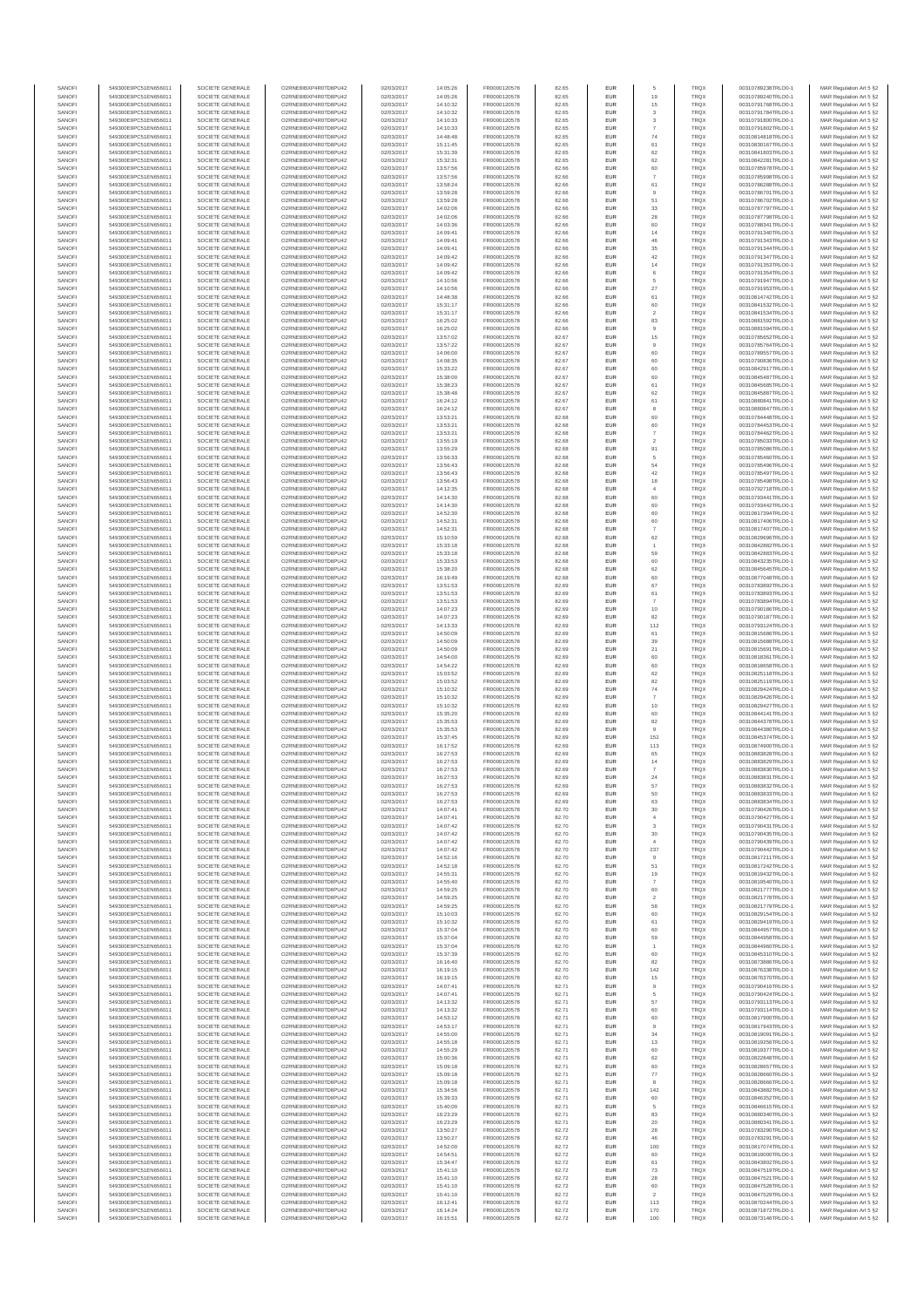| SANOFI           | 549300E9PC51EN656011                         | SOCIETE GENERALE                     | O2RNE8IBXP4R0TD8PU42                          | 02/03/2017               | 14:05:26             | FR0000120578                 | 82.65          | EUR                      |                      | TRQX                       | 00310789238TRLO0-1                       | MAR Regulation Art 5 §2                            |
|------------------|----------------------------------------------|--------------------------------------|-----------------------------------------------|--------------------------|----------------------|------------------------------|----------------|--------------------------|----------------------|----------------------------|------------------------------------------|----------------------------------------------------|
| SANOFI<br>SANOFI | 549300E9PC51EN656011<br>549300E9PC51EN656011 | SOCIETE GENERALE<br>SOCIETE GENERALE | O2RNE8IBXP4R0TD8PU42<br>O2RNE8IBXP4R0TD8PU42  | 02/03/2017<br>02/03/2017 | 14:05:26             | FR0000120578                 | 82.65<br>82.65 | EUR<br>EUR               | 19<br>15             | TRQX<br>TRQX               | 00310789240TRLO0-1<br>00310791768TRLO0-1 | MAR Regulation Art 5 §2                            |
| SANOFI           | 549300E9PC51EN656011                         | SOCIETE GENERALE                     | O2RNE8IBXP4R0TD8PLI42                         | 02/03/2017               | 14:10:32<br>14:10:32 | FR0000120578<br>FR0000120578 | 82.65          | EUR                      | 3                    | TRQX                       | 00310791784TRLO0-1                       | MAR Regulation Art 5 §2<br>MAR Regulation Art 5 §2 |
| SANOFI           | 549300E9PC51EN656011                         | SOCIETE GENERALE                     | O2RNE8IBXP4R0TD8PU42                          | 02/03/2017               | 14:10:33             | FR0000120578                 | 82.65          | EUR                      | 3                    | TRQX                       | 00310791800TRLO0-1                       | MAR Regulation Art 5 §2                            |
| SANOFI           | 549300E9PC51EN656011                         | SOCIETE GENERALE                     | O2RNE8IBXP4R0TD8PU42                          | 02/03/2017               | 14:10:33             | FR0000120578<br>FR0000120578 | 82.65          | EUR                      | 74                   | TRQX                       | 00310791802TRLO0-1                       | MAR Regulation Art 5 §2                            |
| SANOFI<br>SANOFI | 549300E9PC51EN656011<br>549300E9PC51EN656011 | SOCIETE GENERALE<br>SOCIETE GENERALE | O2RNE8IBXP4R0TD8PU42<br>O2RNE8IBXP4R0TD8PU42  | 02/03/2017<br>02/03/2017 | 14:48:48<br>15:11:45 | FR0000120578                 | 82.65<br>82.65 | EUR<br>EUR               | 61                   | <b>TRQX</b><br>TRQX        | 00310814818TRLO0-1<br>00310830167TRLO0-1 | MAR Regulation Art 5 §2<br>MAR Regulation Art 5 §2 |
| SANOFI           | 549300E9PC51EN656011                         | SOCIETE GENERALE                     | O2RNE8IBXP4R0TD8PU42                          | 02/03/2017               | 15:31:39             | FR0000120578                 | 82.65          | <b>EUR</b>               | 62                   | <b>TRQX</b>                | 00310841803TRLO0-1                       | MAR Regulation Art 5 §2                            |
| SANOFI           | 549300E9PC51EN656011                         | SOCIETE GENERALE                     | O2RNE8IBXP4R0TD8PU42                          | 02/03/2017               | 15:32:31             | FR0000120578                 | 82.65          | EUR                      | 62                   | TRQX                       | 00310842281TRLO0-1                       | MAR Regulation Art 5 §2                            |
| SANOFI<br>SANOFI | 549300E9PC51EN656011<br>549300E9PC51EN656011 | SOCIETE GENERALE<br>SOCIETE GENERALE | O2RNE8IBXP4R0TD8PLI42<br>O2RNE8IBXP4R0TD8PU42 | 02/03/2017<br>02/03/2017 | 13:57:56<br>13:57:56 | FR0000120578<br>FR0000120578 | 82.66<br>82.66 | EUR<br>EUR               | 60                   | TRQX<br>TRQX               | 00310785978TRLO0-1<br>00310785998TRLO0-1 | MAR Regulation Art 5 §2<br>MAR Regulation Art 5 §2 |
| SANOFI           | 549300E9PC51EN656011                         | SOCIETE GENERALE                     | O2RNE8IBXP4R0TD8PU42                          | 02/03/2017               | 13:58:24             | FR0000120578                 | 82.66          | EUR                      | 61                   | TRQX                       | 00310786288TRLO0-1                       | MAR Regulation Art 5 §2                            |
| SANOFI           | 549300E9PC51EN656011                         | SOCIETE GENERALE                     | O2RNE8IBXP4R0TD8PU42                          | 02/03/2017               | 13:59:28             | FR0000120578                 | 82.66          | EUR                      | 9                    | TRQX                       | 00310786701TRLO0-1                       | MAR Regulation Art 5 §2                            |
| SANOFI           | 549300E9PC51EN656011                         | SOCIETE GENERALE                     | O2RNE8IBXP4R0TD8PU42                          | 02/03/2017               | 13:59:28             | FR0000120578                 | 82.66          | EUR                      | 51                   | TRQX                       | 00310786702TRLO0-1                       | MAR Regulation Art 5 §2                            |
| SANOFI<br>SANOFI | 549300E9PC51EN656011<br>549300E9PC51EN656011 | SOCIETE GENERALE<br>SOCIETE GENERALE | O2RNE8IBXP4R0TD8PU42<br>O2RNE8IBXP4R0TD8PU42  | 02/03/2017<br>02/03/2017 | 14:02:06<br>14:02:06 | FR0000120578<br>FR0000120578 | 82.66<br>82.66 | <b>EUR</b><br>EUR        | 33<br>28             | <b>TRQX</b><br>TRQX        | 00310787797TRLO0-1<br>00310787798TRLO0-1 | MAR Regulation Art 5 §2<br>MAR Regulation Art 5 §2 |
| SANOFI           | 549300E9PC51EN656011                         | SOCIETE GENERALE                     | O2RNE8IBXP4R0TD8PU42                          | 02/03/2017               | 14:03:36             | FR0000120578                 | 82.66          | <b>EUR</b>               | 60                   | <b>TRQX</b>                | 00310788341TRLO0-1                       | MAR Regulation Art 5 §2                            |
| SANOFI           | 549300E9PC51EN656011                         | SOCIETE GENERALE                     | O2RNE8IBXP4R0TD8PU42                          | 02/03/2017               | 14:09:41             | FR0000120578                 | 82.66          | EUR                      | 14                   | TRQX                       | 00310791340TRLO0-1                       | MAR Regulation Art 5 §2                            |
| SANOFI           | 549300E9PC51EN656011                         | SOCIETE GENERALE                     | O2RNESIBXP4R0TD8PLI42                         | 02/03/2017               | 14:09:41             | FR0000120578                 | 82.66          | EUR                      | 46                   | TRQX                       | 00310791343TRLO0-1                       | MAR Regulation Art 5 §2                            |
| SANOFI<br>SANOFI | 549300E9PC51EN656011<br>549300E9PC51EN656011 | SOCIETE GENERALE<br>SOCIETE GENERALE | O2RNE8IBXP4R0TD8PU42<br>O2RNE8IBXP4R0TD8PLI42 | 02/03/2017<br>02/03/2017 | 14:09:41<br>14:09:42 | FR0000120578<br>FR0000120578 | 82.66<br>82.66 | EUR<br>EUR               | 35<br>42             | TRQX<br>TRQX               | 00310791344TRLO0-1<br>00310791347TRLO0-1 | MAR Regulation Art 5 §2<br>MAR Regulation Art 5 §2 |
| SANOFI           | 549300E9PC51EN656011                         | SOCIETE GENERALE                     | O2RNE8IBXP4R0TD8PU42                          | 02/03/2017               | 14:09:42             | FR0000120578                 | 82.66          | <b>EUR</b>               | 14                   | <b>TRQX</b>                | 00310791353TRLO0-1                       | MAR Regulation Art 5 §2                            |
| SANOFI           | 549300E9PC51EN656011                         | SOCIETE GENERALE                     | O2RNE8IBXP4R0TD8PU42                          | 02/03/2017               | 14:09:42             | FR0000120578                 | 82.66          | EUR                      | 6                    | TRQX                       | 00310791354TRLO0-1                       | MAR Regulation Art 5 §2                            |
| SANOFI<br>SANOFI | 549300E9PC51EN656011<br>549300E9PC51EN656011 | SOCIETE GENERALE<br>SOCIETE GENERALE | O2RNE8IBXP4R0TD8PU42<br>O2RNE8IBXP4R0TD8PU42  | 02/03/2017<br>02/03/2017 | 14:10:56<br>14:10:56 | FR0000120578<br>FR0000120578 | 82.66<br>82.66 | <b>EUR</b><br>EUR        | 5<br>$27\,$          | <b>TRQX</b><br>TRQX        | 00310791947TRLO0-1<br>00310791953TRLO0-1 | MAR Regulation Art 5 §2<br>MAR Regulation Art 5 §2 |
| SANOFI           | 549300E9PC51EN656011                         | SOCIETE GENERALE                     | O2RNE8IBXP4R0TD8PU42                          | 02/03/2017               | 14:48:38             | FR0000120578                 | 82.66          | <b>EUR</b>               | 61                   | <b>TRQX</b>                | 00310814742TRLO0-1                       | MAR Regulation Art 5 §2                            |
| SANOFI           | 549300E9PC51EN656011                         | SOCIETE GENERALE                     | O2RNE8IBXP4R0TD8PU42                          | 02/03/2017               | 15:31:17             | FR0000120578                 | 82.66          | EUR                      | 60                   | TRQX                       | 00310841532TRLO0-1                       | MAR Regulation Art 5 §2                            |
| SANOFI           | 549300E9PC51EN656011                         | SOCIETE GENERALE                     | O2RNE8IBXP4R0TD8PU42                          | 02/03/2017               | 15:31:17             | FR0000120578                 | 82.66          | EUR                      | $\overline{a}$       | TRQX                       | 00310841534TRLO0-1                       | MAR Regulation Art 5 §2                            |
| SANOFI<br>SANOFI | 549300E9PC51EN656011<br>549300E9PC51EN656011 | SOCIETE GENERALE<br>SOCIETE GENERALE | O2RNE8IBXP4R0TD8PU42<br>O2RNE8IBXP4R0TD8PU42  | 02/03/2017<br>02/03/2017 | 16:25:02<br>16:25:02 | FR0000120578<br>FR0000120578 | 82.66<br>82.66 | EUR<br>EUR               | 83                   | TRQX<br>TRQX               | 00310881592TRLO0-1<br>00310881594TRLO0-1 | MAR Regulation Art 5 §2<br>MAR Regulation Art 5 §2 |
| SANOFI           | 549300E9PC51EN656011                         | SOCIETE GENERALE                     | O2RNE8IBXP4R0TD8PU42                          | 02/03/2017               | 13:57:02             | FR0000120578                 | 82.67          | <b>EUR</b>               | 15                   | <b>TRQX</b>                | 00310785652TRLO0-1                       | MAR Regulation Art 5 §2                            |
| SANOFI           | 549300E9PC51EN656011                         | SOCIETE GENERALE                     | O2RNE8IBXP4R0TD8PU42                          | 02/03/2017               | 13:57:22             | FR0000120578                 | 82.67          | EUR                      |                      | TRQX                       | 00310785764TRLO0-1                       | MAR Regulation Art 5 §2                            |
| SANOFI<br>SANOFI | 549300E9PC51EN656011<br>549300E9PC51EN656011 | SOCIETE GENERALE<br>SOCIETE GENERALE | O2RNE8IBXP4R0TD8PU42<br>O2RNE8IBXP4R0TD8PU42  | 02/03/2017<br>02/03/2017 | 14:06:00<br>14:08:35 | FR0000120578<br>FR0000120578 | 82.67<br>82.67 | <b>EUR</b><br>EUR        | 60<br>60             | <b>TRQX</b><br>TRQX        | 00310789557TRLO0-1<br>00310790836TRLO0-1 | MAR Regulation Art 5 §2<br>MAR Regulation Art 5 §2 |
| SANOFI           | 549300E9PC51EN656011                         | SOCIETE GENERALE                     | O2RNE8IBXP4R0TD8PU42                          | 02/03/2017               | 15:33:22             | FR0000120578                 | 82.67          | EUR                      | 60                   | TRQX                       | 00310842917TRLO0-1                       | MAR Regulation Art 5 §2                            |
| SANOFI           | 549300E9PC51EN656011                         | SOCIETE GENERALE                     | O2RNE8IBXP4R0TD8PU42                          | 02/03/2017               | 15:38:00             | FR0000120578                 | 82.67          | EUR                      | 60                   | TRQX                       | 00310845487TRLO0-1                       | MAR Regulation Art 5 §2                            |
| SANOFI<br>SANOFI | 549300E9PC51EN656011                         | SOCIETE GENERALE                     | O2RNE8IBXP4R0TD8PU42<br>O2RNE8IBXP4R0TD8PU42  | 02/03/2017               | 15:38:23             | FR0000120578                 | 82.67          | EUR                      | 61                   | TRQX                       | 00310845685TRLO0-1                       | MAR Regulation Art 5 §2                            |
| SANOFI           | 549300E9PC51EN656011<br>549300E9PC51EN656011 | SOCIETE GENERALE<br>SOCIETE GENERALE | O2RNE8IBXP4R0TD8PU42                          | 02/03/2017<br>02/03/2017 | 15:38:48<br>16:24:12 | FR0000120578<br>FR0000120578 | 82.67<br>82.67 | EUR<br>EUR               | 62<br>61             | TRQX<br>TRQX               | 00310845887TRLO0-1<br>00310880841TRLO0-1 | MAR Regulation Art 5 §2<br>MAR Regulation Art 5 §2 |
| SANOFI           | 549300E9PC51EN656011                         | SOCIETE GENERALE                     | O2RNE8IBXP4R0TD8PU42                          | 02/03/2017               | 16:24:12             | FR0000120578                 | 82.67          | <b>EUR</b>               | 8                    | <b>TRQX</b>                | 00310880847TRLO0-1                       | MAR Regulation Art 5 §2                            |
| SANOFI           | 549300E9PC51EN656011                         | SOCIETE GENERALE                     | O2RNE8IBXP4R0TD8PU42                          | 02/03/2017               | 13:53:21             | FR0000120578                 | 82.68          | EUR                      | 60                   | TRQX                       | 00310784448TRLO0-1                       | MAR Regulation Art 5 §2                            |
| SANOFI<br>SANOFI | 549300E9PC51EN656011<br>549300E9PC51EN656011 | SOCIETE GENERALE<br>SOCIETE GENERALE | O2RNE8IBXP4R0TD8PLI42<br>O2RNE8IBXP4R0TD8PU42 | 02/03/2017<br>02/03/2017 | 13:53:21<br>13:53:21 | FR0000120578<br>FR0000120578 | 82.68<br>82.68 | <b>EUR</b><br>EUR        | 60                   | <b>TRQX</b><br>TRQX        | 00310784453TRLO0-1<br>00310784462TRLO0-1 | MAR Regulation Art 5 §2<br>MAR Regulation Art 5 §2 |
| SANOFI           | 549300E9PC51EN656011                         | SOCIETE GENERALE                     | O2RNE8IBXP4R0TD8PU42                          | 02/03/2017               | 13:55:19             | FR0000120578                 | 82.68          | EUR                      | $\overline{2}$       | <b>TRQX</b>                | 00310785033TRLO0-1                       | MAR Regulation Art 5 §2                            |
| SANOFI           | 549300E9PC51EN656011                         | SOCIETE GENERALE                     | O2RNE8IBXP4R0TD8PU42                          | 02/03/2017               | 13:55:29             | FR0000120578                 | 82.68          | EUR                      | 91                   | <b>TRQX</b>                | 00310785086TRLO0-1                       | MAR Regulation Art 5 §2                            |
| SANOFI           | 549300E9PC51EN656011                         | SOCIETE GENERALE                     | O2RNE8IBXP4R0TD8PLI42<br>O2RNE8IBXP4R0TD8PU42 | 02/03/2017               | 13:56:33             | FR0000120578                 | 82.68          | EUR                      | 5                    | TRQX                       | 00310785460TRLO0-1                       | MAR Regulation Art 5 §2                            |
| SANOFI<br>SANOFI | 549300E9PC51EN656011<br>549300E9PC51EN656011 | SOCIETE GENERALE<br>SOCIETE GENERALE | O2RNE8IBXP4R0TD8PU42                          | 02/03/2017<br>02/03/2017 | 13:56:43<br>13:56:43 | FR0000120578<br>FR0000120578 | 82.68<br>82.68 | EUR<br>EUR               | 54<br>42             | <b>TRQX</b><br><b>TRQX</b> | 00310785496TRLO0-1<br>00310785497TRLO0-1 | MAR Regulation Art 5 §2<br>MAR Regulation Art 5 §2 |
| SANOFI           | 549300E9PC51EN656011                         | SOCIETE GENERALE                     | O2RNE8IBXP4R0TD8PU42                          | 02/03/2017               | 13:56:43             | FR0000120578                 | 82.68          | EUR                      | 18                   | <b>TRQX</b>                | 00310785498TRLO0-1                       | MAR Regulation Art 5 §2                            |
| SANOFI           | 549300E9PC51EN656011                         | SOCIETE GENERALE                     | O2RNE8IBXP4R0TD8PU42                          | 02/03/2017               | 14:12:35             | FR0000120578                 | 82.68          | EUR                      |                      | TRQX                       | 00310792718TRLO0-1                       | MAR Regulation Art 5 §2                            |
| SANOFI<br>SANOFI | 549300E9PC51EN656011<br>549300E9PC51EN656011 | SOCIETE GENERALE<br>SOCIETE GENERALE | O2RNE8IBXP4R0TD8PU42<br>O2RNE8IBXP4R0TD8PU42  | 02/03/2017<br>02/03/2017 | 14:14:30<br>14:14:30 | FR0000120578<br>FR0000120578 | 82.68<br>82.68 | <b>EUR</b><br>EUR        | 60<br>60             | <b>TRQX</b><br>TRQX        | 00310793441TRLO0-1<br>00310793442TRLO0-1 | MAR Regulation Art 5 §2<br>MAR Regulation Art 5 §2 |
| SANOFI           | 549300E9PC51EN656011                         | SOCIETE GENERALE                     | O2RNE8IBXP4R0TD8PLI42                         | 02/03/2017               | 14:52:30             | FR0000120578                 | 82.68          | EUR                      | 60                   | TRQX                       | 00310817394TRLO0-1                       | MAR Regulation Art 5 §2                            |
| SANOFI           | 549300E9PC51EN656011                         | SOCIETE GENERALE                     | O2RNE8IBXP4R0TD8PU42                          | 02/03/2017               | 14:52:31             | FR0000120578                 | 82.68          | EUR                      | 60                   | TRQX                       | 00310817406TRLO0-1                       | MAR Regulation Art 5 §2                            |
| SANOFI           | 549300E9PC51EN656011                         | SOCIETE GENERALE                     | O2RNE8IBXP4R0TD8PU42                          | 02/03/2017               | 14:52:31             | FR0000120578                 | 82.68          | EUR                      |                      | <b>TRQX</b>                | 00310817407TRLO0-1                       | MAR Regulation Art 5 §2                            |
| SANOFI<br>SANOFI | 549300E9PC51EN656011<br>549300E9PC51EN656011 | SOCIETE GENERALE<br>SOCIETE GENERALE | O2RNE8IBXP4R0TD8PU42<br>O2RNE8IBXP4R0TD8PU42  | 02/03/2017<br>02/03/2017 | 15:10:59<br>15:33:18 | FR0000120578<br>FR0000120578 | 82.68<br>82.68 | <b>EUR</b><br>EUR        | 62                   | <b>TRQX</b><br>TRQX        | 00310829696TRLO0-1<br>00310842882TRLO0-1 | MAR Regulation Art 5 §2<br>MAR Regulation Art 5 §2 |
| SANOFI           | 549300E9PC51EN656011                         | SOCIETE GENERALE                     | O2RNE8IBXP4R0TD8PU42                          | 02/03/2017               | 15:33:18             | FR0000120578                 | 82.68          | <b>EUR</b>               | 59                   | <b>TRQX</b>                | 00310842883TRLO0-1                       | MAR Regulation Art 5 §2                            |
| SANOFI           | 549300E9PC51EN656011                         | SOCIETE GENERALE                     | O2RNE8IBXP4R0TD8PU42                          | 02/03/2017               | 15:33:53             | FR0000120578                 | 82.68          | EUR                      | 60                   | TRQX                       | 00310843235TRLO0-1                       | MAR Regulation Art 5 §2                            |
| SANOFI<br>SANOFI | 549300E9PC51EN656011<br>549300E9PC51EN656011 | SOCIETE GENERALE<br>SOCIETE GENERALE | O2RNE8IBXP4R0TD8PU42                          | 02/03/2017<br>02/03/2017 | 15:38:20             | FR0000120578                 | 82.68<br>82.68 | <b>EUR</b><br>EUR        | 62<br>60             | <b>TRQX</b><br>TRQX        | 00310845645TRLO0-1                       | MAR Regulation Art 5 §2                            |
| SANOFI           | 549300E9PC51EN656011                         | SOCIETE GENERALE                     | O2RNE8IBXP4R0TD8PU42<br>O2RNE8IBXP4R0TD8PU42  | 02/03/2017               | 16:19:49<br>13:51:53 | FR0000120578<br>FR0000120578 | 82.69          | EUR                      | 67                   | <b>TRQX</b>                | 00310877048TRLO0-1<br>00310783892TRLO0-1 | MAR Regulation Art 5 §2<br>MAR Regulation Art 5 §2 |
| SANOFI           | 549300E9PC51EN656011                         | SOCIETE GENERALE                     | O2RNE8IBXP4R0TD8PU42                          | 02/03/2017               | 13:51:53             | FR0000120578                 | 82.69          | EUR                      | 61                   | <b>TRQX</b>                | 00310783893TRLO0-1                       | MAR Regulation Art 5 §2                            |
| SANOFI           | 549300E9PC51EN656011                         | SOCIETE GENERALE                     | O2RNE8IBXP4R0TD8PU42                          | 02/03/2017               | 13:51:53             | FR0000120578                 | 82.69          | EUR                      |                      | TRQX                       | 00310783894TRLO0-1                       | MAR Regulation Art 5 §2                            |
| SANOFI<br>SANOFI | 549300E9PC51EN656011<br>549300E9PC51EN656011 | SOCIETE GENERALE<br>SOCIETE GENERALE | O2RNE8IBXP4R0TD8PU42<br>O2RNE8IBXP4R0TD8PU42  | 02/03/2017<br>02/03/2017 | 14:07:23<br>14:07:23 | FR0000120578<br>FR0000120578 | 82.69<br>82.69 | <b>EUR</b><br>EUR        | 10<br>82             | <b>TRQX</b><br>TRQX        | 00310790186TRLO0-1<br>00310790187TRLO0-1 | MAR Regulation Art 5 §2<br>MAR Regulation Art 5 §2 |
| SANOFI           | 549300E9PC51EN656011                         | SOCIETE GENERALE                     | O2RNE8IBXP4R0TD8PU42                          | 02/03/2017               | 14:13:33             | FR0000120578                 | 82.69          | <b>EUR</b>               | 112                  | <b>TRQX</b>                | 00310793124TRLO0-1                       | MAR Regulation Art 5 §2                            |
| SANOFI           | 549300E9PC51EN656011                         | SOCIETE GENERALE                     | O2RNE8IBXP4R0TD8PU42                          | 02/03/2017               | 14:50:09             | FR0000120578                 | 82.69          | EUR                      | 61                   | TRQX                       | 00310815686TRLO0-1                       | MAR Regulation Art 5 §2                            |
| SANOFI<br>SANOFI | 549300E9PC51EN656011<br>549300E9PC51EN656011 | SOCIETE GENERALE<br>SOCIETE GENERALE | O2RNE8IBXP4R0TD8PU42<br>O2RNE8IBXP4R0TD8PU42  | 02/03/2017               | 14:50:09             | FR0000120578                 | 82.69<br>82.69 | <b>EUR</b><br>EUR        | 39                   | <b>TRQX</b><br>TRQX        | 00310815688TRLO0-1<br>00310815691TRLO0-1 | MAR Regulation Art 5 §2                            |
| SANOFI           | 549300E9PC51EN656011                         | SOCIETE GENERALE                     | O2RNE8IBXP4R0TD8PU42                          | 02/03/2017<br>02/03/2017 | 14:50:09<br>14:54:00 | FR0000120578<br>FR0000120578 | 82.69          | EUR                      | $21\,$<br>60         | TRQX                       | 00310818361TRLO0-1                       | MAR Regulation Art 5 §2<br>MAR Regulation Art 5 §2 |
| SANOFI           | 549300E9PC51EN656011                         | SOCIETE GENERALE                     | O2RNE8IBXP4R0TD8PU42                          | 02/03/2017               | 14:54:22             | FR0000120578                 | 82.69          | EUR                      | 60                   | TRQX                       | 00310818658TRLO0-1                       | MAR Regulation Art 5 §2                            |
| SANOFI           | 549300E9PC51EN656011                         | SOCIETE GENERALE                     | O2RNE8IBXP4R0TD8PU42                          | 02/03/2017               | 15:03:52             | FR0000120578                 | 82.69          | EUR                      | 62                   | TRQX                       | 00310825118TRLO0-1                       | MAR Regulation Art 5 §2                            |
| SANOFI<br>SANOFI | 549300E9PC51EN656011<br>549300E9PC51EN656011 | SOCIETE GENERALE<br>SOCIETE GENERALE | O2RNE8IBXP4R0TD8PU42<br>O2RNE8IBXP4R0TD8PU42  | 02/03/2017<br>02/03/2017 | 15:03:52<br>15:10:32 | FR0000120578<br>FR0000120578 | 82.69<br>82.69 | <b>EUR</b><br>EUR        | 82<br>$74\,$         | <b>TRQX</b><br>TRQX        | 00310825119TRLO0-1<br>00310829424TRLO0-1 | MAR Regulation Art 5 §2<br>MAR Regulation Art 5 §2 |
| SANOFI           | 549300E9PC51EN656011                         | SOCIETE GENERALE                     | O2RNE8IBXP4R0TD8PU42                          | 02/03/2017               | 15:10:32             | FR0000120578                 | 82.69          | <b>EUR</b>               | $\overline{7}$       | <b>TRQX</b>                | 00310829426TRLO0-1                       | MAR Regulation Art 5 §2                            |
| SANOFI           | 549300E9PC51EN656011                         | SOCIETE GENERALE                     | O2RNE8IBXP4R0TD8PU42                          | 02/03/2017               | 15:10:32             | FR0000120578                 | 82.69          | EUR                      | 10                   | TRQX                       | 00310829427TRLO0-1                       | MAR Regulation Art 5 §2                            |
| SANOFI           | 549300E9PC51EN656011                         | SOCIETE GENERALE                     | O2RNE8IBXP4R0TD8PU42                          | 02/03/2017               | 15:35:20             | FR0000120578                 | 82.69          | EUR                      | 60                   | TRQX                       | 00310844141TRLO0-1                       | MAR Regulation Art 5 §2                            |
| SANOFI<br>SANOFI | 549300E9PC51EN656011<br>549300E9PC51EN656011 | SOCIETE GENERALE<br>SOCIETE GENERALE | O2RNE8IBXP4R0TD8PU42<br>O2RNE8IBXP4R0TD8PU42  | 02/03/2017<br>02/03/2017 | 15:35:53<br>15:35:53 | FR0000120578<br>FR0000120578 | 82.69<br>82.69 | EUR<br>EUR               | 82                   | TRQX<br>TRQX               | 00310844378TRLO0-1<br>00310844380TRLO0-1 | MAR Regulation Art 5 §2<br>MAR Regulation Art 5 §2 |
| SANOFI           | 549300E9PC51EN656011                         | SOCIETE GENERALE                     | O2RNE8IBXP4R0TD8PU42                          | 02/03/2017               | 15:37:45             | FR0000120578                 | 82.69          | EUR                      | 152                  | TRQX                       | 00310845374TRLO0-1                       | MAR Regulation Art 5 §2                            |
| SANOFI           | 549300E9PC51EN656011                         | SOCIETE GENERALE                     | O2RNE8IBXP4R0TD8PU42                          | 02/03/2017               | 16:17:52             | FR0000120578                 | 82.69          | EUR                      | 113                  | TRQX                       | 00310874900TRLO0-1                       | MAR Regulation Art 5 §2                            |
| SANOFI           | 549300E9PC51EN656011                         | SOCIETE GENERALE                     | O2RNE8IBXP4R0TD8PU42                          | 02/03/2017               | 16:27:53             | FR0000120578                 | 82.69          | <b>EUR</b>               | 65                   | <b>TRQX</b>                | 00310883828TRLO0-1                       | MAR Regulation Art 5 §2                            |
| SANOFI<br>SANOFI | 549300E9PC51EN656011<br>549300E9PC51EN656011 | SOCIETE GENERALE<br>SOCIETE GENERALE | O2RNE8IBXP4R0TD8PU42<br>O2RNE8IBXP4R0TD8PU42  | 02/03/2017<br>02/03/2017 | 16:27:53<br>16:27:53 | FR0000120578<br>FR0000120578 | 82.69<br>82.69 | EUR<br>EUR               | 14<br>$\overline{7}$ | TRQX<br><b>TRQX</b>        | 00310883829TRLO0-1<br>00310883830TRLO0-1 | MAR Regulation Art 5 §2<br>MAR Regulation Art 5 §2 |
| SANOFI           | 549300E9PC51EN656011                         | SOCIETE GENERALE                     | O2RNE8IBXP4R0TD8PU42                          | 02/03/2017               | 16:27:53             | FR0000120578                 | 82.69          | EUR                      | 24                   | TRQX                       | 00310883831TRLO0-1                       | MAR Regulation Art 5 §2                            |
| SANOFI           | 549300E9PC51EN656011                         | SOCIETE GENERALE                     | O2RNE8IBXP4R0TD8PLI42                         | 02/03/2017               | 16:27:53             | FR0000120578                 | 82.69          | EUR                      | 57                   | TRQX                       | 00310883832TRLO0-1                       | MAR Regulation Art 5 §2                            |
| SANOFI<br>SANOFI | 549300E9PC51EN656011<br>549300E9PC51EN656011 | SOCIETE GENERALE<br>SOCIETE GENERALE | O2RNE8IBXP4R0TD8PU42<br>O2RNESIBXP4R0TD8PLI42 | 02/03/2017<br>02/03/2017 | 16:27:53<br>16:27:53 | FR0000120578<br>FR0000120578 | 82.69<br>82.69 | <b>EUR</b><br><b>EUR</b> | 50<br>63             | <b>TRQX</b><br><b>TROX</b> | 00310883833TRLO0-1<br>00310883834TRLO0-1 | MAR Regulation Art 5 §2<br>MAR Regulation Art 5 §2 |
| SANOFI           | 549300E9PC51EN656011                         | SOCIETE GENERALE                     | O2RNE8IBXP4R0TD8PU42                          | 02/03/2017               | 14:07:41             | FR0000120578                 | 82.70          | EUR                      | 30                   | <b>TRQX</b>                | 00310790426TRLO0-1                       | MAR Regulation Art 5 §2                            |
| SANOFI           | 549300E9PC51EN656011                         | SOCIETE GENERALE                     | O2RNE8IBXP4R0TD8PU42                          | 02/03/2017               | 14:07:41             | FR0000120578                 | 82.70          | EUR                      |                      | TRQX                       | 00310790427TRLO0-1                       | MAR Regulation Art 5 §2                            |
| SANOFI           | 549300E9PC51EN656011                         | SOCIETE GENERALE                     | O2RNE8IBXP4R0TD8PU42                          | 02/03/2017               | 14:07:42             | FR0000120578                 | 82.70          | <b>EUR</b>               | 3                    | <b>TROX</b>                | 00310790431TRLO0-1                       | MAR Regulation Art 5 §2                            |
| SANOFI<br>SANOFI | 549300E9PC51EN656011<br>549300E9PC51EN656011 | SOCIETE GENERALE<br>SOCIETE GENERALE | O2RNE8IBXP4R0TD8PU42<br>O2RNE8IBXP4R0TD8PU42  | 02/03/2017<br>02/03/2017 | 14:07:42<br>14:07:42 | FR0000120578<br>FR0000120578 | 82.70<br>82.70 | EUR<br><b>EUR</b>        | 30<br>4              | TRQX<br><b>TROX</b>        | 00310790435TRLO0-1<br>00310790439TRLO0-1 | MAR Regulation Art 5 §2<br>MAR Regulation Art 5 §2 |
| SANOFI           | 549300E9PC51EN656011                         | SOCIETE GENERALE                     | O2RNE8IBXP4R0TD8PU42                          | 02/03/2017               | 14:07:42             | FR0000120578                 | 82.70          | <b>EUR</b>               | 237                  | <b>TRQX</b>                | 00310790442TRLO0-1                       | MAR Regulation Art 5 §2                            |
| SANOFI           | 549300E9PC51EN656011                         | SOCIETE GENERALE                     | O2RNE8IBXP4R0TD8PU42                          | 02/03/2017               | 14:52:16             | FR0000120578                 | 82.70          | EUR                      | $\overline{9}$       | <b>TROX</b>                | 00310817211TRLO0-1<br>00310817242TRLO0-1 | MAR Regulation Art 5 §2                            |
| SANOFI<br>SANOFI | 549300E9PC51EN656011<br>549300E9PC51EN656011 | SOCIETE GENERALE<br>SOCIETE GENERALE | O2RNE8IBXP4R0TD8PU42<br>O2RNESIBXP4R0TD8PLI42 | 02/03/2017<br>02/03/2017 | 14:52:18<br>14:55:31 | FR0000120578<br>FR0000120578 | 82.70<br>82.70 | EUR<br>EUR               | 51<br>19             | <b>TRQX</b><br><b>TRQX</b> | 00310819432TRLO0-1                       | MAR Regulation Art 5 §2<br>MAR Regulation Art 5 §2 |
| SANOFI           | 549300E9PC51EN656011                         | SOCIETE GENERALE                     | O2RNE8IBXP4R0TD8PLI42                         | 02/03/2017               | 14:55:40             | FR0000120578                 | 82.70          | <b>EUR</b>               | $\overline{7}$       | <b>TROX</b>                | 00310819540TRLO0-1                       | MAR Regulation Art 5 §2                            |
| SANOFI           | 549300E9PC51EN656011                         | SOCIETE GENERALE                     | O2RNE8IBXP4R0TD8PU42                          | 02/03/2017               | 14:59:25             | FR0000120578                 | 82.70          | EUR                      | 60                   | TRQX                       | 00310821777TRLO0-1                       | MAR Regulation Art 5 §2                            |
| SANOFI<br>SANOFI | 549300E9PC51EN656011<br>549300E9PC51EN656011 | SOCIETE GENERALE<br>SOCIETE GENERALE | O2RNE8IBXP4R0TD8PU42<br>O2RNE8IBXP4R0TD8PU42  | 02/03/2017<br>02/03/2017 | 14:59:25<br>14:59:25 | FR0000120578<br>FR0000120578 | 82.70<br>82.70 | <b>EUR</b><br>EUR        | $\overline{2}$<br>58 | <b>TROX</b><br>TRQX        | 00310821778TRLO0-1<br>00310821779TRLO0-1 | MAR Regulation Art 5 §2<br>MAR Regulation Art 5 §2 |
| SANOFI           | 549300E9PC51EN656011                         | SOCIETE GENERALE                     | O2RNE8IBXP4R0TD8PU42                          | 02/03/2017               | 15:10:03             | FR0000120578                 | 82.70          | EUR                      | 60                   | TRQX                       | 00310829154TRLO0-1                       | MAR Regulation Art 5 §2                            |
| SANOFI           | 549300E9PC51EN656011                         | SOCIETE GENERALE                     | O2RNE8IBXP4R0TD8PU42                          | 02/03/2017               | 15:10:32             | FR0000120578                 | 82.70          | EUR                      | 61                   | <b>TRQX</b>                | 00310829419TRLO0-1                       | MAR Regulation Art 5 §2                            |
| SANOFI<br>SANOFI | 549300E9PC51EN656011<br>549300E9PC51EN656011 | SOCIETE GENERALE<br>SOCIETE GENERALE | O2RNE8IBXP4R0TD8PU42<br>O2RNESIBXP4R0TD8PLI42 | 02/03/2017<br>02/03/2017 | 15:37:04<br>15:37:04 | FR0000120578<br>FR0000120578 | 82.70<br>82.70 | EUR<br>EUR               | 60<br>59             | <b>TRQX</b><br><b>TRQX</b> | 00310844957TRLO0-1<br>00310844958TRLO0-1 | MAR Regulation Art 5 §2                            |
| SANOFI           | 549300E9PC51EN656011                         | SOCIETE GENERALE                     | O2RNE8IBXP4R0TD8PU42                          | 02/03/2017               | 15:37:04             | FR0000120578                 | 82.70          | EUR                      |                      | TRQX                       | 00310844960TRLO0-1                       | MAR Regulation Art 5 §2<br>MAR Regulation Art 5 §2 |
| SANOFI           | 549300E9PC51EN656011                         | SOCIETE GENERALE                     | O2RNE8IBXP4R0TD8PU42                          | 02/03/2017               | 15:37:39             | FR0000120578                 | 82.70          | <b>EUR</b>               | 60                   | <b>TROX</b>                | 00310845310TRLO0-1                       | MAR Regulation Art 5 §2                            |
| SANOFI           | 549300E9PC51EN656011                         | SOCIETE GENERALE                     | O2RNE8IBXP4R0TD8PU42                          | 02/03/2017               | 16:16:40             | FR0000120578                 | 82.70          | EUR                      | 82                   | TRQX                       | 00310873886TRLO0-1                       | MAR Regulation Art 5 §2                            |
| SANOFI<br>SANOFI | 549300E9PC51EN656011<br>549300E9PC51EN656011 | SOCIETE GENERALE<br>SOCIETE GENERALE | O2RNE8IBXP4R0TD8PLI42<br>O2RNE8IBXP4R0TD8PU42 | 02/03/2017<br>02/03/2017 | 16:19:15<br>16:19:15 | FR0000120578<br>FR0000120578 | 82.70<br>82.70 | <b>EUR</b><br>EUR        | 142<br>15            | <b>TROX</b><br>TRQX        | 00310876338TRLO0-1<br>00310876370TRLO0-1 | MAR Regulation Art 5 §2<br>MAR Regulation Art 5 §2 |
| SANOFI           | 549300E9PC51EN656011                         | SOCIETE GENERALE                     | O2RNE8IBXP4R0TD8PU42                          | 02/03/2017               | 14:07:41             | FR0000120578                 | 82.71          | EUR                      | 9                    | TRQX                       | 00310790416TRLO0-1                       | MAR Regulation Art 5 §2                            |
| SANOFI           | 549300E9PC51EN656011                         | SOCIETE GENERALE                     | O2RNE8IBXP4R0TD8PU42                          | 02/03/2017               | 14:07:41             | FR0000120578                 | 82.71          | EUR                      | 5                    | <b>TRQX</b>                | 00310790424TRLO0-1                       | MAR Regulation Art 5 §2                            |
| SANOFI<br>SANOFI | 549300E9PC51EN656011<br>549300E9PC51EN656011 | SOCIETE GENERALE<br>SOCIETE GENERALE | O2RNE8IBXP4R0TD8PU42<br>O2RNE8IBXP4R0TD8PU42  | 02/03/2017<br>02/03/2017 | 14:13:32             | FR0000120578                 | 82.71<br>82.71 | EUR<br>EUR               | 57<br>60             | TRQX<br>TRQX               | 00310793113TRLO0-1<br>00310793114TRLO0-1 | MAR Regulation Art 5 §2                            |
| SANOFI           | 549300E9PC51EN656011                         | SOCIETE GENERALE                     | O2RNE8IBXP4R0TD8PU42                          | 02/03/2017               | 14:13:32<br>14:53:12 | FR0000120578<br>FR0000120578 | 82.71          | EUR                      | 60                   | TRQX                       | 00310817900TRLO0-1                       | MAR Regulation Art 5 §2<br>MAR Regulation Art 5 §2 |
| SANOFI           | 549300E9PC51EN656011                         | SOCIETE GENERALE                     | O2RNE8IBXP4R0TD8PU42                          | 02/03/2017               | 14:53:17             | FR0000120578                 | 82.71          | <b>EUR</b>               | 9                    | <b>TROX</b>                | 00310817943TRLO0-1                       | MAR Regulation Art 5 §2                            |
| SANOFI           | 549300E9PC51EN656011                         | SOCIETE GENERALE                     | O2RNE8IBXP4R0TD8PU42                          | 02/03/2017               | 14:55:00             | FR0000120578                 | 82.71          | EUR                      | 34                   | TRQX                       | 00310819091TRLO0-1                       | MAR Regulation Art 5 §2                            |
| SANOFI<br>SANOFI | 549300E9PC51EN656011<br>549300E9PC51EN656011 | SOCIETE GENERALE<br>SOCIETE GENERALE | O2RNE8IBXP4R0TD8PU42<br>O2RNE8IBXP4R0TD8PU42  | 02/03/2017<br>02/03/2017 | 14:55:18<br>14:55:29 | FR0000120578<br>FR0000120578 | 82.71<br>82.71 | <b>EUR</b><br><b>EUR</b> | 13<br>60             | <b>TROX</b><br><b>TRQX</b> | 00310819256TRLO0-1<br>00310819377TRLO0-1 | MAR Regulation Art 5 §2<br>MAR Regulation Art 5 §2 |
| SANOFI           | 549300E9PC51EN656011                         | SOCIETE GENERALE                     | O2RNE8IBXP4R0TD8PU42                          | 02/03/2017               | 15:00:36             | FR0000120578                 | 82.71          | EUR                      | 62                   | TRQX                       | 00310822848TRLO0-1                       | MAR Regulation Art 5 §2                            |
| SANOFI           | 549300E9PC51EN656011                         | SOCIETE GENERALE                     | O2RNE8IBXP4R0TD8PU42                          | 02/03/2017               | 15:09:18             | FR0000120578                 | 82.71          | EUR                      | 60                   | <b>TRQX</b>                | 00310828657TRLO0-1                       | MAR Regulation Art 5 §2                            |
| SANOFI<br>SANOFI | 549300E9PC51EN656011                         | SOCIETE GENERALE<br>SOCIETE GENERALE | O2RNE8IBXP4R0TD8PU42<br>O2RNE8IBXP4R0TD8PU42  | 02/03/2017               | 15:09:18             | FR0000120578                 | 82.71          | EUR                      | 77                   | <b>TRQX</b><br><b>TRQX</b> | 00310828660TRLO0-1                       | MAR Regulation Art 5 §2                            |
| SANOFI           | 549300E9PC51EN656011<br>549300E9PC51EN656011 | SOCIETE GENERALE                     | O2RNE8IBXP4R0TD8PU42                          | 02/03/2017<br>02/03/2017 | 15:09:18<br>15:34:56 | FR0000120578<br>FR0000120578 | 82.71<br>82.71 | EUR<br>EUR               | 8<br>142             | TRQX                       | 00310828666TRLO0-1<br>00310843882TRLO0-1 | MAR Regulation Art 5 §2<br>MAR Regulation Art 5 §2 |
| SANOFI           | 549300E9PC51EN656011                         | SOCIETE GENERALE                     | O2RNE8IBXP4R0TD8PU42                          | 02/03/2017               | 15:39:33             | FR0000120578                 | 82.71          | <b>EUR</b>               | 60                   | <b>TROX</b>                | 00310846352TRLO0-1                       | MAR Regulation Art 5 §2                            |
| SANOFI           | 549300E9PC51EN656011                         | SOCIETE GENERALE                     | O2RNE8IBXP4R0TD8PU42                          | 02/03/2017               | 15:40:00             | FR0000120578                 | 82.71          | EUR                      | 5                    | TRQX                       | 00310846615TRLO0-1                       | MAR Regulation Art 5 §2                            |
| SANOFI<br>SANOFI | 549300E9PC51EN656011<br>549300E9PC51EN656011 | SOCIETE GENERALE<br>SOCIETE GENERALE | O2RNE8IBXP4R0TD8PU42<br>O2RNE8IBXP4R0TD8PU42  | 02/03/2017<br>02/03/2017 | 16:23:29<br>16:23:29 | FR0000120578<br>FR0000120578 | 82.71<br>82.71 | EUR<br>EUR               | 83<br>20             | <b>TROX</b><br>TRQX        | 00310880340TRLO0-1<br>00310880341TRLO0-1 | MAR Regulation Art 5 §2<br>MAR Regulation Art 5 §2 |
| SANOFI           | 549300E9PC51EN656011                         | SOCIETE GENERALE                     | O2RNE8IBXP4R0TD8PU42                          | 02/03/2017               | 13:50:27             | FR0000120578                 | 82.72          | EUR                      | 28                   | <b>TRQX</b>                | 00310783290TRLO0-1                       | MAR Regulation Art 5 §2                            |
| SANOFI           | 549300E9PC51EN656011                         | SOCIETE GENERALE                     | O2RNE8IBXP4R0TD8PU42                          | 02/03/2017               | 13:50:27             | FR0000120578                 | 82.72          | EUR                      | 46                   | <b>TRQX</b>                | 00310783291TRLO0-1                       | MAR Regulation Art 5 §2                            |
| SANOFI<br>SANOFI | 549300E9PC51EN656011<br>549300E9PC51EN656011 | SOCIETE GENERALE<br>SOCIETE GENERALE | O2RNE8IBXP4R0TD8PU42<br>O2RNE8IBXP4R0TD8PU42  | 02/03/2017<br>02/03/2017 | 14:52:00<br>14:54:51 | FR0000120578<br>FR0000120578 | 82.72<br>82.72 | EUR<br><b>EUR</b>        | 100<br>60            | <b>TROX</b><br><b>TROX</b> | 00310817074TRLO0-1<br>00310819000TRLO0-1 | MAR Regulation Art 5 §2                            |
| SANOFI           | 549300E9PC51EN656011                         | SOCIETE GENERALE                     | O2RNE8IBXP4R0TD8PU42                          | 02/03/2017               | 15:34:47             | FR0000120578                 | 82.72          | EUR                      | 61                   | TRQX                       | 00310843802TRLO0-1                       | MAR Regulation Art 5 §2<br>MAR Regulation Art 5 §2 |
| SANOFI           | 549300E9PC51EN656011                         | SOCIETE GENERALE                     | O2RNE8IBXP4R0TD8PU42                          | 02/03/2017               | 15:41:10             | FR0000120578                 | 82.72          | <b>EUR</b>               | 73                   | <b>TROX</b>                | 00310847519TRLO0-1                       | MAR Regulation Art 5 §2                            |
| SANOFI           | 549300E9PC51EN656011                         | SOCIETE GENERALE                     | O2RNE8IBXP4R0TD8PU42                          | 02/03/2017               | 15:41:10             | FR0000120578                 | 82.72          | EUR                      | 28                   | TRQX                       | 00310847521TRLO0-1                       | MAR Regulation Art 5 §2                            |
| SANOFI<br>SANOFI | 549300E9PC51EN656011<br>549300E9PC51EN656011 | SOCIETE GENERALE<br>SOCIETE GENERALE | O2RNE8IBXP4R0TD8PU42<br>O2RNE8IBXP4R0TD8PU42  | 02/03/2017<br>02/03/2017 | 15:41:10<br>15:41:10 | FR0000120578<br>FR0000120578 | 82.72<br>82.72 | EUR<br>EUR               | 60<br>$\overline{2}$ | <b>TRQX</b><br>TRQX        | 00310847528TRLO0-1<br>00310847529TRLO0-1 | MAR Regulation Art 5 §2<br>MAR Regulation Art 5 §2 |
| SANOFI           | 549300E9PC51EN656011                         | SOCIETE GENERALE                     | O2RNE8IBXP4R0TD8PU42                          | 02/03/2017               | 16:12:41             | FR0000120578                 | 82.72          | EUR                      | 113                  | TRQX                       | 00310870244TRLO0-1                       | MAR Regulation Art 5 §2                            |
| SANOFI           | 549300E9PC51EN656011                         | SOCIETE GENERALE                     | O2RNE8IBXP4R0TD8PU42                          | 02/03/2017               | 16:14:24             | FR0000120578                 | 82.72          | EUR                      | 170                  | TRQX                       | 00310871872TRLO0-1                       | MAR Regulation Art 5 §2                            |
| SANOFI           | 549300E9PC51EN656011                         | SOCIETE GENERALE                     | O2RNE8IBXP4R0TD8PU42                          | 02/03/2017               | 16:15:51             | FR0000120578                 | 82.72          | EUR                      | 100                  | TRQX                       | 00310873146TRLO0-1                       | MAR Regulation Art 5 §2                            |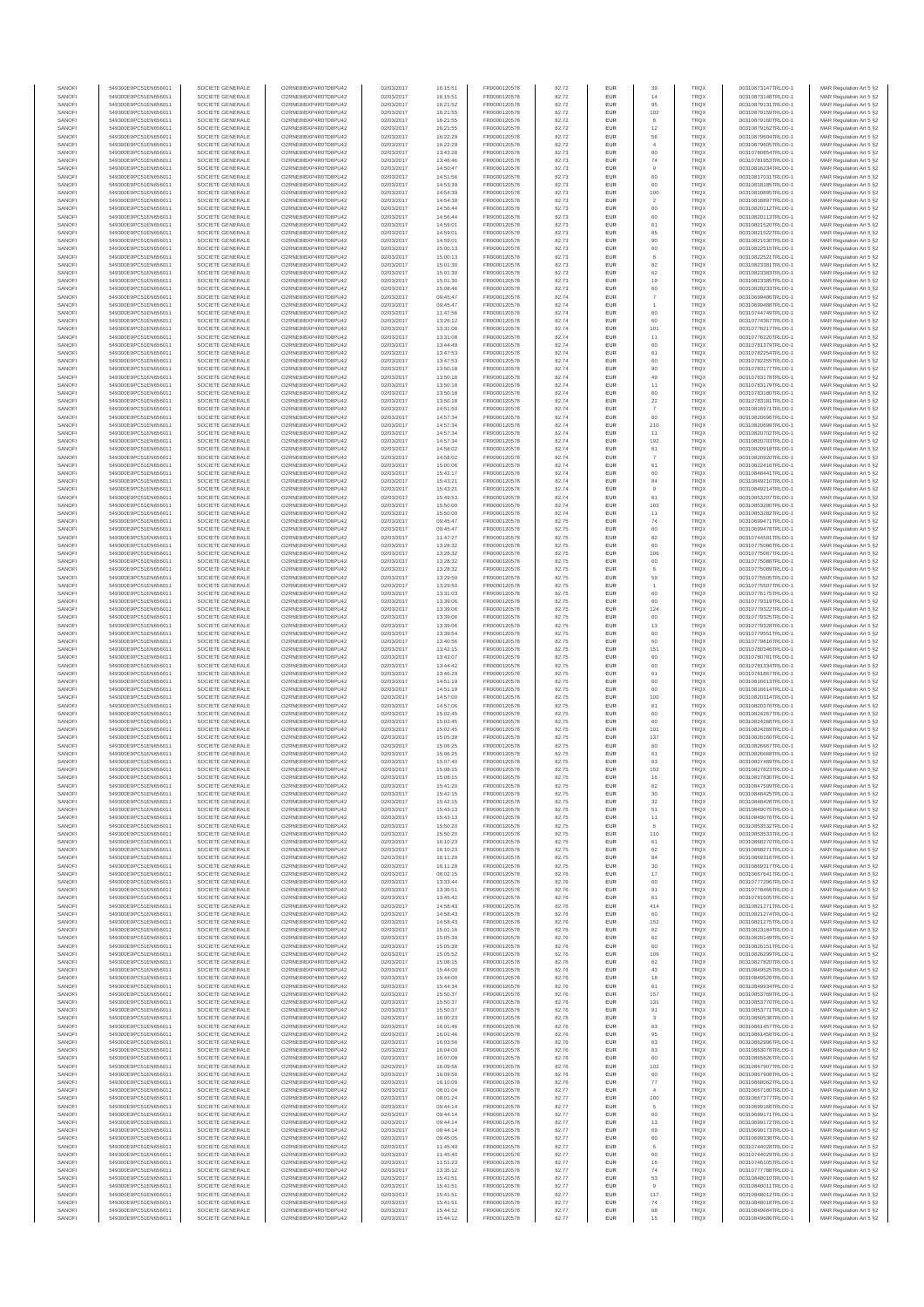| SANOFI           | 549300E9PC51EN656011                         | SOCIETE GENERALE                     | O2RNE8IBXP4R0TD8PU42                          | 02/03/2017               | 16:15:51             | FR0000120578                 | 82.72          | <b>EUR</b>        | 39                   | <b>TRQX</b>                | 00310873147TRLO0-1                       | MAR Regulation Art 5 §2                            |
|------------------|----------------------------------------------|--------------------------------------|-----------------------------------------------|--------------------------|----------------------|------------------------------|----------------|-------------------|----------------------|----------------------------|------------------------------------------|----------------------------------------------------|
| SANOFI<br>SANOFI | 549300E9PC51EN656011<br>549300E9PC51EN656011 | SOCIETE GENERALE<br>SOCIETE GENERALE | O2RNE8IBXP4R0TD8PU42<br>O2RNE8IBXP4R0TD8PU42  | 02/03/2017<br>02/03/2017 | 16:15:51<br>16:21:52 | FR0000120578<br>FR0000120578 | 82.72<br>82.72 | <b>EUR</b><br>EUR | 14<br>95             | <b>TRQX</b><br>TRQX        | 00310873148TRLO0-1<br>00310879131TRLO0-1 | MAR Regulation Art 5 §2<br>MAR Regulation Art 5 §2 |
| SANOFI           | 549300E9PC51EN656011                         | SOCIETE GENERALE                     | O2RNE8IBXP4R0TD8PU42                          | 02/03/2017               | 16:21:55             | FR0000120578                 | 82.72          | <b>EUR</b>        | 102                  | <b>TRQX</b>                | 00310879159TRLO0-1                       | MAR Regulation Art 5 §2                            |
| SANOFI           | 549300E9PC51EN656011                         | SOCIETE GENERALE                     | O2RNE8IBXP4R0TD8PU42                          | 02/03/2017               | 16:21:55             | FR0000120578                 | 82.72          | EUR               |                      | TRQX                       | 00310879160TRLO0-1                       | MAR Regulation Art 5 §2                            |
| SANOFI           | 549300E9PC51EN656011                         | SOCIETE GENERALE                     | O2RNE8IBXP4R0TD8PU42                          | 02/03/2017               | 16:21:55             | FR0000120578                 | 82.72          | EUR               | 12                   | TRQX                       | 00310879162TRLO0-1                       | MAR Regulation Art 5 §2                            |
| SANOFI<br>SANOFI | 549300E9PC51EN656011<br>549300E9PC51EN656011 | SOCIETE GENERALE<br>SOCIETE GENERALE | O2RNE8IBXP4R0TD8PU42<br>O2RNE8IBXP4R0TD8PU42  | 02/03/2017<br>02/03/2017 | 16:22:29<br>16:22:29 | FR0000120578<br>FR0000120578 | 82.72<br>82.72 | EUR<br>EUR        | 56<br>$\overline{4}$ | <b>TRQX</b><br>TRQX        | 00310879604TRLO0-1<br>00310879605TRLO0-1 | MAR Regulation Art 5 §2<br>MAR Regulation Art 5 §2 |
| SANOFI           | 549300E9PC51EN656011                         | SOCIETE GENERALE                     | O2RNE8IBXP4R0TD8PU42                          | 02/03/2017               | 13:43:28             | FR0000120578                 | 82.73          | EUR               | 60                   | TRQX                       | 00310780854TRLO0-1                       | MAR Regulation Art 5 §2                            |
| SANOFI           | 549300E9PC51EN656011                         | SOCIETE GENERALE                     | O2RNE8IBXP4R0TD8PU42                          | 02/03/2017               | 13:46:46             | FR0000120578                 | 82.73          | EUR               | 74                   | TRQX                       | 00310781953TRLO0-1                       | MAR Regulation Art 5 §2                            |
| SANOFI<br>SANOFI | 549300E9PC51EN656011<br>549300E9PC51EN656011 | SOCIETE GENERALE<br>SOCIETE GENERALE | O2RNE8IBXP4R0TD8PLI42<br>O2RNE8IBXP4R0TD8PU42 | 02/03/2017<br>02/03/2017 | 14:50:47<br>14:51:56 | FR0000120578<br>FR0000120578 | 82.73<br>82.73 | <b>EUR</b><br>EUR | $\overline{9}$<br>60 | <b>TRQX</b><br>TRQX        | 00310816234TRLO0-1<br>00310817031TRLO0-1 | MAR Regulation Art 5 §2<br>MAR Regulation Art 5 §2 |
| SANOFI           | 549300E9PC51EN656011                         | SOCIETE GENERALE                     | O2RNE8IBXP4R0TD8PU42                          | 02/03/2017               | 14:53:39             | FR0000120578                 | 82.73          | <b>EUR</b>        | 60                   | <b>TRQX</b>                | 00310818185TRLO0-1                       | MAR Regulation Art 5 §2                            |
| SANOFI           | 549300E9PC51EN656011                         | SOCIETE GENERALE                     | O2RNE8IBXP4R0TD8PU42                          | 02/03/2017               | 14:54:39             | FR0000120578                 | 82.73          | EUR               | 100                  | TRQX                       | 00310818895TRLO0-1                       | MAR Regulation Art 5 §2                            |
| SANOFI           | 549300E9PC51EN656011                         | SOCIETE GENERALE                     | O2RNE8IBXP4R0TD8PU42                          | 02/03/2017               | 14:54:39             | FR0000120578                 | 82.73          | EUR               | $\overline{2}$       | TRQX                       | 00310818897TRLO0-1                       | MAR Regulation Art 5 §2                            |
| SANOFI<br>SANOFI | 549300E9PC51EN656011<br>549300E9PC51EN656011 | SOCIETE GENERALE<br>SOCIETE GENERALE | O2RNE8IBXP4R0TD8PU42<br>O2RNE8IBXP4R0TD8PU42  | 02/03/2017<br>02/03/2017 | 14:56:44<br>14:56:44 | FR0000120578<br>FR0000120578 | 82.73<br>82.73 | EUR<br>EUR        | 60<br>60             | TRQX<br><b>TRQX</b>        | 00310820112TRLO0-1<br>00310820113TRLO0-1 | MAR Regulation Art 5 §2<br>MAR Regulation Art 5 §2 |
| SANOFI           | 549300E9PC51EN656011                         | SOCIETE GENERALE                     | O2RNE8IBXP4R0TD8PU42                          | 02/03/2017               | 14:59:01             | FR0000120578                 | 82.73          | EUR               | 61                   | TRQX                       | 00310821520TRLO0-1                       | MAR Regulation Art 5 §2                            |
| SANOFI           | 549300E9PC51EN656011                         | SOCIETE GENERALE                     | O2RNE8IBXP4R0TD8PU42                          | 02/03/2017               | 14:59:01             | FR0000120578                 | 82.73          | EUR               | 85                   | TRQX                       | 00310821522TRLO0-1                       | MAR Regulation Art 5 §2                            |
| SANOFI           | 549300E9PC51EN656011                         | SOCIETE GENERALE                     | O2RNE8IBXP4R0TD8PLI42                         | 02/03/2017               | 14:59:01             | FR0000120578                 | 82.73          | <b>EUR</b>        | 90                   | <b>TRQX</b>                | 00310821530TRLO0-1                       | MAR Regulation Art 5 §2                            |
| SANOFI<br>SANOFI | 549300E9PC51EN656011<br>549300E9PC51EN656011 | SOCIETE GENERALE<br>SOCIETE GENERALE | O2RNE8IBXP4R0TD8PU42<br>O2RNE8IBXP4R0TD8PU42  | 02/03/2017<br>02/03/2017 | 15:00:13<br>15:00:13 | FR0000120578<br>FR0000120578 | 82.73<br>82.73 | EUR<br><b>EUR</b> | 60<br>8              | TRQX<br><b>TRQX</b>        | 00310822515TRLO0-1<br>00310822521TRLO0-1 | MAR Regulation Art 5 §2<br>MAR Regulation Art 5 §2 |
| SANOFI           | 549300E9PC51EN656011                         | SOCIETE GENERALE                     | O2RNE8IBXP4R0TD8PU42                          | 02/03/2017               | 15:01:30             | FR0000120578                 | 82.73          | EUR               | 82                   | TRQX                       | 00310823381TRLO0-1                       | MAR Regulation Art 5 §2                            |
| SANOFI           | 549300E9PC51EN656011                         | SOCIETE GENERALE                     | O2RNESIBXP4R0TD8PLI42                         | 02/03/2017               | 15:01:30             | FR0000120578                 | 82.73          | EUR               | 62                   | <b>TRQX</b>                | 00310823383TRLO0-1                       | MAR Regulation Art 5 §2                            |
| SANOFI           | 549300E9PC51EN656011                         | SOCIETE GENERALE                     | O2RNE8IBXP4R0TD8PU42                          | 02/03/2017               | 15:01:30             | FR0000120578                 | 82.73          | EUR               | 19                   | <b>TRQX</b>                | 00310823385TRLO0-1                       | MAR Regulation Art 5 §2                            |
| SANOFI<br>SANOFI | 549300E9PC51EN656011<br>549300E9PC51EN656011 | SOCIETE GENERALE<br>SOCIETE GENERALE | O2RNE8IBXP4R0TD8PU42<br>O2RNE8IBXP4R0TD8PU42  | 02/03/2017<br>02/03/2017 | 15:08:46<br>09:45:47 | FR0000120578<br>FR0000120578 | 82.73<br>82.74 | EUR<br>EUR        | 60                   | TRQX<br>TRQX               | 00310828233TRLO0-1<br>00310699486TRLO0-1 | MAR Regulation Art 5 §2<br>MAR Regulation Art 5 §2 |
| SANOFI           | 549300E9PC51EN656011                         | SOCIETE GENERALE                     | O2RNE8IBXP4R0TD8PU42                          | 02/03/2017               | 09:45:47             | FR0000120578                 | 82.74          | EUR               |                      | TRQX                       | 00310699488TRLO0-1                       | MAR Regulation Art 5 §2                            |
| SANOFI           | 549300E9PC51EN656011                         | SOCIETE GENERALE                     | O2RNE8IBXP4R0TD8PU42                          | 02/03/2017               | 11:47:56             | FR0000120578                 | 82.74          | <b>EUR</b>        | 60                   | <b>TRQX</b>                | 00310744749TRLO0-1                       | MAR Regulation Art 5 §2                            |
| SANOFI<br>SANOFI | 549300E9PC51EN656011<br>549300E9PC51EN656011 | SOCIETE GENERALE<br>SOCIETE GENERALE | O2RNE8IBXP4R0TD8PU42<br>O2RNE8IBXP4R0TD8PU42  | 02/03/2017<br>02/03/2017 | 13:26:12<br>13:31:08 | FR0000120578<br>FR0000120578 | 82.74<br>82.74 | EUR<br><b>EUR</b> | 60<br>101            | TRQX<br><b>TRQX</b>        | 00310774367TRLO0-1<br>00310776217TRLO0-1 | MAR Regulation Art 5 §2<br>MAR Regulation Art 5 §2 |
| SANOFI           | 549300E9PC51EN656011                         | SOCIETE GENERALE                     | O2RNE8IBXP4R0TD8PU42                          | 02/03/2017               | 13:31:08             | FR0000120578                 | 82.74          | EUR               | 11                   | TRQX                       | 00310776220TRLO0-1                       | MAR Regulation Art 5 §2                            |
| SANOFI           | 549300E9PC51EN656011                         | SOCIETE GENERALE                     | O2RNE8IBXP4R0TD8PU42                          | 02/03/2017               | 13:44:49             | FR0000120578                 | 82.74          | EUR               | 60                   | TRQX                       | 00310781379TRLO0-1                       | MAR Regulation Art 5 §2                            |
| SANOFI           | 549300E9PC51EN656011                         | SOCIETE GENERALE                     | O2RNE8IBXP4R0TD8PU42                          | 02/03/2017               | 13:47:53             | FR0000120578                 | 82.74          | EUR               | 61                   | TRQX                       | 00310782254TRLO0-1                       | MAR Regulation Art 5 §2                            |
| SANOFI<br>SANOFI | 549300E9PC51EN656011<br>549300E9PC51EN656011 | SOCIETE GENERALE<br>SOCIETE GENERALE | O2RNE8IBXP4R0TD8PU42<br>O2RNE8IBXP4R0TD8PU42  | 02/03/2017<br>02/03/2017 | 13:47:53<br>13:50:18 | FR0000120578<br>FR0000120578 | 82.74<br>82.74 | EUR<br><b>EUR</b> | 60<br>90             | <b>TRQX</b><br><b>TRQX</b> | 00310782255TRLO0-1<br>00310783177TRLO0-1 | MAR Regulation Art 5 §2<br>MAR Regulation Art 5 §2 |
| SANOFI           | 549300E9PC51EN656011                         | SOCIETE GENERALE                     | O2RNE8IBXP4R0TD8PU42                          | 02/03/2017               | 13:50:18             | FR0000120578                 | 82.74          | EUR               | 49                   | TRQX                       | 00310783178TRLO0-1                       | MAR Regulation Art 5 §2                            |
| SANOFI           | 549300E9PC51EN656011                         | SOCIETE GENERALE                     | O2RNE8IBXP4R0TD8PU42                          | 02/03/2017               | 13:50:18             | FR0000120578                 | 82.74          | <b>EUR</b>        | 11                   | <b>TRQX</b>                | 00310783179TRLO0-1                       | MAR Regulation Art 5 §2                            |
| SANOFI<br>SANOFI | 549300E9PC51EN656011<br>549300E9PC51EN656011 | SOCIETE GENERALE<br>SOCIETE GENERALE | O2RNE8IBXP4R0TD8PU42<br>O2RNE8IBXP4R0TD8PU42  | 02/03/2017<br>02/03/2017 | 13:50:18<br>13:50:18 | FR0000120578<br>FR0000120578 | 82.74<br>82.74 | EUR<br>EUR        | $22\,$               | TRQX<br>TRQX               | 00310783180TRLO0-1<br>00310783181TRLO0-1 | MAR Regulation Art 5 §2<br>MAR Regulation Art 5 §2 |
| SANOFI           | 549300E9PC51EN656011                         | SOCIETE GENERALE                     | O2RNE8IBXP4R0TD8PU42                          | 02/03/2017               | 14:51:50             | FR0000120578                 | 82.74          | EUR               |                      | TRQX                       | 00310816971TRLO0-1                       | MAR Regulation Art 5 §2                            |
| SANOFI           | 549300E9PC51EN656011                         | SOCIETE GENERALE                     | O2RNE8IBXP4R0TD8PU42                          | 02/03/2017               | 14:57:34             | FR0000120578                 | 82.74          | EUR               | 60                   | TRQX                       | 00310820696TRLO0-1                       | MAR Regulation Art 5 §2                            |
| SANOFI           | 549300E9PC51EN656011                         | SOCIETE GENERALE                     | O2RNE8IBXP4R0TD8PU42                          | 02/03/2017               | 14:57:34             | FR0000120578                 | 82.74          | EUR               | 210                  | TRQX                       | 00310820699TRLO0-1                       | MAR Regulation Art 5 §2                            |
| SANOFI<br>SANOFI | 549300E9PC51EN656011<br>549300E9PC51EN656011 | SOCIETE GENERALE<br>SOCIETE GENERALE | O2RNE8IBXP4R0TD8PLI42<br>O2RNE8IBXP4R0TD8PU42 | 02/03/2017<br>02/03/2017 | 14:57:34<br>14:57:34 | FR0000120578<br>FR0000120578 | 82.74<br>82.74 | EUR<br><b>EUR</b> | 11<br>192            | TRQX<br><b>TRQX</b>        | 00310820702TRLO0-1<br>00310820703TRLO0-1 | MAR Regulation Art 5 §2<br>MAR Regulation Art 5 §2 |
| SANOFI           | 549300E9PC51EN656011                         | SOCIETE GENERALE                     | O2RNE8IBXP4R0TD8PU42                          | 02/03/2017               | 14:58:02             | FR0000120578                 | 82.74          | EUR               | 61                   | TRQX                       | 00310820918TRLO0-1                       | MAR Regulation Art 5 §2                            |
| SANOFI           | 549300E9PC51EN656011                         | SOCIETE GENERALE                     | O2RNE8IBXP4R0TD8PU42                          | 02/03/2017               | 14:58:02             | FR0000120578                 | 82.74          | <b>EUR</b>        | $\overline{7}$       | <b>TRQX</b>                | 00310820920TRLO0-1                       | MAR Regulation Art 5 §2                            |
| SANOFI           | 549300E9PC51EN656011                         | SOCIETE GENERALE                     | O2RNE8IBXP4R0TD8PU42                          | 02/03/2017               | 15:00:06             | FR0000120578                 | 82.74          | EUR               | 61                   | TRQX                       | 00310822416TRLO0-1                       | MAR Regulation Art 5 §2                            |
| SANOFI<br>SANOFI | 549300E9PC51EN656011<br>549300E9PC51EN656011 | SOCIETE GENERALE<br>SOCIETE GENERALE | O2RNE8IBXP4R0TD8PU42<br>O2RNE8IBXP4R0TD8PU42  | 02/03/2017<br>02/03/2017 | 15:42:17<br>15:43:21 | FR0000120578<br>FR0000120578 | 82.74<br>82.74 | EUR<br>EUR        | 60<br>84             | TRQX<br>TRQX               | 00310848441TRLO0-1<br>00310849210TRLO0-1 | MAR Regulation Art 5 §2<br>MAR Regulation Art 5 §2 |
| SANOFI           | 549300E9PC51EN656011                         | SOCIETE GENERALE                     | O2RNE8IBXP4R0TD8PU42                          | 02/03/2017               | 15:43:21             | FR0000120578                 | 82.74          | EUR               | $\overline{9}$       | TRQX                       | 00310849214TRLO0-1                       | MAR Regulation Art 5 §2                            |
| SANOFI           | 549300E9PC51EN656011                         | SOCIETE GENERALE                     | O2RNE8IBXP4R0TD8PU42                          | 02/03/2017               | 15:49:53             | FR0000120578                 | 82.74          | EUR               | 61                   | TRQX                       | 00310853207TRLO0-1                       | MAR Regulation Art 5 §2                            |
| SANOFI           | 549300E9PC51EN656011                         | SOCIETE GENERALE                     | O2RNE8IBXP4R0TD8PU42                          | 02/03/2017               | 15:50:00             | FR0000120578                 | 82.74          | EUR               | 103                  | TRQX                       | 00310853280TRLO0-1                       | MAR Regulation Art 5 §2                            |
| SANOFI<br>SANOFI | 549300E9PC51EN656011<br>549300E9PC51EN656011 | SOCIETE GENERALE<br>SOCIETE GENERALE | O2RNE8IBXP4R0TD8PU42<br>O2RNE8IBXP4R0TD8PU42  | 02/03/2017<br>02/03/2017 | 15:50:00<br>09:45:47 | FR0000120578<br>FR0000120578 | 82.74<br>82.75 | <b>EUR</b><br>EUR | 11<br>74             | <b>TRQX</b><br>TRQX        | 00310853282TRLO0-1<br>00310699471TRLO0-1 | MAR Regulation Art 5 §2<br>MAR Regulation Art 5 §2 |
| SANOFI           | 549300E9PC51EN656011                         | SOCIETE GENERALE                     | O2RNE8IBXP4R0TD8PU42                          | 02/03/2017               | 09:45:47             | FR0000120578                 | 82.75          | <b>EUR</b>        | 60                   | <b>TRQX</b>                | 00310699478TRLO0-1                       | MAR Regulation Art 5 §2                            |
| SANOFI           | 549300E9PC51EN656011                         | SOCIETE GENERALE                     | O2RNE8IBXP4R0TD8PU42                          | 02/03/2017               | 11:47:27             | FR0000120578                 | 82.75          | EUR               | 82                   | <b>TRQX</b>                | 00310744581TRLO0-1                       | MAR Regulation Art 5 §2                            |
| SANOFI<br>SANOFI | 549300E9PC51EN656011<br>549300E9PC51EN656011 | SOCIETE GENERALE<br>SOCIETE GENERALE | O2RNE8IBXP4R0TD8PU42<br>O2RNE8IBXP4R0TD8PU42  | 02/03/2017<br>02/03/2017 | 13:28:32<br>13:28:32 | FR0000120578<br>FR0000120578 | 82.75<br>82.75 | EUR<br>EUR        | 60<br>106            | TRQX<br>TRQX               | 00310775086TRLO0-1<br>00310775087TRLO0-1 | MAR Regulation Art 5 §2<br>MAR Regulation Art 5 §2 |
| SANOFI           | 549300E9PC51EN656011                         | SOCIETE GENERALE                     | O2RNE8IBXP4R0TD8PU42                          | 02/03/2017               | 13:28:32             | FR0000120578                 | 82.75          | EUR               | 60                   | <b>TRQX</b>                | 00310775088TRLO0-1                       | MAR Regulation Art 5 §2                            |
| SANOFI           | 549300E9PC51EN656011                         | SOCIETE GENERALE                     | O2RNE8IBXP4R0TD8PU42                          | 02/03/2017               | 13:28:32             | FR0000120578                 | 82.75          | EUR               | 6                    | TRQX                       | 00310775089TRLO0-1                       | MAR Regulation Art 5 §2                            |
| SANOFI           | 549300E9PC51EN656011                         | SOCIETE GENERALE                     | O2RNE8IBXP4R0TD8PU42                          | 02/03/2017               | 13:29:50             | FR0000120578                 | 82.75          | EUR               | 59                   | TRQX                       | 00310775505TRLO0-1                       | MAR Regulation Art 5 §2                            |
| SANOFI<br>SANOFI | 549300E9PC51EN656011<br>549300E9PC51EN656011 | SOCIETE GENERALE<br>SOCIETE GENERALE | O2RNE8IBXP4R0TD8PU42<br>O2RNE8IBXP4R0TD8PU42  | 02/03/2017<br>02/03/2017 | 13:29:50<br>13:31:03 | FR0000120578<br>FR0000120578 | 82.75<br>82.75 | <b>EUR</b><br>EUR | 60                   | <b>TRQX</b><br>TRQX        | 00310775507TRLO0-1<br>00310776175TRLO0-1 | MAR Regulation Art 5 §2<br>MAR Regulation Art 5 §2 |
| SANOFI           | 549300E9PC51EN656011                         | SOCIETE GENERALE                     | O2RNE8IBXP4R0TD8PU42                          | 02/03/2017               | 13:39:06             | FR0000120578                 | 82.75          | <b>EUR</b>        | 60                   | <b>TRQX</b>                | 00310779319TRLO0-1                       | MAR Regulation Art 5 §2                            |
| SANOFI           | 549300E9PC51EN656011                         | SOCIETE GENERALE                     | O2RNE8IBXP4R0TD8PU42                          | 02/03/2017               | 13:39:06             | FR0000120578                 | 82.75          | EUR               | 124                  | TRQX                       | 00310779322TRLO0-1                       | MAR Regulation Art 5 §2                            |
| SANOFI           | 549300E9PC51EN656011                         | SOCIETE GENERALE                     | O2RNE8IBXP4R0TD8PU42                          | 02/03/2017               | 13:39:06             | FR0000120578                 | 82.75          | EUR               | 60                   | <b>TRQX</b>                | 00310779325TRLO0-1                       | MAR Regulation Art 5 §2                            |
| SANOFI<br>SANOFI | 549300E9PC51EN656011<br>549300E9PC51EN656011 | SOCIETE GENERALE<br>SOCIETE GENERALE | O2RNE8IBXP4R0TD8PU42<br>O2RNE8IBXP4R0TD8PU42  | 02/03/2017<br>02/03/2017 | 13:39:06<br>13:39:54 | FR0000120578<br>FR0000120578 | 82.75<br>82.75 | EUR<br>EUR        | 13<br>60             | <b>TRQX</b><br>TRQX        | 00310779328TRLO0-1<br>00310779551TRLO0-1 | MAR Regulation Art 5 §2<br>MAR Regulation Art 5 §2 |
| SANOFI           | 549300E9PC51EN656011                         | SOCIETE GENERALE                     | O2RNE8IBXP4R0TD8PU42                          | 02/03/2017               | 13:40:56             | FR0000120578                 | 82.75          | <b>EUR</b>        | 60                   | <b>TRQX</b>                | 00310779816TRLO0-1                       | MAR Regulation Art 5 §2                            |
| SANOFI           | 549300E9PC51EN656011                         | SOCIETE GENERALE                     | O2RNE8IBXP4R0TD8PU42                          | 02/03/2017               | 13:42:15             | FR0000120578                 | 82.75          | EUR               | 151                  | TRQX                       | 00310780346TRLO0-1                       | MAR Regulation Art 5 §2                            |
| SANOFI           | 549300E9PC51EN656011                         | SOCIETE GENERALE                     | O2RNE8IBXP4R0TD8PU42                          | 02/03/2017               | 13:43:07             | FR0000120578                 | 82.75          | <b>EUR</b>        | 60                   | <b>TRQX</b>                | 00310780781TRLO0-1                       | MAR Regulation Art 5 §2                            |
| SANOFI<br>SANOFI | 549300E9PC51EN656011<br>549300E9PC51EN656011 | SOCIETE GENERALE<br>SOCIETE GENERALE | O2RNE8IBXP4R0TD8PU42<br>O2RNE8IBXP4R0TD8PU42  | 02/03/2017<br>02/03/2017 | 13:44:42<br>13:46:29 | FR0000120578<br>FR0000120578 | 82.75<br>82.75 | EUR<br><b>EUR</b> | 60<br>61             | TRQX<br>TRQX               | 00310781334TRLO0-1<br>00310781867TRLO0-1 | MAR Regulation Art 5 §2<br>MAR Regulation Art 5 §2 |
| SANOFI           | 549300E9PC51EN656011                         | SOCIETE GENERALE                     | O2RNE8IBXP4R0TD8PU42                          | 02/03/2017               | 14:51:19             | FR0000120578                 | 82.75          | EUR               | 60                   | TRQX                       | 00310816613TRLO0-1                       | MAR Regulation Art 5 §2                            |
| SANOFI           | 549300E9PC51EN656011                         | SOCIETE GENERALE                     | O2RNE8IBXP4R0TD8PLI42                         | 02/03/2017               | 14:51:19             | FR0000120578                 | 82.75          | EUR               | 60                   | TRQX                       | 00310816614TRLO0-1                       | MAR Regulation Art 5 §2                            |
| SANOFI<br>SANOFI | 549300E9PC51EN656011<br>549300E9PC51EN656011 | SOCIETE GENERALE<br>SOCIETE GENERALE | O2RNE8IBXP4R0TD8PU42<br>O2RNE8IBXP4R0TD8PU42  | 02/03/2017<br>02/03/2017 | 14:57:00<br>14:57:06 | FR0000120578<br>FR0000120578 | 82.75<br>82.75 | EUR<br>EUR        | 100<br>61            | TRQX<br>TRQX               | 00310820314TRLO0-1<br>00310820376TRLO0-1 | MAR Regulation Art 5 §2<br>MAR Regulation Art 5 §2 |
| SANOFI           | 549300E9PC51EN656011                         | SOCIETE GENERALE                     | O2RNE8IBXP4R0TD8PU42                          | 02/03/2017               | 15:02:45             | FR0000120578                 | 82.75          | <b>EUR</b>        | 60                   | <b>TRQX</b>                | 00310824267TRLO0-1                       | MAR Regulation Art 5 §2                            |
| SANOFI           | 549300E9PC51EN656011                         | SOCIETE GENERALE                     | O2RNE8IBXP4R0TD8PU42                          | 02/03/2017               | 15:02:45             | FR0000120578                 | 82.75          | EUR               | 60                   | TRQX                       | 00310824268TRLO0-1                       | MAR Regulation Art 5 §2                            |
| SANOFI           | 549300E9PC51EN656011                         | SOCIETE GENERALE                     | O2RNE8IBXP4R0TD8PU42                          | 02/03/2017               | 15:02:45             | FR0000120578                 | 82.75          | <b>EUR</b>        | 101                  | <b>TRQX</b>                | 00310824269TRLO0-1                       | MAR Regulation Art 5 §2                            |
| SANOFI<br>SANOFI | 549300E9PC51EN656011<br>549300E9PC51EN656011 | SOCIETE GENERALE<br>SOCIETE GENERALE | O2RNE8IBXP4R0TD8PU42<br>O2RNE8IBXP4R0TD8PU42  | 02/03/2017<br>02/03/2017 | 15:05:39<br>15:06:25 | FR0000120578<br>FR0000120578 | 82.75<br>82.75 | EUR<br>EUR        | 137<br>60            | TRQX<br>TRQX               | 00310826160TRLO0-1<br>00310826667TRLO0-1 | MAR Regulation Art 5 §2<br>MAR Regulation Art 5 §2 |
| SANOFI           | 549300E9PC51EN656011                         | SOCIETE GENERALE                     | O2RNE8IBXP4R0TD8PU42                          | 02/03/2017               | 15:06:25             | FR0000120578                 | 82.75          | EUR               | 61                   | TRQX                       | 00310826668TRLO0-1                       | MAR Regulation Art 5 §2                            |
| SANOFI           | 549300E9PC51EN656011                         | SOCIETE GENERALE                     | O2RNESIBXP4R0TD8PLI42                         | 02/03/2017               | 15:07:40             | FR0000120578                 | 82.75          | EUR               | 63                   | TRQX                       | 00310827489TRLO0-1                       | MAR Regulation Art 5 §2                            |
| SANOFI           | 549300E9PC51EN656011                         | SOCIETE GENERALE                     | O2RNE8IBXP4R0TD8PU42                          | 02/03/2017               | 15:08:15             | FR0000120578                 | 82.75          | EUR               | 152                  | TRQX                       | 00310827823TRLO0-1                       | MAR Regulation Art 5 §2                            |
| SANOFI<br>SANOFI | 549300E9PC51EN656011<br>549300E9PC51EN656011 | SOCIETE GENERALE<br>SOCIETE GENERALE | O2RNE8IBXP4R0TD8PU42<br>O2RNE8IBXP4R0TD8PU42  | 02/03/2017<br>02/03/2017 | 15:08:15<br>15:41:20 | FR0000120578<br>FR0000120578 | 82.75<br>82.75 | EUR<br><b>EUR</b> | 16<br>62             | TRQX<br><b>TRQX</b>        | 00310827830TRLO0-1<br>00310847599TRLO0-1 | MAR Regulation Art 5 §2<br>MAR Regulation Art 5 §2 |
| SANOFI           | 549300E9PC51EN656011                         | SOCIETE GENERALE                     | O2RNE8IBXP4R0TD8PU42                          | 02/03/2017               | 15:42:15             | FR0000120578                 | 82.75          | EUR               | 30                   | TRQX                       | 00310848425TRLO0-1                       | MAR Regulation Art 5 §2                            |
| SANOFI           | 549300E9PC51EN656011                         | SOCIETE GENERALE                     | O2RNE8IBXP4R0TD8PU42                          | 02/03/2017               | 15:42:15             | FR0000120578                 | 82.75          | <b>EUR</b>        | 32                   | <b>TROX</b>                | 00310848428TRLO0-1                       | MAR Regulation Art 5 §2                            |
| SANOFI<br>SANOFI | 549300E9PC51EN656011<br>549300E9PC51EN656011 | SOCIETE GENERALE<br>SOCIETE GENERALE | O2RNE8IBXP4R0TD8PU42<br>O2RNE8IBXP4R0TD8PU42  | 02/03/2017<br>02/03/2017 | 15:43:13<br>15:43:13 | FR0000120578<br>FR0000120578 | 82.75<br>82.75 | EUR<br><b>EUR</b> | 51<br>11             | TRQX<br><b>TRQX</b>        | 00310849075TRLO0-1<br>00310849076TRLO0-1 | MAR Regulation Art 5 §2<br>MAR Regulation Art 5 §2 |
| SANOFI           | 549300E9PC51EN656011                         | SOCIETE GENERALE                     | O2RNE8IBXP4R0TD8PU42                          | 02/03/2017               | 15:50:20             | FR0000120578                 | 82.75          | EUR               | 6                    | TRQX                       | 00310853532TRLO0-1                       | MAR Regulation Art 5 §2                            |
| SANOFI           | 549300E9PC51EN656011                         | SOCIETE GENERALE                     | O2RNESIBXP4R0TD8PLI42                         | 02/03/2017               | 15:50:20             | FR0000120578                 | 82.75          | EUR               | 110                  | TRQX                       | 00310853533TRLO0-1                       | MAR Regulation Art 5 §2                            |
| SANOFI           | 549300E9PC51EN656011                         | SOCIETE GENERALE                     | O2RNE8IBXP4R0TD8PU42                          | 02/03/2017               | 16:10:23             | FR0000120578                 | 82.75          | EUR               | 61                   | <b>TRQX</b>                | 00310868270TRLO0-1                       | MAR Regulation Art 5 §2                            |
| SANOFI<br>SANOFI | 549300E9PC51EN656011<br>549300E9PC51EN656011 | SOCIETE GENERALE<br>SOCIETE GENERALE | O2RNE8IBXP4R0TD8PU42<br>O2RNE8IBXP4R0TD8PLI42 | 02/03/2017<br>02/03/2017 | 16:10:23<br>16:11:29 | FR0000120578<br>FR0000120578 | 82.75<br>82.75 | EUR<br><b>EUR</b> | 62<br>84             | <b>TRQX</b><br><b>TROX</b> | 00310868271TRLO0-1<br>00310869316TRLO0-1 | MAR Regulation Art 5 §2<br>MAR Regulation Art 5 §2 |
| SANOFI           | 549300E9PC51EN656011                         | SOCIETE GENERALE                     | O2RNE8IBXP4R0TD8PU42                          | 02/03/2017               | 16:11:29             | FR0000120578                 | 82.75          | EUR               | 30                   | TRQX                       | 00310869317TRLO0-1                       | MAR Regulation Art 5 \$2                           |
| SANOFI           | 549300E9PC51EN656011                         | SOCIETE GENERALE                     | O2RNE8IBXP4R0TD8PU42                          | 02/03/2017               | 08:02:15             | FR0000120578                 | 82.76          | <b>EUR</b>        | 17                   | <b>TROX</b>                | 00310667641TRLO0-1                       | MAR Regulation Art 5 §2                            |
| SANOFI<br>SANOFI | 549300E9PC51EN656011<br>549300E9PC51EN656011 | SOCIETE GENERALE<br>SOCIETE GENERALE | O2RNE8IBXP4R0TD8PU42<br>O2RNE8IBXP4R0TD8PU42  | 02/03/2017<br>02/03/2017 | 13:33:44<br>13:36:51 | FR0000120578<br>FR0000120578 | 82.76<br>82.76 | EUR<br>EUR        | 60<br>91             | <b>TRQX</b><br>TRQX        | 00310777296TRLO0-1<br>00310778466TRLO0-1 | MAR Regulation Art 5 §2<br>MAR Regulation Art 5 §2 |
| SANOFI           | 549300E9PC51EN656011                         | SOCIETE GENERALE                     | O2RNE8IBXP4R0TD8PU42                          | 02/03/2017               | 13:45:42             | FR0000120578                 | 82.76          | EUR               | 61                   | <b>TRQX</b>                | 00310781605TRLO0-1                       | MAR Regulation Art 5 §2                            |
| SANOFI           | 549300E9PC51EN656011                         | SOCIETE GENERALE                     | O2RNESIBXP4R0TD8PLI42                         | 02/03/2017               | 14:58:43             | FR0000120578                 | 82.76          | EUR               | 414                  | <b>TRQX</b>                | 00310821271TRLO0-1                       | MAR Regulation Art 5 §2                            |
| SANOFI<br>SANOFI | 549300E9PC51EN656011<br>549300E9PC51EN656011 | SOCIETE GENERALE<br>SOCIETE GENERALE | O2RNE8IBXP4R0TD8PLI42<br>O2RNE8IBXP4R0TD8PU42 | 02/03/2017<br>02/03/2017 | 14:58:43<br>14:58:43 | FR0000120578<br>FR0000120578 | 82.76<br>82.76 | <b>EUR</b><br>EUR | 60<br>152            | <b>TROX</b><br>TRQX        | 00310821274TRLO0-1<br>00310821275TRLO0-1 | MAR Regulation Art 5 §2<br>MAR Regulation Art 5 §2 |
| SANOFI           | 549300E9PC51EN656011                         | SOCIETE GENERALE                     | O2RNE8IBXP4R0TD8PU42                          | 02/03/2017               | 15:01:16             | FR0000120578                 | 82.76          | <b>EUR</b>        | 62                   | <b>TROX</b>                | 00310823184TRLO0-1                       | MAR Regulation Art 5 §2                            |
| SANOFI           | 549300E9PC51EN656011                         | SOCIETE GENERALE                     | O2RNE8IBXP4R0TD8PU42                          | 02/03/2017               | 15:05:39             | FR0000120578                 | 82.76          | EUR               | 62                   | <b>TRQX</b>                | 00310826149TRLO0-1                       | MAR Regulation Art 5 §2                            |
| SANOFI           | 549300E9PC51EN656011                         | SOCIETE GENERALE                     | O2RNE8IBXP4R0TD8PU42                          | 02/03/2017               | 15:05:39             | FR0000120578                 | 82.76          | EUR               | 60                   | TRQX                       | 00310826151TRLO0-1                       | MAR Regulation Art 5 §2                            |
| SANOFI<br>SANOFI | 549300E9PC51EN656011<br>549300E9PC51EN656011 | SOCIETE GENERALE<br>SOCIETE GENERALE | O2RNE8IBXP4R0TD8PU42<br>O2RNE8IBXP4R0TD8PU42  | 02/03/2017<br>02/03/2017 | 15:05:52<br>15:08:15 | FR0000120578<br>FR0000120578 | 82.76<br>82.76 | EUR<br>EUR        | 109<br>62            | <b>TRQX</b><br><b>TRQX</b> | 00310826299TRLO0-1<br>00310827820TRLO0-1 | MAR Regulation Art 5 §2<br>MAR Regulation Art 5 §2 |
| SANOFI           | 549300E9PC51EN656011                         | SOCIETE GENERALE                     | O2RNE8IBXP4R0TD8PU42                          | 02/03/2017               | 15:44:00             | FR0000120578                 | 82.76          | EUR               | 43                   | <b>TRQX</b>                | 00310849525TRLO0-1                       | MAR Regulation Art 5 §2                            |
| SANOFI           | 549300E9PC51EN656011                         | SOCIETE GENERALE                     | O2RNE8IBXP4R0TD8PU42                          | 02/03/2017               | 15:44:00             | FR0000120578                 | 82.76          | EUR               | 18                   | <b>TROX</b>                | 00310849526TRLO0-1                       | MAR Regulation Art 5 §2                            |
| SANOFI           | 549300E9PC51EN656011                         | SOCIETE GENERALE                     | O2RNE8IBXP4R0TD8PU42                          | 02/03/2017               | 15:44:34             | FR0000120578                 | 82.76          | <b>EUR</b>        | 61                   | <b>TROX</b>                | 00310849934TRLO0-1                       | MAR Regulation Art 5 §2                            |
| SANOFI<br>SANOFI | 549300E9PC51EN656011<br>549300E9PC51EN656011 | SOCIETE GENERALE<br>SOCIETE GENERALE | O2RNE8IBXP4R0TD8PU42<br>O2RNE8IBXP4R0TD8PU42  | 02/03/2017<br>02/03/2017 | 15:50:37<br>15:50:37 | FR0000120578<br>FR0000120578 | 82.76<br>82.76 | EUR<br><b>EUR</b> | 157<br>131           | <b>TRQX</b><br><b>TROX</b> | 00310853769TRLO0-1<br>00310853770TRLO0-1 | MAR Regulation Art 5 §2<br>MAR Regulation Art 5 §2 |
| SANOFI           | 549300E9PC51EN656011                         | SOCIETE GENERALE                     | O2RNE8IBXP4R0TD8PU42                          | 02/03/2017               | 15:50:37             | FR0000120578                 | 82.76          | EUR               | 91                   | TRQX                       | 00310853771TRLO0-1                       | MAR Regulation Art 5 §2                            |
| SANOFI           | 549300E9PC51EN656011                         | SOCIETE GENERALE                     | O2RNE8IBXP4R0TD8PU42                          | 02/03/2017               | 16:00:23             | FR0000120578                 | 82.76          | <b>EUR</b>        | -3                   | <b>TRQX</b>                | 00310860538TRLO0-1                       | MAR Regulation Art 5 §2                            |
| SANOFI           | 549300E9PC51EN656011                         | SOCIETE GENERALE                     | O2RNE8IBXP4R0TD8PU42                          | 02/03/2017               | 16:01:46             | FR0000120578                 | 82.76          | EUR               | 63                   | <b>TRQX</b>                | 00310861457TRLO0-1                       | MAR Regulation Art 5 §2                            |
| SANOFI<br>SANOFI | 549300E9PC51EN656011<br>549300E9PC51EN656011 | SOCIETE GENERALE<br>SOCIETE GENERALE | O2RNE8IBXP4R0TD8PU42<br>O2RNE8IBXP4R0TD8PU42  | 02/03/2017<br>02/03/2017 | 16:01:46<br>16:03:56 | FR0000120578<br>FR0000120578 | 82.76<br>82.76 | EUR<br>EUR        | 95<br>63             | <b>TROX</b><br><b>TRQX</b> | 00310861458TRLO0-1<br>00310862996TRLO0-1 | MAR Regulation Art 5 §2<br>MAR Regulation Art 5 §2 |
| SANOFI           | 549300E9PC51EN656011                         | SOCIETE GENERALE                     | O2RNE8IBXP4R0TD8PU42                          | 02/03/2017               | 16:04:00             | FR0000120578                 | 82.76          | EUR               | 63                   | <b>TRQX</b>                | 00310863078TRLO0-1                       | MAR Regulation Art 5 §2                            |
| SANOFI           | 549300E9PC51EN656011                         | SOCIETE GENERALE                     | O2RNE8IBXP4R0TD8PU42                          | 02/03/2017               | 16:07:08             | FR0000120578                 | 82.76          | <b>EUR</b>        | 60                   | <b>TROX</b>                | 00310865826TRLO0-1                       | MAR Regulation Art 5 §2                            |
| SANOFI           | 549300E9PC51EN656011                         | SOCIETE GENERALE                     | O2RNE8IBXP4R0TD8PU42                          | 02/03/2017               | 16:09:56             | FR0000120578                 | 82.76          | EUR               | 102                  | TRQX                       | 00310867907TRLO0-1                       | MAR Regulation Art 5 §2                            |
| SANOFI<br>SANOFI | 549300E9PC51EN656011<br>549300E9PC51EN656011 | SOCIETE GENERALE<br>SOCIETE GENERALE | O2RNE8IBXP4R0TD8PU42<br>O2RNE8IBXP4R0TD8PU42  | 02/03/2017<br>02/03/2017 | 16:09:56<br>16:10:09 | FR0000120578<br>FR0000120578 | 82.76<br>82.76 | <b>EUR</b><br>EUR | 60<br>$77\,$         | <b>TROX</b><br>TRQX        | 00310867908TRLO0-1<br>00310868062TRLO0-1 | MAR Regulation Art 5 §2<br>MAR Regulation Art 5 §2 |
| SANOFI           | 549300E9PC51EN656011                         | SOCIETE GENERALE                     | O2RNE8IBXP4R0TD8PU42                          | 02/03/2017               | 08:01:04             | FR0000120578                 | 82.77          | EUR               | $\overline{4}$       | <b>TRQX</b>                | 00310667180TRLO0-1                       | MAR Regulation Art 5 §2                            |
| SANOFI           | 549300E9PC51EN656011                         | SOCIETE GENERALE                     | O2RNE8IBXP4R0TD8PU42                          | 02/03/2017               | 08:01:24             | FR0000120578                 | 82.77          | EUR               | 100                  | <b>TRQX</b>                | 00310667377TRLO0-1                       | MAR Regulation Art 5 §2                            |
| SANOFI<br>SANOFI | 549300E9PC51EN656011                         | SOCIETE GENERALE                     | O2RNE8IBXP4R0TD8PU42                          | 02/03/2017               | 09:44:14             | FR0000120578                 | 82.77          | EUR               | 5                    | <b>TRQX</b>                | 00310699166TRLO0-1                       | MAR Regulation Art 5 §2                            |
| SANOFI           | 549300E9PC51EN656011<br>549300E9PC51EN656011 | SOCIETE GENERALE<br>SOCIETE GENERALE | O2RNE8IBXP4R0TD8PU42<br>O2RNE8IBXP4R0TD8PU42  | 02/03/2017<br>02/03/2017 | 09:44:14<br>09:44:14 | FR0000120578<br>FR0000120578 | 82.77<br>82.77 | EUR<br>EUR        | 60<br>13             | TRQX<br>TRQX               | 00310699171TRLO0-1<br>00310699172TRLO0-1 | MAR Regulation Art 5 §2<br>MAR Regulation Art 5 §2 |
| SANOFI           | 549300E9PC51EN656011                         | SOCIETE GENERALE                     | O2RNE8IBXP4R0TD8PU42                          | 02/03/2017               | 09:44:14             | FR0000120578                 | 82.77          | <b>EUR</b>        | 69                   | <b>TROX</b>                | 00310699173TRLO0-1                       | MAR Regulation Art 5 §2                            |
| SANOFI           | 549300E9PC51EN656011                         | SOCIETE GENERALE                     | O2RNE8IBXP4R0TD8PU42                          | 02/03/2017               | 09:45:05             | FR0000120578                 | 82.77          | EUR               | 60                   | TRQX                       | 00310699338TRLO0-1                       | MAR Regulation Art 5 §2                            |
| SANOFI<br>SANOFI | 549300E9PC51EN656011<br>549300E9PC51EN656011 | SOCIETE GENERALE<br>SOCIETE GENERALE | O2RNE8IBXP4R0TD8PU42<br>O2RNE8IBXP4R0TD8PU42  | 02/03/2017<br>02/03/2017 | 11:45:40<br>11:45:40 | FR0000120578<br>FR0000120578 | 82.77<br>82.77 | <b>EUR</b><br>EUR | 5<br>60              | <b>TROX</b><br>TRQX        | 00310744028TRLO0-1<br>00310744029TRLO0-1 | MAR Regulation Art 5 §2<br>MAR Regulation Art 5 §2 |
| SANOFI           | 549300E9PC51EN656011                         | SOCIETE GENERALE                     | O2RNE8IBXP4R0TD8PU42                          | 02/03/2017               | 11:51:23             | FR0000120578                 | 82.77          | EUR               | 16                   | TRQX                       | 00310746105TRLO0-1                       | MAR Regulation Art 5 §2                            |
| SANOFI           | 549300E9PC51EN656011                         | SOCIETE GENERALE                     | O2RNE8IBXP4R0TD8PU42                          | 02/03/2017               | 13:35:12             | FR0000120578                 | 82.77          | EUR               | 74                   | TRQX                       | 00310777788TRLO0-1                       | MAR Regulation Art 5 §2                            |
| SANOFI           | 549300E9PC51EN656011                         | SOCIETE GENERALE                     | O2RNE8IBXP4R0TD8PU42                          | 02/03/2017               | 15:41:51             | FR0000120578                 | 82.77          | EUR               | 53                   | TRQX                       | 00310848010TRLO0-1                       | MAR Regulation Art 5 §2                            |
| SANOFI<br>SANOFI | 549300E9PC51EN656011<br>549300E9PC51EN656011 | SOCIETE GENERALE<br>SOCIETE GENERALE | O2RNE8IBXP4R0TD8PU42<br>O2RNE8IBXP4R0TD8PU42  | 02/03/2017<br>02/03/2017 | 15:41:51<br>15:41:51 | FR0000120578<br>FR0000120578 | 82.77<br>82.77 | <b>EUR</b><br>EUR | $\mathbf{a}$<br>117  | <b>TROX</b><br>TRQX        | 00310848011TRLO0-1<br>00310848012TRLO0-1 | MAR Regulation Art 5 §2<br>MAR Regulation Art 5 §2 |
| SANOFI           | 549300E9PC51EN656011                         | SOCIETE GENERALE                     | O2RNE8IBXP4R0TD8PU42                          | 02/03/2017               | 15:41:51             | FR0000120578                 | 82.77          | <b>EUR</b>        | 74                   | <b>TRQX</b>                | 00310848018TRLO0-1                       | MAR Regulation Art 5 §2                            |
| SANOFI           | 549300E9PC51EN656011                         | SOCIETE GENERALE                     | O2RNE8IBXP4R0TD8PU42                          | 02/03/2017               | 15:44:12             | FR0000120578                 | 82.77          | EUR               | 68                   | TRQX                       | 00310849684TRLO0-1                       | MAR Regulation Art 5 §2                            |
| SANOFI           | 549300E9PC51EN656011                         | SOCIETE GENERALE                     | O2RNE8IBXP4R0TD8PU42                          | 02/03/2017               | 15:44:12             | FR0000120578                 | 82.77          | EUR               | 15                   | <b>TRQX</b>                | 00310849686TRLO0-1                       | MAR Regulation Art 5 §2                            |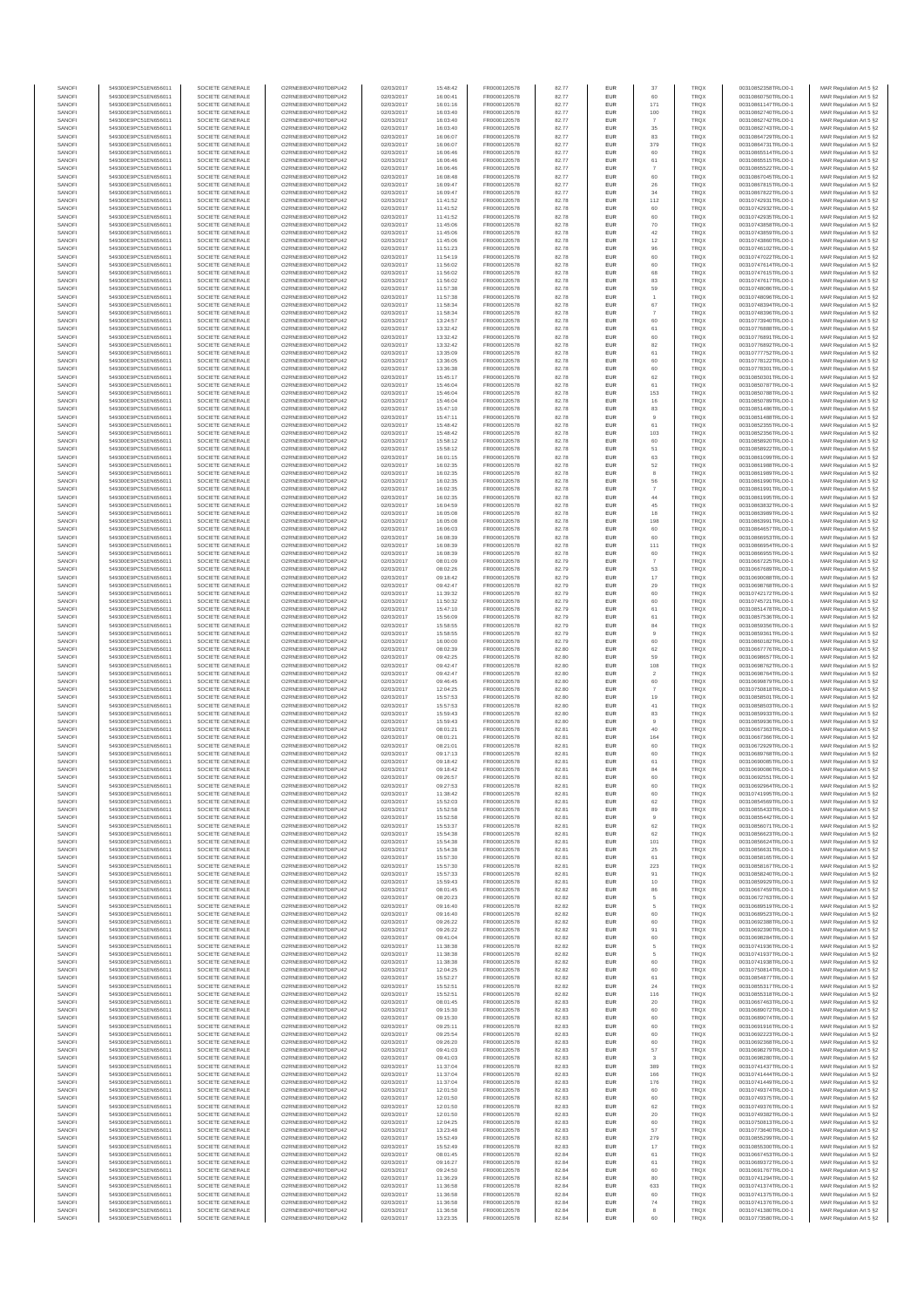| SANOFI           | 549300E9PC51EN656011                         | SOCIETE GENERALE                     | O2RNE8IBXP4R0TD8PU42                          | 02/03/2017               | 15:48:42             | FR0000120578                 | 82.77          | <b>EUR</b>        | 37                   | <b>TRQX</b>                | 00310852358TRLO0-1                       | MAR Regulation Art 5 §2                            |
|------------------|----------------------------------------------|--------------------------------------|-----------------------------------------------|--------------------------|----------------------|------------------------------|----------------|-------------------|----------------------|----------------------------|------------------------------------------|----------------------------------------------------|
| SANOFI<br>SANOFI | 549300E9PC51EN656011<br>549300E9PC51EN656011 | SOCIETE GENERALE<br>SOCIETE GENERALE | O2RNE8IBXP4R0TD8PU42<br>O2RNE8IBXP4R0TD8PU42  | 02/03/2017<br>02/03/2017 | 16:00:41<br>16:01:16 | FR0000120578<br>FR0000120578 | 82.77<br>82.77 | <b>EUR</b><br>EUR | 60<br>171            | <b>TRQX</b><br>TRQX        | 00310860750TRLO0-1<br>00310861147TRLO0-1 | MAR Regulation Art 5 §2<br>MAR Regulation Art 5 §2 |
| SANOFI           | 549300E9PC51EN656011                         | SOCIETE GENERALE                     | O2RNE8IBXP4R0TD8PU42                          | 02/03/2017               | 16:03:40             | FR0000120578                 | 82.77          | <b>EUR</b>        | 100                  | <b>TRQX</b>                | 00310862740TRLO0-1                       | MAR Regulation Art 5 §2                            |
| SANOFI<br>SANOFI | 549300E9PC51EN656011<br>549300E9PC51EN656011 | SOCIETE GENERALE<br>SOCIETE GENERALE | O2RNE8IBXP4R0TD8PU42<br>O2RNE8IBXP4R0TD8PU42  | 02/03/2017<br>02/03/2017 | 16:03:40<br>16:03:40 | FR0000120578<br>FR0000120578 | 82.77<br>82.77 | EUR<br>EUR        | 35                   | TRQX<br><b>TRQX</b>        | 00310862742TRLO0-1<br>00310862743TRLO0-1 | MAR Regulation Art 5 §2<br>MAR Regulation Art 5 §2 |
| SANOFI           | 549300E9PC51EN656011                         | SOCIETE GENERALE                     | O2RNE8IBXP4R0TD8PU42                          | 02/03/2017               | 16:06:07             | FR0000120578                 | 82.77          | EUR               | 83                   | <b>TRQX</b>                | 00310864729TRLO0-1                       | MAR Regulation Art 5 §2                            |
| SANOFI           | 549300E9PC51EN656011                         | SOCIETE GENERALE                     | O2RNE8IBXP4R0TD8PU42                          | 02/03/2017               | 16:06:07             | FR0000120578                 | 82.77          | EUR               | 379                  | TRQX                       | 00310864731TRLO0-1                       | MAR Regulation Art 5 §2                            |
| SANOFI<br>SANOFI | 549300E9PC51EN656011<br>549300E9PC51EN656011 | SOCIETE GENERALE<br>SOCIETE GENERALE | O2RNE8IBXP4R0TD8PU42<br>O2RNE8IBXP4R0TD8PU42  | 02/03/2017<br>02/03/2017 | 16:06:46<br>16:06:46 | FR0000120578<br>FR0000120578 | 82.77<br>82.77 | EUR<br>EUR        | 60<br>61             | TRQX<br>TRQX               | 00310865514TRLO0-1<br>00310865515TRLO0-1 | MAR Regulation Art 5 §2<br>MAR Regulation Art 5 §2 |
| SANOFI           | 549300E9PC51EN656011                         | SOCIETE GENERALE                     | O2RNE8IBXP4R0TD8PLI42                         | 02/03/2017               | 16:06:46             | FR0000120578                 | 82.77          | <b>EUR</b>        | $\overline{7}$       | <b>TRQX</b>                | 00310865522TRLO0-1                       | MAR Regulation Art 5 §2                            |
| SANOFI<br>SANOFI | 549300E9PC51EN656011<br>549300E9PC51EN656011 | SOCIETE GENERALE<br>SOCIETE GENERALE | O2RNE8IBXP4R0TD8PU42<br>O2RNE8IBXP4R0TD8PU42  | 02/03/2017<br>02/03/2017 | 16:08:48<br>16:09:47 | FR0000120578<br>FR0000120578 | 82.77<br>82.77 | EUR<br><b>EUR</b> | 60<br>26             | TRQX<br><b>TRQX</b>        | 00310867045TRLO0-1<br>00310867815TRLO0-1 | MAR Regulation Art 5 §2<br>MAR Regulation Art 5 §2 |
| SANOFI           | 549300E9PC51EN656011                         | SOCIETE GENERALE                     | O2RNE8IBXP4R0TD8PU42                          | 02/03/2017               | 16:09:47             | FR0000120578                 | 82.77          | EUR               | 34                   | TRQX                       | 00310867822TRLO0-1                       | MAR Regulation Art 5 §2                            |
| SANOFI<br>SANOFI | 549300E9PC51EN656011<br>549300E9PC51EN656011 | SOCIETE GENERALE<br>SOCIETE GENERALE | O2RNE8IBXP4R0TD8PU42<br>O2RNE8IBXP4R0TD8PU42  | 02/03/2017<br>02/03/2017 | 11:41:52<br>11:41:52 | FR0000120578<br>FR0000120578 | 82.78<br>82.78 | EUR<br>EUR        | 112<br>60            | TRQX<br>TRQX               | 00310742931TRLO0-1<br>00310742932TRLO0-1 | MAR Regulation Art 5 §2<br>MAR Regulation Art 5 §2 |
| SANOFI           | 549300E9PC51EN656011                         | SOCIETE GENERALE                     | O2RNE8IBXP4R0TD8PU42                          | 02/03/2017               | 11:41:52             | FR0000120578                 | 82.78          | EUR               | 60                   | <b>TRQX</b>                | 00310742935TRLO0-1                       | MAR Regulation Art 5 §2                            |
| SANOFI           | 549300E9PC51EN656011                         | SOCIETE GENERALE                     | O2RNE8IBXP4R0TD8PU42                          | 02/03/2017               | 11:45:06             | FR0000120578                 | 82.78          | EUR               | 70                   | TRQX                       | 00310743858TRLO0-1                       | MAR Regulation Art 5 §2                            |
| SANOFI<br>SANOFI | 549300E9PC51EN656011<br>549300E9PC51EN656011 | SOCIETE GENERALE<br>SOCIETE GENERALE | O2RNE8IBXP4R0TD8PU42<br>O2RNE8IBXP4R0TD8PLI42 | 02/03/2017<br>02/03/2017 | 11:45:06<br>11:45:06 | FR0000120578<br>FR0000120578 | 82.78<br>82.78 | EUR<br><b>EUR</b> | 42<br>12             | <b>TRQX</b><br><b>TRQX</b> | 00310743859TRLO0-1<br>00310743860TRLO0-1 | MAR Regulation Art 5 §2<br>MAR Regulation Art 5 §2 |
| SANOFI           | 549300E9PC51EN656011                         | SOCIETE GENERALE                     | O2RNE8IBXP4R0TD8PU42                          | 02/03/2017               | 11:51:23             | FR0000120578                 | 82.78          | EUR               | 96                   | TRQX                       | 00310746102TRLO0-1                       | MAR Regulation Art 5 §2                            |
| SANOFI<br>SANOFI | 549300E9PC51EN656011<br>549300E9PC51EN656011 | SOCIETE GENERALE<br>SOCIETE GENERALE | O2RNE8IBXP4R0TD8PU42<br>O2RNE8IBXP4R0TD8PU42  | 02/03/2017<br>02/03/2017 | 11:54:19<br>11:56:02 | FR0000120578<br>FR0000120578 | 82.78<br>82.78 | <b>EUR</b><br>EUR | 60<br>60             | <b>TRQX</b><br>TRQX        | 00310747022TRLO0-1<br>00310747614TRLO0-1 | MAR Regulation Art 5 §2<br>MAR Regulation Art 5 §2 |
| SANOFI           | 549300E9PC51EN656011                         | SOCIETE GENERALE                     | O2RNESIBXP4R0TD8PLI42                         | 02/03/2017               | 11:56:02             | FR0000120578                 | 82.78          | EUR               | 68                   | <b>TRQX</b>                | 00310747615TRLO0-1                       | MAR Regulation Art 5 §2                            |
| SANOFI           | 549300E9PC51EN656011                         | SOCIETE GENERALE<br>SOCIETE GENERALE | O2RNE8IBXP4R0TD8PU42                          | 02/03/2017               | 11:56:02             | FR0000120578                 | 82.78          | EUR               | 83                   | <b>TRQX</b>                | 00310747617TRLO0-1<br>00310748086TRLO0-1 | MAR Regulation Art 5 §2                            |
| SANOFI<br>SANOFI | 549300E9PC51EN656011<br>549300E9PC51EN656011 | SOCIETE GENERALE                     | O2RNE8IBXP4R0TD8PU42<br>O2RNE8IBXP4R0TD8PU42  | 02/03/2017<br>02/03/2017 | 11:57:38<br>11:57:38 | FR0000120578<br>FR0000120578 | 82.78<br>82.78 | EUR<br>EUR        | 59                   | TRQX<br>TRQX               | 00310748096TRLO0-1                       | MAR Regulation Art 5 §2<br>MAR Regulation Art 5 §2 |
| SANOFI           | 549300E9PC51EN656011                         | SOCIETE GENERALE                     | O2RNE8IBXP4R0TD8PU42                          | 02/03/2017               | 11:58:34             | FR0000120578                 | 82.78          | EUR               | 67                   | TRQX                       | 00310748394TRLO0-1                       | MAR Regulation Art 5 §2                            |
| SANOFI<br>SANOFI | 549300E9PC51EN656011<br>549300E9PC51EN656011 | SOCIETE GENERALE<br>SOCIETE GENERALE | O2RNE8IBXP4R0TD8PU42<br>O2RNE8IBXP4R0TD8PU42  | 02/03/2017<br>02/03/2017 | 11:58:34<br>13:24:57 | FR0000120578<br>FR0000120578 | 82.78<br>82.78 | <b>EUR</b><br>EUR | $\overline{7}$<br>60 | <b>TRQX</b><br>TRQX        | 00310748396TRLO0-1<br>00310773940TRLO0-1 | MAR Regulation Art 5 §2<br>MAR Regulation Art 5 §2 |
| SANOFI           | 549300E9PC51EN656011                         | SOCIETE GENERALE                     | O2RNE8IBXP4R0TD8PU42                          | 02/03/2017               | 13:32:42             | FR0000120578                 | 82.78          | <b>EUR</b>        | 61                   | <b>TRQX</b>                | 00310776888TRLO0-1                       | MAR Regulation Art 5 §2                            |
| SANOFI<br>SANOFI | 549300E9PC51EN656011<br>549300E9PC51EN656011 | SOCIETE GENERALE<br>SOCIETE GENERALE | O2RNE8IBXP4R0TD8PU42<br>O2RNE8IBXP4R0TD8PU42  | 02/03/2017<br>02/03/2017 | 13:32:42<br>13:32:42 | FR0000120578<br>FR0000120578 | 82.78<br>82.78 | EUR<br>EUR        | 60<br>82             | TRQX<br>TRQX               | 00310776891TRLO0-1<br>00310776892TRLO0-1 | MAR Regulation Art 5 §2<br>MAR Regulation Art 5 §2 |
| SANOFI           | 549300E9PC51EN656011                         | SOCIETE GENERALE                     | O2RNE8IBXP4R0TD8PU42                          | 02/03/2017               | 13:35:09             | FR0000120578                 | 82.78          | EUR               | 61                   | TRQX                       | 00310777752TRLO0-1                       | MAR Regulation Art 5 §2                            |
| SANOFI<br>SANOFI | 549300E9PC51EN656011<br>549300E9PC51EN656011 | SOCIETE GENERALE<br>SOCIETE GENERALE | O2RNE8IBXP4R0TD8PU42<br>O2RNE8IBXP4R0TD8PU42  | 02/03/2017<br>02/03/2017 | 13:36:05<br>13:36:38 | FR0000120578<br>FR0000120578 | 82.78<br>82.78 | EUR<br><b>EUR</b> | 60<br>60             | TRQX<br><b>TRQX</b>        | 00310778122TRLO0-1<br>00310778301TRLO0-1 | MAR Regulation Art 5 §2<br>MAR Regulation Art 5 §2 |
| SANOFI           | 549300E9PC51EN656011                         | SOCIETE GENERALE                     | O2RNE8IBXP4R0TD8PU42                          | 02/03/2017               | 15:45:17             | FR0000120578                 | 82.78          | EUR               | 62                   | TRQX                       | 00310850301TRLO0-1                       | MAR Regulation Art 5 §2                            |
| SANOFI           | 549300E9PC51EN656011                         | SOCIETE GENERALE                     | O2RNE8IBXP4R0TD8PU42                          | 02/03/2017               | 15:46:04             | FR0000120578                 | 82.78          | <b>EUR</b>        | 61                   | <b>TRQX</b>                | 00310850787TRLO0-1                       | MAR Regulation Art 5 §2                            |
| SANOFI<br>SANOFI | 549300E9PC51EN656011<br>549300E9PC51EN656011 | SOCIETE GENERALE<br>SOCIETE GENERALE | O2RNE8IBXP4R0TD8PU42<br>O2RNE8IBXP4R0TD8PU42  | 02/03/2017<br>02/03/2017 | 15:46:04<br>15:46:04 | FR0000120578<br>FR0000120578 | 82.78<br>82.78 | EUR<br>EUR        | 153<br>16            | TRQX<br>TRQX               | 00310850788TRLO0-1<br>00310850789TRLO0-1 | MAR Regulation Art 5 §2<br>MAR Regulation Art 5 §2 |
| SANOFI           | 549300E9PC51EN656011                         | SOCIETE GENERALE                     | O2RNE8IBXP4R0TD8PU42                          | 02/03/2017               | 15:47:10             | FR0000120578                 | 82.78          | EUR               | 83                   | TRQX                       | 00310851486TRLO0-1                       | MAR Regulation Art 5 §2                            |
| SANOFI<br>SANOFI | 549300E9PC51EN656011<br>549300E9PC51EN656011 | SOCIETE GENERALE<br>SOCIETE GENERALE | O2RNE8IBXP4R0TD8PU42<br>O2RNE8IBXP4R0TD8PU42  | 02/03/2017<br>02/03/2017 | 15:47:11<br>15:48:42 | FR0000120578<br>FR0000120578 | 82.78<br>82.78 | EUR<br>EUR        | 9<br>61              | TRQX<br>TRQX               | 00310851488TRLO0-1<br>00310852355TRLO0-1 | MAR Regulation Art 5 §2<br>MAR Regulation Art 5 §2 |
| SANOFI           | 549300E9PC51EN656011                         | SOCIETE GENERALE                     | O2RNE8IBXP4R0TD8PLI42                         | 02/03/2017               | 15:48:42             | FR0000120578                 | 82.78          | EUR               | 103                  | TRQX                       | 00310852356TRLO0-1                       | MAR Regulation Art 5 §2                            |
| SANOFI<br>SANOFI | 549300E9PC51EN656011<br>549300E9PC51EN656011 | SOCIETE GENERALE<br>SOCIETE GENERALE | O2RNE8IBXP4R0TD8PU42<br>O2RNE8IBXP4R0TD8PU42  | 02/03/2017<br>02/03/2017 | 15:58:12<br>15:58:12 | FR0000120578<br>FR0000120578 | 82.78<br>82.78 | <b>EUR</b><br>EUR | 60<br>51             | <b>TRQX</b><br>TRQX        | 00310858920TRLO0-1<br>00310858922TRLO0-1 | MAR Regulation Art 5 §2<br>MAR Regulation Art 5 §2 |
| SANOFI           | 549300E9PC51EN656011                         | SOCIETE GENERALE                     | O2RNE8IBXP4R0TD8PU42                          | 02/03/2017               | 16:01:15             | FR0000120578                 | 82.78          | <b>EUR</b>        | 63                   | <b>TRQX</b>                | 00310861099TRLO0-1                       | MAR Regulation Art 5 §2                            |
| SANOFI           | 549300E9PC51EN656011                         | SOCIETE GENERALE                     | O2RNE8IBXP4R0TD8PU42                          | 02/03/2017               | 16:02:35             | FR0000120578                 | 82.78          | EUR               | 52                   | TRQX                       | 00310861988TRLO0-1                       | MAR Regulation Art 5 §2                            |
| SANOFI<br>SANOFI | 549300E9PC51EN656011<br>549300E9PC51EN656011 | SOCIETE GENERALE<br>SOCIETE GENERALE | O2RNE8IBXP4R0TD8PU42<br>O2RNE8IBXP4R0TD8PU42  | 02/03/2017<br>02/03/2017 | 16:02:35<br>16:02:35 | FR0000120578<br>FR0000120578 | 82.78<br>82.78 | EUR<br>EUR        | 8<br>56              | TRQX<br>TRQX               | 00310861989TRLO0-1<br>00310861990TRLO0-1 | MAR Regulation Art 5 §2<br>MAR Regulation Art 5 §2 |
| SANOFI           | 549300E9PC51EN656011                         | SOCIETE GENERALE                     | O2RNE8IBXP4R0TD8PU42                          | 02/03/2017               | 16:02:35             | FR0000120578                 | 82.78          | EUR               | $\overline{7}$       | TRQX                       | 00310861991TRLO0-1                       | MAR Regulation Art 5 §2                            |
| SANOFI<br>SANOFI | 549300E9PC51EN656011<br>549300E9PC51EN656011 | SOCIETE GENERALE<br>SOCIETE GENERALE | O2RNE8IBXP4R0TD8PU42<br>O2RNE8IBXP4R0TD8PU42  | 02/03/2017<br>02/03/2017 | 16:02:35<br>16:04:59 | FR0000120578<br>FR0000120578 | 82.78<br>82.78 | EUR<br>EUR        | 44<br>45             | TRQX<br>TRQX               | 00310861995TRLO0-1<br>00310863832TRLO0-1 | MAR Regulation Art 5 §2<br>MAR Regulation Art 5 §2 |
| SANOFI           | 549300E9PC51EN656011                         | SOCIETE GENERALE                     | O2RNE8IBXP4R0TD8PU42                          | 02/03/2017               | 16:05:08             | FR0000120578                 | 82.78          | <b>EUR</b>        | 18                   | <b>TRQX</b>                | 00310863989TRLO0-1                       | MAR Regulation Art 5 §2                            |
| SANOFI           | 549300E9PC51EN656011                         | SOCIETE GENERALE                     | O2RNE8IBXP4R0TD8PU42                          | 02/03/2017               | 16:05:08             | FR0000120578                 | 82.78          | EUR               | 198                  | TRQX                       | 00310863991TRLO0-1                       | MAR Regulation Art 5 §2                            |
| SANOFI<br>SANOFI | 549300E9PC51EN656011<br>549300E9PC51EN656011 | SOCIETE GENERALE<br>SOCIETE GENERALE | O2RNE8IBXP4R0TD8PU42<br>O2RNE8IBXP4R0TD8PU42  | 02/03/2017<br>02/03/2017 | 16:06:03<br>16:08:39 | FR0000120578<br>FR0000120578 | 82.78<br>82.78 | <b>EUR</b><br>EUR | 60<br>60             | <b>TRQX</b><br><b>TRQX</b> | 00310864657TRLO0-1<br>00310866953TRLO0-1 | MAR Regulation Art 5 §2<br>MAR Regulation Art 5 §2 |
| SANOFI           | 549300E9PC51EN656011                         | SOCIETE GENERALE                     | O2RNE8IBXP4R0TD8PU42                          | 02/03/2017               | 16:08:39             | FR0000120578                 | 82.78          | EUR               | 111                  | TRQX                       | 00310866954TRLO0-1                       | MAR Regulation Art 5 §2                            |
| SANOFI<br>SANOFI | 549300E9PC51EN656011<br>549300E9PC51EN656011 | SOCIETE GENERALE<br>SOCIETE GENERALE | O2RNE8IBXP4R0TD8PU42<br>O2RNE8IBXP4R0TD8PU42  | 02/03/2017<br>02/03/2017 | 16:08:39<br>08:01:09 | FR0000120578<br>FR0000120578 | 82.78<br>82.79 | EUR<br>EUR        | 60                   | TRQX<br><b>TRQX</b>        | 00310866955TRLO0-1<br>00310667225TRLO0-1 | MAR Regulation Art 5 §2<br>MAR Regulation Art 5 §2 |
| SANOFI           | 549300E9PC51EN656011                         | SOCIETE GENERALE                     | O2RNE8IBXP4R0TD8PU42                          | 02/03/2017               | 08:02:26             | FR0000120578                 | 82.79          | EUR               | 53                   | TRQX                       | 00310667689TRLO0-1                       | MAR Regulation Art 5 §2                            |
| SANOFI<br>SANOFI | 549300E9PC51EN656011<br>549300E9PC51EN656011 | SOCIETE GENERALE<br>SOCIETE GENERALE | O2RNE8IBXP4R0TD8PU42<br>O2RNE8IBXP4R0TD8PU42  | 02/03/2017<br>02/03/2017 | 09:18:42<br>09:42:47 | FR0000120578<br>FR0000120578 | 82.79<br>82.79 | EUR<br><b>EUR</b> | 17<br>29             | TRQX<br><b>TRQX</b>        | 00310690088TRLO0-1<br>00310698768TRLO0-1 | MAR Regulation Art 5 §2<br>MAR Regulation Art 5 §2 |
| SANOFI           | 549300E9PC51EN656011                         | SOCIETE GENERALE                     | O2RNE8IBXP4R0TD8PU42                          | 02/03/2017               | 11:39:32             | FR0000120578                 | 82.79          | EUR               | 60                   | TRQX                       | 00310742172TRLO0-1                       | MAR Regulation Art 5 §2                            |
| SANOFI           | 549300E9PC51EN656011                         | SOCIETE GENERALE                     | O2RNE8IBXP4R0TD8PU42                          | 02/03/2017               | 11:50:32             | FR0000120578                 | 82.79          | <b>EUR</b>        | 60                   | <b>TRQX</b>                | 00310745721TRLO0-1                       | MAR Regulation Art 5 §2                            |
| SANOFI<br>SANOFI | 549300E9PC51EN656011<br>549300E9PC51EN656011 | SOCIETE GENERALE<br>SOCIETE GENERALE | O2RNE8IBXP4R0TD8PU42<br>O2RNE8IBXP4R0TD8PU42  | 02/03/2017<br>02/03/2017 | 15:47:10<br>15:56:09 | FR0000120578<br>FR0000120578 | 82.79<br>82.79 | EUR<br>EUR        | 61<br>61             | TRQX<br><b>TRQX</b>        | 00310851478TRLO0-1<br>00310857536TRLO0-1 | MAR Regulation Art 5 §2<br>MAR Regulation Art 5 §2 |
| SANOFI           | 549300E9PC51EN656011                         | SOCIETE GENERALE                     | O2RNE8IBXP4R0TD8PU42                          | 02/03/2017               | 15:58:55             | FR0000120578                 | 82.79          | EUR               | 84                   | <b>TRQX</b>                | 00310859356TRLO0-1                       | MAR Regulation Art 5 §2                            |
| SANOFI<br>SANOFI | 549300E9PC51EN656011<br>549300E9PC51EN656011 | SOCIETE GENERALE<br>SOCIETE GENERALE | O2RNE8IBXP4R0TD8PU42<br>O2RNE8IBXP4R0TD8PU42  | 02/03/2017<br>02/03/2017 | 15:58:55<br>16:00:00 | FR0000120578<br>FR0000120578 | 82.79<br>82.79 | EUR<br><b>EUR</b> | $\overline{9}$<br>60 | TRQX<br><b>TRQX</b>        | 00310859361TRLO0-1<br>00310860182TRLO0-1 | MAR Regulation Art 5 §2<br>MAR Regulation Art 5 §2 |
| SANOFI           | 549300E9PC51EN656011                         | SOCIETE GENERALE                     | O2RNE8IBXP4R0TD8PU42                          | 02/03/2017               | 08:02:39             | FR0000120578                 | 82.80          | EUR               | 62                   | TRQX                       | 00310667776TRLO0-1                       | MAR Regulation Art 5 §2                            |
| SANOFI<br>SANOFI | 549300E9PC51EN656011<br>549300E9PC51EN656011 | SOCIETE GENERALE<br>SOCIETE GENERALE | O2RNE8IBXP4R0TD8PU42<br>O2RNE8IBXP4R0TD8PU42  | 02/03/2017<br>02/03/2017 | 09:42:25<br>09:42:47 | FR0000120578<br>FR0000120578 | 82.80<br>82.80 | <b>EUR</b><br>EUR | 59<br>108            | <b>TRQX</b><br>TRQX        | 00310698657TRLO0-1<br>00310698762TRLO0-1 | MAR Regulation Art 5 §2<br>MAR Regulation Art 5 §2 |
| SANOFI           | 549300E9PC51EN656011                         | SOCIETE GENERALE                     | O2RNE8IBXP4R0TD8PU42                          | 02/03/2017               | 09:42:47             | FR0000120578                 | 82.80          | <b>EUR</b>        | $\overline{2}$       | <b>TRQX</b>                | 00310698764TRLO0-1                       | MAR Regulation Art 5 §2                            |
| SANOFI<br>SANOFI | 549300E9PC51EN656011                         | SOCIETE GENERALE<br>SOCIETE GENERALE | O2RNE8IBXP4R0TD8PU42<br>O2RNE8IBXP4R0TD8PLI42 | 02/03/2017<br>02/03/2017 | 09:46:45             | FR0000120578<br>FR0000120578 | 82.80<br>82.80 | EUR<br>EUR        | 60<br>$\overline{7}$ | <b>TRQX</b><br>TRQX        | 00310699879TRLO0-1<br>00310750818TRLO0-1 | MAR Regulation Art 5 §2<br>MAR Regulation Art 5 §2 |
| SANOFI           | 549300E9PC51EN656011<br>549300E9PC51EN656011 | SOCIETE GENERALE                     | O2RNE8IBXP4R0TD8PU42                          | 02/03/2017               | 12:04:25<br>15:57:53 | FR0000120578                 | 82.80          | EUR               | 19                   | <b>TRQX</b>                | 00310858501TRLO0-1                       | MAR Regulation Art 5 §2                            |
| SANOFI           | 549300E9PC51EN656011                         | SOCIETE GENERALE                     | O2RNE8IBXP4R0TD8PU42                          | 02/03/2017               | 15:57:53             | FR0000120578                 | 82.80          | EUR               | 41                   | <b>TRQX</b>                | 00310858503TRLO0-1                       | MAR Regulation Art 5 §2                            |
| SANOFI<br>SANOFI | 549300E9PC51EN656011<br>549300E9PC51EN656011 | SOCIETE GENERALE<br>SOCIETE GENERALE | O2RNE8IBXP4R0TD8PU42<br>O2RNE8IBXP4R0TD8PU42  | 02/03/2017<br>02/03/2017 | 15:59:43<br>15:59:43 | FR0000120578<br>FR0000120578 | 82.80<br>82.80 | <b>EUR</b><br>EUR | 83<br>9              | <b>TRQX</b><br>TRQX        | 00310859933TRLO0-1<br>00310859936TRLO0-1 | MAR Regulation Art 5 §2<br>MAR Regulation Art 5 §2 |
| SANOFI           | 549300E9PC51EN656011                         | SOCIETE GENERALE                     | O2RNE8IBXP4R0TD8PU42                          | 02/03/2017               | 08:01:21             | FR0000120578                 | 82.81          | <b>EUR</b>        | 40                   | <b>TRQX</b>                | 00310667363TRLO0-1                       | MAR Regulation Art 5 §2                            |
| SANOFI<br>SANOFI | 549300E9PC51EN656011<br>549300E9PC51EN656011 | SOCIETE GENERALE<br>SOCIETE GENERALE | O2RNE8IBXP4R0TD8PU42<br>O2RNE8IBXP4R0TD8PU42  | 02/03/2017<br>02/03/2017 | 08:01:21<br>08:21:01 | FR0000120578<br>FR0000120578 | 82.81<br>82.81 | EUR<br>EUR        | 164<br>60            | TRQX<br><b>TRQX</b>        | 00310667366TRLO0-1<br>00310672929TRLO0-1 | MAR Regulation Art 5 §2<br>MAR Regulation Art 5 §2 |
| SANOFI           | 549300E9PC51EN656011                         | SOCIETE GENERALE                     | O2RNE8IBXP4R0TD8PU42                          | 02/03/2017               | 09:17:13             | FR0000120578                 | 82.81          | EUR               | 60                   | <b>TRQX</b>                | 00310689768TRLO0-1                       | MAR Regulation Art 5 §2                            |
| SANOFI           | 549300E9PC51EN656011                         | SOCIETE GENERALE                     | O2RNESIBXP4R0TD8PLI42                         | 02/03/2017               | 09:18:42             | FR0000120578                 | 82.81          | EUR               | 61                   | <b>TRQX</b>                | 00310690085TRLO0-1                       | MAR Regulation Art 5 §2                            |
| SANOFI<br>SANOFI | 549300E9PC51EN656011<br>549300E9PC51EN656011 | SOCIETE GENERALE<br>SOCIETE GENERALE | O2RNE8IBXP4R0TD8PU42<br>O2RNE8IBXP4R0TD8PU42  | 02/03/2017<br>02/03/2017 | 09:18:42<br>09:26:57 | FR0000120578<br>FR0000120578 | 82.81<br>82.81 | EUR<br>EUR        | 84<br>60             | <b>TRQX</b><br>TRQX        | 00310690086TRLO0-1<br>00310692551TRLO0-1 | MAR Regulation Art 5 §2<br>MAR Regulation Art 5 §2 |
| SANOFI           | 549300E9PC51EN656011                         | SOCIETE GENERALE                     | O2RNE8IBXP4R0TD8PU42                          | 02/03/2017               | 09:27:53             | FR0000120578                 | 82.81          | <b>EUR</b>        | 60                   | <b>TRQX</b>                | 00310692964TRLO0-1                       | MAR Regulation Art 5 §2                            |
| SANOFI<br>SANOFI | 549300E9PC51EN656011<br>549300E9PC51EN656011 | SOCIETE GENERALE<br>SOCIETE GENERALE | O2RNE8IBXP4R0TD8PU42<br>O2RNE8IBXP4R0TD8PU42  | 02/03/2017<br>02/03/2017 | 11:38:42<br>15:52:03 | FR0000120578<br>FR0000120578 | 82.81<br>82.81 | EUR<br><b>EUR</b> | 62                   | TRQX<br><b>TROX</b>        | 00310741995TRLO0-1<br>00310854569TRLO0-1 | MAR Regulation Art 5 §2<br>MAR Regulation Art 5 §2 |
| SANOFI           | 549300E9PC51EN656011                         | SOCIETE GENERALE                     | O2RNE8IBXP4R0TD8PU42                          | 02/03/2017               | 15:52:58             | FR0000120578                 | 82.81          | EUR               | 89                   | TRQX                       | 00310855433TRLO0-1                       | MAR Regulation Art 5 §2                            |
| SANOFI<br>SANOFI | 549300E9PC51EN656011<br>549300E9PC51EN656011 | SOCIETE GENERALE<br>SOCIETE GENERALE | O2RNE8IBXP4R0TD8PU42<br>O2RNE8IBXP4R0TD8PU42  | 02/03/2017<br>02/03/2017 | 15:52:58<br>15:53:37 | FR0000120578<br>FR0000120578 | 82.81<br>82.81 | <b>EUR</b><br>EUR | 62                   | <b>TRQX</b><br><b>TRQX</b> | 00310855442TRLO0-1<br>00310856071TRLO0-1 | MAR Regulation Art 5 §2<br>MAR Regulation Art 5 §2 |
| SANOFI           | 549300E9PC51EN656011                         | SOCIETE GENERALE                     | O2RNESIBXP4R0TD8PLI42                         | 02/03/2017               | 15:54:38             | FR0000120578                 | 82.81          | ${\sf EUR}$       | 62                   | TRQX                       | 00310856623TRLO0-1                       | MAR Regulation Art 5 §2                            |
| SANOFI<br>SANOFI | 549300E9PC51EN656011<br>549300E9PC51EN656011 | SOCIETE GENERALE<br>SOCIETE GENERALE | O2RNE8IBXP4R0TD8PU42<br>O2RNE8IBXP4R0TD8PU42  | 02/03/2017<br>02/03/2017 | 15:54:38<br>15:54:38 | FR0000120578<br>FR0000120578 | 82.81<br>82.81 | EUR<br>EUR        | 101<br>25            | <b>TRQX</b><br>TRQX        | 00310856624TRLO0-1<br>00310856631TRLO0-1 | MAR Regulation Art 5 §2                            |
| SANOFI           | 549300E9PC51EN656011                         | SOCIETE GENERALE                     | O2RNE8IBXP4R0TD8PLI42                         | 02/03/2017               | 15:57:30             | FR0000120578                 | 82.81          | <b>EUR</b>        | 61                   | <b>TROX</b>                | 00310858165TRLO0-1                       | MAR Regulation Art 5 §2<br>MAR Regulation Art 5 §2 |
| SANOFI           | 549300E9PC51EN656011                         | SOCIETE GENERALE                     | O2RNE8IBXP4R0TD8PU42                          | 02/03/2017               | 15:57:30             | FR0000120578                 | 82.81          | EUR               | 223                  | TRQX                       | 00310858167TRLO0-1                       | MAR Regulation Art 5 \$2                           |
| SANOFI<br>SANOFI | 549300E9PC51EN656011<br>549300E9PC51EN656011 | SOCIETE GENERALE<br>SOCIETE GENERALE | O2RNE8IBXP4R0TD8PU42<br>O2RNE8IBXP4R0TD8PU42  | 02/03/2017<br>02/03/2017 | 15:57:33<br>15:59:43 | FR0000120578<br>FR0000120578 | 82.81<br>82.81 | <b>EUR</b><br>EUR | 91<br>10             | <b>TROX</b><br><b>TRQX</b> | 00310858240TRLO0-1<br>00310859929TRLO0-1 | MAR Regulation Art 5 §2<br>MAR Regulation Art 5 §2 |
| SANOFI           | 549300E9PC51EN656011                         | SOCIETE GENERALE                     | O2RNE8IBXP4R0TD8PU42                          | 02/03/2017               | 08:01:45             | FR0000120578                 | 82.82          | EUR               | 86                   | TRQX                       | 00310667459TRLO0-1                       | MAR Regulation Art 5 §2                            |
| SANOFI<br>SANOFI | 549300E9PC51EN656011<br>549300E9PC51EN656011 | SOCIETE GENERALE<br>SOCIETE GENERALE | O2RNE8IBXP4R0TD8PU42<br>O2RNESIBXP4R0TD8PLI42 | 02/03/2017<br>02/03/2017 | 08:20:23<br>09:16:40 | FR0000120578<br>FR0000120578 | 82.82<br>82.82 | EUR<br>EUR        | 5<br>5               | <b>TRQX</b><br><b>TRQX</b> | 00310672763TRLO0-1<br>00310689519TRLO0-1 | MAR Regulation Art 5 §2<br>MAR Regulation Art 5 §2 |
| SANOFI           | 549300E9PC51EN656011                         | SOCIETE GENERALE                     | O2RNE8IBXP4R0TD8PLI42                         | 02/03/2017               | 09:16:40             | FR0000120578                 | 82.82          | <b>EUR</b>        | 60                   | <b>TROX</b>                | 00310689523TRLO0-1                       | MAR Regulation Art 5 §2                            |
| SANOFI<br>SANOFI | 549300E9PC51EN656011<br>549300E9PC51EN656011 | SOCIETE GENERALE<br>SOCIETE GENERALE | O2RNE8IBXP4R0TD8PU42<br>O2RNE8IBXP4R0TD8PU42  | 02/03/2017<br>02/03/2017 | 09:26:22<br>09:26:22 | FR0000120578<br>FR0000120578 | 82.82<br>82.82 | EUR<br><b>EUR</b> | 60<br>91             | TRQX<br><b>TROX</b>        | 00310692388TRLO0-1<br>00310692390TRLO0-1 | MAR Regulation Art 5 §2<br>MAR Regulation Art 5 §2 |
| SANOFI           | 549300E9PC51EN656011                         | SOCIETE GENERALE                     | O2RNE8IBXP4R0TD8PU42                          | 02/03/2017               | 09:41:04             | FR0000120578                 | 82.82          | EUR               | 60                   | <b>TRQX</b>                | 00310698284TRLO0-1                       | MAR Regulation Art 5 §2                            |
| SANOFI<br>SANOFI | 549300E9PC51EN656011<br>549300E9PC51EN656011 | SOCIETE GENERALE<br>SOCIETE GENERALE | O2RNE8IBXP4R0TD8PU42<br>O2RNE8IBXP4R0TD8PU42  | 02/03/2017<br>02/03/2017 | 11:38:38<br>11:38:38 | FR0000120578<br>FR0000120578 | 82.82<br>82.82 | EUR<br>EUR        | 5<br>5               | TRQX<br><b>TRQX</b>        | 00310741936TRLO0-1<br>00310741937TRLO0-1 | MAR Regulation Art 5 §2<br>MAR Regulation Art 5 §2 |
| SANOFI           | 549300E9PC51EN656011                         | SOCIETE GENERALE                     | O2RNE8IBXP4R0TD8PU42                          | 02/03/2017               | 11:38:38             | FR0000120578                 | 82.82          | EUR               | 60                   | <b>TRQX</b>                | 00310741938TRLO0-1                       | MAR Regulation Art 5 §2                            |
| SANOFI<br>SANOFI | 549300E9PC51EN656011<br>549300E9PC51EN656011 | SOCIETE GENERALE<br>SOCIETE GENERALE | O2RNE8IBXP4R0TD8PU42<br>O2RNE8IBXP4R0TD8PU42  | 02/03/2017<br>02/03/2017 | 12:04:25<br>15:52:27 | FR0000120578<br>FR0000120578 | 82.82<br>82.82 | <b>EUR</b><br>EUR | 60<br>61             | <b>TRQX</b><br><b>TROX</b> | 00310750814TRLO0-1<br>00310854877TRLO0-1 | MAR Regulation Art 5 §2<br>MAR Regulation Art 5 §2 |
| SANOFI           | 549300E9PC51EN656011                         | SOCIETE GENERALE                     | O2RNE8IBXP4R0TD8PU42                          | 02/03/2017               | 15:52:51             | FR0000120578                 | 82.82          | <b>EUR</b>        | 24                   | <b>TROX</b>                | 00310855317TRLO0-1                       | MAR Regulation Art 5 §2                            |
| SANOFI           | 549300E9PC51EN656011                         | SOCIETE GENERALE                     | O2RNE8IBXP4R0TD8PU42                          | 02/03/2017               | 15:52:51             | FR0000120578                 | 82.82          | EUR               | 116                  | <b>TRQX</b>                | 00310855318TRLO0-1                       | MAR Regulation Art 5 §2                            |
| SANOFI<br>SANOFI | 549300E9PC51EN656011<br>549300E9PC51EN656011 | SOCIETE GENERALE<br>SOCIETE GENERALE | O2RNE8IBXP4R0TD8PU42<br>O2RNE8IBXP4R0TD8PU42  | 02/03/2017<br>02/03/2017 | 08:01:45<br>09:15:30 | FR0000120578<br>FR0000120578 | 82.83<br>82.83 | <b>EUR</b><br>EUR | 20<br>60             | <b>TROX</b><br>TRQX        | 00310667463TRLO0-1<br>00310689072TRLO0-1 | MAR Regulation Art 5 §2<br>MAR Regulation Art 5 §2 |
| SANOFI           | 549300E9PC51EN656011                         | SOCIETE GENERALE                     | O2RNE8IBXP4R0TD8PU42                          | 02/03/2017               | 09:15:30             | FR0000120578                 | 82.83          | <b>EUR</b>        | 60                   | <b>TRQX</b>                | 00310689074TRLO0-1                       | MAR Regulation Art 5 §2                            |
| SANOFI<br>SANOFI | 549300E9PC51EN656011<br>549300E9PC51EN656011 | SOCIETE GENERALE<br>SOCIETE GENERALE | O2RNE8IBXP4R0TD8PU42<br>O2RNE8IBXP4R0TD8PU42  | 02/03/2017<br>02/03/2017 | 09:25:11<br>09:25:54 | FR0000120578<br>FR0000120578 | 82.83<br>82.83 | EUR<br>EUR        | 60<br>60             | <b>TRQX</b><br><b>TROX</b> | 00310691916TRLO0-1<br>00310692223TRLO0-1 | MAR Regulation Art 5 §2<br>MAR Regulation Art 5 §2 |
| SANOFI           | 549300E9PC51EN656011                         | SOCIETE GENERALE                     | O2RNE8IBXP4R0TD8PU42                          | 02/03/2017               | 09:26:20             | FR0000120578                 | 82.83          | EUR               | 60                   | <b>TRQX</b>                | 00310692368TRLO0-1                       | MAR Regulation Art 5 §2                            |
| SANOFI<br>SANOFI | 549300E9PC51EN656011<br>549300E9PC51EN656011 | SOCIETE GENERALE<br>SOCIETE GENERALE | O2RNE8IBXP4R0TD8PU42<br>O2RNE8IBXP4R0TD8PU42  | 02/03/2017<br>02/03/2017 | 09:41:03<br>09:41:03 | FR0000120578<br>FR0000120578 | 82.83<br>82.83 | EUR<br><b>EUR</b> | 57<br>3              | <b>TRQX</b><br><b>TROX</b> | 00310698279TRLO0-1<br>00310698280TRLO0-1 | MAR Regulation Art 5 §2                            |
| SANOFI           | 549300E9PC51EN656011                         | SOCIETE GENERALE                     | O2RNE8IBXP4R0TD8PU42                          | 02/03/2017               | 11:37:04             | FR0000120578                 | 82.83          | EUR               | 389                  | TRQX                       | 00310741437TRLO0-1                       | MAR Regulation Art 5 §2<br>MAR Regulation Art 5 §2 |
| SANOFI           | 549300E9PC51EN656011                         | SOCIETE GENERALE                     | O2RNE8IBXP4R0TD8PU42                          | 02/03/2017               | 11:37:04             | FR0000120578                 | 82.83          | <b>EUR</b>        | 166                  | <b>TROX</b>                | 00310741444TRLO0-1                       | MAR Regulation Art 5 §2                            |
| SANOFI<br>SANOFI | 549300E9PC51EN656011<br>549300E9PC51EN656011 | SOCIETE GENERALE<br>SOCIETE GENERALE | O2RNE8IBXP4R0TD8PU42<br>O2RNE8IBXP4R0TD8PU42  | 02/03/2017<br>02/03/2017 | 11:37:04<br>12:01:50 | FR0000120578<br>FR0000120578 | 82.83<br>82.83 | EUR<br>EUR        | 176<br>60            | TRQX<br><b>TRQX</b>        | 00310741449TRLO0-1<br>00310749374TRLO0-1 | MAR Regulation Art 5 §2<br>MAR Regulation Art 5 §2 |
| SANOFI           | 549300E9PC51EN656011                         | SOCIETE GENERALE                     | O2RNE8IBXP4R0TD8PU42                          | 02/03/2017               | 12:01:50             | FR0000120578                 | 82.83          | EUR               | 60                   | <b>TRQX</b>                | 00310749375TRLO0-1                       | MAR Regulation Art 5 §2                            |
| SANOFI<br>SANOFI | 549300E9PC51EN656011<br>549300E9PC51EN656011 | SOCIETE GENERALE<br>SOCIETE GENERALE | O2RNE8IBXP4R0TD8PU42<br>O2RNE8IBXP4R0TD8PU42  | 02/03/2017<br>02/03/2017 | 12:01:50<br>12:01:50 | FR0000120578                 | 82.83<br>82.83 | EUR<br>EUR        | 62<br>20             | <b>TRQX</b><br><b>TRQX</b> | 00310749376TRLO0-1<br>00310749382TRLO0-1 | MAR Regulation Art 5 §2                            |
| SANOFI           | 549300E9PC51EN656011                         | SOCIETE GENERALE                     | O2RNE8IBXP4R0TD8PU42                          | 02/03/2017               | 12:04:25             | FR0000120578<br>FR0000120578 | 82.83          | EUR               | 60                   | TRQX                       | 00310750813TRLO0-1                       | MAR Regulation Art 5 §2<br>MAR Regulation Art 5 §2 |
| SANOFI           | 549300E9PC51EN656011                         | SOCIETE GENERALE                     | O2RNE8IBXP4R0TD8PU42                          | 02/03/2017               | 13:23:48             | FR0000120578                 | 82.83          | <b>EUR</b>        | 57                   | <b>TROX</b>                | 00310773640TRLO0-1                       | MAR Regulation Art 5 §2                            |
| SANOFI<br>SANOFI | 549300E9PC51EN656011<br>549300E9PC51EN656011 | SOCIETE GENERALE<br>SOCIETE GENERALE | O2RNE8IBXP4R0TD8PU42<br>O2RNE8IBXP4R0TD8PU42  | 02/03/2017<br>02/03/2017 | 15:52:49<br>15:52:49 | FR0000120578<br>FR0000120578 | 82.83<br>82.83 | EUR<br><b>EUR</b> | 279<br>17            | TRQX<br><b>TROX</b>        | 00310855299TRLO0-1<br>00310855300TRLO0-1 | MAR Regulation Art 5 §2<br>MAR Regulation Art 5 §2 |
| SANOFI           | 549300E9PC51EN656011                         | SOCIETE GENERALE                     | O2RNE8IBXP4R0TD8PU42                          | 02/03/2017               | 08:01:45             | FR0000120578                 | 82.84          | EUR               | 61                   | <b>TRQX</b>                | 00310667453TRLO0-1                       | MAR Regulation Art 5 §2                            |
| SANOFI<br>SANOFI | 549300E9PC51EN656011<br>549300E9PC51EN656011 | SOCIETE GENERALE<br>SOCIETE GENERALE | O2RNE8IBXP4R0TD8PU42<br>O2RNE8IBXP4R0TD8PU42  | 02/03/2017<br>02/03/2017 | 09:16:27<br>09:24:50 | FR0000120578<br>FR0000120578 | 82.84<br>82.84 | EUR<br>EUR        | 61<br>60             | <b>TRQX</b><br><b>TRQX</b> | 00310689372TRLO0-1<br>00310691767TRLO0-1 | MAR Regulation Art 5 §2<br>MAR Regulation Art 5 §2 |
| SANOFI           | 549300E9PC51EN656011                         | SOCIETE GENERALE                     | O2RNE8IBXP4R0TD8PU42                          | 02/03/2017               | 11:36:29             | FR0000120578                 | 82.84          | EUR               | 80                   | TRQX                       | 00310741294TRLO0-1                       | MAR Regulation Art 5 §2                            |
| SANOFI<br>SANOFI | 549300E9PC51EN656011<br>549300E9PC51EN656011 | SOCIETE GENERALE<br>SOCIETE GENERALE | O2RNE8IBXP4R0TD8PU42<br>O2RNE8IBXP4R0TD8PU42  | 02/03/2017<br>02/03/2017 | 11:36:58<br>11:36:58 | FR0000120578<br>FR0000120578 | 82.84<br>82.84 | <b>EUR</b><br>EUR | 633<br>60            | <b>TROX</b><br>TRQX        | 00310741374TRLO0-1<br>00310741375TRLO0-1 | MAR Regulation Art 5 §2                            |
| SANOFI           | 549300E9PC51EN656011                         | SOCIETE GENERALE                     | O2RNE8IBXP4R0TD8PU42                          | 02/03/2017               | 11:36:58             | FR0000120578                 | 82.84          | <b>EUR</b>        | 74                   | <b>TRQX</b>                | 00310741376TRLO0-1                       | MAR Regulation Art 5 §2<br>MAR Regulation Art 5 §2 |
| SANOFI<br>SANOFI | 549300E9PC51EN656011<br>549300E9PC51EN656011 | SOCIETE GENERALE<br>SOCIETE GENERALE | O2RNE8IBXP4R0TD8PU42<br>O2RNE8IBXP4R0TD8PU42  | 02/03/2017<br>02/03/2017 | 11:36:58             | FR0000120578<br>FR0000120578 | 82.84          | EUR<br>EUR        | 8<br>60              | TRQX<br><b>TRQX</b>        | 00310741380TRLO0-1<br>00310773580TRLO0-1 | MAR Regulation Art 5 §2<br>MAR Regulation Art 5 §2 |
|                  |                                              |                                      |                                               |                          | 13:23:35             |                              | 82.84          |                   |                      |                            |                                          |                                                    |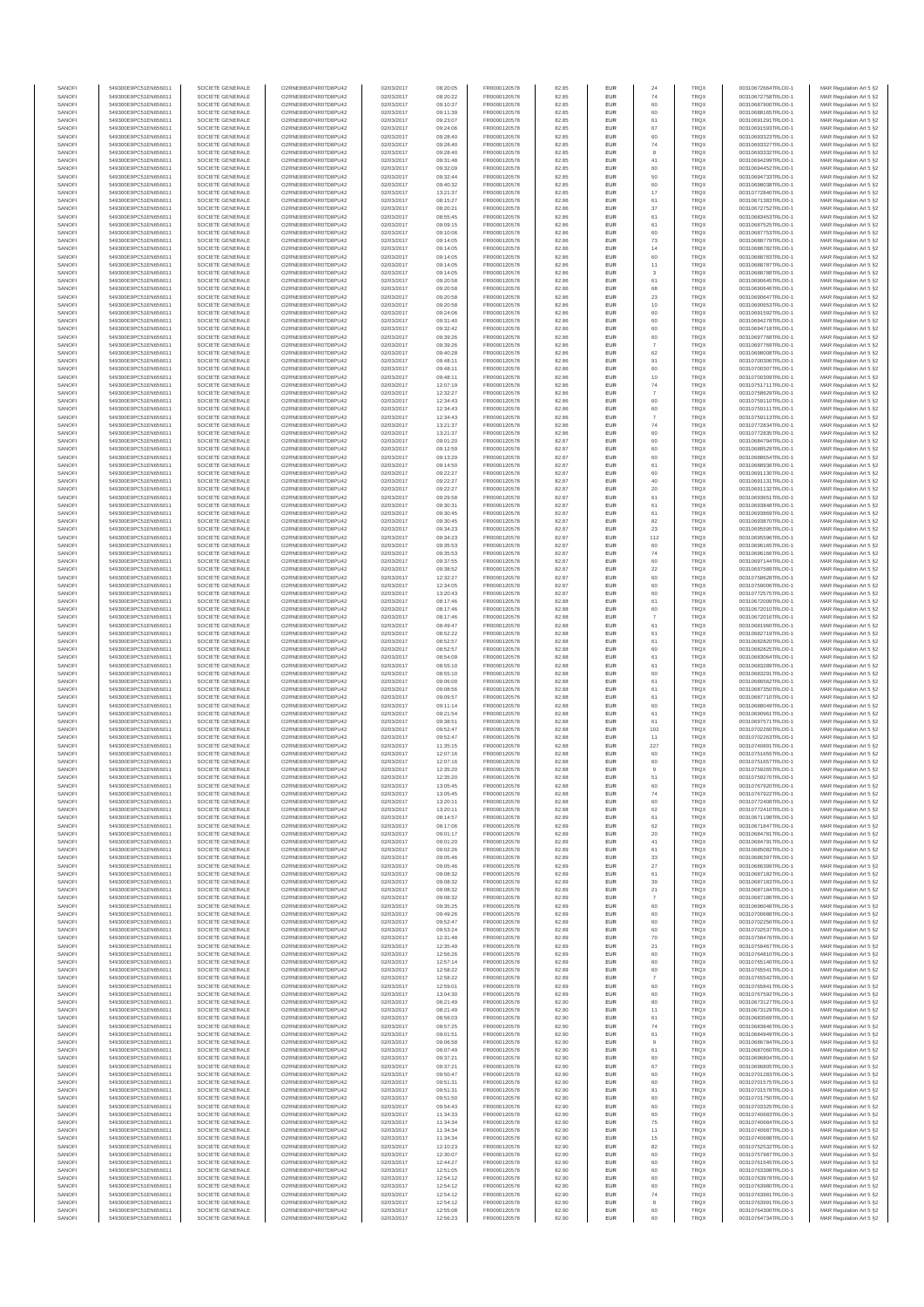| SANOFI           | 549300E9PC51EN656011                         | SOCIETE GENERALE                     | O2RNE8IBXP4R0TD8PU42                          | 02/03/2017               | 08:20:05             | FR0000120578                 | 82.85          | <b>EUR</b>        | 24             | <b>TRQX</b>                | 00310672664TRLO0-1                       | MAR Regulation Art 5 §2                            |
|------------------|----------------------------------------------|--------------------------------------|-----------------------------------------------|--------------------------|----------------------|------------------------------|----------------|-------------------|----------------|----------------------------|------------------------------------------|----------------------------------------------------|
| SANOFI<br>SANOFI | 549300E9PC51EN656011<br>549300E9PC51EN656011 | SOCIETE GENERALE<br>SOCIETE GENERALE | O2RNE8IBXP4R0TD8PU42<br>O2RNE8IBXP4R0TD8PU42  | 02/03/2017<br>02/03/2017 | 08:20:22<br>09:10:37 | FR0000120578<br>FR0000120578 | 82.85<br>82.85 | <b>EUR</b><br>EUR | 74<br>60       | <b>TRQX</b><br>TRQX        | 00310672758TRLO0-1<br>00310687900TRLO0-1 | MAR Regulation Art 5 §2<br>MAR Regulation Art 5 §2 |
| SANOFI           | 549300E9PC51EN656011                         | SOCIETE GENERALE                     | O2RNE8IBXP4R0TD8PU42                          | 02/03/2017               | 09:11:39             | FR0000120578                 | 82.85          | <b>EUR</b>        | 60             | <b>TRQX</b>                | 00310688165TRLO0-1                       | MAR Regulation Art 5 §2                            |
| SANOFI           | 549300E9PC51EN656011                         | SOCIETE GENERALE                     | O2RNE8IBXP4R0TD8PU42                          | 02/03/2017               | 09:23:07             | FR0000120578                 | 82.85          | EUR               | 61             | TRQX                       | 00310691291TRLO0-1                       | MAR Regulation Art 5 §2                            |
| SANOFI           | 549300E9PC51EN656011                         | SOCIETE GENERALE                     | O2RNE8IBXP4R0TD8PU42                          | 02/03/2017               | 09:24:06             | FR0000120578                 | 82.85          | EUR               | 67             | <b>TRQX</b>                | 00310691593TRLO0-1                       | MAR Regulation Art 5 §2                            |
| SANOFI<br>SANOFI | 549300E9PC51EN656011<br>549300E9PC51EN656011 | SOCIETE GENERALE<br>SOCIETE GENERALE | O2RNE8IBXP4R0TD8PU42<br>O2RNE8IBXP4R0TD8PU42  | 02/03/2017<br>02/03/2017 | 09:28:40<br>09:28:40 | FR0000120578<br>FR0000120578 | 82.85<br>82.85 | EUR<br>EUR        | 60<br>$74\,$   | <b>TRQX</b><br>TRQX        | 00310693323TRLO0-1<br>00310693327TRLO0-1 | MAR Regulation Art 5 §2<br>MAR Regulation Art 5 §2 |
| SANOFI           | 549300E9PC51EN656011                         | SOCIETE GENERALE                     | O2RNE8IBXP4R0TD8PU42                          | 02/03/2017               | 09:28:40             | FR0000120578                 | 82.85          | EUR               |                | TRQX                       | 00310693332TRLO0-1                       | MAR Regulation Art 5 §2                            |
| SANOFI           | 549300E9PC51EN656011                         | SOCIETE GENERALE                     | O2RNE8IBXP4R0TD8PU42                          | 02/03/2017               | 09:31:48             | FR0000120578                 | 82.85          | EUR               | 41             | TRQX                       | 00310694299TRLO0-1                       | MAR Regulation Art 5 §2                            |
| SANOFI<br>SANOFI | 549300E9PC51EN656011<br>549300E9PC51EN656011 | SOCIETE GENERALE<br>SOCIETE GENERALE | O2RNE8IBXP4R0TD8PLI42<br>O2RNE8IBXP4R0TD8PU42 | 02/03/2017<br>02/03/2017 | 09:32:09<br>09:32:44 | FR0000120578<br>FR0000120578 | 82.85<br>82.85 | <b>EUR</b><br>EUR | 60<br>50       | <b>TRQX</b><br>TRQX        | 00310694452TRLO0-1<br>00310694733TRLO0-1 | MAR Regulation Art 5 §2<br>MAR Regulation Art 5 §2 |
| SANOFI           | 549300E9PC51EN656011                         | SOCIETE GENERALE                     | O2RNE8IBXP4R0TD8PU42                          | 02/03/2017               | 09:40:32             | FR0000120578                 | 82.85          | <b>EUR</b>        | 60             | <b>TRQX</b>                | 00310698038TRLO0-1                       | MAR Regulation Art 5 §2                            |
| SANOFI           | 549300E9PC51EN656011                         | SOCIETE GENERALE                     | O2RNE8IBXP4R0TD8PU42                          | 02/03/2017               | 13:21:37             | FR0000120578                 | 82.85          | EUR               | 17             | TRQX                       | 00310772840TRLO0-1                       | MAR Regulation Art 5 §2                            |
| SANOFI           | 549300E9PC51EN656011                         | SOCIETE GENERALE                     | O2RNE8IBXP4R0TD8PU42                          | 02/03/2017               | 08:15:27             | FR0000120578                 | 82.86          | EUR               | 61             | <b>TRQX</b>                | 00310671383TRLO0-1                       | MAR Regulation Art 5 §2                            |
| SANOFI<br>SANOFI | 549300E9PC51EN656011<br>549300E9PC51EN656011 | SOCIETE GENERALE<br>SOCIETE GENERALE | O2RNE8IBXP4R0TD8PU42<br>O2RNE8IBXP4R0TD8PU42  | 02/03/2017<br>02/03/2017 | 08:20:21<br>08:55:45 | FR0000120578<br>FR0000120578 | 82.86<br>82.86 | EUR<br>EUR        | 37<br>61       | TRQX<br><b>TRQX</b>        | 00310672752TRLO0-1<br>00310683453TRLO0-1 | MAR Regulation Art 5 §2<br>MAR Regulation Art 5 §2 |
| SANOFI           | 549300E9PC51EN656011                         | SOCIETE GENERALE                     | O2RNE8IBXP4R0TD8PU42                          | 02/03/2017               | 09:09:15             | FR0000120578                 | 82.86          | EUR               | 61             | TRQX                       | 00310687525TRLO0-1                       | MAR Regulation Art 5 §2                            |
| SANOFI           | 549300E9PC51EN656011                         | SOCIETE GENERALE                     | O2RNE8IBXP4R0TD8PU42                          | 02/03/2017               | 09:10:06             | FR0000120578                 | 82.86          | EUR               | 60             | TRQX                       | 00310687753TRLO0-1                       | MAR Regulation Art 5 §2                            |
| SANOFI           | 549300E9PC51EN656011                         | SOCIETE GENERALE                     | O2RNE8IBXP4R0TD8PLI42                         | 02/03/2017               | 09:14:05             | FR0000120578                 | 82.86          | <b>EUR</b>        | 73             | <b>TRQX</b>                | 00310688779TRLO0-1                       | MAR Regulation Art 5 §2                            |
| SANOFI<br>SANOFI | 549300E9PC51EN656011<br>549300E9PC51EN656011 | SOCIETE GENERALE<br>SOCIETE GENERALE | O2RNE8IBXP4R0TD8PU42<br>O2RNE8IBXP4R0TD8PU42  | 02/03/2017<br>02/03/2017 | 09:14:05<br>09:14:05 | FR0000120578<br>FR0000120578 | 82.86<br>82.86 | EUR<br><b>EUR</b> | 14<br>60       | TRQX<br><b>TRQX</b>        | 00310688782TRLO0-1<br>00310688783TRLO0-1 | MAR Regulation Art 5 §2<br>MAR Regulation Art 5 §2 |
| SANOFI           | 549300E9PC51EN656011                         | SOCIETE GENERALE                     | O2RNE8IBXP4R0TD8PU42                          | 02/03/2017               | 09:14:05             | FR0000120578                 | 82.86          | EUR               | 11             | TRQX                       | 00310688787TRLO0-1                       | MAR Regulation Art 5 §2                            |
| SANOFI           | 549300E9PC51EN656011                         | SOCIETE GENERALE                     | O2RNESIBXP4R0TD8PLI42                         | 02/03/2017               | 09:14:05             | FR0000120578                 | 82.86          | EUR               | 3              | TRQX                       | 00310688788TRLO0-1                       | MAR Regulation Art 5 §2                            |
| SANOFI           | 549300E9PC51EN656011                         | SOCIETE GENERALE                     | O2RNE8IBXP4R0TD8PU42                          | 02/03/2017               | 09:20:58             | FR0000120578                 | 82.86          | EUR               | 61             | TRQX                       | 00310690645TRLO0-1                       | MAR Regulation Art 5 §2                            |
| SANOFI<br>SANOFI | 549300E9PC51EN656011<br>549300E9PC51EN656011 | SOCIETE GENERALE<br>SOCIETE GENERALE | O2RNE8IBXP4R0TD8PU42<br>O2RNE8IBXP4R0TD8PU42  | 02/03/2017<br>02/03/2017 | 09:20:58<br>09:20:58 | FR0000120578<br>FR0000120578 | 82.86<br>82.86 | EUR<br>EUR        | 68<br>$23\,$   | TRQX<br>TRQX               | 00310690646TRLO0-1<br>00310690647TRLO0-1 | MAR Regulation Art 5 §2<br>MAR Regulation Art 5 §2 |
| SANOFI           | 549300E9PC51EN656011                         | SOCIETE GENERALE                     | O2RNE8IBXP4R0TD8PU42                          | 02/03/2017               | 09:20:58             | FR0000120578                 | 82.86          | EUR               | 10             | TRQX                       | 00310690653TRLO0-1                       | MAR Regulation Art 5 §2                            |
| SANOFI           | 549300E9PC51EN656011                         | SOCIETE GENERALE                     | O2RNE8IBXP4R0TD8PU42                          | 02/03/2017               | 09:24:06             | FR0000120578                 | 82.86          | <b>EUR</b>        | 60             | <b>TRQX</b>                | 00310691592TRLO0-1                       | MAR Regulation Art 5 §2                            |
| SANOFI<br>SANOFI | 549300E9PC51EN656011<br>549300E9PC51EN656011 | SOCIETE GENERALE<br>SOCIETE GENERALE | O2RNE8IBXP4R0TD8PU42<br>O2RNE8IBXP4R0TD8PU42  | 02/03/2017<br>02/03/2017 | 09:31:40<br>09:32:42 | FR0000120578<br>FR0000120578 | 82.86<br>82.86 | EUR<br><b>EUR</b> | 60<br>60       | TRQX<br><b>TRQX</b>        | 00310694278TRLO0-1<br>00310694718TRLO0-1 | MAR Regulation Art 5 §2<br>MAR Regulation Art 5 §2 |
| SANOFI           | 549300E9PC51EN656011                         | SOCIETE GENERALE                     | O2RNE8IBXP4R0TD8PU42                          | 02/03/2017               | 09:39:26             | FR0000120578                 | 82.86          | EUR               | 60             | TRQX                       | 00310697768TRLO0-1                       | MAR Regulation Art 5 §2                            |
| SANOFI           | 549300E9PC51EN656011                         | SOCIETE GENERALE                     | O2RNE8IBXP4R0TD8PU42                          | 02/03/2017               | 09:39:26             | FR0000120578                 | 82.86          | EUR               | $\overline{7}$ | TRQX                       | 00310697769TRLO0-1                       | MAR Regulation Art 5 §2                            |
| SANOFI           | 549300E9PC51EN656011                         | SOCIETE GENERALE                     | O2RNE8IBXP4R0TD8PU42                          | 02/03/2017               | 09:40:28             | FR0000120578                 | 82.86          | EUR               | 62             | TRQX                       | 00310698008TRLO0-1                       | MAR Regulation Art 5 §2                            |
| SANOFI<br>SANOFI | 549300E9PC51EN656011<br>549300E9PC51EN656011 | SOCIETE GENERALE<br>SOCIETE GENERALE | O2RNE8IBXP4R0TD8PU42<br>O2RNE8IBXP4R0TD8PU42  | 02/03/2017<br>02/03/2017 | 09:48:11<br>09:48:11 | FR0000120578<br>FR0000120578 | 82.86<br>82.86 | EUR<br><b>EUR</b> | 91<br>60       | TRQX<br><b>TRQX</b>        | 00310700306TRLO0-1<br>00310700307TRLO0-1 | MAR Regulation Art 5 §2<br>MAR Regulation Art 5 §2 |
| SANOFI           | 549300E9PC51EN656011                         | SOCIETE GENERALE                     | O2RNE8IBXP4R0TD8PU42                          | 02/03/2017               | 09:48:11             | FR0000120578                 | 82.86          | EUR               | 10             | TRQX                       | 00310700309TRLO0-1                       | MAR Regulation Art 5 §2                            |
| SANOFI           | 549300E9PC51EN656011                         | SOCIETE GENERALE                     | O2RNE8IBXP4R0TD8PU42                          | 02/03/2017               | 12:07:19             | FR0000120578                 | 82.86          | <b>EUR</b>        | 74             | <b>TRQX</b>                | 00310751711TRLO0-1                       | MAR Regulation Art 5 §2                            |
| SANOFI<br>SANOFI | 549300E9PC51EN656011<br>549300E9PC51EN656011 | SOCIETE GENERALE<br>SOCIETE GENERALE | O2RNE8IBXP4R0TD8PU42<br>O2RNE8IBXP4R0TD8PU42  | 02/03/2017<br>02/03/2017 | 12:32:27<br>12:34:43 | FR0000120578<br>FR0000120578 | 82.86<br>82.86 | EUR<br>EUR        | 60             | TRQX<br>TRQX               | 00310758629TRLO0-1<br>00310759110TRLO0-1 | MAR Regulation Art 5 §2<br>MAR Regulation Art 5 §2 |
| SANOFI           | 549300E9PC51EN656011                         | SOCIETE GENERALE                     | O2RNE8IBXP4R0TD8PU42                          | 02/03/2017               | 12:34:43             | FR0000120578                 | 82.86          | EUR               | 60             | TRQX                       | 00310759111TRLO0-1                       | MAR Regulation Art 5 §2                            |
| SANOFI           | 549300E9PC51EN656011                         | SOCIETE GENERALE                     | O2RNE8IBXP4R0TD8PU42                          | 02/03/2017               | 12:34:43             | FR0000120578                 | 82.86          | EUR               |                | TRQX                       | 00310759113TRLO0-1                       | MAR Regulation Art 5 §2                            |
| SANOFI           | 549300E9PC51EN656011                         | SOCIETE GENERALE                     | O2RNE8IBXP4R0TD8PU42                          | 02/03/2017               | 13:21:37             | FR0000120578                 | 82.86          | EUR               | 74             | TRQX                       | 00310772834TRLO0-1                       | MAR Regulation Art 5 §2                            |
| SANOFI<br>SANOFI | 549300E9PC51EN656011<br>549300E9PC51EN656011 | SOCIETE GENERALE<br>SOCIETE GENERALE | O2RNE8IBXP4R0TD8PLI42<br>O2RNE8IBXP4R0TD8PU42 | 02/03/2017<br>02/03/2017 | 13:21:37<br>09:01:20 | FR0000120578<br>FR0000120578 | 82.86<br>82.87 | EUR<br><b>EUR</b> | 60<br>60       | TRQX<br><b>TRQX</b>        | 00310772835TRLO0-1<br>00310684794TRLO0-1 | MAR Regulation Art 5 §2<br>MAR Regulation Art 5 §2 |
| SANOFI           | 549300E9PC51EN656011                         | SOCIETE GENERALE                     | O2RNE8IBXP4R0TD8PU42                          | 02/03/2017               | 09:12:59             | FR0000120578                 | 82.87          | EUR               | 60             | TRQX                       | 00310688529TRLO0-1                       | MAR Regulation Art 5 §2                            |
| SANOFI           | 549300E9PC51EN656011                         | SOCIETE GENERALE                     | O2RNE8IBXP4R0TD8PU42                          | 02/03/2017               | 09:13:29             | FR0000120578                 | 82.87          | <b>EUR</b>        | 60             | <b>TRQX</b>                | 00310688654TRLO0-1                       | MAR Regulation Art 5 §2                            |
| SANOFI           | 549300E9PC51EN656011                         | SOCIETE GENERALE                     | O2RNE8IBXP4R0TD8PU42                          | 02/03/2017               | 09:14:50             | FR0000120578                 | 82.87          | EUR               | 61             | TRQX                       | 00310688936TRLO0-1                       | MAR Regulation Art 5 §2                            |
| SANOFI<br>SANOFI | 549300E9PC51EN656011<br>549300E9PC51EN656011 | SOCIETE GENERALE<br>SOCIETE GENERALE | O2RNE8IBXP4R0TD8PU42<br>O2RNE8IBXP4R0TD8PU42  | 02/03/2017<br>02/03/2017 | 09:22:27<br>09:22:27 | FR0000120578<br>FR0000120578 | 82.87<br>82.87 | EUR<br>EUR        | 60<br>40       | TRQX<br>TRQX               | 00310691130TRLO0-1<br>00310691131TRLO0-1 | MAR Regulation Art 5 §2<br>MAR Regulation Art 5 §2 |
| SANOFI           | 549300E9PC51EN656011                         | SOCIETE GENERALE                     | O2RNE8IBXP4R0TD8PLI42                         | 02/03/2017               | 09:22:27             | FR0000120578                 | 82.87          | EUR               | $20\,$         | TRQX                       | 00310691132TRLO0-1                       | MAR Regulation Art 5 §2                            |
| SANOFI           | 549300E9PC51EN656011                         | SOCIETE GENERALE                     | O2RNE8IBXP4R0TD8PU42                          | 02/03/2017               | 09:29:58             | FR0000120578                 | 82.87          | EUR               | 61             | TRQX                       | 00310693651TRLO0-1                       | MAR Regulation Art 5 §2                            |
| SANOFI           | 549300E9PC51EN656011                         | SOCIETE GENERALE                     | O2RNE8IBXP4R0TD8PU42                          | 02/03/2017               | 09:30:31             | FR0000120578                 | 82.87          | EUR               | 61             | TRQX                       | 00310693848TRLO0-1                       | MAR Regulation Art 5 §2                            |
| SANOFI<br>SANOFI | 549300E9PC51EN656011<br>549300E9PC51EN656011 | SOCIETE GENERALE<br>SOCIETE GENERALE | O2RNE8IBXP4R0TD8PU42<br>O2RNE8IBXP4R0TD8PU42  | 02/03/2017<br>02/03/2017 | 09:30:45<br>09:30:45 | FR0000120578<br>FR0000120578 | 82.87<br>82.87 | <b>EUR</b><br>EUR | 61<br>82       | <b>TRQX</b><br>TRQX        | 00310693869TRLO0-1<br>00310693870TRLO0-1 | MAR Regulation Art 5 §2<br>MAR Regulation Art 5 §2 |
| SANOFI           | 549300E9PC51EN656011                         | SOCIETE GENERALE                     | O2RNE8IBXP4R0TD8PU42                          | 02/03/2017               | 09:34:23             | FR0000120578                 | 82.87          | <b>EUR</b>        | 23             | <b>TRQX</b>                | 00310695595TRLO0-1                       | MAR Regulation Art 5 §2                            |
| SANOFI           | 549300E9PC51EN656011                         | SOCIETE GENERALE                     | O2RNE8IBXP4R0TD8PU42                          | 02/03/2017               | 09:34:23             | FR0000120578                 | 82.87          | EUR               | 112            | TRQX                       | 00310695596TRLO0-1                       | MAR Regulation Art 5 §2                            |
| SANOFI           | 549300E9PC51EN656011                         | SOCIETE GENERALE                     | O2RNE8IBXP4R0TD8PU42                          | 02/03/2017               | 09:35:53             | FR0000120578                 | 82.87          | EUR               | 60             | TRQX                       | 00310696165TRLO0-1                       | MAR Regulation Art 5 §2                            |
| SANOFI<br>SANOFI | 549300E9PC51EN656011<br>549300E9PC51EN656011 | SOCIETE GENERALE<br>SOCIETE GENERALE | O2RNE8IBXP4R0TD8PU42<br>O2RNE8IBXP4R0TD8PU42  | 02/03/2017<br>02/03/2017 | 09:35:53<br>09:37:55 | FR0000120578<br>FR0000120578 | 82.87<br>82.87 | EUR<br>EUR        | 74<br>60       | TRQX<br><b>TRQX</b>        | 00310696166TRLO0-1<br>00310697144TRLO0-1 | MAR Regulation Art 5 §2<br>MAR Regulation Art 5 §2 |
| SANOFI           | 549300E9PC51EN656011                         | SOCIETE GENERALE                     | O2RNE8IBXP4R0TD8PU42                          | 02/03/2017               | 09:38:52             | FR0000120578                 | 82.87          | EUR               | $22\,$         | TRQX                       | 00310697589TRLO0-1                       | MAR Regulation Art 5 §2                            |
| SANOFI           | 549300E9PC51EN656011                         | SOCIETE GENERALE                     | O2RNE8IBXP4R0TD8PU42                          | 02/03/2017               | 12:32:27             | FR0000120578                 | 82.87          | EUR               | 60             | TRQX                       | 00310758628TRLO0-1                       | MAR Regulation Art 5 §2                            |
| SANOFI<br>SANOFI | 549300E9PC51EN656011<br>549300E9PC51EN656011 | SOCIETE GENERALE<br>SOCIETE GENERALE | O2RNE8IBXP4R0TD8PU42<br>O2RNE8IBXP4R0TD8PU42  | 02/03/2017<br>02/03/2017 | 12:34:05<br>13:20:43 | FR0000120578<br>FR0000120578 | 82.87<br>82.87 | <b>EUR</b><br>EUR | 60<br>60       | <b>TRQX</b><br>TRQX        | 00310759006TRLO0-1<br>00310772575TRLO0-1 | MAR Regulation Art 5 §2                            |
| SANOFI           | 549300E9PC51EN656011                         | SOCIETE GENERALE                     | O2RNE8IBXP4R0TD8PU42                          | 02/03/2017               | 08:17:46             | FR0000120578                 | 82.88          | <b>EUR</b>        | 61             | <b>TRQX</b>                | 00310672009TRLO0-1                       | MAR Regulation Art 5 §2<br>MAR Regulation Art 5 §2 |
| SANOFI           | 549300E9PC51EN656011                         | SOCIETE GENERALE                     | O2RNE8IBXP4R0TD8PU42                          | 02/03/2017               | 08:17:46             | FR0000120578                 | 82.88          | EUR               | 60             | TRQX                       | 00310672010TRLO0-1                       | MAR Regulation Art 5 §2                            |
| SANOFI           | 549300E9PC51EN656011                         | SOCIETE GENERALE                     | O2RNE8IBXP4R0TD8PU42                          | 02/03/2017               | 08:17:46             | FR0000120578                 | 82.88          | EUR               |                | <b>TRQX</b>                | 00310672016TRLO0-1                       | MAR Regulation Art 5 §2                            |
| SANOFI<br>SANOFI | 549300E9PC51EN656011<br>549300E9PC51EN656011 | SOCIETE GENERALE<br>SOCIETE GENERALE | O2RNE8IBXP4R0TD8PU42<br>O2RNE8IBXP4R0TD8PU42  | 02/03/2017<br>02/03/2017 | 08:49:47<br>08:52:22 | FR0000120578<br>FR0000120578 | 82.88<br>82.88 | EUR<br>EUR        | 61<br>61       | <b>TRQX</b><br>TRQX        | 00310681960TRLO0-1<br>00310682719TRLO0-1 | MAR Regulation Art 5 §2<br>MAR Regulation Art 5 §2 |
| SANOFI           | 549300E9PC51EN656011                         | SOCIETE GENERALE                     | O2RNE8IBXP4R0TD8PU42                          | 02/03/2017               | 08:52:57             | FR0000120578                 | 82.88          | <b>EUR</b>        | 61             | <b>TRQX</b>                | 00310682820TRLO0-1                       | MAR Regulation Art 5 §2                            |
| SANOFI           | 549300E9PC51EN656011                         | SOCIETE GENERALE                     | O2RNE8IBXP4R0TD8PU42                          | 02/03/2017               | 08:52:57             | FR0000120578                 | 82.88          | EUR               | 60             | TRQX                       | 00310682825TRLO0-1                       | MAR Regulation Art 5 §2                            |
| SANOFI           | 549300E9PC51EN656011                         | SOCIETE GENERALE                     | O2RNE8IBXP4R0TD8PU42                          | 02/03/2017               | 08:54:09             | FR0000120578                 | 82.88          | <b>EUR</b>        | 61             | <b>TRQX</b>                | 00310683064TRLO0-1                       | MAR Regulation Art 5 §2                            |
| SANOFI<br>SANOFI | 549300E9PC51EN656011<br>549300E9PC51EN656011 | SOCIETE GENERALE<br>SOCIETE GENERALE | O2RNE8IBXP4R0TD8PU42<br>O2RNE8IBXP4R0TD8PU42  | 02/03/2017<br>02/03/2017 | 08:55:10<br>08:55:10 | FR0000120578<br>FR0000120578 | 82.88<br>82.88 | EUR<br><b>EUR</b> | 61<br>60       | TRQX<br><b>TRQX</b>        | 00310683289TRLO0-1<br>00310683291TRLO0-1 | MAR Regulation Art 5 §2<br>MAR Regulation Art 5 §2 |
| SANOFI           | 549300E9PC51EN656011                         | SOCIETE GENERALE                     | O2RNE8IBXP4R0TD8PU42                          | 02/03/2017               | 09:06:00             | FR0000120578                 | 82.88          | EUR               | 61             | <b>TRQX</b>                | 00310686562TRLO0-1                       | MAR Regulation Art 5 §2                            |
| SANOFI           | 549300E9PC51EN656011                         | SOCIETE GENERALE                     | O2RNE8IBXP4R0TD8PLI42                         | 02/03/2017               | 09:08:56             | FR0000120578                 | 82.88          | EUR               | 61             | TRQX                       | 00310687350TRLO0-1                       | MAR Regulation Art 5 §2                            |
| SANOFI<br>SANOFI | 549300E9PC51EN656011<br>549300E9PC51EN656011 | SOCIETE GENERALE<br>SOCIETE GENERALE | O2RNE8IBXP4R0TD8PU42<br>O2RNE8IBXP4R0TD8PU42  | 02/03/2017<br>02/03/2017 | 09:09:57<br>09:11:14 | FR0000120578<br>FR0000120578 | 82.88<br>82.88 | EUR<br>EUR        | 61             | <b>TRQX</b><br><b>TRQX</b> | 00310687710TRLO0-1<br>00310688049TRLO0-1 | MAR Regulation Art 5 §2<br>MAR Regulation Art 5 §2 |
| SANOFI           | 549300E9PC51EN656011                         | SOCIETE GENERALE                     | O2RNE8IBXP4R0TD8PU42                          | 02/03/2017               | 09:21:54             | FR0000120578                 | 82.88          | <b>EUR</b>        | 60<br>61       | <b>TRQX</b>                | 00310690961TRLO0-1                       | MAR Regulation Art 5 §2                            |
| SANOFI           | 549300E9PC51EN656011                         | SOCIETE GENERALE                     | O2RNE8IBXP4R0TD8PU42                          | 02/03/2017               | 09:38:51             | FR0000120578                 | 82.88          | EUR               | 61             | TRQX                       | 00310697571TRLO0-1                       | MAR Regulation Art 5 §2                            |
| SANOFI           | 549300E9PC51EN656011                         | SOCIETE GENERALE                     | O2RNE8IBXP4R0TD8PU42                          | 02/03/2017               | 09:52:47             | FR0000120578                 | 82.88          | <b>EUR</b>        | 102            | <b>TRQX</b>                | 00310702260TRLO0-1                       | MAR Regulation Art 5 §2                            |
| SANOFI<br>SANOFI | 549300E9PC51EN656011<br>549300E9PC51EN656011 | SOCIETE GENERALE<br>SOCIETE GENERALE | O2RNE8IBXP4R0TD8PU42<br>O2RNE8IBXP4R0TD8PU42  | 02/03/2017<br>02/03/2017 | 09:52:47<br>11:35:15 | FR0000120578<br>FR0000120578 | 82.88<br>82.88 | EUR<br>EUR        | 11<br>227      | TRQX<br><b>TRQX</b>        | 00310702263TRLO0-1<br>00310740891TRLO0-1 | MAR Regulation Art 5 §2<br>MAR Regulation Art 5 §2 |
| SANOFI           | 549300E9PC51EN656011                         | SOCIETE GENERALE                     | O2RNE8IBXP4R0TD8PU42                          | 02/03/2017               | 12:07:16             | FR0000120578                 | 82.88          | EUR               | 60             | <b>TRQX</b>                | 00310751655TRLO0-1                       | MAR Regulation Art 5 §2                            |
| SANOFI           | 549300E9PC51EN656011                         | SOCIETE GENERALE                     | O2RNESIBXP4R0TD8PLI42                         | 02/03/2017               | 12:07:16             | FR0000120578                 | 82.88          | EUR               | 60             | <b>TRQX</b>                | 00310751657TRLO0-1                       | MAR Regulation Art 5 §2                            |
| SANOFI           | 549300E9PC51EN656011                         | SOCIETE GENERALE                     | O2RNE8IBXP4R0TD8PU42                          | 02/03/2017               | 12:35:20             | FR0000120578                 | 82.88          | EUR               | $\overline{9}$ | <b>TRQX</b>                | 00310759265TRLO0-1                       | MAR Regulation Art 5 §2                            |
| SANOFI<br>SANOFI | 549300E9PC51EN656011<br>549300E9PC51EN656011 | SOCIETE GENERALE<br>SOCIETE GENERALE | O2RNE8IBXP4R0TD8PU42<br>O2RNE8IBXP4R0TD8PU42  | 02/03/2017<br>02/03/2017 | 12:35:20<br>13:05:45 | FR0000120578<br>FR0000120578 | 82.88<br>82.88 | EUR<br><b>EUR</b> | $51\,$<br>60   | TRQX<br><b>TROX</b>        | 00310759270TRLO0-1<br>00310767920TRLO0-1 | MAR Regulation Art 5 §2<br>MAR Regulation Art 5 §2 |
| SANOFI           | 549300E9PC51EN656011                         | SOCIETE GENERALE                     | O2RNE8IBXP4R0TD8PU42                          | 02/03/2017               | 13:05:45             | FR0000120578                 | 82.88          | EUR               | 74             | TRQX                       | 00310767922TRLO0-1                       | MAR Regulation Art 5 §2                            |
| SANOFI           | 549300E9PC51EN656011                         | SOCIETE GENERALE                     | O2RNE8IBXP4R0TD8PU42                          | 02/03/2017               | 13:20:11             | FR0000120578                 | 82.88          | <b>EUR</b>        | 60             | <b>TROX</b>                | 00310772408TRLO0-1                       | MAR Regulation Art 5 §2                            |
| SANOFI           | 549300E9PC51EN656011                         | SOCIETE GENERALE                     | O2RNE8IBXP4R0TD8PU42<br>O2RNE8IBXP4R0TD8PU42  | 02/03/2017               | 13:20:11             | FR0000120578                 | 82.88          | EUR               | 62             | TRQX                       | 00310772410TRLO0-1                       | MAR Regulation Art 5 §2                            |
| SANOFI<br>SANOFI | 549300E9PC51EN656011<br>549300E9PC51EN656011 | SOCIETE GENERALE<br>SOCIETE GENERALE | O2RNE8IBXP4R0TD8PU42                          | 02/03/2017<br>02/03/2017 | 08:14:57<br>08:17:06 | FR0000120578<br>FR0000120578 | 82.89<br>82.89 | <b>EUR</b><br>EUR | 61<br>62       | <b>TRQX</b><br><b>TRQX</b> | 00310671198TRLO0-1<br>00310671847TRLO0-1 | MAR Regulation Art 5 §2<br>MAR Regulation Art 5 §2 |
| SANOFI           | 549300E9PC51EN656011                         | SOCIETE GENERALE                     | O2RNESIBXP4R0TD8PLI42                         | 02/03/2017               | 09:01:17             | FR0000120578                 | 82.89          | EUR               | $20\,$         | TRQX                       | 00310684781TRLO0-1                       | MAR Regulation Art 5 §2                            |
| SANOFI           | 549300E9PC51EN656011                         | SOCIETE GENERALE                     | O2RNE8IBXP4R0TD8PU42                          | 02/03/2017               | 09:01:20             | FR0000120578                 | 82.89          | EUR               | 41             | <b>TRQX</b>                | 00310684791TRLO0-1                       | MAR Regulation Art 5 §2                            |
| SANOFI<br>SANOFI | 549300E9PC51EN656011<br>549300E9PC51EN656011 | SOCIETE GENERALE<br>SOCIETE GENERALE | O2RNE8IBXP4R0TD8PU42<br>O2RNE8IBXP4R0TD8PLI42 | 02/03/2017<br>02/03/2017 | 09:02:26<br>09:05:46 | FR0000120578<br>FR0000120578 | 82.89<br>82.89 | EUR<br><b>EUR</b> | 61<br>33       | TRQX<br><b>TROX</b>        | 00310685082TRLO0-1<br>00310686397TRLO0-1 | MAR Regulation Art 5 §2<br>MAR Regulation Art 5 §2 |
| SANOFI           | 549300E9PC51EN656011                         | SOCIETE GENERALE                     | O2RNE8IBXP4R0TD8PU42                          | 02/03/2017               | 09:05:46             | FR0000120578                 | 82.89          | EUR               | 27             | TRQX                       | 00310686399TRLO0-1                       | MAR Regulation Art 5 §2                            |
| SANOFI           | 549300E9PC51EN656011                         | SOCIETE GENERALE                     | O2RNE8IBXP4R0TD8PU42                          | 02/03/2017               | 09:08:32             | FR0000120578                 | 82.89          | <b>EUR</b>        | 61             | <b>TROX</b>                | 00310687182TRLO0-1                       | MAR Regulation Art 5 §2                            |
| SANOFI<br>SANOFI | 549300E9PC51EN656011<br>549300E9PC51EN656011 | SOCIETE GENERALE<br>SOCIETE GENERALE | O2RNE8IBXP4R0TD8PU42<br>O2RNE8IBXP4R0TD8PU42  | 02/03/2017<br>02/03/2017 | 09:08:32<br>09:08:32 | FR0000120578<br>FR0000120578 | 82.89<br>82.89 | EUR<br>EUR        | 39<br>$21\,$   | <b>TRQX</b><br>TRQX        | 00310687183TRLO0-1<br>00310687184TRLO0-1 | MAR Regulation Art 5 §2<br>MAR Regulation Art 5 §2 |
| SANOFI           | 549300E9PC51EN656011                         | SOCIETE GENERALE                     | O2RNE8IBXP4R0TD8PU42                          | 02/03/2017               | 09:08:32             | FR0000120578                 | 82.89          | EUR               |                | <b>TRQX</b>                | 00310687186TRLO0-1                       | MAR Regulation Art 5 §2                            |
| SANOFI           | 549300E9PC51EN656011                         | SOCIETE GENERALE                     | O2RNESIBXP4R0TD8PLI42                         | 02/03/2017               | 09:35:25             | FR0000120578                 | 82.89          | EUR               | 60             | <b>TRQX</b>                | 00310696048TRLO0-1                       | MAR Regulation Art 5 §2                            |
| SANOFI           | 549300E9PC51EN656011                         | SOCIETE GENERALE                     | O2RNE8IBXP4R0TD8PLI42<br>O2RNE8IBXP4R0TD8PU42 | 02/03/2017               | 09:49:26             | FR0000120578                 | 82.89          | <b>EUR</b>        | 60             | <b>TROX</b>                | 00310700688TRLO0-1                       | MAR Regulation Art 5 §2                            |
| SANOFI<br>SANOFI | 549300E9PC51EN656011<br>549300E9PC51EN656011 | SOCIETE GENERALE<br>SOCIETE GENERALE | O2RNE8IBXP4R0TD8PU42                          | 02/03/2017<br>02/03/2017 | 09:52:47<br>09:53:24 | FR0000120578<br>FR0000120578 | 82.89<br>82.89 | EUR<br><b>EUR</b> | 60<br>60       | TRQX<br><b>TROX</b>        | 00310702256TRLO0-1<br>00310702537TRLO0-1 | MAR Regulation Art 5 §2<br>MAR Regulation Art 5 §2 |
| SANOFI           | 549300E9PC51EN656011                         | SOCIETE GENERALE                     | O2RNE8IBXP4R0TD8PU42                          | 02/03/2017               | 12:31:48             | FR0000120578                 | 82.89          | EUR               | 70             | <b>TRQX</b>                | 00310758476TRLO0-1                       | MAR Regulation Art 5 §2                            |
| SANOFI           | 549300E9PC51EN656011                         | SOCIETE GENERALE                     | O2RNE8IBXP4R0TD8PU42                          | 02/03/2017               | 12:35:49             | FR0000120578                 | 82.89          | EUR               | 21             | TRQX                       | 00310759467TRLO0-1                       | MAR Regulation Art 5 §2                            |
| SANOFI<br>SANOFI | 549300E9PC51EN656011<br>549300E9PC51EN656011 | SOCIETE GENERALE<br>SOCIETE GENERALE | O2RNE8IBXP4R0TD8PU42<br>O2RNE8IBXP4R0TD8PU42  | 02/03/2017<br>02/03/2017 | 12:56:26<br>12:57:14 | FR0000120578<br>FR0000120578 | 82.89<br>82.89 | EUR<br>EUR        | 60<br>60       | <b>TRQX</b><br><b>TRQX</b> | 00310764810TRLO0-1<br>00310765140TRLO0-1 | MAR Regulation Art 5 §2<br>MAR Regulation Art 5 §2 |
| SANOFI           | 549300E9PC51EN656011                         | SOCIETE GENERALE                     | O2RNE8IBXP4R0TD8PU42                          | 02/03/2017               | 12:58:22             | FR0000120578                 | 82.89          | EUR               | 60             | <b>TRQX</b>                | 00310765541TRLO0-1                       | MAR Regulation Art 5 §2                            |
| SANOFI           | 549300E9PC51EN656011                         | SOCIETE GENERALE                     | O2RNE8IBXP4R0TD8PU42                          | 02/03/2017               | 12:58:22             | FR0000120578                 | 82.89          | EUR               |                | <b>TROX</b>                | 00310765542TRLO0-1                       | MAR Regulation Art 5 §2                            |
| SANOFI           | 549300E9PC51EN656011                         | SOCIETE GENERALE                     | O2RNE8IBXP4R0TD8PU42                          | 02/03/2017               | 12:59:01             | FR0000120578                 | 82.89          | <b>EUR</b>        | 60             | <b>TROX</b>                | 00310765841TRLO0-1                       | MAR Regulation Art 5 §2                            |
| SANOFI<br>SANOFI | 549300E9PC51EN656011<br>549300E9PC51EN656011 | SOCIETE GENERALE<br>SOCIETE GENERALE | O2RNE8IBXP4R0TD8PU42<br>O2RNE8IBXP4R0TD8PU42  | 02/03/2017<br>02/03/2017 | 13:04:30<br>08:21:49 | FR0000120578<br>FR0000120578 | 82.89<br>82.90 | EUR<br><b>EUR</b> | 60<br>80       | <b>TRQX</b><br><b>TROX</b> | 00310767592TRLO0-1<br>00310673127TRLO0-1 | MAR Regulation Art 5 §2<br>MAR Regulation Art 5 §2 |
| SANOFI           | 549300E9PC51EN656011                         | SOCIETE GENERALE                     | O2RNE8IBXP4R0TD8PU42                          | 02/03/2017               | 08:21:49             | FR0000120578                 | 82.90          | EUR               | 11             | TRQX                       | 00310673129TRLO0-1                       | MAR Regulation Art 5 §2                            |
| SANOFI           | 549300E9PC51EN656011                         | SOCIETE GENERALE                     | O2RNE8IBXP4R0TD8PU42                          | 02/03/2017               | 08:56:03             | FR0000120578                 | 82.90          | <b>EUR</b>        | 61             | <b>TRQX</b>                | 00310683569TRLO0-1                       | MAR Regulation Art 5 §2                            |
| SANOFI           | 549300E9PC51EN656011                         | SOCIETE GENERALE                     | O2RNE8IBXP4R0TD8PU42                          | 02/03/2017               | 08:57:25             | FR0000120578                 | 82.90          | EUR               | 74             | <b>TRQX</b>                | 00310683846TRLO0-1                       | MAR Regulation Art 5 §2                            |
| SANOFI<br>SANOFI | 549300E9PC51EN656011<br>549300E9PC51EN656011 | SOCIETE GENERALE<br>SOCIETE GENERALE | O2RNE8IBXP4R0TD8PU42<br>O2RNE8IBXP4R0TD8PU42  | 02/03/2017<br>02/03/2017 | 09:01:51<br>09:06:58 | FR0000120578<br>FR0000120578 | 82.90<br>82.90 | EUR<br>EUR        | $61\,$         | <b>TROX</b><br>TRQX        | 00310684949TRLO0-1<br>00310686784TRLO0-1 | MAR Regulation Art 5 §2<br>MAR Regulation Art 5 §2 |
| SANOFI           | 549300E9PC51EN656011                         | SOCIETE GENERALE                     | O2RNE8IBXP4R0TD8PU42                          | 02/03/2017               | 09:07:49             | FR0000120578                 | 82.90          | EUR               | 61             | TRQX                       | 00310687060TRLO0-1                       | MAR Regulation Art 5 §2                            |
| SANOFI           | 549300E9PC51EN656011                         | SOCIETE GENERALE                     | O2RNE8IBXP4R0TD8PU42                          | 02/03/2017               | 09:37:21             | FR0000120578                 | 82.90          | <b>EUR</b>        | 60             | <b>TROX</b>                | 00310696804TRLO0-1                       | MAR Regulation Art 5 §2                            |
| SANOFI           | 549300E9PC51EN656011                         | SOCIETE GENERALE                     | O2RNE8IBXP4R0TD8PU42                          | 02/03/2017               | 09:37:21             | FR0000120578                 | 82.90          | EUR               | 67             | TRQX                       | 00310696805TRLO0-1                       | MAR Regulation Art 5 §2                            |
| SANOFI<br>SANOFI | 549300E9PC51EN656011<br>549300E9PC51EN656011 | SOCIETE GENERALE<br>SOCIETE GENERALE | O2RNE8IBXP4R0TD8PU42<br>O2RNE8IBXP4R0TD8PU42  | 02/03/2017<br>02/03/2017 | 09:50:47<br>09:51:31 | FR0000120578<br>FR0000120578 | 82.90<br>82.90 | <b>EUR</b><br>EUR | 60             | <b>TROX</b><br>TRQX        | 00310701283TRLO0-1<br>00310701575TRLO0-1 | MAR Regulation Art 5 §2<br>MAR Regulation Art 5 §2 |
| SANOFI           | 549300E9PC51EN656011                         | SOCIETE GENERALE                     | O2RNE8IBXP4R0TD8PU42                          | 02/03/2017               | 09:51:31             | FR0000120578                 | 82.90          | EUR               | 91             | TRQX                       | 00310701578TRLO0-1                       | MAR Regulation Art 5 §2                            |
| SANOFI           | 549300E9PC51EN656011                         | SOCIETE GENERALE                     | O2RNE8IBXP4R0TD8PU42                          | 02/03/2017               | 09:51:50             | FR0000120578                 | 82.90          | EUR               | 60             | <b>TRQX</b>                | 00310701750TRLO0-1                       | MAR Regulation Art 5 §2                            |
| SANOFI           | 549300E9PC51EN656011                         | SOCIETE GENERALE                     | O2RNE8IBXP4R0TD8PU42                          | 02/03/2017               | 09:54:43             | FR0000120578                 | 82.90          | EUR               | 60             | <b>TRQX</b>                | 00310703325TRLO0-1                       | MAR Regulation Art 5 §2                            |
| SANOFI<br>SANOFI | 549300E9PC51EN656011<br>549300E9PC51EN656011 | SOCIETE GENERALE<br>SOCIETE GENERALE | O2RNE8IBXP4R0TD8PU42<br>O2RNE8IBXP4R0TD8PU42  | 02/03/2017<br>02/03/2017 | 11:34:33<br>11:34:34 | FR0000120578<br>FR0000120578 | 82.90<br>82.90 | EUR<br>EUR        | 60<br>75       | TRQX<br>TRQX               | 00310740683TRLO0-1<br>00310740684TRLO0-1 | MAR Regulation Art 5 §2<br>MAR Regulation Art 5 §2 |
| SANOFI           | 549300E9PC51EN656011                         | SOCIETE GENERALE                     | O2RNE8IBXP4R0TD8PU42                          | 02/03/2017               | 11:34:34             | FR0000120578                 | 82.90          | <b>EUR</b>        | 11             | <b>TROX</b>                | 00310740687TRLO0-1                       | MAR Regulation Art 5 §2                            |
| SANOFI           | 549300E9PC51EN656011                         | SOCIETE GENERALE                     | O2RNE8IBXP4R0TD8PU42                          | 02/03/2017               | 11:34:34             | FR0000120578                 | 82.90          | EUR               | 15             | TRQX                       | 00310740688TRLO0-1                       | MAR Regulation Art 5 §2                            |
| SANOFI<br>SANOFI | 549300E9PC51EN656011<br>549300E9PC51EN656011 | SOCIETE GENERALE<br>SOCIETE GENERALE | O2RNE8IBXP4R0TD8PU42<br>O2RNE8IBXP4R0TD8PU42  | 02/03/2017<br>02/03/2017 | 12:10:23<br>12:30:07 | FR0000120578<br>FR0000120578 | 82.90<br>82.90 | <b>EUR</b><br>EUR | 82<br>60       | <b>TROX</b><br>TRQX        | 00310752532TRLO0-1<br>00310757987TRLO0-1 | MAR Regulation Art 5 §2<br>MAR Regulation Art 5 §2 |
| SANOFI           | 549300E9PC51EN656011                         | SOCIETE GENERALE                     | O2RNE8IBXP4R0TD8PU42                          | 02/03/2017               | 12:44:27             | FR0000120578                 | 82.90          | EUR               | 60             | TRQX                       | 00310761545TRLO0-1                       | MAR Regulation Art 5 §2                            |
| SANOFI           | 549300E9PC51EN656011                         | SOCIETE GENERALE                     | O2RNE8IBXP4R0TD8PU42                          | 02/03/2017               | 12:51:05             | FR0000120578                 | 82.90          | EUR               | 60             | TRQX                       | 00310763398TRLO0-1                       | MAR Regulation Art 5 §2                            |
| SANOFI           | 549300E9PC51EN656011                         | SOCIETE GENERALE                     | O2RNE8IBXP4R0TD8PU42                          | 02/03/2017               | 12:54:12             | FR0000120578                 | 82.90          | EUR               | 60             | TRQX                       | 00310763978TRLO0-1                       | MAR Regulation Art 5 §2                            |
| SANOFI<br>SANOFI | 549300E9PC51EN656011<br>549300E9PC51EN656011 | SOCIETE GENERALE<br>SOCIETE GENERALE | O2RNE8IBXP4R0TD8PU42<br>O2RNE8IBXP4R0TD8PU42  | 02/03/2017<br>02/03/2017 | 12:54:12<br>12:54:12 | FR0000120578<br>FR0000120578 | 82.90<br>82.90 | <b>EUR</b><br>EUR | 60<br>74       | <b>TROX</b><br>TRQX        | 00310763980TRLO0-1<br>00310763981TRLO0-1 | MAR Regulation Art 5 §2<br>MAR Regulation Art 5 §2 |
| SANOFI           | 549300E9PC51EN656011                         | SOCIETE GENERALE                     | O2RNE8IBXP4R0TD8PU42                          | 02/03/2017               | 12:54:12             | FR0000120578                 | 82.90          | <b>EUR</b>        | 8              | <b>TRQX</b>                | 00310763991TRLO0-1                       | MAR Regulation Art 5 §2                            |
| SANOFI           | 549300E9PC51EN656011                         | SOCIETE GENERALE                     | O2RNE8IBXP4R0TD8PU42                          | 02/03/2017               | 12:55:08             | FR0000120578                 | 82.90          | EUR               | 60             | TRQX                       | 00310764300TRLO0-1                       | MAR Regulation Art 5 §2                            |
| SANOFI           | 549300E9PC51EN656011                         | SOCIETE GENERALE                     | O2RNE8IBXP4R0TD8PU42                          | 02/03/2017               | 12:56:23             | FR0000120578                 | 82.90          | EUR               | 60             | <b>TRQX</b>                | 00310764734TRLO0-1                       | MAR Regulation Art 5 §2                            |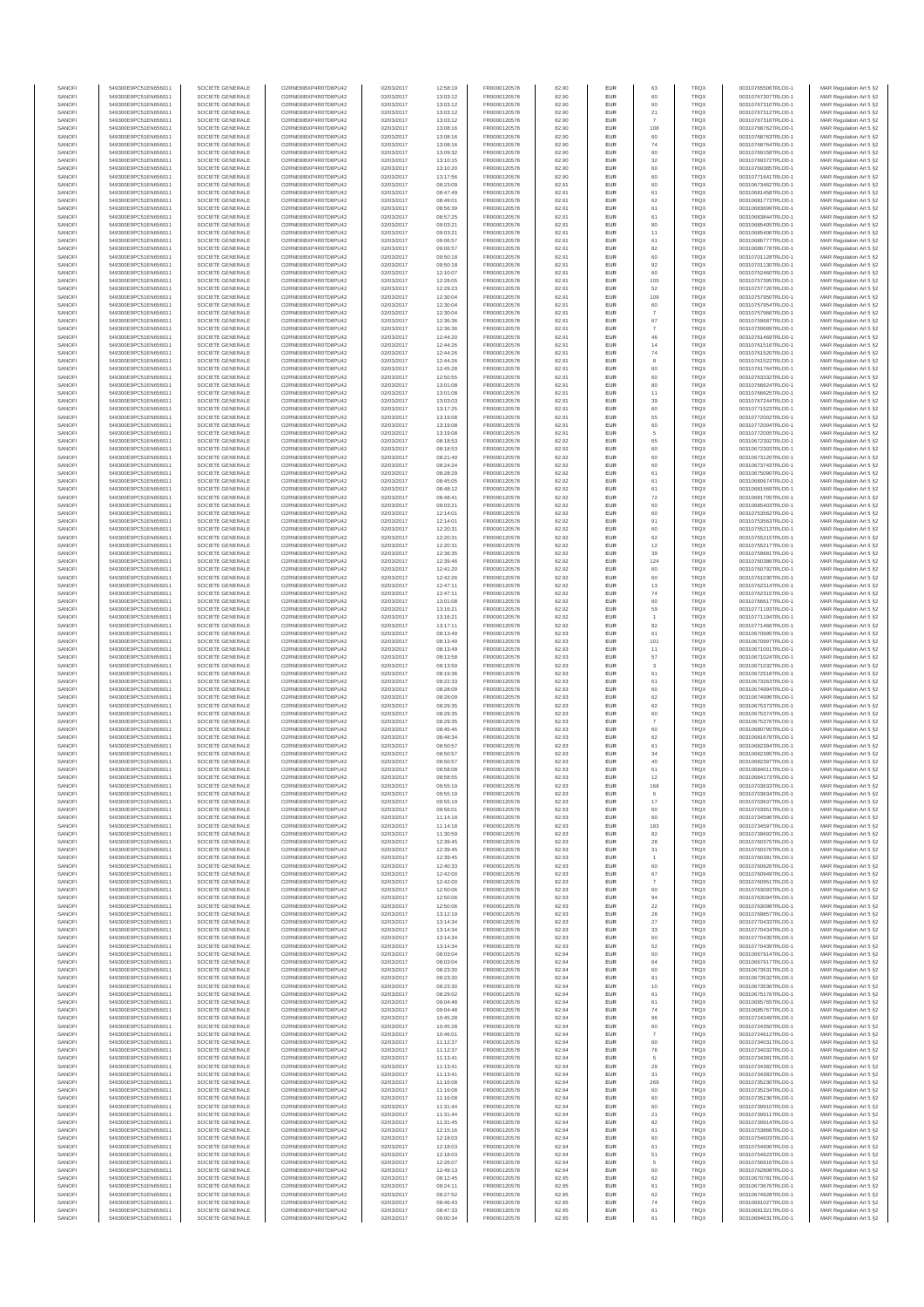| SANOFI           | 549300E9PC51EN656011                         | SOCIETE GENERALE                     | O2RNE8IBXP4R0TD8PU42                          | 02/03/2017               | 12:58:19             | FR0000120578                 | 82.90          | <b>EUR</b>        | 63                   | <b>TRQX</b>                | 00310765506TRLO0-1                       | MAR Regulation Art 5 §2                            |
|------------------|----------------------------------------------|--------------------------------------|-----------------------------------------------|--------------------------|----------------------|------------------------------|----------------|-------------------|----------------------|----------------------------|------------------------------------------|----------------------------------------------------|
| SANOFI<br>SANOFI | 549300E9PC51EN656011<br>549300E9PC51EN656011 | SOCIETE GENERALE<br>SOCIETE GENERALE | O2RNE8IBXP4R0TD8PU42<br>O2RNE8IBXP4R0TD8PU42  | 02/03/2017<br>02/03/2017 | 13:03:12<br>13:03:12 | FR0000120578<br>FR0000120578 | 82.90<br>82.90 | <b>EUR</b><br>EUR | 60                   | <b>TRQX</b><br>TRQX        | 00310767307TRLO0-1<br>00310767310TRLO0-1 | MAR Regulation Art 5 §2<br>MAR Regulation Art 5 §2 |
| SANOFI           | 549300E9PC51EN656011                         | SOCIETE GENERALE                     | O2RNE8IBXP4R0TD8PU42                          | 02/03/2017               | 13:03:12             | FR0000120578                 | 82.90          | <b>EUR</b>        | 21                   | <b>TRQX</b>                | 00310767312TRLO0-1                       | MAR Regulation Art 5 §2                            |
| SANOFI           | 549300E9PC51EN656011                         | SOCIETE GENERALE                     | O2RNE8IBXP4R0TD8PU42                          | 02/03/2017               | 13:03:12             | FR0000120578                 | 82.90          | EUR               |                      | TRQX                       | 00310767316TRLO0-1                       | MAR Regulation Art 5 §2                            |
| SANOFI           | 549300E9PC51EN656011                         | SOCIETE GENERALE                     | O2RNE8IBXP4R0TD8PU42                          | 02/03/2017               | 13:08:16             | FR0000120578                 | 82.90          | EUR               | 108                  | TRQX                       | 00310768762TRLO0-1                       | MAR Regulation Art 5 §2                            |
| SANOFI<br>SANOFI | 549300E9PC51EN656011<br>549300E9PC51EN656011 | SOCIETE GENERALE<br>SOCIETE GENERALE | O2RNE8IBXP4R0TD8PU42<br>O2RNE8IBXP4R0TD8PU42  | 02/03/2017<br>02/03/2017 | 13:08:16<br>13:08:16 | FR0000120578<br>FR0000120578 | 82.90<br>82.90 | EUR<br>EUR        | 60<br>$74\,$         | TRQX<br>TRQX               | 00310768763TRLO0-1<br>00310768764TRLO0-1 | MAR Regulation Art 5 §2<br>MAR Regulation Art 5 §2 |
| SANOFI           | 549300E9PC51EN656011                         | SOCIETE GENERALE                     | O2RNE8IBXP4R0TD8PU42                          | 02/03/2017               | 13:09:32             | FR0000120578                 | 82.90          | EUR               | 60                   | TRQX                       | 00310769158TRLO0-1                       | MAR Regulation Art 5 §2                            |
| SANOFI           | 549300E9PC51EN656011                         | SOCIETE GENERALE                     | O2RNE8IBXP4R0TD8PU42                          | 02/03/2017               | 13:10:15             | FR0000120578                 | 82.90          | EUR               | 32                   | TRQX                       | 00310769372TRLO0-1                       | MAR Regulation Art 5 §2                            |
| SANOFI           | 549300E9PC51EN656011                         | SOCIETE GENERALE                     | O2RNE8IBXP4R0TD8PLI42                         | 02/03/2017               | 13:10:20             | FR0000120578                 | 82.90          | <b>EUR</b>        | 60                   | <b>TRQX</b>                | 00310769385TRLO0-1                       | MAR Regulation Art 5 §2                            |
| SANOFI<br>SANOFI | 549300E9PC51EN656011<br>549300E9PC51EN656011 | SOCIETE GENERALE<br>SOCIETE GENERALE | O2RNE8IBXP4R0TD8PU42<br>O2RNE8IBXP4R0TD8PU42  | 02/03/2017<br>02/03/2017 | 13:17:56<br>08:23:09 | FR0000120578<br>FR0000120578 | 82.90<br>82.91 | EUR<br><b>EUR</b> | 60<br>60             | TRQX<br><b>TRQX</b>        | 00310771641TRLO0-1<br>00310673462TRLO0-1 | MAR Regulation Art 5 §2<br>MAR Regulation Art 5 §2 |
| SANOFI           | 549300E9PC51EN656011                         | SOCIETE GENERALE                     | O2RNE8IBXP4R0TD8PU42                          | 02/03/2017               | 08:47:49             | FR0000120578                 | 82.91          | EUR               | 61                   | TRQX                       | 00310681458TRLO0-1                       | MAR Regulation Art 5 §2                            |
| SANOFI           | 549300E9PC51EN656011                         | SOCIETE GENERALE                     | O2RNE8IBXP4R0TD8PU42                          | 02/03/2017               | 08:49:01             | FR0000120578                 | 82.91          | EUR               | 62                   | TRQX                       | 00310681773TRLO0-1                       | MAR Regulation Art 5 §2                            |
| SANOFI<br>SANOFI | 549300E9PC51EN656011<br>549300E9PC51EN656011 | SOCIETE GENERALE<br>SOCIETE GENERALE | O2RNE8IBXP4R0TD8PU42<br>O2RNE8IBXP4R0TD8PU42  | 02/03/2017<br>02/03/2017 | 08:56:39<br>08:57:25 | FR0000120578<br>FR0000120578 | 82.91<br>82.91 | EUR<br>EUR        | 61<br>61             | TRQX<br><b>TRQX</b>        | 00310683699TRLO0-1<br>00310683844TRLO0-1 | MAR Regulation Art 5 §2<br>MAR Regulation Art 5 §2 |
| SANOFI           | 549300E9PC51EN656011                         | SOCIETE GENERALE                     | O2RNE8IBXP4R0TD8PU42                          | 02/03/2017               | 09:03:21             | FR0000120578                 | 82.91          | EUR               | 80                   | TRQX                       | 00310685405TRLO0-1                       | MAR Regulation Art 5 §2                            |
| SANOFI           | 549300E9PC51EN656011                         | SOCIETE GENERALE                     | O2RNE8IBXP4R0TD8PU42                          | 02/03/2017               | 09:03:21             | FR0000120578                 | 82.91          | EUR               | 11                   | TRQX                       | 00310685406TRLO0-1                       | MAR Regulation Art 5 §2                            |
| SANOFI           | 549300E9PC51EN656011                         | SOCIETE GENERALE                     | O2RNE8IBXP4R0TD8PLI42                         | 02/03/2017               | 09:06:57             | FR0000120578                 | 82.91          | <b>EUR</b>        | 61                   | <b>TRQX</b>                | 00310686777TRLO0-1                       | MAR Regulation Art 5 §2                            |
| SANOFI<br>SANOFI | 549300E9PC51EN656011<br>549300E9PC51EN656011 | SOCIETE GENERALE<br>SOCIETE GENERALE | O2RNE8IBXP4R0TD8PU42<br>O2RNE8IBXP4R0TD8PU42  | 02/03/2017<br>02/03/2017 | 09:06:57<br>09:50:18 | FR0000120578<br>FR0000120578 | 82.91<br>82.91 | EUR<br><b>EUR</b> | 82<br>60             | TRQX<br><b>TRQX</b>        | 00310686778TRLO0-1<br>00310701128TRLO0-1 | MAR Regulation Art 5 §2<br>MAR Regulation Art 5 §2 |
| SANOFI           | 549300E9PC51EN656011                         | SOCIETE GENERALE                     | O2RNE8IBXP4R0TD8PU42                          | 02/03/2017               | 09:50:18             | FR0000120578                 | 82.91          | EUR               | 92                   | TRQX                       | 00310701130TRLO0-1                       | MAR Regulation Art 5 §2                            |
| SANOFI           | 549300E9PC51EN656011                         | SOCIETE GENERALE                     | O2RNESIBXP4R0TD8PLI42                         | 02/03/2017               | 12:10:07             | FR0000120578                 | 82.91          | EUR               | 60                   | <b>TRQX</b>                | 00310752460TRLO0-1                       | MAR Regulation Art 5 §2                            |
| SANOFI           | 549300E9PC51EN656011                         | SOCIETE GENERALE                     | O2RNE8IBXP4R0TD8PU42                          | 02/03/2017               | 12:28:05             | FR0000120578                 | 82.91          | EUR               | 105                  | <b>TRQX</b>                | 00310757395TRLO0-1                       | MAR Regulation Art 5 §2                            |
| SANOFI<br>SANOFI | 549300E9PC51EN656011<br>549300E9PC51EN656011 | SOCIETE GENERALE<br>SOCIETE GENERALE | O2RNE8IBXP4R0TD8PU42<br>O2RNE8IBXP4R0TD8PU42  | 02/03/2017<br>02/03/2017 | 12:29:23<br>12:30:04 | FR0000120578<br>FR0000120578 | 82.91<br>82.91 | EUR<br>EUR        | 52<br>109            | TRQX<br>TRQX               | 00310757726TRLO0-1<br>00310757950TRLO0-1 | MAR Regulation Art 5 §2<br>MAR Regulation Art 5 §2 |
| SANOFI           | 549300E9PC51EN656011                         | SOCIETE GENERALE                     | O2RNE8IBXP4R0TD8PU42                          | 02/03/2017               | 12:30:04             | FR0000120578                 | 82.91          | EUR               | 60                   | TRQX                       | 00310757954TRLO0-1                       | MAR Regulation Art 5 §2                            |
| SANOFI           | 549300E9PC51EN656011                         | SOCIETE GENERALE                     | O2RNE8IBXP4R0TD8PU42                          | 02/03/2017               | 12:30:04             | FR0000120578                 | 82.91          | <b>EUR</b>        | $\overline{7}$       | <b>TRQX</b>                | 00310757966TRLO0-1                       | MAR Regulation Art 5 §2                            |
| SANOFI<br>SANOFI | 549300E9PC51EN656011<br>549300E9PC51EN656011 | SOCIETE GENERALE<br>SOCIETE GENERALE | O2RNE8IBXP4R0TD8PU42<br>O2RNE8IBXP4R0TD8PU42  | 02/03/2017<br>02/03/2017 | 12:36:36<br>12:36:36 | FR0000120578<br>FR0000120578 | 82.91<br>82.91 | EUR<br><b>EUR</b> | 67                   | TRQX<br><b>TRQX</b>        | 00310759687TRLO0-1<br>00310759689TRLO0-1 | MAR Regulation Art 5 §2<br>MAR Regulation Art 5 §2 |
| SANOFI           | 549300E9PC51EN656011                         | SOCIETE GENERALE                     | O2RNE8IBXP4R0TD8PU42                          | 02/03/2017               | 12:44:20             | FR0000120578                 | 82.91          | EUR               | 46                   | TRQX                       | 00310761469TRLO0-1                       | MAR Regulation Art 5 §2                            |
| SANOFI           | 549300E9PC51EN656011                         | SOCIETE GENERALE                     | O2RNE8IBXP4R0TD8PU42                          | 02/03/2017               | 12:44:26             | FR0000120578                 | 82.91          | EUR               | 14                   | TRQX                       | 00310761516TRLO0-1                       | MAR Regulation Art 5 §2                            |
| SANOFI           | 549300E9PC51EN656011                         | SOCIETE GENERALE                     | O2RNE8IBXP4R0TD8PU42                          | 02/03/2017               | 12:44:26             | FR0000120578                 | 82.91          | EUR               | ${\bf 74}$           | <b>TRQX</b>                | 00310761520TRLO0-1                       | MAR Regulation Art 5 §2                            |
| SANOFI<br>SANOFI | 549300E9PC51EN656011<br>549300E9PC51EN656011 | SOCIETE GENERALE<br>SOCIETE GENERALE | O2RNE8IBXP4R0TD8PU42<br>O2RNE8IBXP4R0TD8PU42  | 02/03/2017<br>02/03/2017 | 12:44:26<br>12:45:28 | FR0000120578<br>FR0000120578 | 82.91<br>82.91 | EUR<br><b>EUR</b> | 8<br>60              | <b>TRQX</b><br><b>TRQX</b> | 00310761522TRLO0-1<br>00310761764TRLO0-1 | MAR Regulation Art 5 §2<br>MAR Regulation Art 5 §2 |
| SANOFI           | 549300E9PC51EN656011                         | SOCIETE GENERALE                     | O2RNE8IBXP4R0TD8PU42                          | 02/03/2017               | 12:50:55             | FR0000120578                 | 82.91          | EUR               | 60                   | TRQX                       | 00310763332TRLO0-1                       | MAR Regulation Art 5 §2                            |
| SANOFI           | 549300E9PC51EN656011                         | SOCIETE GENERALE                     | O2RNE8IBXP4R0TD8PU42                          | 02/03/2017               | 13:01:08             | FR0000120578                 | 82.91          | <b>EUR</b>        | 80                   | <b>TRQX</b>                | 00310766624TRLO0-1                       | MAR Regulation Art 5 §2                            |
| SANOFI<br>SANOFI | 549300E9PC51EN656011<br>549300E9PC51EN656011 | SOCIETE GENERALE<br>SOCIETE GENERALE | O2RNE8IBXP4R0TD8PU42<br>O2RNE8IBXP4R0TD8PU42  | 02/03/2017<br>02/03/2017 | 13:01:08<br>13:03:03 | FR0000120578<br>FR0000120578 | 82.91<br>82.91 | EUR<br>EUR        | 11<br>39             | TRQX<br><b>TRQX</b>        | 00310766625TRLO0-1<br>00310767244TRLO0-1 | MAR Regulation Art 5 §2<br>MAR Regulation Art 5 §2 |
| SANOFI           | 549300E9PC51EN656011                         | SOCIETE GENERALE                     | O2RNE8IBXP4R0TD8PU42                          | 02/03/2017               | 13:17:25             | FR0000120578                 | 82.91          | EUR               | 60                   | TRQX                       | 00310771523TRLO0-1                       | MAR Regulation Art 5 §2                            |
| SANOFI           | 549300E9PC51EN656011                         | SOCIETE GENERALE                     | O2RNE8IBXP4R0TD8PU42                          | 02/03/2017               | 13:19:08             | FR0000120578                 | 82.91          | EUR               | 55                   | <b>TRQX</b>                | 00310772002TRLO0-1                       | MAR Regulation Art 5 §2                            |
| SANOFI           | 549300E9PC51EN656011                         | SOCIETE GENERALE                     | O2RNE8IBXP4R0TD8PU42                          | 02/03/2017               | 13:19:08             | FR0000120578                 | 82.91          | EUR               | 60                   | <b>TRQX</b>                | 00310772004TRLO0-1                       | MAR Regulation Art 5 §2                            |
| SANOFI<br>SANOFI | 549300E9PC51EN656011<br>549300E9PC51EN656011 | SOCIETE GENERALE<br>SOCIETE GENERALE | O2RNE8IBXP4R0TD8PLI42<br>O2RNE8IBXP4R0TD8PU42 | 02/03/2017<br>02/03/2017 | 13:19:08<br>08:18:53 | FR0000120578<br>FR0000120578 | 82.91<br>82.92 | EUR<br><b>EUR</b> | 5<br>65              | TRQX<br><b>TRQX</b>        | 00310772005TRLO0-1<br>00310672302TRLO0-1 | MAR Regulation Art 5 §2<br>MAR Regulation Art 5 §2 |
| SANOFI           | 549300E9PC51EN656011                         | SOCIETE GENERALE                     | O2RNE8IBXP4R0TD8PU42                          | 02/03/2017               | 08:18:53             | FR0000120578                 | 82.92          | EUR               | 60                   | TRQX                       | 00310672303TRLO0-1                       | MAR Regulation Art 5 §2                            |
| SANOFI           | 549300E9PC51EN656011                         | SOCIETE GENERALE                     | O2RNE8IBXP4R0TD8PU42                          | 02/03/2017               | 08:21:49             | FR0000120578                 | 82.92          | <b>EUR</b>        | 60                   | <b>TRQX</b>                | 00310673120TRLO0-1                       | MAR Regulation Art 5 §2                            |
| SANOFI           | 549300E9PC51EN656011                         | SOCIETE GENERALE                     | O2RNE8IBXP4R0TD8PU42                          | 02/03/2017               | 08:24:24             | FR0000120578                 | 82.92          | EUR               | 60                   | TRQX                       | 00310673743TRLO0-1                       | MAR Regulation Art 5 §2                            |
| SANOFI<br>SANOFI | 549300E9PC51EN656011<br>549300E9PC51EN656011 | SOCIETE GENERALE<br>SOCIETE GENERALE | O2RNE8IBXP4R0TD8PU42<br>O2RNE8IBXP4R0TD8PU42  | 02/03/2017<br>02/03/2017 | 08:28:29<br>08:45:05 | FR0000120578<br>FR0000120578 | 82.92<br>82.92 | EUR<br>EUR        | 61<br>61             | <b>TRQX</b><br><b>TRQX</b> | 00310675090TRLO0-1<br>00310680674TRLO0-1 | MAR Regulation Art 5 §2<br>MAR Regulation Art 5 §2 |
| SANOFI           | 549300E9PC51EN656011                         | SOCIETE GENERALE                     | O2RNE8IBXP4R0TD8PLI42                         | 02/03/2017               | 08:48:12             | FR0000120578                 | 82.92          | EUR               | 61                   | TRQX                       | 00310681569TRLO0-1                       | MAR Regulation Art 5 §2                            |
| SANOFI           | 549300E9PC51EN656011                         | SOCIETE GENERALE                     | O2RNE8IBXP4R0TD8PU42                          | 02/03/2017               | 08:48:41             | FR0000120578                 | 82.92          | EUR               | 72                   | TRQX                       | 00310681705TRLO0-1                       | MAR Regulation Art 5 §2                            |
| SANOFI           | 549300E9PC51EN656011                         | SOCIETE GENERALE                     | O2RNE8IBXP4R0TD8PU42                          | 02/03/2017               | 09:03:21             | FR0000120578                 | 82.92          | EUR               |                      | TRQX                       | 00310685403TRLO0-1                       | MAR Regulation Art 5 §2                            |
| SANOFI<br>SANOFI | 549300E9PC51EN656011<br>549300E9PC51EN656011 | SOCIETE GENERALE<br>SOCIETE GENERALE | O2RNE8IBXP4R0TD8PU42<br>O2RNE8IBXP4R0TD8PU42  | 02/03/2017<br>02/03/2017 | 12:14:01<br>12:14:01 | FR0000120578<br>FR0000120578 | 82.92<br>82.92 | <b>EUR</b><br>EUR | 60<br>91             | <b>TRQX</b><br>TRQX        | 00310753562TRLO0-1<br>00310753563TRLO0-  | MAR Regulation Art 5 §2<br>MAR Regulation Art 5 §2 |
| SANOFI           | 549300E9PC51EN656011                         | SOCIETE GENERALE                     | O2RNE8IBXP4R0TD8PU42                          | 02/03/2017               | 12:20:31             | FR0000120578                 | 82.92          | <b>EUR</b>        | 60                   | <b>TRQX</b>                | 00310755213TRLO0-1                       | MAR Regulation Art 5 §2                            |
| SANOFI           | 549300E9PC51EN656011                         | SOCIETE GENERALE                     | O2RNE8IBXP4R0TD8PU42                          | 02/03/2017               | 12:20:31             | FR0000120578                 | 82.92          | EUR               | 62                   | <b>TRQX</b>                | 00310755215TRLO0-1                       | MAR Regulation Art 5 §2                            |
| SANOFI           | 549300E9PC51EN656011                         | SOCIETE GENERALE                     | O2RNE8IBXP4R0TD8PU42                          | 02/03/2017               | 12:20:31             | FR0000120578                 | 82.92          | EUR               | $12\,$               | TRQX                       | 00310755217TRLO0-1                       | MAR Regulation Art 5 §2                            |
| SANOFI<br>SANOFI | 549300E9PC51EN656011<br>549300E9PC51EN656011 | SOCIETE GENERALE<br>SOCIETE GENERALE | O2RNE8IBXP4R0TD8PU42<br>O2RNE8IBXP4R0TD8PU42  | 02/03/2017<br>02/03/2017 | 12:36:35<br>12:39:46 | FR0000120578<br>FR0000120578 | 82.92<br>82.92 | EUR<br>EUR        | 39<br>124            | TRQX<br><b>TRQX</b>        | 00310759681TRLO0-1<br>00310760386TRLO0-1 | MAR Regulation Art 5 §2<br>MAR Regulation Art 5 §2 |
| SANOFI           | 549300E9PC51EN656011                         | SOCIETE GENERALE                     | O2RNE8IBXP4R0TD8PU42                          | 02/03/2017               | 12:41:20             | FR0000120578                 | 82.92          | EUR               | 60                   | TRQX                       | 00310760792TRLO0-1                       | MAR Regulation Art 5 §2                            |
| SANOFI           | 549300E9PC51EN656011                         | SOCIETE GENERALE                     | O2RNE8IBXP4R0TD8PU42                          | 02/03/2017               | 12:42:26             | FR0000120578                 | 82.92          | EUR               | 60                   | TRQX                       | 00310761030TRLO0-1                       | MAR Regulation Art 5 §2                            |
| SANOFI           | 549300E9PC51EN656011                         | SOCIETE GENERALE                     | O2RNE8IBXP4R0TD8PU42                          | 02/03/2017               | 12:47:11             | FR0000120578                 | 82.92          | <b>EUR</b>        | 13                   | <b>TRQX</b>                | 00310762314TRLO0-1                       | MAR Regulation Art 5 §2                            |
| SANOFI<br>SANOFI | 549300E9PC51EN656011<br>549300E9PC51EN656011 | SOCIETE GENERALE<br>SOCIETE GENERALE | O2RNE8IBXP4R0TD8PU42<br>O2RNE8IBXP4R0TD8PU42  | 02/03/2017<br>02/03/2017 | 12:47:11<br>13:01:08 | FR0000120578<br>FR0000120578 | 82.92<br>82.92 | EUR<br><b>EUR</b> | 74<br>60             | TRQX<br><b>TRQX</b>        | 00310762315TRLO0-1<br>00310766617TRLO0-1 | MAR Regulation Art 5 §2<br>MAR Regulation Art 5 §2 |
| SANOFI           | 549300E9PC51EN656011                         | SOCIETE GENERALE                     | O2RNE8IBXP4R0TD8PU42                          | 02/03/2017               | 13:16:21             | FR0000120578                 | 82.92          | EUR               | 59                   | TRQX                       | 00310771193TRLO0-1                       | MAR Regulation Art 5 §2                            |
| SANOFI           | 549300E9PC51EN656011                         | SOCIETE GENERALE                     | O2RNE8IBXP4R0TD8PU42                          | 02/03/2017               | 13:16:21             | FR0000120578                 | 82.92          | EUR               |                      | <b>TRQX</b>                | 00310771194TRLO0-1                       | MAR Regulation Art 5 §2                            |
| SANOFI<br>SANOFI | 549300E9PC51EN656011<br>549300E9PC51EN656011 | SOCIETE GENERALE<br>SOCIETE GENERALE | O2RNE8IBXP4R0TD8PU42<br>O2RNE8IBXP4R0TD8PU42  | 02/03/2017<br>02/03/2017 | 13:17:11             | FR0000120578<br>FR0000120578 | 82.92<br>82.93 | EUR<br>EUR        | 82<br>61             | <b>TRQX</b><br>TRQX        | 00310771466TRLO0-1<br>00310670995TRLO0-1 | MAR Regulation Art 5 §2<br>MAR Regulation Art 5 §2 |
| SANOFI           | 549300E9PC51EN656011                         | SOCIETE GENERALE                     | O2RNE8IBXP4R0TD8PU42                          | 02/03/2017               | 08:13:49<br>08:13:49 | FR0000120578                 | 82.93          | <b>EUR</b>        | 101                  | <b>TRQX</b>                | 00310670997TRLO0-1                       | MAR Regulation Art 5 §2                            |
| SANOFI           | 549300E9PC51EN656011                         | SOCIETE GENERALE                     | O2RNE8IBXP4R0TD8PU42                          | 02/03/2017               | 08:13:49             | FR0000120578                 | 82.93          | EUR               | 11                   | TRQX                       | 00310671001TRLO0-1                       | MAR Regulation Art 5 §2                            |
| SANOFI           | 549300E9PC51EN656011                         | SOCIETE GENERALE                     | O2RNE8IBXP4R0TD8PU42                          | 02/03/2017               | 08:13:58             | FR0000120578                 | 82.93          | <b>EUR</b>        | 57                   | <b>TRQX</b>                | 00310671024TRLO0-1                       | MAR Regulation Art 5 §2                            |
| SANOFI<br>SANOFI | 549300E9PC51EN656011<br>549300E9PC51EN656011 | SOCIETE GENERALE<br>SOCIETE GENERALE | O2RNE8IBXP4R0TD8PU42<br>O2RNE8IBXP4R0TD8PU42  | 02/03/2017<br>02/03/2017 | 08:13:59<br>08:19:36 | FR0000120578<br>FR0000120578 | 82.93<br>82.93 | EUR<br><b>EUR</b> | 61                   | TRQX<br><b>TRQX</b>        | 00310671032TRLO0-1<br>00310672518TRLO0-1 | MAR Regulation Art 5 §2<br>MAR Regulation Art 5 §2 |
| SANOFI           | 549300E9PC51EN656011                         | SOCIETE GENERALE                     | O2RNE8IBXP4R0TD8PU42                          | 02/03/2017               | 08:22:33             | FR0000120578                 | 82.93          | EUR               | 61                   | <b>TRQX</b>                | 00310673263TRLO0-1                       | MAR Regulation Art 5 §2                            |
| SANOFI           | 549300E9PC51EN656011                         | SOCIETE GENERALE                     | O2RNE8IBXP4R0TD8PLI42                         | 02/03/2017               | 08:28:09             | FR0000120578                 | 82.93          | EUR               | 60                   | TRQX                       | 00310674994TRLO0-1                       | MAR Regulation Art 5 §2                            |
| SANOFI           | 549300E9PC51EN656011                         | SOCIETE GENERALE                     | O2RNE8IBXP4R0TD8PU42                          | 02/03/2017               | 08:28:09             | FR0000120578                 | 82.93          | EUR               | 62                   | <b>TRQX</b>                | 00310674996TRLO0-1                       | MAR Regulation Art 5 §2                            |
| SANOFI<br>SANOFI | 549300E9PC51EN656011<br>549300E9PC51EN656011 | SOCIETE GENERALE<br>SOCIETE GENERALE | O2RNE8IBXP4R0TD8PU42<br>O2RNE8IBXP4R0TD8PU42  | 02/03/2017<br>02/03/2017 | 08:29:35<br>08:29:35 | FR0000120578<br>FR0000120578 | 82.93<br>82.93 | EUR<br><b>EUR</b> | 62<br>60             | <b>TRQX</b><br><b>TRQX</b> | 00310675373TRLO0-1<br>00310675374TRLO0-1 | MAR Regulation Art 5 §2<br>MAR Regulation Art 5 §2 |
| SANOFI           | 549300E9PC51EN656011                         | SOCIETE GENERALE                     | O2RNE8IBXP4R0TD8PU42                          | 02/03/2017               | 08:29:35             | FR0000120578                 | 82.93          | EUR               |                      | TRQX                       | 00310675376TRLO0-1                       | MAR Regulation Art 5 §2                            |
| SANOFI           | 549300E9PC51EN656011                         | SOCIETE GENERALE                     | O2RNE8IBXP4R0TD8PU42                          | 02/03/2017               | 08:45:46             | FR0000120578                 | 82.93          | <b>EUR</b>        | 60                   | <b>TRQX</b>                | 00310680795TRLO0-1                       | MAR Regulation Art 5 §2                            |
| SANOFI           | 549300E9PC51EN656011                         | SOCIETE GENERALE                     | O2RNE8IBXP4R0TD8PU42<br>O2RNE8IBXP4R0TD8PU42  | 02/03/2017               | 08:48:34             | FR0000120578                 | 82.93          | EUR               | 62                   | TRQX                       | 00310681678TRLO0-1                       | MAR Regulation Art 5 §2                            |
| SANOFI<br>SANOFI | 549300E9PC51EN656011<br>549300E9PC51EN656011 | SOCIETE GENERALE<br>SOCIETE GENERALE | O2RNE8IBXP4R0TD8PU42                          | 02/03/2017<br>02/03/2017 | 08:50:57<br>08:50:57 | FR0000120578<br>FR0000120578 | 82.93<br>82.93 | EUR<br>EUR        | $61\,$<br>$34\,$     | <b>TRQX</b><br><b>TRQX</b> | 00310682394TRLO0-1<br>00310682395TRLO0-1 | MAR Regulation Art 5 §2<br>MAR Regulation Art 5 §2 |
| SANOFI           | 549300E9PC51EN656011                         | SOCIETE GENERALE                     | O2RNESIBXP4R0TD8PLI42                         | 02/03/2017               | 08:50:57             | FR0000120578                 | 82.93          | EUR               | 40                   | <b>TRQX</b>                | 00310682397TRLO0-1                       | MAR Regulation Art 5 §2                            |
| SANOFI           | 549300E9PC51EN656011                         | SOCIETE GENERALE                     | O2RNE8IBXP4R0TD8PU42                          | 02/03/2017               | 08:58:08             | FR0000120578                 | 82.93          | EUR               | 61                   | <b>TRQX</b>                | 00310684011TRLO0-1                       | MAR Regulation Art 5 §2                            |
| SANOFI<br>SANOFI | 549300E9PC51EN656011<br>549300E9PC51EN656011 | SOCIETE GENERALE<br>SOCIETE GENERALE | O2RNE8IBXP4R0TD8PU42<br>O2RNE8IBXP4R0TD8PU42  | 02/03/2017<br>02/03/2017 | 08:58:55<br>09:55:19 | FR0000120578<br>FR0000120578 | 82.93<br>82.93 | EUR<br><b>EUR</b> | $12\,$<br>168        | TRQX<br><b>TROX</b>        | 00310684173TRLO0-1<br>00310703633TRLO0-1 | MAR Regulation Art 5 §2                            |
| SANOFI           | 549300E9PC51EN656011                         | SOCIETE GENERALE                     | O2RNE8IBXP4R0TD8PU42                          | 02/03/2017               | 09:55:19             | FR0000120578                 | 82.93          | EUR               |                      | TRQX                       | 00310703634TRLO0-1                       | MAR Regulation Art 5 §2<br>MAR Regulation Art 5 §2 |
| SANOFI           | 549300E9PC51EN656011                         | SOCIETE GENERALE                     | O2RNE8IBXP4R0TD8PU42                          | 02/03/2017               | 09:55:19             | FR0000120578                 | 82.93          | <b>EUR</b>        | 17                   | <b>TROX</b>                | 00310703637TRLO0-1                       | MAR Regulation Art 5 §2                            |
| SANOFI           | 549300E9PC51EN656011                         | SOCIETE GENERALE                     | O2RNE8IBXP4R0TD8PU42                          | 02/03/2017               | 09:56:01             | FR0000120578                 | 82.93          | EUR               | 60                   | TRQX                       | 00310703951TRLO0-1                       | MAR Regulation Art 5 §2                            |
| SANOFI<br>SANOFI | 549300E9PC51EN656011<br>549300E9PC51EN656011 | SOCIETE GENERALE<br>SOCIETE GENERALE | O2RNE8IBXP4R0TD8PU42<br>O2RNE8IBXP4R0TD8PU42  | 02/03/2017<br>02/03/2017 | 11:14:18<br>11:14:18 | FR0000120578<br>FR0000120578 | 82.93<br>82.93 | <b>EUR</b><br>EUR | 60<br>183            | <b>TRQX</b><br><b>TRQX</b> | 00310734596TRLO0-1<br>00310734597TRLO0-1 | MAR Regulation Art 5 §2<br>MAR Regulation Art 5 §2 |
| SANOFI           | 549300E9PC51EN656011                         | SOCIETE GENERALE                     | O2RNESIBXP4R0TD8PLI42                         | 02/03/2017               | 11:30:59             | FR0000120578                 | 82.93          | EUR               | $^{\rm 82}$          | TRQX                       | 00310739692TRLO0-1                       | MAR Regulation Art 5 §2                            |
| SANOFI           | 549300E9PC51EN656011                         | SOCIETE GENERALE                     | O2RNE8IBXP4R0TD8PU42                          | 02/03/2017               | 12:39:45             | FR0000120578                 | 82.93          | EUR               | 28                   | <b>TRQX</b>                | 00310760375TRLO0-1                       | MAR Regulation Art 5 §2                            |
| SANOFI           | 549300E9PC51EN656011                         | SOCIETE GENERALE                     | O2RNE8IBXP4R0TD8PU42<br>O2RNE8IBXP4R0TD8PLI42 | 02/03/2017               | 12:39:45             | FR0000120578                 | 82.93          | EUR               | 31                   | <b>TRQX</b>                | 00310760376TRLO0-1                       | MAR Regulation Art 5 §2                            |
| SANOFI<br>SANOFI | 549300E9PC51EN656011<br>549300E9PC51EN656011 | SOCIETE GENERALE<br>SOCIETE GENERALE | O2RNE8IBXP4R0TD8PU42                          | 02/03/2017<br>02/03/2017 | 12:39:45<br>12:40:33 | FR0000120578<br>FR0000120578 | 82.93<br>82.93 | <b>EUR</b><br>EUR | $\overline{1}$<br>60 | <b>TROX</b><br>TRQX        | 00310760381TRLO0-1<br>00310760626TRLO0-1 | MAR Regulation Art 5 §2<br>MAR Regulation Art 5 §2 |
| SANOFI           | 549300E9PC51EN656011                         | SOCIETE GENERALE                     | O2RNE8IBXP4R0TD8PU42                          | 02/03/2017               | 12:42:00             | FR0000120578                 | 82.93          | <b>EUR</b>        | 67                   | <b>TROX</b>                | 00310760949TRLO0-1                       | MAR Regulation Art 5 §2                            |
| SANOFI           | 549300E9PC51EN656011<br>549300E9PC51EN656011 | SOCIETE GENERALE                     | O2RNE8IBXP4R0TD8PU42                          | 02/03/2017               | 12:42:00             | FR0000120578                 | 82.93          | EUR               | $\overline{7}$       | <b>TRQX</b>                | 00310760951TRLO0-1                       | MAR Regulation Art 5 §2                            |
| SANOFI<br>SANOFI | 549300E9PC51EN656011                         | SOCIETE GENERALE<br>SOCIETE GENERALE | O2RNE8IBXP4R0TD8PU42<br>O2RNE8IBXP4R0TD8PU42  | 02/03/2017<br>02/03/2017 | 12:50:06<br>12:50:06 | FR0000120578<br>FR0000120578 | 82.93<br>82.93 | EUR<br>EUR        | 60<br>94             | TRQX<br>TRQX               | 00310763093TRLO0-1<br>00310763094TRLO0-1 | MAR Regulation Art 5 §2<br>MAR Regulation Art 5 §2 |
| SANOFI           | 549300E9PC51EN656011                         | SOCIETE GENERALE                     | O2RNESIBXP4R0TD8PLI42                         | 02/03/2017               | 12:50:06             | FR0000120578                 | 82.93          | EUR               | 22                   | <b>TRQX</b>                | 00310763098TRLO0-1                       | MAR Regulation Art 5 §2                            |
| SANOFI           | 549300E9PC51EN656011                         | SOCIETE GENERALE                     | O2RNE8IBXP4R0TD8PLI42                         | 02/03/2017               | 13:12:19             | FR0000120578                 | 82.93          | <b>EUR</b>        | 28                   | <b>TROX</b>                | 00310769857TRLO0-1                       | MAR Regulation Art 5 §2                            |
| SANOFI           | 549300E9PC51EN656011                         | SOCIETE GENERALE                     | O2RNE8IBXP4R0TD8PU42                          | 02/03/2017               | 13:14:34             | FR0000120578<br>FR0000120578 | 82.93          | EUR               | $27\,$               | TRQX                       | 00310770433TRLO0-1                       | MAR Regulation Art 5 §2                            |
| SANOFI<br>SANOFI | 549300E9PC51EN656011<br>549300E9PC51EN656011 | SOCIETE GENERALE<br>SOCIETE GENERALE | O2RNE8IBXP4R0TD8PU42<br>O2RNE8IBXP4R0TD8PU42  | 02/03/2017<br>02/03/2017 | 13:14:34<br>13:14:34 | FR0000120578                 | 82.93<br>82.93 | <b>EUR</b><br>EUR | 33<br>60             | <b>TROX</b><br>TRQX        | 00310770434TRLO0-1<br>00310770435TRLO0-1 | MAR Regulation Art 5 §2<br>MAR Regulation Art 5 §2 |
| SANOFI           | 549300E9PC51EN656011                         | SOCIETE GENERALE                     | O2RNE8IBXP4R0TD8PU42                          | 02/03/2017               | 13:14:34             | FR0000120578                 | 82.93          | EUR               | 52                   | TRQX                       | 00310770439TRLO0-1                       | MAR Regulation Art 5 §2                            |
| SANOFI           | 549300E9PC51EN656011                         | SOCIETE GENERALE                     | O2RNE8IBXP4R0TD8PU42                          | 02/03/2017               | 08:03:04             | FR0000120578                 | 82.94          | EUR               | 60                   | <b>TRQX</b>                | 00310667914TRLO0-1                       | MAR Regulation Art 5 §2                            |
| SANOFI<br>SANOFI | 549300E9PC51EN656011<br>549300E9PC51EN656011 | SOCIETE GENERALE<br>SOCIETE GENERALE | O2RNE8IBXP4R0TD8PU42<br>O2RNE8IBXP4R0TD8PU42  | 02/03/2017<br>02/03/2017 | 08:03:04<br>08:23:30 | FR0000120578                 | 82.94          | EUR<br>EUR        | 64<br>60             | <b>TRQX</b><br>TRQX        | 00310667917TRLO0-1<br>00310673531TRLO0-1 | MAR Regulation Art 5 §2<br>MAR Regulation Art 5 §2 |
| SANOFI           | 549300E9PC51EN656011                         | SOCIETE GENERALE                     | O2RNE8IBXP4R0TD8PU42                          | 02/03/2017               | 08:23:30             | FR0000120578<br>FR0000120578 | 82.94<br>82.94 | EUR               | 91                   | <b>TROX</b>                | 00310673532TRLO0-1                       | MAR Regulation Art 5 §2                            |
| SANOFI           | 549300E9PC51EN656011                         | SOCIETE GENERALE                     | O2RNE8IBXP4R0TD8PU42                          | 02/03/2017               | 08:23:30             | FR0000120578                 | 82.94          | <b>EUR</b>        | 10                   | <b>TROX</b>                | 00310673536TRLO0-1                       | MAR Regulation Art 5 §2                            |
| SANOFI           | 549300E9PC51EN656011                         | SOCIETE GENERALE                     | O2RNE8IBXP4R0TD8PU42                          | 02/03/2017               | 08:29:02             | FR0000120578                 | 82.94          | EUR               | 61                   | TRQX                       | 00310675176TRLO0-1                       | MAR Regulation Art 5 §2                            |
| SANOFI<br>SANOFI | 549300E9PC51EN656011<br>549300E9PC51EN656011 | SOCIETE GENERALE<br>SOCIETE GENERALE | O2RNE8IBXP4R0TD8PU42<br>O2RNE8IBXP4R0TD8PU42  | 02/03/2017<br>02/03/2017 | 09:04:48<br>09:04:48 | FR0000120578<br>FR0000120578 | 82.94<br>82.94 | <b>EUR</b><br>EUR | 61<br>74             | <b>TROX</b><br>TRQX        | 00310685765TRLO0-1<br>00310685767TRLO0-1 | MAR Regulation Art 5 §2<br>MAR Regulation Art 5 §2 |
| SANOFI           | 549300E9PC51EN656011                         | SOCIETE GENERALE                     | O2RNE8IBXP4R0TD8PU42                          | 02/03/2017               | 10:45:28             | FR0000120578                 | 82.94          | <b>EUR</b>        | 96                   | <b>TRQX</b>                | 00310724349TRLO0-1                       | MAR Regulation Art 5 §2                            |
| SANOFI           | 549300E9PC51EN656011                         | SOCIETE GENERALE                     | O2RNE8IBXP4R0TD8PU42                          | 02/03/2017               | 10:45:28             | FR0000120578                 | 82.94          | EUR               | 60                   | <b>TRQX</b>                | 00310724350TRLO0-1                       | MAR Regulation Art 5 §2                            |
| SANOFI           | 549300E9PC51EN656011                         | SOCIETE GENERALE                     | O2RNE8IBXP4R0TD8PU42                          | 02/03/2017               | 10:46:01             | FR0000120578                 | 82.94          | EUR               | $\overline{7}$       | <b>TROX</b>                | 00310724612TRLO0-1                       | MAR Regulation Art 5 §2                            |
| SANOFI<br>SANOFI | 549300E9PC51EN656011<br>549300E9PC51EN656011 | SOCIETE GENERALE<br>SOCIETE GENERALE | O2RNE8IBXP4R0TD8PU42<br>O2RNE8IBXP4R0TD8PU42  | 02/03/2017<br>02/03/2017 | 11:12:37<br>11:12:37 | FR0000120578<br>FR0000120578 | 82.94<br>82.94 | EUR<br>EUR        | 60<br>76             | <b>TRQX</b><br><b>TRQX</b> | 00310734031TRLO0-1<br>00310734032TRLO0-1 | MAR Regulation Art 5 §2<br>MAR Regulation Art 5 §2 |
| SANOFI           | 549300E9PC51EN656011                         | SOCIETE GENERALE                     | O2RNE8IBXP4R0TD8PU42                          | 02/03/2017               | 11:13:41             | FR0000120578                 | 82.94          | <b>EUR</b>        | 5                    | <b>TROX</b>                | 00310734381TRLO0-1                       | MAR Regulation Art 5 §2                            |
| SANOFI           | 549300E9PC51EN656011                         | SOCIETE GENERALE                     | O2RNE8IBXP4R0TD8PU42                          | 02/03/2017               | 11:13:41             | FR0000120578                 | 82.94          | EUR               | 29                   | TRQX                       | 00310734382TRLO0-1                       | MAR Regulation Art 5 §2                            |
| SANOFI           | 549300E9PC51EN656011                         | SOCIETE GENERALE                     | O2RNE8IBXP4R0TD8PU42                          | 02/03/2017               | 11:13:41             | FR0000120578                 | 82.94          | <b>EUR</b>        | 31                   | <b>TROX</b>                | 00310734383TRLO0-1                       | MAR Regulation Art 5 §2                            |
| SANOFI<br>SANOFI | 549300E9PC51EN656011<br>549300E9PC51EN656011 | SOCIETE GENERALE<br>SOCIETE GENERALE | O2RNE8IBXP4R0TD8PU42<br>O2RNE8IBXP4R0TD8PU42  | 02/03/2017<br>02/03/2017 | 11:16:08<br>11:16:08 | FR0000120578<br>FR0000120578 | 82.94<br>82.94 | EUR<br>EUR        | 269<br>60            | TRQX<br><b>TRQX</b>        | 00310735230TRLO0-1<br>00310735234TRLO0-1 | MAR Regulation Art 5 §2<br>MAR Regulation Art 5 §2 |
| SANOFI           | 549300E9PC51EN656011                         | SOCIETE GENERALE                     | O2RNE8IBXP4R0TD8PU42                          | 02/03/2017               | 11:16:08             | FR0000120578                 | 82.94          | EUR               | 60                   | <b>TRQX</b>                | 00310735236TRLO0-1                       | MAR Regulation Art 5 §2                            |
| SANOFI           | 549300E9PC51EN656011                         | SOCIETE GENERALE                     | O2RNE8IBXP4R0TD8PU42                          | 02/03/2017               | 11:31:44             | FR0000120578                 | 82.94          | EUR               | 60                   | <b>TRQX</b>                | 00310739910TRLO0-1                       | MAR Regulation Art 5 §2                            |
| SANOFI           | 549300E9PC51EN656011                         | SOCIETE GENERALE                     | O2RNE8IBXP4R0TD8PU42                          | 02/03/2017               | 11:31:44             | FR0000120578                 | 82.94          | EUR               | 21                   | <b>TRQX</b>                | 00310739911TRLO0-1                       | MAR Regulation Art 5 §2                            |
| SANOFI<br>SANOFI | 549300E9PC51EN656011<br>549300E9PC51EN656011 | SOCIETE GENERALE<br>SOCIETE GENERALE | O2RNE8IBXP4R0TD8PU42<br>O2RNE8IBXP4R0TD8PU42  | 02/03/2017<br>02/03/2017 | 11:31:45<br>12:15:16 | FR0000120578<br>FR0000120578 | 82.94<br>82.94 | EUR<br><b>EUR</b> | 82<br>61             | TRQX<br><b>TROX</b>        | 00310739914TRLO0-1<br>00310753866TRLO0-1 | MAR Regulation Art 5 §2<br>MAR Regulation Art 5 §2 |
| SANOFI           | 549300E9PC51EN656011                         | SOCIETE GENERALE                     | O2RNE8IBXP4R0TD8PU42                          | 02/03/2017               | 12:18:03             | FR0000120578                 | 82.94          | EUR               | 60                   | TRQX                       | 00310754603TRLO0-1                       | MAR Regulation Art 5 §2                            |
| SANOFI           | 549300E9PC51EN656011                         | SOCIETE GENERALE                     | O2RNE8IBXP4R0TD8PU42                          | 02/03/2017               | 12:18:03             | FR0000120578                 | 82.94          | <b>EUR</b>        | 61                   | <b>TROX</b>                | 00310754606TRLO0-1                       | MAR Regulation Art 5 §2                            |
| SANOFI           | 549300E9PC51EN656011                         | SOCIETE GENERALE                     | O2RNE8IBXP4R0TD8PU42                          | 02/03/2017               | 12:18:03             | FR0000120578                 | 82.94          | EUR               | 51                   | <b>TRQX</b>                | 00310754623TRLO0-1                       | MAR Regulation Art 5 §2                            |
| SANOFI<br>SANOFI | 549300E9PC51EN656011<br>549300E9PC51EN656011 | SOCIETE GENERALE<br>SOCIETE GENERALE | O2RNE8IBXP4R0TD8PU42<br>O2RNE8IBXP4R0TD8PU42  | 02/03/2017<br>02/03/2017 | 12:26:07<br>12:49:13 | FR0000120578<br>FR0000120578 | 82.94<br>82.94 | EUR<br>EUR        | 5<br>60              | <b>TRQX</b><br><b>TRQX</b> | 00310756916TRLO0-1<br>00310762808TRLO0-1 | MAR Regulation Art 5 §2<br>MAR Regulation Art 5 §2 |
| SANOFI           | 549300E9PC51EN656011                         | SOCIETE GENERALE                     | O2RNE8IBXP4R0TD8PU42                          | 02/03/2017               | 08:12:45             | FR0000120578                 | 82.95          | EUR               | 62                   | TRQX                       | 00310670781TRLO0-1                       | MAR Regulation Art 5 §2                            |
| SANOFI           | 549300E9PC51EN656011                         | SOCIETE GENERALE                     | O2RNE8IBXP4R0TD8PU42                          | 02/03/2017               | 08:24:11             | FR0000120578                 | 82.95          | <b>EUR</b>        | 61                   | <b>TROX</b>                | 00310673676TRLO0-1                       | MAR Regulation Art 5 §2                            |
| SANOFI           | 549300E9PC51EN656011                         | SOCIETE GENERALE                     | O2RNE8IBXP4R0TD8PU42                          | 02/03/2017               | 08:27:52             | FR0000120578                 | 82.95          | EUR               | 62                   | TRQX                       | 00310674928TRLO0-1                       | MAR Regulation Art 5 §2                            |
| SANOFI<br>SANOFI | 549300E9PC51EN656011<br>549300E9PC51EN656011 | SOCIETE GENERALE<br>SOCIETE GENERALE | O2RNE8IBXP4R0TD8PU42<br>O2RNE8IBXP4R0TD8PU42  | 02/03/2017<br>02/03/2017 | 08:46:43<br>08:47:33 | FR0000120578<br>FR0000120578 | 82.95<br>82.95 | <b>EUR</b><br>EUR | 74<br>$61\,$         | <b>TRQX</b><br>TRQX        | 00310681027TRLO0-1<br>00310681321TRLO0-1 | MAR Regulation Art 5 §2<br>MAR Regulation Art 5 §2 |
| SANOFI           | 549300E9PC51EN656011                         | SOCIETE GENERALE                     | O2RNE8IBXP4R0TD8PU42                          | 02/03/2017               | 09:00:34             | FR0000120578                 | 82.95          | EUR               | 61                   | <b>TRQX</b>                | 00310684631TRLO0-1                       | MAR Regulation Art 5 §2                            |
|                  |                                              |                                      |                                               |                          |                      |                              |                |                   |                      |                            |                                          |                                                    |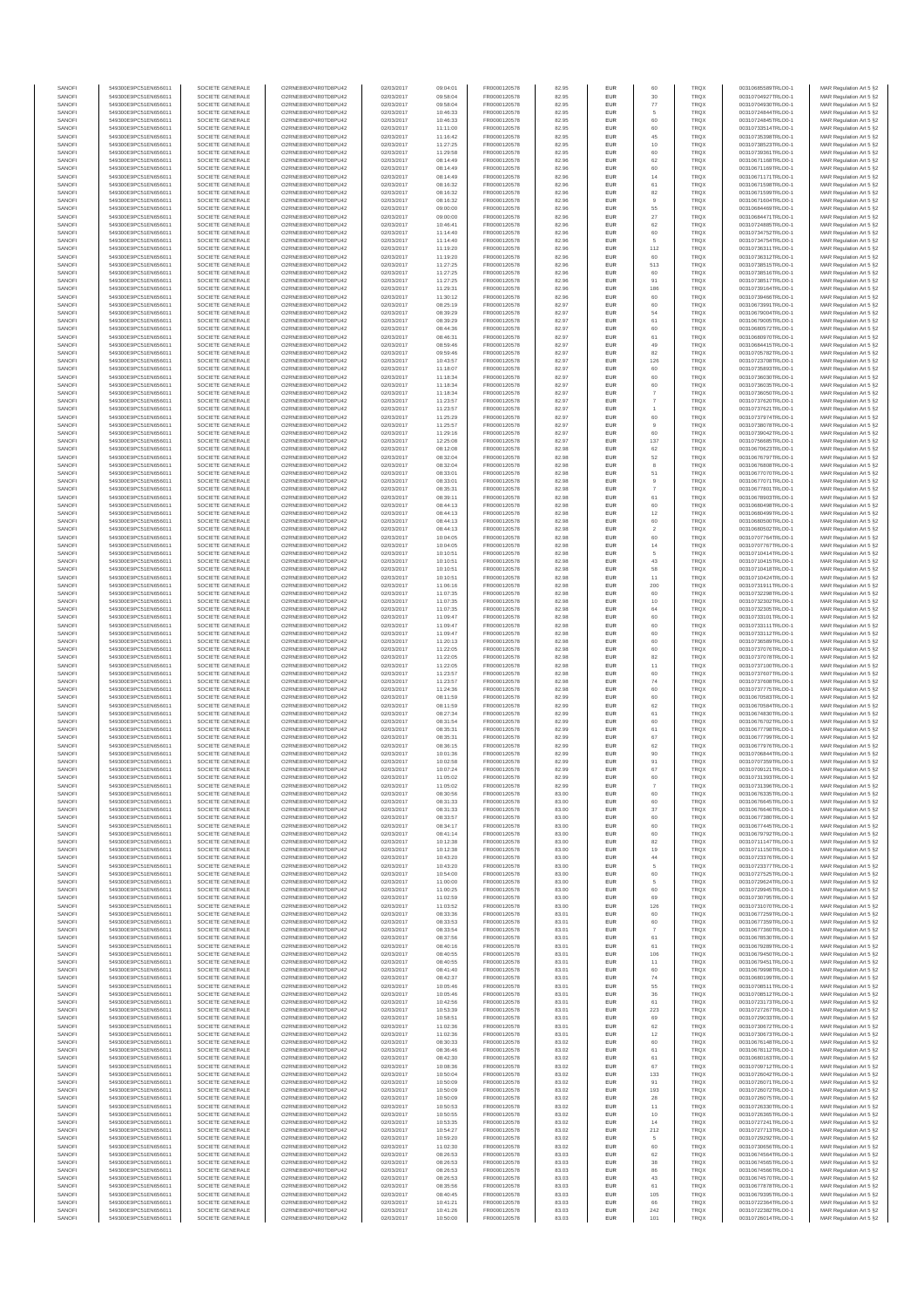| SANOFI           | 549300E9PC51EN656011                         | SOCIETE GENERALE                     | O2RNE8IBXP4R0TD8PU42                          | 02/03/2017               | 09:04:01             | FR0000120578                 | 82.95          | <b>EUR</b>         | 60                   | <b>TRQX</b>                | 00310685589TRLO0-1                       | MAR Regulation Art 5 §2                            |
|------------------|----------------------------------------------|--------------------------------------|-----------------------------------------------|--------------------------|----------------------|------------------------------|----------------|--------------------|----------------------|----------------------------|------------------------------------------|----------------------------------------------------|
| SANOFI<br>SANOFI | 549300E9PC51EN656011<br>549300E9PC51EN656011 | SOCIETE GENERALE<br>SOCIETE GENERALE | O2RNE8IBXP4R0TD8PU42<br>O2RNE8IBXP4R0TD8PU42  | 02/03/2017<br>02/03/2017 | 09:58:04<br>09:58:04 | FR0000120578<br>FR0000120578 | 82.95<br>82.95 | <b>EUR</b><br>EUR  | 30<br>77             | <b>TRQX</b><br>TRQX        | 00310704927TRLO0-1<br>00310704930TRLO0-1 | MAR Regulation Art 5 §2<br>MAR Regulation Art 5 §2 |
| SANOFI           | 549300E9PC51EN656011                         | SOCIETE GENERALE                     | O2RNE8IBXP4R0TD8PU42                          | 02/03/2017               | 10:46:33             | FR0000120578                 | 82.95          | <b>EUR</b>         | 5                    | <b>TRQX</b>                | 00310724844TRLO0-1                       | MAR Regulation Art 5 §2                            |
| SANOFI<br>SANOFI | 549300E9PC51EN656011<br>549300E9PC51EN656011 | SOCIETE GENERALE<br>SOCIETE GENERALE | O2RNE8IBXP4R0TD8PU42<br>O2RNE8IBXP4R0TD8PU42  | 02/03/2017<br>02/03/2017 | 10:46:33<br>11:11:00 | FR0000120578<br>FR0000120578 | 82.95<br>82.95 | EUR<br>EUR         | 60<br>60             | TRQX<br><b>TRQX</b>        | 00310724845TRLO0-1<br>00310733514TRLO0-1 | MAR Regulation Art 5 §2<br>MAR Regulation Art 5 §2 |
| SANOFI           | 549300E9PC51EN656011                         | SOCIETE GENERALE                     | O2RNE8IBXP4R0TD8PU42                          | 02/03/2017               | 11:16:42             | FR0000120578                 | 82.95          | EUR                | 45                   | <b>TRQX</b>                | 00310735398TRLO0-1                       | MAR Regulation Art 5 §2                            |
| SANOFI           | 549300E9PC51EN656011                         | SOCIETE GENERALE                     | O2RNE8IBXP4R0TD8PU42                          | 02/03/2017               | 11:27:25             | FR0000120578                 | 82.95          | EUR                | 10                   | TRQX                       | 00310738523TRLO0-1                       | MAR Regulation Art 5 §2                            |
| SANOFI<br>SANOFI | 549300E9PC51EN656011<br>549300E9PC51EN656011 | SOCIETE GENERALE<br>SOCIETE GENERALE | O2RNE8IBXP4R0TD8PU42<br>O2RNE8IBXP4R0TD8PU42  | 02/03/2017<br>02/03/2017 | 11:29:58<br>08:14:49 | FR0000120578<br>FR0000120578 | 82.95<br>82.96 | EUR<br>EUR         | 60<br>62             | TRQX<br>TRQX               | 00310739361TRLO0-1<br>00310671168TRLO0-1 | MAR Regulation Art 5 §2<br>MAR Regulation Art 5 §2 |
| SANOFI           | 549300E9PC51EN656011                         | SOCIETE GENERALE                     | O2RNE8IBXP4R0TD8PLI42                         | 02/03/2017               | 08:14:49             | FR0000120578                 | 82.96          | <b>EUR</b>         | 60                   | <b>TRQX</b>                | 00310671169TRLO0-1                       | MAR Regulation Art 5 §2                            |
| SANOFI<br>SANOFI | 549300E9PC51EN656011<br>549300E9PC51EN656011 | SOCIETE GENERALE<br>SOCIETE GENERALE | O2RNE8IBXP4R0TD8PU42<br>O2RNE8IBXP4R0TD8PU42  | 02/03/2017<br>02/03/2017 | 08:14:49<br>08:16:32 | FR0000120578<br>FR0000120578 | 82.96<br>82.96 | EUR<br><b>EUR</b>  | 14<br>61             | TRQX<br><b>TRQX</b>        | 00310671171TRLO0-1<br>00310671598TRLO0-1 | MAR Regulation Art 5 §2<br>MAR Regulation Art 5 §2 |
| SANOFI           | 549300E9PC51EN656011                         | SOCIETE GENERALE                     | O2RNE8IBXP4R0TD8PU42                          | 02/03/2017               | 08:16:32             | FR0000120578                 | 82.96          | EUR                | 82                   | TRQX                       | 00310671599TRLO0-1                       | MAR Regulation Art 5 §2                            |
| SANOFI<br>SANOFI | 549300E9PC51EN656011<br>549300E9PC51EN656011 | SOCIETE GENERALE<br>SOCIETE GENERALE | O2RNE8IBXP4R0TD8PU42<br>O2RNE8IBXP4R0TD8PU42  | 02/03/2017<br>02/03/2017 | 08:16:32<br>09:00:00 | FR0000120578<br>FR0000120578 | 82.96<br>82.96 | EUR<br>EUR         | $\overline{9}$<br>55 | <b>TRQX</b><br>TRQX        | 00310671604TRLO0-1<br>00310684469TRLO0-1 | MAR Regulation Art 5 §2<br>MAR Regulation Art 5 §2 |
| SANOFI           | 549300E9PC51EN656011                         | SOCIETE GENERALE                     | O2RNE8IBXP4R0TD8PU42                          | 02/03/2017               | 09:00:00             | FR0000120578                 | 82.96          | EUR                | 27                   | <b>TRQX</b>                | 00310684471TRLO0-1                       | MAR Regulation Art 5 §2                            |
| SANOFI           | 549300E9PC51EN656011                         | SOCIETE GENERALE                     | O2RNE8IBXP4R0TD8PU42                          | 02/03/2017               | 10:46:41             | FR0000120578                 | 82.96          | EUR                | 62                   | TRQX                       | 00310724885TRLO0-1                       | MAR Regulation Art 5 §2                            |
| SANOFI<br>SANOFI | 549300E9PC51EN656011<br>549300E9PC51EN656011 | SOCIETE GENERALE<br>SOCIETE GENERALE | O2RNE8IBXP4R0TD8PU42<br>O2RNE8IBXP4R0TD8PLI42 | 02/03/2017<br>02/03/2017 | 11:14:40<br>11:14:40 | FR0000120578<br>FR0000120578 | 82.96<br>82.96 | EUR<br><b>EUR</b>  | 60<br>5              | <b>TRQX</b><br><b>TRQX</b> | 00310734752TRLO0-1<br>00310734754TRLO0-1 | MAR Regulation Art 5 §2<br>MAR Regulation Art 5 §2 |
| SANOFI           | 549300E9PC51EN656011                         | SOCIETE GENERALE                     | O2RNE8IBXP4R0TD8PU42                          | 02/03/2017               | 11:19:20             | FR0000120578                 | 82.96          | EUR                | 112                  | TRQX                       | 00310736311TRLO0-1                       | MAR Regulation Art 5 §2                            |
| SANOFI<br>SANOFI | 549300E9PC51EN656011<br>549300E9PC51EN656011 | SOCIETE GENERALE<br>SOCIETE GENERALE | O2RNE8IBXP4R0TD8PU42<br>O2RNE8IBXP4R0TD8PU42  | 02/03/2017<br>02/03/2017 | 11:19:20<br>11:27:25 | FR0000120578<br>FR0000120578 | 82.96<br>82.96 | <b>EUR</b><br>EUR  | 60<br>513            | <b>TRQX</b><br>TRQX        | 00310736312TRLO0-1<br>00310738515TRLO0-1 | MAR Regulation Art 5 §2<br>MAR Regulation Art 5 §2 |
| SANOFI           | 549300E9PC51EN656011                         | SOCIETE GENERALE                     | O2RNESIBXP4R0TD8PLI42                         | 02/03/2017               | 11:27:25             | FR0000120578                 | 82.96          | EUR                | 60                   | <b>TRQX</b>                | 00310738516TRLO0-1                       | MAR Regulation Art 5 §2                            |
| SANOFI           | 549300E9PC51EN656011                         | SOCIETE GENERALE                     | O2RNE8IBXP4R0TD8PU42<br>O2RNE8IBXP4R0TD8PU42  | 02/03/2017               | 11:27:25             | FR0000120578                 | 82.96          | EUR                | 91                   | <b>TRQX</b>                | 00310738517TRLO0-1<br>00310739164TRLO0-1 | MAR Regulation Art 5 §2                            |
| SANOFI<br>SANOFI | 549300E9PC51EN656011<br>549300E9PC51EN656011 | SOCIETE GENERALE<br>SOCIETE GENERALE | O2RNE8IBXP4R0TD8PU42                          | 02/03/2017<br>02/03/2017 | 11:29:31<br>11:30:12 | FR0000120578<br>FR0000120578 | 82.96<br>82.96 | EUR<br>EUR         | 186<br>60            | TRQX<br>TRQX               | 00310739466TRLO0-1                       | MAR Regulation Art 5 §2<br>MAR Regulation Art 5 §2 |
| SANOFI           | 549300E9PC51EN656011                         | SOCIETE GENERALE                     | O2RNE8IBXP4R0TD8PU42                          | 02/03/2017               | 08:25:19             | FR0000120578                 | 82.97          | EUR                | 60                   | TRQX                       | 00310673991TRLO0-1                       | MAR Regulation Art 5 §2                            |
| SANOFI<br>SANOFI | 549300E9PC51EN656011<br>549300E9PC51EN656011 | SOCIETE GENERALE<br>SOCIETE GENERALE | O2RNE8IBXP4R0TD8PU42<br>O2RNE8IBXP4R0TD8PU42  | 02/03/2017<br>02/03/2017 | 08:39:29<br>08:39:29 | FR0000120578<br>FR0000120578 | 82.97<br>82.97 | <b>EUR</b><br>EUR  | 54<br>61             | <b>TRQX</b><br>TRQX        | 00310679004TRLO0-1<br>00310679005TRLO0-1 | MAR Regulation Art 5 §2<br>MAR Regulation Art 5 §2 |
| SANOFI           | 549300E9PC51EN656011                         | SOCIETE GENERALE                     | O2RNE8IBXP4R0TD8PU42                          | 02/03/2017               | 08:44:36             | FR0000120578                 | 82.97          | <b>EUR</b>         | 60                   | <b>TRQX</b>                | 00310680572TRLO0-1                       | MAR Regulation Art 5 §2                            |
| SANOFI<br>SANOFI | 549300E9PC51EN656011<br>549300E9PC51EN656011 | SOCIETE GENERALE<br>SOCIETE GENERALE | O2RNE8IBXP4R0TD8PU42<br>O2RNE8IBXP4R0TD8PU42  | 02/03/2017<br>02/03/2017 | 08:46:31<br>08:59:46 | FR0000120578<br>FR0000120578 | 82.97<br>82.97 | EUR<br>EUR         | 61<br>49             | TRQX<br>TRQX               | 00310680970TRLO0-1<br>00310684415TRLO0-1 | MAR Regulation Art 5 §2<br>MAR Regulation Art 5 §2 |
| SANOFI           | 549300E9PC51EN656011                         | SOCIETE GENERALE                     | O2RNE8IBXP4R0TD8PU42                          | 02/03/2017               | 09:59:46             | FR0000120578                 | 82.97          | EUR                | 82                   | <b>TRQX</b>                | 00310705782TRLO0-1                       | MAR Regulation Art 5 §2                            |
| SANOFI<br>SANOFI | 549300E9PC51EN656011<br>549300E9PC51EN656011 | SOCIETE GENERALE<br>SOCIETE GENERALE | O2RNE8IBXP4R0TD8PU42<br>O2RNE8IBXP4R0TD8PU42  | 02/03/2017<br>02/03/2017 | 10:43:57<br>11:18:07 | FR0000120578<br>FR0000120578 | 82.97<br>82.97 | EUR<br><b>EUR</b>  | 126<br>60            | <b>TRQX</b><br><b>TRQX</b> | 00310723708TRLO0-1<br>00310735893TRLO0-1 | MAR Regulation Art 5 §2<br>MAR Regulation Art 5 §2 |
| SANOFI           | 549300E9PC51EN656011                         | SOCIETE GENERALE                     | O2RNE8IBXP4R0TD8PU42                          | 02/03/2017               | 11:18:34             | FR0000120578                 | 82.97          | EUR                | 60                   | TRQX                       | 00310736030TRLO0-1                       | MAR Regulation Art 5 §2                            |
| SANOFI           | 549300E9PC51EN656011                         | SOCIETE GENERALE                     | O2RNE8IBXP4R0TD8PU42                          | 02/03/2017               | 11:18:34             | FR0000120578                 | 82.97          | <b>EUR</b>         | 60                   | <b>TRQX</b>                | 00310736035TRLO0-1                       | MAR Regulation Art 5 §2                            |
| SANOFI<br>SANOFI | 549300E9PC51EN656011<br>549300E9PC51EN656011 | SOCIETE GENERALE<br>SOCIETE GENERALE | O2RNE8IBXP4R0TD8PU42<br>O2RNE8IBXP4R0TD8PU42  | 02/03/2017<br>02/03/2017 | 11:18:34<br>11:23:57 | FR0000120578<br>FR0000120578 | 82.97<br>82.97 | EUR<br>EUR         | $\overline{7}$       | TRQX<br><b>TRQX</b>        | 00310736050TRLO0-1<br>00310737620TRLO0-1 | MAR Regulation Art 5 §2<br>MAR Regulation Art 5 §2 |
| SANOFI           | 549300E9PC51EN656011                         | SOCIETE GENERALE                     | O2RNE8IBXP4R0TD8PU42                          | 02/03/2017               | 11:23:57             | FR0000120578                 | 82.97          | EUR                |                      | <b>TRQX</b>                | 00310737621TRLO0-1                       | MAR Regulation Art 5 §2                            |
| SANOFI<br>SANOFI | 549300E9PC51EN656011<br>549300E9PC51EN656011 | SOCIETE GENERALE<br>SOCIETE GENERALE | O2RNE8IBXP4R0TD8PU42<br>O2RNE8IBXP4R0TD8PU42  | 02/03/2017<br>02/03/2017 | 11:25:29<br>11:25:57 | FR0000120578<br>FR0000120578 | 82.97<br>82.97 | EUR<br>EUR         | 60<br>9              | <b>TRQX</b><br><b>TRQX</b> | 00310737974TRLO0-1<br>00310738078TRLO0-1 | MAR Regulation Art 5 §2<br>MAR Regulation Art 5 §2 |
| SANOFI           | 549300E9PC51EN656011                         | SOCIETE GENERALE                     | O2RNE8IBXP4R0TD8PLI42                         | 02/03/2017               | 11:29:16             | FR0000120578                 | 82.97          | EUR                | 60                   | TRQX                       | 00310739042TRLO0-1                       | MAR Regulation Art 5 §2                            |
| SANOFI<br>SANOFI | 549300E9PC51EN656011<br>549300E9PC51EN656011 | SOCIETE GENERALE<br>SOCIETE GENERALE | O2RNE8IBXP4R0TD8PU42<br>O2RNE8IBXP4R0TD8PU42  | 02/03/2017<br>02/03/2017 | 12:25:08<br>08:12:08 | FR0000120578<br>FR0000120578 | 82.97<br>82.98 | <b>EUR</b><br>EUR  | 137<br>62            | <b>TRQX</b><br>TRQX        | 00310756685TRLO0-1<br>00310670623TRLO0-1 | MAR Regulation Art 5 §2<br>MAR Regulation Art 5 §2 |
| SANOFI           | 549300E9PC51EN656011                         | SOCIETE GENERALE                     | O2RNE8IBXP4R0TD8PU42                          | 02/03/2017               | 08:32:04             | FR0000120578                 | 82.98          | <b>EUR</b>         | 52                   | <b>TRQX</b>                | 00310676797TRLO0-1                       | MAR Regulation Art 5 §2                            |
| SANOFI           | 549300E9PC51EN656011                         | SOCIETE GENERALE                     | O2RNE8IBXP4R0TD8PU42                          | 02/03/2017               | 08:32:04             | FR0000120578                 | 82.98          | EUR                | 8                    | TRQX                       | 00310676808TRLO0-1                       | MAR Regulation Art 5 §2                            |
| SANOFI<br>SANOFI | 549300E9PC51EN656011<br>549300E9PC51EN656011 | SOCIETE GENERALE<br>SOCIETE GENERALE | O2RNE8IBXP4R0TD8PU42<br>O2RNE8IBXP4R0TD8PU42  | 02/03/2017<br>02/03/2017 | 08:33:01<br>08:33:01 | FR0000120578<br>FR0000120578 | 82.98<br>82.98 | EUR<br>EUR         | 51<br>$\overline{9}$ | <b>TRQX</b><br><b>TRQX</b> | 00310677070TRLO0-1<br>00310677071TRLO0-1 | MAR Regulation Art 5 §2<br>MAR Regulation Art 5 §2 |
| SANOFI           | 549300E9PC51EN656011                         | SOCIETE GENERALE                     | O2RNE8IBXP4R0TD8PLI42                         | 02/03/2017               | 08:35:31             | FR0000120578                 | 82.98          | EUR                | $\overline{7}$       | TRQX                       | 00310677801TRLO0-1                       | MAR Regulation Art 5 §2                            |
| SANOFI<br>SANOFI | 549300E9PC51EN656011<br>549300E9PC51EN656011 | SOCIETE GENERALE<br>SOCIETE GENERALE | O2RNE8IBXP4R0TD8PU42<br>O2RNE8IBXP4R0TD8PU42  | 02/03/2017<br>02/03/2017 | 08:39:11<br>08:44:13 | FR0000120578<br>FR0000120578 | 82.98<br>82.98 | EUR<br>EUR         | 61                   | TRQX<br>TRQX               | 00310678903TRLO0-1<br>00310680498TRLO0-1 | MAR Regulation Art 5 §2<br>MAR Regulation Art 5 §2 |
| SANOFI           | 549300E9PC51EN656011                         | SOCIETE GENERALE                     | O2RNE8IBXP4R0TD8PU42                          | 02/03/2017               | 08:44:13             | FR0000120578                 | 82.98          | <b>EUR</b>         | 12                   | <b>TRQX</b>                | 00310680499TRLO0-1                       | MAR Regulation Art 5 §2                            |
| SANOFI           | 549300E9PC51EN656011                         | SOCIETE GENERALE                     | O2RNE8IBXP4R0TD8PU42                          | 02/03/2017               | 08:44:13             | FR0000120578                 | 82.98          | EUR                | 60                   | TRQX                       | 00310680500TRLO0-1                       | MAR Regulation Art 5 §2                            |
| SANOFI<br>SANOFI | 549300E9PC51EN656011<br>549300E9PC51EN656011 | SOCIETE GENERALE<br>SOCIETE GENERALE | O2RNE8IBXP4R0TD8PU42<br>O2RNE8IBXP4R0TD8PU42  | 02/03/2017<br>02/03/2017 | 08:44:13<br>10:04:05 | FR0000120578<br>FR0000120578 | 82.98<br>82.98 | <b>EUR</b><br>EUR  | $\overline{2}$<br>60 | <b>TRQX</b><br><b>TRQX</b> | 00310680502TRLO0-1<br>00310707764TRLO0-1 | MAR Regulation Art 5 §2<br>MAR Regulation Art 5 §2 |
| SANOFI           | 549300E9PC51EN656011                         | SOCIETE GENERALE                     | O2RNE8IBXP4R0TD8PU42                          | 02/03/2017               | 10:04:05             | FR0000120578                 | 82.98          | EUR                | 14                   | TRQX                       | 00310707767TRLO0-1                       | MAR Regulation Art 5 §2                            |
| SANOFI<br>SANOFI | 549300E9PC51EN656011<br>549300E9PC51EN656011 | SOCIETE GENERALE<br>SOCIETE GENERALE | O2RNE8IBXP4R0TD8PU42<br>O2RNE8IBXP4R0TD8PU42  | 02/03/2017<br>02/03/2017 | 10:10:51<br>10:10:51 | FR0000120578<br>FR0000120578 | 82.98<br>82.98 | EUR<br>EUR         | 5<br>43              | TRQX<br><b>TRQX</b>        | 00310710414TRLO0-1<br>00310710415TRLO0-1 | MAR Regulation Art 5 §2<br>MAR Regulation Art 5 §2 |
| SANOFI           | 549300E9PC51EN656011                         | SOCIETE GENERALE                     | O2RNE8IBXP4R0TD8PU42                          | 02/03/2017               | 10:10:51             | FR0000120578                 | 82.98          | EUR                | 58                   | TRQX                       | 00310710418TRLO0-1                       | MAR Regulation Art 5 §2                            |
| SANOFI<br>SANOFI | 549300E9PC51EN656011<br>549300E9PC51EN656011 | SOCIETE GENERALE<br>SOCIETE GENERALE | O2RNE8IBXP4R0TD8PU42<br>O2RNE8IBXP4R0TD8PU42  | 02/03/2017<br>02/03/2017 | 10:10:51<br>11:06:16 | FR0000120578<br>FR0000120578 | 82.98<br>82.98 | EUR<br><b>EUR</b>  | 11<br>200            | TRQX<br><b>TRQX</b>        | 00310710424TRLO0-1<br>00310731911TRLO0-1 | MAR Regulation Art 5 §2<br>MAR Regulation Art 5 §2 |
| SANOFI           | 549300E9PC51EN656011                         | SOCIETE GENERALE                     | O2RNE8IBXP4R0TD8PU42                          | 02/03/2017               | 11:07:35             | FR0000120578                 | 82.98          | EUR                | 60                   | TRQX                       | 00310732298TRLO0-1                       | MAR Regulation Art 5 §2                            |
| SANOFI           | 549300E9PC51EN656011                         | SOCIETE GENERALE                     | O2RNE8IBXP4R0TD8PU42                          | 02/03/2017               | 11:07:35             | FR0000120578                 | 82.98          | <b>EUR</b>         | 10                   | <b>TRQX</b>                | 00310732302TRLO0-1                       | MAR Regulation Art 5 §2                            |
| SANOFI<br>SANOFI | 549300E9PC51EN656011<br>549300E9PC51EN656011 | SOCIETE GENERALE<br>SOCIETE GENERALE | O2RNE8IBXP4R0TD8PU42<br>O2RNE8IBXP4R0TD8PU42  | 02/03/2017<br>02/03/2017 | 11:07:35<br>11:09:47 | FR0000120578<br>FR0000120578 | 82.98<br>82.98 | EUR<br>EUR         | 64<br>60             | TRQX<br><b>TRQX</b>        | 00310732305TRLO0-1<br>00310733101TRLO0-1 | MAR Regulation Art 5 §2<br>MAR Regulation Art 5 §2 |
| SANOFI           | 549300E9PC51EN656011                         | SOCIETE GENERALE                     | O2RNE8IBXP4R0TD8PU42                          | 02/03/2017               | 11:09:47             | FR0000120578                 | 82.98          | EUR                | 60                   | <b>TRQX</b>                | 00310733111TRLO0-1                       | MAR Regulation Art 5 §2                            |
| SANOFI<br>SANOFI | 549300E9PC51EN656011<br>549300E9PC51EN656011 | SOCIETE GENERALE<br>SOCIETE GENERALE | O2RNE8IBXP4R0TD8PU42<br>O2RNE8IBXP4R0TD8PU42  | 02/03/2017<br>02/03/2017 | 11:09:47<br>11:20:13 | FR0000120578<br>FR0000120578 | 82.98<br>82.98 | EUR<br><b>EUR</b>  | 60<br>60             | TRQX<br><b>TRQX</b>        | 00310733112TRLO0-1<br>00310736589TRLO0-1 | MAR Regulation Art 5 §2<br>MAR Regulation Art 5 §2 |
| SANOFI           | 549300E9PC51EN656011                         | SOCIETE GENERALE                     | O2RNE8IBXP4R0TD8PU42                          | 02/03/2017               | 11:22:05             | FR0000120578                 | 82.98          | EUR                | 60                   | TRQX                       | 00310737076TRLO0-1                       | MAR Regulation Art 5 §2                            |
| SANOFI<br>SANOFI | 549300E9PC51EN656011<br>549300E9PC51EN656011 | SOCIETE GENERALE<br>SOCIETE GENERALE | O2RNE8IBXP4R0TD8PU42<br>O2RNE8IBXP4R0TD8PU42  | 02/03/2017<br>02/03/2017 | 11:22:05<br>11:22:05 | FR0000120578<br>FR0000120578 | 82.98<br>82.98 | <b>EUR</b><br>EUR  | 82<br>11             | <b>TRQX</b><br>TRQX        | 00310737078TRLO0-1<br>00310737100TRLO0-1 | MAR Regulation Art 5 §2<br>MAR Regulation Art 5 §2 |
| SANOFI           | 549300E9PC51EN656011                         | SOCIETE GENERALE                     | O2RNE8IBXP4R0TD8PU42                          | 02/03/2017               | 11:23:57             | FR0000120578                 | 82.98          | <b>EUR</b>         | 60                   | <b>TRQX</b>                | 00310737607TRLO0-1                       | MAR Regulation Art 5 §2                            |
| SANOFI           | 549300E9PC51EN656011                         | SOCIETE GENERALE                     | O2RNE8IBXP4R0TD8PU42                          | 02/03/2017               | 11:23:57             | FR0000120578                 | 82.98          | EUR                | 74                   | <b>TRQX</b>                | 00310737608TRLO0-1                       | MAR Regulation Art 5 §2                            |
| SANOFI<br>SANOFI | 549300E9PC51EN656011<br>549300E9PC51EN656011 | SOCIETE GENERALE<br>SOCIETE GENERALE | O2RNE8IBXP4R0TD8PLI42<br>O2RNE8IBXP4R0TD8PU42 | 02/03/2017<br>02/03/2017 | 11:24:36<br>08:11:59 | FR0000120578<br>FR0000120578 | 82.98<br>82.99 | EUR<br>EUR         | 60<br>60             | TRQX<br><b>TRQX</b>        | 00310737775TRLO0-1<br>00310670583TRLO0-1 | MAR Regulation Art 5 §2<br>MAR Regulation Art 5 §2 |
| SANOFI           | 549300E9PC51EN656011                         | SOCIETE GENERALE                     | O2RNE8IBXP4R0TD8PU42                          | 02/03/2017               | 08:11:59             | FR0000120578                 | 82.99          | EUR                | 62                   | <b>TRQX</b>                | 00310670584TRLO0-1                       | MAR Regulation Art 5 §2                            |
| SANOFI<br>SANOFI | 549300E9PC51EN656011<br>549300E9PC51EN656011 | SOCIETE GENERALE<br>SOCIETE GENERALE | O2RNE8IBXP4R0TD8PU42<br>O2RNE8IBXP4R0TD8PU42  | 02/03/2017<br>02/03/2017 | 08:27:34<br>08:31:54 | FR0000120578<br>FR0000120578 | 82.99<br>82.99 | <b>EUR</b><br>EUR  | 61<br>60             | <b>TRQX</b><br>TRQX        | 00310674830TRLO0-1<br>00310676702TRLO0-1 | MAR Regulation Art 5 §2<br>MAR Regulation Art 5 §2 |
| SANOFI           | 549300E9PC51EN656011                         | SOCIETE GENERALE                     | O2RNE8IBXP4R0TD8PU42                          | 02/03/2017               | 08:35:31             | FR0000120578                 | 82.99          | <b>EUR</b>         | 61                   | <b>TRQX</b>                | 00310677798TRLO0-1                       | MAR Regulation Art 5 §2                            |
| SANOFI           | 549300E9PC51EN656011                         | SOCIETE GENERALE                     | O2RNE8IBXP4R0TD8PU42<br>O2RNE8IBXP4R0TD8PU42  | 02/03/2017               | 08:35:31             | FR0000120578                 | 82.99          | EUR<br>EUR         | 67<br>62             | TRQX<br><b>TRQX</b>        | 00310677799TRLO0-1                       | MAR Regulation Art 5 §2<br>MAR Regulation Art 5 §2 |
| SANOFI<br>SANOFI | 549300E9PC51EN656011<br>549300E9PC51EN656011 | SOCIETE GENERALE<br>SOCIETE GENERALE | O2RNE8IBXP4R0TD8PU42                          | 02/03/2017<br>02/03/2017 | 08:36:15<br>10:01:36 | FR0000120578<br>FR0000120578 | 82.99<br>82.99 | EUR                | 90                   | <b>TRQX</b>                | 00310677976TRLO0-1<br>00310706844TRLO0-1 | MAR Regulation Art 5 §2                            |
| SANOFI           | 549300E9PC51EN656011                         | SOCIETE GENERALE                     | O2RNESIBXP4R0TD8PLI42                         | 02/03/2017               | 10:02:58             | FR0000120578                 | 82.99          | EUR                | 91                   | <b>TRQX</b>                | 00310707359TRLO0-1                       | MAR Regulation Art 5 §2                            |
| SANOFI<br>SANOFI | 549300E9PC51EN656011<br>549300E9PC51EN656011 | SOCIETE GENERALE<br>SOCIETE GENERALE | O2RNE8IBXP4R0TD8PU42<br>O2RNE8IBXP4R0TD8PU42  | 02/03/2017<br>02/03/2017 | 10:07:24<br>11:05:02 | FR0000120578<br>FR0000120578 | 82.99<br>82.99 | EUR<br>EUR         | 67<br>60             | <b>TRQX</b><br>TRQX        | 00310709121TRLO0-1<br>00310731393TRLO0-1 | MAR Regulation Art 5 §2<br>MAR Regulation Art 5 §2 |
| SANOFI           | 549300E9PC51EN656011                         | SOCIETE GENERALE                     | O2RNE8IBXP4R0TD8PU42                          | 02/03/2017               | 11:05:02             | FR0000120578                 | 82.99          | <b>EUR</b>         |                      | <b>TRQX</b>                | 00310731396TRLO0-1                       | MAR Regulation Art 5 §2                            |
| SANOFI<br>SANOFI | 549300E9PC51EN656011<br>549300E9PC51EN656011 | SOCIETE GENERALE<br>SOCIETE GENERALE | O2RNE8IBXP4R0TD8PU42<br>O2RNE8IBXP4R0TD8PU42  | 02/03/2017<br>02/03/2017 | 08:30:56<br>08:31:33 | FR0000120578<br>FR0000120578 | 83.00<br>83.00 | EUR<br><b>EUR</b>  | 60<br>60             | TRQX<br><b>TROX</b>        | 00310676335TRLO0-1<br>00310676645TRLO0-1 | MAR Regulation Art 5 §2<br>MAR Regulation Art 5 §2 |
| SANOFI           | 549300E9PC51EN656011                         | SOCIETE GENERALE                     | O2RNE8IBXP4R0TD8PU42                          | 02/03/2017               | 08:31:33             | FR0000120578                 | 83.00          | EUR                | 37                   | TRQX                       | 00310676646TRLO0-1                       | MAR Regulation Art 5 §2                            |
| SANOFI           | 549300E9PC51EN656011                         | SOCIETE GENERALE                     | O2RNE8IBXP4R0TD8PU42                          | 02/03/2017               | 08:33:57             | FR0000120578                 | 83.00          | <b>EUR</b>         | 60                   | <b>TRQX</b>                | 00310677380TRLO0-1                       | MAR Regulation Art 5 §2                            |
| SANOFI<br>SANOFI | 549300E9PC51EN656011<br>549300E9PC51EN656011 | SOCIETE GENERALE<br>SOCIETE GENERALE | O2RNE8IBXP4R0TD8PU42<br>O2RNESIBXP4R0TD8PLI42 | 02/03/2017<br>02/03/2017 | 08:34:17<br>08:41:14 | FR0000120578<br>FR0000120578 | 83.00<br>83.00 | EUR<br>${\sf EUR}$ | 60<br>60             | <b>TRQX</b><br>TRQX        | 00310677445TRLO0-1<br>00310679792TRLO0-1 | MAR Regulation Art 5 §2<br>MAR Regulation Art 5 §2 |
| SANOFI           | 549300E9PC51EN656011                         | SOCIETE GENERALE                     | O2RNE8IBXP4R0TD8PU42                          | 02/03/2017               | 10:12:38             | FR0000120578                 | 83.00          | EUR                | 82                   | <b>TRQX</b>                | 00310711147TRLO0-1                       | MAR Regulation Art 5 §2                            |
| SANOFI<br>SANOFI | 549300E9PC51EN656011<br>549300E9PC51EN656011 | SOCIETE GENERALE<br>SOCIETE GENERALE | O2RNE8IBXP4R0TD8PU42<br>O2RNE8IBXP4R0TD8PLI42 | 02/03/2017<br>02/03/2017 | 10:12:38<br>10:43:20 | FR0000120578<br>FR0000120578 | 83.00<br>83.00 | EUR<br><b>EUR</b>  | 19<br>44             | TRQX<br><b>TROX</b>        | 00310711150TRLO0-1<br>00310723376TRLO0-1 | MAR Regulation Art 5 §2<br>MAR Regulation Art 5 §2 |
| SANOFI           | 549300E9PC51EN656011                         | SOCIETE GENERALE                     | O2RNE8IBXP4R0TD8PU42                          | 02/03/2017               | 10:43:20             | FR0000120578                 | 83.00          | EUR                | 5                    | TRQX                       | 00310723377TRLO0-1                       | MAR Regulation Art 5 \$2                           |
| SANOFI<br>SANOFI | 549300E9PC51EN656011<br>549300E9PC51EN656011 | SOCIETE GENERALE<br>SOCIETE GENERALE | O2RNE8IBXP4R0TD8PU42<br>O2RNE8IBXP4R0TD8PU42  | 02/03/2017<br>02/03/2017 | 10:54:00<br>11:00:00 | FR0000120578<br>FR0000120578 | 83.00<br>83.00 | <b>EUR</b><br>EUR  | 60<br>5              | <b>TROX</b><br><b>TRQX</b> | 00310727525TRLO0-1<br>00310729624TRLO0-1 | MAR Regulation Art 5 §2<br>MAR Regulation Art 5 §2 |
| SANOFI           | 549300E9PC51EN656011                         | SOCIETE GENERALE                     | O2RNE8IBXP4R0TD8PU42                          | 02/03/2017               | 11:00:25             | FR0000120578                 | 83.00          | EUR                | 60                   | TRQX                       | 00310729945TRLO0-1                       | MAR Regulation Art 5 §2                            |
| SANOFI<br>SANOFI | 549300E9PC51EN656011<br>549300E9PC51EN656011 | SOCIETE GENERALE<br>SOCIETE GENERALE | O2RNE8IBXP4R0TD8PU42<br>O2RNESIBXP4R0TD8PLI42 | 02/03/2017<br>02/03/2017 | 11:02:59<br>11:03:52 | FR0000120578<br>FR0000120578 | 83.00<br>83.00 | EUR<br>EUR         | 69<br>126            | <b>TRQX</b><br><b>TRQX</b> | 00310730795TRLO0-1<br>00310731070TRLO0-1 | MAR Regulation Art 5 §2<br>MAR Regulation Art 5 §2 |
| SANOFI           | 549300E9PC51EN656011                         | SOCIETE GENERALE                     | O2RNE8IBXP4R0TD8PLI42                         | 02/03/2017               | 08:33:36             | FR0000120578                 | 83.01          | <b>EUR</b>         | 60                   | <b>TROX</b>                | 00310677259TRLO0-1                       | MAR Regulation Art 5 §2                            |
| SANOFI<br>SANOFI | 549300E9PC51EN656011<br>549300E9PC51EN656011 | SOCIETE GENERALE<br>SOCIETE GENERALE | O2RNE8IBXP4R0TD8PU42<br>O2RNE8IBXP4R0TD8PU42  | 02/03/2017<br>02/03/2017 | 08:33:53<br>08:33:54 | FR0000120578<br>FR0000120578 | 83.01<br>83.01 | EUR<br><b>EUR</b>  | 60<br>-7             | TRQX<br><b>TROX</b>        | 00310677359TRLO0-1<br>00310677360TRLO0-1 | MAR Regulation Art 5 §2<br>MAR Regulation Art 5 §2 |
| SANOFI           | 549300E9PC51EN656011                         | SOCIETE GENERALE                     | O2RNE8IBXP4R0TD8PU42                          | 02/03/2017               | 08:37:56             | FR0000120578                 | 83.01          | EUR                | 61                   | <b>TRQX</b>                | 00310678530TRLO0-1                       | MAR Regulation Art 5 §2                            |
| SANOFI<br>SANOFI | 549300E9PC51EN656011<br>549300E9PC51EN656011 | SOCIETE GENERALE<br>SOCIETE GENERALE | O2RNE8IBXP4R0TD8PU42<br>O2RNE8IBXP4R0TD8PU42  | 02/03/2017<br>02/03/2017 | 08:40:16<br>08:40:55 | FR0000120578<br>FR0000120578 | 83.01<br>83.01 | EUR<br>EUR         | 61<br>106            | TRQX<br><b>TRQX</b>        | 00310679289TRLO0-1<br>00310679450TRLO0-1 | MAR Regulation Art 5 §2<br>MAR Regulation Art 5 §2 |
| SANOFI           | 549300E9PC51EN656011                         | SOCIETE GENERALE                     | O2RNE8IBXP4R0TD8PU42                          | 02/03/2017               | 08:40:55             | FR0000120578                 | 83.01          | EUR                | 11                   | <b>TRQX</b>                | 00310679451TRLO0-1                       | MAR Regulation Art 5 §2                            |
| SANOFI           | 549300E9PC51EN656011                         | SOCIETE GENERALE                     | O2RNE8IBXP4R0TD8PU42                          | 02/03/2017               | 08:41:40             | FR0000120578                 | 83.01          | EUR                | 60                   | <b>TRQX</b>                | 00310679998TRLO0-1                       | MAR Regulation Art 5 §2                            |
| SANOFI<br>SANOFI | 549300E9PC51EN656011<br>549300E9PC51EN656011 | SOCIETE GENERALE<br>SOCIETE GENERALE | O2RNE8IBXP4R0TD8PU42<br>O2RNE8IBXP4R0TD8PU42  | 02/03/2017<br>02/03/2017 | 08:42:37<br>10:05:46 | FR0000120578<br>FR0000120578 | 83.01<br>83.01 | EUR<br><b>EUR</b>  | $74\,$<br>55         | <b>TROX</b><br><b>TROX</b> | 00310680199TRLO0-1<br>00310708511TRLO0-1 | MAR Regulation Art 5 §2<br>MAR Regulation Art 5 §2 |
| SANOFI           | 549300E9PC51EN656011                         | SOCIETE GENERALE                     | O2RNE8IBXP4R0TD8PU42                          | 02/03/2017               | 10:05:46             | FR0000120578                 | 83.01          | EUR                | 36                   | <b>TRQX</b>                | 00310708512TRLO0-1                       | MAR Regulation Art 5 §2                            |
| SANOFI<br>SANOFI | 549300E9PC51EN656011<br>549300E9PC51EN656011 | SOCIETE GENERALE<br>SOCIETE GENERALE | O2RNE8IBXP4R0TD8PU42<br>O2RNE8IBXP4R0TD8PU42  | 02/03/2017<br>02/03/2017 | 10:42:56<br>10:53:39 | FR0000120578<br>FR0000120578 | 83.01<br>83.01 | <b>EUR</b><br>EUR  | 61<br>223            | <b>TROX</b><br>TRQX        | 00310723173TRLO0-1<br>00310727267TRLO0-1 | MAR Regulation Art 5 §2<br>MAR Regulation Art 5 §2 |
| SANOFI           | 549300E9PC51EN656011                         | SOCIETE GENERALE                     | O2RNE8IBXP4R0TD8PU42                          | 02/03/2017               | 10:58:51             | FR0000120578                 | 83.01          | <b>EUR</b>         | 69                   | <b>TRQX</b>                | 00310729033TRLO0-1                       | MAR Regulation Art 5 §2                            |
| SANOFI           | 549300E9PC51EN656011                         | SOCIETE GENERALE                     | O2RNE8IBXP4R0TD8PU42<br>O2RNE8IBXP4R0TD8PU42  | 02/03/2017               | 11:02:36             | FR0000120578                 | 83.01          | EUR<br>EUR         | 62                   | <b>TRQX</b><br><b>TROX</b> | 00310730672TRLO0-1                       | MAR Regulation Art 5 §2                            |
| SANOFI<br>SANOFI | 549300E9PC51EN656011<br>549300E9PC51EN656011 | SOCIETE GENERALE<br>SOCIETE GENERALE | O2RNE8IBXP4R0TD8PU42                          | 02/03/2017<br>02/03/2017 | 11:02:36<br>08:30:33 | FR0000120578<br>FR0000120578 | 83.01<br>83.02 | EUR                | $12\,$<br>60         | <b>TRQX</b>                | 00310730673TRLO0-1<br>00310676148TRLO0-1 | MAR Regulation Art 5 §2<br>MAR Regulation Art 5 §2 |
| SANOFI           | 549300E9PC51EN656011                         | SOCIETE GENERALE                     | O2RNE8IBXP4R0TD8PU42                          | 02/03/2017               | 08:36:46             | FR0000120578                 | 83.02          | EUR                | 61                   | <b>TRQX</b>                | 00310678112TRLO0-1                       | MAR Regulation Art 5 §2                            |
| SANOFI<br>SANOFI | 549300E9PC51EN656011<br>549300E9PC51EN656011 | SOCIETE GENERALE<br>SOCIETE GENERALE | O2RNE8IBXP4R0TD8PU42<br>O2RNE8IBXP4R0TD8PU42  | 02/03/2017<br>02/03/2017 | 08:42:30<br>10:08:36 | FR0000120578<br>FR0000120578 | 83.02<br>83.02 | <b>EUR</b><br>EUR  | 61<br>67             | <b>TROX</b><br>TRQX        | 00310680163TRLO0-1<br>00310709712TRLO0-1 | MAR Regulation Art 5 §2<br>MAR Regulation Art 5 §2 |
| SANOFI           | 549300E9PC51EN656011                         | SOCIETE GENERALE                     | O2RNE8IBXP4R0TD8PU42                          | 02/03/2017               | 10:50:04             | FR0000120578                 | 83.02          | <b>EUR</b>         | 133                  | <b>TROX</b>                | 00310726042TRLO0-1                       | MAR Regulation Art 5 §2                            |
| SANOFI<br>SANOFI | 549300E9PC51EN656011<br>549300E9PC51EN656011 | SOCIETE GENERALE<br>SOCIETE GENERALE | O2RNE8IBXP4R0TD8PU42<br>O2RNE8IBXP4R0TD8PU42  | 02/03/2017<br>02/03/2017 | 10:50:09<br>10:50:09 | FR0000120578<br>FR0000120578 | 83.02<br>83.02 | EUR<br>EUR         | 193                  | TRQX<br><b>TRQX</b>        | 00310726071TRLO0-1<br>00310726072TRLO0-1 | MAR Regulation Art 5 §2<br>MAR Regulation Art 5 §2 |
| SANOFI           | 549300E9PC51EN656011                         | SOCIETE GENERALE                     | O2RNE8IBXP4R0TD8PU42                          | 02/03/2017               | 10:50:09             | FR0000120578                 | 83.02          | EUR                | 28                   | <b>TRQX</b>                | 00310726075TRLO0-1                       | MAR Regulation Art 5 §2                            |
| SANOFI           | 549300E9PC51EN656011                         | SOCIETE GENERALE                     | O2RNE8IBXP4R0TD8PU42                          | 02/03/2017               | 10:50:53             | FR0000120578                 | 83.02          | EUR                | 11                   | <b>TRQX</b>                | 00310726330TRLO0-1                       | MAR Regulation Art 5 §2                            |
| SANOFI<br>SANOFI | 549300E9PC51EN656011<br>549300E9PC51EN656011 | SOCIETE GENERALE<br>SOCIETE GENERALE | O2RNE8IBXP4R0TD8PU42<br>O2RNE8IBXP4R0TD8PU42  | 02/03/2017<br>02/03/2017 | 10:50:55<br>10:53:35 | FR0000120578<br>FR0000120578 | 83.02<br>83.02 | EUR<br>EUR         | 10<br>14             | <b>TRQX</b><br>TRQX        | 00310726365TRLO0-1<br>00310727241TRLO0-1 | MAR Regulation Art 5 §2<br>MAR Regulation Art 5 §2 |
| SANOFI           | 549300E9PC51EN656011                         | SOCIETE GENERALE                     | O2RNE8IBXP4R0TD8PU42                          | 02/03/2017               | 10:54:27             | FR0000120578                 | 83.02          | <b>EUR</b>         | 212                  | <b>TROX</b>                | 00310727713TRLO0-1                       | MAR Regulation Art 5 §2                            |
| SANOFI<br>SANOFI | 549300E9PC51EN656011<br>549300E9PC51EN656011 | SOCIETE GENERALE<br>SOCIETE GENERALE | O2RNE8IBXP4R0TD8PU42<br>O2RNE8IBXP4R0TD8PU42  | 02/03/2017<br>02/03/2017 | 10:59:20<br>11:02:30 | FR0000120578<br>FR0000120578 | 83.02<br>83.02 | EUR<br><b>EUR</b>  | 5<br>60              | TRQX<br><b>TROX</b>        | 00310729292TRLO0-1<br>00310730656TRLO0-1 | MAR Regulation Art 5 §2<br>MAR Regulation Art 5 §2 |
| SANOFI           | 549300E9PC51EN656011                         | SOCIETE GENERALE                     | O2RNE8IBXP4R0TD8PU42                          | 02/03/2017               | 08:26:53             | FR0000120578                 | 83.03          | EUR                | 62                   | <b>TRQX</b>                | 00310674564TRLO0-1                       | MAR Regulation Art 5 §2                            |
| SANOFI<br>SANOFI | 549300E9PC51EN656011<br>549300E9PC51EN656011 | SOCIETE GENERALE<br>SOCIETE GENERALE | O2RNE8IBXP4R0TD8PU42<br>O2RNE8IBXP4R0TD8PU42  | 02/03/2017<br>02/03/2017 | 08:26:53             | FR0000120578                 | 83.03          | EUR<br>EUR         | 38<br>86             | <b>TRQX</b><br><b>TRQX</b> | 00310674565TRLO0-1<br>00310674566TRLO0-1 | MAR Regulation Art 5 §2                            |
| SANOFI           | 549300E9PC51EN656011                         | SOCIETE GENERALE                     | O2RNE8IBXP4R0TD8PU42                          | 02/03/2017               | 08:26:53<br>08:26:53 | FR0000120578<br>FR0000120578 | 83.03<br>83.03 | EUR                | 43                   | TRQX                       | 00310674570TRLO0-1                       | MAR Regulation Art 5 §2<br>MAR Regulation Art 5 §2 |
| SANOFI           | 549300E9PC51EN656011                         | SOCIETE GENERALE                     | O2RNE8IBXP4R0TD8PU42                          | 02/03/2017               | 08:35:56             | FR0000120578                 | 83.03          | <b>EUR</b>         | 61                   | <b>TROX</b>                | 00310677878TRLO0-1                       | MAR Regulation Art 5 §2                            |
| SANOFI<br>SANOFI | 549300E9PC51EN656011<br>549300E9PC51EN656011 | SOCIETE GENERALE<br>SOCIETE GENERALE | O2RNE8IBXP4R0TD8PU42<br>O2RNE8IBXP4R0TD8PU42  | 02/03/2017<br>02/03/2017 | 08:40:45<br>10:41:21 | FR0000120578<br>FR0000120578 | 83.03<br>83.03 | EUR<br><b>EUR</b>  | 105<br>66            | TRQX<br><b>TRQX</b>        | 00310679395TRLO0-1<br>00310722364TRLO0-1 | MAR Regulation Art 5 §2<br>MAR Regulation Art 5 §2 |
| SANOFI           | 549300E9PC51EN656011                         | SOCIETE GENERALE                     | O2RNE8IBXP4R0TD8PU42                          | 02/03/2017               | 10:41:26             | FR0000120578                 | 83.03          | EUR                | 242                  | TRQX                       | 00310722382TRLO0-1                       | MAR Regulation Art 5 §2                            |
| SANOFI           | 549300E9PC51EN656011                         | SOCIETE GENERALE                     | O2RNE8IBXP4R0TD8PU42                          | 02/03/2017               | 10:50:00             | FR0000120578                 | 83.03          | EUR                | 101                  | <b>TRQX</b>                | 00310726014TRLO0-1                       | MAR Regulation Art 5 §2                            |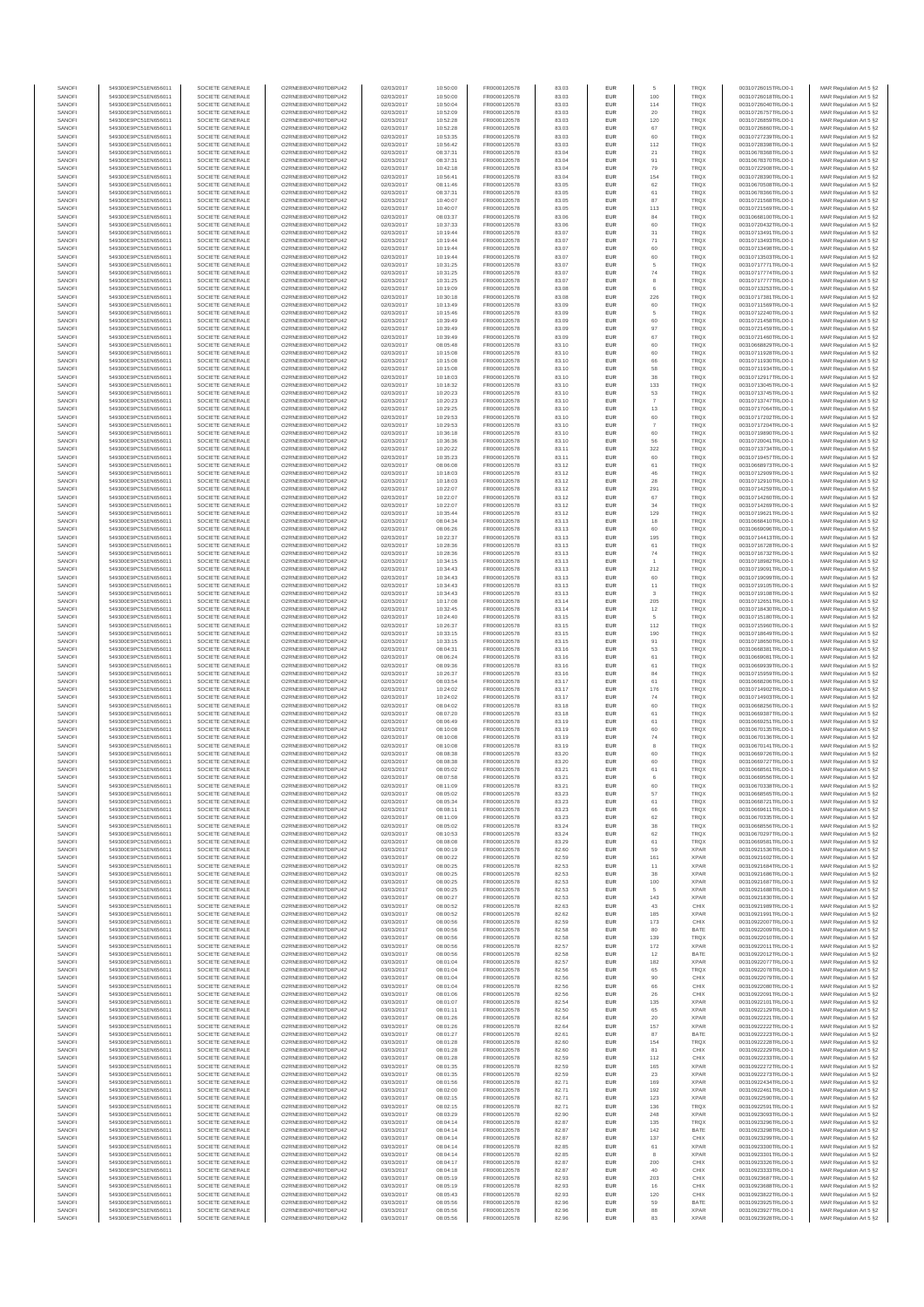| SANOFI           | 549300E9PC51EN656011                         | SOCIETE GENERALE                     | O2RNE8IBXP4R0TD8PU42                          | 02/03/2017               | 10:50:00             | FR0000120578                 | 83.03          | <b>EUR</b>        | 5                    | <b>TRQX</b>                | 00310726015TRLO0-1                       | MAR Regulation Art 5 §2                            |
|------------------|----------------------------------------------|--------------------------------------|-----------------------------------------------|--------------------------|----------------------|------------------------------|----------------|-------------------|----------------------|----------------------------|------------------------------------------|----------------------------------------------------|
| SANOFI           | 549300E9PC51EN656011                         | SOCIETE GENERALE                     | O2RNE8IBXP4R0TD8PU42                          | 02/03/2017               | 10:50:00             | FR0000120578                 | 83.03          | <b>EUR</b>        | 100                  | <b>TRQX</b>                | 00310726018TRLO0-1                       | MAR Regulation Art 5 §2                            |
| SANOFI<br>SANOFI | 549300E9PC51EN656011<br>549300E9PC51EN656011 | SOCIETE GENERALE<br>SOCIETE GENERALE | O2RNE8IBXP4R0TD8PU42<br>O2RNE8IBXP4R0TD8PU42  | 02/03/2017<br>02/03/2017 | 10:50:04<br>10:52:09 | FR0000120578<br>FR0000120578 | 83.03<br>83.03 | EUR<br><b>EUR</b> | 114<br>20            | TRQX<br><b>TRQX</b>        | 00310726040TRLO0-1<br>00310726757TRLO0-1 | MAR Regulation Art 5 §2<br>MAR Regulation Art 5 §2 |
| SANOFI           | 549300E9PC51EN656011                         | SOCIETE GENERALE                     | O2RNE8IBXP4R0TD8PU42                          | 02/03/2017               | 10:52:28             | FR0000120578                 | 83.03          | EUR               | 120                  | TRQX                       | 00310726859TRLO0-1                       | MAR Regulation Art 5 §2                            |
| SANOFI           | 549300E9PC51EN656011                         | SOCIETE GENERALE                     | O2RNE8IBXP4R0TD8PU42                          | 02/03/2017               | 10:52:28             | FR0000120578                 | 83.03          | EUR               | 67                   | <b>TRQX</b>                | 00310726860TRLO0-1                       | MAR Regulation Art 5 §2                            |
| SANOFI<br>SANOFI | 549300E9PC51EN656011<br>549300E9PC51EN656011 | SOCIETE GENERALE<br>SOCIETE GENERALE | O2RNE8IBXP4R0TD8PU42<br>O2RNE8IBXP4R0TD8PU42  | 02/03/2017<br>02/03/2017 | 10:53:35<br>10:56:42 | FR0000120578<br>FR0000120578 | 83.03<br>83.03 | EUR<br>EUR        | 60<br>112            | <b>TRQX</b><br>TRQX        | 00310727239TRLO0-1<br>00310728398TRLO0-1 | MAR Regulation Art 5 §2<br>MAR Regulation Art 5 §2 |
| SANOFI           | 549300E9PC51EN656011                         | SOCIETE GENERALE                     | O2RNE8IBXP4R0TD8PU42                          | 02/03/2017               | 08:37:31             | FR0000120578                 | 83.04          | EUR               | 21                   | TRQX                       | 00310678368TRLO0-1                       | MAR Regulation Art 5 §2                            |
| SANOFI           | 549300E9PC51EN656011                         | SOCIETE GENERALE                     | O2RNE8IBXP4R0TD8PU42                          | 02/03/2017               | 08:37:31             | FR0000120578                 | 83.04          | EUR               | 91                   | TRQX                       | 00310678370TRLO0-1                       | MAR Regulation Art 5 §2                            |
| SANOFI<br>SANOFI | 549300E9PC51EN656011<br>549300E9PC51EN656011 | SOCIETE GENERALE<br>SOCIETE GENERALE | O2RNE8IBXP4R0TD8PLI42<br>O2RNE8IBXP4R0TD8PU42 | 02/03/2017<br>02/03/2017 | 10:42:18<br>10:56:41 | FR0000120578<br>FR0000120578 | 83.04<br>83.04 | <b>EUR</b><br>EUR | 79<br>154            | <b>TRQX</b><br>TRQX        | 00310722908TRLO0-1<br>00310728390TRLO0-1 | MAR Regulation Art 5 §2<br>MAR Regulation Art 5 §2 |
| SANOFI           | 549300E9PC51EN656011                         | SOCIETE GENERALE                     | O2RNE8IBXP4R0TD8PU42                          | 02/03/2017               | 08:11:46             | FR0000120578                 | 83.05          | <b>EUR</b>        | 62                   | <b>TRQX</b>                | 00310670508TRLO0-1                       | MAR Regulation Art 5 §2                            |
| SANOFI           | 549300E9PC51EN656011                         | SOCIETE GENERALE                     | O2RNE8IBXP4R0TD8PU42                          | 02/03/2017               | 08:37:31             | FR0000120578                 | 83.05          | EUR               | 61                   | TRQX                       | 00310678366TRLO0-1                       | MAR Regulation Art 5 §2                            |
| SANOFI           | 549300E9PC51EN656011                         | SOCIETE GENERALE                     | O2RNE8IBXP4R0TD8PU42                          | 02/03/2017               | 10:40:07             | FR0000120578                 | 83.05          | EUR               | 87                   | TRQX                       | 00310721568TRLO0-1                       | MAR Regulation Art 5 §2                            |
| SANOFI<br>SANOFI | 549300E9PC51EN656011<br>549300E9PC51EN656011 | SOCIETE GENERALE<br>SOCIETE GENERALE | O2RNE8IBXP4R0TD8PU42<br>O2RNE8IBXP4R0TD8PU42  | 02/03/2017<br>02/03/2017 | 10:40:07<br>08:03:37 | FR0000120578<br>FR0000120578 | 83.05<br>83.06 | EUR<br>EUR        | 113<br>84            | <b>TRQX</b><br><b>TRQX</b> | 00310721569TRLO0-1<br>00310668100TRLO0-1 | MAR Regulation Art 5 §2<br>MAR Regulation Art 5 §2 |
| SANOFI           | 549300E9PC51EN656011                         | SOCIETE GENERALE                     | O2RNE8IBXP4R0TD8PU42                          | 02/03/2017               | 10:37:33             | FR0000120578                 | 83.06          | EUR               | 60                   | TRQX                       | 00310720432TRLO0-1                       | MAR Regulation Art 5 §2                            |
| SANOFI           | 549300E9PC51EN656011                         | SOCIETE GENERALE                     | O2RNE8IBXP4R0TD8PU42                          | 02/03/2017               | 10:19:44             | FR0000120578                 | 83.07          | EUR               | 31                   | TRQX                       | 00310713491TRLO0-1                       | MAR Regulation Art 5 §2                            |
| SANOFI           | 549300E9PC51EN656011                         | SOCIETE GENERALE                     | O2RNE8IBXP4R0TD8PLI42                         | 02/03/2017               | 10:19:44             | FR0000120578                 | 83.07          | <b>EUR</b>        | 71                   | <b>TRQX</b>                | 00310713493TRLO0-1                       | MAR Regulation Art 5 §2                            |
| SANOFI<br>SANOFI | 549300E9PC51EN656011<br>549300E9PC51EN656011 | SOCIETE GENERALE<br>SOCIETE GENERALE | O2RNE8IBXP4R0TD8PU42<br>O2RNE8IBXP4R0TD8PU42  | 02/03/2017<br>02/03/2017 | 10:19:44<br>10:19:44 | FR0000120578<br>FR0000120578 | 83.07<br>83.07 | EUR<br><b>EUR</b> | 60<br>60             | TRQX<br><b>TRQX</b>        | 00310713498TRLO0-1<br>00310713503TRLO0-1 | MAR Regulation Art 5 §2<br>MAR Regulation Art 5 §2 |
| SANOFI           | 549300E9PC51EN656011                         | SOCIETE GENERALE                     | O2RNE8IBXP4R0TD8PU42                          | 02/03/2017               | 10:31:25             | FR0000120578                 | 83.07          | EUR               | 5                    | TRQX                       | 00310717771TRLO0-1                       | MAR Regulation Art 5 §2                            |
| SANOFI           | 549300E9PC51EN656011                         | SOCIETE GENERALE                     | O2RNESIBXP4R0TD8PLI42                         | 02/03/2017               | 10:31:25             | FR0000120578                 | 83.07          | EUR               | $74\,$               | TRQX                       | 00310717774TRLO0-1                       | MAR Regulation Art 5 §2                            |
| SANOFI<br>SANOFI | 549300E9PC51EN656011                         | SOCIETE GENERALE<br>SOCIETE GENERALE | O2RNE8IBXP4R0TD8PU42<br>O2RNE8IBXP4R0TD8PU42  | 02/03/2017<br>02/03/2017 | 10:31:25             | FR0000120578<br>FR0000120578 | 83.07<br>83.08 | EUR<br>EUR        | 8<br>6               | TRQX<br>TRQX               | 00310717777TRLO0-1<br>00310713253TRLO0-1 | MAR Regulation Art 5 §2<br>MAR Regulation Art 5 §2 |
| SANOFI           | 549300E9PC51EN656011<br>549300E9PC51EN656011 | SOCIETE GENERALE                     | O2RNE8IBXP4R0TD8PU42                          | 02/03/2017               | 10:19:09<br>10:30:18 | FR0000120578                 | 83.08          | EUR               | 226                  | TRQX                       | 00310717381TRLO0-1                       | MAR Regulation Art 5 §2                            |
| SANOFI           | 549300E9PC51EN656011                         | SOCIETE GENERALE                     | O2RNE8IBXP4R0TD8PU42                          | 02/03/2017               | 10:13:49             | FR0000120578                 | 83.09          | EUR               | 60                   | TRQX                       | 00310711569TRLO0-1                       | MAR Regulation Art 5 §2                            |
| SANOFI           | 549300E9PC51EN656011                         | SOCIETE GENERALE                     | O2RNE8IBXP4R0TD8PU42                          | 02/03/2017               | 10:15:46             | FR0000120578                 | 83.09          | <b>EUR</b>        | 5                    | <b>TRQX</b>                | 00310712240TRLO0-1                       | MAR Regulation Art 5 §2                            |
| SANOFI<br>SANOFI | 549300E9PC51EN656011<br>549300E9PC51EN656011 | SOCIETE GENERALE<br>SOCIETE GENERALE | O2RNE8IBXP4R0TD8PU42<br>O2RNE8IBXP4R0TD8PU42  | 02/03/2017<br>02/03/2017 | 10:39:49<br>10:39:49 | FR0000120578<br>FR0000120578 | 83.09<br>83.09 | EUR<br><b>EUR</b> | 60<br>97             | TRQX<br><b>TRQX</b>        | 00310721458TRLO0-1<br>00310721459TRLO0-1 | MAR Regulation Art 5 §2<br>MAR Regulation Art 5 §2 |
| SANOFI           | 549300E9PC51EN656011                         | SOCIETE GENERALE                     | O2RNE8IBXP4R0TD8PU42                          | 02/03/2017               | 10:39:49             | FR0000120578                 | 83.09          | EUR               | 67                   | TRQX                       | 00310721460TRLO0-1                       | MAR Regulation Art 5 §2                            |
| SANOFI           | 549300E9PC51EN656011                         | SOCIETE GENERALE                     | O2RNE8IBXP4R0TD8PU42                          | 02/03/2017               | 08:05:48             | FR0000120578                 | 83.10          | EUR               | 60                   | TRQX                       | 00310668829TRLO0-1                       | MAR Regulation Art 5 §2                            |
| SANOFI<br>SANOFI | 549300E9PC51EN656011<br>549300E9PC51EN656011 | SOCIETE GENERALE<br>SOCIETE GENERALE | O2RNE8IBXP4R0TD8PU42<br>O2RNE8IBXP4R0TD8PU42  | 02/03/2017<br>02/03/2017 | 10:15:08<br>10:15:08 | FR0000120578<br>FR0000120578 | 83.10<br>83.10 | EUR<br>EUR        | 60<br>66             | TRQX<br>TRQX               | 00310711928TRLO0-1<br>00310711930TRLO0-1 | MAR Regulation Art 5 §2<br>MAR Regulation Art 5 §2 |
| SANOFI           | 549300E9PC51EN656011                         | SOCIETE GENERALE                     | O2RNE8IBXP4R0TD8PU42                          | 02/03/2017               | 10:15:08             | FR0000120578                 | 83.10          | <b>EUR</b>        | 58                   | <b>TRQX</b>                | 00310711934TRLO0-1                       | MAR Regulation Art 5 §2                            |
| SANOFI           | 549300E9PC51EN656011                         | SOCIETE GENERALE                     | O2RNE8IBXP4R0TD8PU42                          | 02/03/2017               | 10:18:03             | FR0000120578                 | 83.10          | EUR               | 38                   | TRQX                       | 00310712917TRLO0-1                       | MAR Regulation Art 5 §2                            |
| SANOFI           | 549300E9PC51EN656011<br>549300E9PC51EN656011 | SOCIETE GENERALE                     | O2RNE8IBXP4R0TD8PU42<br>O2RNE8IBXP4R0TD8PU42  | 02/03/2017               | 10:18:32             | FR0000120578<br>FR0000120578 | 83.10          | <b>EUR</b>        | 133                  | <b>TRQX</b>                | 00310713045TRLO0-1                       | MAR Regulation Art 5 §2                            |
| SANOFI<br>SANOFI | 549300E9PC51EN656011                         | SOCIETE GENERALE<br>SOCIETE GENERALE | O2RNE8IBXP4R0TD8PU42                          | 02/03/2017<br>02/03/2017 | 10:20:23<br>10:20:23 | FR0000120578                 | 83.10<br>83.10 | EUR<br>EUR        | 53<br>$\overline{7}$ | TRQX<br>TRQX               | 00310713745TRLO0-1<br>00310713747TRLO0-1 | MAR Regulation Art 5 §2<br>MAR Regulation Art 5 §2 |
| SANOFI           | 549300E9PC51EN656011                         | SOCIETE GENERALE                     | O2RNE8IBXP4R0TD8PU42                          | 02/03/2017               | 10:29:25             | FR0000120578                 | 83.10          | EUR               | 13                   | TRQX                       | 00310717064TRLO0-1                       | MAR Regulation Art 5 §2                            |
| SANOFI           | 549300E9PC51EN656011                         | SOCIETE GENERALE                     | O2RNE8IBXP4R0TD8PU42                          | 02/03/2017               | 10:29:53             | FR0000120578                 | 83.10          | EUR               | 60                   | TRQX                       | 00310717202TRLO0-1                       | MAR Regulation Art 5 §2                            |
| SANOFI<br>SANOFI | 549300E9PC51EN656011<br>549300E9PC51EN656011 | SOCIETE GENERALE<br>SOCIETE GENERALE | O2RNE8IBXP4R0TD8PU42<br>O2RNE8IBXP4R0TD8PLI42 | 02/03/2017<br>02/03/2017 | 10:29:53<br>10:36:18 | FR0000120578<br>FR0000120578 | 83.10<br>83.10 | EUR<br>EUR        | $\overline{7}$<br>60 | TRQX<br>TRQX               | 00310717204TRLO0-1<br>00310719890TRLO0-1 | MAR Regulation Art 5 §2<br>MAR Regulation Art 5 §2 |
| SANOFI           | 549300E9PC51EN656011                         | SOCIETE GENERALE                     | O2RNE8IBXP4R0TD8PU42                          | 02/03/2017               | 10:36:36             | FR0000120578                 | 83.10          | <b>EUR</b>        | 56                   | <b>TRQX</b>                | 00310720041TRLO0-1                       | MAR Regulation Art 5 §2                            |
| SANOFI           | 549300E9PC51EN656011                         | SOCIETE GENERALE                     | O2RNE8IBXP4R0TD8PU42                          | 02/03/2017               | 10:20:22             | FR0000120578                 | 83.11          | EUR               | 322                  | TRQX                       | 00310713734TRLO0-1                       | MAR Regulation Art 5 §2                            |
| SANOFI           | 549300E9PC51EN656011                         | SOCIETE GENERALE                     | O2RNE8IBXP4R0TD8PU42                          | 02/03/2017               | 10:35:23             | FR0000120578                 | 83.11          | <b>EUR</b>        | 60                   | <b>TRQX</b>                | 00310719457TRLO0-1                       | MAR Regulation Art 5 §2                            |
| SANOFI<br>SANOFI | 549300E9PC51EN656011<br>549300E9PC51EN656011 | SOCIETE GENERALE<br>SOCIETE GENERALE | O2RNE8IBXP4R0TD8PU42<br>O2RNE8IBXP4R0TD8PU42  | 02/03/2017<br>02/03/2017 | 08:06:08<br>10:18:03 | FR0000120578<br>FR0000120578 | 83.12<br>83.12 | EUR<br>EUR        | 61<br>46             | TRQX<br>TRQX               | 00310668973TRLO0-1<br>00310712909TRLO0-1 | MAR Regulation Art 5 §2<br>MAR Regulation Art 5 §2 |
| SANOFI           | 549300E9PC51EN656011                         | SOCIETE GENERALE                     | O2RNE8IBXP4R0TD8PU42                          | 02/03/2017               | 10:18:03             | FR0000120578                 | 83.12          | EUR               | 28                   | TRQX                       | 00310712910TRLO0-1                       | MAR Regulation Art 5 §2                            |
| SANOFI           | 549300E9PC51EN656011                         | SOCIETE GENERALE                     | O2RNE8IBXP4R0TD8PU42                          | 02/03/2017               | 10:22:07             | FR0000120578                 | 83.12          | EUR               | 291                  | TRQX                       | 00310714259TRLO0-1                       | MAR Regulation Art 5 §2                            |
| SANOFI<br>SANOFI | 549300E9PC51EN656011<br>549300E9PC51EN656011 | SOCIETE GENERALE<br>SOCIETE GENERALE | O2RNE8IBXP4R0TD8PU42<br>O2RNE8IBXP4R0TD8PU42  | 02/03/2017<br>02/03/2017 | 10:22:07<br>10:22:07 | FR0000120578<br>FR0000120578 | 83.12<br>83.12 | EUR<br>EUR        | 67<br>34             | TRQX<br>TRQX               | 00310714260TRLO0-1<br>00310714269TRLO0-1 | MAR Regulation Art 5 §2                            |
| SANOFI           | 549300E9PC51EN656011                         | SOCIETE GENERALE                     | O2RNE8IBXP4R0TD8PU42                          | 02/03/2017               | 10:35:44             | FR0000120578                 | 83.12          | <b>EUR</b>        | 129                  | <b>TRQX</b>                | 00310719621TRLO0-1                       | MAR Regulation Art 5 §2<br>MAR Regulation Art 5 §2 |
| SANOFI           | 549300E9PC51EN656011                         | SOCIETE GENERALE                     | O2RNE8IBXP4R0TD8PU42                          | 02/03/2017               | 08:04:34             | FR0000120578                 | 83.13          | EUR               | 18                   | TRQX                       | 00310668410TRLO0-1                       | MAR Regulation Art 5 §2                            |
| SANOFI           | 549300E9PC51EN656011                         | SOCIETE GENERALE                     | O2RNE8IBXP4R0TD8PU42                          | 02/03/2017               | 08:06:26             | FR0000120578                 | 83.13          | <b>EUR</b>        | 60                   | <b>TRQX</b>                | 00310669096TRLO0-1                       | MAR Regulation Art 5 §2                            |
| SANOFI<br>SANOFI | 549300E9PC51EN656011<br>549300E9PC51EN656011 | SOCIETE GENERALE<br>SOCIETE GENERALE | O2RNE8IBXP4R0TD8PU42<br>O2RNE8IBXP4R0TD8PU42  | 02/03/2017<br>02/03/2017 | 10:22:37<br>10:28:36 | FR0000120578<br>FR0000120578 | 83.13<br>83.13 | EUR<br>EUR        | 195<br>$61\,$        | TRQX<br>TRQX               | 00310714413TRLO0-1<br>00310716728TRLO0-1 | MAR Regulation Art 5 §2<br>MAR Regulation Art 5 §2 |
| SANOFI           | 549300E9PC51EN656011                         | SOCIETE GENERALE                     | O2RNE8IBXP4R0TD8PU42                          | 02/03/2017               | 10:28:36             | FR0000120578                 | 83.13          | EUR               | $\mathbf{74}$        | TRQX                       | 00310716732TRLO0-1                       | MAR Regulation Art 5 §2                            |
| SANOFI           | 549300E9PC51EN656011                         | SOCIETE GENERALE                     | O2RNE8IBXP4R0TD8PU42                          | 02/03/2017               | 10:34:15             | FR0000120578                 | 83.13          | EUR               |                      | TRQX                       | 00310718982TRLO0-1                       | MAR Regulation Art 5 §2                            |
| SANOFI<br>SANOFI | 549300E9PC51EN656011<br>549300E9PC51EN656011 | SOCIETE GENERALE<br>SOCIETE GENERALE | O2RNE8IBXP4R0TD8PU42<br>O2RNE8IBXP4R0TD8PU42  | 02/03/2017<br>02/03/2017 | 10:34:43<br>10:34:43 | FR0000120578<br>FR0000120578 | 83.13<br>83.13 | EUR<br>EUR        | 212<br>60            | TRQX<br>TRQX               | 00310719091TRLO0-1<br>00310719099TRLO0-1 | MAR Regulation Art 5 §2<br>MAR Regulation Art 5 §2 |
| SANOFI           | 549300E9PC51EN656011                         | SOCIETE GENERALE                     | O2RNE8IBXP4R0TD8PU42                          | 02/03/2017               | 10:34:43             | FR0000120578                 | 83.13          | <b>EUR</b>        | 11                   | <b>TRQX</b>                | 00310719105TRLO0-1                       | MAR Regulation Art 5 §2                            |
| SANOFI           | 549300E9PC51EN656011                         | SOCIETE GENERALE                     | O2RNE8IBXP4R0TD8PU42                          | 02/03/2017               | 10:34:43             | FR0000120578                 | 83.13          | EUR               | 3                    | TRQX                       | 00310719108TRLO0-1                       | MAR Regulation Art 5 §2                            |
| SANOFI           | 549300E9PC51EN656011                         | SOCIETE GENERALE                     | O2RNE8IBXP4R0TD8PU42                          | 02/03/2017               | 10:17:08             | FR0000120578                 | 83.14          | <b>EUR</b>        | 205                  | <b>TRQX</b>                | 00310712651TRLO0-1                       | MAR Regulation Art 5 §2                            |
| SANOFI<br>SANOFI | 549300E9PC51EN656011<br>549300E9PC51EN656011 | SOCIETE GENERALE<br>SOCIETE GENERALE | O2RNE8IBXP4R0TD8PU42<br>O2RNE8IBXP4R0TD8PU42  | 02/03/2017<br>02/03/2017 | 10:32:45<br>10:24:40 | FR0000120578<br>FR0000120578 | 83.14<br>83.15 | EUR<br>EUR        | 12<br>5              | TRQX<br>TRQX               | 00310718430TRLO0-1<br>00310715180TRLO0-1 | MAR Regulation Art 5 §2<br>MAR Regulation Art 5 §2 |
| SANOFI           | 549300E9PC51EN656011                         | SOCIETE GENERALE                     | O2RNE8IBXP4R0TD8PU42                          | 02/03/2017               | 10:26:37             | FR0000120578                 | 83.15          | EUR               | 112                  | TRQX                       | 00310715960TRLO0-1                       | MAR Regulation Art 5 §2                            |
| SANOFI           | 549300E9PC51EN656011                         | SOCIETE GENERALE                     | O2RNE8IBXP4R0TD8PU42                          | 02/03/2017               | 10:33:15             | FR0000120578                 | 83.15          | EUR               | 190                  | TRQX                       | 00310718649TRLO0-1                       | MAR Regulation Art 5 §2                            |
| SANOFI<br>SANOFI | 549300E9PC51EN656011<br>549300E9PC51EN656011 | SOCIETE GENERALE<br>SOCIETE GENERALE | O2RNE8IBXP4R0TD8PU42<br>O2RNE8IBXP4R0TD8PU42  | 02/03/2017<br>02/03/2017 | 10:33:15<br>08:04:31 | FR0000120578<br>FR0000120578 | 83.15<br>83.16 | <b>EUR</b><br>EUR | 91<br>53             | <b>TRQX</b><br>TRQX        | 00310718650TRLO0-1<br>00310668381TRLO0-1 | MAR Regulation Art 5 §2                            |
| SANOFI           | 549300E9PC51EN656011                         | SOCIETE GENERALE                     | O2RNE8IBXP4R0TD8PU42                          | 02/03/2017               | 08:06:24             | FR0000120578                 | 83.16          | <b>EUR</b>        | 61                   | <b>TRQX</b>                | 00310669081TRLO0-1                       | MAR Regulation Art 5 §2<br>MAR Regulation Art 5 §2 |
| SANOFI           | 549300E9PC51EN656011                         | SOCIETE GENERALE                     | O2RNE8IBXP4R0TD8PU42                          | 02/03/2017               | 08:09:36             | FR0000120578                 | 83.16          | EUR               | 61                   | TRQX                       | 00310669939TRLO0-1                       | MAR Regulation Art 5 §2                            |
| SANOFI           | 549300E9PC51EN656011                         | SOCIETE GENERALE                     | O2RNE8IBXP4R0TD8PU42                          | 02/03/2017               | 10:26:37             | FR0000120578                 | 83.16          | <b>EUR</b>        | 84                   | TRQX                       | 00310715959TRLO0-1                       | MAR Regulation Art 5 §2                            |
| SANOFI<br>SANOFI | 549300E9PC51EN656011                         | SOCIETE GENERALE<br>SOCIETE GENERALE | O2RNE8IBXP4R0TD8PU42<br>O2RNE8IBXP4R0TD8PLI42 | 02/03/2017<br>02/03/2017 | 08:03:54             | FR0000120578<br>FR0000120578 | 83.17<br>83.17 | EUR<br>EUR        | 61<br>176            | TRQX<br>TRQX               | 00310668206TRLO0-1<br>00310714902TRLO0-1 | MAR Regulation Art 5 §2<br>MAR Regulation Art 5 §2 |
| SANOFI           | 549300E9PC51EN656011<br>549300E9PC51EN656011 | SOCIETE GENERALE                     | O2RNE8IBXP4R0TD8PU42                          | 02/03/2017               | 10:24:02<br>10:24:02 | FR0000120578                 | 83.17          | EUR               | 74                   | TRQX                       | 00310714903TRLO0-1                       | MAR Regulation Art 5 §2                            |
| SANOFI           | 549300E9PC51EN656011                         | SOCIETE GENERALE                     | O2RNE8IBXP4R0TD8PU42                          | 02/03/2017               | 08:04:02             | FR0000120578                 | 83.18          | EUR               | 60                   | TRQX                       | 00310668256TRLO0-1                       | MAR Regulation Art 5 §2                            |
| SANOFI           | 549300E9PC51EN656011                         | SOCIETE GENERALE                     | O2RNE8IBXP4R0TD8PU42                          | 02/03/2017               | 08:07:20             | FR0000120578                 | 83.18          | <b>EUR</b>        | 61                   | <b>TRQX</b>                | 00310669387TRLO0-1                       | MAR Regulation Art 5 §2                            |
| SANOFI<br>SANOFI | 549300E9PC51EN656011<br>549300E9PC51EN656011 | SOCIETE GENERALE<br>SOCIETE GENERALE | O2RNE8IBXP4R0TD8PU42<br>O2RNE8IBXP4R0TD8PU42  | 02/03/2017<br>02/03/2017 | 08:06:49<br>08:10:08 | FR0000120578<br>FR0000120578 | 83.19<br>83.19 | EUR<br><b>EUR</b> | 61<br>60             | TRQX<br><b>TRQX</b>        | 00310669251TRLO0-1<br>00310670135TRLO0-1 | MAR Regulation Art 5 §2<br>MAR Regulation Art 5 §2 |
| SANOFI           | 549300E9PC51EN656011                         | SOCIETE GENERALE                     | O2RNE8IBXP4R0TD8PU42                          | 02/03/2017               | 08:10:08             | FR0000120578                 | 83.19          | EUR               | 74                   | TRQX                       | 00310670136TRLO0-1                       | MAR Regulation Art 5 §2                            |
| SANOFI           | 549300E9PC51EN656011                         | SOCIETE GENERALE                     | O2RNE8IBXP4R0TD8PU42                          | 02/03/2017               | 08:10:08             | FR0000120578                 | 83.19          | EUR               | 8                    | TRQX                       | 00310670141TRLO0-1                       | MAR Regulation Art 5 §2                            |
| SANOFI           | 549300E9PC51EN656011                         | SOCIETE GENERALE                     | O2RNE8IBXP4R0TD8PU42<br>O2RNESIBXP4R0TD8PLI42 | 02/03/2017               | 08:08:38             | FR0000120578                 | 83.20          | EUR               | 60                   | TRQX                       | 00310669726TRLO0-1                       | MAR Regulation Art 5 §2                            |
| SANOFI<br>SANOFI | 549300E9PC51EN656011<br>549300E9PC51EN656011 | SOCIETE GENERALE<br>SOCIETE GENERALE | O2RNE8IBXP4R0TD8PU42                          | 02/03/2017<br>02/03/2017 | 08:08:38<br>08:05:02 | FR0000120578<br>FR0000120578 | 83.20<br>83.21 | EUR<br>EUR        | 60<br>61             | TRQX<br>TRQX               | 00310669727TRLO0-1<br>00310668561TRLO0-1 | MAR Regulation Art 5 §2<br>MAR Regulation Art 5 §2 |
| SANOFI           | 549300E9PC51EN656011                         | SOCIETE GENERALE                     | O2RNE8IBXP4R0TD8PU42                          | 02/03/2017               | 08:07:58             | FR0000120578                 | 83.21          | EUR               | 6                    | TRQX                       | 00310669556TRLO0-1                       | MAR Regulation Art 5 §2                            |
| SANOFI           | 549300E9PC51EN656011                         | SOCIETE GENERALE                     | O2RNE8IBXP4R0TD8PU42                          | 02/03/2017               | 08:11:09             | FR0000120578                 | 83.21          | <b>EUR</b>        | 60                   | <b>TRQX</b>                | 00310670338TRLO0-1                       | MAR Regulation Art 5 §2                            |
| SANOFI<br>SANOFI | 549300E9PC51EN656011<br>549300E9PC51EN656011 | SOCIETE GENERALE<br>SOCIETE GENERALE | O2RNE8IBXP4R0TD8PU42<br>O2RNE8IBXP4R0TD8PU42  | 02/03/2017<br>02/03/2017 | 08:05:02<br>08:05:34 | FR0000120578<br>FR0000120578 | 83.23<br>83.23 | EUR<br><b>EUR</b> | 57<br>61             | TRQX<br><b>TROX</b>        | 00310668565TRLO0-1<br>00310668721TRLO0-1 | MAR Regulation Art 5 §2<br>MAR Regulation Art 5 §2 |
| SANOFI           | 549300E9PC51EN656011                         | SOCIETE GENERALE                     | O2RNE8IBXP4R0TD8PU42                          | 02/03/2017               | 08:08:11             | FR0000120578                 | 83.23          | EUR               | 66                   | TRQX                       | 00310669611TRLO0-1                       | MAR Regulation Art 5 §2                            |
| SANOFI           | 549300E9PC51EN656011                         | SOCIETE GENERALE                     | O2RNE8IBXP4R0TD8PU42                          | 02/03/2017               | 08:11:09             | FR0000120578                 | 83.23          | <b>EUR</b>        | 62                   | <b>TRQX</b>                | 00310670335TRLO0-1                       | MAR Regulation Art 5 §2                            |
| SANOFI           | 549300E9PC51EN656011                         | SOCIETE GENERALE                     | O2RNE8IBXP4R0TD8PU42<br>O2RNESIBXP4R0TD8PLI42 | 02/03/2017               | 08:05:02             | FR0000120578                 | 83.24          | EUR               | 38                   | <b>TRQX</b>                | 00310668556TRLO0-1                       | MAR Regulation Art 5 §2                            |
| SANOFI<br>SANOFI | 549300E9PC51EN656011<br>549300E9PC51EN656011 | SOCIETE GENERALE<br>SOCIETE GENERALE | O2RNE8IBXP4R0TD8PU42                          | 02/03/2017<br>02/03/2017 | 08:10:53<br>08:08:08 | FR0000120578<br>FR0000120578 | 83.24<br>83.29 | EUR<br>EUR        | 62<br>61             | TRQX<br><b>TRQX</b>        | 00310670297TRLO0-1<br>00310669581TRLO0-1 | MAR Regulation Art 5 §2<br>MAR Regulation Art 5 §2 |
| SANOFI           | 549300E9PC51EN656011                         | SOCIETE GENERALE                     | O2RNE8IBXP4R0TD8PU42                          | 03/03/2017               | 08:00:19             | FR0000120578                 | 82.60          | EUR               | 59                   | <b>XPAR</b>                | 00310921536TRLO0-1                       | MAR Regulation Art 5 §2                            |
| SANOFI           | 549300E9PC51EN656011                         | SOCIETE GENERALE                     | O2RNE8IBXP4R0TD8PLI42                         | 03/03/2017               | 08:00:22             | FR0000120578                 | 82.59          | <b>EUR</b>        | 161                  | <b>XPAR</b>                | 00310921602TRLO0-1<br>00310921684TRLO0-1 | MAR Regulation Art 5 §2                            |
| SANOFI<br>SANOFI | 549300E9PC51EN656011<br>549300E9PC51EN656011 | SOCIETE GENERALE<br>SOCIETE GENERALE | O2RNE8IBXP4R0TD8PU42<br>O2RNE8IBXP4R0TD8PU42  | 03/03/2017<br>03/03/2017 | 08:00:25<br>08:00:25 | FR0000120578<br>FR0000120578 | 82.53<br>82.53 | EUR<br><b>EUR</b> | 11<br>38             | <b>XPAR</b><br><b>XPAR</b> | 00310921686TRLO0-1                       | MAR Regulation Art 5 §2<br>MAR Regulation Art 5 §2 |
| SANOFI           | 549300E9PC51EN656011                         | SOCIETE GENERALE                     | O2RNE8IBXP4R0TD8PU42                          | 03/03/2017               | 08:00:25             | FR0000120578                 | 82.53          | EUR               | 100                  | <b>XPAR</b>                | 00310921687TRLO0-1                       | MAR Regulation Art 5 §2                            |
| SANOFI           | 549300E9PC51EN656011                         | SOCIETE GENERALE                     | O2RNE8IBXP4R0TD8PU42<br>O2RNE8IBXP4R0TD8PU42  | 03/03/2017               | 08:00:25             | FR0000120578                 | 82.53          | EUR               | 5                    | <b>XPAR</b>                | 00310921688TRLO0-1                       | MAR Regulation Art 5 §2                            |
| SANOFI<br>SANOFI | 549300E9PC51EN656011<br>549300E9PC51EN656011 | SOCIETE GENERALE<br>SOCIETE GENERALE | O2RNESIBXP4R0TD8PLI42                         | 03/03/2017<br>03/03/2017 | 08:00:27<br>08:00:52 | FR0000120578<br>FR0000120578 | 82.53<br>82.63 | EUR<br>EUR        | 143<br>43            | <b>XPAR</b><br>CHIX        | 00310921830TRLO0-1<br>00310921989TRLO0-1 | MAR Regulation Art 5 §2<br>MAR Regulation Art 5 §2 |
| SANOFI           | 549300E9PC51EN656011                         | SOCIETE GENERALE                     | O2RNE8IBXP4R0TD8PLI42                         | 03/03/2017               | 08:00:52             | FR0000120578                 | 82.62          | <b>EUR</b>        | 185                  | <b>XPAR</b>                | 00310921991TRLO0-1                       | MAR Regulation Art 5 §2                            |
| SANOFI           | 549300E9PC51EN656011                         | SOCIETE GENERALE                     | O2RNE8IBXP4R0TD8PU42                          | 03/03/2017               | 08:00:56             | FR0000120578                 | 82.59          | EUR               | 173                  | CHIX                       | 00310922007TRLO0-1                       | MAR Regulation Art 5 §2                            |
| SANOFI<br>SANOFI | 549300E9PC51EN656011<br>549300E9PC51EN656011 | SOCIETE GENERALE<br>SOCIETE GENERALE | O2RNE8IBXP4R0TD8PU42<br>O2RNE8IBXP4R0TD8PU42  | 03/03/2017<br>03/03/2017 | 08:00:56<br>08:00:56 | FR0000120578<br>FR0000120578 | 82.58<br>82.58 | <b>EUR</b><br>EUR | 80<br>139            | BATE<br><b>TRQX</b>        | 00310922009TRLO0-1<br>00310922010TRLO0-1 | MAR Regulation Art 5 §2<br>MAR Regulation Art 5 §2 |
| SANOFI           | 549300E9PC51EN656011                         | SOCIETE GENERALE                     | O2RNE8IBXP4R0TD8PU42                          | 03/03/2017               | 08:00:56             | FR0000120578                 | 82.57          | EUR               | 172                  | <b>XPAR</b>                | 00310922011TRLO0-1                       | MAR Regulation Art 5 §2                            |
| SANOFI           | 549300E9PC51EN656011                         | SOCIETE GENERALE                     | O2RNE8IBXP4R0TD8PU42                          | 03/03/2017               | 08:00:56             | FR0000120578                 | 82.58          | EUR               | 12                   | BATE                       | 00310922012TRLO0-1                       | MAR Regulation Art 5 §2                            |
| SANOFI<br>SANOFI | 549300E9PC51EN656011<br>549300E9PC51EN656011 | SOCIETE GENERALE<br>SOCIETE GENERALE | O2RNE8IBXP4R0TD8PU42<br>O2RNE8IBXP4R0TD8PU42  | 03/03/2017<br>03/03/2017 | 08:01:04<br>08:01:04 | FR0000120578                 | 82.57<br>82.56 | EUR<br>EUR        | 182<br>65            | <b>XPAR</b><br><b>TRQX</b> | 00310922077TRLO0-1<br>00310922078TRLO0-1 | MAR Regulation Art 5 §2<br>MAR Regulation Art 5 §2 |
| SANOFI           | 549300E9PC51EN656011                         | SOCIETE GENERALE                     | O2RNE8IBXP4R0TD8PU42                          | 03/03/2017               | 08:01:04             | FR0000120578<br>FR0000120578 | 82.56          | EUR               | 90                   | CHIX                       | 00310922079TRLO0-1                       | MAR Regulation Art 5 §2                            |
| SANOFI           | 549300E9PC51EN656011                         | SOCIETE GENERALE                     | O2RNE8IBXP4R0TD8PU42                          | 03/03/2017               | 08:01:04             | FR0000120578                 | 82.56          | <b>EUR</b>        | 66                   | CHIX                       | 00310922080TRLO0-1                       | MAR Regulation Art 5 §2                            |
| SANOFI<br>SANOFI | 549300E9PC51EN656011<br>549300E9PC51EN656011 | SOCIETE GENERALE<br>SOCIETE GENERALE | O2RNE8IBXP4R0TD8PU42<br>O2RNE8IBXP4R0TD8PU42  | 03/03/2017<br>03/03/2017 | 08:01:06<br>08:01:07 | FR0000120578<br>FR0000120578 | 82.56<br>82.54 | EUR<br><b>EUR</b> | 26<br>135            | CHIX<br><b>XPAR</b>        | 00310922091TRLO0-1<br>00310922101TRLO0-1 | MAR Regulation Art 5 §2                            |
| SANOFI           | 549300E9PC51EN656011                         | SOCIETE GENERALE                     | O2RNE8IBXP4R0TD8PU42                          | 03/03/2017               | 08:01:11             | FR0000120578                 | 82.50          | EUR               | 65                   | <b>XPAR</b>                | 00310922129TRLO0-1                       | MAR Regulation Art 5 §2<br>MAR Regulation Art 5 §2 |
| SANOFI           | 549300E9PC51EN656011                         | SOCIETE GENERALE                     | O2RNE8IBXP4R0TD8PU42                          | 03/03/2017               | 08:01:26             | FR0000120578                 | 82.64          | <b>EUR</b>        | 20                   | <b>XPAR</b>                | 00310922221TRLO0-1                       | MAR Regulation Art 5 §2                            |
| SANOFI           | 549300E9PC51EN656011                         | SOCIETE GENERALE                     | O2RNE8IBXP4R0TD8PU42                          | 03/03/2017               | 08:01:26             | FR0000120578                 | 82.64          | EUR               | 157                  | <b>XPAR</b>                | 00310922222TRLO0-1                       | MAR Regulation Art 5 §2                            |
| SANOFI<br>SANOFI | 549300E9PC51EN656011<br>549300E9PC51EN656011 | SOCIETE GENERALE<br>SOCIETE GENERALE | O2RNE8IBXP4R0TD8PU42<br>O2RNE8IBXP4R0TD8PU42  | 03/03/2017<br>03/03/2017 | 08:01:27<br>08:01:28 | FR0000120578                 | 82.61<br>82.60 | EUR<br>EUR        | 87                   | BATE<br><b>TRQX</b>        | 00310922223TRLO0-1                       | MAR Regulation Art 5 §2                            |
| SANOFI           | 549300E9PC51EN656011                         | SOCIETE GENERALE                     | O2RNE8IBXP4R0TD8PU42                          | 03/03/2017               | 08:01:28             | FR0000120578<br>FR0000120578 | 82.60          | EUR               | 154<br>81            | CHIX                       | 00310922228TRLO0-1<br>00310922229TRLO0-1 | MAR Regulation Art 5 §2<br>MAR Regulation Art 5 §2 |
| SANOFI           | 549300E9PC51EN656011                         | SOCIETE GENERALE                     | O2RNE8IBXP4R0TD8PU42                          | 03/03/2017               | 08:01:28             | FR0000120578                 | 82.59          | <b>EUR</b>        | 112                  | CHIX                       | 00310922233TRLO0-1                       | MAR Regulation Art 5 §2                            |
| SANOFI           | 549300E9PC51EN656011                         | SOCIETE GENERALE                     | O2RNE8IBXP4R0TD8PU42                          | 03/03/2017               | 08:01:35             | FR0000120578                 | 82.59          | EUR               | 165                  | <b>XPAR</b>                | 00310922272TRLO0-1                       | MAR Regulation Art 5 §2                            |
| SANOFI<br>SANOFI | 549300E9PC51EN656011<br>549300E9PC51EN656011 | SOCIETE GENERALE<br>SOCIETE GENERALE | O2RNE8IBXP4R0TD8PU42<br>O2RNE8IBXP4R0TD8PU42  | 03/03/2017<br>03/03/2017 | 08:01:35<br>08:01:56 | FR0000120578<br>FR0000120578 | 82.59<br>82.71 | <b>EUR</b><br>EUR | 23<br>169            | <b>XPAR</b><br><b>XPAR</b> | 00310922273TRLO0-1<br>00310922434TRLO0-1 | MAR Regulation Art 5 §2<br>MAR Regulation Art 5 §2 |
| SANOFI           | 549300E9PC51EN656011                         | SOCIETE GENERALE                     | O2RNE8IBXP4R0TD8PU42                          | 03/03/2017               | 08:02:00             | FR0000120578                 | 82.71          | EUR               | 192                  | <b>XPAR</b>                | 00310922461TRLO0-1                       | MAR Regulation Art 5 §2                            |
| SANOFI           | 549300E9PC51EN656011                         | SOCIETE GENERALE                     | O2RNE8IBXP4R0TD8PU42                          | 03/03/2017               | 08:02:15             | FR0000120578                 | 82.71          | EUR               | 123                  | <b>XPAR</b>                | 00310922590TRLO0-1                       | MAR Regulation Art 5 §2                            |
| SANOFI<br>SANOFI | 549300E9PC51EN656011<br>549300E9PC51EN656011 | SOCIETE GENERALE<br>SOCIETE GENERALE | O2RNE8IBXP4R0TD8PU42<br>O2RNE8IBXP4R0TD8PU42  | 03/03/2017<br>03/03/2017 | 08:02:15<br>08:03:29 | FR0000120578<br>FR0000120578 | 82.71<br>82.90 | EUR<br>EUR        | 136<br>248           | TRQX<br><b>XPAR</b>        | 00310922591TRLO0-1<br>00310923093TRLO0-1 | MAR Regulation Art 5 §2<br>MAR Regulation Art 5 §2 |
| SANOFI           | 549300E9PC51EN656011                         | SOCIETE GENERALE                     | O2RNE8IBXP4R0TD8PU42                          | 03/03/2017               | 08:04:14             | FR0000120578                 | 82.87          | EUR               | 135                  | TRQX                       | 00310923296TRLO0-1                       | MAR Regulation Art 5 §2                            |
| SANOFI           | 549300E9PC51EN656011                         | SOCIETE GENERALE                     | O2RNE8IBXP4R0TD8PU42                          | 03/03/2017               | 08:04:14             | FR0000120578                 | 82.87          | <b>EUR</b>        | 142                  | BATE                       | 00310923298TRLO0-1                       | MAR Regulation Art 5 §2                            |
| SANOFI           | 549300E9PC51EN656011                         | SOCIETE GENERALE                     | O2RNE8IBXP4R0TD8PU42                          | 03/03/2017               | 08:04:14             | FR0000120578                 | 82.87          | EUR               | 137                  | CHIX                       | 00310923299TRLO0-1                       | MAR Regulation Art 5 §2                            |
| SANOFI<br>SANOFI | 549300E9PC51EN656011<br>549300E9PC51EN656011 | SOCIETE GENERALE<br>SOCIETE GENERALE | O2RNE8IBXP4R0TD8PU42<br>O2RNE8IBXP4R0TD8PU42  | 03/03/2017<br>03/03/2017 | 08:04:14<br>08:04:14 | FR0000120578<br>FR0000120578 | 82.85<br>82.85 | <b>EUR</b><br>EUR | 61                   | <b>XPAR</b><br><b>XPAR</b> | 00310923300TRLO0-1<br>00310923301TRLO0-1 | MAR Regulation Art 5 §2<br>MAR Regulation Art 5 §2 |
| SANOFI           | 549300E9PC51EN656011                         | SOCIETE GENERALE                     | O2RNE8IBXP4R0TD8PU42                          | 03/03/2017               | 08:04:17             | FR0000120578                 | 82.87          | EUR               | 200                  | CHIX                       | 00310923326TRLO0-1                       | MAR Regulation Art 5 §2                            |
| SANOFI           | 549300E9PC51EN656011                         | SOCIETE GENERALE                     | O2RNE8IBXP4R0TD8PU42                          | 03/03/2017               | 08:04:18             | FR0000120578                 | 82.87          | EUR               | 40                   | CHIX                       | 00310923333TRLO0-1                       | MAR Regulation Art 5 §2                            |
| SANOFI<br>SANOFI | 549300E9PC51EN656011<br>549300E9PC51EN656011 | SOCIETE GENERALE<br>SOCIETE GENERALE | O2RNE8IBXP4R0TD8PU42<br>O2RNE8IBXP4R0TD8PU42  | 03/03/2017<br>03/03/2017 | 08:05:19<br>08:05:19 | FR0000120578<br>FR0000120578 | 82.93<br>82.93 | EUR<br><b>EUR</b> | 203<br>16            | CHIX<br>CHIX               | 00310923687TRLO0-1<br>00310923688TRLO0-1 | MAR Regulation Art 5 §2<br>MAR Regulation Art 5 §2 |
| SANOFI           | 549300E9PC51EN656011                         | SOCIETE GENERALE                     | O2RNE8IBXP4R0TD8PU42                          | 03/03/2017               | 08:05:43             | FR0000120578                 | 82.93          | EUR               | 120                  | CHIX                       | 00310923822TRLO0-1                       | MAR Regulation Art 5 §2                            |
| SANOFI           | 549300E9PC51EN656011                         | SOCIETE GENERALE                     | O2RNE8IBXP4R0TD8PU42                          | 03/03/2017               | 08:05:56             | FR0000120578                 | 82.96          | <b>EUR</b>        | 59                   | BATE                       | 00310923925TRLO0-1                       | MAR Regulation Art 5 §2                            |
| SANOFI<br>SANOFI | 549300E9PC51EN656011<br>549300E9PC51EN656011 | SOCIETE GENERALE<br>SOCIETE GENERALE | O2RNE8IBXP4R0TD8PU42<br>O2RNE8IBXP4R0TD8PU42  | 03/03/2017<br>03/03/2017 | 08:05:56<br>08:05:56 | FR0000120578<br>FR0000120578 | 82.96<br>82.96 | EUR<br>EUR        | 88<br>83             | <b>XPAR</b><br><b>XPAR</b> | 00310923927TRLO0-1<br>00310923928TRLO0-1 | MAR Regulation Art 5 §2<br>MAR Regulation Art 5 §2 |
|                  |                                              |                                      |                                               |                          |                      |                              |                |                   |                      |                            |                                          |                                                    |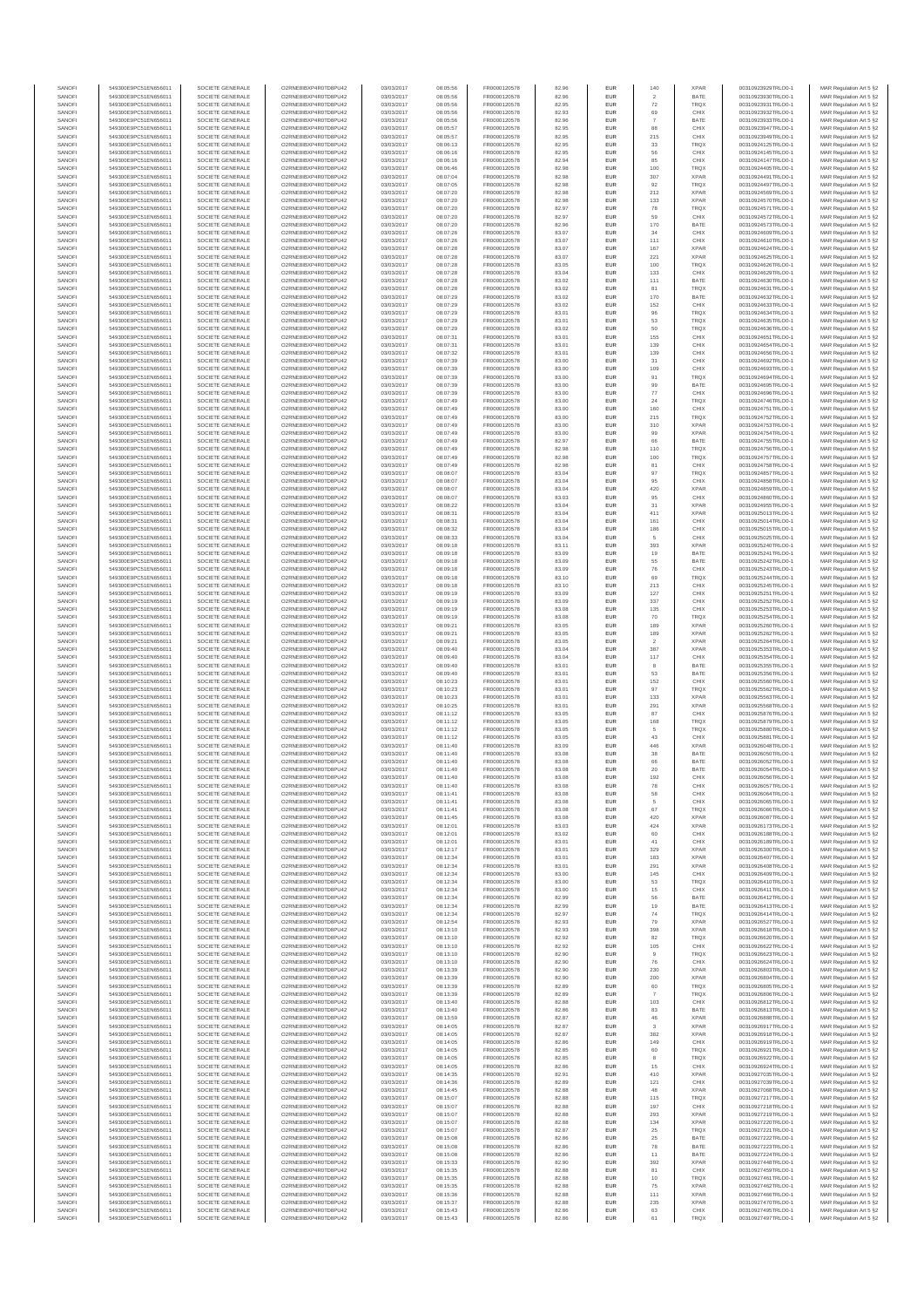| SANOFI           | 549300E9PC51EN656011                         | SOCIETE GENERALE                     | O2RNE8IBXP4R0TD8PLI42                         | 03/03/2017               | 08:05:56             | FR0000120578                 | 82.96          | <b>EUR</b>        | 140                  | <b>XPAR</b>                | 00310923929TRLO0-1                       | MAR Regulation Art 5 §2                            |
|------------------|----------------------------------------------|--------------------------------------|-----------------------------------------------|--------------------------|----------------------|------------------------------|----------------|-------------------|----------------------|----------------------------|------------------------------------------|----------------------------------------------------|
| SANOFI           | 549300E9PC51EN656011                         | SOCIETE GENERALE                     | O2RNE8IBXP4R0TD8PU42                          | 03/03/2017               | 08:05:56             | FR0000120578                 | 82.96          | <b>EUR</b>        | $\overline{2}$       | BATE                       | 00310923930TRLO0-1                       | MAR Regulation Art 5 §2                            |
| SANOFI<br>SANOFI | 549300E9PC51EN656011<br>549300E9PC51EN656011 | SOCIETE GENERALE<br>SOCIETE GENERALE | O2RNE8IBXP4R0TD8PU42<br>O2RNE8IBXP4R0TD8PU42  | 03/03/2017<br>03/03/2017 | 08:05:56<br>08:05:56 | FR0000120578<br>FR0000120578 | 82.95<br>82.93 | EUR<br><b>EUR</b> | 72<br>69             | TRQX<br>CHIX               | 00310923931TRLO0-1<br>00310923932TRLO0-1 | MAR Regulation Art 5 §2<br>MAR Regulation Art 5 §2 |
| SANOFI           | 549300E9PC51EN656011                         | SOCIETE GENERALE                     | O2RNE8IBXP4R0TD8PU42                          | 03/03/2017               | 08:05:56             | FR0000120578                 | 82.96          | EUR               |                      | BATE                       | 00310923933TRLO0-1                       | MAR Regulation Art 5 §2                            |
| SANOFI           | 549300E9PC51EN656011                         | SOCIETE GENERALE                     | O2RNE8IBXP4R0TD8PU42                          | 03/03/2017               | 08:05:57             | FR0000120578                 | 82.95          | EUR               | 88                   | CHIX                       | 00310923947TRLO0-1                       | MAR Regulation Art 5 §2                            |
| SANOFI<br>SANOFI | 549300E9PC51EN656011<br>549300E9PC51EN656011 | SOCIETE GENERALE<br>SOCIETE GENERALE | O2RNE8IBXP4R0TD8PU42<br>O2RNE8IBXP4R0TD8PU42  | 03/03/2017<br>03/03/2017 | 08:05:57<br>08:06:13 | FR0000120578<br>FR0000120578 | 82.95<br>82.95 | EUR<br>EUR        | 215<br>33            | CHIX<br>TRQX               | 00310923949TRLO0-1<br>00310924125TRLO0-1 | MAR Regulation Art 5 §2<br>MAR Regulation Art 5 §2 |
| SANOFI           | 549300E9PC51EN656011                         | SOCIETE GENERALE                     | O2RNE8IBXP4R0TD8PU42                          | 03/03/2017               | 08:06:16             | FR0000120578                 | 82.95          | EUR               | 56                   | CHIX                       | 00310924145TRLO0-1                       | MAR Regulation Art 5 §2                            |
| SANOFI           | 549300E9PC51EN656011                         | SOCIETE GENERALE                     | O2RNE8IBXP4R0TD8PU42                          | 03/03/2017               | 08:06:16             | FR0000120578                 | 82.94          | EUR               | 85                   | CHIX                       | 00310924147TRLO0-1                       | MAR Regulation Art 5 §2                            |
| SANOFI<br>SANOFI | 549300E9PC51EN656011<br>549300E9PC51EN656011 | SOCIETE GENERALE<br>SOCIETE GENERALE | O2RNE8IBXP4R0TD8PLI42<br>O2RNE8IBXP4R0TD8PU42 | 03/03/2017<br>03/03/2017 | 08:06:46<br>08:07:04 | FR0000120578<br>FR0000120578 | 82.98<br>82.98 | <b>EUR</b><br>EUR | 100<br>307           | <b>TRQX</b><br><b>XPAR</b> | 00310924405TRLO0-1<br>00310924491TRLO0-1 | MAR Regulation Art 5 §2<br>MAR Regulation Art 5 §2 |
| SANOFI           | 549300E9PC51EN656011                         | SOCIETE GENERALE                     | O2RNE8IBXP4R0TD8PU42                          | 03/03/2017               | 08:07:05             | FR0000120578                 | 82.98          | <b>EUR</b>        | 92                   | <b>TRQX</b>                | 00310924497TRLO0-1                       | MAR Regulation Art 5 §2                            |
| SANOFI           | 549300E9PC51EN656011                         | SOCIETE GENERALE                     | O2RNE8IBXP4R0TD8PU42                          | 03/03/2017               | 08:07:20             | FR0000120578                 | 82.98          | EUR               | 212                  | <b>XPAR</b>                | 00310924569TRLO0-1                       | MAR Regulation Art 5 §2                            |
| SANOFI           | 549300E9PC51EN656011                         | SOCIETE GENERALE                     | O2RNE8IBXP4R0TD8PU42                          | 03/03/2017               | 08:07:20             | FR0000120578                 | 82.98          | EUR               | 133                  | <b>XPAR</b>                | 00310924570TRLO0-1                       | MAR Regulation Art 5 §2                            |
| SANOFI<br>SANOFI | 549300E9PC51EN656011<br>549300E9PC51EN656011 | SOCIETE GENERALE<br>SOCIETE GENERALE | O2RNE8IBXP4R0TD8PU42<br>O2RNE8IBXP4R0TD8PU42  | 03/03/2017<br>03/03/2017 | 08:07:20<br>08:07:20 | FR0000120578<br>FR0000120578 | 82.97<br>82.97 | EUR<br>EUR        | 78<br>59             | TRQX<br>CHIX               | 00310924571TRLO0-1<br>00310924572TRLO0-1 | MAR Regulation Art 5 §2<br>MAR Regulation Art 5 §2 |
| SANOFI           | 549300E9PC51EN656011                         | SOCIETE GENERALE                     | O2RNE8IBXP4R0TD8PU42                          | 03/03/2017               | 08:07:20             | FR0000120578                 | 82.96          | EUR               | 170                  | BATE                       | 00310924573TRLO0-1                       | MAR Regulation Art 5 §2                            |
| SANOFI           | 549300E9PC51EN656011                         | SOCIETE GENERALE                     | O2RNE8IBXP4R0TD8PU42                          | 03/03/2017               | 08:07:26             | FR0000120578                 | 83.07          | EUR               | 34                   | CHIX                       | 00310924609TRLO0-1                       | MAR Regulation Art 5 §2                            |
| SANOFI           | 549300E9PC51EN656011                         | SOCIETE GENERALE                     | O2RNE8IBXP4R0TD8PLI42                         | 03/03/2017               | 08:07:26             | FR0000120578                 | 83.07          | <b>EUR</b>        | 111                  | CHIX                       | 00310924610TRLO0-1                       | MAR Regulation Art 5 §2                            |
| SANOFI<br>SANOFI | 549300E9PC51EN656011<br>549300E9PC51EN656011 | SOCIETE GENERALE<br>SOCIETE GENERALE | O2RNE8IBXP4R0TD8PU42<br>O2RNE8IBXP4R0TD8PU42  | 03/03/2017<br>03/03/2017 | 08:07:28<br>08:07:28 | FR0000120578<br>FR0000120578 | 83.07<br>83.07 | EUR<br><b>EUR</b> | 167<br>221           | <b>XPAR</b><br><b>XPAR</b> | 00310924624TRLO0-1<br>00310924625TRLO0-1 | MAR Regulation Art 5 §2<br>MAR Regulation Art 5 §2 |
| SANOFI           | 549300E9PC51EN656011                         | SOCIETE GENERALE                     | O2RNE8IBXP4R0TD8PU42                          | 03/03/2017               | 08:07:28             | FR0000120578                 | 83.05          | EUR               | 100                  | TRQX                       | 00310924626TRLO0-1                       | MAR Regulation Art 5 §2                            |
| SANOFI           | 549300E9PC51EN656011                         | SOCIETE GENERALE                     | O2RNESIBXP4R0TD8PLI42                         | 03/03/2017               | 08:07:28             | FR0000120578                 | 83.04          | EUR               | 133                  | CHIX                       | 00310924629TRLO0-1                       | MAR Regulation Art 5 §2                            |
| SANOFI<br>SANOFI | 549300E9PC51EN656011                         | SOCIETE GENERALE<br>SOCIETE GENERALE | O2RNE8IBXP4R0TD8PU42<br>O2RNE8IBXP4R0TD8PU42  | 03/03/2017<br>03/03/2017 | 08:07:28             | FR0000120578<br>FR0000120578 | 83.02<br>83.02 | EUR<br>EUR        | 111<br>81            | BATE<br>TRQX               | 00310924630TRLO0-1<br>00310924631TRLO0-1 | MAR Regulation Art 5 §2<br>MAR Regulation Art 5 §2 |
| SANOFI           | 549300E9PC51EN656011<br>549300E9PC51EN656011 | SOCIETE GENERALE                     | O2RNE8IBXP4R0TD8PU42                          | 03/03/2017               | 08:07:28<br>08:07:29 | FR0000120578                 | 83.02          | EUR               | 170                  | BATE                       | 00310924632TRLO0-1                       | MAR Regulation Art 5 §2                            |
| SANOFI           | 549300E9PC51EN656011                         | SOCIETE GENERALE                     | O2RNE8IBXP4R0TD8PU42                          | 03/03/2017               | 08:07:29             | FR0000120578                 | 83.02          | EUR               | 152                  | CHIX                       | 00310924633TRLO0-1                       | MAR Regulation Art 5 §2                            |
| SANOFI           | 549300E9PC51EN656011                         | SOCIETE GENERALE                     | O2RNE8IBXP4R0TD8PU42                          | 03/03/2017               | 08:07:29             | FR0000120578                 | 83.01          | <b>EUR</b>        | 96                   | <b>TRQX</b>                | 00310924634TRLO0-1                       | MAR Regulation Art 5 §2                            |
| SANOFI<br>SANOFI | 549300E9PC51EN656011<br>549300E9PC51EN656011 | SOCIETE GENERALE<br>SOCIETE GENERALE | O2RNE8IBXP4R0TD8PU42<br>O2RNE8IBXP4R0TD8PU42  | 03/03/2017<br>03/03/2017 | 08:07:29<br>08:07:29 | FR0000120578<br>FR0000120578 | 83.01<br>83.02 | EUR<br><b>EUR</b> | 53<br>50             | TRQX<br><b>TRQX</b>        | 00310924635TRLO0-1<br>00310924636TRLO0-1 | MAR Regulation Art 5 §2<br>MAR Regulation Art 5 §2 |
| SANOFI           | 549300E9PC51EN656011                         | SOCIETE GENERALE                     | O2RNE8IBXP4R0TD8PU42                          | 03/03/2017               | 08:07:31             | FR0000120578                 | 83.01          | EUR               | 155                  | CHIX                       | 00310924651TRLO0-1                       | MAR Regulation Art 5 §2                            |
| SANOFI           | 549300E9PC51EN656011                         | SOCIETE GENERALE                     | O2RNE8IBXP4R0TD8PU42                          | 03/03/2017               | 08:07:31             | FR0000120578                 | 83.01          | EUR               | 139                  | CHIX                       | 00310924654TRLO0-1                       | MAR Regulation Art 5 §2                            |
| SANOFI           | 549300E9PC51EN656011                         | SOCIETE GENERALE                     | O2RNE8IBXP4R0TD8PU42<br>O2RNE8IBXP4R0TD8PU42  | 03/03/2017               | 08:07:32             | FR0000120578                 | 83.01          | EUR               | 139                  | CHIX                       | 00310924656TRLO0-1                       | MAR Regulation Art 5 §2                            |
| SANOFI<br>SANOFI | 549300E9PC51EN656011<br>549300E9PC51EN656011 | SOCIETE GENERALE<br>SOCIETE GENERALE | O2RNE8IBXP4R0TD8PU42                          | 03/03/2017<br>03/03/2017 | 08:07:39<br>08:07:39 | FR0000120578<br>FR0000120578 | 83.00<br>83.00 | EUR<br><b>EUR</b> | 31<br>109            | CHIX<br>CHIX               | 00310924692TRLO0-1<br>00310924693TRLO0-1 | MAR Regulation Art 5 §2<br>MAR Regulation Art 5 §2 |
| SANOFI           | 549300E9PC51EN656011                         | SOCIETE GENERALE                     | O2RNE8IBXP4R0TD8PU42                          | 03/03/2017               | 08:07:39             | FR0000120578                 | 83.00          | EUR               | 91                   | <b>TRQX</b>                | 00310924694TRLO0-1                       | MAR Regulation Art 5 §2                            |
| SANOFI           | 549300E9PC51EN656011                         | SOCIETE GENERALE                     | O2RNE8IBXP4R0TD8PU42                          | 03/03/2017               | 08:07:39             | FR0000120578                 | 83.00          | <b>EUR</b>        | 99                   | BATE                       | 00310924695TRLO0-1                       | MAR Regulation Art 5 §2                            |
| SANOFI<br>SANOFI | 549300E9PC51EN656011<br>549300E9PC51EN656011 | SOCIETE GENERALE<br>SOCIETE GENERALE | O2RNE8IBXP4R0TD8PU42<br>O2RNE8IBXP4R0TD8PU42  | 03/03/2017<br>03/03/2017 | 08:07:39<br>08:07:49 | FR0000120578<br>FR0000120578 | 83.00<br>83.00 | EUR<br>EUR        | 77<br>$\sqrt{24}$    | CHIX<br>TRQX               | 00310924696TRLO0-1<br>00310924746TRLO0-1 | MAR Regulation Art 5 §2<br>MAR Regulation Art 5 §2 |
| SANOFI           | 549300E9PC51EN656011                         | SOCIETE GENERALE                     | O2RNE8IBXP4R0TD8PU42                          | 03/03/2017               | 08:07:49             | FR0000120578                 | 83.00          | EUR               | 160                  | CHIX                       | 00310924751TRLO0-1                       | MAR Regulation Art 5 §2                            |
| SANOFI           | 549300E9PC51EN656011                         | SOCIETE GENERALE                     | O2RNE8IBXP4R0TD8PU42                          | 03/03/2017               | 08:07:49             | FR0000120578                 | 83.00          | EUR               | 215                  | TRQX                       | 00310924752TRLO0-1                       | MAR Regulation Art 5 §2                            |
| SANOFI           | 549300E9PC51EN656011                         | SOCIETE GENERALE                     | O2RNE8IBXP4R0TD8PU42                          | 03/03/2017               | 08:07:49             | FR0000120578                 | 83.00          | EUR               | 310                  | <b>XPAR</b>                | 00310924753TRLO0-1                       | MAR Regulation Art 5 §2                            |
| SANOFI<br>SANOFI | 549300E9PC51EN656011<br>549300E9PC51EN656011 | SOCIETE GENERALE<br>SOCIETE GENERALE | O2RNE8IBXP4R0TD8PLI42<br>O2RNE8IBXP4R0TD8PU42 | 03/03/2017<br>03/03/2017 | 08:07:49<br>08:07:49 | FR0000120578<br>FR0000120578 | 83.00<br>82.97 | EUR<br><b>EUR</b> | 99<br>66             | <b>XPAR</b><br>BATE        | 00310924754TRLO0-1<br>00310924755TRLO0-1 | MAR Regulation Art 5 §2<br>MAR Regulation Art 5 §2 |
| SANOFI           | 549300E9PC51EN656011                         | SOCIETE GENERALE                     | O2RNE8IBXP4R0TD8PU42                          | 03/03/2017               | 08:07:49             | FR0000120578                 | 82.98          | EUR               | 110                  | TRQX                       | 00310924756TRLO0-1                       | MAR Regulation Art 5 §2                            |
| SANOFI           | 549300E9PC51EN656011                         | SOCIETE GENERALE                     | O2RNE8IBXP4R0TD8PU42                          | 03/03/2017               | 08:07:49             | FR0000120578                 | 82.98          | <b>EUR</b>        | 100                  | <b>TRQX</b>                | 00310924757TRLO0-1                       | MAR Regulation Art 5 §2                            |
| SANOFI           | 549300E9PC51EN656011                         | SOCIETE GENERALE                     | O2RNE8IBXP4R0TD8PU42                          | 03/03/2017               | 08:07:49             | FR0000120578                 | 82.98          | EUR               | 81                   | CHIX                       | 00310924758TRLO0-1                       | MAR Regulation Art 5 §2                            |
| SANOFI<br>SANOFI | 549300E9PC51EN656011<br>549300E9PC51EN656011 | SOCIETE GENERALE<br>SOCIETE GENERALE | O2RNE8IBXP4R0TD8PU42<br>O2RNE8IBXP4R0TD8PU42  | 03/03/2017<br>03/03/2017 | 08:08:07<br>08:08:07 | FR0000120578<br>FR0000120578 | 83.04<br>83.04 | EUR<br>EUR        | 97<br>95             | <b>TRQX</b><br>CHIX        | 00310924857TRLO0-1<br>00310924858TRLO0-1 | MAR Regulation Art 5 §2<br>MAR Regulation Art 5 §2 |
| SANOFI           | 549300E9PC51EN656011                         | SOCIETE GENERALE                     | O2RNE8IBXP4R0TD8PLI42                         | 03/03/2017               | 08:08:07             | FR0000120578                 | 83.04          | EUR               | 420                  | <b>XPAR</b>                | 00310924859TRLO0-1                       | MAR Regulation Art 5 §2                            |
| SANOFI           | 549300E9PC51EN656011                         | SOCIETE GENERALE                     | O2RNE8IBXP4R0TD8PU42                          | 03/03/2017               | 08:08:07             | FR0000120578                 | 83.03          | EUR               | 95                   | CHIX                       | 00310924860TRLO0-1                       | MAR Regulation Art 5 §2                            |
| SANOFI           | 549300E9PC51EN656011                         | SOCIETE GENERALE                     | O2RNE8IBXP4R0TD8PU42                          | 03/03/2017               | 08:08:22             | FR0000120578                 | 83.04          | EUR               | 31                   | <b>XPAR</b>                | 00310924955TRLO0-1                       | MAR Regulation Art 5 §2                            |
| SANOFI<br>SANOFI | 549300E9PC51EN656011<br>549300E9PC51EN656011 | SOCIETE GENERALE<br>SOCIETE GENERALE | O2RNE8IBXP4R0TD8PU42<br>O2RNE8IBXP4R0TD8PU42  | 03/03/2017<br>03/03/2017 | 08:08:31<br>08:08:31 | FR0000120578<br>FR0000120578 | 83.04<br>83.04 | <b>EUR</b><br>EUR | 411<br>161           | <b>XPAR</b><br>CHIX        | 00310925013TRLO0-1<br>00310925014TRLO0-1 | MAR Regulation Art 5 §2<br>MAR Regulation Art 5 §2 |
| SANOFI           | 549300E9PC51EN656011                         | SOCIETE GENERALE                     | O2RNE8IBXP4R0TD8PU42                          | 03/03/2017               | 08:08:32             | FR0000120578                 | 83.04          | <b>EUR</b>        | 186                  | CHIX                       | 00310925015TRLO0-1                       | MAR Regulation Art 5 §2                            |
| SANOFI           | 549300E9PC51EN656011                         | SOCIETE GENERALE                     | O2RNE8IBXP4R0TD8PU42                          | 03/03/2017               | 08:08:33             | FR0000120578                 | 83.04          | EUR               | 5                    | CHIX                       | 00310925025TRLO0-1                       | MAR Regulation Art 5 §2                            |
| SANOFI<br>SANOFI | 549300E9PC51EN656011<br>549300E9PC51EN656011 | SOCIETE GENERALE<br>SOCIETE GENERALE | O2RNE8IBXP4R0TD8PU42<br>O2RNE8IBXP4R0TD8PU42  | 03/03/2017<br>03/03/2017 | 08:09:18<br>08:09:18 | FR0000120578<br>FR0000120578 | 83.11<br>83.09 | EUR<br>EUR        | 393<br>19            | <b>XPAR</b><br>BATE        | 00310925240TRLO0-1<br>00310925241TRLO0-1 | MAR Regulation Art 5 §2<br>MAR Regulation Art 5 §2 |
| SANOFI           | 549300E9PC51EN656011                         | SOCIETE GENERALE                     | O2RNE8IBXP4R0TD8PU42                          | 03/03/2017               | 08:09:18             | FR0000120578                 | 83.09          | EUR               | 55                   | BATE                       | 00310925242TRLO0-1                       | MAR Regulation Art 5 §2                            |
| SANOFI           | 549300E9PC51EN656011                         | SOCIETE GENERALE                     | O2RNE8IBXP4R0TD8PU42                          | 03/03/2017               | 08:09:18             | FR0000120578                 | 83.09          | EUR               | ${\bf 76}$           | CHIX                       | 00310925243TRLO0-1                       | MAR Regulation Art 5 §2                            |
| SANOFI           | 549300E9PC51EN656011                         | SOCIETE GENERALE                     | O2RNE8IBXP4R0TD8PU42                          | 03/03/2017               | 08:09:18             | FR0000120578                 | 83.10          | EUR               | 69                   | <b>TRQX</b>                | 00310925244TRLO0-1                       | MAR Regulation Art 5 §2                            |
| SANOFI<br>SANOFI | 549300E9PC51EN656011<br>549300E9PC51EN656011 | SOCIETE GENERALE<br>SOCIETE GENERALE | O2RNE8IBXP4R0TD8PU42<br>O2RNE8IBXP4R0TD8PU42  | 03/03/2017<br>03/03/2017 | 08:09:18<br>08:09:19 | FR0000120578<br>FR0000120578 | 83.10<br>83.09 | <b>EUR</b><br>EUR | 213<br>127           | CHIX<br>CHIX               | 00310925245TRLO0-1<br>00310925251TRLO0-1 | MAR Regulation Art 5 §2<br>MAR Regulation Art 5 §2 |
| SANOFI           | 549300E9PC51EN656011                         | SOCIETE GENERALE                     | O2RNE8IBXP4R0TD8PU42                          | 03/03/2017               | 08:09:19             | FR0000120578                 | 83.09          | <b>EUR</b>        | 337                  | CHIX                       | 00310925252TRLO0-1                       | MAR Regulation Art 5 §2                            |
| SANOFI           | 549300E9PC51EN656011                         | SOCIETE GENERALE                     | O2RNE8IBXP4R0TD8PU42                          | 03/03/2017               | 08:09:19             | FR0000120578                 | 83.08          | EUR               | 135                  | CHIX                       | 00310925253TRLO0-1                       | MAR Regulation Art 5 §2                            |
| SANOFI           | 549300E9PC51EN656011                         | SOCIETE GENERALE                     | O2RNE8IBXP4R0TD8PU42                          | 03/03/2017               | 08:09:19             | FR0000120578                 | 83.08          | EUR               | 70                   | TRQX                       | 00310925254TRLO0-1                       | MAR Regulation Art 5 §2                            |
| SANOFI<br>SANOFI | 549300E9PC51EN656011<br>549300E9PC51EN656011 | SOCIETE GENERALE<br>SOCIETE GENERALE | O2RNE8IBXP4R0TD8PU42<br>O2RNE8IBXP4R0TD8PU42  | 03/03/2017<br>03/03/2017 | 08:09:21<br>08:09:21 | FR0000120578<br>FR0000120578 | 83.05<br>83.05 | EUR<br>EUR        | 189<br>189           | <b>XPAR</b><br><b>XPAR</b> | 00310925260TRLO0-1<br>00310925262TRLO0-1 | MAR Regulation Art 5 §2<br>MAR Regulation Art 5 §2 |
| SANOFI           | 549300E9PC51EN656011                         | SOCIETE GENERALE                     | O2RNE8IBXP4R0TD8PU42                          | 03/03/2017               | 08:09:21             | FR0000120578                 | 83.05          | <b>EUR</b>        | $\overline{2}$       | <b>XPAR</b>                | 00310925264TRLO0-1                       | MAR Regulation Art 5 §2                            |
| SANOFI           | 549300E9PC51EN656011                         | SOCIETE GENERALE                     | O2RNE8IBXP4R0TD8PU42                          | 03/03/2017               | 08:09:40             | FR0000120578                 | 83.04          | EUR               | 387                  | <b>XPAR</b>                | 00310925353TRLO0-1                       | MAR Regulation Art 5 §2                            |
| SANOFI           | 549300E9PC51EN656011                         | SOCIETE GENERALE                     | O2RNE8IBXP4R0TD8PU42                          | 03/03/2017               | 08:09:40             | FR0000120578                 | 83.04          | <b>EUR</b>        | 117                  | CHIX                       | 00310925354TRLO0-1                       | MAR Regulation Art 5 §2                            |
| SANOFI<br>SANOFI | 549300E9PC51EN656011<br>549300E9PC51EN656011 | SOCIETE GENERALE<br>SOCIETE GENERALE | O2RNE8IBXP4R0TD8PU42<br>O2RNE8IBXP4R0TD8PU42  | 03/03/2017<br>03/03/2017 | 08:09:40<br>08:09:40 | FR0000120578<br>FR0000120578 | 83.01<br>83.01 | EUR<br><b>EUR</b> | 53                   | BATE<br>BATE               | 00310925355TRLO0-1<br>00310925356TRLO0-1 | MAR Regulation Art 5 §2<br>MAR Regulation Art 5 §2 |
| SANOFI           | 549300E9PC51EN656011                         | SOCIETE GENERALE                     | O2RNE8IBXP4R0TD8PU42                          | 03/03/2017               | 08:10:23             | FR0000120578                 | 83.01          | EUR               | 152                  | CHIX                       | 00310925560TRLO0-1                       | MAR Regulation Art 5 §2                            |
| SANOFI           | 549300E9PC51EN656011                         | SOCIETE GENERALE                     | O2RNE8IBXP4R0TD8PLI42                         | 03/03/2017               | 08:10:23             | FR0000120578                 | 83.01          | EUR               | 97                   | TRQX                       | 00310925562TRLO0-1                       | MAR Regulation Art 5 §2                            |
| SANOFI<br>SANOFI | 549300E9PC51EN656011<br>549300E9PC51EN656011 | SOCIETE GENERALE<br>SOCIETE GENERALE | O2RNE8IBXP4R0TD8PU42<br>O2RNE8IBXP4R0TD8PU42  | 03/03/2017<br>03/03/2017 | 08:10:23<br>08:10:25 | FR0000120578<br>FR0000120578 | 83.01<br>83.01 | EUR<br>EUR        | 133<br>291           | <b>XPAR</b><br><b>XPAR</b> | 00310925563TRLO0-1<br>00310925568TRLO0-1 | MAR Regulation Art 5 §2<br>MAR Regulation Art 5 §2 |
| SANOFI           | 549300E9PC51EN656011                         | SOCIETE GENERALE                     | O2RNE8IBXP4R0TD8PU42                          | 03/03/2017               | 08:11:12             | FR0000120578                 | 83.05          | <b>EUR</b>        | 87                   | CHIX                       | 00310925876TRLO0-1                       | MAR Regulation Art 5 §2                            |
| SANOFI           | 549300E9PC51EN656011                         | SOCIETE GENERALE                     | O2RNE8IBXP4R0TD8PU42                          | 03/03/2017               | 08:11:12             | FR0000120578                 | 83.05          | EUR               | 168                  | TRQX                       | 00310925879TRLO0-1                       | MAR Regulation Art 5 §2                            |
| SANOFI           | 549300E9PC51EN656011                         | SOCIETE GENERALE                     | O2RNE8IBXP4R0TD8PU42                          | 03/03/2017               | 08:11:12             | FR0000120578                 | 83.05          | <b>EUR</b>        | 5                    | <b>TRQX</b>                | 00310925880TRLO0-1                       | MAR Regulation Art 5 §2                            |
| SANOFI<br>SANOFI | 549300E9PC51EN656011<br>549300E9PC51EN656011 | SOCIETE GENERALE<br>SOCIETE GENERALE | O2RNE8IBXP4R0TD8PU42<br>O2RNE8IBXP4R0TD8PU42  | 03/03/2017<br>03/03/2017 | 08:11:12<br>08:11:40 | FR0000120578<br>FR0000120578 | 83.05<br>83.09 | EUR<br>EUR        | 43<br>446            | CHIX<br><b>XPAR</b>        | 00310925881TRLO0-1<br>00310926048TRLO0-1 | MAR Regulation Art 5 §2<br>MAR Regulation Art 5 §2 |
| SANOFI           | 549300E9PC51EN656011                         | SOCIETE GENERALE                     | O2RNE8IBXP4R0TD8PU42                          | 03/03/2017               | 08:11:40             | FR0000120578                 | 83.08          | EUR               | $_{38}$              | BATE                       | 00310926050TRLO0-1                       | MAR Regulation Art 5 §2                            |
| SANOFI           | 549300E9PC51EN656011                         | SOCIETE GENERALE                     | O2RNESIBXP4R0TD8PLI42                         | 03/03/2017               | 08:11:40             | FR0000120578                 | 83.08          | EUR               | 66                   | BATE                       | 00310926052TRLO0-1                       | MAR Regulation Art 5 §2                            |
| SANOFI           | 549300E9PC51EN656011                         | SOCIETE GENERALE                     | O2RNE8IBXP4R0TD8PU42                          | 03/03/2017               | 08:11:40             | FR0000120578                 | 83.08          | EUR               | 20                   | BATE                       | 00310926054TRLO0-1                       | MAR Regulation Art 5 §2                            |
| SANOFI<br>SANOFI | 549300E9PC51EN656011<br>549300E9PC51EN656011 | SOCIETE GENERALE<br>SOCIETE GENERALE | O2RNE8IBXP4R0TD8PU42<br>O2RNE8IBXP4R0TD8PU42  | 03/03/2017<br>03/03/2017 | 08:11:40<br>08:11:40 | FR0000120578<br>FR0000120578 | 83.08<br>83.08 | EUR<br><b>EUR</b> | 192<br>78            | CHIX<br>CHIX               | 00310926056TRLO0-1<br>00310926057TRLO0-1 | MAR Regulation Art 5 §2<br>MAR Regulation Art 5 §2 |
| SANOFI           | 549300E9PC51EN656011                         | SOCIETE GENERALE                     | O2RNE8IBXP4R0TD8PU42                          | 03/03/2017               | 08:11:41             | FR0000120578                 | 83.08          | EUR               | 58                   | CHIX                       | 00310926064TRLO0-1                       | MAR Regulation Art 5 §2                            |
| SANOFI           | 549300E9PC51EN656011                         | SOCIETE GENERALE                     | O2RNE8IBXP4R0TD8PU42                          | 03/03/2017               | 08:11:41             | FR0000120578                 | 83.08          | <b>EUR</b>        | 5                    | CHIX                       | 00310926065TRLO0-1                       | MAR Regulation Art 5 §2                            |
| SANOFI<br>SANOFI | 549300E9PC51EN656011<br>549300E9PC51EN656011 | SOCIETE GENERALE<br>SOCIETE GENERALE | O2RNE8IBXP4R0TD8PU42<br>O2RNE8IBXP4R0TD8PU42  | 03/03/2017<br>03/03/2017 | 08:11:41<br>08:11:45 | FR0000120578<br>FR0000120578 | 83.08<br>83.08 | EUR<br><b>EUR</b> | 67<br>420            | TRQX<br><b>XPAR</b>        | 00310926066TRLO0-1<br>00310926087TRLO0-1 | MAR Regulation Art 5 §2<br>MAR Regulation Art 5 §2 |
| SANOFI           | 549300E9PC51EN656011                         | SOCIETE GENERALE                     | O2RNE8IBXP4R0TD8PU42                          | 03/03/2017               | 08:12:01             | FR0000120578                 | 83.03          | EUR               | 424                  | <b>XPAR</b>                | 00310926173TRLO0-1                       | MAR Regulation Art 5 §2                            |
| SANOFI           | 549300E9PC51EN656011                         | SOCIETE GENERALE                     | O2RNESIBXP4R0TD8PLI42                         | 03/03/2017               | 08:12:01             | FR0000120578                 | 83.02          | ${\sf EUR}$       | 60                   | CHIX                       | 00310926188TRLO0-1                       | MAR Regulation Art 5 §2                            |
| SANOFI           | 549300E9PC51EN656011                         | SOCIETE GENERALE                     | O2RNE8IBXP4R0TD8PU42<br>O2RNE8IBXP4R0TD8PU42  | 03/03/2017               | 08:12:01             | FR0000120578                 | 83.01          | EUR               | 41                   | CHIX                       | 00310926189TRLO0-1                       | MAR Regulation Art 5 §2                            |
| SANOFI<br>SANOFI | 549300E9PC51EN656011<br>549300E9PC51EN656011 | SOCIETE GENERALE<br>SOCIETE GENERALE | O2RNE8IBXP4R0TD8PLI42                         | 03/03/2017<br>03/03/2017 | 08:12:17<br>08:12:34 | FR0000120578<br>FR0000120578 | 83.01<br>83.01 | EUR<br><b>EUR</b> | 329<br>183           | <b>XPAR</b><br><b>XPAR</b> | 00310926300TRLO0-1<br>00310926407TRLO0-1 | MAR Regulation Art 5 §2<br>MAR Regulation Art 5 §2 |
| SANOFI           | 549300E9PC51EN656011                         | SOCIETE GENERALE                     | O2RNE8IBXP4R0TD8PU42                          | 03/03/2017               | 08:12:34             | FR0000120578                 | 83.01          | EUR               | 291                  | <b>XPAR</b>                | 00310926408TRLO0-1                       | MAR Regulation Art 5 §2                            |
| SANOFI           | 549300E9PC51EN656011                         | SOCIETE GENERALE                     | O2RNE8IBXP4R0TD8PU42                          | 03/03/2017               | 08:12:34             | FR0000120578                 | 83.00          | <b>EUR</b>        | 145                  | CHIX                       | 00310926409TRLO0-1                       | MAR Regulation Art 5 §2                            |
| SANOFI<br>SANOFI | 549300E9PC51EN656011<br>549300E9PC51EN656011 | SOCIETE GENERALE<br>SOCIETE GENERALE | O2RNE8IBXP4R0TD8PU42<br>O2RNE8IBXP4R0TD8PU42  | 03/03/2017<br>03/03/2017 | 08:12:34<br>08:12:34 | FR0000120578<br>FR0000120578 | 83.00<br>83.00 | EUR<br>EUR        | 53<br>$15\,$         | <b>TRQX</b><br>CHIX        | 00310926410TRLO0-1<br>00310926411TRLO0-1 | MAR Regulation Art 5 §2<br>MAR Regulation Art 5 §2 |
| SANOFI           | 549300E9PC51EN656011                         | SOCIETE GENERALE                     | O2RNE8IBXP4R0TD8PU42                          | 03/03/2017               | 08:12:34             | FR0000120578                 | 82.99          | EUR               | 56                   | BATE                       | 00310926412TRLO0-1                       | MAR Regulation Art 5 §2                            |
| SANOFI           | 549300E9PC51EN656011                         | SOCIETE GENERALE                     | O2RNESIBXP4R0TD8PLI42                         | 03/03/2017               | 08:12:34             | FR0000120578                 | 82.99          | EUR               | 19                   | BATE                       | 00310926413TRLO0-1                       | MAR Regulation Art 5 §2                            |
| SANOFI<br>SANOFI | 549300E9PC51EN656011<br>549300E9PC51EN656011 | SOCIETE GENERALE<br>SOCIETE GENERALE | O2RNE8IBXP4R0TD8PLI42<br>O2RNE8IBXP4R0TD8PU42 | 03/03/2017<br>03/03/2017 | 08:12:34<br>08:12:54 | FR0000120578<br>FR0000120578 | 82.97<br>82.93 | <b>EUR</b><br>EUR | 74<br>79             | <b>TROX</b><br><b>XPAR</b> | 00310926414TRLO0-1<br>00310926527TRLO0-1 | MAR Regulation Art 5 §2                            |
| SANOFI           | 549300E9PC51EN656011                         | SOCIETE GENERALE                     | O2RNE8IBXP4R0TD8PU42                          | 03/03/2017               | 08:13:10             | FR0000120578                 | 82.93          | <b>EUR</b>        | 398                  | <b>XPAR</b>                | 00310926618TRLO0-1                       | MAR Regulation Art 5 §2<br>MAR Regulation Art 5 §2 |
| SANOFI           | 549300E9PC51EN656011                         | SOCIETE GENERALE                     | O2RNE8IBXP4R0TD8PU42                          | 03/03/2017               | 08:13:10             | FR0000120578                 | 82.92          | EUR               | 82                   | <b>TRQX</b>                | 00310926620TRLO0-1                       | MAR Regulation Art 5 §2                            |
| SANOFI           | 549300E9PC51EN656011                         | SOCIETE GENERALE<br>SOCIETE GENERALE | O2RNE8IBXP4R0TD8PU42                          | 03/03/2017               | 08:13:10             | FR0000120578                 | 82.92          | EUR               | 105                  | CHIX                       | 00310926622TRLO0-1                       | MAR Regulation Art 5 §2                            |
| SANOFI<br>SANOFI | 549300E9PC51EN656011<br>549300E9PC51EN656011 | SOCIETE GENERALE                     | O2RNE8IBXP4R0TD8PU42<br>O2RNE8IBXP4R0TD8PU42  | 03/03/2017<br>03/03/2017 | 08:13:10<br>08:13:10 | FR0000120578<br>FR0000120578 | 82.90<br>82.90 | EUR<br>EUR        | $\overline{a}$<br>76 | <b>TRQX</b><br>CHIX        | 00310926623TRLO0-1<br>00310926624TRLO0-1 | MAR Regulation Art 5 §2<br>MAR Regulation Art 5 §2 |
| SANOFI           | 549300E9PC51EN656011                         | SOCIETE GENERALE                     | O2RNE8IBXP4R0TD8PU42                          | 03/03/2017               | 08:13:39             | FR0000120578                 | 82.90          | EUR               | 230                  | <b>XPAR</b>                | 00310926803TRLO0-1                       | MAR Regulation Art 5 §2                            |
| SANOFI           | 549300E9PC51EN656011                         | SOCIETE GENERALE                     | O2RNE8IBXP4R0TD8PU42                          | 03/03/2017               | 08:13:39             | FR0000120578                 | 82.90          | EUR               | 200                  | <b>XPAR</b>                | 00310926804TRLO0-1                       | MAR Regulation Art 5 §2                            |
| SANOFI           | 549300E9PC51EN656011                         | SOCIETE GENERALE                     | O2RNE8IBXP4R0TD8PU42                          | 03/03/2017               | 08:13:39             | FR0000120578                 | 82.89          | <b>EUR</b>        | 60                   | <b>TROX</b>                | 00310926805TRLO0-1                       | MAR Regulation Art 5 §2                            |
| SANOFI<br>SANOFI | 549300E9PC51EN656011<br>549300E9PC51EN656011 | SOCIETE GENERALE<br>SOCIETE GENERALE | O2RNE8IBXP4R0TD8PU42<br>O2RNE8IBXP4R0TD8PU42  | 03/03/2017<br>03/03/2017 | 08:13:39<br>08:13:40 | FR0000120578<br>FR0000120578 | 82.89<br>82.88 | EUR<br><b>EUR</b> | 103                  | TRQX<br>CHIX               | 00310926806TRLO0-1<br>00310926812TRLO0-1 | MAR Regulation Art 5 §2<br>MAR Regulation Art 5 §2 |
| SANOFI           | 549300E9PC51EN656011                         | SOCIETE GENERALE                     | O2RNE8IBXP4R0TD8PU42                          | 03/03/2017               | 08:13:40             | FR0000120578                 | 82.86          | EUR               | 83                   | BATE                       | 00310926813TRLO0-1                       | MAR Regulation Art 5 §2                            |
| SANOFI           | 549300E9PC51EN656011                         | SOCIETE GENERALE                     | O2RNE8IBXP4R0TD8PU42                          | 03/03/2017               | 08:13:59             | FR0000120578                 | 82.87          | <b>EUR</b>        | 46                   | <b>XPAR</b>                | 00310926888TRLO0-1                       | MAR Regulation Art 5 §2                            |
| SANOFI           | 549300E9PC51EN656011                         | SOCIETE GENERALE                     | O2RNE8IBXP4R0TD8PU42                          | 03/03/2017               | 08:14:05             | FR0000120578                 | 82.87          | EUR               | 3                    | <b>XPAR</b>                | 00310926917TRLO0-1                       | MAR Regulation Art 5 §2                            |
| SANOFI<br>SANOFI | 549300E9PC51EN656011<br>549300E9PC51EN656011 | SOCIETE GENERALE<br>SOCIETE GENERALE | O2RNE8IBXP4R0TD8PU42<br>O2RNE8IBXP4R0TD8PU42  | 03/03/2017<br>03/03/2017 | 08:14:05<br>08:14:05 | FR0000120578<br>FR0000120578 | 82.87<br>82.86 | EUR<br>EUR        | 382<br>149           | <b>XPAR</b><br>CHIX        | 00310926918TRLO0-1<br>00310926919TRLO0-1 | MAR Regulation Art 5 §2<br>MAR Regulation Art 5 §2 |
| SANOFI           | 549300E9PC51EN656011                         | SOCIETE GENERALE                     | O2RNE8IBXP4R0TD8PU42                          | 03/03/2017               | 08:14:05             | FR0000120578                 | 82.85          | EUR               | 60                   | TRQX                       | 00310926921TRLO0-1                       | MAR Regulation Art 5 §2                            |
| SANOFI           | 549300E9PC51EN656011                         | SOCIETE GENERALE                     | O2RNE8IBXP4R0TD8PU42                          | 03/03/2017               | 08:14:05             | FR0000120578                 | 82.85          | <b>EUR</b>        | 8                    | <b>TRQX</b>                | 00310926922TRLO0-1                       | MAR Regulation Art 5 §2                            |
| SANOFI           | 549300E9PC51EN656011                         | SOCIETE GENERALE                     | O2RNE8IBXP4R0TD8PU42                          | 03/03/2017               | 08:14:05             | FR0000120578                 | 82.86          | EUR               | 15                   | CHIX                       | 00310926924TRLO0-1                       | MAR Regulation Art 5 §2                            |
| SANOFI<br>SANOFI | 549300E9PC51EN656011<br>549300E9PC51EN656011 | SOCIETE GENERALE<br>SOCIETE GENERALE | O2RNE8IBXP4R0TD8PU42<br>O2RNE8IBXP4R0TD8PU42  | 03/03/2017<br>03/03/2017 | 08:14:35<br>08:14:36 | FR0000120578<br>FR0000120578 | 82.91<br>82.89 | <b>EUR</b><br>EUR | 410<br>121           | <b>XPAR</b><br>CHIX        | 00310927035TRLO0-1<br>00310927039TRLO0-1 | MAR Regulation Art 5 §2<br>MAR Regulation Art 5 §2 |
| SANOFI           | 549300E9PC51EN656011                         | SOCIETE GENERALE                     | O2RNE8IBXP4R0TD8PU42                          | 03/03/2017               | 08:14:45             | FR0000120578                 | 82.88          | EUR               | 48                   | <b>XPAR</b>                | 00310927068TRLO0-1                       | MAR Regulation Art 5 §2                            |
| SANOFI           | 549300E9PC51EN656011                         | SOCIETE GENERALE                     | O2RNE8IBXP4R0TD8PU42                          | 03/03/2017               | 08:15:07             | FR0000120578                 | 82.88          | EUR               | 115                  | <b>TRQX</b>                | 00310927217TRLO0-1                       | MAR Regulation Art 5 §2                            |
| SANOFI           | 549300E9PC51EN656011                         | SOCIETE GENERALE                     | O2RNE8IBXP4R0TD8PU42                          | 03/03/2017               | 08:15:07             | FR0000120578                 | 82.88          | EUR               | 197                  | CHIX                       | 00310927218TRLO0-1                       | MAR Regulation Art 5 §2                            |
| SANOFI<br>SANOFI | 549300E9PC51EN656011<br>549300E9PC51EN656011 | SOCIETE GENERALE<br>SOCIETE GENERALE | O2RNE8IBXP4R0TD8PU42<br>O2RNE8IBXP4R0TD8PU42  | 03/03/2017<br>03/03/2017 | 08:15:07<br>08:15:07 | FR0000120578<br>FR0000120578 | 82.88<br>82.88 | EUR<br>EUR        | 293<br>134           | <b>XPAR</b><br><b>XPAR</b> | 00310927219TRLO0-1<br>00310927220TRLO0-1 | MAR Regulation Art 5 §2<br>MAR Regulation Art 5 §2 |
| SANOFI           | 549300E9PC51EN656011                         | SOCIETE GENERALE                     | O2RNE8IBXP4R0TD8PU42                          | 03/03/2017               | 08:15:07             | FR0000120578                 | 82.87          | <b>EUR</b>        | 25                   | <b>TROX</b>                | 00310927221TRLO0-1                       | MAR Regulation Art 5 §2                            |
| SANOFI           | 549300E9PC51EN656011                         | SOCIETE GENERALE                     | O2RNE8IBXP4R0TD8PU42                          | 03/03/2017               | 08:15:08             | FR0000120578                 | 82.86          | EUR               | 25                   | BATE                       | 00310927222TRLO0-1                       | MAR Regulation Art 5 §2                            |
| SANOFI<br>SANOFI | 549300E9PC51EN656011<br>549300E9PC51EN656011 | SOCIETE GENERALE<br>SOCIETE GENERALE | O2RNE8IBXP4R0TD8PU42<br>O2RNE8IBXP4R0TD8PU42  | 03/03/2017<br>03/03/2017 | 08:15:08<br>08:15:08 | FR0000120578<br>FR0000120578 | 82.86<br>82.86 | <b>EUR</b><br>EUR | 78<br>11             | BATE<br>BATE               | 00310927223TRLO0-1<br>00310927224TRLO0-1 | MAR Regulation Art 5 §2<br>MAR Regulation Art 5 §2 |
| SANOFI           | 549300E9PC51EN656011                         | SOCIETE GENERALE                     | O2RNE8IBXP4R0TD8PU42                          | 03/03/2017               | 08:15:33             | FR0000120578                 | 82.90          | EUR               | 392                  | <b>XPAR</b>                | 00310927448TRLO0-1                       | MAR Regulation Art 5 §2                            |
| SANOFI           | 549300E9PC51EN656011                         | SOCIETE GENERALE                     | O2RNE8IBXP4R0TD8PU42                          | 03/03/2017               | 08:15:35             | FR0000120578                 | 82.88          | EUR               | 81                   | CHIX                       | 00310927459TRLO0-1                       | MAR Regulation Art 5 §2                            |
| SANOFI           | 549300E9PC51EN656011                         | SOCIETE GENERALE                     | O2RNE8IBXP4R0TD8PU42                          | 03/03/2017               | 08:15:35             | FR0000120578                 | 82.88          | EUR               | $10$                 | TRQX                       | 00310927461TRLO0-1                       | MAR Regulation Art 5 §2                            |
| SANOFI<br>SANOFI | 549300E9PC51EN656011<br>549300E9PC51EN656011 | SOCIETE GENERALE<br>SOCIETE GENERALE | O2RNE8IBXP4R0TD8PU42<br>O2RNE8IBXP4R0TD8PU42  | 03/03/2017<br>03/03/2017 | 08:15:35<br>08:15:36 | FR0000120578<br>FR0000120578 | 82.88<br>82.88 | <b>EUR</b><br>EUR | 75<br>111            | <b>XPAR</b><br><b>XPAR</b> | 00310927462TRLO0-1<br>00310927466TRLO0-1 | MAR Regulation Art 5 §2<br>MAR Regulation Art 5 §2 |
| SANOFI           | 549300E9PC51EN656011                         | SOCIETE GENERALE                     | O2RNE8IBXP4R0TD8PU42                          | 03/03/2017               | 08:15:37             | FR0000120578                 | 82.88          | <b>EUR</b>        | 235                  | <b>XPAR</b>                | 00310927470TRLO0-1                       | MAR Regulation Art 5 §2                            |
| SANOFI           | 549300E9PC51EN656011                         | SOCIETE GENERALE                     | O2RNE8IBXP4R0TD8PU42                          | 03/03/2017               | 08:15:43             | FR0000120578                 | 82.86          | EUR               | 63                   | CHIX                       | 00310927495TRLO0-1                       | MAR Regulation Art 5 §2                            |
| SANOFI           | 549300E9PC51EN656011                         | SOCIETE GENERALE                     | O2RNE8IBXP4R0TD8PU42                          | 03/03/2017               | 08:15:43             | FR0000120578                 | 82.86          | EUR               | 61                   | <b>TRQX</b>                | 00310927497TRLO0-1                       | MAR Regulation Art 5 §2                            |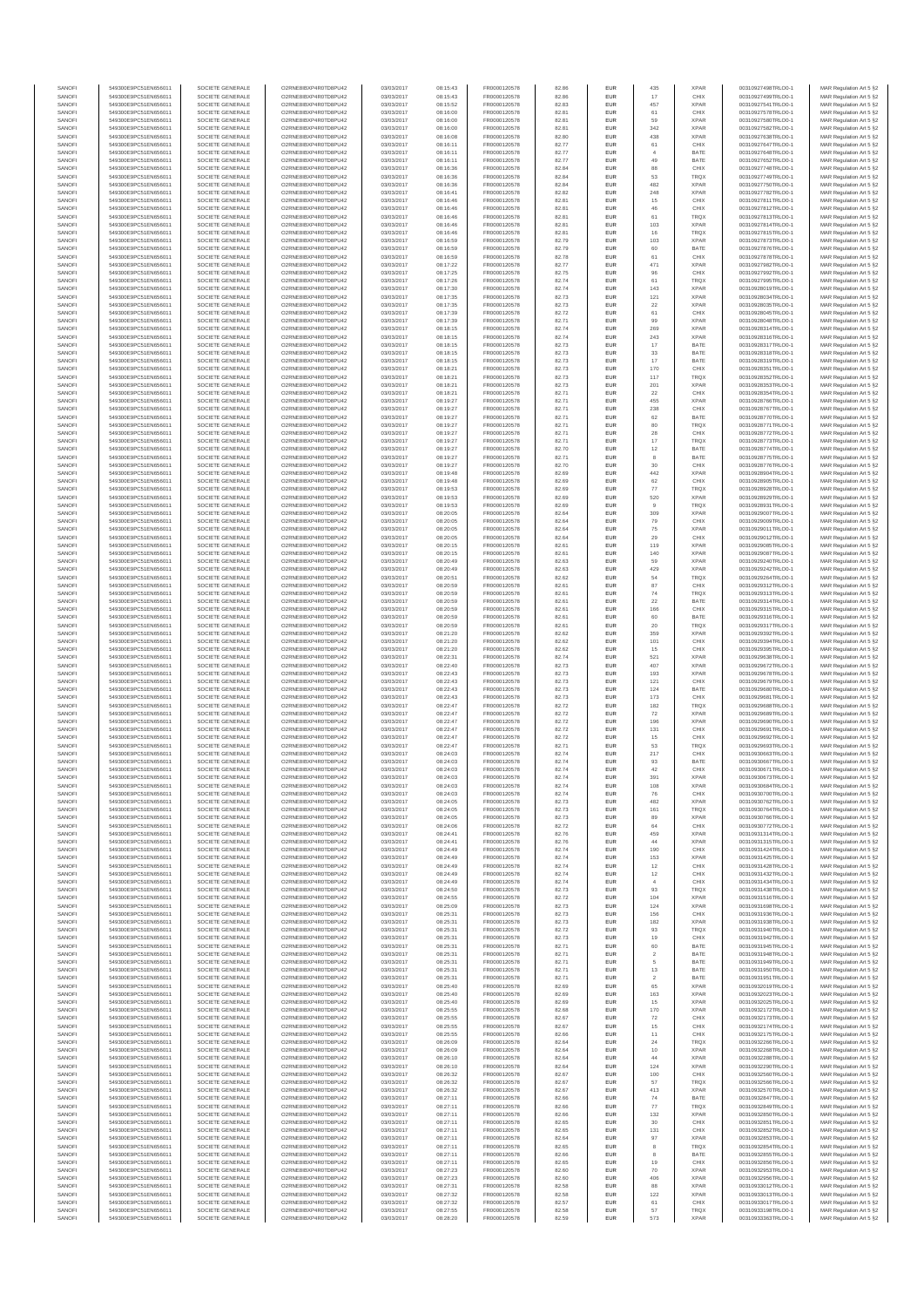| SANOF            | 549300E9PC51EN656011                         | SOCIETE GENERALE                     | O2RNE8IBXP4R0TD8PU42                          | 03/03/2017               | 08:15:43             | FR0000120578                 | 82.86          | EUR               | 435                  | <b>XPAR</b>                | 00310927498TRLO0-1                       | MAR Regulation Art 5 §2                            |
|------------------|----------------------------------------------|--------------------------------------|-----------------------------------------------|--------------------------|----------------------|------------------------------|----------------|-------------------|----------------------|----------------------------|------------------------------------------|----------------------------------------------------|
| SANOFI<br>SANOFI | 549300E9PC51EN656011<br>549300E9PC51EN656011 | SOCIETE GENERALE<br>SOCIETE GENERALE | O2RNE8IBXP4R0TD8PU42                          | 03/03/2017<br>03/03/2017 | 08:15:43<br>08:15:52 | FR0000120578<br>FR0000120578 | 82.86<br>82.83 | EUR<br>EUR        | 17<br>457            | CHIX<br><b>XPAR</b>        | 00310927499TRLO0-1<br>00310927541TRLO0-1 | MAR Regulation Art 5 §2                            |
| SANOFI           | 549300E9PC51EN656011                         | SOCIETE GENERALE                     | O2RNE8IBXP4R0TD8PU42<br>O2RNE8IBXP4R0TD8PU42  | 03/03/2017               | 08:16:00             | FR0000120578                 | 82.81          | EUR               | 61                   | CHIX                       | 00310927578TRLO0-1                       | MAR Regulation Art 5 §2<br>MAR Regulation Art 5 §2 |
| SANOFI           | 549300E9PC51EN656011                         | SOCIETE GENERALE                     | O2RNE8IBXP4R0TD8PU42                          | 03/03/2017               | 08:16:00             | FR0000120578                 | 82.81          | EUR               | 59                   | <b>XPAR</b>                | 00310927580TRLO0-1                       | MAR Regulation Art 5 §2                            |
| SANOFI           | 549300E9PC51EN656011                         | SOCIETE GENERALE                     | O2RNE8IBXP4R0TD8PU42<br>O2RNE8IBXP4R0TD8PLI42 | 03/03/2017               | 08:16:00             | FR0000120578                 | 82.81          | EUR               | 342                  | <b>XPAR</b>                | 00310927582TRLO0-1                       | MAR Regulation Art 5 §2                            |
| SANOFI<br>SANOFI | 549300E9PC51EN656011<br>549300E9PC51EN656011 | SOCIETE GENERALE<br>SOCIETE GENERALE | O2RNE8IBXP4R0TD8PU42                          | 03/03/2017<br>03/03/2017 | 08:16:08<br>08:16:11 | FR0000120578<br>FR0000120578 | 82.80<br>82.77 | EUR<br>EUR        | 438<br>61            | <b>XPAR</b><br>CHIX        | 00310927638TRLO0-1<br>00310927647TRLO0-1 | MAR Regulation Art 5 §2<br>MAR Regulation Art 5 §2 |
| SANOFI           | 549300E9PC51EN656011                         | SOCIETE GENERALE                     | O2RNE8IBXP4R0TD8PU42                          | 03/03/2017               | 08:16:11             | FR0000120578                 | 82.77          | EUR               | $\sim$               | BATE                       | 00310927648TRLO0-1                       | MAR Regulation Art 5 §2                            |
| SANOFI           | 549300E9PC51EN656011                         | SOCIETE GENERALE                     | O2RNE8IBXP4R0TD8PU42                          | 03/03/2017               | 08:16:11             | FR0000120578                 | 82.77          | EUR               | 49                   | BATE                       | 00310927652TRLO0-1                       | MAR Regulation Art 5 §2                            |
| SANOFI<br>SANOFI | 549300E9PC51EN656011<br>549300E9PC51EN656011 | SOCIETE GENERALE<br>SOCIETE GENERALE | O2RNE8IBXP4R0TD8PU42<br>O2RNE8IBXP4R0TD8PU42  | 03/03/2017<br>03/03/2017 | 08:16:36<br>08:16:36 | FR0000120578<br>FR0000120578 | 82.84<br>82.84 | EUR<br>EUR        | 88<br>53             | CHIX<br><b>TRQX</b>        | 00310927748TRLO0-1<br>00310927749TRLO0-1 | MAR Regulation Art 5 §2<br>MAR Regulation Art 5 §2 |
| SANOFI           | 549300E9PC51EN656011                         | SOCIETE GENERALE                     | O2RNE8IBXP4R0TD8PU42                          | 03/03/2017               | 08:16:36             | FR0000120578                 | 82.84          | EUR               | 482                  | <b>XPAR</b>                | 00310927750TRLO0-1                       | MAR Regulation Art 5 §2                            |
| SANOFI           | 549300E9PC51EN656011                         | SOCIETE GENERALE                     | O2RNE8IBXP4R0TD8PU42                          | 03/03/2017               | 08:16:41             | FR0000120578                 | 82.82          | EUR               | 248                  | <b>XPAR</b>                | 00310927782TRLO0-1                       | MAR Regulation Art 5 §2                            |
| SANOFI           | 549300E9PC51EN656011                         | SOCIETE GENERALE                     | O2RNE8IBXP4R0TD8PU42                          | 03/03/2017               | 08:16:46             | FR0000120578                 | 82.81          | EUR               | 15                   | CHIX                       | 00310927811TRLO0-1                       | MAR Regulation Art 5 §2                            |
| SANOFI<br>SANOFI | 549300E9PC51EN656011<br>549300E9PC51EN656011 | SOCIETE GENERALE<br>SOCIETE GENERALE | O2RNE8IBXP4R0TD8PU42<br>O2RNE8IBXP4R0TD8PU42  | 03/03/2017<br>03/03/2017 | 08:16:46<br>08:16:46 | FR0000120578<br>FR0000120578 | 82.81<br>82.81 | EUR<br>EUR        | 46<br>61             | CHIX<br><b>TRQX</b>        | 00310927812TRLO0-1<br>00310927813TRLO0-1 | MAR Regulation Art 5 §2<br>MAR Regulation Art 5 §2 |
| SANOFI           | 549300E9PC51EN656011                         | SOCIETE GENERALE                     | O2RNE8IBXP4R0TD8PU42                          | 03/03/2017               | 08:16:46             | FR0000120578                 | 82.81          | EUR               | 103                  | <b>XPAR</b>                | 00310927814TRLO0-1                       | MAR Regulation Art 5 §2                            |
| SANOFI           | 549300E9PC51EN656011                         | SOCIETE GENERALE                     | O2RNE8IBXP4R0TD8PU42                          | 03/03/2017               | 08:16:46             | FR0000120578                 | 82.81          | EUR               | 16                   | <b>TRQX</b>                | 00310927815TRLO0-1                       | MAR Regulation Art 5 §2                            |
| SANOFI           | 549300E9PC51EN656011                         | SOCIETE GENERALE                     | O2RNE8IBXP4R0TD8PU42                          | 03/03/2017               | 08:16:59             | FR0000120578                 | 82.79          | EUR               | 103                  | <b>XPAR</b>                | 00310927873TRLO0-1                       | MAR Regulation Art 5 §2                            |
| SANOFI<br>SANOFI | 549300E9PC51EN656011<br>549300E9PC51EN656011 | SOCIETE GENERALE<br>SOCIETE GENERALE | O2RNE8IBXP4R0TD8PU42<br>O2RNE8IBXP4R0TD8PU42  | 03/03/2017<br>03/03/2017 | 08:16:59<br>08:16:59 | FR0000120578<br>FR0000120578 | 82.79<br>82.78 | EUR<br>EUR        | 60<br>61             | BATE<br>CHIX               | 00310927876TRLO0-1<br>00310927878TRLO0-1 | MAR Regulation Art 5 §2<br>MAR Regulation Art 5 §2 |
| SANOFI           | 549300E9PC51EN656011                         | SOCIETE GENERALE                     | O2RNE8IBXP4R0TD8PU42                          | 03/03/2017               | 08:17:22             | FR0000120578                 | 82.77          | EUR               | 471                  | <b>XPAR</b>                | 00310927982TRLO0-1                       | MAR Regulation Art 5 §2                            |
| SANOFI           | 549300E9PC51EN656011                         | SOCIETE GENERALE                     | O2RNE8IBXP4R0TD8PU42                          | 03/03/2017               | 08:17:25             | FR0000120578                 | 82.75          | EUR               | 96                   | CHIX                       | 00310927992TRLO0-1                       | MAR Regulation Art 5 §2                            |
| SANOFI<br>SANOFI | 549300E9PC51EN656011<br>549300E9PC51EN656011 | SOCIETE GENERALE<br>SOCIETE GENERALE | O2RNE8IBXP4R0TD8PU42<br>O2RNE8IBXP4R0TD8PU42  | 03/03/2017<br>03/03/2017 | 08:17:26<br>08:17:30 | FR0000120578<br>FR0000120578 | 82.74<br>82.74 | EUR<br>EUR        | 61<br>143            | <b>TRQX</b><br><b>XPAR</b> | 00310927995TRLO0-1<br>00310928019TRLO0-1 | MAR Regulation Art 5 §2<br>MAR Regulation Art 5 §2 |
| SANOFI           | 549300E9PC51EN656011                         | SOCIETE GENERALE                     | O2RNE8IBXP4R0TD8PU42                          | 03/03/2017               | 08:17:35             | FR0000120578                 | 82.73          | EUR               | 121                  | <b>XPAR</b>                | 00310928034TRLO0-1                       | MAR Regulation Art 5 §2                            |
| SANOFI           | 549300E9PC51EN656011                         | SOCIETE GENERALE                     | O2RNE8IBXP4R0TD8PU42                          | 03/03/2017               | 08:17:35             | FR0000120578                 | 82.73          | EUR               | 22                   | <b>XPAR</b>                | 00310928035TRLO0-1                       | MAR Regulation Art 5 §2                            |
| SANOFI           | 549300E9PC51EN656011                         | SOCIETE GENERALE                     | O2RNE8IBXP4R0TD8PU42                          | 03/03/2017               | 08:17:39             | FR0000120578                 | 82.72          | EUR               | 61                   | CHIX                       | 00310928045TRLO0-1                       | MAR Regulation Art 5 §2                            |
| SANOFI<br>SANOFI | 549300E9PC51EN656011<br>549300E9PC51EN656011 | SOCIETE GENERALE<br>SOCIETE GENERALE | O2RNE8IBXP4R0TD8PU42<br>O2RNE8IBXP4R0TD8PU42  | 03/03/2017<br>03/03/2017 | 08:17:39<br>08:18:15 | FR0000120578<br>FR0000120578 | 82.71<br>82.74 | EUR<br>EUR        | 99<br>269            | <b>XPAR</b><br><b>XPAR</b> | 00310928048TRLO0-1<br>00310928314TRLO0-1 | MAR Regulation Art 5 §2<br>MAR Regulation Art 5 §2 |
| SANOFI           | 549300E9PC51EN656011                         | SOCIETE GENERALE                     | O2RNE8IBXP4R0TD8PU42                          | 03/03/2017               | 08:18:15             | FR0000120578                 | 82.74          | EUR               | 243                  | <b>XPAR</b>                | 00310928316TRLO0-1                       | MAR Regulation Art 5 §2                            |
| SANOFI           | 549300E9PC51EN656011                         | SOCIETE GENERALE                     | O2RNE8IBXP4R0TD8PU42                          | 03/03/2017               | 08:18:15             | FR0000120578                 | 82.73          | EUR               | 17                   | BATE                       | 00310928317TRLO0-1                       | MAR Regulation Art 5 §2                            |
| SANOFI<br>SANOFI | 549300E9PC51EN656011<br>549300E9PC51EN656011 | SOCIETE GENERALE<br>SOCIETE GENERALE | O2RNE8IBXP4R0TD8PU42<br>O2RNE8IBXP4R0TD8PU42  | 03/03/2017<br>03/03/2017 | 08:18:15<br>08:18:15 | FR0000120578<br>FR0000120578 | 82.73<br>82.73 | <b>EUR</b><br>EUR | 33<br>17             | BATE<br>BATE               | 00310928318TRLO0-1<br>00310928319TRLO0-1 | MAR Regulation Art 5 §2<br>MAR Regulation Art 5 §2 |
| SANOFI           | 549300E9PC51EN656011                         | SOCIETE GENERALE                     | O2RNE8IBXP4R0TD8PU42                          | 03/03/2017               | 08:18:21             | FR0000120578                 | 82.73          | EUR               | 170                  | CHIX                       | 00310928351TRLO0-1                       | MAR Regulation Art 5 §2                            |
| SANOFI           | 549300E9PC51EN656011                         | SOCIETE GENERALE                     | O2RNE8IBXP4R0TD8PU42                          | 03/03/2017               | 08:18:21             | FR0000120578                 | 82.73          | EUR               | 117                  | <b>TRQX</b>                | 00310928352TRLO0-1                       | MAR Regulation Art 5 §2                            |
| SANOFI           | 549300E9PC51EN656011                         | SOCIETE GENERALE                     | O2RNE8IBXP4R0TD8PU42                          | 03/03/2017               | 08:18:21             | FR0000120578                 | 82.73          | EUR               | 201                  | <b>XPAR</b>                | 00310928353TRLO0-1                       | MAR Regulation Art 5 §2                            |
| SANOFI<br>SANOFI | 549300E9PC51EN656011<br>549300E9PC51EN656011 | SOCIETE GENERALE<br>SOCIETE GENERALE | O2RNE8IBXP4R0TD8PU42<br>O2RNE8IBXP4R0TD8PU42  | 03/03/2017<br>03/03/2017 | 08:18:21<br>08:19:27 | FR0000120578<br>FR0000120578 | 82.71<br>82.71 | EUR<br>EUR        | 22<br>455            | CHIX<br><b>XPAF</b>        | 00310928354TRLO0-1<br>00310928766TRLO0-1 | MAR Regulation Art 5 §2<br>MAR Regulation Art 5 §2 |
| SANOFI           | 549300E9PC51EN656011                         | SOCIETE GENERALE                     | O2RNE8IBXP4R0TD8PU42                          | 03/03/2017               | 08:19:27             | FR0000120578                 | 82.71          | EUR               | 238                  | CHIX                       | 00310928767TRLO0-1                       | MAR Regulation Art 5 §2                            |
| SANOFI           | 549300E9PC51EN656011                         | SOCIETE GENERALE                     | O2RNE8IBXP4R0TD8PU42                          | 03/03/2017               | 08:19:27             | FR0000120578                 | 82.71          | EUR               | 62                   | BATE                       | 00310928770TRLO0-1                       | MAR Regulation Art 5 §2                            |
| SANOFI<br>SANOFI | 549300E9PC51EN656011<br>549300E9PC51EN656011 | SOCIETE GENERALE<br>SOCIETE GENERALE | O2RNE8IBXP4R0TD8PU42<br>O2RNE8IBXP4R0TD8PU42  | 03/03/2017<br>03/03/2017 | 08:19:27<br>08:19:27 | FR0000120578<br>FR0000120578 | 82.71<br>82.71 | EUR<br>EUR        | 80<br>28             | <b>TRQX</b><br>CHIX        | 00310928771TRLO0-1<br>00310928772TRLO0-1 | MAR Regulation Art 5 §2<br>MAR Regulation Art 5 §2 |
| SANOFI           | 549300E9PC51EN656011                         | SOCIETE GENERALE                     | O2RNE8IBXP4R0TD8PU42                          | 03/03/2017               | 08:19:27             | FR0000120578                 | 82.71          | EUR               | 17                   | <b>TRQX</b>                | 00310928773TRLO0-1                       | MAR Regulation Art 5 §2                            |
| SANOFI           | 549300E9PC51EN656011                         | SOCIETE GENERALE                     | O2RNE8IBXP4R0TD8PU42                          | 03/03/2017               | 08:19:27             | FR0000120578                 | 82.70          | EUR               | $12\,$               | BATE                       | 00310928774TRLO0-1                       | MAR Regulation Art 5 §2                            |
| SANOFI           | 549300E9PC51EN656011                         | SOCIETE GENERALE                     | O2RNE8IBXP4R0TD8PU42                          | 03/03/2017               | 08:19:27             | FR0000120578                 | 82.71          | EUR               | 8                    | BATE                       | 00310928775TRLO0-1                       | MAR Regulation Art 5 §2                            |
| SANOFI<br>SANOFI | 549300E9PC51EN656011<br>549300E9PC51EN656011 | SOCIETE GENERALE<br>SOCIETE GENERALE | O2RNE8IBXP4R0TD8PU42<br>O2RNE8IBXP4R0TD8PU42  | 03/03/2017<br>03/03/2017 | 08:19:27<br>08:19:48 | FR0000120578<br>FR0000120578 | 82.70<br>82.69 | EUR<br>EUR        | 30<br>442            | CHIX<br><b>XPAR</b>        | 00310928776TRLO0-1<br>00310928904TRLO0-1 | MAR Regulation Art 5 §2<br>MAR Regulation Art 5 §2 |
| SANOFI           | 549300E9PC51EN656011                         | SOCIETE GENERALE                     | O2RNE8IBXP4R0TD8PU42                          | 03/03/2017               | 08:19:48             | FR0000120578                 | 82.69          | EUR               | 62                   | CHIX                       | 00310928905TRLO0-1                       | MAR Regulation Art 5 §2                            |
| SANOFI           | 549300E9PC51EN656011                         | SOCIETE GENERALE                     | O2RNE8IBXP4R0TD8PU42                          | 03/03/2017               | 08:19:53             | FR0000120578                 | 82.69          | EUR               | 77                   | <b>TRQX</b>                | 00310928928TRLO0-1                       | MAR Regulation Art 5 §2                            |
| SANOFI           | 549300E9PC51EN656011                         | SOCIETE GENERALE                     | O2RNE8IBXP4R0TD8PU42                          | 03/03/2017               | 08:19:53             | FR0000120578                 | 82.69          | <b>EUR</b>        | 520                  | <b>XPAR</b>                | 00310928929TRLO0-1                       | MAR Regulation Art 5 §2                            |
| SANOFI<br>SANOFI | 549300E9PC51EN656011<br>549300E9PC51EN656011 | SOCIETE GENERALE<br>SOCIETE GENERALE | O2RNE8IBXP4R0TD8PU42<br>O2RNE8IBXP4R0TD8PU42  | 03/03/2017<br>03/03/2017 | 08:19:53<br>08:20:05 | FR0000120578<br>FR0000120578 | 82.69<br>82.64 | EUR<br>EUR        | 309                  | <b>TRQX</b><br><b>XPAR</b> | 00310928931TRLO0-1<br>00310929007TRLO0-1 | MAR Regulation Art 5 §2<br>MAR Regulation Art 5 §2 |
| SANOFI           | 549300E9PC51EN656011                         | SOCIETE GENERALE                     | O2RNE8IBXP4R0TD8PU42                          | 03/03/2017               | 08:20:05             | FR0000120578                 | 82.64          | EUR               | 79                   | CHIX                       | 00310929009TRLO0-1                       | MAR Regulation Art 5 §2                            |
| SANOFI           | 549300E9PC51EN656011                         | SOCIETE GENERALE                     | O2RNE8IBXP4R0TD8PU42                          | 03/03/2017               | 08:20:05             | FR0000120578                 | 82.64          | EUR               | 75                   | <b>XPAR</b>                | 00310929011TRLO0-1                       | MAR Regulation Art 5 §2                            |
| SANOFI           | 549300E9PC51EN656011                         | SOCIETE GENERALE                     | O2RNE8IBXP4R0TD8PU42                          | 03/03/2017               | 08:20:05             | FR0000120578                 | 82.64          | EUR               | 29                   | CHIX                       | 00310929012TRLO0-1                       | MAR Regulation Art 5 §2                            |
| SANOFI<br>SANOFI | 549300E9PC51EN656011<br>549300E9PC51EN656011 | SOCIETE GENERALE<br>SOCIETE GENERALE | O2RNE8IBXP4R0TD8PU42<br>O2RNE8IBXP4R0TD8PU42  | 03/03/2017<br>03/03/2017 | 08:20:15<br>08:20:15 | FR0000120578<br>FR0000120578 | 82.61<br>82.61 | EUR<br>EUR        | 119<br>140           | <b>XPAR</b><br><b>XPAR</b> | 00310929085TRLO0-1<br>00310929087TRLO0-1 | MAR Regulation Art 5 §2<br>MAR Regulation Art 5 §2 |
| SANOFI           | 549300E9PC51EN656011                         | SOCIETE GENERALE                     | O2RNE8IBXP4R0TD8PU42                          | 03/03/2017               | 08:20:49             | FR0000120578                 | 82.63          | EUR               | 59                   | <b>XPAR</b>                | 00310929240TRLO0-1                       | MAR Regulation Art 5 §2                            |
| SANOFI           | 549300E9PC51EN656011                         | SOCIETE GENERALE                     | O2RNE8IBXP4R0TD8PU42                          | 03/03/2017               | 08:20:49             | FR0000120578                 | 82.63          | EUR               | 429                  | <b>XPAR</b>                | 00310929242TRLO0-1                       | MAR Regulation Art 5 §2                            |
| SANOFI<br>SANOFI | 549300E9PC51EN656011<br>549300E9PC51EN656011 | SOCIETE GENERALE                     | O2RNE8IBXP4R0TD8PU42<br>O2RNE8IBXP4R0TD8PU42  | 03/03/2017               | 08:20:51             | FR0000120578<br>FR0000120578 | 82.62<br>82.61 | EUR<br>EUR        | 54<br>87             | <b>TRQX</b><br>CHIX        | 00310929264TRLO0-1                       | MAR Regulation Art 5 §2<br>MAR Regulation Art 5 §2 |
| SANOFI           | 549300E9PC51EN656011                         | SOCIETE GENERALE<br>SOCIETE GENERALE | O2RNE8IBXP4R0TD8PU42                          | 03/03/2017<br>03/03/2017 | 08:20:59<br>08:20:59 | FR0000120578                 | 82.61          | EUR               | 74                   | TRQX                       | 00310929312TRLO0-1<br>00310929313TRLO0-1 | MAR Regulation Art 5 §2                            |
| SANOFI           | 549300E9PC51EN656011                         | SOCIETE GENERALE                     | O2RNE8IBXP4R0TD8PU42                          | 03/03/2017               | 08:20:59             | FR0000120578                 | 82.61          | EUR               | $22\,$               | BATE                       | 00310929314TRLO0-1                       | MAR Regulation Art 5 §2                            |
| SANOFI           | 549300E9PC51EN656011                         | SOCIETE GENERALE                     | O2RNE8IBXP4R0TD8PU42                          | 03/03/2017               | 08:20:59             | FR0000120578                 | 82.61          | <b>EUR</b>        | 166                  | CHIX                       | 00310929315TRLO0-1                       | MAR Regulation Art 5 §2                            |
| SANOFI<br>SANOFI | 549300E9PC51EN656011<br>549300E9PC51EN656011 | SOCIETE GENERALE<br>SOCIETE GENERALE | O2RNE8IBXP4R0TD8PU42<br>O2RNE8IBXP4R0TD8PU42  | 03/03/2017<br>03/03/2017 | 08:20:59<br>08:20:59 | FR0000120578<br>FR0000120578 | 82.61<br>82.61 | EUR<br>EUR        | 60<br>20             | BATE<br><b>TRQX</b>        | 00310929316TRLO0-1<br>00310929317TRLO0-1 | MAR Regulation Art 5 §2<br>MAR Regulation Art 5 §2 |
| SANOFI           | 549300E9PC51EN656011                         | SOCIETE GENERALE                     | O2RNE8IBXP4R0TD8PU42                          | 03/03/2017               | 08:21:20             | FR0000120578                 | 82.62          | EUR               | 359                  | <b>XPAF</b>                | 00310929392TRLO0-1                       | MAR Regulation Art 5 §2                            |
| SANOFI           | 549300E9PC51EN656011                         | SOCIETE GENERALE                     | O2RNE8IBXP4R0TD8PU42                          | 03/03/2017               | 08:21:20             | FR0000120578                 | 82.62          | EUR               | 101                  | CHIX                       | 00310929394TRLO0-1                       | MAR Regulation Art 5 §2                            |
| SANOFI<br>SANOFI | 549300E9PC51EN656011<br>549300E9PC51EN656011 | SOCIETE GENERALE<br>SOCIETE GENERALE | O2RNE8IBXP4R0TD8PU42<br>O2RNE8IBXP4R0TD8PU42  | 03/03/2017<br>03/03/2017 | 08:21:20<br>08:22:31 | FR0000120578<br>FR0000120578 | 82.62<br>82.74 | EUR<br>EUR        | 15<br>521            | CHIX<br><b>XPAR</b>        | 00310929395TRLO0-1<br>00310929638TRLO0-1 | MAR Regulation Art 5 §2<br>MAR Regulation Art 5 §2 |
| SANOFI           | 549300E9PC51EN656011                         | SOCIETE GENERALE                     | O2RNE8IBXP4R0TD8PU42                          | 03/03/2017               | 08:22:40             | FR0000120578                 | 82.73          | EUR               | 407                  | <b>XPAR</b>                | 00310929672TRLO0-1                       | MAR Regulation Art 5 §2                            |
| SANOFI           | 549300E9PC51EN656011                         | SOCIETE GENERALE                     | O2RNE8IBXP4R0TD8PU42                          | 03/03/2017               | 08:22:43             | FR0000120578                 | 82.73          | EUR               | 193                  | <b>XPAR</b>                | 00310929678TRLO0-1                       | MAR Regulation Art 5 §2                            |
| SANOFI           | 549300E9PC51EN656011                         | SOCIETE GENERALE                     | O2RNE8IBXP4R0TD8PU42                          | 03/03/2017               | 08:22:43             | FR0000120578                 | 82.73          | EUR               | 121                  | CHIX                       | 00310929679TRLO0-1                       | MAR Regulation Art 5 §2                            |
| SANOFI<br>SANOFI | 549300E9PC51EN656011<br>549300E9PC51EN656011 | SOCIETE GENERALE<br>SOCIETE GENERALE | O2RNE8IBXP4R0TD8PU42<br>O2RNE8IBXP4R0TD8PU42  | 03/03/2017<br>03/03/2017 | 08:22:43<br>08:22:43 | FR0000120578<br>FR0000120578 | 82.73<br>82.73 | EUR<br><b>EUR</b> | 124<br>173           | BATE<br>CHIX               | 00310929680TRLO0-1<br>00310929681TRLO0-1 | MAR Regulation Art 5 §2<br>MAR Regulation Art 5 §2 |
| SANOFI           | 549300E9PC51EN656011                         | SOCIETE GENERALE                     | O2RNE8IBXP4R0TD8PU42                          | 03/03/2017               | 08:22:47             | FR0000120578                 | 82.72          | EUR               | 182                  | <b>TRQX</b>                | 00310929688TRLO0-1                       | MAR Regulation Art 5 §2                            |
| SANOFI           | 549300E9PC51EN656011                         | SOCIETE GENERALE                     | O2RNE8IBXP4R0TD8PU42                          | 03/03/2017               | 08:22:47             | FR0000120578                 | 82.72          | EUR               | 72                   | <b>XPAR</b>                | 00310929689TRLO0-1                       | MAR Regulation Art 5 §2                            |
| SANOFI           | 549300E9PC51EN656011                         | SOCIETE GENERALE                     | O2RNE8IBXP4R0TD8PU42                          | 03/03/2017               | 08:22:47             | FR0000120578                 | 82.72          | EUR               | 196                  | <b>XPAR</b>                | 00310929690TRLO0-1                       | MAR Regulation Art 5 §2                            |
| SANOFI<br>SANOFI | 549300E9PC51EN656011<br>549300E9PC51EN656011 | SOCIETE GENERALE<br>SOCIETE GENERALE | O2RNE8IBXP4R0TD8PU42<br>O2RNE8IBXP4R0TD8PU42  | 03/03/2017<br>03/03/2017 | 08:22:47<br>08:22:47 | FR0000120578<br>FR0000120578 | 82.72<br>82.72 | EUR<br>EUR        | 131<br>$15\,$        | CHIX<br>CHIX               | 00310929691TRLO0-1<br>00310929692TRLO0-1 | MAR Regulation Art 5 §2<br>MAR Regulation Art 5 §2 |
| SANOFI           | 549300E9PC51EN656011                         | SOCIETE GENERALE                     | O2RNE8IBXP4R0TD8PU42                          | 03/03/2017               | 08:22:47             | FR0000120578                 | 82.71          | EUR               | 53                   | TRQ)                       | 00310929693TRLO0-1                       | MAR Regulation Art 5 §2                            |
| SANOFI           | 549300E9PC51EN656011                         | SOCIETE GENERALE                     | O2RNE8IBXP4R0TD8PU42                          | 03/03/2017               | 08:24:03             | FR0000120578                 | 82.74          | <b>EUR</b>        | 217                  | CHIX                       | 00310930663TRLO0-1                       | MAR Regulation Art 5 §2                            |
| SANOFI<br>SANOFI | 549300E9PC51EN656011<br>549300E9PC51EN656011 | SOCIETE GENERALE<br>SOCIETE GENERALE | O2RNE8IBXP4R0TD8PU42<br>O2RNE8IBXP4R0TD8PU42  | 03/03/2017<br>03/03/2017 | 08:24:03<br>08:24:03 | FR0000120578<br>FR0000120578 | 82.74<br>82.74 | EUR<br>EUR        | 93<br>42             | BATE<br>CHIX               | 00310930667TRLO0-1<br>00310930671TRLO0-1 | MAR Regulation Art 5 §2<br>MAR Regulation Art 5 §2 |
| SANOFI           | 549300E9PC51EN656011                         | SOCIETE GENERALE                     | O2RNE8IBXP4R0TD8PU42                          | 03/03/2017               | 08:24:03             | FR0000120578                 | 82.74          | EUR               | 391                  | <b>XPAR</b>                | 00310930673TRLO0-1                       | MAR Regulation Art 5 §2                            |
| SANOFI           | 549300E9PC51EN656011                         | SOCIETE GENERALE                     | O2RNE8IBXP4R0TD8PU42                          | 03/03/2017               | 08:24:03             | FR0000120578                 | 82.74          | EUR               | 108                  | <b>XPAR</b>                | 00310930684TRLO0-1                       | MAR Regulation Art 5 §2                            |
| SANOFI           | 549300E9PC51EN656011                         | SOCIETE GENERALE                     | O2RNE8IBXP4R0TD8PU42                          | 03/03/2017               | 08:24:03             | FR0000120578                 | 82.74          | EUR               | 76                   | CHIX                       | 00310930700TRLO0-1                       | MAR Regulation Art 5 §2                            |
| SANOFI<br>SANOFI | 549300E9PC51EN656011<br>549300E9PC51EN656011 | SOCIETE GENERALE<br>SOCIETE GENERALE | O2RNE8IBXP4R0TD8PU42<br>O2RNE8IBXP4R0TD8PU42  | 03/03/2017<br>03/03/2017 | 08:24:05<br>08:24:05 | FR0000120578<br>FR0000120578 | 82.73<br>82.73 | EUR<br>EUR        | 482<br>161           | <b>XPAR</b><br><b>TROX</b> | 00310930762TRLO0-1<br>00310930764TRLO0-1 | MAR Regulation Art 5 §2<br>MAR Regulation Art 5 §2 |
| SANOFI           | 549300E9PC51EN656011                         | SOCIETE GENERALE                     | O2RNE8IBXP4R0TD8PU42                          | 03/03/2017               | 08:24:05             | FR0000120578                 | 82.73          | EUR               | 89                   | <b>XPAR</b>                | 00310930766TRLO0-1                       | MAR Regulation Art 5 §2                            |
| SANOFI           | 549300E9PC51EN656011                         | SOCIETE GENERALE                     | O2RNE8IBXP4R0TD8PU42                          | 03/03/2017               | 08:24:06             | FR0000120578                 | 82.72          | EUR               | 64                   | CHIX                       | 00310930772TRLO0-1                       | MAR Regulation Art 5 §2                            |
| SANOFI<br>SANOFI | 549300E9PC51EN656011<br>549300E9PC51EN656011 | SOCIETE GENERALE<br>SOCIETE GENERALE | O2RNE8IBXP4R0TD8PU42<br>O2RNE8IBXP4R0TD8PU42  | 03/03/2017<br>03/03/2017 | 08:24:41<br>08:24:41 | FR0000120578<br>FR0000120578 | 82.76<br>82.76 | EUR<br><b>EUR</b> | 459<br>44            | <b>XPAR</b><br><b>XPAR</b> | 00310931314TRLO0-1<br>00310931315TRLO0-1 | MAR Regulation Art 5 §2                            |
| SANOFI           | 549300E9PC51EN656011                         | SOCIETE GENERALE                     | O2RNE8IBXP4R0TD8PU42                          | 03/03/2017               | 08:24:49             | FR0000120578                 | 82.74          | EUR               | 190                  | CHIX                       | 00310931424TRLO0-1                       | MAR Regulation Art 5 §2<br>MAR Regulation Art 5 §2 |
| SANOFI           | 549300E9PC51EN656011                         | SOCIETE GENERALE                     | O2RNE8IBXP4R0TD8PU42                          | 03/03/2017               | 08:24:49             | FR0000120578                 | 82.74          | EUR               | 153                  | XPAR                       | 00310931425TRLO0-1                       | MAR Regulation Art 5 §2                            |
| SANOFI           | 549300E9PC51EN656011                         | SOCIETE GENERALE<br>SOCIETE GENERALE | O2RNE8IBXP4R0TD8PU42<br>O2RNE8IBXP4R0TD8PU42  | 03/03/2017               | 08:24:49             | FR0000120578                 | 82.74          | EUR               | 12                   | CHIX                       | 00310931428TRLO0-1                       | MAR Regulation Art 5 §2                            |
| SANOFI<br>SANOFI | 549300E9PC51EN656011<br>549300E9PC51EN656011 | SOCIETE GENERALE                     | O2RNE8IBXP4R0TD8PU42                          | 03/03/2017<br>03/03/2017 | 08:24:49<br>08:24:49 | FR0000120578<br>FR0000120578 | 82.74<br>82.74 | EUR<br><b>EUR</b> | 12<br>$\overline{4}$ | CHIX<br>CHIX               | 00310931432TRLO0-1<br>00310931434TRLO0-1 | MAR Regulation Art 5 §2<br>MAR Regulation Art 5 §2 |
| SANOFI           | 549300E9PC51EN656011                         | SOCIETE GENERALE                     | O2RNE8IBXP4R0TD8PU42                          | 03/03/2017               | 08:24:50             | FR0000120578                 | 82.73          | EUR               | 93                   | <b>TRQX</b>                | 00310931438TRLO0-1                       | MAR Regulation Art 5 §2                            |
| SANOFI           | 549300E9PC51EN656011                         | SOCIETE GENERALE                     | O2RNE8IBXP4R0TD8PU42                          | 03/03/2017               | 08:24:55             | FR0000120578                 | 82.72          | <b>EUR</b>        | 104                  | <b>XPAR</b>                | 00310931516TRLO0-1                       | MAR Regulation Art 5 §2                            |
| SANOFI<br>SANOFI | 549300E9PC51EN656011<br>549300E9PC51EN656011 | SOCIETE GENERALE<br>SOCIETE GENERALE | O2RNE8IBXP4R0TD8PU42<br>O2RNE8IBXP4R0TD8PU42  | 03/03/2017<br>03/03/2017 | 08:25:09<br>08:25:31 | FR0000120578<br>FR0000120578 | 82.73<br>82.73 | EUR<br>EUR        | 124<br>156           | <b>XPAR</b><br>CHIX        | 00310931698TRLO0-1<br>00310931936TRLO0-1 | MAR Regulation Art 5 §2<br>MAR Regulation Art 5 §2 |
| SANOFI           | 549300E9PC51EN656011                         | SOCIETE GENERALE                     | O2RNE8IBXP4R0TD8PU42                          | 03/03/2017               | 08:25:31             | FR0000120578                 | 82.73          | EUR               | 182                  | <b>XPAR</b>                | 00310931938TRLO0-1                       | MAR Regulation Art 5 §2                            |
| SANOFI           | 549300E9PC51EN656011                         | SOCIETE GENERALE                     | O2RNE8IBXP4R0TD8PU42                          | 03/03/2017               | 08:25:31             | FR0000120578                 | 82.72          | EUR               | 93                   | <b>TRQX</b>                | 00310931940TRLO0-1                       | MAR Regulation Art 5 §2                            |
| SANOFI<br>SANOFI | 549300E9PC51EN656011<br>549300E9PC51EN656011 | SOCIETE GENERALE<br>SOCIETE GENERALE | O2RNE8IBXP4R0TD8PU42<br>O2RNE8IBXP4R0TD8PU42  | 03/03/2017<br>03/03/2017 | 08:25:31<br>08:25:31 | FR0000120578<br>FR0000120578 | 82.73<br>82.71 | EUR<br>EUR        | 19<br>60             | CHIX<br>BATE               | 00310931942TRLO0-1<br>00310931945TRLO0-1 | MAR Regulation Art 5 §2<br>MAR Regulation Art 5 §2 |
| SANOFI           | 549300E9PC51EN656011                         | SOCIETE GENERALE                     | O2RNE8IBXP4R0TD8PU42                          | 03/03/2017               | 08:25:31             | FR0000120578                 | 82.71          | <b>EUR</b>        | $\overline{2}$       | BATE                       | 00310931948TRLO0-1                       | MAR Regulation Art 5 §2                            |
| SANOFI           | 549300E9PC51EN656011                         | SOCIETE GENERALE                     | O2RNE8IBXP4R0TD8PU42                          | 03/03/2017               | 08:25:31             | FR0000120578                 | 82.71          | EUR               | 5                    | BATE                       | 00310931949TRLO0-1                       | MAR Regulation Art 5 §2                            |
| SANOFI           | 549300E9PC51EN656011                         | SOCIETE GENERALE                     | O2RNE8IBXP4R0TD8PU42                          | 03/03/2017               | 08:25:31             | FR0000120578                 | 82.71          | <b>EUR</b>        | 13                   | BATE                       | 00310931950TRLO0-1                       | MAR Regulation Art 5 §2                            |
| SANOFI<br>SANOFI | 549300E9PC51EN656011<br>549300E9PC51EN656011 | SOCIETE GENERALE<br>SOCIETE GENERALE | O2RNE8IBXP4R0TD8PU42<br>O2RNE8IBXP4R0TD8PU42  | 03/03/2017<br>03/03/2017 | 08:25:31<br>08:25:40 | FR0000120578<br>FR0000120578 | 82.71<br>82.69 | EUR<br>EUR        | $\overline{2}$<br>65 | BATE<br><b>XPAR</b>        | 00310931951TRLO0-1<br>00310932019TRLO0-1 | MAR Regulation Art 5 §2<br>MAR Regulation Art 5 §2 |
| SANOFI           | 549300E9PC51EN656011                         | SOCIETE GENERALE                     | O2RNE8IBXP4R0TD8PU42                          | 03/03/2017               | 08:25:40             | FR0000120578                 | 82.69          | EUR               | 163                  | <b>XPAR</b>                | 00310932023TRLO0-1                       | MAR Regulation Art 5 §2                            |
| SANOFI           | 549300E9PC51EN656011                         | SOCIETE GENERALE                     | O2RNE8IBXP4R0TD8PU42                          | 03/03/2017               | 08:25:40             | FR0000120578                 | 82.69          | EUR               | 15                   | XPAR                       | 00310932025TRLO0-1                       | MAR Regulation Art 5 §2                            |
| SANOFI<br>SANOFI | 549300E9PC51EN656011<br>549300E9PC51EN656011 | SOCIETE GENERALE<br>SOCIETE GENERALE | O2RNE8IBXP4R0TD8PU42<br>O2RNE8IBXP4R0TD8PU42  | 03/03/2017<br>03/03/2017 | 08:25:55<br>08:25:55 | FR0000120578<br>FR0000120578 | 82.68<br>82.67 | EUR<br>EUR        | 170<br>72            | <b>XPAR</b><br>CHIX        | 00310932172TRLO0-1<br>00310932173TRLO0-1 | MAR Regulation Art 5 §2<br>MAR Regulation Art 5 §2 |
| SANOFI           | 549300E9PC51EN656011                         | SOCIETE GENERALE                     | O2RNE8IBXP4R0TD8PU42                          | 03/03/2017               | 08:25:55             | FR0000120578                 | 82.67          | EUR               | 15                   | CHIX                       | 00310932174TRLO0-1                       | MAR Regulation Art 5 §2                            |
| SANOFI           | 549300E9PC51EN656011                         | SOCIETE GENERALE                     | O2RNE8IBXP4R0TD8PU42                          | 03/03/2017               | 08:25:55             | FR0000120578                 | 82.66          | EUR               | 11                   | CHIX                       | 00310932175TRLO0-1                       | MAR Regulation Art 5 §2                            |
| SANOFI<br>SANOFI | 549300E9PC51EN656011<br>549300E9PC51EN656011 | SOCIETE GENERALE<br>SOCIETE GENERALE | O2RNE8IBXP4R0TD8PU42<br>O2RNE8IBXP4R0TD8PU42  | 03/03/2017<br>03/03/2017 | 08:26:09<br>08:26:09 | FR0000120578                 | 82.64<br>82.64 | <b>EUR</b><br>EUR | 24<br>10             | <b>TROX</b><br><b>XPAR</b> | 00310932266TRLO0-1<br>00310932268TRLO0-1 | MAR Regulation Art 5 §2                            |
| SANOFI           | 549300E9PC51EN656011                         | SOCIETE GENERALE                     | O2RNE8IBXP4R0TD8PU42                          | 03/03/2017               | 08:26:10             | FR0000120578<br>FR0000120578 | 82.64          | EUR               | 44                   | <b>XPAR</b>                | 00310932288TRLO0-1                       | MAR Regulation Art 5 §2<br>MAR Regulation Art 5 §2 |
| SANOFI           | 549300E9PC51EN656011                         | SOCIETE GENERALE                     | O2RNE8IBXP4R0TD8PU42                          | 03/03/2017               | 08:26:10             | FR0000120578                 | 82.64          | EUR               | 124                  | <b>XPAR</b>                | 00310932290TRLO0-1                       | MAR Regulation Art 5 §2                            |
| SANOFI           | 549300E9PC51EN656011                         | SOCIETE GENERALE                     | O2RNE8IBXP4R0TD8PU42                          | 03/03/2017               | 08:26:32             | FR0000120578                 | 82.67          | EUR               | 100                  | CHIX                       | 00310932560TRLO0-1                       | MAR Regulation Art 5 §2                            |
| SANOFI<br>SANOFI | 549300E9PC51EN656011<br>549300E9PC51EN656011 | SOCIETE GENERALE<br>SOCIETE GENERALE | O2RNE8IBXP4R0TD8PU42<br>O2RNE8IBXP4R0TD8PU42  | 03/03/2017<br>03/03/2017 | 08:26:32<br>08:26:32 | FR0000120578<br>FR0000120578 | 82.67<br>82.67 | EUR<br>EUR        | 57<br>413            | <b>TROX</b><br><b>XPAR</b> | 00310932566TRLO0-1<br>00310932570TRLO0-1 | MAR Regulation Art 5 §2                            |
| SANOFI           | 549300E9PC51EN656011                         | SOCIETE GENERALE                     | O2RNE8IBXP4R0TD8PU42                          | 03/03/2017               | 08:27:11             | FR0000120578                 | 82.66          | <b>EUR</b>        | 74                   | <b>BATE</b>                | 00310932847TRLO0-1                       | MAR Regulation Art 5 §2<br>MAR Regulation Art 5 §2 |
| SANOFI           | 549300E9PC51EN656011                         | SOCIETE GENERALE                     | O2RNE8IBXP4R0TD8PU42                          | 03/03/2017               | 08:27:11             | FR0000120578                 | 82.66          | EUR               | 77                   | <b>TRQX</b>                | 00310932849TRLO0-1                       | MAR Regulation Art 5 §2                            |
| SANOFI           | 549300E9PC51EN656011                         | SOCIETE GENERALE                     | O2RNE8IBXP4R0TD8PU42                          | 03/03/2017               | 08:27:11             | FR0000120578                 | 82.66          | <b>EUR</b>        | 132                  | <b>XPAR</b>                | 00310932850TRLO0-1                       | MAR Regulation Art 5 §2                            |
| SANOFI<br>SANOFI | 549300E9PC51EN656011<br>549300E9PC51EN656011 | SOCIETE GENERALE<br>SOCIETE GENERALE | O2RNE8IBXP4R0TD8PU42<br>O2RNE8IBXP4R0TD8PU42  | 03/03/2017<br>03/03/2017 | 08:27:11<br>08:27:11 | FR0000120578<br>FR0000120578 | 82.65<br>82.65 | EUR<br>EUR        | 30<br>131            | CHIX<br>CHIX               | 00310932851TRLO0-1<br>00310932852TRLO0-1 | MAR Regulation Art 5 §2<br>MAR Regulation Art 5 §2 |
| SANOFI           | 549300E9PC51EN656011                         | SOCIETE GENERALE                     | O2RNE8IBXP4R0TD8PU42                          | 03/03/2017               | 08:27:11             | FR0000120578                 | 82.64          | EUR               | 97                   | <b>XPAR</b>                | 00310932853TRLO0-1                       | MAR Regulation Art 5 §2                            |
| SANOFI           | 549300E9PC51EN656011                         | SOCIETE GENERALE                     | O2RNE8IBXP4R0TD8PU42                          | 03/03/2017               | 08:27:11             | FR0000120578                 | 82.65          | EUR               | 8                    | <b>TRQX</b>                | 00310932854TRLO0-1                       | MAR Regulation Art 5 §2                            |
| SANOFI<br>SANOFI | 549300E9PC51EN656011<br>549300E9PC51EN656011 | SOCIETE GENERALE<br>SOCIETE GENERALE | O2RNE8IBXP4R0TD8PU42<br>O2RNE8IBXP4R0TD8PU42  | 03/03/2017<br>03/03/2017 | 08:27:11<br>08:27:11 | FR0000120578<br>FR0000120578 | 82.66<br>82.65 | <b>EUR</b><br>EUR | 8<br>19              | BATE<br>CHIX               | 00310932855TRLO0-1<br>00310932856TRLO0-1 | MAR Regulation Art 5 §2                            |
| SANOFI           | 549300E9PC51EN656011                         | SOCIETE GENERALE                     | O2RNE8IBXP4R0TD8PU42                          | 03/03/2017               | 08:27:23             | FR0000120578                 | 82.60          | <b>EUR</b>        | 70                   | <b>XPAR</b>                | 00310932953TRLO0-1                       | MAR Regulation Art 5 §2<br>MAR Regulation Art 5 §2 |
| SANOFI           | 549300E9PC51EN656011                         | SOCIETE GENERALE                     | O2RNE8IBXP4R0TD8PU42                          | 03/03/2017               | 08:27:23             | FR0000120578                 | 82.60          | EUR               | 406                  | <b>XPAR</b>                | 00310932956TRLO0-1                       | MAR Regulation Art 5 §2                            |
| SANOFI           | 549300E9PC51EN656011                         | SOCIETE GENERALE                     | O2RNE8IBXP4R0TD8PU42                          | 03/03/2017               | 08:27:31             | FR0000120578                 | 82.58          | EUR               | 88                   | <b>XPAR</b>                | 00310933012TRLO0-1                       | MAR Regulation Art 5 §2                            |
| SANOFI<br>SANOFI | 549300E9PC51EN656011<br>549300E9PC51EN656011 | SOCIETE GENERALE<br>SOCIETE GENERALE | O2RNE8IBXP4R0TD8PU42<br>O2RNE8IBXP4R0TD8PU42  | 03/03/2017<br>03/03/2017 | 08:27:32<br>08:27:32 | FR0000120578<br>FR0000120578 | 82.58<br>82.57 | EUR<br>EUR        | $122\,$<br>61        | <b>XPAR</b><br>CHIX        | 00310933013TRLO0-1<br>00310933017TRLO0-1 | MAR Regulation Art 5 §2<br>MAR Regulation Art 5 §2 |
| SANOFI           | 549300E9PC51EN656011                         | SOCIETE GENERALE                     | O2RNE8IBXP4R0TD8PU42                          | 03/03/2017               | 08:27:55             | FR0000120578                 | 82.58          | EUR               | 57                   | <b>TROX</b>                | 00310933198TRLO0-1                       | MAR Regulation Art 5 §2                            |
| SANOFI           | 549300E9PC51EN656011                         | SOCIETE GENERALE                     | O2RNE8IBXP4R0TD8PU42                          | 03/03/2017               | 08:28:20             | FR0000120578                 | 82.59          | EUR               | 573                  | <b>XPAR</b>                | 00310933363TRLO0-1                       | MAR Regulation Art 5 §2                            |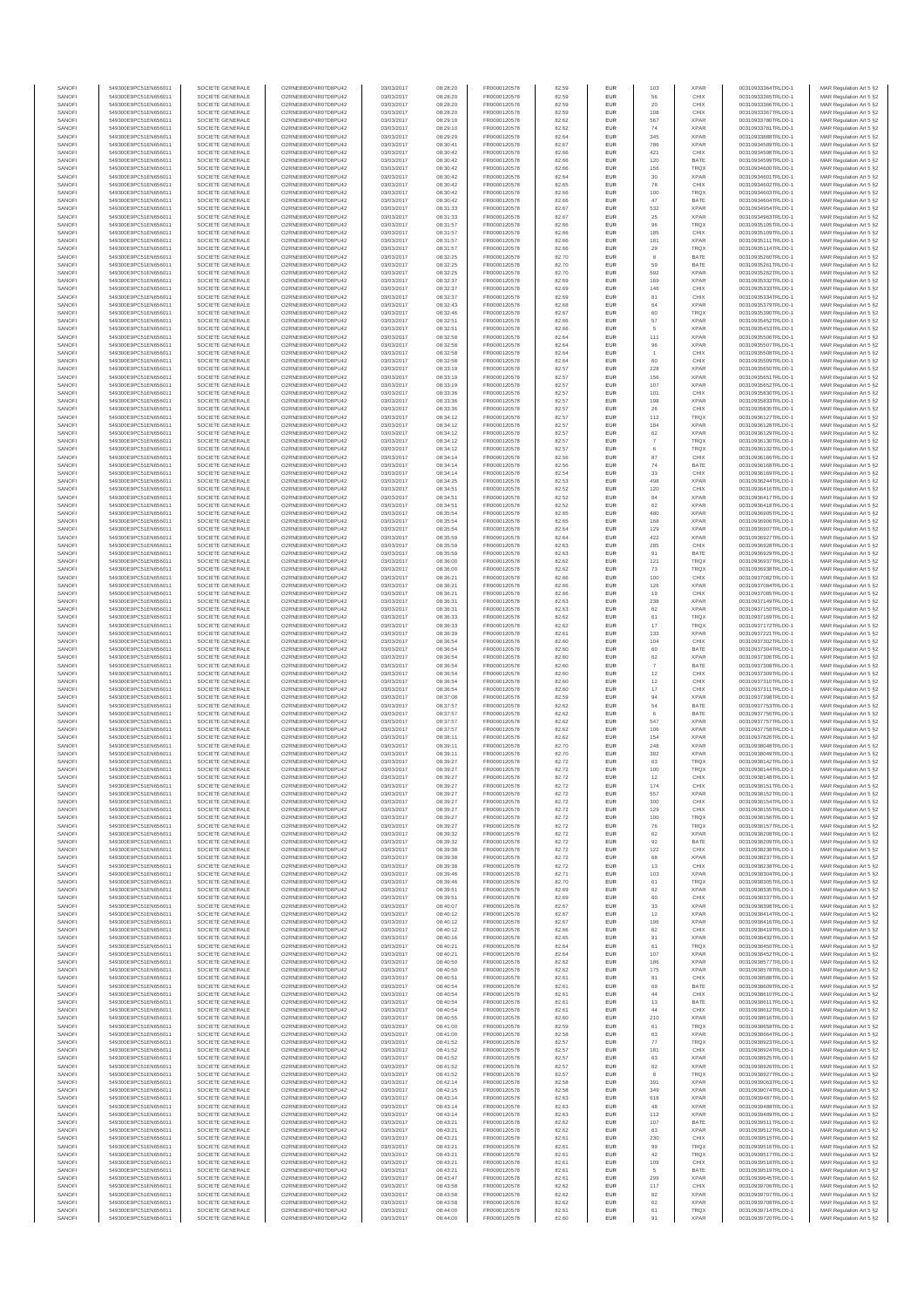| SANOFI           | 549300E9PC51EN656011                         | SOCIETE GENERALE                     | O2RNE8IBXP4R0TD8PU42                          | 03/03/2017               | 08:28:20             | FR0000120578                 | 82.59          | EUR                      | 103          | <b>XPAR</b>                | 00310933364TRLO0-1                       | MAR Regulation Art 5 §2                            |
|------------------|----------------------------------------------|--------------------------------------|-----------------------------------------------|--------------------------|----------------------|------------------------------|----------------|--------------------------|--------------|----------------------------|------------------------------------------|----------------------------------------------------|
| SANOFI<br>SANOFI | 549300E9PC51EN656011<br>549300E9PC51EN656011 | SOCIETE GENERALE<br>SOCIETE GENERALE | O2RNE8IBXP4R0TD8PU42<br>O2RNE8IBXP4R0TD8PU42  | 03/03/2017<br>03/03/2017 | 08:28:20<br>08:28:20 | FR0000120578                 | 82.59<br>82.59 | <b>EUR</b><br>EUR        | 56<br>20     | CHIX<br>CHIX               | 00310933365TRLO0-1<br>00310933366TRLO0-1 | MAR Regulation Art 5 §2                            |
| SANOFI           | 549300E9PC51EN656011                         | SOCIETE GENERALE                     | O2RNE8IBXP4R0TD8PLI42                         | 03/03/2017               | 08:28:20             | FR0000120578<br>FR0000120578 | 82.59          | EUR                      | 108          | CHIX                       | 00310933367TRLO0-1                       | MAR Regulation Art 5 §2<br>MAR Regulation Art 5 §2 |
| SANOFI           | 549300E9PC51EN656011                         | SOCIETE GENERALE                     | O2RNE8IBXP4R0TD8PU42                          | 03/03/2017               | 08:29:10             | FR0000120578                 | 82.62          | EUR                      | 567          | <b>XPAR</b>                | 00310933780TRLO0-1                       | MAR Regulation Art 5 §2                            |
| SANOFI           | 549300E9PC51EN656011                         | SOCIETE GENERALE                     | O2RNE8IBXP4R0TD8PU42                          | 03/03/2017               | 08:29:10             | FR0000120578                 | 82.62          | EUR                      | 74           | <b>XPAR</b>                | 00310933781TRLO0-1                       | MAR Regulation Art 5 §2                            |
| SANOFI<br>SANOFI | 549300E9PC51EN656011<br>549300E9PC51EN656011 | SOCIETE GENERALE<br>SOCIETE GENERALE | O2RNE8IBXP4R0TD8PU42<br>O2RNE8IBXP4R0TD8PU42  | 03/03/2017<br>03/03/2017 | 08:29:29<br>08:30:41 | FR0000120578<br>FR0000120578 | 82.64<br>82.67 | EUR<br>EUR               | 345<br>786   | <b>XPAR</b><br><b>XPAR</b> | 00310933888TRLO0-1<br>00310934589TRLO0-1 | MAR Regulation Art 5 §2<br>MAR Regulation Art 5 §2 |
| SANOFI           | 549300E9PC51EN656011                         | SOCIETE GENERALE                     | O2RNE8IBXP4R0TD8PU42                          | 03/03/2017               | 08:30:42             | FR0000120578                 | 82.66          | <b>EUR</b>               | 421          | CHIX                       | 00310934598TRLO0-1                       | MAR Regulation Art 5 §2                            |
| SANOFI           | 549300E9PC51EN656011                         | SOCIETE GENERALE                     | O2RNE8IBXP4R0TD8PU42                          | 03/03/2017               | 08:30:42             | FR0000120578                 | 82.66          | EUR                      | 120          | BATE                       | 00310934599TRLO0-1                       | MAR Regulation Art 5 §2                            |
| SANOFI<br>SANOFI | 549300E9PC51EN656011<br>549300E9PC51EN656011 | SOCIETE GENERALE<br>SOCIETE GENERALE | O2RNE8IBXP4R0TD8PLI42<br>O2RNE8IBXP4R0TD8PU42 | 03/03/2017<br>03/03/2017 | 08:30:42<br>08:30:42 | FR0000120578<br>FR0000120578 | 82.66<br>82.64 | EUR<br>EUR               | 156<br>30    | <b>TROX</b><br><b>XPAR</b> | 00310934600TRLO0-1<br>00310934601TRLO0-1 | MAR Regulation Art 5 §2<br>MAR Regulation Art 5 §2 |
| SANOFI           | 549300E9PC51EN656011                         | SOCIETE GENERALE                     | O2RNE8IBXP4R0TD8PU42                          | 03/03/2017               | 08:30:42             | FR0000120578                 | 82.65          | EUR                      | 78           | CHIX                       | 00310934602TRLO0-1                       | MAR Regulation Art 5 §2                            |
| SANOFI           | 549300E9PC51EN656011                         | SOCIETE GENERALE                     | O2RNE8IBXP4R0TD8PU42                          | 03/03/2017               | 08:30:42             | FR0000120578                 | 82.66          | EUR                      | 100          | <b>TRQX</b>                | 00310934603TRLO0-1                       | MAR Regulation Art 5 §2                            |
| SANOFI           | 549300E9PC51EN656011                         | SOCIETE GENERALE                     | O2RNE8IBXP4R0TD8PU42                          | 03/03/2017               | 08:30:42             | FR0000120578                 | 82.66          | EUR                      | 47           | BATE                       | 00310934604TRLO0-1                       | MAR Regulation Art 5 §2                            |
| SANOFI<br>SANOFI | 549300E9PC51EN656011<br>549300E9PC51EN656011 | SOCIETE GENERALE<br>SOCIETE GENERALE | O2RNE8IBXP4R0TD8PU42<br>O2RNE8IBXP4R0TD8PU42  | 03/03/2017<br>03/03/2017 | 08:31:33<br>08:31:33 | FR0000120578<br>FR0000120578 | 82.67<br>82.67 | <b>EUR</b><br>EUR        | 532<br>25    | <b>XPAR</b><br><b>XPAR</b> | 00310934954TRLO0-1<br>00310934963TRLO0-1 | MAR Regulation Art 5 §2<br>MAR Regulation Art 5 §2 |
| SANOFI           | 549300E9PC51EN656011                         | SOCIETE GENERALE                     | O2RNE8IBXP4R0TD8PU42                          | 03/03/2017               | 08:31:57             | FR0000120578                 | 82.66          | <b>EUR</b>               | 96           | <b>TRQX</b>                | 00310935105TRLO0-1                       | MAR Regulation Art 5 §2                            |
| SANOFI           | 549300E9PC51EN656011                         | SOCIETE GENERALE                     | O2RNE8IBXP4R0TD8PU42                          | 03/03/2017               | 08:31:57             | FR0000120578                 | 82.66          | EUR                      | 185          | CHIX                       | 00310935109TRLO0-1                       | MAR Regulation Art 5 §2                            |
| SANOFI           | 549300E9PC51EN656011                         | SOCIETE GENERALE                     | O2RNESIBXP4R0TD8PLI42                         | 03/03/2017               | 08:31:57             | FR0000120578                 | 82.66          | EUR                      | 181          | <b>XPAR</b>                | 00310935111TRLO0-1<br>00310935114TRLO0-1 | MAR Regulation Art 5 §2                            |
| SANOFI<br>SANOFI | 549300E9PC51EN656011<br>549300E9PC51EN656011 | SOCIETE GENERALE<br>SOCIETE GENERALE | O2RNE8IBXP4R0TD8PU42<br>O2RNE8IBXP4R0TD8PLI42 | 03/03/2017<br>03/03/2017 | 08:31:57<br>08:32:25 | FR0000120578<br>FR0000120578 | 82.66<br>82.70 | EUR<br>EUR               | 29<br>8      | <b>TRQX</b><br>BATE        | 00310935260TRLO0-1                       | MAR Regulation Art 5 §2<br>MAR Regulation Art 5 §2 |
| SANOFI           | 549300E9PC51EN656011                         | SOCIETE GENERALE                     | O2RNE8IBXP4R0TD8PU42                          | 03/03/2017               | 08:32:25             | FR0000120578                 | 82.70          | <b>EUR</b>               | 59           | BATE                       | 00310935261TRLO0-1                       | MAR Regulation Art 5 §2                            |
| SANOFI           | 549300E9PC51EN656011                         | SOCIETE GENERALE                     | O2RNE8IBXP4R0TD8PU42                          | 03/03/2017               | 08:32:25             | FR0000120578                 | 82.70          | EUR                      | 592          | <b>XPAR</b>                | 00310935262TRLO0-1                       | MAR Regulation Art 5 §2                            |
| SANOFI           | 549300E9PC51EN656011                         | SOCIETE GENERALE<br>SOCIETE GENERALE | O2RNE8IBXP4R0TD8PU42                          | 03/03/2017               | 08:32:37             | FR0000120578                 | 82.69          | <b>EUR</b>               | 169          | <b>XPAR</b>                | 00310935332TRLO0-1                       | MAR Regulation Art 5 §2<br>MAR Regulation Art 5 §2 |
| SANOFI<br>SANOFI | 549300E9PC51EN656011<br>549300E9PC51EN656011 | SOCIETE GENERALE                     | O2RNE8IBXP4R0TD8PU42<br>O2RNE8IBXP4R0TD8PU42  | 03/03/2017<br>03/03/2017 | 08:32:37<br>08:32:37 | FR0000120578<br>FR0000120578 | 82.69<br>82.69 | EUR<br><b>EUR</b>        | 146<br>81    | CHIX<br>CHIX               | 00310935333TRLO0-1<br>00310935334TRLO0-1 | MAR Regulation Art 5 §2                            |
| SANOFI           | 549300E9PC51EN656011                         | SOCIETE GENERALE                     | O2RNE8IBXP4R0TD8PU42                          | 03/03/2017               | 08:32:43             | FR0000120578                 | 82.68          | EUR                      | 64           | <b>XPAR</b>                | 00310935379TRLO0-1                       | MAR Regulation Art 5 §2                            |
| SANOFI           | 549300E9PC51EN656011                         | SOCIETE GENERALE                     | O2RNE8IBXP4R0TD8PU42                          | 03/03/2017               | 08:32:46             | FR0000120578                 | 82.67          | EUR                      | 60           | TRQX                       | 00310935390TRLO0-1                       | MAR Regulation Art 5 §2                            |
| SANOFI<br>SANOFI | 549300E9PC51EN656011<br>549300E9PC51EN656011 | SOCIETE GENERALE<br>SOCIETE GENERALE | O2RNE8IBXP4R0TD8PU42<br>O2RNE8IBXP4R0TD8PU42  | 03/03/2017<br>03/03/2017 | 08:32:51<br>08:32:51 | FR0000120578<br>FR0000120578 | 82.66<br>82.66 | EUR<br>EUR               | 57<br>5      | <b>XPAR</b><br><b>XPAR</b> | 00310935452TRLO0-1<br>00310935453TRLO0-1 | MAR Regulation Art 5 §2<br>MAR Regulation Art 5 §2 |
| SANOFI           | 549300E9PC51EN656011                         | SOCIETE GENERALE                     | O2RNE8IBXP4R0TD8PU42                          | 03/03/2017               | 08:32:58             | FR0000120578                 | 82.64          | <b>EUR</b>               | 111          | <b>XPAR</b>                | 00310935506TRLO0-1                       | MAR Regulation Art 5 §2                            |
| SANOFI           | 549300E9PC51EN656011                         | SOCIETE GENERALE                     | O2RNE8IBXP4R0TD8PU42                          | 03/03/2017               | 08:32:58             | FR0000120578                 | 82.64          | EUR                      | 96           | <b>XPAR</b>                | 00310935507TRLO0-1                       | MAR Regulation Art 5 §2                            |
| SANOFI<br>SANOFI | 549300E9PC51EN656011<br>549300E9PC51EN656011 | SOCIETE GENERALE<br>SOCIETE GENERALE | O2RNE8IBXP4R0TD8PU42<br>O2RNE8IBXP4R0TD8PU42  | 03/03/2017<br>03/03/2017 | 08:32:58<br>08:32:58 | FR0000120578<br>FR0000120578 | 82.64<br>82.64 | <b>EUR</b><br>EUR        | 60           | CHIX<br>CHIX               | 00310935508TRLO0-1<br>00310935509TRLO0-1 | MAR Regulation Art 5 §2<br>MAR Regulation Art 5 §2 |
| SANOFI           | 549300E9PC51EN656011                         | SOCIETE GENERALE                     | O2RNE8IBXP4R0TD8PU42                          | 03/03/2017               | 08:33:19             | FR0000120578                 | 82.57          | EUR                      | 228          | <b>XPAR</b>                | 00310935650TRLO0-1                       | MAR Regulation Art 5 §2                            |
| SANOFI           | 549300E9PC51EN656011                         | SOCIETE GENERALE                     | O2RNE8IBXP4R0TD8PU42                          | 03/03/2017               | 08:33:19             | FR0000120578                 | 82.57          | EUR                      | 156          | <b>XPAR</b>                | 00310935651TRLO0-1                       | MAR Regulation Art 5 §2                            |
| SANOFI<br>SANOFI | 549300E9PC51EN656011                         | SOCIETE GENERALE                     | O2RNE8IBXP4R0TD8PU42<br>O2RNE8IBXP4R0TD8PU42  | 03/03/2017               | 08:33:19             | FR0000120578                 | 82.57          | EUR                      | 107          | <b>XPAR</b>                | 00310935652TRLO0-1<br>00310935830TRLO0-1 | MAR Regulation Art 5 §2                            |
| SANOFI           | 549300E9PC51EN656011<br>549300E9PC51EN656011 | SOCIETE GENERALE<br>SOCIETE GENERALE | O2RNE8IBXP4R0TD8PU42                          | 03/03/2017<br>03/03/2017 | 08:33:36<br>08:33:36 | FR0000120578<br>FR0000120578 | 82.57<br>82.57 | EUR<br>EUR               | 101<br>198   | CHIX<br><b>XPAR</b>        | 00310935833TRLO0-1                       | MAR Regulation Art 5 §2<br>MAR Regulation Art 5 §2 |
| SANOFI           | 549300E9PC51EN656011                         | SOCIETE GENERALE                     | O2RNE8IBXP4R0TD8PU42                          | 03/03/2017               | 08:33:36             | FR0000120578                 | 82.57          | <b>EUR</b>               | 26           | CHIX                       | 00310935835TRLO0-1                       | MAR Regulation Art 5 §2                            |
| SANOFI           | 549300E9PC51EN656011                         | SOCIETE GENERALE                     | O2RNE8IBXP4R0TD8PU42                          | 03/03/2017               | 08:34:12             | FR0000120578                 | 82.57          | EUR                      | 112          | TRQX                       | 00310936127TRLO0-1                       | MAR Regulation Art 5 §2                            |
| SANOFI<br>SANOFI | 549300E9PC51EN656011<br>549300E9PC51EN656011 | SOCIETE GENERALE<br>SOCIETE GENERALE | O2RNE8IBXP4R0TD8PLI42<br>O2RNE8IBXP4R0TD8PU42 | 03/03/2017<br>03/03/2017 | 08:34:12<br>08:34:12 | FR0000120578<br>FR0000120578 | 82.57<br>82.57 | <b>EUR</b><br>EUR        | 184<br>62    | <b>XPAR</b><br><b>XPAR</b> | 00310936128TRLO0-1<br>00310936129TRLO0-1 | MAR Regulation Art 5 §2<br>MAR Regulation Art 5 §2 |
| SANOFI           | 549300E9PC51EN656011                         | SOCIETE GENERALE                     | O2RNE8IBXP4R0TD8PU42                          | 03/03/2017               | 08:34:12             | FR0000120578                 | 82.57          | EUR                      |              | TRQX                       | 00310936130TRLO0-1                       | MAR Regulation Art 5 §2                            |
| SANOFI           | 549300E9PC51EN656011                         | SOCIETE GENERALE                     | O2RNE8IBXP4R0TD8PU42                          | 03/03/2017               | 08:34:12             | FR0000120578                 | 82.57          | EUR                      | 6            | TRQX                       | 00310936132TRLO0-1                       | MAR Regulation Art 5 §2                            |
| SANOFI           | 549300E9PC51EN656011                         | SOCIETE GENERALE                     | O2RNE8IBXP4R0TD8PLI42<br>O2RNE8IBXP4R0TD8PU42 | 03/03/2017               | 08:34:14             | FR0000120578                 | 82.56          | EUR                      | 87           | CHIX                       | 00310936166TRLO0-1                       | MAR Regulation Art 5 §2<br>MAR Regulation Art 5 §2 |
| SANOFI<br>SANOFI | 549300E9PC51EN656011<br>549300E9PC51EN656011 | SOCIETE GENERALE<br>SOCIETE GENERALE | O2RNE8IBXP4R0TD8PU42                          | 03/03/2017<br>03/03/2017 | 08:34:14<br>08:34:14 | FR0000120578<br>FR0000120578 | 82.56<br>82.54 | EUR<br>EUR               | 74<br>33     | BATE<br>CHIX               | 00310936168TRLO0-1<br>00310936169TRLO0-1 | MAR Regulation Art 5 §2                            |
| SANOFI           | 549300E9PC51EN656011                         | SOCIETE GENERALE                     | O2RNE8IBXP4R0TD8PU42                          | 03/03/2017               | 08:34:25             | FR0000120578                 | 82.53          | EUR                      | 498          | <b>XPAR</b>                | 00310936244TRLO0-1                       | MAR Regulation Art 5 §2                            |
| SANOFI           | 549300E9PC51EN656011                         | SOCIETE GENERALE                     | O2RNE8IBXP4R0TD8PU42                          | 03/03/2017               | 08:34:51             | FR0000120578                 | 82.52          | EUR                      | 120          | CHIX                       | 00310936416TRLO0-1                       | MAR Regulation Art 5 §2                            |
| SANOFI<br>SANOFI | 549300E9PC51EN656011<br>549300E9PC51EN656011 | SOCIETE GENERALE<br>SOCIETE GENERALE | O2RNE8IBXP4R0TD8PU42<br>O2RNE8IBXP4R0TD8PU42  | 03/03/2017<br>03/03/2017 | 08:34:51<br>08:34:51 | FR0000120578<br>FR0000120578 | 82.52<br>82.52 | <b>EUR</b><br>EUR        | 64<br>62     | <b>XPAR</b><br><b>XPAR</b> | 00310936417TRLO0-1<br>00310936418TRLO0-1 | MAR Regulation Art 5 §2<br>MAR Regulation Art 5 §2 |
| SANOFI           | 549300E9PC51EN656011                         | SOCIETE GENERALE                     | O2RNE8IBXP4R0TD8PLI42                         | 03/03/2017               | 08:35:54             | FR0000120578                 | 82.65          | EUR                      | 480          | <b>XPAR</b>                | 00310936905TRLO0-1                       | MAR Regulation Art 5 §2                            |
| SANOFI           | 549300E9PC51EN656011                         | SOCIETE GENERALE                     | O2RNE8IBXP4R0TD8PU42                          | 03/03/2017               | 08:35:54             | FR0000120578                 | 82.65          | EUR                      | 168          | <b>XPAR</b>                | 00310936906TRLO0-1                       | MAR Regulation Art 5 §2                            |
| SANOFI           | 549300E9PC51EN656011                         | SOCIETE GENERALE                     | O2RNE8IBXP4R0TD8PU42                          | 03/03/2017               | 08:35:54             | FR0000120578                 | 82.64          | EUR                      | 129          | <b>XPAR</b>                | 00310936907TRLO0-1                       | MAR Regulation Art 5 §2                            |
| SANOFI<br>SANOFI | 549300E9PC51EN656011<br>549300E9PC51EN656011 | SOCIETE GENERALE<br>SOCIETE GENERALE | O2RNE8IBXP4R0TD8PU42<br>O2RNE8IBXP4R0TD8PU42  | 03/03/2017<br>03/03/2017 | 08:35:59<br>08:35:59 | FR0000120578<br>FR0000120578 | 82.64<br>82.63 | <b>EUR</b><br>EUR        | 422<br>285   | <b>XPAR</b><br>CHIX        | 00310936927TRLO0-1<br>00310936928TRLO0-1 | MAR Regulation Art 5 §2<br>MAR Regulation Art 5 §2 |
| SANOFI           | 549300E9PC51EN656011                         | SOCIETE GENERALE                     | O2RNE8IBXP4R0TD8PU42                          | 03/03/2017               | 08:35:59             | FR0000120578                 | 82.63          | <b>EUR</b>               | 91           | BATE                       | 00310936929TRLO0-1                       | MAR Regulation Art 5 §2                            |
| SANOFI           | 549300E9PC51EN656011                         | SOCIETE GENERALE                     | O2RNE8IBXP4R0TD8PU42                          | 03/03/2017               | 08:36:00             | FR0000120578                 | 82.62          | EUR                      | 121          | TRQX                       | 00310936937TRLO0-1                       | MAR Regulation Art 5 §2                            |
| SANOFI<br>SANOFI | 549300E9PC51EN656011<br>549300E9PC51EN656011 | SOCIETE GENERALE<br>SOCIETE GENERALE | O2RNE8IBXP4R0TD8PU42<br>O2RNE8IBXP4R0TD8PU42  | 03/03/2017<br>03/03/2017 | 08:36:00<br>08:36:21 | FR0000120578<br>FR0000120578 | 82.62<br>82.66 | <b>EUR</b><br>EUR        | 73<br>100    | <b>TRQX</b><br>CHIX        | 00310936938TRLO0-1<br>00310937082TRLO0-1 | MAR Regulation Art 5 §2<br>MAR Regulation Art 5 §2 |
| SANOFI           | 549300E9PC51EN656011                         | SOCIETE GENERALE                     | O2RNE8IBXP4R0TD8PU42                          | 03/03/2017               | 08:36:21             | FR0000120578                 | 82.66          | EUR                      | 126          | <b>XPAR</b>                | 00310937084TRLO0-1                       | MAR Regulation Art 5 §2                            |
| SANOFI           | 549300E9PC51EN656011                         | SOCIETE GENERALE                     | O2RNE8IBXP4R0TD8PU42                          | 03/03/2017               | 08:36:21             | FR0000120578                 | 82.66          | EUR                      | 19           | CHIX                       | 00310937085TRLO0-1                       | MAR Regulation Art 5 §2                            |
| SANOFI           | 549300E9PC51EN656011                         | SOCIETE GENERALE                     | O2RNE8IBXP4R0TD8PU42                          | 03/03/2017               | 08:36:31             | FR0000120578                 | 82.63          | EUR                      | 238          | <b>XPAR</b>                | 00310937149TRLO0-1                       | MAR Regulation Art 5 §2                            |
| SANOFI<br>SANOFI | 549300E9PC51EN656011<br>549300E9PC51EN656011 | SOCIETE GENERALE<br>SOCIETE GENERALE | O2RNE8IBXP4R0TD8PU42<br>O2RNE8IBXP4R0TD8PU42  | 03/03/2017<br>03/03/2017 | 08:36:31<br>08:36:33 | FR0000120578<br>FR0000120578 | 82.63<br>82.62 | <b>EUR</b><br>EUR        | 62<br>61     | <b>XPAR</b><br>TRQX        | 00310937150TRLO0-1<br>00310937169TRLO0-1 | MAR Regulation Art 5 §2<br>MAR Regulation Art 5 §2 |
| SANOFI           | 549300E9PC51EN656011                         | SOCIETE GENERALE                     | O2RNE8IBXP4R0TD8PU42                          | 03/03/2017               | 08:36:33             | FR0000120578                 | 82.62          | <b>EUR</b>               | 17           | <b>TRQX</b>                | 00310937172TRLO0-1                       | MAR Regulation Art 5 §2                            |
| SANOFI           | 549300E9PC51EN656011                         | SOCIETE GENERALE                     | O2RNE8IBXP4R0TD8PU42                          | 03/03/2017               | 08:36:39             | FR0000120578                 | 82.61          | EUR                      | 133          | <b>XPAR</b>                | 00310937221TRLO0-1                       | MAR Regulation Art 5 §2                            |
| SANOFI<br>SANOFI | 549300E9PC51EN656011<br>549300E9PC51EN656011 | SOCIETE GENERALE<br>SOCIETE GENERALE | O2RNE8IBXP4R0TD8PU42<br>O2RNE8IBXP4R0TD8PU42  | 03/03/2017<br>03/03/2017 | 08:36:54<br>08:36:54 | FR0000120578<br>FR0000120578 | 82.60<br>82.60 | EUR<br>EUR               | 104<br>60    | CHIX<br>BATE               | 00310937302TRLO0-1<br>00310937304TRLO0-1 | MAR Regulation Art 5 §2<br>MAR Regulation Art 5 §2 |
| SANOFI           | 549300E9PC51EN656011                         | SOCIETE GENERALE                     | O2RNE8IBXP4R0TD8PU42                          | 03/03/2017               | 08:36:54             | FR0000120578                 | 82.60          | EUR                      | 62           | <b>XPAR</b>                | 00310937306TRLO0-1                       | MAR Regulation Art 5 §2                            |
| SANOFI           | 549300E9PC51EN656011                         | SOCIETE GENERALE                     | O2RNE8IBXP4R0TD8PU42                          | 03/03/2017               | 08:36:54             | FR0000120578                 | 82.60          | EUR                      |              | BATE                       | 00310937308TRLO0-1                       | MAR Regulation Art 5 §2                            |
| SANOFI           | 549300E9PC51EN656011                         | SOCIETE GENERALE                     | O2RNE8IBXP4R0TD8PU42                          | 03/03/2017               | 08:36:54             | FR0000120578                 | 82.60          | EUR                      | 12           | CHIX                       | 00310937309TRLO0-1                       | MAR Regulation Art 5 §2                            |
| SANOFI<br>SANOFI | 549300E9PC51EN656011<br>549300E9PC51EN656011 | SOCIETE GENERALE<br>SOCIETE GENERALE | O2RNE8IBXP4R0TD8PU42<br>O2RNE8IBXP4R0TD8PU42  | 03/03/2017<br>03/03/2017 | 08:36:54<br>08:36:54 | FR0000120578<br>FR0000120578 | 82.60<br>82.60 | <b>EUR</b><br>EUR        | 12<br>17     | CHIX<br>CHIX               | 00310937310TRLO0-1<br>00310937311TRLO0-1 | MAR Regulation Art 5 §2<br>MAR Regulation Art 5 §2 |
| SANOFI           | 549300E9PC51EN656011                         | SOCIETE GENERALE                     | O2RNE8IBXP4R0TD8PU42                          | 03/03/2017               | 08:37:08             | FR0000120578                 | 82.59          | <b>EUR</b>               | 94           | <b>XPAR</b>                | 00310937398TRLO0-1                       | MAR Regulation Art 5 §2                            |
| SANOFI           | 549300E9PC51EN656011                         | SOCIETE GENERALE                     | O2RNE8IBXP4R0TD8PU42                          | 03/03/2017               | 08:37:57             | FR0000120578                 | 82.62          | EUR                      | 54           | BATE                       | 00310937753TRLO0-1                       | MAR Regulation Art 5 §2                            |
| SANOFI           | 549300E9PC51EN656011                         | SOCIETE GENERALE                     | O2RNE8IBXP4R0TD8PU42                          | 03/03/2017               | 08:37:57             | FR0000120578<br>FR0000120578 | 82.62          | EUR                      | 6            | BATE                       | 00310937756TRLO0-1                       | MAR Regulation Art 5 §2                            |
| SANOFI<br>SANOFI | 549300E9PC51EN656011<br>549300E9PC51EN656011 | SOCIETE GENERALE<br>SOCIETE GENERALE | O2RNE8IBXP4R0TD8PU42<br>O2RNE8IBXP4R0TD8PU42  | 03/03/2017<br>03/03/2017 | 08:37:57<br>08:37:57 | FR0000120578                 | 82.62<br>82.62 | EUR<br>EUR               | 547<br>106   | <b>XPAR</b><br><b>XPAR</b> | 00310937757TRLO0-1<br>00310937758TRLO0-1 | MAR Regulation Art 5 §2<br>MAR Regulation Art 5 §2 |
| SANOFI           | 549300E9PC51EN656011                         | SOCIETE GENERALE                     | O2RNE8IBXP4R0TD8PU42                          | 03/03/2017               | 08:38:11             | FR0000120578                 | 82.62          | EUR                      | 154          | <b>XPAR</b>                | 00310937826TRLO0-1                       | MAR Regulation Art 5 §2                            |
| SANOFI           | 549300E9PC51EN656011                         | SOCIETE GENERALE                     | O2RNE8IBXP4R0TD8PU42                          | 03/03/2017               | 08:39:11             | FR0000120578                 | 82.70          | EUR                      | 248          | <b>XPAR</b>                | 00310938048TRLO0-1                       | MAR Regulation Art 5 §2                            |
| SANOFI<br>SANOFI | 549300E9PC51EN656011<br>549300E9PC51EN656011 | SOCIETE GENERALE<br>SOCIETE GENERALE | O2RNE8IBXP4R0TD8PU42<br>O2RNE8IBXP4R0TD8PU42  | 03/03/2017<br>03/03/2017 | 08:39:11<br>08:39:27 | FR0000120578<br>FR0000120578 | 82.70<br>82.72 | <b>EUR</b><br>EUR        | 382<br>63    | <b>XPAR</b><br>TRQX        | 00310938049TRLO0-1<br>00310938142TRLO0-1 | MAR Regulation Art 5 §2<br>MAR Regulation Art 5 §2 |
| SANOFI           | 549300E9PC51EN656011                         | SOCIETE GENERALE                     | O2RNE8IBXP4R0TD8PU42                          | 03/03/2017               | 08:39:27             | FR0000120578                 | 82.72          | EUR                      | 100          | <b>TRQX</b>                | 00310938144TRLO0-1                       | MAR Regulation Art 5 §2                            |
| SANOFI           | 549300E9PC51EN656011                         | SOCIETE GENERALE                     | O2RNE8IBXP4R0TD8PU42                          | 03/03/2017               | 08:39:27             | FR0000120578                 | 82.72          | EUR                      | 12           | CHIX                       | 00310938148TRLO0-1                       | MAR Regulation Art 5 §2                            |
| SANOFI           | 549300E9PC51EN656011                         | SOCIETE GENERALE                     | O2RNE8IBXP4R0TD8PLI42                         | 03/03/2017               | 08:39:27             | FR0000120578                 | 82.72          | EUR                      | 174          | CHIX                       | 00310938151TRLO0-1                       | MAR Regulation Art 5 §2                            |
| SANOFI<br>SANOFI | 549300E9PC51EN656011<br>549300E9PC51EN656011 | SOCIETE GENERALE<br>SOCIETE GENERALE | O2RNE8IBXP4R0TD8PU42<br>O2RNESIBXP4R0TD8PLI42 | 03/03/2017<br>03/03/2017 | 08:39:27<br>08:39:27 | FR0000120578<br>FR0000120578 | 82.72<br>82.72 | <b>EUR</b><br><b>EUR</b> | 557<br>300   | <b>XPAR</b><br>CHIX        | 00310938152TRLO0-1<br>00310938154TRLO0-1 | MAR Regulation Art 5 §2<br>MAR Regulation Art 5 §2 |
| SANOFI           | 549300E9PC51EN656011                         | SOCIETE GENERALE                     | O2RNE8IBXP4R0TD8PU42                          | 03/03/2017               | 08:39:27             | FR0000120578                 | 82.72          | EUR                      | 129          | CHIX                       | 00310938155TRLO0-1                       | MAR Regulation Art 5 §2                            |
| SANOFI           | 549300E9PC51EN656011                         | SOCIETE GENERALE                     | O2RNE8IBXP4R0TD8PU42                          | 03/03/2017               | 08:39:27             | FR0000120578                 | 82.72          | EUR                      | 100          | TRQX                       | 00310938156TRLO0-1                       | MAR Regulation Art 5 §2                            |
| SANOFI           | 549300E9PC51EN656011                         | SOCIETE GENERALE                     | O2RNE8IBXP4R0TD8PU42                          | 03/03/2017               | 08:39:27             | FR0000120578                 | 82.72          | <b>EUR</b>               | 76           | <b>TROX</b>                | 00310938157TRLO0-1                       | MAR Regulation Art 5 §2                            |
| SANOFI<br>SANOFI | 549300E9PC51EN656011<br>549300E9PC51EN656011 | SOCIETE GENERALE<br>SOCIETE GENERALE | O2RNE8IBXP4R0TD8PU42<br>O2RNE8IBXP4R0TD8PU42  | 03/03/2017<br>03/03/2017 | 08:39:32<br>08:39:32 | FR0000120578<br>FR0000120578 | 82.72<br>82.72 | EUR<br><b>EUR</b>        | 62<br>92     | <b>XPAR</b><br>BATE        | 00310938208TRLO0-1<br>00310938209TRLO0-1 | MAR Regulation Art 5 §2<br>MAR Regulation Art 5 §2 |
| SANOFI           | 549300E9PC51EN656011                         | SOCIETE GENERALE                     | O2RNE8IBXP4R0TD8PU42                          | 03/03/2017               | 08:39:38             | FR0000120578                 | 82.72          | EUR                      | 122          | CHIX                       | 00310938236TRLO0-1                       | MAR Regulation Art 5 §2                            |
| SANOFI           | 549300E9PC51EN656011                         | SOCIETE GENERALE                     | O2RNE8IBXP4R0TD8PU42                          | 03/03/2017               | 08:39:38             | FR0000120578                 | 82.72          | EUR                      | 68           | <b>XPAR</b>                | 00310938237TRLO0-1                       | MAR Regulation Art 5 §2                            |
| SANOFI<br>SANOFI | 549300E9PC51EN656011<br>549300E9PC51EN656011 | SOCIETE GENERALE<br>SOCIETE GENERALE | O2RNE8IBXP4R0TD8PU42<br>O2RNESIBXP4R0TD8PLI42 | 03/03/2017<br>03/03/2017 | 08:39:38<br>08:39:46 | FR0000120578<br>FR0000120578 | 82.72<br>82.71 | EUR<br>EUR               | 13<br>103    | CHIX<br><b>XPAR</b>        | 00310938238TRLO0-1<br>00310938304TRLO0-1 | MAR Regulation Art 5 §2<br>MAR Regulation Art 5 §2 |
| SANOFI           | 549300E9PC51EN656011                         | SOCIETE GENERALE                     | O2RNE8IBXP4R0TD8PLI42                         | 03/03/2017               | 08:39:46             | FR0000120578                 | 82.70          | <b>EUR</b>               | 61           | <b>TRQX</b>                | 00310938305TRLO0-1                       | MAR Regulation Art 5 §2                            |
| SANOFI           | 549300E9PC51EN656011                         | SOCIETE GENERALE                     | O2RNE8IBXP4R0TD8PU42                          | 03/03/2017               | 08:39:51             | FR0000120578<br>FR0000120578 | 82.69          | EUR                      | 62           | <b>XPAR</b>                | 00310938335TRLO0-1                       | MAR Regulation Art 5 §2                            |
| SANOFI<br>SANOFI | 549300E9PC51EN656011<br>549300E9PC51EN656011 | SOCIETE GENERALE<br>SOCIETE GENERALE | O2RNE8IBXP4R0TD8PU42<br>O2RNE8IBXP4R0TD8PU42  | 03/03/2017<br>03/03/2017 | 08:39:51<br>08:40:07 | FR0000120578                 | 82.69<br>82.67 | <b>EUR</b><br>EUR        | 60<br>33     | CHIX<br><b>XPAR</b>        | 00310938337TRLO0-1<br>00310938398TRLO0-1 | MAR Regulation Art 5 §2<br>MAR Regulation Art 5 §2 |
| SANOFI           | 549300E9PC51EN656011                         | SOCIETE GENERALE                     | O2RNE8IBXP4R0TD8PU42                          | 03/03/2017               | 08:40:12             | FR0000120578                 | 82.67          | EUR                      | $12\,$       | <b>XPAR</b>                | 00310938414TRLO0-1                       | MAR Regulation Art 5 §2                            |
| SANOFI           | 549300E9PC51EN656011                         | SOCIETE GENERALE                     | O2RNE8IBXP4R0TD8PU42                          | 03/03/2017               | 08:40:12             | FR0000120578                 | 82.67          | EUR                      | 196          | <b>XPAR</b>                | 00310938416TRLO0-1                       | MAR Regulation Art 5 §2                            |
| SANOFI<br>SANOFI | 549300E9PC51EN656011<br>549300E9PC51EN656011 | SOCIETE GENERALE<br>SOCIETE GENERALE | O2RNE8IBXP4R0TD8PU42<br>O2RNE8IBXP4R0TD8PU42  | 03/03/2017<br>03/03/2017 | 08:40:12<br>08:40:16 | FR0000120578<br>FR0000120578 | 82.66<br>82.65 | EUR<br>EUR               | 62<br>91     | CHIX<br><b>XPAR</b>        | 00310938419TRLO0-1<br>00310938432TRLO0-1 | MAR Regulation Art 5 §2<br>MAR Regulation Art 5 §2 |
| SANOFI           | 549300E9PC51EN656011                         | SOCIETE GENERALE                     | O2RNE8IBXP4R0TD8PU42                          | 03/03/2017               | 08:40:21             | FR0000120578                 | 82.64          | EUR                      | 61           | TRQX                       | 00310938450TRLO0-1                       | MAR Regulation Art 5 §2                            |
| SANOFI           | 549300E9PC51EN656011                         | SOCIETE GENERALE                     | O2RNE8IBXP4R0TD8PU42                          | 03/03/2017               | 08:40:21             | FR0000120578                 | 82.64          | <b>EUR</b>               | 107          | <b>XPAR</b>                | 00310938452TRLO0-1                       | MAR Regulation Art 5 §2                            |
| SANOFI<br>SANOFI | 549300E9PC51EN656011<br>549300E9PC51EN656011 | SOCIETE GENERALE<br>SOCIETE GENERALE | O2RNE8IBXP4R0TD8PU42<br>O2RNE8IBXP4R0TD8PLI42 | 03/03/2017<br>03/03/2017 | 08:40:50<br>08:40:50 | FR0000120578<br>FR0000120578 | 82.62<br>82.62 | EUR<br><b>EUR</b>        | 186<br>175   | <b>XPAR</b><br><b>XPAR</b> | 00310938577TRLO0-1<br>00310938578TRLO0-1 | MAR Regulation Art 5 §2<br>MAR Regulation Art 5 §2 |
| SANOFI           | 549300E9PC51EN656011                         | SOCIETE GENERALE                     | O2RNE8IBXP4R0TD8PU42                          | 03/03/2017               | 08:40:51             | FR0000120578                 | 82.61          | EUR                      | 81           | CHIX                       | 00310938588TRLO0-1                       | MAR Regulation Art 5 §2                            |
| SANOFI           | 549300E9PC51EN656011                         | SOCIETE GENERALE                     | O2RNE8IBXP4R0TD8PU42                          | 03/03/2017               | 08:40:54             | FR0000120578                 | 82.61          | EUR                      | 69           | BATE                       | 00310938609TRLO0-1                       | MAR Regulation Art 5 §2                            |
| SANOFI           | 549300E9PC51EN656011                         | SOCIETE GENERALE                     | O2RNE8IBXP4R0TD8PU42                          | 03/03/2017               | 08:40:54             | FR0000120578                 | 82.61          | EUR                      | 44           | CHIX                       | 00310938610TRLO0-1                       | MAR Regulation Art 5 §2                            |
| SANOFI<br>SANOFI | 549300E9PC51EN656011<br>549300E9PC51EN656011 | SOCIETE GENERALE<br>SOCIETE GENERALE | O2RNE8IBXP4R0TD8PU42<br>O2RNE8IBXP4R0TD8PU42  | 03/03/2017<br>03/03/2017 | 08:40:54<br>08:40:54 | FR0000120578<br>FR0000120578 | 82.61<br>82.61 | EUR<br>EUR               | $13\,$<br>44 | BATE<br>CHIX               | 00310938611TRLO0-1<br>00310938612TRLO0-1 | MAR Regulation Art 5 §2<br>MAR Regulation Art 5 §2 |
| SANOFI           | 549300E9PC51EN656011                         | SOCIETE GENERALE                     | O2RNE8IBXP4R0TD8PU42                          | 03/03/2017               | 08:40:55             | FR0000120578                 | 82.60          | EUR                      | 210          | <b>XPAR</b>                | 00310938616TRLO0-1                       | MAR Regulation Art 5 §2                            |
| SANOFI           | 549300E9PC51EN656011                         | SOCIETE GENERALE                     | O2RNE8IBXP4R0TD8PU42                          | 03/03/2017               | 08:41:00             | FR0000120578                 | 82.59          | <b>EUR</b>               | 61           | <b>TROX</b>                | 00310938658TRLO0-1                       | MAR Regulation Art 5 §2                            |
| SANOFI<br>SANOFI | 549300E9PC51EN656011<br>549300E9PC51EN656011 | SOCIETE GENERALE<br>SOCIETE GENERALE | O2RNE8IBXP4R0TD8PU42<br>O2RNE8IBXP4R0TD8PU42  | 03/03/2017<br>03/03/2017 | 08:41:00<br>08:41:52 | FR0000120578<br>FR0000120578 | 82.58<br>82.57 | EUR<br><b>EUR</b>        | 63<br>77     | <b>XPAR</b><br><b>TROX</b> | 00310938664TRLO0-1<br>00310938923TRLO0-1 | MAR Regulation Art 5 §2                            |
| SANOFI           | 549300E9PC51EN656011                         | SOCIETE GENERALE                     | O2RNE8IBXP4R0TD8PU42                          | 03/03/2017               | 08:41:52             | FR0000120578                 | 82.57          | <b>EUR</b>               | 181          | CHIX                       | 00310938924TRLO0-1                       | MAR Regulation Art 5 §2<br>MAR Regulation Art 5 §2 |
| SANOFI           | 549300E9PC51EN656011                         | SOCIETE GENERALE                     | O2RNE8IBXP4R0TD8PU42                          | 03/03/2017               | 08:41:52             | FR0000120578                 | 82.57          | EUR                      | 63           | <b>XPAR</b>                | 00310938925TRLO0-1                       | MAR Regulation Art 5 §2                            |
| SANOFI           | 549300E9PC51EN656011                         | SOCIETE GENERALE                     | O2RNE8IBXP4R0TD8PU42                          | 03/03/2017               | 08:41:52             | FR0000120578                 | 82.57          | EUR                      | 62           | <b>XPAR</b>                | 00310938926TRLO0-1                       | MAR Regulation Art 5 §2                            |
| SANOFI<br>SANOFI | 549300E9PC51EN656011<br>549300E9PC51EN656011 | SOCIETE GENERALE<br>SOCIETE GENERALE | O2RNE8IBXP4R0TD8PU42<br>O2RNE8IBXP4R0TD8PU42  | 03/03/2017<br>03/03/2017 | 08:41:52<br>08:42:14 | FR0000120578                 | 82.57          | EUR<br>EUR               | 8<br>391     | <b>TRQX</b><br><b>XPAR</b> | 00310938927TRLO0-1<br>00310939063TRLO0-1 | MAR Regulation Art 5 §2                            |
| SANOFI           | 549300E9PC51EN656011                         | SOCIETE GENERALE                     | O2RNE8IBXP4R0TD8PU42                          | 03/03/2017               | 08:42:15             | FR0000120578<br>FR0000120578 | 82.58<br>82.58 | EUR                      | 349          | <b>XPAR</b>                | 00310939074TRLO0-1                       | MAR Regulation Art 5 §2<br>MAR Regulation Art 5 §2 |
| SANOFI           | 549300E9PC51EN656011                         | SOCIETE GENERALE                     | O2RNE8IBXP4R0TD8PU42                          | 03/03/2017               | 08:43:14             | FR0000120578                 | 82.63          | <b>EUR</b>               | 618          | <b>XPAR</b>                | 00310939487TRLO0-1                       | MAR Regulation Art 5 §2                            |
| SANOFI           | 549300E9PC51EN656011                         | SOCIETE GENERALE                     | O2RNE8IBXP4R0TD8PU42                          | 03/03/2017               | 08:43:14             | FR0000120578                 | 82.63          | EUR                      | 48           | <b>XPAR</b>                | 00310939488TRLO0-1                       | MAR Regulation Art 5 §2                            |
| SANOFI<br>SANOFI | 549300E9PC51EN656011<br>549300E9PC51EN656011 | SOCIETE GENERALE<br>SOCIETE GENERALE | O2RNE8IBXP4R0TD8PU42<br>O2RNE8IBXP4R0TD8PU42  | 03/03/2017<br>03/03/2017 | 08:43:14<br>08:43:21 | FR0000120578<br>FR0000120578 | 82.63<br>82.62 | EUR<br>EUR               | 112<br>107   | <b>XPAR</b><br>BATE        | 00310939489TRLO0-1<br>00310939511TRLO0-1 | MAR Regulation Art 5 §2<br>MAR Regulation Art 5 §2 |
| SANOFI           | 549300E9PC51EN656011                         | SOCIETE GENERALE                     | O2RNE8IBXP4R0TD8PU42                          | 03/03/2017               | 08:43:21             | FR0000120578                 | 82.62          | EUR                      | 63           | <b>XPAR</b>                | 00310939512TRLO0-1                       | MAR Regulation Art 5 §2                            |
| SANOFI           | 549300E9PC51EN656011                         | SOCIETE GENERALE                     | O2RNE8IBXP4R0TD8PU42                          | 03/03/2017               | 08:43:21             | FR0000120578                 | 82.61          | EUR                      | 230          | CHIX                       | 00310939515TRLO0-1                       | MAR Regulation Art 5 §2                            |
| SANOFI<br>SANOFI | 549300E9PC51EN656011<br>549300E9PC51EN656011 | SOCIETE GENERALE<br>SOCIETE GENERALE | O2RNE8IBXP4R0TD8PU42<br>O2RNE8IBXP4R0TD8PU42  | 03/03/2017<br>03/03/2017 | 08:43:21<br>08:43:21 | FR0000120578<br>FR0000120578 | 82.61<br>82.61 | EUR<br><b>EUR</b>        | 99<br>42     | <b>TROX</b><br><b>TROX</b> | 00310939516TRLO0-1<br>00310939517TRLO0-1 | MAR Regulation Art 5 §2                            |
| SANOFI           | 549300E9PC51EN656011                         | SOCIETE GENERALE                     | O2RNE8IBXP4R0TD8PU42                          | 03/03/2017               | 08:43:21             | FR0000120578                 | 82.61          | EUR                      | 109          | CHIX                       | 00310939518TRLO0-1                       | MAR Regulation Art 5 §2<br>MAR Regulation Art 5 §2 |
| SANOFI           | 549300E9PC51EN656011                         | SOCIETE GENERALE                     | O2RNE8IBXP4R0TD8PU42                          | 03/03/2017               | 08:43:21             | FR0000120578                 | 82.61          | <b>EUR</b>               | 5            | BATE                       | 00310939519TRLO0-1                       | MAR Regulation Art 5 §2                            |
| SANOFI           | 549300E9PC51EN656011                         | SOCIETE GENERALE                     | O2RNE8IBXP4R0TD8PU42                          | 03/03/2017               | 08:43:47             | FR0000120578                 | 82.61          | EUR                      | 299          | <b>XPAR</b>                | 00310939645TRLO0-1                       | MAR Regulation Art 5 §2                            |
| SANOFI<br>SANOFI | 549300E9PC51EN656011<br>549300E9PC51EN656011 | SOCIETE GENERALE<br>SOCIETE GENERALE | O2RNE8IBXP4R0TD8PU42<br>O2RNE8IBXP4R0TD8PU42  | 03/03/2017<br>03/03/2017 | 08:43:58<br>08:43:58 | FR0000120578<br>FR0000120578 | 82.62<br>82.62 | EUR<br>EUR               | 117<br>62    | CHIX<br><b>XPAR</b>        | 00310939706TRLO0-1<br>00310939707TRLO0-1 | MAR Regulation Art 5 §2<br>MAR Regulation Art 5 §2 |
| SANOFI           | 549300E9PC51EN656011                         | SOCIETE GENERALE                     | O2RNE8IBXP4R0TD8PU42                          | 03/03/2017               | 08:43:58             | FR0000120578                 | 82.62          | EUR                      | $62\,$       | <b>XPAR</b>                | 00310939708TRLO0-1                       | MAR Regulation Art 5 §2                            |
| SANOFI           | 549300E9PC51EN656011                         | SOCIETE GENERALE                     | O2RNE8IBXP4R0TD8PU42                          | 03/03/2017               | 08:44:00             | FR0000120578                 | 82.61          | EUR                      | 61           | TRQX                       | 00310939714TRLO0-1                       | MAR Regulation Art 5 §2                            |
| SANOFI           | 549300E9PC51EN656011                         | SOCIETE GENERALE                     | O2RNE8IBXP4R0TD8PU42                          | 03/03/2017               | 08:44:00             | FR0000120578                 | 82.60          | EUR                      | 91           | <b>XPAR</b>                | 00310939720TRLO0-1                       | MAR Regulation Art 5 §2                            |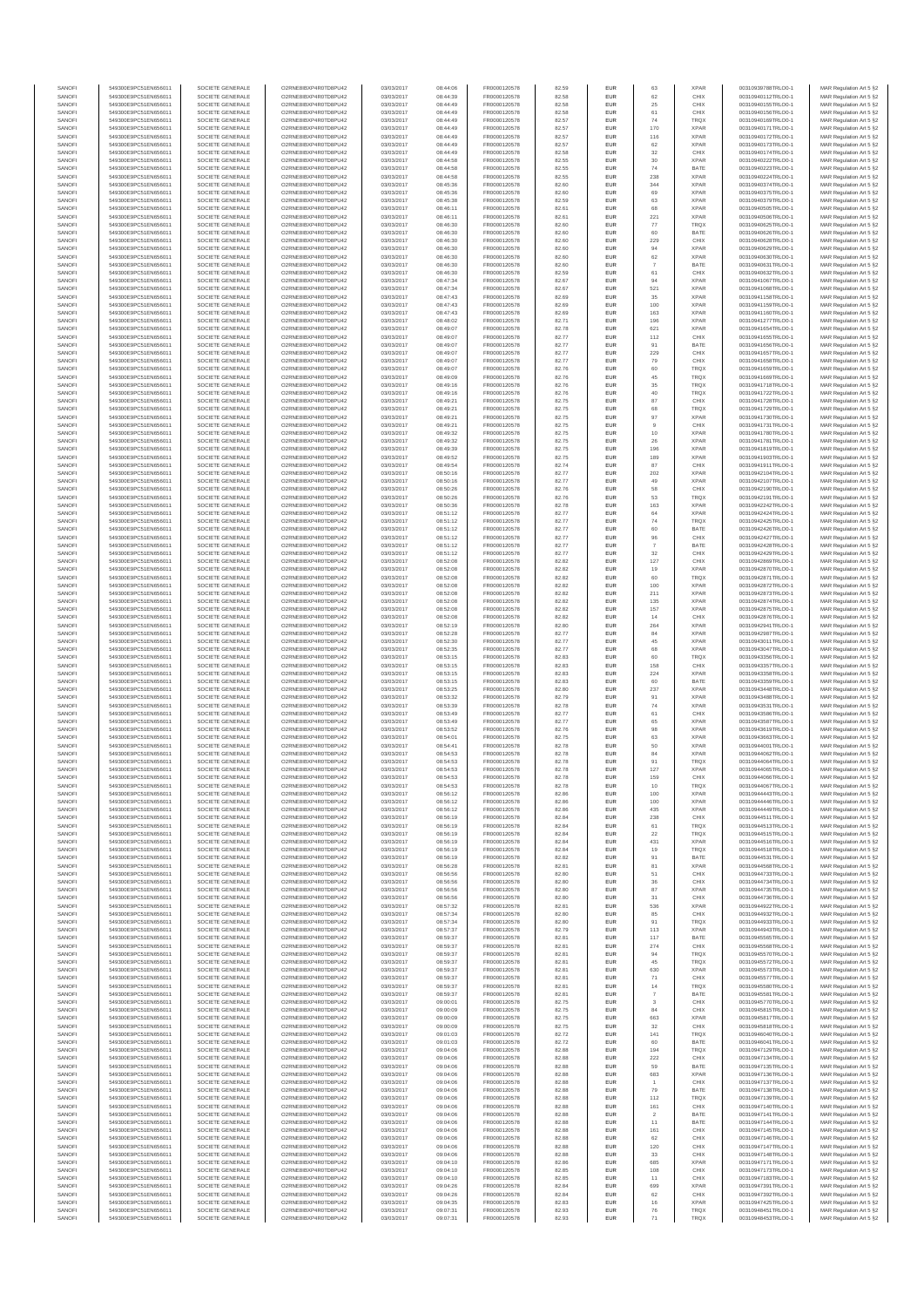| SANOFI           | 549300E9PC51EN656011                         | SOCIETE GENERALE                     | O2RNE8IBXP4R0TD8PU42                          | 03/03/2017               | 08:44:06             | FR0000120578                 | 82.59          | EUR                      | 63                   | <b>XPAR</b>                | 00310939788TRLO0-1                       | MAR Regulation Art 5 §2                            |
|------------------|----------------------------------------------|--------------------------------------|-----------------------------------------------|--------------------------|----------------------|------------------------------|----------------|--------------------------|----------------------|----------------------------|------------------------------------------|----------------------------------------------------|
| SANOFI<br>SANOFI | 549300E9PC51EN656011<br>549300E9PC51EN656011 | SOCIETE GENERALE<br>SOCIETE GENERALE | O2RNE8IBXP4R0TD8PU42<br>O2RNE8IBXP4R0TD8PU42  | 03/03/2017<br>03/03/2017 | 08:44:39<br>08:44:49 | FR0000120578                 | 82.58<br>82.58 | EUR<br>EUR               | 62<br>25             | CHIX<br>CHIX               | 00310940112TRLO0-1<br>00310940155TRLO0-1 | MAR Regulation Art 5 §2                            |
| SANOFI           | 549300E9PC51EN656011                         | SOCIETE GENERALE                     | O2RNE8IBXP4R0TD8PLI42                         | 03/03/2017               | 08:44:49             | FR0000120578<br>FR0000120578 | 82.58          | EUR                      | 61                   | CHIX                       | 00310940156TRLO0-1                       | MAR Regulation Art 5 §2<br>MAR Regulation Art 5 §2 |
| SANOFI           | 549300E9PC51EN656011                         | SOCIETE GENERALE                     | O2RNE8IBXP4R0TD8PU42                          | 03/03/2017               | 08:44:49             | FR0000120578                 | 82.57          | EUR                      | 74                   | TRQX                       | 00310940169TRLO0-1                       | MAR Regulation Art 5 §2                            |
| SANOFI           | 549300E9PC51EN656011                         | SOCIETE GENERALE                     | O2RNE8IBXP4R0TD8PU42                          | 03/03/2017               | 08:44:49             | FR0000120578<br>FR0000120578 | 82.57          | EUR                      | 170                  | <b>XPAR</b>                | 00310940171TRLO0-1                       | MAR Regulation Art 5 §2                            |
| SANOFI<br>SANOFI | 549300E9PC51EN656011<br>549300E9PC51EN656011 | SOCIETE GENERALE<br>SOCIETE GENERALE | O2RNE8IBXP4R0TD8PU42<br>O2RNE8IBXP4R0TD8PU42  | 03/03/2017<br>03/03/2017 | 08:44:49<br>08:44:49 | FR0000120578                 | 82.57<br>82.57 | <b>EUR</b><br>EUR        | 116<br>62            | <b>XPAR</b><br><b>XPAR</b> | 00310940172TRLO0-1<br>00310940173TRLO0-1 | MAR Regulation Art 5 §2<br>MAR Regulation Art 5 §2 |
| SANOFI           | 549300E9PC51EN656011                         | SOCIETE GENERALE                     | O2RNE8IBXP4R0TD8PU42                          | 03/03/2017               | 08:44:49             | FR0000120578                 | 82.58          | <b>EUR</b>               | 32                   | CHIX                       | 00310940174TRLO0-1                       | MAR Regulation Art 5 §2                            |
| SANOFI           | 549300E9PC51EN656011                         | SOCIETE GENERALE                     | O2RNE8IBXP4R0TD8PU42                          | 03/03/2017               | 08:44:58             | FR0000120578                 | 82.55          | EUR                      | $30\,$               | <b>XPAR</b>                | 00310940222TRLO0-1                       | MAR Regulation Art 5 §2                            |
| SANOFI<br>SANOFI | 549300E9PC51EN656011<br>549300E9PC51EN656011 | SOCIETE GENERALE<br>SOCIETE GENERALE | O2RNE8IBXP4R0TD8PLI42<br>O2RNE8IBXP4R0TD8PU42 | 03/03/2017<br>03/03/2017 | 08:44:58<br>08:44:58 | FR0000120578<br>FR0000120578 | 82.55<br>82.55 | EUR<br>EUR               | $74\,$<br>238        | BATE<br><b>XPAR</b>        | 00310940223TRLO0-1<br>00310940224TRLO0-1 | MAR Regulation Art 5 §2<br>MAR Regulation Art 5 §2 |
| SANOFI           | 549300E9PC51EN656011                         | SOCIETE GENERALE                     | O2RNE8IBXP4R0TD8PU42                          | 03/03/2017               | 08:45:36             | FR0000120578                 | 82.60          | EUR                      | 344                  | <b>XPAR</b>                | 00310940374TRLO0-1                       | MAR Regulation Art 5 §2                            |
| SANOFI           | 549300E9PC51EN656011                         | SOCIETE GENERALE                     | O2RNE8IBXP4R0TD8PU42                          | 03/03/2017               | 08:45:36             | FR0000120578                 | 82.60          | EUR                      | 69                   | <b>XPAR</b>                | 00310940375TRLO0-1                       | MAR Regulation Art 5 §2                            |
| SANOFI           | 549300E9PC51EN656011                         | SOCIETE GENERALE                     | O2RNE8IBXP4R0TD8PU42                          | 03/03/2017               | 08:45:38             | FR0000120578                 | 82.59          | EUR                      | 63                   | <b>XPAR</b>                | 00310940379TRLO0-1                       | MAR Regulation Art 5 §2                            |
| SANOFI<br>SANOFI | 549300E9PC51EN656011<br>549300E9PC51EN656011 | SOCIETE GENERALE<br>SOCIETE GENERALE | O2RNE8IBXP4R0TD8PU42<br>O2RNE8IBXP4R0TD8PU42  | 03/03/2017<br>03/03/2017 | 08:46:11<br>08:46:11 | FR0000120578<br>FR0000120578 | 82.61<br>82.61 | <b>EUR</b><br>EUR        | 68<br>221            | <b>XPAR</b><br><b>XPAR</b> | 00310940505TRLO0-1<br>00310940506TRLO0-1 | MAR Regulation Art 5 §2<br>MAR Regulation Art 5 §2 |
| SANOFI           | 549300E9PC51EN656011                         | SOCIETE GENERALE                     | O2RNE8IBXP4R0TD8PU42                          | 03/03/2017               | 08:46:30             | FR0000120578                 | 82.60          | <b>EUR</b>               | 77                   | <b>TRQX</b>                | 00310940625TRLO0-1                       | MAR Regulation Art 5 §2                            |
| SANOFI           | 549300E9PC51EN656011                         | SOCIETE GENERALE                     | O2RNE8IBXP4R0TD8PU42                          | 03/03/2017               | 08:46:30             | FR0000120578                 | 82.60          | EUR                      | 60                   | BATE                       | 00310940626TRLO0-1                       | MAR Regulation Art 5 §2                            |
| SANOFI           | 549300E9PC51EN656011                         | SOCIETE GENERALE                     | O2RNESIBXP4R0TD8PLI42                         | 03/03/2017               | 08:46:30             | FR0000120578                 | 82.60          | EUR                      | 229                  | CHIX                       | 00310940628TRLO0-1                       | MAR Regulation Art 5 §2                            |
| SANOFI<br>SANOFI | 549300E9PC51EN656011<br>549300E9PC51EN656011 | SOCIETE GENERALE<br>SOCIETE GENERALE | O2RNE8IBXP4R0TD8PU42<br>O2RNE8IBXP4R0TD8PLI42 | 03/03/2017<br>03/03/2017 | 08:46:30<br>08:46:30 | FR0000120578<br>FR0000120578 | 82.60<br>82.60 | EUR<br>EUR               | 94<br>62             | <b>XPAR</b><br>XPAR        | 00310940629TRLO0-1<br>00310940630TRLO0-1 | MAR Regulation Art 5 §2<br>MAR Regulation Art 5 §2 |
| SANOFI           | 549300E9PC51EN656011                         | SOCIETE GENERALE                     | O2RNE8IBXP4R0TD8PU42                          | 03/03/2017               | 08:46:30             | FR0000120578                 | 82.60          | <b>EUR</b>               |                      | BATE                       | 00310940631TRLO0-1                       | MAR Regulation Art 5 §2                            |
| SANOFI           | 549300E9PC51EN656011                         | SOCIETE GENERALE                     | O2RNE8IBXP4R0TD8PU42                          | 03/03/2017               | 08:46:30             | FR0000120578                 | 82.59          | EUR                      | 61                   | CHIX                       | 00310940632TRLO0-1                       | MAR Regulation Art 5 §2                            |
| SANOFI<br>SANOFI | 549300E9PC51EN656011<br>549300E9PC51EN656011 | SOCIETE GENERALE<br>SOCIETE GENERALE | O2RNE8IBXP4R0TD8PU42<br>O2RNE8IBXP4R0TD8PU42  | 03/03/2017<br>03/03/2017 | 08:47:34<br>08:47:34 | FR0000120578<br>FR0000120578 | 82.67<br>82.67 | <b>EUR</b><br>EUR        | 94<br>521            | <b>XPAR</b><br><b>XPAR</b> | 00310941067TRLO0-1<br>00310941068TRLO0-1 | MAR Regulation Art 5 §2<br>MAR Regulation Art 5 §2 |
| SANOFI           | 549300E9PC51EN656011                         | SOCIETE GENERALE                     | O2RNE8IBXP4R0TD8PU42                          | 03/03/2017               | 08:47:43             | FR0000120578                 | 82.69          | <b>EUR</b>               | 35                   | <b>XPAR</b>                | 00310941158TRLO0-1                       | MAR Regulation Art 5 §2                            |
| SANOFI           | 549300E9PC51EN656011                         | SOCIETE GENERALE                     | O2RNE8IBXP4R0TD8PU42                          | 03/03/2017               | 08:47:43             | FR0000120578                 | 82.69          | EUR                      | 100                  | <b>XPAR</b>                | 00310941159TRLO0-1                       | MAR Regulation Art 5 §2                            |
| SANOFI           | 549300E9PC51EN656011                         | SOCIETE GENERALE                     | O2RNE8IBXP4R0TD8PU42                          | 03/03/2017               | 08:47:43             | FR0000120578                 | 82.69          | EUR                      | 163                  | <b>XPAR</b>                | 00310941160TRLO0-1                       | MAR Regulation Art 5 §2                            |
| SANOFI<br>SANOFI | 549300E9PC51EN656011<br>549300E9PC51EN656011 | SOCIETE GENERALE<br>SOCIETE GENERALE | O2RNE8IBXP4R0TD8PU42<br>O2RNE8IBXP4R0TD8PU42  | 03/03/2017<br>03/03/2017 | 08:48:02<br>08:49:07 | FR0000120578<br>FR0000120578 | 82.71<br>82.78 | EUR<br>EUR               | 196<br>621           | <b>XPAR</b><br><b>XPAR</b> | 00310941277TRLO0-1<br>00310941654TRLO0-1 | MAR Regulation Art 5 §2<br>MAR Regulation Art 5 §2 |
| SANOFI           | 549300E9PC51EN656011                         | SOCIETE GENERALE                     | O2RNE8IBXP4R0TD8PU42                          | 03/03/2017               | 08:49:07             | FR0000120578                 | 82.77          | <b>EUR</b>               | 112                  | CHIX                       | 00310941655TRLO0-1                       | MAR Regulation Art 5 §2                            |
| SANOFI           | 549300E9PC51EN656011                         | SOCIETE GENERALE                     | O2RNE8IBXP4R0TD8PU42                          | 03/03/2017               | 08:49:07             | FR0000120578                 | 82.77          | EUR                      | 91                   | BATE                       | 00310941656TRLO0-1                       | MAR Regulation Art 5 §2                            |
| SANOFI<br>SANOFI | 549300E9PC51EN656011<br>549300E9PC51EN656011 | SOCIETE GENERALE<br>SOCIETE GENERALE | O2RNE8IBXP4R0TD8PU42<br>O2RNE8IBXP4R0TD8PU42  | 03/03/2017<br>03/03/2017 | 08:49:07<br>08:49:07 | FR0000120578<br>FR0000120578 | 82.77<br>82.77 | <b>EUR</b><br>EUR        | 229<br>79            | CHIX<br>CHIX               | 00310941657TRLO0-1<br>00310941658TRLO0-1 | MAR Regulation Art 5 §2<br>MAR Regulation Art 5 §2 |
| SANOFI           | 549300E9PC51EN656011                         | SOCIETE GENERALE                     | O2RNE8IBXP4R0TD8PU42                          | 03/03/2017               | 08:49:07             | FR0000120578                 | 82.76          | EUR                      | 60                   | <b>TRQX</b>                | 00310941659TRLO0-1                       | MAR Regulation Art 5 §2                            |
| SANOFI           | 549300E9PC51EN656011                         | SOCIETE GENERALE                     | O2RNE8IBXP4R0TD8PU42                          | 03/03/2017               | 08:49:09             | FR0000120578                 | 82.76          | EUR                      | 45                   | TRQX                       | 00310941669TRLO0-1                       | MAR Regulation Art 5 §2                            |
| SANOFI<br>SANOFI | 549300E9PC51EN656011                         | SOCIETE GENERALE                     | O2RNE8IBXP4R0TD8PU42<br>O2RNE8IBXP4R0TD8PU42  | 03/03/2017               | 08:49:16             | FR0000120578                 | 82.76          | EUR                      | 35                   | <b>TRQX</b>                | 00310941718TRLO0-1<br>00310941722TRLO0-1 | MAR Regulation Art 5 §2                            |
| SANOFI           | 549300E9PC51EN656011<br>549300E9PC51EN656011 | SOCIETE GENERALE<br>SOCIETE GENERALE | O2RNE8IBXP4R0TD8PU42                          | 03/03/2017<br>03/03/2017 | 08:49:16<br>08:49:21 | FR0000120578<br>FR0000120578 | 82.76<br>82.75 | EUR<br>EUR               | 40<br>87             | TRQX<br>CHIX               | 00310941728TRLO0-1                       | MAR Regulation Art 5 §2<br>MAR Regulation Art 5 §2 |
| SANOFI           | 549300E9PC51EN656011                         | SOCIETE GENERALE                     | O2RNE8IBXP4R0TD8PU42                          | 03/03/2017               | 08:49:21             | FR0000120578                 | 82.75          | <b>EUR</b>               | 68                   | <b>TRQX</b>                | 00310941729TRLO0-1                       | MAR Regulation Art 5 §2                            |
| SANOFI           | 549300E9PC51EN656011                         | SOCIETE GENERALE                     | O2RNE8IBXP4R0TD8PU42                          | 03/03/2017               | 08:49:21             | FR0000120578                 | 82.75          | EUR                      | 97                   | <b>XPAR</b>                | 00310941730TRLO0-1                       | MAR Regulation Art 5 §2                            |
| SANOFI<br>SANOFI | 549300E9PC51EN656011<br>549300E9PC51EN656011 | SOCIETE GENERALE<br>SOCIETE GENERALE | O2RNE8IBXP4R0TD8PLI42<br>O2RNE8IBXP4R0TD8PU42 | 03/03/2017<br>03/03/2017 | 08:49:21<br>08:49:32 | FR0000120578<br>FR0000120578 | 82.75<br>82.75 | <b>EUR</b><br>EUR        | $\overline{9}$<br>10 | CHIX<br><b>XPAR</b>        | 00310941731TRLO0-1<br>00310941780TRLO0-1 | MAR Regulation Art 5 §2<br>MAR Regulation Art 5 §2 |
| SANOFI           | 549300E9PC51EN656011                         | SOCIETE GENERALE                     | O2RNE8IBXP4R0TD8PU42                          | 03/03/2017               | 08:49:32             | FR0000120578                 | 82.75          | EUR                      | 26                   | <b>XPAR</b>                | 00310941781TRLO0-1                       | MAR Regulation Art 5 §2                            |
| SANOFI           | 549300E9PC51EN656011                         | SOCIETE GENERALE                     | O2RNE8IBXP4R0TD8PU42                          | 03/03/2017               | 08:49:39             | FR0000120578                 | 82.75          | EUR                      | 196                  | <b>XPAR</b>                | 00310941819TRLO0-1                       | MAR Regulation Art 5 §2                            |
| SANOFI           | 549300E9PC51EN656011                         | SOCIETE GENERALE                     | O2RNE8IBXP4R0TD8PLI42<br>O2RNE8IBXP4R0TD8PU42 | 03/03/2017               | 08:49:52             | FR0000120578                 | 82.75          | EUR                      | 189                  | <b>XPAR</b>                | 00310941903TRLO0-1                       | MAR Regulation Art 5 §2<br>MAR Regulation Art 5 §2 |
| SANOFI<br>SANOFI | 549300E9PC51EN656011<br>549300E9PC51EN656011 | SOCIETE GENERALE<br>SOCIETE GENERALE | O2RNE8IBXP4R0TD8PU42                          | 03/03/2017<br>03/03/2017 | 08:49:54<br>08:50:16 | FR0000120578<br>FR0000120578 | 82.74<br>82.77 | EUR<br>EUR               | 87<br>202            | CHIX<br><b>XPAR</b>        | 00310941911TRLO0-1<br>00310942104TRLO0-1 | MAR Regulation Art 5 §2                            |
| SANOFI           | 549300E9PC51EN656011                         | SOCIETE GENERALE                     | O2RNE8IBXP4R0TD8PU42                          | 03/03/2017               | 08:50:16             | FR0000120578                 | 82.77          | <b>EUR</b>               | 49                   | <b>XPAR</b>                | 00310942107TRLO0-1                       | MAR Regulation Art 5 §2                            |
| SANOFI           | 549300E9PC51EN656011                         | SOCIETE GENERALE                     | O2RNE8IBXP4R0TD8PU42                          | 03/03/2017               | 08:50:26             | FR0000120578                 | 82.76          | EUR                      | 58                   | CHIX                       | 00310942190TRLO0-1                       | MAR Regulation Art 5 §2                            |
| SANOFI<br>SANOFI | 549300E9PC51EN656011<br>549300E9PC51EN656011 | SOCIETE GENERALE<br>SOCIETE GENERALE | O2RNE8IBXP4R0TD8PU42<br>O2RNE8IBXP4R0TD8PU42  | 03/03/2017<br>03/03/2017 | 08:50:26<br>08:50:36 | FR0000120578<br>FR0000120578 | 82.76<br>82.78 | <b>EUR</b><br>EUR        | 53<br>163            | <b>TRQX</b><br><b>XPAR</b> | 00310942191TRLO0-1<br>00310942242TRLO0-1 | MAR Regulation Art 5 §2<br>MAR Regulation Art 5 §2 |
| SANOFI           | 549300E9PC51EN656011                         | SOCIETE GENERALE                     | O2RNE8IBXP4R0TD8PLI42                         | 03/03/2017               | 08:51:12             | FR0000120578                 | 82.77          | EUR                      | $64\,$               | <b>XPAR</b>                | 00310942424TRLO0-1                       | MAR Regulation Art 5 §2                            |
| SANOFI           | 549300E9PC51EN656011                         | SOCIETE GENERALE                     | O2RNE8IBXP4R0TD8PU42                          | 03/03/2017               | 08:51:12             | FR0000120578                 | 82.77          | EUR                      | 74                   | TRQX                       | 00310942425TRLO0-1                       | MAR Regulation Art 5 §2                            |
| SANOFI           | 549300E9PC51EN656011                         | SOCIETE GENERALE                     | O2RNE8IBXP4R0TD8PU42                          | 03/03/2017               | 08:51:12             | FR0000120578                 | 82.77          | EUR                      | 60                   | BATE                       | 00310942426TRLO0-1                       | MAR Regulation Art 5 §2                            |
| SANOFI<br>SANOFI | 549300E9PC51EN656011<br>549300E9PC51EN656011 | SOCIETE GENERALE<br>SOCIETE GENERALE | O2RNE8IBXP4R0TD8PU42<br>O2RNE8IBXP4R0TD8PU42  | 03/03/2017<br>03/03/2017 | 08:51:12<br>08:51:12 | FR0000120578<br>FR0000120578 | 82.77<br>82.77 | <b>EUR</b><br>EUR        | 96                   | CHIX<br>BATE               | 00310942427TRLO0-1<br>00310942428TRLO0-1 | MAR Regulation Art 5 §2<br>MAR Regulation Art 5 §2 |
| SANOFI           | 549300E9PC51EN656011                         | SOCIETE GENERALE                     | O2RNE8IBXP4R0TD8PU42                          | 03/03/2017               | 08:51:12             | FR0000120578                 | 82.77          | <b>EUR</b>               | 32                   | CHIX                       | 00310942429TRLO0-1                       | MAR Regulation Art 5 §2                            |
| SANOFI           | 549300E9PC51EN656011                         | SOCIETE GENERALE                     | O2RNE8IBXP4R0TD8PU42                          | 03/03/2017               | 08:52:08             | FR0000120578                 | 82.82          | EUR                      | 127                  | CHIX                       | 00310942869TRLO0-1                       | MAR Regulation Art 5 §2                            |
| SANOFI<br>SANOFI | 549300E9PC51EN656011<br>549300E9PC51EN656011 | SOCIETE GENERALE<br>SOCIETE GENERALE | O2RNE8IBXP4R0TD8PU42                          | 03/03/2017<br>03/03/2017 | 08:52:08<br>08:52:08 | FR0000120578                 | 82.82<br>82.82 | <b>EUR</b><br>EUR        | 19<br>60             | <b>XPAR</b><br>TRQX        | 00310942870TRLO0-1                       | MAR Regulation Art 5 §2                            |
| SANOFI           | 549300E9PC51EN656011                         | SOCIETE GENERALE                     | O2RNE8IBXP4R0TD8PU42<br>O2RNE8IBXP4R0TD8PU42  | 03/03/2017               | 08:52:08             | FR0000120578<br>FR0000120578 | 82.82          | EUR                      | 100                  | <b>XPAR</b>                | 00310942871TRLO0-1<br>00310942872TRLO0-1 | MAR Regulation Art 5 §2<br>MAR Regulation Art 5 §2 |
| SANOFI           | 549300E9PC51EN656011                         | SOCIETE GENERALE                     | O2RNE8IBXP4R0TD8PU42                          | 03/03/2017               | 08:52:08             | FR0000120578                 | 82.82          | EUR                      | 211                  | <b>XPAR</b>                | 00310942873TRLO0-1                       | MAR Regulation Art 5 §2                            |
| SANOFI           | 549300E9PC51EN656011                         | SOCIETE GENERALE                     | O2RNE8IBXP4R0TD8PU42                          | 03/03/2017               | 08:52:08             | FR0000120578                 | 82.82          | EUR                      | 135                  | <b>XPAR</b>                | 00310942874TRLO0-1                       | MAR Regulation Art 5 §2                            |
| SANOFI<br>SANOFI | 549300E9PC51EN656011<br>549300E9PC51EN656011 | SOCIETE GENERALE<br>SOCIETE GENERALE | O2RNE8IBXP4R0TD8PU42<br>O2RNE8IBXP4R0TD8PU42  | 03/03/2017<br>03/03/2017 | 08:52:08<br>08:52:08 | FR0000120578<br>FR0000120578 | 82.82<br>82.82 | <b>EUR</b><br>EUR        | 157<br>14            | <b>XPAR</b><br>CHIX        | 00310942875TRLO0-1<br>00310942876TRLO0-1 | MAR Regulation Art 5 §2<br>MAR Regulation Art 5 §2 |
| SANOFI           | 549300E9PC51EN656011                         | SOCIETE GENERALE                     | O2RNE8IBXP4R0TD8PU42                          | 03/03/2017               | 08:52:19             | FR0000120578                 | 82.80          | <b>EUR</b>               | 264                  | <b>XPAR</b>                | 00310942941TRLO0-1                       | MAR Regulation Art 5 §2                            |
| SANOFI           | 549300E9PC51EN656011                         | SOCIETE GENERALE                     | O2RNE8IBXP4R0TD8PU42                          | 03/03/2017               | 08:52:28             | FR0000120578                 | 82.77          | EUR                      | 84                   | <b>XPAR</b>                | 00310942987TRLO0-                        | MAR Regulation Art 5 §2                            |
| SANOFI<br>SANOFI | 549300E9PC51EN656011<br>549300E9PC51EN656011 | SOCIETE GENERALE<br>SOCIETE GENERALE | O2RNE8IBXP4R0TD8PU42<br>O2RNE8IBXP4R0TD8PU42  | 03/03/2017               | 08:52:30             | FR0000120578                 | 82.77          | <b>EUR</b><br>EUR        | 45<br>68             | <b>XPAR</b><br><b>XPAR</b> | 00310943011TRLO0-1<br>00310943047TRLO0-1 | MAR Regulation Art 5 §2                            |
| SANOFI           | 549300E9PC51EN656011                         | SOCIETE GENERALE                     | O2RNE8IBXP4R0TD8PU42                          | 03/03/2017<br>03/03/2017 | 08:52:35<br>08:53:15 | FR0000120578<br>FR0000120578 | 82.77<br>82.83 | EUR                      | 60                   | TRQX                       | 00310943356TRLO0-1                       | MAR Regulation Art 5 §2<br>MAR Regulation Art 5 §2 |
| SANOFI           | 549300E9PC51EN656011                         | SOCIETE GENERALE                     | O2RNE8IBXP4R0TD8PU42                          | 03/03/2017               | 08:53:15             | FR0000120578                 | 82.83          | EUR                      | 158                  | CHIX                       | 00310943357TRLO0-1                       | MAR Regulation Art 5 §2                            |
| SANOFI           | 549300E9PC51EN656011                         | SOCIETE GENERALE                     | O2RNE8IBXP4R0TD8PU42                          | 03/03/2017               | 08:53:15             | FR0000120578                 | 82.83          | EUR                      | 224                  | <b>XPAR</b>                | 00310943358TRLO0-1                       | MAR Regulation Art 5 §2                            |
| SANOFI<br>SANOFI | 549300E9PC51EN656011<br>549300E9PC51EN656011 | SOCIETE GENERALE<br>SOCIETE GENERALE | O2RNE8IBXP4R0TD8PU42<br>O2RNE8IBXP4R0TD8PU42  | 03/03/2017<br>03/03/2017 | 08:53:15<br>08:53:25 | FR0000120578<br>FR0000120578 | 82.83<br>82.80 | <b>EUR</b><br>EUR        | 60<br>237            | BATE<br><b>XPAR</b>        | 00310943359TRLO0-1<br>00310943448TRLO0-1 | MAR Regulation Art 5 §2<br>MAR Regulation Art 5 §2 |
| SANOFI           | 549300E9PC51EN656011                         | SOCIETE GENERALE                     | O2RNE8IBXP4R0TD8PU42                          | 03/03/2017               | 08:53:32             | FR0000120578                 | 82.79          | <b>EUR</b>               | 91                   | <b>XPAR</b>                | 00310943488TRLO0-1                       | MAR Regulation Art 5 §2                            |
| SANOFI           | 549300E9PC51EN656011                         | SOCIETE GENERALE                     | O2RNE8IBXP4R0TD8PU42                          | 03/03/2017               | 08:53:39             | FR0000120578                 | 82.78          | EUR                      | 74                   | <b>XPAR</b>                | 00310943531TRLO0-1                       | MAR Regulation Art 5 §2                            |
| SANOFI           | 549300E9PC51EN656011                         | SOCIETE GENERALE                     | O2RNE8IBXP4R0TD8PU42                          | 03/03/2017               | 08:53:49             | FR0000120578                 | 82.77          | EUR                      | 61                   | CHIX                       | 00310943586TRLO0-1                       | MAR Regulation Art 5 §2                            |
| SANOFI<br>SANOFI | 549300E9PC51EN656011<br>549300E9PC51EN656011 | SOCIETE GENERALE<br>SOCIETE GENERALE | O2RNE8IBXP4R0TD8PU42<br>O2RNE8IBXP4R0TD8PU42  | 03/03/2017<br>03/03/2017 | 08:53:49<br>08:53:52 | FR0000120578<br>FR0000120578 | 82.77<br>82.76 | EUR<br>EUR               | 65<br>98             | <b>XPAR</b><br><b>XPAR</b> | 00310943587TRLO0-1<br>00310943619TRLO0-1 | MAR Regulation Art 5 §2<br>MAR Regulation Art 5 §2 |
| SANOFI           | 549300E9PC51EN656011                         | SOCIETE GENERALE                     | O2RNE8IBXP4R0TD8PU42                          | 03/03/2017               | 08:54:01             | FR0000120578                 | 82.75          | EUR                      | 63                   | <b>XPAR</b>                | 00310943663TRLO0-1                       | MAR Regulation Art 5 §2                            |
| SANOFI           | 549300E9PC51EN656011                         | SOCIETE GENERALE                     | O2RNE8IBXP4R0TD8PU42                          | 03/03/2017               | 08:54:41             | FR0000120578                 | 82.78          | EUR                      | 50                   | <b>XPAR</b>                | 00310944001TRLO0-1                       | MAR Regulation Art 5 §2                            |
| SANOFI           | 549300E9PC51EN656011                         | SOCIETE GENERALE                     | O2RNE8IBXP4R0TD8PU42                          | 03/03/2017               | 08:54:53             | FR0000120578                 | 82.78          | <b>EUR</b>               | 84                   | <b>XPAR</b>                | 00310944062TRLO0-1                       | MAR Regulation Art 5 §2                            |
| SANOFI<br>SANOFI | 549300E9PC51EN656011<br>549300E9PC51EN656011 | SOCIETE GENERALE<br>SOCIETE GENERALE | O2RNE8IBXP4R0TD8PU42<br>O2RNE8IBXP4R0TD8PU42  | 03/03/2017<br>03/03/2017 | 08:54:53<br>08:54:53 | FR0000120578<br>FR0000120578 | 82.78<br>82.78 | EUR<br>EUR               | 91<br>127            | TRQX<br><b>XPAR</b>        | 00310944064TRLO0-1<br>00310944065TRLO0-1 | MAR Regulation Art 5 §2<br>MAR Regulation Art 5 §2 |
| SANOFI           | 549300E9PC51EN656011                         | SOCIETE GENERALE                     | O2RNE8IBXP4R0TD8PU42                          | 03/03/2017               | 08:54:53             | FR0000120578                 | 82.78          | EUR                      | 159                  | CHIX                       | 00310944066TRLO0-1                       | MAR Regulation Art 5 §2                            |
| SANOFI           | 549300E9PC51EN656011                         | SOCIETE GENERALE                     | O2RNE8IBXP4R0TD8PLI42                         | 03/03/2017               | 08:54:53             | FR0000120578                 | 82.78          | EUR                      | 10                   | TRQX                       | 00310944067TRLO0-1                       | MAR Regulation Art 5 §2                            |
| SANOFI<br>SANOFI | 549300E9PC51EN656011<br>549300E9PC51EN656011 | SOCIETE GENERALE<br>SOCIETE GENERALE | O2RNE8IBXP4R0TD8PU42<br>O2RNESIBXP4R0TD8PLI42 | 03/03/2017<br>03/03/2017 | 08:56:12<br>08:56:12 | FR0000120578<br>FR0000120578 | 82.86<br>82.86 | <b>EUR</b><br><b>EUR</b> | 100<br>100           | <b>XPAR</b><br><b>XPAR</b> | 00310944443TRLO0-1<br>00310944445TRLO0-1 | MAR Regulation Art 5 §2<br>MAR Regulation Art 5 §2 |
| SANOFI           | 549300E9PC51EN656011                         | SOCIETE GENERALE                     | O2RNE8IBXP4R0TD8PU42                          | 03/03/2017               | 08:56:12             | FR0000120578                 | 82.86          | EUR                      | 435                  | <b>XPAR</b>                | 00310944449TRLO0-1                       | MAR Regulation Art 5 §2                            |
| SANOFI           | 549300E9PC51EN656011                         | SOCIETE GENERALE                     | O2RNE8IBXP4R0TD8PU42                          | 03/03/2017               | 08:56:19             | FR0000120578                 | 82.84          | EUR                      | 238                  | CHIX                       | 00310944511TRLO0-1                       | MAR Regulation Art 5 §2                            |
| SANOFI           | 549300E9PC51EN656011                         | SOCIETE GENERALE                     | O2RNE8IBXP4R0TD8PU42                          | 03/03/2017               | 08:56:19             | FR0000120578                 | 82.84          | <b>EUR</b>               | 61                   | <b>TRQX</b>                | 00310944513TRLO0-1                       | MAR Regulation Art 5 §2                            |
| SANOFI<br>SANOFI | 549300E9PC51EN656011<br>549300E9PC51EN656011 | SOCIETE GENERALE<br>SOCIETE GENERALE | O2RNE8IBXP4R0TD8PU42<br>O2RNE8IBXP4R0TD8PU42  | 03/03/2017<br>03/03/2017 | 08:56:19<br>08:56:19 | FR0000120578<br>FR0000120578 | 82.84<br>82.84 | EUR<br><b>EUR</b>        | 22<br>431            | TRQX<br><b>XPAR</b>        | 00310944515TRLO0-1<br>00310944516TRLO0-1 | MAR Regulation Art 5 §2<br>MAR Regulation Art 5 §2 |
| SANOFI           | 549300E9PC51EN656011                         | SOCIETE GENERALE                     | O2RNE8IBXP4R0TD8PU42                          | 03/03/2017               | 08:56:19             | FR0000120578                 | 82.84          | EUR                      | 19                   | <b>TRQX</b>                | 00310944518TRLO0-1                       | MAR Regulation Art 5 §2                            |
| SANOFI           | 549300E9PC51EN656011                         | SOCIETE GENERALE                     | O2RNE8IBXP4R0TD8PU42                          | 03/03/2017               | 08:56:19             | FR0000120578                 | 82.82          | EUR                      | 91                   | BATE                       | 00310944531TRLO0-1                       | MAR Regulation Art 5 §2                            |
| SANOFI<br>SANOFI | 549300E9PC51EN656011<br>549300E9PC51EN656011 | SOCIETE GENERALE<br>SOCIETE GENERALE | O2RNE8IBXP4R0TD8PU42<br>O2RNESIBXP4R0TD8PLI42 | 03/03/2017<br>03/03/2017 | 08:56:28<br>08:56:56 | FR0000120578<br>FR0000120578 | 82.81<br>82.80 | EUR<br>EUR               | 81<br>51             | <b>XPAR</b><br>CHIX        | 00310944568TRLO0-1<br>00310944733TRLO0-1 | MAR Regulation Art 5 §2<br>MAR Regulation Art 5 §2 |
| SANOFI           | 549300E9PC51EN656011                         | SOCIETE GENERALE                     | O2RNE8IBXP4R0TD8PLI42                         | 03/03/2017               | 08:56:56             | FR0000120578                 | 82.80          | <b>EUR</b>               | 36                   | CHIX                       | 00310944734TRLO0-1                       | MAR Regulation Art 5 §2                            |
| SANOFI           | 549300E9PC51EN656011                         | SOCIETE GENERALE                     | O2RNE8IBXP4R0TD8PU42                          | 03/03/2017               | 08:56:56             | FR0000120578                 | 82.80          | EUR                      | 87                   | <b>XPAR</b>                | 00310944735TRLO0-1                       | MAR Regulation Art 5 §2                            |
| SANOFI<br>SANOFI | 549300E9PC51EN656011<br>549300E9PC51EN656011 | SOCIETE GENERALE<br>SOCIETE GENERALE | O2RNE8IBXP4R0TD8PU42<br>O2RNE8IBXP4R0TD8PU42  | 03/03/2017<br>03/03/2017 | 08:56:56<br>08:57:32 | FR0000120578<br>FR0000120578 | 82.80<br>82.81 | <b>EUR</b><br>EUR        | 31<br>536            | CHIX<br><b>XPAR</b>        | 00310944736TRLO0-1<br>00310944922TRLO0-1 | MAR Regulation Art 5 §2<br>MAR Regulation Art 5 §2 |
| SANOFI           | 549300E9PC51EN656011                         | SOCIETE GENERALE                     | O2RNE8IBXP4R0TD8PU42                          | 03/03/2017               | 08:57:34             | FR0000120578                 | 82.80          | EUR                      | 85                   | CHIX                       | 00310944932TRLO0-1                       | MAR Regulation Art 5 §2                            |
| SANOFI           | 549300E9PC51EN656011                         | SOCIETE GENERALE                     | O2RNE8IBXP4R0TD8PU42                          | 03/03/2017               | 08:57:34             | FR0000120578                 | 82.80          | EUR                      | 91                   | <b>TRQX</b>                | 00310944933TRLO0-1                       | MAR Regulation Art 5 §2                            |
| SANOFI<br>SANOFI | 549300E9PC51EN656011<br>549300E9PC51EN656011 | SOCIETE GENERALE<br>SOCIETE GENERALE | O2RNE8IBXP4R0TD8PU42<br>O2RNE8IBXP4R0TD8PU42  | 03/03/2017<br>03/03/2017 | 08:57:37<br>08:59:37 | FR0000120578<br>FR0000120578 | 82.79<br>82.81 | EUR<br>EUR               | 113<br>117           | <b>XPAR</b><br>BATE        | 00310944943TRLO0-1<br>00310945565TRLO0-1 | MAR Regulation Art 5 §2                            |
| SANOFI           | 549300E9PC51EN656011                         | SOCIETE GENERALE                     | O2RNE8IBXP4R0TD8PU42                          | 03/03/2017               | 08:59:37             | FR0000120578                 | 82.81          | EUR                      | 274                  | CHIX                       | 00310945568TRLO0-1                       | MAR Regulation Art 5 §2<br>MAR Regulation Art 5 §2 |
| SANOFI           | 549300E9PC51EN656011                         | SOCIETE GENERALE                     | O2RNE8IBXP4R0TD8PU42                          | 03/03/2017               | 08:59:37             | FR0000120578                 | 82.81          | <b>EUR</b>               | 94                   | <b>TROX</b>                | 00310945570TRLO0-1                       | MAR Regulation Art 5 §2                            |
| SANOFI           | 549300E9PC51EN656011                         | SOCIETE GENERALE                     | O2RNE8IBXP4R0TD8PU42<br>O2RNE8IBXP4R0TD8PLI42 | 03/03/2017               | 08:59:37             | FR0000120578<br>FR0000120578 | 82.81          | EUR                      | 45<br>630            | TRQX                       | 00310945572TRLO0-1                       | MAR Regulation Art 5 §2                            |
| SANOFI<br>SANOFI | 549300E9PC51EN656011<br>549300E9PC51EN656011 | SOCIETE GENERALE<br>SOCIETE GENERALE | O2RNE8IBXP4R0TD8PU42                          | 03/03/2017<br>03/03/2017 | 08:59:37<br>08:59:37 | FR0000120578                 | 82.81<br>82.81 | <b>EUR</b><br>EUR        | 71                   | <b>XPAR</b><br>CHIX        | 00310945573TRLO0-1<br>00310945577TRLO0-1 | MAR Regulation Art 5 §2<br>MAR Regulation Art 5 §2 |
| SANOFI           | 549300E9PC51EN656011                         | SOCIETE GENERALE                     | O2RNE8IBXP4R0TD8PU42                          | 03/03/2017               | 08:59:37             | FR0000120578                 | 82.81          | EUR                      | 14                   | <b>TRQX</b>                | 00310945580TRLO0-1                       | MAR Regulation Art 5 §2                            |
| SANOFI           | 549300E9PC51EN656011                         | SOCIETE GENERALE                     | O2RNE8IBXP4R0TD8PU42                          | 03/03/2017               | 08:59:37             | FR0000120578                 | 82.81          | EUR                      | $\overline{7}$       | BATE                       | 00310945581TRLO0-1                       | MAR Regulation Art 5 §2                            |
| SANOFI           | 549300E9PC51EN656011                         | SOCIETE GENERALE                     | O2RNE8IBXP4R0TD8PU42                          | 03/03/2017               | 09:00:01             | FR0000120578                 | 82.75          | EUR                      | $\overline{3}$       | CHIX                       | 00310945770TRLO0-1                       | MAR Regulation Art 5 §2                            |
| SANOFI<br>SANOFI | 549300E9PC51EN656011<br>549300E9PC51EN656011 | SOCIETE GENERALE<br>SOCIETE GENERALE | O2RNE8IBXP4R0TD8PU42<br>O2RNE8IBXP4R0TD8PU42  | 03/03/2017<br>03/03/2017 | 09:00:09<br>09:00:09 | FR0000120578<br>FR0000120578 | 82.75<br>82.75 | EUR<br>EUR               | 84<br>663            | CHIX<br><b>XPAR</b>        | 00310945815TRLO0-1<br>00310945817TRLO0-1 | MAR Regulation Art 5 §2<br>MAR Regulation Art 5 §2 |
| SANOFI           | 549300E9PC51EN656011                         | SOCIETE GENERALE                     | O2RNE8IBXP4R0TD8PU42                          | 03/03/2017               | 09:00:09             | FR0000120578                 | 82.75          | <b>EUR</b>               | 32                   | CHIX                       | 00310945818TRLO0-1                       | MAR Regulation Art 5 §2                            |
| SANOFI           | 549300E9PC51EN656011                         | SOCIETE GENERALE                     | O2RNE8IBXP4R0TD8PU42                          | 03/03/2017               | 09:01:03             | FR0000120578                 | 82.72          | EUR                      | 141                  | TRQX                       | 00310946040TRLO0-1                       | MAR Regulation Art 5 §2                            |
| SANOFI<br>SANOFI | 549300E9PC51EN656011<br>549300E9PC51EN656011 | SOCIETE GENERALE<br>SOCIETE GENERALE | O2RNE8IBXP4R0TD8PU42<br>O2RNE8IBXP4R0TD8PU42  | 03/03/2017<br>03/03/2017 | 09:01:03<br>09:04:06 | FR0000120578                 | 82.72<br>82.88 | <b>EUR</b><br>EUR        | 60<br>194            | BATE<br><b>TRQX</b>        | 00310946041TRLO0-1                       | MAR Regulation Art 5 §2                            |
| SANOFI           | 549300E9PC51EN656011                         | SOCIETE GENERALE                     | O2RNE8IBXP4R0TD8PU42                          | 03/03/2017               | 09:04:06             | FR0000120578<br>FR0000120578 | 82.88          | EUR                      | 222                  | CHIX                       | 00310947129TRLO0-1<br>00310947134TRLO0-1 | MAR Regulation Art 5 §2<br>MAR Regulation Art 5 §2 |
| SANOFI           | 549300E9PC51EN656011                         | SOCIETE GENERALE                     | O2RNE8IBXP4R0TD8PU42                          | 03/03/2017               | 09:04:06             | FR0000120578                 | 82.88          | EUR                      | 59                   | BATE                       | 00310947135TRLO0-1                       | MAR Regulation Art 5 §2                            |
| SANOFI           | 549300E9PC51EN656011                         | SOCIETE GENERALE                     | O2RNE8IBXP4R0TD8PU42                          | 03/03/2017               | 09:04:06             | FR0000120578                 | 82.88          | EUR                      | 683                  | <b>XPAR</b>                | 00310947136TRLO0-1                       | MAR Regulation Art 5 §2                            |
| SANOFI<br>SANOFI | 549300E9PC51EN656011<br>549300E9PC51EN656011 | SOCIETE GENERALE<br>SOCIETE GENERALE | O2RNE8IBXP4R0TD8PU42<br>O2RNE8IBXP4R0TD8PU42  | 03/03/2017<br>03/03/2017 | 09:04:06<br>09:04:06 | FR0000120578<br>FR0000120578 | 82.88<br>82.88 | EUR<br>EUR               | 79                   | CHIX<br>BATE               | 00310947137TRLO0-1<br>00310947138TRLO0-1 | MAR Regulation Art 5 §2                            |
| SANOFI           | 549300E9PC51EN656011                         | SOCIETE GENERALE                     | O2RNE8IBXP4R0TD8PU42                          | 03/03/2017               | 09:04:06             | FR0000120578                 | 82.88          | <b>EUR</b>               | 112                  | <b>TRQX</b>                | 00310947139TRLO0-1                       | MAR Regulation Art 5 §2<br>MAR Regulation Art 5 §2 |
| SANOFI           | 549300E9PC51EN656011                         | SOCIETE GENERALE                     | O2RNE8IBXP4R0TD8PU42                          | 03/03/2017               | 09:04:06             | FR0000120578                 | 82.88          | EUR                      | 161                  | CHIX                       | 00310947140TRLO0-1                       | MAR Regulation Art 5 §2                            |
| SANOFI           | 549300E9PC51EN656011                         | SOCIETE GENERALE                     | O2RNE8IBXP4R0TD8PU42                          | 03/03/2017               | 09:04:06             | FR0000120578                 | 82.88          | EUR                      | $\overline{2}$       | BATE                       | 00310947141TRLO0-1                       | MAR Regulation Art 5 §2                            |
| SANOFI<br>SANOFI | 549300E9PC51EN656011<br>549300E9PC51EN656011 | SOCIETE GENERALE<br>SOCIETE GENERALE | O2RNE8IBXP4R0TD8PU42<br>O2RNE8IBXP4R0TD8PU42  | 03/03/2017<br>03/03/2017 | 09:04:06<br>09:04:06 | FR0000120578<br>FR0000120578 | 82.88<br>82.88 | EUR<br>EUR               | 11<br>161            | BATE<br>CHIX               | 00310947144TRLO0-1<br>00310947145TRLO0-1 | MAR Regulation Art 5 §2<br>MAR Regulation Art 5 §2 |
| SANOFI           | 549300E9PC51EN656011                         | SOCIETE GENERALE                     | O2RNE8IBXP4R0TD8PU42                          | 03/03/2017               | 09:04:06             | FR0000120578                 | 82.88          | EUR                      | 62                   | CHIX                       | 00310947146TRLO0-1                       | MAR Regulation Art 5 §2                            |
| SANOFI           | 549300E9PC51EN656011                         | SOCIETE GENERALE                     | O2RNE8IBXP4R0TD8PU42                          | 03/03/2017               | 09:04:06             | FR0000120578                 | 82.88          | EUR                      | 120                  | CHIX                       | 00310947147TRLO0-1                       | MAR Regulation Art 5 §2                            |
| SANOFI           | 549300E9PC51EN656011                         | SOCIETE GENERALE                     | O2RNE8IBXP4R0TD8PU42                          | 03/03/2017               | 09:04:06             | FR0000120578                 | 82.88          | <b>EUR</b>               | 33                   | CHIX                       | 00310947148TRLO0-1                       | MAR Regulation Art 5 §2                            |
| SANOFI<br>SANOFI | 549300E9PC51EN656011<br>549300E9PC51EN656011 | SOCIETE GENERALE<br>SOCIETE GENERALE | O2RNE8IBXP4R0TD8PU42<br>O2RNE8IBXP4R0TD8PU42  | 03/03/2017<br>03/03/2017 | 09:04:10<br>09:04:10 | FR0000120578<br>FR0000120578 | 82.86<br>82.85 | EUR<br><b>EUR</b>        | 685<br>108           | <b>XPAR</b><br>CHIX        | 00310947171TRLO0-1<br>00310947173TRLO0-1 | MAR Regulation Art 5 §2<br>MAR Regulation Art 5 §2 |
| SANOFI           | 549300E9PC51EN656011                         | SOCIETE GENERALE                     | O2RNE8IBXP4R0TD8PU42                          | 03/03/2017               | 09:04:10             | FR0000120578                 | 82.85          | EUR                      | 11                   | CHIX                       | 00310947183TRLO0-1                       | MAR Regulation Art 5 §2                            |
| SANOFI           | 549300E9PC51EN656011                         | SOCIETE GENERALE                     | O2RNE8IBXP4R0TD8PU42                          | 03/03/2017               | 09:04:26             | FR0000120578                 | 82.84          | EUR                      | 699                  | <b>XPAR</b>                | 00310947391TRLO0-1                       | MAR Regulation Art 5 §2                            |
| SANOFI<br>SANOFI | 549300E9PC51EN656011<br>549300E9PC51EN656011 | SOCIETE GENERALE<br>SOCIETE GENERALE | O2RNE8IBXP4R0TD8PU42<br>O2RNE8IBXP4R0TD8PU42  | 03/03/2017<br>03/03/2017 | 09:04:26<br>09:04:35 | FR0000120578<br>FR0000120578 | 82.84<br>82.83 | EUR<br>EUR               | 62<br>$16\,$         | CHIX<br><b>XPAR</b>        | 00310947392TRLO0-1<br>00310947425TRLO0-1 | MAR Regulation Art 5 §2<br>MAR Regulation Art 5 §2 |
| SANOFI           | 549300E9PC51EN656011                         | SOCIETE GENERALE                     | O2RNE8IBXP4R0TD8PU42                          | 03/03/2017               | 09:07:31             | FR0000120578                 | 82.93          | EUR                      | ${\bf 76}$           | TRQX                       | 00310948451TRLO0-1                       | MAR Regulation Art 5 §2                            |
| SANOFI           | 549300E9PC51EN656011                         | SOCIETE GENERALE                     | O2RNE8IBXP4R0TD8PU42                          | 03/03/2017               | 09:07:31             | FR0000120578                 | 82.93          | EUR                      | 71                   | TRQX                       | 00310948453TRLO0-1                       | MAR Regulation Art 5 §2                            |
|                  |                                              |                                      |                                               |                          |                      |                              |                |                          |                      |                            |                                          |                                                    |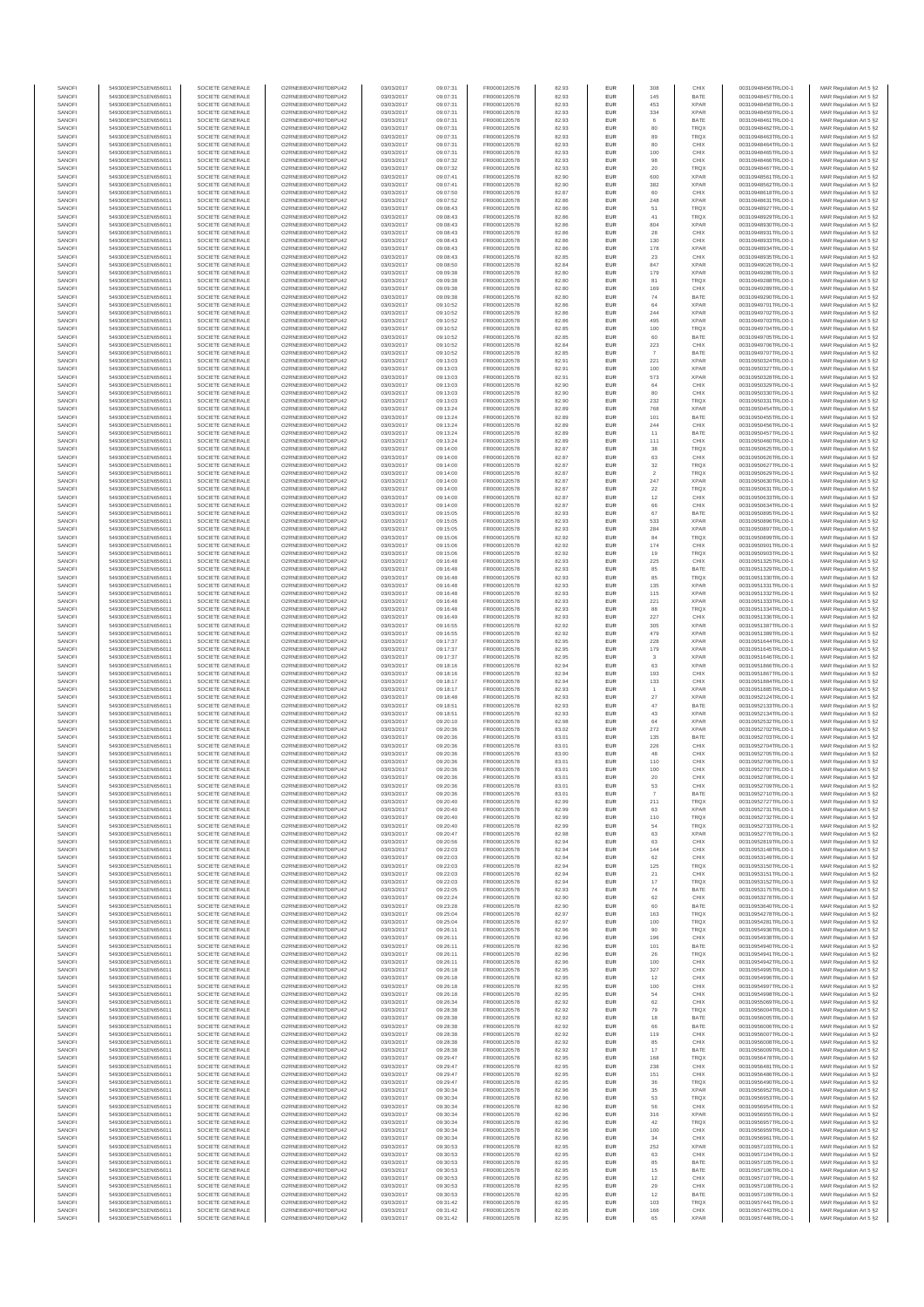| SANOFI           | 549300E9PC51EN656011                         | SOCIETE GENERALE                     | O2RNE8IBXP4R0TD8PLI42                         | 03/03/2017               | 09:07:31             | FR0000120578                 | 82.93          | <b>EUR</b>        | 308                      | CHIX                       | 00310948456TRLO0-1                       | MAR Regulation Art 5 §2                             |
|------------------|----------------------------------------------|--------------------------------------|-----------------------------------------------|--------------------------|----------------------|------------------------------|----------------|-------------------|--------------------------|----------------------------|------------------------------------------|-----------------------------------------------------|
| SANOFI           | 549300E9PC51EN656011                         | SOCIETE GENERALE                     | O2RNE8IBXP4R0TD8PU42                          | 03/03/2017               | 09:07:31             | FR0000120578                 | 82.93          | <b>EUR</b>        | 145                      | BATE                       | 00310948457TRLO0-1                       | MAR Regulation Art 5 §2                             |
| SANOFI<br>SANOFI | 549300E9PC51EN656011<br>549300E9PC51EN656011 | SOCIETE GENERALE<br>SOCIETE GENERALE | O2RNE8IBXP4R0TD8PU42<br>O2RNE8IBXP4R0TD8PLI42 | 03/03/2017<br>03/03/2017 | 09:07:31<br>09:07:31 | FR0000120578<br>FR0000120578 | 82.93<br>82.93 | EUR<br><b>EUR</b> | 453<br>334               | <b>XPAR</b><br><b>XPAR</b> | 00310948458TRLO0-1<br>00310948459TRLO0-1 | MAR Regulation Art 5 §2<br>MAR Regulation Art 5 §2  |
| SANOFI           | 549300E9PC51EN656011                         | SOCIETE GENERALE                     | O2RNE8IBXP4R0TD8PU42                          | 03/03/2017               | 09:07:31             | FR0000120578                 | 82.93          | EUR               |                          | BATE                       | 00310948461TRLO0-1                       | MAR Regulation Art 5 §2                             |
| SANOFI           | 549300E9PC51EN656011                         | SOCIETE GENERALE                     | O2RNE8IBXP4R0TD8PU42                          | 03/03/2017               | 09:07:31             | FR0000120578                 | 82.93          | EUR               | 80                       | TRQX                       | 00310948462TRLO0-1                       | MAR Regulation Art 5 §2                             |
| SANOFI<br>SANOFI | 549300E9PC51EN656011<br>549300E9PC51EN656011 | SOCIETE GENERALE<br>SOCIETE GENERALE | O2RNE8IBXP4R0TD8PU42<br>O2RNE8IBXP4R0TD8PU42  | 03/03/2017<br>03/03/2017 | 09:07:31<br>09:07:31 | FR0000120578<br>FR0000120578 | 82.93<br>82.93 | EUR<br>EUR        | 89<br>80                 | TRQX<br>CHIX               | 00310948463TRLO0-1<br>00310948464TRLO0-1 | MAR Regulation Art 5 §2<br>MAR Regulation Art 5 §2  |
| SANOFI           | 549300E9PC51EN656011                         | SOCIETE GENERALE                     | O2RNE8IBXP4R0TD8PU42                          | 03/03/2017               | 09:07:31             | FR0000120578                 | 82.93          | EUR               | 100                      | CHIX                       | 00310948465TRLO0-1                       | MAR Regulation Art 5 §2                             |
| SANOFI           | 549300E9PC51EN656011                         | SOCIETE GENERALE                     | O2RNE8IBXP4R0TD8PU42                          | 03/03/2017               | 09:07:32             | FR0000120578                 | 82.93          | EUR               |                          | CHIX                       | 00310948466TRLO0-1                       | MAR Regulation Art 5 §2                             |
| SANOFI<br>SANOFI | 549300E9PC51EN656011<br>549300E9PC51EN656011 | SOCIETE GENERALE<br>SOCIETE GENERALE | O2RNE8IBXP4R0TD8PLI42<br>O2RNE8IBXP4R0TD8PU42 | 03/03/2017<br>03/03/2017 | 09:07:32<br>09:07:41 | FR0000120578<br>FR0000120578 | 82.93<br>82.90 | <b>EUR</b><br>EUR | 20<br>600                | <b>TRQX</b><br><b>XPAR</b> | 00310948467TRLO0-1<br>00310948561TRLO0-1 | MAR Regulation Art 5 §2<br>MAR Regulation Art 5 §2  |
| SANOFI           | 549300E9PC51EN656011                         | SOCIETE GENERALE                     | O2RNE8IBXP4R0TD8PU42                          | 03/03/2017               | 09:07:41             | FR0000120578                 | 82.90          | <b>EUR</b>        | 382                      | <b>XPAR</b>                | 00310948562TRLO0-1                       | MAR Regulation Art 5 §2                             |
| SANOFI           | 549300E9PC51EN656011                         | SOCIETE GENERALE                     | O2RNE8IBXP4R0TD8PU42                          | 03/03/2017               | 09:07:50             | FR0000120578                 | 82.87          | EUR               | 60                       | CHIX                       | 00310948618TRLO0-1                       | MAR Regulation Art 5 §2                             |
| SANOFI           | 549300E9PC51EN656011                         | SOCIETE GENERALE                     | O2RNE8IBXP4R0TD8PU42                          | 03/03/2017               | 09:07:52             | FR0000120578                 | 82.86          | EUR               | 248                      | <b>XPAR</b>                | 00310948631TRLO0-1                       | MAR Regulation Art 5 §2                             |
| SANOFI<br>SANOFI | 549300E9PC51EN656011<br>549300E9PC51EN656011 | SOCIETE GENERALE<br>SOCIETE GENERALE | O2RNE8IBXP4R0TD8PU42<br>O2RNE8IBXP4R0TD8PU42  | 03/03/2017<br>03/03/2017 | 09:08:43<br>09:08:43 | FR0000120578<br>FR0000120578 | 82.86<br>82.86 | EUR<br>EUR        | 51<br>41                 | TRQX<br>TRQX               | 00310948927TRLO0-1<br>00310948929TRLO0-1 | MAR Regulation Art 5 §2<br>MAR Regulation Art 5 §2  |
| SANOFI           | 549300E9PC51EN656011                         | SOCIETE GENERALE                     | O2RNE8IBXP4R0TD8PU42                          | 03/03/2017               | 09:08:43             | FR0000120578                 | 82.86          | EUR               | 804                      | <b>XPAR</b>                | 00310948930TRLO0-1                       | MAR Regulation Art 5 §2                             |
| SANOFI           | 549300E9PC51EN656011                         | SOCIETE GENERALE                     | O2RNE8IBXP4R0TD8PU42                          | 03/03/2017               | 09:08:43             | FR0000120578                 | 82.86          | EUR               | 28                       | CHIX                       | 00310948931TRLO0-1                       | MAR Regulation Art 5 §2                             |
| SANOFI           | 549300E9PC51EN656011                         | SOCIETE GENERALE                     | O2RNE8IBXP4R0TD8PLI42                         | 03/03/2017               | 09:08:43             | FR0000120578                 | 82.86          | <b>EUR</b>        | 130                      | CHIX                       | 00310948933TRLO0-1                       | MAR Regulation Art 5 §2                             |
| SANOFI<br>SANOFI | 549300E9PC51EN656011<br>549300E9PC51EN656011 | SOCIETE GENERALE<br>SOCIETE GENERALE | O2RNE8IBXP4R0TD8PU42<br>O2RNE8IBXP4R0TD8PU42  | 03/03/2017<br>03/03/2017 | 09:08:43<br>09:08:43 | FR0000120578<br>FR0000120578 | 82.86<br>82.85 | EUR<br><b>EUR</b> | 178<br>23                | <b>XPAR</b><br>CHIX        | 00310948934TRLO0-1<br>00310948935TRLO0-1 | MAR Regulation Art 5 §2<br>MAR Regulation Art 5 §2  |
| SANOFI           | 549300E9PC51EN656011                         | SOCIETE GENERALE                     | O2RNE8IBXP4R0TD8PU42                          | 03/03/2017               | 09:08:50             | FR0000120578                 | 82.84          | EUR               | 847                      | <b>XPAR</b>                | 00310949026TRLO0-1                       | MAR Regulation Art 5 §2                             |
| SANOFI           | 549300E9PC51EN656011                         | SOCIETE GENERALE                     | O2RNESIBXP4R0TD8PLI42                         | 03/03/2017               | 09:09:38             | FR0000120578                 | 82.80          | EUR               | 179                      | <b>XPAR</b>                | 00310949286TRLO0-1                       | MAR Regulation Art 5 §2                             |
| SANOFI<br>SANOFI | 549300E9PC51EN656011                         | SOCIETE GENERALE<br>SOCIETE GENERALE | O2RNE8IBXP4R0TD8PU42<br>O2RNE8IBXP4R0TD8PU42  | 03/03/2017<br>03/03/2017 | 09:09:38             | FR0000120578<br>FR0000120578 | 82.80<br>82.80 | EUR<br>EUR        | 81<br>169                | TRQX<br>CHIX               | 00310949288TRLO0-1<br>00310949289TRLO0-1 | MAR Regulation Art 5 §2<br>MAR Regulation Art 5 §2  |
| SANOFI           | 549300E9PC51EN656011<br>549300E9PC51EN656011 | SOCIETE GENERALE                     | O2RNE8IBXP4R0TD8PU42                          | 03/03/2017               | 09:09:38<br>09:09:38 | FR0000120578                 | 82.80          | EUR               | 74                       | BATE                       | 00310949290TRLO0-1                       | MAR Regulation Art 5 §2                             |
| SANOFI           | 549300E9PC51EN656011                         | SOCIETE GENERALE                     | O2RNE8IBXP4R0TD8PU42                          | 03/03/2017               | 09:10:52             | FR0000120578                 | 82.86          | EUR               | 64                       | <b>XPAR</b>                | 00310949701TRLO0-1                       | MAR Regulation Art 5 §2                             |
| SANOFI           | 549300E9PC51EN656011                         | SOCIETE GENERALE                     | O2RNE8IBXP4R0TD8PU42                          | 03/03/2017               | 09:10:52             | FR0000120578                 | 82.86          | <b>EUR</b>        | 244                      | <b>XPAR</b>                | 00310949702TRLO0-1                       | MAR Regulation Art 5 §2                             |
| SANOFI<br>SANOFI | 549300E9PC51EN656011<br>549300E9PC51EN656011 | SOCIETE GENERALE<br>SOCIETE GENERALE | O2RNE8IBXP4R0TD8PU42<br>O2RNE8IBXP4R0TD8PU42  | 03/03/2017<br>03/03/2017 | 09:10:52<br>09:10:52 | FR0000120578<br>FR0000120578 | 82.86<br>82.85 | EUR<br><b>EUR</b> | 495<br>100               | <b>XPAR</b><br><b>TRQX</b> | 00310949703TRLO0-1<br>00310949704TRLO0-1 | MAR Regulation Art 5 §2<br>MAR Regulation Art 5 §2  |
| SANOFI           | 549300E9PC51EN656011                         | SOCIETE GENERALE                     | O2RNE8IBXP4R0TD8PU42                          | 03/03/2017               | 09:10:52             | FR0000120578                 | 82.85          | EUR               | 60                       | BATE                       | 00310949705TRLO0-1                       | MAR Regulation Art 5 §2                             |
| SANOFI           | 549300E9PC51EN656011                         | SOCIETE GENERALE                     | O2RNE8IBXP4R0TD8PU42                          | 03/03/2017               | 09:10:52             | FR0000120578                 | 82.84          | EUR               | 223                      | CHIX                       | 00310949706TRLO0-1                       | MAR Regulation Art 5 §2                             |
| SANOFI<br>SANOFI | 549300E9PC51EN656011<br>549300E9PC51EN656011 | SOCIETE GENERALE<br>SOCIETE GENERALE | O2RNE8IBXP4R0TD8PU42<br>O2RNE8IBXP4R0TD8PU42  | 03/03/2017<br>03/03/2017 | 09:10:52<br>09:13:03 | FR0000120578<br>FR0000120578 | 82.85<br>82.91 | EUR<br>EUR        | 221                      | BATE<br><b>XPAR</b>        | 00310949707TRLO0-1<br>00310950324TRLO0-1 | MAR Regulation Art 5 §2<br>MAR Regulation Art 5 §2  |
| SANOFI           | 549300E9PC51EN656011                         | SOCIETE GENERALE                     | O2RNE8IBXP4R0TD8PU42                          | 03/03/2017               | 09:13:03             | FR0000120578                 | 82.91          | <b>EUR</b>        | 100                      | <b>XPAR</b>                | 00310950327TRLO0-1                       | MAR Regulation Art 5 §2                             |
| SANOFI           | 549300E9PC51EN656011                         | SOCIETE GENERALE                     | O2RNE8IBXP4R0TD8PU42                          | 03/03/2017               | 09:13:03             | FR0000120578                 | 82.91          | EUR               | 573                      | <b>XPAR</b>                | 00310950328TRLO0-1                       | MAR Regulation Art 5 §2                             |
| SANOFI           | 549300E9PC51EN656011<br>549300E9PC51EN656011 | SOCIETE GENERALE                     | O2RNE8IBXP4R0TD8PU42<br>O2RNE8IBXP4R0TD8PU42  | 03/03/2017               | 09:13:03             | FR0000120578<br>FR0000120578 | 82.90          | <b>EUR</b>        | 64                       | CHIX                       | 00310950329TRLO0-1                       | MAR Regulation Art 5 §2                             |
| SANOFI<br>SANOFI | 549300E9PC51EN656011                         | SOCIETE GENERALE<br>SOCIETE GENERALE | O2RNE8IBXP4R0TD8PU42                          | 03/03/2017<br>03/03/2017 | 09:13:03<br>09:13:03 | FR0000120578                 | 82.90<br>82.90 | EUR<br>EUR        | 232                      | CHIX<br>TRQX               | 00310950330TRLO0-1<br>00310950331TRLO0-1 | MAR Regulation Art 5 §2<br>MAR Regulation Art 5 §2  |
| SANOFI           | 549300E9PC51EN656011                         | SOCIETE GENERALE                     | O2RNE8IBXP4R0TD8PU42                          | 03/03/2017               | 09:13:24             | FR0000120578                 | 82.89          | EUR               | 768                      | <b>XPAR</b>                | 00310950454TRLO0-1                       | MAR Regulation Art 5 §2                             |
| SANOFI           | 549300E9PC51EN656011                         | SOCIETE GENERALE                     | O2RNE8IBXP4R0TD8PU42                          | 03/03/2017               | 09:13:24             | FR0000120578                 | 82.89          | EUR               | 101                      | BATE                       | 00310950455TRLO0-1                       | MAR Regulation Art 5 §2                             |
| SANOFI<br>SANOFI | 549300E9PC51EN656011<br>549300E9PC51EN656011 | SOCIETE GENERALE<br>SOCIETE GENERALE | O2RNE8IBXP4R0TD8PU42<br>O2RNE8IBXP4R0TD8PLI42 | 03/03/2017<br>03/03/2017 | 09:13:24<br>09:13:24 | FR0000120578<br>FR0000120578 | 82.89<br>82.89 | EUR<br>EUR        | 244<br>11                | CHIX<br>BATE               | 00310950456TRLO0-1<br>00310950457TRLO0-1 | MAR Regulation Art 5 §2<br>MAR Regulation Art 5 §2  |
| SANOFI           | 549300E9PC51EN656011                         | SOCIETE GENERALE                     | O2RNE8IBXP4R0TD8PU42                          | 03/03/2017               | 09:13:24             | FR0000120578                 | 82.89          | <b>EUR</b>        | 111                      | CHIX                       | 00310950460TRLO0-1                       | MAR Regulation Art 5 §2                             |
| SANOFI           | 549300E9PC51EN656011                         | SOCIETE GENERALE                     | O2RNE8IBXP4R0TD8PU42                          | 03/03/2017               | 09:14:00             | FR0000120578                 | 82.87          | EUR               | 38                       | TRQX                       | 00310950625TRLO0-1                       | MAR Regulation Art 5 §2                             |
| SANOFI           | 549300E9PC51EN656011                         | SOCIETE GENERALE<br>SOCIETE GENERALE | O2RNE8IBXP4R0TD8PU42                          | 03/03/2017               | 09:14:00             | FR0000120578                 | 82.87          | <b>EUR</b>        | 63                       | CHIX                       | 00310950626TRLO0-1                       | MAR Regulation Art 5 §2                             |
| SANOFI<br>SANOFI | 549300E9PC51EN656011<br>549300E9PC51EN656011 | SOCIETE GENERALE                     | O2RNE8IBXP4R0TD8PU42<br>O2RNE8IBXP4R0TD8PU42  | 03/03/2017<br>03/03/2017 | 09:14:00<br>09:14:00 | FR0000120578<br>FR0000120578 | 82.87<br>82.87 | EUR<br>EUR        | $32\,$<br>$\overline{2}$ | TRQX<br><b>TRQX</b>        | 00310950627TRLO0-1<br>00310950629TRLO0-1 | MAR Regulation Art 5 §2<br>MAR Regulation Art 5 §2  |
| SANOFI           | 549300E9PC51EN656011                         | SOCIETE GENERALE                     | O2RNE8IBXP4R0TD8PU42                          | 03/03/2017               | 09:14:00             | FR0000120578                 | 82.87          | EUR               | 247                      | <b>XPAR</b>                | 00310950630TRLO0-1                       | MAR Regulation Art 5 §2                             |
| SANOFI           | 549300E9PC51EN656011                         | SOCIETE GENERALE                     | O2RNE8IBXP4R0TD8PLI42                         | 03/03/2017               | 09:14:00             | FR0000120578                 | 82.87          | EUR               | $22\,$                   | TRQX                       | 00310950631TRLO0-1                       | MAR Regulation Art 5 §2                             |
| SANOFI<br>SANOFI | 549300E9PC51EN656011<br>549300E9PC51EN656011 | SOCIETE GENERALE<br>SOCIETE GENERALE | O2RNE8IBXP4R0TD8PU42<br>O2RNE8IBXP4R0TD8PU42  | 03/03/2017<br>03/03/2017 | 09:14:00<br>09:14:00 | FR0000120578<br>FR0000120578 | 82.87<br>82.87 | EUR<br>EUR        | 12                       | CHIX<br>CHIX               | 00310950633TRLO0-1<br>00310950634TRLO0-1 | MAR Regulation Art 5 §2                             |
| SANOFI           | 549300E9PC51EN656011                         | SOCIETE GENERALE                     | O2RNE8IBXP4R0TD8PU42                          | 03/03/2017               | 09:15:05             | FR0000120578                 | 82.93          | <b>EUR</b>        | 67                       | BATE                       | 00310950895TRLO0-1                       | MAR Regulation Art 5 §2<br>MAR Regulation Art 5 §2  |
| SANOFI           | 549300E9PC51EN656011                         | SOCIETE GENERALE                     | O2RNE8IBXP4R0TD8PU42                          | 03/03/2017               | 09:15:05             | FR0000120578                 | 82.93          | EUR               | 533                      | <b>XPAR</b>                | 00310950896TRLO0-1                       | MAR Regulation Art 5 §2                             |
| SANOFI           | 549300E9PC51EN656011                         | SOCIETE GENERALE                     | O2RNE8IBXP4R0TD8PU42                          | 03/03/2017               | 09:15:05             | FR0000120578                 | 82.93          | <b>EUR</b>        | 284                      | <b>XPAR</b>                | 00310950897TRLO0-1                       | MAR Regulation Art 5 §2                             |
| SANOFI<br>SANOFI | 549300E9PC51EN656011<br>549300E9PC51EN656011 | SOCIETE GENERALE<br>SOCIETE GENERALE | O2RNE8IBXP4R0TD8PU42<br>O2RNE8IBXP4R0TD8PU42  | 03/03/2017<br>03/03/2017 | 09:15:06<br>09:15:06 | FR0000120578<br>FR0000120578 | 82.92<br>82.92 | EUR<br>EUR        | 84<br>174                | <b>TRQX</b><br>CHIX        | 00310950899TRLO0-1<br>00310950901TRLO0-1 | MAR Regulation Art 5 §2<br>MAR Regulation Art 5 §2  |
| SANOFI           | 549300E9PC51EN656011                         | SOCIETE GENERALE                     | O2RNE8IBXP4R0TD8PU42                          | 03/03/2017               | 09:15:06             | FR0000120578                 | 82.92          | EUR               | 19                       | TRQX                       | 00310950903TRLO0-1                       | MAR Regulation Art 5 §2                             |
| SANOFI           | 549300E9PC51EN656011                         | SOCIETE GENERALE                     | O2RNE8IBXP4R0TD8PU42                          | 03/03/2017               | 09:16:48             | FR0000120578                 | 82.93          | EUR               | 225                      | CHIX                       | 00310951325TRLO0-1                       | MAR Regulation Art 5 §2                             |
| SANOFI<br>SANOFI | 549300E9PC51EN656011<br>549300E9PC51EN656011 | SOCIETE GENERALE<br>SOCIETE GENERALE | O2RNE8IBXP4R0TD8PU42<br>O2RNE8IBXP4R0TD8PU42  | 03/03/2017<br>03/03/2017 | 09:16:48<br>09:16:48 | FR0000120578<br>FR0000120578 | 82.93<br>82.93 | EUR<br>EUR        | 85<br>85                 | BATE<br><b>TRQX</b>        | 00310951329TRLO0-1<br>00310951330TRLO0-1 | MAR Regulation Art 5 §2<br>MAR Regulation Art 5 §2  |
| SANOFI           | 549300E9PC51EN656011                         | SOCIETE GENERALE                     | O2RNE8IBXP4R0TD8PU42                          | 03/03/2017               | 09:16:48             | FR0000120578                 | 82.93          | <b>EUR</b>        | 135                      | <b>XPAR</b>                | 00310951331TRLO0-1                       | MAR Regulation Art 5 §2                             |
| SANOFI           | 549300E9PC51EN656011                         | SOCIETE GENERALE                     | O2RNE8IBXP4R0TD8PU42                          | 03/03/2017               | 09:16:48             | FR0000120578                 | 82.93          | EUR               | 115                      | <b>XPAR</b>                | 00310951332TRLO0-1                       | MAR Regulation Art 5 §2                             |
| SANOFI           | 549300E9PC51EN656011                         | SOCIETE GENERALE                     | O2RNE8IBXP4R0TD8PU42                          | 03/03/2017               | 09:16:48             | FR0000120578                 | 82.93          | <b>EUR</b>        | 221                      | <b>XPAR</b>                | 00310951333TRLO0-1                       | MAR Regulation Art 5 §2                             |
| SANOFI<br>SANOFI | 549300E9PC51EN656011<br>549300E9PC51EN656011 | SOCIETE GENERALE<br>SOCIETE GENERALE | O2RNE8IBXP4R0TD8PU42<br>O2RNE8IBXP4R0TD8PU42  | 03/03/2017<br>03/03/2017 | 09:16:48<br>09:16:49 | FR0000120578<br>FR0000120578 | 82.93<br>82.93 | EUR<br>EUR        | 88<br>227                | TRQX<br>CHIX               | 00310951334TRLO0-1<br>00310951336TRLO0-1 | MAR Regulation Art 5 §2<br>MAR Regulation Art 5 §2  |
| SANOFI           | 549300E9PC51EN656011                         | SOCIETE GENERALE                     | O2RNE8IBXP4R0TD8PU42                          | 03/03/2017               | 09:16:55             | FR0000120578                 | 82.92          | EUR               | 305                      | <b>XPAR</b>                | 00310951387TRLO0-1                       | MAR Regulation Art 5 §2                             |
| SANOFI           | 549300E9PC51EN656011                         | SOCIETE GENERALE                     | O2RNE8IBXP4R0TD8PU42                          | 03/03/2017               | 09:16:55             | FR0000120578                 | 82.92          | EUR               | 479                      | <b>XPAR</b>                | 00310951389TRLO0-1                       | MAR Regulation Art 5 §2                             |
| SANOFI<br>SANOFI | 549300E9PC51EN656011<br>549300E9PC51EN656011 | SOCIETE GENERALE<br>SOCIETE GENERALE | O2RNE8IBXP4R0TD8PU42<br>O2RNE8IBXP4R0TD8PU42  | 03/03/2017<br>03/03/2017 | 09:17:37<br>09:17:37 | FR0000120578<br>FR0000120578 | 82.95<br>82.95 | <b>EUR</b><br>EUR | 228<br>179               | <b>XPAR</b><br><b>XPAR</b> | 00310951644TRLO0-1<br>00310951645TRLO0-1 | MAR Regulation Art 5 §2                             |
| SANOFI           | 549300E9PC51EN656011                         | SOCIETE GENERALE                     | O2RNE8IBXP4R0TD8PU42                          | 03/03/2017               | 09:17:37             | FR0000120578                 | 82.95          | <b>EUR</b>        | $\overline{\mathbf{3}}$  | <b>XPAR</b>                | 00310951646TRLO0-1                       | MAR Regulation Art 5 §2<br>MAR Regulation Art 5 §2  |
| SANOFI           | 549300E9PC51EN656011                         | SOCIETE GENERALE                     | O2RNE8IBXP4R0TD8PU42                          | 03/03/2017               | 09:18:16             | FR0000120578                 | 82.94          | EUR               | 63                       | <b>XPAR</b>                | 00310951866TRLO0-1                       | MAR Regulation Art 5 §2                             |
| SANOFI           | 549300E9PC51EN656011                         | SOCIETE GENERALE                     | O2RNE8IBXP4R0TD8PU42                          | 03/03/2017               | 09:18:16             | FR0000120578                 | 82.94          | <b>EUR</b>        | 193                      | CHIX                       | 00310951867TRLO0-1                       | MAR Regulation Art 5 §2                             |
| SANOFI<br>SANOFI | 549300E9PC51EN656011                         | SOCIETE GENERALE<br>SOCIETE GENERALE | O2RNE8IBXP4R0TD8PU42<br>O2RNE8IBXP4R0TD8PLI42 | 03/03/2017<br>03/03/2017 | 09:18:17             | FR0000120578<br>FR0000120578 | 82.94<br>82.93 | EUR<br>EUR        | 133                      | CHIX<br><b>XPAR</b>        | 00310951884TRLO0-1<br>00310951885TRLO0-1 | MAR Regulation Art 5 §2<br>MAR Regulation Art 5 §2  |
| SANOFI           | 549300E9PC51EN656011<br>549300E9PC51EN656011 | SOCIETE GENERALE                     | O2RNE8IBXP4R0TD8PU42                          | 03/03/2017               | 09:18:17<br>09:18:48 | FR0000120578                 | 82.93          | EUR               | $27\,$                   | <b>XPAR</b>                | 00310952124TRLO0-1                       | MAR Regulation Art 5 §2                             |
| SANOFI           | 549300E9PC51EN656011                         | SOCIETE GENERALE                     | O2RNE8IBXP4R0TD8PU42                          | 03/03/2017               | 09:18:51             | FR0000120578                 | 82.93          | EUR               | 47                       | BATE                       | 00310952133TRLO0-1                       | MAR Regulation Art 5 §2                             |
| SANOFI           | 549300E9PC51EN656011                         | SOCIETE GENERALE                     | O2RNE8IBXP4R0TD8PU42                          | 03/03/2017               | 09:18:51             | FR0000120578                 | 82.93          | <b>EUR</b>        | 43                       | <b>XPAR</b>                | 00310952134TRLO0-1                       | MAR Regulation Art 5 §2                             |
| SANOFI<br>SANOFI | 549300E9PC51EN656011<br>549300E9PC51EN656011 | SOCIETE GENERALE<br>SOCIETE GENERALE | O2RNE8IBXP4R0TD8PU42<br>O2RNE8IBXP4R0TD8PU42  | 03/03/2017<br>03/03/2017 | 09:20:10<br>09:20:36 | FR0000120578<br>FR0000120578 | 82.98<br>83.02 | EUR<br><b>EUR</b> | 64<br>272                | <b>XPAR</b><br><b>XPAR</b> | 00310952532TRLO0-1<br>00310952702TRLO0-1 | MAR Regulation Art 5 §2<br>MAR Regulation Art 5 §2  |
| SANOFI           | 549300E9PC51EN656011                         | SOCIETE GENERALE                     | O2RNE8IBXP4R0TD8PU42                          | 03/03/2017               | 09:20:36             | FR0000120578                 | 83.01          | EUR               | 135                      | BATE                       | 00310952703TRLO0-1                       | MAR Regulation Art 5 §2                             |
| SANOFI           | 549300E9PC51EN656011                         | SOCIETE GENERALE                     | O2RNE8IBXP4R0TD8PU42                          | 03/03/2017               | 09:20:36             | FR0000120578                 | 83.01          | EUR               | 226                      | CHIX                       | 00310952704TRLO0-1                       | MAR Regulation Art 5 §2                             |
| SANOFI           | 549300E9PC51EN656011                         | SOCIETE GENERALE                     | O2RNE8IBXP4R0TD8PU42<br>O2RNESIBXP4R0TD8PLI42 | 03/03/2017               | 09:20:36             | FR0000120578                 | 83.00          | EUR               | 48                       | CHIX                       | 00310952705TRLO0-1                       | MAR Regulation Art 5 §2                             |
| SANOFI<br>SANOFI | 549300E9PC51EN656011<br>549300E9PC51EN656011 | SOCIETE GENERALE<br>SOCIETE GENERALE | O2RNE8IBXP4R0TD8PU42                          | 03/03/2017<br>03/03/2017 | 09:20:36<br>09:20:36 | FR0000120578<br>FR0000120578 | 83.01<br>83.01 | EUR<br>EUR        | 110<br>100               | CHIX<br>CHIX               | 00310952706TRLO0-1<br>00310952707TRLO0-1 | MAR Regulation Art 5 §2<br>MAR Regulation Art 5 §2  |
| SANOFI           | 549300E9PC51EN656011                         | SOCIETE GENERALE                     | O2RNE8IBXP4R0TD8PU42                          | 03/03/2017               | 09:20:36             | FR0000120578                 | 83.01          | EUR               | 20                       | CHIX                       | 00310952708TRLO0-1                       | MAR Regulation Art 5 §2                             |
| SANOFI           | 549300E9PC51EN656011                         | SOCIETE GENERALE                     | O2RNE8IBXP4R0TD8PU42                          | 03/03/2017               | 09:20:36             | FR0000120578                 | 83.01          | <b>EUR</b>        | 53                       | CHIX                       | 00310952709TRLO0-1                       | MAR Regulation Art 5 §2                             |
| SANOFI<br>SANOFI | 549300E9PC51EN656011<br>549300E9PC51EN656011 | SOCIETE GENERALE<br>SOCIETE GENERALE | O2RNE8IBXP4R0TD8PU42<br>O2RNE8IBXP4R0TD8PU42  | 03/03/2017<br>03/03/2017 | 09:20:36<br>09:20:40 | FR0000120578<br>FR0000120578 | 83.01<br>82.99 | EUR<br><b>EUR</b> | 211                      | BATE<br><b>TRQX</b>        | 00310952710TRLO0-1<br>00310952727TRLO0-1 | MAR Regulation Art 5 §2<br>MAR Regulation Art 5 §2  |
| SANOFI           | 549300E9PC51EN656011                         | SOCIETE GENERALE                     | O2RNE8IBXP4R0TD8PU42                          | 03/03/2017               | 09:20:40             | FR0000120578                 | 82.99          | EUR               |                          | <b>XPAR</b>                | 00310952731TRLO0-1                       | MAR Regulation Art 5 §2                             |
| SANOFI           | 549300E9PC51EN656011                         | SOCIETE GENERALE                     | O2RNE8IBXP4R0TD8PU42                          | 03/03/2017               | 09:20:40             | FR0000120578                 | 82.99          | <b>EUR</b>        | 110                      | <b>TRQX</b>                | 00310952732TRLO0-1                       | MAR Regulation Art 5 §2                             |
| SANOFI           | 549300E9PC51EN656011                         | SOCIETE GENERALE                     | O2RNE8IBXP4R0TD8PU42<br>O2RNESIBXP4R0TD8PLI42 | 03/03/2017               | 09:20:40             | FR0000120578                 | 82.99          | EUR               | 54                       | TRQX<br><b>XPAR</b>        | 00310952733TRLO0-1<br>00310952776TRLO0-1 | MAR Regulation Art 5 §2                             |
| SANOFI<br>SANOFI | 549300E9PC51EN656011<br>549300E9PC51EN656011 | SOCIETE GENERALE<br>SOCIETE GENERALE | O2RNE8IBXP4R0TD8PU42                          | 03/03/2017<br>03/03/2017 | 09:20:47<br>09:20:56 | FR0000120578<br>FR0000120578 | 82.98<br>82.94 | EUR<br>EUR        | 63<br>63                 | CHIX                       | 00310952819TRLO0-1                       | MAR Regulation Art 5 §2<br>MAR Regulation Art 5 §2  |
| SANOFI           | 549300E9PC51EN656011                         | SOCIETE GENERALE                     | O2RNE8IBXP4R0TD8PU42                          | 03/03/2017               | 09:22:03             | FR0000120578                 | 82.94          | EUR               | 144                      | CHIX                       | 00310953148TRLO0-1                       | MAR Regulation Art 5 §2                             |
| SANOFI           | 549300E9PC51EN656011                         | SOCIETE GENERALE                     | O2RNE8IBXP4R0TD8PLI42<br>O2RNE8IBXP4R0TD8PU42 | 03/03/2017               | 09:22:03             | FR0000120578                 | 82.94          | <b>EUR</b>        | 62                       | CHIX                       | 00310953149TRLO0-1<br>00310953150TRLO0-1 | MAR Regulation Art 5 §2<br>MAR Regulation Art 5 \$2 |
| SANOFI<br>SANOFI | 549300E9PC51EN656011<br>549300E9PC51EN656011 | SOCIETE GENERALE<br>SOCIETE GENERALE | O2RNE8IBXP4R0TD8PU42                          | 03/03/2017<br>03/03/2017 | 09:22:03<br>09:22:03 | FR0000120578<br>FR0000120578 | 82.94<br>82.94 | EUR<br><b>EUR</b> | 125<br>21                | TRQX<br>CHIX               | 00310953151TRLO0-1                       | MAR Regulation Art 5 §2                             |
| SANOFI           | 549300E9PC51EN656011                         | SOCIETE GENERALE                     | O2RNE8IBXP4R0TD8PU42                          | 03/03/2017               | 09:22:03             | FR0000120578                 | 82.94          | EUR               | 17                       | <b>TRQX</b>                | 00310953152TRLO0-1                       | MAR Regulation Art 5 §2                             |
| SANOFI           | 549300E9PC51EN656011                         | SOCIETE GENERALE                     | O2RNE8IBXP4R0TD8PU42                          | 03/03/2017               | 09:22:05             | FR0000120578                 | 82.93          | EUR               | $74\,$                   | BATE                       | 00310953175TRLO0-1                       | MAR Regulation Art 5 §2                             |
| SANOFI<br>SANOFI | 549300E9PC51EN656011<br>549300E9PC51EN656011 | SOCIETE GENERALE<br>SOCIETE GENERALE | O2RNE8IBXP4R0TD8PU42<br>O2RNESIBXP4R0TD8PLI42 | 03/03/2017<br>03/03/2017 | 09:22:24<br>09:23:28 | FR0000120578<br>FR0000120578 | 82.90<br>82.90 | EUR<br>EUR        | 62<br>60                 | CHIX<br>BATE               | 00310953278TRLO0-1<br>00310953640TRLO0-1 | MAR Regulation Art 5 §2<br>MAR Regulation Art 5 §2  |
| SANOFI           | 549300E9PC51EN656011                         | SOCIETE GENERALE                     | O2RNE8IBXP4R0TD8PLI42                         | 03/03/2017               | 09:25:04             | FR0000120578                 | 82.97          | <b>EUR</b>        | 163                      | <b>TRQX</b>                | 00310954278TRLO0-1                       | MAR Regulation Art 5 §2                             |
| SANOFI           | 549300E9PC51EN656011                         | SOCIETE GENERALE                     | O2RNE8IBXP4R0TD8PU42                          | 03/03/2017               | 09:25:04             | FR0000120578                 | 82.97          | EUR               | 100                      | TRQX                       | 00310954281TRLO0-1                       | MAR Regulation Art 5 §2                             |
| SANOFI<br>SANOFI | 549300E9PC51EN656011<br>549300E9PC51EN656011 | SOCIETE GENERALE<br>SOCIETE GENERALE | O2RNE8IBXP4R0TD8PU42<br>O2RNE8IBXP4R0TD8PU42  | 03/03/2017<br>03/03/2017 | 09:26:11<br>09:26:11 | FR0000120578<br>FR0000120578 | 82.96<br>82.96 | <b>EUR</b><br>EUR | 90<br>196                | <b>TROX</b><br>CHIX        | 00310954936TRLO0-1<br>00310954938TRLO0-1 | MAR Regulation Art 5 §2<br>MAR Regulation Art 5 §2  |
| SANOFI           | 549300E9PC51EN656011                         | SOCIETE GENERALE                     | O2RNE8IBXP4R0TD8PU42                          | 03/03/2017               | 09:26:11             | FR0000120578                 | 82.96          | EUR               | 101                      | BATE                       | 00310954940TRLO0-1                       | MAR Regulation Art 5 §2                             |
| SANOFI           | 549300E9PC51EN656011                         | SOCIETE GENERALE                     | O2RNE8IBXP4R0TD8PU42                          | 03/03/2017               | 09:26:11             | FR0000120578                 | 82.96          | EUR               | 26                       | <b>TRQX</b>                | 00310954941TRLO0-1                       | MAR Regulation Art 5 §2                             |
| SANOFI<br>SANOFI | 549300E9PC51EN656011<br>549300E9PC51EN656011 | SOCIETE GENERALE<br>SOCIETE GENERALE | O2RNE8IBXP4R0TD8PU42<br>O2RNE8IBXP4R0TD8PU42  | 03/03/2017<br>03/03/2017 | 09:26:11<br>09:26:18 | FR0000120578<br>FR0000120578 | 82.96<br>82.95 | EUR<br>EUR        | 100<br>327               | CHIX<br>CHIX               | 00310954942TRLO0-1<br>00310954995TRLO0-1 | MAR Regulation Art 5 §2<br>MAR Regulation Art 5 §2  |
| SANOFI           | 549300E9PC51EN656011                         | SOCIETE GENERALE                     | O2RNE8IBXP4R0TD8PU42                          | 03/03/2017               | 09:26:18             | FR0000120578                 | 82.95          | EUR               | 12                       | CHIX                       | 00310954996TRLO0-1                       | MAR Regulation Art 5 §2                             |
| SANOFI           | 549300E9PC51EN656011                         | SOCIETE GENERALE                     | O2RNE8IBXP4R0TD8PU42                          | 03/03/2017               | 09:26:18             | FR0000120578                 | 82.95          | <b>EUR</b>        | 100                      | CHIX                       | 00310954997TRLO0-1                       | MAR Regulation Art 5 §2                             |
| SANOFI           | 549300E9PC51EN656011                         | SOCIETE GENERALE                     | O2RNE8IBXP4R0TD8PU42                          | 03/03/2017               | 09:26:18             | FR0000120578                 | 82.95          | EUR               | 54                       | CHIX                       | 00310954998TRLO0-1                       | MAR Regulation Art 5 §2                             |
| SANOFI<br>SANOFI | 549300E9PC51EN656011<br>549300E9PC51EN656011 | SOCIETE GENERALE<br>SOCIETE GENERALE | O2RNE8IBXP4R0TD8PU42<br>O2RNE8IBXP4R0TD8PU42  | 03/03/2017<br>03/03/2017 | 09:26:34<br>09:28:38 | FR0000120578<br>FR0000120578 | 82.92<br>82.92 | <b>EUR</b><br>EUR | 62<br>79                 | CHIX<br>TRQX               | 00310955069TRLO0-1<br>00310956004TRLO0-1 | MAR Regulation Art 5 §2<br>MAR Regulation Art 5 §2  |
| SANOFI           | 549300E9PC51EN656011                         | SOCIETE GENERALE                     | O2RNE8IBXP4R0TD8PU42                          | 03/03/2017               | 09:28:38             | FR0000120578                 | 82.92          | <b>EUR</b>        | 18                       | BATE                       | 00310956005TRLO0-1                       | MAR Regulation Art 5 §2                             |
| SANOFI           | 549300E9PC51EN656011                         | SOCIETE GENERALE                     | O2RNE8IBXP4R0TD8PU42                          | 03/03/2017               | 09:28:38             | FR0000120578                 | 82.92          | EUR               | 66                       | BATE                       | 00310956006TRLO0-1                       | MAR Regulation Art 5 §2                             |
| SANOFI           | 549300E9PC51EN656011                         | SOCIETE GENERALE                     | O2RNE8IBXP4R0TD8PU42                          | 03/03/2017               | 09:28:38             | FR0000120578                 | 82.92          | EUR               | 119                      | CHIX                       | 00310956007TRLO0-1                       | MAR Regulation Art 5 §2                             |
| SANOFI<br>SANOFI | 549300E9PC51EN656011<br>549300E9PC51EN656011 | SOCIETE GENERALE<br>SOCIETE GENERALE | O2RNE8IBXP4R0TD8PU42<br>O2RNE8IBXP4R0TD8PU42  | 03/03/2017<br>03/03/2017 | 09:28:38<br>09:28:38 | FR0000120578<br>FR0000120578 | 82.92<br>82.92 | EUR<br>EUR        | 85<br>17                 | CHIX<br>BATE               | 00310956008TRLO0-1<br>00310956009TRLO0-1 | MAR Regulation Art 5 §2<br>MAR Regulation Art 5 §2  |
| SANOFI           | 549300E9PC51EN656011                         | SOCIETE GENERALE                     | O2RNE8IBXP4R0TD8PU42                          | 03/03/2017               | 09:29:47             | FR0000120578                 | 82.95          | <b>EUR</b>        | 168                      | <b>TRQX</b>                | 00310956478TRLO0-1                       | MAR Regulation Art 5 §2                             |
| SANOFI           | 549300E9PC51EN656011                         | SOCIETE GENERALE                     | O2RNE8IBXP4R0TD8PU42                          | 03/03/2017               | 09:29:47             | FR0000120578                 | 82.95          | EUR               | 238                      | CHIX                       | 00310956481TRLO0-1                       | MAR Regulation Art 5 §2                             |
| SANOFI<br>SANOFI | 549300E9PC51EN656011<br>549300E9PC51EN656011 | SOCIETE GENERALE<br>SOCIETE GENERALE | O2RNE8IBXP4R0TD8PU42<br>O2RNE8IBXP4R0TD8PU42  | 03/03/2017<br>03/03/2017 | 09:29:47<br>09:29:47 | FR0000120578<br>FR0000120578 | 82.95<br>82.95 | <b>EUR</b><br>EUR | 151                      | CHIX<br>TRQX               | 00310956486TRLO0-1<br>00310956490TRLO0-1 | MAR Regulation Art 5 §2<br>MAR Regulation Art 5 §2  |
| SANOFI           | 549300E9PC51EN656011                         | SOCIETE GENERALE                     | O2RNE8IBXP4R0TD8PU42                          | 03/03/2017               | 09:30:34             | FR0000120578                 | 82.96          | EUR               | $35\,$                   | <b>XPAR</b>                | 00310956952TRLO0-1                       | MAR Regulation Art 5 §2                             |
| SANOFI           | 549300E9PC51EN656011                         | SOCIETE GENERALE                     | O2RNE8IBXP4R0TD8PU42                          | 03/03/2017               | 09:30:34             | FR0000120578                 | 82.96          | EUR               | 53                       | <b>TRQX</b>                | 00310956953TRLO0-1                       | MAR Regulation Art 5 §2                             |
| SANOFI           | 549300E9PC51EN656011                         | SOCIETE GENERALE                     | O2RNE8IBXP4R0TD8PU42                          | 03/03/2017               | 09:30:34             | FR0000120578                 | 82.96          | EUR               | 56                       | CHIX                       | 00310956954TRLO0-1                       | MAR Regulation Art 5 §2                             |
| SANOFI<br>SANOFI | 549300E9PC51EN656011<br>549300E9PC51EN656011 | SOCIETE GENERALE<br>SOCIETE GENERALE | O2RNE8IBXP4R0TD8PU42<br>O2RNE8IBXP4R0TD8PU42  | 03/03/2017<br>03/03/2017 | 09:30:34<br>09:30:34 | FR0000120578<br>FR0000120578 | 82.96<br>82.96 | EUR<br>EUR        | 316<br>42                | <b>XPAR</b><br>TRQX        | 00310956955TRLO0-1<br>00310956957TRLO0-1 | MAR Regulation Art 5 §2<br>MAR Regulation Art 5 §2  |
| SANOFI           | 549300E9PC51EN656011                         | SOCIETE GENERALE                     | O2RNE8IBXP4R0TD8PU42                          | 03/03/2017               | 09:30:34             | FR0000120578                 | 82.96          | <b>EUR</b>        | 100                      | CHIX                       | 00310956959TRLO0-1                       | MAR Regulation Art 5 §2                             |
| SANOFI           | 549300E9PC51EN656011                         | SOCIETE GENERALE                     | O2RNE8IBXP4R0TD8PU42                          | 03/03/2017               | 09:30:34             | FR0000120578                 | 82.96          | EUR               | 34                       | CHIX                       | 00310956961TRLO0-1                       | MAR Regulation Art 5 §2                             |
| SANOFI<br>SANOFI | 549300E9PC51EN656011<br>549300E9PC51EN656011 | SOCIETE GENERALE<br>SOCIETE GENERALE | O2RNE8IBXP4R0TD8PU42<br>O2RNE8IBXP4R0TD8PU42  | 03/03/2017<br>03/03/2017 | 09:30:53<br>09:30:53 | FR0000120578<br>FR0000120578 | 82.95<br>82.95 | <b>EUR</b><br>EUR | 252<br>63                | <b>XPAR</b><br>CHIX        | 00310957103TRLO0-1<br>00310957104TRLO0-1 | MAR Regulation Art 5 §2<br>MAR Regulation Art 5 §2  |
| SANOFI           | 549300E9PC51EN656011                         | SOCIETE GENERALE                     | O2RNE8IBXP4R0TD8PU42                          | 03/03/2017               | 09:30:53             | FR0000120578                 | 82.95          | EUR               | 85                       | BATE                       | 00310957105TRLO0-1                       | MAR Regulation Art 5 §2                             |
| SANOFI           | 549300E9PC51EN656011                         | SOCIETE GENERALE                     | O2RNE8IBXP4R0TD8PU42                          | 03/03/2017               | 09:30:53             | FR0000120578                 | 82.95          | EUR               | 15                       | BATE                       | 00310957106TRLO0-1                       | MAR Regulation Art 5 §2                             |
| SANOFI<br>SANOFI | 549300E9PC51EN656011<br>549300E9PC51EN656011 | SOCIETE GENERALE<br>SOCIETE GENERALE | O2RNE8IBXP4R0TD8PU42<br>O2RNE8IBXP4R0TD8PU42  | 03/03/2017               | 09:30:53<br>09:30:53 | FR0000120578<br>FR0000120578 | 82.95<br>82.95 | EUR<br><b>EUR</b> | $12\,$<br>29             | CHIX<br>CHIX               | 00310957107TRLO0-1<br>00310957108TRLO0-1 | MAR Regulation Art 5 §2                             |
| SANOFI           | 549300E9PC51EN656011                         | SOCIETE GENERALE                     | O2RNE8IBXP4R0TD8PU42                          | 03/03/2017<br>03/03/2017 | 09:30:53             | FR0000120578                 | 82.95          | EUR               | 12                       | BATE                       | 00310957109TRLO0-1                       | MAR Regulation Art 5 §2<br>MAR Regulation Art 5 §2  |
| SANOFI           | 549300E9PC51EN656011                         | SOCIETE GENERALE                     | O2RNE8IBXP4R0TD8PU42                          | 03/03/2017               | 09:31:42             | FR0000120578                 | 82.95          | <b>EUR</b>        | 103                      | <b>TRQX</b>                | 00310957441TRLO0-1                       | MAR Regulation Art 5 §2                             |
| SANOFI           | 549300E9PC51EN656011                         | SOCIETE GENERALE                     | O2RNE8IBXP4R0TD8PU42                          | 03/03/2017               | 09:31:42             | FR0000120578                 | 82.95          | EUR               | 166                      | CHIX                       | 00310957443TRLO0-1                       | MAR Regulation Art 5 §2                             |
| SANOFI           | 549300E9PC51EN656011                         | SOCIETE GENERALE                     | O2RNE8IBXP4R0TD8PU42                          | 03/03/2017               | 09:31:42             | FR0000120578                 | 82.95          | EUR               | 65                       | <b>XPAR</b>                | 00310957446TRLO0-1                       | MAR Regulation Art 5 §2                             |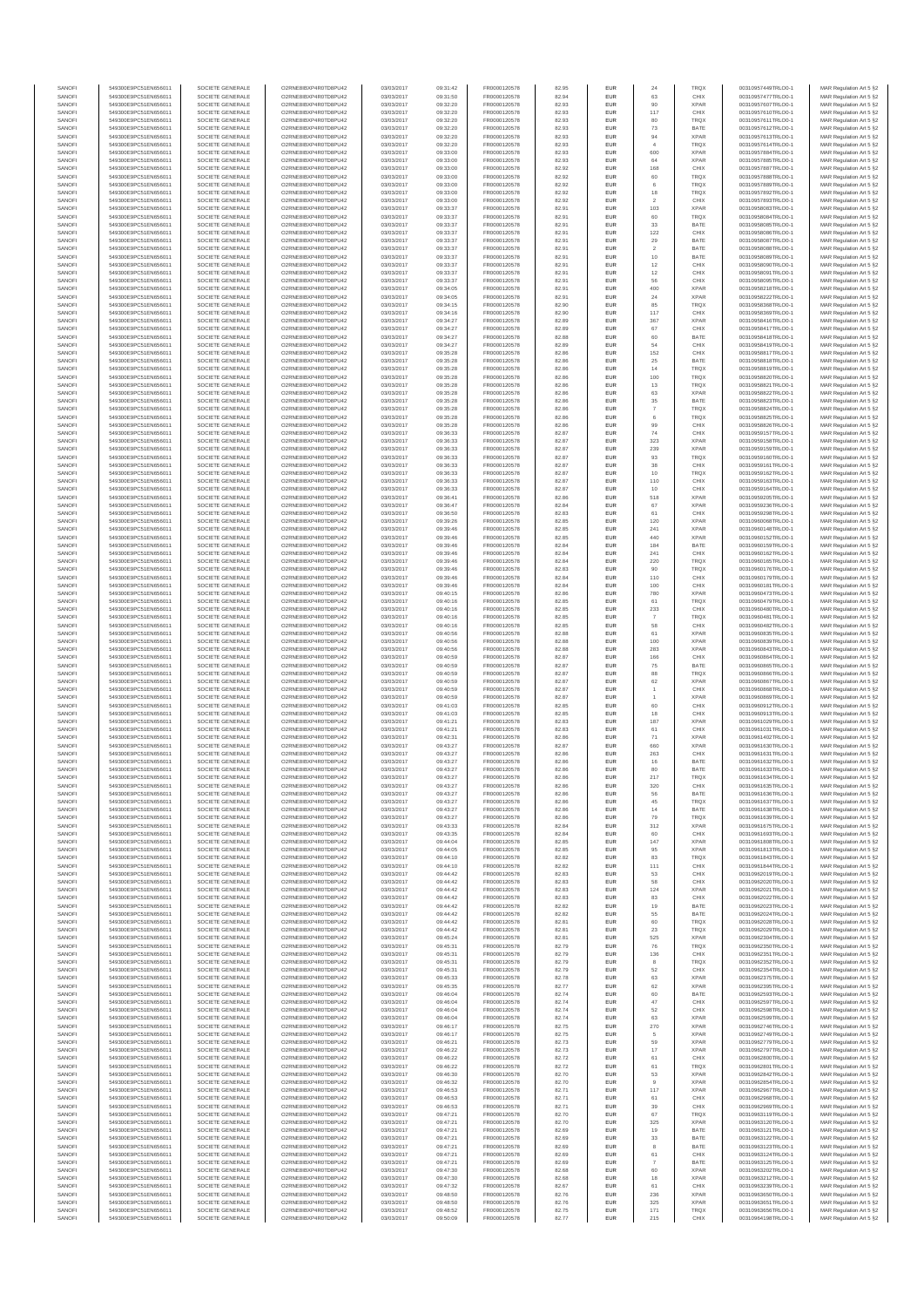| SANOF            | 549300E9PC51EN656011                         | SOCIETE GENERALE                     | O2RNE8IBXP4R0TD8PU42                          | 03/03/2017               | 09:31:42             | FR0000120578                 | 82.95          | EUR               | 24                           | TRQ)                       | 00310957449TRLO0-1                       | MAR Regulation Art 5 §2                             |
|------------------|----------------------------------------------|--------------------------------------|-----------------------------------------------|--------------------------|----------------------|------------------------------|----------------|-------------------|------------------------------|----------------------------|------------------------------------------|-----------------------------------------------------|
| SANOFI           | 549300E9PC51EN656011                         | SOCIETE GENERALE                     | O2RNE8IBXP4R0TD8PU42                          | 03/03/2017               | 09:31:50             | FR0000120578                 | 82.94          | EUR               | 63                           | CHIX                       | 00310957477TRLO0-1                       | MAR Regulation Art 5 §2                             |
| SANOFI<br>SANOFI | 549300E9PC51EN656011<br>549300E9PC51EN656011 | SOCIETE GENERALE<br>SOCIETE GENERALE | O2RNE8IBXP4R0TD8PU42<br>O2RNE8IBXP4R0TD8PU42  | 03/03/2017<br>03/03/2017 | 09:32:20<br>09:32:20 | FR0000120578<br>FR0000120578 | 82.93<br>82.93 | EUR<br>EUR        | 90<br>117                    | <b>XPAR</b><br>CHIX        | 00310957607TRLO0-1<br>00310957610TRLO0-1 | MAR Regulation Art 5 §2<br>MAR Regulation Art 5 §2  |
| SANOFI           | 549300E9PC51EN656011                         | SOCIETE GENERALE                     | O2RNE8IBXP4R0TD8PU42                          | 03/03/2017               | 09:32:20             | FR0000120578                 | 82.93          | EUR               | 80                           | TRQX                       | 00310957611TRLO0-1                       | MAR Regulation Art 5 §2                             |
| SANOFI           | 549300E9PC51EN656011                         | SOCIETE GENERALE                     | O2RNE8IBXP4R0TD8PU42                          | 03/03/2017               | 09:32:20             | FR0000120578                 | 82.93          | EUR               | 73                           | BATE                       | 00310957612TRLO0-1                       | MAR Regulation Art 5 §2                             |
| SANOFI           | 549300E9PC51EN656011                         | SOCIETE GENERALE                     | O2RNE8IBXP4R0TD8PLI42                         | 03/03/2017               | 09:32:20             | FR0000120578                 | 82.93          | EUR               | 94                           | <b>XPAR</b>                | 00310957613TRLO0-1                       | MAR Regulation Art 5 §2                             |
| SANOFI<br>SANOFI | 549300E9PC51EN656011<br>549300E9PC51EN656011 | SOCIETE GENERALE<br>SOCIETE GENERALE | O2RNE8IBXP4R0TD8PU42<br>O2RNE8IBXP4R0TD8PU42  | 03/03/2017<br>03/03/2017 | 09:32:20<br>09:33:00 | FR0000120578<br>FR0000120578 | 82.93<br>82.93 | EUR<br>EUR        | $\ddot{4}$<br>600            | TRQX<br><b>XPAR</b>        | 00310957614TRLO0-1<br>00310957884TRLO0-1 | MAR Regulation Art 5 §2<br>MAR Regulation Art 5 §2  |
| SANOFI           | 549300E9PC51EN656011                         | SOCIETE GENERALE                     | O2RNE8IBXP4R0TD8PU42                          | 03/03/2017               | 09:33:00             | FR0000120578                 | 82.93          | EUR               | 64                           | <b>XPAR</b>                | 00310957885TRLO0-1                       | MAR Regulation Art 5 §2                             |
| SANOFI           | 549300E9PC51EN656011                         | SOCIETE GENERALE                     | O2RNE8IBXP4R0TD8PU42                          | 03/03/2017               | 09:33:00             | FR0000120578                 | 82.92          | EUR               | 168                          | CHIX                       | 00310957887TRLO0-1                       | MAR Regulation Art 5 §2                             |
| SANOFI<br>SANOFI | 549300E9PC51EN656011<br>549300E9PC51EN656011 | SOCIETE GENERALE<br>SOCIETE GENERALE | O2RNE8IBXP4R0TD8PU42<br>O2RNE8IBXP4R0TD8PU42  | 03/03/2017<br>03/03/2017 | 09:33:00<br>09:33:00 | FR0000120578<br>FR0000120578 | 82.92<br>82.92 | EUR<br>EUR        | 60<br>6                      | TRQX<br><b>TRQX</b>        | 00310957888TRLO0-1<br>00310957889TRLO0-1 | MAR Regulation Art 5 §2<br>MAR Regulation Art 5 §2  |
| SANOFI           | 549300E9PC51EN656011                         | SOCIETE GENERALE                     | O2RNE8IBXP4R0TD8PU42                          | 03/03/2017               | 09:33:00             | FR0000120578                 | 82.92          | EUR               | 18                           | TRQX                       | 00310957892TRLO0-1                       | MAR Regulation Art 5 §2                             |
| SANOFI           | 549300E9PC51EN656011                         | SOCIETE GENERALE                     | O2RNE8IBXP4R0TD8PU42                          | 03/03/2017               | 09:33:00             | FR0000120578                 | 82.92          | EUR               | $\,$                         | CHIX                       | 00310957893TRLO0-1                       | MAR Regulation Art 5 §2                             |
| SANOFI           | 549300E9PC51EN656011                         | SOCIETE GENERALE                     | O2RNE8IBXP4R0TD8PU42                          | 03/03/2017               | 09:33:37             | FR0000120578                 | 82.91          | EUR               | 103                          | <b>XPAR</b>                | 00310958083TRLO0-1                       | MAR Regulation Art 5 §2                             |
| SANOFI<br>SANOFI | 549300E9PC51EN656011<br>549300E9PC51EN656011 | SOCIETE GENERALE<br>SOCIETE GENERALE | O2RNE8IBXP4R0TD8PU42<br>O2RNE8IBXP4R0TD8PU42  | 03/03/2017<br>03/03/2017 | 09:33:37<br>09:33:37 | FR0000120578<br>FR0000120578 | 82.91<br>82.91 | EUR<br>EUR        | 60<br>33                     | TRQ)<br>BATE               | 00310958084TRLO0-1<br>00310958085TRLO0-1 | MAR Regulation Art 5 §2<br>MAR Regulation Art 5 §2  |
| SANOFI           | 549300E9PC51EN656011                         | SOCIETE GENERALE                     | O2RNE8IBXP4R0TD8PU42                          | 03/03/2017               | 09:33:37             | FR0000120578                 | 82.91          | EUR               | 122                          | CHIX                       | 00310958086TRLO0-1                       | MAR Regulation Art 5 §2                             |
| SANOFI           | 549300E9PC51EN656011                         | SOCIETE GENERALE                     | O2RNE8IBXP4R0TD8PU42                          | 03/03/2017               | 09:33:37             | FR0000120578                 | 82.91          | EUR               | 29                           | BATE                       | 00310958087TRLO0-1                       | MAR Regulation Art 5 §2                             |
| SANOFI           | 549300E9PC51EN656011                         | SOCIETE GENERALE                     | O2RNE8IBXP4R0TD8PU42                          | 03/03/2017               | 09:33:37             | FR0000120578                 | 82.91          | EUR               | $\overline{2}$               | BATE                       | 00310958088TRLO0-1                       | MAR Regulation Art 5 §2                             |
| SANOFI<br>SANOFI | 549300E9PC51EN656011<br>549300E9PC51EN656011 | SOCIETE GENERALE<br>SOCIETE GENERALE | O2RNE8IBXP4R0TD8PU42<br>O2RNE8IBXP4R0TD8PU42  | 03/03/2017<br>03/03/2017 | 09:33:37<br>09:33:37 | FR0000120578<br>FR0000120578 | 82.91<br>82.91 | EUR<br>EUR        | $10$<br>12                   | BATE<br>CHIX               | 00310958089TRLO0-1<br>00310958090TRLO0-1 | MAR Regulation Art 5 §2<br>MAR Regulation Art 5 §2  |
| SANOFI           | 549300E9PC51EN656011                         | SOCIETE GENERALE                     | O2RNE8IBXP4R0TD8PU42                          | 03/03/2017               | 09:33:37             | FR0000120578                 | 82.91          | EUR               | 12                           | CHIX                       | 00310958091TRLO0-1                       | MAR Regulation Art 5 §2                             |
| SANOFI           | 549300E9PC51EN656011                         | SOCIETE GENERALE                     | O2RNE8IBXP4R0TD8PU42                          | 03/03/2017               | 09:33:37             | FR0000120578                 | 82.91          | EUR               | 56                           | CHIX                       | 00310958095TRLO0-1                       | MAR Regulation Art 5 §2                             |
| SANOFI           | 549300E9PC51EN656011                         | SOCIETE GENERALE                     | O2RNE8IBXP4R0TD8PU42                          | 03/03/2017               | 09:34:05             | FR0000120578                 | 82.91          | EUR               | 400                          | <b>XPAF</b>                | 00310958218TRLO0-1                       | MAR Regulation Art 5 §2                             |
| SANOFI<br>SANOFI | 549300E9PC51EN656011<br>549300E9PC51EN656011 | SOCIETE GENERALE<br>SOCIETE GENERALE | O2RNE8IBXP4R0TD8PU42<br>O2RNE8IBXP4R0TD8PU42  | 03/03/2017<br>03/03/2017 | 09:34:05<br>09:34:15 | FR0000120578<br>FR0000120578 | 82.91<br>82.90 | EUR<br>EUR        | 24<br>85                     | <b>XPAR</b><br>TRQX        | 00310958222TRLO0-1<br>00310958368TRLO0-1 | MAR Regulation Art 5 \$2<br>MAR Regulation Art 5 §2 |
| SANOFI           | 549300E9PC51EN656011                         | SOCIETE GENERALE                     | O2RNE8IBXP4R0TD8PU42                          | 03/03/2017               | 09:34:16             | FR0000120578                 | 82.90          | EUR               | 117                          | CHIX                       | 00310958369TRLO0-1                       | MAR Regulation Art 5 §2                             |
| SANOFI           | 549300E9PC51EN656011                         | SOCIETE GENERALE                     | O2RNE8IBXP4R0TD8PU42                          | 03/03/2017               | 09:34:27             | FR0000120578                 | 82.89          | EUR               | 367                          | <b>XPAR</b>                | 00310958416TRLO0-1                       | MAR Regulation Art 5 §2                             |
| SANOFI<br>SANOFI | 549300E9PC51EN656011<br>549300E9PC51EN656011 | SOCIETE GENERALE<br>SOCIETE GENERALE | O2RNE8IBXP4R0TD8PU42<br>O2RNE8IBXP4R0TD8PU42  | 03/03/2017<br>03/03/2017 | 09:34:27<br>09:34:27 | FR0000120578<br>FR0000120578 | 82.89<br>82.88 | EUR<br>EUR        | 67<br>60                     | CHIX<br>BATE               | 00310958417TRLO0-1<br>00310958418TRLO0-1 | MAR Regulation Art 5 §2                             |
| SANOFI           | 549300E9PC51EN656011                         | SOCIETE GENERALE                     | O2RNE8IBXP4R0TD8PU42                          | 03/03/2017               | 09:34:27             | FR0000120578                 | 82.89          | EUR               | 54                           | CHIX                       | 00310958419TRLO0-1                       | MAR Regulation Art 5 §2<br>MAR Regulation Art 5 §2  |
| SANOFI           | 549300E9PC51EN656011                         | SOCIETE GENERALE                     | O2RNE8IBXP4R0TD8PU42                          | 03/03/2017               | 09:35:28             | FR0000120578                 | 82.86          | EUR               | 152                          | CHIX                       | 00310958817TRLO0-1                       | MAR Regulation Art 5 §2                             |
| SANOFI           | 549300E9PC51EN656011                         | SOCIETE GENERALE                     | O2RNE8IBXP4R0TD8PU42                          | 03/03/2017               | 09:35:28             | FR0000120578                 | 82.86          | EUR               | 25                           | BATE                       | 00310958818TRLO0-1                       | MAR Regulation Art 5 §2                             |
| SANOFI<br>SANOFI | 549300E9PC51EN656011<br>549300E9PC51EN656011 | SOCIETE GENERALE<br>SOCIETE GENERALE | O2RNE8IBXP4R0TD8PU42<br>O2RNE8IBXP4R0TD8PU42  | 03/03/2017<br>03/03/2017 | 09:35:28<br>09:35:28 | FR0000120578<br>FR0000120578 | 82.86<br>82.86 | EUR<br>EUR        | $14\,$<br>100                | <b>TRQX</b><br><b>TRQX</b> | 00310958819TRLO0-1<br>00310958820TRLO0-1 | MAR Regulation Art 5 §2<br>MAR Regulation Art 5 §2  |
| SANOFI           | 549300E9PC51EN656011                         | SOCIETE GENERALE                     | O2RNE8IBXP4R0TD8PU42                          | 03/03/2017               | 09:35:28             | FR0000120578                 | 82.86          | EUR               | 13                           | <b>TRQX</b>                | 00310958821TRLO0-1                       | MAR Regulation Art 5 §2                             |
| SANOFI           | 549300E9PC51EN656011                         | SOCIETE GENERALE                     | O2RNE8IBXP4R0TD8PU42                          | 03/03/2017               | 09:35:28             | FR0000120578                 | 82.86          | EUR               | 63                           | <b>XPAR</b>                | 00310958822TRLO0-1                       | MAR Regulation Art 5 §2                             |
| SANOFI           | 549300E9PC51EN656011                         | SOCIETE GENERALE                     | O2RNE8IBXP4R0TD8PU42                          | 03/03/2017               | 09:35:28             | FR0000120578                 | 82.86          | EUR               | $35\,$                       | BATE                       | 00310958823TRLO0-1                       | MAR Regulation Art 5 §2                             |
| SANOFI<br>SANOFI | 549300E9PC51EN656011<br>549300E9PC51EN656011 | SOCIETE GENERALE<br>SOCIETE GENERALE | O2RNE8IBXP4R0TD8PLI42<br>O2RNE8IBXP4R0TD8PU42 | 03/03/2017<br>03/03/2017 | 09:35:28<br>09:35:28 | FR0000120578<br>FR0000120578 | 82.86<br>82.86 | EUR<br>EUR        | $\overline{7}$<br>$_{\rm 6}$ | <b>TROX</b><br>TRQX        | 00310958824TRLO0-1<br>00310958825TRLO0-1 | MAR Regulation Art 5 \$2<br>MAR Regulation Art 5 §2 |
| SANOFI           | 549300E9PC51EN656011                         | SOCIETE GENERALE                     | O2RNE8IBXP4R0TD8PU42                          | 03/03/2017               | 09:35:28             | FR0000120578                 | 82.86          | EUR               | 99                           | CHIX                       | 00310958826TRLO0-1                       | MAR Regulation Art 5 §2                             |
| SANOFI           | 549300E9PC51EN656011                         | SOCIETE GENERALE                     | O2RNE8IBXP4R0TD8PU42                          | 03/03/2017               | 09:36:33             | FR0000120578                 | 82.87          | EUR               | 74                           | CHIX                       | 00310959157TRLO0-1                       | MAR Regulation Art 5 §2                             |
| SANOFI           | 549300E9PC51EN656011                         | SOCIETE GENERALE                     | O2RNE8IBXP4R0TD8PU42                          | 03/03/2017               | 09:36:33             | FR0000120578                 | 82.87          | EUR               | 323                          | <b>XPAR</b>                | 00310959158TRLO0-1                       | MAR Regulation Art 5 §2                             |
| SANOFI<br>SANOFI | 549300E9PC51EN656011<br>549300E9PC51EN656011 | SOCIETE GENERALE<br>SOCIETE GENERALE | O2RNE8IBXP4R0TD8PU42<br>O2RNE8IBXP4R0TD8PU42  | 03/03/2017<br>03/03/2017 | 09:36:33<br>09:36:33 | FR0000120578<br>FR0000120578 | 82.87<br>82.87 | EUR<br>EUR        | 239<br>93                    | <b>XPAR</b><br>TRQX        | 00310959159TRLO0-1<br>00310959160TRLO0-1 | MAR Regulation Art 5 §2<br>MAR Regulation Art 5 §2  |
| SANOFI           | 549300E9PC51EN656011                         | SOCIETE GENERALE                     | O2RNE8IBXP4R0TD8PU42                          | 03/03/2017               | 09:36:33             | FR0000120578                 | 82.87          | EUR               | $_{38}$                      | CHIX                       | 00310959161TRLO0-1                       | MAR Regulation Art 5 §2                             |
| SANOFI           | 549300E9PC51EN656011                         | SOCIETE GENERALE                     | O2RNE8IBXP4R0TD8PU42                          | 03/03/2017               | 09:36:33             | FR0000120578                 | 82.87          | EUR               | 10                           | TRQX                       | 00310959162TRLO0-1                       | MAR Regulation Art 5 §2                             |
| SANOFI           | 549300E9PC51EN656011                         | SOCIETE GENERALE                     | O2RNE8IBXP4R0TD8PU42                          | 03/03/2017               | 09:36:33             | FR0000120578                 | 82.87          | EUR               | 110                          | CHIX                       | 00310959163TRLO0-1                       | MAR Regulation Art 5 §2                             |
| SANOFI<br>SANOFI | 549300E9PC51EN656011<br>549300E9PC51EN656011 | SOCIETE GENERALE<br>SOCIETE GENERALE | O2RNE8IBXP4R0TD8PU42<br>O2RNE8IBXP4R0TD8PU42  | 03/03/2017<br>03/03/2017 | 09:36:33<br>09:36:41 | FR0000120578<br>FR0000120578 | 82.87<br>82.86 | EUR<br>EUR        | 10<br>518                    | CHIX<br><b>XPAR</b>        | 00310959164TRLO0-1<br>00310959205TRLO0-1 | MAR Regulation Art 5 §2<br>MAR Regulation Art 5 §2  |
| SANOFI           | 549300E9PC51EN656011                         | SOCIETE GENERALE                     | O2RNE8IBXP4R0TD8PU42                          | 03/03/2017               | 09:36:47             | FR0000120578                 | 82.84          | EUR               | 67                           | <b>XPAR</b>                | 00310959236TRLO0-1                       | MAR Regulation Art 5 §2                             |
| SANOFI           | 549300E9PC51EN656011                         | SOCIETE GENERALE                     | O2RNE8IBXP4R0TD8PU42                          | 03/03/2017               | 09:36:50             | FR0000120578                 | 82.83          | EUR               | 61                           | CHIX                       | 00310959298TRLO0-1                       | MAR Regulation Art 5 §2                             |
| SANOFI           | 549300E9PC51EN656011                         | SOCIETE GENERALE<br>SOCIETE GENERALE | O2RNE8IBXP4R0TD8PLI42                         | 03/03/2017               | 09:39:26             | FR0000120578                 | 82.85          | EUR               | 120                          | <b>XPAR</b>                | 00310960068TRLO0-1                       | MAR Regulation Art 5 §2                             |
| SANOFI<br>SANOFI | 549300E9PC51EN656011<br>549300E9PC51EN656011 | SOCIETE GENERALE                     | O2RNE8IBXP4R0TD8PU42<br>O2RNE8IBXP4R0TD8PU42  | 03/03/2017<br>03/03/2017 | 09:39:46<br>09:39:46 | FR0000120578<br>FR0000120578 | 82.85<br>82.85 | EUR<br>EUR        | 241<br>440                   | <b>XPAR</b><br><b>XPAR</b> | 00310960148TRLO0-1<br>00310960152TRLO0-1 | MAR Regulation Art 5 §2<br>MAR Regulation Art 5 §2  |
| SANOFI           | 549300E9PC51EN656011                         | SOCIETE GENERALE                     | O2RNE8IBXP4R0TD8PU42                          | 03/03/2017               | 09:39:46             | FR0000120578                 | 82.84          | EUR               | 184                          | BATE                       | 00310960159TRLO0-1                       | MAR Regulation Art 5 §2                             |
| SANOFI           | 549300E9PC51EN656011                         | SOCIETE GENERALE                     | O2RNE8IBXP4R0TD8PU42                          | 03/03/2017               | 09:39:46             | FR0000120578                 | 82.84          | EUR               | 241                          | CHIX                       | 00310960162TRLO0-1                       | MAR Regulation Art 5 §2                             |
| SANOFI           | 549300E9PC51EN656011                         | SOCIETE GENERALE                     | O2RNE8IBXP4R0TD8PU42                          | 03/03/2017               | 09:39:46             | FR0000120578                 | 82.84          | EUR<br><b>EUR</b> | 220                          | TRQ)                       | 00310960165TRLO0-1                       | MAR Regulation Art 5 §2                             |
| SANOFI<br>SANOFI | 549300E9PC51EN656011<br>549300E9PC51EN656011 | SOCIETE GENERALE<br>SOCIETE GENERALE | O2RNE8IBXP4R0TD8PU42<br>O2RNE8IBXP4R0TD8PU42  | 03/03/2017<br>03/03/2017 | 09:39:46<br>09:39:46 | FR0000120578<br>FR0000120578 | 82.83<br>82.84 | EUR               | 90<br>110                    | <b>TRQX</b><br>CHIX        | 00310960176TRLO0-1<br>00310960179TRLO0-1 | MAR Regulation Art 5 §2<br>MAR Regulation Art 5 §2  |
| SANOFI           | 549300E9PC51EN656011                         | SOCIETE GENERALE                     | O2RNE8IBXP4R0TD8PU42                          | 03/03/2017               | 09:39:46             | FR0000120578                 | 82.84          | EUR               | 100                          | CHIX                       | 00310960181TRLO0-1                       | MAR Regulation Art 5 §2                             |
| SANOFI           | 549300E9PC51EN656011                         | SOCIETE GENERALE                     | O2RNE8IBXP4R0TD8PU42                          | 03/03/2017               | 09:40:15             | FR0000120578                 | 82.86          | EUR               | 780                          | <b>XPAR</b>                | 00310960473TRLO0-1                       | MAR Regulation Art 5 §2                             |
| SANOFI<br>SANOFI | 549300E9PC51EN656011<br>549300E9PC51EN656011 | SOCIETE GENERALE<br>SOCIETE GENERALE | O2RNE8IBXP4R0TD8PU42<br>O2RNE8IBXP4R0TD8PU42  | 03/03/2017<br>03/03/2017 | 09:40:16<br>09:40:16 | FR0000120578<br>FR0000120578 | 82.85<br>82.85 | EUR<br>EUR        | 61<br>233                    | TRQX<br>CHIX               | 00310960479TRLO0-1<br>00310960480TRLO0-1 | MAR Regulation Art 5 §2<br>MAR Regulation Art 5 §2  |
| SANOFI           | 549300E9PC51EN656011                         | SOCIETE GENERALE                     | O2RNE8IBXP4R0TD8PU42                          | 03/03/2017               | 09:40:16             | FR0000120578                 | 82.85          | EUR               | 7                            | TRQX                       | 00310960481TRLO0-1                       | MAR Regulation Art 5 §2                             |
| SANOFI           | 549300E9PC51EN656011                         | SOCIETE GENERALE                     | O2RNE8IBXP4R0TD8PU42                          | 03/03/2017               | 09:40:16             | FR0000120578                 | 82.85          | EUR               | 58                           | CHIX                       | 00310960482TRLO0-1                       | MAR Regulation Art 5 §2                             |
| SANOFI           | 549300E9PC51EN656011                         | SOCIETE GENERALE                     | O2RNE8IBXP4R0TD8PU42                          | 03/03/2017               | 09:40:56             | FR0000120578                 | 82.88          | EUR               | 61                           | <b>XPAF</b>                | 00310960835TRLO0-1                       | MAR Regulation Art 5 §2                             |
| SANOFI<br>SANOFI | 549300E9PC51EN656011<br>549300E9PC51EN656011 | SOCIETE GENERALE<br>SOCIETE GENERALE | O2RNE8IBXP4R0TD8PU42<br>O2RNE8IBXP4R0TD8PU42  | 03/03/2017<br>03/03/2017 | 09:40:56<br>09:40:56 | FR0000120578<br>FR0000120578 | 82.88<br>82.88 | EUR<br>EUR        | 100<br>283                   | <b>XPAR</b><br><b>XPAR</b> | 00310960839TRLO0-1<br>00310960843TRLO0-1 | MAR Regulation Art 5 §2<br>MAR Regulation Art 5 §2  |
| SANOFI           | 549300E9PC51EN656011                         | SOCIETE GENERALE                     | O2RNE8IBXP4R0TD8PU42                          | 03/03/2017               | 09:40:59             | FR0000120578                 | 82.87          | EUR               | 166                          | CHIX                       | 00310960864TRLO0-1                       | MAR Regulation Art 5 §2                             |
| SANOFI           | 549300E9PC51EN656011                         | SOCIETE GENERALE                     | O2RNE8IBXP4R0TD8PU42                          | 03/03/2017               | 09:40:59             | FR0000120578                 | 82.87          | EUR               | $\rm 75$                     | BATE                       | 00310960865TRLO0-1                       | MAR Regulation Art 5 §2                             |
| SANOFI           | 549300E9PC51EN656011                         | SOCIETE GENERALE                     | O2RNE8IBXP4R0TD8PU42                          | 03/03/2017               | 09:40:59             | FR0000120578                 | 82.87          | EUR               | 88                           | TRQX                       | 00310960866TRLO0-1                       | MAR Regulation Art 5 §2                             |
| SANOFI<br>SANOFI | 549300E9PC51EN656011<br>549300E9PC51EN656011 | SOCIETE GENERALE<br>SOCIETE GENERALE | O2RNE8IBXP4R0TD8PU42<br>O2RNE8IBXP4R0TD8PU42  | 03/03/2017<br>03/03/2017 | 09:40:59<br>09:40:59 | FR0000120578<br>FR0000120578 | 82.87<br>82.87 | EUR<br>EUR        | 62<br>$\overline{1}$         | <b>XPAR</b><br>CHIX        | 00310960867TRLO0-1<br>00310960868TRLO0-1 | MAR Regulation Art 5 §2<br>MAR Regulation Art 5 §2  |
| SANOFI           | 549300E9PC51EN656011                         | SOCIETE GENERALE                     | O2RNE8IBXP4R0TD8PU42                          | 03/03/2017               | 09:40:59             | FR0000120578                 | 82.87          | EUR               | $\overline{1}$               | <b>XPAR</b>                | 00310960869TRLO0-1                       | MAR Regulation Art 5 §2                             |
| SANOFI           | 549300E9PC51EN656011                         | SOCIETE GENERALE                     | O2RNE8IBXP4R0TD8PU42                          | 03/03/2017               | 09:41:03             | FR0000120578                 | 82.85          | EUR               | 60                           | CHIX                       | 00310960912TRLO0-1                       | MAR Regulation Art 5 §2                             |
| SANOFI           | 549300E9PC51EN656011                         | SOCIETE GENERALE                     | O2RNE8IBXP4R0TD8PU42                          | 03/03/2017               | 09:41:03             | FR0000120578                 | 82.85          | EUR               | 18                           | CHIX                       | 00310960913TRLO0-1                       | MAR Regulation Art 5 §2                             |
| SANOFI<br>SANOFI | 549300E9PC51EN656011<br>549300E9PC51EN656011 | SOCIETE GENERALE<br>SOCIETE GENERALE | O2RNE8IBXP4R0TD8PU42<br>O2RNESIBXP4R0TD8PLI42 | 03/03/2017<br>03/03/2017 | 09:41:21<br>09:41:21 | FR0000120578<br>FR0000120578 | 82.83<br>82.83 | EUR<br>EUR        | 187<br>61                    | <b>XPAR</b><br>CHIX        | 00310961029TRLO0-1<br>00310961031TRLO0-1 | MAR Regulation Art 5 §2<br>MAR Regulation Art 5 §2  |
| SANOFI           | 549300E9PC51EN656011                         | SOCIETE GENERALE                     | O2RNE8IBXP4R0TD8PU42                          | 03/03/2017               | 09:42:31             | FR0000120578                 | 82.86          | EUR               | $71\,$                       | <b>XPAR</b>                | 00310961402TRLO0-1                       | MAR Regulation Art 5 §2                             |
| SANOFI           | 549300E9PC51EN656011                         | SOCIETE GENERALE                     | O2RNE8IBXP4R0TD8PU42                          | 03/03/2017               | 09:43:27             | FR0000120578                 | 82.87          | EUR               | 660                          | <b>XPAF</b>                | 00310961630TRLO0-1                       | MAR Regulation Art 5 §2                             |
| SANOFI           | 549300E9PC51EN656011<br>549300E9PC51EN656011 | SOCIETE GENERALE                     | O2RNE8IBXP4R0TD8PU42<br>O2RNE8IBXP4R0TD8PU42  | 03/03/2017               | 09:43:27             | FR0000120578                 | 82.86          | EUR               | 263                          | CHIX                       | 00310961631TRLO0-1                       | MAR Regulation Art 5 §2                             |
| SANOFI<br>SANOFI | 549300E9PC51EN656011                         | SOCIETE GENERALE<br>SOCIETE GENERALE | O2RNE8IBXP4R0TD8PU42                          | 03/03/2017<br>03/03/2017 | 09:43:27<br>09:43:27 | FR0000120578<br>FR0000120578 | 82.86<br>82.86 | EUR<br><b>EUR</b> | 16<br>80                     | BATE<br>BATE               | 00310961632TRLO0-1<br>00310961633TRLO0-1 | MAR Regulation Art 5 §2<br>MAR Regulation Art 5 §2  |
| SANOFI           | 549300E9PC51EN656011                         | SOCIETE GENERALE                     | O2RNE8IBXP4R0TD8PU42                          | 03/03/2017               | 09:43:27             | FR0000120578                 | 82.86          | EUR               | 217                          | TRQX                       | 00310961634TRLO0-1                       | MAR Regulation Art 5 §2                             |
| SANOFI           | 549300E9PC51EN656011                         | SOCIETE GENERALE                     | O2RNE8IBXP4R0TD8PLI42                         | 03/03/2017               | 09:43:27             | FR0000120578                 | 82.86          | EUR               | 320                          | CHIX                       | 00310961635TRLO0-1                       | MAR Regulation Art 5 §2                             |
| SANOFI           | 549300E9PC51EN656011<br>549300E9PC51EN656011 | SOCIETE GENERALE                     | O2RNE8IBXP4R0TD8PU42<br>O2RNE8IBXP4R0TD8PU42  | 03/03/2017               | 09:43:27<br>09:43:27 | FR0000120578                 | 82.86<br>82.86 | EUR<br>EUR        | 56                           | BATE<br><b>TRQX</b>        | 00310961636TRLO0-1                       | MAR Regulation Art 5 §2                             |
| SANOFI<br>SANOFI | 549300E9PC51EN656011                         | SOCIETE GENERALE<br>SOCIETE GENERALE | O2RNE8IBXP4R0TD8PU42                          | 03/03/2017<br>03/03/2017 | 09:43:27             | FR0000120578<br>FR0000120578 | 82.86          | EUR               | $45\,$<br>14                 | BATE                       | 00310961637TRLO0-1<br>00310961638TRLO0-1 | MAR Regulation Art 5 §2<br>MAR Regulation Art 5 §2  |
| SANOFI           | 549300E9PC51EN656011                         | SOCIETE GENERALE                     | O2RNE8IBXP4R0TD8PU42                          | 03/03/2017               | 09:43:27             | FR0000120578                 | 82.86          | EUR               | 79                           | <b>TRQX</b>                | 00310961639TRLO0-1                       | MAR Regulation Art 5 §2                             |
| SANOFI           | 549300E9PC51EN656011                         | SOCIETE GENERALE                     | O2RNE8IBXP4R0TD8PU42                          | 03/03/2017               | 09:43:33             | FR0000120578                 | 82.84          | EUR               | 312                          | <b>XPAR</b>                | 00310961675TRLO0-1                       | MAR Regulation Art 5 §2                             |
| SANOFI           | 549300E9PC51EN656011<br>549300E9PC51EN656011 | SOCIETE GENERALE                     | O2RNE8IBXP4R0TD8PU42                          | 03/03/2017               | 09:43:35             | FR0000120578                 | 82.84          | EUR               | 60                           | CHIX                       | 00310961693TRLO0-1                       | MAR Regulation Art 5 §2                             |
| SANOFI<br>SANOFI | 549300E9PC51EN656011                         | SOCIETE GENERALE<br>SOCIETE GENERALE | O2RNE8IBXP4R0TD8PU42<br>O2RNE8IBXP4R0TD8PU42  | 03/03/2017<br>03/03/2017 | 09:44:04<br>09:44:05 | FR0000120578<br>FR0000120578 | 82.85<br>82.85 | EUR<br>EUR        | 147<br>95                    | <b>XPAR</b><br><b>XPAR</b> | 00310961808TRLO0-1<br>00310961813TRLO0-1 | MAR Regulation Art 5 §2<br>MAR Regulation Art 5 §2  |
| SANOFI           | 549300E9PC51EN656011                         | SOCIETE GENERALE                     | O2RNE8IBXP4R0TD8PU42                          | 03/03/2017               | 09:44:10             | FR0000120578                 | 82.82          | EUR               | 83                           | <b>TROX</b>                | 00310961843TRLO0-1                       | MAR Regulation Art 5 §2                             |
| SANOFI           | 549300E9PC51EN656011                         | SOCIETE GENERALE                     | O2RNE8IBXP4R0TD8PU42                          | 03/03/2017               | 09:44:10             | FR0000120578                 | 82.82          | EUR               | 111                          | CHIX                       | 00310961844TRLO0-1<br>00310962019TRLO0-1 | MAR Regulation Art 5 §2                             |
| SANOFI<br>SANOFI | 549300E9PC51EN656011<br>549300E9PC51EN656011 | SOCIETE GENERALE<br>SOCIETE GENERALE | O2RNE8IBXP4R0TD8PU42<br>O2RNE8IBXP4R0TD8PU42  | 03/03/2017<br>03/03/2017 | 09:44:42<br>09:44:42 | FR0000120578<br>FR0000120578 | 82.83<br>82.83 | EUR<br><b>EUR</b> | 53<br>58                     | CHIX<br>CHIX               | 00310962020TRLO0-1                       | MAR Regulation Art 5 §2<br>MAR Regulation Art 5 §2  |
| SANOFI           | 549300E9PC51EN656011                         | SOCIETE GENERALE                     | O2RNE8IBXP4R0TD8PU42                          | 03/03/2017               | 09:44:42             | FR0000120578                 | 82.83          | EUR               | 124                          | <b>XPAR</b>                | 00310962021TRLO0-1                       | MAR Regulation Art 5 §2                             |
| SANOFI           | 549300E9PC51EN656011                         | SOCIETE GENERALE                     | O2RNE8IBXP4R0TD8PU42                          | 03/03/2017               | 09:44:42             | FR0000120578                 | 82.83          | EUR               | 83                           | CHIX                       | 00310962022TRLO0-1                       | MAR Regulation Art 5 §2                             |
| SANOFI<br>SANOFI | 549300E9PC51EN656011<br>549300E9PC51EN656011 | SOCIETE GENERALE<br>SOCIETE GENERALE | O2RNE8IBXP4R0TD8PU42<br>O2RNE8IBXP4R0TD8PU42  | 03/03/2017<br>03/03/2017 | 09:44:42<br>09:44:42 | FR0000120578<br>FR0000120578 | 82.82<br>82.82 | EUR<br>EUR        | 19<br>55                     | BATE<br>BATE               | 00310962023TRLO0-1<br>00310962024TRLO0-1 | MAR Regulation Art 5 §2<br>MAR Regulation Art 5 §2  |
| SANOFI           | 549300E9PC51EN656011                         | SOCIETE GENERALE                     | O2RNE8IBXP4R0TD8PU42                          | 03/03/2017               | 09:44:42             | FR0000120578                 | 82.81          | EUR               | 60                           | <b>TROX</b>                | 00310962028TRLO0-1                       | MAR Regulation Art 5 §2                             |
| SANOFI           | 549300E9PC51EN656011                         | SOCIETE GENERALE                     | O2RNE8IBXP4R0TD8PU42                          | 03/03/2017               | 09:44:42             | FR0000120578                 | 82.81          | EUR               | 23                           | <b>TRQX</b>                | 00310962029TRLO0-1                       | MAR Regulation Art 5 §2                             |
| SANOFI           | 549300E9PC51EN656011                         | SOCIETE GENERALE                     | O2RNE8IBXP4R0TD8PU42                          | 03/03/2017               | 09:45:24             | FR0000120578                 | 82.81          | EUR               | 525                          | <b>XPAR</b>                | 00310962304TRLO0-1                       | MAR Regulation Art 5 §2                             |
| SANOFI<br>SANOFI | 549300E9PC51EN656011<br>549300E9PC51EN656011 | SOCIETE GENERALE<br>SOCIETE GENERALE | O2RNE8IBXP4R0TD8PU42<br>O2RNE8IBXP4R0TD8PU42  | 03/03/2017<br>03/03/2017 | 09:45:31<br>09:45:31 | FR0000120578<br>FR0000120578 | 82.79<br>82.79 | EUR<br>EUR        | 76<br>136                    | <b>TRQX</b><br>CHIX        | 00310962350TRLO0-1<br>00310962351TRLO0-1 | MAR Regulation Art 5 §2<br>MAR Regulation Art 5 §2  |
| SANOFI           | 549300E9PC51EN656011                         | SOCIETE GENERALE                     | O2RNE8IBXP4R0TD8PU42                          | 03/03/2017               | 09:45:31             | FR0000120578                 | 82.79          | EUR               | 8                            | <b>TRQX</b>                | 00310962352TRLO0-1                       | MAR Regulation Art 5 §2                             |
| SANOFI           | 549300E9PC51EN656011                         | SOCIETE GENERALE                     | O2RNE8IBXP4R0TD8PU42                          | 03/03/2017               | 09:45:31             | FR0000120578                 | 82.79          | EUR               | 52                           | CHIX                       | 00310962354TRLO0-1                       | MAR Regulation Art 5 §2                             |
| SANOFI           | 549300E9PC51EN656011                         | SOCIETE GENERALE                     | O2RNE8IBXP4R0TD8PU42                          | 03/03/2017               | 09:45:33             | FR0000120578                 | 82.78          | EUR               | 63                           | <b>XPAR</b>                | 00310962375TRLO0-1                       | MAR Regulation Art 5 §2                             |
| SANOFI<br>SANOFI | 549300E9PC51EN656011<br>549300E9PC51EN656011 | SOCIETE GENERALE<br>SOCIETE GENERALE | O2RNE8IBXP4R0TD8PU42<br>O2RNE8IBXP4R0TD8PU42  | 03/03/2017<br>03/03/2017 | 09:45:35<br>09:46:04 | FR0000120578<br>FR0000120578 | 82.77<br>82.74 | EUR<br>EUR        | 62<br>60                     | <b>XPAR</b><br>BATE        | 00310962395TRLO0-1<br>00310962593TRLO0-1 | MAR Regulation Art 5 §2<br>MAR Regulation Art 5 §2  |
| SANOFI           | 549300E9PC51EN656011                         | SOCIETE GENERALE                     | O2RNE8IBXP4R0TD8PU42                          | 03/03/2017               | 09:46:04             | FR0000120578                 | 82.74          | EUR               | $47\,$                       | CHIX                       | 00310962597TRLO0-1                       | MAR Regulation Art 5 §2                             |
| SANOFI           | 549300E9PC51EN656011                         | SOCIETE GENERALE                     | O2RNE8IBXP4R0TD8PU42                          | 03/03/2017               | 09:46:04             | FR0000120578                 | 82.74          | EUR               | 52                           | CHIX                       | 00310962598TRLO0-1                       | MAR Regulation Art 5 §2                             |
| SANOFI           | 549300E9PC51EN656011                         | SOCIETE GENERALE                     | O2RNE8IBXP4R0TD8PU42                          | 03/03/2017               | 09:46:04             | FR0000120578                 | 82.74          | EUR               | 63                           | <b>XPAR</b>                | 00310962599TRLO0-1                       | MAR Regulation Art 5 §2                             |
| SANOFI<br>SANOFI | 549300E9PC51EN656011<br>549300E9PC51EN656011 | SOCIETE GENERALE<br>SOCIETE GENERALE | O2RNE8IBXP4R0TD8PU42<br>O2RNE8IBXP4R0TD8PU42  | 03/03/2017<br>03/03/2017 | 09:46:17<br>09:46:17 | FR0000120578<br>FR0000120578 | 82.75<br>82.75 | EUR<br>EUR        | 270<br>5                     | <b>XPAR</b><br><b>XPAR</b> | 00310962746TRLO0-1<br>00310962749TRLO0-1 | MAR Regulation Art 5 §2<br>MAR Regulation Art 5 §2  |
| SANOFI           | 549300E9PC51EN656011                         | SOCIETE GENERALE                     | O2RNE8IBXP4R0TD8PU42                          | 03/03/2017               | 09:46:21             | FR0000120578                 | 82.73          | EUR               | 59                           | <b>XPAR</b>                | 00310962779TRLO0-1                       | MAR Regulation Art 5 §2                             |
| SANOFI           | 549300E9PC51EN656011                         | SOCIETE GENERALE                     | O2RNE8IBXP4R0TD8PU42                          | 03/03/2017               | 09:46:22             | FR0000120578                 | 82.73          | EUR               | 17                           | <b>XPAR</b>                | 00310962797TRLO0-1                       | MAR Regulation Art 5 §2                             |
| SANOFI           | 549300E9PC51EN656011                         | SOCIETE GENERALE                     | O2RNE8IBXP4R0TD8PU42                          | 03/03/2017               | 09:46:22             | FR0000120578                 | 82.72          | EUR               | 61                           | CHIX                       | 00310962800TRLO0-1                       | MAR Regulation Art 5 §2                             |
| SANOFI<br>SANOFI | 549300E9PC51EN656011<br>549300E9PC51EN656011 | SOCIETE GENERALE<br>SOCIETE GENERALE | O2RNE8IBXP4R0TD8PU42<br>O2RNE8IBXP4R0TD8PU42  | 03/03/2017<br>03/03/2017 | 09:46:22<br>09:46:30 | FR0000120578<br>FR0000120578 | 82.72<br>82.70 | EUR<br>EUR        | 61<br>53                     | <b>TRQX</b><br><b>XPAR</b> | 00310962801TRLO0-1<br>00310962842TRLO0-1 | MAR Regulation Art 5 §2<br>MAR Regulation Art 5 §2  |
| SANOFI           | 549300E9PC51EN656011                         | SOCIETE GENERALE                     | O2RNE8IBXP4R0TD8PU42                          | 03/03/2017               | 09:46:32             | FR0000120578                 | 82.70          | EUR               | $\overline{9}$               | <b>XPAR</b>                | 00310962854TRLO0-1                       | MAR Regulation Art 5 §2                             |
| SANOFI           | 549300E9PC51EN656011                         | SOCIETE GENERALE                     | O2RNE8IBXP4R0TD8PU42                          | 03/03/2017               | 09:46:53             | FR0000120578                 | 82.71          | EUR               | 117                          | <b>XPAR</b>                | 00310962967TRLO0-1                       | MAR Regulation Art 5 §2                             |
| SANOFI           | 549300E9PC51EN656011                         | SOCIETE GENERALE                     | O2RNE8IBXP4R0TD8PU42                          | 03/03/2017               | 09:46:53             | FR0000120578                 | 82.71          | <b>EUR</b>        | 61                           | CHIX                       | 00310962968TRLO0-1                       | MAR Regulation Art 5 §2                             |
| SANOFI<br>SANOFI | 549300E9PC51EN656011<br>549300E9PC51EN656011 | SOCIETE GENERALE<br>SOCIETE GENERALE | O2RNE8IBXP4R0TD8PU42<br>O2RNE8IBXP4R0TD8PU42  | 03/03/2017<br>03/03/2017 | 09:46:53<br>09:47:21 | FR0000120578<br>FR0000120578 | 82.71<br>82.70 | EUR<br>EUR        | 39<br>67                     | CHIX<br><b>TROX</b>        | 00310962969TRLO0-1<br>00310963119TRLO0-1 | MAR Regulation Art 5 §2<br>MAR Regulation Art 5 §2  |
| SANOFI           | 549300E9PC51EN656011                         | SOCIETE GENERALE                     | O2RNE8IBXP4R0TD8PU42                          | 03/03/2017               | 09:47:21             | FR0000120578                 | 82.70          | EUR               | 325                          | <b>XPAR</b>                | 00310963120TRLO0-1                       | MAR Regulation Art 5 §2                             |
| SANOFI           | 549300E9PC51EN656011                         | SOCIETE GENERALE                     | O2RNE8IBXP4R0TD8PU42                          | 03/03/2017               | 09:47:21             | FR0000120578                 | 82.69          | EUR               | 19                           | BATE                       | 00310963121TRLO0-1                       | MAR Regulation Art 5 §2                             |
| SANOFI           | 549300E9PC51EN656011                         | SOCIETE GENERALE                     | O2RNE8IBXP4R0TD8PU42                          | 03/03/2017               | 09:47:21             | FR0000120578                 | 82.69<br>82.69 | EUR               | 33                           | BATE                       | 00310963122TRLO0-1                       | MAR Regulation Art 5 §2                             |
| SANOFI<br>SANOFI | 549300E9PC51EN656011<br>549300E9PC51EN656011 | SOCIETE GENERALE<br>SOCIETE GENERALE | O2RNE8IBXP4R0TD8PU42<br>O2RNE8IBXP4R0TD8PU42  | 03/03/2017<br>03/03/2017 | 09:47:21<br>09:47:21 | FR0000120578<br>FR0000120578 | 82.69          | EUR<br><b>EUR</b> | 8<br>61                      | BATE<br>CHIX               | 00310963123TRLO0-1<br>00310963124TRLO0-1 | MAR Regulation Art 5 §2<br>MAR Regulation Art 5 §2  |
| SANOFI           | 549300E9PC51EN656011                         | SOCIETE GENERALE                     | O2RNE8IBXP4R0TD8PU42                          | 03/03/2017               | 09:47:21             | FR0000120578                 | 82.69          | EUR               | $\overline{7}$               | BATE                       | 00310963125TRLO0-1                       | MAR Regulation Art 5 §2                             |
| SANOFI           | 549300E9PC51EN656011                         | SOCIETE GENERALE                     | O2RNE8IBXP4R0TD8PU42                          | 03/03/2017               | 09:47:30             | FR0000120578                 | 82.68          | EUR               | 60                           | <b>XPAR</b>                | 00310963202TRLO0-1                       | MAR Regulation Art 5 §2                             |
| SANOFI<br>SANOFI | 549300E9PC51EN656011<br>549300E9PC51EN656011 | SOCIETE GENERALE<br>SOCIETE GENERALE | O2RNE8IBXP4R0TD8PU42<br>O2RNE8IBXP4R0TD8PU42  | 03/03/2017<br>03/03/2017 | 09:47:30<br>09:47:32 | FR0000120578<br>FR0000120578 | 82.68<br>82.67 | EUR<br>EUR        | 18<br>61                     | <b>XPAR</b><br>CHIX        | 00310963212TRLO0-1<br>00310963239TRLO0-1 | MAR Regulation Art 5 §2<br>MAR Regulation Art 5 §2  |
| SANOFI           | 549300E9PC51EN656011                         | SOCIETE GENERALE                     | O2RNE8IBXP4R0TD8PU42                          | 03/03/2017               | 09:48:50             | FR0000120578                 | 82.76          | EUR               | 236                          | <b>XPAR</b>                | 00310963650TRLO0-1                       | MAR Regulation Art 5 §2                             |
| SANOFI           | 549300E9PC51EN656011                         | SOCIETE GENERALE                     | O2RNE8IBXP4R0TD8PU42                          | 03/03/2017               | 09:48:50             | FR0000120578                 | 82.76          | EUR               | 325                          | <b>XPAR</b>                | 00310963651TRLO0-1                       | MAR Regulation Art 5 §2                             |
| SANOFI<br>SANOFI | 549300E9PC51EN656011<br>549300E9PC51EN656011 | SOCIETE GENERALE<br>SOCIETE GENERALE | O2RNE8IBXP4R0TD8PU42<br>O2RNE8IBXP4R0TD8PU42  | 03/03/2017<br>03/03/2017 | 09:48:52<br>09:50:09 | FR0000120578                 | 82.75<br>82.77 | EUR<br>EUR        | 171<br>215                   | <b>TROX</b><br>CHIX        | 00310963656TRLO0-1<br>00310964198TRLO0-1 | MAR Regulation Art 5 §2                             |
|                  |                                              |                                      |                                               |                          |                      | FR0000120578                 |                |                   |                              |                            |                                          | MAR Regulation Art 5 §2                             |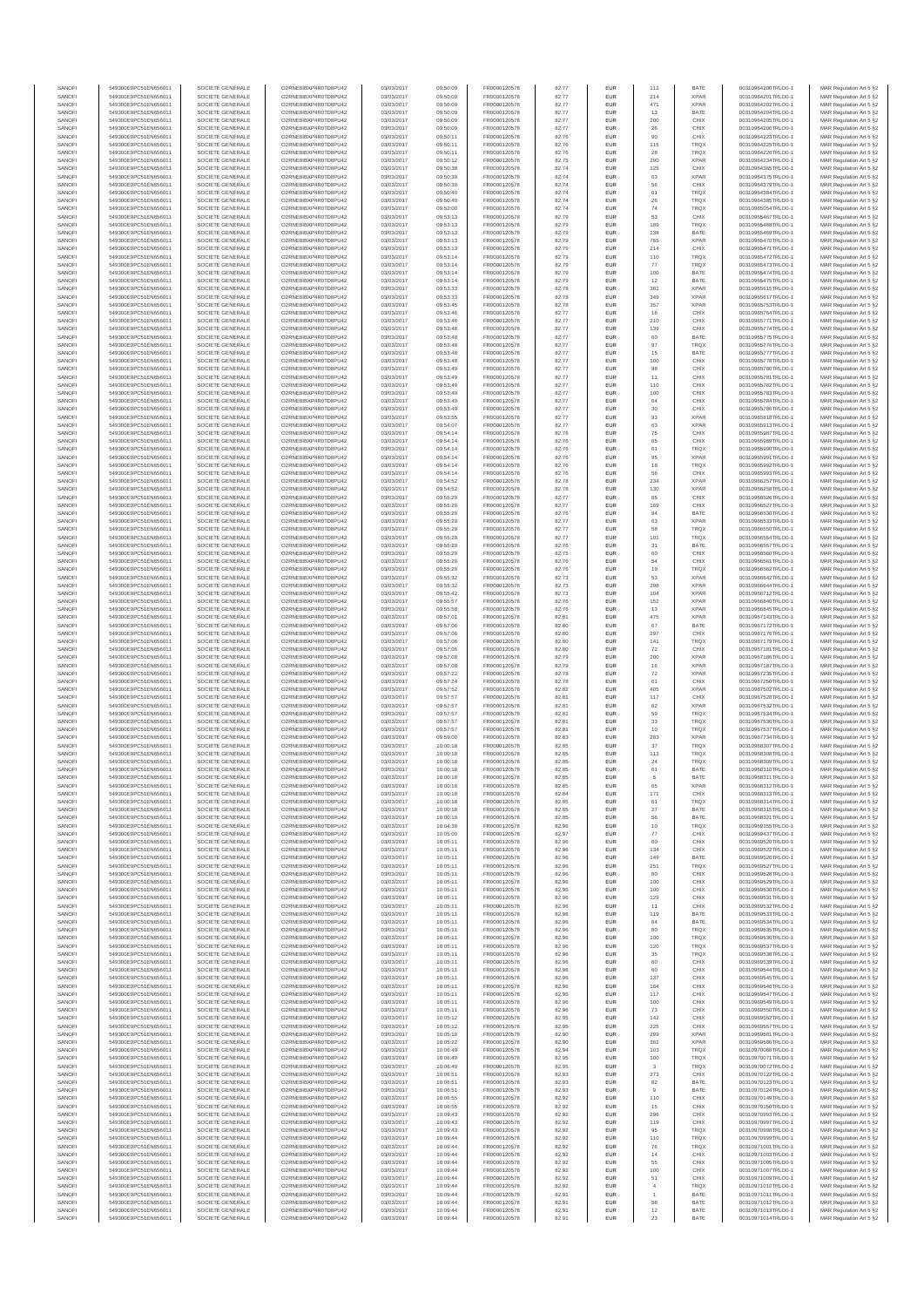| SANOFI           | 549300E9PC51EN656011                         | SOCIETE GENERALE                     | O2RNE8IBXP4R0TD8PU42                          | 03/03/2017               | 09:50:09             | FR0000120578                 | 82.77          | EUR                      | 112            | BATE                       | 00310964200TRLO0-1                       | MAR Regulation Art 5 §2                            |
|------------------|----------------------------------------------|--------------------------------------|-----------------------------------------------|--------------------------|----------------------|------------------------------|----------------|--------------------------|----------------|----------------------------|------------------------------------------|----------------------------------------------------|
| SANOFI<br>SANOFI | 549300E9PC51EN656011<br>549300E9PC51EN656011 | SOCIETE GENERALE<br>SOCIETE GENERALE | O2RNE8IBXP4R0TD8PU42<br>O2RNE8IBXP4R0TD8PU42  | 03/03/2017<br>03/03/2017 | 09:50:09<br>09:50:09 | FR0000120578                 | 82.77<br>82.77 | EUR<br>EUR               | 214<br>471     | <b>XPAR</b><br><b>XPAR</b> | 00310964201TRLO0-1<br>00310964202TRLO0-1 | MAR Regulation Art 5 §2                            |
| SANOFI           | 549300E9PC51EN656011                         | SOCIETE GENERALE                     | O2RNE8IBXP4R0TD8PLI42                         | 03/03/2017               | 09:50:09             | FR0000120578<br>FR0000120578 | 82.77          | EUR                      | 13             | BATE                       | 00310964204TRLO0-1                       | MAR Regulation Art 5 §2<br>MAR Regulation Art 5 §2 |
| SANOFI           | 549300E9PC51EN656011                         | SOCIETE GENERALE                     | O2RNE8IBXP4R0TD8PU42                          | 03/03/2017               | 09:50:09             | FR0000120578                 | 82.77          | EUR                      | 200            | CHIX                       | 00310964205TRLO0-1                       | MAR Regulation Art 5 §2                            |
| SANOFI           | 549300E9PC51EN656011                         | SOCIETE GENERALE                     | O2RNE8IBXP4R0TD8PU42                          | 03/03/2017               | 09:50:09             | FR0000120578                 | 82.77          | EUR                      | 26             | CHIX                       | 00310964206TRLO0-1                       | MAR Regulation Art 5 §2                            |
| SANOFI<br>SANOFI | 549300E9PC51EN656011<br>549300E9PC51EN656011 | SOCIETE GENERALE<br>SOCIETE GENERALE | O2RNE8IBXP4R0TD8PU42<br>O2RNE8IBXP4R0TD8PU42  | 03/03/2017<br>03/03/2017 | 09:50:11<br>09:50:11 | FR0000120578<br>FR0000120578 | 82.76<br>82.76 | <b>EUR</b><br>EUR        | 90<br>115      | CHIX<br><b>TRQX</b>        | 00310964223TRLO0-1<br>00310964225TRLO0-1 | MAR Regulation Art 5 §2<br>MAR Regulation Art 5 §2 |
| SANOFI           | 549300E9PC51EN656011                         | SOCIETE GENERALE                     | O2RNE8IBXP4R0TD8PU42                          | 03/03/2017               | 09:50:11             | FR0000120578                 | 82.76          | <b>EUR</b>               | 28             | <b>TRQX</b>                | 00310964226TRLO0-1                       | MAR Regulation Art 5 §2                            |
| SANOFI           | 549300E9PC51EN656011                         | SOCIETE GENERALE                     | O2RNE8IBXP4R0TD8PU42                          | 03/03/2017               | 09:50:12             | FR0000120578                 | 82.75          | EUR                      | 290            | <b>XPAR</b>                | 00310964234TRLO0-1                       | MAR Regulation Art 5 §2                            |
| SANOFI<br>SANOFI | 549300E9PC51EN656011<br>549300E9PC51EN656011 | SOCIETE GENERALE<br>SOCIETE GENERALE | O2RNE8IBXP4R0TD8PLI42<br>O2RNE8IBXP4R0TD8PU42 | 03/03/2017<br>03/03/2017 | 09:50:38<br>09:50:39 | FR0000120578<br>FR0000120578 | 82.74<br>82.74 | EUR<br>EUR               | 125<br>63      | CHIX<br><b>XPAR</b>        | 00310964365TRLO0-1<br>00310964375TRLO0-1 | MAR Regulation Art 5 §2<br>MAR Regulation Art 5 §2 |
| SANOFI           | 549300E9PC51EN656011                         | SOCIETE GENERALE                     | O2RNE8IBXP4R0TD8PU42                          | 03/03/2017               | 09:50:39             | FR0000120578                 | 82.74          | EUR                      | 56             | CHIX                       | 00310964379TRLO0-1                       | MAR Regulation Art 5 §2                            |
| SANOFI           | 549300E9PC51EN656011                         | SOCIETE GENERALE                     | O2RNE8IBXP4R0TD8PU42                          | 03/03/2017               | 09:50:40             | FR0000120578                 | 82.74          | EUR                      | 61             | <b>TRQX</b>                | 00310964384TRLO0-1                       | MAR Regulation Art 5 §2                            |
| SANOFI           | 549300E9PC51EN656011                         | SOCIETE GENERALE                     | O2RNE8IBXP4R0TD8PU42                          | 03/03/2017               | 09:50:40             | FR0000120578                 | 82.74          | EUR                      | 26             | TRQX                       | 00310964385TRLO0-1                       | MAR Regulation Art 5 §2                            |
| SANOFI<br>SANOFI | 549300E9PC51EN656011<br>549300E9PC51EN656011 | SOCIETE GENERALE<br>SOCIETE GENERALE | O2RNE8IBXP4R0TD8PU42<br>O2RNE8IBXP4R0TD8PU42  | 03/03/2017<br>03/03/2017 | 09:52:00<br>09:53:13 | FR0000120578<br>FR0000120578 | 82.74<br>82.79 | <b>EUR</b><br>EUR        | 74<br>53       | <b>TRQX</b><br>CHIX        | 00310965054TRLO0-1<br>00310965467TRLO0-1 | MAR Regulation Art 5 §2<br>MAR Regulation Art 5 §2 |
| SANOFI           | 549300E9PC51EN656011                         | SOCIETE GENERALE                     | O2RNE8IBXP4R0TD8PU42                          | 03/03/2017               | 09:53:13             | FR0000120578                 | 82.79          | <b>EUR</b>               | 189            | <b>TRQX</b>                | 00310965468TRLO0-1                       | MAR Regulation Art 5 §2                            |
| SANOFI           | 549300E9PC51EN656011                         | SOCIETE GENERALE                     | O2RNE8IBXP4R0TD8PU42                          | 03/03/2017               | 09:53:13             | FR0000120578                 | 82.79          | EUR                      | 138            | BATE                       | 00310965469TRLO0-1                       | MAR Regulation Art 5 §2                            |
| SANOFI           | 549300E9PC51EN656011                         | SOCIETE GENERALE                     | O2RNESIBXP4R0TD8PLI42                         | 03/03/2017               | 09:53:13             | FR0000120578                 | 82.79          | EUR                      | 755            | <b>XPAR</b>                | 00310965470TRLO0-1                       | MAR Regulation Art 5 §2                            |
| SANOFI<br>SANOFI | 549300E9PC51EN656011<br>549300E9PC51EN656011 | SOCIETE GENERALE<br>SOCIETE GENERALE | O2RNE8IBXP4R0TD8PU42<br>O2RNE8IBXP4R0TD8PLI42 | 03/03/2017<br>03/03/2017 | 09:53:13<br>09:53:14 | FR0000120578<br>FR0000120578 | 82.79<br>82.79 | EUR<br>EUR               | 214<br>110     | CHIX<br>TRQX               | 00310965471TRLO0-1<br>00310965472TRLO0-1 | MAR Regulation Art 5 §2<br>MAR Regulation Art 5 §2 |
| SANOFI           | 549300E9PC51EN656011                         | SOCIETE GENERALE                     | O2RNE8IBXP4R0TD8PU42                          | 03/03/2017               | 09:53:14             | FR0000120578                 | 82.79          | <b>EUR</b>               | 77             | <b>TRQX</b>                | 00310965473TRLO0-1                       | MAR Regulation Art 5 §2                            |
| SANOFI           | 549300E9PC51EN656011                         | SOCIETE GENERALE                     | O2RNE8IBXP4R0TD8PU42                          | 03/03/2017               | 09:53:14             | FR0000120578                 | 82.79          | EUR                      | 100            | BATE                       | 00310965474TRLO0-1                       | MAR Regulation Art 5 §2                            |
| SANOFI<br>SANOFI | 549300E9PC51EN656011<br>549300E9PC51EN656011 | SOCIETE GENERALE<br>SOCIETE GENERALE | O2RNE8IBXP4R0TD8PU42<br>O2RNE8IBXP4R0TD8PU42  | 03/03/2017<br>03/03/2017 | 09:53:14<br>09:53:33 | FR0000120578<br>FR0000120578 | 82.79<br>82.78 | <b>EUR</b><br>EUR        | 12<br>381      | BATE<br><b>XPAR</b>        | 00310965475TRLO0-1<br>00310965615TRLO0-1 | MAR Regulation Art 5 §2<br>MAR Regulation Art 5 §2 |
| SANOFI           | 549300E9PC51EN656011                         | SOCIETE GENERALE                     | O2RNE8IBXP4R0TD8PU42                          | 03/03/2017               | 09:53:33             | FR0000120578                 | 82.78          | <b>EUR</b>               | 349            | <b>XPAR</b>                | 00310965617TRLO0-1                       | MAR Regulation Art 5 §2                            |
| SANOFI           | 549300E9PC51EN656011                         | SOCIETE GENERALE                     | O2RNE8IBXP4R0TD8PU42                          | 03/03/2017               | 09:53:45             | FR0000120578                 | 82.78          | EUR                      | 357            | <b>XPAR</b>                | 00310965753TRLO0-1                       | MAR Regulation Art 5 §2                            |
| SANOFI           | 549300E9PC51EN656011                         | SOCIETE GENERALE                     | O2RNE8IBXP4R0TD8PU42                          | 03/03/2017               | 09:53:46             | FR0000120578                 | 82.77          | EUR                      | 16             | CHIX                       | 00310965764TRLO0-1                       | MAR Regulation Art 5 §2                            |
| SANOFI<br>SANOFI | 549300E9PC51EN656011<br>549300E9PC51EN656011 | SOCIETE GENERALE<br>SOCIETE GENERALE | O2RNE8IBXP4R0TD8PU42<br>O2RNE8IBXP4R0TD8PU42  | 03/03/2017<br>03/03/2017 | 09:53:48<br>09:53:48 | FR0000120578<br>FR0000120578 | 82.77<br>82.77 | EUR<br>EUR               | 210<br>139     | CHIX<br>CHIX               | 00310965771TRLO0-1<br>00310965774TRLO0-1 | MAR Regulation Art 5 §2<br>MAR Regulation Art 5 §2 |
| SANOFI           | 549300E9PC51EN656011                         | SOCIETE GENERALE                     | O2RNE8IBXP4R0TD8PU42                          | 03/03/2017               | 09:53:48             | FR0000120578                 | 82.77          | <b>EUR</b>               | 60             | BATE                       | 00310965775TRLO0-1                       | MAR Regulation Art 5 §2                            |
| SANOFI           | 549300E9PC51EN656011                         | SOCIETE GENERALE                     | O2RNE8IBXP4R0TD8PU42                          | 03/03/2017               | 09:53:48             | FR0000120578                 | 82.77          | EUR                      | 97             | <b>TRQX</b>                | 00310965776TRLO0-1                       | MAR Regulation Art 5 §2                            |
| SANOFI<br>SANOFI | 549300E9PC51EN656011<br>549300E9PC51EN656011 | SOCIETE GENERALE<br>SOCIETE GENERALE | O2RNE8IBXP4R0TD8PU42<br>O2RNE8IBXP4R0TD8PU42  | 03/03/2017<br>03/03/2017 | 09:53:48<br>09:53:48 | FR0000120578<br>FR0000120578 | 82.77<br>82.77 | <b>EUR</b><br>EUR        | 15<br>100      | BATE<br>CHIX               | 00310965777TRLO0-1<br>00310965778TRLO0-1 | MAR Regulation Art 5 §2<br>MAR Regulation Art 5 §2 |
| SANOFI           | 549300E9PC51EN656011                         | SOCIETE GENERALE                     | O2RNE8IBXP4R0TD8PU42                          | 03/03/2017               | 09:53:49             | FR0000120578                 | 82.77          | EUR                      | 98             | CHIX                       | 00310965780TRLO0-1                       | MAR Regulation Art 5 §2                            |
| SANOFI           | 549300E9PC51EN656011                         | SOCIETE GENERALE                     | O2RNE8IBXP4R0TD8PU42                          | 03/03/2017               | 09:53:49             | FR0000120578                 | 82.77          | EUR                      | 11             | CHIX                       | 00310965781TRLO0-1                       | MAR Regulation Art 5 §2                            |
| SANOFI<br>SANOFI | 549300E9PC51EN656011                         | SOCIETE GENERALE                     | O2RNE8IBXP4R0TD8PU42<br>O2RNE8IBXP4R0TD8PU42  | 03/03/2017               | 09:53:49             | FR0000120578                 | 82.77          | EUR                      | 110            | CHIX                       | 00310965782TRLO0-1<br>00310965783TRLO0-1 | MAR Regulation Art 5 §2                            |
| SANOFI           | 549300E9PC51EN656011<br>549300E9PC51EN656011 | SOCIETE GENERALE<br>SOCIETE GENERALE | O2RNE8IBXP4R0TD8PU42                          | 03/03/2017<br>03/03/2017 | 09:53:49<br>09:53:49 | FR0000120578<br>FR0000120578 | 82.77<br>82.77 | EUR<br>EUR               | 100<br>64      | CHIX<br>CHIX               | 00310965784TRLO0-1                       | MAR Regulation Art 5 §2<br>MAR Regulation Art 5 §2 |
| SANOFI           | 549300E9PC51EN656011                         | SOCIETE GENERALE                     | O2RNE8IBXP4R0TD8PU42                          | 03/03/2017               | 09:53:49             | FR0000120578                 | 82.77          | <b>EUR</b>               | 30             | CHIX                       | 00310965786TRLO0-1                       | MAR Regulation Art 5 §2                            |
| SANOFI           | 549300E9PC51EN656011                         | SOCIETE GENERALE                     | O2RNE8IBXP4R0TD8PU42                          | 03/03/2017               | 09:53:55             | FR0000120578                 | 82.77          | EUR                      | 93             | <b>XPAR</b>                | 00310965818TRLO0-1                       | MAR Regulation Art 5 §2                            |
| SANOFI<br>SANOFI | 549300E9PC51EN656011<br>549300E9PC51EN656011 | SOCIETE GENERALE<br>SOCIETE GENERALE | O2RNE8IBXP4R0TD8PLI42<br>O2RNE8IBXP4R0TD8PU42 | 03/03/2017<br>03/03/2017 | 09:54:07<br>09:54:14 | FR0000120578<br>FR0000120578 | 82.77<br>82.76 | <b>EUR</b><br>EUR        | 63<br>75       | <b>XPAR</b><br>CHIX        | 00310965913TRLO0-1<br>00310965987TRLO0-1 | MAR Regulation Art 5 §2<br>MAR Regulation Art 5 §2 |
| SANOFI           | 549300E9PC51EN656011                         | SOCIETE GENERALE                     | O2RNE8IBXP4R0TD8PU42                          | 03/03/2017               | 09:54:14             | FR0000120578                 | 82.76          | EUR                      | 65             | CHIX                       | 00310965989TRLO0-1                       | MAR Regulation Art 5 §2                            |
| SANOFI           | 549300E9PC51EN656011                         | SOCIETE GENERALE                     | O2RNE8IBXP4R0TD8PU42                          | 03/03/2017               | 09:54:14             | FR0000120578                 | 82.76          | EUR                      | 61             | TRQX                       | 00310965990TRLO0-1                       | MAR Regulation Art 5 §2                            |
| SANOFI           | 549300E9PC51EN656011                         | SOCIETE GENERALE                     | O2RNE8IBXP4R0TD8PLI42<br>O2RNE8IBXP4R0TD8PU42 | 03/03/2017               | 09:54:14             | FR0000120578                 | 82.76          | EUR                      | 95             | <b>XPAR</b>                | 00310965991TRLO0-1                       | MAR Regulation Art 5 §2<br>MAR Regulation Art 5 §2 |
| SANOFI<br>SANOFI | 549300E9PC51EN656011<br>549300E9PC51EN656011 | SOCIETE GENERALE<br>SOCIETE GENERALE | O2RNE8IBXP4R0TD8PU42                          | 03/03/2017<br>03/03/2017 | 09:54:14<br>09:54:14 | FR0000120578<br>FR0000120578 | 82.76<br>82.76 | EUR<br>EUR               | 18<br>56       | TRQX<br>CHIX               | 00310965992TRLO0-1<br>00310965993TRLO0-1 | MAR Regulation Art 5 §2                            |
| SANOFI           | 549300E9PC51EN656011                         | SOCIETE GENERALE                     | O2RNE8IBXP4R0TD8PU42                          | 03/03/2017               | 09:54:52             | FR0000120578                 | 82.78          | <b>EUR</b>               | 234            | <b>XPAR</b>                | 00310966257TRLO0-1                       | MAR Regulation Art 5 §2                            |
| SANOFI           | 549300E9PC51EN656011                         | SOCIETE GENERALE                     | O2RNE8IBXP4R0TD8PU42                          | 03/03/2017               | 09:54:52             | FR0000120578                 | 82.78          | EUR                      | 130            | <b>XPAR</b>                | 00310966258TRLO0-1                       | MAR Regulation Art 5 §2                            |
| SANOFI<br>SANOFI | 549300E9PC51EN656011<br>549300E9PC51EN656011 | SOCIETE GENERALE<br>SOCIETE GENERALE | O2RNE8IBXP4R0TD8PU42<br>O2RNE8IBXP4R0TD8PU42  | 03/03/2017<br>03/03/2017 | 09:55:29<br>09:55:29 | FR0000120578<br>FR0000120578 | 82.77<br>82.77 | <b>EUR</b><br>EUR        | 85<br>169      | CHIX<br>CHIX               | 00310966526TRLO0-1<br>00310966527TRLO0-1 | MAR Regulation Art 5 §2<br>MAR Regulation Art 5 §2 |
| SANOFI           | 549300E9PC51EN656011                         | SOCIETE GENERALE                     | O2RNE8IBXP4R0TD8PLI42                         | 03/03/2017               | 09:55:29             | FR0000120578                 | 82.76          | EUR                      | 94             | BATE                       | 00310966530TRLO0-1                       | MAR Regulation Art 5 §2                            |
| SANOFI           | 549300E9PC51EN656011                         | SOCIETE GENERALE                     | O2RNE8IBXP4R0TD8PU42                          | 03/03/2017               | 09:55:29             | FR0000120578                 | 82.77          | EUR                      | 63             | <b>XPAR</b>                | 00310966533TRLO0-1                       | MAR Regulation Art 5 §2                            |
| SANOFI           | 549300E9PC51EN656011                         | SOCIETE GENERALE                     | O2RNE8IBXP4R0TD8PU42                          | 03/03/2017               | 09:55:29             | FR0000120578                 | 82.77          | EUR                      | 58             | TRQX                       | 00310966550TRLO0-1                       | MAR Regulation Art 5 §2                            |
| SANOFI<br>SANOFI | 549300E9PC51EN656011<br>549300E9PC51EN656011 | SOCIETE GENERALE<br>SOCIETE GENERALE | O2RNE8IBXP4R0TD8PU42<br>O2RNE8IBXP4R0TD8PU42  | 03/03/2017<br>03/03/2017 | 09:55:29<br>09:55:29 | FR0000120578<br>FR0000120578 | 82.77<br>82.76 | <b>EUR</b><br>EUR        | 101<br>31      | <b>TRQX</b><br>BATE        | 00310966554TRLO0-1<br>00310966557TRLO0-1 | MAR Regulation Art 5 §2<br>MAR Regulation Art 5 §2 |
| SANOFI           | 549300E9PC51EN656011                         | SOCIETE GENERALE                     | O2RNE8IBXP4R0TD8PU42                          | 03/03/2017               | 09:55:29             | FR0000120578                 | 82.75          | <b>EUR</b>               | 60             | CHIX                       | 00310966560TRLO0-1                       | MAR Regulation Art 5 §2                            |
| SANOFI           | 549300E9PC51EN656011                         | SOCIETE GENERALE                     | O2RNE8IBXP4R0TD8PU42                          | 03/03/2017               | 09:55:29             | FR0000120578                 | 82.76          | EUR                      | 54             | CHIX                       | 00310966561TRLO0-1                       | MAR Regulation Art 5 §2                            |
| SANOFI<br>SANOFI | 549300E9PC51EN656011<br>549300E9PC51EN656011 | SOCIETE GENERALE<br>SOCIETE GENERALE | O2RNE8IBXP4R0TD8PU42<br>O2RNE8IBXP4R0TD8PU42  | 03/03/2017<br>03/03/2017 | 09:55:29<br>09:55:32 | FR0000120578<br>FR0000120578 | 82.76<br>82.73 | <b>EUR</b><br>EUR        | 19<br>53       | <b>TRQX</b><br><b>XPAR</b> | 00310966562TRLO0-1<br>00310966642TRLO0-1 | MAR Regulation Art 5 §2<br>MAR Regulation Art 5 §2 |
| SANOFI           | 549300E9PC51EN656011                         | SOCIETE GENERALE                     | O2RNE8IBXP4R0TD8PU42                          | 03/03/2017               | 09:55:32             | FR0000120578                 | 82.73          | EUR                      | 298            | <b>XPAR</b>                | 00310966644TRLO0-1                       | MAR Regulation Art 5 §2                            |
| SANOFI           | 549300E9PC51EN656011                         | SOCIETE GENERALE                     | O2RNE8IBXP4R0TD8PU42                          | 03/03/2017               | 09:55:42             | FR0000120578                 | 82.73          | EUR                      | 104            | <b>XPAR</b>                | 00310966712TRLO0-1                       | MAR Regulation Art 5 §2                            |
| SANOFI           | 549300E9PC51EN656011                         | SOCIETE GENERALE                     | O2RNE8IBXP4R0TD8PU42                          | 03/03/2017               | 09:55:57             | FR0000120578                 | 82.76          | EUR                      | 152            | <b>XPAR</b>                | 00310966840TRLO0-1                       | MAR Regulation Art 5 §2                            |
| SANOFI<br>SANOFI | 549300E9PC51EN656011<br>549300E9PC51EN656011 | SOCIETE GENERALE<br>SOCIETE GENERALE | O2RNE8IBXP4R0TD8PU42<br>O2RNE8IBXP4R0TD8PU42  | 03/03/2017<br>03/03/2017 | 09:55:58<br>09:57:01 | FR0000120578<br>FR0000120578 | 82.76<br>82.81 | <b>EUR</b><br>EUR        | 13<br>475      | <b>XPAR</b><br><b>XPAR</b> | 00310966845TRLO0-1<br>00310967143TRLO0-1 | MAR Regulation Art 5 §2<br>MAR Regulation Art 5 §2 |
| SANOFI           | 549300E9PC51EN656011                         | SOCIETE GENERALE                     | O2RNE8IBXP4R0TD8PU42                          | 03/03/2017               | 09:57:06             | FR0000120578                 | 82.80          | <b>EUR</b>               | 67             | BATE                       | 00310967172TRLO0-1                       | MAR Regulation Art 5 §2                            |
| SANOFI           | 549300E9PC51EN656011                         | SOCIETE GENERALE                     | O2RNE8IBXP4R0TD8PU42                          | 03/03/2017               | 09:57:06             | FR0000120578                 | 82.80          | EUR                      | 297            | CHIX                       | 00310967176TRLO0-1                       | MAR Regulation Art 5 §2                            |
| SANOFI<br>SANOFI | 549300E9PC51EN656011<br>549300E9PC51EN656011 | SOCIETE GENERALE<br>SOCIETE GENERALE | O2RNE8IBXP4R0TD8PU42<br>O2RNE8IBXP4R0TD8PU42  | 03/03/2017<br>03/03/2017 | 09:57:06<br>09:57:06 | FR0000120578<br>FR0000120578 | 82.80<br>82.80 | <b>EUR</b><br>EUR        | 141<br>72      | TRQX<br>CHIX               | 00310967179TRLO0-1<br>00310967181TRLO0-1 | MAR Regulation Art 5 §2<br>MAR Regulation Art 5 §2 |
| SANOFI           | 549300E9PC51EN656011                         | SOCIETE GENERALE                     | O2RNE8IBXP4R0TD8PU42                          | 03/03/2017               | 09:57:08             | FR0000120578                 | 82.79          | EUR                      | 200            | <b>XPAR</b>                | 00310967186TRLO0-1                       | MAR Regulation Art 5 §2                            |
| SANOFI           | 549300E9PC51EN656011                         | SOCIETE GENERALE                     | O2RNE8IBXP4R0TD8PU42                          | 03/03/2017               | 09:57:08             | FR0000120578                 | 82.79          | EUR                      | 16             | <b>XPAR</b>                | 00310967187TRLO0-1                       | MAR Regulation Art 5 §2                            |
| SANOFI           | 549300E9PC51EN656011                         | SOCIETE GENERALE                     | O2RNE8IBXP4R0TD8PU42                          | 03/03/2017               | 09:57:22             | FR0000120578                 | 82.78          | EUR                      | 72             | <b>XPAR</b>                | 00310967235TRLO0-1                       | MAR Regulation Art 5 §2                            |
| SANOFI<br>SANOFI | 549300E9PC51EN656011<br>549300E9PC51EN656011 | SOCIETE GENERALE<br>SOCIETE GENERALE | O2RNE8IBXP4R0TD8PU42<br>O2RNE8IBXP4R0TD8PU42  | 03/03/2017<br>03/03/2017 | 09:57:24<br>09:57:52 | FR0000120578<br>FR0000120578 | 82.78<br>82.82 | <b>EUR</b><br>EUR        | 61<br>405      | CHIX<br><b>XPAR</b>        | 00310967250TRLO0-1<br>00310967502TRLO0-1 | MAR Regulation Art 5 §2<br>MAR Regulation Art 5 §2 |
| SANOFI           | 549300E9PC51EN656011                         | SOCIETE GENERALE                     | O2RNE8IBXP4R0TD8PU42                          | 03/03/2017               | 09:57:57             | FR0000120578                 | 82.81          | <b>EUR</b>               | 117            | CHIX                       | 00310967528TRLO0-1                       | MAR Regulation Art 5 §2                            |
| SANOFI           | 549300E9PC51EN656011                         | SOCIETE GENERALE                     | O2RNE8IBXP4R0TD8PU42                          | 03/03/2017               | 09:57:57             | FR0000120578                 | 82.81          | EUR                      | 62             | <b>XPAR</b>                | 00310967532TRLO0-1                       | MAR Regulation Art 5 §2                            |
| SANOFI           | 549300E9PC51EN656011                         | SOCIETE GENERALE                     | O2RNE8IBXP4R0TD8PU42                          | 03/03/2017               | 09:57:57             | FR0000120578<br>FR0000120578 | 82.81          | EUR                      | 59             | TRQX                       | 00310967534TRLO0-1                       | MAR Regulation Art 5 §2                            |
| SANOFI<br>SANOFI | 549300E9PC51EN656011<br>549300E9PC51EN656011 | SOCIETE GENERALE<br>SOCIETE GENERALE | O2RNE8IBXP4R0TD8PU42<br>O2RNE8IBXP4R0TD8PU42  | 03/03/2017<br>03/03/2017 | 09:57:57<br>09:57:57 | FR0000120578                 | 82.81<br>82.81 | EUR<br>EUR               | 33<br>10       | TRQX<br>TRQX               | 00310967536TRLO0-1<br>00310967537TRLO0-1 | MAR Regulation Art 5 §2<br>MAR Regulation Art 5 §2 |
| SANOFI           | 549300E9PC51EN656011                         | SOCIETE GENERALE                     | O2RNE8IBXP4R0TD8PU42                          | 03/03/2017               | 09:59:00             | FR0000120578                 | 82.83          | EUR                      | 283            | <b>XPAR</b>                | 00310967734TRLO0-1                       | MAR Regulation Art 5 §2                            |
| SANOFI           | 549300E9PC51EN656011                         | SOCIETE GENERALE                     | O2RNE8IBXP4R0TD8PU42                          | 03/03/2017               | 10:00:18             | FR0000120578                 | 82.85          | EUR                      | 37             | TRQX                       | 00310968307TRLO0-1                       | MAR Regulation Art 5 §2                            |
| SANOFI<br>SANOFI | 549300E9PC51EN656011<br>549300E9PC51EN656011 | SOCIETE GENERALE<br>SOCIETE GENERALE | O2RNE8IBXP4R0TD8PU42<br>O2RNE8IBXP4R0TD8PU42  | 03/03/2017<br>03/03/2017 | 10:00:18<br>10:00:18 | FR0000120578<br>FR0000120578 | 82.85<br>82.85 | <b>EUR</b><br>EUR        | 113<br>24      | <b>TRQX</b><br>TRQX        | 00310968308TRLO0-1<br>00310968309TRLO0-1 | MAR Regulation Art 5 §2<br>MAR Regulation Art 5 §2 |
| SANOFI           | 549300E9PC51EN656011                         | SOCIETE GENERALE                     | O2RNE8IBXP4R0TD8PU42                          | 03/03/2017               | 10:00:18             | FR0000120578                 | 82.85          | EUR                      | 61             | BATE                       | 00310968310TRLO0-1                       | MAR Regulation Art 5 §2                            |
| SANOFI           | 549300E9PC51EN656011                         | SOCIETE GENERALE                     | O2RNE8IBXP4R0TD8PU42                          | 03/03/2017               | 10:00:18             | FR0000120578                 | 82.85          | EUR                      | 5              | BATE                       | 00310968311TRLO0-1                       | MAR Regulation Art 5 §2                            |
| SANOFI           | 549300E9PC51EN656011                         | SOCIETE GENERALE                     | O2RNE8IBXP4R0TD8PLI42                         | 03/03/2017               | 10:00:18             | FR0000120578                 | 82.85          | EUR                      | 65             | <b>XPAR</b>                | 00310968312TRLO0-1                       | MAR Regulation Art 5 §2                            |
| SANOFI<br>SANOFI | 549300E9PC51EN656011<br>549300E9PC51EN656011 | SOCIETE GENERALE<br>SOCIETE GENERALE | O2RNE8IBXP4R0TD8PU42<br>O2RNESIBXP4R0TD8PLI42 | 03/03/2017<br>03/03/2017 | 10:00:18<br>10:00:18 | FR0000120578<br>FR0000120578 | 82.84<br>82.85 | <b>EUR</b><br><b>EUR</b> | 171<br>61      | CHIX<br><b>TROX</b>        | 00310968313TRLO0-1<br>00310968314TRLO0-1 | MAR Regulation Art 5 §2<br>MAR Regulation Art 5 §2 |
| SANOFI           | 549300E9PC51EN656011                         | SOCIETE GENERALE                     | O2RNE8IBXP4R0TD8PU42                          | 03/03/2017               | 10:00:18             | FR0000120578                 | 82.85          | EUR                      | 27             | BATE                       | 00310968315TRLO0-1                       | MAR Regulation Art 5 §2                            |
| SANOFI           | 549300E9PC51EN656011                         | SOCIETE GENERALE                     | O2RNE8IBXP4R0TD8PU42                          | 03/03/2017               | 10:00:19             | FR0000120578                 | 82.85          | EUR                      | 56             | BATE                       | 00310968321TRLO0-1                       | MAR Regulation Art 5 §2                            |
| SANOFI           | 549300E9PC51EN656011                         | SOCIETE GENERALE                     | O2RNE8IBXP4R0TD8PLI42                         | 03/03/2017               | 10:04:38             | FR0000120578                 | 82.96          | <b>EUR</b>               | 10             | <b>TRQX</b>                | 00310969355TRLO0-1                       | MAR Regulation Art 5 §2                            |
| SANOFI<br>SANOFI | 549300E9PC51EN656011<br>549300E9PC51EN656011 | SOCIETE GENERALE<br>SOCIETE GENERALE | O2RNE8IBXP4R0TD8PU42<br>O2RNE8IBXP4R0TD8PU42  | 03/03/2017<br>03/03/2017 | 10:05:00<br>10:05:11 | FR0000120578<br>FR0000120578 | 82.97<br>82.96 | EUR<br><b>EUR</b>        | 77<br>60       | CHIX<br>CHIX               | 00310969437TRLO0-1<br>00310969520TRLO0-1 | MAR Regulation Art 5 §2<br>MAR Regulation Art 5 §2 |
| SANOFI           | 549300E9PC51EN656011                         | SOCIETE GENERALE                     | O2RNE8IBXP4R0TD8PU42                          | 03/03/2017               | 10:05:11             | FR0000120578                 | 82.96          | EUR                      | 134            | CHIX                       | 00310969522TRLO0-1                       | MAR Regulation Art 5 §2                            |
| SANOFI<br>SANOFI | 549300E9PC51EN656011<br>549300E9PC51EN656011 | SOCIETE GENERALE<br>SOCIETE GENERALE | O2RNE8IBXP4R0TD8PU42<br>O2RNE8IBXP4R0TD8PU42  | 03/03/2017<br>03/03/2017 | 10:05:11<br>10:05:11 | FR0000120578                 | 82.96<br>82.96 | EUR<br>EUR               | 149<br>251     | BATE<br><b>TRQX</b>        | 00310969526TRLO0-1                       | MAR Regulation Art 5 §2                            |
| SANOFI           | 549300E9PC51EN656011                         | SOCIETE GENERALE                     | O2RNESIBXP4R0TD8PLI42                         | 03/03/2017               | 10:05:11             | FR0000120578<br>FR0000120578 | 82.96          | EUR                      | 80             | CHIX                       | 00310969527TRLO0-1<br>00310969528TRLO0-1 | MAR Regulation Art 5 §2<br>MAR Regulation Art 5 §2 |
| SANOFI           | 549300E9PC51EN656011                         | SOCIETE GENERALE                     | O2RNE8IBXP4R0TD8PLI42                         | 03/03/2017               | 10:05:11             | FR0000120578                 | 82.96          | <b>EUR</b>               | 100            | CHIX                       | 00310969529TRLO0-1                       | MAR Regulation Art 5 §2                            |
| SANOFI           | 549300E9PC51EN656011                         | SOCIETE GENERALE                     | O2RNE8IBXP4R0TD8PU42                          | 03/03/2017               | 10:05:11             | FR0000120578                 | 82.96          | EUR                      | 100            | CHIX                       | 00310969530TRLO0-1                       | MAR Regulation Art 5 §2                            |
| SANOFI<br>SANOFI | 549300E9PC51EN656011<br>549300E9PC51EN656011 | SOCIETE GENERALE<br>SOCIETE GENERALE | O2RNE8IBXP4R0TD8PU42<br>O2RNE8IBXP4R0TD8PU42  | 03/03/2017<br>03/03/2017 | 10:05:11<br>10:05:11 | FR0000120578<br>FR0000120578 | 82.96<br>82.96 | <b>EUR</b><br>EUR        | 129<br>11      | CHIX<br>CHIX               | 00310969531TRLO0-1<br>00310969532TRLO0-1 | MAR Regulation Art 5 §2<br>MAR Regulation Art 5 §2 |
| SANOFI           | 549300E9PC51EN656011                         | SOCIETE GENERALE                     | O2RNE8IBXP4R0TD8PU42                          | 03/03/2017               | 10:05:11             | FR0000120578                 | 82.96          | EUR                      | 119            | BATE                       | 00310969533TRLO0-1                       | MAR Regulation Art 5 §2                            |
| SANOFI           | 549300E9PC51EN656011                         | SOCIETE GENERALE                     | O2RNE8IBXP4R0TD8PU42                          | 03/03/2017               | 10:05:11             | FR0000120578                 | 82.96          | EUR                      | 64             | BATE                       | 00310969534TRLO0-1                       | MAR Regulation Art 5 §2                            |
| SANOFI<br>SANOFI | 549300E9PC51EN656011<br>549300E9PC51EN656011 | SOCIETE GENERALE<br>SOCIETE GENERALE | O2RNE8IBXP4R0TD8PU42<br>O2RNESIBXP4R0TD8PLI42 | 03/03/2017<br>03/03/2017 | 10:05:11<br>10:05:11 | FR0000120578<br>FR0000120578 | 82.96<br>82.96 | EUR<br>EUR               | 80<br>100      | <b>TRQX</b><br><b>TRQX</b> | 00310969535TRLO0-1<br>00310969536TRLO0-1 | MAR Regulation Art 5 §2<br>MAR Regulation Art 5 §2 |
| SANOFI           | 549300E9PC51EN656011                         | SOCIETE GENERALE                     | O2RNE8IBXP4R0TD8PU42                          | 03/03/2017               | 10:05:11             | FR0000120578                 | 82.96          | EUR                      | 120            | TRQX                       | 00310969537TRLO0-1                       | MAR Regulation Art 5 §2                            |
| SANOFI           | 549300E9PC51EN656011                         | SOCIETE GENERALE                     | O2RNE8IBXP4R0TD8PU42                          | 03/03/2017               | 10:05:11             | FR0000120578                 | 82.96          | <b>EUR</b>               | 35             | <b>TROX</b>                | 00310969538TRLO0-1                       | MAR Regulation Art 5 §2                            |
| SANOFI<br>SANOFI | 549300E9PC51EN656011<br>549300E9PC51EN656011 | SOCIETE GENERALE<br>SOCIETE GENERALE | O2RNE8IBXP4R0TD8PU42<br>O2RNE8IBXP4R0TD8PLI42 | 03/03/2017<br>03/03/2017 | 10:05:11<br>10:05:11 | FR0000120578<br>FR0000120578 | 82.96<br>82.96 | EUR<br><b>EUR</b>        | 60<br>60       | CHIX<br>CHIX               | 00310969539TRLO0-1<br>00310969544TRLO0-1 | MAR Regulation Art 5 §2<br>MAR Regulation Art 5 §2 |
| SANOFI           | 549300E9PC51EN656011                         | SOCIETE GENERALE                     | O2RNE8IBXP4R0TD8PU42                          | 03/03/2017               | 10:05:11             | FR0000120578                 | 82.96          | EUR                      | 137            | CHIX                       | 00310969545TRLO0-1                       | MAR Regulation Art 5 \$2                           |
| SANOFI           | 549300E9PC51EN656011                         | SOCIETE GENERALE                     | O2RNE8IBXP4R0TD8PU42                          | 03/03/2017               | 10:05:11             | FR0000120578                 | 82.96          | <b>EUR</b>               | 164            | CHIX                       | 00310969546TRLO0-1                       | MAR Regulation Art 5 §2                            |
| SANOFI           | 549300E9PC51EN656011                         | SOCIETE GENERALE                     | O2RNE8IBXP4R0TD8PU42<br>O2RNE8IBXP4R0TD8PU42  | 03/03/2017               | 10:05:11             | FR0000120578                 | 82.96          | EUR<br>EUR               | 117            | CHIX                       | 00310969547TRLO0-1                       | MAR Regulation Art 5 §2                            |
| SANOFI<br>SANOFI | 549300E9PC51EN656011<br>549300E9PC51EN656011 | SOCIETE GENERALE<br>SOCIETE GENERALE | O2RNE8IBXP4R0TD8PU42                          | 03/03/2017<br>03/03/2017 | 10:05:11<br>10:05:11 | FR0000120578<br>FR0000120578 | 82.96<br>82.96 | EUR                      | 100<br>73      | CHIX<br>CHIX               | 00310969549TRLO0-1<br>00310969550TRLO0-1 | MAR Regulation Art 5 §2<br>MAR Regulation Art 5 §2 |
| SANOFI           | 549300E9PC51EN656011                         | SOCIETE GENERALE                     | O2RNE8IBXP4R0TD8PU42                          | 03/03/2017               | 10:05:12             | FR0000120578                 | 82.95          | EUR                      | 142            | CHIX                       | 00310969552TRLO0-1                       | MAR Regulation Art 5 §2                            |
| SANOFI           | 549300E9PC51EN656011                         | SOCIETE GENERALE                     | O2RNE8IBXP4R0TD8PU42                          | 03/03/2017               | 10:05:12             | FR0000120578                 | 82.95          | <b>EUR</b>               | 225            | CHIX                       | 00310969557TRLO0-1                       | MAR Regulation Art 5 §2                            |
| SANOFI<br>SANOFI | 549300E9PC51EN656011<br>549300E9PC51EN656011 | SOCIETE GENERALE<br>SOCIETE GENERALE | O2RNE8IBXP4R0TD8PU42<br>O2RNE8IBXP4R0TD8PU42  | 03/03/2017<br>03/03/2017 | 10:05:19<br>10:05:22 | FR0000120578<br>FR0000120578 | 82.90<br>82.90 | EUR<br><b>EUR</b>        | 299<br>362     | <b>XPAR</b><br><b>XPAR</b> | 00310969581TRLO0-1<br>00310969586TRLO0-1 | MAR Regulation Art 5 §2                            |
| SANOFI           | 549300E9PC51EN656011                         | SOCIETE GENERALE                     | O2RNE8IBXP4R0TD8PU42                          | 03/03/2017               | 10:06:49             | FR0000120578                 | 82.94          | EUR                      | 103            | <b>TRQX</b>                | 00310970068TRLO0-1                       | MAR Regulation Art 5 §2<br>MAR Regulation Art 5 §2 |
| SANOFI           | 549300E9PC51EN656011                         | SOCIETE GENERALE                     | O2RNE8IBXP4R0TD8PU42                          | 03/03/2017               | 10:06:49             | FR0000120578                 | 82.95          | EUR                      | 100            | TRQX                       | 00310970071TRLO0-1                       | MAR Regulation Art 5 §2                            |
| SANOFI           | 549300E9PC51EN656011                         | SOCIETE GENERALE                     | O2RNE8IBXP4R0TD8PU42                          | 03/03/2017               | 10:06:49             | FR0000120578                 | 82.95          | EUR                      | $\mathcal{R}$  | <b>TRQX</b>                | 00310970072TRLO0-1                       | MAR Regulation Art 5 §2                            |
| SANOFI<br>SANOFI | 549300E9PC51EN656011<br>549300E9PC51EN656011 | SOCIETE GENERALE<br>SOCIETE GENERALE | O2RNE8IBXP4R0TD8PU42<br>O2RNE8IBXP4R0TD8PU42  | 03/03/2017<br>03/03/2017 | 10:06:51<br>10:06:51 | FR0000120578<br>FR0000120578 | 82.93          | <b>EUR</b><br>EUR        | 273<br>82      | CHIX<br>BATE               | 00310970122TRLO0-1<br>00310970123TRLO0-1 | MAR Regulation Art 5 §2                            |
| SANOFI           | 549300E9PC51EN656011                         | SOCIETE GENERALE                     | O2RNE8IBXP4R0TD8PU42                          | 03/03/2017               | 10:06:51             | FR0000120578                 | 82.93<br>82.93 | EUR                      |                | BATE                       | 00310970124TRLO0-1                       | MAR Regulation Art 5 §2<br>MAR Regulation Art 5 §2 |
| SANOFI           | 549300E9PC51EN656011                         | SOCIETE GENERALE                     | O2RNE8IBXP4R0TD8PU42                          | 03/03/2017               | 10:06:55             | FR0000120578                 | 82.92          | <b>EUR</b>               | 110            | CHIX                       | 00310970149TRLO0-1                       | MAR Regulation Art 5 §2                            |
| SANOFI           | 549300E9PC51EN656011                         | SOCIETE GENERALE                     | O2RNE8IBXP4R0TD8PU42                          | 03/03/2017               | 10:06:55             | FR0000120578                 | 82.92          | EUR                      | 15             | CHIX                       | 00310970150TRLO0-1                       | MAR Regulation Art 5 §2                            |
| SANOFI<br>SANOFI | 549300E9PC51EN656011<br>549300E9PC51EN656011 | SOCIETE GENERALE<br>SOCIETE GENERALE | O2RNE8IBXP4R0TD8PU42<br>O2RNE8IBXP4R0TD8PU42  | 03/03/2017<br>03/03/2017 | 10:09:43<br>10:09:43 | FR0000120578<br>FR0000120578 | 82.92<br>82.92 | <b>EUR</b><br>EUR        | 296<br>119     | CHIX<br>CHIX               | 00310970993TRLO0-1<br>00310970997TRLO0-1 | MAR Regulation Art 5 §2<br>MAR Regulation Art 5 §2 |
| SANOFI           | 549300E9PC51EN656011                         | SOCIETE GENERALE                     | O2RNE8IBXP4R0TD8PU42                          | 03/03/2017               | 10:09:43             | FR0000120578                 | 82.92          | EUR                      | 95             | TRQX                       | 00310970998TRLO0-1                       | MAR Regulation Art 5 §2                            |
| SANOFI           | 549300E9PC51EN656011                         | SOCIETE GENERALE                     | O2RNE8IBXP4R0TD8PU42                          | 03/03/2017               | 10:09:44             | FR0000120578                 | 82.92          | EUR                      | 110            | <b>TRQX</b>                | 00310970999TRLO0-1                       | MAR Regulation Art 5 §2                            |
| SANOFI<br>SANOFI | 549300E9PC51EN656011<br>549300E9PC51EN656011 | SOCIETE GENERALE<br>SOCIETE GENERALE | O2RNE8IBXP4R0TD8PU42<br>O2RNE8IBXP4R0TD8PU42  | 03/03/2017<br>03/03/2017 | 10:09:44<br>10:09:44 | FR0000120578<br>FR0000120578 | 82.92<br>82.92 | EUR<br><b>EUR</b>        | 76<br>14       | <b>TROX</b><br>CHIX        | 00310971001TRLO0-1<br>00310971003TRLO0-1 | MAR Regulation Art 5 §2                            |
| SANOFI           | 549300E9PC51EN656011                         | SOCIETE GENERALE                     | O2RNE8IBXP4R0TD8PU42                          | 03/03/2017               | 10:09:44             | FR0000120578                 | 82.92          | EUR                      | 55             | CHIX                       | 00310971005TRLO0-1                       | MAR Regulation Art 5 §2<br>MAR Regulation Art 5 §2 |
| SANOFI           | 549300E9PC51EN656011                         | SOCIETE GENERALE                     | O2RNE8IBXP4R0TD8PU42                          | 03/03/2017               | 10:09:44             | FR0000120578                 | 82.92          | <b>EUR</b>               | 100            | CHIX                       | 00310971007TRLO0-1                       | MAR Regulation Art 5 §2                            |
| SANOFI           | 549300E9PC51EN656011                         | SOCIETE GENERALE                     | O2RNE8IBXP4R0TD8PU42                          | 03/03/2017               | 10:09:44             | FR0000120578                 | 82.92          | EUR                      | 51             | CHIX                       | 00310971009TRLO0-1                       | MAR Regulation Art 5 §2                            |
| SANOFI<br>SANOFI | 549300E9PC51EN656011<br>549300E9PC51EN656011 | SOCIETE GENERALE<br>SOCIETE GENERALE | O2RNE8IBXP4R0TD8PU42<br>O2RNE8IBXP4R0TD8PU42  | 03/03/2017<br>03/03/2017 | 10:09:44<br>10:09:44 | FR0000120578<br>FR0000120578 | 82.92<br>82.91 | EUR<br>EUR               | $\overline{4}$ | <b>TRQX</b><br>BATE        | 00310971010TRLO0-1<br>00310971011TRLO0-1 | MAR Regulation Art 5 §2<br>MAR Regulation Art 5 §2 |
| SANOFI           | 549300E9PC51EN656011                         | SOCIETE GENERALE                     | O2RNE8IBXP4R0TD8PU42                          | 03/03/2017               | 10:09:44             | FR0000120578                 | 82.91          | EUR                      | 58             | BATE                       | 00310971012TRLO0-1                       | MAR Regulation Art 5 §2                            |
| SANOFI           | 549300E9PC51EN656011                         | SOCIETE GENERALE                     | O2RNE8IBXP4R0TD8PU42                          | 03/03/2017               | 10:09:44             | FR0000120578                 | 82.91          | EUR                      | $12\,$         | BATE                       | 00310971013TRLO0-1                       | MAR Regulation Art 5 §2                            |
| SANOFI           | 549300E9PC51EN656011                         | SOCIETE GENERALE                     | O2RNE8IBXP4R0TD8PU42                          | 03/03/2017               | 10:09:44             | FR0000120578                 | 82.91          | EUR                      | 23             | BATE                       | 00310971014TRLO0-1                       | MAR Regulation Art 5 §2                            |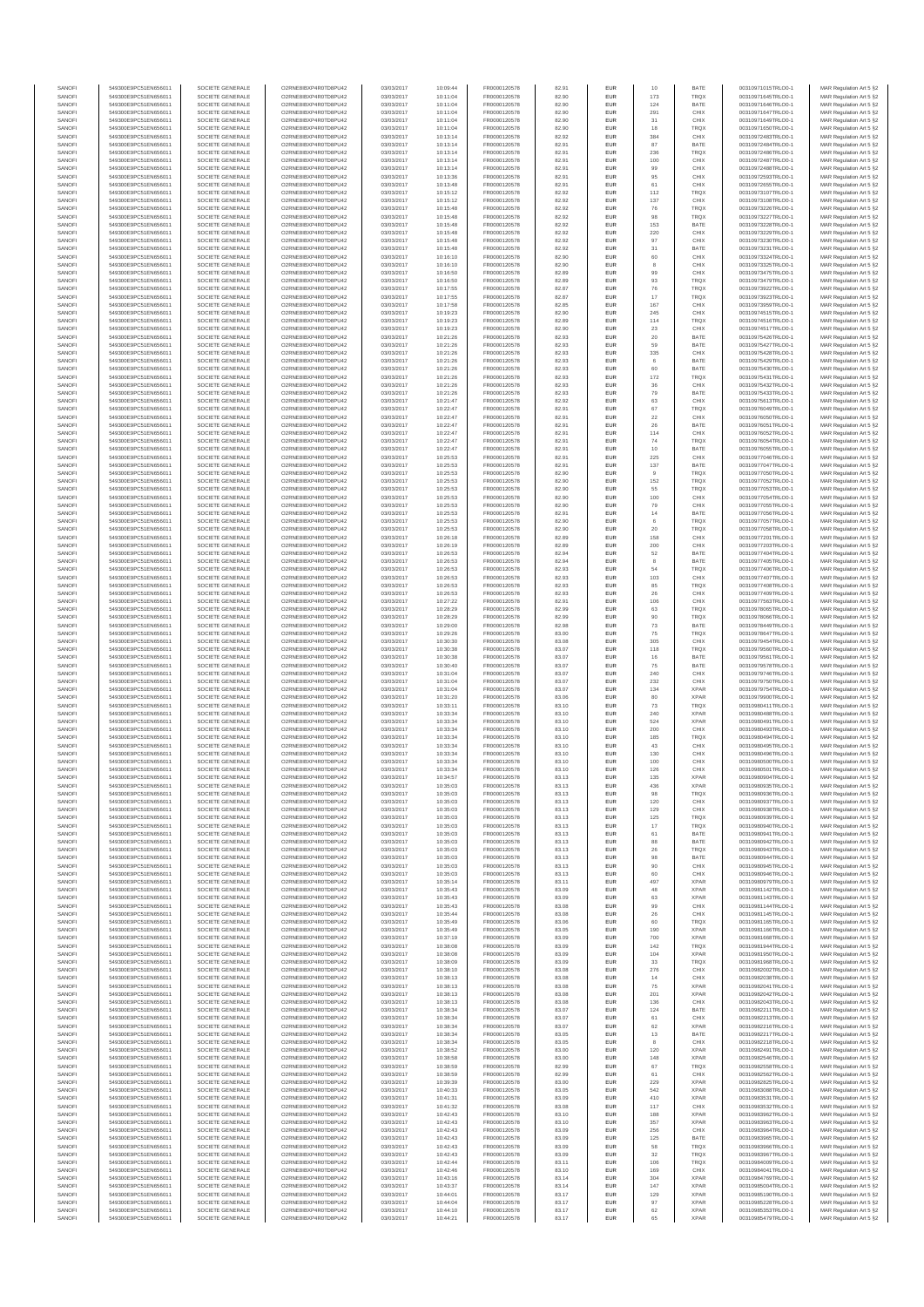| SANOFI           | 549300E9PC51EN656011                         | SOCIETE GENERALE                     | O2RNE8IBXP4R0TD8PU42                          | 03/03/2017               | 10:09:44             | FR0000120578                 | 82.91          | EUR                      | 10         | BATE                       | 00310971015TRLO0-1                       | MAR Regulation Art 5 §2                            |
|------------------|----------------------------------------------|--------------------------------------|-----------------------------------------------|--------------------------|----------------------|------------------------------|----------------|--------------------------|------------|----------------------------|------------------------------------------|----------------------------------------------------|
| SANOFI<br>SANOFI | 549300E9PC51EN656011<br>549300E9PC51EN656011 | SOCIETE GENERALE<br>SOCIETE GENERALE | O2RNE8IBXP4R0TD8PU42<br>O2RNE8IBXP4R0TD8PU42  | 03/03/2017<br>03/03/2017 | 10:11:04<br>10:11:04 | FR0000120578                 | 82.90<br>82.90 | EUR<br>EUR               | 173<br>124 | <b>TRQX</b><br>BATE        | 00310971645TRLO0-1<br>00310971646TRLO0-1 | MAR Regulation Art 5 §2                            |
| SANOFI           | 549300E9PC51EN656011                         | SOCIETE GENERALE                     | O2RNE8IBXP4R0TD8PLI42                         | 03/03/2017               | 10:11:04             | FR0000120578<br>FR0000120578 | 82.90          | EUR                      | 291        | CHIX                       | 00310971647TRLO0-1                       | MAR Regulation Art 5 §2<br>MAR Regulation Art 5 §2 |
| SANOFI           | 549300E9PC51EN656011                         | SOCIETE GENERALE                     | O2RNE8IBXP4R0TD8PU42                          | 03/03/2017               | 10:11:04             | FR0000120578                 | 82.90          | EUR                      | 31         | CHIX                       | 00310971649TRLO0-1                       | MAR Regulation Art 5 §2                            |
| SANOFI           | 549300E9PC51EN656011                         | SOCIETE GENERALE                     | O2RNE8IBXP4R0TD8PU42                          | 03/03/2017               | 10:11:04             | FR0000120578<br>FR0000120578 | 82.90          | EUR                      | 18         | TRQX                       | 00310971650TRLO0-1                       | MAR Regulation Art 5 §2                            |
| SANOFI<br>SANOFI | 549300E9PC51EN656011<br>549300E9PC51EN656011 | SOCIETE GENERALE<br>SOCIETE GENERALE | O2RNE8IBXP4R0TD8PU42<br>O2RNE8IBXP4R0TD8PU42  | 03/03/2017<br>03/03/2017 | 10:13:14<br>10:13:14 | FR0000120578                 | 82.92<br>82.91 | <b>EUR</b><br>EUR        | 384<br>87  | CHIX<br>BATE               | 00310972483TRLO0-1<br>00310972484TRLO0-1 | MAR Regulation Art 5 §2<br>MAR Regulation Art 5 §2 |
| SANOFI           | 549300E9PC51EN656011                         | SOCIETE GENERALE                     | O2RNE8IBXP4R0TD8PU42                          | 03/03/2017               | 10:13:14             | FR0000120578                 | 82.91          | <b>EUR</b>               | 236        | <b>TRQX</b>                | 00310972486TRLO0-1                       | MAR Regulation Art 5 §2                            |
| SANOFI           | 549300E9PC51EN656011                         | SOCIETE GENERALE                     | O2RNE8IBXP4R0TD8PU42                          | 03/03/2017               | 10:13:14             | FR0000120578                 | 82.91          | EUR                      | 100        | CHIX                       | 00310972487TRLO0-1                       | MAR Regulation Art 5 §2                            |
| SANOFI<br>SANOFI | 549300E9PC51EN656011<br>549300E9PC51EN656011 | SOCIETE GENERALE<br>SOCIETE GENERALE | O2RNE8IBXP4R0TD8PLI42<br>O2RNE8IBXP4R0TD8PU42 | 03/03/2017<br>03/03/2017 | 10:13:14<br>10:13:36 | FR0000120578<br>FR0000120578 | 82.91<br>82.91 | EUR<br>EUR               | 99<br>95   | CHIX<br>CHIX               | 00310972488TRLO0-1<br>00310972593TRLO0-1 | MAR Regulation Art 5 §2<br>MAR Regulation Art 5 §2 |
| SANOFI           | 549300E9PC51EN656011                         | SOCIETE GENERALE                     | O2RNE8IBXP4R0TD8PU42                          | 03/03/2017               | 10:13:48             | FR0000120578                 | 82.91          | EUR                      | 61         | CHIX                       | 00310972655TRLO0-1                       | MAR Regulation Art 5 §2                            |
| SANOFI           | 549300E9PC51EN656011                         | SOCIETE GENERALE                     | O2RNE8IBXP4R0TD8PU42                          | 03/03/2017               | 10:15:12             | FR0000120578                 | 82.92          | EUR                      | 112        | TRQX                       | 00310973107TRLO0-1                       | MAR Regulation Art 5 §2                            |
| SANOFI           | 549300E9PC51EN656011                         | SOCIETE GENERALE                     | O2RNE8IBXP4R0TD8PU42                          | 03/03/2017               | 10:15:12             | FR0000120578                 | 82.92          | EUR                      | 137        | CHIX                       | 00310973108TRLO0-1                       | MAR Regulation Art 5 §2                            |
| SANOFI<br>SANOFI | 549300E9PC51EN656011<br>549300E9PC51EN656011 | SOCIETE GENERALE<br>SOCIETE GENERALE | O2RNE8IBXP4R0TD8PU42<br>O2RNE8IBXP4R0TD8PU42  | 03/03/2017<br>03/03/2017 | 10:15:48<br>10:15:48 | FR0000120578<br>FR0000120578 | 82.92<br>82.92 | <b>EUR</b><br>EUR        | 76         | <b>TRQX</b><br>TRQX        | 00310973226TRLO0-1<br>00310973227TRLO0-1 | MAR Regulation Art 5 §2<br>MAR Regulation Art 5 §2 |
| SANOFI           | 549300E9PC51EN656011                         | SOCIETE GENERALE                     | O2RNE8IBXP4R0TD8PU42                          | 03/03/2017               | 10:15:48             | FR0000120578                 | 82.92          | <b>EUR</b>               | 153        | BATE                       | 00310973228TRLO0-1                       | MAR Regulation Art 5 §2                            |
| SANOFI           | 549300E9PC51EN656011                         | SOCIETE GENERALE                     | O2RNE8IBXP4R0TD8PU42                          | 03/03/2017               | 10:15:48             | FR0000120578                 | 82.92          | EUR                      | 220        | CHIX                       | 00310973229TRLO0-1                       | MAR Regulation Art 5 §2                            |
| SANOFI           | 549300E9PC51EN656011                         | SOCIETE GENERALE                     | O2RNESIBXP4R0TD8PLI42                         | 03/03/2017               | 10:15:48             | FR0000120578                 | 82.92          | EUR                      | 97         | CHIX                       | 00310973230TRLO0-1                       | MAR Regulation Art 5 §2                            |
| SANOFI<br>SANOFI | 549300E9PC51EN656011<br>549300E9PC51EN656011 | SOCIETE GENERALE<br>SOCIETE GENERALE | O2RNE8IBXP4R0TD8PU42<br>O2RNE8IBXP4R0TD8PLI42 | 03/03/2017<br>03/03/2017 | 10:15:48<br>10:16:10 | FR0000120578<br>FR0000120578 | 82.92<br>82.90 | EUR<br>EUR               | 31<br>60   | BATE<br>CHIX               | 00310973231TRLO0-1<br>00310973324TRLO0-1 | MAR Regulation Art 5 §2<br>MAR Regulation Art 5 §2 |
| SANOFI           | 549300E9PC51EN656011                         | SOCIETE GENERALE                     | O2RNE8IBXP4R0TD8PU42                          | 03/03/2017               | 10:16:10             | FR0000120578                 | 82.90          | <b>EUR</b>               | 8          | CHIX                       | 00310973325TRLO0-1                       | MAR Regulation Art 5 §2                            |
| SANOFI           | 549300E9PC51EN656011                         | SOCIETE GENERALE                     | O2RNE8IBXP4R0TD8PU42                          | 03/03/2017               | 10:16:50             | FR0000120578                 | 82.89          | EUR                      | 99         | CHIX                       | 00310973475TRLO0-1                       | MAR Regulation Art 5 §2                            |
| SANOFI<br>SANOFI | 549300E9PC51EN656011<br>549300E9PC51EN656011 | SOCIETE GENERALE<br>SOCIETE GENERALE | O2RNE8IBXP4R0TD8PU42<br>O2RNE8IBXP4R0TD8PU42  | 03/03/2017<br>03/03/2017 | 10:16:50<br>10:17:55 | FR0000120578<br>FR0000120578 | 82.89<br>82.87 | <b>EUR</b><br>EUR        | 93<br>76   | <b>TRQX</b><br><b>TRQX</b> | 00310973479TRLO0-1<br>00310973922TRLO0-1 | MAR Regulation Art 5 §2<br>MAR Regulation Art 5 §2 |
| SANOFI           | 549300E9PC51EN656011                         | SOCIETE GENERALE                     | O2RNE8IBXP4R0TD8PU42                          | 03/03/2017               | 10:17:55             | FR0000120578                 | 82.87          | <b>EUR</b>               | 17         | <b>TRQX</b>                | 00310973923TRLO0-1                       | MAR Regulation Art 5 §2                            |
| SANOFI           | 549300E9PC51EN656011                         | SOCIETE GENERALE                     | O2RNE8IBXP4R0TD8PU42                          | 03/03/2017               | 10:17:58             | FR0000120578                 | 82.85          | EUR                      | 167        | CHIX                       | 00310973959TRLO0-1                       | MAR Regulation Art 5 §2                            |
| SANOFI           | 549300E9PC51EN656011                         | SOCIETE GENERALE                     | O2RNE8IBXP4R0TD8PU42                          | 03/03/2017               | 10:19:23             | FR0000120578                 | 82.90          | EUR                      | 245        | CHIX                       | 00310974515TRLO0-1                       | MAR Regulation Art 5 §2                            |
| SANOFI<br>SANOFI | 549300E9PC51EN656011<br>549300E9PC51EN656011 | SOCIETE GENERALE<br>SOCIETE GENERALE | O2RNE8IBXP4R0TD8PU42<br>O2RNE8IBXP4R0TD8PU42  | 03/03/2017<br>03/03/2017 | 10:19:23<br>10:19:23 | FR0000120578<br>FR0000120578 | 82.89<br>82.90 | EUR<br>EUR               | 114<br>23  | TRQX<br>CHIX               | 00310974516TRLO0-1<br>00310974517TRLO0-1 | MAR Regulation Art 5 §2<br>MAR Regulation Art 5 §2 |
| SANOFI           | 549300E9PC51EN656011                         | SOCIETE GENERALE                     | O2RNE8IBXP4R0TD8PU42                          | 03/03/2017               | 10:21:26             | FR0000120578                 | 82.93          | <b>EUR</b>               | 20         | BATE                       | 00310975426TRLO0-1                       | MAR Regulation Art 5 §2                            |
| SANOFI           | 549300E9PC51EN656011                         | SOCIETE GENERALE                     | O2RNE8IBXP4R0TD8PU42                          | 03/03/2017               | 10:21:26             | FR0000120578                 | 82.93          | EUR                      | 59         | BATE                       | 00310975427TRLO0-1                       | MAR Regulation Art 5 §2                            |
| SANOFI<br>SANOFI | 549300E9PC51EN656011<br>549300E9PC51EN656011 | SOCIETE GENERALE<br>SOCIETE GENERALE | O2RNE8IBXP4R0TD8PU42<br>O2RNE8IBXP4R0TD8PU42  | 03/03/2017<br>03/03/2017 | 10:21:26<br>10:21:26 | FR0000120578<br>FR0000120578 | 82.93<br>82.93 | <b>EUR</b><br>EUR        | 335        | CHIX<br>BATE               | 00310975428TRLO0-1<br>00310975429TRLO0-1 | MAR Regulation Art 5 §2<br>MAR Regulation Art 5 §2 |
| SANOFI           | 549300E9PC51EN656011                         | SOCIETE GENERALE                     | O2RNE8IBXP4R0TD8PU42                          | 03/03/2017               | 10:21:26             | FR0000120578                 | 82.93          | EUR                      | 60         | BATE                       | 00310975430TRLO0-1                       | MAR Regulation Art 5 §2                            |
| SANOFI           | 549300E9PC51EN656011                         | SOCIETE GENERALE                     | O2RNE8IBXP4R0TD8PU42                          | 03/03/2017               | 10:21:26             | FR0000120578                 | 82.93          | EUR                      | 172        | TRQX                       | 00310975431TRLO0-1                       | MAR Regulation Art 5 §2                            |
| SANOFI<br>SANOFI | 549300E9PC51EN656011                         | SOCIETE GENERALE                     | O2RNE8IBXP4R0TD8PU42<br>O2RNE8IBXP4R0TD8PU42  | 03/03/2017               | 10:21:26             | FR0000120578                 | 82.93          | EUR                      | 36         | CHIX                       | 00310975432TRLO0-1                       | MAR Regulation Art 5 §2                            |
| SANOFI           | 549300E9PC51EN656011<br>549300E9PC51EN656011 | SOCIETE GENERALE<br>SOCIETE GENERALE | O2RNE8IBXP4R0TD8PU42                          | 03/03/2017<br>03/03/2017 | 10:21:26<br>10:21:47 | FR0000120578<br>FR0000120578 | 82.93<br>82.92 | EUR<br>EUR               | 79<br>63   | BATE<br>CHIX               | 00310975433TRLO0-1<br>00310975613TRLO0-1 | MAR Regulation Art 5 §2<br>MAR Regulation Art 5 §2 |
| SANOFI           | 549300E9PC51EN656011                         | SOCIETE GENERALE                     | O2RNE8IBXP4R0TD8PU42                          | 03/03/2017               | 10:22:47             | FR0000120578                 | 82.91          | <b>EUR</b>               | 67         | <b>TRQX</b>                | 00310976049TRLO0-1                       | MAR Regulation Art 5 §2                            |
| SANOFI           | 549300E9PC51EN656011                         | SOCIETE GENERALE                     | O2RNE8IBXP4R0TD8PU42                          | 03/03/2017               | 10:22:47             | FR0000120578                 | 82.91          | EUR                      | $22\,$     | CHIX                       | 00310976050TRLO0-1                       | MAR Regulation Art 5 §2                            |
| SANOFI<br>SANOFI | 549300E9PC51EN656011<br>549300E9PC51EN656011 | SOCIETE GENERALE<br>SOCIETE GENERALE | O2RNE8IBXP4R0TD8PLI42<br>O2RNE8IBXP4R0TD8PU42 | 03/03/2017<br>03/03/2017 | 10:22:47<br>10:22:47 | FR0000120578<br>FR0000120578 | 82.91<br>82.91 | <b>EUR</b><br>EUR        | 26<br>114  | BATE<br>CHIX               | 00310976051TRLO0-1<br>00310976052TRLO0-1 | MAR Regulation Art 5 §2<br>MAR Regulation Art 5 §2 |
| SANOFI           | 549300E9PC51EN656011                         | SOCIETE GENERALE                     | O2RNE8IBXP4R0TD8PU42                          | 03/03/2017               | 10:22:47             | FR0000120578                 | 82.91          | EUR                      | 74         | <b>TRQX</b>                | 00310976054TRLO0-1                       | MAR Regulation Art 5 §2                            |
| SANOFI           | 549300E9PC51EN656011                         | SOCIETE GENERALE                     | O2RNE8IBXP4R0TD8PU42                          | 03/03/2017               | 10:22:47             | FR0000120578                 | 82.91          | EUR                      | 10         | BATE                       | 00310976055TRLO0-1                       | MAR Regulation Art 5 §2                            |
| SANOFI           | 549300E9PC51EN656011                         | SOCIETE GENERALE                     | O2RNE8IBXP4R0TD8PLI42<br>O2RNE8IBXP4R0TD8PU42 | 03/03/2017               | 10:25:53             | FR0000120578                 | 82.91          | EUR                      | 225        | CHIX                       | 00310977046TRLO0-1<br>00310977047TRLO0-1 | MAR Regulation Art 5 §2                            |
| SANOFI<br>SANOFI | 549300E9PC51EN656011<br>549300E9PC51EN656011 | SOCIETE GENERALE<br>SOCIETE GENERALE | O2RNE8IBXP4R0TD8PU42                          | 03/03/2017<br>03/03/2017 | 10:25:53<br>10:25:53 | FR0000120578<br>FR0000120578 | 82.91<br>82.90 | EUR<br>EUR               | 137        | BATE<br>TRQX               | 00310977050TRLO0-1                       | MAR Regulation Art 5 §2<br>MAR Regulation Art 5 §2 |
| SANOFI           | 549300E9PC51EN656011                         | SOCIETE GENERALE                     | O2RNE8IBXP4R0TD8PU42                          | 03/03/2017               | 10:25:53             | FR0000120578                 | 82.90          | <b>EUR</b>               | 152        | <b>TRQX</b>                | 00310977052TRLO0-1                       | MAR Regulation Art 5 §2                            |
| SANOFI           | 549300E9PC51EN656011                         | SOCIETE GENERALE                     | O2RNE8IBXP4R0TD8PU42                          | 03/03/2017               | 10:25:53             | FR0000120578                 | 82.90          | EUR                      | 55         | TRQX                       | 00310977053TRLO0-1                       | MAR Regulation Art 5 §2                            |
| SANOFI<br>SANOFI | 549300E9PC51EN656011<br>549300E9PC51EN656011 | SOCIETE GENERALE<br>SOCIETE GENERALE | O2RNE8IBXP4R0TD8PU42<br>O2RNE8IBXP4R0TD8PU42  | 03/03/2017<br>03/03/2017 | 10:25:53<br>10:25:53 | FR0000120578<br>FR0000120578 | 82.90<br>82.90 | <b>EUR</b><br>EUR        | 100<br>79  | CHIX<br>CHIX               | 00310977054TRLO0-1<br>00310977055TRLO0-1 | MAR Regulation Art 5 §2<br>MAR Regulation Art 5 §2 |
| SANOFI           | 549300E9PC51EN656011                         | SOCIETE GENERALE                     | O2RNE8IBXP4R0TD8PLI42                         | 03/03/2017               | 10:25:53             | FR0000120578                 | 82.91          | EUR                      | $14\,$     | BATE                       | 00310977056TRLO0-1                       | MAR Regulation Art 5 §2                            |
| SANOFI           | 549300E9PC51EN656011                         | SOCIETE GENERALE                     | O2RNE8IBXP4R0TD8PU42                          | 03/03/2017               | 10:25:53             | FR0000120578                 | 82.90          | EUR                      | 6          | <b>TRQX</b>                | 00310977057TRLO0-1                       | MAR Regulation Art 5 §2                            |
| SANOFI           | 549300E9PC51EN656011                         | SOCIETE GENERALE                     | O2RNE8IBXP4R0TD8PU42                          | 03/03/2017               | 10:25:53             | FR0000120578                 | 82.90          | EUR                      | 20         | <b>TRQX</b>                | 00310977058TRLO0-1                       | MAR Regulation Art 5 §2                            |
| SANOFI<br>SANOFI | 549300E9PC51EN656011<br>549300E9PC51EN656011 | SOCIETE GENERALE<br>SOCIETE GENERALE | O2RNE8IBXP4R0TD8PU42<br>O2RNE8IBXP4R0TD8PU42  | 03/03/2017<br>03/03/2017 | 10:26:18<br>10:26:19 | FR0000120578<br>FR0000120578 | 82.89<br>82.89 | <b>EUR</b><br>EUR        | 158<br>200 | CHIX<br>CHIX               | 00310977201TRLO0-1<br>00310977203TRLO0-1 | MAR Regulation Art 5 §2<br>MAR Regulation Art 5 §2 |
| SANOFI           | 549300E9PC51EN656011                         | SOCIETE GENERALE                     | O2RNE8IBXP4R0TD8PU42                          | 03/03/2017               | 10:26:53             | FR0000120578                 | 82.94          | <b>EUR</b>               | 52         | BATE                       | 00310977404TRLO0-1                       | MAR Regulation Art 5 §2                            |
| SANOFI           | 549300E9PC51EN656011                         | SOCIETE GENERALE                     | O2RNE8IBXP4R0TD8PU42                          | 03/03/2017               | 10:26:53             | FR0000120578                 | 82.94          | EUR                      |            | BATE                       | 00310977405TRLO0-1                       | MAR Regulation Art 5 §2                            |
| SANOFI<br>SANOFI | 549300E9PC51EN656011<br>549300E9PC51EN656011 | SOCIETE GENERALE<br>SOCIETE GENERALE | O2RNE8IBXP4R0TD8PU42<br>O2RNE8IBXP4R0TD8PU42  | 03/03/2017<br>03/03/2017 | 10:26:53<br>10:26:53 | FR0000120578<br>FR0000120578 | 82.93<br>82.93 | <b>EUR</b><br>EUR        | 54<br>103  | <b>TRQX</b><br>CHIX        | 00310977406TRLO0-1<br>00310977407TRLO0-1 | MAR Regulation Art 5 §2<br>MAR Regulation Art 5 §2 |
| SANOFI           | 549300E9PC51EN656011                         | SOCIETE GENERALE                     | O2RNE8IBXP4R0TD8PU42                          | 03/03/2017               | 10:26:53             | FR0000120578                 | 82.93          | EUR                      | 85         | TRQX                       | 00310977408TRLO0-1                       | MAR Regulation Art 5 §2                            |
| SANOFI           | 549300E9PC51EN656011                         | SOCIETE GENERALE                     | O2RNE8IBXP4R0TD8PU42                          | 03/03/2017               | 10:26:53             | FR0000120578                 | 82.93          | EUR                      | 26         | CHIX                       | 00310977409TRLO0-1                       | MAR Regulation Art 5 §2                            |
| SANOFI           | 549300E9PC51EN656011                         | SOCIETE GENERALE                     | O2RNE8IBXP4R0TD8PU42                          | 03/03/2017               | 10:27:22             | FR0000120578                 | 82.91          | EUR                      | 106        | CHIX                       | 00310977563TRLO0-1                       | MAR Regulation Art 5 §2                            |
| SANOFI<br>SANOFI | 549300E9PC51EN656011<br>549300E9PC51EN656011 | SOCIETE GENERALE<br>SOCIETE GENERALE | O2RNE8IBXP4R0TD8PU42<br>O2RNE8IBXP4R0TD8PU42  | 03/03/2017<br>03/03/2017 | 10:28:29<br>10:28:29 | FR0000120578<br>FR0000120578 | 82.99<br>82.99 | <b>EUR</b><br>EUR        | 63<br>90   | <b>TRQX</b><br>TRQX        | 00310978065TRLO0-1<br>00310978066TRLO0-1 | MAR Regulation Art 5 §2<br>MAR Regulation Art 5 §2 |
| SANOFI           | 549300E9PC51EN656011                         | SOCIETE GENERALE                     | O2RNE8IBXP4R0TD8PU42                          | 03/03/2017               | 10:29:00             | FR0000120578                 | 82.98          | <b>EUR</b>               | 73         | BATE                       | 00310978449TRLO0-1                       | MAR Regulation Art 5 §2                            |
| SANOFI           | 549300E9PC51EN656011                         | SOCIETE GENERALE                     | O2RNE8IBXP4R0TD8PU42                          | 03/03/2017               | 10:29:26             | FR0000120578                 | 83.00          | EUR                      | 75         | TRQX                       | 00310978647TRLO0-1                       | MAR Regulation Art 5 §2                            |
| SANOFI<br>SANOFI | 549300E9PC51EN656011<br>549300E9PC51EN656011 | SOCIETE GENERALE<br>SOCIETE GENERALE | O2RNE8IBXP4R0TD8PU42<br>O2RNE8IBXP4R0TD8PU42  | 03/03/2017<br>03/03/2017 | 10:30:30<br>10:30:38 | FR0000120578<br>FR0000120578 | 83.08<br>83.07 | <b>EUR</b><br>EUR        | 305<br>118 | CHIX<br>TRQX               | 00310979454TRLO0-1<br>00310979560TRLO0-1 | MAR Regulation Art 5 §2<br>MAR Regulation Art 5 §2 |
| SANOFI           | 549300E9PC51EN656011                         | SOCIETE GENERALE                     | O2RNE8IBXP4R0TD8PU42                          | 03/03/2017               | 10:30:38             | FR0000120578                 | 83.07          | EUR                      | 16         | BATE                       | 00310979561TRLO0-1                       | MAR Regulation Art 5 §2                            |
| SANOFI           | 549300E9PC51EN656011                         | SOCIETE GENERALE                     | O2RNE8IBXP4R0TD8PU42                          | 03/03/2017               | 10:30:40             | FR0000120578                 | 83.07          | EUR                      | 75         | BATE                       | 00310979578TRLO0-1                       | MAR Regulation Art 5 §2                            |
| SANOFI           | 549300E9PC51EN656011                         | SOCIETE GENERALE                     | O2RNE8IBXP4R0TD8PU42                          | 03/03/2017               | 10:31:04             | FR0000120578                 | 83.07          | EUR                      | 240        | CHIX                       | 00310979746TRLO0-1                       | MAR Regulation Art 5 §2                            |
| SANOFI<br>SANOFI | 549300E9PC51EN656011<br>549300E9PC51EN656011 | SOCIETE GENERALE<br>SOCIETE GENERALE | O2RNE8IBXP4R0TD8PU42<br>O2RNE8IBXP4R0TD8PU42  | 03/03/2017<br>03/03/2017 | 10:31:04<br>10:31:04 | FR0000120578<br>FR0000120578 | 83.07<br>83.07 | <b>EUR</b><br>EUR        | 232<br>134 | CHIX<br><b>XPAR</b>        | 00310979750TRLO0-1<br>00310979754TRLO0-1 | MAR Regulation Art 5 §2<br>MAR Regulation Art 5 §2 |
| SANOFI           | 549300E9PC51EN656011                         | SOCIETE GENERALE                     | O2RNE8IBXP4R0TD8PU42                          | 03/03/2017               | 10:31:20             | FR0000120578                 | 83.06          | <b>EUR</b>               | 80         | <b>XPAR</b>                | 00310979900TRLO0-1                       | MAR Regulation Art 5 §2                            |
| SANOFI           | 549300E9PC51EN656011                         | SOCIETE GENERALE                     | O2RNE8IBXP4R0TD8PU42                          | 03/03/2017               | 10:33:11             | FR0000120578                 | 83.10          | EUR                      | 73         | TRQX                       | 00310980411TRLO0-1                       | MAR Regulation Art 5 §2                            |
| SANOFI           | 549300E9PC51EN656011                         | SOCIETE GENERALE                     | O2RNE8IBXP4R0TD8PU42                          | 03/03/2017               | 10:33:34             | FR0000120578<br>FR0000120578 | 83.10          | EUR                      | 240        | <b>XPAR</b>                | 00310980488TRLO0-1                       | MAR Regulation Art 5 §2                            |
| SANOFI<br>SANOFI | 549300E9PC51EN656011<br>549300E9PC51EN656011 | SOCIETE GENERALE<br>SOCIETE GENERALE | O2RNE8IBXP4R0TD8PU42<br>O2RNE8IBXP4R0TD8PU42  | 03/03/2017<br>03/03/2017 | 10:33:34<br>10:33:34 | FR0000120578                 | 83.10<br>83.10 | EUR<br>EUR               | 524<br>200 | <b>XPAR</b><br>CHIX        | 00310980491TRLO0-1<br>00310980493TRLO0-1 | MAR Regulation Art 5 §2<br>MAR Regulation Art 5 §2 |
| SANOFI           | 549300E9PC51EN656011                         | SOCIETE GENERALE                     | O2RNE8IBXP4R0TD8PU42                          | 03/03/2017               | 10:33:34             | FR0000120578                 | 83.10          | EUR                      | 185        | TRQX                       | 00310980494TRLO0-1                       | MAR Regulation Art 5 §2                            |
| SANOFI           | 549300E9PC51EN656011                         | SOCIETE GENERALE                     | O2RNE8IBXP4R0TD8PU42                          | 03/03/2017               | 10:33:34             | FR0000120578                 | 83.10          | EUR                      | 43         | CHIX                       | 00310980495TRLO0-1                       | MAR Regulation Art 5 §2                            |
| SANOFI<br>SANOFI | 549300E9PC51EN656011<br>549300E9PC51EN656011 | SOCIETE GENERALE<br>SOCIETE GENERALE | O2RNE8IBXP4R0TD8PU42<br>O2RNE8IBXP4R0TD8PU42  | 03/03/2017<br>03/03/2017 | 10:33:34<br>10:33:34 | FR0000120578<br>FR0000120578 | 83.10<br>83.10 | <b>EUR</b><br>EUR        | 130<br>100 | CHIX<br>CHIX               | 00310980496TRLO0-1<br>00310980500TRLO0-1 | MAR Regulation Art 5 §2<br>MAR Regulation Art 5 §2 |
| SANOFI           | 549300E9PC51EN656011                         | SOCIETE GENERALE                     | O2RNE8IBXP4R0TD8PU42                          | 03/03/2017               | 10:33:34             | FR0000120578                 | 83.10          | EUR                      | 126        | CHIX                       | 00310980501TRLO0-1                       | MAR Regulation Art 5 §2                            |
| SANOFI           | 549300E9PC51EN656011                         | SOCIETE GENERALE                     | O2RNE8IBXP4R0TD8PU42                          | 03/03/2017               | 10:34:57             | FR0000120578                 | 83.13          | EUR                      | 135        | <b>XPAR</b>                | 00310980904TRLO0-1                       | MAR Regulation Art 5 §2                            |
| SANOFI           | 549300E9PC51EN656011                         | SOCIETE GENERALE                     | O2RNE8IBXP4R0TD8PLI42                         | 03/03/2017               | 10:35:03             | FR0000120578                 | 83.13          | EUR                      | 436        | <b>XPAR</b>                | 00310980935TRLO0-1                       | MAR Regulation Art 5 §2                            |
| SANOFI<br>SANOFI | 549300E9PC51EN656011<br>549300E9PC51EN656011 | SOCIETE GENERALE<br>SOCIETE GENERALE | O2RNE8IBXP4R0TD8PU42<br>O2RNESIBXP4R0TD8PLI42 | 03/03/2017<br>03/03/2017 | 10:35:03<br>10:35:03 | FR0000120578<br>FR0000120578 | 83.13<br>83.13 | <b>EUR</b><br><b>EUR</b> | 98<br>120  | <b>TRQX</b><br>CHIX        | 00310980936TRLO0-1<br>00310980937TRLO0-1 | MAR Regulation Art 5 §2<br>MAR Regulation Art 5 §2 |
| SANOFI           | 549300E9PC51EN656011                         | SOCIETE GENERALE                     | O2RNE8IBXP4R0TD8PU42                          | 03/03/2017               | 10:35:03             | FR0000120578                 | 83.13          | EUR                      | 129        | CHIX                       | 00310980938TRLO0-1                       | MAR Regulation Art 5 §2                            |
| SANOFI           | 549300E9PC51EN656011                         | SOCIETE GENERALE                     | O2RNE8IBXP4R0TD8PU42                          | 03/03/2017               | 10:35:03             | FR0000120578                 | 83.13          | EUR                      | 125        | TRQX                       | 00310980939TRLO0-1                       | MAR Regulation Art 5 §2                            |
| SANOFI           | 549300E9PC51EN656011                         | SOCIETE GENERALE                     | O2RNE8IBXP4R0TD8PU42                          | 03/03/2017               | 10:35:03             | FR0000120578                 | 83.13          | <b>EUR</b>               | 17         | <b>TROX</b>                | 00310980940TRLO0-1                       | MAR Regulation Art 5 §2                            |
| SANOFI<br>SANOFI | 549300E9PC51EN656011<br>549300E9PC51EN656011 | SOCIETE GENERALE<br>SOCIETE GENERALE | O2RNE8IBXP4R0TD8PU42<br>O2RNE8IBXP4R0TD8PU42  | 03/03/2017<br>03/03/2017 | 10:35:03<br>10:35:03 | FR0000120578<br>FR0000120578 | 83.13<br>83.13 | EUR<br><b>EUR</b>        | 61<br>88   | BATE<br>BATE               | 00310980941TRLO0-1<br>00310980942TRLO0-1 | MAR Regulation Art 5 §2<br>MAR Regulation Art 5 §2 |
| SANOFI           | 549300E9PC51EN656011                         | SOCIETE GENERALE                     | O2RNE8IBXP4R0TD8PU42                          | 03/03/2017               | 10:35:03             | FR0000120578                 | 83.13          | EUR                      | 26         | <b>TRQX</b>                | 00310980943TRLO0-1                       | MAR Regulation Art 5 §2                            |
| SANOFI           | 549300E9PC51EN656011                         | SOCIETE GENERALE                     | O2RNE8IBXP4R0TD8PU42<br>O2RNE8IBXP4R0TD8PU42  | 03/03/2017               | 10:35:03             | FR0000120578                 | 83.13          | EUR                      | 98         | BATE<br>CHIX               | 00310980944TRLO0-1                       | MAR Regulation Art 5 §2                            |
| SANOFI<br>SANOFI | 549300E9PC51EN656011<br>549300E9PC51EN656011 | SOCIETE GENERALE<br>SOCIETE GENERALE | O2RNESIBXP4R0TD8PLI42                         | 03/03/2017<br>03/03/2017 | 10:35:03<br>10:35:03 | FR0000120578<br>FR0000120578 | 83.13<br>83.13 | EUR<br>EUR               | 90<br>60   | CHIX                       | 00310980945TRLO0-1<br>00310980946TRLO0-1 | MAR Regulation Art 5 §2<br>MAR Regulation Art 5 §2 |
| SANOFI           | 549300E9PC51EN656011                         | SOCIETE GENERALE                     | O2RNE8IBXP4R0TD8PLI42                         | 03/03/2017               | 10:35:14             | FR0000120578                 | 83.11          | <b>EUR</b>               | 497        | <b>XPAR</b>                | 00310980979TRLO0-1                       | MAR Regulation Art 5 §2                            |
| SANOFI           | 549300E9PC51EN656011                         | SOCIETE GENERALE                     | O2RNE8IBXP4R0TD8PU42                          | 03/03/2017               | 10:35:43             | FR0000120578                 | 83.09          | EUR                      | 48         | <b>XPAR</b>                | 00310981142TRLO0-1                       | MAR Regulation Art 5 §2                            |
| SANOFI<br>SANOFI | 549300E9PC51EN656011<br>549300E9PC51EN656011 | SOCIETE GENERALE<br>SOCIETE GENERALE | O2RNE8IBXP4R0TD8PU42<br>O2RNE8IBXP4R0TD8PU42  | 03/03/2017<br>03/03/2017 | 10:35:43<br>10:35:43 | FR0000120578<br>FR0000120578 | 83.09<br>83.08 | <b>EUR</b><br>EUR        | 63         | <b>XPAR</b><br>CHIX        | 00310981143TRLO0-1<br>00310981144TRLO0-1 | MAR Regulation Art 5 §2<br>MAR Regulation Art 5 §2 |
| SANOFI           | 549300E9PC51EN656011                         | SOCIETE GENERALE                     | O2RNE8IBXP4R0TD8PU42                          | 03/03/2017               | 10:35:44             | FR0000120578                 | 83.08          | EUR                      | $\rm 26$   | CHIX                       | 00310981145TRLO0-1                       | MAR Regulation Art 5 §2                            |
| SANOFI           | 549300E9PC51EN656011                         | SOCIETE GENERALE                     | O2RNE8IBXP4R0TD8PU42                          | 03/03/2017               | 10:35:49             | FR0000120578                 | 83.06          | EUR                      | 60         | <b>TRQX</b>                | 00310981165TRLO0-1                       | MAR Regulation Art 5 §2                            |
| SANOFI<br>SANOFI | 549300E9PC51EN656011<br>549300E9PC51EN656011 | SOCIETE GENERALE<br>SOCIETE GENERALE | O2RNE8IBXP4R0TD8PU42<br>O2RNESIBXP4R0TD8PLI42 | 03/03/2017<br>03/03/2017 | 10:35:49<br>10:37:19 | FR0000120578<br>FR0000120578 | 83.05<br>83.09 | EUR<br>EUR               | 190<br>700 | <b>XPAR</b><br><b>XPAR</b> | 00310981166TRLO0-1<br>00310981668TRLO0-1 | MAR Regulation Art 5 §2<br>MAR Regulation Art 5 §2 |
| SANOFI           | 549300E9PC51EN656011                         | SOCIETE GENERALE                     | O2RNE8IBXP4R0TD8PU42                          | 03/03/2017               | 10:38:08             | FR0000120578                 | 83.09          | EUR                      | 142        | TRQX                       | 00310981944TRLO0-1                       | MAR Regulation Art 5 §2                            |
| SANOFI           | 549300E9PC51EN656011                         | SOCIETE GENERALE                     | O2RNE8IBXP4R0TD8PU42                          | 03/03/2017               | 10:38:08             | FR0000120578                 | 83.09          | <b>EUR</b>               | 104        | <b>XPAR</b>                | 00310981950TRLO0-1                       | MAR Regulation Art 5 §2                            |
| SANOFI<br>SANOFI | 549300E9PC51EN656011<br>549300E9PC51EN656011 | SOCIETE GENERALE<br>SOCIETE GENERALE | O2RNE8IBXP4R0TD8PU42<br>O2RNE8IBXP4R0TD8PLI42 | 03/03/2017<br>03/03/2017 | 10:38:09<br>10:38:10 | FR0000120578<br>FR0000120578 | 83.09<br>83.08 | EUR<br><b>EUR</b>        | 33         | TRQX<br>CHIX               | 00310981968TRLO0-1<br>00310982002TRLO0-1 | MAR Regulation Art 5 §2                            |
| SANOFI           | 549300E9PC51EN656011                         | SOCIETE GENERALE                     | O2RNE8IBXP4R0TD8PU42                          | 03/03/2017               | 10:38:13             | FR0000120578                 | 83.08          | EUR                      | 276<br>14  | CHIX                       | 00310982038TRLO0-1                       | MAR Regulation Art 5 §2<br>MAR Regulation Art 5 §2 |
| SANOFI           | 549300E9PC51EN656011                         | SOCIETE GENERALE                     | O2RNE8IBXP4R0TD8PU42                          | 03/03/2017               | 10:38:13             | FR0000120578                 | 83.08          | EUR                      | 75         | <b>XPAR</b>                | 00310982041TRLO0-1                       | MAR Regulation Art 5 §2                            |
| SANOFI           | 549300E9PC51EN656011                         | SOCIETE GENERALE                     | O2RNE8IBXP4R0TD8PU42                          | 03/03/2017               | 10:38:13             | FR0000120578                 | 83.08          | EUR                      | 201        | <b>XPAR</b>                | 00310982042TRLO0-1                       | MAR Regulation Art 5 §2                            |
| SANOFI<br>SANOFI | 549300E9PC51EN656011<br>549300E9PC51EN656011 | SOCIETE GENERALE<br>SOCIETE GENERALE | O2RNE8IBXP4R0TD8PU42<br>O2RNE8IBXP4R0TD8PU42  | 03/03/2017<br>03/03/2017 | 10:38:13<br>10:38:34 | FR0000120578<br>FR0000120578 | 83.08<br>83.07 | EUR<br>EUR               | 136<br>124 | CHIX<br>BATE               | 00310982043TRLO0-1<br>00310982211TRLO0-1 | MAR Regulation Art 5 §2<br>MAR Regulation Art 5 §2 |
| SANOFI           | 549300E9PC51EN656011                         | SOCIETE GENERALE                     | O2RNE8IBXP4R0TD8PU42                          | 03/03/2017               | 10:38:34             | FR0000120578                 | 83.07          | EUR                      | 61         | CHIX                       | 00310982213TRLO0-1                       | MAR Regulation Art 5 §2                            |
| SANOFI           | 549300E9PC51EN656011                         | SOCIETE GENERALE                     | O2RNE8IBXP4R0TD8PU42                          | 03/03/2017               | 10:38:34             | FR0000120578                 | 83.07          | <b>EUR</b>               | 62         | <b>XPAR</b>                | 00310982216TRLO0-1                       | MAR Regulation Art 5 §2                            |
| SANOFI<br>SANOFI | 549300E9PC51EN656011<br>549300E9PC51EN656011 | SOCIETE GENERALE<br>SOCIETE GENERALE | O2RNE8IBXP4R0TD8PU42<br>O2RNE8IBXP4R0TD8PU42  | 03/03/2017<br>03/03/2017 | 10:38:34<br>10:38:34 | FR0000120578<br>FR0000120578 | 83.05<br>83.05 | EUR<br><b>EUR</b>        | 13<br>8    | BATE<br>CHIX               | 00310982217TRLO0-1<br>00310982218TRLO0-1 | MAR Regulation Art 5 §2                            |
| SANOFI           | 549300E9PC51EN656011                         | SOCIETE GENERALE                     | O2RNE8IBXP4R0TD8PU42                          | 03/03/2017               | 10:38:52             | FR0000120578                 | 83.00          | EUR                      | 120        | <b>XPAR</b>                | 00310982491TRLO0-1                       | MAR Regulation Art 5 §2<br>MAR Regulation Art 5 §2 |
| SANOFI           | 549300E9PC51EN656011                         | SOCIETE GENERALE                     | O2RNE8IBXP4R0TD8PU42                          | 03/03/2017               | 10:38:58             | FR0000120578                 | 83.00          | EUR                      | 148        | <b>XPAR</b>                | 00310982546TRLO0-1                       | MAR Regulation Art 5 §2                            |
| SANOFI           | 549300E9PC51EN656011                         | SOCIETE GENERALE                     | O2RNE8IBXP4R0TD8PU42                          | 03/03/2017               | 10:38:59             | FR0000120578                 | 82.99          | EUR                      | 67         | <b>TRQX</b>                | 00310982558TRLO0-1                       | MAR Regulation Art 5 §2                            |
| SANOFI<br>SANOFI | 549300E9PC51EN656011<br>549300E9PC51EN656011 | SOCIETE GENERALE<br>SOCIETE GENERALE | O2RNE8IBXP4R0TD8PU42<br>O2RNE8IBXP4R0TD8PU42  | 03/03/2017<br>03/03/2017 | 10:38:59<br>10:39:39 | FR0000120578<br>FR0000120578 | 82.99          | EUR<br>EUR               | 61<br>229  | CHIX<br><b>XPAR</b>        | 00310982562TRLO0-1<br>00310982825TRLO0-1 | MAR Regulation Art 5 §2                            |
| SANOFI           | 549300E9PC51EN656011                         | SOCIETE GENERALE                     | O2RNE8IBXP4R0TD8PU42                          | 03/03/2017               | 10:40:33             | FR0000120578                 | 83.00<br>83.05 | EUR                      | 542        | <b>XPAR</b>                | 00310983088TRLO0-1                       | MAR Regulation Art 5 §2<br>MAR Regulation Art 5 §2 |
| SANOFI           | 549300E9PC51EN656011                         | SOCIETE GENERALE                     | O2RNE8IBXP4R0TD8PU42                          | 03/03/2017               | 10:41:31             | FR0000120578                 | 83.09          | <b>EUR</b>               | 410        | <b>XPAR</b>                | 00310983531TRLO0-1                       | MAR Regulation Art 5 §2                            |
| SANOFI           | 549300E9PC51EN656011                         | SOCIETE GENERALE                     | O2RNE8IBXP4R0TD8PU42                          | 03/03/2017               | 10:41:32             | FR0000120578                 | 83.08          | EUR                      | 117        | CHIX                       | 00310983532TRLO0-1                       | MAR Regulation Art 5 §2                            |
| SANOFI<br>SANOFI | 549300E9PC51EN656011<br>549300E9PC51EN656011 | SOCIETE GENERALE<br>SOCIETE GENERALE | O2RNE8IBXP4R0TD8PU42<br>O2RNE8IBXP4R0TD8PU42  | 03/03/2017<br>03/03/2017 | 10:42:43<br>10:42:43 | FR0000120578<br>FR0000120578 | 83.10<br>83.10 | EUR<br>EUR               | 188<br>357 | <b>XPAR</b><br><b>XPAR</b> | 00310983962TRLO0-1<br>00310983963TRLO0-1 | MAR Regulation Art 5 §2<br>MAR Regulation Art 5 §2 |
| SANOFI           | 549300E9PC51EN656011                         | SOCIETE GENERALE                     | O2RNE8IBXP4R0TD8PU42                          | 03/03/2017               | 10:42:43             | FR0000120578                 | 83.09          | EUR                      | 256        | CHIX                       | 00310983964TRLO0-1                       | MAR Regulation Art 5 §2                            |
| SANOFI           | 549300E9PC51EN656011                         | SOCIETE GENERALE                     | O2RNE8IBXP4R0TD8PU42                          | 03/03/2017               | 10:42:43             | FR0000120578                 | 83.09          | EUR                      | 125        | BATE                       | 00310983965TRLO0-1                       | MAR Regulation Art 5 §2                            |
| SANOFI<br>SANOFI | 549300E9PC51EN656011<br>549300E9PC51EN656011 | SOCIETE GENERALE<br>SOCIETE GENERALE | O2RNE8IBXP4R0TD8PU42<br>O2RNE8IBXP4R0TD8PU42  | 03/03/2017<br>03/03/2017 | 10:42:43<br>10:42:43 | FR0000120578<br>FR0000120578 | 83.09<br>83.09 | EUR<br><b>EUR</b>        | 58<br>32   | <b>TROX</b><br><b>TROX</b> | 00310983966TRLO0-1<br>00310983967TRLO0-1 | MAR Regulation Art 5 §2                            |
| SANOFI           | 549300E9PC51EN656011                         | SOCIETE GENERALE                     | O2RNE8IBXP4R0TD8PU42                          | 03/03/2017               | 10:42:44             | FR0000120578                 | 83.11          | EUR                      | 106        | TRQX                       | 00310984009TRLO0-1                       | MAR Regulation Art 5 §2<br>MAR Regulation Art 5 §2 |
| SANOFI           | 549300E9PC51EN656011                         | SOCIETE GENERALE                     | O2RNE8IBXP4R0TD8PU42                          | 03/03/2017               | 10:42:46             | FR0000120578                 | 83.10          | <b>EUR</b>               | 169        | CHIX                       | 00310984041TRLO0-1                       | MAR Regulation Art 5 §2                            |
| SANOFI           | 549300E9PC51EN656011                         | SOCIETE GENERALE                     | O2RNE8IBXP4R0TD8PU42                          | 03/03/2017               | 10:43:16             | FR0000120578                 | 83.14          | EUR                      | 304        | <b>XPAR</b>                | 00310984769TRLO0-1                       | MAR Regulation Art 5 §2                            |
| SANOFI<br>SANOFI | 549300E9PC51EN656011<br>549300E9PC51EN656011 | SOCIETE GENERALE<br>SOCIETE GENERALE | O2RNE8IBXP4R0TD8PU42<br>O2RNE8IBXP4R0TD8PU42  | 03/03/2017<br>03/03/2017 | 10:43:37<br>10:44:01 | FR0000120578<br>FR0000120578 | 83.14<br>83.17 | EUR<br>EUR               | 147<br>129 | <b>XPAR</b><br><b>XPAR</b> | 00310985004TRLO0-1<br>00310985190TRLO0-1 | MAR Regulation Art 5 §2<br>MAR Regulation Art 5 §2 |
| SANOFI           | 549300E9PC51EN656011                         | SOCIETE GENERALE                     | O2RNE8IBXP4R0TD8PU42                          | 03/03/2017               | 10:44:04             | FR0000120578                 | 83.17          | EUR                      | 97         | <b>XPAR</b>                | 00310985228TRLO0-1                       | MAR Regulation Art 5 §2                            |
| SANOFI           | 549300E9PC51EN656011                         | SOCIETE GENERALE                     | O2RNE8IBXP4R0TD8PU42                          | 03/03/2017               | 10:44:10             | FR0000120578                 | 83.17          | EUR                      | 62         | <b>XPAR</b>                | 00310985353TRLO0-1                       | MAR Regulation Art 5 §2                            |
| SANOFI           | 549300E9PC51EN656011                         | SOCIETE GENERALE                     | O2RNE8IBXP4R0TD8PU42                          | 03/03/2017               | 10:44:21             | FR0000120578                 | 83.17          | EUR                      | 65         | <b>XPAR</b>                | 00310985479TRLO0-1                       | MAR Regulation Art 5 §2                            |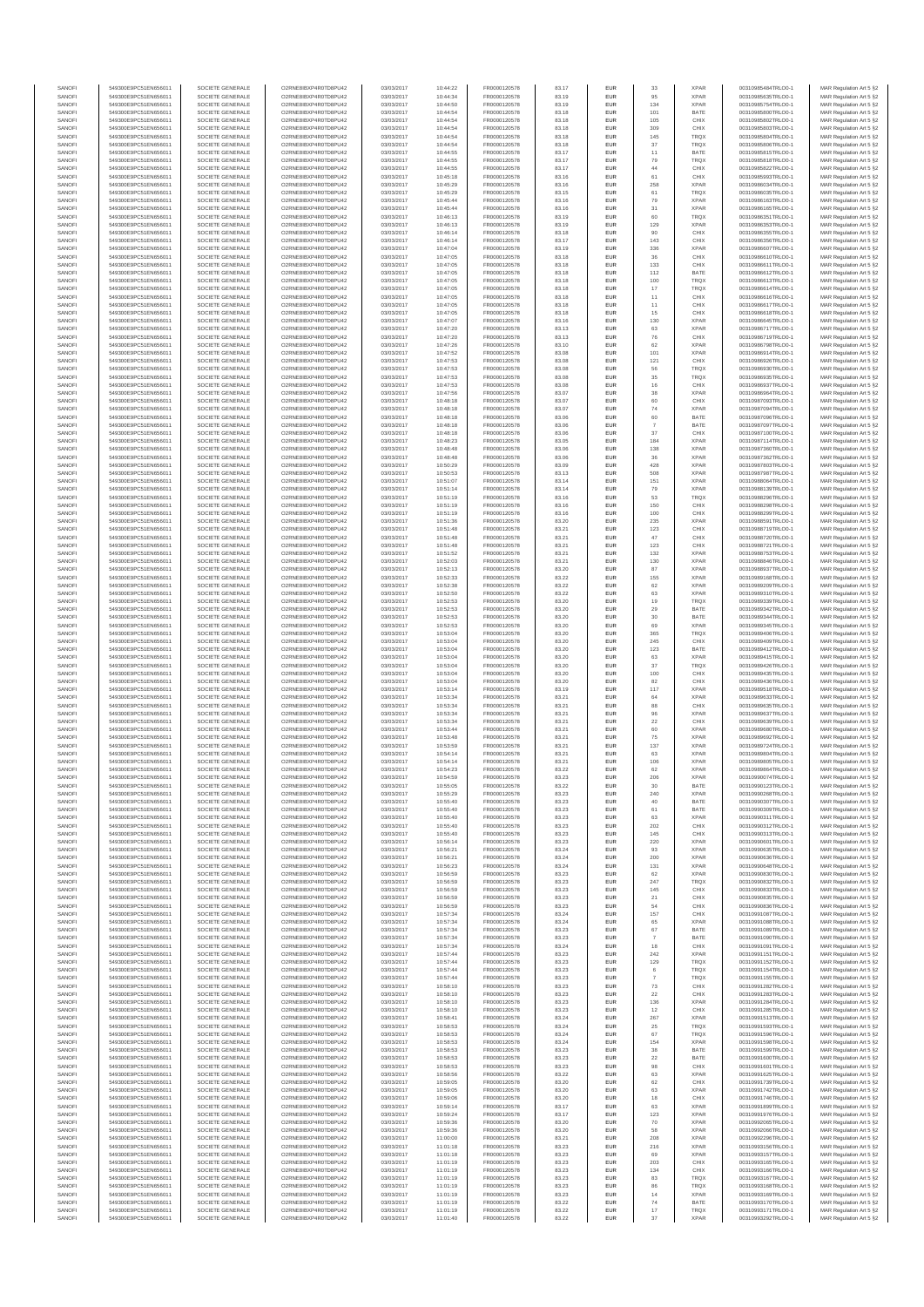| SANOFI<br>SANOFI | 549300E9PC51EN656011<br>549300E9PC51EN656011 | SOCIETE GENERALE<br>SOCIETE GENERALE | O2RNE8IBXP4R0TD8PU42<br>O2RNE8IBXP4R0TD8PU42 | 03/03/2017<br>03/03/2017 | 10:44:22<br>10:44:34 | FR0000120578<br>FR0000120578 | 83.17<br>83.19 | <b>EUR</b><br>EUR        | 33                   | <b>XPAR</b><br><b>XPAR</b> | 00310985484TRLO0-1<br>00310985635TRLO0-1 | MAR Regulation Art 5 §2                            |
|------------------|----------------------------------------------|--------------------------------------|----------------------------------------------|--------------------------|----------------------|------------------------------|----------------|--------------------------|----------------------|----------------------------|------------------------------------------|----------------------------------------------------|
| SANOFI           | 549300E9PC51EN656011                         | SOCIETE GENERALE                     | O2RNE8IBXP4R0TD8PU42                         | 03/03/2017               | 10:44:50             | FR0000120578                 | 83.19          | <b>EUR</b>               | 134                  | <b>XPAR</b>                | 00310985754TRLO0-1                       | MAR Regulation Art 5 §2<br>MAR Regulation Art 5 §2 |
| SANOFI           | 549300E9PC51EN656011                         | SOCIETE GENERALE                     | O2RNE8IBXP4R0TD8PU42                         | 03/03/2017               | 10:44:54             | FR0000120578                 | 83.18          | EUR                      | 101                  | BATE                       | 00310985800TRLO0-1                       | MAR Regulation Art 5 §2                            |
| SANOFI<br>SANOFI | 549300E9PC51EN656011<br>549300E9PC51EN656011 | SOCIETE GENERALE<br>SOCIETE GENERALE | O2RNE8IBXP4R0TD8PU42<br>O2RNE8IBXP4R0TD8PU42 | 03/03/2017<br>03/03/2017 | 10:44:54<br>10:44:54 | FR0000120578<br>FR0000120578 | 83.18<br>83.18 | <b>EUR</b><br><b>EUR</b> | 105<br>309           | CHIX<br>CHIX               | 00310985802TRLO0-1<br>00310985803TRLO0-1 | MAR Regulation Art 5 §2<br>MAR Regulation Art 5 §2 |
| SANOFI           | 549300E9PC51EN656011                         | SOCIETE GENERALE                     | O2RNE8IBXP4R0TD8PU42                         | 03/03/2017               | 10:44:54             | FR0000120578                 | 83.18          | EUR                      | 145                  | TRQX                       | 00310985804TRLO0-1                       | MAR Regulation Art 5 §2                            |
| SANOFI<br>SANOFI | 549300E9PC51EN656011<br>549300E9PC51EN656011 | SOCIETE GENERALE<br>SOCIETE GENERALE | O2RNE8IBXP4R0TD8PU42<br>O2RNE8IBXP4R0TD8PU42 | 03/03/2017<br>03/03/2017 | 10:44:54<br>10:44:55 | FR0000120578<br>FR0000120578 | 83.18<br>83.17 | EUR<br>EUR               | 37<br>11             | TRQX<br>BATE               | 00310985806TRLO0-1<br>00310985815TRLO0-1 | MAR Regulation Art 5 §2<br>MAR Regulation Art 5 §2 |
| SANOFI           | 549300E9PC51EN656011                         | SOCIETE GENERALE                     | O2RNE8IBXP4R0TD8PU42                         | 03/03/2017               | 10:44:55             | FR0000120578                 | 83.17          | EUR                      | 79                   | <b>TRQX</b>                | 00310985818TRLO0-1                       | MAR Regulation Art 5 §2                            |
| SANOFI           | 549300E9PC51EN656011                         | SOCIETE GENERALE                     | O2RNE8IBXP4R0TD8PU42                         | 03/03/2017               | 10:44:55             | FR0000120578                 | 83.17          | EUR                      | 44                   | CHIX                       | 00310985822TRLO0-1                       | MAR Regulation Art 5 §2                            |
| SANOFI<br>SANOFI | 549300E9PC51EN656011<br>549300E9PC51EN656011 | SOCIETE GENERALE<br>SOCIETE GENERALE | O2RNE8IBXP4R0TD8PU42<br>O2RNE8IBXP4R0TD8PU42 | 03/03/2017<br>03/03/2017 | 10:45:18<br>10:45:29 | FR0000120578<br>FR0000120578 | 83.16<br>83.16 | <b>EUR</b><br>EUR        | 61<br>258            | CHIX<br><b>XPAR</b>        | 00310985993TRLO0-1<br>00310986034TRLO0-1 | MAR Regulation Art 5 §2<br>MAR Regulation Art 5 §2 |
| SANOFI           | 549300E9PC51EN656011                         | SOCIETE GENERALE                     | O2RNE8IBXP4R0TD8PU42                         | 03/03/2017               | 10:45:29             | FR0000120578                 | 83.15          | <b>EUR</b>               | 61                   | <b>TRQX</b>                | 00310986035TRLO0-1                       | MAR Regulation Art 5 \$2                           |
| SANOFI<br>SANOFI | 549300E9PC51EN656011<br>549300E9PC51EN656011 | SOCIETE GENERALE<br>SOCIETE GENERALE | O2RNE8IBXP4R0TD8PU42<br>O2RNE8IBXP4R0TD8PU42 | 03/03/2017<br>03/03/2017 | 10:45:44<br>10:45:44 | FR0000120578<br>FR0000120578 | 83.16<br>83.16 | EUR<br>EUR               | 79<br>31             | <b>XPAR</b><br><b>XPAR</b> | 00310986163TRLO0-1<br>00310986165TRLO0-1 | MAR Regulation Art 5 §2<br>MAR Regulation Art 5 §2 |
| SANOFI           | 549300E9PC51EN656011                         | SOCIETE GENERALE                     | O2RNE8IBXP4R0TD8PU42                         | 03/03/2017               | 10:46:13             | FR0000120578                 | 83.19          | EUR                      | 60                   | TRQX                       | 00310986351TRLO0-1                       | MAR Regulation Art 5 §2                            |
| SANOFI           | 549300E9PC51EN656011                         | SOCIETE GENERALE                     | O2RNE8IBXP4R0TD8PU42                         | 03/03/2017               | 10:46:13             | FR0000120578                 | 83.19          | EUR                      | 129                  | <b>XPAR</b>                | 00310986353TRLO0-1                       | MAR Regulation Art 5 §2                            |
| SANOFI<br>SANOFI | 549300E9PC51EN656011<br>549300E9PC51EN656011 | SOCIETE GENERALE<br>SOCIETE GENERALE | O2RNE8IBXP4R0TD8PU42<br>O2RNE8IBXP4R0TD8PU42 | 03/03/2017<br>03/03/2017 | 10:46:14<br>10:46:14 | FR0000120578<br>FR0000120578 | 83.18<br>83.17 | <b>EUR</b><br>EUR        | 90<br>143            | CHIX<br>CHIX               | 00310986355TRLO0-1<br>00310986356TRLO0-1 | MAR Regulation Art 5 §2<br>MAR Regulation Art 5 §2 |
| SANOFI           | 549300E9PC51EN656011                         | SOCIETE GENERALE                     | O2RNE8IBXP4R0TD8PU42                         | 03/03/2017               | 10:47:04             | FR0000120578                 | 83.19          | <b>EUR</b>               | 336                  | <b>XPAR</b>                | 00310986607TRLO0-1                       | MAR Regulation Art 5 §2                            |
| SANOFI<br>SANOFI | 549300E9PC51EN656011<br>549300E9PC51EN656011 | SOCIETE GENERALE<br>SOCIETE GENERALE | O2RNE8IBXP4R0TD8PU42<br>O2RNE8IBXP4R0TD8PU42 | 03/03/2017<br>03/03/2017 | 10:47:05<br>10:47:05 | FR0000120578<br>FR0000120578 | 83.18<br>83.18 | EUR<br><b>EUR</b>        | 36<br>133            | CHIX<br>CHIX               | 00310986610TRLO0-1<br>00310986611TRLO0-1 | MAR Regulation Art 5 §2<br>MAR Regulation Art 5 §2 |
| SANOFI           | 549300E9PC51EN656011                         | SOCIETE GENERALE                     | O2RNE8IBXP4R0TD8PU42                         | 03/03/2017               | 10:47:05             | FR0000120578                 | 83.18          | EUR                      | 112                  | BATE                       | 00310986612TRLO0-1                       | MAR Regulation Art 5 §2                            |
| SANOFI           | 549300E9PC51EN656011                         | SOCIETE GENERALE                     | O2RNE8IBXP4R0TD8PU42                         | 03/03/2017               | 10:47:05             | FR0000120578                 | 83.18          | EUR                      | 100                  | TRQX                       | 00310986613TRLO0-1                       | MAR Regulation Art 5 §2                            |
| SANOFI<br>SANOFI | 549300E9PC51EN656011<br>549300E9PC51EN656011 | SOCIETE GENERALE<br>SOCIETE GENERALE | O2RNE8IBXP4R0TD8PU42<br>O2RNE8IBXP4R0TD8PU42 | 03/03/2017<br>03/03/2017 | 10:47:05<br>10:47:05 | FR0000120578<br>FR0000120578 | 83.18<br>83.18 | EUR<br>EUR               | $17\,$<br>11         | TRQX<br>CHIX               | 00310986614TRLO0-1<br>00310986616TRLO0-1 | MAR Regulation Art 5 §2<br>MAR Regulation Art 5 §2 |
| SANOFI           | 549300E9PC51EN656011                         | SOCIETE GENERALE                     | O2RNE8IBXP4R0TD8PLI42                        | 03/03/2017               | 10:47:05             | FR0000120578                 | 83.18          | <b>EUR</b>               | 11                   | CHIX                       | 00310986617TRLO0-1                       | MAR Regulation Art 5 §2                            |
| SANOFI<br>SANOFI | 549300E9PC51EN656011<br>549300E9PC51EN656011 | SOCIETE GENERALE<br>SOCIETE GENERALE | O2RNE8IBXP4R0TD8PU42<br>O2RNE8IBXP4R0TD8PU42 | 03/03/2017<br>03/03/2017 | 10:47:05<br>10:47:07 | FR0000120578<br>FR0000120578 | 83.18<br>83.16 | EUR<br><b>EUR</b>        | $15\,$<br>130        | CHIX<br><b>XPAR</b>        | 00310986618TRLO0-1<br>00310986645TRLO0-1 | MAR Regulation Art 5 §2<br>MAR Regulation Art 5 §2 |
| SANOFI           | 549300E9PC51EN656011                         | SOCIETE GENERALE                     | O2RNE8IBXP4R0TD8PU42                         | 03/03/2017               | 10:47:20             | FR0000120578                 | 83.13          | EUR                      | 63                   | <b>XPAR</b>                | 00310986717TRLO0-1                       | MAR Regulation Art 5 §2                            |
| SANOFI<br>SANOFI | 549300E9PC51EN656011                         | SOCIETE GENERALE                     | O2RNE8IBXP4R0TD8PU42                         | 03/03/2017               | 10:47:20             | FR0000120578                 | 83.13          | EUR                      | ${\bf 76}$           | CHIX<br><b>XPAR</b>        | 00310986719TRLO0-1                       | MAR Regulation Art 5 §2                            |
| SANOFI           | 549300E9PC51EN656011<br>549300E9PC51EN656011 | SOCIETE GENERALE<br>SOCIETE GENERALE | O2RNE8IBXP4R0TD8PU42<br>O2RNE8IBXP4R0TD8PU42 | 03/03/2017<br>03/03/2017 | 10:47:26<br>10:47:52 | FR0000120578<br>FR0000120578 | 83.10<br>83.08 | EUR<br>EUR               | 62<br>101            | XPAR                       | 00310986798TRLO0-1<br>00310986914TRLO0-1 | MAR Regulation Art 5 §2<br>MAR Regulation Art 5 §2 |
| SANOFI           | 549300E9PC51EN656011                         | SOCIETE GENERALE                     | O2RNE8IBXP4R0TD8PU42                         | 03/03/2017               | 10:47:53             | FR0000120578                 | 83.08          | EUR                      | 121                  | CHIX                       | 00310986926TRLO0-1                       | MAR Regulation Art 5 §2                            |
| SANOFI<br>SANOFI | 549300E9PC51EN656011<br>549300E9PC51EN656011 | SOCIETE GENERALE<br>SOCIETE GENERALE | O2RNE8IBXP4R0TD8PU42<br>O2RNE8IBXP4R0TD8PU42 | 03/03/2017<br>03/03/2017 | 10:47:53<br>10:47:53 | FR0000120578<br>FR0000120578 | 83.08<br>83.08 | EUR<br><b>EUR</b>        | 56<br>35             | TRQX<br><b>TRQX</b>        | 00310986930TRLO0-1<br>00310986935TRLO0-1 | MAR Regulation Art 5 §2<br>MAR Regulation Art 5 §2 |
| SANOFI           | 549300E9PC51EN656011                         | SOCIETE GENERALE                     | O2RNE8IBXP4R0TD8PU42                         | 03/03/2017               | 10:47:53             | FR0000120578                 | 83.08          | EUR                      | 16                   | CHIX                       | 00310986937TRLO0-1                       | MAR Regulation Art 5 §2                            |
| SANOFI           | 549300E9PC51EN656011                         | SOCIETE GENERALE<br>SOCIETE GENERALE | O2RNE8IBXP4R0TD8PU42<br>O2RNE8IBXP4R0TD8PU42 | 03/03/2017               | 10:47:56             | FR0000120578                 | 83.07          | <b>EUR</b>               | 38                   | <b>XPAR</b>                | 00310986964TRLO0-1                       | MAR Regulation Art 5 §2                            |
| SANOFI<br>SANOFI | 549300E9PC51EN656011<br>549300E9PC51EN656011 | SOCIETE GENERALE                     | O2RNE8IBXP4R0TD8PU42                         | 03/03/2017<br>03/03/2017 | 10:48:18<br>10:48:18 | FR0000120578<br>FR0000120578 | 83.07<br>83.07 | EUR<br>EUR               | 60<br>$74\,$         | CHIX<br><b>XPAR</b>        | 00310987093TRLO0-1<br>00310987094TRLO0-1 | MAR Regulation Art 5 §2<br>MAR Regulation Art 5 §2 |
| SANOFI           | 549300E9PC51EN656011                         | SOCIETE GENERALE                     | O2RNE8IBXP4R0TD8PU42                         | 03/03/2017               | 10:48:18             | FR0000120578                 | 83.06          | EUR                      | 60                   | BATE                       | 00310987096TRLO0-1                       | MAR Regulation Art 5 §2                            |
| SANOFI<br>SANOFI | 549300E9PC51EN656011<br>549300E9PC51EN656011 | SOCIETE GENERALE<br>SOCIETE GENERALE | O2RNE8IBXP4R0TD8PU42<br>O2RNE8IBXP4R0TD8PU42 | 03/03/2017<br>03/03/2017 | 10:48:18<br>10:48:18 | FR0000120578<br>FR0000120578 | 83.06<br>83.06 | EUR<br>EUR               | $\overline{7}$<br>37 | BATE<br>CHIX               | 00310987097TRLO0-1<br>00310987100TRLO0-1 | MAR Regulation Art 5 §2<br>MAR Regulation Art 5 §2 |
| SANOFI           | 549300E9PC51EN656011                         | SOCIETE GENERALE                     | O2RNE8IBXP4R0TD8PU42                         | 03/03/2017               | 10:48:23             | FR0000120578                 | 83.05          | EUR                      | 184                  | <b>XPAR</b>                | 00310987114TRLO0-1                       | MAR Regulation Art 5 §2                            |
| SANOFI           | 549300E9PC51EN656011                         | SOCIETE GENERALE                     | O2RNE8IBXP4R0TD8PU42                         | 03/03/2017               | 10:48:48             | FR0000120578                 | 83.06          | <b>EUR</b>               | 138                  | <b>XPAR</b>                | 00310987360TRLO0-1                       | MAR Regulation Art 5 §2                            |
| SANOFI<br>SANOFI | 549300E9PC51EN656011<br>549300E9PC51EN656011 | SOCIETE GENERALE<br>SOCIETE GENERALE | O2RNE8IBXP4R0TD8PU42<br>O2RNE8IBXP4R0TD8PU42 | 03/03/2017<br>03/03/2017 | 10:48:48<br>10:50:29 | FR0000120578<br>FR0000120578 | 83.06<br>83.09 | EUR<br><b>EUR</b>        | 36<br>428            | <b>XPAR</b><br><b>XPAR</b> | 00310987362TRLO0-1<br>00310987803TRLO0-1 | MAR Regulation Art 5 §2<br>MAR Regulation Art 5 §2 |
| SANOFI           | 549300E9PC51EN656011                         | SOCIETE GENERALE                     | O2RNE8IBXP4R0TD8PU42                         | 03/03/2017               | 10:50:53             | FR0000120578                 | 83.13          | EUR                      | 508                  | <b>XPAR</b>                | 00310987987TRLO0-1                       | MAR Regulation Art 5 §2                            |
| SANOFI<br>SANOFI | 549300E9PC51EN656011<br>549300E9PC51EN656011 | SOCIETE GENERALE<br>SOCIETE GENERALE | O2RNE8IBXP4R0TD8PU42<br>O2RNE8IBXP4R0TD8PU42 | 03/03/2017<br>03/03/2017 | 10:51:07<br>10:51:14 | FR0000120578<br>FR0000120578 | 83.14<br>83.14 | EUR<br>EUR               | 151<br>79            | <b>XPAR</b><br><b>XPAR</b> | 00310988064TRLO0-1<br>00310988139TRLO0-1 | MAR Regulation Art 5 §2<br>MAR Regulation Art 5 §2 |
| SANOFI           | 549300E9PC51EN656011                         | SOCIETE GENERALE                     | O2RNE8IBXP4R0TD8PU42                         | 03/03/2017               | 10:51:19             | FR0000120578                 | 83.16          | EUR                      | 53                   | TRQX                       | 00310988296TRLO0-1                       | MAR Regulation Art 5 §2                            |
| SANOFI           | 549300E9PC51EN656011                         | SOCIETE GENERALE                     | O2RNE8IBXP4R0TD8PU42                         | 03/03/2017               | 10:51:19             | FR0000120578                 | 83.16          | <b>EUR</b>               | 150                  | CHIX                       | 00310988298TRLO0-1                       | MAR Regulation Art 5 §2                            |
| SANOFI<br>SANOFI | 549300E9PC51EN656011<br>549300E9PC51EN656011 | SOCIETE GENERALE<br>SOCIETE GENERALE | O2RNE8IBXP4R0TD8PU42<br>O2RNE8IBXP4R0TD8PU42 | 03/03/2017<br>03/03/2017 | 10:51:19<br>10:51:36 | FR0000120578<br>FR0000120578 | 83.16<br>83.20 | EUR<br><b>EUR</b>        | 100<br>235           | CHIX<br><b>XPAR</b>        | 00310988299TRLO0-1<br>00310988591TRLO0-1 | MAR Regulation Art 5 §2<br>MAR Regulation Art 5 §2 |
| SANOFI           | 549300E9PC51EN656011                         | SOCIETE GENERALE                     | O2RNE8IBXP4R0TD8PU42                         | 03/03/2017               | 10:51:48             | FR0000120578                 | 83.21          | EUR                      | 123                  | CHIX                       | 00310988719TRLO0-1                       | MAR Regulation Art 5 §2                            |
| SANOFI<br>SANOFI | 549300E9PC51EN656011<br>549300E9PC51EN656011 | SOCIETE GENERALE<br>SOCIETE GENERALE | O2RNE8IBXP4R0TD8PU42<br>O2RNE8IBXP4R0TD8PU42 | 03/03/2017<br>03/03/2017 | 10:51:48<br>10:51:48 | FR0000120578<br>FR0000120578 | 83.21<br>83.21 | EUR<br>EUR               | $47\,$<br>123        | CHIX<br>CHIX               | 00310988720TRLO0-1<br>00310988721TRLO0-1 | MAR Regulation Art 5 §2<br>MAR Regulation Art 5 §2 |
| SANOFI           | 549300E9PC51EN656011                         | SOCIETE GENERALE                     | O2RNE8IBXP4R0TD8PU42                         | 03/03/2017               | 10:51:52             | FR0000120578                 | 83.21          | EUR                      | 132                  | <b>XPAR</b>                | 00310988753TRLO0-1                       | MAR Regulation Art 5 §2                            |
| SANOFI           | 549300E9PC51EN656011                         | SOCIETE GENERALE                     | O2RNE8IBXP4R0TD8PU42                         | 03/03/2017               | 10:52:03             | FR0000120578                 | 83.21          | EUR                      | 130                  | <b>XPAR</b>                | 00310988846TRLO0-1                       | MAR Regulation Art 5 §2                            |
| SANOFI<br>SANOFI | 549300E9PC51EN656011<br>549300E9PC51EN656011 | SOCIETE GENERALE<br>SOCIETE GENERALE | O2RNE8IBXP4R0TD8PU42<br>O2RNE8IBXP4R0TD8PU42 | 03/03/2017<br>03/03/2017 | 10:52:13<br>10:52:33 | FR0000120578<br>FR0000120578 | 83.20<br>83.22 | EUR<br><b>EUR</b>        | 87<br>155            | <b>XPAR</b><br><b>XPAR</b> | 00310988937TRLO0-1<br>00310989168TRLO0-1 | MAR Regulation Art 5 §2<br>MAR Regulation Art 5 §2 |
| SANOFI           | 549300E9PC51EN656011                         | SOCIETE GENERALE                     | O2RNE8IBXP4R0TD8PU42                         | 03/03/2017               | 10:52:38             | FR0000120578                 | 83.22          | EUR                      | 62                   | <b>XPAR</b>                | 00310989209TRLO0-1                       | MAR Regulation Art 5 §2                            |
| SANOFI<br>SANOFI | 549300E9PC51EN656011<br>549300E9PC51EN656011 | SOCIETE GENERALE<br>SOCIETE GENERALE | O2RNE8IBXP4R0TD8PU42<br>O2RNE8IBXP4R0TD8PU42 | 03/03/2017<br>03/03/2017 | 10:52:50<br>10:52:53 | FR0000120578<br>FR0000120578 | 83.22<br>83.20 | <b>EUR</b><br>EUR        | 63<br>19             | <b>XPAR</b><br>TRQX        | 00310989310TRLO0-1<br>00310989339TRLO0-1 | MAR Regulation Art 5 §2<br>MAR Regulation Art 5 §2 |
| SANOFI           | 549300E9PC51EN656011                         | SOCIETE GENERALE                     | O2RNE8IBXP4R0TD8PU42                         | 03/03/2017               | 10:52:53             | FR0000120578                 | 83.20          | EUR                      | 29                   | BATE                       | 00310989342TRLO0-1                       | MAR Regulation Art 5 §2                            |
| SANOFI           | 549300E9PC51EN656011                         | SOCIETE GENERALE                     | O2RNE8IBXP4R0TD8PU42                         | 03/03/2017               | 10:52:53             | FR0000120578                 | 83.20          | EUR                      | $30\,$               | BATE                       | 00310989344TRLO0-1                       | MAR Regulation Art 5 §2                            |
| SANOFI<br>SANOFI | 549300E9PC51EN656011<br>549300E9PC51EN656011 | SOCIETE GENERALE<br>SOCIETE GENERALE | O2RNE8IBXP4R0TD8PU42<br>O2RNE8IBXP4R0TD8PU42 | 03/03/2017<br>03/03/2017 | 10:52:53<br>10:53:04 | FR0000120578<br>FR0000120578 | 83.20<br>83.20 | EUR<br>EUR               | 69<br>365            | <b>XPAR</b><br>TRQX        | 00310989345TRLO0-1<br>00310989406TRLO0-1 | MAR Regulation Art 5 §2<br>MAR Regulation Art 5 §2 |
| SANOFI           | 549300E9PC51EN656011                         | SOCIETE GENERALE                     | O2RNE8IBXP4R0TD8PU42                         | 03/03/2017               | 10:53:04             | FR0000120578                 | 83.20          | EUR                      | 245                  | CHIX                       | 00310989409TRLO0-1                       | MAR Regulation Art 5 §2                            |
| SANOFI<br>SANOFI | 549300E9PC51EN656011<br>549300E9PC51EN656011 | SOCIETE GENERALE<br>SOCIETE GENERALE | O2RNE8IBXP4R0TD8PU42<br>O2RNE8IBXP4R0TD8PU42 | 03/03/2017<br>03/03/2017 | 10:53:04<br>10:53:04 | FR0000120578<br>FR0000120578 | 83.20<br>83.20 | <b>EUR</b><br>EUR        | 123<br>63            | BATE<br><b>XPAR</b>        | 00310989412TRLO0-1<br>00310989415TRLO0-1 | MAR Regulation Art 5 §2<br>MAR Regulation Art 5 §2 |
| SANOFI           | 549300E9PC51EN656011                         | SOCIETE GENERALE                     | O2RNE8IBXP4R0TD8PU42                         | 03/03/2017               | 10:53:04             | FR0000120578                 | 83.20          | <b>EUR</b>               | 37                   | <b>TRQX</b>                | 00310989426TRLO0-1                       | MAR Regulation Art 5 §2                            |
| SANOFI           | 549300E9PC51EN656011                         | SOCIETE GENERALE                     | O2RNE8IBXP4R0TD8PU42                         | 03/03/2017               | 10:53:04             | FR0000120578                 | 83.20          | EUR                      | 100                  | CHIX                       | 00310989435TRLO0-1                       | MAR Regulation Art 5 §2                            |
| SANOFI<br>SANOFI | 549300E9PC51EN656011<br>549300E9PC51EN656011 | SOCIETE GENERALE<br>SOCIETE GENERALE | O2RNE8IBXP4R0TD8PU42<br>O2RNE8IBXP4R0TD8PU42 | 03/03/2017<br>03/03/2017 | 10:53:04<br>10:53:14 | FR0000120578<br>FR0000120578 | 83.20<br>83.19 | EUR<br>EUR               | $^{\rm 82}$<br>117   | CHIX<br><b>XPAR</b>        | 00310989436TRLO0-1<br>00310989518TRLO0-1 | MAR Regulation Art 5 §2<br>MAR Regulation Art 5 §2 |
| SANOFI           | 549300E9PC51EN656011                         | SOCIETE GENERALE                     | O2RNE8IBXP4R0TD8PU42                         | 03/03/2017               | 10:53:34             | FR0000120578                 | 83.21          | EUR                      | 64                   | XPAR                       | 00310989633TRLO0-1                       | MAR Regulation Art 5 §2                            |
| SANOFI           | 549300E9PC51EN656011                         | SOCIETE GENERALE                     | O2RNE8IBXP4R0TD8PU42                         | 03/03/2017               | 10:53:34             | FR0000120578<br>FR0000120578 | 83.21          | EUR                      | 88                   | CHIX                       | 00310989635TRLO0-1                       | MAR Regulation Art 5 §2                            |
| SANOFI<br>SANOFI | 549300E9PC51EN656011<br>549300E9PC51EN656011 | SOCIETE GENERALE<br>SOCIETE GENERALE | O2RNE8IBXP4R0TD8PU42<br>O2RNE8IBXP4R0TD8PU42 | 03/03/2017<br>03/03/2017 | 10:53:34<br>10:53:34 | FR0000120578                 | 83.21<br>83.21 | EUR<br><b>EUR</b>        | 96<br>22             | <b>XPAR</b><br>CHIX        | 00310989637TRLO0-1<br>00310989639TRLO0-1 | MAR Regulation Art 5 §2<br>MAR Regulation Art 5 §2 |
| SANOFI           | 549300E9PC51EN656011                         | SOCIETE GENERALE                     | O2RNE8IBXP4R0TD8PU42                         | 03/03/2017               | 10:53:44             | FR0000120578                 | 83.21          | EUR                      | 60                   | <b>XPAR</b>                | 00310989680TRLO0-1                       | MAR Regulation Art 5 §2                            |
| SANOFI<br>SANOFI | 549300E9PC51EN656011<br>549300E9PC51EN656011 | SOCIETE GENERALE<br>SOCIETE GENERALE | O2RNE8IBXP4R0TD8PU42<br>O2RNE8IBXP4R0TD8PU42 | 03/03/2017<br>03/03/2017 | 10:53:48<br>10:53:59 | FR0000120578<br>FR0000120578 | 83.21<br>83.21 | <b>EUR</b><br>EUR        | 75<br>137            | <b>XPAR</b><br><b>XPAR</b> | 00310989692TRLO0-1<br>00310989724TRLO0-1 | MAR Regulation Art 5 §2<br>MAR Regulation Art 5 §2 |
| SANOFI           | 549300E9PC51EN656011                         | SOCIETE GENERALE                     | O2RNE8IBXP4R0TD8PU42                         | 03/03/2017               | 10:54:14             | FR0000120578                 | 83.21          | EUR                      | 63                   | <b>XPAR</b>                | 00310989804TRLO0-1                       | MAR Regulation Art 5 §2                            |
| SANOFI<br>SANOFI | 549300E9PC51EN656011                         | SOCIETE GENERALE                     | O2RNE8IBXP4R0TD8PU42<br>O2RNE8IBXP4R0TD8PU42 | 03/03/2017<br>03/03/2017 | 10:54:14             | FR0000120578                 | 83.21          | EUR                      | 106<br>62            | <b>XPAR</b><br><b>XPAR</b> | 00310989805TRLO0-1<br>00310989864TRLO0-1 | MAR Regulation Art 5 §2                            |
| SANOFI           | 549300E9PC51EN656011<br>549300E9PC51EN656011 | SOCIETE GENERALE<br>SOCIETE GENERALE | O2RNE8IBXP4R0TD8PU42                         | 03/03/2017               | 10:54:23<br>10:54:59 | FR0000120578<br>FR0000120578 | 83.22<br>83.23 | EUR<br><b>EUR</b>        | 206                  | <b>XPAR</b>                | 00310990074TRLO0-1                       | MAR Regulation Art 5 §2<br>MAR Regulation Art 5 §2 |
| SANOF            | 549300E9PC51EN656011                         | SOCIETE GENERALE                     | O2RNE8IBXP4R0TD8PU42                         | 03/03/2017               | 10:55:05             | FR0000120578                 | 83.22          | EUR                      |                      | BATE                       | 00310990123TRLO0-                        | MAR Regulation Art 5 §2                            |
| SANOFI<br>SANOFI | 549300E9PC51EN656011<br>549300E9PC51EN656011 | SOCIETE GENERALE<br>SOCIETE GENERALE | O2RNE8IBXP4R0TD8PU42<br>O2RNE8IBXP4R0TD8PU42 | 03/03/2017<br>03/03/2017 | 10:55:29<br>10:55:40 | FR0000120578<br>FR0000120578 | 83.23<br>83.23 | <b>EUR</b><br>EUR        | 240<br>40            | <b>XPAR</b><br>BATE        | 00310990268TRLO0-1<br>00310990307TRLO0-1 | MAR Regulation Art 5 §2<br>MAR Regulation Art 5 §2 |
| SANOFI           | 549300E9PC51EN656011                         | SOCIETE GENERALE                     | O2RNE8IBXP4R0TD8PU42                         | 03/03/2017               | 10:55:40             | FR0000120578                 | 83.23          | <b>EUR</b>               | 61                   | BATE                       | 00310990309TRLO0-1                       | MAR Regulation Art 5 §2                            |
| SANOFI<br>SANOFI | 549300E9PC51EN656011<br>549300E9PC51EN656011 | SOCIETE GENERALE<br>SOCIETE GENERALE | O2RNE8IBXP4R0TD8PU42<br>O2RNE8IBXP4R0TD8PU42 | 03/03/2017<br>03/03/2017 | 10:55:40<br>10:55:40 | FR0000120578<br>FR0000120578 | 83.23<br>83.23 | EUR<br>EUR               | 63<br>202            | <b>XPAR</b><br>CHIX        | 00310990311TRLO0-1<br>00310990312TRLO0-1 | MAR Regulation Art 5 §2<br>MAR Regulation Art 5 §2 |
| SANOFI           | 549300E9PC51EN656011                         | SOCIETE GENERALE                     | O2RNE8IBXP4R0TD8PU42                         | 03/03/2017               | 10:55:40             | FR0000120578                 | 83.23          | EUR                      | 145                  | CHIX                       | 00310990313TRLO0-1                       | MAR Regulation Art 5 §2                            |
| SANOFI           | 549300E9PC51EN656011                         | SOCIETE GENERALE                     | O2RNE8IBXP4R0TD8PU42                         | 03/03/2017               | 10:56:14             | FR0000120578                 | 83.23          | EUR                      | 220                  | <b>XPAR</b>                | 00310990601TRLO0-1                       | MAR Regulation Art 5 §2                            |
| SANOFI<br>SANOFI | 549300E9PC51EN656011<br>549300E9PC51EN656011 | SOCIETE GENERALE<br>SOCIETE GENERALE | O2RNE8IBXP4R0TD8PU42<br>O2RNE8IBXP4R0TD8PU42 | 03/03/2017<br>03/03/2017 | 10:56:21<br>10:56:21 | FR0000120578<br>FR0000120578 | 83.24<br>83.24 | <b>EUR</b><br>EUR        | 93<br>200            | <b>XPAR</b><br><b>XPAR</b> | 00310990635TRLO0-1<br>00310990636TRLO0-1 | MAR Regulation Art 5 §2<br>MAR Regulation Art 5 §2 |
| SANOFI           | 549300E9PC51EN656011                         | SOCIETE GENERALE                     | O2RNE8IBXP4R0TD8PU42                         | 03/03/2017               | 10:56:23             | FR0000120578                 | 83.24          | <b>EUR</b>               | 131                  | <b>XPAR</b>                | 00310990648TRLO0-1                       | MAR Regulation Art 5 §2                            |
| SANOFI<br>SANOFI | 549300E9PC51EN656011<br>549300E9PC51EN656011 | SOCIETE GENERALE<br>SOCIETE GENERALE | O2RNE8IBXP4R0TD8PU42<br>O2RNE8IBXP4R0TD8PU42 | 03/03/2017<br>03/03/2017 | 10:56:59<br>10:56:59 | FR0000120578<br>FR0000120578 | 83.23<br>83.23 | EUR<br>EUR               | 62<br>247            | <b>XPAR</b><br><b>TRQX</b> | 00310990830TRLO0-1<br>00310990832TRLO0-1 | MAR Regulation Art 5 §2<br>MAR Regulation Art 5 §2 |
| SANOFI           | 549300E9PC51EN656011                         | SOCIETE GENERALE                     | O2RNE8IBXP4R0TD8PU42                         | 03/03/2017               | 10:56:59             | FR0000120578                 | 83.23          | EUR                      | 145                  | CHIX                       | 00310990833TRLO0-1                       | MAR Regulation Art 5 §2                            |
| SANOFI<br>SANOFI | 549300E9PC51EN656011<br>549300E9PC51EN656011 | SOCIETE GENERALE<br>SOCIETE GENERALE | O2RNE8IBXP4R0TD8PU42<br>O2RNE8IBXP4R0TD8PU42 | 03/03/2017<br>03/03/2017 | 10:56:59<br>10:56:59 | FR0000120578<br>FR0000120578 | 83.23<br>83.23 | EUR<br>EUR               | 21<br>54             | CHIX<br>CHIX               | 00310990835TRLO0-1<br>00310990836TRLO0-1 | MAR Regulation Art 5 §2                            |
| SANOFI           | 549300E9PC51EN656011                         | SOCIETE GENERALE                     | O2RNE8IBXP4R0TD8PU42                         | 03/03/2017               | 10:57:34             | FR0000120578                 | 83.24          | EUR                      | 157                  | CHIX                       | 00310991087TRLO0-1                       | MAR Regulation Art 5 §2<br>MAR Regulation Art 5 §2 |
| SANOFI           | 549300E9PC51EN656011                         | SOCIETE GENERALE                     | O2RNE8IBXP4R0TD8PU42<br>O2RNE8IBXP4R0TD8PU42 | 03/03/2017               | 10:57:34             | FR0000120578<br>FR0000120578 | 83.24          | <b>EUR</b>               | 65                   | <b>XPAR</b>                | 00310991088TRLO0-1                       | MAR Regulation Art 5 §2                            |
| SANOFI<br>SANOFI | 549300E9PC51EN656011<br>549300E9PC51EN656011 | SOCIETE GENERALE<br>SOCIETE GENERALE | O2RNE8IBXP4R0TD8PU42                         | 03/03/2017<br>03/03/2017 | 10:57:34<br>10:57:34 | FR0000120578                 | 83.23<br>83.23 | EUR<br><b>EUR</b>        | 67<br>$\overline{7}$ | BATE<br>BATE               | 00310991089TRLO0-1<br>00310991090TRLO0-1 | MAR Regulation Art 5 §2<br>MAR Regulation Art 5 §2 |
| SANOFI           | 549300E9PC51EN656011                         | SOCIETE GENERALE                     | O2RNE8IBXP4R0TD8PU42                         | 03/03/2017               | 10:57:34             | FR0000120578                 | 83.24          | EUR                      | 18                   | CHIX                       | 00310991091TRLO0-1                       | MAR Regulation Art 5 §2                            |
| SANOFI<br>SANOFI | 549300E9PC51EN656011<br>549300E9PC51EN656011 | SOCIETE GENERALE<br>SOCIETE GENERALE | O2RNE8IBXP4R0TD8PU42<br>O2RNE8IBXP4R0TD8PU42 | 03/03/2017<br>03/03/2017 | 10:57:44<br>10:57:44 | FR0000120578<br>FR0000120578 | 83.23<br>83.23 | EUR<br>EUR               | 242<br>129           | <b>XPAR</b><br><b>TRQX</b> | 00310991151TRLO0-1<br>00310991152TRLO0-1 | MAR Regulation Art 5 §2<br>MAR Regulation Art 5 §2 |
| SANOFI           | 549300E9PC51EN656011                         | SOCIETE GENERALE                     | O2RNE8IBXP4R0TD8PU42                         | 03/03/2017               | 10:57:44             | FR0000120578                 | 83.23          | EUR                      | $_{\rm 6}$           | TRQX                       | 00310991154TRLO0-1                       | MAR Regulation Art 5 §2                            |
| SANOFI<br>SANOFI | 549300E9PC51EN656011<br>549300E9PC51EN656011 | SOCIETE GENERALE<br>SOCIETE GENERALE | O2RNE8IBXP4R0TD8PU42<br>O2RNE8IBXP4R0TD8PU42 | 03/03/2017<br>03/03/2017 | 10:57:44<br>10:58:10 | FR0000120578<br>FR0000120578 | 83.23<br>83.23 | EUR<br>EUR               | $\overline{7}$<br>73 | <b>TRQX</b><br>CHIX        | 00310991155TRLO0-1<br>00310991282TRLO0-1 | MAR Regulation Art 5 §2<br>MAR Regulation Art 5 §2 |
| SANOFI           | 549300E9PC51EN656011                         | SOCIETE GENERALE                     | O2RNE8IBXP4R0TD8PU42                         | 03/03/2017               | 10:58:10             | FR0000120578                 | 83.23          | <b>EUR</b>               | 22                   | CHIX                       | 00310991283TRLO0-1                       | MAR Regulation Art 5 §2                            |
| SANOFI           | 549300E9PC51EN656011                         | SOCIETE GENERALE                     | O2RNE8IBXP4R0TD8PU42                         | 03/03/2017               | 10:58:10             | FR0000120578                 | 83.23          | EUR                      | 136                  | <b>XPAR</b>                | 00310991284TRLO0-1                       | MAR Regulation Art 5 §2                            |
| SANOFI<br>SANOFI | 549300E9PC51EN656011<br>549300E9PC51EN656011 | SOCIETE GENERALE<br>SOCIETE GENERALE | O2RNE8IBXP4R0TD8PU42<br>O2RNE8IBXP4R0TD8PU42 | 03/03/2017<br>03/03/2017 | 10:58:10<br>10:58:41 | FR0000120578<br>FR0000120578 | 83.23<br>83.24 | <b>EUR</b><br><b>EUR</b> | 12<br>267            | CHIX<br><b>XPAR</b>        | 00310991285TRLO0-1<br>00310991513TRLO0-1 | MAR Regulation Art 5 §2<br>MAR Regulation Art 5 §2 |
| SANOFI           | 549300E9PC51EN656011                         | SOCIETE GENERALE                     | O2RNE8IBXP4R0TD8PU42                         | 03/03/2017               | 10:58:53             | FR0000120578                 | 83.24          | EUR                      | $25\,$               | TRQX                       | 00310991593TRLO0-1                       | MAR Regulation Art 5 §2                            |
| SANOFI<br>SANOFI | 549300E9PC51EN656011<br>549300E9PC51EN656011 | SOCIETE GENERALE<br>SOCIETE GENERALE | O2RNE8IBXP4R0TD8PU42<br>O2RNE8IBXP4R0TD8PU42 | 03/03/2017<br>03/03/2017 | 10:58:53<br>10:58:53 | FR0000120578<br>FR0000120578 | 83.24<br>83.24 | EUR<br>EUR               | 67<br>154            | <b>TROX</b><br><b>XPAR</b> | 00310991596TRLO0-1<br>00310991598TRLO0-1 | MAR Regulation Art 5 §2<br>MAR Regulation Art 5 §2 |
| SANOFI           | 549300E9PC51EN656011                         | SOCIETE GENERALE                     | O2RNE8IBXP4R0TD8PU42                         | 03/03/2017               | 10:58:53             | FR0000120578                 | 83.23          | <b>EUR</b>               | 38                   | <b>BATE</b>                | 00310991599TRLO0-1                       | MAR Regulation Art 5 §2                            |
| SANOFI           | 549300E9PC51EN656011                         | SOCIETE GENERALE                     | O2RNE8IBXP4R0TD8PU42                         | 03/03/2017               | 10:58:53             | FR0000120578                 | 83.23          | EUR                      | $22\,$               | BATE                       | 00310991600TRLO0-1                       | MAR Regulation Art 5 §2                            |
| SANOFI<br>SANOFI | 549300E9PC51EN656011<br>549300E9PC51EN656011 | SOCIETE GENERALE<br>SOCIETE GENERALE | O2RNE8IBXP4R0TD8PU42<br>O2RNE8IBXP4R0TD8PU42 | 03/03/2017<br>03/03/2017 | 10:58:53<br>10:58:56 | FR0000120578<br>FR0000120578 | 83.23<br>83.22 | <b>EUR</b><br>EUR        | 98<br>63             | CHIX<br><b>XPAR</b>        | 00310991601TRLO0-1<br>00310991625TRLO0-1 | MAR Regulation Art 5 §2<br>MAR Regulation Art 5 §2 |
| SANOFI           | 549300E9PC51EN656011                         | SOCIETE GENERALE                     | O2RNE8IBXP4R0TD8PU42                         | 03/03/2017               | 10:59:05             | FR0000120578                 | 83.20          | <b>EUR</b>               | 62                   | CHIX                       | 00310991739TRLO0-1                       | MAR Regulation Art 5 §2                            |
| SANOFI<br>SANOFI | 549300E9PC51EN656011<br>549300E9PC51EN656011 | SOCIETE GENERALE<br>SOCIETE GENERALE | O2RNE8IBXP4R0TD8PU42<br>O2RNE8IBXP4R0TD8PU42 | 03/03/2017<br>03/03/2017 | 10:59:05<br>10:59:06 | FR0000120578<br>FR0000120578 | 83.20<br>83.20 | EUR<br>EUR               | 63<br>18             | <b>XPAR</b><br>CHIX        | 00310991742TRLO0-1<br>00310991746TRLO0-1 | MAR Regulation Art 5 §2<br>MAR Regulation Art 5 §2 |
| SANOFI           | 549300E9PC51EN656011                         | SOCIETE GENERALE                     | O2RNE8IBXP4R0TD8PU42                         | 03/03/2017               | 10:59:14             | FR0000120578                 | 83.17          | EUR                      | 63                   | <b>XPAR</b>                | 00310991899TRLO0-1                       | MAR Regulation Art 5 §2                            |
| SANOFI           | 549300E9PC51EN656011                         | SOCIETE GENERALE                     | O2RNE8IBXP4R0TD8PU42                         | 03/03/2017               | 10:59:24             | FR0000120578                 | 83.17          | EUR                      | 123                  | <b>XPAR</b>                | 00310991976TRLO0-1                       | MAR Regulation Art 5 §2                            |
| SANOFI<br>SANOFI | 549300E9PC51EN656011<br>549300E9PC51EN656011 | SOCIETE GENERALE<br>SOCIETE GENERALE | O2RNE8IBXP4R0TD8PU42<br>O2RNE8IBXP4R0TD8PU42 | 03/03/2017<br>03/03/2017 | 10:59:36<br>10:59:36 | FR0000120578<br>FR0000120578 | 83.20<br>83.20 | <b>EUR</b><br>EUR        | 70<br>58             | <b>XPAR</b><br><b>XPAR</b> | 00310992065TRLO0-1<br>00310992066TRLO0-1 | MAR Regulation Art 5 §2<br>MAR Regulation Art 5 §2 |
| SANOFI           | 549300E9PC51EN656011                         | SOCIETE GENERALE                     | O2RNE8IBXP4R0TD8PU42                         | 03/03/2017               | 11:00:00             | FR0000120578                 | 83.21          | <b>EUR</b>               | 208                  | <b>XPAR</b>                | 00310992296TRLO0-1                       | MAR Regulation Art 5 §2                            |
| SANOFI<br>SANOFI | 549300E9PC51EN656011<br>549300E9PC51EN656011 | SOCIETE GENERALE<br>SOCIETE GENERALE | O2RNE8IBXP4R0TD8PU42<br>O2RNE8IBXP4R0TD8PU42 | 03/03/2017<br>03/03/2017 | 11:01:18<br>11:01:18 | FR0000120578<br>FR0000120578 | 83.23<br>83.23 | EUR<br><b>EUR</b>        | 216<br>69            | <b>XPAR</b><br><b>XPAR</b> | 00310993156TRLO0-1<br>00310993157TRLO0-1 | MAR Regulation Art 5 §2<br>MAR Regulation Art 5 §2 |
| SANOFI           | 549300E9PC51EN656011                         | SOCIETE GENERALE                     | O2RNE8IBXP4R0TD8PU42                         | 03/03/2017               | 11:01:19             | FR0000120578                 | 83.23          | EUR                      | 203                  | CHIX                       | 00310993165TRLO0-1                       | MAR Regulation Art 5 §2                            |
| SANOFI           | 549300E9PC51EN656011                         | SOCIETE GENERALE                     | O2RNE8IBXP4R0TD8PU42                         | 03/03/2017               | 11:01:19             | FR0000120578                 | 83.23          | EUR                      | 134                  | CHIX                       | 00310993166TRLO0-1                       | MAR Regulation Art 5 §2                            |
| SANOFI<br>SANOFI | 549300E9PC51EN656011<br>549300E9PC51EN656011 | SOCIETE GENERALE<br>SOCIETE GENERALE | O2RNE8IBXP4R0TD8PU42<br>O2RNE8IBXP4R0TD8PU42 | 03/03/2017<br>03/03/2017 | 11:01:19<br>11:01:19 | FR0000120578<br>FR0000120578 | 83.23<br>83.23 | EUR<br>EUR               | 83<br>86             | <b>TRQX</b><br>TRQX        | 00310993167TRLO0-1<br>00310993168TRLO0-1 | MAR Regulation Art 5 §2<br>MAR Regulation Art 5 §2 |
| SANOFI           | 549300E9PC51EN656011                         | SOCIETE GENERALE                     | O2RNE8IBXP4R0TD8PU42                         | 03/03/2017               | 11:01:19             | FR0000120578                 | 83.23          | <b>EUR</b>               | 14                   | <b>XPAR</b>                | 00310993169TRLO0-1                       | MAR Regulation Art 5 §2                            |
| SANOFI<br>SANOFI | 549300E9PC51EN656011<br>549300E9PC51EN656011 | SOCIETE GENERALE<br>SOCIETE GENERALE | O2RNE8IBXP4R0TD8PU42<br>O2RNE8IBXP4R0TD8PU42 | 03/03/2017<br>03/03/2017 | 11:01:19<br>11:01:19 | FR0000120578<br>FR0000120578 | 83.22<br>83.22 | EUR<br><b>EUR</b>        | 74<br>17             | BATE<br><b>TROX</b>        | 00310993170TRLO0-1<br>00310993171TRLO0-1 | MAR Regulation Art 5 §2                            |
| SANOFI           | 549300E9PC51EN656011                         | SOCIETE GENERALE                     | O2RNE8IBXP4R0TD8PU42                         | 03/03/2017               | 11:01:40             | FR0000120578                 | 83.22          | EUR                      | 37                   | <b>XPAR</b>                | 00310993292TRLO0-1                       | MAR Regulation Art 5 §2<br>MAR Regulation Art 5 §2 |
|                  |                                              |                                      |                                              |                          |                      |                              |                |                          |                      |                            |                                          |                                                    |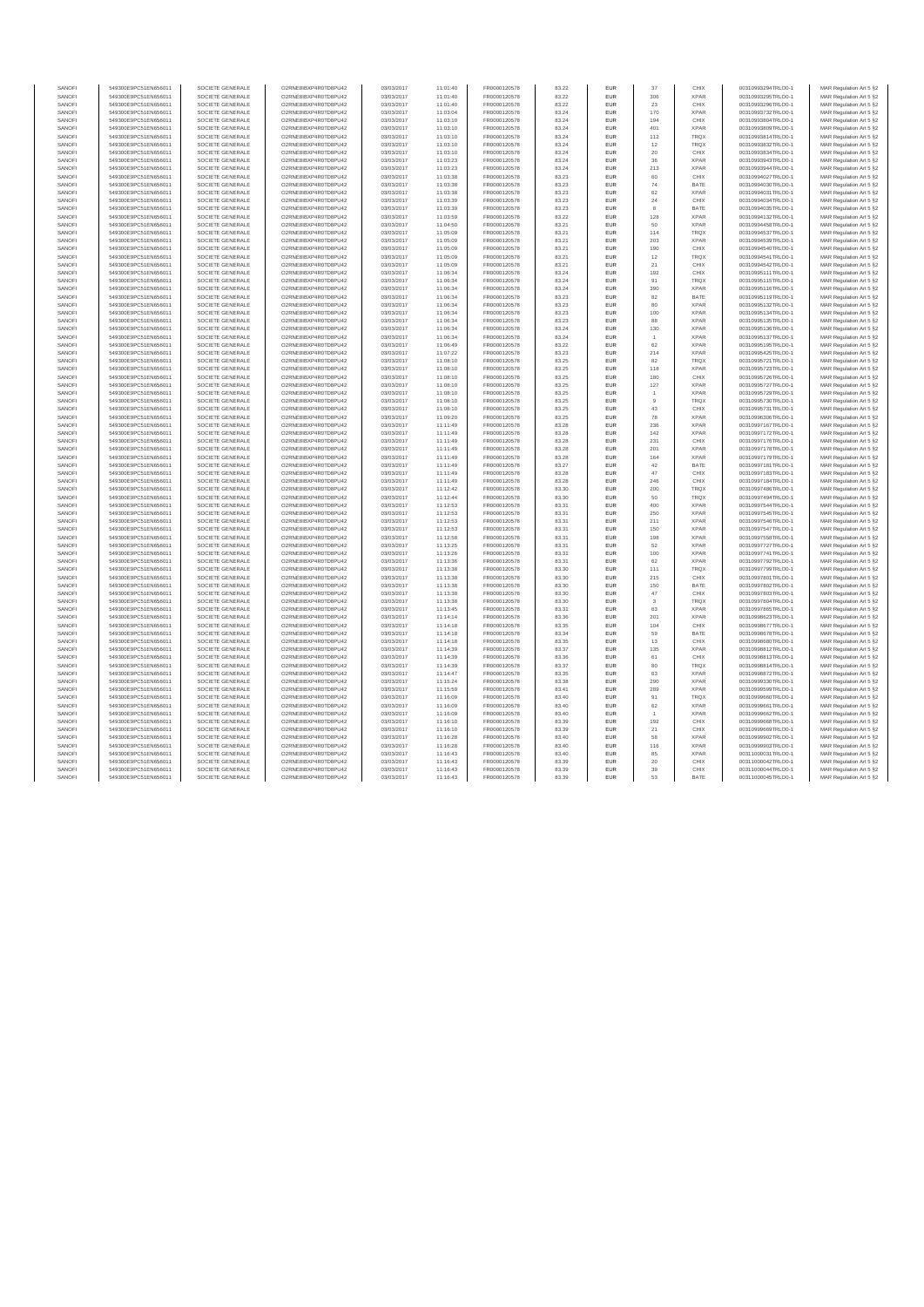|                  | 549300E9PC51EN656011                         | SOCIETE GENERALE                     | O2RNE8IBXP4R0TD8PU42                         | 03/03/2017               | 11:01:40             | FR0000120578                 | 83.22          | EUF               |                | CHIX         | 00310993294TRLO0-1                       | MAR Regulation Art 5 §2                            |
|------------------|----------------------------------------------|--------------------------------------|----------------------------------------------|--------------------------|----------------------|------------------------------|----------------|-------------------|----------------|--------------|------------------------------------------|----------------------------------------------------|
| SANOFI           | 549300E9PC51EN656011                         | SOCIETE GENERALE                     | O2RNE8IBXP4R0TD8PU42                         | 03/03/2017               | 11:01:40             | FR0000120578                 | 83.22          | <b>EUR</b>        | 306            | <b>XPAR</b>  | 00310993295TRLO0-1                       | MAR Regulation Art 5 §2                            |
| SANOFI           | 549300E9PC51EN656011                         | SOCIETE GENERALE                     | O2RNE8IBXP4R0TD8PU42                         | 03/03/2017               | 11:01:40             | FR0000120578                 | 83.22          | EUR               | 23             | CHIX         | 00310993296TRLO0-1                       | MAR Regulation Art 5 §2                            |
| SANOFI           | 549300E9PC51EN656011                         | SOCIETE GENERALE                     | O2RNE8IBXP4R0TD8PU42                         | 03/03/2017               | 11:03:04             | FR0000120578                 | 83.24          | EUR               | 170            | <b>XPAR</b>  | 00310993732TRLO0-1                       | MAR Regulation Art 5 §2                            |
| SANOFI           | 549300E9PC51EN656011                         | SOCIETE GENERALE                     | O2RNE8IBXP4R0TD8PU42                         | 03/03/2017               | 11:03:10             | FR0000120578                 | 83.24          | EUR               | 194            | CHIX         | 00310993804TRLO0-1                       | MAR Regulation Art 5 §2                            |
| SANOFI           | 549300E9PC51EN656011                         | SOCIETE GENERALE                     | O2RNE8IBXP4R0TD8PU42                         | 03/03/2017               | 11:03:10             | FR0000120578                 | 83.24          | EUR               | 401            | <b>XPAR</b>  | 00310993809TRLO0-1                       | MAR Regulation Art 5 §2                            |
|                  |                                              |                                      |                                              |                          |                      |                              |                |                   |                |              |                                          |                                                    |
| SANOFI           | 549300E9PC51EN656011                         | SOCIETE GENERALE                     | O2RNE8IBXP4R0TD8PU42                         | 03/03/2017               | 11:03:10             | FR0000120578                 | 83.24          | <b>EUR</b>        | 112            | <b>TRQX</b>  | 00310993814TRLO0-1                       | MAR Regulation Art 5 §2                            |
| SANOFI           | 549300E9PC51EN656011                         | SOCIETE GENERALE                     | O2RNE8IBXP4R0TD8PU42                         | 03/03/2017               | 11:03:10             | FR0000120578                 | 83.24          | EUR               | 12             | <b>TRQX</b>  | 00310993832TRLO0-1                       | MAR Regulation Art 5 §2                            |
| SANOFI           | 549300E9PC51EN656011                         | SOCIETE GENERALE                     | O2RNE8IBXP4R0TD8PU42                         | 03/03/2017               | 11:03:10             | FR0000120578                 | 83.24          | EUR               | 20             | CHIX         | 00310993834TRLO0-1                       | MAR Regulation Art 5 §2                            |
| SANOFI           | 549300E9PC51EN656011                         | SOCIETE GENERALE                     | O2RNE8IBXP4R0TD8PU42                         | 03/03/2017               | 11:03:23             | FR0000120578                 | 83.24          | EUR               | 36             | <b>XPAR</b>  | 00310993943TRLO0-1                       | MAR Regulation Art 5 §2                            |
| SANOFI           | 549300E9PC51EN656011                         | SOCIETE GENERALE                     | O2RNE8IBXP4R0TD8PU42                         | 03/03/2017               | 11:03:23             | FR0000120578                 | 83.24          | EUR               | 213            | <b>XPAR</b>  | 00310993944TRLO0-1                       | MAR Regulation Art 5 §2                            |
| SANOFI           | 549300E9PC51EN656011                         | SOCIETE GENERALE                     | O2RNE8IBXP4R0TD8PU42                         | 03/03/2017               | 11:03:38             | FR0000120578                 | 83.23          | EUR               | 60             | CHIX         | 00310994027TRLO0-1                       | MAR Regulation Art 5 §2                            |
| SANOFI           |                                              |                                      | O2RNE8IBXP4R0TD8PU42                         |                          |                      |                              | 83.23          |                   | 74             | BATE         |                                          |                                                    |
|                  | 549300E9PC51EN656011                         | SOCIETE GENERALE                     |                                              | 03/03/2017               | 11:03:38             | FR0000120578                 |                | EUR               |                |              | 00310994030TRLO0-1                       | MAR Regulation Art 5 §2                            |
| SANOFI           | 549300E9PC51EN656011                         | SOCIETE GENERALE                     | O2RNE8IBXP4R0TD8PU42                         | 03/03/2017               | 11:03:38             | FR0000120578                 | 83.23          | EUR               | 62             | <b>XPAR</b>  | 00310994031TRLO0-1                       | MAR Regulation Art 5 §2                            |
| SANOFI           | 549300E9PC51EN656011                         | SOCIETE GENERALE                     | O2RNE8IBXP4R0TD8PU42                         | 03/03/2017               | 11:03:39             | FR0000120578                 | 83.23          | EUR               | 24             | CHIX         | 00310994034TRLO0-1                       | MAR Regulation Art 5 §2                            |
| SANOFI           | 549300E9PC51EN656011                         | SOCIETE GENERALE                     | O2RNE8IBXP4R0TD8PU42                         | 03/03/2017               | 11:03:39             | FR0000120578                 | 83.23          | EUR               | 8              | BATE         | 00310994035TRLO0-1                       | MAR Regulation Art 5 §2                            |
| SANOFI           | 549300E9PC51EN656011                         | SOCIETE GENERALE                     | O2RNE8IBXP4R0TD8PU42                         | 03/03/2017               | 11:03:59             | FR0000120578                 | 83.22          | EUR               | 128            | <b>XPAR</b>  | 00310994132TRLO0-1                       | MAR Regulation Art 5 §2                            |
| SANOFI           | 549300E9PC51EN656011                         | SOCIETE GENERALE                     | O2RNE8IBXP4R0TD8PU42                         | 03/03/2017               | 11:04:50             | FR0000120578                 | 83.21          | EUR               | 50             | <b>XPAR</b>  | 00310994458TRLO0-1                       | MAR Regulation Art 5 §2                            |
| SANOFI           | 549300E9PC51EN656011                         | SOCIETE GENERALE                     | O2RNE8IBXP4R0TD8PU42                         |                          |                      |                              |                | EUR               | 114            | <b>TRQX</b>  | 00310994537TRLO0-1                       |                                                    |
|                  |                                              |                                      |                                              | 03/03/2017               | 11:05:09             | FR0000120578                 | 83.21          |                   |                |              |                                          | MAR Regulation Art 5 §2                            |
| SANOFI           | 549300E9PC51EN656011                         | SOCIETE GENERALE                     | O2RNE8IBXP4R0TD8PU42                         | 03/03/2017               | 11:05:09             | FR0000120578                 | 83.21          | EUR               | 203            | <b>XPAR</b>  | 00310994539TRLO0-1                       | MAR Regulation Art 5 §2                            |
| SANOFI           | 549300E9PC51EN656011                         | SOCIETE GENERALE                     | O2RNE8IBXP4R0TD8PU42                         | 03/03/2017               | 11:05:09             | FR0000120578                 | 83.21          | <b>EUR</b>        | 190            | CHIX         | 00310994540TRLO0-1                       | MAR Regulation Art 5 §2                            |
| SANOFI           | 549300E9PC51EN656011                         | SOCIETE GENERALE                     | O2RNE8IBXP4R0TD8PU42                         | 03/03/2017               | 11:05:09             | FR0000120578                 | 83.21          | EUR               | 12             | <b>TRQX</b>  | 00310994541TRLO0-1                       | MAR Regulation Art 5 §2                            |
| SANOFI           | 549300E9PC51EN656011                         | SOCIETE GENERALE                     | O2RNE8IBXP4R0TD8PU42                         | 03/03/2017               | 11:05:09             | FR0000120578                 | 83.21          | EUR               | 21             | CHIX         | 00310994542TRLO0-1                       | MAR Regulation Art 5 §2                            |
| SANOFI           | 549300E9PC51EN656011                         | SOCIETE GENERALE                     | O2RNE8IBXP4R0TD8PU42                         | 03/03/2017               | 11:06:34             | FR0000120578                 | 83.24          | EUR               | 192            | CHIX         | 00310995111TRLO0-1                       | MAR Regulation Art 5 §2                            |
| SANOFI           | 549300E9PC51EN656011                         | SOCIETE GENERALE                     | O2RNE8IBXP4R0TD8PU42                         | 03/03/2017               | 11:06:34             | FR0000120578                 | 83.24          | <b>EUR</b>        | 91             | <b>TROX</b>  | 00310995115TRLO0-1                       | MAR Regulation Art 5 §2                            |
|                  |                                              |                                      |                                              |                          |                      |                              |                |                   |                |              |                                          |                                                    |
| SANOFI           | 549300E9PC51EN656011                         | SOCIETE GENERALE                     | O2RNE8IBXP4R0TD8PU42                         | 03/03/2017               | 11:06:34             | FR0000120578                 | 83.24          | EUR               | 390            | <b>XPAR</b>  | 00310995116TRLO0-1                       | MAR Regulation Art 5 §2                            |
| SANOFI           | 549300E9PC51EN656011                         | SOCIETE GENERALE                     | O2RNE8IBXP4R0TD8PU42                         | 03/03/2017               | 11:06:34             | FR0000120578                 | 83.23          | EUR               | 82             | BATE         | 00310995119TRLO0-1                       | MAR Regulation Art 5 §2                            |
| SANOFI           | 549300E9PC51EN656011                         | SOCIETE GENERALE                     | O2RNE8IBXP4R0TD8PLI42                        | 03/03/2017               | 11:06:34             | FR0000120578                 | 83.23          | <b>EUR</b>        | 80             | <b>XPAR</b>  | 00310995132TRLO0-1                       | MAR Regulation Art 5 §2                            |
| SANOFI           | 549300E9PC51EN656011                         | SOCIETE GENERALE                     | O2RNE8IBXP4R0TD8PU42                         | 03/03/2017               | 11:06:34             | FR0000120578                 | 83.23          | EUR               | 100            | <b>XPAR</b>  | 00310995134TRLO0-1                       | MAR Regulation Art 5 §2                            |
| SANOFI           | 549300E9PC51EN656011                         | SOCIETE GENERALE                     | O2RNE8IBXP4R0TD8PLI42                        | 03/03/2017               | 11:06:34             | FR0000120578                 | 83.23          | EUR               | <b>88</b>      | <b>XPAR</b>  | 00310995135TRLO0-1                       | MAR Regulation Art 5 §2                            |
| SANOFI           | 549300E9PC51EN656011                         | SOCIETE GENERALE                     | O2RNE8IBXP4R0TD8PU42                         | 03/03/2017               | 11:06:34             | FR0000120578                 | 83.24          | EUR               | 130            | <b>XPAR</b>  | 00310995136TRLO0-1                       |                                                    |
|                  |                                              |                                      |                                              |                          |                      |                              |                |                   |                |              |                                          | MAR Regulation Art 5 §2                            |
| SANOFI           | 549300E9PC51EN656011                         | SOCIETE GENERALE                     | O2RNE8IBXP4R0TD8PU42                         | 03/03/2017               | 11:06:34             | FR0000120578                 | 83.24          | EUR               |                | <b>XPAR</b>  | 00310995137TRLO0-1                       | MAR Regulation Art 5 §2                            |
| SANOFI           | 549300E9PC51EN656011                         | SOCIETE GENERALE                     | O2RNE8IBXP4R0TD8PU42                         | 03/03/2017               | 11:06:49             | FR0000120578                 | 83.22          | EUR               | 62             | <b>XPAR</b>  | 00310995195TRLO0-1                       | MAR Regulation Art 5 §2                            |
| SANOFI           | 549300E9PC51EN656011                         | SOCIETE GENERALE                     | O2RNE8IBXP4R0TD8PU42                         | 03/03/2017               | 11:07:22             | FR0000120578                 | 83.23          | EUR               | 214            | <b>XPAR</b>  | 00310995425TRLO0-1                       | MAR Regulation Art 5 §2                            |
| SANOFI           | 549300E9PC51EN656011                         | SOCIETE GENERALE                     | O2RNE8IBXP4R0TD8PU42                         | 03/03/2017               | 11:08:10             | FR0000120578                 | 83.25          | EUR               | 82             | <b>TROX</b>  | 00310995721TRLO0-1                       | MAR Regulation Art 5 §2                            |
| SANOFI           | 549300E9PC51EN656011                         | SOCIETE GENERALE                     | O2RNE8IBXP4R0TD8PU42                         | 03/03/2017               | 11:08:10             | FR0000120578                 | 83.25          | EUR               | 118            | <b>XPAR</b>  | 00310995723TRLO0-1                       | MAR Regulation Art 5 §2                            |
| SANOFI           | 549300E9PC51EN656011                         | SOCIETE GENERALE                     | O2RNE8IBXP4R0TD8PLI42                        | 03/03/2017               | 11.08:10             | FR0000120578                 | 83.25          | <b>FUR</b>        | 180            | CHIX         | 00310995726TRLO0-1                       | MAR Regulation Art 5 §2                            |
|                  |                                              |                                      |                                              |                          |                      |                              |                |                   |                |              |                                          |                                                    |
| SANOF            | 549300E9PC51EN656011                         | SOCIETE GENERALE                     | O2RNE8IBXP4R0TD8PU42                         | 03/03/2017               | 11:08:10             | FR0000120578                 | 83.25          | EUR               | 127            | <b>XPAR</b>  | 00310995727TRLO0-1                       | MAR Regulation Art 5 §2                            |
| SANOFI           | 549300E9PC51EN656011                         | SOCIETE GENERALE                     | O2RNE8IBXP4R0TD8PLI42                        | 03/03/2017               | 11:08:10             | FR0000120578                 | 83.25          | <b>FUR</b>        |                | <b>XPAR</b>  | 00310995729TRLO0-1                       | MAR Regulation Art 5 §2                            |
| SANOFI           | 549300E9PC51EN656011                         | SOCIETE GENERALE                     | O2RNE8IBXP4R0TD8PU42                         | 03/03/2017               | 11:08:10             | FR0000120578                 | 83.25          | EUR               | $\overline{9}$ | <b>TROX</b>  | 00310995730TRLO0-1                       | MAR Regulation Art 5 §2                            |
| SANOFI           | 549300E9PC51EN656011                         | SOCIETE GENERALE                     | O2RNE8IBXP4R0TD8PU42                         | 03/03/2017               | 11:08:10             | FR0000120578                 | 83.25          | EUR               | 43             | CHIX         | 00310995731TRLO0-1                       | MAR Regulation Art 5 §2                            |
| SANOFI           | 549300E9PC51EN656011                         | SOCIETE GENERALE                     | O2RNE8IBXP4R0TD8PU42                         | 03/03/2017               | 11:09:20             | FR0000120578                 | 83.25          | EUR               | 78             | <b>XPAR</b>  | 00310996306TRLO0-1                       | MAR Regulation Art 5 §2                            |
| SANOFI           | 549300E9PC51EN656011                         | SOCIETE GENERALE                     | O2RNE8IBXP4R0TD8PU42                         | 03/03/2017               | 11:11:49             | FR0000120578                 | 83.28          | EUR               | 236            | <b>XPAR</b>  | 00310997167TRLO0-1                       | MAR Regulation Art 5 §2                            |
| SANOFI           |                                              |                                      |                                              |                          |                      |                              |                |                   |                | <b>XPAR</b>  |                                          |                                                    |
|                  | 549300E9PC51EN656011                         | SOCIETE GENERALE                     | O2RNE8IBXP4R0TD8PU42                         | 03/03/2017               | 11:11:49             | FR0000120578                 | 83.28          | EUR               | 142            |              | 00310997172TRLO0-1                       | MAR Regulation Art 5 §2                            |
| SANOF            | 549300E9PC51EN656011                         | SOCIETE GENERALE                     | O2RNE8IBXP4R0TD8PU42                         | 03/03/2017               | 11:11:49             | FR0000120578                 | 83.28          | EUR               | 231            | CHIX         | 00310997176TRLO0-1                       | MAR Regulation Art 5 §2                            |
| SANOFI           | 549300E9PC51EN656011                         | SOCIETE GENERALE                     | O2RNE8IBXP4R0TD8PU42                         | 03/03/2017               | 11:11:49             | FR0000120578                 | 83.28          | <b>EUR</b>        | 201            | <b>XPAR</b>  | 00310997178TRLO0-1                       | MAR Regulation Art 5 §2                            |
| SANOFI           | 549300E9PC51EN656011                         | SOCIETE GENERALE                     | O2RNE8IBXP4R0TD8PU42                         | 03/03/2017               | 11:11:49             | FR0000120578                 | 83.28          | EUR               | 164            | <b>XPAR</b>  | 00310997179TRLO0-1                       | MAR Regulation Art 5 §2                            |
| SANOFI           | 549300E9PC51EN656011                         | SOCIETE GENERALE                     | O2RNE8IBXP4R0TD8PU42                         | 03/03/2017               | 11:11:49             | FR0000120578                 | 83.27          | EUR               | 42             | BATE         | 00310997181TRLO0-1                       | MAR Regulation Art 5 §2                            |
| SANOFI           | 549300E9PC51EN656011                         | SOCIETE GENERALE                     | O2RNE8IBXP4R0TD8PU42                         | 03/03/2017               |                      | FR0000120578                 | 83.28          | EUR               | 47             | CHIX         | 00310997183TRLO0-1                       |                                                    |
|                  |                                              |                                      |                                              |                          | 11:11:49             |                              |                |                   |                |              |                                          | MAR Regulation Art 5 §2                            |
| SANOFI           | 549300E9PC51EN656011                         | SOCIETE GENERALE                     | O2RNE8IBXP4R0TD8PU42                         | 03/03/2017               | 11:11:49             | FR0000120578                 | 83.28          | EUR               | 246            | CHIX         | 00310997184TRLO0-1                       | MAR Regulation Art 5 §2                            |
| SANOFI           | 549300E9PC51EN656011                         | SOCIETE GENERALE                     | O2RNE8IBXP4R0TD8PU42                         | 03/03/2017               | 11:12:42             | FR0000120578                 | 83.30          | EUR               | 200            | TRQX         | 00310997486TRLO0-1                       | MAR Regulation Art 5 §2                            |
| SANOFI           | 549300E9PC51EN656011                         | SOCIETE GENERALE                     | O2RNE8IBXP4R0TD8PU42                         | 03/03/2017               | 11:12:44             | FR0000120578                 | 83.30          | EUR               | 50             | TRQX         | 00310997494TRLO0-1                       | MAR Regulation Art 5 §2                            |
| SANOFI           | 549300E9PC51EN656011                         | SOCIETE GENERALE                     | O2RNE8IBXP4R0TD8PU42                         | 03/03/2017               | 11:12:53             | FR0000120578                 | 83.31          | <b>EUR</b>        | 400            | <b>XPAR</b>  | 00310997544TRLO0-1                       | MAR Regulation Art 5 §2                            |
| SANOFI           | 549300E9PC51EN656011                         | SOCIETE GENERALE                     | O2RNE8IBXP4R0TD8PU42                         | 03/03/2017               | 11:12:53             | FR0000120578                 | 83.31          | EUR               | 250            | <b>XPAR</b>  | 00310997545TRLO0-1                       | MAR Regulation Art 5 §2                            |
|                  |                                              |                                      |                                              |                          |                      |                              | 83.31          | EUR               | 211            | <b>XPAR</b>  |                                          |                                                    |
| SANOFI           | 549300E9PC51EN656011                         | SOCIETE GENERALE                     | O2RNE8IBXP4R0TD8PU42                         | 03/03/2017               | 11:12:53             | FR0000120578                 |                |                   |                |              | 00310997546TRLO0-1                       | MAR Regulation Art 5 §2                            |
| SANOFI           | 549300E9PC51EN656011                         | SOCIETE GENERALE                     | O2RNE8IBXP4R0TD8PU42                         | 03/03/2017               | 11:12:53             | FR0000120578                 | 83.31          | EUR               | 150            | <b>XPAR</b>  | 00310997547TRLO0-1                       | MAR Regulation Art 5 §2                            |
| SANOFI           | 549300E9PC51EN656011                         | SOCIETE GENERALE                     | O2RNE8IBXP4R0TD8PU42                         | 03/03/2017               | 11:12:58             | FR0000120578                 | 83.31          | EUR               | 198            | <b>XPAR</b>  | 00310997558TRLO0-1                       | MAR Regulation Art 5 §2                            |
| SANOFI           | 549300E9PC51EN656011                         | SOCIETE GENERALE                     | O2RNE8IBXP4R0TD8PU42                         | 03/03/2017               | 11:13:25             | FR0000120578                 |                |                   |                |              | 00310997727TRLO0-1                       |                                                    |
| SANOFI           | 549300E9PC51EN656011                         | SOCIETE GENERALE                     | O2RNE8IBXP4R0TD8PU42                         | 03/03/2017               |                      |                              | 83.31          | EUR               | 52             | <b>XPAR</b>  |                                          |                                                    |
| SANOFI           | 549300E9PC51EN656011                         |                                      |                                              |                          |                      |                              |                |                   |                |              |                                          | MAR Regulation Art 5 §2                            |
| SANOFI           |                                              |                                      |                                              |                          | 11:13:26             | FR0000120578                 | 83.31          | EUR               | 100            | <b>XPAR</b>  | 00310997741TRLO0-1                       | MAR Regulation Art 5 §2                            |
|                  |                                              | SOCIETE GENERALE                     | O2RNE8IBXP4R0TD8PU42                         | 03/03/2017               | 11:13:36             | FR0000120578                 | 83.31          | <b>EUR</b>        | 62             | <b>XPAR</b>  | 00310997792TRLO0-1                       | MAR Regulation Art 5 §2                            |
|                  | 549300E9PC51EN656011                         | SOCIETE GENERALE                     | O2RNE8IBXP4R0TD8PU42                         | 03/03/2017               | 11:13:38             | FR0000120578                 | 83.30          | EUR               | 111            | <b>TROX</b>  | 00310997799TRLO0-1                       | MAR Regulation Art 5 §2                            |
| SANOFI           | 549300E9PC51EN656011                         | SOCIETE GENERALE                     | O2RNE8IBXP4R0TD8PU42                         | 03/03/2017               | 11:13:38             | FR0000120578                 | 83.30          | EUR               | 215            | CHIX         | 00310997801TRLO0-1                       | MAR Regulation Art 5 §2                            |
| SANOFI           | 549300E9PC51EN656011                         | SOCIETE GENERALE                     | O2RNE8IBXP4R0TD8PU42                         | 03/03/2017               | 11:13:38             | FR0000120578                 | 83.30          | EUR               | 150            | BATE         | 00310997802TRLO0-1                       | MAR Regulation Art 5 §2                            |
| SANOFI           | 549300E9PC51EN656011                         | SOCIETE GENERALE                     | O2RNE8IBXP4R0TD8PU42                         | 03/03/2017               | 11:13:38             | FR0000120578                 | 83.30          | <b>EUR</b>        | 47             | CHIX         | 00310997803TRLO0-1                       | MAR Regulation Art 5 §2                            |
|                  |                                              |                                      |                                              |                          |                      |                              |                |                   |                |              |                                          |                                                    |
| SANOFI           | 549300E9PC51EN656011                         | SOCIETE GENERALE                     | O2RNE8IBXP4R0TD8PU42                         | 03/03/2017               | 11:13:38             | FR0000120578                 | 83.30          | EUR               |                | <b>TRQX</b>  | 00310997804TRLO0-1                       | MAR Regulation Art 5 §2                            |
| SANOF            | 549300E9PC51EN656011                         | SOCIETE GENERALE                     | O2RNE8IBXP4R0TD8PU42                         | 03/03/2017               | 11:13:45             | FR0000120578                 | 83.31          | EUR               | 63             | <b>XPAR</b>  | 00310997865TRLO0-1                       | MAR Regulation Art 5 §2                            |
| SANOFI           | 549300E9PC51EN656011                         | SOCIETE GENERALE                     | O2RNE8IBXP4R0TD8PU42                         | 03/03/2017               | 11:14:14             | FR0000120578                 | 83.36          | <b>EUR</b>        | 201            | <b>XPAR</b>  | 00310998623TRLO0-1                       | MAR Regulation Art 5 §2                            |
| SANOFI           | 549300E9PC51EN656011                         | SOCIETE GENERALE                     | O2RNE8IBXP4R0TD8PU42                         | 03/03/2017               | 11:14:18             | FR0000120578                 | 83.35          | EUR               | 104            | CHIX         | 00310998677TRLO0-1                       | MAR Regulation Art 5 §2                            |
| SANOFI           | 549300E9PC51EN656011                         | SOCIETE GENERALE                     | O2RNE8IBXP4R0TD8PLI42                        | 03/03/2017               | 11:14:18             | FR0000120578                 | 83.34          | <b>FUR</b>        | 59             | BATE         | 00310998678TRLO0-1                       | MAR Regulation Art 5 §2                            |
| SANOFI           | 549300E9PC51EN656011                         | SOCIETE GENERALE                     | O2RNE8IBXP4R0TD8PU42                         | 03/03/2017               | 11:14:18             | FR0000120578                 | 83.35          | EUR               | $13\,$         | CHIX         | 00310998680TRLO0-1                       | MAR Regulation Art 5 §2                            |
| SANOFI           | 549300E9PC51EN656011                         | SOCIETE GENERALE                     | O2RNE8IBXP4R0TD8PU42                         | 03/03/2017               | 11:14:39             | FR0000120578                 | 83.37          | <b>EUR</b>        | 135            | <b>XPAR</b>  | 00310998812TRLO0-1                       | MAR Regulation Art 5 §2                            |
| SANOFI           |                                              |                                      |                                              |                          |                      |                              |                | EUR               |                | CHIX         |                                          |                                                    |
|                  | 549300E9PC51EN656011                         | SOCIETE GENERALE                     | O2RNE8IBXP4R0TD8PU42                         | 03/03/2017               | 11:14:39             | FR0000120578                 | 83.36          |                   | 61             |              | 00310998813TRLO0-1                       | MAR Regulation Art 5 §2                            |
| SANOFI           | 549300E9PC51EN656011                         | SOCIETE GENERALE                     | O2RNE8IBXP4R0TD8PU42                         | 03/03/2017               | 11:14:39             | FR0000120578                 | 83.37          | EUR               | 80             | TRQX         | 00310998814TRLO0-1                       | MAR Regulation Art 5 §2                            |
| SANOFI           | 549300E9PC51EN656011                         | SOCIETE GENERALE                     | O2RNE8IBXP4R0TD8PLI42                        | 03/03/2017               | 11:14:47             | FR0000120578                 | 83.35          | <b>EUR</b>        | 63             | <b>XPAR</b>  | 00310998872TRLO0-1                       | MAR Regulation Art 5 §2                            |
| SANOFI           | 549300E9PC51EN656011                         | SOCIETE GENERALE                     | O2RNE8IBXP4R0TD8PU42                         | 03/03/2017               | 11:15:24             | FR0000120578                 | 83,38          | EUR               | 290            | <b>XPAR</b>  | 00310999330TRLO0-1                       | MAR Regulation Art 5 §2                            |
| SANOFI           | 549300E9PC51EN656011                         | SOCIETE GENERALE                     | O2RNE8IBXP4R0TD8PLI42                        | 03/03/2017               | 11:15:59             | FR0000120578                 | 83.41          | EUR               | 289            | <b>XPAR</b>  | 00310999599TRLO0-1                       | MAR Regulation Art 5 §2                            |
| SANOF            | 549300E9PC51EN656011                         | SOCIETE GENERALE                     | O2RNE8IBXP4R0TD8PU42                         | 03/03/2017               | 11:16:09             | FR0000120578                 | 83.40          | EUR               | 91             | <b>TRQX</b>  | 00310999660TRLO0-1                       |                                                    |
|                  |                                              |                                      |                                              |                          |                      |                              |                |                   |                |              |                                          | MAR Regulation Art 5 §2                            |
| SANOFI           | 549300E9PC51EN656011                         | SOCIETE GENERALE                     | O2RNE8IBXP4R0TD8PLI42                        | 03/03/2017               | 11:16:09             | FR0000120578                 | 83.40          | <b>EUR</b>        | 62             | <b>XPAR</b>  | 00310999661TRLO0-1                       | MAR Regulation Art 5 §2                            |
| SANOFI           | 549300E9PC51EN656011                         | SOCIETE GENERALE                     | O2RNE8IBXP4R0TD8PU42                         | 03/03/2017               | 11:16:09             | FR0000120578                 | 83.40          | EUR               |                | <b>XPAR</b>  | 00310999662TRLO0-1                       | MAR Regulation Art 5 §2                            |
| SANOFI           | 549300E9PC51EN656011                         | SOCIETE GENERALE                     | O2RNE8IBXP4R0TD8PU42                         | 03/03/2017               | 11:16:10             | FR0000120578                 | 83.39          | EUR               | 192            | CHIX         | 00310999668TRLO0-1                       | MAR Regulation Art 5 §2                            |
| SANOFI           | 549300E9PC51EN656011                         | SOCIETE GENERALE                     | O2RNE8IBXP4R0TD8PU42                         | 03/03/2017               | 11:16:10             | FR0000120578                 | 83.39          | EUR               | 21             | CHIX         | 00310999669TRLO0-1                       | MAR Regulation Art 5 §2                            |
| SANOFI           | 549300E9PC51EN656011                         | SOCIETE GENERALE                     | O2RNE8IBXP4R0TD8PU42                         | 03/03/2017               | 11:16:28             | FR0000120578                 | 83.40          | EUR               | 58             | <b>XPAR</b>  | 00310999902TRLO0-1                       | MAR Regulation Art 5 §2                            |
| SANOFI           | 549300E9PC51EN656011                         | SOCIETE GENERALE                     | O2RNE8IBXP4R0TD8PLI42                        | 03/03/2017               | 11:16:28             | FR0000120578                 | 83.40          | <b>FUR</b>        | 116            | <b>XPAR</b>  | 00310999903TRLO0-1                       | MAR Regulation Art 5 §2                            |
| SANOFI           | 549300E9PC51EN656011                         | SOCIETE GENERALE                     | O2RNE8IBXP4R0TD8PU42                         | 03/03/2017               | 11:16:43             | FR0000120578                 | 83.40          | EUR               | 85             | <b>XPAR</b>  | 00311000031TRLO0-1                       |                                                    |
|                  |                                              |                                      |                                              |                          |                      |                              |                |                   |                |              |                                          | MAR Regulation Art 5 §2                            |
| SANOFI           | 549300E9PC51EN656011                         | SOCIETE GENERALE                     | O2RNE8IBXP4R0TD8PLI42                        | 03/03/2017               | 11:16:43             | FR0000120578                 | 83.39          | <b>EUR</b>        | 20             | CHIX         | 00311000042TRLO0-1                       | MAR Regulation Art 5 §2                            |
| SANOFI<br>SANOFI | 549300E9PC51EN656011<br>549300E9PC51EN656011 | SOCIETE GENERALE<br>SOCIETE GENERALE | O2RNE8IBXP4R0TD8PU42<br>O2RNE8IBXP4R0TD8PU42 | 03/03/2017<br>03/03/2017 | 11:16:43<br>11:16:43 | FR0000120578<br>FR0000120578 | 83.39<br>83.39 | EUR<br><b>EUR</b> | 39<br>53       | CHIX<br>BATE | 00311000044TRLO0-1<br>00311000045TRLO0-1 | MAR Regulation Art 5 §2<br>MAR Regulation Art 5 §2 |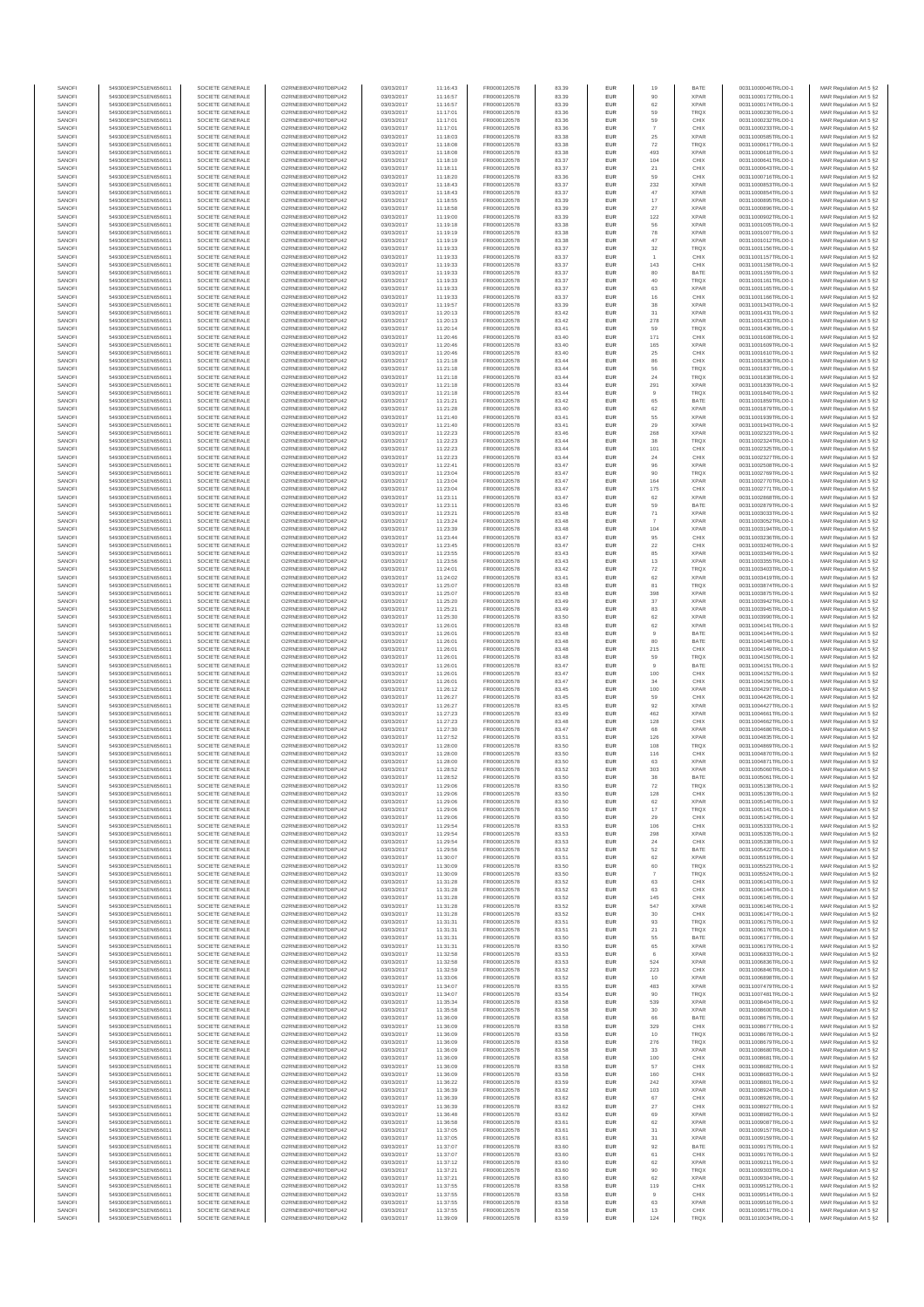| SANOFI           | 549300E9PC51EN656011                         | SOCIETE GENERALE                     | O2RNE8IBXP4R0TD8PU42                           | 03/03/2017               | 11:16:43             | FR0000120578                 | 83.39          | <b>EUR</b>        | 19                   | BATE                       | 00311000046TRLO0-1                       | MAR Regulation Art 5 §2                            |
|------------------|----------------------------------------------|--------------------------------------|------------------------------------------------|--------------------------|----------------------|------------------------------|----------------|-------------------|----------------------|----------------------------|------------------------------------------|----------------------------------------------------|
| SANOFI<br>SANOFI | 549300E9PC51EN656011<br>549300E9PC51EN656011 | SOCIETE GENERALE<br>SOCIETE GENERALE | O2RNE8IBXP4R0TD8PU42<br>O2RNE8IBXP4R0TD8PU42   | 03/03/2017<br>03/03/2017 | 11:16:57<br>11:16:57 | FR0000120578<br>FR0000120578 | 83.39<br>83.39 | <b>EUR</b><br>EUR | 90<br>62             | <b>XPAR</b><br><b>XPAR</b> | 00311000172TRLO0-1<br>00311000174TRLO0-1 | MAR Regulation Art 5 §2<br>MAR Regulation Art 5 §2 |
| SANOFI           | 549300E9PC51EN656011                         | SOCIETE GENERALE                     | O2RNE8IBXP4R0TD8PU42                           | 03/03/2017               | 11:17:01             | FR0000120578                 | 83.36          | <b>EUR</b>        | 59                   | <b>TRQX</b>                | 00311000230TRLO0-1                       | MAR Regulation Art 5 §2                            |
| SANOFI           | 549300E9PC51EN656011                         | SOCIETE GENERALE                     | O2RNE8IBXP4R0TD8PU42                           | 03/03/2017               | 11:17:01             | FR0000120578                 | 83.36          | EUR               | 59                   | CHIX                       | 00311000232TRLO0-1                       | MAR Regulation Art 5 §2                            |
| SANOFI           | 549300E9PC51EN656011                         | SOCIETE GENERALE                     | O2RNE8IBXP4R0TD8PU42                           | 03/03/2017               | 11:17:01             | FR0000120578                 | 83.36          | EUR               |                      | CHIX                       | 00311000233TRLO0-1                       | MAR Regulation Art 5 §2                            |
| SANOFI<br>SANOFI | 549300E9PC51EN656011<br>549300E9PC51EN656011 | SOCIETE GENERALE<br>SOCIETE GENERALE | O2RNE8IBXP4R0TD8PU42<br>O2RNE8IBXP4R0TD8PU42   | 03/03/2017<br>03/03/2017 | 11:18:03<br>11:18:08 | FR0000120578<br>FR0000120578 | 83.38<br>83.38 | EUR<br>EUR        | 25<br>72             | <b>XPAR</b><br><b>TRQX</b> | 00311000585TRLO0-1<br>00311000617TRLO0-1 | MAR Regulation Art 5 §2<br>MAR Regulation Art 5 §2 |
| SANOFI           | 549300E9PC51EN656011                         | SOCIETE GENERALE                     | O2RNE8IBXP4R0TD8PU42                           | 03/03/2017               | 11:18:08             | FR0000120578                 | 83.38          | EUR               | 493                  | <b>XPAR</b>                | 00311000618TRLO0-1                       | MAR Regulation Art 5 §2                            |
| SANOFI           | 549300E9PC51EN656011                         | SOCIETE GENERALE                     | O2RNE8IBXP4R0TD8PU42                           | 03/03/2017               | 11:18:10             | FR0000120578                 | 83.37          | EUR               | 104                  | CHIX                       | 00311000641TRLO0-1                       | MAR Regulation Art 5 §2                            |
| SANOFI<br>SANOFI | 549300E9PC51EN656011<br>549300E9PC51EN656011 | SOCIETE GENERALE<br>SOCIETE GENERALE | O2RNE8IBXP4R0TD8PLI42<br>O2RNE8IBXP4R0TD8PU42  | 03/03/2017<br>03/03/2017 | 11:18:11<br>11:18:20 | FR0000120578<br>FR0000120578 | 83.37<br>83.36 | <b>EUR</b><br>EUR | 21<br>59             | CHIX<br>CHIX               | 00311000643TRLO0-1<br>00311000716TRLO0-1 | MAR Regulation Art 5 §2<br>MAR Regulation Art 5 §2 |
| SANOFI           | 549300E9PC51EN656011                         | SOCIETE GENERALE                     | O2RNE8IBXP4R0TD8PU42                           | 03/03/2017               | 11:18:43             | FR0000120578                 | 83.37          | <b>EUR</b>        | 232                  | <b>XPAR</b>                | 00311000853TRLO0-1                       | MAR Regulation Art 5 §2                            |
| SANOFI           | 549300E9PC51EN656011                         | SOCIETE GENERALE                     | O2RNE8IBXP4R0TD8PU42                           | 03/03/2017               | 11:18:43             | FR0000120578                 | 83.37          | EUR               | 47                   | <b>XPAR</b>                | 00311000854TRLO0-1                       | MAR Regulation Art 5 §2                            |
| SANOFI           | 549300E9PC51EN656011                         | SOCIETE GENERALE                     | O2RNE8IBXP4R0TD8PU42                           | 03/03/2017               | 11:18:55             | FR0000120578                 | 83.39          | EUR               | $17\,$               | <b>XPAR</b>                | 00311000895TRLO0-1                       | MAR Regulation Art 5 §2                            |
| SANOFI<br>SANOFI | 549300E9PC51EN656011<br>549300E9PC51EN656011 | SOCIETE GENERALE<br>SOCIETE GENERALE | O2RNE8IBXP4R0TD8PU42<br>O2RNE8IBXP4R0TD8PU42   | 03/03/2017<br>03/03/2017 | 11:18:58<br>11:19:00 | FR0000120578<br>FR0000120578 | 83.39<br>83.39 | EUR<br>EUR        | 27<br>122            | <b>XPAR</b><br><b>XPAR</b> | 00311000896TRLO0-1<br>00311000902TRLO0-1 | MAR Regulation Art 5 §2<br>MAR Regulation Art 5 §2 |
| SANOFI           | 549300E9PC51EN656011                         | SOCIETE GENERALE                     | O2RNE8IBXP4R0TD8PU42                           | 03/03/2017               | 11:19:18             | FR0000120578                 | 83.38          | EUR               | 56                   | <b>XPAR</b>                | 00311001005TRLO0-1                       | MAR Regulation Art 5 §2                            |
| SANOFI           | 549300E9PC51EN656011                         | SOCIETE GENERALE                     | O2RNE8IBXP4R0TD8PU42                           | 03/03/2017               | 11:19:19             | FR0000120578                 | 83.38          | EUR               | 78                   | <b>XPAR</b>                | 00311001007TRLO0-1                       | MAR Regulation Art 5 §2                            |
| SANOFI           | 549300E9PC51EN656011                         | SOCIETE GENERALE                     | O2RNE8IBXP4R0TD8PLI42                          | 03/03/2017               | 11:19:19             | FR0000120578                 | 83.38          | <b>EUR</b>        | 47                   | <b>XPAR</b>                | 00311001012TRLO0-1                       | MAR Regulation Art 5 §2                            |
| SANOFI<br>SANOFI | 549300E9PC51EN656011<br>549300E9PC51EN656011 | SOCIETE GENERALE<br>SOCIETE GENERALE | O2RNE8IBXP4R0TD8PU42<br>O2RNE8IBXP4R0TD8PU42   | 03/03/2017<br>03/03/2017 | 11:19:33<br>11:19:33 | FR0000120578<br>FR0000120578 | 83.37<br>83.37 | EUR<br><b>EUR</b> | 32<br>$\overline{1}$ | TRQX<br>CHIX               | 00311001156TRLO0-1<br>00311001157TRLO0-1 | MAR Regulation Art 5 §2<br>MAR Regulation Art 5 §2 |
| SANOFI           | 549300E9PC51EN656011                         | SOCIETE GENERALE                     | O2RNE8IBXP4R0TD8PU42                           | 03/03/2017               | 11:19:33             | FR0000120578                 | 83.37          | EUR               | 143                  | CHIX                       | 00311001158TRLO0-1                       | MAR Regulation Art 5 §2                            |
| SANOFI           | 549300E9PC51EN656011                         | SOCIETE GENERALE                     | O2RNESIBXP4R0TD8PLI42                          | 03/03/2017               | 11:19:33             | FR0000120578                 | 83.37          | EUR               | 80                   | BATE                       | 00311001159TRLO0-1                       | MAR Regulation Art 5 §2                            |
| SANOFI           | 549300E9PC51EN656011                         | SOCIETE GENERALE                     | O2RNE8IBXP4R0TD8PU42                           | 03/03/2017               | 11:19:33             | FR0000120578                 | 83.37          | EUR               | 40                   | TRQX                       | 00311001161TRLO0-1                       | MAR Regulation Art 5 §2                            |
| SANOFI<br>SANOFI | 549300E9PC51EN656011<br>549300E9PC51EN656011 | SOCIETE GENERALE<br>SOCIETE GENERALE | O2RNE8IBXP4R0TD8PU42<br>O2RNE8IBXP4R0TD8PU42   | 03/03/2017<br>03/03/2017 | 11:19:33<br>11:19:33 | FR0000120578<br>FR0000120578 | 83.37<br>83.37 | EUR<br>EUR        | 63<br>16             | <b>XPAR</b><br>CHIX        | 00311001165TRLO0-1<br>00311001166TRLO0-1 | MAR Regulation Art 5 §2<br>MAR Regulation Art 5 §2 |
| SANOFI           | 549300E9PC51EN656011                         | SOCIETE GENERALE                     | O2RNE8IBXP4R0TD8PU42                           | 03/03/2017               | 11:19:57             | FR0000120578                 | 83.39          | EUR               | 38                   | <b>XPAR</b>                | 00311001343TRLO0-1                       | MAR Regulation Art 5 §2                            |
| SANOFI           | 549300E9PC51EN656011                         | SOCIETE GENERALE                     | O2RNE8IBXP4R0TD8PU42                           | 03/03/2017               | 11:20:13             | FR0000120578                 | 83.42          | <b>EUR</b>        | 31                   | <b>XPAR</b>                | 00311001431TRLO0-1                       | MAR Regulation Art 5 §2                            |
| SANOFI<br>SANOFI | 549300E9PC51EN656011<br>549300E9PC51EN656011 | SOCIETE GENERALE<br>SOCIETE GENERALE | O2RNE8IBXP4R0TD8PU42<br>O2RNE8IBXP4R0TD8PU42   | 03/03/2017<br>03/03/2017 | 11:20:13<br>11:20:14 | FR0000120578<br>FR0000120578 | 83.42<br>83.41 | EUR<br><b>EUR</b> | 278<br>59            | <b>XPAR</b><br><b>TRQX</b> | 00311001433TRLO0-1<br>00311001436TRLO0-1 | MAR Regulation Art 5 §2<br>MAR Regulation Art 5 §2 |
| SANOFI           | 549300E9PC51EN656011                         | SOCIETE GENERALE                     | O2RNE8IBXP4R0TD8PU42                           | 03/03/2017               | 11:20:46             | FR0000120578                 | 83.40          | EUR               | 171                  | CHIX                       | 00311001608TRLO0-1                       | MAR Regulation Art 5 §2                            |
| SANOFI           | 549300E9PC51EN656011                         | SOCIETE GENERALE                     | O2RNE8IBXP4R0TD8PU42                           | 03/03/2017               | 11:20:46             | FR0000120578                 | 83.40          | EUR               | 165                  | <b>XPAR</b>                | 00311001609TRLO0-1                       | MAR Regulation Art 5 §2                            |
| SANOFI           | 549300E9PC51EN656011                         | SOCIETE GENERALE                     | O2RNE8IBXP4R0TD8PU42<br>O2RNE8IBXP4R0TD8PU42   | 03/03/2017               | 11:20:46             | FR0000120578                 | 83.40          | EUR               | $\rm 25$             | CHIX                       | 00311001610TRLO0-1                       | MAR Regulation Art 5 §2                            |
| SANOFI<br>SANOFI | 549300E9PC51EN656011<br>549300E9PC51EN656011 | SOCIETE GENERALE<br>SOCIETE GENERALE | O2RNE8IBXP4R0TD8PU42                           | 03/03/2017<br>03/03/2017 | 11:21:18<br>11:21:18 | FR0000120578<br>FR0000120578 | 83.44<br>83.44 | EUR<br><b>EUR</b> | 86<br>56             | CHIX<br><b>TRQX</b>        | 00311001836TRLO0-1<br>00311001837TRLO0-1 | MAR Regulation Art 5 §2<br>MAR Regulation Art 5 §2 |
| SANOFI           | 549300E9PC51EN656011                         | SOCIETE GENERALE                     | O2RNE8IBXP4R0TD8PU42                           | 03/03/2017               | 11:21:18             | FR0000120578                 | 83.44          | EUR               | 24                   | TRQX                       | 00311001838TRLO0-1                       | MAR Regulation Art 5 §2                            |
| SANOFI           | 549300E9PC51EN656011                         | SOCIETE GENERALE                     | O2RNE8IBXP4R0TD8PU42                           | 03/03/2017               | 11:21:18             | FR0000120578                 | 83.44          | <b>EUR</b>        | 291                  | <b>XPAR</b>                | 00311001839TRLO0-1                       | MAR Regulation Art 5 §2                            |
| SANOFI<br>SANOFI | 549300E9PC51EN656011<br>549300E9PC51EN656011 | SOCIETE GENERALE<br>SOCIETE GENERALE | O2RNE8IBXP4R0TD8PU42<br>O2RNE8IBXP4R0TD8PU42   | 03/03/2017<br>03/03/2017 | 11:21:18<br>11:21:21 | FR0000120578<br>FR0000120578 | 83.44<br>83.42 | EUR<br>EUR        | 65                   | TRQX<br>BATE               | 00311001840TRLO0-1<br>00311001859TRLO0-1 | MAR Regulation Art 5 §2<br>MAR Regulation Art 5 §2 |
| SANOFI           | 549300E9PC51EN656011                         | SOCIETE GENERALE                     | O2RNE8IBXP4R0TD8PU42                           | 03/03/2017               | 11:21:28             | FR0000120578                 | 83.40          | EUR               | 62                   | <b>XPAR</b>                | 00311001879TRLO0-1                       | MAR Regulation Art 5 §2                            |
| SANOFI           | 549300E9PC51EN656011                         | SOCIETE GENERALE                     | O2RNE8IBXP4R0TD8PU42                           | 03/03/2017               | 11:21:40             | FR0000120578                 | 83.41          | EUR               | 55                   | <b>XPAR</b>                | 00311001939TRLO0-1                       | MAR Regulation Art 5 §2                            |
| SANOFI           | 549300E9PC51EN656011                         | SOCIETE GENERALE                     | O2RNE8IBXP4R0TD8PU42<br>O2RNE8IBXP4R0TD8PLI42  | 03/03/2017               | 11:21:40             | FR0000120578                 | 83.41          | EUR               | 29                   | <b>XPAR</b>                | 00311001943TRLO0-1                       | MAR Regulation Art 5 §2                            |
| SANOFI<br>SANOFI | 549300E9PC51EN656011<br>549300E9PC51EN656011 | SOCIETE GENERALE<br>SOCIETE GENERALE | O2RNE8IBXP4R0TD8PU42                           | 03/03/2017<br>03/03/2017 | 11:22:23<br>11:22:23 | FR0000120578<br>FR0000120578 | 83.46<br>83.44 | EUR<br><b>EUR</b> | 268<br>38            | <b>XPAR</b><br><b>TRQX</b> | 00311002323TRLO0-1<br>00311002324TRLO0-1 | MAR Regulation Art 5 §2<br>MAR Regulation Art 5 §2 |
| SANOFI           | 549300E9PC51EN656011                         | SOCIETE GENERALE                     | O2RNE8IBXP4R0TD8PU42                           | 03/03/2017               | 11:22:23             | FR0000120578                 | 83.44          | EUR               | 101                  | CHIX                       | 00311002325TRLO0-1                       | MAR Regulation Art 5 §2                            |
| SANOFI           | 549300E9PC51EN656011                         | SOCIETE GENERALE                     | O2RNE8IBXP4R0TD8PU42                           | 03/03/2017               | 11:22:23             | FR0000120578                 | 83.44          | <b>EUR</b>        | 24                   | CHIX                       | 00311002327TRLO0-1                       | MAR Regulation Art 5 §2                            |
| SANOFI           | 549300E9PC51EN656011                         | SOCIETE GENERALE                     | O2RNE8IBXP4R0TD8PU42                           | 03/03/2017               | 11:22:41             | FR0000120578                 | 83.47          | EUR               | 96                   | <b>XPAR</b>                | 00311002508TRLO0-1                       | MAR Regulation Art 5 §2                            |
| SANOFI<br>SANOFI | 549300E9PC51EN656011<br>549300E9PC51EN656011 | SOCIETE GENERALE<br>SOCIETE GENERALE | O2RNE8IBXP4R0TD8PU42<br>O2RNE8IBXP4R0TD8PU42   | 03/03/2017<br>03/03/2017 | 11:23:04<br>11:23:04 | FR0000120578<br>FR0000120578 | 83.47<br>83.47 | EUR<br>EUR        | 90<br>164            | TRQX<br><b>XPAR</b>        | 00311002769TRLO0-1<br>00311002770TRLO0-1 | MAR Regulation Art 5 §2<br>MAR Regulation Art 5 §2 |
| SANOFI           | 549300E9PC51EN656011                         | SOCIETE GENERALE                     | O2RNE8IBXP4R0TD8PU42                           | 03/03/2017               | 11:23:04             | FR0000120578                 | 83.47          | EUR               | 175                  | CHIX                       | 00311002771TRLO0-1                       | MAR Regulation Art 5 §2                            |
| SANOFI           | 549300E9PC51EN656011                         | SOCIETE GENERALE                     | O2RNE8IBXP4R0TD8PU42                           | 03/03/2017               | 11:23:11             | FR0000120578                 | 83.47          | EUR               | 62                   | <b>XPAR</b>                | 00311002868TRLO0-1                       | MAR Regulation Art 5 §2                            |
| SANOFI           | 549300E9PC51EN656011                         | SOCIETE GENERALE                     | O2RNE8IBXP4R0TD8PU42                           | 03/03/2017               | 11:23:11             | FR0000120578<br>FR0000120578 | 83.46          | EUR               |                      | BATE                       | 00311002879TRLO0-1                       | MAR Regulation Art 5 §2                            |
| SANOFI<br>SANOFI | 549300E9PC51EN656011<br>549300E9PC51EN656011 | SOCIETE GENERALE<br>SOCIETE GENERALE | O2RNE8IBXP4R0TD8PU42<br>O2RNE8IBXP4R0TD8PU42   | 03/03/2017<br>03/03/2017 | 11:23:21<br>11:23:24 | FR0000120578                 | 83.48<br>83.48 | <b>EUR</b><br>EUR | 71                   | <b>XPAR</b><br><b>XPAR</b> | 00311003033TRLO0-1<br>00311003052TRLO0-1 | MAR Regulation Art 5 §2<br>MAR Regulation Art 5 §2 |
| SANOFI           | 549300E9PC51EN656011                         | SOCIETE GENERALE                     | O2RNE8IBXP4R0TD8PU42                           | 03/03/2017               | 11:23:39             | FR0000120578                 | 83.48          | <b>EUR</b>        | 104                  | <b>XPAR</b>                | 00311003194TRLO0-1                       | MAR Regulation Art 5 §2                            |
| SANOFI           | 549300E9PC51EN656011                         | SOCIETE GENERALE                     | O2RNE8IBXP4R0TD8PU42                           | 03/03/2017               | 11:23:44             | FR0000120578                 | 83.47          | EUR               | 95                   | CHIX                       | 00311003236TRLO0-1                       | MAR Regulation Art 5 §2                            |
| SANOFI<br>SANOFI | 549300E9PC51EN656011<br>549300E9PC51EN656011 | SOCIETE GENERALE<br>SOCIETE GENERALE | O2RNE8IBXP4R0TD8PU42<br>O2RNE8IBXP4R0TD8PU42   | 03/03/2017<br>03/03/2017 | 11:23:45<br>11:23:55 | FR0000120578<br>FR0000120578 | 83.47<br>83.43 | EUR<br>EUR        | $22\,$<br>85         | CHIX<br><b>XPAR</b>        | 00311003240TRLO0-1<br>00311003349TRLO0-1 | MAR Regulation Art 5 §2<br>MAR Regulation Art 5 §2 |
| SANOFI           | 549300E9PC51EN656011                         | SOCIETE GENERALE                     | O2RNE8IBXP4R0TD8PU42                           | 03/03/2017               | 11:23:56             | FR0000120578                 | 83.43          | EUR               | 13                   | <b>XPAR</b>                | 00311003355TRLO0-1                       | MAR Regulation Art 5 §2                            |
| SANOFI           | 549300E9PC51EN656011                         | SOCIETE GENERALE                     | O2RNE8IBXP4R0TD8PU42                           | 03/03/2017               | 11:24:01             | FR0000120578                 | 83.42          | EUR               | $\scriptstyle{72}$   | TRQX                       | 00311003403TRLO0-1                       | MAR Regulation Art 5 §2                            |
| SANOFI           | 549300E9PC51EN656011                         | SOCIETE GENERALE                     | O2RNE8IBXP4R0TD8PU42                           | 03/03/2017               | 11:24:02             | FR0000120578                 | 83.41          | EUR               | 62                   | <b>XPAR</b>                | 00311003419TRLO0-1                       | MAR Regulation Art 5 §2                            |
| SANOFI<br>SANOFI | 549300E9PC51EN656011<br>549300E9PC51EN656011 | SOCIETE GENERALE<br>SOCIETE GENERALE | O2RNE8IBXP4R0TD8PU42<br>O2RNE8IBXP4R0TD8PU42   | 03/03/2017<br>03/03/2017 | 11:25:07<br>11:25:07 | FR0000120578<br>FR0000120578 | 83.48<br>83.48 | <b>EUR</b><br>EUR | 81<br>398            | <b>TRQX</b><br><b>XPAR</b> | 00311003874TRLO0-1<br>00311003875TRLO0-1 | MAR Regulation Art 5 §2<br>MAR Regulation Art 5 §2 |
| SANOFI           | 549300E9PC51EN656011                         | SOCIETE GENERALE                     | O2RNE8IBXP4R0TD8PU42                           | 03/03/2017               | 11:25:20             | FR0000120578                 | 83.49          | <b>EUR</b>        | 37                   | <b>XPAR</b>                | 00311003942TRLO0-1                       | MAR Regulation Art 5 §2                            |
| SANOFI           | 549300E9PC51EN656011                         | SOCIETE GENERALE                     | O2RNE8IBXP4R0TD8PU42                           | 03/03/2017               | 11:25:21             | FR0000120578                 | 83.49          | EUR               | 83                   | <b>XPAR</b>                | 00311003945TRLO0-1                       | MAR Regulation Art 5 §2                            |
| SANOFI           | 549300E9PC51EN656011                         | SOCIETE GENERALE                     | O2RNE8IBXP4R0TD8PU42                           | 03/03/2017               | 11:25:30             | FR0000120578                 | 83.50          | EUR               | 62                   | <b>XPAR</b>                | 00311003990TRLO0-1                       | MAR Regulation Art 5 §2                            |
| SANOFI<br>SANOFI | 549300E9PC51EN656011<br>549300E9PC51EN656011 | SOCIETE GENERALE<br>SOCIETE GENERALE | O2RNE8IBXP4R0TD8PU42<br>O2RNE8IBXP4R0TD8PU42   | 03/03/2017<br>03/03/2017 | 11:26:01<br>11:26:01 | FR0000120578<br>FR0000120578 | 83.48<br>83.48 | EUR<br>EUR        | 62<br>$\overline{9}$ | <b>XPAR</b><br>BATE        | 00311004141TRLO0-1<br>00311004144TRLO0-1 | MAR Regulation Art 5 §2<br>MAR Regulation Art 5 §2 |
| SANOFI           | 549300E9PC51EN656011                         | SOCIETE GENERALE                     | O2RNE8IBXP4R0TD8PU42                           | 03/03/2017               | 11:26:01             | FR0000120578                 | 83.48          | <b>EUR</b>        | 80                   | BATE                       | 00311004148TRLO0-1                       | MAR Regulation Art 5 §2                            |
| SANOFI           | 549300E9PC51EN656011                         | SOCIETE GENERALE                     | O2RNE8IBXP4R0TD8PU42                           | 03/03/2017               | 11:26:01             | FR0000120578                 | 83.48          | EUR               | 215                  | CHIX                       | 00311004149TRLO0-1                       | MAR Regulation Art 5 §2                            |
| SANOFI<br>SANOFI | 549300E9PC51EN656011<br>549300E9PC51EN656011 | SOCIETE GENERALE<br>SOCIETE GENERALE | O2RNE8IBXP4R0TD8PU42<br>O2RNE8IBXP4R0TD8PU42   | 03/03/2017<br>03/03/2017 | 11:26:01<br>11:26:01 | FR0000120578<br>FR0000120578 | 83.48<br>83.47 | <b>EUR</b><br>EUR | 59                   | <b>TRQX</b><br>BATE        | 00311004150TRLO0-1<br>00311004151TRLO0-1 | MAR Regulation Art 5 §2<br>MAR Regulation Art 5 §2 |
| SANOFI           | 549300E9PC51EN656011                         | SOCIETE GENERALE                     | O2RNE8IBXP4R0TD8PU42                           | 03/03/2017               | 11:26:01             | FR0000120578                 | 83.47          | <b>EUR</b>        | 100                  | CHIX                       | 00311004152TRLO0-1                       | MAR Regulation Art 5 §2                            |
| SANOFI           | 549300E9PC51EN656011                         | SOCIETE GENERALE                     | O2RNE8IBXP4R0TD8PU42                           | 03/03/2017               | 11:26:01             | FR0000120578                 | 83.47          | EUR               | 34                   | CHIX                       | 00311004156TRLO0-1                       | MAR Regulation Art 5 §2                            |
| SANOFI           | 549300E9PC51EN656011                         | SOCIETE GENERALE                     | O2RNE8IBXP4R0TD8PLI42<br>O2RNE8IBXP4R0TD8PU42  | 03/03/2017               | 11:26:12             | FR0000120578                 | 83.45          | EUR               | 100                  | <b>XPAR</b>                | 00311004297TRLO0-1                       | MAR Regulation Art 5 §2                            |
| SANOFI<br>SANOFI | 549300E9PC51EN656011<br>549300E9PC51EN656011 | SOCIETE GENERALE<br>SOCIETE GENERALE | O2RNE8IBXP4R0TD8PU42                           | 03/03/2017<br>03/03/2017 | 11:26:27<br>11:26:27 | FR0000120578<br>FR0000120578 | 83.45<br>83.45 | EUR<br>EUR        | 59<br>92             | CHIX<br><b>XPAR</b>        | 00311004426TRLO0-1<br>00311004427TRLO0-1 | MAR Regulation Art 5 §2<br>MAR Regulation Art 5 §2 |
| SANOFI           | 549300E9PC51EN656011                         | SOCIETE GENERALE                     | O2RNE8IBXP4R0TD8PU42                           | 03/03/2017               | 11:27:23             | FR0000120578                 | 83.49          | <b>EUR</b>        | 462                  | <b>XPAR</b>                | 00311004661TRLO0-1                       | MAR Regulation Art 5 §2                            |
| SANOFI           | 549300E9PC51EN656011                         | SOCIETE GENERALE                     | O2RNE8IBXP4R0TD8PU42                           | 03/03/2017               | 11:27:23             | FR0000120578                 | 83.48          | EUR               | 128                  | CHIX                       | 00311004662TRLO0-1                       | MAR Regulation Art 5 §2                            |
| SANOFI<br>SANOFI | 549300E9PC51EN656011<br>549300E9PC51EN656011 | SOCIETE GENERALE<br>SOCIETE GENERALE | O2RNE8IBXP4R0TD8PU42<br>O2RNE8IBXP4R0TD8PU42   | 03/03/2017<br>03/03/2017 | 11:27:30<br>11:27:52 | FR0000120578<br>FR0000120578 | 83.47<br>83.51 | <b>EUR</b><br>EUR | 68<br>126            | <b>XPAR</b><br><b>XPAR</b> | 00311004686TRLO0-1<br>00311004835TRLO0-1 | MAR Regulation Art 5 §2                            |
| SANOFI           | 549300E9PC51EN656011                         | SOCIETE GENERALE                     | O2RNE8IBXP4R0TD8PU42                           | 03/03/2017               | 11:28:00             | FR0000120578                 | 83.50          | EUR               | 108                  | TRQX                       | 00311004869TRLO0-1                       | MAR Regulation Art 5 §2<br>MAR Regulation Art 5 §2 |
| SANOFI           | 549300E9PC51EN656011                         | SOCIETE GENERALE                     | O2RNE8IBXP4R0TD8PU42                           | 03/03/2017               | 11:28:00             | FR0000120578                 | 83.50          | EUR               | 116                  | CHIX                       | 00311004870TRLO0-1                       | MAR Regulation Art 5 §2                            |
| SANOFI           | 549300E9PC51EN656011                         | SOCIETE GENERALE                     | O2RNESIBXP4R0TD8PLI42                          | 03/03/2017               | 11:28:00             | FR0000120578                 | 83.50          | EUR               | 63                   | <b>XPAR</b>                | 00311004871TRLO0-1                       | MAR Regulation Art 5 §2                            |
| SANOFI<br>SANOFI | 549300E9PC51EN656011<br>549300E9PC51EN656011 | SOCIETE GENERALE<br>SOCIETE GENERALE | O2RNE8IBXP4R0TD8PU42<br>O2RNE8IBXP4R0TD8PU42   | 03/03/2017<br>03/03/2017 | 11:28:52<br>11:28:52 | FR0000120578<br>FR0000120578 | 83.52<br>83.50 | EUR<br>EUR        | 303<br>38            | <b>XPAR</b><br>BATE        | 00311005060TRLO0-1<br>00311005061TRLO0-1 | MAR Regulation Art 5 §2<br>MAR Regulation Art 5 §2 |
| SANOFI           | 549300E9PC51EN656011                         | SOCIETE GENERALE                     | O2RNE8IBXP4R0TD8PU42                           | 03/03/2017               | 11:29:06             | FR0000120578                 | 83.50          | <b>EUR</b>        | 72                   | <b>TRQX</b>                | 00311005138TRLO0-1                       | MAR Regulation Art 5 §2                            |
| SANOFI           | 549300E9PC51EN656011                         | SOCIETE GENERALE                     | O2RNE8IBXP4R0TD8PU42                           | 03/03/2017               | 11:29:06             | FR0000120578                 | 83.50          | EUR               | 128                  | CHIX                       | 00311005139TRLO0-1                       | MAR Regulation Art 5 §2                            |
| SANOFI<br>SANOFI | 549300E9PC51EN656011<br>549300E9PC51EN656011 | SOCIETE GENERALE<br>SOCIETE GENERALE | O2RNE8IBXP4R0TD8PU42<br>O2RNE8IBXP4R0TD8PU42   | 03/03/2017<br>03/03/2017 | 11:29:06<br>11:29:06 | FR0000120578<br>FR0000120578 | 83.50<br>83.50 | <b>EUR</b><br>EUR | 62<br>17             | <b>XPAR</b><br>TRQX        | 00311005140TRLO0-1<br>00311005141TRLO0-1 | MAR Regulation Art 5 §2<br>MAR Regulation Art 5 §2 |
| SANOFI           | 549300E9PC51EN656011                         | SOCIETE GENERALE                     | O2RNE8IBXP4R0TD8PU42                           | 03/03/2017               | 11:29:06             | FR0000120578                 | 83.50          | <b>EUR</b>        | 29                   | CHIX                       | 00311005142TRLO0-1                       | MAR Regulation Art 5 §2                            |
| SANOFI           | 549300E9PC51EN656011                         | SOCIETE GENERALE                     | O2RNE8IBXP4R0TD8PU42                           | 03/03/2017               | 11:29:54             | FR0000120578                 | 83.53          | EUR               | 106                  | CHIX                       | 00311005333TRLO0-1                       | MAR Regulation Art 5 §2                            |
| SANOFI           | 549300E9PC51EN656011                         | SOCIETE GENERALE                     | O2RNESIBXP4R0TD8PLI42                          | 03/03/2017               | 11:29:54             | FR0000120578                 | 83.53          | ${\sf EUR}$       | 298                  | <b>XPAR</b>                | 00311005335TRLO0-1                       | MAR Regulation Art 5 §2                            |
| SANOFI<br>SANOFI | 549300E9PC51EN656011<br>549300E9PC51EN656011 | SOCIETE GENERALE<br>SOCIETE GENERALE | O2RNE8IBXP4R0TD8PU42<br>O2RNE8IBXP4R0TD8PU42   | 03/03/2017<br>03/03/2017 | 11:29:54<br>11:29:56 | FR0000120578<br>FR0000120578 | 83.53<br>83.52 | EUR<br>EUR        | 24<br>52             | CHIX<br>BATE               | 00311005338TRLO0-1<br>00311005422TRLO0-1 | MAR Regulation Art 5 §2<br>MAR Regulation Art 5 §2 |
| SANOFI           | 549300E9PC51EN656011                         | SOCIETE GENERALE                     | O2RNE8IBXP4R0TD8PLI42                          | 03/03/2017               | 11:30:07             | FR0000120578                 | 83.51          | <b>EUR</b>        | 62                   | <b>XPAR</b>                | 00311005519TRLO0-1                       | MAR Regulation Art 5 §2                            |
| SANOFI           | 549300E9PC51EN656011                         | SOCIETE GENERALE                     | O2RNE8IBXP4R0TD8PU42                           | 03/03/2017               | 11:30:09             | FR0000120578                 | 83.50          | EUR               | 60                   | TRQX                       | 00311005523TRLO0-1                       | MAR Regulation Art 5 §2                            |
| SANOFI<br>SANOFI | 549300E9PC51EN656011<br>549300E9PC51EN656011 | SOCIETE GENERALE<br>SOCIETE GENERALE | O2RNE8IBXP4R0TD8PU42<br>O2RNE8IBXP4R0TD8PU42   | 03/03/2017<br>03/03/2017 | 11:30:09<br>11:31:28 | FR0000120578<br>FR0000120578 | 83.50<br>83.52 | <b>EUR</b><br>EUR | -7<br>63             | <b>TROX</b><br>CHIX        | 00311005524TRLO0-1<br>00311006143TRLO0-1 | MAR Regulation Art 5 §2<br>MAR Regulation Art 5 §2 |
| SANOFI           | 549300E9PC51EN656011                         | SOCIETE GENERALE                     | O2RNE8IBXP4R0TD8PU42                           | 03/03/2017               | 11:31:28             | FR0000120578                 | 83.52          | EUR               | 63                   | CHIX                       | 00311006144TRLO0-1                       | MAR Regulation Art 5 §2                            |
| SANOFI           | 549300E9PC51EN656011                         | SOCIETE GENERALE                     | O2RNE8IBXP4R0TD8PU42                           | 03/03/2017               | 11:31:28             | FR0000120578                 | 83.52          | EUR               | 145                  | CHIX                       | 00311006145TRLO0-1                       | MAR Regulation Art 5 §2                            |
| SANOFI<br>SANOFI | 549300E9PC51EN656011<br>549300E9PC51EN656011 | SOCIETE GENERALE<br>SOCIETE GENERALE | O2RNESIBXP4R0TD8PLI42<br>O2RNE8IBXP4R0TD8PLI42 | 03/03/2017<br>03/03/2017 | 11:31:28<br>11:31:28 | FR0000120578<br>FR0000120578 | 83.52<br>83.52 | EUR<br><b>EUR</b> | 547<br>30            | <b>XPAR</b><br>CHIX        | 00311006146TRLO0-1<br>00311006147TRLO0-1 | MAR Regulation Art 5 §2<br>MAR Regulation Art 5 §2 |
| SANOFI           | 549300E9PC51EN656011                         | SOCIETE GENERALE                     | O2RNE8IBXP4R0TD8PU42                           | 03/03/2017               | 11:31:31             | FR0000120578                 | 83.51          | EUR               | 93                   | TRQX                       | 00311006175TRLO0-1                       | MAR Regulation Art 5 §2                            |
| SANOFI           | 549300E9PC51EN656011                         | SOCIETE GENERALE                     | O2RNE8IBXP4R0TD8PU42                           | 03/03/2017               | 11:31:31             | FR0000120578                 | 83.51          | <b>EUR</b>        | 21                   | <b>TROX</b>                | 00311006176TRLO0-1                       | MAR Regulation Art 5 §2                            |
| SANOFI<br>SANOFI | 549300E9PC51EN656011<br>549300E9PC51EN656011 | SOCIETE GENERALE<br>SOCIETE GENERALE | O2RNE8IBXP4R0TD8PU42<br>O2RNE8IBXP4R0TD8PU42   | 03/03/2017<br>03/03/2017 | 11:31:31<br>11:31:31 | FR0000120578<br>FR0000120578 | 83.50<br>83.50 | EUR<br>EUR        | 55<br>65             | BATE<br><b>XPAR</b>        | 00311006177TRLO0-1<br>00311006179TRLO0-1 | MAR Regulation Art 5 §2<br>MAR Regulation Art 5 §2 |
| SANOFI           | 549300E9PC51EN656011                         | SOCIETE GENERALE                     | O2RNE8IBXP4R0TD8PU42                           | 03/03/2017               | 11:32:58             | FR0000120578                 | 83.53          | EUR               | 6                    | <b>XPAR</b>                | 00311006833TRLO0-1                       | MAR Regulation Art 5 §2                            |
| SANOFI           | 549300E9PC51EN656011                         | SOCIETE GENERALE                     | O2RNE8IBXP4R0TD8PU42                           | 03/03/2017               | 11:32:58             | FR0000120578                 | 83.53          | EUR               | 524                  | <b>XPAR</b>                | 00311006836TRLO0-1                       | MAR Regulation Art 5 §2                            |
| SANOFI           | 549300E9PC51EN656011                         | SOCIETE GENERALE                     | O2RNE8IBXP4R0TD8PU42                           | 03/03/2017               | 11:32:59             | FR0000120578                 | 83.52          | EUR               | 223                  | CHIX                       | 00311006846TRLO0-1                       | MAR Regulation Art 5 §2                            |
| SANOFI<br>SANOFI | 549300E9PC51EN656011<br>549300E9PC51EN656011 | SOCIETE GENERALE<br>SOCIETE GENERALE | O2RNE8IBXP4R0TD8PU42<br>O2RNE8IBXP4R0TD8PU42   | 03/03/2017<br>03/03/2017 | 11:33:06<br>11:34:07 | FR0000120578<br>FR0000120578 | 83.52<br>83.55 | EUR<br><b>EUR</b> | 10<br>483            | <b>XPAR</b><br><b>XPAR</b> | 00311006898TRLO0-1<br>00311007479TRLO0-1 | MAR Regulation Art 5 §2<br>MAR Regulation Art 5 §2 |
| SANOFI           | 549300E9PC51EN656011                         | SOCIETE GENERALE                     | O2RNE8IBXP4R0TD8PU42                           | 03/03/2017               | 11:34:07             | FR0000120578                 | 83.54          | EUR               | 90                   | TRQX                       | 00311007481TRLO0-1                       | MAR Regulation Art 5 §2                            |
| SANOFI           | 549300E9PC51EN656011                         | SOCIETE GENERALE                     | O2RNE8IBXP4R0TD8PU42                           | 03/03/2017               | 11:35:34             | FR0000120578                 | 83.58          | <b>EUR</b>        | 539                  | <b>XPAR</b>                | 00311008404TRLO0-1                       | MAR Regulation Art 5 §2                            |
| SANOFI           | 549300E9PC51EN656011                         | SOCIETE GENERALE                     | O2RNE8IBXP4R0TD8PU42                           | 03/03/2017               | 11:35:58             | FR0000120578                 | 83.58          | EUR               | 30                   | <b>XPAR</b>                | 00311008600TRLO0-1                       | MAR Regulation Art 5 §2                            |
| SANOFI<br>SANOFI | 549300E9PC51EN656011<br>549300E9PC51EN656011 | SOCIETE GENERALE<br>SOCIETE GENERALE | O2RNE8IBXP4R0TD8PU42<br>O2RNE8IBXP4R0TD8PU42   | 03/03/2017<br>03/03/2017 | 11:36:09<br>11:36:09 | FR0000120578<br>FR0000120578 | 83.58<br>83.58 | <b>EUR</b><br>EUR | 66<br>329            | BATE<br>CHIX               | 00311008675TRLO0-1<br>00311008677TRLO0-1 | MAR Regulation Art 5 §2<br>MAR Regulation Art 5 §2 |
| SANOFI           | 549300E9PC51EN656011                         | SOCIETE GENERALE                     | O2RNE8IBXP4R0TD8PU42                           | 03/03/2017               | 11:36:09             | FR0000120578                 | 83.58          | EUR               | 10                   | TRQX                       | 00311008678TRLO0-1                       | MAR Regulation Art 5 §2                            |
| SANOFI           | 549300E9PC51EN656011                         | SOCIETE GENERALE                     | O2RNE8IBXP4R0TD8PU42                           | 03/03/2017               | 11:36:09             | FR0000120578                 | 83.58          | EUR               | 276                  | TRQX                       | 00311008679TRLO0-1                       | MAR Regulation Art 5 §2                            |
| SANOFI           | 549300E9PC51EN656011                         | SOCIETE GENERALE                     | O2RNE8IBXP4R0TD8PU42                           | 03/03/2017               | 11:36:09             | FR0000120578                 | 83.58          | EUR               | 33                   | <b>XPAR</b>                | 00311008680TRLO0-1                       | MAR Regulation Art 5 §2                            |
| SANOFI<br>SANOFI | 549300E9PC51EN656011<br>549300E9PC51EN656011 | SOCIETE GENERALE<br>SOCIETE GENERALE | O2RNE8IBXP4R0TD8PU42<br>O2RNE8IBXP4R0TD8PU42   | 03/03/2017<br>03/03/2017 | 11:36:09<br>11:36:09 | FR0000120578<br>FR0000120578 | 83.58<br>83.58 | <b>EUR</b><br>EUR | 100<br>57            | CHIX<br>CHIX               | 00311008681TRLO0-1<br>00311008682TRLO0-1 | MAR Regulation Art 5 §2<br>MAR Regulation Art 5 §2 |
| SANOFI           | 549300E9PC51EN656011                         | SOCIETE GENERALE                     | O2RNE8IBXP4R0TD8PU42                           | 03/03/2017               | 11:36:09             | FR0000120578                 | 83.58          | <b>EUR</b>        | 160                  | CHIX                       | 00311008683TRLO0-1                       | MAR Regulation Art 5 §2                            |
| SANOFI           | 549300E9PC51EN656011                         | SOCIETE GENERALE                     | O2RNE8IBXP4R0TD8PU42                           | 03/03/2017               | 11:36:22             | FR0000120578                 | 83.59          | EUR               | 242                  | <b>XPAR</b>                | 00311008801TRLO0-1                       | MAR Regulation Art 5 §2                            |
| SANOFI<br>SANOFI | 549300E9PC51EN656011<br>549300E9PC51EN656011 | SOCIETE GENERALE<br>SOCIETE GENERALE | O2RNE8IBXP4R0TD8PU42<br>O2RNE8IBXP4R0TD8PU42   | 03/03/2017<br>03/03/2017 | 11:36:39<br>11:36:39 | FR0000120578                 | 83.62<br>83.62 | EUR<br>EUR        | 103<br>67            | <b>XPAR</b><br>CHIX        | 00311008924TRLO0-1                       | MAR Regulation Art 5 §2                            |
| SANOFI           | 549300E9PC51EN656011                         | SOCIETE GENERALE                     | O2RNE8IBXP4R0TD8PU42                           | 03/03/2017               | 11:36:39             | FR0000120578<br>FR0000120578 | 83.62          | EUR               | 27                   | CHIX                       | 00311008926TRLO0-1<br>00311008927TRLO0-1 | MAR Regulation Art 5 §2<br>MAR Regulation Art 5 §2 |
| SANOFI           | 549300E9PC51EN656011                         | SOCIETE GENERALE                     | O2RNE8IBXP4R0TD8PU42                           | 03/03/2017               | 11:36:48             | FR0000120578                 | 83.62          | EUR               | 69                   | <b>XPAR</b>                | 00311008982TRLO0-1                       | MAR Regulation Art 5 §2                            |
| SANOFI           | 549300E9PC51EN656011                         | SOCIETE GENERALE                     | O2RNE8IBXP4R0TD8PU42                           | 03/03/2017               | 11:36:58             | FR0000120578                 | 83.61          | EUR               | 62                   | <b>XPAR</b>                | 00311009087TRLO0-1                       | MAR Regulation Art 5 §2                            |
| SANOFI<br>SANOFI | 549300E9PC51EN656011<br>549300E9PC51EN656011 | SOCIETE GENERALE<br>SOCIETE GENERALE | O2RNE8IBXP4R0TD8PU42<br>O2RNE8IBXP4R0TD8PU42   | 03/03/2017<br>03/03/2017 | 11:37:05<br>11:37:05 | FR0000120578<br>FR0000120578 | 83.61<br>83.61 | <b>EUR</b><br>EUR | 31<br>31             | <b>XPAR</b><br><b>XPAR</b> | 00311009157TRLO0-1<br>00311009159TRLO0-1 | MAR Regulation Art 5 §2<br>MAR Regulation Art 5 §2 |
| SANOFI           | 549300E9PC51EN656011                         | SOCIETE GENERALE                     | O2RNE8IBXP4R0TD8PU42                           | 03/03/2017               | 11:37:07             | FR0000120578                 | 83.60          | <b>EUR</b>        | 92                   | BATE                       | 00311009175TRLO0-1                       | MAR Regulation Art 5 §2                            |
| SANOFI           | 549300E9PC51EN656011                         | SOCIETE GENERALE                     | O2RNE8IBXP4R0TD8PU42                           | 03/03/2017               | 11:37:07             | FR0000120578                 | 83.60          | EUR               | 61                   | CHIX                       | 00311009176TRLO0-1                       | MAR Regulation Art 5 §2                            |
| SANOFI<br>SANOFI | 549300E9PC51EN656011<br>549300E9PC51EN656011 | SOCIETE GENERALE<br>SOCIETE GENERALE | O2RNE8IBXP4R0TD8PU42<br>O2RNE8IBXP4R0TD8PU42   | 03/03/2017<br>03/03/2017 | 11:37:12<br>11:37:21 | FR0000120578                 | 83.60<br>83.60 | EUR<br>EUR        | 62<br>90             | <b>XPAR</b><br>TRQX        | 00311009211TRLO0-1<br>00311009303TRLO0-1 | MAR Regulation Art 5 §2                            |
| SANOFI           | 549300E9PC51EN656011                         | SOCIETE GENERALE                     | O2RNE8IBXP4R0TD8PU42                           | 03/03/2017               | 11:37:21             | FR0000120578<br>FR0000120578 | 83.60          | EUR               | 62                   | <b>XPAR</b>                | 00311009304TRLO0-1                       | MAR Regulation Art 5 §2<br>MAR Regulation Art 5 §2 |
| SANOFI           | 549300E9PC51EN656011                         | SOCIETE GENERALE                     | O2RNE8IBXP4R0TD8PU42                           | 03/03/2017               | 11:37:55             | FR0000120578                 | 83.58          | <b>EUR</b>        | 119                  | CHIX                       | 00311009512TRLO0-1                       | MAR Regulation Art 5 §2                            |
| SANOFI           | 549300E9PC51EN656011                         | SOCIETE GENERALE                     | O2RNE8IBXP4R0TD8PU42                           | 03/03/2017               | 11:37:55             | FR0000120578                 | 83.58          | EUR               | 9                    | CHIX                       | 00311009514TRLO0-1                       | MAR Regulation Art 5 §2                            |
| SANOFI<br>SANOFI | 549300E9PC51EN656011<br>549300E9PC51EN656011 | SOCIETE GENERALE<br>SOCIETE GENERALE | O2RNE8IBXP4R0TD8PU42<br>O2RNE8IBXP4R0TD8PU42   | 03/03/2017<br>03/03/2017 | 11:37:55<br>11:37:55 | FR0000120578<br>FR0000120578 | 83.58<br>83.58 | <b>EUR</b><br>EUR | 63<br>13             | <b>XPAR</b><br>CHIX        | 00311009516TRLO0-1<br>00311009517TRLO0-1 | MAR Regulation Art 5 §2<br>MAR Regulation Art 5 §2 |
| SANOFI           | 549300E9PC51EN656011                         | SOCIETE GENERALE                     | O2RNE8IBXP4R0TD8PU42                           | 03/03/2017               | 11:39:09             | FR0000120578                 | 83.59          | EUR               | 124                  | <b>TRQX</b>                | 00311010034TRLO0-1                       | MAR Regulation Art 5 §2                            |
|                  |                                              |                                      |                                                |                          |                      |                              |                |                   |                      |                            |                                          |                                                    |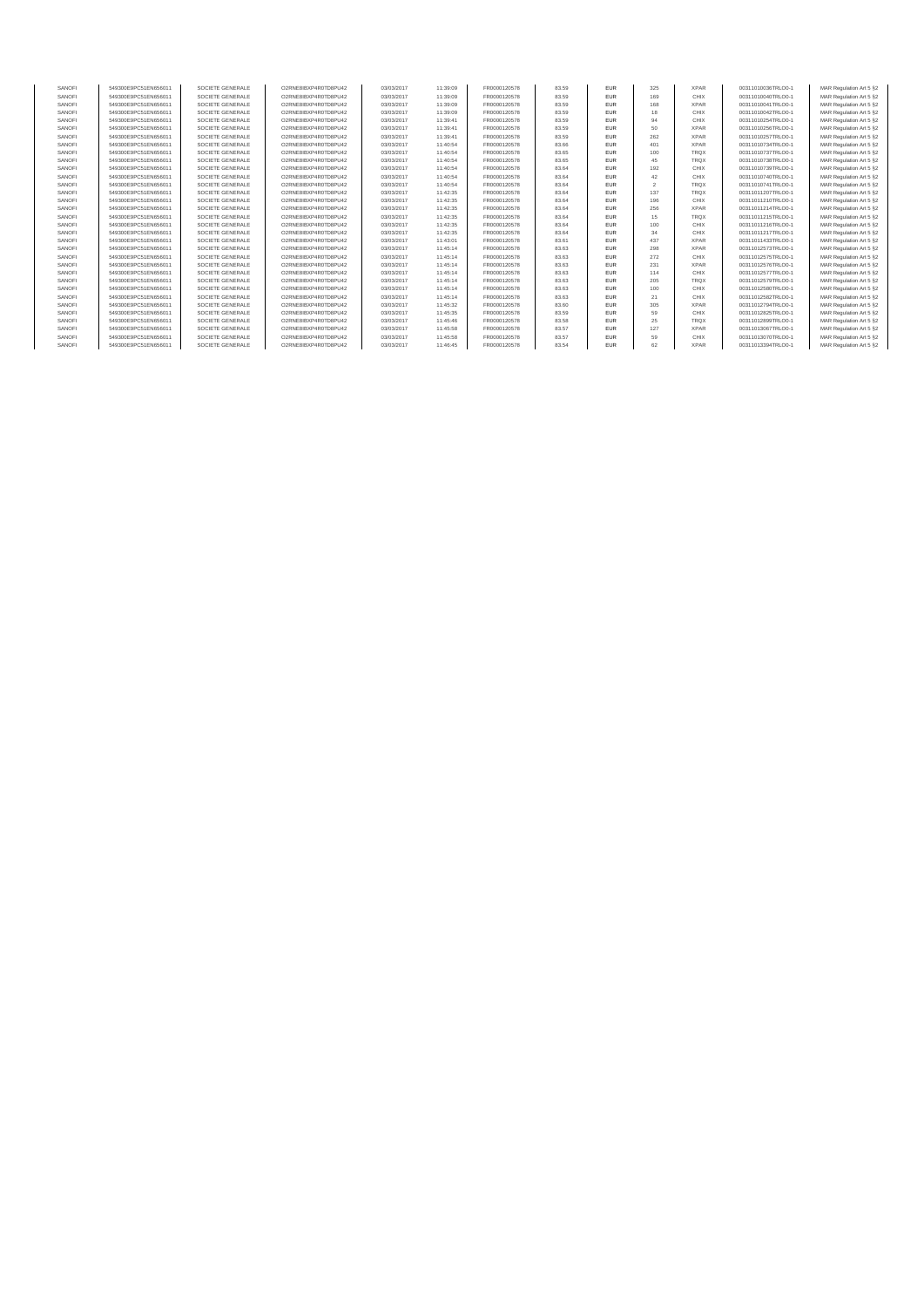| SANOFI | 549300E9PC51EN656011 | SOCIETE GENERALE | O2RNE8IBXP4R0TD8PU42 | 03/03/2017 | 11:39:09 | FR0000120578 | 83.59 | <b>EUR</b> | 325 | <b>XPAR</b> | 00311010036TRLO0-1 | MAR Regulation Art 5 §2 |
|--------|----------------------|------------------|----------------------|------------|----------|--------------|-------|------------|-----|-------------|--------------------|-------------------------|
| SANOFI | 549300E9PC51EN656011 | SOCIETE GENERALE | O2RNE8IBXP4R0TD8PU42 | 03/03/2017 | 11:39:09 | FR0000120578 | 83.59 | EUR        | 169 | CHIX        | 00311010040TRLO0-1 | MAR Regulation Art 5 §2 |
| SANOFI | 549300E9PC51EN656011 | SOCIETE GENERALE | O2RNE8IBXP4R0TD8PU42 | 03/03/2017 | 11:39:09 | FR0000120578 | 83.59 | EUR        | 168 | <b>XPAR</b> | 00311010041TRLO0-1 | MAR Regulation Art 5 §2 |
| SANOFI | 549300E9PC51EN656011 | SOCIETE GENERALE | O2RNE8IBXP4R0TD8PU42 | 03/03/2017 | 11:39:09 | FR0000120578 | 83.59 | EUR        | 18  | CHIX        | 00311010042TRLO0-1 | MAR Regulation Art 5 §2 |
| SANOFI | 549300E9PC51EN656011 | SOCIETE GENERALE | O2RNE8IBXP4R0TD8PU42 | 03/03/2017 | 11:39:41 | FR0000120578 | 83.59 | EUR        | 94  | CHIX        | 00311010254TRLO0-1 | MAR Regulation Art 5 §2 |
| SANOFI | 549300E9PC51EN656011 | SOCIETE GENERALE | O2RNE8IBXP4R0TD8PU42 | 03/03/2017 | 11:39:41 | FR0000120578 | 83.59 | EUR        | 50  | <b>XPAR</b> | 00311010256TRLO0-1 | MAR Regulation Art 5 §2 |
| SANOFI | 549300E9PC51EN656011 | SOCIETE GENERALE | O2RNE8IBXP4R0TD8PU42 | 03/03/2017 | 11:39:41 | FR0000120578 | 83.59 | EUR        | 262 | <b>XPAR</b> | 00311010257TRLO0-1 | MAR Regulation Art 5 §2 |
| SANOFI | 549300E9PC51EN656011 | SOCIETE GENERALE | O2RNE8IBXP4R0TD8PU42 | 03/03/2017 | 11:40:54 | FR0000120578 | 83.66 | EUR        | 401 | <b>XPAR</b> | 00311010734TRLO0-1 | MAR Regulation Art 5 §2 |
| SANOFI | 549300E9PC51EN656011 | SOCIETE GENERALE | O2RNE8IBXP4R0TD8PU42 | 03/03/2017 | 11:40:54 | FR0000120578 | 83.65 | EUR        | 100 | <b>TRQX</b> | 00311010737TRLO0-1 | MAR Regulation Art 5 §2 |
| SANOFI | 549300E9PC51EN656011 | SOCIETE GENERALE | O2RNE8IBXP4R0TD8PU42 | 03/03/2017 | 11:40:54 | FR0000120578 | 83.65 | EUR        | 45  | <b>TRQX</b> | 00311010738TRLO0-1 | MAR Regulation Art 5 §2 |
| SANOFI | 549300E9PC51EN656011 | SOCIETE GENERALE | O2RNE8IBXP4R0TD8PU42 | 03/03/2017 | 11:40:54 | FR0000120578 | 83.64 | EUR        | 192 | CHIX        | 00311010739TRLO0-1 | MAR Regulation Art 5 §2 |
| SANOFI | 549300E9PC51EN656011 | SOCIETE GENERALE | O2RNE8IBXP4R0TD8PU42 | 03/03/2017 | 11:40:54 | FR0000120578 | 83.64 | EUR        | 42  | CHIX        | 00311010740TRLO0-1 | MAR Regulation Art 5 §2 |
| SANOFI | 549300E9PC51EN656011 | SOCIETE GENERALE | O2RNE8IBXP4R0TD8PU42 | 03/03/2017 | 11:40:54 | FR0000120578 | 83.64 | EUR        |     | <b>TRQX</b> | 00311010741TRLO0-1 | MAR Regulation Art 5 §2 |
| SANOFI | 549300E9PC51EN656011 | SOCIETE GENERALE | O2RNE8IBXP4R0TD8PU42 | 03/03/2017 | 11:42:35 | FR0000120578 | 83.64 | EUR        | 137 | <b>TRQX</b> | 00311011207TRLO0-1 | MAR Regulation Art 5 §2 |
| SANOFI | 549300E9PC51EN656011 | SOCIETE GENERALE | O2RNE8IBXP4R0TD8PU42 | 03/03/2017 | 11:42:35 | FR0000120578 | 83.64 | EUR        | 196 | CHIX        | 00311011210TRLO0-1 | MAR Regulation Art 5 §2 |
| SANOFI | 549300E9PC51EN656011 | SOCIETE GENERALE | O2RNE8IBXP4R0TD8PU42 | 03/03/2017 | 11:42:35 | FR0000120578 | 83.64 | <b>EUR</b> | 256 | <b>XPAR</b> | 00311011214TRLO0-1 | MAR Regulation Art 5 §2 |
| SANOFI | 549300E9PC51EN656011 | SOCIETE GENERALE | O2RNE8IBXP4R0TD8PU42 | 03/03/2017 | 11:42:35 | FR0000120578 | 83.64 | EUR        | 15  | <b>TRQX</b> | 00311011215TRLO0-1 | MAR Regulation Art 5 §2 |
| SANOFI | 549300E9PC51EN656011 | SOCIETE GENERALE | O2RNE8IBXP4R0TD8PU42 | 03/03/2017 | 11:42:35 | FR0000120578 | 83.64 | EUR        | 100 | CHIX        | 00311011216TRLO0-1 | MAR Regulation Art 5 §2 |
| SANOFI | 549300E9PC51EN656011 | SOCIETE GENERALE | O2RNE8IBXP4R0TD8PU42 | 03/03/2017 | 11:42:35 | FR0000120578 | 83.64 | EUR        | 34  | CHIX        | 00311011217TRLO0-1 | MAR Regulation Art 5 §2 |
| SANOFI | 549300E9PC51EN656011 | SOCIETE GENERALE | O2RNE8IBXP4R0TD8PU42 | 03/03/2017 | 11:43:01 | FR0000120578 | 83.61 | EUR        | 437 | <b>XPAR</b> | 00311011433TRLO0-1 | MAR Regulation Art 5 §2 |
| SANOFI | 549300E9PC51EN656011 | SOCIETE GENERALE | O2RNE8IBXP4R0TD8PU42 | 03/03/2017 | 11:45:14 | FR0000120578 | 83.63 | EUR        | 298 | <b>XPAR</b> | 00311012573TRLO0-1 | MAR Regulation Art 5 §2 |
| SANOFI | 549300E9PC51EN656011 | SOCIETE GENERALE | O2RNE8IBXP4R0TD8PU42 | 03/03/2017 | 11:45:14 | FR0000120578 | 83.63 | EUR        | 272 | CHIX        | 00311012575TRLO0-1 | MAR Regulation Art 5 §2 |
| SANOFI | 549300E9PC51EN656011 | SOCIETE GENERALE | O2RNE8IBXP4R0TD8PU42 | 03/03/2017 | 11:45:14 | FR0000120578 | 83.63 | EUR        | 231 | <b>XPAR</b> | 00311012576TRLO0-1 | MAR Regulation Art 5 §2 |
| SANOFI | 549300E9PC51EN656011 | SOCIETE GENERALE | O2RNE8IBXP4R0TD8PU42 | 03/03/2017 | 11:45:14 | FR0000120578 | 83.63 | EUR        | 114 | CHIX        | 00311012577TRLO0-1 | MAR Regulation Art 5 §2 |
| SANOFI | 549300E9PC51EN656011 | SOCIETE GENERALE | O2RNE8IBXP4R0TD8PU42 | 03/03/2017 | 11:45:14 | FR0000120578 | 83.63 | EUR        | 205 | <b>TRQX</b> | 00311012579TRLO0-1 | MAR Regulation Art 5 §2 |
| SANOFI | 549300E9PC51EN656011 | SOCIETE GENERALE | O2RNE8IBXP4R0TD8PU42 | 03/03/2017 | 11:45:14 | FR0000120578 | 83.63 | EUR        | 100 | CHIX        | 00311012580TRLO0-1 | MAR Regulation Art 5 §2 |
| SANOFI | 549300E9PC51EN656011 | SOCIETE GENERALE | O2RNE8IBXP4R0TD8PU42 | 03/03/2017 | 11:45:14 | FR0000120578 | 83.63 | EUR        | 21  | CHIX        | 00311012582TRLO0-1 | MAR Regulation Art 5 §2 |
| SANOFI | 549300E9PC51EN656011 | SOCIETE GENERALE | O2RNE8IBXP4R0TD8PU42 | 03/03/2017 | 11:45:32 | FR0000120578 | 83.60 | EUR        | 305 | <b>XPAR</b> | 00311012794TRLO0-1 | MAR Regulation Art 5 §2 |
| SANOFI | 549300E9PC51EN656011 | SOCIETE GENERALE | O2RNE8IBXP4R0TD8PU42 | 03/03/2017 | 11:45:35 | FR0000120578 | 83.59 | <b>EUR</b> | 59  | CHIX        | 00311012825TRLO0-1 | MAR Regulation Art 5 §2 |
| SANOFI | 549300E9PC51EN656011 | SOCIETE GENERALE | O2RNE8IBXP4R0TD8PU42 | 03/03/2017 | 11:45:46 | FR0000120578 | 83.58 | EUR        | 25  | <b>TRQX</b> | 00311012899TRLO0-1 | MAR Regulation Art 5 §2 |
| SANOFI | 549300E9PC51EN656011 | SOCIETE GENERALE | O2RNE8IBXP4R0TD8PU42 | 03/03/2017 | 11:45:58 | FR0000120578 | 83.57 | EUR        | 127 | <b>XPAR</b> | 00311013067TRLO0-1 | MAR Regulation Art 5 §2 |
| SANOFI | 549300E9PC51EN656011 | SOCIETE GENERALE | O2RNE8IBXP4R0TD8PU42 | 03/03/2017 | 11:45:58 | FR0000120578 | 83.57 | EUR        | 59  | CHIX        | 00311013070TRLO0-1 | MAR Regulation Art 5 §2 |
| SANOFI | 549300E9PC51EN656011 | SOCIETE GENERALE | O2RNE8IBXP4R0TD8PU42 | 03/03/2017 | 11:46:45 | FR0000120578 | 83.54 | <b>FUR</b> | 62  | <b>XPAR</b> | 00311013394TRLO0-1 | MAR Regulation Art 5 §2 |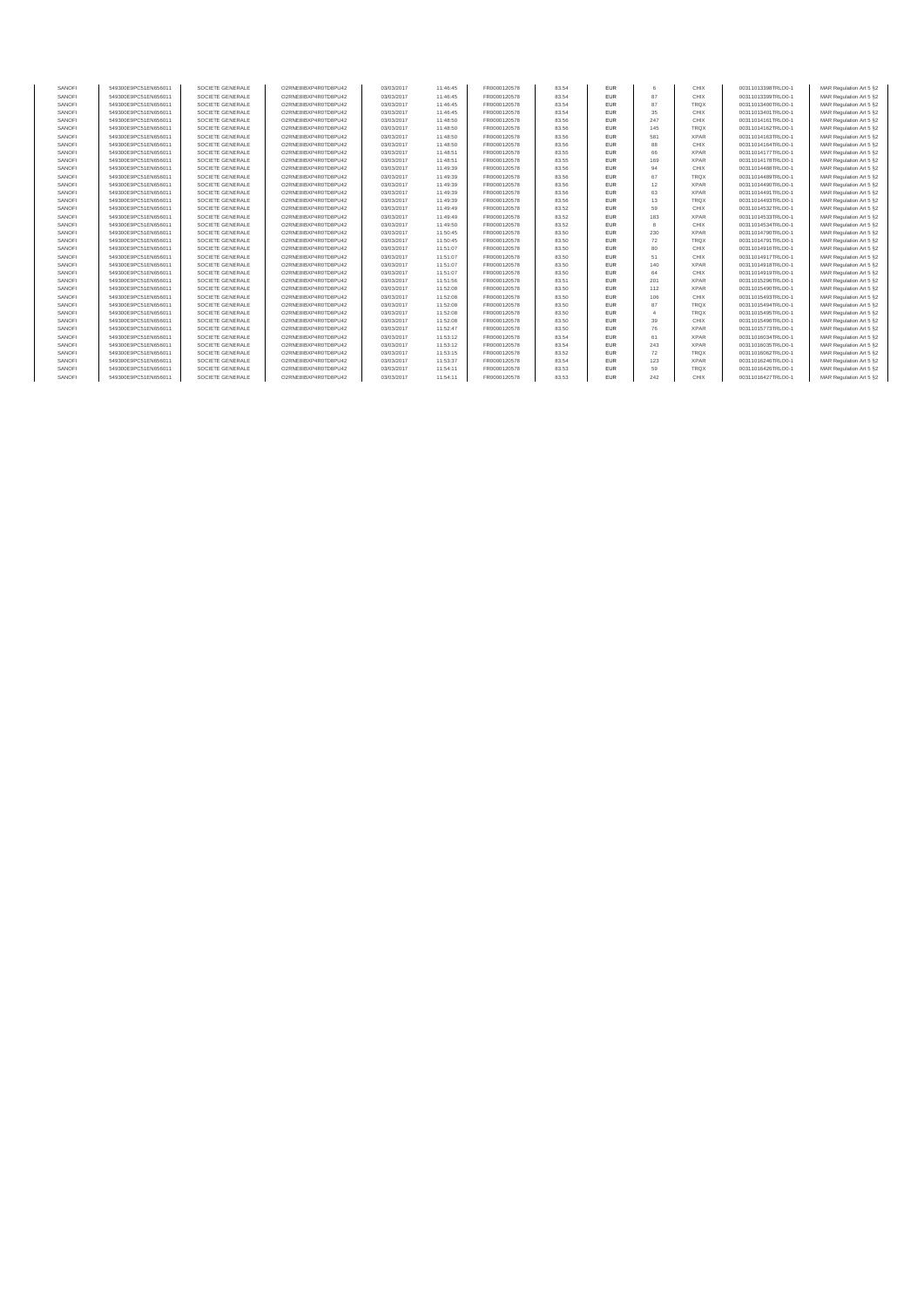| SANOFI           | 549300E9PC51EN656011                         | SOCIETE GENERALE                     | O2RNE8IBXP4R0TD8PU42                         |                          | 11:46:45             | FR0000120578                 | 83.54          | <b>EUR</b>               | 6               | CHIX                | 00311013398TRLO0-1                       | MAR Regulation Art 5 §2                             |
|------------------|----------------------------------------------|--------------------------------------|----------------------------------------------|--------------------------|----------------------|------------------------------|----------------|--------------------------|-----------------|---------------------|------------------------------------------|-----------------------------------------------------|
| SANOFI           | 549300E9PC51EN656011                         | SOCIETE GENERALE                     | O2RNE8IBXP4R0TD8PU42                         | 03/03/2017<br>03/03/2017 | 11:46:45             | FR0000120578                 | 83.54          | <b>EUR</b>               | 87              | CHIX                | 00311013399TRLO0-1                       | MAR Regulation Art 5 §2                             |
| SANOFI           | 549300E9PC51EN656011                         | SOCIETE GENERALE                     | O2RNE8IBXP4R0TD8PU42                         | 03/03/2017               | 11:46:45             | FR0000120578                 | 83.54          | <b>FUR</b>               | 87              | <b>TRQX</b>         | 00311013400TRLO0-1                       | MAR Regulation Art 5 §2                             |
| SANOFI           | 549300E9PC51EN656011                         | SOCIETE GENERALE                     | O2RNE8IBXP4R0TD8PU42                         | 03/03/2017               | 11:46:45             | FR0000120578                 | 83.54          | <b>EUR</b>               | 35              | CHIX                | 00311013401TRLO0-1                       | MAR Regulation Art 5 \$2                            |
| SANOFI           | 549300E9PC51EN656011                         | SOCIETE GENERALE                     | O2RNE8IBXP4R0TD8PU42                         | 03/03/2017               | 11:48:50             | FR0000120578                 | 83.56          | <b>FUR</b>               | 247             | CHIX                | 00311014161TRLO0-1                       | MAR Regulation Art 5 \$2                            |
| SANOFI           | 549300E9PC51EN656011                         | SOCIETE GENERALE                     | O2RNE8IBXP4R0TD8PU42                         | 03/03/2017               | 11:48:50             | FR0000120578                 | 83.56          | <b>EUR</b>               | 145             | <b>TRQX</b>         | 00311014162TRLO0-1                       | MAR Regulation Art 5 §2                             |
| SANOFI           |                                              |                                      |                                              | 03/03/2017               |                      |                              | 83.56          | <b>FUR</b>               | 581             | <b>XPAR</b>         |                                          | MAR Regulation Art 5 \$2                            |
| SANOFI           | 549300E9PC51EN656011<br>549300E9PC51EN656011 | SOCIETE GENERALE<br>SOCIETE GENERALE | O2RNE8IBXP4R0TD8PU42<br>O2RNE8IBXP4R0TD8PU42 | 03/03/2017               | 11:48:50<br>11:48:50 | FR0000120578<br>FR0000120578 | 83.56          | <b>FUR</b>               | <b>RR</b>       | CHIX                | 00311014163TRLO0-1<br>00311014164TRLO0-1 | MAR Regulation Art 5 \$2                            |
|                  |                                              |                                      |                                              |                          |                      |                              |                | <b>EUR</b>               | 66              | <b>XPAR</b>         |                                          |                                                     |
| SANOFI<br>SANOFI | 549300E9PC51EN656011<br>549300E9PC51EN656011 | SOCIETE GENERALE<br>SOCIETE GENERALE | O2RNE8IBXP4R0TD8PU42<br>O2RNE8IBXP4R0TD8PU42 | 03/03/2017<br>03/03/2017 | 11:48:51<br>11:48:51 | FR0000120578<br>FR0000120578 | 83.55<br>83.55 | <b>FUR</b>               | 169             | <b>XPAR</b>         | 00311014177TRLO0-1<br>00311014178TRLO0-1 | MAR Regulation Art 5 §2<br>MAR Regulation Art 5 \$2 |
| SANOFI           | 549300E9PC51EN656011                         | SOCIETE GENERALE                     | O2RNE8IBXP4R0TD8PU42                         | 03/03/2017               | 11:49:39             | FR0000120578                 | 83.56          | <b>EUR</b>               | 94              | CHIX                | 00311014488TRLO0-1                       | MAR Regulation Art 5 \$2                            |
| SANOFI           |                                              |                                      |                                              |                          |                      |                              |                | <b>EUR</b>               | 67              | <b>TRQX</b>         |                                          |                                                     |
|                  | 549300E9PC51EN656011                         | SOCIETE GENERALE                     | O2RNE8IBXP4R0TD8PU42                         | 03/03/2017               | 11:49:39             | FR0000120578                 | 83.56          |                          |                 |                     | 00311014489TRLO0-1                       | MAR Regulation Art 5 \$2                            |
| SANOFI           | 549300E9PC51EN656011                         | SOCIETE GENERALE                     | O2RNE8IBXP4R0TD8PU42                         | 03/03/2017               | 11:49:39             | FR0000120578                 | 83.56          | <b>EUR</b>               | 12              | <b>XPAR</b>         | 00311014490TRLO0-1                       | MAR Regulation Art 5 §2                             |
| SANOFI<br>SANOFI | 549300E9PC51EN656011                         | SOCIETE GENERALE                     | O2RNE8IBXP4R0TD8PU42                         | 03/03/2017               | 11:49:39             | FR0000120578                 | 83.56<br>83.56 | <b>EUR</b><br><b>FUR</b> | 63<br>13        | <b>XPAR</b><br>TROX | 00311014491TRLO0-1                       | MAR Regulation Art 5 §2                             |
|                  | 549300E9PC51EN656011                         | SOCIETE GENERALE                     | O2RNE8IBXP4R0TD8PU42                         | 03/03/2017               | 11:49:39             | FR0000120578                 |                |                          |                 |                     | 00311014493TRLO0-1                       | MAR Regulation Art 5 §2                             |
| SANOFI           | 549300E9PC51EN656011                         | SOCIETE GENERALE                     | O2RNE8IBXP4R0TD8PU42                         | 03/03/2017               | 11:49:49             | FR0000120578                 | 83.52          | <b>EUR</b>               | 59              | CHIX                | 00311014532TRLO0-1                       | MAR Regulation Art 5 §2                             |
| SANOFI           | 549300E9PC51EN656011                         | SOCIETE GENERALE                     | O2RNE8IBXP4R0TD8PU42                         | 03/03/2017               | 11:49:49             | FR0000120578                 | 83.52          | <b>FUR</b>               | 183             | <b>XPAR</b>         | 00311014533TRLO0-1                       | MAR Regulation Art 5 §2                             |
| SANOFI           | 549300E9PC51EN656011                         | SOCIETE GENERALE                     | O2RNE8IBXP4R0TD8PU42                         | 03/03/2017               | 11:49:50             | FR0000120578                 | 83.52          | <b>EUR</b>               | $\mathbf{R}$    | CHIX                | 00311014534TRLO0-1                       | MAR Regulation Art 5 \$2                            |
| SANOFI           | 549300E9PC51EN656011                         | SOCIETE GENERALE                     | O2RNE8IBXP4R0TD8PU42                         | 03/03/2017               | 11:50:45             | FR0000120578                 | 83.50          | <b>EUR</b>               | 230             | <b>XPAR</b>         | 00311014790TRLO0-1                       | MAR Regulation Art 5 §2                             |
| SANOFI           | 549300E9PC51EN656011                         | SOCIETE GENERALE                     | O2RNE8IBXP4R0TD8PU42                         | 03/03/2017               | 11:50:45             | FR0000120578                 | 83.50          | <b>FUR</b>               | 72              | <b>TRQX</b>         | 00311014791TRLO0-1                       | MAR Regulation Art 5 \$2                            |
| SANOFI           | 549300E9PC51EN656011                         | SOCIETE GENERALE                     | O2RNE8IBXP4R0TD8PU42                         | 03/03/2017               | 11:51:07             | FR0000120578                 | 83.50          | <b>EUR</b>               | 80              | CHIX                | 00311014916TRLO0-1                       | MAR Regulation Art 5 \$2                            |
| SANOFI           | 549300E9PC51EN656011                         | SOCIETE GENERALE                     | O2RNE8IBXP4R0TD8PU42                         | 03/03/2017               | 11:51:07             | FR0000120578                 | 83.50          | <b>EUR</b>               | 51              | CHIX                | 00311014917TRLO0-1                       | MAR Regulation Art 5 §2                             |
| SANOFI           | 549300E9PC51EN656011                         | SOCIETE GENERALE                     | O2RNE8IBXP4R0TD8PU42                         | 03/03/2017               | 11:51:07             | FR0000120578                 | 83.50          | <b>FUR</b>               | 140             | <b>XPAR</b>         | 00311014918TRLO0-1                       | MAR Regulation Art 5 \$2                            |
| SANOFI           | 549300E9PC51EN656011                         | SOCIETE GENERALE                     | O2RNE8IBXP4R0TD8PU42                         | 03/03/2017               | 11:51:07             | FR0000120578                 | 83.50          | <b>EUR</b>               | 64              | CHIX                | 00311014919TRLO0-1                       | MAR Regulation Art 5 \$2                            |
| SANOFI           | 549300E9PC51EN656011                         | SOCIETE GENERALE                     | O2RNE8IBXP4R0TD8PLI42                        | 03/03/2017               | 11:51:56             | FR0000120578                 | 83.51          | <b>FUR</b>               | 20 <sup>1</sup> | <b>XPAR</b>         | 00311015296TRLO0-1                       | MAR Regulation Art 5 \$2                            |
| SANOFI           | 549300E9PC51EN656011                         | SOCIETE GENERALE                     | O2RNE8IBXP4R0TD8PLI42                        | 03/03/2017               | 11:52:08             | FR0000120578                 | 83.50          | <b>FUR</b>               | 112             | <b>XPAR</b>         | 00311015490TRLO0-1                       | MAR Regulation Art 5 \$2                            |
| SANOFI           | 549300E9PC51EN656011                         | SOCIETE GENERALE                     | O2RNE8IBXP4R0TD8PLI42                        | 03/03/2017               | 11:52:08             | FR0000120578                 | 83.50          | <b>EUR</b>               | 106             | CHIX                | 00311015493TRLO0-1                       | MAR Regulation Art 5 \$2                            |
| SANOFI           | 549300E9PC51EN656011                         | SOCIETE GENERALE                     | O2RNE8IBXP4R0TD8PLI42                        | 03/03/2017               | 11:52:08             | FR0000120578                 | 83.50          | <b>FUR</b>               | 87              | <b>TROX</b>         | 00311015494TRLO0-1                       | MAR Regulation Art 5 \$2                            |
| SANOFI           | 549300E9PC51EN656011                         | SOCIETE GENERALE                     | O2RNE8IBXP4R0TD8PU42                         | 03/03/2017               | 11:52:08             | FR0000120578                 | 83.50          | <b>EUR</b>               |                 | <b>TROX</b>         | 00311015495TRLO0-1                       | MAR Regulation Art 5 §2                             |
| SANOFI           | 549300E9PC51EN656011                         | SOCIETE GENERALE                     | O2RNE8IBXP4R0TD8PLI42                        | 03/03/2017               | 11:52:08             | FR0000120578                 | 83.50          | <b>FLIR</b>              | 39              | CHIX                | 00311015496TRLO0-1                       | MAR Regulation Art 5 §2                             |
| SANOFI           | 549300E9PC51EN656011                         | SOCIETE GENERALE                     | O2RNE8IBXP4R0TD8PLI42                        | 03/03/2017               | 11:52:47             | FR0000120578                 | 83.50          | <b>EUR</b>               | 76              | <b>XPAR</b>         | 00311015773TRLO0-1                       | MAR Regulation Art 5 §2                             |
| SANOFI           | 549300E9PC51EN656011                         | SOCIETE GENERALE                     | O2RNE8IBXP4R0TD8PU42                         | 03/03/2017               | 11:53:12             | FR0000120578                 | 83.54          | <b>EUR</b>               | 61              | <b>XPAR</b>         | 00311016034TRLO0-1                       | MAR Regulation Art 5 §2                             |
| SANOFI           | 549300E9PC51EN656011                         | SOCIETE GENERALE                     | O2RNE8IBXP4R0TD8PLI42                        | 03/03/2017               | 11:53:12             | FR0000120578                 | 83.54          | <b>FUR</b>               | 243             | <b>XPAR</b>         | 00311016035TRLO0-1                       | MAR Regulation Art 5 §2                             |
| SANOFI           | 549300E9PC51EN656011                         | SOCIETE GENERALE                     | O2RNE8IBXP4R0TD8PU42                         | 03/03/2017               | 11:53:15             | FR0000120578                 | 83.52          | <b>EUR</b>               | 72              | <b>TRQX</b>         | 00311016062TRLO0-1                       | MAR Regulation Art 5 §2                             |
| SANOFI           | 549300E9PC51EN656011                         | SOCIETE GENERALE                     | O2RNE8IBXP4R0TD8PU42                         | 03/03/2017               | 11:53:37             | FR0000120578                 | 83.54          | <b>FUR</b>               | 123             | <b>XPAR</b>         | 00311016246TRLO0-1                       | MAR Regulation Art 5 §2                             |
| SANOFI           | 549300E9PC51EN656011                         | SOCIETE GENERALE                     | O2RNE8IBXP4R0TD8PU42                         | 03/03/2017               | 11:54:11             | FR0000120578                 | 83.53          | <b>FUR</b>               | 59              | <b>TRQX</b>         | 00311016426TRLO0-1                       | MAR Regulation Art 5 \$2                            |
| SANOFI           | 549300E9PC51EN656011                         | SOCIETE GENERALE                     | O2RNE8IBXP4R0TD8PU42                         | 03/03/2017               | 11:54:11             | FR0000120578                 | 83.53          | <b>FUR</b>               | 242             | CHIX                | 00311016427TRLO0-1                       | MAR Regulation Art 5 §2                             |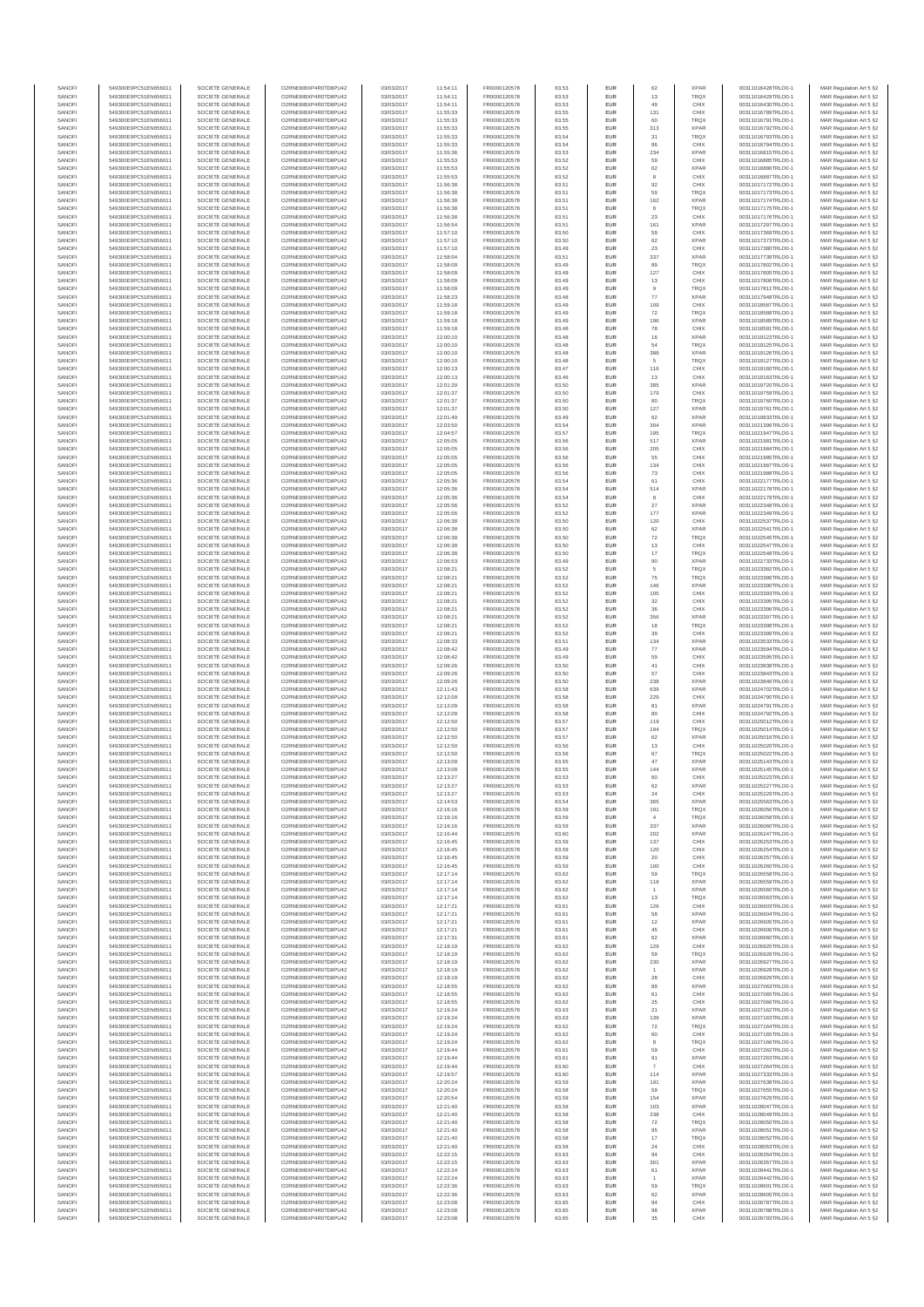| SANOFI           | 549300E9PC51EN656011                         | SOCIETE GENERALE                     | O2RNE8IBXP4R0TD8PU42                          | 03/03/2017               | 11:54:11             | FR0000120578                 | 83.53          | EUR                      | 62                    | <b>XPAR</b>                | 00311016428TRLO0-1                       | MAR Regulation Art 5 §2                            |
|------------------|----------------------------------------------|--------------------------------------|-----------------------------------------------|--------------------------|----------------------|------------------------------|----------------|--------------------------|-----------------------|----------------------------|------------------------------------------|----------------------------------------------------|
| SANOFI<br>SANOFI | 549300E9PC51EN656011<br>549300E9PC51EN656011 | SOCIETE GENERALE<br>SOCIETE GENERALE | O2RNE8IBXP4R0TD8PU42<br>O2RNE8IBXP4R0TD8PU42  | 03/03/2017<br>03/03/2017 | 11:54:11<br>11:54:11 | FR0000120578                 | 83.53<br>83.53 | EUR<br>EUR               | 13<br>49              | TRQX<br>CHIX               | 00311016429TRLO0-1<br>00311016430TRLO0-1 | MAR Regulation Art 5 §2                            |
| SANOFI           | 549300E9PC51EN656011                         | SOCIETE GENERALE                     | O2RNE8IBXP4R0TD8PLI42                         | 03/03/2017               | 11:55:33             | FR0000120578<br>FR0000120578 | 83.55          | EUR                      | 131                   | CHIX                       | 00311016789TRLO0-1                       | MAR Regulation Art 5 §2<br>MAR Regulation Art 5 §2 |
| SANOFI           | 549300E9PC51EN656011                         | SOCIETE GENERALE                     | O2RNE8IBXP4R0TD8PU42                          | 03/03/2017               | 11:55:33             | FR0000120578                 | 83.55          | EUR                      | 60                    | TRQX                       | 00311016791TRLO0-1                       | MAR Regulation Art 5 §2                            |
| SANOFI           | 549300E9PC51EN656011                         | SOCIETE GENERALE                     | O2RNE8IBXP4R0TD8PU42                          | 03/03/2017               | 11:55:33             | FR0000120578                 | 83.55          | EUR                      | 313                   | <b>XPAR</b>                | 00311016792TRLO0-1                       | MAR Regulation Art 5 §2                            |
| SANOFI<br>SANOFI | 549300E9PC51EN656011<br>549300E9PC51EN656011 | SOCIETE GENERALE<br>SOCIETE GENERALE | O2RNE8IBXP4R0TD8PU42<br>O2RNE8IBXP4R0TD8PU42  | 03/03/2017<br>03/03/2017 | 11:55:33<br>11:55:33 | FR0000120578<br>FR0000120578 | 83.54<br>83.54 | EUR<br>EUR               | 31<br>86              | <b>TRQX</b><br>CHIX        | 00311016793TRLO0-1<br>00311016794TRLO0-1 | MAR Regulation Art 5 §2<br>MAR Regulation Art 5 §2 |
| SANOFI           | 549300E9PC51EN656011                         | SOCIETE GENERALE                     | O2RNE8IBXP4R0TD8PU42                          | 03/03/2017               | 11:55:36             | FR0000120578                 | 83.53          | <b>EUR</b>               | 234                   | <b>XPAR</b>                | 00311016815TRLO0-1                       | MAR Regulation Art 5 §2                            |
| SANOFI           | 549300E9PC51EN656011                         | SOCIETE GENERALE                     | O2RNE8IBXP4R0TD8PU42                          | 03/03/2017               | 11:55:53             | FR0000120578                 | 83.52          | EUR                      | 59                    | CHIX                       | 00311016885TRLO0-1                       | MAR Regulation Art 5 §2                            |
| SANOFI<br>SANOFI | 549300E9PC51EN656011<br>549300E9PC51EN656011 | SOCIETE GENERALE<br>SOCIETE GENERALE | O2RNE8IBXP4R0TD8PLI42<br>O2RNE8IBXP4R0TD8PU42 | 03/03/2017<br>03/03/2017 | 11:55:53<br>11:55:53 | FR0000120578<br>FR0000120578 | 83.52<br>83.52 | EUR<br>EUR               | 62                    | <b>XPAR</b><br>CHIX        | 00311016886TRLO0-1<br>00311016887TRLO0-1 | MAR Regulation Art 5 §2<br>MAR Regulation Art 5 §2 |
| SANOFI           | 549300E9PC51EN656011                         | SOCIETE GENERALE                     | O2RNE8IBXP4R0TD8PU42                          | 03/03/2017               | 11:56:38             | FR0000120578                 | 83.51          | EUR                      | 92                    | CHIX                       | 00311017172TRLO0-1                       | MAR Regulation Art 5 §2                            |
| SANOFI           | 549300E9PC51EN656011                         | SOCIETE GENERALE                     | O2RNE8IBXP4R0TD8PU42                          | 03/03/2017               | 11:56:38             | FR0000120578                 | 83.51          | EUR                      | 59                    | <b>TRQX</b>                | 00311017173TRLO0-1                       | MAR Regulation Art 5 §2                            |
| SANOFI           | 549300E9PC51EN656011                         | SOCIETE GENERALE                     | O2RNE8IBXP4R0TD8PU42                          | 03/03/2017               | 11:56:38             | FR0000120578                 | 83.51          | EUR                      | 162                   | <b>XPAR</b>                | 00311017174TRLO0-1                       | MAR Regulation Art 5 §2                            |
| SANOFI<br>SANOFI | 549300E9PC51EN656011<br>549300E9PC51EN656011 | SOCIETE GENERALE<br>SOCIETE GENERALE | O2RNE8IBXP4R0TD8PU42<br>O2RNE8IBXP4R0TD8PU42  | 03/03/2017<br>03/03/2017 | 11:56:38<br>11:56:38 | FR0000120578<br>FR0000120578 | 83.51<br>83.51 | <b>EUR</b><br>EUR        | 6<br>23               | <b>TRQX</b><br>CHIX        | 00311017175TRLO0-1<br>00311017176TRLO0-1 | MAR Regulation Art 5 §2<br>MAR Regulation Art 5 §2 |
| SANOFI           | 549300E9PC51EN656011                         | SOCIETE GENERALE                     | O2RNE8IBXP4R0TD8PU42                          | 03/03/2017               | 11:56:54             | FR0000120578                 | 83.51          | <b>EUR</b>               | 161                   | <b>XPAR</b>                | 00311017297TRLO0-1                       | MAR Regulation Art 5 §2                            |
| SANOFI           | 549300E9PC51EN656011                         | SOCIETE GENERALE                     | O2RNE8IBXP4R0TD8PU42                          | 03/03/2017               | 11:57:10             | FR0000120578                 | 83.50          | EUR                      | 59                    | CHIX                       | 00311017369TRLO0-1                       | MAR Regulation Art 5 §2                            |
| SANOFI           | 549300E9PC51EN656011                         | SOCIETE GENERALE                     | O2RNESIBXP4R0TD8PLI42                         | 03/03/2017               | 11:57:10             | FR0000120578                 | 83.50          | EUR                      | 62                    | <b>XPAR</b>                | 00311017373TRLO0-1                       | MAR Regulation Art 5 §2                            |
| SANOFI<br>SANOFI | 549300E9PC51EN656011<br>549300E9PC51EN656011 | SOCIETE GENERALE<br>SOCIETE GENERALE | O2RNE8IBXP4R0TD8PU42<br>O2RNE8IBXP4R0TD8PLI42 | 03/03/2017<br>03/03/2017 | 11:57:10<br>11:58:04 | FR0000120578<br>FR0000120578 | 83.49<br>83.51 | EUR<br>EUR               | 23<br>337             | CHIX<br><b>XPAR</b>        | 00311017380TRLO0-1<br>00311017739TRLO0-1 | MAR Regulation Art 5 §2<br>MAR Regulation Art 5 §2 |
| SANOFI           | 549300E9PC51EN656011                         | SOCIETE GENERALE                     | O2RNE8IBXP4R0TD8PU42                          | 03/03/2017               | 11:58:09             | FR0000120578                 | 83.49          | <b>EUR</b>               | 89                    | <b>TRQX</b>                | 00311017802TRLO0-1                       | MAR Regulation Art 5 §2                            |
| SANOFI           | 549300E9PC51EN656011                         | SOCIETE GENERALE                     | O2RNE8IBXP4R0TD8PU42                          | 03/03/2017               | 11:58:09             | FR0000120578                 | 83.49          | EUR                      | 127                   | CHIX                       | 00311017805TRLO0-1                       | MAR Regulation Art 5 §2                            |
| SANOFI<br>SANOFI | 549300E9PC51EN656011<br>549300E9PC51EN656011 | SOCIETE GENERALE<br>SOCIETE GENERALE | O2RNE8IBXP4R0TD8PU42<br>O2RNE8IBXP4R0TD8PU42  | 03/03/2017<br>03/03/2017 | 11:58:09<br>11:58:09 | FR0000120578<br>FR0000120578 | 83.49<br>83.49 | <b>EUR</b><br>EUR        | 13                    | CHIX<br><b>TRQX</b>        | 00311017806TRLO0-1<br>00311017811TRLO0-1 | MAR Regulation Art 5 §2<br>MAR Regulation Art 5 §2 |
| SANOFI           | 549300E9PC51EN656011                         | SOCIETE GENERALE                     | O2RNE8IBXP4R0TD8PU42                          | 03/03/2017               | 11:58:23             | FR0000120578                 | 83.48          | <b>EUR</b>               | 77                    | <b>XPAR</b>                | 00311017948TRLO0-1                       | MAR Regulation Art 5 §2                            |
| SANOFI           | 549300E9PC51EN656011                         | SOCIETE GENERALE                     | O2RNE8IBXP4R0TD8PU42                          | 03/03/2017               | 11:59:18             | FR0000120578                 | 83.49          | EUR                      | 109                   | CHIX                       | 00311018587TRLO0-1                       | MAR Regulation Art 5 §2                            |
| SANOFI           | 549300E9PC51EN656011                         | SOCIETE GENERALE                     | O2RNE8IBXP4R0TD8PU42                          | 03/03/2017               | 11:59:18             | FR0000120578                 | 83.49          | EUR                      | ${\bf 72}$            | TRQX                       | 00311018588TRLO0-1                       | MAR Regulation Art 5 §2                            |
| SANOFI<br>SANOFI | 549300E9PC51EN656011<br>549300E9PC51EN656011 | SOCIETE GENERALE<br>SOCIETE GENERALE | O2RNE8IBXP4R0TD8PU42<br>O2RNE8IBXP4R0TD8PU42  | 03/03/2017<br>03/03/2017 | 11:59:18<br>11:59:18 | FR0000120578<br>FR0000120578 | 83.49<br>83.48 | EUR<br>EUR               | 196<br>78             | <b>XPAR</b><br>CHIX        | 00311018589TRLO0-1<br>00311018591TRLO0-1 | MAR Regulation Art 5 §2<br>MAR Regulation Art 5 §2 |
| SANOFI           | 549300E9PC51EN656011                         | SOCIETE GENERALE                     | O2RNE8IBXP4R0TD8PU42                          | 03/03/2017               | 12:00:10             | FR0000120578                 | 83.48          | <b>EUR</b>               | 16                    | <b>XPAR</b>                | 00311019123TRLO0-1                       | MAR Regulation Art 5 §2                            |
| SANOFI           | 549300E9PC51EN656011                         | SOCIETE GENERALE                     | O2RNE8IBXP4R0TD8PU42                          | 03/03/2017               | 12:00:10             | FR0000120578                 | 83.48          | EUR                      | $^{\rm 54}$           | <b>TRQX</b>                | 00311019125TRLO0-1                       | MAR Regulation Art 5 §2                            |
| SANOFI<br>SANOFI | 549300E9PC51EN656011<br>549300E9PC51EN656011 | SOCIETE GENERALE<br>SOCIETE GENERALE | O2RNE8IBXP4R0TD8PU42<br>O2RNE8IBXP4R0TD8PU42  | 03/03/2017<br>03/03/2017 | 12:00:10<br>12:00:10 | FR0000120578<br>FR0000120578 | 83.48<br>83.48 | <b>EUR</b><br>EUR        | 388                   | <b>XPAR</b><br>TRQX        | 00311019126TRLO0-1<br>00311019127TRLO0-1 | MAR Regulation Art 5 §2<br>MAR Regulation Art 5 §2 |
| SANOFI           | 549300E9PC51EN656011                         | SOCIETE GENERALE                     | O2RNE8IBXP4R0TD8PU42                          | 03/03/2017               | 12:00:13             | FR0000120578                 | 83.47          | EUR                      | 116                   | CHIX                       | 00311019160TRLO0-1                       | MAR Regulation Art 5 §2                            |
| SANOFI           | 549300E9PC51EN656011                         | SOCIETE GENERALE                     | O2RNE8IBXP4R0TD8PU42                          | 03/03/2017               | 12:00:13             | FR0000120578                 | 83.46          | EUR                      | 13                    | CHIX                       | 00311019163TRLO0-1                       | MAR Regulation Art 5 §2                            |
| SANOFI<br>SANOFI | 549300E9PC51EN656011                         | SOCIETE GENERALE                     | O2RNE8IBXP4R0TD8PU42<br>O2RNE8IBXP4R0TD8PU42  | 03/03/2017               | 12:01:29             | FR0000120578                 | 83.50          | EUR                      | 385                   | <b>XPAR</b>                | 00311019720TRLO0-1<br>00311019759TRLO0-1 | MAR Regulation Art 5 §2                            |
| SANOFI           | 549300E9PC51EN656011<br>549300E9PC51EN656011 | SOCIETE GENERALE<br>SOCIETE GENERALE | O2RNE8IBXP4R0TD8PU42                          | 03/03/2017<br>03/03/2017 | 12:01:37<br>12:01:37 | FR0000120578<br>FR0000120578 | 83.50<br>83.50 | EUR<br>EUR               | 179<br>80             | CHIX<br><b>TRQX</b>        | 00311019760TRLO0-1                       | MAR Regulation Art 5 §2<br>MAR Regulation Art 5 §2 |
| SANOFI           | 549300E9PC51EN656011                         | SOCIETE GENERALE                     | O2RNE8IBXP4R0TD8PU42                          | 03/03/2017               | 12:01:37             | FR0000120578                 | 83.50          | <b>EUR</b>               | 127                   | <b>XPAR</b>                | 00311019761TRLO0-1                       | MAR Regulation Art 5 §2                            |
| SANOFI           | 549300E9PC51EN656011                         | SOCIETE GENERALE                     | O2RNE8IBXP4R0TD8PU42                          | 03/03/2017               | 12:01:49             | FR0000120578                 | 83.49          | EUR                      | 62                    | <b>XPAR</b>                | 00311019833TRLO0-1                       | MAR Regulation Art 5 §2                            |
| SANOFI<br>SANOFI | 549300E9PC51EN656011<br>549300E9PC51EN656011 | SOCIETE GENERALE<br>SOCIETE GENERALE | O2RNE8IBXP4R0TD8PLI42<br>O2RNE8IBXP4R0TD8PU42 | 03/03/2017<br>03/03/2017 | 12:03:50<br>12:04:57 | FR0000120578<br>FR0000120578 | 83.54<br>83.57 | <b>EUR</b><br>EUR        | 304<br>195            | <b>XPAR</b><br>TRQX        | 00311021396TRLO0-1<br>00311021947TRLO0-1 | MAR Regulation Art 5 §2<br>MAR Regulation Art 5 §2 |
| SANOFI           | 549300E9PC51EN656011                         | SOCIETE GENERALE                     | O2RNE8IBXP4R0TD8PU42                          | 03/03/2017               | 12:05:05             | FR0000120578                 | 83.56          | EUR                      | 517                   | <b>XPAR</b>                | 00311021981TRLO0-1                       | MAR Regulation Art 5 §2                            |
| SANOFI           | 549300E9PC51EN656011                         | SOCIETE GENERALE                     | O2RNE8IBXP4R0TD8PU42                          | 03/03/2017               | 12:05:05             | FR0000120578                 | 83.56          | EUR                      | 205                   | CHIX                       | 00311021984TRLO0-1                       | MAR Regulation Art 5 §2                            |
| SANOFI           | 549300E9PC51EN656011                         | SOCIETE GENERALE                     | O2RNE8IBXP4R0TD8PLI42                         | 03/03/2017               | 12:05:05             | FR0000120578                 | 83.56          | EUR                      | 55                    | CHIX                       | 00311021985TRLO0-1                       | MAR Regulation Art 5 §2                            |
| SANOFI<br>SANOFI | 549300E9PC51EN656011<br>549300E9PC51EN656011 | SOCIETE GENERALE<br>SOCIETE GENERALE | O2RNE8IBXP4R0TD8PU42<br>O2RNE8IBXP4R0TD8PU42  | 03/03/2017<br>03/03/2017 | 12:05:05<br>12:05:05 | FR0000120578<br>FR0000120578 | 83.56<br>83.56 | EUR<br>EUR               | 134<br>73             | CHIX<br>CHIX               | 00311021987TRLO0-1<br>00311021988TRLO0-1 | MAR Regulation Art 5 §2<br>MAR Regulation Art 5 §2 |
| SANOFI           | 549300E9PC51EN656011                         | SOCIETE GENERALE                     | O2RNE8IBXP4R0TD8PU42                          | 03/03/2017               | 12:05:36             | FR0000120578                 | 83.54          | EUR                      | 61                    | CHIX                       | 00311022177TRLO0-1                       | MAR Regulation Art 5 §2                            |
| SANOFI           | 549300E9PC51EN656011                         | SOCIETE GENERALE                     | O2RNE8IBXP4R0TD8PU42                          | 03/03/2017               | 12:05:36             | FR0000120578                 | 83.54          | EUR                      | 514                   | <b>XPAR</b>                | 00311022178TRLO0-1                       | MAR Regulation Art 5 §2                            |
| SANOFI<br>SANOFI | 549300E9PC51EN656011<br>549300E9PC51EN656011 | SOCIETE GENERALE<br>SOCIETE GENERALE | O2RNE8IBXP4R0TD8PU42<br>O2RNE8IBXP4R0TD8PU42  | 03/03/2017<br>03/03/2017 | 12:05:36<br>12:05:56 | FR0000120578<br>FR0000120578 | 83.54<br>83.52 | <b>EUR</b><br>EUR        | 8<br>27               | CHIX<br><b>XPAR</b>        | 00311022179TRLO0-1<br>00311022348TRLO0-1 | MAR Regulation Art 5 §2<br>MAR Regulation Art 5 §2 |
| SANOFI           | 549300E9PC51EN656011                         | SOCIETE GENERALE                     | O2RNE8IBXP4R0TD8PLI42                         | 03/03/2017               | 12:05:56             | FR0000120578                 | 83.52          | EUR                      | 177                   | <b>XPAR</b>                | 00311022349TRLO0-1                       | MAR Regulation Art 5 §2                            |
| SANOFI           | 549300E9PC51EN656011                         | SOCIETE GENERALE                     | O2RNE8IBXP4R0TD8PU42                          | 03/03/2017               | 12:06:38             | FR0000120578                 | 83.50          | EUR                      | 120                   | CHIX                       | 00311022537TRLO0-1                       | MAR Regulation Art 5 §2                            |
| SANOFI           | 549300E9PC51EN656011                         | SOCIETE GENERALE                     | O2RNE8IBXP4R0TD8PU42                          | 03/03/2017               | 12:06:38             | FR0000120578                 | 83.50          | EUR                      | 62                    | <b>XPAR</b>                | 00311022541TRLO0-1                       | MAR Regulation Art 5 §2                            |
| SANOFI<br>SANOFI | 549300E9PC51EN656011<br>549300E9PC51EN656011 | SOCIETE GENERALE<br>SOCIETE GENERALE | O2RNE8IBXP4R0TD8PU42<br>O2RNE8IBXP4R0TD8PU42  | 03/03/2017<br>03/03/2017 | 12:06:38<br>12:06:38 | FR0000120578<br>FR0000120578 | 83.50<br>83.50 | <b>EUR</b><br>EUR        | 72<br>13              | <b>TRQX</b><br>CHIX        | 00311022545TRLO0-1<br>00311022547TRLO0-1 | MAR Regulation Art 5 §2<br>MAR Regulation Art 5 §2 |
| SANOFI           | 549300E9PC51EN656011                         | SOCIETE GENERALE                     | O2RNE8IBXP4R0TD8PU42                          | 03/03/2017               | 12:06:38             | FR0000120578                 | 83.50          | <b>EUR</b>               | 17                    | <b>TRQX</b>                | 00311022548TRLO0-1                       | MAR Regulation Art 5 §2                            |
| SANOFI           | 549300E9PC51EN656011                         | SOCIETE GENERALE                     | O2RNE8IBXP4R0TD8PU42                          | 03/03/2017               | 12:06:53             | FR0000120578                 | 83.49          | EUR                      | 90                    | <b>XPAR</b>                | 00311022733TRLO0-1                       | MAR Regulation Art 5 §2                            |
| SANOFI<br>SANOFI | 549300E9PC51EN656011<br>549300E9PC51EN656011 | SOCIETE GENERALE<br>SOCIETE GENERALE | O2RNE8IBXP4R0TD8PU42<br>O2RNE8IBXP4R0TD8PU42  | 03/03/2017<br>03/03/2017 | 12:08:21<br>12:08:21 | FR0000120578<br>FR0000120578 | 83.52<br>83.52 | <b>EUR</b><br>EUR        | 5<br>$\rm 75$         | <b>TRQX</b><br>TRQX        | 00311023382TRLO0-1<br>00311023386TRLO0-1 | MAR Regulation Art 5 §2<br>MAR Regulation Art 5 §2 |
| SANOFI           | 549300E9PC51EN656011                         | SOCIETE GENERALE                     | O2RNE8IBXP4R0TD8PU42                          | 03/03/2017               | 12:08:21             | FR0000120578                 | 83.52          | EUR                      | 146                   | <b>XPAR</b>                | 00311023390TRLO0-1                       | MAR Regulation Art 5 §2                            |
| SANOFI           | 549300E9PC51EN656011                         | SOCIETE GENERALE                     | O2RNE8IBXP4R0TD8PU42                          | 03/03/2017               | 12:08:21             | FR0000120578                 | 83.52          | EUR                      | 105                   | CHIX                       | 00311023393TRLO0-1                       | MAR Regulation Art 5 §2                            |
| SANOFI           | 549300E9PC51EN656011                         | SOCIETE GENERALE                     | O2RNE8IBXP4R0TD8PU42                          | 03/03/2017               | 12:08:21             | FR0000120578                 | 83.52          | EUR                      | $32\,$                | CHIX                       | 00311023395TRLO0-1                       | MAR Regulation Art 5 §2                            |
| SANOFI<br>SANOFI | 549300E9PC51EN656011<br>549300E9PC51EN656011 | SOCIETE GENERALE<br>SOCIETE GENERALE | O2RNE8IBXP4R0TD8PU42<br>O2RNE8IBXP4R0TD8PU42  | 03/03/2017<br>03/03/2017 | 12:08:21<br>12:08:21 | FR0000120578<br>FR0000120578 | 83.52<br>83.52 | <b>EUR</b><br>EUR        | 36<br>356             | CHIX<br><b>XPAR</b>        | 00311023396TRLO0-1<br>00311023397TRLO0-1 | MAR Regulation Art 5 §2<br>MAR Regulation Art 5 §2 |
| SANOFI           | 549300E9PC51EN656011                         | SOCIETE GENERALE                     | O2RNE8IBXP4R0TD8PU42                          | 03/03/2017               | 12:08:21             | FR0000120578                 | 83.52          | <b>EUR</b>               | 18                    | <b>TRQX</b>                | 00311023398TRLO0-1                       | MAR Regulation Art 5 §2                            |
| SANOFI           | 549300E9PC51EN656011                         | SOCIETE GENERALE                     | O2RNE8IBXP4R0TD8PU42                          | 03/03/2017               | 12:08:21             | FR0000120578                 | 83.52          | EUR                      | 39                    | CHIX                       | 00311023399TRLO0-1                       | MAR Regulation Art 5 §2                            |
| SANOFI<br>SANOFI | 549300E9PC51EN656011<br>549300E9PC51EN656011 | SOCIETE GENERALE<br>SOCIETE GENERALE | O2RNE8IBXP4R0TD8PU42<br>O2RNE8IBXP4R0TD8PU42  | 03/03/2017<br>03/03/2017 | 12:08:33<br>12:08:42 | FR0000120578<br>FR0000120578 | 83.51<br>83.49 | <b>EUR</b><br>EUR        | 134<br>$77\,$         | <b>XPAR</b><br><b>XPAR</b> | 00311023533TRLO0-1<br>00311023594TRLO0-1 | MAR Regulation Art 5 §2<br>MAR Regulation Art 5 §2 |
| SANOFI           | 549300E9PC51EN656011                         | SOCIETE GENERALE                     | O2RNE8IBXP4R0TD8PU42                          | 03/03/2017               | 12:08:42             | FR0000120578                 | 83.49          | EUR                      | 59                    | CHIX                       | 00311023595TRLO0-1                       | MAR Regulation Art 5 §2                            |
| SANOFI           | 549300E9PC51EN656011                         | SOCIETE GENERALE                     | O2RNE8IBXP4R0TD8PU42                          | 03/03/2017               | 12:09:26             | FR0000120578                 | 83.50          | EUR                      | 41                    | CHIX                       | 00311023838TRLO0-1                       | MAR Regulation Art 5 §2                            |
| SANOFI           | 549300E9PC51EN656011                         | SOCIETE GENERALE                     | O2RNE8IBXP4R0TD8PU42                          | 03/03/2017               | 12:09:26             | FR0000120578                 | 83.50          | EUR                      | 57                    | CHIX                       | 00311023843TRLO0-1                       | MAR Regulation Art 5 §2                            |
| SANOFI<br>SANOFI | 549300E9PC51EN656011<br>549300E9PC51EN656011 | SOCIETE GENERALE<br>SOCIETE GENERALE | O2RNE8IBXP4R0TD8PU42<br>O2RNE8IBXP4R0TD8PU42  | 03/03/2017<br>03/03/2017 | 12:09:26<br>12:11:43 | FR0000120578<br>FR0000120578 | 83.50<br>83.58 | <b>EUR</b><br>EUR        | 238<br>639            | <b>XPAR</b><br><b>XPAR</b> | 00311023846TRLO0-1<br>00311024702TRLO0-1 | MAR Regulation Art 5 §2<br>MAR Regulation Art 5 §2 |
| SANOFI           | 549300E9PC51EN656011                         | SOCIETE GENERALE                     | O2RNE8IBXP4R0TD8PU42                          | 03/03/2017               | 12:12:09             | FR0000120578                 | 83.58          | <b>EUR</b>               | 229                   | CHIX                       | 00311024790TRLO0-1                       | MAR Regulation Art 5 §2                            |
| SANOFI           | 549300E9PC51EN656011                         | SOCIETE GENERALE                     | O2RNE8IBXP4R0TD8PU42                          | 03/03/2017               | 12:12:09             | FR0000120578                 | 83.58          | EUR                      | 81                    | <b>XPAR</b>                | 00311024791TRLO0-1                       | MAR Regulation Art 5 §2                            |
| SANOFI           | 549300E9PC51EN656011                         | SOCIETE GENERALE                     | O2RNE8IBXP4R0TD8PU42                          | 03/03/2017               | 12:12:09             | FR0000120578                 | 83.58          | EUR                      | 80                    | CHIX                       | 00311024792TRLO0-1                       | MAR Regulation Art 5 §2                            |
| SANOFI<br>SANOFI | 549300E9PC51EN656011<br>549300E9PC51EN656011 | SOCIETE GENERALE<br>SOCIETE GENERALE | O2RNE8IBXP4R0TD8PU42<br>O2RNE8IBXP4R0TD8PU42  | 03/03/2017<br>03/03/2017 | 12:12:50<br>12:12:50 | FR0000120578<br>FR0000120578 | 83.57<br>83.57 | EUR<br>EUR               | 119<br>194            | CHIX<br><b>TRQX</b>        | 00311025012TRLO0-1<br>00311025014TRLO0-1 | MAR Regulation Art 5 §2<br>MAR Regulation Art 5 §2 |
| SANOFI           | 549300E9PC51EN656011                         | SOCIETE GENERALE                     | O2RNE8IBXP4R0TD8PU42                          | 03/03/2017               | 12:12:50             | FR0000120578                 | 83.57          | EUR                      | 62                    | <b>XPAR</b>                | 00311025016TRLO0-1                       | MAR Regulation Art 5 §2                            |
| SANOFI           | 549300E9PC51EN656011                         | SOCIETE GENERALE                     | O2RNE8IBXP4R0TD8PU42                          | 03/03/2017               | 12:12:50             | FR0000120578                 | 83.56          | EUR                      | 13                    | CHIX                       | 00311025020TRLO0-1                       | MAR Regulation Art 5 §2                            |
| SANOFI<br>SANOFI | 549300E9PC51EN656011<br>549300E9PC51EN656011 | SOCIETE GENERALE<br>SOCIETE GENERALE | O2RNE8IBXP4R0TD8PU42<br>O2RNE8IBXP4R0TD8PU42  | 03/03/2017<br>03/03/2017 | 12:12:50<br>12:13:09 | FR0000120578<br>FR0000120578 | 83.56<br>83.55 | <b>EUR</b><br>EUR        | 67<br>47              | <b>TRQX</b><br><b>XPAR</b> | 00311025022TRLO0-1<br>00311025143TRLO0-1 | MAR Regulation Art 5 §2<br>MAR Regulation Art 5 §2 |
| SANOFI           | 549300E9PC51EN656011                         | SOCIETE GENERALE                     | O2RNE8IBXP4R0TD8PU42                          | 03/03/2017               | 12:13:09             | FR0000120578                 | 83.55          | EUR                      | 144                   | <b>XPAR</b>                | 00311025145TRLO0-1                       | MAR Regulation Art 5 §2                            |
| SANOFI           | 549300E9PC51EN656011                         | SOCIETE GENERALE                     | O2RNE8IBXP4R0TD8PU42                          | 03/03/2017               | 12:13:27             | FR0000120578                 | 83.53          | EUR                      | 60                    | CHIX                       | 00311025223TRLO0-1                       | MAR Regulation Art 5 §2                            |
| SANOFI           | 549300E9PC51EN656011                         | SOCIETE GENERALE                     | O2RNE8IBXP4R0TD8PLI42                         | 03/03/2017               | 12:13:27             | FR0000120578                 | 83.53          | EUR                      | 62                    | <b>XPAR</b>                | 00311025227TRLO0-1                       | MAR Regulation Art 5 §2                            |
| SANOFI<br>SANOFI | 549300E9PC51EN656011<br>549300E9PC51EN656011 | SOCIETE GENERALE<br>SOCIETE GENERALE | O2RNE8IBXP4R0TD8PU42<br>O2RNESIBXP4R0TD8PLI42 | 03/03/2017<br>03/03/2017 | 12:13:27<br>12:14:53 | FR0000120578<br>FR0000120578 | 83.53<br>83.54 | <b>EUR</b><br><b>EUR</b> | 24<br>365             | CHIX<br><b>XPAR</b>        | 00311025229TRLO0-1<br>00311025563TRLO0-1 | MAR Regulation Art 5 §2<br>MAR Regulation Art 5 §2 |
| SANOFI           | 549300E9PC51EN656011                         | SOCIETE GENERALE                     | O2RNE8IBXP4R0TD8PU42                          | 03/03/2017               | 12:16:16             | FR0000120578                 | 83.59          | EUR                      | 191                   | <b>TRQX</b>                | 00311026056TRLO0-1                       | MAR Regulation Art 5 §2                            |
| SANOFI           | 549300E9PC51EN656011                         | SOCIETE GENERALE                     | O2RNE8IBXP4R0TD8PU42                          | 03/03/2017               | 12:16:16             | FR0000120578                 | 83.59          | EUR                      |                       | <b>TRQX</b>                | 00311026058TRLO0-1                       | MAR Regulation Art 5 §2                            |
| SANOFI<br>SANOFI | 549300E9PC51EN656011<br>549300E9PC51EN656011 | SOCIETE GENERALE<br>SOCIETE GENERALE | O2RNE8IBXP4R0TD8PU42<br>O2RNE8IBXP4R0TD8PU42  | 03/03/2017<br>03/03/2017 | 12:16:16<br>12:16:44 | FR0000120578<br>FR0000120578 | 83.59<br>83.60 | <b>EUR</b><br>EUR        | 337<br>202            | <b>XPAR</b><br><b>XPAR</b> | 00311026060TRLO0-1<br>00311026247TRLO0-1 | MAR Regulation Art 5 §2<br>MAR Regulation Art 5 §2 |
| SANOFI           | 549300E9PC51EN656011                         | SOCIETE GENERALE                     | O2RNE8IBXP4R0TD8PU42                          | 03/03/2017               | 12:16:45             | FR0000120578                 | 83.59          | <b>EUR</b>               | 137                   | CHIX                       | 00311026253TRLO0-1                       | MAR Regulation Art 5 §2                            |
| SANOFI           | 549300E9PC51EN656011                         | SOCIETE GENERALE                     | O2RNE8IBXP4R0TD8PU42                          | 03/03/2017               | 12:16:45             | FR0000120578                 | 83.59          | EUR                      | 120                   | CHIX                       | 00311026254TRLO0-1                       | MAR Regulation Art 5 §2                            |
| SANOFI           | 549300E9PC51EN656011                         | SOCIETE GENERALE                     | O2RNE8IBXP4R0TD8PU42                          | 03/03/2017               | 12:16:45             | FR0000120578                 | 83.59          | EUR                      | $20\,$                | CHIX                       | 00311026257TRLO0-1                       | MAR Regulation Art 5 §2                            |
| SANOFI<br>SANOFI | 549300E9PC51EN656011<br>549300E9PC51EN656011 | SOCIETE GENERALE<br>SOCIETE GENERALE | O2RNE8IBXP4R0TD8PU42<br>O2RNESIBXP4R0TD8PLI42 | 03/03/2017<br>03/03/2017 | 12:16:45<br>12:17:14 | FR0000120578<br>FR0000120578 | 83.59<br>83.62 | EUR<br>EUR               | 100<br>59             | CHIX<br><b>TRQX</b>        | 00311026260TRLO0-1<br>00311026558TRLO0-1 | MAR Regulation Art 5 §2<br>MAR Regulation Art 5 §2 |
| SANOFI           | 549300E9PC51EN656011                         | SOCIETE GENERALE                     | O2RNE8IBXP4R0TD8PLI42                         | 03/03/2017               | 12:17:14             | FR0000120578                 | 83.62          | <b>EUR</b>               | 118                   | <b>XPAR</b>                | 00311026559TRLO0-1                       | MAR Regulation Art 5 §2                            |
| SANOFI           | 549300E9PC51EN656011                         | SOCIETE GENERALE                     | O2RNE8IBXP4R0TD8PU42                          | 03/03/2017               | 12:17:14             | FR0000120578                 | 83.62          | EUR                      |                       | <b>XPAR</b>                | 00311026560TRLO0-1                       | MAR Regulation Art 5 §2                            |
| SANOFI<br>SANOFI | 549300E9PC51EN656011<br>549300E9PC51EN656011 | SOCIETE GENERALE<br>SOCIETE GENERALE | O2RNE8IBXP4R0TD8PU42<br>O2RNE8IBXP4R0TD8PU42  | 03/03/2017<br>03/03/2017 | 12:17:14<br>12:17:21 | FR0000120578<br>FR0000120578 | 83.62<br>83.61 | <b>EUR</b><br>EUR        | 13<br>126             | <b>TROX</b><br>CHIX        | 00311026563TRLO0-1<br>00311026603TRLO0-1 | MAR Regulation Art 5 §2<br>MAR Regulation Art 5 §2 |
| SANOFI           | 549300E9PC51EN656011                         | SOCIETE GENERALE                     | O2RNE8IBXP4R0TD8PU42                          | 03/03/2017               | 12:17:21             | FR0000120578                 | 83.61          | EUR                      | 58                    | <b>XPAR</b>                | 00311026604TRLO0-1                       | MAR Regulation Art 5 §2                            |
| SANOFI           | 549300E9PC51EN656011                         | SOCIETE GENERALE                     | O2RNE8IBXP4R0TD8PU42                          | 03/03/2017               | 12:17:21             | FR0000120578                 | 83.61          | EUR                      | 12                    | <b>XPAR</b>                | 00311026605TRLO0-1                       | MAR Regulation Art 5 §2                            |
| SANOFI<br>SANOFI | 549300E9PC51EN656011<br>549300E9PC51EN656011 | SOCIETE GENERALE<br>SOCIETE GENERALE | O2RNE8IBXP4R0TD8PU42<br>O2RNESIBXP4R0TD8PLI42 | 03/03/2017<br>03/03/2017 | 12:17:21<br>12:17:31 | FR0000120578<br>FR0000120578 | 83.61<br>83.61 | EUR<br>EUR               | 45<br>62              | CHIX<br><b>XPAR</b>        | 00311026606TRLO0-1<br>00311026660TRLO0-1 | MAR Regulation Art 5 §2<br>MAR Regulation Art 5 §2 |
| SANOFI           | 549300E9PC51EN656011                         | SOCIETE GENERALE                     | O2RNE8IBXP4R0TD8PU42                          | 03/03/2017               | 12:18:19             | FR0000120578                 | 83.62          | EUR                      | 129                   | CHIX                       | 00311026925TRLO0-1                       | MAR Regulation Art 5 §2                            |
| SANOFI           | 549300E9PC51EN656011                         | SOCIETE GENERALE                     | O2RNE8IBXP4R0TD8PU42                          | 03/03/2017               | 12:18:19             | FR0000120578                 | 83.62          | <b>EUR</b>               | 59                    | <b>TROX</b>                | 00311026926TRLO0-1                       | MAR Regulation Art 5 §2                            |
| SANOFI<br>SANOFI | 549300E9PC51EN656011<br>549300E9PC51EN656011 | SOCIETE GENERALE<br>SOCIETE GENERALE | O2RNE8IBXP4R0TD8PU42<br>O2RNE8IBXP4R0TD8PLI42 | 03/03/2017<br>03/03/2017 | 12:18:19<br>12:18:19 | FR0000120578<br>FR0000120578 | 83.62<br>83.62 | EUR<br><b>EUR</b>        | 230<br>$\overline{1}$ | <b>XPAR</b><br><b>XPAR</b> | 00311026927TRLO0-1<br>00311026928TRLO0-1 | MAR Regulation Art 5 §2<br>MAR Regulation Art 5 §2 |
| SANOFI           | 549300E9PC51EN656011                         | SOCIETE GENERALE                     | O2RNE8IBXP4R0TD8PU42                          | 03/03/2017               | 12:18:19             | FR0000120578                 | 83.62          | EUR                      | 28                    | CHIX                       | 00311026929TRLO0-1                       | MAR Regulation Art 5 \$2                           |
| SANOFI           | 549300E9PC51EN656011                         | SOCIETE GENERALE                     | O2RNE8IBXP4R0TD8PU42                          | 03/03/2017               | 12:18:55             | FR0000120578                 | 83.62          | EUR                      | 89                    | <b>XPAR</b>                | 00311027063TRLO0-1                       | MAR Regulation Art 5 §2                            |
| SANOFI           | 549300E9PC51EN656011                         | SOCIETE GENERALE                     | O2RNE8IBXP4R0TD8PU42                          | 03/03/2017               | 12:18:55             | FR0000120578                 | 83.62          | EUR<br>EUR               | 61                    | CHIX                       | 00311027065TRLO0-1                       | MAR Regulation Art 5 §2                            |
| SANOFI<br>SANOFI | 549300E9PC51EN656011<br>549300E9PC51EN656011 | SOCIETE GENERALE<br>SOCIETE GENERALE | O2RNE8IBXP4R0TD8PU42<br>O2RNE8IBXP4R0TD8PU42  | 03/03/2017<br>03/03/2017 | 12:18:55<br>12:19:24 | FR0000120578                 | 83.62<br>83.63 | EUR                      | $25\,$<br>21          | CHIX<br><b>XPAR</b>        | 00311027066TRLO0-1<br>00311027162TRLO0-1 | MAR Regulation Art 5 §2                            |
| SANOFI           | 549300E9PC51EN656011                         | SOCIETE GENERALE                     | O2RNE8IBXP4R0TD8PU42                          | 03/03/2017               | 12:19:24             | FR0000120578<br>FR0000120578 | 83.63          | EUR                      | 139                   | <b>XPAR</b>                | 00311027163TRLO0-1                       | MAR Regulation Art 5 §2<br>MAR Regulation Art 5 §2 |
| SANOFI           | 549300E9PC51EN656011                         | SOCIETE GENERALE                     | O2RNE8IBXP4R0TD8PU42                          | 03/03/2017               | 12:19:24             | FR0000120578                 | 83.62          | <b>EUR</b>               | 72                    | <b>TROX</b>                | 00311027164TRLO0-1                       | MAR Regulation Art 5 §2                            |
| SANOFI<br>SANOFI | 549300E9PC51EN656011<br>549300E9PC51EN656011 | SOCIETE GENERALE<br>SOCIETE GENERALE | O2RNE8IBXP4R0TD8PU42<br>O2RNE8IBXP4R0TD8PU42  | 03/03/2017<br>03/03/2017 | 12:19:24<br>12:19:24 | FR0000120578<br>FR0000120578 | 83.62<br>83.62 | EUR<br><b>EUR</b>        | 60<br>8               | CHIX<br><b>TROX</b>        | 00311027165TRLO0-1<br>00311027166TRLO0-1 | MAR Regulation Art 5 §2                            |
| SANOFI           | 549300E9PC51EN656011                         | SOCIETE GENERALE                     | O2RNE8IBXP4R0TD8PU42                          | 03/03/2017               | 12:19:44             | FR0000120578                 | 83.61          | EUR                      | 59                    | CHIX                       | 00311027262TRLO0-1                       | MAR Regulation Art 5 §2<br>MAR Regulation Art 5 §2 |
| SANOFI           | 549300E9PC51EN656011                         | SOCIETE GENERALE                     | O2RNE8IBXP4R0TD8PU42                          | 03/03/2017               | 12:19:44             | FR0000120578                 | 83.61          | EUR                      | 91                    | <b>XPAR</b>                | 00311027263TRLO0-1                       | MAR Regulation Art 5 §2                            |
| SANOFI           | 549300E9PC51EN656011                         | SOCIETE GENERALE                     | O2RNE8IBXP4R0TD8PU42                          | 03/03/2017               | 12:19:44             | FR0000120578                 | 83.60          | EUR                      |                       | CHIX                       | 00311027264TRLO0-1                       | MAR Regulation Art 5 §2                            |
| SANOFI<br>SANOFI | 549300E9PC51EN656011<br>549300E9PC51EN656011 | SOCIETE GENERALE<br>SOCIETE GENERALE | O2RNE8IBXP4R0TD8PU42<br>O2RNE8IBXP4R0TD8PU42  | 03/03/2017<br>03/03/2017 | 12:19:57<br>12:20:24 | FR0000120578<br>FR0000120578 | 83.60<br>83.59 | EUR<br>EUR               | 114<br>191            | <b>XPAR</b><br><b>XPAR</b> | 00311027333TRLO0-1<br>00311027638TRLO0-1 | MAR Regulation Art 5 §2                            |
| SANOFI           | 549300E9PC51EN656011                         | SOCIETE GENERALE                     | O2RNE8IBXP4R0TD8PU42                          | 03/03/2017               | 12:20:24             | FR0000120578                 | 83.58          | EUR                      | 59                    | TRQX                       | 00311027655TRLO0-1                       | MAR Regulation Art 5 §2<br>MAR Regulation Art 5 §2 |
| SANOFI           | 549300E9PC51EN656011                         | SOCIETE GENERALE                     | O2RNE8IBXP4R0TD8PU42                          | 03/03/2017               | 12:20:54             | FR0000120578                 | 83.59          | <b>EUR</b>               | 154                   | <b>XPAR</b>                | 00311027829TRLO0-1                       | MAR Regulation Art 5 §2                            |
| SANOFI           | 549300E9PC51EN656011                         | SOCIETE GENERALE                     | O2RNE8IBXP4R0TD8PU42                          | 03/03/2017               | 12:21:40             | FR0000120578                 | 83.58          | EUR                      | 103                   | <b>XPAR</b>                | 00311028047TRLO0-1                       | MAR Regulation Art 5 §2                            |
| SANOFI<br>SANOFI | 549300E9PC51EN656011<br>549300E9PC51EN656011 | SOCIETE GENERALE<br>SOCIETE GENERALE | O2RNE8IBXP4R0TD8PU42<br>O2RNE8IBXP4R0TD8PU42  | 03/03/2017<br>03/03/2017 | 12:21:40<br>12:21:40 | FR0000120578<br>FR0000120578 | 83.58<br>83.58 | EUR<br>EUR               | 238<br>72             | CHIX<br><b>TRQX</b>        | 00311028049TRLO0-1<br>00311028050TRLO0-1 | MAR Regulation Art 5 §2<br>MAR Regulation Art 5 §2 |
| SANOFI           | 549300E9PC51EN656011                         | SOCIETE GENERALE                     | O2RNE8IBXP4R0TD8PU42                          | 03/03/2017               | 12:21:40             | FR0000120578                 | 83.58          | EUR                      | 95                    | <b>XPAR</b>                | 00311028051TRLO0-1                       | MAR Regulation Art 5 §2                            |
| SANOFI           | 549300E9PC51EN656011                         | SOCIETE GENERALE                     | O2RNE8IBXP4R0TD8PU42                          | 03/03/2017               | 12:21:40             | FR0000120578                 | 83.58          | EUR                      | 17                    | <b>TRQX</b>                | 00311028052TRLO0-1                       | MAR Regulation Art 5 §2                            |
| SANOFI<br>SANOFI | 549300E9PC51EN656011<br>549300E9PC51EN656011 | SOCIETE GENERALE<br>SOCIETE GENERALE | O2RNE8IBXP4R0TD8PU42<br>O2RNE8IBXP4R0TD8PU42  | 03/03/2017<br>03/03/2017 | 12:21:40<br>12:22:15 | FR0000120578<br>FR0000120578 | 83.58<br>83.63 | EUR<br><b>EUR</b>        | $\sqrt{24}$<br>94     | CHIX<br>CHIX               | 00311028053TRLO0-1<br>00311028354TRLO0-1 | MAR Regulation Art 5 §2<br>MAR Regulation Art 5 §2 |
| SANOFI           | 549300E9PC51EN656011                         | SOCIETE GENERALE                     | O2RNE8IBXP4R0TD8PU42                          | 03/03/2017               | 12:22:15             | FR0000120578                 | 83.63          | EUR                      | 301                   | <b>XPAR</b>                | 00311028357TRLO0-1                       | MAR Regulation Art 5 §2                            |
| SANOFI           | 549300E9PC51EN656011                         | SOCIETE GENERALE                     | O2RNE8IBXP4R0TD8PU42                          | 03/03/2017               | 12:22:24             | FR0000120578                 | 83.63          | <b>EUR</b>               | 61                    | <b>XPAR</b>                | 00311028441TRLO0-1                       | MAR Regulation Art 5 §2                            |
| SANOFI<br>SANOFI | 549300E9PC51EN656011<br>549300E9PC51EN656011 | SOCIETE GENERALE<br>SOCIETE GENERALE | O2RNE8IBXP4R0TD8PU42<br>O2RNE8IBXP4R0TD8PU42  | 03/03/2017<br>03/03/2017 | 12:22:24<br>12:22:36 | FR0000120578<br>FR0000120578 | 83.63<br>83.63 | EUR<br>EUR               | 59                    | <b>XPAR</b><br><b>TRQX</b> | 00311028442TRLO0-1<br>00311028601TRLO0-1 | MAR Regulation Art 5 §2<br>MAR Regulation Art 5 §2 |
| SANOFI           | 549300E9PC51EN656011                         | SOCIETE GENERALE                     | O2RNE8IBXP4R0TD8PU42                          | 03/03/2017               | 12:22:36             | FR0000120578                 | 83.63          | EUR                      | 62                    | <b>XPAR</b>                | 00311028605TRLO0-1                       | MAR Regulation Art 5 §2                            |
| SANOFI           | 549300E9PC51EN656011                         | SOCIETE GENERALE                     | O2RNE8IBXP4R0TD8PU42                          | 03/03/2017               | 12:23:08             | FR0000120578                 | 83.65          | EUR                      | 94                    | CHIX                       | 00311028787TRLO0-1                       | MAR Regulation Art 5 §2                            |
| SANOFI<br>SANOFI | 549300E9PC51EN656011<br>549300E9PC51EN656011 | SOCIETE GENERALE<br>SOCIETE GENERALE | O2RNE8IBXP4R0TD8PU42<br>O2RNE8IBXP4R0TD8PU42  | 03/03/2017<br>03/03/2017 | 12:23:08<br>12:23:08 | FR0000120578<br>FR0000120578 | 83.65<br>83.65 | EUR<br>EUR               | $98\,$<br>35          | <b>XPAR</b><br>CHIX        | 00311028788TRLO0-1<br>00311028793TRLO0-1 | MAR Regulation Art 5 §2                            |
|                  |                                              |                                      |                                               |                          |                      |                              |                |                          |                       |                            |                                          | MAR Regulation Art 5 §2                            |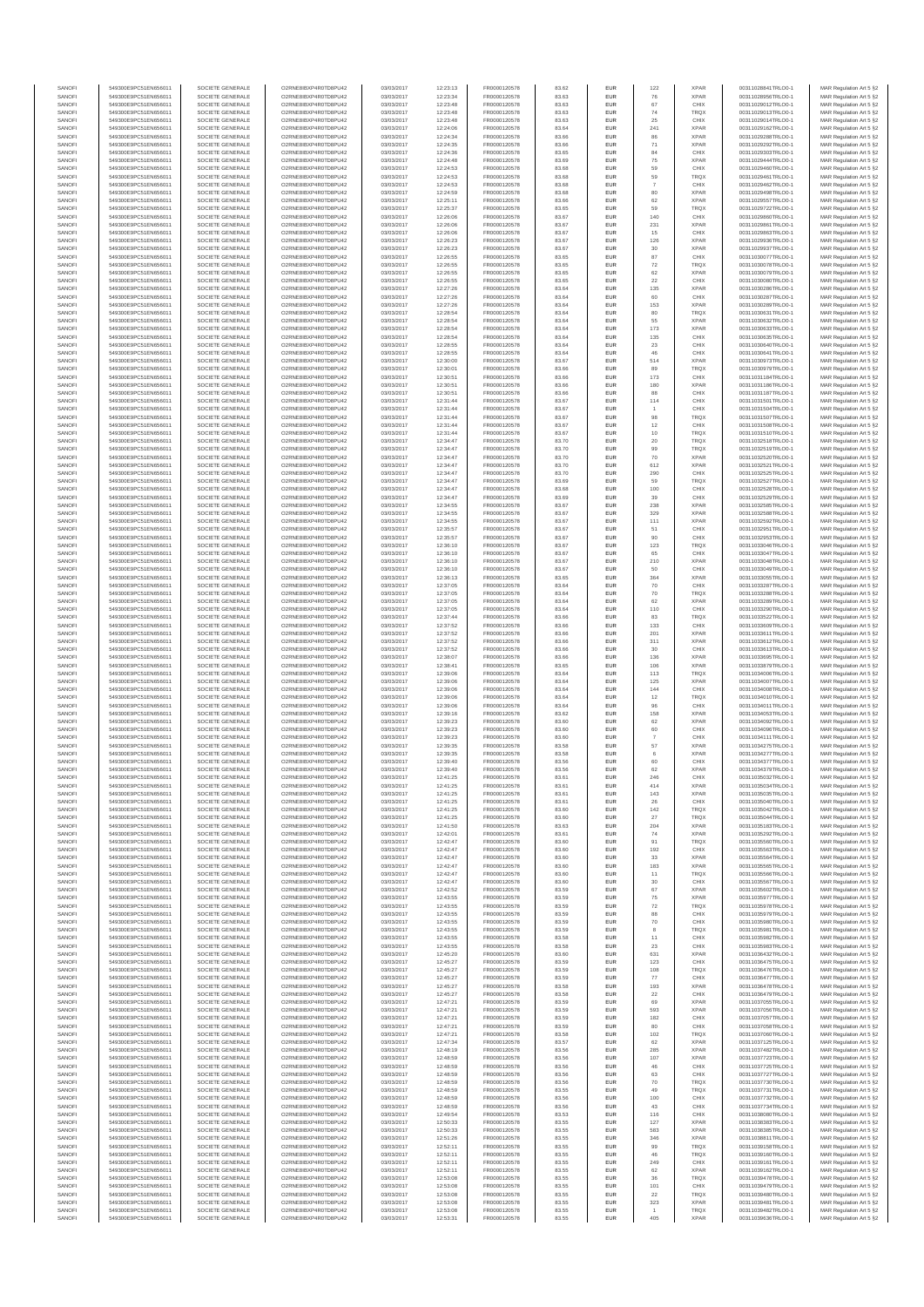| SANOFI<br>SANOFI | 549300E9PC51EN656011<br>549300E9PC51EN656011 | SOCIETE GENERALE<br>SOCIETE GENERALE | O2RNE8IBXP4R0TD8PU42<br>O2RNE8IBXP4R0TD8PU42   | 03/03/2017<br>03/03/2017 | 12:23:13<br>12:23:34 | FR0000120578<br>FR0000120578 | 83.62<br>83.63 | <b>EUR</b><br>EUR        | 122<br>76                | <b>XPAR</b><br><b>XPAR</b> | 00311028841TRLO0-1<br>00311028956TRLO0-1 | MAR Regulation Art 5 §2                            |
|------------------|----------------------------------------------|--------------------------------------|------------------------------------------------|--------------------------|----------------------|------------------------------|----------------|--------------------------|--------------------------|----------------------------|------------------------------------------|----------------------------------------------------|
| SANOFI           | 549300E9PC51EN656011                         | SOCIETE GENERALE                     | O2RNE8IBXP4R0TD8PU42                           | 03/03/2017               | 12:23:48             | FR0000120578                 | 83.63          | <b>EUR</b>               | 67                       | CHIX                       | 00311029012TRLO0-1                       | MAR Regulation Art 5 §2<br>MAR Regulation Art 5 §2 |
| SANOFI           | 549300E9PC51EN656011                         | SOCIETE GENERALE                     | O2RNE8IBXP4R0TD8PU42                           | 03/03/2017               | 12:23:48             | FR0000120578                 | 83.63          | EUR                      | 74                       | TRQX                       | 00311029013TRLO0-1                       | MAR Regulation Art 5 §2                            |
| SANOFI<br>SANOFI | 549300E9PC51EN656011<br>549300E9PC51EN656011 | SOCIETE GENERALE<br>SOCIETE GENERALE | O2RNE8IBXP4R0TD8PU42<br>O2RNE8IBXP4R0TD8PU42   | 03/03/2017<br>03/03/2017 | 12:23:48<br>12:24:06 | FR0000120578<br>FR0000120578 | 83.63<br>83.64 | <b>EUR</b><br>EUR        | 25<br>241                | CHIX<br><b>XPAR</b>        | 00311029014TRLO0-1<br>00311029162TRLO0-1 | MAR Regulation Art 5 §2<br>MAR Regulation Art 5 §2 |
| SANOFI           | 549300E9PC51EN656011                         | SOCIETE GENERALE                     | O2RNE8IBXP4R0TD8PLI42                          | 03/03/2017               | 12:24:34             | FR0000120578                 | 83.66          | EUR                      | 86                       | <b>XPAR</b>                | 00311029288TRLO0-1                       | MAR Regulation Art 5 §2                            |
| SANOFI<br>SANOFI | 549300E9PC51EN656011<br>549300E9PC51EN656011 | SOCIETE GENERALE<br>SOCIETE GENERALE | O2RNE8IBXP4R0TD8PU42<br>O2RNE8IBXP4R0TD8PU42   | 03/03/2017<br>03/03/2017 | 12:24:35<br>12:24:36 | FR0000120578<br>FR0000120578 | 83.66<br>83.65 | EUR<br>EUR               | 71<br>84                 | <b>XPAR</b><br>CHIX        | 00311029292TRLO0-1<br>00311029303TRLO0-1 | MAR Regulation Art 5 §2<br>MAR Regulation Art 5 §2 |
| SANOFI           | 549300E9PC51EN656011                         | SOCIETE GENERALE                     | O2RNE8IBXP4R0TD8PU42                           | 03/03/2017               | 12:24:48             | FR0000120578                 | 83.69          | <b>EUR</b>               | 75                       | <b>XPAR</b>                | 00311029444TRLO0-1                       | MAR Regulation Art 5 §2                            |
| SANOFI           | 549300E9PC51EN656011                         | SOCIETE GENERALE                     | O2RNE8IBXP4R0TD8PU42<br>O2RNE8IBXP4R0TD8PLI42  | 03/03/2017               | 12:24:53             | FR0000120578                 | 83.68          | EUR                      | 59                       | CHIX                       | 00311029460TRLO0-1                       | MAR Regulation Art 5 §2                            |
| SANOFI<br>SANOFI | 549300E9PC51EN656011<br>549300E9PC51EN656011 | SOCIETE GENERALE<br>SOCIETE GENERALE | O2RNE8IBXP4R0TD8PU42                           | 03/03/2017<br>03/03/2017 | 12:24:53<br>12:24:53 | FR0000120578<br>FR0000120578 | 83.68<br>83.68 | <b>EUR</b><br>EUR        | 59                       | <b>TRQX</b><br>CHIX        | 00311029461TRLO0-1<br>00311029462TRLO0-1 | MAR Regulation Art 5 §2<br>MAR Regulation Art 5 §2 |
| SANOFI           | 549300E9PC51EN656011                         | SOCIETE GENERALE                     | O2RNE8IBXP4R0TD8PU42                           | 03/03/2017               | 12:24:59             | FR0000120578                 | 83.68          | <b>EUR</b>               | 80                       | <b>XPAR</b>                | 00311029498TRLO0-1                       | MAR Regulation Art 5 §2                            |
| SANOFI<br>SANOFI | 549300E9PC51EN656011<br>549300E9PC51EN656011 | SOCIETE GENERALE<br>SOCIETE GENERALE | O2RNE8IBXP4R0TD8PU42<br>O2RNE8IBXP4R0TD8PU42   | 03/03/2017<br>03/03/2017 | 12:25:11<br>12:25:37 | FR0000120578<br>FR0000120578 | 83.66<br>83.65 | EUR<br>EUR               | 62<br>59                 | <b>XPAR</b><br>TRQX        | 00311029557TRLO0-1<br>00311029722TRLO0-1 | MAR Regulation Art 5 §2<br>MAR Regulation Art 5 §2 |
| SANOFI           | 549300E9PC51EN656011                         | SOCIETE GENERALE                     | O2RNE8IBXP4R0TD8PU42                           | 03/03/2017               | 12:26:06             | FR0000120578                 | 83.67          | EUR                      | 140                      | CHIX                       | 00311029860TRLO0-1                       | MAR Regulation Art 5 §2                            |
| SANOFI           | 549300E9PC51EN656011                         | SOCIETE GENERALE                     | O2RNE8IBXP4R0TD8PU42                           | 03/03/2017               | 12:26:06             | FR0000120578                 | 83.67          | EUR                      | 231                      | <b>XPAR</b>                | 00311029861TRLO0-1                       | MAR Regulation Art 5 §2                            |
| SANOFI<br>SANOFI | 549300E9PC51EN656011<br>549300E9PC51EN656011 | SOCIETE GENERALE<br>SOCIETE GENERALE | O2RNE8IBXP4R0TD8PU42<br>O2RNE8IBXP4R0TD8PU42   | 03/03/2017<br>03/03/2017 | 12:26:06<br>12:26:23 | FR0000120578<br>FR0000120578 | 83.67<br>83.67 | <b>EUR</b><br>EUR        | 15<br>126                | CHIX<br><b>XPAR</b>        | 00311029863TRLO0-1<br>00311029936TRLO0-1 | MAR Regulation Art 5 §2<br>MAR Regulation Art 5 §2 |
| SANOFI           | 549300E9PC51EN656011                         | SOCIETE GENERALE                     | O2RNE8IBXP4R0TD8PU42                           | 03/03/2017               | 12:26:23             | FR0000120578                 | 83.67          | <b>EUR</b>               | 30                       | <b>XPAR</b>                | 00311029937TRLO0-1                       | MAR Regulation Art 5 §2                            |
| SANOFI<br>SANOFI | 549300E9PC51EN656011<br>549300E9PC51EN656011 | SOCIETE GENERALE<br>SOCIETE GENERALE | O2RNE8IBXP4R0TD8PU42<br>O2RNE8IBXP4R0TD8PU42   | 03/03/2017<br>03/03/2017 | 12:26:55<br>12:26:55 | FR0000120578<br>FR0000120578 | 83.65<br>83.65 | EUR<br><b>EUR</b>        | 87<br>72                 | CHIX<br>TRQX               | 00311030077TRLO0-1<br>00311030078TRLO0-1 | MAR Regulation Art 5 §2<br>MAR Regulation Art 5 §2 |
| SANOFI           | 549300E9PC51EN656011                         | SOCIETE GENERALE                     | O2RNE8IBXP4R0TD8PU42                           | 03/03/2017               | 12:26:55             | FR0000120578                 | 83.65          | EUR                      | 62                       | <b>XPAR</b>                | 00311030079TRLO0-1                       | MAR Regulation Art 5 §2                            |
| SANOFI           | 549300E9PC51EN656011<br>549300E9PC51EN656011 | SOCIETE GENERALE                     | O2RNE8IBXP4R0TD8PLI42                          | 03/03/2017               | 12:26:55             | FR0000120578                 | 83.65          | EUR                      | $22\,$                   | CHIX                       | 00311030080TRLO0-1                       | MAR Regulation Art 5 §2                            |
| SANOFI<br>SANOFI | 549300E9PC51EN656011                         | SOCIETE GENERALE<br>SOCIETE GENERALE | O2RNE8IBXP4R0TD8PU42<br>O2RNE8IBXP4R0TD8PU42   | 03/03/2017<br>03/03/2017 | 12:27:26<br>12:27:26 | FR0000120578<br>FR0000120578 | 83.64<br>83.64 | EUR<br>EUR               | 135<br>60                | <b>XPAR</b><br>CHIX        | 00311030286TRLO0-1<br>00311030287TRLO0-1 | MAR Regulation Art 5 §2<br>MAR Regulation Art 5 §2 |
| SANOFI           | 549300E9PC51EN656011                         | SOCIETE GENERALE                     | O2RNE8IBXP4R0TD8PU42                           | 03/03/2017               | 12:27:26             | FR0000120578                 | 83.64          | <b>EUR</b>               | 153                      | <b>XPAR</b>                | 00311030289TRLO0-1                       | MAR Regulation Art 5 §2                            |
| SANOFI<br>SANOFI | 549300E9PC51EN656011<br>549300E9PC51EN656011 | SOCIETE GENERALE<br>SOCIETE GENERALE | O2RNE8IBXP4R0TD8PU42<br>O2RNE8IBXP4R0TD8PU42   | 03/03/2017<br>03/03/2017 | 12:28:54<br>12:28:54 | FR0000120578<br>FR0000120578 | 83.64<br>83.64 | EUR<br><b>EUR</b>        | 80<br>55                 | TRQX<br><b>XPAR</b>        | 00311030631TRLO0-1<br>00311030632TRLO0-1 | MAR Regulation Art 5 §2<br>MAR Regulation Art 5 §2 |
| SANOFI           | 549300E9PC51EN656011                         | SOCIETE GENERALE                     | O2RNE8IBXP4R0TD8PU42                           | 03/03/2017               | 12:28:54             | FR0000120578                 | 83.64          | EUR                      | 173                      | <b>XPAR</b>                | 00311030633TRLO0-1                       | MAR Regulation Art 5 §2                            |
| SANOFI           | 549300E9PC51EN656011                         | SOCIETE GENERALE                     | O2RNE8IBXP4R0TD8PU42                           | 03/03/2017               | 12:28:54             | FR0000120578                 | 83.64          | EUR                      | 135                      | CHIX                       | 00311030635TRLO0-1                       | MAR Regulation Art 5 §2                            |
| SANOFI<br>SANOFI | 549300E9PC51EN656011<br>549300E9PC51EN656011 | SOCIETE GENERALE<br>SOCIETE GENERALE | O2RNE8IBXP4R0TD8PU42<br>O2RNE8IBXP4R0TD8PU42   | 03/03/2017<br>03/03/2017 | 12:28:55<br>12:28:55 | FR0000120578<br>FR0000120578 | 83.64<br>83.64 | EUR<br>EUR               | $23\,$<br>46             | CHIX<br>CHIX               | 00311030640TRLO0-1<br>00311030641TRLO0-1 | MAR Regulation Art 5 §2<br>MAR Regulation Art 5 §2 |
| SANOFI           | 549300E9PC51EN656011                         | SOCIETE GENERALE                     | O2RNE8IBXP4R0TD8PU42                           | 03/03/2017               | 12:30:00             | FR0000120578                 | 83.67          | EUR                      | 514                      | <b>XPAR</b>                | 00311030973TRLO0-1                       | MAR Regulation Art 5 §2                            |
| SANOFI<br>SANOFI | 549300E9PC51EN656011<br>549300E9PC51EN656011 | SOCIETE GENERALE<br>SOCIETE GENERALE | O2RNE8IBXP4R0TD8PU42<br>O2RNE8IBXP4R0TD8PU42   | 03/03/2017<br>03/03/2017 | 12:30:01<br>12:30:51 | FR0000120578<br>FR0000120578 | 83.66<br>83.66 | EUR<br><b>EUR</b>        | 89<br>173                | TRQX<br>CHIX               | 00311030979TRLO0-1<br>00311031184TRLO0-1 | MAR Regulation Art 5 §2<br>MAR Regulation Art 5 §2 |
| SANOFI           | 549300E9PC51EN656011                         | SOCIETE GENERALE                     | O2RNE8IBXP4R0TD8PU42                           | 03/03/2017               | 12:30:51             | FR0000120578                 | 83.66          | EUR                      | 180                      | <b>XPAR</b>                | 00311031186TRLO0-1                       | MAR Regulation Art 5 §2                            |
| SANOFI           | 549300E9PC51EN656011                         | SOCIETE GENERALE                     | O2RNE8IBXP4R0TD8PU42                           | 03/03/2017               | 12:30:51             | FR0000120578                 | 83.66          | <b>EUR</b>               | 88                       | CHIX                       | 00311031187TRLO0-1                       | MAR Regulation Art 5 §2                            |
| SANOFI<br>SANOFI | 549300E9PC51EN656011<br>549300E9PC51EN656011 | SOCIETE GENERALE<br>SOCIETE GENERALE | O2RNE8IBXP4R0TD8PU42<br>O2RNE8IBXP4R0TD8PU42   | 03/03/2017<br>03/03/2017 | 12:31:44<br>12:31:44 | FR0000120578<br>FR0000120578 | 83.67<br>83.67 | EUR<br>EUR               | 114<br>$\overline{1}$    | CHIX<br>CHIX               | 00311031501TRLO0-1<br>00311031504TRLO0-1 | MAR Regulation Art 5 §2<br>MAR Regulation Art 5 §2 |
| SANOFI           | 549300E9PC51EN656011                         | SOCIETE GENERALE                     | O2RNE8IBXP4R0TD8PU42                           | 03/03/2017               | 12:31:44             | FR0000120578                 | 83.67          | EUR                      | 98                       | <b>TRQX</b>                | 00311031507TRLO0-1                       | MAR Regulation Art 5 §2                            |
| SANOFI<br>SANOFI | 549300E9PC51EN656011<br>549300E9PC51EN656011 | SOCIETE GENERALE<br>SOCIETE GENERALE | O2RNE8IBXP4R0TD8PU42<br>O2RNESIBXP4R0TD8PLI42  | 03/03/2017<br>03/03/2017 | 12:31:44<br>12:31:44 | FR0000120578<br>FR0000120578 | 83.67<br>83.67 | EUR<br>EUR               | 12<br>10                 | CHIX<br>TRQX               | 00311031508TRLO0-1<br>00311031510TRLO0-1 | MAR Regulation Art 5 §2<br>MAR Regulation Art 5 §2 |
| SANOFI           | 549300E9PC51EN656011                         | SOCIETE GENERALE                     | O2RNE8IBXP4R0TD8PU42                           | 03/03/2017               | 12:34:47             | FR0000120578                 | 83.70          | EUR                      | 20                       | TRQX                       | 00311032518TRLO0-1                       | MAR Regulation Art 5 §2                            |
| SANOFI           | 549300E9PC51EN656011                         | SOCIETE GENERALE                     | O2RNE8IBXP4R0TD8PLI42                          | 03/03/2017               | 12:34:47             | FR0000120578                 | 83.70          | <b>EUR</b>               | 99                       | <b>TRQX</b>                | 00311032519TRLO0-1                       | MAR Regulation Art 5 §2                            |
| SANOFI<br>SANOFI | 549300E9PC51EN656011<br>549300E9PC51EN656011 | SOCIETE GENERALE<br>SOCIETE GENERALE | O2RNE8IBXP4R0TD8PU42<br>O2RNE8IBXP4R0TD8PU42   | 03/03/2017<br>03/03/2017 | 12:34:47<br>12:34:47 | FR0000120578<br>FR0000120578 | 83.70<br>83.70 | EUR<br><b>EUR</b>        | 70<br>612                | <b>XPAR</b><br><b>XPAR</b> | 00311032520TRLO0-<br>00311032521TRLO0-1  | MAR Regulation Art 5 §2<br>MAR Regulation Art 5 §2 |
| SANOFI           | 549300E9PC51EN656011                         | SOCIETE GENERALE                     | O2RNE8IBXP4R0TD8PU42                           | 03/03/2017               | 12:34:47             | FR0000120578                 | 83.70          | EUR                      | 290                      | CHIX                       | 00311032525TRLO0-1                       | MAR Regulation Art 5 §2                            |
| SANOFI<br>SANOFI | 549300E9PC51EN656011<br>549300E9PC51EN656011 | SOCIETE GENERALE<br>SOCIETE GENERALE | O2RNE8IBXP4R0TD8PLI42<br>O2RNE8IBXP4R0TD8PU42  | 03/03/2017<br>03/03/2017 | 12:34:47<br>12:34:47 | FR0000120578<br>FR0000120578 | 83.69          | EUR<br>EUR               | 59<br>100                | TRQX<br>CHIX               | 00311032527TRLO0-1<br>00311032528TRLO0-1 | MAR Regulation Art 5 §2                            |
| SANOFI           | 549300E9PC51EN656011                         | SOCIETE GENERALE                     | O2RNE8IBXP4R0TD8PU42                           | 03/03/2017               | 12:34:47             | FR0000120578                 | 83.68<br>83.69 | EUR                      | 39                       | CHIX                       | 00311032529TRLO0-1                       | MAR Regulation Art 5 §2<br>MAR Regulation Art 5 §2 |
| SANOFI           | 549300E9PC51EN656011                         | SOCIETE GENERALE                     | O2RNE8IBXP4R0TD8PU42                           | 03/03/2017               | 12:34:55             | FR0000120578                 | 83.67          | <b>EUR</b>               | 238                      | <b>XPAR</b>                | 00311032585TRLO0-1                       | MAR Regulation Art 5 §2                            |
| SANOFI<br>SANOFI | 549300E9PC51EN656011<br>549300E9PC51EN656011 | SOCIETE GENERALE<br>SOCIETE GENERALE | O2RNE8IBXP4R0TD8PU42<br>O2RNE8IBXP4R0TD8PU42   | 03/03/2017<br>03/03/2017 | 12:34:55<br>12:34:55 | FR0000120578<br>FR0000120578 | 83.67<br>83.67 | EUR<br><b>EUR</b>        | 329<br>111               | <b>XPAR</b><br><b>XPAR</b> | 00311032588TRLO0-1<br>00311032592TRLO0-1 | MAR Regulation Art 5 §2<br>MAR Regulation Art 5 §2 |
| SANOFI           | 549300E9PC51EN656011                         | SOCIETE GENERALE                     | O2RNE8IBXP4R0TD8PU42                           | 03/03/2017               | 12:35:57             | FR0000120578                 | 83.67          | EUR                      | 51                       | CHIX                       | 00311032951TRLO0-1                       | MAR Regulation Art 5 §2                            |
| SANOFI<br>SANOFI | 549300E9PC51EN656011<br>549300E9PC51EN656011 | SOCIETE GENERALE<br>SOCIETE GENERALE | O2RNE8IBXP4R0TD8PU42<br>O2RNE8IBXP4R0TD8PU42   | 03/03/2017<br>03/03/2017 | 12:35:57<br>12:36:10 | FR0000120578<br>FR0000120578 | 83.67<br>83.67 | EUR<br>EUR               | 90<br>123                | CHIX<br>TRQX               | 00311032953TRLO0-1<br>00311033046TRLO0-1 | MAR Regulation Art 5 §2<br>MAR Regulation Art 5 §2 |
| SANOFI           | 549300E9PC51EN656011                         | SOCIETE GENERALE                     | O2RNE8IBXP4R0TD8PU42                           | 03/03/2017               | 12:36:10             | FR0000120578                 | 83.67          | EUR                      | 65                       | CHIX                       | 00311033047TRLO0-1                       | MAR Regulation Art 5 §2                            |
| SANOFI           | 549300E9PC51EN656011                         | SOCIETE GENERALE                     | O2RNE8IBXP4R0TD8PU42                           | 03/03/2017               | 12:36:10             | FR0000120578                 | 83.67          | EUR                      | 210                      | <b>XPAR</b>                | 00311033048TRLO0-1                       | MAR Regulation Art 5 §2                            |
| SANOFI<br>SANOFI | 549300E9PC51EN656011<br>549300E9PC51EN656011 | SOCIETE GENERALE<br>SOCIETE GENERALE | O2RNE8IBXP4R0TD8PU42<br>O2RNE8IBXP4R0TD8PU42   | 03/03/2017<br>03/03/2017 | 12:36:10<br>12:36:13 | FR0000120578<br>FR0000120578 | 83.67<br>83.65 | EUR<br><b>EUR</b>        | 50<br>364                | CHIX<br><b>XPAR</b>        | 00311033049TRLO0-1<br>00311033055TRLO0-1 | MAR Regulation Art 5 §2<br>MAR Regulation Art 5 §2 |
| SANOFI           | 549300E9PC51EN656011                         | SOCIETE GENERALE                     | O2RNE8IBXP4R0TD8PU42                           | 03/03/2017               | 12:37:05             | FR0000120578                 | 83.64          | EUR                      | 70                       | CHIX                       | 00311033287TRLO0-1                       | MAR Regulation Art 5 §2                            |
| SANOFI<br>SANOFI | 549300E9PC51EN656011<br>549300E9PC51EN656011 | SOCIETE GENERALE<br>SOCIETE GENERALE | O2RNE8IBXP4R0TD8PU42<br>O2RNE8IBXP4R0TD8PU42   | 03/03/2017<br>03/03/2017 | 12:37:05<br>12:37:05 | FR0000120578<br>FR0000120578 | 83.64<br>83.64 | <b>EUR</b><br>EUR        | 70<br>62                 | <b>TRQX</b><br><b>XPAR</b> | 00311033288TRLO0-1<br>00311033289TRLO0-1 | MAR Regulation Art 5 §2<br>MAR Regulation Art 5 §2 |
| SANOFI           | 549300E9PC51EN656011                         | SOCIETE GENERALE                     | O2RNE8IBXP4R0TD8PU42                           | 03/03/2017               | 12:37:05             | FR0000120578                 | 83.64          | <b>EUR</b>               | 110                      | CHIX                       | 00311033290TRLO0-1                       | MAR Regulation Art 5 §2                            |
| SANOFI           | 549300E9PC51EN656011                         | SOCIETE GENERALE                     | O2RNE8IBXP4R0TD8PU42                           | 03/03/2017               | 12:37:44             | FR0000120578                 | 83.66          | EUR                      | 83                       | TRQX                       | 00311033522TRLO0-1                       | MAR Regulation Art 5 §2                            |
| SANOFI<br>SANOFI | 549300E9PC51EN656011<br>549300E9PC51EN656011 | SOCIETE GENERALE<br>SOCIETE GENERALE | O2RNE8IBXP4R0TD8PU42<br>O2RNE8IBXP4R0TD8PU42   | 03/03/2017<br>03/03/2017 | 12:37:52<br>12:37:52 | FR0000120578<br>FR0000120578 | 83.66<br>83.66 | EUR<br>EUR               | 133<br>201               | CHIX<br><b>XPAR</b>        | 00311033609TRLO0-1<br>00311033611TRLO0-1 | MAR Regulation Art 5 §2<br>MAR Regulation Art 5 §2 |
| SANOFI           | 549300E9PC51EN656011                         | SOCIETE GENERALE                     | O2RNE8IBXP4R0TD8PU42                           | 03/03/2017               | 12:37:52             | FR0000120578                 | 83.66          | EUR                      | 311                      | <b>XPAR</b>                | 00311033612TRLO0-1                       | MAR Regulation Art 5 §2                            |
| SANOFI<br>SANOFI | 549300E9PC51EN656011<br>549300E9PC51EN656011 | SOCIETE GENERALE<br>SOCIETE GENERALE | O2RNE8IBXP4R0TD8PU42<br>O2RNE8IBXP4R0TD8PU42   | 03/03/2017<br>03/03/2017 | 12:37:52<br>12:38:07 | FR0000120578<br>FR0000120578 | 83.66<br>83.66 | <b>EUR</b><br>EUR        | 30<br>136                | CHIX<br><b>XPAR</b>        | 00311033613TRLO0-1<br>00311033695TRLO0-1 | MAR Regulation Art 5 §2<br>MAR Regulation Art 5 §2 |
| SANOFI           | 549300E9PC51EN656011                         | SOCIETE GENERALE                     | O2RNE8IBXP4R0TD8PU42                           | 03/03/2017               | 12:38:41             | FR0000120578                 | 83.65          | <b>EUR</b>               | 106                      | <b>XPAR</b>                | 00311033879TRLO0-1                       | MAR Regulation Art 5 §2                            |
| SANOFI           | 549300E9PC51EN656011                         | SOCIETE GENERALE                     | O2RNE8IBXP4R0TD8PU42                           | 03/03/2017               | 12:39:06             | FR0000120578                 | 83.64          | EUR                      | 113                      | TRQX                       | 00311034006TRLO0-1                       | MAR Regulation Art 5 §2                            |
| SANOFI<br>SANOFI | 549300E9PC51EN656011<br>549300E9PC51EN656011 | SOCIETE GENERALE<br>SOCIETE GENERALE | O2RNE8IBXP4R0TD8PU42<br>O2RNE8IBXP4R0TD8PU42   | 03/03/2017<br>03/03/2017 | 12:39:06<br>12:39:06 | FR0000120578<br>FR0000120578 | 83.64<br>83.64 | EUR<br>EUR               | 125<br>144               | <b>XPAR</b><br>CHIX        | 00311034007TRLO0-1<br>00311034008TRLO0-1 | MAR Regulation Art 5 §2<br>MAR Regulation Art 5 §2 |
| SANOFI           | 549300E9PC51EN656011                         | SOCIETE GENERALE                     | O2RNESIBXP4R0TD8PLI42                          | 03/03/2017               | 12:39:06             | FR0000120578                 | 83.64          | EUR                      | 12                       | <b>TRQX</b>                | 00311034010TRLO0-1                       | MAR Regulation Art 5 §2                            |
| SANOFI<br>SANOFI | 549300E9PC51EN656011<br>549300E9PC51EN656011 | SOCIETE GENERALE<br>SOCIETE GENERALE | O2RNESIBXP4R0TD8PLI42<br>O2RNE8IBXP4R0TD8PU42  | 03/03/2017<br>03/03/2017 | 12:39:06<br>12:39:16 | FR0000120578<br>FR0000120578 | 83.64<br>83.62 | EUR<br>EUR               | 96<br>158                | CHIX<br><b>XPAR</b>        | 00311034011TRLO0-1<br>00311034053TRLO0-1 | MAR Regulation Art 5 §2<br>MAR Regulation Art 5 §2 |
| SANOFI           | 549300E9PC51EN656011                         | SOCIETE GENERALE                     | O2RNE8IBXP4R0TD8PLI42                          | 03/03/2017               | 12:39:23             | FR0000120578                 | 83.60          | <b>EUR</b>               | 62                       | <b>XPAR</b>                | 00311034092TRLO0-1                       | MAR Regulation Art 5 §2                            |
| SANOFI           | 549300E9PC51EN656011                         | SOCIETE GENERALE                     | O2RNE8IBXP4R0TD8PU42                           | 03/03/2017               | 12:39:23             | FR0000120578                 | 83.60          | EUR                      | 60                       | CHIX                       | 00311034096TRLO0-1                       | MAR Regulation Art 5 §2                            |
| SANOFI<br>SANOFI | 549300E9PC51EN656011<br>549300E9PC51EN656011 | SOCIETE GENERALE<br>SOCIETE GENERALE | O2RNE8IBXP4R0TD8PU42<br>O2RNE8IBXP4R0TD8PU42   | 03/03/2017<br>03/03/2017 | 12:39:23<br>12:39:35 | FR0000120578<br>FR0000120578 | 83.60<br>83.58 | <b>EUR</b><br>EUR        | $\overline{7}$<br>57     | CHIX<br><b>XPAR</b>        | 00311034111TRLO0-1<br>00311034275TRLO0-1 | MAR Regulation Art 5 §2<br>MAR Regulation Art 5 §2 |
| SANOFI           | 549300E9PC51EN656011                         | SOCIETE GENERALE                     | O2RNE8IBXP4R0TD8PU42                           | 03/03/2017               | 12:39:35             | FR0000120578                 | 83.58          | EUR                      | 6                        | <b>XPAR</b>                | 00311034277TRLO0-1                       | MAR Regulation Art 5 §2                            |
| SANOFI<br>SANOFI | 549300E9PC51EN656011<br>549300E9PC51EN656011 | SOCIETE GENERALE<br>SOCIETE GENERALE | O2RNE8IBXP4R0TD8PU42<br>O2RNE8IBXP4R0TD8PLI42  | 03/03/2017<br>03/03/2017 | 12:39:40<br>12:39:40 | FR0000120578<br>FR0000120578 | 83.56<br>83.56 | EUR<br>EUR               | 60<br>62                 | CHIX<br><b>XPAR</b>        | 00311034377TRLO0-1<br>00311034379TRLO0-1 | MAR Regulation Art 5 §2<br>MAR Regulation Art 5 §2 |
| SANOFI           | 549300E9PC51EN656011                         | SOCIETE GENERALE                     | O2RNE8IBXP4R0TD8PU42                           | 03/03/2017               | 12:41:25             | FR0000120578                 | 83.61          | <b>EUR</b>               | 246                      | CHIX                       | 00311035032TRLO0-1                       | MAR Regulation Art 5 §2                            |
| SANOF            | 549300E9PC51EN656011                         | SOCIETE GENERALE                     | O2RNE8IBXP4R0TD8PU42                           | 03/03/2017               | 12:41:25             | FR0000120578                 | 83.61          | EUR                      | 414                      | <b>XPAR</b>                | 00311035034TRLO0-                        | MAR Regulation Art 5 §2                            |
| SANOFI<br>SANOFI | 549300E9PC51EN656011<br>549300E9PC51EN656011 | SOCIETE GENERALE<br>SOCIETE GENERALE | O2RNE8IBXP4R0TD8PU42<br>O2RNE8IBXP4R0TD8PU42   | 03/03/2017<br>03/03/2017 | 12:41:25<br>12:41:25 | FR0000120578<br>FR0000120578 | 83.61<br>83.61 | <b>EUR</b><br>EUR        | 143<br>26                | <b>XPAR</b><br>CHIX        | 00311035035TRLO0-1<br>00311035040TRLO0-1 | MAR Regulation Art 5 §2<br>MAR Regulation Art 5 §2 |
| SANOFI           | 549300E9PC51EN656011                         | SOCIETE GENERALE                     | O2RNE8IBXP4R0TD8PU42                           | 03/03/2017               | 12:41:25             | FR0000120578                 | 83.60          | <b>EUR</b>               | 142                      | <b>TROX</b>                | 00311035042TRLO0-1                       | MAR Regulation Art 5 §2                            |
| SANOFI<br>SANOFI | 549300E9PC51EN656011<br>549300E9PC51EN656011 | SOCIETE GENERALE<br>SOCIETE GENERALE | O2RNE8IBXP4R0TD8PU42<br>O2RNE8IBXP4R0TD8PU42   | 03/03/2017<br>03/03/2017 | 12:41:25<br>12:41:50 | FR0000120578<br>FR0000120578 | 83.60<br>83.63 | EUR<br>EUR               | 27<br>204                | <b>TRQX</b><br><b>XPAR</b> | 00311035044TRLO0-1<br>00311035183TRLO0-1 | MAR Regulation Art 5 §2<br>MAR Regulation Art 5 §2 |
| SANOFI           | 549300E9PC51EN656011                         | SOCIETE GENERALE                     | O2RNE8IBXP4R0TD8PU42                           | 03/03/2017               | 12:42:01             | FR0000120578                 | 83.61          | EUR                      | 74                       | <b>XPAR</b>                | 00311035292TRLO0-1                       | MAR Regulation Art 5 §2                            |
| SANOFI<br>SANOFI | 549300E9PC51EN656011<br>549300E9PC51EN656011 | SOCIETE GENERALE<br>SOCIETE GENERALE | O2RNESIBXP4R0TD8PLI42<br>O2RNE8IBXP4R0TD8PLI42 | 03/03/2017<br>03/03/2017 | 12:42:47<br>12:42:47 | FR0000120578<br>FR0000120578 | 83.60<br>83.60 | EUR<br><b>EUR</b>        | 91<br>192                | <b>TRQX</b><br>CHIX        | 00311035560TRLO0-1<br>00311035563TRLO0-1 | MAR Regulation Art 5 §2                            |
| SANOFI           | 549300E9PC51EN656011                         | SOCIETE GENERALE                     | O2RNE8IBXP4R0TD8PU42                           | 03/03/2017               | 12:42:47             | FR0000120578                 | 83.60          | EUR                      | 33                       | <b>XPAR</b>                | 00311035564TRLO0-1                       | MAR Regulation Art 5 §2<br>MAR Regulation Art 5 §2 |
| SANOFI           | 549300E9PC51EN656011                         | SOCIETE GENERALE                     | O2RNE8IBXP4R0TD8PLI42                          | 03/03/2017               | 12:42:47             | FR0000120578                 | 83.60          | <b>EUR</b>               | 183                      | <b>XPAR</b>                | 00311035565TRLO0-1                       | MAR Regulation Art 5 §2                            |
| SANOFI<br>SANOFI | 549300E9PC51EN656011<br>549300E9PC51EN656011 | SOCIETE GENERALE<br>SOCIETE GENERALE | O2RNE8IBXP4R0TD8PU42<br>O2RNE8IBXP4R0TD8PU42   | 03/03/2017<br>03/03/2017 | 12:42:47<br>12:42:47 | FR0000120578<br>FR0000120578 | 83.60<br>83.60 | EUR<br>EUR               | 11<br>$30\,$             | <b>TRQX</b><br>CHIX        | 00311035566TRLO0-1<br>00311035567TRLO0-1 | MAR Regulation Art 5 §2<br>MAR Regulation Art 5 §2 |
| SANOFI           | 549300E9PC51EN656011                         | SOCIETE GENERALE                     | O2RNE8IBXP4R0TD8PU42                           | 03/03/2017               | 12:42:52             | FR0000120578                 | 83.59          | EUR                      | 67                       | <b>XPAR</b>                | 00311035602TRLO0-1                       | MAR Regulation Art 5 §2                            |
| SANOFI<br>SANOFI | 549300E9PC51EN656011<br>549300E9PC51EN656011 | SOCIETE GENERALE<br>SOCIETE GENERALE | O2RNE8IBXP4R0TD8PU42<br>O2RNE8IBXP4R0TD8PU42   | 03/03/2017<br>03/03/2017 | 12:43:55<br>12:43:55 | FR0000120578<br>FR0000120578 | 83.59<br>83.59 | EUR<br>EUR               | 75<br>$\scriptstyle{72}$ | <b>XPAR</b><br><b>TRQX</b> | 00311035977TRLO0-1<br>00311035978TRLO0-1 | MAR Regulation Art 5 §2<br>MAR Regulation Art 5 §2 |
| SANOFI           | 549300E9PC51EN656011                         | SOCIETE GENERALE                     | O2RNE8IBXP4R0TD8PU42                           | 03/03/2017               | 12:43:55             | FR0000120578                 | 83.59          | EUR                      | 88                       | CHIX                       | 00311035979TRLO0-1                       | MAR Regulation Art 5 §2                            |
| SANOFI<br>SANOFI | 549300E9PC51EN656011<br>549300E9PC51EN656011 | SOCIETE GENERALE<br>SOCIETE GENERALE | O2RNE8IBXP4R0TD8PU42<br>O2RNE8IBXP4R0TD8PU42   | 03/03/2017<br>03/03/2017 | 12:43:55<br>12:43:55 | FR0000120578<br>FR0000120578 | 83.59<br>83.59 | <b>EUR</b><br>EUR        | 70                       | CHIX<br>TRQX               | 00311035980TRLO0-1<br>00311035981TRLO0-1 | MAR Regulation Art 5 §2<br>MAR Regulation Art 5 §2 |
| SANOFI           | 549300E9PC51EN656011                         | SOCIETE GENERALE                     | O2RNE8IBXP4R0TD8PLI42                          | 03/03/2017               | 12:43:55             | FR0000120578                 | 83.58          | <b>EUR</b>               | 11                       | CHIX                       | 00311035982TRLO0-1                       | MAR Regulation Art 5 §2                            |
| SANOFI           | 549300E9PC51EN656011                         | SOCIETE GENERALE<br>SOCIETE GENERALE | O2RNE8IBXP4R0TD8PU42<br>O2RNESIBXP4R0TD8PLI42  | 03/03/2017               | 12:43:55             | FR0000120578                 | 83.58          | EUR                      | 23                       | CHIX<br><b>XPAR</b>        | 00311035983TRLO0-1                       | MAR Regulation Art 5 §2                            |
| SANOFI<br>SANOFI | 549300E9PC51EN656011<br>549300E9PC51EN656011 | SOCIETE GENERALE                     | O2RNE8IBXP4R0TD8PU42                           | 03/03/2017<br>03/03/2017 | 12:45:20<br>12:45:27 | FR0000120578<br>FR0000120578 | 83.60<br>83.59 | EUR<br>EUR               | 631<br>123               | CHIX                       | 00311036432TRLO0-1<br>00311036475TRLO0-1 | MAR Regulation Art 5 §2<br>MAR Regulation Art 5 §2 |
| SANOFI           | 549300E9PC51EN656011                         | SOCIETE GENERALE                     | O2RNESIBXP4R0TD8PLI42                          | 03/03/2017               | 12:45:27             | FR0000120578                 | 83.59          | EUR                      | 108                      | <b>TROX</b>                | 00311036476TRLO0-1                       | MAR Regulation Art 5 §2                            |
| SANOFI<br>SANOFI | 549300E9PC51EN656011<br>549300E9PC51EN656011 | SOCIETE GENERALE<br>SOCIETE GENERALE | O2RNE8IBXP4R0TD8PU42<br>O2RNE8IBXP4R0TD8PU42   | 03/03/2017<br>03/03/2017 | 12:45:27<br>12:45:27 | FR0000120578<br>FR0000120578 | 83.59<br>83.58 | EUR<br>EUR               | 77<br>193                | CHIX<br><b>XPAR</b>        | 00311036477TRLO0-1<br>00311036478TRLO0-1 | MAR Regulation Art 5 §2<br>MAR Regulation Art 5 §2 |
| SANOFI           | 549300E9PC51EN656011                         | SOCIETE GENERALE                     | O2RNE8IBXP4R0TD8PU42                           | 03/03/2017               | 12:45:27             | FR0000120578                 | 83.58          | <b>EUR</b>               | 22                       | CHIX                       | 00311036479TRLO0-1                       | MAR Regulation Art 5 §2                            |
| SANOFI           | 549300E9PC51EN656011                         | SOCIETE GENERALE                     | O2RNE8IBXP4R0TD8PU42                           | 03/03/2017               | 12:47:21             | FR0000120578                 | 83.59          | EUR                      | 69                       | <b>XPAR</b>                | 00311037055TRLO0-1                       | MAR Regulation Art 5 §2                            |
| SANOFI<br>SANOFI | 549300E9PC51EN656011<br>549300E9PC51EN656011 | SOCIETE GENERALE<br>SOCIETE GENERALE | O2RNE8IBXP4R0TD8PU42<br>O2RNE8IBXP4R0TD8PU42   | 03/03/2017<br>03/03/2017 | 12:47:21<br>12:47:21 | FR0000120578<br>FR0000120578 | 83.59<br>83.59 | <b>EUR</b><br><b>EUR</b> | 593<br>182               | <b>XPAR</b><br>CHIX        | 00311037056TRLO0-1<br>00311037057TRLO0-1 | MAR Regulation Art 5 §2<br>MAR Regulation Art 5 §2 |
| SANOFI           | 549300E9PC51EN656011                         | SOCIETE GENERALE                     | O2RNE8IBXP4R0TD8PU42                           | 03/03/2017               | 12:47:21             | FR0000120578                 | 83.59          | EUR                      | 80                       | CHIX                       | 00311037058TRLO0-1                       | MAR Regulation Art 5 §2                            |
| SANOFI<br>SANOFI | 549300E9PC51EN656011<br>549300E9PC51EN656011 | SOCIETE GENERALE<br>SOCIETE GENERALE | O2RNE8IBXP4R0TD8PU42<br>O2RNE8IBXP4R0TD8PU42   | 03/03/2017<br>03/03/2017 | 12:47:21<br>12:47:34 | FR0000120578<br>FR0000120578 | 83.58<br>83.57 | EUR<br>EUR               | 102<br>62                | <b>TRQX</b><br><b>XPAR</b> | 00311037060TRLO0-1<br>00311037125TRLO0-1 | MAR Regulation Art 5 §2<br>MAR Regulation Art 5 §2 |
| SANOFI           | 549300E9PC51EN656011                         | SOCIETE GENERALE                     | O2RNE8IBXP4R0TD8PU42                           | 03/03/2017               | 12:48:19             | FR0000120578                 | 83.56          | <b>EUR</b>               | 285                      | <b>XPAR</b>                | 00311037482TRLO0-1                       | MAR Regulation Art 5 §2                            |
| SANOFI           | 549300E9PC51EN656011                         | SOCIETE GENERALE                     | O2RNE8IBXP4R0TD8PU42                           | 03/03/2017               | 12:48:59             | FR0000120578                 | 83.56          | EUR                      | 107                      | <b>XPAR</b>                | 00311037723TRLO0-1                       | MAR Regulation Art 5 §2                            |
| SANOFI<br>SANOFI | 549300E9PC51EN656011<br>549300E9PC51EN656011 | SOCIETE GENERALE<br>SOCIETE GENERALE | O2RNE8IBXP4R0TD8PU42<br>O2RNE8IBXP4R0TD8PU42   | 03/03/2017<br>03/03/2017 | 12:48:59<br>12:48:59 | FR0000120578<br>FR0000120578 | 83.56<br>83.56 | <b>EUR</b><br>EUR        | 46<br>63                 | CHIX<br>CHIX               | 00311037725TRLO0-1<br>00311037727TRLO0-1 | MAR Regulation Art 5 §2<br>MAR Regulation Art 5 §2 |
| SANOFI           | 549300E9PC51EN656011                         | SOCIETE GENERALE                     | O2RNE8IBXP4R0TD8PU42                           | 03/03/2017               | 12:48:59             | FR0000120578                 | 83.56          | <b>EUR</b>               | 70                       | <b>TRQX</b>                | 00311037730TRLO0-1                       | MAR Regulation Art 5 §2                            |
| SANOFI<br>SANOFI | 549300E9PC51EN656011<br>549300E9PC51EN656011 | SOCIETE GENERALE<br>SOCIETE GENERALE | O2RNE8IBXP4R0TD8PU42<br>O2RNE8IBXP4R0TD8PU42   | 03/03/2017<br>03/03/2017 | 12:48:59<br>12:48:59 | FR0000120578<br>FR0000120578 | 83.55<br>83.56 | EUR<br>EUR               | 49<br>100                | <b>TRQX</b><br>CHIX        | 00311037731TRLO0-1<br>00311037732TRLO0-1 | MAR Regulation Art 5 §2<br>MAR Regulation Art 5 §2 |
| SANOFI           | 549300E9PC51EN656011                         | SOCIETE GENERALE                     | O2RNE8IBXP4R0TD8PU42                           | 03/03/2017               | 12:48:59             | FR0000120578                 | 83.56          | EUR                      | 43                       | CHIX                       | 00311037734TRLO0-1                       | MAR Regulation Art 5 §2                            |
| SANOFI           | 549300E9PC51EN656011                         | SOCIETE GENERALE                     | O2RNE8IBXP4R0TD8PU42                           | 03/03/2017               | 12:49:54             | FR0000120578                 | 83.53          | EUR                      | 116                      | CHIX                       | 00311038080TRLO0-1                       | MAR Regulation Art 5 §2                            |
| SANOFI<br>SANOFI | 549300E9PC51EN656011<br>549300E9PC51EN656011 | SOCIETE GENERALE<br>SOCIETE GENERALE | O2RNE8IBXP4R0TD8PU42<br>O2RNE8IBXP4R0TD8PU42   | 03/03/2017<br>03/03/2017 | 12:50:33<br>12:50:33 | FR0000120578<br>FR0000120578 | 83.55<br>83.55 | <b>EUR</b><br>EUR        | 127<br>583               | <b>XPAR</b><br><b>XPAR</b> | 00311038383TRLO0-1<br>00311038385TRLO0-1 | MAR Regulation Art 5 §2<br>MAR Regulation Art 5 §2 |
| SANOFI           | 549300E9PC51EN656011                         | SOCIETE GENERALE                     | O2RNE8IBXP4R0TD8PU42                           | 03/03/2017               | 12:51:26             | FR0000120578                 | 83.55          | <b>EUR</b>               | 346                      | <b>XPAR</b>                | 00311038811TRLO0-1                       | MAR Regulation Art 5 §2                            |
| SANOFI<br>SANOFI | 549300E9PC51EN656011<br>549300E9PC51EN656011 | SOCIETE GENERALE<br>SOCIETE GENERALE | O2RNE8IBXP4R0TD8PU42<br>O2RNE8IBXP4R0TD8PU42   | 03/03/2017<br>03/03/2017 | 12:52:11<br>12:52:11 | FR0000120578<br>FR0000120578 | 83.55<br>83.55 | EUR<br>EUR               | 99<br>46                 | TRQX<br><b>TRQX</b>        | 00311039158TRLO0-1<br>00311039160TRLO0-1 | MAR Regulation Art 5 §2<br>MAR Regulation Art 5 §2 |
| SANOFI           | 549300E9PC51EN656011                         | SOCIETE GENERALE                     | O2RNE8IBXP4R0TD8PU42                           | 03/03/2017               | 12:52:11             | FR0000120578                 | 83.55          | EUR                      | 249                      | CHIX                       | 00311039161TRLO0-1                       | MAR Regulation Art 5 §2                            |
| SANOFI           | 549300E9PC51EN656011                         | SOCIETE GENERALE                     | O2RNE8IBXP4R0TD8PU42                           | 03/03/2017               | 12:52:11             | FR0000120578                 | 83.55          | EUR                      | $62\,$                   | <b>XPAR</b>                | 00311039162TRLO0-1                       | MAR Regulation Art 5 §2                            |
| SANOFI<br>SANOFI | 549300E9PC51EN656011<br>549300E9PC51EN656011 | SOCIETE GENERALE<br>SOCIETE GENERALE | O2RNE8IBXP4R0TD8PU42<br>O2RNE8IBXP4R0TD8PU42   | 03/03/2017<br>03/03/2017 | 12:53:08<br>12:53:08 | FR0000120578<br>FR0000120578 | 83.55<br>83.55 | EUR<br>EUR               | 36<br>101                | TRQX<br>CHIX               | 00311039478TRLO0-1<br>00311039479TRLO0-1 | MAR Regulation Art 5 §2<br>MAR Regulation Art 5 §2 |
| SANOFI           | 549300E9PC51EN656011                         | SOCIETE GENERALE                     | O2RNE8IBXP4R0TD8PU42                           | 03/03/2017               | 12:53:08             | FR0000120578                 | 83.55          | EUR                      | 22                       | <b>TRQX</b>                | 00311039480TRLO0-1                       | MAR Regulation Art 5 §2                            |
| SANOFI<br>SANOFI | 549300E9PC51EN656011<br>549300E9PC51EN656011 | SOCIETE GENERALE<br>SOCIETE GENERALE | O2RNE8IBXP4R0TD8PU42<br>O2RNE8IBXP4R0TD8PU42   | 03/03/2017<br>03/03/2017 | 12:53:08<br>12:53:08 | FR0000120578                 | 83.55<br>83.55 | EUR<br><b>EUR</b>        | 323<br>$\overline{1}$    | <b>XPAR</b><br><b>TRQX</b> | 00311039481TRLO0-1<br>00311039482TRLO0-1 | MAR Regulation Art 5 §2                            |
| SANOFI           | 549300E9PC51EN656011                         | SOCIETE GENERALE                     | O2RNE8IBXP4R0TD8PU42                           | 03/03/2017               | 12:53:31             | FR0000120578<br>FR0000120578 | 83.55          | EUR                      | 405                      | <b>XPAR</b>                | 00311039636TRLO0-1                       | MAR Regulation Art 5 §2<br>MAR Regulation Art 5 §2 |
|                  |                                              |                                      |                                                |                          |                      |                              |                |                          |                          |                            |                                          |                                                    |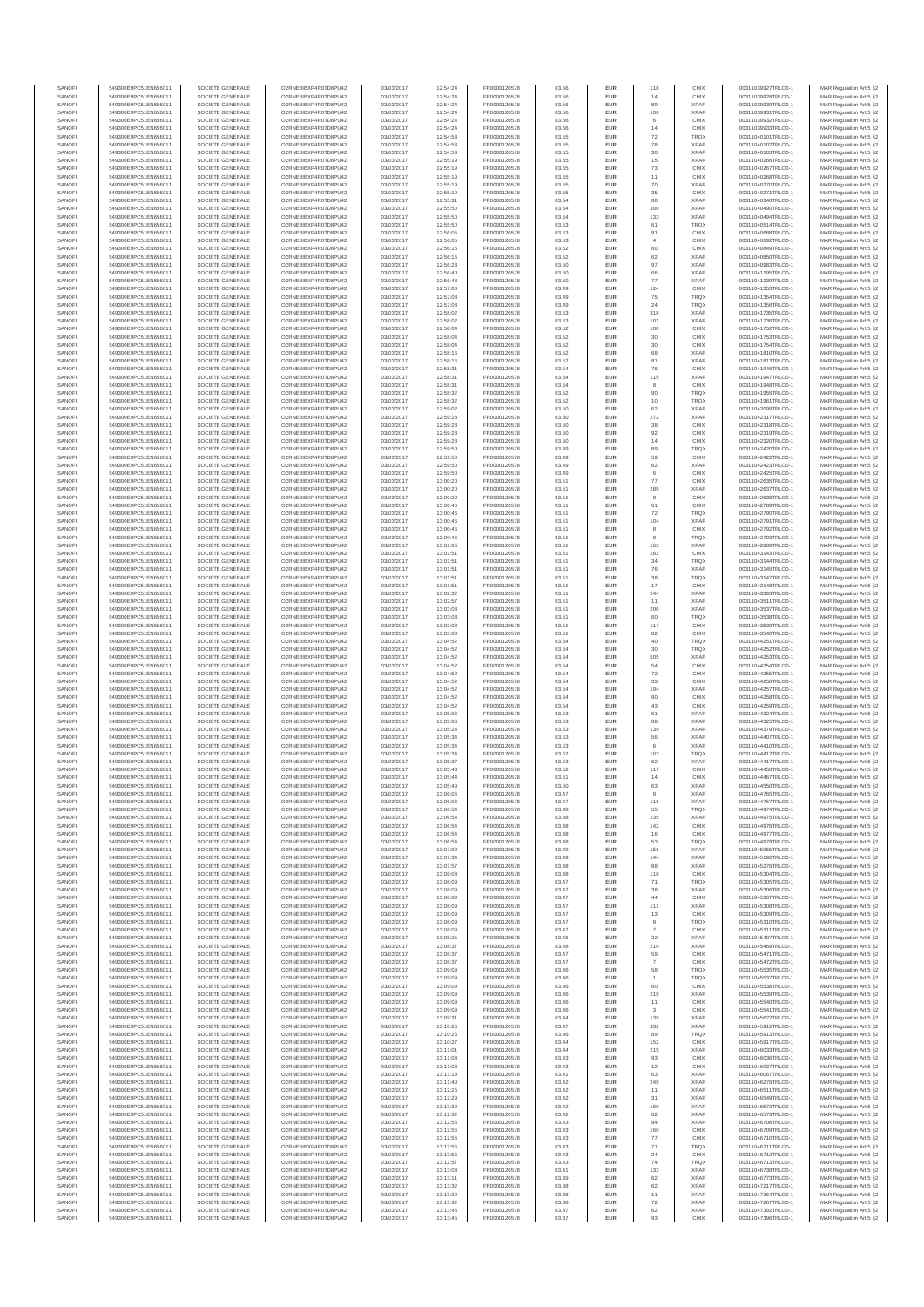| SANOF            | 549300E9PC51EN656011                         | SOCIETE GENERALE                     | O2RNE8IBXP4R0TD8PU42                          | 03/03/2017               | 12:54:24             | FR0000120578                 | 83.56          | EUR                      | 118                   | CHIX                       | 00311039927TRLO0-1                       | MAR Regulation Art 5 §2                            |
|------------------|----------------------------------------------|--------------------------------------|-----------------------------------------------|--------------------------|----------------------|------------------------------|----------------|--------------------------|-----------------------|----------------------------|------------------------------------------|----------------------------------------------------|
| SANOFI<br>SANOFI | 549300E9PC51EN656011<br>549300E9PC51EN656011 | SOCIETE GENERALE<br>SOCIETE GENERALE | O2RNE8IBXP4R0TD8PU42<br>O2RNE8IBXP4R0TD8PU42  | 03/03/2017<br>03/03/2017 | 12:54:24<br>12:54:24 | FR0000120578                 | 83.56          | <b>EUR</b><br>EUR        | 14<br>89              | CHIX<br><b>XPAR</b>        | 00311039928TRLO0-1<br>00311039930TRLO0-1 | MAR Regulation Art 5 §2                            |
| SANOFI           | 549300E9PC51EN656011                         | SOCIETE GENERALE                     | O2RNE8IBXP4R0TD8PLI42                         | 03/03/2017               | 12:54:24             | FR0000120578<br>FR0000120578 | 83.56<br>83.56 | EUR                      | 106                   | <b>XPAR</b>                | 00311039931TRLO0-1                       | MAR Regulation Art 5 §2<br>MAR Regulation Art 5 §2 |
| SANOFI           | 549300E9PC51EN656011                         | SOCIETE GENERALE                     | O2RNE8IBXP4R0TD8PU42                          | 03/03/2017               | 12:54:24             | FR0000120578                 | 83.56          | EUR                      | 6                     | CHIX                       | 00311039932TRLO0-1                       | MAR Regulation Art 5 §2                            |
| SANOFI           | 549300E9PC51EN656011                         | SOCIETE GENERALE                     | O2RNE8IBXP4R0TD8PU42<br>O2RNE8IBXP4R0TD8PLI42 | 03/03/2017               | 12:54:24             | FR0000120578                 | 83.56          | EUR                      | 14                    | CHIX                       | 00311039933TRLO0-1                       | MAR Regulation Art 5 §2                            |
| SANOFI<br>SANOFI | 549300E9PC51EN656011<br>549300E9PC51EN656011 | SOCIETE GENERALE<br>SOCIETE GENERALE | O2RNE8IBXP4R0TD8PU42                          | 03/03/2017<br>03/03/2017 | 12:54:53<br>12:54:53 | FR0000120578<br>FR0000120578 | 83.55<br>83.55 | EUR<br>EUR               | 72<br>78              | <b>TRQX</b><br><b>XPAR</b> | 00311040101TRLO0-1<br>00311040102TRLO0-1 | MAR Regulation Art 5 §2<br>MAR Regulation Art 5 §2 |
| SANOFI           | 549300E9PC51EN656011                         | SOCIETE GENERALE                     | O2RNE8IBXP4R0TD8PU42                          | 03/03/2017               | 12:54:53             | FR0000120578                 | 83.55          | <b>EUR</b>               | 30                    | <b>XPAR</b>                | 00311040103TRLO0-1                       | MAR Regulation Art 5 §2                            |
| SANOFI           | 549300E9PC51EN656011                         | SOCIETE GENERALE                     | O2RNE8IBXP4R0TD8PU42                          | 03/03/2017               | 12:55:19             | FR0000120578                 | 83.55          | EUR                      | 15                    | <b>XPAR</b>                | 00311040266TRLO0-1                       | MAR Regulation Art 5 §2                            |
| SANOFI<br>SANOFI | 549300E9PC51EN656011<br>549300E9PC51EN656011 | SOCIETE GENERALE<br>SOCIETE GENERALE | O2RNE8IBXP4R0TD8PLI42<br>O2RNE8IBXP4R0TD8PU42 | 03/03/2017<br>03/03/2017 | 12:55:19<br>12:55:19 | FR0000120578<br>FR0000120578 | 83.55<br>83.55 | EUR<br>EUR               | 73<br>11              | CHIX<br>CHIX               | 00311040267TRLO0-1<br>00311040268TRLO0-1 | MAR Regulation Art 5 §2<br>MAR Regulation Art 5 §2 |
| SANOFI           | 549300E9PC51EN656011                         | SOCIETE GENERALE                     | O2RNESIBXP4R0TD8PLI42                         | 03/03/2017               | 12:55:19             | FR0000120578                 | 83.55          | EUR                      | 70                    | <b>XPAR</b>                | 00311040270TRLO0-1                       | MAR Regulation Art 5 §2                            |
| SANOFI           | 549300E9PC51EN656011                         | SOCIETE GENERALE                     | O2RNE8IBXP4R0TD8PU42                          | 03/03/2017               | 12:55:19             | FR0000120578                 | 83.55          | EUR                      | 35                    | CHIX                       | 00311040271TRLO0-1                       | MAR Regulation Art 5 §2                            |
| SANOFI           | 549300E9PC51EN656011                         | SOCIETE GENERALE                     | O2RNE8IBXP4R0TD8PU42                          | 03/03/2017               | 12:55:31             | FR0000120578                 | 83.54          | EUR                      | 88                    | <b>XPAR</b>                | 00311040340TRLO0-1                       | MAR Regulation Art 5 §2                            |
| SANOFI<br>SANOFI | 549300E9PC51EN656011<br>549300E9PC51EN656011 | SOCIETE GENERALE<br>SOCIETE GENERALE | O2RNE8IBXP4R0TD8PU42<br>O2RNE8IBXP4R0TD8PU42  | 03/03/2017<br>03/03/2017 | 12:55:50<br>12:55:50 | FR0000120578<br>FR0000120578 | 83.54<br>83.54 | <b>EUR</b><br>EUR        | 300<br>133            | <b>XPAR</b><br><b>XPAR</b> | 00311040490TRLO0-1<br>00311040494TRLO0-1 | MAR Regulation Art 5 §2<br>MAR Regulation Art 5 §2 |
| SANOFI           | 549300E9PC51EN656011                         | SOCIETE GENERALE                     | O2RNE8IBXP4R0TD8PU42                          | 03/03/2017               | 12:55:50             | FR0000120578                 | 83.53          | <b>EUR</b>               | 61                    | <b>TRQX</b>                | 00311040514TRLO0-1                       | MAR Regulation Art 5 §2                            |
| SANOFI           | 549300E9PC51EN656011                         | SOCIETE GENERALE                     | O2RNE8IBXP4R0TD8PU42                          | 03/03/2017               | 12:56:05             | FR0000120578                 | 83.53          | EUR                      | 91                    | CHIX                       | 00311040688TRLO0-1                       | MAR Regulation Art 5 §2                            |
| SANOFI           | 549300E9PC51EN656011                         | SOCIETE GENERALE<br>SOCIETE GENERALE | O2RNESIBXP4R0TD8PLI42<br>O2RNE8IBXP4R0TD8PU42 | 03/03/2017               | 12:56:05             | FR0000120578                 | 83.53          | EUR                      | 4                     | CHIX                       | 00311040692TRLO0-1                       | MAR Regulation Art 5 §2                            |
| SANOFI<br>SANOFI | 549300E9PC51EN656011<br>549300E9PC51EN656011 | SOCIETE GENERALE                     | O2RNESIBXP4R0TD8PLI42                         | 03/03/2017<br>03/03/2017 | 12:56:15<br>12:56:15 | FR0000120578<br>FR0000120578 | 83.52<br>83.52 | EUR<br>EUR               | 60<br>62              | CHIX<br><b>XPAR</b>        | 00311040849TRLO0-1<br>00311040850TRLO0-1 | MAR Regulation Art 5 §2<br>MAR Regulation Art 5 §2 |
| SANOFI           | 549300E9PC51EN656011                         | SOCIETE GENERALE                     | O2RNE8IBXP4R0TD8PU42                          | 03/03/2017               | 12:56:23             | FR0000120578                 | 83.50          | <b>EUR</b>               | 97                    | <b>XPAR</b>                | 00311040983TRLO0-1                       | MAR Regulation Art 5 §2                            |
| SANOFI           | 549300E9PC51EN656011                         | SOCIETE GENERALE                     | O2RNE8IBXP4R0TD8PU42                          | 03/03/2017               | 12:56:40             | FR0000120578                 | 83.50          | EUR                      | 66                    | <b>XPAR</b>                | 00311041195TRLO0-1                       | MAR Regulation Art 5 §2                            |
| SANOFI<br>SANOFI | 549300E9PC51EN656011<br>549300E9PC51EN656011 | SOCIETE GENERALE<br>SOCIETE GENERALE | O2RNE8IBXP4R0TD8PU42<br>O2RNE8IBXP4R0TD8PU42  | 03/03/2017<br>03/03/2017 | 12:56:48<br>12:57:08 | FR0000120578<br>FR0000120578 | 83.50<br>83.49 | <b>EUR</b><br>EUR        | 77<br>124             | <b>XPAR</b><br>CHIX        | 00311041239TRLO0-1<br>00311041353TRLO0-  | MAR Regulation Art 5 §2<br>MAR Regulation Art 5 §2 |
| SANOFI           | 549300E9PC51EN656011                         | SOCIETE GENERALE                     | O2RNE8IBXP4R0TD8PU42                          | 03/03/2017               | 12:57:08             | FR0000120578                 | 83.49          | <b>EUR</b>               | 75                    | <b>TRQX</b>                | 00311041354TRLO0-1                       | MAR Regulation Art 5 §2                            |
| SANOFI           | 549300E9PC51EN656011                         | SOCIETE GENERALE                     | O2RNE8IBXP4R0TD8PU42                          | 03/03/2017               | 12:57:08             | FR0000120578                 | 83.49          | EUR                      | 24                    | TRQX                       | 00311041356TRLO0-1                       | MAR Regulation Art 5 §2                            |
| SANOFI           | 549300E9PC51EN656011                         | SOCIETE GENERALE                     | O2RNE8IBXP4R0TD8PU42                          | 03/03/2017               | 12:58:02             | FR0000120578                 | 83.53          | EUR                      | 318                   | <b>XPAR</b>                | 00311041735TRLO0-1                       | MAR Regulation Art 5 §2                            |
| SANOFI<br>SANOFI | 549300E9PC51EN656011<br>549300E9PC51EN656011 | SOCIETE GENERALE<br>SOCIETE GENERALE | O2RNE8IBXP4R0TD8PU42<br>O2RNE8IBXP4R0TD8PU42  | 03/03/2017<br>03/03/2017 | 12:58:02<br>12:58:04 | FR0000120578<br>FR0000120578 | 83.53<br>83.52 | EUR<br>EUR               | 101<br>100            | <b>XPAR</b><br>CHIX        | 00311041736TRLO0-1<br>00311041752TRLO0-1 | MAR Regulation Art 5 §2<br>MAR Regulation Art 5 §2 |
| SANOFI           | 549300E9PC51EN656011                         | SOCIETE GENERALE                     | O2RNE8IBXP4R0TD8PU42                          | 03/03/2017               | 12:58:04             | FR0000120578                 | 83.52          | <b>EUR</b>               | 30                    | CHIX                       | 00311041753TRLO0-1                       | MAR Regulation Art 5 §2                            |
| SANOFI           | 549300E9PC51EN656011                         | SOCIETE GENERALE                     | O2RNE8IBXP4R0TD8PU42                          | 03/03/2017               | 12:58:04             | FR0000120578                 | 83.52          | EUR                      | $30\,$                | CHIX                       | 00311041754TRLO0-1                       | MAR Regulation Art 5 §2                            |
| SANOFI<br>SANOFI | 549300E9PC51EN656011<br>549300E9PC51EN656011 | SOCIETE GENERALE<br>SOCIETE GENERALE | O2RNE8IBXP4R0TD8PU42<br>O2RNE8IBXP4R0TD8PU42  | 03/03/2017<br>03/03/2017 | 12:58:16<br>12:58:16 | FR0000120578<br>FR0000120578 | 83.52<br>83.52 | <b>EUR</b><br>EUR        | 68<br>81              | <b>XPAR</b><br><b>XPAR</b> | 00311041810TRLO0-1<br>00311041813TRLO0-1 | MAR Regulation Art 5 §2<br>MAR Regulation Art 5 §2 |
| SANOFI           | 549300E9PC51EN656011                         | SOCIETE GENERALE                     | O2RNE8IBXP4R0TD8PU42                          | 03/03/2017               | 12:58:31             | FR0000120578                 | 83.54          | EUR                      | 76                    | CHIX                       | 00311041946TRLO0-1                       | MAR Regulation Art 5 §2                            |
| SANOFI           | 549300E9PC51EN656011                         | SOCIETE GENERALE                     | O2RNE8IBXP4R0TD8PU42                          | 03/03/2017               | 12:58:31             | FR0000120578                 | 83.54          | EUR                      | 115                   | <b>XPAR</b>                | 00311041947TRLO0-1                       | MAR Regulation Art 5 §2                            |
| SANOFI<br>SANOFI | 549300E9PC51EN656011                         | SOCIETE GENERALE                     | O2RNE8IBXP4R0TD8PU42<br>O2RNE8IBXP4R0TD8PU42  | 03/03/2017               | 12:58:31             | FR0000120578                 | 83.54          | EUR                      | 8                     | CHIX                       | 00311041948TRLO0-1                       | MAR Regulation Art 5 §2                            |
| SANOFI           | 549300E9PC51EN656011<br>549300E9PC51EN656011 | SOCIETE GENERALE<br>SOCIETE GENERALE | O2RNE8IBXP4R0TD8PU42                          | 03/03/2017<br>03/03/2017 | 12:58:32<br>12:58:32 | FR0000120578<br>FR0000120578 | 83.52<br>83.52 | EUR<br>EUR               | 90<br>10              | TRQX<br><b>TRQX</b>        | 00311041955TRLO0-1<br>00311041961TRLO0-1 | MAR Regulation Art 5 §2<br>MAR Regulation Art 5 §2 |
| SANOFI           | 549300E9PC51EN656011                         | SOCIETE GENERALE                     | O2RNE8IBXP4R0TD8PU42                          | 03/03/2017               | 12:59:02             | FR0000120578                 | 83.50          | <b>EUR</b>               | 62                    | <b>XPAR</b>                | 00311042099TRLO0-1                       | MAR Regulation Art 5 §2                            |
| SANOFI           | 549300E9PC51EN656011                         | SOCIETE GENERALE                     | O2RNE8IBXP4R0TD8PU42                          | 03/03/2017               | 12:59:28             | FR0000120578                 | 83.50          | EUR                      | 272                   | <b>XPAR</b>                | 00311042317TRLO0-1                       | MAR Regulation Art 5 §2                            |
| SANOFI<br>SANOFI | 549300E9PC51EN656011<br>549300E9PC51EN656011 | SOCIETE GENERALE<br>SOCIETE GENERALE | O2RNE8IBXP4R0TD8PLI42<br>O2RNE8IBXP4R0TD8PU42 | 03/03/2017<br>03/03/2017 | 12:59:28<br>12:59:28 | FR0000120578<br>FR0000120578 | 83.50<br>83.50 | <b>EUR</b><br>EUR        | 38<br>92              | CHIX<br>CHIX               | 00311042318TRLO0-1<br>00311042319TRLO0-1 | MAR Regulation Art 5 §2<br>MAR Regulation Art 5 §2 |
| SANOFI           | 549300E9PC51EN656011                         | SOCIETE GENERALE                     | O2RNE8IBXP4R0TD8PU42                          | 03/03/2017               | 12:59:28             | FR0000120578                 | 83.50          | EUR                      | 14                    | CHIX                       | 00311042320TRLO0-1                       | MAR Regulation Art 5 §2                            |
| SANOFI           | 549300E9PC51EN656011                         | SOCIETE GENERALE                     | O2RNE8IBXP4R0TD8PU42                          | 03/03/2017               | 12:59:50             | FR0000120578                 | 83.49          | EUR                      | 89                    | TRQX                       | 00311042420TRLO0-1                       | MAR Regulation Art 5 §2                            |
| SANOFI           | 549300E9PC51EN656011                         | SOCIETE GENERALE                     | O2RNE8IBXP4R0TD8PLI42<br>O2RNE8IBXP4R0TD8PU42 | 03/03/2017               | 12:59:50             | FR0000120578                 | 83.49          | EUR                      | 59                    | CHIX<br><b>XPAR</b>        | 00311042422TRLO0-1                       | MAR Regulation Art 5 §2                            |
| SANOFI<br>SANOFI | 549300E9PC51EN656011<br>549300E9PC51EN656011 | SOCIETE GENERALE<br>SOCIETE GENERALE | O2RNE8IBXP4R0TD8PU42                          | 03/03/2017<br>03/03/2017 | 12:59:50<br>12:59:50 | FR0000120578<br>FR0000120578 | 83.49<br>83.49 | EUR<br>EUR               | 62                    | CHIX                       | 00311042423TRLO0-1<br>00311042425TRLO0-1 | MAR Regulation Art 5 §2<br>MAR Regulation Art 5 §2 |
| SANOFI           | 549300E9PC51EN656011                         | SOCIETE GENERALE                     | O2RNE8IBXP4R0TD8PU42                          | 03/03/2017               | 13:00:20             | FR0000120578                 | 83.51          | EUR                      | 77                    | CHIX                       | 00311042635TRLO0-1                       | MAR Regulation Art 5 §2                            |
| SANOFI           | 549300E9PC51EN656011                         | SOCIETE GENERALE                     | O2RNE8IBXP4R0TD8PU42                          | 03/03/2017               | 13:00:20             | FR0000120578                 | 83.51          | EUR                      | 289                   | <b>XPAR</b>                | 00311042637TRLO0-1                       | MAR Regulation Art 5 §2                            |
| SANOFI<br>SANOFI | 549300E9PC51EN656011<br>549300E9PC51EN656011 | SOCIETE GENERALE<br>SOCIETE GENERALE | O2RNE8IBXP4R0TD8PU42<br>O2RNE8IBXP4R0TD8PU42  | 03/03/2017<br>03/03/2017 | 13:00:20<br>13:00:46 | FR0000120578<br>FR0000120578 | 83.51<br>83.51 | <b>EUR</b><br>EUR        | 8<br>61               | CHIX<br>CHIX               | 00311042638TRLO0-1<br>00311042789TRLO0-1 | MAR Regulation Art 5 §2<br>MAR Regulation Art 5 §2 |
| SANOFI           | 549300E9PC51EN656011                         | SOCIETE GENERALE                     | O2RNE8IBXP4R0TD8PLI42                         | 03/03/2017               | 13:00:46             | FR0000120578                 | 83.51          | EUR                      | ${\bf 72}$            | TRQX                       | 00311042790TRLO0-1                       | MAR Regulation Art 5 §2                            |
| SANOFI           | 549300E9PC51EN656011                         | SOCIETE GENERALE                     | O2RNE8IBXP4R0TD8PU42                          | 03/03/2017               | 13:00:46             | FR0000120578                 | 83.51          | EUR                      | 104                   | <b>XPAR</b>                | 00311042791TRLO0-1                       | MAR Regulation Art 5 §2                            |
| SANOFI           | 549300E9PC51EN656011                         | SOCIETE GENERALE                     | O2RNE8IBXP4R0TD8PU42                          | 03/03/2017               | 13:00:46             | FR0000120578                 | 83.51          | EUR                      | 8                     | CHIX                       | 00311042792TRLO0-1                       | MAR Regulation Art 5 §2                            |
| SANOFI<br>SANOFI | 549300E9PC51EN656011<br>549300E9PC51EN656011 | SOCIETE GENERALE<br>SOCIETE GENERALE | O2RNE8IBXP4R0TD8PU42<br>O2RNE8IBXP4R0TD8PU42  | 03/03/2017<br>03/03/2017 | 13:00:46<br>13:01:05 | FR0000120578<br>FR0000120578 | 83.51<br>83.51 | <b>EUR</b><br>EUR        | 8<br>163              | <b>TRQX</b><br><b>XPAR</b> | 00311042793TRLO0-1<br>00311042889TRLO0-1 | MAR Regulation Art 5 §2<br>MAR Regulation Art 5 §2 |
| SANOFI           | 549300E9PC51EN656011                         | SOCIETE GENERALE                     | O2RNE8IBXP4R0TD8PU42                          | 03/03/2017               | 13:01:51             | FR0000120578                 | 83.51          | <b>EUR</b>               | 161                   | CHIX                       | 00311043143TRLO0-1                       | MAR Regulation Art 5 §2                            |
| SANOFI           | 549300E9PC51EN656011                         | SOCIETE GENERALE                     | O2RNE8IBXP4R0TD8PU42                          | 03/03/2017               | 13:01:51             | FR0000120578                 | 83.51          | EUR                      | 34                    | TRQX                       | 00311043144TRLO0-1                       | MAR Regulation Art 5 §2                            |
| SANOFI<br>SANOFI | 549300E9PC51EN656011<br>549300E9PC51EN656011 | SOCIETE GENERALE<br>SOCIETE GENERALE | O2RNE8IBXP4R0TD8PU42<br>O2RNE8IBXP4R0TD8PU42  | 03/03/2017<br>03/03/2017 | 13:01:51<br>13:01:51 | FR0000120578<br>FR0000120578 | 83.51<br>83.51 | <b>EUR</b><br>EUR        | 76<br>38              | <b>XPAR</b><br>TRQX        | 00311043145TRLO0-1<br>00311043147TRLO0-1 | MAR Regulation Art 5 §2<br>MAR Regulation Art 5 §2 |
| SANOFI           | 549300E9PC51EN656011                         | SOCIETE GENERALE                     | O2RNE8IBXP4R0TD8PU42                          | 03/03/2017               | 13:01:51             | FR0000120578                 | 83.51          | EUR                      | 17                    | CHIX                       | 00311043148TRLO0-1                       | MAR Regulation Art 5 §2                            |
| SANOFI           | 549300E9PC51EN656011                         | SOCIETE GENERALE                     | O2RNE8IBXP4R0TD8PU42                          | 03/03/2017               | 13:02:32             | FR0000120578                 | 83.51          | EUR                      | 244                   | <b>XPAR</b>                | 00311043393TRLO0-1                       | MAR Regulation Art 5 §2                            |
| SANOFI           | 549300E9PC51EN656011                         | SOCIETE GENERALE                     | O2RNE8IBXP4R0TD8PU42                          | 03/03/2017               | 13:02:57             | FR0000120578                 | 83.51          | EUR                      | 11                    | <b>XPAR</b>                | 00311043511TRLO0-1                       | MAR Regulation Art 5 §2                            |
| SANOFI<br>SANOFI | 549300E9PC51EN656011<br>549300E9PC51EN656011 | SOCIETE GENERALE<br>SOCIETE GENERALE | O2RNE8IBXP4R0TD8PU42<br>O2RNE8IBXP4R0TD8PU42  | 03/03/2017<br>03/03/2017 | 13:03:03<br>13:03:03 | FR0000120578<br>FR0000120578 | 83.51<br>83.51 | <b>EUR</b><br>EUR        | 200                   | <b>XPAR</b><br>TRQX        | 00311043537TRLO0-1<br>00311043538TRLO0-1 | MAR Regulation Art 5 §2<br>MAR Regulation Art 5 §2 |
| SANOFI           | 549300E9PC51EN656011                         | SOCIETE GENERALE                     | O2RNE8IBXP4R0TD8PU42                          | 03/03/2017               | 13:03:03             | FR0000120578                 | 83.51          | <b>EUR</b>               | 117                   | CHIX                       | 00311043539TRLO0-1                       | MAR Regulation Art 5 §2                            |
| SANOFI           | 549300E9PC51EN656011                         | SOCIETE GENERALE                     | O2RNE8IBXP4R0TD8PU42                          | 03/03/2017               | 13:03:03             | FR0000120578                 | 83.51          | EUR                      | 82                    | CHIX                       | 00311043540TRLO0-                        | MAR Regulation Art 5 §2                            |
| SANOFI<br>SANOFI | 549300E9PC51EN656011<br>549300E9PC51EN656011 | SOCIETE GENERALE<br>SOCIETE GENERALE | O2RNE8IBXP4R0TD8PU42<br>O2RNE8IBXP4R0TD8PU42  | 03/03/2017<br>03/03/2017 | 13:04:52<br>13:04:52 | FR0000120578<br>FR0000120578 | 83.54<br>83.54 | <b>EUR</b><br>EUR        | 40<br>30              | <b>TRQX</b><br><b>TRQX</b> | 00311044251TRLO0-1<br>00311044252TRLO0-1 | MAR Regulation Art 5 §2<br>MAR Regulation Art 5 §2 |
| SANOFI           | 549300E9PC51EN656011                         | SOCIETE GENERALE                     | O2RNE8IBXP4R0TD8PU42                          | 03/03/2017               | 13:04:52             | FR0000120578                 | 83.54          | EUR                      | 505                   | <b>XPAR</b>                | 00311044253TRLO0-1                       | MAR Regulation Art 5 §2                            |
| SANOFI           | 549300E9PC51EN656011                         | SOCIETE GENERALE                     | O2RNE8IBXP4R0TD8PU42                          | 03/03/2017               | 13:04:52             | FR0000120578                 | 83.54          | EUR                      | 54                    | CHIX                       | 00311044254TRLO0-1                       | MAR Regulation Art 5 §2                            |
| SANOFI           | 549300E9PC51EN656011                         | SOCIETE GENERALE                     | O2RNE8IBXP4R0TD8PU42                          | 03/03/2017               | 13:04:52             | FR0000120578                 | 83.54          | EUR                      | 72                    | CHIX                       | 00311044255TRLO0-1                       | MAR Regulation Art 5 §2                            |
| SANOFI<br>SANOFI | 549300E9PC51EN656011<br>549300E9PC51EN656011 | SOCIETE GENERALE<br>SOCIETE GENERALE | O2RNE8IBXP4R0TD8PU42<br>O2RNE8IBXP4R0TD8PU42  | 03/03/2017<br>03/03/2017 | 13:04:52<br>13:04:52 | FR0000120578<br>FR0000120578 | 83.54<br>83.54 | <b>EUR</b><br>EUR        | 33<br>194             | CHIX<br><b>XPAR</b>        | 00311044256TRLO0-1<br>00311044257TRLO0-1 | MAR Regulation Art 5 §2<br>MAR Regulation Art 5 §2 |
| SANOFI           | 549300E9PC51EN656011                         | SOCIETE GENERALE                     | O2RNE8IBXP4R0TD8PU42                          | 03/03/2017               | 13:04:52             | FR0000120578                 | 83.54          | <b>EUR</b>               | 90                    | CHIX                       | 00311044258TRLO0-1                       | MAR Regulation Art 5 §2                            |
| SANOFI           | 549300E9PC51EN656011                         | SOCIETE GENERALE                     | O2RNE8IBXP4R0TD8PU42                          | 03/03/2017               | 13:04:52             | FR0000120578                 | 83.54          | EUR                      | 43                    | CHIX                       | 00311044259TRLO0-1                       | MAR Regulation Art 5 §2                            |
| SANOFI           | 549300E9PC51EN656011                         | SOCIETE GENERALE                     | O2RNE8IBXP4R0TD8PU42                          | 03/03/2017               | 13:05:06             | FR0000120578<br>FR0000120578 | 83.53          | EUR                      | $61\,$                | <b>XPAR</b>                | 00311044324TRLO0-1                       | MAR Regulation Art 5 §2                            |
| SANOFI<br>SANOFI | 549300E9PC51EN656011<br>549300E9PC51EN656011 | SOCIETE GENERALE<br>SOCIETE GENERALE | O2RNE8IBXP4R0TD8PU42<br>O2RNE8IBXP4R0TD8PU42  | 03/03/2017<br>03/03/2017 | 13:05:06<br>13:05:24 | FR0000120578                 | 83.53<br>83.53 | EUR<br>EUR               | 88<br>139             | <b>XPAR</b><br><b>XPAR</b> | 00311044325TRLO0-1<br>00311044379TRLO0-1 | MAR Regulation Art 5 §2<br>MAR Regulation Art 5 §2 |
| SANOFI           | 549300E9PC51EN656011                         | SOCIETE GENERALE                     | O2RNE8IBXP4R0TD8PU42                          | 03/03/2017               | 13:05:34             | FR0000120578                 | 83.53          | EUR                      | 56                    | <b>XPAR</b>                | 00311044407TRLO0-1                       | MAR Regulation Art 5 §2                            |
| SANOFI           | 549300E9PC51EN656011                         | SOCIETE GENERALE                     | O2RNE8IBXP4R0TD8PU42                          | 03/03/2017               | 13:05:34             | FR0000120578                 | 83.53          | EUR                      | 6                     | <b>XPAR</b>                | 00311044410TRLO0-1                       | MAR Regulation Art 5 §2                            |
| SANOFI<br>SANOFI | 549300E9PC51EN656011<br>549300E9PC51EN656011 | SOCIETE GENERALE<br>SOCIETE GENERALE | O2RNE8IBXP4R0TD8PU42<br>O2RNE8IBXP4R0TD8PU42  | 03/03/2017<br>03/03/2017 | 13:05:34<br>13:05:37 | FR0000120578<br>FR0000120578 | 83.52<br>83.53 | <b>EUR</b><br>EUR        | 103<br>62             | <b>TRQX</b><br><b>XPAR</b> | 00311044412TRLO0-1<br>00311044417TRLO0-1 | MAR Regulation Art 5 §2<br>MAR Regulation Art 5 §2 |
| SANOFI           | 549300E9PC51EN656011                         | SOCIETE GENERALE                     | O2RNE8IBXP4R0TD8PU42                          | 03/03/2017               | 13:05:43             | FR0000120578                 | 83.52          | EUR                      | 117                   | CHIX                       | 00311044450TRLO0-1                       | MAR Regulation Art 5 §2                            |
| SANOFI           | 549300E9PC51EN656011                         | SOCIETE GENERALE                     | O2RNE8IBXP4R0TD8PU42                          | 03/03/2017               | 13:05:44             | FR0000120578                 | 83.51          | EUR                      | 14                    | CHIX                       | 00311044467TRLO0-1                       | MAR Regulation Art 5 §2                            |
| SANOFI           | 549300E9PC51EN656011                         | SOCIETE GENERALE                     | O2RNE8IBXP4R0TD8PLI42                         | 03/03/2017               | 13:05:49             | FR0000120578                 | 83.50          | EUR                      | 63                    | <b>XPAR</b>                | 00311044550TRLO0-1                       | MAR Regulation Art 5 §2                            |
| SANOFI<br>SANOFI | 549300E9PC51EN656011<br>549300E9PC51EN656011 | SOCIETE GENERALE<br>SOCIETE GENERALE | O2RNE8IBXP4R0TD8PU42<br>O2RNESIBXP4R0TD8PLI42 | 03/03/2017<br>03/03/2017 | 13:06:06<br>13:06:06 | FR0000120578<br>FR0000120578 | 83.47<br>83.47 | <b>EUR</b><br><b>EUR</b> | 9<br>116              | <b>XPAR</b><br><b>XPAR</b> | 00311044765TRLO0-1<br>00311044767TRLO0-1 | MAR Regulation Art 5 §2<br>MAR Regulation Art 5 §2 |
| SANOFI           | 549300E9PC51EN656011                         | SOCIETE GENERALE                     | O2RNE8IBXP4R0TD8PU42                          | 03/03/2017               | 13:06:54             | FR0000120578                 | 83.48          | EUR                      | 55                    | <b>TRQX</b>                | 00311044974TRLO0-1                       | MAR Regulation Art 5 §2                            |
| SANOFI           | 549300E9PC51EN656011                         | SOCIETE GENERALE                     | O2RNE8IBXP4R0TD8PU42                          | 03/03/2017               | 13:06:54             | FR0000120578                 | 83.48          | EUR                      | 235                   | <b>XPAR</b>                | 00311044975TRLO0-1                       | MAR Regulation Art 5 §2                            |
| SANOFI           | 549300E9PC51EN656011                         | SOCIETE GENERALE                     | O2RNE8IBXP4R0TD8PU42                          | 03/03/2017               | 13:06:54             | FR0000120578                 | 83.48          | <b>EUR</b>               | 142                   | CHIX                       | 00311044976TRLO0-1                       | MAR Regulation Art 5 §2                            |
| SANOFI<br>SANOFI | 549300E9PC51EN656011<br>549300E9PC51EN656011 | SOCIETE GENERALE<br>SOCIETE GENERALE | O2RNE8IBXP4R0TD8PU42<br>O2RNE8IBXP4R0TD8PU42  | 03/03/2017<br>03/03/2017 | 13:06:54<br>13:06:54 | FR0000120578<br>FR0000120578 | 83.48<br>83.48 | EUR<br><b>EUR</b>        | 16<br>53              | CHIX<br><b>TROX</b>        | 00311044977TRLO0-1<br>00311044978TRLO0-1 | MAR Regulation Art 5 §2<br>MAR Regulation Art 5 §2 |
| SANOFI           | 549300E9PC51EN656011                         | SOCIETE GENERALE                     | O2RNE8IBXP4R0TD8PU42                          | 03/03/2017               | 13:07:09             | FR0000120578                 | 83.49          | EUR                      | 156                   | <b>XPAR</b>                | 00311045055TRLO0-1                       | MAR Regulation Art 5 §2                            |
| SANOFI<br>SANOFI | 549300E9PC51EN656011<br>549300E9PC51EN656011 | SOCIETE GENERALE<br>SOCIETE GENERALE | O2RNE8IBXP4R0TD8PU42<br>O2RNE8IBXP4R0TD8PU42  | 03/03/2017<br>03/03/2017 | 13:07:34<br>13:07:57 | FR0000120578                 | 83.49<br>83.48 | EUR<br>EUR               | 144<br>88             | <b>XPAR</b><br><b>XPAR</b> | 00311045192TRLO0-1<br>00311045276TRLO0-1 | MAR Regulation Art 5 §2                            |
| SANOFI           | 549300E9PC51EN656011                         | SOCIETE GENERALE                     | O2RNESIBXP4R0TD8PLI42                         | 03/03/2017               | 13:08:08             | FR0000120578<br>FR0000120578 | 83.48          | EUR                      | 118                   | CHIX                       | 00311045304TRLO0-1                       | MAR Regulation Art 5 §2<br>MAR Regulation Art 5 §2 |
| SANOFI           | 549300E9PC51EN656011                         | SOCIETE GENERALE                     | O2RNE8IBXP4R0TD8PLI42                         | 03/03/2017               | 13:08:09             | FR0000120578                 | 83.47          | <b>EUR</b>               | 71                    | <b>TROX</b>                | 00311045305TRLO0-1                       | MAR Regulation Art 5 §2                            |
| SANOFI           | 549300E9PC51EN656011                         | SOCIETE GENERALE                     | O2RNE8IBXP4R0TD8PU42                          | 03/03/2017               | 13:08:09             | FR0000120578<br>FR0000120578 | 83.47          | EUR                      | 38                    | <b>XPAR</b>                | 00311045306TRLO0-1                       | MAR Regulation Art 5 §2                            |
| SANOFI<br>SANOFI | 549300E9PC51EN656011<br>549300E9PC51EN656011 | SOCIETE GENERALE<br>SOCIETE GENERALE | O2RNE8IBXP4R0TD8PU42<br>O2RNE8IBXP4R0TD8PU42  | 03/03/2017<br>03/03/2017 | 13:08:09<br>13:08:09 | FR0000120578                 | 83.47<br>83.47 | <b>EUR</b><br>EUR        | 44<br>111             | CHIX<br><b>XPAR</b>        | 00311045307TRLO0-1<br>00311045308TRLO0-1 | MAR Regulation Art 5 §2<br>MAR Regulation Art 5 §2 |
| SANOFI           | 549300E9PC51EN656011                         | SOCIETE GENERALE                     | O2RNE8IBXP4R0TD8PU42                          | 03/03/2017               | 13:08:09             | FR0000120578                 | 83.47          | EUR                      | 13                    | CHIX                       | 00311045309TRLO0-1                       | MAR Regulation Art 5 §2                            |
| SANOFI           | 549300E9PC51EN656011                         | SOCIETE GENERALE                     | O2RNE8IBXP4R0TD8PU42                          | 03/03/2017               | 13:08:09             | FR0000120578                 | 83.47          | EUR                      | $_{9}$                | <b>TRQX</b>                | 00311045310TRLO0-1                       | MAR Regulation Art 5 §2                            |
| SANOFI<br>SANOFI | 549300E9PC51EN656011<br>549300E9PC51EN656011 | SOCIETE GENERALE<br>SOCIETE GENERALE | O2RNE8IBXP4R0TD8PU42<br>O2RNESIBXP4R0TD8PLI42 | 03/03/2017<br>03/03/2017 | 13:08:09<br>13:08:25 | FR0000120578<br>FR0000120578 | 83.47<br>83.46 | EUR<br>EUR               | $\overline{7}$<br>22  | CHIX<br><b>XPAR</b>        | 00311045311TRLO0-1<br>00311045407TRLO0-1 | MAR Regulation Art 5 §2<br>MAR Regulation Art 5 §2 |
| SANOFI           | 549300E9PC51EN656011                         | SOCIETE GENERALE                     | O2RNE8IBXP4R0TD8PU42                          | 03/03/2017               | 13:08:37             | FR0000120578                 | 83.48          | EUR                      | 210                   | <b>XPAR</b>                | 00311045469TRLO0-1                       | MAR Regulation Art 5 §2                            |
| SANOFI           | 549300E9PC51EN656011                         | SOCIETE GENERALE                     | O2RNE8IBXP4R0TD8PU42                          | 03/03/2017               | 13:08:37             | FR0000120578                 | 83.47          | <b>EUR</b>               | 59                    | CHIX                       | 00311045471TRLO0-1                       | MAR Regulation Art 5 §2                            |
| SANOFI<br>SANOFI | 549300E9PC51EN656011<br>549300E9PC51EN656011 | SOCIETE GENERALE<br>SOCIETE GENERALE | O2RNE8IBXP4R0TD8PU42<br>O2RNE8IBXP4R0TD8PLI42 | 03/03/2017<br>03/03/2017 | 13:08:37<br>13:09:09 | FR0000120578<br>FR0000120578 | 83.47<br>83.46 | EUR<br><b>EUR</b>        | 58                    | CHIX<br><b>TRQX</b>        | 00311045472TRLO0-1<br>00311045535TRLO0-1 | MAR Regulation Art 5 §2                            |
| SANOFI           | 549300E9PC51EN656011                         | SOCIETE GENERALE                     | O2RNE8IBXP4R0TD8PU42                          | 03/03/2017               | 13:09:09             | FR0000120578                 | 83.46          | EUR                      |                       | TRQX                       | 00311045537TRLO0-1                       | MAR Regulation Art 5 §2<br>MAR Regulation Art 5 §2 |
| SANOFI           | 549300E9PC51EN656011                         | SOCIETE GENERALE                     | O2RNE8IBXP4R0TD8PU42                          | 03/03/2017               | 13:09:09             | FR0000120578                 | 83.46          | <b>EUR</b>               | 60                    | CHIX                       | 00311045538TRLO0-1                       | MAR Regulation Art 5 §2                            |
| SANOFI           | 549300E9PC51EN656011                         | SOCIETE GENERALE                     | O2RNE8IBXP4R0TD8PU42<br>O2RNE8IBXP4R0TD8PU42  | 03/03/2017               | 13:09:09             | FR0000120578                 | 83.46          | EUR<br>EUR               | 219                   | <b>XPAR</b>                | 00311045539TRLO0-1                       | MAR Regulation Art 5 §2                            |
| SANOFI<br>SANOFI | 549300E9PC51EN656011<br>549300E9PC51EN656011 | SOCIETE GENERALE<br>SOCIETE GENERALE | O2RNE8IBXP4R0TD8PU42                          | 03/03/2017<br>03/03/2017 | 13:09:09<br>13:09:09 | FR0000120578<br>FR0000120578 | 83.46<br>83.46 | EUR                      | $11$<br>$\mathcal{R}$ | CHIX<br>CHIX               | 00311045540TRLO0-1<br>00311045541TRLO0-1 | MAR Regulation Art 5 §2<br>MAR Regulation Art 5 §2 |
| SANOFI           | 549300E9PC51EN656011                         | SOCIETE GENERALE                     | O2RNE8IBXP4R0TD8PU42                          | 03/03/2017               | 13:09:31             | FR0000120578                 | 83.44          | EUR                      | 139                   | <b>XPAR</b>                | 00311045622TRLO0-1                       | MAR Regulation Art 5 §2                            |
| SANOFI           | 549300E9PC51EN656011                         | SOCIETE GENERALE                     | O2RNE8IBXP4R0TD8PU42                          | 03/03/2017               | 13:10:25             | FR0000120578                 | 83.47          | <b>EUR</b>               | 332                   | <b>XPAR</b>                | 00311045912TRLO0-1                       | MAR Regulation Art 5 §2                            |
| SANOFI<br>SANOFI | 549300E9PC51EN656011<br>549300E9PC51EN656011 | SOCIETE GENERALE<br>SOCIETE GENERALE | O2RNE8IBXP4R0TD8PU42<br>O2RNE8IBXP4R0TD8PU42  | 03/03/2017<br>03/03/2017 | 13:10:25<br>13:10:27 | FR0000120578<br>FR0000120578 | 83.46<br>83.44 | EUR<br><b>EUR</b>        | 89<br>152             | TRQX<br>CHIX               | 00311045913TRLO0-1<br>00311045917TRLO0-1 | MAR Regulation Art 5 §2<br>MAR Regulation Art 5 §2 |
| SANOFI           | 549300E9PC51EN656011                         | SOCIETE GENERALE                     | O2RNE8IBXP4R0TD8PU42                          | 03/03/2017               | 13:11:01             | FR0000120578                 | 83.44          | EUR                      | 215                   | <b>XPAR</b>                | 00311046033TRLO0-1                       | MAR Regulation Art 5 §2                            |
| SANOFI           | 549300E9PC51EN656011                         | SOCIETE GENERALE                     | O2RNE8IBXP4R0TD8PU42                          | 03/03/2017               | 13:11:03             | FR0000120578                 | 83.43          | EUR                      | $93\,$                | CHIX                       | 00311046036TRLO0-1                       | MAR Regulation Art 5 §2                            |
| SANOFI           | 549300E9PC51EN656011                         | SOCIETE GENERALE                     | O2RNE8IBXP4R0TD8PU42                          | 03/03/2017               | 13:11:03             | FR0000120578                 | 83.43          | EUR                      | 12                    | CHIX                       | 00311046037TRLO0-1                       | MAR Regulation Art 5 §2                            |
| SANOFI<br>SANOFI | 549300E9PC51EN656011<br>549300E9PC51EN656011 | SOCIETE GENERALE<br>SOCIETE GENERALE | O2RNE8IBXP4R0TD8PU42<br>O2RNE8IBXP4R0TD8PU42  | 03/03/2017<br>03/03/2017 | 13:11:19<br>13:11:49 | FR0000120578<br>FR0000120578 | 83.41<br>83.42 | EUR<br>EUR               | 63<br>249             | <b>XPAR</b><br><b>XPAR</b> | 00311046087TRLO0-1<br>00311046276TRLO0-1 | MAR Regulation Art 5 §2<br>MAR Regulation Art 5 §2 |
| SANOFI           | 549300E9PC51EN656011                         | SOCIETE GENERALE                     | O2RNE8IBXP4R0TD8PU42                          | 03/03/2017               | 13:12:25             | FR0000120578                 | 83.42          | EUR                      | 11                    | <b>XPAR</b>                | 00311046511TRLO0-1                       | MAR Regulation Art 5 §2                            |
| SANOFI           | 549300E9PC51EN656011                         | SOCIETE GENERALE                     | O2RNE8IBXP4R0TD8PU42                          | 03/03/2017               | 13:12:29             | FR0000120578                 | 83.42          | <b>EUR</b>               | 31                    | <b>XPAR</b>                | 00311046549TRLO0-1                       | MAR Regulation Art 5 §2                            |
| SANOFI           | 549300E9PC51EN656011                         | SOCIETE GENERALE                     | O2RNE8IBXP4R0TD8PU42                          | 03/03/2017               | 13:12:32             | FR0000120578                 | 83.42          | EUR<br>EUR               | 160                   | <b>XPAR</b>                | 00311046572TRLO0-1                       | MAR Regulation Art 5 §2                            |
| SANOFI<br>SANOFI | 549300E9PC51EN656011<br>549300E9PC51EN656011 | SOCIETE GENERALE<br>SOCIETE GENERALE | O2RNE8IBXP4R0TD8PU42<br>O2RNE8IBXP4R0TD8PU42  | 03/03/2017<br>03/03/2017 | 13:12:32<br>13:12:56 | FR0000120578<br>FR0000120578 | 83.42<br>83.43 | EUR                      | 62<br>94              | <b>XPAR</b><br><b>XPAR</b> | 00311046573TRLO0-1<br>00311046708TRLO0-1 | MAR Regulation Art 5 §2<br>MAR Regulation Art 5 §2 |
| SANOFI           | 549300E9PC51EN656011                         | SOCIETE GENERALE                     | O2RNE8IBXP4R0TD8PU42                          | 03/03/2017               | 13:12:56             | FR0000120578                 | 83.43          | EUR                      | 160                   | CHIX                       | 00311046709TRLO0-1                       | MAR Regulation Art 5 §2                            |
| SANOFI           | 549300E9PC51EN656011                         | SOCIETE GENERALE                     | O2RNE8IBXP4R0TD8PU42                          | 03/03/2017               | 13:12:56             | FR0000120578                 | 83.43          | EUR                      | 77                    | CHIX                       | 00311046710TRLO0-1                       | MAR Regulation Art 5 §2                            |
| SANOFI<br>SANOFI | 549300E9PC51EN656011<br>549300E9PC51EN656011 | SOCIETE GENERALE<br>SOCIETE GENERALE | O2RNE8IBXP4R0TD8PU42<br>O2RNE8IBXP4R0TD8PU42  | 03/03/2017<br>03/03/2017 | 13:12:56<br>13:12:56 | FR0000120578<br>FR0000120578 | 83.43<br>83.43 | EUR<br><b>EUR</b>        | $71\,$<br>24          | <b>TROX</b><br>CHIX        | 00311046711TRLO0-1<br>00311046712TRLO0-1 | MAR Regulation Art 5 §2<br>MAR Regulation Art 5 §2 |
| SANOFI           | 549300E9PC51EN656011                         | SOCIETE GENERALE                     | O2RNE8IBXP4R0TD8PU42                          | 03/03/2017               | 13:12:57             | FR0000120578                 | 83.43          | EUR                      | 74                    | TRQX                       | 00311046713TRLO0-1                       | MAR Regulation Art 5 §2                            |
| SANOFI           | 549300E9PC51EN656011                         | SOCIETE GENERALE                     | O2RNE8IBXP4R0TD8PU42                          | 03/03/2017               | 13:13:03             | FR0000120578                 | 83.41          | <b>EUR</b>               | 133                   | <b>XPAR</b>                | 00311046738TRLO0-1                       | MAR Regulation Art 5 §2                            |
| SANOFI<br>SANOFI | 549300E9PC51EN656011<br>549300E9PC51EN656011 | SOCIETE GENERALE<br>SOCIETE GENERALE | O2RNE8IBXP4R0TD8PU42<br>O2RNE8IBXP4R0TD8PU42  | 03/03/2017<br>03/03/2017 | 13:13:11<br>13:13:32 | FR0000120578<br>FR0000120578 | 83.39<br>83.38 | EUR<br>EUR               | 62<br>62              | <b>XPAR</b><br><b>XPAR</b> | 00311046773TRLO0-1<br>00311047217TRLO0-1 | MAR Regulation Art 5 §2<br>MAR Regulation Art 5 §2 |
| SANOFI           | 549300E9PC51EN656011                         | SOCIETE GENERALE                     | O2RNE8IBXP4R0TD8PU42                          | 03/03/2017               | 13:13:32             | FR0000120578                 | 83.38          | EUR                      | 11                    | <b>XPAR</b>                | 00311047264TRLO0-1                       | MAR Regulation Art 5 §2                            |
| SANOFI           | 549300E9PC51EN656011                         | SOCIETE GENERALE                     | O2RNE8IBXP4R0TD8PU42                          | 03/03/2017               | 13:13:32             | FR0000120578                 | 83.38          | EUR                      | ${\bf 72}$            | <b>XPAR</b>                | 00311047267TRLO0-1                       | MAR Regulation Art 5 §2                            |
| SANOFI<br>SANOFI | 549300E9PC51EN656011<br>549300E9PC51EN656011 | SOCIETE GENERALE<br>SOCIETE GENERALE | O2RNE8IBXP4R0TD8PU42<br>O2RNE8IBXP4R0TD8PU42  | 03/03/2017<br>03/03/2017 | 13:13:45<br>13:13:45 | FR0000120578<br>FR0000120578 | 83.37<br>83.37 | EUR<br>EUR               | 62<br>93              | <b>XPAR</b><br>CHIX        | 00311047392TRLO0-1<br>00311047396TRLO0-1 | MAR Regulation Art 5 §2                            |
|                  |                                              |                                      |                                               |                          |                      |                              |                |                          |                       |                            |                                          | MAR Regulation Art 5 §2                            |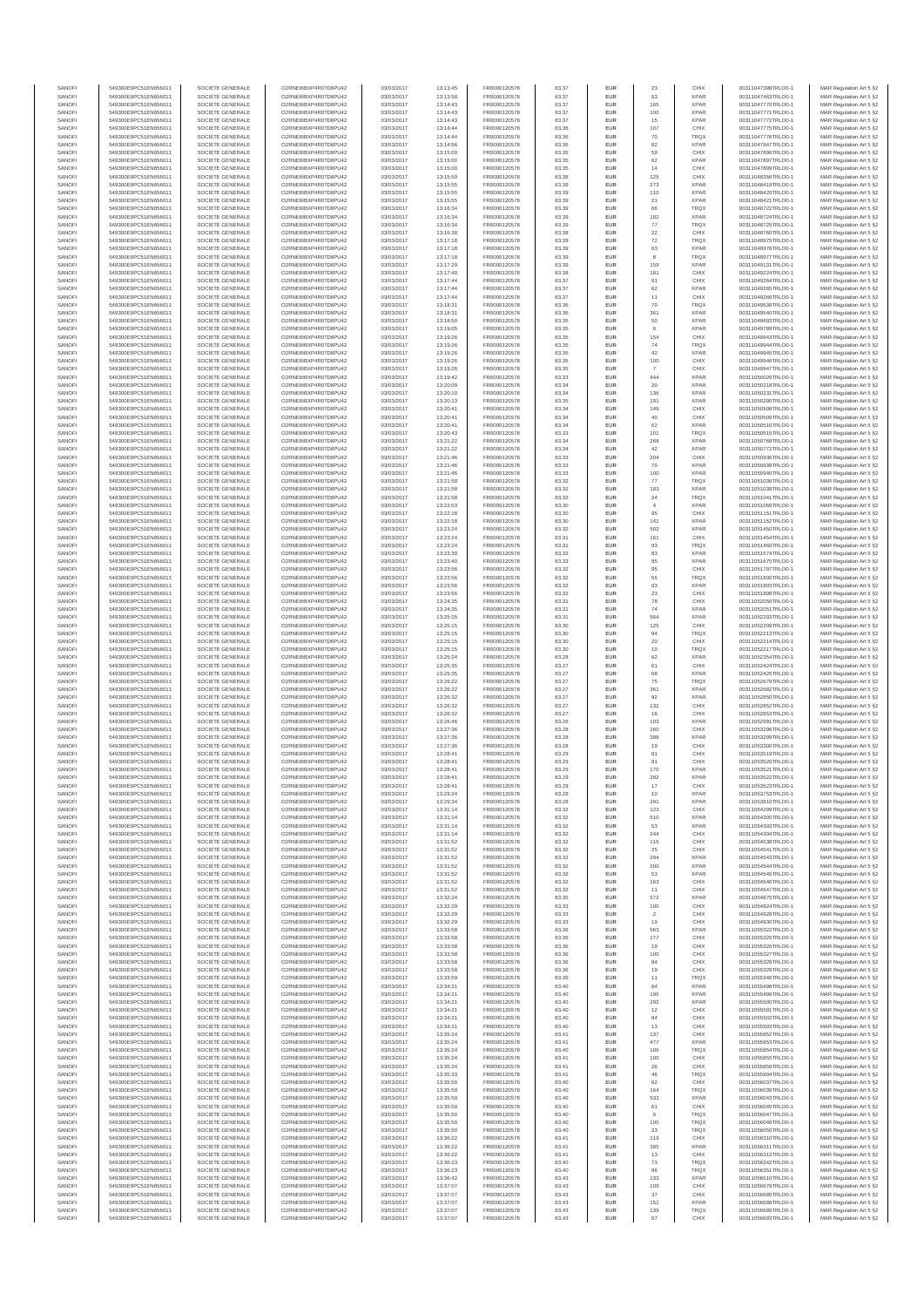| SANOFI<br>SANOFI       | 549300E9PC51EN656011<br>549300E9PC51EN656011 | SOCIETE GENERALE<br>SOCIETE GENERALE | O2RNE8IBXP4R0TD8PU42<br>O2RNE8IBXP4R0TD8PU42   | 03/03/2017<br>03/03/2017 | 13:13:45<br>13:13:58 | FR0000120578<br>FR0000120578 | 83.37<br>83.37 | <b>EUR</b><br>EUR        | 23<br>63             | CHIX<br><b>XPAR</b>        | 00311047398TRLO0-1<br>00311047463TRLO0-1 | MAR Regulation Art 5 §2                            |
|------------------------|----------------------------------------------|--------------------------------------|------------------------------------------------|--------------------------|----------------------|------------------------------|----------------|--------------------------|----------------------|----------------------------|------------------------------------------|----------------------------------------------------|
| SANOFI                 | 549300E9PC51EN656011                         | SOCIETE GENERALE                     | O2RNE8IBXP4R0TD8PU42                           | 03/03/2017               | 13:14:43             | FR0000120578                 | 83.37          | <b>EUR</b>               | 165                  | <b>XPAR</b>                | 00311047770TRLO0-1                       | MAR Regulation Art 5 §2<br>MAR Regulation Art 5 §2 |
| SANOFI                 | 549300E9PC51EN656011                         | SOCIETE GENERALE                     | O2RNE8IBXP4R0TD8PU42                           | 03/03/2017               | 13:14:43             | FR0000120578                 | 83.37          | EUR                      | 100                  | <b>XPAR</b>                | 00311047771TRLO0-1                       | MAR Regulation Art 5 §2                            |
| SANOFI<br>SANOFI       | 549300E9PC51EN656011<br>549300E9PC51EN656011 | SOCIETE GENERALE<br>SOCIETE GENERALE | O2RNE8IBXP4R0TD8PU42<br>O2RNE8IBXP4R0TD8PU42   | 03/03/2017<br>03/03/2017 | 13:14:43<br>13:14:44 | FR0000120578<br>FR0000120578 | 83.37<br>83.36 | <b>EUR</b><br>EUR        | 15<br>107            | <b>XPAR</b><br>CHIX        | 00311047772TRLO0-1<br>00311047775TRLO0-1 | MAR Regulation Art 5 §2<br>MAR Regulation Art 5 §2 |
| SANOFI                 | 549300E9PC51EN656011                         | SOCIETE GENERALE                     | O2RNE8IBXP4R0TD8PLI42                          | 03/03/2017               | 13:14:44             | FR0000120578                 | 83.36          | EUR                      | $70$                 | TRQX                       | 00311047776TRLO0-1                       | MAR Regulation Art 5 §2                            |
| SANOFI<br>SANOFI       | 549300E9PC51EN656011<br>549300E9PC51EN656011 | SOCIETE GENERALE<br>SOCIETE GENERALE | O2RNE8IBXP4R0TD8PU42<br>O2RNE8IBXP4R0TD8PU42   | 03/03/2017<br>03/03/2017 | 13:14:56<br>13:15:00 | FR0000120578<br>FR0000120578 | 83.36<br>83.35 | EUR<br>EUR               | 82<br>59             | <b>XPAR</b><br>CHIX        | 00311047847TRLO0-1<br>00311047896TRLO0-1 | MAR Regulation Art 5 §2<br>MAR Regulation Art 5 §2 |
| SANOFI                 | 549300E9PC51EN656011                         | SOCIETE GENERALE                     | O2RNE8IBXP4R0TD8PU42                           | 03/03/2017               | 13:15:00             | FR0000120578                 | 83.35          | <b>EUR</b>               | 62                   | <b>XPAR</b>                | 00311047897TRLO0-1                       | MAR Regulation Art 5 §2                            |
| SANOFI                 | 549300E9PC51EN656011                         | SOCIETE GENERALE                     | O2RNE8IBXP4R0TD8PU42<br>O2RNE8IBXP4R0TD8PLI42  | 03/03/2017               | 13:15:00             | FR0000120578                 | 83.35          | EUR                      | 14                   | CHIX                       | 00311047899TRLO0-1                       | MAR Regulation Art 5 §2                            |
| SANOFI<br>SANOFI       | 549300E9PC51EN656011<br>549300E9PC51EN656011 | SOCIETE GENERALE<br>SOCIETE GENERALE | O2RNE8IBXP4R0TD8PU42                           | 03/03/2017<br>03/03/2017 | 13:15:50<br>13:15:55 | FR0000120578<br>FR0000120578 | 83.38<br>83.39 | <b>EUR</b><br>EUR        | 125<br>273           | CHIX<br><b>XPAR</b>        | 00311048356TRLO0-1<br>00311048419TRLO0-1 | MAR Regulation Art 5 §2<br>MAR Regulation Art 5 §2 |
| SANOFI                 | 549300E9PC51EN656011                         | SOCIETE GENERALE                     | O2RNE8IBXP4R0TD8PU42                           | 03/03/2017               | 13:15:55             | FR0000120578                 | 83.39          | <b>EUR</b>               | 110                  | <b>XPAR</b>                | 00311048420TRLO0-1                       | MAR Regulation Art 5 §2                            |
| SANOFI<br>SANOFI       | 549300E9PC51EN656011<br>549300E9PC51EN656011 | SOCIETE GENERALE<br>SOCIETE GENERALE | O2RNE8IBXP4R0TD8PU42<br>O2RNE8IBXP4R0TD8PU42   | 03/03/2017<br>03/03/2017 | 13:15:55<br>13:16:34 | FR0000120578<br>FR0000120578 | 83.39<br>83.39 | EUR<br>EUR               | $21\,$<br>66         | <b>XPAR</b><br><b>TRQX</b> | 00311048421TRLO0-1<br>00311048722TRLO0-1 | MAR Regulation Art 5 §2<br>MAR Regulation Art 5 §2 |
| SANOFI                 | 549300E9PC51EN656011                         | SOCIETE GENERALE                     | O2RNE8IBXP4R0TD8PU42                           | 03/03/2017               | 13:16:34             | FR0000120578                 | 83.39          | EUR                      | 182                  | <b>XPAR</b>                | 00311048724TRLO0-1                       | MAR Regulation Art 5 §2                            |
| SANOFI                 | 549300E9PC51EN656011                         | SOCIETE GENERALE                     | O2RNE8IBXP4R0TD8PU42                           | 03/03/2017               | 13:16:34             | FR0000120578                 | 83.39          | EUR                      | 77                   | TRQX                       | 00311048725TRLO0-1                       | MAR Regulation Art 5 §2                            |
| SANOFI<br>SANOFI       | 549300E9PC51EN656011<br>549300E9PC51EN656011 | SOCIETE GENERALE<br>SOCIETE GENERALE | O2RNE8IBXP4R0TD8PU42<br>O2RNE8IBXP4R0TD8PU42   | 03/03/2017<br>03/03/2017 | 13:16:38<br>13:17:18 | FR0000120578<br>FR0000120578 | 83.38<br>83.39 | <b>EUR</b><br>EUR        | 22<br>72             | CHIX<br>TRQX               | 00311048760TRLO0-1<br>00311048975TRLO0-1 | MAR Regulation Art 5 §2<br>MAR Regulation Art 5 §2 |
| SANOFI                 | 549300E9PC51EN656011                         | SOCIETE GENERALE                     | O2RNE8IBXP4R0TD8PU42                           | 03/03/2017               | 13:17:18             | FR0000120578                 | 83.39          | <b>EUR</b>               | 63                   | <b>XPAR</b>                | 00311048976TRLO0-1                       | MAR Regulation Art 5 §2                            |
| SANOFI<br>SANOFI       | 549300E9PC51EN656011<br>549300E9PC51EN656011 | SOCIETE GENERALE<br>SOCIETE GENERALE | O2RNE8IBXP4R0TD8PU42<br>O2RNE8IBXP4R0TD8PU42   | 03/03/2017<br>03/03/2017 | 13:17:18<br>13:17:29 | FR0000120578<br>FR0000120578 | 83.39<br>83.39 | EUR<br><b>EUR</b>        | 159                  | TRQX<br><b>XPAR</b>        | 00311048977TRLO0-1<br>00311049131TRLO0-1 | MAR Regulation Art 5 §2<br>MAR Regulation Art 5 §2 |
| SANOFI                 | 549300E9PC51EN656011                         | SOCIETE GENERALE                     | O2RNE8IBXP4R0TD8PU42                           | 03/03/2017               | 13:17:40             | FR0000120578                 | 83.38          | EUR                      | 181                  | CHIX                       | 00311049224TRLO0-1                       | MAR Regulation Art 5 §2                            |
| SANOFI                 | 549300E9PC51EN656011<br>549300E9PC51EN656011 | SOCIETE GENERALE                     | O2RNE8IBXP4R0TD8PLI42                          | 03/03/2017               | 13:17:44             | FR0000120578                 | 83.37          | EUR                      | 91                   | CHIX                       | 00311049264TRLO0-1                       | MAR Regulation Art 5 §2                            |
| SANOFI<br>SANOFI       | 549300E9PC51EN656011                         | SOCIETE GENERALE<br>SOCIETE GENERALE | O2RNE8IBXP4R0TD8PU42<br>O2RNE8IBXP4R0TD8PU42   | 03/03/2017<br>03/03/2017 | 13:17:44<br>13:17:44 | FR0000120578<br>FR0000120578 | 83.37<br>83.37 | EUR<br>EUR               | 62<br>11             | <b>XPAR</b><br>CHIX        | 00311049265TRLO0-1<br>00311049266TRLO0-1 | MAR Regulation Art 5 §2<br>MAR Regulation Art 5 §2 |
| SANOFI                 | 549300E9PC51EN656011                         | SOCIETE GENERALE                     | O2RNE8IBXP4R0TD8PU42                           | 03/03/2017               | 13:18:31             | FR0000120578                 | 83.36          | <b>EUR</b>               | 70                   | <b>TRQX</b>                | 00311049539TRLO0-1                       | MAR Regulation Art 5 §2                            |
| SANOFI<br>SANOFI       | 549300E9PC51EN656011<br>549300E9PC51EN656011 | SOCIETE GENERALE<br>SOCIETE GENERALE | O2RNE8IBXP4R0TD8PU42<br>O2RNE8IBXP4R0TD8PU42   | 03/03/2017<br>03/03/2017 | 13:18:31<br>13:18:50 | FR0000120578<br>FR0000120578 | 83.36<br>83.35 | EUR<br><b>EUR</b>        | 361<br>50            | <b>XPAR</b><br><b>XPAR</b> | 00311049540TRLO0-1<br>00311049693TRLO0-1 | MAR Regulation Art 5 §2<br>MAR Regulation Art 5 §2 |
| SANOFI                 | 549300E9PC51EN656011                         | SOCIETE GENERALE                     | O2RNE8IBXP4R0TD8PU42                           | 03/03/2017               | 13:19:05             | FR0000120578                 | 83.35          | EUR                      |                      | <b>XPAR</b>                | 00311049789TRLO0-1                       | MAR Regulation Art 5 §2                            |
| SANOFI                 | 549300E9PC51EN656011                         | SOCIETE GENERALE                     | O2RNE8IBXP4R0TD8PU42                           | 03/03/2017               | 13:19:26             | FR0000120578                 | 83.35          | EUR                      | 154                  | CHIX                       | 00311049943TRLO0-1                       | MAR Regulation Art 5 §2                            |
| SANOFI<br>SANOFI       | 549300E9PC51EN656011<br>549300E9PC51EN656011 | SOCIETE GENERALE<br>SOCIETE GENERALE | O2RNE8IBXP4R0TD8PU42<br>O2RNE8IBXP4R0TD8PU42   | 03/03/2017<br>03/03/2017 | 13:19:26<br>13:19:26 | FR0000120578<br>FR0000120578 | 83.35<br>83.35 | EUR<br>EUR               | 74<br>42             | TRQX<br><b>XPAR</b>        | 00311049944TRLO0-1<br>00311049945TRLO0-1 | MAR Regulation Art 5 §2<br>MAR Regulation Art 5 §2 |
| SANOFI                 | 549300E9PC51EN656011                         | SOCIETE GENERALE                     | O2RNE8IBXP4R0TD8PU42                           | 03/03/2017               | 13:19:26             | FR0000120578                 | 83.35          | EUR                      | 100                  | CHIX                       | 00311049946TRLO0-1                       | MAR Regulation Art 5 §2                            |
| SANOFI<br>SANOFI       | 549300E9PC51EN656011<br>549300E9PC51EN656011 | SOCIETE GENERALE<br>SOCIETE GENERALE | O2RNE8IBXP4R0TD8PU42<br>O2RNE8IBXP4R0TD8PU42   | 03/03/2017<br>03/03/2017 | 13:19:26<br>13:19:42 | FR0000120578<br>FR0000120578 | 83.35<br>83.33 | EUR<br><b>EUR</b>        | 444                  | CHIX<br><b>XPAR</b>        | 00311049947TRLO0-1<br>00311050026TRLO0-1 | MAR Regulation Art 5 §2<br>MAR Regulation Art 5 §2 |
| SANOFI                 | 549300E9PC51EN656011                         | SOCIETE GENERALE                     | O2RNE8IBXP4R0TD8PU42                           | 03/03/2017               | 13:20:09             | FR0000120578                 | 83.34          | EUR                      | 20                   | <b>XPAR</b>                | 00311050218TRLO0-1                       | MAR Regulation Art 5 §2                            |
| SANOFI<br>SANOFI       | 549300E9PC51EN656011<br>549300E9PC51EN656011 | SOCIETE GENERALE<br>SOCIETE GENERALE | O2RNE8IBXP4R0TD8PU42                           | 03/03/2017<br>03/03/2017 | 13:20:10<br>13:20:13 | FR0000120578<br>FR0000120578 | 83.34<br>83.35 | <b>EUR</b><br>EUR        | 136<br>191           | <b>XPAR</b><br><b>XPAR</b> | 00311050231TRLO0-1                       | MAR Regulation Art 5 §2<br>MAR Regulation Art 5 §2 |
| SANOFI                 | 549300E9PC51EN656011                         | SOCIETE GENERALE                     | O2RNE8IBXP4R0TD8PU42<br>O2RNE8IBXP4R0TD8PU42   | 03/03/2017               | 13:20:41             | FR0000120578                 | 83.34          | EUR                      | 149                  | CHIX                       | 00311050290TRLO0-1<br>00311050508TRLO0-1 | MAR Regulation Art 5 §2                            |
| SANOFI                 | 549300E9PC51EN656011                         | SOCIETE GENERALE                     | O2RNE8IBXP4R0TD8PU42                           | 03/03/2017               | 13:20:41             | FR0000120578                 | 83.34          | EUR                      | 40                   | CHIX                       | 00311050509TRLO0-1                       | MAR Regulation Art 5 §2                            |
| SANOFI<br>SANOFI       | 549300E9PC51EN656011<br>549300E9PC51EN656011 | SOCIETE GENERALE<br>SOCIETE GENERALE | O2RNE8IBXP4R0TD8PU42<br>O2RNESIBXP4R0TD8PLI42  | 03/03/2017<br>03/03/2017 | 13:20:41<br>13:20:43 | FR0000120578<br>FR0000120578 | 83.34<br>83.33 | EUR<br>EUR               | 62<br>101            | <b>XPAR</b><br>TRQX        | 00311050510TRLO0-1<br>00311050515TRLO0-1 | MAR Regulation Art 5 §2<br>MAR Regulation Art 5 §2 |
| SANOFI                 | 549300E9PC51EN656011                         | SOCIETE GENERALE                     | O2RNE8IBXP4R0TD8PU42                           | 03/03/2017               | 13:21:22             | FR0000120578                 | 83.34          | EUR                      | 268                  | <b>XPAR</b>                | 00311050768TRLO0-1                       | MAR Regulation Art 5 §2                            |
| SANOFI<br>SANOFI       | 549300E9PC51EN656011<br>549300E9PC51EN656011 | SOCIETE GENERALE<br>SOCIETE GENERALE | O2RNE8IBXP4R0TD8PLI42<br>O2RNE8IBXP4R0TD8PU42  | 03/03/2017<br>03/03/2017 | 13:21:22<br>13:21:46 | FR0000120578<br>FR0000120578 | 83.34<br>83.33 | <b>EUR</b><br>EUR        | 42<br>204            | <b>XPAR</b><br>CHIX        | 00311050772TRLO0-1<br>00311050936TRLO0-  | MAR Regulation Art 5 §2<br>MAR Regulation Art 5 §2 |
| SANOFI                 | 549300E9PC51EN656011                         | SOCIETE GENERALE                     | O2RNE8IBXP4R0TD8PU42                           | 03/03/2017               | 13:21:46             | FR0000120578                 | 83.33          | <b>EUR</b>               | 70                   | <b>XPAR</b>                | 00311050939TRLO0-1                       | MAR Regulation Art 5 §2                            |
| SANOFI                 | 549300E9PC51EN656011                         | SOCIETE GENERALE                     | O2RNE8IBXP4R0TD8PU42                           | 03/03/2017               | 13:21:46             | FR0000120578                 | 83.33          | EUR                      | 100                  | <b>XPAR</b>                | 00311050940TRLO0-1                       | MAR Regulation Art 5 §2                            |
| SANOFI<br>SANOFI       | 549300E9PC51EN656011<br>549300E9PC51EN656011 | SOCIETE GENERALE<br>SOCIETE GENERALE | O2RNE8IBXP4R0TD8PLI42<br>O2RNE8IBXP4R0TD8PU42  | 03/03/2017<br>03/03/2017 | 13:21:58<br>13:21:58 | FR0000120578<br>FR0000120578 | 83.32<br>83.32 | EUR<br>EUR               | $77\,$<br>183        | TRQX<br><b>XPAR</b>        | 00311051036TRLO0-1<br>00311051039TRLO0-1 | MAR Regulation Art 5 §2<br>MAR Regulation Art 5 §2 |
| SANOFI                 | 549300E9PC51EN656011                         | SOCIETE GENERALE                     | O2RNE8IBXP4R0TD8PU42                           | 03/03/2017               | 13:21:58             | FR0000120578                 | 83.32          | EUR                      | 24                   | TRQX                       | 00311051041TRLO0-1                       | MAR Regulation Art 5 §2                            |
| SANOFI<br>SANOFI       | 549300E9PC51EN656011<br>549300E9PC51EN656011 | SOCIETE GENERALE<br>SOCIETE GENERALE | O2RNE8IBXP4R0TD8PU42<br>O2RNE8IBXP4R0TD8PU42   | 03/03/2017<br>03/03/2017 | 13:22:03<br>13:22:18 | FR0000120578<br>FR0000120578 | 83.30<br>83.30 | <b>EUR</b><br>EUR        | $\overline{4}$<br>95 | <b>XPAR</b><br>CHIX        | 00311051069TRLO0-1<br>00311051151TRLO0-1 | MAR Regulation Art 5 §2<br>MAR Regulation Art 5 §2 |
| SANOFI                 | 549300E9PC51EN656011                         | SOCIETE GENERALE                     | O2RNE8IBXP4R0TD8PU42                           | 03/03/2017               | 13:22:18             | FR0000120578                 | 83.30          | <b>EUR</b>               | 141                  | <b>XPAR</b>                | 00311051152TRLO0-1                       | MAR Regulation Art 5 §2                            |
| SANOFI                 | 549300E9PC51EN656011                         | SOCIETE GENERALE                     | O2RNE8IBXP4R0TD8PU42                           | 03/03/2017               | 13:23:24             | FR0000120578                 | 83.32          | EUR                      | 502                  | <b>XPAR</b>                | 00311051450TRLO0-1                       | MAR Regulation Art 5 §2                            |
| SANOFI<br>SANOFI       | 549300E9PC51EN656011<br>549300E9PC51EN656011 | SOCIETE GENERALE<br>SOCIETE GENERALE | O2RNE8IBXP4R0TD8PU42<br>O2RNE8IBXP4R0TD8PU42   | 03/03/2017<br>03/03/2017 | 13:23:24<br>13:23:24 | FR0000120578<br>FR0000120578 | 83.31<br>83.31 | EUR<br>EUR               | 161<br>93            | CHIX<br>TRQX               | 00311051454TRLO0-1<br>00311051460TRLO0-1 | MAR Regulation Art 5 §2<br>MAR Regulation Art 5 §2 |
| SANOFI                 | 549300E9PC51EN656011                         | SOCIETE GENERALE                     | O2RNE8IBXP4R0TD8PU42                           | 03/03/2017               | 13:23:30             | FR0000120578                 | 83.32          | EUR                      | 83                   | <b>XPAR</b>                | 00311051574TRLO0-1                       | MAR Regulation Art 5 §2                            |
| SANOFI<br>SANOFI       | 549300E9PC51EN656011<br>549300E9PC51EN656011 | SOCIETE GENERALE<br>SOCIETE GENERALE | O2RNE8IBXP4R0TD8PU42<br>O2RNE8IBXP4R0TD8PU42   | 03/03/2017<br>03/03/2017 | 13:23:40             | FR0000120578<br>FR0000120578 | 83.33<br>83.32 | EUR<br>EUR               | 85<br>95             | <b>XPAR</b><br>CHIX        | 00311051675TRLO0-1<br>00311051797TRLO0-1 | MAR Regulation Art 5 §2<br>MAR Regulation Art 5 §2 |
| SANOFI                 | 549300E9PC51EN656011                         | SOCIETE GENERALE                     | O2RNE8IBXP4R0TD8PU42                           | 03/03/2017               | 13:23:56<br>13:23:56 | FR0000120578                 | 83.32          | <b>EUR</b>               | 55                   | <b>TRQX</b>                | 00311051800TRLO0-1                       | MAR Regulation Art 5 §2                            |
| SANOFI                 | 549300E9PC51EN656011                         | SOCIETE GENERALE                     | O2RNE8IBXP4R0TD8PU42                           | 03/03/2017               | 13:23:56             | FR0000120578                 | 83.32          | EUR                      | 63                   | <b>XPAR</b>                | 00311051803TRLO0-1                       | MAR Regulation Art 5 §2                            |
| SANOFI<br>SANOFI       | 549300E9PC51EN656011<br>549300E9PC51EN656011 | SOCIETE GENERALE<br>SOCIETE GENERALE | O2RNE8IBXP4R0TD8PU42<br>O2RNE8IBXP4R0TD8PU42   | 03/03/2017<br>03/03/2017 | 13:23:56<br>13:24:35 | FR0000120578<br>FR0000120578 | 83.32<br>83.31 | <b>EUR</b><br>EUR        | 23<br>78             | CHIX<br>CHIX               | 00311051808TRLO0-1<br>00311052050TRLO0-1 | MAR Regulation Art 5 §2<br>MAR Regulation Art 5 §2 |
| SANOFI                 | 549300E9PC51EN656011                         | SOCIETE GENERALE                     | O2RNE8IBXP4R0TD8PU42                           | 03/03/2017               | 13:24:35             | FR0000120578                 | 83.31          | <b>EUR</b>               | 74                   | <b>XPAR</b>                | 00311052051TRLO0-1                       | MAR Regulation Art 5 §2                            |
| SANOFI<br>SANOFI       | 549300E9PC51EN656011<br>549300E9PC51EN656011 | SOCIETE GENERALE<br>SOCIETE GENERALE | O2RNE8IBXP4R0TD8PU42<br>O2RNE8IBXP4R0TD8PU42   | 03/03/2017<br>03/03/2017 | 13:25:15             | FR0000120578<br>FR0000120578 | 83.31<br>83.30 | EUR<br>EUR               | 564<br>125           | <b>XPAR</b><br>CHIX        | 00311052203TRLO0-1                       | MAR Regulation Art 5 §2<br>MAR Regulation Art 5 §2 |
| SANOFI                 | 549300E9PC51EN656011                         | SOCIETE GENERALE                     | O2RNE8IBXP4R0TD8PU42                           | 03/03/2017               | 13:25:15<br>13:25:15 | FR0000120578                 | 83.30          | EUR                      | 94                   | TRQX                       | 00311052209TRLO0-1<br>00311052213TRLO0-1 | MAR Regulation Art 5 §2                            |
| SANOFI                 | 549300E9PC51EN656011                         | SOCIETE GENERALE                     | O2RNE8IBXP4R0TD8PU42                           | 03/03/2017               | 13:25:15             | FR0000120578                 | 83.30          | EUR                      | 20                   | CHIX                       | 00311052214TRLO0-1                       | MAR Regulation Art 5 §2                            |
| SANOFI<br>SANOFI       | 549300E9PC51EN656011<br>549300E9PC51EN656011 | SOCIETE GENERALE<br>SOCIETE GENERALE | O2RNE8IBXP4R0TD8PU42<br>O2RNE8IBXP4R0TD8PU42   | 03/03/2017<br>03/03/2017 | 13:25:15<br>13:25:24 | FR0000120578<br>FR0000120578 | 83.30<br>83.28 | <b>EUR</b><br>EUR        | 10<br>62             | <b>TRQX</b><br><b>XPAR</b> | 00311052217TRLO0-1<br>00311052354TRLO0-1 | MAR Regulation Art 5 §2<br>MAR Regulation Art 5 §2 |
| SANOFI                 | 549300E9PC51EN656011                         | SOCIETE GENERALE                     | O2RNE8IBXP4R0TD8PU42                           | 03/03/2017               | 13:25:35             | FR0000120578                 | 83.27          | <b>EUR</b>               | 61                   | CHIX                       | 00311052424TRLO0-1                       | MAR Regulation Art 5 §2                            |
| SANOFI                 | 549300E9PC51EN656011                         | SOCIETE GENERALE                     | O2RNE8IBXP4R0TD8PU42                           | 03/03/2017               | 13:25:35             | FR0000120578                 | 83.27          | EUR                      | 68                   | <b>XPAR</b>                | 00311052425TRLO0-1                       | MAR Regulation Art 5 §2                            |
| SANOFI<br>SANOFI       | 549300E9PC51EN656011<br>549300E9PC51EN656011 | SOCIETE GENERALE<br>SOCIETE GENERALE | O2RNE8IBXP4R0TD8PU42<br>O2RNE8IBXP4R0TD8PU42   | 03/03/2017<br>03/03/2017 | 13:26:22<br>13:26:22 | FR0000120578<br>FR0000120578 | 83.27<br>83.27 | EUR<br>EUR               | 75<br>361            | <b>TRQX</b><br><b>XPAR</b> | 00311052679TRLO0-1<br>00311052682TRLO0-1 | MAR Regulation Art 5 §2<br>MAR Regulation Art 5 §2 |
| SANOFI                 | 549300E9PC51EN656011                         | SOCIETE GENERALE                     | O2RNESIBXP4R0TD8PLI42                          | 03/03/2017               | 13:26:32             | FR0000120578                 | 83.27          | EUR                      | 92                   | <b>XPAR</b>                | 00311052850TRLO0-1                       | MAR Regulation Art 5 §2                            |
| SANOFI<br>SANOFI       | 549300E9PC51EN656011<br>549300E9PC51EN656011 | SOCIETE GENERALE<br>SOCIETE GENERALE | O2RNESIBXP4R0TD8PLI42<br>O2RNE8IBXP4R0TD8PU42  | 03/03/2017<br>03/03/2017 | 13:26:32<br>13:26:32 | FR0000120578<br>FR0000120578 | 83.27<br>83.27 | EUR<br>EUR               | 132<br>16            | CHIX<br>CHIX               | 00311052852TRLO0-1<br>00311052853TRLO0-1 | MAR Regulation Art 5 §2<br>MAR Regulation Art 5 §2 |
| SANOFI                 | 549300E9PC51EN656011                         | SOCIETE GENERALE                     | O2RNE8IBXP4R0TD8PLI42                          | 03/03/2017               | 13:26:46             | FR0000120578                 | 83.26          | <b>EUR</b>               | 103                  | <b>XPAR</b>                | 00311052991TRLO0-1                       | MAR Regulation Art 5 §2                            |
| SANOFI                 | 549300E9PC51EN656011                         | SOCIETE GENERALE                     | O2RNE8IBXP4R0TD8PU42                           | 03/03/2017               | 13:27:36             | FR0000120578                 | 83.28          | EUR                      | 160                  | CHIX                       | 00311053296TRLO0-1                       | MAR Regulation Art 5 §2                            |
| SANOFI<br>SANOFI       | 549300E9PC51EN656011<br>549300E9PC51EN656011 | SOCIETE GENERALE<br>SOCIETE GENERALE | O2RNE8IBXP4R0TD8PU42<br>O2RNE8IBXP4R0TD8PU42   | 03/03/2017<br>03/03/2017 | 13:27:36<br>13:27:36 | FR0000120578<br>FR0000120578 | 83.28<br>83.28 | <b>EUR</b><br>EUR        | 388<br>19            | <b>XPAR</b><br>CHIX        | 00311053299TRLO0-1<br>00311053300TRLO0-1 | MAR Regulation Art 5 §2<br>MAR Regulation Art 5 §2 |
| SANOFI                 | 549300E9PC51EN656011                         | SOCIETE GENERALE                     | O2RNE8IBXP4R0TD8PU42                           | 03/03/2017               | 13:28:41             | FR0000120578                 | 83.29          | EUR                      | 81                   | CHIX                       | 00311053519TRLO0-1                       | MAR Regulation Art 5 §2                            |
| SANOFI<br>SANOFI       | 549300E9PC51EN656011<br>549300E9PC51EN656011 | SOCIETE GENERALE<br>SOCIETE GENERALE | O2RNE8IBXP4R0TD8PU42<br>O2RNE8IBXP4R0TD8PLI42  | 03/03/2017<br>03/03/2017 | 13:28:41<br>13:28:41 | FR0000120578<br>FR0000120578 | 83.29<br>83.29 | EUR<br>EUR               | 81<br>170            | CHIX<br><b>XPAR</b>        | 00311053520TRLO0-1<br>00311053521TRLO0-1 | MAR Regulation Art 5 §2<br>MAR Regulation Art 5 §2 |
| SANOFI                 | 549300E9PC51EN656011                         | SOCIETE GENERALE                     | O2RNE8IBXP4R0TD8PU42                           | 03/03/2017               | 13:28:41             | FR0000120578                 | 83.29          | <b>EUR</b>               | 282                  | <b>XPAR</b>                | 00311053522TRLO0-1                       | MAR Regulation Art 5 §2                            |
| <b>SANOF</b><br>SANOFI | 549300E9PC51EN656011<br>549300E9PC51EN656011 | SOCIETE GENERALE<br>SOCIETE GENERALE | O2RNE8IBXP4R0TD8PU42<br>O2RNE8IBXP4R0TD8PU42   | 03/03/2017<br>03/03/2017 | 13:28:41<br>13:29:24 | FR0000120578<br>FR0000120578 | 83.29<br>83.28 | EUR<br><b>EUR</b>        | 17<br>10             | CHIX<br><b>XPAR</b>        | 00311053523TRLO0-<br>00311053753TRLO0-1  | MAR Regulation Art 5 §2<br>MAR Regulation Art 5 §2 |
| SANOFI                 | 549300E9PC51EN656011                         | SOCIETE GENERALE                     | O2RNE8IBXP4R0TD8PU42                           | 03/03/2017               | 13:29:34             | FR0000120578                 | 83.28          | EUR                      | 291                  | <b>XPAR</b>                | 00311053810TRLO0-1                       | MAR Regulation Art 5 §2                            |
| SANOFI                 | 549300E9PC51EN656011                         | SOCIETE GENERALE                     | O2RNE8IBXP4R0TD8PU42                           | 03/03/2017               | 13:31:14             | FR0000120578                 | 83.32          | <b>EUR</b>               | 123                  | CHIX                       | 00311054299TRLO0-1                       | MAR Regulation Art 5 §2                            |
| SANOFI<br>SANOFI       | 549300E9PC51EN656011<br>549300E9PC51EN656011 | SOCIETE GENERALE<br>SOCIETE GENERALE | O2RNE8IBXP4R0TD8PU42<br>O2RNE8IBXP4R0TD8PU42   | 03/03/2017<br>03/03/2017 | 13:31:14<br>13:31:14 | FR0000120578<br>FR0000120578 | 83.32<br>83.32 | EUR<br>EUR               | 510<br>53            | <b>XPAR</b><br><b>XPAR</b> | 00311054300TRLO0-1<br>00311054303TRLO0-1 | MAR Regulation Art 5 §2<br>MAR Regulation Art 5 §2 |
| SANOFI                 | 549300E9PC51EN656011                         | SOCIETE GENERALE                     | O2RNE8IBXP4R0TD8PU42                           | 03/03/2017               | 13:31:14             | FR0000120578                 | 83.32          | EUR                      | 244                  | CHIX                       | 00311054304TRLO0-1                       | MAR Regulation Art 5 §2                            |
| SANOFI<br>SANOFI       | 549300E9PC51EN656011<br>549300E9PC51EN656011 | SOCIETE GENERALE<br>SOCIETE GENERALE | O2RNESIBXP4R0TD8PLI42<br>O2RNE8IBXP4R0TD8PLI42 | 03/03/2017<br>03/03/2017 | 13:31:52<br>13:31:52 | FR0000120578<br>FR0000120578 | 83.32<br>83.32 | EUR<br><b>EUR</b>        | 116<br>25            | CHIX<br>CHIX               | 00311054538TRLO0-1<br>00311054541TRLO0-1 | MAR Regulation Art 5 §2<br>MAR Regulation Art 5 §2 |
| SANOFI                 | 549300E9PC51EN656011                         | SOCIETE GENERALE                     | O2RNE8IBXP4R0TD8PU42                           | 03/03/2017               | 13:31:52             | FR0000120578                 | 83.32          | EUR                      | 294                  | <b>XPAR</b>                | 00311054543TRLO0-1                       | MAR Regulation Art 5 §2                            |
| SANOFI                 | 549300E9PC51EN656011                         | SOCIETE GENERALE                     | O2RNE8IBXP4R0TD8PLI42                          | 03/03/2017               | 13:31:52             | FR0000120578                 | 83.32          | <b>EUR</b>               | 200                  | <b>XPAR</b>                | 00311054544TRLO0-1                       | MAR Regulation Art 5 §2                            |
| SANOFI<br>SANOFI       | 549300E9PC51EN656011<br>549300E9PC51EN656011 | SOCIETE GENERALE<br>SOCIETE GENERALE | O2RNE8IBXP4R0TD8PU42<br>O2RNE8IBXP4R0TD8PU42   | 03/03/2017<br>03/03/2017 | 13:31:52<br>13:31:52 | FR0000120578<br>FR0000120578 | 83.32<br>83.32 | EUR<br>EUR               | 53<br>163            | <b>XPAR</b><br>CHIX        | 00311054545TRLO0-1<br>00311054546TRLO0-1 | MAR Regulation Art 5 §2<br>MAR Regulation Art 5 §2 |
| SANOFI                 | 549300E9PC51EN656011                         | SOCIETE GENERALE                     | O2RNE8IBXP4R0TD8PU42                           | 03/03/2017               | 13:31:52             | FR0000120578                 | 83.32          | EUR                      | 11                   | CHIX                       | 00311054547TRLO0-1                       | MAR Regulation Art 5 §2                            |
| SANOFI<br>SANOFI       | 549300E9PC51EN656011<br>549300E9PC51EN656011 | SOCIETE GENERALE<br>SOCIETE GENERALE | O2RNESIBXP4R0TD8PLI42<br>O2RNE8IBXP4R0TD8PU42  | 03/03/2017<br>03/03/2017 | 13:32:24<br>13:32:29 | FR0000120578<br>FR0000120578 | 83.35<br>83.33 | EUR<br>EUR               | 572<br>100           | <b>XPAR</b><br>CHIX        | 00311054875TRLO0-1<br>00311054924TRLO0-1 | MAR Regulation Art 5 §2<br>MAR Regulation Art 5 §2 |
| SANOFI                 | 549300E9PC51EN656011                         | SOCIETE GENERALE                     | O2RNE8IBXP4R0TD8PU42                           | 03/03/2017               | 13:32:29             | FR0000120578                 | 83.33          | EUR                      | $\overline{2}$       | CHIX                       | 00311054928TRLO0-1                       | MAR Regulation Art 5 §2                            |
| SANOFI<br>SANOFI       | 549300E9PC51EN656011<br>549300E9PC51EN656011 | SOCIETE GENERALE<br>SOCIETE GENERALE | O2RNE8IBXP4R0TD8PU42<br>O2RNE8IBXP4R0TD8PU42   | 03/03/2017<br>03/03/2017 | 13:32:29<br>13:33:58 | FR0000120578<br>FR0000120578 | 83.33<br>83.36 | <b>EUR</b><br>EUR        | 19<br>563            | CHIX<br><b>XPAR</b>        | 00311054930TRLO0-1<br>00311055322TRLO0-1 | MAR Regulation Art 5 §2<br>MAR Regulation Art 5 §2 |
| SANOFI                 | 549300E9PC51EN656011                         | SOCIETE GENERALE                     | O2RNE8IBXP4R0TD8PLI42                          | 03/03/2017               | 13:33:58             | FR0000120578                 | 83.36          | <b>EUR</b>               | 177                  | CHIX                       | 00311055325TRLO0-1                       | MAR Regulation Art 5 §2                            |
| SANOFI<br>SANOFI       | 549300E9PC51EN656011<br>549300E9PC51EN656011 | SOCIETE GENERALE<br>SOCIETE GENERALE | O2RNE8IBXP4R0TD8PU42<br>O2RNESIBXP4R0TD8PLI42  | 03/03/2017<br>03/03/2017 | 13:33:58<br>13:33:58 | FR0000120578<br>FR0000120578 | 83.36          | EUR<br>EUR               | 19<br>100            | CHIX<br>CHIX               | 00311055326TRLO0-1<br>00311055327TRLO0-1 | MAR Regulation Art 5 §2<br>MAR Regulation Art 5 §2 |
| SANOFI                 | 549300E9PC51EN656011                         | SOCIETE GENERALE                     | O2RNE8IBXP4R0TD8PU42                           | 03/03/2017               | 13:33:58             | FR0000120578                 | 83.36<br>83.36 | EUR                      | 84                   | CHIX                       | 00311055328TRLO0-1                       | MAR Regulation Art 5 §2                            |
| SANOFI                 | 549300E9PC51EN656011                         | SOCIETE GENERALE                     | O2RNESIBXP4R0TD8PLI42                          | 03/03/2017               | 13:33:58             | FR0000120578                 | 83.36          | EUR                      | 19                   | CHIX                       | 00311055329TRLO0-1                       | MAR Regulation Art 5 §2                            |
| SANOFI<br>SANOFI       | 549300E9PC51EN656011<br>549300E9PC51EN656011 | SOCIETE GENERALE<br>SOCIETE GENERALE | O2RNE8IBXP4R0TD8PU42<br>O2RNE8IBXP4R0TD8PU42   | 03/03/2017<br>03/03/2017 | 13:33:59<br>13:34:21 | FR0000120578<br>FR0000120578 | 83.36<br>83.40 | EUR<br>EUR               | 11<br>64             | <b>TRQX</b><br><b>XPAR</b> | 00311055346TRLO0-1<br>00311055498TRLO0-1 | MAR Regulation Art 5 §2<br>MAR Regulation Art 5 §2 |
| SANOFI                 | 549300E9PC51EN656011                         | SOCIETE GENERALE                     | O2RNE8IBXP4R0TD8PU42                           | 03/03/2017               | 13:34:21             | FR0000120578                 | 83.40          | <b>EUR</b>               | 195                  | <b>XPAR</b>                | 00311055499TRLO0-1                       | MAR Regulation Art 5 §2                            |
| SANOFI                 | 549300E9PC51EN656011                         | SOCIETE GENERALE                     | O2RNE8IBXP4R0TD8PU42                           | 03/03/2017               | 13:34:21             | FR0000120578                 | 83.40          | EUR                      | 292                  | <b>XPAR</b>                | 00311055500TRLO0-1                       | MAR Regulation Art 5 §2                            |
| SANOFI<br>SANOFI       | 549300E9PC51EN656011<br>549300E9PC51EN656011 | SOCIETE GENERALE<br>SOCIETE GENERALE | O2RNE8IBXP4R0TD8PU42<br>O2RNE8IBXP4R0TD8PU42   | 03/03/2017<br>03/03/2017 | 13:34:21<br>13:34:21 | FR0000120578<br>FR0000120578 | 83.40<br>83.40 | <b>EUR</b><br><b>EUR</b> | 12<br>84             | CHIX<br>CHIX               | 00311055501TRLO0-1<br>00311055502TRLO0-1 | MAR Regulation Art 5 §2<br>MAR Regulation Art 5 §2 |
| SANOFI                 | 549300E9PC51EN656011                         | SOCIETE GENERALE                     | O2RNE8IBXP4R0TD8PU42                           | 03/03/2017               | 13:34:21             | FR0000120578                 | 83.40          | EUR                      | $13\,$               | CHIX                       | 00311055503TRLO0-1                       | MAR Regulation Art 5 §2                            |
| SANOFI<br>SANOFI       | 549300E9PC51EN656011<br>549300E9PC51EN656011 | SOCIETE GENERALE<br>SOCIETE GENERALE | O2RNE8IBXP4R0TD8PU42<br>O2RNE8IBXP4R0TD8PU42   | 03/03/2017<br>03/03/2017 | 13:35:24<br>13:35:24 | FR0000120578<br>FR0000120578 | 83.41<br>83.41 | EUR<br>EUR               | 137<br>477           | CHIX<br><b>XPAR</b>        | 00311055852TRLO0-1<br>00311055853TRLO0-1 | MAR Regulation Art 5 §2<br>MAR Regulation Art 5 §2 |
| SANOFI                 | 549300E9PC51EN656011                         | SOCIETE GENERALE                     | O2RNE8IBXP4R0TD8PU42                           | 03/03/2017               | 13:35:24             | FR0000120578                 | 83.40          | <b>EUR</b>               | 106                  | <b>TROX</b>                | 00311055854TRLO0-1                       | MAR Regulation Art 5 §2                            |
| SANOFI                 | 549300E9PC51EN656011                         | SOCIETE GENERALE                     | O2RNE8IBXP4R0TD8PU42                           | 03/03/2017               | 13:35:24             | FR0000120578                 | 83.41          | EUR                      | 100                  | CHIX                       | 00311055855TRLO0-1                       | MAR Regulation Art 5 §2                            |
| SANOFI<br>SANOFI       | 549300E9PC51EN656011<br>549300E9PC51EN656011 | SOCIETE GENERALE<br>SOCIETE GENERALE | O2RNE8IBXP4R0TD8PU42<br>O2RNE8IBXP4R0TD8PU42   | 03/03/2017<br>03/03/2017 | 13:35:24<br>13:35:33 | FR0000120578<br>FR0000120578 | 83.41<br>83.41 | <b>EUR</b><br>EUR        | 26<br>46             | CHIX<br>TRQX               | 00311055856TRLO0-1<br>00311055904TRLO0-1 | MAR Regulation Art 5 §2<br>MAR Regulation Art 5 §2 |
| SANOFI                 | 549300E9PC51EN656011                         | SOCIETE GENERALE                     | O2RNE8IBXP4R0TD8PU42                           | 03/03/2017               | 13:35:50             | FR0000120578                 | 83.40          | <b>EUR</b>               | 62                   | CHIX                       | 00311056037TRLO0-1                       | MAR Regulation Art 5 §2                            |
| SANOFI<br>SANOFI       | 549300E9PC51EN656011<br>549300E9PC51EN656011 | SOCIETE GENERALE<br>SOCIETE GENERALE | O2RNE8IBXP4R0TD8PU42<br>O2RNE8IBXP4R0TD8PU42   | 03/03/2017<br>03/03/2017 | 13:35:50<br>13:35:50 | FR0000120578<br>FR0000120578 | 83.40<br>83.40 | EUR<br>EUR               | 164<br>533           | <b>TRQX</b><br><b>XPAR</b> | 00311056039TRLO0-1<br>00311056043TRLO0-1 | MAR Regulation Art 5 §2<br>MAR Regulation Art 5 §2 |
| SANOFI                 | 549300E9PC51EN656011                         | SOCIETE GENERALE                     | O2RNE8IBXP4R0TD8PU42                           | 03/03/2017               | 13:35:50             | FR0000120578                 | 83.40          | EUR                      | 61                   | CHIX                       | 00311056045TRLO0-1                       | MAR Regulation Art 5 §2                            |
| SANOFI                 | 549300E9PC51EN656011                         | SOCIETE GENERALE                     | O2RNE8IBXP4R0TD8PU42                           | 03/03/2017               | 13:35:50             | FR0000120578                 | 83.40          | EUR                      | 6                    | <b>TROX</b>                | 00311056047TRLO0-1                       | MAR Regulation Art 5 §2                            |
| SANOFI<br>SANOFI       | 549300E9PC51EN656011<br>549300E9PC51EN656011 | SOCIETE GENERALE<br>SOCIETE GENERALE | O2RNE8IBXP4R0TD8PU42<br>O2RNE8IBXP4R0TD8PU42   | 03/03/2017<br>03/03/2017 | 13:35:50<br>13:35:50 | FR0000120578<br>FR0000120578 | 83.40<br>83.40 | <b>EUR</b><br>EUR        | 100<br>23            | <b>TROX</b><br>TRQX        | 00311056048TRLO0-1<br>00311056050TRLO0-1 | MAR Regulation Art 5 §2<br>MAR Regulation Art 5 §2 |
| SANOFI                 | 549300E9PC51EN656011                         | SOCIETE GENERALE                     | O2RNE8IBXP4R0TD8PU42                           | 03/03/2017               | 13:36:22             | FR0000120578                 | 83.41          | <b>EUR</b>               | 119                  | CHIX                       | 00311056310TRLO0-1                       | MAR Regulation Art 5 §2                            |
| SANOFI<br>SANOFI       | 549300E9PC51EN656011<br>549300E9PC51EN656011 | SOCIETE GENERALE<br>SOCIETE GENERALE | O2RNE8IBXP4R0TD8PU42<br>O2RNE8IBXP4R0TD8PU42   | 03/03/2017<br>03/03/2017 | 13:36:22<br>13:36:22 | FR0000120578<br>FR0000120578 | 83.41<br>83.41 | EUR<br>EUR               | 385<br>13            | <b>XPAR</b><br>CHIX        | 00311056311TRLO0-1<br>00311056312TRLO0-1 | MAR Regulation Art 5 §2<br>MAR Regulation Art 5 §2 |
| SANOFI                 | 549300E9PC51EN656011                         | SOCIETE GENERALE                     | O2RNE8IBXP4R0TD8PU42                           | 03/03/2017               | 13:36:23             | FR0000120578                 | 83.40          | EUR                      | $\sqrt{73}$          | <b>TRQX</b>                | 00311056342TRLO0-1                       | MAR Regulation Art 5 §2                            |
| SANOFI                 | 549300E9PC51EN656011                         | SOCIETE GENERALE                     | O2RNE8IBXP4R0TD8PU42                           | 03/03/2017               | 13:36:23             | FR0000120578                 | 83.40          | EUR                      | 86                   | TRQX                       | 00311056351TRLO0-1                       | MAR Regulation Art 5 §2                            |
| SANOFI<br>SANOFI       | 549300E9PC51EN656011<br>549300E9PC51EN656011 | SOCIETE GENERALE<br>SOCIETE GENERALE | O2RNE8IBXP4R0TD8PU42<br>O2RNE8IBXP4R0TD8PU42   | 03/03/2017<br>03/03/2017 | 13:36:42<br>13:37:07 | FR0000120578<br>FR0000120578 | 83.43<br>83.43 | EUR<br>EUR               | 133<br>109           | <b>XPAR</b><br>CHIX        | 00311056510TRLO0-1<br>00311056679TRLO0-1 | MAR Regulation Art 5 §2<br>MAR Regulation Art 5 §2 |
| SANOFI                 | 549300E9PC51EN656011                         | SOCIETE GENERALE                     | O2RNE8IBXP4R0TD8PU42                           | 03/03/2017               | 13:37:07             | FR0000120578                 | 83.43          | EUR                      | 37                   | CHIX                       | 00311056685TRLO0-1                       | MAR Regulation Art 5 §2                            |
| SANOFI<br>SANOFI       | 549300E9PC51EN656011<br>549300E9PC51EN656011 | SOCIETE GENERALE<br>SOCIETE GENERALE | O2RNE8IBXP4R0TD8PU42<br>O2RNE8IBXP4R0TD8PU42   | 03/03/2017<br>03/03/2017 | 13:37:07<br>13:37:07 | FR0000120578                 | 83.43<br>83.43 | EUR<br><b>EUR</b>        | 151<br>139           | <b>XPAR</b><br><b>TRQX</b> | 00311056688TRLO0-1<br>00311056689TRLO0-1 | MAR Regulation Art 5 §2                            |
| SANOFI                 | 549300E9PC51EN656011                         | SOCIETE GENERALE                     | O2RNE8IBXP4R0TD8PU42                           | 03/03/2017               | 13:37:07             | FR0000120578<br>FR0000120578 | 83.43          | EUR                      | 57                   | CHIX                       | 00311056693TRLO0-1                       | MAR Regulation Art 5 §2<br>MAR Regulation Art 5 §2 |
|                        |                                              |                                      |                                                |                          |                      |                              |                |                          |                      |                            |                                          |                                                    |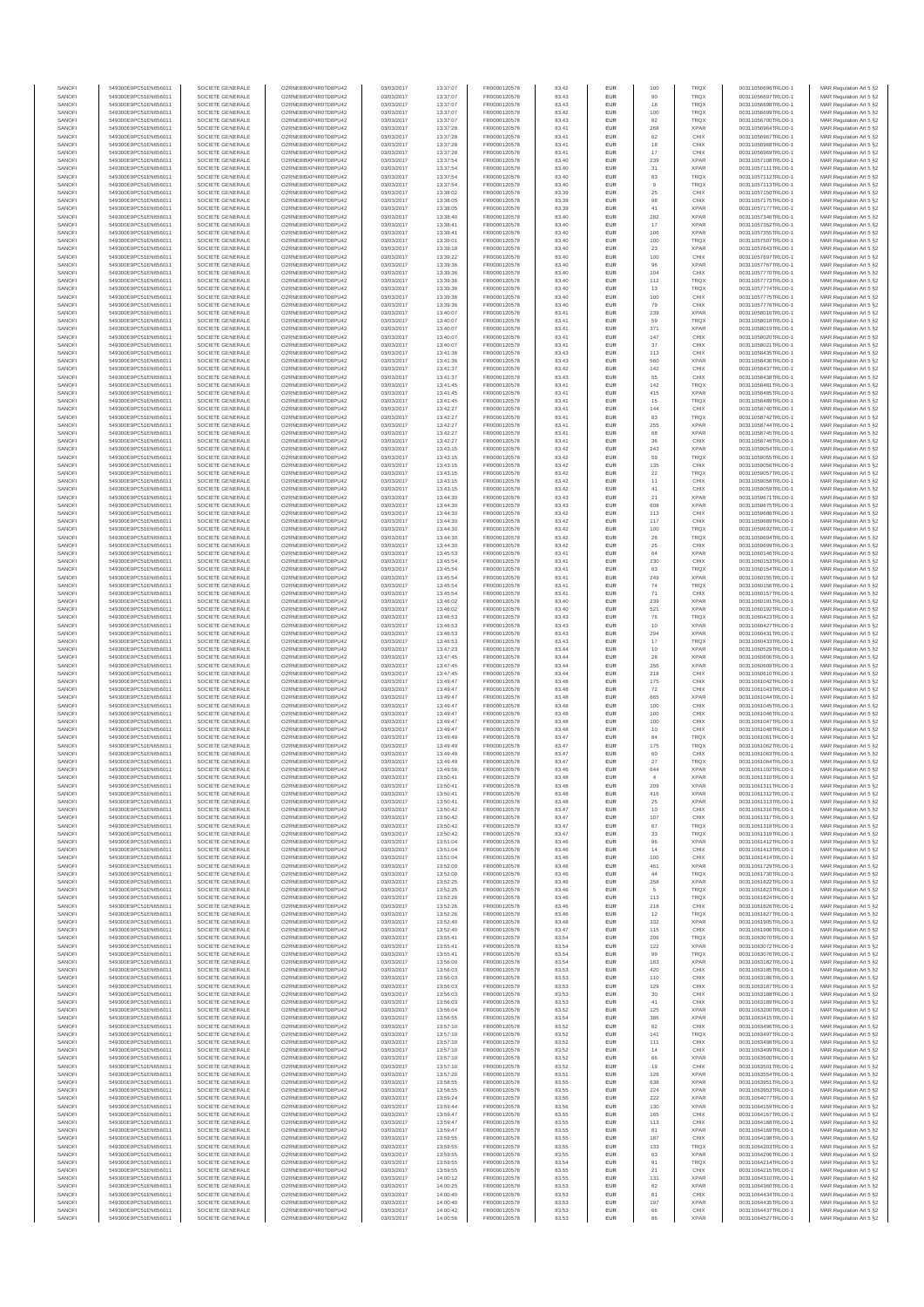| SANOFI           | 549300E9PC51EN656011                         | SOCIETE GENERALE                     | O2RNE8IBXP4R0TD8PU42                          | 03/03/2017               | 13:37:07             | FR0000120578                 | 83.42          | EUR                      | 100           | TRQX                       | 00311056696TRLO0-1                       | MAR Regulation Art 5 §2                            |
|------------------|----------------------------------------------|--------------------------------------|-----------------------------------------------|--------------------------|----------------------|------------------------------|----------------|--------------------------|---------------|----------------------------|------------------------------------------|----------------------------------------------------|
| SANOFI<br>SANOFI | 549300E9PC51EN656011<br>549300E9PC51EN656011 | SOCIETE GENERALE<br>SOCIETE GENERALE | O2RNE8IBXP4R0TD8PU42<br>O2RNE8IBXP4R0TD8PU42  | 03/03/2017<br>03/03/2017 | 13:37:07<br>13:37:07 | FR0000120578                 | 83.43<br>83.43 | EUR<br>EUR               | 90<br>18      | TRQX<br>TRQX               | 00311056697TRLO0-1<br>00311056698TRLO0-1 | MAR Regulation Art 5 §2                            |
| SANOFI           | 549300E9PC51EN656011                         | SOCIETE GENERALE                     | O2RNE8IBXP4R0TD8PU42                          | 03/03/2017               | 13:37:07             | FR0000120578<br>FR0000120578 | 83.42          | EUR                      | 100           | TRQX                       | 00311056699TRLO0-1                       | MAR Regulation Art 5 §2<br>MAR Regulation Art 5 §2 |
| SANOFI           | 549300E9PC51EN656011                         | SOCIETE GENERALE                     | O2RNE8IBXP4R0TD8PU42                          | 03/03/2017               | 13:37:07             | FR0000120578                 | 83.43          | EUR                      | 82            | TRQX                       | 00311056700TRLO0-1                       | MAR Regulation Art 5 §2                            |
| SANOFI           | 549300E9PC51EN656011                         | SOCIETE GENERALE                     | O2RNE8IBXP4R0TD8PU42                          | 03/03/2017               | 13:37:28             | FR0000120578                 | 83.41          | EUR                      | 268           | <b>XPAR</b>                | 00311056964TRLO0-1                       | MAR Regulation Art 5 §2                            |
| SANOFI<br>SANOFI | 549300E9PC51EN656011<br>549300E9PC51EN656011 | SOCIETE GENERALE<br>SOCIETE GENERALE | O2RNE8IBXP4R0TD8PU42<br>O2RNE8IBXP4R0TD8PU42  | 03/03/2017<br>03/03/2017 | 13:37:28<br>13:37:28 | FR0000120578<br>FR0000120578 | 83.41<br>83.41 | <b>EUR</b><br>EUR        | 62<br>18      | CHIX<br>CHIX               | 00311056967TRLO0-1<br>00311056968TRLO0-1 | MAR Regulation Art 5 §2<br>MAR Regulation Art 5 §2 |
| SANOFI           | 549300E9PC51EN656011                         | SOCIETE GENERALE                     | O2RNE8IBXP4R0TD8PU42                          | 03/03/2017               | 13:37:28             | FR0000120578                 | 83.41          | <b>EUR</b>               | 17            | CHIX                       | 00311056969TRLO0-1                       | MAR Regulation Art 5 §2                            |
| SANOFI           | 549300E9PC51EN656011                         | SOCIETE GENERALE                     | O2RNE8IBXP4R0TD8PU42                          | 03/03/2017               | 13:37:54             | FR0000120578                 | 83.40          | EUR                      | 239           | <b>XPAR</b>                | 00311057108TRLO0-1                       | MAR Regulation Art 5 §2                            |
| SANOFI<br>SANOFI | 549300E9PC51EN656011<br>549300E9PC51EN656011 | SOCIETE GENERALE<br>SOCIETE GENERALE | O2RNE8IBXP4R0TD8PU42<br>O2RNE8IBXP4R0TD8PU42  | 03/03/2017<br>03/03/2017 | 13:37:54<br>13:37:54 | FR0000120578<br>FR0000120578 | 83.40<br>83.40 | EUR<br>EUR               | $31\,$<br>83  | <b>XPAR</b><br>TRQX        | 00311057111TRLO0-1<br>00311057112TRLO0-1 | MAR Regulation Art 5 §2<br>MAR Regulation Art 5 §2 |
| SANOFI           | 549300E9PC51EN656011                         | SOCIETE GENERALE                     | O2RNE8IBXP4R0TD8PU42                          | 03/03/2017               | 13:37:54             | FR0000120578                 | 83.40          | EUR                      | $_{9}$        | TRQX                       | 00311057113TRLO0-1                       | MAR Regulation Art 5 §2                            |
| SANOFI           | 549300E9PC51EN656011                         | SOCIETE GENERALE                     | O2RNE8IBXP4R0TD8PU42                          | 03/03/2017               | 13:38:02             | FR0000120578                 | 83.39          | EUR                      | $\rm 25$      | CHIX                       | 00311057150TRLO0-1                       | MAR Regulation Art 5 §2                            |
| SANOFI           | 549300E9PC51EN656011                         | SOCIETE GENERALE                     | O2RNE8IBXP4R0TD8PU42                          | 03/03/2017               | 13:38:05             | FR0000120578                 | 83.39          | EUR                      | 98            | CHIX                       | 00311057175TRLO0-1                       | MAR Regulation Art 5 §2                            |
| SANOFI<br>SANOFI | 549300E9PC51EN656011<br>549300E9PC51EN656011 | SOCIETE GENERALE<br>SOCIETE GENERALE | O2RNE8IBXP4R0TD8PU42<br>O2RNE8IBXP4R0TD8PU42  | 03/03/2017<br>03/03/2017 | 13:38:05<br>13:38:40 | FR0000120578<br>FR0000120578 | 83.39<br>83.40 | <b>EUR</b><br>EUR        | 41<br>282     | <b>XPAR</b><br><b>XPAR</b> | 00311057177TRLO0-1<br>00311057346TRLO0-1 | MAR Regulation Art 5 §2<br>MAR Regulation Art 5 §2 |
| SANOFI           | 549300E9PC51EN656011                         | SOCIETE GENERALE                     | O2RNE8IBXP4R0TD8PU42                          | 03/03/2017               | 13:38:41             | FR0000120578                 | 83.40          | <b>EUR</b>               | 17            | <b>XPAR</b>                | 00311057352TRLO0-1                       | MAR Regulation Art 5 §2                            |
| SANOFI           | 549300E9PC51EN656011                         | SOCIETE GENERALE                     | O2RNE8IBXP4R0TD8PU42                          | 03/03/2017               | 13:38:41             | FR0000120578                 | 83.40          | EUR                      | 106           | <b>XPAR</b>                | 00311057355TRLO0-1                       | MAR Regulation Art 5 §2                            |
| SANOFI           | 549300E9PC51EN656011                         | SOCIETE GENERALE                     | O2RNE8IBXP4R0TD8PU42                          | 03/03/2017               | 13:39:01             | FR0000120578                 | 83.40          | EUR                      | 100           | <b>TRQX</b>                | 00311057507TRLO0-1                       | MAR Regulation Art 5 §2                            |
| SANOFI<br>SANOFI | 549300E9PC51EN656011<br>549300E9PC51EN656011 | SOCIETE GENERALE<br>SOCIETE GENERALE | O2RNE8IBXP4R0TD8PU42<br>O2RNE8IBXP4R0TD8PU42  | 03/03/2017<br>03/03/2017 | 13:39:18<br>13:39:22 | FR0000120578<br>FR0000120578 | 83.40<br>83.40 | EUR<br>EUR               | 23<br>100     | <b>XPAR</b><br>CHIX        | 00311057643TRLO0-1<br>00311057697TRLO0-1 | MAR Regulation Art 5 §2<br>MAR Regulation Art 5 §2 |
| SANOFI           | 549300E9PC51EN656011                         | SOCIETE GENERALE                     | O2RNE8IBXP4R0TD8PU42                          | 03/03/2017               | 13:39:36             | FR0000120578                 | 83.40          | <b>EUR</b>               | 96            | <b>XPAR</b>                | 00311057767TRLO0-1                       | MAR Regulation Art 5 §2                            |
| SANOFI           | 549300E9PC51EN656011                         | SOCIETE GENERALE                     | O2RNE8IBXP4R0TD8PU42                          | 03/03/2017               | 13:39:36             | FR0000120578                 | 83.40          | EUR                      | 104           | CHIX                       | 00311057770TRLO0-1                       | MAR Regulation Art 5 §2                            |
| SANOFI<br>SANOFI | 549300E9PC51EN656011<br>549300E9PC51EN656011 | SOCIETE GENERALE<br>SOCIETE GENERALE | O2RNE8IBXP4R0TD8PU42<br>O2RNE8IBXP4R0TD8PU42  | 03/03/2017<br>03/03/2017 | 13:39:36<br>13:39:36 | FR0000120578<br>FR0000120578 | 83.40<br>83.40 | <b>EUR</b><br>EUR        | 112<br>13     | <b>TRQX</b><br>TRQX        | 00311057773TRLO0-1<br>00311057774TRLO0-1 | MAR Regulation Art 5 §2<br>MAR Regulation Art 5 §2 |
| SANOFI           | 549300E9PC51EN656011                         | SOCIETE GENERALE                     | O2RNE8IBXP4R0TD8PU42                          | 03/03/2017               | 13:39:36             | FR0000120578                 | 83.40          | <b>EUR</b>               | 100           | CHIX                       | 00311057775TRLO0-1                       | MAR Regulation Art 5 §2                            |
| SANOFI           | 549300E9PC51EN656011                         | SOCIETE GENERALE                     | O2RNE8IBXP4R0TD8PU42                          | 03/03/2017               | 13:39:36             | FR0000120578                 | 83.40          | EUR                      | 79            | CHIX                       | 00311057776TRLO0-1                       | MAR Regulation Art 5 §2                            |
| SANOFI           | 549300E9PC51EN656011                         | SOCIETE GENERALE                     | O2RNE8IBXP4R0TD8PU42                          | 03/03/2017               | 13:40:07             | FR0000120578                 | 83.41          | EUR                      | 239           | <b>XPAR</b>                | 00311058016TRLO0-1                       | MAR Regulation Art 5 §2                            |
| SANOFI<br>SANOFI | 549300E9PC51EN656011<br>549300E9PC51EN656011 | SOCIETE GENERALE<br>SOCIETE GENERALE | O2RNE8IBXP4R0TD8PU42<br>O2RNE8IBXP4R0TD8PU42  | 03/03/2017<br>03/03/2017 | 13:40:07<br>13:40:07 | FR0000120578<br>FR0000120578 | 83.41<br>83.41 | EUR<br>EUR               | 59<br>371     | TRQX<br><b>XPAR</b>        | 00311058018TRLO0-1<br>00311058019TRLO0-1 | MAR Regulation Art 5 §2<br>MAR Regulation Art 5 §2 |
| SANOFI           | 549300E9PC51EN656011                         | SOCIETE GENERALE                     | O2RNE8IBXP4R0TD8PU42                          | 03/03/2017               | 13:40:07             | FR0000120578                 | 83.41          | <b>EUR</b>               | 147           | CHIX                       | 00311058020TRLO0-1                       | MAR Regulation Art 5 §2                            |
| SANOFI           | 549300E9PC51EN656011                         | SOCIETE GENERALE                     | O2RNE8IBXP4R0TD8PU42                          | 03/03/2017               | 13:40:07             | FR0000120578                 | 83.41          | EUR                      | $37\,$        | CHIX                       | 00311058021TRLO0-1                       | MAR Regulation Art 5 §2                            |
| SANOFI<br>SANOFI | 549300E9PC51EN656011<br>549300E9PC51EN656011 | SOCIETE GENERALE<br>SOCIETE GENERALE | O2RNE8IBXP4R0TD8PU42<br>O2RNE8IBXP4R0TD8PU42  | 03/03/2017<br>03/03/2017 | 13:41:36<br>13:41:36 | FR0000120578<br>FR0000120578 | 83.43<br>83.43 | <b>EUR</b><br>EUR        | 113<br>560    | CHIX<br><b>XPAR</b>        | 00311058435TRLO0-1<br>00311058436TRLO0-1 | MAR Regulation Art 5 §2<br>MAR Regulation Art 5 §2 |
| SANOFI           | 549300E9PC51EN656011                         | SOCIETE GENERALE                     | O2RNE8IBXP4R0TD8PU42                          | 03/03/2017               | 13:41:37             | FR0000120578                 | 83.42          | EUR                      | 142           | CHIX                       | 00311058437TRLO0-1                       | MAR Regulation Art 5 §2                            |
| SANOFI           | 549300E9PC51EN656011                         | SOCIETE GENERALE                     | O2RNE8IBXP4R0TD8PU42                          | 03/03/2017               | 13:41:37             | FR0000120578                 | 83.43          | EUR                      | 55            | CHIX                       | 00311058438TRLO0-1                       | MAR Regulation Art 5 §2                            |
| SANOFI<br>SANOFI | 549300E9PC51EN656011<br>549300E9PC51EN656011 | SOCIETE GENERALE<br>SOCIETE GENERALE | O2RNE8IBXP4R0TD8PU42<br>O2RNE8IBXP4R0TD8PU42  | 03/03/2017<br>03/03/2017 | 13:41:45<br>13:41:45 | FR0000120578                 | 83.41<br>83.41 | EUR<br>EUR               | 142<br>415    | TRQX<br><b>XPAR</b>        | 00311058481TRLO0-1<br>00311058485TRLO0-1 | MAR Regulation Art 5 §2                            |
| SANOFI           | 549300E9PC51EN656011                         | SOCIETE GENERALE                     | O2RNE8IBXP4R0TD8PU42                          | 03/03/2017               | 13:41:45             | FR0000120578<br>FR0000120578 | 83.41          | EUR                      | 15            | TRQX                       | 00311058489TRLO0-1                       | MAR Regulation Art 5 §2<br>MAR Regulation Art 5 §2 |
| SANOFI           | 549300E9PC51EN656011                         | SOCIETE GENERALE                     | O2RNE8IBXP4R0TD8PU42                          | 03/03/2017               | 13:42:27             | FR0000120578                 | 83.41          | <b>EUR</b>               | 144           | CHIX                       | 00311058740TRLO0-1                       | MAR Regulation Art 5 §2                            |
| SANOFI           | 549300E9PC51EN656011                         | SOCIETE GENERALE                     | O2RNE8IBXP4R0TD8PU42                          | 03/03/2017               | 13:42:27             | FR0000120578                 | 83.41          | EUR                      | 83            | TRQX                       | 00311058742TRLO0-1                       | MAR Regulation Art 5 §2                            |
| SANOFI<br>SANOFI | 549300E9PC51EN656011<br>549300E9PC51EN656011 | SOCIETE GENERALE<br>SOCIETE GENERALE | O2RNE8IBXP4R0TD8PLI42<br>O2RNE8IBXP4R0TD8PU42 | 03/03/2017<br>03/03/2017 | 13:42:27<br>13:42:27 | FR0000120578<br>FR0000120578 | 83.41<br>83.41 | <b>EUR</b><br>EUR        | 255<br>68     | <b>XPAR</b><br><b>XPAR</b> | 00311058744TRLO0-1<br>00311058745TRLO0-1 | MAR Regulation Art 5 §2<br>MAR Regulation Art 5 §2 |
| SANOFI           | 549300E9PC51EN656011                         | SOCIETE GENERALE                     | O2RNE8IBXP4R0TD8PU42                          | 03/03/2017               | 13:42:27             | FR0000120578                 | 83.41          | <b>EUR</b>               | 36            | CHIX                       | 00311058746TRLO0-1                       | MAR Regulation Art 5 §2                            |
| SANOFI           | 549300E9PC51EN656011                         | SOCIETE GENERALE                     | O2RNE8IBXP4R0TD8PU42                          | 03/03/2017               | 13:43:15             | FR0000120578                 | 83.42          | EUR                      | 243           | <b>XPAR</b>                | 00311059054TRLO0-1                       | MAR Regulation Art 5 §2                            |
| SANOFI<br>SANOFI | 549300E9PC51EN656011<br>549300E9PC51EN656011 | SOCIETE GENERALE<br>SOCIETE GENERALE | O2RNE8IBXP4R0TD8PU42<br>O2RNE8IBXP4R0TD8PU42  | 03/03/2017<br>03/03/2017 | 13:43:15<br>13:43:15 | FR0000120578                 | 83.42          | EUR                      | 59            | <b>TRQX</b><br>CHIX        | 00311059055TRLO0-1<br>00311059056TRLO0-1 | MAR Regulation Art 5 §2<br>MAR Regulation Art 5 §2 |
| SANOFI           | 549300E9PC51EN656011                         | SOCIETE GENERALE                     | O2RNE8IBXP4R0TD8PU42                          | 03/03/2017               | 13:43:15             | FR0000120578<br>FR0000120578 | 83.42<br>83.42 | EUR<br>EUR               | 135<br>$22\,$ | TRQX                       | 00311059057TRLO0-1                       | MAR Regulation Art 5 §2                            |
| SANOFI           | 549300E9PC51EN656011                         | SOCIETE GENERALE                     | O2RNE8IBXP4R0TD8PU42                          | 03/03/2017               | 13:43:15             | FR0000120578                 | 83.42          | <b>EUR</b>               | 11            | CHIX                       | 00311059058TRLO0-1                       | MAR Regulation Art 5 §2                            |
| SANOFI           | 549300E9PC51EN656011                         | SOCIETE GENERALE                     | O2RNE8IBXP4R0TD8PU42                          | 03/03/2017               | 13:43:15             | FR0000120578                 | 83.42          | EUR                      | 41            | CHIX                       | 00311059059TRLO0-1                       | MAR Regulation Art 5 §2                            |
| SANOFI<br>SANOFI | 549300E9PC51EN656011<br>549300E9PC51EN656011 | SOCIETE GENERALE<br>SOCIETE GENERALE | O2RNE8IBXP4R0TD8PU42<br>O2RNE8IBXP4R0TD8PU42  | 03/03/2017<br>03/03/2017 | 13:44:30<br>13:44:30 | FR0000120578<br>FR0000120578 | 83.43<br>83.43 | <b>EUR</b><br>EUR        | 21<br>608     | <b>XPAR</b><br><b>XPAR</b> | 00311059671TRLO0-1<br>00311059675TRLO0-1 | MAR Regulation Art 5 §2<br>MAR Regulation Art 5 §2 |
| SANOFI           | 549300E9PC51EN656011                         | SOCIETE GENERALE                     | O2RNE8IBXP4R0TD8PU42                          | 03/03/2017               | 13:44:30             | FR0000120578                 | 83.42          | EUR                      | 113           | CHIX                       | 00311059686TRLO0-1                       | MAR Regulation Art 5 §2                            |
| SANOFI           | 549300E9PC51EN656011                         | SOCIETE GENERALE                     | O2RNE8IBXP4R0TD8PU42                          | 03/03/2017               | 13:44:30             | FR0000120578                 | 83.42          | EUR                      | 117           | CHIX                       | 00311059689TRLO0-1                       | MAR Regulation Art 5 §2                            |
| SANOFI<br>SANOFI | 549300E9PC51EN656011<br>549300E9PC51EN656011 | SOCIETE GENERALE<br>SOCIETE GENERALE | O2RNE8IBXP4R0TD8PU42<br>O2RNE8IBXP4R0TD8PU42  | 03/03/2017<br>03/03/2017 | 13:44:30<br>13:44:30 | FR0000120578                 | 83.42<br>83.42 | EUR<br><b>EUR</b>        | 100           | TRQX<br><b>TRQX</b>        | 00311059692TRLO0-1<br>00311059694TRLO0-1 | MAR Regulation Art 5 §2                            |
| SANOFI           | 549300E9PC51EN656011                         | SOCIETE GENERALE                     | O2RNE8IBXP4R0TD8PU42                          | 03/03/2017               | 13:44:30             | FR0000120578<br>FR0000120578 | 83.42          | EUR                      | 26<br>25      | CHIX                       | 00311059699TRLO0-1                       | MAR Regulation Art 5 §2<br>MAR Regulation Art 5 §2 |
| SANOFI           | 549300E9PC51EN656011                         | SOCIETE GENERALE                     | O2RNE8IBXP4R0TD8PU42                          | 03/03/2017               | 13:45:53             | FR0000120578                 | 83.41          | <b>EUR</b>               | 64            | <b>XPAR</b>                | 00311060146TRLO0-1                       | MAR Regulation Art 5 §2                            |
| SANOFI           | 549300E9PC51EN656011                         | SOCIETE GENERALE                     | O2RNE8IBXP4R0TD8PU42                          | 03/03/2017               | 13:45:54             | FR0000120578                 | 83.41          | EUR                      | 230           | CHIX                       | 00311060153TRLO0-1                       | MAR Regulation Art 5 §2                            |
| SANOFI<br>SANOFI | 549300E9PC51EN656011<br>549300E9PC51EN656011 | SOCIETE GENERALE<br>SOCIETE GENERALE | O2RNE8IBXP4R0TD8PU42<br>O2RNE8IBXP4R0TD8PU42  | 03/03/2017<br>03/03/2017 | 13:45:54<br>13:45:54 | FR0000120578<br>FR0000120578 | 83.41<br>83.41 | <b>EUR</b><br>EUR        | 63<br>249     | <b>TRQX</b><br><b>XPAR</b> | 00311060154TRLO0-1<br>00311060155TRLO0-1 | MAR Regulation Art 5 §2<br>MAR Regulation Art 5 §2 |
| SANOFI           | 549300E9PC51EN656011                         | SOCIETE GENERALE                     | O2RNE8IBXP4R0TD8PU42                          | 03/03/2017               | 13:45:54             | FR0000120578                 | 83.41          | EUR                      | 74            | TRQX                       | 00311060156TRLO0-1                       | MAR Regulation Art 5 §2                            |
| SANOFI           | 549300E9PC51EN656011                         | SOCIETE GENERALE                     | O2RNE8IBXP4R0TD8PU42                          | 03/03/2017               | 13:45:54             | FR0000120578                 | 83.41          | EUR                      | $71\,$        | CHIX                       | 00311060157TRLO0-1                       | MAR Regulation Art 5 §2                            |
| SANOFI<br>SANOFI | 549300E9PC51EN656011                         | SOCIETE GENERALE<br>SOCIETE GENERALE | O2RNE8IBXP4R0TD8PU42<br>O2RNE8IBXP4R0TD8PU42  | 03/03/2017               | 13:46:02             | FR0000120578                 | 83.40<br>83.40 | EUR                      | 239           | <b>XPAR</b><br><b>XPAR</b> | 00311060191TRLO0-1                       | MAR Regulation Art 5 §2                            |
| SANOFI           | 549300E9PC51EN656011<br>549300E9PC51EN656011 | SOCIETE GENERALE                     | O2RNE8IBXP4R0TD8PU42                          | 03/03/2017<br>03/03/2017 | 13:46:02<br>13:46:53 | FR0000120578<br>FR0000120578 | 83.43          | <b>EUR</b><br>EUR        | 521<br>76     | TRQX                       | 00311060192TRLO0-1<br>00311060423TRLO0-1 | MAR Regulation Art 5 §2<br>MAR Regulation Art 5 §2 |
| SANOFI           | 549300E9PC51EN656011                         | SOCIETE GENERALE                     | O2RNE8IBXP4R0TD8PU42                          | 03/03/2017               | 13:46:53             | FR0000120578                 | 83.43          | <b>EUR</b>               | 10            | <b>XPAR</b>                | 00311060427TRLO0-1                       | MAR Regulation Art 5 §2                            |
| SANOFI           | 549300E9PC51EN656011                         | SOCIETE GENERALE                     | O2RNE8IBXP4R0TD8PU42                          | 03/03/2017               | 13:46:53             | FR0000120578                 | 83.43          | EUR                      | 294           | <b>XPAR</b>                | 00311060431TRLO0-1                       | MAR Regulation Art 5 §2                            |
| SANOFI<br>SANOFI | 549300E9PC51EN656011<br>549300E9PC51EN656011 | SOCIETE GENERALE<br>SOCIETE GENERALE | O2RNE8IBXP4R0TD8PU42<br>O2RNE8IBXP4R0TD8PU42  | 03/03/2017<br>03/03/2017 | 13:46:53<br>13:47:23 | FR0000120578<br>FR0000120578 | 83.43<br>83.44 | <b>EUR</b><br>EUR        | 17<br>10      | TRQX<br><b>XPAR</b>        | 00311060433TRLO0-1<br>00311060529TRLO0-1 | MAR Regulation Art 5 §2<br>MAR Regulation Art 5 §2 |
| SANOFI           | 549300E9PC51EN656011                         | SOCIETE GENERALE                     | O2RNE8IBXP4R0TD8PU42                          | 03/03/2017               | 13:47:45             | FR0000120578                 | 83.44          | EUR                      | $\sqrt{28}$   | <b>XPAR</b>                | 00311060606TRLO0-1                       | MAR Regulation Art 5 §2                            |
| SANOFI           | 549300E9PC51EN656011                         | SOCIETE GENERALE                     | O2RNE8IBXP4R0TD8PU42                          | 03/03/2017               | 13:47:45             | FR0000120578                 | 83.44          | EUR                      | 256           | <b>XPAR</b>                | 00311060609TRLO0-1                       | MAR Regulation Art 5 §2                            |
| SANOFI           | 549300E9PC51EN656011                         | SOCIETE GENERALE                     | O2RNE8IBXP4R0TD8PU42                          | 03/03/2017               | 13:47:45             | FR0000120578                 | 83.44          | EUR                      | 218           | CHIX                       | 00311060610TRLO0-1                       | MAR Regulation Art 5 §2                            |
| SANOFI<br>SANOFI | 549300E9PC51EN656011<br>549300E9PC51EN656011 | SOCIETE GENERALE<br>SOCIETE GENERALE | O2RNE8IBXP4R0TD8PU42<br>O2RNE8IBXP4R0TD8PU42  | 03/03/2017<br>03/03/2017 | 13:49:47<br>13:49:47 | FR0000120578<br>FR0000120578 | 83.48<br>83.48 | <b>EUR</b><br>EUR        | 175<br>72     | CHIX<br>CHIX               | 00311061042TRLO0-1<br>00311061043TRLO0-1 | MAR Regulation Art 5 §2<br>MAR Regulation Art 5 §2 |
| SANOFI           | 549300E9PC51EN656011                         | SOCIETE GENERALE                     | O2RNE8IBXP4R0TD8PU42                          | 03/03/2017               | 13:49:47             | FR0000120578                 | 83.48          | <b>EUR</b>               | 665           | <b>XPAR</b>                | 00311061044TRLO0-1                       | MAR Regulation Art 5 §2                            |
| SANOFI           | 549300E9PC51EN656011                         | SOCIETE GENERALE                     | O2RNE8IBXP4R0TD8PU42                          | 03/03/2017               | 13:49:47             | FR0000120578                 | 83.48          | EUR                      | 100           | CHIX                       | 00311061045TRLO0-1                       | MAR Regulation Art 5 §2                            |
| SANOFI           | 549300E9PC51EN656011                         | SOCIETE GENERALE                     | O2RNE8IBXP4R0TD8PU42                          | 03/03/2017               | 13:49:47             | FR0000120578                 | 83.48          | EUR                      | 100           | CHIX                       | 00311061046TRLO0-1                       | MAR Regulation Art 5 §2                            |
| SANOFI<br>SANOFI | 549300E9PC51EN656011<br>549300E9PC51EN656011 | SOCIETE GENERALE<br>SOCIETE GENERALE | O2RNE8IBXP4R0TD8PU42<br>O2RNE8IBXP4R0TD8PU42  | 03/03/2017<br>03/03/2017 | 13:49:47<br>13:49:47 | FR0000120578<br>FR0000120578 | 83.48<br>83.48 | EUR<br>EUR               | 100<br>10     | CHIX<br>CHIX               | 00311061047TRLO0-1<br>00311061048TRLO0-1 | MAR Regulation Art 5 §2<br>MAR Regulation Art 5 §2 |
| SANOFI           | 549300E9PC51EN656011                         | SOCIETE GENERALE                     | O2RNE8IBXP4R0TD8PU42                          | 03/03/2017               | 13:49:49             | FR0000120578                 | 83.47          | EUR                      | 84            | TRQX                       | 00311061061TRLO0-1                       | MAR Regulation Art 5 §2                            |
| SANOFI           | 549300E9PC51EN656011                         | SOCIETE GENERALE                     | O2RNE8IBXP4R0TD8PU42                          | 03/03/2017               | 13:49:49             | FR0000120578                 | 83.47          | EUR                      | 175           | TRQX                       | 00311061062TRLO0-1                       | MAR Regulation Art 5 §2                            |
| SANOFI<br>SANOFI | 549300E9PC51EN656011<br>549300E9PC51EN656011 | SOCIETE GENERALE<br>SOCIETE GENERALE | O2RNE8IBXP4R0TD8PU42<br>O2RNE8IBXP4R0TD8PU42  | 03/03/2017<br>03/03/2017 | 13:49:49<br>13:49:49 | FR0000120578<br>FR0000120578 | 83.47<br>83.47 | <b>EUR</b><br>EUR        | 60<br>27      | CHIX<br>TRQX               | 00311061063TRLO0-1<br>00311061064TRLO0-1 | MAR Regulation Art 5 §2<br>MAR Regulation Art 5 §2 |
| SANOFI           | 549300E9PC51EN656011                         | SOCIETE GENERALE                     | O2RNE8IBXP4R0TD8PU42                          | 03/03/2017               | 13:49:56             | FR0000120578                 | 83.46          | <b>EUR</b>               | 644           | <b>XPAR</b>                | 00311061102TRLO0-1                       | MAR Regulation Art 5 §2                            |
| SANOFI           | 549300E9PC51EN656011                         | SOCIETE GENERALE                     | O2RNE8IBXP4R0TD8PU42                          | 03/03/2017               | 13:50:41             | FR0000120578                 | 83.48          | EUR                      | $\mathbf{A}$  | <b>XPAR</b>                | 00311061310TRLO0-1                       | MAR Regulation Art 5 §2                            |
| SANOFI           | 549300E9PC51EN656011                         | SOCIETE GENERALE                     | O2RNE8IBXP4R0TD8PLI42                         | 03/03/2017               | 13:50:41             | FR0000120578                 | 83.48          | EUR                      | 209<br>416    | <b>XPAR</b>                | 00311061311TRLO0-1                       | MAR Regulation Art 5 §2                            |
| SANOFI<br>SANOFI | 549300E9PC51EN656011<br>549300E9PC51EN656011 | SOCIETE GENERALE<br>SOCIETE GENERALE | O2RNE8IBXP4R0TD8PU42<br>O2RNE8IBXP4R0TD8PU42  | 03/03/2017<br>03/03/2017 | 13:50:41<br>13:50:41 | FR0000120578<br>FR0000120578 | 83.48<br>83.48 | <b>EUR</b><br><b>EUR</b> | 25            | <b>XPAR</b><br><b>XPAR</b> | 00311061312TRLO0-1<br>00311061313TRLO0-1 | MAR Regulation Art 5 §2<br>MAR Regulation Art 5 §2 |
| SANOFI           | 549300E9PC51EN656011                         | SOCIETE GENERALE                     | O2RNE8IBXP4R0TD8PLI42                         | 03/03/2017               | 13:50:42             | FR0000120578                 | 83.47          | EUR                      | 10            | CHIX                       | 00311061316TRLO0-1                       | MAR Regulation Art 5 §2                            |
| SANOFI           | 549300E9PC51EN656011                         | SOCIETE GENERALE                     | O2RNE8IBXP4R0TD8PU42                          | 03/03/2017               | 13:50:42             | FR0000120578                 | 83.47          | EUR                      | 107           | CHIX                       | 00311061317TRLO0-1                       | MAR Regulation Art 5 §2                            |
| SANOFI<br>SANOFI | 549300E9PC51EN656011<br>549300E9PC51EN656011 | SOCIETE GENERALE<br>SOCIETE GENERALE | O2RNE8IBXP4R0TD8PU42<br>O2RNE8IBXP4R0TD8PU42  | 03/03/2017<br>03/03/2017 | 13:50:42<br>13:50:42 | FR0000120578<br>FR0000120578 | 83.47<br>83.47 | <b>EUR</b><br>EUR        | 67<br>33      | <b>TROX</b><br>TRQX        | 00311061318TRLO0-1<br>00311061319TRLO0-1 | MAR Regulation Art 5 §2<br>MAR Regulation Art 5 §2 |
| SANOFI           | 549300E9PC51EN656011                         | SOCIETE GENERALE                     | O2RNE8IBXP4R0TD8PU42                          | 03/03/2017               | 13:51:04             | FR0000120578                 | 83.46          | <b>EUR</b>               | 96            | <b>XPAR</b>                | 00311061412TRLO0-1                       | MAR Regulation Art 5 §2                            |
| SANOFI           | 549300E9PC51EN656011                         | SOCIETE GENERALE                     | O2RNE8IBXP4R0TD8PU42                          | 03/03/2017               | 13:51:04             | FR0000120578                 | 83.46          | EUR                      | 14            | CHIX                       | 00311061413TRLO0-1                       | MAR Regulation Art 5 §2                            |
| SANOFI<br>SANOFI | 549300E9PC51EN656011<br>549300E9PC51EN656011 | SOCIETE GENERALE<br>SOCIETE GENERALE | O2RNE8IBXP4R0TD8PU42<br>O2RNE8IBXP4R0TD8PU42  | 03/03/2017<br>03/03/2017 | 13:51:04<br>13:52:00 | FR0000120578                 | 83.46<br>83.46 | EUR<br>EUR               | 100<br>461    | CHIX<br><b>XPAR</b>        | 00311061414TRLO0-1<br>00311061729TRLO0-1 | MAR Regulation Art 5 §2                            |
| SANOFI           | 549300E9PC51EN656011                         | SOCIETE GENERALE                     | O2RNE8IBXP4R0TD8PU42                          | 03/03/2017               | 13:52:00             | FR0000120578<br>FR0000120578 | 83.46          | EUR                      | 44            | <b>TRQX</b>                | 00311061730TRLO0-1                       | MAR Regulation Art 5 §2<br>MAR Regulation Art 5 §2 |
| SANOFI           | 549300E9PC51EN656011                         | SOCIETE GENERALE                     | O2RNE8IBXP4R0TD8PU42                          | 03/03/2017               | 13:52:25             | FR0000120578                 | 83.46          | <b>EUR</b>               | 258           | <b>XPAR</b>                | 00311061822TRLO0-1                       | MAR Regulation Art 5 §2                            |
| SANOFI<br>SANOFI | 549300E9PC51EN656011<br>549300E9PC51EN656011 | SOCIETE GENERALE<br>SOCIETE GENERALE | O2RNE8IBXP4R0TD8PU42<br>O2RNE8IBXP4R0TD8PU42  | 03/03/2017<br>03/03/2017 | 13:52:25<br>13:52:26 | FR0000120578<br>FR0000120578 | 83.46<br>83.46 | EUR<br><b>EUR</b>        | 5<br>113      | TRQX<br><b>TROX</b>        | 00311061823TRLO0-1<br>00311061824TRLO0-1 | MAR Regulation Art 5 §2<br>MAR Regulation Art 5 §2 |
| SANOFI           | 549300E9PC51EN656011                         | SOCIETE GENERALE                     | O2RNE8IBXP4R0TD8PU42                          | 03/03/2017               | 13:52:26             | FR0000120578                 | 83.46          | EUR                      | 218           | CHIX                       | 00311061826TRLO0-1                       | MAR Regulation Art 5 §2                            |
| SANOFI           | 549300E9PC51EN656011                         | SOCIETE GENERALE                     | O2RNE8IBXP4R0TD8PU42                          | 03/03/2017               | 13:52:26             | FR0000120578                 | 83.46          | EUR                      | 12            | <b>TROX</b>                | 00311061827TRLO0-1                       | MAR Regulation Art 5 §2                            |
| SANOFI<br>SANOFI | 549300E9PC51EN656011<br>549300E9PC51EN656011 | SOCIETE GENERALE<br>SOCIETE GENERALE | O2RNE8IBXP4R0TD8PU42<br>O2RNE8IBXP4R0TD8PU42  | 03/03/2017<br>03/03/2017 | 13:52:40<br>13:52:40 | FR0000120578<br>FR0000120578 | 83.48<br>83.47 | EUR<br><b>EUR</b>        | 332<br>115    | <b>XPAR</b><br>CHIX        | 00311061905TRLO0-1<br>00311061906TRLO0-1 | MAR Regulation Art 5 §2<br>MAR Regulation Art 5 §2 |
| SANOFI           | 549300E9PC51EN656011                         | SOCIETE GENERALE                     | O2RNE8IBXP4R0TD8PU42                          | 03/03/2017               | 13:55:41             | FR0000120578                 | 83.54          | EUR                      | 206           | <b>TROX</b>                | 00311063070TRLO0-1                       | MAR Regulation Art 5 §2                            |
| SANOFI           | 549300E9PC51EN656011                         | SOCIETE GENERALE                     | O2RNE8IBXP4R0TD8PU42                          | 03/03/2017               | 13:55:41             | FR0000120578                 | 83.54          | EUR                      | 122           | <b>XPAR</b>                | 00311063072TRLO0-1                       | MAR Regulation Art 5 §2                            |
| SANOFI           | 549300E9PC51EN656011                         | SOCIETE GENERALE                     | O2RNE8IBXP4R0TD8PU42                          | 03/03/2017               | 13:55:41             | FR0000120578                 | 83.54          | <b>EUR</b>               | 99            | <b>TROX</b>                | 00311063076TRLO0-1                       | MAR Regulation Art 5 §2                            |
| SANOFI<br>SANOFI | 549300E9PC51EN656011<br>549300E9PC51EN656011 | SOCIETE GENERALE<br>SOCIETE GENERALE | O2RNE8IBXP4R0TD8PU42<br>O2RNE8IBXP4R0TD8PU42  | 03/03/2017<br>03/03/2017 | 13:56:00<br>13:56:03 | FR0000120578<br>FR0000120578 | 83.54<br>83.53 | EUR<br><b>EUR</b>        | 183<br>420    | <b>XPAR</b><br>CHIX        | 00311063182TRLO0-1<br>00311063185TRLO0-1 | MAR Regulation Art 5 §2<br>MAR Regulation Art 5 §2 |
| SANOFI           | 549300E9PC51EN656011                         | SOCIETE GENERALE                     | O2RNE8IBXP4R0TD8PU42                          | 03/03/2017               | 13:56:03             | FR0000120578                 | 83.53          | EUR                      | 110           | CHIX                       | 00311063186TRLO0-1                       | MAR Regulation Art 5 §2                            |
| SANOFI           | 549300E9PC51EN656011                         | SOCIETE GENERALE                     | O2RNE8IBXP4R0TD8PU42                          | 03/03/2017               | 13:56:03             | FR0000120578                 | 83.53          | EUR                      | 129           | CHIX                       | 00311063187TRLO0-1                       | MAR Regulation Art 5 §2                            |
| SANOFI<br>SANOFI | 549300E9PC51EN656011<br>549300E9PC51EN656011 | SOCIETE GENERALE<br>SOCIETE GENERALE | O2RNE8IBXP4R0TD8PU42<br>O2RNE8IBXP4R0TD8PU42  | 03/03/2017<br>03/03/2017 | 13:56:03<br>13:56:03 | FR0000120578<br>FR0000120578 | 83.53<br>83.53 | EUR<br>EUR               | 30<br>$41\,$  | CHIX<br>CHIX               | 00311063188TRLO0-1<br>00311063189TRLO0-1 | MAR Regulation Art 5 §2<br>MAR Regulation Art 5 §2 |
| SANOFI           | 549300E9PC51EN656011                         | SOCIETE GENERALE                     | O2RNE8IBXP4R0TD8PU42                          | 03/03/2017               | 13:56:04             | FR0000120578                 | 83.52          | EUR                      | 125           | <b>XPAR</b>                | 00311063200TRLO0-1                       | MAR Regulation Art 5 §2                            |
| SANOFI           | 549300E9PC51EN656011                         | SOCIETE GENERALE                     | O2RNE8IBXP4R0TD8PU42                          | 03/03/2017               | 13:56:55             | FR0000120578                 | 83.54          | EUR                      | 386           | <b>XPAR</b>                | 00311063415TRLO0-1                       | MAR Regulation Art 5 §2                            |
| SANOFI           | 549300E9PC51EN656011                         | SOCIETE GENERALE                     | O2RNE8IBXP4R0TD8PU42                          | 03/03/2017               | 13:57:10             | FR0000120578                 | 83.52          | <b>EUR</b>               | 62            | CHIX                       | 00311063496TRLO0-1                       | MAR Regulation Art 5 §2                            |
| SANOFI<br>SANOFI | 549300E9PC51EN656011<br>549300E9PC51EN656011 | SOCIETE GENERALE<br>SOCIETE GENERALE | O2RNE8IBXP4R0TD8PU42<br>O2RNE8IBXP4R0TD8PU42  | 03/03/2017<br>03/03/2017 | 13:57:10<br>13:57:10 | FR0000120578<br>FR0000120578 | 83.52<br>83.52 | EUR<br><b>EUR</b>        | 141<br>111    | TRQX<br>CHIX               | 00311063497TRLO0-1<br>00311063498TRLO0-1 | MAR Regulation Art 5 §2<br>MAR Regulation Art 5 §2 |
| SANOFI           | 549300E9PC51EN656011                         | SOCIETE GENERALE                     | O2RNE8IBXP4R0TD8PU42                          | 03/03/2017               | 13:57:10             | FR0000120578                 | 83.52          | <b>EUR</b>               | 14            | CHIX                       | 00311063499TRLO0-1                       | MAR Regulation Art 5 §2                            |
| SANOFI           | 549300E9PC51EN656011                         | SOCIETE GENERALE                     | O2RNE8IBXP4R0TD8PU42                          | 03/03/2017               | 13:57:10             | FR0000120578                 | 83.52          | EUR                      | 66            | XPAR                       | 00311063500TRLO0-1                       | MAR Regulation Art 5 §2                            |
| SANOFI           | 549300E9PC51EN656011                         | SOCIETE GENERALE                     | O2RNE8IBXP4R0TD8PU42                          | 03/03/2017               | 13:57:10             | FR0000120578                 | 83.52          | EUR                      | 19            | CHIX                       | 00311063501TRLO0-1                       | MAR Regulation Art 5 §2                            |
| SANOFI<br>SANOFI | 549300E9PC51EN656011<br>549300E9PC51EN656011 | SOCIETE GENERALE<br>SOCIETE GENERALE | O2RNE8IBXP4R0TD8PU42<br>O2RNE8IBXP4R0TD8PU42  | 03/03/2017<br>03/03/2017 | 13:57:20<br>13:58:55 | FR0000120578<br>FR0000120578 | 83.51<br>83.55 | EUR<br>EUR               | 126<br>638    | XPAR<br><b>XPAR</b>        | 00311063554TRLO0-1<br>00311063951TRLO0-1 | MAR Regulation Art 5 §2<br>MAR Regulation Art 5 §2 |
| SANOFI           | 549300E9PC51EN656011                         | SOCIETE GENERALE                     | O2RNE8IBXP4R0TD8PU42                          | 03/03/2017               | 13:58:55             | FR0000120578                 | 83.55          | EUR                      | 224           | <b>XPAR</b>                | 00311063953TRLO0-1                       | MAR Regulation Art 5 §2                            |
| SANOFI           | 549300E9PC51EN656011                         | SOCIETE GENERALE                     | O2RNE8IBXP4R0TD8PU42                          | 03/03/2017               | 13:59:24             | FR0000120578                 | 83.56          | <b>EUR</b>               | 222           | <b>XPAR</b>                | 00311064077TRLO0-1                       | MAR Regulation Art 5 §2                            |
| SANOFI<br>SANOFI | 549300E9PC51EN656011<br>549300E9PC51EN656011 | SOCIETE GENERALE<br>SOCIETE GENERALE | O2RNE8IBXP4R0TD8PU42<br>O2RNE8IBXP4R0TD8PU42  | 03/03/2017<br>03/03/2017 | 13:59:44<br>13:59:47 | FR0000120578<br>FR0000120578 | 83.56<br>83.55 | EUR<br><b>EUR</b>        | 130<br>165    | <b>XPAR</b><br>CHIX        | 00311064159TRLO0-1<br>00311064167TRLO0-1 | MAR Regulation Art 5 §2<br>MAR Regulation Art 5 §2 |
| SANOFI           | 549300E9PC51EN656011                         | SOCIETE GENERALE                     | O2RNE8IBXP4R0TD8PU42                          | 03/03/2017               | 13:59:47             | FR0000120578                 | 83.55          | EUR                      | 113           | CHIX                       | 00311064168TRLO0-1                       | MAR Regulation Art 5 §2                            |
| SANOFI           | 549300E9PC51EN656011                         | SOCIETE GENERALE                     | O2RNE8IBXP4R0TD8PU42                          | 03/03/2017               | 13:59:47             | FR0000120578                 | 83.55          | EUR                      | 81            | <b>XPAR</b>                | 00311064169TRLO0-1                       | MAR Regulation Art 5 §2                            |
| SANOFI<br>SANOFI | 549300E9PC51EN656011<br>549300E9PC51EN656011 | SOCIETE GENERALE<br>SOCIETE GENERALE | O2RNE8IBXP4R0TD8PU42<br>O2RNE8IBXP4R0TD8PU42  | 03/03/2017<br>03/03/2017 | 13:59:55<br>13:59:55 | FR0000120578<br>FR0000120578 | 83.55<br>83.55 | EUR<br>EUR               | 187<br>133    | CHIX<br>TRQX               | 00311064198TRLO0-1<br>00311064203TRLO0-1 | MAR Regulation Art 5 §2<br>MAR Regulation Art 5 §2 |
| SANOFI           | 549300E9PC51EN656011                         | SOCIETE GENERALE                     | O2RNE8IBXP4R0TD8PU42                          | 03/03/2017               | 13:59:55             | FR0000120578                 | 83.55          | <b>EUR</b>               | 63            | <b>XPAR</b>                | 00311064206TRLO0-1                       | MAR Regulation Art 5 §2                            |
| SANOFI           | 549300E9PC51EN656011                         | SOCIETE GENERALE                     | O2RNE8IBXP4R0TD8PU42                          | 03/03/2017               | 13:59:55             | FR0000120578                 | 83.54          | EUR                      | 91            | TRQX                       | 00311064214TRLO0-1                       | MAR Regulation Art 5 §2                            |
| SANOFI           | 549300E9PC51EN656011                         | SOCIETE GENERALE                     | O2RNE8IBXP4R0TD8PU42                          | 03/03/2017               | 13:59:55             | FR0000120578                 | 83.55          | <b>EUR</b>               | 21            | CHIX                       | 00311064215TRLO0-1                       | MAR Regulation Art 5 §2                            |
| SANOFI<br>SANOFI | 549300E9PC51EN656011<br>549300E9PC51EN656011 | SOCIETE GENERALE<br>SOCIETE GENERALE | O2RNE8IBXP4R0TD8PU42<br>O2RNE8IBXP4R0TD8PU42  | 03/03/2017<br>03/03/2017 | 14:00:12<br>14:00:25 | FR0000120578<br>FR0000120578 | 83.55<br>83.53 | EUR<br><b>EUR</b>        | 131<br>62     | <b>XPAR</b><br><b>XPAR</b> | 00311064310TRLO0-1<br>00311064360TRLO0-1 | MAR Regulation Art 5 §2<br>MAR Regulation Art 5 §2 |
| SANOFI           | 549300E9PC51EN656011                         | SOCIETE GENERALE                     | O2RNE8IBXP4R0TD8PU42                          | 03/03/2017               | 14:00:40             | FR0000120578                 | 83.53          | EUR                      | 81            | CHIX                       | 00311064434TRLO0-1                       | MAR Regulation Art 5 §2                            |
| SANOFI           | 549300E9PC51EN656011                         | SOCIETE GENERALE                     | O2RNE8IBXP4R0TD8PU42                          | 03/03/2017               | 14:00:40             | FR0000120578                 | 83.53          | EUR                      | 197           | <b>XPAR</b>                | 00311064435TRLO0-1                       | MAR Regulation Art 5 §2                            |
| SANOFI<br>SANOFI | 549300E9PC51EN656011<br>549300E9PC51EN656011 | SOCIETE GENERALE<br>SOCIETE GENERALE | O2RNE8IBXP4R0TD8PU42<br>O2RNE8IBXP4R0TD8PU42  | 03/03/2017<br>03/03/2017 | 14:00:42<br>14:00:56 | FR0000120578<br>FR0000120578 | 83.53<br>83.53 | EUR<br>EUR               | 66<br>86      | CHIX<br><b>XPAR</b>        | 00311064437TRLO0-1<br>00311064527TRLO0-1 | MAR Regulation Art 5 §2<br>MAR Regulation Art 5 §2 |
|                  |                                              |                                      |                                               |                          |                      |                              |                |                          |               |                            |                                          |                                                    |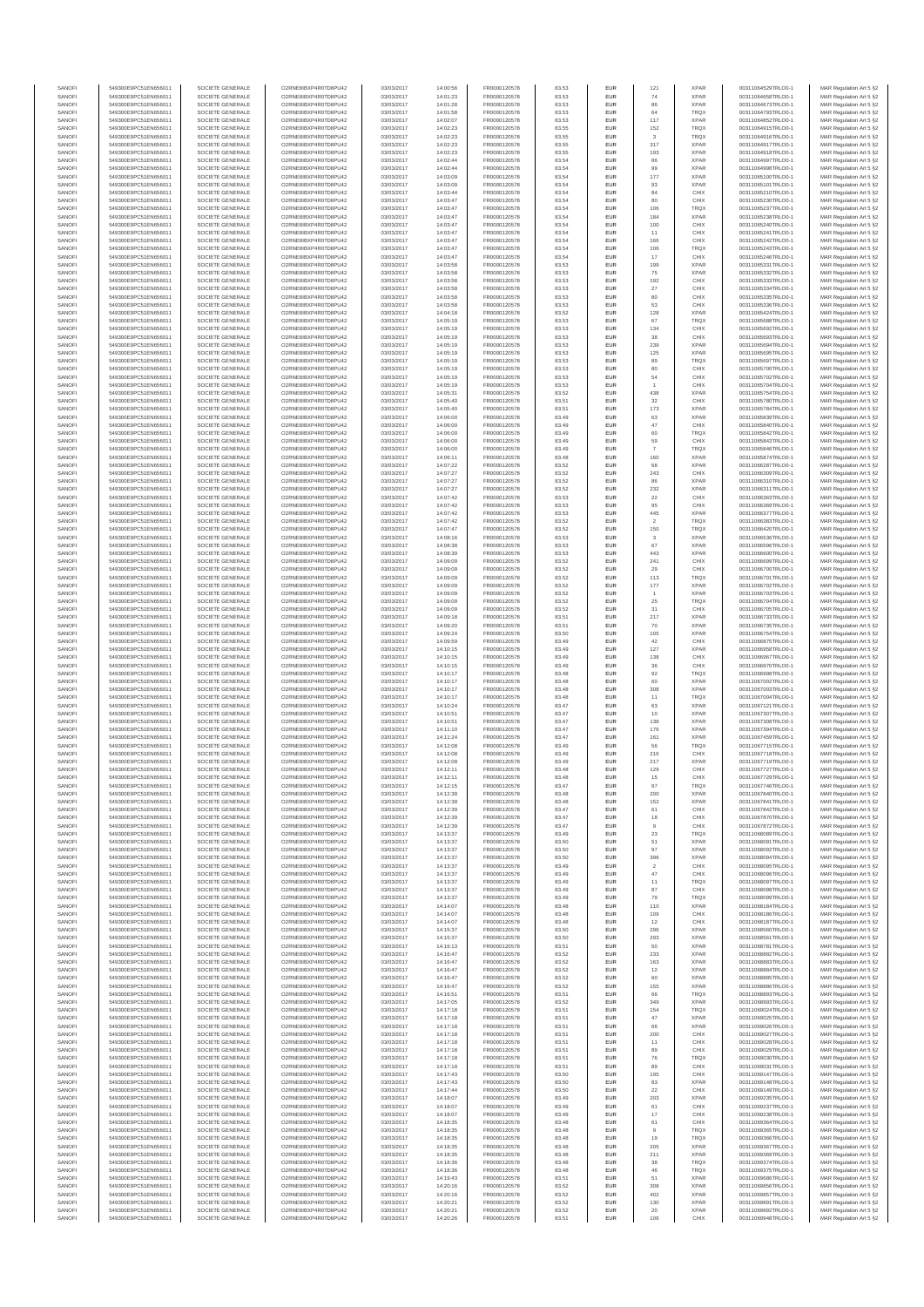| SANOFI<br>SANOFI | 549300E9PC51EN656011<br>549300E9PC51EN656011 | SOCIETE GENERALE<br>SOCIETE GENERALE | O2RNE8IBXP4R0TD8PU42<br>O2RNE8IBXP4R0TD8PU42 | 03/03/2017<br>03/03/2017 | 14:00:56<br>14:01:23 | FR0000120578<br>FR0000120578 | 83.53<br>83.53 | <b>EUR</b><br>EUR        | 121<br>74                | <b>XPAR</b><br><b>XPAR</b> | 00311064529TRLO0-1<br>00311064658TRLO0-1 | MAR Regulation Art 5 §2                            |
|------------------|----------------------------------------------|--------------------------------------|----------------------------------------------|--------------------------|----------------------|------------------------------|----------------|--------------------------|--------------------------|----------------------------|------------------------------------------|----------------------------------------------------|
| SANOFI           | 549300E9PC51EN656011                         | SOCIETE GENERALE                     | O2RNE8IBXP4R0TD8PU42                         | 03/03/2017               | 14:01:28             | FR0000120578                 | 83.53          | <b>EUR</b>               | 86                       | <b>XPAR</b>                | 00311064673TRLO0-1                       | MAR Regulation Art 5 §2<br>MAR Regulation Art 5 §2 |
| SANOFI           | 549300E9PC51EN656011                         | SOCIETE GENERALE                     | O2RNE8IBXP4R0TD8PU42                         | 03/03/2017               | 14:01:58             | FR0000120578                 | 83.53          | EUR                      | 64                       | TRQX                       | 00311064793TRLO0-1                       | MAR Regulation Art 5 §2                            |
| SANOFI<br>SANOFI | 549300E9PC51EN656011<br>549300E9PC51EN656011 | SOCIETE GENERALE<br>SOCIETE GENERALE | O2RNE8IBXP4R0TD8PU42<br>O2RNE8IBXP4R0TD8PU42 | 03/03/2017<br>03/03/2017 | 14:02:07<br>14:02:23 | FR0000120578<br>FR0000120578 | 83.53<br>83.55 | <b>EUR</b><br>EUR        | 117<br>152               | <b>XPAR</b><br>TRQX        | 00311064852TRLO0-1<br>00311064915TRLO0-1 | MAR Regulation Art 5 §2<br>MAR Regulation Art 5 §2 |
| SANOFI           | 549300E9PC51EN656011                         | SOCIETE GENERALE                     | O2RNE8IBXP4R0TD8PU42                         | 03/03/2017               | 14:02:23             | FR0000120578                 | 83.55          | EUR                      | $\overline{\mathbf{3}}$  | TRQX                       | 00311064916TRLO0-1                       | MAR Regulation Art 5 §2                            |
| SANOFI<br>SANOFI | 549300E9PC51EN656011<br>549300E9PC51EN656011 | SOCIETE GENERALE<br>SOCIETE GENERALE | O2RNE8IBXP4R0TD8PU42<br>O2RNE8IBXP4R0TD8PU42 | 03/03/2017<br>03/03/2017 | 14:02:23<br>14:02:23 | FR0000120578<br>FR0000120578 | 83.55<br>83.55 | EUR<br>EUR               | 317<br>193               | <b>XPAR</b><br><b>XPAR</b> | 00311064917TRLO0-1<br>00311064918TRLO0-1 | MAR Regulation Art 5 §2<br>MAR Regulation Art 5 §2 |
| SANOFI           | 549300E9PC51EN656011                         | SOCIETE GENERALE                     | O2RNE8IBXP4R0TD8PU42                         | 03/03/2017               | 14:02:44             | FR0000120578                 | 83.54          | <b>EUR</b>               | 86                       | <b>XPAR</b>                | 00311064997TRLO0-1                       | MAR Regulation Art 5 §2                            |
| SANOFI           | 549300E9PC51EN656011                         | SOCIETE GENERALE                     | O2RNE8IBXP4R0TD8PU42                         | 03/03/2017               | 14:02:44             | FR0000120578<br>FR0000120578 | 83.54          | EUR                      | 99                       | <b>XPAR</b>                | 00311064998TRLO0-1                       | MAR Regulation Art 5 §2                            |
| SANOFI<br>SANOFI | 549300E9PC51EN656011<br>549300E9PC51EN656011 | SOCIETE GENERALE<br>SOCIETE GENERALE | O2RNE8IBXP4R0TD8PU42<br>O2RNE8IBXP4R0TD8PU42 | 03/03/2017<br>03/03/2017 | 14:03:09<br>14:03:09 | FR0000120578                 | 83.54<br>83.54 | <b>EUR</b><br>EUR        | 177<br>93                | <b>XPAR</b><br><b>XPAR</b> | 00311065100TRLO0-1<br>00311065101TRLO0-1 | MAR Regulation Art 5 §2<br>MAR Regulation Art 5 §2 |
| SANOFI           | 549300E9PC51EN656011                         | SOCIETE GENERALE                     | O2RNE8IBXP4R0TD8PU42                         | 03/03/2017               | 14:03:44             | FR0000120578                 | 83.54          | <b>EUR</b>               | 84                       | CHIX                       | 00311065210TRLO0-1                       | MAR Regulation Art 5 §2                            |
| SANOFI<br>SANOFI | 549300E9PC51EN656011<br>549300E9PC51EN656011 | SOCIETE GENERALE<br>SOCIETE GENERALE | O2RNE8IBXP4R0TD8PU42<br>O2RNE8IBXP4R0TD8PU42 | 03/03/2017<br>03/03/2017 | 14:03:47<br>14:03:47 | FR0000120578<br>FR0000120578 | 83.54<br>83.54 | EUR<br>EUR               | 80<br>106                | CHIX<br>TRQX               | 00311065230TRLO0-1<br>00311065237TRLO0-1 | MAR Regulation Art 5 §2<br>MAR Regulation Art 5 §2 |
| SANOFI           | 549300E9PC51EN656011                         | SOCIETE GENERALE                     | O2RNE8IBXP4R0TD8PU42                         | 03/03/2017               | 14:03:47             | FR0000120578                 | 83.54          | EUR                      | 184                      | <b>XPAR</b>                | 00311065238TRLO0-1                       | MAR Regulation Art 5 §2                            |
| SANOFI           | 549300E9PC51EN656011                         | SOCIETE GENERALE                     | O2RNE8IBXP4R0TD8PU42                         | 03/03/2017               | 14:03:47             | FR0000120578                 | 83.54          | EUR                      | 100                      | CHIX                       | 00311065240TRLO0-1                       | MAR Regulation Art 5 §2                            |
| SANOFI<br>SANOFI | 549300E9PC51EN656011<br>549300E9PC51EN656011 | SOCIETE GENERALE<br>SOCIETE GENERALE | O2RNE8IBXP4R0TD8PU42<br>O2RNE8IBXP4R0TD8PU42 | 03/03/2017<br>03/03/2017 | 14:03:47<br>14:03:47 | FR0000120578<br>FR0000120578 | 83.54<br>83.54 | <b>EUR</b><br>EUR        | 11<br>166                | CHIX<br>CHIX               | 00311065241TRLO0-1<br>00311065242TRLO0-1 | MAR Regulation Art 5 §2<br>MAR Regulation Art 5 §2 |
| SANOFI           | 549300E9PC51EN656011                         | SOCIETE GENERALE                     | O2RNE8IBXP4R0TD8PU42                         | 03/03/2017               | 14:03:47             | FR0000120578                 | 83.54          | <b>EUR</b>               | 106                      | <b>TRQX</b>                | 00311065243TRLO0-1                       | MAR Regulation Art 5 §2                            |
| SANOFI<br>SANOFI | 549300E9PC51EN656011<br>549300E9PC51EN656011 | SOCIETE GENERALE<br>SOCIETE GENERALE | O2RNE8IBXP4R0TD8PU42<br>O2RNE8IBXP4R0TD8PU42 | 03/03/2017<br>03/03/2017 | 14:03:47<br>14:03:58 | FR0000120578<br>FR0000120578 | 83.54<br>83.53 | EUR<br><b>EUR</b>        | 17<br>199                | CHIX<br><b>XPAR</b>        | 00311065246TRLO0-1<br>00311065331TRLO0-1 | MAR Regulation Art 5 §2<br>MAR Regulation Art 5 §2 |
| SANOFI           | 549300E9PC51EN656011                         | SOCIETE GENERALE                     | O2RNE8IBXP4R0TD8PU42                         | 03/03/2017               | 14:03:58             | FR0000120578                 | 83.53          | EUR                      | 75                       | <b>XPAR</b>                | 00311065332TRLO0-1                       | MAR Regulation Art 5 §2                            |
| SANOFI           | 549300E9PC51EN656011                         | SOCIETE GENERALE                     | O2RNE8IBXP4R0TD8PU42                         | 03/03/2017               | 14:03:58             | FR0000120578                 | 83.53          | EUR                      | 192                      | CHIX                       | 00311065333TRLO0-1                       | MAR Regulation Art 5 §2                            |
| SANOFI<br>SANOFI | 549300E9PC51EN656011<br>549300E9PC51EN656011 | SOCIETE GENERALE<br>SOCIETE GENERALE | O2RNE8IBXP4R0TD8PU42<br>O2RNE8IBXP4R0TD8PU42 | 03/03/2017<br>03/03/2017 | 14:03:58<br>14:03:58 | FR0000120578<br>FR0000120578 | 83.53<br>83.53 | EUR<br>EUR               | $27\,$<br>80             | CHIX<br>CHIX               | 00311065334TRLO0-1<br>00311065335TRLO0-1 | MAR Regulation Art 5 §2<br>MAR Regulation Art 5 §2 |
| SANOFI           | 549300E9PC51EN656011                         | SOCIETE GENERALE                     | O2RNE8IBXP4R0TD8PLI42                        | 03/03/2017               | 14:03:58             | FR0000120578                 | 83.53          | <b>EUR</b>               | 53                       | CHIX                       | 00311065336TRLO0-1                       | MAR Regulation Art 5 §2                            |
| SANOFI<br>SANOFI | 549300E9PC51EN656011<br>549300E9PC51EN656011 | SOCIETE GENERALE<br>SOCIETE GENERALE | O2RNE8IBXP4R0TD8PU42<br>O2RNE8IBXP4R0TD8PU42 | 03/03/2017<br>03/03/2017 | 14:04:18<br>14:05:19 | FR0000120578<br>FR0000120578 | 83.52<br>83.53 | EUR<br><b>EUR</b>        | 128<br>67                | <b>XPAR</b><br><b>TRQX</b> | 00311065424TRLO0-1<br>00311065688TRLO0-1 | MAR Regulation Art 5 §2<br>MAR Regulation Art 5 §2 |
| SANOFI           | 549300E9PC51EN656011                         | SOCIETE GENERALE                     | O2RNE8IBXP4R0TD8PU42                         | 03/03/2017               | 14:05:19             | FR0000120578                 | 83.53          | EUR                      | 134                      | CHIX                       | 00311065692TRLO0-1                       | MAR Regulation Art 5 §2                            |
| SANOFI<br>SANOFI | 549300E9PC51EN656011                         | SOCIETE GENERALE                     | O2RNE8IBXP4R0TD8PU42                         | 03/03/2017               | 14:05:19             | FR0000120578                 | 83.53          | EUR                      | 38                       | CHIX<br><b>XPAR</b>        | 00311065693TRLO0-1                       | MAR Regulation Art 5 §2                            |
| SANOFI           | 549300E9PC51EN656011<br>549300E9PC51EN656011 | SOCIETE GENERALE<br>SOCIETE GENERALE | O2RNE8IBXP4R0TD8PU42<br>O2RNE8IBXP4R0TD8PU42 | 03/03/2017<br>03/03/2017 | 14:05:19<br>14:05:19 | FR0000120578<br>FR0000120578 | 83.53<br>83.53 | EUR<br>EUR               | 239<br>125               | XPAR                       | 00311065694TRLO0-1<br>00311065695TRLO0-1 | MAR Regulation Art 5 §2<br>MAR Regulation Art 5 §2 |
| SANOFI           | 549300E9PC51EN656011                         | SOCIETE GENERALE                     | O2RNE8IBXP4R0TD8PU42                         | 03/03/2017               | 14:05:19             | FR0000120578                 | 83.53          | EUR                      | 89                       | TRQX                       | 00311065697TRLO0-1                       | MAR Regulation Art 5 §2                            |
| SANOFI<br>SANOFI | 549300E9PC51EN656011<br>549300E9PC51EN656011 | SOCIETE GENERALE<br>SOCIETE GENERALE | O2RNE8IBXP4R0TD8PU42<br>O2RNE8IBXP4R0TD8PU42 | 03/03/2017<br>03/03/2017 | 14:05:19<br>14:05:19 | FR0000120578<br>FR0000120578 | 83.53<br>83.53 | EUR<br><b>EUR</b>        | 80<br>54                 | CHIX<br>CHIX               | 00311065700TRLO0-1<br>00311065702TRLO0-1 | MAR Regulation Art 5 §2<br>MAR Regulation Art 5 §2 |
| SANOFI           | 549300E9PC51EN656011                         | SOCIETE GENERALE                     | O2RNE8IBXP4R0TD8PU42                         | 03/03/2017               | 14:05:19             | FR0000120578                 | 83.53          | EUR                      |                          | CHIX                       | 00311065704TRLO0-1                       | MAR Regulation Art 5 §2                            |
| SANOFI           | 549300E9PC51EN656011                         | SOCIETE GENERALE<br>SOCIETE GENERALE | O2RNE8IBXP4R0TD8PU42<br>O2RNE8IBXP4R0TD8PU42 | 03/03/2017               | 14:05:31             | FR0000120578                 | 83.52          | <b>EUR</b>               | 438                      | <b>XPAR</b>                | 00311065754TRLO0-1                       | MAR Regulation Art 5 §2                            |
| SANOFI<br>SANOFI | 549300E9PC51EN656011<br>549300E9PC51EN656011 | SOCIETE GENERALE                     | O2RNE8IBXP4R0TD8PU42                         | 03/03/2017<br>03/03/2017 | 14:05:40<br>14:05:40 | FR0000120578<br>FR0000120578 | 83.51<br>83.51 | EUR<br>EUR               | 32<br>173                | CHIX<br><b>XPAR</b>        | 00311065780TRLO0-1<br>00311065784TRLO0-1 | MAR Regulation Art 5 §2<br>MAR Regulation Art 5 §2 |
| SANOFI           | 549300E9PC51EN656011                         | SOCIETE GENERALE                     | O2RNE8IBXP4R0TD8PU42                         | 03/03/2017               | 14:06:00             | FR0000120578                 | 83.49          | EUR                      | 63                       | <b>XPAR</b>                | 00311065839TRLO0-1                       | MAR Regulation Art 5 §2                            |
| SANOFI<br>SANOFI | 549300E9PC51EN656011<br>549300E9PC51EN656011 | SOCIETE GENERALE<br>SOCIETE GENERALE | O2RNE8IBXP4R0TD8PU42<br>O2RNE8IBXP4R0TD8PU42 | 03/03/2017<br>03/03/2017 | 14:06:00<br>14:06:00 | FR0000120578<br>FR0000120578 | 83.49<br>83.49 | EUR<br>EUR               | $47\,$<br>60             | CHIX<br>TRQX               | 00311065840TRLO0-1<br>00311065842TRLO0-1 | MAR Regulation Art 5 §2<br>MAR Regulation Art 5 §2 |
| SANOFI           | 549300E9PC51EN656011                         | SOCIETE GENERALE                     | O2RNE8IBXP4R0TD8PU42                         | 03/03/2017               | 14:06:00             | FR0000120578                 | 83.49          | EUR                      | 59                       | CHIX                       | 00311065843TRLO0-1                       | MAR Regulation Art 5 §2                            |
| SANOFI           | 549300E9PC51EN656011                         | SOCIETE GENERALE                     | O2RNE8IBXP4R0TD8PU42                         | 03/03/2017               | 14:06:00             | FR0000120578                 | 83.49          | <b>EUR</b>               | $\overline{7}$           | <b>TRQX</b>                | 00311065846TRLO0-1                       | MAR Regulation Art 5 §2                            |
| SANOFI<br>SANOFI | 549300E9PC51EN656011<br>549300E9PC51EN656011 | SOCIETE GENERALE<br>SOCIETE GENERALE | O2RNE8IBXP4R0TD8PU42<br>O2RNE8IBXP4R0TD8PU42 | 03/03/2017<br>03/03/2017 | 14:06:11<br>14:07:22 | FR0000120578<br>FR0000120578 | 83.48<br>83.52 | EUR<br><b>EUR</b>        | 160<br>68                | <b>XPAR</b><br><b>XPAR</b> | 00311065874TRLO0-1<br>00311066287TRLO0-1 | MAR Regulation Art 5 §2<br>MAR Regulation Art 5 §2 |
| SANOFI           | 549300E9PC51EN656011                         | SOCIETE GENERALE                     | O2RNE8IBXP4R0TD8PU42                         | 03/03/2017               | 14:07:27             | FR0000120578                 | 83.52          | EUR                      | 243                      | CHIX                       | 00311066309TRLO0-1                       | MAR Regulation Art 5 §2                            |
| SANOFI<br>SANOFI | 549300E9PC51EN656011<br>549300E9PC51EN656011 | SOCIETE GENERALE<br>SOCIETE GENERALE | O2RNE8IBXP4R0TD8PU42<br>O2RNE8IBXP4R0TD8PU42 | 03/03/2017<br>03/03/2017 | 14:07:27<br>14:07:27 | FR0000120578<br>FR0000120578 | 83.52<br>83.52 | EUR<br>EUR               | 86<br>232                | <b>XPAR</b><br><b>XPAR</b> | 00311066310TRLO0-1<br>00311066311TRLO0-1 | MAR Regulation Art 5 §2<br>MAR Regulation Art 5 §2 |
| SANOFI           | 549300E9PC51EN656011                         | SOCIETE GENERALE                     | O2RNE8IBXP4R0TD8PU42                         | 03/03/2017               | 14:07:42             | FR0000120578                 | 83.53          | EUR                      | 22                       | CHIX                       | 00311066363TRLO0-1                       | MAR Regulation Art 5 §2                            |
| SANOFI           | 549300E9PC51EN656011                         | SOCIETE GENERALE                     | O2RNE8IBXP4R0TD8PU42                         | 03/03/2017               | 14:07:42             | FR0000120578                 | 83.53          | <b>EUR</b>               | 95                       | CHIX                       | 00311066369TRLO0-1                       | MAR Regulation Art 5 §2                            |
| SANOFI<br>SANOFI | 549300E9PC51EN656011<br>549300E9PC51EN656011 | SOCIETE GENERALE<br>SOCIETE GENERALE | O2RNE8IBXP4R0TD8PU42<br>O2RNE8IBXP4R0TD8PU42 | 03/03/2017<br>03/03/2017 | 14:07:42<br>14:07:42 | FR0000120578<br>FR0000120578 | 83.53<br>83.52 | EUR<br><b>EUR</b>        | 445<br>$\overline{2}$    | <b>XPAR</b><br><b>TRQX</b> | 00311066377TRLO0-1<br>00311066383TRLO0-1 | MAR Regulation Art 5 §2<br>MAR Regulation Art 5 §2 |
| SANOFI           | 549300E9PC51EN656011                         | SOCIETE GENERALE                     | O2RNE8IBXP4R0TD8PU42                         | 03/03/2017               | 14:07:47             | FR0000120578                 | 83.52          | EUR                      | 150                      | TRQX                       | 00311066420TRLO0-1                       | MAR Regulation Art 5 §2                            |
| SANOFI<br>SANOFI | 549300E9PC51EN656011<br>549300E9PC51EN656011 | SOCIETE GENERALE<br>SOCIETE GENERALE | O2RNE8IBXP4R0TD8PU42<br>O2RNE8IBXP4R0TD8PU42 | 03/03/2017<br>03/03/2017 | 14:08:16<br>14:08:38 | FR0000120578<br>FR0000120578 | 83.53<br>83.53 | EUR<br>EUR               | $\mathbf{3}$<br>67       | <b>XPAR</b><br><b>XPAR</b> | 00311066536TRLO0-1<br>00311066596TRLO0-1 | MAR Regulation Art 5 §2<br>MAR Regulation Art 5 §2 |
| SANOFI           | 549300E9PC51EN656011                         | SOCIETE GENERALE                     | O2RNE8IBXP4R0TD8PU42                         | 03/03/2017               | 14:08:39             | FR0000120578                 | 83.53          | EUR                      | 443                      | <b>XPAR</b>                | 00311066600TRLO0-1                       | MAR Regulation Art 5 §2                            |
| SANOFI           | 549300E9PC51EN656011                         | SOCIETE GENERALE                     | O2RNE8IBXP4R0TD8PU42                         | 03/03/2017               | 14:09:09             | FR0000120578                 | 83.52          | EUR                      | 241                      | CHIX                       | 00311066699TRLO0-1                       | MAR Regulation Art 5 §2                            |
| SANOFI<br>SANOFI | 549300E9PC51EN656011<br>549300E9PC51EN656011 | SOCIETE GENERALE<br>SOCIETE GENERALE | O2RNE8IBXP4R0TD8PU42<br>O2RNE8IBXP4R0TD8PU42 | 03/03/2017<br>03/03/2017 | 14:09:09<br>14:09:09 | FR0000120578<br>FR0000120578 | 83.52<br>83.52 | EUR<br><b>EUR</b>        | $29\,$<br>113            | CHIX<br><b>TRQX</b>        | 00311066700TRLO0-1<br>00311066701TRLO0-1 | MAR Regulation Art 5 §2<br>MAR Regulation Art 5 §2 |
| SANOFI           | 549300E9PC51EN656011                         | SOCIETE GENERALE                     | O2RNE8IBXP4R0TD8PU42                         | 03/03/2017               | 14:09:09             | FR0000120578                 | 83.52          | EUR                      | 177                      | <b>XPAR</b>                | 00311066702TRLO0-1                       | MAR Regulation Art 5 §2                            |
| SANOFI<br>SANOFI | 549300E9PC51EN656011<br>549300E9PC51EN656011 | SOCIETE GENERALE<br>SOCIETE GENERALE | O2RNE8IBXP4R0TD8PU42<br>O2RNE8IBXP4R0TD8PU42 | 03/03/2017<br>03/03/2017 | 14:09:09<br>14:09:09 | FR0000120578<br>FR0000120578 | 83.52<br>83.52 | <b>EUR</b><br>EUR        | $\overline{1}$<br>$25\,$ | <b>XPAR</b><br>TRQX        | 00311066703TRLO0-1<br>00311066704TRLO0-1 | MAR Regulation Art 5 §2<br>MAR Regulation Art 5 §2 |
| SANOFI           | 549300E9PC51EN656011                         | SOCIETE GENERALE                     | O2RNE8IBXP4R0TD8PU42                         | 03/03/2017               | 14:09:09             | FR0000120578                 | 83.52          | EUR                      | 31                       | CHIX                       | 00311066705TRLO0-1                       | MAR Regulation Art 5 §2                            |
| SANOFI           | 549300E9PC51EN656011                         | SOCIETE GENERALE                     | O2RNE8IBXP4R0TD8PU42                         | 03/03/2017               | 14:09:18             | FR0000120578                 | 83.51          | EUR                      | 217                      | <b>XPAR</b>                | 00311066733TRLO0-1                       | MAR Regulation Art 5 §2                            |
| SANOFI<br>SANOFI | 549300E9PC51EN656011<br>549300E9PC51EN656011 | SOCIETE GENERALE<br>SOCIETE GENERALE | O2RNE8IBXP4R0TD8PU42<br>O2RNE8IBXP4R0TD8PU42 | 03/03/2017<br>03/03/2017 | 14:09:20<br>14:09:24 | FR0000120578<br>FR0000120578 | 83.51<br>83.50 | EUR<br>EUR               | $70$<br>105              | <b>XPAR</b><br><b>XPAR</b> | 00311066735TRLO0-1<br>00311066754TRLO0-1 | MAR Regulation Art 5 §2<br>MAR Regulation Art 5 §2 |
| SANOFI           | 549300E9PC51EN656011                         | SOCIETE GENERALE                     | O2RNE8IBXP4R0TD8PU42                         | 03/03/2017               | 14:09:59             | FR0000120578                 | 83.49          | EUR                      | 42                       | CHIX                       | 00311066875TRLO0-1                       | MAR Regulation Art 5 §2                            |
| SANOFI<br>SANOFI | 549300E9PC51EN656011<br>549300E9PC51EN656011 | SOCIETE GENERALE<br>SOCIETE GENERALE | O2RNE8IBXP4R0TD8PU42<br>O2RNE8IBXP4R0TD8PU42 | 03/03/2017<br>03/03/2017 | 14:10:15<br>14:10:15 | FR0000120578<br>FR0000120578 | 83.49<br>83.49 | <b>EUR</b><br>EUR        | 127<br>138               | <b>XPAR</b><br>CHIX        | 00311066958TRLO0-1<br>00311066967TRLO0-1 | MAR Regulation Art 5 §2<br>MAR Regulation Art 5 §2 |
| SANOFI           | 549300E9PC51EN656011                         | SOCIETE GENERALE                     | O2RNE8IBXP4R0TD8PU42                         | 03/03/2017               | 14:10:15             | FR0000120578                 | 83.49          | <b>EUR</b>               | 36                       | CHIX                       | 00311066970TRLO0-1                       | MAR Regulation Art 5 §2                            |
| SANOFI           | 549300E9PC51EN656011                         | SOCIETE GENERALE                     | O2RNE8IBXP4R0TD8PU42                         | 03/03/2017               | 14:10:17             | FR0000120578                 | 83.48          | EUR                      | 92                       | TRQX                       | 00311066998TRLO0-1                       | MAR Regulation Art 5 §2                            |
| SANOFI<br>SANOFI | 549300E9PC51EN656011<br>549300E9PC51EN656011 | SOCIETE GENERALE<br>SOCIETE GENERALE | O2RNE8IBXP4R0TD8PU42<br>O2RNE8IBXP4R0TD8PU42 | 03/03/2017<br>03/03/2017 | 14:10:17<br>14:10:17 | FR0000120578<br>FR0000120578 | 83.48<br>83.48 | EUR<br>EUR               | 60<br>308                | <b>XPAR</b><br><b>XPAR</b> | 00311067002TRLO0-1<br>00311067003TRLO0-1 | MAR Regulation Art 5 §2<br>MAR Regulation Art 5 §2 |
| SANOFI           | 549300E9PC51EN656011                         | SOCIETE GENERALE                     | O2RNE8IBXP4R0TD8PU42                         | 03/03/2017               | 14:10:17             | FR0000120578                 | 83.48          | EUR                      | 11                       | TRQX                       | 00311067004TRLO0-1                       | MAR Regulation Art 5 §2                            |
| SANOFI           | 549300E9PC51EN656011                         | SOCIETE GENERALE                     | O2RNE8IBXP4R0TD8PU42                         | 03/03/2017               | 14:10:24             | FR0000120578<br>FR0000120578 | 83.47          | EUR                      | 63                       | <b>XPAR</b>                | 00311067121TRLO0-1                       | MAR Regulation Art 5 §2                            |
| SANOFI<br>SANOFI | 549300E9PC51EN656011<br>549300E9PC51EN656011 | SOCIETE GENERALE<br>SOCIETE GENERALE | O2RNE8IBXP4R0TD8PU42<br>O2RNE8IBXP4R0TD8PU42 | 03/03/2017<br>03/03/2017 | 14:10:51<br>14:10:51 | FR0000120578                 | 83.47<br>83.47 | EUR<br><b>EUR</b>        | 10<br>138                | <b>XPAR</b><br><b>XPAR</b> | 00311067307TRLO0-1<br>00311067308TRLO0-1 | MAR Regulation Art 5 §2<br>MAR Regulation Art 5 §2 |
| SANOFI           | 549300E9PC51EN656011                         | SOCIETE GENERALE                     | O2RNE8IBXP4R0TD8PU42                         | 03/03/2017               | 14:11:10             | FR0000120578                 | 83.47          | EUR                      | 176                      | <b>XPAR</b>                | 00311067394TRLO0-1                       | MAR Regulation Art 5 §2                            |
| SANOFI<br>SANOFI | 549300E9PC51EN656011<br>549300E9PC51EN656011 | SOCIETE GENERALE<br>SOCIETE GENERALE | O2RNE8IBXP4R0TD8PU42<br>O2RNE8IBXP4R0TD8PU42 | 03/03/2017<br>03/03/2017 | 14:11:24<br>14:12:08 | FR0000120578<br>FR0000120578 | 83.47<br>83.49 | <b>EUR</b><br>EUR        | 161<br>56                | <b>XPAR</b><br><b>TRQX</b> | 00311067459TRLO0-1<br>00311067715TRLO0-1 | MAR Regulation Art 5 §2<br>MAR Regulation Art 5 §2 |
| SANOFI           | 549300E9PC51EN656011                         | SOCIETE GENERALE                     | O2RNE8IBXP4R0TD8PU42                         | 03/03/2017               | 14:12:08             | FR0000120578                 | 83.49          | EUR                      | 216                      | CHIX                       | 00311067718TRLO0-1                       | MAR Regulation Art 5 §2                            |
| SANOFI<br>SANOFI | 549300E9PC51EN656011                         | SOCIETE GENERALE                     | O2RNE8IBXP4R0TD8PU42<br>O2RNE8IBXP4R0TD8PU42 | 03/03/2017<br>03/03/2017 | 14:12:08             | FR0000120578                 | 83.49          | EUR<br>EUR               | 217                      | <b>XPAR</b><br>CHIX        | 00311067719TRLO0-1<br>00311067727TRLO0-1 | MAR Regulation Art 5 §2<br>MAR Regulation Art 5 §2 |
| SANOFI           | 549300E9PC51EN656011<br>549300E9PC51EN656011 | SOCIETE GENERALE<br>SOCIETE GENERALE | O2RNE8IBXP4R0TD8PU42                         | 03/03/2017               | 14:12:11<br>14:12:11 | FR0000120578<br>FR0000120578 | 83.48<br>83.48 | <b>EUR</b>               | 129<br>15                | CHIX                       | 00311067729TRLO0-1                       | MAR Regulation Art 5 §2                            |
| SANOF            | 549300E9PC51EN656011                         | SOCIETE GENERALE                     | O2RNE8IBXP4R0TD8PU42                         | 03/03/2017               | 14:12:15             | FR0000120578                 | 83.47          | EUR                      |                          | TRQ>                       | 00311067746TRLO0-                        | MAR Regulation Art 5 §2                            |
| SANOFI<br>SANOFI | 549300E9PC51EN656011<br>549300E9PC51EN656011 | SOCIETE GENERALE<br>SOCIETE GENERALE | O2RNE8IBXP4R0TD8PU42<br>O2RNE8IBXP4R0TD8PU42 | 03/03/2017<br>03/03/2017 | 14:12:38<br>14:12:38 | FR0000120578<br>FR0000120578 | 83.48<br>83.48 | <b>EUR</b><br>EUR        | 200<br>152               | <b>XPAR</b><br><b>XPAR</b> | 00311067840TRLO0-1<br>00311067841TRLO0-1 | MAR Regulation Art 5 §2<br>MAR Regulation Art 5 §2 |
| SANOFI           | 549300E9PC51EN656011                         | SOCIETE GENERALE                     | O2RNE8IBXP4R0TD8PU42                         | 03/03/2017               | 14:12:39             | FR0000120578                 | 83.47          | <b>EUR</b>               | 61                       | CHIX                       | 00311067842TRLO0-1                       | MAR Regulation Art 5 §2                            |
| SANOFI<br>SANOFI | 549300E9PC51EN656011<br>549300E9PC51EN656011 | SOCIETE GENERALE<br>SOCIETE GENERALE | O2RNE8IBXP4R0TD8PU42<br>O2RNE8IBXP4R0TD8PU42 | 03/03/2017<br>03/03/2017 | 14:12:39<br>14:12:39 | FR0000120578<br>FR0000120578 | 83.47<br>83.47 | EUR<br>EUR               | 18<br>$\overline{9}$     | CHIX<br>CHIX               | 00311067870TRLO0-1<br>00311067872TRLO0-1 | MAR Regulation Art 5 §2<br>MAR Regulation Art 5 §2 |
| SANOFI           | 549300E9PC51EN656011                         | SOCIETE GENERALE                     | O2RNE8IBXP4R0TD8PU42                         | 03/03/2017               | 14:13:37             | FR0000120578                 | 83.49          | EUR                      | $23\,$                   | TRQX                       | 00311068089TRLO0-1                       | MAR Regulation Art 5 §2                            |
| SANOFI           | 549300E9PC51EN656011                         | SOCIETE GENERALE                     | O2RNE8IBXP4R0TD8PU42                         | 03/03/2017               | 14:13:37             | FR0000120578                 | 83.50          | EUR                      | 51                       | <b>XPAR</b>                | 00311068091TRLO0-1                       | MAR Regulation Art 5 §2                            |
| SANOFI<br>SANOFI | 549300E9PC51EN656011<br>549300E9PC51EN656011 | SOCIETE GENERALE<br>SOCIETE GENERALE | O2RNE8IBXP4R0TD8PU42<br>O2RNE8IBXP4R0TD8PU42 | 03/03/2017<br>03/03/2017 | 14:13:37<br>14:13:37 | FR0000120578<br>FR0000120578 | 83.50<br>83.50 | <b>EUR</b><br>EUR        | 97<br>396                | <b>XPAR</b><br><b>XPAR</b> | 00311068092TRLO0-1<br>00311068094TRLO0-1 | MAR Regulation Art 5 §2<br>MAR Regulation Art 5 §2 |
| SANOFI           | 549300E9PC51EN656011                         | SOCIETE GENERALE                     | O2RNE8IBXP4R0TD8PU42                         | 03/03/2017               | 14:13:37             | FR0000120578                 | 83.49          | <b>EUR</b>               | $\overline{2}$           | CHIX                       | 00311068095TRLO0-1                       | MAR Regulation Art 5 §2                            |
| SANOFI<br>SANOFI | 549300E9PC51EN656011<br>549300E9PC51EN656011 | SOCIETE GENERALE<br>SOCIETE GENERALE | O2RNE8IBXP4R0TD8PU42<br>O2RNE8IBXP4R0TD8PU42 | 03/03/2017<br>03/03/2017 | 14:13:37<br>14:13:37 | FR0000120578<br>FR0000120578 | 83.49<br>83.49 | EUR<br>EUR               | 47<br>$11$               | CHIX<br>TRQX               | 00311068096TRLO0-1<br>00311068097TRLO0-1 | MAR Regulation Art 5 §2<br>MAR Regulation Art 5 §2 |
| SANOFI           | 549300E9PC51EN656011                         | SOCIETE GENERALE                     | O2RNE8IBXP4R0TD8PU42                         | 03/03/2017               | 14:13:37             | FR0000120578                 | 83.49          | EUR                      | 87                       | CHIX                       | 00311068098TRLO0-1                       | MAR Regulation Art 5 §2                            |
| SANOFI<br>SANOFI | 549300E9PC51EN656011<br>549300E9PC51EN656011 | SOCIETE GENERALE<br>SOCIETE GENERALE | O2RNE8IBXP4R0TD8PU42<br>O2RNE8IBXP4R0TD8PU42 | 03/03/2017<br>03/03/2017 | 14:13:37<br>14:14:07 | FR0000120578<br>FR0000120578 | 83.49<br>83.48 | EUR<br>EUR               | 79<br>110                | <b>TRQX</b><br><b>XPAR</b> | 00311068099TRLO0-1<br>00311068184TRLO0-1 | MAR Regulation Art 5 §2                            |
| SANOFI           | 549300E9PC51EN656011                         | SOCIETE GENERALE                     | O2RNE8IBXP4R0TD8PU42                         | 03/03/2017               | 14:14:07             | FR0000120578                 | 83.48          | EUR                      | 109                      | CHIX                       | 00311068186TRLO0-1                       | MAR Regulation Art 5 §2<br>MAR Regulation Art 5 §2 |
| SANOFI           | 549300E9PC51EN656011                         | SOCIETE GENERALE                     | O2RNE8IBXP4R0TD8PU42                         | 03/03/2017               | 14:14:07             | FR0000120578<br>FR0000120578 | 83.48          | <b>EUR</b>               | 12                       | CHIX                       | 00311068187TRLO0-1                       | MAR Regulation Art 5 §2                            |
| SANOFI<br>SANOFI | 549300E9PC51EN656011<br>549300E9PC51EN656011 | SOCIETE GENERALE<br>SOCIETE GENERALE | O2RNE8IBXP4R0TD8PU42<br>O2RNE8IBXP4R0TD8PU42 | 03/03/2017<br>03/03/2017 | 14:15:37<br>14:15:37 | FR0000120578                 | 83.50<br>83.50 | EUR<br><b>EUR</b>        | 296<br>293               | <b>XPAR</b><br><b>XPAR</b> | 00311068560TRLO0-1<br>00311068561TRLO0-1 | MAR Regulation Art 5 §2<br>MAR Regulation Art 5 §2 |
| SANOFI           | 549300E9PC51EN656011                         | SOCIETE GENERALE                     | O2RNE8IBXP4R0TD8PU42                         | 03/03/2017               | 14:16:13             | FR0000120578                 | 83.51          | EUR                      | 50                       | <b>XPAR</b>                | 00311068781TRLO0-1                       | MAR Regulation Art 5 §2                            |
| SANOFI<br>SANOFI | 549300E9PC51EN656011<br>549300E9PC51EN656011 | SOCIETE GENERALE<br>SOCIETE GENERALE | O2RNE8IBXP4R0TD8PU42<br>O2RNE8IBXP4R0TD8PU42 | 03/03/2017<br>03/03/2017 | 14:16:47<br>14:16:47 | FR0000120578<br>FR0000120578 | 83.52<br>83.52 | EUR<br>EUR               | 233<br>163               | <b>XPAR</b><br><b>XPAR</b> | 00311068882TRLO0-1<br>00311068883TRLO0-1 | MAR Regulation Art 5 §2<br>MAR Regulation Art 5 §2 |
| SANOFI           | 549300E9PC51EN656011                         | SOCIETE GENERALE                     | O2RNE8IBXP4R0TD8PU42                         | 03/03/2017               | 14:16:47             | FR0000120578                 | 83.52          | EUR                      | $12\,$                   | <b>XPAR</b>                | 00311068884TRLO0-1                       | MAR Regulation Art 5 §2                            |
| SANOFI<br>SANOFI | 549300E9PC51EN656011<br>549300E9PC51EN656011 | SOCIETE GENERALE<br>SOCIETE GENERALE | O2RNE8IBXP4R0TD8PU42<br>O2RNE8IBXP4R0TD8PU42 | 03/03/2017<br>03/03/2017 | 14:16:47<br>14:16:47 | FR0000120578<br>FR0000120578 | 83.52<br>83.52 | EUR<br>EUR               | 60<br>155                | <b>XPAR</b><br><b>XPAR</b> | 00311068885TRLO0-1<br>00311068886TRLO0-1 | MAR Regulation Art 5 §2<br>MAR Regulation Art 5 §2 |
| SANOFI           | 549300E9PC51EN656011                         | SOCIETE GENERALE                     | O2RNE8IBXP4R0TD8PU42                         | 03/03/2017               | 14:16:51             | FR0000120578                 | 83.51          | <b>EUR</b>               | 66                       | <b>TROX</b>                | 00311068893TRLO0-1                       | MAR Regulation Art 5 §2                            |
| SANOFI           | 549300E9PC51EN656011                         | SOCIETE GENERALE                     | O2RNE8IBXP4R0TD8PU42                         | 03/03/2017               | 14:17:05             | FR0000120578                 | 83.52          | EUR                      | 349                      | <b>XPAR</b>                | 00311068993TRLO0-1                       | MAR Regulation Art 5 §2                            |
| SANOFI<br>SANOFI | 549300E9PC51EN656011<br>549300E9PC51EN656011 | SOCIETE GENERALE<br>SOCIETE GENERALE | O2RNE8IBXP4R0TD8PU42<br>O2RNE8IBXP4R0TD8PU42 | 03/03/2017<br>03/03/2017 | 14:17:18<br>14:17:18 | FR0000120578<br>FR0000120578 | 83.51<br>83.51 | <b>EUR</b><br><b>EUR</b> | 154<br>47                | <b>TROX</b><br><b>XPAR</b> | 00311069024TRLO0-1<br>00311069025TRLO0-1 | MAR Regulation Art 5 §2<br>MAR Regulation Art 5 §2 |
| SANOFI           | 549300E9PC51EN656011                         | SOCIETE GENERALE                     | O2RNE8IBXP4R0TD8PU42                         | 03/03/2017               | 14:17:18             | FR0000120578                 | 83.51          | EUR                      | 66                       | <b>XPAR</b>                | 00311069026TRLO0-1                       | MAR Regulation Art 5 §2                            |
| SANOFI<br>SANOFI | 549300E9PC51EN656011<br>549300E9PC51EN656011 | SOCIETE GENERALE<br>SOCIETE GENERALE | O2RNE8IBXP4R0TD8PU42<br>O2RNE8IBXP4R0TD8PU42 | 03/03/2017<br>03/03/2017 | 14:17:18<br>14:17:18 | FR0000120578<br>FR0000120578 | 83.51<br>83.51 | EUR<br>EUR               | 200<br>11                | CHIX<br>CHIX               | 00311069027TRLO0-1<br>00311069028TRLO0-1 | MAR Regulation Art 5 §2<br>MAR Regulation Art 5 §2 |
| SANOFI           | 549300E9PC51EN656011                         | SOCIETE GENERALE                     | O2RNE8IBXP4R0TD8PU42                         | 03/03/2017               | 14:17:18             | FR0000120578                 | 83.51          | <b>EUR</b>               | 89                       | CHIX                       | 00311069029TRLO0-1                       | MAR Regulation Art 5 §2                            |
| SANOFI           | 549300E9PC51EN656011                         | SOCIETE GENERALE                     | O2RNE8IBXP4R0TD8PU42                         | 03/03/2017               | 14:17:18             | FR0000120578                 | 83.51          | EUR                      | 76                       | TRQX                       | 00311069030TRLO0-1                       | MAR Regulation Art 5 §2                            |
| SANOFI<br>SANOFI | 549300E9PC51EN656011<br>549300E9PC51EN656011 | SOCIETE GENERALE<br>SOCIETE GENERALE | O2RNE8IBXP4R0TD8PU42<br>O2RNE8IBXP4R0TD8PU42 | 03/03/2017<br>03/03/2017 | 14:17:18<br>14:17:43 | FR0000120578<br>FR0000120578 | 83.51<br>83.50 | <b>EUR</b><br>EUR        | 89<br>195                | CHIX<br>CHIX               | 00311069031TRLO0-1<br>00311069147TRLO0-1 | MAR Regulation Art 5 §2<br>MAR Regulation Art 5 §2 |
| SANOFI           | 549300E9PC51EN656011                         | SOCIETE GENERALE                     | O2RNE8IBXP4R0TD8PU42                         | 03/03/2017               | 14:17:43             | FR0000120578                 | 83.50          | <b>EUR</b>               | 83                       | <b>XPAR</b>                | 00311069148TRLO0-1                       | MAR Regulation Art 5 §2                            |
| SANOFI<br>SANOFI | 549300E9PC51EN656011<br>549300E9PC51EN656011 | SOCIETE GENERALE<br>SOCIETE GENERALE | O2RNE8IBXP4R0TD8PU42<br>O2RNE8IBXP4R0TD8PU42 | 03/03/2017<br>03/03/2017 | 14:17:44<br>14:18:07 | FR0000120578<br>FR0000120578 | 83.50<br>83.49 | EUR<br>EUR               | 22<br>203                | CHIX<br><b>XPAR</b>        | 00311069149TRLO0-1<br>00311069235TRLO0-1 | MAR Regulation Art 5 §2<br>MAR Regulation Art 5 §2 |
| SANOFI           | 549300E9PC51EN656011                         | SOCIETE GENERALE                     | O2RNE8IBXP4R0TD8PU42                         | 03/03/2017               | 14:18:07             | FR0000120578                 | 83.49          | EUR                      | 61                       | CHIX                       | 00311069237TRLO0-1                       | MAR Regulation Art 5 §2                            |
| SANOFI           | 549300E9PC51EN656011                         | SOCIETE GENERALE                     | O2RNE8IBXP4R0TD8PU42                         | 03/03/2017               | 14:18:07             | FR0000120578                 | 83.49          | EUR                      | $17\,$                   | CHIX                       | 00311069238TRLO0-1                       | MAR Regulation Art 5 §2                            |
| SANOFI<br>SANOFI | 549300E9PC51EN656011<br>549300E9PC51EN656011 | SOCIETE GENERALE<br>SOCIETE GENERALE | O2RNE8IBXP4R0TD8PU42<br>O2RNE8IBXP4R0TD8PU42 | 03/03/2017<br>03/03/2017 | 14:18:35<br>14:18:35 | FR0000120578<br>FR0000120578 | 83.48<br>83.48 | <b>EUR</b><br>EUR        | 61<br>9                  | CHIX<br>TRQX               | 00311069364TRLO0-1<br>00311069365TRLO0-1 | MAR Regulation Art 5 §2<br>MAR Regulation Art 5 §2 |
| SANOFI           | 549300E9PC51EN656011                         | SOCIETE GENERALE                     | O2RNE8IBXP4R0TD8PU42                         | 03/03/2017               | 14:18:35             | FR0000120578                 | 83.48          | <b>EUR</b>               | 19                       | <b>TROX</b>                | 00311069366TRLO0-1                       | MAR Regulation Art 5 §2                            |
| SANOFI<br>SANOFI | 549300E9PC51EN656011<br>549300E9PC51EN656011 | SOCIETE GENERALE<br>SOCIETE GENERALE | O2RNE8IBXP4R0TD8PU42<br>O2RNE8IBXP4R0TD8PU42 | 03/03/2017<br>03/03/2017 | 14:18:35<br>14:18:35 | FR0000120578<br>FR0000120578 | 83.48<br>83.48 | EUR<br><b>EUR</b>        | 205<br>211               | <b>XPAR</b><br><b>XPAR</b> | 00311069367TRLO0-1<br>00311069369TRLO0-1 | MAR Regulation Art 5 §2<br>MAR Regulation Art 5 §2 |
| SANOFI           | 549300E9PC51EN656011                         | SOCIETE GENERALE                     | O2RNE8IBXP4R0TD8PU42                         | 03/03/2017               | 14:18:36             | FR0000120578                 | 83.48          | EUR                      | 38                       | <b>TRQX</b>                | 00311069374TRLO0-1                       | MAR Regulation Art 5 §2                            |
| SANOFI           | 549300E9PC51EN656011                         | SOCIETE GENERALE                     | O2RNE8IBXP4R0TD8PU42                         | 03/03/2017               | 14:18:36             | FR0000120578                 | 83.48          | EUR                      | 46                       | TRQX                       | 00311069375TRLO0-1                       | MAR Regulation Art 5 §2                            |
| SANOFI<br>SANOFI | 549300E9PC51EN656011<br>549300E9PC51EN656011 | SOCIETE GENERALE<br>SOCIETE GENERALE | O2RNE8IBXP4R0TD8PU42<br>O2RNE8IBXP4R0TD8PU42 | 03/03/2017<br>03/03/2017 | 14:19:43<br>14:20:16 | FR0000120578<br>FR0000120578 | 83.51<br>83.52 | EUR<br>EUR               | 51<br>308                | <b>XPAR</b><br><b>XPAR</b> | 00311069686TRLO0-1<br>00311069856TRLO0-1 | MAR Regulation Art 5 §2<br>MAR Regulation Art 5 §2 |
| SANOFI           | 549300E9PC51EN656011                         | SOCIETE GENERALE                     | O2RNE8IBXP4R0TD8PU42                         | 03/03/2017               | 14:20:16             | FR0000120578                 | 83.52          | <b>EUR</b>               | 402                      | <b>XPAR</b>                | 00311069857TRLO0-1                       | MAR Regulation Art 5 §2                            |
| SANOFI<br>SANOFI | 549300E9PC51EN656011<br>549300E9PC51EN656011 | SOCIETE GENERALE<br>SOCIETE GENERALE | O2RNE8IBXP4R0TD8PU42<br>O2RNE8IBXP4R0TD8PU42 | 03/03/2017<br>03/03/2017 | 14:20:21<br>14:20:21 | FR0000120578<br>FR0000120578 | 83.52<br>83.52 | EUR<br><b>EUR</b>        | 130<br>20                | <b>XPAR</b><br><b>XPAR</b> | 00311069891TRLO0-1<br>00311069892TRLO0-1 | MAR Regulation Art 5 §2                            |
| SANOFI           | 549300E9PC51EN656011                         | SOCIETE GENERALE                     | O2RNE8IBXP4R0TD8PU42                         | 03/03/2017               | 14:20:26             | FR0000120578                 | 83.51          | EUR                      | 106                      | CHIX                       | 00311069948TRLO0-1                       | MAR Regulation Art 5 §2<br>MAR Regulation Art 5 §2 |
|                  |                                              |                                      |                                              |                          |                      |                              |                |                          |                          |                            |                                          |                                                    |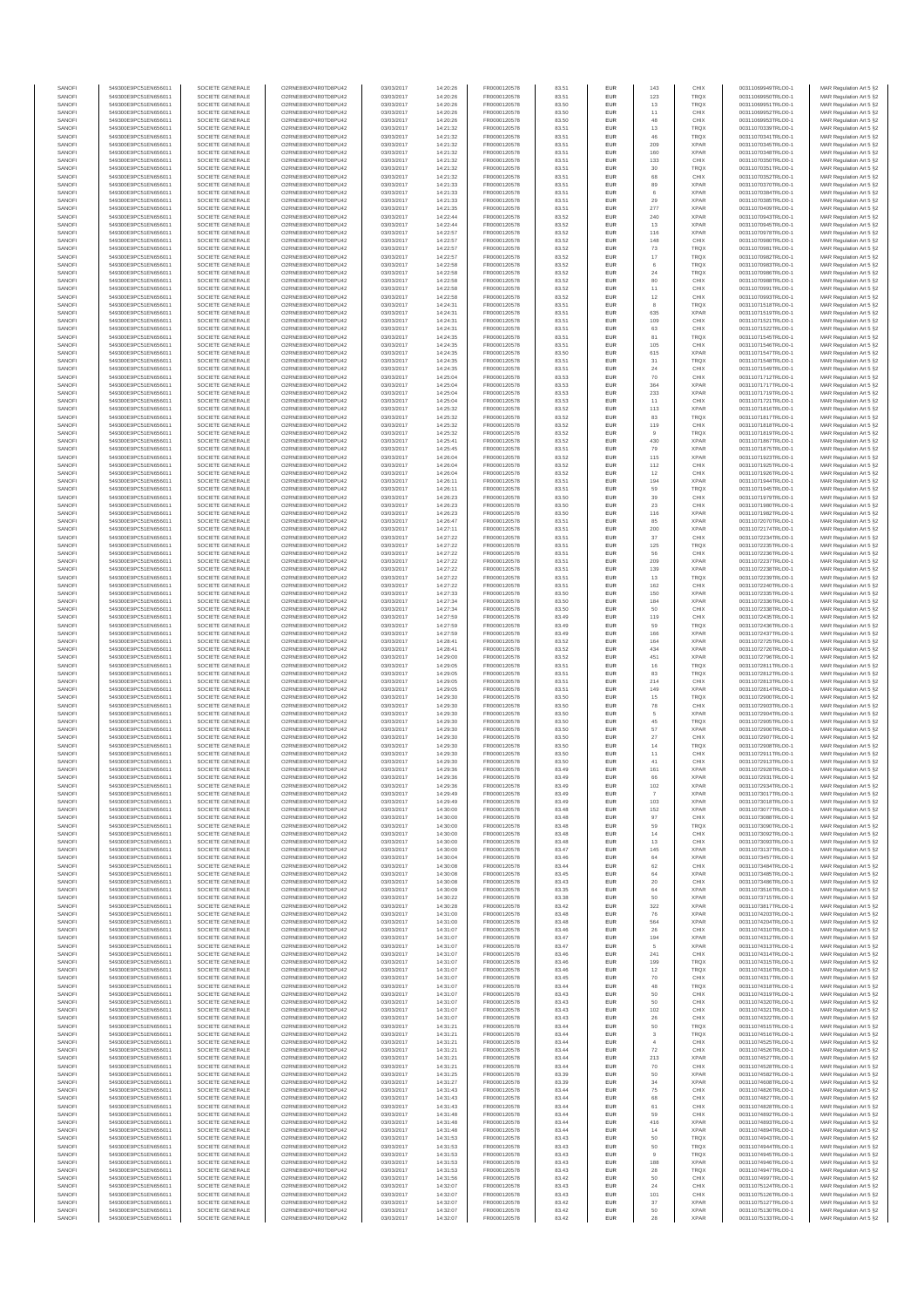| SANOFI           | 549300E9PC51EN656011                         | SOCIETE GENERALE                     | O2RNE8IBXP4R0TD8PU42                          | 03/03/2017               | 14:20:26             | FR0000120578                 | 83.51          | EUR                      | 143                     | CHIX                       | 00311069949TRLO0-1                       | MAR Regulation Art 5 §2                            |
|------------------|----------------------------------------------|--------------------------------------|-----------------------------------------------|--------------------------|----------------------|------------------------------|----------------|--------------------------|-------------------------|----------------------------|------------------------------------------|----------------------------------------------------|
| SANOFI<br>SANOFI | 549300E9PC51EN656011<br>549300E9PC51EN656011 | SOCIETE GENERALE<br>SOCIETE GENERALE | O2RNE8IBXP4R0TD8PU42<br>O2RNE8IBXP4R0TD8PU42  | 03/03/2017<br>03/03/2017 | 14:20:26<br>14:20:26 | FR0000120578                 | 83.51<br>83.50 | EUR<br>EUR               | 123<br>13               | TRQX<br><b>TRQX</b>        | 00311069950TRLO0-1<br>00311069951TRLO0-1 | MAR Regulation Art 5 §2                            |
| SANOFI           | 549300E9PC51EN656011                         | SOCIETE GENERALE                     | O2RNE8IBXP4R0TD8PLI42                         | 03/03/2017               | 14:20:26             | FR0000120578<br>FR0000120578 | 83.50          | EUR                      | 11                      | CHIX                       | 00311069952TRLO0-1                       | MAR Regulation Art 5 §2<br>MAR Regulation Art 5 §2 |
| SANOFI           | 549300E9PC51EN656011                         | SOCIETE GENERALE                     | O2RNE8IBXP4R0TD8PU42                          | 03/03/2017               | 14:20:26             | FR0000120578                 | 83.50          | EUR                      | 48                      | CHIX                       | 00311069953TRLO0-1                       | MAR Regulation Art 5 §2                            |
| SANOFI           | 549300E9PC51EN656011                         | SOCIETE GENERALE                     | O2RNE8IBXP4R0TD8PU42                          | 03/03/2017               | 14:21:32             | FR0000120578<br>FR0000120578 | 83.51          | EUR                      | 13                      | TRQX                       | 00311070339TRLO0-1                       | MAR Regulation Art 5 §2                            |
| SANOFI<br>SANOFI | 549300E9PC51EN656011<br>549300E9PC51EN656011 | SOCIETE GENERALE<br>SOCIETE GENERALE | O2RNE8IBXP4R0TD8PU42<br>O2RNE8IBXP4R0TD8PU42  | 03/03/2017<br>03/03/2017 | 14:21:32<br>14:21:32 | FR0000120578                 | 83.51<br>83.51 | EUR<br>EUR               | 46<br>209               | <b>TRQX</b><br><b>XPAR</b> | 00311070341TRLO0-1<br>00311070345TRLO0-1 | MAR Regulation Art 5 §2<br>MAR Regulation Art 5 §2 |
| SANOFI           | 549300E9PC51EN656011                         | SOCIETE GENERALE                     | O2RNE8IBXP4R0TD8PU42                          | 03/03/2017               | 14:21:32             | FR0000120578                 | 83.51          | <b>EUR</b>               | 160                     | <b>XPAR</b>                | 00311070348TRLO0-1                       | MAR Regulation Art 5 §2                            |
| SANOFI           | 549300E9PC51EN656011                         | SOCIETE GENERALE                     | O2RNE8IBXP4R0TD8PU42                          | 03/03/2017               | 14:21:32             | FR0000120578                 | 83.51          | EUR                      | 133                     | CHIX                       | 00311070350TRLO0-1                       | MAR Regulation Art 5 §2                            |
| SANOFI<br>SANOFI | 549300E9PC51EN656011<br>549300E9PC51EN656011 | SOCIETE GENERALE<br>SOCIETE GENERALE | O2RNE8IBXP4R0TD8PLI42<br>O2RNE8IBXP4R0TD8PU42 | 03/03/2017<br>03/03/2017 | 14:21:32<br>14:21:32 | FR0000120578<br>FR0000120578 | 83.51<br>83.51 | EUR<br>EUR               | $30\,$<br>68            | TRQX<br>CHIX               | 00311070351TRLO0-1<br>00311070352TRLO0-1 | MAR Regulation Art 5 §2<br>MAR Regulation Art 5 §2 |
| SANOFI           | 549300E9PC51EN656011                         | SOCIETE GENERALE                     | O2RNE8IBXP4R0TD8PU42                          | 03/03/2017               | 14:21:33             | FR0000120578                 | 83.51          | EUR                      | 89                      | <b>XPAR</b>                | 00311070370TRLO0-1                       | MAR Regulation Art 5 §2                            |
| SANOFI           | 549300E9PC51EN656011                         | SOCIETE GENERALE                     | O2RNE8IBXP4R0TD8PU42                          | 03/03/2017               | 14:21:33             | FR0000120578                 | 83.51          | EUR                      | 6                       | <b>XPAR</b>                | 00311070384TRLO0-1                       | MAR Regulation Art 5 §2                            |
| SANOFI           | 549300E9PC51EN656011                         | SOCIETE GENERALE                     | O2RNE8IBXP4R0TD8PU42                          | 03/03/2017               | 14:21:33             | FR0000120578                 | 83.51          | EUR                      | 29                      | <b>XPAR</b>                | 00311070385TRLO0-1                       | MAR Regulation Art 5 §2                            |
| SANOFI<br>SANOFI | 549300E9PC51EN656011<br>549300E9PC51EN656011 | SOCIETE GENERALE<br>SOCIETE GENERALE | O2RNE8IBXP4R0TD8PU42<br>O2RNE8IBXP4R0TD8PU42  | 03/03/2017<br>03/03/2017 | 14:21:35<br>14:22:44 | FR0000120578<br>FR0000120578 | 83.51<br>83.52 | <b>EUR</b><br>EUR        | 277<br>240              | <b>XPAR</b><br><b>XPAR</b> | 00311070409TRLO0-1<br>00311070943TRLO0-1 | MAR Regulation Art 5 §2<br>MAR Regulation Art 5 §2 |
| SANOFI           | 549300E9PC51EN656011                         | SOCIETE GENERALE                     | O2RNE8IBXP4R0TD8PU42                          | 03/03/2017               | 14:22:44             | FR0000120578                 | 83.52          | <b>EUR</b>               | 13                      | <b>XPAR</b>                | 00311070945TRLO0-1                       | MAR Regulation Art 5 §2                            |
| SANOFI           | 549300E9PC51EN656011                         | SOCIETE GENERALE                     | O2RNE8IBXP4R0TD8PU42                          | 03/03/2017               | 14:22:57             | FR0000120578                 | 83.52          | EUR                      | 116                     | <b>XPAR</b>                | 00311070978TRLO0-1                       | MAR Regulation Art 5 §2                            |
| SANOFI           | 549300E9PC51EN656011                         | SOCIETE GENERALE                     | O2RNESIBXP4R0TD8PLI42<br>O2RNE8IBXP4R0TD8PU42 | 03/03/2017               | 14:22:57             | FR0000120578                 | 83.52          | EUR                      | 148                     | CHIX                       | 00311070980TRLO0-1<br>00311070981TRLO0-1 | MAR Regulation Art 5 §2                            |
| SANOFI<br>SANOFI | 549300E9PC51EN656011<br>549300E9PC51EN656011 | SOCIETE GENERALE<br>SOCIETE GENERALE | O2RNE8IBXP4R0TD8PLI42                         | 03/03/2017<br>03/03/2017 | 14:22:57<br>14:22:57 | FR0000120578<br>FR0000120578 | 83.52<br>83.52 | EUR<br>EUR               | $\mathbf{73}$<br>$17\,$ | <b>TRQX</b><br>TRQX        | 00311070982TRLO0-1                       | MAR Regulation Art 5 §2<br>MAR Regulation Art 5 §2 |
| SANOFI           | 549300E9PC51EN656011                         | SOCIETE GENERALE                     | O2RNE8IBXP4R0TD8PU42                          | 03/03/2017               | 14:22:58             | FR0000120578                 | 83.52          | <b>EUR</b>               | 6                       | <b>TRQX</b>                | 00311070983TRLO0-1                       | MAR Regulation Art 5 §2                            |
| SANOFI           | 549300E9PC51EN656011                         | SOCIETE GENERALE                     | O2RNE8IBXP4R0TD8PU42                          | 03/03/2017               | 14:22:58             | FR0000120578                 | 83.52          | EUR                      | 24                      | TRQX                       | 00311070986TRLO0-1                       | MAR Regulation Art 5 §2                            |
| SANOFI<br>SANOFI | 549300E9PC51EN656011<br>549300E9PC51EN656011 | SOCIETE GENERALE<br>SOCIETE GENERALE | O2RNE8IBXP4R0TD8PU42<br>O2RNE8IBXP4R0TD8PU42  | 03/03/2017<br>03/03/2017 | 14:22:58<br>14:22:58 | FR0000120578<br>FR0000120578 | 83.52<br>83.52 | <b>EUR</b><br>EUR        | 80<br>11                | CHIX<br>CHIX               | 00311070988TRLO0-1<br>00311070991TRLO0-1 | MAR Regulation Art 5 §2<br>MAR Regulation Art 5 §2 |
| SANOFI           | 549300E9PC51EN656011                         | SOCIETE GENERALE                     | O2RNE8IBXP4R0TD8PU42                          | 03/03/2017               | 14:22:58             | FR0000120578                 | 83.52          | <b>EUR</b>               | 12                      | CHIX                       | 00311070993TRLO0-1                       | MAR Regulation Art 5 §2                            |
| SANOFI           | 549300E9PC51EN656011                         | SOCIETE GENERALE                     | O2RNE8IBXP4R0TD8PU42                          | 03/03/2017               | 14:24:31             | FR0000120578                 | 83.51          | EUR                      |                         | TRQX                       | 00311071518TRLO0-1                       | MAR Regulation Art 5 §2                            |
| SANOFI           | 549300E9PC51EN656011                         | SOCIETE GENERALE                     | O2RNE8IBXP4R0TD8PU42                          | 03/03/2017               | 14:24:31             | FR0000120578                 | 83.51          | EUR                      | 635                     | <b>XPAR</b>                | 00311071519TRLO0-1                       | MAR Regulation Art 5 §2                            |
| SANOFI<br>SANOFI | 549300E9PC51EN656011<br>549300E9PC51EN656011 | SOCIETE GENERALE<br>SOCIETE GENERALE | O2RNE8IBXP4R0TD8PU42<br>O2RNE8IBXP4R0TD8PU42  | 03/03/2017<br>03/03/2017 | 14:24:31<br>14:24:31 | FR0000120578<br>FR0000120578 | 83.51<br>83.51 | EUR<br>EUR               | 109<br>63               | CHIX<br>CHIX               | 00311071521TRLO0-1<br>00311071522TRLO0-1 | MAR Regulation Art 5 §2<br>MAR Regulation Art 5 §2 |
| SANOFI           | 549300E9PC51EN656011                         | SOCIETE GENERALE                     | O2RNE8IBXP4R0TD8PU42                          | 03/03/2017               | 14:24:35             | FR0000120578                 | 83.51          | <b>EUR</b>               | 81                      | <b>TRQX</b>                | 00311071545TRLO0-1                       | MAR Regulation Art 5 §2                            |
| SANOFI           | 549300E9PC51EN656011                         | SOCIETE GENERALE                     | O2RNE8IBXP4R0TD8PU42                          | 03/03/2017               | 14:24:35             | FR0000120578                 | 83.51          | EUR                      | 105                     | CHIX                       | 00311071546TRLO0-1                       | MAR Regulation Art 5 §2                            |
| SANOFI<br>SANOFI | 549300E9PC51EN656011<br>549300E9PC51EN656011 | SOCIETE GENERALE<br>SOCIETE GENERALE | O2RNE8IBXP4R0TD8PU42<br>O2RNE8IBXP4R0TD8PU42  | 03/03/2017<br>03/03/2017 | 14:24:35<br>14:24:35 | FR0000120578<br>FR0000120578 | 83.50<br>83.51 | <b>EUR</b><br>EUR        | 615<br>31               | <b>XPAR</b><br>TRQX        | 00311071547TRLO0-1<br>00311071548TRLO0-1 | MAR Regulation Art 5 §2<br>MAR Regulation Art 5 §2 |
| SANOFI           | 549300E9PC51EN656011                         | SOCIETE GENERALE                     | O2RNE8IBXP4R0TD8PU42                          | 03/03/2017               | 14:24:35             | FR0000120578                 | 83.51          | EUR                      | $\sqrt{24}$             | CHIX                       | 00311071549TRLO0-1                       | MAR Regulation Art 5 §2                            |
| SANOFI           | 549300E9PC51EN656011                         | SOCIETE GENERALE                     | O2RNE8IBXP4R0TD8PU42                          | 03/03/2017               | 14:25:04             | FR0000120578                 | 83.53          | EUR                      | 70                      | CHIX                       | 00311071712TRLO0-1                       | MAR Regulation Art 5 §2                            |
| SANOFI           | 549300E9PC51EN656011                         | SOCIETE GENERALE                     | O2RNE8IBXP4R0TD8PU42<br>O2RNE8IBXP4R0TD8PU42  | 03/03/2017               | 14:25:04             | FR0000120578                 | 83.53          | EUR                      | 364                     | <b>XPAR</b>                | 00311071717TRLO0-1<br>00311071719TRLO0-1 | MAR Regulation Art 5 §2                            |
| SANOFI<br>SANOFI | 549300E9PC51EN656011<br>549300E9PC51EN656011 | SOCIETE GENERALE<br>SOCIETE GENERALE | O2RNE8IBXP4R0TD8PU42                          | 03/03/2017<br>03/03/2017 | 14:25:04<br>14:25:04 | FR0000120578<br>FR0000120578 | 83.53<br>83.53 | EUR<br>EUR               | 233<br>11               | <b>XPAR</b><br>CHIX        | 00311071721TRLO0-1                       | MAR Regulation Art 5 §2<br>MAR Regulation Art 5 §2 |
| SANOFI           | 549300E9PC51EN656011                         | SOCIETE GENERALE                     | O2RNE8IBXP4R0TD8PU42                          | 03/03/2017               | 14:25:32             | FR0000120578                 | 83.52          | <b>EUR</b>               | 113                     | <b>XPAR</b>                | 00311071816TRLO0-1                       | MAR Regulation Art 5 §2                            |
| SANOFI           | 549300E9PC51EN656011                         | SOCIETE GENERALE                     | O2RNE8IBXP4R0TD8PU42                          | 03/03/2017               | 14:25:32             | FR0000120578                 | 83.52          | EUR                      | 83                      | TRQX                       | 00311071817TRLO0-1                       | MAR Regulation Art 5 §2                            |
| SANOFI<br>SANOFI | 549300E9PC51EN656011<br>549300E9PC51EN656011 | SOCIETE GENERALE<br>SOCIETE GENERALE | O2RNE8IBXP4R0TD8PLI42<br>O2RNE8IBXP4R0TD8PU42 | 03/03/2017<br>03/03/2017 | 14:25:32<br>14:25:32 | FR0000120578<br>FR0000120578 | 83.52<br>83.52 | <b>EUR</b><br>EUR        | 119                     | CHIX<br>TRQX               | 00311071818TRLO0-1<br>00311071819TRLO0-1 | MAR Regulation Art 5 §2<br>MAR Regulation Art 5 §2 |
| SANOFI           | 549300E9PC51EN656011                         | SOCIETE GENERALE                     | O2RNE8IBXP4R0TD8PU42                          | 03/03/2017               | 14:25:41             | FR0000120578                 | 83.52          | EUR                      | 430                     | <b>XPAR</b>                | 00311071867TRLO0-1                       | MAR Regulation Art 5 §2                            |
| SANOFI           | 549300E9PC51EN656011                         | SOCIETE GENERALE                     | O2RNE8IBXP4R0TD8PU42                          | 03/03/2017               | 14:25:45             | FR0000120578                 | 83.51          | EUR                      | 79                      | <b>XPAR</b>                | 00311071875TRLO0-1                       | MAR Regulation Art 5 §2                            |
| SANOFI           | 549300E9PC51EN656011                         | SOCIETE GENERALE                     | O2RNE8IBXP4R0TD8PLI42                         | 03/03/2017               | 14:26:04             | FR0000120578                 | 83.52          | EUR                      | 115                     | <b>XPAR</b>                | 00311071923TRLO0-1                       | MAR Regulation Art 5 §2                            |
| SANOFI<br>SANOFI | 549300E9PC51EN656011<br>549300E9PC51EN656011 | SOCIETE GENERALE<br>SOCIETE GENERALE | O2RNE8IBXP4R0TD8PU42<br>O2RNE8IBXP4R0TD8PU42  | 03/03/2017<br>03/03/2017 | 14:26:04<br>14:26:04 | FR0000120578<br>FR0000120578 | 83.52<br>83.52 | EUR<br>EUR               | 112<br>12               | CHIX<br>CHIX               | 00311071925TRLO0-1<br>00311071926TRLO0-1 | MAR Regulation Art 5 §2<br>MAR Regulation Art 5 §2 |
| SANOFI           | 549300E9PC51EN656011                         | SOCIETE GENERALE                     | O2RNE8IBXP4R0TD8PU42                          | 03/03/2017               | 14:26:11             | FR0000120578                 | 83.51          | EUR                      | 194                     | <b>XPAR</b>                | 00311071944TRLO0-1                       | MAR Regulation Art 5 §2                            |
| SANOFI           | 549300E9PC51EN656011                         | SOCIETE GENERALE                     | O2RNE8IBXP4R0TD8PU42                          | 03/03/2017               | 14:26:11             | FR0000120578                 | 83.51          | EUR                      | 59                      | TRQX                       | 00311071945TRLO0-1                       | MAR Regulation Art 5 §2                            |
| SANOFI           | 549300E9PC51EN656011                         | SOCIETE GENERALE                     | O2RNE8IBXP4R0TD8PU42                          | 03/03/2017               | 14:26:23             | FR0000120578                 | 83.50          | <b>EUR</b>               | 39                      | CHIX                       | 00311071979TRLO0-1                       | MAR Regulation Art 5 §2                            |
| SANOFI<br>SANOFI | 549300E9PC51EN656011<br>549300E9PC51EN656011 | SOCIETE GENERALE<br>SOCIETE GENERALE | O2RNE8IBXP4R0TD8PU42<br>O2RNE8IBXP4R0TD8PLI42 | 03/03/2017<br>03/03/2017 | 14:26:23<br>14:26:23 | FR0000120578<br>FR0000120578 | 83.50<br>83.50 | EUR<br>EUR               | 23<br>116               | CHIX<br><b>XPAR</b>        | 00311071980TRLO0-1<br>00311071982TRLO0-1 | MAR Regulation Art 5 §2<br>MAR Regulation Art 5 §2 |
| SANOFI           | 549300E9PC51EN656011                         | SOCIETE GENERALE                     | O2RNE8IBXP4R0TD8PU42                          | 03/03/2017               | 14:26:47             | FR0000120578                 | 83.51          | EUR                      | 85                      | <b>XPAR</b>                | 00311072070TRLO0-1                       | MAR Regulation Art 5 §2                            |
| SANOFI           | 549300E9PC51EN656011                         | SOCIETE GENERALE                     | O2RNE8IBXP4R0TD8PU42                          | 03/03/2017               | 14:27:11             | FR0000120578                 | 83.51          | EUR                      | 200                     | <b>XPAR</b>                | 00311072174TRLO0-1                       | MAR Regulation Art 5 §2                            |
| SANOFI           | 549300E9PC51EN656011                         | SOCIETE GENERALE                     | O2RNE8IBXP4R0TD8PU42                          | 03/03/2017               | 14:27:22             | FR0000120578                 | 83.51          | <b>EUR</b>               | 37                      | CHIX                       | 00311072234TRLO0-1                       | MAR Regulation Art 5 §2                            |
| SANOFI<br>SANOFI | 549300E9PC51EN656011<br>549300E9PC51EN656011 | SOCIETE GENERALE<br>SOCIETE GENERALE | O2RNE8IBXP4R0TD8PU42<br>O2RNE8IBXP4R0TD8PU42  | 03/03/2017<br>03/03/2017 | 14:27:22<br>14:27:22 | FR0000120578<br>FR0000120578 | 83.51<br>83.51 | EUR<br><b>EUR</b>        | 125<br>56               | <b>TRQX</b><br>CHIX        | 00311072235TRLO0-1<br>00311072236TRLO0-1 | MAR Regulation Art 5 §2<br>MAR Regulation Art 5 §2 |
| SANOFI           | 549300E9PC51EN656011                         | SOCIETE GENERALE                     | O2RNE8IBXP4R0TD8PU42                          | 03/03/2017               | 14:27:22             | FR0000120578                 | 83.51          | EUR                      | 209                     | <b>XPAR</b>                | 00311072237TRLO0-1                       | MAR Regulation Art 5 §2                            |
| SANOFI           | 549300E9PC51EN656011                         | SOCIETE GENERALE                     | O2RNE8IBXP4R0TD8PU42                          | 03/03/2017               | 14:27:22             | FR0000120578                 | 83.51          | <b>EUR</b>               | 139                     | <b>XPAR</b>                | 00311072238TRLO0-1                       | MAR Regulation Art 5 §2                            |
| SANOFI<br>SANOFI | 549300E9PC51EN656011<br>549300E9PC51EN656011 | SOCIETE GENERALE<br>SOCIETE GENERALE | O2RNE8IBXP4R0TD8PU42<br>O2RNE8IBXP4R0TD8PU42  | 03/03/2017<br>03/03/2017 | 14:27:22<br>14:27:22 | FR0000120578<br>FR0000120578 | 83.51<br>83.51 | EUR<br>EUR               | 13<br>162               | TRQX<br>CHIX               | 00311072239TRLO0-1<br>00311072240TRLO0-1 | MAR Regulation Art 5 §2<br>MAR Regulation Art 5 §2 |
| SANOFI           | 549300E9PC51EN656011                         | SOCIETE GENERALE                     | O2RNE8IBXP4R0TD8PU42                          | 03/03/2017               | 14:27:33             | FR0000120578                 | 83.50          | EUR                      | 150                     | <b>XPAR</b>                | 00311072335TRLO0-1                       | MAR Regulation Art 5 §2                            |
| SANOFI           | 549300E9PC51EN656011                         | SOCIETE GENERALE                     | O2RNE8IBXP4R0TD8PU42                          | 03/03/2017               | 14:27:34             | FR0000120578                 | 83.50          | EUR                      | 184                     | <b>XPAR</b>                | 00311072336TRLO0-1                       | MAR Regulation Art 5 §2                            |
| SANOFI           | 549300E9PC51EN656011                         | SOCIETE GENERALE                     | O2RNE8IBXP4R0TD8PU42                          | 03/03/2017               | 14:27:34             | FR0000120578                 | 83.50          | <b>EUR</b>               | 50                      | CHIX                       | 00311072338TRLO0-1                       | MAR Regulation Art 5 §2                            |
| SANOFI<br>SANOFI | 549300E9PC51EN656011<br>549300E9PC51EN656011 | SOCIETE GENERALE<br>SOCIETE GENERALE | O2RNE8IBXP4R0TD8PU42<br>O2RNE8IBXP4R0TD8PU42  | 03/03/2017<br>03/03/2017 | 14:27:59<br>14:27:59 | FR0000120578<br>FR0000120578 | 83.49<br>83.49 | EUR<br><b>EUR</b>        | 119<br>59               | CHIX<br><b>TRQX</b>        | 00311072435TRLO0-1<br>00311072436TRLO0-1 | MAR Regulation Art 5 §2<br>MAR Regulation Art 5 §2 |
| SANOFI           | 549300E9PC51EN656011                         | SOCIETE GENERALE                     | O2RNE8IBXP4R0TD8PU42                          | 03/03/2017               | 14:27:59             | FR0000120578                 | 83.49          | EUR                      | 166                     | <b>XPAR</b>                | 00311072437TRLO0-1                       | MAR Regulation Art 5 §2                            |
| SANOFI           | 549300E9PC51EN656011                         | SOCIETE GENERALE                     | O2RNE8IBXP4R0TD8PU42                          | 03/03/2017               | 14:28:41             | FR0000120578                 | 83.52          | EUR                      | 164                     | <b>XPAR</b>                | 00311072725TRLO0-1                       | MAR Regulation Art 5 §2                            |
| SANOFI<br>SANOFI | 549300E9PC51EN656011                         | SOCIETE GENERALE<br>SOCIETE GENERALE | O2RNE8IBXP4R0TD8PU42<br>O2RNE8IBXP4R0TD8PU42  | 03/03/2017<br>03/03/2017 | 14:28:41             | FR0000120578<br>FR0000120578 | 83.52<br>83.52 | EUR<br>EUR               | 434<br>451              | <b>XPAR</b><br><b>XPAR</b> | 00311072726TRLO0-1                       | MAR Regulation Art 5 §2<br>MAR Regulation Art 5 §2 |
| SANOFI           | 549300E9PC51EN656011<br>549300E9PC51EN656011 | SOCIETE GENERALE                     | O2RNE8IBXP4R0TD8PU42                          | 03/03/2017               | 14:29:00<br>14:29:05 | FR0000120578                 | 83.51          | EUR                      | 16                      | TRQX                       | 00311072796TRLO0-1<br>00311072811TRLO0-1 | MAR Regulation Art 5 §2                            |
| SANOFI           | 549300E9PC51EN656011                         | SOCIETE GENERALE                     | O2RNE8IBXP4R0TD8PU42                          | 03/03/2017               | 14:29:05             | FR0000120578                 | 83.51          | EUR                      | 83                      | TRQX                       | 00311072812TRLO0-1                       | MAR Regulation Art 5 §2                            |
| SANOFI           | 549300E9PC51EN656011                         | SOCIETE GENERALE                     | O2RNE8IBXP4R0TD8PU42                          | 03/03/2017               | 14:29:05             | FR0000120578                 | 83.51          | <b>EUR</b>               | 214                     | CHIX                       | 00311072813TRLO0-1                       | MAR Regulation Art 5 §2                            |
| SANOFI<br>SANOFI | 549300E9PC51EN656011<br>549300E9PC51EN656011 | SOCIETE GENERALE<br>SOCIETE GENERALE | O2RNE8IBXP4R0TD8PU42<br>O2RNE8IBXP4R0TD8PU42  | 03/03/2017<br>03/03/2017 | 14:29:05<br>14:29:30 | FR0000120578<br>FR0000120578 | 83.51<br>83.50 | EUR<br><b>EUR</b>        | 149<br>15               | <b>XPAR</b><br><b>TRQX</b> | 00311072814TRLO0-1<br>00311072900TRLO0-1 | MAR Regulation Art 5 §2<br>MAR Regulation Art 5 §2 |
| SANOFI           | 549300E9PC51EN656011                         | SOCIETE GENERALE                     | O2RNE8IBXP4R0TD8PU42                          | 03/03/2017               | 14:29:30             | FR0000120578                 | 83.50          | EUR                      | ${\bf 78}$              | CHIX                       | 00311072903TRLO0-1                       | MAR Regulation Art 5 §2                            |
| SANOFI           | 549300E9PC51EN656011                         | SOCIETE GENERALE                     | O2RNE8IBXP4R0TD8PU42                          | 03/03/2017               | 14:29:30             | FR0000120578                 | 83.50          | EUR                      | 5                       | <b>XPAR</b>                | 00311072904TRLO0-1                       | MAR Regulation Art 5 §2                            |
| SANOFI           | 549300E9PC51EN656011                         | SOCIETE GENERALE                     | O2RNE8IBXP4R0TD8PU42                          | 03/03/2017               | 14:29:30             | FR0000120578                 | 83.50          | EUR                      | 45                      | TRQX                       | 00311072905TRLO0-1                       | MAR Regulation Art 5 §2                            |
| SANOFI<br>SANOFI | 549300E9PC51EN656011<br>549300E9PC51EN656011 | SOCIETE GENERALE<br>SOCIETE GENERALE | O2RNE8IBXP4R0TD8PU42<br>O2RNE8IBXP4R0TD8PU42  | 03/03/2017<br>03/03/2017 | 14:29:30<br>14:29:30 | FR0000120578<br>FR0000120578 | 83.50<br>83.50 | EUR<br>EUR               | 57<br>27                | <b>XPAR</b><br>CHIX        | 00311072906TRLO0-1<br>00311072907TRLO0-1 | MAR Regulation Art 5 §2<br>MAR Regulation Art 5 §2 |
| SANOFI           | 549300E9PC51EN656011                         | SOCIETE GENERALE                     | O2RNE8IBXP4R0TD8PU42                          | 03/03/2017               | 14:29:30             | FR0000120578                 | 83.50          | EUR                      | 14                      | TRQX                       | 00311072908TRLO0-1                       | MAR Regulation Art 5 §2                            |
| SANOFI           | 549300E9PC51EN656011                         | SOCIETE GENERALE                     | O2RNE8IBXP4R0TD8PU42                          | 03/03/2017               | 14:29:30             | FR0000120578                 | 83.50          | <b>EUR</b>               | 11                      | CHIX                       | 00311072911TRLO0-1                       | MAR Regulation Art 5 §2                            |
| SANOFI<br>SANOFI | 549300E9PC51EN656011<br>549300E9PC51EN656011 | SOCIETE GENERALE<br>SOCIETE GENERALE | O2RNE8IBXP4R0TD8PU42<br>O2RNE8IBXP4R0TD8PU42  | 03/03/2017<br>03/03/2017 | 14:29:30<br>14:29:36 | FR0000120578<br>FR0000120578 | 83.50<br>83.49 | EUR<br>EUR               | 41<br>161               | CHIX<br><b>XPAR</b>        | 00311072913TRLO0-1<br>00311072928TRLO0-1 | MAR Regulation Art 5 §2<br>MAR Regulation Art 5 §2 |
| SANOFI           | 549300E9PC51EN656011                         | SOCIETE GENERALE                     | O2RNE8IBXP4R0TD8PU42                          | 03/03/2017               | 14:29:36             | FR0000120578                 | 83.49          | EUR                      | 66                      | <b>XPAR</b>                | 00311072931TRLO0-1                       | MAR Regulation Art 5 §2                            |
| SANOFI           | 549300E9PC51EN656011                         | SOCIETE GENERALE                     | O2RNE8IBXP4R0TD8PLI42                         | 03/03/2017               | 14:29:36             | FR0000120578                 | 83.49          | EUR                      | 102                     | <b>XPAR</b>                | 00311072934TRLO0-1                       | MAR Regulation Art 5 §2                            |
| SANOFI           | 549300E9PC51EN656011                         | SOCIETE GENERALE                     | O2RNE8IBXP4R0TD8PU42                          | 03/03/2017               | 14:29:49             | FR0000120578                 | 83.49          | <b>EUR</b>               |                         | <b>XPAR</b>                | 00311073017TRLO0-1                       | MAR Regulation Art 5 §2                            |
| SANOFI<br>SANOFI | 549300E9PC51EN656011<br>549300E9PC51EN656011 | SOCIETE GENERALE<br>SOCIETE GENERALE | O2RNESIBXP4R0TD8PLI42<br>O2RNE8IBXP4R0TD8PU42 | 03/03/2017<br>03/03/2017 | 14:29:49<br>14:30:00 | FR0000120578<br>FR0000120578 | 83.49<br>83.48 | <b>EUR</b><br>EUR        | 103<br>152              | <b>XPAR</b><br><b>XPAR</b> | 00311073018TRLO0-1<br>00311073077TRLO0-1 | MAR Regulation Art 5 §2<br>MAR Regulation Art 5 §2 |
| SANOFI           | 549300E9PC51EN656011                         | SOCIETE GENERALE                     | O2RNE8IBXP4R0TD8PU42                          | 03/03/2017               | 14:30:00             | FR0000120578                 | 83.48          | EUR                      | 97                      | CHIX                       | 00311073088TRLO0-1                       | MAR Regulation Art 5 §2                            |
| SANOFI           | 549300E9PC51EN656011                         | SOCIETE GENERALE                     | O2RNE8IBXP4R0TD8PLI42                         | 03/03/2017               | 14:30:00             | FR0000120578                 | 83.48          | <b>EUR</b>               | 59                      | <b>TRQX</b>                | 00311073090TRLO0-1                       | MAR Regulation Art 5 §2                            |
| SANOFI<br>SANOFI | 549300E9PC51EN656011<br>549300E9PC51EN656011 | SOCIETE GENERALE<br>SOCIETE GENERALE | O2RNE8IBXP4R0TD8PU42<br>O2RNE8IBXP4R0TD8PU42  | 03/03/2017<br>03/03/2017 | 14:30:00<br>14:30:00 | FR0000120578<br>FR0000120578 | 83.48<br>83.48 | EUR<br><b>EUR</b>        | 14<br>13                | CHIX<br>CHIX               | 00311073092TRLO0-1<br>00311073093TRLO0-1 | MAR Regulation Art 5 §2<br>MAR Regulation Art 5 §2 |
| SANOFI           | 549300E9PC51EN656011                         | SOCIETE GENERALE                     | O2RNE8IBXP4R0TD8PU42                          | 03/03/2017               | 14:30:00             | FR0000120578                 | 83.47          | EUR                      | 145                     | <b>XPAR</b>                | 00311073137TRLO0-1                       | MAR Regulation Art 5 §2                            |
| SANOFI           | 549300E9PC51EN656011                         | SOCIETE GENERALE                     | O2RNE8IBXP4R0TD8PU42                          | 03/03/2017               | 14:30:04             | FR0000120578                 | 83.46          | EUR                      | $64\,$                  | <b>XPAR</b>                | 00311073457TRLO0-1                       | MAR Regulation Art 5 §2                            |
| SANOFI<br>SANOFI | 549300E9PC51EN656011<br>549300E9PC51EN656011 | SOCIETE GENERALE<br>SOCIETE GENERALE | O2RNE8IBXP4R0TD8PU42<br>O2RNESIBXP4R0TD8PLI42 | 03/03/2017<br>03/03/2017 | 14:30:08<br>14:30:08 | FR0000120578<br>FR0000120578 | 83.44<br>83.45 | EUR<br>EUR               | 62<br>64                | CHIX<br><b>XPAR</b>        | 00311073484TRLO0-1<br>00311073485TRLO0-1 | MAR Regulation Art 5 §2<br>MAR Regulation Art 5 §2 |
| SANOFI           | 549300E9PC51EN656011                         | SOCIETE GENERALE                     | O2RNE8IBXP4R0TD8PLI42                         | 03/03/2017               | 14:30:08             | FR0000120578                 | 83.43          | <b>EUR</b>               | 20                      | CHIX                       | 00311073486TRLO0-1                       | MAR Regulation Art 5 §2                            |
| SANOFI           | 549300E9PC51EN656011                         | SOCIETE GENERALE                     | O2RNE8IBXP4R0TD8PU42                          | 03/03/2017               | 14:30:09             | FR0000120578                 | 83.35          | EUR                      | 64                      | <b>XPAR</b>                | 00311073516TRLO0-1                       | MAR Regulation Art 5 §2                            |
| SANOFI<br>SANOFI | 549300E9PC51EN656011<br>549300E9PC51EN656011 | SOCIETE GENERALE<br>SOCIETE GENERALE | O2RNE8IBXP4R0TD8PU42<br>O2RNE8IBXP4R0TD8PU42  | 03/03/2017<br>03/03/2017 | 14:30:22<br>14:30:28 | FR0000120578<br>FR0000120578 | 83.38<br>83.42 | <b>EUR</b><br>EUR        | 50<br>322               | <b>XPAR</b><br><b>XPAR</b> | 00311073715TRLO0-1<br>00311073817TRLO0-1 | MAR Regulation Art 5 §2<br>MAR Regulation Art 5 §2 |
| SANOFI           | 549300E9PC51EN656011                         | SOCIETE GENERALE                     | O2RNE8IBXP4R0TD8PU42                          | 03/03/2017               | 14:31:00             | FR0000120578                 | 83.48          | EUR                      | 76                      | <b>XPAR</b>                | 00311074203TRLO0-1                       | MAR Regulation Art 5 §2                            |
| SANOFI           | 549300E9PC51EN656011                         | SOCIETE GENERALE                     | O2RNE8IBXP4R0TD8PU42                          | 03/03/2017               | 14:31:00             | FR0000120578                 | 83.48          | EUR                      | 564                     | <b>XPAR</b>                | 00311074204TRLO0-1                       | MAR Regulation Art 5 §2                            |
| SANOFI<br>SANOFI | 549300E9PC51EN656011                         | SOCIETE GENERALE<br>SOCIETE GENERALE | O2RNE8IBXP4R0TD8PU42<br>O2RNESIBXP4R0TD8PLI42 | 03/03/2017               | 14:31:07             | FR0000120578                 | 83.46          | EUR                      | 26                      | CHIX<br><b>XPAR</b>        | 00311074310TRLO0-1                       | MAR Regulation Art 5 §2                            |
| SANOFI           | 549300E9PC51EN656011<br>549300E9PC51EN656011 | SOCIETE GENERALE                     | O2RNE8IBXP4R0TD8PU42                          | 03/03/2017<br>03/03/2017 | 14:31:07<br>14:31:07 | FR0000120578<br>FR0000120578 | 83.47<br>83.47 | EUR<br>EUR               | 194<br>5                | <b>XPAR</b>                | 00311074312TRLO0-1<br>00311074313TRLO0-1 | MAR Regulation Art 5 §2<br>MAR Regulation Art 5 §2 |
| SANOFI           | 549300E9PC51EN656011                         | SOCIETE GENERALE                     | O2RNE8IBXP4R0TD8PU42                          | 03/03/2017               | 14:31:07             | FR0000120578                 | 83.46          | <b>EUR</b>               | 241                     | CHIX                       | 00311074314TRLO0-1                       | MAR Regulation Art 5 §2                            |
| SANOFI           | 549300E9PC51EN656011                         | SOCIETE GENERALE                     | O2RNE8IBXP4R0TD8PU42                          | 03/03/2017               | 14:31:07             | FR0000120578                 | 83.46          | EUR                      | 199                     | TRQX                       | 00311074315TRLO0-1                       | MAR Regulation Art 5 §2                            |
| SANOFI<br>SANOFI | 549300E9PC51EN656011<br>549300E9PC51EN656011 | SOCIETE GENERALE<br>SOCIETE GENERALE | O2RNE8IBXP4R0TD8PLI42<br>O2RNE8IBXP4R0TD8PU42 | 03/03/2017<br>03/03/2017 | 14:31:07<br>14:31:07 | FR0000120578<br>FR0000120578 | 83.46<br>83.45 | <b>EUR</b><br>EUR        | 12<br>70                | <b>TRQX</b><br>CHIX        | 00311074316TRLO0-1<br>00311074317TRLO0-1 | MAR Regulation Art 5 §2<br>MAR Regulation Art 5 §2 |
| SANOFI           | 549300E9PC51EN656011                         | SOCIETE GENERALE                     | O2RNE8IBXP4R0TD8PU42                          | 03/03/2017               | 14:31:07             | FR0000120578                 | 83.44          | EUR                      | 48                      | <b>TRQX</b>                | 00311074318TRLO0-1                       | MAR Regulation Art 5 §2                            |
| SANOFI           | 549300E9PC51EN656011                         | SOCIETE GENERALE                     | O2RNE8IBXP4R0TD8PU42                          | 03/03/2017               | 14:31:07             | FR0000120578                 | 83.43          | EUR                      | 50                      | CHIX                       | 00311074319TRLO0-1                       | MAR Regulation Art 5 §2                            |
| SANOFI           | 549300E9PC51EN656011                         | SOCIETE GENERALE                     | O2RNE8IBXP4R0TD8PU42                          | 03/03/2017               | 14:31:07             | FR0000120578                 | 83.43          | EUR                      | 50                      | CHIX                       | 00311074320TRLO0-1                       | MAR Regulation Art 5 §2                            |
| SANOFI<br>SANOFI | 549300E9PC51EN656011<br>549300E9PC51EN656011 | SOCIETE GENERALE<br>SOCIETE GENERALE | O2RNE8IBXP4R0TD8PU42<br>O2RNE8IBXP4R0TD8PU42  | 03/03/2017<br>03/03/2017 | 14:31:07<br>14:31:07 | FR0000120578<br>FR0000120578 | 83.43<br>83.43 | EUR<br>EUR               | 102<br>26               | CHIX<br>CHIX               | 00311074321TRLO0-1<br>00311074322TRLO0-1 | MAR Regulation Art 5 §2<br>MAR Regulation Art 5 §2 |
| SANOFI           | 549300E9PC51EN656011                         | SOCIETE GENERALE                     | O2RNE8IBXP4R0TD8PU42                          | 03/03/2017               | 14:31:21             | FR0000120578                 | 83.44          | <b>EUR</b>               | 50                      | <b>TRQX</b>                | 00311074515TRLO0-1                       | MAR Regulation Art 5 §2                            |
| SANOFI           | 549300E9PC51EN656011                         | SOCIETE GENERALE                     | O2RNE8IBXP4R0TD8PU42                          | 03/03/2017               | 14:31:21             | FR0000120578                 | 83.44          | EUR                      | 3                       | TRQX                       | 00311074516TRLO0-1                       | MAR Regulation Art 5 §2                            |
| SANOFI<br>SANOFI | 549300E9PC51EN656011<br>549300E9PC51EN656011 | SOCIETE GENERALE<br>SOCIETE GENERALE | O2RNE8IBXP4R0TD8PU42<br>O2RNE8IBXP4R0TD8PU42  | 03/03/2017<br>03/03/2017 | 14:31:21<br>14:31:21 | FR0000120578<br>FR0000120578 | 83.44<br>83.44 | <b>EUR</b><br><b>EUR</b> | $\overline{4}$<br>72    | CHIX<br>CHIX               | 00311074525TRLO0-1<br>00311074526TRLO0-1 | MAR Regulation Art 5 §2<br>MAR Regulation Art 5 §2 |
| SANOFI           | 549300E9PC51EN656011                         | SOCIETE GENERALE                     | O2RNE8IBXP4R0TD8PU42                          | 03/03/2017               | 14:31:21             | FR0000120578                 | 83.44          | EUR                      | 213                     | <b>XPAR</b>                | 00311074527TRLO0-1                       | MAR Regulation Art 5 §2                            |
| SANOFI           | 549300E9PC51EN656011                         | SOCIETE GENERALE                     | O2RNE8IBXP4R0TD8PU42                          | 03/03/2017               | 14:31:21             | FR0000120578                 | 83.44          | EUR                      | 70                      | CHIX                       | 00311074528TRLO0-1                       | MAR Regulation Art 5 §2                            |
| SANOFI           | 549300E9PC51EN656011                         | SOCIETE GENERALE                     | O2RNE8IBXP4R0TD8PU42                          | 03/03/2017               | 14:31:25             | FR0000120578                 | 83.39          | EUR                      | 50                      | <b>XPAR</b>                | 00311074582TRLO0-1                       | MAR Regulation Art 5 §2                            |
| SANOFI<br>SANOFI | 549300E9PC51EN656011<br>549300E9PC51EN656011 | SOCIETE GENERALE<br>SOCIETE GENERALE | O2RNE8IBXP4R0TD8PU42<br>O2RNE8IBXP4R0TD8PU42  | 03/03/2017<br>03/03/2017 | 14:31:27<br>14:31:43 | FR0000120578<br>FR0000120578 | 83.39<br>83.44 | EUR<br>EUR               | 34<br>75                | <b>XPAR</b><br>CHIX        | 00311074608TRLO0-1<br>00311074826TRLO0-1 | MAR Regulation Art 5 §2<br>MAR Regulation Art 5 §2 |
| SANOFI           | 549300E9PC51EN656011                         | SOCIETE GENERALE                     | O2RNE8IBXP4R0TD8PU42                          | 03/03/2017               | 14:31:43             | FR0000120578                 | 83.44          | <b>EUR</b>               | 68                      | CHIX                       | 00311074827TRLO0-1                       | MAR Regulation Art 5 §2                            |
| SANOFI           | 549300E9PC51EN656011                         | SOCIETE GENERALE                     | O2RNE8IBXP4R0TD8PU42                          | 03/03/2017               | 14:31:43             | FR0000120578                 | 83.44          | EUR                      | 61                      | CHIX                       | 00311074828TRLO0-1                       | MAR Regulation Art 5 §2                            |
| SANOFI<br>SANOFI | 549300E9PC51EN656011<br>549300E9PC51EN656011 | SOCIETE GENERALE<br>SOCIETE GENERALE | O2RNE8IBXP4R0TD8PU42<br>O2RNE8IBXP4R0TD8PU42  | 03/03/2017               | 14:31:48             | FR0000120578                 | 83.44<br>83.44 | EUR<br>EUR               | 59<br>416               | CHIX<br><b>XPAR</b>        | 00311074892TRLO0-1                       | MAR Regulation Art 5 §2                            |
| SANOFI           | 549300E9PC51EN656011                         | SOCIETE GENERALE                     | O2RNE8IBXP4R0TD8PU42                          | 03/03/2017<br>03/03/2017 | 14:31:48<br>14:31:48 | FR0000120578<br>FR0000120578 | 83.44          | EUR                      | 14                      | <b>XPAR</b>                | 00311074893TRLO0-1<br>00311074894TRLO0-1 | MAR Regulation Art 5 §2<br>MAR Regulation Art 5 §2 |
| SANOFI           | 549300E9PC51EN656011                         | SOCIETE GENERALE                     | O2RNE8IBXP4R0TD8PU42                          | 03/03/2017               | 14:31:53             | FR0000120578                 | 83.43          | EUR                      | 50                      | <b>TRQX</b>                | 00311074943TRLO0-1                       | MAR Regulation Art 5 §2                            |
| SANOFI           | 549300E9PC51EN656011                         | SOCIETE GENERALE                     | O2RNE8IBXP4R0TD8PU42                          | 03/03/2017               | 14:31:53             | FR0000120578                 | 83.43          | EUR                      | $50\,$                  | <b>TROX</b>                | 00311074944TRLO0-1                       | MAR Regulation Art 5 §2                            |
| SANOFI<br>SANOFI | 549300E9PC51EN656011<br>549300E9PC51EN656011 | SOCIETE GENERALE<br>SOCIETE GENERALE | O2RNE8IBXP4R0TD8PU42<br>O2RNE8IBXP4R0TD8PU42  | 03/03/2017<br>03/03/2017 | 14:31:53<br>14:31:53 | FR0000120578<br>FR0000120578 | 83.43<br>83.43 | <b>EUR</b><br>EUR        | $\overline{a}$<br>188   | <b>TROX</b><br><b>XPAR</b> | 00311074945TRLO0-1<br>00311074946TRLO0-1 | MAR Regulation Art 5 §2<br>MAR Regulation Art 5 §2 |
| SANOFI           | 549300E9PC51EN656011                         | SOCIETE GENERALE                     | O2RNE8IBXP4R0TD8PU42                          | 03/03/2017               | 14:31:53             | FR0000120578                 | 83.43          | <b>EUR</b>               | 28                      | <b>TROX</b>                | 00311074947TRLO0-1                       | MAR Regulation Art 5 §2                            |
| SANOFI           | 549300E9PC51EN656011                         | SOCIETE GENERALE                     | O2RNE8IBXP4R0TD8PU42                          | 03/03/2017               | 14:31:56             | FR0000120578                 | 83.42          | EUR                      | 50                      | CHIX                       | 00311074997TRLO0-1                       | MAR Regulation Art 5 §2                            |
| SANOFI<br>SANOFI | 549300E9PC51EN656011<br>549300E9PC51EN656011 | SOCIETE GENERALE<br>SOCIETE GENERALE | O2RNE8IBXP4R0TD8PU42<br>O2RNE8IBXP4R0TD8PU42  | 03/03/2017<br>03/03/2017 | 14:32:07             | FR0000120578                 | 83.43          | EUR<br>EUR               | 24<br>101               | CHIX<br>CHIX               | 00311075124TRLO0-1                       | MAR Regulation Art 5 §2                            |
| SANOFI           | 549300E9PC51EN656011                         | SOCIETE GENERALE                     | O2RNE8IBXP4R0TD8PU42                          | 03/03/2017               | 14:32:07<br>14:32:07 | FR0000120578<br>FR0000120578 | 83.43<br>83.42 | EUR                      | $37\,$                  | <b>XPAR</b>                | 00311075126TRLO0-1<br>00311075127TRLO0-1 | MAR Regulation Art 5 §2<br>MAR Regulation Art 5 §2 |
| SANOFI           | 549300E9PC51EN656011                         | SOCIETE GENERALE                     | O2RNE8IBXP4R0TD8PU42                          | 03/03/2017               | 14:32:07             | FR0000120578                 | 83.42          | EUR                      | 50                      | <b>XPAR</b>                | 00311075130TRLO0-1                       | MAR Regulation Art 5 §2                            |
| SANOFI           | 549300E9PC51EN656011                         | SOCIETE GENERALE                     | O2RNE8IBXP4R0TD8PU42                          | 03/03/2017               | 14:32:07             | FR0000120578                 | 83.42          | EUR                      | 28                      | <b>XPAR</b>                | 00311075133TRLO0-1                       | MAR Regulation Art 5 §2                            |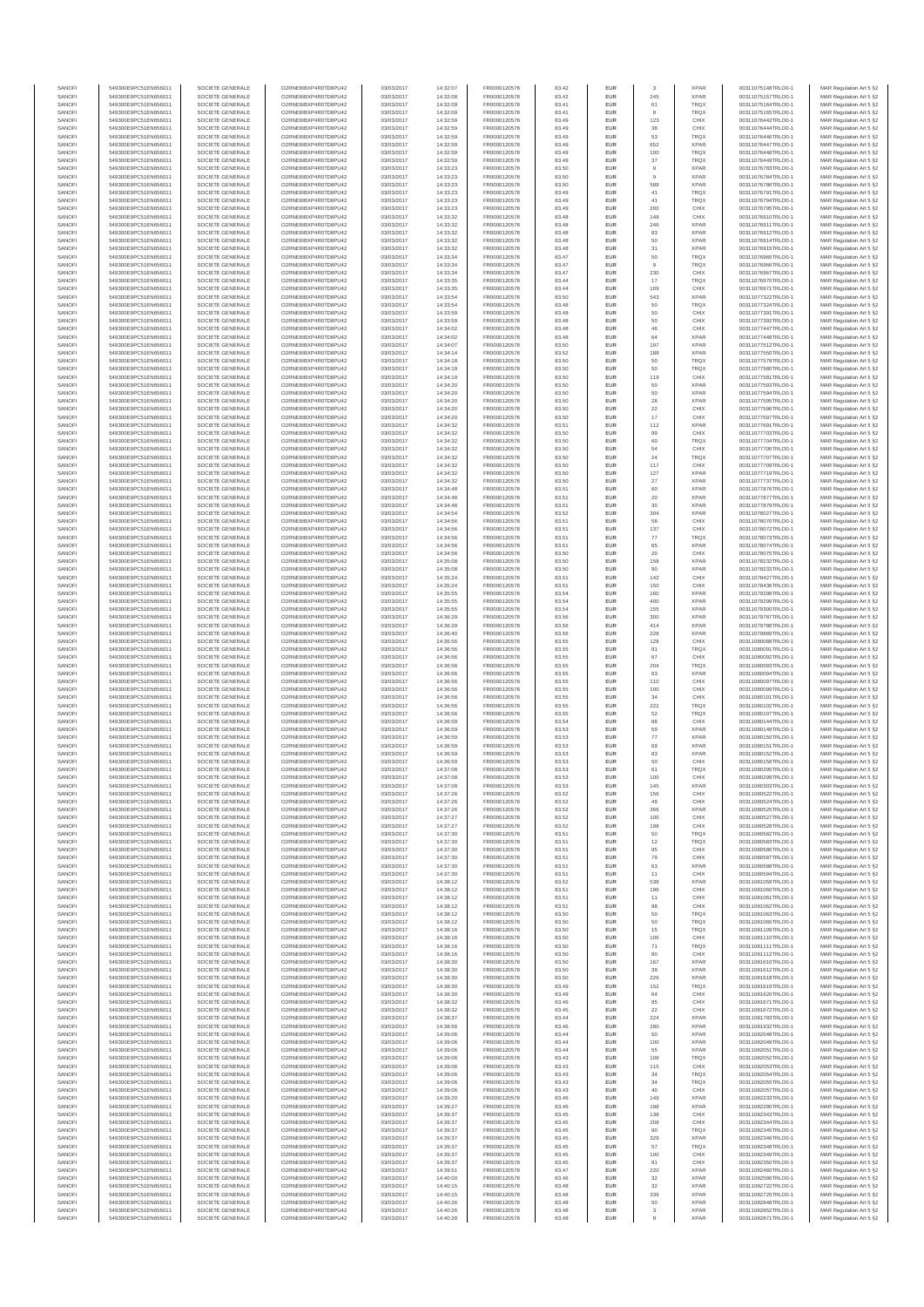| SANOFI<br>549300E9PC51EN656011<br>SOCIETE GENERALE<br>O2RNE8IBXP4R0TD8PU42<br>FR0000120578<br>EUR<br>03/03/2017<br>14:32:08<br>83.42<br>SANOFI<br>549300E9PC51EN656011<br>SOCIETE GENERALE<br>O2RNE8IBXP4R0TD8PU42<br>03/03/2017<br>14:32:09<br>FR0000120578<br>EUR<br>83.41<br>SANOFI<br>549300E9PC51EN656011<br>SOCIETE GENERALE<br>O2RNE8IBXP4R0TD8PLI42<br>03/03/2017<br>FR0000120578<br>83.41<br>EUR<br>14:32:09<br>SANOFI<br>549300E9PC51EN656011<br>SOCIETE GENERALE<br>O2RNE8IBXP4R0TD8PU42<br>03/03/2017<br>14:32:59<br>FR0000120578<br>83.49<br>EUR<br>SANOFI<br>549300E9PC51EN656011<br>SOCIETE GENERALE<br>O2RNE8IBXP4R0TD8PU42<br>03/03/2017<br>14:32:59<br>FR0000120578<br>83.49<br>EUR<br>EUR<br>SANOFI<br>549300E9PC51EN656011<br>SOCIETE GENERALE<br>O2RNE8IBXP4R0TD8PU42<br>03/03/2017<br>14:32:59<br>FR0000120578<br>83.49<br>SANOFI<br>549300E9PC51EN656011<br>SOCIETE GENERALE<br>O2RNE8IBXP4R0TD8PU42<br>03/03/2017<br>14:32:59<br>FR0000120578<br>83.49<br>EUR<br>SANOFI<br>549300E9PC51EN656011<br>SOCIETE GENERALE<br>O2RNE8IBXP4R0TD8PU42<br>03/03/2017<br>14:32:59<br>FR0000120578<br>83.49<br><b>EUR</b><br>SANOFI<br>03/03/2017<br>FR0000120578<br>549300E9PC51EN656011<br>SOCIETE GENERALE<br>O2RNE8IBXP4R0TD8PU42<br>14:32:59<br>83.49<br><b>EUR</b><br>EUR<br>SANOFI<br>549300E9PC51EN656011<br>SOCIETE GENERALE<br>O2RNE8IBXP4R0TD8PLI42<br>03/03/2017<br>FR0000120578<br>83.50<br>14:33:23<br>SANOFI<br>549300E9PC51EN656011<br>SOCIETE GENERALE<br>O2RNE8IBXP4R0TD8PU42<br>03/03/2017<br>14:33:23<br>FR0000120578<br>83.50<br>EUR<br>SANOFI<br>549300E9PC51EN656011<br>O2RNE8IBXP4R0TD8PU42<br>03/03/2017<br>FR0000120578<br>83.50<br>EUR<br>SOCIETE GENERALE<br>14:33:23<br>SANOFI<br>549300E9PC51EN656011<br>SOCIETE GENERALE<br>O2RNE8IBXP4R0TD8PU42<br>03/03/2017<br>FR0000120578<br>EUR<br>14:33:23<br>83.49<br>SANOFI<br>549300E9PC51EN656011<br>SOCIETE GENERALE<br>O2RNE8IBXP4R0TD8PU42<br>03/03/2017<br>14:33:23<br>FR0000120578<br>83.49<br>EUR<br>SANOFI<br>549300E9PC51EN656011<br>SOCIETE GENERALE<br>O2RNE8IBXP4R0TD8PU42<br>03/03/2017<br>14:33:23<br>FR0000120578<br>83.49<br><b>EUR</b><br>SANOFI<br>549300E9PC51EN656011<br>SOCIETE GENERALE<br>O2RNE8IBXP4R0TD8PU42<br>03/03/2017<br>14:33:32<br>FR0000120578<br>83.48<br>EUR<br>SANOFI<br>549300E9PC51EN656011<br>SOCIETE GENERALE<br>O2RNE8IBXP4R0TD8PU42<br>03/03/2017<br>14:33:32<br>FR0000120578<br>83.48<br><b>EUR</b><br>SANOFI<br>549300E9PC51EN656011<br>SOCIETE GENERALE<br>03/03/2017<br>14:33:32<br>FR0000120578<br>83.48<br>EUR<br>O2RNE8IBXP4R0TD8PU42<br>SANOFI<br>549300E9PC51EN656011<br>SOCIETE GENERALE<br>O2RNESIBXP4R0TD8PLI42<br>03/03/2017<br>14:33:32<br>FR0000120578<br>83.48<br>EUR<br>SANOFI<br>549300E9PC51EN656011<br>SOCIETE GENERALE<br>O2RNE8IBXP4R0TD8PU42<br>03/03/2017<br>14:33:32<br>FR0000120578<br>83.48<br>EUR<br>SANOFI<br>549300E9PC51EN656011<br>SOCIETE GENERALE<br>O2RNE8IBXP4R0TD8PLI42<br>03/03/2017<br>FR0000120578<br>83.47<br>EUR<br>14:33:34<br>SANOFI<br>549300E9PC51EN656011<br>SOCIETE GENERALE<br>O2RNE8IBXP4R0TD8PU42<br>03/03/2017<br>14:33:34<br>FR0000120578<br>83.47<br><b>EUR</b><br>SANOFI<br>549300E9PC51EN656011<br>SOCIETE GENERALE<br>O2RNE8IBXP4R0TD8PU42<br>03/03/2017<br>14:33:34<br>FR0000120578<br>83.47<br>EUR<br><b>EUR</b><br>SANOFI<br>549300E9PC51EN656011<br>SOCIETE GENERALE<br>O2RNE8IBXP4R0TD8PU42<br>03/03/2017<br>14:33:35<br>FR0000120578<br>83.44<br>SANOFI<br>549300E9PC51EN656011<br>SOCIETE GENERALE<br>O2RNE8IBXP4R0TD8PU42<br>03/03/2017<br>14:33:35<br>FR0000120578<br>83.44<br>EUR<br>SANOFI<br>549300E9PC51EN656011<br>SOCIETE GENERALE<br>O2RNE8IBXP4R0TD8PU42<br>03/03/2017<br>14:33:54<br>FR0000120578<br>83.50<br><b>EUR</b><br>SANOFI<br>549300E9PC51EN656011<br>SOCIETE GENERALE<br>O2RNE8IBXP4R0TD8PU42<br>03/03/2017<br>14:33:54<br>FR0000120578<br>83.48<br>EUR<br>EUR<br>SANOFI<br>83.48<br>549300E9PC51EN656011<br>SOCIETE GENERALE<br>O2RNE8IBXP4R0TD8PU42<br>03/03/2017<br>14:33:59<br>FR0000120578<br>SANOFI<br>SOCIETE GENERALE<br>O2RNE8IBXP4R0TD8PU42<br>03/03/2017<br>14:33:59<br>FR0000120578<br>83.48<br>EUR<br>549300E9PC51EN656011<br>SANOFI<br>549300E9PC51EN656011<br>SOCIETE GENERALE<br>O2RNE8IBXP4R0TD8PU42<br>03/03/2017<br>14:34:02<br>FR0000120578<br>EUR<br>83.48<br>SANOFI<br>549300E9PC51EN656011<br>SOCIETE GENERALE<br>O2RNE8IBXP4R0TD8PU42<br>03/03/2017<br>14:34:02<br>FR0000120578<br>83.48<br><b>EUR</b><br>SANOFI<br>549300E9PC51EN656011<br>SOCIETE GENERALE<br>O2RNE8IBXP4R0TD8PU42<br>03/03/2017<br>14:34:07<br>FR0000120578<br>83.50<br>EUR<br>SANOFI<br>549300E9PC51EN656011<br>SOCIETE GENERALE<br>O2RNE8IBXP4R0TD8PU42<br>03/03/2017<br>14:34:14<br>FR0000120578<br>83.52<br><b>EUR</b><br>SANOFI<br>549300E9PC51EN656011<br>SOCIETE GENERALE<br>O2RNE8IBXP4R0TD8PU42<br>03/03/2017<br>14:34:18<br>FR0000120578<br>83.50<br>EUR<br>SANOFI<br>83.50<br>EUR<br>549300E9PC51EN656011<br>SOCIETE GENERALE<br>O2RNE8IBXP4R0TD8PU42<br>03/03/2017<br>14:34:19<br>FR0000120578<br>SANOFI<br>03/03/2017<br>14:34:19<br>FR0000120578<br>83.50<br>EUR<br>549300E9PC51EN656011<br>SOCIETE GENERALE<br>O2RNE8IBXP4R0TD8PU42<br>SANOFI<br>549300E9PC51EN656011<br>SOCIETE GENERALE<br>O2RNE8IBXP4R0TD8PU42<br>03/03/2017<br>14:34:20<br>FR0000120578<br>EUR<br>83.50<br>SANOFI<br>549300E9PC51EN656011<br>SOCIETE GENERALE<br>O2RNE8IBXP4R0TD8PU42<br>03/03/2017<br>FR0000120578<br>EUR<br>14:34:20<br>83.50<br>SANOFI<br>549300E9PC51EN656011<br>SOCIETE GENERALE<br>O2RNE8IBXP4R0TD8PU42<br>03/03/2017<br>14:34:20<br>FR0000120578<br>83.50<br>EUR<br>SANOFI<br>549300E9PC51EN656011<br>SOCIETE GENERALE<br>O2RNE8IBXP4R0TD8PU42<br>03/03/2017<br>14:34:20<br>FR0000120578<br>83.50<br><b>EUR</b><br>SANOFI<br>549300E9PC51EN656011<br>SOCIETE GENERALE<br>O2RNE8IBXP4R0TD8PU42<br>03/03/2017<br>14:34:20<br>FR0000120578<br>83.50<br>EUR<br><b>EUR</b><br>SANOFI<br>549300E9PC51EN656011<br>SOCIETE GENERALE<br>O2RNE8IBXP4R0TD8PLI42<br>03/03/2017<br>14:34:32<br>FR0000120578<br>83.51<br>SANOFI<br>549300E9PC51EN656011<br>SOCIETE GENERALE<br>O2RNE8IBXP4R0TD8PU42<br>03/03/2017<br>14:34:32<br>FR0000120578<br>83.50<br>EUR<br>SANOFI<br>03/03/2017<br>EUR<br>549300E9PC51EN656011<br>SOCIETE GENERALE<br>O2RNE8IBXP4R0TD8PU42<br>14:34:32<br>FR0000120578<br>83.50<br>SANOFI<br>549300E9PC51EN656011<br>SOCIETE GENERALE<br>03/03/2017<br>FR0000120578<br>EUR<br>O2RNE8IBXP4R0TD8PU42<br>14:34:32<br>83.50<br>SANOFI<br>SOCIETE GENERALE<br>O2RNE8IBXP4R0TD8PLI42<br>03/03/2017<br>FR0000120578<br>83.50<br>EUR<br>549300E9PC51EN656011<br>14:34:32<br>SANOFI<br>549300E9PC51EN656011<br>SOCIETE GENERALE<br>O2RNE8IBXP4R0TD8PU42<br>03/03/2017<br>14:34:32<br>FR0000120578<br>83.50<br>EUR<br>SANOFI<br>549300E9PC51EN656011<br>SOCIETE GENERALE<br>O2RNE8IBXP4R0TD8PU42<br>03/03/2017<br>14:34:32<br>FR0000120578<br>83.50<br>EUR<br><b>EUR</b><br>SANOFI<br>549300E9PC51EN656011<br>SOCIETE GENERALE<br>O2RNE8IBXP4R0TD8PU42<br>03/03/2017<br>14:34:32<br>FR0000120578<br>83.50<br>SANOFI<br>549300E9PC51EN656011<br>SOCIETE GENERALE<br>O2RNE8IBXP4R0TD8PU42<br>03/03/2017<br>14:34:48<br>FR0000120578<br>83.51<br>EUR<br>SANOFI<br>549300E9PC51EN656011<br>SOCIETE GENERALE<br>O2RNE8IBXP4R0TD8PU42<br>03/03/2017<br>14:34:48<br>FR0000120578<br>83.51<br><b>EUR</b><br>SANOFI<br>03/03/2017<br>14:34:48<br>FR0000120578<br>EUR<br>549300E9PC51EN656011<br>SOCIETE GENERALE<br>O2RNE8IBXP4R0TD8PU42<br>83.51<br>EUR<br>SANOFI<br>SOCIETE GENERALE<br>O2RNE8IBXP4R0TD8PLI42<br>03/03/2017<br>FR0000120578<br>83.52<br>549300E9PC51EN656011<br>14:34:54<br>SANOFI<br>549300E9PC51EN656011<br>SOCIETE GENERALE<br>O2RNE8IBXP4R0TD8PU42<br>03/03/2017<br>14:34:56<br>FR0000120578<br>83.51<br>EUR<br>SANOFI<br>549300E9PC51EN656011<br>SOCIETE GENERALE<br>O2RNE8IBXP4R0TD8PU42<br>03/03/2017<br>14:34:56<br>FR0000120578<br>83.51<br>EUR<br>SANOFI<br>549300E9PC51EN656011<br>SOCIETE GENERALE<br>O2RNE8IBXP4R0TD8PU42<br>03/03/2017<br>14:34:56<br>FR0000120578<br>83.51<br><b>EUR</b><br>SANOFI<br>549300E9PC51EN656011<br>SOCIETE GENERALE<br>O2RNE8IBXP4R0TD8PU42<br>03/03/2017<br>14:34:56<br>FR0000120578<br>83.51<br>EUR<br>SANOFI<br>549300E9PC51EN656011<br>SOCIETE GENERALE<br>O2RNE8IBXP4R0TD8PU42<br>03/03/2017<br>14:34:56<br>FR0000120578<br>83.50<br><b>EUR</b><br>SANOFI<br>549300E9PC51EN656011<br>SOCIETE GENERALE<br>O2RNE8IBXP4R0TD8PU42<br>03/03/2017<br>14:35:08<br>FR0000120578<br>83.50<br>EUR<br><b>EUR</b><br>SANOFI<br>549300E9PC51EN656011<br>SOCIETE GENERALE<br>O2RNE8IBXP4R0TD8PU42<br>03/03/2017<br>14:35:08<br>FR0000120578<br>83.50<br>SANOFI<br>549300E9PC51EN656011<br>SOCIETE GENERALE<br>03/03/2017<br>14:35:24<br>FR0000120578<br>83.51<br>EUR<br>O2RNE8IBXP4R0TD8PU42<br>SANOFI<br>549300E9PC51EN656011<br>SOCIETE GENERALE<br>O2RNE8IBXP4R0TD8PU42<br>03/03/2017<br>14:35:24<br>FR0000120578<br>EUR<br>83.51<br>SANOFI<br>549300E9PC51EN656011<br>O2RNE8IBXP4R0TD8PU42<br>03/03/2017<br>FR0000120578<br>83.54<br>EUR<br>SOCIETE GENERALE<br>14:35:55<br>SANOFI<br>549300E9PC51EN656011<br>SOCIETE GENERALE<br>O2RNE8IBXP4R0TD8PU42<br>03/03/2017<br>FR0000120578<br>83.54<br>EUR<br>14:35:55<br>SANOFI<br>549300E9PC51EN656011<br>SOCIETE GENERALE<br>O2RNE8IBXP4R0TD8PU42<br>03/03/2017<br>14:35:55<br>FR0000120578<br>83.54<br><b>EUR</b><br>SANOFI<br>549300E9PC51EN656011<br>SOCIETE GENERALE<br>O2RNE8IBXP4R0TD8PU42<br>03/03/2017<br>14:36:29<br>FR0000120578<br>83.56<br>EUR<br><b>EUR</b><br>SANOFI<br>549300E9PC51EN656011<br>SOCIETE GENERALE<br>O2RNE8IBXP4R0TD8PU42<br>03/03/2017<br>14:36:29<br>FR0000120578<br>83.56<br>SANOFI<br>549300E9PC51EN656011<br>SOCIETE GENERALE<br>O2RNE8IBXP4R0TD8PU42<br>03/03/2017<br>14:36:40<br>FR0000120578<br>83.56<br>EUR<br>SANOFI<br>14:36:56<br>83.55<br>EUR<br>549300E9PC51EN656011<br>SOCIETE GENERALE<br>O2RNE8IBXP4R0TD8PU42<br>03/03/2017<br>FR0000120578<br>SANOFI<br>O2RNE8IBXP4R0TD8PU42<br>03/03/2017<br>14:36:56<br>FR0000120578<br>83.55<br>EUR<br>549300E9PC51EN656011<br>SOCIETE GENERALE<br>EUR<br>SANOFI<br>SOCIETE GENERALE<br>O2RNE8IBXP4R0TD8PU42<br>03/03/2017<br>FR0000120578<br>83.55<br>549300E9PC51EN656011<br>14:36:56<br>SANOFI<br>549300E9PC51EN656011<br>SOCIETE GENERALE<br>O2RNE8IBXP4R0TD8PU42<br>03/03/2017<br>14:36:56<br>FR0000120578<br>83.55<br>EUR<br>SANOFI<br>549300E9PC51EN656011<br>SOCIETE GENERALE<br>O2RNE8IBXP4R0TD8PU42<br>03/03/2017<br>14:36:56<br>FR0000120578<br>83.55<br>EUR<br>SANOFI<br>549300E9PC51EN656011<br>SOCIETE GENERALE<br>O2RNE8IBXP4R0TD8PU42<br>03/03/2017<br>14:36:56<br>FR0000120578<br>83.55<br><b>EUR</b><br>SANOFI<br>549300E9PC51EN656011<br>SOCIETE GENERALE<br>O2RNE8IBXP4R0TD8PU42<br>03/03/2017<br>14:36:56<br>FR0000120578<br>83.55<br>EUR<br>SANOFI<br>549300E9PC51EN656011<br>SOCIETE GENERALE<br>O2RNE8IBXP4R0TD8PU42<br>03/03/2017<br>14:36:56<br>FR0000120578<br>83.55<br><b>EUR</b><br>SANOFI<br>549300E9PC51EN656011<br>SOCIETE GENERALE<br>O2RNE8IBXP4R0TD8PU42<br>03/03/2017<br>14:36:56<br>FR0000120578<br>83.55<br>EUR<br>83.55<br>EUR<br>SANOFI<br>549300E9PC51EN656011<br>SOCIETE GENERALE<br>O2RNE8IBXP4R0TD8PU42<br>03/03/2017<br>FR0000120578<br>14:36:56<br>SANOFI<br>SOCIETE GENERALE<br>03/03/2017<br>14:36:59<br>FR0000120578<br>83.54<br>EUR<br>549300E9PC51EN656011<br>O2RNE8IBXP4R0TD8PU42<br>SANOFI<br>549300E9PC51EN656011<br>SOCIETE GENERALE<br>O2RNE8IBXP4R0TD8PU42<br>03/03/2017<br>14:36:59<br>FR0000120578<br>83.53<br>EUR<br>SANOFI<br>549300E9PC51EN656011<br>SOCIETE GENERALE<br>O2RNE8IBXP4R0TD8PU42<br>03/03/2017<br>14:36:59<br>FR0000120578<br>EUR<br>83.53<br>SANOFI<br>549300E9PC51EN656011<br>SOCIETE GENERALE<br>O2RNE8IBXP4R0TD8PU42<br>03/03/2017<br>14:36:59<br>FR0000120578<br>83.53<br>EUR<br>SANOFI<br>549300E9PC51EN656011<br>SOCIETE GENERALE<br>O2RNE8IBXP4R0TD8PU42<br>03/03/2017<br>14:36:59<br>FR0000120578<br>83.53<br><b>EUR</b><br>SANOFI<br>549300E9PC51EN656011<br>SOCIETE GENERALE<br>O2RNE8IBXP4R0TD8PU42<br>03/03/2017<br>14:36:59<br>FR0000120578<br>83.53<br>EUR<br>SOCIETE GENERALE<br>O2RNE8IBXP4R0TD8PU42<br><b>EUR</b><br>SANOFI<br>549300E9PC51EN656011<br>03/03/2017<br>14:37:08<br>FR0000120578<br>83.53<br>549300E9PC51EN656011<br>SOCIETE GENERALE<br>O2RNE8IBXP4R0TD8PU42<br>03/03/2017<br>14:37:08<br>FR0000120578<br>83.53<br>EUR<br>SANOFI<br>SANOFI<br>SOCIETE GENERALE<br>14:37:08<br>EUR<br>549300E9PC51EN656011<br>O2RNE8IBXP4R0TD8PLI42<br>FR0000120578<br>83.53<br>03/03/2017<br>SANOFI<br>549300E9PC51EN656011<br>SOCIETE GENERALE<br>O2RNE8IBXP4R0TD8PU42<br>03/03/2017<br>14:37:26<br>FR0000120578<br>83.52<br><b>EUR</b><br>SANOFI<br>549300E9PC51EN656011<br>SOCIETE GENERALE<br>O2RNESIBXP4R0TD8PLI42<br>03/03/2017<br>14:37:26<br>FR0000120578<br>83.52<br><b>EUR</b><br>SANOFI<br>549300E9PC51EN656011<br>SOCIETE GENERALE<br>O2RNE8IBXP4R0TD8PU42<br>03/03/2017<br>14:37:26<br>FR0000120578<br>83.52<br>EUR<br>SANOFI<br>549300E9PC51EN656011<br>SOCIETE GENERALE<br>O2RNE8IBXP4R0TD8PU42<br>03/03/2017<br>14:37:27<br>FR0000120578<br>83.52<br>EUR<br>SANOFI<br>549300E9PC51EN656011<br>SOCIETE GENERALE<br>O2RNE8IBXP4R0TD8PU42<br>03/03/2017<br>14:37:27<br>FR0000120578<br>83.52<br><b>EUR</b><br>SANOFI<br>549300E9PC51EN656011<br>SOCIETE GENERALE<br>O2RNE8IBXP4R0TD8PU42<br>03/03/2017<br>14:37:30<br>FR0000120578<br>83.51<br>EUR<br>SANOFI<br>549300E9PC51EN656011<br>SOCIETE GENERALE<br>O2RNE8IBXP4R0TD8PU42<br>03/03/2017<br>14:37:30<br>FR0000120578<br>83.51<br><b>EUR</b><br>SANOFI<br>549300E9PC51EN656011<br>SOCIETE GENERALE<br>O2RNE8IBXP4R0TD8PU42<br>03/03/2017<br>FR0000120578<br>EUR<br>14:37:30<br>83.51<br>EUR<br>SANOFI<br>549300E9PC51EN656011<br>SOCIETE GENERALE<br>O2RNE8IBXP4R0TD8PU42<br>03/03/2017<br>14:37:30<br>FR0000120578<br>83.51<br>SANOFI<br>549300E9PC51EN656011<br>SOCIETE GENERALE<br>O2RNE8IBXP4R0TD8PU42<br>03/03/2017<br>14:37:30<br>FR0000120578<br>83.51<br>EUR<br>SANOFI<br>549300E9PC51EN656011<br>SOCIETE GENERALE<br>O2RNESIBXP4R0TD8PLI42<br>03/03/2017<br>14:37:30<br>FR0000120578<br>83.51<br>EUR<br>SANOFI<br>549300E9PC51EN656011<br>SOCIETE GENERALE<br>O2RNE8IBXP4R0TD8PLI42<br>03/03/2017<br>14:38:12<br>FR0000120578<br>83.52<br><b>EUR</b><br>SANOFI<br>549300E9PC51EN656011<br>SOCIETE GENERALE<br>O2RNE8IBXP4R0TD8PU42<br>03/03/2017<br>14:38:12<br>FR0000120578<br>83.51<br>EUR<br>SANOFI<br>549300E9PC51EN656011<br>SOCIETE GENERALE<br>O2RNE8IBXP4R0TD8PU42<br>03/03/2017<br>14:38:12<br>FR0000120578<br>83.51<br><b>EUR</b><br>SANOFI<br>549300E9PC51EN656011<br>SOCIETE GENERALE<br>O2RNE8IBXP4R0TD8PU42<br>03/03/2017<br>14:38:12<br>FR0000120578<br>83.51<br>EUR<br>SANOFI<br>549300E9PC51EN656011<br>SOCIETE GENERALE<br>O2RNE8IBXP4R0TD8PU42<br>83.50<br>EUR<br>03/03/2017<br>14:38:12<br>FR0000120578<br>SANOFI<br>549300E9PC51EN656011<br>SOCIETE GENERALE<br>O2RNE8IBXP4R0TD8PU42<br>03/03/2017<br>14:38:12<br>FR0000120578<br>83.50<br>EUR<br>SANOFI<br>549300E9PC51EN656011<br>SOCIETE GENERALE<br>O2RNE8IBXP4R0TD8PU42<br>03/03/2017<br>14:38:16<br>FR0000120578<br>83.50<br>EUR<br>SANOFI<br>549300E9PC51EN656011<br>SOCIETE GENERALE<br>O2RNE8IBXP4R0TD8PU42<br>03/03/2017<br>14:38:16<br>FR0000120578<br>83.50<br>EUR<br>SANOFI<br>549300E9PC51EN656011<br>SOCIETE GENERALE<br>O2RNE8IBXP4R0TD8PU42<br>03/03/2017<br>14:38:16<br>FR0000120578<br>83.50<br>EUR<br>SANOFI<br>549300E9PC51EN656011<br>SOCIETE GENERALE<br>O2RNE8IBXP4R0TD8PU42<br>03/03/2017<br>14:38:16<br>FR0000120578<br>83.50<br><b>EUR</b><br>SANOFI<br>549300E9PC51EN656011<br>SOCIETE GENERALE<br>O2RNE8IBXP4R0TD8PU42<br>03/03/2017<br>14:38:30<br>FR0000120578<br>83.50<br>EUR<br>SANOFI<br>549300E9PC51EN656011<br>SOCIETE GENERALE<br>O2RNE8IBXP4R0TD8PLI42<br>03/03/2017<br>14:38:30<br>FR0000120578<br>83.50<br><b>EUR</b><br>SANOFI<br>549300E9PC51EN656011<br>SOCIETE GENERALE<br>O2RNE8IBXP4R0TD8PU42<br>03/03/2017<br>14:38:30<br>FR0000120578<br>83.50<br>EUR<br>SANOFI<br>549300E9PC51EN656011<br>O2RNE8IBXP4R0TD8PU42<br>EUR<br>SOCIETE GENERALE<br>03/03/2017<br>14:38:30<br>FR0000120578<br>83.49<br>SANOFI<br>549300E9PC51EN656011<br>SOCIETE GENERALE<br>O2RNE8IBXP4R0TD8PU42<br>03/03/2017<br>14:38:30<br>FR0000120578<br>83.49<br>EUR<br>EUR<br>SANOFI<br>549300E9PC51EN656011<br>SOCIETE GENERALE<br>O2RNE8IBXP4R0TD8PU42<br>03/03/2017<br>14:38:32<br>FR0000120578<br>83.46<br>SANOFI<br>549300E9PC51EN656011<br>SOCIETE GENERALE<br>O2RNE8IBXP4R0TD8PU42<br>03/03/2017<br>14:38:32<br>FR0000120578<br>83.45<br>EUR<br>SANOFI<br>549300E9PC51EN656011<br>SOCIETE GENERALE<br>O2RNE8IBXP4R0TD8PU42<br>03/03/2017<br>14:38:37<br>FR0000120578<br>83.44<br>EUR<br>SANOFI<br>549300E9PC51EN656011<br>SOCIETE GENERALE<br>O2RNE8IBXP4R0TD8PU42<br>03/03/2017<br>14:38:56<br>FR0000120578<br>83.46<br><b>EUR</b><br>SANOFI<br>549300E9PC51EN656011<br>SOCIETE GENERALE<br>O2RNE8IBXP4R0TD8PU42<br>03/03/2017<br>14:39:06<br>FR0000120578<br>83.44<br>EUR<br>SANOFI<br>549300E9PC51EN656011<br>SOCIETE GENERALE<br>O2RNE8IBXP4R0TD8PU42<br>03/03/2017<br>14:39:06<br>FR0000120578<br>83.44<br><b>EUR</b><br>SANOFI<br>549300E9PC51EN656011<br>O2RNE8IBXP4R0TD8PU42<br>03/03/2017<br>14:39:06<br>83.44<br>EUR<br>SOCIETE GENERALE<br>FR0000120578<br>EUR<br>SANOFI<br>549300E9PC51EN656011<br>SOCIETE GENERALE<br>O2RNE8IBXP4R0TD8PU42<br>03/03/2017<br>FR0000120578<br>83.43<br>14:39:06<br>SANOFI<br>549300E9PC51EN656011<br>SOCIETE GENERALE<br>O2RNE8IBXP4R0TD8PU42<br>03/03/2017<br>14:39:06<br>FR0000120578<br>83.43<br>EUR<br>SANOFI<br>549300E9PC51EN656011<br>SOCIETE GENERALE<br>O2RNE8IBXP4R0TD8PU42<br>03/03/2017<br>14:39:06<br>FR0000120578<br>83.43<br>EUR<br>SANOFI<br>549300E9PC51EN656011<br>SOCIETE GENERALE<br>O2RNE8IBXP4R0TD8PU42<br>03/03/2017<br>14:39:06<br>FR0000120578<br>EUR<br>83.43<br>SANOFI<br>549300E9PC51EN656011<br>SOCIETE GENERALE<br>O2RNE8IBXP4R0TD8PU42<br>03/03/2017<br>14:39:06<br>FR0000120578<br>83.43<br>EUR<br>SANOFI<br>549300E9PC51EN656011<br>SOCIETE GENERALE<br>O2RNE8IBXP4R0TD8PU42<br>03/03/2017<br>14:39:20<br>FR0000120578<br>83.46<br><b>EUR</b> | 549300E9PC51EN656011 | 83.42<br>EUR |                     | <b>XPAR</b>                | 00311075148TRLO0-1                       | MAR Regulation Art 5 §2                            |
|-------------------------------------------------------------------------------------------------------------------------------------------------------------------------------------------------------------------------------------------------------------------------------------------------------------------------------------------------------------------------------------------------------------------------------------------------------------------------------------------------------------------------------------------------------------------------------------------------------------------------------------------------------------------------------------------------------------------------------------------------------------------------------------------------------------------------------------------------------------------------------------------------------------------------------------------------------------------------------------------------------------------------------------------------------------------------------------------------------------------------------------------------------------------------------------------------------------------------------------------------------------------------------------------------------------------------------------------------------------------------------------------------------------------------------------------------------------------------------------------------------------------------------------------------------------------------------------------------------------------------------------------------------------------------------------------------------------------------------------------------------------------------------------------------------------------------------------------------------------------------------------------------------------------------------------------------------------------------------------------------------------------------------------------------------------------------------------------------------------------------------------------------------------------------------------------------------------------------------------------------------------------------------------------------------------------------------------------------------------------------------------------------------------------------------------------------------------------------------------------------------------------------------------------------------------------------------------------------------------------------------------------------------------------------------------------------------------------------------------------------------------------------------------------------------------------------------------------------------------------------------------------------------------------------------------------------------------------------------------------------------------------------------------------------------------------------------------------------------------------------------------------------------------------------------------------------------------------------------------------------------------------------------------------------------------------------------------------------------------------------------------------------------------------------------------------------------------------------------------------------------------------------------------------------------------------------------------------------------------------------------------------------------------------------------------------------------------------------------------------------------------------------------------------------------------------------------------------------------------------------------------------------------------------------------------------------------------------------------------------------------------------------------------------------------------------------------------------------------------------------------------------------------------------------------------------------------------------------------------------------------------------------------------------------------------------------------------------------------------------------------------------------------------------------------------------------------------------------------------------------------------------------------------------------------------------------------------------------------------------------------------------------------------------------------------------------------------------------------------------------------------------------------------------------------------------------------------------------------------------------------------------------------------------------------------------------------------------------------------------------------------------------------------------------------------------------------------------------------------------------------------------------------------------------------------------------------------------------------------------------------------------------------------------------------------------------------------------------------------------------------------------------------------------------------------------------------------------------------------------------------------------------------------------------------------------------------------------------------------------------------------------------------------------------------------------------------------------------------------------------------------------------------------------------------------------------------------------------------------------------------------------------------------------------------------------------------------------------------------------------------------------------------------------------------------------------------------------------------------------------------------------------------------------------------------------------------------------------------------------------------------------------------------------------------------------------------------------------------------------------------------------------------------------------------------------------------------------------------------------------------------------------------------------------------------------------------------------------------------------------------------------------------------------------------------------------------------------------------------------------------------------------------------------------------------------------------------------------------------------------------------------------------------------------------------------------------------------------------------------------------------------------------------------------------------------------------------------------------------------------------------------------------------------------------------------------------------------------------------------------------------------------------------------------------------------------------------------------------------------------------------------------------------------------------------------------------------------------------------------------------------------------------------------------------------------------------------------------------------------------------------------------------------------------------------------------------------------------------------------------------------------------------------------------------------------------------------------------------------------------------------------------------------------------------------------------------------------------------------------------------------------------------------------------------------------------------------------------------------------------------------------------------------------------------------------------------------------------------------------------------------------------------------------------------------------------------------------------------------------------------------------------------------------------------------------------------------------------------------------------------------------------------------------------------------------------------------------------------------------------------------------------------------------------------------------------------------------------------------------------------------------------------------------------------------------------------------------------------------------------------------------------------------------------------------------------------------------------------------------------------------------------------------------------------------------------------------------------------------------------------------------------------------------------------------------------------------------------------------------------------------------------------------------------------------------------------------------------------------------------------------------------------------------------------------------------------------------------------------------------------------------------------------------------------------------------------------------------------------------------------------------------------------------------------------------------------------------------------------------------------------------------------------------------------------------------------------------------------------------------------------------------------------------------------------------------------------------------------------------------------------------------------------------------------------------------------------------------------------------------------------------------------------------------------------------------------------------------------------------------------------------------------------------------------------------------------------------------------------------------------------------------------------------------------------------------------------------------------------------------------------------------------------------------------------------------------------------------------------------------------------------------------------------------------------------------------------------------------------------------------------------------------------------------------------------------------------------------------------------------------------------------------------------------------------------------------------------------------------------------------------------------------------------------------------------------------------------------------------------------------------------------------------------------------------------------------------------------------------------------------------------------------------------------------------------------------------------------------------------------------------------------------------------------------------------------------------------------------------------------------------------------------------------------------------------------------------------------------------------------------------------------------------------------------------------------------------------------------------------------------------------------------------------------------------------------------------------------------------------------------------------------------------------------------------------------------------------------------------------------------------------------------------------------------------------------------------------------------------------------------------------------------------------------------------------------------------------------------------------------------------------------------------------------------------------------------------------------------------------------------------------------------------------------------------------------------------------------------------------------------------------------------------------------------------------------------------------------------------------------------------------------------------------------------------------------------------------------------------------------------------------------------------------------------------------------------------------------------------------------------------------------------------------------------------------------------------------------------------------------------------------------------------------------------------------------------------------------------------------------------------------------------------------------------------------------------------------------------------------------------------------------------------------------------------------------------------------------------------------------------------------------------------------------------------------------------------------------------------------------------------------------------------------------------------------------------------------------------------------------------------------------------------------------------------------------------------------------------------------------------------------------------------------------------------------------------------------------------------------------------------------------------------------------------------------------------------------------------------------------------------------------------------------------------------------------------------------------------------------------------------------------------------------------------------------------------------------------------------------------------------------------------------------------------------------------------------------------------------------------------------------------------------------------------------------------------------------------------------------------------------------------------------------------------------------------------------------------------------------------------------------------------------------------------------------------------------------------------------------------------------------------------------------------------------------------------------------------------------------------------------------------------------------------------------------------------------------------------------------------------------------------------------------------------------------------------------------------------------------------------------------------------------------------------------------------------------------------------------------------------------------------------------------------------------------------------------------------------------------------------------------------------------------------------------------------------------------------------------------------------------------------------------------------------------------------------------------------------------------------------------------------------------------------------------------------------------------------------------------------------------------------------------------------------------------------------------------------------------------------------------------------------------------------------------------------------------------------------------------------------------------------------------------------------------------------------------------------------------------------------------------------------------------------------------------------------------------------------------------------------------------------------------------------------------------------------------------------------------------------------------------------------------------------------------------------------------------------------------------------------------------------------------------------------------------------------------------------------------------------------------------------------------------------------------------------------------------------------------------------------------------------------------------------------------------------------------------------------------------------------------------------------------------------------------------------------------------------------------------------------------------------------------------------------------------------------------------------------------------------------------------------------------------------------------------------------------------------------------------------------------------------------------------------------------------------------------------------------------------------------------------------------------------------------------------------------------------------------------------------------------------------------------------------------------------------------------------------------------------------------------------------------------------------------------------------------------------------------------------------------------------------------------------------------------------------------------------------------------------------------------------------------------------------------------------------------------------------------------------------------------------------------------------------------------------------------------------------|----------------------|--------------|---------------------|----------------------------|------------------------------------------|----------------------------------------------------|
|                                                                                                                                                                                                                                                                                                                                                                                                                                                                                                                                                                                                                                                                                                                                                                                                                                                                                                                                                                                                                                                                                                                                                                                                                                                                                                                                                                                                                                                                                                                                                                                                                                                                                                                                                                                                                                                                                                                                                                                                                                                                                                                                                                                                                                                                                                                                                                                                                                                                                                                                                                                                                                                                                                                                                                                                                                                                                                                                                                                                                                                                                                                                                                                                                                                                                                                                                                                                                                                                                                                                                                                                                                                                                                                                                                                                                                                                                                                                                                                                                                                                                                                                                                                                                                                                                                                                                                                                                                                                                                                                                                                                                                                                                                                                                                                                                                                                                                                                                                                                                                                                                                                                                                                                                                                                                                                                                                                                                                                                                                                                                                                                                                                                                                                                                                                                                                                                                                                                                                                                                                                                                                                                                                                                                                                                                                                                                                                                                                                                                                                                                                                                                                                                                                                                                                                                                                                                                                                                                                                                                                                                                                                                                                                                                                                                                                                                                                                                                                                                                                                                                                                                                                                                                                                                                                                                                                                                                                                                                                                                                                                                                                                                                                                                                                                                                                                                                                                                                                                                                                                                                                                                                                                                                                                                                                                                                                                                                                                                                                                                                                                                                                                                                                                                                                                                                                                                                                                                                                                                                                                                                                                                                                                                                                                                                                                                                                                                                                                                                                                                                                                                                                                                                                                                                                                                                                                                                                                                                                                                                                                                                                                                                                                                                                                                                                                                                                                                                                                                                                                                                                                                                                                                                                                                                                                                                                                                                                                                                                                                                                                                                                                                                                                                                                                                                                                                                                                                                                                                                                                                                                                                                                                                                                                                                                                                                                                                                                                                                                                                                                                                                                                                                                                                                                                                                                                                                                                                                                                                                                                                                                                                                                                                                                                                                                                                                                                                                                                                                                                                                                                                                                                                                                                                                                                                                                                                                                                                                                                                                                                                                                                                                                                                                                                                                                                                                                                                                                                                                                                                                                                                                                                                                                                                                                                                                                                                                                                                                                                                                                                                                                                                                                                                                                                                                                                                                                                                                                                                                                                                                                                                                                                                                                                                                                                                                                                                                                                                                                                                                                                                                                                                                                                                                                                                                                                                                                                                                                                                                                                                                                                                                                                                                                                                                                                                                                                                                                                                                                                                                                                                                                                                                                                                                                                                                                                                                                                                                                                                                                                                                                                                                                                                                                                                                                                                                                                                                                                                                                                                                                                                                                                                                                 |                      |              | 245<br>61           | <b>XPAR</b><br><b>TRQX</b> | 00311075157TRLO0-1<br>00311075164TRLO0-1 | MAR Regulation Art 5 §2                            |
|                                                                                                                                                                                                                                                                                                                                                                                                                                                                                                                                                                                                                                                                                                                                                                                                                                                                                                                                                                                                                                                                                                                                                                                                                                                                                                                                                                                                                                                                                                                                                                                                                                                                                                                                                                                                                                                                                                                                                                                                                                                                                                                                                                                                                                                                                                                                                                                                                                                                                                                                                                                                                                                                                                                                                                                                                                                                                                                                                                                                                                                                                                                                                                                                                                                                                                                                                                                                                                                                                                                                                                                                                                                                                                                                                                                                                                                                                                                                                                                                                                                                                                                                                                                                                                                                                                                                                                                                                                                                                                                                                                                                                                                                                                                                                                                                                                                                                                                                                                                                                                                                                                                                                                                                                                                                                                                                                                                                                                                                                                                                                                                                                                                                                                                                                                                                                                                                                                                                                                                                                                                                                                                                                                                                                                                                                                                                                                                                                                                                                                                                                                                                                                                                                                                                                                                                                                                                                                                                                                                                                                                                                                                                                                                                                                                                                                                                                                                                                                                                                                                                                                                                                                                                                                                                                                                                                                                                                                                                                                                                                                                                                                                                                                                                                                                                                                                                                                                                                                                                                                                                                                                                                                                                                                                                                                                                                                                                                                                                                                                                                                                                                                                                                                                                                                                                                                                                                                                                                                                                                                                                                                                                                                                                                                                                                                                                                                                                                                                                                                                                                                                                                                                                                                                                                                                                                                                                                                                                                                                                                                                                                                                                                                                                                                                                                                                                                                                                                                                                                                                                                                                                                                                                                                                                                                                                                                                                                                                                                                                                                                                                                                                                                                                                                                                                                                                                                                                                                                                                                                                                                                                                                                                                                                                                                                                                                                                                                                                                                                                                                                                                                                                                                                                                                                                                                                                                                                                                                                                                                                                                                                                                                                                                                                                                                                                                                                                                                                                                                                                                                                                                                                                                                                                                                                                                                                                                                                                                                                                                                                                                                                                                                                                                                                                                                                                                                                                                                                                                                                                                                                                                                                                                                                                                                                                                                                                                                                                                                                                                                                                                                                                                                                                                                                                                                                                                                                                                                                                                                                                                                                                                                                                                                                                                                                                                                                                                                                                                                                                                                                                                                                                                                                                                                                                                                                                                                                                                                                                                                                                                                                                                                                                                                                                                                                                                                                                                                                                                                                                                                                                                                                                                                                                                                                                                                                                                                                                                                                                                                                                                                                                                                                                                                                                                                                                                                                                                                                                                                                                                                                                                                                                                                                 |                      |              | 8                   | TRQX                       | 00311075165TRLO0-1                       | MAR Regulation Art 5 §2<br>MAR Regulation Art 5 §2 |
|                                                                                                                                                                                                                                                                                                                                                                                                                                                                                                                                                                                                                                                                                                                                                                                                                                                                                                                                                                                                                                                                                                                                                                                                                                                                                                                                                                                                                                                                                                                                                                                                                                                                                                                                                                                                                                                                                                                                                                                                                                                                                                                                                                                                                                                                                                                                                                                                                                                                                                                                                                                                                                                                                                                                                                                                                                                                                                                                                                                                                                                                                                                                                                                                                                                                                                                                                                                                                                                                                                                                                                                                                                                                                                                                                                                                                                                                                                                                                                                                                                                                                                                                                                                                                                                                                                                                                                                                                                                                                                                                                                                                                                                                                                                                                                                                                                                                                                                                                                                                                                                                                                                                                                                                                                                                                                                                                                                                                                                                                                                                                                                                                                                                                                                                                                                                                                                                                                                                                                                                                                                                                                                                                                                                                                                                                                                                                                                                                                                                                                                                                                                                                                                                                                                                                                                                                                                                                                                                                                                                                                                                                                                                                                                                                                                                                                                                                                                                                                                                                                                                                                                                                                                                                                                                                                                                                                                                                                                                                                                                                                                                                                                                                                                                                                                                                                                                                                                                                                                                                                                                                                                                                                                                                                                                                                                                                                                                                                                                                                                                                                                                                                                                                                                                                                                                                                                                                                                                                                                                                                                                                                                                                                                                                                                                                                                                                                                                                                                                                                                                                                                                                                                                                                                                                                                                                                                                                                                                                                                                                                                                                                                                                                                                                                                                                                                                                                                                                                                                                                                                                                                                                                                                                                                                                                                                                                                                                                                                                                                                                                                                                                                                                                                                                                                                                                                                                                                                                                                                                                                                                                                                                                                                                                                                                                                                                                                                                                                                                                                                                                                                                                                                                                                                                                                                                                                                                                                                                                                                                                                                                                                                                                                                                                                                                                                                                                                                                                                                                                                                                                                                                                                                                                                                                                                                                                                                                                                                                                                                                                                                                                                                                                                                                                                                                                                                                                                                                                                                                                                                                                                                                                                                                                                                                                                                                                                                                                                                                                                                                                                                                                                                                                                                                                                                                                                                                                                                                                                                                                                                                                                                                                                                                                                                                                                                                                                                                                                                                                                                                                                                                                                                                                                                                                                                                                                                                                                                                                                                                                                                                                                                                                                                                                                                                                                                                                                                                                                                                                                                                                                                                                                                                                                                                                                                                                                                                                                                                                                                                                                                                                                                                                                                                                                                                                                                                                                                                                                                                                                                                                                                                                                                                                 |                      |              | 123                 | CHIX                       | 00311076442TRLO0-1                       | MAR Regulation Art 5 §2                            |
|                                                                                                                                                                                                                                                                                                                                                                                                                                                                                                                                                                                                                                                                                                                                                                                                                                                                                                                                                                                                                                                                                                                                                                                                                                                                                                                                                                                                                                                                                                                                                                                                                                                                                                                                                                                                                                                                                                                                                                                                                                                                                                                                                                                                                                                                                                                                                                                                                                                                                                                                                                                                                                                                                                                                                                                                                                                                                                                                                                                                                                                                                                                                                                                                                                                                                                                                                                                                                                                                                                                                                                                                                                                                                                                                                                                                                                                                                                                                                                                                                                                                                                                                                                                                                                                                                                                                                                                                                                                                                                                                                                                                                                                                                                                                                                                                                                                                                                                                                                                                                                                                                                                                                                                                                                                                                                                                                                                                                                                                                                                                                                                                                                                                                                                                                                                                                                                                                                                                                                                                                                                                                                                                                                                                                                                                                                                                                                                                                                                                                                                                                                                                                                                                                                                                                                                                                                                                                                                                                                                                                                                                                                                                                                                                                                                                                                                                                                                                                                                                                                                                                                                                                                                                                                                                                                                                                                                                                                                                                                                                                                                                                                                                                                                                                                                                                                                                                                                                                                                                                                                                                                                                                                                                                                                                                                                                                                                                                                                                                                                                                                                                                                                                                                                                                                                                                                                                                                                                                                                                                                                                                                                                                                                                                                                                                                                                                                                                                                                                                                                                                                                                                                                                                                                                                                                                                                                                                                                                                                                                                                                                                                                                                                                                                                                                                                                                                                                                                                                                                                                                                                                                                                                                                                                                                                                                                                                                                                                                                                                                                                                                                                                                                                                                                                                                                                                                                                                                                                                                                                                                                                                                                                                                                                                                                                                                                                                                                                                                                                                                                                                                                                                                                                                                                                                                                                                                                                                                                                                                                                                                                                                                                                                                                                                                                                                                                                                                                                                                                                                                                                                                                                                                                                                                                                                                                                                                                                                                                                                                                                                                                                                                                                                                                                                                                                                                                                                                                                                                                                                                                                                                                                                                                                                                                                                                                                                                                                                                                                                                                                                                                                                                                                                                                                                                                                                                                                                                                                                                                                                                                                                                                                                                                                                                                                                                                                                                                                                                                                                                                                                                                                                                                                                                                                                                                                                                                                                                                                                                                                                                                                                                                                                                                                                                                                                                                                                                                                                                                                                                                                                                                                                                                                                                                                                                                                                                                                                                                                                                                                                                                                                                                                                                                                                                                                                                                                                                                                                                                                                                                                                                                                                                                                 |                      |              | 38                  | CHIX                       | 00311076444TRLO0-1                       | MAR Regulation Art 5 §2                            |
|                                                                                                                                                                                                                                                                                                                                                                                                                                                                                                                                                                                                                                                                                                                                                                                                                                                                                                                                                                                                                                                                                                                                                                                                                                                                                                                                                                                                                                                                                                                                                                                                                                                                                                                                                                                                                                                                                                                                                                                                                                                                                                                                                                                                                                                                                                                                                                                                                                                                                                                                                                                                                                                                                                                                                                                                                                                                                                                                                                                                                                                                                                                                                                                                                                                                                                                                                                                                                                                                                                                                                                                                                                                                                                                                                                                                                                                                                                                                                                                                                                                                                                                                                                                                                                                                                                                                                                                                                                                                                                                                                                                                                                                                                                                                                                                                                                                                                                                                                                                                                                                                                                                                                                                                                                                                                                                                                                                                                                                                                                                                                                                                                                                                                                                                                                                                                                                                                                                                                                                                                                                                                                                                                                                                                                                                                                                                                                                                                                                                                                                                                                                                                                                                                                                                                                                                                                                                                                                                                                                                                                                                                                                                                                                                                                                                                                                                                                                                                                                                                                                                                                                                                                                                                                                                                                                                                                                                                                                                                                                                                                                                                                                                                                                                                                                                                                                                                                                                                                                                                                                                                                                                                                                                                                                                                                                                                                                                                                                                                                                                                                                                                                                                                                                                                                                                                                                                                                                                                                                                                                                                                                                                                                                                                                                                                                                                                                                                                                                                                                                                                                                                                                                                                                                                                                                                                                                                                                                                                                                                                                                                                                                                                                                                                                                                                                                                                                                                                                                                                                                                                                                                                                                                                                                                                                                                                                                                                                                                                                                                                                                                                                                                                                                                                                                                                                                                                                                                                                                                                                                                                                                                                                                                                                                                                                                                                                                                                                                                                                                                                                                                                                                                                                                                                                                                                                                                                                                                                                                                                                                                                                                                                                                                                                                                                                                                                                                                                                                                                                                                                                                                                                                                                                                                                                                                                                                                                                                                                                                                                                                                                                                                                                                                                                                                                                                                                                                                                                                                                                                                                                                                                                                                                                                                                                                                                                                                                                                                                                                                                                                                                                                                                                                                                                                                                                                                                                                                                                                                                                                                                                                                                                                                                                                                                                                                                                                                                                                                                                                                                                                                                                                                                                                                                                                                                                                                                                                                                                                                                                                                                                                                                                                                                                                                                                                                                                                                                                                                                                                                                                                                                                                                                                                                                                                                                                                                                                                                                                                                                                                                                                                                                                                                                                                                                                                                                                                                                                                                                                                                                                                                                                                                                                 |                      |              | 53<br>652           | <b>TRQX</b><br><b>XPAR</b> | 00311076446TRLO0-1<br>00311076447TRLO0-1 | MAR Regulation Art 5 §2<br>MAR Regulation Art 5 §2 |
|                                                                                                                                                                                                                                                                                                                                                                                                                                                                                                                                                                                                                                                                                                                                                                                                                                                                                                                                                                                                                                                                                                                                                                                                                                                                                                                                                                                                                                                                                                                                                                                                                                                                                                                                                                                                                                                                                                                                                                                                                                                                                                                                                                                                                                                                                                                                                                                                                                                                                                                                                                                                                                                                                                                                                                                                                                                                                                                                                                                                                                                                                                                                                                                                                                                                                                                                                                                                                                                                                                                                                                                                                                                                                                                                                                                                                                                                                                                                                                                                                                                                                                                                                                                                                                                                                                                                                                                                                                                                                                                                                                                                                                                                                                                                                                                                                                                                                                                                                                                                                                                                                                                                                                                                                                                                                                                                                                                                                                                                                                                                                                                                                                                                                                                                                                                                                                                                                                                                                                                                                                                                                                                                                                                                                                                                                                                                                                                                                                                                                                                                                                                                                                                                                                                                                                                                                                                                                                                                                                                                                                                                                                                                                                                                                                                                                                                                                                                                                                                                                                                                                                                                                                                                                                                                                                                                                                                                                                                                                                                                                                                                                                                                                                                                                                                                                                                                                                                                                                                                                                                                                                                                                                                                                                                                                                                                                                                                                                                                                                                                                                                                                                                                                                                                                                                                                                                                                                                                                                                                                                                                                                                                                                                                                                                                                                                                                                                                                                                                                                                                                                                                                                                                                                                                                                                                                                                                                                                                                                                                                                                                                                                                                                                                                                                                                                                                                                                                                                                                                                                                                                                                                                                                                                                                                                                                                                                                                                                                                                                                                                                                                                                                                                                                                                                                                                                                                                                                                                                                                                                                                                                                                                                                                                                                                                                                                                                                                                                                                                                                                                                                                                                                                                                                                                                                                                                                                                                                                                                                                                                                                                                                                                                                                                                                                                                                                                                                                                                                                                                                                                                                                                                                                                                                                                                                                                                                                                                                                                                                                                                                                                                                                                                                                                                                                                                                                                                                                                                                                                                                                                                                                                                                                                                                                                                                                                                                                                                                                                                                                                                                                                                                                                                                                                                                                                                                                                                                                                                                                                                                                                                                                                                                                                                                                                                                                                                                                                                                                                                                                                                                                                                                                                                                                                                                                                                                                                                                                                                                                                                                                                                                                                                                                                                                                                                                                                                                                                                                                                                                                                                                                                                                                                                                                                                                                                                                                                                                                                                                                                                                                                                                                                                                                                                                                                                                                                                                                                                                                                                                                                                                                                                                                                 |                      |              | 100                 | <b>TRQX</b>                | 00311076448TRLO0-1                       | MAR Regulation Art 5 §2                            |
|                                                                                                                                                                                                                                                                                                                                                                                                                                                                                                                                                                                                                                                                                                                                                                                                                                                                                                                                                                                                                                                                                                                                                                                                                                                                                                                                                                                                                                                                                                                                                                                                                                                                                                                                                                                                                                                                                                                                                                                                                                                                                                                                                                                                                                                                                                                                                                                                                                                                                                                                                                                                                                                                                                                                                                                                                                                                                                                                                                                                                                                                                                                                                                                                                                                                                                                                                                                                                                                                                                                                                                                                                                                                                                                                                                                                                                                                                                                                                                                                                                                                                                                                                                                                                                                                                                                                                                                                                                                                                                                                                                                                                                                                                                                                                                                                                                                                                                                                                                                                                                                                                                                                                                                                                                                                                                                                                                                                                                                                                                                                                                                                                                                                                                                                                                                                                                                                                                                                                                                                                                                                                                                                                                                                                                                                                                                                                                                                                                                                                                                                                                                                                                                                                                                                                                                                                                                                                                                                                                                                                                                                                                                                                                                                                                                                                                                                                                                                                                                                                                                                                                                                                                                                                                                                                                                                                                                                                                                                                                                                                                                                                                                                                                                                                                                                                                                                                                                                                                                                                                                                                                                                                                                                                                                                                                                                                                                                                                                                                                                                                                                                                                                                                                                                                                                                                                                                                                                                                                                                                                                                                                                                                                                                                                                                                                                                                                                                                                                                                                                                                                                                                                                                                                                                                                                                                                                                                                                                                                                                                                                                                                                                                                                                                                                                                                                                                                                                                                                                                                                                                                                                                                                                                                                                                                                                                                                                                                                                                                                                                                                                                                                                                                                                                                                                                                                                                                                                                                                                                                                                                                                                                                                                                                                                                                                                                                                                                                                                                                                                                                                                                                                                                                                                                                                                                                                                                                                                                                                                                                                                                                                                                                                                                                                                                                                                                                                                                                                                                                                                                                                                                                                                                                                                                                                                                                                                                                                                                                                                                                                                                                                                                                                                                                                                                                                                                                                                                                                                                                                                                                                                                                                                                                                                                                                                                                                                                                                                                                                                                                                                                                                                                                                                                                                                                                                                                                                                                                                                                                                                                                                                                                                                                                                                                                                                                                                                                                                                                                                                                                                                                                                                                                                                                                                                                                                                                                                                                                                                                                                                                                                                                                                                                                                                                                                                                                                                                                                                                                                                                                                                                                                                                                                                                                                                                                                                                                                                                                                                                                                                                                                                                                                                                                                                                                                                                                                                                                                                                                                                                                                                                                                                                                 |                      |              | 37                  | TRQX                       | 00311076449TRLO0-1                       | MAR Regulation Art 5 §2                            |
|                                                                                                                                                                                                                                                                                                                                                                                                                                                                                                                                                                                                                                                                                                                                                                                                                                                                                                                                                                                                                                                                                                                                                                                                                                                                                                                                                                                                                                                                                                                                                                                                                                                                                                                                                                                                                                                                                                                                                                                                                                                                                                                                                                                                                                                                                                                                                                                                                                                                                                                                                                                                                                                                                                                                                                                                                                                                                                                                                                                                                                                                                                                                                                                                                                                                                                                                                                                                                                                                                                                                                                                                                                                                                                                                                                                                                                                                                                                                                                                                                                                                                                                                                                                                                                                                                                                                                                                                                                                                                                                                                                                                                                                                                                                                                                                                                                                                                                                                                                                                                                                                                                                                                                                                                                                                                                                                                                                                                                                                                                                                                                                                                                                                                                                                                                                                                                                                                                                                                                                                                                                                                                                                                                                                                                                                                                                                                                                                                                                                                                                                                                                                                                                                                                                                                                                                                                                                                                                                                                                                                                                                                                                                                                                                                                                                                                                                                                                                                                                                                                                                                                                                                                                                                                                                                                                                                                                                                                                                                                                                                                                                                                                                                                                                                                                                                                                                                                                                                                                                                                                                                                                                                                                                                                                                                                                                                                                                                                                                                                                                                                                                                                                                                                                                                                                                                                                                                                                                                                                                                                                                                                                                                                                                                                                                                                                                                                                                                                                                                                                                                                                                                                                                                                                                                                                                                                                                                                                                                                                                                                                                                                                                                                                                                                                                                                                                                                                                                                                                                                                                                                                                                                                                                                                                                                                                                                                                                                                                                                                                                                                                                                                                                                                                                                                                                                                                                                                                                                                                                                                                                                                                                                                                                                                                                                                                                                                                                                                                                                                                                                                                                                                                                                                                                                                                                                                                                                                                                                                                                                                                                                                                                                                                                                                                                                                                                                                                                                                                                                                                                                                                                                                                                                                                                                                                                                                                                                                                                                                                                                                                                                                                                                                                                                                                                                                                                                                                                                                                                                                                                                                                                                                                                                                                                                                                                                                                                                                                                                                                                                                                                                                                                                                                                                                                                                                                                                                                                                                                                                                                                                                                                                                                                                                                                                                                                                                                                                                                                                                                                                                                                                                                                                                                                                                                                                                                                                                                                                                                                                                                                                                                                                                                                                                                                                                                                                                                                                                                                                                                                                                                                                                                                                                                                                                                                                                                                                                                                                                                                                                                                                                                                                                                                                                                                                                                                                                                                                                                                                                                                                                                                                                                                                 |                      |              | $\overline{9}$<br>9 | <b>XPAR</b><br><b>XPAR</b> | 00311076783TRLO0-1<br>00311076784TRLO0-1 | MAR Regulation Art 5 §2<br>MAR Regulation Art 5 §2 |
|                                                                                                                                                                                                                                                                                                                                                                                                                                                                                                                                                                                                                                                                                                                                                                                                                                                                                                                                                                                                                                                                                                                                                                                                                                                                                                                                                                                                                                                                                                                                                                                                                                                                                                                                                                                                                                                                                                                                                                                                                                                                                                                                                                                                                                                                                                                                                                                                                                                                                                                                                                                                                                                                                                                                                                                                                                                                                                                                                                                                                                                                                                                                                                                                                                                                                                                                                                                                                                                                                                                                                                                                                                                                                                                                                                                                                                                                                                                                                                                                                                                                                                                                                                                                                                                                                                                                                                                                                                                                                                                                                                                                                                                                                                                                                                                                                                                                                                                                                                                                                                                                                                                                                                                                                                                                                                                                                                                                                                                                                                                                                                                                                                                                                                                                                                                                                                                                                                                                                                                                                                                                                                                                                                                                                                                                                                                                                                                                                                                                                                                                                                                                                                                                                                                                                                                                                                                                                                                                                                                                                                                                                                                                                                                                                                                                                                                                                                                                                                                                                                                                                                                                                                                                                                                                                                                                                                                                                                                                                                                                                                                                                                                                                                                                                                                                                                                                                                                                                                                                                                                                                                                                                                                                                                                                                                                                                                                                                                                                                                                                                                                                                                                                                                                                                                                                                                                                                                                                                                                                                                                                                                                                                                                                                                                                                                                                                                                                                                                                                                                                                                                                                                                                                                                                                                                                                                                                                                                                                                                                                                                                                                                                                                                                                                                                                                                                                                                                                                                                                                                                                                                                                                                                                                                                                                                                                                                                                                                                                                                                                                                                                                                                                                                                                                                                                                                                                                                                                                                                                                                                                                                                                                                                                                                                                                                                                                                                                                                                                                                                                                                                                                                                                                                                                                                                                                                                                                                                                                                                                                                                                                                                                                                                                                                                                                                                                                                                                                                                                                                                                                                                                                                                                                                                                                                                                                                                                                                                                                                                                                                                                                                                                                                                                                                                                                                                                                                                                                                                                                                                                                                                                                                                                                                                                                                                                                                                                                                                                                                                                                                                                                                                                                                                                                                                                                                                                                                                                                                                                                                                                                                                                                                                                                                                                                                                                                                                                                                                                                                                                                                                                                                                                                                                                                                                                                                                                                                                                                                                                                                                                                                                                                                                                                                                                                                                                                                                                                                                                                                                                                                                                                                                                                                                                                                                                                                                                                                                                                                                                                                                                                                                                                                                                                                                                                                                                                                                                                                                                                                                                                                                                                                                                                 |                      |              | 588                 | <b>XPAR</b>                | 00311076786TRLO0-1                       | MAR Regulation Art 5 §2                            |
|                                                                                                                                                                                                                                                                                                                                                                                                                                                                                                                                                                                                                                                                                                                                                                                                                                                                                                                                                                                                                                                                                                                                                                                                                                                                                                                                                                                                                                                                                                                                                                                                                                                                                                                                                                                                                                                                                                                                                                                                                                                                                                                                                                                                                                                                                                                                                                                                                                                                                                                                                                                                                                                                                                                                                                                                                                                                                                                                                                                                                                                                                                                                                                                                                                                                                                                                                                                                                                                                                                                                                                                                                                                                                                                                                                                                                                                                                                                                                                                                                                                                                                                                                                                                                                                                                                                                                                                                                                                                                                                                                                                                                                                                                                                                                                                                                                                                                                                                                                                                                                                                                                                                                                                                                                                                                                                                                                                                                                                                                                                                                                                                                                                                                                                                                                                                                                                                                                                                                                                                                                                                                                                                                                                                                                                                                                                                                                                                                                                                                                                                                                                                                                                                                                                                                                                                                                                                                                                                                                                                                                                                                                                                                                                                                                                                                                                                                                                                                                                                                                                                                                                                                                                                                                                                                                                                                                                                                                                                                                                                                                                                                                                                                                                                                                                                                                                                                                                                                                                                                                                                                                                                                                                                                                                                                                                                                                                                                                                                                                                                                                                                                                                                                                                                                                                                                                                                                                                                                                                                                                                                                                                                                                                                                                                                                                                                                                                                                                                                                                                                                                                                                                                                                                                                                                                                                                                                                                                                                                                                                                                                                                                                                                                                                                                                                                                                                                                                                                                                                                                                                                                                                                                                                                                                                                                                                                                                                                                                                                                                                                                                                                                                                                                                                                                                                                                                                                                                                                                                                                                                                                                                                                                                                                                                                                                                                                                                                                                                                                                                                                                                                                                                                                                                                                                                                                                                                                                                                                                                                                                                                                                                                                                                                                                                                                                                                                                                                                                                                                                                                                                                                                                                                                                                                                                                                                                                                                                                                                                                                                                                                                                                                                                                                                                                                                                                                                                                                                                                                                                                                                                                                                                                                                                                                                                                                                                                                                                                                                                                                                                                                                                                                                                                                                                                                                                                                                                                                                                                                                                                                                                                                                                                                                                                                                                                                                                                                                                                                                                                                                                                                                                                                                                                                                                                                                                                                                                                                                                                                                                                                                                                                                                                                                                                                                                                                                                                                                                                                                                                                                                                                                                                                                                                                                                                                                                                                                                                                                                                                                                                                                                                                                                                                                                                                                                                                                                                                                                                                                                                                                                                                                                                                                 |                      |              | 41                  | <b>TRQX</b>                | 00311076791TRLO0-1                       | MAR Regulation Art 5 §2                            |
|                                                                                                                                                                                                                                                                                                                                                                                                                                                                                                                                                                                                                                                                                                                                                                                                                                                                                                                                                                                                                                                                                                                                                                                                                                                                                                                                                                                                                                                                                                                                                                                                                                                                                                                                                                                                                                                                                                                                                                                                                                                                                                                                                                                                                                                                                                                                                                                                                                                                                                                                                                                                                                                                                                                                                                                                                                                                                                                                                                                                                                                                                                                                                                                                                                                                                                                                                                                                                                                                                                                                                                                                                                                                                                                                                                                                                                                                                                                                                                                                                                                                                                                                                                                                                                                                                                                                                                                                                                                                                                                                                                                                                                                                                                                                                                                                                                                                                                                                                                                                                                                                                                                                                                                                                                                                                                                                                                                                                                                                                                                                                                                                                                                                                                                                                                                                                                                                                                                                                                                                                                                                                                                                                                                                                                                                                                                                                                                                                                                                                                                                                                                                                                                                                                                                                                                                                                                                                                                                                                                                                                                                                                                                                                                                                                                                                                                                                                                                                                                                                                                                                                                                                                                                                                                                                                                                                                                                                                                                                                                                                                                                                                                                                                                                                                                                                                                                                                                                                                                                                                                                                                                                                                                                                                                                                                                                                                                                                                                                                                                                                                                                                                                                                                                                                                                                                                                                                                                                                                                                                                                                                                                                                                                                                                                                                                                                                                                                                                                                                                                                                                                                                                                                                                                                                                                                                                                                                                                                                                                                                                                                                                                                                                                                                                                                                                                                                                                                                                                                                                                                                                                                                                                                                                                                                                                                                                                                                                                                                                                                                                                                                                                                                                                                                                                                                                                                                                                                                                                                                                                                                                                                                                                                                                                                                                                                                                                                                                                                                                                                                                                                                                                                                                                                                                                                                                                                                                                                                                                                                                                                                                                                                                                                                                                                                                                                                                                                                                                                                                                                                                                                                                                                                                                                                                                                                                                                                                                                                                                                                                                                                                                                                                                                                                                                                                                                                                                                                                                                                                                                                                                                                                                                                                                                                                                                                                                                                                                                                                                                                                                                                                                                                                                                                                                                                                                                                                                                                                                                                                                                                                                                                                                                                                                                                                                                                                                                                                                                                                                                                                                                                                                                                                                                                                                                                                                                                                                                                                                                                                                                                                                                                                                                                                                                                                                                                                                                                                                                                                                                                                                                                                                                                                                                                                                                                                                                                                                                                                                                                                                                                                                                                                                                                                                                                                                                                                                                                                                                                                                                                                                                                                                                                                 |                      |              | 41                  | TRQX                       | 00311076794TRLO0-1                       | MAR Regulation Art 5 §2                            |
|                                                                                                                                                                                                                                                                                                                                                                                                                                                                                                                                                                                                                                                                                                                                                                                                                                                                                                                                                                                                                                                                                                                                                                                                                                                                                                                                                                                                                                                                                                                                                                                                                                                                                                                                                                                                                                                                                                                                                                                                                                                                                                                                                                                                                                                                                                                                                                                                                                                                                                                                                                                                                                                                                                                                                                                                                                                                                                                                                                                                                                                                                                                                                                                                                                                                                                                                                                                                                                                                                                                                                                                                                                                                                                                                                                                                                                                                                                                                                                                                                                                                                                                                                                                                                                                                                                                                                                                                                                                                                                                                                                                                                                                                                                                                                                                                                                                                                                                                                                                                                                                                                                                                                                                                                                                                                                                                                                                                                                                                                                                                                                                                                                                                                                                                                                                                                                                                                                                                                                                                                                                                                                                                                                                                                                                                                                                                                                                                                                                                                                                                                                                                                                                                                                                                                                                                                                                                                                                                                                                                                                                                                                                                                                                                                                                                                                                                                                                                                                                                                                                                                                                                                                                                                                                                                                                                                                                                                                                                                                                                                                                                                                                                                                                                                                                                                                                                                                                                                                                                                                                                                                                                                                                                                                                                                                                                                                                                                                                                                                                                                                                                                                                                                                                                                                                                                                                                                                                                                                                                                                                                                                                                                                                                                                                                                                                                                                                                                                                                                                                                                                                                                                                                                                                                                                                                                                                                                                                                                                                                                                                                                                                                                                                                                                                                                                                                                                                                                                                                                                                                                                                                                                                                                                                                                                                                                                                                                                                                                                                                                                                                                                                                                                                                                                                                                                                                                                                                                                                                                                                                                                                                                                                                                                                                                                                                                                                                                                                                                                                                                                                                                                                                                                                                                                                                                                                                                                                                                                                                                                                                                                                                                                                                                                                                                                                                                                                                                                                                                                                                                                                                                                                                                                                                                                                                                                                                                                                                                                                                                                                                                                                                                                                                                                                                                                                                                                                                                                                                                                                                                                                                                                                                                                                                                                                                                                                                                                                                                                                                                                                                                                                                                                                                                                                                                                                                                                                                                                                                                                                                                                                                                                                                                                                                                                                                                                                                                                                                                                                                                                                                                                                                                                                                                                                                                                                                                                                                                                                                                                                                                                                                                                                                                                                                                                                                                                                                                                                                                                                                                                                                                                                                                                                                                                                                                                                                                                                                                                                                                                                                                                                                                                                                                                                                                                                                                                                                                                                                                                                                                                                                                                                                                                 |                      |              | 200<br>148          | CHIX<br>CHIX               | 00311076795TRLO0-1<br>00311076910TRLO0-1 | MAR Regulation Art 5 §2<br>MAR Regulation Art 5 §2 |
|                                                                                                                                                                                                                                                                                                                                                                                                                                                                                                                                                                                                                                                                                                                                                                                                                                                                                                                                                                                                                                                                                                                                                                                                                                                                                                                                                                                                                                                                                                                                                                                                                                                                                                                                                                                                                                                                                                                                                                                                                                                                                                                                                                                                                                                                                                                                                                                                                                                                                                                                                                                                                                                                                                                                                                                                                                                                                                                                                                                                                                                                                                                                                                                                                                                                                                                                                                                                                                                                                                                                                                                                                                                                                                                                                                                                                                                                                                                                                                                                                                                                                                                                                                                                                                                                                                                                                                                                                                                                                                                                                                                                                                                                                                                                                                                                                                                                                                                                                                                                                                                                                                                                                                                                                                                                                                                                                                                                                                                                                                                                                                                                                                                                                                                                                                                                                                                                                                                                                                                                                                                                                                                                                                                                                                                                                                                                                                                                                                                                                                                                                                                                                                                                                                                                                                                                                                                                                                                                                                                                                                                                                                                                                                                                                                                                                                                                                                                                                                                                                                                                                                                                                                                                                                                                                                                                                                                                                                                                                                                                                                                                                                                                                                                                                                                                                                                                                                                                                                                                                                                                                                                                                                                                                                                                                                                                                                                                                                                                                                                                                                                                                                                                                                                                                                                                                                                                                                                                                                                                                                                                                                                                                                                                                                                                                                                                                                                                                                                                                                                                                                                                                                                                                                                                                                                                                                                                                                                                                                                                                                                                                                                                                                                                                                                                                                                                                                                                                                                                                                                                                                                                                                                                                                                                                                                                                                                                                                                                                                                                                                                                                                                                                                                                                                                                                                                                                                                                                                                                                                                                                                                                                                                                                                                                                                                                                                                                                                                                                                                                                                                                                                                                                                                                                                                                                                                                                                                                                                                                                                                                                                                                                                                                                                                                                                                                                                                                                                                                                                                                                                                                                                                                                                                                                                                                                                                                                                                                                                                                                                                                                                                                                                                                                                                                                                                                                                                                                                                                                                                                                                                                                                                                                                                                                                                                                                                                                                                                                                                                                                                                                                                                                                                                                                                                                                                                                                                                                                                                                                                                                                                                                                                                                                                                                                                                                                                                                                                                                                                                                                                                                                                                                                                                                                                                                                                                                                                                                                                                                                                                                                                                                                                                                                                                                                                                                                                                                                                                                                                                                                                                                                                                                                                                                                                                                                                                                                                                                                                                                                                                                                                                                                                                                                                                                                                                                                                                                                                                                                                                                                                                                                                                                                 |                      |              | 246                 | <b>XPAR</b>                | 00311076911TRLO0-1                       | MAR Regulation Art 5 §2                            |
|                                                                                                                                                                                                                                                                                                                                                                                                                                                                                                                                                                                                                                                                                                                                                                                                                                                                                                                                                                                                                                                                                                                                                                                                                                                                                                                                                                                                                                                                                                                                                                                                                                                                                                                                                                                                                                                                                                                                                                                                                                                                                                                                                                                                                                                                                                                                                                                                                                                                                                                                                                                                                                                                                                                                                                                                                                                                                                                                                                                                                                                                                                                                                                                                                                                                                                                                                                                                                                                                                                                                                                                                                                                                                                                                                                                                                                                                                                                                                                                                                                                                                                                                                                                                                                                                                                                                                                                                                                                                                                                                                                                                                                                                                                                                                                                                                                                                                                                                                                                                                                                                                                                                                                                                                                                                                                                                                                                                                                                                                                                                                                                                                                                                                                                                                                                                                                                                                                                                                                                                                                                                                                                                                                                                                                                                                                                                                                                                                                                                                                                                                                                                                                                                                                                                                                                                                                                                                                                                                                                                                                                                                                                                                                                                                                                                                                                                                                                                                                                                                                                                                                                                                                                                                                                                                                                                                                                                                                                                                                                                                                                                                                                                                                                                                                                                                                                                                                                                                                                                                                                                                                                                                                                                                                                                                                                                                                                                                                                                                                                                                                                                                                                                                                                                                                                                                                                                                                                                                                                                                                                                                                                                                                                                                                                                                                                                                                                                                                                                                                                                                                                                                                                                                                                                                                                                                                                                                                                                                                                                                                                                                                                                                                                                                                                                                                                                                                                                                                                                                                                                                                                                                                                                                                                                                                                                                                                                                                                                                                                                                                                                                                                                                                                                                                                                                                                                                                                                                                                                                                                                                                                                                                                                                                                                                                                                                                                                                                                                                                                                                                                                                                                                                                                                                                                                                                                                                                                                                                                                                                                                                                                                                                                                                                                                                                                                                                                                                                                                                                                                                                                                                                                                                                                                                                                                                                                                                                                                                                                                                                                                                                                                                                                                                                                                                                                                                                                                                                                                                                                                                                                                                                                                                                                                                                                                                                                                                                                                                                                                                                                                                                                                                                                                                                                                                                                                                                                                                                                                                                                                                                                                                                                                                                                                                                                                                                                                                                                                                                                                                                                                                                                                                                                                                                                                                                                                                                                                                                                                                                                                                                                                                                                                                                                                                                                                                                                                                                                                                                                                                                                                                                                                                                                                                                                                                                                                                                                                                                                                                                                                                                                                                                                                                                                                                                                                                                                                                                                                                                                                                                                                                                                                                                 |                      |              | 83                  | <b>XPAR</b>                | 00311076912TRLO0-1                       | MAR Regulation Art 5 §2                            |
|                                                                                                                                                                                                                                                                                                                                                                                                                                                                                                                                                                                                                                                                                                                                                                                                                                                                                                                                                                                                                                                                                                                                                                                                                                                                                                                                                                                                                                                                                                                                                                                                                                                                                                                                                                                                                                                                                                                                                                                                                                                                                                                                                                                                                                                                                                                                                                                                                                                                                                                                                                                                                                                                                                                                                                                                                                                                                                                                                                                                                                                                                                                                                                                                                                                                                                                                                                                                                                                                                                                                                                                                                                                                                                                                                                                                                                                                                                                                                                                                                                                                                                                                                                                                                                                                                                                                                                                                                                                                                                                                                                                                                                                                                                                                                                                                                                                                                                                                                                                                                                                                                                                                                                                                                                                                                                                                                                                                                                                                                                                                                                                                                                                                                                                                                                                                                                                                                                                                                                                                                                                                                                                                                                                                                                                                                                                                                                                                                                                                                                                                                                                                                                                                                                                                                                                                                                                                                                                                                                                                                                                                                                                                                                                                                                                                                                                                                                                                                                                                                                                                                                                                                                                                                                                                                                                                                                                                                                                                                                                                                                                                                                                                                                                                                                                                                                                                                                                                                                                                                                                                                                                                                                                                                                                                                                                                                                                                                                                                                                                                                                                                                                                                                                                                                                                                                                                                                                                                                                                                                                                                                                                                                                                                                                                                                                                                                                                                                                                                                                                                                                                                                                                                                                                                                                                                                                                                                                                                                                                                                                                                                                                                                                                                                                                                                                                                                                                                                                                                                                                                                                                                                                                                                                                                                                                                                                                                                                                                                                                                                                                                                                                                                                                                                                                                                                                                                                                                                                                                                                                                                                                                                                                                                                                                                                                                                                                                                                                                                                                                                                                                                                                                                                                                                                                                                                                                                                                                                                                                                                                                                                                                                                                                                                                                                                                                                                                                                                                                                                                                                                                                                                                                                                                                                                                                                                                                                                                                                                                                                                                                                                                                                                                                                                                                                                                                                                                                                                                                                                                                                                                                                                                                                                                                                                                                                                                                                                                                                                                                                                                                                                                                                                                                                                                                                                                                                                                                                                                                                                                                                                                                                                                                                                                                                                                                                                                                                                                                                                                                                                                                                                                                                                                                                                                                                                                                                                                                                                                                                                                                                                                                                                                                                                                                                                                                                                                                                                                                                                                                                                                                                                                                                                                                                                                                                                                                                                                                                                                                                                                                                                                                                                                                                                                                                                                                                                                                                                                                                                                                                                                                                                                                                                 |                      |              | 50                  | <b>XPAR</b>                | 00311076914TRLO0-1                       | MAR Regulation Art 5 §2                            |
|                                                                                                                                                                                                                                                                                                                                                                                                                                                                                                                                                                                                                                                                                                                                                                                                                                                                                                                                                                                                                                                                                                                                                                                                                                                                                                                                                                                                                                                                                                                                                                                                                                                                                                                                                                                                                                                                                                                                                                                                                                                                                                                                                                                                                                                                                                                                                                                                                                                                                                                                                                                                                                                                                                                                                                                                                                                                                                                                                                                                                                                                                                                                                                                                                                                                                                                                                                                                                                                                                                                                                                                                                                                                                                                                                                                                                                                                                                                                                                                                                                                                                                                                                                                                                                                                                                                                                                                                                                                                                                                                                                                                                                                                                                                                                                                                                                                                                                                                                                                                                                                                                                                                                                                                                                                                                                                                                                                                                                                                                                                                                                                                                                                                                                                                                                                                                                                                                                                                                                                                                                                                                                                                                                                                                                                                                                                                                                                                                                                                                                                                                                                                                                                                                                                                                                                                                                                                                                                                                                                                                                                                                                                                                                                                                                                                                                                                                                                                                                                                                                                                                                                                                                                                                                                                                                                                                                                                                                                                                                                                                                                                                                                                                                                                                                                                                                                                                                                                                                                                                                                                                                                                                                                                                                                                                                                                                                                                                                                                                                                                                                                                                                                                                                                                                                                                                                                                                                                                                                                                                                                                                                                                                                                                                                                                                                                                                                                                                                                                                                                                                                                                                                                                                                                                                                                                                                                                                                                                                                                                                                                                                                                                                                                                                                                                                                                                                                                                                                                                                                                                                                                                                                                                                                                                                                                                                                                                                                                                                                                                                                                                                                                                                                                                                                                                                                                                                                                                                                                                                                                                                                                                                                                                                                                                                                                                                                                                                                                                                                                                                                                                                                                                                                                                                                                                                                                                                                                                                                                                                                                                                                                                                                                                                                                                                                                                                                                                                                                                                                                                                                                                                                                                                                                                                                                                                                                                                                                                                                                                                                                                                                                                                                                                                                                                                                                                                                                                                                                                                                                                                                                                                                                                                                                                                                                                                                                                                                                                                                                                                                                                                                                                                                                                                                                                                                                                                                                                                                                                                                                                                                                                                                                                                                                                                                                                                                                                                                                                                                                                                                                                                                                                                                                                                                                                                                                                                                                                                                                                                                                                                                                                                                                                                                                                                                                                                                                                                                                                                                                                                                                                                                                                                                                                                                                                                                                                                                                                                                                                                                                                                                                                                                                                                                                                                                                                                                                                                                                                                                                                                                                                                                                                                                 |                      |              | 31<br>50            | <b>XPAR</b><br>TRQX        | 00311076915TRLO0-1<br>00311076965TRLO0-1 | MAR Regulation Art 5 §2<br>MAR Regulation Art 5 §2 |
|                                                                                                                                                                                                                                                                                                                                                                                                                                                                                                                                                                                                                                                                                                                                                                                                                                                                                                                                                                                                                                                                                                                                                                                                                                                                                                                                                                                                                                                                                                                                                                                                                                                                                                                                                                                                                                                                                                                                                                                                                                                                                                                                                                                                                                                                                                                                                                                                                                                                                                                                                                                                                                                                                                                                                                                                                                                                                                                                                                                                                                                                                                                                                                                                                                                                                                                                                                                                                                                                                                                                                                                                                                                                                                                                                                                                                                                                                                                                                                                                                                                                                                                                                                                                                                                                                                                                                                                                                                                                                                                                                                                                                                                                                                                                                                                                                                                                                                                                                                                                                                                                                                                                                                                                                                                                                                                                                                                                                                                                                                                                                                                                                                                                                                                                                                                                                                                                                                                                                                                                                                                                                                                                                                                                                                                                                                                                                                                                                                                                                                                                                                                                                                                                                                                                                                                                                                                                                                                                                                                                                                                                                                                                                                                                                                                                                                                                                                                                                                                                                                                                                                                                                                                                                                                                                                                                                                                                                                                                                                                                                                                                                                                                                                                                                                                                                                                                                                                                                                                                                                                                                                                                                                                                                                                                                                                                                                                                                                                                                                                                                                                                                                                                                                                                                                                                                                                                                                                                                                                                                                                                                                                                                                                                                                                                                                                                                                                                                                                                                                                                                                                                                                                                                                                                                                                                                                                                                                                                                                                                                                                                                                                                                                                                                                                                                                                                                                                                                                                                                                                                                                                                                                                                                                                                                                                                                                                                                                                                                                                                                                                                                                                                                                                                                                                                                                                                                                                                                                                                                                                                                                                                                                                                                                                                                                                                                                                                                                                                                                                                                                                                                                                                                                                                                                                                                                                                                                                                                                                                                                                                                                                                                                                                                                                                                                                                                                                                                                                                                                                                                                                                                                                                                                                                                                                                                                                                                                                                                                                                                                                                                                                                                                                                                                                                                                                                                                                                                                                                                                                                                                                                                                                                                                                                                                                                                                                                                                                                                                                                                                                                                                                                                                                                                                                                                                                                                                                                                                                                                                                                                                                                                                                                                                                                                                                                                                                                                                                                                                                                                                                                                                                                                                                                                                                                                                                                                                                                                                                                                                                                                                                                                                                                                                                                                                                                                                                                                                                                                                                                                                                                                                                                                                                                                                                                                                                                                                                                                                                                                                                                                                                                                                                                                                                                                                                                                                                                                                                                                                                                                                                                                                                                                                 |                      |              |                     | <b>TRQX</b>                | 00311076966TRLO0-1                       | MAR Regulation Art 5 §2                            |
|                                                                                                                                                                                                                                                                                                                                                                                                                                                                                                                                                                                                                                                                                                                                                                                                                                                                                                                                                                                                                                                                                                                                                                                                                                                                                                                                                                                                                                                                                                                                                                                                                                                                                                                                                                                                                                                                                                                                                                                                                                                                                                                                                                                                                                                                                                                                                                                                                                                                                                                                                                                                                                                                                                                                                                                                                                                                                                                                                                                                                                                                                                                                                                                                                                                                                                                                                                                                                                                                                                                                                                                                                                                                                                                                                                                                                                                                                                                                                                                                                                                                                                                                                                                                                                                                                                                                                                                                                                                                                                                                                                                                                                                                                                                                                                                                                                                                                                                                                                                                                                                                                                                                                                                                                                                                                                                                                                                                                                                                                                                                                                                                                                                                                                                                                                                                                                                                                                                                                                                                                                                                                                                                                                                                                                                                                                                                                                                                                                                                                                                                                                                                                                                                                                                                                                                                                                                                                                                                                                                                                                                                                                                                                                                                                                                                                                                                                                                                                                                                                                                                                                                                                                                                                                                                                                                                                                                                                                                                                                                                                                                                                                                                                                                                                                                                                                                                                                                                                                                                                                                                                                                                                                                                                                                                                                                                                                                                                                                                                                                                                                                                                                                                                                                                                                                                                                                                                                                                                                                                                                                                                                                                                                                                                                                                                                                                                                                                                                                                                                                                                                                                                                                                                                                                                                                                                                                                                                                                                                                                                                                                                                                                                                                                                                                                                                                                                                                                                                                                                                                                                                                                                                                                                                                                                                                                                                                                                                                                                                                                                                                                                                                                                                                                                                                                                                                                                                                                                                                                                                                                                                                                                                                                                                                                                                                                                                                                                                                                                                                                                                                                                                                                                                                                                                                                                                                                                                                                                                                                                                                                                                                                                                                                                                                                                                                                                                                                                                                                                                                                                                                                                                                                                                                                                                                                                                                                                                                                                                                                                                                                                                                                                                                                                                                                                                                                                                                                                                                                                                                                                                                                                                                                                                                                                                                                                                                                                                                                                                                                                                                                                                                                                                                                                                                                                                                                                                                                                                                                                                                                                                                                                                                                                                                                                                                                                                                                                                                                                                                                                                                                                                                                                                                                                                                                                                                                                                                                                                                                                                                                                                                                                                                                                                                                                                                                                                                                                                                                                                                                                                                                                                                                                                                                                                                                                                                                                                                                                                                                                                                                                                                                                                                                                                                                                                                                                                                                                                                                                                                                                                                                                                                                                                 |                      |              | 230                 | CHIX                       | 00311076967TRLO0-1                       | MAR Regulation Art 5 §2                            |
|                                                                                                                                                                                                                                                                                                                                                                                                                                                                                                                                                                                                                                                                                                                                                                                                                                                                                                                                                                                                                                                                                                                                                                                                                                                                                                                                                                                                                                                                                                                                                                                                                                                                                                                                                                                                                                                                                                                                                                                                                                                                                                                                                                                                                                                                                                                                                                                                                                                                                                                                                                                                                                                                                                                                                                                                                                                                                                                                                                                                                                                                                                                                                                                                                                                                                                                                                                                                                                                                                                                                                                                                                                                                                                                                                                                                                                                                                                                                                                                                                                                                                                                                                                                                                                                                                                                                                                                                                                                                                                                                                                                                                                                                                                                                                                                                                                                                                                                                                                                                                                                                                                                                                                                                                                                                                                                                                                                                                                                                                                                                                                                                                                                                                                                                                                                                                                                                                                                                                                                                                                                                                                                                                                                                                                                                                                                                                                                                                                                                                                                                                                                                                                                                                                                                                                                                                                                                                                                                                                                                                                                                                                                                                                                                                                                                                                                                                                                                                                                                                                                                                                                                                                                                                                                                                                                                                                                                                                                                                                                                                                                                                                                                                                                                                                                                                                                                                                                                                                                                                                                                                                                                                                                                                                                                                                                                                                                                                                                                                                                                                                                                                                                                                                                                                                                                                                                                                                                                                                                                                                                                                                                                                                                                                                                                                                                                                                                                                                                                                                                                                                                                                                                                                                                                                                                                                                                                                                                                                                                                                                                                                                                                                                                                                                                                                                                                                                                                                                                                                                                                                                                                                                                                                                                                                                                                                                                                                                                                                                                                                                                                                                                                                                                                                                                                                                                                                                                                                                                                                                                                                                                                                                                                                                                                                                                                                                                                                                                                                                                                                                                                                                                                                                                                                                                                                                                                                                                                                                                                                                                                                                                                                                                                                                                                                                                                                                                                                                                                                                                                                                                                                                                                                                                                                                                                                                                                                                                                                                                                                                                                                                                                                                                                                                                                                                                                                                                                                                                                                                                                                                                                                                                                                                                                                                                                                                                                                                                                                                                                                                                                                                                                                                                                                                                                                                                                                                                                                                                                                                                                                                                                                                                                                                                                                                                                                                                                                                                                                                                                                                                                                                                                                                                                                                                                                                                                                                                                                                                                                                                                                                                                                                                                                                                                                                                                                                                                                                                                                                                                                                                                                                                                                                                                                                                                                                                                                                                                                                                                                                                                                                                                                                                                                                                                                                                                                                                                                                                                                                                                                                                                                                                                                                 |                      |              | 17<br>109           | <b>TRQX</b><br>CHIX        | 00311076970TRLO0-1<br>00311076971TRLO0-1 | MAR Regulation Art 5 §2<br>MAR Regulation Art 5 §2 |
|                                                                                                                                                                                                                                                                                                                                                                                                                                                                                                                                                                                                                                                                                                                                                                                                                                                                                                                                                                                                                                                                                                                                                                                                                                                                                                                                                                                                                                                                                                                                                                                                                                                                                                                                                                                                                                                                                                                                                                                                                                                                                                                                                                                                                                                                                                                                                                                                                                                                                                                                                                                                                                                                                                                                                                                                                                                                                                                                                                                                                                                                                                                                                                                                                                                                                                                                                                                                                                                                                                                                                                                                                                                                                                                                                                                                                                                                                                                                                                                                                                                                                                                                                                                                                                                                                                                                                                                                                                                                                                                                                                                                                                                                                                                                                                                                                                                                                                                                                                                                                                                                                                                                                                                                                                                                                                                                                                                                                                                                                                                                                                                                                                                                                                                                                                                                                                                                                                                                                                                                                                                                                                                                                                                                                                                                                                                                                                                                                                                                                                                                                                                                                                                                                                                                                                                                                                                                                                                                                                                                                                                                                                                                                                                                                                                                                                                                                                                                                                                                                                                                                                                                                                                                                                                                                                                                                                                                                                                                                                                                                                                                                                                                                                                                                                                                                                                                                                                                                                                                                                                                                                                                                                                                                                                                                                                                                                                                                                                                                                                                                                                                                                                                                                                                                                                                                                                                                                                                                                                                                                                                                                                                                                                                                                                                                                                                                                                                                                                                                                                                                                                                                                                                                                                                                                                                                                                                                                                                                                                                                                                                                                                                                                                                                                                                                                                                                                                                                                                                                                                                                                                                                                                                                                                                                                                                                                                                                                                                                                                                                                                                                                                                                                                                                                                                                                                                                                                                                                                                                                                                                                                                                                                                                                                                                                                                                                                                                                                                                                                                                                                                                                                                                                                                                                                                                                                                                                                                                                                                                                                                                                                                                                                                                                                                                                                                                                                                                                                                                                                                                                                                                                                                                                                                                                                                                                                                                                                                                                                                                                                                                                                                                                                                                                                                                                                                                                                                                                                                                                                                                                                                                                                                                                                                                                                                                                                                                                                                                                                                                                                                                                                                                                                                                                                                                                                                                                                                                                                                                                                                                                                                                                                                                                                                                                                                                                                                                                                                                                                                                                                                                                                                                                                                                                                                                                                                                                                                                                                                                                                                                                                                                                                                                                                                                                                                                                                                                                                                                                                                                                                                                                                                                                                                                                                                                                                                                                                                                                                                                                                                                                                                                                                                                                                                                                                                                                                                                                                                                                                                                                                                                                                                                                 |                      |              | 543                 | <b>XPAR</b>                | 00311077322TRLO0-1                       | MAR Regulation Art 5 §2                            |
|                                                                                                                                                                                                                                                                                                                                                                                                                                                                                                                                                                                                                                                                                                                                                                                                                                                                                                                                                                                                                                                                                                                                                                                                                                                                                                                                                                                                                                                                                                                                                                                                                                                                                                                                                                                                                                                                                                                                                                                                                                                                                                                                                                                                                                                                                                                                                                                                                                                                                                                                                                                                                                                                                                                                                                                                                                                                                                                                                                                                                                                                                                                                                                                                                                                                                                                                                                                                                                                                                                                                                                                                                                                                                                                                                                                                                                                                                                                                                                                                                                                                                                                                                                                                                                                                                                                                                                                                                                                                                                                                                                                                                                                                                                                                                                                                                                                                                                                                                                                                                                                                                                                                                                                                                                                                                                                                                                                                                                                                                                                                                                                                                                                                                                                                                                                                                                                                                                                                                                                                                                                                                                                                                                                                                                                                                                                                                                                                                                                                                                                                                                                                                                                                                                                                                                                                                                                                                                                                                                                                                                                                                                                                                                                                                                                                                                                                                                                                                                                                                                                                                                                                                                                                                                                                                                                                                                                                                                                                                                                                                                                                                                                                                                                                                                                                                                                                                                                                                                                                                                                                                                                                                                                                                                                                                                                                                                                                                                                                                                                                                                                                                                                                                                                                                                                                                                                                                                                                                                                                                                                                                                                                                                                                                                                                                                                                                                                                                                                                                                                                                                                                                                                                                                                                                                                                                                                                                                                                                                                                                                                                                                                                                                                                                                                                                                                                                                                                                                                                                                                                                                                                                                                                                                                                                                                                                                                                                                                                                                                                                                                                                                                                                                                                                                                                                                                                                                                                                                                                                                                                                                                                                                                                                                                                                                                                                                                                                                                                                                                                                                                                                                                                                                                                                                                                                                                                                                                                                                                                                                                                                                                                                                                                                                                                                                                                                                                                                                                                                                                                                                                                                                                                                                                                                                                                                                                                                                                                                                                                                                                                                                                                                                                                                                                                                                                                                                                                                                                                                                                                                                                                                                                                                                                                                                                                                                                                                                                                                                                                                                                                                                                                                                                                                                                                                                                                                                                                                                                                                                                                                                                                                                                                                                                                                                                                                                                                                                                                                                                                                                                                                                                                                                                                                                                                                                                                                                                                                                                                                                                                                                                                                                                                                                                                                                                                                                                                                                                                                                                                                                                                                                                                                                                                                                                                                                                                                                                                                                                                                                                                                                                                                                                                                                                                                                                                                                                                                                                                                                                                                                                                                                                                                                 |                      |              | 50                  | TRQX                       | 00311077324TRLO0-1                       | MAR Regulation Art 5 §2                            |
|                                                                                                                                                                                                                                                                                                                                                                                                                                                                                                                                                                                                                                                                                                                                                                                                                                                                                                                                                                                                                                                                                                                                                                                                                                                                                                                                                                                                                                                                                                                                                                                                                                                                                                                                                                                                                                                                                                                                                                                                                                                                                                                                                                                                                                                                                                                                                                                                                                                                                                                                                                                                                                                                                                                                                                                                                                                                                                                                                                                                                                                                                                                                                                                                                                                                                                                                                                                                                                                                                                                                                                                                                                                                                                                                                                                                                                                                                                                                                                                                                                                                                                                                                                                                                                                                                                                                                                                                                                                                                                                                                                                                                                                                                                                                                                                                                                                                                                                                                                                                                                                                                                                                                                                                                                                                                                                                                                                                                                                                                                                                                                                                                                                                                                                                                                                                                                                                                                                                                                                                                                                                                                                                                                                                                                                                                                                                                                                                                                                                                                                                                                                                                                                                                                                                                                                                                                                                                                                                                                                                                                                                                                                                                                                                                                                                                                                                                                                                                                                                                                                                                                                                                                                                                                                                                                                                                                                                                                                                                                                                                                                                                                                                                                                                                                                                                                                                                                                                                                                                                                                                                                                                                                                                                                                                                                                                                                                                                                                                                                                                                                                                                                                                                                                                                                                                                                                                                                                                                                                                                                                                                                                                                                                                                                                                                                                                                                                                                                                                                                                                                                                                                                                                                                                                                                                                                                                                                                                                                                                                                                                                                                                                                                                                                                                                                                                                                                                                                                                                                                                                                                                                                                                                                                                                                                                                                                                                                                                                                                                                                                                                                                                                                                                                                                                                                                                                                                                                                                                                                                                                                                                                                                                                                                                                                                                                                                                                                                                                                                                                                                                                                                                                                                                                                                                                                                                                                                                                                                                                                                                                                                                                                                                                                                                                                                                                                                                                                                                                                                                                                                                                                                                                                                                                                                                                                                                                                                                                                                                                                                                                                                                                                                                                                                                                                                                                                                                                                                                                                                                                                                                                                                                                                                                                                                                                                                                                                                                                                                                                                                                                                                                                                                                                                                                                                                                                                                                                                                                                                                                                                                                                                                                                                                                                                                                                                                                                                                                                                                                                                                                                                                                                                                                                                                                                                                                                                                                                                                                                                                                                                                                                                                                                                                                                                                                                                                                                                                                                                                                                                                                                                                                                                                                                                                                                                                                                                                                                                                                                                                                                                                                                                                                                                                                                                                                                                                                                                                                                                                                                                                                                                                                                                                 |                      |              | 50                  | CHIX                       | 00311077391TRLO0-1                       | MAR Regulation Art 5 §2                            |
|                                                                                                                                                                                                                                                                                                                                                                                                                                                                                                                                                                                                                                                                                                                                                                                                                                                                                                                                                                                                                                                                                                                                                                                                                                                                                                                                                                                                                                                                                                                                                                                                                                                                                                                                                                                                                                                                                                                                                                                                                                                                                                                                                                                                                                                                                                                                                                                                                                                                                                                                                                                                                                                                                                                                                                                                                                                                                                                                                                                                                                                                                                                                                                                                                                                                                                                                                                                                                                                                                                                                                                                                                                                                                                                                                                                                                                                                                                                                                                                                                                                                                                                                                                                                                                                                                                                                                                                                                                                                                                                                                                                                                                                                                                                                                                                                                                                                                                                                                                                                                                                                                                                                                                                                                                                                                                                                                                                                                                                                                                                                                                                                                                                                                                                                                                                                                                                                                                                                                                                                                                                                                                                                                                                                                                                                                                                                                                                                                                                                                                                                                                                                                                                                                                                                                                                                                                                                                                                                                                                                                                                                                                                                                                                                                                                                                                                                                                                                                                                                                                                                                                                                                                                                                                                                                                                                                                                                                                                                                                                                                                                                                                                                                                                                                                                                                                                                                                                                                                                                                                                                                                                                                                                                                                                                                                                                                                                                                                                                                                                                                                                                                                                                                                                                                                                                                                                                                                                                                                                                                                                                                                                                                                                                                                                                                                                                                                                                                                                                                                                                                                                                                                                                                                                                                                                                                                                                                                                                                                                                                                                                                                                                                                                                                                                                                                                                                                                                                                                                                                                                                                                                                                                                                                                                                                                                                                                                                                                                                                                                                                                                                                                                                                                                                                                                                                                                                                                                                                                                                                                                                                                                                                                                                                                                                                                                                                                                                                                                                                                                                                                                                                                                                                                                                                                                                                                                                                                                                                                                                                                                                                                                                                                                                                                                                                                                                                                                                                                                                                                                                                                                                                                                                                                                                                                                                                                                                                                                                                                                                                                                                                                                                                                                                                                                                                                                                                                                                                                                                                                                                                                                                                                                                                                                                                                                                                                                                                                                                                                                                                                                                                                                                                                                                                                                                                                                                                                                                                                                                                                                                                                                                                                                                                                                                                                                                                                                                                                                                                                                                                                                                                                                                                                                                                                                                                                                                                                                                                                                                                                                                                                                                                                                                                                                                                                                                                                                                                                                                                                                                                                                                                                                                                                                                                                                                                                                                                                                                                                                                                                                                                                                                                                                                                                                                                                                                                                                                                                                                                                                                                                                                                                                                                 |                      |              | 50<br>46            | CHIX<br>CHIX               | 00311077392TRLO0-1<br>00311077447TRLO0-1 | MAR Regulation Art 5 §2<br>MAR Regulation Art 5 §2 |
|                                                                                                                                                                                                                                                                                                                                                                                                                                                                                                                                                                                                                                                                                                                                                                                                                                                                                                                                                                                                                                                                                                                                                                                                                                                                                                                                                                                                                                                                                                                                                                                                                                                                                                                                                                                                                                                                                                                                                                                                                                                                                                                                                                                                                                                                                                                                                                                                                                                                                                                                                                                                                                                                                                                                                                                                                                                                                                                                                                                                                                                                                                                                                                                                                                                                                                                                                                                                                                                                                                                                                                                                                                                                                                                                                                                                                                                                                                                                                                                                                                                                                                                                                                                                                                                                                                                                                                                                                                                                                                                                                                                                                                                                                                                                                                                                                                                                                                                                                                                                                                                                                                                                                                                                                                                                                                                                                                                                                                                                                                                                                                                                                                                                                                                                                                                                                                                                                                                                                                                                                                                                                                                                                                                                                                                                                                                                                                                                                                                                                                                                                                                                                                                                                                                                                                                                                                                                                                                                                                                                                                                                                                                                                                                                                                                                                                                                                                                                                                                                                                                                                                                                                                                                                                                                                                                                                                                                                                                                                                                                                                                                                                                                                                                                                                                                                                                                                                                                                                                                                                                                                                                                                                                                                                                                                                                                                                                                                                                                                                                                                                                                                                                                                                                                                                                                                                                                                                                                                                                                                                                                                                                                                                                                                                                                                                                                                                                                                                                                                                                                                                                                                                                                                                                                                                                                                                                                                                                                                                                                                                                                                                                                                                                                                                                                                                                                                                                                                                                                                                                                                                                                                                                                                                                                                                                                                                                                                                                                                                                                                                                                                                                                                                                                                                                                                                                                                                                                                                                                                                                                                                                                                                                                                                                                                                                                                                                                                                                                                                                                                                                                                                                                                                                                                                                                                                                                                                                                                                                                                                                                                                                                                                                                                                                                                                                                                                                                                                                                                                                                                                                                                                                                                                                                                                                                                                                                                                                                                                                                                                                                                                                                                                                                                                                                                                                                                                                                                                                                                                                                                                                                                                                                                                                                                                                                                                                                                                                                                                                                                                                                                                                                                                                                                                                                                                                                                                                                                                                                                                                                                                                                                                                                                                                                                                                                                                                                                                                                                                                                                                                                                                                                                                                                                                                                                                                                                                                                                                                                                                                                                                                                                                                                                                                                                                                                                                                                                                                                                                                                                                                                                                                                                                                                                                                                                                                                                                                                                                                                                                                                                                                                                                                                                                                                                                                                                                                                                                                                                                                                                                                                                                                                                                 |                      |              | 64                  | <b>XPAR</b>                | 00311077448TRLO0-1                       | MAR Regulation Art 5 §2                            |
|                                                                                                                                                                                                                                                                                                                                                                                                                                                                                                                                                                                                                                                                                                                                                                                                                                                                                                                                                                                                                                                                                                                                                                                                                                                                                                                                                                                                                                                                                                                                                                                                                                                                                                                                                                                                                                                                                                                                                                                                                                                                                                                                                                                                                                                                                                                                                                                                                                                                                                                                                                                                                                                                                                                                                                                                                                                                                                                                                                                                                                                                                                                                                                                                                                                                                                                                                                                                                                                                                                                                                                                                                                                                                                                                                                                                                                                                                                                                                                                                                                                                                                                                                                                                                                                                                                                                                                                                                                                                                                                                                                                                                                                                                                                                                                                                                                                                                                                                                                                                                                                                                                                                                                                                                                                                                                                                                                                                                                                                                                                                                                                                                                                                                                                                                                                                                                                                                                                                                                                                                                                                                                                                                                                                                                                                                                                                                                                                                                                                                                                                                                                                                                                                                                                                                                                                                                                                                                                                                                                                                                                                                                                                                                                                                                                                                                                                                                                                                                                                                                                                                                                                                                                                                                                                                                                                                                                                                                                                                                                                                                                                                                                                                                                                                                                                                                                                                                                                                                                                                                                                                                                                                                                                                                                                                                                                                                                                                                                                                                                                                                                                                                                                                                                                                                                                                                                                                                                                                                                                                                                                                                                                                                                                                                                                                                                                                                                                                                                                                                                                                                                                                                                                                                                                                                                                                                                                                                                                                                                                                                                                                                                                                                                                                                                                                                                                                                                                                                                                                                                                                                                                                                                                                                                                                                                                                                                                                                                                                                                                                                                                                                                                                                                                                                                                                                                                                                                                                                                                                                                                                                                                                                                                                                                                                                                                                                                                                                                                                                                                                                                                                                                                                                                                                                                                                                                                                                                                                                                                                                                                                                                                                                                                                                                                                                                                                                                                                                                                                                                                                                                                                                                                                                                                                                                                                                                                                                                                                                                                                                                                                                                                                                                                                                                                                                                                                                                                                                                                                                                                                                                                                                                                                                                                                                                                                                                                                                                                                                                                                                                                                                                                                                                                                                                                                                                                                                                                                                                                                                                                                                                                                                                                                                                                                                                                                                                                                                                                                                                                                                                                                                                                                                                                                                                                                                                                                                                                                                                                                                                                                                                                                                                                                                                                                                                                                                                                                                                                                                                                                                                                                                                                                                                                                                                                                                                                                                                                                                                                                                                                                                                                                                                                                                                                                                                                                                                                                                                                                                                                                                                                                                                                                                 |                      |              | 197                 | <b>XPAR</b>                | 00311077512TRLO0-1                       | MAR Regulation Art 5 §2                            |
|                                                                                                                                                                                                                                                                                                                                                                                                                                                                                                                                                                                                                                                                                                                                                                                                                                                                                                                                                                                                                                                                                                                                                                                                                                                                                                                                                                                                                                                                                                                                                                                                                                                                                                                                                                                                                                                                                                                                                                                                                                                                                                                                                                                                                                                                                                                                                                                                                                                                                                                                                                                                                                                                                                                                                                                                                                                                                                                                                                                                                                                                                                                                                                                                                                                                                                                                                                                                                                                                                                                                                                                                                                                                                                                                                                                                                                                                                                                                                                                                                                                                                                                                                                                                                                                                                                                                                                                                                                                                                                                                                                                                                                                                                                                                                                                                                                                                                                                                                                                                                                                                                                                                                                                                                                                                                                                                                                                                                                                                                                                                                                                                                                                                                                                                                                                                                                                                                                                                                                                                                                                                                                                                                                                                                                                                                                                                                                                                                                                                                                                                                                                                                                                                                                                                                                                                                                                                                                                                                                                                                                                                                                                                                                                                                                                                                                                                                                                                                                                                                                                                                                                                                                                                                                                                                                                                                                                                                                                                                                                                                                                                                                                                                                                                                                                                                                                                                                                                                                                                                                                                                                                                                                                                                                                                                                                                                                                                                                                                                                                                                                                                                                                                                                                                                                                                                                                                                                                                                                                                                                                                                                                                                                                                                                                                                                                                                                                                                                                                                                                                                                                                                                                                                                                                                                                                                                                                                                                                                                                                                                                                                                                                                                                                                                                                                                                                                                                                                                                                                                                                                                                                                                                                                                                                                                                                                                                                                                                                                                                                                                                                                                                                                                                                                                                                                                                                                                                                                                                                                                                                                                                                                                                                                                                                                                                                                                                                                                                                                                                                                                                                                                                                                                                                                                                                                                                                                                                                                                                                                                                                                                                                                                                                                                                                                                                                                                                                                                                                                                                                                                                                                                                                                                                                                                                                                                                                                                                                                                                                                                                                                                                                                                                                                                                                                                                                                                                                                                                                                                                                                                                                                                                                                                                                                                                                                                                                                                                                                                                                                                                                                                                                                                                                                                                                                                                                                                                                                                                                                                                                                                                                                                                                                                                                                                                                                                                                                                                                                                                                                                                                                                                                                                                                                                                                                                                                                                                                                                                                                                                                                                                                                                                                                                                                                                                                                                                                                                                                                                                                                                                                                                                                                                                                                                                                                                                                                                                                                                                                                                                                                                                                                                                                                                                                                                                                                                                                                                                                                                                                                                                                                                                                                                 |                      |              | 188<br>50           | <b>XPAR</b><br>TRQX        | 00311077550TRLO0-1<br>00311077579TRLO0-1 | MAR Regulation Art 5 §2<br>MAR Regulation Art 5 §2 |
|                                                                                                                                                                                                                                                                                                                                                                                                                                                                                                                                                                                                                                                                                                                                                                                                                                                                                                                                                                                                                                                                                                                                                                                                                                                                                                                                                                                                                                                                                                                                                                                                                                                                                                                                                                                                                                                                                                                                                                                                                                                                                                                                                                                                                                                                                                                                                                                                                                                                                                                                                                                                                                                                                                                                                                                                                                                                                                                                                                                                                                                                                                                                                                                                                                                                                                                                                                                                                                                                                                                                                                                                                                                                                                                                                                                                                                                                                                                                                                                                                                                                                                                                                                                                                                                                                                                                                                                                                                                                                                                                                                                                                                                                                                                                                                                                                                                                                                                                                                                                                                                                                                                                                                                                                                                                                                                                                                                                                                                                                                                                                                                                                                                                                                                                                                                                                                                                                                                                                                                                                                                                                                                                                                                                                                                                                                                                                                                                                                                                                                                                                                                                                                                                                                                                                                                                                                                                                                                                                                                                                                                                                                                                                                                                                                                                                                                                                                                                                                                                                                                                                                                                                                                                                                                                                                                                                                                                                                                                                                                                                                                                                                                                                                                                                                                                                                                                                                                                                                                                                                                                                                                                                                                                                                                                                                                                                                                                                                                                                                                                                                                                                                                                                                                                                                                                                                                                                                                                                                                                                                                                                                                                                                                                                                                                                                                                                                                                                                                                                                                                                                                                                                                                                                                                                                                                                                                                                                                                                                                                                                                                                                                                                                                                                                                                                                                                                                                                                                                                                                                                                                                                                                                                                                                                                                                                                                                                                                                                                                                                                                                                                                                                                                                                                                                                                                                                                                                                                                                                                                                                                                                                                                                                                                                                                                                                                                                                                                                                                                                                                                                                                                                                                                                                                                                                                                                                                                                                                                                                                                                                                                                                                                                                                                                                                                                                                                                                                                                                                                                                                                                                                                                                                                                                                                                                                                                                                                                                                                                                                                                                                                                                                                                                                                                                                                                                                                                                                                                                                                                                                                                                                                                                                                                                                                                                                                                                                                                                                                                                                                                                                                                                                                                                                                                                                                                                                                                                                                                                                                                                                                                                                                                                                                                                                                                                                                                                                                                                                                                                                                                                                                                                                                                                                                                                                                                                                                                                                                                                                                                                                                                                                                                                                                                                                                                                                                                                                                                                                                                                                                                                                                                                                                                                                                                                                                                                                                                                                                                                                                                                                                                                                                                                                                                                                                                                                                                                                                                                                                                                                                                                                                                                                                 |                      |              | 50                  | TRQX                       | 00311077580TRLO0-1                       | MAR Regulation Art 5 §2                            |
|                                                                                                                                                                                                                                                                                                                                                                                                                                                                                                                                                                                                                                                                                                                                                                                                                                                                                                                                                                                                                                                                                                                                                                                                                                                                                                                                                                                                                                                                                                                                                                                                                                                                                                                                                                                                                                                                                                                                                                                                                                                                                                                                                                                                                                                                                                                                                                                                                                                                                                                                                                                                                                                                                                                                                                                                                                                                                                                                                                                                                                                                                                                                                                                                                                                                                                                                                                                                                                                                                                                                                                                                                                                                                                                                                                                                                                                                                                                                                                                                                                                                                                                                                                                                                                                                                                                                                                                                                                                                                                                                                                                                                                                                                                                                                                                                                                                                                                                                                                                                                                                                                                                                                                                                                                                                                                                                                                                                                                                                                                                                                                                                                                                                                                                                                                                                                                                                                                                                                                                                                                                                                                                                                                                                                                                                                                                                                                                                                                                                                                                                                                                                                                                                                                                                                                                                                                                                                                                                                                                                                                                                                                                                                                                                                                                                                                                                                                                                                                                                                                                                                                                                                                                                                                                                                                                                                                                                                                                                                                                                                                                                                                                                                                                                                                                                                                                                                                                                                                                                                                                                                                                                                                                                                                                                                                                                                                                                                                                                                                                                                                                                                                                                                                                                                                                                                                                                                                                                                                                                                                                                                                                                                                                                                                                                                                                                                                                                                                                                                                                                                                                                                                                                                                                                                                                                                                                                                                                                                                                                                                                                                                                                                                                                                                                                                                                                                                                                                                                                                                                                                                                                                                                                                                                                                                                                                                                                                                                                                                                                                                                                                                                                                                                                                                                                                                                                                                                                                                                                                                                                                                                                                                                                                                                                                                                                                                                                                                                                                                                                                                                                                                                                                                                                                                                                                                                                                                                                                                                                                                                                                                                                                                                                                                                                                                                                                                                                                                                                                                                                                                                                                                                                                                                                                                                                                                                                                                                                                                                                                                                                                                                                                                                                                                                                                                                                                                                                                                                                                                                                                                                                                                                                                                                                                                                                                                                                                                                                                                                                                                                                                                                                                                                                                                                                                                                                                                                                                                                                                                                                                                                                                                                                                                                                                                                                                                                                                                                                                                                                                                                                                                                                                                                                                                                                                                                                                                                                                                                                                                                                                                                                                                                                                                                                                                                                                                                                                                                                                                                                                                                                                                                                                                                                                                                                                                                                                                                                                                                                                                                                                                                                                                                                                                                                                                                                                                                                                                                                                                                                                                                                                                                                                                 |                      |              | 119                 | CHIX                       | 00311077581TRLO0-1                       | MAR Regulation Art 5 §2                            |
|                                                                                                                                                                                                                                                                                                                                                                                                                                                                                                                                                                                                                                                                                                                                                                                                                                                                                                                                                                                                                                                                                                                                                                                                                                                                                                                                                                                                                                                                                                                                                                                                                                                                                                                                                                                                                                                                                                                                                                                                                                                                                                                                                                                                                                                                                                                                                                                                                                                                                                                                                                                                                                                                                                                                                                                                                                                                                                                                                                                                                                                                                                                                                                                                                                                                                                                                                                                                                                                                                                                                                                                                                                                                                                                                                                                                                                                                                                                                                                                                                                                                                                                                                                                                                                                                                                                                                                                                                                                                                                                                                                                                                                                                                                                                                                                                                                                                                                                                                                                                                                                                                                                                                                                                                                                                                                                                                                                                                                                                                                                                                                                                                                                                                                                                                                                                                                                                                                                                                                                                                                                                                                                                                                                                                                                                                                                                                                                                                                                                                                                                                                                                                                                                                                                                                                                                                                                                                                                                                                                                                                                                                                                                                                                                                                                                                                                                                                                                                                                                                                                                                                                                                                                                                                                                                                                                                                                                                                                                                                                                                                                                                                                                                                                                                                                                                                                                                                                                                                                                                                                                                                                                                                                                                                                                                                                                                                                                                                                                                                                                                                                                                                                                                                                                                                                                                                                                                                                                                                                                                                                                                                                                                                                                                                                                                                                                                                                                                                                                                                                                                                                                                                                                                                                                                                                                                                                                                                                                                                                                                                                                                                                                                                                                                                                                                                                                                                                                                                                                                                                                                                                                                                                                                                                                                                                                                                                                                                                                                                                                                                                                                                                                                                                                                                                                                                                                                                                                                                                                                                                                                                                                                                                                                                                                                                                                                                                                                                                                                                                                                                                                                                                                                                                                                                                                                                                                                                                                                                                                                                                                                                                                                                                                                                                                                                                                                                                                                                                                                                                                                                                                                                                                                                                                                                                                                                                                                                                                                                                                                                                                                                                                                                                                                                                                                                                                                                                                                                                                                                                                                                                                                                                                                                                                                                                                                                                                                                                                                                                                                                                                                                                                                                                                                                                                                                                                                                                                                                                                                                                                                                                                                                                                                                                                                                                                                                                                                                                                                                                                                                                                                                                                                                                                                                                                                                                                                                                                                                                                                                                                                                                                                                                                                                                                                                                                                                                                                                                                                                                                                                                                                                                                                                                                                                                                                                                                                                                                                                                                                                                                                                                                                                                                                                                                                                                                                                                                                                                                                                                                                                                                                                                                                                 |                      |              | 50                  | <b>XPAR</b><br><b>XPAR</b> | 00311077593TRLO0-1<br>00311077594TRLO0-1 | MAR Regulation Art 5 §2                            |
|                                                                                                                                                                                                                                                                                                                                                                                                                                                                                                                                                                                                                                                                                                                                                                                                                                                                                                                                                                                                                                                                                                                                                                                                                                                                                                                                                                                                                                                                                                                                                                                                                                                                                                                                                                                                                                                                                                                                                                                                                                                                                                                                                                                                                                                                                                                                                                                                                                                                                                                                                                                                                                                                                                                                                                                                                                                                                                                                                                                                                                                                                                                                                                                                                                                                                                                                                                                                                                                                                                                                                                                                                                                                                                                                                                                                                                                                                                                                                                                                                                                                                                                                                                                                                                                                                                                                                                                                                                                                                                                                                                                                                                                                                                                                                                                                                                                                                                                                                                                                                                                                                                                                                                                                                                                                                                                                                                                                                                                                                                                                                                                                                                                                                                                                                                                                                                                                                                                                                                                                                                                                                                                                                                                                                                                                                                                                                                                                                                                                                                                                                                                                                                                                                                                                                                                                                                                                                                                                                                                                                                                                                                                                                                                                                                                                                                                                                                                                                                                                                                                                                                                                                                                                                                                                                                                                                                                                                                                                                                                                                                                                                                                                                                                                                                                                                                                                                                                                                                                                                                                                                                                                                                                                                                                                                                                                                                                                                                                                                                                                                                                                                                                                                                                                                                                                                                                                                                                                                                                                                                                                                                                                                                                                                                                                                                                                                                                                                                                                                                                                                                                                                                                                                                                                                                                                                                                                                                                                                                                                                                                                                                                                                                                                                                                                                                                                                                                                                                                                                                                                                                                                                                                                                                                                                                                                                                                                                                                                                                                                                                                                                                                                                                                                                                                                                                                                                                                                                                                                                                                                                                                                                                                                                                                                                                                                                                                                                                                                                                                                                                                                                                                                                                                                                                                                                                                                                                                                                                                                                                                                                                                                                                                                                                                                                                                                                                                                                                                                                                                                                                                                                                                                                                                                                                                                                                                                                                                                                                                                                                                                                                                                                                                                                                                                                                                                                                                                                                                                                                                                                                                                                                                                                                                                                                                                                                                                                                                                                                                                                                                                                                                                                                                                                                                                                                                                                                                                                                                                                                                                                                                                                                                                                                                                                                                                                                                                                                                                                                                                                                                                                                                                                                                                                                                                                                                                                                                                                                                                                                                                                                                                                                                                                                                                                                                                                                                                                                                                                                                                                                                                                                                                                                                                                                                                                                                                                                                                                                                                                                                                                                                                                                                                                                                                                                                                                                                                                                                                                                                                                                                                                                                                                                 |                      |              | 50<br>$\sqrt{28}$   | <b>XPAR</b>                | 00311077595TRLO0-1                       | MAR Regulation Art 5 §2<br>MAR Regulation Art 5 §2 |
|                                                                                                                                                                                                                                                                                                                                                                                                                                                                                                                                                                                                                                                                                                                                                                                                                                                                                                                                                                                                                                                                                                                                                                                                                                                                                                                                                                                                                                                                                                                                                                                                                                                                                                                                                                                                                                                                                                                                                                                                                                                                                                                                                                                                                                                                                                                                                                                                                                                                                                                                                                                                                                                                                                                                                                                                                                                                                                                                                                                                                                                                                                                                                                                                                                                                                                                                                                                                                                                                                                                                                                                                                                                                                                                                                                                                                                                                                                                                                                                                                                                                                                                                                                                                                                                                                                                                                                                                                                                                                                                                                                                                                                                                                                                                                                                                                                                                                                                                                                                                                                                                                                                                                                                                                                                                                                                                                                                                                                                                                                                                                                                                                                                                                                                                                                                                                                                                                                                                                                                                                                                                                                                                                                                                                                                                                                                                                                                                                                                                                                                                                                                                                                                                                                                                                                                                                                                                                                                                                                                                                                                                                                                                                                                                                                                                                                                                                                                                                                                                                                                                                                                                                                                                                                                                                                                                                                                                                                                                                                                                                                                                                                                                                                                                                                                                                                                                                                                                                                                                                                                                                                                                                                                                                                                                                                                                                                                                                                                                                                                                                                                                                                                                                                                                                                                                                                                                                                                                                                                                                                                                                                                                                                                                                                                                                                                                                                                                                                                                                                                                                                                                                                                                                                                                                                                                                                                                                                                                                                                                                                                                                                                                                                                                                                                                                                                                                                                                                                                                                                                                                                                                                                                                                                                                                                                                                                                                                                                                                                                                                                                                                                                                                                                                                                                                                                                                                                                                                                                                                                                                                                                                                                                                                                                                                                                                                                                                                                                                                                                                                                                                                                                                                                                                                                                                                                                                                                                                                                                                                                                                                                                                                                                                                                                                                                                                                                                                                                                                                                                                                                                                                                                                                                                                                                                                                                                                                                                                                                                                                                                                                                                                                                                                                                                                                                                                                                                                                                                                                                                                                                                                                                                                                                                                                                                                                                                                                                                                                                                                                                                                                                                                                                                                                                                                                                                                                                                                                                                                                                                                                                                                                                                                                                                                                                                                                                                                                                                                                                                                                                                                                                                                                                                                                                                                                                                                                                                                                                                                                                                                                                                                                                                                                                                                                                                                                                                                                                                                                                                                                                                                                                                                                                                                                                                                                                                                                                                                                                                                                                                                                                                                                                                                                                                                                                                                                                                                                                                                                                                                                                                                                                                                                                 |                      |              | $22\,$              | CHIX                       | 00311077596TRLO0-1                       | MAR Regulation Art 5 §2                            |
|                                                                                                                                                                                                                                                                                                                                                                                                                                                                                                                                                                                                                                                                                                                                                                                                                                                                                                                                                                                                                                                                                                                                                                                                                                                                                                                                                                                                                                                                                                                                                                                                                                                                                                                                                                                                                                                                                                                                                                                                                                                                                                                                                                                                                                                                                                                                                                                                                                                                                                                                                                                                                                                                                                                                                                                                                                                                                                                                                                                                                                                                                                                                                                                                                                                                                                                                                                                                                                                                                                                                                                                                                                                                                                                                                                                                                                                                                                                                                                                                                                                                                                                                                                                                                                                                                                                                                                                                                                                                                                                                                                                                                                                                                                                                                                                                                                                                                                                                                                                                                                                                                                                                                                                                                                                                                                                                                                                                                                                                                                                                                                                                                                                                                                                                                                                                                                                                                                                                                                                                                                                                                                                                                                                                                                                                                                                                                                                                                                                                                                                                                                                                                                                                                                                                                                                                                                                                                                                                                                                                                                                                                                                                                                                                                                                                                                                                                                                                                                                                                                                                                                                                                                                                                                                                                                                                                                                                                                                                                                                                                                                                                                                                                                                                                                                                                                                                                                                                                                                                                                                                                                                                                                                                                                                                                                                                                                                                                                                                                                                                                                                                                                                                                                                                                                                                                                                                                                                                                                                                                                                                                                                                                                                                                                                                                                                                                                                                                                                                                                                                                                                                                                                                                                                                                                                                                                                                                                                                                                                                                                                                                                                                                                                                                                                                                                                                                                                                                                                                                                                                                                                                                                                                                                                                                                                                                                                                                                                                                                                                                                                                                                                                                                                                                                                                                                                                                                                                                                                                                                                                                                                                                                                                                                                                                                                                                                                                                                                                                                                                                                                                                                                                                                                                                                                                                                                                                                                                                                                                                                                                                                                                                                                                                                                                                                                                                                                                                                                                                                                                                                                                                                                                                                                                                                                                                                                                                                                                                                                                                                                                                                                                                                                                                                                                                                                                                                                                                                                                                                                                                                                                                                                                                                                                                                                                                                                                                                                                                                                                                                                                                                                                                                                                                                                                                                                                                                                                                                                                                                                                                                                                                                                                                                                                                                                                                                                                                                                                                                                                                                                                                                                                                                                                                                                                                                                                                                                                                                                                                                                                                                                                                                                                                                                                                                                                                                                                                                                                                                                                                                                                                                                                                                                                                                                                                                                                                                                                                                                                                                                                                                                                                                                                                                                                                                                                                                                                                                                                                                                                                                                                                                                                                                 |                      |              | 17                  | CHIX                       | 00311077597TRLO0-1                       | MAR Regulation Art 5 §2                            |
|                                                                                                                                                                                                                                                                                                                                                                                                                                                                                                                                                                                                                                                                                                                                                                                                                                                                                                                                                                                                                                                                                                                                                                                                                                                                                                                                                                                                                                                                                                                                                                                                                                                                                                                                                                                                                                                                                                                                                                                                                                                                                                                                                                                                                                                                                                                                                                                                                                                                                                                                                                                                                                                                                                                                                                                                                                                                                                                                                                                                                                                                                                                                                                                                                                                                                                                                                                                                                                                                                                                                                                                                                                                                                                                                                                                                                                                                                                                                                                                                                                                                                                                                                                                                                                                                                                                                                                                                                                                                                                                                                                                                                                                                                                                                                                                                                                                                                                                                                                                                                                                                                                                                                                                                                                                                                                                                                                                                                                                                                                                                                                                                                                                                                                                                                                                                                                                                                                                                                                                                                                                                                                                                                                                                                                                                                                                                                                                                                                                                                                                                                                                                                                                                                                                                                                                                                                                                                                                                                                                                                                                                                                                                                                                                                                                                                                                                                                                                                                                                                                                                                                                                                                                                                                                                                                                                                                                                                                                                                                                                                                                                                                                                                                                                                                                                                                                                                                                                                                                                                                                                                                                                                                                                                                                                                                                                                                                                                                                                                                                                                                                                                                                                                                                                                                                                                                                                                                                                                                                                                                                                                                                                                                                                                                                                                                                                                                                                                                                                                                                                                                                                                                                                                                                                                                                                                                                                                                                                                                                                                                                                                                                                                                                                                                                                                                                                                                                                                                                                                                                                                                                                                                                                                                                                                                                                                                                                                                                                                                                                                                                                                                                                                                                                                                                                                                                                                                                                                                                                                                                                                                                                                                                                                                                                                                                                                                                                                                                                                                                                                                                                                                                                                                                                                                                                                                                                                                                                                                                                                                                                                                                                                                                                                                                                                                                                                                                                                                                                                                                                                                                                                                                                                                                                                                                                                                                                                                                                                                                                                                                                                                                                                                                                                                                                                                                                                                                                                                                                                                                                                                                                                                                                                                                                                                                                                                                                                                                                                                                                                                                                                                                                                                                                                                                                                                                                                                                                                                                                                                                                                                                                                                                                                                                                                                                                                                                                                                                                                                                                                                                                                                                                                                                                                                                                                                                                                                                                                                                                                                                                                                                                                                                                                                                                                                                                                                                                                                                                                                                                                                                                                                                                                                                                                                                                                                                                                                                                                                                                                                                                                                                                                                                                                                                                                                                                                                                                                                                                                                                                                                                                                                                                                                 |                      |              | 112<br>99           | <b>XPAR</b><br>CHIX        | 00311077691TRLO0-1<br>00311077703TRLO0-1 | MAR Regulation Art 5 §2<br>MAR Regulation Art 5 §2 |
|                                                                                                                                                                                                                                                                                                                                                                                                                                                                                                                                                                                                                                                                                                                                                                                                                                                                                                                                                                                                                                                                                                                                                                                                                                                                                                                                                                                                                                                                                                                                                                                                                                                                                                                                                                                                                                                                                                                                                                                                                                                                                                                                                                                                                                                                                                                                                                                                                                                                                                                                                                                                                                                                                                                                                                                                                                                                                                                                                                                                                                                                                                                                                                                                                                                                                                                                                                                                                                                                                                                                                                                                                                                                                                                                                                                                                                                                                                                                                                                                                                                                                                                                                                                                                                                                                                                                                                                                                                                                                                                                                                                                                                                                                                                                                                                                                                                                                                                                                                                                                                                                                                                                                                                                                                                                                                                                                                                                                                                                                                                                                                                                                                                                                                                                                                                                                                                                                                                                                                                                                                                                                                                                                                                                                                                                                                                                                                                                                                                                                                                                                                                                                                                                                                                                                                                                                                                                                                                                                                                                                                                                                                                                                                                                                                                                                                                                                                                                                                                                                                                                                                                                                                                                                                                                                                                                                                                                                                                                                                                                                                                                                                                                                                                                                                                                                                                                                                                                                                                                                                                                                                                                                                                                                                                                                                                                                                                                                                                                                                                                                                                                                                                                                                                                                                                                                                                                                                                                                                                                                                                                                                                                                                                                                                                                                                                                                                                                                                                                                                                                                                                                                                                                                                                                                                                                                                                                                                                                                                                                                                                                                                                                                                                                                                                                                                                                                                                                                                                                                                                                                                                                                                                                                                                                                                                                                                                                                                                                                                                                                                                                                                                                                                                                                                                                                                                                                                                                                                                                                                                                                                                                                                                                                                                                                                                                                                                                                                                                                                                                                                                                                                                                                                                                                                                                                                                                                                                                                                                                                                                                                                                                                                                                                                                                                                                                                                                                                                                                                                                                                                                                                                                                                                                                                                                                                                                                                                                                                                                                                                                                                                                                                                                                                                                                                                                                                                                                                                                                                                                                                                                                                                                                                                                                                                                                                                                                                                                                                                                                                                                                                                                                                                                                                                                                                                                                                                                                                                                                                                                                                                                                                                                                                                                                                                                                                                                                                                                                                                                                                                                                                                                                                                                                                                                                                                                                                                                                                                                                                                                                                                                                                                                                                                                                                                                                                                                                                                                                                                                                                                                                                                                                                                                                                                                                                                                                                                                                                                                                                                                                                                                                                                                                                                                                                                                                                                                                                                                                                                                                                                                                                                                                                                 |                      |              | 60                  | TRQX                       | 00311077704TRLO0-1                       | MAR Regulation Art 5 §2                            |
|                                                                                                                                                                                                                                                                                                                                                                                                                                                                                                                                                                                                                                                                                                                                                                                                                                                                                                                                                                                                                                                                                                                                                                                                                                                                                                                                                                                                                                                                                                                                                                                                                                                                                                                                                                                                                                                                                                                                                                                                                                                                                                                                                                                                                                                                                                                                                                                                                                                                                                                                                                                                                                                                                                                                                                                                                                                                                                                                                                                                                                                                                                                                                                                                                                                                                                                                                                                                                                                                                                                                                                                                                                                                                                                                                                                                                                                                                                                                                                                                                                                                                                                                                                                                                                                                                                                                                                                                                                                                                                                                                                                                                                                                                                                                                                                                                                                                                                                                                                                                                                                                                                                                                                                                                                                                                                                                                                                                                                                                                                                                                                                                                                                                                                                                                                                                                                                                                                                                                                                                                                                                                                                                                                                                                                                                                                                                                                                                                                                                                                                                                                                                                                                                                                                                                                                                                                                                                                                                                                                                                                                                                                                                                                                                                                                                                                                                                                                                                                                                                                                                                                                                                                                                                                                                                                                                                                                                                                                                                                                                                                                                                                                                                                                                                                                                                                                                                                                                                                                                                                                                                                                                                                                                                                                                                                                                                                                                                                                                                                                                                                                                                                                                                                                                                                                                                                                                                                                                                                                                                                                                                                                                                                                                                                                                                                                                                                                                                                                                                                                                                                                                                                                                                                                                                                                                                                                                                                                                                                                                                                                                                                                                                                                                                                                                                                                                                                                                                                                                                                                                                                                                                                                                                                                                                                                                                                                                                                                                                                                                                                                                                                                                                                                                                                                                                                                                                                                                                                                                                                                                                                                                                                                                                                                                                                                                                                                                                                                                                                                                                                                                                                                                                                                                                                                                                                                                                                                                                                                                                                                                                                                                                                                                                                                                                                                                                                                                                                                                                                                                                                                                                                                                                                                                                                                                                                                                                                                                                                                                                                                                                                                                                                                                                                                                                                                                                                                                                                                                                                                                                                                                                                                                                                                                                                                                                                                                                                                                                                                                                                                                                                                                                                                                                                                                                                                                                                                                                                                                                                                                                                                                                                                                                                                                                                                                                                                                                                                                                                                                                                                                                                                                                                                                                                                                                                                                                                                                                                                                                                                                                                                                                                                                                                                                                                                                                                                                                                                                                                                                                                                                                                                                                                                                                                                                                                                                                                                                                                                                                                                                                                                                                                                                                                                                                                                                                                                                                                                                                                                                                                                                                                                                                                 |                      |              | 54                  | CHIX                       | 00311077706TRLO0-1                       | MAR Regulation Art 5 §2                            |
|                                                                                                                                                                                                                                                                                                                                                                                                                                                                                                                                                                                                                                                                                                                                                                                                                                                                                                                                                                                                                                                                                                                                                                                                                                                                                                                                                                                                                                                                                                                                                                                                                                                                                                                                                                                                                                                                                                                                                                                                                                                                                                                                                                                                                                                                                                                                                                                                                                                                                                                                                                                                                                                                                                                                                                                                                                                                                                                                                                                                                                                                                                                                                                                                                                                                                                                                                                                                                                                                                                                                                                                                                                                                                                                                                                                                                                                                                                                                                                                                                                                                                                                                                                                                                                                                                                                                                                                                                                                                                                                                                                                                                                                                                                                                                                                                                                                                                                                                                                                                                                                                                                                                                                                                                                                                                                                                                                                                                                                                                                                                                                                                                                                                                                                                                                                                                                                                                                                                                                                                                                                                                                                                                                                                                                                                                                                                                                                                                                                                                                                                                                                                                                                                                                                                                                                                                                                                                                                                                                                                                                                                                                                                                                                                                                                                                                                                                                                                                                                                                                                                                                                                                                                                                                                                                                                                                                                                                                                                                                                                                                                                                                                                                                                                                                                                                                                                                                                                                                                                                                                                                                                                                                                                                                                                                                                                                                                                                                                                                                                                                                                                                                                                                                                                                                                                                                                                                                                                                                                                                                                                                                                                                                                                                                                                                                                                                                                                                                                                                                                                                                                                                                                                                                                                                                                                                                                                                                                                                                                                                                                                                                                                                                                                                                                                                                                                                                                                                                                                                                                                                                                                                                                                                                                                                                                                                                                                                                                                                                                                                                                                                                                                                                                                                                                                                                                                                                                                                                                                                                                                                                                                                                                                                                                                                                                                                                                                                                                                                                                                                                                                                                                                                                                                                                                                                                                                                                                                                                                                                                                                                                                                                                                                                                                                                                                                                                                                                                                                                                                                                                                                                                                                                                                                                                                                                                                                                                                                                                                                                                                                                                                                                                                                                                                                                                                                                                                                                                                                                                                                                                                                                                                                                                                                                                                                                                                                                                                                                                                                                                                                                                                                                                                                                                                                                                                                                                                                                                                                                                                                                                                                                                                                                                                                                                                                                                                                                                                                                                                                                                                                                                                                                                                                                                                                                                                                                                                                                                                                                                                                                                                                                                                                                                                                                                                                                                                                                                                                                                                                                                                                                                                                                                                                                                                                                                                                                                                                                                                                                                                                                                                                                                                                                                                                                                                                                                                                                                                                                                                                                                                                                                                                                                 |                      |              | $\sqrt{24}$         | TRQX                       | 00311077707TRLO0-1                       | MAR Regulation Art 5 §2                            |
|                                                                                                                                                                                                                                                                                                                                                                                                                                                                                                                                                                                                                                                                                                                                                                                                                                                                                                                                                                                                                                                                                                                                                                                                                                                                                                                                                                                                                                                                                                                                                                                                                                                                                                                                                                                                                                                                                                                                                                                                                                                                                                                                                                                                                                                                                                                                                                                                                                                                                                                                                                                                                                                                                                                                                                                                                                                                                                                                                                                                                                                                                                                                                                                                                                                                                                                                                                                                                                                                                                                                                                                                                                                                                                                                                                                                                                                                                                                                                                                                                                                                                                                                                                                                                                                                                                                                                                                                                                                                                                                                                                                                                                                                                                                                                                                                                                                                                                                                                                                                                                                                                                                                                                                                                                                                                                                                                                                                                                                                                                                                                                                                                                                                                                                                                                                                                                                                                                                                                                                                                                                                                                                                                                                                                                                                                                                                                                                                                                                                                                                                                                                                                                                                                                                                                                                                                                                                                                                                                                                                                                                                                                                                                                                                                                                                                                                                                                                                                                                                                                                                                                                                                                                                                                                                                                                                                                                                                                                                                                                                                                                                                                                                                                                                                                                                                                                                                                                                                                                                                                                                                                                                                                                                                                                                                                                                                                                                                                                                                                                                                                                                                                                                                                                                                                                                                                                                                                                                                                                                                                                                                                                                                                                                                                                                                                                                                                                                                                                                                                                                                                                                                                                                                                                                                                                                                                                                                                                                                                                                                                                                                                                                                                                                                                                                                                                                                                                                                                                                                                                                                                                                                                                                                                                                                                                                                                                                                                                                                                                                                                                                                                                                                                                                                                                                                                                                                                                                                                                                                                                                                                                                                                                                                                                                                                                                                                                                                                                                                                                                                                                                                                                                                                                                                                                                                                                                                                                                                                                                                                                                                                                                                                                                                                                                                                                                                                                                                                                                                                                                                                                                                                                                                                                                                                                                                                                                                                                                                                                                                                                                                                                                                                                                                                                                                                                                                                                                                                                                                                                                                                                                                                                                                                                                                                                                                                                                                                                                                                                                                                                                                                                                                                                                                                                                                                                                                                                                                                                                                                                                                                                                                                                                                                                                                                                                                                                                                                                                                                                                                                                                                                                                                                                                                                                                                                                                                                                                                                                                                                                                                                                                                                                                                                                                                                                                                                                                                                                                                                                                                                                                                                                                                                                                                                                                                                                                                                                                                                                                                                                                                                                                                                                                                                                                                                                                                                                                                                                                                                                                                                                                                                                                                                 |                      |              | 117<br>127          | CHIX<br><b>XPAR</b>        | 00311077709TRLO0-1<br>00311077719TRLO0-1 | MAR Regulation Art 5 §2<br>MAR Regulation Art 5 §2 |
|                                                                                                                                                                                                                                                                                                                                                                                                                                                                                                                                                                                                                                                                                                                                                                                                                                                                                                                                                                                                                                                                                                                                                                                                                                                                                                                                                                                                                                                                                                                                                                                                                                                                                                                                                                                                                                                                                                                                                                                                                                                                                                                                                                                                                                                                                                                                                                                                                                                                                                                                                                                                                                                                                                                                                                                                                                                                                                                                                                                                                                                                                                                                                                                                                                                                                                                                                                                                                                                                                                                                                                                                                                                                                                                                                                                                                                                                                                                                                                                                                                                                                                                                                                                                                                                                                                                                                                                                                                                                                                                                                                                                                                                                                                                                                                                                                                                                                                                                                                                                                                                                                                                                                                                                                                                                                                                                                                                                                                                                                                                                                                                                                                                                                                                                                                                                                                                                                                                                                                                                                                                                                                                                                                                                                                                                                                                                                                                                                                                                                                                                                                                                                                                                                                                                                                                                                                                                                                                                                                                                                                                                                                                                                                                                                                                                                                                                                                                                                                                                                                                                                                                                                                                                                                                                                                                                                                                                                                                                                                                                                                                                                                                                                                                                                                                                                                                                                                                                                                                                                                                                                                                                                                                                                                                                                                                                                                                                                                                                                                                                                                                                                                                                                                                                                                                                                                                                                                                                                                                                                                                                                                                                                                                                                                                                                                                                                                                                                                                                                                                                                                                                                                                                                                                                                                                                                                                                                                                                                                                                                                                                                                                                                                                                                                                                                                                                                                                                                                                                                                                                                                                                                                                                                                                                                                                                                                                                                                                                                                                                                                                                                                                                                                                                                                                                                                                                                                                                                                                                                                                                                                                                                                                                                                                                                                                                                                                                                                                                                                                                                                                                                                                                                                                                                                                                                                                                                                                                                                                                                                                                                                                                                                                                                                                                                                                                                                                                                                                                                                                                                                                                                                                                                                                                                                                                                                                                                                                                                                                                                                                                                                                                                                                                                                                                                                                                                                                                                                                                                                                                                                                                                                                                                                                                                                                                                                                                                                                                                                                                                                                                                                                                                                                                                                                                                                                                                                                                                                                                                                                                                                                                                                                                                                                                                                                                                                                                                                                                                                                                                                                                                                                                                                                                                                                                                                                                                                                                                                                                                                                                                                                                                                                                                                                                                                                                                                                                                                                                                                                                                                                                                                                                                                                                                                                                                                                                                                                                                                                                                                                                                                                                                                                                                                                                                                                                                                                                                                                                                                                                                                                                                                                                                                 |                      |              | 27                  | <b>XPAR</b>                | 00311077737TRLO0-1                       | MAR Regulation Art 5 §2                            |
|                                                                                                                                                                                                                                                                                                                                                                                                                                                                                                                                                                                                                                                                                                                                                                                                                                                                                                                                                                                                                                                                                                                                                                                                                                                                                                                                                                                                                                                                                                                                                                                                                                                                                                                                                                                                                                                                                                                                                                                                                                                                                                                                                                                                                                                                                                                                                                                                                                                                                                                                                                                                                                                                                                                                                                                                                                                                                                                                                                                                                                                                                                                                                                                                                                                                                                                                                                                                                                                                                                                                                                                                                                                                                                                                                                                                                                                                                                                                                                                                                                                                                                                                                                                                                                                                                                                                                                                                                                                                                                                                                                                                                                                                                                                                                                                                                                                                                                                                                                                                                                                                                                                                                                                                                                                                                                                                                                                                                                                                                                                                                                                                                                                                                                                                                                                                                                                                                                                                                                                                                                                                                                                                                                                                                                                                                                                                                                                                                                                                                                                                                                                                                                                                                                                                                                                                                                                                                                                                                                                                                                                                                                                                                                                                                                                                                                                                                                                                                                                                                                                                                                                                                                                                                                                                                                                                                                                                                                                                                                                                                                                                                                                                                                                                                                                                                                                                                                                                                                                                                                                                                                                                                                                                                                                                                                                                                                                                                                                                                                                                                                                                                                                                                                                                                                                                                                                                                                                                                                                                                                                                                                                                                                                                                                                                                                                                                                                                                                                                                                                                                                                                                                                                                                                                                                                                                                                                                                                                                                                                                                                                                                                                                                                                                                                                                                                                                                                                                                                                                                                                                                                                                                                                                                                                                                                                                                                                                                                                                                                                                                                                                                                                                                                                                                                                                                                                                                                                                                                                                                                                                                                                                                                                                                                                                                                                                                                                                                                                                                                                                                                                                                                                                                                                                                                                                                                                                                                                                                                                                                                                                                                                                                                                                                                                                                                                                                                                                                                                                                                                                                                                                                                                                                                                                                                                                                                                                                                                                                                                                                                                                                                                                                                                                                                                                                                                                                                                                                                                                                                                                                                                                                                                                                                                                                                                                                                                                                                                                                                                                                                                                                                                                                                                                                                                                                                                                                                                                                                                                                                                                                                                                                                                                                                                                                                                                                                                                                                                                                                                                                                                                                                                                                                                                                                                                                                                                                                                                                                                                                                                                                                                                                                                                                                                                                                                                                                                                                                                                                                                                                                                                                                                                                                                                                                                                                                                                                                                                                                                                                                                                                                                                                                                                                                                                                                                                                                                                                                                                                                                                                                                                                                                                                 |                      |              | 60                  | <b>XPAR</b>                | 00311077876TRLO0-1                       | MAR Regulation Art 5 §2                            |
|                                                                                                                                                                                                                                                                                                                                                                                                                                                                                                                                                                                                                                                                                                                                                                                                                                                                                                                                                                                                                                                                                                                                                                                                                                                                                                                                                                                                                                                                                                                                                                                                                                                                                                                                                                                                                                                                                                                                                                                                                                                                                                                                                                                                                                                                                                                                                                                                                                                                                                                                                                                                                                                                                                                                                                                                                                                                                                                                                                                                                                                                                                                                                                                                                                                                                                                                                                                                                                                                                                                                                                                                                                                                                                                                                                                                                                                                                                                                                                                                                                                                                                                                                                                                                                                                                                                                                                                                                                                                                                                                                                                                                                                                                                                                                                                                                                                                                                                                                                                                                                                                                                                                                                                                                                                                                                                                                                                                                                                                                                                                                                                                                                                                                                                                                                                                                                                                                                                                                                                                                                                                                                                                                                                                                                                                                                                                                                                                                                                                                                                                                                                                                                                                                                                                                                                                                                                                                                                                                                                                                                                                                                                                                                                                                                                                                                                                                                                                                                                                                                                                                                                                                                                                                                                                                                                                                                                                                                                                                                                                                                                                                                                                                                                                                                                                                                                                                                                                                                                                                                                                                                                                                                                                                                                                                                                                                                                                                                                                                                                                                                                                                                                                                                                                                                                                                                                                                                                                                                                                                                                                                                                                                                                                                                                                                                                                                                                                                                                                                                                                                                                                                                                                                                                                                                                                                                                                                                                                                                                                                                                                                                                                                                                                                                                                                                                                                                                                                                                                                                                                                                                                                                                                                                                                                                                                                                                                                                                                                                                                                                                                                                                                                                                                                                                                                                                                                                                                                                                                                                                                                                                                                                                                                                                                                                                                                                                                                                                                                                                                                                                                                                                                                                                                                                                                                                                                                                                                                                                                                                                                                                                                                                                                                                                                                                                                                                                                                                                                                                                                                                                                                                                                                                                                                                                                                                                                                                                                                                                                                                                                                                                                                                                                                                                                                                                                                                                                                                                                                                                                                                                                                                                                                                                                                                                                                                                                                                                                                                                                                                                                                                                                                                                                                                                                                                                                                                                                                                                                                                                                                                                                                                                                                                                                                                                                                                                                                                                                                                                                                                                                                                                                                                                                                                                                                                                                                                                                                                                                                                                                                                                                                                                                                                                                                                                                                                                                                                                                                                                                                                                                                                                                                                                                                                                                                                                                                                                                                                                                                                                                                                                                                                                                                                                                                                                                                                                                                                                                                                                                                                                                                                                                                                 |                      |              | 20<br>30            | <b>XPAR</b><br><b>XPAR</b> | 00311077877TRLO0-1<br>00311077879TRLO0-1 | MAR Regulation Art 5 §2<br>MAR Regulation Art 5 §2 |
|                                                                                                                                                                                                                                                                                                                                                                                                                                                                                                                                                                                                                                                                                                                                                                                                                                                                                                                                                                                                                                                                                                                                                                                                                                                                                                                                                                                                                                                                                                                                                                                                                                                                                                                                                                                                                                                                                                                                                                                                                                                                                                                                                                                                                                                                                                                                                                                                                                                                                                                                                                                                                                                                                                                                                                                                                                                                                                                                                                                                                                                                                                                                                                                                                                                                                                                                                                                                                                                                                                                                                                                                                                                                                                                                                                                                                                                                                                                                                                                                                                                                                                                                                                                                                                                                                                                                                                                                                                                                                                                                                                                                                                                                                                                                                                                                                                                                                                                                                                                                                                                                                                                                                                                                                                                                                                                                                                                                                                                                                                                                                                                                                                                                                                                                                                                                                                                                                                                                                                                                                                                                                                                                                                                                                                                                                                                                                                                                                                                                                                                                                                                                                                                                                                                                                                                                                                                                                                                                                                                                                                                                                                                                                                                                                                                                                                                                                                                                                                                                                                                                                                                                                                                                                                                                                                                                                                                                                                                                                                                                                                                                                                                                                                                                                                                                                                                                                                                                                                                                                                                                                                                                                                                                                                                                                                                                                                                                                                                                                                                                                                                                                                                                                                                                                                                                                                                                                                                                                                                                                                                                                                                                                                                                                                                                                                                                                                                                                                                                                                                                                                                                                                                                                                                                                                                                                                                                                                                                                                                                                                                                                                                                                                                                                                                                                                                                                                                                                                                                                                                                                                                                                                                                                                                                                                                                                                                                                                                                                                                                                                                                                                                                                                                                                                                                                                                                                                                                                                                                                                                                                                                                                                                                                                                                                                                                                                                                                                                                                                                                                                                                                                                                                                                                                                                                                                                                                                                                                                                                                                                                                                                                                                                                                                                                                                                                                                                                                                                                                                                                                                                                                                                                                                                                                                                                                                                                                                                                                                                                                                                                                                                                                                                                                                                                                                                                                                                                                                                                                                                                                                                                                                                                                                                                                                                                                                                                                                                                                                                                                                                                                                                                                                                                                                                                                                                                                                                                                                                                                                                                                                                                                                                                                                                                                                                                                                                                                                                                                                                                                                                                                                                                                                                                                                                                                                                                                                                                                                                                                                                                                                                                                                                                                                                                                                                                                                                                                                                                                                                                                                                                                                                                                                                                                                                                                                                                                                                                                                                                                                                                                                                                                                                                                                                                                                                                                                                                                                                                                                                                                                                                                                                                                                 |                      |              | 304                 | <b>XPAR</b>                | 00311078027TRLO0-1                       | MAR Regulation Art 5 §2                            |
|                                                                                                                                                                                                                                                                                                                                                                                                                                                                                                                                                                                                                                                                                                                                                                                                                                                                                                                                                                                                                                                                                                                                                                                                                                                                                                                                                                                                                                                                                                                                                                                                                                                                                                                                                                                                                                                                                                                                                                                                                                                                                                                                                                                                                                                                                                                                                                                                                                                                                                                                                                                                                                                                                                                                                                                                                                                                                                                                                                                                                                                                                                                                                                                                                                                                                                                                                                                                                                                                                                                                                                                                                                                                                                                                                                                                                                                                                                                                                                                                                                                                                                                                                                                                                                                                                                                                                                                                                                                                                                                                                                                                                                                                                                                                                                                                                                                                                                                                                                                                                                                                                                                                                                                                                                                                                                                                                                                                                                                                                                                                                                                                                                                                                                                                                                                                                                                                                                                                                                                                                                                                                                                                                                                                                                                                                                                                                                                                                                                                                                                                                                                                                                                                                                                                                                                                                                                                                                                                                                                                                                                                                                                                                                                                                                                                                                                                                                                                                                                                                                                                                                                                                                                                                                                                                                                                                                                                                                                                                                                                                                                                                                                                                                                                                                                                                                                                                                                                                                                                                                                                                                                                                                                                                                                                                                                                                                                                                                                                                                                                                                                                                                                                                                                                                                                                                                                                                                                                                                                                                                                                                                                                                                                                                                                                                                                                                                                                                                                                                                                                                                                                                                                                                                                                                                                                                                                                                                                                                                                                                                                                                                                                                                                                                                                                                                                                                                                                                                                                                                                                                                                                                                                                                                                                                                                                                                                                                                                                                                                                                                                                                                                                                                                                                                                                                                                                                                                                                                                                                                                                                                                                                                                                                                                                                                                                                                                                                                                                                                                                                                                                                                                                                                                                                                                                                                                                                                                                                                                                                                                                                                                                                                                                                                                                                                                                                                                                                                                                                                                                                                                                                                                                                                                                                                                                                                                                                                                                                                                                                                                                                                                                                                                                                                                                                                                                                                                                                                                                                                                                                                                                                                                                                                                                                                                                                                                                                                                                                                                                                                                                                                                                                                                                                                                                                                                                                                                                                                                                                                                                                                                                                                                                                                                                                                                                                                                                                                                                                                                                                                                                                                                                                                                                                                                                                                                                                                                                                                                                                                                                                                                                                                                                                                                                                                                                                                                                                                                                                                                                                                                                                                                                                                                                                                                                                                                                                                                                                                                                                                                                                                                                                                                                                                                                                                                                                                                                                                                                                                                                                                                                                                                                                                 |                      |              | 58                  | CHIX                       | 00311078070TRLO0-1                       | MAR Regulation Art 5 §2                            |
|                                                                                                                                                                                                                                                                                                                                                                                                                                                                                                                                                                                                                                                                                                                                                                                                                                                                                                                                                                                                                                                                                                                                                                                                                                                                                                                                                                                                                                                                                                                                                                                                                                                                                                                                                                                                                                                                                                                                                                                                                                                                                                                                                                                                                                                                                                                                                                                                                                                                                                                                                                                                                                                                                                                                                                                                                                                                                                                                                                                                                                                                                                                                                                                                                                                                                                                                                                                                                                                                                                                                                                                                                                                                                                                                                                                                                                                                                                                                                                                                                                                                                                                                                                                                                                                                                                                                                                                                                                                                                                                                                                                                                                                                                                                                                                                                                                                                                                                                                                                                                                                                                                                                                                                                                                                                                                                                                                                                                                                                                                                                                                                                                                                                                                                                                                                                                                                                                                                                                                                                                                                                                                                                                                                                                                                                                                                                                                                                                                                                                                                                                                                                                                                                                                                                                                                                                                                                                                                                                                                                                                                                                                                                                                                                                                                                                                                                                                                                                                                                                                                                                                                                                                                                                                                                                                                                                                                                                                                                                                                                                                                                                                                                                                                                                                                                                                                                                                                                                                                                                                                                                                                                                                                                                                                                                                                                                                                                                                                                                                                                                                                                                                                                                                                                                                                                                                                                                                                                                                                                                                                                                                                                                                                                                                                                                                                                                                                                                                                                                                                                                                                                                                                                                                                                                                                                                                                                                                                                                                                                                                                                                                                                                                                                                                                                                                                                                                                                                                                                                                                                                                                                                                                                                                                                                                                                                                                                                                                                                                                                                                                                                                                                                                                                                                                                                                                                                                                                                                                                                                                                                                                                                                                                                                                                                                                                                                                                                                                                                                                                                                                                                                                                                                                                                                                                                                                                                                                                                                                                                                                                                                                                                                                                                                                                                                                                                                                                                                                                                                                                                                                                                                                                                                                                                                                                                                                                                                                                                                                                                                                                                                                                                                                                                                                                                                                                                                                                                                                                                                                                                                                                                                                                                                                                                                                                                                                                                                                                                                                                                                                                                                                                                                                                                                                                                                                                                                                                                                                                                                                                                                                                                                                                                                                                                                                                                                                                                                                                                                                                                                                                                                                                                                                                                                                                                                                                                                                                                                                                                                                                                                                                                                                                                                                                                                                                                                                                                                                                                                                                                                                                                                                                                                                                                                                                                                                                                                                                                                                                                                                                                                                                                                                                                                                                                                                                                                                                                                                                                                                                                                                                                                                                                                 |                      |              | 137                 | CHIX                       | 00311078072TRLO0-1                       | MAR Regulation Art 5 §2                            |
|                                                                                                                                                                                                                                                                                                                                                                                                                                                                                                                                                                                                                                                                                                                                                                                                                                                                                                                                                                                                                                                                                                                                                                                                                                                                                                                                                                                                                                                                                                                                                                                                                                                                                                                                                                                                                                                                                                                                                                                                                                                                                                                                                                                                                                                                                                                                                                                                                                                                                                                                                                                                                                                                                                                                                                                                                                                                                                                                                                                                                                                                                                                                                                                                                                                                                                                                                                                                                                                                                                                                                                                                                                                                                                                                                                                                                                                                                                                                                                                                                                                                                                                                                                                                                                                                                                                                                                                                                                                                                                                                                                                                                                                                                                                                                                                                                                                                                                                                                                                                                                                                                                                                                                                                                                                                                                                                                                                                                                                                                                                                                                                                                                                                                                                                                                                                                                                                                                                                                                                                                                                                                                                                                                                                                                                                                                                                                                                                                                                                                                                                                                                                                                                                                                                                                                                                                                                                                                                                                                                                                                                                                                                                                                                                                                                                                                                                                                                                                                                                                                                                                                                                                                                                                                                                                                                                                                                                                                                                                                                                                                                                                                                                                                                                                                                                                                                                                                                                                                                                                                                                                                                                                                                                                                                                                                                                                                                                                                                                                                                                                                                                                                                                                                                                                                                                                                                                                                                                                                                                                                                                                                                                                                                                                                                                                                                                                                                                                                                                                                                                                                                                                                                                                                                                                                                                                                                                                                                                                                                                                                                                                                                                                                                                                                                                                                                                                                                                                                                                                                                                                                                                                                                                                                                                                                                                                                                                                                                                                                                                                                                                                                                                                                                                                                                                                                                                                                                                                                                                                                                                                                                                                                                                                                                                                                                                                                                                                                                                                                                                                                                                                                                                                                                                                                                                                                                                                                                                                                                                                                                                                                                                                                                                                                                                                                                                                                                                                                                                                                                                                                                                                                                                                                                                                                                                                                                                                                                                                                                                                                                                                                                                                                                                                                                                                                                                                                                                                                                                                                                                                                                                                                                                                                                                                                                                                                                                                                                                                                                                                                                                                                                                                                                                                                                                                                                                                                                                                                                                                                                                                                                                                                                                                                                                                                                                                                                                                                                                                                                                                                                                                                                                                                                                                                                                                                                                                                                                                                                                                                                                                                                                                                                                                                                                                                                                                                                                                                                                                                                                                                                                                                                                                                                                                                                                                                                                                                                                                                                                                                                                                                                                                                                                                                                                                                                                                                                                                                                                                                                                                                                                                                                                                                 |                      |              | 77<br>65            | <b>TRQX</b><br><b>XPAR</b> | 00311078073TRLO0-1<br>00311078074TRLO0-1 | MAR Regulation Art 5 §2<br>MAR Regulation Art 5 §2 |
|                                                                                                                                                                                                                                                                                                                                                                                                                                                                                                                                                                                                                                                                                                                                                                                                                                                                                                                                                                                                                                                                                                                                                                                                                                                                                                                                                                                                                                                                                                                                                                                                                                                                                                                                                                                                                                                                                                                                                                                                                                                                                                                                                                                                                                                                                                                                                                                                                                                                                                                                                                                                                                                                                                                                                                                                                                                                                                                                                                                                                                                                                                                                                                                                                                                                                                                                                                                                                                                                                                                                                                                                                                                                                                                                                                                                                                                                                                                                                                                                                                                                                                                                                                                                                                                                                                                                                                                                                                                                                                                                                                                                                                                                                                                                                                                                                                                                                                                                                                                                                                                                                                                                                                                                                                                                                                                                                                                                                                                                                                                                                                                                                                                                                                                                                                                                                                                                                                                                                                                                                                                                                                                                                                                                                                                                                                                                                                                                                                                                                                                                                                                                                                                                                                                                                                                                                                                                                                                                                                                                                                                                                                                                                                                                                                                                                                                                                                                                                                                                                                                                                                                                                                                                                                                                                                                                                                                                                                                                                                                                                                                                                                                                                                                                                                                                                                                                                                                                                                                                                                                                                                                                                                                                                                                                                                                                                                                                                                                                                                                                                                                                                                                                                                                                                                                                                                                                                                                                                                                                                                                                                                                                                                                                                                                                                                                                                                                                                                                                                                                                                                                                                                                                                                                                                                                                                                                                                                                                                                                                                                                                                                                                                                                                                                                                                                                                                                                                                                                                                                                                                                                                                                                                                                                                                                                                                                                                                                                                                                                                                                                                                                                                                                                                                                                                                                                                                                                                                                                                                                                                                                                                                                                                                                                                                                                                                                                                                                                                                                                                                                                                                                                                                                                                                                                                                                                                                                                                                                                                                                                                                                                                                                                                                                                                                                                                                                                                                                                                                                                                                                                                                                                                                                                                                                                                                                                                                                                                                                                                                                                                                                                                                                                                                                                                                                                                                                                                                                                                                                                                                                                                                                                                                                                                                                                                                                                                                                                                                                                                                                                                                                                                                                                                                                                                                                                                                                                                                                                                                                                                                                                                                                                                                                                                                                                                                                                                                                                                                                                                                                                                                                                                                                                                                                                                                                                                                                                                                                                                                                                                                                                                                                                                                                                                                                                                                                                                                                                                                                                                                                                                                                                                                                                                                                                                                                                                                                                                                                                                                                                                                                                                                                                                                                                                                                                                                                                                                                                                                                                                                                                                                                                                                                 |                      |              | 20                  | CHIX                       | 00311078075TRLO0-1                       | MAR Regulation Art 5 §2                            |
|                                                                                                                                                                                                                                                                                                                                                                                                                                                                                                                                                                                                                                                                                                                                                                                                                                                                                                                                                                                                                                                                                                                                                                                                                                                                                                                                                                                                                                                                                                                                                                                                                                                                                                                                                                                                                                                                                                                                                                                                                                                                                                                                                                                                                                                                                                                                                                                                                                                                                                                                                                                                                                                                                                                                                                                                                                                                                                                                                                                                                                                                                                                                                                                                                                                                                                                                                                                                                                                                                                                                                                                                                                                                                                                                                                                                                                                                                                                                                                                                                                                                                                                                                                                                                                                                                                                                                                                                                                                                                                                                                                                                                                                                                                                                                                                                                                                                                                                                                                                                                                                                                                                                                                                                                                                                                                                                                                                                                                                                                                                                                                                                                                                                                                                                                                                                                                                                                                                                                                                                                                                                                                                                                                                                                                                                                                                                                                                                                                                                                                                                                                                                                                                                                                                                                                                                                                                                                                                                                                                                                                                                                                                                                                                                                                                                                                                                                                                                                                                                                                                                                                                                                                                                                                                                                                                                                                                                                                                                                                                                                                                                                                                                                                                                                                                                                                                                                                                                                                                                                                                                                                                                                                                                                                                                                                                                                                                                                                                                                                                                                                                                                                                                                                                                                                                                                                                                                                                                                                                                                                                                                                                                                                                                                                                                                                                                                                                                                                                                                                                                                                                                                                                                                                                                                                                                                                                                                                                                                                                                                                                                                                                                                                                                                                                                                                                                                                                                                                                                                                                                                                                                                                                                                                                                                                                                                                                                                                                                                                                                                                                                                                                                                                                                                                                                                                                                                                                                                                                                                                                                                                                                                                                                                                                                                                                                                                                                                                                                                                                                                                                                                                                                                                                                                                                                                                                                                                                                                                                                                                                                                                                                                                                                                                                                                                                                                                                                                                                                                                                                                                                                                                                                                                                                                                                                                                                                                                                                                                                                                                                                                                                                                                                                                                                                                                                                                                                                                                                                                                                                                                                                                                                                                                                                                                                                                                                                                                                                                                                                                                                                                                                                                                                                                                                                                                                                                                                                                                                                                                                                                                                                                                                                                                                                                                                                                                                                                                                                                                                                                                                                                                                                                                                                                                                                                                                                                                                                                                                                                                                                                                                                                                                                                                                                                                                                                                                                                                                                                                                                                                                                                                                                                                                                                                                                                                                                                                                                                                                                                                                                                                                                                                                                                                                                                                                                                                                                                                                                                                                                                                                                                                                                                                 |                      |              | 158                 | <b>XPAR</b>                | 00311078232TRLO0-1                       | MAR Regulation Art 5 §2                            |
|                                                                                                                                                                                                                                                                                                                                                                                                                                                                                                                                                                                                                                                                                                                                                                                                                                                                                                                                                                                                                                                                                                                                                                                                                                                                                                                                                                                                                                                                                                                                                                                                                                                                                                                                                                                                                                                                                                                                                                                                                                                                                                                                                                                                                                                                                                                                                                                                                                                                                                                                                                                                                                                                                                                                                                                                                                                                                                                                                                                                                                                                                                                                                                                                                                                                                                                                                                                                                                                                                                                                                                                                                                                                                                                                                                                                                                                                                                                                                                                                                                                                                                                                                                                                                                                                                                                                                                                                                                                                                                                                                                                                                                                                                                                                                                                                                                                                                                                                                                                                                                                                                                                                                                                                                                                                                                                                                                                                                                                                                                                                                                                                                                                                                                                                                                                                                                                                                                                                                                                                                                                                                                                                                                                                                                                                                                                                                                                                                                                                                                                                                                                                                                                                                                                                                                                                                                                                                                                                                                                                                                                                                                                                                                                                                                                                                                                                                                                                                                                                                                                                                                                                                                                                                                                                                                                                                                                                                                                                                                                                                                                                                                                                                                                                                                                                                                                                                                                                                                                                                                                                                                                                                                                                                                                                                                                                                                                                                                                                                                                                                                                                                                                                                                                                                                                                                                                                                                                                                                                                                                                                                                                                                                                                                                                                                                                                                                                                                                                                                                                                                                                                                                                                                                                                                                                                                                                                                                                                                                                                                                                                                                                                                                                                                                                                                                                                                                                                                                                                                                                                                                                                                                                                                                                                                                                                                                                                                                                                                                                                                                                                                                                                                                                                                                                                                                                                                                                                                                                                                                                                                                                                                                                                                                                                                                                                                                                                                                                                                                                                                                                                                                                                                                                                                                                                                                                                                                                                                                                                                                                                                                                                                                                                                                                                                                                                                                                                                                                                                                                                                                                                                                                                                                                                                                                                                                                                                                                                                                                                                                                                                                                                                                                                                                                                                                                                                                                                                                                                                                                                                                                                                                                                                                                                                                                                                                                                                                                                                                                                                                                                                                                                                                                                                                                                                                                                                                                                                                                                                                                                                                                                                                                                                                                                                                                                                                                                                                                                                                                                                                                                                                                                                                                                                                                                                                                                                                                                                                                                                                                                                                                                                                                                                                                                                                                                                                                                                                                                                                                                                                                                                                                                                                                                                                                                                                                                                                                                                                                                                                                                                                                                                                                                                                                                                                                                                                                                                                                                                                                                                                                                                                                                                                 |                      |              | 90                  | <b>XPAR</b>                | 00311078233TRLO0-1                       | MAR Regulation Art 5 §2                            |
|                                                                                                                                                                                                                                                                                                                                                                                                                                                                                                                                                                                                                                                                                                                                                                                                                                                                                                                                                                                                                                                                                                                                                                                                                                                                                                                                                                                                                                                                                                                                                                                                                                                                                                                                                                                                                                                                                                                                                                                                                                                                                                                                                                                                                                                                                                                                                                                                                                                                                                                                                                                                                                                                                                                                                                                                                                                                                                                                                                                                                                                                                                                                                                                                                                                                                                                                                                                                                                                                                                                                                                                                                                                                                                                                                                                                                                                                                                                                                                                                                                                                                                                                                                                                                                                                                                                                                                                                                                                                                                                                                                                                                                                                                                                                                                                                                                                                                                                                                                                                                                                                                                                                                                                                                                                                                                                                                                                                                                                                                                                                                                                                                                                                                                                                                                                                                                                                                                                                                                                                                                                                                                                                                                                                                                                                                                                                                                                                                                                                                                                                                                                                                                                                                                                                                                                                                                                                                                                                                                                                                                                                                                                                                                                                                                                                                                                                                                                                                                                                                                                                                                                                                                                                                                                                                                                                                                                                                                                                                                                                                                                                                                                                                                                                                                                                                                                                                                                                                                                                                                                                                                                                                                                                                                                                                                                                                                                                                                                                                                                                                                                                                                                                                                                                                                                                                                                                                                                                                                                                                                                                                                                                                                                                                                                                                                                                                                                                                                                                                                                                                                                                                                                                                                                                                                                                                                                                                                                                                                                                                                                                                                                                                                                                                                                                                                                                                                                                                                                                                                                                                                                                                                                                                                                                                                                                                                                                                                                                                                                                                                                                                                                                                                                                                                                                                                                                                                                                                                                                                                                                                                                                                                                                                                                                                                                                                                                                                                                                                                                                                                                                                                                                                                                                                                                                                                                                                                                                                                                                                                                                                                                                                                                                                                                                                                                                                                                                                                                                                                                                                                                                                                                                                                                                                                                                                                                                                                                                                                                                                                                                                                                                                                                                                                                                                                                                                                                                                                                                                                                                                                                                                                                                                                                                                                                                                                                                                                                                                                                                                                                                                                                                                                                                                                                                                                                                                                                                                                                                                                                                                                                                                                                                                                                                                                                                                                                                                                                                                                                                                                                                                                                                                                                                                                                                                                                                                                                                                                                                                                                                                                                                                                                                                                                                                                                                                                                                                                                                                                                                                                                                                                                                                                                                                                                                                                                                                                                                                                                                                                                                                                                                                                                                                                                                                                                                                                                                                                                                                                                                                                                                                                                                                                 |                      |              | 142<br>150          | CHIX<br>CHIX               | 00311078427TRLO0-1<br>00311078436TRLO0-1 | MAR Regulation Art 5 §2<br>MAR Regulation Art 5 §2 |
|                                                                                                                                                                                                                                                                                                                                                                                                                                                                                                                                                                                                                                                                                                                                                                                                                                                                                                                                                                                                                                                                                                                                                                                                                                                                                                                                                                                                                                                                                                                                                                                                                                                                                                                                                                                                                                                                                                                                                                                                                                                                                                                                                                                                                                                                                                                                                                                                                                                                                                                                                                                                                                                                                                                                                                                                                                                                                                                                                                                                                                                                                                                                                                                                                                                                                                                                                                                                                                                                                                                                                                                                                                                                                                                                                                                                                                                                                                                                                                                                                                                                                                                                                                                                                                                                                                                                                                                                                                                                                                                                                                                                                                                                                                                                                                                                                                                                                                                                                                                                                                                                                                                                                                                                                                                                                                                                                                                                                                                                                                                                                                                                                                                                                                                                                                                                                                                                                                                                                                                                                                                                                                                                                                                                                                                                                                                                                                                                                                                                                                                                                                                                                                                                                                                                                                                                                                                                                                                                                                                                                                                                                                                                                                                                                                                                                                                                                                                                                                                                                                                                                                                                                                                                                                                                                                                                                                                                                                                                                                                                                                                                                                                                                                                                                                                                                                                                                                                                                                                                                                                                                                                                                                                                                                                                                                                                                                                                                                                                                                                                                                                                                                                                                                                                                                                                                                                                                                                                                                                                                                                                                                                                                                                                                                                                                                                                                                                                                                                                                                                                                                                                                                                                                                                                                                                                                                                                                                                                                                                                                                                                                                                                                                                                                                                                                                                                                                                                                                                                                                                                                                                                                                                                                                                                                                                                                                                                                                                                                                                                                                                                                                                                                                                                                                                                                                                                                                                                                                                                                                                                                                                                                                                                                                                                                                                                                                                                                                                                                                                                                                                                                                                                                                                                                                                                                                                                                                                                                                                                                                                                                                                                                                                                                                                                                                                                                                                                                                                                                                                                                                                                                                                                                                                                                                                                                                                                                                                                                                                                                                                                                                                                                                                                                                                                                                                                                                                                                                                                                                                                                                                                                                                                                                                                                                                                                                                                                                                                                                                                                                                                                                                                                                                                                                                                                                                                                                                                                                                                                                                                                                                                                                                                                                                                                                                                                                                                                                                                                                                                                                                                                                                                                                                                                                                                                                                                                                                                                                                                                                                                                                                                                                                                                                                                                                                                                                                                                                                                                                                                                                                                                                                                                                                                                                                                                                                                                                                                                                                                                                                                                                                                                                                                                                                                                                                                                                                                                                                                                                                                                                                                                                                                                                 |                      |              | 160                 | <b>XPAR</b>                | 00311079298TRLO0-1                       | MAR Regulation Art 5 §2                            |
|                                                                                                                                                                                                                                                                                                                                                                                                                                                                                                                                                                                                                                                                                                                                                                                                                                                                                                                                                                                                                                                                                                                                                                                                                                                                                                                                                                                                                                                                                                                                                                                                                                                                                                                                                                                                                                                                                                                                                                                                                                                                                                                                                                                                                                                                                                                                                                                                                                                                                                                                                                                                                                                                                                                                                                                                                                                                                                                                                                                                                                                                                                                                                                                                                                                                                                                                                                                                                                                                                                                                                                                                                                                                                                                                                                                                                                                                                                                                                                                                                                                                                                                                                                                                                                                                                                                                                                                                                                                                                                                                                                                                                                                                                                                                                                                                                                                                                                                                                                                                                                                                                                                                                                                                                                                                                                                                                                                                                                                                                                                                                                                                                                                                                                                                                                                                                                                                                                                                                                                                                                                                                                                                                                                                                                                                                                                                                                                                                                                                                                                                                                                                                                                                                                                                                                                                                                                                                                                                                                                                                                                                                                                                                                                                                                                                                                                                                                                                                                                                                                                                                                                                                                                                                                                                                                                                                                                                                                                                                                                                                                                                                                                                                                                                                                                                                                                                                                                                                                                                                                                                                                                                                                                                                                                                                                                                                                                                                                                                                                                                                                                                                                                                                                                                                                                                                                                                                                                                                                                                                                                                                                                                                                                                                                                                                                                                                                                                                                                                                                                                                                                                                                                                                                                                                                                                                                                                                                                                                                                                                                                                                                                                                                                                                                                                                                                                                                                                                                                                                                                                                                                                                                                                                                                                                                                                                                                                                                                                                                                                                                                                                                                                                                                                                                                                                                                                                                                                                                                                                                                                                                                                                                                                                                                                                                                                                                                                                                                                                                                                                                                                                                                                                                                                                                                                                                                                                                                                                                                                                                                                                                                                                                                                                                                                                                                                                                                                                                                                                                                                                                                                                                                                                                                                                                                                                                                                                                                                                                                                                                                                                                                                                                                                                                                                                                                                                                                                                                                                                                                                                                                                                                                                                                                                                                                                                                                                                                                                                                                                                                                                                                                                                                                                                                                                                                                                                                                                                                                                                                                                                                                                                                                                                                                                                                                                                                                                                                                                                                                                                                                                                                                                                                                                                                                                                                                                                                                                                                                                                                                                                                                                                                                                                                                                                                                                                                                                                                                                                                                                                                                                                                                                                                                                                                                                                                                                                                                                                                                                                                                                                                                                                                                                                                                                                                                                                                                                                                                                                                                                                                                                                                                                                                 |                      |              | 400                 | <b>XPAR</b>                | 00311079299TRLO0-1                       | MAR Regulation Art 5 §2                            |
|                                                                                                                                                                                                                                                                                                                                                                                                                                                                                                                                                                                                                                                                                                                                                                                                                                                                                                                                                                                                                                                                                                                                                                                                                                                                                                                                                                                                                                                                                                                                                                                                                                                                                                                                                                                                                                                                                                                                                                                                                                                                                                                                                                                                                                                                                                                                                                                                                                                                                                                                                                                                                                                                                                                                                                                                                                                                                                                                                                                                                                                                                                                                                                                                                                                                                                                                                                                                                                                                                                                                                                                                                                                                                                                                                                                                                                                                                                                                                                                                                                                                                                                                                                                                                                                                                                                                                                                                                                                                                                                                                                                                                                                                                                                                                                                                                                                                                                                                                                                                                                                                                                                                                                                                                                                                                                                                                                                                                                                                                                                                                                                                                                                                                                                                                                                                                                                                                                                                                                                                                                                                                                                                                                                                                                                                                                                                                                                                                                                                                                                                                                                                                                                                                                                                                                                                                                                                                                                                                                                                                                                                                                                                                                                                                                                                                                                                                                                                                                                                                                                                                                                                                                                                                                                                                                                                                                                                                                                                                                                                                                                                                                                                                                                                                                                                                                                                                                                                                                                                                                                                                                                                                                                                                                                                                                                                                                                                                                                                                                                                                                                                                                                                                                                                                                                                                                                                                                                                                                                                                                                                                                                                                                                                                                                                                                                                                                                                                                                                                                                                                                                                                                                                                                                                                                                                                                                                                                                                                                                                                                                                                                                                                                                                                                                                                                                                                                                                                                                                                                                                                                                                                                                                                                                                                                                                                                                                                                                                                                                                                                                                                                                                                                                                                                                                                                                                                                                                                                                                                                                                                                                                                                                                                                                                                                                                                                                                                                                                                                                                                                                                                                                                                                                                                                                                                                                                                                                                                                                                                                                                                                                                                                                                                                                                                                                                                                                                                                                                                                                                                                                                                                                                                                                                                                                                                                                                                                                                                                                                                                                                                                                                                                                                                                                                                                                                                                                                                                                                                                                                                                                                                                                                                                                                                                                                                                                                                                                                                                                                                                                                                                                                                                                                                                                                                                                                                                                                                                                                                                                                                                                                                                                                                                                                                                                                                                                                                                                                                                                                                                                                                                                                                                                                                                                                                                                                                                                                                                                                                                                                                                                                                                                                                                                                                                                                                                                                                                                                                                                                                                                                                                                                                                                                                                                                                                                                                                                                                                                                                                                                                                                                                                                                                                                                                                                                                                                                                                                                                                                                                                                                                                                                                                 |                      |              | 155<br>300          | <b>XPAR</b><br><b>XPAR</b> | 00311079300TRLO0-1<br>00311079787TRLO0-1 | MAR Regulation Art 5 §2                            |
|                                                                                                                                                                                                                                                                                                                                                                                                                                                                                                                                                                                                                                                                                                                                                                                                                                                                                                                                                                                                                                                                                                                                                                                                                                                                                                                                                                                                                                                                                                                                                                                                                                                                                                                                                                                                                                                                                                                                                                                                                                                                                                                                                                                                                                                                                                                                                                                                                                                                                                                                                                                                                                                                                                                                                                                                                                                                                                                                                                                                                                                                                                                                                                                                                                                                                                                                                                                                                                                                                                                                                                                                                                                                                                                                                                                                                                                                                                                                                                                                                                                                                                                                                                                                                                                                                                                                                                                                                                                                                                                                                                                                                                                                                                                                                                                                                                                                                                                                                                                                                                                                                                                                                                                                                                                                                                                                                                                                                                                                                                                                                                                                                                                                                                                                                                                                                                                                                                                                                                                                                                                                                                                                                                                                                                                                                                                                                                                                                                                                                                                                                                                                                                                                                                                                                                                                                                                                                                                                                                                                                                                                                                                                                                                                                                                                                                                                                                                                                                                                                                                                                                                                                                                                                                                                                                                                                                                                                                                                                                                                                                                                                                                                                                                                                                                                                                                                                                                                                                                                                                                                                                                                                                                                                                                                                                                                                                                                                                                                                                                                                                                                                                                                                                                                                                                                                                                                                                                                                                                                                                                                                                                                                                                                                                                                                                                                                                                                                                                                                                                                                                                                                                                                                                                                                                                                                                                                                                                                                                                                                                                                                                                                                                                                                                                                                                                                                                                                                                                                                                                                                                                                                                                                                                                                                                                                                                                                                                                                                                                                                                                                                                                                                                                                                                                                                                                                                                                                                                                                                                                                                                                                                                                                                                                                                                                                                                                                                                                                                                                                                                                                                                                                                                                                                                                                                                                                                                                                                                                                                                                                                                                                                                                                                                                                                                                                                                                                                                                                                                                                                                                                                                                                                                                                                                                                                                                                                                                                                                                                                                                                                                                                                                                                                                                                                                                                                                                                                                                                                                                                                                                                                                                                                                                                                                                                                                                                                                                                                                                                                                                                                                                                                                                                                                                                                                                                                                                                                                                                                                                                                                                                                                                                                                                                                                                                                                                                                                                                                                                                                                                                                                                                                                                                                                                                                                                                                                                                                                                                                                                                                                                                                                                                                                                                                                                                                                                                                                                                                                                                                                                                                                                                                                                                                                                                                                                                                                                                                                                                                                                                                                                                                                                                                                                                                                                                                                                                                                                                                                                                                                                                                                                                                                 |                      |              | 414                 | <b>XPAR</b>                | 00311079788TRLO0-1                       | MAR Regulation Art 5 §2<br>MAR Regulation Art 5 §2 |
|                                                                                                                                                                                                                                                                                                                                                                                                                                                                                                                                                                                                                                                                                                                                                                                                                                                                                                                                                                                                                                                                                                                                                                                                                                                                                                                                                                                                                                                                                                                                                                                                                                                                                                                                                                                                                                                                                                                                                                                                                                                                                                                                                                                                                                                                                                                                                                                                                                                                                                                                                                                                                                                                                                                                                                                                                                                                                                                                                                                                                                                                                                                                                                                                                                                                                                                                                                                                                                                                                                                                                                                                                                                                                                                                                                                                                                                                                                                                                                                                                                                                                                                                                                                                                                                                                                                                                                                                                                                                                                                                                                                                                                                                                                                                                                                                                                                                                                                                                                                                                                                                                                                                                                                                                                                                                                                                                                                                                                                                                                                                                                                                                                                                                                                                                                                                                                                                                                                                                                                                                                                                                                                                                                                                                                                                                                                                                                                                                                                                                                                                                                                                                                                                                                                                                                                                                                                                                                                                                                                                                                                                                                                                                                                                                                                                                                                                                                                                                                                                                                                                                                                                                                                                                                                                                                                                                                                                                                                                                                                                                                                                                                                                                                                                                                                                                                                                                                                                                                                                                                                                                                                                                                                                                                                                                                                                                                                                                                                                                                                                                                                                                                                                                                                                                                                                                                                                                                                                                                                                                                                                                                                                                                                                                                                                                                                                                                                                                                                                                                                                                                                                                                                                                                                                                                                                                                                                                                                                                                                                                                                                                                                                                                                                                                                                                                                                                                                                                                                                                                                                                                                                                                                                                                                                                                                                                                                                                                                                                                                                                                                                                                                                                                                                                                                                                                                                                                                                                                                                                                                                                                                                                                                                                                                                                                                                                                                                                                                                                                                                                                                                                                                                                                                                                                                                                                                                                                                                                                                                                                                                                                                                                                                                                                                                                                                                                                                                                                                                                                                                                                                                                                                                                                                                                                                                                                                                                                                                                                                                                                                                                                                                                                                                                                                                                                                                                                                                                                                                                                                                                                                                                                                                                                                                                                                                                                                                                                                                                                                                                                                                                                                                                                                                                                                                                                                                                                                                                                                                                                                                                                                                                                                                                                                                                                                                                                                                                                                                                                                                                                                                                                                                                                                                                                                                                                                                                                                                                                                                                                                                                                                                                                                                                                                                                                                                                                                                                                                                                                                                                                                                                                                                                                                                                                                                                                                                                                                                                                                                                                                                                                                                                                                                                                                                                                                                                                                                                                                                                                                                                                                                                                                                                                 |                      |              | 228                 | <b>XPAR</b>                | 00311079889TRLO0-1                       | MAR Regulation Art 5 §2                            |
|                                                                                                                                                                                                                                                                                                                                                                                                                                                                                                                                                                                                                                                                                                                                                                                                                                                                                                                                                                                                                                                                                                                                                                                                                                                                                                                                                                                                                                                                                                                                                                                                                                                                                                                                                                                                                                                                                                                                                                                                                                                                                                                                                                                                                                                                                                                                                                                                                                                                                                                                                                                                                                                                                                                                                                                                                                                                                                                                                                                                                                                                                                                                                                                                                                                                                                                                                                                                                                                                                                                                                                                                                                                                                                                                                                                                                                                                                                                                                                                                                                                                                                                                                                                                                                                                                                                                                                                                                                                                                                                                                                                                                                                                                                                                                                                                                                                                                                                                                                                                                                                                                                                                                                                                                                                                                                                                                                                                                                                                                                                                                                                                                                                                                                                                                                                                                                                                                                                                                                                                                                                                                                                                                                                                                                                                                                                                                                                                                                                                                                                                                                                                                                                                                                                                                                                                                                                                                                                                                                                                                                                                                                                                                                                                                                                                                                                                                                                                                                                                                                                                                                                                                                                                                                                                                                                                                                                                                                                                                                                                                                                                                                                                                                                                                                                                                                                                                                                                                                                                                                                                                                                                                                                                                                                                                                                                                                                                                                                                                                                                                                                                                                                                                                                                                                                                                                                                                                                                                                                                                                                                                                                                                                                                                                                                                                                                                                                                                                                                                                                                                                                                                                                                                                                                                                                                                                                                                                                                                                                                                                                                                                                                                                                                                                                                                                                                                                                                                                                                                                                                                                                                                                                                                                                                                                                                                                                                                                                                                                                                                                                                                                                                                                                                                                                                                                                                                                                                                                                                                                                                                                                                                                                                                                                                                                                                                                                                                                                                                                                                                                                                                                                                                                                                                                                                                                                                                                                                                                                                                                                                                                                                                                                                                                                                                                                                                                                                                                                                                                                                                                                                                                                                                                                                                                                                                                                                                                                                                                                                                                                                                                                                                                                                                                                                                                                                                                                                                                                                                                                                                                                                                                                                                                                                                                                                                                                                                                                                                                                                                                                                                                                                                                                                                                                                                                                                                                                                                                                                                                                                                                                                                                                                                                                                                                                                                                                                                                                                                                                                                                                                                                                                                                                                                                                                                                                                                                                                                                                                                                                                                                                                                                                                                                                                                                                                                                                                                                                                                                                                                                                                                                                                                                                                                                                                                                                                                                                                                                                                                                                                                                                                                                                                                                                                                                                                                                                                                                                                                                                                                                                                                                                                                                 |                      |              | 128                 | CHIX                       | 00311080088TRLO0-1                       | MAR Regulation Art 5 §2                            |
|                                                                                                                                                                                                                                                                                                                                                                                                                                                                                                                                                                                                                                                                                                                                                                                                                                                                                                                                                                                                                                                                                                                                                                                                                                                                                                                                                                                                                                                                                                                                                                                                                                                                                                                                                                                                                                                                                                                                                                                                                                                                                                                                                                                                                                                                                                                                                                                                                                                                                                                                                                                                                                                                                                                                                                                                                                                                                                                                                                                                                                                                                                                                                                                                                                                                                                                                                                                                                                                                                                                                                                                                                                                                                                                                                                                                                                                                                                                                                                                                                                                                                                                                                                                                                                                                                                                                                                                                                                                                                                                                                                                                                                                                                                                                                                                                                                                                                                                                                                                                                                                                                                                                                                                                                                                                                                                                                                                                                                                                                                                                                                                                                                                                                                                                                                                                                                                                                                                                                                                                                                                                                                                                                                                                                                                                                                                                                                                                                                                                                                                                                                                                                                                                                                                                                                                                                                                                                                                                                                                                                                                                                                                                                                                                                                                                                                                                                                                                                                                                                                                                                                                                                                                                                                                                                                                                                                                                                                                                                                                                                                                                                                                                                                                                                                                                                                                                                                                                                                                                                                                                                                                                                                                                                                                                                                                                                                                                                                                                                                                                                                                                                                                                                                                                                                                                                                                                                                                                                                                                                                                                                                                                                                                                                                                                                                                                                                                                                                                                                                                                                                                                                                                                                                                                                                                                                                                                                                                                                                                                                                                                                                                                                                                                                                                                                                                                                                                                                                                                                                                                                                                                                                                                                                                                                                                                                                                                                                                                                                                                                                                                                                                                                                                                                                                                                                                                                                                                                                                                                                                                                                                                                                                                                                                                                                                                                                                                                                                                                                                                                                                                                                                                                                                                                                                                                                                                                                                                                                                                                                                                                                                                                                                                                                                                                                                                                                                                                                                                                                                                                                                                                                                                                                                                                                                                                                                                                                                                                                                                                                                                                                                                                                                                                                                                                                                                                                                                                                                                                                                                                                                                                                                                                                                                                                                                                                                                                                                                                                                                                                                                                                                                                                                                                                                                                                                                                                                                                                                                                                                                                                                                                                                                                                                                                                                                                                                                                                                                                                                                                                                                                                                                                                                                                                                                                                                                                                                                                                                                                                                                                                                                                                                                                                                                                                                                                                                                                                                                                                                                                                                                                                                                                                                                                                                                                                                                                                                                                                                                                                                                                                                                                                                                                                                                                                                                                                                                                                                                                                                                                                                                                                                                                                 |                      |              | 91<br>67            | <b>TRQX</b><br>CHIX        | 00311080091TRLO0-1<br>00311080092TRLO0-1 | MAR Regulation Art 5 §2<br>MAR Regulation Art 5 §2 |
|                                                                                                                                                                                                                                                                                                                                                                                                                                                                                                                                                                                                                                                                                                                                                                                                                                                                                                                                                                                                                                                                                                                                                                                                                                                                                                                                                                                                                                                                                                                                                                                                                                                                                                                                                                                                                                                                                                                                                                                                                                                                                                                                                                                                                                                                                                                                                                                                                                                                                                                                                                                                                                                                                                                                                                                                                                                                                                                                                                                                                                                                                                                                                                                                                                                                                                                                                                                                                                                                                                                                                                                                                                                                                                                                                                                                                                                                                                                                                                                                                                                                                                                                                                                                                                                                                                                                                                                                                                                                                                                                                                                                                                                                                                                                                                                                                                                                                                                                                                                                                                                                                                                                                                                                                                                                                                                                                                                                                                                                                                                                                                                                                                                                                                                                                                                                                                                                                                                                                                                                                                                                                                                                                                                                                                                                                                                                                                                                                                                                                                                                                                                                                                                                                                                                                                                                                                                                                                                                                                                                                                                                                                                                                                                                                                                                                                                                                                                                                                                                                                                                                                                                                                                                                                                                                                                                                                                                                                                                                                                                                                                                                                                                                                                                                                                                                                                                                                                                                                                                                                                                                                                                                                                                                                                                                                                                                                                                                                                                                                                                                                                                                                                                                                                                                                                                                                                                                                                                                                                                                                                                                                                                                                                                                                                                                                                                                                                                                                                                                                                                                                                                                                                                                                                                                                                                                                                                                                                                                                                                                                                                                                                                                                                                                                                                                                                                                                                                                                                                                                                                                                                                                                                                                                                                                                                                                                                                                                                                                                                                                                                                                                                                                                                                                                                                                                                                                                                                                                                                                                                                                                                                                                                                                                                                                                                                                                                                                                                                                                                                                                                                                                                                                                                                                                                                                                                                                                                                                                                                                                                                                                                                                                                                                                                                                                                                                                                                                                                                                                                                                                                                                                                                                                                                                                                                                                                                                                                                                                                                                                                                                                                                                                                                                                                                                                                                                                                                                                                                                                                                                                                                                                                                                                                                                                                                                                                                                                                                                                                                                                                                                                                                                                                                                                                                                                                                                                                                                                                                                                                                                                                                                                                                                                                                                                                                                                                                                                                                                                                                                                                                                                                                                                                                                                                                                                                                                                                                                                                                                                                                                                                                                                                                                                                                                                                                                                                                                                                                                                                                                                                                                                                                                                                                                                                                                                                                                                                                                                                                                                                                                                                                                                                                                                                                                                                                                                                                                                                                                                                                                                                                                                                                                                 |                      |              | 204                 | TRQX                       | 00311080093TRLO0-1                       | MAR Regulation Art 5 §2                            |
|                                                                                                                                                                                                                                                                                                                                                                                                                                                                                                                                                                                                                                                                                                                                                                                                                                                                                                                                                                                                                                                                                                                                                                                                                                                                                                                                                                                                                                                                                                                                                                                                                                                                                                                                                                                                                                                                                                                                                                                                                                                                                                                                                                                                                                                                                                                                                                                                                                                                                                                                                                                                                                                                                                                                                                                                                                                                                                                                                                                                                                                                                                                                                                                                                                                                                                                                                                                                                                                                                                                                                                                                                                                                                                                                                                                                                                                                                                                                                                                                                                                                                                                                                                                                                                                                                                                                                                                                                                                                                                                                                                                                                                                                                                                                                                                                                                                                                                                                                                                                                                                                                                                                                                                                                                                                                                                                                                                                                                                                                                                                                                                                                                                                                                                                                                                                                                                                                                                                                                                                                                                                                                                                                                                                                                                                                                                                                                                                                                                                                                                                                                                                                                                                                                                                                                                                                                                                                                                                                                                                                                                                                                                                                                                                                                                                                                                                                                                                                                                                                                                                                                                                                                                                                                                                                                                                                                                                                                                                                                                                                                                                                                                                                                                                                                                                                                                                                                                                                                                                                                                                                                                                                                                                                                                                                                                                                                                                                                                                                                                                                                                                                                                                                                                                                                                                                                                                                                                                                                                                                                                                                                                                                                                                                                                                                                                                                                                                                                                                                                                                                                                                                                                                                                                                                                                                                                                                                                                                                                                                                                                                                                                                                                                                                                                                                                                                                                                                                                                                                                                                                                                                                                                                                                                                                                                                                                                                                                                                                                                                                                                                                                                                                                                                                                                                                                                                                                                                                                                                                                                                                                                                                                                                                                                                                                                                                                                                                                                                                                                                                                                                                                                                                                                                                                                                                                                                                                                                                                                                                                                                                                                                                                                                                                                                                                                                                                                                                                                                                                                                                                                                                                                                                                                                                                                                                                                                                                                                                                                                                                                                                                                                                                                                                                                                                                                                                                                                                                                                                                                                                                                                                                                                                                                                                                                                                                                                                                                                                                                                                                                                                                                                                                                                                                                                                                                                                                                                                                                                                                                                                                                                                                                                                                                                                                                                                                                                                                                                                                                                                                                                                                                                                                                                                                                                                                                                                                                                                                                                                                                                                                                                                                                                                                                                                                                                                                                                                                                                                                                                                                                                                                                                                                                                                                                                                                                                                                                                                                                                                                                                                                                                                                                                                                                                                                                                                                                                                                                                                                                                                                                                                                                                                                 |                      |              |                     | <b>XPAR</b>                | 00311080094TRLO0-1                       | MAR Regulation Art 5 §2                            |
|                                                                                                                                                                                                                                                                                                                                                                                                                                                                                                                                                                                                                                                                                                                                                                                                                                                                                                                                                                                                                                                                                                                                                                                                                                                                                                                                                                                                                                                                                                                                                                                                                                                                                                                                                                                                                                                                                                                                                                                                                                                                                                                                                                                                                                                                                                                                                                                                                                                                                                                                                                                                                                                                                                                                                                                                                                                                                                                                                                                                                                                                                                                                                                                                                                                                                                                                                                                                                                                                                                                                                                                                                                                                                                                                                                                                                                                                                                                                                                                                                                                                                                                                                                                                                                                                                                                                                                                                                                                                                                                                                                                                                                                                                                                                                                                                                                                                                                                                                                                                                                                                                                                                                                                                                                                                                                                                                                                                                                                                                                                                                                                                                                                                                                                                                                                                                                                                                                                                                                                                                                                                                                                                                                                                                                                                                                                                                                                                                                                                                                                                                                                                                                                                                                                                                                                                                                                                                                                                                                                                                                                                                                                                                                                                                                                                                                                                                                                                                                                                                                                                                                                                                                                                                                                                                                                                                                                                                                                                                                                                                                                                                                                                                                                                                                                                                                                                                                                                                                                                                                                                                                                                                                                                                                                                                                                                                                                                                                                                                                                                                                                                                                                                                                                                                                                                                                                                                                                                                                                                                                                                                                                                                                                                                                                                                                                                                                                                                                                                                                                                                                                                                                                                                                                                                                                                                                                                                                                                                                                                                                                                                                                                                                                                                                                                                                                                                                                                                                                                                                                                                                                                                                                                                                                                                                                                                                                                                                                                                                                                                                                                                                                                                                                                                                                                                                                                                                                                                                                                                                                                                                                                                                                                                                                                                                                                                                                                                                                                                                                                                                                                                                                                                                                                                                                                                                                                                                                                                                                                                                                                                                                                                                                                                                                                                                                                                                                                                                                                                                                                                                                                                                                                                                                                                                                                                                                                                                                                                                                                                                                                                                                                                                                                                                                                                                                                                                                                                                                                                                                                                                                                                                                                                                                                                                                                                                                                                                                                                                                                                                                                                                                                                                                                                                                                                                                                                                                                                                                                                                                                                                                                                                                                                                                                                                                                                                                                                                                                                                                                                                                                                                                                                                                                                                                                                                                                                                                                                                                                                                                                                                                                                                                                                                                                                                                                                                                                                                                                                                                                                                                                                                                                                                                                                                                                                                                                                                                                                                                                                                                                                                                                                                                                                                                                                                                                                                                                                                                                                                                                                                                                                                                                                                 |                      |              | 110                 | CHIX                       | 00311080097TRLO0-1                       | MAR Regulation Art 5 §2                            |
|                                                                                                                                                                                                                                                                                                                                                                                                                                                                                                                                                                                                                                                                                                                                                                                                                                                                                                                                                                                                                                                                                                                                                                                                                                                                                                                                                                                                                                                                                                                                                                                                                                                                                                                                                                                                                                                                                                                                                                                                                                                                                                                                                                                                                                                                                                                                                                                                                                                                                                                                                                                                                                                                                                                                                                                                                                                                                                                                                                                                                                                                                                                                                                                                                                                                                                                                                                                                                                                                                                                                                                                                                                                                                                                                                                                                                                                                                                                                                                                                                                                                                                                                                                                                                                                                                                                                                                                                                                                                                                                                                                                                                                                                                                                                                                                                                                                                                                                                                                                                                                                                                                                                                                                                                                                                                                                                                                                                                                                                                                                                                                                                                                                                                                                                                                                                                                                                                                                                                                                                                                                                                                                                                                                                                                                                                                                                                                                                                                                                                                                                                                                                                                                                                                                                                                                                                                                                                                                                                                                                                                                                                                                                                                                                                                                                                                                                                                                                                                                                                                                                                                                                                                                                                                                                                                                                                                                                                                                                                                                                                                                                                                                                                                                                                                                                                                                                                                                                                                                                                                                                                                                                                                                                                                                                                                                                                                                                                                                                                                                                                                                                                                                                                                                                                                                                                                                                                                                                                                                                                                                                                                                                                                                                                                                                                                                                                                                                                                                                                                                                                                                                                                                                                                                                                                                                                                                                                                                                                                                                                                                                                                                                                                                                                                                                                                                                                                                                                                                                                                                                                                                                                                                                                                                                                                                                                                                                                                                                                                                                                                                                                                                                                                                                                                                                                                                                                                                                                                                                                                                                                                                                                                                                                                                                                                                                                                                                                                                                                                                                                                                                                                                                                                                                                                                                                                                                                                                                                                                                                                                                                                                                                                                                                                                                                                                                                                                                                                                                                                                                                                                                                                                                                                                                                                                                                                                                                                                                                                                                                                                                                                                                                                                                                                                                                                                                                                                                                                                                                                                                                                                                                                                                                                                                                                                                                                                                                                                                                                                                                                                                                                                                                                                                                                                                                                                                                                                                                                                                                                                                                                                                                                                                                                                                                                                                                                                                                                                                                                                                                                                                                                                                                                                                                                                                                                                                                                                                                                                                                                                                                                                                                                                                                                                                                                                                                                                                                                                                                                                                                                                                                                                                                                                                                                                                                                                                                                                                                                                                                                                                                                                                                                                                                                                                                                                                                                                                                                                                                                                                                                                                                                                                                                 |                      |              | 100<br>34           | CHIX<br>CHIX               | 00311080099TRLO0-1<br>00311080101TRLO0-1 | MAR Regulation Art 5 §2<br>MAR Regulation Art 5 §2 |
|                                                                                                                                                                                                                                                                                                                                                                                                                                                                                                                                                                                                                                                                                                                                                                                                                                                                                                                                                                                                                                                                                                                                                                                                                                                                                                                                                                                                                                                                                                                                                                                                                                                                                                                                                                                                                                                                                                                                                                                                                                                                                                                                                                                                                                                                                                                                                                                                                                                                                                                                                                                                                                                                                                                                                                                                                                                                                                                                                                                                                                                                                                                                                                                                                                                                                                                                                                                                                                                                                                                                                                                                                                                                                                                                                                                                                                                                                                                                                                                                                                                                                                                                                                                                                                                                                                                                                                                                                                                                                                                                                                                                                                                                                                                                                                                                                                                                                                                                                                                                                                                                                                                                                                                                                                                                                                                                                                                                                                                                                                                                                                                                                                                                                                                                                                                                                                                                                                                                                                                                                                                                                                                                                                                                                                                                                                                                                                                                                                                                                                                                                                                                                                                                                                                                                                                                                                                                                                                                                                                                                                                                                                                                                                                                                                                                                                                                                                                                                                                                                                                                                                                                                                                                                                                                                                                                                                                                                                                                                                                                                                                                                                                                                                                                                                                                                                                                                                                                                                                                                                                                                                                                                                                                                                                                                                                                                                                                                                                                                                                                                                                                                                                                                                                                                                                                                                                                                                                                                                                                                                                                                                                                                                                                                                                                                                                                                                                                                                                                                                                                                                                                                                                                                                                                                                                                                                                                                                                                                                                                                                                                                                                                                                                                                                                                                                                                                                                                                                                                                                                                                                                                                                                                                                                                                                                                                                                                                                                                                                                                                                                                                                                                                                                                                                                                                                                                                                                                                                                                                                                                                                                                                                                                                                                                                                                                                                                                                                                                                                                                                                                                                                                                                                                                                                                                                                                                                                                                                                                                                                                                                                                                                                                                                                                                                                                                                                                                                                                                                                                                                                                                                                                                                                                                                                                                                                                                                                                                                                                                                                                                                                                                                                                                                                                                                                                                                                                                                                                                                                                                                                                                                                                                                                                                                                                                                                                                                                                                                                                                                                                                                                                                                                                                                                                                                                                                                                                                                                                                                                                                                                                                                                                                                                                                                                                                                                                                                                                                                                                                                                                                                                                                                                                                                                                                                                                                                                                                                                                                                                                                                                                                                                                                                                                                                                                                                                                                                                                                                                                                                                                                                                                                                                                                                                                                                                                                                                                                                                                                                                                                                                                                                                                                                                                                                                                                                                                                                                                                                                                                                                                                                                                                                                 |                      |              | 222                 | TRQX                       | 00311080102TRLO0-1                       | MAR Regulation Art 5 §2                            |
|                                                                                                                                                                                                                                                                                                                                                                                                                                                                                                                                                                                                                                                                                                                                                                                                                                                                                                                                                                                                                                                                                                                                                                                                                                                                                                                                                                                                                                                                                                                                                                                                                                                                                                                                                                                                                                                                                                                                                                                                                                                                                                                                                                                                                                                                                                                                                                                                                                                                                                                                                                                                                                                                                                                                                                                                                                                                                                                                                                                                                                                                                                                                                                                                                                                                                                                                                                                                                                                                                                                                                                                                                                                                                                                                                                                                                                                                                                                                                                                                                                                                                                                                                                                                                                                                                                                                                                                                                                                                                                                                                                                                                                                                                                                                                                                                                                                                                                                                                                                                                                                                                                                                                                                                                                                                                                                                                                                                                                                                                                                                                                                                                                                                                                                                                                                                                                                                                                                                                                                                                                                                                                                                                                                                                                                                                                                                                                                                                                                                                                                                                                                                                                                                                                                                                                                                                                                                                                                                                                                                                                                                                                                                                                                                                                                                                                                                                                                                                                                                                                                                                                                                                                                                                                                                                                                                                                                                                                                                                                                                                                                                                                                                                                                                                                                                                                                                                                                                                                                                                                                                                                                                                                                                                                                                                                                                                                                                                                                                                                                                                                                                                                                                                                                                                                                                                                                                                                                                                                                                                                                                                                                                                                                                                                                                                                                                                                                                                                                                                                                                                                                                                                                                                                                                                                                                                                                                                                                                                                                                                                                                                                                                                                                                                                                                                                                                                                                                                                                                                                                                                                                                                                                                                                                                                                                                                                                                                                                                                                                                                                                                                                                                                                                                                                                                                                                                                                                                                                                                                                                                                                                                                                                                                                                                                                                                                                                                                                                                                                                                                                                                                                                                                                                                                                                                                                                                                                                                                                                                                                                                                                                                                                                                                                                                                                                                                                                                                                                                                                                                                                                                                                                                                                                                                                                                                                                                                                                                                                                                                                                                                                                                                                                                                                                                                                                                                                                                                                                                                                                                                                                                                                                                                                                                                                                                                                                                                                                                                                                                                                                                                                                                                                                                                                                                                                                                                                                                                                                                                                                                                                                                                                                                                                                                                                                                                                                                                                                                                                                                                                                                                                                                                                                                                                                                                                                                                                                                                                                                                                                                                                                                                                                                                                                                                                                                                                                                                                                                                                                                                                                                                                                                                                                                                                                                                                                                                                                                                                                                                                                                                                                                                                                                                                                                                                                                                                                                                                                                                                                                                                                                                                                                                                 |                      |              | 52                  | <b>TRQX</b>                | 00311080107TRLO0-1                       | MAR Regulation Art 5 §2                            |
|                                                                                                                                                                                                                                                                                                                                                                                                                                                                                                                                                                                                                                                                                                                                                                                                                                                                                                                                                                                                                                                                                                                                                                                                                                                                                                                                                                                                                                                                                                                                                                                                                                                                                                                                                                                                                                                                                                                                                                                                                                                                                                                                                                                                                                                                                                                                                                                                                                                                                                                                                                                                                                                                                                                                                                                                                                                                                                                                                                                                                                                                                                                                                                                                                                                                                                                                                                                                                                                                                                                                                                                                                                                                                                                                                                                                                                                                                                                                                                                                                                                                                                                                                                                                                                                                                                                                                                                                                                                                                                                                                                                                                                                                                                                                                                                                                                                                                                                                                                                                                                                                                                                                                                                                                                                                                                                                                                                                                                                                                                                                                                                                                                                                                                                                                                                                                                                                                                                                                                                                                                                                                                                                                                                                                                                                                                                                                                                                                                                                                                                                                                                                                                                                                                                                                                                                                                                                                                                                                                                                                                                                                                                                                                                                                                                                                                                                                                                                                                                                                                                                                                                                                                                                                                                                                                                                                                                                                                                                                                                                                                                                                                                                                                                                                                                                                                                                                                                                                                                                                                                                                                                                                                                                                                                                                                                                                                                                                                                                                                                                                                                                                                                                                                                                                                                                                                                                                                                                                                                                                                                                                                                                                                                                                                                                                                                                                                                                                                                                                                                                                                                                                                                                                                                                                                                                                                                                                                                                                                                                                                                                                                                                                                                                                                                                                                                                                                                                                                                                                                                                                                                                                                                                                                                                                                                                                                                                                                                                                                                                                                                                                                                                                                                                                                                                                                                                                                                                                                                                                                                                                                                                                                                                                                                                                                                                                                                                                                                                                                                                                                                                                                                                                                                                                                                                                                                                                                                                                                                                                                                                                                                                                                                                                                                                                                                                                                                                                                                                                                                                                                                                                                                                                                                                                                                                                                                                                                                                                                                                                                                                                                                                                                                                                                                                                                                                                                                                                                                                                                                                                                                                                                                                                                                                                                                                                                                                                                                                                                                                                                                                                                                                                                                                                                                                                                                                                                                                                                                                                                                                                                                                                                                                                                                                                                                                                                                                                                                                                                                                                                                                                                                                                                                                                                                                                                                                                                                                                                                                                                                                                                                                                                                                                                                                                                                                                                                                                                                                                                                                                                                                                                                                                                                                                                                                                                                                                                                                                                                                                                                                                                                                                                                                                                                                                                                                                                                                                                                                                                                                                                                                                                                                                                 |                      |              | 88                  | CHIX                       | 00311080144TRLO0-1                       | MAR Regulation Art 5 §2                            |
|                                                                                                                                                                                                                                                                                                                                                                                                                                                                                                                                                                                                                                                                                                                                                                                                                                                                                                                                                                                                                                                                                                                                                                                                                                                                                                                                                                                                                                                                                                                                                                                                                                                                                                                                                                                                                                                                                                                                                                                                                                                                                                                                                                                                                                                                                                                                                                                                                                                                                                                                                                                                                                                                                                                                                                                                                                                                                                                                                                                                                                                                                                                                                                                                                                                                                                                                                                                                                                                                                                                                                                                                                                                                                                                                                                                                                                                                                                                                                                                                                                                                                                                                                                                                                                                                                                                                                                                                                                                                                                                                                                                                                                                                                                                                                                                                                                                                                                                                                                                                                                                                                                                                                                                                                                                                                                                                                                                                                                                                                                                                                                                                                                                                                                                                                                                                                                                                                                                                                                                                                                                                                                                                                                                                                                                                                                                                                                                                                                                                                                                                                                                                                                                                                                                                                                                                                                                                                                                                                                                                                                                                                                                                                                                                                                                                                                                                                                                                                                                                                                                                                                                                                                                                                                                                                                                                                                                                                                                                                                                                                                                                                                                                                                                                                                                                                                                                                                                                                                                                                                                                                                                                                                                                                                                                                                                                                                                                                                                                                                                                                                                                                                                                                                                                                                                                                                                                                                                                                                                                                                                                                                                                                                                                                                                                                                                                                                                                                                                                                                                                                                                                                                                                                                                                                                                                                                                                                                                                                                                                                                                                                                                                                                                                                                                                                                                                                                                                                                                                                                                                                                                                                                                                                                                                                                                                                                                                                                                                                                                                                                                                                                                                                                                                                                                                                                                                                                                                                                                                                                                                                                                                                                                                                                                                                                                                                                                                                                                                                                                                                                                                                                                                                                                                                                                                                                                                                                                                                                                                                                                                                                                                                                                                                                                                                                                                                                                                                                                                                                                                                                                                                                                                                                                                                                                                                                                                                                                                                                                                                                                                                                                                                                                                                                                                                                                                                                                                                                                                                                                                                                                                                                                                                                                                                                                                                                                                                                                                                                                                                                                                                                                                                                                                                                                                                                                                                                                                                                                                                                                                                                                                                                                                                                                                                                                                                                                                                                                                                                                                                                                                                                                                                                                                                                                                                                                                                                                                                                                                                                                                                                                                                                                                                                                                                                                                                                                                                                                                                                                                                                                                                                                                                                                                                                                                                                                                                                                                                                                                                                                                                                                                                                                                                                                                                                                                                                                                                                                                                                                                                                                                                                                                                                 |                      |              | 59<br>$77\,$        | <b>XPAR</b><br><b>XPAR</b> | 00311080148TRLO0-1<br>00311080150TRLO0-1 | MAR Regulation Art 5 §2<br>MAR Regulation Art 5 §2 |
|                                                                                                                                                                                                                                                                                                                                                                                                                                                                                                                                                                                                                                                                                                                                                                                                                                                                                                                                                                                                                                                                                                                                                                                                                                                                                                                                                                                                                                                                                                                                                                                                                                                                                                                                                                                                                                                                                                                                                                                                                                                                                                                                                                                                                                                                                                                                                                                                                                                                                                                                                                                                                                                                                                                                                                                                                                                                                                                                                                                                                                                                                                                                                                                                                                                                                                                                                                                                                                                                                                                                                                                                                                                                                                                                                                                                                                                                                                                                                                                                                                                                                                                                                                                                                                                                                                                                                                                                                                                                                                                                                                                                                                                                                                                                                                                                                                                                                                                                                                                                                                                                                                                                                                                                                                                                                                                                                                                                                                                                                                                                                                                                                                                                                                                                                                                                                                                                                                                                                                                                                                                                                                                                                                                                                                                                                                                                                                                                                                                                                                                                                                                                                                                                                                                                                                                                                                                                                                                                                                                                                                                                                                                                                                                                                                                                                                                                                                                                                                                                                                                                                                                                                                                                                                                                                                                                                                                                                                                                                                                                                                                                                                                                                                                                                                                                                                                                                                                                                                                                                                                                                                                                                                                                                                                                                                                                                                                                                                                                                                                                                                                                                                                                                                                                                                                                                                                                                                                                                                                                                                                                                                                                                                                                                                                                                                                                                                                                                                                                                                                                                                                                                                                                                                                                                                                                                                                                                                                                                                                                                                                                                                                                                                                                                                                                                                                                                                                                                                                                                                                                                                                                                                                                                                                                                                                                                                                                                                                                                                                                                                                                                                                                                                                                                                                                                                                                                                                                                                                                                                                                                                                                                                                                                                                                                                                                                                                                                                                                                                                                                                                                                                                                                                                                                                                                                                                                                                                                                                                                                                                                                                                                                                                                                                                                                                                                                                                                                                                                                                                                                                                                                                                                                                                                                                                                                                                                                                                                                                                                                                                                                                                                                                                                                                                                                                                                                                                                                                                                                                                                                                                                                                                                                                                                                                                                                                                                                                                                                                                                                                                                                                                                                                                                                                                                                                                                                                                                                                                                                                                                                                                                                                                                                                                                                                                                                                                                                                                                                                                                                                                                                                                                                                                                                                                                                                                                                                                                                                                                                                                                                                                                                                                                                                                                                                                                                                                                                                                                                                                                                                                                                                                                                                                                                                                                                                                                                                                                                                                                                                                                                                                                                                                                                                                                                                                                                                                                                                                                                                                                                                                                                                                                                                 |                      |              | 69                  | <b>XPAR</b>                | 00311080151TRLO0-1                       | MAR Regulation Art 5 §2                            |
|                                                                                                                                                                                                                                                                                                                                                                                                                                                                                                                                                                                                                                                                                                                                                                                                                                                                                                                                                                                                                                                                                                                                                                                                                                                                                                                                                                                                                                                                                                                                                                                                                                                                                                                                                                                                                                                                                                                                                                                                                                                                                                                                                                                                                                                                                                                                                                                                                                                                                                                                                                                                                                                                                                                                                                                                                                                                                                                                                                                                                                                                                                                                                                                                                                                                                                                                                                                                                                                                                                                                                                                                                                                                                                                                                                                                                                                                                                                                                                                                                                                                                                                                                                                                                                                                                                                                                                                                                                                                                                                                                                                                                                                                                                                                                                                                                                                                                                                                                                                                                                                                                                                                                                                                                                                                                                                                                                                                                                                                                                                                                                                                                                                                                                                                                                                                                                                                                                                                                                                                                                                                                                                                                                                                                                                                                                                                                                                                                                                                                                                                                                                                                                                                                                                                                                                                                                                                                                                                                                                                                                                                                                                                                                                                                                                                                                                                                                                                                                                                                                                                                                                                                                                                                                                                                                                                                                                                                                                                                                                                                                                                                                                                                                                                                                                                                                                                                                                                                                                                                                                                                                                                                                                                                                                                                                                                                                                                                                                                                                                                                                                                                                                                                                                                                                                                                                                                                                                                                                                                                                                                                                                                                                                                                                                                                                                                                                                                                                                                                                                                                                                                                                                                                                                                                                                                                                                                                                                                                                                                                                                                                                                                                                                                                                                                                                                                                                                                                                                                                                                                                                                                                                                                                                                                                                                                                                                                                                                                                                                                                                                                                                                                                                                                                                                                                                                                                                                                                                                                                                                                                                                                                                                                                                                                                                                                                                                                                                                                                                                                                                                                                                                                                                                                                                                                                                                                                                                                                                                                                                                                                                                                                                                                                                                                                                                                                                                                                                                                                                                                                                                                                                                                                                                                                                                                                                                                                                                                                                                                                                                                                                                                                                                                                                                                                                                                                                                                                                                                                                                                                                                                                                                                                                                                                                                                                                                                                                                                                                                                                                                                                                                                                                                                                                                                                                                                                                                                                                                                                                                                                                                                                                                                                                                                                                                                                                                                                                                                                                                                                                                                                                                                                                                                                                                                                                                                                                                                                                                                                                                                                                                                                                                                                                                                                                                                                                                                                                                                                                                                                                                                                                                                                                                                                                                                                                                                                                                                                                                                                                                                                                                                                                                                                                                                                                                                                                                                                                                                                                                                                                                                                                                                                                 |                      |              | 83                  | <b>XPAR</b>                | 00311080152TRLO0-1                       | MAR Regulation Art 5 §2                            |
|                                                                                                                                                                                                                                                                                                                                                                                                                                                                                                                                                                                                                                                                                                                                                                                                                                                                                                                                                                                                                                                                                                                                                                                                                                                                                                                                                                                                                                                                                                                                                                                                                                                                                                                                                                                                                                                                                                                                                                                                                                                                                                                                                                                                                                                                                                                                                                                                                                                                                                                                                                                                                                                                                                                                                                                                                                                                                                                                                                                                                                                                                                                                                                                                                                                                                                                                                                                                                                                                                                                                                                                                                                                                                                                                                                                                                                                                                                                                                                                                                                                                                                                                                                                                                                                                                                                                                                                                                                                                                                                                                                                                                                                                                                                                                                                                                                                                                                                                                                                                                                                                                                                                                                                                                                                                                                                                                                                                                                                                                                                                                                                                                                                                                                                                                                                                                                                                                                                                                                                                                                                                                                                                                                                                                                                                                                                                                                                                                                                                                                                                                                                                                                                                                                                                                                                                                                                                                                                                                                                                                                                                                                                                                                                                                                                                                                                                                                                                                                                                                                                                                                                                                                                                                                                                                                                                                                                                                                                                                                                                                                                                                                                                                                                                                                                                                                                                                                                                                                                                                                                                                                                                                                                                                                                                                                                                                                                                                                                                                                                                                                                                                                                                                                                                                                                                                                                                                                                                                                                                                                                                                                                                                                                                                                                                                                                                                                                                                                                                                                                                                                                                                                                                                                                                                                                                                                                                                                                                                                                                                                                                                                                                                                                                                                                                                                                                                                                                                                                                                                                                                                                                                                                                                                                                                                                                                                                                                                                                                                                                                                                                                                                                                                                                                                                                                                                                                                                                                                                                                                                                                                                                                                                                                                                                                                                                                                                                                                                                                                                                                                                                                                                                                                                                                                                                                                                                                                                                                                                                                                                                                                                                                                                                                                                                                                                                                                                                                                                                                                                                                                                                                                                                                                                                                                                                                                                                                                                                                                                                                                                                                                                                                                                                                                                                                                                                                                                                                                                                                                                                                                                                                                                                                                                                                                                                                                                                                                                                                                                                                                                                                                                                                                                                                                                                                                                                                                                                                                                                                                                                                                                                                                                                                                                                                                                                                                                                                                                                                                                                                                                                                                                                                                                                                                                                                                                                                                                                                                                                                                                                                                                                                                                                                                                                                                                                                                                                                                                                                                                                                                                                                                                                                                                                                                                                                                                                                                                                                                                                                                                                                                                                                                                                                                                                                                                                                                                                                                                                                                                                                                                                                                                                                                 |                      |              | 50<br>61            | CHIX<br><b>TRQX</b>        | 00311080158TRLO0-1<br>00311080295TRLO0-1 | MAR Regulation Art 5 §2<br>MAR Regulation Art 5 §2 |
|                                                                                                                                                                                                                                                                                                                                                                                                                                                                                                                                                                                                                                                                                                                                                                                                                                                                                                                                                                                                                                                                                                                                                                                                                                                                                                                                                                                                                                                                                                                                                                                                                                                                                                                                                                                                                                                                                                                                                                                                                                                                                                                                                                                                                                                                                                                                                                                                                                                                                                                                                                                                                                                                                                                                                                                                                                                                                                                                                                                                                                                                                                                                                                                                                                                                                                                                                                                                                                                                                                                                                                                                                                                                                                                                                                                                                                                                                                                                                                                                                                                                                                                                                                                                                                                                                                                                                                                                                                                                                                                                                                                                                                                                                                                                                                                                                                                                                                                                                                                                                                                                                                                                                                                                                                                                                                                                                                                                                                                                                                                                                                                                                                                                                                                                                                                                                                                                                                                                                                                                                                                                                                                                                                                                                                                                                                                                                                                                                                                                                                                                                                                                                                                                                                                                                                                                                                                                                                                                                                                                                                                                                                                                                                                                                                                                                                                                                                                                                                                                                                                                                                                                                                                                                                                                                                                                                                                                                                                                                                                                                                                                                                                                                                                                                                                                                                                                                                                                                                                                                                                                                                                                                                                                                                                                                                                                                                                                                                                                                                                                                                                                                                                                                                                                                                                                                                                                                                                                                                                                                                                                                                                                                                                                                                                                                                                                                                                                                                                                                                                                                                                                                                                                                                                                                                                                                                                                                                                                                                                                                                                                                                                                                                                                                                                                                                                                                                                                                                                                                                                                                                                                                                                                                                                                                                                                                                                                                                                                                                                                                                                                                                                                                                                                                                                                                                                                                                                                                                                                                                                                                                                                                                                                                                                                                                                                                                                                                                                                                                                                                                                                                                                                                                                                                                                                                                                                                                                                                                                                                                                                                                                                                                                                                                                                                                                                                                                                                                                                                                                                                                                                                                                                                                                                                                                                                                                                                                                                                                                                                                                                                                                                                                                                                                                                                                                                                                                                                                                                                                                                                                                                                                                                                                                                                                                                                                                                                                                                                                                                                                                                                                                                                                                                                                                                                                                                                                                                                                                                                                                                                                                                                                                                                                                                                                                                                                                                                                                                                                                                                                                                                                                                                                                                                                                                                                                                                                                                                                                                                                                                                                                                                                                                                                                                                                                                                                                                                                                                                                                                                                                                                                                                                                                                                                                                                                                                                                                                                                                                                                                                                                                                                                                                                                                                                                                                                                                                                                                                                                                                                                                                                                                                                                 |                      |              | 100                 | CHIX                       | 00311080299TRLO0-1                       | MAR Regulation Art 5 §2                            |
|                                                                                                                                                                                                                                                                                                                                                                                                                                                                                                                                                                                                                                                                                                                                                                                                                                                                                                                                                                                                                                                                                                                                                                                                                                                                                                                                                                                                                                                                                                                                                                                                                                                                                                                                                                                                                                                                                                                                                                                                                                                                                                                                                                                                                                                                                                                                                                                                                                                                                                                                                                                                                                                                                                                                                                                                                                                                                                                                                                                                                                                                                                                                                                                                                                                                                                                                                                                                                                                                                                                                                                                                                                                                                                                                                                                                                                                                                                                                                                                                                                                                                                                                                                                                                                                                                                                                                                                                                                                                                                                                                                                                                                                                                                                                                                                                                                                                                                                                                                                                                                                                                                                                                                                                                                                                                                                                                                                                                                                                                                                                                                                                                                                                                                                                                                                                                                                                                                                                                                                                                                                                                                                                                                                                                                                                                                                                                                                                                                                                                                                                                                                                                                                                                                                                                                                                                                                                                                                                                                                                                                                                                                                                                                                                                                                                                                                                                                                                                                                                                                                                                                                                                                                                                                                                                                                                                                                                                                                                                                                                                                                                                                                                                                                                                                                                                                                                                                                                                                                                                                                                                                                                                                                                                                                                                                                                                                                                                                                                                                                                                                                                                                                                                                                                                                                                                                                                                                                                                                                                                                                                                                                                                                                                                                                                                                                                                                                                                                                                                                                                                                                                                                                                                                                                                                                                                                                                                                                                                                                                                                                                                                                                                                                                                                                                                                                                                                                                                                                                                                                                                                                                                                                                                                                                                                                                                                                                                                                                                                                                                                                                                                                                                                                                                                                                                                                                                                                                                                                                                                                                                                                                                                                                                                                                                                                                                                                                                                                                                                                                                                                                                                                                                                                                                                                                                                                                                                                                                                                                                                                                                                                                                                                                                                                                                                                                                                                                                                                                                                                                                                                                                                                                                                                                                                                                                                                                                                                                                                                                                                                                                                                                                                                                                                                                                                                                                                                                                                                                                                                                                                                                                                                                                                                                                                                                                                                                                                                                                                                                                                                                                                                                                                                                                                                                                                                                                                                                                                                                                                                                                                                                                                                                                                                                                                                                                                                                                                                                                                                                                                                                                                                                                                                                                                                                                                                                                                                                                                                                                                                                                                                                                                                                                                                                                                                                                                                                                                                                                                                                                                                                                                                                                                                                                                                                                                                                                                                                                                                                                                                                                                                                                                                                                                                                                                                                                                                                                                                                                                                                                                                                                                                                                                 |                      |              | 145                 | <b>XPAR</b>                | 00311080303TRLO0-1                       | MAR Regulation Art 5 §2                            |
|                                                                                                                                                                                                                                                                                                                                                                                                                                                                                                                                                                                                                                                                                                                                                                                                                                                                                                                                                                                                                                                                                                                                                                                                                                                                                                                                                                                                                                                                                                                                                                                                                                                                                                                                                                                                                                                                                                                                                                                                                                                                                                                                                                                                                                                                                                                                                                                                                                                                                                                                                                                                                                                                                                                                                                                                                                                                                                                                                                                                                                                                                                                                                                                                                                                                                                                                                                                                                                                                                                                                                                                                                                                                                                                                                                                                                                                                                                                                                                                                                                                                                                                                                                                                                                                                                                                                                                                                                                                                                                                                                                                                                                                                                                                                                                                                                                                                                                                                                                                                                                                                                                                                                                                                                                                                                                                                                                                                                                                                                                                                                                                                                                                                                                                                                                                                                                                                                                                                                                                                                                                                                                                                                                                                                                                                                                                                                                                                                                                                                                                                                                                                                                                                                                                                                                                                                                                                                                                                                                                                                                                                                                                                                                                                                                                                                                                                                                                                                                                                                                                                                                                                                                                                                                                                                                                                                                                                                                                                                                                                                                                                                                                                                                                                                                                                                                                                                                                                                                                                                                                                                                                                                                                                                                                                                                                                                                                                                                                                                                                                                                                                                                                                                                                                                                                                                                                                                                                                                                                                                                                                                                                                                                                                                                                                                                                                                                                                                                                                                                                                                                                                                                                                                                                                                                                                                                                                                                                                                                                                                                                                                                                                                                                                                                                                                                                                                                                                                                                                                                                                                                                                                                                                                                                                                                                                                                                                                                                                                                                                                                                                                                                                                                                                                                                                                                                                                                                                                                                                                                                                                                                                                                                                                                                                                                                                                                                                                                                                                                                                                                                                                                                                                                                                                                                                                                                                                                                                                                                                                                                                                                                                                                                                                                                                                                                                                                                                                                                                                                                                                                                                                                                                                                                                                                                                                                                                                                                                                                                                                                                                                                                                                                                                                                                                                                                                                                                                                                                                                                                                                                                                                                                                                                                                                                                                                                                                                                                                                                                                                                                                                                                                                                                                                                                                                                                                                                                                                                                                                                                                                                                                                                                                                                                                                                                                                                                                                                                                                                                                                                                                                                                                                                                                                                                                                                                                                                                                                                                                                                                                                                                                                                                                                                                                                                                                                                                                                                                                                                                                                                                                                                                                                                                                                                                                                                                                                                                                                                                                                                                                                                                                                                                                                                                                                                                                                                                                                                                                                                                                                                                                                                                                                                 |                      |              | 156                 | CHIX                       | 00311080522TRLO0-1                       | MAR Regulation Art 5 §2                            |
|                                                                                                                                                                                                                                                                                                                                                                                                                                                                                                                                                                                                                                                                                                                                                                                                                                                                                                                                                                                                                                                                                                                                                                                                                                                                                                                                                                                                                                                                                                                                                                                                                                                                                                                                                                                                                                                                                                                                                                                                                                                                                                                                                                                                                                                                                                                                                                                                                                                                                                                                                                                                                                                                                                                                                                                                                                                                                                                                                                                                                                                                                                                                                                                                                                                                                                                                                                                                                                                                                                                                                                                                                                                                                                                                                                                                                                                                                                                                                                                                                                                                                                                                                                                                                                                                                                                                                                                                                                                                                                                                                                                                                                                                                                                                                                                                                                                                                                                                                                                                                                                                                                                                                                                                                                                                                                                                                                                                                                                                                                                                                                                                                                                                                                                                                                                                                                                                                                                                                                                                                                                                                                                                                                                                                                                                                                                                                                                                                                                                                                                                                                                                                                                                                                                                                                                                                                                                                                                                                                                                                                                                                                                                                                                                                                                                                                                                                                                                                                                                                                                                                                                                                                                                                                                                                                                                                                                                                                                                                                                                                                                                                                                                                                                                                                                                                                                                                                                                                                                                                                                                                                                                                                                                                                                                                                                                                                                                                                                                                                                                                                                                                                                                                                                                                                                                                                                                                                                                                                                                                                                                                                                                                                                                                                                                                                                                                                                                                                                                                                                                                                                                                                                                                                                                                                                                                                                                                                                                                                                                                                                                                                                                                                                                                                                                                                                                                                                                                                                                                                                                                                                                                                                                                                                                                                                                                                                                                                                                                                                                                                                                                                                                                                                                                                                                                                                                                                                                                                                                                                                                                                                                                                                                                                                                                                                                                                                                                                                                                                                                                                                                                                                                                                                                                                                                                                                                                                                                                                                                                                                                                                                                                                                                                                                                                                                                                                                                                                                                                                                                                                                                                                                                                                                                                                                                                                                                                                                                                                                                                                                                                                                                                                                                                                                                                                                                                                                                                                                                                                                                                                                                                                                                                                                                                                                                                                                                                                                                                                                                                                                                                                                                                                                                                                                                                                                                                                                                                                                                                                                                                                                                                                                                                                                                                                                                                                                                                                                                                                                                                                                                                                                                                                                                                                                                                                                                                                                                                                                                                                                                                                                                                                                                                                                                                                                                                                                                                                                                                                                                                                                                                                                                                                                                                                                                                                                                                                                                                                                                                                                                                                                                                                                                                                                                                                                                                                                                                                                                                                                                                                                                                                                                                                 |                      |              | 49<br>366           | CHIX<br><b>XPAR</b>        | 00311080524TRLO0-1<br>00311080525TRLO0-1 | MAR Regulation Art 5 §2<br>MAR Regulation Art 5 §2 |
|                                                                                                                                                                                                                                                                                                                                                                                                                                                                                                                                                                                                                                                                                                                                                                                                                                                                                                                                                                                                                                                                                                                                                                                                                                                                                                                                                                                                                                                                                                                                                                                                                                                                                                                                                                                                                                                                                                                                                                                                                                                                                                                                                                                                                                                                                                                                                                                                                                                                                                                                                                                                                                                                                                                                                                                                                                                                                                                                                                                                                                                                                                                                                                                                                                                                                                                                                                                                                                                                                                                                                                                                                                                                                                                                                                                                                                                                                                                                                                                                                                                                                                                                                                                                                                                                                                                                                                                                                                                                                                                                                                                                                                                                                                                                                                                                                                                                                                                                                                                                                                                                                                                                                                                                                                                                                                                                                                                                                                                                                                                                                                                                                                                                                                                                                                                                                                                                                                                                                                                                                                                                                                                                                                                                                                                                                                                                                                                                                                                                                                                                                                                                                                                                                                                                                                                                                                                                                                                                                                                                                                                                                                                                                                                                                                                                                                                                                                                                                                                                                                                                                                                                                                                                                                                                                                                                                                                                                                                                                                                                                                                                                                                                                                                                                                                                                                                                                                                                                                                                                                                                                                                                                                                                                                                                                                                                                                                                                                                                                                                                                                                                                                                                                                                                                                                                                                                                                                                                                                                                                                                                                                                                                                                                                                                                                                                                                                                                                                                                                                                                                                                                                                                                                                                                                                                                                                                                                                                                                                                                                                                                                                                                                                                                                                                                                                                                                                                                                                                                                                                                                                                                                                                                                                                                                                                                                                                                                                                                                                                                                                                                                                                                                                                                                                                                                                                                                                                                                                                                                                                                                                                                                                                                                                                                                                                                                                                                                                                                                                                                                                                                                                                                                                                                                                                                                                                                                                                                                                                                                                                                                                                                                                                                                                                                                                                                                                                                                                                                                                                                                                                                                                                                                                                                                                                                                                                                                                                                                                                                                                                                                                                                                                                                                                                                                                                                                                                                                                                                                                                                                                                                                                                                                                                                                                                                                                                                                                                                                                                                                                                                                                                                                                                                                                                                                                                                                                                                                                                                                                                                                                                                                                                                                                                                                                                                                                                                                                                                                                                                                                                                                                                                                                                                                                                                                                                                                                                                                                                                                                                                                                                                                                                                                                                                                                                                                                                                                                                                                                                                                                                                                                                                                                                                                                                                                                                                                                                                                                                                                                                                                                                                                                                                                                                                                                                                                                                                                                                                                                                                                                                                                                                                                                 |                      |              | 100                 | CHIX                       | 00311080527TRLO0-1                       | MAR Regulation Art 5 §2                            |
|                                                                                                                                                                                                                                                                                                                                                                                                                                                                                                                                                                                                                                                                                                                                                                                                                                                                                                                                                                                                                                                                                                                                                                                                                                                                                                                                                                                                                                                                                                                                                                                                                                                                                                                                                                                                                                                                                                                                                                                                                                                                                                                                                                                                                                                                                                                                                                                                                                                                                                                                                                                                                                                                                                                                                                                                                                                                                                                                                                                                                                                                                                                                                                                                                                                                                                                                                                                                                                                                                                                                                                                                                                                                                                                                                                                                                                                                                                                                                                                                                                                                                                                                                                                                                                                                                                                                                                                                                                                                                                                                                                                                                                                                                                                                                                                                                                                                                                                                                                                                                                                                                                                                                                                                                                                                                                                                                                                                                                                                                                                                                                                                                                                                                                                                                                                                                                                                                                                                                                                                                                                                                                                                                                                                                                                                                                                                                                                                                                                                                                                                                                                                                                                                                                                                                                                                                                                                                                                                                                                                                                                                                                                                                                                                                                                                                                                                                                                                                                                                                                                                                                                                                                                                                                                                                                                                                                                                                                                                                                                                                                                                                                                                                                                                                                                                                                                                                                                                                                                                                                                                                                                                                                                                                                                                                                                                                                                                                                                                                                                                                                                                                                                                                                                                                                                                                                                                                                                                                                                                                                                                                                                                                                                                                                                                                                                                                                                                                                                                                                                                                                                                                                                                                                                                                                                                                                                                                                                                                                                                                                                                                                                                                                                                                                                                                                                                                                                                                                                                                                                                                                                                                                                                                                                                                                                                                                                                                                                                                                                                                                                                                                                                                                                                                                                                                                                                                                                                                                                                                                                                                                                                                                                                                                                                                                                                                                                                                                                                                                                                                                                                                                                                                                                                                                                                                                                                                                                                                                                                                                                                                                                                                                                                                                                                                                                                                                                                                                                                                                                                                                                                                                                                                                                                                                                                                                                                                                                                                                                                                                                                                                                                                                                                                                                                                                                                                                                                                                                                                                                                                                                                                                                                                                                                                                                                                                                                                                                                                                                                                                                                                                                                                                                                                                                                                                                                                                                                                                                                                                                                                                                                                                                                                                                                                                                                                                                                                                                                                                                                                                                                                                                                                                                                                                                                                                                                                                                                                                                                                                                                                                                                                                                                                                                                                                                                                                                                                                                                                                                                                                                                                                                                                                                                                                                                                                                                                                                                                                                                                                                                                                                                                                                                                                                                                                                                                                                                                                                                                                                                                                                                                                                                                                 |                      |              | 198                 | CHIX                       | 00311080528TRLO0-1                       | MAR Regulation Art 5 §2                            |
|                                                                                                                                                                                                                                                                                                                                                                                                                                                                                                                                                                                                                                                                                                                                                                                                                                                                                                                                                                                                                                                                                                                                                                                                                                                                                                                                                                                                                                                                                                                                                                                                                                                                                                                                                                                                                                                                                                                                                                                                                                                                                                                                                                                                                                                                                                                                                                                                                                                                                                                                                                                                                                                                                                                                                                                                                                                                                                                                                                                                                                                                                                                                                                                                                                                                                                                                                                                                                                                                                                                                                                                                                                                                                                                                                                                                                                                                                                                                                                                                                                                                                                                                                                                                                                                                                                                                                                                                                                                                                                                                                                                                                                                                                                                                                                                                                                                                                                                                                                                                                                                                                                                                                                                                                                                                                                                                                                                                                                                                                                                                                                                                                                                                                                                                                                                                                                                                                                                                                                                                                                                                                                                                                                                                                                                                                                                                                                                                                                                                                                                                                                                                                                                                                                                                                                                                                                                                                                                                                                                                                                                                                                                                                                                                                                                                                                                                                                                                                                                                                                                                                                                                                                                                                                                                                                                                                                                                                                                                                                                                                                                                                                                                                                                                                                                                                                                                                                                                                                                                                                                                                                                                                                                                                                                                                                                                                                                                                                                                                                                                                                                                                                                                                                                                                                                                                                                                                                                                                                                                                                                                                                                                                                                                                                                                                                                                                                                                                                                                                                                                                                                                                                                                                                                                                                                                                                                                                                                                                                                                                                                                                                                                                                                                                                                                                                                                                                                                                                                                                                                                                                                                                                                                                                                                                                                                                                                                                                                                                                                                                                                                                                                                                                                                                                                                                                                                                                                                                                                                                                                                                                                                                                                                                                                                                                                                                                                                                                                                                                                                                                                                                                                                                                                                                                                                                                                                                                                                                                                                                                                                                                                                                                                                                                                                                                                                                                                                                                                                                                                                                                                                                                                                                                                                                                                                                                                                                                                                                                                                                                                                                                                                                                                                                                                                                                                                                                                                                                                                                                                                                                                                                                                                                                                                                                                                                                                                                                                                                                                                                                                                                                                                                                                                                                                                                                                                                                                                                                                                                                                                                                                                                                                                                                                                                                                                                                                                                                                                                                                                                                                                                                                                                                                                                                                                                                                                                                                                                                                                                                                                                                                                                                                                                                                                                                                                                                                                                                                                                                                                                                                                                                                                                                                                                                                                                                                                                                                                                                                                                                                                                                                                                                                                                                                                                                                                                                                                                                                                                                                                                                                                                                                                                                 |                      |              | 50<br>12            | TRQX<br><b>TROX</b>        | 00311080582TRLO0-1<br>00311080583TRLO0-1 | MAR Regulation Art 5 §2<br>MAR Regulation Art 5 §2 |
|                                                                                                                                                                                                                                                                                                                                                                                                                                                                                                                                                                                                                                                                                                                                                                                                                                                                                                                                                                                                                                                                                                                                                                                                                                                                                                                                                                                                                                                                                                                                                                                                                                                                                                                                                                                                                                                                                                                                                                                                                                                                                                                                                                                                                                                                                                                                                                                                                                                                                                                                                                                                                                                                                                                                                                                                                                                                                                                                                                                                                                                                                                                                                                                                                                                                                                                                                                                                                                                                                                                                                                                                                                                                                                                                                                                                                                                                                                                                                                                                                                                                                                                                                                                                                                                                                                                                                                                                                                                                                                                                                                                                                                                                                                                                                                                                                                                                                                                                                                                                                                                                                                                                                                                                                                                                                                                                                                                                                                                                                                                                                                                                                                                                                                                                                                                                                                                                                                                                                                                                                                                                                                                                                                                                                                                                                                                                                                                                                                                                                                                                                                                                                                                                                                                                                                                                                                                                                                                                                                                                                                                                                                                                                                                                                                                                                                                                                                                                                                                                                                                                                                                                                                                                                                                                                                                                                                                                                                                                                                                                                                                                                                                                                                                                                                                                                                                                                                                                                                                                                                                                                                                                                                                                                                                                                                                                                                                                                                                                                                                                                                                                                                                                                                                                                                                                                                                                                                                                                                                                                                                                                                                                                                                                                                                                                                                                                                                                                                                                                                                                                                                                                                                                                                                                                                                                                                                                                                                                                                                                                                                                                                                                                                                                                                                                                                                                                                                                                                                                                                                                                                                                                                                                                                                                                                                                                                                                                                                                                                                                                                                                                                                                                                                                                                                                                                                                                                                                                                                                                                                                                                                                                                                                                                                                                                                                                                                                                                                                                                                                                                                                                                                                                                                                                                                                                                                                                                                                                                                                                                                                                                                                                                                                                                                                                                                                                                                                                                                                                                                                                                                                                                                                                                                                                                                                                                                                                                                                                                                                                                                                                                                                                                                                                                                                                                                                                                                                                                                                                                                                                                                                                                                                                                                                                                                                                                                                                                                                                                                                                                                                                                                                                                                                                                                                                                                                                                                                                                                                                                                                                                                                                                                                                                                                                                                                                                                                                                                                                                                                                                                                                                                                                                                                                                                                                                                                                                                                                                                                                                                                                                                                                                                                                                                                                                                                                                                                                                                                                                                                                                                                                                                                                                                                                                                                                                                                                                                                                                                                                                                                                                                                                                                                                                                                                                                                                                                                                                                                                                                                                                                                                                                                                                 |                      |              | 95                  | CHIX                       | 00311080586TRLO0-1                       | MAR Regulation Art 5 §2                            |
|                                                                                                                                                                                                                                                                                                                                                                                                                                                                                                                                                                                                                                                                                                                                                                                                                                                                                                                                                                                                                                                                                                                                                                                                                                                                                                                                                                                                                                                                                                                                                                                                                                                                                                                                                                                                                                                                                                                                                                                                                                                                                                                                                                                                                                                                                                                                                                                                                                                                                                                                                                                                                                                                                                                                                                                                                                                                                                                                                                                                                                                                                                                                                                                                                                                                                                                                                                                                                                                                                                                                                                                                                                                                                                                                                                                                                                                                                                                                                                                                                                                                                                                                                                                                                                                                                                                                                                                                                                                                                                                                                                                                                                                                                                                                                                                                                                                                                                                                                                                                                                                                                                                                                                                                                                                                                                                                                                                                                                                                                                                                                                                                                                                                                                                                                                                                                                                                                                                                                                                                                                                                                                                                                                                                                                                                                                                                                                                                                                                                                                                                                                                                                                                                                                                                                                                                                                                                                                                                                                                                                                                                                                                                                                                                                                                                                                                                                                                                                                                                                                                                                                                                                                                                                                                                                                                                                                                                                                                                                                                                                                                                                                                                                                                                                                                                                                                                                                                                                                                                                                                                                                                                                                                                                                                                                                                                                                                                                                                                                                                                                                                                                                                                                                                                                                                                                                                                                                                                                                                                                                                                                                                                                                                                                                                                                                                                                                                                                                                                                                                                                                                                                                                                                                                                                                                                                                                                                                                                                                                                                                                                                                                                                                                                                                                                                                                                                                                                                                                                                                                                                                                                                                                                                                                                                                                                                                                                                                                                                                                                                                                                                                                                                                                                                                                                                                                                                                                                                                                                                                                                                                                                                                                                                                                                                                                                                                                                                                                                                                                                                                                                                                                                                                                                                                                                                                                                                                                                                                                                                                                                                                                                                                                                                                                                                                                                                                                                                                                                                                                                                                                                                                                                                                                                                                                                                                                                                                                                                                                                                                                                                                                                                                                                                                                                                                                                                                                                                                                                                                                                                                                                                                                                                                                                                                                                                                                                                                                                                                                                                                                                                                                                                                                                                                                                                                                                                                                                                                                                                                                                                                                                                                                                                                                                                                                                                                                                                                                                                                                                                                                                                                                                                                                                                                                                                                                                                                                                                                                                                                                                                                                                                                                                                                                                                                                                                                                                                                                                                                                                                                                                                                                                                                                                                                                                                                                                                                                                                                                                                                                                                                                                                                                                                                                                                                                                                                                                                                                                                                                                                                                                                                                                                                 |                      |              | 79                  | CHIX                       | 00311080587TRLO0-1                       | MAR Regulation Art 5 §2                            |
|                                                                                                                                                                                                                                                                                                                                                                                                                                                                                                                                                                                                                                                                                                                                                                                                                                                                                                                                                                                                                                                                                                                                                                                                                                                                                                                                                                                                                                                                                                                                                                                                                                                                                                                                                                                                                                                                                                                                                                                                                                                                                                                                                                                                                                                                                                                                                                                                                                                                                                                                                                                                                                                                                                                                                                                                                                                                                                                                                                                                                                                                                                                                                                                                                                                                                                                                                                                                                                                                                                                                                                                                                                                                                                                                                                                                                                                                                                                                                                                                                                                                                                                                                                                                                                                                                                                                                                                                                                                                                                                                                                                                                                                                                                                                                                                                                                                                                                                                                                                                                                                                                                                                                                                                                                                                                                                                                                                                                                                                                                                                                                                                                                                                                                                                                                                                                                                                                                                                                                                                                                                                                                                                                                                                                                                                                                                                                                                                                                                                                                                                                                                                                                                                                                                                                                                                                                                                                                                                                                                                                                                                                                                                                                                                                                                                                                                                                                                                                                                                                                                                                                                                                                                                                                                                                                                                                                                                                                                                                                                                                                                                                                                                                                                                                                                                                                                                                                                                                                                                                                                                                                                                                                                                                                                                                                                                                                                                                                                                                                                                                                                                                                                                                                                                                                                                                                                                                                                                                                                                                                                                                                                                                                                                                                                                                                                                                                                                                                                                                                                                                                                                                                                                                                                                                                                                                                                                                                                                                                                                                                                                                                                                                                                                                                                                                                                                                                                                                                                                                                                                                                                                                                                                                                                                                                                                                                                                                                                                                                                                                                                                                                                                                                                                                                                                                                                                                                                                                                                                                                                                                                                                                                                                                                                                                                                                                                                                                                                                                                                                                                                                                                                                                                                                                                                                                                                                                                                                                                                                                                                                                                                                                                                                                                                                                                                                                                                                                                                                                                                                                                                                                                                                                                                                                                                                                                                                                                                                                                                                                                                                                                                                                                                                                                                                                                                                                                                                                                                                                                                                                                                                                                                                                                                                                                                                                                                                                                                                                                                                                                                                                                                                                                                                                                                                                                                                                                                                                                                                                                                                                                                                                                                                                                                                                                                                                                                                                                                                                                                                                                                                                                                                                                                                                                                                                                                                                                                                                                                                                                                                                                                                                                                                                                                                                                                                                                                                                                                                                                                                                                                                                                                                                                                                                                                                                                                                                                                                                                                                                                                                                                                                                                                                                                                                                                                                                                                                                                                                                                                                                                                                                                                                                                 |                      |              | 63<br>11            | <b>XPAR</b><br>CHIX        | 00311080588TRLO0-1<br>00311080594TRLO0-1 | MAR Regulation Art 5 §2<br>MAR Regulation Art 5 §2 |
|                                                                                                                                                                                                                                                                                                                                                                                                                                                                                                                                                                                                                                                                                                                                                                                                                                                                                                                                                                                                                                                                                                                                                                                                                                                                                                                                                                                                                                                                                                                                                                                                                                                                                                                                                                                                                                                                                                                                                                                                                                                                                                                                                                                                                                                                                                                                                                                                                                                                                                                                                                                                                                                                                                                                                                                                                                                                                                                                                                                                                                                                                                                                                                                                                                                                                                                                                                                                                                                                                                                                                                                                                                                                                                                                                                                                                                                                                                                                                                                                                                                                                                                                                                                                                                                                                                                                                                                                                                                                                                                                                                                                                                                                                                                                                                                                                                                                                                                                                                                                                                                                                                                                                                                                                                                                                                                                                                                                                                                                                                                                                                                                                                                                                                                                                                                                                                                                                                                                                                                                                                                                                                                                                                                                                                                                                                                                                                                                                                                                                                                                                                                                                                                                                                                                                                                                                                                                                                                                                                                                                                                                                                                                                                                                                                                                                                                                                                                                                                                                                                                                                                                                                                                                                                                                                                                                                                                                                                                                                                                                                                                                                                                                                                                                                                                                                                                                                                                                                                                                                                                                                                                                                                                                                                                                                                                                                                                                                                                                                                                                                                                                                                                                                                                                                                                                                                                                                                                                                                                                                                                                                                                                                                                                                                                                                                                                                                                                                                                                                                                                                                                                                                                                                                                                                                                                                                                                                                                                                                                                                                                                                                                                                                                                                                                                                                                                                                                                                                                                                                                                                                                                                                                                                                                                                                                                                                                                                                                                                                                                                                                                                                                                                                                                                                                                                                                                                                                                                                                                                                                                                                                                                                                                                                                                                                                                                                                                                                                                                                                                                                                                                                                                                                                                                                                                                                                                                                                                                                                                                                                                                                                                                                                                                                                                                                                                                                                                                                                                                                                                                                                                                                                                                                                                                                                                                                                                                                                                                                                                                                                                                                                                                                                                                                                                                                                                                                                                                                                                                                                                                                                                                                                                                                                                                                                                                                                                                                                                                                                                                                                                                                                                                                                                                                                                                                                                                                                                                                                                                                                                                                                                                                                                                                                                                                                                                                                                                                                                                                                                                                                                                                                                                                                                                                                                                                                                                                                                                                                                                                                                                                                                                                                                                                                                                                                                                                                                                                                                                                                                                                                                                                                                                                                                                                                                                                                                                                                                                                                                                                                                                                                                                                                                                                                                                                                                                                                                                                                                                                                                                                                                                                                                                                 |                      |              | 538                 | <b>XPAR</b>                | 00311081059TRLO0-1                       | MAR Regulation Art 5 §2                            |
|                                                                                                                                                                                                                                                                                                                                                                                                                                                                                                                                                                                                                                                                                                                                                                                                                                                                                                                                                                                                                                                                                                                                                                                                                                                                                                                                                                                                                                                                                                                                                                                                                                                                                                                                                                                                                                                                                                                                                                                                                                                                                                                                                                                                                                                                                                                                                                                                                                                                                                                                                                                                                                                                                                                                                                                                                                                                                                                                                                                                                                                                                                                                                                                                                                                                                                                                                                                                                                                                                                                                                                                                                                                                                                                                                                                                                                                                                                                                                                                                                                                                                                                                                                                                                                                                                                                                                                                                                                                                                                                                                                                                                                                                                                                                                                                                                                                                                                                                                                                                                                                                                                                                                                                                                                                                                                                                                                                                                                                                                                                                                                                                                                                                                                                                                                                                                                                                                                                                                                                                                                                                                                                                                                                                                                                                                                                                                                                                                                                                                                                                                                                                                                                                                                                                                                                                                                                                                                                                                                                                                                                                                                                                                                                                                                                                                                                                                                                                                                                                                                                                                                                                                                                                                                                                                                                                                                                                                                                                                                                                                                                                                                                                                                                                                                                                                                                                                                                                                                                                                                                                                                                                                                                                                                                                                                                                                                                                                                                                                                                                                                                                                                                                                                                                                                                                                                                                                                                                                                                                                                                                                                                                                                                                                                                                                                                                                                                                                                                                                                                                                                                                                                                                                                                                                                                                                                                                                                                                                                                                                                                                                                                                                                                                                                                                                                                                                                                                                                                                                                                                                                                                                                                                                                                                                                                                                                                                                                                                                                                                                                                                                                                                                                                                                                                                                                                                                                                                                                                                                                                                                                                                                                                                                                                                                                                                                                                                                                                                                                                                                                                                                                                                                                                                                                                                                                                                                                                                                                                                                                                                                                                                                                                                                                                                                                                                                                                                                                                                                                                                                                                                                                                                                                                                                                                                                                                                                                                                                                                                                                                                                                                                                                                                                                                                                                                                                                                                                                                                                                                                                                                                                                                                                                                                                                                                                                                                                                                                                                                                                                                                                                                                                                                                                                                                                                                                                                                                                                                                                                                                                                                                                                                                                                                                                                                                                                                                                                                                                                                                                                                                                                                                                                                                                                                                                                                                                                                                                                                                                                                                                                                                                                                                                                                                                                                                                                                                                                                                                                                                                                                                                                                                                                                                                                                                                                                                                                                                                                                                                                                                                                                                                                                                                                                                                                                                                                                                                                                                                                                                                                                                                                                                                                 |                      |              | 196                 | CHIX                       | 00311081060TRLO0-1                       | MAR Regulation Art 5 §2                            |
|                                                                                                                                                                                                                                                                                                                                                                                                                                                                                                                                                                                                                                                                                                                                                                                                                                                                                                                                                                                                                                                                                                                                                                                                                                                                                                                                                                                                                                                                                                                                                                                                                                                                                                                                                                                                                                                                                                                                                                                                                                                                                                                                                                                                                                                                                                                                                                                                                                                                                                                                                                                                                                                                                                                                                                                                                                                                                                                                                                                                                                                                                                                                                                                                                                                                                                                                                                                                                                                                                                                                                                                                                                                                                                                                                                                                                                                                                                                                                                                                                                                                                                                                                                                                                                                                                                                                                                                                                                                                                                                                                                                                                                                                                                                                                                                                                                                                                                                                                                                                                                                                                                                                                                                                                                                                                                                                                                                                                                                                                                                                                                                                                                                                                                                                                                                                                                                                                                                                                                                                                                                                                                                                                                                                                                                                                                                                                                                                                                                                                                                                                                                                                                                                                                                                                                                                                                                                                                                                                                                                                                                                                                                                                                                                                                                                                                                                                                                                                                                                                                                                                                                                                                                                                                                                                                                                                                                                                                                                                                                                                                                                                                                                                                                                                                                                                                                                                                                                                                                                                                                                                                                                                                                                                                                                                                                                                                                                                                                                                                                                                                                                                                                                                                                                                                                                                                                                                                                                                                                                                                                                                                                                                                                                                                                                                                                                                                                                                                                                                                                                                                                                                                                                                                                                                                                                                                                                                                                                                                                                                                                                                                                                                                                                                                                                                                                                                                                                                                                                                                                                                                                                                                                                                                                                                                                                                                                                                                                                                                                                                                                                                                                                                                                                                                                                                                                                                                                                                                                                                                                                                                                                                                                                                                                                                                                                                                                                                                                                                                                                                                                                                                                                                                                                                                                                                                                                                                                                                                                                                                                                                                                                                                                                                                                                                                                                                                                                                                                                                                                                                                                                                                                                                                                                                                                                                                                                                                                                                                                                                                                                                                                                                                                                                                                                                                                                                                                                                                                                                                                                                                                                                                                                                                                                                                                                                                                                                                                                                                                                                                                                                                                                                                                                                                                                                                                                                                                                                                                                                                                                                                                                                                                                                                                                                                                                                                                                                                                                                                                                                                                                                                                                                                                                                                                                                                                                                                                                                                                                                                                                                                                                                                                                                                                                                                                                                                                                                                                                                                                                                                                                                                                                                                                                                                                                                                                                                                                                                                                                                                                                                                                                                                                                                                                                                                                                                                                                                                                                                                                                                                                                                                                                                                 |                      |              | 11                  | CHIX<br>CHIX               | 00311081061TRLO0-1<br>00311081062TRLO0-1 | MAR Regulation Art 5 §2<br>MAR Regulation Art 5 §2 |
|                                                                                                                                                                                                                                                                                                                                                                                                                                                                                                                                                                                                                                                                                                                                                                                                                                                                                                                                                                                                                                                                                                                                                                                                                                                                                                                                                                                                                                                                                                                                                                                                                                                                                                                                                                                                                                                                                                                                                                                                                                                                                                                                                                                                                                                                                                                                                                                                                                                                                                                                                                                                                                                                                                                                                                                                                                                                                                                                                                                                                                                                                                                                                                                                                                                                                                                                                                                                                                                                                                                                                                                                                                                                                                                                                                                                                                                                                                                                                                                                                                                                                                                                                                                                                                                                                                                                                                                                                                                                                                                                                                                                                                                                                                                                                                                                                                                                                                                                                                                                                                                                                                                                                                                                                                                                                                                                                                                                                                                                                                                                                                                                                                                                                                                                                                                                                                                                                                                                                                                                                                                                                                                                                                                                                                                                                                                                                                                                                                                                                                                                                                                                                                                                                                                                                                                                                                                                                                                                                                                                                                                                                                                                                                                                                                                                                                                                                                                                                                                                                                                                                                                                                                                                                                                                                                                                                                                                                                                                                                                                                                                                                                                                                                                                                                                                                                                                                                                                                                                                                                                                                                                                                                                                                                                                                                                                                                                                                                                                                                                                                                                                                                                                                                                                                                                                                                                                                                                                                                                                                                                                                                                                                                                                                                                                                                                                                                                                                                                                                                                                                                                                                                                                                                                                                                                                                                                                                                                                                                                                                                                                                                                                                                                                                                                                                                                                                                                                                                                                                                                                                                                                                                                                                                                                                                                                                                                                                                                                                                                                                                                                                                                                                                                                                                                                                                                                                                                                                                                                                                                                                                                                                                                                                                                                                                                                                                                                                                                                                                                                                                                                                                                                                                                                                                                                                                                                                                                                                                                                                                                                                                                                                                                                                                                                                                                                                                                                                                                                                                                                                                                                                                                                                                                                                                                                                                                                                                                                                                                                                                                                                                                                                                                                                                                                                                                                                                                                                                                                                                                                                                                                                                                                                                                                                                                                                                                                                                                                                                                                                                                                                                                                                                                                                                                                                                                                                                                                                                                                                                                                                                                                                                                                                                                                                                                                                                                                                                                                                                                                                                                                                                                                                                                                                                                                                                                                                                                                                                                                                                                                                                                                                                                                                                                                                                                                                                                                                                                                                                                                                                                                                                                                                                                                                                                                                                                                                                                                                                                                                                                                                                                                                                                                                                                                                                                                                                                                                                                                                                                                                                                                                                                                                                 |                      |              | 50                  | <b>TRQX</b>                | 00311081063TRLO0-1                       | MAR Regulation Art 5 §2                            |
|                                                                                                                                                                                                                                                                                                                                                                                                                                                                                                                                                                                                                                                                                                                                                                                                                                                                                                                                                                                                                                                                                                                                                                                                                                                                                                                                                                                                                                                                                                                                                                                                                                                                                                                                                                                                                                                                                                                                                                                                                                                                                                                                                                                                                                                                                                                                                                                                                                                                                                                                                                                                                                                                                                                                                                                                                                                                                                                                                                                                                                                                                                                                                                                                                                                                                                                                                                                                                                                                                                                                                                                                                                                                                                                                                                                                                                                                                                                                                                                                                                                                                                                                                                                                                                                                                                                                                                                                                                                                                                                                                                                                                                                                                                                                                                                                                                                                                                                                                                                                                                                                                                                                                                                                                                                                                                                                                                                                                                                                                                                                                                                                                                                                                                                                                                                                                                                                                                                                                                                                                                                                                                                                                                                                                                                                                                                                                                                                                                                                                                                                                                                                                                                                                                                                                                                                                                                                                                                                                                                                                                                                                                                                                                                                                                                                                                                                                                                                                                                                                                                                                                                                                                                                                                                                                                                                                                                                                                                                                                                                                                                                                                                                                                                                                                                                                                                                                                                                                                                                                                                                                                                                                                                                                                                                                                                                                                                                                                                                                                                                                                                                                                                                                                                                                                                                                                                                                                                                                                                                                                                                                                                                                                                                                                                                                                                                                                                                                                                                                                                                                                                                                                                                                                                                                                                                                                                                                                                                                                                                                                                                                                                                                                                                                                                                                                                                                                                                                                                                                                                                                                                                                                                                                                                                                                                                                                                                                                                                                                                                                                                                                                                                                                                                                                                                                                                                                                                                                                                                                                                                                                                                                                                                                                                                                                                                                                                                                                                                                                                                                                                                                                                                                                                                                                                                                                                                                                                                                                                                                                                                                                                                                                                                                                                                                                                                                                                                                                                                                                                                                                                                                                                                                                                                                                                                                                                                                                                                                                                                                                                                                                                                                                                                                                                                                                                                                                                                                                                                                                                                                                                                                                                                                                                                                                                                                                                                                                                                                                                                                                                                                                                                                                                                                                                                                                                                                                                                                                                                                                                                                                                                                                                                                                                                                                                                                                                                                                                                                                                                                                                                                                                                                                                                                                                                                                                                                                                                                                                                                                                                                                                                                                                                                                                                                                                                                                                                                                                                                                                                                                                                                                                                                                                                                                                                                                                                                                                                                                                                                                                                                                                                                                                                                                                                                                                                                                                                                                                                                                                                                                                                                                                                                                 |                      |              | 50                  | <b>TRQX</b>                | 00311081065TRLO0-1                       | MAR Regulation Art 5 §2                            |
|                                                                                                                                                                                                                                                                                                                                                                                                                                                                                                                                                                                                                                                                                                                                                                                                                                                                                                                                                                                                                                                                                                                                                                                                                                                                                                                                                                                                                                                                                                                                                                                                                                                                                                                                                                                                                                                                                                                                                                                                                                                                                                                                                                                                                                                                                                                                                                                                                                                                                                                                                                                                                                                                                                                                                                                                                                                                                                                                                                                                                                                                                                                                                                                                                                                                                                                                                                                                                                                                                                                                                                                                                                                                                                                                                                                                                                                                                                                                                                                                                                                                                                                                                                                                                                                                                                                                                                                                                                                                                                                                                                                                                                                                                                                                                                                                                                                                                                                                                                                                                                                                                                                                                                                                                                                                                                                                                                                                                                                                                                                                                                                                                                                                                                                                                                                                                                                                                                                                                                                                                                                                                                                                                                                                                                                                                                                                                                                                                                                                                                                                                                                                                                                                                                                                                                                                                                                                                                                                                                                                                                                                                                                                                                                                                                                                                                                                                                                                                                                                                                                                                                                                                                                                                                                                                                                                                                                                                                                                                                                                                                                                                                                                                                                                                                                                                                                                                                                                                                                                                                                                                                                                                                                                                                                                                                                                                                                                                                                                                                                                                                                                                                                                                                                                                                                                                                                                                                                                                                                                                                                                                                                                                                                                                                                                                                                                                                                                                                                                                                                                                                                                                                                                                                                                                                                                                                                                                                                                                                                                                                                                                                                                                                                                                                                                                                                                                                                                                                                                                                                                                                                                                                                                                                                                                                                                                                                                                                                                                                                                                                                                                                                                                                                                                                                                                                                                                                                                                                                                                                                                                                                                                                                                                                                                                                                                                                                                                                                                                                                                                                                                                                                                                                                                                                                                                                                                                                                                                                                                                                                                                                                                                                                                                                                                                                                                                                                                                                                                                                                                                                                                                                                                                                                                                                                                                                                                                                                                                                                                                                                                                                                                                                                                                                                                                                                                                                                                                                                                                                                                                                                                                                                                                                                                                                                                                                                                                                                                                                                                                                                                                                                                                                                                                                                                                                                                                                                                                                                                                                                                                                                                                                                                                                                                                                                                                                                                                                                                                                                                                                                                                                                                                                                                                                                                                                                                                                                                                                                                                                                                                                                                                                                                                                                                                                                                                                                                                                                                                                                                                                                                                                                                                                                                                                                                                                                                                                                                                                                                                                                                                                                                                                                                                                                                                                                                                                                                                                                                                                                                                                                                                                                                                                 |                      |              | 15                  | <b>TRQX</b><br>CHIX        | 00311081109TRLO0-1                       | MAR Regulation Art 5 §2                            |
|                                                                                                                                                                                                                                                                                                                                                                                                                                                                                                                                                                                                                                                                                                                                                                                                                                                                                                                                                                                                                                                                                                                                                                                                                                                                                                                                                                                                                                                                                                                                                                                                                                                                                                                                                                                                                                                                                                                                                                                                                                                                                                                                                                                                                                                                                                                                                                                                                                                                                                                                                                                                                                                                                                                                                                                                                                                                                                                                                                                                                                                                                                                                                                                                                                                                                                                                                                                                                                                                                                                                                                                                                                                                                                                                                                                                                                                                                                                                                                                                                                                                                                                                                                                                                                                                                                                                                                                                                                                                                                                                                                                                                                                                                                                                                                                                                                                                                                                                                                                                                                                                                                                                                                                                                                                                                                                                                                                                                                                                                                                                                                                                                                                                                                                                                                                                                                                                                                                                                                                                                                                                                                                                                                                                                                                                                                                                                                                                                                                                                                                                                                                                                                                                                                                                                                                                                                                                                                                                                                                                                                                                                                                                                                                                                                                                                                                                                                                                                                                                                                                                                                                                                                                                                                                                                                                                                                                                                                                                                                                                                                                                                                                                                                                                                                                                                                                                                                                                                                                                                                                                                                                                                                                                                                                                                                                                                                                                                                                                                                                                                                                                                                                                                                                                                                                                                                                                                                                                                                                                                                                                                                                                                                                                                                                                                                                                                                                                                                                                                                                                                                                                                                                                                                                                                                                                                                                                                                                                                                                                                                                                                                                                                                                                                                                                                                                                                                                                                                                                                                                                                                                                                                                                                                                                                                                                                                                                                                                                                                                                                                                                                                                                                                                                                                                                                                                                                                                                                                                                                                                                                                                                                                                                                                                                                                                                                                                                                                                                                                                                                                                                                                                                                                                                                                                                                                                                                                                                                                                                                                                                                                                                                                                                                                                                                                                                                                                                                                                                                                                                                                                                                                                                                                                                                                                                                                                                                                                                                                                                                                                                                                                                                                                                                                                                                                                                                                                                                                                                                                                                                                                                                                                                                                                                                                                                                                                                                                                                                                                                                                                                                                                                                                                                                                                                                                                                                                                                                                                                                                                                                                                                                                                                                                                                                                                                                                                                                                                                                                                                                                                                                                                                                                                                                                                                                                                                                                                                                                                                                                                                                                                                                                                                                                                                                                                                                                                                                                                                                                                                                                                                                                                                                                                                                                                                                                                                                                                                                                                                                                                                                                                                                                                                                                                                                                                                                                                                                                                                                                                                                                                                                                                                                                 |                      |              | 105<br>71           | TRQX                       | 00311081110TRLO0-1<br>00311081111TRLO0-1 | MAR Regulation Art 5 §2<br>MAR Regulation Art 5 §2 |
|                                                                                                                                                                                                                                                                                                                                                                                                                                                                                                                                                                                                                                                                                                                                                                                                                                                                                                                                                                                                                                                                                                                                                                                                                                                                                                                                                                                                                                                                                                                                                                                                                                                                                                                                                                                                                                                                                                                                                                                                                                                                                                                                                                                                                                                                                                                                                                                                                                                                                                                                                                                                                                                                                                                                                                                                                                                                                                                                                                                                                                                                                                                                                                                                                                                                                                                                                                                                                                                                                                                                                                                                                                                                                                                                                                                                                                                                                                                                                                                                                                                                                                                                                                                                                                                                                                                                                                                                                                                                                                                                                                                                                                                                                                                                                                                                                                                                                                                                                                                                                                                                                                                                                                                                                                                                                                                                                                                                                                                                                                                                                                                                                                                                                                                                                                                                                                                                                                                                                                                                                                                                                                                                                                                                                                                                                                                                                                                                                                                                                                                                                                                                                                                                                                                                                                                                                                                                                                                                                                                                                                                                                                                                                                                                                                                                                                                                                                                                                                                                                                                                                                                                                                                                                                                                                                                                                                                                                                                                                                                                                                                                                                                                                                                                                                                                                                                                                                                                                                                                                                                                                                                                                                                                                                                                                                                                                                                                                                                                                                                                                                                                                                                                                                                                                                                                                                                                                                                                                                                                                                                                                                                                                                                                                                                                                                                                                                                                                                                                                                                                                                                                                                                                                                                                                                                                                                                                                                                                                                                                                                                                                                                                                                                                                                                                                                                                                                                                                                                                                                                                                                                                                                                                                                                                                                                                                                                                                                                                                                                                                                                                                                                                                                                                                                                                                                                                                                                                                                                                                                                                                                                                                                                                                                                                                                                                                                                                                                                                                                                                                                                                                                                                                                                                                                                                                                                                                                                                                                                                                                                                                                                                                                                                                                                                                                                                                                                                                                                                                                                                                                                                                                                                                                                                                                                                                                                                                                                                                                                                                                                                                                                                                                                                                                                                                                                                                                                                                                                                                                                                                                                                                                                                                                                                                                                                                                                                                                                                                                                                                                                                                                                                                                                                                                                                                                                                                                                                                                                                                                                                                                                                                                                                                                                                                                                                                                                                                                                                                                                                                                                                                                                                                                                                                                                                                                                                                                                                                                                                                                                                                                                                                                                                                                                                                                                                                                                                                                                                                                                                                                                                                                                                                                                                                                                                                                                                                                                                                                                                                                                                                                                                                                                                                                                                                                                                                                                                                                                                                                                                                                                                                                                                                                 |                      |              | 80                  | CHIX                       | 00311081112TRLO0-1                       | MAR Regulation Art 5 §2                            |
|                                                                                                                                                                                                                                                                                                                                                                                                                                                                                                                                                                                                                                                                                                                                                                                                                                                                                                                                                                                                                                                                                                                                                                                                                                                                                                                                                                                                                                                                                                                                                                                                                                                                                                                                                                                                                                                                                                                                                                                                                                                                                                                                                                                                                                                                                                                                                                                                                                                                                                                                                                                                                                                                                                                                                                                                                                                                                                                                                                                                                                                                                                                                                                                                                                                                                                                                                                                                                                                                                                                                                                                                                                                                                                                                                                                                                                                                                                                                                                                                                                                                                                                                                                                                                                                                                                                                                                                                                                                                                                                                                                                                                                                                                                                                                                                                                                                                                                                                                                                                                                                                                                                                                                                                                                                                                                                                                                                                                                                                                                                                                                                                                                                                                                                                                                                                                                                                                                                                                                                                                                                                                                                                                                                                                                                                                                                                                                                                                                                                                                                                                                                                                                                                                                                                                                                                                                                                                                                                                                                                                                                                                                                                                                                                                                                                                                                                                                                                                                                                                                                                                                                                                                                                                                                                                                                                                                                                                                                                                                                                                                                                                                                                                                                                                                                                                                                                                                                                                                                                                                                                                                                                                                                                                                                                                                                                                                                                                                                                                                                                                                                                                                                                                                                                                                                                                                                                                                                                                                                                                                                                                                                                                                                                                                                                                                                                                                                                                                                                                                                                                                                                                                                                                                                                                                                                                                                                                                                                                                                                                                                                                                                                                                                                                                                                                                                                                                                                                                                                                                                                                                                                                                                                                                                                                                                                                                                                                                                                                                                                                                                                                                                                                                                                                                                                                                                                                                                                                                                                                                                                                                                                                                                                                                                                                                                                                                                                                                                                                                                                                                                                                                                                                                                                                                                                                                                                                                                                                                                                                                                                                                                                                                                                                                                                                                                                                                                                                                                                                                                                                                                                                                                                                                                                                                                                                                                                                                                                                                                                                                                                                                                                                                                                                                                                                                                                                                                                                                                                                                                                                                                                                                                                                                                                                                                                                                                                                                                                                                                                                                                                                                                                                                                                                                                                                                                                                                                                                                                                                                                                                                                                                                                                                                                                                                                                                                                                                                                                                                                                                                                                                                                                                                                                                                                                                                                                                                                                                                                                                                                                                                                                                                                                                                                                                                                                                                                                                                                                                                                                                                                                                                                                                                                                                                                                                                                                                                                                                                                                                                                                                                                                                                                                                                                                                                                                                                                                                                                                                                                                                                                                                                                                                                 |                      |              | 167                 | <b>XPAR</b>                | 00311081610TRLO0-1                       | MAR Regulation Art 5 §2                            |
|                                                                                                                                                                                                                                                                                                                                                                                                                                                                                                                                                                                                                                                                                                                                                                                                                                                                                                                                                                                                                                                                                                                                                                                                                                                                                                                                                                                                                                                                                                                                                                                                                                                                                                                                                                                                                                                                                                                                                                                                                                                                                                                                                                                                                                                                                                                                                                                                                                                                                                                                                                                                                                                                                                                                                                                                                                                                                                                                                                                                                                                                                                                                                                                                                                                                                                                                                                                                                                                                                                                                                                                                                                                                                                                                                                                                                                                                                                                                                                                                                                                                                                                                                                                                                                                                                                                                                                                                                                                                                                                                                                                                                                                                                                                                                                                                                                                                                                                                                                                                                                                                                                                                                                                                                                                                                                                                                                                                                                                                                                                                                                                                                                                                                                                                                                                                                                                                                                                                                                                                                                                                                                                                                                                                                                                                                                                                                                                                                                                                                                                                                                                                                                                                                                                                                                                                                                                                                                                                                                                                                                                                                                                                                                                                                                                                                                                                                                                                                                                                                                                                                                                                                                                                                                                                                                                                                                                                                                                                                                                                                                                                                                                                                                                                                                                                                                                                                                                                                                                                                                                                                                                                                                                                                                                                                                                                                                                                                                                                                                                                                                                                                                                                                                                                                                                                                                                                                                                                                                                                                                                                                                                                                                                                                                                                                                                                                                                                                                                                                                                                                                                                                                                                                                                                                                                                                                                                                                                                                                                                                                                                                                                                                                                                                                                                                                                                                                                                                                                                                                                                                                                                                                                                                                                                                                                                                                                                                                                                                                                                                                                                                                                                                                                                                                                                                                                                                                                                                                                                                                                                                                                                                                                                                                                                                                                                                                                                                                                                                                                                                                                                                                                                                                                                                                                                                                                                                                                                                                                                                                                                                                                                                                                                                                                                                                                                                                                                                                                                                                                                                                                                                                                                                                                                                                                                                                                                                                                                                                                                                                                                                                                                                                                                                                                                                                                                                                                                                                                                                                                                                                                                                                                                                                                                                                                                                                                                                                                                                                                                                                                                                                                                                                                                                                                                                                                                                                                                                                                                                                                                                                                                                                                                                                                                                                                                                                                                                                                                                                                                                                                                                                                                                                                                                                                                                                                                                                                                                                                                                                                                                                                                                                                                                                                                                                                                                                                                                                                                                                                                                                                                                                                                                                                                                                                                                                                                                                                                                                                                                                                                                                                                                                                                                                                                                                                                                                                                                                                                                                                                                                                                                                                                                                 |                      |              | 39<br>226           | <b>XPAR</b><br><b>XPAR</b> | 00311081612TRLO0-1<br>00311081618TRLO0-1 | MAR Regulation Art 5 §2<br>MAR Regulation Art 5 §2 |
|                                                                                                                                                                                                                                                                                                                                                                                                                                                                                                                                                                                                                                                                                                                                                                                                                                                                                                                                                                                                                                                                                                                                                                                                                                                                                                                                                                                                                                                                                                                                                                                                                                                                                                                                                                                                                                                                                                                                                                                                                                                                                                                                                                                                                                                                                                                                                                                                                                                                                                                                                                                                                                                                                                                                                                                                                                                                                                                                                                                                                                                                                                                                                                                                                                                                                                                                                                                                                                                                                                                                                                                                                                                                                                                                                                                                                                                                                                                                                                                                                                                                                                                                                                                                                                                                                                                                                                                                                                                                                                                                                                                                                                                                                                                                                                                                                                                                                                                                                                                                                                                                                                                                                                                                                                                                                                                                                                                                                                                                                                                                                                                                                                                                                                                                                                                                                                                                                                                                                                                                                                                                                                                                                                                                                                                                                                                                                                                                                                                                                                                                                                                                                                                                                                                                                                                                                                                                                                                                                                                                                                                                                                                                                                                                                                                                                                                                                                                                                                                                                                                                                                                                                                                                                                                                                                                                                                                                                                                                                                                                                                                                                                                                                                                                                                                                                                                                                                                                                                                                                                                                                                                                                                                                                                                                                                                                                                                                                                                                                                                                                                                                                                                                                                                                                                                                                                                                                                                                                                                                                                                                                                                                                                                                                                                                                                                                                                                                                                                                                                                                                                                                                                                                                                                                                                                                                                                                                                                                                                                                                                                                                                                                                                                                                                                                                                                                                                                                                                                                                                                                                                                                                                                                                                                                                                                                                                                                                                                                                                                                                                                                                                                                                                                                                                                                                                                                                                                                                                                                                                                                                                                                                                                                                                                                                                                                                                                                                                                                                                                                                                                                                                                                                                                                                                                                                                                                                                                                                                                                                                                                                                                                                                                                                                                                                                                                                                                                                                                                                                                                                                                                                                                                                                                                                                                                                                                                                                                                                                                                                                                                                                                                                                                                                                                                                                                                                                                                                                                                                                                                                                                                                                                                                                                                                                                                                                                                                                                                                                                                                                                                                                                                                                                                                                                                                                                                                                                                                                                                                                                                                                                                                                                                                                                                                                                                                                                                                                                                                                                                                                                                                                                                                                                                                                                                                                                                                                                                                                                                                                                                                                                                                                                                                                                                                                                                                                                                                                                                                                                                                                                                                                                                                                                                                                                                                                                                                                                                                                                                                                                                                                                                                                                                                                                                                                                                                                                                                                                                                                                                                                                                                                                                                                 |                      |              | 152                 | <b>TRQX</b>                | 00311081619TRLO0-1                       | MAR Regulation Art 5 §2                            |
|                                                                                                                                                                                                                                                                                                                                                                                                                                                                                                                                                                                                                                                                                                                                                                                                                                                                                                                                                                                                                                                                                                                                                                                                                                                                                                                                                                                                                                                                                                                                                                                                                                                                                                                                                                                                                                                                                                                                                                                                                                                                                                                                                                                                                                                                                                                                                                                                                                                                                                                                                                                                                                                                                                                                                                                                                                                                                                                                                                                                                                                                                                                                                                                                                                                                                                                                                                                                                                                                                                                                                                                                                                                                                                                                                                                                                                                                                                                                                                                                                                                                                                                                                                                                                                                                                                                                                                                                                                                                                                                                                                                                                                                                                                                                                                                                                                                                                                                                                                                                                                                                                                                                                                                                                                                                                                                                                                                                                                                                                                                                                                                                                                                                                                                                                                                                                                                                                                                                                                                                                                                                                                                                                                                                                                                                                                                                                                                                                                                                                                                                                                                                                                                                                                                                                                                                                                                                                                                                                                                                                                                                                                                                                                                                                                                                                                                                                                                                                                                                                                                                                                                                                                                                                                                                                                                                                                                                                                                                                                                                                                                                                                                                                                                                                                                                                                                                                                                                                                                                                                                                                                                                                                                                                                                                                                                                                                                                                                                                                                                                                                                                                                                                                                                                                                                                                                                                                                                                                                                                                                                                                                                                                                                                                                                                                                                                                                                                                                                                                                                                                                                                                                                                                                                                                                                                                                                                                                                                                                                                                                                                                                                                                                                                                                                                                                                                                                                                                                                                                                                                                                                                                                                                                                                                                                                                                                                                                                                                                                                                                                                                                                                                                                                                                                                                                                                                                                                                                                                                                                                                                                                                                                                                                                                                                                                                                                                                                                                                                                                                                                                                                                                                                                                                                                                                                                                                                                                                                                                                                                                                                                                                                                                                                                                                                                                                                                                                                                                                                                                                                                                                                                                                                                                                                                                                                                                                                                                                                                                                                                                                                                                                                                                                                                                                                                                                                                                                                                                                                                                                                                                                                                                                                                                                                                                                                                                                                                                                                                                                                                                                                                                                                                                                                                                                                                                                                                                                                                                                                                                                                                                                                                                                                                                                                                                                                                                                                                                                                                                                                                                                                                                                                                                                                                                                                                                                                                                                                                                                                                                                                                                                                                                                                                                                                                                                                                                                                                                                                                                                                                                                                                                                                                                                                                                                                                                                                                                                                                                                                                                                                                                                                                                                                                                                                                                                                                                                                                                                                                                                                                                                                                                                                                 |                      |              | 64                  | CHIX                       | 00311081620TRLO0-1                       | MAR Regulation Art 5 §2                            |
|                                                                                                                                                                                                                                                                                                                                                                                                                                                                                                                                                                                                                                                                                                                                                                                                                                                                                                                                                                                                                                                                                                                                                                                                                                                                                                                                                                                                                                                                                                                                                                                                                                                                                                                                                                                                                                                                                                                                                                                                                                                                                                                                                                                                                                                                                                                                                                                                                                                                                                                                                                                                                                                                                                                                                                                                                                                                                                                                                                                                                                                                                                                                                                                                                                                                                                                                                                                                                                                                                                                                                                                                                                                                                                                                                                                                                                                                                                                                                                                                                                                                                                                                                                                                                                                                                                                                                                                                                                                                                                                                                                                                                                                                                                                                                                                                                                                                                                                                                                                                                                                                                                                                                                                                                                                                                                                                                                                                                                                                                                                                                                                                                                                                                                                                                                                                                                                                                                                                                                                                                                                                                                                                                                                                                                                                                                                                                                                                                                                                                                                                                                                                                                                                                                                                                                                                                                                                                                                                                                                                                                                                                                                                                                                                                                                                                                                                                                                                                                                                                                                                                                                                                                                                                                                                                                                                                                                                                                                                                                                                                                                                                                                                                                                                                                                                                                                                                                                                                                                                                                                                                                                                                                                                                                                                                                                                                                                                                                                                                                                                                                                                                                                                                                                                                                                                                                                                                                                                                                                                                                                                                                                                                                                                                                                                                                                                                                                                                                                                                                                                                                                                                                                                                                                                                                                                                                                                                                                                                                                                                                                                                                                                                                                                                                                                                                                                                                                                                                                                                                                                                                                                                                                                                                                                                                                                                                                                                                                                                                                                                                                                                                                                                                                                                                                                                                                                                                                                                                                                                                                                                                                                                                                                                                                                                                                                                                                                                                                                                                                                                                                                                                                                                                                                                                                                                                                                                                                                                                                                                                                                                                                                                                                                                                                                                                                                                                                                                                                                                                                                                                                                                                                                                                                                                                                                                                                                                                                                                                                                                                                                                                                                                                                                                                                                                                                                                                                                                                                                                                                                                                                                                                                                                                                                                                                                                                                                                                                                                                                                                                                                                                                                                                                                                                                                                                                                                                                                                                                                                                                                                                                                                                                                                                                                                                                                                                                                                                                                                                                                                                                                                                                                                                                                                                                                                                                                                                                                                                                                                                                                                                                                                                                                                                                                                                                                                                                                                                                                                                                                                                                                                                                                                                                                                                                                                                                                                                                                                                                                                                                                                                                                                                                                                                                                                                                                                                                                                                                                                                                                                                                                                                                                                                 |                      |              | 85                  | CHIX                       | 00311081671TRLO0-1                       | MAR Regulation Art 5 §2                            |
|                                                                                                                                                                                                                                                                                                                                                                                                                                                                                                                                                                                                                                                                                                                                                                                                                                                                                                                                                                                                                                                                                                                                                                                                                                                                                                                                                                                                                                                                                                                                                                                                                                                                                                                                                                                                                                                                                                                                                                                                                                                                                                                                                                                                                                                                                                                                                                                                                                                                                                                                                                                                                                                                                                                                                                                                                                                                                                                                                                                                                                                                                                                                                                                                                                                                                                                                                                                                                                                                                                                                                                                                                                                                                                                                                                                                                                                                                                                                                                                                                                                                                                                                                                                                                                                                                                                                                                                                                                                                                                                                                                                                                                                                                                                                                                                                                                                                                                                                                                                                                                                                                                                                                                                                                                                                                                                                                                                                                                                                                                                                                                                                                                                                                                                                                                                                                                                                                                                                                                                                                                                                                                                                                                                                                                                                                                                                                                                                                                                                                                                                                                                                                                                                                                                                                                                                                                                                                                                                                                                                                                                                                                                                                                                                                                                                                                                                                                                                                                                                                                                                                                                                                                                                                                                                                                                                                                                                                                                                                                                                                                                                                                                                                                                                                                                                                                                                                                                                                                                                                                                                                                                                                                                                                                                                                                                                                                                                                                                                                                                                                                                                                                                                                                                                                                                                                                                                                                                                                                                                                                                                                                                                                                                                                                                                                                                                                                                                                                                                                                                                                                                                                                                                                                                                                                                                                                                                                                                                                                                                                                                                                                                                                                                                                                                                                                                                                                                                                                                                                                                                                                                                                                                                                                                                                                                                                                                                                                                                                                                                                                                                                                                                                                                                                                                                                                                                                                                                                                                                                                                                                                                                                                                                                                                                                                                                                                                                                                                                                                                                                                                                                                                                                                                                                                                                                                                                                                                                                                                                                                                                                                                                                                                                                                                                                                                                                                                                                                                                                                                                                                                                                                                                                                                                                                                                                                                                                                                                                                                                                                                                                                                                                                                                                                                                                                                                                                                                                                                                                                                                                                                                                                                                                                                                                                                                                                                                                                                                                                                                                                                                                                                                                                                                                                                                                                                                                                                                                                                                                                                                                                                                                                                                                                                                                                                                                                                                                                                                                                                                                                                                                                                                                                                                                                                                                                                                                                                                                                                                                                                                                                                                                                                                                                                                                                                                                                                                                                                                                                                                                                                                                                                                                                                                                                                                                                                                                                                                                                                                                                                                                                                                                                                                                                                                                                                                                                                                                                                                                                                                                                                                                                                                                                 |                      |              | 22<br>224           | CHIX<br><b>XPAR</b>        | 00311081672TRLO0-1<br>00311081783TRLO0-1 | MAR Regulation Art 5 §2<br>MAR Regulation Art 5 §2 |
|                                                                                                                                                                                                                                                                                                                                                                                                                                                                                                                                                                                                                                                                                                                                                                                                                                                                                                                                                                                                                                                                                                                                                                                                                                                                                                                                                                                                                                                                                                                                                                                                                                                                                                                                                                                                                                                                                                                                                                                                                                                                                                                                                                                                                                                                                                                                                                                                                                                                                                                                                                                                                                                                                                                                                                                                                                                                                                                                                                                                                                                                                                                                                                                                                                                                                                                                                                                                                                                                                                                                                                                                                                                                                                                                                                                                                                                                                                                                                                                                                                                                                                                                                                                                                                                                                                                                                                                                                                                                                                                                                                                                                                                                                                                                                                                                                                                                                                                                                                                                                                                                                                                                                                                                                                                                                                                                                                                                                                                                                                                                                                                                                                                                                                                                                                                                                                                                                                                                                                                                                                                                                                                                                                                                                                                                                                                                                                                                                                                                                                                                                                                                                                                                                                                                                                                                                                                                                                                                                                                                                                                                                                                                                                                                                                                                                                                                                                                                                                                                                                                                                                                                                                                                                                                                                                                                                                                                                                                                                                                                                                                                                                                                                                                                                                                                                                                                                                                                                                                                                                                                                                                                                                                                                                                                                                                                                                                                                                                                                                                                                                                                                                                                                                                                                                                                                                                                                                                                                                                                                                                                                                                                                                                                                                                                                                                                                                                                                                                                                                                                                                                                                                                                                                                                                                                                                                                                                                                                                                                                                                                                                                                                                                                                                                                                                                                                                                                                                                                                                                                                                                                                                                                                                                                                                                                                                                                                                                                                                                                                                                                                                                                                                                                                                                                                                                                                                                                                                                                                                                                                                                                                                                                                                                                                                                                                                                                                                                                                                                                                                                                                                                                                                                                                                                                                                                                                                                                                                                                                                                                                                                                                                                                                                                                                                                                                                                                                                                                                                                                                                                                                                                                                                                                                                                                                                                                                                                                                                                                                                                                                                                                                                                                                                                                                                                                                                                                                                                                                                                                                                                                                                                                                                                                                                                                                                                                                                                                                                                                                                                                                                                                                                                                                                                                                                                                                                                                                                                                                                                                                                                                                                                                                                                                                                                                                                                                                                                                                                                                                                                                                                                                                                                                                                                                                                                                                                                                                                                                                                                                                                                                                                                                                                                                                                                                                                                                                                                                                                                                                                                                                                                                                                                                                                                                                                                                                                                                                                                                                                                                                                                                                                                                                                                                                                                                                                                                                                                                                                                                                                                                                                                                                                                 |                      |              | 280                 | <b>XPAR</b>                | 00311081932TRLO0-1                       | MAR Regulation Art 5 §2                            |
|                                                                                                                                                                                                                                                                                                                                                                                                                                                                                                                                                                                                                                                                                                                                                                                                                                                                                                                                                                                                                                                                                                                                                                                                                                                                                                                                                                                                                                                                                                                                                                                                                                                                                                                                                                                                                                                                                                                                                                                                                                                                                                                                                                                                                                                                                                                                                                                                                                                                                                                                                                                                                                                                                                                                                                                                                                                                                                                                                                                                                                                                                                                                                                                                                                                                                                                                                                                                                                                                                                                                                                                                                                                                                                                                                                                                                                                                                                                                                                                                                                                                                                                                                                                                                                                                                                                                                                                                                                                                                                                                                                                                                                                                                                                                                                                                                                                                                                                                                                                                                                                                                                                                                                                                                                                                                                                                                                                                                                                                                                                                                                                                                                                                                                                                                                                                                                                                                                                                                                                                                                                                                                                                                                                                                                                                                                                                                                                                                                                                                                                                                                                                                                                                                                                                                                                                                                                                                                                                                                                                                                                                                                                                                                                                                                                                                                                                                                                                                                                                                                                                                                                                                                                                                                                                                                                                                                                                                                                                                                                                                                                                                                                                                                                                                                                                                                                                                                                                                                                                                                                                                                                                                                                                                                                                                                                                                                                                                                                                                                                                                                                                                                                                                                                                                                                                                                                                                                                                                                                                                                                                                                                                                                                                                                                                                                                                                                                                                                                                                                                                                                                                                                                                                                                                                                                                                                                                                                                                                                                                                                                                                                                                                                                                                                                                                                                                                                                                                                                                                                                                                                                                                                                                                                                                                                                                                                                                                                                                                                                                                                                                                                                                                                                                                                                                                                                                                                                                                                                                                                                                                                                                                                                                                                                                                                                                                                                                                                                                                                                                                                                                                                                                                                                                                                                                                                                                                                                                                                                                                                                                                                                                                                                                                                                                                                                                                                                                                                                                                                                                                                                                                                                                                                                                                                                                                                                                                                                                                                                                                                                                                                                                                                                                                                                                                                                                                                                                                                                                                                                                                                                                                                                                                                                                                                                                                                                                                                                                                                                                                                                                                                                                                                                                                                                                                                                                                                                                                                                                                                                                                                                                                                                                                                                                                                                                                                                                                                                                                                                                                                                                                                                                                                                                                                                                                                                                                                                                                                                                                                                                                                                                                                                                                                                                                                                                                                                                                                                                                                                                                                                                                                                                                                                                                                                                                                                                                                                                                                                                                                                                                                                                                                                                                                                                                                                                                                                                                                                                                                                                                                                                                                                                                                 |                      |              | 50                  | <b>XPAR</b>                | 00311082048TRLO0-1                       | MAR Regulation Art 5 §2                            |
|                                                                                                                                                                                                                                                                                                                                                                                                                                                                                                                                                                                                                                                                                                                                                                                                                                                                                                                                                                                                                                                                                                                                                                                                                                                                                                                                                                                                                                                                                                                                                                                                                                                                                                                                                                                                                                                                                                                                                                                                                                                                                                                                                                                                                                                                                                                                                                                                                                                                                                                                                                                                                                                                                                                                                                                                                                                                                                                                                                                                                                                                                                                                                                                                                                                                                                                                                                                                                                                                                                                                                                                                                                                                                                                                                                                                                                                                                                                                                                                                                                                                                                                                                                                                                                                                                                                                                                                                                                                                                                                                                                                                                                                                                                                                                                                                                                                                                                                                                                                                                                                                                                                                                                                                                                                                                                                                                                                                                                                                                                                                                                                                                                                                                                                                                                                                                                                                                                                                                                                                                                                                                                                                                                                                                                                                                                                                                                                                                                                                                                                                                                                                                                                                                                                                                                                                                                                                                                                                                                                                                                                                                                                                                                                                                                                                                                                                                                                                                                                                                                                                                                                                                                                                                                                                                                                                                                                                                                                                                                                                                                                                                                                                                                                                                                                                                                                                                                                                                                                                                                                                                                                                                                                                                                                                                                                                                                                                                                                                                                                                                                                                                                                                                                                                                                                                                                                                                                                                                                                                                                                                                                                                                                                                                                                                                                                                                                                                                                                                                                                                                                                                                                                                                                                                                                                                                                                                                                                                                                                                                                                                                                                                                                                                                                                                                                                                                                                                                                                                                                                                                                                                                                                                                                                                                                                                                                                                                                                                                                                                                                                                                                                                                                                                                                                                                                                                                                                                                                                                                                                                                                                                                                                                                                                                                                                                                                                                                                                                                                                                                                                                                                                                                                                                                                                                                                                                                                                                                                                                                                                                                                                                                                                                                                                                                                                                                                                                                                                                                                                                                                                                                                                                                                                                                                                                                                                                                                                                                                                                                                                                                                                                                                                                                                                                                                                                                                                                                                                                                                                                                                                                                                                                                                                                                                                                                                                                                                                                                                                                                                                                                                                                                                                                                                                                                                                                                                                                                                                                                                                                                                                                                                                                                                                                                                                                                                                                                                                                                                                                                                                                                                                                                                                                                                                                                                                                                                                                                                                                                                                                                                                                                                                                                                                                                                                                                                                                                                                                                                                                                                                                                                                                                                                                                                                                                                                                                                                                                                                                                                                                                                                                                                                                                                                                                                                                                                                                                                                                                                                                                                                                                                                                                                 |                      |              | 100<br>55           | <b>XPAR</b><br><b>XPAR</b> | 00311082049TRLO0-1<br>00311082051TRLO0-1 | MAR Regulation Art 5 §2<br>MAR Regulation Art 5 §2 |
|                                                                                                                                                                                                                                                                                                                                                                                                                                                                                                                                                                                                                                                                                                                                                                                                                                                                                                                                                                                                                                                                                                                                                                                                                                                                                                                                                                                                                                                                                                                                                                                                                                                                                                                                                                                                                                                                                                                                                                                                                                                                                                                                                                                                                                                                                                                                                                                                                                                                                                                                                                                                                                                                                                                                                                                                                                                                                                                                                                                                                                                                                                                                                                                                                                                                                                                                                                                                                                                                                                                                                                                                                                                                                                                                                                                                                                                                                                                                                                                                                                                                                                                                                                                                                                                                                                                                                                                                                                                                                                                                                                                                                                                                                                                                                                                                                                                                                                                                                                                                                                                                                                                                                                                                                                                                                                                                                                                                                                                                                                                                                                                                                                                                                                                                                                                                                                                                                                                                                                                                                                                                                                                                                                                                                                                                                                                                                                                                                                                                                                                                                                                                                                                                                                                                                                                                                                                                                                                                                                                                                                                                                                                                                                                                                                                                                                                                                                                                                                                                                                                                                                                                                                                                                                                                                                                                                                                                                                                                                                                                                                                                                                                                                                                                                                                                                                                                                                                                                                                                                                                                                                                                                                                                                                                                                                                                                                                                                                                                                                                                                                                                                                                                                                                                                                                                                                                                                                                                                                                                                                                                                                                                                                                                                                                                                                                                                                                                                                                                                                                                                                                                                                                                                                                                                                                                                                                                                                                                                                                                                                                                                                                                                                                                                                                                                                                                                                                                                                                                                                                                                                                                                                                                                                                                                                                                                                                                                                                                                                                                                                                                                                                                                                                                                                                                                                                                                                                                                                                                                                                                                                                                                                                                                                                                                                                                                                                                                                                                                                                                                                                                                                                                                                                                                                                                                                                                                                                                                                                                                                                                                                                                                                                                                                                                                                                                                                                                                                                                                                                                                                                                                                                                                                                                                                                                                                                                                                                                                                                                                                                                                                                                                                                                                                                                                                                                                                                                                                                                                                                                                                                                                                                                                                                                                                                                                                                                                                                                                                                                                                                                                                                                                                                                                                                                                                                                                                                                                                                                                                                                                                                                                                                                                                                                                                                                                                                                                                                                                                                                                                                                                                                                                                                                                                                                                                                                                                                                                                                                                                                                                                                                                                                                                                                                                                                                                                                                                                                                                                                                                                                                                                                                                                                                                                                                                                                                                                                                                                                                                                                                                                                                                                                                                                                                                                                                                                                                                                                                                                                                                                                                                                                                                                 |                      |              | 108                 | TRQX                       | 00311082052TRLO0-1                       | MAR Regulation Art 5 §2                            |
|                                                                                                                                                                                                                                                                                                                                                                                                                                                                                                                                                                                                                                                                                                                                                                                                                                                                                                                                                                                                                                                                                                                                                                                                                                                                                                                                                                                                                                                                                                                                                                                                                                                                                                                                                                                                                                                                                                                                                                                                                                                                                                                                                                                                                                                                                                                                                                                                                                                                                                                                                                                                                                                                                                                                                                                                                                                                                                                                                                                                                                                                                                                                                                                                                                                                                                                                                                                                                                                                                                                                                                                                                                                                                                                                                                                                                                                                                                                                                                                                                                                                                                                                                                                                                                                                                                                                                                                                                                                                                                                                                                                                                                                                                                                                                                                                                                                                                                                                                                                                                                                                                                                                                                                                                                                                                                                                                                                                                                                                                                                                                                                                                                                                                                                                                                                                                                                                                                                                                                                                                                                                                                                                                                                                                                                                                                                                                                                                                                                                                                                                                                                                                                                                                                                                                                                                                                                                                                                                                                                                                                                                                                                                                                                                                                                                                                                                                                                                                                                                                                                                                                                                                                                                                                                                                                                                                                                                                                                                                                                                                                                                                                                                                                                                                                                                                                                                                                                                                                                                                                                                                                                                                                                                                                                                                                                                                                                                                                                                                                                                                                                                                                                                                                                                                                                                                                                                                                                                                                                                                                                                                                                                                                                                                                                                                                                                                                                                                                                                                                                                                                                                                                                                                                                                                                                                                                                                                                                                                                                                                                                                                                                                                                                                                                                                                                                                                                                                                                                                                                                                                                                                                                                                                                                                                                                                                                                                                                                                                                                                                                                                                                                                                                                                                                                                                                                                                                                                                                                                                                                                                                                                                                                                                                                                                                                                                                                                                                                                                                                                                                                                                                                                                                                                                                                                                                                                                                                                                                                                                                                                                                                                                                                                                                                                                                                                                                                                                                                                                                                                                                                                                                                                                                                                                                                                                                                                                                                                                                                                                                                                                                                                                                                                                                                                                                                                                                                                                                                                                                                                                                                                                                                                                                                                                                                                                                                                                                                                                                                                                                                                                                                                                                                                                                                                                                                                                                                                                                                                                                                                                                                                                                                                                                                                                                                                                                                                                                                                                                                                                                                                                                                                                                                                                                                                                                                                                                                                                                                                                                                                                                                                                                                                                                                                                                                                                                                                                                                                                                                                                                                                                                                                                                                                                                                                                                                                                                                                                                                                                                                                                                                                                                                                                                                                                                                                                                                                                                                                                                                                                                                                                                                                                                 |                      |              | 115                 | CHIX                       | 00311082053TRLO0-1                       | MAR Regulation Art 5 §2                            |
|                                                                                                                                                                                                                                                                                                                                                                                                                                                                                                                                                                                                                                                                                                                                                                                                                                                                                                                                                                                                                                                                                                                                                                                                                                                                                                                                                                                                                                                                                                                                                                                                                                                                                                                                                                                                                                                                                                                                                                                                                                                                                                                                                                                                                                                                                                                                                                                                                                                                                                                                                                                                                                                                                                                                                                                                                                                                                                                                                                                                                                                                                                                                                                                                                                                                                                                                                                                                                                                                                                                                                                                                                                                                                                                                                                                                                                                                                                                                                                                                                                                                                                                                                                                                                                                                                                                                                                                                                                                                                                                                                                                                                                                                                                                                                                                                                                                                                                                                                                                                                                                                                                                                                                                                                                                                                                                                                                                                                                                                                                                                                                                                                                                                                                                                                                                                                                                                                                                                                                                                                                                                                                                                                                                                                                                                                                                                                                                                                                                                                                                                                                                                                                                                                                                                                                                                                                                                                                                                                                                                                                                                                                                                                                                                                                                                                                                                                                                                                                                                                                                                                                                                                                                                                                                                                                                                                                                                                                                                                                                                                                                                                                                                                                                                                                                                                                                                                                                                                                                                                                                                                                                                                                                                                                                                                                                                                                                                                                                                                                                                                                                                                                                                                                                                                                                                                                                                                                                                                                                                                                                                                                                                                                                                                                                                                                                                                                                                                                                                                                                                                                                                                                                                                                                                                                                                                                                                                                                                                                                                                                                                                                                                                                                                                                                                                                                                                                                                                                                                                                                                                                                                                                                                                                                                                                                                                                                                                                                                                                                                                                                                                                                                                                                                                                                                                                                                                                                                                                                                                                                                                                                                                                                                                                                                                                                                                                                                                                                                                                                                                                                                                                                                                                                                                                                                                                                                                                                                                                                                                                                                                                                                                                                                                                                                                                                                                                                                                                                                                                                                                                                                                                                                                                                                                                                                                                                                                                                                                                                                                                                                                                                                                                                                                                                                                                                                                                                                                                                                                                                                                                                                                                                                                                                                                                                                                                                                                                                                                                                                                                                                                                                                                                                                                                                                                                                                                                                                                                                                                                                                                                                                                                                                                                                                                                                                                                                                                                                                                                                                                                                                                                                                                                                                                                                                                                                                                                                                                                                                                                                                                                                                                                                                                                                                                                                                                                                                                                                                                                                                                                                                                                                                                                                                                                                                                                                                                                                                                                                                                                                                                                                                                                                                                                                                                                                                                                                                                                                                                                                                                                                                                                                                                                 |                      |              | 34                  | <b>TRQX</b>                | 00311082054TRLO0-1                       | MAR Regulation Art 5 §2                            |
|                                                                                                                                                                                                                                                                                                                                                                                                                                                                                                                                                                                                                                                                                                                                                                                                                                                                                                                                                                                                                                                                                                                                                                                                                                                                                                                                                                                                                                                                                                                                                                                                                                                                                                                                                                                                                                                                                                                                                                                                                                                                                                                                                                                                                                                                                                                                                                                                                                                                                                                                                                                                                                                                                                                                                                                                                                                                                                                                                                                                                                                                                                                                                                                                                                                                                                                                                                                                                                                                                                                                                                                                                                                                                                                                                                                                                                                                                                                                                                                                                                                                                                                                                                                                                                                                                                                                                                                                                                                                                                                                                                                                                                                                                                                                                                                                                                                                                                                                                                                                                                                                                                                                                                                                                                                                                                                                                                                                                                                                                                                                                                                                                                                                                                                                                                                                                                                                                                                                                                                                                                                                                                                                                                                                                                                                                                                                                                                                                                                                                                                                                                                                                                                                                                                                                                                                                                                                                                                                                                                                                                                                                                                                                                                                                                                                                                                                                                                                                                                                                                                                                                                                                                                                                                                                                                                                                                                                                                                                                                                                                                                                                                                                                                                                                                                                                                                                                                                                                                                                                                                                                                                                                                                                                                                                                                                                                                                                                                                                                                                                                                                                                                                                                                                                                                                                                                                                                                                                                                                                                                                                                                                                                                                                                                                                                                                                                                                                                                                                                                                                                                                                                                                                                                                                                                                                                                                                                                                                                                                                                                                                                                                                                                                                                                                                                                                                                                                                                                                                                                                                                                                                                                                                                                                                                                                                                                                                                                                                                                                                                                                                                                                                                                                                                                                                                                                                                                                                                                                                                                                                                                                                                                                                                                                                                                                                                                                                                                                                                                                                                                                                                                                                                                                                                                                                                                                                                                                                                                                                                                                                                                                                                                                                                                                                                                                                                                                                                                                                                                                                                                                                                                                                                                                                                                                                                                                                                                                                                                                                                                                                                                                                                                                                                                                                                                                                                                                                                                                                                                                                                                                                                                                                                                                                                                                                                                                                                                                                                                                                                                                                                                                                                                                                                                                                                                                                                                                                                                                                                                                                                                                                                                                                                                                                                                                                                                                                                                                                                                                                                                                                                                                                                                                                                                                                                                                                                                                                                                                                                                                                                                                                                                                                                                                                                                                                                                                                                                                                                                                                                                                                                                                                                                                                                                                                                                                                                                                                                                                                                                                                                                                                                                                                                                                                                                                                                                                                                                                                                                                                                                                                                                                                                                 |                      |              | 34<br>40            | <b>TRQX</b><br>CHIX        | 00311082055TRLO0-1<br>00311082057TRLO0-1 | MAR Regulation Art 5 §2<br>MAR Regulation Art 5 §2 |
|                                                                                                                                                                                                                                                                                                                                                                                                                                                                                                                                                                                                                                                                                                                                                                                                                                                                                                                                                                                                                                                                                                                                                                                                                                                                                                                                                                                                                                                                                                                                                                                                                                                                                                                                                                                                                                                                                                                                                                                                                                                                                                                                                                                                                                                                                                                                                                                                                                                                                                                                                                                                                                                                                                                                                                                                                                                                                                                                                                                                                                                                                                                                                                                                                                                                                                                                                                                                                                                                                                                                                                                                                                                                                                                                                                                                                                                                                                                                                                                                                                                                                                                                                                                                                                                                                                                                                                                                                                                                                                                                                                                                                                                                                                                                                                                                                                                                                                                                                                                                                                                                                                                                                                                                                                                                                                                                                                                                                                                                                                                                                                                                                                                                                                                                                                                                                                                                                                                                                                                                                                                                                                                                                                                                                                                                                                                                                                                                                                                                                                                                                                                                                                                                                                                                                                                                                                                                                                                                                                                                                                                                                                                                                                                                                                                                                                                                                                                                                                                                                                                                                                                                                                                                                                                                                                                                                                                                                                                                                                                                                                                                                                                                                                                                                                                                                                                                                                                                                                                                                                                                                                                                                                                                                                                                                                                                                                                                                                                                                                                                                                                                                                                                                                                                                                                                                                                                                                                                                                                                                                                                                                                                                                                                                                                                                                                                                                                                                                                                                                                                                                                                                                                                                                                                                                                                                                                                                                                                                                                                                                                                                                                                                                                                                                                                                                                                                                                                                                                                                                                                                                                                                                                                                                                                                                                                                                                                                                                                                                                                                                                                                                                                                                                                                                                                                                                                                                                                                                                                                                                                                                                                                                                                                                                                                                                                                                                                                                                                                                                                                                                                                                                                                                                                                                                                                                                                                                                                                                                                                                                                                                                                                                                                                                                                                                                                                                                                                                                                                                                                                                                                                                                                                                                                                                                                                                                                                                                                                                                                                                                                                                                                                                                                                                                                                                                                                                                                                                                                                                                                                                                                                                                                                                                                                                                                                                                                                                                                                                                                                                                                                                                                                                                                                                                                                                                                                                                                                                                                                                                                                                                                                                                                                                                                                                                                                                                                                                                                                                                                                                                                                                                                                                                                                                                                                                                                                                                                                                                                                                                                                                                                                                                                                                                                                                                                                                                                                                                                                                                                                                                                                                                                                                                                                                                                                                                                                                                                                                                                                                                                                                                                                                                                                                                                                                                                                                                                                                                                                                                                                                                                                                                                                                 |                      |              | 149                 | <b>XPAR</b>                | 00311082233TRLO0-1                       | MAR Regulation Art 5 §2                            |
| SANOFI<br>549300E9PC51EN656011<br>SOCIETE GENERALE<br>O2RNE8IBXP4R0TD8PU42<br>03/03/2017<br>14:39:27<br>FR0000120578<br>83.46<br>EUR                                                                                                                                                                                                                                                                                                                                                                                                                                                                                                                                                                                                                                                                                                                                                                                                                                                                                                                                                                                                                                                                                                                                                                                                                                                                                                                                                                                                                                                                                                                                                                                                                                                                                                                                                                                                                                                                                                                                                                                                                                                                                                                                                                                                                                                                                                                                                                                                                                                                                                                                                                                                                                                                                                                                                                                                                                                                                                                                                                                                                                                                                                                                                                                                                                                                                                                                                                                                                                                                                                                                                                                                                                                                                                                                                                                                                                                                                                                                                                                                                                                                                                                                                                                                                                                                                                                                                                                                                                                                                                                                                                                                                                                                                                                                                                                                                                                                                                                                                                                                                                                                                                                                                                                                                                                                                                                                                                                                                                                                                                                                                                                                                                                                                                                                                                                                                                                                                                                                                                                                                                                                                                                                                                                                                                                                                                                                                                                                                                                                                                                                                                                                                                                                                                                                                                                                                                                                                                                                                                                                                                                                                                                                                                                                                                                                                                                                                                                                                                                                                                                                                                                                                                                                                                                                                                                                                                                                                                                                                                                                                                                                                                                                                                                                                                                                                                                                                                                                                                                                                                                                                                                                                                                                                                                                                                                                                                                                                                                                                                                                                                                                                                                                                                                                                                                                                                                                                                                                                                                                                                                                                                                                                                                                                                                                                                                                                                                                                                                                                                                                                                                                                                                                                                                                                                                                                                                                                                                                                                                                                                                                                                                                                                                                                                                                                                                                                                                                                                                                                                                                                                                                                                                                                                                                                                                                                                                                                                                                                                                                                                                                                                                                                                                                                                                                                                                                                                                                                                                                                                                                                                                                                                                                                                                                                                                                                                                                                                                                                                                                                                                                                                                                                                                                                                                                                                                                                                                                                                                                                                                                                                                                                                                                                                                                                                                                                                                                                                                                                                                                                                                                                                                                                                                                                                                                                                                                                                                                                                                                                                                                                                                                                                                                                                                                                                                                                                                                                                                                                                                                                                                                                                                                                                                                                                                                                                                                                                                                                                                                                                                                                                                                                                                                                                                                                                                                                                                                                                                                                                                                                                                                                                                                                                                                                                                                                                                                                                                                                                                                                                                                                                                                                                                                                                                                                                                                                                                                                                                                                                                                                                                                                                                                                                                                                                                                                                                                                                                                                                                                                                                                                                                                                                                                                                                                                                                                                                                                                                                                                                                                                                                                                                                                                                                                                                                                                                                                                                                                                                                                                            |                      |              | 198                 | <b>XPAR</b>                | 00311082290TRLO0-1                       | MAR Regulation Art 5 §2                            |
| EUR<br>SANOFI<br>549300E9PC51EN656011<br>SOCIETE GENERALE<br>O2RNE8IBXP4R0TD8PU42<br>03/03/2017<br>14:39:37<br>FR0000120578<br>83.45<br>SANOFI<br>SOCIETE GENERALE<br>03/03/2017<br>14:39:37<br>FR0000120578<br>83.45<br>EUR<br>549300E9PC51EN656011<br>O2RNE8IBXP4R0TD8PU42                                                                                                                                                                                                                                                                                                                                                                                                                                                                                                                                                                                                                                                                                                                                                                                                                                                                                                                                                                                                                                                                                                                                                                                                                                                                                                                                                                                                                                                                                                                                                                                                                                                                                                                                                                                                                                                                                                                                                                                                                                                                                                                                                                                                                                                                                                                                                                                                                                                                                                                                                                                                                                                                                                                                                                                                                                                                                                                                                                                                                                                                                                                                                                                                                                                                                                                                                                                                                                                                                                                                                                                                                                                                                                                                                                                                                                                                                                                                                                                                                                                                                                                                                                                                                                                                                                                                                                                                                                                                                                                                                                                                                                                                                                                                                                                                                                                                                                                                                                                                                                                                                                                                                                                                                                                                                                                                                                                                                                                                                                                                                                                                                                                                                                                                                                                                                                                                                                                                                                                                                                                                                                                                                                                                                                                                                                                                                                                                                                                                                                                                                                                                                                                                                                                                                                                                                                                                                                                                                                                                                                                                                                                                                                                                                                                                                                                                                                                                                                                                                                                                                                                                                                                                                                                                                                                                                                                                                                                                                                                                                                                                                                                                                                                                                                                                                                                                                                                                                                                                                                                                                                                                                                                                                                                                                                                                                                                                                                                                                                                                                                                                                                                                                                                                                                                                                                                                                                                                                                                                                                                                                                                                                                                                                                                                                                                                                                                                                                                                                                                                                                                                                                                                                                                                                                                                                                                                                                                                                                                                                                                                                                                                                                                                                                                                                                                                                                                                                                                                                                                                                                                                                                                                                                                                                                                                                                                                                                                                                                                                                                                                                                                                                                                                                                                                                                                                                                                                                                                                                                                                                                                                                                                                                                                                                                                                                                                                                                                                                                                                                                                                                                                                                                                                                                                                                                                                                                                                                                                                                                                                                                                                                                                                                                                                                                                                                                                                                                                                                                                                                                                                                                                                                                                                                                                                                                                                                                                                                                                                                                                                                                                                                                                                                                                                                                                                                                                                                                                                                                                                                                                                                                                                                                                                                                                                                                                                                                                                                                                                                                                                                                                                                                                                                                                                                                                                                                                                                                                                                                                                                                                                                                                                                                                                                                                                                                                                                                                                                                                                                                                                                                                                                                                                                                                                                                                                                                                                                                                                                                                                                                                                                                                                                                                                                                                                                                                                                                                                                                                                                                                                                                                                                                                                                                                                                                                                                                                                                                                                                                                                                                                                                                                                                                                                                                                                                                                                                    |                      |              | 138<br>208          | CHIX<br>CHIX               | 00311082343TRLO0-1<br>00311082344TRLO0-1 | MAR Regulation Art 5 §2<br>MAR Regulation Art 5 §2 |
| SANOFI<br>549300E9PC51EN656011<br>SOCIETE GENERALE<br>O2RNE8IBXP4R0TD8PU42<br>03/03/2017<br>14:39:37<br>FR0000120578<br>EUR<br>83.45                                                                                                                                                                                                                                                                                                                                                                                                                                                                                                                                                                                                                                                                                                                                                                                                                                                                                                                                                                                                                                                                                                                                                                                                                                                                                                                                                                                                                                                                                                                                                                                                                                                                                                                                                                                                                                                                                                                                                                                                                                                                                                                                                                                                                                                                                                                                                                                                                                                                                                                                                                                                                                                                                                                                                                                                                                                                                                                                                                                                                                                                                                                                                                                                                                                                                                                                                                                                                                                                                                                                                                                                                                                                                                                                                                                                                                                                                                                                                                                                                                                                                                                                                                                                                                                                                                                                                                                                                                                                                                                                                                                                                                                                                                                                                                                                                                                                                                                                                                                                                                                                                                                                                                                                                                                                                                                                                                                                                                                                                                                                                                                                                                                                                                                                                                                                                                                                                                                                                                                                                                                                                                                                                                                                                                                                                                                                                                                                                                                                                                                                                                                                                                                                                                                                                                                                                                                                                                                                                                                                                                                                                                                                                                                                                                                                                                                                                                                                                                                                                                                                                                                                                                                                                                                                                                                                                                                                                                                                                                                                                                                                                                                                                                                                                                                                                                                                                                                                                                                                                                                                                                                                                                                                                                                                                                                                                                                                                                                                                                                                                                                                                                                                                                                                                                                                                                                                                                                                                                                                                                                                                                                                                                                                                                                                                                                                                                                                                                                                                                                                                                                                                                                                                                                                                                                                                                                                                                                                                                                                                                                                                                                                                                                                                                                                                                                                                                                                                                                                                                                                                                                                                                                                                                                                                                                                                                                                                                                                                                                                                                                                                                                                                                                                                                                                                                                                                                                                                                                                                                                                                                                                                                                                                                                                                                                                                                                                                                                                                                                                                                                                                                                                                                                                                                                                                                                                                                                                                                                                                                                                                                                                                                                                                                                                                                                                                                                                                                                                                                                                                                                                                                                                                                                                                                                                                                                                                                                                                                                                                                                                                                                                                                                                                                                                                                                                                                                                                                                                                                                                                                                                                                                                                                                                                                                                                                                                                                                                                                                                                                                                                                                                                                                                                                                                                                                                                                                                                                                                                                                                                                                                                                                                                                                                                                                                                                                                                                                                                                                                                                                                                                                                                                                                                                                                                                                                                                                                                                                                                                                                                                                                                                                                                                                                                                                                                                                                                                                                                                                                                                                                                                                                                                                                                                                                                                                                                                                                                                                                                                                                                                                                                                                                                                                                                                                                                                                                                                                                                                                                                            |                      |              | 90                  | <b>TRQX</b>                | 00311082345TRLO0-1                       | MAR Regulation Art 5 §2                            |
| SANOFI<br>549300E9PC51EN656011<br>SOCIETE GENERALE<br>O2RNE8IBXP4R0TD8PU42<br>03/03/2017<br>FR0000120578<br>83.45<br>EUR<br>14:39:37                                                                                                                                                                                                                                                                                                                                                                                                                                                                                                                                                                                                                                                                                                                                                                                                                                                                                                                                                                                                                                                                                                                                                                                                                                                                                                                                                                                                                                                                                                                                                                                                                                                                                                                                                                                                                                                                                                                                                                                                                                                                                                                                                                                                                                                                                                                                                                                                                                                                                                                                                                                                                                                                                                                                                                                                                                                                                                                                                                                                                                                                                                                                                                                                                                                                                                                                                                                                                                                                                                                                                                                                                                                                                                                                                                                                                                                                                                                                                                                                                                                                                                                                                                                                                                                                                                                                                                                                                                                                                                                                                                                                                                                                                                                                                                                                                                                                                                                                                                                                                                                                                                                                                                                                                                                                                                                                                                                                                                                                                                                                                                                                                                                                                                                                                                                                                                                                                                                                                                                                                                                                                                                                                                                                                                                                                                                                                                                                                                                                                                                                                                                                                                                                                                                                                                                                                                                                                                                                                                                                                                                                                                                                                                                                                                                                                                                                                                                                                                                                                                                                                                                                                                                                                                                                                                                                                                                                                                                                                                                                                                                                                                                                                                                                                                                                                                                                                                                                                                                                                                                                                                                                                                                                                                                                                                                                                                                                                                                                                                                                                                                                                                                                                                                                                                                                                                                                                                                                                                                                                                                                                                                                                                                                                                                                                                                                                                                                                                                                                                                                                                                                                                                                                                                                                                                                                                                                                                                                                                                                                                                                                                                                                                                                                                                                                                                                                                                                                                                                                                                                                                                                                                                                                                                                                                                                                                                                                                                                                                                                                                                                                                                                                                                                                                                                                                                                                                                                                                                                                                                                                                                                                                                                                                                                                                                                                                                                                                                                                                                                                                                                                                                                                                                                                                                                                                                                                                                                                                                                                                                                                                                                                                                                                                                                                                                                                                                                                                                                                                                                                                                                                                                                                                                                                                                                                                                                                                                                                                                                                                                                                                                                                                                                                                                                                                                                                                                                                                                                                                                                                                                                                                                                                                                                                                                                                                                                                                                                                                                                                                                                                                                                                                                                                                                                                                                                                                                                                                                                                                                                                                                                                                                                                                                                                                                                                                                                                                                                                                                                                                                                                                                                                                                                                                                                                                                                                                                                                                                                                                                                                                                                                                                                                                                                                                                                                                                                                                                                                                                                                                                                                                                                                                                                                                                                                                                                                                                                                                                                                                                                                                                                                                                                                                                                                                                                                                                                                                                                                                                                                            |                      |              | 329                 | <b>XPAR</b>                | 00311082346TRLO0-1                       | MAR Regulation Art 5 §2                            |
| SANOFI<br>O2RNE8IBXP4R0TD8PU42<br>EUR<br>549300E9PC51EN656011<br>SOCIETE GENERALE<br>03/03/2017<br>14:39:37<br>FR0000120578<br>83.45                                                                                                                                                                                                                                                                                                                                                                                                                                                                                                                                                                                                                                                                                                                                                                                                                                                                                                                                                                                                                                                                                                                                                                                                                                                                                                                                                                                                                                                                                                                                                                                                                                                                                                                                                                                                                                                                                                                                                                                                                                                                                                                                                                                                                                                                                                                                                                                                                                                                                                                                                                                                                                                                                                                                                                                                                                                                                                                                                                                                                                                                                                                                                                                                                                                                                                                                                                                                                                                                                                                                                                                                                                                                                                                                                                                                                                                                                                                                                                                                                                                                                                                                                                                                                                                                                                                                                                                                                                                                                                                                                                                                                                                                                                                                                                                                                                                                                                                                                                                                                                                                                                                                                                                                                                                                                                                                                                                                                                                                                                                                                                                                                                                                                                                                                                                                                                                                                                                                                                                                                                                                                                                                                                                                                                                                                                                                                                                                                                                                                                                                                                                                                                                                                                                                                                                                                                                                                                                                                                                                                                                                                                                                                                                                                                                                                                                                                                                                                                                                                                                                                                                                                                                                                                                                                                                                                                                                                                                                                                                                                                                                                                                                                                                                                                                                                                                                                                                                                                                                                                                                                                                                                                                                                                                                                                                                                                                                                                                                                                                                                                                                                                                                                                                                                                                                                                                                                                                                                                                                                                                                                                                                                                                                                                                                                                                                                                                                                                                                                                                                                                                                                                                                                                                                                                                                                                                                                                                                                                                                                                                                                                                                                                                                                                                                                                                                                                                                                                                                                                                                                                                                                                                                                                                                                                                                                                                                                                                                                                                                                                                                                                                                                                                                                                                                                                                                                                                                                                                                                                                                                                                                                                                                                                                                                                                                                                                                                                                                                                                                                                                                                                                                                                                                                                                                                                                                                                                                                                                                                                                                                                                                                                                                                                                                                                                                                                                                                                                                                                                                                                                                                                                                                                                                                                                                                                                                                                                                                                                                                                                                                                                                                                                                                                                                                                                                                                                                                                                                                                                                                                                                                                                                                                                                                                                                                                                                                                                                                                                                                                                                                                                                                                                                                                                                                                                                                                                                                                                                                                                                                                                                                                                                                                                                                                                                                                                                                                                                                                                                                                                                                                                                                                                                                                                                                                                                                                                                                                                                                                                                                                                                                                                                                                                                                                                                                                                                                                                                                                                                                                                                                                                                                                                                                                                                                                                                                                                                                                                                                                                                                                                                                                                                                                                                                                                                                                                                                                                                                                                                                            |                      |              | 57                  | <b>TROX</b>                | 00311082348TRLO0-1                       | MAR Regulation Art 5 §2                            |
| SANOFI<br>549300E9PC51EN656011<br>SOCIETE GENERALE<br>O2RNE8IBXP4R0TD8PU42<br>03/03/2017<br>14:39:37<br>FR0000120578<br>83.45<br><b>EUR</b><br>SANOFI<br>549300E9PC51EN656011<br>SOCIETE GENERALE<br>O2RNE8IBXP4R0TD8PU42<br>03/03/2017<br>14:39:37<br>FR0000120578<br>83.45<br>EUR                                                                                                                                                                                                                                                                                                                                                                                                                                                                                                                                                                                                                                                                                                                                                                                                                                                                                                                                                                                                                                                                                                                                                                                                                                                                                                                                                                                                                                                                                                                                                                                                                                                                                                                                                                                                                                                                                                                                                                                                                                                                                                                                                                                                                                                                                                                                                                                                                                                                                                                                                                                                                                                                                                                                                                                                                                                                                                                                                                                                                                                                                                                                                                                                                                                                                                                                                                                                                                                                                                                                                                                                                                                                                                                                                                                                                                                                                                                                                                                                                                                                                                                                                                                                                                                                                                                                                                                                                                                                                                                                                                                                                                                                                                                                                                                                                                                                                                                                                                                                                                                                                                                                                                                                                                                                                                                                                                                                                                                                                                                                                                                                                                                                                                                                                                                                                                                                                                                                                                                                                                                                                                                                                                                                                                                                                                                                                                                                                                                                                                                                                                                                                                                                                                                                                                                                                                                                                                                                                                                                                                                                                                                                                                                                                                                                                                                                                                                                                                                                                                                                                                                                                                                                                                                                                                                                                                                                                                                                                                                                                                                                                                                                                                                                                                                                                                                                                                                                                                                                                                                                                                                                                                                                                                                                                                                                                                                                                                                                                                                                                                                                                                                                                                                                                                                                                                                                                                                                                                                                                                                                                                                                                                                                                                                                                                                                                                                                                                                                                                                                                                                                                                                                                                                                                                                                                                                                                                                                                                                                                                                                                                                                                                                                                                                                                                                                                                                                                                                                                                                                                                                                                                                                                                                                                                                                                                                                                                                                                                                                                                                                                                                                                                                                                                                                                                                                                                                                                                                                                                                                                                                                                                                                                                                                                                                                                                                                                                                                                                                                                                                                                                                                                                                                                                                                                                                                                                                                                                                                                                                                                                                                                                                                                                                                                                                                                                                                                                                                                                                                                                                                                                                                                                                                                                                                                                                                                                                                                                                                                                                                                                                                                                                                                                                                                                                                                                                                                                                                                                                                                                                                                                                                                                                                                                                                                                                                                                                                                                                                                                                                                                                                                                                                                                                                                                                                                                                                                                                                                                                                                                                                                                                                                                                                                                                                                                                                                                                                                                                                                                                                                                                                                                                                                                                                                                                                                                                                                                                                                                                                                                                                                                                                                                                                                                                                                                                                                                                                                                                                                                                                                                                                                                                                                                                                                                                                                                                                                                                                                                                                                                                                                                                                                                                                                                                                                                                                             |                      |              | 100<br>91           | CHIX<br>CHIX               | 00311082349TRLO0-1<br>00311082350TRLO0-1 | MAR Regulation Art 5 §2<br>MAR Regulation Art 5 §2 |
| SANOFI<br>549300E9PC51EN656011<br>SOCIETE GENERALE<br>O2RNE8IBXP4R0TD8PU42<br>03/03/2017<br>14:39:51<br>FR0000120578<br>83.47<br><b>EUR</b>                                                                                                                                                                                                                                                                                                                                                                                                                                                                                                                                                                                                                                                                                                                                                                                                                                                                                                                                                                                                                                                                                                                                                                                                                                                                                                                                                                                                                                                                                                                                                                                                                                                                                                                                                                                                                                                                                                                                                                                                                                                                                                                                                                                                                                                                                                                                                                                                                                                                                                                                                                                                                                                                                                                                                                                                                                                                                                                                                                                                                                                                                                                                                                                                                                                                                                                                                                                                                                                                                                                                                                                                                                                                                                                                                                                                                                                                                                                                                                                                                                                                                                                                                                                                                                                                                                                                                                                                                                                                                                                                                                                                                                                                                                                                                                                                                                                                                                                                                                                                                                                                                                                                                                                                                                                                                                                                                                                                                                                                                                                                                                                                                                                                                                                                                                                                                                                                                                                                                                                                                                                                                                                                                                                                                                                                                                                                                                                                                                                                                                                                                                                                                                                                                                                                                                                                                                                                                                                                                                                                                                                                                                                                                                                                                                                                                                                                                                                                                                                                                                                                                                                                                                                                                                                                                                                                                                                                                                                                                                                                                                                                                                                                                                                                                                                                                                                                                                                                                                                                                                                                                                                                                                                                                                                                                                                                                                                                                                                                                                                                                                                                                                                                                                                                                                                                                                                                                                                                                                                                                                                                                                                                                                                                                                                                                                                                                                                                                                                                                                                                                                                                                                                                                                                                                                                                                                                                                                                                                                                                                                                                                                                                                                                                                                                                                                                                                                                                                                                                                                                                                                                                                                                                                                                                                                                                                                                                                                                                                                                                                                                                                                                                                                                                                                                                                                                                                                                                                                                                                                                                                                                                                                                                                                                                                                                                                                                                                                                                                                                                                                                                                                                                                                                                                                                                                                                                                                                                                                                                                                                                                                                                                                                                                                                                                                                                                                                                                                                                                                                                                                                                                                                                                                                                                                                                                                                                                                                                                                                                                                                                                                                                                                                                                                                                                                                                                                                                                                                                                                                                                                                                                                                                                                                                                                                                                                                                                                                                                                                                                                                                                                                                                                                                                                                                                                                                                                                                                                                                                                                                                                                                                                                                                                                                                                                                                                                                                                                                                                                                                                                                                                                                                                                                                                                                                                                                                                                                                                                                                                                                                                                                                                                                                                                                                                                                                                                                                                                                                                                                                                                                                                                                                                                                                                                                                                                                                                                                                                                                                                                                                                                                                                                                                                                                                                                                                                                                                                                                                                                                                     |                      |              | 220                 | <b>XPAR</b>                | 00311082460TRLO0-1                       | MAR Regulation Art 5 §2                            |
| SANOFI<br>549300E9PC51EN656011<br>SOCIETE GENERALE<br>O2RNE8IBXP4R0TD8PU42<br>03/03/2017<br>14:40:00<br>FR0000120578<br>83.46<br>EUR                                                                                                                                                                                                                                                                                                                                                                                                                                                                                                                                                                                                                                                                                                                                                                                                                                                                                                                                                                                                                                                                                                                                                                                                                                                                                                                                                                                                                                                                                                                                                                                                                                                                                                                                                                                                                                                                                                                                                                                                                                                                                                                                                                                                                                                                                                                                                                                                                                                                                                                                                                                                                                                                                                                                                                                                                                                                                                                                                                                                                                                                                                                                                                                                                                                                                                                                                                                                                                                                                                                                                                                                                                                                                                                                                                                                                                                                                                                                                                                                                                                                                                                                                                                                                                                                                                                                                                                                                                                                                                                                                                                                                                                                                                                                                                                                                                                                                                                                                                                                                                                                                                                                                                                                                                                                                                                                                                                                                                                                                                                                                                                                                                                                                                                                                                                                                                                                                                                                                                                                                                                                                                                                                                                                                                                                                                                                                                                                                                                                                                                                                                                                                                                                                                                                                                                                                                                                                                                                                                                                                                                                                                                                                                                                                                                                                                                                                                                                                                                                                                                                                                                                                                                                                                                                                                                                                                                                                                                                                                                                                                                                                                                                                                                                                                                                                                                                                                                                                                                                                                                                                                                                                                                                                                                                                                                                                                                                                                                                                                                                                                                                                                                                                                                                                                                                                                                                                                                                                                                                                                                                                                                                                                                                                                                                                                                                                                                                                                                                                                                                                                                                                                                                                                                                                                                                                                                                                                                                                                                                                                                                                                                                                                                                                                                                                                                                                                                                                                                                                                                                                                                                                                                                                                                                                                                                                                                                                                                                                                                                                                                                                                                                                                                                                                                                                                                                                                                                                                                                                                                                                                                                                                                                                                                                                                                                                                                                                                                                                                                                                                                                                                                                                                                                                                                                                                                                                                                                                                                                                                                                                                                                                                                                                                                                                                                                                                                                                                                                                                                                                                                                                                                                                                                                                                                                                                                                                                                                                                                                                                                                                                                                                                                                                                                                                                                                                                                                                                                                                                                                                                                                                                                                                                                                                                                                                                                                                                                                                                                                                                                                                                                                                                                                                                                                                                                                                                                                                                                                                                                                                                                                                                                                                                                                                                                                                                                                                                                                                                                                                                                                                                                                                                                                                                                                                                                                                                                                                                                                                                                                                                                                                                                                                                                                                                                                                                                                                                                                                                                                                                                                                                                                                                                                                                                                                                                                                                                                                                                                                                                                                                                                                                                                                                                                                                                                                                                                                                                                                                                                                            |                      |              | 32                  | <b>XPAR</b>                | 00311082586TRLO0-1                       | MAR Regulation Art 5 §2                            |
| SANOFI<br>SOCIETE GENERALE<br>O2RNE8IBXP4R0TD8PU42<br>14:40:15<br>EUR<br>549300E9PC51EN656011<br>03/03/2017<br>FR0000120578<br>83.48<br>SANOFI<br>549300E9PC51EN656011<br>SOCIETE GENERALE<br>O2RNE8IBXP4R0TD8PU42<br>03/03/2017<br>EUR                                                                                                                                                                                                                                                                                                                                                                                                                                                                                                                                                                                                                                                                                                                                                                                                                                                                                                                                                                                                                                                                                                                                                                                                                                                                                                                                                                                                                                                                                                                                                                                                                                                                                                                                                                                                                                                                                                                                                                                                                                                                                                                                                                                                                                                                                                                                                                                                                                                                                                                                                                                                                                                                                                                                                                                                                                                                                                                                                                                                                                                                                                                                                                                                                                                                                                                                                                                                                                                                                                                                                                                                                                                                                                                                                                                                                                                                                                                                                                                                                                                                                                                                                                                                                                                                                                                                                                                                                                                                                                                                                                                                                                                                                                                                                                                                                                                                                                                                                                                                                                                                                                                                                                                                                                                                                                                                                                                                                                                                                                                                                                                                                                                                                                                                                                                                                                                                                                                                                                                                                                                                                                                                                                                                                                                                                                                                                                                                                                                                                                                                                                                                                                                                                                                                                                                                                                                                                                                                                                                                                                                                                                                                                                                                                                                                                                                                                                                                                                                                                                                                                                                                                                                                                                                                                                                                                                                                                                                                                                                                                                                                                                                                                                                                                                                                                                                                                                                                                                                                                                                                                                                                                                                                                                                                                                                                                                                                                                                                                                                                                                                                                                                                                                                                                                                                                                                                                                                                                                                                                                                                                                                                                                                                                                                                                                                                                                                                                                                                                                                                                                                                                                                                                                                                                                                                                                                                                                                                                                                                                                                                                                                                                                                                                                                                                                                                                                                                                                                                                                                                                                                                                                                                                                                                                                                                                                                                                                                                                                                                                                                                                                                                                                                                                                                                                                                                                                                                                                                                                                                                                                                                                                                                                                                                                                                                                                                                                                                                                                                                                                                                                                                                                                                                                                                                                                                                                                                                                                                                                                                                                                                                                                                                                                                                                                                                                                                                                                                                                                                                                                                                                                                                                                                                                                                                                                                                                                                                                                                                                                                                                                                                                                                                                                                                                                                                                                                                                                                                                                                                                                                                                                                                                                                                                                                                                                                                                                                                                                                                                                                                                                                                                                                                                                                                                                                                                                                                                                                                                                                                                                                                                                                                                                                                                                                                                                                                                                                                                                                                                                                                                                                                                                                                                                                                                                                                                                                                                                                                                                                                                                                                                                                                                                                                                                                                                                                                                                                                                                                                                                                                                                                                                                                                                                                                                                                                                                                                                                                                                                                                                                                                                                                                                                                                                                                                                                                                                                                         |                      |              | 32<br>339           | <b>XPAR</b><br><b>XPAR</b> | 00311082722TRLO0-1                       | MAR Regulation Art 5 §2                            |
| FR0000120578<br>14:40:15<br>83.48<br>EUR<br>SANOFI<br>549300E9PC51EN656011<br>SOCIETE GENERALE<br>O2RNE8IBXP4R0TD8PU42<br>03/03/2017<br>83.48<br>14:40:26<br>FR0000120578                                                                                                                                                                                                                                                                                                                                                                                                                                                                                                                                                                                                                                                                                                                                                                                                                                                                                                                                                                                                                                                                                                                                                                                                                                                                                                                                                                                                                                                                                                                                                                                                                                                                                                                                                                                                                                                                                                                                                                                                                                                                                                                                                                                                                                                                                                                                                                                                                                                                                                                                                                                                                                                                                                                                                                                                                                                                                                                                                                                                                                                                                                                                                                                                                                                                                                                                                                                                                                                                                                                                                                                                                                                                                                                                                                                                                                                                                                                                                                                                                                                                                                                                                                                                                                                                                                                                                                                                                                                                                                                                                                                                                                                                                                                                                                                                                                                                                                                                                                                                                                                                                                                                                                                                                                                                                                                                                                                                                                                                                                                                                                                                                                                                                                                                                                                                                                                                                                                                                                                                                                                                                                                                                                                                                                                                                                                                                                                                                                                                                                                                                                                                                                                                                                                                                                                                                                                                                                                                                                                                                                                                                                                                                                                                                                                                                                                                                                                                                                                                                                                                                                                                                                                                                                                                                                                                                                                                                                                                                                                                                                                                                                                                                                                                                                                                                                                                                                                                                                                                                                                                                                                                                                                                                                                                                                                                                                                                                                                                                                                                                                                                                                                                                                                                                                                                                                                                                                                                                                                                                                                                                                                                                                                                                                                                                                                                                                                                                                                                                                                                                                                                                                                                                                                                                                                                                                                                                                                                                                                                                                                                                                                                                                                                                                                                                                                                                                                                                                                                                                                                                                                                                                                                                                                                                                                                                                                                                                                                                                                                                                                                                                                                                                                                                                                                                                                                                                                                                                                                                                                                                                                                                                                                                                                                                                                                                                                                                                                                                                                                                                                                                                                                                                                                                                                                                                                                                                                                                                                                                                                                                                                                                                                                                                                                                                                                                                                                                                                                                                                                                                                                                                                                                                                                                                                                                                                                                                                                                                                                                                                                                                                                                                                                                                                                                                                                                                                                                                                                                                                                                                                                                                                                                                                                                                                                                                                                                                                                                                                                                                                                                                                                                                                                                                                                                                                                                                                                                                                                                                                                                                                                                                                                                                                                                                                                                                                                                                                                                                                                                                                                                                                                                                                                                                                                                                                                                                                                                                                                                                                                                                                                                                                                                                                                                                                                                                                                                                                                                                                                                                                                                                                                                                                                                                                                                                                                                                                                                                                                                                                                                                                                                                                                                                                                                                                                                                                                                                                                                                                       |                      |              | $50\,$              | <b>XPAR</b>                | 00311082725TRLO0-1<br>00311082848TRLO0-1 | MAR Regulation Art 5 §2<br>MAR Regulation Art 5 §2 |
| SANOFI<br>549300E9PC51EN656011<br>SOCIETE GENERALE<br>O2RNE8IBXP4R0TD8PU42<br>03/03/2017<br>14:40:26<br>FR0000120578<br>83.48<br>EUR                                                                                                                                                                                                                                                                                                                                                                                                                                                                                                                                                                                                                                                                                                                                                                                                                                                                                                                                                                                                                                                                                                                                                                                                                                                                                                                                                                                                                                                                                                                                                                                                                                                                                                                                                                                                                                                                                                                                                                                                                                                                                                                                                                                                                                                                                                                                                                                                                                                                                                                                                                                                                                                                                                                                                                                                                                                                                                                                                                                                                                                                                                                                                                                                                                                                                                                                                                                                                                                                                                                                                                                                                                                                                                                                                                                                                                                                                                                                                                                                                                                                                                                                                                                                                                                                                                                                                                                                                                                                                                                                                                                                                                                                                                                                                                                                                                                                                                                                                                                                                                                                                                                                                                                                                                                                                                                                                                                                                                                                                                                                                                                                                                                                                                                                                                                                                                                                                                                                                                                                                                                                                                                                                                                                                                                                                                                                                                                                                                                                                                                                                                                                                                                                                                                                                                                                                                                                                                                                                                                                                                                                                                                                                                                                                                                                                                                                                                                                                                                                                                                                                                                                                                                                                                                                                                                                                                                                                                                                                                                                                                                                                                                                                                                                                                                                                                                                                                                                                                                                                                                                                                                                                                                                                                                                                                                                                                                                                                                                                                                                                                                                                                                                                                                                                                                                                                                                                                                                                                                                                                                                                                                                                                                                                                                                                                                                                                                                                                                                                                                                                                                                                                                                                                                                                                                                                                                                                                                                                                                                                                                                                                                                                                                                                                                                                                                                                                                                                                                                                                                                                                                                                                                                                                                                                                                                                                                                                                                                                                                                                                                                                                                                                                                                                                                                                                                                                                                                                                                                                                                                                                                                                                                                                                                                                                                                                                                                                                                                                                                                                                                                                                                                                                                                                                                                                                                                                                                                                                                                                                                                                                                                                                                                                                                                                                                                                                                                                                                                                                                                                                                                                                                                                                                                                                                                                                                                                                                                                                                                                                                                                                                                                                                                                                                                                                                                                                                                                                                                                                                                                                                                                                                                                                                                                                                                                                                                                                                                                                                                                                                                                                                                                                                                                                                                                                                                                                                                                                                                                                                                                                                                                                                                                                                                                                                                                                                                                                                                                                                                                                                                                                                                                                                                                                                                                                                                                                                                                                                                                                                                                                                                                                                                                                                                                                                                                                                                                                                                                                                                                                                                                                                                                                                                                                                                                                                                                                                                                                                                                                                                                                                                                                                                                                                                                                                                                                                                                                                                                                                                                            |                      |              | 3                   | <b>XPAR</b>                | 00311082852TRLO0-1                       | MAR Regulation Art 5 §2                            |
| SANOFI<br>549300E9PC51EN656011<br>SOCIETE GENERALE<br>O2RNE8IBXP4R0TD8PU42<br>03/03/2017<br>14:40:28<br>FR0000120578<br>83.48<br>EUR                                                                                                                                                                                                                                                                                                                                                                                                                                                                                                                                                                                                                                                                                                                                                                                                                                                                                                                                                                                                                                                                                                                                                                                                                                                                                                                                                                                                                                                                                                                                                                                                                                                                                                                                                                                                                                                                                                                                                                                                                                                                                                                                                                                                                                                                                                                                                                                                                                                                                                                                                                                                                                                                                                                                                                                                                                                                                                                                                                                                                                                                                                                                                                                                                                                                                                                                                                                                                                                                                                                                                                                                                                                                                                                                                                                                                                                                                                                                                                                                                                                                                                                                                                                                                                                                                                                                                                                                                                                                                                                                                                                                                                                                                                                                                                                                                                                                                                                                                                                                                                                                                                                                                                                                                                                                                                                                                                                                                                                                                                                                                                                                                                                                                                                                                                                                                                                                                                                                                                                                                                                                                                                                                                                                                                                                                                                                                                                                                                                                                                                                                                                                                                                                                                                                                                                                                                                                                                                                                                                                                                                                                                                                                                                                                                                                                                                                                                                                                                                                                                                                                                                                                                                                                                                                                                                                                                                                                                                                                                                                                                                                                                                                                                                                                                                                                                                                                                                                                                                                                                                                                                                                                                                                                                                                                                                                                                                                                                                                                                                                                                                                                                                                                                                                                                                                                                                                                                                                                                                                                                                                                                                                                                                                                                                                                                                                                                                                                                                                                                                                                                                                                                                                                                                                                                                                                                                                                                                                                                                                                                                                                                                                                                                                                                                                                                                                                                                                                                                                                                                                                                                                                                                                                                                                                                                                                                                                                                                                                                                                                                                                                                                                                                                                                                                                                                                                                                                                                                                                                                                                                                                                                                                                                                                                                                                                                                                                                                                                                                                                                                                                                                                                                                                                                                                                                                                                                                                                                                                                                                                                                                                                                                                                                                                                                                                                                                                                                                                                                                                                                                                                                                                                                                                                                                                                                                                                                                                                                                                                                                                                                                                                                                                                                                                                                                                                                                                                                                                                                                                                                                                                                                                                                                                                                                                                                                                                                                                                                                                                                                                                                                                                                                                                                                                                                                                                                                                                                                                                                                                                                                                                                                                                                                                                                                                                                                                                                                                                                                                                                                                                                                                                                                                                                                                                                                                                                                                                                                                                                                                                                                                                                                                                                                                                                                                                                                                                                                                                                                                                                                                                                                                                                                                                                                                                                                                                                                                                                                                                                                                                                                                                                                                                                                                                                                                                                                                                                                                                                                                                                            |                      |              | 8                   | <b>XPAR</b>                | 00311082871TRLO0-1                       | MAR Regulation Art 5 §2                            |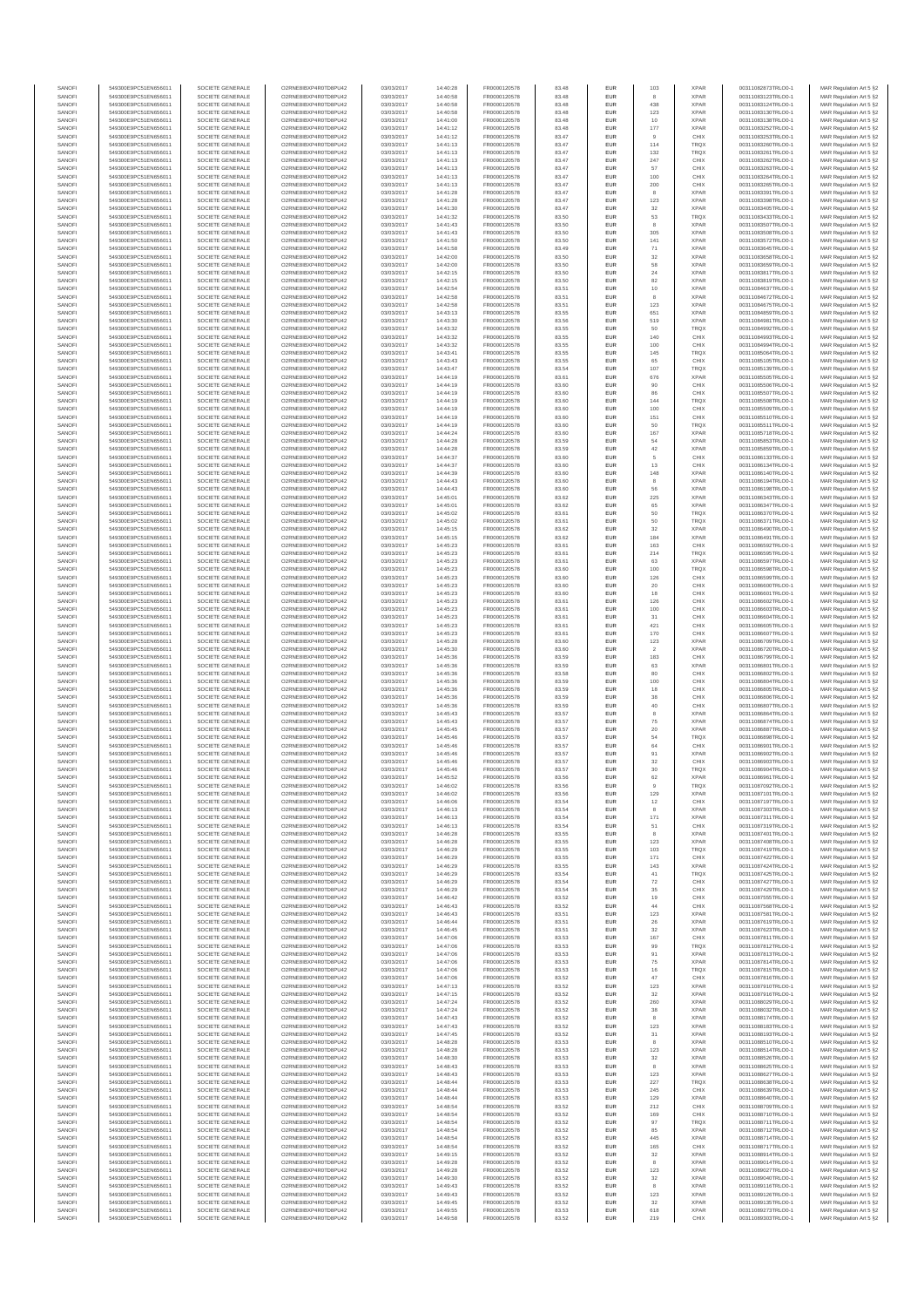| SANOFI           | 549300E9PC51EN656011                         | SOCIETE GENERALE                     | O2RNE8IBXP4R0TD8PLI42                         | 03/03/2017               | 14:40:28             | FR0000120578                 | 83.48          | <b>EUR</b>         | 103                   | <b>XPAR</b>                | 00311082873TRLO0-1                       | MAR Regulation Art 5 §2                             |
|------------------|----------------------------------------------|--------------------------------------|-----------------------------------------------|--------------------------|----------------------|------------------------------|----------------|--------------------|-----------------------|----------------------------|------------------------------------------|-----------------------------------------------------|
| SANOFI           | 549300E9PC51EN656011                         | SOCIETE GENERALE                     | O2RNE8IBXP4R0TD8PU42                          | 03/03/2017               | 14:40:58             | FR0000120578                 | 83.48          | <b>EUR</b>         |                       | <b>XPAR</b>                | 00311083123TRLO0-1                       | MAR Regulation Art 5 §2                             |
| SANOFI<br>SANOFI | 549300E9PC51EN656011<br>549300E9PC51EN656011 | SOCIETE GENERALE<br>SOCIETE GENERALE | O2RNE8IBXP4R0TD8PU42<br>O2RNE8IBXP4R0TD8PU42  | 03/03/2017<br>03/03/2017 | 14:40:58<br>14:40:58 | FR0000120578<br>FR0000120578 | 83.48<br>83.48 | EUR<br><b>EUR</b>  | 438<br>123            | <b>XPAR</b><br><b>XPAR</b> | 00311083124TRLO0-1<br>00311083130TRLO0-1 | MAR Regulation Art 5 §2<br>MAR Regulation Art 5 §2  |
| SANOFI           | 549300E9PC51EN656011                         | SOCIETE GENERALE                     | O2RNE8IBXP4R0TD8PU42                          | 03/03/2017               | 14:41:00             | FR0000120578                 | 83.48          | EUR                | 10                    | <b>XPAR</b>                | 00311083138TRLO0-1                       | MAR Regulation Art 5 §2                             |
| SANOFI           | 549300E9PC51EN656011                         | SOCIETE GENERALE                     | O2RNE8IBXP4R0TD8PU42                          | 03/03/2017               | 14:41:12             | FR0000120578                 | 83.48          | EUR                | 177                   | <b>XPAR</b>                | 00311083252TRLO0-1                       | MAR Regulation Art 5 §2                             |
| SANOFI<br>SANOFI | 549300E9PC51EN656011<br>549300E9PC51EN656011 | SOCIETE GENERALE<br>SOCIETE GENERALE | O2RNE8IBXP4R0TD8PU42<br>O2RNE8IBXP4R0TD8PU42  | 03/03/2017<br>03/03/2017 | 14:41:12<br>14:41:13 | FR0000120578<br>FR0000120578 | 83.47<br>83.47 | EUR<br>EUR         | $\overline{9}$<br>114 | CHIX<br>TRQX               | 00311083253TRLO0-1<br>00311083260TRLO0-1 | MAR Regulation Art 5 §2<br>MAR Regulation Art 5 §2  |
| SANOFI           | 549300E9PC51EN656011                         | SOCIETE GENERALE                     | O2RNE8IBXP4R0TD8PU42                          | 03/03/2017               | 14:41:13             | FR0000120578                 | 83.47          | EUR                | 132                   | TRQX                       | 00311083261TRLO0-1                       | MAR Regulation Art 5 §2                             |
| SANOFI           | 549300E9PC51EN656011                         | SOCIETE GENERALE                     | O2RNE8IBXP4R0TD8PU42                          | 03/03/2017               | 14:41:13             | FR0000120578                 | 83.47          | EUR                | 247                   | CHIX                       | 00311083262TRLO0-1                       | MAR Regulation Art 5 §2                             |
| SANOFI<br>SANOFI | 549300E9PC51EN656011<br>549300E9PC51EN656011 | SOCIETE GENERALE<br>SOCIETE GENERALE | O2RNE8IBXP4R0TD8PLI42<br>O2RNE8IBXP4R0TD8PU42 | 03/03/2017<br>03/03/2017 | 14:41:13<br>14:41:13 | FR0000120578<br>FR0000120578 | 83.47<br>83.47 | <b>EUR</b><br>EUR  | 57<br>100             | CHIX<br>CHIX               | 00311083263TRLO0-1<br>00311083264TRLO0-1 | MAR Regulation Art 5 §2<br>MAR Regulation Art 5 §2  |
| SANOFI           | 549300E9PC51EN656011                         | SOCIETE GENERALE                     | O2RNE8IBXP4R0TD8PU42                          | 03/03/2017               | 14:41:13             | FR0000120578                 | 83.47          | <b>EUR</b>         | 200                   | CHIX                       | 00311083265TRLO0-1                       | MAR Regulation Art 5 §2                             |
| SANOFI           | 549300E9PC51EN656011                         | SOCIETE GENERALE                     | O2RNE8IBXP4R0TD8PU42                          | 03/03/2017               | 14:41:28             | FR0000120578                 | 83.47          | EUR                |                       | <b>XPAR</b>                | 00311083391TRLO0-1                       | MAR Regulation Art 5 §2                             |
| SANOFI           | 549300E9PC51EN656011                         | SOCIETE GENERALE                     | O2RNE8IBXP4R0TD8PU42                          | 03/03/2017               | 14:41:28             | FR0000120578                 | 83.47          | EUR                | 123                   | <b>XPAR</b>                | 00311083398TRLO0-1                       | MAR Regulation Art 5 §2                             |
| SANOFI<br>SANOFI | 549300E9PC51EN656011<br>549300E9PC51EN656011 | SOCIETE GENERALE<br>SOCIETE GENERALE | O2RNE8IBXP4R0TD8PU42<br>O2RNE8IBXP4R0TD8PU42  | 03/03/2017<br>03/03/2017 | 14:41:30<br>14:41:32 | FR0000120578<br>FR0000120578 | 83.47<br>83.50 | EUR<br>EUR         | 32<br>53              | <b>XPAR</b><br>TRQX        | 00311083405TRLO0-1<br>00311083433TRLO0-1 | MAR Regulation Art 5 §2<br>MAR Regulation Art 5 §2  |
| SANOFI           | 549300E9PC51EN656011                         | SOCIETE GENERALE                     | O2RNE8IBXP4R0TD8PU42                          | 03/03/2017               | 14:41:43             | FR0000120578                 | 83.50          | EUR                |                       | <b>XPAR</b>                | 00311083507TRLO0-1                       | MAR Regulation Art 5 §2                             |
| SANOFI           | 549300E9PC51EN656011                         | SOCIETE GENERALE                     | O2RNE8IBXP4R0TD8PU42                          | 03/03/2017               | 14:41:43             | FR0000120578                 | 83.50          | EUR                | 305                   | <b>XPAR</b>                | 00311083508TRLO0-1                       | MAR Regulation Art 5 §2                             |
| SANOFI           | 549300E9PC51EN656011                         | SOCIETE GENERALE                     | O2RNE8IBXP4R0TD8PLI42                         | 03/03/2017               | 14:41:50             | FR0000120578                 | 83.50          | <b>EUR</b>         | 141                   | <b>XPAR</b>                | 00311083572TRLO0-1                       | MAR Regulation Art 5 §2                             |
| SANOFI<br>SANOFI | 549300E9PC51EN656011<br>549300E9PC51EN656011 | SOCIETE GENERALE<br>SOCIETE GENERALE | O2RNE8IBXP4R0TD8PU42<br>O2RNE8IBXP4R0TD8PLI42 | 03/03/2017<br>03/03/2017 | 14:41:58<br>14:42:00 | FR0000120578<br>FR0000120578 | 83.49<br>83.50 | EUR<br><b>EUR</b>  | 71<br>32              | <b>XPAR</b><br><b>XPAR</b> | 00311083645TRLO0-1<br>00311083658TRLO0-1 | MAR Regulation Art 5 §2<br>MAR Regulation Art 5 §2  |
| SANOFI           | 549300E9PC51EN656011                         | SOCIETE GENERALE                     | O2RNE8IBXP4R0TD8PU42                          | 03/03/2017               | 14:42:00             | FR0000120578                 | 83.50          | EUR                | 58                    | <b>XPAR</b>                | 00311083659TRLO0-1                       | MAR Regulation Art 5 §2                             |
| SANOFI           | 549300E9PC51EN656011                         | SOCIETE GENERALE                     | O2RNESIBXP4R0TD8PLI42                         | 03/03/2017               | 14:42:15             | FR0000120578                 | 83.50          | EUR                | $\sqrt{24}$           | <b>XPAR</b>                | 00311083817TRLO0-1                       | MAR Regulation Art 5 §2                             |
| SANOFI           | 549300E9PC51EN656011                         | SOCIETE GENERALE                     | O2RNE8IBXP4R0TD8PU42                          | 03/03/2017               | 14:42:15             | FR0000120578                 | 83.50          | EUR                | 82                    | <b>XPAR</b>                | 00311083819TRLO0-1                       | MAR Regulation Art 5 §2                             |
| SANOFI<br>SANOFI | 549300E9PC51EN656011<br>549300E9PC51EN656011 | SOCIETE GENERALE<br>SOCIETE GENERALE | O2RNE8IBXP4R0TD8PU42<br>O2RNE8IBXP4R0TD8PU42  | 03/03/2017<br>03/03/2017 | 14:42:54<br>14:42:58 | FR0000120578<br>FR0000120578 | 83.51<br>83.51 | EUR<br>EUR         | $10$<br>8             | <b>XPAR</b><br><b>XPAR</b> | 00311084637TRLO0-1<br>00311084672TRLO0-1 | MAR Regulation Art 5 §2<br>MAR Regulation Art 5 §2  |
| SANOFI           | 549300E9PC51EN656011                         | SOCIETE GENERALE                     | O2RNE8IBXP4R0TD8PU42                          | 03/03/2017               | 14:42:58             | FR0000120578                 | 83.51          | EUR                | 123                   | <b>XPAR</b>                | 00311084675TRLO0-1                       | MAR Regulation Art 5 §2                             |
| SANOFI           | 549300E9PC51EN656011                         | SOCIETE GENERALE                     | O2RNE8IBXP4R0TD8PU42                          | 03/03/2017               | 14:43:13             | FR0000120578                 | 83.55          | <b>EUR</b>         | 651                   | <b>XPAR</b>                | 00311084859TRLO0-1                       | MAR Regulation Art 5 §2                             |
| SANOFI<br>SANOFI | 549300E9PC51EN656011<br>549300E9PC51EN656011 | SOCIETE GENERALE<br>SOCIETE GENERALE | O2RNE8IBXP4R0TD8PU42<br>O2RNE8IBXP4R0TD8PU42  | 03/03/2017<br>03/03/2017 | 14:43:30<br>14:43:32 | FR0000120578<br>FR0000120578 | 83.56<br>83.55 | EUR<br><b>EUR</b>  | 519<br>50             | <b>XPAR</b><br><b>TRQX</b> | 00311084981TRLO0-1<br>00311084992TRLO0-1 | MAR Regulation Art 5 §2<br>MAR Regulation Art 5 §2  |
| SANOFI           | 549300E9PC51EN656011                         | SOCIETE GENERALE                     | O2RNE8IBXP4R0TD8PU42                          | 03/03/2017               | 14:43:32             | FR0000120578                 | 83.55          | EUR                | 140                   | CHIX                       | 00311084993TRLO0-1                       | MAR Regulation Art 5 §2                             |
| SANOFI           | 549300E9PC51EN656011                         | SOCIETE GENERALE                     | O2RNE8IBXP4R0TD8PU42                          | 03/03/2017               | 14:43:32             | FR0000120578                 | 83.55          | EUR                | 100                   | CHIX                       | 00311084994TRLO0-1                       | MAR Regulation Art 5 §2                             |
| SANOFI           | 549300E9PC51EN656011                         | SOCIETE GENERALE                     | O2RNE8IBXP4R0TD8PU42<br>O2RNE8IBXP4R0TD8PU42  | 03/03/2017               | 14:43:41             | FR0000120578                 | 83.55          | EUR                | 145                   | TRQX                       | 00311085064TRLO0-1                       | MAR Regulation Art 5 §2                             |
| SANOFI<br>SANOFI | 549300E9PC51EN656011<br>549300E9PC51EN656011 | SOCIETE GENERALE<br>SOCIETE GENERALE | O2RNE8IBXP4R0TD8PU42                          | 03/03/2017<br>03/03/2017 | 14:43:43<br>14:43:47 | FR0000120578<br>FR0000120578 | 83.55<br>83.54 | EUR<br><b>EUR</b>  | 65<br>107             | CHIX<br><b>TRQX</b>        | 00311085105TRLO0-1<br>00311085139TRLO0-1 | MAR Regulation Art 5 §2<br>MAR Regulation Art 5 §2  |
| SANOFI           | 549300E9PC51EN656011                         | SOCIETE GENERALE                     | O2RNE8IBXP4R0TD8PU42                          | 03/03/2017               | 14:44:19             | FR0000120578                 | 83.61          | EUR                | 676                   | <b>XPAR</b>                | 00311085505TRLO0-1                       | MAR Regulation Art 5 §2                             |
| SANOFI           | 549300E9PC51EN656011                         | SOCIETE GENERALE                     | O2RNE8IBXP4R0TD8PU42                          | 03/03/2017               | 14:44:19             | FR0000120578                 | 83.60          | <b>EUR</b>         | 90                    | CHIX                       | 00311085506TRLO0-1                       | MAR Regulation Art 5 §2                             |
| SANOFI<br>SANOFI | 549300E9PC51EN656011<br>549300E9PC51EN656011 | SOCIETE GENERALE<br>SOCIETE GENERALE | O2RNE8IBXP4R0TD8PU42<br>O2RNE8IBXP4R0TD8PU42  | 03/03/2017<br>03/03/2017 | 14:44:19<br>14:44:19 | FR0000120578<br>FR0000120578 | 83.60<br>83.60 | EUR<br>EUR         | 144                   | CHIX<br>TRQX               | 00311085507TRLO0-1<br>00311085508TRLO0-1 | MAR Regulation Art 5 §2<br>MAR Regulation Art 5 §2  |
| SANOFI           | 549300E9PC51EN656011                         | SOCIETE GENERALE                     | O2RNE8IBXP4R0TD8PU42                          | 03/03/2017               | 14:44:19             | FR0000120578                 | 83.60          | EUR                | 100                   | CHIX                       | 00311085509TRLO0-1                       | MAR Regulation Art 5 §2                             |
| SANOFI           | 549300E9PC51EN656011                         | SOCIETE GENERALE                     | O2RNE8IBXP4R0TD8PU42                          | 03/03/2017               | 14:44:19             | FR0000120578                 | 83.60          | EUR                | 151                   | CHIX                       | 00311085510TRLO0-1                       | MAR Regulation Art 5 §2                             |
| SANOFI           | 549300E9PC51EN656011                         | SOCIETE GENERALE                     | O2RNE8IBXP4R0TD8PU42<br>O2RNE8IBXP4R0TD8PLI42 | 03/03/2017               | 14:44:19             | FR0000120578                 | 83.60          | EUR                | 50                    | <b>TRQX</b>                | 00311085511TRLO0-1                       | MAR Regulation Art 5 §2                             |
| SANOFI<br>SANOFI | 549300E9PC51EN656011<br>549300E9PC51EN656011 | SOCIETE GENERALE<br>SOCIETE GENERALE | O2RNE8IBXP4R0TD8PU42                          | 03/03/2017<br>03/03/2017 | 14:44:24<br>14:44:28 | FR0000120578<br>FR0000120578 | 83.60<br>83.59 | EUR<br><b>EUR</b>  | 167<br>54             | <b>XPAR</b><br><b>XPAR</b> | 00311085718TRLO0-1<br>00311085853TRLO0-1 | MAR Regulation Art 5 §2<br>MAR Regulation Art 5 §2  |
| SANOFI           | 549300E9PC51EN656011                         | SOCIETE GENERALE                     | O2RNE8IBXP4R0TD8PU42                          | 03/03/2017               | 14:44:28             | FR0000120578                 | 83.59          | EUR                | 42                    | <b>XPAR</b>                | 00311085859TRLO0-1                       | MAR Regulation Art 5 §2                             |
| SANOFI           | 549300E9PC51EN656011                         | SOCIETE GENERALE                     | O2RNE8IBXP4R0TD8PU42                          | 03/03/2017               | 14:44:37             | FR0000120578                 | 83.60          | <b>EUR</b>         | 5                     | CHIX                       | 00311086133TRLO0-1                       | MAR Regulation Art 5 §2                             |
| SANOFI<br>SANOFI | 549300E9PC51EN656011<br>549300E9PC51EN656011 | SOCIETE GENERALE<br>SOCIETE GENERALE | O2RNE8IBXP4R0TD8PU42<br>O2RNE8IBXP4R0TD8PU42  | 03/03/2017<br>03/03/2017 | 14:44:37<br>14:44:39 | FR0000120578<br>FR0000120578 | 83.60<br>83.60 | EUR<br>EUR         | 13<br>148             | CHIX<br><b>XPAR</b>        | 00311086134TRLO0-1<br>00311086140TRLO0-1 | MAR Regulation Art 5 §2<br>MAR Regulation Art 5 §2  |
| SANOFI           | 549300E9PC51EN656011                         | SOCIETE GENERALE                     | O2RNE8IBXP4R0TD8PU42                          | 03/03/2017               | 14:44:43             | FR0000120578                 | 83.60          | EUR                | 8                     | <b>XPAR</b>                | 00311086194TRLO0-1                       | MAR Regulation Art 5 §2                             |
| SANOFI           | 549300E9PC51EN656011                         | SOCIETE GENERALE                     | O2RNE8IBXP4R0TD8PLI42                         | 03/03/2017               | 14:44:43             | FR0000120578                 | 83.60          | EUR                | 56                    | <b>XPAR</b>                | 00311086198TRLO0-1                       | MAR Regulation Art 5 §2                             |
| SANOFI           | 549300E9PC51EN656011                         | SOCIETE GENERALE                     | O2RNE8IBXP4R0TD8PU42                          | 03/03/2017               | 14:45:01             | FR0000120578                 | 83.62          | EUR                | 225                   | <b>XPAR</b>                | 00311086343TRLO0-1                       | MAR Regulation Art 5 §2                             |
| SANOFI<br>SANOFI | 549300E9PC51EN656011<br>549300E9PC51EN656011 | SOCIETE GENERALE<br>SOCIETE GENERALE | O2RNE8IBXP4R0TD8PU42<br>O2RNE8IBXP4R0TD8PU42  | 03/03/2017<br>03/03/2017 | 14:45:01<br>14:45:02 | FR0000120578<br>FR0000120578 | 83.62<br>83.61 | EUR<br><b>EUR</b>  | 65<br>50              | <b>XPAR</b><br><b>TRQX</b> | 00311086347TRLO0-1<br>00311086370TRLO0-1 | MAR Regulation Art 5 §2<br>MAR Regulation Art 5 §2  |
| SANOFI           | 549300E9PC51EN656011                         | SOCIETE GENERALE                     | O2RNE8IBXP4R0TD8PU42                          | 03/03/2017               | 14:45:02             | FR0000120578                 | 83.61          | EUR                | 50                    | <b>TRQX</b>                | 00311086371TRLO0-1                       | MAR Regulation Art 5 §2                             |
| SANOFI           | 549300E9PC51EN656011                         | SOCIETE GENERALE                     | O2RNE8IBXP4R0TD8PU42                          | 03/03/2017               | 14:45:15             | FR0000120578                 | 83.62          | <b>EUR</b>         | 32                    | <b>XPAR</b>                | 00311086490TRLO0-1                       | MAR Regulation Art 5 §2                             |
| SANOFI           | 549300E9PC51EN656011                         | SOCIETE GENERALE                     | O2RNE8IBXP4R0TD8PU42                          | 03/03/2017               | 14:45:15             | FR0000120578                 | 83.62          | EUR                | 184                   | <b>XPAR</b>                | 00311086491TRLO0-1                       | MAR Regulation Art 5 §2                             |
| SANOFI<br>SANOFI | 549300E9PC51EN656011<br>549300E9PC51EN656011 | SOCIETE GENERALE<br>SOCIETE GENERALE | O2RNE8IBXP4R0TD8PU42<br>O2RNE8IBXP4R0TD8PU42  | 03/03/2017<br>03/03/2017 | 14:45:23<br>14:45:23 | FR0000120578<br>FR0000120578 | 83.61<br>83.61 | EUR<br>EUR         | 163<br>214            | CHIX<br>TRQX               | 00311086592TRLO0-1<br>00311086595TRLO0-1 | MAR Regulation Art 5 §2<br>MAR Regulation Art 5 §2  |
| SANOFI           | 549300E9PC51EN656011                         | SOCIETE GENERALE                     | O2RNE8IBXP4R0TD8PU42                          | 03/03/2017               | 14:45:23             | FR0000120578                 | 83.61          | EUR                | 63                    | <b>XPAR</b>                | 00311086597TRLO0-1                       | MAR Regulation Art 5 §2                             |
| SANOFI           | 549300E9PC51EN656011                         | SOCIETE GENERALE                     | O2RNE8IBXP4R0TD8PU42                          | 03/03/2017               | 14:45:23             | FR0000120578                 | 83.60          | EUR                | 100                   | TRQX                       | 00311086598TRLO0-1                       | MAR Regulation Art 5 §2                             |
| SANOFI<br>SANOFI | 549300E9PC51EN656011<br>549300E9PC51EN656011 | SOCIETE GENERALE<br>SOCIETE GENERALE | O2RNE8IBXP4R0TD8PU42<br>O2RNE8IBXP4R0TD8PU42  | 03/03/2017<br>03/03/2017 | 14:45:23<br>14:45:23 | FR0000120578<br>FR0000120578 | 83.60<br>83.60 | EUR<br><b>EUR</b>  | 126<br>20             | CHIX<br>CHIX               | 00311086599TRLO0-1<br>00311086600TRLO0-1 | MAR Regulation Art 5 §2<br>MAR Regulation Art 5 §2  |
| SANOFI           | 549300E9PC51EN656011                         | SOCIETE GENERALE                     | O2RNE8IBXP4R0TD8PU42                          | 03/03/2017               | 14:45:23             | FR0000120578                 | 83.60          | EUR                | 18                    | CHIX                       | 00311086601TRLO0-1                       | MAR Regulation Art 5 §2                             |
| SANOFI           | 549300E9PC51EN656011                         | SOCIETE GENERALE                     | O2RNE8IBXP4R0TD8PU42                          | 03/03/2017               | 14:45:23             | FR0000120578                 | 83.61          | <b>EUR</b>         | 126                   | CHIX                       | 00311086602TRLO0-1                       | MAR Regulation Art 5 §2                             |
| SANOFI           | 549300E9PC51EN656011                         | SOCIETE GENERALE                     | O2RNE8IBXP4R0TD8PU42                          | 03/03/2017               | 14:45:23             | FR0000120578                 | 83.61          | EUR                | 100                   | CHIX                       | 00311086603TRLO0-1                       | MAR Regulation Art 5 §2                             |
| SANOFI<br>SANOFI | 549300E9PC51EN656011<br>549300E9PC51EN656011 | SOCIETE GENERALE<br>SOCIETE GENERALE | O2RNE8IBXP4R0TD8PU42<br>O2RNE8IBXP4R0TD8PU42  | 03/03/2017<br>03/03/2017 | 14:45:23<br>14:45:23 | FR0000120578<br>FR0000120578 | 83.61<br>83.61 | EUR<br>EUR         | 31<br>421             | CHIX<br>CHIX               | 00311086604TRLO0-1<br>00311086605TRLO0-1 | MAR Regulation Art 5 §2<br>MAR Regulation Art 5 §2  |
| SANOFI           | 549300E9PC51EN656011                         | SOCIETE GENERALE                     | O2RNE8IBXP4R0TD8PU42                          | 03/03/2017               | 14:45:23             | FR0000120578                 | 83.61          | EUR                | 170                   | CHIX                       | 00311086607TRLO0-1                       | MAR Regulation Art 5 §2                             |
| SANOFI           | 549300E9PC51EN656011                         | SOCIETE GENERALE                     | O2RNE8IBXP4R0TD8PU42                          | 03/03/2017               | 14:45:28             | FR0000120578                 | 83.60          | <b>EUR</b>         | 123                   | <b>XPAR</b>                | 00311086709TRLO0-1                       | MAR Regulation Art 5 §2                             |
| SANOFI           | 549300E9PC51EN656011                         | SOCIETE GENERALE                     | O2RNE8IBXP4R0TD8PU42                          | 03/03/2017               | 14:45:30             | FR0000120578                 | 83.60          | EUR<br><b>EUR</b>  | $\overline{2}$        | <b>XPAR</b>                | 00311086720TRLO0-1                       | MAR Regulation Art 5 §2                             |
| SANOFI<br>SANOFI | 549300E9PC51EN656011<br>549300E9PC51EN656011 | SOCIETE GENERALE<br>SOCIETE GENERALE | O2RNE8IBXP4R0TD8PU42<br>O2RNE8IBXP4R0TD8PU42  | 03/03/2017<br>03/03/2017 | 14:45:36<br>14:45:36 | FR0000120578<br>FR0000120578 | 83.59<br>83.59 | EUR                | 183<br>63             | CHIX<br><b>XPAR</b>        | 00311086799TRLO0-1<br>00311086801TRLO0-1 | MAR Regulation Art 5 §2<br>MAR Regulation Art 5 §2  |
| SANOFI           | 549300E9PC51EN656011                         | SOCIETE GENERALE                     | O2RNE8IBXP4R0TD8PU42                          | 03/03/2017               | 14:45:36             | FR0000120578                 | 83.58          | <b>EUR</b>         | 80                    | CHIX                       | 00311086802TRLO0-1                       | MAR Regulation Art 5 §2                             |
| SANOFI           | 549300E9PC51EN656011                         | SOCIETE GENERALE                     | O2RNE8IBXP4R0TD8PU42                          | 03/03/2017               | 14:45:36             | FR0000120578                 | 83.59          | EUR                | 100                   | CHIX                       | 00311086804TRLO0-1                       | MAR Regulation Art 5 §2                             |
| SANOFI<br>SANOFI | 549300E9PC51EN656011<br>549300E9PC51EN656011 | SOCIETE GENERALE<br>SOCIETE GENERALE | O2RNE8IBXP4R0TD8PLI42<br>O2RNE8IBXP4R0TD8PU42 | 03/03/2017<br>03/03/2017 | 14:45:36<br>14:45:36 | FR0000120578<br>FR0000120578 | 83.59<br>83.59 | EUR<br>EUR         | 18<br>38              | CHIX<br>CHIX               | 00311086805TRLO0-1<br>00311086806TRLO0-1 | MAR Regulation Art 5 §2<br>MAR Regulation Art 5 §2  |
| SANOFI           | 549300E9PC51EN656011                         | SOCIETE GENERALE                     | O2RNE8IBXP4R0TD8PU42                          | 03/03/2017               | 14:45:36             | FR0000120578                 | 83.59          | EUR                | 40                    | CHIX                       | 00311086807TRLO0-1                       | MAR Regulation Art 5 §2                             |
| SANOFI           | 549300E9PC51EN656011                         | SOCIETE GENERALE                     | O2RNE8IBXP4R0TD8PU42                          | 03/03/2017               | 14:45:43             | FR0000120578                 | 83.57          | <b>EUR</b>         | 8                     | <b>XPAR</b>                | 00311086864TRLO0-1                       | MAR Regulation Art 5 §2                             |
| SANOFI           | 549300E9PC51EN656011                         | SOCIETE GENERALE                     | O2RNE8IBXP4R0TD8PU42                          | 03/03/2017               | 14:45:43             | FR0000120578                 | 83.57          | EUR                | 75                    | <b>XPAR</b>                | 00311086874TRLO0-1                       | MAR Regulation Art 5 §2                             |
| SANOFI<br>SANOFI | 549300E9PC51EN656011<br>549300E9PC51EN656011 | SOCIETE GENERALE<br>SOCIETE GENERALE | O2RNE8IBXP4R0TD8PU42<br>O2RNE8IBXP4R0TD8PU42  | 03/03/2017<br>03/03/2017 | 14:45:45<br>14:45:46 | FR0000120578<br>FR0000120578 | 83.57<br>83.57 | <b>EUR</b><br>EUR  | 20<br>54              | <b>XPAR</b><br>TRQX        | 00311086887TRLO0-1<br>00311086898TRLO0-1 | MAR Regulation Art 5 §2<br>MAR Regulation Art 5 §2  |
| SANOFI           | 549300E9PC51EN656011                         | SOCIETE GENERALE                     | O2RNE8IBXP4R0TD8PU42                          | 03/03/2017               | 14:45:46             | FR0000120578                 | 83.57          | EUR                | $64\,$                | CHIX                       | 00311086901TRLO0-1                       | MAR Regulation Art 5 §2                             |
| SANOFI           | 549300E9PC51EN656011                         | SOCIETE GENERALE                     | O2RNE8IBXP4R0TD8PU42                          | 03/03/2017               | 14:45:46             | FR0000120578                 | 83.57          | EUR                | 91                    | <b>XPAR</b>                | 00311086902TRLO0-1                       | MAR Regulation Art 5 §2                             |
| SANOFI<br>SANOFI | 549300E9PC51EN656011<br>549300E9PC51EN656011 | SOCIETE GENERALE<br>SOCIETE GENERALE | O2RNESIBXP4R0TD8PLI42<br>O2RNE8IBXP4R0TD8PU42 | 03/03/2017<br>03/03/2017 | 14:45:46<br>14:45:46 | FR0000120578<br>FR0000120578 | 83.57<br>83.57 | EUR<br>EUR         | 32<br>30              | CHIX<br>TRQX               | 00311086903TRLO0-1<br>00311086904TRLO0-1 | MAR Regulation Art 5 §2                             |
| SANOFI           | 549300E9PC51EN656011                         | SOCIETE GENERALE                     | O2RNE8IBXP4R0TD8PU42                          | 03/03/2017               | 14:45:52             | FR0000120578                 | 83.56          | EUR                | $62\,$                | <b>XPAR</b>                | 00311086961TRLO0-1                       | MAR Regulation Art 5 §2<br>MAR Regulation Art 5 §2  |
| SANOFI           | 549300E9PC51EN656011                         | SOCIETE GENERALE                     | O2RNE8IBXP4R0TD8PU42                          | 03/03/2017               | 14:46:02             | FR0000120578                 | 83.56          | <b>EUR</b>         |                       | <b>TRQX</b>                | 00311087092TRLO0-1                       | MAR Regulation Art 5 §2                             |
| SANOFI           | 549300E9PC51EN656011                         | SOCIETE GENERALE                     | O2RNE8IBXP4R0TD8PU42                          | 03/03/2017               | 14:46:02             | FR0000120578<br>FR0000120578 | 83.56          | EUR                | 129                   | <b>XPAR</b>                | 00311087101TRLO0-1                       | MAR Regulation Art 5 §2                             |
| SANOFI<br>SANOFI | 549300E9PC51EN656011<br>549300E9PC51EN656011 | SOCIETE GENERALE<br>SOCIETE GENERALE | O2RNE8IBXP4R0TD8PU42<br>O2RNE8IBXP4R0TD8PU42  | 03/03/2017<br>03/03/2017 | 14:46:06<br>14:46:13 | FR0000120578                 | 83.54<br>83.54 | <b>EUR</b><br>EUR  | 12                    | CHIX<br><b>XPAR</b>        | 00311087197TRLO0-1<br>00311087303TRLO0-1 | MAR Regulation Art 5 §2<br>MAR Regulation Art 5 §2  |
| SANOFI           | 549300E9PC51EN656011                         | SOCIETE GENERALE                     | O2RNE8IBXP4R0TD8PU42                          | 03/03/2017               | 14:46:13             | FR0000120578                 | 83.54          | <b>EUR</b>         | 171                   | <b>XPAR</b>                | 00311087311TRLO0-1                       | MAR Regulation Art 5 §2                             |
| SANOFI           | 549300E9PC51EN656011                         | SOCIETE GENERALE                     | O2RNE8IBXP4R0TD8PU42<br>O2RNESIBXP4R0TD8PLI42 | 03/03/2017               | 14:46:13             | FR0000120578                 | 83.54          | EUR                | 51                    | CHIX                       | 00311087319TRLO0-1                       | MAR Regulation Art 5 §2                             |
| SANOFI<br>SANOFI | 549300E9PC51EN656011<br>549300E9PC51EN656011 | SOCIETE GENERALE<br>SOCIETE GENERALE | O2RNE8IBXP4R0TD8PU42                          | 03/03/2017<br>03/03/2017 | 14:46:28<br>14:46:28 | FR0000120578<br>FR0000120578 | 83.55<br>83.55 | ${\sf EUR}$<br>EUR | 8<br>123              | <b>XPAR</b><br><b>XPAR</b> | 00311087401TRLO0-1<br>00311087408TRLO0-1 | MAR Regulation Art 5 §2<br>MAR Regulation Art 5 §2  |
| SANOFI           | 549300E9PC51EN656011                         | SOCIETE GENERALE                     | O2RNE8IBXP4R0TD8PU42                          | 03/03/2017               | 14:46:29             | FR0000120578                 | 83.55          | EUR                | 103                   | <b>TRQX</b>                | 00311087419TRLO0-1                       | MAR Regulation Art 5 §2                             |
| SANOFI           | 549300E9PC51EN656011                         | SOCIETE GENERALE                     | O2RNE8IBXP4R0TD8PLI42                         | 03/03/2017               | 14:46:29             | FR0000120578                 | 83.55          | <b>EUR</b>         | 171                   | CHIX                       | 00311087422TRLO0-1                       | MAR Regulation Art 5 §2                             |
| SANOFI<br>SANOFI | 549300E9PC51EN656011<br>549300E9PC51EN656011 | SOCIETE GENERALE<br>SOCIETE GENERALE | O2RNE8IBXP4R0TD8PU42<br>O2RNE8IBXP4R0TD8PU42  | 03/03/2017<br>03/03/2017 | 14:46:29<br>14:46:29 | FR0000120578<br>FR0000120578 | 83.55<br>83.54 | EUR<br><b>EUR</b>  | 143<br>41             | <b>XPAR</b><br><b>TROX</b> | 00311087424TRLO0-1<br>00311087425TRLO0-1 | MAR Regulation Art 5 \$2<br>MAR Regulation Art 5 §2 |
| SANOFI           | 549300E9PC51EN656011                         | SOCIETE GENERALE                     | O2RNE8IBXP4R0TD8PU42                          | 03/03/2017               | 14:46:29             | FR0000120578                 | 83.54          | EUR                | 72                    | CHIX                       | 00311087427TRLO0-1                       | MAR Regulation Art 5 §2                             |
| SANOFI           | 549300E9PC51EN656011                         | SOCIETE GENERALE                     | O2RNE8IBXP4R0TD8PU42                          | 03/03/2017               | 14:46:29             | FR0000120578                 | 83.54          | EUR                | 35                    | CHIX                       | 00311087429TRLO0-1                       | MAR Regulation Art 5 §2                             |
| SANOFI<br>SANOFI | 549300E9PC51EN656011<br>549300E9PC51EN656011 | SOCIETE GENERALE<br>SOCIETE GENERALE | O2RNE8IBXP4R0TD8PU42<br>O2RNESIBXP4R0TD8PLI42 | 03/03/2017<br>03/03/2017 | 14:46:42<br>14:46:43 | FR0000120578<br>FR0000120578 | 83.52<br>83.52 | EUR<br>EUR         | 19<br>44              | CHIX<br>CHIX               | 00311087555TRLO0-1<br>00311087568TRLO0-1 | MAR Regulation Art 5 §2<br>MAR Regulation Art 5 §2  |
| SANOFI           | 549300E9PC51EN656011                         | SOCIETE GENERALE                     | O2RNE8IBXP4R0TD8PLI42                         | 03/03/2017               | 14:46:43             | FR0000120578                 | 83.51          | <b>EUR</b>         | 123                   | <b>XPAR</b>                | 00311087581TRLO0-1                       | MAR Regulation Art 5 §2                             |
| SANOFI           | 549300E9PC51EN656011                         | SOCIETE GENERALE                     | O2RNE8IBXP4R0TD8PU42                          | 03/03/2017               | 14:46:44             | FR0000120578                 | 83.51          | EUR                | 26                    | <b>XPAR</b>                | 00311087619TRLO0-1                       | MAR Regulation Art 5 §2                             |
| SANOFI           | 549300E9PC51EN656011<br>549300E9PC51EN656011 | SOCIETE GENERALE                     | O2RNE8IBXP4R0TD8PU42                          | 03/03/2017               | 14:46:45             | FR0000120578                 | 83.51          | <b>EUR</b>         | 32                    | <b>XPAR</b>                | 00311087623TRLO0-1                       | MAR Regulation Art 5 §2                             |
| SANOFI<br>SANOFI | 549300E9PC51EN656011                         | SOCIETE GENERALE<br>SOCIETE GENERALE | O2RNE8IBXP4R0TD8PU42<br>O2RNE8IBXP4R0TD8PU42  | 03/03/2017<br>03/03/2017 | 14:47:06<br>14:47:06 | FR0000120578<br>FR0000120578 | 83.53<br>83.53 | EUR<br>EUR         | 167<br>99             | CHIX<br><b>TRQX</b>        | 00311087811TRLO0-1<br>00311087812TRLO0-1 | MAR Regulation Art 5 §2<br>MAR Regulation Art 5 §2  |
| SANOFI           | 549300E9PC51EN656011                         | SOCIETE GENERALE                     | O2RNE8IBXP4R0TD8PU42                          | 03/03/2017               | 14:47:06             | FR0000120578                 | 83.53          | EUR                | 91                    | <b>XPAR</b>                | 00311087813TRLO0-1                       | MAR Regulation Art 5 §2                             |
| SANOFI           | 549300E9PC51EN656011                         | SOCIETE GENERALE                     | O2RNE8IBXP4R0TD8PU42                          | 03/03/2017               | 14:47:06             | FR0000120578                 | 83.53          | EUR                | 75                    | <b>XPAR</b>                | 00311087814TRLO0-1                       | MAR Regulation Art 5 §2                             |
| SANOFI<br>SANOFI | 549300E9PC51EN656011<br>549300E9PC51EN656011 | SOCIETE GENERALE<br>SOCIETE GENERALE | O2RNE8IBXP4R0TD8PU42<br>O2RNE8IBXP4R0TD8PU42  | 03/03/2017<br>03/03/2017 | 14:47:06<br>14:47:06 | FR0000120578<br>FR0000120578 | 83.53<br>83.52 | EUR<br>EUR         | 16<br>47              | <b>TRQX</b><br>CHIX        | 00311087815TRLO0-1<br>00311087816TRLO0-1 | MAR Regulation Art 5 §2<br>MAR Regulation Art 5 §2  |
| SANOFI           | 549300E9PC51EN656011                         | SOCIETE GENERALE                     | O2RNE8IBXP4R0TD8PU42                          | 03/03/2017               | 14:47:13             | FR0000120578                 | 83.52          | <b>EUR</b>         | 123                   | <b>XPAR</b>                | 00311087910TRLO0-1                       | MAR Regulation Art 5 §2                             |
| SANOFI           | 549300E9PC51EN656011                         | SOCIETE GENERALE                     | O2RNE8IBXP4R0TD8PU42                          | 03/03/2017               | 14:47:15             | FR0000120578                 | 83.52          | EUR                | 32                    | <b>XPAR</b>                | 00311087916TRLO0-1                       | MAR Regulation Art 5 §2                             |
| SANOFI<br>SANOFI | 549300E9PC51EN656011<br>549300E9PC51EN656011 | SOCIETE GENERALE<br>SOCIETE GENERALE | O2RNE8IBXP4R0TD8PU42<br>O2RNE8IBXP4R0TD8PU42  | 03/03/2017<br>03/03/2017 | 14:47:24<br>14:47:24 | FR0000120578<br>FR0000120578 | 83.52<br>83.52 | <b>EUR</b><br>EUR  | 260<br>38             | <b>XPAR</b><br><b>XPAR</b> | 00311088029TRLO0-1<br>00311088032TRLO0-1 | MAR Regulation Art 5 §2<br>MAR Regulation Art 5 §2  |
| SANOFI           | 549300E9PC51EN656011                         | SOCIETE GENERALE                     | O2RNE8IBXP4R0TD8PU42                          | 03/03/2017               | 14:47:43             | FR0000120578                 | 83.52          | <b>EUR</b>         | 8                     | <b>XPAR</b>                | 00311088174TRLO0-1                       | MAR Regulation Art 5 §2                             |
| SANOFI           | 549300E9PC51EN656011                         | SOCIETE GENERALE                     | O2RNE8IBXP4R0TD8PU42                          | 03/03/2017               | 14:47:43             | FR0000120578                 | 83.52          | EUR                | 123                   | <b>XPAR</b>                | 00311088183TRLO0-1                       | MAR Regulation Art 5 §2                             |
| SANOFI           | 549300E9PC51EN656011                         | SOCIETE GENERALE                     | O2RNE8IBXP4R0TD8PU42                          | 03/03/2017               | 14:47:45             | FR0000120578                 | 83.52          | EUR                | 31                    | <b>XPAR</b>                | 00311088193TRLO0-1                       | MAR Regulation Art 5 §2                             |
| SANOFI<br>SANOFI | 549300E9PC51EN656011<br>549300E9PC51EN656011 | SOCIETE GENERALE<br>SOCIETE GENERALE | O2RNE8IBXP4R0TD8PU42<br>O2RNE8IBXP4R0TD8PU42  | 03/03/2017<br>03/03/2017 | 14:48:28<br>14:48:28 | FR0000120578<br>FR0000120578 | 83.53<br>83.53 | EUR<br>EUR         | 123                   | <b>XPAR</b><br><b>XPAR</b> | 00311088510TRLO0-1<br>00311088514TRLO0-1 | MAR Regulation Art 5 §2<br>MAR Regulation Art 5 §2  |
| SANOFI           | 549300E9PC51EN656011                         | SOCIETE GENERALE                     | O2RNE8IBXP4R0TD8PU42                          | 03/03/2017               | 14:48:30             | FR0000120578                 | 83.53          | <b>EUR</b>         | 32                    | <b>XPAR</b>                | 00311088526TRLO0-1                       | MAR Regulation Art 5 §2                             |
| SANOFI           | 549300E9PC51EN656011                         | SOCIETE GENERALE                     | O2RNE8IBXP4R0TD8PU42                          | 03/03/2017               | 14:48:43             | FR0000120578                 | 83.53          | EUR                | 8                     | <b>XPAR</b>                | 00311088625TRLO0-1                       | MAR Regulation Art 5 §2                             |
| SANOFI           | 549300E9PC51EN656011                         | SOCIETE GENERALE                     | O2RNE8IBXP4R0TD8PU42                          | 03/03/2017               | 14:48:43             | FR0000120578                 | 83.53          | <b>EUR</b>         | 123                   | <b>XPAR</b>                | 00311088627TRLO0-1                       | MAR Regulation Art 5 §2                             |
| SANOFI<br>SANOFI | 549300E9PC51EN656011<br>549300E9PC51EN656011 | SOCIETE GENERALE<br>SOCIETE GENERALE | O2RNE8IBXP4R0TD8PU42<br>O2RNE8IBXP4R0TD8PU42  | 03/03/2017<br>03/03/2017 | 14:48:44<br>14:48:44 | FR0000120578<br>FR0000120578 | 83.53<br>83.53 | EUR<br>EUR         | 227<br>245            | TRQX<br>CHIX               | 00311088638TRLO0-1<br>00311088639TRLO0-1 | MAR Regulation Art 5 §2<br>MAR Regulation Art 5 §2  |
| SANOFI           | 549300E9PC51EN656011                         | SOCIETE GENERALE                     | O2RNE8IBXP4R0TD8PU42                          | 03/03/2017               | 14:48:44             | FR0000120578                 | 83.53          | EUR                | 129                   | <b>XPAR</b>                | 00311088640TRLO0-1                       | MAR Regulation Art 5 §2                             |
| SANOFI           | 549300E9PC51EN656011                         | SOCIETE GENERALE                     | O2RNE8IBXP4R0TD8PU42                          | 03/03/2017               | 14:48:54             | FR0000120578                 | 83.52          | EUR                | 212                   | CHIX                       | 00311088709TRLO0-1                       | MAR Regulation Art 5 §2                             |
| SANOFI<br>SANOFI | 549300E9PC51EN656011<br>549300E9PC51EN656011 | SOCIETE GENERALE<br>SOCIETE GENERALE | O2RNE8IBXP4R0TD8PU42<br>O2RNE8IBXP4R0TD8PU42  | 03/03/2017<br>03/03/2017 | 14:48:54<br>14:48:54 | FR0000120578<br>FR0000120578 | 83.52<br>83.52 | EUR<br>EUR         | 169<br>97             | CHIX<br>TRQX               | 00311088710TRLO0-1<br>00311088711TRLO0-1 | MAR Regulation Art 5 §2<br>MAR Regulation Art 5 §2  |
| SANOFI           | 549300E9PC51EN656011                         | SOCIETE GENERALE                     | O2RNE8IBXP4R0TD8PU42                          | 03/03/2017               | 14:48:54             | FR0000120578                 | 83.52          | <b>EUR</b>         | 85                    | <b>XPAR</b>                | 00311088712TRLO0-1                       | MAR Regulation Art 5 §2                             |
| SANOFI           | 549300E9PC51EN656011                         | SOCIETE GENERALE                     | O2RNE8IBXP4R0TD8PU42                          | 03/03/2017               | 14:48:54             | FR0000120578                 | 83.52          | EUR                | 445                   | <b>XPAR</b>                | 00311088714TRLO0-1                       | MAR Regulation Art 5 §2                             |
| SANOFI<br>SANOFI | 549300E9PC51EN656011                         | SOCIETE GENERALE<br>SOCIETE GENERALE | O2RNE8IBXP4R0TD8PU42<br>O2RNE8IBXP4R0TD8PU42  | 03/03/2017               | 14:48:54<br>14:49:15 | FR0000120578                 | 83.52<br>83.52 | <b>EUR</b><br>EUR  | 165                   | CHIX<br><b>XPAR</b>        | 00311088717TRLO0-1<br>00311088914TRLO0-1 | MAR Regulation Art 5 §2                             |
| SANOFI           | 549300E9PC51EN656011<br>549300E9PC51EN656011 | SOCIETE GENERALE                     | O2RNE8IBXP4R0TD8PU42                          | 03/03/2017<br>03/03/2017 | 14:49:28             | FR0000120578<br>FR0000120578 | 83.52          | EUR                | $_{\rm 32}$<br>8      | <b>XPAR</b>                | 00311089014TRLO0-1                       | MAR Regulation Art 5 §2<br>MAR Regulation Art 5 §2  |
| SANOFI           | 549300E9PC51EN656011                         | SOCIETE GENERALE                     | O2RNE8IBXP4R0TD8PU42                          | 03/03/2017               | 14:49:28             | FR0000120578                 | 83.52          | EUR                | 123                   | <b>XPAR</b>                | 00311089027TRLO0-1                       | MAR Regulation Art 5 §2                             |
| SANOFI           | 549300E9PC51EN656011                         | SOCIETE GENERALE                     | O2RNE8IBXP4R0TD8PU42                          | 03/03/2017               | 14:49:30             | FR0000120578                 | 83.52          | EUR                | $32\,$                | <b>XPAR</b>                | 00311089040TRLO0-1                       | MAR Regulation Art 5 §2                             |
| SANOFI<br>SANOFI | 549300E9PC51EN656011<br>549300E9PC51EN656011 | SOCIETE GENERALE<br>SOCIETE GENERALE | O2RNE8IBXP4R0TD8PU42<br>O2RNE8IBXP4R0TD8PU42  | 03/03/2017<br>03/03/2017 | 14:49:43<br>14:49:43 | FR0000120578<br>FR0000120578 | 83.52<br>83.52 | <b>EUR</b><br>EUR  | 8<br>123              | <b>XPAR</b><br><b>XPAR</b> | 00311089116TRLO0-1<br>00311089126TRLO0-1 | MAR Regulation Art 5 §2                             |
| SANOFI           | 549300E9PC51EN656011                         | SOCIETE GENERALE                     | O2RNE8IBXP4R0TD8PU42                          | 03/03/2017               | 14:49:45             | FR0000120578                 | 83.52          | <b>EUR</b>         | 32                    | <b>XPAR</b>                | 00311089135TRLO0-1                       | MAR Regulation Art 5 §2<br>MAR Regulation Art 5 §2  |
| SANOFI           | 549300E9PC51EN656011                         | SOCIETE GENERALE                     | O2RNE8IBXP4R0TD8PU42                          | 03/03/2017               | 14:49:55             | FR0000120578                 | 83.53          | EUR                | 618                   | <b>XPAR</b>                | 00311089273TRLO0-1                       | MAR Regulation Art 5 §2                             |
| SANOFI           | 549300E9PC51EN656011                         | SOCIETE GENERALE                     | O2RNE8IBXP4R0TD8PU42                          | 03/03/2017               | 14:49:58             | FR0000120578                 | 83.52          | EUR                | 219                   | CHIX                       | 00311089303TRLO0-1                       | MAR Regulation Art 5 §2                             |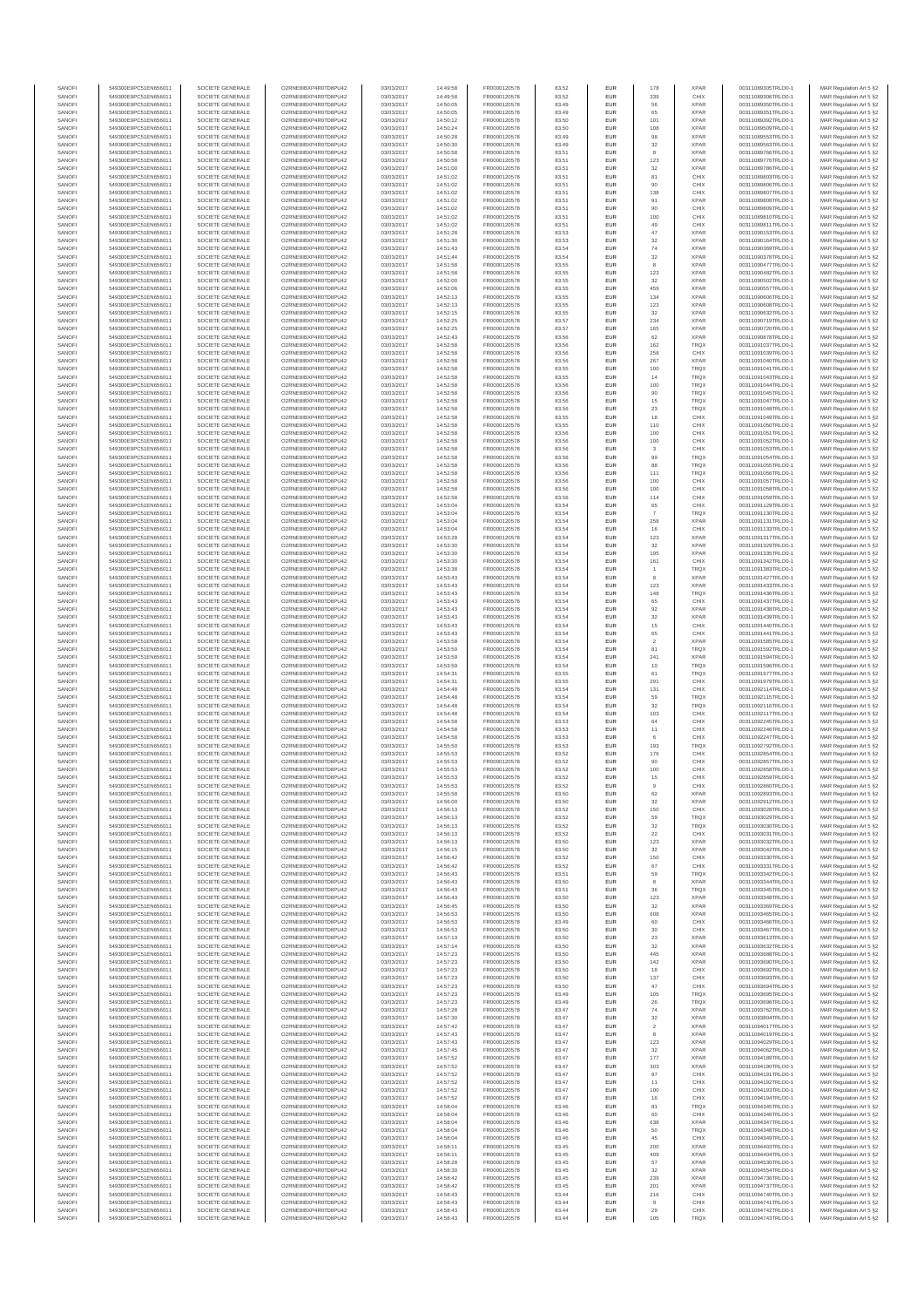| SANOFI<br>SANOFI | 549300E9PC51EN656011<br>549300E9PC51EN656011 | SOCIETE GENERALE<br>SOCIETE GENERALE | O2RNE8IBXP4R0TD8PU42<br>O2RNE8IBXP4R0TD8PU42   | 03/03/2017<br>03/03/2017 | 14:49:58<br>14:49:58 | FR0000120578<br>FR0000120578 | 83.52<br>83.52 | <b>EUR</b><br>EUR        | 178<br>339           | <b>XPAR</b><br>CHIX        | 00311089305TRLO0-1<br>00311089306TRLO0-1 | MAR Regulation Art 5 §2                            |
|------------------|----------------------------------------------|--------------------------------------|------------------------------------------------|--------------------------|----------------------|------------------------------|----------------|--------------------------|----------------------|----------------------------|------------------------------------------|----------------------------------------------------|
| SANOFI           | 549300E9PC51EN656011                         | SOCIETE GENERALE                     | O2RNE8IBXP4R0TD8PU42                           | 03/03/2017               | 14:50:05             | FR0000120578                 | 83.49          | <b>EUR</b>               | 56                   | <b>XPAR</b>                | 00311089350TRLO0-1                       | MAR Regulation Art 5 §2<br>MAR Regulation Art 5 §2 |
| SANOFI           | 549300E9PC51EN656011                         | SOCIETE GENERALE                     | O2RNE8IBXP4R0TD8PU42                           | 03/03/2017               | 14:50:05             | FR0000120578                 | 83.49          | EUR                      | 65                   | <b>XPAR</b>                | 00311089351TRLO0-1                       | MAR Regulation Art 5 §2                            |
| SANOFI<br>SANOFI | 549300E9PC51EN656011<br>549300E9PC51EN656011 | SOCIETE GENERALE<br>SOCIETE GENERALE | O2RNE8IBXP4R0TD8PU42<br>O2RNE8IBXP4R0TD8PU42   | 03/03/2017<br>03/03/2017 | 14:50:12<br>14:50:24 | FR0000120578<br>FR0000120578 | 83.50<br>83.50 | <b>EUR</b><br>EUR        | 101<br>108           | <b>XPAR</b><br><b>XPAR</b> | 00311089392TRLO0-1<br>00311089509TRLO0-1 | MAR Regulation Art 5 §2<br>MAR Regulation Art 5 §2 |
| SANOFI           | 549300E9PC51EN656011                         | SOCIETE GENERALE                     | O2RNE8IBXP4R0TD8PLI42                          | 03/03/2017               | 14:50:28             | FR0000120578                 | 83.49          | EUR                      | 98                   | <b>XPAR</b>                | 00311089553TRLO0-1                       | MAR Regulation Art 5 §2                            |
| SANOFI<br>SANOFI | 549300E9PC51EN656011<br>549300E9PC51EN656011 | SOCIETE GENERALE<br>SOCIETE GENERALE | O2RNE8IBXP4R0TD8PU42<br>O2RNE8IBXP4R0TD8PU42   | 03/03/2017<br>03/03/2017 | 14:50:30<br>14:50:58 | FR0000120578<br>FR0000120578 | 83.49<br>83.51 | EUR<br>EUR               | 32                   | <b>XPAR</b><br><b>XPAR</b> | 00311089563TRLO0-1<br>00311089766TRLO0-1 | MAR Regulation Art 5 §2<br>MAR Regulation Art 5 §2 |
| SANOFI           | 549300E9PC51EN656011                         | SOCIETE GENERALE                     | O2RNE8IBXP4R0TD8PU42                           | 03/03/2017               | 14:50:58             | FR0000120578                 | 83.51          | <b>EUR</b>               | 123                  | <b>XPAR</b>                | 00311089776TRLO0-1                       | MAR Regulation Art 5 §2                            |
| SANOFI           | 549300E9PC51EN656011                         | SOCIETE GENERALE                     | O2RNE8IBXP4R0TD8PU42<br>O2RNE8IBXP4R0TD8PLI42  | 03/03/2017               | 14:51:00             | FR0000120578                 | 83.51          | EUR                      | 32                   | <b>XPAR</b>                | 00311089786TRLO0-1                       | MAR Regulation Art 5 §2                            |
| SANOFI<br>SANOFI | 549300E9PC51EN656011<br>549300E9PC51EN656011 | SOCIETE GENERALE<br>SOCIETE GENERALE | O2RNE8IBXP4R0TD8PU42                           | 03/03/2017<br>03/03/2017 | 14:51:02<br>14:51:02 | FR0000120578<br>FR0000120578 | 83.51<br>83.51 | <b>EUR</b><br>EUR        | 81<br>90             | CHIX<br>CHIX               | 00311089803TRLO0-1<br>00311089806TRLO0-1 | MAR Regulation Art 5 §2<br>MAR Regulation Art 5 §2 |
| SANOFI           | 549300E9PC51EN656011                         | SOCIETE GENERALE                     | O2RNE8IBXP4R0TD8PU42                           | 03/03/2017               | 14:51:02             | FR0000120578                 | 83.51          | <b>EUR</b>               | 138                  | CHIX                       | 00311089807TRLO0-1                       | MAR Regulation Art 5 §2                            |
| SANOFI<br>SANOFI | 549300E9PC51EN656011<br>549300E9PC51EN656011 | SOCIETE GENERALE<br>SOCIETE GENERALE | O2RNE8IBXP4R0TD8PU42<br>O2RNE8IBXP4R0TD8PU42   | 03/03/2017<br>03/03/2017 | 14:51:02<br>14:51:02 | FR0000120578<br>FR0000120578 | 83.51<br>83.51 | EUR<br>EUR               | 91<br>90             | <b>XPAR</b><br>CHIX        | 00311089808TRLO0-1<br>00311089809TRLO0-1 | MAR Regulation Art 5 §2<br>MAR Regulation Art 5 §2 |
| SANOFI           | 549300E9PC51EN656011                         | SOCIETE GENERALE                     | O2RNE8IBXP4R0TD8PU42                           | 03/03/2017               | 14:51:02             | FR0000120578                 | 83.51          | EUR                      | 100                  | CHIX                       | 00311089810TRLO0-1                       | MAR Regulation Art 5 §2                            |
| SANOFI           | 549300E9PC51EN656011                         | SOCIETE GENERALE                     | O2RNE8IBXP4R0TD8PU42                           | 03/03/2017               | 14:51:02             | FR0000120578                 | 83.51          | EUR                      | 49                   | CHIX                       | 00311089811TRLO0-1                       | MAR Regulation Art 5 §2                            |
| SANOFI<br>SANOFI | 549300E9PC51EN656011<br>549300E9PC51EN656011 | SOCIETE GENERALE<br>SOCIETE GENERALE | O2RNE8IBXP4R0TD8PU42<br>O2RNE8IBXP4R0TD8PU42   | 03/03/2017<br>03/03/2017 | 14:51:28<br>14:51:30 | FR0000120578<br>FR0000120578 | 83.53<br>83.53 | <b>EUR</b><br>EUR        | 47<br>32             | <b>XPAR</b><br><b>XPAR</b> | 00311090153TRLO0-1<br>00311090164TRLO0-1 | MAR Regulation Art 5 §2<br>MAR Regulation Art 5 §2 |
| SANOFI           | 549300E9PC51EN656011                         | SOCIETE GENERALE                     | O2RNE8IBXP4R0TD8PU42                           | 03/03/2017               | 14:51:43             | FR0000120578                 | 83.54          | <b>EUR</b>               | 74                   | <b>XPAR</b>                | 00311090369TRLO0-1                       | MAR Regulation Art 5 §2                            |
| SANOFI<br>SANOFI | 549300E9PC51EN656011<br>549300E9PC51EN656011 | SOCIETE GENERALE<br>SOCIETE GENERALE | O2RNE8IBXP4R0TD8PU42<br>O2RNE8IBXP4R0TD8PU42   | 03/03/2017<br>03/03/2017 | 14:51:44<br>14:51:58 | FR0000120578<br>FR0000120578 | 83.54<br>83.55 | EUR<br><b>EUR</b>        | 32                   | <b>XPAR</b><br><b>XPAR</b> | 00311090378TRLO0-1<br>00311090477TRLO0-1 | MAR Regulation Art 5 §2<br>MAR Regulation Art 5 §2 |
| SANOFI           | 549300E9PC51EN656011                         | SOCIETE GENERALE                     | O2RNE8IBXP4R0TD8PU42                           | 03/03/2017               | 14:51:58             | FR0000120578                 | 83.55          | EUR                      | 123                  | <b>XPAR</b>                | 00311090482TRLO0-1                       | MAR Regulation Art 5 §2                            |
| SANOFI           | 549300E9PC51EN656011<br>549300E9PC51EN656011 | SOCIETE GENERALE                     | O2RNE8IBXP4R0TD8PLI42                          | 03/03/2017               | 14:52:00             | FR0000120578                 | 83.55          | EUR                      | $32\,$               | <b>XPAR</b>                | 00311090502TRLO0-1                       | MAR Regulation Art 5 §2                            |
| SANOFI<br>SANOFI | 549300E9PC51EN656011                         | SOCIETE GENERALE<br>SOCIETE GENERALE | O2RNE8IBXP4R0TD8PU42<br>O2RNE8IBXP4R0TD8PU42   | 03/03/2017<br>03/03/2017 | 14:52:06<br>14:52:13 | FR0000120578<br>FR0000120578 | 83.55<br>83.55 | EUR<br>EUR               | 459<br>134           | <b>XPAR</b><br><b>XPAR</b> | 00311090557TRLO0-1<br>00311090606TRLO0-1 | MAR Regulation Art 5 §2<br>MAR Regulation Art 5 §2 |
| SANOFI           | 549300E9PC51EN656011                         | SOCIETE GENERALE                     | O2RNE8IBXP4R0TD8PU42                           | 03/03/2017               | 14:52:13             | FR0000120578                 | 83.55          | <b>EUR</b>               | 123                  | <b>XPAR</b>                | 00311090608TRLO0-1                       | MAR Regulation Art 5 §2                            |
| SANOFI<br>SANOFI | 549300E9PC51EN656011<br>549300E9PC51EN656011 | SOCIETE GENERALE<br>SOCIETE GENERALE | O2RNE8IBXP4R0TD8PU42<br>O2RNE8IBXP4R0TD8PU42   | 03/03/2017<br>03/03/2017 | 14:52:15<br>14:52:25 | FR0000120578<br>FR0000120578 | 83.55<br>83.57 | EUR<br><b>EUR</b>        | 32<br>234            | <b>XPAR</b><br><b>XPAR</b> | 00311090632TRLO0-1<br>00311090719TRLO0-1 | MAR Regulation Art 5 §2<br>MAR Regulation Art 5 §2 |
| SANOFI           | 549300E9PC51EN656011                         | SOCIETE GENERALE                     | O2RNE8IBXP4R0TD8PU42                           | 03/03/2017               | 14:52:25             | FR0000120578                 | 83.57          | EUR                      | 165                  | <b>XPAR</b>                | 00311090720TRLO0-1                       | MAR Regulation Art 5 §2                            |
| SANOFI           | 549300E9PC51EN656011                         | SOCIETE GENERALE                     | O2RNE8IBXP4R0TD8PU42                           | 03/03/2017               | 14:52:43             | FR0000120578                 | 83.56          | EUR                      | 62                   | <b>XPAR</b>                | 00311090878TRLO0-1                       | MAR Regulation Art 5 §2                            |
| SANOFI<br>SANOFI | 549300E9PC51EN656011<br>549300E9PC51EN656011 | SOCIETE GENERALE<br>SOCIETE GENERALE | O2RNE8IBXP4R0TD8PU42<br>O2RNE8IBXP4R0TD8PU42   | 03/03/2017<br>03/03/2017 | 14:52:58<br>14:52:58 | FR0000120578<br>FR0000120578 | 83.56<br>83.56 | EUR<br>EUR               | 162<br>258           | TRQX<br>CHIX               | 00311091037TRLO0-1<br>00311091039TRLO0-1 | MAR Regulation Art 5 §2<br>MAR Regulation Art 5 §2 |
| SANOFI           | 549300E9PC51EN656011                         | SOCIETE GENERALE                     | O2RNE8IBXP4R0TD8PU42                           | 03/03/2017               | 14:52:58             | FR0000120578                 | 83.56          | EUR                      | 267                  | <b>XPAR</b>                | 00311091040TRLO0-1                       | MAR Regulation Art 5 §2                            |
| SANOFI<br>SANOFI | 549300E9PC51EN656011<br>549300E9PC51EN656011 | SOCIETE GENERALE<br>SOCIETE GENERALE | O2RNE8IBXP4R0TD8PU42<br>O2RNE8IBXP4R0TD8PU42   | 03/03/2017<br>03/03/2017 | 14:52:58<br>14:52:58 | FR0000120578<br>FR0000120578 | 83.55<br>83.55 | EUR<br><b>EUR</b>        | 100<br>14            | TRQX<br><b>TRQX</b>        | 00311091041TRLO0-1<br>00311091043TRLO0-1 | MAR Regulation Art 5 §2<br>MAR Regulation Art 5 §2 |
| SANOFI           | 549300E9PC51EN656011                         | SOCIETE GENERALE                     | O2RNE8IBXP4R0TD8PU42                           | 03/03/2017               | 14:52:58             | FR0000120578                 | 83.56          | EUR                      | 100                  | TRQX                       | 00311091044TRLO0-1                       | MAR Regulation Art 5 §2                            |
| SANOFI<br>SANOFI | 549300E9PC51EN656011<br>549300E9PC51EN656011 | SOCIETE GENERALE<br>SOCIETE GENERALE | O2RNE8IBXP4R0TD8PU42                           | 03/03/2017<br>03/03/2017 | 14:52:58<br>14:52:58 | FR0000120578<br>FR0000120578 | 83.56<br>83.56 | <b>EUR</b><br>EUR        | 90<br>15             | <b>TRQX</b><br>TRQX        | 00311091045TRLO0-1                       | MAR Regulation Art 5 §2<br>MAR Regulation Art 5 §2 |
| SANOFI           | 549300E9PC51EN656011                         | SOCIETE GENERALE                     | O2RNE8IBXP4R0TD8PU42<br>O2RNE8IBXP4R0TD8PU42   | 03/03/2017               | 14:52:58             | FR0000120578                 | 83.56          | EUR                      | 23                   | TRQX                       | 00311091047TRLO0-1<br>00311091048TRLO0-1 | MAR Regulation Art 5 §2                            |
| SANOFI           | 549300E9PC51EN656011                         | SOCIETE GENERALE                     | O2RNE8IBXP4R0TD8PU42                           | 03/03/2017               | 14:52:58             | FR0000120578                 | 83.55          | EUR                      | 18                   | CHIX                       | 00311091049TRLO0-1                       | MAR Regulation Art 5 §2                            |
| SANOFI<br>SANOFI | 549300E9PC51EN656011<br>549300E9PC51EN656011 | SOCIETE GENERALE<br>SOCIETE GENERALE | O2RNE8IBXP4R0TD8PU42<br>O2RNESIBXP4R0TD8PLI42  | 03/03/2017<br>03/03/2017 | 14:52:58<br>14:52:58 | FR0000120578<br>FR0000120578 | 83.55<br>83.56 | EUR<br>EUR               | 110<br>100           | CHIX<br>CHIX               | 00311091050TRLO0-1<br>00311091051TRLO0-1 | MAR Regulation Art 5 §2<br>MAR Regulation Art 5 §2 |
| SANOFI           | 549300E9PC51EN656011                         | SOCIETE GENERALE                     | O2RNE8IBXP4R0TD8PU42                           | 03/03/2017               | 14:52:58             | FR0000120578                 | 83.56          | EUR                      | 100                  | CHIX                       | 00311091052TRLO0-1                       | MAR Regulation Art 5 §2                            |
| SANOFI<br>SANOFI | 549300E9PC51EN656011<br>549300E9PC51EN656011 | SOCIETE GENERALE<br>SOCIETE GENERALE | O2RNE8IBXP4R0TD8PLI42<br>O2RNE8IBXP4R0TD8PU42  | 03/03/2017<br>03/03/2017 | 14:52:58<br>14:52:58 | FR0000120578<br>FR0000120578 | 83.56<br>83.56 | <b>EUR</b><br>EUR        | 3<br>99              | CHIX<br><b>TRQX</b>        | 00311091053TRLO0-1<br>00311091054TRLO0-  | MAR Regulation Art 5 §2<br>MAR Regulation Art 5 §2 |
| SANOFI           | 549300E9PC51EN656011                         | SOCIETE GENERALE                     | O2RNE8IBXP4R0TD8PU42                           | 03/03/2017               | 14:52:58             | FR0000120578                 | 83.56          | <b>EUR</b>               | 88                   | <b>TRQX</b>                | 00311091055TRLO0-1                       | MAR Regulation Art 5 §2                            |
| SANOFI           | 549300E9PC51EN656011                         | SOCIETE GENERALE                     | O2RNE8IBXP4R0TD8PU42<br>O2RNE8IBXP4R0TD8PLI42  | 03/03/2017               | 14:52:58             | FR0000120578                 | 83.56          | EUR                      | 111                  | TRQX                       | 00311091056TRLO0-1                       | MAR Regulation Art 5 §2                            |
| SANOFI<br>SANOFI | 549300E9PC51EN656011<br>549300E9PC51EN656011 | SOCIETE GENERALE<br>SOCIETE GENERALE | O2RNE8IBXP4R0TD8PU42                           | 03/03/2017<br>03/03/2017 | 14:52:58<br>14:52:58 | FR0000120578<br>FR0000120578 | 83.56<br>83.56 | EUR<br>EUR               | 100<br>100           | CHIX<br>CHIX               | 00311091057TRLO0-1<br>00311091058TRLO0-1 | MAR Regulation Art 5 §2<br>MAR Regulation Art 5 §2 |
| SANOFI           | 549300E9PC51EN656011                         | SOCIETE GENERALE                     | O2RNE8IBXP4R0TD8PU42                           | 03/03/2017               | 14:52:58             | FR0000120578                 | 83.56          | EUR                      | 114                  | CHIX                       | 00311091059TRLO0-1                       | MAR Regulation Art 5 §2                            |
| SANOFI<br>SANOFI | 549300E9PC51EN656011<br>549300E9PC51EN656011 | SOCIETE GENERALE<br>SOCIETE GENERALE | O2RNE8IBXP4R0TD8PU42<br>O2RNE8IBXP4R0TD8PU42   | 03/03/2017<br>03/03/2017 | 14:53:04<br>14:53:04 | FR0000120578<br>FR0000120578 | 83.54<br>83.54 | <b>EUR</b><br>EUR        | 65                   | CHIX<br><b>TRQX</b>        | 00311091129TRLO0-1<br>00311091130TRLO0-1 | MAR Regulation Art 5 §2<br>MAR Regulation Art 5 §2 |
| SANOFI           | 549300E9PC51EN656011                         | SOCIETE GENERALE                     | O2RNE8IBXP4R0TD8PU42                           | 03/03/2017               | 14:53:04             | FR0000120578                 | 83.54          | <b>EUR</b>               | 258                  | <b>XPAR</b>                | 00311091131TRLO0-1                       | MAR Regulation Art 5 §2                            |
| SANOFI           | 549300E9PC51EN656011                         | SOCIETE GENERALE                     | O2RNE8IBXP4R0TD8PU42                           | 03/03/2017               | 14:53:04             | FR0000120578                 | 83.54          | EUR                      |                      | CHIX                       | 00311091133TRLO0-1                       | MAR Regulation Art 5 §2                            |
| SANOFI<br>SANOFI | 549300E9PC51EN656011<br>549300E9PC51EN656011 | SOCIETE GENERALE<br>SOCIETE GENERALE | O2RNE8IBXP4R0TD8PU42<br>O2RNE8IBXP4R0TD8PU42   | 03/03/2017<br>03/03/2017 | 14:53:28<br>14:53:30 | FR0000120578<br>FR0000120578 | 83.54<br>83.54 | EUR<br>EUR               | 123<br>32            | <b>XPAR</b><br><b>XPAR</b> | 00311091317TRLO0-1<br>00311091329TRLO0-1 | MAR Regulation Art 5 §2<br>MAR Regulation Art 5 §2 |
| SANOFI           | 549300E9PC51EN656011                         | SOCIETE GENERALE                     | O2RNE8IBXP4R0TD8PU42                           | 03/03/2017               | 14:53:30             | FR0000120578                 | 83.54          | EUR                      | 195                  | <b>XPAR</b>                | 00311091335TRLO0-1                       | MAR Regulation Art 5 §2                            |
| SANOFI<br>SANOFI | 549300E9PC51EN656011<br>549300E9PC51EN656011 | SOCIETE GENERALE<br>SOCIETE GENERALE | O2RNE8IBXP4R0TD8PU42<br>O2RNE8IBXP4R0TD8PU42   | 03/03/2017<br>03/03/2017 | 14:53:30<br>14:53:38 | FR0000120578<br>FR0000120578 | 83.54<br>83.54 | EUR<br>EUR               | 161                  | CHIX<br><b>TRQX</b>        | 00311091342TRLO0-1<br>00311091383TRLO0-1 | MAR Regulation Art 5 §2<br>MAR Regulation Art 5 §2 |
| SANOFI           | 549300E9PC51EN656011                         | SOCIETE GENERALE                     | O2RNE8IBXP4R0TD8PU42                           | 03/03/2017               | 14:53:43             | FR0000120578                 | 83.54          | <b>EUR</b>               | $\overline{1}$<br>8  | <b>XPAR</b>                | 00311091427TRLO0-1                       | MAR Regulation Art 5 §2                            |
| SANOFI           | 549300E9PC51EN656011                         | SOCIETE GENERALE                     | O2RNE8IBXP4R0TD8PU42                           | 03/03/2017               | 14:53:43             | FR0000120578                 | 83.54          | EUR                      | 123                  | <b>XPAR</b>                | 00311091433TRLO0-1                       | MAR Regulation Art 5 §2                            |
| SANOFI<br>SANOFI | 549300E9PC51EN656011<br>549300E9PC51EN656011 | SOCIETE GENERALE<br>SOCIETE GENERALE | O2RNE8IBXP4R0TD8PU42<br>O2RNE8IBXP4R0TD8PU42   | 03/03/2017<br>03/03/2017 | 14:53:43<br>14:53:43 | FR0000120578<br>FR0000120578 | 83.54<br>83.54 | <b>EUR</b><br>EUR        | 148<br>65            | <b>TRQX</b><br>CHIX        | 00311091436TRLO0-1<br>00311091437TRLO0-1 | MAR Regulation Art 5 §2<br>MAR Regulation Art 5 §2 |
| SANOFI           | 549300E9PC51EN656011                         | SOCIETE GENERALE                     | O2RNE8IBXP4R0TD8PU42                           | 03/03/2017               | 14:53:43             | FR0000120578                 | 83.54          | <b>EUR</b>               | 92                   | <b>XPAR</b>                | 00311091438TRLO0-1                       | MAR Regulation Art 5 §2                            |
| SANOFI<br>SANOFI | 549300E9PC51EN656011<br>549300E9PC51EN656011 | SOCIETE GENERALE<br>SOCIETE GENERALE | O2RNE8IBXP4R0TD8PU42<br>O2RNE8IBXP4R0TD8PU42   | 03/03/2017<br>03/03/2017 | 14:53:43<br>14:53:43 | FR0000120578<br>FR0000120578 | 83.54<br>83.54 | EUR<br>EUR               | $32\,$<br>15         | <b>XPAR</b><br>CHIX        | 00311091439TRLO0-1                       | MAR Regulation Art 5 §2<br>MAR Regulation Art 5 §2 |
| SANOFI           | 549300E9PC51EN656011                         | SOCIETE GENERALE                     | O2RNE8IBXP4R0TD8PU42                           | 03/03/2017               | 14:53:43             | FR0000120578                 | 83.54          | EUR                      | 65                   | CHIX                       | 00311091440TRLO0-1<br>00311091441TRLO0-1 | MAR Regulation Art 5 §2                            |
| SANOFI           | 549300E9PC51EN656011                         | SOCIETE GENERALE                     | O2RNE8IBXP4R0TD8PU42                           | 03/03/2017               | 14:53:58             | FR0000120578                 | 83.54          | EUR                      |                      | <b>XPAR</b>                | 00311091585TRLO0-1                       | MAR Regulation Art 5 §2                            |
| SANOFI<br>SANOFI | 549300E9PC51EN656011<br>549300E9PC51EN656011 | SOCIETE GENERALE<br>SOCIETE GENERALE | O2RNE8IBXP4R0TD8PU42<br>O2RNE8IBXP4R0TD8PU42   | 03/03/2017<br>03/03/2017 | 14:53:59<br>14:53:59 | FR0000120578<br>FR0000120578 | 83.54<br>83.54 | <b>EUR</b><br>EUR        | 81<br>241            | <b>TRQX</b><br><b>XPAR</b> | 00311091592TRLO0-1<br>00311091594TRLO0-1 | MAR Regulation Art 5 §2<br>MAR Regulation Art 5 §2 |
| SANOFI           | 549300E9PC51EN656011                         | SOCIETE GENERALE                     | O2RNE8IBXP4R0TD8PU42                           | 03/03/2017               | 14:53:59             | FR0000120578                 | 83.54          | <b>EUR</b>               | 10                   | <b>TRQX</b>                | 00311091596TRLO0-1                       | MAR Regulation Art 5 §2                            |
| SANOFI           | 549300E9PC51EN656011                         | SOCIETE GENERALE                     | O2RNE8IBXP4R0TD8PU42                           | 03/03/2017               | 14:54:31             | FR0000120578                 | 83.55          | EUR                      | 61                   | TRQX                       | 00311091977TRLO0-1                       | MAR Regulation Art 5 §2                            |
| SANOFI<br>SANOFI | 549300E9PC51EN656011<br>549300E9PC51EN656011 | SOCIETE GENERALE<br>SOCIETE GENERALE | O2RNE8IBXP4R0TD8PU42<br>O2RNE8IBXP4R0TD8PU42   | 03/03/2017<br>03/03/2017 | 14:54:31<br>14:54:48 | FR0000120578<br>FR0000120578 | 83.55<br>83.54 | EUR<br>EUR               | 291<br>131           | CHIX<br>CHIX               | 00311091979TRLO0-1<br>00311092114TRLO0-1 | MAR Regulation Art 5 §2<br>MAR Regulation Art 5 §2 |
| SANOFI           | 549300E9PC51EN656011                         | SOCIETE GENERALE                     | O2RNESIBXP4R0TD8PLI42                          | 03/03/2017               | 14:54:48             | FR0000120578                 | 83.54          | EUR                      | 59                   | TRQX                       | 00311092115TRLO0-1                       | MAR Regulation Art 5 §2                            |
| SANOFI<br>SANOFI | 549300E9PC51EN656011<br>549300E9PC51EN656011 | SOCIETE GENERALE<br>SOCIETE GENERALE | O2RNE8IBXP4R0TD8PU42<br>O2RNE8IBXP4R0TD8PU42   | 03/03/2017<br>03/03/2017 | 14:54:48<br>14:54:48 | FR0000120578<br>FR0000120578 | 83.54<br>83.54 | EUR<br>EUR               | 32<br>103            | TRQX<br>CHIX               | 00311092116TRLO0-1<br>00311092117TRLO0-1 | MAR Regulation Art 5 §2<br>MAR Regulation Art 5 §2 |
| SANOFI           | 549300E9PC51EN656011                         | SOCIETE GENERALE                     | O2RNE8IBXP4R0TD8PLI42                          | 03/03/2017               | 14:54:58             | FR0000120578                 | 83.53          | <b>EUR</b>               | 64                   | CHIX                       | 00311092245TRLO0-1                       | MAR Regulation Art 5 §2                            |
| SANOFI           | 549300E9PC51EN656011                         | SOCIETE GENERALE                     | O2RNE8IBXP4R0TD8PU42                           | 03/03/2017               | 14:54:58             | FR0000120578<br>FR0000120578 | 83.53          | EUR                      | 11                   | CHIX                       | 00311092246TRLO0-1                       | MAR Regulation Art 5 §2                            |
| SANOFI<br>SANOFI | 549300E9PC51EN656011<br>549300E9PC51EN656011 | SOCIETE GENERALE<br>SOCIETE GENERALE | O2RNE8IBXP4R0TD8PU42<br>O2RNE8IBXP4R0TD8PU42   | 03/03/2017<br>03/03/2017 | 14:54:58<br>14:55:50 | FR0000120578                 | 83.53<br>83.53 | <b>EUR</b><br>EUR        | 6<br>193             | CHIX<br>TRQX               | 00311092247TRLO0-1<br>00311092792TRLO0-1 | MAR Regulation Art 5 §2<br>MAR Regulation Art 5 §2 |
| SANOFI           | 549300E9PC51EN656011                         | SOCIETE GENERALE                     | O2RNE8IBXP4R0TD8PU42                           | 03/03/2017               | 14:55:53             | FR0000120578                 | 83.52          | EUR                      | 176                  | CHIX                       | 00311092854TRLO0-1                       | MAR Regulation Art 5 §2                            |
| SANOFI<br>SANOFI | 549300E9PC51EN656011<br>549300E9PC51EN656011 | SOCIETE GENERALE<br>SOCIETE GENERALE | O2RNE8IBXP4R0TD8PU42<br>O2RNE8IBXP4R0TD8PLI42  | 03/03/2017<br>03/03/2017 | 14:55:53<br>14:55:53 | FR0000120578<br>FR0000120578 | 83.52<br>83.52 | EUR<br>EUR               | 90<br>100            | CHIX<br>CHIX               | 00311092857TRLO0-1<br>00311092858TRLO0-1 | MAR Regulation Art 5 §2<br>MAR Regulation Art 5 §2 |
| SANOFI           | 549300E9PC51EN656011                         | SOCIETE GENERALE                     | O2RNE8IBXP4R0TD8PU42                           | 03/03/2017               | 14:55:53             | FR0000120578                 | 83.52          | <b>EUR</b>               | 15                   | CHIX                       | 00311092859TRLO0-1                       | MAR Regulation Art 5 §2                            |
| <b>SANOF</b>     | 549300E9PC51EN656011                         | SOCIETE GENERALE                     | O2RNE8IBXP4R0TD8PU42                           | 03/03/2017               | 14:55:53             | FR0000120578                 | 83.52          | EUR                      |                      | CHIX                       | 00311092860TRLO0-                        | MAR Regulation Art 5 §2                            |
| SANOFI<br>SANOFI | 549300E9PC51EN656011<br>549300E9PC51EN656011 | SOCIETE GENERALE<br>SOCIETE GENERALE | O2RNE8IBXP4R0TD8PU42<br>O2RNE8IBXP4R0TD8PU42   | 03/03/2017<br>03/03/2017 | 14:55:58<br>14:56:00 | FR0000120578<br>FR0000120578 | 83.50<br>83.50 | <b>EUR</b><br>EUR        | 62<br>32             | <b>XPAR</b><br><b>XPAR</b> | 00311092893TRLO0-1<br>00311092912TRLO0-1 | MAR Regulation Art 5 §2<br>MAR Regulation Art 5 §2 |
| SANOFI           | 549300E9PC51EN656011                         | SOCIETE GENERALE                     | O2RNE8IBXP4R0TD8PU42                           | 03/03/2017               | 14:56:13             | FR0000120578                 | 83.52          | <b>EUR</b>               | 150                  | CHIX                       | 00311093028TRLO0-1                       | MAR Regulation Art 5 §2                            |
| SANOFI<br>SANOFI | 549300E9PC51EN656011<br>549300E9PC51EN656011 | SOCIETE GENERALE<br>SOCIETE GENERALE | O2RNE8IBXP4R0TD8PU42<br>O2RNE8IBXP4R0TD8PU42   | 03/03/2017<br>03/03/2017 | 14:56:13<br>14:56:13 | FR0000120578<br>FR0000120578 | 83.52<br>83.52 | EUR<br>EUR               | 59<br>$32\,$         | <b>TRQX</b><br>TRQX        | 00311093029TRLO0-1<br>00311093030TRLO0-1 | MAR Regulation Art 5 §2<br>MAR Regulation Art 5 §2 |
| SANOFI           | 549300E9PC51EN656011                         | SOCIETE GENERALE                     | O2RNE8IBXP4R0TD8PU42                           | 03/03/2017               | 14:56:13             | FR0000120578                 | 83.52          | EUR                      | 22                   | CHIX                       | 00311093031TRLO0-1                       | MAR Regulation Art 5 §2                            |
| SANOFI<br>SANOFI | 549300E9PC51EN656011<br>549300E9PC51EN656011 | SOCIETE GENERALE<br>SOCIETE GENERALE | O2RNESIBXP4R0TD8PLI42<br>O2RNE8IBXP4R0TD8PLI42 | 03/03/2017<br>03/03/2017 | 14:56:13<br>14:56:15 | FR0000120578<br>FR0000120578 | 83.50<br>83.50 | EUR<br><b>EUR</b>        | 123<br>32            | <b>XPAR</b><br><b>XPAR</b> | 00311093032TRLO0-1<br>00311093042TRLO0-1 | MAR Regulation Art 5 §2                            |
| SANOFI           | 549300E9PC51EN656011                         | SOCIETE GENERALE                     | O2RNE8IBXP4R0TD8PU42                           | 03/03/2017               | 14:56:42             | FR0000120578                 | 83.52          | EUR                      | 150                  | CHIX                       | 00311093330TRLO0-1                       | MAR Regulation Art 5 §2<br>MAR Regulation Art 5 §2 |
| SANOFI           | 549300E9PC51EN656011                         | SOCIETE GENERALE                     | O2RNE8IBXP4R0TD8PLI42                          | 03/03/2017               | 14:56:42             | FR0000120578                 | 83.52          | <b>EUR</b>               | 67                   | CHIX                       | 00311093331TRLO0-1                       | MAR Regulation Art 5 §2                            |
| SANOFI<br>SANOFI | 549300E9PC51EN656011<br>549300E9PC51EN656011 | SOCIETE GENERALE<br>SOCIETE GENERALE | O2RNE8IBXP4R0TD8PU42<br>O2RNE8IBXP4R0TD8PU42   | 03/03/2017<br>03/03/2017 | 14:56:43<br>14:56:43 | FR0000120578<br>FR0000120578 | 83.51<br>83.50 | EUR<br>EUR               | 59<br>8              | TRQX<br><b>XPAR</b>        | 00311093342TRLO0-1<br>00311093344TRLO0-1 | MAR Regulation Art 5 §2<br>MAR Regulation Art 5 §2 |
| SANOFI           | 549300E9PC51EN656011                         | SOCIETE GENERALE                     | O2RNE8IBXP4R0TD8PU42                           | 03/03/2017               | 14:56:43             | FR0000120578                 | 83.51          | EUR                      | 36                   | <b>TRQX</b>                | 00311093345TRLO0-1                       | MAR Regulation Art 5 §2                            |
| SANOFI<br>SANOFI | 549300E9PC51EN656011<br>549300E9PC51EN656011 | SOCIETE GENERALE<br>SOCIETE GENERALE | O2RNESIBXP4R0TD8PLI42<br>O2RNE8IBXP4R0TD8PU42  | 03/03/2017<br>03/03/2017 | 14:56:43<br>14:56:45 | FR0000120578<br>FR0000120578 | 83.50<br>83.50 | EUR<br>EUR               | 123<br>32            | <b>XPAR</b><br><b>XPAR</b> | 00311093348TRLO0-1<br>00311093369TRLO0-1 | MAR Regulation Art 5 §2<br>MAR Regulation Art 5 §2 |
| SANOFI           | 549300E9PC51EN656011                         | SOCIETE GENERALE                     | O2RNE8IBXP4R0TD8PU42                           | 03/03/2017               | 14:56:53             | FR0000120578                 | 83.50          | EUR                      | 608                  | <b>XPAR</b>                | 00311093465TRLO0-1                       | MAR Regulation Art 5 §2                            |
| SANOFI<br>SANOFI | 549300E9PC51EN656011<br>549300E9PC51EN656011 | SOCIETE GENERALE<br>SOCIETE GENERALE | O2RNE8IBXP4R0TD8PU42<br>O2RNE8IBXP4R0TD8PU42   | 03/03/2017<br>03/03/2017 | 14:56:53<br>14:56:53 | FR0000120578<br>FR0000120578 | 83.49<br>83.50 | <b>EUR</b><br>EUR        | 60<br>30             | CHIX<br>CHIX               | 00311093466TRLO0-1<br>00311093467TRLO0-1 | MAR Regulation Art 5 §2<br>MAR Regulation Art 5 §2 |
| SANOFI           | 549300E9PC51EN656011                         | SOCIETE GENERALE                     | O2RNE8IBXP4R0TD8PLI42                          | 03/03/2017               | 14:57:13             | FR0000120578                 | 83.50          | <b>EUR</b>               | 23                   | <b>XPAR</b>                | 00311093613TRLO0-1                       | MAR Regulation Art 5 §2                            |
| SANOFI<br>SANOFI | 549300E9PC51EN656011<br>549300E9PC51EN656011 | SOCIETE GENERALE<br>SOCIETE GENERALE | O2RNE8IBXP4R0TD8PU42<br>O2RNESIBXP4R0TD8PLI42  | 03/03/2017<br>03/03/2017 | 14:57:14<br>14:57:23 | FR0000120578<br>FR0000120578 | 83.50          | EUR<br>EUR               | 32<br>445            | <b>XPAR</b><br><b>XPAR</b> | 00311093632TRLO0-1<br>00311093688TRLO0-1 | MAR Regulation Art 5 §2<br>MAR Regulation Art 5 §2 |
| SANOFI           | 549300E9PC51EN656011                         | SOCIETE GENERALE                     | O2RNE8IBXP4R0TD8PU42                           | 03/03/2017               | 14:57:23             | FR0000120578                 | 83.50<br>83.50 | EUR                      | 142                  | <b>XPAR</b>                | 00311093690TRLO0-1                       | MAR Regulation Art 5 §2                            |
| SANOFI           | 549300E9PC51EN656011                         | SOCIETE GENERALE                     | O2RNESIBXP4R0TD8PLI42                          | 03/03/2017               | 14:57:23             | FR0000120578                 | 83.50          | EUR                      | 18                   | CHIX                       | 00311093692TRLO0-1                       | MAR Regulation Art 5 §2                            |
| SANOFI<br>SANOFI | 549300E9PC51EN656011<br>549300E9PC51EN656011 | SOCIETE GENERALE<br>SOCIETE GENERALE | O2RNE8IBXP4R0TD8PU42<br>O2RNE8IBXP4R0TD8PU42   | 03/03/2017<br>03/03/2017 | 14:57:23<br>14:57:23 | FR0000120578<br>FR0000120578 | 83.50<br>83.50 | EUR<br>EUR               | 137<br>47            | CHIX<br>CHIX               | 00311093693TRLO0-1<br>00311093694TRLO0-1 | MAR Regulation Art 5 §2<br>MAR Regulation Art 5 §2 |
| SANOFI           | 549300E9PC51EN656011                         | SOCIETE GENERALE                     | O2RNE8IBXP4R0TD8PU42                           | 03/03/2017               | 14:57:23             | FR0000120578                 | 83.49          | <b>EUR</b>               | 105                  | <b>TRQX</b>                | 00311093695TRLO0-1                       | MAR Regulation Art 5 §2                            |
| SANOFI           | 549300E9PC51EN656011                         | SOCIETE GENERALE                     | O2RNE8IBXP4R0TD8PU42                           | 03/03/2017               | 14:57:23             | FR0000120578                 | 83.49          | EUR                      | 26                   | TRQX                       | 00311093696TRLO0-1                       | MAR Regulation Art 5 §2                            |
| SANOFI<br>SANOFI | 549300E9PC51EN656011<br>549300E9PC51EN656011 | SOCIETE GENERALE<br>SOCIETE GENERALE | O2RNE8IBXP4R0TD8PU42<br>O2RNE8IBXP4R0TD8PU42   | 03/03/2017<br>03/03/2017 | 14:57:28<br>14:57:30 | FR0000120578<br>FR0000120578 | 83.47<br>83.47 | <b>EUR</b><br><b>EUR</b> | 74<br>32             | <b>XPAR</b><br><b>XPAR</b> | 00311093762TRLO0-1<br>00311093804TRLO0-1 | MAR Regulation Art 5 §2<br>MAR Regulation Art 5 §2 |
| SANOFI           | 549300E9PC51EN656011                         | SOCIETE GENERALE                     | O2RNE8IBXP4R0TD8PU42                           | 03/03/2017               | 14:57:42             | FR0000120578                 | 83.47          | EUR                      | $\,$ 2 $\,$          | <b>XPAR</b>                | 00311094017TRLO0-1                       | MAR Regulation Art 5 §2                            |
| SANOFI<br>SANOFI | 549300E9PC51EN656011<br>549300E9PC51EN656011 | SOCIETE GENERALE<br>SOCIETE GENERALE | O2RNE8IBXP4R0TD8PU42<br>O2RNE8IBXP4R0TD8PU42   | 03/03/2017<br>03/03/2017 | 14:57:43<br>14:57:43 | FR0000120578<br>FR0000120578 | 83.47<br>83.47 | EUR<br>EUR               | 8<br>123             | <b>XPAR</b><br><b>XPAR</b> | 00311094019TRLO0-1<br>00311094029TRLO0-1 | MAR Regulation Art 5 §2<br>MAR Regulation Art 5 §2 |
| SANOFI           | 549300E9PC51EN656011                         | SOCIETE GENERALE                     | O2RNE8IBXP4R0TD8PU42                           | 03/03/2017               | 14:57:45             | FR0000120578                 | 83.47          | <b>EUR</b>               | 32                   | <b>XPAR</b>                | 00311094062TRLO0-1                       | MAR Regulation Art 5 §2                            |
| SANOFI           | 549300E9PC51EN656011                         | SOCIETE GENERALE                     | O2RNE8IBXP4R0TD8PU42                           | 03/03/2017               | 14:57:52             | FR0000120578                 | 83.47          | EUR                      | 177                  | <b>XPAR</b>                | 00311094189TRLO0-1                       | MAR Regulation Art 5 §2                            |
| SANOFI<br>SANOFI | 549300E9PC51EN656011<br>549300E9PC51EN656011 | SOCIETE GENERALE<br>SOCIETE GENERALE | O2RNE8IBXP4R0TD8PU42<br>O2RNE8IBXP4R0TD8PU42   | 03/03/2017<br>03/03/2017 | 14:57:52<br>14:57:52 | FR0000120578<br>FR0000120578 | 83.47<br>83.47 | <b>EUR</b><br>EUR        | 303<br>97            | <b>XPAR</b><br>CHIX        | 00311094190TRLO0-1<br>00311094191TRLO0-1 | MAR Regulation Art 5 §2<br>MAR Regulation Art 5 §2 |
| SANOFI           | 549300E9PC51EN656011                         | SOCIETE GENERALE                     | O2RNE8IBXP4R0TD8PU42                           | 03/03/2017               | 14:57:52             | FR0000120578                 | 83.47          | <b>EUR</b>               | 11                   | CHIX                       | 00311094192TRLO0-1                       | MAR Regulation Art 5 §2                            |
| SANOFI<br>SANOFI | 549300E9PC51EN656011<br>549300E9PC51EN656011 | SOCIETE GENERALE<br>SOCIETE GENERALE | O2RNE8IBXP4R0TD8PU42<br>O2RNE8IBXP4R0TD8PU42   | 03/03/2017<br>03/03/2017 | 14:57:52<br>14:57:52 | FR0000120578<br>FR0000120578 | 83.47<br>83.47 | EUR<br>EUR               | 100<br>16            | CHIX<br>CHIX               | 00311094193TRLO0-1<br>00311094194TRLO0-1 | MAR Regulation Art 5 §2<br>MAR Regulation Art 5 §2 |
| SANOFI           | 549300E9PC51EN656011                         | SOCIETE GENERALE                     | O2RNE8IBXP4R0TD8PU42                           | 03/03/2017               | 14:58:04             | FR0000120578                 | 83.46          | EUR                      | 81                   | <b>TRQX</b>                | 00311094345TRLO0-1                       | MAR Regulation Art 5 §2                            |
| SANOFI           | 549300E9PC51EN656011                         | SOCIETE GENERALE                     | O2RNE8IBXP4R0TD8PU42                           | 03/03/2017               | 14:58:04             | FR0000120578                 | 83.46          | EUR                      | 60                   | CHIX                       | 00311094346TRLO0-1                       | MAR Regulation Art 5 §2                            |
| SANOFI<br>SANOFI | 549300E9PC51EN656011<br>549300E9PC51EN656011 | SOCIETE GENERALE<br>SOCIETE GENERALE | O2RNE8IBXP4R0TD8PU42<br>O2RNE8IBXP4R0TD8PU42   | 03/03/2017<br>03/03/2017 | 14:58:04<br>14:58:04 | FR0000120578<br>FR0000120578 | 83.46<br>83.46 | <b>EUR</b><br>EUR        | 638<br>50            | <b>XPAR</b><br>TRQX        | 00311094347TRLO0-1<br>00311094348TRLO0-1 | MAR Regulation Art 5 §2<br>MAR Regulation Art 5 §2 |
| SANOFI           | 549300E9PC51EN656011                         | SOCIETE GENERALE                     | O2RNE8IBXP4R0TD8PU42                           | 03/03/2017               | 14:58:04             | FR0000120578                 | 83.46          | <b>EUR</b>               | 45                   | CHIX                       | 00311094349TRLO0-1                       | MAR Regulation Art 5 §2                            |
| SANOFI<br>SANOFI | 549300E9PC51EN656011<br>549300E9PC51EN656011 | SOCIETE GENERALE<br>SOCIETE GENERALE | O2RNE8IBXP4R0TD8PU42<br>O2RNE8IBXP4R0TD8PU42   | 03/03/2017<br>03/03/2017 | 14:58:11<br>14:58:11 | FR0000120578<br>FR0000120578 | 83.45<br>83.45 | EUR<br>EUR               | 200<br>409           | <b>XPAR</b><br><b>XPAR</b> | 00311094403TRLO0-1<br>00311094404TRLO0-1 | MAR Regulation Art 5 §2<br>MAR Regulation Art 5 §2 |
| SANOFI           | 549300E9PC51EN656011                         | SOCIETE GENERALE                     | O2RNE8IBXP4R0TD8PU42                           | 03/03/2017               | 14:58:28             | FR0000120578                 | 83.45          | EUR                      | 57                   | <b>XPAR</b>                | 00311094530TRLO0-1                       | MAR Regulation Art 5 §2                            |
| SANOFI           | 549300E9PC51EN656011                         | SOCIETE GENERALE                     | O2RNE8IBXP4R0TD8PU42                           | 03/03/2017               | 14:58:30             | FR0000120578                 | 83.45          | EUR                      | $32\,$               | <b>XPAR</b>                | 00311094554TRLO0-1                       | MAR Regulation Art 5 §2                            |
| SANOFI<br>SANOFI | 549300E9PC51EN656011<br>549300E9PC51EN656011 | SOCIETE GENERALE<br>SOCIETE GENERALE | O2RNE8IBXP4R0TD8PU42<br>O2RNE8IBXP4R0TD8PU42   | 03/03/2017<br>03/03/2017 | 14:58:42<br>14:58:42 | FR0000120578<br>FR0000120578 | 83.45<br>83.45 | EUR<br>EUR               | 239<br>201           | <b>XPAR</b><br><b>XPAR</b> | 00311094736TRLO0-1<br>00311094737TRLO0-1 | MAR Regulation Art 5 §2<br>MAR Regulation Art 5 §2 |
| SANOFI           | 549300E9PC51EN656011                         | SOCIETE GENERALE                     | O2RNE8IBXP4R0TD8PU42                           | 03/03/2017               | 14:58:43             | FR0000120578                 | 83.44          | EUR                      | 216                  | CHIX                       | 00311094740TRLO0-1                       | MAR Regulation Art 5 §2                            |
| SANOFI<br>SANOFI | 549300E9PC51EN656011<br>549300E9PC51EN656011 | SOCIETE GENERALE<br>SOCIETE GENERALE | O2RNE8IBXP4R0TD8PU42<br>O2RNE8IBXP4R0TD8PU42   | 03/03/2017<br>03/03/2017 | 14:58:43<br>14:58:43 | FR0000120578                 | 83.44<br>83.44 | EUR<br><b>EUR</b>        | $\overline{9}$<br>29 | CHIX<br>CHIX               | 00311094741TRLO0-1<br>00311094742TRLO0-1 | MAR Regulation Art 5 §2                            |
| SANOFI           | 549300E9PC51EN656011                         | SOCIETE GENERALE                     | O2RNE8IBXP4R0TD8PU42                           | 03/03/2017               | 14:58:43             | FR0000120578<br>FR0000120578 | 83.44          | EUR                      | 105                  | <b>TRQX</b>                | 00311094743TRLO0-1                       | MAR Regulation Art 5 §2<br>MAR Regulation Art 5 §2 |
|                  |                                              |                                      |                                                |                          |                      |                              |                |                          |                      |                            |                                          |                                                    |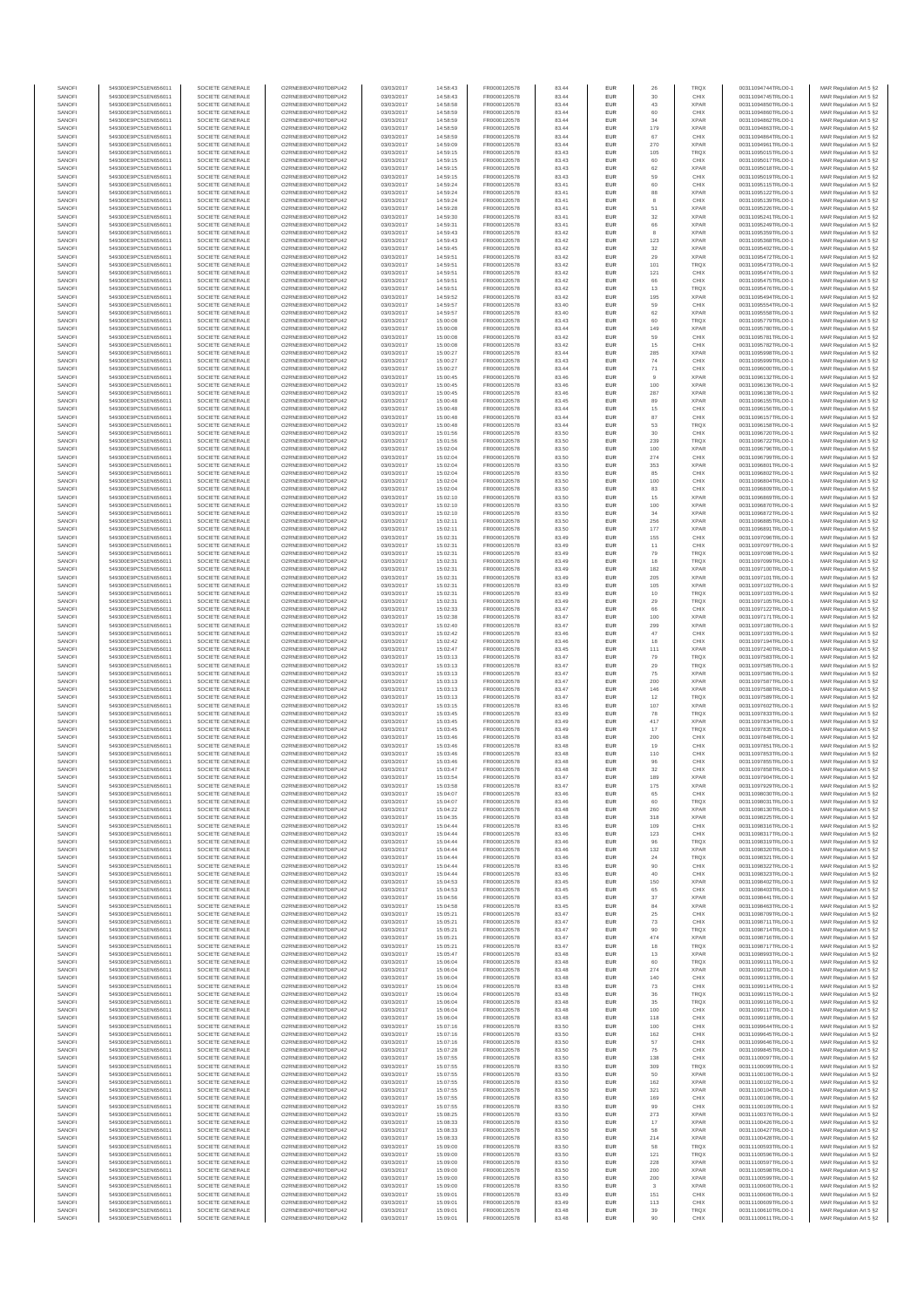| SANOFI<br>SANOFI | 549300E9PC51EN656011<br>549300E9PC51EN656011 | SOCIETE GENERALE<br>SOCIETE GENERALE | O2RNE8IBXP4R0TD8PU42<br>O2RNE8IBXP4R0TD8PU42  | 03/03/2017<br>03/03/2017 | 14:58:43<br>14:58:43 | FR0000120578<br>FR0000120578 | 83 44<br>83.44 | EUR<br>EUR        | 26<br>30      | <b>TRQX</b><br>CHIX        | 00311094744TRLO0-1<br>00311094745TRLO0-1 | MAR Regulation Art 5 §2<br>MAR Regulation Art 5 §2  |
|------------------|----------------------------------------------|--------------------------------------|-----------------------------------------------|--------------------------|----------------------|------------------------------|----------------|-------------------|---------------|----------------------------|------------------------------------------|-----------------------------------------------------|
| SANOFI           | 549300E9PC51EN656011                         | SOCIETE GENERALE                     | O2RNE8IBXP4R0TD8PU42                          | 03/03/2017               | 14:58:58             | FR0000120578                 | 83.44          | EUR               | 43            | <b>XPAR</b>                | 00311094850TRLO0-1                       | MAR Regulation Art 5 §2                             |
| SANOFI           | 549300E9PC51EN656011                         | SOCIETE GENERALE                     | O2RNE8IBXP4R0TD8PU42                          | 03/03/2017               | 14:58:59             | FR0000120578                 | 83.44          | EUR               | 60            | CHIX                       | 00311094860TRLO0-1                       | MAR Regulation Art 5 §2                             |
| SANOFI<br>SANOFI | 549300E9PC51EN656011<br>549300E9PC51EN656011 | SOCIETE GENERALE<br>SOCIETE GENERALE | O2RNE8IBXP4R0TD8PU42<br>O2RNE8IBXP4R0TD8PU42  | 03/03/2017<br>03/03/2017 | 14:58:59<br>14:58:59 | FR0000120578<br>FR0000120578 | 83.44<br>83.44 | EUR<br>EUR        | 34<br>179     | <b>XPAR</b><br><b>XPAR</b> | 00311094862TRLO0-1<br>00311094863TRLO0-1 | MAR Regulation Art 5 §2<br>MAR Regulation Art 5 §2  |
| SANOFI           | 549300E9PC51EN656011                         | SOCIETE GENERALE                     | O2RNE8IBXP4R0TD8PU42                          | 03/03/2017               | 14:58:59             | FR0000120578                 | 83.44          | EUR               | 67            | CHIX                       | 00311094864TRLO0-1                       | MAR Regulation Art 5 §2                             |
| SANOFI<br>SANOFI | 549300E9PC51EN656011<br>549300E9PC51EN656011 | SOCIETE GENERALE<br>SOCIETE GENERALE | O2RNE8IBXP4R0TD8PU42<br>O2RNE8IBXP4R0TD8PU42  | 03/03/2017<br>03/03/2017 | 14:59:09<br>14:59:15 | FR0000120578<br>FR0000120578 | 83.44<br>83.43 | EUR<br>EUR        | 270<br>105    | <b>XPAR</b><br>TRQX        | 00311094961TRLO0-1<br>00311095015TRLO0-1 | MAR Regulation Art 5 §2<br>MAR Regulation Art 5 §2  |
| SANOFI           | 549300E9PC51EN656011                         | SOCIETE GENERALE                     | O2RNE8IBXP4R0TD8PU42                          | 03/03/2017               | 14:59:15             | FR0000120578                 | 83.43          | EUR               | 60            | CHIX                       | 00311095017TRLO0-1                       | MAR Regulation Art 5 §2                             |
| SANOFI           | 549300E9PC51EN656011                         | SOCIETE GENERALE                     | O2RNE8IBXP4R0TD8PU42                          | 03/03/2017               | 14:59:15             | FR0000120578                 | 83.43          | EUR               | 62            | <b>XPAR</b>                | 00311095018TRLO0-1                       | MAR Regulation Art 5 §2                             |
| SANOFI<br>SANOFI | 549300E9PC51EN656011<br>549300E9PC51EN656011 | SOCIETE GENERALE<br>SOCIETE GENERALE | O2RNE8IBXP4R0TD8PU42<br>O2RNE8IBXP4R0TD8PU42  | 03/03/2017<br>03/03/2017 | 14:59:15<br>14:59:24 | FR0000120578<br>FR0000120578 | 83.43<br>83.41 | EUR<br>EUR        | 59<br>60      | CHIX<br>CHIX               | 00311095019TRLO0-1<br>00311095115TRLO0-1 | MAR Regulation Art 5 §2<br>MAR Regulation Art 5 §2  |
| SANOFI           | 549300E9PC51EN656011                         | SOCIETE GENERALE                     | O2RNE8IBXP4R0TD8PU42                          | 03/03/2017               | 14:59:24             | FR0000120578                 | 83.41          | EUR               | 88            | <b>XPAR</b>                | 00311095122TRLO0-1                       | MAR Regulation Art 5 §2                             |
| SANOFI<br>SANOFI | 549300E9PC51EN656011<br>549300E9PC51EN656011 | SOCIETE GENERALE<br>SOCIETE GENERALE | O2RNE8IBXP4R0TD8PU42<br>O2RNE8IBXP4R0TD8PU42  | 03/03/2017<br>03/03/2017 | 14:59:24<br>14:59:28 | FR0000120578<br>FR0000120578 | 83.41<br>83.41 | EUR<br>EUR        | 8<br>51       | CHIX<br><b>XPAR</b>        | 00311095139TRLO0-1<br>00311095226TRLO0-1 | MAR Regulation Art 5 §2<br>MAR Regulation Art 5 §2  |
| SANOFI           | 549300E9PC51EN656011                         | SOCIETE GENERALE                     | O2RNE8IBXP4R0TD8PU42                          | 03/03/2017               | 14:59:30             | FR0000120578                 | 83.41          | EUR               | 32            | <b>XPAR</b>                | 00311095241TRLO0-1                       | MAR Regulation Art 5 §2                             |
| SANOFI           | 549300E9PC51EN656011                         | SOCIETE GENERALE                     | O2RNE8IBXP4R0TD8PU42                          | 03/03/2017               | 14:59:31             | FR0000120578                 | 83.41          | EUR               | 66            | <b>XPAR</b>                | 00311095249TRLO0-1                       | MAR Regulation Art 5 §2                             |
| SANOFI<br>SANOFI | 549300E9PC51EN656011<br>549300E9PC51EN656011 | SOCIETE GENERALE<br>SOCIETE GENERALE | O2RNE8IBXP4R0TD8PU42<br>O2RNE8IBXP4R0TD8PU42  | 03/03/2017<br>03/03/2017 | 14:59:43<br>14:59:43 | FR0000120578<br>FR0000120578 | 83.42<br>83.42 | EUR<br>EUR        | 8<br>123      | <b>XPAR</b><br><b>XPAR</b> | 00311095359TRLO0-1<br>00311095368TRLO0-1 | MAR Regulation Art 5 §2<br>MAR Regulation Art 5 §2  |
| SANOFI           | 549300E9PC51EN656011                         | SOCIETE GENERALE                     | O2RNE8IBXP4R0TD8PU42                          | 03/03/2017               | 14:59:45             | FR0000120578                 | 83.42          | EUR               | 32            | <b>XPAR</b>                | 00311095402TRLO0-1                       | MAR Regulation Art 5 §2                             |
| SANOFI<br>SANOFI | 549300E9PC51EN656011<br>549300E9PC51EN656011 | SOCIETE GENERALE<br>SOCIETE GENERALE | O2RNE8IBXP4R0TD8PU42<br>O2RNE8IBXP4R0TD8PU42  | 03/03/2017<br>03/03/2017 | 14:59:51<br>14:59:51 | FR0000120578<br>FR0000120578 | 83.42<br>83.42 | EUR<br>EUR        | 29<br>101     | <b>XPAR</b><br>TRQX        | 00311095472TRLO0-1<br>00311095473TRLO0-1 | MAR Regulation Art 5 §2<br>MAR Regulation Art 5 §2  |
| SANOFI           | 549300E9PC51EN656011                         | SOCIETE GENERALE                     | O2RNE8IBXP4R0TD8PU42                          | 03/03/2017               | 14:59:51             | FR0000120578                 | 83.42          | EUR               | 121           | CHIX                       | 00311095474TRLO0-1                       | MAR Regulation Art 5 §2                             |
| SANOFI           | 549300E9PC51EN656011                         | SOCIETE GENERALE                     | O2RNE8IBXP4R0TD8PU42                          | 03/03/2017               | 14:59:51             | FR0000120578                 | 83.42          | EUR               | 66            | CHIX                       | 00311095475TRLO0-1                       | MAR Regulation Art 5 §2                             |
| SANOFI<br>SANOFI | 549300E9PC51EN656011<br>549300E9PC51EN656011 | SOCIETE GENERALE<br>SOCIETE GENERALE | O2RNE8IBXP4R0TD8PU42<br>O2RNE8IBXP4R0TD8PU42  | 03/03/2017<br>03/03/2017 | 14:59:51<br>14:59:52 | FR0000120578<br>FR0000120578 | 83.42<br>83.42 | EUR<br>EUR        | 13<br>195     | TRQX<br><b>XPAR</b>        | 00311095476TRLO0-1<br>00311095494TRLO0-1 | MAR Regulation Art 5 §2<br>MAR Regulation Art 5 §2  |
| SANOFI           | 549300E9PC51EN656011                         | SOCIETE GENERALE                     | O2RNE8IBXP4R0TD8PU42                          | 03/03/2017               | 14:59:57             | FR0000120578                 | 83.40          | EUR               | 59            | CHIX                       | 00311095554TRLO0-1                       | MAR Regulation Art 5 §2                             |
| SANOFI<br>SANOFI | 549300E9PC51EN656011<br>549300E9PC51EN656011 | SOCIETE GENERALE<br>SOCIETE GENERALE | O2RNE8IBXP4R0TD8PU42<br>O2RNE8IBXP4R0TD8PU42  | 03/03/2017<br>03/03/2017 | 14:59:57<br>15:00:08 | FR0000120578<br>FR0000120578 | 83.40<br>83.43 | EUR<br>EUR        | 62<br>60      | <b>XPAR</b><br><b>TRQX</b> | 00311095558TRLO0-1<br>00311095779TRLO0-1 | MAR Regulation Art 5 §2<br>MAR Regulation Art 5 §2  |
| SANOFI           | 549300E9PC51EN656011                         | SOCIETE GENERALE                     | O2RNE8IBXP4R0TD8PU42                          | 03/03/2017               | 15:00:08             | FR0000120578                 | 83.44          | EUR               | 149           | <b>XPAR</b>                | 00311095780TRLO0-1                       | MAR Regulation Art 5 §2                             |
| SANOFI<br>SANOFI | 549300E9PC51EN656011                         | SOCIETE GENERALE                     | O2RNE8IBXP4R0TD8PU42                          | 03/03/2017               | 15:00:08             | FR0000120578                 | 83.42          | EUR               | 59            | CHIX                       | 00311095781TRLO0-1                       | MAR Regulation Art 5 §2                             |
| SANOFI           | 549300E9PC51EN656011<br>549300E9PC51EN656011 | SOCIETE GENERALE<br>SOCIETE GENERALE | O2RNE8IBXP4R0TD8PU42<br>O2RNE8IBXP4R0TD8PU42  | 03/03/2017<br>03/03/2017 | 15:00:08<br>15:00:27 | FR0000120578<br>FR0000120578 | 83.42<br>83.44 | EUR<br>EUR        | 15<br>285     | CHIX<br><b>XPAR</b>        | 00311095782TRLO0-1<br>00311095998TRLO0-1 | MAR Regulation Art 5 §2<br>MAR Regulation Art 5 §2  |
| SANOFI           | 549300E9PC51EN656011                         | SOCIETE GENERALE                     | O2RNE8IBXP4R0TD8PU42                          | 03/03/2017               | 15:00:27             | FR0000120578                 | 83.43          | EUR               | 74            | CHIX                       | 00311095999TRLO0-1                       | MAR Regulation Art 5 §2                             |
| SANOFI<br>SANOFI | 549300E9PC51EN656011<br>549300E9PC51EN656011 | SOCIETE GENERALE<br>SOCIETE GENERALE | O2RNE8IBXP4R0TD8PU42<br>O2RNE8IBXP4R0TD8PU42  | 03/03/2017<br>03/03/2017 | 15:00:27<br>15:00:45 | FR0000120578<br>FR0000120578 | 83.44<br>83.46 | EUR<br>EUR        | 71<br>9       | CHIX<br><b>XPAR</b>        | 00311096000TRLO0-1<br>00311096132TRLO0-1 | MAR Regulation Art 5 §2<br>MAR Regulation Art 5 §2  |
| SANOFI           | 549300E9PC51EN656011                         | SOCIETE GENERALE                     | O2RNE8IBXP4R0TD8PU42                          | 03/03/2017               | 15:00:45             | FR0000120578                 | 83.46          | EUR               | 100           | <b>XPAR</b>                | 00311096136TRLO0-1                       | MAR Regulation Art 5 §2                             |
| SANOFI<br>SANOFI | 549300E9PC51EN656011                         | SOCIETE GENERALE                     | O2RNE8IBXP4R0TD8PU42<br>O2RNE8IBXP4R0TD8PU42  | 03/03/2017               | 15:00:45             | FR0000120578                 | 83.46          | EUR               | 287           | <b>XPAR</b><br><b>XPAR</b> | 00311096138TRLO0-1                       | MAR Regulation Art 5 §2<br>MAR Regulation Art 5 §2  |
| SANOFI           | 549300E9PC51EN656011<br>549300E9PC51EN656011 | SOCIETE GENERALE<br>SOCIETE GENERALE | O2RNE8IBXP4R0TD8PU42                          | 03/03/2017<br>03/03/2017 | 15:00:48<br>15:00:48 | FR0000120578<br>FR0000120578 | 83.45<br>83.44 | EUR<br>EUR        | 89<br>15      | CHIX                       | 00311096155TRLO0-1<br>00311096156TRLO0-1 | MAR Regulation Art 5 §2                             |
| SANOFI           | 549300E9PC51EN656011                         | SOCIETE GENERALE                     | O2RNE8IBXP4R0TD8PU42                          | 03/03/2017               | 15:00:48             | FR0000120578                 | 83.44          | EUR               | 87            | CHIX                       | 00311096157TRLO0-1                       | MAR Regulation Art 5 §2                             |
| SANOFI<br>SANOFI | 549300E9PC51EN656011<br>549300E9PC51EN656011 | SOCIETE GENERALE<br>SOCIETE GENERALE | O2RNE8IBXP4R0TD8PU42<br>O2RNE8IBXP4R0TD8PU42  | 03/03/2017<br>03/03/2017 | 15:00:48<br>15:01:56 | FR0000120578<br>FR0000120578 | 83.44<br>83.50 | EUR<br>EUR        | 53<br>30      | TRQX<br>CHIX               | 00311096158TRLO0-1<br>00311096720TRLO0-1 | MAR Regulation Art 5 §2<br>MAR Regulation Art 5 §2  |
| SANOFI           | 549300E9PC51EN656011                         | SOCIETE GENERALE                     | O2RNE8IBXP4R0TD8PU42                          | 03/03/2017               | 15:01:56             | FR0000120578                 | 83.50          | EUR               | 239           | <b>TRQX</b>                | 00311096722TRLO0-1                       | MAR Regulation Art 5 §2                             |
| SANOFI           | 549300E9PC51EN656011                         | SOCIETE GENERALE                     | O2RNE8IBXP4R0TD8PU42                          | 03/03/2017               | 15:02:04             | FR0000120578                 | 83.50          | EUR               | 100           | <b>XPAR</b>                | 00311096796TRLO0-1                       | MAR Regulation Art 5 §2                             |
| SANOFI<br>SANOFI | 549300E9PC51EN656011<br>549300E9PC51EN656011 | SOCIETE GENERALE<br>SOCIETE GENERALE | O2RNE8IBXP4R0TD8PU42<br>O2RNE8IBXP4R0TD8PU42  | 03/03/2017<br>03/03/2017 | 15:02:04<br>15:02:04 | FR0000120578<br>FR0000120578 | 83.50<br>83.50 | EUR<br>EUR        | 274<br>353    | CHIX<br><b>XPAR</b>        | 00311096799TRLO0-1<br>00311096801TRLO0-1 | MAR Regulation Art 5 §2<br>MAR Regulation Art 5 62  |
| SANOFI           | 549300E9PC51EN656011                         | SOCIETE GENERALE                     | O2RNE8IBXP4R0TD8PU42                          | 03/03/2017               | 15:02:04             | FR0000120578                 | 83.50          | EUR               | 85            | CHIX                       | 00311096802TRLO0-1                       | MAR Regulation Art 5 §2                             |
| SANOFI<br>SANOFI | 549300E9PC51EN656011<br>549300E9PC51EN656011 | SOCIETE GENERALE<br>SOCIETE GENERALE | O2RNE8IBXP4R0TD8PU42<br>O2RNE8IBXP4R0TD8PU42  | 03/03/2017<br>03/03/2017 | 15:02:04<br>15:02:04 | FR0000120578<br>FR0000120578 | 83.50<br>83.50 | EUR<br>EUR        | 100<br>83     | CHIX<br>CHIX               | 00311096804TRLO0-1<br>00311096809TRLO0-1 | MAR Regulation Art 5 §2<br>MAR Regulation Art 5 §2  |
| SANOFI           | 549300E9PC51EN656011                         | SOCIETE GENERALE                     | O2RNE8IBXP4R0TD8PU42                          | 03/03/2017               | 15:02:10             | FR0000120578                 | 83.50          | EUR               | 15            | <b>XPAR</b>                | 00311096869TRLO0-1                       | MAR Regulation Art 5 §2                             |
| SANOFI           | 549300E9PC51EN656011                         | SOCIETE GENERALE                     | O2RNE8IBXP4R0TD8PU42                          | 03/03/2017               | 15:02:10             | FR0000120578                 | 83.50          | EUR               | 100           | <b>XPAR</b>                | 00311096870TRLO0-1                       | MAR Regulation Art 5 §2                             |
| SANOFI<br>SANOFI | 549300E9PC51EN656011<br>549300E9PC51EN656011 | SOCIETE GENERALE<br>SOCIETE GENERALE | O2RNE8IBXP4R0TD8PU42<br>O2RNE8IBXP4R0TD8PU42  | 03/03/2017<br>03/03/2017 | 15:02:10<br>15:02:11 | FR0000120578<br>FR0000120578 | 83.50<br>83.50 | EUR<br>EUR        | 34<br>256     | <b>XPAR</b><br><b>XPAR</b> | 00311096872TRLO0-1<br>00311096885TRLO0-1 | MAR Regulation Art 5 §2<br>MAR Regulation Art 5 \$2 |
| SANOFI           | 549300E9PC51EN656011                         | SOCIETE GENERALE                     | O2RNE8IBXP4R0TD8PU42                          | 03/03/2017               | 15:02:11             | FR0000120578                 | 83.50          | EUR               | 177           | <b>XPAR</b>                | 00311096891TRLO0-1                       | MAR Regulation Art 5 §2                             |
| SANOFI<br>SANOFI | 549300E9PC51EN656011<br>549300E9PC51EN656011 | SOCIETE GENERALE<br>SOCIETE GENERALE | O2RNE8IBXP4R0TD8PU42<br>O2RNE8IBXP4R0TD8PU42  | 03/03/2017<br>03/03/2017 | 15:02:31<br>15:02:31 | FR0000120578<br>FR0000120578 | 83.49<br>83.49 | EUR<br>EUR        | 155<br>11     | CHIX<br>CHIX               | 00311097096TRLO0-1<br>00311097097TRLO0-1 | MAR Regulation Art 5 §2<br>MAR Regulation Art 5 §2  |
| SANOFI           | 549300E9PC51EN656011                         | SOCIETE GENERALE                     | O2RNE8IBXP4R0TD8PU42                          | 03/03/2017               | 15:02:31             | FR0000120578                 | 83.49          | EUR               | 79            | <b>TRQX</b>                | 00311097098TRLO0-1                       | MAR Regulation Art 5 §2                             |
| SANOFI           | 549300E9PC51EN656011                         | SOCIETE GENERALE                     | O2RNE8IBXP4R0TD8PU42                          | 03/03/2017               | 15:02:31             | FR0000120578                 | 83.49          | EUR               | 18            | <b>TRQX</b>                | 00311097099TRLO0-1                       | MAR Regulation Art 5 §2                             |
| SANOFI<br>SANOFI | 549300E9PC51EN656011<br>549300E9PC51EN656011 | SOCIETE GENERALE<br>SOCIETE GENERALE | O2RNE8IBXP4R0TD8PU42<br>O2RNE8IBXP4R0TD8PU42  | 03/03/2017<br>03/03/2017 | 15:02:31<br>15:02:31 | FR0000120578<br>FR0000120578 | 83.49<br>83.49 | EUR<br>EUR        | 182<br>205    | <b>XPAR</b><br><b>XPAR</b> | 00311097100TRLO0-1<br>00311097101TRLO0-1 | MAR Regulation Art 5 §2<br>MAR Regulation Art 5 §2  |
| SANOFI           | 549300E9PC51EN656011                         | SOCIETE GENERALE                     | O2RNE8IBXP4R0TD8PU42                          | 03/03/2017               | 15:02:31             | FR0000120578                 | 83.49          | EUR               | 105           | <b>XPAR</b>                | 00311097102TRLO0-1                       | MAR Regulation Art 5 §2                             |
| SANOFI<br>SANOFI | 549300E9PC51EN656011<br>549300E9PC51EN656011 | SOCIETE GENERALE<br>SOCIETE GENERALE | O2RNE8IBXP4R0TD8PU42<br>O2RNE8IBXP4R0TD8PU42  | 03/03/2017<br>03/03/2017 | 15:02:31<br>15:02:31 | FR0000120578<br>FR0000120578 | 83.49<br>83.49 | EUR<br>EUR        | 10<br>29      | <b>TRQX</b><br><b>TRQX</b> | 00311097103TRLO0-1<br>00311097105TRLO0-1 | MAR Regulation Art 5 §2<br>MAR Regulation Art 5 §2  |
| SANOFI           | 549300E9PC51EN656011                         | SOCIETE GENERALE                     | O2RNE8IBXP4R0TD8PU42                          | 03/03/2017               | 15:02:33             | FR0000120578                 | 83.47          | EUR               | 66            | CHIX                       | 00311097122TRLO0-1                       | MAR Regulation Art 5 §2                             |
| SANOFI           | 549300E9PC51EN656011                         | SOCIETE GENERALE                     | O2RNE8IBXP4R0TD8PU42                          | 03/03/2017               | 15:02:38             | FR0000120578                 | 83.47          | EUR               | 100           | <b>XPAR</b>                | 00311097171TRLO0-1                       | MAR Regulation Art 5 §2                             |
| SANOFI<br>SANOFI | 549300E9PC51EN656011<br>549300E9PC51EN656011 | SOCIETE GENERALE<br>SOCIETE GENERALE | O2RNE8IBXP4R0TD8PU42<br>O2RNE8IBXP4R0TD8PU42  | 03/03/2017<br>03/03/2017 | 15:02:40<br>15:02:42 | FR0000120578<br>FR0000120578 | 83.47<br>83.46 | EUR<br>EUR        | 299<br>47     | <b>XPAR</b><br>CHIX        | 00311097180TRLO0-1<br>00311097193TRLO0-1 | MAR Regulation Art 5 §2<br>MAR Regulation Art 5 §2  |
| SANOFI           | 549300E9PC51EN656011                         | SOCIETE GENERALE                     | O2RNE8IBXP4R0TD8PU42                          | 03/03/2017               | 15:02:42             | FR0000120578                 | 83.46          | EUR               | 18            | CHIX                       | 00311097194TRLO0-1                       | MAR Regulation Art 5 §2                             |
| SANOFI<br>SANOFI | 549300E9PC51EN656011<br>549300E9PC51EN656011 | SOCIETE GENERALE<br>SOCIETE GENERALE | O2RNE8IBXP4R0TD8PU42<br>O2RNE8IBXP4R0TD8PU42  | 03/03/2017<br>03/03/2017 | 15:02:47<br>15:03:13 | FR0000120578<br>FR0000120578 | 83.45<br>83.47 | EUR<br>EUR        | 111<br>79     | <b>XPAR</b><br><b>TRQX</b> | 00311097240TRLO0-1<br>00311097583TRLO0-1 | MAR Regulation Art 5 §2<br>MAR Regulation Art 5 §2  |
| SANOFI           | 549300E9PC51EN656011                         | SOCIETE GENERALE                     | O2RNE8IBXP4R0TD8PU42                          | 03/03/2017               | 15:03:13             | FR0000120578                 | 83.47          | EUR               | 29            | <b>TRQX</b>                | 00311097585TRLO0-1                       | MAR Regulation Art 5 \$2                            |
| SANOFI           | 549300E9PC51EN656011                         | SOCIETE GENERALE                     | O2RNE8IBXP4R0TD8PU42                          | 03/03/2017               | 15:03:13             | FR0000120578                 | 83.47          | EUR               | 75            | <b>XPAR</b>                | 00311097586TRLO0-1                       | MAR Regulation Art 5 §2                             |
| SANOFI<br>SANOFI | 549300E9PC51EN656011<br>549300E9PC51EN656011 | SOCIETE GENERALE<br>SOCIETE GENERALE | O2RNE8IBXP4R0TD8PU42<br>O2RNE8IBXP4R0TD8PU42  | 03/03/2017<br>03/03/2017 | 15:03:13<br>15:03:13 | FR0000120578<br>FR0000120578 | 83.47<br>83.47 | EUR<br>EUR        | 200<br>146    | <b>XPAR</b><br><b>XPAR</b> | 00311097587TRLO0-1<br>00311097588TRLO0-1 | MAR Regulation Art 5 §2<br>MAR Regulation Art 5 §2  |
| SANOFI           | 549300E9PC51EN656011                         | SOCIETE GENERALE                     | O2RNE8IBXP4R0TD8PU42                          | 03/03/2017               | 15:03:13             | FR0000120578                 | 83.47          | EUR               | 12            | TRQX                       | 00311097589TRLO0-1                       | MAR Regulation Art 5 §2                             |
| SANOFI           | 549300E9PC51EN656011                         | SOCIETE GENERALE                     | O2RNE8IBXP4R0TD8PU42                          | 03/03/2017               | 15:03:15             | FR0000120578<br>FR0000120578 | 83.46          | EUR               | 107           | <b>XPAR</b>                | 00311097602TRLO0-1                       | MAR Regulation Art 5 §2                             |
| SANOFI<br>SANOFI | 549300E9PC51EN656011<br>549300E9PC51EN656011 | SOCIETE GENERALE<br>SOCIETE GENERALE | O2RNE8IBXP4R0TD8PU42<br>O2RNE8IBXP4R0TD8PU42  | 03/03/2017<br>03/03/2017 | 15:03:45<br>15:03:45 | FR0000120578                 | 83.49<br>83.49 | EUR<br>EUR        | 78<br>417     | <b>TRQX</b><br><b>XPAR</b> | 00311097833TRLO0-1<br>00311097834TRLO0-1 | MAR Regulation Art 5 §2<br>MAR Regulation Art 5 §2  |
| SANOFI           | 549300E9PC51EN656011                         | SOCIETE GENERALE                     | O2RNE8IBXP4R0TD8PU42                          | 03/03/2017               | 15:03:45             | FR0000120578                 | 83.49          | EUR               | 17            | <b>TRQX</b>                | 00311097835TRLO0-1                       | MAR Regulation Art 5 §2                             |
| SANOFI<br>SANOFI | 549300E9PC51EN656011<br>549300E9PC51EN656011 | SOCIETE GENERALE<br>SOCIETE GENERALE | O2RNE8IBXP4R0TD8PU42<br>O2RNE8IBXP4R0TD8PU42  | 03/03/2017<br>03/03/2017 | 15:03:46<br>15:03:46 | FR0000120578<br>FR0000120578 | 83.48<br>83.48 | EUR<br>EUR        | 200<br>19     | CHIX<br>CHIX               | 00311097848TRLO0-1<br>00311097851TRLO0-1 | MAR Regulation Art 5 §2<br>MAR Regulation Art 5 §2  |
| SANOFI           | 549300E9PC51EN656011                         | SOCIETE GENERALE                     | O2RNESIBXP4R0TD8PLI42                         | 03/03/2017               | 15:03:46             | FR0000120578                 | 83.48          | EUR               | 110           | CHIX                       | 00311097853TRLO0-1                       | MAR Regulation Art 5 §2                             |
| SANOFI<br>SANOFI | 549300E9PC51EN656011                         | SOCIETE GENERALE                     | O2RNESIBXP4R0TD8PLI42<br>O2RNE8IBXP4R0TD8PU42 | 03/03/2017<br>03/03/2017 | 15:03:46             | FR0000120578<br>FR0000120578 | 83.48          | EUR<br><b>EUR</b> | 96<br>32      | CHIX<br>CHIX               | 00311097855TRLO0-1                       | MAR Regulation Art 5 §2                             |
| SANOFI           | 549300E9PC51EN656011<br>549300E9PC51EN656011 | SOCIETE GENERALE<br>SOCIETE GENERALE | O2RNE8IBXP4R0TD8PU42                          | 03/03/2017               | 15:03:47<br>15:03:54 | FR0000120578                 | 83.48<br>83.47 | <b>EUR</b>        | 189           | <b>XPAR</b>                | 00311097858TRLO0-1<br>00311097904TRLO0-1 | MAR Regulation Art 5 §2<br>MAR Regulation Art 5 §2  |
| SANOF            | 549300E9PC51EN656011                         | SOCIETE GENERALE                     | O2RNE8IBXP4R0TD8PU42                          | 03/03/2017               | 15:03:58             | FR0000120578                 | 83.47          |                   | 175           | <b>XPAR</b>                | 00311097929TRLO0-1                       | MAR Regulation Art 5 §2                             |
| SANOFI<br>SANOFI | 549300E9PC51EN656011<br>549300E9PC51EN656011 | SOCIETE GENERALE<br>SOCIETE GENERALE | O2RNE8IBXP4R0TD8PU42<br>O2RNE8IBXP4R0TD8PU42  | 03/03/2017<br>03/03/2017 | 15:04:07<br>15:04:07 | FR0000120578<br>FR0000120578 | 83.46<br>83.46 | EUR<br>EUR        | 65<br>60      | CHIX<br><b>TRQX</b>        | 00311098030TRLO0-1<br>00311098031TRLO0-1 | MAR Regulation Art 5 §2<br>MAR Regulation Art 5 §2  |
| SANOFI           | 549300E9PC51EN656011                         | SOCIETE GENERALE                     | O2RNE8IBXP4R0TD8PLI42                         | 03/03/2017               | 15:04:22             | FR0000120578                 | 83.48          | EUR               | 260           | <b>XPAR</b>                | 00311098130TRLO0-1                       | MAR Regulation Art 5 \$2                            |
| SANOFI<br>SANOFI | 549300E9PC51EN656011<br>549300E9PC51EN656011 | SOCIETE GENERALE<br>SOCIETE GENERALE | O2RNE8IBXP4R0TD8PU42<br>O2RNE8IBXP4R0TD8PU42  | 03/03/2017<br>03/03/2017 | 15:04:35<br>15:04:44 | FR0000120578<br>FR0000120578 | 83.48<br>83.46 | EUR<br>EUR        | 318<br>109    | <b>XPAR</b><br>CHIX        | 00311098225TRLO0-1<br>00311098316TRLO0-1 | MAR Regulation Art 5 §2<br>MAR Regulation Art 5 §2  |
| SANOFI           | 549300E9PC51EN656011                         | SOCIETE GENERALE                     | O2RNE8IBXP4R0TD8PU42                          | 03/03/2017               | 15:04:44             | FR0000120578                 | 83.46          | EUR               | 123           | CHIX                       | 00311098317TRLO0-1                       | MAR Regulation Art 5 §2                             |
| SANOFI           | 549300E9PC51EN656011                         | SOCIETE GENERALE                     | O2RNE8IBXP4R0TD8PU42                          | 03/03/2017               | 15:04:44             | FR0000120578                 | 83.46          | EUR               | 96            | <b>TRQX</b>                | 00311098319TRLO0-1                       | MAR Regulation Art 5 §2                             |
| SANOFI<br>SANOFI | 549300E9PC51EN656011<br>549300E9PC51EN656011 | SOCIETE GENERALE<br>SOCIETE GENERALE | O2RNE8IBXP4R0TD8PU42<br>O2RNE8IBXP4R0TD8PU42  | 03/03/2017<br>03/03/2017 | 15:04:44<br>15:04:44 | FR0000120578<br>FR0000120578 | 83.46<br>83.46 | EUR<br>EUR        | 132<br>24     | <b>XPAR</b><br>TRQX        | 00311098320TRLO0-1<br>00311098321TRLO0-1 | MAR Regulation Art 5 §2<br>MAR Regulation Art 5 §2  |
| SANOFI           | 549300E9PC51EN656011                         | SOCIETE GENERALE                     | O2RNE8IBXP4R0TD8PU42                          | 03/03/2017               | 15:04:44             | FR0000120578                 | 83.46          | EUR               | 90            | CHIX                       | 00311098322TRLO0-1                       | MAR Regulation Art 5 §2                             |
| SANOFI<br>SANOFI | 549300E9PC51EN656011<br>549300E9PC51EN656011 | SOCIETE GENERALE<br>SOCIETE GENERALE | O2RNE8IBXP4R0TD8PU42<br>O2RNE8IBXP4R0TD8PU42  | 03/03/2017<br>03/03/2017 | 15:04:44<br>15:04:53 | FR0000120578<br>FR0000120578 | 83.46<br>83.45 | EUR<br>EUR        | 40<br>150     | CHIX<br><b>XPAR</b>        | 00311098323TRLO0-1<br>00311098402TRLO0-1 | MAR Regulation Art 5 §2<br>MAR Regulation Art 5 §2  |
| SANOFI           | 549300E9PC51EN656011                         | SOCIETE GENERALE                     | O2RNE8IBXP4R0TD8PU42                          | 03/03/2017               | 15:04:53             | FR0000120578                 | 83.45          | EUR               | 65            | CHIX                       | 00311098403TRLO0-1                       | MAR Regulation Art 5 §2                             |
| SANOFI<br>SANOFI | 549300E9PC51EN656011<br>549300E9PC51EN656011 | SOCIETE GENERALE<br>SOCIETE GENERALE | O2RNE8IBXP4R0TD8PU42<br>O2RNE8IBXP4R0TD8PU42  | 03/03/2017<br>03/03/2017 | 15:04:56<br>15:04:58 | FR0000120578<br>FR0000120578 | 83.45<br>83.45 | EUR<br>EUR        | 37<br>84      | <b>XPAR</b><br><b>XPAR</b> | 00311098441TRLO0-1<br>00311098463TRLO0-1 | MAR Regulation Art 5 §2<br>MAR Regulation Art 5 §2  |
| SANOFI           | 549300E9PC51EN656011                         | SOCIETE GENERALE                     | O2RNE8IBXP4R0TD8PU42                          | 03/03/2017               | 15:05:21             | FR0000120578                 | 83.47          | EUR               | 25            | CHIX                       | 00311098709TRLO0-1                       | MAR Regulation Art 5 §2                             |
| SANOFI           | 549300E9PC51EN656011                         | SOCIETE GENERALE                     | O2RNE8IBXP4R0TD8PU42                          | 03/03/2017               | 15:05:21             | FR0000120578<br>FR0000120578 | 83.47          | EUR               | 73            | CHIX                       | 00311098711TRLO0-1                       | MAR Regulation Art 5 §2                             |
| SANOFI<br>SANOFI | 549300E9PC51EN656011<br>549300E9PC51EN656011 | SOCIETE GENERALE<br>SOCIETE GENERALE | O2RNE8IBXP4R0TD8PU42<br>O2RNE8IBXP4R0TD8PU42  | 03/03/2017<br>03/03/2017 | 15:05:21<br>15:05:21 | FR0000120578                 | 83.47<br>83.47 | EUR<br>EUR        | 90<br>474     | TRQX<br><b>XPAR</b>        | 00311098714TRLO0-1<br>00311098716TRLO0-1 | MAR Regulation Art 5 §2<br>MAR Regulation Art 5 §2  |
| SANOFI           | 549300E9PC51EN656011                         | SOCIETE GENERALE                     | O2RNE8IBXP4R0TD8PU42                          | 03/03/2017               | 15:05:21             | FR0000120578                 | 83.47          | EUR               | 18            | TRQX                       | 00311098717TRLO0-1                       | MAR Regulation Art 5 §2                             |
| SANOFI<br>SANOFI | 549300E9PC51EN656011<br>549300E9PC51EN656011 | SOCIETE GENERALE<br>SOCIETE GENERALE | O2RNE8IBXP4R0TD8PU42<br>O2RNE8IBXP4R0TD8PU42  | 03/03/2017<br>03/03/2017 | 15:05:47<br>15:06:04 | FR0000120578<br>FR0000120578 | 83.48<br>83.48 | EUR<br>EUR        | 13<br>60      | <b>XPAR</b><br><b>TRQX</b> | 00311098993TRLO0-1<br>00311099111TRLO0-1 | MAR Regulation Art 5 §2<br>MAR Regulation Art 5 §2  |
| SANOFI           | 549300E9PC51EN656011                         | SOCIETE GENERALE                     | O2RNE8IBXP4R0TD8PU42                          | 03/03/2017               | 15:06:04             | FR0000120578                 | 83.48          | EUR               | 274           | <b>XPAR</b>                | 00311099112TRLO0-1                       | MAR Regulation Art 5 §2                             |
| SANOFI<br>SANOFI | 549300E9PC51EN656011<br>549300E9PC51EN656011 | SOCIETE GENERALE<br>SOCIETE GENERALE | O2RNE8IBXP4R0TD8PU42<br>O2RNE8IBXP4R0TD8PU42  | 03/03/2017<br>03/03/2017 | 15:06:04<br>15:06:04 | FR0000120578<br>FR0000120578 | 83.48<br>83.48 | EUR<br>EUR        | 140<br>73     | CHIX<br>CHIX               | 00311099113TRLO0-1<br>00311099114TRLO0-1 | MAR Regulation Art 5 §2<br>MAR Regulation Art 5 §2  |
| SANOFI           | 549300E9PC51EN656011                         | SOCIETE GENERALE                     | O2RNE8IBXP4R0TD8PU42                          | 03/03/2017               | 15:06:04             | FR0000120578                 | 83.48          | EUR               | 36            | <b>TRQX</b>                | 00311099115TRLO0-1                       | MAR Regulation Art 5 §2                             |
| SANOFI           | 549300E9PC51EN656011                         | SOCIETE GENERALE                     | O2RNE8IBXP4R0TD8PU42                          | 03/03/2017               | 15:06:04             | FR0000120578                 | 83.48          | EUR               | 35            | <b>TRQX</b>                | 00311099116TRLO0-1                       | MAR Regulation Art 5 §2                             |
| SANOFI<br>SANOFI | 549300E9PC51EN656011<br>549300E9PC51EN656011 | SOCIETE GENERALE<br>SOCIETE GENERALE | O2RNE8IBXP4R0TD8PU42<br>O2RNE8IBXP4R0TD8PU42  | 03/03/2017<br>03/03/2017 | 15:06:04<br>15:06:04 | FR0000120578<br>FR0000120578 | 83.48<br>83.48 | EUR<br>EUR        | 100<br>118    | CHIX<br>CHIX               | 00311099117TRLO0-1<br>00311099118TRLO0-1 | MAR Regulation Art 5 §2<br>MAR Regulation Art 5 §2  |
| SANOFI           | 549300E9PC51EN656011                         | SOCIETE GENERALE                     | O2RNE8IBXP4R0TD8PU42                          | 03/03/2017               | 15:07:16             | FR0000120578                 | 83.50          | EUR               | 100           | CHIX                       | 00311099644TRLO0-1                       | MAR Regulation Art 5 §2                             |
| SANOFI<br>SANOFI | 549300E9PC51EN656011<br>549300E9PC51EN656011 | SOCIETE GENERALE<br>SOCIETE GENERALE | O2RNE8IBXP4R0TD8PU42<br>O2RNE8IBXP4R0TD8PU42  | 03/03/2017<br>03/03/2017 | 15:07:16<br>15:07:16 | FR0000120578<br>FR0000120578 | 83.50<br>83.50 | EUR<br>EUR        | 162<br>57     | CHIX<br>CHIX               | 00311099645TRLO0-1<br>00311099646TRLO0-1 | MAR Regulation Art 5 §2<br>MAR Regulation Art 5 §2  |
| SANOFI           | 549300E9PC51EN656011                         | SOCIETE GENERALE                     | O2RNE8IBXP4R0TD8PU42                          | 03/03/2017               | 15:07:28             | FR0000120578                 | 83.50          | EUR               | 75            | CHIX                       | 00311099845TRLO0-1                       | MAR Regulation Art 5 §2                             |
| SANOFI           | 549300E9PC51EN656011                         | SOCIETE GENERALE                     | O2RNE8IBXP4R0TD8PU42                          | 03/03/2017               | 15:07:55             | FR0000120578                 | 83.50          | EUR               | 138           | CHIX                       | 00311100097TRLO0-1                       | MAR Regulation Art 5 §2                             |
| SANOFI<br>SANOFI | 549300E9PC51EN656011<br>549300E9PC51EN656011 | SOCIETE GENERALE<br>SOCIETE GENERALE | O2RNE8IBXP4R0TD8PU42<br>O2RNE8IBXP4R0TD8PU42  | 03/03/2017<br>03/03/2017 | 15:07:55<br>15:07:55 | FR0000120578<br>FR0000120578 | 83.50<br>83.50 | EUR<br>EUR        | 309<br>50     | <b>TRQX</b><br><b>XPAR</b> | 00311100099TRLO0-1<br>00311100100TRLO0-1 | MAR Regulation Art 5 §2<br>MAR Regulation Art 5 §2  |
| SANOFI           | 549300E9PC51EN656011                         | SOCIETE GENERALE                     | O2RNE8IBXP4R0TD8PU42                          | 03/03/2017               | 15:07:55             | FR0000120578                 | 83.50          | EUR               | 162           | <b>XPAR</b>                | 00311100102TRLO0-1                       | MAR Regulation Art 5 §2                             |
| SANOFI<br>SANOFI | 549300E9PC51EN656011<br>549300E9PC51EN656011 | SOCIETE GENERALE<br>SOCIETE GENERALE | O2RNE8IBXP4R0TD8PU42<br>O2RNE8IBXP4R0TD8PU42  | 03/03/2017<br>03/03/2017 | 15:07:55<br>15:07:55 | FR0000120578<br>FR0000120578 | 83.50<br>83.50 | EUR<br>EUR        | 321<br>169    | <b>XPAR</b><br>CHIX        | 00311100104TRLO0-1<br>00311100106TRLO0-1 | MAR Regulation Art 5 §2<br>MAR Regulation Art 5 §2  |
| SANOFI           | 549300E9PC51EN656011                         | SOCIETE GENERALE                     | O2RNE8IBXP4R0TD8PU42                          | 03/03/2017               | 15:07:55             | FR0000120578                 | 83.50          | EUR               | 99            | CHIX                       | 00311100109TRLO0-1                       | MAR Regulation Art 5 §2                             |
| SANOFI           | 549300E9PC51EN656011                         | SOCIETE GENERALE                     | O2RNE8IBXP4R0TD8PU42                          | 03/03/2017               | 15:08:25             | FR0000120578                 | 83.50          | EUR               | 273           | <b>XPAR</b>                | 00311100376TRLO0-1                       | MAR Regulation Art 5 §2                             |
| SANOFI<br>SANOFI | 549300E9PC51EN656011<br>549300E9PC51EN656011 | SOCIETE GENERALE<br>SOCIETE GENERALE | O2RNE8IBXP4R0TD8PU42<br>O2RNE8IBXP4R0TD8PU42  | 03/03/2017<br>03/03/2017 | 15:08:33<br>15:08:33 | FR0000120578<br>FR0000120578 | 83.50<br>83.50 | EUR<br>EUR        | 17<br>58      | <b>XPAR</b><br><b>XPAR</b> | 00311100426TRLO0-1<br>00311100427TRLO0-1 | MAR Regulation Art 5 §2<br>MAR Regulation Art 5 §2  |
| SANOFI           | 549300E9PC51EN656011                         | SOCIETE GENERALE                     | O2RNE8IBXP4R0TD8PU42                          | 03/03/2017               | 15:08:33             | FR0000120578                 | 83.50          | EUR               | 214           | <b>XPAR</b>                | 00311100428TRLO0-1                       | MAR Regulation Art 5 §2                             |
| SANOFI<br>SANOFI | 549300E9PC51EN656011<br>549300E9PC51EN656011 | SOCIETE GENERALE<br>SOCIETE GENERALE | O2RNE8IBXP4R0TD8PU42<br>O2RNE8IBXP4R0TD8PU42  | 03/03/2017<br>03/03/2017 | 15:09:00<br>15:09:00 | FR0000120578<br>FR0000120578 | 83.50<br>83.50 | EUR<br>EUR        | 58<br>121     | <b>TRQX</b><br><b>TRQX</b> | 00311100593TRLO0-1<br>00311100596TRLO0-1 | MAR Regulation Art 5 §2<br>MAR Regulation Art 5 §2  |
| SANOFI           | 549300E9PC51EN656011                         | SOCIETE GENERALE                     | O2RNE8IBXP4R0TD8PU42                          | 03/03/2017               | 15:09:00             | FR0000120578                 | 83.50          | EUR               | 228           | <b>XPAR</b>                | 00311100597TRLO0-1                       | MAR Regulation Art 5 §2                             |
| SANOFI           | 549300E9PC51EN656011                         | SOCIETE GENERALE                     | O2RNE8IBXP4R0TD8PU42                          | 03/03/2017               | 15:09:00             | FR0000120578                 | 83.50          | EUR               | 200           | <b>XPAR</b>                | 00311100598TRLO0-1                       | MAR Regulation Art 5 §2                             |
| SANOFI<br>SANOFI | 549300E9PC51EN656011<br>549300E9PC51EN656011 | SOCIETE GENERALE<br>SOCIETE GENERALE | O2RNE8IBXP4R0TD8PU42<br>O2RNE8IBXP4R0TD8PU42  | 03/03/2017<br>03/03/2017 | 15:09:00<br>15:09:00 | FR0000120578<br>FR0000120578 | 83.50<br>83.50 | EUR<br>EUR        | 200<br>$_{3}$ | <b>XPAR</b><br><b>XPAR</b> | 00311100599TRLO0-1<br>00311100600TRLO0-1 | MAR Regulation Art 5 §2<br>MAR Regulation Art 5 §2  |
| SANOFI           | 549300E9PC51EN656011                         | SOCIETE GENERALE                     | O2RNE8IBXP4R0TD8PU42                          | 03/03/2017               | 15:09:01             | FR0000120578                 | 83.49          | EUR               | 151           | CHIX                       | 00311100606TRLO0-1                       | MAR Regulation Art 5 §2                             |
| SANOFI<br>SANOFI | 549300E9PC51EN656011<br>549300E9PC51EN656011 | SOCIETE GENERALE<br>SOCIETE GENERALE | O2RNE8IBXP4R0TD8PU42<br>O2RNE8IBXP4R0TD8PU42  | 03/03/2017<br>03/03/2017 | 15:09:01<br>15:09:01 | FR0000120578<br>FR0000120578 | 83.49<br>83.48 | EUR<br>EUR        | 113           | CHIX<br><b>TRQX</b>        | 00311100609TRLO0-1<br>00311100610TRLO0-1 | MAR Regulation Art 5 §2                             |
| SANOFI           | 549300E9PC51EN656011                         | SOCIETE GENERALE                     | O2RNE8IBXP4R0TD8PU42                          | 03/03/2017               | 15:09:01             | FR0000120578                 | 83.48          | EUR               | 39<br>90      | CHIX                       | 00311100611TRLO0-1                       | MAR Regulation Art 5 §2<br>MAR Regulation Art 5 §2  |
|                  |                                              |                                      |                                               |                          |                      |                              |                |                   |               |                            |                                          |                                                     |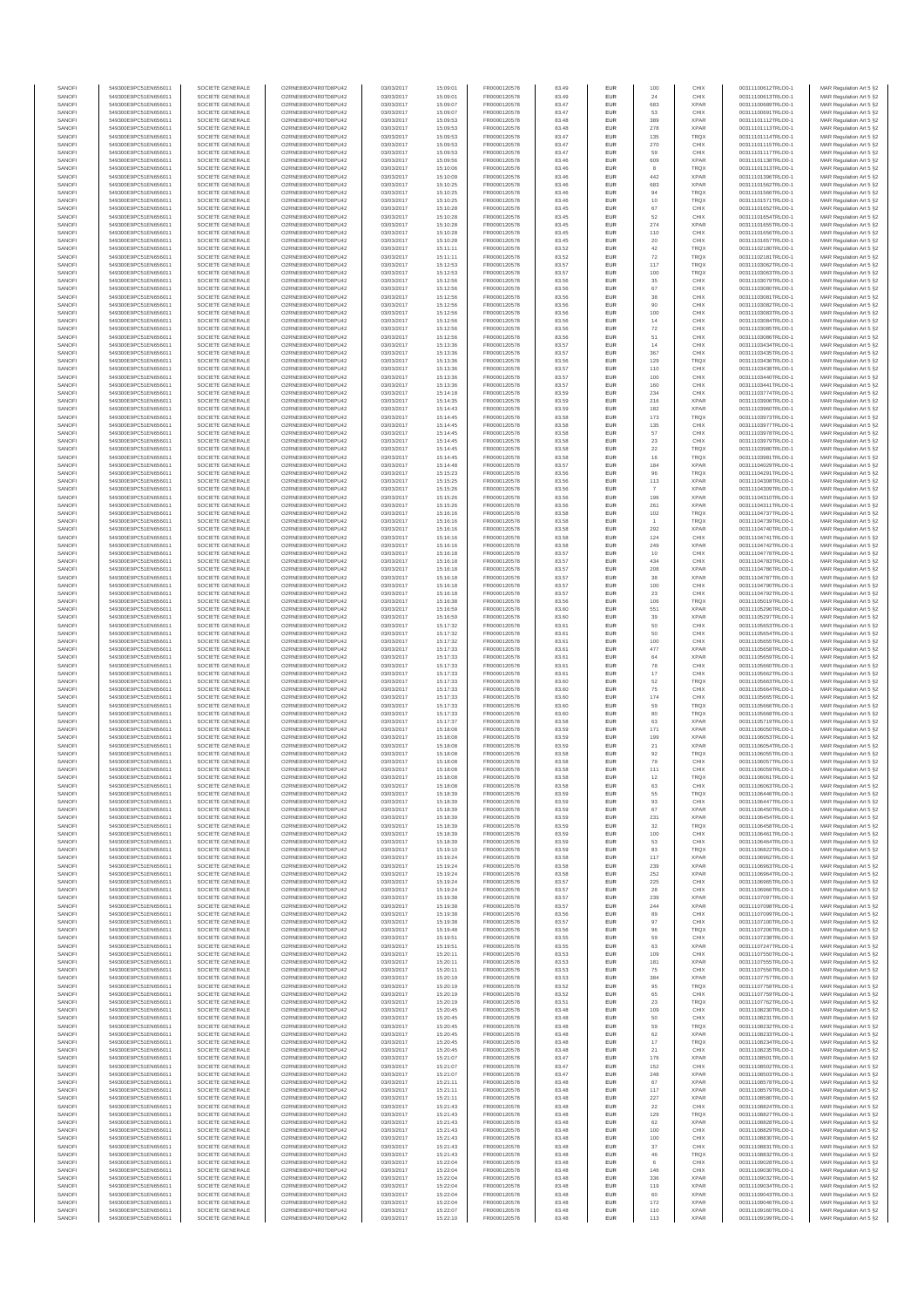| SANOFI           | 549300E9PC51EN656011                         | SOCIETE GENERALE                     | O2RNE8IBXP4R0TD8PU42                          | 03/03/2017               | 15:09:01             | FR0000120578                 | 83.49          | EUR                      | 100           | CHIX                       | 00311100612TRLO0-1                       | MAR Regulation Art 5 §2                            |
|------------------|----------------------------------------------|--------------------------------------|-----------------------------------------------|--------------------------|----------------------|------------------------------|----------------|--------------------------|---------------|----------------------------|------------------------------------------|----------------------------------------------------|
| SANOFI<br>SANOFI | 549300E9PC51EN656011<br>549300E9PC51EN656011 | SOCIETE GENERALE<br>SOCIETE GENERALE | O2RNE8IBXP4R0TD8PU42<br>O2RNE8IBXP4R0TD8PU42  | 03/03/2017<br>03/03/2017 | 15:09:01<br>15:09:07 | FR0000120578                 | 83.49<br>83.47 | EUR<br>EUR               | 24<br>683     | CHIX<br><b>XPAR</b>        | 00311100613TRLO0-1<br>00311100689TRLO0-1 | MAR Regulation Art 5 §2                            |
| SANOFI           | 549300E9PC51EN656011                         | SOCIETE GENERALE                     | O2RNE8IBXP4R0TD8PLI42                         | 03/03/2017               | 15:09:07             | FR0000120578<br>FR0000120578 | 83.47          | EUR                      | 53            | CHIX                       | 00311100691TRLO0-1                       | MAR Regulation Art 5 §2<br>MAR Regulation Art 5 §2 |
| SANOFI           | 549300E9PC51EN656011                         | SOCIETE GENERALE                     | O2RNE8IBXP4R0TD8PU42                          | 03/03/2017               | 15:09:53             | FR0000120578                 | 83.48          | EUR                      | 389           | <b>XPAR</b>                | 00311101112TRLO0-1                       | MAR Regulation Art 5 §2                            |
| SANOFI           | 549300E9PC51EN656011                         | SOCIETE GENERALE                     | O2RNE8IBXP4R0TD8PU42                          | 03/03/2017               | 15:09:53             | FR0000120578<br>FR0000120578 | 83.48          | EUR                      | 278           | <b>XPAR</b>                | 00311101113TRLO0-1                       | MAR Regulation Art 5 §2                            |
| SANOFI<br>SANOFI | 549300E9PC51EN656011<br>549300E9PC51EN656011 | SOCIETE GENERALE<br>SOCIETE GENERALE | O2RNE8IBXP4R0TD8PU42<br>O2RNE8IBXP4R0TD8PU42  | 03/03/2017<br>03/03/2017 | 15:09:53<br>15:09:53 | FR0000120578                 | 83.47<br>83.47 | EUR<br>EUR               | 135<br>270    | <b>TRQX</b><br>CHIX        | 00311101114TRLO0-1<br>00311101115TRLO0-1 | MAR Regulation Art 5 §2<br>MAR Regulation Art 5 §2 |
| SANOFI           | 549300E9PC51EN656011                         | SOCIETE GENERALE                     | O2RNE8IBXP4R0TD8PU42                          | 03/03/2017               | 15:09:53             | FR0000120578                 | 83.47          | <b>EUR</b>               | 59            | CHIX                       | 00311101117TRLO0-1                       | MAR Regulation Art 5 §2                            |
| SANOFI           | 549300E9PC51EN656011                         | SOCIETE GENERALE                     | O2RNE8IBXP4R0TD8PU42                          | 03/03/2017               | 15:09:56             | FR0000120578                 | 83.46          | EUR                      | 609           | <b>XPAR</b>                | 00311101138TRLO0-1                       | MAR Regulation Art 5 §2                            |
| SANOFI<br>SANOFI | 549300E9PC51EN656011<br>549300E9PC51EN656011 | SOCIETE GENERALE<br>SOCIETE GENERALE | O2RNE8IBXP4R0TD8PLI42<br>O2RNE8IBXP4R0TD8PU42 | 03/03/2017<br>03/03/2017 | 15:10:06<br>15:10:09 | FR0000120578<br>FR0000120578 | 83.46<br>83.46 | EUR<br>EUR               | 8<br>442      | TRQX<br><b>XPAR</b>        | 00311101313TRLO0-1<br>00311101396TRLO0-1 | MAR Regulation Art 5 §2<br>MAR Regulation Art 5 §2 |
| SANOFI           | 549300E9PC51EN656011                         | SOCIETE GENERALE                     | O2RNE8IBXP4R0TD8PU42                          | 03/03/2017               | 15:10:25             | FR0000120578                 | 83.46          | EUR                      | 683           | <b>XPAR</b>                | 00311101562TRLO0-1                       | MAR Regulation Art 5 §2                            |
| SANOFI           | 549300E9PC51EN656011                         | SOCIETE GENERALE                     | O2RNE8IBXP4R0TD8PU42                          | 03/03/2017               | 15:10:25             | FR0000120578                 | 83.46          | EUR                      | 94            | TRQX                       | 00311101566TRLO0-1                       | MAR Regulation Art 5 §2                            |
| SANOFI           | 549300E9PC51EN656011                         | SOCIETE GENERALE                     | O2RNE8IBXP4R0TD8PU42                          | 03/03/2017               | 15:10:25             | FR0000120578                 | 83.46          | EUR                      | 10            | TRQX                       | 00311101571TRLO0-1                       | MAR Regulation Art 5 §2                            |
| SANOFI<br>SANOFI | 549300E9PC51EN656011<br>549300E9PC51EN656011 | SOCIETE GENERALE<br>SOCIETE GENERALE | O2RNE8IBXP4R0TD8PU42<br>O2RNE8IBXP4R0TD8PU42  | 03/03/2017<br>03/03/2017 | 15:10:28<br>15:10:28 | FR0000120578<br>FR0000120578 | 83.45<br>83.45 | <b>EUR</b><br>EUR        | 67<br>52      | CHIX<br>CHIX               | 00311101652TRLO0-1<br>00311101654TRLO0-1 | MAR Regulation Art 5 §2<br>MAR Regulation Art 5 §2 |
| SANOFI           | 549300E9PC51EN656011                         | SOCIETE GENERALE                     | O2RNE8IBXP4R0TD8PU42                          | 03/03/2017               | 15:10:28             | FR0000120578                 | 83.45          | <b>EUR</b>               | 274           | <b>XPAR</b>                | 00311101655TRLO0-1                       | MAR Regulation Art 5 §2                            |
| SANOFI           | 549300E9PC51EN656011                         | SOCIETE GENERALE                     | O2RNE8IBXP4R0TD8PU42                          | 03/03/2017               | 15:10:28             | FR0000120578                 | 83.45          | EUR                      | 110           | CHIX                       | 00311101656TRLO0-1                       | MAR Regulation Art 5 §2                            |
| SANOFI           | 549300E9PC51EN656011                         | SOCIETE GENERALE                     | O2RNESIBXP4R0TD8PLI42                         | 03/03/2017               | 15:10:28             | FR0000120578                 | 83.45          | EUR                      | 20            | CHIX                       | 00311101657TRLO0-1                       | MAR Regulation Art 5 §2                            |
| SANOFI<br>SANOFI | 549300E9PC51EN656011<br>549300E9PC51EN656011 | SOCIETE GENERALE<br>SOCIETE GENERALE | O2RNE8IBXP4R0TD8PU42<br>O2RNE8IBXP4R0TD8PLI42 | 03/03/2017<br>03/03/2017 | 15:11:11<br>15:11:11 | FR0000120578<br>FR0000120578 | 83.52<br>83.52 | EUR<br>EUR               | 42<br>72      | TRQX<br>TRQX               | 00311102180TRLO0-1<br>00311102181TRLO0-1 | MAR Regulation Art 5 §2<br>MAR Regulation Art 5 §2 |
| SANOFI           | 549300E9PC51EN656011                         | SOCIETE GENERALE                     | O2RNE8IBXP4R0TD8PU42                          | 03/03/2017               | 15:12:53             | FR0000120578                 | 83.57          | <b>EUR</b>               | 117           | <b>TRQX</b>                | 00311103062TRLO0-1                       | MAR Regulation Art 5 §2                            |
| SANOFI           | 549300E9PC51EN656011                         | SOCIETE GENERALE                     | O2RNE8IBXP4R0TD8PU42                          | 03/03/2017               | 15:12:53             | FR0000120578                 | 83.57          | EUR                      | 100           | TRQX                       | 00311103063TRLO0-1                       | MAR Regulation Art 5 §2                            |
| SANOFI<br>SANOFI | 549300E9PC51EN656011<br>549300E9PC51EN656011 | SOCIETE GENERALE<br>SOCIETE GENERALE | O2RNE8IBXP4R0TD8PU42<br>O2RNE8IBXP4R0TD8PU42  | 03/03/2017<br>03/03/2017 | 15:12:56<br>15:12:56 | FR0000120578<br>FR0000120578 | 83.56<br>83.56 | <b>EUR</b><br>EUR        | 35<br>67      | CHIX<br>CHIX               | 00311103079TRLO0-1<br>00311103080TRLO0-1 | MAR Regulation Art 5 §2<br>MAR Regulation Art 5 §2 |
| SANOFI           | 549300E9PC51EN656011                         | SOCIETE GENERALE                     | O2RNE8IBXP4R0TD8PU42                          | 03/03/2017               | 15:12:56             | FR0000120578                 | 83.56          | <b>EUR</b>               | 38            | CHIX                       | 00311103081TRLO0-1                       | MAR Regulation Art 5 §2                            |
| SANOFI           | 549300E9PC51EN656011                         | SOCIETE GENERALE                     | O2RNE8IBXP4R0TD8PU42                          | 03/03/2017               | 15:12:56             | FR0000120578                 | 83.56          | EUR                      | 90            | CHIX                       | 00311103082TRLO0-1                       | MAR Regulation Art 5 §2                            |
| SANOFI           | 549300E9PC51EN656011                         | SOCIETE GENERALE                     | O2RNE8IBXP4R0TD8PU42                          | 03/03/2017               | 15:12:56             | FR0000120578                 | 83.56          | EUR                      | 100           | CHIX                       | 00311103083TRLO0-1                       | MAR Regulation Art 5 §2                            |
| SANOFI<br>SANOFI | 549300E9PC51EN656011<br>549300E9PC51EN656011 | SOCIETE GENERALE<br>SOCIETE GENERALE | O2RNE8IBXP4R0TD8PU42<br>O2RNE8IBXP4R0TD8PU42  | 03/03/2017<br>03/03/2017 | 15:12:56<br>15:12:56 | FR0000120578<br>FR0000120578 | 83.56<br>83.56 | EUR<br>EUR               | 14<br>72      | CHIX<br>CHIX               | 00311103084TRLO0-1<br>00311103085TRLO0-1 | MAR Regulation Art 5 §2<br>MAR Regulation Art 5 §2 |
| SANOFI           | 549300E9PC51EN656011                         | SOCIETE GENERALE                     | O2RNE8IBXP4R0TD8PU42                          | 03/03/2017               | 15:12:56             | FR0000120578                 | 83.56          | <b>EUR</b>               | 51            | CHIX                       | 00311103086TRLO0-1                       | MAR Regulation Art 5 §2                            |
| SANOFI           | 549300E9PC51EN656011                         | SOCIETE GENERALE                     | O2RNE8IBXP4R0TD8PU42                          | 03/03/2017               | 15:13:36             | FR0000120578                 | 83.57          | EUR                      | 14            | CHIX                       | 00311103434TRLO0-1                       | MAR Regulation Art 5 §2                            |
| SANOFI<br>SANOFI | 549300E9PC51EN656011<br>549300E9PC51EN656011 | SOCIETE GENERALE<br>SOCIETE GENERALE | O2RNE8IBXP4R0TD8PU42<br>O2RNE8IBXP4R0TD8PU42  | 03/03/2017<br>03/03/2017 | 15:13:36<br>15:13:36 | FR0000120578<br>FR0000120578 | 83.57<br>83.56 | <b>EUR</b><br>EUR        | 367<br>129    | CHIX<br>TRQX               | 00311103435TRLO0-1<br>00311103436TRLO0-1 | MAR Regulation Art 5 §2<br>MAR Regulation Art 5 §2 |
| SANOFI           | 549300E9PC51EN656011                         | SOCIETE GENERALE                     | O2RNE8IBXP4R0TD8PU42                          | 03/03/2017               | 15:13:36             | FR0000120578                 | 83.57          | EUR                      | 110           | CHIX                       | 00311103438TRLO0-1                       | MAR Regulation Art 5 §2                            |
| SANOFI           | 549300E9PC51EN656011                         | SOCIETE GENERALE                     | O2RNE8IBXP4R0TD8PU42                          | 03/03/2017               | 15:13:36             | FR0000120578                 | 83.57          | EUR                      | 100           | CHIX                       | 00311103440TRLO0-1                       | MAR Regulation Art 5 §2                            |
| SANOFI<br>SANOFI | 549300E9PC51EN656011<br>549300E9PC51EN656011 | SOCIETE GENERALE                     | O2RNE8IBXP4R0TD8PU42<br>O2RNE8IBXP4R0TD8PU42  | 03/03/2017               | 15:13:36             | FR0000120578                 | 83.57          | EUR                      | 160           | CHIX                       | 00311103441TRLO0-1<br>00311103774TRLO0-1 | MAR Regulation Art 5 §2                            |
| SANOFI           | 549300E9PC51EN656011                         | SOCIETE GENERALE<br>SOCIETE GENERALE | O2RNE8IBXP4R0TD8PU42                          | 03/03/2017<br>03/03/2017 | 15:14:18<br>15:14:35 | FR0000120578<br>FR0000120578 | 83.59<br>83.59 | EUR<br>EUR               | 234<br>216    | CHIX<br><b>XPAR</b>        | 00311103906TRLO0-1                       | MAR Regulation Art 5 §2<br>MAR Regulation Art 5 §2 |
| SANOFI           | 549300E9PC51EN656011                         | SOCIETE GENERALE                     | O2RNE8IBXP4R0TD8PU42                          | 03/03/2017               | 15:14:43             | FR0000120578                 | 83.59          | <b>EUR</b>               | 182           | <b>XPAR</b>                | 00311103960TRLO0-1                       | MAR Regulation Art 5 §2                            |
| SANOFI           | 549300E9PC51EN656011                         | SOCIETE GENERALE                     | O2RNE8IBXP4R0TD8PU42                          | 03/03/2017               | 15:14:45             | FR0000120578                 | 83.58          | EUR                      | 173           | TRQX                       | 00311103973TRLO0-1                       | MAR Regulation Art 5 §2                            |
| SANOFI<br>SANOFI | 549300E9PC51EN656011<br>549300E9PC51EN656011 | SOCIETE GENERALE<br>SOCIETE GENERALE | O2RNE8IBXP4R0TD8PLI42<br>O2RNE8IBXP4R0TD8PU42 | 03/03/2017<br>03/03/2017 | 15:14:45<br>15:14:45 | FR0000120578<br>FR0000120578 | 83.58<br>83.58 | <b>EUR</b><br>EUR        | 135<br>57     | CHIX<br>CHIX               | 00311103977TRLO0-1<br>00311103978TRLO0-1 | MAR Regulation Art 5 §2<br>MAR Regulation Art 5 §2 |
| SANOFI           | 549300E9PC51EN656011                         | SOCIETE GENERALE                     | O2RNE8IBXP4R0TD8PU42                          | 03/03/2017               | 15:14:45             | FR0000120578                 | 83.58          | EUR                      | 23            | CHIX                       | 00311103979TRLO0-1                       | MAR Regulation Art 5 §2                            |
| SANOFI           | 549300E9PC51EN656011                         | SOCIETE GENERALE                     | O2RNE8IBXP4R0TD8PU42                          | 03/03/2017               | 15:14:45             | FR0000120578                 | 83.58          | EUR                      | $22\,$        | TRQX                       | 00311103980TRLO0-1                       | MAR Regulation Art 5 §2                            |
| SANOFI           | 549300E9PC51EN656011                         | SOCIETE GENERALE                     | O2RNE8IBXP4R0TD8PLI42<br>O2RNE8IBXP4R0TD8PU42 | 03/03/2017               | 15:14:45             | FR0000120578                 | 83.58          | EUR                      | 16            | TRQX<br><b>XPAR</b>        | 00311103981TRLO0-1                       | MAR Regulation Art 5 §2                            |
| SANOFI<br>SANOFI | 549300E9PC51EN656011<br>549300E9PC51EN656011 | SOCIETE GENERALE<br>SOCIETE GENERALE | O2RNE8IBXP4R0TD8PU42                          | 03/03/2017<br>03/03/2017 | 15:14:48<br>15:15:23 | FR0000120578<br>FR0000120578 | 83.57<br>83.56 | EUR<br>EUR               | 184           | TRQX                       | 00311104029TRLO0-1<br>00311104291TRLO0-1 | MAR Regulation Art 5 §2<br>MAR Regulation Art 5 §2 |
| SANOFI           | 549300E9PC51EN656011                         | SOCIETE GENERALE                     | O2RNE8IBXP4R0TD8PU42                          | 03/03/2017               | 15:15:25             | FR0000120578                 | 83.56          | EUR                      | 113           | <b>XPAR</b>                | 00311104308TRLO0-1                       | MAR Regulation Art 5 §2                            |
| SANOFI           | 549300E9PC51EN656011                         | SOCIETE GENERALE                     | O2RNE8IBXP4R0TD8PU42                          | 03/03/2017               | 15:15:26             | FR0000120578                 | 83.56          | EUR                      |               | <b>XPAR</b>                | 00311104309TRLO0-1                       | MAR Regulation Art 5 §2                            |
| SANOFI<br>SANOFI | 549300E9PC51EN656011<br>549300E9PC51EN656011 | SOCIETE GENERALE<br>SOCIETE GENERALE | O2RNE8IBXP4R0TD8PU42<br>O2RNE8IBXP4R0TD8PU42  | 03/03/2017<br>03/03/2017 | 15:15:26<br>15:15:26 | FR0000120578<br>FR0000120578 | 83.56<br>83.56 | <b>EUR</b><br>EUR        | 196<br>261    | <b>XPAR</b><br><b>XPAR</b> | 00311104310TRLO0-1<br>00311104311TRLO0-1 | MAR Regulation Art 5 §2<br>MAR Regulation Art 5 §2 |
| SANOFI           | 549300E9PC51EN656011                         | SOCIETE GENERALE                     | O2RNE8IBXP4R0TD8PLI42                         | 03/03/2017               | 15:16:16             | FR0000120578                 | 83.58          | EUR                      | 102           | TRQX                       | 00311104737TRLO0-1                       | MAR Regulation Art 5 §2                            |
| SANOFI           | 549300E9PC51EN656011                         | SOCIETE GENERALE                     | O2RNE8IBXP4R0TD8PU42                          | 03/03/2017               | 15:16:16             | FR0000120578                 | 83.58          | EUR                      |               | TRQX                       | 00311104739TRLO0-1                       | MAR Regulation Art 5 §2                            |
| SANOFI           | 549300E9PC51EN656011                         | SOCIETE GENERALE                     | O2RNE8IBXP4R0TD8PU42                          | 03/03/2017               | 15:16:16             | FR0000120578                 | 83.58          | EUR                      | 292           | <b>XPAR</b>                | 00311104740TRLO0-1                       | MAR Regulation Art 5 §2                            |
| SANOFI<br>SANOFI | 549300E9PC51EN656011<br>549300E9PC51EN656011 | SOCIETE GENERALE<br>SOCIETE GENERALE | O2RNE8IBXP4R0TD8PU42<br>O2RNE8IBXP4R0TD8PU42  | 03/03/2017<br>03/03/2017 | 15:16:16<br>15:16:16 | FR0000120578<br>FR0000120578 | 83.58<br>83.58 | <b>EUR</b><br>EUR        | 124<br>249    | CHIX<br><b>XPAR</b>        | 00311104741TRLO0-1<br>00311104742TRLO0-1 | MAR Regulation Art 5 §2<br>MAR Regulation Art 5 §2 |
| SANOFI           | 549300E9PC51EN656011                         | SOCIETE GENERALE                     | O2RNE8IBXP4R0TD8PU42                          | 03/03/2017               | 15:16:18             | FR0000120578                 | 83.57          | <b>EUR</b>               | 10            | CHIX                       | 00311104778TRLO0-1                       | MAR Regulation Art 5 §2                            |
| SANOFI           | 549300E9PC51EN656011                         | SOCIETE GENERALE                     | O2RNE8IBXP4R0TD8PU42                          | 03/03/2017               | 15:16:18             | FR0000120578                 | 83.57          | EUR                      | 434           | CHIX                       | 00311104783TRLO0-1                       | MAR Regulation Art 5 §2                            |
| SANOFI           | 549300E9PC51EN656011                         | SOCIETE GENERALE                     | O2RNE8IBXP4R0TD8PU42                          | 03/03/2017               | 15:16:18             | FR0000120578                 | 83.57          | <b>EUR</b>               | 208           | <b>XPAR</b><br><b>XPAR</b> | 00311104786TRLO0-1                       | MAR Regulation Art 5 §2                            |
| SANOFI<br>SANOFI | 549300E9PC51EN656011<br>549300E9PC51EN656011 | SOCIETE GENERALE<br>SOCIETE GENERALE | O2RNE8IBXP4R0TD8PU42<br>O2RNE8IBXP4R0TD8PU42  | 03/03/2017<br>03/03/2017 | 15:16:18<br>15:16:18 | FR0000120578<br>FR0000120578 | 83.57<br>83.57 | EUR<br>EUR               | 38<br>100     | CHIX                       | 00311104787TRLO0-1<br>00311104790TRLO0-1 | MAR Regulation Art 5 §2<br>MAR Regulation Art 5 §2 |
| SANOFI           | 549300E9PC51EN656011                         | SOCIETE GENERALE                     | O2RNE8IBXP4R0TD8PU42                          | 03/03/2017               | 15:16:18             | FR0000120578                 | 83.57          | EUR                      | 23            | CHIX                       | 00311104792TRLO0-1                       | MAR Regulation Art 5 §2                            |
| SANOFI           | 549300E9PC51EN656011                         | SOCIETE GENERALE                     | O2RNE8IBXP4R0TD8PU42                          | 03/03/2017               | 15:16:38             | FR0000120578                 | 83.56          | EUR                      | 106           | TRQX                       | 00311105019TRLO0-1                       | MAR Regulation Art 5 §2                            |
| SANOFI<br>SANOFI | 549300E9PC51EN656011<br>549300E9PC51EN656011 | SOCIETE GENERALE<br>SOCIETE GENERALE | O2RNE8IBXP4R0TD8PU42<br>O2RNE8IBXP4R0TD8PU42  | 03/03/2017<br>03/03/2017 | 15:16:59<br>15:16:59 | FR0000120578<br>FR0000120578 | 83.60<br>83.60 | <b>EUR</b><br>EUR        | 551<br>39     | <b>XPAR</b><br><b>XPAR</b> | 00311105296TRLO0-1<br>00311105297TRLO0-1 | MAR Regulation Art 5 §2<br>MAR Regulation Art 5 §2 |
| SANOFI           | 549300E9PC51EN656011                         | SOCIETE GENERALE                     | O2RNE8IBXP4R0TD8PU42                          | 03/03/2017               | 15:17:32             | FR0000120578                 | 83.61          | <b>EUR</b>               | 50            | CHIX                       | 00311105653TRLO0-1                       | MAR Regulation Art 5 §2                            |
| SANOFI           | 549300E9PC51EN656011                         | SOCIETE GENERALE                     | O2RNE8IBXP4R0TD8PU42                          | 03/03/2017               | 15:17:32             | FR0000120578                 | 83.61          | EUR                      | 50            | CHIX                       | 00311105654TRLO0-                        | MAR Regulation Art 5 §2                            |
| SANOFI           | 549300E9PC51EN656011                         | SOCIETE GENERALE                     | O2RNE8IBXP4R0TD8PU42                          | 03/03/2017               | 15:17:32             | FR0000120578                 | 83.61          | <b>EUR</b>               | 100           | CHIX                       | 00311105655TRLO0-1                       | MAR Regulation Art 5 §2                            |
| SANOFI<br>SANOFI | 549300E9PC51EN656011<br>549300E9PC51EN656011 | SOCIETE GENERALE<br>SOCIETE GENERALE | O2RNE8IBXP4R0TD8PU42<br>O2RNE8IBXP4R0TD8PU42  | 03/03/2017<br>03/03/2017 | 15:17:33<br>15:17:33 | FR0000120578<br>FR0000120578 | 83.61<br>83.61 | EUR<br>EUR               | 477<br>$64\,$ | <b>XPAR</b><br><b>XPAR</b> | 00311105658TRLO0-1<br>00311105659TRLO0-1 | MAR Regulation Art 5 §2<br>MAR Regulation Art 5 §2 |
| SANOFI           | 549300E9PC51EN656011                         | SOCIETE GENERALE                     | O2RNE8IBXP4R0TD8PU42                          | 03/03/2017               | 15:17:33             | FR0000120578                 | 83.61          | EUR                      | ${\bf 78}$    | CHIX                       | 00311105660TRLO0-1                       | MAR Regulation Art 5 §2                            |
| SANOFI           | 549300E9PC51EN656011                         | SOCIETE GENERALE                     | O2RNE8IBXP4R0TD8PU42                          | 03/03/2017               | 15:17:33             | FR0000120578                 | 83.61          | EUR                      | 17            | CHIX                       | 00311105662TRLO0-1                       | MAR Regulation Art 5 §2                            |
| SANOFI           | 549300E9PC51EN656011                         | SOCIETE GENERALE                     | O2RNE8IBXP4R0TD8PU42                          | 03/03/2017               | 15:17:33             | FR0000120578                 | 83.60          | <b>EUR</b>               | 52            | <b>TRQX</b>                | 00311105663TRLO0-1                       | MAR Regulation Art 5 §2                            |
| SANOFI<br>SANOFI | 549300E9PC51EN656011<br>549300E9PC51EN656011 | SOCIETE GENERALE<br>SOCIETE GENERALE | O2RNE8IBXP4R0TD8PU42<br>O2RNE8IBXP4R0TD8PU42  | 03/03/2017<br>03/03/2017 | 15:17:33<br>15:17:33 | FR0000120578<br>FR0000120578 | 83.60<br>83.60 | EUR<br><b>EUR</b>        | 75<br>174     | CHIX<br>CHIX               | 00311105664TRLO0-1<br>00311105665TRLO0-1 | MAR Regulation Art 5 §2<br>MAR Regulation Art 5 §2 |
| SANOFI           | 549300E9PC51EN656011                         | SOCIETE GENERALE                     | O2RNE8IBXP4R0TD8PU42                          | 03/03/2017               | 15:17:33             | FR0000120578                 | 83.60          | EUR                      | 59            | TRQX                       | 00311105666TRLO0-1                       | MAR Regulation Art 5 §2                            |
| SANOFI           | 549300E9PC51EN656011                         | SOCIETE GENERALE                     | O2RNE8IBXP4R0TD8PU42                          | 03/03/2017               | 15:17:33             | FR0000120578                 | 83.60          | EUR                      | 80            | TRQX                       | 00311105668TRLO0-1                       | MAR Regulation Art 5 §2                            |
| SANOFI           | 549300E9PC51EN656011                         | SOCIETE GENERALE                     | O2RNE8IBXP4R0TD8PU42                          | 03/03/2017               | 15:17:37             | FR0000120578                 | 83.58          | EUR                      | 63            | <b>XPAR</b>                | 00311105719TRLO0-1<br>00311106050TRLO0-1 | MAR Regulation Art 5 §2                            |
| SANOFI<br>SANOFI | 549300E9PC51EN656011<br>549300E9PC51EN656011 | SOCIETE GENERALE<br>SOCIETE GENERALE | O2RNE8IBXP4R0TD8PU42<br>O2RNE8IBXP4R0TD8PU42  | 03/03/2017<br>03/03/2017 | 15:18:08<br>15:18:08 | FR0000120578<br>FR0000120578 | 83.59<br>83.59 | EUR<br>EUR               | 171<br>199    | <b>XPAR</b><br><b>XPAR</b> | 00311106053TRLO0-1                       | MAR Regulation Art 5 §2<br>MAR Regulation Art 5 §2 |
| SANOFI           | 549300E9PC51EN656011                         | SOCIETE GENERALE                     | O2RNE8IBXP4R0TD8PU42                          | 03/03/2017               | 15:18:08             | FR0000120578                 | 83.59          | EUR                      | 21            | <b>XPAR</b>                | 00311106054TRLO0-1                       | MAR Regulation Art 5 §2                            |
| SANOFI           | 549300E9PC51EN656011                         | SOCIETE GENERALE                     | O2RNE8IBXP4R0TD8PU42                          | 03/03/2017               | 15:18:08             | FR0000120578                 | 83.58          | <b>EUR</b>               | 92            | <b>TRQX</b>                | 00311106055TRLO0-1                       | MAR Regulation Art 5 §2                            |
| SANOFI<br>SANOFI | 549300E9PC51EN656011<br>549300E9PC51EN656011 | SOCIETE GENERALE<br>SOCIETE GENERALE | O2RNE8IBXP4R0TD8PU42<br>O2RNE8IBXP4R0TD8PU42  | 03/03/2017<br>03/03/2017 | 15:18:08<br>15:18:08 | FR0000120578<br>FR0000120578 | 83.58<br>83.58 | EUR<br>EUR               | 79<br>111     | CHIX<br>CHIX               | 00311106057TRLO0-1<br>00311106059TRLO0-1 | MAR Regulation Art 5 §2<br>MAR Regulation Art 5 §2 |
| SANOFI           | 549300E9PC51EN656011                         | SOCIETE GENERALE                     | O2RNE8IBXP4R0TD8PU42                          | 03/03/2017               | 15:18:08             | FR0000120578                 | 83.58          | EUR                      | 12            | <b>TRQX</b>                | 00311106061TRLO0-1                       | MAR Regulation Art 5 §2                            |
| SANOFI           | 549300E9PC51EN656011                         | SOCIETE GENERALE                     | O2RNE8IBXP4R0TD8PLI42                         | 03/03/2017               | 15:18:08             | FR0000120578                 | 83.58          | EUR                      | 63            | CHIX                       | 00311106063TRLO0-1                       | MAR Regulation Art 5 §2                            |
| SANOFI           | 549300E9PC51EN656011                         | SOCIETE GENERALE                     | O2RNE8IBXP4R0TD8PU42                          | 03/03/2017               | 15:18:39             | FR0000120578                 | 83.59          | <b>EUR</b>               | 55            | <b>TRQX</b>                | 00311106446TRLO0-1                       | MAR Regulation Art 5 §2                            |
| SANOFI<br>SANOFI | 549300E9PC51EN656011<br>549300E9PC51EN656011 | SOCIETE GENERALE<br>SOCIETE GENERALE | O2RNESIBXP4R0TD8PLI42<br>O2RNE8IBXP4R0TD8PU42 | 03/03/2017<br>03/03/2017 | 15:18:39<br>15:18:39 | FR0000120578<br>FR0000120578 | 83.59<br>83.59 | <b>EUR</b><br>EUR        | $93\,$<br>67  | CHIX<br><b>XPAR</b>        | 00311106447TRLO0-1<br>00311106450TRLO0-1 | MAR Regulation Art 5 §2<br>MAR Regulation Art 5 §2 |
| SANOFI           | 549300E9PC51EN656011                         | SOCIETE GENERALE                     | O2RNE8IBXP4R0TD8PU42                          | 03/03/2017               | 15:18:39             | FR0000120578                 | 83.59          | EUR                      | 231           | <b>XPAR</b>                | 00311106454TRLO0-1                       | MAR Regulation Art 5 §2                            |
| SANOFI           | 549300E9PC51EN656011                         | SOCIETE GENERALE                     | O2RNE8IBXP4R0TD8PU42                          | 03/03/2017               | 15:18:39             | FR0000120578                 | 83.59          | <b>EUR</b>               | 32            | <b>TROX</b>                | 00311106458TRLO0-1                       | MAR Regulation Art 5 §2                            |
| SANOFI<br>SANOFI | 549300E9PC51EN656011<br>549300E9PC51EN656011 | SOCIETE GENERALE<br>SOCIETE GENERALE | O2RNE8IBXP4R0TD8PU42<br>O2RNE8IBXP4R0TD8PU42  | 03/03/2017<br>03/03/2017 | 15:18:39<br>15:18:39 | FR0000120578<br>FR0000120578 | 83.59<br>83.59 | EUR<br><b>EUR</b>        | 100<br>53     | CHIX<br>CHIX               | 00311106461TRLO0-1<br>00311106464TRLO0-1 | MAR Regulation Art 5 §2<br>MAR Regulation Art 5 §2 |
| SANOFI           | 549300E9PC51EN656011                         | SOCIETE GENERALE                     | O2RNE8IBXP4R0TD8PU42                          | 03/03/2017               | 15:19:10             | FR0000120578                 | 83.59          | EUR                      | 83            | <b>TRQX</b>                | 00311106822TRLO0-1                       | MAR Regulation Art 5 §2                            |
| SANOFI           | 549300E9PC51EN656011                         | SOCIETE GENERALE                     | O2RNE8IBXP4R0TD8PU42                          | 03/03/2017               | 15:19:24             | FR0000120578                 | 83.58          | EUR                      | 117           | <b>XPAR</b>                | 00311106962TRLO0-1                       | MAR Regulation Art 5 §2                            |
| SANOFI<br>SANOFI | 549300E9PC51EN656011<br>549300E9PC51EN656011 | SOCIETE GENERALE<br>SOCIETE GENERALE | O2RNE8IBXP4R0TD8PU42<br>O2RNESIBXP4R0TD8PLI42 | 03/03/2017<br>03/03/2017 | 15:19:24<br>15:19:24 | FR0000120578<br>FR0000120578 | 83.58<br>83.58 | EUR<br>EUR               | 239<br>252    | <b>XPAR</b><br><b>XPAR</b> | 00311106963TRLO0-1<br>00311106964TRLO0-1 | MAR Regulation Art 5 §2<br>MAR Regulation Art 5 §2 |
| SANOFI           | 549300E9PC51EN656011                         | SOCIETE GENERALE                     | O2RNE8IBXP4R0TD8PLI42                         | 03/03/2017               | 15:19:24             | FR0000120578                 | 83.57          | <b>EUR</b>               | 225           | CHIX                       | 00311106965TRLO0-1                       | MAR Regulation Art 5 §2                            |
| SANOFI           | 549300E9PC51EN656011                         | SOCIETE GENERALE                     | O2RNE8IBXP4R0TD8PU42                          | 03/03/2017               | 15:19:24             | FR0000120578                 | 83.57          | EUR                      | 28            | CHIX                       | 00311106966TRLO0-1                       | MAR Regulation Art 5 §2                            |
| SANOFI<br>SANOFI | 549300E9PC51EN656011<br>549300E9PC51EN656011 | SOCIETE GENERALE<br>SOCIETE GENERALE | O2RNE8IBXP4R0TD8PU42<br>O2RNE8IBXP4R0TD8PU42  | 03/03/2017<br>03/03/2017 | 15:19:38<br>15:19:38 | FR0000120578<br>FR0000120578 | 83.57<br>83.57 | <b>EUR</b><br>EUR        | 239<br>244    | <b>XPAR</b><br><b>XPAR</b> | 00311107097TRLO0-1<br>00311107098TRLO0-1 | MAR Regulation Art 5 §2<br>MAR Regulation Art 5 §2 |
| SANOFI           | 549300E9PC51EN656011                         | SOCIETE GENERALE                     | O2RNE8IBXP4R0TD8PU42                          | 03/03/2017               | 15:19:38             | FR0000120578                 | 83.56          | EUR                      | 89            | CHIX                       | 00311107099TRLO0-1                       | MAR Regulation Art 5 §2                            |
| SANOFI           | 549300E9PC51EN656011                         | SOCIETE GENERALE                     | O2RNE8IBXP4R0TD8PU42                          | 03/03/2017               | 15:19:38             | FR0000120578                 | 83.57          | EUR                      | 97            | CHIX                       | 00311107100TRLO0-1                       | MAR Regulation Art 5 §2                            |
| SANOFI<br>SANOFI | 549300E9PC51EN656011                         | SOCIETE GENERALE<br>SOCIETE GENERALE | O2RNE8IBXP4R0TD8PU42<br>O2RNESIBXP4R0TD8PLI42 | 03/03/2017               | 15:19:48             | FR0000120578                 | 83.56          | EUR                      | 96<br>59      | <b>TRQX</b><br>CHIX        | 00311107206TRLO0-1                       | MAR Regulation Art 5 §2                            |
| SANOFI           | 549300E9PC51EN656011<br>549300E9PC51EN656011 | SOCIETE GENERALE                     | O2RNE8IBXP4R0TD8PU42                          | 03/03/2017<br>03/03/2017 | 15:19:51<br>15:19:51 | FR0000120578<br>FR0000120578 | 83.55<br>83.55 | EUR<br>EUR               | 63            | <b>XPAR</b>                | 00311107238TRLO0-1<br>00311107247TRLO0-1 | MAR Regulation Art 5 §2<br>MAR Regulation Art 5 §2 |
| SANOFI           | 549300E9PC51EN656011                         | SOCIETE GENERALE                     | O2RNE8IBXP4R0TD8PU42                          | 03/03/2017               | 15:20:11             | FR0000120578                 | 83.53          | <b>EUR</b>               | 109           | CHIX                       | 00311107550TRLO0-1                       | MAR Regulation Art 5 §2                            |
| SANOFI           | 549300E9PC51EN656011                         | SOCIETE GENERALE                     | O2RNE8IBXP4R0TD8PU42                          | 03/03/2017               | 15:20:11             | FR0000120578                 | 83.53          | EUR                      | 181           | <b>XPAR</b>                | 00311107555TRLO0-1                       | MAR Regulation Art 5 §2                            |
| SANOFI<br>SANOFI | 549300E9PC51EN656011<br>549300E9PC51EN656011 | SOCIETE GENERALE<br>SOCIETE GENERALE | O2RNE8IBXP4R0TD8PLI42<br>O2RNE8IBXP4R0TD8PU42 | 03/03/2017<br>03/03/2017 | 15:20:11<br>15:20:19 | FR0000120578<br>FR0000120578 | 83.53<br>83.53 | <b>EUR</b><br>EUR        | 75<br>384     | CHIX<br><b>XPAR</b>        | 00311107556TRLO0-1<br>00311107757TRLO0-1 | MAR Regulation Art 5 §2<br>MAR Regulation Art 5 §2 |
| SANOFI           | 549300E9PC51EN656011                         | SOCIETE GENERALE                     | O2RNE8IBXP4R0TD8PU42                          | 03/03/2017               | 15:20:19             | FR0000120578                 | 83.52          | EUR                      | 95            | TRQX                       | 00311107758TRLO0-1                       | MAR Regulation Art 5 §2                            |
| SANOFI           | 549300E9PC51EN656011                         | SOCIETE GENERALE                     | O2RNE8IBXP4R0TD8PU42                          | 03/03/2017               | 15:20:19             | FR0000120578                 | 83.52          | EUR                      | 65            | CHIX                       | 00311107759TRLO0-1                       | MAR Regulation Art 5 §2                            |
| SANOFI           | 549300E9PC51EN656011                         | SOCIETE GENERALE                     | O2RNE8IBXP4R0TD8PU42                          | 03/03/2017               | 15:20:19             | FR0000120578                 | 83.51          | EUR                      | $23\,$        | TRQX                       | 00311107762TRLO0-1                       | MAR Regulation Art 5 §2                            |
| SANOFI<br>SANOFI | 549300E9PC51EN656011<br>549300E9PC51EN656011 | SOCIETE GENERALE<br>SOCIETE GENERALE | O2RNE8IBXP4R0TD8PU42<br>O2RNE8IBXP4R0TD8PU42  | 03/03/2017<br>03/03/2017 | 15:20:45<br>15:20:45 | FR0000120578<br>FR0000120578 | 83.48<br>83.48 | EUR<br>EUR               | 109<br>50     | CHIX<br>CHIX               | 00311108230TRLO0-1<br>00311108231TRLO0-1 | MAR Regulation Art 5 §2<br>MAR Regulation Art 5 §2 |
| SANOFI           | 549300E9PC51EN656011                         | SOCIETE GENERALE                     | O2RNE8IBXP4R0TD8PU42                          | 03/03/2017               | 15:20:45             | FR0000120578                 | 83.48          | <b>EUR</b>               | 59            | <b>TRQX</b>                | 00311108232TRLO0-1                       | MAR Regulation Art 5 §2                            |
| SANOFI           | 549300E9PC51EN656011                         | SOCIETE GENERALE                     | O2RNE8IBXP4R0TD8PU42                          | 03/03/2017               | 15:20:45             | FR0000120578                 | 83.48          | EUR                      | 62            | <b>XPAR</b>                | 00311108233TRLO0-1                       | MAR Regulation Art 5 §2                            |
| SANOFI<br>SANOFI | 549300E9PC51EN656011<br>549300E9PC51EN656011 | SOCIETE GENERALE<br>SOCIETE GENERALE | O2RNE8IBXP4R0TD8PU42<br>O2RNE8IBXP4R0TD8PU42  | 03/03/2017<br>03/03/2017 | 15:20:45<br>15:20:45 | FR0000120578<br>FR0000120578 | 83.48<br>83.48 | <b>EUR</b><br><b>EUR</b> | 17<br>21      | <b>TROX</b><br>CHIX        | 00311108234TRLO0-1<br>00311108235TRLO0-1 | MAR Regulation Art 5 §2<br>MAR Regulation Art 5 §2 |
| SANOFI           | 549300E9PC51EN656011                         | SOCIETE GENERALE                     | O2RNE8IBXP4R0TD8PU42                          | 03/03/2017               | 15:21:07             | FR0000120578                 | 83.47          | EUR                      | 176           | <b>XPAR</b>                | 00311108501TRLO0-1                       | MAR Regulation Art 5 §2                            |
| SANOFI           | 549300E9PC51EN656011                         | SOCIETE GENERALE                     | O2RNE8IBXP4R0TD8PU42                          | 03/03/2017               | 15:21:07             | FR0000120578                 | 83.47          | EUR                      | 152           | CHIX                       | 00311108502TRLO0-1                       | MAR Regulation Art 5 §2                            |
| SANOFI           | 549300E9PC51EN656011                         | SOCIETE GENERALE                     | O2RNE8IBXP4R0TD8PU42                          | 03/03/2017               | 15:21:07             | FR0000120578                 | 83.47          | EUR                      | 248           | <b>XPAR</b>                | 00311108503TRLO0-1                       | MAR Regulation Art 5 §2                            |
| SANOFI<br>SANOFI | 549300E9PC51EN656011<br>549300E9PC51EN656011 | SOCIETE GENERALE<br>SOCIETE GENERALE | O2RNE8IBXP4R0TD8PU42<br>O2RNE8IBXP4R0TD8PU42  | 03/03/2017<br>03/03/2017 | 15:21:11<br>15:21:11 | FR0000120578<br>FR0000120578 | 83.48<br>83.48 | EUR<br>EUR               | 67<br>117     | <b>XPAR</b><br><b>XPAR</b> | 00311108578TRLO0-1<br>00311108579TRLO0-1 | MAR Regulation Art 5 §2<br>MAR Regulation Art 5 §2 |
| SANOFI           | 549300E9PC51EN656011                         | SOCIETE GENERALE                     | O2RNE8IBXP4R0TD8PU42                          | 03/03/2017               | 15:21:11             | FR0000120578                 | 83.48          | <b>EUR</b>               | 227           | <b>XPAR</b>                | 00311108580TRLO0-1                       | MAR Regulation Art 5 §2                            |
| SANOFI           | 549300E9PC51EN656011                         | SOCIETE GENERALE                     | O2RNE8IBXP4R0TD8PU42                          | 03/03/2017               | 15:21:43             | FR0000120578                 | 83.48          | EUR                      | 22            | CHIX                       | 00311108824TRLO0-1                       | MAR Regulation Art 5 §2                            |
| SANOFI<br>SANOFI | 549300E9PC51EN656011<br>549300E9PC51EN656011 | SOCIETE GENERALE<br>SOCIETE GENERALE | O2RNE8IBXP4R0TD8PU42<br>O2RNE8IBXP4R0TD8PU42  | 03/03/2017               | 15:21:43             | FR0000120578                 | 83.48<br>83.48 | EUR<br>EUR               | 129<br>62     | <b>TROX</b><br><b>XPAR</b> | 00311108827TRLO0-1                       | MAR Regulation Art 5 §2                            |
| SANOFI           | 549300E9PC51EN656011                         | SOCIETE GENERALE                     | O2RNE8IBXP4R0TD8PU42                          | 03/03/2017<br>03/03/2017 | 15:21:43<br>15:21:43 | FR0000120578<br>FR0000120578 | 83.48          | EUR                      | 100           | CHIX                       | 00311108828TRLO0-1<br>00311108829TRLO0-1 | MAR Regulation Art 5 §2<br>MAR Regulation Art 5 §2 |
| SANOFI           | 549300E9PC51EN656011                         | SOCIETE GENERALE                     | O2RNE8IBXP4R0TD8PU42                          | 03/03/2017               | 15:21:43             | FR0000120578                 | 83.48          | EUR                      | 100           | CHIX                       | 00311108830TRLO0-1                       | MAR Regulation Art 5 §2                            |
| SANOFI           | 549300E9PC51EN656011                         | SOCIETE GENERALE                     | O2RNE8IBXP4R0TD8PU42                          | 03/03/2017               | 15:21:43             | FR0000120578                 | 83.48          | EUR                      | 37            | CHIX                       | 00311108831TRLO0-1                       | MAR Regulation Art 5 §2                            |
| SANOFI<br>SANOFI | 549300E9PC51EN656011<br>549300E9PC51EN656011 | SOCIETE GENERALE<br>SOCIETE GENERALE | O2RNE8IBXP4R0TD8PU42<br>O2RNE8IBXP4R0TD8PU42  | 03/03/2017<br>03/03/2017 | 15:21:43<br>15:22:04 | FR0000120578<br>FR0000120578 | 83.48<br>83.48 | <b>EUR</b><br>EUR        | 46<br>6       | <b>TRQX</b><br>CHIX        | 00311108832TRLO0-1<br>00311109028TRLO0-1 | MAR Regulation Art 5 §2<br>MAR Regulation Art 5 §2 |
| SANOFI           | 549300E9PC51EN656011                         | SOCIETE GENERALE                     | O2RNE8IBXP4R0TD8PU42                          | 03/03/2017               | 15:22:04             | FR0000120578                 | 83.48          | <b>EUR</b>               | 146           | CHIX                       | 00311109030TRLO0-1                       | MAR Regulation Art 5 §2                            |
| SANOFI           | 549300E9PC51EN656011                         | SOCIETE GENERALE                     | O2RNE8IBXP4R0TD8PU42                          | 03/03/2017               | 15:22:04             | FR0000120578                 | 83.48          | EUR                      | 336           | <b>XPAR</b>                | 00311109032TRLO0-1                       | MAR Regulation Art 5 §2                            |
| SANOFI<br>SANOFI | 549300E9PC51EN656011<br>549300E9PC51EN656011 | SOCIETE GENERALE<br>SOCIETE GENERALE | O2RNE8IBXP4R0TD8PU42<br>O2RNE8IBXP4R0TD8PU42  | 03/03/2017<br>03/03/2017 | 15:22:04             | FR0000120578                 | 83.48          | EUR<br>EUR               | 119           | <b>XPAR</b><br><b>XPAR</b> | 00311109034TRLO0-1                       | MAR Regulation Art 5 §2                            |
| SANOFI           | 549300E9PC51EN656011                         | SOCIETE GENERALE                     | O2RNE8IBXP4R0TD8PU42                          | 03/03/2017               | 15:22:04<br>15:22:04 | FR0000120578<br>FR0000120578 | 83.48<br>83.48 | EUR                      | 60<br>172     | <b>XPAR</b>                | 00311109043TRLO0-1<br>00311109046TRLO0-1 | MAR Regulation Art 5 §2<br>MAR Regulation Art 5 §2 |
| SANOFI           | 549300E9PC51EN656011                         | SOCIETE GENERALE                     | O2RNE8IBXP4R0TD8PU42                          | 03/03/2017               | 15:22:07             | FR0000120578                 | 83.48          | EUR                      | 110           | <b>XPAR</b>                | 00311109160TRLO0-1                       | MAR Regulation Art 5 §2                            |
| SANOFI           | 549300E9PC51EN656011                         | SOCIETE GENERALE                     | O2RNE8IBXP4R0TD8PU42                          | 03/03/2017               | 15:22:10             | FR0000120578                 | 83.48          | EUR                      | 113           | <b>XPAR</b>                | 00311109199TRLO0-1                       | MAR Regulation Art 5 §2                            |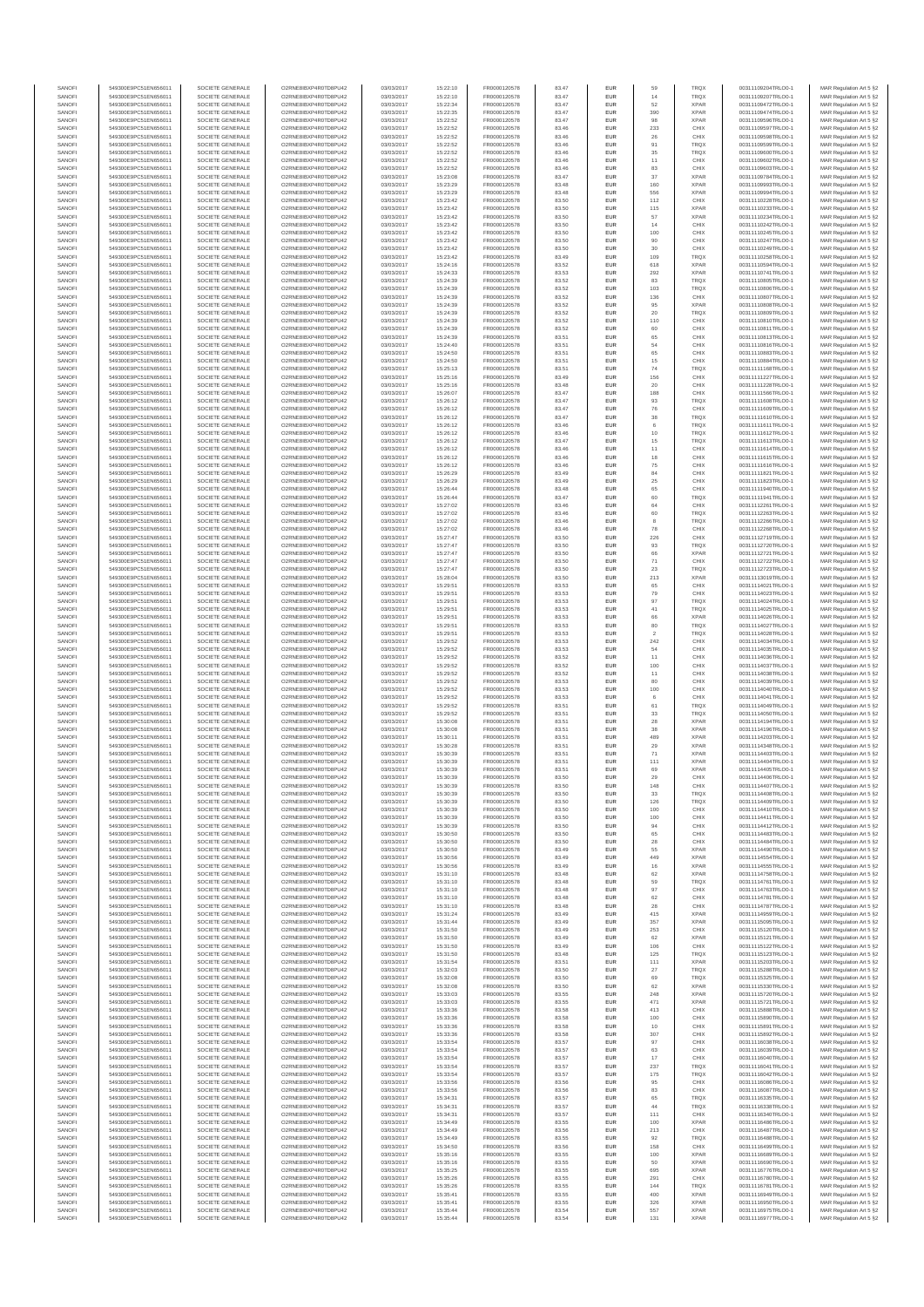| SANOFI           | 549300E9PC51EN656011                         | SOCIETE GENERALE                     | O2RNE8IBXP4R0TD8PLI42                         | 03/03/2017               | 15:22:10             | FR0000120578                 | 83 47          | EUR               | 59                             | <b>TRQX</b>                | 00311109204TRLO0-1                       | MAR Regulation Art 5 §2                             |
|------------------|----------------------------------------------|--------------------------------------|-----------------------------------------------|--------------------------|----------------------|------------------------------|----------------|-------------------|--------------------------------|----------------------------|------------------------------------------|-----------------------------------------------------|
| SANOFI<br>SANOFI | 549300E9PC51EN656011<br>549300E9PC51EN656011 | SOCIETE GENERALE<br>SOCIETE GENERALE | O2RNE8IBXP4R0TD8PU42<br>O2RNE8IBXP4R0TD8PU42  | 03/03/2017<br>03/03/2017 | 15:22:10<br>15:22:34 | FR0000120578<br>FR0000120578 | 83.47<br>83.47 | EUR<br>EUR        | 14<br>52                       | TRQX<br><b>XPAR</b>        | 00311109207TRLO0-1<br>00311109472TRLO0-1 | MAR Regulation Art 5 §2<br>MAR Regulation Art 5 §2  |
| SANOFI           | 549300E9PC51EN656011                         | SOCIETE GENERALE                     |                                               | 03/03/2017               | 15:22:35             | FR0000120578                 | 83.47          | EUR               | 390                            | <b>XPAF</b>                | 00311109474TRLO0-1                       | MAR Regulation Art 5 §2                             |
| SANOFI<br>SANOFI | 549300E9PC51EN656011<br>549300E9PC51EN656011 | SOCIETE GENERALE<br>SOCIETE GENERALE | O2RNE8IBXP4R0TD8PU42<br>O2RNE8IBXP4R0TD8PU42  | 03/03/2017<br>03/03/2017 | 15:22:52<br>15:22:52 | FR0000120578<br>FR0000120578 | 83.47<br>83.46 | EUR<br>EUR        | 98<br>233                      | <b>XPAR</b><br>CHIX        | 00311109596TRLO0-1<br>00311109597TRLO0-1 | MAR Regulation Art 5 §2<br>MAR Regulation Art 5 §2  |
| SANOFI           | 549300E9PC51EN656011                         | SOCIETE GENERALE                     | O2RNE8IBXP4R0TD8PU42                          | 03/03/2017               | 15:22:52             | FR0000120578                 | 83.46          | EUR               | $\rm 26$                       | CHIX                       | 00311109598TRLO0-1                       | MAR Regulation Art 5 §2                             |
| SANOFI           | 549300E9PC51EN656011                         | SOCIETE GENERALE                     | O2RNE8IBXP4R0TD8PU42                          | 03/03/2017               | 15:22:52             | FR0000120578                 | 83.46          | EUR               | 91                             | TRQX                       | 00311109599TRLO0-1                       | MAR Regulation Art 5 §2                             |
| SANOFI<br>SANOFI | 549300E9PC51EN656011<br>549300E9PC51EN656011 | SOCIETE GENERALE<br>SOCIETE GENERALE | O2RNE8IBXP4R0TD8PU42<br>O2RNE8IBXP4R0TD8PU42  | 03/03/2017<br>03/03/2017 | 15:22:52<br>15:22:52 | FR0000120578<br>FR0000120578 | 83.46<br>83.46 | EUR<br>EUR        | 35<br>11                       | <b>TRQX</b><br>CHIX        | 00311109600TRLO0-1<br>00311109602TRLO0-1 | MAR Regulation Art 5 §2<br>MAR Regulation Art 5 §2  |
| SANOFI           | 549300E9PC51EN656011                         | SOCIETE GENERALE                     | O2RNE8IBXP4R0TD8PU42                          | 03/03/2017               | 15:22:52             | FR0000120578                 | 83.46          | EUR               | 83                             | CHIX                       | 00311109603TRLO0-1                       | MAR Regulation Art 5 §2                             |
| SANOFI<br>SANOFI | 549300E9PC51EN656011<br>549300E9PC51EN656011 | SOCIETE GENERALE<br>SOCIETE GENERALE | O2RNE8IBXP4R0TD8PU42<br>O2RNE8IBXP4R0TD8PU42  | 03/03/2017<br>03/03/2017 | 15:23:08<br>15:23:29 | FR0000120578<br>FR0000120578 | 83.47<br>83.48 | EUR<br>EUR        | 37<br>160                      | <b>XPAR</b><br><b>XPAF</b> | 00311109784TRLO0-1<br>00311109993TRLO0-1 | MAR Regulation Art 5 \$2<br>MAR Regulation Art 5 §2 |
| SANOFI           | 549300E9PC51EN656011                         | SOCIETE GENERALE                     | O2RNE8IBXP4R0TD8PU42                          | 03/03/2017               | 15:23:29             | FR0000120578                 | 83.48          | EUR               | 556                            | <b>XPAR</b>                | 00311109994TRLO0-1                       | MAR Regulation Art 5 §2                             |
| SANOFI<br>SANOFI | 549300E9PC51EN656011<br>549300E9PC51EN656011 | SOCIETE GENERALE<br>SOCIETE GENERALE | O2RNE8IBXP4R0TD8PU42<br>O2RNE8IBXP4R0TD8PU42  | 03/03/2017<br>03/03/2017 | 15:23:42<br>15:23:42 | FR0000120578<br>FR0000120578 | 83.50<br>83.50 | EUR<br>EUR        | 112<br>115                     | CHIX<br><b>XPAR</b>        | 00311110228TRLO0-1<br>00311110233TRLO0-1 | MAR Regulation Art 5 §2<br>MAR Regulation Art 5 §2  |
| SANOFI           | 549300E9PC51EN656011                         | SOCIETE GENERALE                     | O2RNE8IBXP4R0TD8PU42                          | 03/03/2017               | 15:23:42             | FR0000120578                 | 83.50          | EUR               | 57                             | <b>XPAR</b>                | 00311110234TRLO0-1                       | MAR Regulation Art 5 §2                             |
| SANOFI<br>SANOFI | 549300E9PC51EN656011<br>549300E9PC51EN656011 | SOCIETE GENERALE<br>SOCIETE GENERALE | O2RNE8IBXP4R0TD8PU42<br>O2RNE8IBXP4R0TD8PU42  | 03/03/2017<br>03/03/2017 | 15:23:42<br>15:23:42 | FR0000120578<br>FR0000120578 | 83.50<br>83.50 | EUR<br>EUR        | 14                             | CHIX<br>CHIX               | 00311110242TRLO0-1<br>00311110245TRLO0-1 | MAR Regulation Art 5 §2                             |
| SANOFI           | 549300E9PC51EN656011                         | SOCIETE GENERALE                     | O2RNE8IBXP4R0TD8PU42                          | 03/03/2017               | 15:23:42             | FR0000120578                 | 83.50          | EUR               | 100<br>90                      | CHIX                       | 00311110247TRLO0-1                       | MAR Regulation Art 5 §2<br>MAR Regulation Art 5 §2  |
| SANOFI           | 549300E9PC51EN656011                         | SOCIETE GENERALE                     | O2RNE8IBXP4R0TD8PU42                          | 03/03/2017               | 15:23:42             | FR0000120578                 | 83.50          | EUR               | 30                             | CHIX                       | 00311110249TRLO0-1                       | MAR Regulation Art 5 §2                             |
| SANOFI<br>SANOFI | 549300E9PC51EN656011<br>549300E9PC51EN656011 | SOCIETE GENERALE<br>SOCIETE GENERALE | O2RNE8IBXP4R0TD8PU42<br>O2RNE8IBXP4R0TD8PU42  | 03/03/2017<br>03/03/2017 | 15:23:42<br>15:24:16 | FR0000120578<br>FR0000120578 | 83.49<br>83.52 | EUR<br>EUR        | 109<br>618                     | TRQ)<br><b>XPAR</b>        | 00311110258TRLO0-1<br>00311110594TRLO0-1 | MAR Regulation Art 5 §2<br>MAR Regulation Art 5 §2  |
| SANOFI           | 549300E9PC51EN656011                         | SOCIETE GENERALE                     | O2RNE8IBXP4R0TD8PU42                          | 03/03/2017               | 15:24:33             | FR0000120578                 | 83.53          | EUR               | 292                            | <b>XPAR</b>                | 00311110741TRLO0-1                       | MAR Regulation Art 5 §2                             |
| SANOFI           | 549300E9PC51EN656011<br>549300E9PC51EN656011 | SOCIETE GENERALE                     | O2RNE8IBXP4R0TD8PU42<br>O2RNE8IBXP4R0TD8PU42  | 03/03/2017               | 15:24:39             | FR0000120578                 | 83.52          | EUR               | 83                             | TRQX                       | 00311110805TRLO0-1<br>00311110806TRLO0-1 | MAR Regulation Art 5 §2                             |
| SANOFI<br>SANOFI | 549300E9PC51EN656011                         | SOCIETE GENERALE<br>SOCIETE GENERALE | O2RNE8IBXP4R0TD8PU42                          | 03/03/2017<br>03/03/2017 | 15:24:39<br>15:24:39 | FR0000120578<br>FR0000120578 | 83.52<br>83.52 | EUR<br>EUR        | 103<br>136                     | TRQX<br>CHIX               | 00311110807TRLO0-1                       | MAR Regulation Art 5 §2<br>MAR Regulation Art 5 §2  |
| SANOFI           | 549300E9PC51EN656011                         | SOCIETE GENERALE                     | O2RNE8IBXP4R0TD8PU42                          | 03/03/2017               | 15:24:39             | FR0000120578                 | 83.52          | EUR               | 95                             | <b>XPAR</b>                | 00311110808TRLO0-1                       | MAR Regulation Art 5 §2                             |
| SANOFI<br>SANOFI | 549300E9PC51EN656011<br>549300E9PC51EN656011 | SOCIETE GENERALE<br>SOCIETE GENERALE | O2RNE8IBXP4R0TD8PU42<br>O2RNE8IBXP4R0TD8PU42  | 03/03/2017<br>03/03/2017 | 15:24:39<br>15:24:39 | FR0000120578<br>FR0000120578 | 83.52<br>83.52 | EUR<br>EUR        | 20<br>110                      | TRQX<br>CHIX               | 00311110809TRLO0-1<br>00311110810TRLO0-1 | MAR Regulation Art 5 §2<br>MAR Regulation Art 5 §2  |
| SANOFI           | 549300E9PC51EN656011                         | SOCIETE GENERALE                     | O2RNE8IBXP4R0TD8PU42                          | 03/03/2017               | 15:24:39             | FR0000120578                 | 83.52          | EUR               | 60                             | CHIX                       | 00311110811TRLO0-1                       | MAR Regulation Art 5 §2                             |
| SANOFI<br>SANOFI | 549300E9PC51EN656011<br>549300E9PC51EN656011 | SOCIETE GENERALE<br>SOCIETE GENERALE | O2RNE8IBXP4R0TD8PU42<br>O2RNE8IBXP4R0TD8PU42  | 03/03/2017<br>03/03/2017 | 15:24:39<br>15:24:40 | FR0000120578<br>FR0000120578 | 83.51<br>83.51 | EUR<br>EUR        | 65<br>54                       | CHIX<br>CHIX               | 00311110813TRLO0-1<br>00311110816TRLO0-1 | MAR Regulation Art 5 §2<br>MAR Regulation Art 5 §2  |
| SANOFI           | 549300E9PC51EN656011                         | SOCIETE GENERALE                     | O2RNE8IBXP4R0TD8PU42                          | 03/03/2017               | 15:24:50             | FR0000120578                 | 83.51          | EUR               | 65                             | CHIX                       | 00311110883TRLO0-1                       | MAR Regulation Art 5 §2                             |
| SANOFI           | 549300E9PC51EN656011                         | SOCIETE GENERALE                     | O2RNE8IBXP4R0TD8PU42                          | 03/03/2017               | 15:24:50             | FR0000120578                 | 83.51          | EUR               | 15                             | CHIX                       | 00311110884TRLO0-1                       | MAR Regulation Art 5 §2                             |
| SANOFI<br>SANOFI | 549300E9PC51EN656011<br>549300E9PC51EN656011 | SOCIETE GENERALE<br>SOCIETE GENERALE | O2RNE8IBXP4R0TD8PU42<br>O2RNE8IBXP4R0TD8PU42  | 03/03/2017<br>03/03/2017 | 15:25:13<br>15:25:16 | FR0000120578<br>FR0000120578 | 83.51<br>83.49 | EUR<br>EUR        | 74<br>156                      | TRQ)<br>CHIX               | 00311111168TRLO0-1<br>00311111227TRLO0-1 | MAR Regulation Art 5 §2<br>MAR Regulation Art 5 §2  |
| SANOFI           | 549300E9PC51EN656011                         | SOCIETE GENERALE                     | O2RNE8IBXP4R0TD8PU42                          | 03/03/2017               | 15:25:16             | FR0000120578                 | 83.48          | EUR               | 20                             | CHIX                       | 00311111228TRLO0-1                       | MAR Regulation Art 5 §2                             |
| SANOFI<br>SANOFI | 549300E9PC51EN656011<br>549300E9PC51EN656011 | SOCIETE GENERALE<br>SOCIETE GENERALE | O2RNE8IBXP4R0TD8PU42<br>O2RNE8IBXP4R0TD8PU42  | 03/03/2017<br>03/03/2017 | 15:26:07<br>15:26:12 | FR0000120578<br>FR0000120578 | 83.47<br>83.47 | EUR<br>EUR        | 188<br>93                      | CHIX<br>TRQ)               | 00311111566TRLO0-1<br>00311111608TRLO0-1 | MAR Regulation Art 5 §2<br>MAR Regulation Art 5 §2  |
| SANOFI           | 549300E9PC51EN656011                         | SOCIETE GENERALE                     | O2RNE8IBXP4R0TD8PLI42                         | 03/03/2017               | 15:26:12             | FR0000120578                 | 83.47          | EUR               | 76                             | CHIX                       | 00311111609TRLO0-1                       | MAR Regulation Art 5 §2                             |
| SANOFI<br>SANOFI | 549300E9PC51EN656011<br>549300E9PC51EN656011 | SOCIETE GENERALE<br>SOCIETE GENERALE | O2RNE8IBXP4R0TD8PU42<br>O2RNE8IBXP4R0TD8PLI42 | 03/03/2017<br>03/03/2017 | 15:26:12<br>15:26:12 | FR0000120578<br>FR0000120578 | 83.47<br>83.46 | EUR<br>EUR        | $38\,$<br>$_{\rm 6}$           | <b>TRQX</b><br>TRQX        | 00311111610TRLO0-1<br>00311111611TRLO0-1 | MAR Regulation Art 5 §2<br>MAR Regulation Art 5 §2  |
| SANOFI           | 549300E9PC51EN656011                         | SOCIETE GENERALE                     | O2RNE8IBXP4R0TD8PU42                          | 03/03/2017               | 15:26:12             | FR0000120578                 | 83.46          | EUR               | 10                             | TRQX                       | 00311111612TRLO0-1                       | MAR Regulation Art 5 §2                             |
| SANOFI<br>SANOFI | 549300E9PC51EN656011<br>549300E9PC51EN656011 | SOCIETE GENERALE<br>SOCIETE GENERALE | O2RNE8IBXP4R0TD8PU42<br>O2RNE8IBXP4R0TD8PU42  | 03/03/2017<br>03/03/2017 | 15:26:12             | FR0000120578                 | 83.47<br>83.46 | EUR<br>EUR        | 15<br>11                       | TRQX<br>CHIX               | 00311111613TRLO0-1<br>00311111614TRLO0-1 | MAR Regulation Art 5 §2<br>MAR Regulation Art 5 §2  |
| SANOFI           | 549300E9PC51EN656011                         | SOCIETE GENERALE                     | O2RNE8IBXP4R0TD8PU42                          | 03/03/2017               | 15:26:12<br>15:26:12 | FR0000120578<br>FR0000120578 | 83.46          | EUR               | 18                             | CHIX                       | 00311111615TRLO0-1                       | MAR Regulation Art 5 §2                             |
| SANOFI           | 549300E9PC51EN656011                         | SOCIETE GENERALE                     | O2RNE8IBXP4R0TD8PU42                          | 03/03/2017               | 15:26:12             | FR0000120578                 | 83.46          | EUR               | 75                             | CHIX                       | 00311111616TRLO0-1                       | MAR Regulation Art 5 §2                             |
| SANOFI<br>SANOFI | 549300E9PC51EN656011<br>549300E9PC51EN656011 | SOCIETE GENERALE<br>SOCIETE GENERALE | O2RNE8IBXP4R0TD8PU42<br>O2RNE8IBXP4R0TD8PU42  | 03/03/2017<br>03/03/2017 | 15:26:29<br>15:26:29 | FR0000120578<br>FR0000120578 | 83.49<br>83.49 | EUR<br>EUR        | $^{\rm 84}$<br>$25\,$          | CHIX<br>CHIX               | 00311111821TRLO0-1<br>00311111823TRLO0-1 | MAR Regulation Art 5 §2<br>MAR Regulation Art 5 §2  |
| SANOFI           | 549300E9PC51EN656011                         | SOCIETE GENERALE                     | O2RNE8IBXP4R0TD8PU42                          | 03/03/2017               | 15:26:44             | FR0000120578                 | 83.48          | EUR               | 65                             | CHIX                       | 00311111940TRLO0-1                       | MAR Regulation Art 5 §2                             |
| SANOFI<br>SANOFI | 549300E9PC51EN656011<br>549300E9PC51EN656011 | SOCIETE GENERALE<br>SOCIETE GENERALE | O2RNE8IBXP4R0TD8PU42<br>O2RNE8IBXP4R0TD8PU42  | 03/03/2017<br>03/03/2017 | 15:26:44<br>15:27:02 | FR0000120578<br>FR0000120578 | 83.47<br>83.46 | EUR<br>EUR        | 60<br>64                       | TRQX<br>CHIX               | 00311111941TRLO0-1<br>00311112261TRLO0-1 | MAR Regulation Art 5 §2                             |
| SANOFI           | 549300E9PC51EN656011                         | SOCIETE GENERALE                     | O2RNE8IBXP4R0TD8PU42                          | 03/03/2017               | 15:27:02             | FR0000120578                 | 83.46          | EUR               | 60                             | TRQ)                       | 00311112263TRLO0-1                       | MAR Regulation Art 5 §2<br>MAR Regulation Art 5 §2  |
| SANOFI           | 549300E9PC51EN656011                         | SOCIETE GENERALE                     | O2RNE8IBXP4R0TD8PU42                          | 03/03/2017               | 15:27:02             | FR0000120578                 | 83.46          | EUR               | 8                              | <b>TROX</b>                | 00311112266TRLO0-1                       | MAR Regulation Art 5 §2                             |
| SANOFI<br>SANOFI | 549300E9PC51EN656011<br>549300E9PC51EN656011 | SOCIETE GENERALE<br>SOCIETE GENERALE | O2RNE8IBXP4R0TD8PU42<br>O2RNE8IBXP4R0TD8PU42  | 03/03/2017<br>03/03/2017 | 15:27:02<br>15:27:47 | FR0000120578<br>FR0000120578 | 83.46<br>83.50 | EUR<br>EUR        | 78<br>226                      | CHIX<br>CHIX               | 00311112268TRLO0-1<br>00311112719TRLO0-1 | MAR Regulation Art 5 §2<br>MAR Regulation Art 5 §2  |
| SANOFI           | 549300E9PC51EN656011                         | SOCIETE GENERALE                     | O2RNE8IBXP4R0TD8PU42                          | 03/03/2017               | 15:27:47             | FR0000120578                 | 83.50          | EUR               | 93                             | TRQX                       | 00311112720TRLO0-1                       | MAR Regulation Art 5 §2                             |
| SANOFI<br>SANOFI | 549300E9PC51EN656011<br>549300E9PC51EN656011 | SOCIETE GENERALE<br>SOCIETE GENERALE | O2RNE8IBXP4R0TD8PU42<br>O2RNE8IBXP4R0TD8PU42  | 03/03/2017<br>03/03/2017 | 15:27:47<br>15:27:47 | FR0000120578<br>FR0000120578 | 83.50<br>83.50 | EUR<br>EUR        | 66<br>$71\,$                   | <b>XPAR</b><br>CHIX        | 00311112721TRLO0-1<br>00311112722TRLO0-1 | MAR Regulation Art 5 §2<br>MAR Regulation Art 5 §2  |
| SANOFI           | 549300E9PC51EN656011                         | SOCIETE GENERALE                     | O2RNE8IBXP4R0TD8PU42                          | 03/03/2017               | 15:27:47             | FR0000120578                 | 83.50          | EUR               | $23\,$                         | <b>TRQX</b>                | 00311112723TRLO0-1                       | MAR Regulation Art 5 §2                             |
| SANOFI<br>SANOFI | 549300E9PC51EN656011<br>549300E9PC51EN656011 | SOCIETE GENERALE<br>SOCIETE GENERALE | O2RNE8IBXP4R0TD8PU42<br>O2RNE8IBXP4R0TD8PU42  | 03/03/2017<br>03/03/2017 | 15:28:04<br>15:29:51 | FR0000120578<br>FR0000120578 | 83.50<br>83.53 | EUR<br>EUR        | 213<br>65                      | <b>XPAR</b><br>CHIX        | 00311113019TRLO0-1<br>00311114021TRLO0-1 | MAR Regulation Art 5 §2                             |
| SANOFI           | 549300E9PC51EN656011                         | SOCIETE GENERALE                     | O2RNE8IBXP4R0TD8PU42                          | 03/03/2017               | 15:29:51             | FR0000120578                 | 83.53          | EUR               | 79                             | CHIX                       | 00311114023TRLO0-1                       | MAR Regulation Art 5 §2<br>MAR Regulation Art 5 §2  |
| SANOFI           | 549300E9PC51EN656011                         | SOCIETE GENERALE                     | O2RNE8IBXP4R0TD8PU42                          | 03/03/2017               | 15:29:51             | FR0000120578                 | 83.53          | EUR               | 97                             | TRQ)                       | 00311114024TRLO0-1                       | MAR Regulation Art 5 §2                             |
| SANOFI<br>SANOFI | 549300E9PC51EN656011<br>549300E9PC51EN656011 | SOCIETE GENERALE<br>SOCIETE GENERALE | O2RNE8IBXP4R0TD8PU42<br>O2RNE8IBXP4R0TD8PU42  | 03/03/2017<br>03/03/2017 | 15:29:51<br>15:29:51 | FR0000120578<br>FR0000120578 | 83.53<br>83.53 | EUR<br>EUR        | 41<br>66                       | <b>TRQX</b><br><b>XPAR</b> | 00311114025TRLO0-1<br>00311114026TRLO0-1 | MAR Regulation Art 5 §2<br>MAR Regulation Art 5 §2  |
| SANOFI           | 549300E9PC51EN656011                         | SOCIETE GENERALE                     | O2RNE8IBXP4R0TD8PU42                          | 03/03/2017               | 15:29:51             | FR0000120578                 | 83.53          | EUR               | 80                             | TRQX                       | 00311114027TRLO0-1                       | MAR Regulation Art 5 §2                             |
| SANOFI<br>SANOFI | 549300E9PC51EN656011<br>549300E9PC51EN656011 | SOCIETE GENERALE<br>SOCIETE GENERALE | O2RNE8IBXP4R0TD8PU42<br>O2RNE8IBXP4R0TD8PU42  | 03/03/2017<br>03/03/2017 | 15:29:51<br>15:29:52 | FR0000120578<br>FR0000120578 | 83.53<br>83.53 | EUR<br>EUR        | $\overline{\mathbf{2}}$<br>242 | TRQX<br>CHIX               | 00311114028TRLO0-1<br>00311114034TRLO0-1 | MAR Regulation Art 5 §2<br>MAR Regulation Art 5 §2  |
| SANOFI           | 549300E9PC51EN656011                         | SOCIETE GENERALE                     | O2RNE8IBXP4R0TD8PU42                          | 03/03/2017               | 15:29:52             | FR0000120578                 | 83.53          | EUR               | 54                             | CHIX                       | 00311114035TRLO0-1                       | MAR Regulation Art 5 §2                             |
| SANOFI<br>SANOFI | 549300E9PC51EN656011<br>549300E9PC51EN656011 | SOCIETE GENERALE<br>SOCIETE GENERALE | O2RNE8IBXP4R0TD8PU42<br>O2RNE8IBXP4R0TD8PU42  | 03/03/2017<br>03/03/2017 | 15:29:52<br>15:29:52 | FR0000120578<br>FR0000120578 | 83.52<br>83.52 | EUR<br>EUR        | 11<br>100                      | CHIX<br>CHIX               | 00311114036TRLO0-1<br>00311114037TRLO0-1 | MAR Regulation Art 5 §2<br>MAR Regulation Art 5 §2  |
| SANOFI           | 549300E9PC51EN656011                         | SOCIETE GENERALE                     | O2RNE8IBXP4R0TD8PU42                          | 03/03/2017               | 15:29:52             | FR0000120578                 | 83.52          | EUR               | 11                             | CHIX                       | 00311114038TRLO0-1                       | MAR Regulation Art 5 §2                             |
| SANOFI           | 549300E9PC51EN656011                         | SOCIETE GENERALE                     | O2RNE8IBXP4R0TD8PU42                          | 03/03/2017               | 15:29:52             | FR0000120578                 | 83.53          | EUR               | 80                             | CHIX                       | 00311114039TRLO0-1                       | MAR Regulation Art 5 §2                             |
| SANOFI<br>SANOFI | 549300E9PC51EN656011<br>549300E9PC51EN656011 | SOCIETE GENERALE<br>SOCIETE GENERALE | O2RNE8IBXP4R0TD8PU42<br>O2RNE8IBXP4R0TD8PLI42 | 03/03/2017<br>03/03/2017 | 15:29:52<br>15:29:52 | FR0000120578<br>FR0000120578 | 83.53<br>83.53 | EUR<br>EUR        | 100<br>6                       | CHIX<br>CHIX               | 00311114040TRLO0-1<br>00311114041TRLO0-1 | MAR Regulation Art 5 §2<br>MAR Regulation Art 5 §2  |
| SANOFI           | 549300E9PC51EN656011                         | SOCIETE GENERALE                     | O2RNE8IBXP4R0TD8PU42                          | 03/03/2017               | 15:29:52             | FR0000120578                 | 83.51          | EUR               | 61                             | TRQX                       | 00311114049TRLO0-1                       | MAR Regulation Art 5 §2                             |
| SANOFI<br>SANOFI | 549300E9PC51EN656011<br>549300E9PC51EN656011 | SOCIETE GENERALE<br>SOCIETE GENERALE | O2RNE8IBXP4R0TD8PU42<br>O2RNE8IBXP4R0TD8PU42  | 03/03/2017<br>03/03/2017 | 15:29:52<br>15:30:08 | FR0000120578<br>FR0000120578 | 83.51<br>83.51 | EUR<br>EUR        | 33<br>28                       | TRQX<br><b>XPAR</b>        | 00311114050TRLO0-1<br>00311114194TRLO0-1 | MAR Regulation Art 5 §2<br>MAR Regulation Art 5 §2  |
| SANOFI           | 549300E9PC51EN656011                         | SOCIETE GENERALE                     | O2RNE8IBXP4R0TD8PU42                          | 03/03/2017               | 15:30:08             | FR0000120578                 | 83.51          | EUR               | 38                             | <b>XPAR</b>                | 00311114196TRLO0-1                       | MAR Regulation Art 5 §2                             |
| SANOFI<br>SANOFI | 549300E9PC51EN656011<br>549300E9PC51EN656011 | SOCIETE GENERALE<br>SOCIETE GENERALE | O2RNE8IBXP4R0TD8PU42<br>O2RNE8IBXP4R0TD8PU42  | 03/03/2017<br>03/03/2017 | 15:30:11<br>15:30:28 | FR0000120578<br>FR0000120578 | 83.51<br>83.51 | EUR<br>EUR        | 489                            | <b>XPAR</b><br><b>XPAR</b> | 00311114203TRLO0-1<br>00311114348TRLO0-1 | MAR Regulation Art 5 §2<br>MAR Regulation Art 5 §2  |
| SANOFI           | 549300E9PC51EN656011                         | SOCIETE GENERALE                     | O2RNE8IBXP4R0TD8PU42                          | 03/03/2017               | 15:30:39             | FR0000120578                 | 83.51          | EUR               | $\boldsymbol{29}$<br>71        | <b>XPAR</b>                | 00311114403TRLO0-1                       | MAR Regulation Art 5 §2                             |
| SANOFI           | 549300E9PC51EN656011                         | SOCIETE GENERALE                     | O2RNE8IBXP4R0TD8PU42                          | 03/03/2017               | 15:30:39             | FR0000120578                 | 83.51          | EUR               | 111                            | <b>XPAR</b>                | 00311114404TRLO0-1                       | MAR Regulation Art 5 §2                             |
| SANOFI<br>SANOFI | 549300E9PC51EN656011<br>549300E9PC51EN656011 | SOCIETE GENERALE<br>SOCIETE GENERALE | O2RNE8IBXP4R0TD8PU42<br>O2RNE8IBXP4R0TD8PU42  | 03/03/2017<br>03/03/2017 | 15:30:39<br>15:30:39 | FR0000120578<br>FR0000120578 | 83.51<br>83.50 | EUR<br><b>EUR</b> | 69<br>29                       | <b>XPAR</b><br>CHIX        | 00311114405TRLO0-1<br>00311114406TRLO0-1 | MAR Regulation Art 5 §2<br>MAR Regulation Art 5 §2  |
| <b>SANOF</b>     | 549300E9PC51EN656011                         | SOCIETE GENERALE                     | O2RNE8IBXP4R0TD8PU42                          | 03/03/2017               | 15:30:39             | FR0000120578                 | 83.50          |                   | 148                            | CHIX                       | 00311114407TRLO0-1                       | MAR Regulation Art 5 §2                             |
| SANOFI<br>SANOFI | 549300E9PC51EN656011<br>549300E9PC51EN656011 | SOCIETE GENERALE<br>SOCIETE GENERALE | O2RNE8IBXP4R0TD8PU42<br>O2RNE8IBXP4R0TD8PU42  | 03/03/2017<br>03/03/2017 | 15:30:39<br>15:30:39 | FR0000120578<br>FR0000120578 | 83.50<br>83.50 | EUR<br>EUR        | 33<br>126                      | <b>TROX</b><br>TRQX        | 00311114408TRLO0-1<br>00311114409TRLO0-1 | MAR Regulation Art 5 §2<br>MAR Regulation Art 5 §2  |
| SANOFI           | 549300E9PC51EN656011                         | SOCIETE GENERALE                     | O2RNE8IBXP4R0TD8PU42                          | 03/03/2017               | 15:30:39             | FR0000120578                 | 83.50          | EUR               | 100                            | CHIX                       | 00311114410TRLO0-1                       | MAR Regulation Art 5 §2                             |
| SANOFI<br>SANOFI | 549300E9PC51EN656011<br>549300E9PC51EN656011 | SOCIETE GENERALE<br>SOCIETE GENERALE | O2RNE8IBXP4R0TD8PU42<br>O2RNE8IBXP4R0TD8PU42  | 03/03/2017<br>03/03/2017 | 15:30:39<br>15:30:39 | FR0000120578<br>FR0000120578 | 83.50<br>83.50 | EUR<br>EUR        | 100<br>94                      | CHIX<br>CHIX               | 00311114411TRLO0-1<br>00311114412TRLO0-1 | MAR Regulation Art 5 §2<br>MAR Regulation Art 5 §2  |
| SANOFI           | 549300E9PC51EN656011                         | SOCIETE GENERALE                     | O2RNE8IBXP4R0TD8PU42                          | 03/03/2017               | 15:30:50             | FR0000120578                 | 83.50          | EUR               | 65                             | CHIX                       | 00311114483TRLO0-1                       | MAR Regulation Art 5 §2                             |
| SANOFI<br>SANOFI | 549300E9PC51EN656011<br>549300E9PC51EN656011 | SOCIETE GENERALE<br>SOCIETE GENERALE | O2RNE8IBXP4R0TD8PU42<br>O2RNE8IBXP4R0TD8PU42  | 03/03/2017<br>03/03/2017 | 15:30:50<br>15:30:50 | FR0000120578<br>FR0000120578 | 83.50<br>83.49 | EUR<br><b>EUR</b> | 28<br>55                       | CHIX<br><b>XPAR</b>        | 00311114484TRLO0-1<br>00311114490TRLO0-1 | MAR Regulation Art 5 §2                             |
| SANOFI           | 549300E9PC51EN656011                         | SOCIETE GENERALE                     | O2RNE8IBXP4R0TD8PU42                          | 03/03/2017               | 15:30:56             | FR0000120578                 | 83.49          | EUR               | 449                            | <b>XPAR</b>                | 00311114554TRLO0-1                       | MAR Regulation Art 5 §2<br>MAR Regulation Art 5 §2  |
| SANOFI           | 549300E9PC51EN656011                         | SOCIETE GENERALE                     | O2RNE8IBXP4R0TD8PU42                          | 03/03/2017               | 15:30:56             | FR0000120578                 | 83.49          | <b>EUR</b>        | 16                             | <b>XPAR</b>                | 00311114555TRLO0-1                       | MAR Regulation Art 5 §2                             |
| SANOFI<br>SANOFI | 549300E9PC51EN656011<br>549300E9PC51EN656011 | SOCIETE GENERALE<br>SOCIETE GENERALE | O2RNE8IBXP4R0TD8PU42<br>O2RNE8IBXP4R0TD8PU42  | 03/03/2017<br>03/03/2017 | 15:31:10<br>15:31:10 | FR0000120578<br>FR0000120578 | 83.48<br>83.48 | EUR<br>EUR        | 62<br>59                       | <b>XPAR</b><br><b>TRQX</b> | 00311114758TRLO0-1<br>00311114761TRLO0-1 | MAR Regulation Art 5 §2<br>MAR Regulation Art 5 §2  |
| SANOFI           | 549300E9PC51EN656011                         | SOCIETE GENERALE<br>SOCIETE GENERALE | O2RNE8IBXP4R0TD8PU42                          | 03/03/2017               | 15:31:10             | FR0000120578                 | 83.48          | EUR<br>EUR        | 97                             | CHIX                       | 00311114763TRLO0-1                       | MAR Regulation Art 5 §2                             |
| SANOFI<br>SANOFI | 549300E9PC51EN656011<br>549300E9PC51EN656011 | SOCIETE GENERALE                     | O2RNE8IBXP4R0TD8PU42<br>O2RNE8IBXP4R0TD8PU42  | 03/03/2017<br>03/03/2017 | 15:31:10<br>15:31:10 | FR0000120578<br>FR0000120578 | 83.48<br>83.48 | EUR               | 62<br>28                       | CHIX<br>CHIX               | 00311114781TRLO0-1<br>00311114787TRLO0-1 | MAR Regulation Art 5 §2<br>MAR Regulation Art 5 §2  |
| SANOFI           | 549300E9PC51EN656011                         | SOCIETE GENERALE                     | O2RNE8IBXP4R0TD8PU42                          | 03/03/2017               | 15:31:24             | FR0000120578                 | 83.49          | EUR               | 415                            | <b>XPAR</b>                | 00311114959TRLO0-1                       | MAR Regulation Art 5 §2                             |
| SANOFI<br>SANOFI | 549300E9PC51EN656011<br>549300E9PC51EN656011 | SOCIETE GENERALE<br>SOCIETE GENERALE | O2RNE8IBXP4R0TD8PU42<br>O2RNE8IBXP4R0TD8PU42  | 03/03/2017<br>03/03/2017 | 15:31:44<br>15:31:50 | FR0000120578<br>FR0000120578 | 83.49<br>83.49 | <b>EUR</b><br>EUR | 357<br>253                     | <b>XPAR</b><br>CHIX        | 00311115095TRLO0-1<br>00311115120TRLO0-1 | MAR Regulation Art 5 §2<br>MAR Regulation Art 5 §2  |
| SANOFI           | 549300E9PC51EN656011                         | SOCIETE GENERALE                     | O2RNE8IBXP4R0TD8PU42                          | 03/03/2017               | 15:31:50             | FR0000120578                 | 83.49          | <b>EUR</b>        | 62                             | <b>XPAR</b>                | 00311115121TRLO0-1                       | MAR Regulation Art 5 §2                             |
| SANOFI<br>SANOFI | 549300E9PC51EN656011<br>549300E9PC51EN656011 | SOCIETE GENERALE<br>SOCIETE GENERALE | O2RNE8IBXP4R0TD8PU42<br>O2RNE8IBXP4R0TD8PU42  | 03/03/2017<br>03/03/2017 | 15:31:50<br>15:31:50 | FR0000120578<br>FR0000120578 | 83.49<br>83.48 | EUR<br>EUR        | 106<br>125                     | CHIX<br><b>TRQX</b>        | 00311115122TRLO0-1<br>00311115123TRLO0-1 | MAR Regulation Art 5 §2<br>MAR Regulation Art 5 §2  |
| SANOFI           | 549300E9PC51EN656011                         | SOCIETE GENERALE                     | O2RNE8IBXP4R0TD8PU42                          | 03/03/2017               | 15:31:54             | FR0000120578                 | 83.51          | EUR               | 111                            | <b>XPAR</b>                | 00311115203TRLO0-1                       | MAR Regulation Art 5 §2                             |
| SANOFI<br>SANOFI | 549300E9PC51EN656011<br>549300E9PC51EN656011 | SOCIETE GENERALE<br>SOCIETE GENERALE | O2RNE8IBXP4R0TD8PU42<br>O2RNE8IBXP4R0TD8PU42  | 03/03/2017<br>03/03/2017 | 15:32:03<br>15:32:08 | FR0000120578                 | 83.50<br>83.50 | EUR<br>EUR        | 27<br>69                       | <b>TROX</b><br><b>TROX</b> | 00311115288TRLO0-1<br>00311115325TRLO0-1 | MAR Regulation Art 5 §2                             |
| SANOFI           | 549300E9PC51EN656011                         | SOCIETE GENERALE                     | O2RNE8IBXP4R0TD8PU42                          | 03/03/2017               | 15:32:08             | FR0000120578<br>FR0000120578 | 83.50          | EUR               | 62                             | <b>XPAR</b>                | 00311115330TRLO0-1                       | MAR Regulation Art 5 §2<br>MAR Regulation Art 5 §2  |
| SANOFI<br>SANOFI | 549300E9PC51EN656011<br>549300E9PC51EN656011 | SOCIETE GENERALE<br>SOCIETE GENERALE | O2RNE8IBXP4R0TD8PU42<br>O2RNE8IBXP4R0TD8PU42  | 03/03/2017<br>03/03/2017 | 15:33:03<br>15:33:03 | FR0000120578<br>FR0000120578 | 83.55<br>83.55 | EUR<br>EUR        | 248<br>471                     | <b>XPAR</b><br><b>XPAR</b> | 00311115720TRLO0-1<br>00311115721TRLO0-1 | MAR Regulation Art 5 §2                             |
| SANOFI           | 549300E9PC51EN656011                         | SOCIETE GENERALE                     | O2RNE8IBXP4R0TD8PU42                          | 03/03/2017               | 15:33:36             | FR0000120578                 | 83.58          | <b>EUR</b>        | 413                            | CHIX                       | 00311115888TRLO0-1                       | MAR Regulation Art 5 §2<br>MAR Regulation Art 5 §2  |
| SANOFI           | 549300E9PC51EN656011                         | SOCIETE GENERALE                     | O2RNE8IBXP4R0TD8PU42                          | 03/03/2017               | 15:33:36             | FR0000120578                 | 83.58          | EUR               | 100                            | CHIX                       | 00311115890TRLO0-1                       | MAR Regulation Art 5 §2                             |
| SANOFI<br>SANOFI | 549300E9PC51EN656011<br>549300E9PC51EN656011 | SOCIETE GENERALE<br>SOCIETE GENERALE | O2RNE8IBXP4R0TD8PU42<br>O2RNE8IBXP4R0TD8PU42  | 03/03/2017<br>03/03/2017 | 15:33:36<br>15:33:36 | FR0000120578<br>FR0000120578 | 83.58<br>83.58 | EUR<br>EUR        | 10<br>307                      | CHIX<br>CHIX               | 00311115891TRLO0-1<br>00311115892TRLO0-1 | MAR Regulation Art 5 §2<br>MAR Regulation Art 5 §2  |
| SANOFI           | 549300E9PC51EN656011                         | SOCIETE GENERALE                     | O2RNE8IBXP4R0TD8PU42                          | 03/03/2017               | 15:33:54             | FR0000120578                 | 83.57          | EUR               | 97                             | CHIX                       | 00311116038TRLO0-1                       | MAR Regulation Art 5 §2                             |
| SANOFI<br>SANOFI | 549300E9PC51EN656011<br>549300E9PC51EN656011 | SOCIETE GENERALE<br>SOCIETE GENERALE | O2RNE8IBXP4R0TD8PU42<br>O2RNE8IBXP4R0TD8PU42  | 03/03/2017<br>03/03/2017 | 15:33:54<br>15:33:54 | FR0000120578<br>FR0000120578 | 83.57<br>83.57 | <b>EUR</b><br>EUR | 63<br>17                       | CHIX<br>CHIX               | 00311116039TRLO0-1<br>00311116040TRLO0-1 | MAR Regulation Art 5 §2<br>MAR Regulation Art 5 §2  |
| SANOFI           | 549300E9PC51EN656011                         | SOCIETE GENERALE                     | O2RNE8IBXP4R0TD8PU42                          | 03/03/2017               | 15:33:54             | FR0000120578                 | 83.57          | EUR               | 237                            | <b>TROX</b>                | 00311116041TRLO0-1                       | MAR Regulation Art 5 §2                             |
| SANOFI           | 549300E9PC51EN656011                         | SOCIETE GENERALE                     | O2RNE8IBXP4R0TD8PU42                          | 03/03/2017               | 15:33:54             | FR0000120578                 | 83.57          | EUR               | 175                            | <b>TRQX</b>                | 00311116042TRLO0-1                       | MAR Regulation Art 5 §2                             |
| SANOFI<br>SANOFI | 549300E9PC51EN656011<br>549300E9PC51EN656011 | SOCIETE GENERALE<br>SOCIETE GENERALE | O2RNE8IBXP4R0TD8PU42<br>O2RNE8IBXP4R0TD8PU42  | 03/03/2017<br>03/03/2017 | 15:33:56<br>15:33:56 | FR0000120578<br>FR0000120578 | 83.56<br>83.56 | <b>EUR</b><br>EUR | 95<br>83                       | CHIX<br>CHIX               | 00311116086TRLO0-1<br>00311116087TRLO0-1 | MAR Regulation Art 5 §2<br>MAR Regulation Art 5 §2  |
| SANOFI           | 549300E9PC51EN656011                         | SOCIETE GENERALE                     | O2RNE8IBXP4R0TD8PU42                          | 03/03/2017               | 15:34:31             | FR0000120578                 | 83.57          | EUR               | 65                             | <b>TRQX</b>                | 00311116335TRLO0-1                       | MAR Regulation Art 5 §2                             |
| SANOFI<br>SANOFI | 549300E9PC51EN656011<br>549300E9PC51EN656011 | SOCIETE GENERALE<br>SOCIETE GENERALE | O2RNE8IBXP4R0TD8PU42<br>O2RNE8IBXP4R0TD8PU42  | 03/03/2017<br>03/03/2017 | 15:34:31<br>15:34:31 | FR0000120578<br>FR0000120578 | 83.57<br>83.57 | EUR<br>EUR        | 44<br>111                      | <b>TRQX</b><br>CHIX        | 00311116338TRLO0-1<br>00311116340TRLO0-1 | MAR Regulation Art 5 §2<br>MAR Regulation Art 5 §2  |
| SANOFI           | 549300E9PC51EN656011                         | SOCIETE GENERALE                     | O2RNE8IBXP4R0TD8PU42                          | 03/03/2017               | 15:34:49             | FR0000120578                 | 83.55          | <b>EUR</b>        | 100                            | <b>XPAR</b>                | 00311116486TRLO0-1                       | MAR Regulation Art 5 §2                             |
| SANOFI<br>SANOFI | 549300E9PC51EN656011<br>549300E9PC51EN656011 | SOCIETE GENERALE<br>SOCIETE GENERALE | O2RNE8IBXP4R0TD8PU42<br>O2RNE8IBXP4R0TD8PU42  | 03/03/2017<br>03/03/2017 | 15:34:49<br>15:34:49 | FR0000120578<br>FR0000120578 | 83.56<br>83.55 | EUR<br>EUR        | 213<br>92                      | CHIX<br><b>TROX</b>        | 00311116487TRLO0-1<br>00311116488TRLO0-1 | MAR Regulation Art 5 §2                             |
| SANOFI           | 549300E9PC51EN656011                         | SOCIETE GENERALE                     | O2RNE8IBXP4R0TD8PU42                          | 03/03/2017               | 15:34:50             | FR0000120578                 | 83.56          | EUR               | 158                            | CHIX                       | 00311116499TRLO0-1                       | MAR Regulation Art 5 §2<br>MAR Regulation Art 5 §2  |
| SANOFI           | 549300E9PC51EN656011                         | SOCIETE GENERALE                     | O2RNE8IBXP4R0TD8PU42                          | 03/03/2017               | 15:35:16             | FR0000120578                 | 83.55          | EUR               | 100                            | <b>XPAR</b>                | 00311116689TRLO0-1                       | MAR Regulation Art 5 §2                             |
| SANOFI<br>SANOFI | 549300E9PC51EN656011<br>549300E9PC51EN656011 | SOCIETE GENERALE<br>SOCIETE GENERALE | O2RNE8IBXP4R0TD8PU42<br>O2RNE8IBXP4R0TD8PU42  | 03/03/2017<br>03/03/2017 | 15:35:16<br>15:35:25 | FR0000120578<br>FR0000120578 | 83.55<br>83.55 | EUR<br>EUR        | 50<br>695                      | <b>XPAR</b><br><b>XPAR</b> | 00311116690TRLO0-1<br>00311116776TRLO0-1 | MAR Regulation Art 5 §2<br>MAR Regulation Art 5 §2  |
| SANOFI           | 549300E9PC51EN656011                         | SOCIETE GENERALE                     | O2RNE8IBXP4R0TD8PU42                          | 03/03/2017               | 15:35:26             | FR0000120578                 | 83.55          | EUR               | 291                            | CHIX                       | 00311116780TRLO0-1                       | MAR Regulation Art 5 §2                             |
| SANOFI<br>SANOFI | 549300E9PC51EN656011<br>549300E9PC51EN656011 | SOCIETE GENERALE<br>SOCIETE GENERALE | O2RNE8IBXP4R0TD8PU42<br>O2RNE8IBXP4R0TD8PU42  | 03/03/2017<br>03/03/2017 | 15:35:26<br>15:35:41 | FR0000120578<br>FR0000120578 | 83.55<br>83.55 | EUR<br>EUR        | 144<br>400                     | <b>TRQX</b><br><b>XPAR</b> | 00311116781TRLO0-1<br>00311116949TRLO0-1 | MAR Regulation Art 5 §2<br>MAR Regulation Art 5 §2  |
| SANOFI           | 549300E9PC51EN656011                         | SOCIETE GENERALE                     | O2RNE8IBXP4R0TD8PU42                          | 03/03/2017               | 15:35:41             | FR0000120578                 | 83.55          | EUR               | 326                            | <b>XPAR</b>                | 00311116950TRLO0-1                       | MAR Regulation Art 5 §2                             |
| SANOFI<br>SANOFI | 549300E9PC51EN656011<br>549300E9PC51EN656011 | SOCIETE GENERALE<br>SOCIETE GENERALE | O2RNE8IBXP4R0TD8PU42<br>O2RNE8IBXP4R0TD8PU42  | 03/03/2017<br>03/03/2017 | 15:35:44<br>15:35:44 | FR0000120578<br>FR0000120578 | 83.54<br>83.54 | <b>EUR</b><br>EUR | 557<br>131                     | <b>XPAR</b><br><b>XPAR</b> | 00311116975TRLO0-1<br>00311116977TRLO0-1 | MAR Regulation Art 5 §2<br>MAR Regulation Art 5 §2  |
|                  |                                              |                                      |                                               |                          |                      |                              |                |                   |                                |                            |                                          |                                                     |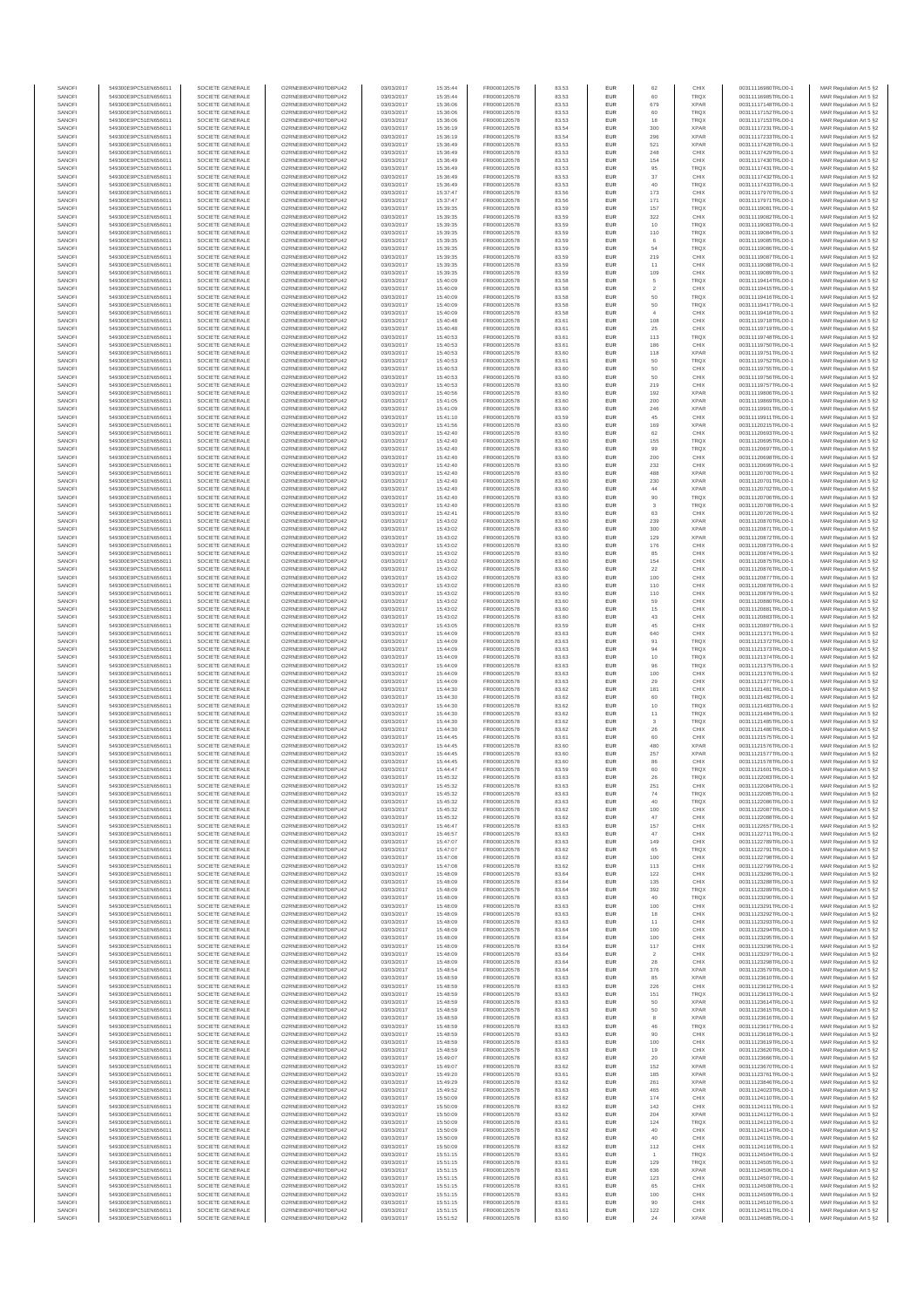| SANOFI<br>SANOFI | 549300E9PC51EN656011<br>549300E9PC51EN656011 | SOCIETE GENERALE<br>SOCIETE GENERALE | O2RNE8IBXP4R0TD8PU42<br>O2RNE8IBXP4R0TD8PU42  | 03/03/2017<br>03/03/2017 | 15:35:44<br>15:35:44 | FR0000120578<br>FR0000120578 | 83.53<br>83.53 | EUR<br>EUR        | 62                    | CHIX<br><b>TRQX</b>        | 00311116980TRLO0-1<br>00311116985TRLO0-1 | MAR Regulation Art 5 §2<br>MAR Regulation Art 5 §2 |
|------------------|----------------------------------------------|--------------------------------------|-----------------------------------------------|--------------------------|----------------------|------------------------------|----------------|-------------------|-----------------------|----------------------------|------------------------------------------|----------------------------------------------------|
| SANOFI           | 549300E9PC51EN656011                         | SOCIETE GENERALE                     | O2RNE8IBXP4R0TD8PU42                          | 03/03/2017               | 15:36:06             | FR0000120578                 | 83.53          | EUR               | 679                   | <b>XPAR</b>                | 00311117148TRLO0-1                       | MAR Regulation Art 5 §2                            |
| SANOFI           | 549300E9PC51EN656011                         | SOCIETE GENERALE                     | O2RNE8IBXP4R0TD8PU42                          | 03/03/2017               | 15:36:06             | FR0000120578                 | 83.53          | EUR               | 60                    | <b>TRQX</b>                | 00311117152TRLO0-1                       | MAR Regulation Art 5 §2                            |
| SANOFI<br>SANOFI | 549300E9PC51EN656011<br>549300E9PC51EN656011 | SOCIETE GENERALE<br>SOCIETE GENERALE | O2RNE8IBXP4R0TD8PU42<br>O2RNE8IBXP4R0TD8PU42  | 03/03/2017<br>03/03/2017 | 15:36:06<br>15:36:19 | FR0000120578<br>FR0000120578 | 83.53<br>83.54 | <b>EUR</b><br>EUR | 18<br>300             | <b>TRQX</b><br><b>XPAR</b> | 00311117153TRLO0-1<br>00311117231TRLO0-1 | MAR Regulation Art 5 §2<br>MAR Regulation Art 5 §2 |
| SANOFI           | 549300E9PC51EN656011                         | SOCIETE GENERALE                     | O2RNE8IBXP4R0TD8PU42                          | 03/03/2017               | 15:36:19             | FR0000120578                 | 83.54          | EUR               | 296                   | <b>XPAR</b>                | 00311117233TRLO0-1                       | MAR Regulation Art 5 §2                            |
| SANOFI<br>SANOFI | 549300E9PC51EN656011<br>549300E9PC51EN656011 | SOCIETE GENERALE<br>SOCIETE GENERALE | O2RNE8IBXP4R0TD8PU42<br>O2RNE8IBXP4R0TD8PU42  | 03/03/2017<br>03/03/2017 | 15:36:49<br>15:36:49 | FR0000120578<br>FR0000120578 | 83.53<br>83.53 | EUR<br>EUR        | 521<br>248            | <b>XPAR</b><br>CHIX        | 00311117428TRLO0-1<br>00311117429TRLO0-1 | MAR Regulation Art 5 §2<br>MAR Regulation Art 5 §2 |
| SANOFI           | 549300E9PC51EN656011                         | SOCIETE GENERALE                     | O2RNE8IBXP4R0TD8PU42                          | 03/03/2017               | 15:36:49             | FR0000120578                 | 83.53          | EUR               | 154                   | CHIX                       | 00311117430TRLO0-1                       | MAR Regulation Art 5 §2                            |
| SANOFI           | 549300E9PC51EN656011                         | SOCIETE GENERALE                     | O2RNE8IBXP4R0TD8PU42                          | 03/03/2017               | 15:36:49             | FR0000120578                 | 83.53          | EUR               | 95                    | TRQ)                       | 00311117431TRLO0-1                       | MAR Regulation Art 5 §2                            |
| SANOFI<br>SANOFI | 549300E9PC51EN656011<br>549300E9PC51EN656011 | SOCIETE GENERALE<br>SOCIETE GENERALE | O2RNE8IBXP4R0TD8PU42<br>O2RNE8IBXP4R0TD8PU42  | 03/03/2017<br>03/03/2017 | 15:36:49<br>15:36:49 | FR0000120578<br>FR0000120578 | 83.53<br>83.53 | <b>EUR</b><br>EUR | 37<br>40              | CHIX<br><b>TRQX</b>        | 00311117432TRLO0-1<br>00311117433TRLO0-1 | MAR Regulation Art 5 §2<br>MAR Regulation Art 5 §2 |
| SANOFI           | 549300E9PC51EN656011                         | SOCIETE GENERALE                     | O2RNE8IBXP4R0TD8PU42                          | 03/03/2017               | 15:37:47             | FR0000120578                 | 83.56          | EUR               | 173                   | CHIX                       | 00311117970TRLO0-1                       | MAR Regulation Art 5 §2                            |
| SANOFI<br>SANOFI | 549300E9PC51EN656011<br>549300E9PC51EN656011 | SOCIETE GENERALE<br>SOCIETE GENERALE | O2RNE8IBXP4R0TD8PU42<br>O2RNE8IBXP4R0TD8PU42  | 03/03/2017<br>03/03/2017 | 15:37:47<br>15:39:35 | FR0000120578<br>FR0000120578 | 83.56<br>83.59 | EUR<br>EUR        | 171<br>157            | <b>TRQX</b><br><b>TRQX</b> | 00311117971TRLO0-1<br>00311119081TRLO0-1 | MAR Regulation Art 5 §2<br>MAR Regulation Art 5 §2 |
| SANOFI           | 549300E9PC51EN656011                         | SOCIETE GENERALE                     | O2RNE8IBXP4R0TD8PU42                          | 03/03/2017               | 15:39:35             | FR0000120578                 | 83.59          | EUR               | 322                   | CHIX                       | 00311119082TRLO0-1                       | MAR Regulation Art 5 §2                            |
| SANOFI<br>SANOFI | 549300E9PC51EN656011<br>549300E9PC51EN656011 | SOCIETE GENERALE<br>SOCIETE GENERALE | O2RNE8IBXP4R0TD8PU42<br>O2RNE8IBXP4R0TD8PU42  | 03/03/2017<br>03/03/2017 | 15:39:35<br>15:39:35 | FR0000120578<br>FR0000120578 | 83.59<br>83.59 | EUR<br><b>EUR</b> | 10                    | TRQX<br><b>TRQX</b>        | 00311119083TRLO0-1<br>00311119084TRLO0-1 | MAR Regulation Art 5 §2                            |
| SANOFI           | 549300E9PC51EN656011                         | SOCIETE GENERALE                     | O2RNE8IBXP4R0TD8PU42                          | 03/03/2017               | 15:39:35             | FR0000120578                 | 83.59          | EUR               | 110<br>6              | <b>TRQX</b>                | 00311119085TRLO0-1                       | MAR Regulation Art 5 §2<br>MAR Regulation Art 5 §2 |
| SANOFI           | 549300E9PC51EN656011                         | SOCIETE GENERALE                     | O2RNE8IBXP4R0TD8PU42                          | 03/03/2017               | 15:39:35             | FR0000120578                 | 83.59          | EUR               | 54                    | <b>TRQX</b>                | 00311119086TRLO0-1                       | MAR Regulation Art 5 §2                            |
| SANOFI<br>SANOFI | 549300E9PC51EN656011<br>549300E9PC51EN656011 | SOCIETE GENERALE<br>SOCIETE GENERALE | O2RNE8IBXP4R0TD8PU42<br>O2RNE8IBXP4R0TD8PU42  | 03/03/2017<br>03/03/2017 | 15:39:35<br>15:39:35 | FR0000120578<br>FR0000120578 | 83.59<br>83.59 | EUR<br>EUR        | 219<br>11             | CHIX<br>CHIX               | 00311119087TRLO0-1<br>00311119088TRLO0-1 | MAR Regulation Art 5 §2<br>MAR Regulation Art 5 §2 |
| SANOFI           | 549300E9PC51EN656011                         | SOCIETE GENERALE                     | O2RNE8IBXP4R0TD8PU42                          | 03/03/2017               | 15:39:35             | FR0000120578                 | 83.59          | EUR               | 109                   | CHIX                       | 00311119089TRLO0-1                       | MAR Regulation Art 5 §2                            |
| SANOFI<br>SANOFI | 549300E9PC51EN656011<br>549300E9PC51EN656011 | SOCIETE GENERALE<br>SOCIETE GENERALE | O2RNE8IBXP4R0TD8PU42<br>O2RNE8IBXP4R0TD8PU42  | 03/03/2017               | 15:40:09             | FR0000120578                 | 83.58          | EUR               | $\overline{5}$        | <b>TRQX</b><br>CHIX        | 00311119414TRLO0-1                       | MAR Regulation Art 5 §2                            |
| SANOFI           | 549300E9PC51EN656011                         | SOCIETE GENERALE                     | O2RNE8IBXP4R0TD8PU42                          | 03/03/2017<br>03/03/2017 | 15:40:09<br>15:40:09 | FR0000120578<br>FR0000120578 | 83.58<br>83.58 | EUR<br>EUR        | $\sqrt{2}$<br>50      | <b>TRQX</b>                | 00311119415TRLO0-1<br>00311119416TRLO0-1 | MAR Regulation Art 5 §2<br>MAR Regulation Art 5 §2 |
| SANOFI           | 549300E9PC51EN656011                         | SOCIETE GENERALE                     | O2RNE8IBXP4R0TD8PU42                          | 03/03/2017               | 15:40:09             | FR0000120578                 | 83.58          | EUR               | 50                    | <b>TRQX</b>                | 00311119417TRLO0-1                       | MAR Regulation Art 5 §2                            |
| SANOFI<br>SANOFI | 549300E9PC51EN656011<br>549300E9PC51EN656011 | SOCIETE GENERALE<br>SOCIETE GENERALE | O2RNE8IBXP4R0TD8PU42<br>O2RNE8IBXP4R0TD8PU42  | 03/03/2017<br>03/03/2017 | 15:40:09<br>15:40:48 | FR0000120578<br>FR0000120578 | 83.58<br>83.61 | EUR<br><b>EUR</b> | $\ddot{4}$<br>108     | CHIX<br>CHIX               | 00311119418TRLO0-1<br>00311119718TRLO0-1 | MAR Regulation Art 5 §2<br>MAR Regulation Art 5 §2 |
| SANOFI           | 549300E9PC51EN656011                         | SOCIETE GENERALE                     | O2RNE8IBXP4R0TD8PU42                          | 03/03/2017               | 15:40:48             | FR0000120578                 | 83.61          | EUR               | 25                    | CHIX                       | 00311119719TRLO0-1                       | MAR Regulation Art 5 §2                            |
| SANOFI<br>SANOFI | 549300E9PC51EN656011                         | SOCIETE GENERALE                     | O2RNE8IBXP4R0TD8PU42                          | 03/03/2017<br>03/03/2017 | 15:40:53<br>15:40:53 | FR0000120578<br>FR0000120578 | 83.61<br>83.61 | EUR<br>EUR        | 113<br>186            | <b>TRQX</b><br>CHIX        | 00311119748TRLO0-1                       | MAR Regulation Art 5 §2                            |
| SANOFI           | 549300E9PC51EN656011<br>549300E9PC51EN656011 | SOCIETE GENERALE<br>SOCIETE GENERALE | O2RNE8IBXP4R0TD8PU42<br>O2RNE8IBXP4R0TD8PU42  | 03/03/2017               | 15:40:53             | FR0000120578                 | 83.60          | EUR               | 118                   | <b>XPAR</b>                | 00311119750TRLO0-1<br>00311119751TRLO0-1 | MAR Regulation Art 5 §2<br>MAR Regulation Art 5 §2 |
| SANOFI           | 549300E9PC51EN656011                         | SOCIETE GENERALE                     | O2RNE8IBXP4R0TD8PU42                          | 03/03/2017               | 15:40:53             | FR0000120578                 | 83.61          | EUR               | 50                    | <b>TRQX</b>                | 00311119752TRLO0-1                       | MAR Regulation Art 5 §2                            |
| SANOFI<br>SANOFI | 549300E9PC51EN656011<br>549300E9PC51EN656011 | SOCIETE GENERALE<br>SOCIETE GENERALE | O2RNE8IBXP4R0TD8PU42<br>O2RNE8IBXP4R0TD8PU42  | 03/03/2017<br>03/03/2017 | 15:40:53<br>15:40:53 | FR0000120578<br>FR0000120578 | 83.60<br>83.60 | EUR<br><b>EUR</b> | 50<br>50              | CHIX<br>CHIX               | 00311119755TRLO0-1<br>00311119756TRLO0-1 | MAR Regulation Art 5 §2<br>MAR Regulation Art 5 §2 |
| SANOFI           | 549300E9PC51EN656011                         | SOCIETE GENERALE                     | O2RNE8IBXP4R0TD8PU42                          | 03/03/2017               | 15:40:53             | FR0000120578                 | 83.60          | EUR               | 219                   | CHIX                       | 00311119757TRLO0-1                       | MAR Regulation Art 5 §2                            |
| SANOFI<br>SANOFI | 549300E9PC51EN656011                         | SOCIETE GENERALE                     | O2RNE8IBXP4R0TD8PLI42<br>O2RNE8IBXP4R0TD8PU42 | 03/03/2017<br>03/03/2017 | 15:40:56<br>15:41:05 | FR0000120578<br>FR0000120578 | 83.60<br>83.60 | EUR<br>EUR        | 192<br>200            | <b>XPAR</b><br><b>XPAR</b> | 00311119806TRLO0-1                       | MAR Regulation Art 5 §2<br>MAR Regulation Art 5 §2 |
| SANOFI           | 549300E9PC51EN656011<br>549300E9PC51EN656011 | SOCIETE GENERALE<br>SOCIETE GENERALE | O2RNE8IBXP4R0TD8PU42                          | 03/03/2017               | 15:41:09             | FR0000120578                 | 83.60          | EUR               | 246                   | <b>XPAR</b>                | 00311119869TRLO0-1<br>00311119901TRLO0-1 | MAR Regulation Art 5 §2                            |
| SANOFI           | 549300E9PC51EN656011                         | SOCIETE GENERALE                     | O2RNE8IBXP4R0TD8PU42                          | 03/03/2017               | 15:41:10             | FR0000120578                 | 83.59          | EUR               | 45                    | CHIX                       | 00311119911TRLO0-1                       | MAR Regulation Art 5 §2                            |
| SANOFI<br>SANOFI | 549300E9PC51EN656011<br>549300E9PC51EN656011 | SOCIETE GENERALE<br>SOCIETE GENERALE | O2RNE8IBXP4R0TD8PU42<br>O2RNE8IBXP4R0TD8PU42  | 03/03/2017<br>03/03/2017 | 15:41:56<br>15:42:40 | FR0000120578<br>FR0000120578 | 83.60<br>83.60 | EUR<br>EUR        | 169<br>62             | <b>XPAR</b><br>CHIX        | 00311120215TRLO0-1<br>00311120693TRLO0-1 | MAR Regulation Art 5 §2<br>MAR Regulation Art 5 §2 |
| SANOFI           | 549300E9PC51EN656011                         | SOCIETE GENERALE                     | O2RNE8IBXP4R0TD8PU42                          | 03/03/2017               | 15:42:40             | FR0000120578                 | 83.60          | EUR               | 155                   | <b>TRQX</b>                | 00311120695TRLO0-1                       | MAR Regulation Art 5 §2                            |
| SANOFI           | 549300E9PC51EN656011                         | SOCIETE GENERALE<br>SOCIETE GENERALE | O2RNE8IBXP4R0TD8PU42                          | 03/03/2017               | 15:42:40             | FR0000120578                 | 83.60          | EUR               | 99                    | <b>TRQX</b>                | 00311120697TRLO0-1                       | MAR Regulation Art 5 §2                            |
| SANOFI<br>SANOFI | 549300E9PC51EN656011<br>549300E9PC51EN656011 | SOCIETE GENERALE                     | O2RNE8IBXP4R0TD8PU42<br>O2RNE8IBXP4R0TD8PU42  | 03/03/2017<br>03/03/2017 | 15:42:40<br>15:42:40 | FR0000120578<br>FR0000120578 | 83.60<br>83.60 | EUR<br><b>EUR</b> | 200<br>232            | CHIX<br>CHIX               | 00311120698TRLO0-1<br>00311120699TRLO0-1 | MAR Regulation Art 5 §2<br>MAR Regulation Art 5 §2 |
| SANOFI           | 549300E9PC51EN656011                         | SOCIETE GENERALE                     | O2RNE8IBXP4R0TD8PU42                          | 03/03/2017               | 15:42:40             | FR0000120578                 | 83.60          | EUR               | 488                   | <b>XPAR</b>                | 00311120700TRLO0-1                       | MAR Regulation Art 5 §2                            |
| SANOFI<br>SANOFI | 549300E9PC51EN656011<br>549300E9PC51EN656011 | SOCIETE GENERALE<br>SOCIETE GENERALE | O2RNE8IBXP4R0TD8PU42<br>O2RNE8IBXP4R0TD8PU42  | 03/03/2017<br>03/03/2017 | 15:42:40<br>15:42:40 | FR0000120578<br>FR0000120578 | 83.60<br>83.60 | EUR<br>EUR        | 230<br>44             | <b>XPAR</b><br><b>XPAR</b> | 00311120701TRLO0-1<br>00311120702TRLO0-1 | MAR Regulation Art 5 §2<br>MAR Regulation Art 5 §2 |
| SANOFI           | 549300E9PC51EN656011                         | SOCIETE GENERALE                     | O2RNE8IBXP4R0TD8PU42                          | 03/03/2017               | 15:42:40             | FR0000120578                 | 83.60          | EUR               | 90                    | <b>TRQX</b>                | 00311120706TRLO0-1                       | MAR Regulation Art 5 §2                            |
| SANOFI           | 549300E9PC51EN656011                         | SOCIETE GENERALE<br>SOCIETE GENERALE | O2RNE8IBXP4R0TD8PU42                          | 03/03/2017               | 15:42:40             | FR0000120578                 | 83.60          | <b>EUR</b>        | $\mathbf{3}$          | <b>TRQX</b>                | 00311120708TRLO0-1                       | MAR Regulation Art 5 §2                            |
| SANOFI<br>SANOFI | 549300E9PC51EN656011<br>549300E9PC51EN656011 | SOCIETE GENERALE                     | O2RNE8IBXP4R0TD8PU42<br>O2RNE8IBXP4R0TD8PU42  | 03/03/2017<br>03/03/2017 | 15:42:41<br>15:43:02 | FR0000120578<br>FR0000120578 | 83.60<br>83.60 | EUR<br><b>EUR</b> | 63<br>239             | CHIX<br><b>XPAR</b>        | 00311120726TRLO0-1<br>00311120870TRLO0-1 | MAR Regulation Art 5 §2<br>MAR Regulation Art 5 §2 |
| SANOFI           | 549300E9PC51EN656011                         | SOCIETE GENERALE                     | O2RNE8IBXP4R0TD8PU42                          | 03/03/2017               | 15:43:02             | FR0000120578                 | 83.60          | EUR               | 300                   | <b>XPAR</b>                | 00311120871TRLO0-1                       | MAR Regulation Art 5 §2                            |
| SANOFI<br>SANOFI | 549300E9PC51EN656011<br>549300E9PC51EN656011 | SOCIETE GENERALE<br>SOCIETE GENERALE | O2RNE8IBXP4R0TD8PU42<br>O2RNE8IBXP4R0TD8PU42  | 03/03/2017<br>03/03/2017 | 15:43:02<br>15:43:02 | FR0000120578<br>FR0000120578 | 83.60<br>83.60 | EUR<br>EUR        | 129<br>176            | <b>XPAR</b><br>CHIX        | 00311120872TRLO0-1<br>00311120873TRLO0-1 | MAR Regulation Art 5 §2<br>MAR Regulation Art 5 §2 |
| SANOFI           | 549300E9PC51EN656011                         | SOCIETE GENERALE                     | O2RNE8IBXP4R0TD8PU42                          | 03/03/2017               | 15:43:02             | FR0000120578                 | 83.60          | EUR               | 85                    | CHIX                       | 00311120874TRLO0-1                       | MAR Regulation Art 5 §2                            |
| SANOFI           | 549300E9PC51EN656011                         | SOCIETE GENERALE                     | O2RNE8IBXP4R0TD8PU42                          | 03/03/2017               | 15:43:02             | FR0000120578                 | 83.60          | EUR<br>EUR        | 154<br>22             | CHIX                       | 00311120875TRLO0-1                       | MAR Regulation Art 5 §2                            |
| SANOFI<br>SANOFI | 549300E9PC51EN656011<br>549300E9PC51EN656011 | SOCIETE GENERALE<br>SOCIETE GENERALE | O2RNE8IBXP4R0TD8PU42<br>O2RNE8IBXP4R0TD8PU42  | 03/03/2017<br>03/03/2017 | 15:43:02<br>15:43:02 | FR0000120578<br>FR0000120578 | 83.60<br>83.60 | <b>EUR</b>        | 100                   | CHIX<br>CHIX               | 00311120876TRLO0-1<br>00311120877TRLO0-1 | MAR Regulation Art 5 §2<br>MAR Regulation Art 5 §2 |
| SANOFI           | 549300E9PC51EN656011                         | SOCIETE GENERALE                     | O2RNE8IBXP4R0TD8PU42                          | 03/03/2017               | 15:43:02             | FR0000120578                 | 83.60          | EUR               | 110                   | CHIX                       | 00311120878TRLO0-1                       | MAR Regulation Art 5 §2                            |
| SANOFI<br>SANOFI | 549300E9PC51EN656011<br>549300E9PC51EN656011 | SOCIETE GENERALE<br>SOCIETE GENERALE | O2RNE8IBXP4R0TD8PU42<br>O2RNE8IBXP4R0TD8PU42  | 03/03/2017<br>03/03/2017 | 15:43:02<br>15:43:02 | FR0000120578<br>FR0000120578 | 83.60<br>83.60 | EUR<br>EUR        | 110<br>59             | CHIX<br>CHIX               | 00311120879TRLO0-1<br>00311120880TRLO0-1 | MAR Regulation Art 5 §2<br>MAR Regulation Art 5 §2 |
| SANOFI           | 549300E9PC51EN656011                         | SOCIETE GENERALE                     | O2RNE8IBXP4R0TD8PU42                          | 03/03/2017               | 15:43:02             | FR0000120578                 | 83.60          | EUR               | 15                    | CHIX                       | 00311120881TRLO0-1                       | MAR Regulation Art 5 §2                            |
| SANOFI           | 549300E9PC51EN656011                         | SOCIETE GENERALE                     | O2RNE8IBXP4R0TD8PU42                          | 03/03/2017               | 15:43:02             | FR0000120578                 | 83.60          | EUR               | 43                    | CHIX                       | 00311120883TRLO0-1                       | MAR Regulation Art 5 §2                            |
| SANOFI<br>SANOFI | 549300E9PC51EN656011<br>549300E9PC51EN656011 | SOCIETE GENERALE<br>SOCIETE GENERALE | O2RNE8IBXP4R0TD8PU42<br>O2RNE8IBXP4R0TD8PU42  | 03/03/2017<br>03/03/2017 | 15:43:05<br>15:44:09 | FR0000120578<br>FR0000120578 | 83.59<br>83.63 | EUR<br>EUR        | $45\,$<br>640         | CHIX<br>CHIX               | 00311120897TRLO0-1<br>00311121371TRLO0-1 | MAR Regulation Art 5 §2<br>MAR Regulation Art 5 §2 |
| SANOFI           | 549300E9PC51EN656011                         | SOCIETE GENERALE                     | O2RNE8IBXP4R0TD8PU42                          | 03/03/2017               | 15:44:09             | FR0000120578                 | 83.63          | EUR               | 91                    | <b>TRQX</b>                | 00311121372TRLO0-1                       | MAR Regulation Art 5 §2                            |
| SANOFI<br>SANOFI | 549300E9PC51EN656011<br>549300E9PC51EN656011 | SOCIETE GENERALE<br>SOCIETE GENERALE | O2RNE8IBXP4R0TD8PU42<br>O2RNE8IBXP4R0TD8PU42  | 03/03/2017<br>03/03/2017 | 15:44:09<br>15:44:09 | FR0000120578<br>FR0000120578 | 83.63<br>83.63 | EUR<br>EUR        | 94<br>10              | <b>TRQX</b><br><b>TRQX</b> | 00311121373TRLO0-1<br>00311121374TRLO0-1 | MAR Regulation Art 5 §2<br>MAR Regulation Art 5 §2 |
| SANOFI           | 549300E9PC51EN656011                         | SOCIETE GENERALE                     | O2RNE8IBXP4R0TD8PU42                          | 03/03/2017               | 15:44:09             | FR0000120578                 | 83.63          | <b>EUR</b>        | 96                    | <b>TRQX</b>                | 00311121375TRLO0-1                       | MAR Regulation Art 5 §2                            |
| SANOFI           | 549300E9PC51EN656011                         | SOCIETE GENERALE                     | O2RNE8IBXP4R0TD8PU42                          | 03/03/2017               | 15:44:09             | FR0000120578                 | 83.63          | EUR               | 100                   | CHIX                       | 00311121376TRLO0-1                       | MAR Regulation Art 5 §2                            |
| SANOFI<br>SANOFI | 549300E9PC51EN656011<br>549300E9PC51EN656011 | SOCIETE GENERALE<br>SOCIETE GENERALE | O2RNE8IBXP4R0TD8PU42<br>O2RNE8IBXP4R0TD8PU42  | 03/03/2017<br>03/03/2017 | 15:44:09<br>15:44:30 | FR0000120578<br>FR0000120578 | 83.63<br>83.62 | EUR<br>EUR        | 29<br>181             | CHIX<br>CHIX               | 00311121377TRLO0-1<br>00311121481TRLO0-1 | MAR Regulation Art 5 §2<br>MAR Regulation Art 5 §2 |
| SANOFI           | 549300E9PC51EN656011                         | SOCIETE GENERALE                     | O2RNE8IBXP4R0TD8PU42                          | 03/03/2017               | 15:44:30             | FR0000120578                 | 83.62          | EUR               | 60                    | <b>TRQX</b>                | 00311121482TRLO0-1                       | MAR Regulation Art 5 §2                            |
| SANOFI<br>SANOFI | 549300E9PC51EN656011<br>549300E9PC51EN656011 | SOCIETE GENERALE<br>SOCIETE GENERALE | O2RNE8IBXP4R0TD8PU42<br>O2RNE8IBXP4R0TD8PU42  | 03/03/2017<br>03/03/2017 | 15:44:30<br>15:44:30 | FR0000120578<br>FR0000120578 | 83.62<br>83.62 | EUR<br>EUR        | 10<br>11              | <b>TRQX</b><br><b>TRQX</b> | 00311121483TRLO0-1<br>00311121484TRLO0-1 | MAR Regulation Art 5 §2<br>MAR Regulation Art 5 §2 |
| SANOFI           | 549300E9PC51EN656011                         | SOCIETE GENERALE                     | O2RNE8IBXP4R0TD8PU42                          | 03/03/2017               | 15:44:30             | FR0000120578                 | 83.62          | <b>EUR</b>        | $\mathbf{3}$          | <b>TRQX</b>                | 00311121485TRLO0-1                       | MAR Regulation Art 5 §2                            |
| SANOFI<br>SANOFI | 549300E9PC51EN656011<br>549300E9PC51EN656011 | SOCIETE GENERALE<br>SOCIETE GENERALE | O2RNE8IBXP4R0TD8PU42<br>O2RNE8IBXP4R0TD8PU42  | 03/03/2017<br>03/03/2017 | 15:44:30<br>15:44:45 | FR0000120578<br>FR0000120578 | 83.62<br>83.61 | EUR<br>EUR        | 26<br>60              | CHIX<br>CHIX               | 00311121486TRLO0-1<br>00311121575TRLO0-1 | MAR Regulation Art 5 §2                            |
| SANOFI           | 549300E9PC51EN656011                         | SOCIETE GENERALE                     | O2RNE8IBXP4R0TD8PU42                          | 03/03/2017               | 15:44:45             | FR0000120578                 | 83.60          | EUR               | 480                   | <b>XPAR</b>                | 00311121576TRLO0-1                       | MAR Regulation Art 5 §2<br>MAR Regulation Art 5 §2 |
| SANOFI           | 549300E9PC51EN656011                         | SOCIETE GENERALE                     | O2RNE8IBXP4R0TD8PU42                          | 03/03/2017               | 15:44:45             | FR0000120578                 | 83.60          | EUR               | 257                   | <b>XPAR</b>                | 00311121577TRLO0-1                       | MAR Regulation Art 5 §2                            |
| SANOFI<br>SANOFI | 549300E9PC51EN656011<br>549300E9PC51EN656011 | SOCIETE GENERALE<br>SOCIETE GENERALE | O2RNE8IBXP4R0TD8PU42<br>O2RNE8IBXP4R0TD8PU42  | 03/03/2017<br>03/03/2017 | 15:44:45<br>15:44:47 | FR0000120578<br>FR0000120578 | 83.60<br>83.59 | EUR<br>EUR        | 86<br>60              | CHIX<br><b>TRQX</b>        | 00311121578TRLO0-1<br>00311121601TRLO0-1 | MAR Regulation Art 5 §2<br>MAR Regulation Art 5 §2 |
| SANOFI           | 549300E9PC51EN656011                         | SOCIETE GENERALE                     | O2RNE8IBXP4R0TD8PU42                          | 03/03/2017               | 15:45:32             | FR0000120578                 | 83.63          | <b>EUR</b>        | 26                    | <b>TROX</b>                | 00311122083TRLO0-1                       | MAR Regulation Art 5 §2                            |
| SANOF<br>SANOFI  | 549300E9PC51EN656011<br>549300E9PC51EN656011 | SOCIETE GENERALE<br>SOCIETE GENERALE | O2RNE8IBXP4R0TD8PU42<br>O2RNE8IBXP4R0TD8PU42  | 03/03/2017<br>03/03/2017 | 15:45:32<br>15:45:32 | FR0000120578                 | 83.63<br>83.63 | EUR               | 25 <sup>1</sup><br>74 | CHIX<br><b>TRQX</b>        | 00311122084TRLO0-1                       | MAR Regulation Art 5 §2                            |
| SANOFI           | 549300E9PC51EN656011                         | SOCIETE GENERALE                     | O2RNE8IBXP4R0TD8PU42                          | 03/03/2017               | 15:45:32             | FR0000120578<br>FR0000120578 | 83.63          | EUR               | 40                    | <b>TRQX</b>                | 00311122085TRLO0-1<br>00311122086TRLO0-1 | MAR Regulation Art 5 §2<br>MAR Regulation Art 5 §2 |
| SANOFI           | 549300E9PC51EN656011                         | SOCIETE GENERALE                     | O2RNE8IBXP4R0TD8PU42                          | 03/03/2017               | 15:45:32             | FR0000120578                 | 83.62          | <b>EUR</b>        | 100                   | CHIX                       | 00311122087TRLO0-1                       | MAR Regulation Art 5 §2                            |
| SANOFI<br>SANOFI | 549300E9PC51EN656011<br>549300E9PC51EN656011 | SOCIETE GENERALE<br>SOCIETE GENERALE | O2RNE8IBXP4R0TD8PU42<br>O2RNE8IBXP4R0TD8PU42  | 03/03/2017<br>03/03/2017 | 15:45:32<br>15:46:47 | FR0000120578<br>FR0000120578 | 83.62<br>83.63 | EUR<br>EUR        | 47<br>157             | CHIX<br>CHIX               | 00311122088TRLO0-1<br>00311122657TRLO0-1 | MAR Regulation Art 5 §2<br>MAR Regulation Art 5 §2 |
| SANOFI           | 549300E9PC51EN656011                         | SOCIETE GENERALE                     | O2RNE8IBXP4R0TD8PU42                          | 03/03/2017               | 15:46:57             | FR0000120578                 | 83.63          | EUR               | 47                    | CHIX                       | 00311122711TRLO0-1                       | MAR Regulation Art 5 §2                            |
| SANOFI<br>SANOFI | 549300E9PC51EN656011<br>549300E9PC51EN656011 | SOCIETE GENERALE<br>SOCIETE GENERALE | O2RNE8IBXP4R0TD8PU42<br>O2RNE8IBXP4R0TD8PU42  | 03/03/2017<br>03/03/2017 | 15:47:07<br>15:47:07 | FR0000120578<br>FR0000120578 | 83.63<br>83.62 | EUR<br><b>EUR</b> | 149<br>65             | CHIX<br><b>TROX</b>        | 00311122789TRLO0-1<br>00311122791TRLO0-1 | MAR Regulation Art 5 §2                            |
| SANOFI           | 549300E9PC51EN656011                         | SOCIETE GENERALE                     | O2RNE8IBXP4R0TD8PU42                          | 03/03/2017               | 15:47:08             | FR0000120578                 | 83.62          | EUR               | 100                   | CHIX                       | 00311122798TRLO0-1                       | MAR Regulation Art 5 §2<br>MAR Regulation Art 5 §2 |
| SANOFI           | 549300E9PC51EN656011                         | SOCIETE GENERALE                     | O2RNE8IBXP4R0TD8PU42                          | 03/03/2017               | 15:47:08             | FR0000120578                 | 83.62          | <b>EUR</b>        | 113                   | CHIX                       | 00311122799TRLO0-1                       | MAR Regulation Art 5 §2                            |
| SANOFI<br>SANOFI | 549300E9PC51EN656011<br>549300E9PC51EN656011 | SOCIETE GENERALE<br>SOCIETE GENERALE | O2RNE8IBXP4R0TD8PU42<br>O2RNE8IBXP4R0TD8PU42  | 03/03/2017<br>03/03/2017 | 15:48:09<br>15:48:09 | FR0000120578<br>FR0000120578 | 83.64<br>83.64 | EUR<br>EUR        | 122<br>135            | CHIX<br>CHIX               | 00311123286TRLO0-1<br>00311123288TRLO0-1 | MAR Regulation Art 5 §2<br>MAR Regulation Art 5 §2 |
| SANOFI           | 549300E9PC51EN656011                         | SOCIETE GENERALE                     | O2RNE8IBXP4R0TD8PU42                          | 03/03/2017               | 15:48:09             | FR0000120578                 | 83.64          | EUR               | 392                   | <b>TRQX</b>                | 00311123289TRLO0-1                       | MAR Regulation Art 5 §2                            |
| SANOFI<br>SANOFI | 549300E9PC51EN656011<br>549300E9PC51EN656011 | SOCIETE GENERALE<br>SOCIETE GENERALE | O2RNE8IBXP4R0TD8PU42<br>O2RNE8IBXP4R0TD8PU42  | 03/03/2017<br>03/03/2017 | 15:48:09<br>15:48:09 | FR0000120578<br>FR0000120578 | 83.63<br>83.63 | EUR<br>EUR        | 40<br>100             | <b>TROX</b><br>CHIX        | 00311123290TRLO0-1<br>00311123291TRLO0-1 | MAR Regulation Art 5 §2<br>MAR Regulation Art 5 §2 |
| SANOFI           | 549300E9PC51EN656011                         | SOCIETE GENERALE                     | O2RNE8IBXP4R0TD8PU42                          | 03/03/2017               | 15:48:09             | FR0000120578                 | 83.63          | EUR               | 18                    | CHIX                       | 00311123292TRLO0-1                       | MAR Regulation Art 5 §2                            |
| SANOFI<br>SANOFI | 549300E9PC51EN656011<br>549300E9PC51EN656011 | SOCIETE GENERALE<br>SOCIETE GENERALE | O2RNE8IBXP4R0TD8PU42<br>O2RNE8IBXP4R0TD8PU42  | 03/03/2017<br>03/03/2017 | 15:48:09<br>15:48:09 | FR0000120578<br>FR0000120578 | 83.63<br>83.64 | <b>EUR</b><br>EUR | 11<br>100             | CHIX<br>CHIX               | 00311123293TRLO0-1<br>00311123294TRLO0-1 | MAR Regulation Art 5 §2<br>MAR Regulation Art 5 §2 |
| SANOFI           | 549300E9PC51EN656011                         | SOCIETE GENERALE                     | O2RNE8IBXP4R0TD8PU42                          | 03/03/2017               | 15:48:09             | FR0000120578                 | 83.64          | <b>EUR</b>        | 100                   | CHIX                       | 00311123295TRLO0-1                       | MAR Regulation Art 5 §2                            |
| SANOFI<br>SANOFI | 549300E9PC51EN656011<br>549300E9PC51EN656011 | SOCIETE GENERALE<br>SOCIETE GENERALE | O2RNE8IBXP4R0TD8PU42<br>O2RNE8IBXP4R0TD8PU42  | 03/03/2017<br>03/03/2017 | 15:48:09<br>15:48:09 | FR0000120578<br>FR0000120578 | 83.64          | EUR               | 117                   | CHIX<br>CHIX               | 00311123296TRLO0-1<br>00311123297TRLO0-1 | MAR Regulation Art 5 §2                            |
| SANOFI           | 549300E9PC51EN656011                         | SOCIETE GENERALE                     | O2RNE8IBXP4R0TD8PU42                          | 03/03/2017               | 15:48:09             | FR0000120578                 | 83.64<br>83.64 | EUR<br>EUR        | $\overline{2}$<br>28  | CHIX                       | 00311123298TRLO0-1                       | MAR Regulation Art 5 §2<br>MAR Regulation Art 5 §2 |
| SANOFI           | 549300E9PC51EN656011                         | SOCIETE GENERALE                     | O2RNE8IBXP4R0TD8PU42                          | 03/03/2017               | 15:48:54             | FR0000120578                 | 83.64          | EUR               | 376                   | XPAR                       | 00311123579TRLO0-1                       | MAR Regulation Art 5 §2                            |
| SANOFI<br>SANOFI | 549300E9PC51EN656011<br>549300E9PC51EN656011 | SOCIETE GENERALE<br>SOCIETE GENERALE | O2RNE8IBXP4R0TD8PU42<br>O2RNE8IBXP4R0TD8PU42  | 03/03/2017<br>03/03/2017 | 15:48:59<br>15:48:59 | FR0000120578<br>FR0000120578 | 83.63<br>83.63 | EUR<br>EUR        | 85<br>226             | <b>XPAR</b><br>CHIX        | 00311123610TRLO0-1<br>00311123612TRLO0-1 | MAR Regulation Art 5 §2<br>MAR Regulation Art 5 §2 |
| SANOFI           | 549300E9PC51EN656011                         | SOCIETE GENERALE                     | O2RNE8IBXP4R0TD8PU42                          | 03/03/2017               | 15:48:59             | FR0000120578                 | 83.63          | EUR               | 151                   | <b>TROX</b>                | 00311123613TRLO0-1                       | MAR Regulation Art 5 §2                            |
| SANOFI           | 549300E9PC51EN656011                         | SOCIETE GENERALE                     | O2RNE8IBXP4R0TD8PU42                          | 03/03/2017               | 15:48:59             | FR0000120578                 | 83.63          | EUR               | 50                    | <b>XPAR</b>                | 00311123614TRLO0-1                       | MAR Regulation Art 5 §2                            |
| SANOFI<br>SANOFI | 549300E9PC51EN656011<br>549300E9PC51EN656011 | SOCIETE GENERALE<br>SOCIETE GENERALE | O2RNE8IBXP4R0TD8PU42<br>O2RNE8IBXP4R0TD8PU42  | 03/03/2017<br>03/03/2017 | 15:48:59<br>15:48:59 | FR0000120578<br>FR0000120578 | 83.63<br>83.63 | <b>EUR</b><br>EUR | 50<br>8               | <b>XPAR</b><br><b>XPAR</b> | 00311123615TRLO0-1<br>00311123616TRLO0-1 | MAR Regulation Art 5 §2<br>MAR Regulation Art 5 §2 |
| SANOFI           | 549300E9PC51EN656011                         | SOCIETE GENERALE                     | O2RNE8IBXP4R0TD8PU42                          | 03/03/2017               | 15:48:59             | FR0000120578                 | 83.63          | EUR               | $46\,$                | <b>TRQX</b>                | 00311123617TRLO0-1                       | MAR Regulation Art 5 §2                            |
| SANOFI<br>SANOFI | 549300E9PC51EN656011<br>549300E9PC51EN656011 | SOCIETE GENERALE<br>SOCIETE GENERALE | O2RNE8IBXP4R0TD8PU42<br>O2RNE8IBXP4R0TD8PU42  | 03/03/2017<br>03/03/2017 | 15:48:59<br>15:48:59 | FR0000120578<br>FR0000120578 | 83.63<br>83.63 | EUR<br>EUR        | 90<br>100             | CHIX<br>CHIX               | 00311123618TRLO0-1<br>00311123619TRLO0-1 | MAR Regulation Art 5 §2<br>MAR Regulation Art 5 §2 |
| SANOFI           | 549300E9PC51EN656011                         | SOCIETE GENERALE                     | O2RNE8IBXP4R0TD8PU42                          | 03/03/2017               | 15:48:59             | FR0000120578                 | 83.63          | <b>EUR</b>        | 19                    | CHIX                       | 00311123620TRLO0-1                       | MAR Regulation Art 5 §2                            |
| SANOFI<br>SANOFI | 549300E9PC51EN656011<br>549300E9PC51EN656011 | SOCIETE GENERALE<br>SOCIETE GENERALE | O2RNE8IBXP4R0TD8PU42<br>O2RNE8IBXP4R0TD8PU42  | 03/03/2017<br>03/03/2017 | 15:49:07<br>15:49:07 | FR0000120578                 | 83.62<br>83.62 | EUR<br><b>EUR</b> | 20                    | <b>XPAR</b><br><b>XPAR</b> | 00311123666TRLO0-1                       | MAR Regulation Art 5 §2                            |
| SANOFI           | 549300E9PC51EN656011                         | SOCIETE GENERALE                     | O2RNE8IBXP4R0TD8PU42                          | 03/03/2017               | 15:49:20             | FR0000120578<br>FR0000120578 | 83.61          | EUR               | 152<br>185            | <b>XPAR</b>                | 00311123670TRLO0-1<br>00311123761TRLO0-1 | MAR Regulation Art 5 §2<br>MAR Regulation Art 5 §2 |
| SANOFI           | 549300E9PC51EN656011                         | SOCIETE GENERALE                     | O2RNE8IBXP4R0TD8PU42                          | 03/03/2017               | 15:49:29             | FR0000120578                 | 83.62          | <b>EUR</b>        | 261                   | <b>XPAR</b>                | 00311123846TRLO0-1                       | MAR Regulation Art 5 §2                            |
| SANOFI<br>SANOFI | 549300E9PC51EN656011<br>549300E9PC51EN656011 | SOCIETE GENERALE<br>SOCIETE GENERALE | O2RNE8IBXP4R0TD8PU42<br>O2RNE8IBXP4R0TD8PU42  | 03/03/2017<br>03/03/2017 | 15:49:52<br>15:50:09 | FR0000120578<br>FR0000120578 | 83.63<br>83.62 | EUR<br>EUR        | 465<br>174            | <b>XPAR</b><br>CHIX        | 00311124023TRLO0-1<br>00311124110TRLO0-1 | MAR Regulation Art 5 §2<br>MAR Regulation Art 5 §2 |
| SANOFI           | 549300E9PC51EN656011                         | SOCIETE GENERALE                     | O2RNE8IBXP4R0TD8PU42                          | 03/03/2017               | 15:50:09             | FR0000120578                 | 83.62          | EUR               | 142                   | CHIX                       | 00311124111TRLO0-1                       | MAR Regulation Art 5 §2                            |
| SANOFI<br>SANOFI | 549300E9PC51EN656011<br>549300E9PC51EN656011 | SOCIETE GENERALE<br>SOCIETE GENERALE | O2RNE8IBXP4R0TD8PU42<br>O2RNE8IBXP4R0TD8PU42  | 03/03/2017               | 15:50:09<br>15:50:09 | FR0000120578                 | 83.62<br>83.61 | EUR<br><b>EUR</b> | 204                   | XPAR<br><b>TROX</b>        | 00311124112TRLO0-1                       | MAR Regulation Art 5 §2                            |
| SANOFI           | 549300E9PC51EN656011                         | SOCIETE GENERALE                     | O2RNE8IBXP4R0TD8PU42                          | 03/03/2017<br>03/03/2017 | 15:50:09             | FR0000120578<br>FR0000120578 | 83.62          | EUR               | 124<br>40             | CHIX                       | 00311124113TRLO0-1<br>00311124114TRLO0-1 | MAR Regulation Art 5 §2<br>MAR Regulation Art 5 §2 |
| SANOFI           | 549300E9PC51EN656011                         | SOCIETE GENERALE                     | O2RNE8IBXP4R0TD8PU42                          | 03/03/2017               | 15:50:09             | FR0000120578                 | 83.62          | <b>EUR</b>        | 40                    | CHIX                       | 00311124115TRLO0-1                       | MAR Regulation Art 5 §2                            |
| SANOFI<br>SANOFI | 549300E9PC51EN656011<br>549300E9PC51EN656011 | SOCIETE GENERALE<br>SOCIETE GENERALE | O2RNE8IBXP4R0TD8PU42<br>O2RNE8IBXP4R0TD8PU42  | 03/03/2017<br>03/03/2017 | 15:50:09<br>15:51:15 | FR0000120578<br>FR0000120578 | 83.62<br>83.61 | EUR<br>EUR        | 112                   | CHIX<br><b>TRQX</b>        | 00311124116TRLO0-1<br>00311124504TRLO0-1 | MAR Regulation Art 5 §2<br>MAR Regulation Art 5 §2 |
| SANOFI           | 549300E9PC51EN656011                         | SOCIETE GENERALE                     | O2RNE8IBXP4R0TD8PU42                          | 03/03/2017               | 15:51:15             | FR0000120578                 | 83.61          | EUR               | 129                   | <b>TRQX</b>                | 00311124505TRLO0-1                       | MAR Regulation Art 5 §2                            |
| SANOFI           | 549300E9PC51EN656011                         | SOCIETE GENERALE                     | O2RNE8IBXP4R0TD8PU42                          | 03/03/2017               | 15:51:15             | FR0000120578                 | 83.61          | EUR               | 636                   | XPAR                       | 00311124506TRLO0-1                       | MAR Regulation Art 5 §2                            |
| SANOFI<br>SANOFI | 549300E9PC51EN656011<br>549300E9PC51EN656011 | SOCIETE GENERALE<br>SOCIETE GENERALE | O2RNE8IBXP4R0TD8PU42<br>O2RNE8IBXP4R0TD8PU42  | 03/03/2017<br>03/03/2017 | 15:51:15<br>15:51:15 | FR0000120578<br>FR0000120578 | 83.61<br>83.61 | EUR<br>EUR        | 123<br>65             | CHIX<br>CHIX               | 00311124507TRLO0-1<br>00311124508TRLO0-1 | MAR Regulation Art 5 §2<br>MAR Regulation Art 5 §2 |
| SANOFI           | 549300E9PC51EN656011                         | SOCIETE GENERALE                     | O2RNE8IBXP4R0TD8PU42                          | 03/03/2017               | 15:51:15             | FR0000120578                 | 83.61          | EUR               | 100                   | CHIX                       | 00311124509TRLO0-1                       | MAR Regulation Art 5 §2                            |
| SANOFI<br>SANOFI | 549300E9PC51EN656011<br>549300E9PC51EN656011 | SOCIETE GENERALE<br>SOCIETE GENERALE | O2RNE8IBXP4R0TD8PU42<br>O2RNE8IBXP4R0TD8PU42  | 03/03/2017<br>03/03/2017 | 15:51:15<br>15:51:15 | FR0000120578<br>FR0000120578 | 83.61<br>83.61 | EUR<br><b>EUR</b> | 90<br>122             | CHIX<br>CHIX               | 00311124510TRLO0-1<br>00311124511TRLO0-1 | MAR Regulation Art 5 §2<br>MAR Regulation Art 5 §2 |
| SANOFI           | 549300E9PC51EN656011                         | SOCIETE GENERALE                     | O2RNE8IBXP4R0TD8PU42                          | 03/03/2017               | 15:51:52             | FR0000120578                 | 83.60          | EUR               | 24                    | <b>XPAR</b>                | 00311124685TRLO0-1                       | MAR Regulation Art 5 §2                            |
|                  |                                              |                                      |                                               |                          |                      |                              |                |                   |                       |                            |                                          |                                                    |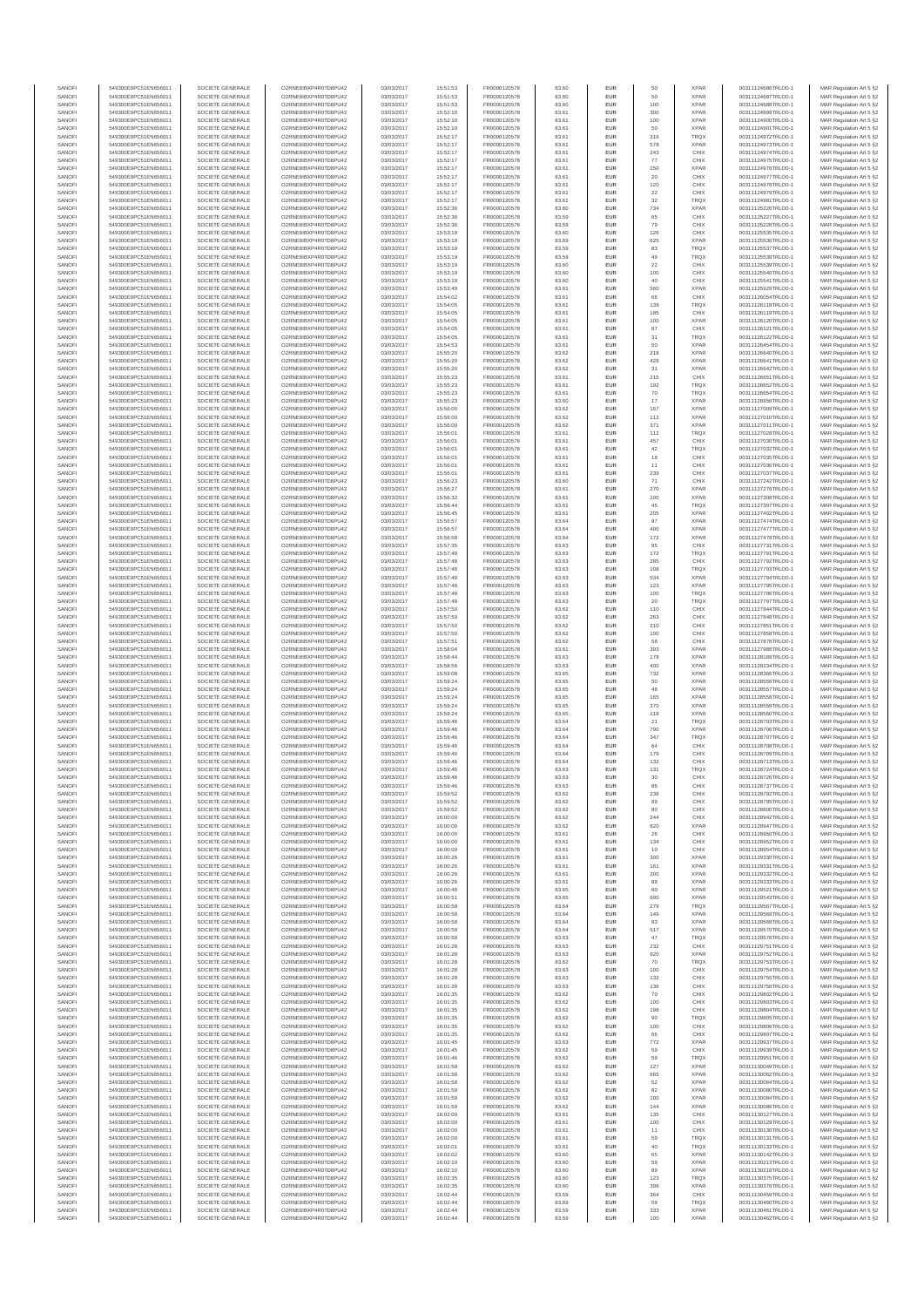| SANOFI<br>SANOFI | 549300E9PC51EN656011<br>549300E9PC51EN656011 | SOCIETE GENERALE<br>SOCIETE GENERALE | O2RNE8IBXP4R0TD8PU42<br>O2RNE8IBXP4R0TD8PU42 | 03/03/2017<br>03/03/2017 | 15:51:53<br>15:51:53 | FR0000120578<br>FR0000120578 | 83.60<br>83.60 | <b>EUR</b><br>EUR        | 50<br>50      | <b>XPAR</b><br><b>XPAR</b> | 00311124686TRLO0-1<br>00311124687TRLO0-1 | MAR Regulation Art 5 §2<br>MAR Regulation Art 5 §2  |
|------------------|----------------------------------------------|--------------------------------------|----------------------------------------------|--------------------------|----------------------|------------------------------|----------------|--------------------------|---------------|----------------------------|------------------------------------------|-----------------------------------------------------|
| SANOFI           | 549300E9PC51EN656011                         | SOCIETE GENERALE                     | O2RNE8IBXP4R0TD8PU42                         | 03/03/2017               | 15:51:53             | FR0000120578                 | 83.60          | <b>EUR</b>               | 100           | <b>XPAR</b>                | 00311124688TRLO0-1                       | MAR Regulation Art 5 §2                             |
| SANOFI           | 549300E9PC51EN656011                         | SOCIETE GENERALE                     | O2RNE8IBXP4R0TD8PU42                         | 03/03/2017               | 15:52:10             | FR0000120578                 | 83.61          | EUR                      | 300           | <b>XPAR</b>                | 00311124899TRLO0-1                       | MAR Regulation Art 5 §2                             |
| SANOFI<br>SANOFI | 549300E9PC51EN656011<br>549300E9PC51EN656011 | SOCIETE GENERALE<br>SOCIETE GENERALE | O2RNE8IBXP4R0TD8PU42<br>O2RNE8IBXP4R0TD8PU42 | 03/03/2017<br>03/03/2017 | 15:52:10<br>15:52:10 | FR0000120578<br>FR0000120578 | 83.61<br>83.61 | <b>EUR</b><br><b>EUR</b> | 100<br>50     | <b>XPAR</b><br><b>XPAR</b> | 00311124900TRLO0-1<br>00311124901TRLO0-1 | MAR Regulation Art 5 \$2<br>MAR Regulation Art 5 §2 |
| SANOFI           | 549300E9PC51EN656011                         | SOCIETE GENERALE                     | O2RNE8IBXP4R0TD8PU42                         | 03/03/2017               | 15:52:17             | FR0000120578                 | 83.61          | EUR                      | 316           | TRQX                       | 00311124972TRLO0-1                       | MAR Regulation Art 5 §2                             |
| SANOFI<br>SANOFI | 549300E9PC51EN656011<br>549300E9PC51EN656011 | SOCIETE GENERALE<br>SOCIETE GENERALE | O2RNE8IBXP4R0TD8PU42<br>O2RNE8IBXP4R0TD8PU42 | 03/03/2017<br>03/03/2017 | 15:52:17<br>15:52:17 | FR0000120578<br>FR0000120578 | 83.61<br>83.61 | EUR<br>EUR               | 578<br>243    | <b>XPAR</b><br>CHIX        | 00311124973TRLO0-1<br>00311124974TRLO0-1 | MAR Regulation Art 5 §2<br>MAR Regulation Art 5 §2  |
| SANOFI           | 549300E9PC51EN656011                         | SOCIETE GENERALE                     | O2RNE8IBXP4R0TD8PU42                         | 03/03/2017               | 15:52:17             | FR0000120578                 | 83.61          | <b>EUR</b>               | 77            | CHIX                       | 00311124975TRLO0-1                       | MAR Regulation Art 5 §2                             |
| SANOFI           | 549300E9PC51EN656011                         | SOCIETE GENERALE                     | O2RNE8IBXP4R0TD8PU42                         | 03/03/2017               | 15:52:17             | FR0000120578                 | 83.61          | EUR                      | 150           | <b>XPAR</b>                | 00311124976TRLO0-1                       | MAR Regulation Art 5 §2                             |
| SANOFI<br>SANOFI | 549300E9PC51EN656011<br>549300E9PC51EN656011 | SOCIETE GENERALE<br>SOCIETE GENERALE | O2RNE8IBXP4R0TD8PU42<br>O2RNE8IBXP4R0TD8PU42 | 03/03/2017<br>03/03/2017 | 15:52:17<br>15:52:17 | FR0000120578<br>FR0000120578 | 83.61<br>83.61 | <b>EUR</b><br>EUR        | 20<br>120     | CHIX<br>CHIX               | 00311124977TRLO0-1<br>00311124978TRLO0-1 | MAR Regulation Art 5 §2<br>MAR Regulation Art 5 §2  |
| SANOFI           | 549300E9PC51EN656011                         | SOCIETE GENERALE                     | O2RNE8IBXP4R0TD8PU42                         | 03/03/2017               | 15:52:17             | FR0000120578                 | 83.61          | <b>EUR</b>               | 22            | CHIX                       | 00311124979TRLO0-1                       | MAR Regulation Art 5 §2                             |
| SANOFI<br>SANOFI | 549300E9PC51EN656011<br>549300E9PC51EN656011 | SOCIETE GENERALE<br>SOCIETE GENERALE | O2RNE8IBXP4R0TD8PU42<br>O2RNE8IBXP4R0TD8PU42 | 03/03/2017<br>03/03/2017 | 15:52:17<br>15:52:36 | FR0000120578<br>FR0000120578 | 83.61<br>83.60 | EUR<br>EUR               | 32<br>734     | TRQX<br><b>XPAR</b>        | 00311124981TRLO0-1<br>00311125226TRLO0-1 | MAR Regulation Art 5 §2<br>MAR Regulation Art 5 §2  |
| SANOFI           | 549300E9PC51EN656011                         | SOCIETE GENERALE                     | O2RNE8IBXP4R0TD8PU42                         | 03/03/2017               | 15:52:36             | FR0000120578                 | 83.59          | EUR                      | 65            | CHIX                       | 00311125227TRLO0-1                       | MAR Regulation Art 5 §2                             |
| SANOFI           | 549300E9PC51EN656011                         | SOCIETE GENERALE                     | O2RNE8IBXP4R0TD8PU42                         | 03/03/2017               | 15:52:36             | FR0000120578                 | 83.59          | EUR                      | 79            | CHIX                       | 00311125228TRLO0-1                       | MAR Regulation Art 5 §2                             |
| SANOFI<br>SANOFI | 549300E9PC51EN656011<br>549300E9PC51EN656011 | SOCIETE GENERALE<br>SOCIETE GENERALE | O2RNE8IBXP4R0TD8PU42<br>O2RNE8IBXP4R0TD8PU42 | 03/03/2017<br>03/03/2017 | 15:53:19<br>15:53:19 | FR0000120578<br>FR0000120578 | 83.60<br>83.59 | <b>EUR</b><br>EUR        | 126<br>625    | CHIX<br><b>XPAR</b>        | 00311125535TRLO0-1<br>00311125536TRLO0-1 | MAR Regulation Art 5 §2<br>MAR Regulation Art 5 §2  |
| SANOFI           | 549300E9PC51EN656011                         | SOCIETE GENERALE                     | O2RNE8IBXP4R0TD8PU42                         | 03/03/2017               | 15:53:19             | FR0000120578                 | 83.59          | <b>EUR</b>               | 83            | <b>TRQX</b>                | 00311125537TRLO0-1                       | MAR Regulation Art 5 §2                             |
| SANOFI<br>SANOFI | 549300E9PC51EN656011<br>549300E9PC51EN656011 | SOCIETE GENERALE<br>SOCIETE GENERALE | O2RNE8IBXP4R0TD8PU42<br>O2RNE8IBXP4R0TD8PU42 | 03/03/2017<br>03/03/2017 | 15:53:19<br>15:53:19 | FR0000120578<br>FR0000120578 | 83.59<br>83.60 | EUR<br><b>EUR</b>        | 49<br>22      | TRQX<br>CHIX               | 00311125538TRLO0-1<br>00311125539TRLO0-1 | MAR Regulation Art 5 §2<br>MAR Regulation Art 5 §2  |
| SANOFI           | 549300E9PC51EN656011                         | SOCIETE GENERALE                     | O2RNE8IBXP4R0TD8PU42                         | 03/03/2017               | 15:53:19             | FR0000120578                 | 83.60          | EUR                      | 100           | CHIX                       | 00311125540TRLO0-1                       | MAR Regulation Art 5 §2                             |
| SANOFI           | 549300E9PC51EN656011                         | SOCIETE GENERALE                     | O2RNE8IBXP4R0TD8PU42<br>O2RNE8IBXP4R0TD8PU42 | 03/03/2017               | 15:53:19             | FR0000120578                 | 83.60          | EUR                      | 40            | CHIX<br><b>XPAR</b>        | 00311125541TRLO0-1                       | MAR Regulation Art 5 §2                             |
| SANOFI<br>SANOFI | 549300E9PC51EN656011<br>549300E9PC51EN656011 | SOCIETE GENERALE<br>SOCIETE GENERALE | O2RNE8IBXP4R0TD8PU42                         | 03/03/2017<br>03/03/2017 | 15:53:49<br>15:54:02 | FR0000120578<br>FR0000120578 | 83.61<br>83.61 | EUR<br>EUR               | 560<br>66     | CHIX                       | 00311125929TRLO0-1<br>00311126054TRLO0-1 | MAR Regulation Art 5 §2<br>MAR Regulation Art 5 §2  |
| SANOFI           | 549300E9PC51EN656011                         | SOCIETE GENERALE                     | O2RNE8IBXP4R0TD8PLI42                        | 03/03/2017               | 15:54:05             | FR0000120578                 | 83.61          | <b>EUR</b>               | 139           | <b>TRQX</b>                | 00311126118TRLO0-1                       | MAR Regulation Art 5 §2                             |
| SANOFI<br>SANOFI | 549300E9PC51EN656011<br>549300E9PC51EN656011 | SOCIETE GENERALE<br>SOCIETE GENERALE | O2RNE8IBXP4R0TD8PU42<br>O2RNE8IBXP4R0TD8PU42 | 03/03/2017<br>03/03/2017 | 15:54:05<br>15:54:05 | FR0000120578<br>FR0000120578 | 83.61<br>83.61 | EUR<br><b>EUR</b>        | 185<br>100    | CHIX<br><b>XPAR</b>        | 00311126119TRLO0-1<br>00311126120TRLO0-1 | MAR Regulation Art 5 §2<br>MAR Regulation Art 5 §2  |
| SANOFI           | 549300E9PC51EN656011                         | SOCIETE GENERALE                     | O2RNE8IBXP4R0TD8PU42                         | 03/03/2017               | 15:54:05             | FR0000120578                 | 83.61          | EUR                      | 87            | CHIX                       | 00311126121TRLO0-1                       | MAR Regulation Art 5 §2                             |
| SANOFI<br>SANOFI | 549300E9PC51EN656011                         | SOCIETE GENERALE                     | O2RNE8IBXP4R0TD8PU42                         | 03/03/2017               | 15:54:05             | FR0000120578                 | 83.61          | EUR                      | $31\,$        | TRQX<br><b>XPAR</b>        | 00311126122TRLO0-1                       | MAR Regulation Art 5 §2                             |
| SANOFI           | 549300E9PC51EN656011<br>549300E9PC51EN656011 | SOCIETE GENERALE<br>SOCIETE GENERALE | O2RNE8IBXP4R0TD8PU42<br>O2RNE8IBXP4R0TD8PU42 | 03/03/2017<br>03/03/2017 | 15:54:53<br>15:55:20 | FR0000120578<br>FR0000120578 | 83.61<br>83.62 | EUR<br>EUR               | 50<br>218     | <b>XPAR</b>                | 00311126454TRLO0-1<br>00311126640TRLO0-1 | MAR Regulation Art 5 §2<br>MAR Regulation Art 5 §2  |
| SANOFI           | 549300E9PC51EN656011                         | SOCIETE GENERALE                     | O2RNE8IBXP4R0TD8PU42                         | 03/03/2017               | 15:55:20             | FR0000120578                 | 83.62          | EUR                      | 428           | <b>XPAR</b>                | 00311126641TRLO0-1                       | MAR Regulation Art 5 §2                             |
| SANOFI<br>SANOFI | 549300E9PC51EN656011<br>549300E9PC51EN656011 | SOCIETE GENERALE<br>SOCIETE GENERALE | O2RNE8IBXP4R0TD8PU42<br>O2RNE8IBXP4R0TD8PU42 | 03/03/2017<br>03/03/2017 | 15:55:20<br>15:55:23 | FR0000120578<br>FR0000120578 | 83.62<br>83.61 | EUR<br><b>EUR</b>        | 31<br>215     | <b>XPAR</b><br>CHIX        | 00311126642TRLO0-1<br>00311126651TRLO0-1 | MAR Regulation Art 5 §2<br>MAR Regulation Art 5 §2  |
| SANOFI           | 549300E9PC51EN656011                         | SOCIETE GENERALE                     | O2RNE8IBXP4R0TD8PU42                         | 03/03/2017               | 15:55:23             | FR0000120578                 | 83.61          | EUR                      | 192           | TRQX                       | 00311126652TRLO0-1                       | MAR Regulation Art 5 §2                             |
| SANOFI<br>SANOFI | 549300E9PC51EN656011                         | SOCIETE GENERALE<br>SOCIETE GENERALE | O2RNE8IBXP4R0TD8PU42<br>O2RNE8IBXP4R0TD8PU42 | 03/03/2017<br>03/03/2017 | 15:55:23<br>15:55:23 | FR0000120578                 | 83.61<br>83.60 | <b>EUR</b>               | 70<br>17      | <b>TRQX</b><br><b>XPAR</b> | 00311126654TRLO0-1                       | MAR Regulation Art 5 §2<br>MAR Regulation Art 5 §2  |
| SANOFI           | 549300E9PC51EN656011<br>549300E9PC51EN656011 | SOCIETE GENERALE                     | O2RNE8IBXP4R0TD8PU42                         | 03/03/2017               | 15:56:00             | FR0000120578<br>FR0000120578 | 83.62          | EUR<br>EUR               | 167           | <b>XPAR</b>                | 00311126656TRLO0-1<br>00311127009TRLO0-1 | MAR Regulation Art 5 §2                             |
| SANOFI           | 549300E9PC51EN656011                         | SOCIETE GENERALE                     | O2RNE8IBXP4R0TD8PU42                         | 03/03/2017               | 15:56:00             | FR0000120578                 | 83.62          | EUR                      | 112           | <b>XPAR</b>                | 00311127010TRLO0-1                       | MAR Regulation Art 5 §2                             |
| SANOFI<br>SANOFI | 549300E9PC51EN656011<br>549300E9PC51EN656011 | SOCIETE GENERALE<br>SOCIETE GENERALE | O2RNE8IBXP4R0TD8PU42<br>O2RNE8IBXP4R0TD8PU42 | 03/03/2017<br>03/03/2017 | 15:56:00<br>15:56:01 | FR0000120578<br>FR0000120578 | 83.62<br>83.61 | EUR<br>EUR               | 371<br>112    | <b>XPAR</b><br>TRQX        | 00311127011TRLO0-1<br>00311127028TRLO0-1 | MAR Regulation Art 5 §2<br>MAR Regulation Art 5 §2  |
| SANOFI           | 549300E9PC51EN656011                         | SOCIETE GENERALE                     | O2RNE8IBXP4R0TD8PU42                         | 03/03/2017               | 15:56:01             | FR0000120578                 | 83.61          | EUR                      | 457           | CHIX                       | 00311127030TRLO0-1                       | MAR Regulation Art 5 §2                             |
| SANOFI           | 549300E9PC51EN656011                         | SOCIETE GENERALE<br>SOCIETE GENERALE | O2RNE8IBXP4R0TD8PU42                         | 03/03/2017               | 15:56:01             | FR0000120578                 | 83.61          | <b>EUR</b>               | 42            | <b>TRQX</b>                | 00311127032TRLO0-1                       | MAR Regulation Art 5 §2                             |
| SANOFI<br>SANOFI | 549300E9PC51EN656011<br>549300E9PC51EN656011 | SOCIETE GENERALE                     | O2RNE8IBXP4R0TD8PU42<br>O2RNE8IBXP4R0TD8PU42 | 03/03/2017<br>03/03/2017 | 15:56:0<br>15:56:01  | FR0000120578<br>FR0000120578 | 83.61<br>83.61 | EUR<br><b>EUR</b>        | 18<br>11      | CHIX<br>CHIX               | 00311127035TRLO0-1<br>00311127036TRLO0-1 | MAR Regulation Art 5 §2<br>MAR Regulation Art 5 §2  |
| SANOFI           | 549300E9PC51EN656011                         | SOCIETE GENERALE                     | O2RNE8IBXP4R0TD8PU42                         | 03/03/2017               | 15:56:01             | FR0000120578                 | 83.61          | EUR                      | 239           | CHIX                       | 00311127037TRLO0-1                       | MAR Regulation Art 5 §2                             |
| SANOFI<br>SANOFI | 549300E9PC51EN656011<br>549300E9PC51EN656011 | SOCIETE GENERALE<br>SOCIETE GENERALE | O2RNE8IBXP4R0TD8PU42<br>O2RNE8IBXP4R0TD8PU42 | 03/03/2017<br>03/03/2017 | 15:56:23<br>15:56:27 | FR0000120578<br>FR0000120578 | 83.60<br>83.61 | EUR<br>EUR               | $71\,$<br>270 | CHIX<br><b>XPAR</b>        | 00311127242TRLO0-1<br>00311127276TRLO0-1 | MAR Regulation Art 5 §2<br>MAR Regulation Art 5 §2  |
| SANOFI           | 549300E9PC51EN656011                         | SOCIETE GENERALE                     | O2RNE8IBXP4R0TD8PU42                         | 03/03/2017               | 15:56:32             | FR0000120578                 | 83.61          | EUR                      | 100           | <b>XPAR</b>                | 00311127308TRLO0-1                       | MAR Regulation Art 5 §2                             |
| SANOFI           | 549300E9PC51EN656011                         | SOCIETE GENERALE                     | O2RNE8IBXP4R0TD8PU42                         | 03/03/2017               | 15:56:44             | FR0000120578                 | 83.61          | <b>EUR</b>               | 45            | <b>TRQX</b>                | 00311127397TRLO0-1                       | MAR Regulation Art 5 §2                             |
| SANOFI<br>SANOFI | 549300E9PC51EN656011<br>549300E9PC51EN656011 | SOCIETE GENERALE<br>SOCIETE GENERALE | O2RNE8IBXP4R0TD8PU42<br>O2RNE8IBXP4R0TD8PU42 | 03/03/2017<br>03/03/2017 | 15:56:45<br>15:56:57 | FR0000120578<br>FR0000120578 | 83.61<br>83.64 | EUR<br><b>EUR</b>        | 205<br>97     | <b>XPAR</b><br><b>XPAR</b> | 00311127402TRLO0-1<br>00311127474TRLO0-1 | MAR Regulation Art 5 §2<br>MAR Regulation Art 5 §2  |
| SANOFI           | 549300E9PC51EN656011                         | SOCIETE GENERALE                     | O2RNE8IBXP4R0TD8PU42                         | 03/03/2017               | 15:56:57             | FR0000120578                 | 83.64          | EUR                      | 400           | <b>XPAR</b>                | 00311127477TRLO0-1                       | MAR Regulation Art 5 §2                             |
| SANOFI<br>SANOFI | 549300E9PC51EN656011<br>549300E9PC51EN656011 | SOCIETE GENERALE<br>SOCIETE GENERALE | O2RNE8IBXP4R0TD8PU42<br>O2RNE8IBXP4R0TD8PU42 | 03/03/2017<br>03/03/2017 | 15:56:58<br>15:57:35 | FR0000120578<br>FR0000120578 | 83.64<br>83.63 | EUR<br>EUR               | 172<br>95     | <b>XPAR</b><br>CHIX        | 00311127478TRLO0-1<br>00311127731TRLO0-1 | MAR Regulation Art 5 §2<br>MAR Regulation Art 5 §2  |
| SANOFI           | 549300E9PC51EN656011                         | SOCIETE GENERALE                     | O2RNE8IBXP4R0TD8PU42                         | 03/03/2017               | 15:57:48             | FR0000120578                 | 83.63          | EUR                      | 172           | TRQX                       | 00311127791TRLO0-1                       | MAR Regulation Art 5 §2                             |
| SANOFI           | 549300E9PC51EN656011                         | SOCIETE GENERALE                     | O2RNE8IBXP4R0TD8PU42                         | 03/03/2017               | 15:57:48             | FR0000120578                 | 83.63          | EUR                      | 285           | CHIX                       | 00311127792TRLO0-1                       | MAR Regulation Art 5 §2                             |
| SANOFI<br>SANOFI | 549300E9PC51EN656011<br>549300E9PC51EN656011 | SOCIETE GENERALE<br>SOCIETE GENERALE | O2RNE8IBXP4R0TD8PU42<br>O2RNE8IBXP4R0TD8PU42 | 03/03/2017<br>03/03/2017 | 15:57:48<br>15:57:48 | FR0000120578<br>FR0000120578 | 83.63<br>83.63 | EUR<br><b>EUR</b>        | 108<br>534    | <b>TRQX</b><br><b>XPAR</b> | 00311127793TRLO0-1<br>00311127794TRLO0-1 | MAR Regulation Art 5 §2<br>MAR Regulation Art 5 §2  |
| SANOFI           | 549300E9PC51EN656011                         | SOCIETE GENERALE                     | O2RNE8IBXP4R0TD8PU42                         | 03/03/2017               | 15:57:48             | FR0000120578                 | 83.63          | EUR                      | 123           | <b>XPAR</b>                | 00311127795TRLO0-1                       | MAR Regulation Art 5 §2                             |
| SANOFI<br>SANOFI | 549300E9PC51EN656011<br>549300E9PC51EN656011 | SOCIETE GENERALE<br>SOCIETE GENERALE | O2RNE8IBXP4R0TD8PU42<br>O2RNE8IBXP4R0TD8PU42 | 03/03/2017<br>03/03/2017 | 15:57:48<br>15:57:48 | FR0000120578<br>FR0000120578 | 83.63<br>83.63 | <b>EUR</b><br>EUR        | 100<br>20     | <b>TRQX</b><br>TRQX        | 00311127796TRLO0-1<br>00311127797TRLO0-1 | MAR Regulation Art 5 §2<br>MAR Regulation Art 5 §2  |
| SANOFI           | 549300E9PC51EN656011                         | SOCIETE GENERALE                     | O2RNE8IBXP4R0TD8PU42                         | 03/03/2017               | 15:57:50             | FR0000120578                 | 83.62          | EUR                      | 110           | CHIX                       | 00311127844TRLO0-1                       | MAR Regulation Art 5 §2                             |
| SANOFI           | 549300E9PC51EN656011                         | SOCIETE GENERALE                     | O2RNE8IBXP4R0TD8PU42                         | 03/03/2017               | 15:57:50             | FR0000120578                 | 83.62          | EUR                      | 263           | CHIX                       | 00311127848TRLO0-1                       | MAR Regulation Art 5 §2                             |
| SANOFI<br>SANOFI | 549300E9PC51EN656011<br>549300E9PC51EN656011 | SOCIETE GENERALE<br>SOCIETE GENERALE | O2RNE8IBXP4R0TD8PU42<br>O2RNE8IBXP4R0TD8PU42 | 03/03/2017<br>03/03/2017 | 15:57:50<br>15:57:50 | FR0000120578<br>FR0000120578 | 83.62<br>83.62 | EUR<br>EUR               | 210<br>100    | CHIX<br>CHIX               | 00311127851TRLO0-1<br>00311127858TRLO0-1 | MAR Regulation Art 5 §2<br>MAR Regulation Art 5 §2  |
| SANOFI           | 549300E9PC51EN656011                         | SOCIETE GENERALE                     | O2RNE8IBXP4R0TD8PU42                         | 03/03/2017               | 15:57:51             | FR0000120578                 | 83.62          | EUR                      | 58            | CHIX                       | 00311127878TRLO0-1                       | MAR Regulation Art 5 §2                             |
| SANOFI<br>SANOFI | 549300E9PC51EN656011<br>549300E9PC51EN656011 | SOCIETE GENERALE<br>SOCIETE GENERALE | O2RNE8IBXP4R0TD8PU42<br>O2RNE8IBXP4R0TD8PU42 | 03/03/2017<br>03/03/2017 | 15:58:04<br>15:58:44 | FR0000120578<br>FR0000120578 | 83.61<br>83.63 | <b>EUR</b><br>EUR        | 393<br>178    | <b>XPAR</b><br><b>XPAR</b> | 00311127988TRLO0-1<br>00311128189TRLO0-1 | MAR Regulation Art 5 §2<br>MAR Regulation Art 5 §2  |
| SANOFI           | 549300E9PC51EN656011                         | SOCIETE GENERALE                     | O2RNE8IBXP4R0TD8PU42                         | 03/03/2017               | 15:58:56             | FR0000120578                 | 83.63          | <b>EUR</b>               | 400           | <b>XPAR</b>                | 00311128234TRLO0-1                       | MAR Regulation Art 5 §2                             |
| SANOFI           | 549300E9PC51EN656011                         | SOCIETE GENERALE                     | O2RNE8IBXP4R0TD8PU42                         | 03/03/2017               | 15:59:08             | FR0000120578                 | 83.65          | EUR                      | 732           | <b>XPAR</b>                | 00311128366TRLO0-1                       | MAR Regulation Art 5 §2                             |
| SANOFI<br>SANOFI | 549300E9PC51EN656011<br>549300E9PC51EN656011 | SOCIETE GENERALE<br>SOCIETE GENERALE | O2RNE8IBXP4R0TD8PU42<br>O2RNE8IBXP4R0TD8PU42 | 03/03/2017<br>03/03/2017 | 15:59:24<br>15:59:24 | FR0000120578<br>FR0000120578 | 83.65<br>83.65 | EUR<br>EUR               | $50\,$<br>48  | <b>XPAR</b><br><b>XPAR</b> | 00311128556TRLO0-1<br>00311128557TRLO0-1 | MAR Regulation Art 5 §2<br>MAR Regulation Art 5 §2  |
| SANOFI           | 549300E9PC51EN656011                         | SOCIETE GENERALE                     | O2RNE8IBXP4R0TD8PU42                         | 03/03/2017               | 15:59:24             | FR0000120578                 | 83.65          | EUR                      | 165           | <b>XPAR</b>                | 00311128558TRLO0-1                       | MAR Regulation Art 5 §2                             |
| SANOFI<br>SANOFI | 549300E9PC51EN656011<br>549300E9PC51EN656011 | SOCIETE GENERALE<br>SOCIETE GENERALE | O2RNE8IBXP4R0TD8PU42<br>O2RNE8IBXP4R0TD8PU42 | 03/03/2017<br>03/03/2017 | 15:59:24<br>15:59:24 | FR0000120578<br>FR0000120578 | 83.65<br>83.65 | EUR<br>EUR               | 370<br>118    | <b>XPAR</b><br><b>XPAR</b> | 00311128559TRLO0-1<br>00311128560TRLO0-1 | MAR Regulation Art 5 §2<br>MAR Regulation Art 5 §2  |
| SANOFI           | 549300E9PC51EN656011                         | SOCIETE GENERALE                     | O2RNE8IBXP4R0TD8PU42                         | 03/03/2017               | 15:59:46             | FR0000120578                 | 83.64          | <b>EUR</b>               | 21            | <b>TRQX</b>                | 00311128703TRLO0-1                       | MAR Regulation Art 5 §2                             |
| SANOFI           | 549300E9PC51EN656011                         | SOCIETE GENERALE                     | O2RNE8IBXP4R0TD8PU42                         | 03/03/2017               | 15:59:46             | FR0000120578                 | 83.64          | EUR                      | 790           | <b>XPAR</b>                | 00311128706TRLO0-1                       | MAR Regulation Art 5 §2                             |
| SANOFI<br>SANOFI | 549300E9PC51EN656011<br>549300E9PC51EN656011 | SOCIETE GENERALE<br>SOCIETE GENERALE | O2RNE8IBXP4R0TD8PU42<br>O2RNE8IBXP4R0TD8PU42 | 03/03/2017<br>03/03/2017 | 15:59:46<br>15:59:46 | FR0000120578<br>FR0000120578 | 83.64<br>83.64 | <b>EUR</b><br>EUR        | 347<br>64     | <b>TRQX</b><br>CHIX        | 00311128707TRLO0-1<br>00311128708TRLO0-1 | MAR Regulation Art 5 §2<br>MAR Regulation Art 5 §2  |
| SANOFI           | 549300E9PC51EN656011                         | SOCIETE GENERALE                     | O2RNE8IBXP4R0TD8PU42                         | 03/03/2017               | 15:59:46             | FR0000120578                 | 83.64          | EUR                      | 179           | CHIX                       | 00311128709TRLO0-1                       | MAR Regulation Art 5 §2                             |
| SANOFI<br>SANOFI | 549300E9PC51EN656011<br>549300E9PC51EN656011 | SOCIETE GENERALE<br>SOCIETE GENERALE | O2RNE8IBXP4R0TD8PU42<br>O2RNE8IBXP4R0TD8PU42 | 03/03/2017<br>03/03/2017 | 15:59:46<br>15:59:46 | FR0000120578<br>FR0000120578 | 83.64<br>83.63 | EUR<br>EUR               | 132<br>131    | CHIX<br>TRQX               | 00311128713TRLO0-1<br>00311128724TRLO0-1 | MAR Regulation Art 5 §2<br>MAR Regulation Art 5 §2  |
| SANOFI           | 549300E9PC51EN656011                         | SOCIETE GENERALE                     | O2RNE8IBXP4R0TD8PU42                         | 03/03/2017               | 15:59:46             | FR0000120578                 | 83.63          | <b>EUR</b>               | 30            | CHIX                       | 00311128726TRLO0-1                       | MAR Regulation Art 5 §2                             |
| SANOF            | 549300E9PC51EN656011                         | SOCIETE GENERALE                     | O2RNE8IBXP4R0TD8PU42                         | 03/03/2017               | 15:59:46             | FR0000120578                 | 83.63          | EUR                      |               | CHIX                       | 00311128737TRLO0-                        | MAR Regulation Art 5 §2                             |
| SANOFI<br>SANOFI | 549300E9PC51EN656011<br>549300E9PC51EN656011 | SOCIETE GENERALE<br>SOCIETE GENERALE | O2RNE8IBXP4R0TD8PU42<br>O2RNE8IBXP4R0TD8PU42 | 03/03/2017<br>03/03/2017 | 15:59:52<br>15:59:52 | FR0000120578<br>FR0000120578 | 83.62<br>83.62 | <b>EUR</b><br>EUR        | 238<br>89     | CHIX<br>CHIX               | 00311128792TRLO0-1<br>00311128795TRLO0-1 | MAR Regulation Art 5 §2<br>MAR Regulation Art 5 §2  |
| SANOFI           | 549300E9PC51EN656011                         | SOCIETE GENERALE                     | O2RNE8IBXP4R0TD8PU42                         | 03/03/2017               | 15:59:52             | FR0000120578                 | 83.62          | <b>EUR</b>               | 80            | CHIX                       | 00311128800TRLO0-1                       | MAR Regulation Art 5 \$2                            |
| SANOFI<br>SANOFI | 549300E9PC51EN656011<br>549300E9PC51EN656011 | SOCIETE GENERALE<br>SOCIETE GENERALE | O2RNE8IBXP4R0TD8PU42<br>O2RNE8IBXP4R0TD8PU42 | 03/03/2017<br>03/03/2017 | 16:00:00<br>16:00:00 | FR0000120578<br>FR0000120578 | 83.62<br>83.62 | EUR<br>EUR               | 244<br>820    | CHIX<br>XPAR               | 00311128942TRLO0-1<br>00311128947TRLO0-1 | MAR Regulation Art 5 §2<br>MAR Regulation Art 5 §2  |
| SANOFI           | 549300E9PC51EN656011                         | SOCIETE GENERALE                     | O2RNE8IBXP4R0TD8PU42                         | 03/03/2017               | 16:00:00             | FR0000120578                 | 83.61          | EUR                      | 26            | CHIX                       | 00311128950TRLO0-1                       | MAR Regulation Art 5 §2                             |
| SANOFI           | 549300E9PC51EN656011                         | SOCIETE GENERALE                     | O2RNE8IBXP4R0TD8PU42                         | 03/03/2017               | 16:00:00             | FR0000120578<br>FR0000120578 | 83.61          | EUR                      | 134           | CHIX                       | 00311128952TRLO0-1                       | MAR Regulation Art 5 §2                             |
| SANOFI<br>SANOFI | 549300E9PC51EN656011<br>549300E9PC51EN656011 | SOCIETE GENERALE<br>SOCIETE GENERALE | O2RNE8IBXP4R0TD8PU42<br>O2RNE8IBXP4R0TD8PU42 | 03/03/2017<br>03/03/2017 | 16:00:00<br>16:00:26 | FR0000120578                 | 83.61<br>83.61 | <b>EUR</b><br>EUR        | 10<br>300     | CHIX<br><b>XPAR</b>        | 00311128954TRLO0-1<br>00311129330TRLO0-1 | MAR Regulation Art 5 §2<br>MAR Regulation Art 5 §2  |
| SANOFI           | 549300E9PC51EN656011                         | SOCIETE GENERALE                     | O2RNE8IBXP4R0TD8PU42                         | 03/03/2017               | 16:00:26             | FR0000120578                 | 83.61          | <b>EUR</b>               | 161           | <b>XPAR</b>                | 00311129331TRLO0-1                       | MAR Regulation Art 5 §2                             |
| SANOFI<br>SANOFI | 549300E9PC51EN656011<br>549300E9PC51EN656011 | SOCIETE GENERALE<br>SOCIETE GENERALE | O2RNE8IBXP4R0TD8PU42<br>O2RNE8IBXP4R0TD8PU42 | 03/03/2017<br>03/03/2017 | 16:00:26<br>16:00:26 | FR0000120578<br>FR0000120578 | 83.61<br>83.61 | EUR<br>EUR               | 200<br>89     | <b>XPAR</b><br>XPAR        | 00311129332TRLO0-1<br>00311129333TRLO0-1 | MAR Regulation Art 5 §2<br>MAR Regulation Art 5 §2  |
| SANOFI           | 549300E9PC51EN656011                         | SOCIETE GENERALE                     | O2RNE8IBXP4R0TD8PU42                         | 03/03/2017               | 16:00:48             | FR0000120578                 | 83.65          | EUR                      | 60            | <b>XPAR</b>                | 00311129521TRLO0-1                       | MAR Regulation Art 5 §2                             |
| SANOFI<br>SANOFI | 549300E9PC51EN656011<br>549300E9PC51EN656011 | SOCIETE GENERALE<br>SOCIETE GENERALE | O2RNE8IBXP4R0TD8PU42<br>O2RNE8IBXP4R0TD8PU42 | 03/03/2017<br>03/03/2017 | 16:00:51<br>16:00:58 | FR0000120578<br>FR0000120578 | 83.65<br>83.64 | EUR<br>EUR               | 690<br>279    | <b>XPAR</b><br><b>TRQX</b> | 00311129543TRLO0-1<br>00311129567TRLO0-1 | MAR Regulation Art 5 §2<br>MAR Regulation Art 5 §2  |
| SANOFI           | 549300E9PC51EN656011                         | SOCIETE GENERALE                     | O2RNE8IBXP4R0TD8PU42                         | 03/03/2017               | 16:00:58             | FR0000120578                 | 83.64          | EUR                      | 149           | <b>XPAR</b>                | 00311129568TRLO0-1                       | MAR Regulation Art 5 §2                             |
| SANOFI<br>SANOFI | 549300E9PC51EN656011<br>549300E9PC51EN656011 | SOCIETE GENERALE<br>SOCIETE GENERALE | O2RNE8IBXP4R0TD8PU42<br>O2RNE8IBXP4R0TD8PU42 | 03/03/2017<br>03/03/2017 | 16:00:58<br>16:00:58 | FR0000120578<br>FR0000120578 | 83.64<br>83.64 | <b>EUR</b><br>EUR        | 83<br>517     | <b>XPAR</b><br><b>XPAR</b> | 00311129569TRLO0-1<br>00311129570TRLO0-1 | MAR Regulation Art 5 \$2<br>MAR Regulation Art 5 §2 |
| SANOFI           | 549300E9PC51EN656011                         | SOCIETE GENERALE                     | O2RNE8IBXP4R0TD8PU42                         | 03/03/2017               | 16:00:59             | FR0000120578                 | 83.63          | <b>EUR</b>               | 47            | <b>TROX</b>                | 00311129576TRLO0-1                       | MAR Regulation Art 5 \$2                            |
| SANOFI           | 549300E9PC51EN656011                         | SOCIETE GENERALE                     | O2RNE8IBXP4R0TD8PU42                         | 03/03/2017               | 16:01:28             | FR0000120578                 | 83.63          | EUR                      | 232           | CHIX                       | 00311129751TRLO0-1                       | MAR Regulation Art 5 §2                             |
| SANOFI<br>SANOFI | 549300E9PC51EN656011<br>549300E9PC51EN656011 | SOCIETE GENERALE<br>SOCIETE GENERALE | O2RNE8IBXP4R0TD8PU42<br>O2RNE8IBXP4R0TD8PU42 | 03/03/2017<br>03/03/2017 | 16:01:28<br>16:01:28 | FR0000120578<br>FR0000120578 | 83.63<br>83.62 | EUR<br>EUR               | 920<br>70     | <b>XPAR</b><br><b>TRQX</b> | 00311129752TRLO0-1<br>00311129753TRLO0-1 | MAR Regulation Art 5 §2<br>MAR Regulation Art 5 §2  |
| SANOFI           | 549300E9PC51EN656011                         | SOCIETE GENERALE                     | O2RNE8IBXP4R0TD8PU42                         | 03/03/2017               | 16:01:28             | FR0000120578                 | 83.63          | EUR                      | 100           | CHIX                       | 00311129754TRLO0-1                       | MAR Regulation Art 5 §2                             |
| SANOFI<br>SANOFI | 549300E9PC51EN656011<br>549300E9PC51EN656011 | SOCIETE GENERALE<br>SOCIETE GENERALE | O2RNE8IBXP4R0TD8PU42<br>O2RNE8IBXP4R0TD8PU42 | 03/03/2017<br>03/03/2017 | 16:01:28<br>16:01:28 | FR0000120578<br>FR0000120578 | 83.63<br>83.63 | EUR<br>EUR               | 132<br>136    | CHIX<br>CHIX               | 00311129755TRLO0-1<br>00311129756TRLO0-1 | MAR Regulation Art 5 §2                             |
| SANOFI           | 549300E9PC51EN656011                         | SOCIETE GENERALE                     | O2RNE8IBXP4R0TD8PU42                         | 03/03/2017               | 16:01:35             | FR0000120578                 | 83.62          | <b>EUR</b>               | 70            | CHIX                       | 00311129802TRLO0-1                       | MAR Regulation Art 5 §2<br>MAR Regulation Art 5 §2  |
| SANOFI           | 549300E9PC51EN656011                         | SOCIETE GENERALE                     | O2RNE8IBXP4R0TD8PU42                         | 03/03/2017               | 16:01:35             | FR0000120578                 | 83.62          | EUR                      | 100           | CHIX                       | 00311129803TRLO0-1                       | MAR Regulation Art 5 §2                             |
| SANOFI<br>SANOFI | 549300E9PC51EN656011<br>549300E9PC51EN656011 | SOCIETE GENERALE<br>SOCIETE GENERALE | O2RNE8IBXP4R0TD8PU42<br>O2RNE8IBXP4R0TD8PU42 | 03/03/2017<br>03/03/2017 | 16:01:35<br>16:01:35 | FR0000120578<br>FR0000120578 | 83.62<br>83.62 | <b>EUR</b><br><b>EUR</b> | 198<br>90     | CHIX<br>TRQX               | 00311129804TRLO0-1<br>00311129805TRLO0-1 | MAR Regulation Art 5 §2<br>MAR Regulation Art 5 §2  |
| SANOFI           | 549300E9PC51EN656011                         | SOCIETE GENERALE                     | O2RNE8IBXP4R0TD8PU42                         | 03/03/2017               | 16:01:35             | FR0000120578                 | 83.62          | EUR                      | 100           | CHIX                       | 00311129806TRLO0-1                       | MAR Regulation Art 5 §2                             |
| SANOFI           | 549300E9PC51EN656011                         | SOCIETE GENERALE                     | O2RNE8IBXP4R0TD8PU42                         | 03/03/2017               | 16:01:35             | FR0000120578                 | 83.62          | EUR                      | 66            | CHIX                       | 00311129807TRLO0-1                       | MAR Regulation Art 5 §2                             |
| SANOFI<br>SANOFI | 549300E9PC51EN656011<br>549300E9PC51EN656011 | SOCIETE GENERALE<br>SOCIETE GENERALE | O2RNE8IBXP4R0TD8PU42<br>O2RNE8IBXP4R0TD8PU42 | 03/03/2017<br>03/03/2017 | 16:01:45<br>16:01:45 | FR0000120578<br>FR0000120578 | 83.63<br>83.62 | EUR<br><b>EUR</b>        | 772<br>59     | <b>XPAR</b><br>CHIX        | 00311129937TRLO0-1<br>00311129939TRLO0-1 | MAR Regulation Art 5 §2<br>MAR Regulation Art 5 §2  |
| SANOFI           | 549300E9PC51EN656011                         | SOCIETE GENERALE                     | O2RNE8IBXP4R0TD8PU42                         | 03/03/2017               | 16:01:46             | FR0000120578                 | 83.62          | EUR                      | 59            | TRQX                       | 00311129951TRLO0-1                       | MAR Regulation Art 5 §2                             |
| SANOFI<br>SANOFI | 549300E9PC51EN656011<br>549300E9PC51EN656011 | SOCIETE GENERALE<br>SOCIETE GENERALE | O2RNE8IBXP4R0TD8PU42<br>O2RNE8IBXP4R0TD8PU42 | 03/03/2017<br>03/03/2017 | 16:01:58<br>16:01:58 | FR0000120578<br>FR0000120578 | 83.62<br>83.62 | <b>EUR</b><br>EUR        | 127<br>665    | <b>XPAR</b><br><b>XPAR</b> | 00311130049TRLO0-1<br>00311130062TRLO0-1 | MAR Regulation Art 5 §2<br>MAR Regulation Art 5 §2  |
| SANOFI           | 549300E9PC51EN656011                         | SOCIETE GENERALE                     | O2RNE8IBXP4R0TD8PU42                         | 03/03/2017               | 16:01:58             | FR0000120578                 | 83.62          | <b>EUR</b>               | 52            | <b>XPAR</b>                | 00311130064TRLO0-1                       | MAR Regulation Art 5 §2                             |
| SANOFI<br>SANOFI | 549300E9PC51EN656011<br>549300E9PC51EN656011 | SOCIETE GENERALE<br>SOCIETE GENERALE | O2RNE8IBXP4R0TD8PU42<br>O2RNE8IBXP4R0TD8PU42 | 03/03/2017<br>03/03/2017 | 16:01:59<br>16:01:59 | FR0000120578<br>FR0000120578 | 83.62<br>83.62 | EUR<br>EUR               | 82<br>100     | <b>XPAR</b><br><b>XPAR</b> | 00311130080TRLO0-1<br>00311130084TRLO0-1 | MAR Regulation Art 5 §2<br>MAR Regulation Art 5 §2  |
| SANOFI           | 549300E9PC51EN656011                         | SOCIETE GENERALE                     | O2RNE8IBXP4R0TD8PU42                         | 03/03/2017               | 16:01:59             | FR0000120578                 | 83.62          | EUR                      | 144           | <b>XPAR</b>                | 00311130086TRLO0-1                       | MAR Regulation Art 5 §2                             |
| SANOFI           | 549300E9PC51EN656011                         | SOCIETE GENERALE                     | O2RNE8IBXP4R0TD8PU42                         | 03/03/2017               | 16:02:00             | FR0000120578                 | 83.61          | EUR                      | 135           | CHIX                       | 00311130127TRLO0-1                       | MAR Regulation Art 5 §2                             |
| SANOFI<br>SANOFI | 549300E9PC51EN656011<br>549300E9PC51EN656011 | SOCIETE GENERALE<br>SOCIETE GENERALE | O2RNE8IBXP4R0TD8PU42<br>O2RNE8IBXP4R0TD8PU42 | 03/03/2017<br>03/03/2017 | 16:02:00<br>16:02:00 | FR0000120578<br>FR0000120578 | 83.61<br>83.61 | <b>EUR</b><br>EUR        | 100<br>11     | CHIX<br>CHIX               | 00311130129TRLO0-1<br>00311130130TRLO0-1 | MAR Regulation Art 5 §2<br>MAR Regulation Art 5 §2  |
| SANOFI           | 549300E9PC51EN656011                         | SOCIETE GENERALE                     | O2RNE8IBXP4R0TD8PU42                         | 03/03/2017               | 16:02:00             | FR0000120578                 | 83.61          | <b>EUR</b>               | 59            | <b>TROX</b>                | 00311130131TRLO0-1                       | MAR Regulation Art 5 §2                             |
| SANOFI<br>SANOFI | 549300E9PC51EN656011<br>549300E9PC51EN656011 | SOCIETE GENERALE<br>SOCIETE GENERALE | O2RNE8IBXP4R0TD8PU42<br>O2RNE8IBXP4R0TD8PU42 | 03/03/2017<br>03/03/2017 | 16:02:0<br>16:02:02  | FR0000120578<br>FR0000120578 | 83.61<br>83.60 | EUR<br><b>EUR</b>        | 40<br>65      | TRQX<br><b>XPAR</b>        | 00311130133TRLO0-1<br>00311130142TRLO0-1 | MAR Regulation Art 5 §2<br>MAR Regulation Art 5 §2  |
| SANOFI           | 549300E9PC51EN656011                         | SOCIETE GENERALE                     | O2RNE8IBXP4R0TD8PU42                         | 03/03/2017               | 16:02:10             | FR0000120578                 | 83.60          | EUR                      | 59            | <b>XPAR</b>                | 00311130213TRLO0-1                       | MAR Regulation Art 5 §2                             |
| SANOFI           | 549300E9PC51EN656011                         | SOCIETE GENERALE                     | O2RNE8IBXP4R0TD8PU42                         | 03/03/2017               | 16:02:10             | FR0000120578                 | 83.60          | EUR                      | 89            | <b>XPAR</b>                | 00311130218TRLO0-1                       | MAR Regulation Art 5 §2                             |
| SANOFI<br>SANOFI | 549300E9PC51EN656011<br>549300E9PC51EN656011 | SOCIETE GENERALE<br>SOCIETE GENERALE | O2RNE8IBXP4R0TD8PU42<br>O2RNE8IBXP4R0TD8PU42 | 03/03/2017<br>03/03/2017 | 16:02:35<br>16:02:35 | FR0000120578<br>FR0000120578 | 83.60<br>83.60 | EUR<br>EUR               | 123<br>398    | <b>TRQX</b><br><b>XPAR</b> | 00311130375TRLO0-1<br>00311130376TRLO0-1 | MAR Regulation Art 5 §2<br>MAR Regulation Art 5 §2  |
| SANOFI           | 549300E9PC51EN656011                         | SOCIETE GENERALE                     | O2RNE8IBXP4R0TD8PU42                         | 03/03/2017               | 16:02:44             | FR0000120578                 | 83.59          | <b>EUR</b>               | 364           | CHIX                       | 00311130459TRLO0-1                       | MAR Regulation Art 5 §2                             |
| SANOFI<br>SANOFI | 549300E9PC51EN656011<br>549300E9PC51EN656011 | SOCIETE GENERALE<br>SOCIETE GENERALE | O2RNE8IBXP4R0TD8PU42<br>O2RNE8IBXP4R0TD8PU42 | 03/03/2017<br>03/03/2017 | 16:02:44<br>16:02:44 | FR0000120578<br>FR0000120578 | 83.59<br>83.59 | EUR<br><b>EUR</b>        | 59<br>333     | TRQX<br><b>XPAR</b>        | 00311130460TRLO0-1<br>00311130461TRLO0-1 | MAR Regulation Art 5 §2<br>MAR Regulation Art 5 §2  |
| SANOFI           | 549300E9PC51EN656011                         | SOCIETE GENERALE                     | O2RNE8IBXP4R0TD8PU42                         | 03/03/2017               | 16:02:44             | FR0000120578                 | 83.59          | EUR                      | 100           | <b>XPAR</b>                | 00311130462TRLO0-1                       | MAR Regulation Art 5 §2                             |
|                  |                                              |                                      |                                              |                          |                      |                              |                |                          |               |                            |                                          |                                                     |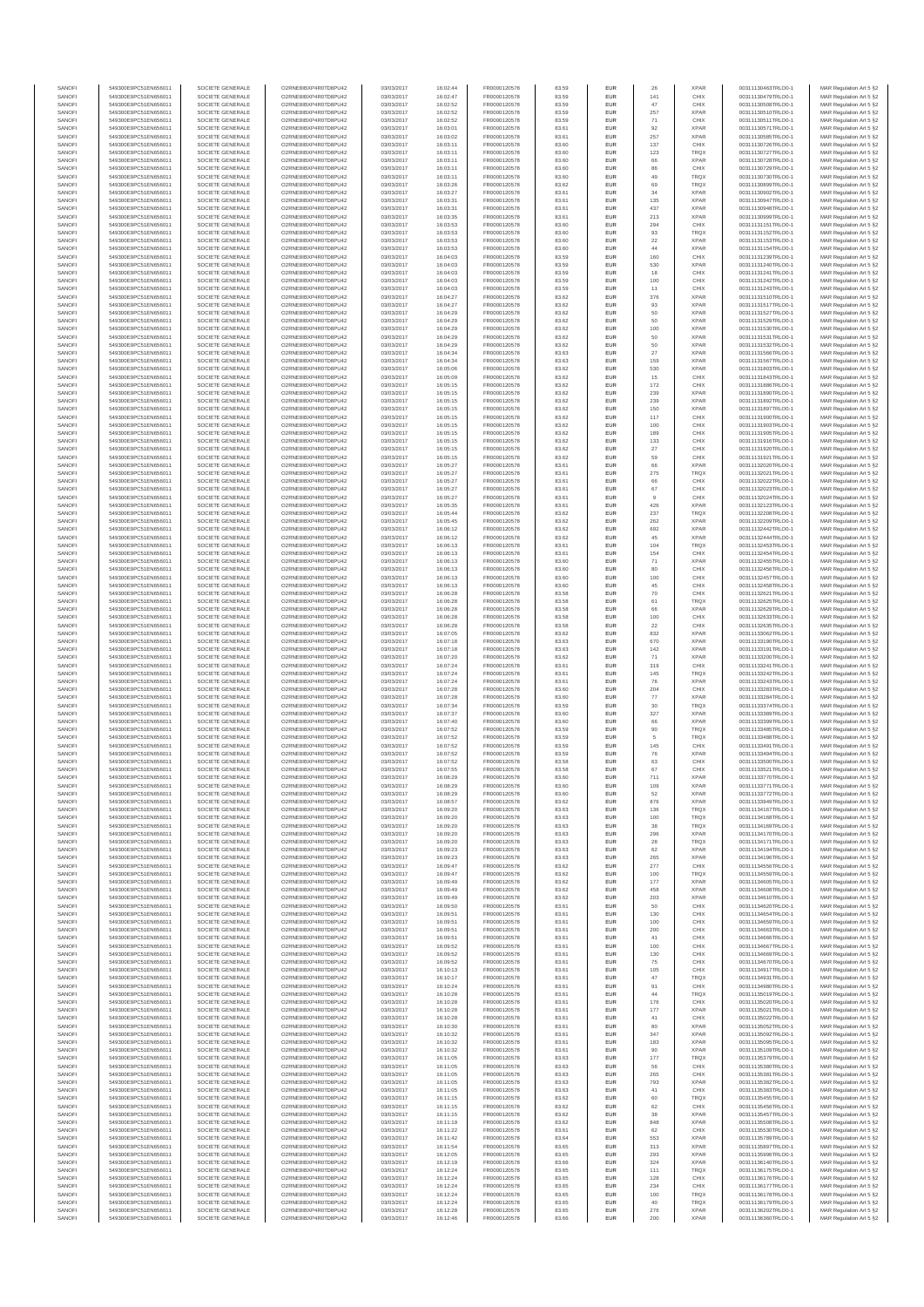| SANOFI<br>SANOFI | 549300E9PC51EN656011<br>549300E9PC51EN656011 | SOCIETE GENERALE<br>SOCIETE GENERALE | O2RNE8IBXP4R0TD8PU42<br>O2RNE8IBXP4R0TD8PU42  | 03/03/2017<br>03/03/2017 | 16:02:44<br>16:02:47 | FR0000120578<br>FR0000120578 | 83.59<br>83.59 | EUR<br>EUR        | 26<br>141     | <b>XPAR</b><br>CHIX        | 00311130463TRLO0-1<br>00311130479TRLO0-1 | MAR Regulation Art 5 §2<br>MAR Regulation Art 5 §2  |
|------------------|----------------------------------------------|--------------------------------------|-----------------------------------------------|--------------------------|----------------------|------------------------------|----------------|-------------------|---------------|----------------------------|------------------------------------------|-----------------------------------------------------|
| SANOFI           | 549300E9PC51EN656011                         | SOCIETE GENERALE                     | O2RNE8IBXP4R0TD8PU42                          | 03/03/2017               | 16:02:52             | FR0000120578                 | 83.59          | EUR               | 47            | CHIX                       | 00311130508TRLO0-1                       | MAR Regulation Art 5 §2                             |
| SANOFI           | 549300E9PC51EN656011                         | SOCIETE GENERALE                     | O2RNE8IBXP4R0TD8PU42                          | 03/03/2017               | 16:02:52             | FR0000120578                 | 83.59          | EUR               | 257           | <b>XPAR</b>                | 00311130510TRLO0-1                       | MAR Regulation Art 5 §2                             |
| SANOFI<br>SANOFI | 549300E9PC51EN656011<br>549300E9PC51EN656011 | SOCIETE GENERALE<br>SOCIETE GENERALE | O2RNE8IBXP4R0TD8PU42<br>O2RNE8IBXP4R0TD8PU42  | 03/03/2017<br>03/03/2017 | 16:02:52<br>16:03:01 | FR0000120578<br>FR0000120578 | 83.59<br>83.61 | EUR<br>EUR        | 71<br>92      | CHIX<br><b>XPAR</b>        | 00311130511TRLO0-1<br>00311130571TRLO0-1 | MAR Regulation Art 5 §2<br>MAR Regulation Art 5 §2  |
| SANOFI           | 549300E9PC51EN656011                         | SOCIETE GENERALE                     | O2RNE8IBXP4R0TD8PU42                          | 03/03/2017               | 16:03:02             | FR0000120578                 | 83.61          | EUR               | 257           | <b>XPAR</b>                | 00311130585TRLO0-1                       | MAR Regulation Art 5 §2                             |
| SANOFI<br>SANOFI | 549300E9PC51EN656011<br>549300E9PC51EN656011 | SOCIETE GENERALE<br>SOCIETE GENERALE | O2RNE8IBXP4R0TD8PU42<br>O2RNE8IBXP4R0TD8PU42  | 03/03/2017<br>03/03/2017 | 16:03:11<br>16:03:11 | FR0000120578<br>FR0000120578 | 83.60<br>83.60 | EUR<br>EUR        | 137<br>123    | CHIX<br>TRQX               | 00311130726TRLO0-1<br>00311130727TRLO0-1 | MAR Regulation Art 5 §2<br>MAR Regulation Art 5 §2  |
| SANOFI           | 549300E9PC51EN656011                         | SOCIETE GENERALE                     | O2RNE8IBXP4R0TD8PU42                          | 03/03/2017               | 16:03:11             | FR0000120578                 | 83.60          | EUR               | 66            | <b>XPAR</b>                | 00311130728TRLO0-1                       | MAR Regulation Art 5 §2                             |
| SANOFI           | 549300E9PC51EN656011                         | SOCIETE GENERALE                     | O2RNE8IBXP4R0TD8PU42                          | 03/03/2017               | 16:03:11             | FR0000120578                 | 83.60          | EUR               | 86            | CHIX                       | 00311130729TRLO0-1                       | MAR Regulation Art 5 §2                             |
| SANOFI<br>SANOFI | 549300E9PC51EN656011<br>549300E9PC51EN656011 | SOCIETE GENERALE<br>SOCIETE GENERALE | O2RNE8IBXP4R0TD8PU42<br>O2RNE8IBXP4R0TD8PU42  | 03/03/2017<br>03/03/2017 | 16:03:11<br>16:03:26 | FR0000120578<br>FR0000120578 | 83.60<br>83.62 | EUR<br>EUR        | 49<br>69      | <b>TRQX</b><br><b>TRQX</b> | 00311130730TRLO0-1<br>00311130899TRLO0-1 | MAR Regulation Art 5 §2<br>MAR Regulation Art 5 §2  |
| SANOFI           | 549300E9PC51EN656011                         | SOCIETE GENERALE                     | O2RNE8IBXP4R0TD8PU42                          | 03/03/2017               | 16:03:27             | FR0000120578                 | 83.61          | EUR               | 34            | <b>XPAR</b>                | 00311130902TRLO0-1                       | MAR Regulation Art 5 §2                             |
| SANOFI<br>SANOFI | 549300E9PC51EN656011<br>549300E9PC51EN656011 | SOCIETE GENERALE<br>SOCIETE GENERALE | O2RNE8IBXP4R0TD8PU42<br>O2RNE8IBXP4R0TD8PU42  | 03/03/2017<br>03/03/2017 | 16:03:31<br>16:03:31 | FR0000120578<br>FR0000120578 | 83.61<br>83.61 | EUR<br>EUR        | 135<br>437    | <b>XPAR</b><br><b>XPAR</b> | 00311130947TRLO0-1<br>00311130948TRLO0-1 | MAR Regulation Art 5 §2<br>MAR Regulation Art 5 §2  |
| SANOFI           | 549300E9PC51EN656011                         | SOCIETE GENERALE                     | O2RNE8IBXP4R0TD8PU42                          | 03/03/2017               | 16:03:35             | FR0000120578                 | 83.61          | EUR               | 213           | <b>XPAR</b>                | 00311130999TRLO0-1                       | MAR Regulation Art 5 §2                             |
| SANOFI           | 549300E9PC51EN656011                         | SOCIETE GENERALE                     | O2RNE8IBXP4R0TD8PU42                          | 03/03/2017               | 16:03:53             | FR0000120578                 | 83.60          | EUR               | 294           | CHIX                       | 00311131151TRLO0-1                       | MAR Regulation Art 5 §2                             |
| SANOFI<br>SANOFI | 549300E9PC51EN656011<br>549300E9PC51EN656011 | SOCIETE GENERALE<br>SOCIETE GENERALE | O2RNE8IBXP4R0TD8PU42<br>O2RNE8IBXP4R0TD8PU42  | 03/03/2017<br>03/03/2017 | 16:03:53<br>16:03:53 | FR0000120578<br>FR0000120578 | 83.60<br>83.60 | EUR<br>EUR        | 93<br>22      | <b>TRQX</b><br><b>XPAR</b> | 00311131152TRLO0-1<br>00311131153TRLO0-1 | MAR Regulation Art 5 §2<br>MAR Regulation Art 5 §2  |
| SANOFI           | 549300E9PC51EN656011                         | SOCIETE GENERALE                     | O2RNE8IBXP4R0TD8PU42                          | 03/03/2017               | 16:03:53             | FR0000120578                 | 83.60          | EUR               | 44            | <b>XPAR</b>                | 00311131154TRLO0-1                       | MAR Regulation Art 5 §2                             |
| SANOFI<br>SANOFI | 549300E9PC51EN656011<br>549300E9PC51EN656011 | SOCIETE GENERALE<br>SOCIETE GENERALE | O2RNE8IBXP4R0TD8PU42<br>O2RNE8IBXP4R0TD8PU42  | 03/03/2017<br>03/03/2017 | 16:04:03<br>16:04:03 | FR0000120578<br>FR0000120578 | 83.59<br>83.59 | EUR<br>EUR        | 160<br>530    | CHIX<br><b>XPAR</b>        | 00311131239TRLO0-1<br>00311131240TRLO0-1 | MAR Regulation Art 5 §2<br>MAR Regulation Art 5 §2  |
| SANOFI           | 549300E9PC51EN656011                         | SOCIETE GENERALE                     | O2RNE8IBXP4R0TD8PU42                          | 03/03/2017               | 16:04:03             | FR0000120578                 | 83.59          | EUR               | 18            | CHIX                       | 00311131241TRLO0-1                       | MAR Regulation Art 5 §2                             |
| SANOFI           | 549300E9PC51EN656011                         | SOCIETE GENERALE                     | O2RNE8IBXP4R0TD8PU42                          | 03/03/2017               | 16:04:03             | FR0000120578                 | 83.59          | EUR               | 100           | CHIX                       | 00311131242TRLO0-1<br>00311131243TRLO0-1 | MAR Regulation Art 5 §2                             |
| SANOFI<br>SANOFI | 549300E9PC51EN656011<br>549300E9PC51EN656011 | SOCIETE GENERALE<br>SOCIETE GENERALE | O2RNE8IBXP4R0TD8PU42<br>O2RNE8IBXP4R0TD8PU42  | 03/03/2017<br>03/03/2017 | 16:04:03<br>16:04:27 | FR0000120578<br>FR0000120578 | 83.59<br>83.62 | EUR<br>EUR        | 11<br>376     | CHIX<br><b>XPAR</b>        | 00311131510TRLO0-1                       | MAR Regulation Art 5 §2<br>MAR Regulation Art 5 §2  |
| SANOFI           | 549300E9PC51EN656011                         | SOCIETE GENERALE                     | O2RNE8IBXP4R0TD8PU42                          | 03/03/2017               | 16:04:27             | FR0000120578                 | 83.62          | EUR               | 93            | <b>XPAR</b>                | 00311131517TRLO0-1                       | MAR Regulation Art 5 §2                             |
| SANOFI<br>SANOFI | 549300E9PC51EN656011<br>549300E9PC51EN656011 | SOCIETE GENERALE<br>SOCIETE GENERALE | O2RNE8IBXP4R0TD8PU42<br>O2RNE8IBXP4R0TD8PU42  | 03/03/2017<br>03/03/2017 | 16:04:29<br>16:04:29 | FR0000120578<br>FR0000120578 | 83.62<br>83.62 | EUR<br>EUR        | 50<br>50      | <b>XPAR</b><br><b>XPAR</b> | 00311131527TRLO0-1<br>00311131529TRLO0-1 | MAR Regulation Art 5 §2<br>MAR Regulation Art 5 \$2 |
| SANOFI           | 549300E9PC51EN656011                         | SOCIETE GENERALE                     | O2RNE8IBXP4R0TD8PU42                          | 03/03/2017               | 16:04:29             | FR0000120578                 | 83.62          | EUR               | 100           | <b>XPAR</b>                | 00311131530TRLO0-1                       | MAR Regulation Art 5 §2                             |
| SANOFI<br>SANOFI | 549300E9PC51EN656011                         | SOCIETE GENERALE                     | O2RNE8IBXP4R0TD8PU42                          | 03/03/2017               | 16:04:29             | FR0000120578                 | 83.62          | EUR               | 50            | <b>XPAR</b>                | 00311131531TRLO0-1                       | MAR Regulation Art 5 §2                             |
| SANOFI           | 549300E9PC51EN656011<br>549300E9PC51EN656011 | SOCIETE GENERALE<br>SOCIETE GENERALE | O2RNE8IBXP4R0TD8PU42<br>O2RNE8IBXP4R0TD8PU42  | 03/03/2017<br>03/03/2017 | 16:04:29<br>16:04:34 | FR0000120578<br>FR0000120578 | 83.62<br>83.63 | EUR<br>EUR        | 50<br>27      | <b>XPAR</b><br><b>XPAR</b> | 00311131532TRLO0-1<br>00311131566TRLO0-1 | MAR Regulation Art 5 §2<br>MAR Regulation Art 5 §2  |
| SANOFI           | 549300E9PC51EN656011                         | SOCIETE GENERALE                     | O2RNE8IBXP4R0TD8PU42                          | 03/03/2017               | 16:04:34             | FR0000120578                 | 83.63          | EUR               | 159           | <b>XPAR</b>                | 00311131567TRLO0-1                       | MAR Regulation Art 5 §2                             |
| SANOFI<br>SANOFI | 549300E9PC51EN656011<br>549300E9PC51EN656011 | SOCIETE GENERALE<br>SOCIETE GENERALE | O2RNE8IBXP4R0TD8PU42<br>O2RNE8IBXP4R0TD8PU42  | 03/03/2017<br>03/03/2017 | 16:05:06<br>16:05:09 | FR0000120578<br>FR0000120578 | 83.62<br>83.62 | EUR<br>EUR        | 530<br>15     | <b>XPAR</b><br>CHIX        | 00311131803TRLO0-1<br>00311131843TRLO0-1 | MAR Regulation Art 5 §2<br>MAR Regulation Art 5 §2  |
| SANOFI           | 549300E9PC51EN656011                         | SOCIETE GENERALE                     | O2RNE8IBXP4R0TD8PU42                          | 03/03/2017               | 16:05:15             | FR0000120578                 | 83.62          | EUR               | 172           | CHIX                       | 00311131886TRLO0-1                       | MAR Regulation Art 5 §2                             |
| SANOFI<br>SANOFI | 549300E9PC51EN656011                         | SOCIETE GENERALE                     | O2RNE8IBXP4R0TD8PU42                          | 03/03/2017               | 16:05:15             | FR0000120578                 | 83.62          | EUR               | 239           | <b>XPAR</b><br><b>XPAR</b> | 00311131890TRLO0-1                       | MAR Regulation Art 5 §2<br>MAR Regulation Art 5 §2  |
| SANOFI           | 549300E9PC51EN656011<br>549300E9PC51EN656011 | SOCIETE GENERALE<br>SOCIETE GENERALE | O2RNE8IBXP4R0TD8PU42<br>O2RNE8IBXP4R0TD8PU42  | 03/03/2017<br>03/03/2017 | 16:05:15<br>16:05:15 | FR0000120578<br>FR0000120578 | 83.62<br>83.62 | EUR<br>EUR        | 239<br>150    | <b>XPAR</b>                | 00311131892TRLO0-1<br>00311131897TRLO0-1 | MAR Regulation Art 5 §2                             |
| SANOFI           | 549300E9PC51EN656011                         | SOCIETE GENERALE                     | O2RNE8IBXP4R0TD8PU42                          | 03/03/2017               | 16:05:15             | FR0000120578                 | 83.62          | EUR               | 117           | CHIX                       | 00311131900TRLO0-1                       | MAR Regulation Art 5 §2                             |
| SANOFI<br>SANOFI | 549300E9PC51EN656011<br>549300E9PC51EN656011 | SOCIETE GENERALE<br>SOCIETE GENERALE | O2RNE8IBXP4R0TD8PU42<br>O2RNE8IBXP4R0TD8PU42  | 03/03/2017<br>03/03/2017 | 16:05:15<br>16:05:15 | FR0000120578<br>FR0000120578 | 83.62<br>83.62 | EUR<br>EUR        | 100<br>189    | CHIX<br>CHIX               | 00311131903TRLO0-1<br>00311131905TRLO0-1 | MAR Regulation Art 5 §2<br>MAR Regulation Art 5 §2  |
| SANOFI           | 549300E9PC51EN656011                         | SOCIETE GENERALE                     | O2RNE8IBXP4R0TD8PU42                          | 03/03/2017               | 16:05:15             | FR0000120578                 | 83.62          | EUR               | 133           | CHIX                       | 00311131916TRLO0-1                       | MAR Regulation Art 5 §2                             |
| SANOFI           | 549300E9PC51EN656011                         | SOCIETE GENERALE                     | O2RNE8IBXP4R0TD8PU42                          | 03/03/2017               | 16:05:15             | FR0000120578                 | 83.62          | EUR               | 27            | CHIX                       | 00311131920TRLO0-1                       | MAR Regulation Art 5 §2                             |
| SANOFI<br>SANOFI | 549300E9PC51EN656011<br>549300E9PC51EN656011 | SOCIETE GENERALE<br>SOCIETE GENERALE | O2RNE8IBXP4R0TD8PU42<br>O2RNE8IBXP4R0TD8PU42  | 03/03/2017<br>03/03/2017 | 16:05:15<br>16:05:27 | FR0000120578<br>FR0000120578 | 83.62<br>83.61 | EUR<br>EUR        | 59<br>66      | CHIX<br><b>XPAR</b>        | 00311131921TRLO0-1<br>00311132020TRLO0-1 | MAR Regulation Art 5 §2<br>MAR Regulation Art 5 62  |
| SANOFI           | 549300E9PC51EN656011                         | SOCIETE GENERALE                     | O2RNE8IBXP4R0TD8PU42                          | 03/03/2017               | 16:05:27             | FR0000120578                 | 83.61          | EUR               | 275           | TRQX                       | 00311132021TRLO0-1                       | MAR Regulation Art 5 §2                             |
| SANOFI<br>SANOFI | 549300E9PC51EN656011<br>549300E9PC51EN656011 | SOCIETE GENERALE<br>SOCIETE GENERALE | O2RNE8IBXP4R0TD8PU42<br>O2RNE8IBXP4R0TD8PU42  | 03/03/2017<br>03/03/2017 | 16:05:27<br>16:05:27 | FR0000120578<br>FR0000120578 | 83.61<br>83.61 | EUR<br>EUR        | 66            | CHIX<br>CHIX               | 00311132022TRLO0-1<br>00311132023TRLO0-1 | MAR Regulation Art 5 §2<br>MAR Regulation Art 5 §2  |
| SANOFI           | 549300E9PC51EN656011                         | SOCIETE GENERALE                     | O2RNE8IBXP4R0TD8PU42                          | 03/03/2017               | 16:05:27             | FR0000120578                 | 83.61          | EUR               | 67<br>9       | CHIX                       | 00311132024TRLO0-1                       | MAR Regulation Art 5 §2                             |
| SANOFI           | 549300E9PC51EN656011                         | SOCIETE GENERALE                     | O2RNE8IBXP4R0TD8PU42                          | 03/03/2017               | 16:05:35             | FR0000120578                 | 83.61          | EUR               | 426           | <b>XPAR</b>                | 00311132123TRLO0-1                       | MAR Regulation Art 5 §2                             |
| SANOFI<br>SANOFI | 549300E9PC51EN656011<br>549300E9PC51EN656011 | SOCIETE GENERALE<br>SOCIETE GENERALE | O2RNE8IBXP4R0TD8PU42<br>O2RNE8IBXP4R0TD8PU42  | 03/03/2017<br>03/03/2017 | 16:05:44<br>16:05:45 | FR0000120578<br>FR0000120578 | 83.62<br>83.62 | EUR<br>EUR        | 237<br>262    | <b>TRQX</b><br><b>XPAR</b> | 00311132208TRLO0-1<br>00311132209TRLO0-1 | MAR Regulation Art 5 §2<br>MAR Regulation Art 5 \$2 |
| SANOFI           | 549300E9PC51EN656011                         | SOCIETE GENERALE                     | O2RNE8IBXP4R0TD8PU42                          | 03/03/2017               | 16:06:12             | FR0000120578                 | 83.62          | EUR               | 692           | <b>XPAR</b>                | 00311132442TRLO0-1                       | MAR Regulation Art 5 §2                             |
| SANOFI<br>SANOFI | 549300E9PC51EN656011<br>549300E9PC51EN656011 | SOCIETE GENERALE<br>SOCIETE GENERALE | O2RNE8IBXP4R0TD8PU42<br>O2RNE8IBXP4R0TD8PU42  | 03/03/2017<br>03/03/2017 | 16:06:12<br>16:06:13 | FR0000120578<br>FR0000120578 | 83.62<br>83.61 | EUR<br>EUR        | 45<br>104     | <b>XPAR</b><br>TRQX        | 00311132444TRLO0-1<br>00311132453TRLO0-1 | MAR Regulation Art 5 §2<br>MAR Regulation Art 5 §2  |
| SANOFI           | 549300E9PC51EN656011                         | SOCIETE GENERALE                     | O2RNE8IBXP4R0TD8PU42                          | 03/03/2017               | 16:06:13             | FR0000120578                 | 83.61          | EUR               | 154           | CHIX                       | 00311132454TRLO0-1                       | MAR Regulation Art 5 §2                             |
| SANOFI           | 549300E9PC51EN656011                         | SOCIETE GENERALE                     | O2RNE8IBXP4R0TD8PU42                          | 03/03/2017               | 16:06:13             | FR0000120578                 | 83.60          | EUR               | $71\,$        | <b>XPAR</b>                | 00311132455TRLO0-1                       | MAR Regulation Art 5 §2                             |
| SANOFI<br>SANOFI | 549300E9PC51EN656011<br>549300E9PC51EN656011 | SOCIETE GENERALE<br>SOCIETE GENERALE | O2RNE8IBXP4R0TD8PU42<br>O2RNE8IBXP4R0TD8PU42  | 03/03/2017<br>03/03/2017 | 16:06:13<br>16:06:13 | FR0000120578<br>FR0000120578 | 83.60<br>83.60 | EUR<br>EUR        | 80<br>100     | CHIX<br>CHIX               | 00311132456TRLO0-1<br>00311132457TRLO0-1 | MAR Regulation Art 5 §2<br>MAR Regulation Art 5 §2  |
| SANOFI           | 549300E9PC51EN656011                         | SOCIETE GENERALE                     | O2RNE8IBXP4R0TD8PU42                          | 03/03/2017               | 16:06:13             | FR0000120578                 | 83.60          | EUR               | 45            | CHIX                       | 00311132458TRLO0-1                       | MAR Regulation Art 5 §2                             |
| SANOFI<br>SANOFI | 549300E9PC51EN656011<br>549300E9PC51EN656011 | SOCIETE GENERALE<br>SOCIETE GENERALE | O2RNE8IBXP4R0TD8PU42<br>O2RNE8IBXP4R0TD8PU42  | 03/03/2017<br>03/03/2017 | 16:06:28<br>16:06:28 | FR0000120578<br>FR0000120578 | 83.58<br>83.58 | EUR<br>EUR        | 70<br>61      | CHIX<br><b>TRQX</b>        | 00311132621TRLO0-1<br>00311132625TRLO0-1 | MAR Regulation Art 5 §2<br>MAR Regulation Art 5 §2  |
| SANOFI           | 549300E9PC51EN656011                         | SOCIETE GENERALE                     | O2RNE8IBXP4R0TD8PU42                          | 03/03/2017               | 16:06:28             | FR0000120578                 | 83.58          | EUR               | 66            | <b>XPAR</b>                | 00311132629TRLO0-1                       | MAR Regulation Art 5 §2                             |
| SANOFI           | 549300E9PC51EN656011                         | SOCIETE GENERALE                     | O2RNE8IBXP4R0TD8PU42                          | 03/03/2017               | 16:06:28             | FR0000120578                 | 83.58          | EUR               | 100           | CHIX                       | 00311132633TRLO0-1                       | MAR Regulation Art 5 §2                             |
| SANOFI<br>SANOFI | 549300E9PC51EN656011<br>549300E9PC51EN656011 | SOCIETE GENERALE<br>SOCIETE GENERALE | O2RNE8IBXP4R0TD8PU42<br>O2RNE8IBXP4R0TD8PU42  | 03/03/2017<br>03/03/2017 | 16:06:28<br>16:07:05 | FR0000120578<br>FR0000120578 | 83.58<br>83.62 | EUR<br>EUR        | $22\,$<br>832 | CHIX<br><b>XPAR</b>        | 00311132635TRLO0-1<br>00311133062TRLO0-1 | MAR Regulation Art 5 §2<br>MAR Regulation Art 5 §2  |
| SANOFI           | 549300E9PC51EN656011                         | SOCIETE GENERALE                     | O2RNE8IBXP4R0TD8PU42                          | 03/03/2017               | 16:07:18             | FR0000120578                 | 83.63          | EUR               | 670           | <b>XPAR</b>                | 00311133190TRLO0-1                       | MAR Regulation Art 5 §2                             |
| SANOFI<br>SANOFI | 549300E9PC51EN656011<br>549300E9PC51EN656011 | SOCIETE GENERALE<br>SOCIETE GENERALE | O2RNE8IBXP4R0TD8PU42<br>O2RNE8IBXP4R0TD8PU42  | 03/03/2017<br>03/03/2017 | 16:07:18<br>16:07:20 | FR0000120578<br>FR0000120578 | 83.63<br>83.62 | EUR<br>EUR        | 142<br>71     | <b>XPAR</b><br><b>XPAR</b> | 00311133191TRLO0-1<br>00311133200TRLO0-1 | MAR Regulation Art 5 §2<br>MAR Regulation Art 5 §2  |
| SANOFI           | 549300E9PC51EN656011                         | SOCIETE GENERALE                     | O2RNE8IBXP4R0TD8PU42                          | 03/03/2017               | 16:07:24             | FR0000120578                 | 83.61          | EUR               | 319           | CHIX                       | 00311133241TRLO0-1                       | MAR Regulation Art 5 \$2                            |
| SANOFI           | 549300E9PC51EN656011                         | SOCIETE GENERALE                     | O2RNE8IBXP4R0TD8PU42                          | 03/03/2017               | 16:07:24             | FR0000120578                 | 83.61          | EUR               | 145           | <b>TRQX</b>                | 00311133242TRLO0-1                       | MAR Regulation Art 5 §2                             |
| SANOFI<br>SANOFI | 549300E9PC51EN656011<br>549300E9PC51EN656011 | SOCIETE GENERALE<br>SOCIETE GENERALE | O2RNE8IBXP4R0TD8PU42<br>O2RNE8IBXP4R0TD8PU42  | 03/03/2017<br>03/03/2017 | 16:07:24<br>16:07:28 | FR0000120578<br>FR0000120578 | 83.61<br>83.60 | EUR<br>EUR        | 76<br>204     | <b>XPAR</b><br>CHIX        | 00311133243TRLO0-1<br>00311133283TRLO0-1 | MAR Regulation Art 5 §2<br>MAR Regulation Art 5 §2  |
| SANOFI           | 549300E9PC51EN656011                         | SOCIETE GENERALE                     | O2RNE8IBXP4R0TD8PU42                          | 03/03/2017               | 16:07:28             | FR0000120578                 | 83.60          | EUR               | 77            | <b>XPAR</b>                | 00311133284TRLO0-1                       | MAR Regulation Art 5 §2                             |
| SANOFI<br>SANOFI | 549300E9PC51EN656011<br>549300E9PC51EN656011 | SOCIETE GENERALE<br>SOCIETE GENERALE | O2RNE8IBXP4R0TD8PU42<br>O2RNE8IBXP4R0TD8PU42  | 03/03/2017<br>03/03/2017 | 16:07:34<br>16:07:37 | FR0000120578<br>FR0000120578 | 83.59<br>83.60 | EUR<br>EUR        | 30<br>327     | <b>TRQX</b><br><b>XPAR</b> | 00311133374TRLO0-1<br>00311133389TRLO0-1 | MAR Regulation Art 5 §2<br>MAR Regulation Art 5 §2  |
| SANOFI           | 549300E9PC51EN656011                         | SOCIETE GENERALE                     | O2RNE8IBXP4R0TD8PU42                          | 03/03/2017               | 16:07:40             | FR0000120578                 | 83.60          | EUR               | 66            | <b>XPAR</b>                | 00311133399TRLO0-1                       | MAR Regulation Art 5 §2                             |
| SANOFI           | 549300E9PC51EN656011                         | SOCIETE GENERALE                     | O2RNE8IBXP4R0TD8PU42                          | 03/03/2017               | 16:07:52             | FR0000120578                 | 83.59          | EUR               | 90            | <b>TRQX</b>                | 00311133485TRLO0-1                       | MAR Regulation Art 5 §2                             |
| SANOFI<br>SANOFI | 549300E9PC51EN656011<br>549300E9PC51EN656011 | SOCIETE GENERALE<br>SOCIETE GENERALE | O2RNE8IBXP4R0TD8PU42<br>O2RNE8IBXP4R0TD8PU42  | 03/03/2017<br>03/03/2017 | 16:07:52<br>16:07:52 | FR0000120578<br>FR0000120578 | 83.59<br>83.59 | EUR<br>EUR        | 5<br>145      | <b>TRQX</b><br>CHIX        | 00311133488TRLO0-1<br>00311133491TRLO0-1 | MAR Regulation Art 5 §2<br>MAR Regulation Art 5 §2  |
| SANOFI           | 549300E9PC51EN656011                         | SOCIETE GENERALE                     | O2RNE8IBXP4R0TD8PU42                          | 03/03/2017               | 16:07:52             | FR0000120578                 | 83.59          | EUR               | 76            | <b>XPAR</b>                | 00311133494TRLO0-1                       | MAR Regulation Art 5 §2                             |
| SANOFI<br>SANOFI | 549300E9PC51EN656011<br>549300E9PC51EN656011 | SOCIETE GENERALE<br>SOCIETE GENERALE | O2RNESIBXP4R0TD8PLI42<br>O2RNE8IBXP4R0TD8PU42 | 03/03/2017<br>03/03/2017 | 16:07:52<br>16:07:55 | FR0000120578<br>FR0000120578 | 83.58<br>83.58 | EUR<br><b>EUR</b> | 63<br>67      | CHIX<br>CHIX               | 00311133500TRLO0-1<br>00311133521TRLO0-1 | MAR Regulation Art 5 §2<br>MAR Regulation Art 5 §2  |
| SANOFI           | 549300E9PC51EN656011                         | SOCIETE GENERALE                     | O2RNE8IBXP4R0TD8PU42                          | 03/03/2017               | 16:08:29             | FR0000120578                 | 83.60          | <b>EUR</b>        | 711           | <b>XPAR</b>                | 00311133770TRLO0-1                       | MAR Regulation Art 5 §2                             |
| SANOF            | 549300E9PC51EN656011                         | SOCIETE GENERALE                     | O2RNE8IBXP4R0TD8PU42                          | 03/03/2017               | 16:08:29             | FR0000120578                 | 83.60          |                   | 109           | <b>XPAR</b>                | 00311133771TRLO0-1                       | MAR Regulation Art 5 §2                             |
| SANOFI<br>SANOFI | 549300E9PC51EN656011<br>549300E9PC51EN656011 | SOCIETE GENERALE<br>SOCIETE GENERALE | O2RNE8IBXP4R0TD8PU42<br>O2RNE8IBXP4R0TD8PU42  | 03/03/2017<br>03/03/2017 | 16:08:29<br>16:08:57 | FR0000120578<br>FR0000120578 | 83.60<br>83.62 | EUR<br>EUR        | 52<br>876     | <b>XPAR</b><br><b>XPAR</b> | 00311133772TRLO0-1<br>00311133949TRLO0-1 | MAR Regulation Art 5 §2<br>MAR Regulation Art 5 §2  |
| SANOFI           | 549300E9PC51EN656011                         | SOCIETE GENERALE                     | O2RNE8IBXP4R0TD8PLI42                         | 03/03/2017               | 16:09:20             | FR0000120578                 | 83.63          | EUR               | 136           | <b>TROX</b>                | 00311134167TRLO0-1                       | MAR Regulation Art 5 \$2                            |
| SANOFI<br>SANOFI | 549300E9PC51EN656011<br>549300E9PC51EN656011 | SOCIETE GENERALE<br>SOCIETE GENERALE | O2RNE8IBXP4R0TD8PU42<br>O2RNE8IBXP4R0TD8PU42  | 03/03/2017<br>03/03/2017 | 16:09:20<br>16:09:20 | FR0000120578<br>FR0000120578 | 83.63<br>83.63 | EUR<br>EUR        | 100<br>38     | <b>TRQX</b><br><b>TRQX</b> | 00311134168TRLO0-1<br>00311134169TRLO0-1 | MAR Regulation Art 5 §2<br>MAR Regulation Art 5 §2  |
| SANOFI           | 549300E9PC51EN656011                         | SOCIETE GENERALE                     | O2RNE8IBXP4R0TD8PU42                          | 03/03/2017               | 16:09:20             | FR0000120578                 | 83.63          | EUR               | 296           | <b>XPAR</b>                | 00311134170TRLO0-1                       | MAR Regulation Art 5 §2                             |
| SANOFI           | 549300E9PC51EN656011                         | SOCIETE GENERALE                     | O2RNE8IBXP4R0TD8PU42                          | 03/03/2017               | 16:09:20             | FR0000120578                 | 83.63          | EUR               | 28<br>62      | <b>TRQX</b>                | 00311134171TRLO0-1                       | MAR Regulation Art 5 §2                             |
| SANOFI<br>SANOFI | 549300E9PC51EN656011<br>549300E9PC51EN656011 | SOCIETE GENERALE<br>SOCIETE GENERALE | O2RNE8IBXP4R0TD8PU42<br>O2RNE8IBXP4R0TD8PU42  | 03/03/2017<br>03/03/2017 | 16:09:23<br>16:09:23 | FR0000120578<br>FR0000120578 | 83.63<br>83.63 | EUR<br>EUR        | 265           | <b>XPAR</b><br><b>XPAR</b> | 00311134194TRLO0-1<br>00311134196TRLO0-1 | MAR Regulation Art 5 §2<br>MAR Regulation Art 5 §2  |
| SANOFI           | 549300E9PC51EN656011                         | SOCIETE GENERALE                     | O2RNE8IBXP4R0TD8PU42                          | 03/03/2017               | 16:09:47             | FR0000120578                 | 83.62          | EUR               | 277           | CHIX                       | 00311134556TRLO0-1                       | MAR Regulation Art 5 §2                             |
| SANOFI<br>SANOFI | 549300E9PC51EN656011<br>549300E9PC51EN656011 | SOCIETE GENERALE<br>SOCIETE GENERALE | O2RNE8IBXP4R0TD8PU42<br>O2RNE8IBXP4R0TD8PU42  | 03/03/2017<br>03/03/2017 | 16:09:47<br>16:09:49 | FR0000120578<br>FR0000120578 | 83.62<br>83.62 | EUR<br>EUR        | 100<br>177    | <b>TRQX</b><br><b>XPAR</b> | 00311134559TRLO0-1<br>00311134605TRLO0-1 | MAR Regulation Art 5 §2<br>MAR Regulation Art 5 §2  |
| SANOFI           | 549300E9PC51EN656011                         | SOCIETE GENERALE                     | O2RNE8IBXP4R0TD8PU42                          | 03/03/2017               | 16:09:49             | FR0000120578                 | 83.62          | EUR               | 458           | <b>XPAR</b>                | 00311134608TRLO0-1                       | MAR Regulation Art 5 §2                             |
| SANOFI<br>SANOFI | 549300E9PC51EN656011<br>549300E9PC51EN656011 | SOCIETE GENERALE<br>SOCIETE GENERALE | O2RNE8IBXP4R0TD8PU42<br>O2RNE8IBXP4R0TD8PU42  | 03/03/2017<br>03/03/2017 | 16:09:49<br>16:09:50 | FR0000120578<br>FR0000120578 | 83.62<br>83.61 | EUR<br>EUR        | 203<br>50     | <b>XPAR</b><br>CHIX        | 00311134610TRLO0-1<br>00311134620TRLO0-1 | MAR Regulation Art 5 §2<br>MAR Regulation Art 5 §2  |
| SANOFI           | 549300E9PC51EN656011                         | SOCIETE GENERALE                     | O2RNE8IBXP4R0TD8PU42                          | 03/03/2017               | 16:09:51             | FR0000120578                 | 83.61          | EUR               | 130           | CHIX                       | 00311134654TRLO0-1                       | MAR Regulation Art 5 §2                             |
| SANOFI           | 549300E9PC51EN656011                         | SOCIETE GENERALE                     | O2RNE8IBXP4R0TD8PU42                          | 03/03/2017               | 16:09:51             | FR0000120578<br>FR0000120578 | 83.61          | EUR               | 100           | CHIX                       | 00311134659TRLO0-1                       | MAR Regulation Art 5 §2                             |
| SANOFI<br>SANOFI | 549300E9PC51EN656011<br>549300E9PC51EN656011 | SOCIETE GENERALE<br>SOCIETE GENERALE | O2RNE8IBXP4R0TD8PU42<br>O2RNE8IBXP4R0TD8PU42  | 03/03/2017<br>03/03/2017 | 16:09:51<br>16:09:51 | FR0000120578                 | 83.61<br>83.61 | EUR<br>EUR        | 200<br>41     | CHIX<br>CHIX               | 00311134663TRLO0-1<br>00311134666TRLO0-1 | MAR Regulation Art 5 §2<br>MAR Regulation Art 5 §2  |
| SANOFI           | 549300E9PC51EN656011                         | SOCIETE GENERALE                     | O2RNE8IBXP4R0TD8PU42                          | 03/03/2017               | 16:09:52             | FR0000120578                 | 83.61          | EUR               | 100           | CHIX                       | 00311134667TRLO0-1                       | MAR Regulation Art 5 §2                             |
| SANOFI<br>SANOFI | 549300E9PC51EN656011<br>549300E9PC51EN656011 | SOCIETE GENERALE<br>SOCIETE GENERALE | O2RNE8IBXP4R0TD8PU42<br>O2RNE8IBXP4R0TD8PU42  | 03/03/2017<br>03/03/2017 | 16:09:52<br>16:09:52 | FR0000120578<br>FR0000120578 | 83.61<br>83.61 | EUR<br>EUR        | 130<br>75     | CHIX<br>CHIX               | 00311134669TRLO0-1<br>00311134670TRLO0-1 | MAR Regulation Art 5 §2<br>MAR Regulation Art 5 §2  |
| SANOFI           | 549300E9PC51EN656011                         | SOCIETE GENERALE                     | O2RNE8IBXP4R0TD8PU42                          | 03/03/2017               | 16:10:13             | FR0000120578                 | 83.61          | EUR               | 105           | CHIX                       | 00311134917TRLO0-1                       | MAR Regulation Art 5 §2                             |
| SANOFI<br>SANOFI | 549300E9PC51EN656011<br>549300E9PC51EN656011 | SOCIETE GENERALE<br>SOCIETE GENERALE | O2RNE8IBXP4R0TD8PU42<br>O2RNE8IBXP4R0TD8PU42  | 03/03/2017<br>03/03/2017 | 16:10:17<br>16:10:24 | FR0000120578<br>FR0000120578 | 83.61<br>83.61 | EUR<br>EUR        | 47<br>91      | <b>TRQX</b><br>CHIX        | 00311134931TRLO0-1<br>00311134980TRLO0-1 | MAR Regulation Art 5 §2                             |
| SANOFI           | 549300E9PC51EN656011                         | SOCIETE GENERALE                     | O2RNE8IBXP4R0TD8PU42                          | 03/03/2017               | 16:10:28             | FR0000120578                 | 83.61          | EUR               | 44            | <b>TRQX</b>                | 00311135019TRLO0-1                       | MAR Regulation Art 5 §2<br>MAR Regulation Art 5 §2  |
| SANOFI           | 549300E9PC51EN656011                         | SOCIETE GENERALE                     | O2RNE8IBXP4R0TD8PU42                          | 03/03/2017               | 16:10:28             | FR0000120578                 | 83.61          | EUR               | 176           | CHIX                       | 00311135020TRLO0-1                       | MAR Regulation Art 5 §2                             |
| SANOFI<br>SANOFI | 549300E9PC51EN656011<br>549300E9PC51EN656011 | SOCIETE GENERALE<br>SOCIETE GENERALE | O2RNE8IBXP4R0TD8PU42<br>O2RNE8IBXP4R0TD8PU42  | 03/03/2017<br>03/03/2017 | 16:10:28<br>16:10:28 | FR0000120578<br>FR0000120578 | 83.61<br>83.61 | EUR<br>EUR        | 177<br>41     | <b>XPAR</b><br>CHIX        | 00311135021TRLO0-1<br>00311135022TRLO0-1 | MAR Regulation Art 5 §2<br>MAR Regulation Art 5 §2  |
| SANOFI           | 549300E9PC51EN656011                         | SOCIETE GENERALE                     | O2RNE8IBXP4R0TD8PU42                          | 03/03/2017               | 16:10:30             | FR0000120578                 | 83.61          | EUR               | 80            | <b>XPAR</b>                | 00311135052TRLO0-1                       | MAR Regulation Art 5 §2                             |
| SANOFI           | 549300E9PC51EN656011                         | SOCIETE GENERALE                     | O2RNE8IBXP4R0TD8PU42                          | 03/03/2017               | 16:10:32             | FR0000120578                 | 83.61          | EUR               | 347           | <b>XPAR</b><br><b>XPAR</b> | 00311135092TRLO0-1                       | MAR Regulation Art 5 §2                             |
| SANOFI<br>SANOFI | 549300E9PC51EN656011<br>549300E9PC51EN656011 | SOCIETE GENERALE<br>SOCIETE GENERALE | O2RNE8IBXP4R0TD8PU42<br>O2RNE8IBXP4R0TD8PU42  | 03/03/2017<br>03/03/2017 | 16:10:32<br>16:10:32 | FR0000120578<br>FR0000120578 | 83.61<br>83.61 | EUR<br>EUR        | 183<br>90     | <b>XPAR</b>                | 00311135095TRLO0-1<br>00311135109TRLO0-1 | MAR Regulation Art 5 §2<br>MAR Regulation Art 5 §2  |
| SANOFI           | 549300E9PC51EN656011                         | SOCIETE GENERALE                     | O2RNE8IBXP4R0TD8PU42                          | 03/03/2017               | 16:11:05             | FR0000120578                 | 83.63          | EUR               | 177           | <b>TRQX</b>                | 00311135379TRLO0-1                       | MAR Regulation Art 5 §2                             |
| SANOFI<br>SANOFI | 549300E9PC51EN656011<br>549300E9PC51EN656011 | SOCIETE GENERALE<br>SOCIETE GENERALE | O2RNE8IBXP4R0TD8PU42<br>O2RNE8IBXP4R0TD8PU42  | 03/03/2017<br>03/03/2017 | 16:11:05<br>16:11:05 | FR0000120578<br>FR0000120578 | 83.63<br>83.63 | EUR<br>EUR        | 56<br>265     | CHIX<br>CHIX               | 00311135380TRLO0-1<br>00311135381TRLO0-1 | MAR Regulation Art 5 §2<br>MAR Regulation Art 5 §2  |
| SANOFI           | 549300E9PC51EN656011                         | SOCIETE GENERALE                     | O2RNE8IBXP4R0TD8PU42                          | 03/03/2017               | 16:11:05             | FR0000120578                 | 83.63          | EUR               | 793           | <b>XPAR</b>                | 00311135382TRLO0-1                       | MAR Regulation Art 5 §2                             |
| SANOFI           | 549300E9PC51EN656011                         | SOCIETE GENERALE                     | O2RNE8IBXP4R0TD8PU42                          | 03/03/2017               | 16:11:05             | FR0000120578                 | 83.63          | EUR               | 41            | CHIX                       | 00311135383TRLO0-1                       | MAR Regulation Art 5 §2                             |
| SANOFI<br>SANOFI | 549300E9PC51EN656011<br>549300E9PC51EN656011 | SOCIETE GENERALE<br>SOCIETE GENERALE | O2RNE8IBXP4R0TD8PU42<br>O2RNE8IBXP4R0TD8PU42  | 03/03/2017<br>03/03/2017 | 16:11:15<br>16:11:15 | FR0000120578<br>FR0000120578 | 83.62<br>83.62 | EUR<br>EUR        | 60<br>62      | <b>TRQX</b><br>CHIX        | 00311135455TRLO0-1<br>00311135456TRLO0-1 | MAR Regulation Art 5 §2<br>MAR Regulation Art 5 §2  |
| SANOFI           | 549300E9PC51EN656011                         | SOCIETE GENERALE                     | O2RNE8IBXP4R0TD8PU42                          | 03/03/2017               | 16:11:15             | FR0000120578                 | 83.62          | EUR               | 38            | <b>XPAR</b>                | 00311135457TRLO0-1                       | MAR Regulation Art 5 §2                             |
| SANOFI<br>SANOFI | 549300E9PC51EN656011<br>549300E9PC51EN656011 | SOCIETE GENERALE<br>SOCIETE GENERALE | O2RNE8IBXP4R0TD8PU42<br>O2RNE8IBXP4R0TD8PU42  | 03/03/2017<br>03/03/2017 | 16:11:19<br>16:11:22 | FR0000120578<br>FR0000120578 | 83.62<br>83.61 | EUR<br>EUR        | 848<br>62     | <b>XPAR</b><br>CHIX        | 00311135508TRLO0-1<br>00311135530TRLO0-1 | MAR Regulation Art 5 §2<br>MAR Regulation Art 5 §2  |
| SANOFI           | 549300E9PC51EN656011                         | SOCIETE GENERALE                     | O2RNE8IBXP4R0TD8PU42                          | 03/03/2017               | 16:11:42             | FR0000120578                 | 83.64          | EUR               | 553           | <b>XPAR</b>                | 00311135789TRLO0-1                       | MAR Regulation Art 5 §2                             |
| SANOFI<br>SANOFI | 549300E9PC51EN656011<br>549300E9PC51EN656011 | SOCIETE GENERALE<br>SOCIETE GENERALE | O2RNE8IBXP4R0TD8PU42<br>O2RNE8IBXP4R0TD8PU42  | 03/03/2017<br>03/03/2017 | 16:11:54<br>16:12:05 | FR0000120578<br>FR0000120578 | 83.65<br>83.65 | EUR<br>EUR        | 313<br>293    | <b>XPAR</b><br><b>XPAR</b> | 00311135897TRLO0-1<br>00311135996TRLO0-1 | MAR Regulation Art 5 §2<br>MAR Regulation Art 5 §2  |
| SANOFI           | 549300E9PC51EN656011                         | SOCIETE GENERALE                     | O2RNE8IBXP4R0TD8PU42                          | 03/03/2017               | 16:12:19             | FR0000120578                 | 83.66          | EUR               | 324           | <b>XPAR</b>                | 00311136140TRLO0-1                       | MAR Regulation Art 5 §2                             |
| SANOFI           | 549300E9PC51EN656011                         | SOCIETE GENERALE                     | O2RNE8IBXP4R0TD8PU42                          | 03/03/2017               | 16:12:24             | FR0000120578                 | 83.65          | EUR               | 111           | <b>TRQX</b>                | 00311136175TRLO0-1                       | MAR Regulation Art 5 §2                             |
| SANOFI<br>SANOFI | 549300E9PC51EN656011<br>549300E9PC51EN656011 | SOCIETE GENERALE<br>SOCIETE GENERALE | O2RNE8IBXP4R0TD8PU42<br>O2RNE8IBXP4R0TD8PU42  | 03/03/2017<br>03/03/2017 | 16:12:24<br>16:12:24 | FR0000120578<br>FR0000120578 | 83.65<br>83.65 | EUR<br>EUR        | 128<br>234    | CHIX<br>CHIX               | 00311136176TRLO0-1<br>00311136177TRLO0-1 | MAR Regulation Art 5 §2<br>MAR Regulation Art 5 §2  |
| SANOFI           | 549300E9PC51EN656011                         | SOCIETE GENERALE                     | O2RNE8IBXP4R0TD8PU42                          | 03/03/2017               | 16:12:24             | FR0000120578                 | 83.65          | EUR               | 100           | <b>TRQX</b>                | 00311136178TRLO0-1                       | MAR Regulation Art 5 §2                             |
| SANOFI<br>SANOFI | 549300E9PC51EN656011<br>549300E9PC51EN656011 | SOCIETE GENERALE<br>SOCIETE GENERALE | O2RNE8IBXP4R0TD8PU42<br>O2RNE8IBXP4R0TD8PU42  | 03/03/2017<br>03/03/2017 | 16:12:24<br>16:12:28 | FR0000120578<br>FR0000120578 | 83.65<br>83.65 | EUR<br>EUR        | 40<br>276     | <b>TRQX</b><br><b>XPAR</b> | 00311136179TRLO0-1<br>00311136202TRLO0-1 | MAR Regulation Art 5 §2<br>MAR Regulation Art 5 §2  |
| SANOFI           | 549300E9PC51EN656011                         | SOCIETE GENERALE                     | O2RNE8IBXP4R0TD8PU42                          | 03/03/2017               | 16:12:46             | FR0000120578                 | 83.66          | EUR               | 200           | <b>XPAR</b>                | 00311136360TRLO0-1                       | MAR Regulation Art 5 §2                             |
|                  |                                              |                                      |                                               |                          |                      |                              |                |                   |               |                            |                                          |                                                     |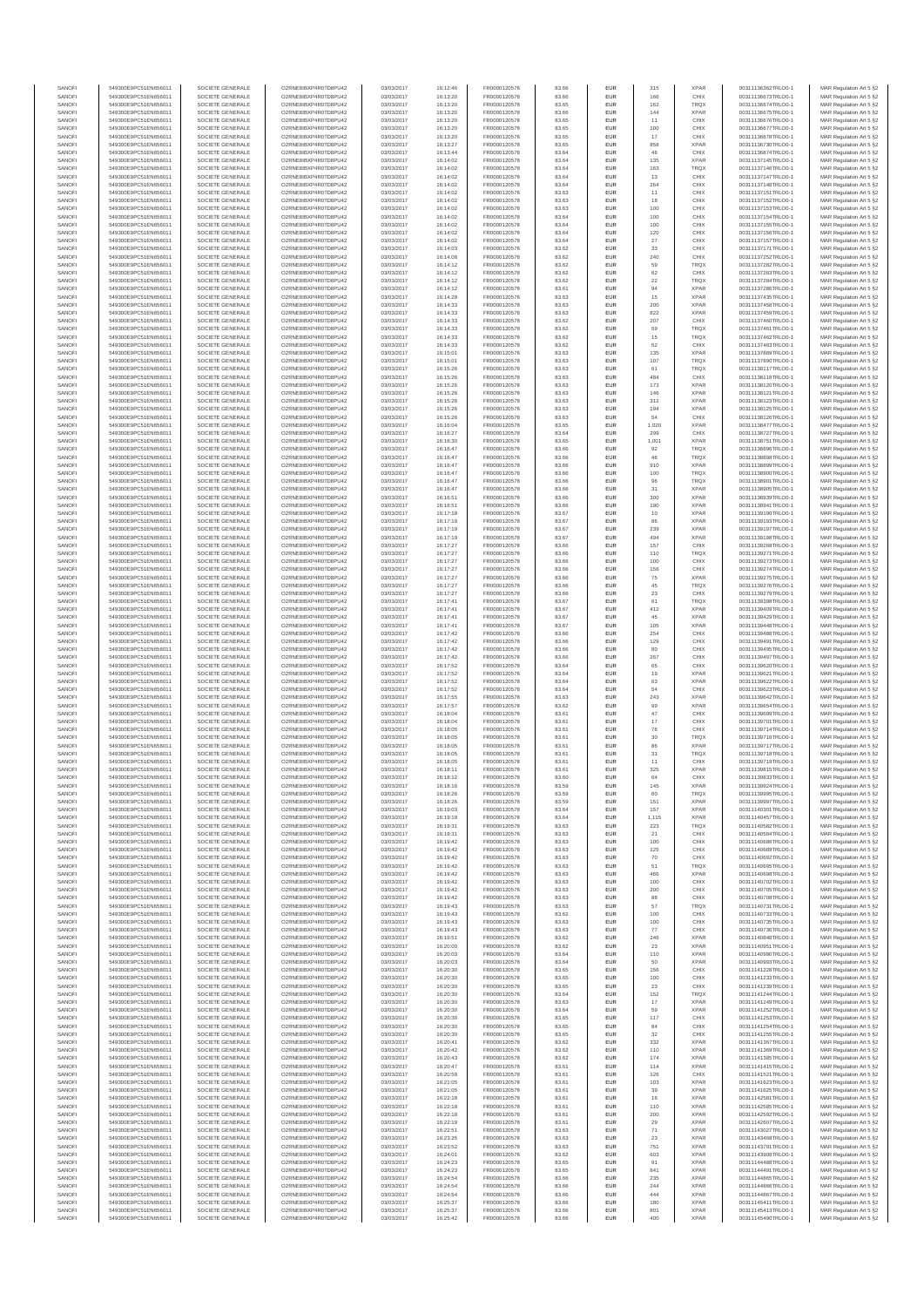| SANOFI<br>SANOFI | 549300E9PC51EN656011<br>549300E9PC51EN656011 | SOCIETE GENERALE<br>SOCIETE GENERALE | O2RNE8IBXP4R0TD8PU42<br>O2RNE8IBXP4R0TD8PU42   | 03/03/2017<br>03/03/2017 | 16:12:46<br>16:13:20 | FR0000120578<br>FR0000120578 | 83.66<br>83.66 | EUR<br>EUR | 315<br>166   | <b>XPAR</b><br>CHIX        | 00311136362TRLO0-1<br>00311136673TRLO0-1 | MAR Regulation Art 5 §2<br>MAR Regulation Art 5 §2  |
|------------------|----------------------------------------------|--------------------------------------|------------------------------------------------|--------------------------|----------------------|------------------------------|----------------|------------|--------------|----------------------------|------------------------------------------|-----------------------------------------------------|
| SANOFI           | 549300E9PC51EN656011                         | SOCIETE GENERALE                     | O2RNE8IBXP4R0TD8PU42                           | 03/03/2017               | 16:13:20             | FR0000120578                 | 83.65          | EUR        | 162          | <b>TRQX</b>                | 00311136674TRLO0-1                       | MAR Regulation Art 5 §2                             |
| SANOFI<br>SANOFI | 549300E9PC51EN656011<br>549300E9PC51EN656011 | SOCIETE GENERALE<br>SOCIETE GENERALE | O2RNE8IBXP4R0TD8PU42<br>O2RNE8IBXP4R0TD8PU42   | 03/03/2017<br>03/03/2017 | 16:13:20<br>16:13:20 | FR0000120578<br>FR0000120578 | 83.66<br>83.65 | EUR<br>EUR | 144<br>11    | <b>XPAR</b><br>CHIX        | 00311136675TRLO0-1<br>00311136676TRLO0-1 | MAR Regulation Art 5 §2                             |
| SANOFI           | 549300E9PC51EN656011                         | SOCIETE GENERALE                     | O2RNE8IBXP4R0TD8PU42                           | 03/03/2017               | 16:13:20             | FR0000120578                 | 83.65          | EUR        | 100          | CHIX                       | 00311136677TRLO0-1                       | MAR Regulation Art 5 §2<br>MAR Regulation Art 5 §2  |
| SANOFI           | 549300E9PC51EN656011                         | SOCIETE GENERALE                     | O2RNE8IBXP4R0TD8PU42                           | 03/03/2017               | 16:13:20             | FR0000120578                 | 83.65          | EUR        | $17$         | CHIX                       | 00311136678TRLO0-1                       | MAR Regulation Art 5 §2                             |
| SANOFI<br>SANOFI | 549300E9PC51EN656011<br>549300E9PC51EN656011 | SOCIETE GENERALE<br>SOCIETE GENERALE | O2RNE8IBXP4R0TD8PU42<br>O2RNE8IBXP4R0TD8PU42   | 03/03/2017<br>03/03/2017 | 16:13:27<br>16:13:44 | FR0000120578<br>FR0000120578 | 83.65<br>83.64 | EUR<br>EUR | 858<br>46    | <b>XPAR</b><br>CHIX        | 00311136730TRLO0-1<br>00311136874TRLO0-1 | MAR Regulation Art 5 §2<br>MAR Regulation Art 5 §2  |
| SANOFI           | 549300E9PC51EN656011                         | SOCIETE GENERALE                     | O2RNE8IBXP4R0TD8PU42                           | 03/03/2017               | 16:14:02             | FR0000120578                 | 83.64          | EUR        | 135          | <b>XPAR</b>                | 00311137145TRLO0-1                       | MAR Regulation Art 5 §2                             |
| SANOFI<br>SANOFI | 549300E9PC51EN656011<br>549300E9PC51EN656011 | SOCIETE GENERALE<br>SOCIETE GENERALE | O2RNE8IBXP4R0TD8PU42<br>O2RNE8IBXP4R0TD8PU42   | 03/03/2017<br>03/03/2017 | 16:14:02<br>16:14:02 | FR0000120578<br>FR0000120578 | 83.64<br>83.64 | EUR<br>EUR | 163<br>13    | <b>TRQX</b><br>CHIX        | 00311137146TRLO0-1<br>00311137147TRLO0-1 | MAR Regulation Art 5 §2<br>MAR Regulation Art 5 §2  |
| SANOFI           | 549300E9PC51EN656011                         | SOCIETE GENERALE                     | O2RNE8IBXP4R0TD8PU42                           | 03/03/2017               | 16:14:02             | FR0000120578                 | 83.64          | EUR        | 264          | CHIX                       | 00311137148TRLO0-1                       | MAR Regulation Art 5 §2                             |
| SANOFI<br>SANOFI | 549300E9PC51EN656011<br>549300E9PC51EN656011 | SOCIETE GENERALE<br>SOCIETE GENERALE | O2RNE8IBXP4R0TD8PU42<br>O2RNE8IBXP4R0TD8PU42   | 03/03/2017<br>03/03/2017 | 16:14:02<br>16:14:02 | FR0000120578<br>FR0000120578 | 83.63<br>83.63 | EUR<br>EUR | 11<br>18     | CHIX<br>CHIX               | 00311137151TRLO0-1<br>00311137152TRLO0-1 | MAR Regulation Art 5 §2<br>MAR Regulation Art 5 §2  |
| SANOFI           | 549300E9PC51EN656011                         | SOCIETE GENERALE                     | O2RNE8IBXP4R0TD8PU42                           | 03/03/2017               | 16:14:02             | FR0000120578                 | 83.63          | EUR        | 100          | CHIX                       | 00311137153TRLO0-1                       | MAR Regulation Art 5 §2                             |
| SANOFI<br>SANOFI | 549300E9PC51EN656011<br>549300E9PC51EN656011 | SOCIETE GENERALE<br>SOCIETE GENERALE | O2RNE8IBXP4R0TD8PU42<br>O2RNE8IBXP4R0TD8PU42   | 03/03/2017<br>03/03/2017 | 16:14:02<br>16:14:02 | FR0000120578<br>FR0000120578 | 83.64<br>83.64 | EUR<br>EUR | 100<br>100   | CHIX<br>CHIX               | 00311137154TRLO0-1<br>00311137155TRLO0-1 | MAR Regulation Art 5 §2<br>MAR Regulation Art 5 §2  |
| SANOFI           | 549300E9PC51EN656011                         | SOCIETE GENERALE                     | O2RNE8IBXP4R0TD8PU42                           | 03/03/2017               | 16:14:02             | FR0000120578                 | 83.64          | EUR        | 120          | CHIX                       | 00311137156TRLO0-1                       | MAR Regulation Art 5 §2                             |
| SANOFI<br>SANOFI | 549300E9PC51EN656011<br>549300E9PC51EN656011 | SOCIETE GENERALE<br>SOCIETE GENERALE | O2RNE8IBXP4R0TD8PU42<br>O2RNE8IBXP4R0TD8PU42   | 03/03/2017<br>03/03/2017 | 16:14:02<br>16:14:03 | FR0000120578<br>FR0000120578 | 83.64<br>83.62 | EUR<br>EUR | 27<br>33     | CHIX<br>CHIX               | 00311137157TRLO0-1<br>00311137171TRLO0-1 | MAR Regulation Art 5 §2<br>MAR Regulation Art 5 §2  |
| SANOFI           | 549300E9PC51EN656011                         | SOCIETE GENERALE                     | O2RNE8IBXP4R0TD8PU42                           | 03/03/2017               | 16:14:08             | FR0000120578                 | 83.62          | EUR        | 240          | CHIX                       | 00311137252TRLO0-1                       | MAR Regulation Art 5 §2                             |
| SANOFI<br>SANOFI | 549300E9PC51EN656011<br>549300E9PC51EN656011 | SOCIETE GENERALE<br>SOCIETE GENERALE | O2RNE8IBXP4R0TD8PU42<br>O2RNE8IBXP4R0TD8PU42   | 03/03/2017<br>03/03/2017 | 16:14:12<br>16:14:12 | FR0000120578<br>FR0000120578 | 83.62<br>83.62 | EUR<br>EUR | 59<br>62     | <b>TRQX</b><br>CHIX        | 00311137282TRLO0-1<br>00311137283TRLO0-1 | MAR Regulation Art 5 §2<br>MAR Regulation Art 5 §2  |
| SANOFI           | 549300E9PC51EN656011                         | SOCIETE GENERALE                     | O2RNE8IBXP4R0TD8PU42                           | 03/03/2017               | 16:14:12             | FR0000120578                 | 83.62          | EUR        | $22\,$       | <b>TRQX</b>                | 00311137284TRLO0-1                       | MAR Regulation Art 5 §2                             |
| SANOFI           | 549300E9PC51EN656011                         | SOCIETE GENERALE<br>SOCIETE GENERALE | O2RNE8IBXP4R0TD8PU42<br>O2RNESIBXP4R0TD8PLI42  | 03/03/2017               | 16:14:12             | FR0000120578                 | 83.61          | EUR        | 94           | <b>XPAR</b>                | 00311137286TRLO0-1                       | MAR Regulation Art 5 §2                             |
| SANOFI<br>SANOFI | 549300E9PC51EN656011<br>549300E9PC51EN656011 | SOCIETE GENERALE                     | O2RNE8IBXP4R0TD8PU42                           | 03/03/2017<br>03/03/2017 | 16:14:28<br>16:14:33 | FR0000120578<br>FR0000120578 | 83.63<br>83.63 | EUR<br>EUR | 15<br>200    | <b>XPAR</b><br><b>XPAR</b> | 00311137435TRLO0-1<br>00311137458TRLO0-1 | MAR Regulation Art 5 §2<br>MAR Regulation Art 5 §2  |
| SANOFI           | 549300E9PC51EN656011                         | SOCIETE GENERALE                     | O2RNE8IBXP4R0TD8PU42                           | 03/03/2017               | 16:14:33             | FR0000120578                 | 83.63          | EUR        | 822          | <b>XPAR</b>                | 00311137459TRLO0-1                       | MAR Regulation Art 5 §2<br>MAR Regulation Art 5 \$2 |
| SANOFI<br>SANOFI | 549300E9PC51EN656011<br>549300E9PC51EN656011 | SOCIETE GENERALE<br>SOCIETE GENERALE | O2RNE8IBXP4R0TD8PU42<br>O2RNE8IBXP4R0TD8PU42   | 03/03/2017<br>03/03/2017 | 16:14:33<br>16:14:33 | FR0000120578<br>FR0000120578 | 83.62<br>83.62 | EUR<br>EUR | 207<br>59    | CHIX<br><b>TRQX</b>        | 00311137460TRLO0-1<br>00311137461TRLO0-1 | MAR Regulation Art 5 §2                             |
| SANOFI<br>SANOFI | 549300E9PC51EN656011<br>549300E9PC51EN656011 | SOCIETE GENERALE<br>SOCIETE GENERALE | O2RNE8IBXP4R0TD8PU42<br>O2RNE8IBXP4R0TD8PU42   | 03/03/2017<br>03/03/2017 | 16:14:33             | FR0000120578<br>FR0000120578 | 83.62<br>83.62 | EUR<br>EUR | 15<br>52     | <b>TRQX</b><br>CHIX        | 00311137462TRLO0-1                       | MAR Regulation Art 5 §2<br>MAR Regulation Art 5 §2  |
| SANOFI           | 549300E9PC51EN656011                         | SOCIETE GENERALE                     | O2RNE8IBXP4R0TD8PU42                           | 03/03/2017               | 16:14:33<br>16:15:01 | FR0000120578                 | 83.63          | EUR        | 135          | <b>XPAR</b>                | 00311137463TRLO0-1<br>00311137889TRLO0-1 | MAR Regulation Art 5 §2                             |
| SANOFI<br>SANOFI | 549300E9PC51EN656011<br>549300E9PC51EN656011 | SOCIETE GENERALE<br>SOCIETE GENERALE | O2RNE8IBXP4R0TD8PU42<br>O2RNE8IBXP4R0TD8PU42   | 03/03/2017<br>03/03/2017 | 16:15:01<br>16:15:26 | FR0000120578<br>FR0000120578 | 83.63<br>83.63 | EUR<br>EUR | 107<br>61    | <b>TRQX</b><br><b>TRQX</b> | 00311137890TRLO0-1<br>00311138117TRLO0-1 | MAR Regulation Art 5 §2<br>MAR Regulation Art 5 §2  |
| SANOFI           | 549300E9PC51EN656011                         | SOCIETE GENERALE                     | O2RNE8IBXP4R0TD8PU42                           | 03/03/2017               | 16:15:26             | FR0000120578                 | 83.63          | EUR        | 484          | CHIX                       | 00311138118TRLO0-1                       | MAR Regulation Art 5 §2                             |
| SANOFI           | 549300E9PC51EN656011                         | SOCIETE GENERALE                     | O2RNE8IBXP4R0TD8PU42                           | 03/03/2017               | 16:15:26             | FR0000120578                 | 83.63          | EUR        | 173          | <b>XPAR</b>                | 00311138120TRLO0-1                       | MAR Regulation Art 5 §2                             |
| SANOFI<br>SANOFI | 549300E9PC51EN656011<br>549300E9PC51EN656011 | SOCIETE GENERALE<br>SOCIETE GENERALE | O2RNE8IBXP4R0TD8PU42<br>O2RNE8IBXP4R0TD8PU42   | 03/03/2017<br>03/03/2017 | 16:15:26<br>16:15:26 | FR0000120578<br>FR0000120578 | 83.63<br>83.63 | EUR<br>EUR | 146<br>312   | <b>XPAR</b><br><b>XPAR</b> | 00311138121TRLO0-1<br>00311138123TRLO0-1 | MAR Regulation Art 5 §2<br>MAR Regulation Art 5 §2  |
| SANOFI           | 549300E9PC51EN656011                         | SOCIETE GENERALE                     | O2RNE8IBXP4R0TD8PU42                           | 03/03/2017               | 16:15:26             | FR0000120578                 | 83.63          | EUR        | 194<br>54    | <b>XPAR</b>                | 00311138125TRLO0-1                       | MAR Regulation Art 5 §2                             |
| SANOFI<br>SANOFI | 549300E9PC51EN656011<br>549300E9PC51EN656011 | SOCIETE GENERALE<br>SOCIETE GENERALE | O2RNE8IBXP4R0TD8PU42<br>O2RNE8IBXP4R0TD8PU42   | 03/03/2017<br>03/03/2017 | 16:15:26<br>16:16:04 | FR0000120578<br>FR0000120578 | 83.63<br>83.65 | EUR<br>EUR | 1,020        | CHIX<br><b>XPAR</b>        | 00311138126TRLO0-1<br>00311138477TRLO0-1 | MAR Regulation Art 5 §2<br>MAR Regulation Art 5 §2  |
| SANOFI           | 549300E9PC51EN656011                         | SOCIETE GENERALE                     | O2RNE8IBXP4R0TD8PU42<br>O2RNE8IBXP4R0TD8PU42   | 03/03/2017               | 16:16:27             | FR0000120578                 | 83.64          | EUR        | 299          | CHIX                       | 00311138727TRLO0-1                       | MAR Regulation Art 5 §2                             |
| SANOFI<br>SANOFI | 549300E9PC51EN656011<br>549300E9PC51EN656011 | SOCIETE GENERALE<br>SOCIETE GENERALE | O2RNE8IBXP4R0TD8PU42                           | 03/03/2017<br>03/03/2017 | 16:16:30<br>16:16:47 | FR0000120578<br>FR0000120578 | 83.65<br>83.66 | EUR<br>EUR | 1,001<br>92  | <b>XPAR</b><br><b>TRQX</b> | 00311138751TRLO0-1<br>00311138896TRLO0-1 | MAR Regulation Art 5 §2<br>MAR Regulation Art 5 §2  |
| SANOFI           | 549300E9PC51EN656011                         | SOCIETE GENERALE                     | O2RNE8IBXP4R0TD8PU42                           | 03/03/2017               | 16:16:47             | FR0000120578<br>FR0000120578 | 83.66          | EUR        | 46           | <b>TRQX</b><br><b>XPAR</b> | 00311138898TRLO0-1                       | MAR Regulation Art 5 §2<br>MAR Regulation Art 5 62  |
| SANOFI<br>SANOFI | 549300E9PC51EN656011<br>549300E9PC51EN656011 | SOCIETE GENERALE<br>SOCIETE GENERALE | O2RNE8IBXP4R0TD8PU42<br>O2RNE8IBXP4R0TD8PU42   | 03/03/2017<br>03/03/2017 | 16:16:47<br>16:16:47 | FR0000120578                 | 83.66<br>83.66 | EUR<br>EUR | 910<br>100   | <b>TRQX</b>                | 00311138899TRLO0-1<br>00311138900TRLO0-1 | MAR Regulation Art 5 §2                             |
| SANOFI           | 549300E9PC51EN656011                         | SOCIETE GENERALE                     | O2RNE8IBXP4R0TD8PU42                           | 03/03/2017               | 16:16:47             | FR0000120578                 | 83.66          | EUR        | 96           | <b>TRQX</b>                | 00311138901TRLO0-1                       | MAR Regulation Art 5 §2<br>MAR Regulation Art 5 §2  |
| SANOFI<br>SANOFI | 549300E9PC51EN656011<br>549300E9PC51EN656011 | SOCIETE GENERALE<br>SOCIETE GENERALE | O2RNE8IBXP4R0TD8PU42<br>O2RNE8IBXP4R0TD8PU42   | 03/03/2017<br>03/03/2017 | 16:16:47<br>16:16:51 | FR0000120578<br>FR0000120578 | 83.66<br>83.66 | EUR<br>EUR | 31<br>300    | <b>XPAR</b><br><b>XPAR</b> | 00311138905TRLO0-1<br>00311138939TRLO0-1 | MAR Regulation Art 5 §2                             |
| SANOFI           | 549300E9PC51EN656011                         | SOCIETE GENERALE                     | O2RNE8IBXP4R0TD8PU42                           | 03/03/2017               | 16:16:51             | FR0000120578                 | 83.66          | EUR        | 190          | <b>XPAR</b>                | 00311138941TRLO0-1                       | MAR Regulation Art 5 §2                             |
| SANOFI<br>SANOFI | 549300E9PC51EN656011<br>549300E9PC51EN656011 | SOCIETE GENERALE<br>SOCIETE GENERALE | O2RNE8IBXP4R0TD8PU42<br>O2RNE8IBXP4R0TD8PU42   | 03/03/2017<br>03/03/2017 | 16:17:18<br>16:17:19 | FR0000120578<br>FR0000120578 | 83.67<br>83.67 | EUR<br>EUR | 10<br>86     | <b>XPAR</b><br><b>XPAR</b> | 00311139190TRLO0-1<br>00311139193TRLO0-1 | MAR Regulation Art 5 §2<br>MAR Regulation Art 5 \$2 |
| SANOFI           | 549300E9PC51EN656011                         | SOCIETE GENERALE                     | O2RNE8IBXP4R0TD8PU42                           | 03/03/2017               | 16:17:19             | FR0000120578                 | 83.67          | EUR        | 239          | <b>XPAR</b>                | 00311139197TRLO0-1                       | MAR Regulation Art 5 §2                             |
| SANOFI<br>SANOFI | 549300E9PC51EN656011<br>549300E9PC51EN656011 | SOCIETE GENERALE<br>SOCIETE GENERALE | O2RNE8IBXP4R0TD8PU42<br>O2RNE8IBXP4R0TD8PU42   | 03/03/2017<br>03/03/2017 | 16:17:19<br>16:17:27 | FR0000120578<br>FR0000120578 | 83.67<br>83.66 | EUR<br>EUR | 494<br>157   | <b>XPAR</b><br>CHIX        | 00311139198TRLO0-1<br>00311139268TRLO0-1 | MAR Regulation Art 5 §2<br>MAR Regulation Art 5 §2  |
| SANOFI           | 549300E9PC51EN656011                         | SOCIETE GENERALE                     | O2RNE8IBXP4R0TD8PU42                           | 03/03/2017               | 16:17:27             | FR0000120578                 | 83.66          | EUR        | 110          | TRQX                       | 00311139271TRLO0-1                       | MAR Regulation Art 5 §2                             |
| SANOFI<br>SANOFI | 549300E9PC51EN656011<br>549300E9PC51EN656011 | SOCIETE GENERALE<br>SOCIETE GENERALE | O2RNE8IBXP4R0TD8PU42<br>O2RNE8IBXP4R0TD8PU42   | 03/03/2017<br>03/03/2017 | 16:17:27<br>16:17:27 | FR0000120578<br>FR0000120578 | 83.66<br>83.66 | EUR<br>EUR | 100<br>156   | CHIX<br>CHIX               | 00311139273TRLO0-1<br>00311139274TRLO0-1 | MAR Regulation Art 5 §2<br>MAR Regulation Art 5 §2  |
| SANOFI           | 549300E9PC51EN656011                         | SOCIETE GENERALE                     | O2RNE8IBXP4R0TD8PU42                           | 03/03/2017               | 16:17:27             | FR0000120578                 | 83.66          | EUR        | 75           | <b>XPAR</b>                | 00311139275TRLO0-1                       | MAR Regulation Art 5 §2                             |
| SANOFI<br>SANOFI | 549300E9PC51EN656011<br>549300E9PC51EN656011 | SOCIETE GENERALE<br>SOCIETE GENERALE | O2RNE8IBXP4R0TD8PU42<br>O2RNE8IBXP4R0TD8PU42   | 03/03/2017<br>03/03/2017 | 16:17:27<br>16:17:27 | FR0000120578<br>FR0000120578 | 83.66<br>83.66 | EUR<br>EUR | 45<br>23     | <b>TRQX</b><br>CHIX        | 00311139276TRLO0-1<br>00311139279TRLO0-1 | MAR Regulation Art 5 §2<br>MAR Regulation Art 5 §2  |
| SANOFI           | 549300E9PC51EN656011                         | SOCIETE GENERALE                     | O2RNE8IBXP4R0TD8PU42                           | 03/03/2017               | 16:17:41             | FR0000120578                 | 83.67          | EUR        | 61           | <b>TRQX</b>                | 00311139398TRLO0-1                       | MAR Regulation Art 5 §2                             |
| SANOFI<br>SANOFI | 549300E9PC51EN656011<br>549300E9PC51EN656011 | SOCIETE GENERALE<br>SOCIETE GENERALE | O2RNE8IBXP4R0TD8PU42<br>O2RNE8IBXP4R0TD8PU42   | 03/03/2017<br>03/03/2017 | 16:17:41<br>16:17:41 | FR0000120578<br>FR0000120578 | 83.67<br>83.67 | EUR<br>EUR | 412<br>45    | <b>XPAR</b><br><b>XPAR</b> | 00311139409TRLO0-1<br>00311139429TRLO0-1 | MAR Regulation Art 5 §2<br>MAR Regulation Art 5 §2  |
| SANOFI           | 549300E9PC51EN656011                         | SOCIETE GENERALE                     | O2RNE8IBXP4R0TD8PU42                           | 03/03/2017               | 16:17:41             | FR0000120578                 | 83.67          | EUR        | 105          | <b>XPAR</b>                | 00311139448TRLO0-1                       | MAR Regulation Art 5 §2                             |
| SANOFI<br>SANOFI | 549300E9PC51EN656011<br>549300E9PC51EN656011 | SOCIETE GENERALE<br>SOCIETE GENERALE | O2RNE8IBXP4R0TD8PU42<br>O2RNE8IBXP4R0TD8PU42   | 03/03/2017<br>03/03/2017 | 16:17:42<br>16:17:42 | FR0000120578<br>FR0000120578 | 83.66<br>83.66 | EUR<br>EUR | 254<br>129   | CHIX<br>CHIX               | 00311139488TRLO0-1<br>00311139491TRLO0-1 | MAR Regulation Art 5 §2<br>MAR Regulation Art 5 §2  |
| SANOFI           | 549300E9PC51EN656011                         | SOCIETE GENERALE                     | O2RNE8IBXP4R0TD8PU42                           | 03/03/2017               | 16:17:42             | FR0000120578                 | 83.66          | EUR        | 80           | CHIX                       | 00311139495TRLO0-1                       | MAR Regulation Art 5 §2                             |
| SANOFI<br>SANOFI | 549300E9PC51EN656011<br>549300E9PC51EN656011 | SOCIETE GENERALE<br>SOCIETE GENERALE | O2RNE8IBXP4R0TD8PU42<br>O2RNE8IBXP4R0TD8PU42   | 03/03/2017<br>03/03/2017 | 16:17:42<br>16:17:52 | FR0000120578<br>FR0000120578 | 83.66<br>83.64 | EUR<br>EUR | 267<br>65    | CHIX<br>CHIX               | 00311139497TRLO0-1<br>00311139620TRLO0-1 | MAR Regulation Art 5 §2<br>MAR Regulation Art 5 \$2 |
| SANOFI           | 549300E9PC51EN656011                         | SOCIETE GENERALE                     | O2RNE8IBXP4R0TD8PU42                           | 03/03/2017               | 16:17:52             | FR0000120578                 | 83.64          | EUR        | 19           | <b>XPAR</b>                | 00311139621TRLO0-1                       | MAR Regulation Art 5 §2                             |
| SANOFI<br>SANOFI | 549300E9PC51EN656011<br>549300E9PC51EN656011 | SOCIETE GENERALE<br>SOCIETE GENERALE | O2RNE8IBXP4R0TD8PU42<br>O2RNE8IBXP4R0TD8PU42   | 03/03/2017<br>03/03/2017 | 16:17:52<br>16:17:52 | FR0000120578<br>FR0000120578 | 83.64<br>83.64 | EUR<br>EUR | 63<br>54     | <b>XPAR</b><br>CHIX        | 00311139622TRLO0-1<br>00311139623TRLO0-1 | MAR Regulation Art 5 §2<br>MAR Regulation Art 5 §2  |
| SANOFI           | 549300E9PC51EN656011                         | SOCIETE GENERALE                     | O2RNE8IBXP4R0TD8PU42                           | 03/03/2017               | 16:17:55             | FR0000120578                 | 83.63          | EUR        | 243          | <b>XPAR</b>                | 00311139642TRLO0-1                       | MAR Regulation Art 5 §2                             |
| SANOFI<br>SANOFI | 549300E9PC51EN656011<br>549300E9PC51EN656011 | SOCIETE GENERALE<br>SOCIETE GENERALE | O2RNE8IBXP4R0TD8PU42<br>O2RNE8IBXP4R0TD8PU42   | 03/03/2017<br>03/03/2017 | 16:17:57<br>16:18:04 | FR0000120578<br>FR0000120578 | 83.62<br>83.61 | EUR<br>EUR | 99<br>$47\,$ | <b>XPAR</b><br>CHIX        | 00311139654TRLO0-1<br>00311139699TRLO0-1 | MAR Regulation Art 5 §2<br>MAR Regulation Art 5 §2  |
| SANOFI           | 549300E9PC51EN656011                         | SOCIETE GENERALE                     | O2RNE8IBXP4R0TD8PU42                           | 03/03/2017               | 16:18:04             | FR0000120578                 | 83.61          | EUR        | 17           | CHIX                       | 00311139701TRLO0-1                       | MAR Regulation Art 5 §2                             |
| SANOFI<br>SANOFI | 549300E9PC51EN656011<br>549300E9PC51EN656011 | SOCIETE GENERALE<br>SOCIETE GENERALE | O2RNE8IBXP4R0TD8PU42<br>O2RNE8IBXP4R0TD8PU42   | 03/03/2017<br>03/03/2017 | 16:18:05<br>16:18:05 | FR0000120578<br>FR0000120578 | 83.61<br>83.61 | EUR<br>EUR | 76<br>30     | CHIX<br><b>TRQX</b>        | 00311139714TRLO0-1<br>00311139716TRLO0-1 | MAR Regulation Art 5 §2<br>MAR Regulation Art 5 §2  |
| SANOFI           | 549300E9PC51EN656011                         | SOCIETE GENERALE                     | O2RNE8IBXP4R0TD8PU42                           | 03/03/2017               | 16:18:05             | FR0000120578                 | 83.61          | EUR        | 86           | <b>XPAR</b>                | 00311139717TRLO0-1                       | MAR Regulation Art 5 §2                             |
| SANOFI<br>SANOFI | 549300E9PC51EN656011<br>549300E9PC51EN656011 | SOCIETE GENERALE<br>SOCIETE GENERALE | O2RNESIBXP4R0TD8PLI42<br>O2RNESIBXP4R0TD8PLI42 | 03/03/2017<br>03/03/2017 | 16:18:05<br>16:18:05 | FR0000120578<br>FR0000120578 | 83.61<br>83.61 | EUR<br>EUR | 31<br>11     | TRQX<br>CHIX               | 00311139718TRLO0-1<br>00311139719TRLO0-1 | MAR Regulation Art 5 §2<br>MAR Regulation Art 5 §2  |
| SANOFI           | 549300E9PC51EN656011                         | SOCIETE GENERALE                     | O2RNE8IBXP4R0TD8PU42                           | 03/03/2017               | 16:18:11             | FR0000120578                 | 83.61          | <b>EUR</b> | 325          | <b>XPAR</b>                | 00311139815TRLO0-1                       | MAR Regulation Art 5 §2                             |
| SANOFI<br>SANOF  | 549300E9PC51EN656011<br>549300E9PC51EN656011 | SOCIETE GENERALE<br>SOCIETE GENERALE | O2RNE8IBXP4R0TD8PU42<br>O2RNE8IBXP4R0TD8PU42   | 03/03/2017<br>03/03/2017 | 16:18:12<br>16:18:16 | FR0000120578<br>FR0000120578 | 83.60<br>83.59 | <b>EUR</b> | 64<br>145    | CHIX<br><b>XPAR</b>        | 00311139833TRLO0-1<br>00311139924TRLO0-1 | MAR Regulation Art 5 §2<br>MAR Regulation Art 5 §2  |
| SANOFI           | 549300E9PC51EN656011                         | SOCIETE GENERALE                     | O2RNE8IBXP4R0TD8PU42                           | 03/03/2017               | 16:18:26             | FR0000120578                 | 83.59          | EUR        | 60           | <b>TRQX</b>                | 00311139995TRLO0-1                       | MAR Regulation Art 5 §2                             |
| SANOFI<br>SANOFI | 549300E9PC51EN656011<br>549300E9PC51EN656011 | SOCIETE GENERALE<br>SOCIETE GENERALE | O2RNE8IBXP4R0TD8PU42<br>O2RNE8IBXP4R0TD8PLI42  | 03/03/2017<br>03/03/2017 | 16:18:26<br>16:19:03 | FR0000120578<br>FR0000120578 | 83.59<br>83.64 | EUR<br>EUR | 151<br>157   | <b>XPAR</b><br><b>XPAR</b> | 00311139997TRLO0-1<br>00311140301TRLO0-1 | MAR Regulation Art 5 §2<br>MAR Regulation Art 5 \$2 |
| SANOFI           | 549300E9PC51EN656011                         | SOCIETE GENERALE                     | O2RNE8IBXP4R0TD8PU42                           | 03/03/2017               | 16:19:19             | FR0000120578                 | 83.64          | EUR        | 1,115        | <b>XPAR</b>                | 00311140457TRLO0-1                       | MAR Regulation Art 5 §2                             |
| SANOFI<br>SANOFI | 549300E9PC51EN656011<br>549300E9PC51EN656011 | SOCIETE GENERALE<br>SOCIETE GENERALE | O2RNE8IBXP4R0TD8PU42<br>O2RNE8IBXP4R0TD8PU42   | 03/03/2017<br>03/03/2017 | 16:19:31<br>16:19:31 | FR0000120578<br>FR0000120578 | 83.63<br>83.63 | EUR<br>EUR | 223<br>21    | TRQX<br>CHIX               | 00311140582TRLO0-1<br>00311140584TRLO0-1 | MAR Regulation Art 5 §2<br>MAR Regulation Art 5 §2  |
| SANOFI           | 549300E9PC51EN656011                         | SOCIETE GENERALE                     | O2RNE8IBXP4R0TD8PU42                           | 03/03/2017               | 16:19:42             | FR0000120578                 | 83.63          | EUR        | 100          | CHIX                       | 00311140686TRLO0-1                       | MAR Regulation Art 5 §2                             |
| SANOFI<br>SANOFI | 549300E9PC51EN656011<br>549300E9PC51EN656011 | SOCIETE GENERALE<br>SOCIETE GENERALE | O2RNE8IBXP4R0TD8PU42<br>O2RNE8IBXP4R0TD8PU42   | 03/03/2017<br>03/03/2017 | 16:19:42<br>16:19:42 | FR0000120578<br>FR0000120578 | 83.63<br>83.63 | EUR<br>EUR | 125<br>70    | CHIX<br>CHIX               | 00311140689TRLO0-1<br>00311140692TRLO0-1 | MAR Regulation Art 5 §2<br>MAR Regulation Art 5 §2  |
| SANOFI           | 549300E9PC51EN656011                         | SOCIETE GENERALE                     | O2RNE8IBXP4R0TD8PU42                           | 03/03/2017               | 16:19:42             | FR0000120578                 | 83.63          | EUR        | 51           | <b>TRQX</b>                | 00311140695TRLO0-1                       | MAR Regulation Art 5 §2                             |
| SANOFI<br>SANOFI | 549300E9PC51EN656011<br>549300E9PC51EN656011 | SOCIETE GENERALE<br>SOCIETE GENERALE | O2RNE8IBXP4R0TD8PU42<br>O2RNE8IBXP4R0TD8PU42   | 03/03/2017<br>03/03/2017 | 16:19:42<br>16:19:42 | FR0000120578<br>FR0000120578 | 83.63<br>83.63 | EUR<br>EUR | 466<br>100   | <b>XPAR</b><br>CHIX        | 00311140698TRLO0-1<br>00311140702TRLO0-1 | MAR Regulation Art 5 §2<br>MAR Regulation Art 5 §2  |
| SANOFI           | 549300E9PC51EN656011                         | SOCIETE GENERALE                     | O2RNE8IBXP4R0TD8PU42                           | 03/03/2017               | 16:19:42             | FR0000120578                 | 83.63          | EUR        | 200          | CHIX                       | 00311140705TRLO0-1                       | MAR Regulation Art 5 §2                             |
| SANOFI<br>SANOFI | 549300E9PC51EN656011<br>549300E9PC51EN656011 | SOCIETE GENERALE<br>SOCIETE GENERALE | O2RNE8IBXP4R0TD8PU42<br>O2RNE8IBXP4R0TD8PU42   | 03/03/2017<br>03/03/2017 | 16:19:42<br>16:19:43 | FR0000120578<br>FR0000120578 | 83.63<br>83.63 | EUR<br>EUR | 88<br>57     | CHIX<br><b>TRQX</b>        | 00311140708TRLO0-1<br>00311140731TRLO0-1 | MAR Regulation Art 5 §2<br>MAR Regulation Art 5 §2  |
| SANOFI           | 549300E9PC51EN656011                         | SOCIETE GENERALE                     | O2RNE8IBXP4R0TD8PU42                           | 03/03/2017               | 16:19:43             | FR0000120578                 | 83.62          | EUR        | 100          | CHIX                       | 00311140733TRLO0-1                       | MAR Regulation Art 5 §2                             |
| SANOFI<br>SANOFI | 549300E9PC51EN656011<br>549300E9PC51EN656011 | SOCIETE GENERALE<br>SOCIETE GENERALE | O2RNE8IBXP4R0TD8PU42<br>O2RNE8IBXP4R0TD8PU42   | 03/03/2017<br>03/03/2017 | 16:19:43<br>16:19:43 | FR0000120578<br>FR0000120578 | 83.63<br>83.63 | EUR<br>EUR | 100<br>77    | CHIX<br>CHIX               | 00311140735TRLO0-1<br>00311140736TRLO0-1 | MAR Regulation Art 5 §2<br>MAR Regulation Art 5 §2  |
| SANOFI<br>SANOFI | 549300E9PC51EN656011                         | SOCIETE GENERALE<br>SOCIETE GENERALE | O2RNE8IBXP4R0TD8PU42                           | 03/03/2017               | 16:19:51             | FR0000120578                 | 83.62<br>83.62 | EUR<br>EUR | 246<br>23    | <b>XPAR</b><br><b>XPAR</b> | 00311140848TRLO0-1                       | MAR Regulation Art 5 §2                             |
| SANOFI           | 549300E9PC51EN656011<br>549300E9PC51EN656011 | SOCIETE GENERALE                     | O2RNE8IBXP4R0TD8PU42<br>O2RNE8IBXP4R0TD8PU42   | 03/03/2017<br>03/03/2017 | 16:20:00<br>16:20:03 | FR0000120578<br>FR0000120578 | 83.64          | EUR        | 110          | <b>XPAR</b>                | 00311140951TRLO0-1<br>00311140990TRLO0-1 | MAR Regulation Art 5 §2<br>MAR Regulation Art 5 §2  |
| SANOFI           | 549300E9PC51EN656011                         | SOCIETE GENERALE                     | O2RNE8IBXP4R0TD8PU42                           | 03/03/2017               | 16:20:03             | FR0000120578                 | 83.64<br>83.65 | EUR        | 50           | <b>XPAR</b>                | 00311140993TRLO0-1                       | MAR Regulation Art 5 §2                             |
| SANOFI<br>SANOFI | 549300E9PC51EN656011<br>549300E9PC51EN656011 | SOCIETE GENERALE<br>SOCIETE GENERALE | O2RNE8IBXP4R0TD8PU42<br>O2RNE8IBXP4R0TD8PU42   | 03/03/2017<br>03/03/2017 | 16:20:30<br>16:20:30 | FR0000120578<br>FR0000120578 | 83.65          | EUR<br>EUR | 156<br>100   | CHIX<br>CHIX               | 00311141228TRLO0-1<br>00311141233TRLO0-1 | MAR Regulation Art 5 §2<br>MAR Regulation Art 5 §2  |
| SANOFI<br>SANOFI | 549300E9PC51EN656011<br>549300E9PC51EN656011 | SOCIETE GENERALE<br>SOCIETE GENERALE | O2RNE8IBXP4R0TD8PU42<br>O2RNE8IBXP4R0TD8PU42   | 03/03/2017<br>03/03/2017 | 16:20:30<br>16:20:30 | FR0000120578<br>FR0000120578 | 83.65<br>83.64 | EUR<br>EUR | 23<br>152    | CHIX<br><b>TRQX</b>        | 00311141239TRLO0-1<br>00311141244TRLO0-1 | MAR Regulation Art 5 §2<br>MAR Regulation Art 5 §2  |
| SANOFI           | 549300E9PC51EN656011                         | SOCIETE GENERALE                     | O2RNE8IBXP4R0TD8PU42                           | 03/03/2017               | 16:20:30             | FR0000120578                 | 83.63          | EUR        | 17           | <b>XPAR</b>                | 00311141249TRLO0-1                       | MAR Regulation Art 5 §2                             |
| SANOFI<br>SANOFI | 549300E9PC51EN656011<br>549300E9PC51EN656011 | SOCIETE GENERALE<br>SOCIETE GENERALE | O2RNE8IBXP4R0TD8PU42<br>O2RNE8IBXP4R0TD8PU42   | 03/03/2017<br>03/03/2017 | 16:20:30<br>16:20:30 | FR0000120578<br>FR0000120578 | 83.64<br>83.65 | EUR<br>EUR | 59<br>117    | <b>XPAR</b><br>CHIX        | 00311141252TRLO0-1<br>00311141253TRLO0-1 | MAR Regulation Art 5 §2<br>MAR Regulation Art 5 §2  |
| SANOFI           | 549300E9PC51EN656011                         | SOCIETE GENERALE                     | O2RNE8IBXP4R0TD8PU42                           | 03/03/2017               | 16:20:30             | FR0000120578                 | 83.65          | EUR        | 84           | CHIX                       | 00311141254TRLO0-1                       | MAR Regulation Art 5 §2                             |
| SANOFI<br>SANOFI | 549300E9PC51EN656011<br>549300E9PC51EN656011 | SOCIETE GENERALE<br>SOCIETE GENERALE | O2RNE8IBXP4R0TD8PU42<br>O2RNE8IBXP4R0TD8PU42   | 03/03/2017<br>03/03/2017 | 16:20:30<br>16:20:41 | FR0000120578<br>FR0000120578 | 83.65<br>83.62 | EUR<br>EUR | 32<br>332    | CHIX<br><b>XPAR</b>        | 00311141255TRLO0-1<br>00311141367TRLO0-1 | MAR Regulation Art 5 §2<br>MAR Regulation Art 5 §2  |
| SANOFI           | 549300E9PC51EN656011                         | SOCIETE GENERALE                     | O2RNE8IBXP4R0TD8PU42                           | 03/03/2017               | 16:20:42             | FR0000120578                 | 83.62          | EUR        | 110          | <b>XPAR</b>                | 00311141369TRLO0-1                       | MAR Regulation Art 5 §2                             |
| SANOFI<br>SANOFI | 549300E9PC51EN656011<br>549300E9PC51EN656011 | SOCIETE GENERALE<br>SOCIETE GENERALE | O2RNE8IBXP4R0TD8PU42<br>O2RNE8IBXP4R0TD8PU42   | 03/03/2017<br>03/03/2017 | 16:20:43<br>16:20:47 | FR0000120578<br>FR0000120578 | 83.62<br>83.61 | EUR<br>EUR | 174<br>114   | <b>XPAR</b><br><b>XPAR</b> | 00311141385TRLO0-1<br>00311141415TRLO0-1 | MAR Regulation Art 5 §2<br>MAR Regulation Art 5 §2  |
| SANOFI           | 549300E9PC51EN656011                         | SOCIETE GENERALE                     | O2RNE8IBXP4R0TD8PU42                           | 03/03/2017               | 16:20:59             | FR0000120578                 | 83.61          | EUR        | 126          | CHIX                       | 00311141521TRLO0-1                       | MAR Regulation Art 5 §2                             |
| SANOFI<br>SANOFI | 549300E9PC51EN656011<br>549300E9PC51EN656011 | SOCIETE GENERALE<br>SOCIETE GENERALE | O2RNE8IBXP4R0TD8PU42<br>O2RNE8IBXP4R0TD8PU42   | 03/03/2017<br>03/03/2017 | 16:21:05<br>16:21:05 | FR0000120578<br>FR0000120578 | 83.61<br>83.61 | EUR<br>EUR | 103<br>39    | <b>XPAR</b><br><b>XPAR</b> | 00311141623TRLO0-1<br>00311141625TRLO0-1 | MAR Regulation Art 5 §2<br>MAR Regulation Art 5 §2  |
| SANOFI           | 549300E9PC51EN656011                         | SOCIETE GENERALE                     | O2RNE8IBXP4R0TD8PU42                           | 03/03/2017               | 16:22:18             | FR0000120578                 | 83.61          | EUR        | 16           | <b>XPAR</b>                | 00311142581TRLO0-1                       | MAR Regulation Art 5 §2                             |
| SANOFI<br>SANOFI | 549300E9PC51EN656011<br>549300E9PC51EN656011 | SOCIETE GENERALE<br>SOCIETE GENERALE | O2RNE8IBXP4R0TD8PU42<br>O2RNE8IBXP4R0TD8PU42   | 03/03/2017<br>03/03/2017 | 16:22:18<br>16:22:18 | FR0000120578<br>FR0000120578 | 83.61<br>83.61 | EUR<br>EUR | 110<br>200   | <b>XPAR</b><br><b>XPAR</b> | 00311142585TRLO0-1<br>00311142592TRLO0-1 | MAR Regulation Art 5 §2<br>MAR Regulation Art 5 §2  |
| SANOFI           | 549300E9PC51EN656011                         | SOCIETE GENERALE                     | O2RNE8IBXP4R0TD8PU42                           | 03/03/2017               | 16:22:19             | FR0000120578                 | 83.61          | EUR        | 29           | <b>XPAR</b>                | 00311142607TRLO0-1                       | MAR Regulation Art 5 §2                             |
| SANOFI<br>SANOFI | 549300E9PC51EN656011<br>549300E9PC51EN656011 | SOCIETE GENERALE<br>SOCIETE GENERALE | O2RNE8IBXP4R0TD8PU42<br>O2RNE8IBXP4R0TD8PU42   | 03/03/2017<br>03/03/2017 | 16:22:51<br>16:23:25 | FR0000120578<br>FR0000120578 | 83.63<br>83.63 | EUR<br>EUR | 71<br>23     | <b>XPAR</b><br><b>XPAR</b> | 00311143027TRLO0-1<br>00311143468TRLO0-1 | MAR Regulation Art 5 §2<br>MAR Regulation Art 5 §2  |
| SANOFI           | 549300E9PC51EN656011                         | SOCIETE GENERALE                     | O2RNE8IBXP4R0TD8PU42                           | 03/03/2017               | 16:23:52             | FR0000120578                 | 83.63          | EUR        | 751          | <b>XPAR</b>                | 00311143791TRLO0-1                       | MAR Regulation Art 5 §2                             |
| SANOFI<br>SANOFI | 549300E9PC51EN656011<br>549300E9PC51EN656011 | SOCIETE GENERALE<br>SOCIETE GENERALE | O2RNE8IBXP4R0TD8PU42<br>O2RNE8IBXP4R0TD8PU42   | 03/03/2017<br>03/03/2017 | 16:24:01<br>16:24:23 | FR0000120578<br>FR0000120578 | 83.62<br>83.65 | EUR<br>EUR | 603<br>91    | <b>XPAR</b><br><b>XPAR</b> | 00311143908TRLO0-1<br>00311144488TRLO0-1 | MAR Regulation Art 5 §2<br>MAR Regulation Art 5 §2  |
| SANOFI           | 549300E9PC51EN656011                         | SOCIETE GENERALE                     | O2RNE8IBXP4R0TD8PU42                           | 03/03/2017               | 16:24:23             | FR0000120578                 | 83.65          | EUR        | 841          | <b>XPAR</b>                | 00311144491TRLO0-1                       | MAR Regulation Art 5 §2                             |
| SANOFI<br>SANOFI | 549300E9PC51EN656011<br>549300E9PC51EN656011 | SOCIETE GENERALE<br>SOCIETE GENERALE | O2RNE8IBXP4R0TD8PU42<br>O2RNE8IBXP4R0TD8PU42   | 03/03/2017<br>03/03/2017 | 16:24:54<br>16:24:54 | FR0000120578<br>FR0000120578 | 83.66<br>83.66 | EUR<br>EUR | 235<br>244   | <b>XPAR</b><br><b>XPAR</b> | 00311144865TRLO0-1<br>00311144866TRLO0-1 | MAR Regulation Art 5 §2<br>MAR Regulation Art 5 §2  |
| SANOFI           | 549300E9PC51EN656011                         | SOCIETE GENERALE                     | O2RNE8IBXP4R0TD8PU42                           | 03/03/2017               | 16:24:54             | FR0000120578                 | 83.66          | EUR        | 444          | <b>XPAR</b>                | 00311144867TRLO0-1                       | MAR Regulation Art 5 §2                             |
| SANOFI<br>SANOFI | 549300E9PC51EN656011<br>549300E9PC51EN656011 | SOCIETE GENERALE<br>SOCIETE GENERALE | O2RNE8IBXP4R0TD8PU42<br>O2RNE8IBXP4R0TD8PU42   | 03/03/2017<br>03/03/2017 | 16:25:37<br>16:25:37 | FR0000120578<br>FR0000120578 | 83.66<br>83.66 | EUR<br>EUR | 180<br>801   | <b>XPAR</b><br><b>XPAR</b> | 00311145411TRLO0-1<br>00311145413TRLO0-1 | MAR Regulation Art 5 §2<br>MAR Regulation Art 5 §2  |
| SANOFI           | 549300E9PC51EN656011                         | SOCIETE GENERALE                     | O2RNE8IBXP4R0TD8PU42                           | 03/03/2017               | 16:25:42             | FR0000120578                 | 83.66          | EUR        | 400          | <b>XPAR</b>                | 00311145490TRLO0-1                       | MAR Regulation Art 5 §2                             |
|                  |                                              |                                      |                                                |                          |                      |                              |                |            |              |                            |                                          |                                                     |